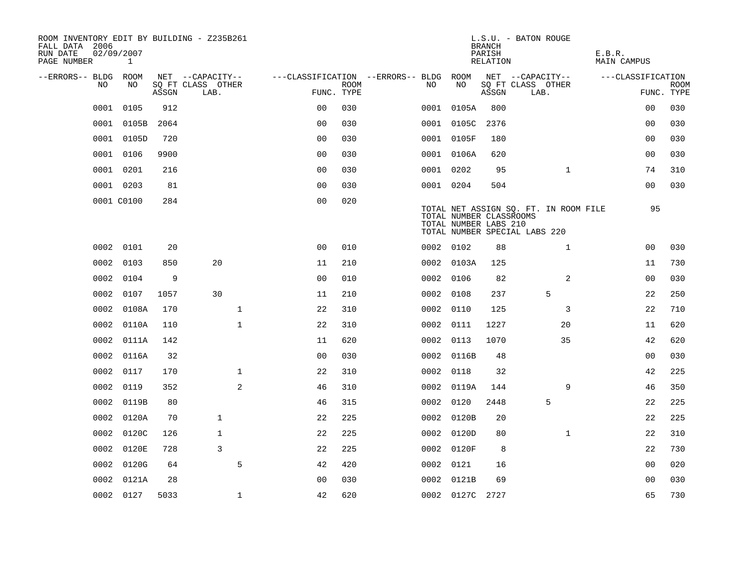| ROOM INVENTORY EDIT BY BUILDING - Z235B261<br>FALL DATA 2006<br>RUN DATE<br>PAGE NUMBER | 02/09/2007<br>$\mathbf{1}$ |       |                           |                                   |             |           |                                                  | <b>BRANCH</b><br>PARISH<br>RELATION | L.S.U. - BATON ROUGE                                                   | E.B.R.<br><b>MAIN CAMPUS</b> |                           |
|-----------------------------------------------------------------------------------------|----------------------------|-------|---------------------------|-----------------------------------|-------------|-----------|--------------------------------------------------|-------------------------------------|------------------------------------------------------------------------|------------------------------|---------------------------|
| --ERRORS-- BLDG                                                                         | ROOM                       |       | NET --CAPACITY--          | ---CLASSIFICATION --ERRORS-- BLDG |             |           | ROOM                                             |                                     | NET --CAPACITY--                                                       | ---CLASSIFICATION            |                           |
| N <sub>O</sub>                                                                          | NO.                        | ASSGN | SO FT CLASS OTHER<br>LAB. | FUNC. TYPE                        | <b>ROOM</b> | NO.       | NO                                               | ASSGN                               | SQ FT CLASS OTHER<br>LAB.                                              |                              | <b>ROOM</b><br>FUNC. TYPE |
| 0001                                                                                    | 0105                       | 912   |                           | 0 <sub>0</sub>                    | 030         | 0001      | 0105A                                            | 800                                 |                                                                        | 00                           | 030                       |
| 0001                                                                                    | 0105B                      | 2064  |                           | 0 <sub>0</sub>                    | 030         |           | 0001 0105C                                       | 2376                                |                                                                        | 0 <sub>0</sub>               | 030                       |
|                                                                                         | 0001 0105D                 | 720   |                           | 0 <sub>0</sub>                    | 030         |           | 0001 0105F                                       | 180                                 |                                                                        | 0 <sub>0</sub>               | 030                       |
| 0001                                                                                    | 0106                       | 9900  |                           | 0 <sub>0</sub>                    | 030         |           | 0001 0106A                                       | 620                                 |                                                                        | 0 <sub>0</sub>               | 030                       |
| 0001                                                                                    | 0201                       | 216   |                           | 00                                | 030         | 0001 0202 |                                                  | 95                                  | $\mathbf{1}$                                                           | 74                           | 310                       |
|                                                                                         | 0001 0203                  | 81    |                           | 0 <sub>0</sub>                    | 030         | 0001 0204 |                                                  | 504                                 |                                                                        | 00                           | 030                       |
|                                                                                         | 0001 C0100                 | 284   |                           | 0 <sub>0</sub>                    | 020         |           | TOTAL NUMBER CLASSROOMS<br>TOTAL NUMBER LABS 210 |                                     | TOTAL NET ASSIGN SQ. FT. IN ROOM FILE<br>TOTAL NUMBER SPECIAL LABS 220 | 95                           |                           |
|                                                                                         | 0002 0101                  | 20    |                           | 0 <sub>0</sub>                    | 010         | 0002 0102 |                                                  | 88                                  | $\mathbf{1}$                                                           | 00                           | 030                       |
| 0002                                                                                    | 0103                       | 850   | 20                        | 11                                | 210         |           | 0002 0103A                                       | 125                                 |                                                                        | 11                           | 730                       |
| 0002                                                                                    | 0104                       | 9     |                           | 0 <sub>0</sub>                    | 010         | 0002 0106 |                                                  | 82                                  | 2                                                                      | 00                           | 030                       |
| 0002                                                                                    | 0107                       | 1057  | 30                        | 11                                | 210         | 0002      | 0108                                             | 237                                 | 5                                                                      | 22                           | 250                       |
| 0002                                                                                    | 0108A                      | 170   | $\mathbf{1}$              | 22                                | 310         | 0002 0110 |                                                  | 125                                 | 3                                                                      | 22                           | 710                       |
| 0002                                                                                    | 0110A                      | 110   | $\mathbf{1}$              | 22                                | 310         | 0002      | 0111                                             | 1227                                | 20                                                                     | 11                           | 620                       |
| 0002                                                                                    | 0111A                      | 142   |                           | 11                                | 620         | 0002 0113 |                                                  | 1070                                | 35                                                                     | 42                           | 620                       |
| 0002                                                                                    | 0116A                      | 32    |                           | 0 <sub>0</sub>                    | 030         |           | 0002 0116B                                       | 48                                  |                                                                        | 0 <sub>0</sub>               | 030                       |
| 0002                                                                                    | 0117                       | 170   | $\mathbf 1$               | 22                                | 310         | 0002 0118 |                                                  | 32                                  |                                                                        | 42                           | 225                       |
| 0002                                                                                    | 0119                       | 352   | 2                         | 46                                | 310         |           | 0002 0119A                                       | 144                                 | 9                                                                      | 46                           | 350                       |
| 0002                                                                                    | 0119B                      | 80    |                           | 46                                | 315         | 0002 0120 |                                                  | 2448                                | 5                                                                      | 22                           | 225                       |
| 0002                                                                                    | 0120A                      | 70    | $\mathbf{1}$              | 22                                | 225         |           | 0002 0120B                                       | 20                                  |                                                                        | 22                           | 225                       |
| 0002                                                                                    | 0120C                      | 126   | $\mathbf{1}$              | 22                                | 225         |           | 0002 0120D                                       | 80                                  | $\mathbf{1}$                                                           | 22                           | 310                       |
| 0002                                                                                    | 0120E                      | 728   | 3                         | 22                                | 225         |           | 0002 0120F                                       | 8                                   |                                                                        | 22                           | 730                       |
| 0002                                                                                    | 0120G                      | 64    | 5                         | 42                                | 420         | 0002 0121 |                                                  | 16                                  |                                                                        | 0 <sub>0</sub>               | 020                       |
| 0002                                                                                    | 0121A                      | 28    |                           | 0 <sub>0</sub>                    | 030         |           | 0002 0121B                                       | 69                                  |                                                                        | 00                           | 030                       |
|                                                                                         | 0002 0127                  | 5033  | $\mathbf{1}$              | 42                                | 620         |           | 0002 0127C 2727                                  |                                     |                                                                        | 65                           | 730                       |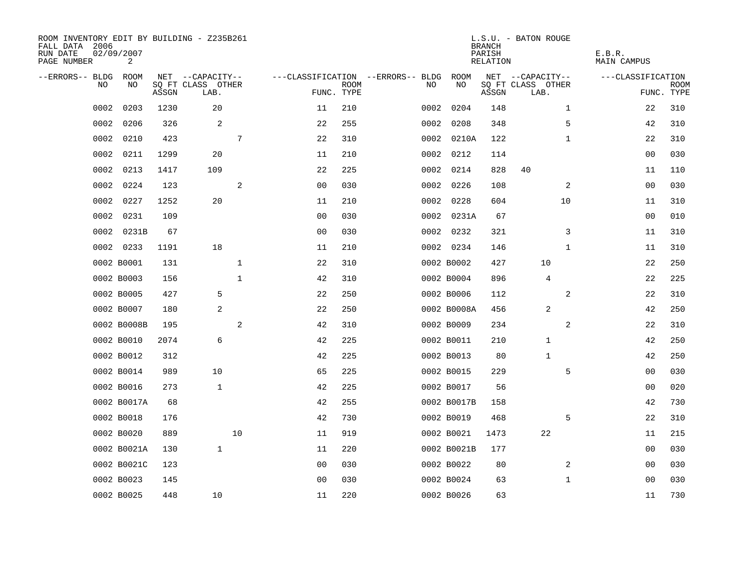| ROOM INVENTORY EDIT BY BUILDING - Z235B261<br>FALL DATA 2006<br>RUN DATE<br>PAGE NUMBER | 02/09/2007<br>2 |       |                           |              |                |             |                                   |             | <b>BRANCH</b><br>PARISH<br>RELATION | L.S.U. - BATON ROUGE      | E.B.R.<br>MAIN CAMPUS |                           |
|-----------------------------------------------------------------------------------------|-----------------|-------|---------------------------|--------------|----------------|-------------|-----------------------------------|-------------|-------------------------------------|---------------------------|-----------------------|---------------------------|
| --ERRORS-- BLDG                                                                         | ROOM            |       | NET --CAPACITY--          |              |                |             | ---CLASSIFICATION --ERRORS-- BLDG | ROOM        |                                     | NET --CAPACITY--          | ---CLASSIFICATION     |                           |
| NO                                                                                      | NO              | ASSGN | SQ FT CLASS OTHER<br>LAB. |              | FUNC. TYPE     | <b>ROOM</b> | NO                                | NO          | ASSGN                               | SQ FT CLASS OTHER<br>LAB. |                       | <b>ROOM</b><br>FUNC. TYPE |
| 0002                                                                                    | 0203            | 1230  | 20                        |              | 11             | 210         | 0002                              | 0204        | 148                                 | $\mathbf{1}$              | 22                    | 310                       |
| 0002                                                                                    | 0206            | 326   | 2                         |              | 22             | 255         |                                   | 0002 0208   | 348                                 | 5                         | 42                    | 310                       |
| 0002                                                                                    | 0210            | 423   |                           | 7            | 22             | 310         |                                   | 0002 0210A  | 122                                 | $\mathbf{1}$              | 22                    | 310                       |
| 0002                                                                                    | 0211            | 1299  | 20                        |              | 11             | 210         |                                   | 0002 0212   | 114                                 |                           | 00                    | 030                       |
| 0002                                                                                    | 0213            | 1417  | 109                       |              | 22             | 225         |                                   | 0002 0214   | 828                                 | 40                        | 11                    | 110                       |
| 0002                                                                                    | 0224            | 123   |                           | 2            | 0 <sub>0</sub> | 030         |                                   | 0002 0226   | 108                                 | 2                         | 0 <sub>0</sub>        | 030                       |
| 0002                                                                                    | 0227            | 1252  | 20                        |              | 11             | 210         |                                   | 0002 0228   | 604                                 | 10                        | 11                    | 310                       |
| 0002                                                                                    | 0231            | 109   |                           |              | 0 <sub>0</sub> | 030         |                                   | 0002 0231A  | 67                                  |                           | 00                    | 010                       |
| 0002                                                                                    | 0231B           | 67    |                           |              | 0 <sub>0</sub> | 030         |                                   | 0002 0232   | 321                                 | 3                         | 11                    | 310                       |
|                                                                                         | 0002 0233       | 1191  | 18                        |              | 11             | 210         |                                   | 0002 0234   | 146                                 | $\mathbf{1}$              | 11                    | 310                       |
|                                                                                         | 0002 B0001      | 131   |                           | $\mathbf{1}$ | 22             | 310         |                                   | 0002 B0002  | 427                                 | 10                        | 22                    | 250                       |
|                                                                                         | 0002 B0003      | 156   |                           | $\mathbf{1}$ | 42             | 310         |                                   | 0002 B0004  | 896                                 | $\overline{4}$            | 22                    | 225                       |
|                                                                                         | 0002 B0005      | 427   | 5                         |              | 22             | 250         |                                   | 0002 B0006  | 112                                 | 2                         | 22                    | 310                       |
|                                                                                         | 0002 B0007      | 180   | 2                         |              | 22             | 250         |                                   | 0002 B0008A | 456                                 | 2                         | 42                    | 250                       |
|                                                                                         | 0002 B0008B     | 195   |                           | 2            | 42             | 310         |                                   | 0002 B0009  | 234                                 | 2                         | 22                    | 310                       |
|                                                                                         | 0002 B0010      | 2074  | 6                         |              | 42             | 225         |                                   | 0002 B0011  | 210                                 | 1                         | 42                    | 250                       |
|                                                                                         | 0002 B0012      | 312   |                           |              | 42             | 225         |                                   | 0002 B0013  | 80                                  | 1                         | 42                    | 250                       |
|                                                                                         | 0002 B0014      | 989   | 10                        |              | 65             | 225         |                                   | 0002 B0015  | 229                                 | 5                         | 00                    | 030                       |
|                                                                                         | 0002 B0016      | 273   | $\mathbf 1$               |              | 42             | 225         |                                   | 0002 B0017  | 56                                  |                           | 00                    | 020                       |
|                                                                                         | 0002 B0017A     | 68    |                           |              | 42             | 255         |                                   | 0002 B0017B | 158                                 |                           | 42                    | 730                       |
|                                                                                         | 0002 B0018      | 176   |                           |              | 42             | 730         |                                   | 0002 B0019  | 468                                 | 5                         | 22                    | 310                       |
|                                                                                         | 0002 B0020      | 889   |                           | 10           | 11             | 919         |                                   | 0002 B0021  | 1473                                | 22                        | 11                    | 215                       |
|                                                                                         | 0002 B0021A     | 130   | $\mathbf{1}$              |              | 11             | 220         |                                   | 0002 B0021B | 177                                 |                           | 00                    | 030                       |
|                                                                                         | 0002 B0021C     | 123   |                           |              | 0 <sub>0</sub> | 030         |                                   | 0002 B0022  | 80                                  | 2                         | 00                    | 030                       |
|                                                                                         | 0002 B0023      | 145   |                           |              | 0 <sub>0</sub> | 030         |                                   | 0002 B0024  | 63                                  | $\mathbf{1}$              | 00                    | 030                       |
|                                                                                         | 0002 B0025      | 448   | 10                        |              | 11             | 220         |                                   | 0002 B0026  | 63                                  |                           | 11                    | 730                       |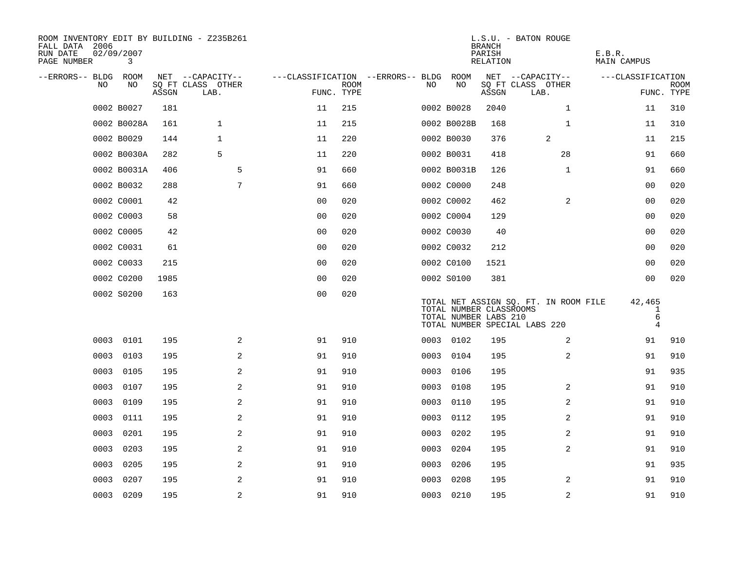| ROOM INVENTORY EDIT BY BUILDING - Z235B261<br>FALL DATA 2006<br>RUN DATE<br>PAGE NUMBER | 02/09/2007<br>3 |       |                           |                                        |             |      |                                                  | <b>BRANCH</b><br>PARISH<br>RELATION | L.S.U. - BATON ROUGE                                                   | E.B.R.<br><b>MAIN CAMPUS</b>                  |                           |
|-----------------------------------------------------------------------------------------|-----------------|-------|---------------------------|----------------------------------------|-------------|------|--------------------------------------------------|-------------------------------------|------------------------------------------------------------------------|-----------------------------------------------|---------------------------|
| --ERRORS-- BLDG ROOM                                                                    |                 |       | NET --CAPACITY--          | ---CLASSIFICATION --ERRORS-- BLDG ROOM |             |      |                                                  |                                     | NET --CAPACITY--                                                       | ---CLASSIFICATION                             |                           |
| NO                                                                                      | NO              | ASSGN | SO FT CLASS OTHER<br>LAB. | FUNC. TYPE                             | <b>ROOM</b> | NO.  | NO                                               | ASSGN                               | SQ FT CLASS OTHER<br>LAB.                                              |                                               | <b>ROOM</b><br>FUNC. TYPE |
|                                                                                         | 0002 B0027      | 181   |                           | 11                                     | 215         |      | 0002 B0028                                       | 2040                                | $\mathbf{1}$                                                           | 11                                            | 310                       |
|                                                                                         | 0002 B0028A     | 161   | $\mathbf{1}$              | 11                                     | 215         |      | 0002 B0028B                                      | 168                                 | $\mathbf{1}$                                                           | 11                                            | 310                       |
|                                                                                         | 0002 B0029      | 144   | $\mathbf{1}$              | 11                                     | 220         |      | 0002 B0030                                       | 376                                 | 2                                                                      | 11                                            | 215                       |
|                                                                                         | 0002 B0030A     | 282   | 5                         | 11                                     | 220         |      | 0002 B0031                                       | 418                                 | 28                                                                     | 91                                            | 660                       |
|                                                                                         | 0002 B0031A     | 406   | 5                         | 91                                     | 660         |      | 0002 B0031B                                      | 126                                 | $\mathbf{1}$                                                           | 91                                            | 660                       |
|                                                                                         | 0002 B0032      | 288   | 7                         | 91                                     | 660         |      | 0002 C0000                                       | 248                                 |                                                                        | 00                                            | 020                       |
|                                                                                         | 0002 C0001      | 42    |                           | 0 <sub>0</sub>                         | 020         |      | 0002 C0002                                       | 462                                 | $\overline{2}$                                                         | 00                                            | 020                       |
|                                                                                         | 0002 C0003      | 58    |                           | 0 <sub>0</sub>                         | 020         |      | 0002 C0004                                       | 129                                 |                                                                        | 00                                            | 020                       |
|                                                                                         | 0002 C0005      | 42    |                           | 0 <sub>0</sub>                         | 020         |      | 0002 C0030                                       | 40                                  |                                                                        | 0 <sub>0</sub>                                | 020                       |
|                                                                                         | 0002 C0031      | 61    |                           | 0 <sub>0</sub>                         | 020         |      | 0002 C0032                                       | 212                                 |                                                                        | 00                                            | 020                       |
|                                                                                         | 0002 C0033      | 215   |                           | 0 <sub>0</sub>                         | 020         |      | 0002 C0100                                       | 1521                                |                                                                        | 0 <sub>0</sub>                                | 020                       |
|                                                                                         | 0002 C0200      | 1985  |                           | 0 <sub>0</sub>                         | 020         |      | 0002 S0100                                       | 381                                 |                                                                        | 0 <sub>0</sub>                                | 020                       |
|                                                                                         | 0002 S0200      | 163   |                           | 0 <sub>0</sub>                         | 020         |      | TOTAL NUMBER CLASSROOMS<br>TOTAL NUMBER LABS 210 |                                     | TOTAL NET ASSIGN SQ. FT. IN ROOM FILE<br>TOTAL NUMBER SPECIAL LABS 220 | 42,465<br>$\mathbf{1}$<br>6<br>$\overline{4}$ |                           |
|                                                                                         | 0003 0101       | 195   | 2                         | 91                                     | 910         |      | 0003 0102                                        | 195                                 | 2                                                                      | 91                                            | 910                       |
|                                                                                         | 0003 0103       | 195   | 2                         | 91                                     | 910         |      | 0003 0104                                        | 195                                 | 2                                                                      | 91                                            | 910                       |
| 0003                                                                                    | 0105            | 195   | 2                         | 91                                     | 910         | 0003 | 0106                                             | 195                                 |                                                                        | 91                                            | 935                       |
| 0003                                                                                    | 0107            | 195   | 2                         | 91                                     | 910         |      | 0003 0108                                        | 195                                 | 2                                                                      | 91                                            | 910                       |
| 0003                                                                                    | 0109            | 195   | $\overline{a}$            | 91                                     | 910         | 0003 | 0110                                             | 195                                 | 2                                                                      | 91                                            | 910                       |
| 0003                                                                                    | 0111            | 195   | 2                         | 91                                     | 910         |      | 0003 0112                                        | 195                                 | 2                                                                      | 91                                            | 910                       |
| 0003                                                                                    | 0201            | 195   | $\overline{a}$            | 91                                     | 910         | 0003 | 0202                                             | 195                                 | 2                                                                      | 91                                            | 910                       |
| 0003                                                                                    | 0203            | 195   | 2                         | 91                                     | 910         | 0003 | 0204                                             | 195                                 | 2                                                                      | 91                                            | 910                       |
| 0003                                                                                    | 0205            | 195   | 2                         | 91                                     | 910         | 0003 | 0206                                             | 195                                 |                                                                        | 91                                            | 935                       |
| 0003                                                                                    | 0207            | 195   | 2                         | 91                                     | 910         | 0003 | 0208                                             | 195                                 | 2                                                                      | 91                                            | 910                       |
|                                                                                         | 0003 0209       | 195   | 2                         | 91                                     | 910         |      | 0003 0210                                        | 195                                 | 2                                                                      | 91                                            | 910                       |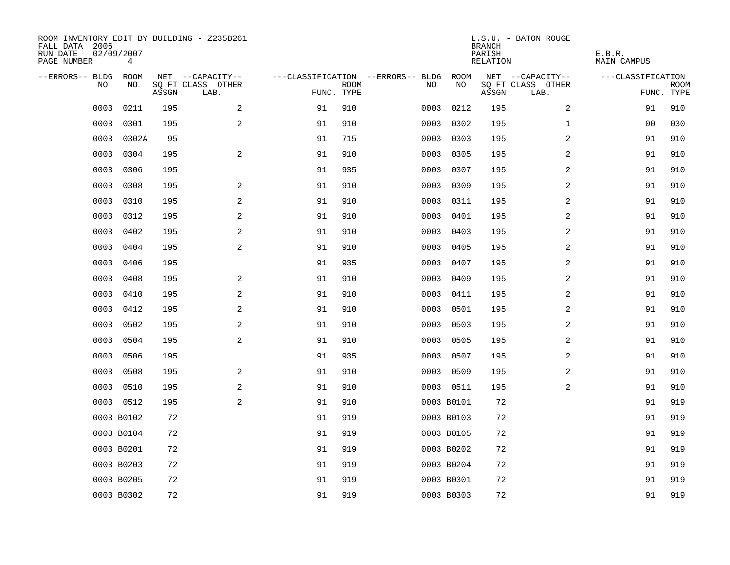| ROOM INVENTORY EDIT BY BUILDING - Z235B261<br>FALL DATA 2006<br>RUN DATE<br>PAGE NUMBER | 02/09/2007<br>4 |       |                           |            |             |                                   |            | <b>BRANCH</b><br>PARISH<br>RELATION | L.S.U. - BATON ROUGE      | E.B.R.<br><b>MAIN CAMPUS</b> |                           |
|-----------------------------------------------------------------------------------------|-----------------|-------|---------------------------|------------|-------------|-----------------------------------|------------|-------------------------------------|---------------------------|------------------------------|---------------------------|
| --ERRORS-- BLDG                                                                         | ROOM            |       | NET --CAPACITY--          |            |             | ---CLASSIFICATION --ERRORS-- BLDG | ROOM       |                                     | NET --CAPACITY--          | ---CLASSIFICATION            |                           |
| N <sub>O</sub>                                                                          | NO.             | ASSGN | SO FT CLASS OTHER<br>LAB. | FUNC. TYPE | <b>ROOM</b> | NO.                               | NO         | ASSGN                               | SQ FT CLASS OTHER<br>LAB. |                              | <b>ROOM</b><br>FUNC. TYPE |
| 0003                                                                                    | 0211            | 195   | 2                         | 91         | 910         | 0003                              | 0212       | 195                                 | $\overline{2}$            | 91                           | 910                       |
| 0003                                                                                    | 0301            | 195   | 2                         | 91         | 910         | 0003                              | 0302       | 195                                 | $\mathbf{1}$              | 0 <sub>0</sub>               | 030                       |
| 0003                                                                                    | 0302A           | 95    |                           | 91         | 715         | 0003                              | 0303       | 195                                 | 2                         | 91                           | 910                       |
| 0003                                                                                    | 0304            | 195   | $\overline{a}$            | 91         | 910         | 0003                              | 0305       | 195                                 | 2                         | 91                           | 910                       |
| 0003                                                                                    | 0306            | 195   |                           | 91         | 935         | 0003                              | 0307       | 195                                 | 2                         | 91                           | 910                       |
| 0003                                                                                    | 0308            | 195   | $\overline{a}$            | 91         | 910         | 0003                              | 0309       | 195                                 | 2                         | 91                           | 910                       |
| 0003                                                                                    | 0310            | 195   | 2                         | 91         | 910         | 0003                              | 0311       | 195                                 | 2                         | 91                           | 910                       |
| 0003                                                                                    | 0312            | 195   | 2                         | 91         | 910         | 0003                              | 0401       | 195                                 | 2                         | 91                           | 910                       |
| 0003                                                                                    | 0402            | 195   | 2                         | 91         | 910         | 0003                              | 0403       | 195                                 | 2                         | 91                           | 910                       |
| 0003                                                                                    | 0404            | 195   | 2                         | 91         | 910         | 0003                              | 0405       | 195                                 | 2                         | 91                           | 910                       |
| 0003                                                                                    | 0406            | 195   |                           | 91         | 935         | 0003                              | 0407       | 195                                 | 2                         | 91                           | 910                       |
| 0003                                                                                    | 0408            | 195   | 2                         | 91         | 910         | 0003                              | 0409       | 195                                 | 2                         | 91                           | 910                       |
| 0003                                                                                    | 0410            | 195   | 2                         | 91         | 910         | 0003                              | 0411       | 195                                 | 2                         | 91                           | 910                       |
| 0003                                                                                    | 0412            | 195   | 2                         | 91         | 910         | 0003                              | 0501       | 195                                 | $\overline{a}$            | 91                           | 910                       |
| 0003                                                                                    | 0502            | 195   | $\overline{a}$            | 91         | 910         | 0003                              | 0503       | 195                                 | $\overline{a}$            | 91                           | 910                       |
| 0003                                                                                    | 0504            | 195   | 2                         | 91         | 910         | 0003                              | 0505       | 195                                 | 2                         | 91                           | 910                       |
| 0003                                                                                    | 0506            | 195   |                           | 91         | 935         |                                   | 0003 0507  | 195                                 | 2                         | 91                           | 910                       |
| 0003                                                                                    | 0508            | 195   | 2                         | 91         | 910         |                                   | 0003 0509  | 195                                 | 2                         | 91                           | 910                       |
| 0003                                                                                    | 0510            | 195   | 2                         | 91         | 910         |                                   | 0003 0511  | 195                                 | 2                         | 91                           | 910                       |
|                                                                                         | 0003 0512       | 195   | 2                         | 91         | 910         |                                   | 0003 B0101 | 72                                  |                           | 91                           | 919                       |
|                                                                                         | 0003 B0102      | 72    |                           | 91         | 919         |                                   | 0003 B0103 | 72                                  |                           | 91                           | 919                       |
|                                                                                         | 0003 B0104      | 72    |                           | 91         | 919         |                                   | 0003 B0105 | 72                                  |                           | 91                           | 919                       |
|                                                                                         | 0003 B0201      | 72    |                           | 91         | 919         |                                   | 0003 B0202 | 72                                  |                           | 91                           | 919                       |
|                                                                                         | 0003 B0203      | 72    |                           | 91         | 919         |                                   | 0003 B0204 | 72                                  |                           | 91                           | 919                       |
|                                                                                         | 0003 B0205      | 72    |                           | 91         | 919         |                                   | 0003 B0301 | 72                                  |                           | 91                           | 919                       |
|                                                                                         | 0003 B0302      | 72    |                           | 91         | 919         |                                   | 0003 B0303 | 72                                  |                           | 91                           | 919                       |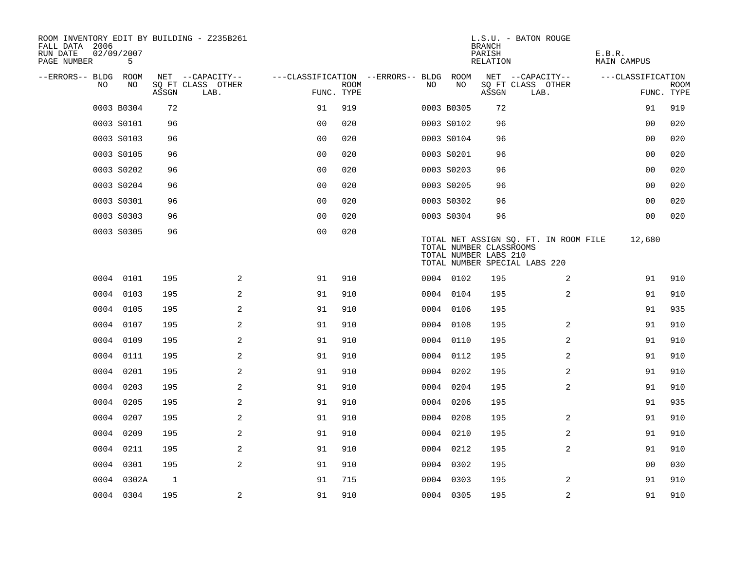| ROOM INVENTORY EDIT BY BUILDING - Z235B261<br>FALL DATA 2006<br>RUN DATE<br>PAGE NUMBER | 02/09/2007<br>5 |       |                           |                                        |             |    |            | <b>BRANCH</b><br>PARISH<br>RELATION              | L.S.U. - BATON ROUGE                                                   | E.B.R.<br>MAIN CAMPUS |                           |
|-----------------------------------------------------------------------------------------|-----------------|-------|---------------------------|----------------------------------------|-------------|----|------------|--------------------------------------------------|------------------------------------------------------------------------|-----------------------|---------------------------|
| --ERRORS-- BLDG ROOM                                                                    |                 |       | NET --CAPACITY--          | ---CLASSIFICATION --ERRORS-- BLDG ROOM |             |    |            |                                                  | NET --CAPACITY--                                                       | ---CLASSIFICATION     |                           |
| NO                                                                                      | NO              | ASSGN | SQ FT CLASS OTHER<br>LAB. | FUNC. TYPE                             | <b>ROOM</b> | NO | NO         | ASSGN                                            | SQ FT CLASS OTHER<br>LAB.                                              |                       | <b>ROOM</b><br>FUNC. TYPE |
|                                                                                         | 0003 B0304      | 72    |                           | 91                                     | 919         |    | 0003 B0305 | 72                                               |                                                                        | 91                    | 919                       |
|                                                                                         | 0003 S0101      | 96    |                           | 0 <sub>0</sub>                         | 020         |    | 0003 S0102 | 96                                               |                                                                        | 00                    | 020                       |
|                                                                                         | 0003 S0103      | 96    |                           | 0 <sub>0</sub>                         | 020         |    | 0003 S0104 | 96                                               |                                                                        | 00                    | 020                       |
|                                                                                         | 0003 S0105      | 96    |                           | 0 <sub>0</sub>                         | 020         |    | 0003 S0201 | 96                                               |                                                                        | 0 <sub>0</sub>        | 020                       |
|                                                                                         | 0003 S0202      | 96    |                           | 00                                     | 020         |    | 0003 S0203 | 96                                               |                                                                        | 00                    | 020                       |
|                                                                                         | 0003 S0204      | 96    |                           | 0 <sub>0</sub>                         | 020         |    | 0003 S0205 | 96                                               |                                                                        | 00                    | 020                       |
|                                                                                         | 0003 S0301      | 96    |                           | 0 <sub>0</sub>                         | 020         |    | 0003 S0302 | 96                                               |                                                                        | 0 <sub>0</sub>        | 020                       |
|                                                                                         | 0003 S0303      | 96    |                           | 0 <sub>0</sub>                         | 020         |    | 0003 S0304 | 96                                               |                                                                        | 0 <sub>0</sub>        | 020                       |
|                                                                                         | 0003 S0305      | 96    |                           | 0 <sub>0</sub>                         | 020         |    |            | TOTAL NUMBER CLASSROOMS<br>TOTAL NUMBER LABS 210 | TOTAL NET ASSIGN SQ. FT. IN ROOM FILE<br>TOTAL NUMBER SPECIAL LABS 220 | 12,680                |                           |
|                                                                                         | 0004 0101       | 195   | 2                         | 91                                     | 910         |    | 0004 0102  | 195                                              | 2                                                                      | 91                    | 910                       |
| 0004                                                                                    | 0103            | 195   | 2                         | 91                                     | 910         |    | 0004 0104  | 195                                              | $\overline{2}$                                                         | 91                    | 910                       |
|                                                                                         | 0004 0105       | 195   | 2                         | 91                                     | 910         |    | 0004 0106  | 195                                              |                                                                        | 91                    | 935                       |
| 0004                                                                                    | 0107            | 195   | 2                         | 91                                     | 910         |    | 0004 0108  | 195                                              | 2                                                                      | 91                    | 910                       |
|                                                                                         | 0004 0109       | 195   | $\overline{a}$            | 91                                     | 910         |    | 0004 0110  | 195                                              | 2                                                                      | 91                    | 910                       |
|                                                                                         | 0004 0111       | 195   | 2                         | 91                                     | 910         |    | 0004 0112  | 195                                              | 2                                                                      | 91                    | 910                       |
| 0004                                                                                    | 0201            | 195   | 2                         | 91                                     | 910         |    | 0004 0202  | 195                                              | 2                                                                      | 91                    | 910                       |
|                                                                                         | 0004 0203       | 195   | 2                         | 91                                     | 910         |    | 0004 0204  | 195                                              | 2                                                                      | 91                    | 910                       |
|                                                                                         | 0004 0205       | 195   | 2                         | 91                                     | 910         |    | 0004 0206  | 195                                              |                                                                        | 91                    | 935                       |
|                                                                                         | 0004 0207       | 195   | 2                         | 91                                     | 910         |    | 0004 0208  | 195                                              | 2                                                                      | 91                    | 910                       |
| 0004                                                                                    | 0209            | 195   | 2                         | 91                                     | 910         |    | 0004 0210  | 195                                              | 2                                                                      | 91                    | 910                       |
| 0004                                                                                    | 0211            | 195   | $\overline{a}$            | 91                                     | 910         |    | 0004 0212  | 195                                              | 2                                                                      | 91                    | 910                       |
| 0004                                                                                    | 0301            | 195   | 2                         | 91                                     | 910         |    | 0004 0302  | 195                                              |                                                                        | 00                    | 030                       |
|                                                                                         | 0004 0302A      | 1     |                           | 91                                     | 715         |    | 0004 0303  | 195                                              | 2                                                                      | 91                    | 910                       |
|                                                                                         | 0004 0304       | 195   | 2                         | 91                                     | 910         |    | 0004 0305  | 195                                              | 2                                                                      | 91                    | 910                       |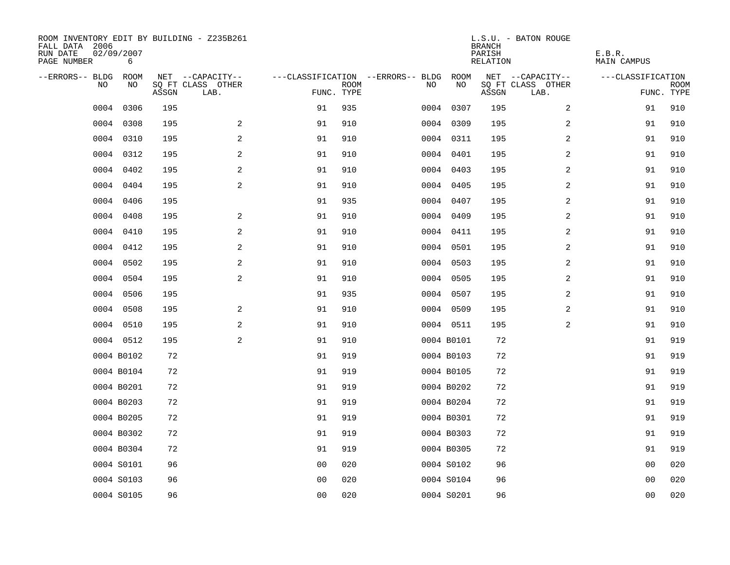| ROOM INVENTORY EDIT BY BUILDING - Z235B261<br>FALL DATA 2006<br>RUN DATE<br>PAGE NUMBER | 02/09/2007<br>6 |       |                           |                |             |                                   |            | <b>BRANCH</b><br>PARISH<br>RELATION | L.S.U. - BATON ROUGE      | E.B.R.<br><b>MAIN CAMPUS</b> |                           |
|-----------------------------------------------------------------------------------------|-----------------|-------|---------------------------|----------------|-------------|-----------------------------------|------------|-------------------------------------|---------------------------|------------------------------|---------------------------|
| --ERRORS-- BLDG                                                                         | ROOM            |       | NET --CAPACITY--          |                |             | ---CLASSIFICATION --ERRORS-- BLDG | ROOM       |                                     | NET --CAPACITY--          | ---CLASSIFICATION            |                           |
| N <sub>O</sub>                                                                          | NO.             | ASSGN | SO FT CLASS OTHER<br>LAB. | FUNC. TYPE     | <b>ROOM</b> | NO.                               | NO         | ASSGN                               | SQ FT CLASS OTHER<br>LAB. |                              | <b>ROOM</b><br>FUNC. TYPE |
| 0004                                                                                    | 0306            | 195   |                           | 91             | 935         |                                   | 0004 0307  | 195                                 | $\overline{2}$            | 91                           | 910                       |
| 0004                                                                                    | 0308            | 195   | 2                         | 91             | 910         |                                   | 0004 0309  | 195                                 | 2                         | 91                           | 910                       |
|                                                                                         | 0004 0310       | 195   | 2                         | 91             | 910         |                                   | 0004 0311  | 195                                 | 2                         | 91                           | 910                       |
| 0004                                                                                    | 0312            | 195   | 2                         | 91             | 910         |                                   | 0004 0401  | 195                                 | 2                         | 91                           | 910                       |
| 0004                                                                                    | 0402            | 195   | 2                         | 91             | 910         |                                   | 0004 0403  | 195                                 | 2                         | 91                           | 910                       |
| 0004                                                                                    | 0404            | 195   | $\mathbf{2}$              | 91             | 910         |                                   | 0004 0405  | 195                                 | 2                         | 91                           | 910                       |
| 0004                                                                                    | 0406            | 195   |                           | 91             | 935         |                                   | 0004 0407  | 195                                 | 2                         | 91                           | 910                       |
|                                                                                         | 0004 0408       | 195   | 2                         | 91             | 910         |                                   | 0004 0409  | 195                                 | 2                         | 91                           | 910                       |
| 0004                                                                                    | 0410            | 195   | 2                         | 91             | 910         |                                   | 0004 0411  | 195                                 | 2                         | 91                           | 910                       |
| 0004                                                                                    | 0412            | 195   | 2                         | 91             | 910         |                                   | 0004 0501  | 195                                 | 2                         | 91                           | 910                       |
| 0004                                                                                    | 0502            | 195   | 2                         | 91             | 910         |                                   | 0004 0503  | 195                                 | 2                         | 91                           | 910                       |
|                                                                                         | 0004 0504       | 195   | 2                         | 91             | 910         |                                   | 0004 0505  | 195                                 | 2                         | 91                           | 910                       |
| 0004                                                                                    | 0506            | 195   |                           | 91             | 935         |                                   | 0004 0507  | 195                                 | 2                         | 91                           | 910                       |
| 0004                                                                                    | 0508            | 195   | 2                         | 91             | 910         |                                   | 0004 0509  | 195                                 | 2                         | 91                           | 910                       |
|                                                                                         | 0004 0510       | 195   | $\mathbf{2}$              | 91             | 910         |                                   | 0004 0511  | 195                                 | $\overline{a}$            | 91                           | 910                       |
|                                                                                         | 0004 0512       | 195   | 2                         | 91             | 910         |                                   | 0004 B0101 | 72                                  |                           | 91                           | 919                       |
|                                                                                         | 0004 B0102      | 72    |                           | 91             | 919         |                                   | 0004 B0103 | 72                                  |                           | 91                           | 919                       |
|                                                                                         | 0004 B0104      | 72    |                           | 91             | 919         |                                   | 0004 B0105 | 72                                  |                           | 91                           | 919                       |
|                                                                                         | 0004 B0201      | 72    |                           | 91             | 919         |                                   | 0004 B0202 | 72                                  |                           | 91                           | 919                       |
|                                                                                         | 0004 B0203      | 72    |                           | 91             | 919         |                                   | 0004 B0204 | 72                                  |                           | 91                           | 919                       |
|                                                                                         | 0004 B0205      | 72    |                           | 91             | 919         |                                   | 0004 B0301 | 72                                  |                           | 91                           | 919                       |
|                                                                                         | 0004 B0302      | 72    |                           | 91             | 919         |                                   | 0004 B0303 | 72                                  |                           | 91                           | 919                       |
|                                                                                         | 0004 B0304      | 72    |                           | 91             | 919         |                                   | 0004 B0305 | 72                                  |                           | 91                           | 919                       |
|                                                                                         | 0004 S0101      | 96    |                           | 0 <sub>0</sub> | 020         |                                   | 0004 S0102 | 96                                  |                           | 00                           | 020                       |
|                                                                                         | 0004 S0103      | 96    |                           | 0 <sub>0</sub> | 020         |                                   | 0004 S0104 | 96                                  |                           | 00                           | 020                       |
|                                                                                         | 0004 S0105      | 96    |                           | 0 <sub>0</sub> | 020         |                                   | 0004 S0201 | 96                                  |                           | 0 <sub>0</sub>               | 020                       |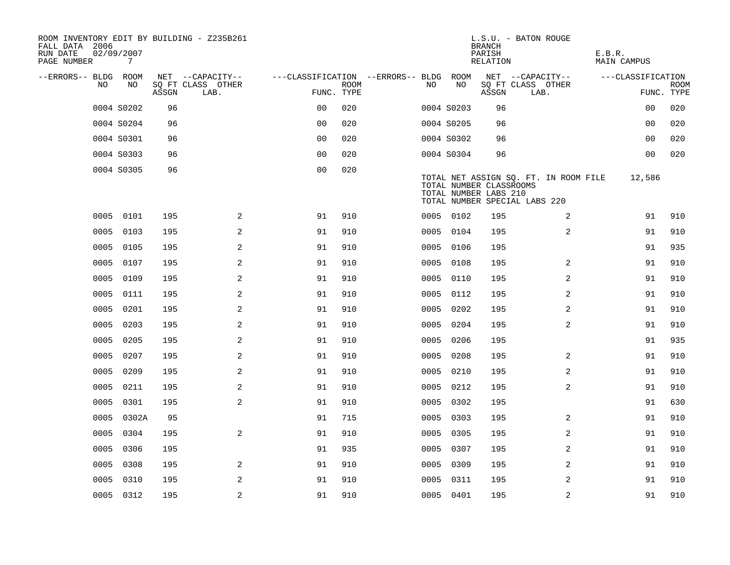| ROOM INVENTORY EDIT BY BUILDING - Z235B261<br>FALL DATA 2006<br>RUN DATE<br>PAGE NUMBER | 02/09/2007<br>7 |       |                           |                                        |             |      |            | <b>BRANCH</b><br>PARISH<br>RELATION              | L.S.U. - BATON ROUGE                                                   | E.B.R.<br>MAIN CAMPUS |                           |
|-----------------------------------------------------------------------------------------|-----------------|-------|---------------------------|----------------------------------------|-------------|------|------------|--------------------------------------------------|------------------------------------------------------------------------|-----------------------|---------------------------|
| --ERRORS-- BLDG ROOM                                                                    |                 |       | NET --CAPACITY--          | ---CLASSIFICATION --ERRORS-- BLDG ROOM |             |      |            |                                                  | NET --CAPACITY--                                                       | ---CLASSIFICATION     |                           |
| NO.                                                                                     | NO.             | ASSGN | SQ FT CLASS OTHER<br>LAB. | FUNC. TYPE                             | <b>ROOM</b> | NO.  | NO         | ASSGN                                            | SQ FT CLASS OTHER<br>LAB.                                              |                       | <b>ROOM</b><br>FUNC. TYPE |
|                                                                                         | 0004 S0202      | 96    |                           | 0 <sub>0</sub>                         | 020         |      | 0004 S0203 | 96                                               |                                                                        | 0 <sub>0</sub>        | 020                       |
|                                                                                         | 0004 S0204      | 96    |                           | 0 <sub>0</sub>                         | 020         |      | 0004 S0205 | 96                                               |                                                                        | 0 <sub>0</sub>        | 020                       |
|                                                                                         | 0004 S0301      | 96    |                           | 0 <sub>0</sub>                         | 020         |      | 0004 S0302 | 96                                               |                                                                        | 0 <sub>0</sub>        | 020                       |
|                                                                                         | 0004 S0303      | 96    |                           | 0 <sub>0</sub>                         | 020         |      | 0004 S0304 | 96                                               |                                                                        | 00                    | 020                       |
|                                                                                         | 0004 S0305      | 96    |                           | 0 <sub>0</sub>                         | 020         |      |            | TOTAL NUMBER CLASSROOMS<br>TOTAL NUMBER LABS 210 | TOTAL NET ASSIGN SQ. FT. IN ROOM FILE<br>TOTAL NUMBER SPECIAL LABS 220 | 12,586                |                           |
|                                                                                         | 0005 0101       | 195   | 2                         | 91                                     | 910         |      | 0005 0102  | 195                                              | 2                                                                      | 91                    | 910                       |
| 0005                                                                                    | 0103            | 195   | 2                         | 91                                     | 910         |      | 0005 0104  | 195                                              | 2                                                                      | 91                    | 910                       |
| 0005                                                                                    | 0105            | 195   | 2                         | 91                                     | 910         |      | 0005 0106  | 195                                              |                                                                        | 91                    | 935                       |
| 0005                                                                                    | 0107            | 195   | 2                         | 91                                     | 910         | 0005 | 0108       | 195                                              | 2                                                                      | 91                    | 910                       |
| 0005                                                                                    | 0109            | 195   | 2                         | 91                                     | 910         |      | 0005 0110  | 195                                              | 2                                                                      | 91                    | 910                       |
| 0005                                                                                    | 0111            | 195   | 2                         | 91                                     | 910         | 0005 | 0112       | 195                                              | 2                                                                      | 91                    | 910                       |
| 0005                                                                                    | 0201            | 195   | 2                         | 91                                     | 910         |      | 0005 0202  | 195                                              | 2                                                                      | 91                    | 910                       |
| 0005                                                                                    | 0203            | 195   | 2                         | 91                                     | 910         | 0005 | 0204       | 195                                              | 2                                                                      | 91                    | 910                       |
| 0005                                                                                    | 0205            | 195   | 2                         | 91                                     | 910         | 0005 | 0206       | 195                                              |                                                                        | 91                    | 935                       |
| 0005                                                                                    | 0207            | 195   | $\mathbf{2}$              | 91                                     | 910         | 0005 | 0208       | 195                                              | 2                                                                      | 91                    | 910                       |
| 0005                                                                                    | 0209            | 195   | 2                         | 91                                     | 910         | 0005 | 0210       | 195                                              | 2                                                                      | 91                    | 910                       |
| 0005                                                                                    | 0211            | 195   | 2                         | 91                                     | 910         |      | 0005 0212  | 195                                              | 2                                                                      | 91                    | 910                       |
| 0005                                                                                    | 0301            | 195   | 2                         | 91                                     | 910         |      | 0005 0302  | 195                                              |                                                                        | 91                    | 630                       |
|                                                                                         | 0005 0302A      | 95    |                           | 91                                     | 715         |      | 0005 0303  | 195                                              | 2                                                                      | 91                    | 910                       |
| 0005                                                                                    | 0304            | 195   | 2                         | 91                                     | 910         |      | 0005 0305  | 195                                              | 2                                                                      | 91                    | 910                       |
| 0005                                                                                    | 0306            | 195   |                           | 91                                     | 935         |      | 0005 0307  | 195                                              | 2                                                                      | 91                    | 910                       |
| 0005                                                                                    | 0308            | 195   | 2                         | 91                                     | 910         |      | 0005 0309  | 195                                              | 2                                                                      | 91                    | 910                       |
| 0005                                                                                    | 0310            | 195   | 2                         | 91                                     | 910         |      | 0005 0311  | 195                                              | 2                                                                      | 91                    | 910                       |
|                                                                                         | 0005 0312       | 195   | $\overline{c}$            | 91                                     | 910         |      | 0005 0401  | 195                                              | 2                                                                      | 91                    | 910                       |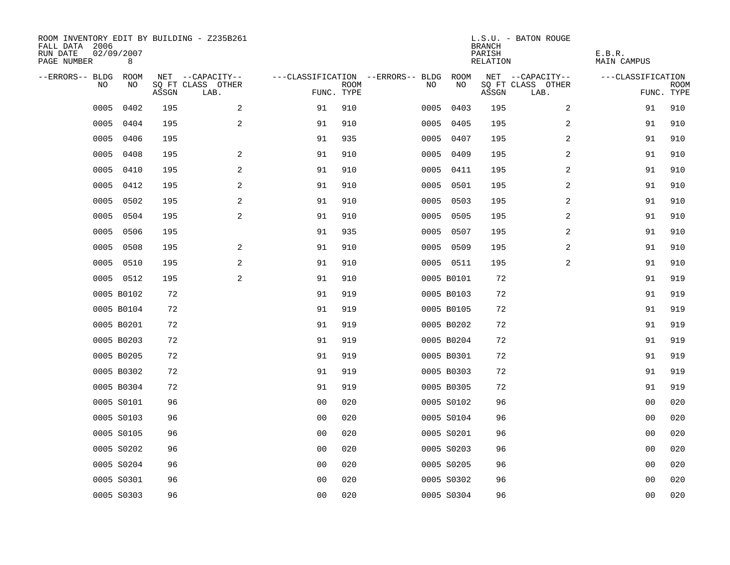| ROOM INVENTORY EDIT BY BUILDING - Z235B261<br>FALL DATA 2006<br>RUN DATE<br>PAGE NUMBER | 02/09/2007<br>8 |       |                           |                |             |                                        |            | <b>BRANCH</b><br>PARISH<br>RELATION | L.S.U. - BATON ROUGE      | E.B.R.<br>MAIN CAMPUS |                           |
|-----------------------------------------------------------------------------------------|-----------------|-------|---------------------------|----------------|-------------|----------------------------------------|------------|-------------------------------------|---------------------------|-----------------------|---------------------------|
| --ERRORS-- BLDG ROOM                                                                    |                 |       | NET --CAPACITY--          |                |             | ---CLASSIFICATION --ERRORS-- BLDG ROOM |            |                                     | NET --CAPACITY--          | ---CLASSIFICATION     |                           |
| NO                                                                                      | NO              | ASSGN | SQ FT CLASS OTHER<br>LAB. | FUNC. TYPE     | <b>ROOM</b> | NO                                     | NO         | ASSGN                               | SQ FT CLASS OTHER<br>LAB. |                       | <b>ROOM</b><br>FUNC. TYPE |
| 0005                                                                                    | 0402            | 195   | $\overline{a}$            | 91             | 910         | 0005                                   | 0403       | 195                                 | 2                         | 91                    | 910                       |
| 0005                                                                                    | 0404            | 195   | 2                         | 91             | 910         |                                        | 0005 0405  | 195                                 | 2                         | 91                    | 910                       |
| 0005                                                                                    | 0406            | 195   |                           | 91             | 935         |                                        | 0005 0407  | 195                                 | 2                         | 91                    | 910                       |
| 0005                                                                                    | 0408            | 195   | 2                         | 91             | 910         |                                        | 0005 0409  | 195                                 | 2                         | 91                    | 910                       |
| 0005                                                                                    | 0410            | 195   | $\mathbf{2}$              | 91             | 910         | 0005                                   | 0411       | 195                                 | 2                         | 91                    | 910                       |
| 0005                                                                                    | 0412            | 195   | 2                         | 91             | 910         |                                        | 0005 0501  | 195                                 | 2                         | 91                    | 910                       |
| 0005                                                                                    | 0502            | 195   | 2                         | 91             | 910         |                                        | 0005 0503  | 195                                 | $\overline{a}$            | 91                    | 910                       |
| 0005                                                                                    | 0504            | 195   | $\mathbf{2}$              | 91             | 910         |                                        | 0005 0505  | 195                                 | 2                         | 91                    | 910                       |
| 0005                                                                                    | 0506            | 195   |                           | 91             | 935         | 0005                                   | 0507       | 195                                 | $\overline{a}$            | 91                    | 910                       |
| 0005                                                                                    | 0508            | 195   | 2                         | 91             | 910         |                                        | 0005 0509  | 195                                 | 2                         | 91                    | 910                       |
| 0005                                                                                    | 0510            | 195   | 2                         | 91             | 910         |                                        | 0005 0511  | 195                                 | $\overline{2}$            | 91                    | 910                       |
|                                                                                         | 0005 0512       | 195   | 2                         | 91             | 910         |                                        | 0005 B0101 | 72                                  |                           | 91                    | 919                       |
|                                                                                         | 0005 B0102      | 72    |                           | 91             | 919         |                                        | 0005 B0103 | 72                                  |                           | 91                    | 919                       |
|                                                                                         | 0005 B0104      | 72    |                           | 91             | 919         |                                        | 0005 B0105 | 72                                  |                           | 91                    | 919                       |
|                                                                                         | 0005 B0201      | 72    |                           | 91             | 919         |                                        | 0005 B0202 | 72                                  |                           | 91                    | 919                       |
|                                                                                         | 0005 B0203      | 72    |                           | 91             | 919         |                                        | 0005 B0204 | 72                                  |                           | 91                    | 919                       |
|                                                                                         | 0005 B0205      | 72    |                           | 91             | 919         |                                        | 0005 B0301 | 72                                  |                           | 91                    | 919                       |
|                                                                                         | 0005 B0302      | 72    |                           | 91             | 919         |                                        | 0005 B0303 | 72                                  |                           | 91                    | 919                       |
|                                                                                         | 0005 B0304      | 72    |                           | 91             | 919         |                                        | 0005 B0305 | 72                                  |                           | 91                    | 919                       |
|                                                                                         | 0005 S0101      | 96    |                           | 0 <sub>0</sub> | 020         |                                        | 0005 S0102 | 96                                  |                           | 00                    | 020                       |
|                                                                                         | 0005 S0103      | 96    |                           | 0 <sub>0</sub> | 020         |                                        | 0005 S0104 | 96                                  |                           | 00                    | 020                       |
|                                                                                         | 0005 S0105      | 96    |                           | 0 <sub>0</sub> | 020         |                                        | 0005 S0201 | 96                                  |                           | 00                    | 020                       |
|                                                                                         | 0005 S0202      | 96    |                           | 0 <sub>0</sub> | 020         |                                        | 0005 S0203 | 96                                  |                           | 0 <sub>0</sub>        | 020                       |
|                                                                                         | 0005 S0204      | 96    |                           | 0 <sub>0</sub> | 020         |                                        | 0005 S0205 | 96                                  |                           | 00                    | 020                       |
|                                                                                         | 0005 S0301      | 96    |                           | 0 <sub>0</sub> | 020         |                                        | 0005 S0302 | 96                                  |                           | 00                    | 020                       |
|                                                                                         | 0005 S0303      | 96    |                           | 0 <sub>0</sub> | 020         |                                        | 0005 S0304 | 96                                  |                           | 0 <sub>0</sub>        | 020                       |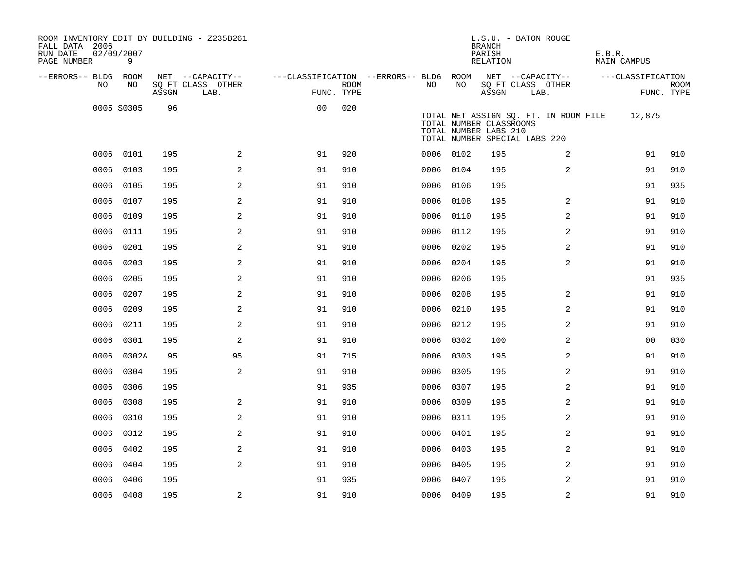| ROOM INVENTORY EDIT BY BUILDING - Z235B261<br>FALL DATA 2006<br>RUN DATE<br>PAGE NUMBER | 02/09/2007<br>9 |       |                           |                                        |      |           |      | <b>BRANCH</b><br>PARISH<br>RELATION              | L.S.U. - BATON ROUGE                                                   | E.B.R.<br>MAIN CAMPUS |                           |
|-----------------------------------------------------------------------------------------|-----------------|-------|---------------------------|----------------------------------------|------|-----------|------|--------------------------------------------------|------------------------------------------------------------------------|-----------------------|---------------------------|
| --ERRORS-- BLDG ROOM                                                                    |                 |       | NET --CAPACITY--          | ---CLASSIFICATION --ERRORS-- BLDG ROOM |      |           |      |                                                  | NET --CAPACITY--                                                       | ---CLASSIFICATION     |                           |
| NO.                                                                                     | NO.             | ASSGN | SQ FT CLASS OTHER<br>LAB. | FUNC. TYPE                             | ROOM | NO.       | NO   | ASSGN                                            | SQ FT CLASS OTHER<br>LAB.                                              |                       | <b>ROOM</b><br>FUNC. TYPE |
|                                                                                         | 0005 S0305      | 96    |                           | 0 <sub>0</sub>                         | 020  |           |      | TOTAL NUMBER CLASSROOMS<br>TOTAL NUMBER LABS 210 | TOTAL NET ASSIGN SQ. FT. IN ROOM FILE<br>TOTAL NUMBER SPECIAL LABS 220 | 12,875                |                           |
|                                                                                         | 0006 0101       | 195   | 2                         | 91                                     | 920  | 0006 0102 |      | 195                                              | 2                                                                      | 91                    | 910                       |
| 0006                                                                                    | 0103            | 195   | 2                         | 91                                     | 910  | 0006      | 0104 | 195                                              | $\overline{a}$                                                         | 91                    | 910                       |
| 0006                                                                                    | 0105            | 195   | $\mathbf{2}$              | 91                                     | 910  | 0006 0106 |      | 195                                              |                                                                        | 91                    | 935                       |
| 0006                                                                                    | 0107            | 195   | 2                         | 91                                     | 910  | 0006      | 0108 | 195                                              | $\overline{a}$                                                         | 91                    | 910                       |
| 0006                                                                                    | 0109            | 195   | 2                         | 91                                     | 910  | 0006 0110 |      | 195                                              | 2                                                                      | 91                    | 910                       |
| 0006                                                                                    | 0111            | 195   | 2                         | 91                                     | 910  | 0006      | 0112 | 195                                              | 2                                                                      | 91                    | 910                       |
| 0006                                                                                    | 0201            | 195   | 2                         | 91                                     | 910  | 0006 0202 |      | 195                                              | 2                                                                      | 91                    | 910                       |
| 0006                                                                                    | 0203            | 195   | 2                         | 91                                     | 910  | 0006      | 0204 | 195                                              | 2                                                                      | 91                    | 910                       |
| 0006                                                                                    | 0205            | 195   | 2                         | 91                                     | 910  | 0006 0206 |      | 195                                              |                                                                        | 91                    | 935                       |
| 0006                                                                                    | 0207            | 195   | 2                         | 91                                     | 910  | 0006      | 0208 | 195                                              | 2                                                                      | 91                    | 910                       |
| 0006                                                                                    | 0209            | 195   | $\overline{a}$            | 91                                     | 910  | 0006      | 0210 | 195                                              | 2                                                                      | 91                    | 910                       |
| 0006                                                                                    | 0211            | 195   | 2                         | 91                                     | 910  | 0006      | 0212 | 195                                              | 2                                                                      | 91                    | 910                       |
| 0006                                                                                    | 0301            | 195   | 2                         | 91                                     | 910  | 0006 0302 |      | 100                                              | 2                                                                      | 00                    | 030                       |
| 0006                                                                                    | 0302A           | 95    | 95                        | 91                                     | 715  | 0006      | 0303 | 195                                              | 2                                                                      | 91                    | 910                       |
| 0006                                                                                    | 0304            | 195   | $\overline{a}$            | 91                                     | 910  | 0006      | 0305 | 195                                              | 2                                                                      | 91                    | 910                       |
| 0006                                                                                    | 0306            | 195   |                           | 91                                     | 935  | 0006 0307 |      | 195                                              | 2                                                                      | 91                    | 910                       |
| 0006                                                                                    | 0308            | 195   | 2                         | 91                                     | 910  | 0006 0309 |      | 195                                              | 2                                                                      | 91                    | 910                       |
| 0006                                                                                    | 0310            | 195   | 2                         | 91                                     | 910  | 0006 0311 |      | 195                                              | 2                                                                      | 91                    | 910                       |
| 0006                                                                                    | 0312            | 195   | 2                         | 91                                     | 910  | 0006      | 0401 | 195                                              | 2                                                                      | 91                    | 910                       |
| 0006                                                                                    | 0402            | 195   | 2                         | 91                                     | 910  | 0006 0403 |      | 195                                              | 2                                                                      | 91                    | 910                       |
| 0006                                                                                    | 0404            | 195   | 2                         | 91                                     | 910  | 0006      | 0405 | 195                                              | 2                                                                      | 91                    | 910                       |
| 0006                                                                                    | 0406            | 195   |                           | 91                                     | 935  | 0006 0407 |      | 195                                              | 2                                                                      | 91                    | 910                       |
|                                                                                         | 0006 0408       | 195   | 2                         | 91                                     | 910  | 0006 0409 |      | 195                                              | 2                                                                      | 91                    | 910                       |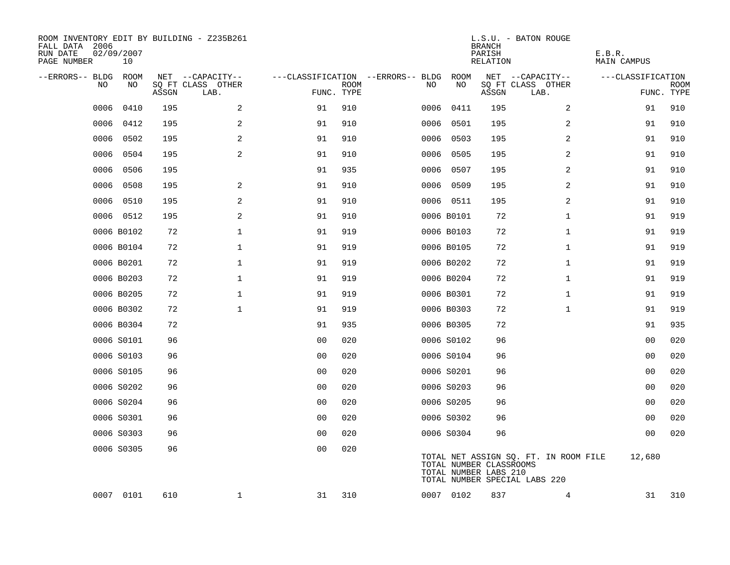| ROOM INVENTORY EDIT BY BUILDING - Z235B261<br>FALL DATA 2006<br>RUN DATE<br>PAGE NUMBER | 02/09/2007<br>10 |       |                           |                                   |             |      |                                                  | <b>BRANCH</b><br>PARISH<br>RELATION | L.S.U. - BATON ROUGE                                                   | E.B.R.<br>MAIN CAMPUS |                |                    |
|-----------------------------------------------------------------------------------------|------------------|-------|---------------------------|-----------------------------------|-------------|------|--------------------------------------------------|-------------------------------------|------------------------------------------------------------------------|-----------------------|----------------|--------------------|
| --ERRORS-- BLDG ROOM                                                                    |                  |       | NET --CAPACITY--          | ---CLASSIFICATION --ERRORS-- BLDG |             |      | ROOM                                             |                                     | NET --CAPACITY--                                                       | ---CLASSIFICATION     |                |                    |
| NO                                                                                      | NO               | ASSGN | SQ FT CLASS OTHER<br>LAB. | FUNC. TYPE                        | <b>ROOM</b> | NO.  | NO                                               | ASSGN                               | SQ FT CLASS OTHER<br>LAB.                                              |                       |                | ROOM<br>FUNC. TYPE |
| 0006                                                                                    | 0410             | 195   | 2                         | 91                                | 910         | 0006 | 0411                                             | 195                                 | $\overline{a}$                                                         |                       | 91             | 910                |
| 0006                                                                                    | 0412             | 195   | 2                         | 91                                | 910         |      | 0006 0501                                        | 195                                 | 2                                                                      |                       | 91             | 910                |
| 0006                                                                                    | 0502             | 195   | 2                         | 91                                | 910         |      | 0006 0503                                        | 195                                 | 2                                                                      |                       | 91             | 910                |
| 0006                                                                                    | 0504             | 195   | 2                         | 91                                | 910         |      | 0006 0505                                        | 195                                 | 2                                                                      |                       | 91             | 910                |
| 0006                                                                                    | 0506             | 195   |                           | 91                                | 935         |      | 0006 0507                                        | 195                                 | 2                                                                      |                       | 91             | 910                |
| 0006                                                                                    | 0508             | 195   | 2                         | 91                                | 910         |      | 0006 0509                                        | 195                                 | 2                                                                      |                       | 91             | 910                |
| 0006                                                                                    | 0510             | 195   | 2                         | 91                                | 910         |      | 0006 0511                                        | 195                                 | $\overline{a}$                                                         |                       | 91             | 910                |
|                                                                                         | 0006 0512        | 195   | 2                         | 91                                | 910         |      | 0006 B0101                                       | 72                                  | $\mathbf{1}$                                                           |                       | 91             | 919                |
|                                                                                         | 0006 B0102       | 72    | $\mathbf 1$               | 91                                | 919         |      | 0006 B0103                                       | 72                                  | $\mathbf{1}$                                                           |                       | 91             | 919                |
|                                                                                         | 0006 B0104       | 72    | $\mathbf{1}$              | 91                                | 919         |      | 0006 B0105                                       | 72                                  | $\mathbf{1}$                                                           |                       | 91             | 919                |
|                                                                                         | 0006 B0201       | 72    | $\mathbf 1$               | 91                                | 919         |      | 0006 B0202                                       | 72                                  | $\mathbf{1}$                                                           |                       | 91             | 919                |
|                                                                                         | 0006 B0203       | 72    | $\mathbf 1$               | 91                                | 919         |      | 0006 B0204                                       | 72                                  | $\mathbf{1}$                                                           |                       | 91             | 919                |
|                                                                                         | 0006 B0205       | 72    | $\mathbf 1$               | 91                                | 919         |      | 0006 B0301                                       | 72                                  | $\mathbf{1}$                                                           |                       | 91             | 919                |
|                                                                                         | 0006 B0302       | 72    | $\mathbf 1$               | 91                                | 919         |      | 0006 B0303                                       | 72                                  | $\mathbf{1}$                                                           |                       | 91             | 919                |
|                                                                                         | 0006 B0304       | 72    |                           | 91                                | 935         |      | 0006 B0305                                       | 72                                  |                                                                        |                       | 91             | 935                |
|                                                                                         | 0006 S0101       | 96    |                           | 00                                | 020         |      | 0006 S0102                                       | 96                                  |                                                                        |                       | 00             | 020                |
|                                                                                         | 0006 S0103       | 96    |                           | 0 <sub>0</sub>                    | 020         |      | 0006 S0104                                       | 96                                  |                                                                        |                       | 00             | 020                |
|                                                                                         | 0006 S0105       | 96    |                           | 0 <sub>0</sub>                    | 020         |      | 0006 S0201                                       | 96                                  |                                                                        |                       | 00             | 020                |
|                                                                                         | 0006 S0202       | 96    |                           | 0 <sub>0</sub>                    | 020         |      | 0006 S0203                                       | 96                                  |                                                                        |                       | 0 <sub>0</sub> | 020                |
|                                                                                         | 0006 S0204       | 96    |                           | 0 <sub>0</sub>                    | 020         |      | 0006 S0205                                       | 96                                  |                                                                        |                       | 0 <sub>0</sub> | 020                |
|                                                                                         | 0006 S0301       | 96    |                           | 0 <sub>0</sub>                    | 020         |      | 0006 S0302                                       | 96                                  |                                                                        |                       | 00             | 020                |
|                                                                                         | 0006 S0303       | 96    |                           | 0 <sub>0</sub>                    | 020         |      | 0006 S0304                                       | 96                                  |                                                                        |                       | 00             | 020                |
|                                                                                         | 0006 S0305       | 96    |                           | 0 <sub>0</sub>                    | 020         |      | TOTAL NUMBER CLASSROOMS<br>TOTAL NUMBER LABS 210 |                                     | TOTAL NET ASSIGN SQ. FT. IN ROOM FILE<br>TOTAL NUMBER SPECIAL LABS 220 | 12,680                |                |                    |
|                                                                                         | 0007 0101        | 610   | $\mathbf{1}$              | 31                                | 310         |      | 0007 0102                                        | 837                                 | 4                                                                      |                       | 31             | 310                |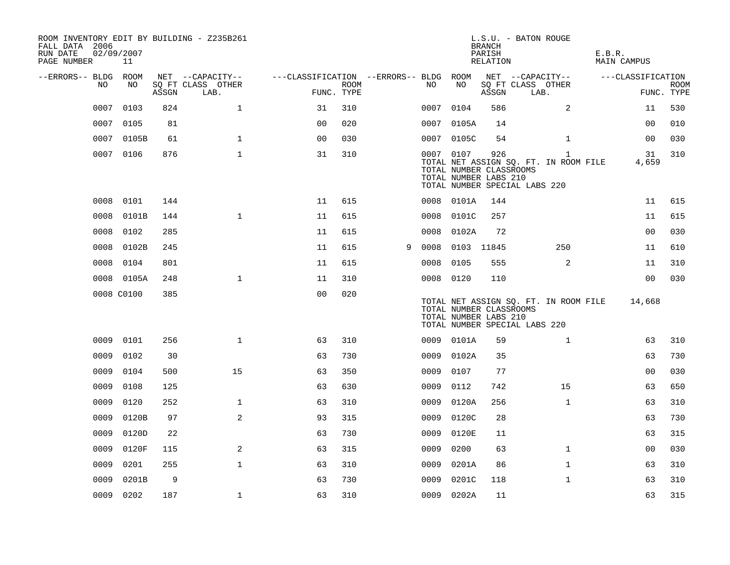| ROOM INVENTORY EDIT BY BUILDING - Z235B261<br>FALL DATA 2006 |                  |       |                           |                                        |                    |   |      |                                                               | <b>BRANCH</b>      | L.S.U. - BATON ROUGE                                                                   |                              |                           |
|--------------------------------------------------------------|------------------|-------|---------------------------|----------------------------------------|--------------------|---|------|---------------------------------------------------------------|--------------------|----------------------------------------------------------------------------------------|------------------------------|---------------------------|
| RUN DATE<br>PAGE NUMBER                                      | 02/09/2007<br>11 |       |                           |                                        |                    |   |      |                                                               | PARISH<br>RELATION |                                                                                        | E.B.R.<br><b>MAIN CAMPUS</b> |                           |
| --ERRORS-- BLDG ROOM                                         |                  |       | NET --CAPACITY--          | ---CLASSIFICATION --ERRORS-- BLDG ROOM |                    |   |      |                                                               |                    | NET --CAPACITY--                                                                       | ---CLASSIFICATION            |                           |
| NO.                                                          | NO               | ASSGN | SO FT CLASS OTHER<br>LAB. |                                        | ROOM<br>FUNC. TYPE |   | NO   | NO                                                            | ASSGN              | SQ FT CLASS OTHER<br>LAB.                                                              |                              | <b>ROOM</b><br>FUNC. TYPE |
| 0007                                                         | 0103             | 824   | $\mathbf{1}$              | 31                                     | 310                |   |      | 0007 0104                                                     | 586                | 2                                                                                      | 11                           | 530                       |
| 0007                                                         | 0105             | 81    |                           | 0 <sub>0</sub>                         | 020                |   |      | 0007 0105A                                                    | 14                 |                                                                                        | 00                           | 010                       |
|                                                              | 0007 0105B       | 61    | $\mathbf{1}$              | 0 <sub>0</sub>                         | 030                |   |      | 0007 0105C                                                    | 54                 | $\mathbf{1}$                                                                           | 0 <sub>0</sub>               | 030                       |
|                                                              | 0007 0106        | 876   | $\mathbf{1}$              | 31                                     | 310                |   |      | 0007 0107<br>TOTAL NUMBER CLASSROOMS<br>TOTAL NUMBER LABS 210 | 926                | $\mathbf{1}$<br>TOTAL NET ASSIGN SQ. FT. IN ROOM FILE<br>TOTAL NUMBER SPECIAL LABS 220 | 31<br>4,659                  | 310                       |
| 0008                                                         | 0101             | 144   |                           | 11                                     | 615                |   |      | 0008 0101A                                                    | 144                |                                                                                        | 11                           | 615                       |
| 0008                                                         | 0101B            | 144   | $\mathbf{1}$              | 11                                     | 615                |   | 0008 | 0101C                                                         | 257                |                                                                                        | 11                           | 615                       |
| 0008                                                         | 0102             | 285   |                           | 11                                     | 615                |   | 0008 | 0102A                                                         | 72                 |                                                                                        | 0 <sub>0</sub>               | 030                       |
| 0008                                                         | 0102B            | 245   |                           | 11                                     | 615                | 9 |      | 0008 0103 11845                                               |                    | 250                                                                                    | 11                           | 610                       |
| 0008                                                         | 0104             | 801   |                           | 11                                     | 615                |   | 0008 | 0105                                                          | 555                | 2                                                                                      | 11                           | 310                       |
|                                                              | 0008 0105A       | 248   | $\mathbf 1$               | 11                                     | 310                |   |      | 0008 0120                                                     | 110                |                                                                                        | 0 <sub>0</sub>               | 030                       |
|                                                              | 0008 C0100       | 385   |                           | 0 <sub>0</sub>                         | 020                |   |      | TOTAL NUMBER CLASSROOMS<br>TOTAL NUMBER LABS 210              |                    | TOTAL NET ASSIGN SQ. FT. IN ROOM FILE<br>TOTAL NUMBER SPECIAL LABS 220                 | 14,668                       |                           |
| 0009                                                         | 0101             | 256   | $\mathbf{1}$              | 63                                     | 310                |   |      | 0009 0101A                                                    | 59                 | $\mathbf{1}$                                                                           | 63                           | 310                       |
| 0009                                                         | 0102             | 30    |                           | 63                                     | 730                |   |      | 0009 0102A                                                    | 35                 |                                                                                        | 63                           | 730                       |
| 0009                                                         | 0104             | 500   | 15                        | 63                                     | 350                |   | 0009 | 0107                                                          | 77                 |                                                                                        | 00                           | 030                       |
| 0009                                                         | 0108             | 125   |                           | 63                                     | 630                |   | 0009 | 0112                                                          | 742                | 15                                                                                     | 63                           | 650                       |
| 0009                                                         | 0120             | 252   | $\mathbf 1$               | 63                                     | 310                |   | 0009 | 0120A                                                         | 256                | $\mathbf{1}$                                                                           | 63                           | 310                       |
| 0009                                                         | 0120B            | 97    | 2                         | 93                                     | 315                |   | 0009 | 0120C                                                         | 28                 |                                                                                        | 63                           | 730                       |
| 0009                                                         | 0120D            | 22    |                           | 63                                     | 730                |   | 0009 | 0120E                                                         | 11                 |                                                                                        | 63                           | 315                       |
| 0009                                                         | 0120F            | 115   | 2                         | 63                                     | 315                |   | 0009 | 0200                                                          | 63                 | $\mathbf{1}$                                                                           | 00                           | 030                       |
| 0009                                                         | 0201             | 255   | $\mathbf{1}$              | 63                                     | 310                |   | 0009 | 0201A                                                         | 86                 | $\mathbf{1}$                                                                           | 63                           | 310                       |
| 0009                                                         | 0201B            | 9     |                           | 63                                     | 730                |   | 0009 | 0201C                                                         | 118                | $\mathbf{1}$                                                                           | 63                           | 310                       |
|                                                              | 0009 0202        | 187   | $\mathbf 1$               | 63                                     | 310                |   |      | 0009 0202A                                                    | 11                 |                                                                                        | 63                           | 315                       |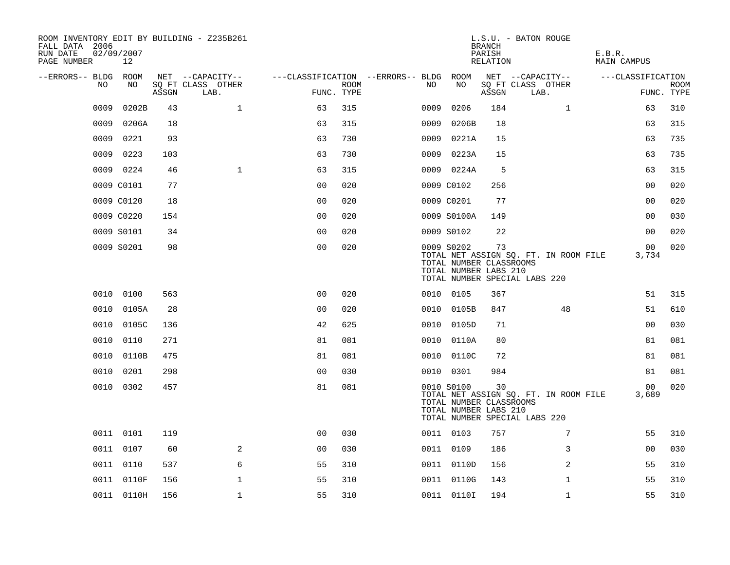| ROOM INVENTORY EDIT BY BUILDING - Z235B261<br>FALL DATA 2006<br>RUN DATE<br>PAGE NUMBER | 02/09/2007<br>12 |       |                           |                |      |                                   |                                                                | <b>BRANCH</b><br>PARISH<br>RELATION | L.S.U. - BATON ROUGE                                                   | E.B.R.<br><b>MAIN CAMPUS</b> |                           |
|-----------------------------------------------------------------------------------------|------------------|-------|---------------------------|----------------|------|-----------------------------------|----------------------------------------------------------------|-------------------------------------|------------------------------------------------------------------------|------------------------------|---------------------------|
| --ERRORS-- BLDG                                                                         | ROOM             |       | NET --CAPACITY--          |                |      | ---CLASSIFICATION --ERRORS-- BLDG | ROOM                                                           |                                     | NET --CAPACITY--                                                       | ---CLASSIFICATION            |                           |
| NO                                                                                      | NO               | ASSGN | SQ FT CLASS OTHER<br>LAB. | FUNC. TYPE     | ROOM | NO                                | NO                                                             | ASSGN                               | SQ FT CLASS OTHER<br>LAB.                                              |                              | <b>ROOM</b><br>FUNC. TYPE |
| 0009                                                                                    | 0202B            | 43    | $\mathbf 1$               | 63             | 315  | 0009                              | 0206                                                           | 184                                 | $\mathbf{1}$                                                           | 63                           | 310                       |
| 0009                                                                                    | 0206A            | 18    |                           | 63             | 315  | 0009                              | 0206B                                                          | 18                                  |                                                                        | 63                           | 315                       |
| 0009                                                                                    | 0221             | 93    |                           | 63             | 730  | 0009                              | 0221A                                                          | 15                                  |                                                                        | 63                           | 735                       |
| 0009                                                                                    | 0223             | 103   |                           | 63             | 730  | 0009                              | 0223A                                                          | 15                                  |                                                                        | 63                           | 735                       |
|                                                                                         | 0009 0224        | 46    | $\mathbf{1}$              | 63             | 315  |                                   | 0009 0224A                                                     | 5                                   |                                                                        | 63                           | 315                       |
|                                                                                         | 0009 C0101       | 77    |                           | 0 <sub>0</sub> | 020  |                                   | 0009 C0102                                                     | 256                                 |                                                                        | 00                           | 020                       |
|                                                                                         | 0009 C0120       | 18    |                           | 0 <sub>0</sub> | 020  |                                   | 0009 C0201                                                     | 77                                  |                                                                        | 0 <sub>0</sub>               | 020                       |
|                                                                                         | 0009 C0220       | 154   |                           | 0 <sub>0</sub> | 020  |                                   | 0009 S0100A                                                    | 149                                 |                                                                        | 00                           | 030                       |
|                                                                                         | 0009 S0101       | 34    |                           | 0 <sub>0</sub> | 020  |                                   | 0009 S0102                                                     | 22                                  |                                                                        | 0 <sub>0</sub>               | 020                       |
|                                                                                         | 0009 S0201       | 98    |                           | 0 <sub>0</sub> | 020  |                                   | 0009 S0202<br>TOTAL NUMBER CLASSROOMS<br>TOTAL NUMBER LABS 210 | 73                                  | TOTAL NET ASSIGN SQ. FT. IN ROOM FILE<br>TOTAL NUMBER SPECIAL LABS 220 | 00<br>3,734                  | 020                       |
|                                                                                         | 0010 0100        | 563   |                           | 0 <sub>0</sub> | 020  |                                   | 0010 0105                                                      | 367                                 |                                                                        | 51                           | 315                       |
| 0010                                                                                    | 0105A            | 28    |                           | 0 <sub>0</sub> | 020  | 0010                              | 0105B                                                          | 847                                 | 48                                                                     | 51                           | 610                       |
| 0010                                                                                    | 0105C            | 136   |                           | 42             | 625  | 0010                              | 0105D                                                          | 71                                  |                                                                        | 0 <sub>0</sub>               | 030                       |
| 0010                                                                                    | 0110             | 271   |                           | 81             | 081  |                                   | 0010 0110A                                                     | 80                                  |                                                                        | 81                           | 081                       |
| 0010                                                                                    | 0110B            | 475   |                           | 81             | 081  |                                   | 0010 0110C                                                     | 72                                  |                                                                        | 81                           | 081                       |
| 0010                                                                                    | 0201             | 298   |                           | 0 <sub>0</sub> | 030  |                                   | 0010 0301                                                      | 984                                 |                                                                        | 81                           | 081                       |
|                                                                                         | 0010 0302        | 457   |                           | 81             | 081  |                                   | 0010 S0100<br>TOTAL NUMBER CLASSROOMS<br>TOTAL NUMBER LABS 210 | 30                                  | TOTAL NET ASSIGN SO. FT. IN ROOM FILE<br>TOTAL NUMBER SPECIAL LABS 220 | 00<br>3,689                  | 020                       |
|                                                                                         | 0011 0101        | 119   |                           | 00             | 030  |                                   | 0011 0103                                                      | 757                                 | 7                                                                      | 55                           | 310                       |
|                                                                                         | 0011 0107        | 60    | 2                         | 0 <sub>0</sub> | 030  |                                   | 0011 0109                                                      | 186                                 | 3                                                                      | 00                           | 030                       |
|                                                                                         | 0011 0110        | 537   | 6                         | 55             | 310  |                                   | 0011 0110D                                                     | 156                                 | 2                                                                      | 55                           | 310                       |
|                                                                                         | 0011 0110F       | 156   | 1                         | 55             | 310  |                                   | 0011 0110G                                                     | 143                                 | $\mathbf{1}$                                                           | 55                           | 310                       |
|                                                                                         | 0011 0110H       | 156   | $\mathbf{1}$              | 55             | 310  |                                   | 0011 01101                                                     | 194                                 | $\mathbf{1}$                                                           | 55                           | 310                       |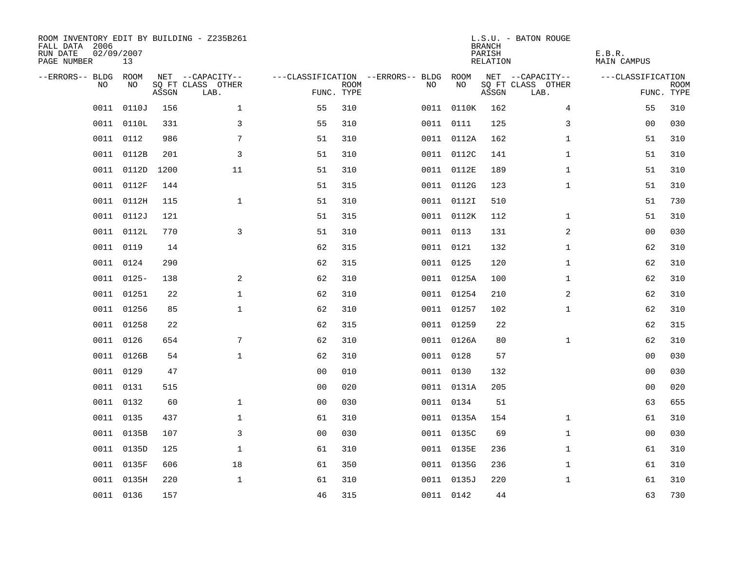| ROOM INVENTORY EDIT BY BUILDING - Z235B261<br>FALL DATA 2006<br>RUN DATE<br>PAGE NUMBER | 02/09/2007<br>13 |       |                           |                                        |             |    |            | <b>BRANCH</b><br>PARISH<br><b>RELATION</b> | L.S.U. - BATON ROUGE      | E.B.R.<br><b>MAIN CAMPUS</b> |                           |
|-----------------------------------------------------------------------------------------|------------------|-------|---------------------------|----------------------------------------|-------------|----|------------|--------------------------------------------|---------------------------|------------------------------|---------------------------|
| --ERRORS-- BLDG ROOM                                                                    |                  |       | NET --CAPACITY--          | ---CLASSIFICATION --ERRORS-- BLDG ROOM |             |    |            |                                            | NET --CAPACITY--          | ---CLASSIFICATION            |                           |
| NO                                                                                      | NO               | ASSGN | SQ FT CLASS OTHER<br>LAB. | FUNC. TYPE                             | <b>ROOM</b> | NO | NO         | ASSGN                                      | SQ FT CLASS OTHER<br>LAB. |                              | <b>ROOM</b><br>FUNC. TYPE |
| 0011                                                                                    | 0110J            | 156   | $\mathbf 1$               | 55                                     | 310         |    | 0011 0110K | 162                                        | 4                         | 55                           | 310                       |
|                                                                                         | 0011 0110L       | 331   | 3                         | 55                                     | 310         |    | 0011 0111  | 125                                        | 3                         | 00                           | 030                       |
|                                                                                         | 0011 0112        | 986   | 7                         | 51                                     | 310         |    | 0011 0112A | 162                                        | $\mathbf{1}$              | 51                           | 310                       |
| 0011                                                                                    | 0112B            | 201   | 3                         | 51                                     | 310         |    | 0011 0112C | 141                                        | $\mathbf{1}$              | 51                           | 310                       |
| 0011                                                                                    | 0112D            | 1200  | 11                        | 51                                     | 310         |    | 0011 0112E | 189                                        | $\mathbf{1}$              | 51                           | 310                       |
|                                                                                         | 0011 0112F       | 144   |                           | 51                                     | 315         |    | 0011 0112G | 123                                        | $\mathbf{1}$              | 51                           | 310                       |
| 0011                                                                                    | 0112H            | 115   | $\mathbf{1}$              | 51                                     | 310         |    | 0011 01121 | 510                                        |                           | 51                           | 730                       |
|                                                                                         | 0011 0112J       | 121   |                           | 51                                     | 315         |    | 0011 0112K | 112                                        | $\mathbf{1}$              | 51                           | 310                       |
|                                                                                         | 0011 0112L       | 770   | 3                         | 51                                     | 310         |    | 0011 0113  | 131                                        | 2                         | 00                           | 030                       |
|                                                                                         | 0011 0119        | 14    |                           | 62                                     | 315         |    | 0011 0121  | 132                                        | $\mathbf{1}$              | 62                           | 310                       |
| 0011                                                                                    | 0124             | 290   |                           | 62                                     | 315         |    | 0011 0125  | 120                                        | $\mathbf{1}$              | 62                           | 310                       |
|                                                                                         | 0011 0125-       | 138   | 2                         | 62                                     | 310         |    | 0011 0125A | 100                                        | $\mathbf{1}$              | 62                           | 310                       |
| 0011                                                                                    | 01251            | 22    | $\mathbf{1}$              | 62                                     | 310         |    | 0011 01254 | 210                                        | 2                         | 62                           | 310                       |
|                                                                                         | 0011 01256       | 85    | $\mathbf 1$               | 62                                     | 310         |    | 0011 01257 | 102                                        | $\mathbf{1}$              | 62                           | 310                       |
| 0011                                                                                    | 01258            | 22    |                           | 62                                     | 315         |    | 0011 01259 | 22                                         |                           | 62                           | 315                       |
| 0011                                                                                    | 0126             | 654   | 7                         | 62                                     | 310         |    | 0011 0126A | 80                                         | $\mathbf{1}$              | 62                           | 310                       |
| 0011                                                                                    | 0126B            | 54    | $\mathbf 1$               | 62                                     | 310         |    | 0011 0128  | 57                                         |                           | 00                           | 030                       |
| 0011                                                                                    | 0129             | 47    |                           | 0 <sub>0</sub>                         | 010         |    | 0011 0130  | 132                                        |                           | 0 <sub>0</sub>               | 030                       |
|                                                                                         | 0011 0131        | 515   |                           | 0 <sub>0</sub>                         | 020         |    | 0011 0131A | 205                                        |                           | 0 <sub>0</sub>               | 020                       |
|                                                                                         | 0011 0132        | 60    | $\mathbf 1$               | 0 <sub>0</sub>                         | 030         |    | 0011 0134  | 51                                         |                           | 63                           | 655                       |
|                                                                                         | 0011 0135        | 437   | $\mathbf 1$               | 61                                     | 310         |    | 0011 0135A | 154                                        | $\mathbf{1}$              | 61                           | 310                       |
|                                                                                         | 0011 0135B       | 107   | 3                         | 0 <sub>0</sub>                         | 030         |    | 0011 0135C | 69                                         | $\mathbf{1}$              | 00                           | 030                       |
|                                                                                         | 0011 0135D       | 125   | $\mathbf 1$               | 61                                     | 310         |    | 0011 0135E | 236                                        | $\mathbf{1}$              | 61                           | 310                       |
|                                                                                         | 0011 0135F       | 606   | 18                        | 61                                     | 350         |    | 0011 0135G | 236                                        | $\mathbf{1}$              | 61                           | 310                       |
|                                                                                         | 0011 0135H       | 220   | $\mathbf 1$               | 61                                     | 310         |    | 0011 0135J | 220                                        | $\mathbf{1}$              | 61                           | 310                       |
|                                                                                         | 0011 0136        | 157   |                           | 46                                     | 315         |    | 0011 0142  | 44                                         |                           | 63                           | 730                       |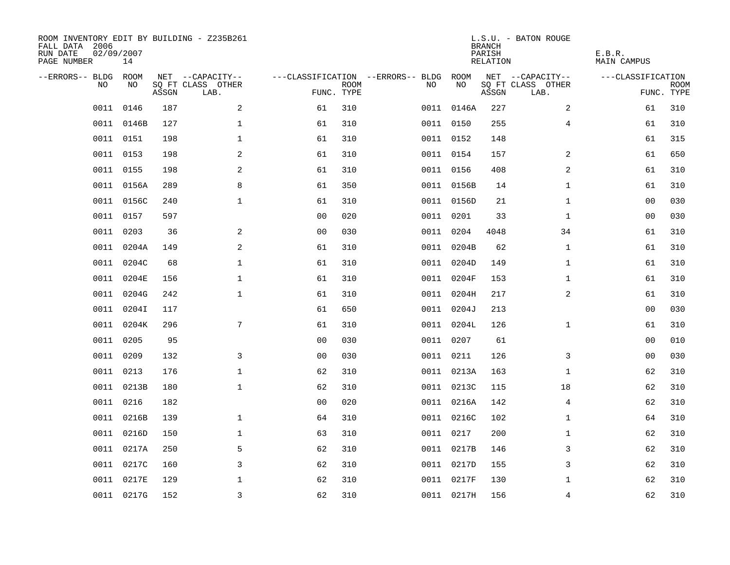| ROOM INVENTORY EDIT BY BUILDING - Z235B261<br>FALL DATA 2006<br>RUN DATE<br>PAGE NUMBER | 02/09/2007<br>14 |       |                           |                |                           |                                   |            | <b>BRANCH</b><br>PARISH<br><b>RELATION</b> | L.S.U. - BATON ROUGE      | E.B.R.<br><b>MAIN CAMPUS</b> |                           |
|-----------------------------------------------------------------------------------------|------------------|-------|---------------------------|----------------|---------------------------|-----------------------------------|------------|--------------------------------------------|---------------------------|------------------------------|---------------------------|
| --ERRORS-- BLDG                                                                         | ROOM             |       | NET --CAPACITY--          |                |                           | ---CLASSIFICATION --ERRORS-- BLDG | ROOM       |                                            | NET --CAPACITY--          | ---CLASSIFICATION            |                           |
| NO                                                                                      | NO               | ASSGN | SQ FT CLASS OTHER<br>LAB. |                | <b>ROOM</b><br>FUNC. TYPE | NO                                | NO         | ASSGN                                      | SQ FT CLASS OTHER<br>LAB. |                              | <b>ROOM</b><br>FUNC. TYPE |
| 0011                                                                                    | 0146             | 187   | $\overline{a}$            | 61             | 310                       |                                   | 0011 0146A | 227                                        | 2                         | 61                           | 310                       |
| 0011                                                                                    | 0146B            | 127   | $\mathbf{1}$              | 61             | 310                       |                                   | 0011 0150  | 255                                        | 4                         | 61                           | 310                       |
| 0011                                                                                    | 0151             | 198   | $\mathbf 1$               | 61             | 310                       |                                   | 0011 0152  | 148                                        |                           | 61                           | 315                       |
|                                                                                         | 0011 0153        | 198   | 2                         | 61             | 310                       |                                   | 0011 0154  | 157                                        | 2                         | 61                           | 650                       |
| 0011                                                                                    | 0155             | 198   | 2                         | 61             | 310                       |                                   | 0011 0156  | 408                                        | 2                         | 61                           | 310                       |
|                                                                                         | 0011 0156A       | 289   | 8                         | 61             | 350                       |                                   | 0011 0156B | 14                                         | $\mathbf{1}$              | 61                           | 310                       |
|                                                                                         | 0011 0156C       | 240   | $\mathbf{1}$              | 61             | 310                       |                                   | 0011 0156D | 21                                         | $\mathbf{1}$              | 0 <sub>0</sub>               | 030                       |
|                                                                                         | 0011 0157        | 597   |                           | 0 <sub>0</sub> | 020                       |                                   | 0011 0201  | 33                                         | $\mathbf{1}$              | 00                           | 030                       |
| 0011                                                                                    | 0203             | 36    | 2                         | 0 <sub>0</sub> | 030                       |                                   | 0011 0204  | 4048                                       | 34                        | 61                           | 310                       |
| 0011                                                                                    | 0204A            | 149   | 2                         | 61             | 310                       |                                   | 0011 0204B | 62                                         | $\mathbf{1}$              | 61                           | 310                       |
| 0011                                                                                    | 0204C            | 68    | $\mathbf 1$               | 61             | 310                       |                                   | 0011 0204D | 149                                        | $\mathbf{1}$              | 61                           | 310                       |
|                                                                                         | 0011 0204E       | 156   | $\mathbf 1$               | 61             | 310                       |                                   | 0011 0204F | 153                                        | $\mathbf{1}$              | 61                           | 310                       |
| 0011                                                                                    | 0204G            | 242   | $\mathbf{1}$              | 61             | 310                       |                                   | 0011 0204H | 217                                        | 2                         | 61                           | 310                       |
| 0011                                                                                    | 0204I            | 117   |                           | 61             | 650                       |                                   | 0011 0204J | 213                                        |                           | 0 <sub>0</sub>               | 030                       |
| 0011                                                                                    | 0204K            | 296   | 7                         | 61             | 310                       |                                   | 0011 0204L | 126                                        | $\mathbf{1}$              | 61                           | 310                       |
| 0011                                                                                    | 0205             | 95    |                           | 0 <sub>0</sub> | 030                       |                                   | 0011 0207  | 61                                         |                           | 00                           | 010                       |
| 0011                                                                                    | 0209             | 132   | 3                         | 0 <sub>0</sub> | 030                       |                                   | 0011 0211  | 126                                        | 3                         | 00                           | 030                       |
| 0011                                                                                    | 0213             | 176   | $\mathbf{1}$              | 62             | 310                       |                                   | 0011 0213A | 163                                        | $\mathbf{1}$              | 62                           | 310                       |
|                                                                                         | 0011 0213B       | 180   | $\mathbf 1$               | 62             | 310                       |                                   | 0011 0213C | 115                                        | 18                        | 62                           | 310                       |
|                                                                                         | 0011 0216        | 182   |                           | 00             | 020                       |                                   | 0011 0216A | 142                                        | $\overline{4}$            | 62                           | 310                       |
| 0011                                                                                    | 0216B            | 139   | $\mathbf 1$               | 64             | 310                       |                                   | 0011 0216C | 102                                        | $\mathbf{1}$              | 64                           | 310                       |
| 0011                                                                                    | 0216D            | 150   | $\mathbf 1$               | 63             | 310                       |                                   | 0011 0217  | 200                                        | $\mathbf{1}$              | 62                           | 310                       |
| 0011                                                                                    | 0217A            | 250   | 5                         | 62             | 310                       |                                   | 0011 0217B | 146                                        | 3                         | 62                           | 310                       |
| 0011                                                                                    | 0217C            | 160   | 3                         | 62             | 310                       |                                   | 0011 0217D | 155                                        | 3                         | 62                           | 310                       |
| 0011                                                                                    | 0217E            | 129   | $\mathbf 1$               | 62             | 310                       |                                   | 0011 0217F | 130                                        | $\mathbf{1}$              | 62                           | 310                       |
|                                                                                         | 0011 0217G       | 152   | $\overline{3}$            | 62             | 310                       |                                   | 0011 0217H | 156                                        | $\overline{4}$            | 62                           | 310                       |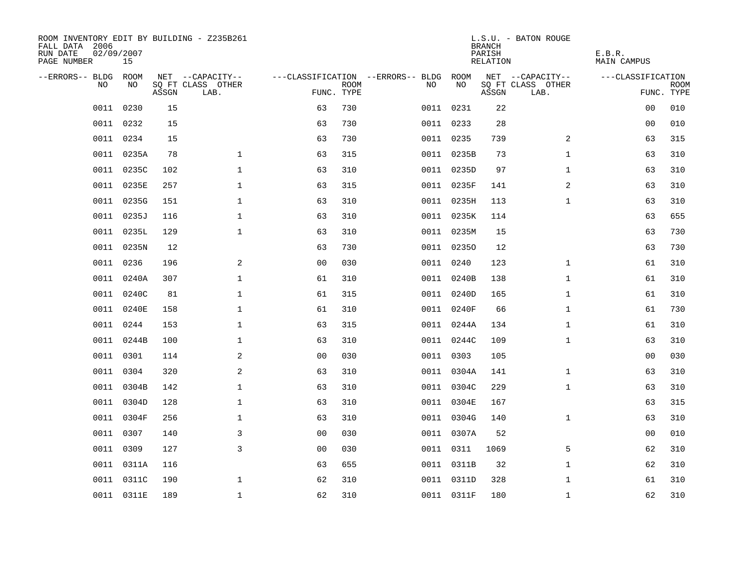| ROOM INVENTORY EDIT BY BUILDING - Z235B261<br>FALL DATA 2006<br>RUN DATE<br>PAGE NUMBER | 02/09/2007<br>15 |       |                           |                |             |                                   |            | <b>BRANCH</b><br>PARISH<br>RELATION | L.S.U. - BATON ROUGE      | E.B.R.<br><b>MAIN CAMPUS</b> |                           |
|-----------------------------------------------------------------------------------------|------------------|-------|---------------------------|----------------|-------------|-----------------------------------|------------|-------------------------------------|---------------------------|------------------------------|---------------------------|
| --ERRORS-- BLDG                                                                         | ROOM             |       | NET --CAPACITY--          |                |             | ---CLASSIFICATION --ERRORS-- BLDG | ROOM       |                                     | NET --CAPACITY--          | ---CLASSIFICATION            |                           |
| N <sub>O</sub>                                                                          | NO.              | ASSGN | SO FT CLASS OTHER<br>LAB. | FUNC. TYPE     | <b>ROOM</b> | NO.                               | NO         | ASSGN                               | SQ FT CLASS OTHER<br>LAB. |                              | <b>ROOM</b><br>FUNC. TYPE |
| 0011                                                                                    | 0230             | 15    |                           | 63             | 730         |                                   | 0011 0231  | 22                                  |                           | 00                           | 010                       |
|                                                                                         | 0011 0232        | 15    |                           | 63             | 730         |                                   | 0011 0233  | 28                                  |                           | 0 <sub>0</sub>               | 010                       |
|                                                                                         | 0011 0234        | 15    |                           | 63             | 730         |                                   | 0011 0235  | 739                                 | $\overline{2}$            | 63                           | 315                       |
|                                                                                         | 0011 0235A       | 78    | $\mathbf{1}$              | 63             | 315         |                                   | 0011 0235B | 73                                  | $\mathbf{1}$              | 63                           | 310                       |
| 0011                                                                                    | 0235C            | 102   | $\mathbf 1$               | 63             | 310         |                                   | 0011 0235D | 97                                  | $\mathbf{1}$              | 63                           | 310                       |
| 0011                                                                                    | 0235E            | 257   | $\mathbf 1$               | 63             | 315         |                                   | 0011 0235F | 141                                 | 2                         | 63                           | 310                       |
| 0011                                                                                    | 0235G            | 151   | $\mathbf 1$               | 63             | 310         |                                   | 0011 0235H | 113                                 | $\mathbf{1}$              | 63                           | 310                       |
| 0011                                                                                    | 0235J            | 116   | $\mathbf 1$               | 63             | 310         |                                   | 0011 0235K | 114                                 |                           | 63                           | 655                       |
| 0011                                                                                    | 0235L            | 129   | $\mathbf 1$               | 63             | 310         |                                   | 0011 0235M | 15                                  |                           | 63                           | 730                       |
|                                                                                         | 0011 0235N       | 12    |                           | 63             | 730         |                                   | 0011 02350 | 12                                  |                           | 63                           | 730                       |
| 0011                                                                                    | 0236             | 196   | 2                         | 0 <sub>0</sub> | 030         |                                   | 0011 0240  | 123                                 | $\mathbf{1}$              | 61                           | 310                       |
|                                                                                         | 0011 0240A       | 307   | $\mathbf 1$               | 61             | 310         |                                   | 0011 0240B | 138                                 | $\mathbf{1}$              | 61                           | 310                       |
| 0011                                                                                    | 0240C            | 81    | $\mathbf{1}$              | 61             | 315         |                                   | 0011 0240D | 165                                 | $\mathbf{1}$              | 61                           | 310                       |
|                                                                                         | 0011 0240E       | 158   | $\mathbf{1}$              | 61             | 310         |                                   | 0011 0240F | 66                                  | $\mathbf{1}$              | 61                           | 730                       |
| 0011                                                                                    | 0244             | 153   | $\mathbf 1$               | 63             | 315         |                                   | 0011 0244A | 134                                 | $\mathbf{1}$              | 61                           | 310                       |
|                                                                                         | 0011 0244B       | 100   | $\mathbf 1$               | 63             | 310         |                                   | 0011 0244C | 109                                 | $\mathbf{1}$              | 63                           | 310                       |
| 0011                                                                                    | 0301             | 114   | 2                         | 0 <sub>0</sub> | 030         | 0011                              | 0303       | 105                                 |                           | 00                           | 030                       |
| 0011                                                                                    | 0304             | 320   | 2                         | 63             | 310         |                                   | 0011 0304A | 141                                 | $\mathbf{1}$              | 63                           | 310                       |
| 0011                                                                                    | 0304B            | 142   | $\mathbf 1$               | 63             | 310         |                                   | 0011 0304C | 229                                 | $\mathbf{1}$              | 63                           | 310                       |
|                                                                                         | 0011 0304D       | 128   | $\mathbf{1}$              | 63             | 310         |                                   | 0011 0304E | 167                                 |                           | 63                           | 315                       |
| 0011                                                                                    | 0304F            | 256   | $\mathbf 1$               | 63             | 310         |                                   | 0011 0304G | 140                                 | $\mathbf{1}$              | 63                           | 310                       |
| 0011                                                                                    | 0307             | 140   | 3                         | 0 <sub>0</sub> | 030         |                                   | 0011 0307A | 52                                  |                           | 00                           | 010                       |
| 0011                                                                                    | 0309             | 127   | 3                         | 0 <sub>0</sub> | 030         |                                   | 0011 0311  | 1069                                | 5                         | 62                           | 310                       |
|                                                                                         | 0011 0311A       | 116   |                           | 63             | 655         |                                   | 0011 0311B | 32                                  | $\mathbf{1}$              | 62                           | 310                       |
| 0011                                                                                    | 0311C            | 190   | $\mathbf 1$               | 62             | 310         |                                   | 0011 0311D | 328                                 | $\mathbf{1}$              | 61                           | 310                       |
|                                                                                         | 0011 0311E       | 189   | $\mathbf{1}$              | 62             | 310         |                                   | 0011 0311F | 180                                 | $\mathbf{1}$              | 62                           | 310                       |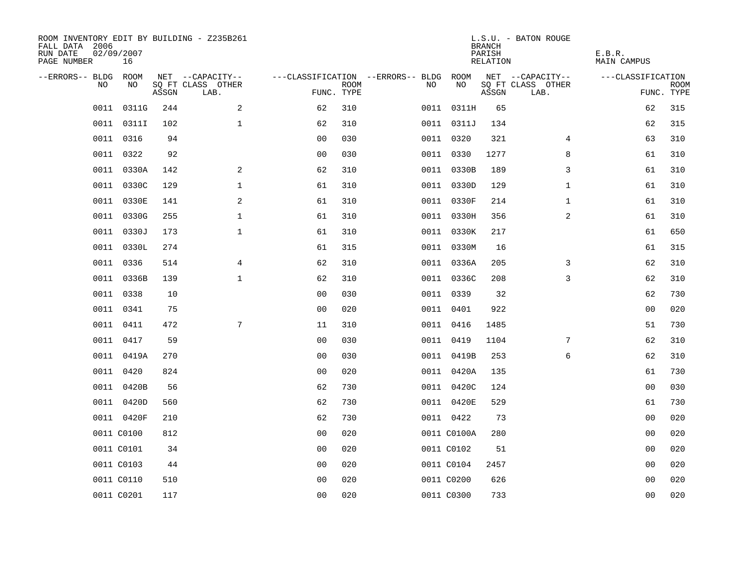| ROOM INVENTORY EDIT BY BUILDING - Z235B261<br>FALL DATA 2006<br>RUN DATE<br>PAGE NUMBER | 02/09/2007<br>16 |       |                           |                |             |                                        |             | <b>BRANCH</b><br>PARISH<br><b>RELATION</b> | L.S.U. - BATON ROUGE      | E.B.R.<br><b>MAIN CAMPUS</b> |                           |
|-----------------------------------------------------------------------------------------|------------------|-------|---------------------------|----------------|-------------|----------------------------------------|-------------|--------------------------------------------|---------------------------|------------------------------|---------------------------|
| --ERRORS-- BLDG ROOM                                                                    |                  |       | NET --CAPACITY--          |                |             | ---CLASSIFICATION --ERRORS-- BLDG ROOM |             |                                            | NET --CAPACITY--          | ---CLASSIFICATION            |                           |
| NO                                                                                      | NO               | ASSGN | SQ FT CLASS OTHER<br>LAB. | FUNC. TYPE     | <b>ROOM</b> | NO                                     | NO          | ASSGN                                      | SQ FT CLASS OTHER<br>LAB. |                              | <b>ROOM</b><br>FUNC. TYPE |
| 0011                                                                                    | 0311G            | 244   | 2                         | 62             | 310         |                                        | 0011 0311H  | 65                                         |                           | 62                           | 315                       |
|                                                                                         | 0011 03111       | 102   | $\mathbf 1$               | 62             | 310         |                                        | 0011 0311J  | 134                                        |                           | 62                           | 315                       |
|                                                                                         | 0011 0316        | 94    |                           | 0 <sub>0</sub> | 030         |                                        | 0011 0320   | 321                                        | 4                         | 63                           | 310                       |
| 0011                                                                                    | 0322             | 92    |                           | 0 <sub>0</sub> | 030         |                                        | 0011 0330   | 1277                                       | 8                         | 61                           | 310                       |
| 0011                                                                                    | 0330A            | 142   | 2                         | 62             | 310         |                                        | 0011 0330B  | 189                                        | 3                         | 61                           | 310                       |
|                                                                                         | 0011 0330C       | 129   | $\mathbf{1}$              | 61             | 310         |                                        | 0011 0330D  | 129                                        | $\mathbf{1}$              | 61                           | 310                       |
|                                                                                         | 0011 0330E       | 141   | 2                         | 61             | 310         |                                        | 0011 0330F  | 214                                        | $\mathbf{1}$              | 61                           | 310                       |
|                                                                                         | 0011 0330G       | 255   | $\mathbf 1$               | 61             | 310         |                                        | 0011 0330H  | 356                                        | 2                         | 61                           | 310                       |
| 0011                                                                                    | 0330J            | 173   | $\mathbf{1}$              | 61             | 310         |                                        | 0011 0330K  | 217                                        |                           | 61                           | 650                       |
|                                                                                         | 0011 0330L       | 274   |                           | 61             | 315         |                                        | 0011 0330M  | 16                                         |                           | 61                           | 315                       |
|                                                                                         | 0011 0336        | 514   | $\overline{4}$            | 62             | 310         |                                        | 0011 0336A  | 205                                        | 3                         | 62                           | 310                       |
|                                                                                         | 0011 0336B       | 139   | $\mathbf 1$               | 62             | 310         |                                        | 0011 0336C  | 208                                        | 3                         | 62                           | 310                       |
| 0011                                                                                    | 0338             | 10    |                           | 0 <sub>0</sub> | 030         |                                        | 0011 0339   | 32                                         |                           | 62                           | 730                       |
| 0011                                                                                    | 0341             | 75    |                           | 0 <sub>0</sub> | 020         |                                        | 0011 0401   | 922                                        |                           | 00                           | 020                       |
| 0011                                                                                    | 0411             | 472   | 7                         | 11             | 310         |                                        | 0011 0416   | 1485                                       |                           | 51                           | 730                       |
|                                                                                         | 0011 0417        | 59    |                           | 0 <sub>0</sub> | 030         |                                        | 0011 0419   | 1104                                       | $7\phantom{.0}$           | 62                           | 310                       |
| 0011                                                                                    | 0419A            | 270   |                           | 0 <sub>0</sub> | 030         |                                        | 0011 0419B  | 253                                        | 6                         | 62                           | 310                       |
| 0011                                                                                    | 0420             | 824   |                           | 0 <sub>0</sub> | 020         |                                        | 0011 0420A  | 135                                        |                           | 61                           | 730                       |
|                                                                                         | 0011 0420B       | 56    |                           | 62             | 730         |                                        | 0011 0420C  | 124                                        |                           | 0 <sub>0</sub>               | 030                       |
|                                                                                         | 0011 0420D       | 560   |                           | 62             | 730         |                                        | 0011 0420E  | 529                                        |                           | 61                           | 730                       |
|                                                                                         | 0011 0420F       | 210   |                           | 62             | 730         |                                        | 0011 0422   | 73                                         |                           | 00                           | 020                       |
|                                                                                         | 0011 C0100       | 812   |                           | 0 <sub>0</sub> | 020         |                                        | 0011 C0100A | 280                                        |                           | 00                           | 020                       |
|                                                                                         | 0011 C0101       | 34    |                           | 0 <sub>0</sub> | 020         |                                        | 0011 C0102  | 51                                         |                           | 00                           | 020                       |
|                                                                                         | 0011 C0103       | 44    |                           | 0 <sub>0</sub> | 020         |                                        | 0011 C0104  | 2457                                       |                           | 0 <sub>0</sub>               | 020                       |
|                                                                                         | 0011 C0110       | 510   |                           | 0 <sub>0</sub> | 020         |                                        | 0011 C0200  | 626                                        |                           | 00                           | 020                       |
|                                                                                         | 0011 C0201       | 117   |                           | 0 <sub>0</sub> | 020         |                                        | 0011 C0300  | 733                                        |                           | 0 <sub>0</sub>               | 020                       |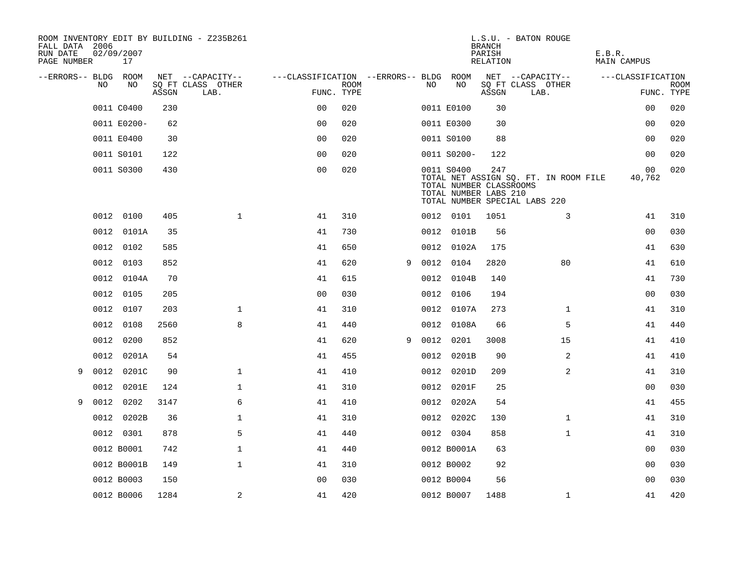| FALL DATA 2006<br>RUN DATE<br>PAGE NUMBER |      | 02/09/2007<br>17 |       | ROOM INVENTORY EDIT BY BUILDING - Z235B261 |                                        |             |   |      |                                                                | <b>BRANCH</b><br>PARISH<br>RELATION | L.S.U. - BATON ROUGE                                                   | E.B.R.<br>MAIN CAMPUS |                           |
|-------------------------------------------|------|------------------|-------|--------------------------------------------|----------------------------------------|-------------|---|------|----------------------------------------------------------------|-------------------------------------|------------------------------------------------------------------------|-----------------------|---------------------------|
| --ERRORS-- BLDG ROOM                      |      |                  |       | NET --CAPACITY--                           | ---CLASSIFICATION --ERRORS-- BLDG ROOM |             |   |      |                                                                |                                     | NET --CAPACITY--                                                       | ---CLASSIFICATION     |                           |
|                                           | NO.  | NO               | ASSGN | SQ FT CLASS OTHER<br>LAB.                  | FUNC. TYPE                             | <b>ROOM</b> |   | NO.  | NO                                                             | ASSGN                               | SQ FT CLASS OTHER<br>LAB.                                              |                       | <b>ROOM</b><br>FUNC. TYPE |
|                                           |      | 0011 C0400       | 230   |                                            | 0 <sup>0</sup>                         | 020         |   |      | 0011 E0100                                                     | 30                                  |                                                                        | 0 <sub>0</sub>        | 020                       |
|                                           |      | 0011 E0200-      | 62    |                                            | 0 <sub>0</sub>                         | 020         |   |      | 0011 E0300                                                     | 30                                  |                                                                        | 0 <sub>0</sub>        | 020                       |
|                                           |      | 0011 E0400       | 30    |                                            | 0 <sub>0</sub>                         | 020         |   |      | 0011 S0100                                                     | 88                                  |                                                                        | 00                    | 020                       |
|                                           |      | 0011 S0101       | 122   |                                            | 0 <sub>0</sub>                         | 020         |   |      | 0011 S0200-                                                    | 122                                 |                                                                        | 00                    | 020                       |
|                                           |      | 0011 S0300       | 430   |                                            | 0 <sub>0</sub>                         | 020         |   |      | 0011 S0400<br>TOTAL NUMBER CLASSROOMS<br>TOTAL NUMBER LABS 210 | 247                                 | TOTAL NET ASSIGN SQ. FT. IN ROOM FILE<br>TOTAL NUMBER SPECIAL LABS 220 | 00<br>40,762          | 020                       |
|                                           |      | 0012 0100        | 405   | $\mathbf{1}$                               | 41                                     | 310         |   |      | 0012 0101                                                      | 1051                                | 3                                                                      | 41                    | 310                       |
|                                           | 0012 | 0101A            | 35    |                                            | 41                                     | 730         |   |      | 0012 0101B                                                     | 56                                  |                                                                        | 0 <sub>0</sub>        | 030                       |
|                                           |      | 0012 0102        | 585   |                                            | 41                                     | 650         |   |      | 0012 0102A                                                     | 175                                 |                                                                        | 41                    | 630                       |
|                                           | 0012 | 0103             | 852   |                                            | 41                                     | 620         | 9 |      | 0012 0104                                                      | 2820                                | 80                                                                     | 41                    | 610                       |
|                                           |      | 0012 0104A       | 70    |                                            | 41                                     | 615         |   |      | 0012 0104B                                                     | 140                                 |                                                                        | 41                    | 730                       |
|                                           | 0012 | 0105             | 205   |                                            | 00                                     | 030         |   | 0012 | 0106                                                           | 194                                 |                                                                        | 0 <sub>0</sub>        | 030                       |
|                                           |      | 0012 0107        | 203   | $\mathbf 1$                                | 41                                     | 310         |   |      | 0012 0107A                                                     | 273                                 | $\mathbf{1}$                                                           | 41                    | 310                       |
|                                           | 0012 | 0108             | 2560  | 8                                          | 41                                     | 440         |   |      | 0012 0108A                                                     | 66                                  | 5                                                                      | 41                    | 440                       |
|                                           | 0012 | 0200             | 852   |                                            | 41                                     | 620         | 9 | 0012 | 0201                                                           | 3008                                | 15                                                                     | 41                    | 410                       |
|                                           | 0012 | 0201A            | 54    |                                            | 41                                     | 455         |   | 0012 | 0201B                                                          | 90                                  | 2                                                                      | 41                    | 410                       |
| 9                                         | 0012 | 0201C            | 90    | $\mathbf 1$                                | 41                                     | 410         |   |      | 0012 0201D                                                     | 209                                 | 2                                                                      | 41                    | 310                       |
|                                           | 0012 | 0201E            | 124   | $\mathbf{1}$                               | 41                                     | 310         |   |      | 0012 0201F                                                     | 25                                  |                                                                        | 0 <sub>0</sub>        | 030                       |
| 9                                         | 0012 | 0202             | 3147  | 6                                          | 41                                     | 410         |   |      | 0012 0202A                                                     | 54                                  |                                                                        | 41                    | 455                       |
|                                           |      | 0012 0202B       | 36    | $\mathbf 1$                                | 41                                     | 310         |   |      | 0012 0202C                                                     | 130                                 | $\mathbf{1}$                                                           | 41                    | 310                       |
|                                           |      | 0012 0301        | 878   | 5                                          | 41                                     | 440         |   |      | 0012 0304                                                      | 858                                 | $\mathbf{1}$                                                           | 41                    | 310                       |
|                                           |      | 0012 B0001       | 742   | $\mathbf 1$                                | 41                                     | 440         |   |      | 0012 B0001A                                                    | 63                                  |                                                                        | 00                    | 030                       |
|                                           |      | 0012 B0001B      | 149   | $\mathbf 1$                                | 41                                     | 310         |   |      | 0012 B0002                                                     | 92                                  |                                                                        | 00                    | 030                       |
|                                           |      | 0012 B0003       | 150   |                                            | 0 <sub>0</sub>                         | 030         |   |      | 0012 B0004                                                     | 56                                  |                                                                        | 0 <sub>0</sub>        | 030                       |
|                                           |      | 0012 B0006       | 1284  | 2                                          | 41                                     | 420         |   |      | 0012 B0007                                                     | 1488                                | $\mathbf{1}$                                                           | 41                    | 420                       |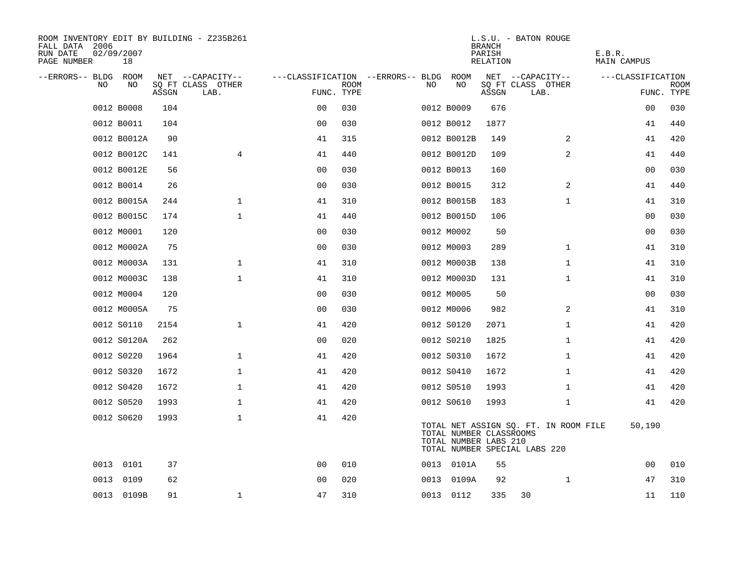| ROOM INVENTORY EDIT BY BUILDING - Z235B261<br>FALL DATA 2006<br>RUN DATE<br>PAGE NUMBER | 02/09/2007<br>18 |       |                           |                |             |                                        |    |                                                  | <b>BRANCH</b><br>PARISH<br>RELATION | L.S.U. - BATON ROUGE                                                   | E.B.R.<br>MAIN CAMPUS |                           |
|-----------------------------------------------------------------------------------------|------------------|-------|---------------------------|----------------|-------------|----------------------------------------|----|--------------------------------------------------|-------------------------------------|------------------------------------------------------------------------|-----------------------|---------------------------|
| --ERRORS-- BLDG ROOM                                                                    |                  |       | NET --CAPACITY--          |                |             | ---CLASSIFICATION --ERRORS-- BLDG ROOM |    |                                                  |                                     | NET --CAPACITY--                                                       | ---CLASSIFICATION     |                           |
| NO                                                                                      | NO               | ASSGN | SQ FT CLASS OTHER<br>LAB. | FUNC. TYPE     | <b>ROOM</b> |                                        | NO | NO                                               | ASSGN                               | SQ FT CLASS OTHER<br>LAB.                                              |                       | <b>ROOM</b><br>FUNC. TYPE |
|                                                                                         | 0012 B0008       | 104   |                           | 0 <sub>0</sub> | 030         |                                        |    | 0012 B0009                                       | 676                                 |                                                                        | 00                    | 030                       |
|                                                                                         | 0012 B0011       | 104   |                           | 0 <sub>0</sub> | 030         |                                        |    | 0012 B0012                                       | 1877                                |                                                                        | 41                    | 440                       |
|                                                                                         | 0012 B0012A      | 90    |                           | 41             | 315         |                                        |    | 0012 B0012B                                      | 149                                 | $\overline{2}$                                                         | 41                    | 420                       |
|                                                                                         | 0012 B0012C      | 141   | 4                         | 41             | 440         |                                        |    | 0012 B0012D                                      | 109                                 | 2                                                                      | 41                    | 440                       |
|                                                                                         | 0012 B0012E      | 56    |                           | 0 <sub>0</sub> | 030         |                                        |    | 0012 B0013                                       | 160                                 |                                                                        | 00                    | 030                       |
|                                                                                         | 0012 B0014       | 26    |                           | 00             | 030         |                                        |    | 0012 B0015                                       | 312                                 | 2                                                                      | 41                    | 440                       |
|                                                                                         | 0012 B0015A      | 244   | $\mathbf 1$               | 41             | 310         |                                        |    | 0012 B0015B                                      | 183                                 | $\mathbf{1}$                                                           | 41                    | 310                       |
|                                                                                         | 0012 B0015C      | 174   | $\mathbf{1}$              | 41             | 440         |                                        |    | 0012 B0015D                                      | 106                                 |                                                                        | 0 <sub>0</sub>        | 030                       |
|                                                                                         | 0012 M0001       | 120   |                           | 0 <sub>0</sub> | 030         |                                        |    | 0012 M0002                                       | 50                                  |                                                                        | 0 <sub>0</sub>        | 030                       |
|                                                                                         | 0012 M0002A      | 75    |                           | 0 <sub>0</sub> | 030         |                                        |    | 0012 M0003                                       | 289                                 | $\mathbf{1}$                                                           | 41                    | 310                       |
|                                                                                         | 0012 M0003A      | 131   | $\mathbf{1}$              | 41             | 310         |                                        |    | 0012 M0003B                                      | 138                                 | $\mathbf{1}$                                                           | 41                    | 310                       |
|                                                                                         | 0012 M0003C      | 138   | $\mathbf{1}$              | 41             | 310         |                                        |    | 0012 M0003D                                      | 131                                 | $\mathbf{1}$                                                           | 41                    | 310                       |
|                                                                                         | 0012 M0004       | 120   |                           | 0 <sub>0</sub> | 030         |                                        |    | 0012 M0005                                       | 50                                  |                                                                        | 00                    | 030                       |
|                                                                                         | 0012 M0005A      | 75    |                           | 0 <sub>0</sub> | 030         |                                        |    | 0012 M0006                                       | 982                                 | 2                                                                      | 41                    | 310                       |
|                                                                                         | 0012 S0110       | 2154  | $\mathbf{1}$              | 41             | 420         |                                        |    | 0012 S0120                                       | 2071                                | $\mathbf{1}$                                                           | 41                    | 420                       |
|                                                                                         | 0012 S0120A      | 262   |                           | 0 <sub>0</sub> | 020         |                                        |    | 0012 S0210                                       | 1825                                | $\mathbf{1}$                                                           | 41                    | 420                       |
|                                                                                         | 0012 S0220       | 1964  | $\mathbf 1$               | 41             | 420         |                                        |    | 0012 S0310                                       | 1672                                | $\mathbf{1}$                                                           | 41                    | 420                       |
|                                                                                         | 0012 S0320       | 1672  | $\mathbf{1}$              | 41             | 420         |                                        |    | 0012 S0410                                       | 1672                                | $\mathbf{1}$                                                           | 41                    | 420                       |
|                                                                                         | 0012 S0420       | 1672  | 1                         | 41             | 420         |                                        |    | 0012 S0510                                       | 1993                                | $\mathbf{1}$                                                           | 41                    | 420                       |
|                                                                                         | 0012 S0520       | 1993  | $\mathbf 1$               | 41             | 420         |                                        |    | 0012 S0610                                       | 1993                                | $\mathbf{1}$                                                           | 41                    | 420                       |
|                                                                                         | 0012 S0620       | 1993  | $\mathbf 1$               | 41             | 420         |                                        |    | TOTAL NUMBER CLASSROOMS<br>TOTAL NUMBER LABS 210 |                                     | TOTAL NET ASSIGN SQ. FT. IN ROOM FILE<br>TOTAL NUMBER SPECIAL LABS 220 | 50,190                |                           |
|                                                                                         | 0013 0101        | 37    |                           | 0 <sub>0</sub> | 010         |                                        |    | 0013 0101A                                       | 55                                  |                                                                        | 0 <sub>0</sub>        | 010                       |
| 0013                                                                                    | 0109             | 62    |                           | 0 <sub>0</sub> | 020         |                                        |    | 0013 0109A                                       | 92                                  | $\mathbf{1}$                                                           | 47                    | 310                       |
|                                                                                         | 0013 0109B       | 91    | $\mathbf{1}$              | 47             | 310         |                                        |    | 0013 0112                                        | 335                                 | 30                                                                     | 11                    | 110                       |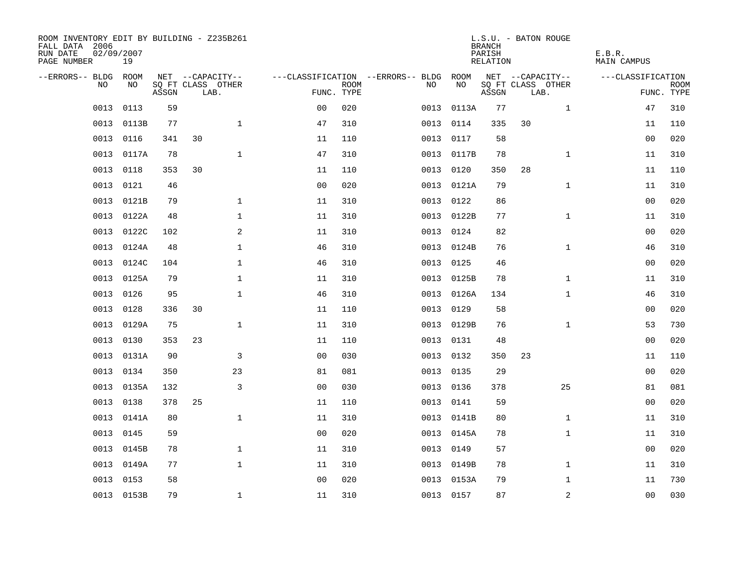| ROOM INVENTORY EDIT BY BUILDING - Z235B261<br>FALL DATA 2006<br>RUN DATE<br>PAGE NUMBER | 02/09/2007<br>19 |       |    |                           |                                   |             |      |            | <b>BRANCH</b><br>PARISH<br>RELATION | L.S.U. - BATON ROUGE      | E.B.R.<br>MAIN CAMPUS |                           |
|-----------------------------------------------------------------------------------------|------------------|-------|----|---------------------------|-----------------------------------|-------------|------|------------|-------------------------------------|---------------------------|-----------------------|---------------------------|
| --ERRORS-- BLDG ROOM                                                                    |                  |       |    | NET --CAPACITY--          | ---CLASSIFICATION --ERRORS-- BLDG |             |      | ROOM       |                                     | NET --CAPACITY--          | ---CLASSIFICATION     |                           |
| NO.                                                                                     | NO.              | ASSGN |    | SQ FT CLASS OTHER<br>LAB. | FUNC. TYPE                        | <b>ROOM</b> | NO.  | NO         | ASSGN                               | SQ FT CLASS OTHER<br>LAB. |                       | <b>ROOM</b><br>FUNC. TYPE |
| 0013                                                                                    | 0113             | 59    |    |                           | 0 <sub>0</sub>                    | 020         | 0013 | 0113A      | 77                                  | $\mathbf{1}$              | 47                    | 310                       |
| 0013                                                                                    | 0113B            | 77    |    | $\mathbf 1$               | 47                                | 310         | 0013 | 0114       | 335                                 | 30                        | 11                    | 110                       |
| 0013                                                                                    | 0116             | 341   | 30 |                           | 11                                | 110         | 0013 | 0117       | 58                                  |                           | 00                    | 020                       |
| 0013                                                                                    | 0117A            | 78    |    | $\mathbf 1$               | 47                                | 310         |      | 0013 0117B | 78                                  | $\mathbf{1}$              | 11                    | 310                       |
| 0013                                                                                    | 0118             | 353   | 30 |                           | 11                                | 110         | 0013 | 0120       | 350                                 | 28                        | 11                    | 110                       |
| 0013                                                                                    | 0121             | 46    |    |                           | 0 <sub>0</sub>                    | 020         |      | 0013 0121A | 79                                  | $\mathbf{1}$              | 11                    | 310                       |
| 0013                                                                                    | 0121B            | 79    |    | $\mathbf 1$               | 11                                | 310         | 0013 | 0122       | 86                                  |                           | 0 <sub>0</sub>        | 020                       |
| 0013                                                                                    | 0122A            | 48    |    | $\mathbf 1$               | 11                                | 310         |      | 0013 0122B | 77                                  | $\mathbf{1}$              | 11                    | 310                       |
| 0013                                                                                    | 0122C            | 102   |    | 2                         | 11                                | 310         | 0013 | 0124       | 82                                  |                           | 0 <sub>0</sub>        | 020                       |
| 0013                                                                                    | 0124A            | 48    |    | $\mathbf{1}$              | 46                                | 310         |      | 0013 0124B | 76                                  | $\mathbf{1}$              | 46                    | 310                       |
| 0013                                                                                    | 0124C            | 104   |    | $\mathbf 1$               | 46                                | 310         | 0013 | 0125       | 46                                  |                           | 0 <sub>0</sub>        | 020                       |
| 0013                                                                                    | 0125A            | 79    |    | $\mathbf 1$               | 11                                | 310         |      | 0013 0125B | 78                                  | $\mathbf{1}$              | 11                    | 310                       |
| 0013                                                                                    | 0126             | 95    |    | $\mathbf{1}$              | 46                                | 310         | 0013 | 0126A      | 134                                 | $\mathbf{1}$              | 46                    | 310                       |
| 0013                                                                                    | 0128             | 336   | 30 |                           | 11                                | 110         | 0013 | 0129       | 58                                  |                           | 00                    | 020                       |
| 0013                                                                                    | 0129A            | 75    |    | $\mathbf 1$               | 11                                | 310         | 0013 | 0129B      | 76                                  | $\mathbf{1}$              | 53                    | 730                       |
| 0013                                                                                    | 0130             | 353   | 23 |                           | 11                                | 110         | 0013 | 0131       | 48                                  |                           | 00                    | 020                       |
| 0013                                                                                    | 0131A            | 90    |    | 3                         | 0 <sub>0</sub>                    | 030         | 0013 | 0132       | 350                                 | 23                        | 11                    | 110                       |
| 0013                                                                                    | 0134             | 350   |    | 23                        | 81                                | 081         | 0013 | 0135       | 29                                  |                           | 0 <sub>0</sub>        | 020                       |
| 0013                                                                                    | 0135A            | 132   |    | 3                         | 0 <sub>0</sub>                    | 030         |      | 0013 0136  | 378                                 | 25                        | 81                    | 081                       |
| 0013                                                                                    | 0138             | 378   | 25 |                           | 11                                | 110         | 0013 | 0141       | 59                                  |                           | 00                    | 020                       |
| 0013                                                                                    | 0141A            | 80    |    | $\mathbf 1$               | 11                                | 310         |      | 0013 0141B | 80                                  | $\mathbf{1}$              | 11                    | 310                       |
| 0013                                                                                    | 0145             | 59    |    |                           | 0 <sub>0</sub>                    | 020         |      | 0013 0145A | 78                                  | $\mathbf{1}$              | 11                    | 310                       |
| 0013                                                                                    | 0145B            | 78    |    | $\mathbf{1}$              | 11                                | 310         |      | 0013 0149  | 57                                  |                           | 0 <sub>0</sub>        | 020                       |
| 0013                                                                                    | 0149A            | 77    |    | $\mathbf 1$               | 11                                | 310         |      | 0013 0149B | 78                                  | $\mathbf{1}$              | 11                    | 310                       |
| 0013                                                                                    | 0153             | 58    |    |                           | 0 <sub>0</sub>                    | 020         | 0013 | 0153A      | 79                                  | $\mathbf{1}$              | 11                    | 730                       |
|                                                                                         | 0013 0153B       | 79    |    | $\mathbf{1}$              | 11                                | 310         |      | 0013 0157  | 87                                  | 2                         | 0 <sub>0</sub>        | 030                       |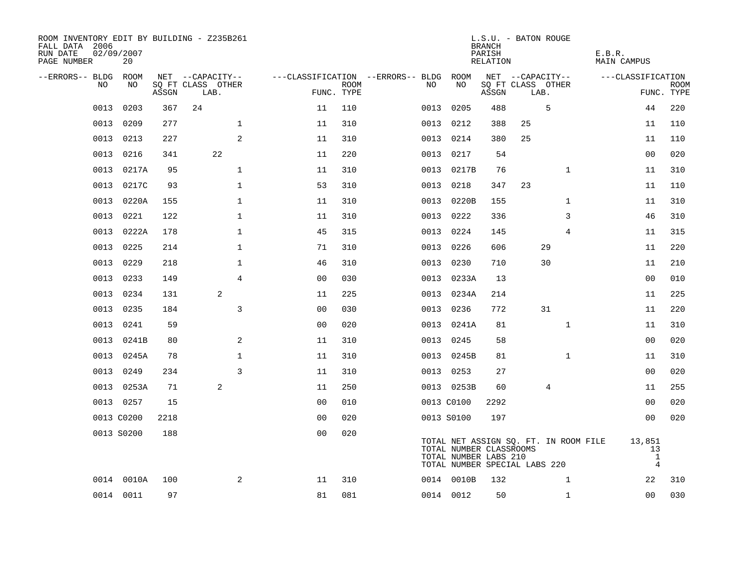| ROOM INVENTORY EDIT BY BUILDING - Z235B261<br>FALL DATA 2006<br>RUN DATE<br>PAGE NUMBER | 02/09/2007<br>20 |       |                           |                |      |                                        |                                                  | <b>BRANCH</b><br>PARISH<br>RELATION | L.S.U. - BATON ROUGE                                                   | E.B.R.<br>MAIN CAMPUS                          |                           |
|-----------------------------------------------------------------------------------------|------------------|-------|---------------------------|----------------|------|----------------------------------------|--------------------------------------------------|-------------------------------------|------------------------------------------------------------------------|------------------------------------------------|---------------------------|
| --ERRORS-- BLDG ROOM                                                                    |                  |       | NET --CAPACITY--          |                |      | ---CLASSIFICATION --ERRORS-- BLDG ROOM |                                                  |                                     | NET --CAPACITY--                                                       | ---CLASSIFICATION                              |                           |
| NO                                                                                      | NO.              | ASSGN | SQ FT CLASS OTHER<br>LAB. | FUNC. TYPE     | ROOM | NO.                                    | NO                                               | ASSGN                               | SQ FT CLASS OTHER<br>LAB.                                              |                                                | <b>ROOM</b><br>FUNC. TYPE |
| 0013                                                                                    | 0203             | 367   | 24                        | 11             | 110  | 0013                                   | 0205                                             | 488                                 | 5                                                                      | 44                                             | 220                       |
| 0013                                                                                    | 0209             | 277   | $\mathbf{1}$              | 11             | 310  |                                        | 0013 0212                                        | 388                                 | 25                                                                     | 11                                             | 110                       |
| 0013                                                                                    | 0213             | 227   | 2                         | 11             | 310  |                                        | 0013 0214                                        | 380                                 | 25                                                                     | 11                                             | 110                       |
| 0013                                                                                    | 0216             | 341   | 22                        | 11             | 220  |                                        | 0013 0217                                        | 54                                  |                                                                        | 00                                             | 020                       |
| 0013                                                                                    | 0217A            | 95    | $\mathbf{1}$              | 11             | 310  |                                        | 0013 0217B                                       | 76                                  | $\mathbf{1}$                                                           | 11                                             | 310                       |
| 0013                                                                                    | 0217C            | 93    | $\mathbf{1}$              | 53             | 310  |                                        | 0013 0218                                        | 347                                 | 23                                                                     | 11                                             | 110                       |
| 0013                                                                                    | 0220A            | 155   | $\mathbf{1}$              | 11             | 310  |                                        | 0013 0220B                                       | 155                                 | $\mathbf{1}$                                                           | 11                                             | 310                       |
| 0013                                                                                    | 0221             | 122   | 1                         | 11             | 310  |                                        | 0013 0222                                        | 336                                 | 3                                                                      | 46                                             | 310                       |
| 0013                                                                                    | 0222A            | 178   | $\mathbf{1}$              | 45             | 315  | 0013                                   | 0224                                             | 145                                 | 4                                                                      | 11                                             | 315                       |
|                                                                                         | 0013 0225        | 214   | $\mathbf 1$               | 71             | 310  |                                        | 0013 0226                                        | 606                                 | 29                                                                     | 11                                             | 220                       |
| 0013                                                                                    | 0229             | 218   | $\mathbf{1}$              | 46             | 310  |                                        | 0013 0230                                        | 710                                 | 30                                                                     | 11                                             | 210                       |
| 0013                                                                                    | 0233             | 149   | 4                         | 0 <sub>0</sub> | 030  |                                        | 0013 0233A                                       | 13                                  |                                                                        | 0 <sub>0</sub>                                 | 010                       |
| 0013                                                                                    | 0234             | 131   | 2                         | 11             | 225  | 0013                                   | 0234A                                            | 214                                 |                                                                        | 11                                             | 225                       |
| 0013                                                                                    | 0235             | 184   | 3                         | 0 <sub>0</sub> | 030  |                                        | 0013 0236                                        | 772                                 | 31                                                                     | 11                                             | 220                       |
| 0013                                                                                    | 0241             | 59    |                           | 0 <sub>0</sub> | 020  |                                        | 0013 0241A                                       | 81                                  | $\mathbf{1}$                                                           | 11                                             | 310                       |
| 0013                                                                                    | 0241B            | 80    | 2                         | 11             | 310  |                                        | 0013 0245                                        | 58                                  |                                                                        | 0 <sub>0</sub>                                 | 020                       |
| 0013                                                                                    | 0245A            | 78    | $\mathbf 1$               | 11             | 310  | 0013                                   | 0245B                                            | 81                                  | $\mathbf{1}$                                                           | 11                                             | 310                       |
| 0013                                                                                    | 0249             | 234   | 3                         | 11             | 310  |                                        | 0013 0253                                        | 27                                  |                                                                        | 00                                             | 020                       |
|                                                                                         | 0013 0253A       | 71    | 2                         | 11             | 250  |                                        | 0013 0253B                                       | 60                                  | 4                                                                      | 11                                             | 255                       |
|                                                                                         | 0013 0257        | 15    |                           | 0 <sub>0</sub> | 010  |                                        | 0013 C0100                                       | 2292                                |                                                                        | 0 <sub>0</sub>                                 | 020                       |
|                                                                                         | 0013 C0200       | 2218  |                           | 0 <sub>0</sub> | 020  |                                        | 0013 S0100                                       | 197                                 |                                                                        | 0 <sub>0</sub>                                 | 020                       |
|                                                                                         | 0013 S0200       | 188   |                           | 0 <sub>0</sub> | 020  |                                        | TOTAL NUMBER CLASSROOMS<br>TOTAL NUMBER LABS 210 |                                     | TOTAL NET ASSIGN SQ. FT. IN ROOM FILE<br>TOTAL NUMBER SPECIAL LABS 220 | 13,851<br>13<br>$\mathbf{1}$<br>$\overline{4}$ |                           |
|                                                                                         | 0014 0010A       | 100   | 2                         | 11             | 310  |                                        | 0014 0010B                                       | 132                                 | $\mathbf{1}$                                                           | 22                                             | 310                       |
|                                                                                         | 0014 0011        | 97    |                           | 81             | 081  |                                        | 0014 0012                                        | 50                                  | $\mathbf{1}$                                                           | 00                                             | 030                       |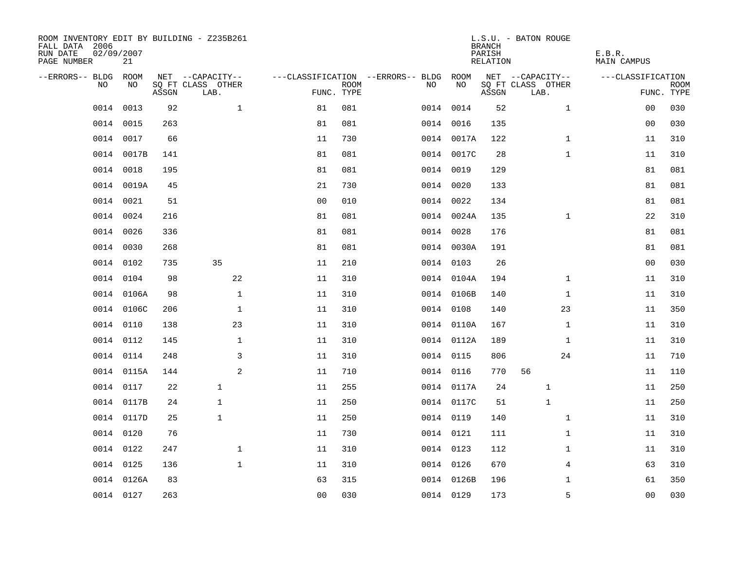| ROOM INVENTORY EDIT BY BUILDING - Z235B261<br>FALL DATA 2006<br>RUN DATE<br>PAGE NUMBER | 02/09/2007<br>21 |       |                           |                |             |                                   |            | <b>BRANCH</b><br>PARISH<br>RELATION | L.S.U. - BATON ROUGE      | E.B.R.<br><b>MAIN CAMPUS</b> |                           |
|-----------------------------------------------------------------------------------------|------------------|-------|---------------------------|----------------|-------------|-----------------------------------|------------|-------------------------------------|---------------------------|------------------------------|---------------------------|
| --ERRORS-- BLDG                                                                         | ROOM             |       | NET --CAPACITY--          |                |             | ---CLASSIFICATION --ERRORS-- BLDG | ROOM       |                                     | NET --CAPACITY--          | ---CLASSIFICATION            |                           |
| N <sub>O</sub>                                                                          | NO.              | ASSGN | SO FT CLASS OTHER<br>LAB. | FUNC. TYPE     | <b>ROOM</b> | NO.                               | NO         | ASSGN                               | SQ FT CLASS OTHER<br>LAB. |                              | <b>ROOM</b><br>FUNC. TYPE |
| 0014                                                                                    | 0013             | 92    | $\mathbf{1}$              | 81             | 081         |                                   | 0014 0014  | 52                                  | $\mathbf{1}$              | 00                           | 030                       |
| 0014                                                                                    | 0015             | 263   |                           | 81             | 081         |                                   | 0014 0016  | 135                                 |                           | 0 <sub>0</sub>               | 030                       |
|                                                                                         | 0014 0017        | 66    |                           | 11             | 730         |                                   | 0014 0017A | 122                                 | $\mathbf{1}$              | 11                           | 310                       |
| 0014                                                                                    | 0017B            | 141   |                           | 81             | 081         |                                   | 0014 0017C | 28                                  | $\mathbf{1}$              | 11                           | 310                       |
| 0014                                                                                    | 0018             | 195   |                           | 81             | 081         |                                   | 0014 0019  | 129                                 |                           | 81                           | 081                       |
| 0014                                                                                    | 0019A            | 45    |                           | 21             | 730         |                                   | 0014 0020  | 133                                 |                           | 81                           | 081                       |
| 0014                                                                                    | 0021             | 51    |                           | 0 <sub>0</sub> | 010         |                                   | 0014 0022  | 134                                 |                           | 81                           | 081                       |
| 0014                                                                                    | 0024             | 216   |                           | 81             | 081         |                                   | 0014 0024A | 135                                 | $\mathbf{1}$              | 22                           | 310                       |
| 0014                                                                                    | 0026             | 336   |                           | 81             | 081         |                                   | 0014 0028  | 176                                 |                           | 81                           | 081                       |
|                                                                                         | 0014 0030        | 268   |                           | 81             | 081         |                                   | 0014 0030A | 191                                 |                           | 81                           | 081                       |
|                                                                                         | 0014 0102        | 735   | 35                        | 11             | 210         |                                   | 0014 0103  | 26                                  |                           | 0 <sub>0</sub>               | 030                       |
|                                                                                         | 0014 0104        | 98    | 22                        | 11             | 310         |                                   | 0014 0104A | 194                                 | $\mathbf{1}$              | 11                           | 310                       |
|                                                                                         | 0014 0106A       | 98    | $\mathbf{1}$              | 11             | 310         |                                   | 0014 0106B | 140                                 | $\mathbf{1}$              | 11                           | 310                       |
|                                                                                         | 0014 0106C       | 206   | $\mathbf{1}$              | 11             | 310         |                                   | 0014 0108  | 140                                 | 23                        | 11                           | 350                       |
| 0014                                                                                    | 0110             | 138   | 23                        | 11             | 310         |                                   | 0014 0110A | 167                                 | $\mathbf{1}$              | 11                           | 310                       |
|                                                                                         | 0014 0112        | 145   | $\mathbf 1$               | 11             | 310         |                                   | 0014 0112A | 189                                 | $\mathbf{1}$              | 11                           | 310                       |
| 0014                                                                                    | 0114             | 248   | 3                         | 11             | 310         |                                   | 0014 0115  | 806                                 | 24                        | 11                           | 710                       |
| 0014                                                                                    | 0115A            | 144   | 2                         | 11             | 710         |                                   | 0014 0116  | 770                                 | 56                        | 11                           | 110                       |
|                                                                                         | 0014 0117        | 22    | $\mathbf{1}$              | 11             | 255         |                                   | 0014 0117A | 24                                  | 1                         | 11                           | 250                       |
|                                                                                         | 0014 0117B       | 24    | $\mathbf{1}$              | 11             | 250         |                                   | 0014 0117C | 51                                  | $\mathbf{1}$              | 11                           | 250                       |
|                                                                                         | 0014 0117D       | 25    | $\mathbf{1}$              | 11             | 250         |                                   | 0014 0119  | 140                                 | $\mathbf{1}$              | 11                           | 310                       |
|                                                                                         | 0014 0120        | 76    |                           | 11             | 730         |                                   | 0014 0121  | 111                                 | $\mathbf{1}$              | 11                           | 310                       |
|                                                                                         | 0014 0122        | 247   | $\mathbf 1$               | 11             | 310         |                                   | 0014 0123  | 112                                 | $\mathbf{1}$              | 11                           | 310                       |
|                                                                                         | 0014 0125        | 136   | $\mathbf{1}$              | 11             | 310         |                                   | 0014 0126  | 670                                 | 4                         | 63                           | 310                       |
|                                                                                         | 0014 0126A       | 83    |                           | 63             | 315         |                                   | 0014 0126B | 196                                 | $\mathbf{1}$              | 61                           | 350                       |
|                                                                                         | 0014 0127        | 263   |                           | 0 <sub>0</sub> | 030         |                                   | 0014 0129  | 173                                 | 5                         | 0 <sub>0</sub>               | 030                       |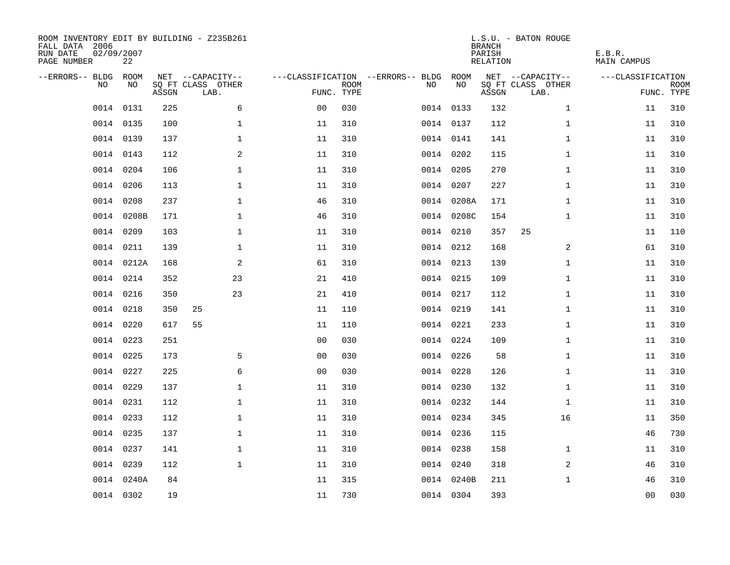| ROOM INVENTORY EDIT BY BUILDING - Z235B261<br>FALL DATA 2006<br>RUN DATE<br>PAGE NUMBER | 02/09/2007<br>22 |       |                           |                |             |                                   |            | <b>BRANCH</b><br>PARISH<br>RELATION | L.S.U. - BATON ROUGE      | E.B.R.<br><b>MAIN CAMPUS</b> |                           |
|-----------------------------------------------------------------------------------------|------------------|-------|---------------------------|----------------|-------------|-----------------------------------|------------|-------------------------------------|---------------------------|------------------------------|---------------------------|
| --ERRORS-- BLDG                                                                         | ROOM             |       | NET --CAPACITY--          |                |             | ---CLASSIFICATION --ERRORS-- BLDG | ROOM       |                                     | NET --CAPACITY--          | ---CLASSIFICATION            |                           |
| N <sub>O</sub>                                                                          | NO.              | ASSGN | SO FT CLASS OTHER<br>LAB. | FUNC. TYPE     | <b>ROOM</b> | NO.                               | NO         | ASSGN                               | SQ FT CLASS OTHER<br>LAB. |                              | <b>ROOM</b><br>FUNC. TYPE |
| 0014                                                                                    | 0131             | 225   | 6                         | 0 <sub>0</sub> | 030         |                                   | 0014 0133  | 132                                 | $\mathbf{1}$              | 11                           | 310                       |
|                                                                                         | 0014 0135        | 100   | $\mathbf 1$               | 11             | 310         |                                   | 0014 0137  | 112                                 | $\mathbf{1}$              | 11                           | 310                       |
|                                                                                         | 0014 0139        | 137   | $\mathbf 1$               | 11             | 310         |                                   | 0014 0141  | 141                                 | $\mathbf{1}$              | 11                           | 310                       |
|                                                                                         | 0014 0143        | 112   | 2                         | 11             | 310         |                                   | 0014 0202  | 115                                 | $\mathbf{1}$              | 11                           | 310                       |
| 0014                                                                                    | 0204             | 106   | $\mathbf 1$               | 11             | 310         |                                   | 0014 0205  | 270                                 | $\mathbf{1}$              | 11                           | 310                       |
| 0014                                                                                    | 0206             | 113   | $\mathbf 1$               | 11             | 310         |                                   | 0014 0207  | 227                                 | $\mathbf{1}$              | 11                           | 310                       |
| 0014                                                                                    | 0208             | 237   | $\mathbf{1}$              | 46             | 310         |                                   | 0014 0208A | 171                                 | $\mathbf{1}$              | 11                           | 310                       |
| 0014                                                                                    | 0208B            | 171   | $\mathbf 1$               | 46             | 310         |                                   | 0014 0208C | 154                                 | $\mathbf{1}$              | 11                           | 310                       |
| 0014                                                                                    | 0209             | 103   | $\mathbf{1}$              | 11             | 310         |                                   | 0014 0210  | 357                                 | 25                        | 11                           | 110                       |
|                                                                                         | 0014 0211        | 139   | $\mathbf 1$               | 11             | 310         |                                   | 0014 0212  | 168                                 | 2                         | 61                           | 310                       |
|                                                                                         | 0014 0212A       | 168   | 2                         | 61             | 310         |                                   | 0014 0213  | 139                                 | $\mathbf{1}$              | 11                           | 310                       |
|                                                                                         | 0014 0214        | 352   | 23                        | 21             | 410         |                                   | 0014 0215  | 109                                 | $\mathbf{1}$              | 11                           | 310                       |
| 0014                                                                                    | 0216             | 350   | 23                        | 21             | 410         |                                   | 0014 0217  | 112                                 | $\mathbf{1}$              | 11                           | 310                       |
|                                                                                         | 0014 0218        | 350   | 25                        | 11             | 110         |                                   | 0014 0219  | 141                                 | $\mathbf{1}$              | 11                           | 310                       |
| 0014                                                                                    | 0220             | 617   | 55                        | 11             | 110         |                                   | 0014 0221  | 233                                 | $\mathbf{1}$              | 11                           | 310                       |
|                                                                                         | 0014 0223        | 251   |                           | 0 <sub>0</sub> | 030         |                                   | 0014 0224  | 109                                 | $\mathbf{1}$              | 11                           | 310                       |
| 0014                                                                                    | 0225             | 173   | 5                         | 0 <sub>0</sub> | 030         |                                   | 0014 0226  | 58                                  | $\mathbf{1}$              | 11                           | 310                       |
| 0014                                                                                    | 0227             | 225   | 6                         | 0 <sub>0</sub> | 030         |                                   | 0014 0228  | 126                                 | $\mathbf{1}$              | 11                           | 310                       |
|                                                                                         | 0014 0229        | 137   | $\mathbf 1$               | 11             | 310         |                                   | 0014 0230  | 132                                 | $\mathbf{1}$              | 11                           | 310                       |
|                                                                                         | 0014 0231        | 112   | $\mathbf{1}$              | 11             | 310         |                                   | 0014 0232  | 144                                 | $\mathbf{1}$              | 11                           | 310                       |
|                                                                                         | 0014 0233        | 112   | $\mathbf 1$               | 11             | 310         |                                   | 0014 0234  | 345                                 | 16                        | 11                           | 350                       |
|                                                                                         | 0014 0235        | 137   | $\mathbf 1$               | 11             | 310         |                                   | 0014 0236  | 115                                 |                           | 46                           | 730                       |
|                                                                                         | 0014 0237        | 141   | $\mathbf 1$               | 11             | 310         |                                   | 0014 0238  | 158                                 | $\mathbf{1}$              | 11                           | 310                       |
|                                                                                         | 0014 0239        | 112   | $\mathbf{1}$              | 11             | 310         |                                   | 0014 0240  | 318                                 | 2                         | 46                           | 310                       |
|                                                                                         | 0014 0240A       | 84    |                           | 11             | 315         |                                   | 0014 0240B | 211                                 | $\mathbf{1}$              | 46                           | 310                       |
|                                                                                         | 0014 0302        | 19    |                           | 11             | 730         |                                   | 0014 0304  | 393                                 |                           | 0 <sub>0</sub>               | 030                       |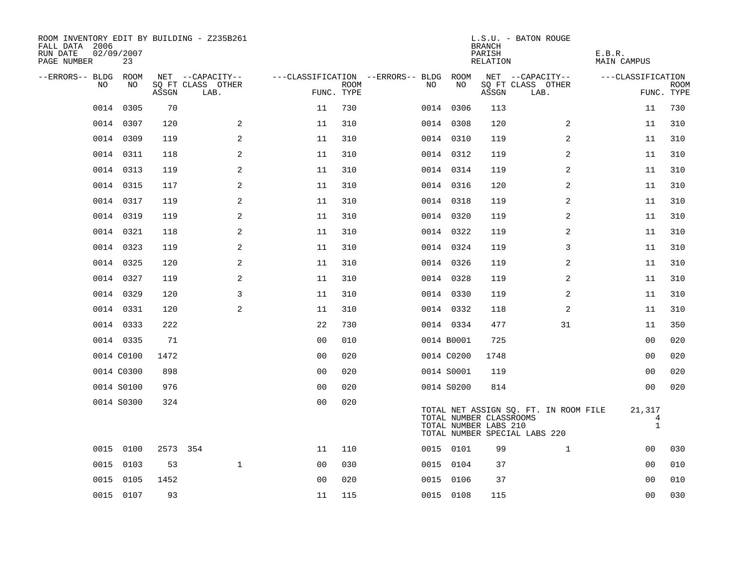| ROOM INVENTORY EDIT BY BUILDING - Z235B261<br>FALL DATA 2006<br>RUN DATE<br>PAGE NUMBER | 02/09/2007<br>23 |          |                           |                |             |                                   |            | <b>BRANCH</b><br>PARISH<br>RELATION              | L.S.U. - BATON ROUGE                                                   | E.B.R.<br><b>MAIN CAMPUS</b> |                           |
|-----------------------------------------------------------------------------------------|------------------|----------|---------------------------|----------------|-------------|-----------------------------------|------------|--------------------------------------------------|------------------------------------------------------------------------|------------------------------|---------------------------|
| --ERRORS-- BLDG                                                                         | ROOM             |          | NET --CAPACITY--          |                |             | ---CLASSIFICATION --ERRORS-- BLDG | ROOM       |                                                  | NET --CAPACITY--                                                       | ---CLASSIFICATION            |                           |
| NO.                                                                                     | NO.              | ASSGN    | SO FT CLASS OTHER<br>LAB. | FUNC. TYPE     | <b>ROOM</b> | NO.                               | NO         | ASSGN                                            | SQ FT CLASS OTHER<br>LAB.                                              |                              | <b>ROOM</b><br>FUNC. TYPE |
| 0014                                                                                    | 0305             | 70       |                           | 11             | 730         |                                   | 0014 0306  | 113                                              |                                                                        | 11                           | 730                       |
|                                                                                         | 0014 0307        | 120      | 2                         | 11             | 310         |                                   | 0014 0308  | 120                                              | 2                                                                      | 11                           | 310                       |
|                                                                                         | 0014 0309        | 119      | 2                         | 11             | 310         |                                   | 0014 0310  | 119                                              | 2                                                                      | 11                           | 310                       |
|                                                                                         | 0014 0311        | 118      | 2                         | 11             | 310         |                                   | 0014 0312  | 119                                              | 2                                                                      | 11                           | 310                       |
| 0014                                                                                    | 0313             | 119      | 2                         | 11             | 310         |                                   | 0014 0314  | 119                                              | 2                                                                      | 11                           | 310                       |
|                                                                                         | 0014 0315        | 117      | $\mathbf{2}$              | 11             | 310         |                                   | 0014 0316  | 120                                              | 2                                                                      | 11                           | 310                       |
|                                                                                         | 0014 0317        | 119      | 2                         | 11             | 310         |                                   | 0014 0318  | 119                                              | 2                                                                      | 11                           | 310                       |
|                                                                                         | 0014 0319        | 119      | 2                         | 11             | 310         |                                   | 0014 0320  | 119                                              | 2                                                                      | 11                           | 310                       |
|                                                                                         | 0014 0321        | 118      | 2                         | 11             | 310         |                                   | 0014 0322  | 119                                              | 2                                                                      | 11                           | 310                       |
|                                                                                         | 0014 0323        | 119      | 2                         | 11             | 310         |                                   | 0014 0324  | 119                                              | 3                                                                      | 11                           | 310                       |
|                                                                                         | 0014 0325        | 120      | 2                         | 11             | 310         |                                   | 0014 0326  | 119                                              | 2                                                                      | 11                           | 310                       |
|                                                                                         | 0014 0327        | 119      | 2                         | 11             | 310         |                                   | 0014 0328  | 119                                              | 2                                                                      | 11                           | 310                       |
|                                                                                         | 0014 0329        | 120      | 3                         | 11             | 310         |                                   | 0014 0330  | 119                                              | 2                                                                      | 11                           | 310                       |
|                                                                                         | 0014 0331        | 120      | 2                         | 11             | 310         |                                   | 0014 0332  | 118                                              | 2                                                                      | 11                           | 310                       |
|                                                                                         | 0014 0333        | 222      |                           | 22             | 730         |                                   | 0014 0334  | 477                                              | 31                                                                     | 11                           | 350                       |
|                                                                                         | 0014 0335        | 71       |                           | 0 <sub>0</sub> | 010         |                                   | 0014 B0001 | 725                                              |                                                                        | 0 <sub>0</sub>               | 020                       |
|                                                                                         | 0014 C0100       | 1472     |                           | 0 <sub>0</sub> | 020         |                                   | 0014 C0200 | 1748                                             |                                                                        | 0 <sub>0</sub>               | 020                       |
|                                                                                         | 0014 C0300       | 898      |                           | 0 <sub>0</sub> | 020         |                                   | 0014 S0001 | 119                                              |                                                                        | 0 <sub>0</sub>               | 020                       |
|                                                                                         | 0014 S0100       | 976      |                           | 0 <sub>0</sub> | 020         |                                   | 0014 S0200 | 814                                              |                                                                        | 0 <sub>0</sub>               | 020                       |
|                                                                                         | 0014 S0300       | 324      |                           | 00             | 020         |                                   |            | TOTAL NUMBER CLASSROOMS<br>TOTAL NUMBER LABS 210 | TOTAL NET ASSIGN SQ. FT. IN ROOM FILE<br>TOTAL NUMBER SPECIAL LABS 220 | 21,317<br>4<br>$\mathbf{1}$  |                           |
|                                                                                         | 0015 0100        | 2573 354 |                           | 11             | 110         |                                   | 0015 0101  | 99                                               | $\mathbf{1}$                                                           | 00                           | 030                       |
| 0015                                                                                    | 0103             | 53       | $\mathbf{1}$              | 0 <sub>0</sub> | 030         |                                   | 0015 0104  | 37                                               |                                                                        | 00                           | 010                       |
| 0015                                                                                    | 0105             | 1452     |                           | 0 <sub>0</sub> | 020         |                                   | 0015 0106  | 37                                               |                                                                        | 00                           | 010                       |
|                                                                                         | 0015 0107        | 93       |                           | 11             | 115         |                                   | 0015 0108  | 115                                              |                                                                        | 0 <sub>0</sub>               | 030                       |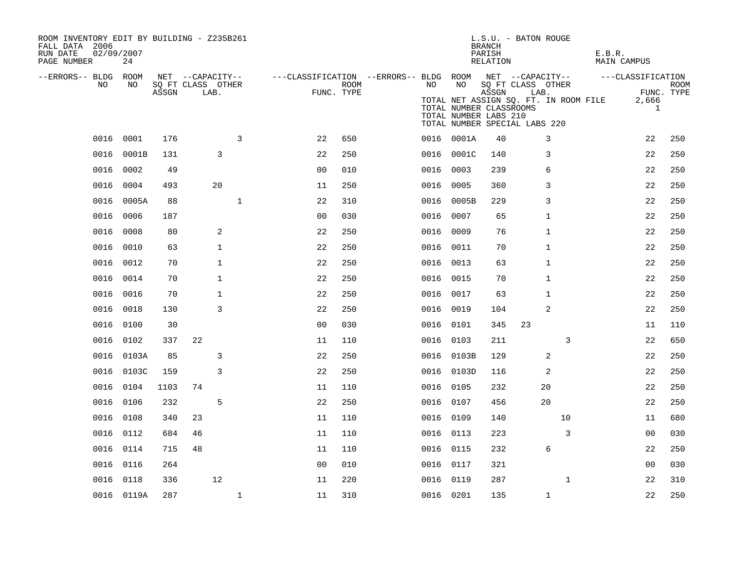| ROOM INVENTORY EDIT BY BUILDING - Z235B261<br>FALL DATA 2006<br>02/09/2007<br>RUN DATE<br>PAGE NUMBER | 24         |       |                           |              |                                                         |                    |           |                                                  | BRANCH<br>PARISH<br>RELATION | L.S.U. - BATON ROUGE                                                                                | E.B.R.<br>MAIN CAMPUS |                                |
|-------------------------------------------------------------------------------------------------------|------------|-------|---------------------------|--------------|---------------------------------------------------------|--------------------|-----------|--------------------------------------------------|------------------------------|-----------------------------------------------------------------------------------------------------|-----------------------|--------------------------------|
| --ERRORS-- BLDG ROOM<br>NO                                                                            | NO         |       | NET --CAPACITY--          |              | ---CLASSIFICATION --ERRORS-- BLDG ROOM NET --CAPACITY-- |                    | NO        | NO                                               |                              |                                                                                                     | ---CLASSIFICATION     |                                |
|                                                                                                       |            | ASSGN | SQ FT CLASS OTHER<br>LAB. |              |                                                         | ROOM<br>FUNC. TYPE |           | TOTAL NUMBER CLASSROOMS<br>TOTAL NUMBER LABS 210 | ASSGN                        | SQ FT CLASS OTHER<br>LAB.<br>TOTAL NET ASSIGN SQ. FT. IN ROOM FILE<br>TOTAL NUMBER SPECIAL LABS 220 | 2,666                 | <b>ROOM</b><br>FUNC. TYPE<br>1 |
| 0016                                                                                                  | 0001       | 176   |                           | 3            | 22                                                      | 650                |           | 0016 0001A                                       | 40                           | 3                                                                                                   | 22                    | 250                            |
| 0016                                                                                                  | 0001B      | 131   | 3                         |              | 22                                                      | 250                |           | 0016 0001C                                       | 140                          | 3                                                                                                   | 22                    | 250                            |
| 0016                                                                                                  | 0002       | 49    |                           |              | 00                                                      | 010                | 0016 0003 |                                                  | 239                          | 6                                                                                                   | 22                    | 250                            |
| 0016                                                                                                  | 0004       | 493   | 20                        |              | 11                                                      | 250                | 0016 0005 |                                                  | 360                          | 3                                                                                                   | 22                    | 250                            |
| 0016                                                                                                  | 0005A      | 88    |                           | $\mathbf{1}$ | 22                                                      | 310                |           | 0016 0005B                                       | 229                          | 3                                                                                                   | 22                    | 250                            |
| 0016                                                                                                  | 0006       | 187   |                           |              | 0 <sub>0</sub>                                          | 030                | 0016 0007 |                                                  | 65                           | 1                                                                                                   | 22                    | 250                            |
| 0016                                                                                                  | 0008       | 80    | 2                         |              | 22                                                      | 250                | 0016      | 0009                                             | 76                           | $\mathbf{1}$                                                                                        | 22                    | 250                            |
| 0016                                                                                                  | 0010       | 63    | $\mathbf{1}$              |              | 22                                                      | 250                |           | 0016 0011                                        | 70                           | 1                                                                                                   | 22                    | 250                            |
|                                                                                                       | 0016 0012  | 70    | $\mathbf{1}$              |              | 22                                                      | 250                | 0016      | 0013                                             | 63                           | 1                                                                                                   | 22                    | 250                            |
|                                                                                                       | 0016 0014  | 70    | $\mathbf{1}$              |              | 22                                                      | 250                |           | 0016 0015                                        | 70                           | 1                                                                                                   | 22                    | 250                            |
| 0016                                                                                                  | 0016       | 70    | $\mathbf{1}$              |              | 22                                                      | 250                | 0016 0017 |                                                  | 63                           | 1                                                                                                   | 22                    | 250                            |
| 0016                                                                                                  | 0018       | 130   | 3                         |              | 22                                                      | 250                | 0016 0019 |                                                  | 104                          | 2                                                                                                   | 22                    | 250                            |
|                                                                                                       | 0016 0100  | 30    |                           |              | 0 <sub>0</sub>                                          | 030                | 0016 0101 |                                                  | 345                          | 23                                                                                                  | 11                    | 110                            |
|                                                                                                       | 0016 0102  | 337   | 22                        |              | 11                                                      | 110                | 0016 0103 |                                                  | 211                          | 3                                                                                                   | 22                    | 650                            |
|                                                                                                       | 0016 0103A | 85    | 3                         |              | 22                                                      | 250                |           | 0016 0103B                                       | 129                          | 2                                                                                                   | 22                    | 250                            |
|                                                                                                       | 0016 0103C | 159   | 3                         |              | 22                                                      | 250                |           | 0016 0103D                                       | 116                          | 2                                                                                                   | 22                    | 250                            |
|                                                                                                       | 0016 0104  | 1103  | 74                        |              | 11                                                      | 110                | 0016 0105 |                                                  | 232                          | 20                                                                                                  | 22                    | 250                            |
| 0016                                                                                                  | 0106       | 232   | 5                         |              | 22                                                      | 250                | 0016 0107 |                                                  | 456                          | 20                                                                                                  | 22                    | 250                            |
| 0016                                                                                                  | 0108       | 340   | 23                        |              | 11                                                      | 110                | 0016 0109 |                                                  | 140                          | 10                                                                                                  | 11                    | 680                            |
| 0016                                                                                                  | 0112       | 684   | 46                        |              | 11                                                      | 110                | 0016 0113 |                                                  | 223                          | 3                                                                                                   | 00                    | 030                            |
|                                                                                                       | 0016 0114  | 715   | 48                        |              | 11                                                      | 110                | 0016 0115 |                                                  | 232                          | 6                                                                                                   | 22                    | 250                            |
| 0016                                                                                                  | 0116       | 264   |                           |              | 0 <sub>0</sub>                                          | 010                | 0016 0117 |                                                  | 321                          |                                                                                                     | 0 <sub>0</sub>        | 030                            |
| 0016                                                                                                  | 0118       | 336   | 12                        |              | 11                                                      | 220                | 0016 0119 |                                                  | 287                          | $\mathbf{1}$                                                                                        | 22                    | 310                            |
|                                                                                                       | 0016 0119A | 287   |                           | $\mathbf{1}$ | 11                                                      | 310                | 0016 0201 |                                                  | 135                          | $\mathbf{1}$                                                                                        | 22                    | 250                            |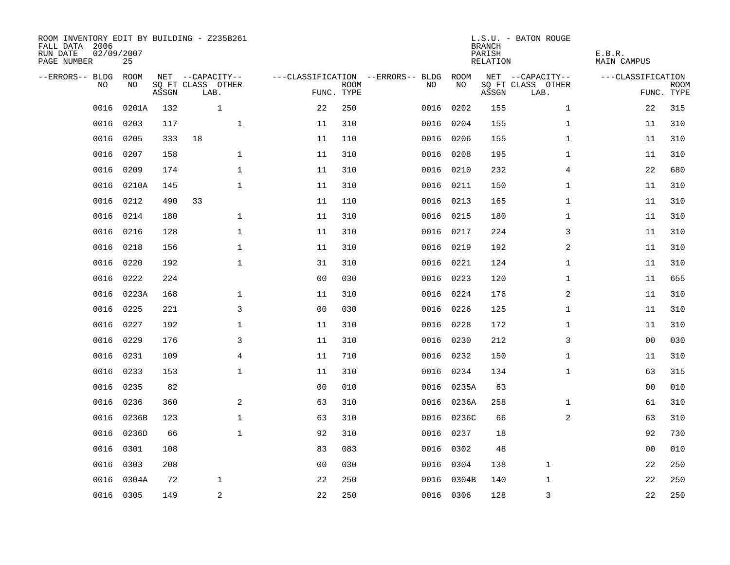| ROOM INVENTORY EDIT BY BUILDING - Z235B261<br>FALL DATA 2006<br>RUN DATE<br>PAGE NUMBER | 02/09/2007<br>25 |       |                           |                |                           |                                   |            | <b>BRANCH</b><br>PARISH<br><b>RELATION</b> | L.S.U. - BATON ROUGE      | E.B.R.<br><b>MAIN CAMPUS</b> |                           |
|-----------------------------------------------------------------------------------------|------------------|-------|---------------------------|----------------|---------------------------|-----------------------------------|------------|--------------------------------------------|---------------------------|------------------------------|---------------------------|
| --ERRORS-- BLDG                                                                         | ROOM             |       | NET --CAPACITY--          |                |                           | ---CLASSIFICATION --ERRORS-- BLDG | ROOM       |                                            | NET --CAPACITY--          | ---CLASSIFICATION            |                           |
| NO                                                                                      | NO               | ASSGN | SQ FT CLASS OTHER<br>LAB. |                | <b>ROOM</b><br>FUNC. TYPE | NO                                | NO         | ASSGN                                      | SQ FT CLASS OTHER<br>LAB. |                              | <b>ROOM</b><br>FUNC. TYPE |
| 0016                                                                                    | 0201A            | 132   | $\mathbf{1}$              | 22             | 250                       | 0016                              | 0202       | 155                                        | $\mathbf{1}$              | 22                           | 315                       |
| 0016                                                                                    | 0203             | 117   | $\mathbf 1$               | 11             | 310                       | 0016                              | 0204       | 155                                        | $\mathbf{1}$              | 11                           | 310                       |
| 0016                                                                                    | 0205             | 333   | 18                        | 11             | 110                       | 0016                              | 0206       | 155                                        | $\mathbf{1}$              | 11                           | 310                       |
| 0016                                                                                    | 0207             | 158   | $\mathbf 1$               | 11             | 310                       |                                   | 0016 0208  | 195                                        | $\mathbf{1}$              | 11                           | 310                       |
| 0016                                                                                    | 0209             | 174   | $\mathbf{1}$              | 11             | 310                       |                                   | 0016 0210  | 232                                        | $\overline{4}$            | 22                           | 680                       |
| 0016                                                                                    | 0210A            | 145   | $\mathbf{1}$              | 11             | 310                       |                                   | 0016 0211  | 150                                        | $\mathbf{1}$              | 11                           | 310                       |
| 0016                                                                                    | 0212             | 490   | 33                        | 11             | 110                       |                                   | 0016 0213  | 165                                        | $\mathbf{1}$              | 11                           | 310                       |
| 0016                                                                                    | 0214             | 180   | $\mathbf{1}$              | 11             | 310                       |                                   | 0016 0215  | 180                                        | $\mathbf{1}$              | 11                           | 310                       |
| 0016                                                                                    | 0216             | 128   | $\mathbf{1}$              | 11             | 310                       | 0016                              | 0217       | 224                                        | 3                         | 11                           | 310                       |
| 0016                                                                                    | 0218             | 156   | $\mathbf 1$               | 11             | 310                       |                                   | 0016 0219  | 192                                        | 2                         | 11                           | 310                       |
| 0016                                                                                    | 0220             | 192   | $\mathbf{1}$              | 31             | 310                       | 0016                              | 0221       | 124                                        | $\mathbf{1}$              | 11                           | 310                       |
| 0016                                                                                    | 0222             | 224   |                           | 0 <sub>0</sub> | 030                       |                                   | 0016 0223  | 120                                        | $\mathbf{1}$              | 11                           | 655                       |
| 0016                                                                                    | 0223A            | 168   | $\mathbf{1}$              | 11             | 310                       | 0016                              | 0224       | 176                                        | 2                         | 11                           | 310                       |
| 0016                                                                                    | 0225             | 221   | 3                         | 0 <sub>0</sub> | 030                       |                                   | 0016 0226  | 125                                        | $\mathbf{1}$              | 11                           | 310                       |
| 0016                                                                                    | 0227             | 192   | $\mathbf{1}$              | 11             | 310                       | 0016                              | 0228       | 172                                        | $\mathbf{1}$              | 11                           | 310                       |
| 0016                                                                                    | 0229             | 176   | 3                         | 11             | 310                       |                                   | 0016 0230  | 212                                        | 3                         | 00                           | 030                       |
| 0016                                                                                    | 0231             | 109   | $\overline{4}$            | 11             | 710                       | 0016                              | 0232       | 150                                        | $\mathbf{1}$              | 11                           | 310                       |
| 0016                                                                                    | 0233             | 153   | $\mathbf{1}$              | 11             | 310                       |                                   | 0016 0234  | 134                                        | $\mathbf{1}$              | 63                           | 315                       |
| 0016                                                                                    | 0235             | 82    |                           | 0 <sub>0</sub> | 010                       |                                   | 0016 0235A | 63                                         |                           | 0 <sub>0</sub>               | 010                       |
| 0016                                                                                    | 0236             | 360   | 2                         | 63             | 310                       |                                   | 0016 0236A | 258                                        | $\mathbf{1}$              | 61                           | 310                       |
| 0016                                                                                    | 0236B            | 123   | $\mathbf 1$               | 63             | 310                       |                                   | 0016 0236C | 66                                         | 2                         | 63                           | 310                       |
| 0016                                                                                    | 0236D            | 66    | $\mathbf{1}$              | 92             | 310                       | 0016                              | 0237       | 18                                         |                           | 92                           | 730                       |
| 0016                                                                                    | 0301             | 108   |                           | 83             | 083                       | 0016                              | 0302       | 48                                         |                           | 0 <sub>0</sub>               | 010                       |
| 0016                                                                                    | 0303             | 208   |                           | 00             | 030                       |                                   | 0016 0304  | 138                                        | $\mathbf 1$               | 22                           | 250                       |
| 0016                                                                                    | 0304A            | 72    | $\mathbf 1$               | 22             | 250                       | 0016                              | 0304B      | 140                                        | 1                         | 22                           | 250                       |
|                                                                                         | 0016 0305        | 149   | $\sqrt{2}$                | 22             | 250                       |                                   | 0016 0306  | 128                                        | 3                         | 22                           | 250                       |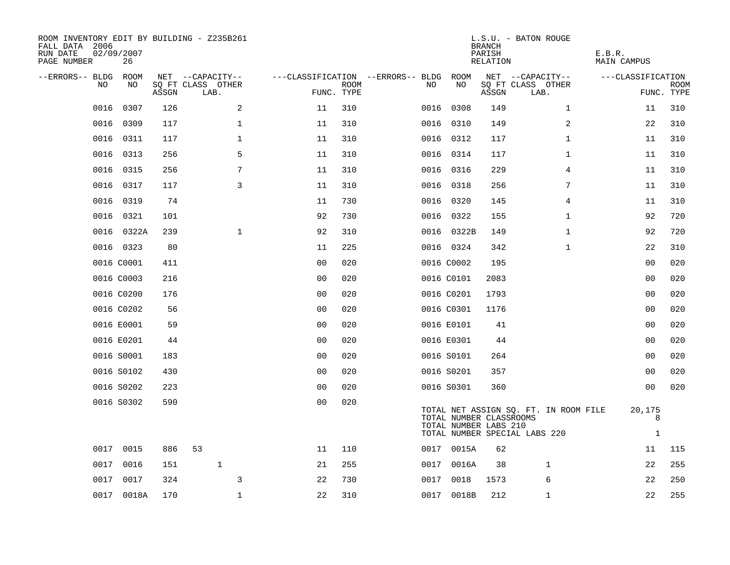| ROOM INVENTORY EDIT BY BUILDING - Z235B261<br>FALL DATA 2006<br>RUN DATE<br>PAGE NUMBER | 02/09/2007<br>26 |       |                           |                |             |                                        |            |       | <b>BRANCH</b><br>PARISH<br>RELATION              | L.S.U. - BATON ROUGE                                                   | E.B.R.<br>MAIN CAMPUS       |                    |
|-----------------------------------------------------------------------------------------|------------------|-------|---------------------------|----------------|-------------|----------------------------------------|------------|-------|--------------------------------------------------|------------------------------------------------------------------------|-----------------------------|--------------------|
| --ERRORS-- BLDG ROOM                                                                    |                  |       | NET --CAPACITY--          |                |             | ---CLASSIFICATION --ERRORS-- BLDG ROOM |            |       |                                                  | NET --CAPACITY--                                                       | ---CLASSIFICATION           |                    |
| NO.                                                                                     | NO.              | ASSGN | SQ FT CLASS OTHER<br>LAB. | FUNC. TYPE     | <b>ROOM</b> | NO.                                    |            | NO    | ASSGN                                            | SQ FT CLASS OTHER<br>LAB.                                              |                             | ROOM<br>FUNC. TYPE |
| 0016                                                                                    | 0307             | 126   | 2                         | 11             | 310         |                                        | 0016 0308  |       | 149                                              | $\mathbf{1}$                                                           | 11                          | 310                |
| 0016                                                                                    | 0309             | 117   | $\mathbf 1$               | 11             | 310         |                                        | 0016 0310  |       | 149                                              | 2                                                                      | 22                          | 310                |
| 0016                                                                                    | 0311             | 117   | $\mathbf 1$               | 11             | 310         |                                        | 0016 0312  |       | 117                                              | $\mathbf{1}$                                                           | 11                          | 310                |
| 0016                                                                                    | 0313             | 256   | 5                         | 11             | 310         |                                        | 0016 0314  |       | 117                                              | $\mathbf{1}$                                                           | 11                          | 310                |
| 0016                                                                                    | 0315             | 256   | 7                         | 11             | 310         |                                        | 0016 0316  |       | 229                                              | 4                                                                      | 11                          | 310                |
| 0016                                                                                    | 0317             | 117   | $\mathsf{3}$              | 11             | 310         |                                        | 0016 0318  |       | 256                                              | 7                                                                      | 11                          | 310                |
| 0016                                                                                    | 0319             | 74    |                           | 11             | 730         |                                        | 0016 0320  |       | 145                                              | 4                                                                      | 11                          | 310                |
| 0016                                                                                    | 0321             | 101   |                           | 92             | 730         |                                        | 0016 0322  |       | 155                                              | $\mathbf{1}$                                                           | 92                          | 720                |
| 0016                                                                                    | 0322A            | 239   | $\mathbf{1}$              | 92             | 310         |                                        | 0016 0322B |       | 149                                              | $\mathbf{1}$                                                           | 92                          | 720                |
|                                                                                         | 0016 0323        | 80    |                           | 11             | 225         |                                        | 0016 0324  |       | 342                                              | $\mathbf{1}$                                                           | 22                          | 310                |
|                                                                                         | 0016 C0001       | 411   |                           | 0 <sub>0</sub> | 020         |                                        | 0016 C0002 |       | 195                                              |                                                                        | 0 <sub>0</sub>              | 020                |
|                                                                                         | 0016 C0003       | 216   |                           | 0 <sub>0</sub> | 020         |                                        | 0016 C0101 |       | 2083                                             |                                                                        | 00                          | 020                |
|                                                                                         | 0016 C0200       | 176   |                           | 0 <sub>0</sub> | 020         |                                        | 0016 C0201 |       | 1793                                             |                                                                        | 0 <sub>0</sub>              | 020                |
|                                                                                         | 0016 C0202       | 56    |                           | 00             | 020         |                                        | 0016 C0301 |       | 1176                                             |                                                                        | 00                          | 020                |
|                                                                                         | 0016 E0001       | 59    |                           | 0 <sub>0</sub> | 020         |                                        | 0016 E0101 |       | 41                                               |                                                                        | 0 <sub>0</sub>              | 020                |
|                                                                                         | 0016 E0201       | 44    |                           | 0 <sub>0</sub> | 020         |                                        | 0016 E0301 |       | 44                                               |                                                                        | 00                          | 020                |
|                                                                                         | 0016 S0001       | 183   |                           | 0 <sub>0</sub> | 020         |                                        | 0016 S0101 |       | 264                                              |                                                                        | 00                          | 020                |
|                                                                                         | 0016 S0102       | 430   |                           | 0 <sub>0</sub> | 020         |                                        | 0016 S0201 |       | 357                                              |                                                                        | 00                          | 020                |
|                                                                                         | 0016 S0202       | 223   |                           | 0 <sub>0</sub> | 020         |                                        | 0016 S0301 |       | 360                                              |                                                                        | 00                          | 020                |
|                                                                                         | 0016 S0302       | 590   |                           | 0 <sub>0</sub> | 020         |                                        |            |       | TOTAL NUMBER CLASSROOMS<br>TOTAL NUMBER LABS 210 | TOTAL NET ASSIGN SQ. FT. IN ROOM FILE<br>TOTAL NUMBER SPECIAL LABS 220 | 20,175<br>8<br>$\mathbf{1}$ |                    |
|                                                                                         | 0017 0015        | 886   | 53                        | 11             | 110         |                                        | 0017 0015A |       | 62                                               |                                                                        | 11                          | 115                |
| 0017                                                                                    | 0016             | 151   | $\mathbf{1}$              | 21             | 255         | 0017                                   |            | 0016A | 38                                               | 1                                                                      | 22                          | 255                |
| 0017                                                                                    | 0017             | 324   | 3                         | 22             | 730         | 0017                                   |            | 0018  | 1573                                             | 6                                                                      | 22                          | 250                |
|                                                                                         | 0017 0018A       | 170   | $\mathbf{1}$              | 22             | 310         |                                        | 0017 0018B |       | 212                                              | $\mathbf{1}$                                                           | 22                          | 255                |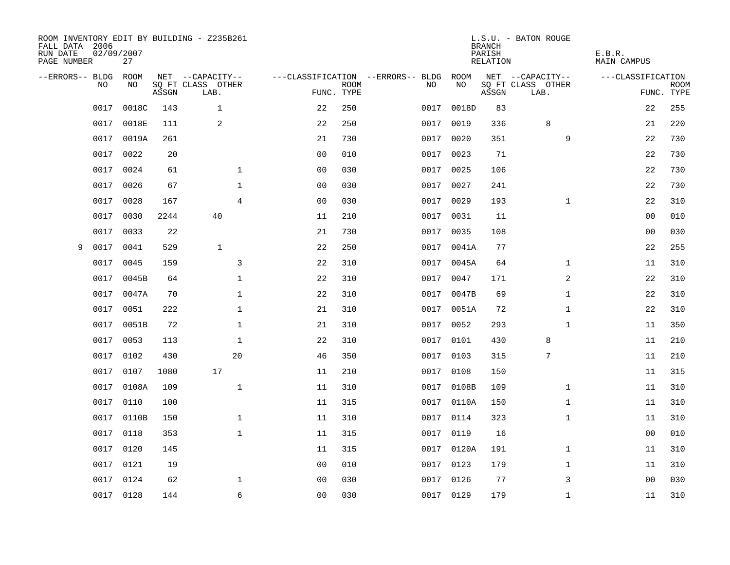| FALL DATA 2006<br>RUN DATE<br>PAGE NUMBER | 02/09/2007 | 27    |       | ROOM INVENTORY EDIT BY BUILDING - Z235B261 |                |             |                                         |            | <b>BRANCH</b><br>PARISH<br>RELATION | L.S.U. - BATON ROUGE                  | E.B.R.<br><b>MAIN CAMPUS</b> |             |
|-------------------------------------------|------------|-------|-------|--------------------------------------------|----------------|-------------|-----------------------------------------|------------|-------------------------------------|---------------------------------------|------------------------------|-------------|
| --ERRORS-- BLDG ROOM                      | NO         | NO    |       | NET --CAPACITY--<br>SQ FT CLASS OTHER      |                | <b>ROOM</b> | ---CLASSIFICATION --ERRORS-- BLDG<br>NO | ROOM<br>NO |                                     | NET --CAPACITY--<br>SQ FT CLASS OTHER | ---CLASSIFICATION            | <b>ROOM</b> |
|                                           |            |       | ASSGN | LAB.                                       | FUNC. TYPE     |             |                                         |            | ASSGN                               | LAB.                                  |                              | FUNC. TYPE  |
|                                           | 0017       | 0018C | 143   | $\mathbf{1}$                               | 22             | 250         | 0017                                    | 0018D      | 83                                  |                                       | 22                           | 255         |
|                                           | 0017       | 0018E | 111   | 2                                          | 22             | 250         | 0017                                    | 0019       | 336                                 | 8                                     | 21                           | 220         |
|                                           | 0017       | 0019A | 261   |                                            | 21             | 730         | 0017                                    | 0020       | 351                                 | 9                                     | 22                           | 730         |
|                                           | 0017       | 0022  | 20    |                                            | 0 <sub>0</sub> | 010         |                                         | 0017 0023  | 71                                  |                                       | 22                           | 730         |
|                                           | 0017       | 0024  | 61    | $\mathbf 1$                                | 00             | 030         | 0017                                    | 0025       | 106                                 |                                       | 22                           | 730         |
|                                           | 0017       | 0026  | 67    | $\mathbf 1$                                | 0 <sub>0</sub> | 030         |                                         | 0017 0027  | 241                                 |                                       | 22                           | 730         |
|                                           | 0017       | 0028  | 167   | 4                                          | 0 <sub>0</sub> | 030         | 0017                                    | 0029       | 193                                 | $\mathbf{1}$                          | 22                           | 310         |
|                                           | 0017       | 0030  | 2244  | 40                                         | 11             | 210         |                                         | 0017 0031  | 11                                  |                                       | 0 <sub>0</sub>               | 010         |
|                                           | 0017       | 0033  | 22    |                                            | 21             | 730         | 0017                                    | 0035       | 108                                 |                                       | 0 <sub>0</sub>               | 030         |
| 9                                         | 0017       | 0041  | 529   | $\mathbf{1}$                               | 22             | 250         |                                         | 0017 0041A | 77                                  |                                       | 22                           | 255         |
|                                           | 0017       | 0045  | 159   | 3                                          | 22             | 310         | 0017                                    | 0045A      | 64                                  | $\mathbf{1}$                          | 11                           | 310         |
|                                           | 0017       | 0045B | 64    | $\mathbf 1$                                | 22             | 310         |                                         | 0017 0047  | 171                                 | 2                                     | 22                           | 310         |
|                                           | 0017       | 0047A | 70    | $\mathbf{1}$                               | 22             | 310         | 0017                                    | 0047B      | 69                                  | $\mathbf{1}$                          | 22                           | 310         |
|                                           | 0017       | 0051  | 222   | $\mathbf 1$                                | 21             | 310         |                                         | 0017 0051A | 72                                  | $\mathbf{1}$                          | 22                           | 310         |
|                                           | 0017       | 0051B | 72    | $\mathbf 1$                                | 21             | 310         | 0017                                    | 0052       | 293                                 | $\mathbf{1}$                          | 11                           | 350         |
|                                           | 0017       | 0053  | 113   | $\mathbf{1}$                               | 22             | 310         | 0017                                    | 0101       | 430                                 | 8                                     | 11                           | 210         |
|                                           | 0017       | 0102  | 430   | 20                                         | 46             | 350         | 0017                                    | 0103       | 315                                 | $\overline{7}$                        | 11                           | 210         |
|                                           | 0017       | 0107  | 1080  | 17                                         | 11             | 210         | 0017                                    | 0108       | 150                                 |                                       | 11                           | 315         |
|                                           | 0017       | 0108A | 109   | $\mathbf{1}$                               | 11             | 310         |                                         | 0017 0108B | 109                                 | $\mathbf{1}$                          | 11                           | 310         |
|                                           | 0017       | 0110  | 100   |                                            | 11             | 315         |                                         | 0017 0110A | 150                                 | $\mathbf{1}$                          | 11                           | 310         |
|                                           | 0017       | 0110B | 150   | $\mathbf 1$                                | 11             | 310         |                                         | 0017 0114  | 323                                 | $\mathbf{1}$                          | 11                           | 310         |
|                                           | 0017       | 0118  | 353   | $\mathbf 1$                                | 11             | 315         | 0017                                    | 0119       | 16                                  |                                       | 00                           | 010         |
|                                           | 0017       | 0120  | 145   |                                            | 11             | 315         |                                         | 0017 0120A | 191                                 | $\mathbf{1}$                          | 11                           | 310         |
|                                           | 0017       | 0121  | 19    |                                            | 0 <sub>0</sub> | 010         | 0017                                    | 0123       | 179                                 | $\mathbf{1}$                          | 11                           | 310         |
|                                           | 0017       | 0124  | 62    | $\mathbf 1$                                | 0 <sub>0</sub> | 030         |                                         | 0017 0126  | 77                                  | 3                                     | 0 <sub>0</sub>               | 030         |
|                                           | 0017 0128  |       | 144   | 6                                          | 0 <sub>0</sub> | 030         |                                         | 0017 0129  | 179                                 | $\mathbf{1}$                          | 11                           | 310         |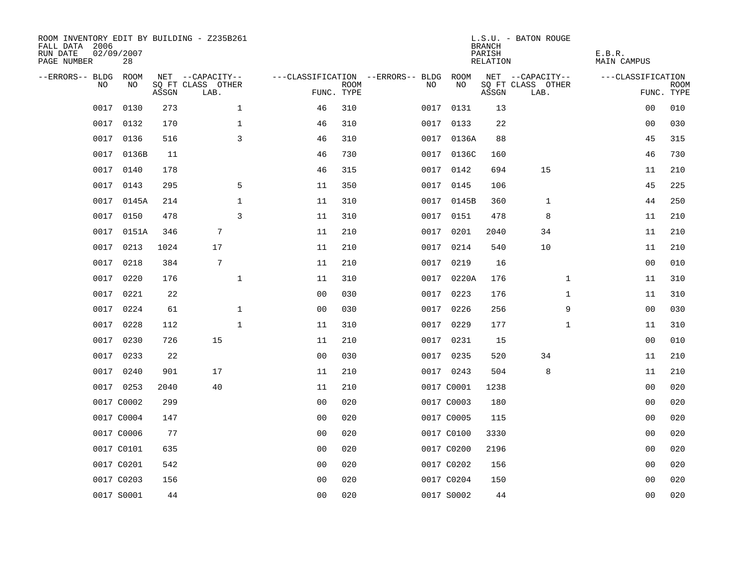| ROOM INVENTORY EDIT BY BUILDING - Z235B261<br>FALL DATA 2006<br>RUN DATE<br>PAGE NUMBER | 02/09/2007<br>28 |       |                           |                |                           |                                   |            | <b>BRANCH</b><br>PARISH<br><b>RELATION</b> | L.S.U. - BATON ROUGE      | E.B.R.<br><b>MAIN CAMPUS</b> |                           |
|-----------------------------------------------------------------------------------------|------------------|-------|---------------------------|----------------|---------------------------|-----------------------------------|------------|--------------------------------------------|---------------------------|------------------------------|---------------------------|
| --ERRORS-- BLDG                                                                         | ROOM             |       | NET --CAPACITY--          |                |                           | ---CLASSIFICATION --ERRORS-- BLDG | ROOM       |                                            | NET --CAPACITY--          | ---CLASSIFICATION            |                           |
| NO                                                                                      | NO               | ASSGN | SQ FT CLASS OTHER<br>LAB. |                | <b>ROOM</b><br>FUNC. TYPE | NO                                | NO         | ASSGN                                      | SQ FT CLASS OTHER<br>LAB. |                              | <b>ROOM</b><br>FUNC. TYPE |
| 0017                                                                                    | 0130             | 273   | $\mathbf 1$               | 46             | 310                       | 0017                              | 0131       | 13                                         |                           | 00                           | 010                       |
| 0017                                                                                    | 0132             | 170   | $\mathbf 1$               | 46             | 310                       |                                   | 0017 0133  | 22                                         |                           | 00                           | 030                       |
| 0017                                                                                    | 0136             | 516   | $\overline{3}$            | 46             | 310                       |                                   | 0017 0136A | 88                                         |                           | 45                           | 315                       |
| 0017                                                                                    | 0136B            | 11    |                           | 46             | 730                       |                                   | 0017 0136C | 160                                        |                           | 46                           | 730                       |
| 0017                                                                                    | 0140             | 178   |                           | 46             | 315                       | 0017                              | 0142       | 694                                        | 15                        | 11                           | 210                       |
|                                                                                         | 0017 0143        | 295   | 5                         | 11             | 350                       |                                   | 0017 0145  | 106                                        |                           | 45                           | 225                       |
| 0017                                                                                    | 0145A            | 214   | $\mathbf{1}$              | 11             | 310                       |                                   | 0017 0145B | 360                                        | $\mathbf{1}$              | 44                           | 250                       |
|                                                                                         | 0017 0150        | 478   | $\overline{3}$            | 11             | 310                       |                                   | 0017 0151  | 478                                        | 8                         | 11                           | 210                       |
| 0017                                                                                    | 0151A            | 346   | $\overline{7}$            | 11             | 210                       | 0017                              | 0201       | 2040                                       | 34                        | 11                           | 210                       |
|                                                                                         | 0017 0213        | 1024  | 17                        | 11             | 210                       |                                   | 0017 0214  | 540                                        | 10                        | 11                           | 210                       |
| 0017                                                                                    | 0218             | 384   | 7                         | 11             | 210                       | 0017                              | 0219       | 16                                         |                           | 0 <sub>0</sub>               | 010                       |
|                                                                                         | 0017 0220        | 176   | $\mathbf{1}$              | 11             | 310                       |                                   | 0017 0220A | 176                                        | $\mathbf{1}$              | 11                           | 310                       |
| 0017                                                                                    | 0221             | 22    |                           | 0 <sub>0</sub> | 030                       | 0017                              | 0223       | 176                                        | $\mathbf{1}$              | 11                           | 310                       |
| 0017                                                                                    | 0224             | 61    | $\mathbf 1$               | 0 <sub>0</sub> | 030                       | 0017                              | 0226       | 256                                        | 9                         | 00                           | 030                       |
| 0017                                                                                    | 0228             | 112   | $\mathbf{1}$              | 11             | 310                       |                                   | 0017 0229  | 177                                        | $\mathbf{1}$              | 11                           | 310                       |
| 0017                                                                                    | 0230             | 726   | 15                        | 11             | 210                       |                                   | 0017 0231  | 15                                         |                           | 0 <sub>0</sub>               | 010                       |
| 0017                                                                                    | 0233             | 22    |                           | 0 <sub>0</sub> | 030                       |                                   | 0017 0235  | 520                                        | 34                        | 11                           | 210                       |
| 0017                                                                                    | 0240             | 901   | 17                        | 11             | 210                       |                                   | 0017 0243  | 504                                        | 8                         | 11                           | 210                       |
|                                                                                         | 0017 0253        | 2040  | 40                        | 11             | 210                       |                                   | 0017 C0001 | 1238                                       |                           | 00                           | 020                       |
|                                                                                         | 0017 C0002       | 299   |                           | 0 <sub>0</sub> | 020                       |                                   | 0017 C0003 | 180                                        |                           | 00                           | 020                       |
|                                                                                         | 0017 C0004       | 147   |                           | 0 <sub>0</sub> | 020                       |                                   | 0017 C0005 | 115                                        |                           | 0 <sub>0</sub>               | 020                       |
|                                                                                         | 0017 C0006       | 77    |                           | 00             | 020                       |                                   | 0017 C0100 | 3330                                       |                           | 0 <sub>0</sub>               | 020                       |
|                                                                                         | 0017 C0101       | 635   |                           | 0 <sub>0</sub> | 020                       |                                   | 0017 C0200 | 2196                                       |                           | 00                           | 020                       |
|                                                                                         | 0017 C0201       | 542   |                           | 0 <sub>0</sub> | 020                       |                                   | 0017 C0202 | 156                                        |                           | 00                           | 020                       |
|                                                                                         | 0017 C0203       | 156   |                           | 0 <sub>0</sub> | 020                       |                                   | 0017 C0204 | 150                                        |                           | 0 <sub>0</sub>               | 020                       |
|                                                                                         | 0017 S0001       | 44    |                           | 0 <sub>0</sub> | 020                       |                                   | 0017 S0002 | 44                                         |                           | 0 <sub>0</sub>               | 020                       |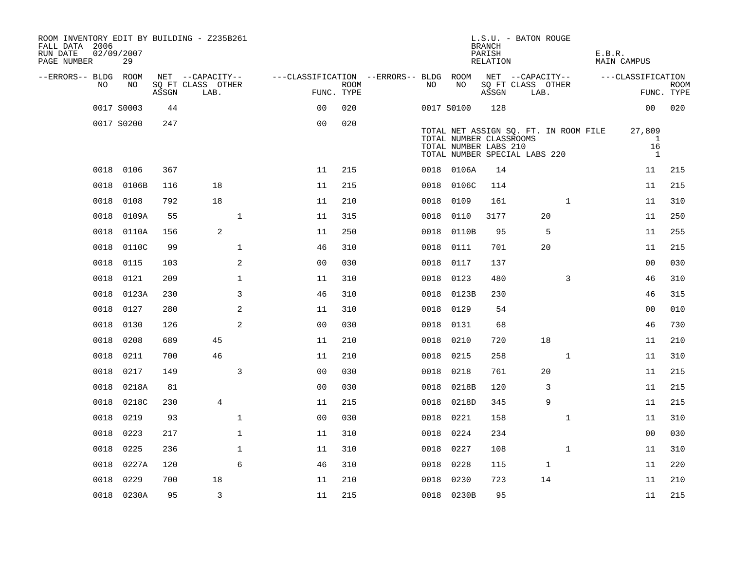| ROOM INVENTORY EDIT BY BUILDING - Z235B261<br>FALL DATA 2006<br>RUN DATE<br>PAGE NUMBER | 02/09/2007<br>29 |       |                           |              |                                        |                           |           |                                                                                   | <b>BRANCH</b><br>PARISH<br>RELATION | L.S.U. - BATON ROUGE      |                                       | E.B.R. | MAIN CAMPUS             |                           |
|-----------------------------------------------------------------------------------------|------------------|-------|---------------------------|--------------|----------------------------------------|---------------------------|-----------|-----------------------------------------------------------------------------------|-------------------------------------|---------------------------|---------------------------------------|--------|-------------------------|---------------------------|
| --ERRORS-- BLDG ROOM                                                                    |                  |       | NET --CAPACITY--          |              | ---CLASSIFICATION --ERRORS-- BLDG ROOM |                           |           |                                                                                   |                                     | NET --CAPACITY--          |                                       |        | ---CLASSIFICATION       |                           |
| NO.                                                                                     | NO               | ASSGN | SQ FT CLASS OTHER<br>LAB. |              |                                        | <b>ROOM</b><br>FUNC. TYPE | NO        | NO                                                                                | ASSGN                               | SQ FT CLASS OTHER<br>LAB. |                                       |        |                         | <b>ROOM</b><br>FUNC. TYPE |
|                                                                                         | 0017 S0003       | 44    |                           |              | 0 <sub>0</sub>                         | 020                       |           | 0017 S0100                                                                        | 128                                 |                           |                                       |        | 00                      | 020                       |
|                                                                                         | 0017 S0200       | 247   |                           |              | 0 <sub>0</sub>                         | 020                       |           | TOTAL NUMBER CLASSROOMS<br>TOTAL NUMBER LABS 210<br>TOTAL NUMBER SPECIAL LABS 220 |                                     |                           | TOTAL NET ASSIGN SQ. FT. IN ROOM FILE |        | 27,809<br>-1<br>16<br>1 |                           |
| 0018                                                                                    | 0106             | 367   |                           |              | 11                                     | 215                       |           | 0018 0106A                                                                        | 14                                  |                           |                                       |        | 11                      | 215                       |
| 0018                                                                                    | 0106B            | 116   | 18                        |              | 11                                     | 215                       |           | 0018 0106C                                                                        | 114                                 |                           |                                       |        | 11                      | 215                       |
| 0018                                                                                    | 0108             | 792   | 18                        |              | 11                                     | 210                       | 0018      | 0109                                                                              | 161                                 |                           | $\mathbf{1}$                          |        | 11                      | 310                       |
| 0018                                                                                    | 0109A            | 55    |                           | $\mathbf{1}$ | 11                                     | 315                       | 0018      | 0110                                                                              | 3177                                |                           | 20                                    |        | 11                      | 250                       |
| 0018                                                                                    | 0110A            | 156   | 2                         |              | 11                                     | 250                       | 0018      | 0110B                                                                             | 95                                  |                           | 5                                     |        | 11                      | 255                       |
| 0018                                                                                    | 0110C            | 99    |                           | $\mathbf 1$  | 46                                     | 310                       |           | 0018 0111                                                                         | 701                                 |                           | 20                                    |        | 11                      | 215                       |
| 0018                                                                                    | 0115             | 103   |                           | 2            | 0 <sub>0</sub>                         | 030                       | 0018 0117 |                                                                                   | 137                                 |                           |                                       |        | 0 <sub>0</sub>          | 030                       |
| 0018                                                                                    | 0121             | 209   |                           | $\mathbf 1$  | 11                                     | 310                       |           | 0018 0123                                                                         | 480                                 |                           | 3                                     |        | 46                      | 310                       |
| 0018                                                                                    | 0123A            | 230   |                           | 3            | 46                                     | 310                       | 0018      | 0123B                                                                             | 230                                 |                           |                                       |        | 46                      | 315                       |
| 0018                                                                                    | 0127             | 280   |                           | 2            | 11                                     | 310                       |           | 0018 0129                                                                         | 54                                  |                           |                                       |        | 00                      | 010                       |
| 0018                                                                                    | 0130             | 126   |                           | 2            | 0 <sub>0</sub>                         | 030                       | 0018      | 0131                                                                              | 68                                  |                           |                                       |        | 46                      | 730                       |
| 0018                                                                                    | 0208             | 689   | 45                        |              | 11                                     | 210                       | 0018      | 0210                                                                              | 720                                 |                           | 18                                    |        | 11                      | 210                       |
| 0018                                                                                    | 0211             | 700   | 46                        |              | 11                                     | 210                       | 0018      | 0215                                                                              | 258                                 |                           | $\mathbf{1}$                          |        | 11                      | 310                       |
| 0018                                                                                    | 0217             | 149   |                           | 3            | 0 <sub>0</sub>                         | 030                       | 0018      | 0218                                                                              | 761                                 |                           | 20                                    |        | 11                      | 215                       |
| 0018                                                                                    | 0218A            | 81    |                           |              | 0 <sub>0</sub>                         | 030                       | 0018      | 0218B                                                                             | 120                                 |                           | 3                                     |        | 11                      | 215                       |
| 0018                                                                                    | 0218C            | 230   | $\overline{4}$            |              | 11                                     | 215                       | 0018      | 0218D                                                                             | 345                                 |                           | 9                                     |        | 11                      | 215                       |
| 0018                                                                                    | 0219             | 93    |                           | $\mathbf 1$  | 0 <sub>0</sub>                         | 030                       | 0018      | 0221                                                                              | 158                                 |                           | $\mathbf{1}$                          |        | 11                      | 310                       |
| 0018                                                                                    | 0223             | 217   |                           | $\mathbf{1}$ | 11                                     | 310                       | 0018      | 0224                                                                              | 234                                 |                           |                                       |        | 00                      | 030                       |
| 0018                                                                                    | 0225             | 236   |                           | $\mathbf 1$  | 11                                     | 310                       | 0018 0227 |                                                                                   | 108                                 |                           | $\mathbf{1}$                          |        | 11                      | 310                       |
| 0018                                                                                    | 0227A            | 120   |                           | 6            | 46                                     | 310                       | 0018      | 0228                                                                              | 115                                 |                           | $\mathbf{1}$                          |        | 11                      | 220                       |
| 0018                                                                                    | 0229             | 700   | 18                        |              | 11                                     | 210                       | 0018 0230 |                                                                                   | 723                                 |                           | 14                                    |        | 11                      | 210                       |
|                                                                                         | 0018 0230A       | 95    | 3                         |              | 11                                     | 215                       |           | 0018 0230B                                                                        | 95                                  |                           |                                       |        | 11                      | 215                       |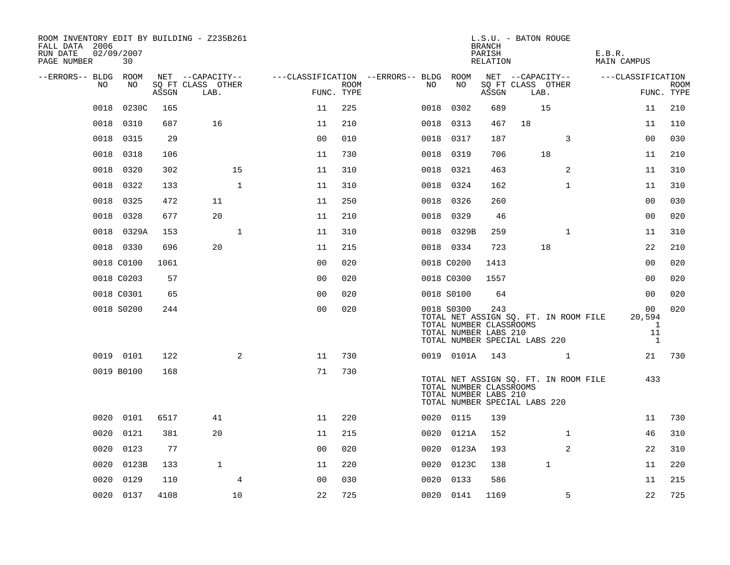| ROOM INVENTORY EDIT BY BUILDING - Z235B261<br>FALL DATA 2006<br>RUN DATE<br>PAGE NUMBER | 02/09/2007<br>30 |       |                           |                |      |                                        |                                                                | <b>BRANCH</b><br>PARISH<br>RELATION | L.S.U. - BATON ROUGE                                                   |              | E.B.R.<br><b>MAIN CAMPUS</b> |                                                                |                           |
|-----------------------------------------------------------------------------------------|------------------|-------|---------------------------|----------------|------|----------------------------------------|----------------------------------------------------------------|-------------------------------------|------------------------------------------------------------------------|--------------|------------------------------|----------------------------------------------------------------|---------------------------|
| --ERRORS-- BLDG ROOM<br>NO.                                                             |                  |       | NET --CAPACITY--          |                |      | ---CLASSIFICATION --ERRORS-- BLDG ROOM | NO                                                             |                                     | NET --CAPACITY--                                                       |              | ---CLASSIFICATION            |                                                                |                           |
|                                                                                         | NO               | ASSGN | SQ FT CLASS OTHER<br>LAB. | FUNC. TYPE     | ROOM | NO.                                    |                                                                | ASSGN                               | SQ FT CLASS OTHER<br>LAB.                                              |              |                              |                                                                | <b>ROOM</b><br>FUNC. TYPE |
| 0018                                                                                    | 0230C            | 165   |                           | 11             | 225  | 0018                                   | 0302                                                           | 689                                 | 15                                                                     |              |                              | 11                                                             | 210                       |
| 0018                                                                                    | 0310             | 687   | 16                        | 11             | 210  |                                        | 0018 0313                                                      | 467                                 | 18                                                                     |              |                              | 11                                                             | 110                       |
| 0018                                                                                    | 0315             | 29    |                           | 0 <sub>0</sub> | 010  | 0018                                   | 0317                                                           | 187                                 |                                                                        | 3            |                              | 0 <sub>0</sub>                                                 | 030                       |
| 0018                                                                                    | 0318             | 106   |                           | 11             | 730  |                                        | 0018 0319                                                      | 706                                 | 18                                                                     |              |                              | 11                                                             | 210                       |
| 0018                                                                                    | 0320             | 302   | 15                        | 11             | 310  |                                        | 0018 0321                                                      | 463                                 |                                                                        | 2            |                              | 11                                                             | 310                       |
| 0018                                                                                    | 0322             | 133   | $\mathbf{1}$              | 11             | 310  |                                        | 0018 0324                                                      | 162                                 |                                                                        | $\mathbf{1}$ |                              | 11                                                             | 310                       |
| 0018                                                                                    | 0325             | 472   | 11                        | 11             | 250  |                                        | 0018 0326                                                      | 260                                 |                                                                        |              |                              | 0 <sub>0</sub>                                                 | 030                       |
| 0018                                                                                    | 0328             | 677   | 20                        | 11             | 210  |                                        | 0018 0329                                                      | 46                                  |                                                                        |              |                              | 0 <sub>0</sub>                                                 | 020                       |
| 0018                                                                                    | 0329A            | 153   | $\mathbf{1}$              | 11             | 310  |                                        | 0018 0329B                                                     | 259                                 |                                                                        | $\mathbf{1}$ |                              | 11                                                             | 310                       |
|                                                                                         | 0018 0330        | 696   | 20                        | 11             | 215  |                                        | 0018 0334                                                      | 723                                 | 18                                                                     |              |                              | 22                                                             | 210                       |
|                                                                                         | 0018 C0100       | 1061  |                           | 0 <sub>0</sub> | 020  |                                        | 0018 C0200                                                     | 1413                                |                                                                        |              |                              | 0 <sub>0</sub>                                                 | 020                       |
|                                                                                         | 0018 C0203       | 57    |                           | 0 <sub>0</sub> | 020  |                                        | 0018 C0300                                                     | 1557                                |                                                                        |              |                              | 00                                                             | 020                       |
|                                                                                         | 0018 C0301       | 65    |                           | 0 <sub>0</sub> | 020  |                                        | 0018 S0100                                                     | 64                                  |                                                                        |              |                              | 0 <sub>0</sub>                                                 | 020                       |
|                                                                                         | 0018 S0200       | 244   |                           | 0 <sub>0</sub> | 020  |                                        | 0018 S0300<br>TOTAL NUMBER CLASSROOMS<br>TOTAL NUMBER LABS 210 | 243                                 | TOTAL NET ASSIGN SQ. FT. IN ROOM FILE<br>TOTAL NUMBER SPECIAL LABS 220 |              |                              | 00<br>20,594<br>$\overline{\phantom{0}}$<br>11<br>$\mathbf{1}$ | 020                       |
|                                                                                         | 0019 0101        | 122   | 2                         | 11             | 730  |                                        | 0019 0101A                                                     | 143                                 |                                                                        | $\mathbf{1}$ |                              | 21                                                             | 730                       |
|                                                                                         | 0019 B0100       | 168   |                           | 71             | 730  |                                        | TOTAL NUMBER CLASSROOMS<br>TOTAL NUMBER LABS 210               |                                     | TOTAL NET ASSIGN SQ. FT. IN ROOM FILE<br>TOTAL NUMBER SPECIAL LABS 220 |              |                              | 433                                                            |                           |
|                                                                                         | 0020 0101        | 6517  | 41                        | 11             | 220  |                                        | 0020 0115                                                      | 139                                 |                                                                        |              |                              | 11                                                             | 730                       |
| 0020                                                                                    | 0121             | 381   | 20                        | 11             | 215  |                                        | 0020 0121A                                                     | 152                                 |                                                                        | $\mathbf{1}$ |                              | 46                                                             | 310                       |
| 0020                                                                                    | 0123             | 77    |                           | 0 <sub>0</sub> | 020  |                                        | 0020 0123A                                                     | 193                                 |                                                                        | 2            |                              | 22                                                             | 310                       |
| 0020                                                                                    | 0123B            | 133   | $\mathbf{1}$              | 11             | 220  |                                        | 0020 0123C                                                     | 138                                 | $\mathbf 1$                                                            |              |                              | 11                                                             | 220                       |
| 0020                                                                                    | 0129             | 110   | 4                         | 0 <sub>0</sub> | 030  | 0020                                   | 0133                                                           | 586                                 |                                                                        |              |                              | 11                                                             | 215                       |
|                                                                                         | 0020 0137        | 4108  | 10                        | 22             | 725  |                                        | 0020 0141                                                      | 1169                                |                                                                        | 5            |                              | 22                                                             | 725                       |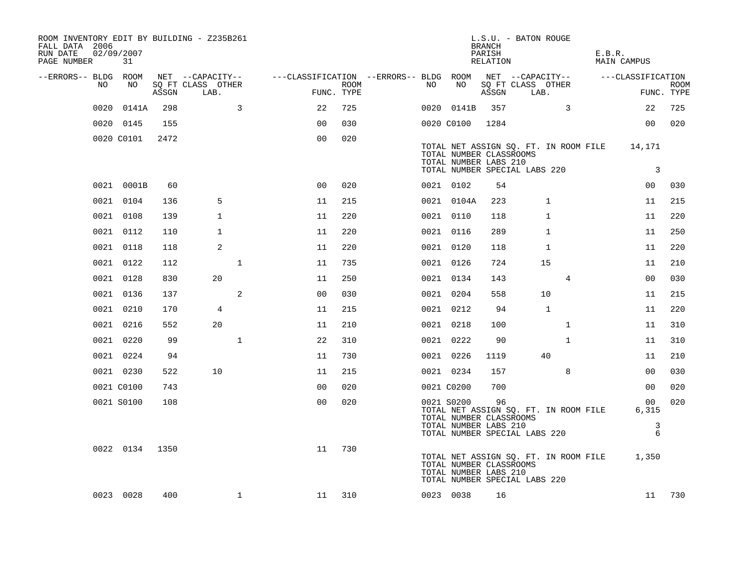| ROOM INVENTORY EDIT BY BUILDING - Z235B261<br>FALL DATA 2006<br>RUN DATE<br>PAGE NUMBER | 02/09/2007<br>31 |       |                           |                                                         |                    |    |            | <b>BRANCH</b><br>PARISH<br>RELATION                    | L.S.U. - BATON ROUGE                                                                                          | E.B.R. | MAIN CAMPUS             |                           |
|-----------------------------------------------------------------------------------------|------------------|-------|---------------------------|---------------------------------------------------------|--------------------|----|------------|--------------------------------------------------------|---------------------------------------------------------------------------------------------------------------|--------|-------------------------|---------------------------|
| --ERRORS-- BLDG ROOM                                                                    |                  |       | NET --CAPACITY--          | ---CLASSIFICATION --ERRORS-- BLDG ROOM NET --CAPACITY-- |                    |    |            |                                                        |                                                                                                               |        | ---CLASSIFICATION       |                           |
| NO                                                                                      | NO               | ASSGN | SQ FT CLASS OTHER<br>LAB. |                                                         | ROOM<br>FUNC. TYPE | NO | NO         | ASSGN                                                  | SQ FT CLASS OTHER<br>LAB.                                                                                     |        |                         | <b>ROOM</b><br>FUNC. TYPE |
| 0020                                                                                    | 0141A            | 298   | $\overline{3}$            | 22                                                      | 725                |    | 0020 0141B | 357                                                    | $\overline{3}$                                                                                                |        | 22                      | 725                       |
|                                                                                         | 0020 0145        | 155   |                           | 0 <sup>0</sup>                                          | 030                |    | 0020 C0100 | 1284                                                   |                                                                                                               |        | 00                      | 020                       |
|                                                                                         | 0020 C0101       | 2472  |                           | 0 <sub>0</sub>                                          | 020                |    |            | TOTAL NUMBER CLASSROOMS<br>TOTAL NUMBER LABS 210       | TOTAL NET ASSIGN SQ. FT. IN ROOM FILE 14,171<br>TOTAL NUMBER SPECIAL LABS 220                                 |        | $\overline{\mathbf{3}}$ |                           |
|                                                                                         | 0021 0001B       | 60    |                           | 0 <sub>0</sub>                                          | 020                |    | 0021 0102  | 54                                                     |                                                                                                               |        | 00                      | 030                       |
|                                                                                         | 0021 0104        | 136   | 5                         | 11                                                      | 215                |    | 0021 0104A | 223                                                    | $\mathbf 1$                                                                                                   |        | 11                      | 215                       |
|                                                                                         | 0021 0108        | 139   | 1                         | 11                                                      | 220                |    | 0021 0110  | 118                                                    | 1                                                                                                             |        | 11                      | 220                       |
|                                                                                         | 0021 0112        | 110   | 1                         | 11                                                      | 220                |    | 0021 0116  | 289                                                    | 1                                                                                                             |        | 11                      | 250                       |
|                                                                                         | 0021 0118        | 118   | 2                         | 11                                                      | 220                |    | 0021 0120  | 118                                                    | $\mathbf{1}$                                                                                                  |        | 11                      | 220                       |
|                                                                                         | 0021 0122        | 112   | $\mathbf{1}$              | 11                                                      | 735                |    | 0021 0126  | 724                                                    | 15                                                                                                            |        | 11                      | 210                       |
|                                                                                         | 0021 0128        | 830   | 20                        | 11                                                      | 250                |    | 0021 0134  | 143                                                    | 4                                                                                                             |        | 00                      | 030                       |
|                                                                                         | 0021 0136        | 137   | 2                         | 0 <sub>0</sub>                                          | 030                |    | 0021 0204  | 558                                                    | 10                                                                                                            |        | 11                      | 215                       |
|                                                                                         | 0021 0210        | 170   | 4                         | 11                                                      | 215                |    | 0021 0212  | 94                                                     | $\mathbf{1}$                                                                                                  |        | 11                      | 220                       |
|                                                                                         | 0021 0216        | 552   | 20                        | 11                                                      | 210                |    | 0021 0218  | 100                                                    | $\mathbf{1}$                                                                                                  |        | 11                      | 310                       |
|                                                                                         | 0021 0220        | 99    | $\mathbf 1$               | 22                                                      | 310                |    | 0021 0222  | 90                                                     | $\mathbf{1}$                                                                                                  |        | 11                      | 310                       |
|                                                                                         | 0021 0224        | 94    |                           | 11                                                      | 730                |    | 0021 0226  | 1119                                                   | 40                                                                                                            |        | 11                      | 210                       |
|                                                                                         | 0021 0230        | 522   | 10                        | 11                                                      | 215                |    | 0021 0234  | 157                                                    | 8                                                                                                             |        | 0 <sub>0</sub>          | 030                       |
|                                                                                         | 0021 C0100       | 743   |                           | 00                                                      | 020                |    | 0021 C0200 | 700                                                    |                                                                                                               |        | 00                      | 020                       |
|                                                                                         | 0021 S0100       | 108   |                           | 0 <sub>0</sub>                                          | 020                |    | 0021 S0200 | 96<br>TOTAL NUMBER CLASSROOMS<br>TOTAL NUMBER LABS 210 | TOTAL NET ASSIGN SQ. FT. IN ROOM FILE                                                                         |        | 00<br>6,315<br>3        | 020                       |
|                                                                                         | 0022 0134        | 1350  |                           | 11                                                      | 730                |    |            | TOTAL NUMBER CLASSROOMS<br>TOTAL NUMBER LABS 210       | TOTAL NUMBER SPECIAL LABS 220<br>TOTAL NET ASSIGN SQ. FT. IN ROOM FILE 1,350<br>TOTAL NUMBER SPECIAL LABS 220 |        | 6                       |                           |
|                                                                                         | 0023 0028        | 400   | $\mathbf{1}$              | 11                                                      | 310                |    | 0023 0038  | 16                                                     |                                                                                                               |        | 11                      | 730                       |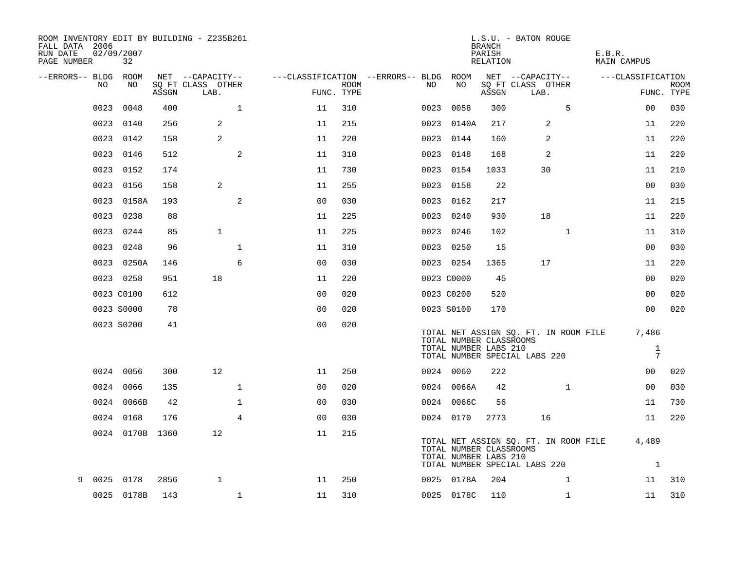| ROOM INVENTORY EDIT BY BUILDING - Z235B261<br>FALL DATA 2006<br>RUN DATE<br>PAGE NUMBER | 02/09/2007<br>32 |       |                           |                |                    |                                        |                                                  | <b>BRANCH</b><br>PARISH<br>RELATION | L.S.U. - BATON ROUGE                                                         | E.B.R.<br>MAIN CAMPUS           |                           |
|-----------------------------------------------------------------------------------------|------------------|-------|---------------------------|----------------|--------------------|----------------------------------------|--------------------------------------------------|-------------------------------------|------------------------------------------------------------------------------|---------------------------------|---------------------------|
| --ERRORS-- BLDG ROOM                                                                    |                  |       | NET --CAPACITY--          |                |                    | ---CLASSIFICATION --ERRORS-- BLDG ROOM |                                                  |                                     | NET --CAPACITY--                                                             | ---CLASSIFICATION               |                           |
| NO.                                                                                     | NO.              | ASSGN | SQ FT CLASS OTHER<br>LAB. |                | ROOM<br>FUNC. TYPE | NO                                     | NO                                               | ASSGN                               | SQ FT CLASS OTHER<br>LAB.                                                    |                                 | <b>ROOM</b><br>FUNC. TYPE |
| 0023                                                                                    | 0048             | 400   | $\mathbf{1}$              | 11             | 310                |                                        | 0023 0058                                        | 300                                 | 5                                                                            | 0 <sub>0</sub>                  | 030                       |
| 0023                                                                                    | 0140             | 256   | $\overline{a}$            | 11             | 215                |                                        | 0023 0140A                                       | 217                                 | 2                                                                            | 11                              | 220                       |
|                                                                                         | 0023 0142        | 158   | 2                         | 11             | 220                |                                        | 0023 0144                                        | 160                                 | 2                                                                            | 11                              | 220                       |
| 0023                                                                                    | 0146             | 512   | 2                         | 11             | 310                |                                        | 0023 0148                                        | 168                                 | 2                                                                            | 11                              | 220                       |
| 0023                                                                                    | 0152             | 174   |                           | 11             | 730                |                                        | 0023 0154                                        | 1033                                | 30                                                                           | 11                              | 210                       |
| 0023                                                                                    | 0156             | 158   | $\overline{a}$            | 11             | 255                |                                        | 0023 0158                                        | 22                                  |                                                                              | 00                              | 030                       |
| 0023                                                                                    | 0158A            | 193   | 2                         | 0 <sub>0</sub> | 030                |                                        | 0023 0162                                        | 217                                 |                                                                              | 11                              | 215                       |
| 0023                                                                                    | 0238             | 88    |                           | 11             | 225                |                                        | 0023 0240                                        | 930                                 | 18                                                                           | 11                              | 220                       |
| 0023                                                                                    | 0244             | 85    | $\mathbf{1}$              | 11             | 225                |                                        | 0023 0246                                        | 102                                 | $\mathbf{1}$                                                                 | 11                              | 310                       |
| 0023                                                                                    | 0248             | 96    | $\mathbf{1}$              | 11             | 310                |                                        | 0023 0250                                        | 15                                  |                                                                              | 0 <sub>0</sub>                  | 030                       |
|                                                                                         | 0023 0250A       | 146   | 6                         | 0 <sub>0</sub> | 030                |                                        | 0023 0254                                        | 1365                                | 17                                                                           | 11                              | 220                       |
|                                                                                         | 0023 0258        | 951   | 18                        | 11             | 220                |                                        | 0023 C0000                                       | 45                                  |                                                                              | 0 <sub>0</sub>                  | 020                       |
|                                                                                         | 0023 C0100       | 612   |                           | 0 <sub>0</sub> | 020                |                                        | 0023 C0200                                       | 520                                 |                                                                              | 0 <sub>0</sub>                  | 020                       |
|                                                                                         | 0023 S0000       | 78    |                           | 0 <sub>0</sub> | 020                |                                        | 0023 S0100                                       | 170                                 |                                                                              | 00                              | 020                       |
|                                                                                         | 0023 S0200       | 41    |                           | 0 <sub>0</sub> | 020                |                                        | TOTAL NUMBER CLASSROOMS<br>TOTAL NUMBER LABS 210 |                                     | TOTAL NET ASSIGN SQ. FT. IN ROOM FILE 7,486<br>TOTAL NUMBER SPECIAL LABS 220 | $\mathbf{1}$<br>$7\phantom{.0}$ |                           |
|                                                                                         | 0024 0056        | 300   | 12                        | 11             | 250                |                                        | 0024 0060                                        | 222                                 |                                                                              | 00                              | 020                       |
|                                                                                         | 0024 0066        | 135   | $\mathbf 1$               | 0 <sub>0</sub> | 020                |                                        | 0024 0066A                                       | 42                                  | $\mathbf{1}$                                                                 | 00                              | 030                       |
|                                                                                         | 0024 0066B       | 42    | $\mathbf 1$               | 0 <sub>0</sub> | 030                |                                        | 0024 0066C                                       | 56                                  |                                                                              | 11                              | 730                       |
|                                                                                         | 0024 0168        | 176   | $\overline{4}$            | 0 <sub>0</sub> | 030                |                                        | 0024 0170                                        | 2773                                | 16                                                                           | 11                              | 220                       |
|                                                                                         | 0024 0170B 1360  |       | 12                        | 11             | 215                |                                        | TOTAL NUMBER CLASSROOMS<br>TOTAL NUMBER LABS 210 |                                     | TOTAL NET ASSIGN SQ. FT. IN ROOM FILE<br>TOTAL NUMBER SPECIAL LABS 220       | 4,489<br>$\mathbf{1}$           |                           |
| 0025<br>9                                                                               | 0178             | 2856  | $\mathbf{1}$              | 11             | 250                |                                        | 0025 0178A                                       | 204                                 | $\mathbf{1}$                                                                 | 11                              | 310                       |
|                                                                                         | 0025 0178B       | 143   | $\mathbf{1}$              | 11             | 310                |                                        | 0025 0178C                                       | 110                                 | $\mathbf{1}$                                                                 | 11                              | 310                       |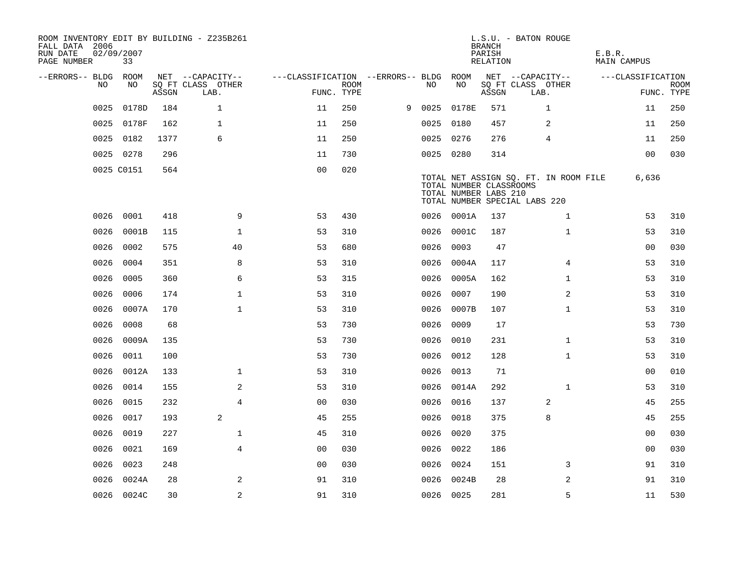| ROOM INVENTORY EDIT BY BUILDING - Z235B261<br>FALL DATA 2006<br>RUN DATE<br>PAGE NUMBER | 02/09/2007<br>33 |       |                           |                                        |             |   |           |                                                  | <b>BRANCH</b><br>PARISH<br>RELATION | L.S.U. - BATON ROUGE                                                   | E.B.R.<br>MAIN CAMPUS |                           |
|-----------------------------------------------------------------------------------------|------------------|-------|---------------------------|----------------------------------------|-------------|---|-----------|--------------------------------------------------|-------------------------------------|------------------------------------------------------------------------|-----------------------|---------------------------|
| --ERRORS-- BLDG ROOM                                                                    |                  |       | NET --CAPACITY--          | ---CLASSIFICATION --ERRORS-- BLDG ROOM |             |   |           |                                                  |                                     | NET --CAPACITY--                                                       | ---CLASSIFICATION     |                           |
| NO.                                                                                     | NO.              | ASSGN | SQ FT CLASS OTHER<br>LAB. | FUNC. TYPE                             | <b>ROOM</b> |   | NO.       | NO                                               | ASSGN                               | SQ FT CLASS OTHER<br>LAB.                                              |                       | <b>ROOM</b><br>FUNC. TYPE |
| 0025                                                                                    | 0178D            | 184   | $\mathbf{1}$              | 11                                     | 250         | 9 | 0025      | 0178E                                            | 571                                 | $\mathbf{1}$                                                           | 11                    | 250                       |
| 0025                                                                                    | 0178F            | 162   | $\mathbf{1}$              | 11                                     | 250         |   |           | 0025 0180                                        | 457                                 | 2                                                                      | 11                    | 250                       |
| 0025                                                                                    | 0182             | 1377  | 6                         | 11                                     | 250         |   |           | 0025 0276                                        | 276                                 | 4                                                                      | 11                    | 250                       |
|                                                                                         | 0025 0278        | 296   |                           | 11                                     | 730         |   |           | 0025 0280                                        | 314                                 |                                                                        | 00                    | 030                       |
|                                                                                         | 0025 C0151       | 564   |                           | 0 <sub>0</sub>                         | 020         |   |           | TOTAL NUMBER CLASSROOMS<br>TOTAL NUMBER LABS 210 |                                     | TOTAL NET ASSIGN SQ. FT. IN ROOM FILE<br>TOTAL NUMBER SPECIAL LABS 220 | 6,636                 |                           |
| 0026                                                                                    | 0001             | 418   | 9                         | 53                                     | 430         |   |           | 0026 0001A                                       | 137                                 | $\mathbf{1}$                                                           | 53                    | 310                       |
| 0026                                                                                    | 0001B            | 115   | $\mathbf 1$               | 53                                     | 310         |   | 0026      | 0001C                                            | 187                                 | $\mathbf{1}$                                                           | 53                    | 310                       |
| 0026                                                                                    | 0002             | 575   | 40                        | 53                                     | 680         |   | 0026      | 0003                                             | 47                                  |                                                                        | 0 <sub>0</sub>        | 030                       |
| 0026                                                                                    | 0004             | 351   | 8                         | 53                                     | 310         |   | 0026      | 0004A                                            | 117                                 | $\overline{4}$                                                         | 53                    | 310                       |
| 0026                                                                                    | 0005             | 360   | 6                         | 53                                     | 315         |   | 0026      | 0005A                                            | 162                                 | $\mathbf{1}$                                                           | 53                    | 310                       |
| 0026                                                                                    | 0006             | 174   | $\mathbf{1}$              | 53                                     | 310         |   | 0026      | 0007                                             | 190                                 | 2                                                                      | 53                    | 310                       |
| 0026                                                                                    | 0007A            | 170   | $\mathbf{1}$              | 53                                     | 310         |   | 0026      | 0007B                                            | 107                                 | $\mathbf{1}$                                                           | 53                    | 310                       |
| 0026                                                                                    | 0008             | 68    |                           | 53                                     | 730         |   | 0026      | 0009                                             | 17                                  |                                                                        | 53                    | 730                       |
| 0026                                                                                    | 0009A            | 135   |                           | 53                                     | 730         |   | 0026      | 0010                                             | 231                                 | $\mathbf{1}$                                                           | 53                    | 310                       |
| 0026                                                                                    | 0011             | 100   |                           | 53                                     | 730         |   | 0026      | 0012                                             | 128                                 | $\mathbf{1}$                                                           | 53                    | 310                       |
| 0026                                                                                    | 0012A            | 133   | $\mathbf 1$               | 53                                     | 310         |   | 0026      | 0013                                             | 71                                  |                                                                        | 00                    | 010                       |
| 0026                                                                                    | 0014             | 155   | 2                         | 53                                     | 310         |   |           | 0026 0014A                                       | 292                                 | $\mathbf{1}$                                                           | 53                    | 310                       |
| 0026                                                                                    | 0015             | 232   | $\overline{4}$            | 0 <sub>0</sub>                         | 030         |   |           | 0026 0016                                        | 137                                 | 2                                                                      | 45                    | 255                       |
| 0026                                                                                    | 0017             | 193   | 2                         | 45                                     | 255         |   | 0026      | 0018                                             | 375                                 | 8                                                                      | 45                    | 255                       |
| 0026                                                                                    | 0019             | 227   | $\mathbf 1$               | 45                                     | 310         |   | 0026      | 0020                                             | 375                                 |                                                                        | 00                    | 030                       |
| 0026                                                                                    | 0021             | 169   | $\overline{4}$            | 0 <sub>0</sub>                         | 030         |   | 0026      | 0022                                             | 186                                 |                                                                        | 00                    | 030                       |
| 0026                                                                                    | 0023             | 248   |                           | 00                                     | 030         |   |           | 0026 0024                                        | 151                                 | 3                                                                      | 91                    | 310                       |
| 0026                                                                                    | 0024A            | 28    | 2                         | 91                                     | 310         |   | 0026      | 0024B                                            | 28                                  | 2                                                                      | 91                    | 310                       |
|                                                                                         | 0026 0024C       | 30    | $\sqrt{2}$                | 91                                     | 310         |   | 0026 0025 |                                                  | 281                                 | 5                                                                      | 11                    | 530                       |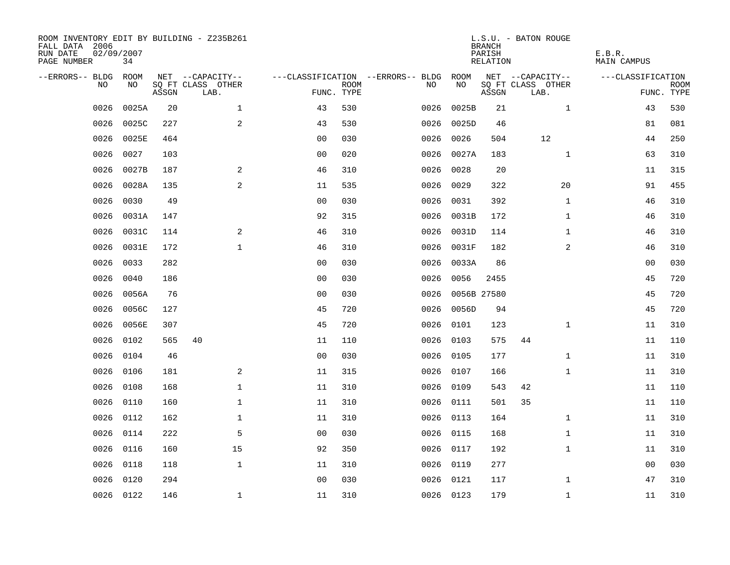| ROOM INVENTORY EDIT BY BUILDING - Z235B261<br>FALL DATA 2006<br>RUN DATE<br>PAGE NUMBER | 02/09/2007<br>34 |       |                           |                |             |                                   |            | <b>BRANCH</b><br>PARISH<br>RELATION | L.S.U. - BATON ROUGE      | E.B.R.<br><b>MAIN CAMPUS</b> |                           |
|-----------------------------------------------------------------------------------------|------------------|-------|---------------------------|----------------|-------------|-----------------------------------|------------|-------------------------------------|---------------------------|------------------------------|---------------------------|
| --ERRORS-- BLDG ROOM                                                                    |                  |       | NET --CAPACITY--          |                |             | ---CLASSIFICATION --ERRORS-- BLDG | ROOM       |                                     | NET --CAPACITY--          | ---CLASSIFICATION            |                           |
| NO                                                                                      | NO               | ASSGN | SQ FT CLASS OTHER<br>LAB. | FUNC. TYPE     | <b>ROOM</b> | NO.                               | NO         | ASSGN                               | SQ FT CLASS OTHER<br>LAB. |                              | <b>ROOM</b><br>FUNC. TYPE |
| 0026                                                                                    | 0025A            | 20    | $\mathbf{1}$              | 43             | 530         | 0026                              | 0025B      | 21                                  | $\mathbf{1}$              | 43                           | 530                       |
| 0026                                                                                    | 0025C            | 227   | 2                         | 43             | 530         |                                   | 0026 0025D | 46                                  |                           | 81                           | 081                       |
| 0026                                                                                    | 0025E            | 464   |                           | 0 <sub>0</sub> | 030         | 0026                              | 0026       | 504                                 | 12                        | 44                           | 250                       |
| 0026                                                                                    | 0027             | 103   |                           | 0 <sub>0</sub> | 020         |                                   | 0026 0027A | 183                                 | $\mathbf{1}$              | 63                           | 310                       |
| 0026                                                                                    | 0027B            | 187   | 2                         | 46             | 310         | 0026                              | 0028       | 20                                  |                           | 11                           | 315                       |
| 0026                                                                                    | 0028A            | 135   | 2                         | 11             | 535         |                                   | 0026 0029  | 322                                 | 20                        | 91                           | 455                       |
| 0026                                                                                    | 0030             | 49    |                           | 0 <sub>0</sub> | 030         | 0026                              | 0031       | 392                                 | $\mathbf{1}$              | 46                           | 310                       |
| 0026                                                                                    | 0031A            | 147   |                           | 92             | 315         |                                   | 0026 0031B | 172                                 | $\mathbf{1}$              | 46                           | 310                       |
| 0026                                                                                    | 0031C            | 114   | 2                         | 46             | 310         | 0026                              | 0031D      | 114                                 | $\mathbf{1}$              | 46                           | 310                       |
| 0026                                                                                    | 0031E            | 172   | $\mathbf{1}$              | 46             | 310         |                                   | 0026 0031F | 182                                 | $\overline{a}$            | 46                           | 310                       |
| 0026                                                                                    | 0033             | 282   |                           | 0 <sub>0</sub> | 030         | 0026                              | 0033A      | 86                                  |                           | 00                           | 030                       |
| 0026                                                                                    | 0040             | 186   |                           | 0 <sub>0</sub> | 030         | 0026                              | 0056       | 2455                                |                           | 45                           | 720                       |
| 0026                                                                                    | 0056A            | 76    |                           | 0 <sub>0</sub> | 030         | 0026                              |            | 0056B 27580                         |                           | 45                           | 720                       |
| 0026                                                                                    | 0056C            | 127   |                           | 45             | 720         | 0026                              | 0056D      | 94                                  |                           | 45                           | 720                       |
| 0026                                                                                    | 0056E            | 307   |                           | 45             | 720         | 0026                              | 0101       | 123                                 | $\mathbf{1}$              | 11                           | 310                       |
| 0026                                                                                    | 0102             | 565   | 40                        | 11             | 110         |                                   | 0026 0103  | 575                                 | 44                        | 11                           | 110                       |
| 0026                                                                                    | 0104             | 46    |                           | 0 <sub>0</sub> | 030         | 0026                              | 0105       | 177                                 | $\mathbf{1}$              | 11                           | 310                       |
| 0026                                                                                    | 0106             | 181   | 2                         | 11             | 315         | 0026                              | 0107       | 166                                 | $\mathbf{1}$              | 11                           | 310                       |
| 0026                                                                                    | 0108             | 168   | $\mathbf{1}$              | 11             | 310         |                                   | 0026 0109  | 543                                 | 42                        | 11                           | 110                       |
| 0026                                                                                    | 0110             | 160   | $\mathbf{1}$              | 11             | 310         |                                   | 0026 0111  | 501                                 | 35                        | 11                           | 110                       |
| 0026                                                                                    | 0112             | 162   | $\mathbf{1}$              | 11             | 310         |                                   | 0026 0113  | 164                                 | $\mathbf{1}$              | 11                           | 310                       |
| 0026                                                                                    | 0114             | 222   | 5                         | 0 <sub>0</sub> | 030         |                                   | 0026 0115  | 168                                 | $\mathbf{1}$              | 11                           | 310                       |
| 0026                                                                                    | 0116             | 160   | 15                        | 92             | 350         |                                   | 0026 0117  | 192                                 | $\mathbf{1}$              | 11                           | 310                       |
| 0026                                                                                    | 0118             | 118   | $\mathbf{1}$              | 11             | 310         |                                   | 0026 0119  | 277                                 |                           | 00                           | 030                       |
| 0026                                                                                    | 0120             | 294   |                           | 0 <sub>0</sub> | 030         |                                   | 0026 0121  | 117                                 | $\mathbf{1}$              | 47                           | 310                       |
|                                                                                         | 0026 0122        | 146   | $\mathbf{1}$              | 11             | 310         |                                   | 0026 0123  | 179                                 | $\mathbf{1}$              | 11                           | 310                       |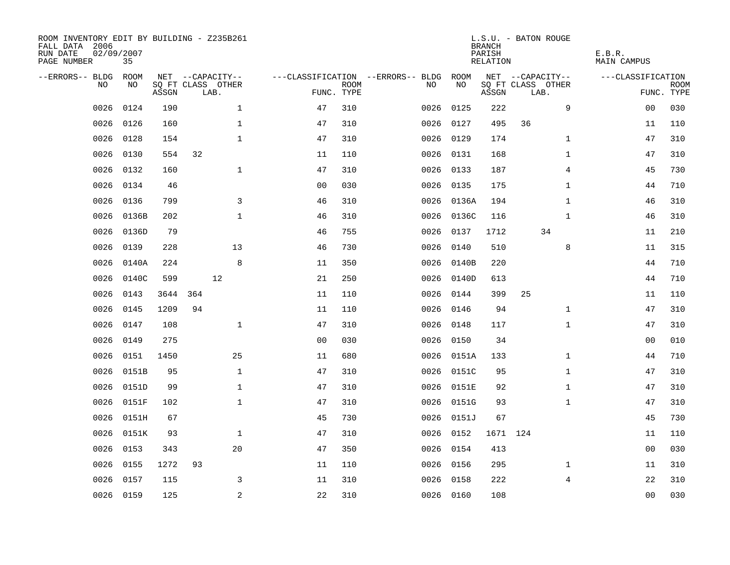| ROOM INVENTORY EDIT BY BUILDING - Z235B261<br>FALL DATA 2006<br>RUN DATE<br>PAGE NUMBER | 02/09/2007<br>35 |       |                           |                    |                           |                                   |            | <b>BRANCH</b><br>PARISH<br>RELATION | L.S.U. - BATON ROUGE      | E.B.R.<br><b>MAIN CAMPUS</b> |                           |
|-----------------------------------------------------------------------------------------|------------------|-------|---------------------------|--------------------|---------------------------|-----------------------------------|------------|-------------------------------------|---------------------------|------------------------------|---------------------------|
| --ERRORS-- BLDG                                                                         | ROOM             |       | NET --CAPACITY--          |                    |                           | ---CLASSIFICATION --ERRORS-- BLDG | ROOM       |                                     | NET --CAPACITY--          | ---CLASSIFICATION            |                           |
| N <sub>O</sub>                                                                          | NO.              | ASSGN | SO FT CLASS OTHER<br>LAB. |                    | <b>ROOM</b><br>FUNC. TYPE | NO.                               | NO         | ASSGN                               | SQ FT CLASS OTHER<br>LAB. |                              | <b>ROOM</b><br>FUNC. TYPE |
| 0026                                                                                    | 0124             | 190   |                           | $\mathbf{1}$<br>47 | 310                       | 0026                              | 0125       | 222                                 | 9                         | 00                           | 030                       |
| 0026                                                                                    | 0126             | 160   |                           | $\mathbf{1}$<br>47 | 310                       | 0026                              | 0127       | 495                                 | 36                        | 11                           | 110                       |
| 0026                                                                                    | 0128             | 154   |                           | $\mathbf 1$<br>47  | 310                       | 0026                              | 0129       | 174                                 | $\mathbf{1}$              | 47                           | 310                       |
| 0026                                                                                    | 0130             | 554   | 32                        | 11                 | 110                       |                                   | 0026 0131  | 168                                 | $\mathbf{1}$              | 47                           | 310                       |
| 0026                                                                                    | 0132             | 160   |                           | $\mathbf{1}$<br>47 | 310                       | 0026                              | 0133       | 187                                 | $\overline{4}$            | 45                           | 730                       |
| 0026                                                                                    | 0134             | 46    |                           | 0 <sub>0</sub>     | 030                       |                                   | 0026 0135  | 175                                 | $\mathbf{1}$              | 44                           | 710                       |
| 0026                                                                                    | 0136             | 799   |                           | 3<br>46            | 310                       |                                   | 0026 0136A | 194                                 | $\mathbf{1}$              | 46                           | 310                       |
| 0026                                                                                    | 0136B            | 202   |                           | $\mathbf{1}$<br>46 | 310                       | 0026                              | 0136C      | 116                                 | $\mathbf{1}$              | 46                           | 310                       |
| 0026                                                                                    | 0136D            | 79    |                           | 46                 | 755                       | 0026                              | 0137       | 1712                                | 34                        | 11                           | 210                       |
| 0026                                                                                    | 0139             | 228   | 13                        | 46                 | 730                       | 0026                              | 0140       | 510                                 | 8                         | 11                           | 315                       |
| 0026                                                                                    | 0140A            | 224   |                           | 8<br>11            | 350                       | 0026                              | 0140B      | 220                                 |                           | 44                           | 710                       |
| 0026                                                                                    | 0140C            | 599   | 12                        | 21                 | 250                       | 0026                              | 0140D      | 613                                 |                           | 44                           | 710                       |
| 0026                                                                                    | 0143             | 3644  | 364                       | 11                 | 110                       | 0026                              | 0144       | 399                                 | 25                        | 11                           | 110                       |
| 0026                                                                                    | 0145             | 1209  | 94                        | 11                 | 110                       | 0026                              | 0146       | 94                                  | $\mathbf{1}$              | 47                           | 310                       |
| 0026                                                                                    | 0147             | 108   |                           | $\mathbf{1}$<br>47 | 310                       | 0026                              | 0148       | 117                                 | $\mathbf{1}$              | 47                           | 310                       |
| 0026                                                                                    | 0149             | 275   |                           | 0 <sub>0</sub>     | 030                       | 0026                              | 0150       | 34                                  |                           | 0 <sub>0</sub>               | 010                       |
| 0026                                                                                    | 0151             | 1450  | 25                        | 11                 | 680                       | 0026                              | 0151A      | 133                                 | $\mathbf{1}$              | 44                           | 710                       |
| 0026                                                                                    | 0151B            | 95    |                           | $\mathbf{1}$<br>47 | 310                       |                                   | 0026 0151C | 95                                  | $\mathbf{1}$              | 47                           | 310                       |
| 0026                                                                                    | 0151D            | 99    |                           | $\mathbf 1$<br>47  | 310                       |                                   | 0026 0151E | 92                                  | $\mathbf{1}$              | 47                           | 310                       |
| 0026                                                                                    | 0151F            | 102   |                           | $\mathbf{1}$<br>47 | 310                       | 0026                              | 0151G      | 93                                  | $\mathbf{1}$              | 47                           | 310                       |
| 0026                                                                                    | 0151H            | 67    |                           | 45                 | 730                       |                                   | 0026 0151J | 67                                  |                           | 45                           | 730                       |
| 0026                                                                                    | 0151K            | 93    |                           | $\mathbf 1$<br>47  | 310                       | 0026                              | 0152       |                                     | 1671 124                  | 11                           | 110                       |
| 0026                                                                                    | 0153             | 343   | 20                        | 47                 | 350                       |                                   | 0026 0154  | 413                                 |                           | 00                           | 030                       |
| 0026                                                                                    | 0155             | 1272  | 93                        | 11                 | 110                       | 0026                              | 0156       | 295                                 | $\mathbf{1}$              | 11                           | 310                       |
| 0026                                                                                    | 0157             | 115   |                           | 3<br>11            | 310                       | 0026                              | 0158       | 222                                 | 4                         | 22                           | 310                       |
|                                                                                         | 0026 0159        | 125   |                           | 2<br>22            | 310                       |                                   | 0026 0160  | 108                                 |                           | 0 <sub>0</sub>               | 030                       |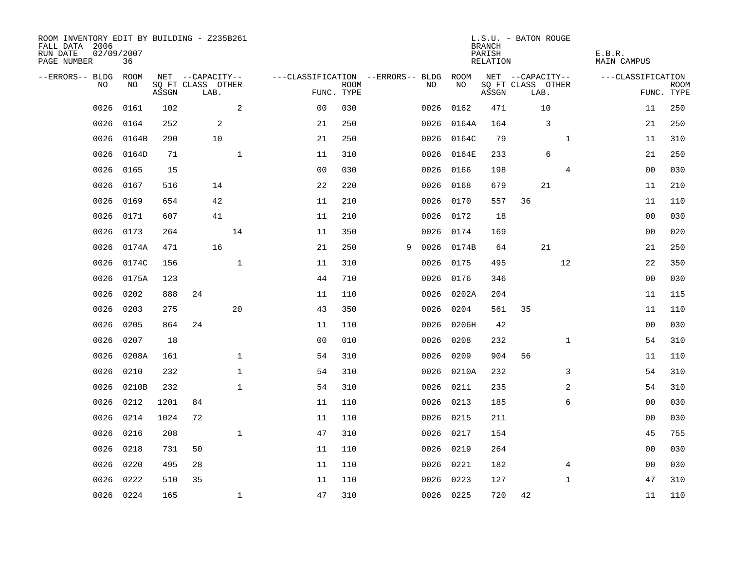| ROOM INVENTORY EDIT BY BUILDING - Z235B261<br>FALL DATA 2006<br>RUN DATE<br>PAGE NUMBER | 02/09/2007<br>36 |       |                           |              |                                   |             |   |           |            | <b>BRANCH</b><br>PARISH<br>RELATION | L.S.U. - BATON ROUGE      |              | E.B.R.<br>MAIN CAMPUS     |  |
|-----------------------------------------------------------------------------------------|------------------|-------|---------------------------|--------------|-----------------------------------|-------------|---|-----------|------------|-------------------------------------|---------------------------|--------------|---------------------------|--|
| --ERRORS-- BLDG ROOM                                                                    |                  |       | NET --CAPACITY--          |              | ---CLASSIFICATION --ERRORS-- BLDG |             |   |           | ROOM       |                                     | NET --CAPACITY--          |              | ---CLASSIFICATION         |  |
| NO                                                                                      | NO               | ASSGN | SQ FT CLASS OTHER<br>LAB. |              | FUNC. TYPE                        | <b>ROOM</b> |   | NO        | NO         | ASSGN                               | SQ FT CLASS OTHER<br>LAB. |              | <b>ROOM</b><br>FUNC. TYPE |  |
| 0026                                                                                    | 0161             | 102   |                           | 2            | 0 <sub>0</sub>                    | 030         |   | 0026      | 0162       | 471                                 | 10                        |              | 250<br>11                 |  |
| 0026                                                                                    | 0164             | 252   | 2                         |              | 21                                | 250         |   | 0026      | 0164A      | 164                                 | 3                         |              | 250<br>21                 |  |
| 0026                                                                                    | 0164B            | 290   | 10                        |              | 21                                | 250         |   | 0026      | 0164C      | 79                                  |                           | $\mathbf{1}$ | 310<br>11                 |  |
| 0026                                                                                    | 0164D            | 71    |                           | $\mathbf{1}$ | 11                                | 310         |   |           | 0026 0164E | 233                                 | 6                         |              | 250<br>21                 |  |
| 0026                                                                                    | 0165             | 15    |                           |              | 00                                | 030         |   | 0026      | 0166       | 198                                 |                           | 4            | 030<br>00                 |  |
| 0026                                                                                    | 0167             | 516   | 14                        |              | 22                                | 220         |   |           | 0026 0168  | 679                                 | 21                        |              | 11<br>210                 |  |
| 0026                                                                                    | 0169             | 654   | 42                        |              | 11                                | 210         |   | 0026      | 0170       | 557                                 | 36                        |              | 110<br>11                 |  |
| 0026                                                                                    | 0171             | 607   | 41                        |              | 11                                | 210         |   |           | 0026 0172  | 18                                  |                           |              | 0 <sub>0</sub><br>030     |  |
| 0026                                                                                    | 0173             | 264   |                           | 14           | 11                                | 350         |   | 0026      | 0174       | 169                                 |                           |              | 020<br>00                 |  |
| 0026                                                                                    | 0174A            | 471   | 16                        |              | 21                                | 250         | 9 |           | 0026 0174B | 64                                  | 21                        |              | 250<br>21                 |  |
| 0026                                                                                    | 0174C            | 156   |                           | $\mathbf{1}$ | 11                                | 310         |   | 0026      | 0175       | 495                                 |                           | 12           | 22<br>350                 |  |
| 0026                                                                                    | 0175A            | 123   |                           |              | 44                                | 710         |   |           | 0026 0176  | 346                                 |                           |              | 0 <sub>0</sub><br>030     |  |
| 0026                                                                                    | 0202             | 888   | 24                        |              | 11                                | 110         |   | 0026      | 0202A      | 204                                 |                           |              | 11<br>115                 |  |
| 0026                                                                                    | 0203             | 275   |                           | 20           | 43                                | 350         |   | 0026      | 0204       | 561                                 | 35                        |              | 11<br>110                 |  |
| 0026                                                                                    | 0205             | 864   | 24                        |              | 11                                | 110         |   | 0026      | 0206H      | 42                                  |                           |              | 0 <sub>0</sub><br>030     |  |
| 0026                                                                                    | 0207             | 18    |                           |              | 0 <sub>0</sub>                    | 010         |   | 0026      | 0208       | 232                                 |                           | $\mathbf{1}$ | 310<br>54                 |  |
| 0026                                                                                    | 0208A            | 161   |                           | $\mathbf{1}$ | 54                                | 310         |   | 0026 0209 |            | 904                                 | 56                        |              | 11<br>110                 |  |
| 0026                                                                                    | 0210             | 232   |                           | $\mathbf{1}$ | 54                                | 310         |   |           | 0026 0210A | 232                                 |                           | 3            | 54<br>310                 |  |
| 0026                                                                                    | 0210B            | 232   |                           | $\mathbf{1}$ | 54                                | 310         |   | 0026 0211 |            | 235                                 |                           | 2            | 54<br>310                 |  |
| 0026                                                                                    | 0212             | 1201  | 84                        |              | 11                                | 110         |   | 0026 0213 |            | 185                                 |                           | 6            | 00<br>030                 |  |
| 0026                                                                                    | 0214             | 1024  | 72                        |              | 11                                | 110         |   |           | 0026 0215  | 211                                 |                           |              | 00<br>030                 |  |
| 0026                                                                                    | 0216             | 208   |                           | $\mathbf{1}$ | 47                                | 310         |   | 0026 0217 |            | 154                                 |                           |              | 755<br>45                 |  |
| 0026                                                                                    | 0218             | 731   | 50                        |              | 11                                | 110         |   | 0026 0219 |            | 264                                 |                           |              | 0 <sub>0</sub><br>030     |  |
| 0026                                                                                    | 0220             | 495   | 28                        |              | 11                                | 110         |   | 0026 0221 |            | 182                                 |                           | 4            | 00<br>030                 |  |
| 0026                                                                                    | 0222             | 510   | 35                        |              | 11                                | 110         |   | 0026      | 0223       | 127                                 |                           | $\mathbf{1}$ | 47<br>310                 |  |
|                                                                                         | 0026 0224        | 165   |                           | $\mathbf{1}$ | 47                                | 310         |   | 0026 0225 |            | 720                                 | 42                        |              | 11<br>110                 |  |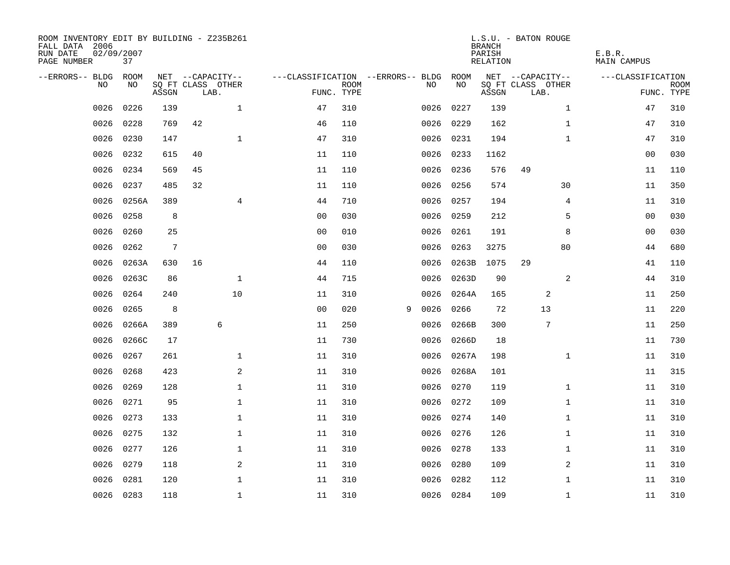| ROOM INVENTORY EDIT BY BUILDING - Z235B261<br>FALL DATA 2006<br>RUN DATE<br>PAGE NUMBER | 02/09/2007<br>37 |       |                                       |              |                                   |             |   |      |            | <b>BRANCH</b><br>PARISH<br>RELATION | L.S.U. - BATON ROUGE                  | E.B.R.<br><b>MAIN CAMPUS</b> |             |
|-----------------------------------------------------------------------------------------|------------------|-------|---------------------------------------|--------------|-----------------------------------|-------------|---|------|------------|-------------------------------------|---------------------------------------|------------------------------|-------------|
| --ERRORS-- BLDG ROOM<br>NO                                                              | NO               |       | NET --CAPACITY--<br>SQ FT CLASS OTHER |              | ---CLASSIFICATION --ERRORS-- BLDG | <b>ROOM</b> |   | NO   | ROOM<br>NO |                                     | NET --CAPACITY--<br>SQ FT CLASS OTHER | ---CLASSIFICATION            | <b>ROOM</b> |
|                                                                                         |                  | ASSGN | LAB.                                  |              | FUNC. TYPE                        |             |   |      |            | ASSGN                               | LAB.                                  |                              | FUNC. TYPE  |
| 0026                                                                                    | 0226             | 139   |                                       | $\mathbf{1}$ | 47                                | 310         |   | 0026 | 0227       | 139                                 | $\mathbf{1}$                          | 47                           | 310         |
| 0026                                                                                    | 0228             | 769   | 42                                    |              | 46                                | 110         |   |      | 0026 0229  | 162                                 | $\mathbf{1}$                          | 47                           | 310         |
| 0026                                                                                    | 0230             | 147   |                                       | $\mathbf{1}$ | 47                                | 310         |   |      | 0026 0231  | 194                                 | $\mathbf{1}$                          | 47                           | 310         |
| 0026                                                                                    | 0232             | 615   | 40                                    |              | 11                                | 110         |   |      | 0026 0233  | 1162                                |                                       | 0 <sub>0</sub>               | 030         |
| 0026                                                                                    | 0234             | 569   | 45                                    |              | 11                                | 110         |   | 0026 | 0236       | 576                                 | 49                                    | 11                           | 110         |
| 0026                                                                                    | 0237             | 485   | 32                                    |              | 11                                | 110         |   |      | 0026 0256  | 574                                 | 30                                    | 11                           | 350         |
| 0026                                                                                    | 0256A            | 389   |                                       | 4            | 44                                | 710         |   | 0026 | 0257       | 194                                 | 4                                     | 11                           | 310         |
| 0026                                                                                    | 0258             | 8     |                                       |              | 0 <sub>0</sub>                    | 030         |   |      | 0026 0259  | 212                                 | 5                                     | 0 <sub>0</sub>               | 030         |
| 0026                                                                                    | 0260             | 25    |                                       |              | 0 <sub>0</sub>                    | 010         |   | 0026 | 0261       | 191                                 | 8                                     | 0 <sub>0</sub>               | 030         |
| 0026                                                                                    | 0262             | 7     |                                       |              | 0 <sub>0</sub>                    | 030         |   | 0026 | 0263       | 3275                                | 80                                    | 44                           | 680         |
| 0026                                                                                    | 0263A            | 630   | 16                                    |              | 44                                | 110         |   | 0026 | 0263B      | 1075                                | 29                                    | 41                           | 110         |
| 0026                                                                                    | 0263C            | 86    |                                       | $\mathbf 1$  | 44                                | 715         |   | 0026 | 0263D      | 90                                  | 2                                     | 44                           | 310         |
| 0026                                                                                    | 0264             | 240   |                                       | 10           | 11                                | 310         |   | 0026 | 0264A      | 165                                 | 2                                     | 11                           | 250         |
| 0026                                                                                    | 0265             | 8     |                                       |              | 0 <sub>0</sub>                    | 020         | 9 | 0026 | 0266       | 72                                  | 13                                    | 11                           | 220         |
| 0026                                                                                    | 0266A            | 389   |                                       | 6            | 11                                | 250         |   | 0026 | 0266B      | 300                                 | 7                                     | 11                           | 250         |
| 0026                                                                                    | 0266C            | 17    |                                       |              | 11                                | 730         |   | 0026 | 0266D      | 18                                  |                                       | 11                           | 730         |
| 0026                                                                                    | 0267             | 261   |                                       | $\mathbf 1$  | 11                                | 310         |   | 0026 | 0267A      | 198                                 | $\mathbf{1}$                          | 11                           | 310         |
| 0026                                                                                    | 0268             | 423   |                                       | 2            | 11                                | 310         |   | 0026 | 0268A      | 101                                 |                                       | 11                           | 315         |
| 0026                                                                                    | 0269             | 128   |                                       | $\mathbf 1$  | 11                                | 310         |   |      | 0026 0270  | 119                                 | $\mathbf{1}$                          | 11                           | 310         |
| 0026                                                                                    | 0271             | 95    |                                       | $\mathbf 1$  | 11                                | 310         |   | 0026 | 0272       | 109                                 | $\mathbf{1}$                          | 11                           | 310         |
| 0026                                                                                    | 0273             | 133   |                                       | $\mathbf 1$  | 11                                | 310         |   |      | 0026 0274  | 140                                 | $\mathbf{1}$                          | 11                           | 310         |
| 0026                                                                                    | 0275             | 132   |                                       | $\mathbf 1$  | 11                                | 310         |   | 0026 | 0276       | 126                                 | $\mathbf{1}$                          | 11                           | 310         |
| 0026                                                                                    | 0277             | 126   |                                       | $\mathbf 1$  | 11                                | 310         |   |      | 0026 0278  | 133                                 | $\mathbf{1}$                          | 11                           | 310         |
| 0026                                                                                    | 0279             | 118   |                                       | $\mathbf{2}$ | 11                                | 310         |   | 0026 | 0280       | 109                                 | 2                                     | 11                           | 310         |
| 0026                                                                                    | 0281             | 120   |                                       | $\mathbf 1$  | 11                                | 310         |   | 0026 | 0282       | 112                                 | $\mathbf{1}$                          | 11                           | 310         |
|                                                                                         | 0026 0283        | 118   |                                       | $\mathbf 1$  | 11                                | 310         |   |      | 0026 0284  | 109                                 | $\mathbf{1}$                          | 11                           | 310         |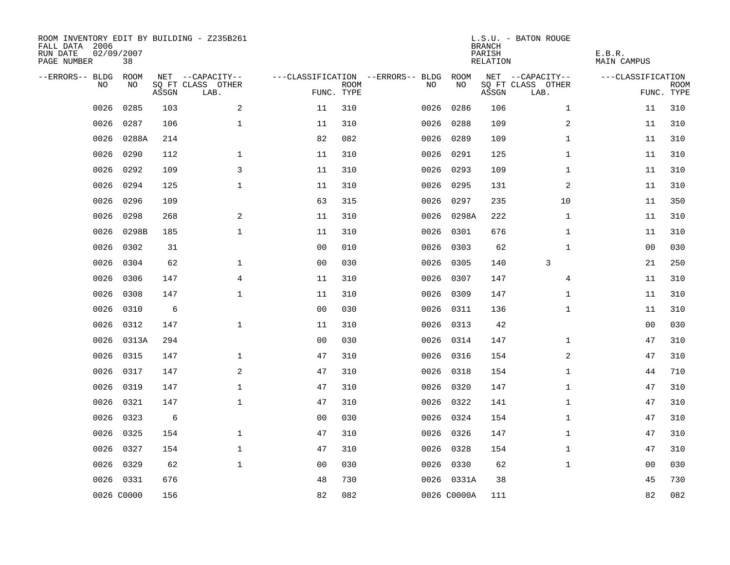| ROOM INVENTORY EDIT BY BUILDING - Z235B261<br>FALL DATA 2006<br>RUN DATE<br>PAGE NUMBER | 02/09/2007<br>38 |       |                           |                |             |                                   |             | <b>BRANCH</b><br>PARISH<br><b>RELATION</b> | L.S.U. - BATON ROUGE      | E.B.R.<br><b>MAIN CAMPUS</b> |                           |
|-----------------------------------------------------------------------------------------|------------------|-------|---------------------------|----------------|-------------|-----------------------------------|-------------|--------------------------------------------|---------------------------|------------------------------|---------------------------|
| --ERRORS-- BLDG                                                                         | ROOM             |       | NET --CAPACITY--          |                |             | ---CLASSIFICATION --ERRORS-- BLDG | ROOM        |                                            | NET --CAPACITY--          | ---CLASSIFICATION            |                           |
| NO.                                                                                     | NO               | ASSGN | SQ FT CLASS OTHER<br>LAB. | FUNC. TYPE     | <b>ROOM</b> | NO                                | NO          | ASSGN                                      | SQ FT CLASS OTHER<br>LAB. |                              | <b>ROOM</b><br>FUNC. TYPE |
| 0026                                                                                    | 0285             | 103   | 2                         | 11             | 310         | 0026                              | 0286        | 106                                        | $\mathbf{1}$              | 11                           | 310                       |
| 0026                                                                                    | 0287             | 106   | $\mathbf 1$               | 11             | 310         | 0026                              | 0288        | 109                                        | 2                         | 11                           | 310                       |
| 0026                                                                                    | 0288A            | 214   |                           | 82             | 082         | 0026                              | 0289        | 109                                        | $\mathbf{1}$              | 11                           | 310                       |
| 0026                                                                                    | 0290             | 112   | $\mathbf{1}$              | 11             | 310         | 0026                              | 0291        | 125                                        | $\mathbf{1}$              | 11                           | 310                       |
| 0026                                                                                    | 0292             | 109   | 3                         | 11             | 310         | 0026                              | 0293        | 109                                        | $\mathbf{1}$              | 11                           | 310                       |
| 0026                                                                                    | 0294             | 125   | $\mathbf 1$               | 11             | 310         |                                   | 0026 0295   | 131                                        | 2                         | 11                           | 310                       |
| 0026                                                                                    | 0296             | 109   |                           | 63             | 315         | 0026                              | 0297        | 235                                        | 10                        | 11                           | 350                       |
| 0026                                                                                    | 0298             | 268   | $\mathbf{2}$              | 11             | 310         |                                   | 0026 0298A  | 222                                        | $\mathbf{1}$              | 11                           | 310                       |
| 0026                                                                                    | 0298B            | 185   | $\mathbf{1}$              | 11             | 310         | 0026                              | 0301        | 676                                        | $\mathbf{1}$              | 11                           | 310                       |
| 0026                                                                                    | 0302             | 31    |                           | 0 <sub>0</sub> | 010         |                                   | 0026 0303   | 62                                         | $\mathbf{1}$              | 0 <sub>0</sub>               | 030                       |
| 0026                                                                                    | 0304             | 62    | $\mathbf 1$               | 0 <sub>0</sub> | 030         | 0026                              | 0305        | 140                                        | 3                         | 21                           | 250                       |
| 0026                                                                                    | 0306             | 147   | 4                         | 11             | 310         |                                   | 0026 0307   | 147                                        | 4                         | 11                           | 310                       |
| 0026                                                                                    | 0308             | 147   | $\mathbf 1$               | 11             | 310         | 0026                              | 0309        | 147                                        | $\mathbf{1}$              | 11                           | 310                       |
| 0026                                                                                    | 0310             | 6     |                           | 0 <sub>0</sub> | 030         |                                   | 0026 0311   | 136                                        | $\mathbf{1}$              | 11                           | 310                       |
| 0026                                                                                    | 0312             | 147   | $\mathbf{1}$              | 11             | 310         | 0026                              | 0313        | 42                                         |                           | 0 <sub>0</sub>               | 030                       |
| 0026                                                                                    | 0313A            | 294   |                           | 00             | 030         |                                   | 0026 0314   | 147                                        | $\mathbf{1}$              | 47                           | 310                       |
| 0026                                                                                    | 0315             | 147   | $\mathbf{1}$              | 47             | 310         | 0026                              | 0316        | 154                                        | 2                         | 47                           | 310                       |
| 0026                                                                                    | 0317             | 147   | 2                         | 47             | 310         | 0026                              | 0318        | 154                                        | $\mathbf{1}$              | 44                           | 710                       |
| 0026                                                                                    | 0319             | 147   | $\mathbf 1$               | 47             | 310         |                                   | 0026 0320   | 147                                        | $\mathbf{1}$              | 47                           | 310                       |
| 0026                                                                                    | 0321             | 147   | $\mathbf{1}$              | 47             | 310         |                                   | 0026 0322   | 141                                        | $\mathbf{1}$              | 47                           | 310                       |
| 0026                                                                                    | 0323             | 6     |                           | 0 <sub>0</sub> | 030         |                                   | 0026 0324   | 154                                        | $\mathbf{1}$              | 47                           | 310                       |
| 0026                                                                                    | 0325             | 154   | $\mathbf{1}$              | 47             | 310         |                                   | 0026 0326   | 147                                        | $\mathbf{1}$              | 47                           | 310                       |
| 0026                                                                                    | 0327             | 154   | $\mathbf{1}$              | 47             | 310         |                                   | 0026 0328   | 154                                        | $\mathbf{1}$              | 47                           | 310                       |
| 0026                                                                                    | 0329             | 62    | $\mathbf{1}$              | 0 <sub>0</sub> | 030         |                                   | 0026 0330   | 62                                         | $\mathbf{1}$              | 00                           | 030                       |
|                                                                                         | 0026 0331        | 676   |                           | 48             | 730         |                                   | 0026 0331A  | 38                                         |                           | 45                           | 730                       |
|                                                                                         | 0026 C0000       | 156   |                           | 82             | 082         |                                   | 0026 C0000A | 111                                        |                           | 82                           | 082                       |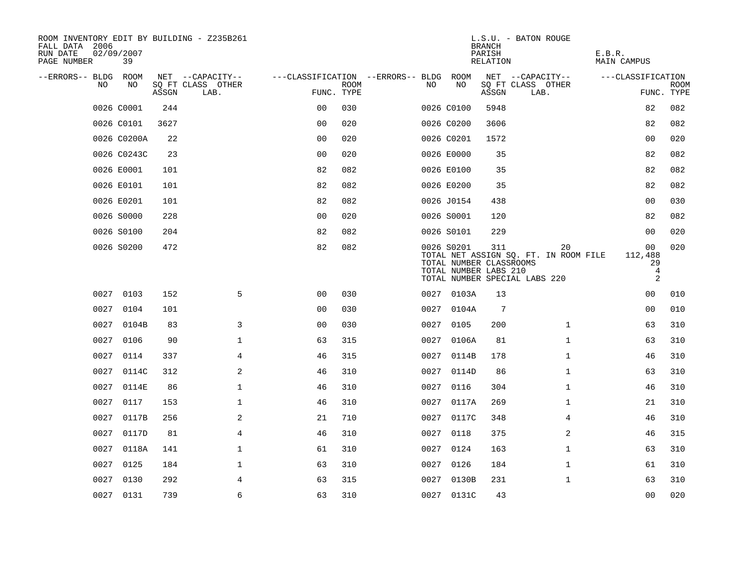| ROOM INVENTORY EDIT BY BUILDING - Z235B261<br>FALL DATA 2006<br>RUN DATE<br>PAGE NUMBER | 02/09/2007<br>39 |       |                           |                                   |                           |      |            | <b>BRANCH</b><br>PARISH<br>RELATION                     | L.S.U. - BATON ROUGE                                                         | E.B.R.<br><b>MAIN CAMPUS</b>                          |                           |
|-----------------------------------------------------------------------------------------|------------------|-------|---------------------------|-----------------------------------|---------------------------|------|------------|---------------------------------------------------------|------------------------------------------------------------------------------|-------------------------------------------------------|---------------------------|
| --ERRORS-- BLDG                                                                         | ROOM             |       | NET --CAPACITY--          | ---CLASSIFICATION --ERRORS-- BLDG |                           |      | ROOM       |                                                         | NET --CAPACITY--                                                             | ---CLASSIFICATION                                     |                           |
| NO                                                                                      | NO               | ASSGN | SQ FT CLASS OTHER<br>LAB. |                                   | <b>ROOM</b><br>FUNC. TYPE | NO   | NO         | ASSGN                                                   | SQ FT CLASS OTHER<br>LAB.                                                    |                                                       | <b>ROOM</b><br>FUNC. TYPE |
|                                                                                         | 0026 C0001       | 244   |                           | 0 <sub>0</sub>                    | 030                       |      | 0026 C0100 | 5948                                                    |                                                                              | 82                                                    | 082                       |
|                                                                                         | 0026 C0101       | 3627  |                           | 0 <sup>0</sup>                    | 020                       |      | 0026 C0200 | 3606                                                    |                                                                              | 82                                                    | 082                       |
|                                                                                         | 0026 C0200A      | 22    |                           | 0 <sub>0</sub>                    | 020                       |      | 0026 C0201 | 1572                                                    |                                                                              | 00                                                    | 020                       |
|                                                                                         | 0026 C0243C      | 23    |                           | 0 <sub>0</sub>                    | 020                       |      | 0026 E0000 | 35                                                      |                                                                              | 82                                                    | 082                       |
|                                                                                         | 0026 E0001       | 101   |                           | 82                                | 082                       |      | 0026 E0100 | 35                                                      |                                                                              | 82                                                    | 082                       |
|                                                                                         | 0026 E0101       | 101   |                           | 82                                | 082                       |      | 0026 E0200 | 35                                                      |                                                                              | 82                                                    | 082                       |
|                                                                                         | 0026 E0201       | 101   |                           | 82                                | 082                       |      | 0026 J0154 | 438                                                     |                                                                              | 00                                                    | 030                       |
|                                                                                         | 0026 S0000       | 228   |                           | 0 <sub>0</sub>                    | 020                       |      | 0026 S0001 | 120                                                     |                                                                              | 82                                                    | 082                       |
|                                                                                         | 0026 S0100       | 204   |                           | 82                                | 082                       |      | 0026 S0101 | 229                                                     |                                                                              | 00                                                    | 020                       |
|                                                                                         | 0026 S0200       | 472   |                           | 82                                | 082                       |      | 0026 S0201 | 311<br>TOTAL NUMBER CLASSROOMS<br>TOTAL NUMBER LABS 210 | 20<br>TOTAL NET ASSIGN SQ. FT. IN ROOM FILE<br>TOTAL NUMBER SPECIAL LABS 220 | 00<br>112,488<br>29<br>$\overline{4}$<br>$\mathbf{2}$ | 020                       |
|                                                                                         | 0027 0103        | 152   | 5                         | 0 <sub>0</sub>                    | 030                       |      | 0027 0103A | 13                                                      |                                                                              | 00                                                    | 010                       |
| 0027                                                                                    | 0104             | 101   |                           | 0 <sub>0</sub>                    | 030                       |      | 0027 0104A | 7                                                       |                                                                              | 00                                                    | 010                       |
|                                                                                         | 0027 0104B       | 83    | 3                         | 00                                | 030                       |      | 0027 0105  | 200                                                     | $\mathbf{1}$                                                                 | 63                                                    | 310                       |
| 0027                                                                                    | 0106             | 90    | $\mathbf 1$               | 63                                | 315                       |      | 0027 0106A | 81                                                      | $\mathbf{1}$                                                                 | 63                                                    | 310                       |
| 0027                                                                                    | 0114             | 337   | $\overline{4}$            | 46                                | 315                       |      | 0027 0114B | 178                                                     | $\mathbf{1}$                                                                 | 46                                                    | 310                       |
| 0027                                                                                    | 0114C            | 312   | $\mathbf{2}$              | 46                                | 310                       |      | 0027 0114D | 86                                                      | $\mathbf{1}$                                                                 | 63                                                    | 310                       |
|                                                                                         | 0027 0114E       | 86    | $\mathbf 1$               | 46                                | 310                       |      | 0027 0116  | 304                                                     | $\mathbf{1}$                                                                 | 46                                                    | 310                       |
| 0027                                                                                    | 0117             | 153   | $\mathbf 1$               | 46                                | 310                       |      | 0027 0117A | 269                                                     | $\mathbf{1}$                                                                 | 21                                                    | 310                       |
| 0027                                                                                    | 0117B            | 256   | 2                         | 21                                | 710                       |      | 0027 0117C | 348                                                     | 4                                                                            | 46                                                    | 310                       |
| 0027                                                                                    | 0117D            | 81    | 4                         | 46                                | 310                       | 0027 | 0118       | 375                                                     | 2                                                                            | 46                                                    | 315                       |
| 0027                                                                                    | 0118A            | 141   | $\mathbf 1$               | 61                                | 310                       |      | 0027 0124  | 163                                                     | $\mathbf{1}$                                                                 | 63                                                    | 310                       |
| 0027                                                                                    | 0125             | 184   | $\mathbf{1}$              | 63                                | 310                       | 0027 | 0126       | 184                                                     | $\mathbf{1}$                                                                 | 61                                                    | 310                       |
| 0027                                                                                    | 0130             | 292   | 4                         | 63                                | 315                       |      | 0027 0130B | 231                                                     | $\mathbf{1}$                                                                 | 63                                                    | 310                       |
|                                                                                         | 0027 0131        | 739   | 6                         | 63                                | 310                       |      | 0027 0131C | 43                                                      |                                                                              | 0 <sub>0</sub>                                        | 020                       |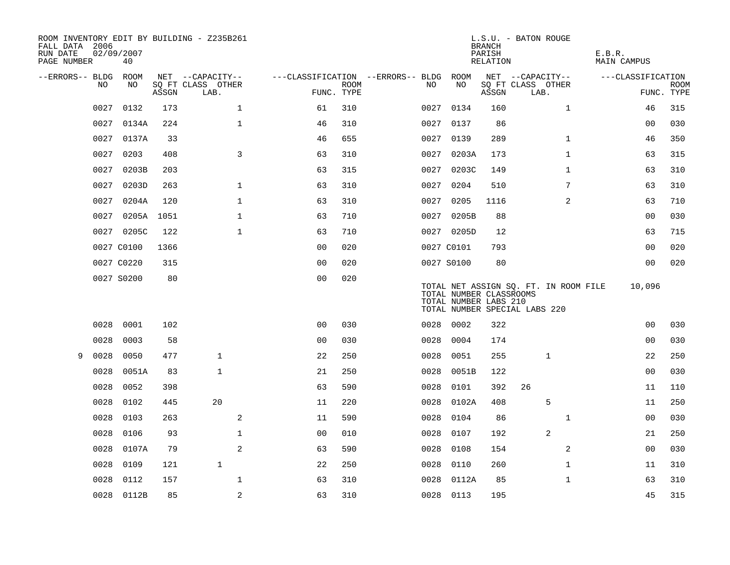| FALL DATA 2006<br>RUN DATE<br>PAGE NUMBER |      | 02/09/2007<br>40 |       | ROOM INVENTORY EDIT BY BUILDING - Z235B261 |                |                           |                                   |      |                                                  | <b>BRANCH</b><br>PARISH<br>RELATION | L.S.U. - BATON ROUGE                                                   | E.B.R.<br><b>MAIN CAMPUS</b> |                           |
|-------------------------------------------|------|------------------|-------|--------------------------------------------|----------------|---------------------------|-----------------------------------|------|--------------------------------------------------|-------------------------------------|------------------------------------------------------------------------|------------------------------|---------------------------|
| --ERRORS-- BLDG ROOM                      |      |                  |       | NET --CAPACITY--                           |                |                           | ---CLASSIFICATION --ERRORS-- BLDG |      | ROOM                                             |                                     | NET --CAPACITY--                                                       | ---CLASSIFICATION            |                           |
|                                           | NO   | NO               | ASSGN | SQ FT CLASS OTHER<br>LAB.                  |                | <b>ROOM</b><br>FUNC. TYPE |                                   | NO.  | NO                                               | ASSGN                               | SQ FT CLASS OTHER<br>LAB.                                              |                              | <b>ROOM</b><br>FUNC. TYPE |
|                                           | 0027 | 0132             | 173   | $\mathbf 1$                                | 61             | 310                       |                                   | 0027 | 0134                                             | 160                                 | $\mathbf{1}$                                                           | 46                           | 315                       |
|                                           | 0027 | 0134A            | 224   | $\mathbf{1}$                               | 46             | 310                       |                                   |      | 0027 0137                                        | 86                                  |                                                                        | 0 <sub>0</sub>               | 030                       |
|                                           | 0027 | 0137A            | 33    |                                            | 46             | 655                       |                                   |      | 0027 0139                                        | 289                                 | $\mathbf{1}$                                                           | 46                           | 350                       |
|                                           | 0027 | 0203             | 408   | 3                                          | 63             | 310                       |                                   |      | 0027 0203A                                       | 173                                 | $\mathbf{1}$                                                           | 63                           | 315                       |
|                                           | 0027 | 0203B            | 203   |                                            | 63             | 315                       |                                   | 0027 | 0203C                                            | 149                                 | $\mathbf{1}$                                                           | 63                           | 310                       |
|                                           | 0027 | 0203D            | 263   | $\mathbf 1$                                | 63             | 310                       |                                   |      | 0027 0204                                        | 510                                 | 7                                                                      | 63                           | 310                       |
|                                           | 0027 | 0204A            | 120   | $\mathbf 1$                                | 63             | 310                       |                                   | 0027 | 0205                                             | 1116                                | 2                                                                      | 63                           | 710                       |
|                                           | 0027 | 0205A 1051       |       | $\mathbf 1$                                | 63             | 710                       |                                   |      | 0027 0205B                                       | 88                                  |                                                                        | 00                           | 030                       |
|                                           |      | 0027 0205C       | 122   | $\mathbf{1}$                               | 63             | 710                       |                                   |      | 0027 0205D                                       | 12                                  |                                                                        | 63                           | 715                       |
|                                           |      | 0027 C0100       | 1366  |                                            | 0 <sub>0</sub> | 020                       |                                   |      | 0027 C0101                                       | 793                                 |                                                                        | 0 <sub>0</sub>               | 020                       |
|                                           |      | 0027 C0220       | 315   |                                            | 0 <sub>0</sub> | 020                       |                                   |      | 0027 S0100                                       | 80                                  |                                                                        | 0 <sub>0</sub>               | 020                       |
|                                           |      | 0027 S0200       | 80    |                                            | 0 <sub>0</sub> | 020                       |                                   |      | TOTAL NUMBER CLASSROOMS<br>TOTAL NUMBER LABS 210 |                                     | TOTAL NET ASSIGN SQ. FT. IN ROOM FILE<br>TOTAL NUMBER SPECIAL LABS 220 | 10,096                       |                           |
|                                           | 0028 | 0001             | 102   |                                            | 0 <sup>0</sup> | 030                       |                                   |      | 0028 0002                                        | 322                                 |                                                                        | 0 <sub>0</sub>               | 030                       |
|                                           | 0028 | 0003             | 58    |                                            | 0 <sub>0</sub> | 030                       |                                   | 0028 | 0004                                             | 174                                 |                                                                        | 00                           | 030                       |
| 9                                         | 0028 | 0050             | 477   | $\mathbf{1}$                               | 22             | 250                       |                                   | 0028 | 0051                                             | 255                                 | $\mathbf{1}$                                                           | 22                           | 250                       |
|                                           | 0028 | 0051A            | 83    | $\mathbf{1}$                               | 21             | 250                       |                                   | 0028 | 0051B                                            | 122                                 |                                                                        | 0 <sub>0</sub>               | 030                       |
|                                           | 0028 | 0052             | 398   |                                            | 63             | 590                       |                                   | 0028 | 0101                                             | 392                                 | 26                                                                     | 11                           | 110                       |
|                                           | 0028 | 0102             | 445   | 20                                         | 11             | 220                       |                                   | 0028 | 0102A                                            | 408                                 | 5                                                                      | 11                           | 250                       |
|                                           | 0028 | 0103             | 263   | 2                                          | 11             | 590                       |                                   | 0028 | 0104                                             | 86                                  | $\mathbf{1}$                                                           | 00                           | 030                       |
|                                           | 0028 | 0106             | 93    | $\mathbf{1}$                               | 00             | 010                       |                                   | 0028 | 0107                                             | 192                                 | 2                                                                      | 21                           | 250                       |
|                                           | 0028 | 0107A            | 79    | 2                                          | 63             | 590                       |                                   | 0028 | 0108                                             | 154                                 | 2                                                                      | 0 <sub>0</sub>               | 030                       |
|                                           | 0028 | 0109             | 121   | $\mathbf{1}$                               | 22             | 250                       |                                   | 0028 | 0110                                             | 260                                 | $\mathbf{1}$                                                           | 11                           | 310                       |
|                                           | 0028 | 0112             | 157   | $\mathbf 1$                                | 63             | 310                       |                                   | 0028 | 0112A                                            | 85                                  | $\mathbf{1}$                                                           | 63                           | 310                       |
|                                           |      | 0028 0112B       | 85    | 2                                          | 63             | 310                       |                                   |      | 0028 0113                                        | 195                                 |                                                                        | 45                           | 315                       |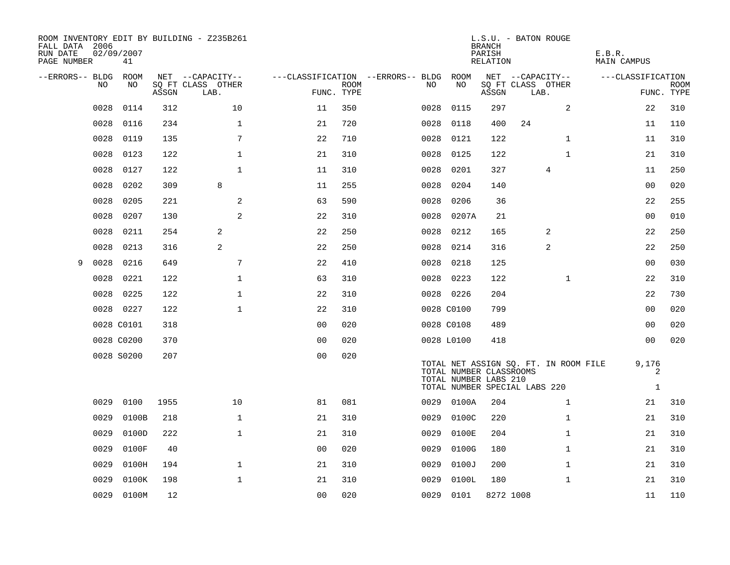| ROOM INVENTORY EDIT BY BUILDING - Z235B261<br>FALL DATA 2006<br>RUN DATE<br>PAGE NUMBER | 02/09/2007<br>41 |       |                           |                |             |                                        |                                                                                                                            | <b>BRANCH</b><br>PARISH<br>RELATION | L.S.U. - BATON ROUGE      |   |              | E.B.R.<br>MAIN CAMPUS |                 |             |
|-----------------------------------------------------------------------------------------|------------------|-------|---------------------------|----------------|-------------|----------------------------------------|----------------------------------------------------------------------------------------------------------------------------|-------------------------------------|---------------------------|---|--------------|-----------------------|-----------------|-------------|
| --ERRORS-- BLDG ROOM                                                                    |                  |       | NET --CAPACITY--          |                |             | ---CLASSIFICATION --ERRORS-- BLDG ROOM |                                                                                                                            |                                     | NET --CAPACITY--          |   |              | ---CLASSIFICATION     |                 |             |
| NO                                                                                      | NO               | ASSGN | SQ FT CLASS OTHER<br>LAB. | FUNC. TYPE     | <b>ROOM</b> | NO                                     | NO                                                                                                                         | ASSGN                               | SQ FT CLASS OTHER<br>LAB. |   |              |                       | FUNC. TYPE      | <b>ROOM</b> |
| 0028                                                                                    | 0114             | 312   | 10                        | 11             | 350         | 0028                                   | 0115                                                                                                                       | 297                                 |                           |   | 2            |                       | 22              | 310         |
| 0028                                                                                    | 0116             | 234   | $\mathbf{1}$              | 21             | 720         | 0028                                   | 0118                                                                                                                       | 400                                 | 24                        |   |              |                       | 11              | 110         |
| 0028                                                                                    | 0119             | 135   | 7                         | 22             | 710         | 0028                                   | 0121                                                                                                                       | 122                                 |                           |   | $\mathbf{1}$ |                       | 11              | 310         |
| 0028                                                                                    | 0123             | 122   | 1                         | 21             | 310         | 0028                                   | 0125                                                                                                                       | 122                                 |                           |   | $\mathbf{1}$ |                       | 21              | 310         |
| 0028                                                                                    | 0127             | 122   | $\mathbf{1}$              | 11             | 310         | 0028                                   | 0201                                                                                                                       | 327                                 |                           | 4 |              |                       | 11              | 250         |
| 0028                                                                                    | 0202             | 309   | 8                         | 11             | 255         | 0028                                   | 0204                                                                                                                       | 140                                 |                           |   |              |                       | 0 <sub>0</sub>  | 020         |
| 0028                                                                                    | 0205             | 221   | 2                         | 63             | 590         | 0028                                   | 0206                                                                                                                       | 36                                  |                           |   |              |                       | 22              | 255         |
| 0028                                                                                    | 0207             | 130   | 2                         | 22             | 310         | 0028                                   | 0207A                                                                                                                      | 21                                  |                           |   |              |                       | 0 <sub>0</sub>  | 010         |
| 0028                                                                                    | 0211             | 254   | 2                         | 22             | 250         | 0028                                   | 0212                                                                                                                       | 165                                 |                           | 2 |              |                       | 22              | 250         |
| 0028                                                                                    | 0213             | 316   | 2                         | 22             | 250         | 0028                                   | 0214                                                                                                                       | 316                                 |                           | 2 |              |                       | 22              | 250         |
| 0028<br>9                                                                               | 0216             | 649   | 7                         | 22             | 410         | 0028                                   | 0218                                                                                                                       | 125                                 |                           |   |              |                       | 00              | 030         |
| 0028                                                                                    | 0221             | 122   | $\mathbf 1$               | 63             | 310         | 0028                                   | 0223                                                                                                                       | 122                                 |                           |   | $\mathbf{1}$ |                       | 22              | 310         |
| 0028                                                                                    | 0225             | 122   | $\mathbf 1$               | 22             | 310         |                                        | 0028 0226                                                                                                                  | 204                                 |                           |   |              |                       | 22              | 730         |
|                                                                                         | 0028 0227        | 122   | $\mathbf{1}$              | 22             | 310         |                                        | 0028 C0100                                                                                                                 | 799                                 |                           |   |              |                       | 00              | 020         |
|                                                                                         | 0028 C0101       | 318   |                           | 0 <sub>0</sub> | 020         |                                        | 0028 C0108                                                                                                                 | 489                                 |                           |   |              |                       | 0 <sub>0</sub>  | 020         |
|                                                                                         | 0028 C0200       | 370   |                           | 0 <sub>0</sub> | 020         |                                        | 0028 L0100                                                                                                                 | 418                                 |                           |   |              |                       | 00              | 020         |
|                                                                                         | 0028 S0200       | 207   |                           | 0 <sub>0</sub> | 020         |                                        | TOTAL NET ASSIGN SQ. FT. IN ROOM FILE<br>TOTAL NUMBER CLASSROOMS<br>TOTAL NUMBER LABS 210<br>TOTAL NUMBER SPECIAL LABS 220 |                                     |                           |   |              |                       | 9,176<br>2<br>1 |             |
| 0029                                                                                    | 0100             | 1955  | 10                        | 81             | 081         |                                        | 0029 0100A                                                                                                                 | 204                                 |                           |   | $\mathbf{1}$ |                       | 21              | 310         |
| 0029                                                                                    | 0100B            | 218   | $\mathbf{1}$              | 21             | 310         | 0029                                   | 0100C                                                                                                                      | 220                                 |                           |   | $\mathbf{1}$ |                       | 21              | 310         |
| 0029                                                                                    | 0100D            | 222   | $\mathbf{1}$              | 21             | 310         | 0029                                   | 0100E                                                                                                                      | 204                                 |                           |   | $\mathbf{1}$ |                       | 21              | 310         |
| 0029                                                                                    | 0100F            | 40    |                           | 0 <sub>0</sub> | 020         | 0029                                   | 0100G                                                                                                                      | 180                                 |                           |   | $\mathbf{1}$ |                       | 21              | 310         |
| 0029                                                                                    | 0100H            | 194   | $\mathbf{1}$              | 21             | 310         | 0029                                   | 0100J                                                                                                                      | 200                                 |                           |   | $\mathbf{1}$ |                       | 21              | 310         |
| 0029                                                                                    | 0100K            | 198   | $\mathbf 1$               | 21             | 310         | 0029                                   | 0100L                                                                                                                      | 180                                 |                           |   | $\mathbf{1}$ |                       | 21              | 310         |
|                                                                                         | 0029 0100M       | 12    |                           | 0 <sub>0</sub> | 020         |                                        | 0029 0101                                                                                                                  | 8272 1008                           |                           |   |              |                       | 11              | 110         |
|                                                                                         |                  |       |                           |                |             |                                        |                                                                                                                            |                                     |                           |   |              |                       |                 |             |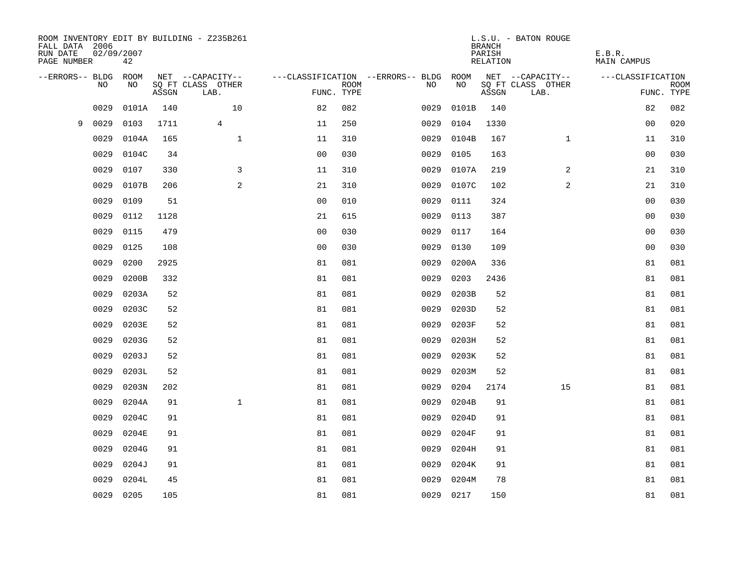| FALL DATA 2006<br>RUN DATE<br>PAGE NUMBER | 02/09/2007 | 42    |       | ROOM INVENTORY EDIT BY BUILDING - Z235B261 |                |             |                                   |           | <b>BRANCH</b><br>PARISH<br>RELATION | L.S.U. - BATON ROUGE      | E.B.R.<br><b>MAIN CAMPUS</b> |                           |
|-------------------------------------------|------------|-------|-------|--------------------------------------------|----------------|-------------|-----------------------------------|-----------|-------------------------------------|---------------------------|------------------------------|---------------------------|
| --ERRORS-- BLDG                           |            | ROOM  |       | NET --CAPACITY--                           |                |             | ---CLASSIFICATION --ERRORS-- BLDG | ROOM      |                                     | NET --CAPACITY--          | ---CLASSIFICATION            |                           |
|                                           | <b>NO</b>  | NO.   | ASSGN | SO FT CLASS OTHER<br>LAB.                  | FUNC. TYPE     | <b>ROOM</b> | NO.                               | <b>NO</b> | ASSGN                               | SQ FT CLASS OTHER<br>LAB. |                              | <b>ROOM</b><br>FUNC. TYPE |
|                                           | 0029       | 0101A | 140   | 10                                         | 82             | 082         | 0029                              | 0101B     | 140                                 |                           | 82                           | 082                       |
| 9                                         | 0029       | 0103  | 1711  | $\overline{4}$                             | 11             | 250         | 0029                              | 0104      | 1330                                |                           | 0 <sub>0</sub>               | 020                       |
|                                           | 0029       | 0104A | 165   | $\mathbf 1$                                | 11             | 310         | 0029                              | 0104B     | 167                                 | $\mathbf{1}$              | 11                           | 310                       |
|                                           | 0029       | 0104C | 34    |                                            | 0 <sub>0</sub> | 030         | 0029                              | 0105      | 163                                 |                           | 0 <sub>0</sub>               | 030                       |
|                                           | 0029       | 0107  | 330   | 3                                          | 11             | 310         | 0029                              | 0107A     | 219                                 | 2                         | 21                           | 310                       |
|                                           | 0029       | 0107B | 206   | $\overline{a}$                             | 21             | 310         | 0029                              | 0107C     | 102                                 | 2                         | 21                           | 310                       |
|                                           | 0029       | 0109  | 51    |                                            | 0 <sub>0</sub> | 010         | 0029                              | 0111      | 324                                 |                           | 00                           | 030                       |
|                                           | 0029       | 0112  | 1128  |                                            | 21             | 615         | 0029                              | 0113      | 387                                 |                           | 0 <sub>0</sub>               | 030                       |
|                                           | 0029       | 0115  | 479   |                                            | 0 <sub>0</sub> | 030         | 0029                              | 0117      | 164                                 |                           | 0 <sub>0</sub>               | 030                       |
|                                           | 0029       | 0125  | 108   |                                            | 0 <sub>0</sub> | 030         | 0029                              | 0130      | 109                                 |                           | 0 <sub>0</sub>               | 030                       |
|                                           | 0029       | 0200  | 2925  |                                            | 81             | 081         | 0029                              | 0200A     | 336                                 |                           | 81                           | 081                       |
|                                           | 0029       | 0200B | 332   |                                            | 81             | 081         | 0029                              | 0203      | 2436                                |                           | 81                           | 081                       |
|                                           | 0029       | 0203A | 52    |                                            | 81             | 081         | 0029                              | 0203B     | 52                                  |                           | 81                           | 081                       |
|                                           | 0029       | 0203C | 52    |                                            | 81             | 081         | 0029                              | 0203D     | 52                                  |                           | 81                           | 081                       |
|                                           | 0029       | 0203E | 52    |                                            | 81             | 081         | 0029                              | 0203F     | 52                                  |                           | 81                           | 081                       |
|                                           | 0029       | 0203G | 52    |                                            | 81             | 081         | 0029                              | 0203H     | 52                                  |                           | 81                           | 081                       |
|                                           | 0029       | 0203J | 52    |                                            | 81             | 081         | 0029                              | 0203K     | 52                                  |                           | 81                           | 081                       |
|                                           | 0029       | 0203L | 52    |                                            | 81             | 081         | 0029                              | 0203M     | 52                                  |                           | 81                           | 081                       |
|                                           | 0029       | 0203N | 202   |                                            | 81             | 081         | 0029                              | 0204      | 2174                                | 15                        | 81                           | 081                       |
|                                           | 0029       | 0204A | 91    | $\mathbf{1}$                               | 81             | 081         | 0029                              | 0204B     | 91                                  |                           | 81                           | 081                       |
|                                           | 0029       | 0204C | 91    |                                            | 81             | 081         | 0029                              | 0204D     | 91                                  |                           | 81                           | 081                       |
|                                           | 0029       | 0204E | 91    |                                            | 81             | 081         | 0029                              | 0204F     | 91                                  |                           | 81                           | 081                       |
|                                           | 0029       | 0204G | 91    |                                            | 81             | 081         | 0029                              | 0204H     | 91                                  |                           | 81                           | 081                       |
|                                           | 0029       | 0204J | 91    |                                            | 81             | 081         | 0029                              | 0204K     | 91                                  |                           | 81                           | 081                       |
|                                           | 0029       | 0204L | 45    |                                            | 81             | 081         | 0029                              | 0204M     | 78                                  |                           | 81                           | 081                       |
|                                           | 0029       | 0205  | 105   |                                            | 81             | 081         |                                   | 0029 0217 | 150                                 |                           | 81                           | 081                       |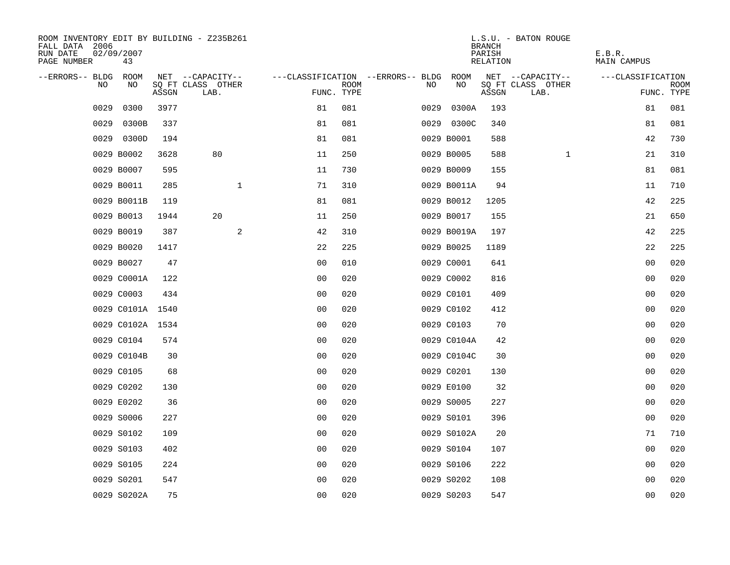| ROOM INVENTORY EDIT BY BUILDING - Z235B261<br>FALL DATA 2006<br>RUN DATE<br>PAGE NUMBER | 02/09/2007<br>43 |       |                           |              |                                        |             |      |             | <b>BRANCH</b><br>PARISH<br>RELATION | L.S.U. - BATON ROUGE      | E.B.R.<br>MAIN CAMPUS |                           |
|-----------------------------------------------------------------------------------------|------------------|-------|---------------------------|--------------|----------------------------------------|-------------|------|-------------|-------------------------------------|---------------------------|-----------------------|---------------------------|
| --ERRORS-- BLDG ROOM                                                                    |                  |       | NET --CAPACITY--          |              | ---CLASSIFICATION --ERRORS-- BLDG ROOM |             |      |             |                                     | NET --CAPACITY--          | ---CLASSIFICATION     |                           |
| NO.                                                                                     | NO               | ASSGN | SQ FT CLASS OTHER<br>LAB. |              | FUNC. TYPE                             | <b>ROOM</b> | NO.  | NO          | ASSGN                               | SQ FT CLASS OTHER<br>LAB. |                       | <b>ROOM</b><br>FUNC. TYPE |
| 0029                                                                                    | 0300             | 3977  |                           |              | 81                                     | 081         | 0029 | 0300A       | 193                                 |                           | 81                    | 081                       |
| 0029                                                                                    | 0300B            | 337   |                           |              | 81                                     | 081         |      | 0029 0300C  | 340                                 |                           | 81                    | 081                       |
|                                                                                         | 0029 0300D       | 194   |                           |              | 81                                     | 081         |      | 0029 B0001  | 588                                 |                           | 42                    | 730                       |
|                                                                                         | 0029 B0002       | 3628  | 80                        |              | 11                                     | 250         |      | 0029 B0005  | 588                                 | $\mathbf{1}$              | 21                    | 310                       |
|                                                                                         | 0029 B0007       | 595   |                           |              | 11                                     | 730         |      | 0029 B0009  | 155                                 |                           | 81                    | 081                       |
|                                                                                         | 0029 B0011       | 285   |                           | $\mathbf{1}$ | 71                                     | 310         |      | 0029 B0011A | 94                                  |                           | 11                    | 710                       |
|                                                                                         | 0029 B0011B      | 119   |                           |              | 81                                     | 081         |      | 0029 B0012  | 1205                                |                           | 42                    | 225                       |
|                                                                                         | 0029 B0013       | 1944  | 20                        |              | 11                                     | 250         |      | 0029 B0017  | 155                                 |                           | 21                    | 650                       |
|                                                                                         | 0029 B0019       | 387   |                           | 2            | 42                                     | 310         |      | 0029 B0019A | 197                                 |                           | 42                    | 225                       |
|                                                                                         | 0029 B0020       | 1417  |                           |              | 22                                     | 225         |      | 0029 B0025  | 1189                                |                           | 22                    | 225                       |
|                                                                                         | 0029 B0027       | 47    |                           |              | 0 <sub>0</sub>                         | 010         |      | 0029 C0001  | 641                                 |                           | 0 <sub>0</sub>        | 020                       |
|                                                                                         | 0029 C0001A      | 122   |                           |              | 0 <sub>0</sub>                         | 020         |      | 0029 C0002  | 816                                 |                           | 0 <sub>0</sub>        | 020                       |
|                                                                                         | 0029 C0003       | 434   |                           |              | 0 <sub>0</sub>                         | 020         |      | 0029 C0101  | 409                                 |                           | 0 <sub>0</sub>        | 020                       |
|                                                                                         | 0029 C0101A 1540 |       |                           |              | 0 <sub>0</sub>                         | 020         |      | 0029 C0102  | 412                                 |                           | 00                    | 020                       |
|                                                                                         | 0029 C0102A 1534 |       |                           |              | 0 <sub>0</sub>                         | 020         |      | 0029 C0103  | 70                                  |                           | 0 <sub>0</sub>        | 020                       |
|                                                                                         | 0029 C0104       | 574   |                           |              | 0 <sub>0</sub>                         | 020         |      | 0029 C0104A | 42                                  |                           | 0 <sub>0</sub>        | 020                       |
|                                                                                         | 0029 C0104B      | 30    |                           |              | 00                                     | 020         |      | 0029 C0104C | 30                                  |                           | 0 <sub>0</sub>        | 020                       |
|                                                                                         | 0029 C0105       | 68    |                           |              | 0 <sub>0</sub>                         | 020         |      | 0029 C0201  | 130                                 |                           | 00                    | 020                       |
|                                                                                         | 0029 C0202       | 130   |                           |              | 0 <sub>0</sub>                         | 020         |      | 0029 E0100  | 32                                  |                           | 00                    | 020                       |
|                                                                                         | 0029 E0202       | 36    |                           |              | 0 <sub>0</sub>                         | 020         |      | 0029 S0005  | 227                                 |                           | 0 <sub>0</sub>        | 020                       |
|                                                                                         | 0029 S0006       | 227   |                           |              | 0 <sub>0</sub>                         | 020         |      | 0029 S0101  | 396                                 |                           | 0 <sub>0</sub>        | 020                       |
|                                                                                         | 0029 S0102       | 109   |                           |              | 0 <sub>0</sub>                         | 020         |      | 0029 S0102A | 20                                  |                           | 71                    | 710                       |
|                                                                                         | 0029 S0103       | 402   |                           |              | 0 <sub>0</sub>                         | 020         |      | 0029 S0104  | 107                                 |                           | 00                    | 020                       |
|                                                                                         | 0029 S0105       | 224   |                           |              | 0 <sub>0</sub>                         | 020         |      | 0029 S0106  | 222                                 |                           | 00                    | 020                       |
|                                                                                         | 0029 S0201       | 547   |                           |              | 0 <sub>0</sub>                         | 020         |      | 0029 S0202  | 108                                 |                           | 00                    | 020                       |
|                                                                                         | 0029 S0202A      | 75    |                           |              | 0 <sub>0</sub>                         | 020         |      | 0029 S0203  | 547                                 |                           | 0 <sub>0</sub>        | 020                       |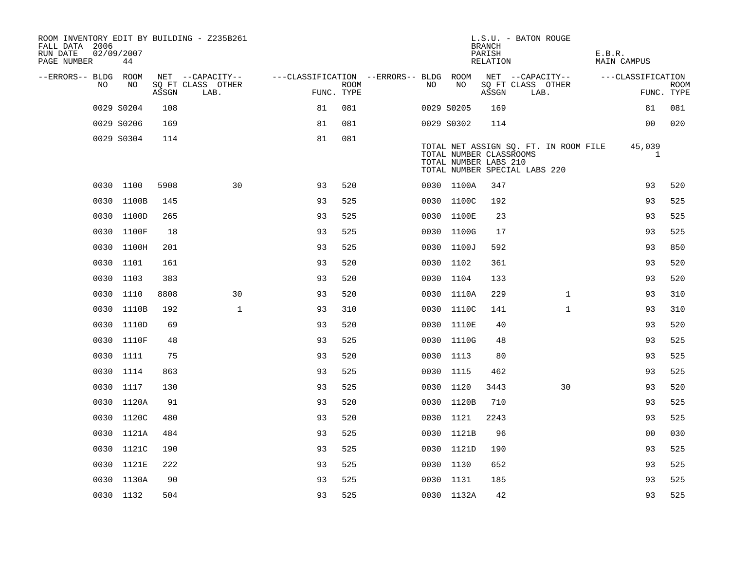| ROOM INVENTORY EDIT BY BUILDING - Z235B261<br>FALL DATA 2006<br>RUN DATE<br>PAGE NUMBER | 02/09/2007<br>44 |       |                           |                                        |      |     |            | L.S.U. - BATON ROUGE<br><b>BRANCH</b><br>PARISH<br>RELATION                       |                           |                                       | E.B.R. | MAIN CAMPUS       |                           |
|-----------------------------------------------------------------------------------------|------------------|-------|---------------------------|----------------------------------------|------|-----|------------|-----------------------------------------------------------------------------------|---------------------------|---------------------------------------|--------|-------------------|---------------------------|
| --ERRORS-- BLDG ROOM                                                                    |                  |       | NET --CAPACITY--          | ---CLASSIFICATION --ERRORS-- BLDG ROOM |      |     |            |                                                                                   |                           | NET --CAPACITY--                      |        | ---CLASSIFICATION |                           |
| NO                                                                                      | NO               | ASSGN | SQ FT CLASS OTHER<br>LAB. | FUNC. TYPE                             | ROOM | NO. | NO         | ASSGN                                                                             | SQ FT CLASS OTHER<br>LAB. |                                       |        |                   | <b>ROOM</b><br>FUNC. TYPE |
|                                                                                         | 0029 S0204       | 108   |                           | 81                                     | 081  |     | 0029 S0205 | 169                                                                               |                           |                                       |        | 81                | 081                       |
|                                                                                         | 0029 S0206       | 169   |                           | 81                                     | 081  |     | 0029 S0302 | 114                                                                               |                           |                                       |        | 0 <sub>0</sub>    | 020                       |
|                                                                                         | 0029 S0304       | 114   |                           | 81                                     | 081  |     |            | TOTAL NUMBER CLASSROOMS<br>TOTAL NUMBER LABS 210<br>TOTAL NUMBER SPECIAL LABS 220 |                           | TOTAL NET ASSIGN SQ. FT. IN ROOM FILE |        | 45,039<br>1       |                           |
|                                                                                         | 0030 1100        | 5908  | 30                        | 93                                     | 520  |     | 0030 1100A | 347                                                                               |                           |                                       |        | 93                | 520                       |
|                                                                                         | 0030 1100B       | 145   |                           | 93                                     | 525  |     | 0030 1100C | 192                                                                               |                           |                                       |        | 93                | 525                       |
|                                                                                         | 0030 1100D       | 265   |                           | 93                                     | 525  |     | 0030 1100E | 23                                                                                |                           |                                       |        | 93                | 525                       |
| 0030                                                                                    | 1100F            | 18    |                           | 93                                     | 525  |     | 0030 1100G | 17                                                                                |                           |                                       |        | 93                | 525                       |
|                                                                                         | 0030 1100H       | 201   |                           | 93                                     | 525  |     | 0030 1100J | 592                                                                               |                           |                                       |        | 93                | 850                       |
|                                                                                         | 0030 1101        | 161   |                           | 93                                     | 520  |     | 0030 1102  | 361                                                                               |                           |                                       |        | 93                | 520                       |
|                                                                                         | 0030 1103        | 383   |                           | 93                                     | 520  |     | 0030 1104  | 133                                                                               |                           |                                       |        | 93                | 520                       |
|                                                                                         | 0030 1110        | 8808  | 30                        | 93                                     | 520  |     | 0030 1110A | 229                                                                               |                           | $\mathbf{1}$                          |        | 93                | 310                       |
|                                                                                         | 0030 1110B       | 192   | $\mathbf{1}$              | 93                                     | 310  |     | 0030 1110C | 141                                                                               |                           | $\mathbf{1}$                          |        | 93                | 310                       |
|                                                                                         | 0030 1110D       | 69    |                           | 93                                     | 520  |     | 0030 1110E | 40                                                                                |                           |                                       |        | 93                | 520                       |
|                                                                                         | 0030 1110F       | 48    |                           | 93                                     | 525  |     | 0030 1110G | 48                                                                                |                           |                                       |        | 93                | 525                       |
|                                                                                         | 0030 1111        | 75    |                           | 93                                     | 520  |     | 0030 1113  | 80                                                                                |                           |                                       |        | 93                | 525                       |
|                                                                                         | 0030 1114        | 863   |                           | 93                                     | 525  |     | 0030 1115  | 462                                                                               |                           |                                       |        | 93                | 525                       |
|                                                                                         | 0030 1117        | 130   |                           | 93                                     | 525  |     | 0030 1120  | 3443                                                                              |                           | 30                                    |        | 93                | 520                       |
|                                                                                         | 0030 1120A       | 91    |                           | 93                                     | 520  |     | 0030 1120B | 710                                                                               |                           |                                       |        | 93                | 525                       |
|                                                                                         | 0030 1120C       | 480   |                           | 93                                     | 520  |     | 0030 1121  | 2243                                                                              |                           |                                       |        | 93                | 525                       |
|                                                                                         | 0030 1121A       | 484   |                           | 93                                     | 525  |     | 0030 1121B | 96                                                                                |                           |                                       |        | 00                | 030                       |
|                                                                                         | 0030 1121C       | 190   |                           | 93                                     | 525  |     | 0030 1121D | 190                                                                               |                           |                                       |        | 93                | 525                       |
|                                                                                         | 0030 1121E       | 222   |                           | 93                                     | 525  |     | 0030 1130  | 652                                                                               |                           |                                       |        | 93                | 525                       |
|                                                                                         | 0030 1130A       | 90    |                           | 93                                     | 525  |     | 0030 1131  | 185                                                                               |                           |                                       |        | 93                | 525                       |
|                                                                                         | 0030 1132        | 504   |                           | 93                                     | 525  |     | 0030 1132A | 42                                                                                |                           |                                       |        | 93                | 525                       |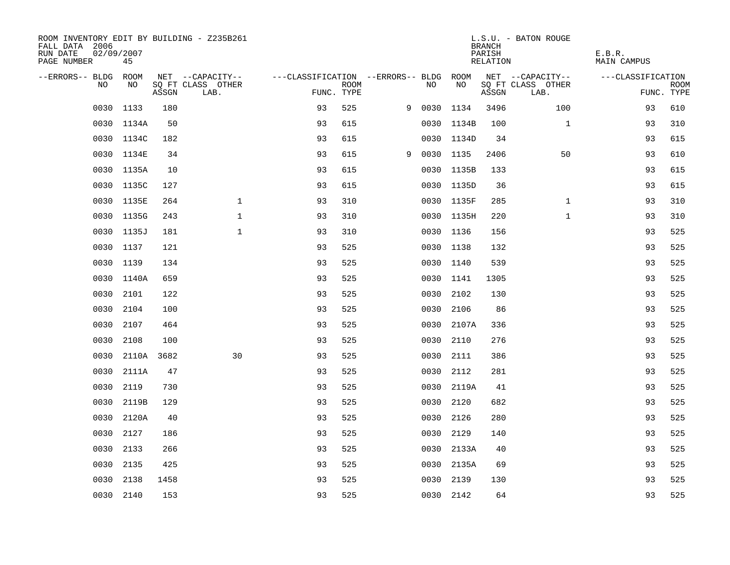| ROOM INVENTORY EDIT BY BUILDING - Z235B261<br>FALL DATA 2006<br>RUN DATE<br>PAGE NUMBER | 02/09/2007<br>45 |       |                                       |                                        |             |   |           |            | <b>BRANCH</b><br>PARISH<br>RELATION | L.S.U. - BATON ROUGE                  | E.B.R.<br><b>MAIN CAMPUS</b> |             |
|-----------------------------------------------------------------------------------------|------------------|-------|---------------------------------------|----------------------------------------|-------------|---|-----------|------------|-------------------------------------|---------------------------------------|------------------------------|-------------|
| --ERRORS-- BLDG ROOM<br>NO.                                                             | NO               |       | NET --CAPACITY--<br>SQ FT CLASS OTHER | ---CLASSIFICATION --ERRORS-- BLDG ROOM | <b>ROOM</b> |   | NO        | NO         |                                     | NET --CAPACITY--<br>SQ FT CLASS OTHER | ---CLASSIFICATION            | <b>ROOM</b> |
|                                                                                         |                  | ASSGN | LAB.                                  | FUNC. TYPE                             |             |   |           |            | ASSGN                               | LAB.                                  |                              | FUNC. TYPE  |
| 0030                                                                                    | 1133             | 180   |                                       | 93                                     | 525         | 9 | 0030      | 1134       | 3496                                | 100                                   | 93                           | 610         |
|                                                                                         | 0030 1134A       | 50    |                                       | 93                                     | 615         |   |           | 0030 1134B | 100                                 | $\mathbf{1}$                          | 93                           | 310         |
|                                                                                         | 0030 1134C       | 182   |                                       | 93                                     | 615         |   |           | 0030 1134D | 34                                  |                                       | 93                           | 615         |
|                                                                                         | 0030 1134E       | 34    |                                       | 93                                     | 615         | 9 | 0030 1135 |            | 2406                                | 50                                    | 93                           | 610         |
| 0030                                                                                    | 1135A            | 10    |                                       | 93                                     | 615         |   |           | 0030 1135B | 133                                 |                                       | 93                           | 615         |
|                                                                                         | 0030 1135C       | 127   |                                       | 93                                     | 615         |   |           | 0030 1135D | 36                                  |                                       | 93                           | 615         |
| 0030                                                                                    | 1135E            | 264   | $\mathbf{1}$                          | 93                                     | 310         |   |           | 0030 1135F | 285                                 | $\mathbf{1}$                          | 93                           | 310         |
|                                                                                         | 0030 1135G       | 243   | $\mathbf{1}$                          | 93                                     | 310         |   |           | 0030 1135H | 220                                 | $\mathbf{1}$                          | 93                           | 310         |
| 0030                                                                                    | 1135J            | 181   | $\mathbf{1}$                          | 93                                     | 310         |   |           | 0030 1136  | 156                                 |                                       | 93                           | 525         |
|                                                                                         | 0030 1137        | 121   |                                       | 93                                     | 525         |   |           | 0030 1138  | 132                                 |                                       | 93                           | 525         |
|                                                                                         | 0030 1139        | 134   |                                       | 93                                     | 525         |   |           | 0030 1140  | 539                                 |                                       | 93                           | 525         |
|                                                                                         | 0030 1140A       | 659   |                                       | 93                                     | 525         |   |           | 0030 1141  | 1305                                |                                       | 93                           | 525         |
| 0030                                                                                    | 2101             | 122   |                                       | 93                                     | 525         |   | 0030      | 2102       | 130                                 |                                       | 93                           | 525         |
| 0030                                                                                    | 2104             | 100   |                                       | 93                                     | 525         |   | 0030      | 2106       | 86                                  |                                       | 93                           | 525         |
| 0030                                                                                    | 2107             | 464   |                                       | 93                                     | 525         |   |           | 0030 2107A | 336                                 |                                       | 93                           | 525         |
| 0030                                                                                    | 2108             | 100   |                                       | 93                                     | 525         |   | 0030      | 2110       | 276                                 |                                       | 93                           | 525         |
| 0030                                                                                    | 2110A 3682       |       | 30                                    | 93                                     | 525         |   |           | 0030 2111  | 386                                 |                                       | 93                           | 525         |
| 0030                                                                                    | 2111A            | 47    |                                       | 93                                     | 525         |   |           | 0030 2112  | 281                                 |                                       | 93                           | 525         |
| 0030                                                                                    | 2119             | 730   |                                       | 93                                     | 525         |   |           | 0030 2119A | 41                                  |                                       | 93                           | 525         |
| 0030                                                                                    | 2119B            | 129   |                                       | 93                                     | 525         |   | 0030      | 2120       | 682                                 |                                       | 93                           | 525         |
| 0030                                                                                    | 2120A            | 40    |                                       | 93                                     | 525         |   |           | 0030 2126  | 280                                 |                                       | 93                           | 525         |
| 0030                                                                                    | 2127             | 186   |                                       | 93                                     | 525         |   | 0030      | 2129       | 140                                 |                                       | 93                           | 525         |
|                                                                                         | 0030 2133        | 266   |                                       | 93                                     | 525         |   |           | 0030 2133A | 40                                  |                                       | 93                           | 525         |
| 0030                                                                                    | 2135             | 425   |                                       | 93                                     | 525         |   |           | 0030 2135A | 69                                  |                                       | 93                           | 525         |
| 0030                                                                                    | 2138             | 1458  |                                       | 93                                     | 525         |   |           | 0030 2139  | 130                                 |                                       | 93                           | 525         |
|                                                                                         | 0030 2140        | 153   |                                       | 93                                     | 525         |   |           | 0030 2142  | 64                                  |                                       | 93                           | 525         |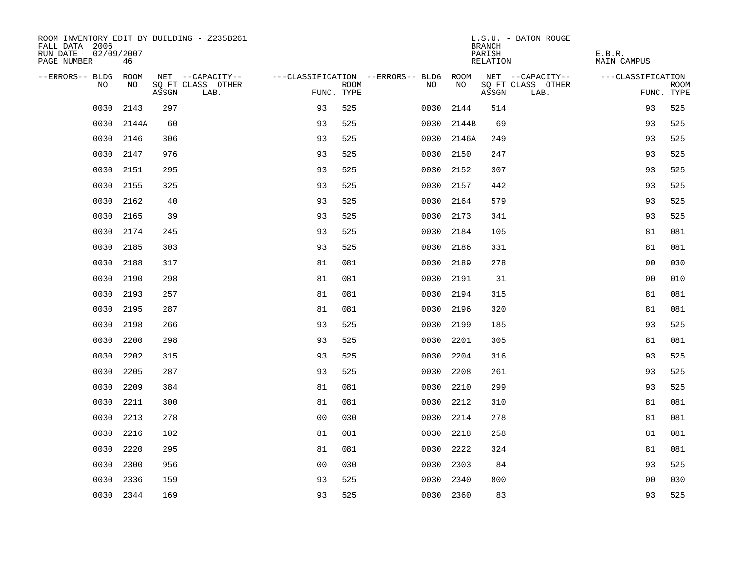| ROOM INVENTORY EDIT BY BUILDING - Z235B261<br>FALL DATA 2006<br>RUN DATE<br>02/09/2007<br>PAGE NUMBER | 46        |       |                           |                                        |      |      |            | <b>BRANCH</b><br>PARISH<br>RELATION | L.S.U. - BATON ROUGE      | E.B.R.<br>MAIN CAMPUS |                           |
|-------------------------------------------------------------------------------------------------------|-----------|-------|---------------------------|----------------------------------------|------|------|------------|-------------------------------------|---------------------------|-----------------------|---------------------------|
| --ERRORS-- BLDG ROOM                                                                                  |           |       | NET --CAPACITY--          | ---CLASSIFICATION --ERRORS-- BLDG ROOM |      |      |            |                                     | NET --CAPACITY--          | ---CLASSIFICATION     |                           |
| NO                                                                                                    | NO        | ASSGN | SQ FT CLASS OTHER<br>LAB. | FUNC. TYPE                             | ROOM | NO   | NO         | ASSGN                               | SQ FT CLASS OTHER<br>LAB. |                       | <b>ROOM</b><br>FUNC. TYPE |
| 0030                                                                                                  | 2143      | 297   |                           | 93                                     | 525  | 0030 | 2144       | 514                                 |                           | 93                    | 525                       |
| 0030                                                                                                  | 2144A     | 60    |                           | 93                                     | 525  |      | 0030 2144B | 69                                  |                           | 93                    | 525                       |
| 0030                                                                                                  | 2146      | 306   |                           | 93                                     | 525  |      | 0030 2146A | 249                                 |                           | 93                    | 525                       |
| 0030                                                                                                  | 2147      | 976   |                           | 93                                     | 525  |      | 0030 2150  | 247                                 |                           | 93                    | 525                       |
| 0030                                                                                                  | 2151      | 295   |                           | 93                                     | 525  | 0030 | 2152       | 307                                 |                           | 93                    | 525                       |
| 0030                                                                                                  | 2155      | 325   |                           | 93                                     | 525  |      | 0030 2157  | 442                                 |                           | 93                    | 525                       |
| 0030                                                                                                  | 2162      | 40    |                           | 93                                     | 525  |      | 0030 2164  | 579                                 |                           | 93                    | 525                       |
| 0030                                                                                                  | 2165      | 39    |                           | 93                                     | 525  |      | 0030 2173  | 341                                 |                           | 93                    | 525                       |
| 0030                                                                                                  | 2174      | 245   |                           | 93                                     | 525  | 0030 | 2184       | 105                                 |                           | 81                    | 081                       |
|                                                                                                       | 0030 2185 | 303   |                           | 93                                     | 525  |      | 0030 2186  | 331                                 |                           | 81                    | 081                       |
| 0030                                                                                                  | 2188      | 317   |                           | 81                                     | 081  |      | 0030 2189  | 278                                 |                           | 0 <sub>0</sub>        | 030                       |
|                                                                                                       | 0030 2190 | 298   |                           | 81                                     | 081  |      | 0030 2191  | 31                                  |                           | 0 <sub>0</sub>        | 010                       |
| 0030                                                                                                  | 2193      | 257   |                           | 81                                     | 081  |      | 0030 2194  | 315                                 |                           | 81                    | 081                       |
| 0030                                                                                                  | 2195      | 287   |                           | 81                                     | 081  |      | 0030 2196  | 320                                 |                           | 81                    | 081                       |
| 0030                                                                                                  | 2198      | 266   |                           | 93                                     | 525  |      | 0030 2199  | 185                                 |                           | 93                    | 525                       |
| 0030                                                                                                  | 2200      | 298   |                           | 93                                     | 525  |      | 0030 2201  | 305                                 |                           | 81                    | 081                       |
| 0030                                                                                                  | 2202      | 315   |                           | 93                                     | 525  |      | 0030 2204  | 316                                 |                           | 93                    | 525                       |
| 0030                                                                                                  | 2205      | 287   |                           | 93                                     | 525  | 0030 | 2208       | 261                                 |                           | 93                    | 525                       |
| 0030                                                                                                  | 2209      | 384   |                           | 81                                     | 081  |      | 0030 2210  | 299                                 |                           | 93                    | 525                       |
| 0030                                                                                                  | 2211      | 300   |                           | 81                                     | 081  |      | 0030 2212  | 310                                 |                           | 81                    | 081                       |
|                                                                                                       | 0030 2213 | 278   |                           | 0 <sub>0</sub>                         | 030  |      | 0030 2214  | 278                                 |                           | 81                    | 081                       |
| 0030                                                                                                  | 2216      | 102   |                           | 81                                     | 081  | 0030 | 2218       | 258                                 |                           | 81                    | 081                       |
| 0030                                                                                                  | 2220      | 295   |                           | 81                                     | 081  |      | 0030 2222  | 324                                 |                           | 81                    | 081                       |
| 0030                                                                                                  | 2300      | 956   |                           | 0 <sub>0</sub>                         | 030  | 0030 | 2303       | 84                                  |                           | 93                    | 525                       |
|                                                                                                       | 0030 2336 | 159   |                           | 93                                     | 525  |      | 0030 2340  | 800                                 |                           | 0 <sub>0</sub>        | 030                       |
|                                                                                                       | 0030 2344 | 169   |                           | 93                                     | 525  |      | 0030 2360  | 83                                  |                           | 93                    | 525                       |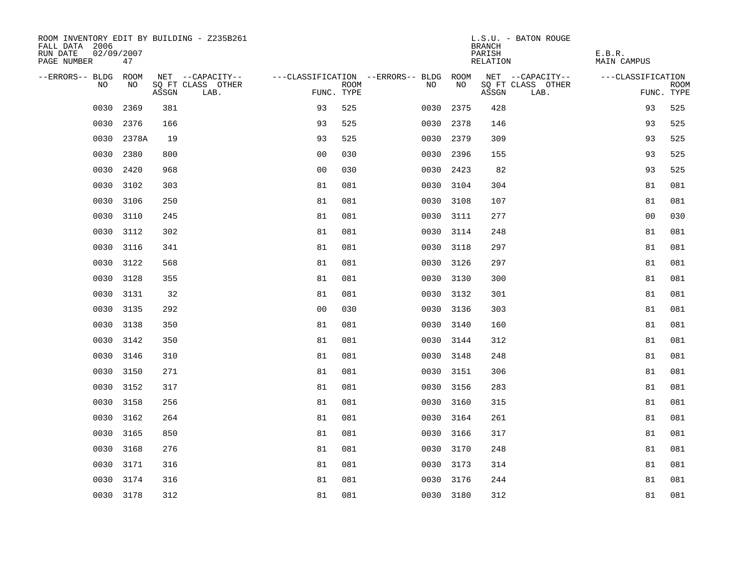| ROOM INVENTORY EDIT BY BUILDING - Z235B261<br>FALL DATA 2006<br>RUN DATE<br>02/09/2007<br>PAGE NUMBER | 47        |       |                           |                                        |      |      |           | <b>BRANCH</b><br>PARISH<br>RELATION | L.S.U. - BATON ROUGE      | E.B.R.<br>MAIN CAMPUS |                           |
|-------------------------------------------------------------------------------------------------------|-----------|-------|---------------------------|----------------------------------------|------|------|-----------|-------------------------------------|---------------------------|-----------------------|---------------------------|
| --ERRORS-- BLDG ROOM                                                                                  |           |       | NET --CAPACITY--          | ---CLASSIFICATION --ERRORS-- BLDG ROOM |      |      |           |                                     | NET --CAPACITY--          | ---CLASSIFICATION     |                           |
| NO.                                                                                                   | NO.       | ASSGN | SQ FT CLASS OTHER<br>LAB. | FUNC. TYPE                             | ROOM | NO   | NO        | ASSGN                               | SQ FT CLASS OTHER<br>LAB. |                       | <b>ROOM</b><br>FUNC. TYPE |
| 0030                                                                                                  | 2369      | 381   |                           | 93                                     | 525  | 0030 | 2375      | 428                                 |                           | 93                    | 525                       |
| 0030                                                                                                  | 2376      | 166   |                           | 93                                     | 525  | 0030 | 2378      | 146                                 |                           | 93                    | 525                       |
| 0030                                                                                                  | 2378A     | 19    |                           | 93                                     | 525  | 0030 | 2379      | 309                                 |                           | 93                    | 525                       |
|                                                                                                       | 0030 2380 | 800   |                           | 0 <sub>0</sub>                         | 030  |      | 0030 2396 | 155                                 |                           | 93                    | 525                       |
| 0030                                                                                                  | 2420      | 968   |                           | 0 <sub>0</sub>                         | 030  |      | 0030 2423 | 82                                  |                           | 93                    | 525                       |
| 0030                                                                                                  | 3102      | 303   |                           | 81                                     | 081  |      | 0030 3104 | 304                                 |                           | 81                    | 081                       |
| 0030                                                                                                  | 3106      | 250   |                           | 81                                     | 081  |      | 0030 3108 | 107                                 |                           | 81                    | 081                       |
| 0030                                                                                                  | 3110      | 245   |                           | 81                                     | 081  |      | 0030 3111 | 277                                 |                           | 0 <sub>0</sub>        | 030                       |
| 0030                                                                                                  | 3112      | 302   |                           | 81                                     | 081  |      | 0030 3114 | 248                                 |                           | 81                    | 081                       |
|                                                                                                       | 0030 3116 | 341   |                           | 81                                     | 081  |      | 0030 3118 | 297                                 |                           | 81                    | 081                       |
|                                                                                                       | 0030 3122 | 568   |                           | 81                                     | 081  |      | 0030 3126 | 297                                 |                           | 81                    | 081                       |
|                                                                                                       | 0030 3128 | 355   |                           | 81                                     | 081  |      | 0030 3130 | 300                                 |                           | 81                    | 081                       |
| 0030                                                                                                  | 3131      | 32    |                           | 81                                     | 081  |      | 0030 3132 | 301                                 |                           | 81                    | 081                       |
| 0030                                                                                                  | 3135      | 292   |                           | 0 <sub>0</sub>                         | 030  |      | 0030 3136 | 303                                 |                           | 81                    | 081                       |
| 0030                                                                                                  | 3138      | 350   |                           | 81                                     | 081  |      | 0030 3140 | 160                                 |                           | 81                    | 081                       |
| 0030                                                                                                  | 3142      | 350   |                           | 81                                     | 081  |      | 0030 3144 | 312                                 |                           | 81                    | 081                       |
| 0030                                                                                                  | 3146      | 310   |                           | 81                                     | 081  |      | 0030 3148 | 248                                 |                           | 81                    | 081                       |
| 0030                                                                                                  | 3150      | 271   |                           | 81                                     | 081  |      | 0030 3151 | 306                                 |                           | 81                    | 081                       |
|                                                                                                       | 0030 3152 | 317   |                           | 81                                     | 081  |      | 0030 3156 | 283                                 |                           | 81                    | 081                       |
| 0030                                                                                                  | 3158      | 256   |                           | 81                                     | 081  |      | 0030 3160 | 315                                 |                           | 81                    | 081                       |
|                                                                                                       | 0030 3162 | 264   |                           | 81                                     | 081  |      | 0030 3164 | 261                                 |                           | 81                    | 081                       |
| 0030                                                                                                  | 3165      | 850   |                           | 81                                     | 081  |      | 0030 3166 | 317                                 |                           | 81                    | 081                       |
|                                                                                                       | 0030 3168 | 276   |                           | 81                                     | 081  |      | 0030 3170 | 248                                 |                           | 81                    | 081                       |
| 0030                                                                                                  | 3171      | 316   |                           | 81                                     | 081  |      | 0030 3173 | 314                                 |                           | 81                    | 081                       |
|                                                                                                       | 0030 3174 | 316   |                           | 81                                     | 081  |      | 0030 3176 | 244                                 |                           | 81                    | 081                       |
|                                                                                                       | 0030 3178 | 312   |                           | 81                                     | 081  |      | 0030 3180 | 312                                 |                           | 81                    | 081                       |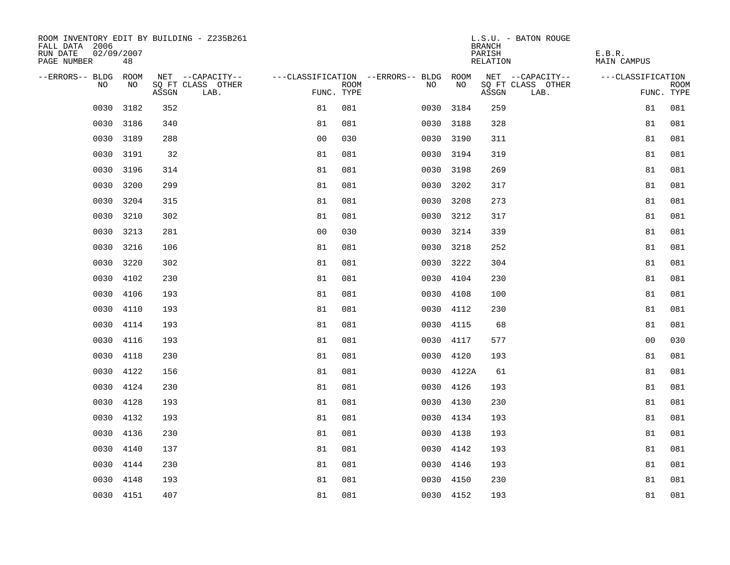| ROOM INVENTORY EDIT BY BUILDING - Z235B261<br>FALL DATA 2006<br>RUN DATE<br>02/09/2007<br>PAGE NUMBER | 48        |       |                           |                                        |      |           |            | <b>BRANCH</b><br>PARISH<br>RELATION | L.S.U. - BATON ROUGE      | E.B.R.<br><b>MAIN CAMPUS</b> |                           |
|-------------------------------------------------------------------------------------------------------|-----------|-------|---------------------------|----------------------------------------|------|-----------|------------|-------------------------------------|---------------------------|------------------------------|---------------------------|
| --ERRORS-- BLDG ROOM                                                                                  |           |       | NET --CAPACITY--          | ---CLASSIFICATION --ERRORS-- BLDG ROOM |      |           |            |                                     | NET --CAPACITY--          | ---CLASSIFICATION            |                           |
| NO.                                                                                                   | NO.       | ASSGN | SO FT CLASS OTHER<br>LAB. | FUNC. TYPE                             | ROOM | NO.       | <b>NO</b>  | ASSGN                               | SQ FT CLASS OTHER<br>LAB. |                              | <b>ROOM</b><br>FUNC. TYPE |
| 0030                                                                                                  | 3182      | 352   |                           | 81                                     | 081  | 0030      | 3184       | 259                                 |                           | 81                           | 081                       |
| 0030                                                                                                  | 3186      | 340   |                           | 81                                     | 081  | 0030 3188 |            | 328                                 |                           | 81                           | 081                       |
| 0030                                                                                                  | 3189      | 288   |                           | 0 <sub>0</sub>                         | 030  | 0030 3190 |            | 311                                 |                           | 81                           | 081                       |
| 0030                                                                                                  | 3191      | 32    |                           | 81                                     | 081  | 0030 3194 |            | 319                                 |                           | 81                           | 081                       |
| 0030                                                                                                  | 3196      | 314   |                           | 81                                     | 081  | 0030 3198 |            | 269                                 |                           | 81                           | 081                       |
| 0030                                                                                                  | 3200      | 299   |                           | 81                                     | 081  | 0030 3202 |            | 317                                 |                           | 81                           | 081                       |
| 0030                                                                                                  | 3204      | 315   |                           | 81                                     | 081  | 0030      | 3208       | 273                                 |                           | 81                           | 081                       |
| 0030                                                                                                  | 3210      | 302   |                           | 81                                     | 081  | 0030 3212 |            | 317                                 |                           | 81                           | 081                       |
| 0030                                                                                                  | 3213      | 281   |                           | 0 <sub>0</sub>                         | 030  | 0030 3214 |            | 339                                 |                           | 81                           | 081                       |
| 0030                                                                                                  | 3216      | 106   |                           | 81                                     | 081  | 0030 3218 |            | 252                                 |                           | 81                           | 081                       |
| 0030                                                                                                  | 3220      | 302   |                           | 81                                     | 081  | 0030 3222 |            | 304                                 |                           | 81                           | 081                       |
| 0030                                                                                                  | 4102      | 230   |                           | 81                                     | 081  | 0030 4104 |            | 230                                 |                           | 81                           | 081                       |
| 0030                                                                                                  | 4106      | 193   |                           | 81                                     | 081  | 0030      | 4108       | 100                                 |                           | 81                           | 081                       |
| 0030                                                                                                  | 4110      | 193   |                           | 81                                     | 081  | 0030      | 4112       | 230                                 |                           | 81                           | 081                       |
| 0030                                                                                                  | 4114      | 193   |                           | 81                                     | 081  | 0030      | 4115       | 68                                  |                           | 81                           | 081                       |
| 0030                                                                                                  | 4116      | 193   |                           | 81                                     | 081  | 0030      | 4117       | 577                                 |                           | 0 <sub>0</sub>               | 030                       |
| 0030                                                                                                  | 4118      | 230   |                           | 81                                     | 081  | 0030      | 4120       | 193                                 |                           | 81                           | 081                       |
| 0030                                                                                                  | 4122      | 156   |                           | 81                                     | 081  |           | 0030 4122A | 61                                  |                           | 81                           | 081                       |
| 0030                                                                                                  | 4124      | 230   |                           | 81                                     | 081  | 0030 4126 |            | 193                                 |                           | 81                           | 081                       |
| 0030                                                                                                  | 4128      | 193   |                           | 81                                     | 081  | 0030 4130 |            | 230                                 |                           | 81                           | 081                       |
| 0030                                                                                                  | 4132      | 193   |                           | 81                                     | 081  | 0030 4134 |            | 193                                 |                           | 81                           | 081                       |
| 0030                                                                                                  | 4136      | 230   |                           | 81                                     | 081  | 0030 4138 |            | 193                                 |                           | 81                           | 081                       |
| 0030                                                                                                  | 4140      | 137   |                           | 81                                     | 081  | 0030 4142 |            | 193                                 |                           | 81                           | 081                       |
| 0030                                                                                                  | 4144      | 230   |                           | 81                                     | 081  | 0030 4146 |            | 193                                 |                           | 81                           | 081                       |
| 0030                                                                                                  | 4148      | 193   |                           | 81                                     | 081  | 0030 4150 |            | 230                                 |                           | 81                           | 081                       |
|                                                                                                       | 0030 4151 | 407   |                           | 81                                     | 081  | 0030 4152 |            | 193                                 |                           | 81                           | 081                       |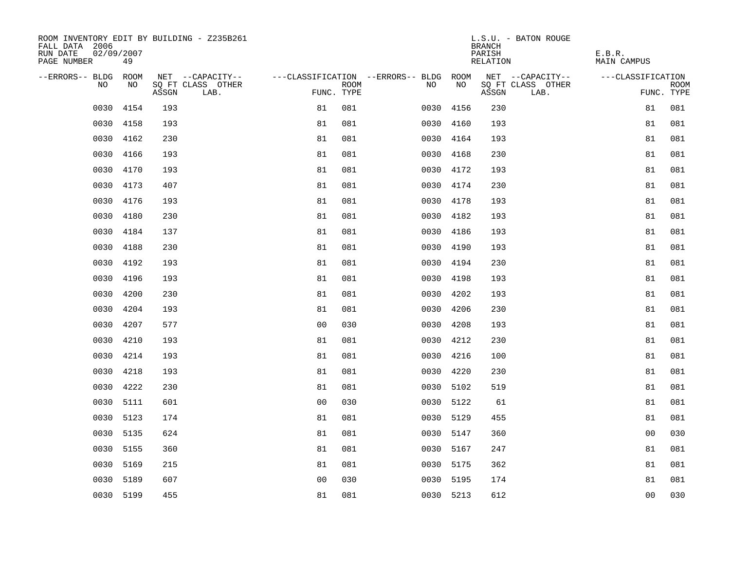| ROOM INVENTORY EDIT BY BUILDING - Z235B261<br>FALL DATA 2006<br>RUN DATE<br>02/09/2007<br>PAGE NUMBER | 49        |       |                           |                                        |      |      |           | <b>BRANCH</b><br>PARISH<br>RELATION | L.S.U. - BATON ROUGE      | E.B.R.<br><b>MAIN CAMPUS</b> |                           |
|-------------------------------------------------------------------------------------------------------|-----------|-------|---------------------------|----------------------------------------|------|------|-----------|-------------------------------------|---------------------------|------------------------------|---------------------------|
| --ERRORS-- BLDG ROOM                                                                                  |           |       | NET --CAPACITY--          | ---CLASSIFICATION --ERRORS-- BLDG ROOM |      |      |           |                                     | NET --CAPACITY--          | ---CLASSIFICATION            |                           |
| NO.                                                                                                   | NO.       | ASSGN | SO FT CLASS OTHER<br>LAB. | FUNC. TYPE                             | ROOM | NO.  | <b>NO</b> | ASSGN                               | SQ FT CLASS OTHER<br>LAB. |                              | <b>ROOM</b><br>FUNC. TYPE |
| 0030                                                                                                  | 4154      | 193   |                           | 81                                     | 081  | 0030 | 4156      | 230                                 |                           | 81                           | 081                       |
| 0030                                                                                                  | 4158      | 193   |                           | 81                                     | 081  |      | 0030 4160 | 193                                 |                           | 81                           | 081                       |
| 0030                                                                                                  | 4162      | 230   |                           | 81                                     | 081  | 0030 | 4164      | 193                                 |                           | 81                           | 081                       |
| 0030                                                                                                  | 4166      | 193   |                           | 81                                     | 081  |      | 0030 4168 | 230                                 |                           | 81                           | 081                       |
| 0030                                                                                                  | 4170      | 193   |                           | 81                                     | 081  |      | 0030 4172 | 193                                 |                           | 81                           | 081                       |
| 0030                                                                                                  | 4173      | 407   |                           | 81                                     | 081  |      | 0030 4174 | 230                                 |                           | 81                           | 081                       |
| 0030                                                                                                  | 4176      | 193   |                           | 81                                     | 081  |      | 0030 4178 | 193                                 |                           | 81                           | 081                       |
|                                                                                                       | 0030 4180 | 230   |                           | 81                                     | 081  |      | 0030 4182 | 193                                 |                           | 81                           | 081                       |
| 0030                                                                                                  | 4184      | 137   |                           | 81                                     | 081  |      | 0030 4186 | 193                                 |                           | 81                           | 081                       |
| 0030                                                                                                  | 4188      | 230   |                           | 81                                     | 081  |      | 0030 4190 | 193                                 |                           | 81                           | 081                       |
| 0030                                                                                                  | 4192      | 193   |                           | 81                                     | 081  |      | 0030 4194 | 230                                 |                           | 81                           | 081                       |
| 0030                                                                                                  | 4196      | 193   |                           | 81                                     | 081  |      | 0030 4198 | 193                                 |                           | 81                           | 081                       |
| 0030                                                                                                  | 4200      | 230   |                           | 81                                     | 081  | 0030 | 4202      | 193                                 |                           | 81                           | 081                       |
| 0030                                                                                                  | 4204      | 193   |                           | 81                                     | 081  | 0030 | 4206      | 230                                 |                           | 81                           | 081                       |
| 0030                                                                                                  | 4207      | 577   |                           | 0 <sub>0</sub>                         | 030  | 0030 | 4208      | 193                                 |                           | 81                           | 081                       |
| 0030                                                                                                  | 4210      | 193   |                           | 81                                     | 081  | 0030 | 4212      | 230                                 |                           | 81                           | 081                       |
| 0030                                                                                                  | 4214      | 193   |                           | 81                                     | 081  | 0030 | 4216      | 100                                 |                           | 81                           | 081                       |
| 0030                                                                                                  | 4218      | 193   |                           | 81                                     | 081  | 0030 | 4220      | 230                                 |                           | 81                           | 081                       |
| 0030                                                                                                  | 4222      | 230   |                           | 81                                     | 081  |      | 0030 5102 | 519                                 |                           | 81                           | 081                       |
| 0030                                                                                                  | 5111      | 601   |                           | 0 <sub>0</sub>                         | 030  |      | 0030 5122 | 61                                  |                           | 81                           | 081                       |
| 0030                                                                                                  | 5123      | 174   |                           | 81                                     | 081  |      | 0030 5129 | 455                                 |                           | 81                           | 081                       |
| 0030                                                                                                  | 5135      | 624   |                           | 81                                     | 081  |      | 0030 5147 | 360                                 |                           | 00                           | 030                       |
|                                                                                                       | 0030 5155 | 360   |                           | 81                                     | 081  |      | 0030 5167 | 247                                 |                           | 81                           | 081                       |
| 0030                                                                                                  | 5169      | 215   |                           | 81                                     | 081  |      | 0030 5175 | 362                                 |                           | 81                           | 081                       |
| 0030                                                                                                  | 5189      | 607   |                           | 0 <sub>0</sub>                         | 030  |      | 0030 5195 | 174                                 |                           | 81                           | 081                       |
|                                                                                                       | 0030 5199 | 455   |                           | 81                                     | 081  |      | 0030 5213 | 612                                 |                           | 0 <sub>0</sub>               | 030                       |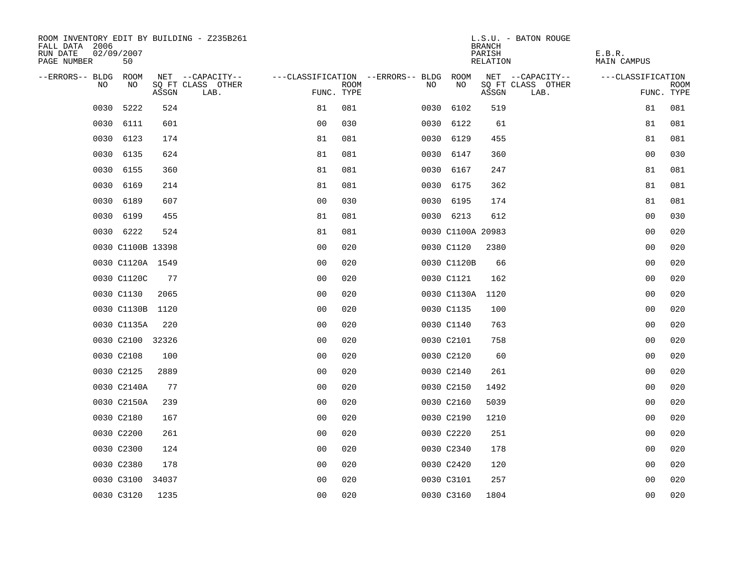| ROOM INVENTORY EDIT BY BUILDING - Z235B261<br>FALL DATA 2006<br>RUN DATE<br>02/09/2007<br>PAGE NUMBER<br>50 |       |                           |                                        |             |      |                   | <b>BRANCH</b><br>PARISH<br><b>RELATION</b> | L.S.U. - BATON ROUGE      | E.B.R.<br><b>MAIN CAMPUS</b> |                           |
|-------------------------------------------------------------------------------------------------------------|-------|---------------------------|----------------------------------------|-------------|------|-------------------|--------------------------------------------|---------------------------|------------------------------|---------------------------|
| --ERRORS-- BLDG<br>ROOM                                                                                     |       | NET --CAPACITY--          | ---CLASSIFICATION --ERRORS-- BLDG ROOM |             |      |                   |                                            | NET --CAPACITY--          | ---CLASSIFICATION            |                           |
| NO<br>NO.                                                                                                   | ASSGN | SQ FT CLASS OTHER<br>LAB. | FUNC. TYPE                             | <b>ROOM</b> | NO   | NO                | ASSGN                                      | SQ FT CLASS OTHER<br>LAB. |                              | <b>ROOM</b><br>FUNC. TYPE |
| 0030<br>5222                                                                                                | 524   |                           | 81                                     | 081         | 0030 | 6102              | 519                                        |                           | 81                           | 081                       |
| 0030<br>6111                                                                                                | 601   |                           | 0 <sub>0</sub>                         | 030         |      | 0030 6122         | 61                                         |                           | 81                           | 081                       |
| 0030<br>6123                                                                                                | 174   |                           | 81                                     | 081         |      | 0030 6129         | 455                                        |                           | 81                           | 081                       |
| 0030<br>6135                                                                                                | 624   |                           | 81                                     | 081         |      | 0030 6147         | 360                                        |                           | 00                           | 030                       |
| 0030<br>6155                                                                                                | 360   |                           | 81                                     | 081         |      | 0030 6167         | 247                                        |                           | 81                           | 081                       |
| 6169<br>0030                                                                                                | 214   |                           | 81                                     | 081         |      | 0030 6175         | 362                                        |                           | 81                           | 081                       |
| 0030<br>6189                                                                                                | 607   |                           | 0 <sub>0</sub>                         | 030         |      | 0030 6195         | 174                                        |                           | 81                           | 081                       |
| 0030 6199                                                                                                   | 455   |                           | 81                                     | 081         |      | 0030 6213         | 612                                        |                           | 0 <sub>0</sub>               | 030                       |
| 0030 6222                                                                                                   | 524   |                           | 81                                     | 081         |      | 0030 C1100A 20983 |                                            |                           | 00                           | 020                       |
| 0030 C1100B 13398                                                                                           |       |                           | 0 <sub>0</sub>                         | 020         |      | 0030 C1120        | 2380                                       |                           | 00                           | 020                       |
| 0030 C1120A 1549                                                                                            |       |                           | 0 <sub>0</sub>                         | 020         |      | 0030 C1120B       | 66                                         |                           | 0 <sub>0</sub>               | 020                       |
| 0030 C1120C                                                                                                 | 77    |                           | 0 <sub>0</sub>                         | 020         |      | 0030 C1121        | 162                                        |                           | 0 <sub>0</sub>               | 020                       |
| 0030 C1130                                                                                                  | 2065  |                           | 00                                     | 020         |      | 0030 C1130A       | 1120                                       |                           | 0 <sub>0</sub>               | 020                       |
| 0030 C1130B                                                                                                 | 1120  |                           | 0 <sub>0</sub>                         | 020         |      | 0030 C1135        | 100                                        |                           | 00                           | 020                       |
| 0030 C1135A                                                                                                 | 220   |                           | 0 <sup>0</sup>                         | 020         |      | 0030 C1140        | 763                                        |                           | 00                           | 020                       |
| 0030 C2100 32326                                                                                            |       |                           | 0 <sub>0</sub>                         | 020         |      | 0030 C2101        | 758                                        |                           | 0 <sub>0</sub>               | 020                       |
| 0030 C2108                                                                                                  | 100   |                           | 0 <sub>0</sub>                         | 020         |      | 0030 C2120        | 60                                         |                           | 0 <sub>0</sub>               | 020                       |
| 0030 C2125                                                                                                  | 2889  |                           | 0 <sub>0</sub>                         | 020         |      | 0030 C2140        | 261                                        |                           | 00                           | 020                       |
| 0030 C2140A                                                                                                 | 77    |                           | 0 <sub>0</sub>                         | 020         |      | 0030 C2150        | 1492                                       |                           | 00                           | 020                       |
| 0030 C2150A                                                                                                 | 239   |                           | 0 <sub>0</sub>                         | 020         |      | 0030 C2160        | 5039                                       |                           | 00                           | 020                       |
| 0030 C2180                                                                                                  | 167   |                           | 0 <sub>0</sub>                         | 020         |      | 0030 C2190        | 1210                                       |                           | 00                           | 020                       |
| 0030 C2200                                                                                                  | 261   |                           | 00                                     | 020         |      | 0030 C2220        | 251                                        |                           | 0 <sub>0</sub>               | 020                       |
| 0030 C2300                                                                                                  | 124   |                           | 0 <sub>0</sub>                         | 020         |      | 0030 C2340        | 178                                        |                           | 00                           | 020                       |
| 0030 C2380                                                                                                  | 178   |                           | 0 <sub>0</sub>                         | 020         |      | 0030 C2420        | 120                                        |                           | 00                           | 020                       |
| 0030 C3100                                                                                                  | 34037 |                           | 0 <sub>0</sub>                         | 020         |      | 0030 C3101        | 257                                        |                           | 0 <sub>0</sub>               | 020                       |
| 0030 C3120                                                                                                  | 1235  |                           | 0 <sub>0</sub>                         | 020         |      | 0030 C3160        | 1804                                       |                           | 0 <sub>0</sub>               | 020                       |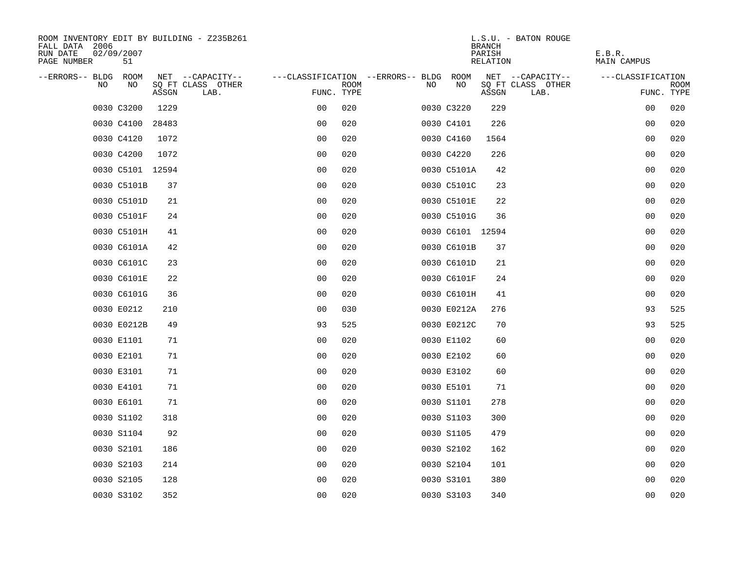| ROOM INVENTORY EDIT BY BUILDING - Z235B261<br>FALL DATA 2006<br>RUN DATE<br>02/09/2007<br>PAGE NUMBER<br>51 |                                    |                |                                   |                  | L.S.U. - BATON ROUGE<br><b>BRANCH</b><br>PARISH<br>RELATION | E.B.R.<br><b>MAIN CAMPUS</b> |
|-------------------------------------------------------------------------------------------------------------|------------------------------------|----------------|-----------------------------------|------------------|-------------------------------------------------------------|------------------------------|
| --ERRORS-- BLDG<br>ROOM                                                                                     | NET --CAPACITY--                   |                | ---CLASSIFICATION --ERRORS-- BLDG | ROOM             | NET --CAPACITY--                                            | ---CLASSIFICATION            |
| NO.<br>NO.                                                                                                  | SQ FT CLASS OTHER<br>ASSGN<br>LAB. | FUNC. TYPE     | <b>ROOM</b>                       | NO<br>NO.        | SQ FT CLASS OTHER<br>ASSGN<br>LAB.                          | <b>ROOM</b><br>FUNC. TYPE    |
| 0030 C3200                                                                                                  | 1229                               | 0 <sub>0</sub> | 020                               | 0030 C3220       | 229                                                         | 00<br>020                    |
| 0030 C4100                                                                                                  | 28483                              | 0 <sub>0</sub> | 020                               | 0030 C4101       | 226                                                         | 0 <sub>0</sub><br>020        |
| 0030 C4120                                                                                                  | 1072                               | 0 <sub>0</sub> | 020                               | 0030 C4160       | 1564                                                        | 00<br>020                    |
| 0030 C4200                                                                                                  | 1072                               | 0 <sub>0</sub> | 020                               | 0030 C4220       | 226                                                         | 020<br>00                    |
| 0030 C5101 12594                                                                                            |                                    | 0 <sub>0</sub> | 020                               | 0030 C5101A      | 42                                                          | 020<br>0 <sub>0</sub>        |
| 0030 C5101B                                                                                                 | 37                                 | 0 <sub>0</sub> | 020                               | 0030 C5101C      | 23                                                          | 0 <sub>0</sub><br>020        |
| 0030 C5101D                                                                                                 | 21                                 | 0 <sub>0</sub> | 020                               | 0030 C5101E      | 22                                                          | 00<br>020                    |
| 0030 C5101F                                                                                                 | 24                                 | 0 <sub>0</sub> | 020                               | 0030 C5101G      | 36                                                          | 0 <sub>0</sub><br>020        |
| 0030 C5101H                                                                                                 | 41                                 | 0 <sub>0</sub> | 020                               | 0030 C6101 12594 |                                                             | 020<br>0 <sub>0</sub>        |
| 0030 C6101A                                                                                                 | 42                                 | 0 <sub>0</sub> | 020                               | 0030 C6101B      | 37                                                          | 0 <sub>0</sub><br>020        |
| 0030 C6101C                                                                                                 | 23                                 | 0 <sub>0</sub> | 020                               | 0030 C6101D      | 21                                                          | 0 <sub>0</sub><br>020        |
| 0030 C6101E                                                                                                 | 22                                 | 0 <sub>0</sub> | 020                               | 0030 C6101F      | 24                                                          | 00<br>020                    |
| 0030 C6101G                                                                                                 | 36                                 | 0 <sub>0</sub> | 020                               | 0030 C6101H      | 41                                                          | 020<br>0 <sub>0</sub>        |
| 0030 E0212                                                                                                  | 210                                | 0 <sub>0</sub> | 030                               | 0030 E0212A      | 276                                                         | 93<br>525                    |
| 0030 E0212B                                                                                                 | 49                                 | 93             | 525                               | 0030 E0212C      | 70                                                          | 93<br>525                    |
| 0030 E1101                                                                                                  | 71                                 | 0 <sub>0</sub> | 020                               | 0030 E1102       | 60                                                          | 00<br>020                    |
| 0030 E2101                                                                                                  | 71                                 | 0 <sub>0</sub> | 020                               | 0030 E2102       | 60                                                          | 0 <sub>0</sub><br>020        |
| 0030 E3101                                                                                                  | 71                                 | 0 <sub>0</sub> | 020                               | 0030 E3102       | 60                                                          | 020<br>0 <sub>0</sub>        |
| 0030 E4101                                                                                                  | 71                                 | 0 <sub>0</sub> | 020                               | 0030 E5101       | 71                                                          | 0 <sub>0</sub><br>020        |
| 0030 E6101                                                                                                  | 71                                 | 0 <sub>0</sub> | 020                               | 0030 S1101       | 278                                                         | 00<br>020                    |
| 0030 S1102                                                                                                  | 318                                | 0 <sub>0</sub> | 020                               | 0030 S1103       | 300                                                         | 00<br>020                    |
| 0030 S1104                                                                                                  | 92                                 | 0 <sub>0</sub> | 020                               | 0030 S1105       | 479                                                         | 020<br>00                    |
| 0030 S2101                                                                                                  | 186                                | 0 <sub>0</sub> | 020                               | 0030 S2102       | 162                                                         | 00<br>020                    |
| 0030 S2103                                                                                                  | 214                                | 0 <sub>0</sub> | 020                               | 0030 S2104       | 101                                                         | 00<br>020                    |
| 0030 S2105                                                                                                  | 128                                | 0 <sub>0</sub> | 020                               | 0030 S3101       | 380                                                         | 0 <sub>0</sub><br>020        |
| 0030 S3102                                                                                                  | 352                                | 0 <sub>0</sub> | 020                               | 0030 S3103       | 340                                                         | 0 <sub>0</sub><br>020        |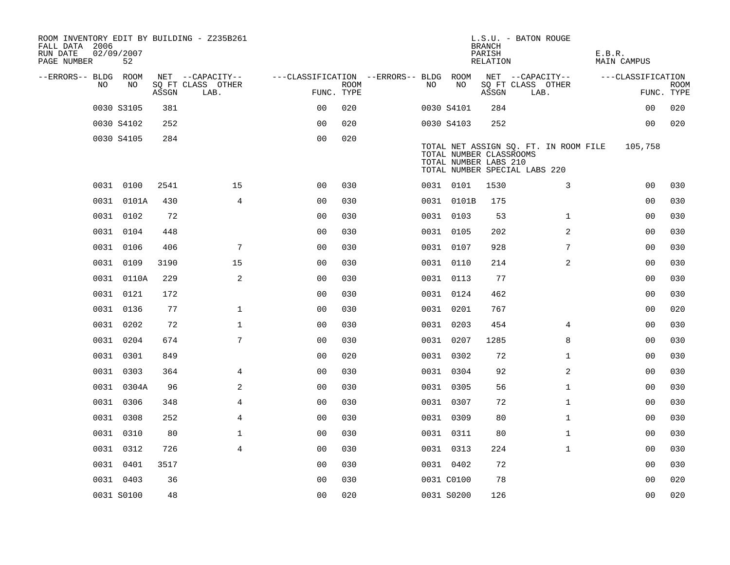| ROOM INVENTORY EDIT BY BUILDING - Z235B261<br>FALL DATA 2006<br>RUN DATE<br>PAGE NUMBER | 02/09/2007<br>52 |       |                           |                                        |             |     |            | <b>BRANCH</b><br>PARISH<br>RELATION              | L.S.U. - BATON ROUGE                                                   | E.B.R. | MAIN CAMPUS       |                    |
|-----------------------------------------------------------------------------------------|------------------|-------|---------------------------|----------------------------------------|-------------|-----|------------|--------------------------------------------------|------------------------------------------------------------------------|--------|-------------------|--------------------|
| --ERRORS-- BLDG ROOM                                                                    |                  |       | NET --CAPACITY--          | ---CLASSIFICATION --ERRORS-- BLDG ROOM |             |     |            |                                                  | NET --CAPACITY--                                                       |        | ---CLASSIFICATION |                    |
| NO.                                                                                     | NO               | ASSGN | SQ FT CLASS OTHER<br>LAB. | FUNC. TYPE                             | <b>ROOM</b> | NO. | NO         | ASSGN                                            | SQ FT CLASS OTHER<br>LAB.                                              |        |                   | ROOM<br>FUNC. TYPE |
|                                                                                         | 0030 S3105       | 381   |                           | 0 <sup>0</sup>                         | 020         |     | 0030 S4101 | 284                                              |                                                                        |        | 0 <sub>0</sub>    | 020                |
|                                                                                         | 0030 S4102       | 252   |                           | 0 <sub>0</sub>                         | 020         |     | 0030 S4103 | 252                                              |                                                                        |        | 0 <sub>0</sub>    | 020                |
|                                                                                         | 0030 S4105       | 284   |                           | 0 <sub>0</sub>                         | 020         |     |            | TOTAL NUMBER CLASSROOMS<br>TOTAL NUMBER LABS 210 | TOTAL NET ASSIGN SQ. FT. IN ROOM FILE<br>TOTAL NUMBER SPECIAL LABS 220 |        | 105,758           |                    |
|                                                                                         | 0031 0100        | 2541  | 15                        | 0 <sub>0</sub>                         | 030         |     | 0031 0101  | 1530                                             | 3                                                                      |        | 00                | 030                |
|                                                                                         | 0031 0101A       | 430   | $\overline{4}$            | 0 <sub>0</sub>                         | 030         |     | 0031 0101B | 175                                              |                                                                        |        | 0 <sub>0</sub>    | 030                |
|                                                                                         | 0031 0102        | 72    |                           | 0 <sub>0</sub>                         | 030         |     | 0031 0103  | 53                                               | $\mathbf{1}$                                                           |        | 0 <sub>0</sub>    | 030                |
|                                                                                         | 0031 0104        | 448   |                           | 0 <sub>0</sub>                         | 030         |     | 0031 0105  | 202                                              | 2                                                                      |        | 0 <sub>0</sub>    | 030                |
|                                                                                         | 0031 0106        | 406   | 7                         | 0 <sub>0</sub>                         | 030         |     | 0031 0107  | 928                                              | 7                                                                      |        | 00                | 030                |
|                                                                                         | 0031 0109        | 3190  | 15                        | 0 <sub>0</sub>                         | 030         |     | 0031 0110  | 214                                              | 2                                                                      |        | 0 <sub>0</sub>    | 030                |
|                                                                                         | 0031 0110A       | 229   | 2                         | 0 <sub>0</sub>                         | 030         |     | 0031 0113  | 77                                               |                                                                        |        | 0 <sub>0</sub>    | 030                |
|                                                                                         | 0031 0121        | 172   |                           | 0 <sub>0</sub>                         | 030         |     | 0031 0124  | 462                                              |                                                                        |        | 0 <sub>0</sub>    | 030                |
|                                                                                         | 0031 0136        | 77    | $\mathbf{1}$              | 0 <sub>0</sub>                         | 030         |     | 0031 0201  | 767                                              |                                                                        |        | 0 <sub>0</sub>    | 020                |
|                                                                                         | 0031 0202        | 72    | $\mathbf 1$               | 0 <sub>0</sub>                         | 030         |     | 0031 0203  | 454                                              | $\overline{4}$                                                         |        | 0 <sub>0</sub>    | 030                |
|                                                                                         | 0031 0204        | 674   | 7                         | 0 <sub>0</sub>                         | 030         |     | 0031 0207  | 1285                                             | 8                                                                      |        | 0 <sub>0</sub>    | 030                |
|                                                                                         | 0031 0301        | 849   |                           | 0 <sub>0</sub>                         | 020         |     | 0031 0302  | 72                                               | $\mathbf{1}$                                                           |        | 00                | 030                |
|                                                                                         | 0031 0303        | 364   | 4                         | 0 <sub>0</sub>                         | 030         |     | 0031 0304  | 92                                               | 2                                                                      |        | 00                | 030                |
|                                                                                         | 0031 0304A       | 96    | 2                         | 0 <sub>0</sub>                         | 030         |     | 0031 0305  | 56                                               | $\mathbf{1}$                                                           |        | 0 <sub>0</sub>    | 030                |
|                                                                                         | 0031 0306        | 348   | $\overline{4}$            | 0 <sub>0</sub>                         | 030         |     | 0031 0307  | 72                                               | $\mathbf{1}$                                                           |        | 00                | 030                |
|                                                                                         | 0031 0308        | 252   | 4                         | 0 <sub>0</sub>                         | 030         |     | 0031 0309  | 80                                               | $\mathbf{1}$                                                           |        | 00                | 030                |
|                                                                                         | 0031 0310        | 80    | $\mathbf{1}$              | 0 <sub>0</sub>                         | 030         |     | 0031 0311  | 80                                               | $\mathbf{1}$                                                           |        | 00                | 030                |
|                                                                                         | 0031 0312        | 726   | $\overline{4}$            | 0 <sub>0</sub>                         | 030         |     | 0031 0313  | 224                                              | $\mathbf{1}$                                                           |        | 00                | 030                |
|                                                                                         | 0031 0401        | 3517  |                           | 00                                     | 030         |     | 0031 0402  | 72                                               |                                                                        |        | 00                | 030                |
|                                                                                         | 0031 0403        | 36    |                           | 0 <sub>0</sub>                         | 030         |     | 0031 C0100 | 78                                               |                                                                        |        | 0 <sub>0</sub>    | 020                |
|                                                                                         | 0031 S0100       | 48    |                           | 00                                     | 020         |     | 0031 S0200 | 126                                              |                                                                        |        | 0 <sub>0</sub>    | 020                |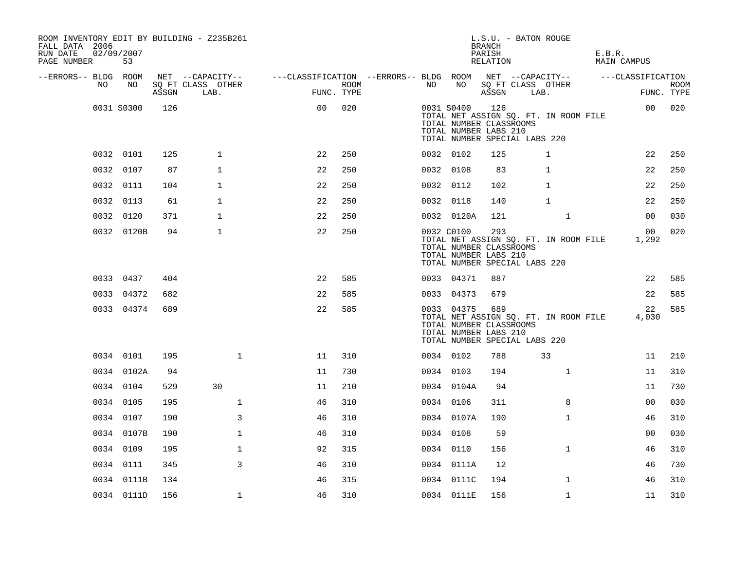| ROOM INVENTORY EDIT BY BUILDING - Z235B261<br>FALL DATA 2006<br>RUN DATE<br>PAGE NUMBER | 02/09/2007<br>53 |       |                           |                                                         |                    |           |            | <b>BRANCH</b><br>PARISH<br>RELATION                     | L.S.U. - BATON ROUGE                                                   | E.B.R.<br>MAIN CAMPUS |                    |
|-----------------------------------------------------------------------------------------|------------------|-------|---------------------------|---------------------------------------------------------|--------------------|-----------|------------|---------------------------------------------------------|------------------------------------------------------------------------|-----------------------|--------------------|
| --ERRORS-- BLDG ROOM                                                                    |                  |       | NET --CAPACITY--          | ---CLASSIFICATION --ERRORS-- BLDG ROOM NET --CAPACITY-- |                    |           |            |                                                         |                                                                        | ---CLASSIFICATION     |                    |
| NO.                                                                                     | NO               | ASSGN | SO FT CLASS OTHER<br>LAB. |                                                         | ROOM<br>FUNC. TYPE | NO        | NO         | ASSGN                                                   | SQ FT CLASS OTHER<br>LAB.                                              |                       | ROOM<br>FUNC. TYPE |
|                                                                                         | 0031 S0300       | 126   |                           | 0 <sub>0</sub>                                          | 020                |           | 0031 S0400 | 126<br>TOTAL NUMBER CLASSROOMS<br>TOTAL NUMBER LABS 210 | TOTAL NET ASSIGN SQ. FT. IN ROOM FILE<br>TOTAL NUMBER SPECIAL LABS 220 | 0 <sub>0</sub>        | 020                |
|                                                                                         | 0032 0101        | 125   | $\mathbf{1}$              | 22                                                      | 250                | 0032 0102 |            | 125                                                     | 1                                                                      | 22                    | 250                |
|                                                                                         | 0032 0107        | 87    | $\mathbf{1}$              | 22                                                      | 250                | 0032 0108 |            | 83                                                      | $\mathbf{1}$                                                           | 22                    | 250                |
|                                                                                         | 0032 0111        | 104   | 1                         | 22                                                      | 250                |           | 0032 0112  | 102                                                     | 1                                                                      | 22                    | 250                |
|                                                                                         | 0032 0113        | 61    | $\mathbf{1}$              | 22                                                      | 250                | 0032 0118 |            | 140                                                     | $\mathbf{1}$                                                           | 22                    | 250                |
|                                                                                         | 0032 0120        | 371   | $\mathbf{1}$              | 22                                                      | 250                |           | 0032 0120A | 121                                                     | $\mathbf{1}$                                                           | 0 <sub>0</sub>        | 030                |
|                                                                                         | 0032 0120B       | 94    | $\mathbf{1}$              | 22                                                      | 250                |           | 0032 C0100 | 293<br>TOTAL NUMBER CLASSROOMS<br>TOTAL NUMBER LABS 210 | TOTAL NET ASSIGN SQ. FT. IN ROOM FILE<br>TOTAL NUMBER SPECIAL LABS 220 | 00<br>1,292           | 020                |
|                                                                                         | 0033 0437        | 404   |                           | 22                                                      | 585                |           | 0033 04371 | 887                                                     |                                                                        | 22                    | 585                |
|                                                                                         | 0033 04372       | 682   |                           | 22                                                      | 585                |           | 0033 04373 | 679                                                     |                                                                        | 22                    | 585                |
|                                                                                         | 0033 04374       | 689   |                           | 22                                                      | 585                |           | 0033 04375 | 689<br>TOTAL NUMBER CLASSROOMS<br>TOTAL NUMBER LABS 210 | TOTAL NET ASSIGN SQ. FT. IN ROOM FILE<br>TOTAL NUMBER SPECIAL LABS 220 | 22<br>4,030           | 585                |
|                                                                                         | 0034 0101        | 195   | $\mathbf{1}$              | 11                                                      | 310                | 0034 0102 |            | 788                                                     | 33                                                                     | 11                    | 210                |
|                                                                                         | 0034 0102A       | 94    |                           | 11                                                      | 730                | 0034 0103 |            | 194                                                     | $\mathbf{1}$                                                           | 11                    | 310                |
|                                                                                         | 0034 0104        | 529   | 30                        | 11                                                      | 210                |           | 0034 0104A | 94                                                      |                                                                        | 11                    | 730                |
|                                                                                         | 0034 0105        | 195   | $\mathbf{1}$              | 46                                                      | 310                | 0034 0106 |            | 311                                                     | 8                                                                      | 0 <sub>0</sub>        | 030                |
|                                                                                         | 0034 0107        | 190   | 3                         | 46                                                      | 310                |           | 0034 0107A | 190                                                     | $\mathbf{1}$                                                           | 46                    | 310                |
|                                                                                         | 0034 0107B       | 190   | $\mathbf{1}$              | 46                                                      | 310                |           | 0034 0108  | 59                                                      |                                                                        | 0 <sub>0</sub>        | 030                |
|                                                                                         | 0034 0109        | 195   | $\mathbf 1$               | 92                                                      | 315                |           | 0034 0110  | 156                                                     | $\mathbf{1}$                                                           | 46                    | 310                |
|                                                                                         | 0034 0111        | 345   | 3                         | 46                                                      | 310                |           | 0034 0111A | 12                                                      |                                                                        | 46                    | 730                |
|                                                                                         | 0034 0111B       | 134   |                           | 46                                                      | 315                |           | 0034 0111C | 194                                                     | $\mathbf{1}$                                                           | 46                    | 310                |
|                                                                                         | 0034 0111D       | 156   | $\mathbf 1$               | 46                                                      | 310                |           | 0034 0111E | 156                                                     | $\mathbf{1}$                                                           | 11                    | 310                |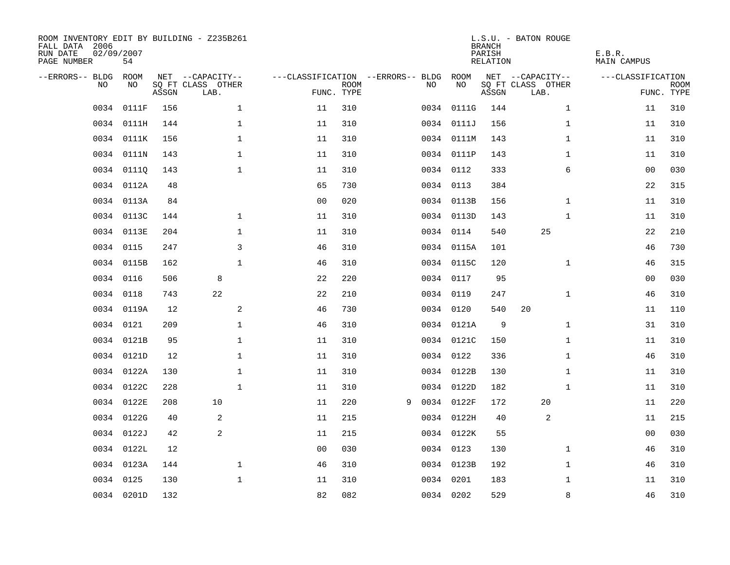| ROOM INVENTORY EDIT BY BUILDING - Z235B261<br>FALL DATA 2006<br>RUN DATE<br>PAGE NUMBER | 02/09/2007<br>54 |       |                           |                                   |                           |   |    |            | <b>BRANCH</b><br>PARISH<br><b>RELATION</b> | L.S.U. - BATON ROUGE      | E.B.R.<br><b>MAIN CAMPUS</b> |                           |
|-----------------------------------------------------------------------------------------|------------------|-------|---------------------------|-----------------------------------|---------------------------|---|----|------------|--------------------------------------------|---------------------------|------------------------------|---------------------------|
| --ERRORS-- BLDG                                                                         | ROOM             |       | NET --CAPACITY--          | ---CLASSIFICATION --ERRORS-- BLDG |                           |   |    | ROOM       |                                            | NET --CAPACITY--          | ---CLASSIFICATION            |                           |
| NO.                                                                                     | NO               | ASSGN | SQ FT CLASS OTHER<br>LAB. |                                   | <b>ROOM</b><br>FUNC. TYPE |   | NO | NO         | ASSGN                                      | SQ FT CLASS OTHER<br>LAB. |                              | <b>ROOM</b><br>FUNC. TYPE |
| 0034                                                                                    | 0111F            | 156   | $\mathbf 1$               | 11                                | 310                       |   |    | 0034 0111G | 144                                        | $\mathbf{1}$              | 11                           | 310                       |
|                                                                                         | 0034 0111H       | 144   | $\mathbf 1$               | 11                                | 310                       |   |    | 0034 0111J | 156                                        | $\mathbf{1}$              | 11                           | 310                       |
|                                                                                         | 0034 0111K       | 156   | $\mathbf 1$               | 11                                | 310                       |   |    | 0034 0111M | 143                                        | $\mathbf{1}$              | 11                           | 310                       |
| 0034                                                                                    | 0111N            | 143   | $\mathbf 1$               | 11                                | 310                       |   |    | 0034 0111P | 143                                        | $\mathbf{1}$              | 11                           | 310                       |
| 0034                                                                                    | 01110            | 143   | $\mathbf{1}$              | 11                                | 310                       |   |    | 0034 0112  | 333                                        | 6                         | 0 <sub>0</sub>               | 030                       |
|                                                                                         | 0034 0112A       | 48    |                           | 65                                | 730                       |   |    | 0034 0113  | 384                                        |                           | 22                           | 315                       |
|                                                                                         | 0034 0113A       | 84    |                           | 0 <sub>0</sub>                    | 020                       |   |    | 0034 0113B | 156                                        | $\mathbf{1}$              | 11                           | 310                       |
|                                                                                         | 0034 0113C       | 144   | $\mathbf{1}$              | 11                                | 310                       |   |    | 0034 0113D | 143                                        | $\mathbf{1}$              | 11                           | 310                       |
|                                                                                         | 0034 0113E       | 204   | $\mathbf 1$               | 11                                | 310                       |   |    | 0034 0114  | 540                                        | 25                        | 22                           | 210                       |
|                                                                                         | 0034 0115        | 247   | 3                         | 46                                | 310                       |   |    | 0034 0115A | 101                                        |                           | 46                           | 730                       |
|                                                                                         | 0034 0115B       | 162   | $\mathbf{1}$              | 46                                | 310                       |   |    | 0034 0115C | 120                                        | $\mathbf{1}$              | 46                           | 315                       |
|                                                                                         | 0034 0116        | 506   | 8                         | 22                                | 220                       |   |    | 0034 0117  | 95                                         |                           | 0 <sub>0</sub>               | 030                       |
| 0034                                                                                    | 0118             | 743   | 22                        | 22                                | 210                       |   |    | 0034 0119  | 247                                        | $\mathbf{1}$              | 46                           | 310                       |
|                                                                                         | 0034 0119A       | 12    | $\mathbf{2}$              | 46                                | 730                       |   |    | 0034 0120  | 540                                        | 20                        | 11                           | 110                       |
| 0034                                                                                    | 0121             | 209   | 1                         | 46                                | 310                       |   |    | 0034 0121A | 9                                          | $\mathbf{1}$              | 31                           | 310                       |
|                                                                                         | 0034 0121B       | 95    | $\mathbf 1$               | 11                                | 310                       |   |    | 0034 0121C | 150                                        | $\mathbf{1}$              | 11                           | 310                       |
| 0034                                                                                    | 0121D            | 12    | $\mathbf 1$               | 11                                | 310                       |   |    | 0034 0122  | 336                                        | $\mathbf{1}$              | 46                           | 310                       |
| 0034                                                                                    | 0122A            | 130   | $\mathbf{1}$              | 11                                | 310                       |   |    | 0034 0122B | 130                                        | $\mathbf{1}$              | 11                           | 310                       |
|                                                                                         | 0034 0122C       | 228   | $\mathbf{1}$              | 11                                | 310                       |   |    | 0034 0122D | 182                                        | $\mathbf{1}$              | 11                           | 310                       |
|                                                                                         | 0034 0122E       | 208   | 10                        | 11                                | 220                       | 9 |    | 0034 0122F | 172                                        | 20                        | 11                           | 220                       |
|                                                                                         | 0034 0122G       | 40    | 2                         | 11                                | 215                       |   |    | 0034 0122H | 40                                         | 2                         | 11                           | 215                       |
|                                                                                         | 0034 0122J       | 42    | 2                         | 11                                | 215                       |   |    | 0034 0122K | 55                                         |                           | 00                           | 030                       |
|                                                                                         | 0034 0122L       | 12    |                           | 0 <sub>0</sub>                    | 030                       |   |    | 0034 0123  | 130                                        | $\mathbf{1}$              | 46                           | 310                       |
|                                                                                         | 0034 0123A       | 144   | $\mathbf 1$               | 46                                | 310                       |   |    | 0034 0123B | 192                                        | $\mathbf{1}$              | 46                           | 310                       |
| 0034                                                                                    | 0125             | 130   | $\mathbf 1$               | 11                                | 310                       |   |    | 0034 0201  | 183                                        | $\mathbf{1}$              | 11                           | 310                       |
|                                                                                         | 0034 0201D       | 132   |                           | 82                                | 082                       |   |    | 0034 0202  | 529                                        | 8                         | 46                           | 310                       |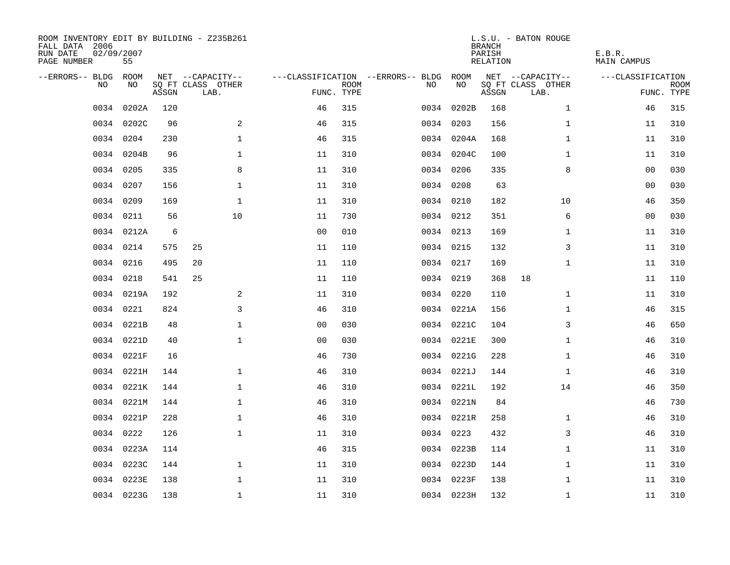| ROOM INVENTORY EDIT BY BUILDING - Z235B261<br>FALL DATA 2006<br>RUN DATE<br>PAGE NUMBER | 02/09/2007<br>55 |       |                           |                |             |                                        |            | <b>BRANCH</b><br>PARISH<br>RELATION | L.S.U. - BATON ROUGE      | E.B.R.<br>MAIN CAMPUS |                    |
|-----------------------------------------------------------------------------------------|------------------|-------|---------------------------|----------------|-------------|----------------------------------------|------------|-------------------------------------|---------------------------|-----------------------|--------------------|
| --ERRORS-- BLDG ROOM                                                                    |                  |       | NET --CAPACITY--          |                |             | ---CLASSIFICATION --ERRORS-- BLDG ROOM |            |                                     | NET --CAPACITY--          | ---CLASSIFICATION     |                    |
| NO.                                                                                     | NO.              | ASSGN | SQ FT CLASS OTHER<br>LAB. | FUNC. TYPE     | <b>ROOM</b> | NO.                                    | NO         | ASSGN                               | SQ FT CLASS OTHER<br>LAB. |                       | ROOM<br>FUNC. TYPE |
| 0034                                                                                    | 0202A            | 120   |                           | 46             | 315         |                                        | 0034 0202B | 168                                 | $\mathbf{1}$              | 46                    | 315                |
|                                                                                         | 0034 0202C       | 96    | 2                         | 46             | 315         |                                        | 0034 0203  | 156                                 | $\mathbf{1}$              | 11                    | 310                |
|                                                                                         | 0034 0204        | 230   | $\mathbf 1$               | 46             | 315         |                                        | 0034 0204A | 168                                 | $\mathbf{1}$              | 11                    | 310                |
|                                                                                         | 0034 0204B       | 96    | 1                         | 11             | 310         |                                        | 0034 0204C | 100                                 | $\mathbf{1}$              | 11                    | 310                |
| 0034                                                                                    | 0205             | 335   | 8                         | 11             | 310         |                                        | 0034 0206  | 335                                 | 8                         | 00                    | 030                |
| 0034                                                                                    | 0207             | 156   | $\mathbf 1$               | 11             | 310         |                                        | 0034 0208  | 63                                  |                           | 00                    | 030                |
| 0034                                                                                    | 0209             | 169   | $\mathbf{1}$              | 11             | 310         |                                        | 0034 0210  | 182                                 | 10                        | 46                    | 350                |
|                                                                                         | 0034 0211        | 56    | 10                        | 11             | 730         |                                        | 0034 0212  | 351                                 | 6                         | 00                    | 030                |
|                                                                                         | 0034 0212A       | 6     |                           | 0 <sub>0</sub> | 010         |                                        | 0034 0213  | 169                                 | $\mathbf{1}$              | 11                    | 310                |
|                                                                                         | 0034 0214        | 575   | 25                        | 11             | 110         |                                        | 0034 0215  | 132                                 | 3                         | 11                    | 310                |
|                                                                                         | 0034 0216        | 495   | 20                        | 11             | 110         |                                        | 0034 0217  | 169                                 | $\mathbf{1}$              | 11                    | 310                |
|                                                                                         | 0034 0218        | 541   | 25                        | 11             | 110         |                                        | 0034 0219  | 368                                 | 18                        | 11                    | 110                |
|                                                                                         | 0034 0219A       | 192   | 2                         | 11             | 310         |                                        | 0034 0220  | 110                                 | $\mathbf{1}$              | 11                    | 310                |
|                                                                                         | 0034 0221        | 824   | 3                         | 46             | 310         |                                        | 0034 0221A | 156                                 | $\mathbf{1}$              | 46                    | 315                |
|                                                                                         | 0034 0221B       | 48    | $\mathbf 1$               | 0 <sub>0</sub> | 030         |                                        | 0034 0221C | 104                                 | 3                         | 46                    | 650                |
|                                                                                         | 0034 0221D       | 40    | $\mathbf{1}$              | 0 <sub>0</sub> | 030         |                                        | 0034 0221E | 300                                 | $\mathbf{1}$              | 46                    | 310                |
|                                                                                         | 0034 0221F       | 16    |                           | 46             | 730         |                                        | 0034 0221G | 228                                 | $\mathbf{1}$              | 46                    | 310                |
| 0034                                                                                    | 0221H            | 144   | $\mathbf 1$               | 46             | 310         |                                        | 0034 0221J | 144                                 | $\mathbf{1}$              | 46                    | 310                |
|                                                                                         | 0034 0221K       | 144   | $\mathbf 1$               | 46             | 310         |                                        | 0034 0221L | 192                                 | 14                        | 46                    | 350                |
|                                                                                         | 0034 0221M       | 144   | $\mathbf{1}$              | 46             | 310         |                                        | 0034 0221N | 84                                  |                           | 46                    | 730                |
|                                                                                         | 0034 0221P       | 228   | $\mathbf{1}$              | 46             | 310         |                                        | 0034 0221R | 258                                 | $\mathbf{1}$              | 46                    | 310                |
| 0034                                                                                    | 0222             | 126   | $\mathbf 1$               | 11             | 310         |                                        | 0034 0223  | 432                                 | 3                         | 46                    | 310                |
|                                                                                         | 0034 0223A       | 114   |                           | 46             | 315         |                                        | 0034 0223B | 114                                 | $\mathbf{1}$              | 11                    | 310                |
|                                                                                         | 0034 0223C       | 144   | $\mathbf 1$               | 11             | 310         |                                        | 0034 0223D | 144                                 | $\mathbf{1}$              | 11                    | 310                |
|                                                                                         | 0034 0223E       | 138   | $\mathbf 1$               | 11             | 310         |                                        | 0034 0223F | 138                                 | $\mathbf{1}$              | 11                    | 310                |
|                                                                                         | 0034 0223G       | 138   | $\mathbf{1}$              | 11             | 310         |                                        | 0034 0223H | 132                                 | $\mathbf{1}$              | 11                    | 310                |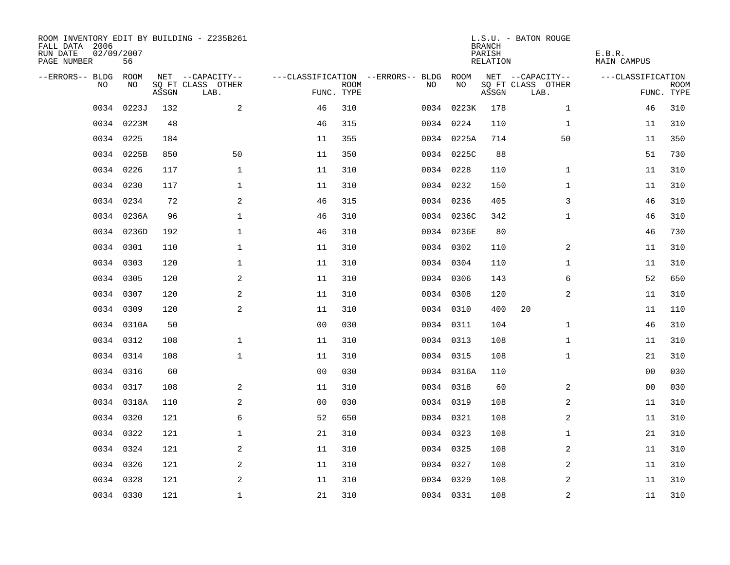| ROOM INVENTORY EDIT BY BUILDING - Z235B261<br>FALL DATA 2006<br>RUN DATE<br>PAGE NUMBER | 02/09/2007<br>56 |       |                           |                |             |                                   |            | <b>BRANCH</b><br>PARISH<br>RELATION | L.S.U. - BATON ROUGE      | E.B.R.<br>MAIN CAMPUS |                           |
|-----------------------------------------------------------------------------------------|------------------|-------|---------------------------|----------------|-------------|-----------------------------------|------------|-------------------------------------|---------------------------|-----------------------|---------------------------|
| --ERRORS-- BLDG ROOM                                                                    |                  |       | NET --CAPACITY--          |                |             | ---CLASSIFICATION --ERRORS-- BLDG | ROOM       |                                     | NET --CAPACITY--          | ---CLASSIFICATION     |                           |
| NO                                                                                      | NO               | ASSGN | SQ FT CLASS OTHER<br>LAB. | FUNC. TYPE     | <b>ROOM</b> | NO.                               | NO         | ASSGN                               | SQ FT CLASS OTHER<br>LAB. |                       | <b>ROOM</b><br>FUNC. TYPE |
| 0034                                                                                    | 0223J            | 132   | 2                         | 46             | 310         |                                   | 0034 0223K | 178                                 | $\mathbf{1}$              | 46                    | 310                       |
|                                                                                         | 0034 0223M       | 48    |                           | 46             | 315         |                                   | 0034 0224  | 110                                 | 1                         | 11                    | 310                       |
|                                                                                         | 0034 0225        | 184   |                           | 11             | 355         |                                   | 0034 0225A | 714                                 | 50                        | 11                    | 350                       |
|                                                                                         | 0034 0225B       | 850   | 50                        | 11             | 350         |                                   | 0034 0225C | 88                                  |                           | 51                    | 730                       |
|                                                                                         | 0034 0226        | 117   | $\mathbf{1}$              | 11             | 310         |                                   | 0034 0228  | 110                                 | $\mathbf{1}$              | 11                    | 310                       |
|                                                                                         | 0034 0230        | 117   | $\mathbf 1$               | 11             | 310         |                                   | 0034 0232  | 150                                 | $\mathbf{1}$              | 11                    | 310                       |
|                                                                                         | 0034 0234        | 72    | 2                         | 46             | 315         |                                   | 0034 0236  | 405                                 | 3                         | 46                    | 310                       |
|                                                                                         | 0034 0236A       | 96    | $\mathbf{1}$              | 46             | 310         |                                   | 0034 0236C | 342                                 | $\mathbf{1}$              | 46                    | 310                       |
|                                                                                         | 0034 0236D       | 192   | $\mathbf{1}$              | 46             | 310         |                                   | 0034 0236E | 80                                  |                           | 46                    | 730                       |
|                                                                                         | 0034 0301        | 110   | $\mathbf 1$               | 11             | 310         |                                   | 0034 0302  | 110                                 | $\overline{a}$            | 11                    | 310                       |
|                                                                                         | 0034 0303        | 120   | $\mathbf{1}$              | 11             | 310         |                                   | 0034 0304  | 110                                 | $\mathbf{1}$              | 11                    | 310                       |
|                                                                                         | 0034 0305        | 120   | 2                         | 11             | 310         |                                   | 0034 0306  | 143                                 | 6                         | 52                    | 650                       |
|                                                                                         | 0034 0307        | 120   | 2                         | 11             | 310         |                                   | 0034 0308  | 120                                 | 2                         | 11                    | 310                       |
|                                                                                         | 0034 0309        | 120   | $\mathbf{2}$              | 11             | 310         |                                   | 0034 0310  | 400                                 | 20                        | 11                    | 110                       |
|                                                                                         | 0034 0310A       | 50    |                           | 0 <sub>0</sub> | 030         |                                   | 0034 0311  | 104                                 | $\mathbf{1}$              | 46                    | 310                       |
|                                                                                         | 0034 0312        | 108   | $\mathbf 1$               | 11             | 310         |                                   | 0034 0313  | 108                                 | $\mathbf{1}$              | 11                    | 310                       |
| 0034                                                                                    | 0314             | 108   | $\mathbf{1}$              | 11             | 310         |                                   | 0034 0315  | 108                                 | $\mathbf{1}$              | 21                    | 310                       |
|                                                                                         | 0034 0316        | 60    |                           | 0 <sub>0</sub> | 030         |                                   | 0034 0316A | 110                                 |                           | 00                    | 030                       |
|                                                                                         | 0034 0317        | 108   | 2                         | 11             | 310         |                                   | 0034 0318  | 60                                  | 2                         | 00                    | 030                       |
|                                                                                         | 0034 0318A       | 110   | 2                         | 0 <sub>0</sub> | 030         |                                   | 0034 0319  | 108                                 | 2                         | 11                    | 310                       |
|                                                                                         | 0034 0320        | 121   | 6                         | 52             | 650         |                                   | 0034 0321  | 108                                 | 2                         | 11                    | 310                       |
|                                                                                         | 0034 0322        | 121   | $\mathbf 1$               | 21             | 310         |                                   | 0034 0323  | 108                                 | $\mathbf{1}$              | 21                    | 310                       |
|                                                                                         | 0034 0324        | 121   | 2                         | 11             | 310         |                                   | 0034 0325  | 108                                 | 2                         | 11                    | 310                       |
|                                                                                         | 0034 0326        | 121   | 2                         | 11             | 310         |                                   | 0034 0327  | 108                                 | 2                         | 11                    | 310                       |
|                                                                                         | 0034 0328        | 121   | 2                         | 11             | 310         |                                   | 0034 0329  | 108                                 | 2                         | 11                    | 310                       |
|                                                                                         | 0034 0330        | 121   | $\mathbf{1}$              | 21             | 310         |                                   | 0034 0331  | 108                                 | 2                         | 11                    | 310                       |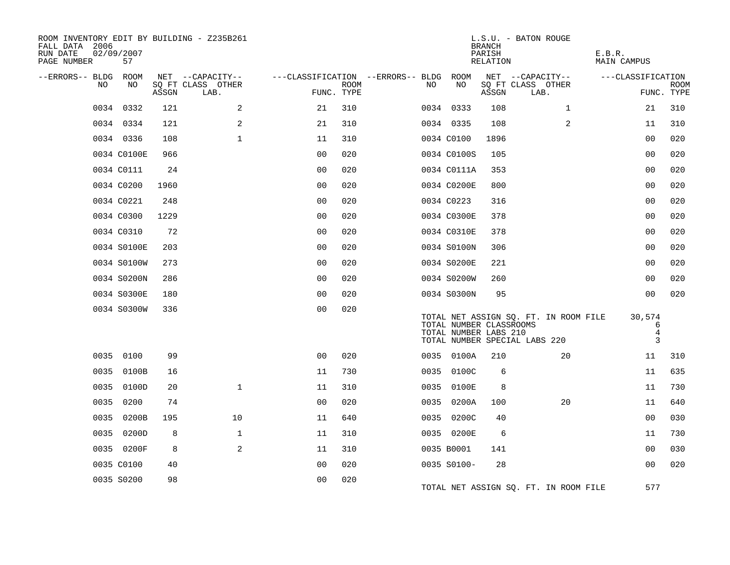| ROOM INVENTORY EDIT BY BUILDING - Z235B261<br>FALL DATA 2006<br>RUN DATE<br>PAGE NUMBER | 02/09/2007<br>57 |       |                           |                |             |                                        |                                                  | <b>BRANCH</b><br>PARISH<br>RELATION | L.S.U. - BATON ROUGE                                                   | E.B.R.<br><b>MAIN CAMPUS</b>       |                           |
|-----------------------------------------------------------------------------------------|------------------|-------|---------------------------|----------------|-------------|----------------------------------------|--------------------------------------------------|-------------------------------------|------------------------------------------------------------------------|------------------------------------|---------------------------|
| --ERRORS-- BLDG ROOM                                                                    |                  |       | NET --CAPACITY--          |                |             | ---CLASSIFICATION --ERRORS-- BLDG ROOM |                                                  |                                     | NET --CAPACITY--                                                       | ---CLASSIFICATION                  |                           |
| NO                                                                                      | NO.              | ASSGN | SQ FT CLASS OTHER<br>LAB. | FUNC. TYPE     | <b>ROOM</b> | NO.                                    | NO                                               | ASSGN                               | SQ FT CLASS OTHER<br>LAB.                                              |                                    | <b>ROOM</b><br>FUNC. TYPE |
|                                                                                         | 0034 0332        | 121   | 2                         | 21             | 310         |                                        | 0034 0333                                        | 108                                 | $\mathbf{1}$                                                           | 21                                 | 310                       |
|                                                                                         | 0034 0334        | 121   | $\mathbf{2}$              | 21             | 310         |                                        | 0034 0335                                        | 108                                 | $\overline{a}$                                                         | 11                                 | 310                       |
|                                                                                         | 0034 0336        | 108   | $\mathbf{1}$              | 11             | 310         |                                        | 0034 C0100                                       | 1896                                |                                                                        | 0 <sub>0</sub>                     | 020                       |
|                                                                                         | 0034 C0100E      | 966   |                           | 0 <sub>0</sub> | 020         |                                        | 0034 C0100S                                      | 105                                 |                                                                        | 00                                 | 020                       |
|                                                                                         | 0034 C0111       | 24    |                           | 00             | 020         |                                        | 0034 C0111A                                      | 353                                 |                                                                        | 0 <sub>0</sub>                     | 020                       |
|                                                                                         | 0034 C0200       | 1960  |                           | 0 <sub>0</sub> | 020         |                                        | 0034 C0200E                                      | 800                                 |                                                                        | 0 <sub>0</sub>                     | 020                       |
|                                                                                         | 0034 C0221       | 248   |                           | 0 <sub>0</sub> | 020         |                                        | 0034 C0223                                       | 316                                 |                                                                        | 00                                 | 020                       |
|                                                                                         | 0034 C0300       | 1229  |                           | 0 <sub>0</sub> | 020         |                                        | 0034 C0300E                                      | 378                                 |                                                                        | 0 <sub>0</sub>                     | 020                       |
|                                                                                         | 0034 C0310       | 72    |                           | 0 <sub>0</sub> | 020         |                                        | 0034 C0310E                                      | 378                                 |                                                                        | 0 <sub>0</sub>                     | 020                       |
|                                                                                         | 0034 S0100E      | 203   |                           | 0 <sub>0</sub> | 020         |                                        | 0034 S0100N                                      | 306                                 |                                                                        | 0 <sub>0</sub>                     | 020                       |
|                                                                                         | 0034 S0100W      | 273   |                           | 00             | 020         |                                        | 0034 S0200E                                      | 221                                 |                                                                        | 0 <sub>0</sub>                     | 020                       |
|                                                                                         | 0034 S0200N      | 286   |                           | 0 <sub>0</sub> | 020         |                                        | 0034 S0200W                                      | 260                                 |                                                                        | 0 <sub>0</sub>                     | 020                       |
|                                                                                         | 0034 S0300E      | 180   |                           | 0 <sub>0</sub> | 020         |                                        | 0034 S0300N                                      | 95                                  |                                                                        | 0 <sub>0</sub>                     | 020                       |
|                                                                                         | 0034 S0300W      | 336   |                           | 0 <sub>0</sub> | 020         |                                        | TOTAL NUMBER CLASSROOMS<br>TOTAL NUMBER LABS 210 |                                     | TOTAL NET ASSIGN SQ. FT. IN ROOM FILE<br>TOTAL NUMBER SPECIAL LABS 220 | 30,574<br>6<br>$\overline{4}$<br>3 |                           |
|                                                                                         | 0035 0100        | 99    |                           | 0 <sup>0</sup> | 020         |                                        | 0035 0100A                                       | 210                                 | 20                                                                     | 11                                 | 310                       |
|                                                                                         | 0035 0100B       | 16    |                           | 11             | 730         |                                        | 0035 0100C                                       | 6                                   |                                                                        | 11                                 | 635                       |
| 0035                                                                                    | 0100D            | 20    | $\mathbf{1}$              | 11             | 310         |                                        | 0035 0100E                                       | 8                                   |                                                                        | 11                                 | 730                       |
| 0035                                                                                    | 0200             | 74    |                           | 0 <sub>0</sub> | 020         |                                        | 0035 0200A                                       | 100                                 | 20                                                                     | 11                                 | 640                       |
| 0035                                                                                    | 0200B            | 195   | 10                        | 11             | 640         |                                        | 0035 0200C                                       | 40                                  |                                                                        | 0 <sub>0</sub>                     | 030                       |
|                                                                                         | 0035 0200D       | 8     | 1                         | 11             | 310         |                                        | 0035 0200E                                       | 6                                   |                                                                        | 11                                 | 730                       |
|                                                                                         | 0035 0200F       | 8     | 2                         | 11             | 310         |                                        | 0035 B0001                                       | 141                                 |                                                                        | 0 <sub>0</sub>                     | 030                       |
|                                                                                         | 0035 C0100       | 40    |                           | 0 <sub>0</sub> | 020         |                                        | 0035 S0100-                                      | 28                                  |                                                                        | 00                                 | 020                       |
|                                                                                         | 0035 S0200       | 98    |                           | 0 <sub>0</sub> | 020         |                                        |                                                  |                                     | TOTAL NET ASSIGN SO. FT. IN ROOM FILE                                  | 577                                |                           |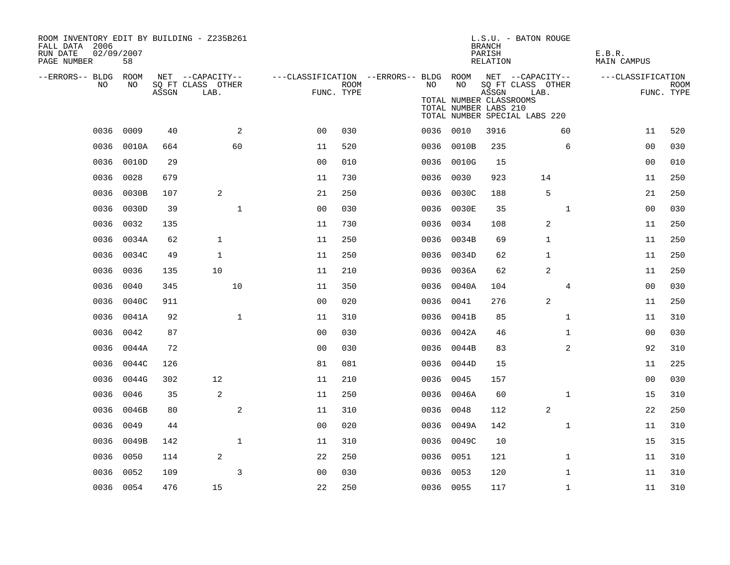| ROOM INVENTORY EDIT BY BUILDING - Z235B261<br>FALL DATA 2006<br>RUN DATE<br>PAGE NUMBER | 02/09/2007<br>58 |       |                                               |                |                           |                                                               |                                                        | <b>BRANCH</b><br>PARISH<br>RELATION | L.S.U. - BATON ROUGE                                       | E.B.R.<br>MAIN CAMPUS |                           |
|-----------------------------------------------------------------------------------------|------------------|-------|-----------------------------------------------|----------------|---------------------------|---------------------------------------------------------------|--------------------------------------------------------|-------------------------------------|------------------------------------------------------------|-----------------------|---------------------------|
| --ERRORS-- BLDG ROOM<br>NO.                                                             | NO               | ASSGN | NET --CAPACITY--<br>SQ FT CLASS OTHER<br>LAB. |                | <b>ROOM</b><br>FUNC. TYPE | ---CLASSIFICATION --ERRORS-- BLDG ROOM NET --CAPACITY--<br>NO | NO<br>TOTAL NUMBER CLASSROOMS<br>TOTAL NUMBER LABS 210 | ASSGN                               | SQ FT CLASS OTHER<br>LAB.<br>TOTAL NUMBER SPECIAL LABS 220 | ---CLASSIFICATION     | <b>ROOM</b><br>FUNC. TYPE |
|                                                                                         | 0036 0009        | 40    | 2                                             | 0 <sub>0</sub> | 030                       |                                                               | 0036 0010                                              | 3916                                | 60                                                         | 11                    | 520                       |
| 0036                                                                                    | 0010A            | 664   | 60                                            | 11             | 520                       | 0036                                                          | 0010B                                                  | 235                                 | 6                                                          | 0 <sub>0</sub>        | 030                       |
| 0036                                                                                    | 0010D            | 29    |                                               | 0 <sub>0</sub> | 010                       |                                                               | 0036 0010G                                             | 15                                  |                                                            | 00                    | 010                       |
| 0036                                                                                    | 0028             | 679   |                                               | 11             | 730                       | 0036                                                          | 0030                                                   | 923                                 | 14                                                         | 11                    | 250                       |
| 0036                                                                                    | 0030B            | 107   | 2                                             | 21             | 250                       | 0036                                                          | 0030C                                                  | 188                                 | 5                                                          | 21                    | 250                       |
| 0036                                                                                    | 0030D            | 39    | $\mathbf{1}$                                  | 00             | 030                       | 0036                                                          | 0030E                                                  | 35                                  | $\mathbf{1}$                                               | 00                    | 030                       |
| 0036                                                                                    | 0032             | 135   |                                               | 11             | 730                       |                                                               | 0036 0034                                              | 108                                 | 2                                                          | 11                    | 250                       |
| 0036                                                                                    | 0034A            | 62    | $\mathbf{1}$                                  | 11             | 250                       | 0036                                                          | 0034B                                                  | 69                                  | 1                                                          | 11                    | 250                       |
|                                                                                         | 0036 0034C       | 49    | $\mathbf{1}$                                  | 11             | 250                       |                                                               | 0036 0034D                                             | 62                                  | 1                                                          | 11                    | 250                       |
| 0036                                                                                    | 0036             | 135   | 10                                            | 11             | 210                       |                                                               | 0036 0036A                                             | 62                                  | 2                                                          | 11                    | 250                       |
| 0036                                                                                    | 0040             | 345   | 10                                            | 11             | 350                       |                                                               | 0036 0040A                                             | 104                                 | $\overline{4}$                                             | 0 <sub>0</sub>        | 030                       |
| 0036                                                                                    | 0040C            | 911   |                                               | 0 <sub>0</sub> | 020                       | 0036                                                          | 0041                                                   | 276                                 | 2                                                          | 11                    | 250                       |
|                                                                                         | 0036 0041A       | 92    | $\mathbf{1}$                                  | 11             | 310                       |                                                               | 0036 0041B                                             | 85                                  | $\mathbf{1}$                                               | 11                    | 310                       |
| 0036                                                                                    | 0042             | 87    |                                               | 0 <sub>0</sub> | 030                       |                                                               | 0036 0042A                                             | 46                                  | $\mathbf{1}$                                               | 0 <sub>0</sub>        | 030                       |
| 0036                                                                                    | 0044A            | 72    |                                               | 0 <sub>0</sub> | 030                       |                                                               | 0036 0044B                                             | 83                                  | 2                                                          | 92                    | 310                       |
| 0036                                                                                    | 0044C            | 126   |                                               | 81             | 081                       | 0036                                                          | 0044D                                                  | 15                                  |                                                            | 11                    | 225                       |
| 0036                                                                                    | 0044G            | 302   | 12                                            | 11             | 210                       |                                                               | 0036 0045                                              | 157                                 |                                                            | 0 <sub>0</sub>        | 030                       |
| 0036                                                                                    | 0046             | 35    | $\overline{a}$                                | 11             | 250                       | 0036                                                          | 0046A                                                  | 60                                  | $\mathbf{1}$                                               | 15                    | 310                       |
| 0036                                                                                    | 0046B            | 80    | $\mathbf{2}$                                  | 11             | 310                       | 0036                                                          | 0048                                                   | 112                                 | 2                                                          | 22                    | 250                       |
| 0036                                                                                    | 0049             | 44    |                                               | 00             | 020                       | 0036                                                          | 0049A                                                  | 142                                 | $\mathbf{1}$                                               | 11                    | 310                       |
| 0036                                                                                    | 0049B            | 142   | $\mathbf 1$                                   | 11             | 310                       |                                                               | 0036 0049C                                             | 10                                  |                                                            | 15                    | 315                       |
| 0036                                                                                    | 0050             | 114   | 2                                             | 22             | 250                       |                                                               | 0036 0051                                              | 121                                 | $\mathbf{1}$                                               | 11                    | 310                       |
| 0036                                                                                    | 0052             | 109   | 3                                             | 0 <sub>0</sub> | 030                       |                                                               | 0036 0053                                              | 120                                 | $\mathbf{1}$                                               | 11                    | 310                       |
|                                                                                         | 0036 0054        | 476   | 15                                            | 22             | 250                       |                                                               | 0036 0055                                              | 117                                 | $\mathbf{1}$                                               | 11                    | 310                       |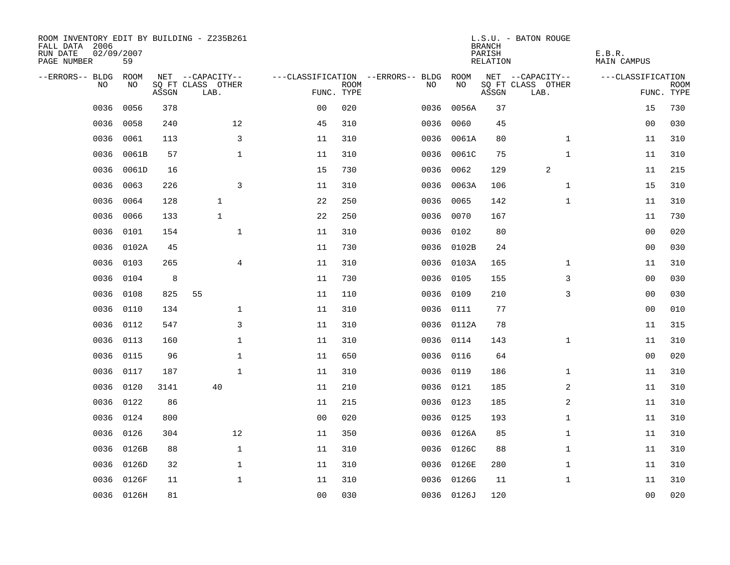| ROOM INVENTORY EDIT BY BUILDING - Z235B261<br>FALL DATA 2006<br>RUN DATE<br>PAGE NUMBER | 02/09/2007<br>59 |       |                           |                |             |                                   |            | <b>BRANCH</b><br>PARISH<br><b>RELATION</b> | L.S.U. - BATON ROUGE      | E.B.R.<br><b>MAIN CAMPUS</b> |                           |
|-----------------------------------------------------------------------------------------|------------------|-------|---------------------------|----------------|-------------|-----------------------------------|------------|--------------------------------------------|---------------------------|------------------------------|---------------------------|
| --ERRORS-- BLDG                                                                         | ROOM             |       | NET --CAPACITY--          |                |             | ---CLASSIFICATION --ERRORS-- BLDG | ROOM       |                                            | NET --CAPACITY--          | ---CLASSIFICATION            |                           |
| NO                                                                                      | NO               | ASSGN | SQ FT CLASS OTHER<br>LAB. | FUNC. TYPE     | <b>ROOM</b> | NO                                | NO         | ASSGN                                      | SQ FT CLASS OTHER<br>LAB. |                              | <b>ROOM</b><br>FUNC. TYPE |
| 0036                                                                                    | 0056             | 378   |                           | 0 <sub>0</sub> | 020         | 0036                              | 0056A      | 37                                         |                           | 15                           | 730                       |
| 0036                                                                                    | 0058             | 240   | 12                        | 45             | 310         | 0036                              | 0060       | 45                                         |                           | 00                           | 030                       |
| 0036                                                                                    | 0061             | 113   | 3                         | 11             | 310         | 0036                              | 0061A      | 80                                         | $\mathbf{1}$              | 11                           | 310                       |
| 0036                                                                                    | 0061B            | 57    | $\mathbf 1$               | 11             | 310         | 0036                              | 0061C      | 75                                         | $\mathbf{1}$              | 11                           | 310                       |
| 0036                                                                                    | 0061D            | 16    |                           | 15             | 730         | 0036                              | 0062       | 129                                        | 2                         | 11                           | 215                       |
| 0036                                                                                    | 0063             | 226   | 3                         | 11             | 310         |                                   | 0036 0063A | 106                                        | $\mathbf{1}$              | 15                           | 310                       |
| 0036                                                                                    | 0064             | 128   | $\mathbf{1}$              | 22             | 250         | 0036                              | 0065       | 142                                        | $\mathbf{1}$              | 11                           | 310                       |
| 0036                                                                                    | 0066             | 133   | $\mathbf{1}$              | 22             | 250         |                                   | 0036 0070  | 167                                        |                           | 11                           | 730                       |
| 0036                                                                                    | 0101             | 154   | $\mathbf{1}$              | 11             | 310         | 0036                              | 0102       | 80                                         |                           | 0 <sub>0</sub>               | 020                       |
| 0036                                                                                    | 0102A            | 45    |                           | 11             | 730         |                                   | 0036 0102B | 24                                         |                           | 0 <sub>0</sub>               | 030                       |
| 0036                                                                                    | 0103             | 265   | $\overline{4}$            | 11             | 310         | 0036                              | 0103A      | 165                                        | $\mathbf{1}$              | 11                           | 310                       |
| 0036                                                                                    | 0104             | 8     |                           | 11             | 730         | 0036                              | 0105       | 155                                        | 3                         | 0 <sub>0</sub>               | 030                       |
| 0036                                                                                    | 0108             | 825   | 55                        | 11             | 110         | 0036                              | 0109       | 210                                        | 3                         | 0 <sub>0</sub>               | 030                       |
| 0036                                                                                    | 0110             | 134   | 1                         | 11             | 310         |                                   | 0036 0111  | 77                                         |                           | 0 <sub>0</sub>               | 010                       |
| 0036                                                                                    | 0112             | 547   | 3                         | 11             | 310         |                                   | 0036 0112A | 78                                         |                           | 11                           | 315                       |
| 0036                                                                                    | 0113             | 160   | $\mathbf 1$               | 11             | 310         |                                   | 0036 0114  | 143                                        | $\mathbf{1}$              | 11                           | 310                       |
| 0036                                                                                    | 0115             | 96    | $\mathbf 1$               | 11             | 650         | 0036                              | 0116       | 64                                         |                           | 0 <sub>0</sub>               | 020                       |
| 0036                                                                                    | 0117             | 187   | $\mathbf{1}$              | 11             | 310         |                                   | 0036 0119  | 186                                        | $\mathbf{1}$              | 11                           | 310                       |
| 0036                                                                                    | 0120             | 3141  | 40                        | 11             | 210         |                                   | 0036 0121  | 185                                        | 2                         | 11                           | 310                       |
| 0036                                                                                    | 0122             | 86    |                           | 11             | 215         |                                   | 0036 0123  | 185                                        | 2                         | 11                           | 310                       |
| 0036                                                                                    | 0124             | 800   |                           | 0 <sub>0</sub> | 020         |                                   | 0036 0125  | 193                                        | $\mathbf{1}$              | 11                           | 310                       |
| 0036                                                                                    | 0126             | 304   | 12                        | 11             | 350         |                                   | 0036 0126A | 85                                         | $\mathbf{1}$              | 11                           | 310                       |
| 0036                                                                                    | 0126B            | 88    | $\mathbf{1}$              | 11             | 310         |                                   | 0036 0126C | 88                                         | $\mathbf{1}$              | 11                           | 310                       |
| 0036                                                                                    | 0126D            | 32    | $\mathbf{1}$              | 11             | 310         |                                   | 0036 0126E | 280                                        | $\mathbf{1}$              | 11                           | 310                       |
| 0036                                                                                    | 0126F            | 11    | $\mathbf 1$               | 11             | 310         | 0036                              | 0126G      | 11                                         | $\mathbf{1}$              | 11                           | 310                       |
|                                                                                         | 0036 0126H       | 81    |                           | 0 <sub>0</sub> | 030         |                                   | 0036 0126J | 120                                        |                           | 0 <sub>0</sub>               | 020                       |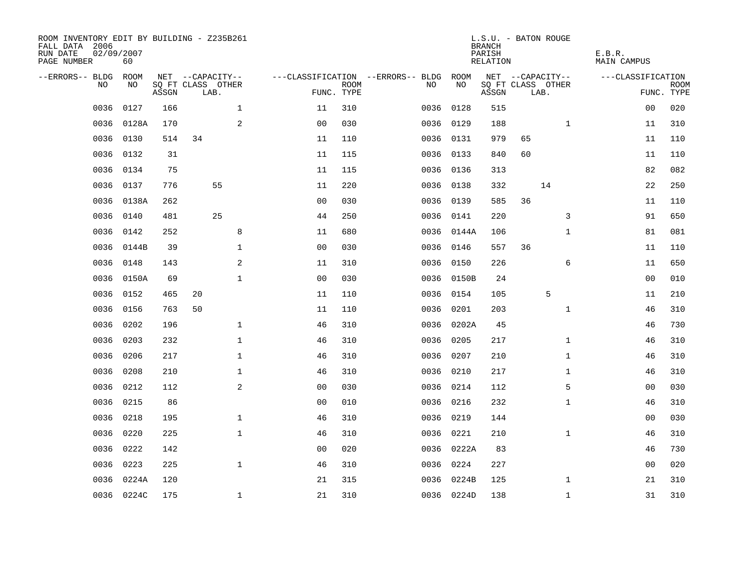| ROOM INVENTORY EDIT BY BUILDING - Z235B261<br>FALL DATA 2006<br>RUN DATE<br>PAGE NUMBER | 02/09/2007<br>60 |       |                           |              |                |             |                                   |      |            | <b>BRANCH</b><br>PARISH<br>RELATION | L.S.U. - BATON ROUGE      |              | E.B.R.<br>MAIN CAMPUS |             |
|-----------------------------------------------------------------------------------------|------------------|-------|---------------------------|--------------|----------------|-------------|-----------------------------------|------|------------|-------------------------------------|---------------------------|--------------|-----------------------|-------------|
| --ERRORS-- BLDG ROOM                                                                    |                  |       | NET --CAPACITY--          |              |                |             | ---CLASSIFICATION --ERRORS-- BLDG |      | ROOM       |                                     | NET --CAPACITY--          |              | ---CLASSIFICATION     |             |
| NO.                                                                                     | NO.              | ASSGN | SQ FT CLASS OTHER<br>LAB. |              | FUNC. TYPE     | <b>ROOM</b> | NO.                               |      | NO         | ASSGN                               | SQ FT CLASS OTHER<br>LAB. |              | FUNC. TYPE            | <b>ROOM</b> |
| 0036                                                                                    | 0127             | 166   |                           | $\mathbf{1}$ | 11             | 310         |                                   | 0036 | 0128       | 515                                 |                           |              | 0 <sub>0</sub>        | 020         |
| 0036                                                                                    | 0128A            | 170   |                           | 2            | 0 <sub>0</sub> | 030         |                                   |      | 0036 0129  | 188                                 |                           | $\mathbf{1}$ | 11                    | 310         |
| 0036                                                                                    | 0130             | 514   | 34                        |              | 11             | 110         |                                   |      | 0036 0131  | 979                                 | 65                        |              | 11                    | 110         |
| 0036                                                                                    | 0132             | 31    |                           |              | 11             | 115         |                                   |      | 0036 0133  | 840                                 | 60                        |              | 11                    | 110         |
| 0036                                                                                    | 0134             | 75    |                           |              | 11             | 115         |                                   |      | 0036 0136  | 313                                 |                           |              | 82                    | 082         |
| 0036                                                                                    | 0137             | 776   | 55                        |              | 11             | 220         |                                   |      | 0036 0138  | 332                                 | 14                        |              | 22                    | 250         |
| 0036                                                                                    | 0138A            | 262   |                           |              | 0 <sub>0</sub> | 030         |                                   | 0036 | 0139       | 585                                 | 36                        |              | 11                    | 110         |
| 0036                                                                                    | 0140             | 481   | 25                        |              | 44             | 250         |                                   |      | 0036 0141  | 220                                 |                           | 3            | 91                    | 650         |
| 0036                                                                                    | 0142             | 252   |                           | 8            | 11             | 680         |                                   |      | 0036 0144A | 106                                 |                           | $\mathbf{1}$ | 81                    | 081         |
| 0036                                                                                    | 0144B            | 39    |                           | $\mathbf{1}$ | 0 <sub>0</sub> | 030         |                                   |      | 0036 0146  | 557                                 | 36                        |              | 11                    | 110         |
| 0036                                                                                    | 0148             | 143   |                           | 2            | 11             | 310         |                                   | 0036 | 0150       | 226                                 |                           | 6            | 11                    | 650         |
| 0036                                                                                    | 0150A            | 69    |                           | $\mathbf 1$  | 0 <sub>0</sub> | 030         |                                   |      | 0036 0150B | 24                                  |                           |              | 00                    | 010         |
| 0036                                                                                    | 0152             | 465   | 20                        |              | 11             | 110         |                                   | 0036 | 0154       | 105                                 | 5                         |              | 11                    | 210         |
| 0036                                                                                    | 0156             | 763   | 50                        |              | 11             | 110         |                                   | 0036 | 0201       | 203                                 |                           | $\mathbf{1}$ | 46                    | 310         |
| 0036                                                                                    | 0202             | 196   |                           | $\mathbf 1$  | 46             | 310         |                                   | 0036 | 0202A      | 45                                  |                           |              | 46                    | 730         |
| 0036                                                                                    | 0203             | 232   |                           | $\mathbf 1$  | 46             | 310         |                                   | 0036 | 0205       | 217                                 |                           | $\mathbf{1}$ | 46                    | 310         |
| 0036                                                                                    | 0206             | 217   |                           | $\mathbf{1}$ | 46             | 310         |                                   | 0036 | 0207       | 210                                 |                           | $\mathbf{1}$ | 46                    | 310         |
| 0036                                                                                    | 0208             | 210   |                           | $\mathbf{1}$ | 46             | 310         |                                   | 0036 | 0210       | 217                                 |                           | $\mathbf{1}$ | 46                    | 310         |
| 0036                                                                                    | 0212             | 112   |                           | 2            | 0 <sub>0</sub> | 030         |                                   |      | 0036 0214  | 112                                 |                           | 5            | 00                    | 030         |
| 0036                                                                                    | 0215             | 86    |                           |              | 00             | 010         |                                   |      | 0036 0216  | 232                                 |                           | $\mathbf{1}$ | 46                    | 310         |
| 0036                                                                                    | 0218             | 195   |                           | $\mathbf 1$  | 46             | 310         |                                   |      | 0036 0219  | 144                                 |                           |              | 00                    | 030         |
| 0036                                                                                    | 0220             | 225   |                           | $\mathbf{1}$ | 46             | 310         |                                   | 0036 | 0221       | 210                                 |                           | $\mathbf{1}$ | 46                    | 310         |
| 0036                                                                                    | 0222             | 142   |                           |              | 0 <sub>0</sub> | 020         |                                   |      | 0036 0222A | 83                                  |                           |              | 46                    | 730         |
| 0036                                                                                    | 0223             | 225   |                           | $\mathbf{1}$ | 46             | 310         |                                   | 0036 | 0224       | 227                                 |                           |              | 00                    | 020         |
| 0036                                                                                    | 0224A            | 120   |                           |              | 21             | 315         |                                   |      | 0036 0224B | 125                                 |                           | $\mathbf{1}$ | 21                    | 310         |
|                                                                                         | 0036 0224C       | 175   |                           | $\mathbf{1}$ | 21             | 310         |                                   |      | 0036 0224D | 138                                 |                           | $\mathbf{1}$ | 31                    | 310         |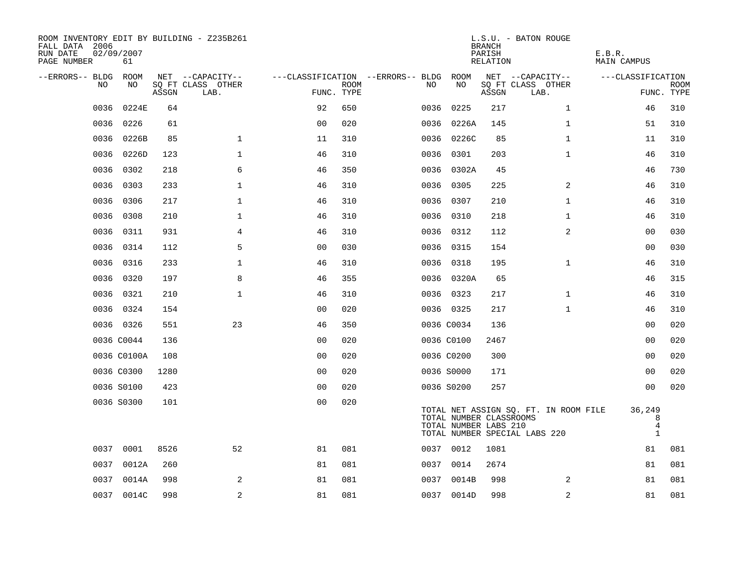| ROOM INVENTORY EDIT BY BUILDING - Z235B261<br>FALL DATA 2006<br>RUN DATE<br>PAGE NUMBER | 02/09/2007<br>61 |       |                           |                |             |                                   |                                                  | <b>BRANCH</b><br>PARISH<br>RELATION | L.S.U. - BATON ROUGE                                                   | E.B.R.<br>MAIN CAMPUS            |                           |
|-----------------------------------------------------------------------------------------|------------------|-------|---------------------------|----------------|-------------|-----------------------------------|--------------------------------------------------|-------------------------------------|------------------------------------------------------------------------|----------------------------------|---------------------------|
| --ERRORS-- BLDG ROOM                                                                    |                  |       | NET --CAPACITY--          |                |             | ---CLASSIFICATION --ERRORS-- BLDG | ROOM                                             |                                     | NET --CAPACITY--                                                       | ---CLASSIFICATION                |                           |
| NO                                                                                      | NO               | ASSGN | SQ FT CLASS OTHER<br>LAB. | FUNC. TYPE     | <b>ROOM</b> | NO.                               | NO                                               | ASSGN                               | SQ FT CLASS OTHER<br>LAB.                                              |                                  | <b>ROOM</b><br>FUNC. TYPE |
| 0036                                                                                    | 0224E            | 64    |                           | 92             | 650         | 0036                              | 0225                                             | 217                                 | $\mathbf{1}$                                                           | 46                               | 310                       |
| 0036                                                                                    | 0226             | 61    |                           | 0 <sub>0</sub> | 020         |                                   | 0036 0226A                                       | 145                                 | $\mathbf{1}$                                                           | 51                               | 310                       |
|                                                                                         | 0036 0226B       | 85    | $\mathbf 1$               | 11             | 310         |                                   | 0036 0226C                                       | 85                                  | $\mathbf{1}$                                                           | 11                               | 310                       |
| 0036                                                                                    | 0226D            | 123   | $\mathbf 1$               | 46             | 310         |                                   | 0036 0301                                        | 203                                 | $\mathbf{1}$                                                           | 46                               | 310                       |
| 0036                                                                                    | 0302             | 218   | 6                         | 46             | 350         |                                   | 0036 0302A                                       | 45                                  |                                                                        | 46                               | 730                       |
| 0036                                                                                    | 0303             | 233   | $\mathbf 1$               | 46             | 310         |                                   | 0036 0305                                        | 225                                 | 2                                                                      | 46                               | 310                       |
| 0036                                                                                    | 0306             | 217   | $\mathbf 1$               | 46             | 310         |                                   | 0036 0307                                        | 210                                 | $\mathbf{1}$                                                           | 46                               | 310                       |
| 0036                                                                                    | 0308             | 210   | $\mathbf 1$               | 46             | 310         |                                   | 0036 0310                                        | 218                                 | $\mathbf{1}$                                                           | 46                               | 310                       |
| 0036                                                                                    | 0311             | 931   | $\overline{4}$            | 46             | 310         |                                   | 0036 0312                                        | 112                                 | $\overline{a}$                                                         | 0 <sub>0</sub>                   | 030                       |
| 0036                                                                                    | 0314             | 112   | 5                         | 0 <sub>0</sub> | 030         |                                   | 0036 0315                                        | 154                                 |                                                                        | 00                               | 030                       |
| 0036                                                                                    | 0316             | 233   | $\mathbf 1$               | 46             | 310         |                                   | 0036 0318                                        | 195                                 | $\mathbf{1}$                                                           | 46                               | 310                       |
|                                                                                         | 0036 0320        | 197   | 8                         | 46             | 355         |                                   | 0036 0320A                                       | 65                                  |                                                                        | 46                               | 315                       |
| 0036                                                                                    | 0321             | 210   | $\mathbf{1}$              | 46             | 310         |                                   | 0036 0323                                        | 217                                 | $\mathbf{1}$                                                           | 46                               | 310                       |
|                                                                                         | 0036 0324        | 154   |                           | 0 <sub>0</sub> | 020         |                                   | 0036 0325                                        | 217                                 | $\mathbf{1}$                                                           | 46                               | 310                       |
|                                                                                         | 0036 0326        | 551   | 23                        | 46             | 350         |                                   | 0036 C0034                                       | 136                                 |                                                                        | 00                               | 020                       |
|                                                                                         | 0036 C0044       | 136   |                           | 0 <sub>0</sub> | 020         |                                   | 0036 C0100                                       | 2467                                |                                                                        | 00                               | 020                       |
|                                                                                         | 0036 C0100A      | 108   |                           | 0 <sub>0</sub> | 020         |                                   | 0036 C0200                                       | 300                                 |                                                                        | 0 <sub>0</sub>                   | 020                       |
|                                                                                         | 0036 C0300       | 1280  |                           | 0 <sub>0</sub> | 020         |                                   | 0036 S0000                                       | 171                                 |                                                                        | 00                               | 020                       |
|                                                                                         | 0036 S0100       | 423   |                           | 0 <sub>0</sub> | 020         |                                   | 0036 S0200                                       | 257                                 |                                                                        | 00                               | 020                       |
|                                                                                         | 0036 S0300       | 101   |                           | 0 <sub>0</sub> | 020         |                                   | TOTAL NUMBER CLASSROOMS<br>TOTAL NUMBER LABS 210 |                                     | TOTAL NET ASSIGN SQ. FT. IN ROOM FILE<br>TOTAL NUMBER SPECIAL LABS 220 | 36,249<br>8<br>4<br>$\mathbf{1}$ |                           |
|                                                                                         | 0037 0001        | 8526  | 52                        | 81             | 081         |                                   | 0037 0012                                        | 1081                                |                                                                        | 81                               | 081                       |
| 0037                                                                                    | 0012A            | 260   |                           | 81             | 081         |                                   | 0037 0014                                        | 2674                                |                                                                        | 81                               | 081                       |
|                                                                                         | 0037 0014A       | 998   | 2                         | 81             | 081         |                                   | 0037 0014B                                       | 998                                 | 2                                                                      | 81                               | 081                       |
|                                                                                         | 0037 0014C       | 998   | $\overline{c}$            | 81             | 081         |                                   | 0037 0014D                                       | 998                                 | 2                                                                      | 81                               | 081                       |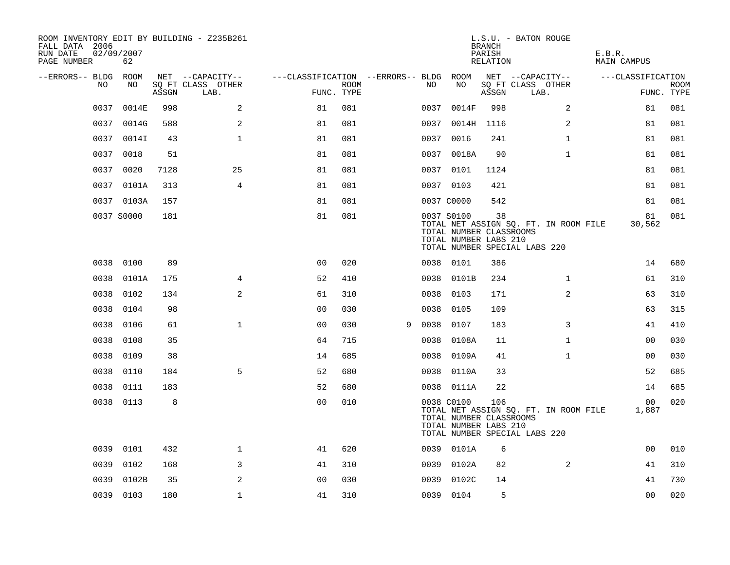| ROOM INVENTORY EDIT BY BUILDING - Z235B261<br>FALL DATA 2006<br>RUN DATE<br>PAGE NUMBER | 02/09/2007<br>62 |       |                           |                                   |      |   |      |                                                                | <b>BRANCH</b><br>PARISH<br>RELATION | L.S.U. - BATON ROUGE                                                   | E.B.R.<br><b>MAIN CAMPUS</b> |                           |
|-----------------------------------------------------------------------------------------|------------------|-------|---------------------------|-----------------------------------|------|---|------|----------------------------------------------------------------|-------------------------------------|------------------------------------------------------------------------|------------------------------|---------------------------|
| --ERRORS-- BLDG                                                                         | ROOM             |       | NET --CAPACITY--          | ---CLASSIFICATION --ERRORS-- BLDG |      |   |      | ROOM                                                           |                                     | NET --CAPACITY--                                                       | ---CLASSIFICATION            |                           |
| NO                                                                                      | NO               | ASSGN | SQ FT CLASS OTHER<br>LAB. | FUNC. TYPE                        | ROOM |   | NO   | NO                                                             | ASSGN                               | SQ FT CLASS OTHER<br>LAB.                                              |                              | <b>ROOM</b><br>FUNC. TYPE |
| 0037                                                                                    | 0014E            | 998   | 2                         | 81                                | 081  |   | 0037 | 0014F                                                          | 998                                 | 2                                                                      | 81                           | 081                       |
| 0037                                                                                    | 0014G            | 588   | 2                         | 81                                | 081  |   | 0037 | 0014H                                                          | 1116                                | 2                                                                      | 81                           | 081                       |
| 0037                                                                                    | 0014I            | 43    | $\mathbf{1}$              | 81                                | 081  |   |      | 0037 0016                                                      | 241                                 | $\mathbf{1}$                                                           | 81                           | 081                       |
| 0037                                                                                    | 0018             | 51    |                           | 81                                | 081  |   |      | 0037 0018A                                                     | 90                                  | $\mathbf{1}$                                                           | 81                           | 081                       |
| 0037                                                                                    | 0020             | 7128  | 25                        | 81                                | 081  |   |      | 0037 0101                                                      | 1124                                |                                                                        | 81                           | 081                       |
|                                                                                         | 0037 0101A       | 313   | 4                         | 81                                | 081  |   |      | 0037 0103                                                      | 421                                 |                                                                        | 81                           | 081                       |
|                                                                                         | 0037 0103A       | 157   |                           | 81                                | 081  |   |      | 0037 C0000                                                     | 542                                 |                                                                        | 81                           | 081                       |
|                                                                                         | 0037 S0000       | 181   |                           | 81                                | 081  |   |      | 0037 S0100<br>TOTAL NUMBER CLASSROOMS<br>TOTAL NUMBER LABS 210 | 38                                  | TOTAL NET ASSIGN SQ. FT. IN ROOM FILE<br>TOTAL NUMBER SPECIAL LABS 220 | 81<br>30,562                 | 081                       |
| 0038                                                                                    | 0100             | 89    |                           | 0 <sub>0</sub>                    | 020  |   |      | 0038 0101                                                      | 386                                 |                                                                        | 14                           | 680                       |
| 0038                                                                                    | 0101A            | 175   | 4                         | 52                                | 410  |   |      | 0038 0101B                                                     | 234                                 | $\mathbf{1}$                                                           | 61                           | 310                       |
| 0038                                                                                    | 0102             | 134   | 2                         | 61                                | 310  |   | 0038 | 0103                                                           | 171                                 | $\overline{2}$                                                         | 63                           | 310                       |
| 0038                                                                                    | 0104             | 98    |                           | 0 <sub>0</sub>                    | 030  |   | 0038 | 0105                                                           | 109                                 |                                                                        | 63                           | 315                       |
| 0038                                                                                    | 0106             | 61    | $\mathbf 1$               | 00                                | 030  | 9 | 0038 | 0107                                                           | 183                                 | 3                                                                      | 41                           | 410                       |
| 0038                                                                                    | 0108             | 35    |                           | 64                                | 715  |   | 0038 | 0108A                                                          | 11                                  | $\mathbf{1}$                                                           | 00                           | 030                       |
| 0038                                                                                    | 0109             | 38    |                           | 14                                | 685  |   | 0038 | 0109A                                                          | 41                                  | $\mathbf{1}$                                                           | 0 <sub>0</sub>               | 030                       |
| 0038                                                                                    | 0110             | 184   | 5                         | 52                                | 680  |   |      | 0038 0110A                                                     | 33                                  |                                                                        | 52                           | 685                       |
| 0038                                                                                    | 0111             | 183   |                           | 52                                | 680  |   |      | 0038 0111A                                                     | 22                                  |                                                                        | 14                           | 685                       |
|                                                                                         | 0038 0113        | 8     |                           | 0 <sub>0</sub>                    | 010  |   |      | 0038 C0100<br>TOTAL NUMBER CLASSROOMS<br>TOTAL NUMBER LABS 210 | 106                                 | TOTAL NET ASSIGN SQ. FT. IN ROOM FILE<br>TOTAL NUMBER SPECIAL LABS 220 | 00<br>1,887                  | 020                       |
| 0039                                                                                    | 0101             | 432   | $\mathbf 1$               | 41                                | 620  |   |      | 0039 0101A                                                     | 6                                   |                                                                        | 0 <sub>0</sub>               | 010                       |
| 0039                                                                                    | 0102             | 168   | 3                         | 41                                | 310  |   |      | 0039 0102A                                                     | 82                                  | 2                                                                      | 41                           | 310                       |
| 0039                                                                                    | 0102B            | 35    | 2                         | 0 <sub>0</sub>                    | 030  |   | 0039 | 0102C                                                          | 14                                  |                                                                        | 41                           | 730                       |
|                                                                                         | 0039 0103        | 180   | $\mathbf 1$               | 41                                | 310  |   |      | 0039 0104                                                      | 5                                   |                                                                        | 0 <sub>0</sub>               | 020                       |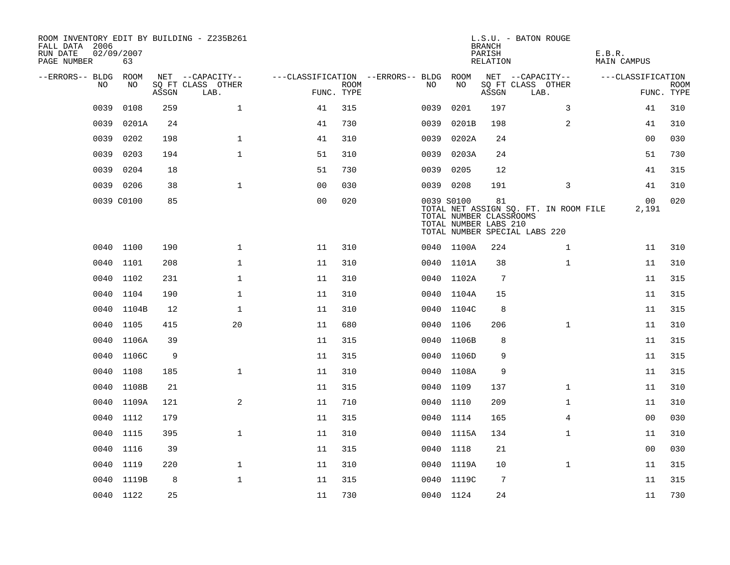| ROOM INVENTORY EDIT BY BUILDING - Z235B261<br>FALL DATA 2006<br>RUN DATE<br>PAGE NUMBER | 02/09/2007<br>63 |       |                           |                                        |             |      |                                                                | <b>BRANCH</b><br>PARISH<br>RELATION | L.S.U. - BATON ROUGE                                                   | E.B.R.<br>MAIN CAMPUS |                           |
|-----------------------------------------------------------------------------------------|------------------|-------|---------------------------|----------------------------------------|-------------|------|----------------------------------------------------------------|-------------------------------------|------------------------------------------------------------------------|-----------------------|---------------------------|
| --ERRORS-- BLDG ROOM                                                                    |                  |       | NET --CAPACITY--          | ---CLASSIFICATION --ERRORS-- BLDG ROOM |             |      |                                                                |                                     | NET --CAPACITY--                                                       | ---CLASSIFICATION     |                           |
| NO.                                                                                     | NO.              | ASSGN | SQ FT CLASS OTHER<br>LAB. | FUNC. TYPE                             | <b>ROOM</b> | NO.  | NO                                                             | ASSGN                               | SQ FT CLASS OTHER<br>LAB.                                              |                       | <b>ROOM</b><br>FUNC. TYPE |
| 0039                                                                                    | 0108             | 259   | $\mathbf{1}$              | 41                                     | 315         | 0039 | 0201                                                           | 197                                 | 3                                                                      | 41                    | 310                       |
| 0039                                                                                    | 0201A            | 24    |                           | 41                                     | 730         | 0039 | 0201B                                                          | 198                                 | $\overline{a}$                                                         | 41                    | 310                       |
| 0039                                                                                    | 0202             | 198   | $\mathbf 1$               | 41                                     | 310         | 0039 | 0202A                                                          | 24                                  |                                                                        | 00                    | 030                       |
| 0039                                                                                    | 0203             | 194   | $\mathbf 1$               | 51                                     | 310         | 0039 | 0203A                                                          | 24                                  |                                                                        | 51                    | 730                       |
| 0039                                                                                    | 0204             | 18    |                           | 51                                     | 730         | 0039 | 0205                                                           | 12                                  |                                                                        | 41                    | 315                       |
| 0039                                                                                    | 0206             | 38    | $\mathbf{1}$              | 0 <sub>0</sub>                         | 030         |      | 0039 0208                                                      | 191                                 | 3                                                                      | 41                    | 310                       |
|                                                                                         | 0039 C0100       | 85    |                           | 0 <sub>0</sub>                         | 020         |      | 0039 S0100<br>TOTAL NUMBER CLASSROOMS<br>TOTAL NUMBER LABS 210 | 81                                  | TOTAL NET ASSIGN SQ. FT. IN ROOM FILE<br>TOTAL NUMBER SPECIAL LABS 220 | 00<br>2,191           | 020                       |
|                                                                                         | 0040 1100        | 190   | $\mathbf{1}$              | 11                                     | 310         |      | 0040 1100A                                                     | 224                                 | $\mathbf{1}$                                                           | 11                    | 310                       |
|                                                                                         | 0040 1101        | 208   | $\mathbf 1$               | 11                                     | 310         |      | 0040 1101A                                                     | 38                                  | $\mathbf{1}$                                                           | 11                    | 310                       |
|                                                                                         | 0040 1102        | 231   | $\mathbf 1$               | 11                                     | 310         |      | 0040 1102A                                                     | $7\phantom{.0}$                     |                                                                        | 11                    | 315                       |
| 0040                                                                                    | 1104             | 190   | $\mathbf{1}$              | 11                                     | 310         |      | 0040 1104A                                                     | 15                                  |                                                                        | 11                    | 315                       |
| 0040                                                                                    | 1104B            | 12    | $\mathbf{1}$              | 11                                     | 310         |      | 0040 1104C                                                     | 8                                   |                                                                        | 11                    | 315                       |
| 0040                                                                                    | 1105             | 415   | 20                        | 11                                     | 680         | 0040 | 1106                                                           | 206                                 | $\mathbf{1}$                                                           | 11                    | 310                       |
| 0040                                                                                    | 1106A            | 39    |                           | 11                                     | 315         | 0040 | 1106B                                                          | 8                                   |                                                                        | 11                    | 315                       |
| 0040                                                                                    | 1106C            | 9     |                           | 11                                     | 315         |      | 0040 1106D                                                     | 9                                   |                                                                        | 11                    | 315                       |
| 0040                                                                                    | 1108             | 185   | $\mathbf{1}$              | 11                                     | 310         |      | 0040 1108A                                                     | 9                                   |                                                                        | 11                    | 315                       |
|                                                                                         | 0040 1108B       | 21    |                           | 11                                     | 315         |      | 0040 1109                                                      | 137                                 | $\mathbf{1}$                                                           | 11                    | 310                       |
|                                                                                         | 0040 1109A       | 121   | 2                         | 11                                     | 710         |      | 0040 1110                                                      | 209                                 | $\mathbf{1}$                                                           | 11                    | 310                       |
|                                                                                         | 0040 1112        | 179   |                           | 11                                     | 315         |      | 0040 1114                                                      | 165                                 | 4                                                                      | 00                    | 030                       |
| 0040                                                                                    | 1115             | 395   | $\mathbf{1}$              | 11                                     | 310         |      | 0040 1115A                                                     | 134                                 | $\mathbf{1}$                                                           | 11                    | 310                       |
|                                                                                         | 0040 1116        | 39    |                           | 11                                     | 315         |      | 0040 1118                                                      | 21                                  |                                                                        | 00                    | 030                       |
| 0040                                                                                    | 1119             | 220   | $\mathbf 1$               | 11                                     | 310         |      | 0040 1119A                                                     | 10                                  | $\mathbf{1}$                                                           | 11                    | 315                       |
|                                                                                         | 0040 1119B       | 8     | $\mathbf 1$               | 11                                     | 315         |      | 0040 1119C                                                     | 7                                   |                                                                        | 11                    | 315                       |
|                                                                                         | 0040 1122        | 25    |                           | 11                                     | 730         |      | 0040 1124                                                      | 24                                  |                                                                        | 11                    | 730                       |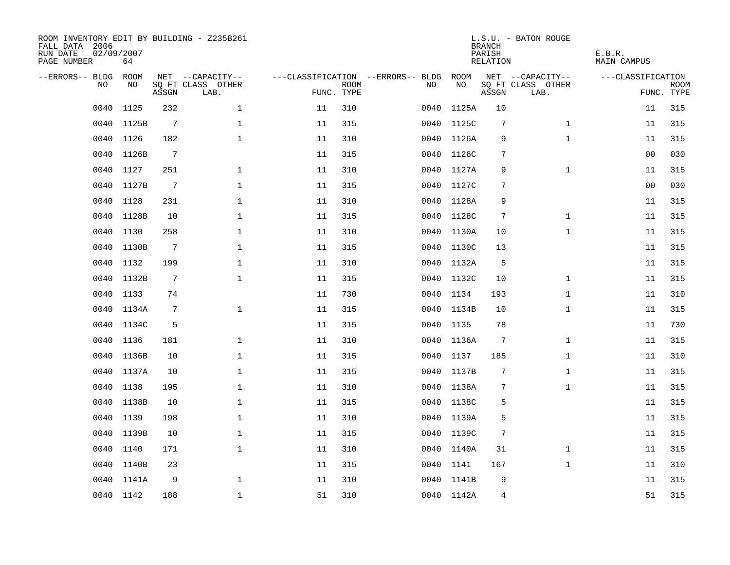| ROOM INVENTORY EDIT BY BUILDING - Z235B261<br>FALL DATA 2006<br>RUN DATE<br>PAGE NUMBER | 02/09/2007<br>64 |                 |                           |                                   |                           |      |            | <b>BRANCH</b><br>PARISH<br>RELATION | L.S.U. - BATON ROUGE      | E.B.R.<br><b>MAIN CAMPUS</b> |                           |
|-----------------------------------------------------------------------------------------|------------------|-----------------|---------------------------|-----------------------------------|---------------------------|------|------------|-------------------------------------|---------------------------|------------------------------|---------------------------|
| --ERRORS-- BLDG                                                                         | ROOM             |                 | NET --CAPACITY--          | ---CLASSIFICATION --ERRORS-- BLDG |                           |      | ROOM       |                                     | NET --CAPACITY--          | ---CLASSIFICATION            |                           |
| N <sub>O</sub>                                                                          | NO.              | ASSGN           | SO FT CLASS OTHER<br>LAB. |                                   | <b>ROOM</b><br>FUNC. TYPE | NO.  | NO         | ASSGN                               | SQ FT CLASS OTHER<br>LAB. |                              | <b>ROOM</b><br>FUNC. TYPE |
| 0040                                                                                    | 1125             | 232             | $\mathbf{1}$              | 11                                | 310                       | 0040 | 1125A      | 10                                  |                           | 11                           | 315                       |
| 0040                                                                                    | 1125B            | $7\phantom{.0}$ | $\mathbf{1}$              | 11                                | 315                       | 0040 | 1125C      | 7                                   | $\mathbf{1}$              | 11                           | 315                       |
| 0040                                                                                    | 1126             | 182             | $\mathbf 1$               | 11                                | 310                       |      | 0040 1126A | 9                                   | $\mathbf{1}$              | 11                           | 315                       |
| 0040                                                                                    | 1126B            | $7\phantom{.0}$ |                           | 11                                | 315                       | 0040 | 1126C      | 7                                   |                           | 0 <sub>0</sub>               | 030                       |
| 0040                                                                                    | 1127             | 251             | $\mathbf{1}$              | 11                                | 310                       | 0040 | 1127A      | 9                                   | $\mathbf{1}$              | 11                           | 315                       |
| 0040                                                                                    | 1127B            | $\overline{7}$  | $\mathbf{1}$              | 11                                | 315                       | 0040 | 1127C      | 7                                   |                           | 0 <sub>0</sub>               | 030                       |
| 0040                                                                                    | 1128             | 231             | $\mathbf 1$               | 11                                | 310                       | 0040 | 1128A      | 9                                   |                           | 11                           | 315                       |
| 0040                                                                                    | 1128B            | 10              | $\mathbf{1}$              | 11                                | 315                       |      | 0040 1128C | 7                                   | $\mathbf{1}$              | 11                           | 315                       |
| 0040                                                                                    | 1130             | 258             | $\mathbf{1}$              | 11                                | 310                       |      | 0040 1130A | 10                                  | $\mathbf{1}$              | 11                           | 315                       |
| 0040                                                                                    | 1130B            | $7\phantom{.0}$ | $\mathbf{1}$              | 11                                | 315                       |      | 0040 1130C | 13                                  |                           | 11                           | 315                       |
| 0040                                                                                    | 1132             | 199             | $\mathbf 1$               | 11                                | 310                       |      | 0040 1132A | -5                                  |                           | 11                           | 315                       |
| 0040                                                                                    | 1132B            | 7               | $\mathbf{1}$              | 11                                | 315                       |      | 0040 1132C | 10                                  | $\mathbf{1}$              | 11                           | 315                       |
| 0040                                                                                    | 1133             | 74              |                           | 11                                | 730                       | 0040 | 1134       | 193                                 | $\mathbf{1}$              | 11                           | 310                       |
| 0040                                                                                    | 1134A            | 7               | $\mathbf 1$               | 11                                | 315                       | 0040 | 1134B      | 10                                  | $\mathbf{1}$              | 11                           | 315                       |
| 0040                                                                                    | 1134C            | 5               |                           | 11                                | 315                       | 0040 | 1135       | 78                                  |                           | 11                           | 730                       |
| 0040                                                                                    | 1136             | 181             | $\mathbf 1$               | 11                                | 310                       | 0040 | 1136A      | $7\phantom{.0}$                     | $\mathbf{1}$              | 11                           | 315                       |
| 0040                                                                                    | 1136B            | 10              | $\mathbf{1}$              | 11                                | 315                       | 0040 | 1137       | 185                                 | $\mathbf{1}$              | 11                           | 310                       |
| 0040                                                                                    | 1137A            | 10              | $\mathbf{1}$              | 11                                | 315                       | 0040 | 1137B      | 7                                   | $\mathbf{1}$              | 11                           | 315                       |
|                                                                                         | 0040 1138        | 195             | $\mathbf{1}$              | 11                                | 310                       |      | 0040 1138A | 7                                   | $\mathbf{1}$              | 11                           | 315                       |
| 0040                                                                                    | 1138B            | 10              | $\mathbf 1$               | 11                                | 315                       |      | 0040 1138C | 5                                   |                           | 11                           | 315                       |
| 0040                                                                                    | 1139             | 198             | $\mathbf 1$               | 11                                | 310                       |      | 0040 1139A | 5                                   |                           | 11                           | 315                       |
| 0040                                                                                    | 1139B            | 10              | $\mathbf{1}$              | 11                                | 315                       | 0040 | 1139C      | 7                                   |                           | 11                           | 315                       |
| 0040                                                                                    | 1140             | 171             | $\mathbf 1$               | 11                                | 310                       |      | 0040 1140A | 31                                  | $\mathbf{1}$              | 11                           | 315                       |
| 0040                                                                                    | 1140B            | 23              |                           | 11                                | 315                       | 0040 | 1141       | 167                                 | $\mathbf{1}$              | 11                           | 310                       |
| 0040                                                                                    | 1141A            | 9               | $\mathbf 1$               | 11                                | 310                       | 0040 | 1141B      | 9                                   |                           | 11                           | 315                       |
|                                                                                         | 0040 1142        | 188             | $\mathbf{1}$              | 51                                | 310                       |      | 0040 1142A | $\overline{4}$                      |                           | 51                           | 315                       |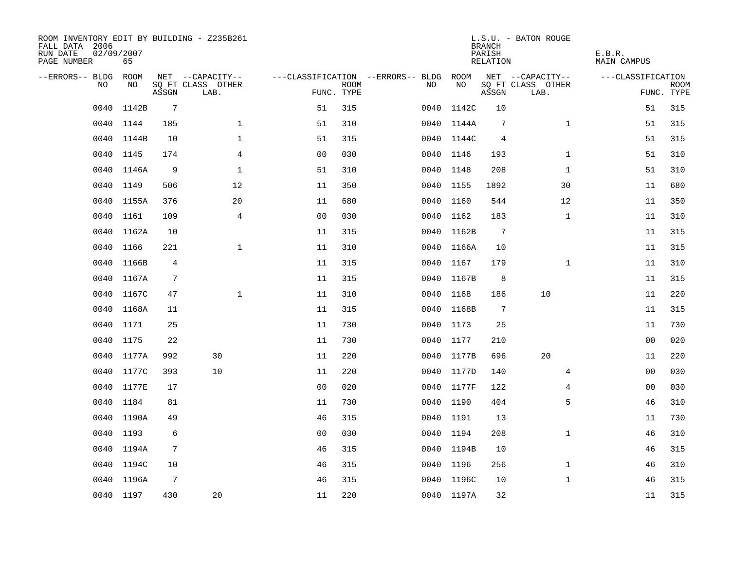| ROOM INVENTORY EDIT BY BUILDING - Z235B261<br>FALL DATA 2006<br>RUN DATE<br>PAGE NUMBER | 02/09/2007<br>65 |                 |                           |                |                           |                                   |            |       | <b>BRANCH</b><br>PARISH<br>RELATION | L.S.U. - BATON ROUGE      | E.B.R.<br>MAIN CAMPUS |                           |
|-----------------------------------------------------------------------------------------|------------------|-----------------|---------------------------|----------------|---------------------------|-----------------------------------|------------|-------|-------------------------------------|---------------------------|-----------------------|---------------------------|
| --ERRORS-- BLDG ROOM                                                                    |                  |                 | NET --CAPACITY--          |                |                           | ---CLASSIFICATION --ERRORS-- BLDG |            | ROOM  |                                     | NET --CAPACITY--          | ---CLASSIFICATION     |                           |
| NO.                                                                                     | NO.              | ASSGN           | SQ FT CLASS OTHER<br>LAB. |                | <b>ROOM</b><br>FUNC. TYPE | NO.                               |            | NO    | ASSGN                               | SQ FT CLASS OTHER<br>LAB. |                       | <b>ROOM</b><br>FUNC. TYPE |
| 0040                                                                                    | 1142B            | $7\overline{ }$ |                           | 51             | 315                       | 0040                              |            | 1142C | 10                                  |                           | 51                    | 315                       |
|                                                                                         | 0040 1144        | 185             | $\mathbf{1}$              | 51             | 310                       |                                   | 0040 1144A |       | $7\phantom{.0}$                     | $\mathbf{1}$              | 51                    | 315                       |
| 0040                                                                                    | 1144B            | 10              | $\mathbf 1$               | 51             | 315                       |                                   | 0040 1144C |       | 4                                   |                           | 51                    | 315                       |
|                                                                                         | 0040 1145        | 174             | 4                         | 0 <sub>0</sub> | 030                       |                                   | 0040 1146  |       | 193                                 | $\mathbf{1}$              | 51                    | 310                       |
| 0040                                                                                    | 1146A            | 9               | $\mathbf{1}$              | 51             | 310                       |                                   | 0040 1148  |       | 208                                 | $\mathbf{1}$              | 51                    | 310                       |
|                                                                                         | 0040 1149        | 506             | 12                        | 11             | 350                       |                                   | 0040 1155  |       | 1892                                | 30                        | 11                    | 680                       |
| 0040                                                                                    | 1155A            | 376             | 20                        | 11             | 680                       |                                   | 0040 1160  |       | 544                                 | 12                        | 11                    | 350                       |
| 0040                                                                                    | 1161             | 109             | 4                         | 0 <sub>0</sub> | 030                       |                                   | 0040 1162  |       | 183                                 | $\mathbf{1}$              | 11                    | 310                       |
| 0040                                                                                    | 1162A            | 10              |                           | 11             | 315                       | 0040                              |            | 1162B | $7\phantom{.0}$                     |                           | 11                    | 315                       |
| 0040                                                                                    | 1166             | 221             | $\mathbf{1}$              | 11             | 310                       |                                   | 0040 1166A |       | 10                                  |                           | 11                    | 315                       |
| 0040                                                                                    | 1166B            | $\overline{4}$  |                           | 11             | 315                       |                                   | 0040       | 1167  | 179                                 | $\mathbf{1}$              | 11                    | 310                       |
| 0040                                                                                    | 1167A            | $\overline{7}$  |                           | 11             | 315                       |                                   | 0040 1167B |       | 8                                   |                           | 11                    | 315                       |
| 0040                                                                                    | 1167C            | 47              | $\mathbf{1}$              | 11             | 310                       |                                   | 0040       | 1168  | 186                                 | 10                        | 11                    | 220                       |
| 0040                                                                                    | 1168A            | 11              |                           | 11             | 315                       |                                   | 0040 1168B |       | $7\phantom{.0}$                     |                           | 11                    | 315                       |
| 0040                                                                                    | 1171             | 25              |                           | 11             | 730                       |                                   | 0040       | 1173  | 25                                  |                           | 11                    | 730                       |
| 0040                                                                                    | 1175             | 22              |                           | 11             | 730                       |                                   | 0040 1177  |       | 210                                 |                           | 0 <sub>0</sub>        | 020                       |
| 0040                                                                                    | 1177A            | 992             | 30                        | 11             | 220                       | 0040                              |            | 1177B | 696                                 | 20                        | 11                    | 220                       |
| 0040                                                                                    | 1177C            | 393             | 10                        | 11             | 220                       |                                   | 0040 1177D |       | 140                                 | 4                         | 00                    | 030                       |
|                                                                                         | 0040 1177E       | 17              |                           | 0 <sup>0</sup> | 020                       |                                   | 0040 1177F |       | 122                                 | 4                         | 00                    | 030                       |
| 0040                                                                                    | 1184             | 81              |                           | 11             | 730                       |                                   | 0040 1190  |       | 404                                 | 5                         | 46                    | 310                       |
|                                                                                         | 0040 1190A       | 49              |                           | 46             | 315                       |                                   | 0040 1191  |       | 13                                  |                           | 11                    | 730                       |
| 0040                                                                                    | 1193             | 6               |                           | 0 <sub>0</sub> | 030                       |                                   | 0040 1194  |       | 208                                 | $\mathbf{1}$              | 46                    | 310                       |
|                                                                                         | 0040 1194A       | 7               |                           | 46             | 315                       |                                   | 0040 1194B |       | 10                                  |                           | 46                    | 315                       |
| 0040                                                                                    | 1194C            | 10              |                           | 46             | 315                       |                                   | 0040 1196  |       | 256                                 | $\mathbf{1}$              | 46                    | 310                       |
|                                                                                         | 0040 1196A       | 7               |                           | 46             | 315                       |                                   | 0040 1196C |       | 10                                  | $\mathbf{1}$              | 46                    | 315                       |
|                                                                                         | 0040 1197        | 430             | 20                        | 11             | 220                       |                                   | 0040 1197A |       | 32                                  |                           | 11                    | 315                       |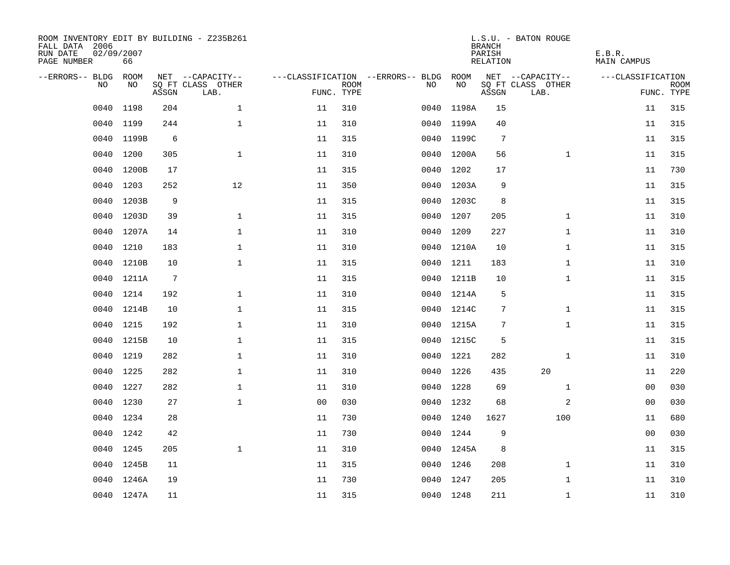| ROOM INVENTORY EDIT BY BUILDING - Z235B261<br>FALL DATA 2006<br>RUN DATE<br>PAGE NUMBER | 02/09/2007<br>66 |       |                           |                |                           |                                   |            | <b>BRANCH</b><br>PARISH<br><b>RELATION</b> | L.S.U. - BATON ROUGE      | E.B.R.<br><b>MAIN CAMPUS</b> |                           |
|-----------------------------------------------------------------------------------------|------------------|-------|---------------------------|----------------|---------------------------|-----------------------------------|------------|--------------------------------------------|---------------------------|------------------------------|---------------------------|
| --ERRORS-- BLDG                                                                         | ROOM             |       | NET --CAPACITY--          |                |                           | ---CLASSIFICATION --ERRORS-- BLDG | ROOM       |                                            | NET --CAPACITY--          | ---CLASSIFICATION            |                           |
| NO                                                                                      | NO               | ASSGN | SQ FT CLASS OTHER<br>LAB. |                | <b>ROOM</b><br>FUNC. TYPE | NO                                | NO         | ASSGN                                      | SQ FT CLASS OTHER<br>LAB. |                              | <b>ROOM</b><br>FUNC. TYPE |
| 0040                                                                                    | 1198             | 204   | $\mathbf 1$               | 11             | 310                       | 0040                              | 1198A      | 15                                         |                           | 11                           | 315                       |
| 0040                                                                                    | 1199             | 244   | $\mathbf 1$               | 11             | 310                       | 0040                              | 1199A      | 40                                         |                           | 11                           | 315                       |
| 0040                                                                                    | 1199B            | 6     |                           | 11             | 315                       | 0040                              | 1199C      | $7\phantom{.0}$                            |                           | 11                           | 315                       |
| 0040                                                                                    | 1200             | 305   | $\mathbf 1$               | 11             | 310                       | 0040                              | 1200A      | 56                                         | $\mathbf{1}$              | 11                           | 315                       |
| 0040                                                                                    | 1200B            | 17    |                           | 11             | 315                       | 0040                              | 1202       | 17                                         |                           | 11                           | 730                       |
| 0040                                                                                    | 1203             | 252   | 12                        | 11             | 350                       |                                   | 0040 1203A | 9                                          |                           | 11                           | 315                       |
| 0040                                                                                    | 1203B            | 9     |                           | 11             | 315                       |                                   | 0040 1203C | 8                                          |                           | 11                           | 315                       |
| 0040                                                                                    | 1203D            | 39    | $\mathbf{1}$              | 11             | 315                       | 0040                              | 1207       | 205                                        | $\mathbf{1}$              | 11                           | 310                       |
| 0040                                                                                    | 1207A            | 14    | $\mathbf{1}$              | 11             | 310                       | 0040                              | 1209       | 227                                        | $\mathbf{1}$              | 11                           | 310                       |
| 0040                                                                                    | 1210             | 183   | $\mathbf 1$               | 11             | 310                       |                                   | 0040 1210A | 10                                         | $\mathbf{1}$              | 11                           | 315                       |
| 0040                                                                                    | 1210B            | 10    | $\mathbf{1}$              | 11             | 315                       |                                   | 0040 1211  | 183                                        | $\mathbf{1}$              | 11                           | 310                       |
| 0040                                                                                    | 1211A            | 7     |                           | 11             | 315                       |                                   | 0040 1211B | 10                                         | $\mathbf{1}$              | 11                           | 315                       |
| 0040                                                                                    | 1214             | 192   | $\mathbf{1}$              | 11             | 310                       |                                   | 0040 1214A | 5                                          |                           | 11                           | 315                       |
| 0040                                                                                    | 1214B            | 10    | $\mathbf 1$               | 11             | 315                       |                                   | 0040 1214C | 7                                          | $\mathbf{1}$              | 11                           | 315                       |
| 0040                                                                                    | 1215             | 192   | $\mathbf{1}$              | 11             | 310                       |                                   | 0040 1215A | 7                                          | $\mathbf{1}$              | 11                           | 315                       |
| 0040                                                                                    | 1215B            | 10    | $\mathbf 1$               | 11             | 315                       |                                   | 0040 1215C | 5                                          |                           | 11                           | 315                       |
| 0040                                                                                    | 1219             | 282   | $\mathbf{1}$              | 11             | 310                       | 0040                              | 1221       | 282                                        | $\mathbf{1}$              | 11                           | 310                       |
| 0040                                                                                    | 1225             | 282   | $\mathbf 1$               | 11             | 310                       | 0040                              | 1226       | 435                                        | 20                        | 11                           | 220                       |
|                                                                                         | 0040 1227        | 282   | $\mathbf 1$               | 11             | 310                       |                                   | 0040 1228  | 69                                         | $\mathbf{1}$              | 00                           | 030                       |
| 0040                                                                                    | 1230             | 27    | $\mathbf{1}$              | 0 <sub>0</sub> | 030                       | 0040                              | 1232       | 68                                         | 2                         | 00                           | 030                       |
|                                                                                         | 0040 1234        | 28    |                           | 11             | 730                       |                                   | 0040 1240  | 1627                                       | 100                       | 11                           | 680                       |
| 0040                                                                                    | 1242             | 42    |                           | 11             | 730                       |                                   | 0040 1244  | 9                                          |                           | 0 <sub>0</sub>               | 030                       |
|                                                                                         | 0040 1245        | 205   | $\mathbf{1}$              | 11             | 310                       |                                   | 0040 1245A | 8                                          |                           | 11                           | 315                       |
| 0040                                                                                    | 1245B            | 11    |                           | 11             | 315                       |                                   | 0040 1246  | 208                                        | $\mathbf{1}$              | 11                           | 310                       |
|                                                                                         | 0040 1246A       | 19    |                           | 11             | 730                       |                                   | 0040 1247  | 205                                        | $\mathbf{1}$              | 11                           | 310                       |
|                                                                                         | 0040 1247A       | 11    |                           | 11             | 315                       |                                   | 0040 1248  | 211                                        | $\mathbf{1}$              | 11                           | 310                       |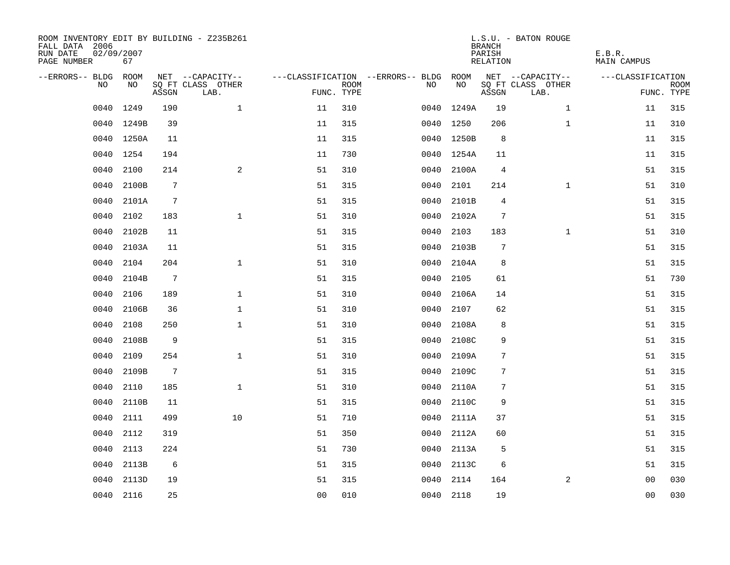| ROOM INVENTORY EDIT BY BUILDING - Z235B261<br>FALL DATA 2006<br>RUN DATE<br>PAGE NUMBER | 02/09/2007<br>67 |                 |                           |                |                           |                                        |            | <b>BRANCH</b><br>PARISH<br>RELATION | L.S.U. - BATON ROUGE      | E.B.R.<br><b>MAIN CAMPUS</b> |                           |
|-----------------------------------------------------------------------------------------|------------------|-----------------|---------------------------|----------------|---------------------------|----------------------------------------|------------|-------------------------------------|---------------------------|------------------------------|---------------------------|
| --ERRORS-- BLDG ROOM                                                                    |                  |                 | NET --CAPACITY--          |                |                           | ---CLASSIFICATION --ERRORS-- BLDG ROOM |            |                                     | NET --CAPACITY--          | ---CLASSIFICATION            |                           |
| NO                                                                                      | NO               | ASSGN           | SQ FT CLASS OTHER<br>LAB. |                | <b>ROOM</b><br>FUNC. TYPE | NO                                     | NO         | ASSGN                               | SQ FT CLASS OTHER<br>LAB. |                              | <b>ROOM</b><br>FUNC. TYPE |
| 0040                                                                                    | 1249             | 190             | $\mathbf{1}$              | 11             | 310                       | 0040                                   | 1249A      | 19                                  | $\mathbf{1}$              | 11                           | 315                       |
|                                                                                         | 0040 1249B       | 39              |                           | 11             | 315                       |                                        | 0040 1250  | 206                                 | $\mathbf{1}$              | 11                           | 310                       |
|                                                                                         | 0040 1250A       | 11              |                           | 11             | 315                       |                                        | 0040 1250B | 8                                   |                           | 11                           | 315                       |
|                                                                                         | 0040 1254        | 194             |                           | 11             | 730                       |                                        | 0040 1254A | 11                                  |                           | 11                           | 315                       |
| 0040                                                                                    | 2100             | 214             | 2                         | 51             | 310                       | 0040                                   | 2100A      | $\overline{4}$                      |                           | 51                           | 315                       |
| 0040                                                                                    | 2100B            | 7               |                           | 51             | 315                       |                                        | 0040 2101  | 214                                 | $\mathbf{1}$              | 51                           | 310                       |
| 0040                                                                                    | 2101A            | 7               |                           | 51             | 315                       | 0040                                   | 2101B      | 4                                   |                           | 51                           | 315                       |
| 0040                                                                                    | 2102             | 183             | $\mathbf{1}$              | 51             | 310                       | 0040                                   | 2102A      | $\overline{7}$                      |                           | 51                           | 315                       |
| 0040                                                                                    | 2102B            | 11              |                           | 51             | 315                       | 0040                                   | 2103       | 183                                 | $\mathbf{1}$              | 51                           | 310                       |
| 0040                                                                                    | 2103A            | 11              |                           | 51             | 315                       |                                        | 0040 2103B | 7                                   |                           | 51                           | 315                       |
| 0040                                                                                    | 2104             | 204             | $\mathbf{1}$              | 51             | 310                       | 0040                                   | 2104A      | 8                                   |                           | 51                           | 315                       |
| 0040                                                                                    | 2104B            | $7\phantom{.0}$ |                           | 51             | 315                       | 0040                                   | 2105       | 61                                  |                           | 51                           | 730                       |
| 0040                                                                                    | 2106             | 189             | $\mathbf{1}$              | 51             | 310                       | 0040                                   | 2106A      | 14                                  |                           | 51                           | 315                       |
| 0040                                                                                    | 2106B            | 36              | $\mathbf 1$               | 51             | 310                       | 0040                                   | 2107       | 62                                  |                           | 51                           | 315                       |
| 0040                                                                                    | 2108             | 250             | $\mathbf 1$               | 51             | 310                       | 0040                                   | 2108A      | 8                                   |                           | 51                           | 315                       |
| 0040                                                                                    | 2108B            | 9               |                           | 51             | 315                       | 0040                                   | 2108C      | 9                                   |                           | 51                           | 315                       |
| 0040                                                                                    | 2109             | 254             | $\mathbf{1}$              | 51             | 310                       | 0040                                   | 2109A      | 7                                   |                           | 51                           | 315                       |
| 0040                                                                                    | 2109B            | $7\phantom{.0}$ |                           | 51             | 315                       | 0040                                   | 2109C      | $\sqrt{ }$                          |                           | 51                           | 315                       |
| 0040                                                                                    | 2110             | 185             | $\mathbf{1}$              | 51             | 310                       | 0040                                   | 2110A      | 7                                   |                           | 51                           | 315                       |
| 0040                                                                                    | 2110B            | 11              |                           | 51             | 315                       | 0040                                   | 2110C      | 9                                   |                           | 51                           | 315                       |
| 0040                                                                                    | 2111             | 499             | 10                        | 51             | 710                       | 0040                                   | 2111A      | 37                                  |                           | 51                           | 315                       |
| 0040                                                                                    | 2112             | 319             |                           | 51             | 350                       | 0040                                   | 2112A      | 60                                  |                           | 51                           | 315                       |
| 0040                                                                                    | 2113             | 224             |                           | 51             | 730                       | 0040                                   | 2113A      | 5                                   |                           | 51                           | 315                       |
| 0040                                                                                    | 2113B            | 6               |                           | 51             | 315                       |                                        | 0040 2113C | 6                                   |                           | 51                           | 315                       |
| 0040                                                                                    | 2113D            | 19              |                           | 51             | 315                       | 0040                                   | 2114       | 164                                 | 2                         | 00                           | 030                       |
|                                                                                         | 0040 2116        | 25              |                           | 0 <sub>0</sub> | 010                       |                                        | 0040 2118  | 19                                  |                           | 0 <sub>0</sub>               | 030                       |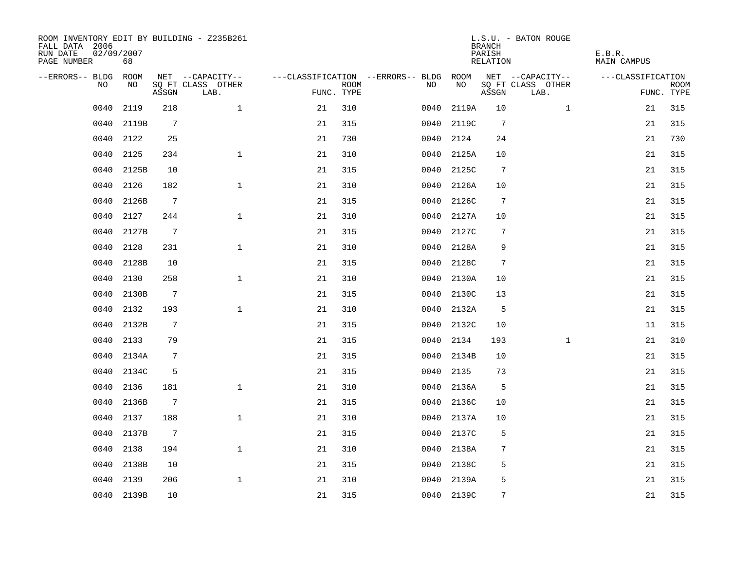| ROOM INVENTORY EDIT BY BUILDING - Z235B261<br>FALL DATA 2006<br>RUN DATE<br>PAGE NUMBER | 02/09/2007<br>68 |                 |                           |            |             |                                        |            | <b>BRANCH</b><br>PARISH<br>RELATION | L.S.U. - BATON ROUGE      | E.B.R.<br><b>MAIN CAMPUS</b> |                           |
|-----------------------------------------------------------------------------------------|------------------|-----------------|---------------------------|------------|-------------|----------------------------------------|------------|-------------------------------------|---------------------------|------------------------------|---------------------------|
| --ERRORS-- BLDG ROOM                                                                    |                  |                 | NET --CAPACITY--          |            |             | ---CLASSIFICATION --ERRORS-- BLDG ROOM |            |                                     | NET --CAPACITY--          | ---CLASSIFICATION            |                           |
| NO                                                                                      | NO               | ASSGN           | SQ FT CLASS OTHER<br>LAB. | FUNC. TYPE | <b>ROOM</b> | NO                                     | NO         | ASSGN                               | SQ FT CLASS OTHER<br>LAB. |                              | <b>ROOM</b><br>FUNC. TYPE |
| 0040                                                                                    | 2119             | 218             | $\mathbf{1}$              | 21         | 310         | 0040                                   | 2119A      | 10                                  | $\mathbf{1}$              | 21                           | 315                       |
| 0040                                                                                    | 2119B            | 7               |                           | 21         | 315         | 0040                                   | 2119C      | $7\phantom{.0}$                     |                           | 21                           | 315                       |
| 0040                                                                                    | 2122             | 25              |                           | 21         | 730         |                                        | 0040 2124  | 24                                  |                           | 21                           | 730                       |
| 0040                                                                                    | 2125             | 234             | $\mathbf{1}$              | 21         | 310         |                                        | 0040 2125A | 10                                  |                           | 21                           | 315                       |
| 0040                                                                                    | 2125B            | 10              |                           | 21         | 315         | 0040                                   | 2125C      | $\overline{7}$                      |                           | 21                           | 315                       |
| 0040                                                                                    | 2126             | 182             | $\mathbf{1}$              | 21         | 310         |                                        | 0040 2126A | 10                                  |                           | 21                           | 315                       |
| 0040                                                                                    | 2126B            | $7\phantom{.0}$ |                           | 21         | 315         | 0040                                   | 2126C      | $7\phantom{.0}$                     |                           | 21                           | 315                       |
| 0040                                                                                    | 2127             | 244             | $\mathbf{1}$              | 21         | 310         |                                        | 0040 2127A | 10                                  |                           | 21                           | 315                       |
| 0040                                                                                    | 2127B            | $7\phantom{.0}$ |                           | 21         | 315         | 0040                                   | 2127C      | 7                                   |                           | 21                           | 315                       |
| 0040                                                                                    | 2128             | 231             | $\mathbf{1}$              | 21         | 310         |                                        | 0040 2128A | 9                                   |                           | 21                           | 315                       |
| 0040                                                                                    | 2128B            | 10              |                           | 21         | 315         |                                        | 0040 2128C | $7\phantom{.0}$                     |                           | 21                           | 315                       |
| 0040                                                                                    | 2130             | 258             | $\mathbf{1}$              | 21         | 310         |                                        | 0040 2130A | 10                                  |                           | 21                           | 315                       |
| 0040                                                                                    | 2130B            | $7\phantom{.0}$ |                           | 21         | 315         | 0040                                   | 2130C      | 13                                  |                           | 21                           | 315                       |
| 0040                                                                                    | 2132             | 193             | $\mathbf{1}$              | 21         | 310         | 0040                                   | 2132A      | 5                                   |                           | 21                           | 315                       |
| 0040                                                                                    | 2132B            | $\overline{7}$  |                           | 21         | 315         |                                        | 0040 2132C | 10                                  |                           | 11                           | 315                       |
| 0040                                                                                    | 2133             | 79              |                           | 21         | 315         | 0040                                   | 2134       | 193                                 | $\mathbf{1}$              | 21                           | 310                       |
| 0040                                                                                    | 2134A            | 7               |                           | 21         | 315         |                                        | 0040 2134B | 10                                  |                           | 21                           | 315                       |
| 0040                                                                                    | 2134C            | 5               |                           | 21         | 315         | 0040                                   | 2135       | 73                                  |                           | 21                           | 315                       |
| 0040                                                                                    | 2136             | 181             | $\mathbf{1}$              | 21         | 310         |                                        | 0040 2136A | 5                                   |                           | 21                           | 315                       |
| 0040                                                                                    | 2136B            | 7               |                           | 21         | 315         |                                        | 0040 2136C | 10                                  |                           | 21                           | 315                       |
| 0040                                                                                    | 2137             | 188             | $\mathbf{1}$              | 21         | 310         |                                        | 0040 2137A | 10                                  |                           | 21                           | 315                       |
| 0040                                                                                    | 2137B            | $7\phantom{.0}$ |                           | 21         | 315         | 0040                                   | 2137C      | 5                                   |                           | 21                           | 315                       |
| 0040                                                                                    | 2138             | 194             | $\mathbf{1}$              | 21         | 310         | 0040                                   | 2138A      | 7                                   |                           | 21                           | 315                       |
| 0040                                                                                    | 2138B            | 10              |                           | 21         | 315         |                                        | 0040 2138C | 5                                   |                           | 21                           | 315                       |
| 0040                                                                                    | 2139             | 206             | $\mathbf{1}$              | 21         | 310         | 0040                                   | 2139A      | 5                                   |                           | 21                           | 315                       |
|                                                                                         | 0040 2139B       | 10              |                           | 21         | 315         |                                        | 0040 2139C | 7                                   |                           | 21                           | 315                       |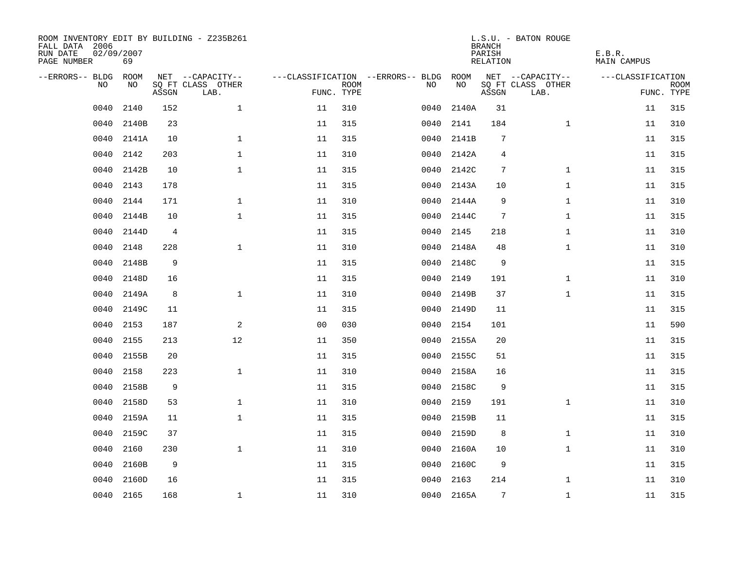| ROOM INVENTORY EDIT BY BUILDING - Z235B261<br>FALL DATA 2006<br>RUN DATE<br>PAGE NUMBER | 02/09/2007<br>69 |                |                           |                |                           |                                   |            | <b>BRANCH</b><br>PARISH<br>RELATION | L.S.U. - BATON ROUGE      | E.B.R.<br><b>MAIN CAMPUS</b> |                           |
|-----------------------------------------------------------------------------------------|------------------|----------------|---------------------------|----------------|---------------------------|-----------------------------------|------------|-------------------------------------|---------------------------|------------------------------|---------------------------|
| --ERRORS-- BLDG                                                                         | ROOM             |                | NET --CAPACITY--          |                |                           | ---CLASSIFICATION --ERRORS-- BLDG | ROOM       |                                     | NET --CAPACITY--          | ---CLASSIFICATION            |                           |
| N <sub>O</sub>                                                                          | NO.              | ASSGN          | SO FT CLASS OTHER<br>LAB. |                | <b>ROOM</b><br>FUNC. TYPE | NO.                               | NO         | ASSGN                               | SQ FT CLASS OTHER<br>LAB. |                              | <b>ROOM</b><br>FUNC. TYPE |
| 0040                                                                                    | 2140             | 152            | $\mathbf{1}$              | 11             | 310                       | 0040                              | 2140A      | 31                                  |                           | 11                           | 315                       |
| 0040                                                                                    | 2140B            | 23             |                           | 11             | 315                       | 0040                              | 2141       | 184                                 | $\mathbf{1}$              | 11                           | 310                       |
| 0040                                                                                    | 2141A            | 10             | $\mathbf{1}$              | 11             | 315                       | 0040                              | 2141B      | 7                                   |                           | 11                           | 315                       |
| 0040                                                                                    | 2142             | 203            | $\mathbf{1}$              | 11             | 310                       | 0040                              | 2142A      | 4                                   |                           | 11                           | 315                       |
| 0040                                                                                    | 2142B            | 10             | $\mathbf 1$               | 11             | 315                       | 0040                              | 2142C      | 7                                   | $\mathbf{1}$              | 11                           | 315                       |
| 0040                                                                                    | 2143             | 178            |                           | 11             | 315                       | 0040                              | 2143A      | 10                                  | $\mathbf{1}$              | 11                           | 315                       |
| 0040                                                                                    | 2144             | 171            | $\mathbf{1}$              | 11             | 310                       | 0040                              | 2144A      | 9                                   | $\mathbf{1}$              | 11                           | 310                       |
| 0040                                                                                    | 2144B            | 10             | $\mathbf{1}$              | 11             | 315                       | 0040                              | 2144C      | $7\phantom{.0}$                     | $\mathbf{1}$              | 11                           | 315                       |
| 0040                                                                                    | 2144D            | $\overline{4}$ |                           | 11             | 315                       | 0040                              | 2145       | 218                                 | $\mathbf{1}$              | 11                           | 310                       |
| 0040                                                                                    | 2148             | 228            | $\mathbf{1}$              | 11             | 310                       | 0040                              | 2148A      | 48                                  | $\mathbf{1}$              | 11                           | 310                       |
| 0040                                                                                    | 2148B            | 9              |                           | 11             | 315                       | 0040                              | 2148C      | 9                                   |                           | 11                           | 315                       |
| 0040                                                                                    | 2148D            | 16             |                           | 11             | 315                       | 0040                              | 2149       | 191                                 | $\mathbf{1}$              | 11                           | 310                       |
| 0040                                                                                    | 2149A            | 8              | $\mathbf{1}$              | 11             | 310                       | 0040                              | 2149B      | 37                                  | $\mathbf{1}$              | 11                           | 315                       |
| 0040                                                                                    | 2149C            | 11             |                           | 11             | 315                       |                                   | 0040 2149D | 11                                  |                           | 11                           | 315                       |
| 0040                                                                                    | 2153             | 187            | $\overline{a}$            | 0 <sub>0</sub> | 030                       | 0040                              | 2154       | 101                                 |                           | 11                           | 590                       |
| 0040                                                                                    | 2155             | 213            | 12                        | 11             | 350                       | 0040                              | 2155A      | 20                                  |                           | 11                           | 315                       |
| 0040                                                                                    | 2155B            | 20             |                           | 11             | 315                       | 0040                              | 2155C      | 51                                  |                           | 11                           | 315                       |
| 0040                                                                                    | 2158             | 223            | $\mathbf{1}$              | 11             | 310                       | 0040                              | 2158A      | 16                                  |                           | 11                           | 315                       |
| 0040                                                                                    | 2158B            | 9              |                           | 11             | 315                       | 0040                              | 2158C      | 9                                   |                           | 11                           | 315                       |
| 0040                                                                                    | 2158D            | 53             | $\mathbf{1}$              | 11             | 310                       | 0040                              | 2159       | 191                                 | $\mathbf{1}$              | 11                           | 310                       |
| 0040                                                                                    | 2159A            | 11             | $\mathbf 1$               | 11             | 315                       | 0040                              | 2159B      | 11                                  |                           | 11                           | 315                       |
| 0040                                                                                    | 2159C            | 37             |                           | 11             | 315                       | 0040                              | 2159D      | 8                                   | $\mathbf{1}$              | 11                           | 310                       |
| 0040                                                                                    | 2160             | 230            | $\mathbf{1}$              | 11             | 310                       | 0040                              | 2160A      | 10                                  | $\mathbf{1}$              | 11                           | 310                       |
| 0040                                                                                    | 2160B            | 9              |                           | 11             | 315                       | 0040                              | 2160C      | 9                                   |                           | 11                           | 315                       |
| 0040                                                                                    | 2160D            | 16             |                           | 11             | 315                       | 0040                              | 2163       | 214                                 | $\mathbf{1}$              | 11                           | 310                       |
|                                                                                         | 0040 2165        | 168            | $\mathbf{1}$              | 11             | 310                       |                                   | 0040 2165A | 7                                   | $\mathbf{1}$              | 11                           | 315                       |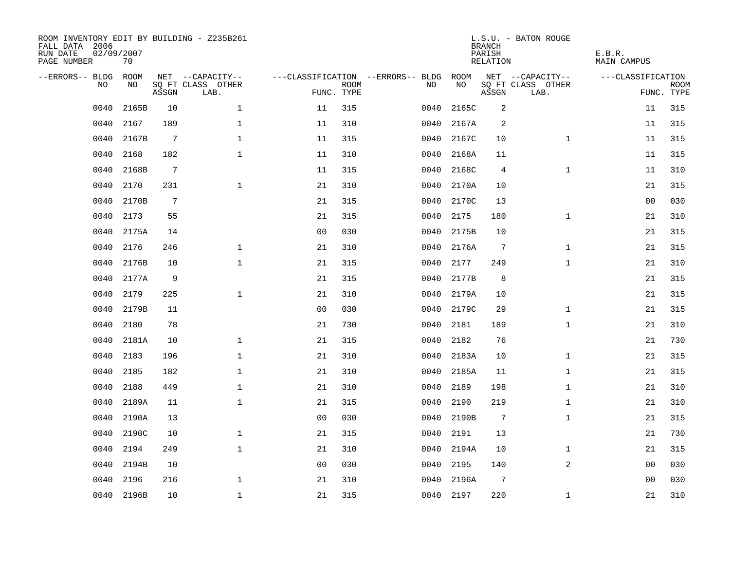| ROOM INVENTORY EDIT BY BUILDING - Z235B261<br>FALL DATA 2006<br>RUN DATE<br>PAGE NUMBER | 02/09/2007<br>70 |                 |                           |                |                           |                                   |           | <b>BRANCH</b><br>PARISH<br><b>RELATION</b> | L.S.U. - BATON ROUGE      | E.B.R.<br><b>MAIN CAMPUS</b> |                           |
|-----------------------------------------------------------------------------------------|------------------|-----------------|---------------------------|----------------|---------------------------|-----------------------------------|-----------|--------------------------------------------|---------------------------|------------------------------|---------------------------|
| --ERRORS-- BLDG                                                                         | ROOM             |                 | NET --CAPACITY--          |                |                           | ---CLASSIFICATION --ERRORS-- BLDG | ROOM      |                                            | NET --CAPACITY--          | ---CLASSIFICATION            |                           |
| NO                                                                                      | NO               | ASSGN           | SQ FT CLASS OTHER<br>LAB. |                | <b>ROOM</b><br>FUNC. TYPE | NO                                | NO        | ASSGN                                      | SQ FT CLASS OTHER<br>LAB. |                              | <b>ROOM</b><br>FUNC. TYPE |
| 0040                                                                                    | 2165B            | 10              | $\mathbf 1$               | 11             | 315                       | 0040                              | 2165C     | 2                                          |                           | 11                           | 315                       |
| 0040                                                                                    | 2167             | 189             | $\mathbf 1$               | 11             | 310                       | 0040                              | 2167A     | 2                                          |                           | 11                           | 315                       |
| 0040                                                                                    | 2167B            | $7\phantom{.0}$ | $\mathbf{1}$              | 11             | 315                       | 0040                              | 2167C     | 10                                         | $\mathbf{1}$              | 11                           | 315                       |
| 0040                                                                                    | 2168             | 182             | $\mathbf 1$               | 11             | 310                       | 0040                              | 2168A     | 11                                         |                           | 11                           | 315                       |
| 0040                                                                                    | 2168B            | $\overline{7}$  |                           | 11             | 315                       | 0040                              | 2168C     | 4                                          | $\mathbf{1}$              | 11                           | 310                       |
| 0040                                                                                    | 2170             | 231             | $\mathbf{1}$              | 21             | 310                       | 0040                              | 2170A     | 10                                         |                           | 21                           | 315                       |
| 0040                                                                                    | 2170B            | $7\phantom{.0}$ |                           | 21             | 315                       | 0040                              | 2170C     | 13                                         |                           | 0 <sub>0</sub>               | 030                       |
| 0040                                                                                    | 2173             | 55              |                           | 21             | 315                       | 0040                              | 2175      | 180                                        | $\mathbf{1}$              | 21                           | 310                       |
| 0040                                                                                    | 2175A            | 14              |                           | 0 <sub>0</sub> | 030                       | 0040                              | 2175B     | 10                                         |                           | 21                           | 315                       |
| 0040                                                                                    | 2176             | 246             | $\mathbf{1}$              | 21             | 310                       | 0040                              | 2176A     | 7                                          | $\mathbf{1}$              | 21                           | 315                       |
| 0040                                                                                    | 2176B            | 10              | $\mathbf 1$               | 21             | 315                       | 0040                              | 2177      | 249                                        | $\mathbf{1}$              | 21                           | 310                       |
| 0040                                                                                    | 2177A            | 9               |                           | 21             | 315                       | 0040                              | 2177B     | 8                                          |                           | 21                           | 315                       |
| 0040                                                                                    | 2179             | 225             | $\mathbf{1}$              | 21             | 310                       | 0040                              | 2179A     | 10                                         |                           | 21                           | 315                       |
| 0040                                                                                    | 2179B            | 11              |                           | 0 <sub>0</sub> | 030                       | 0040                              | 2179C     | 29                                         | $\mathbf{1}$              | 21                           | 315                       |
| 0040                                                                                    | 2180             | 78              |                           | 21             | 730                       | 0040                              | 2181      | 189                                        | $\mathbf{1}$              | 21                           | 310                       |
| 0040                                                                                    | 2181A            | 10              | $\mathbf 1$               | 21             | 315                       | 0040                              | 2182      | 76                                         |                           | 21                           | 730                       |
| 0040                                                                                    | 2183             | 196             | $\mathbf{1}$              | 21             | 310                       | 0040                              | 2183A     | 10                                         | $\mathbf{1}$              | 21                           | 315                       |
| 0040                                                                                    | 2185             | 182             | $\mathbf{1}$              | 21             | 310                       | 0040                              | 2185A     | 11                                         | $\mathbf{1}$              | 21                           | 315                       |
| 0040                                                                                    | 2188             | 449             | $\mathbf{1}$              | 21             | 310                       | 0040                              | 2189      | 198                                        | $\mathbf{1}$              | 21                           | 310                       |
| 0040                                                                                    | 2189A            | 11              | $\mathbf{1}$              | 21             | 315                       | 0040                              | 2190      | 219                                        | $\mathbf{1}$              | 21                           | 310                       |
| 0040                                                                                    | 2190A            | 13              |                           | 00             | 030                       | 0040                              | 2190B     | $7\phantom{.0}$                            | $\mathbf{1}$              | 21                           | 315                       |
| 0040                                                                                    | 2190C            | 10              | $\mathbf 1$               | 21             | 315                       | 0040                              | 2191      | 13                                         |                           | 21                           | 730                       |
| 0040                                                                                    | 2194             | 249             | $\mathbf{1}$              | 21             | 310                       | 0040                              | 2194A     | 10                                         | $\mathbf{1}$              | 21                           | 315                       |
| 0040                                                                                    | 2194B            | 10              |                           | 0 <sub>0</sub> | 030                       | 0040                              | 2195      | 140                                        | $\overline{a}$            | 00                           | 030                       |
| 0040                                                                                    | 2196             | 216             | $\mathbf 1$               | 21             | 310                       | 0040                              | 2196A     | 7                                          |                           | 0 <sub>0</sub>               | 030                       |
|                                                                                         | 0040 2196B       | 10              | $\mathbf{1}$              | 21             | 315                       |                                   | 0040 2197 | 220                                        | $\mathbf{1}$              | 21                           | 310                       |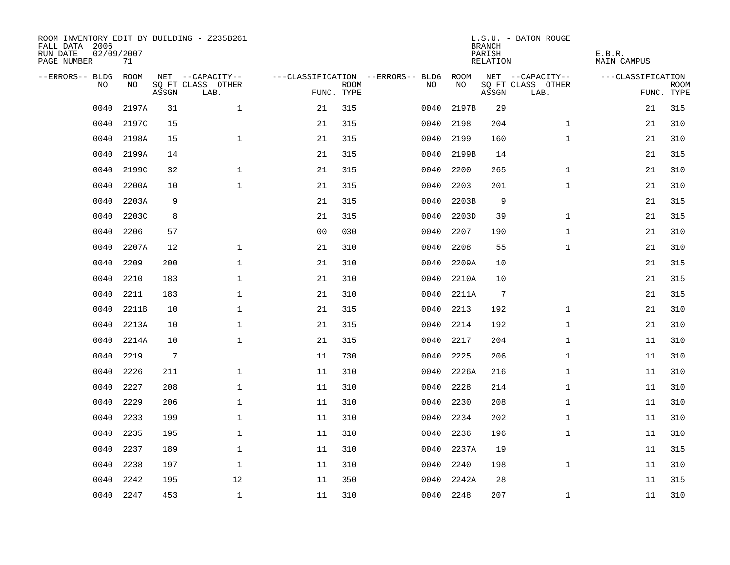| ROOM INVENTORY EDIT BY BUILDING - Z235B261<br>FALL DATA 2006<br>RUN DATE<br>PAGE NUMBER | 02/09/2007<br>71 |       |                           |                |             |                                   |           | <b>BRANCH</b><br>PARISH<br>RELATION | L.S.U. - BATON ROUGE      | E.B.R.<br><b>MAIN CAMPUS</b> |                           |
|-----------------------------------------------------------------------------------------|------------------|-------|---------------------------|----------------|-------------|-----------------------------------|-----------|-------------------------------------|---------------------------|------------------------------|---------------------------|
| --ERRORS-- BLDG                                                                         | ROOM             |       | NET --CAPACITY--          |                |             | ---CLASSIFICATION --ERRORS-- BLDG | ROOM      |                                     | NET --CAPACITY--          | ---CLASSIFICATION            |                           |
| N <sub>O</sub>                                                                          | NO.              | ASSGN | SO FT CLASS OTHER<br>LAB. | FUNC. TYPE     | <b>ROOM</b> | NO.                               | NO        | ASSGN                               | SQ FT CLASS OTHER<br>LAB. |                              | <b>ROOM</b><br>FUNC. TYPE |
| 0040                                                                                    | 2197A            | 31    | $\mathbf{1}$              | 21             | 315         | 0040                              | 2197B     | 29                                  |                           | 21                           | 315                       |
| 0040                                                                                    | 2197C            | 15    |                           | 21             | 315         | 0040                              | 2198      | 204                                 | $\mathbf{1}$              | 21                           | 310                       |
| 0040                                                                                    | 2198A            | 15    | $\mathbf{1}$              | 21             | 315         | 0040                              | 2199      | 160                                 | $\mathbf{1}$              | 21                           | 310                       |
| 0040                                                                                    | 2199A            | 14    |                           | 21             | 315         | 0040                              | 2199B     | 14                                  |                           | 21                           | 315                       |
| 0040                                                                                    | 2199C            | 32    | $\mathbf{1}$              | 21             | 315         | 0040                              | 2200      | 265                                 | $\mathbf{1}$              | 21                           | 310                       |
| 0040                                                                                    | 2200A            | 10    | $\mathbf 1$               | 21             | 315         | 0040                              | 2203      | 201                                 | $\mathbf{1}$              | 21                           | 310                       |
| 0040                                                                                    | 2203A            | 9     |                           | 21             | 315         | 0040                              | 2203B     | 9                                   |                           | 21                           | 315                       |
| 0040                                                                                    | 2203C            | 8     |                           | 21             | 315         | 0040                              | 2203D     | 39                                  | $\mathbf{1}$              | 21                           | 315                       |
| 0040                                                                                    | 2206             | 57    |                           | 0 <sub>0</sub> | 030         | 0040                              | 2207      | 190                                 | $\mathbf{1}$              | 21                           | 310                       |
| 0040                                                                                    | 2207A            | 12    | $\mathbf 1$               | 21             | 310         | 0040                              | 2208      | 55                                  | $\mathbf{1}$              | 21                           | 310                       |
| 0040                                                                                    | 2209             | 200   | $\mathbf{1}$              | 21             | 310         | 0040                              | 2209A     | 10                                  |                           | 21                           | 315                       |
| 0040                                                                                    | 2210             | 183   | $\mathbf 1$               | 21             | 310         | 0040                              | 2210A     | 10                                  |                           | 21                           | 315                       |
| 0040                                                                                    | 2211             | 183   | $\mathbf{1}$              | 21             | 310         | 0040                              | 2211A     | $7\phantom{.0}$                     |                           | 21                           | 315                       |
| 0040                                                                                    | 2211B            | 10    | $\mathbf{1}$              | 21             | 315         | 0040                              | 2213      | 192                                 | $\mathbf{1}$              | 21                           | 310                       |
| 0040                                                                                    | 2213A            | 10    | $\mathbf 1$               | 21             | 315         | 0040                              | 2214      | 192                                 | $\mathbf{1}$              | 21                           | 310                       |
| 0040                                                                                    | 2214A            | 10    | $\mathbf{1}$              | 21             | 315         | 0040                              | 2217      | 204                                 | $\mathbf{1}$              | 11                           | 310                       |
| 0040                                                                                    | 2219             | 7     |                           | 11             | 730         | 0040                              | 2225      | 206                                 | $\mathbf{1}$              | 11                           | 310                       |
| 0040                                                                                    | 2226             | 211   | $\mathbf 1$               | 11             | 310         | 0040                              | 2226A     | 216                                 | $\mathbf{1}$              | 11                           | 310                       |
| 0040                                                                                    | 2227             | 208   | $\mathbf{1}$              | 11             | 310         | 0040                              | 2228      | 214                                 | $\mathbf{1}$              | 11                           | 310                       |
| 0040                                                                                    | 2229             | 206   | $\mathbf{1}$              | 11             | 310         | 0040                              | 2230      | 208                                 | $\mathbf{1}$              | 11                           | 310                       |
| 0040                                                                                    | 2233             | 199   | $\mathbf 1$               | 11             | 310         | 0040                              | 2234      | 202                                 | $\mathbf{1}$              | 11                           | 310                       |
| 0040                                                                                    | 2235             | 195   | $\mathbf 1$               | 11             | 310         | 0040                              | 2236      | 196                                 | $\mathbf{1}$              | 11                           | 310                       |
| 0040                                                                                    | 2237             | 189   | $\mathbf 1$               | 11             | 310         | 0040                              | 2237A     | 19                                  |                           | 11                           | 315                       |
| 0040                                                                                    | 2238             | 197   | $\mathbf 1$               | 11             | 310         | 0040                              | 2240      | 198                                 | $\mathbf{1}$              | 11                           | 310                       |
| 0040                                                                                    | 2242             | 195   | 12                        | 11             | 350         | 0040                              | 2242A     | 28                                  |                           | 11                           | 315                       |
| 0040                                                                                    | 2247             | 453   | $\mathbf{1}$              | 11             | 310         |                                   | 0040 2248 | 207                                 | $\mathbf{1}$              | 11                           | 310                       |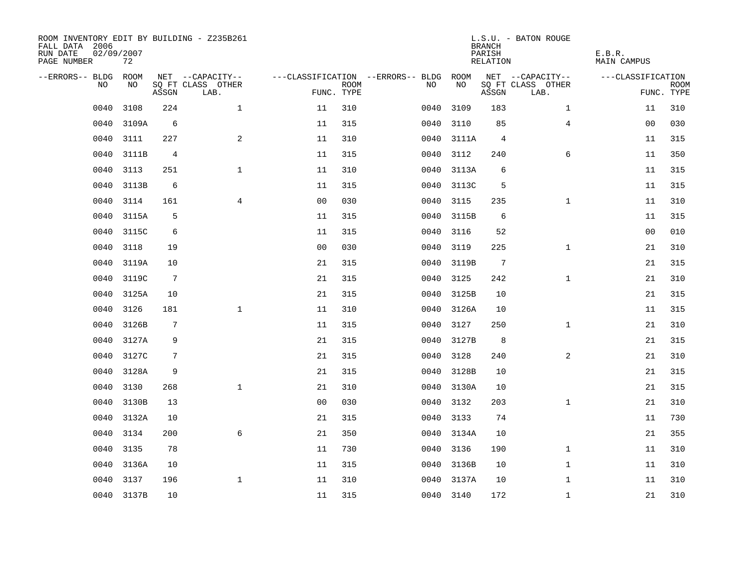| ROOM INVENTORY EDIT BY BUILDING - Z235B261<br>FALL DATA 2006<br>RUN DATE<br>PAGE NUMBER | 02/09/2007<br>72 |                 |                           |                |                           |                                   |            | <b>BRANCH</b><br>PARISH<br>RELATION | L.S.U. - BATON ROUGE      | E.B.R.<br><b>MAIN CAMPUS</b> |                           |
|-----------------------------------------------------------------------------------------|------------------|-----------------|---------------------------|----------------|---------------------------|-----------------------------------|------------|-------------------------------------|---------------------------|------------------------------|---------------------------|
| --ERRORS-- BLDG ROOM                                                                    |                  |                 | NET --CAPACITY--          |                |                           | ---CLASSIFICATION --ERRORS-- BLDG | ROOM       |                                     | NET --CAPACITY--          | ---CLASSIFICATION            |                           |
| NO                                                                                      | NO               | ASSGN           | SQ FT CLASS OTHER<br>LAB. |                | <b>ROOM</b><br>FUNC. TYPE | NO.                               | NO         | ASSGN                               | SQ FT CLASS OTHER<br>LAB. |                              | <b>ROOM</b><br>FUNC. TYPE |
| 0040                                                                                    | 3108             | 224             | $\mathbf{1}$              | 11             | 310                       | 0040                              | 3109       | 183                                 | $\mathbf{1}$              | 11                           | 310                       |
| 0040                                                                                    | 3109A            | 6               |                           | 11             | 315                       | 0040                              | 3110       | 85                                  | 4                         | 00                           | 030                       |
| 0040                                                                                    | 3111             | 227             | 2                         | 11             | 310                       |                                   | 0040 3111A | 4                                   |                           | 11                           | 315                       |
| 0040                                                                                    | 3111B            | 4               |                           | 11             | 315                       |                                   | 0040 3112  | 240                                 | 6                         | 11                           | 350                       |
| 0040                                                                                    | 3113             | 251             | $\mathbf{1}$              | 11             | 310                       |                                   | 0040 3113A | 6                                   |                           | 11                           | 315                       |
| 0040                                                                                    | 3113B            | 6               |                           | 11             | 315                       |                                   | 0040 3113C | 5                                   |                           | 11                           | 315                       |
| 0040                                                                                    | 3114             | 161             | 4                         | 0 <sub>0</sub> | 030                       |                                   | 0040 3115  | 235                                 | $\mathbf{1}$              | 11                           | 310                       |
| 0040                                                                                    | 3115A            | 5               |                           | 11             | 315                       |                                   | 0040 3115B | 6                                   |                           | 11                           | 315                       |
| 0040                                                                                    | 3115C            | 6               |                           | 11             | 315                       |                                   | 0040 3116  | 52                                  |                           | 0 <sub>0</sub>               | 010                       |
| 0040                                                                                    | 3118             | 19              |                           | 0 <sub>0</sub> | 030                       |                                   | 0040 3119  | 225                                 | $\mathbf{1}$              | 21                           | 310                       |
| 0040                                                                                    | 3119A            | 10              |                           | 21             | 315                       |                                   | 0040 3119B | $7\phantom{.0}$                     |                           | 21                           | 315                       |
| 0040                                                                                    | 3119C            | $7\phantom{.0}$ |                           | 21             | 315                       |                                   | 0040 3125  | 242                                 | $\mathbf{1}$              | 21                           | 310                       |
| 0040                                                                                    | 3125A            | 10              |                           | 21             | 315                       | 0040                              | 3125B      | 10                                  |                           | 21                           | 315                       |
| 0040                                                                                    | 3126             | 181             | $\mathbf 1$               | 11             | 310                       |                                   | 0040 3126A | 10                                  |                           | 11                           | 315                       |
| 0040                                                                                    | 3126B            | 7               |                           | 11             | 315                       | 0040                              | 3127       | 250                                 | $\mathbf{1}$              | 21                           | 310                       |
| 0040                                                                                    | 3127A            | 9               |                           | 21             | 315                       | 0040                              | 3127B      | 8                                   |                           | 21                           | 315                       |
| 0040                                                                                    | 3127C            | 7               |                           | 21             | 315                       | 0040                              | 3128       | 240                                 | 2                         | 21                           | 310                       |
| 0040                                                                                    | 3128A            | 9               |                           | 21             | 315                       | 0040                              | 3128B      | 10                                  |                           | 21                           | 315                       |
| 0040                                                                                    | 3130             | 268             | $\mathbf{1}$              | 21             | 310                       |                                   | 0040 3130A | 10                                  |                           | 21                           | 315                       |
| 0040                                                                                    | 3130B            | 13              |                           | 0 <sub>0</sub> | 030                       |                                   | 0040 3132  | 203                                 | $\mathbf{1}$              | 21                           | 310                       |
| 0040                                                                                    | 3132A            | 10              |                           | 21             | 315                       |                                   | 0040 3133  | 74                                  |                           | 11                           | 730                       |
| 0040                                                                                    | 3134             | 200             | 6                         | 21             | 350                       | 0040                              | 3134A      | 10                                  |                           | 21                           | 355                       |
| 0040                                                                                    | 3135             | 78              |                           | 11             | 730                       | 0040                              | 3136       | 190                                 | $\mathbf{1}$              | 11                           | 310                       |
| 0040                                                                                    | 3136A            | 10              |                           | 11             | 315                       |                                   | 0040 3136B | 10                                  | $\mathbf{1}$              | 11                           | 310                       |
| 0040                                                                                    | 3137             | 196             | $\mathbf 1$               | 11             | 310                       |                                   | 0040 3137A | 10                                  | $\mathbf{1}$              | 11                           | 310                       |
|                                                                                         | 0040 3137B       | 10              |                           | 11             | 315                       |                                   | 0040 3140  | 172                                 | $\mathbf{1}$              | 21                           | 310                       |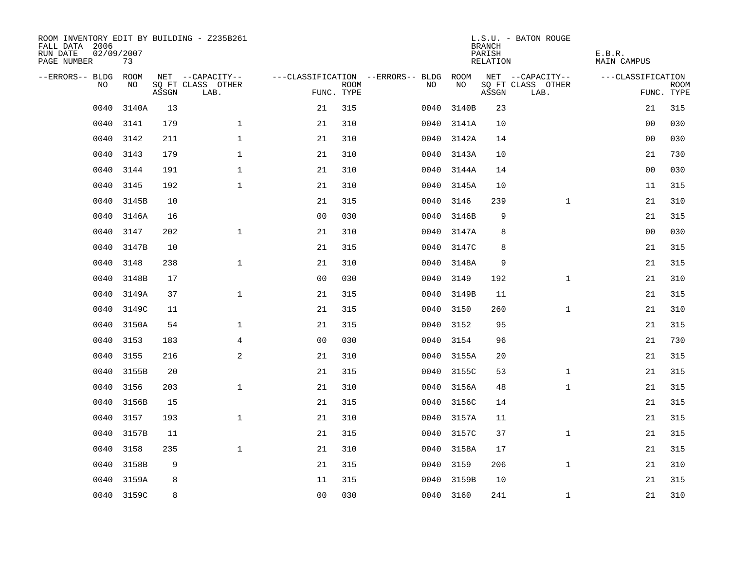| ROOM INVENTORY EDIT BY BUILDING - Z235B261<br>FALL DATA 2006<br>RUN DATE<br>PAGE NUMBER | 02/09/2007<br>73 |       |                           |                |                           |                                   |            |       | <b>BRANCH</b><br>PARISH<br><b>RELATION</b> | L.S.U. - BATON ROUGE      | E.B.R.<br><b>MAIN CAMPUS</b> |                           |
|-----------------------------------------------------------------------------------------|------------------|-------|---------------------------|----------------|---------------------------|-----------------------------------|------------|-------|--------------------------------------------|---------------------------|------------------------------|---------------------------|
| --ERRORS-- BLDG                                                                         | ROOM             |       | NET --CAPACITY--          |                |                           | ---CLASSIFICATION --ERRORS-- BLDG |            | ROOM  |                                            | NET --CAPACITY--          | ---CLASSIFICATION            |                           |
| NO                                                                                      | NO               | ASSGN | SQ FT CLASS OTHER<br>LAB. |                | <b>ROOM</b><br>FUNC. TYPE | NO                                |            | NO    | ASSGN                                      | SQ FT CLASS OTHER<br>LAB. |                              | <b>ROOM</b><br>FUNC. TYPE |
| 0040                                                                                    | 3140A            | 13    |                           | 21             | 315                       | 0040                              |            | 3140B | 23                                         |                           | 21                           | 315                       |
| 0040                                                                                    | 3141             | 179   | $\mathbf 1$               | 21             | 310                       |                                   | 0040 3141A |       | 10                                         |                           | 00                           | 030                       |
| 0040                                                                                    | 3142             | 211   | $\mathbf 1$               | 21             | 310                       |                                   | 0040 3142A |       | 14                                         |                           | 00                           | 030                       |
| 0040                                                                                    | 3143             | 179   | $\mathbf 1$               | 21             | 310                       |                                   | 0040 3143A |       | 10                                         |                           | 21                           | 730                       |
| 0040                                                                                    | 3144             | 191   | $\mathbf{1}$              | 21             | 310                       |                                   | 0040 3144A |       | 14                                         |                           | 0 <sub>0</sub>               | 030                       |
| 0040                                                                                    | 3145             | 192   | $\mathbf{1}$              | 21             | 310                       |                                   | 0040 3145A |       | 10                                         |                           | 11                           | 315                       |
| 0040                                                                                    | 3145B            | 10    |                           | 21             | 315                       |                                   | 0040 3146  |       | 239                                        | $\mathbf{1}$              | 21                           | 310                       |
| 0040                                                                                    | 3146A            | 16    |                           | 0 <sub>0</sub> | 030                       |                                   | 0040 3146B |       | 9                                          |                           | 21                           | 315                       |
| 0040                                                                                    | 3147             | 202   | $\mathbf{1}$              | 21             | 310                       |                                   | 0040 3147A |       | 8                                          |                           | 0 <sub>0</sub>               | 030                       |
| 0040                                                                                    | 3147B            | 10    |                           | 21             | 315                       |                                   | 0040 3147C |       | 8                                          |                           | 21                           | 315                       |
| 0040                                                                                    | 3148             | 238   | $\mathbf{1}$              | 21             | 310                       |                                   | 0040 3148A |       | 9                                          |                           | 21                           | 315                       |
| 0040                                                                                    | 3148B            | 17    |                           | 0 <sub>0</sub> | 030                       |                                   | 0040 3149  |       | 192                                        | $\mathbf{1}$              | 21                           | 310                       |
| 0040                                                                                    | 3149A            | 37    | $\mathbf 1$               | 21             | 315                       | 0040                              |            | 3149B | 11                                         |                           | 21                           | 315                       |
| 0040                                                                                    | 3149C            | 11    |                           | 21             | 315                       | 0040                              | 3150       |       | 260                                        | $\mathbf{1}$              | 21                           | 310                       |
| 0040                                                                                    | 3150A            | 54    | $\mathbf 1$               | 21             | 315                       | 0040                              |            | 3152  | 95                                         |                           | 21                           | 315                       |
| 0040                                                                                    | 3153             | 183   | 4                         | 0 <sub>0</sub> | 030                       | 0040                              | 3154       |       | 96                                         |                           | 21                           | 730                       |
| 0040                                                                                    | 3155             | 216   | 2                         | 21             | 310                       |                                   | 0040 3155A |       | 20                                         |                           | 21                           | 315                       |
| 0040                                                                                    | 3155B            | 20    |                           | 21             | 315                       | 0040                              |            | 3155C | 53                                         | $\mathbf{1}$              | 21                           | 315                       |
| 0040                                                                                    | 3156             | 203   | $\mathbf{1}$              | 21             | 310                       |                                   | 0040 3156A |       | 48                                         | $\mathbf{1}$              | 21                           | 315                       |
| 0040                                                                                    | 3156B            | 15    |                           | 21             | 315                       |                                   | 0040 3156C |       | 14                                         |                           | 21                           | 315                       |
| 0040                                                                                    | 3157             | 193   | $\mathbf{1}$              | 21             | 310                       |                                   | 0040 3157A |       | 11                                         |                           | 21                           | 315                       |
| 0040                                                                                    | 3157B            | 11    |                           | 21             | 315                       | 0040                              |            | 3157C | 37                                         | $\mathbf{1}$              | 21                           | 315                       |
| 0040                                                                                    | 3158             | 235   | $\mathbf{1}$              | 21             | 310                       |                                   | 0040 3158A |       | 17                                         |                           | 21                           | 315                       |
| 0040                                                                                    | 3158B            | 9     |                           | 21             | 315                       |                                   | 0040 3159  |       | 206                                        | $\mathbf{1}$              | 21                           | 310                       |
| 0040                                                                                    | 3159A            | 8     |                           | 11             | 315                       | 0040                              |            | 3159B | 10                                         |                           | 21                           | 315                       |
|                                                                                         | 0040 3159C       | 8     |                           | 0 <sub>0</sub> | 030                       |                                   | 0040 3160  |       | 241                                        | $\mathbf{1}$              | 21                           | 310                       |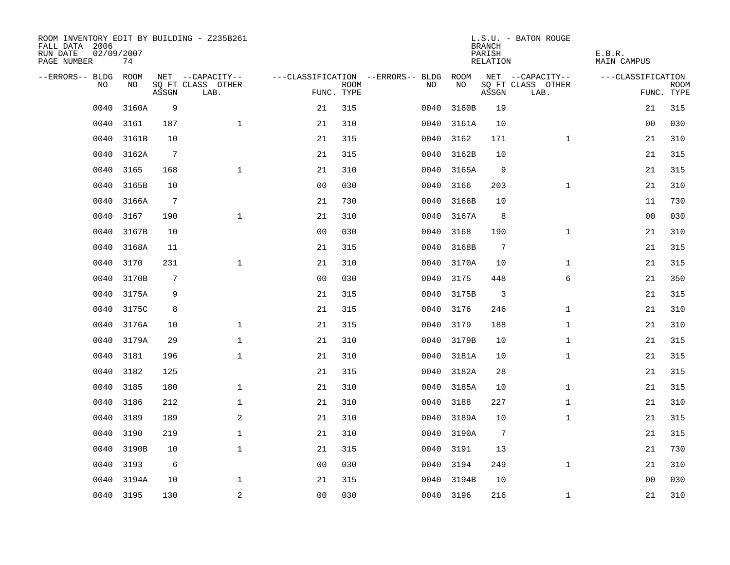| ROOM INVENTORY EDIT BY BUILDING - Z235B261<br>FALL DATA 2006<br>RUN DATE<br>PAGE NUMBER | 02/09/2007<br>74 |                |                           |                |             |                                   |            | <b>BRANCH</b><br>PARISH<br>RELATION | L.S.U. - BATON ROUGE      | E.B.R.<br>MAIN CAMPUS |                           |
|-----------------------------------------------------------------------------------------|------------------|----------------|---------------------------|----------------|-------------|-----------------------------------|------------|-------------------------------------|---------------------------|-----------------------|---------------------------|
| --ERRORS-- BLDG ROOM                                                                    |                  |                | NET --CAPACITY--          |                |             | ---CLASSIFICATION --ERRORS-- BLDG | ROOM       |                                     | NET --CAPACITY--          | ---CLASSIFICATION     |                           |
| NO                                                                                      | NO               | ASSGN          | SQ FT CLASS OTHER<br>LAB. | FUNC. TYPE     | <b>ROOM</b> | NO                                | NO         | ASSGN                               | SQ FT CLASS OTHER<br>LAB. |                       | <b>ROOM</b><br>FUNC. TYPE |
| 0040                                                                                    | 3160A            | 9              |                           | 21             | 315         | 0040                              | 3160B      | 19                                  |                           | 21                    | 315                       |
| 0040                                                                                    | 3161             | 187            | $\mathbf{1}$              | 21             | 310         | 0040                              | 3161A      | 10                                  |                           | 00                    | 030                       |
| 0040                                                                                    | 3161B            | 10             |                           | 21             | 315         | 0040                              | 3162       | 171                                 | $\mathbf{1}$              | 21                    | 310                       |
| 0040                                                                                    | 3162A            | 7              |                           | 21             | 315         |                                   | 0040 3162B | 10                                  |                           | 21                    | 315                       |
| 0040                                                                                    | 3165             | 168            | $\mathbf 1$               | 21             | 310         | 0040                              | 3165A      | 9                                   |                           | 21                    | 315                       |
| 0040                                                                                    | 3165B            | 10             |                           | 0 <sub>0</sub> | 030         |                                   | 0040 3166  | 203                                 | $\mathbf{1}$              | 21                    | 310                       |
| 0040                                                                                    | 3166A            | $\overline{7}$ |                           | 21             | 730         | 0040                              | 3166B      | 10                                  |                           | 11                    | 730                       |
| 0040                                                                                    | 3167             | 190            | $\mathbf 1$               | 21             | 310         |                                   | 0040 3167A | 8                                   |                           | 0 <sub>0</sub>        | 030                       |
| 0040                                                                                    | 3167B            | 10             |                           | 0 <sub>0</sub> | 030         | 0040                              | 3168       | 190                                 | $\mathbf{1}$              | 21                    | 310                       |
| 0040                                                                                    | 3168A            | 11             |                           | 21             | 315         |                                   | 0040 3168B | 7                                   |                           | 21                    | 315                       |
| 0040                                                                                    | 3170             | 231            | $\mathbf{1}$              | 21             | 310         |                                   | 0040 3170A | 10                                  | $\mathbf{1}$              | 21                    | 315                       |
| 0040                                                                                    | 3170B            | 7              |                           | 00             | 030         |                                   | 0040 3175  | 448                                 | 6                         | 21                    | 350                       |
| 0040                                                                                    | 3175A            | 9              |                           | 21             | 315         |                                   | 0040 3175B | 3                                   |                           | 21                    | 315                       |
| 0040                                                                                    | 3175C            | 8              |                           | 21             | 315         | 0040                              | 3176       | 246                                 | $\mathbf{1}$              | 21                    | 310                       |
| 0040                                                                                    | 3176A            | 10             | $\mathbf{1}$              | 21             | 315         | 0040                              | 3179       | 188                                 | $\mathbf{1}$              | 21                    | 310                       |
| 0040                                                                                    | 3179A            | 29             | $\mathbf 1$               | 21             | 310         |                                   | 0040 3179B | 10                                  | $\mathbf{1}$              | 21                    | 315                       |
| 0040                                                                                    | 3181             | 196            | $\mathbf{1}$              | 21             | 310         |                                   | 0040 3181A | 10                                  | $\mathbf{1}$              | 21                    | 315                       |
| 0040                                                                                    | 3182             | 125            |                           | 21             | 315         | 0040                              | 3182A      | 28                                  |                           | 21                    | 315                       |
| 0040                                                                                    | 3185             | 180            | $\mathbf{1}$              | 21             | 310         |                                   | 0040 3185A | 10                                  | $\mathbf{1}$              | 21                    | 315                       |
| 0040                                                                                    | 3186             | 212            | $\mathbf 1$               | 21             | 310         |                                   | 0040 3188  | 227                                 | $\mathbf{1}$              | 21                    | 310                       |
| 0040                                                                                    | 3189             | 189            | 2                         | 21             | 310         |                                   | 0040 3189A | 10                                  | $\mathbf{1}$              | 21                    | 315                       |
| 0040                                                                                    | 3190             | 219            | $\mathbf 1$               | 21             | 310         | 0040                              | 3190A      | $7\phantom{.0}$                     |                           | 21                    | 315                       |
| 0040                                                                                    | 3190B            | 10             | $\mathbf 1$               | 21             | 315         |                                   | 0040 3191  | 13                                  |                           | 21                    | 730                       |
| 0040                                                                                    | 3193             | 6              |                           | 0 <sub>0</sub> | 030         |                                   | 0040 3194  | 249                                 | $\mathbf{1}$              | 21                    | 310                       |
| 0040                                                                                    | 3194A            | 10             | $\mathbf 1$               | 21             | 315         | 0040                              | 3194B      | 10                                  |                           | 00                    | 030                       |
|                                                                                         | 0040 3195        | 130            | 2                         | 0 <sub>0</sub> | 030         |                                   | 0040 3196  | 216                                 | $\mathbf{1}$              | 21                    | 310                       |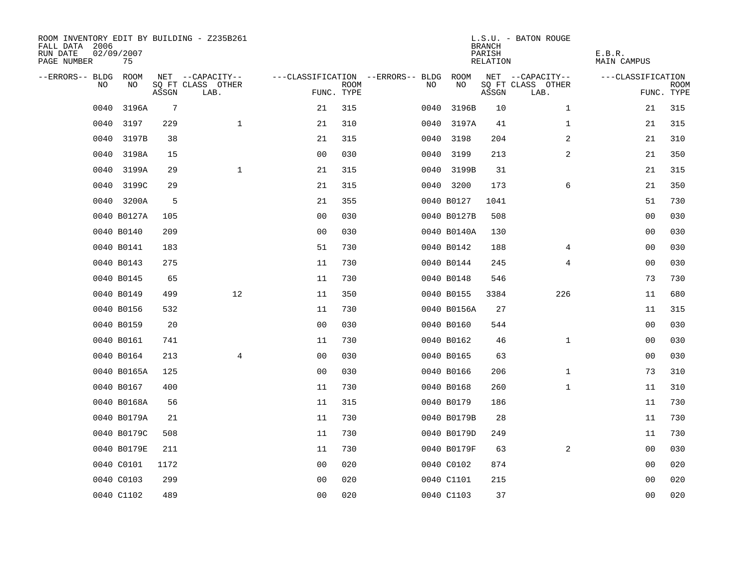| ROOM INVENTORY EDIT BY BUILDING - Z235B261<br>FALL DATA 2006<br>RUN DATE<br>PAGE NUMBER | 02/09/2007<br>75 |                 |                           |                |             |                                   |             | <b>BRANCH</b><br>PARISH<br>RELATION | L.S.U. - BATON ROUGE      | E.B.R.<br>MAIN CAMPUS |                    |
|-----------------------------------------------------------------------------------------|------------------|-----------------|---------------------------|----------------|-------------|-----------------------------------|-------------|-------------------------------------|---------------------------|-----------------------|--------------------|
| --ERRORS-- BLDG ROOM                                                                    |                  |                 | NET --CAPACITY--          |                |             | ---CLASSIFICATION --ERRORS-- BLDG | ROOM        |                                     | NET --CAPACITY--          | ---CLASSIFICATION     |                    |
| NO                                                                                      | NO               | ASSGN           | SQ FT CLASS OTHER<br>LAB. | FUNC. TYPE     | <b>ROOM</b> | NO.                               | NO          | ASSGN                               | SQ FT CLASS OTHER<br>LAB. |                       | ROOM<br>FUNC. TYPE |
| 0040                                                                                    | 3196A            | $7\phantom{.0}$ |                           | 21             | 315         | 0040                              | 3196B       | 10                                  | $\mathbf{1}$              | 21                    | 315                |
| 0040                                                                                    | 3197             | 229             | $\mathbf{1}$              | 21             | 310         |                                   | 0040 3197A  | 41                                  | $\mathbf{1}$              | 21                    | 315                |
| 0040                                                                                    | 3197B            | 38              |                           | 21             | 315         |                                   | 0040 3198   | 204                                 | 2                         | 21                    | 310                |
| 0040                                                                                    | 3198A            | 15              |                           | 00             | 030         |                                   | 0040 3199   | 213                                 | 2                         | 21                    | 350                |
| 0040                                                                                    | 3199A            | 29              | $\mathbf 1$               | 21             | 315         |                                   | 0040 3199B  | 31                                  |                           | 21                    | 315                |
| 0040                                                                                    | 3199C            | 29              |                           | 21             | 315         |                                   | 0040 3200   | 173                                 | 6                         | 21                    | 350                |
| 0040                                                                                    | 3200A            | 5               |                           | 21             | 355         |                                   | 0040 B0127  | 1041                                |                           | 51                    | 730                |
|                                                                                         | 0040 B0127A      | 105             |                           | 0 <sub>0</sub> | 030         |                                   | 0040 B0127B | 508                                 |                           | 0 <sub>0</sub>        | 030                |
|                                                                                         | 0040 B0140       | 209             |                           | 0 <sub>0</sub> | 030         |                                   | 0040 B0140A | 130                                 |                           | 00                    | 030                |
|                                                                                         | 0040 B0141       | 183             |                           | 51             | 730         |                                   | 0040 B0142  | 188                                 | 4                         | 00                    | 030                |
|                                                                                         | 0040 B0143       | 275             |                           | 11             | 730         |                                   | 0040 B0144  | 245                                 | 4                         | 0 <sub>0</sub>        | 030                |
|                                                                                         | 0040 B0145       | 65              |                           | 11             | 730         |                                   | 0040 B0148  | 546                                 |                           | 73                    | 730                |
|                                                                                         | 0040 B0149       | 499             | 12                        | 11             | 350         |                                   | 0040 B0155  | 3384                                | 226                       | 11                    | 680                |
|                                                                                         | 0040 B0156       | 532             |                           | 11             | 730         |                                   | 0040 B0156A | 27                                  |                           | 11                    | 315                |
|                                                                                         | 0040 B0159       | 20              |                           | 0 <sub>0</sub> | 030         |                                   | 0040 B0160  | 544                                 |                           | 00                    | 030                |
|                                                                                         | 0040 B0161       | 741             |                           | 11             | 730         |                                   | 0040 B0162  | 46                                  | $\mathbf{1}$              | 00                    | 030                |
|                                                                                         | 0040 B0164       | 213             | $\overline{4}$            | 0 <sub>0</sub> | 030         |                                   | 0040 B0165  | 63                                  |                           | 00                    | 030                |
|                                                                                         | 0040 B0165A      | 125             |                           | 0 <sub>0</sub> | 030         |                                   | 0040 B0166  | 206                                 | $\mathbf{1}$              | 73                    | 310                |
|                                                                                         | 0040 B0167       | 400             |                           | 11             | 730         |                                   | 0040 B0168  | 260                                 | $\mathbf{1}$              | 11                    | 310                |
|                                                                                         | 0040 B0168A      | 56              |                           | 11             | 315         |                                   | 0040 B0179  | 186                                 |                           | 11                    | 730                |
|                                                                                         | 0040 B0179A      | 21              |                           | 11             | 730         |                                   | 0040 B0179B | 28                                  |                           | 11                    | 730                |
|                                                                                         | 0040 B0179C      | 508             |                           | 11             | 730         |                                   | 0040 B0179D | 249                                 |                           | 11                    | 730                |
|                                                                                         | 0040 B0179E      | 211             |                           | 11             | 730         |                                   | 0040 B0179F | 63                                  | 2                         | 00                    | 030                |
|                                                                                         | 0040 C0101       | 1172            |                           | 0 <sub>0</sub> | 020         |                                   | 0040 C0102  | 874                                 |                           | 00                    | 020                |
|                                                                                         | 0040 C0103       | 299             |                           | 0 <sub>0</sub> | 020         |                                   | 0040 C1101  | 215                                 |                           | 0 <sub>0</sub>        | 020                |
|                                                                                         | 0040 C1102       | 489             |                           | 0 <sub>0</sub> | 020         |                                   | 0040 C1103  | 37                                  |                           | 0 <sub>0</sub>        | 020                |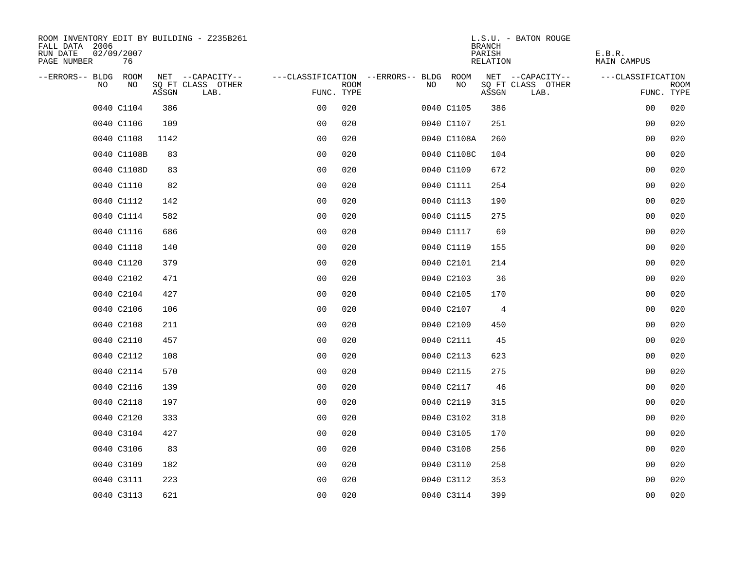| ROOM INVENTORY EDIT BY BUILDING - Z235B261<br>FALL DATA 2006<br>RUN DATE<br>02/09/2007<br>PAGE NUMBER<br>76 |                                    |                |                                        |             | L.S.U. - BATON ROUGE<br><b>BRANCH</b><br>PARISH<br>RELATION | E.B.R.<br><b>MAIN CAMPUS</b> |
|-------------------------------------------------------------------------------------------------------------|------------------------------------|----------------|----------------------------------------|-------------|-------------------------------------------------------------|------------------------------|
| --ERRORS-- BLDG<br>ROOM                                                                                     | NET --CAPACITY--                   |                | ---CLASSIFICATION --ERRORS-- BLDG ROOM |             | NET --CAPACITY--                                            | ---CLASSIFICATION            |
| N <sub>O</sub><br>NO.                                                                                       | SO FT CLASS OTHER<br>ASSGN<br>LAB. | FUNC. TYPE     | <b>ROOM</b>                            | NO.<br>NO   | SQ FT CLASS OTHER<br>ASSGN<br>LAB.                          | <b>ROOM</b><br>FUNC. TYPE    |
| 0040 C1104                                                                                                  | 386                                | 0 <sub>0</sub> | 020                                    | 0040 C1105  | 386                                                         | 00<br>020                    |
| 0040 C1106                                                                                                  | 109                                | 0 <sub>0</sub> | 020                                    | 0040 C1107  | 251                                                         | 0 <sub>0</sub><br>020        |
| 0040 C1108                                                                                                  | 1142                               | 0 <sub>0</sub> | 020                                    | 0040 C1108A | 260                                                         | 0 <sub>0</sub><br>020        |
| 0040 C1108B                                                                                                 | 83                                 | 0 <sub>0</sub> | 020                                    | 0040 C1108C | 104                                                         | 00<br>020                    |
| 0040 C1108D                                                                                                 | 83                                 | 0 <sub>0</sub> | 020                                    | 0040 C1109  | 672                                                         | 020<br>00                    |
| 0040 C1110                                                                                                  | 82                                 | 0 <sub>0</sub> | 020                                    | 0040 C1111  | 254                                                         | 0 <sub>0</sub><br>020        |
| 0040 C1112                                                                                                  | 142                                | 0 <sub>0</sub> | 020                                    | 0040 C1113  | 190                                                         | 0 <sub>0</sub><br>020        |
| 0040 C1114                                                                                                  | 582                                | 0 <sub>0</sub> | 020                                    | 0040 C1115  | 275                                                         | 020<br>00                    |
| 0040 C1116                                                                                                  | 686                                | 0 <sub>0</sub> | 020                                    | 0040 C1117  | 69                                                          | 020<br>00                    |
| 0040 C1118                                                                                                  | 140                                | 0 <sub>0</sub> | 020                                    | 0040 C1119  | 155                                                         | 020<br>00                    |
| 0040 C1120                                                                                                  | 379                                | 0 <sub>0</sub> | 020                                    | 0040 C2101  | 214                                                         | 020<br>0 <sub>0</sub>        |
| 0040 C2102                                                                                                  | 471                                | 0 <sub>0</sub> | 020                                    | 0040 C2103  | 36                                                          | 0 <sub>0</sub><br>020        |
| 0040 C2104                                                                                                  | 427                                | 0 <sub>0</sub> | 020                                    | 0040 C2105  | 170                                                         | 00<br>020                    |
| 0040 C2106                                                                                                  | 106                                | 0 <sub>0</sub> | 020                                    | 0040 C2107  | 4                                                           | 00<br>020                    |
| 0040 C2108                                                                                                  | 211                                | 0 <sub>0</sub> | 020                                    | 0040 C2109  | 450                                                         | 0 <sub>0</sub><br>020        |
| 0040 C2110                                                                                                  | 457                                | 0 <sub>0</sub> | 020                                    | 0040 C2111  | 45                                                          | 020<br>0 <sub>0</sub>        |
| 0040 C2112                                                                                                  | 108                                | 00             | 020                                    | 0040 C2113  | 623                                                         | 0 <sub>0</sub><br>020        |
| 0040 C2114                                                                                                  | 570                                | 0 <sub>0</sub> | 020                                    | 0040 C2115  | 275                                                         | 020<br>00                    |
| 0040 C2116                                                                                                  | 139                                | 0 <sub>0</sub> | 020                                    | 0040 C2117  | 46                                                          | 00<br>020                    |
| 0040 C2118                                                                                                  | 197                                | 0 <sub>0</sub> | 020                                    | 0040 C2119  | 315                                                         | 020<br>00                    |
| 0040 C2120                                                                                                  | 333                                | 0 <sub>0</sub> | 020                                    | 0040 C3102  | 318                                                         | 0 <sub>0</sub><br>020        |
| 0040 C3104                                                                                                  | 427                                | 0 <sub>0</sub> | 020                                    | 0040 C3105  | 170                                                         | 00<br>020                    |
| 0040 C3106                                                                                                  | 83                                 | 0 <sub>0</sub> | 020                                    | 0040 C3108  | 256                                                         | 00<br>020                    |
| 0040 C3109                                                                                                  | 182                                | 0 <sub>0</sub> | 020                                    | 0040 C3110  | 258                                                         | 00<br>020                    |
| 0040 C3111                                                                                                  | 223                                | 0 <sub>0</sub> | 020                                    | 0040 C3112  | 353                                                         | 0 <sub>0</sub><br>020        |
| 0040 C3113                                                                                                  | 621                                | 0 <sub>0</sub> | 020                                    | 0040 C3114  | 399                                                         | 0 <sub>0</sub><br>020        |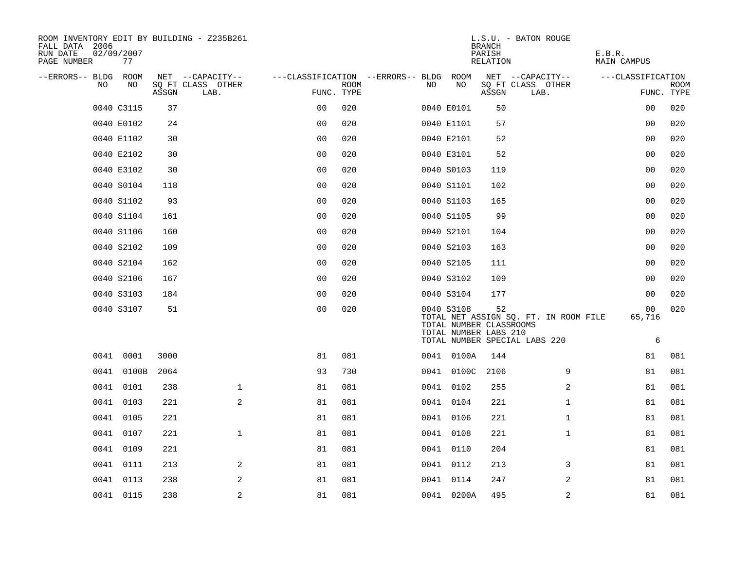| PAGE NUMBER          | 77         | 02/09/2007 |                           |                                        |             |    |                                                                | <b>BRANCH</b><br>PARISH<br>RELATION |                                                                        | E.B.R.<br>MAIN CAMPUS |                           |
|----------------------|------------|------------|---------------------------|----------------------------------------|-------------|----|----------------------------------------------------------------|-------------------------------------|------------------------------------------------------------------------|-----------------------|---------------------------|
| --ERRORS-- BLDG ROOM |            |            | NET --CAPACITY--          | ---CLASSIFICATION --ERRORS-- BLDG ROOM |             |    |                                                                |                                     | NET --CAPACITY--                                                       | ---CLASSIFICATION     |                           |
| NO                   | NO         | ASSGN      | SQ FT CLASS OTHER<br>LAB. | FUNC. TYPE                             | <b>ROOM</b> | NO | NO                                                             | ASSGN                               | SQ FT CLASS OTHER<br>LAB.                                              |                       | <b>ROOM</b><br>FUNC. TYPE |
|                      | 0040 C3115 | 37         |                           | 0 <sub>0</sub>                         | 020         |    | 0040 E0101                                                     | 50                                  |                                                                        | 00                    | 020                       |
|                      | 0040 E0102 | 24         |                           | 0 <sub>0</sub>                         | 020         |    | 0040 E1101                                                     | 57                                  |                                                                        | 00                    | 020                       |
|                      | 0040 E1102 | 30         |                           | 0 <sub>0</sub>                         | 020         |    | 0040 E2101                                                     | 52                                  |                                                                        | 00                    | 020                       |
|                      | 0040 E2102 | 30         |                           | 0 <sub>0</sub>                         | 020         |    | 0040 E3101                                                     | 52                                  |                                                                        | 00                    | 020                       |
|                      | 0040 E3102 | 30         |                           | 00                                     | 020         |    | 0040 S0103                                                     | 119                                 |                                                                        | 0 <sub>0</sub>        | 020                       |
|                      | 0040 S0104 | 118        |                           | 0 <sub>0</sub>                         | 020         |    | 0040 S1101                                                     | 102                                 |                                                                        | 00                    | 020                       |
|                      | 0040 S1102 | 93         |                           | 0 <sub>0</sub>                         | 020         |    | 0040 S1103                                                     | 165                                 |                                                                        | 0 <sub>0</sub>        | 020                       |
|                      | 0040 S1104 | 161        |                           | 0 <sub>0</sub>                         | 020         |    | 0040 S1105                                                     | 99                                  |                                                                        | 0 <sub>0</sub>        | 020                       |
|                      | 0040 S1106 | 160        |                           | 0 <sub>0</sub>                         | 020         |    | 0040 S2101                                                     | 104                                 |                                                                        | 0 <sub>0</sub>        | 020                       |
|                      | 0040 S2102 | 109        |                           | 0 <sub>0</sub>                         | 020         |    | 0040 S2103                                                     | 163                                 |                                                                        | 0 <sub>0</sub>        | 020                       |
|                      | 0040 S2104 | 162        |                           | 00                                     | 020         |    | 0040 S2105                                                     | 111                                 |                                                                        | 00                    | 020                       |
|                      | 0040 S2106 | 167        |                           | 0 <sub>0</sub>                         | 020         |    | 0040 S3102                                                     | 109                                 |                                                                        | 00                    | 020                       |
|                      | 0040 S3103 | 184        |                           | 0 <sub>0</sub>                         | 020         |    | 0040 S3104                                                     | 177                                 |                                                                        | 0 <sub>0</sub>        | 020                       |
|                      | 0040 S3107 | 51         |                           | 0 <sub>0</sub>                         | 020         |    | 0040 S3108<br>TOTAL NUMBER CLASSROOMS<br>TOTAL NUMBER LABS 210 | 52                                  | TOTAL NET ASSIGN SQ. FT. IN ROOM FILE<br>TOTAL NUMBER SPECIAL LABS 220 | 00<br>65,716<br>6     | 020                       |
|                      | 0041 0001  | 3000       |                           | 81                                     | 081         |    | 0041 0100A                                                     | 144                                 |                                                                        | 81                    | 081                       |
|                      | 0041 0100B | 2064       |                           | 93                                     | 730         |    | 0041 0100C                                                     | 2106                                | 9                                                                      | 81                    | 081                       |
|                      | 0041 0101  | 238        | $\mathbf{1}$              | 81                                     | 081         |    | 0041 0102                                                      | 255                                 | 2                                                                      | 81                    | 081                       |
|                      | 0041 0103  | 221        | 2                         | 81                                     | 081         |    | 0041 0104                                                      | 221                                 | $\mathbf{1}$                                                           | 81                    | 081                       |
|                      | 0041 0105  | 221        |                           | 81                                     | 081         |    | 0041 0106                                                      | 221                                 | $\mathbf{1}$                                                           | 81                    | 081                       |
|                      | 0041 0107  | 221        | $\mathbf{1}$              | 81                                     | 081         |    | 0041 0108                                                      | 221                                 | $\mathbf{1}$                                                           | 81                    | 081                       |
|                      | 0041 0109  | 221        |                           | 81                                     | 081         |    | 0041 0110                                                      | 204                                 |                                                                        | 81                    | 081                       |
|                      | 0041 0111  | 213        | 2                         | 81                                     | 081         |    | 0041 0112                                                      | 213                                 | 3                                                                      | 81                    | 081                       |
|                      | 0041 0113  | 238        | 2                         | 81                                     | 081         |    | 0041 0114                                                      | 247                                 | 2                                                                      | 81                    | 081                       |
|                      | 0041 0115  | 238        | 2                         | 81                                     | 081         |    | 0041 0200A                                                     | 495                                 | 2                                                                      | 81                    | 081                       |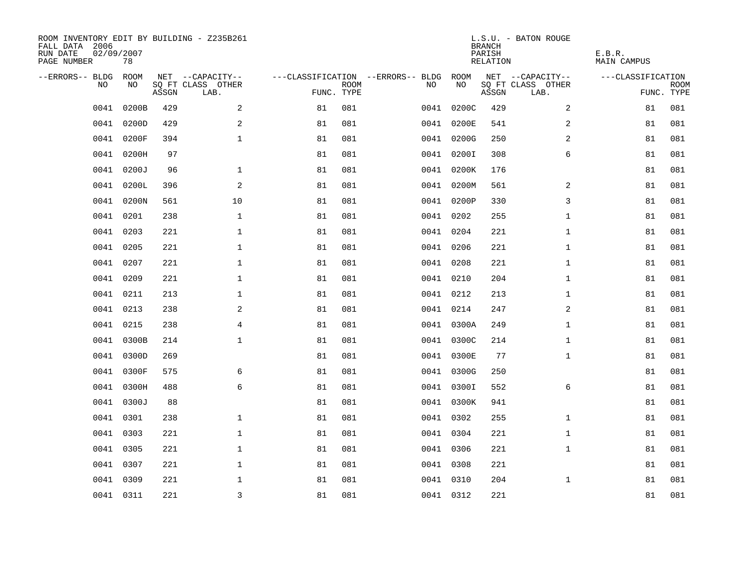| ROOM INVENTORY EDIT BY BUILDING - Z235B261<br>FALL DATA 2006<br>RUN DATE<br>PAGE NUMBER | 02/09/2007<br>78 |       |                           |                                   |             |           |            | <b>BRANCH</b><br>PARISH<br>RELATION | L.S.U. - BATON ROUGE      | E.B.R.<br><b>MAIN CAMPUS</b> |                           |
|-----------------------------------------------------------------------------------------|------------------|-------|---------------------------|-----------------------------------|-------------|-----------|------------|-------------------------------------|---------------------------|------------------------------|---------------------------|
| --ERRORS-- BLDG                                                                         | ROOM             |       | NET --CAPACITY--          | ---CLASSIFICATION --ERRORS-- BLDG |             |           | ROOM       |                                     | NET --CAPACITY--          | ---CLASSIFICATION            |                           |
| N <sub>O</sub>                                                                          | NO.              | ASSGN | SO FT CLASS OTHER<br>LAB. | FUNC. TYPE                        | <b>ROOM</b> | NO.       | NO         | ASSGN                               | SQ FT CLASS OTHER<br>LAB. |                              | <b>ROOM</b><br>FUNC. TYPE |
| 0041                                                                                    | 0200B            | 429   | 2                         | 81                                | 081         | 0041      | 0200C      | 429                                 | $\overline{a}$            | 81                           | 081                       |
| 0041                                                                                    | 0200D            | 429   | 2                         | 81                                | 081         |           | 0041 0200E | 541                                 | 2                         | 81                           | 081                       |
| 0041                                                                                    | 0200F            | 394   | $\mathbf{1}$              | 81                                | 081         |           | 0041 0200G | 250                                 | 2                         | 81                           | 081                       |
| 0041                                                                                    | 0200H            | 97    |                           | 81                                | 081         |           | 0041 0200I | 308                                 | 6                         | 81                           | 081                       |
| 0041                                                                                    | 0200J            | 96    | $\mathbf{1}$              | 81                                | 081         |           | 0041 0200K | 176                                 |                           | 81                           | 081                       |
| 0041                                                                                    | 0200L            | 396   | $\mathbf{2}$              | 81                                | 081         |           | 0041 0200M | 561                                 | 2                         | 81                           | 081                       |
| 0041                                                                                    | 0200N            | 561   | 10                        | 81                                | 081         |           | 0041 0200P | 330                                 | 3                         | 81                           | 081                       |
| 0041                                                                                    | 0201             | 238   | $\mathbf{1}$              | 81                                | 081         | 0041 0202 |            | 255                                 | $\mathbf{1}$              | 81                           | 081                       |
| 0041                                                                                    | 0203             | 221   | $\mathbf{1}$              | 81                                | 081         | 0041 0204 |            | 221                                 | $\mathbf{1}$              | 81                           | 081                       |
|                                                                                         | 0041 0205        | 221   | $\mathbf 1$               | 81                                | 081         | 0041 0206 |            | 221                                 | $\mathbf{1}$              | 81                           | 081                       |
| 0041                                                                                    | 0207             | 221   | $\mathbf 1$               | 81                                | 081         | 0041 0208 |            | 221                                 | $\mathbf{1}$              | 81                           | 081                       |
|                                                                                         | 0041 0209        | 221   | $\mathbf 1$               | 81                                | 081         | 0041 0210 |            | 204                                 | $\mathbf{1}$              | 81                           | 081                       |
| 0041                                                                                    | 0211             | 213   | $\mathbf{1}$              | 81                                | 081         | 0041 0212 |            | 213                                 | $\mathbf{1}$              | 81                           | 081                       |
|                                                                                         | 0041 0213        | 238   | 2                         | 81                                | 081         | 0041 0214 |            | 247                                 | 2                         | 81                           | 081                       |
| 0041                                                                                    | 0215             | 238   | 4                         | 81                                | 081         |           | 0041 0300A | 249                                 | $\mathbf{1}$              | 81                           | 081                       |
| 0041                                                                                    | 0300B            | 214   | $\mathbf 1$               | 81                                | 081         |           | 0041 0300C | 214                                 | $\mathbf{1}$              | 81                           | 081                       |
| 0041                                                                                    | 0300D            | 269   |                           | 81                                | 081         |           | 0041 0300E | 77                                  | $\mathbf{1}$              | 81                           | 081                       |
| 0041                                                                                    | 0300F            | 575   | 6                         | 81                                | 081         |           | 0041 0300G | 250                                 |                           | 81                           | 081                       |
| 0041                                                                                    | 0300H            | 488   | 6                         | 81                                | 081         |           | 0041 0300I | 552                                 | 6                         | 81                           | 081                       |
| 0041                                                                                    | 0300J            | 88    |                           | 81                                | 081         |           | 0041 0300K | 941                                 |                           | 81                           | 081                       |
| 0041                                                                                    | 0301             | 238   | $\mathbf 1$               | 81                                | 081         | 0041 0302 |            | 255                                 | $\mathbf{1}$              | 81                           | 081                       |
| 0041                                                                                    | 0303             | 221   | $\mathbf 1$               | 81                                | 081         | 0041 0304 |            | 221                                 | $\mathbf{1}$              | 81                           | 081                       |
| 0041                                                                                    | 0305             | 221   | $\mathbf 1$               | 81                                | 081         | 0041 0306 |            | 221                                 | $\mathbf{1}$              | 81                           | 081                       |
|                                                                                         | 0041 0307        | 221   | $\mathbf 1$               | 81                                | 081         | 0041 0308 |            | 221                                 |                           | 81                           | 081                       |
| 0041                                                                                    | 0309             | 221   | $\mathbf 1$               | 81                                | 081         | 0041 0310 |            | 204                                 | $\mathbf{1}$              | 81                           | 081                       |
|                                                                                         | 0041 0311        | 221   | $\overline{3}$            | 81                                | 081         | 0041 0312 |            | 221                                 |                           | 81                           | 081                       |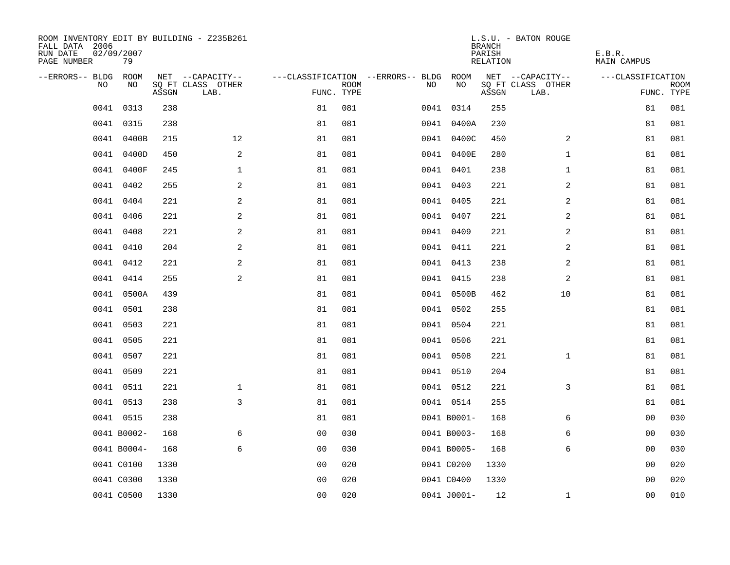| ROOM INVENTORY EDIT BY BUILDING - Z235B261<br>FALL DATA 2006<br>RUN DATE<br>PAGE NUMBER | 02/09/2007<br>79 |       |                           |                                        |             |     |             | <b>BRANCH</b><br>PARISH<br>RELATION | L.S.U. - BATON ROUGE      | E.B.R.<br>MAIN CAMPUS |                           |
|-----------------------------------------------------------------------------------------|------------------|-------|---------------------------|----------------------------------------|-------------|-----|-------------|-------------------------------------|---------------------------|-----------------------|---------------------------|
| --ERRORS-- BLDG ROOM                                                                    |                  |       | NET --CAPACITY--          | ---CLASSIFICATION --ERRORS-- BLDG ROOM |             |     |             |                                     | NET --CAPACITY--          | ---CLASSIFICATION     |                           |
| NO.                                                                                     | NO.              | ASSGN | SQ FT CLASS OTHER<br>LAB. | FUNC. TYPE                             | <b>ROOM</b> | NO. | NO          | ASSGN                               | SQ FT CLASS OTHER<br>LAB. |                       | <b>ROOM</b><br>FUNC. TYPE |
| 0041                                                                                    | 0313             | 238   |                           | 81                                     | 081         |     | 0041 0314   | 255                                 |                           | 81                    | 081                       |
| 0041                                                                                    | 0315             | 238   |                           | 81                                     | 081         |     | 0041 0400A  | 230                                 |                           | 81                    | 081                       |
|                                                                                         | 0041 0400B       | 215   | 12                        | 81                                     | 081         |     | 0041 0400C  | 450                                 | $\overline{2}$            | 81                    | 081                       |
|                                                                                         | 0041 0400D       | 450   | 2                         | 81                                     | 081         |     | 0041 0400E  | 280                                 | $\mathbf{1}$              | 81                    | 081                       |
| 0041                                                                                    | 0400F            | 245   | $\mathbf{1}$              | 81                                     | 081         |     | 0041 0401   | 238                                 | $\mathbf{1}$              | 81                    | 081                       |
| 0041                                                                                    | 0402             | 255   | $\mathbf{2}$              | 81                                     | 081         |     | 0041 0403   | 221                                 | 2                         | 81                    | 081                       |
| 0041                                                                                    | 0404             | 221   | 2                         | 81                                     | 081         |     | 0041 0405   | 221                                 | 2                         | 81                    | 081                       |
|                                                                                         | 0041 0406        | 221   | 2                         | 81                                     | 081         |     | 0041 0407   | 221                                 | 2                         | 81                    | 081                       |
| 0041                                                                                    | 0408             | 221   | 2                         | 81                                     | 081         |     | 0041 0409   | 221                                 | 2                         | 81                    | 081                       |
|                                                                                         | 0041 0410        | 204   | 2                         | 81                                     | 081         |     | 0041 0411   | 221                                 | 2                         | 81                    | 081                       |
|                                                                                         | 0041 0412        | 221   | 2                         | 81                                     | 081         |     | 0041 0413   | 238                                 | 2                         | 81                    | 081                       |
|                                                                                         | 0041 0414        | 255   | 2                         | 81                                     | 081         |     | 0041 0415   | 238                                 | 2                         | 81                    | 081                       |
| 0041                                                                                    | 0500A            | 439   |                           | 81                                     | 081         |     | 0041 0500B  | 462                                 | 10                        | 81                    | 081                       |
| 0041                                                                                    | 0501             | 238   |                           | 81                                     | 081         |     | 0041 0502   | 255                                 |                           | 81                    | 081                       |
| 0041                                                                                    | 0503             | 221   |                           | 81                                     | 081         |     | 0041 0504   | 221                                 |                           | 81                    | 081                       |
|                                                                                         | 0041 0505        | 221   |                           | 81                                     | 081         |     | 0041 0506   | 221                                 |                           | 81                    | 081                       |
| 0041                                                                                    | 0507             | 221   |                           | 81                                     | 081         |     | 0041 0508   | 221                                 | $\mathbf{1}$              | 81                    | 081                       |
|                                                                                         | 0041 0509        | 221   |                           | 81                                     | 081         |     | 0041 0510   | 204                                 |                           | 81                    | 081                       |
|                                                                                         | 0041 0511        | 221   | $\mathbf 1$               | 81                                     | 081         |     | 0041 0512   | 221                                 | 3                         | 81                    | 081                       |
|                                                                                         | 0041 0513        | 238   | 3                         | 81                                     | 081         |     | 0041 0514   | 255                                 |                           | 81                    | 081                       |
|                                                                                         | 0041 0515        | 238   |                           | 81                                     | 081         |     | 0041 B0001- | 168                                 | 6                         | 00                    | 030                       |
|                                                                                         | 0041 B0002-      | 168   | 6                         | 00                                     | 030         |     | 0041 B0003- | 168                                 | 6                         | 0 <sub>0</sub>        | 030                       |
|                                                                                         | 0041 B0004-      | 168   | 6                         | 0 <sub>0</sub>                         | 030         |     | 0041 B0005- | 168                                 | 6                         | 0 <sub>0</sub>        | 030                       |
|                                                                                         | 0041 C0100       | 1330  |                           | 00                                     | 020         |     | 0041 C0200  | 1330                                |                           | 00                    | 020                       |
|                                                                                         | 0041 C0300       | 1330  |                           | 0 <sub>0</sub>                         | 020         |     | 0041 C0400  | 1330                                |                           | 00                    | 020                       |
|                                                                                         | 0041 C0500       | 1330  |                           | 0 <sub>0</sub>                         | 020         |     | 0041 J0001- | 12                                  | $\mathbf{1}$              | 0 <sub>0</sub>        | 010                       |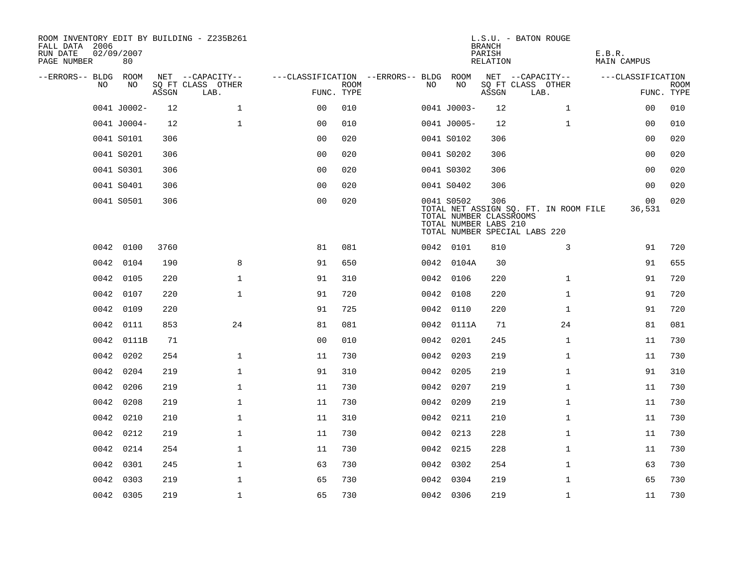| ROOM INVENTORY EDIT BY BUILDING - Z235B261<br>FALL DATA 2006<br>RUN DATE<br>PAGE NUMBER | 02/09/2007<br>80 |       |                           |                                        |             |     |                                                                | <b>BRANCH</b><br>PARISH<br>RELATION | L.S.U. - BATON ROUGE                                                   | E.B.R.<br>MAIN CAMPUS    |                           |
|-----------------------------------------------------------------------------------------|------------------|-------|---------------------------|----------------------------------------|-------------|-----|----------------------------------------------------------------|-------------------------------------|------------------------------------------------------------------------|--------------------------|---------------------------|
| --ERRORS-- BLDG ROOM                                                                    |                  |       | NET --CAPACITY--          | ---CLASSIFICATION --ERRORS-- BLDG ROOM |             |     |                                                                |                                     | NET --CAPACITY--                                                       | ---CLASSIFICATION        |                           |
| NO.                                                                                     | NO               | ASSGN | SQ FT CLASS OTHER<br>LAB. | FUNC. TYPE                             | <b>ROOM</b> | NO. | NO                                                             | ASSGN                               | SQ FT CLASS OTHER<br>LAB.                                              |                          | <b>ROOM</b><br>FUNC. TYPE |
|                                                                                         | 0041 J0002-      | 12    | $\mathbf{1}$              | 0 <sub>0</sub>                         | 010         |     | 0041 J0003-                                                    | 12                                  | $\mathbf{1}$                                                           | 0 <sub>0</sub>           | 010                       |
|                                                                                         | 0041 J0004-      | 12    | $\mathbf{1}$              | 0 <sub>0</sub>                         | 010         |     | 0041 J0005-                                                    | 12                                  | $\mathbf{1}$                                                           | 00                       | 010                       |
|                                                                                         | 0041 S0101       | 306   |                           | 0 <sub>0</sub>                         | 020         |     | 0041 S0102                                                     | 306                                 |                                                                        | 00                       | 020                       |
|                                                                                         | 0041 S0201       | 306   |                           | 0 <sub>0</sub>                         | 020         |     | 0041 S0202                                                     | 306                                 |                                                                        | 00                       | 020                       |
|                                                                                         | 0041 S0301       | 306   |                           | 00                                     | 020         |     | 0041 S0302                                                     | 306                                 |                                                                        | 00                       | 020                       |
|                                                                                         | 0041 S0401       | 306   |                           | 0 <sub>0</sub>                         | 020         |     | 0041 S0402                                                     | 306                                 |                                                                        | 00                       | 020                       |
|                                                                                         | 0041 S0501       | 306   |                           | 0 <sub>0</sub>                         | 020         |     | 0041 S0502<br>TOTAL NUMBER CLASSROOMS<br>TOTAL NUMBER LABS 210 | 306                                 | TOTAL NET ASSIGN SQ. FT. IN ROOM FILE<br>TOTAL NUMBER SPECIAL LABS 220 | 0 <sub>0</sub><br>36,531 | 020                       |
|                                                                                         | 0042 0100        | 3760  |                           | 81                                     | 081         |     | 0042 0101                                                      | 810                                 | 3                                                                      | 91                       | 720                       |
|                                                                                         | 0042 0104        | 190   | 8                         | 91                                     | 650         |     | 0042 0104A                                                     | 30                                  |                                                                        | 91                       | 655                       |
|                                                                                         | 0042 0105        | 220   | $\mathbf{1}$              | 91                                     | 310         |     | 0042 0106                                                      | 220                                 | $\mathbf{1}$                                                           | 91                       | 720                       |
| 0042                                                                                    | 0107             | 220   | $\mathbf 1$               | 91                                     | 720         |     | 0042 0108                                                      | 220                                 | $\mathbf{1}$                                                           | 91                       | 720                       |
|                                                                                         | 0042 0109        | 220   |                           | 91                                     | 725         |     | 0042 0110                                                      | 220                                 | $\mathbf{1}$                                                           | 91                       | 720                       |
|                                                                                         | 0042 0111        | 853   | 24                        | 81                                     | 081         |     | 0042 0111A                                                     | 71                                  | 24                                                                     | 81                       | 081                       |
|                                                                                         | 0042 0111B       | 71    |                           | 0 <sub>0</sub>                         | 010         |     | 0042 0201                                                      | 245                                 | $\mathbf{1}$                                                           | 11                       | 730                       |
|                                                                                         | 0042 0202        | 254   | $\mathbf 1$               | 11                                     | 730         |     | 0042 0203                                                      | 219                                 | $\mathbf{1}$                                                           | 11                       | 730                       |
| 0042                                                                                    | 0204             | 219   | $\mathbf{1}$              | 91                                     | 310         |     | 0042 0205                                                      | 219                                 | $\mathbf{1}$                                                           | 91                       | 310                       |
|                                                                                         | 0042 0206        | 219   | $\mathbf{1}$              | 11                                     | 730         |     | 0042 0207                                                      | 219                                 | $\mathbf{1}$                                                           | 11                       | 730                       |
|                                                                                         | 0042 0208        | 219   | $\mathbf 1$               | 11                                     | 730         |     | 0042 0209                                                      | 219                                 | $\mathbf{1}$                                                           | 11                       | 730                       |
|                                                                                         | 0042 0210        | 210   | $\mathbf 1$               | 11                                     | 310         |     | 0042 0211                                                      | 210                                 | $\mathbf{1}$                                                           | 11                       | 730                       |
| 0042                                                                                    | 0212             | 219   | $\mathbf 1$               | 11                                     | 730         |     | 0042 0213                                                      | 228                                 | $\mathbf{1}$                                                           | 11                       | 730                       |
| 0042                                                                                    | 0214             | 254   | $\mathbf{1}$              | 11                                     | 730         |     | 0042 0215                                                      | 228                                 | $\mathbf{1}$                                                           | 11                       | 730                       |
| 0042                                                                                    | 0301             | 245   | $\mathbf 1$               | 63                                     | 730         |     | 0042 0302                                                      | 254                                 | $\mathbf{1}$                                                           | 63                       | 730                       |
| 0042                                                                                    | 0303             | 219   | $\mathbf{1}$              | 65                                     | 730         |     | 0042 0304                                                      | 219                                 | $\mathbf{1}$                                                           | 65                       | 730                       |
|                                                                                         | 0042 0305        | 219   | $\mathbf 1$               | 65                                     | 730         |     | 0042 0306                                                      | 219                                 | $\mathbf{1}$                                                           | 11                       | 730                       |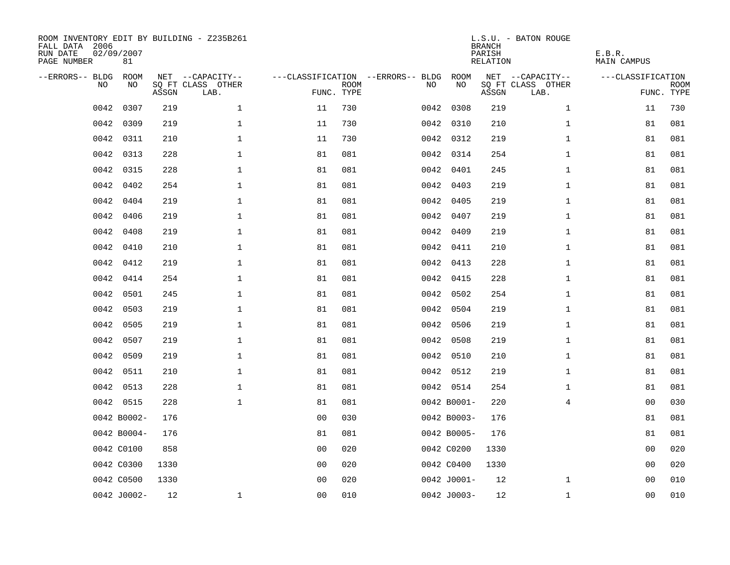| ROOM INVENTORY EDIT BY BUILDING - Z235B261<br>FALL DATA 2006<br>RUN DATE<br>PAGE NUMBER | 02/09/2007<br>81 |       |                           |                |                           |                                   |             | <b>BRANCH</b><br>PARISH<br><b>RELATION</b> | L.S.U. - BATON ROUGE      | E.B.R.<br><b>MAIN CAMPUS</b> |             |
|-----------------------------------------------------------------------------------------|------------------|-------|---------------------------|----------------|---------------------------|-----------------------------------|-------------|--------------------------------------------|---------------------------|------------------------------|-------------|
| --ERRORS-- BLDG                                                                         | ROOM             |       | NET --CAPACITY--          |                |                           | ---CLASSIFICATION --ERRORS-- BLDG | ROOM        |                                            | NET --CAPACITY--          | ---CLASSIFICATION            |             |
| NO                                                                                      | NO               | ASSGN | SQ FT CLASS OTHER<br>LAB. |                | <b>ROOM</b><br>FUNC. TYPE | NO                                | NO          | ASSGN                                      | SQ FT CLASS OTHER<br>LAB. | FUNC. TYPE                   | <b>ROOM</b> |
| 0042                                                                                    | 0307             | 219   | $\mathbf 1$               | 11             | 730                       |                                   | 0042 0308   | 219                                        | $\mathbf{1}$              | 11                           | 730         |
| 0042                                                                                    | 0309             | 219   | $\mathbf 1$               | 11             | 730                       |                                   | 0042 0310   | 210                                        | $\mathbf{1}$              | 81                           | 081         |
| 0042                                                                                    | 0311             | 210   | $\mathbf 1$               | 11             | 730                       |                                   | 0042 0312   | 219                                        | $\mathbf{1}$              | 81                           | 081         |
| 0042                                                                                    | 0313             | 228   | $\mathbf 1$               | 81             | 081                       |                                   | 0042 0314   | 254                                        | $\mathbf{1}$              | 81                           | 081         |
| 0042                                                                                    | 0315             | 228   | $\mathbf{1}$              | 81             | 081                       |                                   | 0042 0401   | 245                                        | $\mathbf{1}$              | 81                           | 081         |
| 0042                                                                                    | 0402             | 254   | $\mathbf 1$               | 81             | 081                       |                                   | 0042 0403   | 219                                        | $\mathbf{1}$              | 81                           | 081         |
| 0042                                                                                    | 0404             | 219   | $\mathbf{1}$              | 81             | 081                       |                                   | 0042 0405   | 219                                        | $\mathbf{1}$              | 81                           | 081         |
| 0042                                                                                    | 0406             | 219   | $\mathbf 1$               | 81             | 081                       |                                   | 0042 0407   | 219                                        | $\mathbf{1}$              | 81                           | 081         |
| 0042                                                                                    | 0408             | 219   | $\mathbf{1}$              | 81             | 081                       | 0042                              | 0409        | 219                                        | $\mathbf{1}$              | 81                           | 081         |
| 0042                                                                                    | 0410             | 210   | $\mathbf 1$               | 81             | 081                       |                                   | 0042 0411   | 210                                        | $\mathbf{1}$              | 81                           | 081         |
| 0042                                                                                    | 0412             | 219   | $\mathbf 1$               | 81             | 081                       |                                   | 0042 0413   | 228                                        | $\mathbf{1}$              | 81                           | 081         |
| 0042                                                                                    | 0414             | 254   | $\mathbf{1}$              | 81             | 081                       |                                   | 0042 0415   | 228                                        | $\mathbf{1}$              | 81                           | 081         |
| 0042                                                                                    | 0501             | 245   | $\mathbf 1$               | 81             | 081                       | 0042                              | 0502        | 254                                        | $\mathbf{1}$              | 81                           | 081         |
| 0042                                                                                    | 0503             | 219   | $\mathbf 1$               | 81             | 081                       |                                   | 0042 0504   | 219                                        | $\mathbf{1}$              | 81                           | 081         |
| 0042                                                                                    | 0505             | 219   | $\mathbf{1}$              | 81             | 081                       | 0042                              | 0506        | 219                                        | $\mathbf{1}$              | 81                           | 081         |
| 0042                                                                                    | 0507             | 219   | $\mathbf 1$               | 81             | 081                       |                                   | 0042 0508   | 219                                        | $\mathbf{1}$              | 81                           | 081         |
| 0042                                                                                    | 0509             | 219   | $\mathbf 1$               | 81             | 081                       |                                   | 0042 0510   | 210                                        | $\mathbf{1}$              | 81                           | 081         |
| 0042                                                                                    | 0511             | 210   | $\mathbf{1}$              | 81             | 081                       |                                   | 0042 0512   | 219                                        | $\mathbf{1}$              | 81                           | 081         |
|                                                                                         | 0042 0513        | 228   | $\mathbf{1}$              | 81             | 081                       |                                   | 0042 0514   | 254                                        | $\mathbf{1}$              | 81                           | 081         |
|                                                                                         | 0042 0515        | 228   | $\mathbf 1$               | 81             | 081                       |                                   | 0042 B0001- | 220                                        | 4                         | 00                           | 030         |
|                                                                                         | 0042 B0002-      | 176   |                           | 0 <sub>0</sub> | 030                       |                                   | 0042 B0003- | 176                                        |                           | 81                           | 081         |
|                                                                                         | 0042 B0004-      | 176   |                           | 81             | 081                       |                                   | 0042 B0005- | 176                                        |                           | 81                           | 081         |
|                                                                                         | 0042 C0100       | 858   |                           | 0 <sub>0</sub> | 020                       |                                   | 0042 C0200  | 1330                                       |                           | 0 <sub>0</sub>               | 020         |
|                                                                                         | 0042 C0300       | 1330  |                           | 0 <sub>0</sub> | 020                       |                                   | 0042 C0400  | 1330                                       |                           | 00                           | 020         |
|                                                                                         | 0042 C0500       | 1330  |                           | 0 <sub>0</sub> | 020                       |                                   | 0042 J0001- | 12                                         | $\mathbf{1}$              | 00                           | 010         |
|                                                                                         | 0042 J0002-      | 12    | $\mathbf 1$               | 00             | 010                       |                                   | 0042 J0003- | 12                                         | $\mathbf{1}$              | 0 <sub>0</sub>               | 010         |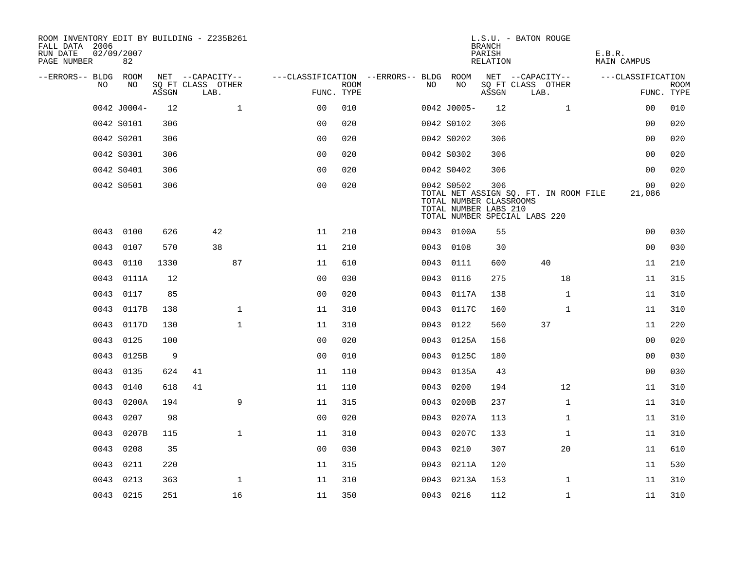| ROOM INVENTORY EDIT BY BUILDING - Z235B261<br>FALL DATA 2006<br>RUN DATE<br>PAGE NUMBER | 02/09/2007<br>82 |       |                           |              |                                        |             |      |                                                                | <b>BRANCH</b><br>PARISH<br>RELATION | L.S.U. - BATON ROUGE                                                   | E.B.R.<br>MAIN CAMPUS |                           |
|-----------------------------------------------------------------------------------------|------------------|-------|---------------------------|--------------|----------------------------------------|-------------|------|----------------------------------------------------------------|-------------------------------------|------------------------------------------------------------------------|-----------------------|---------------------------|
| --ERRORS-- BLDG ROOM                                                                    |                  |       | NET --CAPACITY--          |              | ---CLASSIFICATION --ERRORS-- BLDG ROOM |             |      |                                                                |                                     | NET --CAPACITY--                                                       | ---CLASSIFICATION     |                           |
| NO.                                                                                     | NO.              | ASSGN | SQ FT CLASS OTHER<br>LAB. |              | FUNC. TYPE                             | <b>ROOM</b> | NO.  | NO                                                             | ASSGN                               | SQ FT CLASS OTHER<br>LAB.                                              |                       | <b>ROOM</b><br>FUNC. TYPE |
|                                                                                         | 0042 J0004-      | 12    |                           | $\mathbf{1}$ | 0 <sup>0</sup>                         | 010         |      | 0042 J0005-                                                    | 12                                  | $\mathbf{1}$                                                           | 0 <sub>0</sub>        | 010                       |
|                                                                                         | 0042 S0101       | 306   |                           |              | 0 <sub>0</sub>                         | 020         |      | 0042 S0102                                                     | 306                                 |                                                                        | 0 <sub>0</sub>        | 020                       |
|                                                                                         | 0042 S0201       | 306   |                           |              | 0 <sub>0</sub>                         | 020         |      | 0042 S0202                                                     | 306                                 |                                                                        | 00                    | 020                       |
|                                                                                         | 0042 S0301       | 306   |                           |              | 0 <sub>0</sub>                         | 020         |      | 0042 S0302                                                     | 306                                 |                                                                        | 00                    | 020                       |
|                                                                                         | 0042 S0401       | 306   |                           |              | 00                                     | 020         |      | 0042 S0402                                                     | 306                                 |                                                                        | 00                    | 020                       |
|                                                                                         | 0042 S0501       | 306   |                           |              | 0 <sub>0</sub>                         | 020         |      | 0042 S0502<br>TOTAL NUMBER CLASSROOMS<br>TOTAL NUMBER LABS 210 | 306                                 | TOTAL NET ASSIGN SQ. FT. IN ROOM FILE<br>TOTAL NUMBER SPECIAL LABS 220 | 00<br>21,086          | 020                       |
|                                                                                         | 0043 0100        | 626   | 42                        |              | 11                                     | 210         |      | 0043 0100A                                                     | 55                                  |                                                                        | 0 <sub>0</sub>        | 030                       |
| 0043                                                                                    | 0107             | 570   | 38                        |              | 11                                     | 210         |      | 0043 0108                                                      | 30                                  |                                                                        | 0 <sub>0</sub>        | 030                       |
| 0043                                                                                    | 0110             | 1330  |                           | 87           | 11                                     | 610         |      | 0043 0111                                                      | 600                                 | 40                                                                     | 11                    | 210                       |
| 0043                                                                                    | 0111A            | 12    |                           |              | 0 <sub>0</sub>                         | 030         |      | 0043 0116                                                      | 275                                 | 18                                                                     | 11                    | 315                       |
| 0043                                                                                    | 0117             | 85    |                           |              | 0 <sub>0</sub>                         | 020         | 0043 | 0117A                                                          | 138                                 | $\mathbf{1}$                                                           | 11                    | 310                       |
| 0043                                                                                    | 0117B            | 138   |                           | $\mathbf 1$  | 11                                     | 310         |      | 0043 0117C                                                     | 160                                 | $\mathbf{1}$                                                           | 11                    | 310                       |
| 0043                                                                                    | 0117D            | 130   |                           | $\mathbf{1}$ | 11                                     | 310         | 0043 | 0122                                                           | 560                                 | 37                                                                     | 11                    | 220                       |
|                                                                                         | 0043 0125        | 100   |                           |              | 0 <sub>0</sub>                         | 020         |      | 0043 0125A                                                     | 156                                 |                                                                        | 0 <sub>0</sub>        | 020                       |
| 0043                                                                                    | 0125B            | 9     |                           |              | 0 <sub>0</sub>                         | 010         | 0043 | 0125C                                                          | 180                                 |                                                                        | 00                    | 030                       |
| 0043                                                                                    | 0135             | 624   | 41                        |              | 11                                     | 110         |      | 0043 0135A                                                     | 43                                  |                                                                        | 00                    | 030                       |
| 0043                                                                                    | 0140             | 618   | 41                        |              | 11                                     | 110         | 0043 | 0200                                                           | 194                                 | 12                                                                     | 11                    | 310                       |
| 0043                                                                                    | 0200A            | 194   |                           | 9            | 11                                     | 315         | 0043 | 0200B                                                          | 237                                 | $\mathbf{1}$                                                           | 11                    | 310                       |
| 0043                                                                                    | 0207             | 98    |                           |              | 0 <sub>0</sub>                         | 020         | 0043 | 0207A                                                          | 113                                 | $\mathbf{1}$                                                           | 11                    | 310                       |
| 0043                                                                                    | 0207B            | 115   |                           | $\mathbf{1}$ | 11                                     | 310         | 0043 | 0207C                                                          | 133                                 | $\mathbf{1}$                                                           | 11                    | 310                       |
| 0043                                                                                    | 0208             | 35    |                           |              | 0 <sub>0</sub>                         | 030         | 0043 | 0210                                                           | 307                                 | 20                                                                     | 11                    | 610                       |
| 0043                                                                                    | 0211             | 220   |                           |              | 11                                     | 315         |      | 0043 0211A                                                     | 120                                 |                                                                        | 11                    | 530                       |
| 0043                                                                                    | 0213             | 363   |                           | $\mathbf 1$  | 11                                     | 310         |      | 0043 0213A                                                     | 153                                 | $\mathbf{1}$                                                           | 11                    | 310                       |
|                                                                                         | 0043 0215        | 251   |                           | 16           | 11                                     | 350         |      | 0043 0216                                                      | 112                                 | $\mathbf{1}$                                                           | 11                    | 310                       |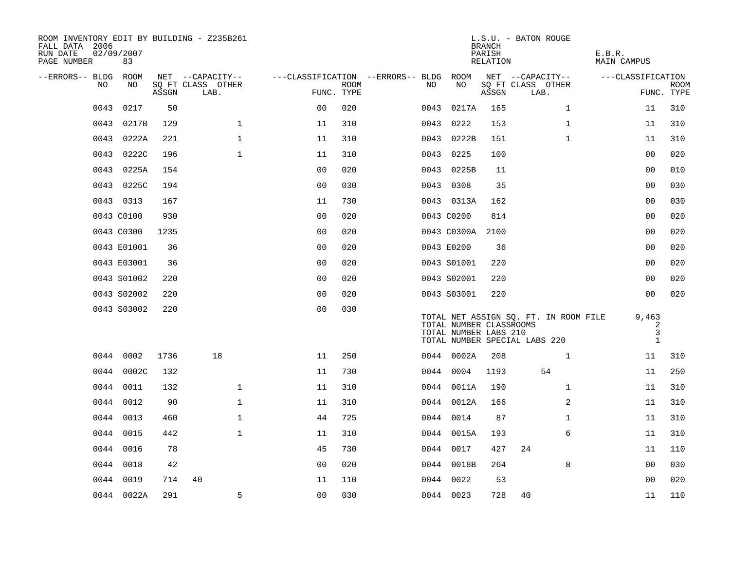| ROOM INVENTORY EDIT BY BUILDING - Z235B261<br>FALL DATA 2006<br>RUN DATE<br>PAGE NUMBER | 02/09/2007<br>83 |       |                           |                                        |             |      |                                                  | <b>BRANCH</b><br>PARISH<br>RELATION | L.S.U. - BATON ROUGE                                                   | E.B.R.<br><b>MAIN CAMPUS</b>    |                           |
|-----------------------------------------------------------------------------------------|------------------|-------|---------------------------|----------------------------------------|-------------|------|--------------------------------------------------|-------------------------------------|------------------------------------------------------------------------|---------------------------------|---------------------------|
| --ERRORS-- BLDG ROOM<br>NO.                                                             | NO               |       | NET --CAPACITY--          | ---CLASSIFICATION --ERRORS-- BLDG ROOM | <b>ROOM</b> | NO.  | NO                                               |                                     | NET --CAPACITY--<br>SQ FT CLASS OTHER                                  | ---CLASSIFICATION               |                           |
|                                                                                         |                  | ASSGN | SQ FT CLASS OTHER<br>LAB. | FUNC. TYPE                             |             |      |                                                  | ASSGN                               | LAB.                                                                   |                                 | <b>ROOM</b><br>FUNC. TYPE |
| 0043                                                                                    | 0217             | 50    |                           | 0 <sub>0</sub>                         | 020         | 0043 | 0217A                                            | 165                                 | $\mathbf{1}$                                                           | 11                              | 310                       |
| 0043                                                                                    | 0217B            | 129   | $\mathbf 1$               | 11                                     | 310         | 0043 | 0222                                             | 153                                 | $\mathbf{1}$                                                           | 11                              | 310                       |
|                                                                                         | 0043 0222A       | 221   | $\mathbf{1}$              | 11                                     | 310         |      | 0043 0222B                                       | 151                                 | $\mathbf{1}$                                                           | 11                              | 310                       |
|                                                                                         | 0043 0222C       | 196   | $\mathbf 1$               | 11                                     | 310         |      | 0043 0225                                        | 100                                 |                                                                        | 0 <sub>0</sub>                  | 020                       |
| 0043                                                                                    | 0225A            | 154   |                           | 0 <sub>0</sub>                         | 020         |      | 0043 0225B                                       | 11                                  |                                                                        | 0 <sub>0</sub>                  | 010                       |
|                                                                                         | 0043 0225C       | 194   |                           | 0 <sub>0</sub>                         | 030         |      | 0043 0308                                        | 35                                  |                                                                        | 0 <sub>0</sub>                  | 030                       |
|                                                                                         | 0043 0313        | 167   |                           | 11                                     | 730         |      | 0043 0313A                                       | 162                                 |                                                                        | 0 <sub>0</sub>                  | 030                       |
|                                                                                         | 0043 C0100       | 930   |                           | 0 <sub>0</sub>                         | 020         |      | 0043 C0200                                       | 814                                 |                                                                        | 0 <sub>0</sub>                  | 020                       |
|                                                                                         | 0043 C0300       | 1235  |                           | 0 <sub>0</sub>                         | 020         |      | 0043 C0300A                                      | 2100                                |                                                                        | 0 <sub>0</sub>                  | 020                       |
|                                                                                         | 0043 E01001      | 36    |                           | 0 <sub>0</sub>                         | 020         |      | 0043 E0200                                       | 36                                  |                                                                        | 00                              | 020                       |
|                                                                                         | 0043 E03001      | 36    |                           | 00                                     | 020         |      | 0043 S01001                                      | 220                                 |                                                                        | 00                              | 020                       |
|                                                                                         | 0043 S01002      | 220   |                           | 0 <sub>0</sub>                         | 020         |      | 0043 S02001                                      | 220                                 |                                                                        | 0 <sub>0</sub>                  | 020                       |
|                                                                                         | 0043 S02002      | 220   |                           | 0 <sub>0</sub>                         | 020         |      | 0043 S03001                                      | 220                                 |                                                                        | 0 <sub>0</sub>                  | 020                       |
|                                                                                         | 0043 S03002      | 220   |                           | 0 <sub>0</sub>                         | 030         |      | TOTAL NUMBER CLASSROOMS<br>TOTAL NUMBER LABS 210 |                                     | TOTAL NET ASSIGN SQ. FT. IN ROOM FILE<br>TOTAL NUMBER SPECIAL LABS 220 | 9,463<br>2<br>3<br>$\mathbf{1}$ |                           |
|                                                                                         | 0044 0002        | 1736  | 18                        | 11                                     | 250         |      | 0044 0002A                                       | 208                                 | $\mathbf{1}$                                                           | 11                              | 310                       |
|                                                                                         | 0044 0002C       | 132   |                           | 11                                     | 730         |      | 0044 0004                                        | 1193                                | 54                                                                     | 11                              | 250                       |
|                                                                                         | 0044 0011        | 132   | $\mathbf 1$               | 11                                     | 310         |      | 0044 0011A                                       | 190                                 | $\mathbf{1}$                                                           | 11                              | 310                       |
|                                                                                         | 0044 0012        | 90    | $\mathbf{1}$              | 11                                     | 310         |      | 0044 0012A                                       | 166                                 | 2                                                                      | 11                              | 310                       |
|                                                                                         | 0044 0013        | 460   | $\mathbf 1$               | 44                                     | 725         |      | 0044 0014                                        | 87                                  | $\mathbf{1}$                                                           | 11                              | 310                       |
|                                                                                         | 0044 0015        | 442   | $\mathbf{1}$              | 11                                     | 310         |      | 0044 0015A                                       | 193                                 | 6                                                                      | 11                              | 310                       |
|                                                                                         | 0044 0016        | 78    |                           | 45                                     | 730         |      | 0044 0017                                        | 427                                 | 24                                                                     | 11                              | 110                       |
| 0044                                                                                    | 0018             | 42    |                           | 0 <sub>0</sub>                         | 020         |      | 0044 0018B                                       | 264                                 | 8                                                                      | 00                              | 030                       |
|                                                                                         | 0044 0019        | 714   | 40                        | 11                                     | 110         |      | 0044 0022                                        | 53                                  |                                                                        | 0 <sub>0</sub>                  | 020                       |
|                                                                                         | 0044 0022A       | 291   | 5                         | 0 <sub>0</sub>                         | 030         |      | 0044 0023                                        | 728                                 | 40                                                                     | 11                              | 110                       |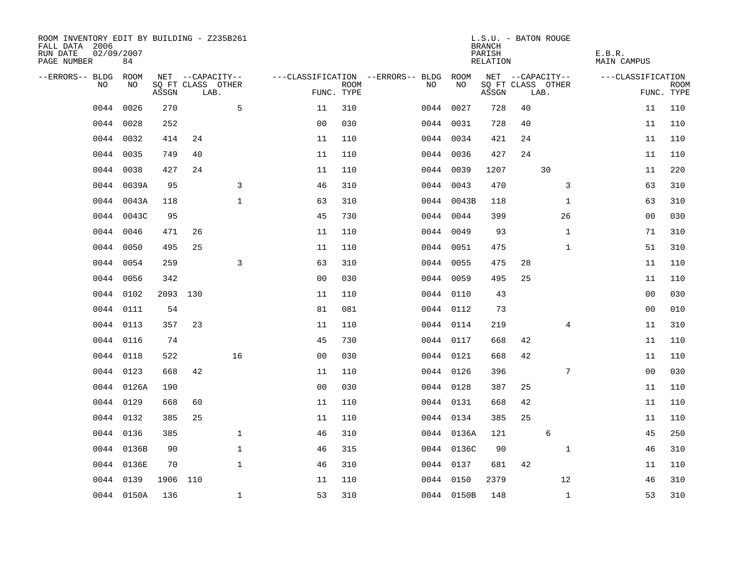| ROOM INVENTORY EDIT BY BUILDING - Z235B261<br>FALL DATA 2006<br>RUN DATE<br>PAGE NUMBER | 02/09/2007<br>84 |          |     |                           |                |             |                                   |            | <b>BRANCH</b><br>PARISH<br>RELATION |    | L.S.U. - BATON ROUGE      | E.B.R.<br><b>MAIN CAMPUS</b> |                           |
|-----------------------------------------------------------------------------------------|------------------|----------|-----|---------------------------|----------------|-------------|-----------------------------------|------------|-------------------------------------|----|---------------------------|------------------------------|---------------------------|
| --ERRORS-- BLDG ROOM                                                                    |                  |          |     | NET --CAPACITY--          |                |             | ---CLASSIFICATION --ERRORS-- BLDG | ROOM       |                                     |    | NET --CAPACITY--          | ---CLASSIFICATION            |                           |
| NO                                                                                      | NO               | ASSGN    |     | SQ FT CLASS OTHER<br>LAB. | FUNC. TYPE     | <b>ROOM</b> | NO                                | NO         | ASSGN                               |    | SQ FT CLASS OTHER<br>LAB. |                              | <b>ROOM</b><br>FUNC. TYPE |
| 0044                                                                                    | 0026             | 270      |     | 5                         | 11             | 310         |                                   | 0044 0027  | 728                                 | 40 |                           | 11                           | 110                       |
| 0044                                                                                    | 0028             | 252      |     |                           | 0 <sub>0</sub> | 030         |                                   | 0044 0031  | 728                                 | 40 |                           | 11                           | 110                       |
| 0044                                                                                    | 0032             | 414      | 24  |                           | 11             | 110         |                                   | 0044 0034  | 421                                 | 24 |                           | 11                           | 110                       |
| 0044                                                                                    | 0035             | 749      | 40  |                           | 11             | 110         |                                   | 0044 0036  | 427                                 | 24 |                           | 11                           | 110                       |
| 0044                                                                                    | 0038             | 427      | 24  |                           | 11             | 110         |                                   | 0044 0039  | 1207                                |    | 30                        | 11                           | 220                       |
| 0044                                                                                    | 0039A            | 95       |     | 3                         | 46             | 310         |                                   | 0044 0043  | 470                                 |    | 3                         | 63                           | 310                       |
| 0044                                                                                    | 0043A            | 118      |     | $\mathbf{1}$              | 63             | 310         |                                   | 0044 0043B | 118                                 |    | $\mathbf{1}$              | 63                           | 310                       |
| 0044                                                                                    | 0043C            | 95       |     |                           | 45             | 730         |                                   | 0044 0044  | 399                                 |    | 26                        | 00                           | 030                       |
| 0044                                                                                    | 0046             | 471      | 26  |                           | 11             | 110         |                                   | 0044 0049  | 93                                  |    | $\mathbf{1}$              | 71                           | 310                       |
| 0044                                                                                    | 0050             | 495      | 25  |                           | 11             | 110         |                                   | 0044 0051  | 475                                 |    | $\mathbf{1}$              | 51                           | 310                       |
| 0044                                                                                    | 0054             | 259      |     | 3                         | 63             | 310         |                                   | 0044 0055  | 475                                 | 28 |                           | 11                           | 110                       |
|                                                                                         | 0044 0056        | 342      |     |                           | 0 <sub>0</sub> | 030         |                                   | 0044 0059  | 495                                 | 25 |                           | 11                           | 110                       |
| 0044                                                                                    | 0102             | 2093     | 130 |                           | 11             | 110         |                                   | 0044 0110  | 43                                  |    |                           | 00                           | 030                       |
| 0044                                                                                    | 0111             | 54       |     |                           | 81             | 081         |                                   | 0044 0112  | 73                                  |    |                           | 00                           | 010                       |
| 0044                                                                                    | 0113             | 357      | 23  |                           | 11             | 110         |                                   | 0044 0114  | 219                                 |    | 4                         | 11                           | 310                       |
| 0044                                                                                    | 0116             | 74       |     |                           | 45             | 730         |                                   | 0044 0117  | 668                                 | 42 |                           | 11                           | 110                       |
| 0044                                                                                    | 0118             | 522      |     | 16                        | 0 <sub>0</sub> | 030         |                                   | 0044 0121  | 668                                 | 42 |                           | 11                           | 110                       |
| 0044                                                                                    | 0123             | 668      | 42  |                           | 11             | 110         |                                   | 0044 0126  | 396                                 |    | 7                         | 0 <sub>0</sub>               | 030                       |
|                                                                                         | 0044 0126A       | 190      |     |                           | 0 <sub>0</sub> | 030         |                                   | 0044 0128  | 387                                 | 25 |                           | 11                           | 110                       |
|                                                                                         | 0044 0129        | 668      | 60  |                           | 11             | 110         |                                   | 0044 0131  | 668                                 | 42 |                           | 11                           | 110                       |
|                                                                                         | 0044 0132        | 385      | 25  |                           | 11             | 110         |                                   | 0044 0134  | 385                                 | 25 |                           | 11                           | 110                       |
| 0044                                                                                    | 0136             | 385      |     | $\mathbf{1}$              | 46             | 310         |                                   | 0044 0136A | 121                                 |    | 6                         | 45                           | 250                       |
|                                                                                         | 0044 0136B       | 90       |     | 1                         | 46             | 315         |                                   | 0044 0136C | 90                                  |    | $\mathbf{1}$              | 46                           | 310                       |
| 0044                                                                                    | 0136E            | 70       |     | $\mathbf{1}$              | 46             | 310         |                                   | 0044 0137  | 681                                 | 42 |                           | 11                           | 110                       |
| 0044                                                                                    | 0139             | 1906 110 |     |                           | 11             | 110         |                                   | 0044 0150  | 2379                                |    | 12                        | 46                           | 310                       |
|                                                                                         | 0044 0150A       | 136      |     | $\mathbf{1}$              | 53             | 310         |                                   | 0044 0150B | 148                                 |    | $\mathbf{1}$              | 53                           | 310                       |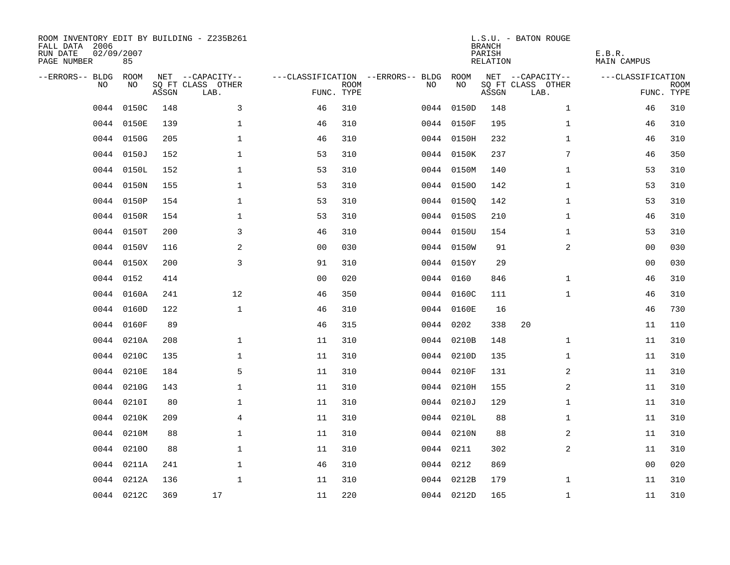| ROOM INVENTORY EDIT BY BUILDING - Z235B261<br>FALL DATA 2006<br>RUN DATE<br>PAGE NUMBER | 02/09/2007<br>85 |       |                           |                |             |                                   |            | <b>BRANCH</b><br>PARISH<br><b>RELATION</b> | L.S.U. - BATON ROUGE      | E.B.R.<br><b>MAIN CAMPUS</b> |                           |
|-----------------------------------------------------------------------------------------|------------------|-------|---------------------------|----------------|-------------|-----------------------------------|------------|--------------------------------------------|---------------------------|------------------------------|---------------------------|
| --ERRORS-- BLDG                                                                         | ROOM             |       | NET --CAPACITY--          |                |             | ---CLASSIFICATION --ERRORS-- BLDG | ROOM       |                                            | NET --CAPACITY--          | ---CLASSIFICATION            |                           |
| NO                                                                                      | NO               | ASSGN | SQ FT CLASS OTHER<br>LAB. | FUNC. TYPE     | <b>ROOM</b> | NO                                | NO         | ASSGN                                      | SQ FT CLASS OTHER<br>LAB. |                              | <b>ROOM</b><br>FUNC. TYPE |
| 0044                                                                                    | 0150C            | 148   | 3                         | 46             | 310         |                                   | 0044 0150D | 148                                        | $\mathbf{1}$              | 46                           | 310                       |
| 0044                                                                                    | 0150E            | 139   | 1                         | 46             | 310         |                                   | 0044 0150F | 195                                        | $\mathbf{1}$              | 46                           | 310                       |
|                                                                                         | 0044 0150G       | 205   | 1                         | 46             | 310         |                                   | 0044 0150H | 232                                        | $\mathbf{1}$              | 46                           | 310                       |
| 0044                                                                                    | 0150J            | 152   | 1                         | 53             | 310         |                                   | 0044 0150K | 237                                        | 7                         | 46                           | 350                       |
| 0044                                                                                    | 0150L            | 152   | $\mathbf{1}$              | 53             | 310         |                                   | 0044 0150M | 140                                        | $\mathbf{1}$              | 53                           | 310                       |
| 0044                                                                                    | 0150N            | 155   | $\mathbf 1$               | 53             | 310         |                                   | 0044 01500 | 142                                        | $\mathbf{1}$              | 53                           | 310                       |
| 0044                                                                                    | 0150P            | 154   | $\mathbf{1}$              | 53             | 310         |                                   | 0044 01500 | 142                                        | $\mathbf{1}$              | 53                           | 310                       |
| 0044                                                                                    | 0150R            | 154   | $\mathbf{1}$              | 53             | 310         |                                   | 0044 0150S | 210                                        | $\mathbf{1}$              | 46                           | 310                       |
| 0044                                                                                    | 0150T            | 200   | $\overline{3}$            | 46             | 310         |                                   | 0044 0150U | 154                                        | $\mathbf{1}$              | 53                           | 310                       |
| 0044                                                                                    | 0150V            | 116   | 2                         | 0 <sub>0</sub> | 030         |                                   | 0044 0150W | 91                                         | 2                         | 00                           | 030                       |
| 0044                                                                                    | 0150X            | 200   | 3                         | 91             | 310         |                                   | 0044 0150Y | 29                                         |                           | 00                           | 030                       |
|                                                                                         | 0044 0152        | 414   |                           | 0 <sub>0</sub> | 020         |                                   | 0044 0160  | 846                                        | $\mathbf{1}$              | 46                           | 310                       |
| 0044                                                                                    | 0160A            | 241   | 12                        | 46             | 350         |                                   | 0044 0160C | 111                                        | $\mathbf{1}$              | 46                           | 310                       |
| 0044                                                                                    | 0160D            | 122   | $\mathbf{1}$              | 46             | 310         |                                   | 0044 0160E | 16                                         |                           | 46                           | 730                       |
| 0044                                                                                    | 0160F            | 89    |                           | 46             | 315         |                                   | 0044 0202  | 338                                        | 20                        | 11                           | 110                       |
|                                                                                         | 0044 0210A       | 208   | 1                         | 11             | 310         |                                   | 0044 0210B | 148                                        | $\mathbf{1}$              | 11                           | 310                       |
| 0044                                                                                    | 0210C            | 135   | $\mathbf 1$               | 11             | 310         |                                   | 0044 0210D | 135                                        | $\mathbf{1}$              | 11                           | 310                       |
| 0044                                                                                    | 0210E            | 184   | 5                         | 11             | 310         |                                   | 0044 0210F | 131                                        | 2                         | 11                           | 310                       |
| 0044                                                                                    | 0210G            | 143   | $\mathbf 1$               | 11             | 310         |                                   | 0044 0210H | 155                                        | 2                         | 11                           | 310                       |
| 0044                                                                                    | 0210I            | 80    | $\mathbf 1$               | 11             | 310         |                                   | 0044 0210J | 129                                        | $\mathbf{1}$              | 11                           | 310                       |
| 0044                                                                                    | 0210K            | 209   | $\overline{4}$            | 11             | 310         |                                   | 0044 0210L | 88                                         | $\mathbf{1}$              | 11                           | 310                       |
| 0044                                                                                    | 0210M            | 88    | $\mathbf{1}$              | 11             | 310         |                                   | 0044 0210N | 88                                         | 2                         | 11                           | 310                       |
|                                                                                         | 0044 02100       | 88    | $\mathbf{1}$              | 11             | 310         |                                   | 0044 0211  | 302                                        | 2                         | 11                           | 310                       |
|                                                                                         | 0044 0211A       | 241   | $\mathbf 1$               | 46             | 310         |                                   | 0044 0212  | 869                                        |                           | 0 <sub>0</sub>               | 020                       |
|                                                                                         | 0044 0212A       | 136   | $\mathbf{1}$              | 11             | 310         |                                   | 0044 0212B | 179                                        | $\mathbf{1}$              | 11                           | 310                       |
|                                                                                         | 0044 0212C       | 369   | 17                        | 11             | 220         |                                   | 0044 0212D | 165                                        | $\mathbf{1}$              | 11                           | 310                       |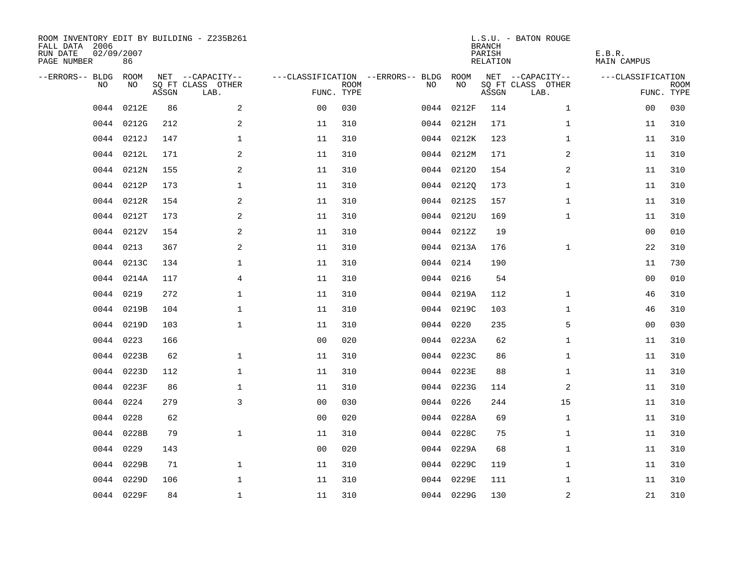| ROOM INVENTORY EDIT BY BUILDING - Z235B261<br>FALL DATA 2006<br>RUN DATE<br>PAGE NUMBER | 02/09/2007<br>86 |       |                           |                |             |                                   |            | <b>BRANCH</b><br>PARISH<br>RELATION | L.S.U. - BATON ROUGE      | E.B.R.<br><b>MAIN CAMPUS</b> |                           |
|-----------------------------------------------------------------------------------------|------------------|-------|---------------------------|----------------|-------------|-----------------------------------|------------|-------------------------------------|---------------------------|------------------------------|---------------------------|
| --ERRORS-- BLDG                                                                         | ROOM             |       | NET --CAPACITY--          |                |             | ---CLASSIFICATION --ERRORS-- BLDG | ROOM       |                                     | NET --CAPACITY--          | ---CLASSIFICATION            |                           |
| N <sub>O</sub>                                                                          | NO.              | ASSGN | SO FT CLASS OTHER<br>LAB. | FUNC. TYPE     | <b>ROOM</b> | NO.                               | NO         | ASSGN                               | SQ FT CLASS OTHER<br>LAB. |                              | <b>ROOM</b><br>FUNC. TYPE |
| 0044                                                                                    | 0212E            | 86    | 2                         | 0 <sub>0</sub> | 030         |                                   | 0044 0212F | 114                                 | $\mathbf{1}$              | 00                           | 030                       |
| 0044                                                                                    | 0212G            | 212   | 2                         | 11             | 310         |                                   | 0044 0212H | 171                                 | $\mathbf{1}$              | 11                           | 310                       |
|                                                                                         | 0044 0212J       | 147   | $\mathbf{1}$              | 11             | 310         |                                   | 0044 0212K | 123                                 | $\mathbf{1}$              | 11                           | 310                       |
| 0044                                                                                    | 0212L            | 171   | 2                         | 11             | 310         |                                   | 0044 0212M | 171                                 | 2                         | 11                           | 310                       |
| 0044                                                                                    | 0212N            | 155   | 2                         | 11             | 310         |                                   | 0044 02120 | 154                                 | 2                         | 11                           | 310                       |
| 0044                                                                                    | 0212P            | 173   | $\mathbf 1$               | 11             | 310         |                                   | 0044 02120 | 173                                 | $\mathbf{1}$              | 11                           | 310                       |
| 0044                                                                                    | 0212R            | 154   | 2                         | 11             | 310         |                                   | 0044 0212S | 157                                 | $\mathbf{1}$              | 11                           | 310                       |
| 0044                                                                                    | 0212T            | 173   | 2                         | 11             | 310         |                                   | 0044 0212U | 169                                 | $\mathbf{1}$              | 11                           | 310                       |
| 0044                                                                                    | 0212V            | 154   | 2                         | 11             | 310         |                                   | 0044 0212Z | 19                                  |                           | 0 <sub>0</sub>               | 010                       |
| 0044                                                                                    | 0213             | 367   | 2                         | 11             | 310         |                                   | 0044 0213A | 176                                 | $\mathbf{1}$              | 22                           | 310                       |
| 0044                                                                                    | 0213C            | 134   | $\mathbf 1$               | 11             | 310         |                                   | 0044 0214  | 190                                 |                           | 11                           | 730                       |
|                                                                                         | 0044 0214A       | 117   | $\overline{4}$            | 11             | 310         |                                   | 0044 0216  | 54                                  |                           | 00                           | 010                       |
| 0044                                                                                    | 0219             | 272   | $\mathbf 1$               | 11             | 310         |                                   | 0044 0219A | 112                                 | $\mathbf{1}$              | 46                           | 310                       |
| 0044                                                                                    | 0219B            | 104   | $\mathbf{1}$              | 11             | 310         |                                   | 0044 0219C | 103                                 | $\mathbf{1}$              | 46                           | 310                       |
| 0044                                                                                    | 0219D            | 103   | 1                         | 11             | 310         |                                   | 0044 0220  | 235                                 | 5                         | 00                           | 030                       |
| 0044                                                                                    | 0223             | 166   |                           | 0 <sub>0</sub> | 020         |                                   | 0044 0223A | 62                                  | $\mathbf{1}$              | 11                           | 310                       |
| 0044                                                                                    | 0223B            | 62    | $\mathbf 1$               | 11             | 310         |                                   | 0044 0223C | 86                                  | $\mathbf{1}$              | 11                           | 310                       |
| 0044                                                                                    | 0223D            | 112   | $\mathbf{1}$              | 11             | 310         |                                   | 0044 0223E | 88                                  | $\mathbf{1}$              | 11                           | 310                       |
| 0044                                                                                    | 0223F            | 86    | $\mathbf{1}$              | 11             | 310         |                                   | 0044 0223G | 114                                 | 2                         | 11                           | 310                       |
| 0044                                                                                    | 0224             | 279   | $\overline{3}$            | 0 <sub>0</sub> | 030         |                                   | 0044 0226  | 244                                 | 15                        | 11                           | 310                       |
| 0044                                                                                    | 0228             | 62    |                           | 0 <sub>0</sub> | 020         |                                   | 0044 0228A | 69                                  | $\mathbf{1}$              | 11                           | 310                       |
| 0044                                                                                    | 0228B            | 79    | $\mathbf{1}$              | 11             | 310         |                                   | 0044 0228C | 75                                  | $\mathbf{1}$              | 11                           | 310                       |
|                                                                                         | 0044 0229        | 143   |                           | 0 <sub>0</sub> | 020         |                                   | 0044 0229A | 68                                  | $\mathbf{1}$              | 11                           | 310                       |
| 0044                                                                                    | 0229B            | 71    | $\mathbf 1$               | 11             | 310         |                                   | 0044 0229C | 119                                 | $\mathbf{1}$              | 11                           | 310                       |
| 0044                                                                                    | 0229D            | 106   | $\mathbf 1$               | 11             | 310         |                                   | 0044 0229E | 111                                 | $\mathbf{1}$              | 11                           | 310                       |
|                                                                                         | 0044 0229F       | 84    | $\mathbf{1}$              | 11             | 310         |                                   | 0044 0229G | 130                                 | $\mathbf 2$               | 21                           | 310                       |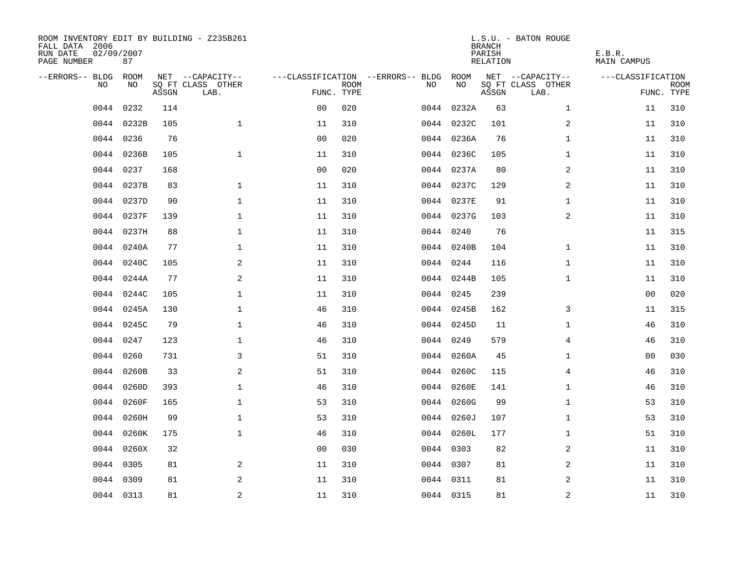| ROOM INVENTORY EDIT BY BUILDING - Z235B261<br>FALL DATA 2006<br>RUN DATE<br>PAGE NUMBER | 02/09/2007<br>87 |       |                           |                |             |                                   |            | <b>BRANCH</b><br>PARISH<br>RELATION | L.S.U. - BATON ROUGE      | E.B.R.<br><b>MAIN CAMPUS</b> |                           |
|-----------------------------------------------------------------------------------------|------------------|-------|---------------------------|----------------|-------------|-----------------------------------|------------|-------------------------------------|---------------------------|------------------------------|---------------------------|
| --ERRORS-- BLDG                                                                         | ROOM             |       | NET --CAPACITY--          |                |             | ---CLASSIFICATION --ERRORS-- BLDG | ROOM       |                                     | NET --CAPACITY--          | ---CLASSIFICATION            |                           |
| N <sub>O</sub>                                                                          | NO.              | ASSGN | SO FT CLASS OTHER<br>LAB. | FUNC. TYPE     | <b>ROOM</b> | NO.                               | NO         | ASSGN                               | SQ FT CLASS OTHER<br>LAB. |                              | <b>ROOM</b><br>FUNC. TYPE |
| 0044                                                                                    | 0232             | 114   |                           | 0 <sub>0</sub> | 020         |                                   | 0044 0232A | 63                                  | $\mathbf{1}$              | 11                           | 310                       |
|                                                                                         | 0044 0232B       | 105   | $\mathbf{1}$              | 11             | 310         |                                   | 0044 0232C | 101                                 | 2                         | 11                           | 310                       |
|                                                                                         | 0044 0236        | 76    |                           | 0 <sub>0</sub> | 020         |                                   | 0044 0236A | 76                                  | $\mathbf{1}$              | 11                           | 310                       |
| 0044                                                                                    | 0236B            | 105   | $\mathbf{1}$              | 11             | 310         |                                   | 0044 0236C | 105                                 | $\mathbf{1}$              | 11                           | 310                       |
| 0044                                                                                    | 0237             | 168   |                           | 0 <sub>0</sub> | 020         |                                   | 0044 0237A | 80                                  | 2                         | 11                           | 310                       |
| 0044                                                                                    | 0237B            | 83    | $\mathbf 1$               | 11             | 310         |                                   | 0044 0237C | 129                                 | 2                         | 11                           | 310                       |
| 0044                                                                                    | 0237D            | 90    | $\mathbf{1}$              | 11             | 310         |                                   | 0044 0237E | 91                                  | $\mathbf{1}$              | 11                           | 310                       |
|                                                                                         | 0044 0237F       | 139   | $\mathbf 1$               | 11             | 310         |                                   | 0044 0237G | 103                                 | 2                         | 11                           | 310                       |
| 0044                                                                                    | 0237H            | 88    | $\mathbf 1$               | 11             | 310         |                                   | 0044 0240  | 76                                  |                           | 11                           | 315                       |
|                                                                                         | 0044 0240A       | 77    | $\mathbf 1$               | 11             | 310         |                                   | 0044 0240B | 104                                 | $\mathbf{1}$              | 11                           | 310                       |
|                                                                                         | 0044 0240C       | 105   | 2                         | 11             | 310         |                                   | 0044 0244  | 116                                 | $\mathbf{1}$              | 11                           | 310                       |
|                                                                                         | 0044 0244A       | 77    | 2                         | 11             | 310         |                                   | 0044 0244B | 105                                 | $\mathbf{1}$              | 11                           | 310                       |
| 0044                                                                                    | 0244C            | 105   | $\mathbf{1}$              | 11             | 310         |                                   | 0044 0245  | 239                                 |                           | 0 <sub>0</sub>               | 020                       |
| 0044                                                                                    | 0245A            | 130   | $\mathbf{1}$              | 46             | 310         |                                   | 0044 0245B | 162                                 | 3                         | 11                           | 315                       |
| 0044                                                                                    | 0245C            | 79    | $\mathbf 1$               | 46             | 310         |                                   | 0044 0245D | 11                                  | $\mathbf{1}$              | 46                           | 310                       |
| 0044                                                                                    | 0247             | 123   | $\mathbf 1$               | 46             | 310         |                                   | 0044 0249  | 579                                 | 4                         | 46                           | 310                       |
| 0044                                                                                    | 0260             | 731   | 3                         | 51             | 310         |                                   | 0044 0260A | 45                                  | $\mathbf{1}$              | 00                           | 030                       |
| 0044                                                                                    | 0260B            | 33    | 2                         | 51             | 310         |                                   | 0044 0260C | 115                                 | $\overline{4}$            | 46                           | 310                       |
| 0044                                                                                    | 0260D            | 393   | $\mathbf{1}$              | 46             | 310         |                                   | 0044 0260E | 141                                 | $\mathbf{1}$              | 46                           | 310                       |
| 0044                                                                                    | 0260F            | 165   | $\mathbf 1$               | 53             | 310         |                                   | 0044 0260G | 99                                  | $\mathbf{1}$              | 53                           | 310                       |
| 0044                                                                                    | 0260H            | 99    | $\mathbf{1}$              | 53             | 310         |                                   | 0044 0260J | 107                                 | $\mathbf{1}$              | 53                           | 310                       |
| 0044                                                                                    | 0260K            | 175   | $\mathbf 1$               | 46             | 310         |                                   | 0044 0260L | 177                                 | $\mathbf{1}$              | 51                           | 310                       |
| 0044                                                                                    | 0260X            | 32    |                           | 0 <sub>0</sub> | 030         |                                   | 0044 0303  | 82                                  | $\boldsymbol{2}$          | 11                           | 310                       |
| 0044                                                                                    | 0305             | 81    | 2                         | 11             | 310         |                                   | 0044 0307  | 81                                  | 2                         | 11                           | 310                       |
|                                                                                         | 0044 0309        | 81    | 2                         | 11             | 310         |                                   | 0044 0311  | 81                                  | 2                         | 11                           | 310                       |
|                                                                                         | 0044 0313        | 81    | $\overline{a}$            | 11             | 310         |                                   | 0044 0315  | 81                                  | $\overline{a}$            | 11                           | 310                       |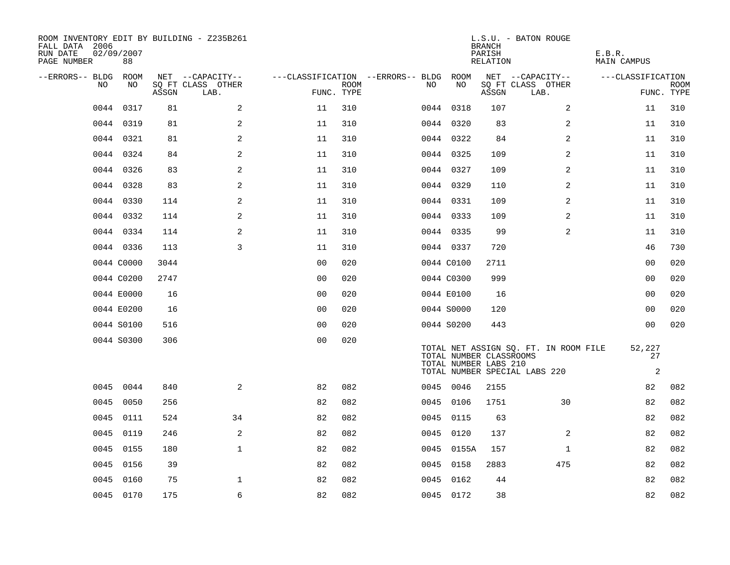| ROOM INVENTORY EDIT BY BUILDING - Z235B261<br>FALL DATA 2006<br>RUN DATE<br>PAGE NUMBER | 02/09/2007<br>88 |       |                           |                                   |                           |      |                                                  | <b>BRANCH</b><br>PARISH<br>RELATION | L.S.U. - BATON ROUGE                                                   | E.B.R.<br>MAIN CAMPUS          |                           |
|-----------------------------------------------------------------------------------------|------------------|-------|---------------------------|-----------------------------------|---------------------------|------|--------------------------------------------------|-------------------------------------|------------------------------------------------------------------------|--------------------------------|---------------------------|
| --ERRORS-- BLDG ROOM                                                                    | NO               |       | NET --CAPACITY--          | ---CLASSIFICATION --ERRORS-- BLDG |                           |      | ROOM<br>NO                                       |                                     | NET --CAPACITY--                                                       | ---CLASSIFICATION              |                           |
| NO                                                                                      |                  | ASSGN | SQ FT CLASS OTHER<br>LAB. |                                   | <b>ROOM</b><br>FUNC. TYPE | NO   |                                                  | ASSGN                               | SQ FT CLASS OTHER<br>LAB.                                              |                                | <b>ROOM</b><br>FUNC. TYPE |
| 0044                                                                                    | 0317             | 81    | 2                         | 11                                | 310                       |      | 0044 0318                                        | 107                                 | $\overline{2}$                                                         | 11                             | 310                       |
|                                                                                         | 0044 0319        | 81    | 2                         | 11                                | 310                       |      | 0044 0320                                        | 83                                  | 2                                                                      | 11                             | 310                       |
|                                                                                         | 0044 0321        | 81    | 2                         | 11                                | 310                       |      | 0044 0322                                        | 84                                  | 2                                                                      | 11                             | 310                       |
|                                                                                         | 0044 0324        | 84    | 2                         | 11                                | 310                       |      | 0044 0325                                        | 109                                 | 2                                                                      | 11                             | 310                       |
|                                                                                         | 0044 0326        | 83    | 2                         | 11                                | 310                       |      | 0044 0327                                        | 109                                 | $\overline{a}$                                                         | 11                             | 310                       |
|                                                                                         | 0044 0328        | 83    | 2                         | 11                                | 310                       |      | 0044 0329                                        | 110                                 | 2                                                                      | 11                             | 310                       |
|                                                                                         | 0044 0330        | 114   | 2                         | 11                                | 310                       |      | 0044 0331                                        | 109                                 | 2                                                                      | 11                             | 310                       |
|                                                                                         | 0044 0332        | 114   | 2                         | 11                                | 310                       |      | 0044 0333                                        | 109                                 | 2                                                                      | 11                             | 310                       |
|                                                                                         | 0044 0334        | 114   | 2                         | 11                                | 310                       |      | 0044 0335                                        | 99                                  | 2                                                                      | 11                             | 310                       |
|                                                                                         | 0044 0336        | 113   | 3                         | 11                                | 310                       |      | 0044 0337                                        | 720                                 |                                                                        | 46                             | 730                       |
|                                                                                         | 0044 C0000       | 3044  |                           | 00                                | 020                       |      | 0044 C0100                                       | 2711                                |                                                                        | 00                             | 020                       |
|                                                                                         | 0044 C0200       | 2747  |                           | 0 <sub>0</sub>                    | 020                       |      | 0044 C0300                                       | 999                                 |                                                                        | 00                             | 020                       |
|                                                                                         | 0044 E0000       | 16    |                           | 0 <sub>0</sub>                    | 020                       |      | 0044 E0100                                       | 16                                  |                                                                        | 0 <sub>0</sub>                 | 020                       |
|                                                                                         | 0044 E0200       | 16    |                           | 0 <sub>0</sub>                    | 020                       |      | 0044 S0000                                       | 120                                 |                                                                        | 0 <sub>0</sub>                 | 020                       |
|                                                                                         | 0044 S0100       | 516   |                           | 0 <sub>0</sub>                    | 020                       |      | 0044 S0200                                       | 443                                 |                                                                        | 00                             | 020                       |
|                                                                                         | 0044 S0300       | 306   |                           | 0 <sub>0</sub>                    | 020                       |      | TOTAL NUMBER CLASSROOMS<br>TOTAL NUMBER LABS 210 |                                     | TOTAL NET ASSIGN SQ. FT. IN ROOM FILE<br>TOTAL NUMBER SPECIAL LABS 220 | 52,227<br>27<br>$\overline{c}$ |                           |
| 0045                                                                                    | 0044             | 840   | 2                         | 82                                | 082                       |      | 0045 0046                                        | 2155                                |                                                                        | 82                             | 082                       |
| 0045                                                                                    | 0050             | 256   |                           | 82                                | 082                       |      | 0045 0106                                        | 1751                                | 30                                                                     | 82                             | 082                       |
| 0045                                                                                    | 0111             | 524   | 34                        | 82                                | 082                       |      | 0045 0115                                        | 63                                  |                                                                        | 82                             | 082                       |
| 0045                                                                                    | 0119             | 246   | $\mathbf{2}$              | 82                                | 082                       |      | 0045 0120                                        | 137                                 | 2                                                                      | 82                             | 082                       |
| 0045                                                                                    | 0155             | 180   | $\mathbf{1}$              | 82                                | 082                       |      | 0045 0155A                                       | 157                                 | $\mathbf{1}$                                                           | 82                             | 082                       |
| 0045                                                                                    | 0156             | 39    |                           | 82                                | 082                       | 0045 | 0158                                             | 2883                                | 475                                                                    | 82                             | 082                       |
| 0045                                                                                    | 0160             | 75    | 1                         | 82                                | 082                       |      | 0045 0162                                        | 44                                  |                                                                        | 82                             | 082                       |
|                                                                                         | 0045 0170        | 175   | 6                         | 82                                | 082                       |      | 0045 0172                                        | 38                                  |                                                                        | 82                             | 082                       |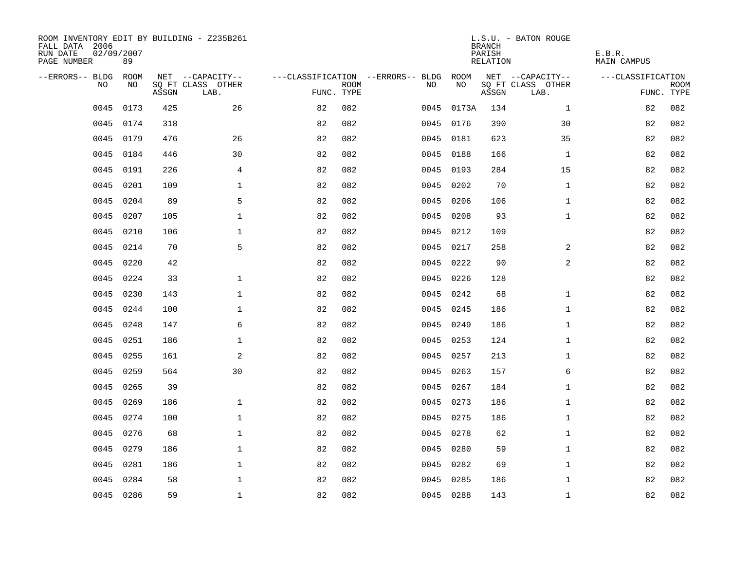| ROOM INVENTORY EDIT BY BUILDING - Z235B261<br>FALL DATA 2006<br>RUN DATE<br>PAGE NUMBER | 02/09/2007<br>89 |       |                           |                                   |             |      |           | <b>BRANCH</b><br>PARISH<br>RELATION | L.S.U. - BATON ROUGE      | E.B.R.<br>MAIN CAMPUS |             |
|-----------------------------------------------------------------------------------------|------------------|-------|---------------------------|-----------------------------------|-------------|------|-----------|-------------------------------------|---------------------------|-----------------------|-------------|
| --ERRORS-- BLDG ROOM                                                                    |                  |       | NET --CAPACITY--          | ---CLASSIFICATION --ERRORS-- BLDG |             |      | ROOM      |                                     | NET --CAPACITY--          | ---CLASSIFICATION     |             |
| NO.                                                                                     | NO.              | ASSGN | SQ FT CLASS OTHER<br>LAB. | FUNC. TYPE                        | <b>ROOM</b> | NO.  | NO        | ASSGN                               | SQ FT CLASS OTHER<br>LAB. | FUNC. TYPE            | <b>ROOM</b> |
| 0045                                                                                    | 0173             | 425   | 26                        | 82                                | 082         | 0045 | 0173A     | 134                                 | $\mathbf{1}$              | 82                    | 082         |
| 0045                                                                                    | 0174             | 318   |                           | 82                                | 082         |      | 0045 0176 | 390                                 | 30                        | 82                    | 082         |
| 0045                                                                                    | 0179             | 476   | 26                        | 82                                | 082         |      | 0045 0181 | 623                                 | 35                        | 82                    | 082         |
| 0045                                                                                    | 0184             | 446   | 30                        | 82                                | 082         |      | 0045 0188 | 166                                 | $\mathbf{1}$              | 82                    | 082         |
| 0045                                                                                    | 0191             | 226   | 4                         | 82                                | 082         | 0045 | 0193      | 284                                 | 15                        | 82                    | 082         |
| 0045                                                                                    | 0201             | 109   | $\mathbf 1$               | 82                                | 082         |      | 0045 0202 | 70                                  | $\mathbf{1}$              | 82                    | 082         |
| 0045                                                                                    | 0204             | 89    | 5                         | 82                                | 082         | 0045 | 0206      | 106                                 | $\mathbf{1}$              | 82                    | 082         |
| 0045                                                                                    | 0207             | 105   | $\mathbf 1$               | 82                                | 082         |      | 0045 0208 | 93                                  | $\mathbf{1}$              | 82                    | 082         |
| 0045                                                                                    | 0210             | 106   | $\mathbf 1$               | 82                                | 082         |      | 0045 0212 | 109                                 |                           | 82                    | 082         |
| 0045                                                                                    | 0214             | 70    | 5                         | 82                                | 082         |      | 0045 0217 | 258                                 | 2                         | 82                    | 082         |
| 0045                                                                                    | 0220             | 42    |                           | 82                                | 082         | 0045 | 0222      | 90                                  | 2                         | 82                    | 082         |
| 0045                                                                                    | 0224             | 33    | $\mathbf 1$               | 82                                | 082         |      | 0045 0226 | 128                                 |                           | 82                    | 082         |
| 0045                                                                                    | 0230             | 143   | $\mathbf{1}$              | 82                                | 082         | 0045 | 0242      | 68                                  | $\mathbf{1}$              | 82                    | 082         |
| 0045                                                                                    | 0244             | 100   | $\mathbf 1$               | 82                                | 082         |      | 0045 0245 | 186                                 | $\mathbf{1}$              | 82                    | 082         |
| 0045                                                                                    | 0248             | 147   | 6                         | 82                                | 082         | 0045 | 0249      | 186                                 | $\mathbf{1}$              | 82                    | 082         |
| 0045                                                                                    | 0251             | 186   | $\mathbf{1}$              | 82                                | 082         |      | 0045 0253 | 124                                 | $\mathbf{1}$              | 82                    | 082         |
| 0045                                                                                    | 0255             | 161   | $\mathbf{2}$              | 82                                | 082         | 0045 | 0257      | 213                                 | $\mathbf{1}$              | 82                    | 082         |
| 0045                                                                                    | 0259             | 564   | 30                        | 82                                | 082         | 0045 | 0263      | 157                                 | 6                         | 82                    | 082         |
| 0045                                                                                    | 0265             | 39    |                           | 82                                | 082         |      | 0045 0267 | 184                                 | $\mathbf{1}$              | 82                    | 082         |
| 0045                                                                                    | 0269             | 186   | $\mathbf{1}$              | 82                                | 082         |      | 0045 0273 | 186                                 | $\mathbf{1}$              | 82                    | 082         |
| 0045                                                                                    | 0274             | 100   | $\mathbf{1}$              | 82                                | 082         |      | 0045 0275 | 186                                 | $\mathbf{1}$              | 82                    | 082         |
| 0045                                                                                    | 0276             | 68    | $\mathbf 1$               | 82                                | 082         |      | 0045 0278 | 62                                  | $\mathbf{1}$              | 82                    | 082         |
| 0045                                                                                    | 0279             | 186   | $\mathbf 1$               | 82                                | 082         |      | 0045 0280 | 59                                  | $\mathbf{1}$              | 82                    | 082         |
| 0045                                                                                    | 0281             | 186   | $\mathbf 1$               | 82                                | 082         | 0045 | 0282      | 69                                  | $\mathbf{1}$              | 82                    | 082         |
| 0045                                                                                    | 0284             | 58    | $\mathbf 1$               | 82                                | 082         | 0045 | 0285      | 186                                 | $\mathbf{1}$              | 82                    | 082         |
|                                                                                         | 0045 0286        | 59    | $\mathbf{1}$              | 82                                | 082         |      | 0045 0288 | 143                                 | $\mathbf{1}$              | 82                    | 082         |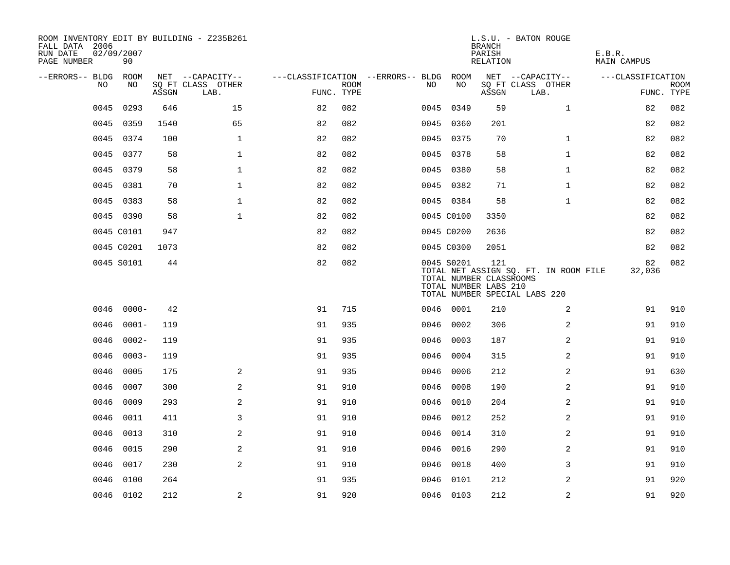| ROOM INVENTORY EDIT BY BUILDING - Z235B261<br>FALL DATA 2006<br>RUN DATE<br>PAGE NUMBER | 02/09/2007<br>90 |       |                           |                                        |             |      |            | <b>BRANCH</b><br>PARISH<br>RELATION                     | L.S.U. - BATON ROUGE                                                   | E.B.R.<br>MAIN CAMPUS |                           |
|-----------------------------------------------------------------------------------------|------------------|-------|---------------------------|----------------------------------------|-------------|------|------------|---------------------------------------------------------|------------------------------------------------------------------------|-----------------------|---------------------------|
| --ERRORS-- BLDG ROOM                                                                    |                  |       | NET --CAPACITY--          | ---CLASSIFICATION --ERRORS-- BLDG ROOM |             |      |            |                                                         | NET --CAPACITY--                                                       | ---CLASSIFICATION     |                           |
| NO                                                                                      | NO               | ASSGN | SQ FT CLASS OTHER<br>LAB. | FUNC. TYPE                             | <b>ROOM</b> | NO   | NO         | ASSGN                                                   | SQ FT CLASS OTHER<br>LAB.                                              |                       | <b>ROOM</b><br>FUNC. TYPE |
| 0045                                                                                    | 0293             | 646   | 15                        | 82                                     | 082         |      | 0045 0349  | 59                                                      | $\mathbf{1}$                                                           | 82                    | 082                       |
| 0045                                                                                    | 0359             | 1540  | 65                        | 82                                     | 082         |      | 0045 0360  | 201                                                     |                                                                        | 82                    | 082                       |
| 0045                                                                                    | 0374             | 100   | $\mathbf{1}$              | 82                                     | 082         |      | 0045 0375  | 70                                                      | $\mathbf{1}$                                                           | 82                    | 082                       |
| 0045                                                                                    | 0377             | 58    | $\mathbf{1}$              | 82                                     | 082         |      | 0045 0378  | 58                                                      | $\mathbf{1}$                                                           | 82                    | 082                       |
| 0045                                                                                    | 0379             | 58    | $\mathbf 1$               | 82                                     | 082         |      | 0045 0380  | 58                                                      | $\mathbf{1}$                                                           | 82                    | 082                       |
| 0045                                                                                    | 0381             | 70    | $\mathbf 1$               | 82                                     | 082         |      | 0045 0382  | 71                                                      | $\mathbf{1}$                                                           | 82                    | 082                       |
| 0045                                                                                    | 0383             | 58    | $\mathbf{1}$              | 82                                     | 082         |      | 0045 0384  | 58                                                      | $\mathbf{1}$                                                           | 82                    | 082                       |
|                                                                                         | 0045 0390        | 58    | $\mathbf{1}$              | 82                                     | 082         |      | 0045 C0100 | 3350                                                    |                                                                        | 82                    | 082                       |
|                                                                                         | 0045 C0101       | 947   |                           | 82                                     | 082         |      | 0045 C0200 | 2636                                                    |                                                                        | 82                    | 082                       |
|                                                                                         | 0045 C0201       | 1073  |                           | 82                                     | 082         |      | 0045 C0300 | 2051                                                    |                                                                        | 82                    | 082                       |
|                                                                                         | 0045 S0101       | 44    |                           | 82                                     | 082         |      | 0045 S0201 | 121<br>TOTAL NUMBER CLASSROOMS<br>TOTAL NUMBER LABS 210 | TOTAL NET ASSIGN SQ. FT. IN ROOM FILE<br>TOTAL NUMBER SPECIAL LABS 220 | 82<br>32,036          | 082                       |
| 0046                                                                                    | $0000 -$         | 42    |                           | 91                                     | 715         |      | 0046 0001  | 210                                                     | 2                                                                      | 91                    | 910                       |
| 0046                                                                                    | $0001 -$         | 119   |                           | 91                                     | 935         |      | 0046 0002  | 306                                                     | 2                                                                      | 91                    | 910                       |
| 0046                                                                                    | $0002 -$         | 119   |                           | 91                                     | 935         |      | 0046 0003  | 187                                                     | 2                                                                      | 91                    | 910                       |
| 0046                                                                                    | $0003 -$         | 119   |                           | 91                                     | 935         |      | 0046 0004  | 315                                                     | 2                                                                      | 91                    | 910                       |
| 0046                                                                                    | 0005             | 175   | 2                         | 91                                     | 935         | 0046 | 0006       | 212                                                     | 2                                                                      | 91                    | 630                       |
| 0046                                                                                    | 0007             | 300   | 2                         | 91                                     | 910         |      | 0046 0008  | 190                                                     | 2                                                                      | 91                    | 910                       |
| 0046                                                                                    | 0009             | 293   | 2                         | 91                                     | 910         |      | 0046 0010  | 204                                                     | $\overline{a}$                                                         | 91                    | 910                       |
| 0046                                                                                    | 0011             | 411   | 3                         | 91                                     | 910         |      | 0046 0012  | 252                                                     | 2                                                                      | 91                    | 910                       |
| 0046                                                                                    | 0013             | 310   | $\mathbf{2}$              | 91                                     | 910         | 0046 | 0014       | 310                                                     | 2                                                                      | 91                    | 910                       |
| 0046                                                                                    | 0015             | 290   | 2                         | 91                                     | 910         |      | 0046 0016  | 290                                                     | $\overline{a}$                                                         | 91                    | 910                       |
| 0046                                                                                    | 0017             | 230   | 2                         | 91                                     | 910         | 0046 | 0018       | 400                                                     | 3                                                                      | 91                    | 910                       |
| 0046                                                                                    | 0100             | 264   |                           | 91                                     | 935         |      | 0046 0101  | 212                                                     | 2                                                                      | 91                    | 920                       |
|                                                                                         | 0046 0102        | 212   | 2                         | 91                                     | 920         |      | 0046 0103  | 212                                                     | 2                                                                      | 91                    | 920                       |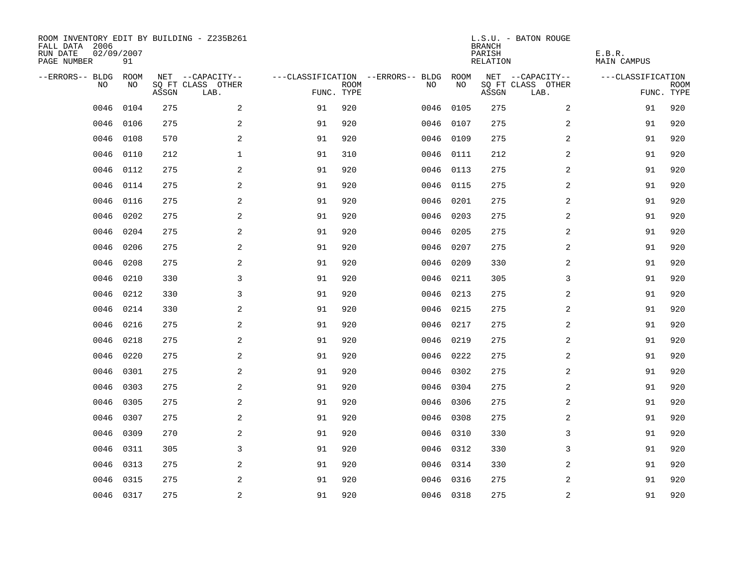| ROOM INVENTORY EDIT BY BUILDING - Z235B261<br>FALL DATA 2006<br>RUN DATE<br>PAGE NUMBER | 02/09/2007<br>91 |       |                           |            |             |                                   |           | <b>BRANCH</b><br>PARISH<br>RELATION | L.S.U. - BATON ROUGE      | E.B.R.<br><b>MAIN CAMPUS</b> |                           |
|-----------------------------------------------------------------------------------------|------------------|-------|---------------------------|------------|-------------|-----------------------------------|-----------|-------------------------------------|---------------------------|------------------------------|---------------------------|
| --ERRORS-- BLDG                                                                         | ROOM             |       | NET --CAPACITY--          |            |             | ---CLASSIFICATION --ERRORS-- BLDG | ROOM      |                                     | NET --CAPACITY--          | ---CLASSIFICATION            |                           |
| N <sub>O</sub>                                                                          | NO.              | ASSGN | SO FT CLASS OTHER<br>LAB. | FUNC. TYPE | <b>ROOM</b> | NO.                               | NO        | ASSGN                               | SQ FT CLASS OTHER<br>LAB. |                              | <b>ROOM</b><br>FUNC. TYPE |
| 0046                                                                                    | 0104             | 275   | 2                         | 91         | 920         | 0046                              | 0105      | 275                                 | $\overline{a}$            | 91                           | 920                       |
| 0046                                                                                    | 0106             | 275   | 2                         | 91         | 920         | 0046                              | 0107      | 275                                 | 2                         | 91                           | 920                       |
| 0046                                                                                    | 0108             | 570   | 2                         | 91         | 920         | 0046                              | 0109      | 275                                 | 2                         | 91                           | 920                       |
| 0046                                                                                    | 0110             | 212   | $\mathbf{1}$              | 91         | 310         |                                   | 0046 0111 | 212                                 | 2                         | 91                           | 920                       |
| 0046                                                                                    | 0112             | 275   | 2                         | 91         | 920         | 0046                              | 0113      | 275                                 | 2                         | 91                           | 920                       |
| 0046                                                                                    | 0114             | 275   | 2                         | 91         | 920         |                                   | 0046 0115 | 275                                 | 2                         | 91                           | 920                       |
| 0046                                                                                    | 0116             | 275   | $\mathbf{2}$              | 91         | 920         | 0046                              | 0201      | 275                                 | $\overline{a}$            | 91                           | 920                       |
| 0046                                                                                    | 0202             | 275   | 2                         | 91         | 920         | 0046                              | 0203      | 275                                 | $\overline{a}$            | 91                           | 920                       |
| 0046                                                                                    | 0204             | 275   | 2                         | 91         | 920         | 0046                              | 0205      | 275                                 | $\overline{a}$            | 91                           | 920                       |
| 0046                                                                                    | 0206             | 275   | 2                         | 91         | 920         | 0046                              | 0207      | 275                                 | 2                         | 91                           | 920                       |
| 0046                                                                                    | 0208             | 275   | 2                         | 91         | 920         | 0046                              | 0209      | 330                                 | 2                         | 91                           | 920                       |
| 0046                                                                                    | 0210             | 330   | 3                         | 91         | 920         | 0046                              | 0211      | 305                                 | 3                         | 91                           | 920                       |
| 0046                                                                                    | 0212             | 330   | 3                         | 91         | 920         | 0046                              | 0213      | 275                                 | 2                         | 91                           | 920                       |
| 0046                                                                                    | 0214             | 330   | 2                         | 91         | 920         | 0046                              | 0215      | 275                                 | $\overline{a}$            | 91                           | 920                       |
| 0046                                                                                    | 0216             | 275   | 2                         | 91         | 920         | 0046                              | 0217      | 275                                 | 2                         | 91                           | 920                       |
| 0046                                                                                    | 0218             | 275   | 2                         | 91         | 920         | 0046                              | 0219      | 275                                 | 2                         | 91                           | 920                       |
| 0046                                                                                    | 0220             | 275   | 2                         | 91         | 920         | 0046                              | 0222      | 275                                 | 2                         | 91                           | 920                       |
| 0046                                                                                    | 0301             | 275   | 2                         | 91         | 920         | 0046                              | 0302      | 275                                 | 2                         | 91                           | 920                       |
| 0046                                                                                    | 0303             | 275   | 2                         | 91         | 920         |                                   | 0046 0304 | 275                                 | 2                         | 91                           | 920                       |
| 0046                                                                                    | 0305             | 275   | 2                         | 91         | 920         |                                   | 0046 0306 | 275                                 | 2                         | 91                           | 920                       |
| 0046                                                                                    | 0307             | 275   | 2                         | 91         | 920         |                                   | 0046 0308 | 275                                 | 2                         | 91                           | 920                       |
| 0046                                                                                    | 0309             | 270   | 2                         | 91         | 920         | 0046                              | 0310      | 330                                 | 3                         | 91                           | 920                       |
| 0046                                                                                    | 0311             | 305   | 3                         | 91         | 920         | 0046                              | 0312      | 330                                 | 3                         | 91                           | 920                       |
| 0046                                                                                    | 0313             | 275   | 2                         | 91         | 920         |                                   | 0046 0314 | 330                                 | 2                         | 91                           | 920                       |
| 0046                                                                                    | 0315             | 275   | 2                         | 91         | 920         |                                   | 0046 0316 | 275                                 | 2                         | 91                           | 920                       |
|                                                                                         | 0046 0317        | 275   | $\overline{c}$            | 91         | 920         |                                   | 0046 0318 | 275                                 | $\mathbf 2$               | 91                           | 920                       |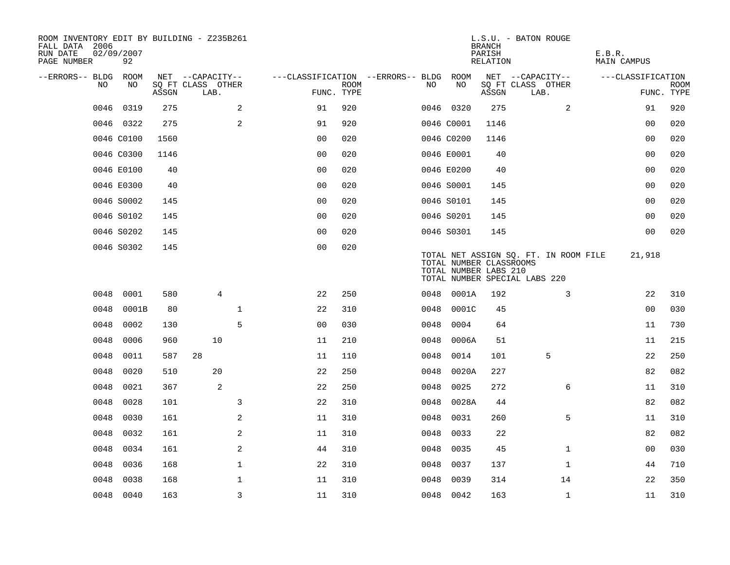| ROOM INVENTORY EDIT BY BUILDING - Z235B261<br>FALL DATA 2006<br>RUN DATE<br>PAGE NUMBER | 02/09/2007<br>92 |       |                           |                |             |                                        |      |                                                  | <b>BRANCH</b><br>PARISH<br>RELATION | L.S.U. - BATON ROUGE                                                   | E.B.R.<br><b>MAIN CAMPUS</b> |                           |
|-----------------------------------------------------------------------------------------|------------------|-------|---------------------------|----------------|-------------|----------------------------------------|------|--------------------------------------------------|-------------------------------------|------------------------------------------------------------------------|------------------------------|---------------------------|
| --ERRORS-- BLDG ROOM                                                                    |                  |       | NET --CAPACITY--          |                |             | ---CLASSIFICATION --ERRORS-- BLDG ROOM |      |                                                  |                                     | NET --CAPACITY--                                                       | ---CLASSIFICATION            |                           |
| NO                                                                                      | NO               | ASSGN | SQ FT CLASS OTHER<br>LAB. | FUNC. TYPE     | <b>ROOM</b> |                                        | NO.  | NO                                               | ASSGN                               | SQ FT CLASS OTHER<br>LAB.                                              |                              | <b>ROOM</b><br>FUNC. TYPE |
| 0046                                                                                    | 0319             | 275   | 2                         | 91             | 920         |                                        |      | 0046 0320                                        | 275                                 | 2                                                                      | 91                           | 920                       |
|                                                                                         | 0046 0322        | 275   | 2                         | 91             | 920         |                                        |      | 0046 C0001                                       | 1146                                |                                                                        | 0 <sub>0</sub>               | 020                       |
|                                                                                         | 0046 C0100       | 1560  |                           | 0 <sub>0</sub> | 020         |                                        |      | 0046 C0200                                       | 1146                                |                                                                        | 0 <sub>0</sub>               | 020                       |
|                                                                                         | 0046 C0300       | 1146  |                           | 0 <sub>0</sub> | 020         |                                        |      | 0046 E0001                                       | 40                                  |                                                                        | 00                           | 020                       |
|                                                                                         | 0046 E0100       | 40    |                           | 00             | 020         |                                        |      | 0046 E0200                                       | 40                                  |                                                                        | 00                           | 020                       |
|                                                                                         | 0046 E0300       | 40    |                           | 0 <sub>0</sub> | 020         |                                        |      | 0046 S0001                                       | 145                                 |                                                                        | 0 <sub>0</sub>               | 020                       |
|                                                                                         | 0046 S0002       | 145   |                           | 0 <sub>0</sub> | 020         |                                        |      | 0046 S0101                                       | 145                                 |                                                                        | 0 <sub>0</sub>               | 020                       |
|                                                                                         | 0046 S0102       | 145   |                           | 0 <sub>0</sub> | 020         |                                        |      | 0046 S0201                                       | 145                                 |                                                                        | 0 <sub>0</sub>               | 020                       |
|                                                                                         | 0046 S0202       | 145   |                           | 00             | 020         |                                        |      | 0046 S0301                                       | 145                                 |                                                                        | 0 <sub>0</sub>               | 020                       |
|                                                                                         | 0046 S0302       | 145   |                           | 0 <sub>0</sub> | 020         |                                        |      | TOTAL NUMBER CLASSROOMS<br>TOTAL NUMBER LABS 210 |                                     | TOTAL NET ASSIGN SQ. FT. IN ROOM FILE<br>TOTAL NUMBER SPECIAL LABS 220 | 21,918                       |                           |
| 0048                                                                                    | 0001             | 580   | $\overline{4}$            | 22             | 250         |                                        |      | 0048 0001A                                       | 192                                 | 3                                                                      | 22                           | 310                       |
| 0048                                                                                    | 0001B            | 80    | $\mathbf 1$               | 22             | 310         |                                        | 0048 | 0001C                                            | 45                                  |                                                                        | 00                           | 030                       |
| 0048                                                                                    | 0002             | 130   | 5                         | 0 <sub>0</sub> | 030         |                                        | 0048 | 0004                                             | 64                                  |                                                                        | 11                           | 730                       |
| 0048                                                                                    | 0006             | 960   | 10                        | 11             | 210         |                                        | 0048 | 0006A                                            | 51                                  |                                                                        | 11                           | 215                       |
| 0048                                                                                    | 0011             | 587   | 28                        | 11             | 110         |                                        | 0048 | 0014                                             | 101                                 | 5                                                                      | 22                           | 250                       |
| 0048                                                                                    | 0020             | 510   | 20                        | 22             | 250         |                                        | 0048 | 0020A                                            | 227                                 |                                                                        | 82                           | 082                       |
| 0048                                                                                    | 0021             | 367   | 2                         | 22             | 250         |                                        | 0048 | 0025                                             | 272                                 | 6                                                                      | 11                           | 310                       |
| 0048                                                                                    | 0028             | 101   | 3                         | 22             | 310         |                                        | 0048 | 0028A                                            | 44                                  |                                                                        | 82                           | 082                       |
| 0048                                                                                    | 0030             | 161   | 2                         | 11             | 310         |                                        | 0048 | 0031                                             | 260                                 | 5                                                                      | 11                           | 310                       |
| 0048                                                                                    | 0032             | 161   | 2                         | 11             | 310         |                                        | 0048 | 0033                                             | 22                                  |                                                                        | 82                           | 082                       |
| 0048                                                                                    | 0034             | 161   | 2                         | 44             | 310         |                                        | 0048 | 0035                                             | 45                                  | $\mathbf{1}$                                                           | 00                           | 030                       |
| 0048                                                                                    | 0036             | 168   | $\mathbf{1}$              | 22             | 310         |                                        | 0048 | 0037                                             | 137                                 | $\mathbf{1}$                                                           | 44                           | 710                       |
| 0048                                                                                    | 0038             | 168   | $\mathbf 1$               | 11             | 310         |                                        | 0048 | 0039                                             | 314                                 | 14                                                                     | 22                           | 350                       |
|                                                                                         | 0048 0040        | 163   | $\overline{3}$            | 11             | 310         |                                        |      | 0048 0042                                        | 163                                 | $\mathbf{1}$                                                           | 11                           | 310                       |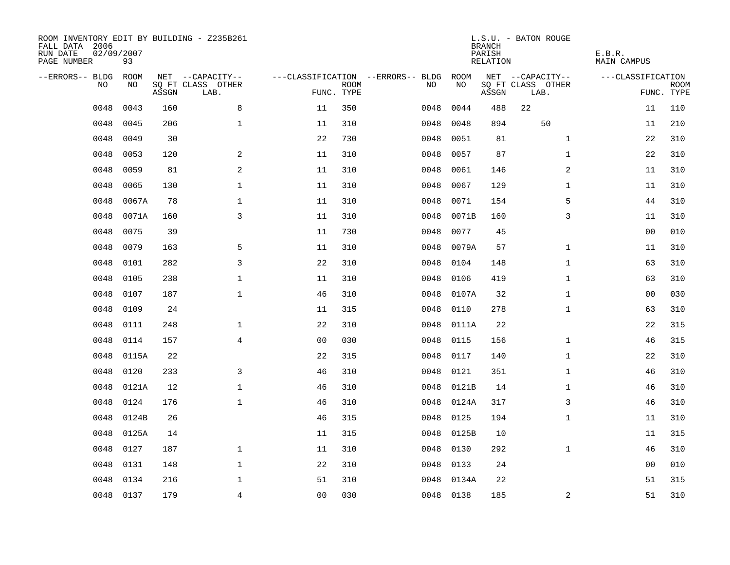| ROOM INVENTORY EDIT BY BUILDING - Z235B261<br>FALL DATA 2006<br>RUN DATE<br>PAGE NUMBER | 02/09/2007<br>93 |       |                           |                |             |                                   |           | <b>BRANCH</b><br>PARISH<br><b>RELATION</b> | L.S.U. - BATON ROUGE      | E.B.R.<br><b>MAIN CAMPUS</b> |                           |
|-----------------------------------------------------------------------------------------|------------------|-------|---------------------------|----------------|-------------|-----------------------------------|-----------|--------------------------------------------|---------------------------|------------------------------|---------------------------|
| --ERRORS-- BLDG                                                                         | ROOM             |       | NET --CAPACITY--          |                |             | ---CLASSIFICATION --ERRORS-- BLDG | ROOM      |                                            | NET --CAPACITY--          | ---CLASSIFICATION            |                           |
| NO                                                                                      | NO               | ASSGN | SQ FT CLASS OTHER<br>LAB. | FUNC. TYPE     | <b>ROOM</b> | NO                                | NO        | ASSGN                                      | SQ FT CLASS OTHER<br>LAB. |                              | <b>ROOM</b><br>FUNC. TYPE |
| 0048                                                                                    | 0043             | 160   | 8                         | 11             | 350         | 0048                              | 0044      | 488                                        | 22                        | 11                           | 110                       |
| 0048                                                                                    | 0045             | 206   | $\mathbf 1$               | 11             | 310         | 0048                              | 0048      | 894                                        | 50                        | 11                           | 210                       |
| 0048                                                                                    | 0049             | 30    |                           | 22             | 730         | 0048                              | 0051      | 81                                         | $\mathbf{1}$              | 22                           | 310                       |
| 0048                                                                                    | 0053             | 120   | $\mathbf{2}$              | 11             | 310         | 0048                              | 0057      | 87                                         | $\mathbf{1}$              | 22                           | 310                       |
| 0048                                                                                    | 0059             | 81    | 2                         | 11             | 310         | 0048                              | 0061      | 146                                        | 2                         | 11                           | 310                       |
| 0048                                                                                    | 0065             | 130   | $\mathbf 1$               | 11             | 310         | 0048                              | 0067      | 129                                        | $\mathbf{1}$              | 11                           | 310                       |
| 0048                                                                                    | 0067A            | 78    | $\mathbf{1}$              | 11             | 310         | 0048                              | 0071      | 154                                        | 5                         | 44                           | 310                       |
| 0048                                                                                    | 0071A            | 160   | $\overline{3}$            | 11             | 310         | 0048                              | 0071B     | 160                                        | 3                         | 11                           | 310                       |
| 0048                                                                                    | 0075             | 39    |                           | 11             | 730         | 0048                              | 0077      | 45                                         |                           | 00                           | 010                       |
| 0048                                                                                    | 0079             | 163   | 5                         | 11             | 310         | 0048                              | 0079A     | 57                                         | $\mathbf{1}$              | 11                           | 310                       |
| 0048                                                                                    | 0101             | 282   | 3                         | 22             | 310         | 0048                              | 0104      | 148                                        | $\mathbf{1}$              | 63                           | 310                       |
| 0048                                                                                    | 0105             | 238   | $\mathbf 1$               | 11             | 310         | 0048                              | 0106      | 419                                        | $\mathbf{1}$              | 63                           | 310                       |
| 0048                                                                                    | 0107             | 187   | $\mathbf 1$               | 46             | 310         | 0048                              | 0107A     | 32                                         | $\mathbf{1}$              | 0 <sub>0</sub>               | 030                       |
| 0048                                                                                    | 0109             | 24    |                           | 11             | 315         | 0048                              | 0110      | 278                                        | $\mathbf{1}$              | 63                           | 310                       |
| 0048                                                                                    | 0111             | 248   | $\mathbf{1}$              | 22             | 310         | 0048                              | 0111A     | 22                                         |                           | 22                           | 315                       |
| 0048                                                                                    | 0114             | 157   | $\overline{4}$            | 0 <sub>0</sub> | 030         | 0048                              | 0115      | 156                                        | $\mathbf{1}$              | 46                           | 315                       |
| 0048                                                                                    | 0115A            | 22    |                           | 22             | 315         | 0048                              | 0117      | 140                                        | $\mathbf{1}$              | 22                           | 310                       |
| 0048                                                                                    | 0120             | 233   | 3                         | 46             | 310         | 0048                              | 0121      | 351                                        | $\mathbf{1}$              | 46                           | 310                       |
| 0048                                                                                    | 0121A            | 12    | $\mathbf 1$               | 46             | 310         | 0048                              | 0121B     | 14                                         | $\mathbf{1}$              | 46                           | 310                       |
| 0048                                                                                    | 0124             | 176   | $\mathbf 1$               | 46             | 310         | 0048                              | 0124A     | 317                                        | 3                         | 46                           | 310                       |
| 0048                                                                                    | 0124B            | 26    |                           | 46             | 315         | 0048                              | 0125      | 194                                        | $\mathbf{1}$              | 11                           | 310                       |
| 0048                                                                                    | 0125A            | 14    |                           | 11             | 315         | 0048                              | 0125B     | 10                                         |                           | 11                           | 315                       |
| 0048                                                                                    | 0127             | 187   | $\mathbf{1}$              | 11             | 310         | 0048                              | 0130      | 292                                        | $\mathbf{1}$              | 46                           | 310                       |
| 0048                                                                                    | 0131             | 148   | $\mathbf{1}$              | 22             | 310         | 0048                              | 0133      | 24                                         |                           | 00                           | 010                       |
| 0048                                                                                    | 0134             | 216   | $\mathbf{1}$              | 51             | 310         | 0048                              | 0134A     | 22                                         |                           | 51                           | 315                       |
|                                                                                         | 0048 0137        | 179   | $\overline{4}$            | 0 <sub>0</sub> | 030         |                                   | 0048 0138 | 185                                        | 2                         | 51                           | 310                       |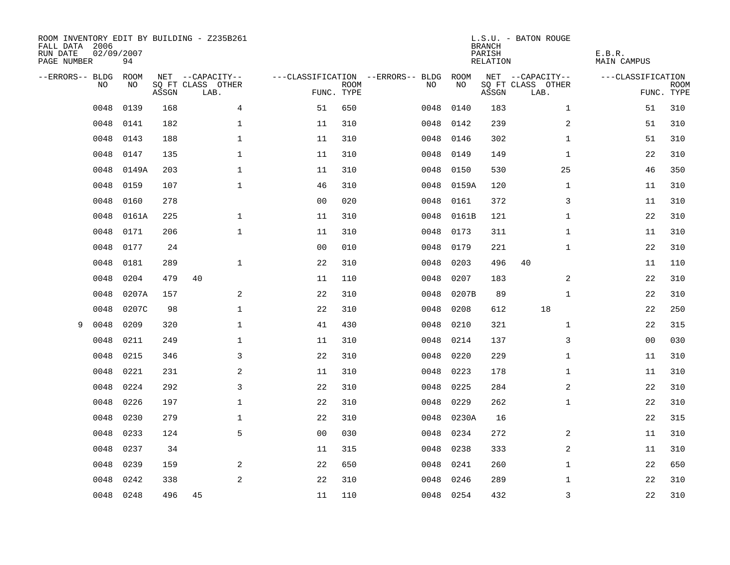| FALL DATA 2006<br>RUN DATE<br>PAGE NUMBER | 02/09/2007<br>94 |       | ROOM INVENTORY EDIT BY BUILDING - Z235B261 |                |                           |                                   |           | <b>BRANCH</b><br>PARISH<br>RELATION | L.S.U. - BATON ROUGE      | E.B.R.<br><b>MAIN CAMPUS</b> |                           |
|-------------------------------------------|------------------|-------|--------------------------------------------|----------------|---------------------------|-----------------------------------|-----------|-------------------------------------|---------------------------|------------------------------|---------------------------|
| --ERRORS-- BLDG                           | ROOM             |       | NET --CAPACITY--                           |                |                           | ---CLASSIFICATION --ERRORS-- BLDG | ROOM      |                                     | NET --CAPACITY--          | ---CLASSIFICATION            |                           |
| N <sub>O</sub>                            | NO.              | ASSGN | SO FT CLASS OTHER<br>LAB.                  |                | <b>ROOM</b><br>FUNC. TYPE | NO.                               | NO        | ASSGN                               | SQ FT CLASS OTHER<br>LAB. |                              | <b>ROOM</b><br>FUNC. TYPE |
| 0048                                      | 0139             | 168   | $\overline{4}$                             | 51             | 650                       | 0048                              | 0140      | 183                                 | $\mathbf{1}$              | 51                           | 310                       |
| 0048                                      | 0141             | 182   | $\mathbf 1$                                | 11             | 310                       | 0048                              | 0142      | 239                                 | 2                         | 51                           | 310                       |
| 0048                                      | 0143             | 188   | $\mathbf{1}$                               | 11             | 310                       | 0048                              | 0146      | 302                                 | $\mathbf{1}$              | 51                           | 310                       |
| 0048                                      | 0147             | 135   | $\mathbf{1}$                               | 11             | 310                       | 0048                              | 0149      | 149                                 | $\mathbf{1}$              | 22                           | 310                       |
| 0048                                      | 0149A            | 203   | $\mathbf 1$                                | 11             | 310                       | 0048                              | 0150      | 530                                 | 25                        | 46                           | 350                       |
| 0048                                      | 0159             | 107   | $\mathbf 1$                                | 46             | 310                       | 0048                              | 0159A     | 120                                 | $\mathbf{1}$              | 11                           | 310                       |
| 0048                                      | 0160             | 278   |                                            | 0 <sub>0</sub> | 020                       | 0048                              | 0161      | 372                                 | 3                         | 11                           | 310                       |
| 0048                                      | 0161A            | 225   | $\mathbf{1}$                               | 11             | 310                       | 0048                              | 0161B     | 121                                 | $\mathbf{1}$              | 22                           | 310                       |
| 0048                                      | 0171             | 206   | $\mathbf{1}$                               | 11             | 310                       | 0048                              | 0173      | 311                                 | $\mathbf{1}$              | 11                           | 310                       |
| 0048                                      | 0177             | 24    |                                            | 0 <sub>0</sub> | 010                       | 0048                              | 0179      | 221                                 | $\mathbf{1}$              | 22                           | 310                       |
| 0048                                      | 0181             | 289   | $\mathbf{1}$                               | 22             | 310                       | 0048                              | 0203      | 496                                 | 40                        | 11                           | 110                       |
| 0048                                      | 0204             | 479   | 40                                         | 11             | 110                       | 0048                              | 0207      | 183                                 | 2                         | 22                           | 310                       |
| 0048                                      | 0207A            | 157   | 2                                          | 22             | 310                       | 0048                              | 0207B     | 89                                  | $\mathbf{1}$              | 22                           | 310                       |
| 0048                                      | 0207C            | 98    | $\mathbf 1$                                | 22             | 310                       | 0048                              | 0208      | 612                                 | 18                        | 22                           | 250                       |
| 0048<br>9                                 | 0209             | 320   | $\mathbf 1$                                | 41             | 430                       | 0048                              | 0210      | 321                                 | $\mathbf{1}$              | 22                           | 315                       |
| 0048                                      | 0211             | 249   | $\mathbf 1$                                | 11             | 310                       | 0048                              | 0214      | 137                                 | 3                         | 00                           | 030                       |
| 0048                                      | 0215             | 346   | 3                                          | 22             | 310                       | 0048                              | 0220      | 229                                 | $\mathbf{1}$              | 11                           | 310                       |
| 0048                                      | 0221             | 231   | $\overline{a}$                             | 11             | 310                       | 0048                              | 0223      | 178                                 | $\mathbf{1}$              | 11                           | 310                       |
| 0048                                      | 0224             | 292   | $\mathbf{3}$                               | 22             | 310                       | 0048                              | 0225      | 284                                 | 2                         | 22                           | 310                       |
| 0048                                      | 0226             | 197   | $\mathbf 1$                                | 22             | 310                       | 0048                              | 0229      | 262                                 | $\mathbf{1}$              | 22                           | 310                       |
| 0048                                      | 0230             | 279   | $\mathbf{1}$                               | 22             | 310                       | 0048                              | 0230A     | 16                                  |                           | 22                           | 315                       |
| 0048                                      | 0233             | 124   | 5                                          | 0 <sub>0</sub> | 030                       | 0048                              | 0234      | 272                                 | 2                         | 11                           | 310                       |
| 0048                                      | 0237             | 34    |                                            | 11             | 315                       | 0048                              | 0238      | 333                                 | 2                         | 11                           | 310                       |
| 0048                                      | 0239             | 159   | 2                                          | 22             | 650                       | 0048                              | 0241      | 260                                 | $\mathbf{1}$              | 22                           | 650                       |
| 0048                                      | 0242             | 338   | $\overline{2}$                             | 22             | 310                       | 0048                              | 0246      | 289                                 | $\mathbf{1}$              | 22                           | 310                       |
|                                           | 0048 0248        | 496   | 45                                         | 11             | 110                       |                                   | 0048 0254 | 432                                 | 3                         | 22                           | 310                       |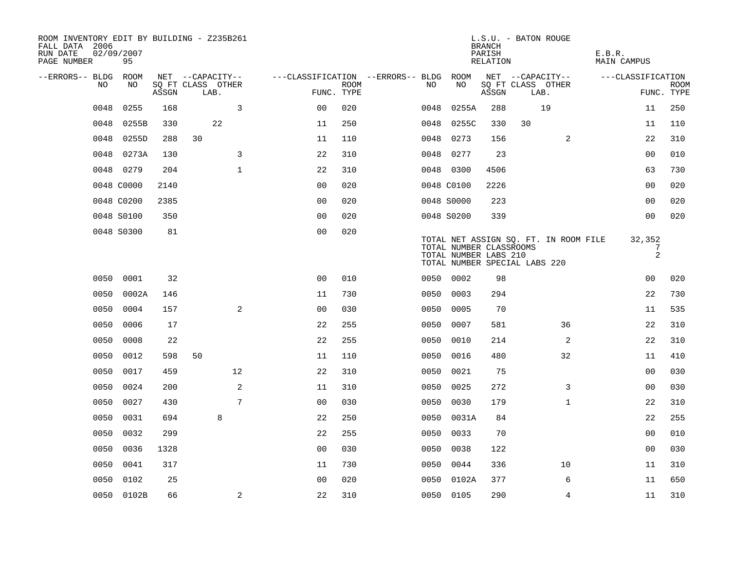| ROOM INVENTORY EDIT BY BUILDING - Z235B261<br>FALL DATA 2006<br>RUN DATE<br>PAGE NUMBER | 02/09/2007<br>95 |       |      |                   |                                        |             |      |                                                  | <b>BRANCH</b><br>PARISH<br>RELATION | L.S.U. - BATON ROUGE                                                   | E.B.R.<br><b>MAIN CAMPUS</b> |                           |
|-----------------------------------------------------------------------------------------|------------------|-------|------|-------------------|----------------------------------------|-------------|------|--------------------------------------------------|-------------------------------------|------------------------------------------------------------------------|------------------------------|---------------------------|
| --ERRORS-- BLDG ROOM                                                                    |                  |       |      | NET --CAPACITY--  | ---CLASSIFICATION --ERRORS-- BLDG ROOM |             |      |                                                  |                                     | NET --CAPACITY--                                                       | ---CLASSIFICATION            |                           |
| NO                                                                                      | NO               | ASSGN | LAB. | SQ FT CLASS OTHER | FUNC. TYPE                             | <b>ROOM</b> | NO.  | NO                                               | ASSGN                               | SQ FT CLASS OTHER<br>LAB.                                              |                              | <b>ROOM</b><br>FUNC. TYPE |
| 0048                                                                                    | 0255             | 168   |      | 3                 | 0 <sub>0</sub>                         | 020         | 0048 | 0255A                                            | 288                                 | 19                                                                     | 11                           | 250                       |
| 0048                                                                                    | 0255B            | 330   |      | 22                | 11                                     | 250         | 0048 | 0255C                                            | 330                                 | 30                                                                     | 11                           | 110                       |
| 0048                                                                                    | 0255D            | 288   | 30   |                   | 11                                     | 110         | 0048 | 0273                                             | 156                                 | 2                                                                      | 22                           | 310                       |
|                                                                                         | 0048 0273A       | 130   |      | 3                 | 22                                     | 310         |      | 0048 0277                                        | 23                                  |                                                                        | 00                           | 010                       |
|                                                                                         | 0048 0279        | 204   |      | $\mathbf{1}$      | 22                                     | 310         |      | 0048 0300                                        | 4506                                |                                                                        | 63                           | 730                       |
|                                                                                         | 0048 C0000       | 2140  |      |                   | 0 <sub>0</sub>                         | 020         |      | 0048 C0100                                       | 2226                                |                                                                        | 0 <sub>0</sub>               | 020                       |
|                                                                                         | 0048 C0200       | 2385  |      |                   | 0 <sub>0</sub>                         | 020         |      | 0048 S0000                                       | 223                                 |                                                                        | 0 <sub>0</sub>               | 020                       |
|                                                                                         | 0048 S0100       | 350   |      |                   | 0 <sub>0</sub>                         | 020         |      | 0048 S0200                                       | 339                                 |                                                                        | 0 <sub>0</sub>               | 020                       |
|                                                                                         | 0048 S0300       | 81    |      |                   | 0 <sub>0</sub>                         | 020         |      | TOTAL NUMBER CLASSROOMS<br>TOTAL NUMBER LABS 210 |                                     | TOTAL NET ASSIGN SQ. FT. IN ROOM FILE<br>TOTAL NUMBER SPECIAL LABS 220 | 32,352<br>7<br>$\mathbf{2}$  |                           |
|                                                                                         | 0050 0001        | 32    |      |                   | 0 <sub>0</sub>                         | 010         |      | 0050 0002                                        | 98                                  |                                                                        | 00                           | 020                       |
| 0050                                                                                    | 0002A            | 146   |      |                   | 11                                     | 730         | 0050 | 0003                                             | 294                                 |                                                                        | 22                           | 730                       |
| 0050                                                                                    | 0004             | 157   |      | 2                 | 00                                     | 030         | 0050 | 0005                                             | 70                                  |                                                                        | 11                           | 535                       |
| 0050                                                                                    | 0006             | 17    |      |                   | 22                                     | 255         | 0050 | 0007                                             | 581                                 | 36                                                                     | 22                           | 310                       |
| 0050                                                                                    | 0008             | 22    |      |                   | 22                                     | 255         | 0050 | 0010                                             | 214                                 | 2                                                                      | 22                           | 310                       |
| 0050                                                                                    | 0012             | 598   | 50   |                   | 11                                     | 110         | 0050 | 0016                                             | 480                                 | 32                                                                     | 11                           | 410                       |
| 0050                                                                                    | 0017             | 459   |      | 12                | 22                                     | 310         | 0050 | 0021                                             | 75                                  |                                                                        | 0 <sub>0</sub>               | 030                       |
| 0050                                                                                    | 0024             | 200   |      | 2                 | 11                                     | 310         | 0050 | 0025                                             | 272                                 | 3                                                                      | 00                           | 030                       |
| 0050                                                                                    | 0027             | 430   |      | 7                 | 0 <sub>0</sub>                         | 030         | 0050 | 0030                                             | 179                                 | $\mathbf{1}$                                                           | 22                           | 310                       |
| 0050                                                                                    | 0031             | 694   |      | 8                 | 22                                     | 250         |      | 0050 0031A                                       | 84                                  |                                                                        | 22                           | 255                       |
| 0050                                                                                    | 0032             | 299   |      |                   | 22                                     | 255         | 0050 | 0033                                             | 70                                  |                                                                        | 00                           | 010                       |
| 0050                                                                                    | 0036             | 1328  |      |                   | 0 <sub>0</sub>                         | 030         | 0050 | 0038                                             | 122                                 |                                                                        | 0 <sub>0</sub>               | 030                       |
| 0050                                                                                    | 0041             | 317   |      |                   | 11                                     | 730         | 0050 | 0044                                             | 336                                 | 10                                                                     | 11                           | 310                       |
| 0050                                                                                    | 0102             | 25    |      |                   | 0 <sub>0</sub>                         | 020         |      | 0050 0102A                                       | 377                                 | 6                                                                      | 11                           | 650                       |
|                                                                                         | 0050 0102B       | 66    |      | 2                 | 22                                     | 310         |      | 0050 0105                                        | 290                                 | $\overline{4}$                                                         | 11                           | 310                       |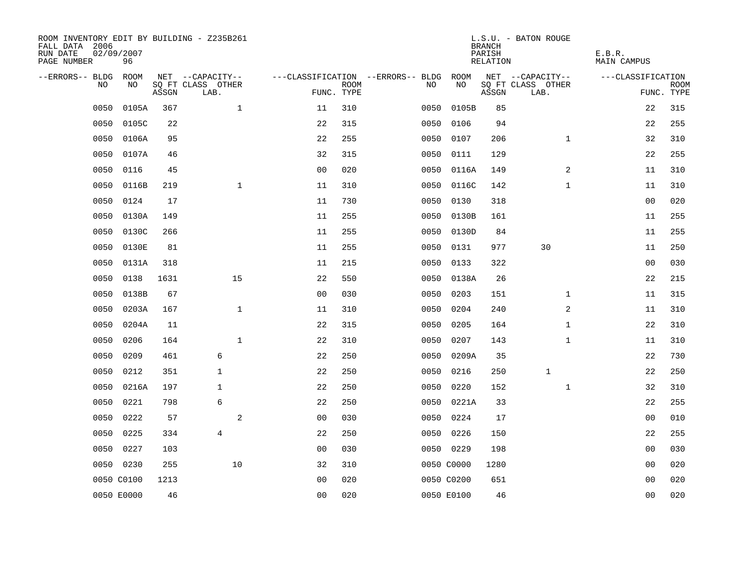| ROOM INVENTORY EDIT BY BUILDING - Z235B261<br>FALL DATA 2006<br>RUN DATE<br>PAGE NUMBER | 02/09/2007<br>96 |       |                           |                |             |                                        |            | <b>BRANCH</b><br>PARISH<br>RELATION | L.S.U. - BATON ROUGE      | E.B.R.<br>MAIN CAMPUS |                           |
|-----------------------------------------------------------------------------------------|------------------|-------|---------------------------|----------------|-------------|----------------------------------------|------------|-------------------------------------|---------------------------|-----------------------|---------------------------|
| --ERRORS-- BLDG ROOM                                                                    |                  |       | NET --CAPACITY--          |                |             | ---CLASSIFICATION --ERRORS-- BLDG ROOM |            |                                     | NET --CAPACITY--          | ---CLASSIFICATION     |                           |
| NO.                                                                                     | NO.              | ASSGN | SQ FT CLASS OTHER<br>LAB. | FUNC. TYPE     | <b>ROOM</b> | NO.                                    | NO         | ASSGN                               | SQ FT CLASS OTHER<br>LAB. |                       | <b>ROOM</b><br>FUNC. TYPE |
| 0050                                                                                    | 0105A            | 367   | $\mathbf{1}$              | 11             | 310         | 0050                                   | 0105B      | 85                                  |                           | 22                    | 315                       |
| 0050                                                                                    | 0105C            | 22    |                           | 22             | 315         | 0050                                   | 0106       | 94                                  |                           | 22                    | 255                       |
| 0050                                                                                    | 0106A            | 95    |                           | 22             | 255         | 0050                                   | 0107       | 206                                 | $\mathbf{1}$              | 32                    | 310                       |
| 0050                                                                                    | 0107A            | 46    |                           | 32             | 315         | 0050                                   | 0111       | 129                                 |                           | 22                    | 255                       |
| 0050                                                                                    | 0116             | 45    |                           | 0 <sub>0</sub> | 020         | 0050                                   | 0116A      | 149                                 | 2                         | 11                    | 310                       |
| 0050                                                                                    | 0116B            | 219   | $\mathbf{1}$              | 11             | 310         |                                        | 0050 0116C | 142                                 | $\mathbf{1}$              | 11                    | 310                       |
| 0050                                                                                    | 0124             | 17    |                           | 11             | 730         | 0050                                   | 0130       | 318                                 |                           | 0 <sub>0</sub>        | 020                       |
| 0050                                                                                    | 0130A            | 149   |                           | 11             | 255         |                                        | 0050 0130B | 161                                 |                           | 11                    | 255                       |
| 0050                                                                                    | 0130C            | 266   |                           | 11             | 255         | 0050                                   | 0130D      | 84                                  |                           | 11                    | 255                       |
| 0050                                                                                    | 0130E            | 81    |                           | 11             | 255         |                                        | 0050 0131  | 977                                 | 30                        | 11                    | 250                       |
| 0050                                                                                    | 0131A            | 318   |                           | 11             | 215         | 0050                                   | 0133       | 322                                 |                           | 0 <sub>0</sub>        | 030                       |
| 0050                                                                                    | 0138             | 1631  | 15                        | 22             | 550         |                                        | 0050 0138A | 26                                  |                           | 22                    | 215                       |
| 0050                                                                                    | 0138B            | 67    |                           | 0 <sub>0</sub> | 030         | 0050                                   | 0203       | 151                                 | $\mathbf{1}$              | 11                    | 315                       |
| 0050                                                                                    | 0203A            | 167   | $\mathbf{1}$              | 11             | 310         | 0050                                   | 0204       | 240                                 | 2                         | 11                    | 310                       |
| 0050                                                                                    | 0204A            | 11    |                           | 22             | 315         | 0050                                   | 0205       | 164                                 | $\mathbf{1}$              | 22                    | 310                       |
| 0050                                                                                    | 0206             | 164   | $\mathbf{1}$              | 22             | 310         | 0050                                   | 0207       | 143                                 | $\mathbf{1}$              | 11                    | 310                       |
| 0050                                                                                    | 0209             | 461   | 6                         | 22             | 250         | 0050                                   | 0209A      | 35                                  |                           | 22                    | 730                       |
| 0050                                                                                    | 0212             | 351   | $\mathbf{1}$              | 22             | 250         | 0050                                   | 0216       | 250                                 | $\mathbf{1}$              | 22                    | 250                       |
| 0050                                                                                    | 0216A            | 197   | $\mathbf{1}$              | 22             | 250         | 0050                                   | 0220       | 152                                 | $\mathbf{1}$              | 32                    | 310                       |
| 0050                                                                                    | 0221             | 798   | 6                         | 22             | 250         |                                        | 0050 0221A | 33                                  |                           | 22                    | 255                       |
| 0050                                                                                    | 0222             | 57    | 2                         | 0 <sub>0</sub> | 030         |                                        | 0050 0224  | 17                                  |                           | 0 <sub>0</sub>        | 010                       |
| 0050                                                                                    | 0225             | 334   | $\overline{4}$            | 22             | 250         | 0050                                   | 0226       | 150                                 |                           | 22                    | 255                       |
| 0050                                                                                    | 0227             | 103   |                           | 0 <sub>0</sub> | 030         |                                        | 0050 0229  | 198                                 |                           | 0 <sub>0</sub>        | 030                       |
|                                                                                         | 0050 0230        | 255   | 10                        | 32             | 310         |                                        | 0050 C0000 | 1280                                |                           | 00                    | 020                       |
|                                                                                         | 0050 C0100       | 1213  |                           | 0 <sub>0</sub> | 020         |                                        | 0050 C0200 | 651                                 |                           | 0 <sub>0</sub>        | 020                       |
|                                                                                         | 0050 E0000       | 46    |                           | 0 <sub>0</sub> | 020         |                                        | 0050 E0100 | 46                                  |                           | 0 <sub>0</sub>        | 020                       |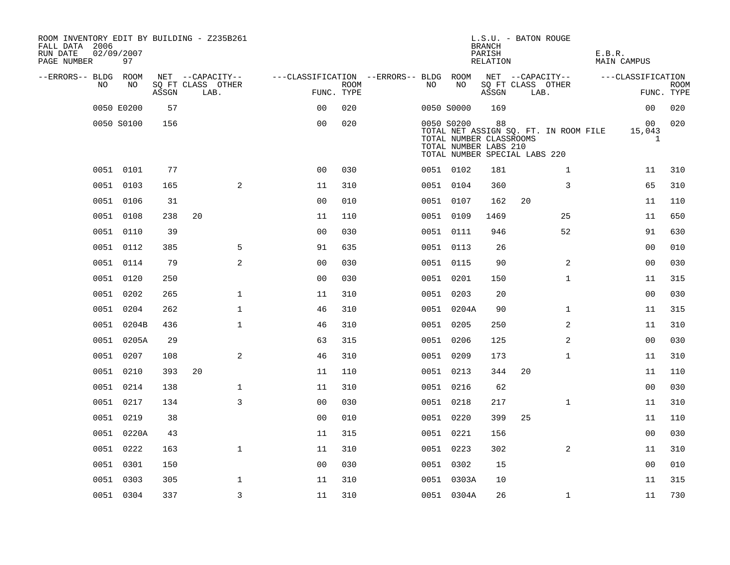| ROOM INVENTORY EDIT BY BUILDING - Z235B261<br>FALL DATA 2006<br>RUN DATE<br>PAGE NUMBER | 02/09/2007<br>97 |       |    |                           |                                        |             |    |                                                                | <b>BRANCH</b><br>PARISH<br>RELATION | L.S.U. - BATON ROUGE          |                                       | E.B.R. | MAIN CAMPUS       |                           |
|-----------------------------------------------------------------------------------------|------------------|-------|----|---------------------------|----------------------------------------|-------------|----|----------------------------------------------------------------|-------------------------------------|-------------------------------|---------------------------------------|--------|-------------------|---------------------------|
| --ERRORS-- BLDG ROOM                                                                    |                  |       |    | NET --CAPACITY--          | ---CLASSIFICATION --ERRORS-- BLDG ROOM |             |    |                                                                |                                     | NET --CAPACITY--              |                                       |        | ---CLASSIFICATION |                           |
| NO                                                                                      | NO               | ASSGN |    | SQ FT CLASS OTHER<br>LAB. | FUNC. TYPE                             | <b>ROOM</b> | NO | NO                                                             | ASSGN                               | SQ FT CLASS OTHER<br>LAB.     |                                       |        |                   | <b>ROOM</b><br>FUNC. TYPE |
|                                                                                         | 0050 E0200       | 57    |    |                           | 0 <sub>0</sub>                         | 020         |    | 0050 S0000                                                     | 169                                 |                               |                                       |        | 0 <sub>0</sub>    | 020                       |
|                                                                                         | 0050 S0100       | 156   |    |                           | 0 <sub>0</sub>                         | 020         |    | 0050 S0200<br>TOTAL NUMBER CLASSROOMS<br>TOTAL NUMBER LABS 210 | 88                                  | TOTAL NUMBER SPECIAL LABS 220 | TOTAL NET ASSIGN SQ. FT. IN ROOM FILE |        | 00<br>15,043<br>1 | 020                       |
|                                                                                         | 0051 0101        | 77    |    |                           | 0 <sub>0</sub>                         | 030         |    | 0051 0102                                                      | 181                                 |                               | $\mathbf{1}$                          |        | 11                | 310                       |
|                                                                                         | 0051 0103        | 165   |    | 2                         | 11                                     | 310         |    | 0051 0104                                                      | 360                                 |                               | 3                                     |        | 65                | 310                       |
|                                                                                         | 0051 0106        | 31    |    |                           | 0 <sub>0</sub>                         | 010         |    | 0051 0107                                                      | 162                                 | 20                            |                                       |        | 11                | 110                       |
|                                                                                         | 0051 0108        | 238   | 20 |                           | 11                                     | 110         |    | 0051 0109                                                      | 1469                                |                               | 25                                    |        | 11                | 650                       |
|                                                                                         | 0051 0110        | 39    |    |                           | 0 <sub>0</sub>                         | 030         |    | 0051 0111                                                      | 946                                 |                               | 52                                    |        | 91                | 630                       |
|                                                                                         | 0051 0112        | 385   |    | 5                         | 91                                     | 635         |    | 0051 0113                                                      | 26                                  |                               |                                       |        | 00                | 010                       |
|                                                                                         | 0051 0114        | 79    |    | 2                         | 0 <sub>0</sub>                         | 030         |    | 0051 0115                                                      | 90                                  |                               | 2                                     |        | 0 <sub>0</sub>    | 030                       |
|                                                                                         | 0051 0120        | 250   |    |                           | 0 <sub>0</sub>                         | 030         |    | 0051 0201                                                      | 150                                 |                               | $\mathbf{1}$                          |        | 11                | 315                       |
|                                                                                         | 0051 0202        | 265   |    | $\mathbf{1}$              | 11                                     | 310         |    | 0051 0203                                                      | 20                                  |                               |                                       |        | 0 <sub>0</sub>    | 030                       |
|                                                                                         | 0051 0204        | 262   |    | $\mathbf 1$               | 46                                     | 310         |    | 0051 0204A                                                     | 90                                  |                               | $\mathbf{1}$                          |        | 11                | 315                       |
|                                                                                         | 0051 0204B       | 436   |    | $\mathbf 1$               | 46                                     | 310         |    | 0051 0205                                                      | 250                                 |                               | 2                                     |        | 11                | 310                       |
|                                                                                         | 0051 0205A       | 29    |    |                           | 63                                     | 315         |    | 0051 0206                                                      | 125                                 |                               | 2                                     |        | 0 <sub>0</sub>    | 030                       |
|                                                                                         | 0051 0207        | 108   |    | 2                         | 46                                     | 310         |    | 0051 0209                                                      | 173                                 |                               | $\mathbf{1}$                          |        | 11                | 310                       |
|                                                                                         | 0051 0210        | 393   | 20 |                           | 11                                     | 110         |    | 0051 0213                                                      | 344                                 | 20                            |                                       |        | 11                | 110                       |
|                                                                                         | 0051 0214        | 138   |    | $\mathbf 1$               | 11                                     | 310         |    | 0051 0216                                                      | 62                                  |                               |                                       |        | 00                | 030                       |
|                                                                                         | 0051 0217        | 134   |    | 3                         | 0 <sub>0</sub>                         | 030         |    | 0051 0218                                                      | 217                                 |                               | $\mathbf{1}$                          |        | 11                | 310                       |
|                                                                                         | 0051 0219        | 38    |    |                           | 0 <sub>0</sub>                         | 010         |    | 0051 0220                                                      | 399                                 | 25                            |                                       |        | 11                | 110                       |
|                                                                                         | 0051 0220A       | 43    |    |                           | 11                                     | 315         |    | 0051 0221                                                      | 156                                 |                               |                                       |        | 00                | 030                       |
|                                                                                         | 0051 0222        | 163   |    | $\mathbf{1}$              | 11                                     | 310         |    | 0051 0223                                                      | 302                                 |                               | $\overline{2}$                        |        | 11                | 310                       |
|                                                                                         | 0051 0301        | 150   |    |                           | 0 <sub>0</sub>                         | 030         |    | 0051 0302                                                      | 15                                  |                               |                                       |        | 0 <sub>0</sub>    | 010                       |
|                                                                                         | 0051 0303        | 305   |    | $\mathbf 1$               | 11                                     | 310         |    | 0051 0303A                                                     | 10                                  |                               |                                       |        | 11                | 315                       |
|                                                                                         | 0051 0304        | 337   |    | $\overline{3}$            | 11                                     | 310         |    | 0051 0304A                                                     | 26                                  |                               | $\mathbf{1}$                          |        | 11                | 730                       |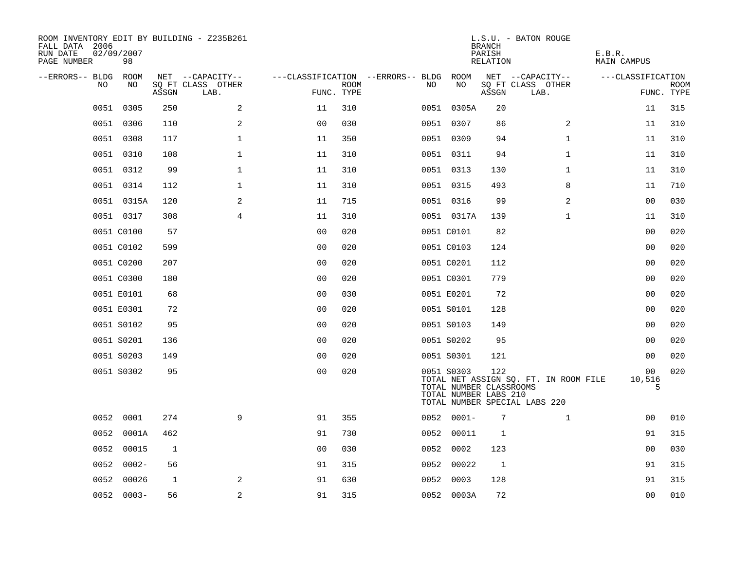| ROOM INVENTORY EDIT BY BUILDING - Z235B261<br>FALL DATA 2006<br>RUN DATE<br>PAGE NUMBER | 02/09/2007<br>98 |              |                           |                                   |      |      |                                                                | <b>BRANCH</b><br>PARISH<br>RELATION | L.S.U. - BATON ROUGE                                                   | E.B.R.<br>MAIN CAMPUS |                           |
|-----------------------------------------------------------------------------------------|------------------|--------------|---------------------------|-----------------------------------|------|------|----------------------------------------------------------------|-------------------------------------|------------------------------------------------------------------------|-----------------------|---------------------------|
| --ERRORS-- BLDG                                                                         | ROOM             |              | NET --CAPACITY--          | ---CLASSIFICATION --ERRORS-- BLDG |      |      | ROOM                                                           |                                     | NET --CAPACITY--                                                       | ---CLASSIFICATION     |                           |
| NO.                                                                                     | NO.              | ASSGN        | SO FT CLASS OTHER<br>LAB. | FUNC. TYPE                        | ROOM | NO.  | NO                                                             | ASSGN                               | SQ FT CLASS OTHER<br>LAB.                                              |                       | <b>ROOM</b><br>FUNC. TYPE |
| 0051                                                                                    | 0305             | 250          | 2                         | 11                                | 310  |      | 0051 0305A                                                     | 20                                  |                                                                        | 11                    | 315                       |
|                                                                                         | 0051 0306        | 110          | 2                         | 0 <sub>0</sub>                    | 030  |      | 0051 0307                                                      | 86                                  | 2                                                                      | 11                    | 310                       |
|                                                                                         | 0051 0308        | 117          | $\mathbf 1$               | 11                                | 350  |      | 0051 0309                                                      | 94                                  | $\mathbf{1}$                                                           | 11                    | 310                       |
|                                                                                         | 0051 0310        | 108          | $\mathbf 1$               | 11                                | 310  |      | 0051 0311                                                      | 94                                  | $\mathbf{1}$                                                           | 11                    | 310                       |
|                                                                                         | 0051 0312        | 99           | $\mathbf 1$               | 11                                | 310  |      | 0051 0313                                                      | 130                                 | $\mathbf{1}$                                                           | 11                    | 310                       |
|                                                                                         | 0051 0314        | 112          | $\mathbf 1$               | 11                                | 310  |      | 0051 0315                                                      | 493                                 | 8                                                                      | 11                    | 710                       |
|                                                                                         | 0051 0315A       | 120          | 2                         | 11                                | 715  |      | 0051 0316                                                      | 99                                  | 2                                                                      | 0 <sub>0</sub>        | 030                       |
|                                                                                         | 0051 0317        | 308          | $\overline{4}$            | 11                                | 310  |      | 0051 0317A                                                     | 139                                 | $\mathbf{1}$                                                           | 11                    | 310                       |
|                                                                                         | 0051 C0100       | 57           |                           | 0 <sub>0</sub>                    | 020  |      | 0051 C0101                                                     | 82                                  |                                                                        | 0 <sub>0</sub>        | 020                       |
|                                                                                         | 0051 C0102       | 599          |                           | 0 <sub>0</sub>                    | 020  |      | 0051 C0103                                                     | 124                                 |                                                                        | 0 <sub>0</sub>        | 020                       |
|                                                                                         | 0051 C0200       | 207          |                           | 0 <sub>0</sub>                    | 020  |      | 0051 C0201                                                     | 112                                 |                                                                        | 00                    | 020                       |
|                                                                                         | 0051 C0300       | 180          |                           | 0 <sub>0</sub>                    | 020  |      | 0051 C0301                                                     | 779                                 |                                                                        | 0 <sub>0</sub>        | 020                       |
|                                                                                         | 0051 E0101       | 68           |                           | 0 <sub>0</sub>                    | 030  |      | 0051 E0201                                                     | 72                                  |                                                                        | 0 <sub>0</sub>        | 020                       |
|                                                                                         | 0051 E0301       | 72           |                           | 0 <sub>0</sub>                    | 020  |      | 0051 S0101                                                     | 128                                 |                                                                        | 0 <sub>0</sub>        | 020                       |
|                                                                                         | 0051 S0102       | 95           |                           | 0 <sub>0</sub>                    | 020  |      | 0051 S0103                                                     | 149                                 |                                                                        | 00                    | 020                       |
|                                                                                         | 0051 S0201       | 136          |                           | 0 <sub>0</sub>                    | 020  |      | 0051 S0202                                                     | 95                                  |                                                                        | 00                    | 020                       |
|                                                                                         | 0051 S0203       | 149          |                           | 0 <sub>0</sub>                    | 020  |      | 0051 S0301                                                     | 121                                 |                                                                        | 0 <sub>0</sub>        | 020                       |
|                                                                                         | 0051 S0302       | 95           |                           | 0 <sub>0</sub>                    | 020  |      | 0051 S0303<br>TOTAL NUMBER CLASSROOMS<br>TOTAL NUMBER LABS 210 | 122                                 | TOTAL NET ASSIGN SQ. FT. IN ROOM FILE<br>TOTAL NUMBER SPECIAL LABS 220 | 00<br>10,516<br>5     | 020                       |
|                                                                                         | 0052 0001        | 274          | 9                         | 91                                | 355  |      | $0052 0001 -$                                                  | 7                                   | $\mathbf{1}$                                                           | 00                    | 010                       |
| 0052                                                                                    | 0001A            | 462          |                           | 91                                | 730  | 0052 | 00011                                                          | $\mathbf{1}$                        |                                                                        | 91                    | 315                       |
| 0052                                                                                    | 00015            | 1            |                           | 0 <sub>0</sub>                    | 030  | 0052 | 0002                                                           | 123                                 |                                                                        | 00                    | 030                       |
| 0052                                                                                    | $0002 -$         | 56           |                           | 91                                | 315  |      | 0052 00022                                                     | 1                                   |                                                                        | 91                    | 315                       |
| 0052                                                                                    | 00026            | $\mathbf{1}$ | 2                         | 91                                | 630  | 0052 | 0003                                                           | 128                                 |                                                                        | 91                    | 315                       |
|                                                                                         | $0052 0003 -$    | 56           | 2                         | 91                                | 315  |      | 0052 0003A                                                     | 72                                  |                                                                        | 0 <sub>0</sub>        | 010                       |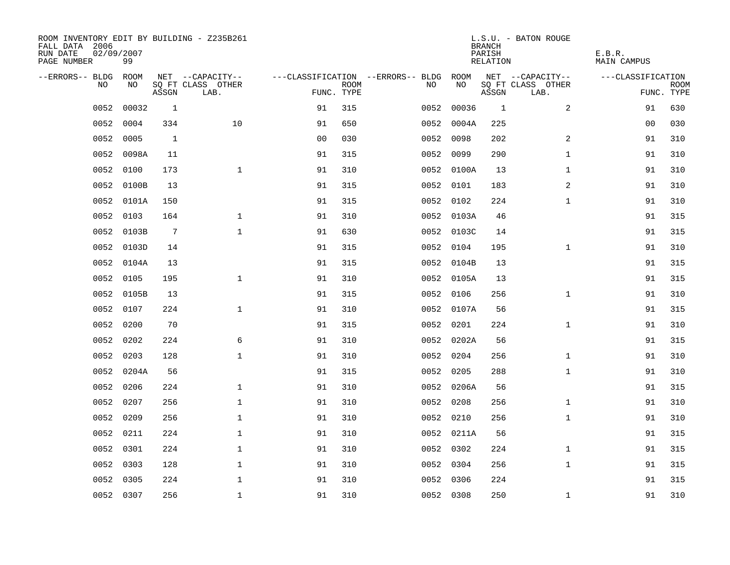| ROOM INVENTORY EDIT BY BUILDING - Z235B261<br>FALL DATA 2006<br>RUN DATE<br>PAGE NUMBER | 02/09/2007<br>99 |                 |                           |                |             |                                        |            | <b>BRANCH</b><br>PARISH<br>RELATION | L.S.U. - BATON ROUGE      | E.B.R.<br>MAIN CAMPUS |                           |
|-----------------------------------------------------------------------------------------|------------------|-----------------|---------------------------|----------------|-------------|----------------------------------------|------------|-------------------------------------|---------------------------|-----------------------|---------------------------|
| --ERRORS-- BLDG ROOM                                                                    |                  |                 | NET --CAPACITY--          |                |             | ---CLASSIFICATION --ERRORS-- BLDG ROOM |            |                                     | NET --CAPACITY--          | ---CLASSIFICATION     |                           |
| NO.                                                                                     | NO.              | ASSGN           | SQ FT CLASS OTHER<br>LAB. | FUNC. TYPE     | <b>ROOM</b> | NO.                                    | NO         | ASSGN                               | SQ FT CLASS OTHER<br>LAB. |                       | <b>ROOM</b><br>FUNC. TYPE |
| 0052                                                                                    | 00032            | 1               |                           | 91             | 315         | 0052                                   | 00036      | $\overline{1}$                      | 2                         | 91                    | 630                       |
| 0052                                                                                    | 0004             | 334             | 10                        | 91             | 650         |                                        | 0052 0004A | 225                                 |                           | 00                    | 030                       |
| 0052                                                                                    | 0005             | 1               |                           | 0 <sub>0</sub> | 030         |                                        | 0052 0098  | 202                                 | $\overline{2}$            | 91                    | 310                       |
| 0052                                                                                    | 0098A            | 11              |                           | 91             | 315         |                                        | 0052 0099  | 290                                 | $\mathbf{1}$              | 91                    | 310                       |
| 0052                                                                                    | 0100             | 173             | $\mathbf{1}$              | 91             | 310         |                                        | 0052 0100A | 13                                  | $\mathbf{1}$              | 91                    | 310                       |
| 0052                                                                                    | 0100B            | 13              |                           | 91             | 315         |                                        | 0052 0101  | 183                                 | 2                         | 91                    | 310                       |
| 0052                                                                                    | 0101A            | 150             |                           | 91             | 315         |                                        | 0052 0102  | 224                                 | $\mathbf{1}$              | 91                    | 310                       |
| 0052                                                                                    | 0103             | 164             | $\mathbf 1$               | 91             | 310         |                                        | 0052 0103A | 46                                  |                           | 91                    | 315                       |
| 0052                                                                                    | 0103B            | $7\phantom{.0}$ | $\mathbf{1}$              | 91             | 630         |                                        | 0052 0103C | 14                                  |                           | 91                    | 315                       |
| 0052                                                                                    | 0103D            | 14              |                           | 91             | 315         |                                        | 0052 0104  | 195                                 | $\mathbf{1}$              | 91                    | 310                       |
| 0052                                                                                    | 0104A            | 13              |                           | 91             | 315         |                                        | 0052 0104B | 13                                  |                           | 91                    | 315                       |
|                                                                                         | 0052 0105        | 195             | $\mathbf{1}$              | 91             | 310         |                                        | 0052 0105A | 13                                  |                           | 91                    | 315                       |
| 0052                                                                                    | 0105B            | 13              |                           | 91             | 315         |                                        | 0052 0106  | 256                                 | $\mathbf{1}$              | 91                    | 310                       |
| 0052                                                                                    | 0107             | 224             | $\mathbf{1}$              | 91             | 310         |                                        | 0052 0107A | 56                                  |                           | 91                    | 315                       |
| 0052                                                                                    | 0200             | 70              |                           | 91             | 315         |                                        | 0052 0201  | 224                                 | $\mathbf{1}$              | 91                    | 310                       |
| 0052                                                                                    | 0202             | 224             | 6                         | 91             | 310         |                                        | 0052 0202A | 56                                  |                           | 91                    | 315                       |
| 0052                                                                                    | 0203             | 128             | $\mathbf 1$               | 91             | 310         |                                        | 0052 0204  | 256                                 | $\mathbf{1}$              | 91                    | 310                       |
| 0052                                                                                    | 0204A            | 56              |                           | 91             | 315         |                                        | 0052 0205  | 288                                 | $\mathbf{1}$              | 91                    | 310                       |
|                                                                                         | 0052 0206        | 224             | $\mathbf 1$               | 91             | 310         |                                        | 0052 0206A | 56                                  |                           | 91                    | 315                       |
| 0052                                                                                    | 0207             | 256             | $\mathbf 1$               | 91             | 310         |                                        | 0052 0208  | 256                                 | $\mathbf{1}$              | 91                    | 310                       |
| 0052                                                                                    | 0209             | 256             | $\mathbf 1$               | 91             | 310         |                                        | 0052 0210  | 256                                 | $\mathbf{1}$              | 91                    | 310                       |
| 0052                                                                                    | 0211             | 224             | $\mathbf{1}$              | 91             | 310         |                                        | 0052 0211A | 56                                  |                           | 91                    | 315                       |
| 0052                                                                                    | 0301             | 224             | $\mathbf 1$               | 91             | 310         |                                        | 0052 0302  | 224                                 | $\mathbf{1}$              | 91                    | 315                       |
| 0052                                                                                    | 0303             | 128             | $\mathbf 1$               | 91             | 310         |                                        | 0052 0304  | 256                                 | $\mathbf{1}$              | 91                    | 315                       |
| 0052                                                                                    | 0305             | 224             | $\mathbf 1$               | 91             | 310         |                                        | 0052 0306  | 224                                 |                           | 91                    | 315                       |
|                                                                                         | 0052 0307        | 256             | $\mathbf{1}$              | 91             | 310         |                                        | 0052 0308  | 250                                 | $\mathbf{1}$              | 91                    | 310                       |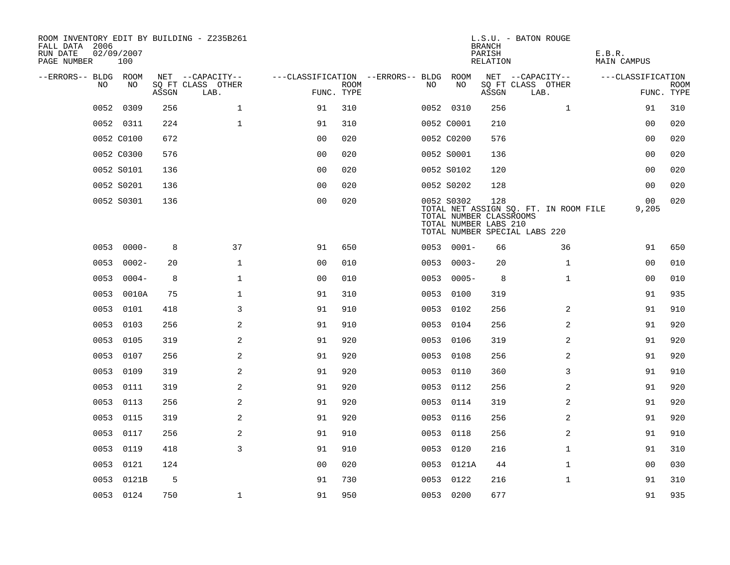| ROOM INVENTORY EDIT BY BUILDING - Z235B261<br>FALL DATA 2006<br>RUN DATE<br>PAGE NUMBER | 02/09/2007<br>100 |       |                           |                                        |             |      |                                                                | <b>BRANCH</b><br>PARISH<br>RELATION | L.S.U. - BATON ROUGE                                                   | E.B.R.<br>MAIN CAMPUS    |                           |
|-----------------------------------------------------------------------------------------|-------------------|-------|---------------------------|----------------------------------------|-------------|------|----------------------------------------------------------------|-------------------------------------|------------------------------------------------------------------------|--------------------------|---------------------------|
| --ERRORS-- BLDG ROOM                                                                    |                   |       | NET --CAPACITY--          | ---CLASSIFICATION --ERRORS-- BLDG ROOM |             |      |                                                                |                                     | NET --CAPACITY--                                                       | ---CLASSIFICATION        |                           |
| NO.                                                                                     | NO.               | ASSGN | SQ FT CLASS OTHER<br>LAB. | FUNC. TYPE                             | <b>ROOM</b> | NO.  | NO                                                             | ASSGN                               | SQ FT CLASS OTHER<br>LAB.                                              |                          | <b>ROOM</b><br>FUNC. TYPE |
| 0052                                                                                    | 0309              | 256   | $\mathbf{1}$              | 91                                     | 310         |      | 0052 0310                                                      | 256                                 | $\mathbf{1}$                                                           | 91                       | 310                       |
|                                                                                         | 0052 0311         | 224   | $\mathbf{1}$              | 91                                     | 310         |      | 0052 C0001                                                     | 210                                 |                                                                        | 0 <sub>0</sub>           | 020                       |
|                                                                                         | 0052 C0100        | 672   |                           | 0 <sub>0</sub>                         | 020         |      | 0052 C0200                                                     | 576                                 |                                                                        | 00                       | 020                       |
|                                                                                         | 0052 C0300        | 576   |                           | 00                                     | 020         |      | 0052 S0001                                                     | 136                                 |                                                                        | 00                       | 020                       |
|                                                                                         | 0052 S0101        | 136   |                           | 00                                     | 020         |      | 0052 S0102                                                     | 120                                 |                                                                        | 00                       | 020                       |
|                                                                                         | 0052 S0201        | 136   |                           | 0 <sub>0</sub>                         | 020         |      | 0052 S0202                                                     | 128                                 |                                                                        | 00                       | 020                       |
|                                                                                         | 0052 S0301        | 136   |                           | 0 <sub>0</sub>                         | 020         |      | 0052 S0302<br>TOTAL NUMBER CLASSROOMS<br>TOTAL NUMBER LABS 210 | 128                                 | TOTAL NET ASSIGN SQ. FT. IN ROOM FILE<br>TOTAL NUMBER SPECIAL LABS 220 | 00 <sup>o</sup><br>9,205 | 020                       |
|                                                                                         | $0053000 -$       | 8     | 37                        | 91                                     | 650         |      | $0053 0001 -$                                                  | 66                                  | 36                                                                     | 91                       | 650                       |
|                                                                                         | $00530002 -$      | 20    | $\mathbf{1}$              | 0 <sub>0</sub>                         | 010         | 0053 | $0003 -$                                                       | 20                                  | $\mathbf{1}$                                                           | 0 <sub>0</sub>           | 010                       |
|                                                                                         | $00530004-$       | 8     | $\mathbf 1$               | 0 <sub>0</sub>                         | 010         |      | $00530005 -$                                                   | 8                                   | $\mathbf{1}$                                                           | 00                       | 010                       |
|                                                                                         | 0053 0010A        | 75    | $\mathbf 1$               | 91                                     | 310         | 0053 | 0100                                                           | 319                                 |                                                                        | 91                       | 935                       |
|                                                                                         | 0053 0101         | 418   | 3                         | 91                                     | 910         |      | 0053 0102                                                      | 256                                 | 2                                                                      | 91                       | 910                       |
| 0053                                                                                    | 0103              | 256   | 2                         | 91                                     | 910         | 0053 | 0104                                                           | 256                                 | 2                                                                      | 91                       | 920                       |
|                                                                                         | 0053 0105         | 319   | 2                         | 91                                     | 920         |      | 0053 0106                                                      | 319                                 | 2                                                                      | 91                       | 920                       |
| 0053                                                                                    | 0107              | 256   | $\mathbf{2}$              | 91                                     | 920         | 0053 | 0108                                                           | 256                                 | 2                                                                      | 91                       | 920                       |
|                                                                                         | 0053 0109         | 319   | 2                         | 91                                     | 920         |      | 0053 0110                                                      | 360                                 | 3                                                                      | 91                       | 910                       |
|                                                                                         | 0053 0111         | 319   | 2                         | 91                                     | 920         |      | 0053 0112                                                      | 256                                 | 2                                                                      | 91                       | 920                       |
|                                                                                         | 0053 0113         | 256   | 2                         | 91                                     | 920         |      | 0053 0114                                                      | 319                                 | 2                                                                      | 91                       | 920                       |
|                                                                                         | 0053 0115         | 319   | 2                         | 91                                     | 920         |      | 0053 0116                                                      | 256                                 | $\overline{2}$                                                         | 91                       | 920                       |
| 0053                                                                                    | 0117              | 256   | 2                         | 91                                     | 910         |      | 0053 0118                                                      | 256                                 | 2                                                                      | 91                       | 910                       |
|                                                                                         | 0053 0119         | 418   | 3                         | 91                                     | 910         |      | 0053 0120                                                      | 216                                 | $\mathbf{1}$                                                           | 91                       | 310                       |
| 0053                                                                                    | 0121              | 124   |                           | 0 <sub>0</sub>                         | 020         |      | 0053 0121A                                                     | 44                                  | $\mathbf{1}$                                                           | 00                       | 030                       |
|                                                                                         | 0053 0121B        | 5     |                           | 91                                     | 730         |      | 0053 0122                                                      | 216                                 | $\mathbf{1}$                                                           | 91                       | 310                       |
|                                                                                         | 0053 0124         | 750   | $\mathbf{1}$              | 91                                     | 950         |      | 0053 0200                                                      | 677                                 |                                                                        | 91                       | 935                       |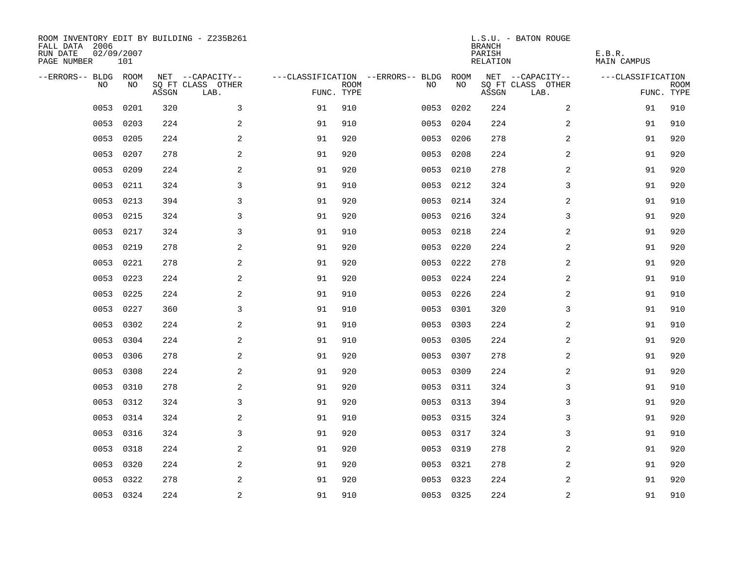| ROOM INVENTORY EDIT BY BUILDING - Z235B261<br>FALL DATA 2006<br>RUN DATE<br>PAGE NUMBER | 02/09/2007<br>101 |       |                           |            |             |                                   |           | <b>BRANCH</b><br>PARISH<br>RELATION | L.S.U. - BATON ROUGE      | E.B.R.<br><b>MAIN CAMPUS</b> |                           |
|-----------------------------------------------------------------------------------------|-------------------|-------|---------------------------|------------|-------------|-----------------------------------|-----------|-------------------------------------|---------------------------|------------------------------|---------------------------|
| --ERRORS-- BLDG ROOM                                                                    |                   |       | NET --CAPACITY--          |            |             | ---CLASSIFICATION --ERRORS-- BLDG | ROOM      |                                     | NET --CAPACITY--          | ---CLASSIFICATION            |                           |
| N <sub>O</sub>                                                                          | NO.               | ASSGN | SO FT CLASS OTHER<br>LAB. | FUNC. TYPE | <b>ROOM</b> | NO.                               | NO        | ASSGN                               | SQ FT CLASS OTHER<br>LAB. |                              | <b>ROOM</b><br>FUNC. TYPE |
| 0053                                                                                    | 0201              | 320   | 3                         | 91         | 910         | 0053                              | 0202      | 224                                 | $\overline{a}$            | 91                           | 910                       |
| 0053                                                                                    | 0203              | 224   | 2                         | 91         | 910         | 0053                              | 0204      | 224                                 | 2                         | 91                           | 910                       |
| 0053                                                                                    | 0205              | 224   | 2                         | 91         | 920         | 0053                              | 0206      | 278                                 | 2                         | 91                           | 920                       |
| 0053                                                                                    | 0207              | 278   | 2                         | 91         | 920         | 0053                              | 0208      | 224                                 | 2                         | 91                           | 920                       |
| 0053                                                                                    | 0209              | 224   | 2                         | 91         | 920         | 0053                              | 0210      | 278                                 | 2                         | 91                           | 920                       |
| 0053                                                                                    | 0211              | 324   | 3                         | 91         | 910         |                                   | 0053 0212 | 324                                 | 3                         | 91                           | 920                       |
| 0053                                                                                    | 0213              | 394   | 3                         | 91         | 920         | 0053                              | 0214      | 324                                 | $\overline{a}$            | 91                           | 910                       |
| 0053                                                                                    | 0215              | 324   | 3                         | 91         | 920         |                                   | 0053 0216 | 324                                 | 3                         | 91                           | 920                       |
| 0053                                                                                    | 0217              | 324   | 3                         | 91         | 910         | 0053                              | 0218      | 224                                 | $\overline{a}$            | 91                           | 920                       |
| 0053                                                                                    | 0219              | 278   | 2                         | 91         | 920         |                                   | 0053 0220 | 224                                 | 2                         | 91                           | 920                       |
| 0053                                                                                    | 0221              | 278   | 2                         | 91         | 920         | 0053                              | 0222      | 278                                 | 2                         | 91                           | 920                       |
| 0053                                                                                    | 0223              | 224   | 2                         | 91         | 920         |                                   | 0053 0224 | 224                                 | 2                         | 91                           | 910                       |
| 0053                                                                                    | 0225              | 224   | 2                         | 91         | 910         | 0053                              | 0226      | 224                                 | 2                         | 91                           | 910                       |
| 0053                                                                                    | 0227              | 360   | 3                         | 91         | 910         | 0053                              | 0301      | 320                                 | 3                         | 91                           | 910                       |
| 0053                                                                                    | 0302              | 224   | 2                         | 91         | 910         | 0053                              | 0303      | 224                                 | 2                         | 91                           | 910                       |
| 0053                                                                                    | 0304              | 224   | 2                         | 91         | 910         | 0053                              | 0305      | 224                                 | 2                         | 91                           | 920                       |
| 0053                                                                                    | 0306              | 278   | 2                         | 91         | 920         | 0053                              | 0307      | 278                                 | 2                         | 91                           | 920                       |
| 0053                                                                                    | 0308              | 224   | 2                         | 91         | 920         | 0053                              | 0309      | 224                                 | 2                         | 91                           | 920                       |
| 0053                                                                                    | 0310              | 278   | 2                         | 91         | 920         |                                   | 0053 0311 | 324                                 | 3                         | 91                           | 910                       |
| 0053                                                                                    | 0312              | 324   | $\overline{3}$            | 91         | 920         |                                   | 0053 0313 | 394                                 | 3                         | 91                           | 920                       |
| 0053                                                                                    | 0314              | 324   | 2                         | 91         | 910         |                                   | 0053 0315 | 324                                 | 3                         | 91                           | 920                       |
| 0053                                                                                    | 0316              | 324   | 3                         | 91         | 920         | 0053                              | 0317      | 324                                 | 3                         | 91                           | 910                       |
| 0053                                                                                    | 0318              | 224   | 2                         | 91         | 920         | 0053                              | 0319      | 278                                 | 2                         | 91                           | 920                       |
| 0053                                                                                    | 0320              | 224   | 2                         | 91         | 920         |                                   | 0053 0321 | 278                                 | 2                         | 91                           | 920                       |
| 0053                                                                                    | 0322              | 278   | 2                         | 91         | 920         | 0053                              | 0323      | 224                                 | 2                         | 91                           | 920                       |
|                                                                                         | 0053 0324         | 224   | $\overline{c}$            | 91         | 910         |                                   | 0053 0325 | 224                                 | $\overline{c}$            | 91                           | 910                       |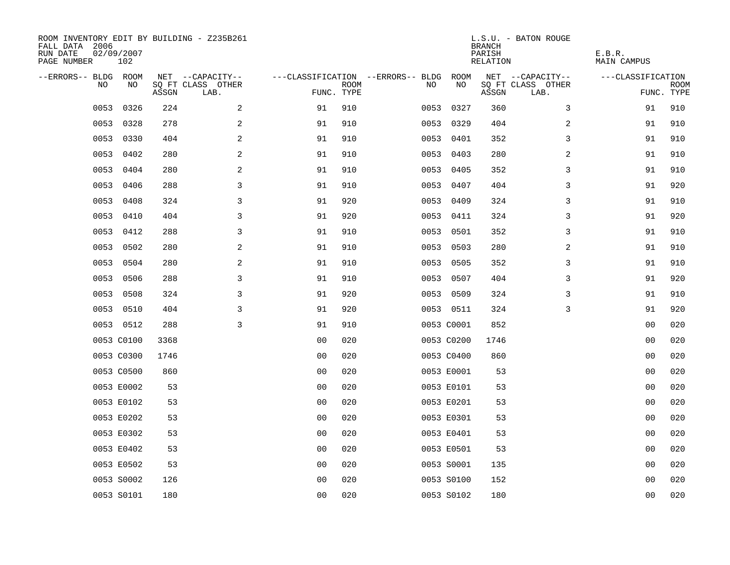| ROOM INVENTORY EDIT BY BUILDING - Z235B261<br>FALL DATA 2006<br>RUN DATE<br>PAGE NUMBER | 02/09/2007<br>102 |       |                           |                |             |                                        |            | <b>BRANCH</b><br>PARISH<br>RELATION | L.S.U. - BATON ROUGE      | E.B.R.<br>MAIN CAMPUS |                           |
|-----------------------------------------------------------------------------------------|-------------------|-------|---------------------------|----------------|-------------|----------------------------------------|------------|-------------------------------------|---------------------------|-----------------------|---------------------------|
| --ERRORS-- BLDG ROOM                                                                    |                   |       | NET --CAPACITY--          |                |             | ---CLASSIFICATION --ERRORS-- BLDG ROOM |            |                                     | NET --CAPACITY--          | ---CLASSIFICATION     |                           |
| NO                                                                                      | NO                | ASSGN | SQ FT CLASS OTHER<br>LAB. | FUNC. TYPE     | <b>ROOM</b> | NO.                                    | NO         | ASSGN                               | SQ FT CLASS OTHER<br>LAB. |                       | <b>ROOM</b><br>FUNC. TYPE |
| 0053                                                                                    | 0326              | 224   | 2                         | 91             | 910         |                                        | 0053 0327  | 360                                 | 3                         | 91                    | 910                       |
| 0053                                                                                    | 0328              | 278   | 2                         | 91             | 910         |                                        | 0053 0329  | 404                                 | 2                         | 91                    | 910                       |
| 0053                                                                                    | 0330              | 404   | 2                         | 91             | 910         |                                        | 0053 0401  | 352                                 | 3                         | 91                    | 910                       |
|                                                                                         | 0053 0402         | 280   | 2                         | 91             | 910         |                                        | 0053 0403  | 280                                 | 2                         | 91                    | 910                       |
| 0053                                                                                    | 0404              | 280   | $\mathbf{2}$              | 91             | 910         | 0053                                   | 0405       | 352                                 | 3                         | 91                    | 910                       |
| 0053                                                                                    | 0406              | 288   | 3                         | 91             | 910         |                                        | 0053 0407  | 404                                 | 3                         | 91                    | 920                       |
| 0053                                                                                    | 0408              | 324   | 3                         | 91             | 920         |                                        | 0053 0409  | 324                                 | 3                         | 91                    | 910                       |
|                                                                                         | 0053 0410         | 404   | 3                         | 91             | 920         |                                        | 0053 0411  | 324                                 | 3                         | 91                    | 920                       |
| 0053                                                                                    | 0412              | 288   | 3                         | 91             | 910         | 0053                                   | 0501       | 352                                 | 3                         | 91                    | 910                       |
| 0053                                                                                    | 0502              | 280   | 2                         | 91             | 910         |                                        | 0053 0503  | 280                                 | 2                         | 91                    | 910                       |
|                                                                                         | 0053 0504         | 280   | 2                         | 91             | 910         | 0053                                   | 0505       | 352                                 | 3                         | 91                    | 910                       |
|                                                                                         | 0053 0506         | 288   | 3                         | 91             | 910         |                                        | 0053 0507  | 404                                 | 3                         | 91                    | 920                       |
| 0053                                                                                    | 0508              | 324   | 3                         | 91             | 920         |                                        | 0053 0509  | 324                                 | 3                         | 91                    | 910                       |
|                                                                                         | 0053 0510         | 404   | 3                         | 91             | 920         |                                        | 0053 0511  | 324                                 | 3                         | 91                    | 920                       |
|                                                                                         | 0053 0512         | 288   | 3                         | 91             | 910         |                                        | 0053 C0001 | 852                                 |                           | 00                    | 020                       |
|                                                                                         | 0053 C0100        | 3368  |                           | 0 <sub>0</sub> | 020         |                                        | 0053 C0200 | 1746                                |                           | 00                    | 020                       |
|                                                                                         | 0053 C0300        | 1746  |                           | 0 <sub>0</sub> | 020         |                                        | 0053 C0400 | 860                                 |                           | 00                    | 020                       |
|                                                                                         | 0053 C0500        | 860   |                           | 0 <sub>0</sub> | 020         |                                        | 0053 E0001 | 53                                  |                           | 00                    | 020                       |
|                                                                                         | 0053 E0002        | 53    |                           | 0 <sub>0</sub> | 020         |                                        | 0053 E0101 | 53                                  |                           | 0 <sub>0</sub>        | 020                       |
|                                                                                         | 0053 E0102        | 53    |                           | 0 <sub>0</sub> | 020         |                                        | 0053 E0201 | 53                                  |                           | 00                    | 020                       |
|                                                                                         | 0053 E0202        | 53    |                           | 0 <sub>0</sub> | 020         |                                        | 0053 E0301 | 53                                  |                           | 00                    | 020                       |
|                                                                                         | 0053 E0302        | 53    |                           | 0 <sub>0</sub> | 020         |                                        | 0053 E0401 | 53                                  |                           | 00                    | 020                       |
|                                                                                         | 0053 E0402        | 53    |                           | 0 <sub>0</sub> | 020         |                                        | 0053 E0501 | 53                                  |                           | 0 <sub>0</sub>        | 020                       |
|                                                                                         | 0053 E0502        | 53    |                           | 0 <sub>0</sub> | 020         |                                        | 0053 S0001 | 135                                 |                           | 00                    | 020                       |
|                                                                                         | 0053 S0002        | 126   |                           | 0 <sub>0</sub> | 020         |                                        | 0053 S0100 | 152                                 |                           | 00                    | 020                       |
|                                                                                         | 0053 S0101        | 180   |                           | 0 <sub>0</sub> | 020         |                                        | 0053 S0102 | 180                                 |                           | 0 <sub>0</sub>        | 020                       |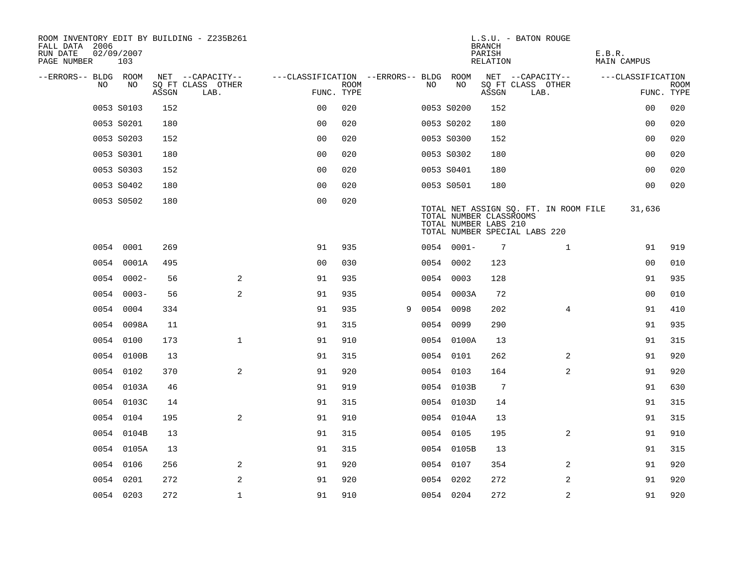| ROOM INVENTORY EDIT BY BUILDING - Z235B261<br>FALL DATA 2006<br>RUN DATE<br>PAGE NUMBER | 02/09/2007<br>103 |       |                           |                                        |             |   |     |               | <b>BRANCH</b><br>PARISH<br>RELATION              | L.S.U. - BATON ROUGE                                                   | E.B.R.<br><b>MAIN CAMPUS</b> |                           |
|-----------------------------------------------------------------------------------------|-------------------|-------|---------------------------|----------------------------------------|-------------|---|-----|---------------|--------------------------------------------------|------------------------------------------------------------------------|------------------------------|---------------------------|
| --ERRORS-- BLDG ROOM                                                                    |                   |       | NET --CAPACITY--          | ---CLASSIFICATION --ERRORS-- BLDG ROOM |             |   |     |               |                                                  | NET --CAPACITY--                                                       | ---CLASSIFICATION            |                           |
| NO.                                                                                     | NO.               | ASSGN | SO FT CLASS OTHER<br>LAB. | FUNC. TYPE                             | <b>ROOM</b> |   | NO. | NO            | ASSGN                                            | SQ FT CLASS OTHER<br>LAB.                                              |                              | <b>ROOM</b><br>FUNC. TYPE |
|                                                                                         | 0053 S0103        | 152   |                           | 0 <sub>0</sub>                         | 020         |   |     | 0053 S0200    | 152                                              |                                                                        | 00                           | 020                       |
|                                                                                         | 0053 S0201        | 180   |                           | 0 <sub>0</sub>                         | 020         |   |     | 0053 S0202    | 180                                              |                                                                        | 0 <sub>0</sub>               | 020                       |
|                                                                                         | 0053 S0203        | 152   |                           | 0 <sub>0</sub>                         | 020         |   |     | 0053 S0300    | 152                                              |                                                                        | 00                           | 020                       |
|                                                                                         | 0053 S0301        | 180   |                           | 0 <sub>0</sub>                         | 020         |   |     | 0053 S0302    | 180                                              |                                                                        | 00                           | 020                       |
|                                                                                         | 0053 S0303        | 152   |                           | 00                                     | 020         |   |     | 0053 S0401    | 180                                              |                                                                        | 0 <sub>0</sub>               | 020                       |
|                                                                                         | 0053 S0402        | 180   |                           | 0 <sub>0</sub>                         | 020         |   |     | 0053 S0501    | 180                                              |                                                                        | 0 <sub>0</sub>               | 020                       |
|                                                                                         | 0053 S0502        | 180   |                           | 0 <sub>0</sub>                         | 020         |   |     |               | TOTAL NUMBER CLASSROOMS<br>TOTAL NUMBER LABS 210 | TOTAL NET ASSIGN SQ. FT. IN ROOM FILE<br>TOTAL NUMBER SPECIAL LABS 220 | 31,636                       |                           |
|                                                                                         | 0054 0001         | 269   |                           | 91                                     | 935         |   |     | $0054 0001 -$ | 7                                                | $\mathbf{1}$                                                           | 91                           | 919                       |
|                                                                                         | 0054 0001A        | 495   |                           | 0 <sub>0</sub>                         | 030         |   |     | 0054 0002     | 123                                              |                                                                        | 0 <sub>0</sub>               | 010                       |
|                                                                                         | $00540002 -$      | 56    | 2                         | 91                                     | 935         |   |     | 0054 0003     | 128                                              |                                                                        | 91                           | 935                       |
|                                                                                         | $00540003 -$      | 56    | 2                         | 91                                     | 935         |   |     | 0054 0003A    | 72                                               |                                                                        | 00                           | 010                       |
|                                                                                         | 0054 0004         | 334   |                           | 91                                     | 935         | 9 |     | 0054 0098     | 202                                              | $\overline{4}$                                                         | 91                           | 410                       |
|                                                                                         | 0054 0098A        | 11    |                           | 91                                     | 315         |   |     | 0054 0099     | 290                                              |                                                                        | 91                           | 935                       |
|                                                                                         | 0054 0100         | 173   | $\mathbf 1$               | 91                                     | 910         |   |     | 0054 0100A    | 13                                               |                                                                        | 91                           | 315                       |
|                                                                                         | 0054 0100B        | 13    |                           | 91                                     | 315         |   |     | 0054 0101     | 262                                              | 2                                                                      | 91                           | 920                       |
|                                                                                         | 0054 0102         | 370   | 2                         | 91                                     | 920         |   |     | 0054 0103     | 164                                              | $\overline{2}$                                                         | 91                           | 920                       |
|                                                                                         | 0054 0103A        | 46    |                           | 91                                     | 919         |   |     | 0054 0103B    | $7\phantom{.0}$                                  |                                                                        | 91                           | 630                       |
|                                                                                         | 0054 0103C        | 14    |                           | 91                                     | 315         |   |     | 0054 0103D    | 14                                               |                                                                        | 91                           | 315                       |
|                                                                                         | 0054 0104         | 195   | 2                         | 91                                     | 910         |   |     | 0054 0104A    | 13                                               |                                                                        | 91                           | 315                       |
|                                                                                         | 0054 0104B        | 13    |                           | 91                                     | 315         |   |     | 0054 0105     | 195                                              | $\overline{2}$                                                         | 91                           | 910                       |
|                                                                                         | 0054 0105A        | 13    |                           | 91                                     | 315         |   |     | 0054 0105B    | 13                                               |                                                                        | 91                           | 315                       |
|                                                                                         | 0054 0106         | 256   | 2                         | 91                                     | 920         |   |     | 0054 0107     | 354                                              | 2                                                                      | 91                           | 920                       |
|                                                                                         | 0054 0201         | 272   | 2                         | 91                                     | 920         |   |     | 0054 0202     | 272                                              | 2                                                                      | 91                           | 920                       |
|                                                                                         | 0054 0203         | 272   | $\mathbf 1$               | 91                                     | 910         |   |     | 0054 0204     | 272                                              | 2                                                                      | 91                           | 920                       |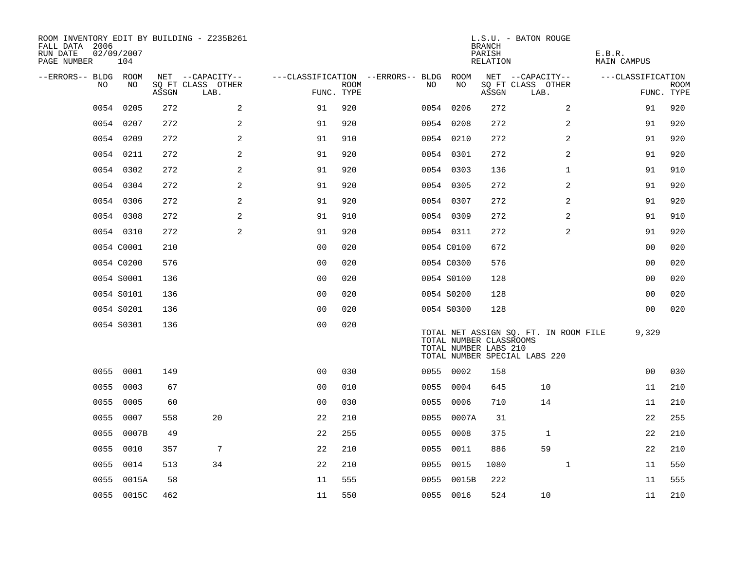| ROOM INVENTORY EDIT BY BUILDING - Z235B261<br>FALL DATA 2006<br>RUN DATE<br>PAGE NUMBER | 02/09/2007<br>104 |       |                           |                                   |             |      |                                                  | <b>BRANCH</b><br>PARISH<br>RELATION | L.S.U. - BATON ROUGE                                                   | E.B.R.<br>MAIN CAMPUS |             |
|-----------------------------------------------------------------------------------------|-------------------|-------|---------------------------|-----------------------------------|-------------|------|--------------------------------------------------|-------------------------------------|------------------------------------------------------------------------|-----------------------|-------------|
| --ERRORS-- BLDG ROOM                                                                    |                   |       | NET --CAPACITY--          | ---CLASSIFICATION --ERRORS-- BLDG |             |      | ROOM                                             |                                     | NET --CAPACITY--                                                       | ---CLASSIFICATION     |             |
| NO                                                                                      | NO                | ASSGN | SQ FT CLASS OTHER<br>LAB. | FUNC. TYPE                        | <b>ROOM</b> | NO   | NO                                               | ASSGN                               | SQ FT CLASS OTHER<br>LAB.                                              | FUNC. TYPE            | <b>ROOM</b> |
| 0054                                                                                    | 0205              | 272   | 2                         | 91                                | 920         |      | 0054 0206                                        | 272                                 | $\overline{2}$                                                         | 91                    | 920         |
|                                                                                         | 0054 0207         | 272   | 2                         | 91                                | 920         |      | 0054 0208                                        | 272                                 | 2                                                                      | 91                    | 920         |
|                                                                                         | 0054 0209         | 272   | 2                         | 91                                | 910         |      | 0054 0210                                        | 272                                 | 2                                                                      | 91                    | 920         |
|                                                                                         | 0054 0211         | 272   | 2                         | 91                                | 920         |      | 0054 0301                                        | 272                                 | 2                                                                      | 91                    | 920         |
|                                                                                         | 0054 0302         | 272   | 2                         | 91                                | 920         |      | 0054 0303                                        | 136                                 | $\mathbf{1}$                                                           | 91                    | 910         |
|                                                                                         | 0054 0304         | 272   | 2                         | 91                                | 920         |      | 0054 0305                                        | 272                                 | 2                                                                      | 91                    | 920         |
|                                                                                         | 0054 0306         | 272   | 2                         | 91                                | 920         |      | 0054 0307                                        | 272                                 | 2                                                                      | 91                    | 920         |
|                                                                                         | 0054 0308         | 272   | 2                         | 91                                | 910         |      | 0054 0309                                        | 272                                 | 2                                                                      | 91                    | 910         |
|                                                                                         | 0054 0310         | 272   | 2                         | 91                                | 920         |      | 0054 0311                                        | 272                                 | 2                                                                      | 91                    | 920         |
|                                                                                         | 0054 C0001        | 210   |                           | 0 <sub>0</sub>                    | 020         |      | 0054 C0100                                       | 672                                 |                                                                        | 00                    | 020         |
|                                                                                         | 0054 C0200        | 576   |                           | 00                                | 020         |      | 0054 C0300                                       | 576                                 |                                                                        | 00                    | 020         |
|                                                                                         | 0054 S0001        | 136   |                           | 0 <sub>0</sub>                    | 020         |      | 0054 S0100                                       | 128                                 |                                                                        | 00                    | 020         |
|                                                                                         | 0054 S0101        | 136   |                           | 0 <sub>0</sub>                    | 020         |      | 0054 S0200                                       | 128                                 |                                                                        | 0 <sub>0</sub>        | 020         |
|                                                                                         | 0054 S0201        | 136   |                           | 0 <sub>0</sub>                    | 020         |      | 0054 S0300                                       | 128                                 |                                                                        | 0 <sub>0</sub>        | 020         |
|                                                                                         | 0054 S0301        | 136   |                           | 0 <sub>0</sub>                    | 020         |      | TOTAL NUMBER CLASSROOMS<br>TOTAL NUMBER LABS 210 |                                     | TOTAL NET ASSIGN SQ. FT. IN ROOM FILE<br>TOTAL NUMBER SPECIAL LABS 220 | 9,329                 |             |
| 0055                                                                                    | 0001              | 149   |                           | 0 <sub>0</sub>                    | 030         |      | 0055 0002                                        | 158                                 |                                                                        | 00                    | 030         |
| 0055                                                                                    | 0003              | 67    |                           | 0 <sub>0</sub>                    | 010         |      | 0055 0004                                        | 645                                 | 10                                                                     | 11                    | 210         |
| 0055                                                                                    | 0005              | 60    |                           | 0 <sub>0</sub>                    | 030         |      | 0055 0006                                        | 710                                 | 14                                                                     | 11                    | 210         |
| 0055                                                                                    | 0007              | 558   | 20                        | 22                                | 210         |      | 0055 0007A                                       | 31                                  |                                                                        | 22                    | 255         |
| 0055                                                                                    | 0007B             | 49    |                           | 22                                | 255         | 0055 | 0008                                             | 375                                 | 1                                                                      | 22                    | 210         |
| 0055                                                                                    | 0010              | 357   | 7                         | 22                                | 210         | 0055 | 0011                                             | 886                                 | 59                                                                     | 22                    | 210         |
| 0055                                                                                    | 0014              | 513   | 34                        | 22                                | 210         | 0055 | 0015                                             | 1080                                | $\mathbf{1}$                                                           | 11                    | 550         |
| 0055                                                                                    | 0015A             | 58    |                           | 11                                | 555         | 0055 | 0015B                                            | 222                                 |                                                                        | 11                    | 555         |
|                                                                                         | 0055 0015C        | 462   |                           | 11                                | 550         |      | 0055 0016                                        | 524                                 | 10                                                                     | 11                    | 210         |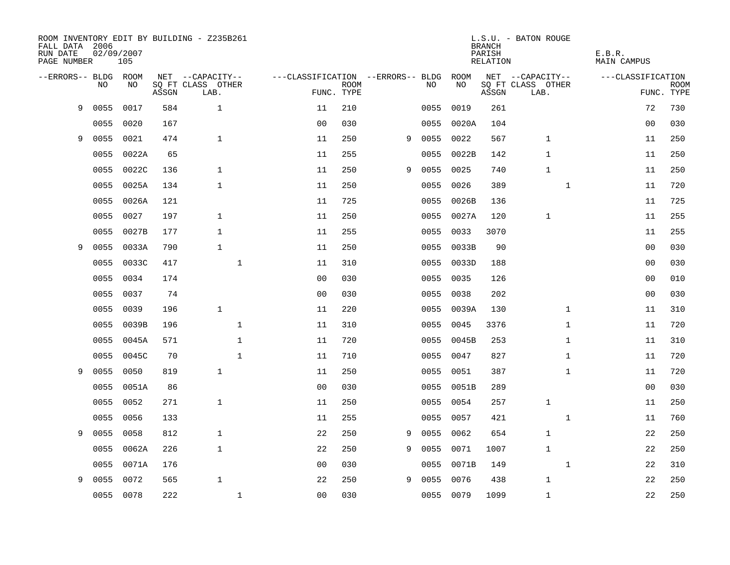| FALL DATA 2006<br>RUN DATE<br>PAGE NUMBER |      | 02/09/2007<br>105 |       | ROOM INVENTORY EDIT BY BUILDING - Z235B261 |              |                                   |             |   |           |            | <b>BRANCH</b><br>PARISH<br>RELATION | L.S.U. - BATON ROUGE      | E.B.R.<br><b>MAIN CAMPUS</b> |                           |
|-------------------------------------------|------|-------------------|-------|--------------------------------------------|--------------|-----------------------------------|-------------|---|-----------|------------|-------------------------------------|---------------------------|------------------------------|---------------------------|
| --ERRORS-- BLDG ROOM                      |      |                   |       | NET --CAPACITY--                           |              | ---CLASSIFICATION --ERRORS-- BLDG |             |   |           | ROOM       |                                     | NET --CAPACITY--          | ---CLASSIFICATION            |                           |
|                                           | NO.  | NO.               | ASSGN | SQ FT CLASS OTHER<br>LAB.                  |              | FUNC. TYPE                        | <b>ROOM</b> |   | NO.       | NO         | ASSGN                               | SQ FT CLASS OTHER<br>LAB. |                              | <b>ROOM</b><br>FUNC. TYPE |
| 9                                         | 0055 | 0017              | 584   | $\mathbf{1}$                               |              | 11                                | 210         |   | 0055      | 0019       | 261                                 |                           | 72                           | 730                       |
|                                           | 0055 | 0020              | 167   |                                            |              | 0 <sub>0</sub>                    | 030         |   | 0055      | 0020A      | 104                                 |                           | 0 <sub>0</sub>               | 030                       |
| 9                                         | 0055 | 0021              | 474   | $\mathbf{1}$                               |              | 11                                | 250         | 9 | 0055      | 0022       | 567                                 | $\mathbf 1$               | 11                           | 250                       |
|                                           | 0055 | 0022A             | 65    |                                            |              | 11                                | 255         |   | 0055      | 0022B      | 142                                 | $\mathbf 1$               | 11                           | 250                       |
|                                           | 0055 | 0022C             | 136   | $\mathbf{1}$                               |              | 11                                | 250         | 9 | 0055      | 0025       | 740                                 | $\mathbf 1$               | 11                           | 250                       |
|                                           | 0055 | 0025A             | 134   | $\mathbf 1$                                |              | 11                                | 250         |   | 0055      | 0026       | 389                                 | $\mathbf{1}$              | 11                           | 720                       |
|                                           | 0055 | 0026A             | 121   |                                            |              | 11                                | 725         |   | 0055      | 0026B      | 136                                 |                           | 11                           | 725                       |
|                                           | 0055 | 0027              | 197   | 1                                          |              | 11                                | 250         |   | 0055      | 0027A      | 120                                 | 1                         | 11                           | 255                       |
|                                           | 0055 | 0027B             | 177   | $\mathbf{1}$                               |              | 11                                | 255         |   | 0055      | 0033       | 3070                                |                           | 11                           | 255                       |
| 9                                         | 0055 | 0033A             | 790   | $\mathbf{1}$                               |              | 11                                | 250         |   | 0055      | 0033B      | 90                                  |                           | 0 <sub>0</sub>               | 030                       |
|                                           | 0055 | 0033C             | 417   |                                            | $\mathbf{1}$ | 11                                | 310         |   | 0055      | 0033D      | 188                                 |                           | 0 <sub>0</sub>               | 030                       |
|                                           | 0055 | 0034              | 174   |                                            |              | 0 <sub>0</sub>                    | 030         |   | 0055      | 0035       | 126                                 |                           | 00                           | 010                       |
|                                           | 0055 | 0037              | 74    |                                            |              | 0 <sub>0</sub>                    | 030         |   | 0055      | 0038       | 202                                 |                           | 0 <sub>0</sub>               | 030                       |
|                                           | 0055 | 0039              | 196   | $\mathbf{1}$                               |              | 11                                | 220         |   |           | 0055 0039A | 130                                 | $\mathbf{1}$              | 11                           | 310                       |
|                                           | 0055 | 0039B             | 196   |                                            | $\mathbf{1}$ | 11                                | 310         |   | 0055      | 0045       | 3376                                | $\mathbf{1}$              | 11                           | 720                       |
|                                           | 0055 | 0045A             | 571   |                                            | $\mathbf{1}$ | 11                                | 720         |   | 0055      | 0045B      | 253                                 | $\mathbf{1}$              | 11                           | 310                       |
|                                           | 0055 | 0045C             | 70    |                                            | 1            | 11                                | 710         |   | 0055      | 0047       | 827                                 | $\mathbf{1}$              | 11                           | 720                       |
| 9                                         | 0055 | 0050              | 819   | $\mathbf{1}$                               |              | 11                                | 250         |   | 0055      | 0051       | 387                                 | $\mathbf{1}$              | 11                           | 720                       |
|                                           | 0055 | 0051A             | 86    |                                            |              | 0 <sub>0</sub>                    | 030         |   |           | 0055 0051B | 289                                 |                           | 00                           | 030                       |
|                                           | 0055 | 0052              | 271   | $\mathbf{1}$                               |              | 11                                | 250         |   | 0055      | 0054       | 257                                 | $\mathbf{1}$              | 11                           | 250                       |
|                                           | 0055 | 0056              | 133   |                                            |              | 11                                | 255         |   | 0055      | 0057       | 421                                 | $\mathbf{1}$              | 11                           | 760                       |
| 9                                         | 0055 | 0058              | 812   | $\mathbf{1}$                               |              | 22                                | 250         | 9 | 0055      | 0062       | 654                                 | $\mathbf 1$               | 22                           | 250                       |
|                                           | 0055 | 0062A             | 226   | $\mathbf{1}$                               |              | 22                                | 250         | 9 | 0055      | 0071       | 1007                                | $\mathbf{1}$              | 22                           | 250                       |
|                                           | 0055 | 0071A             | 176   |                                            |              | 0 <sub>0</sub>                    | 030         |   | 0055      | 0071B      | 149                                 | $\mathbf{1}$              | 22                           | 310                       |
| 9                                         | 0055 | 0072              | 565   | $\mathbf{1}$                               |              | 22                                | 250         | 9 | 0055      | 0076       | 438                                 | $\mathbf{1}$              | 22                           | 250                       |
|                                           |      | 0055 0078         | 222   |                                            | $\mathbf 1$  | 0 <sub>0</sub>                    | 030         |   | 0055 0079 |            | 1099                                | $\mathbf{1}$              | 22                           | 250                       |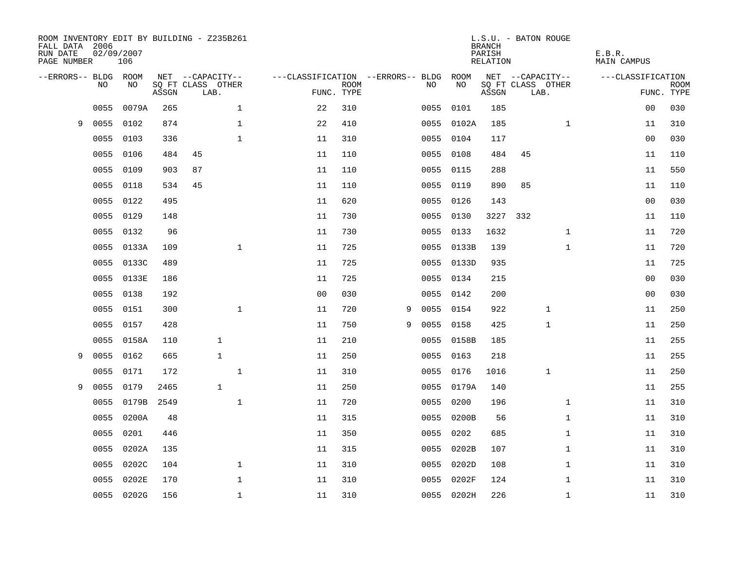| ROOM INVENTORY EDIT BY BUILDING - Z235B261<br>FALL DATA 2006<br>RUN DATE<br>PAGE NUMBER | 02/09/2007 | 106        |       |                           |              |                                        |             |   |      |            | <b>BRANCH</b><br>PARISH<br>RELATION | L.S.U. - BATON ROUGE      |              | E.B.R.<br>MAIN CAMPUS |                           |
|-----------------------------------------------------------------------------------------|------------|------------|-------|---------------------------|--------------|----------------------------------------|-------------|---|------|------------|-------------------------------------|---------------------------|--------------|-----------------------|---------------------------|
| --ERRORS-- BLDG ROOM                                                                    |            |            |       | NET --CAPACITY--          |              | ---CLASSIFICATION --ERRORS-- BLDG ROOM |             |   |      |            |                                     | NET --CAPACITY--          |              | ---CLASSIFICATION     |                           |
|                                                                                         | NO.        | NO.        | ASSGN | SQ FT CLASS OTHER<br>LAB. |              | FUNC. TYPE                             | <b>ROOM</b> |   | NO.  | NO         | ASSGN                               | SQ FT CLASS OTHER<br>LAB. |              |                       | <b>ROOM</b><br>FUNC. TYPE |
|                                                                                         | 0055       | 0079A      | 265   |                           | $\mathbf{1}$ | 22                                     | 310         |   | 0055 | 0101       | 185                                 |                           |              | 0 <sub>0</sub>        | 030                       |
| 9                                                                                       | 0055       | 0102       | 874   |                           | $\mathbf 1$  | 22                                     | 410         |   |      | 0055 0102A | 185                                 |                           | $\mathbf{1}$ | 11                    | 310                       |
|                                                                                         | 0055       | 0103       | 336   |                           | $\mathbf{1}$ | 11                                     | 310         |   |      | 0055 0104  | 117                                 |                           |              | 0 <sub>0</sub>        | 030                       |
|                                                                                         | 0055       | 0106       | 484   | 45                        |              | 11                                     | 110         |   |      | 0055 0108  | 484                                 | 45                        |              | 11                    | 110                       |
|                                                                                         | 0055       | 0109       | 903   | 87                        |              | 11                                     | 110         |   |      | 0055 0115  | 288                                 |                           |              | 11                    | 550                       |
|                                                                                         | 0055       | 0118       | 534   | 45                        |              | 11                                     | 110         |   |      | 0055 0119  | 890                                 | 85                        |              | 11                    | 110                       |
|                                                                                         | 0055       | 0122       | 495   |                           |              | 11                                     | 620         |   |      | 0055 0126  | 143                                 |                           |              | 0 <sub>0</sub>        | 030                       |
|                                                                                         | 0055       | 0129       | 148   |                           |              | 11                                     | 730         |   |      | 0055 0130  |                                     | 3227 332                  |              | 11                    | 110                       |
|                                                                                         | 0055       | 0132       | 96    |                           |              | 11                                     | 730         |   |      | 0055 0133  | 1632                                |                           | $\mathbf{1}$ | 11                    | 720                       |
|                                                                                         | 0055       | 0133A      | 109   |                           | $\mathbf{1}$ | 11                                     | 725         |   |      | 0055 0133B | 139                                 |                           | $\mathbf{1}$ | 11                    | 720                       |
|                                                                                         | 0055       | 0133C      | 489   |                           |              | 11                                     | 725         |   |      | 0055 0133D | 935                                 |                           |              | 11                    | 725                       |
|                                                                                         | 0055       | 0133E      | 186   |                           |              | 11                                     | 725         |   |      | 0055 0134  | 215                                 |                           |              | 0 <sub>0</sub>        | 030                       |
|                                                                                         | 0055       | 0138       | 192   |                           |              | 0 <sub>0</sub>                         | 030         |   | 0055 | 0142       | 200                                 |                           |              | 0 <sub>0</sub>        | 030                       |
|                                                                                         | 0055       | 0151       | 300   |                           | $\mathbf{1}$ | 11                                     | 720         | 9 |      | 0055 0154  | 922                                 |                           | 1            | 11                    | 250                       |
|                                                                                         | 0055       | 0157       | 428   |                           |              | 11                                     | 750         | 9 | 0055 | 0158       | 425                                 |                           | 1            | 11                    | 250                       |
|                                                                                         | 0055       | 0158A      | 110   | $\mathbf{1}$              |              | 11                                     | 210         |   |      | 0055 0158B | 185                                 |                           |              | 11                    | 255                       |
| 9                                                                                       | 0055       | 0162       | 665   | $\mathbf{1}$              |              | 11                                     | 250         |   | 0055 | 0163       | 218                                 |                           |              | 11                    | 255                       |
|                                                                                         | 0055       | 0171       | 172   |                           | $\mathbf{1}$ | 11                                     | 310         |   | 0055 | 0176       | 1016                                |                           | 1            | 11                    | 250                       |
| 9                                                                                       | 0055       | 0179       | 2465  | $\mathbf{1}$              |              | 11                                     | 250         |   |      | 0055 0179A | 140                                 |                           |              | 11                    | 255                       |
|                                                                                         | 0055       | 0179B      | 2549  |                           | $\mathbf 1$  | 11                                     | 720         |   |      | 0055 0200  | 196                                 |                           | $\mathbf{1}$ | 11                    | 310                       |
|                                                                                         | 0055       | 0200A      | 48    |                           |              | 11                                     | 315         |   |      | 0055 0200B | 56                                  |                           | $\mathbf{1}$ | 11                    | 310                       |
|                                                                                         | 0055       | 0201       | 446   |                           |              | 11                                     | 350         |   | 0055 | 0202       | 685                                 |                           | $\mathbf{1}$ | 11                    | 310                       |
|                                                                                         | 0055       | 0202A      | 135   |                           |              | 11                                     | 315         |   |      | 0055 0202B | 107                                 |                           | $\mathbf{1}$ | 11                    | 310                       |
|                                                                                         | 0055       | 0202C      | 104   |                           | $\mathbf 1$  | 11                                     | 310         |   | 0055 | 0202D      | 108                                 |                           | $\mathbf{1}$ | 11                    | 310                       |
|                                                                                         | 0055       | 0202E      | 170   |                           | $\mathbf 1$  | 11                                     | 310         |   | 0055 | 0202F      | 124                                 |                           | $\mathbf{1}$ | 11                    | 310                       |
|                                                                                         |            | 0055 0202G | 156   |                           | $\mathbf{1}$ | 11                                     | 310         |   |      | 0055 0202H | 226                                 |                           | $\mathbf{1}$ | 11                    | 310                       |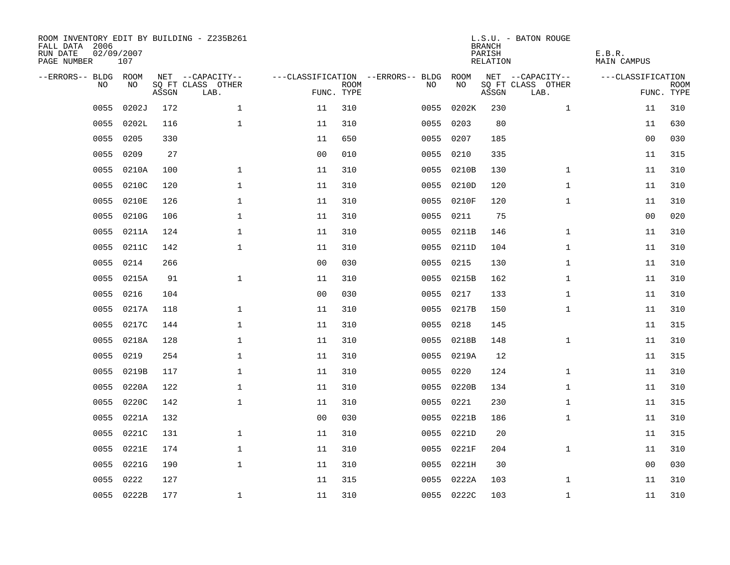| ROOM INVENTORY EDIT BY BUILDING - Z235B261<br>FALL DATA 2006<br>RUN DATE<br>PAGE NUMBER | 02/09/2007<br>107 |       |                           |                |                           |                                   |            | <b>BRANCH</b><br>PARISH<br><b>RELATION</b> | L.S.U. - BATON ROUGE      | E.B.R.<br><b>MAIN CAMPUS</b> |                           |
|-----------------------------------------------------------------------------------------|-------------------|-------|---------------------------|----------------|---------------------------|-----------------------------------|------------|--------------------------------------------|---------------------------|------------------------------|---------------------------|
| --ERRORS-- BLDG ROOM                                                                    |                   |       | NET --CAPACITY--          |                |                           | ---CLASSIFICATION --ERRORS-- BLDG | ROOM       |                                            | NET --CAPACITY--          | ---CLASSIFICATION            |                           |
| NO                                                                                      | NO                | ASSGN | SQ FT CLASS OTHER<br>LAB. |                | <b>ROOM</b><br>FUNC. TYPE | NO                                | NO         | ASSGN                                      | SQ FT CLASS OTHER<br>LAB. |                              | <b>ROOM</b><br>FUNC. TYPE |
| 0055                                                                                    | 0202J             | 172   | $\mathbf{1}$              | 11             | 310                       | 0055                              | 0202K      | 230                                        | $\mathbf{1}$              | 11                           | 310                       |
| 0055                                                                                    | 0202L             | 116   | $\mathbf 1$               | 11             | 310                       | 0055                              | 0203       | 80                                         |                           | 11                           | 630                       |
| 0055                                                                                    | 0205              | 330   |                           | 11             | 650                       | 0055                              | 0207       | 185                                        |                           | 00                           | 030                       |
| 0055                                                                                    | 0209              | 27    |                           | 0 <sub>0</sub> | 010                       |                                   | 0055 0210  | 335                                        |                           | 11                           | 315                       |
| 0055                                                                                    | 0210A             | 100   | $\mathbf{1}$              | 11             | 310                       | 0055                              | 0210B      | 130                                        | $\mathbf{1}$              | 11                           | 310                       |
| 0055                                                                                    | 0210C             | 120   | $\mathbf 1$               | 11             | 310                       |                                   | 0055 0210D | 120                                        | $\mathbf{1}$              | 11                           | 310                       |
| 0055                                                                                    | 0210E             | 126   | $\mathbf{1}$              | 11             | 310                       | 0055                              | 0210F      | 120                                        | $\mathbf{1}$              | 11                           | 310                       |
| 0055                                                                                    | 0210G             | 106   | $\mathbf{1}$              | 11             | 310                       |                                   | 0055 0211  | 75                                         |                           | 0 <sub>0</sub>               | 020                       |
| 0055                                                                                    | 0211A             | 124   | $\mathbf 1$               | 11             | 310                       | 0055                              | 0211B      | 146                                        | $\mathbf{1}$              | 11                           | 310                       |
| 0055                                                                                    | 0211C             | 142   | $\mathbf 1$               | 11             | 310                       |                                   | 0055 0211D | 104                                        | $\mathbf{1}$              | 11                           | 310                       |
| 0055                                                                                    | 0214              | 266   |                           | 0 <sub>0</sub> | 030                       | 0055                              | 0215       | 130                                        | $\mathbf{1}$              | 11                           | 310                       |
| 0055                                                                                    | 0215A             | 91    | $\mathbf 1$               | 11             | 310                       |                                   | 0055 0215B | 162                                        | $\mathbf{1}$              | 11                           | 310                       |
| 0055                                                                                    | 0216              | 104   |                           | 0 <sub>0</sub> | 030                       | 0055                              | 0217       | 133                                        | $\mathbf{1}$              | 11                           | 310                       |
| 0055                                                                                    | 0217A             | 118   | $\mathbf 1$               | 11             | 310                       |                                   | 0055 0217B | 150                                        | $\mathbf{1}$              | 11                           | 310                       |
| 0055                                                                                    | 0217C             | 144   | $\mathbf 1$               | 11             | 310                       | 0055                              | 0218       | 145                                        |                           | 11                           | 315                       |
| 0055                                                                                    | 0218A             | 128   | $\mathbf{1}$              | 11             | 310                       |                                   | 0055 0218B | 148                                        | $\mathbf{1}$              | 11                           | 310                       |
| 0055                                                                                    | 0219              | 254   | $\mathbf{1}$              | 11             | 310                       |                                   | 0055 0219A | 12                                         |                           | 11                           | 315                       |
| 0055                                                                                    | 0219B             | 117   | 1                         | 11             | 310                       | 0055                              | 0220       | 124                                        | $\mathbf{1}$              | 11                           | 310                       |
| 0055                                                                                    | 0220A             | 122   | 1                         | 11             | 310                       |                                   | 0055 0220B | 134                                        | $\mathbf{1}$              | 11                           | 310                       |
| 0055                                                                                    | 0220C             | 142   | $\mathbf 1$               | 11             | 310                       | 0055                              | 0221       | 230                                        | $\mathbf{1}$              | 11                           | 315                       |
| 0055                                                                                    | 0221A             | 132   |                           | 0 <sub>0</sub> | 030                       |                                   | 0055 0221B | 186                                        | $\mathbf{1}$              | 11                           | 310                       |
| 0055                                                                                    | 0221C             | 131   | $\mathbf 1$               | 11             | 310                       | 0055                              | 0221D      | 20                                         |                           | 11                           | 315                       |
| 0055                                                                                    | 0221E             | 174   | $\mathbf 1$               | 11             | 310                       |                                   | 0055 0221F | 204                                        | $\mathbf{1}$              | 11                           | 310                       |
| 0055                                                                                    | 0221G             | 190   | $\mathbf{1}$              | 11             | 310                       | 0055                              | 0221H      | 30                                         |                           | 00                           | 030                       |
| 0055                                                                                    | 0222              | 127   |                           | 11             | 315                       | 0055                              | 0222A      | 103                                        | $\mathbf{1}$              | 11                           | 310                       |
|                                                                                         | 0055 0222B        | 177   | $\mathbf{1}$              | 11             | 310                       |                                   | 0055 0222C | 103                                        | $\mathbf{1}$              | 11                           | 310                       |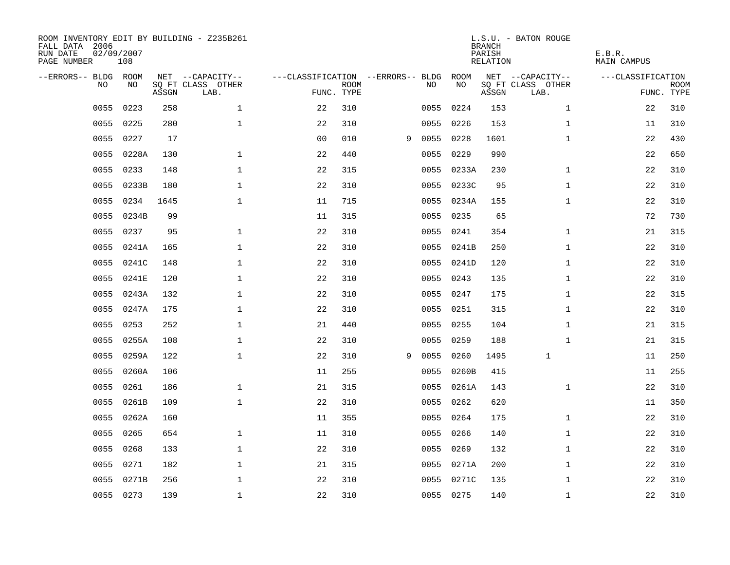| ROOM INVENTORY EDIT BY BUILDING - Z235B261<br>FALL DATA 2006<br>RUN DATE<br>PAGE NUMBER | 02/09/2007<br>108 |       |                           |                                        |             |   |           |            | <b>BRANCH</b><br>PARISH<br>RELATION | L.S.U. - BATON ROUGE      | E.B.R.<br>MAIN CAMPUS |                           |
|-----------------------------------------------------------------------------------------|-------------------|-------|---------------------------|----------------------------------------|-------------|---|-----------|------------|-------------------------------------|---------------------------|-----------------------|---------------------------|
| --ERRORS-- BLDG ROOM                                                                    |                   |       | NET --CAPACITY--          | ---CLASSIFICATION --ERRORS-- BLDG ROOM |             |   |           |            |                                     | NET --CAPACITY--          | ---CLASSIFICATION     |                           |
| NO.                                                                                     | NO.               | ASSGN | SQ FT CLASS OTHER<br>LAB. | FUNC. TYPE                             | <b>ROOM</b> |   | NO.       | NO         | ASSGN                               | SQ FT CLASS OTHER<br>LAB. |                       | <b>ROOM</b><br>FUNC. TYPE |
| 0055                                                                                    | 0223              | 258   | $\mathbf{1}$              | 22                                     | 310         |   | 0055      | 0224       | 153                                 | $\mathbf{1}$              | 22                    | 310                       |
| 0055                                                                                    | 0225              | 280   | $\mathbf{1}$              | 22                                     | 310         |   | 0055 0226 |            | 153                                 | $\mathbf{1}$              | 11                    | 310                       |
| 0055                                                                                    | 0227              | 17    |                           | 0 <sub>0</sub>                         | 010         | 9 | 0055 0228 |            | 1601                                | $\mathbf{1}$              | 22                    | 430                       |
| 0055                                                                                    | 0228A             | 130   | $\mathbf 1$               | 22                                     | 440         |   | 0055 0229 |            | 990                                 |                           | 22                    | 650                       |
| 0055                                                                                    | 0233              | 148   | $\mathbf 1$               | 22                                     | 315         |   |           | 0055 0233A | 230                                 | $\mathbf{1}$              | 22                    | 310                       |
| 0055                                                                                    | 0233B             | 180   | $\mathbf 1$               | 22                                     | 310         |   |           | 0055 0233C | 95                                  | $\mathbf{1}$              | 22                    | 310                       |
| 0055                                                                                    | 0234              | 1645  | $\mathbf{1}$              | 11                                     | 715         |   |           | 0055 0234A | 155                                 | $\mathbf{1}$              | 22                    | 310                       |
| 0055                                                                                    | 0234B             | 99    |                           | 11                                     | 315         |   | 0055 0235 |            | 65                                  |                           | 72                    | 730                       |
| 0055                                                                                    | 0237              | 95    | $\mathbf{1}$              | 22                                     | 310         |   | 0055      | 0241       | 354                                 | $\mathbf{1}$              | 21                    | 315                       |
| 0055                                                                                    | 0241A             | 165   | $\mathbf 1$               | 22                                     | 310         |   |           | 0055 0241B | 250                                 | $\mathbf{1}$              | 22                    | 310                       |
| 0055                                                                                    | 0241C             | 148   | $\mathbf{1}$              | 22                                     | 310         |   |           | 0055 0241D | 120                                 | $\mathbf{1}$              | 22                    | 310                       |
| 0055                                                                                    | 0241E             | 120   | $\mathbf 1$               | 22                                     | 310         |   |           | 0055 0243  | 135                                 | $\mathbf{1}$              | 22                    | 310                       |
| 0055                                                                                    | 0243A             | 132   | $\mathbf{1}$              | 22                                     | 310         |   | 0055      | 0247       | 175                                 | $\mathbf{1}$              | 22                    | 315                       |
| 0055                                                                                    | 0247A             | 175   | $\mathbf 1$               | 22                                     | 310         |   |           | 0055 0251  | 315                                 | $\mathbf{1}$              | 22                    | 310                       |
| 0055                                                                                    | 0253              | 252   | $\mathbf 1$               | 21                                     | 440         |   | 0055      | 0255       | 104                                 | $\mathbf{1}$              | 21                    | 315                       |
| 0055                                                                                    | 0255A             | 108   | $\mathbf{1}$              | 22                                     | 310         |   | 0055      | 0259       | 188                                 | $\mathbf{1}$              | 21                    | 315                       |
| 0055                                                                                    | 0259A             | 122   | $\mathbf 1$               | 22                                     | 310         | 9 | 0055      | 0260       | 1495                                | 1                         | 11                    | 250                       |
| 0055                                                                                    | 0260A             | 106   |                           | 11                                     | 255         |   | 0055      | 0260B      | 415                                 |                           | 11                    | 255                       |
| 0055                                                                                    | 0261              | 186   | $\mathbf{1}$              | 21                                     | 315         |   |           | 0055 0261A | 143                                 | $\mathbf{1}$              | 22                    | 310                       |
| 0055                                                                                    | 0261B             | 109   | $\mathbf{1}$              | 22                                     | 310         |   | 0055 0262 |            | 620                                 |                           | 11                    | 350                       |
| 0055                                                                                    | 0262A             | 160   |                           | 11                                     | 355         |   | 0055 0264 |            | 175                                 | $\mathbf{1}$              | 22                    | 310                       |
| 0055                                                                                    | 0265              | 654   | $\mathbf 1$               | 11                                     | 310         |   | 0055      | 0266       | 140                                 | $\mathbf{1}$              | 22                    | 310                       |
| 0055                                                                                    | 0268              | 133   | $\mathbf 1$               | 22                                     | 310         |   | 0055 0269 |            | 132                                 | $\mathbf{1}$              | 22                    | 310                       |
| 0055                                                                                    | 0271              | 182   | $\mathbf 1$               | 21                                     | 315         |   |           | 0055 0271A | 200                                 | $\mathbf{1}$              | 22                    | 310                       |
| 0055                                                                                    | 0271B             | 256   | $\mathbf 1$               | 22                                     | 310         |   |           | 0055 0271C | 135                                 | $\mathbf{1}$              | 22                    | 310                       |
|                                                                                         | 0055 0273         | 139   | $\mathbf{1}$              | 22                                     | 310         |   | 0055 0275 |            | 140                                 | $\mathbf{1}$              | 22                    | 310                       |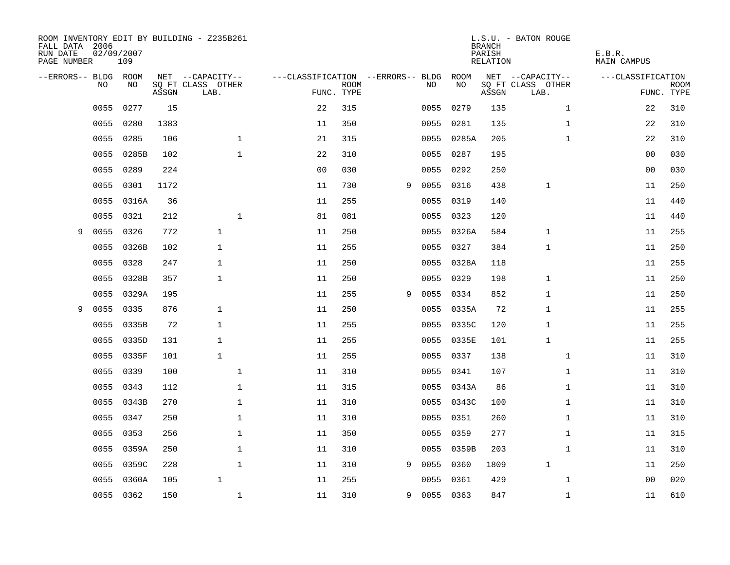| ROOM INVENTORY EDIT BY BUILDING - Z235B261<br>FALL DATA 2006<br>RUN DATE<br>PAGE NUMBER | 02/09/2007 | 109       |       |                           |              |                                   |                           |   |             |            | <b>BRANCH</b><br>PARISH<br>RELATION | L.S.U. - BATON ROUGE      |              | E.B.R.<br><b>MAIN CAMPUS</b> |                           |
|-----------------------------------------------------------------------------------------|------------|-----------|-------|---------------------------|--------------|-----------------------------------|---------------------------|---|-------------|------------|-------------------------------------|---------------------------|--------------|------------------------------|---------------------------|
| --ERRORS-- BLDG ROOM                                                                    |            |           |       | NET --CAPACITY--          |              | ---CLASSIFICATION --ERRORS-- BLDG |                           |   |             | ROOM       |                                     | NET --CAPACITY--          |              | ---CLASSIFICATION            |                           |
|                                                                                         | NO         | NO        | ASSGN | SQ FT CLASS OTHER<br>LAB. |              |                                   | <b>ROOM</b><br>FUNC. TYPE |   | NO.         | NO         | ASSGN                               | SQ FT CLASS OTHER<br>LAB. |              |                              | <b>ROOM</b><br>FUNC. TYPE |
|                                                                                         | 0055       | 0277      | 15    |                           |              | 22                                | 315                       |   | 0055        | 0279       | 135                                 |                           | $\mathbf{1}$ | 22                           | 310                       |
|                                                                                         | 0055       | 0280      | 1383  |                           |              | 11                                | 350                       |   | 0055        | 0281       | 135                                 |                           | $\mathbf{1}$ | 22                           | 310                       |
|                                                                                         | 0055       | 0285      | 106   |                           | $\mathbf 1$  | 21                                | 315                       |   |             | 0055 0285A | 205                                 |                           | $\mathbf{1}$ | 22                           | 310                       |
|                                                                                         | 0055       | 0285B     | 102   |                           | $\mathbf{1}$ | 22                                | 310                       |   |             | 0055 0287  | 195                                 |                           |              | 00                           | 030                       |
|                                                                                         | 0055       | 0289      | 224   |                           |              | 0 <sub>0</sub>                    | 030                       |   | 0055        | 0292       | 250                                 |                           |              | 0 <sub>0</sub>               | 030                       |
|                                                                                         | 0055       | 0301      | 1172  |                           |              | 11                                | 730                       | 9 | 0055 0316   |            | 438                                 | $\mathbf 1$               |              | 11                           | 250                       |
|                                                                                         | 0055       | 0316A     | 36    |                           |              | 11                                | 255                       |   | 0055        | 0319       | 140                                 |                           |              | 11                           | 440                       |
|                                                                                         | 0055       | 0321      | 212   |                           | $\mathbf{1}$ | 81                                | 081                       |   | 0055 0323   |            | 120                                 |                           |              | 11                           | 440                       |
| 9                                                                                       | 0055       | 0326      | 772   | $\mathbf{1}$              |              | 11                                | 250                       |   |             | 0055 0326A | 584                                 | $\mathbf{1}$              |              | 11                           | 255                       |
|                                                                                         | 0055       | 0326B     | 102   | $\mathbf{1}$              |              | 11                                | 255                       |   |             | 0055 0327  | 384                                 | 1                         |              | 11                           | 250                       |
|                                                                                         | 0055       | 0328      | 247   | $\mathbf{1}$              |              | 11                                | 250                       |   |             | 0055 0328A | 118                                 |                           |              | 11                           | 255                       |
|                                                                                         | 0055       | 0328B     | 357   | $\mathbf{1}$              |              | 11                                | 250                       |   |             | 0055 0329  | 198                                 | $\mathbf{1}$              |              | 11                           | 250                       |
|                                                                                         | 0055       | 0329A     | 195   |                           |              | 11                                | 255                       | 9 | 0055        | 0334       | 852                                 | $\mathbf{1}$              |              | 11                           | 250                       |
| 9                                                                                       | 0055       | 0335      | 876   | $\mathbf{1}$              |              | 11                                | 250                       |   |             | 0055 0335A | 72                                  | 1                         |              | 11                           | 255                       |
|                                                                                         | 0055       | 0335B     | 72    | $\mathbf{1}$              |              | 11                                | 255                       |   |             | 0055 0335C | 120                                 | 1                         |              | 11                           | 255                       |
|                                                                                         | 0055       | 0335D     | 131   | $\mathbf{1}$              |              | 11                                | 255                       |   |             | 0055 0335E | 101                                 | 1                         |              | 11                           | 255                       |
|                                                                                         | 0055       | 0335F     | 101   | $\mathbf{1}$              |              | 11                                | 255                       |   | 0055        | 0337       | 138                                 |                           | $\mathbf{1}$ | 11                           | 310                       |
|                                                                                         | 0055       | 0339      | 100   |                           | $\mathbf{1}$ | 11                                | 310                       |   |             | 0055 0341  | 107                                 |                           | $\mathbf{1}$ | 11                           | 310                       |
|                                                                                         | 0055       | 0343      | 112   |                           | $\mathbf 1$  | 11                                | 315                       |   |             | 0055 0343A | 86                                  |                           | $\mathbf{1}$ | 11                           | 310                       |
|                                                                                         | 0055       | 0343B     | 270   |                           | $\mathbf{1}$ | 11                                | 310                       |   |             | 0055 0343C | 100                                 |                           | $\mathbf{1}$ | 11                           | 310                       |
|                                                                                         | 0055       | 0347      | 250   |                           | $\mathbf{1}$ | 11                                | 310                       |   | 0055 0351   |            | 260                                 |                           | $\mathbf{1}$ | 11                           | 310                       |
|                                                                                         | 0055       | 0353      | 256   |                           | $\mathbf 1$  | 11                                | 350                       |   | 0055        | 0359       | 277                                 |                           | $\mathbf{1}$ | 11                           | 315                       |
|                                                                                         | 0055       | 0359A     | 250   |                           | $\mathbf 1$  | 11                                | 310                       |   |             | 0055 0359B | 203                                 |                           | $\mathbf{1}$ | 11                           | 310                       |
|                                                                                         | 0055       | 0359C     | 228   |                           | $\mathbf{1}$ | 11                                | 310                       | 9 | 0055        | 0360       | 1809                                | $\mathbf 1$               |              | 11                           | 250                       |
|                                                                                         | 0055       | 0360A     | 105   | $\mathbf{1}$              |              | 11                                | 255                       |   | 0055        | 0361       | 429                                 |                           | $\mathbf{1}$ | 00                           | 020                       |
|                                                                                         |            | 0055 0362 | 150   |                           | $\mathbf{1}$ | 11                                | 310                       |   | 9 0055 0363 |            | 847                                 |                           | $\mathbf{1}$ | 11                           | 610                       |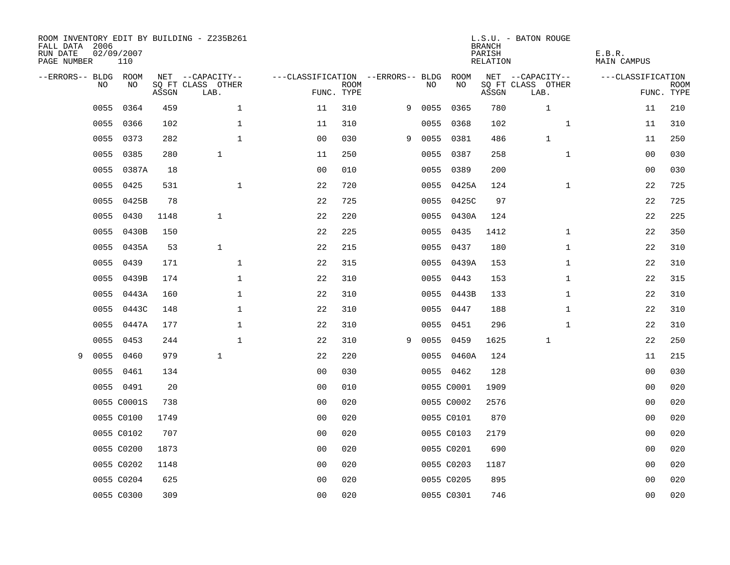| FALL DATA 2006<br>RUN DATE<br>PAGE NUMBER | 02/09/2007<br>110 |       | ROOM INVENTORY EDIT BY BUILDING - Z235B261 |                                        |             |   |      |            | <b>BRANCH</b><br>PARISH<br>RELATION | L.S.U. - BATON ROUGE      | E.B.R.<br>MAIN CAMPUS |                           |
|-------------------------------------------|-------------------|-------|--------------------------------------------|----------------------------------------|-------------|---|------|------------|-------------------------------------|---------------------------|-----------------------|---------------------------|
| --ERRORS-- BLDG ROOM                      |                   |       | NET --CAPACITY--                           | ---CLASSIFICATION --ERRORS-- BLDG ROOM |             |   |      |            |                                     | NET --CAPACITY--          | ---CLASSIFICATION     |                           |
| NO.                                       | NO.               | ASSGN | SQ FT CLASS OTHER<br>LAB.                  | FUNC. TYPE                             | <b>ROOM</b> |   | NO.  | NO         | ASSGN                               | SQ FT CLASS OTHER<br>LAB. |                       | <b>ROOM</b><br>FUNC. TYPE |
| 0055                                      | 0364              | 459   | $\mathbf{1}$                               | 11                                     | 310         | 9 |      | 0055 0365  | 780                                 | $\mathbf{1}$              | 11                    | 210                       |
| 0055                                      | 0366              | 102   | $\mathbf{1}$                               | 11                                     | 310         |   |      | 0055 0368  | 102                                 | $\mathbf{1}$              | 11                    | 310                       |
| 0055                                      | 0373              | 282   | $\mathbf{1}$                               | 0 <sub>0</sub>                         | 030         | 9 | 0055 | 0381       | 486                                 | $\mathbf 1$               | 11                    | 250                       |
| 0055                                      | 0385              | 280   | $\mathbf{1}$                               | 11                                     | 250         |   |      | 0055 0387  | 258                                 | $\mathbf{1}$              | 00                    | 030                       |
| 0055                                      | 0387A             | 18    |                                            | 0 <sub>0</sub>                         | 010         |   | 0055 | 0389       | 200                                 |                           | 00                    | 030                       |
| 0055                                      | 0425              | 531   | $\mathbf{1}$                               | 22                                     | 720         |   |      | 0055 0425A | 124                                 | $\mathbf{1}$              | 22                    | 725                       |
| 0055                                      | 0425B             | 78    |                                            | 22                                     | 725         |   |      | 0055 0425C | 97                                  |                           | 22                    | 725                       |
| 0055                                      | 0430              | 1148  | $\mathbf{1}$                               | 22                                     | 220         |   |      | 0055 0430A | 124                                 |                           | 22                    | 225                       |
| 0055                                      | 0430B             | 150   |                                            | 22                                     | 225         |   |      | 0055 0435  | 1412                                | $\mathbf{1}$              | 22                    | 350                       |
| 0055                                      | 0435A             | 53    | $\mathbf{1}$                               | 22                                     | 215         |   |      | 0055 0437  | 180                                 | $\mathbf{1}$              | 22                    | 310                       |
| 0055                                      | 0439              | 171   | $\mathbf{1}$                               | 22                                     | 315         |   |      | 0055 0439A | 153                                 | $\mathbf{1}$              | 22                    | 310                       |
| 0055                                      | 0439B             | 174   | $\mathbf 1$                                | 22                                     | 310         |   |      | 0055 0443  | 153                                 | $\mathbf{1}$              | 22                    | 315                       |
| 0055                                      | 0443A             | 160   | $\mathbf 1$                                | 22                                     | 310         |   |      | 0055 0443B | 133                                 | $\mathbf{1}$              | 22                    | 310                       |
| 0055                                      | 0443C             | 148   | $\mathbf 1$                                | 22                                     | 310         |   |      | 0055 0447  | 188                                 | $\mathbf{1}$              | 22                    | 310                       |
| 0055                                      | 0447A             | 177   | $\mathbf 1$                                | 22                                     | 310         |   |      | 0055 0451  | 296                                 | $\mathbf{1}$              | 22                    | 310                       |
| 0055                                      | 0453              | 244   | $\mathbf{1}$                               | 22                                     | 310         | 9 |      | 0055 0459  | 1625                                | 1                         | 22                    | 250                       |
| 0055<br>9                                 | 0460              | 979   | $\mathbf{1}$                               | 22                                     | 220         |   | 0055 | 0460A      | 124                                 |                           | 11                    | 215                       |
| 0055                                      | 0461              | 134   |                                            | 0 <sub>0</sub>                         | 030         |   |      | 0055 0462  | 128                                 |                           | 00                    | 030                       |
|                                           | 0055 0491         | 20    |                                            | 0 <sub>0</sub>                         | 010         |   |      | 0055 C0001 | 1909                                |                           | 00                    | 020                       |
|                                           | 0055 C0001S       | 738   |                                            | 0 <sub>0</sub>                         | 020         |   |      | 0055 C0002 | 2576                                |                           | 0 <sub>0</sub>        | 020                       |
|                                           | 0055 C0100        | 1749  |                                            | 0 <sub>0</sub>                         | 020         |   |      | 0055 C0101 | 870                                 |                           | 0 <sub>0</sub>        | 020                       |
|                                           | 0055 C0102        | 707   |                                            | 0 <sub>0</sub>                         | 020         |   |      | 0055 C0103 | 2179                                |                           | 00                    | 020                       |
|                                           | 0055 C0200        | 1873  |                                            | 0 <sub>0</sub>                         | 020         |   |      | 0055 C0201 | 690                                 |                           | 00                    | 020                       |
|                                           | 0055 C0202        | 1148  |                                            | 0 <sub>0</sub>                         | 020         |   |      | 0055 C0203 | 1187                                |                           | 00                    | 020                       |
|                                           | 0055 C0204        | 625   |                                            | 0 <sub>0</sub>                         | 020         |   |      | 0055 C0205 | 895                                 |                           | 00                    | 020                       |
|                                           | 0055 C0300        | 309   |                                            | 0 <sub>0</sub>                         | 020         |   |      | 0055 C0301 | 746                                 |                           | 0 <sub>0</sub>        | 020                       |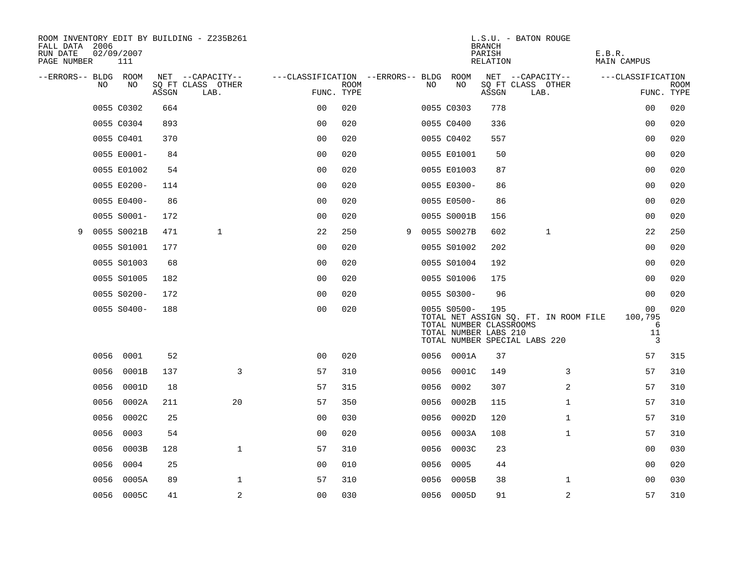| ROOM INVENTORY EDIT BY BUILDING - Z235B261<br>FALL DATA 2006<br>RUN DATE<br>PAGE NUMBER |      | 02/09/2007<br>111 |       |                           |             |                |                           |                                   |      |                                                                 | <b>BRANCH</b><br>PARISH<br><b>RELATION</b> | L.S.U. - BATON ROUGE                                                   | E.B.R.<br><b>MAIN CAMPUS</b>  |                           |
|-----------------------------------------------------------------------------------------|------|-------------------|-------|---------------------------|-------------|----------------|---------------------------|-----------------------------------|------|-----------------------------------------------------------------|--------------------------------------------|------------------------------------------------------------------------|-------------------------------|---------------------------|
| --ERRORS-- BLDG ROOM                                                                    |      |                   |       | NET --CAPACITY--          |             |                |                           | ---CLASSIFICATION --ERRORS-- BLDG |      | ROOM                                                            |                                            | NET --CAPACITY--                                                       | ---CLASSIFICATION             |                           |
|                                                                                         | NO   | NO                | ASSGN | SO FT CLASS OTHER<br>LAB. |             |                | <b>ROOM</b><br>FUNC. TYPE |                                   | NO   | NO                                                              | ASSGN                                      | SQ FT CLASS OTHER<br>LAB.                                              |                               | <b>ROOM</b><br>FUNC. TYPE |
|                                                                                         |      | 0055 C0302        | 664   |                           |             | 0 <sub>0</sub> | 020                       |                                   |      | 0055 C0303                                                      | 778                                        |                                                                        | 0 <sub>0</sub>                | 020                       |
|                                                                                         |      | 0055 C0304        | 893   |                           |             | 0 <sup>0</sup> | 020                       |                                   |      | 0055 C0400                                                      | 336                                        |                                                                        | 00                            | 020                       |
|                                                                                         |      | 0055 C0401        | 370   |                           |             | 0 <sub>0</sub> | 020                       |                                   |      | 0055 C0402                                                      | 557                                        |                                                                        | 0 <sub>0</sub>                | 020                       |
|                                                                                         |      | 0055 E0001-       | 84    |                           |             | 0 <sub>0</sub> | 020                       |                                   |      | 0055 E01001                                                     | 50                                         |                                                                        | 00                            | 020                       |
|                                                                                         |      | 0055 E01002       | 54    |                           |             | 00             | 020                       |                                   |      | 0055 E01003                                                     | 87                                         |                                                                        | 00                            | 020                       |
|                                                                                         |      | 0055 E0200-       | 114   |                           |             | 0 <sub>0</sub> | 020                       |                                   |      | 0055 E0300-                                                     | 86                                         |                                                                        | 0 <sub>0</sub>                | 020                       |
|                                                                                         |      | 0055 E0400-       | 86    |                           |             | 0 <sub>0</sub> | 020                       |                                   |      | 0055 E0500-                                                     | 86                                         |                                                                        | 00                            | 020                       |
|                                                                                         |      | 0055 S0001-       | 172   |                           |             | 0 <sub>0</sub> | 020                       |                                   |      | 0055 S0001B                                                     | 156                                        |                                                                        | 0 <sub>0</sub>                | 020                       |
| 9                                                                                       |      | 0055 S0021B       | 471   |                           | 1           | 22             | 250                       | 9                                 |      | 0055 S0027B                                                     | 602                                        | 1                                                                      | 22                            | 250                       |
|                                                                                         |      | 0055 S01001       | 177   |                           |             | 0 <sub>0</sub> | 020                       |                                   |      | 0055 S01002                                                     | 202                                        |                                                                        | 00                            | 020                       |
|                                                                                         |      | 0055 S01003       | 68    |                           |             | 0 <sub>0</sub> | 020                       |                                   |      | 0055 S01004                                                     | 192                                        |                                                                        | 0 <sub>0</sub>                | 020                       |
|                                                                                         |      | 0055 S01005       | 182   |                           |             | 0 <sub>0</sub> | 020                       |                                   |      | 0055 S01006                                                     | 175                                        |                                                                        | 0 <sub>0</sub>                | 020                       |
|                                                                                         |      | 0055 S0200-       | 172   |                           |             | 00             | 020                       |                                   |      | 0055 S0300-                                                     | 96                                         |                                                                        | 00                            | 020                       |
|                                                                                         |      | 0055 S0400-       | 188   |                           |             | 0 <sub>0</sub> | 020                       |                                   |      | 0055 S0500-<br>TOTAL NUMBER CLASSROOMS<br>TOTAL NUMBER LABS 210 | 195                                        | TOTAL NET ASSIGN SQ. FT. IN ROOM FILE<br>TOTAL NUMBER SPECIAL LABS 220 | 00<br>100,795<br>6<br>11<br>3 | 020                       |
|                                                                                         |      | 0056 0001         | 52    |                           |             | 0 <sub>0</sub> | 020                       |                                   |      | 0056 0001A                                                      | 37                                         |                                                                        | 57                            | 315                       |
|                                                                                         | 0056 | 0001B             | 137   |                           | 3           | 57             | 310                       |                                   | 0056 | 0001C                                                           | 149                                        | 3                                                                      | 57                            | 310                       |
|                                                                                         | 0056 | 0001D             | 18    |                           |             | 57             | 315                       |                                   | 0056 | 0002                                                            | 307                                        | 2                                                                      | 57                            | 310                       |
|                                                                                         | 0056 | 0002A             | 211   |                           | 20          | 57             | 350                       |                                   | 0056 | 0002B                                                           | 115                                        | $\mathbf{1}$                                                           | 57                            | 310                       |
|                                                                                         | 0056 | 0002C             | 25    |                           |             | 0 <sub>0</sub> | 030                       |                                   | 0056 | 0002D                                                           | 120                                        | $\mathbf{1}$                                                           | 57                            | 310                       |
|                                                                                         | 0056 | 0003              | 54    |                           |             | 0 <sub>0</sub> | 020                       |                                   | 0056 | 0003A                                                           | 108                                        | $\mathbf{1}$                                                           | 57                            | 310                       |
|                                                                                         | 0056 | 0003B             | 128   |                           | $\mathbf 1$ | 57             | 310                       |                                   | 0056 | 0003C                                                           | 23                                         |                                                                        | 00                            | 030                       |
|                                                                                         | 0056 | 0004              | 25    |                           |             | 0 <sub>0</sub> | 010                       |                                   | 0056 | 0005                                                            | 44                                         |                                                                        | 00                            | 020                       |
|                                                                                         | 0056 | 0005A             | 89    |                           | $\mathbf 1$ | 57             | 310                       |                                   | 0056 | 0005B                                                           | 38                                         | $\mathbf{1}$                                                           | 00                            | 030                       |
|                                                                                         |      | 0056 0005C        | 41    |                           | 2           | 0 <sub>0</sub> | 030                       |                                   |      | 0056 0005D                                                      | 91                                         | 2                                                                      | 57                            | 310                       |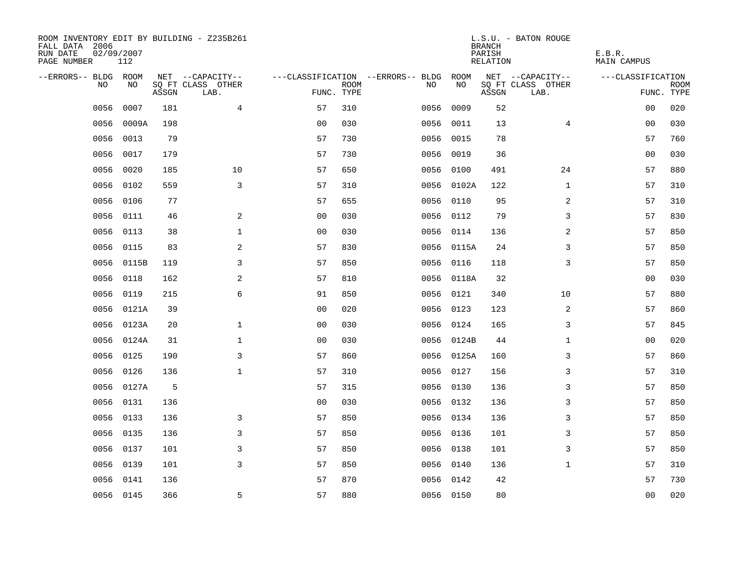| ROOM INVENTORY EDIT BY BUILDING - Z235B261<br>FALL DATA 2006<br>RUN DATE<br>PAGE NUMBER | 02/09/2007<br>112 |       |                           |                |             |                                   |            | <b>BRANCH</b><br>PARISH<br>RELATION | L.S.U. - BATON ROUGE      | E.B.R.<br><b>MAIN CAMPUS</b> |                           |
|-----------------------------------------------------------------------------------------|-------------------|-------|---------------------------|----------------|-------------|-----------------------------------|------------|-------------------------------------|---------------------------|------------------------------|---------------------------|
| --ERRORS-- BLDG ROOM                                                                    |                   |       | NET --CAPACITY--          |                |             | ---CLASSIFICATION --ERRORS-- BLDG | ROOM       |                                     | NET --CAPACITY--          | ---CLASSIFICATION            |                           |
| N <sub>O</sub>                                                                          | NO.               | ASSGN | SO FT CLASS OTHER<br>LAB. | FUNC. TYPE     | <b>ROOM</b> | NO.                               | NO         | ASSGN                               | SQ FT CLASS OTHER<br>LAB. |                              | <b>ROOM</b><br>FUNC. TYPE |
| 0056                                                                                    | 0007              | 181   | $\overline{4}$            | 57             | 310         | 0056                              | 0009       | 52                                  |                           | 00                           | 020                       |
| 0056                                                                                    | 0009A             | 198   |                           | 0 <sub>0</sub> | 030         | 0056                              | 0011       | 13                                  | $\overline{4}$            | 0 <sub>0</sub>               | 030                       |
| 0056                                                                                    | 0013              | 79    |                           | 57             | 730         | 0056                              | 0015       | 78                                  |                           | 57                           | 760                       |
| 0056                                                                                    | 0017              | 179   |                           | 57             | 730         | 0056                              | 0019       | 36                                  |                           | 0 <sub>0</sub>               | 030                       |
| 0056                                                                                    | 0020              | 185   | 10                        | 57             | 650         | 0056                              | 0100       | 491                                 | 24                        | 57                           | 880                       |
| 0056                                                                                    | 0102              | 559   | 3                         | 57             | 310         |                                   | 0056 0102A | 122                                 | $\mathbf{1}$              | 57                           | 310                       |
| 0056                                                                                    | 0106              | 77    |                           | 57             | 655         | 0056                              | 0110       | 95                                  | $\overline{a}$            | 57                           | 310                       |
| 0056                                                                                    | 0111              | 46    | $\mathbf{2}$              | 0 <sub>0</sub> | 030         |                                   | 0056 0112  | 79                                  | 3                         | 57                           | 830                       |
| 0056                                                                                    | 0113              | 38    | $\mathbf 1$               | 0 <sub>0</sub> | 030         | 0056                              | 0114       | 136                                 | 2                         | 57                           | 850                       |
| 0056                                                                                    | 0115              | 83    | 2                         | 57             | 830         |                                   | 0056 0115A | 24                                  | 3                         | 57                           | 850                       |
| 0056                                                                                    | 0115B             | 119   | 3                         | 57             | 850         | 0056                              | 0116       | 118                                 | 3                         | 57                           | 850                       |
| 0056                                                                                    | 0118              | 162   | 2                         | 57             | 810         |                                   | 0056 0118A | 32                                  |                           | 0 <sub>0</sub>               | 030                       |
| 0056                                                                                    | 0119              | 215   | 6                         | 91             | 850         | 0056                              | 0121       | 340                                 | 10                        | 57                           | 880                       |
| 0056                                                                                    | 0121A             | 39    |                           | 0 <sub>0</sub> | 020         |                                   | 0056 0123  | 123                                 | 2                         | 57                           | 860                       |
| 0056                                                                                    | 0123A             | 20    | $\mathbf 1$               | 0 <sub>0</sub> | 030         |                                   | 0056 0124  | 165                                 | 3                         | 57                           | 845                       |
| 0056                                                                                    | 0124A             | 31    | $\mathbf{1}$              | 0 <sub>0</sub> | 030         |                                   | 0056 0124B | 44                                  | $\mathbf{1}$              | 0 <sub>0</sub>               | 020                       |
| 0056                                                                                    | 0125              | 190   | 3                         | 57             | 860         |                                   | 0056 0125A | 160                                 | 3                         | 57                           | 860                       |
| 0056                                                                                    | 0126              | 136   | $\mathbf{1}$              | 57             | 310         |                                   | 0056 0127  | 156                                 | 3                         | 57                           | 310                       |
|                                                                                         | 0056 0127A        | 5     |                           | 57             | 315         |                                   | 0056 0130  | 136                                 | 3                         | 57                           | 850                       |
| 0056                                                                                    | 0131              | 136   |                           | 00             | 030         |                                   | 0056 0132  | 136                                 | 3                         | 57                           | 850                       |
| 0056                                                                                    | 0133              | 136   | 3                         | 57             | 850         |                                   | 0056 0134  | 136                                 | 3                         | 57                           | 850                       |
| 0056                                                                                    | 0135              | 136   | $\mathsf{3}$              | 57             | 850         |                                   | 0056 0136  | 101                                 | 3                         | 57                           | 850                       |
| 0056                                                                                    | 0137              | 101   | 3                         | 57             | 850         |                                   | 0056 0138  | 101                                 | 3                         | 57                           | 850                       |
| 0056                                                                                    | 0139              | 101   | 3                         | 57             | 850         |                                   | 0056 0140  | 136                                 | $\mathbf{1}$              | 57                           | 310                       |
| 0056                                                                                    | 0141              | 136   |                           | 57             | 870         |                                   | 0056 0142  | 42                                  |                           | 57                           | 730                       |
|                                                                                         | 0056 0145         | 366   | 5                         | 57             | 880         |                                   | 0056 0150  | 80                                  |                           | 0 <sub>0</sub>               | 020                       |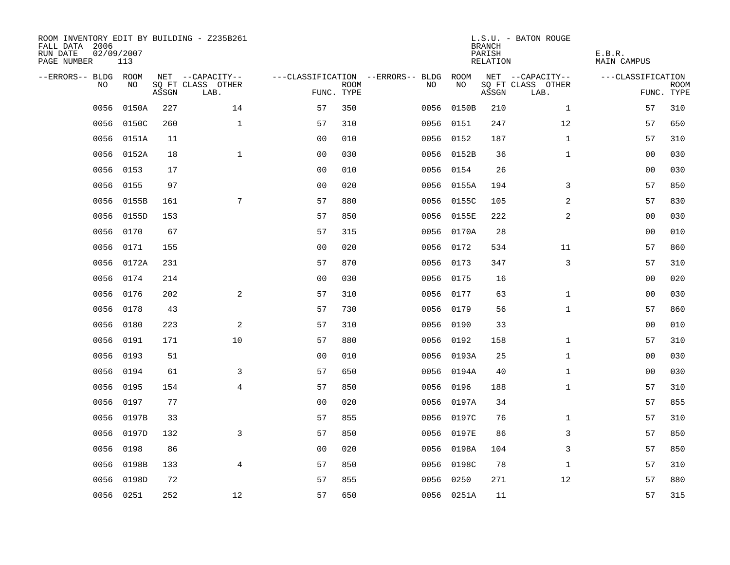| ROOM INVENTORY EDIT BY BUILDING - Z235B261<br>FALL DATA 2006<br>RUN DATE<br>PAGE NUMBER | 02/09/2007<br>113 |       |                           |                |             |                                   |            | <b>BRANCH</b><br>PARISH<br><b>RELATION</b> | L.S.U. - BATON ROUGE      | E.B.R.<br><b>MAIN CAMPUS</b> |                           |
|-----------------------------------------------------------------------------------------|-------------------|-------|---------------------------|----------------|-------------|-----------------------------------|------------|--------------------------------------------|---------------------------|------------------------------|---------------------------|
| --ERRORS-- BLDG ROOM                                                                    |                   |       | NET --CAPACITY--          |                |             | ---CLASSIFICATION --ERRORS-- BLDG | ROOM       |                                            | NET --CAPACITY--          | ---CLASSIFICATION            |                           |
| <b>NO</b>                                                                               | NO.               | ASSGN | SO FT CLASS OTHER<br>LAB. | FUNC. TYPE     | <b>ROOM</b> | NO.                               | NO         | ASSGN                                      | SQ FT CLASS OTHER<br>LAB. |                              | <b>ROOM</b><br>FUNC. TYPE |
| 0056                                                                                    | 0150A             | 227   | 14                        | 57             | 350         | 0056                              | 0150B      | 210                                        | $\mathbf{1}$              | 57                           | 310                       |
| 0056                                                                                    | 0150C             | 260   | $\mathbf{1}$              | 57             | 310         |                                   | 0056 0151  | 247                                        | 12                        | 57                           | 650                       |
| 0056                                                                                    | 0151A             | 11    |                           | 0 <sub>0</sub> | 010         |                                   | 0056 0152  | 187                                        | $\mathbf{1}$              | 57                           | 310                       |
| 0056                                                                                    | 0152A             | 18    | $\mathbf{1}$              | 0 <sub>0</sub> | 030         |                                   | 0056 0152B | 36                                         | $\mathbf{1}$              | 00                           | 030                       |
| 0056                                                                                    | 0153              | 17    |                           | 00             | 010         | 0056                              | 0154       | 26                                         |                           | 0 <sub>0</sub>               | 030                       |
| 0056                                                                                    | 0155              | 97    |                           | 0 <sub>0</sub> | 020         |                                   | 0056 0155A | 194                                        | 3                         | 57                           | 850                       |
| 0056                                                                                    | 0155B             | 161   | 7                         | 57             | 880         | 0056                              | 0155C      | 105                                        | $\overline{a}$            | 57                           | 830                       |
| 0056                                                                                    | 0155D             | 153   |                           | 57             | 850         |                                   | 0056 0155E | 222                                        | 2                         | 00                           | 030                       |
| 0056                                                                                    | 0170              | 67    |                           | 57             | 315         |                                   | 0056 0170A | 28                                         |                           | 0 <sub>0</sub>               | 010                       |
| 0056                                                                                    | 0171              | 155   |                           | 0 <sub>0</sub> | 020         |                                   | 0056 0172  | 534                                        | 11                        | 57                           | 860                       |
| 0056                                                                                    | 0172A             | 231   |                           | 57             | 870         |                                   | 0056 0173  | 347                                        | 3                         | 57                           | 310                       |
|                                                                                         | 0056 0174         | 214   |                           | 0 <sub>0</sub> | 030         |                                   | 0056 0175  | 16                                         |                           | 0 <sub>0</sub>               | 020                       |
| 0056                                                                                    | 0176              | 202   | 2                         | 57             | 310         | 0056                              | 0177       | 63                                         | $\mathbf{1}$              | 00                           | 030                       |
| 0056                                                                                    | 0178              | 43    |                           | 57             | 730         |                                   | 0056 0179  | 56                                         | $\mathbf{1}$              | 57                           | 860                       |
| 0056                                                                                    | 0180              | 223   | 2                         | 57             | 310         | 0056                              | 0190       | 33                                         |                           | 00                           | 010                       |
| 0056                                                                                    | 0191              | 171   | 10                        | 57             | 880         |                                   | 0056 0192  | 158                                        | $\mathbf{1}$              | 57                           | 310                       |
| 0056                                                                                    | 0193              | 51    |                           | 0 <sub>0</sub> | 010         |                                   | 0056 0193A | 25                                         | $\mathbf{1}$              | 00                           | 030                       |
| 0056                                                                                    | 0194              | 61    | 3                         | 57             | 650         |                                   | 0056 0194A | 40                                         | $\mathbf{1}$              | 00                           | 030                       |
| 0056                                                                                    | 0195              | 154   | $\overline{4}$            | 57             | 850         |                                   | 0056 0196  | 188                                        | $\mathbf{1}$              | 57                           | 310                       |
| 0056                                                                                    | 0197              | 77    |                           | 0 <sub>0</sub> | 020         |                                   | 0056 0197A | 34                                         |                           | 57                           | 855                       |
|                                                                                         | 0056 0197B        | 33    |                           | 57             | 855         |                                   | 0056 0197C | 76                                         | $\mathbf{1}$              | 57                           | 310                       |
| 0056                                                                                    | 0197D             | 132   | 3                         | 57             | 850         |                                   | 0056 0197E | 86                                         | 3                         | 57                           | 850                       |
| 0056                                                                                    | 0198              | 86    |                           | 0 <sub>0</sub> | 020         |                                   | 0056 0198A | 104                                        | 3                         | 57                           | 850                       |
| 0056                                                                                    | 0198B             | 133   | $\overline{4}$            | 57             | 850         |                                   | 0056 0198C | 78                                         | $\mathbf{1}$              | 57                           | 310                       |
| 0056                                                                                    | 0198D             | 72    |                           | 57             | 855         |                                   | 0056 0250  | 271                                        | 12                        | 57                           | 880                       |
|                                                                                         | 0056 0251         | 252   | 12                        | 57             | 650         |                                   | 0056 0251A | 11                                         |                           | 57                           | 315                       |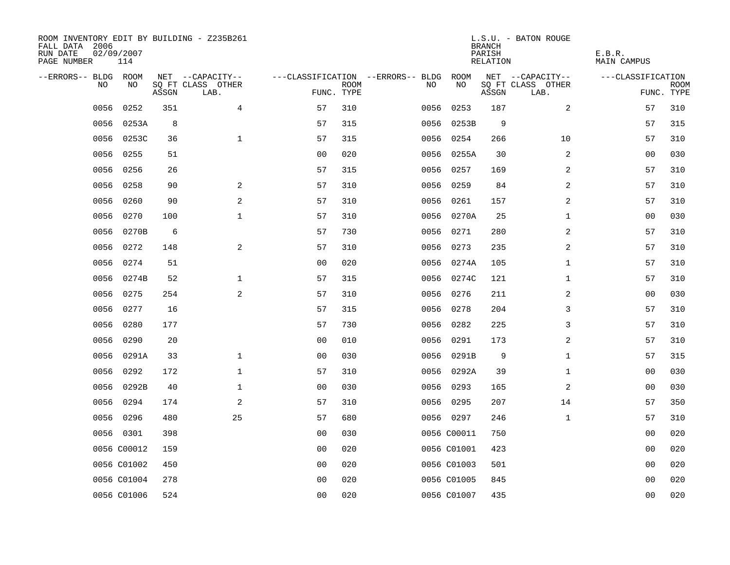| ROOM INVENTORY EDIT BY BUILDING - Z235B261<br>FALL DATA 2006<br>RUN DATE<br>PAGE NUMBER | 02/09/2007<br>114 |       |                           |                |             |                                   |             | <b>BRANCH</b><br>PARISH<br>RELATION | L.S.U. - BATON ROUGE      | E.B.R.<br>MAIN CAMPUS |                           |
|-----------------------------------------------------------------------------------------|-------------------|-------|---------------------------|----------------|-------------|-----------------------------------|-------------|-------------------------------------|---------------------------|-----------------------|---------------------------|
| --ERRORS-- BLDG ROOM                                                                    |                   |       | NET --CAPACITY--          |                |             | ---CLASSIFICATION --ERRORS-- BLDG | ROOM        |                                     | NET --CAPACITY--          | ---CLASSIFICATION     |                           |
| NO                                                                                      | NO                | ASSGN | SQ FT CLASS OTHER<br>LAB. | FUNC. TYPE     | <b>ROOM</b> | NO.                               | NO          | ASSGN                               | SQ FT CLASS OTHER<br>LAB. |                       | <b>ROOM</b><br>FUNC. TYPE |
| 0056                                                                                    | 0252              | 351   | $\overline{4}$            | 57             | 310         | 0056                              | 0253        | 187                                 | 2                         | 57                    | 310                       |
| 0056                                                                                    | 0253A             | 8     |                           | 57             | 315         |                                   | 0056 0253B  | 9                                   |                           | 57                    | 315                       |
|                                                                                         | 0056 0253C        | 36    | $\mathbf 1$               | 57             | 315         |                                   | 0056 0254   | 266                                 | 10                        | 57                    | 310                       |
| 0056                                                                                    | 0255              | 51    |                           | 0 <sub>0</sub> | 020         |                                   | 0056 0255A  | 30                                  | 2                         | 00                    | 030                       |
| 0056                                                                                    | 0256              | 26    |                           | 57             | 315         | 0056                              | 0257        | 169                                 | 2                         | 57                    | 310                       |
| 0056                                                                                    | 0258              | 90    | 2                         | 57             | 310         |                                   | 0056 0259   | 84                                  | 2                         | 57                    | 310                       |
| 0056                                                                                    | 0260              | 90    | 2                         | 57             | 310         |                                   | 0056 0261   | 157                                 | 2                         | 57                    | 310                       |
| 0056                                                                                    | 0270              | 100   | $\mathbf{1}$              | 57             | 310         |                                   | 0056 0270A  | 25                                  | $\mathbf{1}$              | 00                    | 030                       |
| 0056                                                                                    | 0270B             | 6     |                           | 57             | 730         |                                   | 0056 0271   | 280                                 | $\overline{a}$            | 57                    | 310                       |
| 0056                                                                                    | 0272              | 148   | $\mathbf{2}$              | 57             | 310         |                                   | 0056 0273   | 235                                 | $\overline{a}$            | 57                    | 310                       |
| 0056                                                                                    | 0274              | 51    |                           | 0 <sub>0</sub> | 020         |                                   | 0056 0274A  | 105                                 | $\mathbf{1}$              | 57                    | 310                       |
| 0056                                                                                    | 0274B             | 52    | $\mathbf{1}$              | 57             | 315         |                                   | 0056 0274C  | 121                                 | $\mathbf{1}$              | 57                    | 310                       |
| 0056                                                                                    | 0275              | 254   | 2                         | 57             | 310         | 0056                              | 0276        | 211                                 | 2                         | 0 <sub>0</sub>        | 030                       |
| 0056                                                                                    | 0277              | 16    |                           | 57             | 315         |                                   | 0056 0278   | 204                                 | 3                         | 57                    | 310                       |
| 0056                                                                                    | 0280              | 177   |                           | 57             | 730         | 0056                              | 0282        | 225                                 | 3                         | 57                    | 310                       |
| 0056                                                                                    | 0290              | 20    |                           | 0 <sub>0</sub> | 010         |                                   | 0056 0291   | 173                                 | 2                         | 57                    | 310                       |
| 0056                                                                                    | 0291A             | 33    | $\mathbf 1$               | 0 <sub>0</sub> | 030         | 0056                              | 0291B       | 9                                   | $\mathbf{1}$              | 57                    | 315                       |
| 0056                                                                                    | 0292              | 172   | $\mathbf 1$               | 57             | 310         |                                   | 0056 0292A  | 39                                  | $\mathbf{1}$              | 00                    | 030                       |
| 0056                                                                                    | 0292B             | 40    | $\mathbf 1$               | 0 <sub>0</sub> | 030         |                                   | 0056 0293   | 165                                 | 2                         | 00                    | 030                       |
| 0056                                                                                    | 0294              | 174   | 2                         | 57             | 310         |                                   | 0056 0295   | 207                                 | 14                        | 57                    | 350                       |
|                                                                                         | 0056 0296         | 480   | 25                        | 57             | 680         |                                   | 0056 0297   | 246                                 | $\mathbf{1}$              | 57                    | 310                       |
|                                                                                         | 0056 0301         | 398   |                           | 0 <sub>0</sub> | 030         |                                   | 0056 C00011 | 750                                 |                           | 00                    | 020                       |
|                                                                                         | 0056 C00012       | 159   |                           | 0 <sub>0</sub> | 020         |                                   | 0056 C01001 | 423                                 |                           | 00                    | 020                       |
|                                                                                         | 0056 C01002       | 450   |                           | 0 <sub>0</sub> | 020         |                                   | 0056 C01003 | 501                                 |                           | 00                    | 020                       |
|                                                                                         | 0056 C01004       | 278   |                           | 0 <sub>0</sub> | 020         |                                   | 0056 C01005 | 845                                 |                           | 00                    | 020                       |
|                                                                                         | 0056 C01006       | 524   |                           | 0 <sub>0</sub> | 020         |                                   | 0056 C01007 | 435                                 |                           | 0 <sub>0</sub>        | 020                       |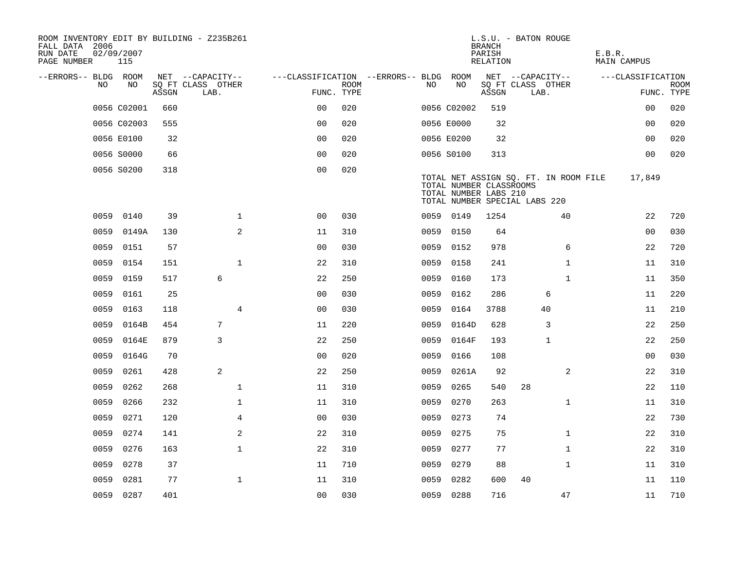| ROOM INVENTORY EDIT BY BUILDING - Z235B261<br>FALL DATA 2006<br>RUN DATE<br>PAGE NUMBER | 02/09/2007<br>115 |       |                           |                                        |             |      |                                                  | <b>BRANCH</b><br>PARISH<br>RELATION | L.S.U. - BATON ROUGE                                                   | E.B.R.<br>MAIN CAMPUS |                           |
|-----------------------------------------------------------------------------------------|-------------------|-------|---------------------------|----------------------------------------|-------------|------|--------------------------------------------------|-------------------------------------|------------------------------------------------------------------------|-----------------------|---------------------------|
| --ERRORS-- BLDG ROOM                                                                    |                   |       | NET --CAPACITY--          | ---CLASSIFICATION --ERRORS-- BLDG ROOM |             |      |                                                  |                                     | NET --CAPACITY--                                                       | ---CLASSIFICATION     |                           |
| NO.                                                                                     | NO.               | ASSGN | SQ FT CLASS OTHER<br>LAB. | FUNC. TYPE                             | <b>ROOM</b> | NO.  | NO                                               | ASSGN                               | SQ FT CLASS OTHER<br>LAB.                                              |                       | <b>ROOM</b><br>FUNC. TYPE |
|                                                                                         | 0056 C02001       | 660   |                           | 0 <sub>0</sub>                         | 020         |      | 0056 C02002                                      | 519                                 |                                                                        | 0 <sub>0</sub>        | 020                       |
|                                                                                         | 0056 C02003       | 555   |                           | 0 <sub>0</sub>                         | 020         |      | 0056 E0000                                       | 32                                  |                                                                        | 0 <sub>0</sub>        | 020                       |
|                                                                                         | 0056 E0100        | 32    |                           | 0 <sub>0</sub>                         | 020         |      | 0056 E0200                                       | 32                                  |                                                                        | 0 <sub>0</sub>        | 020                       |
|                                                                                         | 0056 S0000        | 66    |                           | 0 <sub>0</sub>                         | 020         |      | 0056 S0100                                       | 313                                 |                                                                        | 00                    | 020                       |
|                                                                                         | 0056 S0200        | 318   |                           | 0 <sub>0</sub>                         | 020         |      | TOTAL NUMBER CLASSROOMS<br>TOTAL NUMBER LABS 210 |                                     | TOTAL NET ASSIGN SQ. FT. IN ROOM FILE<br>TOTAL NUMBER SPECIAL LABS 220 | 17,849                |                           |
| 0059                                                                                    | 0140              | 39    | $\mathbf 1$               | 0 <sub>0</sub>                         | 030         |      | 0059 0149                                        | 1254                                | 40                                                                     | 22                    | 720                       |
| 0059                                                                                    | 0149A             | 130   | 2                         | 11                                     | 310         | 0059 | 0150                                             | 64                                  |                                                                        | 0 <sub>0</sub>        | 030                       |
| 0059                                                                                    | 0151              | 57    |                           | 0 <sub>0</sub>                         | 030         |      | 0059 0152                                        | 978                                 | 6                                                                      | 22                    | 720                       |
| 0059                                                                                    | 0154              | 151   | $\mathbf{1}$              | 22                                     | 310         | 0059 | 0158                                             | 241                                 | $\mathbf{1}$                                                           | 11                    | 310                       |
| 0059                                                                                    | 0159              | 517   | 6                         | 22                                     | 250         | 0059 | 0160                                             | 173                                 | $\mathbf{1}$                                                           | 11                    | 350                       |
| 0059                                                                                    | 0161              | 25    |                           | 0 <sub>0</sub>                         | 030         | 0059 | 0162                                             | 286                                 | 6                                                                      | 11                    | 220                       |
| 0059                                                                                    | 0163              | 118   | 4                         | 0 <sub>0</sub>                         | 030         | 0059 | 0164                                             | 3788                                | 40                                                                     | 11                    | 210                       |
| 0059                                                                                    | 0164B             | 454   | 7                         | 11                                     | 220         | 0059 | 0164D                                            | 628                                 | 3                                                                      | 22                    | 250                       |
| 0059                                                                                    | 0164E             | 879   | 3                         | 22                                     | 250         | 0059 | 0164F                                            | 193                                 | $\mathbf{1}$                                                           | 22                    | 250                       |
| 0059                                                                                    | 0164G             | 70    |                           | 0 <sub>0</sub>                         | 020         | 0059 | 0166                                             | 108                                 |                                                                        | 00                    | 030                       |
| 0059                                                                                    | 0261              | 428   | 2                         | 22                                     | 250         | 0059 | 0261A                                            | 92                                  | 2                                                                      | 22                    | 310                       |
| 0059                                                                                    | 0262              | 268   | $\mathbf{1}$              | 11                                     | 310         | 0059 | 0265                                             | 540                                 | 28                                                                     | 22                    | 110                       |
| 0059                                                                                    | 0266              | 232   | $\mathbf{1}$              | 11                                     | 310         | 0059 | 0270                                             | 263                                 | $\mathbf{1}$                                                           | 11                    | 310                       |
| 0059                                                                                    | 0271              | 120   | $\overline{4}$            | 0 <sub>0</sub>                         | 030         | 0059 | 0273                                             | 74                                  |                                                                        | 22                    | 730                       |
| 0059                                                                                    | 0274              | 141   | 2                         | 22                                     | 310         | 0059 | 0275                                             | 75                                  | $\mathbf{1}$                                                           | 22                    | 310                       |
| 0059                                                                                    | 0276              | 163   | $\mathbf 1$               | 22                                     | 310         | 0059 | 0277                                             | 77                                  | $\mathbf{1}$                                                           | 22                    | 310                       |
| 0059                                                                                    | 0278              | 37    |                           | 11                                     | 710         | 0059 | 0279                                             | 88                                  | $\mathbf{1}$                                                           | 11                    | 310                       |
| 0059                                                                                    | 0281              | 77    | $\mathbf 1$               | 11                                     | 310         | 0059 | 0282                                             | 600                                 | 40                                                                     | 11                    | 110                       |
|                                                                                         | 0059 0287         | 401   |                           | 0 <sub>0</sub>                         | 030         |      | 0059 0288                                        | 716                                 | 47                                                                     | 11                    | 710                       |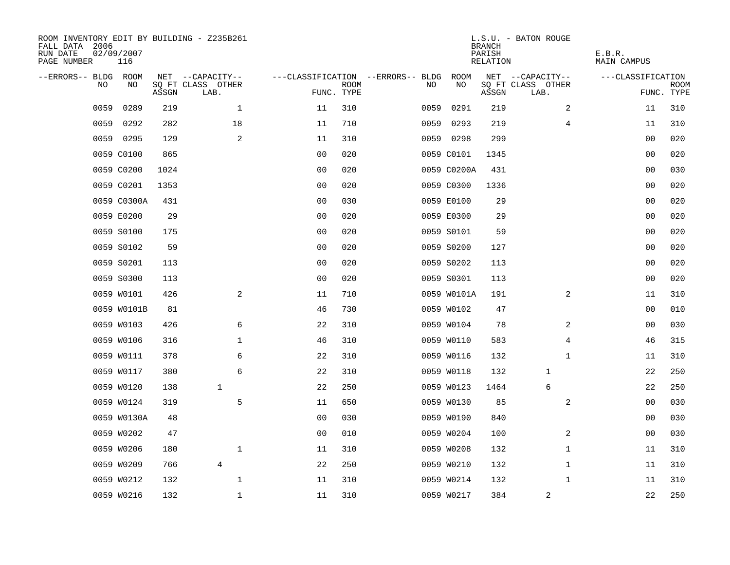| ROOM INVENTORY EDIT BY BUILDING - Z235B261<br>FALL DATA 2006<br>RUN DATE<br>PAGE NUMBER | 02/09/2007<br>116 |       |                           |                |             |                                   |             | <b>BRANCH</b><br>PARISH<br><b>RELATION</b> | L.S.U. - BATON ROUGE      | E.B.R.<br><b>MAIN CAMPUS</b> |                           |
|-----------------------------------------------------------------------------------------|-------------------|-------|---------------------------|----------------|-------------|-----------------------------------|-------------|--------------------------------------------|---------------------------|------------------------------|---------------------------|
| --ERRORS-- BLDG ROOM                                                                    |                   |       | NET --CAPACITY--          |                |             | ---CLASSIFICATION --ERRORS-- BLDG | ROOM        |                                            | NET --CAPACITY--          | ---CLASSIFICATION            |                           |
| NO                                                                                      | NO                | ASSGN | SQ FT CLASS OTHER<br>LAB. | FUNC. TYPE     | <b>ROOM</b> | NO                                | NO          | ASSGN                                      | SQ FT CLASS OTHER<br>LAB. |                              | <b>ROOM</b><br>FUNC. TYPE |
| 0059                                                                                    | 0289              | 219   | $\mathbf 1$               | 11             | 310         | 0059                              | 0291        | 219                                        | 2                         | 11                           | 310                       |
| 0059                                                                                    | 0292              | 282   | 18                        | 11             | 710         | 0059                              | 0293        | 219                                        | 4                         | 11                           | 310                       |
|                                                                                         | 0059 0295         | 129   | 2                         | 11             | 310         |                                   | 0059 0298   | 299                                        |                           | 00                           | 020                       |
|                                                                                         | 0059 C0100        | 865   |                           | 0 <sub>0</sub> | 020         |                                   | 0059 C0101  | 1345                                       |                           | 00                           | 020                       |
|                                                                                         | 0059 C0200        | 1024  |                           | 0 <sub>0</sub> | 020         |                                   | 0059 C0200A | 431                                        |                           | 0 <sub>0</sub>               | 030                       |
|                                                                                         | 0059 C0201        | 1353  |                           | 0 <sub>0</sub> | 020         |                                   | 0059 C0300  | 1336                                       |                           | 0 <sub>0</sub>               | 020                       |
|                                                                                         | 0059 C0300A       | 431   |                           | 0 <sub>0</sub> | 030         |                                   | 0059 E0100  | 29                                         |                           | 00                           | 020                       |
|                                                                                         | 0059 E0200        | 29    |                           | 0 <sub>0</sub> | 020         |                                   | 0059 E0300  | 29                                         |                           | 0 <sub>0</sub>               | 020                       |
|                                                                                         | 0059 S0100        | 175   |                           | 0 <sub>0</sub> | 020         |                                   | 0059 S0101  | 59                                         |                           | 00                           | 020                       |
|                                                                                         | 0059 S0102        | 59    |                           | 0 <sub>0</sub> | 020         |                                   | 0059 S0200  | 127                                        |                           | 00                           | 020                       |
|                                                                                         | 0059 S0201        | 113   |                           | 0 <sub>0</sub> | 020         |                                   | 0059 S0202  | 113                                        |                           | 0 <sub>0</sub>               | 020                       |
|                                                                                         | 0059 S0300        | 113   |                           | 0 <sub>0</sub> | 020         |                                   | 0059 S0301  | 113                                        |                           | 0 <sub>0</sub>               | 020                       |
|                                                                                         | 0059 W0101        | 426   | 2                         | 11             | 710         |                                   | 0059 W0101A | 191                                        | 2                         | 11                           | 310                       |
|                                                                                         | 0059 W0101B       | 81    |                           | 46             | 730         |                                   | 0059 W0102  | 47                                         |                           | 00                           | 010                       |
|                                                                                         | 0059 W0103        | 426   | 6                         | 22             | 310         |                                   | 0059 W0104  | 78                                         | 2                         | 00                           | 030                       |
|                                                                                         | 0059 W0106        | 316   | $\mathbf 1$               | 46             | 310         |                                   | 0059 W0110  | 583                                        | 4                         | 46                           | 315                       |
|                                                                                         | 0059 W0111        | 378   | 6                         | 22             | 310         |                                   | 0059 W0116  | 132                                        | $\mathbf{1}$              | 11                           | 310                       |
|                                                                                         | 0059 W0117        | 380   | 6                         | 22             | 310         |                                   | 0059 W0118  | 132                                        | 1                         | 22                           | 250                       |
|                                                                                         | 0059 W0120        | 138   | $\mathbf{1}$              | 22             | 250         |                                   | 0059 W0123  | 1464                                       | 6                         | 22                           | 250                       |
|                                                                                         | 0059 W0124        | 319   | 5                         | 11             | 650         |                                   | 0059 W0130  | 85                                         | $\overline{a}$            | 0 <sub>0</sub>               | 030                       |
|                                                                                         | 0059 W0130A       | 48    |                           | 0 <sub>0</sub> | 030         |                                   | 0059 W0190  | 840                                        |                           | 00                           | 030                       |
|                                                                                         | 0059 W0202        | 47    |                           | 0 <sub>0</sub> | 010         |                                   | 0059 W0204  | 100                                        | 2                         | 00                           | 030                       |
|                                                                                         | 0059 W0206        | 180   | $\mathbf 1$               | 11             | 310         |                                   | 0059 W0208  | 132                                        | $\mathbf{1}$              | 11                           | 310                       |
|                                                                                         | 0059 W0209        | 766   | 4                         | 22             | 250         |                                   | 0059 W0210  | 132                                        | $\mathbf{1}$              | 11                           | 310                       |
|                                                                                         | 0059 W0212        | 132   | $\mathbf 1$               | 11             | 310         |                                   | 0059 W0214  | 132                                        | $\mathbf{1}$              | 11                           | 310                       |
|                                                                                         | 0059 W0216        | 132   | $\mathbf{1}$              | 11             | 310         |                                   | 0059 W0217  | 384                                        | 2                         | 22                           | 250                       |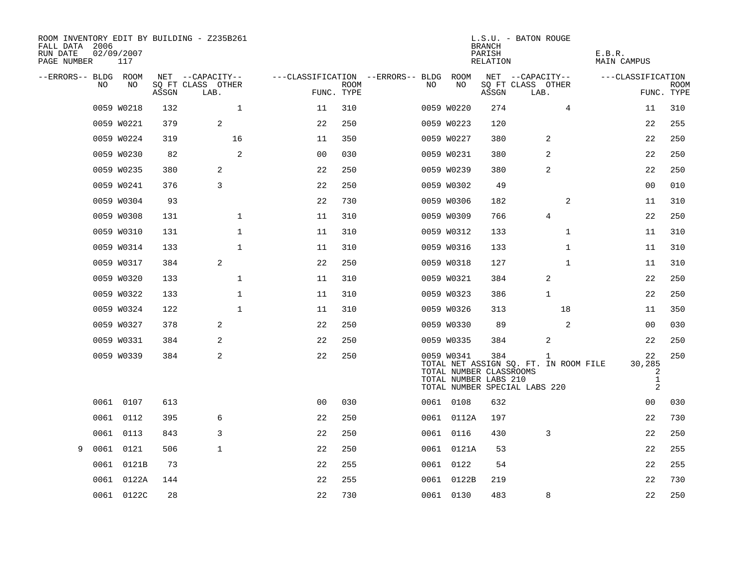| ROOM INVENTORY EDIT BY BUILDING - Z235B261<br>FALL DATA 2006<br>RUN DATE<br>PAGE NUMBER | 02/09/2007<br>117 |       |                           |                |             |                                   |            |                                                  | <b>BRANCH</b><br>PARISH<br>RELATION | L.S.U. - BATON ROUGE                                                   |                | E.B.R.<br>MAIN CAMPUS |                                                     |             |
|-----------------------------------------------------------------------------------------|-------------------|-------|---------------------------|----------------|-------------|-----------------------------------|------------|--------------------------------------------------|-------------------------------------|------------------------------------------------------------------------|----------------|-----------------------|-----------------------------------------------------|-------------|
| --ERRORS-- BLDG ROOM                                                                    |                   |       | NET --CAPACITY--          |                |             | ---CLASSIFICATION --ERRORS-- BLDG |            | ROOM                                             |                                     | NET --CAPACITY--                                                       |                | ---CLASSIFICATION     |                                                     |             |
| NO.                                                                                     | NO                | ASSGN | SQ FT CLASS OTHER<br>LAB. | FUNC. TYPE     | <b>ROOM</b> | NO                                |            | NO                                               | ASSGN                               | SQ FT CLASS OTHER<br>LAB.                                              |                |                       | FUNC. TYPE                                          | <b>ROOM</b> |
|                                                                                         | 0059 W0218        | 132   | $\mathbf{1}$              | 11             | 310         |                                   | 0059 W0220 |                                                  | 274                                 |                                                                        | $\overline{4}$ |                       | 11                                                  | 310         |
|                                                                                         | 0059 W0221        | 379   | 2                         | 22             | 250         |                                   | 0059 W0223 |                                                  | 120                                 |                                                                        |                |                       | 22                                                  | 255         |
|                                                                                         | 0059 W0224        | 319   | 16                        | 11             | 350         |                                   | 0059 W0227 |                                                  | 380                                 |                                                                        | 2              |                       | 22                                                  | 250         |
|                                                                                         | 0059 W0230        | 82    | 2                         | 0 <sub>0</sub> | 030         |                                   | 0059 W0231 |                                                  | 380                                 |                                                                        | 2              |                       | 22                                                  | 250         |
|                                                                                         | 0059 W0235        | 380   | 2                         | 22             | 250         |                                   | 0059 W0239 |                                                  | 380                                 |                                                                        | 2              |                       | 22                                                  | 250         |
|                                                                                         | 0059 W0241        | 376   | 3                         | 22             | 250         |                                   | 0059 W0302 |                                                  | 49                                  |                                                                        |                |                       | 00                                                  | 010         |
|                                                                                         | 0059 W0304        | 93    |                           | 22             | 730         |                                   | 0059 W0306 |                                                  | 182                                 |                                                                        | 2              |                       | 11                                                  | 310         |
|                                                                                         | 0059 W0308        | 131   | $\mathbf 1$               | 11             | 310         |                                   | 0059 W0309 |                                                  | 766                                 |                                                                        | 4              |                       | 22                                                  | 250         |
|                                                                                         | 0059 W0310        | 131   | $\mathbf 1$               | 11             | 310         |                                   | 0059 W0312 |                                                  | 133                                 |                                                                        | $\mathbf{1}$   |                       | 11                                                  | 310         |
|                                                                                         | 0059 W0314        | 133   | $\mathbf{1}$              | 11             | 310         |                                   | 0059 W0316 |                                                  | 133                                 |                                                                        | $\mathbf{1}$   |                       | 11                                                  | 310         |
|                                                                                         | 0059 W0317        | 384   | 2                         | 22             | 250         |                                   | 0059 W0318 |                                                  | 127                                 |                                                                        | $\mathbf{1}$   |                       | 11                                                  | 310         |
|                                                                                         | 0059 W0320        | 133   | $\mathbf 1$               | 11             | 310         |                                   | 0059 W0321 |                                                  | 384                                 |                                                                        | 2              |                       | 22                                                  | 250         |
|                                                                                         | 0059 W0322        | 133   | $\mathbf 1$               | 11             | 310         |                                   | 0059 W0323 |                                                  | 386                                 |                                                                        | $\mathbf{1}$   |                       | 22                                                  | 250         |
|                                                                                         | 0059 W0324        | 122   | $\mathbf{1}$              | 11             | 310         |                                   | 0059 W0326 |                                                  | 313                                 |                                                                        | 18             |                       | 11                                                  | 350         |
|                                                                                         | 0059 W0327        | 378   | 2                         | 22             | 250         |                                   | 0059 W0330 |                                                  | 89                                  |                                                                        | 2              |                       | 00                                                  | 030         |
|                                                                                         | 0059 W0331        | 384   | 2                         | 22             | 250         |                                   | 0059 W0335 |                                                  | 384                                 |                                                                        | 2              |                       | 22                                                  | 250         |
|                                                                                         | 0059 W0339        | 384   | 2                         | 22             | 250         |                                   | 0059 W0341 | TOTAL NUMBER CLASSROOMS<br>TOTAL NUMBER LABS 210 | 384                                 | TOTAL NET ASSIGN SQ. FT. IN ROOM FILE<br>TOTAL NUMBER SPECIAL LABS 220 | 1              |                       | 22<br>30,285<br>2<br>$\mathbf{1}$<br>$\overline{a}$ | 250         |
|                                                                                         | 0061 0107         | 613   |                           | 0 <sub>0</sub> | 030         |                                   | 0061 0108  |                                                  | 632                                 |                                                                        |                |                       | 0 <sub>0</sub>                                      | 030         |
|                                                                                         | 0061 0112         | 395   | 6                         | 22             | 250         |                                   |            | 0061 0112A                                       | 197                                 |                                                                        |                |                       | 22                                                  | 730         |
| 0061                                                                                    | 0113              | 843   | 3                         | 22             | 250         |                                   | 0061 0116  |                                                  | 430                                 |                                                                        | 3              |                       | 22                                                  | 250         |
| 9                                                                                       | 0061 0121         | 506   | $\mathbf{1}$              | 22             | 250         |                                   |            | 0061 0121A                                       | 53                                  |                                                                        |                |                       | 22                                                  | 255         |
| 0061                                                                                    | 0121B             | 73    |                           | 22             | 255         |                                   | 0061 0122  |                                                  | 54                                  |                                                                        |                |                       | 22                                                  | 255         |
|                                                                                         | 0061 0122A        | 144   |                           | 22             | 255         |                                   | 0061 0122B |                                                  | 219                                 |                                                                        |                |                       | 22                                                  | 730         |
|                                                                                         | 0061 0122C        | 28    |                           | 22             | 730         |                                   | 0061 0130  |                                                  | 483                                 |                                                                        | 8              |                       | 22                                                  | 250         |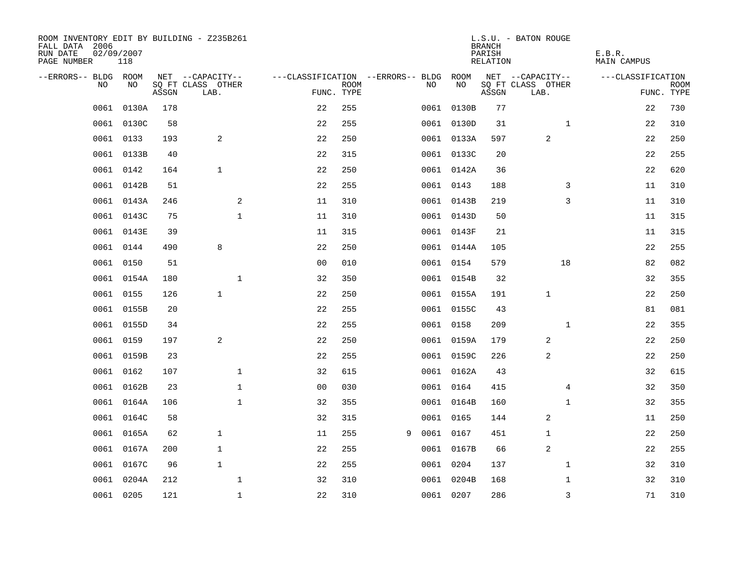| ROOM INVENTORY EDIT BY BUILDING - Z235B261<br>FALL DATA 2006<br>RUN DATE<br>PAGE NUMBER | 02/09/2007<br>118 |       |                           |                                   |                           |   |      |            | <b>BRANCH</b><br>PARISH<br>RELATION | L.S.U. - BATON ROUGE      | E.B.R.<br><b>MAIN CAMPUS</b> |                           |
|-----------------------------------------------------------------------------------------|-------------------|-------|---------------------------|-----------------------------------|---------------------------|---|------|------------|-------------------------------------|---------------------------|------------------------------|---------------------------|
| --ERRORS-- BLDG ROOM                                                                    |                   |       | NET --CAPACITY--          | ---CLASSIFICATION --ERRORS-- BLDG |                           |   |      | ROOM       |                                     | NET --CAPACITY--          | ---CLASSIFICATION            |                           |
| N <sub>O</sub>                                                                          | NO.               | ASSGN | SO FT CLASS OTHER<br>LAB. |                                   | <b>ROOM</b><br>FUNC. TYPE |   | NO.  | NO         | ASSGN                               | SQ FT CLASS OTHER<br>LAB. |                              | <b>ROOM</b><br>FUNC. TYPE |
| 0061                                                                                    | 0130A             | 178   |                           | 22                                | 255                       |   |      | 0061 0130B | 77                                  |                           | 22                           | 730                       |
| 0061                                                                                    | 0130C             | 58    |                           | 22                                | 255                       |   |      | 0061 0130D | 31                                  | $\mathbf{1}$              | 22                           | 310                       |
|                                                                                         | 0061 0133         | 193   | 2                         | 22                                | 250                       |   |      | 0061 0133A | 597                                 | 2                         | 22                           | 250                       |
| 0061                                                                                    | 0133B             | 40    |                           | 22                                | 315                       |   |      | 0061 0133C | 20                                  |                           | 22                           | 255                       |
| 0061                                                                                    | 0142              | 164   | $\mathbf{1}$              | 22                                | 250                       |   |      | 0061 0142A | 36                                  |                           | 22                           | 620                       |
| 0061                                                                                    | 0142B             | 51    |                           | 22                                | 255                       |   |      | 0061 0143  | 188                                 | 3                         | 11                           | 310                       |
| 0061                                                                                    | 0143A             | 246   | 2                         | 11                                | 310                       |   |      | 0061 0143B | 219                                 | 3                         | 11                           | 310                       |
|                                                                                         | 0061 0143C        | 75    | $\mathbf 1$               | 11                                | 310                       |   |      | 0061 0143D | 50                                  |                           | 11                           | 315                       |
| 0061                                                                                    | 0143E             | 39    |                           | 11                                | 315                       |   |      | 0061 0143F | 21                                  |                           | 11                           | 315                       |
|                                                                                         | 0061 0144         | 490   | 8                         | 22                                | 250                       |   |      | 0061 0144A | 105                                 |                           | 22                           | 255                       |
| 0061                                                                                    | 0150              | 51    |                           | 0 <sub>0</sub>                    | 010                       |   |      | 0061 0154  | 579                                 | 18                        | 82                           | 082                       |
|                                                                                         | 0061 0154A        | 180   | $\mathbf 1$               | 32                                | 350                       |   |      | 0061 0154B | 32                                  |                           | 32                           | 355                       |
| 0061                                                                                    | 0155              | 126   | $\mathbf{1}$              | 22                                | 250                       |   |      | 0061 0155A | 191                                 | $\mathbf 1$               | 22                           | 250                       |
| 0061                                                                                    | 0155B             | 20    |                           | 22                                | 255                       |   |      | 0061 0155C | 43                                  |                           | 81                           | 081                       |
|                                                                                         | 0061 0155D        | 34    |                           | 22                                | 255                       |   |      | 0061 0158  | 209                                 | $\mathbf{1}$              | 22                           | 355                       |
| 0061                                                                                    | 0159              | 197   | 2                         | 22                                | 250                       |   |      | 0061 0159A | 179                                 | 2                         | 22                           | 250                       |
|                                                                                         | 0061 0159B        | 23    |                           | 22                                | 255                       |   |      | 0061 0159C | 226                                 | 2                         | 22                           | 250                       |
| 0061                                                                                    | 0162              | 107   | $\mathbf{1}$              | 32                                | 615                       |   |      | 0061 0162A | 43                                  |                           | 32                           | 615                       |
| 0061                                                                                    | 0162B             | 23    | $\mathbf{1}$              | 0 <sub>0</sub>                    | 030                       |   |      | 0061 0164  | 415                                 | $\overline{4}$            | 32                           | 350                       |
| 0061                                                                                    | 0164A             | 106   | 1                         | 32                                | 355                       |   |      | 0061 0164B | 160                                 | $\mathbf{1}$              | 32                           | 355                       |
|                                                                                         | 0061 0164C        | 58    |                           | 32                                | 315                       |   |      | 0061 0165  | 144                                 | 2                         | 11                           | 250                       |
| 0061                                                                                    | 0165A             | 62    | $\mathbf{1}$              | 11                                | 255                       | 9 | 0061 | 0167       | 451                                 | 1                         | 22                           | 250                       |
| 0061                                                                                    | 0167A             | 200   | 1                         | 22                                | 255                       |   |      | 0061 0167B | 66                                  | $\overline{a}$            | 22                           | 255                       |
| 0061                                                                                    | 0167C             | 96    | $\mathbf{1}$              | 22                                | 255                       |   |      | 0061 0204  | 137                                 | $\mathbf{1}$              | 32                           | 310                       |
| 0061                                                                                    | 0204A             | 212   | $\mathbf 1$               | 32                                | 310                       |   |      | 0061 0204B | 168                                 | $\mathbf{1}$              | 32                           | 310                       |
|                                                                                         | 0061 0205         | 121   | $\mathbf{1}$              | 22                                | 310                       |   |      | 0061 0207  | 286                                 | 3                         | 71                           | 310                       |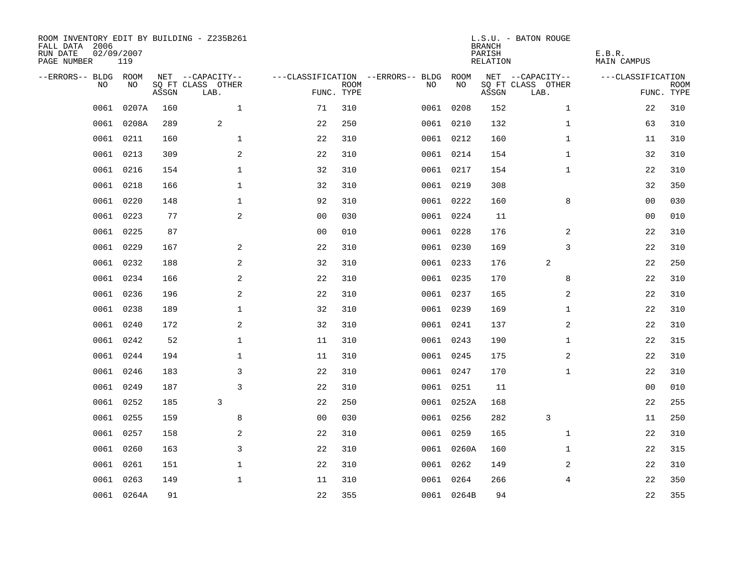| ROOM INVENTORY EDIT BY BUILDING - Z235B261<br>FALL DATA 2006<br>RUN DATE<br>PAGE NUMBER | 02/09/2007<br>119 |       |                           |                |             |                                   |            | <b>BRANCH</b><br>PARISH<br><b>RELATION</b> | L.S.U. - BATON ROUGE      | E.B.R.<br><b>MAIN CAMPUS</b> |                           |
|-----------------------------------------------------------------------------------------|-------------------|-------|---------------------------|----------------|-------------|-----------------------------------|------------|--------------------------------------------|---------------------------|------------------------------|---------------------------|
| --ERRORS-- BLDG ROOM                                                                    |                   |       | NET --CAPACITY--          |                |             | ---CLASSIFICATION --ERRORS-- BLDG | ROOM       |                                            | NET --CAPACITY--          | ---CLASSIFICATION            |                           |
| NO.                                                                                     | NO                | ASSGN | SQ FT CLASS OTHER<br>LAB. | FUNC. TYPE     | <b>ROOM</b> | NO                                | NO         | ASSGN                                      | SQ FT CLASS OTHER<br>LAB. |                              | <b>ROOM</b><br>FUNC. TYPE |
| 0061                                                                                    | 0207A             | 160   | $\mathbf{1}$              | 71             | 310         |                                   | 0061 0208  | 152                                        | $\mathbf{1}$              | 22                           | 310                       |
| 0061                                                                                    | 0208A             | 289   | 2                         | 22             | 250         |                                   | 0061 0210  | 132                                        | $\mathbf{1}$              | 63                           | 310                       |
|                                                                                         | 0061 0211         | 160   | $\mathbf{1}$              | 22             | 310         |                                   | 0061 0212  | 160                                        | $\mathbf{1}$              | 11                           | 310                       |
| 0061                                                                                    | 0213              | 309   | 2                         | 22             | 310         |                                   | 0061 0214  | 154                                        | $\mathbf{1}$              | 32                           | 310                       |
| 0061                                                                                    | 0216              | 154   | $\mathbf{1}$              | 32             | 310         |                                   | 0061 0217  | 154                                        | $\mathbf{1}$              | 22                           | 310                       |
| 0061                                                                                    | 0218              | 166   | $\mathbf 1$               | 32             | 310         |                                   | 0061 0219  | 308                                        |                           | 32                           | 350                       |
| 0061                                                                                    | 0220              | 148   | $\mathbf{1}$              | 92             | 310         |                                   | 0061 0222  | 160                                        | 8                         | 0 <sub>0</sub>               | 030                       |
|                                                                                         | 0061 0223         | 77    | $\mathbf{2}$              | 0 <sub>0</sub> | 030         |                                   | 0061 0224  | 11                                         |                           | 0 <sub>0</sub>               | 010                       |
| 0061                                                                                    | 0225              | 87    |                           | 0 <sub>0</sub> | 010         |                                   | 0061 0228  | 176                                        | 2                         | 22                           | 310                       |
|                                                                                         | 0061 0229         | 167   | 2                         | 22             | 310         |                                   | 0061 0230  | 169                                        | 3                         | 22                           | 310                       |
|                                                                                         | 0061 0232         | 188   | 2                         | 32             | 310         |                                   | 0061 0233  | 176                                        | 2                         | 22                           | 250                       |
|                                                                                         | 0061 0234         | 166   | 2                         | 22             | 310         |                                   | 0061 0235  | 170                                        | 8                         | 22                           | 310                       |
| 0061                                                                                    | 0236              | 196   | 2                         | 22             | 310         |                                   | 0061 0237  | 165                                        | 2                         | 22                           | 310                       |
|                                                                                         | 0061 0238         | 189   | $\mathbf 1$               | 32             | 310         |                                   | 0061 0239  | 169                                        | $\mathbf{1}$              | 22                           | 310                       |
| 0061                                                                                    | 0240              | 172   | 2                         | 32             | 310         |                                   | 0061 0241  | 137                                        | 2                         | 22                           | 310                       |
|                                                                                         | 0061 0242         | 52    | $\mathbf 1$               | 11             | 310         |                                   | 0061 0243  | 190                                        | $\mathbf{1}$              | 22                           | 315                       |
| 0061                                                                                    | 0244              | 194   | $\mathbf{1}$              | 11             | 310         |                                   | 0061 0245  | 175                                        | 2                         | 22                           | 310                       |
| 0061                                                                                    | 0246              | 183   | 3                         | 22             | 310         |                                   | 0061 0247  | 170                                        | $\mathbf{1}$              | 22                           | 310                       |
|                                                                                         | 0061 0249         | 187   | 3                         | 22             | 310         |                                   | 0061 0251  | 11                                         |                           | 00                           | 010                       |
| 0061                                                                                    | 0252              | 185   | 3                         | 22             | 250         |                                   | 0061 0252A | 168                                        |                           | 22                           | 255                       |
|                                                                                         | 0061 0255         | 159   | 8                         | 0 <sub>0</sub> | 030         |                                   | 0061 0256  | 282                                        | 3                         | 11                           | 250                       |
| 0061                                                                                    | 0257              | 158   | 2                         | 22             | 310         |                                   | 0061 0259  | 165                                        | $\mathbf{1}$              | 22                           | 310                       |
| 0061                                                                                    | 0260              | 163   | 3                         | 22             | 310         |                                   | 0061 0260A | 160                                        | $\mathbf{1}$              | 22                           | 315                       |
| 0061                                                                                    | 0261              | 151   | $\mathbf 1$               | 22             | 310         |                                   | 0061 0262  | 149                                        | 2                         | 22                           | 310                       |
|                                                                                         | 0061 0263         | 149   | $\mathbf{1}$              | 11             | 310         |                                   | 0061 0264  | 266                                        | $\overline{4}$            | 22                           | 350                       |
|                                                                                         | 0061 0264A        | 91    |                           | 22             | 355         |                                   | 0061 0264B | 94                                         |                           | 22                           | 355                       |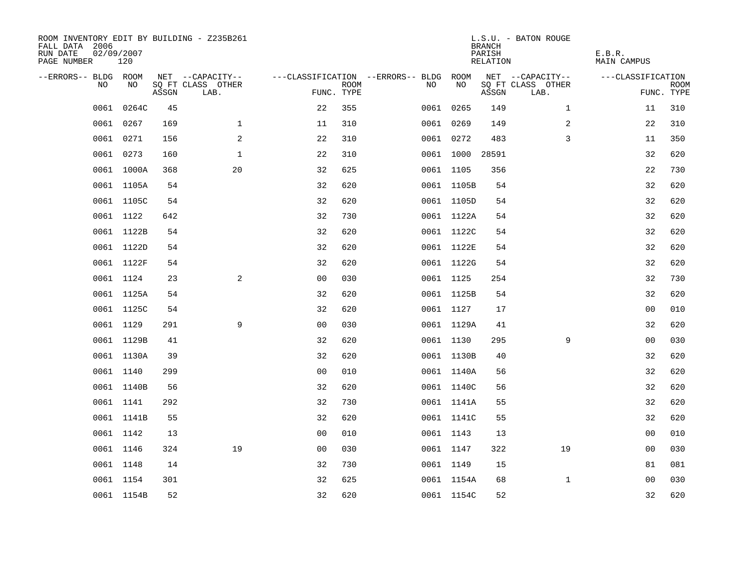| ROOM INVENTORY EDIT BY BUILDING - Z235B261<br>FALL DATA 2006<br>RUN DATE<br>PAGE NUMBER | 02/09/2007<br>120 |       |                           |                |             |                                        |                 | <b>BRANCH</b><br>PARISH<br>RELATION | L.S.U. - BATON ROUGE      | E.B.R.<br>MAIN CAMPUS |                           |
|-----------------------------------------------------------------------------------------|-------------------|-------|---------------------------|----------------|-------------|----------------------------------------|-----------------|-------------------------------------|---------------------------|-----------------------|---------------------------|
| --ERRORS-- BLDG ROOM                                                                    |                   |       | NET --CAPACITY--          |                |             | ---CLASSIFICATION --ERRORS-- BLDG ROOM |                 |                                     | NET --CAPACITY--          | ---CLASSIFICATION     |                           |
| NO                                                                                      | NO.               | ASSGN | SQ FT CLASS OTHER<br>LAB. | FUNC. TYPE     | <b>ROOM</b> | NO.                                    | NO              | ASSGN                               | SQ FT CLASS OTHER<br>LAB. |                       | <b>ROOM</b><br>FUNC. TYPE |
| 0061                                                                                    | 0264C             | 45    |                           | 22             | 355         |                                        | 0061 0265       | 149                                 | $\mathbf{1}$              | 11                    | 310                       |
|                                                                                         | 0061 0267         | 169   | $\mathbf{1}$              | 11             | 310         |                                        | 0061 0269       | 149                                 | 2                         | 22                    | 310                       |
|                                                                                         | 0061 0271         | 156   | 2                         | 22             | 310         |                                        | 0061 0272       | 483                                 | 3                         | 11                    | 350                       |
|                                                                                         | 0061 0273         | 160   | $\mathbf 1$               | 22             | 310         |                                        | 0061 1000 28591 |                                     |                           | 32                    | 620                       |
|                                                                                         | 0061 1000A        | 368   | 20                        | 32             | 625         |                                        | 0061 1105       | 356                                 |                           | 22                    | 730                       |
|                                                                                         | 0061 1105A        | 54    |                           | 32             | 620         |                                        | 0061 1105B      | 54                                  |                           | 32                    | 620                       |
|                                                                                         | 0061 1105C        | 54    |                           | 32             | 620         |                                        | 0061 1105D      | 54                                  |                           | 32                    | 620                       |
|                                                                                         | 0061 1122         | 642   |                           | 32             | 730         |                                        | 0061 1122A      | 54                                  |                           | 32                    | 620                       |
|                                                                                         | 0061 1122B        | 54    |                           | 32             | 620         |                                        | 0061 1122C      | 54                                  |                           | 32                    | 620                       |
|                                                                                         | 0061 1122D        | 54    |                           | 32             | 620         |                                        | 0061 1122E      | 54                                  |                           | 32                    | 620                       |
|                                                                                         | 0061 1122F        | 54    |                           | 32             | 620         |                                        | 0061 1122G      | 54                                  |                           | 32                    | 620                       |
|                                                                                         | 0061 1124         | 23    | 2                         | 0 <sub>0</sub> | 030         |                                        | 0061 1125       | 254                                 |                           | 32                    | 730                       |
|                                                                                         | 0061 1125A        | 54    |                           | 32             | 620         |                                        | 0061 1125B      | 54                                  |                           | 32                    | 620                       |
|                                                                                         | 0061 1125C        | 54    |                           | 32             | 620         |                                        | 0061 1127       | 17                                  |                           | 00                    | 010                       |
|                                                                                         | 0061 1129         | 291   | 9                         | 0 <sub>0</sub> | 030         |                                        | 0061 1129A      | 41                                  |                           | 32                    | 620                       |
|                                                                                         | 0061 1129B        | 41    |                           | 32             | 620         |                                        | 0061 1130       | 295                                 | 9                         | 0 <sub>0</sub>        | 030                       |
|                                                                                         | 0061 1130A        | 39    |                           | 32             | 620         |                                        | 0061 1130B      | 40                                  |                           | 32                    | 620                       |
|                                                                                         | 0061 1140         | 299   |                           | 0 <sub>0</sub> | 010         |                                        | 0061 1140A      | 56                                  |                           | 32                    | 620                       |
|                                                                                         | 0061 1140B        | 56    |                           | 32             | 620         |                                        | 0061 1140C      | 56                                  |                           | 32                    | 620                       |
|                                                                                         | 0061 1141         | 292   |                           | 32             | 730         |                                        | 0061 1141A      | 55                                  |                           | 32                    | 620                       |
|                                                                                         | 0061 1141B        | 55    |                           | 32             | 620         |                                        | 0061 1141C      | 55                                  |                           | 32                    | 620                       |
|                                                                                         | 0061 1142         | 13    |                           | 0 <sub>0</sub> | 010         |                                        | 0061 1143       | 13                                  |                           | 00                    | 010                       |
|                                                                                         | 0061 1146         | 324   | 19                        | 0 <sub>0</sub> | 030         |                                        | 0061 1147       | 322                                 | 19                        | 0 <sub>0</sub>        | 030                       |
|                                                                                         | 0061 1148         | 14    |                           | 32             | 730         |                                        | 0061 1149       | 15                                  |                           | 81                    | 081                       |
|                                                                                         | 0061 1154         | 301   |                           | 32             | 625         |                                        | 0061 1154A      | 68                                  | $\mathbf{1}$              | 00                    | 030                       |
|                                                                                         | 0061 1154B        | 52    |                           | 32             | 620         |                                        | 0061 1154C      | 52                                  |                           | 32                    | 620                       |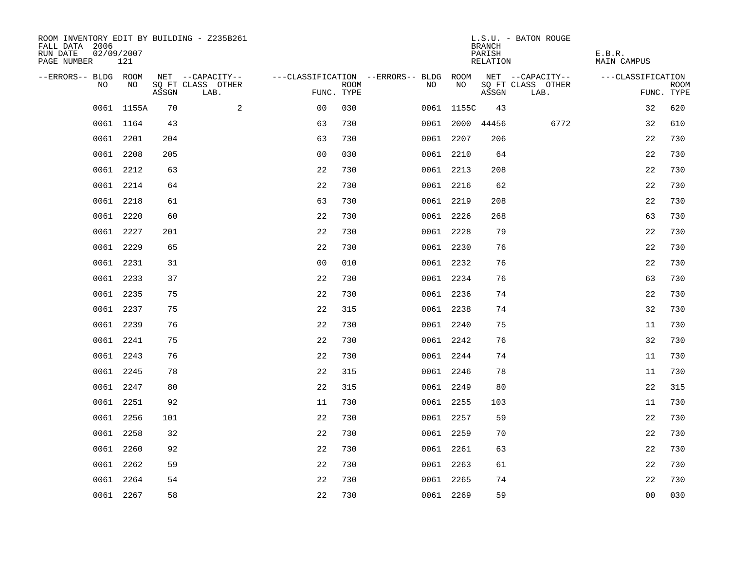| ROOM INVENTORY EDIT BY BUILDING - Z235B261<br>FALL DATA 2006<br>RUN DATE<br>PAGE NUMBER | 02/09/2007<br>121 |       |                           |                |      |                                        |                 | <b>BRANCH</b><br>PARISH<br>RELATION | L.S.U. - BATON ROUGE      | E.B.R.<br>MAIN CAMPUS |                           |
|-----------------------------------------------------------------------------------------|-------------------|-------|---------------------------|----------------|------|----------------------------------------|-----------------|-------------------------------------|---------------------------|-----------------------|---------------------------|
| --ERRORS-- BLDG ROOM                                                                    |                   |       | NET --CAPACITY--          |                |      | ---CLASSIFICATION --ERRORS-- BLDG ROOM |                 |                                     | NET --CAPACITY--          | ---CLASSIFICATION     |                           |
| NO                                                                                      | NO                | ASSGN | SQ FT CLASS OTHER<br>LAB. | FUNC. TYPE     | ROOM | NO                                     | NO              | ASSGN                               | SQ FT CLASS OTHER<br>LAB. |                       | <b>ROOM</b><br>FUNC. TYPE |
|                                                                                         | 0061 1155A        | 70    | 2                         | 0 <sub>0</sub> | 030  |                                        | 0061 1155C      | 43                                  |                           | 32                    | 620                       |
|                                                                                         | 0061 1164         | 43    |                           | 63             | 730  |                                        | 0061 2000 44456 |                                     | 6772                      | 32                    | 610                       |
|                                                                                         | 0061 2201         | 204   |                           | 63             | 730  |                                        | 0061 2207       | 206                                 |                           | 22                    | 730                       |
|                                                                                         | 0061 2208         | 205   |                           | 0 <sub>0</sub> | 030  |                                        | 0061 2210       | 64                                  |                           | 22                    | 730                       |
| 0061                                                                                    | 2212              | 63    |                           | 22             | 730  |                                        | 0061 2213       | 208                                 |                           | 22                    | 730                       |
|                                                                                         | 0061 2214         | 64    |                           | 22             | 730  |                                        | 0061 2216       | 62                                  |                           | 22                    | 730                       |
|                                                                                         | 0061 2218         | 61    |                           | 63             | 730  |                                        | 0061 2219       | 208                                 |                           | 22                    | 730                       |
|                                                                                         | 0061 2220         | 60    |                           | 22             | 730  |                                        | 0061 2226       | 268                                 |                           | 63                    | 730                       |
|                                                                                         | 0061 2227         | 201   |                           | 22             | 730  |                                        | 0061 2228       | 79                                  |                           | 22                    | 730                       |
|                                                                                         | 0061 2229         | 65    |                           | 22             | 730  |                                        | 0061 2230       | 76                                  |                           | 22                    | 730                       |
|                                                                                         | 0061 2231         | 31    |                           | 0 <sub>0</sub> | 010  |                                        | 0061 2232       | 76                                  |                           | 22                    | 730                       |
|                                                                                         | 0061 2233         | 37    |                           | 22             | 730  |                                        | 0061 2234       | 76                                  |                           | 63                    | 730                       |
|                                                                                         | 0061 2235         | 75    |                           | 22             | 730  |                                        | 0061 2236       | 74                                  |                           | 22                    | 730                       |
|                                                                                         | 0061 2237         | 75    |                           | 22             | 315  |                                        | 0061 2238       | 74                                  |                           | 32                    | 730                       |
|                                                                                         | 0061 2239         | 76    |                           | 22             | 730  |                                        | 0061 2240       | 75                                  |                           | 11                    | 730                       |
|                                                                                         | 0061 2241         | 75    |                           | 22             | 730  |                                        | 0061 2242       | 76                                  |                           | 32                    | 730                       |
|                                                                                         | 0061 2243         | 76    |                           | 22             | 730  |                                        | 0061 2244       | 74                                  |                           | 11                    | 730                       |
|                                                                                         | 0061 2245         | 78    |                           | 22             | 315  |                                        | 0061 2246       | 78                                  |                           | 11                    | 730                       |
|                                                                                         | 0061 2247         | 80    |                           | 22             | 315  |                                        | 0061 2249       | 80                                  |                           | 22                    | 315                       |
|                                                                                         | 0061 2251         | 92    |                           | 11             | 730  |                                        | 0061 2255       | 103                                 |                           | 11                    | 730                       |
|                                                                                         | 0061 2256         | 101   |                           | 22             | 730  |                                        | 0061 2257       | 59                                  |                           | 22                    | 730                       |
|                                                                                         | 0061 2258         | 32    |                           | 22             | 730  |                                        | 0061 2259       | 70                                  |                           | 22                    | 730                       |
|                                                                                         | 0061 2260         | 92    |                           | 22             | 730  |                                        | 0061 2261       | 63                                  |                           | 22                    | 730                       |
|                                                                                         | 0061 2262         | 59    |                           | 22             | 730  |                                        | 0061 2263       | 61                                  |                           | 22                    | 730                       |
|                                                                                         | 0061 2264         | 54    |                           | 22             | 730  |                                        | 0061 2265       | 74                                  |                           | 22                    | 730                       |
|                                                                                         | 0061 2267         | 58    |                           | 22             | 730  |                                        | 0061 2269       | 59                                  |                           | 0 <sub>0</sub>        | 030                       |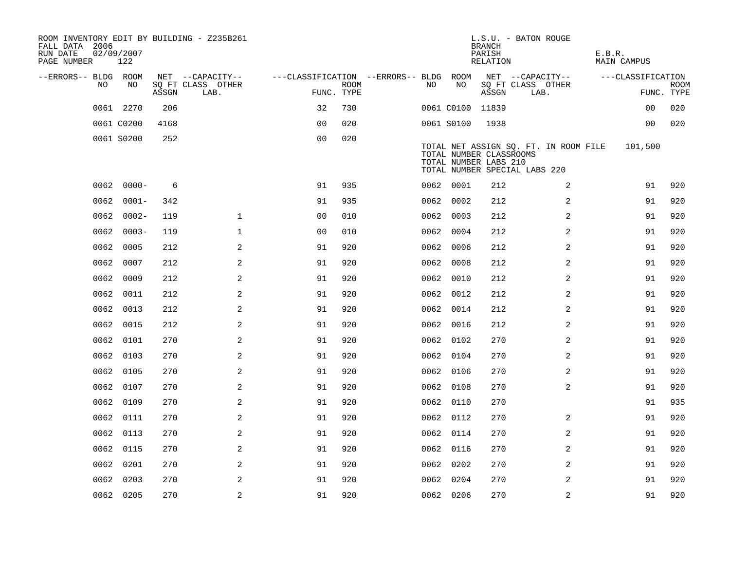| ROOM INVENTORY EDIT BY BUILDING - Z235B261<br>FALL DATA 2006<br>RUN DATE<br>PAGE NUMBER | 02/09/2007<br>122 |       |                           |                                        |      |      |            | <b>BRANCH</b><br>PARISH<br><b>RELATION</b>       | L.S.U. - BATON ROUGE                                                   | E.B.R.<br><b>MAIN CAMPUS</b> |                           |
|-----------------------------------------------------------------------------------------|-------------------|-------|---------------------------|----------------------------------------|------|------|------------|--------------------------------------------------|------------------------------------------------------------------------|------------------------------|---------------------------|
| --ERRORS-- BLDG ROOM                                                                    |                   |       | NET --CAPACITY--          | ---CLASSIFICATION --ERRORS-- BLDG ROOM |      |      |            |                                                  | NET --CAPACITY--                                                       | ---CLASSIFICATION            |                           |
| NO.                                                                                     | NO.               | ASSGN | SO FT CLASS OTHER<br>LAB. | FUNC. TYPE                             | ROOM | NO.  | NO         | ASSGN                                            | SQ FT CLASS OTHER<br>LAB.                                              |                              | <b>ROOM</b><br>FUNC. TYPE |
|                                                                                         | 0061 2270         | 206   |                           | 32                                     | 730  |      |            | 0061 C0100 11839                                 |                                                                        | 00                           | 020                       |
|                                                                                         | 0061 C0200        | 4168  |                           | 0 <sub>0</sub>                         | 020  |      | 0061 S0100 | 1938                                             |                                                                        | 00                           | 020                       |
|                                                                                         | 0061 S0200        | 252   |                           | 0 <sub>0</sub>                         | 020  |      |            | TOTAL NUMBER CLASSROOMS<br>TOTAL NUMBER LABS 210 | TOTAL NET ASSIGN SQ. FT. IN ROOM FILE<br>TOTAL NUMBER SPECIAL LABS 220 | 101,500                      |                           |
| 0062                                                                                    | $0000 -$          | 6     |                           | 91                                     | 935  |      | 0062 0001  | 212                                              | 2                                                                      | 91                           | 920                       |
| 0062                                                                                    | $0001 -$          | 342   |                           | 91                                     | 935  |      | 0062 0002  | 212                                              | 2                                                                      | 91                           | 920                       |
| 0062                                                                                    | $0002 -$          | 119   | $\mathbf{1}$              | 0 <sub>0</sub>                         | 010  | 0062 | 0003       | 212                                              | 2                                                                      | 91                           | 920                       |
| 0062                                                                                    | $0003 -$          | 119   | $\mathbf{1}$              | 0 <sub>0</sub>                         | 010  | 0062 | 0004       | 212                                              | 2                                                                      | 91                           | 920                       |
| 0062                                                                                    | 0005              | 212   | 2                         | 91                                     | 920  | 0062 | 0006       | 212                                              | 2                                                                      | 91                           | 920                       |
| 0062                                                                                    | 0007              | 212   | 2                         | 91                                     | 920  | 0062 | 0008       | 212                                              | 2                                                                      | 91                           | 920                       |
|                                                                                         | 0062 0009         | 212   | 2                         | 91                                     | 920  |      | 0062 0010  | 212                                              | $\overline{2}$                                                         | 91                           | 920                       |
| 0062                                                                                    | 0011              | 212   | 2                         | 91                                     | 920  | 0062 | 0012       | 212                                              | 2                                                                      | 91                           | 920                       |
| 0062                                                                                    | 0013              | 212   | 2                         | 91                                     | 920  |      | 0062 0014  | 212                                              | 2                                                                      | 91                           | 920                       |
| 0062                                                                                    | 0015              | 212   | 2                         | 91                                     | 920  | 0062 | 0016       | 212                                              | 2                                                                      | 91                           | 920                       |
|                                                                                         | 0062 0101         | 270   | 2                         | 91                                     | 920  |      | 0062 0102  | 270                                              | 2                                                                      | 91                           | 920                       |
| 0062                                                                                    | 0103              | 270   | 2                         | 91                                     | 920  | 0062 | 0104       | 270                                              | $\overline{a}$                                                         | 91                           | 920                       |
| 0062                                                                                    | 0105              | 270   | 2                         | 91                                     | 920  |      | 0062 0106  | 270                                              | 2                                                                      | 91                           | 920                       |
|                                                                                         | 0062 0107         | 270   | 2                         | 91                                     | 920  |      | 0062 0108  | 270                                              | 2                                                                      | 91                           | 920                       |
| 0062                                                                                    | 0109              | 270   | 2                         | 91                                     | 920  |      | 0062 0110  | 270                                              |                                                                        | 91                           | 935                       |
|                                                                                         | 0062 0111         | 270   | 2                         | 91                                     | 920  |      | 0062 0112  | 270                                              | 2                                                                      | 91                           | 920                       |
| 0062                                                                                    | 0113              | 270   | 2                         | 91                                     | 920  |      | 0062 0114  | 270                                              | 2                                                                      | 91                           | 920                       |
|                                                                                         | 0062 0115         | 270   | 2                         | 91                                     | 920  |      | 0062 0116  | 270                                              | 2                                                                      | 91                           | 920                       |
| 0062                                                                                    | 0201              | 270   | 2                         | 91                                     | 920  |      | 0062 0202  | 270                                              | 2                                                                      | 91                           | 920                       |
| 0062                                                                                    | 0203              | 270   | 2                         | 91                                     | 920  |      | 0062 0204  | 270                                              | 2                                                                      | 91                           | 920                       |
|                                                                                         | 0062 0205         | 270   | 2                         | 91                                     | 920  |      | 0062 0206  | 270                                              | 2                                                                      | 91                           | 920                       |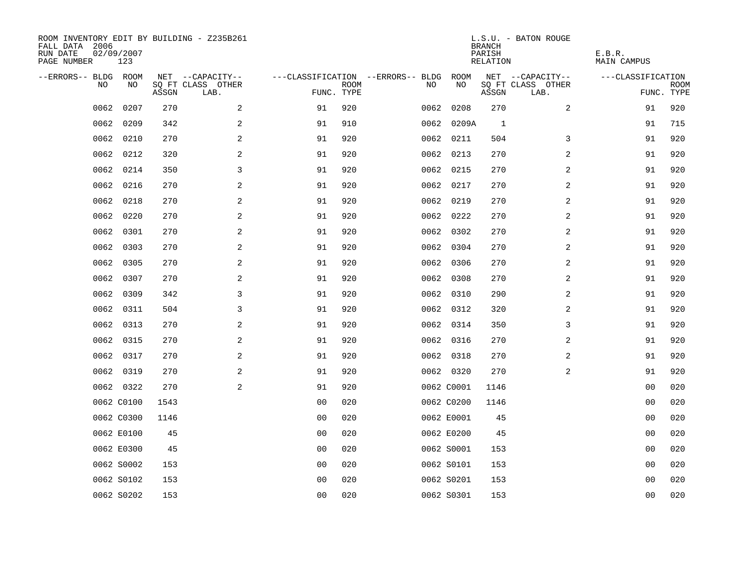| ROOM INVENTORY EDIT BY BUILDING - Z235B261<br>FALL DATA 2006<br>RUN DATE<br>PAGE NUMBER | 02/09/2007<br>123 |       |                           |                |             |                                        |            | <b>BRANCH</b><br>PARISH<br>RELATION | L.S.U. - BATON ROUGE      | E.B.R.<br>MAIN CAMPUS |                           |
|-----------------------------------------------------------------------------------------|-------------------|-------|---------------------------|----------------|-------------|----------------------------------------|------------|-------------------------------------|---------------------------|-----------------------|---------------------------|
| --ERRORS-- BLDG ROOM                                                                    |                   |       | NET --CAPACITY--          |                |             | ---CLASSIFICATION --ERRORS-- BLDG ROOM |            |                                     | NET --CAPACITY--          | ---CLASSIFICATION     |                           |
| NO.                                                                                     | NO.               | ASSGN | SQ FT CLASS OTHER<br>LAB. | FUNC. TYPE     | <b>ROOM</b> | NO.                                    | NO         | ASSGN                               | SQ FT CLASS OTHER<br>LAB. |                       | <b>ROOM</b><br>FUNC. TYPE |
| 0062                                                                                    | 0207              | 270   | 2                         | 91             | 920         |                                        | 0062 0208  | 270                                 | 2                         | 91                    | 920                       |
| 0062                                                                                    | 0209              | 342   | 2                         | 91             | 910         |                                        | 0062 0209A | $\overline{1}$                      |                           | 91                    | 715                       |
| 0062                                                                                    | 0210              | 270   | 2                         | 91             | 920         |                                        | 0062 0211  | 504                                 | 3                         | 91                    | 920                       |
| 0062                                                                                    | 0212              | 320   | 2                         | 91             | 920         |                                        | 0062 0213  | 270                                 | 2                         | 91                    | 920                       |
| 0062                                                                                    | 0214              | 350   | 3                         | 91             | 920         |                                        | 0062 0215  | 270                                 | $\overline{a}$            | 91                    | 920                       |
| 0062                                                                                    | 0216              | 270   | $\mathbf{2}$              | 91             | 920         |                                        | 0062 0217  | 270                                 | 2                         | 91                    | 920                       |
| 0062                                                                                    | 0218              | 270   | 2                         | 91             | 920         |                                        | 0062 0219  | 270                                 | 2                         | 91                    | 920                       |
| 0062                                                                                    | 0220              | 270   | 2                         | 91             | 920         |                                        | 0062 0222  | 270                                 | 2                         | 91                    | 920                       |
| 0062                                                                                    | 0301              | 270   | 2                         | 91             | 920         |                                        | 0062 0302  | 270                                 | 2                         | 91                    | 920                       |
| 0062                                                                                    | 0303              | 270   | 2                         | 91             | 920         |                                        | 0062 0304  | 270                                 | 2                         | 91                    | 920                       |
| 0062                                                                                    | 0305              | 270   | 2                         | 91             | 920         |                                        | 0062 0306  | 270                                 | 2                         | 91                    | 920                       |
|                                                                                         | 0062 0307         | 270   | 2                         | 91             | 920         |                                        | 0062 0308  | 270                                 | 2                         | 91                    | 920                       |
| 0062                                                                                    | 0309              | 342   | 3                         | 91             | 920         |                                        | 0062 0310  | 290                                 | 2                         | 91                    | 920                       |
| 0062                                                                                    | 0311              | 504   | 3                         | 91             | 920         |                                        | 0062 0312  | 320                                 | 2                         | 91                    | 920                       |
| 0062                                                                                    | 0313              | 270   | 2                         | 91             | 920         |                                        | 0062 0314  | 350                                 | 3                         | 91                    | 920                       |
| 0062                                                                                    | 0315              | 270   | 2                         | 91             | 920         |                                        | 0062 0316  | 270                                 | 2                         | 91                    | 920                       |
| 0062                                                                                    | 0317              | 270   | 2                         | 91             | 920         |                                        | 0062 0318  | 270                                 | 2                         | 91                    | 920                       |
|                                                                                         | 0062 0319         | 270   | $\mathbf{2}$              | 91             | 920         |                                        | 0062 0320  | 270                                 | 2                         | 91                    | 920                       |
|                                                                                         | 0062 0322         | 270   | 2                         | 91             | 920         |                                        | 0062 C0001 | 1146                                |                           | 00                    | 020                       |
|                                                                                         | 0062 C0100        | 1543  |                           | 0 <sub>0</sub> | 020         |                                        | 0062 C0200 | 1146                                |                           | 00                    | 020                       |
|                                                                                         | 0062 C0300        | 1146  |                           | 0 <sub>0</sub> | 020         |                                        | 0062 E0001 | 45                                  |                           | 0 <sub>0</sub>        | 020                       |
|                                                                                         | 0062 E0100        | 45    |                           | 00             | 020         |                                        | 0062 E0200 | 45                                  |                           | 0 <sub>0</sub>        | 020                       |
|                                                                                         | 0062 E0300        | 45    |                           | 0 <sub>0</sub> | 020         |                                        | 0062 S0001 | 153                                 |                           | 0 <sub>0</sub>        | 020                       |
|                                                                                         | 0062 S0002        | 153   |                           | 0 <sub>0</sub> | 020         |                                        | 0062 S0101 | 153                                 |                           | 00                    | 020                       |
|                                                                                         | 0062 S0102        | 153   |                           | 0 <sub>0</sub> | 020         |                                        | 0062 S0201 | 153                                 |                           | 00                    | 020                       |
|                                                                                         | 0062 S0202        | 153   |                           | 0 <sub>0</sub> | 020         |                                        | 0062 S0301 | 153                                 |                           | 0 <sub>0</sub>        | 020                       |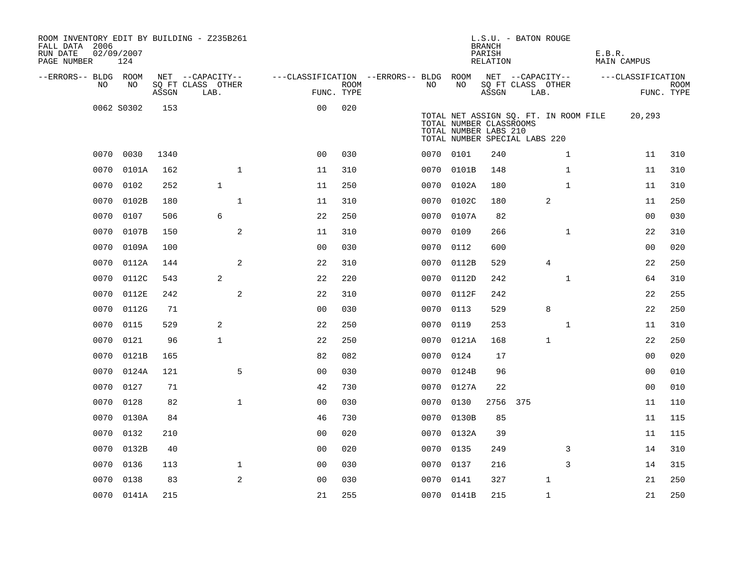| ROOM INVENTORY EDIT BY BUILDING - Z235B261<br>FALL DATA 2006<br>RUN DATE<br>PAGE NUMBER | 02/09/2007<br>124 |       |                           |                                        |             |      |            | L.S.U. - BATON ROUGE<br><b>BRANCH</b><br>PARISH<br>RELATION                       |      |                                       | E.B.R. | MAIN CAMPUS       |                           |
|-----------------------------------------------------------------------------------------|-------------------|-------|---------------------------|----------------------------------------|-------------|------|------------|-----------------------------------------------------------------------------------|------|---------------------------------------|--------|-------------------|---------------------------|
| --ERRORS-- BLDG ROOM                                                                    |                   |       | NET --CAPACITY--          | ---CLASSIFICATION --ERRORS-- BLDG ROOM |             |      |            | NET --CAPACITY--                                                                  |      |                                       |        | ---CLASSIFICATION |                           |
| NO.                                                                                     | NO.               | ASSGN | SQ FT CLASS OTHER<br>LAB. | FUNC. TYPE                             | <b>ROOM</b> | NO.  | NO         | ASSGN                                                                             | LAB. | SQ FT CLASS OTHER                     |        |                   | <b>ROOM</b><br>FUNC. TYPE |
|                                                                                         | 0062 S0302        | 153   |                           | 0 <sub>0</sub>                         | 020         |      |            | TOTAL NUMBER CLASSROOMS<br>TOTAL NUMBER LABS 210<br>TOTAL NUMBER SPECIAL LABS 220 |      | TOTAL NET ASSIGN SQ. FT. IN ROOM FILE |        | 20,293            |                           |
|                                                                                         | 0070 0030         | 1340  |                           | 0 <sub>0</sub>                         | 030         |      | 0070 0101  | 240                                                                               |      | $\mathbf{1}$                          |        | 11                | 310                       |
| 0070                                                                                    | 0101A             | 162   | $\mathbf{1}$              | 11                                     | 310         | 0070 | 0101B      | 148                                                                               |      | $\mathbf{1}$                          |        | 11                | 310                       |
| 0070                                                                                    | 0102              | 252   | $\mathbf{1}$              | 11                                     | 250         |      | 0070 0102A | 180                                                                               |      | $\mathbf{1}$                          |        | 11                | 310                       |
| 0070                                                                                    | 0102B             | 180   | $\mathbf{1}$              | 11                                     | 310         | 0070 | 0102C      | 180                                                                               |      | 2                                     |        | 11                | 250                       |
| 0070                                                                                    | 0107              | 506   | 6                         | 22                                     | 250         |      | 0070 0107A | 82                                                                                |      |                                       |        | 0 <sub>0</sub>    | 030                       |
| 0070                                                                                    | 0107B             | 150   | 2                         | 11                                     | 310         | 0070 | 0109       | 266                                                                               |      | $\mathbf{1}$                          |        | 22                | 310                       |
| 0070                                                                                    | 0109A             | 100   |                           | 0 <sub>0</sub>                         | 030         |      | 0070 0112  | 600                                                                               |      |                                       |        | 0 <sub>0</sub>    | 020                       |
| 0070                                                                                    | 0112A             | 144   | 2                         | 22                                     | 310         | 0070 | 0112B      | 529                                                                               |      | $\overline{4}$                        |        | 22                | 250                       |
| 0070                                                                                    | 0112C             | 543   | 2                         | 22                                     | 220         |      | 0070 0112D | 242                                                                               |      | $\mathbf{1}$                          |        | 64                | 310                       |
| 0070                                                                                    | 0112E             | 242   | 2                         | 22                                     | 310         | 0070 | 0112F      | 242                                                                               |      |                                       |        | 22                | 255                       |
| 0070                                                                                    | 0112G             | 71    |                           | 00                                     | 030         | 0070 | 0113       | 529                                                                               |      | 8                                     |        | 22                | 250                       |
| 0070                                                                                    | 0115              | 529   | 2                         | 22                                     | 250         | 0070 | 0119       | 253                                                                               |      | $\mathbf{1}$                          |        | 11                | 310                       |
| 0070                                                                                    | 0121              | 96    | $\mathbf{1}$              | 22                                     | 250         | 0070 | 0121A      | 168                                                                               |      | 1                                     |        | 22                | 250                       |
| 0070                                                                                    | 0121B             | 165   |                           | 82                                     | 082         | 0070 | 0124       | 17                                                                                |      |                                       |        | 0 <sub>0</sub>    | 020                       |
| 0070                                                                                    | 0124A             | 121   | 5                         | 0 <sub>0</sub>                         | 030         | 0070 | 0124B      | 96                                                                                |      |                                       |        | 0 <sub>0</sub>    | 010                       |
| 0070                                                                                    | 0127              | 71    |                           | 42                                     | 730         |      | 0070 0127A | 22                                                                                |      |                                       |        | 0 <sub>0</sub>    | 010                       |
| 0070                                                                                    | 0128              | 82    | $\mathbf{1}$              | 00                                     | 030         | 0070 | 0130       | 2756 375                                                                          |      |                                       |        | 11                | 110                       |
| 0070                                                                                    | 0130A             | 84    |                           | 46                                     | 730         |      | 0070 0130B | 85                                                                                |      |                                       |        | 11                | 115                       |
| 0070                                                                                    | 0132              | 210   |                           | 00                                     | 020         |      | 0070 0132A | 39                                                                                |      |                                       |        | 11                | 115                       |
| 0070                                                                                    | 0132B             | 40    |                           | 0 <sub>0</sub>                         | 020         |      | 0070 0135  | 249                                                                               |      | 3                                     |        | 14                | 310                       |
| 0070                                                                                    | 0136              | 113   | $\mathbf 1$               | 00                                     | 030         | 0070 | 0137       | 216                                                                               |      | 3                                     |        | 14                | 315                       |
| 0070                                                                                    | 0138              | 83    | 2                         | 0 <sub>0</sub>                         | 030         |      | 0070 0141  | 327                                                                               |      | $\mathbf 1$                           |        | 21                | 250                       |
|                                                                                         | 0070 0141A        | 215   |                           | 21                                     | 255         |      | 0070 0141B | 215                                                                               |      | $\mathbf{1}$                          |        | 21                | 250                       |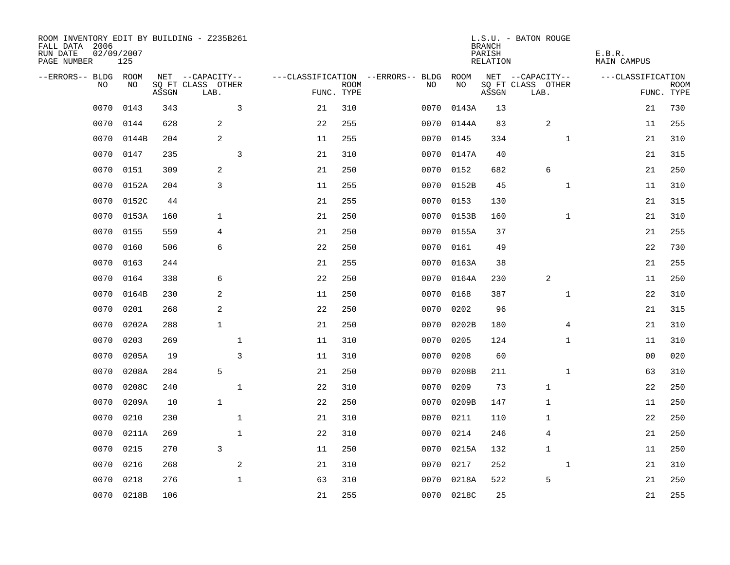| ROOM INVENTORY EDIT BY BUILDING - Z235B261<br>FALL DATA 2006<br>RUN DATE<br>PAGE NUMBER | 02/09/2007<br>125 |       |                           |    |                           |                                   |            | <b>BRANCH</b><br>PARISH<br><b>RELATION</b> | L.S.U. - BATON ROUGE      | E.B.R.<br><b>MAIN CAMPUS</b> |                           |
|-----------------------------------------------------------------------------------------|-------------------|-------|---------------------------|----|---------------------------|-----------------------------------|------------|--------------------------------------------|---------------------------|------------------------------|---------------------------|
| --ERRORS-- BLDG ROOM                                                                    |                   |       | NET --CAPACITY--          |    |                           | ---CLASSIFICATION --ERRORS-- BLDG | ROOM       |                                            | NET --CAPACITY--          | ---CLASSIFICATION            |                           |
| NO                                                                                      | NO                | ASSGN | SQ FT CLASS OTHER<br>LAB. |    | <b>ROOM</b><br>FUNC. TYPE | NO                                | NO         | ASSGN                                      | SQ FT CLASS OTHER<br>LAB. |                              | <b>ROOM</b><br>FUNC. TYPE |
| 0070                                                                                    | 0143              | 343   | 3                         | 21 | 310                       | 0070                              | 0143A      | 13                                         |                           | 21                           | 730                       |
| 0070                                                                                    | 0144              | 628   | 2                         | 22 | 255                       | 0070                              | 0144A      | 83                                         | 2                         | 11                           | 255                       |
| 0070                                                                                    | 0144B             | 204   | $\overline{\mathbf{c}}$   | 11 | 255                       | 0070                              | 0145       | 334                                        | $\mathbf{1}$              | 21                           | 310                       |
| 0070                                                                                    | 0147              | 235   | $\overline{3}$            | 21 | 310                       |                                   | 0070 0147A | 40                                         |                           | 21                           | 315                       |
| 0070                                                                                    | 0151              | 309   | 2                         | 21 | 250                       | 0070                              | 0152       | 682                                        | 6                         | 21                           | 250                       |
| 0070                                                                                    | 0152A             | 204   | 3                         | 11 | 255                       |                                   | 0070 0152B | 45                                         | $\mathbf{1}$              | 11                           | 310                       |
| 0070                                                                                    | 0152C             | 44    |                           | 21 | 255                       | 0070                              | 0153       | 130                                        |                           | 21                           | 315                       |
| 0070                                                                                    | 0153A             | 160   | $\mathbf{1}$              | 21 | 250                       |                                   | 0070 0153B | 160                                        | $\mathbf{1}$              | 21                           | 310                       |
| 0070                                                                                    | 0155              | 559   | 4                         | 21 | 250                       | 0070                              | 0155A      | 37                                         |                           | 21                           | 255                       |
| 0070                                                                                    | 0160              | 506   | 6                         | 22 | 250                       | 0070                              | 0161       | 49                                         |                           | 22                           | 730                       |
| 0070                                                                                    | 0163              | 244   |                           | 21 | 255                       | 0070                              | 0163A      | 38                                         |                           | 21                           | 255                       |
| 0070                                                                                    | 0164              | 338   | 6                         | 22 | 250                       | 0070                              | 0164A      | 230                                        | 2                         | 11                           | 250                       |
| 0070                                                                                    | 0164B             | 230   | 2                         | 11 | 250                       | 0070                              | 0168       | 387                                        | $\mathbf{1}$              | 22                           | 310                       |
| 0070                                                                                    | 0201              | 268   | $\overline{\mathbf{c}}$   | 22 | 250                       | 0070                              | 0202       | 96                                         |                           | 21                           | 315                       |
| 0070                                                                                    | 0202A             | 288   | $\mathbf{1}$              | 21 | 250                       | 0070                              | 0202B      | 180                                        | 4                         | 21                           | 310                       |
| 0070                                                                                    | 0203              | 269   | $\mathbf 1$               | 11 | 310                       | 0070                              | 0205       | 124                                        | $\mathbf{1}$              | 11                           | 310                       |
| 0070                                                                                    | 0205A             | 19    | $\overline{3}$            | 11 | 310                       | 0070                              | 0208       | 60                                         |                           | 0 <sub>0</sub>               | 020                       |
| 0070                                                                                    | 0208A             | 284   | 5                         | 21 | 250                       | 0070                              | 0208B      | 211                                        | $\mathbf{1}$              | 63                           | 310                       |
| 0070                                                                                    | 0208C             | 240   | $\mathbf{1}$              | 22 | 310                       | 0070                              | 0209       | 73                                         | $\mathbf{1}$              | 22                           | 250                       |
| 0070                                                                                    | 0209A             | 10    | $\mathbf{1}$              | 22 | 250                       | 0070                              | 0209B      | 147                                        | $\mathbf 1$               | 11                           | 250                       |
| 0070                                                                                    | 0210              | 230   | $\mathbf{1}$              | 21 | 310                       | 0070                              | 0211       | 110                                        | 1                         | 22                           | 250                       |
| 0070                                                                                    | 0211A             | 269   | $\mathbf 1$               | 22 | 310                       | 0070                              | 0214       | 246                                        | 4                         | 21                           | 250                       |
| 0070                                                                                    | 0215              | 270   | 3                         | 11 | 250                       |                                   | 0070 0215A | 132                                        | $\mathbf{1}$              | 11                           | 250                       |
| 0070                                                                                    | 0216              | 268   | 2                         | 21 | 310                       | 0070                              | 0217       | 252                                        | $\mathbf{1}$              | 21                           | 310                       |
| 0070                                                                                    | 0218              | 276   | $\mathbf 1$               | 63 | 310                       | 0070                              | 0218A      | 522                                        | 5                         | 21                           | 250                       |
|                                                                                         | 0070 0218B        | 106   |                           | 21 | 255                       |                                   | 0070 0218C | 25                                         |                           | 21                           | 255                       |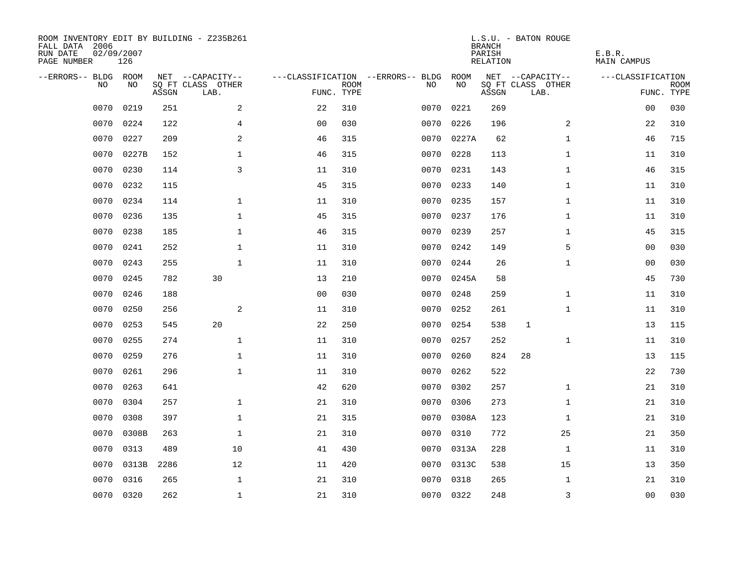| ROOM INVENTORY EDIT BY BUILDING - Z235B261<br>FALL DATA 2006<br>RUN DATE<br>PAGE NUMBER | 02/09/2007<br>126 |       |                           |                |             |                                   |            | <b>BRANCH</b><br>PARISH<br>RELATION | L.S.U. - BATON ROUGE      | E.B.R.<br>MAIN CAMPUS |                           |
|-----------------------------------------------------------------------------------------|-------------------|-------|---------------------------|----------------|-------------|-----------------------------------|------------|-------------------------------------|---------------------------|-----------------------|---------------------------|
| --ERRORS-- BLDG ROOM                                                                    |                   |       | NET --CAPACITY--          |                |             | ---CLASSIFICATION --ERRORS-- BLDG | ROOM       |                                     | NET --CAPACITY--          | ---CLASSIFICATION     |                           |
| NO                                                                                      | NO                | ASSGN | SQ FT CLASS OTHER<br>LAB. | FUNC. TYPE     | <b>ROOM</b> | NO                                | NO         | ASSGN                               | SQ FT CLASS OTHER<br>LAB. |                       | <b>ROOM</b><br>FUNC. TYPE |
| 0070                                                                                    | 0219              | 251   | 2                         | 22             | 310         | 0070                              | 0221       | 269                                 |                           | 0 <sub>0</sub>        | 030                       |
| 0070                                                                                    | 0224              | 122   | 4                         | 0 <sub>0</sub> | 030         | 0070                              | 0226       | 196                                 | 2                         | 22                    | 310                       |
| 0070                                                                                    | 0227              | 209   | 2                         | 46             | 315         | 0070                              | 0227A      | 62                                  | $\mathbf{1}$              | 46                    | 715                       |
| 0070                                                                                    | 0227B             | 152   | $\mathbf 1$               | 46             | 315         | 0070                              | 0228       | 113                                 | $\mathbf{1}$              | 11                    | 310                       |
| 0070                                                                                    | 0230              | 114   | $\mathsf{3}$              | 11             | 310         | 0070                              | 0231       | 143                                 | $\mathbf{1}$              | 46                    | 315                       |
| 0070                                                                                    | 0232              | 115   |                           | 45             | 315         |                                   | 0070 0233  | 140                                 | $\mathbf{1}$              | 11                    | 310                       |
| 0070                                                                                    | 0234              | 114   | $\mathbf{1}$              | 11             | 310         | 0070                              | 0235       | 157                                 | $\mathbf{1}$              | 11                    | 310                       |
| 0070                                                                                    | 0236              | 135   | $\mathbf 1$               | 45             | 315         |                                   | 0070 0237  | 176                                 | $\mathbf{1}$              | 11                    | 310                       |
| 0070                                                                                    | 0238              | 185   | $\mathbf 1$               | 46             | 315         | 0070                              | 0239       | 257                                 | $\mathbf{1}$              | 45                    | 315                       |
| 0070                                                                                    | 0241              | 252   | $\mathbf 1$               | 11             | 310         | 0070                              | 0242       | 149                                 | 5                         | 00                    | 030                       |
| 0070                                                                                    | 0243              | 255   | $\mathbf{1}$              | 11             | 310         | 0070                              | 0244       | 26                                  | $\mathbf{1}$              | 00                    | 030                       |
| 0070                                                                                    | 0245              | 782   | 30                        | 13             | 210         |                                   | 0070 0245A | 58                                  |                           | 45                    | 730                       |
| 0070                                                                                    | 0246              | 188   |                           | 0 <sub>0</sub> | 030         | 0070                              | 0248       | 259                                 | $\mathbf{1}$              | 11                    | 310                       |
| 0070                                                                                    | 0250              | 256   | 2                         | 11             | 310         | 0070                              | 0252       | 261                                 | $\mathbf{1}$              | 11                    | 310                       |
| 0070                                                                                    | 0253              | 545   | 20                        | 22             | 250         | 0070                              | 0254       | 538                                 | $\mathbf{1}$              | 13                    | 115                       |
| 0070                                                                                    | 0255              | 274   | $\mathbf 1$               | 11             | 310         | 0070                              | 0257       | 252                                 | $\mathbf{1}$              | 11                    | 310                       |
| 0070                                                                                    | 0259              | 276   | $\mathbf 1$               | 11             | 310         | 0070                              | 0260       | 824                                 | 28                        | 13                    | 115                       |
| 0070                                                                                    | 0261              | 296   | $\mathbf{1}$              | 11             | 310         | 0070                              | 0262       | 522                                 |                           | 22                    | 730                       |
| 0070                                                                                    | 0263              | 641   |                           | 42             | 620         | 0070                              | 0302       | 257                                 | $\mathbf{1}$              | 21                    | 310                       |
| 0070                                                                                    | 0304              | 257   | $\mathbf 1$               | 21             | 310         | 0070                              | 0306       | 273                                 | $\mathbf{1}$              | 21                    | 310                       |
| 0070                                                                                    | 0308              | 397   | $\mathbf 1$               | 21             | 315         |                                   | 0070 0308A | 123                                 | $\mathbf{1}$              | 21                    | 310                       |
| 0070                                                                                    | 0308B             | 263   | $\mathbf{1}$              | 21             | 310         | 0070                              | 0310       | 772                                 | 25                        | 21                    | 350                       |
| 0070                                                                                    | 0313              | 489   | 10                        | 41             | 430         |                                   | 0070 0313A | 228                                 | $\mathbf{1}$              | 11                    | 310                       |
| 0070                                                                                    | 0313B             | 2286  | 12                        | 11             | 420         | 0070                              | 0313C      | 538                                 | 15                        | 13                    | 350                       |
| 0070                                                                                    | 0316              | 265   | $\mathbf{1}$              | 21             | 310         | 0070                              | 0318       | 265                                 | $\mathbf{1}$              | 21                    | 310                       |
| 0070                                                                                    | 0320              | 262   | $\mathbf{1}$              | 21             | 310         |                                   | 0070 0322  | 248                                 | 3                         | 0 <sub>0</sub>        | 030                       |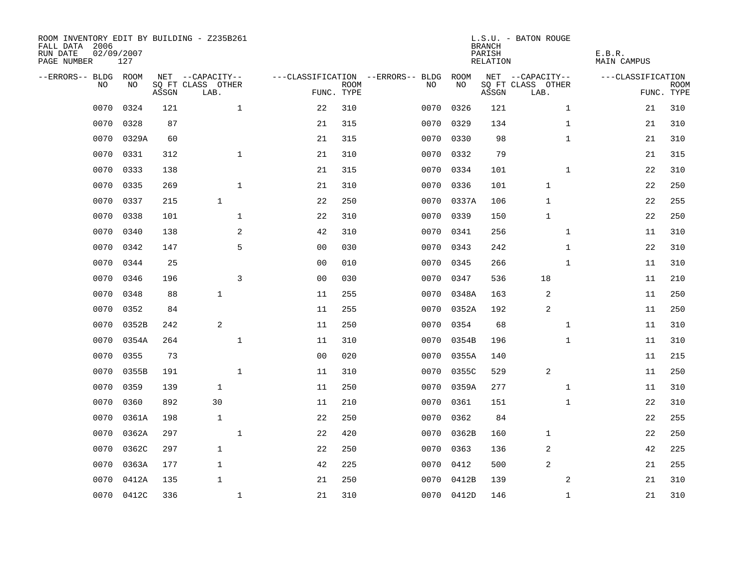| ROOM INVENTORY EDIT BY BUILDING - Z235B261<br>FALL DATA 2006<br>RUN DATE<br>PAGE NUMBER | 02/09/2007<br>127 |       |                           |                |             |                                   |            | <b>BRANCH</b><br>PARISH<br>RELATION | L.S.U. - BATON ROUGE      | E.B.R.<br>MAIN CAMPUS |                           |
|-----------------------------------------------------------------------------------------|-------------------|-------|---------------------------|----------------|-------------|-----------------------------------|------------|-------------------------------------|---------------------------|-----------------------|---------------------------|
| --ERRORS-- BLDG ROOM                                                                    |                   |       | NET --CAPACITY--          |                |             | ---CLASSIFICATION --ERRORS-- BLDG | ROOM       |                                     | NET --CAPACITY--          | ---CLASSIFICATION     |                           |
| NO.                                                                                     | NO.               | ASSGN | SQ FT CLASS OTHER<br>LAB. | FUNC. TYPE     | <b>ROOM</b> | NO.                               | NO         | ASSGN                               | SQ FT CLASS OTHER<br>LAB. |                       | <b>ROOM</b><br>FUNC. TYPE |
| 0070                                                                                    | 0324              | 121   | $\mathbf{1}$              | 22             | 310         | 0070                              | 0326       | 121                                 | $\mathbf{1}$              | 21                    | 310                       |
| 0070                                                                                    | 0328              | 87    |                           | 21             | 315         | 0070                              | 0329       | 134                                 | $\mathbf{1}$              | 21                    | 310                       |
| 0070                                                                                    | 0329A             | 60    |                           | 21             | 315         | 0070                              | 0330       | 98                                  | $\mathbf{1}$              | 21                    | 310                       |
| 0070                                                                                    | 0331              | 312   | $\mathbf 1$               | 21             | 310         |                                   | 0070 0332  | 79                                  |                           | 21                    | 315                       |
| 0070                                                                                    | 0333              | 138   |                           | 21             | 315         | 0070                              | 0334       | 101                                 | $\mathbf{1}$              | 22                    | 310                       |
| 0070                                                                                    | 0335              | 269   | $\mathbf 1$               | 21             | 310         |                                   | 0070 0336  | 101                                 | $\mathbf 1$               | 22                    | 250                       |
| 0070                                                                                    | 0337              | 215   | $\mathbf{1}$              | 22             | 250         | 0070                              | 0337A      | 106                                 | $\mathbf{1}$              | 22                    | 255                       |
| 0070                                                                                    | 0338              | 101   | $\mathbf{1}$              | 22             | 310         | 0070                              | 0339       | 150                                 | $\mathbf{1}$              | 22                    | 250                       |
| 0070                                                                                    | 0340              | 138   | 2                         | 42             | 310         | 0070                              | 0341       | 256                                 | $\mathbf{1}$              | 11                    | 310                       |
| 0070                                                                                    | 0342              | 147   | 5                         | 0 <sub>0</sub> | 030         |                                   | 0070 0343  | 242                                 | $\mathbf{1}$              | 22                    | 310                       |
| 0070                                                                                    | 0344              | 25    |                           | 0 <sub>0</sub> | 010         | 0070                              | 0345       | 266                                 | $\mathbf{1}$              | 11                    | 310                       |
| 0070                                                                                    | 0346              | 196   | 3                         | 0 <sub>0</sub> | 030         |                                   | 0070 0347  | 536                                 | 18                        | 11                    | 210                       |
| 0070                                                                                    | 0348              | 88    | $\mathbf{1}$              | 11             | 255         | 0070                              | 0348A      | 163                                 | 2                         | 11                    | 250                       |
| 0070                                                                                    | 0352              | 84    |                           | 11             | 255         | 0070                              | 0352A      | 192                                 | 2                         | 11                    | 250                       |
| 0070                                                                                    | 0352B             | 242   | 2                         | 11             | 250         | 0070                              | 0354       | 68                                  | $\mathbf{1}$              | 11                    | 310                       |
| 0070                                                                                    | 0354A             | 264   | $\mathbf{1}$              | 11             | 310         | 0070                              | 0354B      | 196                                 | $\mathbf{1}$              | 11                    | 310                       |
| 0070                                                                                    | 0355              | 73    |                           | 0 <sub>0</sub> | 020         | 0070                              | 0355A      | 140                                 |                           | 11                    | 215                       |
| 0070                                                                                    | 0355B             | 191   | 1                         | 11             | 310         | 0070                              | 0355C      | 529                                 | 2                         | 11                    | 250                       |
| 0070                                                                                    | 0359              | 139   | $\mathbf{1}$              | 11             | 250         | 0070                              | 0359A      | 277                                 | $\mathbf{1}$              | 11                    | 310                       |
| 0070                                                                                    | 0360              | 892   | 30                        | 11             | 210         | 0070                              | 0361       | 151                                 | $\mathbf{1}$              | 22                    | 310                       |
| 0070                                                                                    | 0361A             | 198   | $\mathbf{1}$              | 22             | 250         | 0070                              | 0362       | 84                                  |                           | 22                    | 255                       |
| 0070                                                                                    | 0362A             | 297   | $\mathbf 1$               | 22             | 420         | 0070                              | 0362B      | 160                                 | 1                         | 22                    | 250                       |
| 0070                                                                                    | 0362C             | 297   | $\mathbf{1}$              | 22             | 250         | 0070                              | 0363       | 136                                 | 2                         | 42                    | 225                       |
| 0070                                                                                    | 0363A             | 177   | $\mathbf{1}$              | 42             | 225         | 0070                              | 0412       | 500                                 | 2                         | 21                    | 255                       |
| 0070                                                                                    | 0412A             | 135   | $\mathbf{1}$              | 21             | 250         | 0070                              | 0412B      | 139                                 | 2                         | 21                    | 310                       |
| 0070                                                                                    | 0412C             | 336   | $\mathbf{1}$              | 21             | 310         |                                   | 0070 0412D | 146                                 | $\mathbf{1}$              | 21                    | 310                       |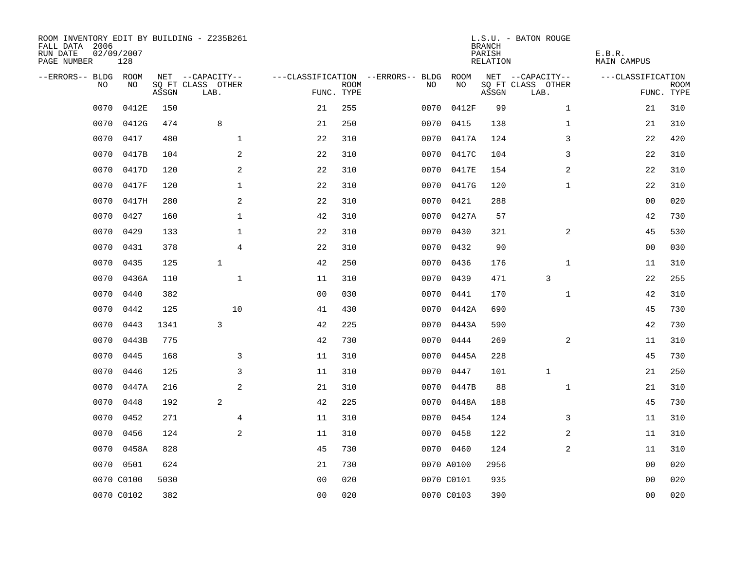| ROOM INVENTORY EDIT BY BUILDING - Z235B261<br>FALL DATA 2006<br>RUN DATE<br>PAGE NUMBER | 02/09/2007<br>128 |       |                           |                |             |                                   |            | <b>BRANCH</b><br>PARISH<br>RELATION | L.S.U. - BATON ROUGE      | E.B.R.<br><b>MAIN CAMPUS</b> |                           |
|-----------------------------------------------------------------------------------------|-------------------|-------|---------------------------|----------------|-------------|-----------------------------------|------------|-------------------------------------|---------------------------|------------------------------|---------------------------|
| --ERRORS-- BLDG ROOM                                                                    |                   |       | NET --CAPACITY--          |                |             | ---CLASSIFICATION --ERRORS-- BLDG | ROOM       |                                     | NET --CAPACITY--          | ---CLASSIFICATION            |                           |
| N <sub>O</sub>                                                                          | NO.               | ASSGN | SO FT CLASS OTHER<br>LAB. | FUNC. TYPE     | <b>ROOM</b> | NO.                               | NO         | ASSGN                               | SQ FT CLASS OTHER<br>LAB. |                              | <b>ROOM</b><br>FUNC. TYPE |
| 0070                                                                                    | 0412E             | 150   |                           | 21             | 255         | 0070                              | 0412F      | 99                                  | $\mathbf{1}$              | 21                           | 310                       |
| 0070                                                                                    | 0412G             | 474   | 8                         | 21             | 250         | 0070                              | 0415       | 138                                 | $\mathbf{1}$              | 21                           | 310                       |
| 0070                                                                                    | 0417              | 480   | $\mathbf{1}$              | 22             | 310         | 0070                              | 0417A      | 124                                 | 3                         | 22                           | 420                       |
| 0070                                                                                    | 0417B             | 104   | 2                         | 22             | 310         | 0070                              | 0417C      | 104                                 | 3                         | 22                           | 310                       |
| 0070                                                                                    | 0417D             | 120   | 2                         | 22             | 310         | 0070                              | 0417E      | 154                                 | 2                         | 22                           | 310                       |
| 0070                                                                                    | 0417F             | 120   | $\mathbf 1$               | $2\sqrt{2}$    | 310         |                                   | 0070 0417G | 120                                 | $\mathbf{1}$              | 22                           | 310                       |
| 0070                                                                                    | 0417H             | 280   | 2                         | 22             | 310         | 0070                              | 0421       | 288                                 |                           | 00                           | 020                       |
| 0070                                                                                    | 0427              | 160   | $\mathbf{1}$              | 42             | 310         |                                   | 0070 0427A | 57                                  |                           | 42                           | 730                       |
| 0070                                                                                    | 0429              | 133   | $\mathbf{1}$              | 22             | 310         | 0070                              | 0430       | 321                                 | 2                         | 45                           | 530                       |
| 0070                                                                                    | 0431              | 378   | $\overline{4}$            | 22             | 310         |                                   | 0070 0432  | 90                                  |                           | 00                           | 030                       |
| 0070                                                                                    | 0435              | 125   | $\mathbf{1}$              | 42             | 250         | 0070                              | 0436       | 176                                 | $\mathbf{1}$              | 11                           | 310                       |
| 0070                                                                                    | 0436A             | 110   | $\mathbf{1}$              | 11             | 310         |                                   | 0070 0439  | 471                                 | 3                         | 22                           | 255                       |
| 0070                                                                                    | 0440              | 382   |                           | 0 <sub>0</sub> | 030         | 0070                              | 0441       | 170                                 | $\mathbf{1}$              | 42                           | 310                       |
| 0070                                                                                    | 0442              | 125   | 10                        | 41             | 430         | 0070                              | 0442A      | 690                                 |                           | 45                           | 730                       |
| 0070                                                                                    | 0443              | 1341  | 3                         | 42             | 225         | 0070                              | 0443A      | 590                                 |                           | 42                           | 730                       |
| 0070                                                                                    | 0443B             | 775   |                           | 42             | 730         | 0070                              | 0444       | 269                                 | 2                         | 11                           | 310                       |
| 0070                                                                                    | 0445              | 168   | 3                         | 11             | 310         | 0070                              | 0445A      | 228                                 |                           | 45                           | 730                       |
| 0070                                                                                    | 0446              | 125   | 3                         | 11             | 310         | 0070                              | 0447       | 101                                 | 1                         | 21                           | 250                       |
| 0070                                                                                    | 0447A             | 216   | 2                         | 21             | 310         |                                   | 0070 0447B | 88                                  | $\mathbf{1}$              | 21                           | 310                       |
| 0070                                                                                    | 0448              | 192   | 2                         | 42             | 225         | 0070                              | 0448A      | 188                                 |                           | 45                           | 730                       |
| 0070                                                                                    | 0452              | 271   | 4                         | 11             | 310         | 0070                              | 0454       | 124                                 | 3                         | 11                           | 310                       |
| 0070                                                                                    | 0456              | 124   | 2                         | 11             | 310         |                                   | 0070 0458  | 122                                 | 2                         | 11                           | 310                       |
| 0070                                                                                    | 0458A             | 828   |                           | 45             | 730         |                                   | 0070 0460  | 124                                 | 2                         | 11                           | 310                       |
| 0070                                                                                    | 0501              | 624   |                           | 21             | 730         |                                   | 0070 A0100 | 2956                                |                           | 00                           | 020                       |
|                                                                                         | 0070 C0100        | 5030  |                           | 0 <sub>0</sub> | 020         |                                   | 0070 C0101 | 935                                 |                           | 00                           | 020                       |
|                                                                                         | 0070 C0102        | 382   |                           | 0 <sub>0</sub> | 020         |                                   | 0070 C0103 | 390                                 |                           | 0 <sub>0</sub>               | 020                       |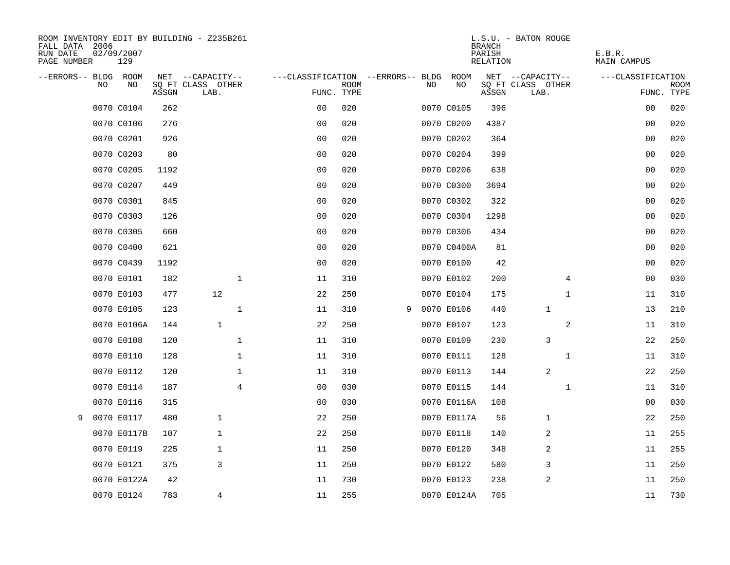| ROOM INVENTORY EDIT BY BUILDING - Z235B261<br>FALL DATA 2006<br>RUN DATE<br>PAGE NUMBER | 02/09/2007<br>129 |       |                           |                |                                   |             |   |     |             | <b>BRANCH</b><br>PARISH<br>RELATION | L.S.U. - BATON ROUGE      | E.B.R.<br>MAIN CAMPUS |                           |
|-----------------------------------------------------------------------------------------|-------------------|-------|---------------------------|----------------|-----------------------------------|-------------|---|-----|-------------|-------------------------------------|---------------------------|-----------------------|---------------------------|
| --ERRORS-- BLDG ROOM                                                                    |                   |       | NET --CAPACITY--          |                | ---CLASSIFICATION --ERRORS-- BLDG |             |   |     | ROOM        |                                     | NET --CAPACITY--          | ---CLASSIFICATION     |                           |
| <b>NO</b>                                                                               | NO.               | ASSGN | SO FT CLASS OTHER<br>LAB. |                | FUNC. TYPE                        | <b>ROOM</b> |   | NO. | NO          | ASSGN                               | SQ FT CLASS OTHER<br>LAB. |                       | <b>ROOM</b><br>FUNC. TYPE |
|                                                                                         | 0070 C0104        | 262   |                           |                | 0 <sub>0</sub>                    | 020         |   |     | 0070 C0105  | 396                                 |                           | 00                    | 020                       |
|                                                                                         | 0070 C0106        | 276   |                           |                | 0 <sub>0</sub>                    | 020         |   |     | 0070 C0200  | 4387                                |                           | 00                    | 020                       |
|                                                                                         | 0070 C0201        | 926   |                           |                | 0 <sub>0</sub>                    | 020         |   |     | 0070 C0202  | 364                                 |                           | 00                    | 020                       |
|                                                                                         | 0070 C0203        | 80    |                           |                | 0 <sub>0</sub>                    | 020         |   |     | 0070 C0204  | 399                                 |                           | 0 <sub>0</sub>        | 020                       |
|                                                                                         | 0070 C0205        | 1192  |                           |                | 00                                | 020         |   |     | 0070 C0206  | 638                                 |                           | 00                    | 020                       |
|                                                                                         | 0070 C0207        | 449   |                           |                | 0 <sub>0</sub>                    | 020         |   |     | 0070 C0300  | 3694                                |                           | 00                    | 020                       |
|                                                                                         | 0070 C0301        | 845   |                           |                | 0 <sub>0</sub>                    | 020         |   |     | 0070 C0302  | 322                                 |                           | 00                    | 020                       |
|                                                                                         | 0070 C0303        | 126   |                           |                | 0 <sub>0</sub>                    | 020         |   |     | 0070 C0304  | 1298                                |                           | 0 <sub>0</sub>        | 020                       |
|                                                                                         | 0070 C0305        | 660   |                           |                | 0 <sub>0</sub>                    | 020         |   |     | 0070 C0306  | 434                                 |                           | 0 <sub>0</sub>        | 020                       |
|                                                                                         | 0070 C0400        | 621   |                           |                | 0 <sub>0</sub>                    | 020         |   |     | 0070 C0400A | 81                                  |                           | 0 <sub>0</sub>        | 020                       |
|                                                                                         | 0070 C0439        | 1192  |                           |                | 0 <sub>0</sub>                    | 020         |   |     | 0070 E0100  | 42                                  |                           | 0 <sub>0</sub>        | 020                       |
|                                                                                         | 0070 E0101        | 182   |                           | $\mathbf 1$    | 11                                | 310         |   |     | 0070 E0102  | 200                                 | 4                         | 0 <sub>0</sub>        | 030                       |
|                                                                                         | 0070 E0103        | 477   | 12                        |                | 22                                | 250         |   |     | 0070 E0104  | 175                                 | $\mathbf{1}$              | 11                    | 310                       |
|                                                                                         | 0070 E0105        | 123   |                           | $\mathbf{1}$   | 11                                | 310         | 9 |     | 0070 E0106  | 440                                 | $\mathbf 1$               | 13                    | 210                       |
|                                                                                         | 0070 E0106A       | 144   | $\mathbf{1}$              |                | 22                                | 250         |   |     | 0070 E0107  | 123                                 | 2                         | 11                    | 310                       |
|                                                                                         | 0070 E0108        | 120   |                           | $\mathbf 1$    | 11                                | 310         |   |     | 0070 E0109  | 230                                 | 3                         | 22                    | 250                       |
|                                                                                         | 0070 E0110        | 128   |                           | $\mathbf 1$    | 11                                | 310         |   |     | 0070 E0111  | 128                                 | $\mathbf{1}$              | 11                    | 310                       |
|                                                                                         | 0070 E0112        | 120   |                           | $\mathbf 1$    | 11                                | 310         |   |     | 0070 E0113  | 144                                 | 2                         | 22                    | 250                       |
|                                                                                         | 0070 E0114        | 187   |                           | $\overline{4}$ | 0 <sub>0</sub>                    | 030         |   |     | 0070 E0115  | 144                                 | $\mathbf{1}$              | 11                    | 310                       |
|                                                                                         | 0070 E0116        | 315   |                           |                | 0 <sub>0</sub>                    | 030         |   |     | 0070 E0116A | 108                                 |                           | 0 <sub>0</sub>        | 030                       |
| 9                                                                                       | 0070 E0117        | 480   | 1                         |                | 22                                | 250         |   |     | 0070 E0117A | 56                                  | 1                         | 22                    | 250                       |
|                                                                                         | 0070 E0117B       | 107   | $\mathbf{1}$              |                | 22                                | 250         |   |     | 0070 E0118  | 140                                 | 2                         | 11                    | 255                       |
|                                                                                         | 0070 E0119        | 225   | 1                         |                | 11                                | 250         |   |     | 0070 E0120  | 348                                 | 2                         | 11                    | 255                       |
|                                                                                         | 0070 E0121        | 375   | 3                         |                | 11                                | 250         |   |     | 0070 E0122  | 580                                 | 3                         | 11                    | 250                       |
|                                                                                         | 0070 E0122A       | 42    |                           |                | 11                                | 730         |   |     | 0070 E0123  | 238                                 | $\overline{2}$            | 11                    | 250                       |
|                                                                                         | 0070 E0124        | 783   | $\overline{4}$            |                | 11                                | 255         |   |     | 0070 E0124A | 705                                 |                           | 11                    | 730                       |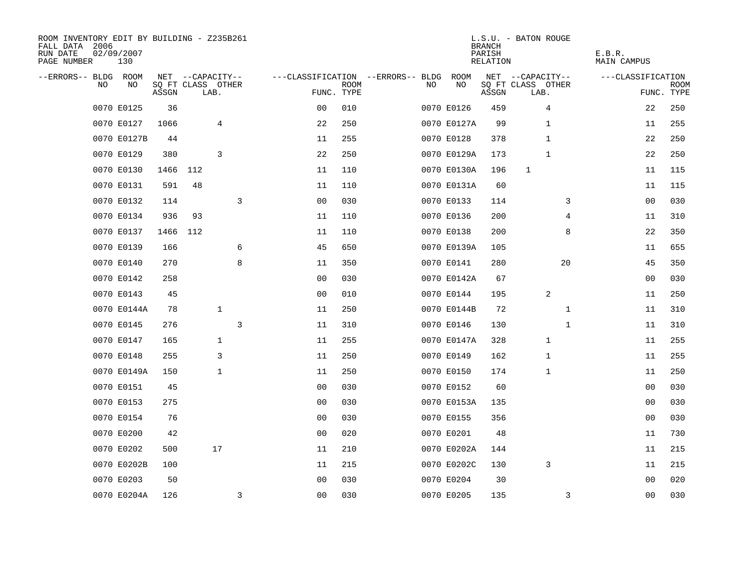| ROOM INVENTORY EDIT BY BUILDING - Z235B261<br>FALL DATA 2006<br>RUN DATE<br>PAGE NUMBER | 02/09/2007<br>130 |       |                           |              |                |                           |                                   |             | <b>BRANCH</b><br>PARISH<br>RELATION | L.S.U. - BATON ROUGE      | E.B.R.<br>MAIN CAMPUS |                    |
|-----------------------------------------------------------------------------------------|-------------------|-------|---------------------------|--------------|----------------|---------------------------|-----------------------------------|-------------|-------------------------------------|---------------------------|-----------------------|--------------------|
| --ERRORS-- BLDG ROOM                                                                    |                   |       | NET --CAPACITY--          |              |                |                           | ---CLASSIFICATION --ERRORS-- BLDG | ROOM        |                                     | NET --CAPACITY--          | ---CLASSIFICATION     |                    |
| NO                                                                                      | NO                | ASSGN | SQ FT CLASS OTHER<br>LAB. |              |                | <b>ROOM</b><br>FUNC. TYPE | NO.                               | NO          | ASSGN                               | SQ FT CLASS OTHER<br>LAB. |                       | ROOM<br>FUNC. TYPE |
|                                                                                         | 0070 E0125        | 36    |                           |              | 0 <sub>0</sub> | 010                       |                                   | 0070 E0126  | 459                                 | $\overline{4}$            | 22                    | 250                |
|                                                                                         | 0070 E0127        | 1066  |                           | 4            | 22             | 250                       |                                   | 0070 E0127A | 99                                  | 1                         | 11                    | 255                |
|                                                                                         | 0070 E0127B       | 44    |                           |              | 11             | 255                       |                                   | 0070 E0128  | 378                                 | $\mathbf{1}$              | 22                    | 250                |
|                                                                                         | 0070 E0129        | 380   |                           | 3            | 22             | 250                       |                                   | 0070 E0129A | 173                                 | 1                         | 22                    | 250                |
|                                                                                         | 0070 E0130        | 1466  | 112                       |              | 11             | 110                       |                                   | 0070 E0130A | 196                                 | 1                         | 11                    | 115                |
|                                                                                         | 0070 E0131        | 591   | 48                        |              | 11             | 110                       |                                   | 0070 E0131A | 60                                  |                           | 11                    | 115                |
|                                                                                         | 0070 E0132        | 114   |                           | 3            | 0 <sub>0</sub> | 030                       |                                   | 0070 E0133  | 114                                 | 3                         | 0 <sub>0</sub>        | 030                |
|                                                                                         | 0070 E0134        | 936   | 93                        |              | 11             | 110                       |                                   | 0070 E0136  | 200                                 | 4                         | 11                    | 310                |
|                                                                                         | 0070 E0137        | 1466  | 112                       |              | 11             | 110                       |                                   | 0070 E0138  | 200                                 | 8                         | 22                    | 350                |
|                                                                                         | 0070 E0139        | 166   |                           | 6            | 45             | 650                       |                                   | 0070 E0139A | 105                                 |                           | 11                    | 655                |
|                                                                                         | 0070 E0140        | 270   |                           | 8            | 11             | 350                       |                                   | 0070 E0141  | 280                                 | 20                        | 45                    | 350                |
|                                                                                         | 0070 E0142        | 258   |                           |              | 00             | 030                       |                                   | 0070 E0142A | 67                                  |                           | 00                    | 030                |
|                                                                                         | 0070 E0143        | 45    |                           |              | 0 <sub>0</sub> | 010                       |                                   | 0070 E0144  | 195                                 | 2                         | 11                    | 250                |
|                                                                                         | 0070 E0144A       | 78    |                           | $\mathbf{1}$ | 11             | 250                       |                                   | 0070 E0144B | 72                                  | $\mathbf{1}$              | 11                    | 310                |
|                                                                                         | 0070 E0145        | 276   |                           | 3            | 11             | 310                       |                                   | 0070 E0146  | 130                                 | $\mathbf{1}$              | 11                    | 310                |
|                                                                                         | 0070 E0147        | 165   |                           | 1            | 11             | 255                       |                                   | 0070 E0147A | 328                                 | 1                         | 11                    | 255                |
|                                                                                         | 0070 E0148        | 255   |                           | 3            | 11             | 250                       |                                   | 0070 E0149  | 162                                 | 1                         | 11                    | 255                |
|                                                                                         | 0070 E0149A       | 150   |                           | $\mathbf{1}$ | 11             | 250                       |                                   | 0070 E0150  | 174                                 | 1                         | 11                    | 250                |
|                                                                                         | 0070 E0151        | 45    |                           |              | 0 <sub>0</sub> | 030                       |                                   | 0070 E0152  | 60                                  |                           | 00                    | 030                |
|                                                                                         | 0070 E0153        | 275   |                           |              | 00             | 030                       |                                   | 0070 E0153A | 135                                 |                           | 00                    | 030                |
|                                                                                         | 0070 E0154        | 76    |                           |              | 0 <sub>0</sub> | 030                       |                                   | 0070 E0155  | 356                                 |                           | 00                    | 030                |
|                                                                                         | 0070 E0200        | 42    |                           |              | 0 <sub>0</sub> | 020                       |                                   | 0070 E0201  | 48                                  |                           | 11                    | 730                |
|                                                                                         | 0070 E0202        | 500   |                           | 17           | 11             | 210                       |                                   | 0070 E0202A | 144                                 |                           | 11                    | 215                |
|                                                                                         | 0070 E0202B       | 100   |                           |              | 11             | 215                       |                                   | 0070 E0202C | 130                                 | 3                         | 11                    | 215                |
|                                                                                         | 0070 E0203        | 50    |                           |              | 0 <sub>0</sub> | 030                       |                                   | 0070 E0204  | 30                                  |                           | 0 <sub>0</sub>        | 020                |
|                                                                                         | 0070 E0204A       | 126   |                           | 3            | 0 <sub>0</sub> | 030                       |                                   | 0070 E0205  | 135                                 | 3                         | 0 <sub>0</sub>        | 030                |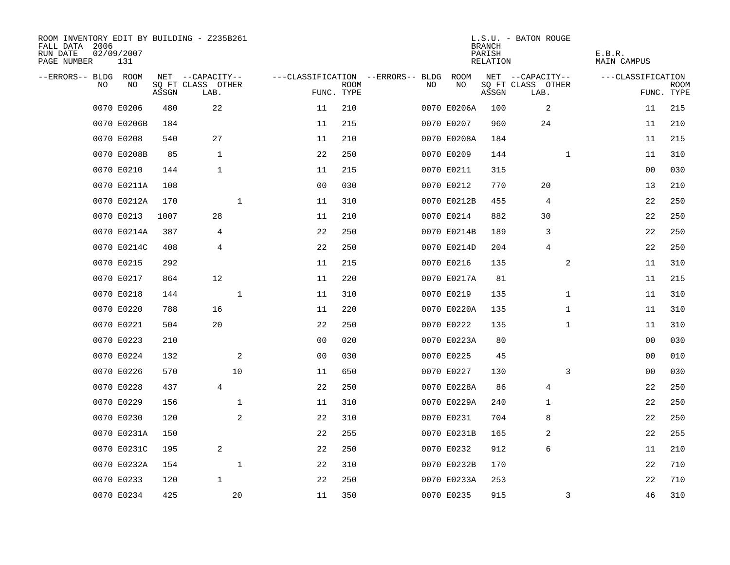| ROOM INVENTORY EDIT BY BUILDING - Z235B261<br>FALL DATA 2006<br>RUN DATE<br>PAGE NUMBER | 02/09/2007<br>131 |       |                           |              |                                   |             |     |             | <b>BRANCH</b><br>PARISH<br>RELATION | L.S.U. - BATON ROUGE      | E.B.R.<br>MAIN CAMPUS |                           |
|-----------------------------------------------------------------------------------------|-------------------|-------|---------------------------|--------------|-----------------------------------|-------------|-----|-------------|-------------------------------------|---------------------------|-----------------------|---------------------------|
| --ERRORS-- BLDG ROOM                                                                    |                   |       | NET --CAPACITY--          |              | ---CLASSIFICATION --ERRORS-- BLDG |             |     | ROOM        |                                     | NET --CAPACITY--          | ---CLASSIFICATION     |                           |
| N <sub>O</sub>                                                                          | NO.               | ASSGN | SQ FT CLASS OTHER<br>LAB. |              | FUNC. TYPE                        | <b>ROOM</b> | NO. | NO          | ASSGN                               | SQ FT CLASS OTHER<br>LAB. |                       | <b>ROOM</b><br>FUNC. TYPE |
|                                                                                         | 0070 E0206        | 480   | 22                        |              | 11                                | 210         |     | 0070 E0206A | 100                                 | 2                         | 11                    | 215                       |
|                                                                                         | 0070 E0206B       | 184   |                           |              | 11                                | 215         |     | 0070 E0207  | 960                                 | 24                        | 11                    | 210                       |
|                                                                                         | 0070 E0208        | 540   | 27                        |              | 11                                | 210         |     | 0070 E0208A | 184                                 |                           | 11                    | 215                       |
|                                                                                         | 0070 E0208B       | 85    | $\mathbf{1}$              |              | 22                                | 250         |     | 0070 E0209  | 144                                 | $\mathbf{1}$              | 11                    | 310                       |
|                                                                                         | 0070 E0210        | 144   | $\mathbf{1}$              |              | 11                                | 215         |     | 0070 E0211  | 315                                 |                           | 00                    | 030                       |
|                                                                                         | 0070 E0211A       | 108   |                           |              | 0 <sub>0</sub>                    | 030         |     | 0070 E0212  | 770                                 | 20                        | 13                    | 210                       |
|                                                                                         | 0070 E0212A       | 170   |                           | $\mathbf 1$  | 11                                | 310         |     | 0070 E0212B | 455                                 | 4                         | 22                    | 250                       |
|                                                                                         | 0070 E0213        | 1007  | 28                        |              | 11                                | 210         |     | 0070 E0214  | 882                                 | 30                        | 22                    | 250                       |
|                                                                                         | 0070 E0214A       | 387   | 4                         |              | 22                                | 250         |     | 0070 E0214B | 189                                 | 3                         | 22                    | 250                       |
|                                                                                         | 0070 E0214C       | 408   | $\overline{4}$            |              | 22                                | 250         |     | 0070 E0214D | 204                                 | $\overline{4}$            | 22                    | 250                       |
|                                                                                         | 0070 E0215        | 292   |                           |              | 11                                | 215         |     | 0070 E0216  | 135                                 | 2                         | 11                    | 310                       |
|                                                                                         | 0070 E0217        | 864   | 12                        |              | 11                                | 220         |     | 0070 E0217A | 81                                  |                           | 11                    | 215                       |
|                                                                                         | 0070 E0218        | 144   |                           | $\mathbf{1}$ | 11                                | 310         |     | 0070 E0219  | 135                                 | $\mathbf{1}$              | 11                    | 310                       |
|                                                                                         | 0070 E0220        | 788   | 16                        |              | 11                                | 220         |     | 0070 E0220A | 135                                 | $\mathbf{1}$              | 11                    | 310                       |
|                                                                                         | 0070 E0221        | 504   | 20                        |              | 22                                | 250         |     | 0070 E0222  | 135                                 | $\mathbf{1}$              | 11                    | 310                       |
|                                                                                         | 0070 E0223        | 210   |                           |              | 0 <sub>0</sub>                    | 020         |     | 0070 E0223A | 80                                  |                           | 0 <sub>0</sub>        | 030                       |
|                                                                                         | 0070 E0224        | 132   |                           | 2            | 0 <sub>0</sub>                    | 030         |     | 0070 E0225  | 45                                  |                           | 00                    | 010                       |
|                                                                                         | 0070 E0226        | 570   |                           | 10           | 11                                | 650         |     | 0070 E0227  | 130                                 | 3                         | 00                    | 030                       |
|                                                                                         | 0070 E0228        | 437   | $\overline{4}$            |              | 22                                | 250         |     | 0070 E0228A | 86                                  | $\overline{4}$            | 22                    | 250                       |
|                                                                                         | 0070 E0229        | 156   |                           | $\mathbf{1}$ | 11                                | 310         |     | 0070 E0229A | 240                                 | 1                         | 22                    | 250                       |
|                                                                                         | 0070 E0230        | 120   |                           | 2            | 22                                | 310         |     | 0070 E0231  | 704                                 | 8                         | 22                    | 250                       |
|                                                                                         | 0070 E0231A       | 150   |                           |              | 22                                | 255         |     | 0070 E0231B | 165                                 | 2                         | 22                    | 255                       |
|                                                                                         | 0070 E0231C       | 195   | 2                         |              | 22                                | 250         |     | 0070 E0232  | 912                                 | 6                         | 11                    | 210                       |
|                                                                                         | 0070 E0232A       | 154   |                           | $\mathbf{1}$ | 22                                | 310         |     | 0070 E0232B | 170                                 |                           | 22                    | 710                       |
|                                                                                         | 0070 E0233        | 120   | $\mathbf{1}$              |              | 22                                | 250         |     | 0070 E0233A | 253                                 |                           | 22                    | 710                       |
|                                                                                         | 0070 E0234        | 425   |                           | 20           | 11                                | 350         |     | 0070 E0235  | 915                                 | 3                         | 46                    | 310                       |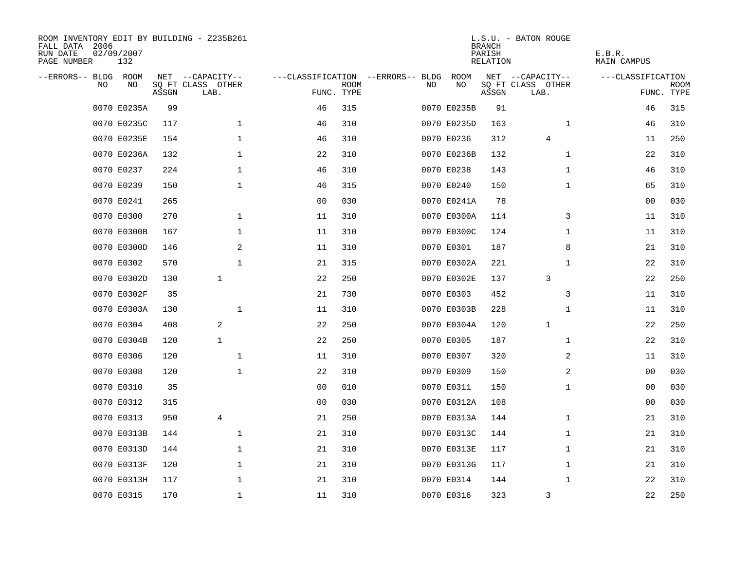| ROOM INVENTORY EDIT BY BUILDING - Z235B261<br>FALL DATA 2006<br>RUN DATE<br>PAGE NUMBER | 02/09/2007<br>132 |       |                           |                |             |                                   |             | <b>BRANCH</b><br>PARISH<br>RELATION | L.S.U. - BATON ROUGE      | E.B.R.<br>MAIN CAMPUS |                    |
|-----------------------------------------------------------------------------------------|-------------------|-------|---------------------------|----------------|-------------|-----------------------------------|-------------|-------------------------------------|---------------------------|-----------------------|--------------------|
| --ERRORS-- BLDG ROOM                                                                    |                   |       | NET --CAPACITY--          |                |             | ---CLASSIFICATION --ERRORS-- BLDG | ROOM        |                                     | NET --CAPACITY--          | ---CLASSIFICATION     |                    |
| NO                                                                                      | NO                | ASSGN | SQ FT CLASS OTHER<br>LAB. | FUNC. TYPE     | <b>ROOM</b> | NO                                | NO          | ASSGN                               | SQ FT CLASS OTHER<br>LAB. |                       | ROOM<br>FUNC. TYPE |
|                                                                                         | 0070 E0235A       | 99    |                           | 46             | 315         |                                   | 0070 E0235B | 91                                  |                           | 46                    | 315                |
|                                                                                         | 0070 E0235C       | 117   | $\mathbf{1}$              | 46             | 310         |                                   | 0070 E0235D | 163                                 | $\mathbf{1}$              | 46                    | 310                |
|                                                                                         | 0070 E0235E       | 154   | $\mathbf 1$               | 46             | 310         |                                   | 0070 E0236  | 312                                 | 4                         | 11                    | 250                |
|                                                                                         | 0070 E0236A       | 132   | $\mathbf 1$               | 22             | 310         |                                   | 0070 E0236B | 132                                 | $\mathbf{1}$              | 22                    | 310                |
|                                                                                         | 0070 E0237        | 224   | 1                         | 46             | 310         |                                   | 0070 E0238  | 143                                 | $\mathbf{1}$              | 46                    | 310                |
|                                                                                         | 0070 E0239        | 150   | $\mathbf{1}$              | 46             | 315         |                                   | 0070 E0240  | 150                                 | $\mathbf{1}$              | 65                    | 310                |
|                                                                                         | 0070 E0241        | 265   |                           | 0 <sub>0</sub> | 030         |                                   | 0070 E0241A | 78                                  |                           | 0 <sub>0</sub>        | 030                |
|                                                                                         | 0070 E0300        | 270   | $\mathbf 1$               | 11             | 310         |                                   | 0070 E0300A | 114                                 | 3                         | 11                    | 310                |
|                                                                                         | 0070 E0300B       | 167   | $\mathbf 1$               | 11             | 310         |                                   | 0070 E0300C | 124                                 | $\mathbf{1}$              | 11                    | 310                |
|                                                                                         | 0070 E0300D       | 146   | 2                         | 11             | 310         |                                   | 0070 E0301  | 187                                 | 8                         | 21                    | 310                |
|                                                                                         | 0070 E0302        | 570   | $\mathbf{1}$              | 21             | 315         |                                   | 0070 E0302A | 221                                 | $\mathbf{1}$              | 22                    | 310                |
|                                                                                         | 0070 E0302D       | 130   | $\mathbf{1}$              | 22             | 250         |                                   | 0070 E0302E | 137                                 | 3                         | 22                    | 250                |
|                                                                                         | 0070 E0302F       | 35    |                           | 21             | 730         |                                   | 0070 E0303  | 452                                 | 3                         | 11                    | 310                |
|                                                                                         | 0070 E0303A       | 130   | 1                         | 11             | 310         |                                   | 0070 E0303B | 228                                 | $\mathbf{1}$              | 11                    | 310                |
|                                                                                         | 0070 E0304        | 408   | 2                         | 22             | 250         |                                   | 0070 E0304A | 120                                 | $\mathbf{1}$              | 22                    | 250                |
|                                                                                         | 0070 E0304B       | 120   | $\mathbf{1}$              | 22             | 250         |                                   | 0070 E0305  | 187                                 | $\mathbf{1}$              | 22                    | 310                |
|                                                                                         | 0070 E0306        | 120   | $\mathbf 1$               | 11             | 310         |                                   | 0070 E0307  | 320                                 | 2                         | 11                    | 310                |
|                                                                                         | 0070 E0308        | 120   | $\mathbf 1$               | 22             | 310         |                                   | 0070 E0309  | 150                                 | 2                         | 00                    | 030                |
|                                                                                         | 0070 E0310        | 35    |                           | 0 <sub>0</sub> | 010         |                                   | 0070 E0311  | 150                                 | $\mathbf{1}$              | 00                    | 030                |
|                                                                                         | 0070 E0312        | 315   |                           | 00             | 030         |                                   | 0070 E0312A | 108                                 |                           | 00                    | 030                |
|                                                                                         | 0070 E0313        | 950   | 4                         | 21             | 250         |                                   | 0070 E0313A | 144                                 | $\mathbf{1}$              | 21                    | 310                |
|                                                                                         | 0070 E0313B       | 144   | $\mathbf 1$               | 21             | 310         |                                   | 0070 E0313C | 144                                 | $\mathbf{1}$              | 21                    | 310                |
|                                                                                         | 0070 E0313D       | 144   | 1                         | 21             | 310         |                                   | 0070 E0313E | 117                                 | $\mathbf{1}$              | 21                    | 310                |
|                                                                                         | 0070 E0313F       | 120   | $\mathbf 1$               | 21             | 310         |                                   | 0070 E0313G | 117                                 | $\mathbf{1}$              | 21                    | 310                |
|                                                                                         | 0070 E0313H       | 117   | $\mathbf 1$               | 21             | 310         |                                   | 0070 E0314  | 144                                 | $\mathbf{1}$              | 22                    | 310                |
|                                                                                         | 0070 E0315        | 170   | $\mathbf 1$               | 11             | 310         |                                   | 0070 E0316  | 323                                 | 3                         | 22                    | 250                |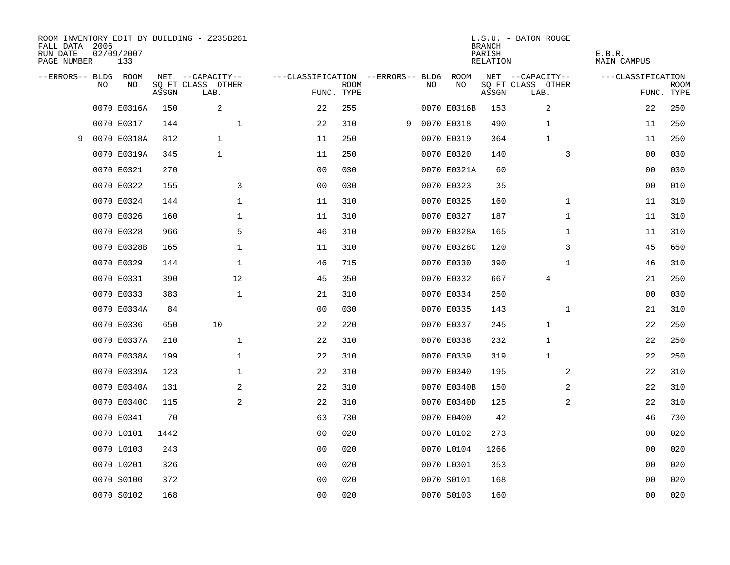| FALL DATA 2006<br>RUN DATE<br>PAGE NUMBER |           | 02/09/2007<br>133 |       | ROOM INVENTORY EDIT BY BUILDING - Z235B261 |                                   |             |   |     |             | <b>BRANCH</b><br>PARISH<br>RELATION | L.S.U. - BATON ROUGE      | E.B.R.<br>MAIN CAMPUS |                           |
|-------------------------------------------|-----------|-------------------|-------|--------------------------------------------|-----------------------------------|-------------|---|-----|-------------|-------------------------------------|---------------------------|-----------------------|---------------------------|
| --ERRORS-- BLDG ROOM                      |           |                   |       | NET --CAPACITY--                           | ---CLASSIFICATION --ERRORS-- BLDG |             |   |     | ROOM        |                                     | NET --CAPACITY--          | ---CLASSIFICATION     |                           |
|                                           | <b>NO</b> | NO.               | ASSGN | SQ FT CLASS OTHER<br>LAB.                  | FUNC. TYPE                        | <b>ROOM</b> |   | NO. | NO          | ASSGN                               | SQ FT CLASS OTHER<br>LAB. |                       | <b>ROOM</b><br>FUNC. TYPE |
|                                           |           | 0070 E0316A       | 150   | 2                                          | 22                                | 255         |   |     | 0070 E0316B | 153                                 | 2                         | 22                    | 250                       |
|                                           |           | 0070 E0317        | 144   | $\mathbf 1$                                | 22                                | 310         | 9 |     | 0070 E0318  | 490                                 | $\mathbf{1}$              | 11                    | 250                       |
| 9                                         |           | 0070 E0318A       | 812   | $\mathbf{1}$                               | 11                                | 250         |   |     | 0070 E0319  | 364                                 | $\mathbf{1}$              | 11                    | 250                       |
|                                           |           | 0070 E0319A       | 345   | $\mathbf{1}$                               | 11                                | 250         |   |     | 0070 E0320  | 140                                 | 3                         | 00                    | 030                       |
|                                           |           | 0070 E0321        | 270   |                                            | 0 <sub>0</sub>                    | 030         |   |     | 0070 E0321A | 60                                  |                           | 00                    | 030                       |
|                                           |           | 0070 E0322        | 155   | 3                                          | 0 <sub>0</sub>                    | 030         |   |     | 0070 E0323  | 35                                  |                           | 00                    | 010                       |
|                                           |           | 0070 E0324        | 144   | $\mathbf 1$                                | 11                                | 310         |   |     | 0070 E0325  | 160                                 | $\mathbf{1}$              | 11                    | 310                       |
|                                           |           | 0070 E0326        | 160   | $\mathbf 1$                                | 11                                | 310         |   |     | 0070 E0327  | 187                                 | $\mathbf{1}$              | 11                    | 310                       |
|                                           |           | 0070 E0328        | 966   | 5                                          | 46                                | 310         |   |     | 0070 E0328A | 165                                 | $\mathbf{1}$              | 11                    | 310                       |
|                                           |           | 0070 E0328B       | 165   | $\mathbf 1$                                | 11                                | 310         |   |     | 0070 E0328C | 120                                 | 3                         | 45                    | 650                       |
|                                           |           | 0070 E0329        | 144   | $\mathbf 1$                                | 46                                | 715         |   |     | 0070 E0330  | 390                                 | $\mathbf{1}$              | 46                    | 310                       |
|                                           |           | 0070 E0331        | 390   | 12                                         | 45                                | 350         |   |     | 0070 E0332  | 667                                 | 4                         | 21                    | 250                       |
|                                           |           | 0070 E0333        | 383   | $\mathbf{1}$                               | 21                                | 310         |   |     | 0070 E0334  | 250                                 |                           | 0 <sub>0</sub>        | 030                       |
|                                           |           | 0070 E0334A       | 84    |                                            | 0 <sub>0</sub>                    | 030         |   |     | 0070 E0335  | 143                                 | $\mathbf{1}$              | 21                    | 310                       |
|                                           |           | 0070 E0336        | 650   | 10                                         | 22                                | 220         |   |     | 0070 E0337  | 245                                 | $\mathbf{1}$              | 22                    | 250                       |
|                                           |           | 0070 E0337A       | 210   | $\mathbf 1$                                | 22                                | 310         |   |     | 0070 E0338  | 232                                 | 1                         | 22                    | 250                       |
|                                           |           | 0070 E0338A       | 199   | $\mathbf 1$                                | 22                                | 310         |   |     | 0070 E0339  | 319                                 | 1                         | 22                    | 250                       |
|                                           |           | 0070 E0339A       | 123   | $\mathbf 1$                                | 22                                | 310         |   |     | 0070 E0340  | 195                                 | 2                         | 22                    | 310                       |
|                                           |           | 0070 E0340A       | 131   | 2                                          | 22                                | 310         |   |     | 0070 E0340B | 150                                 | 2                         | 22                    | 310                       |
|                                           |           | 0070 E0340C       | 115   | 2                                          | 22                                | 310         |   |     | 0070 E0340D | 125                                 | 2                         | 22                    | 310                       |
|                                           |           | 0070 E0341        | 70    |                                            | 63                                | 730         |   |     | 0070 E0400  | 42                                  |                           | 46                    | 730                       |
|                                           |           | 0070 L0101        | 1442  |                                            | 0 <sub>0</sub>                    | 020         |   |     | 0070 L0102  | 273                                 |                           | 00                    | 020                       |
|                                           |           | 0070 L0103        | 243   |                                            | 0 <sub>0</sub>                    | 020         |   |     | 0070 L0104  | 1266                                |                           | 00                    | 020                       |
|                                           |           | 0070 L0201        | 326   |                                            | 0 <sub>0</sub>                    | 020         |   |     | 0070 L0301  | 353                                 |                           | 00                    | 020                       |
|                                           |           | 0070 S0100        | 372   |                                            | 0 <sub>0</sub>                    | 020         |   |     | 0070 S0101  | 168                                 |                           | 00                    | 020                       |
|                                           |           | 0070 S0102        | 168   |                                            | 0 <sub>0</sub>                    | 020         |   |     | 0070 S0103  | 160                                 |                           | 0 <sub>0</sub>        | 020                       |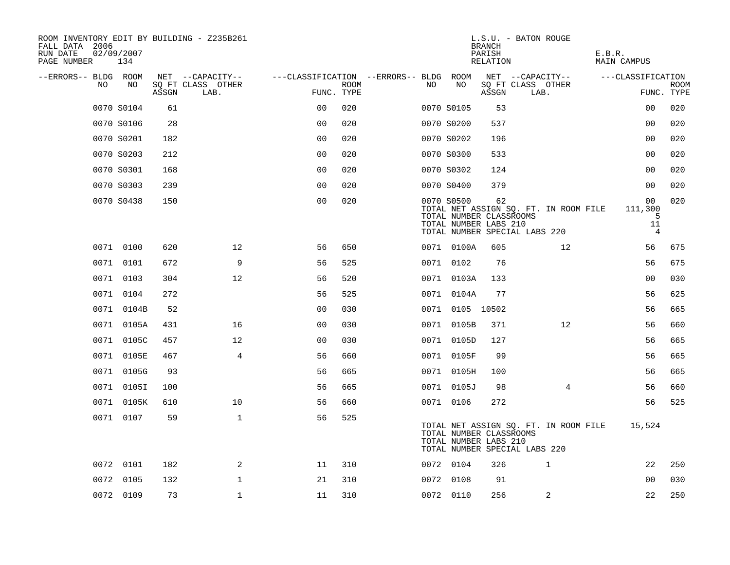| ROOM INVENTORY EDIT BY BUILDING - Z235B261<br>FALL DATA 2006<br>RUN DATE<br>PAGE NUMBER | 02/09/2007<br>134 |       |                           |                                        |             |     |                 | <b>BRANCH</b><br>PARISH<br>RELATION                    | L.S.U. - BATON ROUGE                                                   | E.B.R.<br>MAIN CAMPUS                                  |                           |
|-----------------------------------------------------------------------------------------|-------------------|-------|---------------------------|----------------------------------------|-------------|-----|-----------------|--------------------------------------------------------|------------------------------------------------------------------------|--------------------------------------------------------|---------------------------|
| --ERRORS-- BLDG ROOM                                                                    |                   |       | NET --CAPACITY--          | ---CLASSIFICATION --ERRORS-- BLDG ROOM |             |     |                 |                                                        | NET --CAPACITY--                                                       | ---CLASSIFICATION                                      |                           |
| NO.                                                                                     | NO.               | ASSGN | SQ FT CLASS OTHER<br>LAB. | FUNC. TYPE                             | <b>ROOM</b> | NO. | NO              | ASSGN                                                  | SQ FT CLASS OTHER<br>LAB.                                              |                                                        | <b>ROOM</b><br>FUNC. TYPE |
|                                                                                         | 0070 S0104        | 61    |                           | 0 <sub>0</sub>                         | 020         |     | 0070 S0105      | 53                                                     |                                                                        | 0 <sub>0</sub>                                         | 020                       |
|                                                                                         | 0070 S0106        | 28    |                           | 0 <sub>0</sub>                         | 020         |     | 0070 S0200      | 537                                                    |                                                                        | 00                                                     | 020                       |
|                                                                                         | 0070 S0201        | 182   |                           | 0 <sub>0</sub>                         | 020         |     | 0070 S0202      | 196                                                    |                                                                        | 0 <sub>0</sub>                                         | 020                       |
|                                                                                         | 0070 S0203        | 212   |                           | 0 <sub>0</sub>                         | 020         |     | 0070 S0300      | 533                                                    |                                                                        | 00                                                     | 020                       |
|                                                                                         | 0070 S0301        | 168   |                           | 00                                     | 020         |     | 0070 S0302      | 124                                                    |                                                                        | 0 <sub>0</sub>                                         | 020                       |
|                                                                                         | 0070 S0303        | 239   |                           | 0 <sub>0</sub>                         | 020         |     | 0070 S0400      | 379                                                    |                                                                        | 00                                                     | 020                       |
|                                                                                         | 0070 S0438        | 150   |                           | 0 <sub>0</sub>                         | 020         |     | 0070 S0500      | 62<br>TOTAL NUMBER CLASSROOMS<br>TOTAL NUMBER LABS 210 | TOTAL NET ASSIGN SQ. FT. IN ROOM FILE<br>TOTAL NUMBER SPECIAL LABS 220 | 0 <sub>0</sub><br>111,300<br>5<br>11<br>$\overline{4}$ | 020                       |
|                                                                                         | 0071 0100         | 620   | 12 <sup>°</sup>           | 56                                     | 650         |     | 0071 0100A      | 605                                                    | 12                                                                     | 56                                                     | 675                       |
|                                                                                         | 0071 0101         | 672   | 9                         | 56                                     | 525         |     | 0071 0102       | 76                                                     |                                                                        | 56                                                     | 675                       |
|                                                                                         | 0071 0103         | 304   | 12                        | 56                                     | 520         |     | 0071 0103A      | 133                                                    |                                                                        | 0 <sub>0</sub>                                         | 030                       |
|                                                                                         | 0071 0104         | 272   |                           | 56                                     | 525         |     | 0071 0104A      | 77                                                     |                                                                        | 56                                                     | 625                       |
|                                                                                         | 0071 0104B        | 52    |                           | 00                                     | 030         |     | 0071 0105 10502 |                                                        |                                                                        | 56                                                     | 665                       |
|                                                                                         | 0071 0105A        | 431   | 16                        | 00                                     | 030         |     | 0071 0105B      | 371                                                    | 12                                                                     | 56                                                     | 660                       |
|                                                                                         | 0071 0105C        | 457   | 12                        | 0 <sub>0</sub>                         | 030         |     | 0071 0105D      | 127                                                    |                                                                        | 56                                                     | 665                       |
|                                                                                         | 0071 0105E        | 467   | $\overline{4}$            | 56                                     | 660         |     | 0071 0105F      | 99                                                     |                                                                        | 56                                                     | 665                       |
|                                                                                         | 0071 0105G        | 93    |                           | 56                                     | 665         |     | 0071 0105H      | 100                                                    |                                                                        | 56                                                     | 665                       |
|                                                                                         | 0071 0105I        | 100   |                           | 56                                     | 665         |     | 0071 0105J      | 98                                                     | 4                                                                      | 56                                                     | 660                       |
|                                                                                         | 0071 0105K        | 610   | 10                        | 56                                     | 660         |     | 0071 0106       | 272                                                    |                                                                        | 56                                                     | 525                       |
|                                                                                         | 0071 0107         | 59    | $\mathbf{1}$              | 56                                     | 525         |     |                 | TOTAL NUMBER CLASSROOMS<br>TOTAL NUMBER LABS 210       | TOTAL NET ASSIGN SQ. FT. IN ROOM FILE<br>TOTAL NUMBER SPECIAL LABS 220 | 15,524                                                 |                           |
|                                                                                         | 0072 0101         | 182   | 2                         | 11                                     | 310         |     | 0072 0104       | 326                                                    | 1                                                                      | 22                                                     | 250                       |
|                                                                                         | 0072 0105         | 132   | $\mathbf 1$               | 21                                     | 310         |     | 0072 0108       | 91                                                     |                                                                        | 0 <sub>0</sub>                                         | 030                       |
|                                                                                         | 0072 0109         | 73    | $\mathbf{1}$              | 11                                     | 310         |     | 0072 0110       | 256                                                    | 2                                                                      | 22                                                     | 250                       |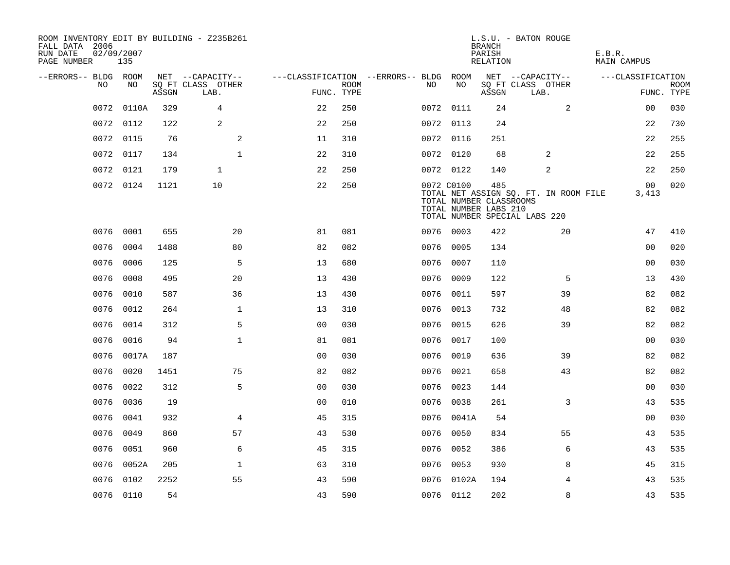| ROOM INVENTORY EDIT BY BUILDING - Z235B261<br>FALL DATA 2006<br>RUN DATE<br>PAGE NUMBER | 02/09/2007<br>135 |       |                           |                                        |             |           |            | <b>BRANCH</b><br>PARISH<br>RELATION                     | L.S.U. - BATON ROUGE                                                   | E.B.R.<br>MAIN CAMPUS    |                           |
|-----------------------------------------------------------------------------------------|-------------------|-------|---------------------------|----------------------------------------|-------------|-----------|------------|---------------------------------------------------------|------------------------------------------------------------------------|--------------------------|---------------------------|
| --ERRORS-- BLDG ROOM                                                                    |                   |       | NET --CAPACITY--          | ---CLASSIFICATION --ERRORS-- BLDG ROOM |             |           |            |                                                         | NET --CAPACITY--                                                       | ---CLASSIFICATION        |                           |
| NO.                                                                                     | NO.               | ASSGN | SQ FT CLASS OTHER<br>LAB. | FUNC. TYPE                             | <b>ROOM</b> | NO.       | NO         | ASSGN                                                   | SQ FT CLASS OTHER<br>LAB.                                              |                          | <b>ROOM</b><br>FUNC. TYPE |
| 0072                                                                                    | 0110A             | 329   | $\overline{4}$            | 22                                     | 250         |           | 0072 0111  | 24                                                      | 2                                                                      | 0 <sub>0</sub>           | 030                       |
|                                                                                         | 0072 0112         | 122   | 2                         | 22                                     | 250         |           | 0072 0113  | 24                                                      |                                                                        | 22                       | 730                       |
|                                                                                         | 0072 0115         | 76    | 2                         | 11                                     | 310         |           | 0072 0116  | 251                                                     |                                                                        | 22                       | 255                       |
|                                                                                         | 0072 0117         | 134   | $\mathbf{1}$              | 22                                     | 310         |           | 0072 0120  | 68                                                      | 2                                                                      | 22                       | 255                       |
| 0072                                                                                    | 0121              | 179   | $\mathbf{1}$              | 22                                     | 250         |           | 0072 0122  | 140                                                     | 2                                                                      | 22                       | 250                       |
|                                                                                         | 0072 0124         | 1121  | 10                        | 22                                     | 250         |           | 0072 C0100 | 485<br>TOTAL NUMBER CLASSROOMS<br>TOTAL NUMBER LABS 210 | TOTAL NET ASSIGN SQ. FT. IN ROOM FILE<br>TOTAL NUMBER SPECIAL LABS 220 | 00 <sub>o</sub><br>3,413 | 020                       |
| 0076                                                                                    | 0001              | 655   | 20                        | 81                                     | 081         |           | 0076 0003  | 422                                                     | 20                                                                     | 47                       | 410                       |
| 0076                                                                                    | 0004              | 1488  | 80                        | 82                                     | 082         | 0076 0005 |            | 134                                                     |                                                                        | 0 <sub>0</sub>           | 020                       |
| 0076                                                                                    | 0006              | 125   | 5                         | 13                                     | 680         | 0076 0007 |            | 110                                                     |                                                                        | 0 <sub>0</sub>           | 030                       |
| 0076                                                                                    | 0008              | 495   | 20                        | 13                                     | 430         |           | 0076 0009  | 122                                                     | 5                                                                      | 13                       | 430                       |
| 0076                                                                                    | 0010              | 587   | 36                        | 13                                     | 430         | 0076      | 0011       | 597                                                     | 39                                                                     | 82                       | 082                       |
| 0076                                                                                    | 0012              | 264   | $\mathbf 1$               | 13                                     | 310         |           | 0076 0013  | 732                                                     | 48                                                                     | 82                       | 082                       |
| 0076                                                                                    | 0014              | 312   | 5                         | 0 <sub>0</sub>                         | 030         | 0076      | 0015       | 626                                                     | 39                                                                     | 82                       | 082                       |
| 0076                                                                                    | 0016              | 94    | $\mathbf{1}$              | 81                                     | 081         |           | 0076 0017  | 100                                                     |                                                                        | 0 <sub>0</sub>           | 030                       |
| 0076                                                                                    | 0017A             | 187   |                           | 0 <sub>0</sub>                         | 030         | 0076      | 0019       | 636                                                     | 39                                                                     | 82                       | 082                       |
| 0076                                                                                    | 0020              | 1451  | 75                        | 82                                     | 082         |           | 0076 0021  | 658                                                     | 43                                                                     | 82                       | 082                       |
|                                                                                         | 0076 0022         | 312   | 5                         | 0 <sub>0</sub>                         | 030         | 0076 0023 |            | 144                                                     |                                                                        | 00                       | 030                       |
|                                                                                         | 0076 0036         | 19    |                           | 0 <sub>0</sub>                         | 010         |           | 0076 0038  | 261                                                     | 3                                                                      | 43                       | 535                       |
| 0076                                                                                    | 0041              | 932   | $\overline{4}$            | 45                                     | 315         |           | 0076 0041A | 54                                                      |                                                                        | 0 <sub>0</sub>           | 030                       |
| 0076                                                                                    | 0049              | 860   | 57                        | 43                                     | 530         |           | 0076 0050  | 834                                                     | 55                                                                     | 43                       | 535                       |
| 0076                                                                                    | 0051              | 960   | 6                         | 45                                     | 315         |           | 0076 0052  | 386                                                     | 6                                                                      | 43                       | 535                       |
| 0076                                                                                    | 0052A             | 205   | $\mathbf{1}$              | 63                                     | 310         |           | 0076 0053  | 930                                                     | 8                                                                      | 45                       | 315                       |
| 0076                                                                                    | 0102              | 2252  | 55                        | 43                                     | 590         |           | 0076 0102A | 194                                                     | 4                                                                      | 43                       | 535                       |
|                                                                                         | 0076 0110         | 54    |                           | 43                                     | 590         |           | 0076 0112  | 202                                                     | 8                                                                      | 43                       | 535                       |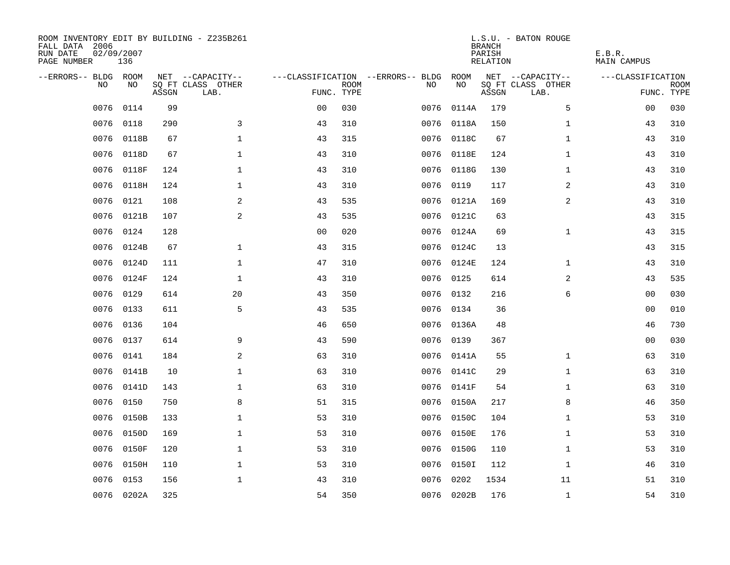| ROOM INVENTORY EDIT BY BUILDING - Z235B261<br>FALL DATA 2006<br>RUN DATE<br>PAGE NUMBER | 02/09/2007<br>136 |       |                           |                |             |                                   |            | <b>BRANCH</b><br>PARISH<br>RELATION | L.S.U. - BATON ROUGE      | E.B.R.<br><b>MAIN CAMPUS</b> |                           |
|-----------------------------------------------------------------------------------------|-------------------|-------|---------------------------|----------------|-------------|-----------------------------------|------------|-------------------------------------|---------------------------|------------------------------|---------------------------|
| --ERRORS-- BLDG ROOM                                                                    |                   |       | NET --CAPACITY--          |                |             | ---CLASSIFICATION --ERRORS-- BLDG | ROOM       |                                     | NET --CAPACITY--          | ---CLASSIFICATION            |                           |
| N <sub>O</sub>                                                                          | NO.               | ASSGN | SO FT CLASS OTHER<br>LAB. | FUNC. TYPE     | <b>ROOM</b> | NO.                               | NO         | ASSGN                               | SQ FT CLASS OTHER<br>LAB. |                              | <b>ROOM</b><br>FUNC. TYPE |
| 0076                                                                                    | 0114              | 99    |                           | 0 <sub>0</sub> | 030         | 0076                              | 0114A      | 179                                 | 5                         | 00                           | 030                       |
| 0076                                                                                    | 0118              | 290   | 3                         | 43             | 310         | 0076                              | 0118A      | 150                                 | $\mathbf{1}$              | 43                           | 310                       |
| 0076                                                                                    | 0118B             | 67    | $\mathbf{1}$              | 43             | 315         | 0076                              | 0118C      | 67                                  | $\mathbf{1}$              | 43                           | 310                       |
| 0076                                                                                    | 0118D             | 67    | $\mathbf{1}$              | 43             | 310         |                                   | 0076 0118E | 124                                 | $\mathbf{1}$              | 43                           | 310                       |
| 0076                                                                                    | 0118F             | 124   | $\mathbf 1$               | 43             | 310         | 0076                              | 0118G      | 130                                 | $\mathbf{1}$              | 43                           | 310                       |
| 0076                                                                                    | 0118H             | 124   | 1                         | 43             | 310         |                                   | 0076 0119  | 117                                 | 2                         | 43                           | 310                       |
| 0076                                                                                    | 0121              | 108   | 2                         | 43             | 535         |                                   | 0076 0121A | 169                                 | $\overline{a}$            | 43                           | 310                       |
| 0076                                                                                    | 0121B             | 107   | 2                         | 43             | 535         |                                   | 0076 0121C | 63                                  |                           | 43                           | 315                       |
| 0076                                                                                    | 0124              | 128   |                           | 0 <sub>0</sub> | 020         | 0076                              | 0124A      | 69                                  | $\mathbf{1}$              | 43                           | 315                       |
| 0076                                                                                    | 0124B             | 67    | $\mathbf 1$               | 43             | 315         |                                   | 0076 0124C | 13                                  |                           | 43                           | 315                       |
| 0076                                                                                    | 0124D             | 111   | $\mathbf 1$               | 47             | 310         | 0076                              | 0124E      | 124                                 | $\mathbf{1}$              | 43                           | 310                       |
| 0076                                                                                    | 0124F             | 124   | $\mathbf 1$               | 43             | 310         |                                   | 0076 0125  | 614                                 | 2                         | 43                           | 535                       |
| 0076                                                                                    | 0129              | 614   | 20                        | 43             | 350         | 0076                              | 0132       | 216                                 | 6                         | 0 <sub>0</sub>               | 030                       |
| 0076                                                                                    | 0133              | 611   | 5                         | 43             | 535         | 0076                              | 0134       | 36                                  |                           | 00                           | 010                       |
| 0076                                                                                    | 0136              | 104   |                           | 46             | 650         | 0076                              | 0136A      | 48                                  |                           | 46                           | 730                       |
| 0076                                                                                    | 0137              | 614   | 9                         | 43             | 590         | 0076                              | 0139       | 367                                 |                           | 00                           | 030                       |
| 0076                                                                                    | 0141              | 184   | 2                         | 63             | 310         | 0076                              | 0141A      | 55                                  | $\mathbf{1}$              | 63                           | 310                       |
| 0076                                                                                    | 0141B             | 10    | $\mathbf 1$               | 63             | 310         |                                   | 0076 0141C | 29                                  | $\mathbf{1}$              | 63                           | 310                       |
|                                                                                         | 0076 0141D        | 143   | $\mathbf 1$               | 63             | 310         |                                   | 0076 0141F | 54                                  | $\mathbf{1}$              | 63                           | 310                       |
| 0076                                                                                    | 0150              | 750   | 8                         | 51             | 315         |                                   | 0076 0150A | 217                                 | 8                         | 46                           | 350                       |
| 0076                                                                                    | 0150B             | 133   | $\mathbf 1$               | 53             | 310         |                                   | 0076 0150C | 104                                 | $\mathbf{1}$              | 53                           | 310                       |
| 0076                                                                                    | 0150D             | 169   | $\mathbf 1$               | 53             | 310         | 0076                              | 0150E      | 176                                 | $\mathbf{1}$              | 53                           | 310                       |
| 0076                                                                                    | 0150F             | 120   | $\mathbf 1$               | 53             | 310         |                                   | 0076 0150G | 110                                 | $\mathbf{1}$              | 53                           | 310                       |
| 0076                                                                                    | 0150H             | 110   | $\mathbf 1$               | 53             | 310         | 0076                              | 0150I      | 112                                 | $\mathbf{1}$              | 46                           | 310                       |
| 0076                                                                                    | 0153              | 156   | $\mathbf{1}$              | 43             | 310         | 0076                              | 0202       | 1534                                | 11                        | 51                           | 310                       |
|                                                                                         | 0076 0202A        | 325   |                           | 54             | 350         |                                   | 0076 0202B | 176                                 | $\mathbf{1}$              | 54                           | 310                       |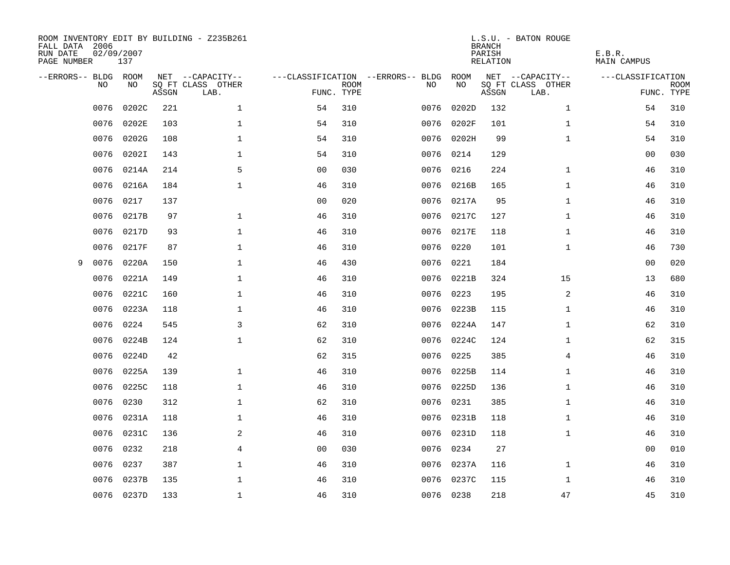| ROOM INVENTORY EDIT BY BUILDING - Z235B261<br>FALL DATA 2006<br>RUN DATE<br>PAGE NUMBER | 02/09/2007<br>137 |       |                           |                |             |                                   |            | <b>BRANCH</b><br>PARISH<br><b>RELATION</b> | L.S.U. - BATON ROUGE      | E.B.R.<br><b>MAIN CAMPUS</b> |                           |
|-----------------------------------------------------------------------------------------|-------------------|-------|---------------------------|----------------|-------------|-----------------------------------|------------|--------------------------------------------|---------------------------|------------------------------|---------------------------|
| --ERRORS-- BLDG ROOM                                                                    |                   |       | NET --CAPACITY--          |                |             | ---CLASSIFICATION --ERRORS-- BLDG | ROOM       |                                            | NET --CAPACITY--          | ---CLASSIFICATION            |                           |
| NO                                                                                      | NO                | ASSGN | SQ FT CLASS OTHER<br>LAB. | FUNC. TYPE     | <b>ROOM</b> | NO                                | NO         | ASSGN                                      | SQ FT CLASS OTHER<br>LAB. |                              | <b>ROOM</b><br>FUNC. TYPE |
| 0076                                                                                    | 0202C             | 221   | $\mathbf 1$               | 54             | 310         | 0076                              | 0202D      | 132                                        | $\mathbf{1}$              | 54                           | 310                       |
| 0076                                                                                    | 0202E             | 103   | 1                         | 54             | 310         | 0076                              | 0202F      | 101                                        | $\mathbf{1}$              | 54                           | 310                       |
| 0076                                                                                    | 0202G             | 108   | 1                         | 54             | 310         | 0076                              | 0202H      | 99                                         | $\mathbf{1}$              | 54                           | 310                       |
| 0076                                                                                    | 0202I             | 143   | $\mathbf 1$               | 54             | 310         |                                   | 0076 0214  | 129                                        |                           | 0 <sub>0</sub>               | 030                       |
| 0076                                                                                    | 0214A             | 214   | 5                         | 0 <sub>0</sub> | 030         | 0076                              | 0216       | 224                                        | $\mathbf{1}$              | 46                           | 310                       |
| 0076                                                                                    | 0216A             | 184   | $\mathbf{1}$              | 46             | 310         | 0076                              | 0216B      | 165                                        | $\mathbf{1}$              | 46                           | 310                       |
| 0076                                                                                    | 0217              | 137   |                           | 0 <sub>0</sub> | 020         | 0076                              | 0217A      | 95                                         | $\mathbf{1}$              | 46                           | 310                       |
| 0076                                                                                    | 0217B             | 97    | $\mathbf{1}$              | 46             | 310         | 0076                              | 0217C      | 127                                        | $\mathbf{1}$              | 46                           | 310                       |
| 0076                                                                                    | 0217D             | 93    | $\mathbf{1}$              | 46             | 310         | 0076                              | 0217E      | 118                                        | $\mathbf{1}$              | 46                           | 310                       |
| 0076                                                                                    | 0217F             | 87    | $\mathbf 1$               | 46             | 310         | 0076                              | 0220       | 101                                        | $\mathbf{1}$              | 46                           | 730                       |
| 0076<br>9                                                                               | 0220A             | 150   | $\mathbf 1$               | 46             | 430         | 0076                              | 0221       | 184                                        |                           | 00                           | 020                       |
| 0076                                                                                    | 0221A             | 149   | $\mathbf{1}$              | 46             | 310         | 0076                              | 0221B      | 324                                        | 15                        | 13                           | 680                       |
| 0076                                                                                    | 0221C             | 160   | $\mathbf 1$               | 46             | 310         | 0076                              | 0223       | 195                                        | 2                         | 46                           | 310                       |
| 0076                                                                                    | 0223A             | 118   | $\mathbf 1$               | 46             | 310         | 0076                              | 0223B      | 115                                        | $\mathbf{1}$              | 46                           | 310                       |
| 0076                                                                                    | 0224              | 545   | 3                         | 62             | 310         | 0076                              | 0224A      | 147                                        | $\mathbf{1}$              | 62                           | 310                       |
| 0076                                                                                    | 0224B             | 124   | $\mathbf{1}$              | 62             | 310         | 0076                              | 0224C      | 124                                        | $\mathbf{1}$              | 62                           | 315                       |
| 0076                                                                                    | 0224D             | 42    |                           | 62             | 315         | 0076                              | 0225       | 385                                        | 4                         | 46                           | 310                       |
| 0076                                                                                    | 0225A             | 139   | $\mathbf{1}$              | 46             | 310         | 0076                              | 0225B      | 114                                        | $\mathbf{1}$              | 46                           | 310                       |
| 0076                                                                                    | 0225C             | 118   | $\mathbf{1}$              | 46             | 310         |                                   | 0076 0225D | 136                                        | $\mathbf{1}$              | 46                           | 310                       |
| 0076                                                                                    | 0230              | 312   | $\mathbf 1$               | 62             | 310         | 0076                              | 0231       | 385                                        | $\mathbf{1}$              | 46                           | 310                       |
| 0076                                                                                    | 0231A             | 118   | 1                         | 46             | 310         |                                   | 0076 0231B | 118                                        | $\mathbf{1}$              | 46                           | 310                       |
| 0076                                                                                    | 0231C             | 136   | 2                         | 46             | 310         | 0076                              | 0231D      | 118                                        | $\mathbf{1}$              | 46                           | 310                       |
| 0076                                                                                    | 0232              | 218   | $\overline{4}$            | 0 <sub>0</sub> | 030         | 0076                              | 0234       | 27                                         |                           | 00                           | 010                       |
| 0076                                                                                    | 0237              | 387   | $\mathbf{1}$              | 46             | 310         |                                   | 0076 0237A | 116                                        | $\mathbf{1}$              | 46                           | 310                       |
| 0076                                                                                    | 0237B             | 135   | $\mathbf 1$               | 46             | 310         | 0076                              | 0237C      | 115                                        | $\mathbf{1}$              | 46                           | 310                       |
|                                                                                         | 0076 0237D        | 133   | $\mathbf{1}$              | 46             | 310         |                                   | 0076 0238  | 218                                        | 47                        | 45                           | 310                       |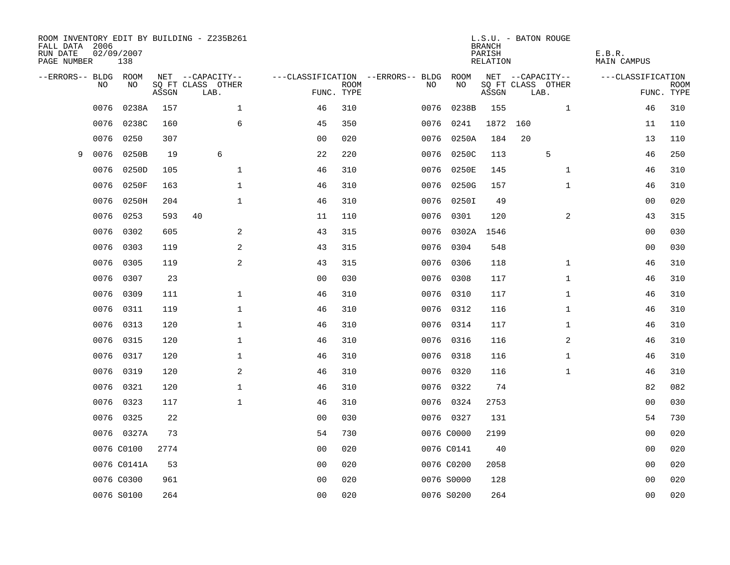| FALL DATA 2006<br>RUN DATE<br>PAGE NUMBER |                | 02/09/2007<br>138 |       | ROOM INVENTORY EDIT BY BUILDING - Z235B261 |                |             |                                   |            | <b>BRANCH</b><br>PARISH<br>RELATION | L.S.U. - BATON ROUGE      | E.B.R.<br><b>MAIN CAMPUS</b> |                           |
|-------------------------------------------|----------------|-------------------|-------|--------------------------------------------|----------------|-------------|-----------------------------------|------------|-------------------------------------|---------------------------|------------------------------|---------------------------|
| --ERRORS-- BLDG ROOM                      |                |                   |       | NET --CAPACITY--                           |                |             | ---CLASSIFICATION --ERRORS-- BLDG | ROOM       |                                     | NET --CAPACITY--          | ---CLASSIFICATION            |                           |
|                                           | N <sub>O</sub> | NO.               | ASSGN | SO FT CLASS OTHER<br>LAB.                  | FUNC. TYPE     | <b>ROOM</b> | NO.                               | NO         | ASSGN                               | SQ FT CLASS OTHER<br>LAB. |                              | <b>ROOM</b><br>FUNC. TYPE |
|                                           | 0076           | 0238A             | 157   | $\mathbf 1$                                | 46             | 310         | 0076                              | 0238B      | 155                                 | $\mathbf{1}$              | 46                           | 310                       |
|                                           | 0076           | 0238C             | 160   | 6                                          | 45             | 350         | 0076                              | 0241       | 1872 160                            |                           | 11                           | 110                       |
|                                           | 0076           | 0250              | 307   |                                            | 0 <sub>0</sub> | 020         | 0076                              | 0250A      | 184                                 | 20                        | 13                           | 110                       |
| 9                                         | 0076           | 0250B             | 19    | 6                                          | 22             | 220         | 0076                              | 0250C      | 113                                 | 5                         | 46                           | 250                       |
|                                           | 0076           | 0250D             | 105   | $\mathbf{1}$                               | 46             | 310         | 0076                              | 0250E      | 145                                 | $\mathbf{1}$              | 46                           | 310                       |
|                                           | 0076           | 0250F             | 163   | $\mathbf 1$                                | 46             | 310         | 0076                              | 0250G      | 157                                 | $\mathbf{1}$              | 46                           | 310                       |
|                                           | 0076           | 0250H             | 204   | $\mathbf{1}$                               | 46             | 310         | 0076                              | 0250I      | 49                                  |                           | 00                           | 020                       |
|                                           | 0076           | 0253              | 593   | 40                                         | 11             | 110         | 0076                              | 0301       | 120                                 | $\overline{a}$            | 43                           | 315                       |
|                                           | 0076           | 0302              | 605   | 2                                          | 43             | 315         | 0076                              | 0302A      | 1546                                |                           | 0 <sub>0</sub>               | 030                       |
|                                           | 0076           | 0303              | 119   | 2                                          | 43             | 315         |                                   | 0076 0304  | 548                                 |                           | 00                           | 030                       |
|                                           | 0076           | 0305              | 119   | 2                                          | 43             | 315         | 0076                              | 0306       | 118                                 | $\mathbf{1}$              | 46                           | 310                       |
|                                           | 0076           | 0307              | 23    |                                            | 0 <sub>0</sub> | 030         |                                   | 0076 0308  | 117                                 | $\mathbf{1}$              | 46                           | 310                       |
|                                           | 0076           | 0309              | 111   | $\mathbf{1}$                               | 46             | 310         | 0076                              | 0310       | 117                                 | $\mathbf{1}$              | 46                           | 310                       |
|                                           | 0076           | 0311              | 119   | $\mathbf{1}$                               | 46             | 310         |                                   | 0076 0312  | 116                                 | $\mathbf{1}$              | 46                           | 310                       |
|                                           | 0076           | 0313              | 120   | $\mathbf 1$                                | 46             | 310         | 0076                              | 0314       | 117                                 | $\mathbf{1}$              | 46                           | 310                       |
|                                           | 0076           | 0315              | 120   | $\mathbf 1$                                | 46             | 310         | 0076                              | 0316       | 116                                 | 2                         | 46                           | 310                       |
|                                           | 0076           | 0317              | 120   | $\mathbf 1$                                | 46             | 310         | 0076                              | 0318       | 116                                 | $\mathbf{1}$              | 46                           | 310                       |
|                                           | 0076           | 0319              | 120   | 2                                          | 46             | 310         |                                   | 0076 0320  | 116                                 | $\mathbf{1}$              | 46                           | 310                       |
|                                           | 0076           | 0321              | 120   | $\mathbf 1$                                | 46             | 310         |                                   | 0076 0322  | 74                                  |                           | 82                           | 082                       |
|                                           | 0076           | 0323              | 117   | $\mathbf{1}$                               | 46             | 310         |                                   | 0076 0324  | 2753                                |                           | 0 <sub>0</sub>               | 030                       |
|                                           |                | 0076 0325         | 22    |                                            | 0 <sub>0</sub> | 030         |                                   | 0076 0327  | 131                                 |                           | 54                           | 730                       |
|                                           |                | 0076 0327A        | 73    |                                            | 54             | 730         |                                   | 0076 C0000 | 2199                                |                           | 00                           | 020                       |
|                                           |                | 0076 C0100        | 2774  |                                            | 0 <sub>0</sub> | 020         |                                   | 0076 C0141 | 40                                  |                           | 00                           | 020                       |
|                                           |                | 0076 C0141A       | 53    |                                            | 0 <sub>0</sub> | 020         |                                   | 0076 C0200 | 2058                                |                           | 0 <sub>0</sub>               | 020                       |
|                                           |                | 0076 C0300        | 961   |                                            | 0 <sub>0</sub> | 020         |                                   | 0076 S0000 | 128                                 |                           | 00                           | 020                       |
|                                           |                | 0076 S0100        | 264   |                                            | 0 <sub>0</sub> | 020         |                                   | 0076 S0200 | 264                                 |                           | 0 <sub>0</sub>               | 020                       |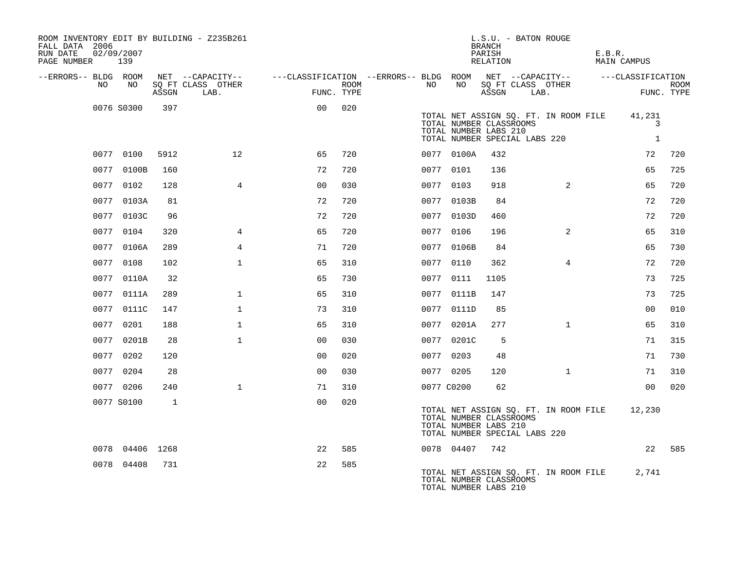| ROOM INVENTORY EDIT BY BUILDING - Z235B261<br>FALL DATA 2006<br>RUN DATE<br>PAGE NUMBER 139 | 02/09/2007      |       |                                       |                                                         |      |            |            | L.S.U. - BATON ROUGE<br><b>BRANCH</b><br>PARISH<br>RELATION                       |      |                                       | E.B.R. | MAIN CAMPUS                 |             |
|---------------------------------------------------------------------------------------------|-----------------|-------|---------------------------------------|---------------------------------------------------------|------|------------|------------|-----------------------------------------------------------------------------------|------|---------------------------------------|--------|-----------------------------|-------------|
| --ERRORS-- BLDG ROOM<br>NO                                                                  | NO              |       | NET --CAPACITY--<br>SO FT CLASS OTHER | ---CLASSIFICATION --ERRORS-- BLDG ROOM NET --CAPACITY-- | ROOM | NO         | NO         | SQ FT CLASS OTHER                                                                 |      |                                       |        | ---CLASSIFICATION           | <b>ROOM</b> |
|                                                                                             |                 | ASSGN | LAB.                                  | FUNC. TYPE                                              |      |            |            | ASSGN                                                                             | LAB. |                                       |        |                             | FUNC. TYPE  |
|                                                                                             | 0076 S0300      | 397   |                                       | 0 <sub>0</sub>                                          | 020  |            |            | TOTAL NUMBER CLASSROOMS<br>TOTAL NUMBER LABS 210<br>TOTAL NUMBER SPECIAL LABS 220 |      | TOTAL NET ASSIGN SQ. FT. IN ROOM FILE |        | 41,231<br>3<br>$\mathbf{1}$ |             |
|                                                                                             | 0077 0100       | 5912  | 12 <sup>°</sup>                       | 65                                                      | 720  |            | 0077 0100A | 432                                                                               |      |                                       |        | 72                          | 720         |
|                                                                                             | 0077 0100B      | 160   |                                       | 72                                                      | 720  |            | 0077 0101  | 136                                                                               |      |                                       |        | 65                          | 725         |
|                                                                                             | 0077 0102       | 128   | $\overline{4}$                        | 0 <sub>0</sub>                                          | 030  | 0077 0103  |            | 918                                                                               |      | $\overline{2}$                        |        | 65                          | 720         |
|                                                                                             | 0077 0103A      | 81    |                                       | 72                                                      | 720  |            | 0077 0103B | 84                                                                                |      |                                       |        | 72                          | 720         |
|                                                                                             | 0077 0103C      | 96    |                                       | 72                                                      | 720  |            | 0077 0103D | 460                                                                               |      |                                       |        | 72                          | 720         |
|                                                                                             | 0077 0104       | 320   | $\overline{4}$                        | 65                                                      | 720  | 0077 0106  |            | 196                                                                               |      | 2                                     |        | 65                          | 310         |
|                                                                                             | 0077 0106A      | 289   | $\overline{4}$                        | 71                                                      | 720  |            | 0077 0106B | 84                                                                                |      |                                       |        | 65                          | 730         |
|                                                                                             | 0077 0108       | 102   | $\mathbf{1}$                          | 65                                                      | 310  | 0077 0110  |            | 362                                                                               |      | $\overline{4}$                        |        | 72                          | 720         |
|                                                                                             | 0077 0110A      | 32    |                                       | 65                                                      | 730  |            | 0077 0111  | 1105                                                                              |      |                                       |        | 73                          | 725         |
|                                                                                             | 0077 0111A      | 289   | $\mathbf{1}$                          | 65                                                      | 310  |            | 0077 0111B | 147                                                                               |      |                                       |        | 73                          | 725         |
|                                                                                             | 0077 0111C      | 147   | $\mathbf{1}$                          | 73                                                      | 310  |            | 0077 0111D | 85                                                                                |      |                                       |        | 0 <sub>0</sub>              | 010         |
|                                                                                             | 0077 0201       | 188   | $\mathbf{1}$                          | 65                                                      | 310  |            | 0077 0201A | 277                                                                               |      | $\mathbf{1}$                          |        | 65                          | 310         |
|                                                                                             | 0077 0201B      | 28    | $\mathbf{1}$                          | 0 <sub>0</sub>                                          | 030  |            | 0077 0201C | 5                                                                                 |      |                                       |        | 71                          | 315         |
|                                                                                             | 0077 0202       | 120   |                                       | 0 <sub>0</sub>                                          | 020  | 0077 0203  |            | 48                                                                                |      |                                       |        | 71                          | 730         |
|                                                                                             | 0077 0204       | 28    |                                       | 0 <sub>0</sub>                                          | 030  | 0077 0205  |            | 120                                                                               |      | $\mathbf{1}$                          |        | 71                          | 310         |
|                                                                                             | 0077 0206       | 240   | $\mathbf{1}$                          | 71                                                      | 310  | 0077 C0200 |            | 62                                                                                |      |                                       |        | 0 <sub>0</sub>              | 020         |
|                                                                                             | 0077 S0100      | 1     |                                       | 0 <sub>0</sub>                                          | 020  |            |            | TOTAL NUMBER CLASSROOMS<br>TOTAL NUMBER LABS 210<br>TOTAL NUMBER SPECIAL LABS 220 |      | TOTAL NET ASSIGN SQ. FT. IN ROOM FILE |        | 12,230                      |             |
|                                                                                             | 0078 04406 1268 |       |                                       | 22                                                      | 585  |            | 0078 04407 | 742                                                                               |      |                                       |        |                             | 22 585      |
|                                                                                             | 0078 04408      | 731   |                                       | 22                                                      | 585  |            |            | TOTAL NUMBER CLASSROOMS<br>TOTAL NUMBER LABS 210                                  |      | TOTAL NET ASSIGN SQ. FT. IN ROOM FILE |        | 2,741                       |             |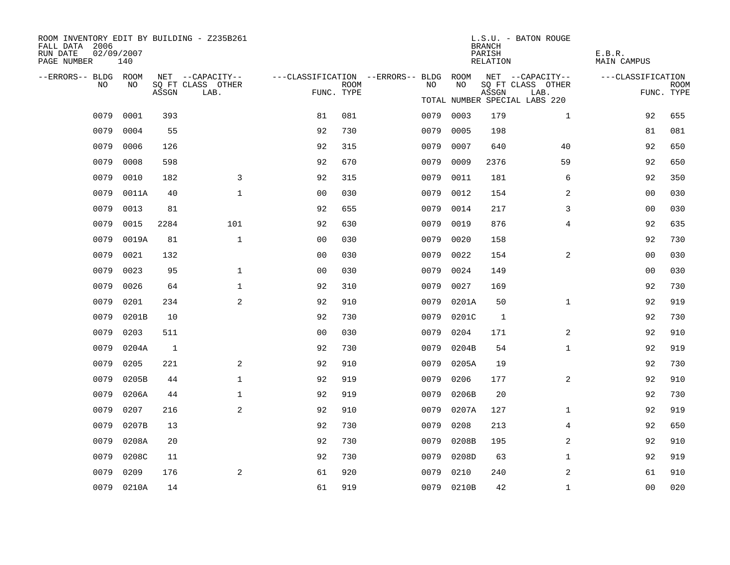| ROOM INVENTORY EDIT BY BUILDING - Z235B261<br>FALL DATA 2006<br>RUN DATE<br>PAGE NUMBER | 02/09/2007<br>140 |       |                           |                                        |             |      |            | <b>BRANCH</b><br>PARISH<br>RELATION | L.S.U. - BATON ROUGE          | E.B.R.<br><b>MAIN CAMPUS</b> |                           |
|-----------------------------------------------------------------------------------------|-------------------|-------|---------------------------|----------------------------------------|-------------|------|------------|-------------------------------------|-------------------------------|------------------------------|---------------------------|
| --ERRORS-- BLDG ROOM                                                                    |                   |       | NET --CAPACITY--          | ---CLASSIFICATION --ERRORS-- BLDG ROOM |             |      |            |                                     | NET --CAPACITY--              | ---CLASSIFICATION            |                           |
| NO                                                                                      | NO                | ASSGN | SQ FT CLASS OTHER<br>LAB. | FUNC. TYPE                             | <b>ROOM</b> | NO   | NO         | ASSGN                               | SQ FT CLASS OTHER<br>LAB.     |                              | <b>ROOM</b><br>FUNC. TYPE |
|                                                                                         |                   |       |                           |                                        |             |      |            |                                     | TOTAL NUMBER SPECIAL LABS 220 |                              |                           |
| 0079                                                                                    | 0001              | 393   |                           | 81                                     | 081         |      | 0079 0003  | 179                                 | $\mathbf{1}$                  | 92                           | 655                       |
| 0079                                                                                    | 0004              | 55    |                           | 92                                     | 730         | 0079 | 0005       | 198                                 |                               | 81                           | 081                       |
| 0079                                                                                    | 0006              | 126   |                           | 92                                     | 315         | 0079 | 0007       | 640                                 | 40                            | 92                           | 650                       |
| 0079                                                                                    | 0008              | 598   |                           | 92                                     | 670         | 0079 | 0009       | 2376                                | 59                            | 92                           | 650                       |
| 0079                                                                                    | 0010              | 182   | 3                         | 92                                     | 315         | 0079 | 0011       | 181                                 | 6                             | 92                           | 350                       |
| 0079                                                                                    | 0011A             | 40    | $\mathbf{1}$              | 0 <sub>0</sub>                         | 030         | 0079 | 0012       | 154                                 | 2                             | 00                           | 030                       |
| 0079                                                                                    | 0013              | 81    |                           | 92                                     | 655         | 0079 | 0014       | 217                                 | 3                             | 00                           | 030                       |
| 0079                                                                                    | 0015              | 2284  | 101                       | 92                                     | 630         | 0079 | 0019       | 876                                 | 4                             | 92                           | 635                       |
| 0079                                                                                    | 0019A             | 81    | $\mathbf{1}$              | 0 <sub>0</sub>                         | 030         | 0079 | 0020       | 158                                 |                               | 92                           | 730                       |
| 0079                                                                                    | 0021              | 132   |                           | 0 <sub>0</sub>                         | 030         | 0079 | 0022       | 154                                 | $\overline{2}$                | 00                           | 030                       |
| 0079                                                                                    | 0023              | 95    | $\mathbf 1$               | 0 <sub>0</sub>                         | 030         | 0079 | 0024       | 149                                 |                               | 00                           | 030                       |
| 0079                                                                                    | 0026              | 64    | $\mathbf 1$               | 92                                     | 310         | 0079 | 0027       | 169                                 |                               | 92                           | 730                       |
| 0079                                                                                    | 0201              | 234   | 2                         | 92                                     | 910         | 0079 | 0201A      | 50                                  | $\mathbf{1}$                  | 92                           | 919                       |
| 0079                                                                                    | 0201B             | 10    |                           | 92                                     | 730         | 0079 | 0201C      | 1                                   |                               | 92                           | 730                       |
| 0079                                                                                    | 0203              | 511   |                           | 0 <sub>0</sub>                         | 030         | 0079 | 0204       | 171                                 | $\overline{2}$                | 92                           | 910                       |
| 0079                                                                                    | 0204A             | 1     |                           | 92                                     | 730         | 0079 | 0204B      | 54                                  | $\mathbf{1}$                  | 92                           | 919                       |
| 0079                                                                                    | 0205              | 221   | 2                         | 92                                     | 910         | 0079 | 0205A      | 19                                  |                               | 92                           | 730                       |
| 0079                                                                                    | 0205B             | 44    | $\mathbf{1}$              | 92                                     | 919         | 0079 | 0206       | 177                                 | 2                             | 92                           | 910                       |
| 0079                                                                                    | 0206A             | 44    | $\mathbf{1}$              | 92                                     | 919         | 0079 | 0206B      | 20                                  |                               | 92                           | 730                       |
| 0079                                                                                    | 0207              | 216   | 2                         | 92                                     | 910         | 0079 | 0207A      | 127                                 | $\mathbf{1}$                  | 92                           | 919                       |
| 0079                                                                                    | 0207B             | 13    |                           | 92                                     | 730         | 0079 | 0208       | 213                                 | $\overline{4}$                | 92                           | 650                       |
| 0079                                                                                    | 0208A             | 20    |                           | 92                                     | 730         | 0079 | 0208B      | 195                                 | 2                             | 92                           | 910                       |
| 0079                                                                                    | 0208C             | 11    |                           | 92                                     | 730         | 0079 | 0208D      | 63                                  | $\mathbf{1}$                  | 92                           | 919                       |
| 0079                                                                                    | 0209              | 176   | 2                         | 61                                     | 920         | 0079 | 0210       | 240                                 | 2                             | 61                           | 910                       |
|                                                                                         | 0079 0210A        | 14    |                           | 61                                     | 919         |      | 0079 0210B | 42                                  | $\mathbf{1}$                  | 0 <sub>0</sub>               | 020                       |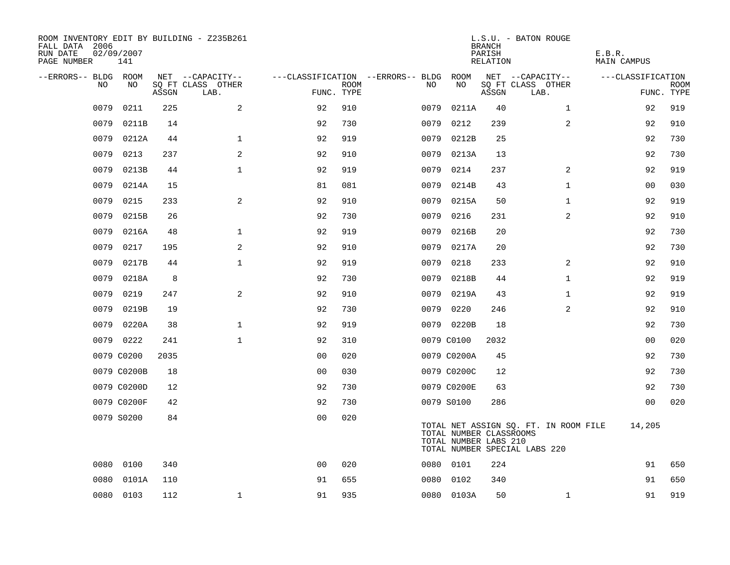| ROOM INVENTORY EDIT BY BUILDING - Z235B261<br>FALL DATA 2006<br>RUN DATE<br>PAGE NUMBER | 02/09/2007<br>141 |       |                           |                |             |                                        |                                                  | <b>BRANCH</b><br>PARISH<br>RELATION | L.S.U. - BATON ROUGE                                                   | E.B.R.<br>MAIN CAMPUS |             |
|-----------------------------------------------------------------------------------------|-------------------|-------|---------------------------|----------------|-------------|----------------------------------------|--------------------------------------------------|-------------------------------------|------------------------------------------------------------------------|-----------------------|-------------|
| --ERRORS-- BLDG ROOM                                                                    |                   |       | NET --CAPACITY--          |                |             | ---CLASSIFICATION --ERRORS-- BLDG ROOM |                                                  |                                     | NET --CAPACITY--                                                       | ---CLASSIFICATION     |             |
| NO                                                                                      | NO                | ASSGN | SQ FT CLASS OTHER<br>LAB. | FUNC. TYPE     | <b>ROOM</b> | NO                                     | NO                                               | ASSGN                               | SQ FT CLASS OTHER<br>LAB.                                              | FUNC. TYPE            | <b>ROOM</b> |
| 0079                                                                                    | 0211              | 225   | 2                         | 92             | 910         | 0079                                   | 0211A                                            | 40                                  | $\mathbf{1}$                                                           | 92                    | 919         |
| 0079                                                                                    | 0211B             | 14    |                           | 92             | 730         | 0079                                   | 0212                                             | 239                                 | 2                                                                      | 92                    | 910         |
| 0079                                                                                    | 0212A             | 44    | $\mathbf{1}$              | 92             | 919         | 0079                                   | 0212B                                            | 25                                  |                                                                        | 92                    | 730         |
| 0079                                                                                    | 0213              | 237   | 2                         | 92             | 910         | 0079                                   | 0213A                                            | 13                                  |                                                                        | 92                    | 730         |
| 0079                                                                                    | 0213B             | 44    | $\mathbf 1$               | 92             | 919         | 0079                                   | 0214                                             | 237                                 | 2                                                                      | 92                    | 919         |
| 0079                                                                                    | 0214A             | 15    |                           | 81             | 081         | 0079                                   | 0214B                                            | 43                                  | $\mathbf{1}$                                                           | 00                    | 030         |
| 0079                                                                                    | 0215              | 233   | 2                         | 92             | 910         | 0079                                   | 0215A                                            | 50                                  | $\mathbf{1}$                                                           | 92                    | 919         |
| 0079                                                                                    | 0215B             | 26    |                           | 92             | 730         | 0079                                   | 0216                                             | 231                                 | 2                                                                      | 92                    | 910         |
| 0079                                                                                    | 0216A             | 48    | $\mathbf 1$               | 92             | 919         | 0079                                   | 0216B                                            | 20                                  |                                                                        | 92                    | 730         |
| 0079                                                                                    | 0217              | 195   | 2                         | 92             | 910         | 0079                                   | 0217A                                            | 20                                  |                                                                        | 92                    | 730         |
| 0079                                                                                    | 0217B             | 44    | $\mathbf{1}$              | 92             | 919         | 0079                                   | 0218                                             | 233                                 | $\overline{2}$                                                         | 92                    | 910         |
| 0079                                                                                    | 0218A             | 8     |                           | 92             | 730         | 0079                                   | 0218B                                            | 44                                  | $\mathbf{1}$                                                           | 92                    | 919         |
| 0079                                                                                    | 0219              | 247   | 2                         | 92             | 910         | 0079                                   | 0219A                                            | 43                                  | $\mathbf{1}$                                                           | 92                    | 919         |
| 0079                                                                                    | 0219B             | 19    |                           | 92             | 730         | 0079                                   | 0220                                             | 246                                 | 2                                                                      | 92                    | 910         |
| 0079                                                                                    | 0220A             | 38    | $\mathbf{1}$              | 92             | 919         |                                        | 0079 0220B                                       | 18                                  |                                                                        | 92                    | 730         |
|                                                                                         | 0079 0222         | 241   | $\mathbf 1$               | 92             | 310         |                                        | 0079 C0100                                       | 2032                                |                                                                        | 0 <sub>0</sub>        | 020         |
|                                                                                         | 0079 C0200        | 2035  |                           | 0 <sub>0</sub> | 020         |                                        | 0079 C0200A                                      | 45                                  |                                                                        | 92                    | 730         |
|                                                                                         | 0079 C0200B       | 18    |                           | 0 <sub>0</sub> | 030         |                                        | 0079 C0200C                                      | 12                                  |                                                                        | 92                    | 730         |
|                                                                                         | 0079 C0200D       | 12    |                           | 92             | 730         |                                        | 0079 C0200E                                      | 63                                  |                                                                        | 92                    | 730         |
|                                                                                         | 0079 C0200F       | 42    |                           | 92             | 730         |                                        | 0079 S0100                                       | 286                                 |                                                                        | 00                    | 020         |
|                                                                                         | 0079 S0200        | 84    |                           | 0 <sub>0</sub> | 020         |                                        | TOTAL NUMBER CLASSROOMS<br>TOTAL NUMBER LABS 210 |                                     | TOTAL NET ASSIGN SQ. FT. IN ROOM FILE<br>TOTAL NUMBER SPECIAL LABS 220 | 14,205                |             |
| 0080                                                                                    | 0100              | 340   |                           | 0 <sub>0</sub> | 020         |                                        | 0080 0101                                        | 224                                 |                                                                        | 91                    | 650         |
| 0080                                                                                    | 0101A             | 110   |                           | 91             | 655         |                                        | 0080 0102                                        | 340                                 |                                                                        | 91                    | 650         |
|                                                                                         | 0080 0103         | 112   | $\mathbf{1}$              | 91             | 935         |                                        | 0080 0103A                                       | 50                                  | $\mathbf{1}$                                                           | 91                    | 919         |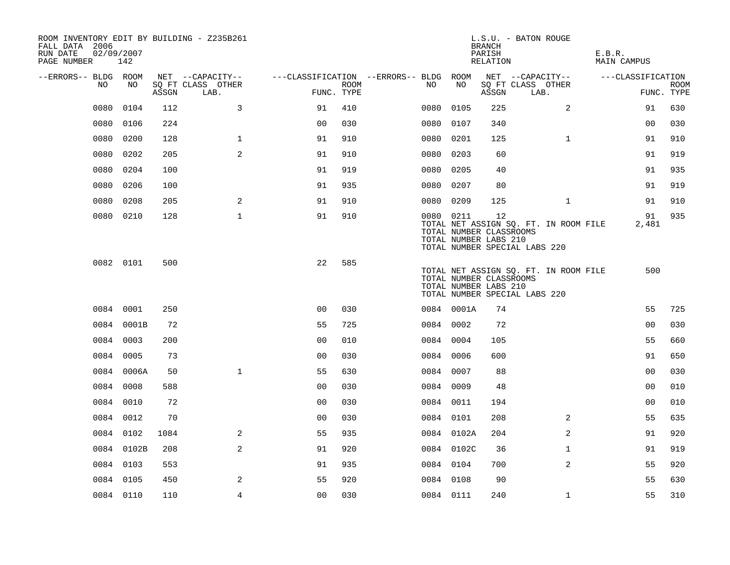| FALL DATA 2006<br>RUN DATE<br>PAGE NUMBER |      | 02/09/2007<br>142 |       | ROOM INVENTORY EDIT BY BUILDING - Z235B261 |                                        |             |           |                                                  | <b>BRANCH</b><br>PARISH<br>RELATION | L.S.U. - BATON ROUGE                                                   | E.B.R.<br><b>MAIN CAMPUS</b> |                   |                           |
|-------------------------------------------|------|-------------------|-------|--------------------------------------------|----------------------------------------|-------------|-----------|--------------------------------------------------|-------------------------------------|------------------------------------------------------------------------|------------------------------|-------------------|---------------------------|
| --ERRORS-- BLDG ROOM                      |      |                   |       | NET --CAPACITY--                           | ---CLASSIFICATION --ERRORS-- BLDG ROOM |             |           |                                                  |                                     | NET --CAPACITY--                                                       |                              | ---CLASSIFICATION |                           |
|                                           | NO   | NO                | ASSGN | SQ FT CLASS OTHER<br>LAB.                  | FUNC. TYPE                             | <b>ROOM</b> | NO        | NO                                               | ASSGN                               | SQ FT CLASS OTHER<br>LAB.                                              |                              |                   | <b>ROOM</b><br>FUNC. TYPE |
|                                           | 0080 | 0104              | 112   | 3                                          | 91                                     | 410         | 0080      | 0105                                             | 225                                 | 2                                                                      |                              | 91                | 630                       |
|                                           | 0080 | 0106              | 224   |                                            | 0 <sub>0</sub>                         | 030         | 0080      | 0107                                             | 340                                 |                                                                        |                              | 0 <sub>0</sub>    | 030                       |
|                                           | 0080 | 0200              | 128   | $\mathbf 1$                                | 91                                     | 910         | 0080      | 0201                                             | 125                                 | $\mathbf{1}$                                                           |                              | 91                | 910                       |
|                                           | 0080 | 0202              | 205   | 2                                          | 91                                     | 910         | 0080      | 0203                                             | 60                                  |                                                                        |                              | 91                | 919                       |
|                                           | 0080 | 0204              | 100   |                                            | 91                                     | 919         | 0080      | 0205                                             | 40                                  |                                                                        |                              | 91                | 935                       |
|                                           | 0080 | 0206              | 100   |                                            | 91                                     | 935         | 0080      | 0207                                             | 80                                  |                                                                        |                              | 91                | 919                       |
|                                           | 0080 | 0208              | 205   | 2                                          | 91                                     | 910         | 0080 0209 |                                                  | 125                                 | $\mathbf{1}$                                                           |                              | 91                | 910                       |
|                                           |      | 0080 0210         | 128   | $\mathbf{1}$                               | 91                                     | 910         | 0080 0211 | TOTAL NUMBER CLASSROOMS<br>TOTAL NUMBER LABS 210 | 12                                  | TOTAL NET ASSIGN SQ. FT. IN ROOM FILE<br>TOTAL NUMBER SPECIAL LABS 220 |                              | 91<br>2,481       | 935                       |
|                                           |      | 0082 0101         | 500   |                                            | 22                                     | 585         |           | TOTAL NUMBER CLASSROOMS<br>TOTAL NUMBER LABS 210 |                                     | TOTAL NET ASSIGN SQ. FT. IN ROOM FILE<br>TOTAL NUMBER SPECIAL LABS 220 |                              | 500               |                           |
|                                           |      | 0084 0001         | 250   |                                            | 0 <sub>0</sub>                         | 030         |           | 0084 0001A                                       | 74                                  |                                                                        |                              | 55                | 725                       |
|                                           |      | 0084 0001B        | 72    |                                            | 55                                     | 725         | 0084 0002 |                                                  | 72                                  |                                                                        |                              | 0 <sub>0</sub>    | 030                       |
|                                           |      | 0084 0003         | 200   |                                            | 0 <sub>0</sub>                         | 010         | 0084 0004 |                                                  | 105                                 |                                                                        |                              | 55                | 660                       |
|                                           |      | 0084 0005         | 73    |                                            | 0 <sub>0</sub>                         | 030         | 0084 0006 |                                                  | 600                                 |                                                                        |                              | 91                | 650                       |
|                                           |      | 0084 0006A        | 50    | $\mathbf{1}$                               | 55                                     | 630         | 0084 0007 |                                                  | 88                                  |                                                                        |                              | 0 <sub>0</sub>    | 030                       |
|                                           |      | 0084 0008         | 588   |                                            | 0 <sub>0</sub>                         | 030         | 0084 0009 |                                                  | 48                                  |                                                                        |                              | 0 <sub>0</sub>    | 010                       |
|                                           |      | 0084 0010         | 72    |                                            | 00                                     | 030         | 0084 0011 |                                                  | 194                                 |                                                                        |                              | 00                | 010                       |
|                                           |      | 0084 0012         | 70    |                                            | 0 <sub>0</sub>                         | 030         | 0084 0101 |                                                  | 208                                 | 2                                                                      |                              | 55                | 635                       |
|                                           |      | 0084 0102         | 1084  | 2                                          | 55                                     | 935         |           | 0084 0102A                                       | 204                                 | $\overline{a}$                                                         |                              | 91                | 920                       |
|                                           |      | 0084 0102B        | 208   | 2                                          | 91                                     | 920         |           | 0084 0102C                                       | 36                                  | $\mathbf{1}$                                                           |                              | 91                | 919                       |
|                                           |      | 0084 0103         | 553   |                                            | 91                                     | 935         | 0084 0104 |                                                  | 700                                 | $\overline{2}$                                                         |                              | 55                | 920                       |
|                                           |      | 0084 0105         | 450   | 2                                          | 55                                     | 920         | 0084 0108 |                                                  | 90                                  |                                                                        |                              | 55                | 630                       |
|                                           |      | 0084 0110         | 110   | 4                                          | 0 <sub>0</sub>                         | 030         | 0084 0111 |                                                  | 240                                 | $\mathbf{1}$                                                           |                              | 55                | 310                       |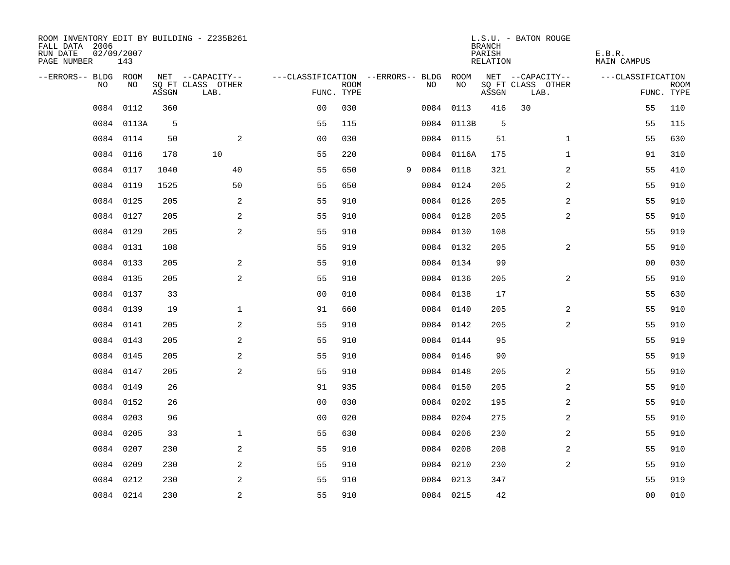| FALL DATA 2006<br>RUN DATE<br>PAGE NUMBER | 02/09/2007 | 143        |       | ROOM INVENTORY EDIT BY BUILDING - Z235B261 |                                        |             |   |           |            | <b>BRANCH</b><br>PARISH<br>RELATION | L.S.U. - BATON ROUGE      |                | E.B.R.<br><b>MAIN CAMPUS</b> |                           |
|-------------------------------------------|------------|------------|-------|--------------------------------------------|----------------------------------------|-------------|---|-----------|------------|-------------------------------------|---------------------------|----------------|------------------------------|---------------------------|
| --ERRORS-- BLDG ROOM                      |            |            |       | NET --CAPACITY--                           | ---CLASSIFICATION --ERRORS-- BLDG ROOM |             |   |           |            |                                     | NET --CAPACITY--          |                | ---CLASSIFICATION            |                           |
|                                           | NO         | NO         | ASSGN | SQ FT CLASS OTHER<br>LAB.                  | FUNC. TYPE                             | <b>ROOM</b> |   | NO.       | NO         | ASSGN                               | SQ FT CLASS OTHER<br>LAB. |                |                              | <b>ROOM</b><br>FUNC. TYPE |
|                                           | 0084       | 0112       | 360   |                                            | 0 <sub>0</sub>                         | 030         |   |           | 0084 0113  | 416                                 | 30                        |                | 55                           | 110                       |
|                                           |            | 0084 0113A | 5     |                                            | 55                                     | 115         |   |           | 0084 0113B | 5                                   |                           |                | 55                           | 115                       |
|                                           | 0084 0114  |            | 50    | 2                                          | 0 <sub>0</sub>                         | 030         |   |           | 0084 0115  | 51                                  |                           | $\mathbf{1}$   | 55                           | 630                       |
|                                           | 0084 0116  |            | 178   | 10                                         | 55                                     | 220         |   |           | 0084 0116A | 175                                 |                           | $\mathbf{1}$   | 91                           | 310                       |
|                                           | 0084 0117  |            | 1040  | 40                                         | 55                                     | 650         | 9 | 0084 0118 |            | 321                                 |                           | 2              | 55                           | 410                       |
|                                           | 0084 0119  |            | 1525  | 50                                         | 55                                     | 650         |   | 0084 0124 |            | 205                                 |                           | 2              | 55                           | 910                       |
|                                           | 0084 0125  |            | 205   | $\overline{a}$                             | 55                                     | 910         |   |           | 0084 0126  | 205                                 |                           | 2              | 55                           | 910                       |
|                                           | 0084 0127  |            | 205   | 2                                          | 55                                     | 910         |   |           | 0084 0128  | 205                                 |                           | $\overline{a}$ | 55                           | 910                       |
|                                           | 0084 0129  |            | 205   | 2                                          | 55                                     | 910         |   | 0084 0130 |            | 108                                 |                           |                | 55                           | 919                       |
|                                           | 0084 0131  |            | 108   |                                            | 55                                     | 919         |   |           | 0084 0132  | 205                                 |                           | 2              | 55                           | 910                       |
|                                           | 0084 0133  |            | 205   | 2                                          | 55                                     | 910         |   | 0084 0134 |            | 99                                  |                           |                | 0 <sub>0</sub>               | 030                       |
|                                           | 0084 0135  |            | 205   | 2                                          | 55                                     | 910         |   |           | 0084 0136  | 205                                 |                           | 2              | 55                           | 910                       |
|                                           | 0084 0137  |            | 33    |                                            | 0 <sub>0</sub>                         | 010         |   |           | 0084 0138  | 17                                  |                           |                | 55                           | 630                       |
|                                           | 0084 0139  |            | 19    | $\mathbf 1$                                | 91                                     | 660         |   |           | 0084 0140  | 205                                 |                           | 2              | 55                           | 910                       |
|                                           | 0084 0141  |            | 205   | 2                                          | 55                                     | 910         |   |           | 0084 0142  | 205                                 |                           | 2              | 55                           | 910                       |
|                                           | 0084 0143  |            | 205   | 2                                          | 55                                     | 910         |   | 0084 0144 |            | 95                                  |                           |                | 55                           | 919                       |
|                                           | 0084 0145  |            | 205   | $\overline{a}$                             | 55                                     | 910         |   | 0084 0146 |            | 90                                  |                           |                | 55                           | 919                       |
|                                           | 0084       | 0147       | 205   | 2                                          | 55                                     | 910         |   | 0084 0148 |            | 205                                 |                           | 2              | 55                           | 910                       |
|                                           | 0084 0149  |            | 26    |                                            | 91                                     | 935         |   |           | 0084 0150  | 205                                 |                           | 2              | 55                           | 910                       |
|                                           | 0084 0152  |            | 26    |                                            | 0 <sub>0</sub>                         | 030         |   | 0084 0202 |            | 195                                 |                           | 2              | 55                           | 910                       |
|                                           | 0084 0203  |            | 96    |                                            | 0 <sub>0</sub>                         | 020         |   | 0084 0204 |            | 275                                 |                           | 2              | 55                           | 910                       |
|                                           | 0084       | 0205       | 33    | $\mathbf 1$                                | 55                                     | 630         |   | 0084 0206 |            | 230                                 |                           | 2              | 55                           | 910                       |
|                                           | 0084       | 0207       | 230   | 2                                          | 55                                     | 910         |   | 0084 0208 |            | 208                                 |                           | $\overline{a}$ | 55                           | 910                       |
|                                           | 0084 0209  |            | 230   | $\overline{a}$                             | 55                                     | 910         |   | 0084 0210 |            | 230                                 |                           | $\overline{a}$ | 55                           | 910                       |
|                                           | 0084 0212  |            | 230   | 2                                          | 55                                     | 910         |   |           | 0084 0213  | 347                                 |                           |                | 55                           | 919                       |
|                                           | 0084 0214  |            | 230   | $\overline{a}$                             | 55                                     | 910         |   |           | 0084 0215  | 42                                  |                           |                | 0 <sub>0</sub>               | 010                       |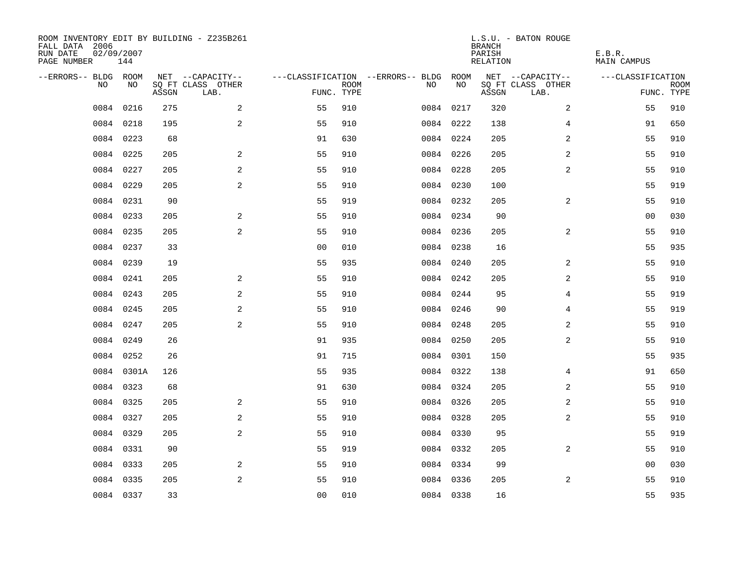| ROOM INVENTORY EDIT BY BUILDING - Z235B261<br>FALL DATA 2006<br>RUN DATE<br>PAGE NUMBER | 02/09/2007<br>144 |       |                           |                |             |                                        |           | <b>BRANCH</b><br>PARISH<br>RELATION | L.S.U. - BATON ROUGE      | E.B.R.<br>MAIN CAMPUS |                           |
|-----------------------------------------------------------------------------------------|-------------------|-------|---------------------------|----------------|-------------|----------------------------------------|-----------|-------------------------------------|---------------------------|-----------------------|---------------------------|
| --ERRORS-- BLDG ROOM                                                                    |                   |       | NET --CAPACITY--          |                |             | ---CLASSIFICATION --ERRORS-- BLDG ROOM |           |                                     | NET --CAPACITY--          | ---CLASSIFICATION     |                           |
| NO.                                                                                     | NO.               | ASSGN | SQ FT CLASS OTHER<br>LAB. | FUNC. TYPE     | <b>ROOM</b> | NO.                                    | NO        | ASSGN                               | SQ FT CLASS OTHER<br>LAB. |                       | <b>ROOM</b><br>FUNC. TYPE |
| 0084                                                                                    | 0216              | 275   | 2                         | 55             | 910         |                                        | 0084 0217 | 320                                 | 2                         | 55                    | 910                       |
|                                                                                         | 0084 0218         | 195   | 2                         | 55             | 910         |                                        | 0084 0222 | 138                                 | $\overline{4}$            | 91                    | 650                       |
|                                                                                         | 0084 0223         | 68    |                           | 91             | 630         |                                        | 0084 0224 | 205                                 | 2                         | 55                    | 910                       |
|                                                                                         | 0084 0225         | 205   | 2                         | 55             | 910         |                                        | 0084 0226 | 205                                 | 2                         | 55                    | 910                       |
|                                                                                         | 0084 0227         | 205   | 2                         | 55             | 910         |                                        | 0084 0228 | 205                                 | $\overline{a}$            | 55                    | 910                       |
|                                                                                         | 0084 0229         | 205   | 2                         | 55             | 910         |                                        | 0084 0230 | 100                                 |                           | 55                    | 919                       |
|                                                                                         | 0084 0231         | 90    |                           | 55             | 919         |                                        | 0084 0232 | 205                                 | $\overline{a}$            | 55                    | 910                       |
|                                                                                         | 0084 0233         | 205   | 2                         | 55             | 910         |                                        | 0084 0234 | 90                                  |                           | 00                    | 030                       |
|                                                                                         | 0084 0235         | 205   | 2                         | 55             | 910         |                                        | 0084 0236 | 205                                 | 2                         | 55                    | 910                       |
|                                                                                         | 0084 0237         | 33    |                           | 0 <sub>0</sub> | 010         |                                        | 0084 0238 | 16                                  |                           | 55                    | 935                       |
|                                                                                         | 0084 0239         | 19    |                           | 55             | 935         |                                        | 0084 0240 | 205                                 | 2                         | 55                    | 910                       |
|                                                                                         | 0084 0241         | 205   | 2                         | 55             | 910         |                                        | 0084 0242 | 205                                 | 2                         | 55                    | 910                       |
|                                                                                         | 0084 0243         | 205   | 2                         | 55             | 910         |                                        | 0084 0244 | 95                                  | 4                         | 55                    | 919                       |
|                                                                                         | 0084 0245         | 205   | 2                         | 55             | 910         |                                        | 0084 0246 | 90                                  | 4                         | 55                    | 919                       |
|                                                                                         | 0084 0247         | 205   | 2                         | 55             | 910         |                                        | 0084 0248 | 205                                 | 2                         | 55                    | 910                       |
|                                                                                         | 0084 0249         | 26    |                           | 91             | 935         |                                        | 0084 0250 | 205                                 | $\overline{a}$            | 55                    | 910                       |
| 0084                                                                                    | 0252              | 26    |                           | 91             | 715         |                                        | 0084 0301 | 150                                 |                           | 55                    | 935                       |
|                                                                                         | 0084 0301A        | 126   |                           | 55             | 935         |                                        | 0084 0322 | 138                                 | 4                         | 91                    | 650                       |
|                                                                                         | 0084 0323         | 68    |                           | 91             | 630         |                                        | 0084 0324 | 205                                 | 2                         | 55                    | 910                       |
|                                                                                         | 0084 0325         | 205   | 2                         | 55             | 910         |                                        | 0084 0326 | 205                                 | 2                         | 55                    | 910                       |
|                                                                                         | 0084 0327         | 205   | 2                         | 55             | 910         |                                        | 0084 0328 | 205                                 | 2                         | 55                    | 910                       |
|                                                                                         | 0084 0329         | 205   | 2                         | 55             | 910         |                                        | 0084 0330 | 95                                  |                           | 55                    | 919                       |
|                                                                                         | 0084 0331         | 90    |                           | 55             | 919         |                                        | 0084 0332 | 205                                 | 2                         | 55                    | 910                       |
|                                                                                         | 0084 0333         | 205   | 2                         | 55             | 910         |                                        | 0084 0334 | 99                                  |                           | 00                    | 030                       |
|                                                                                         | 0084 0335         | 205   | 2                         | 55             | 910         |                                        | 0084 0336 | 205                                 | 2                         | 55                    | 910                       |
|                                                                                         | 0084 0337         | 33    |                           | 0 <sub>0</sub> | 010         |                                        | 0084 0338 | 16                                  |                           | 55                    | 935                       |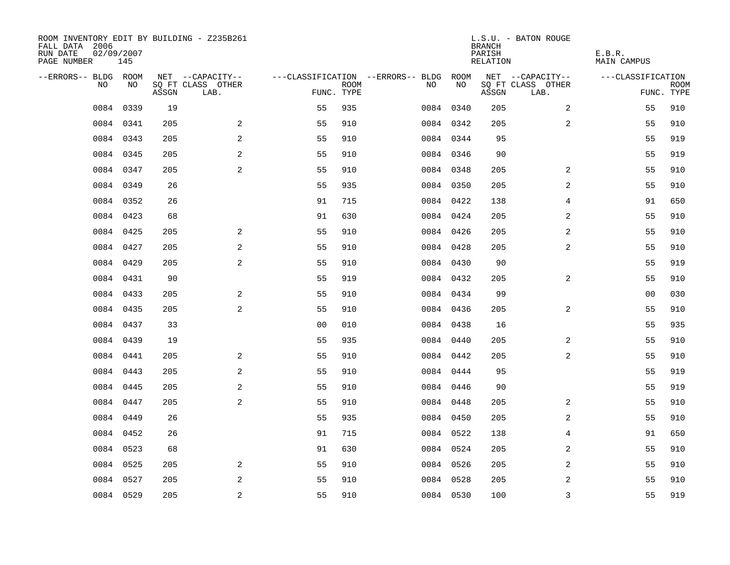| ROOM INVENTORY EDIT BY BUILDING - Z235B261<br>FALL DATA 2006<br>RUN DATE<br>PAGE NUMBER | 02/09/2007<br>145 |       |                           |                |             |                                        |           | <b>BRANCH</b><br>PARISH<br>RELATION | L.S.U. - BATON ROUGE      | E.B.R.<br>MAIN CAMPUS |             |
|-----------------------------------------------------------------------------------------|-------------------|-------|---------------------------|----------------|-------------|----------------------------------------|-----------|-------------------------------------|---------------------------|-----------------------|-------------|
| --ERRORS-- BLDG ROOM                                                                    |                   |       | NET --CAPACITY--          |                |             | ---CLASSIFICATION --ERRORS-- BLDG ROOM |           |                                     | NET --CAPACITY--          | ---CLASSIFICATION     |             |
| NO.                                                                                     | NO.               | ASSGN | SQ FT CLASS OTHER<br>LAB. | FUNC. TYPE     | <b>ROOM</b> | NO.                                    | NO        | ASSGN                               | SQ FT CLASS OTHER<br>LAB. | FUNC. TYPE            | <b>ROOM</b> |
| 0084                                                                                    | 0339              | 19    |                           | 55             | 935         |                                        | 0084 0340 | 205                                 | 2                         | 55                    | 910         |
|                                                                                         | 0084 0341         | 205   | 2                         | 55             | 910         |                                        | 0084 0342 | 205                                 | 2                         | 55                    | 910         |
|                                                                                         | 0084 0343         | 205   | 2                         | 55             | 910         |                                        | 0084 0344 | 95                                  |                           | 55                    | 919         |
|                                                                                         | 0084 0345         | 205   | 2                         | 55             | 910         |                                        | 0084 0346 | 90                                  |                           | 55                    | 919         |
|                                                                                         | 0084 0347         | 205   | 2                         | 55             | 910         |                                        | 0084 0348 | 205                                 | 2                         | 55                    | 910         |
|                                                                                         | 0084 0349         | 26    |                           | 55             | 935         |                                        | 0084 0350 | 205                                 | 2                         | 55                    | 910         |
|                                                                                         | 0084 0352         | 26    |                           | 91             | 715         |                                        | 0084 0422 | 138                                 | $\overline{4}$            | 91                    | 650         |
|                                                                                         | 0084 0423         | 68    |                           | 91             | 630         |                                        | 0084 0424 | 205                                 | 2                         | 55                    | 910         |
|                                                                                         | 0084 0425         | 205   | 2                         | 55             | 910         |                                        | 0084 0426 | 205                                 | 2                         | 55                    | 910         |
|                                                                                         | 0084 0427         | 205   | 2                         | 55             | 910         |                                        | 0084 0428 | 205                                 | 2                         | 55                    | 910         |
|                                                                                         | 0084 0429         | 205   | 2                         | 55             | 910         |                                        | 0084 0430 | 90                                  |                           | 55                    | 919         |
|                                                                                         | 0084 0431         | 90    |                           | 55             | 919         |                                        | 0084 0432 | 205                                 | $\overline{a}$            | 55                    | 910         |
|                                                                                         | 0084 0433         | 205   | 2                         | 55             | 910         |                                        | 0084 0434 | 99                                  |                           | 00                    | 030         |
|                                                                                         | 0084 0435         | 205   | 2                         | 55             | 910         |                                        | 0084 0436 | 205                                 | 2                         | 55                    | 910         |
|                                                                                         | 0084 0437         | 33    |                           | 0 <sub>0</sub> | 010         |                                        | 0084 0438 | 16                                  |                           | 55                    | 935         |
|                                                                                         | 0084 0439         | 19    |                           | 55             | 935         |                                        | 0084 0440 | 205                                 | 2                         | 55                    | 910         |
| 0084                                                                                    | 0441              | 205   | $\overline{a}$            | 55             | 910         |                                        | 0084 0442 | 205                                 | $\overline{a}$            | 55                    | 910         |
| 0084                                                                                    | 0443              | 205   | 2                         | 55             | 910         |                                        | 0084 0444 | 95                                  |                           | 55                    | 919         |
|                                                                                         | 0084 0445         | 205   | 2                         | 55             | 910         |                                        | 0084 0446 | 90                                  |                           | 55                    | 919         |
|                                                                                         | 0084 0447         | 205   | 2                         | 55             | 910         |                                        | 0084 0448 | 205                                 | 2                         | 55                    | 910         |
|                                                                                         | 0084 0449         | 26    |                           | 55             | 935         |                                        | 0084 0450 | 205                                 | 2                         | 55                    | 910         |
|                                                                                         | 0084 0452         | 26    |                           | 91             | 715         |                                        | 0084 0522 | 138                                 | 4                         | 91                    | 650         |
|                                                                                         | 0084 0523         | 68    |                           | 91             | 630         |                                        | 0084 0524 | 205                                 | 2                         | 55                    | 910         |
|                                                                                         | 0084 0525         | 205   | 2                         | 55             | 910         |                                        | 0084 0526 | 205                                 | 2                         | 55                    | 910         |
|                                                                                         | 0084 0527         | 205   | 2                         | 55             | 910         |                                        | 0084 0528 | 205                                 | 2                         | 55                    | 910         |
|                                                                                         | 0084 0529         | 205   | $\overline{c}$            | 55             | 910         |                                        | 0084 0530 | 100                                 | 3                         | 55                    | 919         |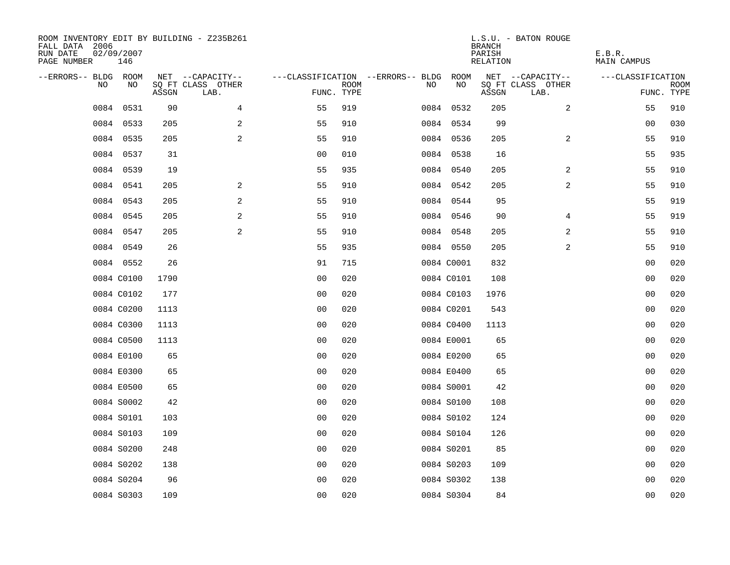| ROOM INVENTORY EDIT BY BUILDING - Z235B261<br>FALL DATA 2006<br>RUN DATE<br>PAGE NUMBER | 02/09/2007<br>146 |       |                                       |                |             |                                              |            | <b>BRANCH</b><br>PARISH<br>RELATION | L.S.U. - BATON ROUGE      | E.B.R.<br><b>MAIN CAMPUS</b> |             |
|-----------------------------------------------------------------------------------------|-------------------|-------|---------------------------------------|----------------|-------------|----------------------------------------------|------------|-------------------------------------|---------------------------|------------------------------|-------------|
| --ERRORS-- BLDG ROOM<br>NO                                                              | NO                |       | NET --CAPACITY--<br>SQ FT CLASS OTHER |                | <b>ROOM</b> | ---CLASSIFICATION --ERRORS-- BLDG ROOM<br>NO | NO         |                                     | NET --CAPACITY--          | ---CLASSIFICATION            | <b>ROOM</b> |
|                                                                                         |                   | ASSGN | LAB.                                  | FUNC. TYPE     |             |                                              |            | ASSGN                               | SQ FT CLASS OTHER<br>LAB. |                              | FUNC. TYPE  |
| 0084                                                                                    | 0531              | 90    | 4                                     | 55             | 919         |                                              | 0084 0532  | 205                                 | 2                         | 55                           | 910         |
|                                                                                         | 0084 0533         | 205   | 2                                     | 55             | 910         |                                              | 0084 0534  | 99                                  |                           | 00                           | 030         |
|                                                                                         | 0084 0535         | 205   | 2                                     | 55             | 910         |                                              | 0084 0536  | 205                                 | $\overline{2}$            | 55                           | 910         |
|                                                                                         | 0084 0537         | 31    |                                       | 0 <sub>0</sub> | 010         |                                              | 0084 0538  | 16                                  |                           | 55                           | 935         |
|                                                                                         | 0084 0539         | 19    |                                       | 55             | 935         |                                              | 0084 0540  | 205                                 | $\overline{2}$            | 55                           | 910         |
|                                                                                         | 0084 0541         | 205   | 2                                     | 55             | 910         |                                              | 0084 0542  | 205                                 | 2                         | 55                           | 910         |
|                                                                                         | 0084 0543         | 205   | $\overline{a}$                        | 55             | 910         |                                              | 0084 0544  | 95                                  |                           | 55                           | 919         |
|                                                                                         | 0084 0545         | 205   | 2                                     | 55             | 910         |                                              | 0084 0546  | 90                                  | 4                         | 55                           | 919         |
|                                                                                         | 0084 0547         | 205   | 2                                     | 55             | 910         |                                              | 0084 0548  | 205                                 | 2                         | 55                           | 910         |
|                                                                                         | 0084 0549         | 26    |                                       | 55             | 935         |                                              | 0084 0550  | 205                                 | 2                         | 55                           | 910         |
|                                                                                         | 0084 0552         | 26    |                                       | 91             | 715         |                                              | 0084 C0001 | 832                                 |                           | 0 <sub>0</sub>               | 020         |
|                                                                                         | 0084 C0100        | 1790  |                                       | 0 <sub>0</sub> | 020         |                                              | 0084 C0101 | 108                                 |                           | 0 <sub>0</sub>               | 020         |
|                                                                                         | 0084 C0102        | 177   |                                       | 0 <sub>0</sub> | 020         |                                              | 0084 C0103 | 1976                                |                           | 0 <sub>0</sub>               | 020         |
|                                                                                         | 0084 C0200        | 1113  |                                       | 00             | 020         |                                              | 0084 C0201 | 543                                 |                           | 00                           | 020         |
|                                                                                         | 0084 C0300        | 1113  |                                       | 0 <sub>0</sub> | 020         |                                              | 0084 C0400 | 1113                                |                           | 0 <sub>0</sub>               | 020         |
|                                                                                         | 0084 C0500        | 1113  |                                       | 0 <sub>0</sub> | 020         |                                              | 0084 E0001 | 65                                  |                           | 00                           | 020         |
|                                                                                         | 0084 E0100        | 65    |                                       | 0 <sub>0</sub> | 020         |                                              | 0084 E0200 | 65                                  |                           | 00                           | 020         |
|                                                                                         | 0084 E0300        | 65    |                                       | 0 <sub>0</sub> | 020         |                                              | 0084 E0400 | 65                                  |                           | 00                           | 020         |
|                                                                                         | 0084 E0500        | 65    |                                       | 0 <sub>0</sub> | 020         |                                              | 0084 S0001 | 42                                  |                           | 0 <sub>0</sub>               | 020         |
|                                                                                         | 0084 S0002        | 42    |                                       | 0 <sub>0</sub> | 020         |                                              | 0084 S0100 | 108                                 |                           | 0 <sub>0</sub>               | 020         |
|                                                                                         | 0084 S0101        | 103   |                                       | 0 <sub>0</sub> | 020         |                                              | 0084 S0102 | 124                                 |                           | 00                           | 020         |
|                                                                                         | 0084 S0103        | 109   |                                       | 0 <sub>0</sub> | 020         |                                              | 0084 S0104 | 126                                 |                           | 00                           | 020         |
|                                                                                         | 0084 S0200        | 248   |                                       | 0 <sup>0</sup> | 020         |                                              | 0084 S0201 | 85                                  |                           | 0 <sub>0</sub>               | 020         |
|                                                                                         | 0084 S0202        | 138   |                                       | 0 <sub>0</sub> | 020         |                                              | 0084 S0203 | 109                                 |                           | 00                           | 020         |
|                                                                                         | 0084 S0204        | 96    |                                       | 0 <sub>0</sub> | 020         |                                              | 0084 S0302 | 138                                 |                           | 00                           | 020         |
|                                                                                         | 0084 S0303        | 109   |                                       | 0 <sub>0</sub> | 020         |                                              | 0084 S0304 | 84                                  |                           | 0 <sub>0</sub>               | 020         |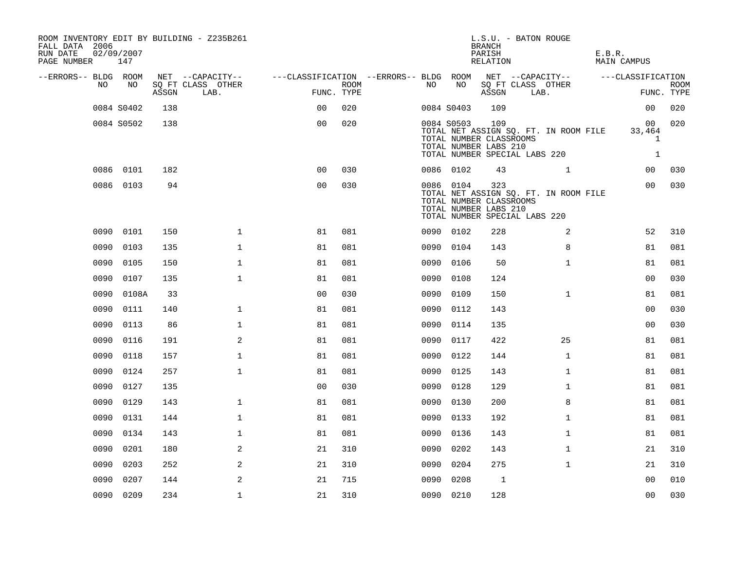| ROOM INVENTORY EDIT BY BUILDING - Z235B261<br>FALL DATA 2006<br>RUN DATE<br>PAGE NUMBER 147 | 02/09/2007 |       |                           |                                        |                    |           |            | <b>BRANCH</b><br>PARISH<br>RELATION                     | L.S.U. - BATON ROUGE                                                   | E.B.R.<br>MAIN CAMPUS     |                                     |
|---------------------------------------------------------------------------------------------|------------|-------|---------------------------|----------------------------------------|--------------------|-----------|------------|---------------------------------------------------------|------------------------------------------------------------------------|---------------------------|-------------------------------------|
| --ERRORS-- BLDG ROOM                                                                        |            |       | NET --CAPACITY--          | ---CLASSIFICATION --ERRORS-- BLDG ROOM |                    |           |            |                                                         | NET --CAPACITY--                                                       | ---CLASSIFICATION         |                                     |
| NO                                                                                          | NO         | ASSGN | SQ FT CLASS OTHER<br>LAB. |                                        | ROOM<br>FUNC. TYPE | NO        | NO         | ASSGN                                                   | SQ FT CLASS OTHER<br>LAB.                                              |                           | <b>ROOM</b><br>FUNC. TYPE           |
|                                                                                             | 0084 S0402 | 138   |                           | 0 <sub>0</sub>                         | 020                |           | 0084 S0403 | 109                                                     |                                                                        | 0 <sub>0</sub>            | 020                                 |
|                                                                                             | 0084 S0502 | 138   |                           | 0 <sub>0</sub>                         | 020                |           | 0084 S0503 | 109<br>TOTAL NUMBER CLASSROOMS<br>TOTAL NUMBER LABS 210 | TOTAL NET ASSIGN SQ. FT. IN ROOM FILE<br>TOTAL NUMBER SPECIAL LABS 220 | 00 <sub>o</sub><br>33,464 | 020<br>$\mathbf{1}$<br>$\mathbf{1}$ |
|                                                                                             | 0086 0101  | 182   |                           | 0 <sub>0</sub>                         | 030                |           | 0086 0102  | 43                                                      | $\mathbf{1}$                                                           | 00                        | 030                                 |
|                                                                                             | 0086 0103  | 94    |                           | 0 <sub>0</sub>                         | 030                |           | 0086 0104  | 323<br>TOTAL NUMBER CLASSROOMS<br>TOTAL NUMBER LABS 210 | TOTAL NET ASSIGN SQ. FT. IN ROOM FILE<br>TOTAL NUMBER SPECIAL LABS 220 | 00                        | 030                                 |
|                                                                                             | 0090 0101  | 150   | $\mathbf{1}$              | 81                                     | 081                |           | 0090 0102  | 228                                                     | 2                                                                      | 52                        | 310                                 |
| 0090                                                                                        | 0103       | 135   | $\mathbf{1}$              | 81                                     | 081                |           | 0090 0104  | 143                                                     | 8                                                                      | 81                        | 081                                 |
| 0090                                                                                        | 0105       | 150   | $\mathbf{1}$              | 81                                     | 081                | 0090      | 0106       | 50                                                      | $\mathbf{1}$                                                           | 81                        | 081                                 |
|                                                                                             | 0090 0107  | 135   | $\mathbf{1}$              | 81                                     | 081                |           | 0090 0108  | 124                                                     |                                                                        | 0 <sub>0</sub>            | 030                                 |
| 0090                                                                                        | 0108A      | 33    |                           | 0 <sub>0</sub>                         | 030                | 0090      | 0109       | 150                                                     | $\mathbf{1}$                                                           | 81                        | 081                                 |
| 0090                                                                                        | 0111       | 140   | $\mathbf 1$               | 81                                     | 081                |           | 0090 0112  | 143                                                     |                                                                        | 00                        | 030                                 |
| 0090                                                                                        | 0113       | 86    | $\mathbf 1$               | 81                                     | 081                | 0090      | 0114       | 135                                                     |                                                                        | 00                        | 030                                 |
| 0090                                                                                        | 0116       | 191   | 2                         | 81                                     | 081                |           | 0090 0117  | 422                                                     | 25                                                                     | 81                        | 081                                 |
| 0090                                                                                        | 0118       | 157   | $\mathbf 1$               | 81                                     | 081                | 0090      | 0122       | 144                                                     | $\mathbf{1}$                                                           | 81                        | 081                                 |
| 0090                                                                                        | 0124       | 257   | $\mathbf{1}$              | 81                                     | 081                | 0090      | 0125       | 143                                                     | $\mathbf{1}$                                                           | 81                        | 081                                 |
| 0090                                                                                        | 0127       | 135   |                           | 0 <sub>0</sub>                         | 030                | 0090 0128 |            | 129                                                     | $\mathbf{1}$                                                           | 81                        | 081                                 |
| 0090                                                                                        | 0129       | 143   | $\mathbf{1}$              | 81                                     | 081                |           | 0090 0130  | 200                                                     | 8                                                                      | 81                        | 081                                 |
| 0090                                                                                        | 0131       | 144   | $\mathbf{1}$              | 81                                     | 081                |           | 0090 0133  | 192                                                     | $\mathbf{1}$                                                           | 81                        | 081                                 |
| 0090                                                                                        | 0134       | 143   | $\mathbf 1$               | 81                                     | 081                | 0090      | 0136       | 143                                                     | $\mathbf{1}$                                                           | 81                        | 081                                 |
| 0090                                                                                        | 0201       | 180   | 2                         | 21                                     | 310                | 0090      | 0202       | 143                                                     | $\mathbf{1}$                                                           | 21                        | 310                                 |
| 0090                                                                                        | 0203       | 252   | 2                         | 21                                     | 310                | 0090      | 0204       | 275                                                     | $\mathbf{1}$                                                           | 21                        | 310                                 |
| 0090                                                                                        | 0207       | 144   | 2                         | 21                                     | 715                | 0090      | 0208       | 1                                                       |                                                                        | 00                        | 010                                 |
|                                                                                             | 0090 0209  | 234   | $\mathbf{1}$              | 21                                     | 310                |           | 0090 0210  | 128                                                     |                                                                        | 0 <sub>0</sub>            | 030                                 |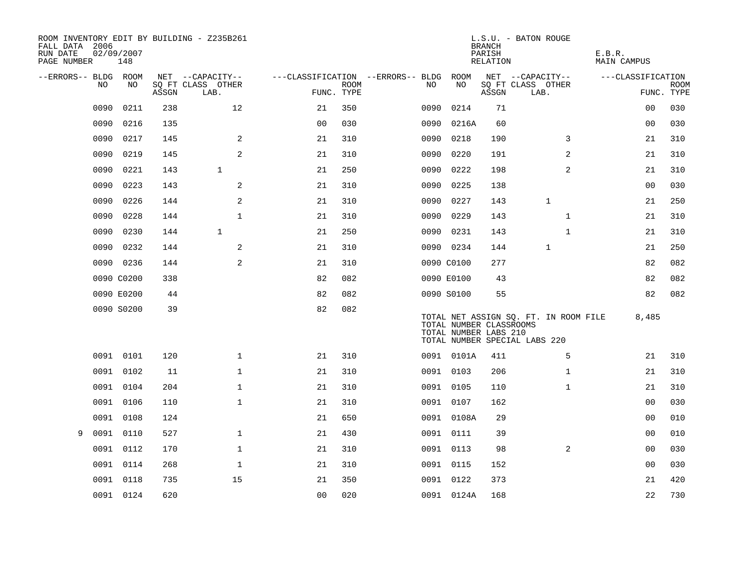| ROOM INVENTORY EDIT BY BUILDING - Z235B261<br>FALL DATA 2006<br>RUN DATE<br>PAGE NUMBER | 02/09/2007<br>148 |       |                           |                |             |                                   |                                                  | <b>BRANCH</b><br>PARISH<br>RELATION | L.S.U. - BATON ROUGE                                                   | E.B.R.<br><b>MAIN CAMPUS</b> |                           |
|-----------------------------------------------------------------------------------------|-------------------|-------|---------------------------|----------------|-------------|-----------------------------------|--------------------------------------------------|-------------------------------------|------------------------------------------------------------------------|------------------------------|---------------------------|
| --ERRORS-- BLDG ROOM                                                                    |                   |       | NET --CAPACITY--          |                |             | ---CLASSIFICATION --ERRORS-- BLDG | ROOM                                             |                                     | NET --CAPACITY--                                                       | ---CLASSIFICATION            |                           |
| NO                                                                                      | NO                | ASSGN | SQ FT CLASS OTHER<br>LAB. | FUNC. TYPE     | <b>ROOM</b> | NO                                | NO                                               | ASSGN                               | SQ FT CLASS OTHER<br>LAB.                                              |                              | <b>ROOM</b><br>FUNC. TYPE |
| 0090                                                                                    | 0211              | 238   | 12                        | 21             | 350         | 0090                              | 0214                                             | 71                                  |                                                                        | 00                           | 030                       |
| 0090                                                                                    | 0216              | 135   |                           | 0 <sub>0</sub> | 030         | 0090                              | 0216A                                            | 60                                  |                                                                        | 0 <sub>0</sub>               | 030                       |
| 0090                                                                                    | 0217              | 145   | 2                         | 21             | 310         | 0090                              | 0218                                             | 190                                 | 3                                                                      | 21                           | 310                       |
| 0090                                                                                    | 0219              | 145   | 2                         | 21             | 310         | 0090                              | 0220                                             | 191                                 | 2                                                                      | 21                           | 310                       |
| 0090                                                                                    | 0221              | 143   | $\mathbf{1}$              | 21             | 250         | 0090                              | 0222                                             | 198                                 | $\overline{2}$                                                         | 21                           | 310                       |
| 0090                                                                                    | 0223              | 143   | 2                         | 21             | 310         | 0090                              | 0225                                             | 138                                 |                                                                        | 00                           | 030                       |
| 0090                                                                                    | 0226              | 144   | 2                         | 21             | 310         | 0090                              | 0227                                             | 143                                 | $\mathbf 1$                                                            | 21                           | 250                       |
| 0090                                                                                    | 0228              | 144   | $\mathbf{1}$              | 21             | 310         | 0090                              | 0229                                             | 143                                 | $\mathbf{1}$                                                           | 21                           | 310                       |
| 0090                                                                                    | 0230              | 144   | $\mathbf{1}$              | 21             | 250         | 0090                              | 0231                                             | 143                                 | $\mathbf{1}$                                                           | 21                           | 310                       |
| 0090                                                                                    | 0232              | 144   | 2                         | 21             | 310         |                                   | 0090 0234                                        | 144                                 | $\mathbf 1$                                                            | 21                           | 250                       |
|                                                                                         | 0090 0236         | 144   | 2                         | 21             | 310         |                                   | 0090 C0100                                       | 277                                 |                                                                        | 82                           | 082                       |
|                                                                                         | 0090 C0200        | 338   |                           | 82             | 082         |                                   | 0090 E0100                                       | 43                                  |                                                                        | 82                           | 082                       |
|                                                                                         | 0090 E0200        | 44    |                           | 82             | 082         |                                   | 0090 S0100                                       | 55                                  |                                                                        | 82                           | 082                       |
|                                                                                         | 0090 S0200        | 39    |                           | 82             | 082         |                                   | TOTAL NUMBER CLASSROOMS<br>TOTAL NUMBER LABS 210 |                                     | TOTAL NET ASSIGN SQ. FT. IN ROOM FILE<br>TOTAL NUMBER SPECIAL LABS 220 | 8,485                        |                           |
|                                                                                         | 0091 0101         | 120   | $\mathbf{1}$              | 21             | 310         |                                   | 0091 0101A                                       | 411                                 | 5                                                                      | 21                           | 310                       |
|                                                                                         | 0091 0102         | 11    | $\mathbf 1$               | 21             | 310         |                                   | 0091 0103                                        | 206                                 | $\mathbf{1}$                                                           | 21                           | 310                       |
|                                                                                         | 0091 0104         | 204   | $\mathbf 1$               | 21             | 310         |                                   | 0091 0105                                        | 110                                 | $\mathbf{1}$                                                           | 21                           | 310                       |
|                                                                                         | 0091 0106         | 110   | $\mathbf{1}$              | 21             | 310         |                                   | 0091 0107                                        | 162                                 |                                                                        | 00                           | 030                       |
| 0091                                                                                    | 0108              | 124   |                           | 21             | 650         |                                   | 0091 0108A                                       | 29                                  |                                                                        | 00                           | 010                       |
| 0091<br>9                                                                               | 0110              | 527   | $\mathbf 1$               | 21             | 430         |                                   | 0091 0111                                        | 39                                  |                                                                        | 00                           | 010                       |
|                                                                                         | 0091 0112         | 170   | $\mathbf{1}$              | 21             | 310         |                                   | 0091 0113                                        | 98                                  | 2                                                                      | 0 <sub>0</sub>               | 030                       |
| 0091                                                                                    | 0114              | 268   | $\mathbf{1}$              | 21             | 310         |                                   | 0091 0115                                        | 152                                 |                                                                        | 0 <sub>0</sub>               | 030                       |
|                                                                                         | 0091 0118         | 735   | 15                        | 21             | 350         |                                   | 0091 0122                                        | 373                                 |                                                                        | 21                           | 420                       |
|                                                                                         | 0091 0124         | 620   |                           | 0 <sub>0</sub> | 020         |                                   | 0091 0124A                                       | 168                                 |                                                                        | 22                           | 730                       |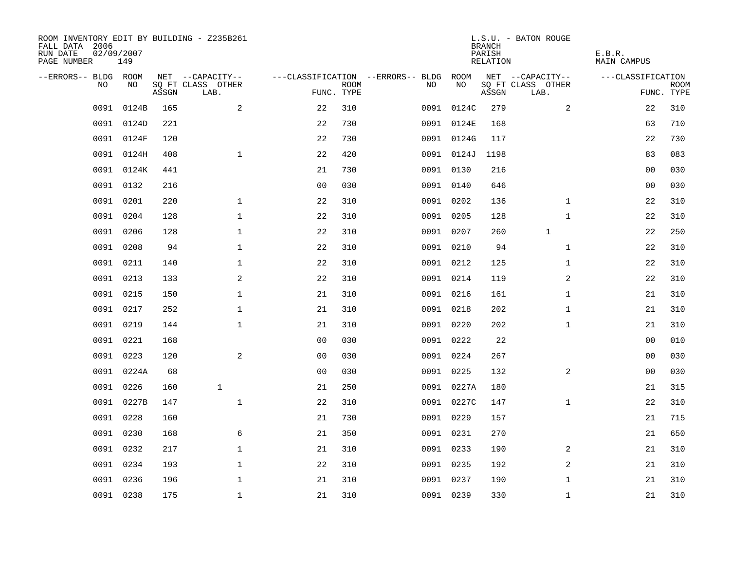| ROOM INVENTORY EDIT BY BUILDING - Z235B261<br>FALL DATA 2006<br>RUN DATE<br>PAGE NUMBER | 02/09/2007<br>149 |       |                           |                |             |                                        |            | <b>BRANCH</b><br>PARISH<br>RELATION | L.S.U. - BATON ROUGE      | E.B.R.<br>MAIN CAMPUS |                           |
|-----------------------------------------------------------------------------------------|-------------------|-------|---------------------------|----------------|-------------|----------------------------------------|------------|-------------------------------------|---------------------------|-----------------------|---------------------------|
| --ERRORS-- BLDG ROOM                                                                    |                   |       | NET --CAPACITY--          |                |             | ---CLASSIFICATION --ERRORS-- BLDG ROOM |            |                                     | NET --CAPACITY--          | ---CLASSIFICATION     |                           |
| NO.                                                                                     | NO.               | ASSGN | SQ FT CLASS OTHER<br>LAB. | FUNC. TYPE     | <b>ROOM</b> | NO.                                    | NO         | ASSGN                               | SQ FT CLASS OTHER<br>LAB. |                       | <b>ROOM</b><br>FUNC. TYPE |
| 0091                                                                                    | 0124B             | 165   | 2                         | 22             | 310         |                                        | 0091 0124C | 279                                 | 2                         | 22                    | 310                       |
| 0091                                                                                    | 0124D             | 221   |                           | 22             | 730         |                                        | 0091 0124E | 168                                 |                           | 63                    | 710                       |
|                                                                                         | 0091 0124F        | 120   |                           | 22             | 730         |                                        | 0091 0124G | 117                                 |                           | 22                    | 730                       |
|                                                                                         | 0091 0124H        | 408   | $\mathbf 1$               | 22             | 420         |                                        | 0091 0124J | 1198                                |                           | 83                    | 083                       |
| 0091                                                                                    | 0124K             | 441   |                           | 21             | 730         |                                        | 0091 0130  | 216                                 |                           | 0 <sub>0</sub>        | 030                       |
|                                                                                         | 0091 0132         | 216   |                           | 0 <sub>0</sub> | 030         |                                        | 0091 0140  | 646                                 |                           | 0 <sub>0</sub>        | 030                       |
| 0091                                                                                    | 0201              | 220   | $\mathbf{1}$              | 22             | 310         |                                        | 0091 0202  | 136                                 | $\mathbf{1}$              | 22                    | 310                       |
| 0091                                                                                    | 0204              | 128   | $\mathbf 1$               | 22             | 310         |                                        | 0091 0205  | 128                                 | $\mathbf{1}$              | 22                    | 310                       |
| 0091                                                                                    | 0206              | 128   | $\mathbf{1}$              | 22             | 310         |                                        | 0091 0207  | 260                                 | $\mathbf{1}$              | 22                    | 250                       |
|                                                                                         | 0091 0208         | 94    | $\mathbf 1$               | 22             | 310         |                                        | 0091 0210  | 94                                  | $\mathbf{1}$              | 22                    | 310                       |
|                                                                                         | 0091 0211         | 140   | $\mathbf{1}$              | 22             | 310         |                                        | 0091 0212  | 125                                 | $\mathbf{1}$              | 22                    | 310                       |
|                                                                                         | 0091 0213         | 133   | 2                         | 22             | 310         |                                        | 0091 0214  | 119                                 | $\overline{a}$            | 22                    | 310                       |
| 0091                                                                                    | 0215              | 150   | $\mathbf{1}$              | 21             | 310         |                                        | 0091 0216  | 161                                 | $\mathbf{1}$              | 21                    | 310                       |
|                                                                                         | 0091 0217         | 252   | $\mathbf 1$               | 21             | 310         |                                        | 0091 0218  | 202                                 | $\mathbf{1}$              | 21                    | 310                       |
| 0091                                                                                    | 0219              | 144   | $\mathbf{1}$              | 21             | 310         |                                        | 0091 0220  | 202                                 | $\mathbf{1}$              | 21                    | 310                       |
|                                                                                         | 0091 0221         | 168   |                           | 0 <sub>0</sub> | 030         |                                        | 0091 0222  | 22                                  |                           | 0 <sub>0</sub>        | 010                       |
| 0091                                                                                    | 0223              | 120   | $\sqrt{2}$                | 0 <sub>0</sub> | 030         |                                        | 0091 0224  | 267                                 |                           | 00                    | 030                       |
| 0091                                                                                    | 0224A             | 68    |                           | 0 <sub>0</sub> | 030         |                                        | 0091 0225  | 132                                 | 2                         | 00                    | 030                       |
| 0091                                                                                    | 0226              | 160   | $\mathbf{1}$              | 21             | 250         |                                        | 0091 0227A | 180                                 |                           | 21                    | 315                       |
|                                                                                         | 0091 0227B        | 147   | $\mathbf{1}$              | 22             | 310         |                                        | 0091 0227C | 147                                 | $\mathbf{1}$              | 22                    | 310                       |
| 0091                                                                                    | 0228              | 160   |                           | 21             | 730         |                                        | 0091 0229  | 157                                 |                           | 21                    | 715                       |
| 0091                                                                                    | 0230              | 168   | 6                         | 21             | 350         |                                        | 0091 0231  | 270                                 |                           | 21                    | 650                       |
| 0091                                                                                    | 0232              | 217   | $\mathbf 1$               | 21             | 310         |                                        | 0091 0233  | 190                                 | 2                         | 21                    | 310                       |
|                                                                                         | 0091 0234         | 193   | $\mathbf 1$               | 22             | 310         |                                        | 0091 0235  | 192                                 | 2                         | 21                    | 310                       |
| 0091                                                                                    | 0236              | 196   | $\mathbf 1$               | 21             | 310         |                                        | 0091 0237  | 190                                 | $\mathbf{1}$              | 21                    | 310                       |
|                                                                                         | 0091 0238         | 175   | $\mathbf{1}$              | 21             | 310         |                                        | 0091 0239  | 330                                 | $\mathbf{1}$              | 21                    | 310                       |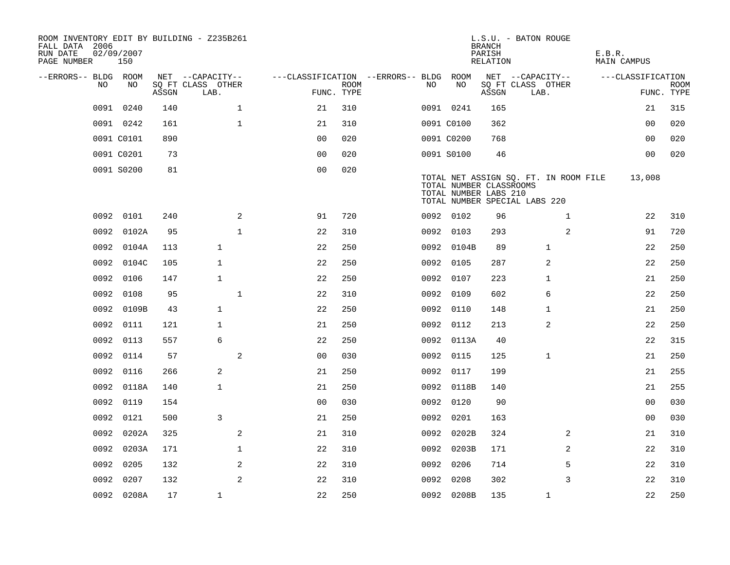| ROOM INVENTORY EDIT BY BUILDING - Z235B261<br>FALL DATA 2006<br>RUN DATE<br>PAGE NUMBER | 02/09/2007<br>150 |       |                           |                                        |      |      |                                                  | <b>BRANCH</b><br>PARISH<br>RELATION | L.S.U. - BATON ROUGE                                                   | E.B.R.<br>MAIN CAMPUS |                           |
|-----------------------------------------------------------------------------------------|-------------------|-------|---------------------------|----------------------------------------|------|------|--------------------------------------------------|-------------------------------------|------------------------------------------------------------------------|-----------------------|---------------------------|
| --ERRORS-- BLDG ROOM                                                                    |                   |       | NET --CAPACITY--          | ---CLASSIFICATION --ERRORS-- BLDG ROOM |      |      |                                                  |                                     | NET --CAPACITY--                                                       | ---CLASSIFICATION     |                           |
| NO                                                                                      | NO.               | ASSGN | SQ FT CLASS OTHER<br>LAB. | FUNC. TYPE                             | ROOM | NO.  | NO                                               | ASSGN                               | SQ FT CLASS OTHER<br>LAB.                                              |                       | <b>ROOM</b><br>FUNC. TYPE |
| 0091                                                                                    | 0240              | 140   | $\mathbf{1}$              | 21                                     | 310  |      | 0091 0241                                        | 165                                 |                                                                        | 21                    | 315                       |
|                                                                                         | 0091 0242         | 161   | $\mathbf{1}$              | 21                                     | 310  |      | 0091 C0100                                       | 362                                 |                                                                        | 0 <sub>0</sub>        | 020                       |
|                                                                                         | 0091 C0101        | 890   |                           | 0 <sub>0</sub>                         | 020  |      | 0091 C0200                                       | 768                                 |                                                                        | 0 <sub>0</sub>        | 020                       |
|                                                                                         | 0091 C0201        | 73    |                           | 0 <sub>0</sub>                         | 020  |      | 0091 S0100                                       | 46                                  |                                                                        | 00                    | 020                       |
|                                                                                         | 0091 S0200        | 81    |                           | 0 <sub>0</sub>                         | 020  |      | TOTAL NUMBER CLASSROOMS<br>TOTAL NUMBER LABS 210 |                                     | TOTAL NET ASSIGN SQ. FT. IN ROOM FILE<br>TOTAL NUMBER SPECIAL LABS 220 | 13,008                |                           |
|                                                                                         | 0092 0101         | 240   | 2                         | 91                                     | 720  |      | 0092 0102                                        | 96                                  | $\mathbf{1}$                                                           | 22                    | 310                       |
| 0092                                                                                    | 0102A             | 95    | $\mathbf{1}$              | 22                                     | 310  |      | 0092 0103                                        | 293                                 | 2                                                                      | 91                    | 720                       |
|                                                                                         | 0092 0104A        | 113   | $\mathbf{1}$              | 22                                     | 250  |      | 0092 0104B                                       | 89                                  | $\mathbf{1}$                                                           | 22                    | 250                       |
|                                                                                         | 0092 0104C        | 105   | $\mathbf{1}$              | 22                                     | 250  |      | 0092 0105                                        | 287                                 | 2                                                                      | 22                    | 250                       |
|                                                                                         | 0092 0106         | 147   | $\mathbf{1}$              | 22                                     | 250  |      | 0092 0107                                        | 223                                 | 1                                                                      | 21                    | 250                       |
| 0092                                                                                    | 0108              | 95    | $\mathbf{1}$              | 22                                     | 310  |      | 0092 0109                                        | 602                                 | 6                                                                      | 22                    | 250                       |
|                                                                                         | 0092 0109B        | 43    | $\mathbf{1}$              | 22                                     | 250  |      | 0092 0110                                        | 148                                 | 1                                                                      | 21                    | 250                       |
|                                                                                         | 0092 0111         | 121   | $\mathbf{1}$              | 21                                     | 250  |      | 0092 0112                                        | 213                                 | 2                                                                      | 22                    | 250                       |
|                                                                                         | 0092 0113         | 557   | 6                         | 22                                     | 250  |      | 0092 0113A                                       | 40                                  |                                                                        | 22                    | 315                       |
| 0092                                                                                    | 0114              | 57    | $\overline{a}$            | 0 <sub>0</sub>                         | 030  |      | 0092 0115                                        | 125                                 | 1                                                                      | 21                    | 250                       |
| 0092                                                                                    | 0116              | 266   | 2                         | 21                                     | 250  |      | 0092 0117                                        | 199                                 |                                                                        | 21                    | 255                       |
|                                                                                         | 0092 0118A        | 140   | $\mathbf{1}$              | 21                                     | 250  |      | 0092 0118B                                       | 140                                 |                                                                        | 21                    | 255                       |
|                                                                                         | 0092 0119         | 154   |                           | 0 <sub>0</sub>                         | 030  |      | 0092 0120                                        | 90                                  |                                                                        | 0 <sub>0</sub>        | 030                       |
|                                                                                         | 0092 0121         | 500   | 3                         | 21                                     | 250  |      | 0092 0201                                        | 163                                 |                                                                        | 0 <sub>0</sub>        | 030                       |
| 0092                                                                                    | 0202A             | 325   | 2                         | 21                                     | 310  |      | 0092 0202B                                       | 324                                 | $\overline{2}$                                                         | 21                    | 310                       |
|                                                                                         | 0092 0203A        | 171   | $\mathbf 1$               | 22                                     | 310  |      | 0092 0203B                                       | 171                                 | 2                                                                      | 22                    | 310                       |
| 0092                                                                                    | 0205              | 132   | 2                         | 22                                     | 310  |      | 0092 0206                                        | 714                                 | 5                                                                      | 22                    | 310                       |
| 0092                                                                                    | 0207              | 132   | 2                         | 22                                     | 310  | 0092 | 0208                                             | 302                                 | 3                                                                      | 22                    | 310                       |
|                                                                                         | 0092 0208A        | 17    | $\mathbf{1}$              | 22                                     | 250  |      | 0092 0208B                                       | 135                                 | $\mathbf{1}$                                                           | 22                    | 250                       |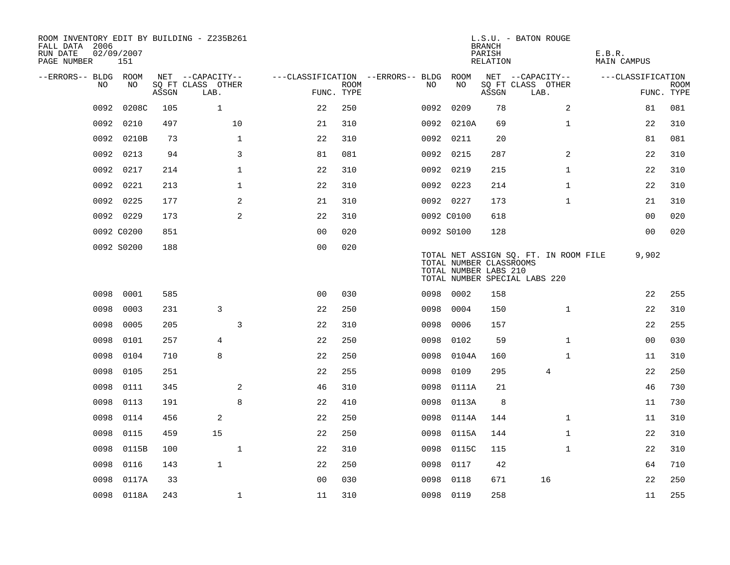| ROOM INVENTORY EDIT BY BUILDING - Z235B261<br>FALL DATA 2006<br>RUN DATE<br>PAGE NUMBER | 02/09/2007<br>151 |       |                           |                                        |             |      |                                                  | <b>BRANCH</b><br>PARISH<br>RELATION | L.S.U. - BATON ROUGE                                                   | E.B.R.<br><b>MAIN CAMPUS</b> |                           |
|-----------------------------------------------------------------------------------------|-------------------|-------|---------------------------|----------------------------------------|-------------|------|--------------------------------------------------|-------------------------------------|------------------------------------------------------------------------|------------------------------|---------------------------|
| --ERRORS-- BLDG ROOM                                                                    |                   |       | NET --CAPACITY--          | ---CLASSIFICATION --ERRORS-- BLDG ROOM |             |      |                                                  |                                     | NET --CAPACITY--                                                       | ---CLASSIFICATION            |                           |
| NO                                                                                      | NO                | ASSGN | SQ FT CLASS OTHER<br>LAB. | FUNC. TYPE                             | <b>ROOM</b> | NO.  | NO                                               | ASSGN                               | SQ FT CLASS OTHER<br>LAB.                                              |                              | <b>ROOM</b><br>FUNC. TYPE |
| 0092                                                                                    | 0208C             | 105   | $\mathbf{1}$              | 22                                     | 250         | 0092 | 0209                                             | 78                                  | 2                                                                      | 81                           | 081                       |
| 0092                                                                                    | 0210              | 497   | 10                        | 21                                     | 310         |      | 0092 0210A                                       | 69                                  | $\mathbf{1}$                                                           | 22                           | 310                       |
|                                                                                         | 0092 0210B        | 73    | $\mathbf{1}$              | 22                                     | 310         |      | 0092 0211                                        | 20                                  |                                                                        | 81                           | 081                       |
| 0092                                                                                    | 0213              | 94    | 3                         | 81                                     | 081         |      | 0092 0215                                        | 287                                 | 2                                                                      | 22                           | 310                       |
| 0092                                                                                    | 0217              | 214   | $\mathbf 1$               | 22                                     | 310         |      | 0092 0219                                        | 215                                 | $\mathbf{1}$                                                           | 22                           | 310                       |
| 0092                                                                                    | 0221              | 213   | $\mathbf 1$               | 22                                     | 310         |      | 0092 0223                                        | 214                                 | $\mathbf{1}$                                                           | 22                           | 310                       |
| 0092                                                                                    | 0225              | 177   | 2                         | 21                                     | 310         |      | 0092 0227                                        | 173                                 | $\mathbf{1}$                                                           | 21                           | 310                       |
|                                                                                         | 0092 0229         | 173   | $\mathbf{2}$              | 22                                     | 310         |      | 0092 C0100                                       | 618                                 |                                                                        | 00                           | 020                       |
|                                                                                         | 0092 C0200        | 851   |                           | 00                                     | 020         |      | 0092 S0100                                       | 128                                 |                                                                        | 0 <sub>0</sub>               | 020                       |
|                                                                                         | 0092 S0200        | 188   |                           | 0 <sub>0</sub>                         | 020         |      | TOTAL NUMBER CLASSROOMS<br>TOTAL NUMBER LABS 210 |                                     | TOTAL NET ASSIGN SQ. FT. IN ROOM FILE<br>TOTAL NUMBER SPECIAL LABS 220 | 9,902                        |                           |
| 0098                                                                                    | 0001              | 585   |                           | 0 <sub>0</sub>                         | 030         | 0098 | 0002                                             | 158                                 |                                                                        | 22                           | 255                       |
| 0098                                                                                    | 0003              | 231   | 3                         | 22                                     | 250         | 0098 | 0004                                             | 150                                 | $\mathbf{1}$                                                           | 22                           | 310                       |
| 0098                                                                                    | 0005              | 205   | 3                         | 22                                     | 310         | 0098 | 0006                                             | 157                                 |                                                                        | 22                           | 255                       |
| 0098                                                                                    | 0101              | 257   | 4                         | 22                                     | 250         | 0098 | 0102                                             | 59                                  | $\mathbf{1}$                                                           | 00                           | 030                       |
| 0098                                                                                    | 0104              | 710   | 8                         | 22                                     | 250         | 0098 | 0104A                                            | 160                                 | $\mathbf{1}$                                                           | 11                           | 310                       |
| 0098                                                                                    | 0105              | 251   |                           | 22                                     | 255         | 0098 | 0109                                             | 295                                 | 4                                                                      | 22                           | 250                       |
| 0098                                                                                    | 0111              | 345   | 2                         | 46                                     | 310         | 0098 | 0111A                                            | 21                                  |                                                                        | 46                           | 730                       |
| 0098                                                                                    | 0113              | 191   | 8                         | 22                                     | 410         | 0098 | 0113A                                            | 8                                   |                                                                        | 11                           | 730                       |
| 0098                                                                                    | 0114              | 456   | 2                         | 22                                     | 250         | 0098 | 0114A                                            | 144                                 | $\mathbf{1}$                                                           | 11                           | 310                       |
| 0098                                                                                    | 0115              | 459   | 15                        | 22                                     | 250         | 0098 | 0115A                                            | 144                                 | $\mathbf{1}$                                                           | 22                           | 310                       |
| 0098                                                                                    | 0115B             | 100   | $\mathbf{1}$              | 22                                     | 310         | 0098 | 0115C                                            | 115                                 | $\mathbf{1}$                                                           | 22                           | 310                       |
| 0098                                                                                    | 0116              | 143   | $\mathbf{1}$              | 22                                     | 250         | 0098 | 0117                                             | 42                                  |                                                                        | 64                           | 710                       |
| 0098                                                                                    | 0117A             | 33    |                           | 0 <sub>0</sub>                         | 030         | 0098 | 0118                                             | 671                                 | 16                                                                     | 22                           | 250                       |
|                                                                                         | 0098 0118A        | 243   | $\mathbf{1}$              | 11                                     | 310         |      | 0098 0119                                        | 258                                 |                                                                        | 11                           | 255                       |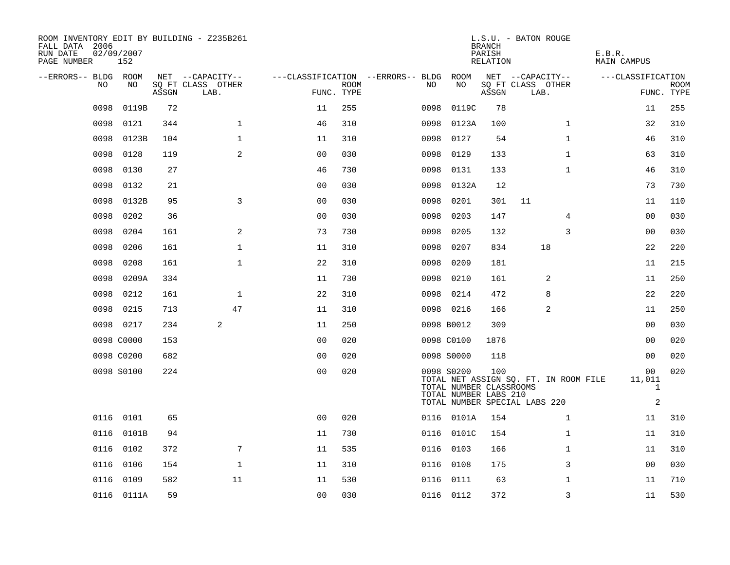| ROOM INVENTORY EDIT BY BUILDING - Z235B261<br>FALL DATA 2006<br>RUN DATE<br>PAGE NUMBER | 02/09/2007<br>152 |       |                           |                |             |                                   |                                                                | <b>BRANCH</b><br>PARISH<br>RELATION | L.S.U. - BATON ROUGE                                                   | E.B.R.<br>MAIN CAMPUS                          |                           |
|-----------------------------------------------------------------------------------------|-------------------|-------|---------------------------|----------------|-------------|-----------------------------------|----------------------------------------------------------------|-------------------------------------|------------------------------------------------------------------------|------------------------------------------------|---------------------------|
| --ERRORS-- BLDG ROOM                                                                    |                   |       | NET --CAPACITY--          |                |             | ---CLASSIFICATION --ERRORS-- BLDG | ROOM                                                           |                                     | NET --CAPACITY--                                                       | ---CLASSIFICATION                              |                           |
| NO                                                                                      | NO                | ASSGN | SQ FT CLASS OTHER<br>LAB. | FUNC. TYPE     | <b>ROOM</b> | NO                                | NO                                                             | ASSGN                               | SQ FT CLASS OTHER<br>LAB.                                              |                                                | <b>ROOM</b><br>FUNC. TYPE |
| 0098                                                                                    | 0119B             | 72    |                           | 11             | 255         | 0098                              | 0119C                                                          | 78                                  |                                                                        | 11                                             | 255                       |
| 0098                                                                                    | 0121              | 344   | $\mathbf 1$               | 46             | 310         | 0098                              | 0123A                                                          | 100                                 | $\mathbf{1}$                                                           | 32                                             | 310                       |
| 0098                                                                                    | 0123B             | 104   | $\mathbf{1}$              | 11             | 310         | 0098                              | 0127                                                           | 54                                  | $\mathbf{1}$                                                           | 46                                             | 310                       |
| 0098                                                                                    | 0128              | 119   | $\overline{a}$            | 0 <sub>0</sub> | 030         | 0098                              | 0129                                                           | 133                                 | $\mathbf{1}$                                                           | 63                                             | 310                       |
| 0098                                                                                    | 0130              | 27    |                           | 46             | 730         | 0098                              | 0131                                                           | 133                                 | $\mathbf{1}$                                                           | 46                                             | 310                       |
| 0098                                                                                    | 0132              | 21    |                           | 0 <sub>0</sub> | 030         |                                   | 0098 0132A                                                     | 12                                  |                                                                        | 73                                             | 730                       |
| 0098                                                                                    | 0132B             | 95    | $\overline{3}$            | 0 <sub>0</sub> | 030         | 0098                              | 0201                                                           | 301                                 | 11                                                                     | 11                                             | 110                       |
| 0098                                                                                    | 0202              | 36    |                           | 0 <sub>0</sub> | 030         | 0098                              | 0203                                                           | 147                                 | 4                                                                      | 00                                             | 030                       |
| 0098                                                                                    | 0204              | 161   | 2                         | 73             | 730         | 0098                              | 0205                                                           | 132                                 | 3                                                                      | 00                                             | 030                       |
| 0098                                                                                    | 0206              | 161   | $\mathbf 1$               | 11             | 310         | 0098                              | 0207                                                           | 834                                 | 18                                                                     | 22                                             | 220                       |
| 0098                                                                                    | 0208              | 161   | $\mathbf 1$               | 22             | 310         | 0098                              | 0209                                                           | 181                                 |                                                                        | 11                                             | 215                       |
| 0098                                                                                    | 0209A             | 334   |                           | 11             | 730         | 0098                              | 0210                                                           | 161                                 | 2                                                                      | 11                                             | 250                       |
| 0098                                                                                    | 0212              | 161   | $\mathbf{1}$              | 22             | 310         | 0098                              | 0214                                                           | 472                                 | 8                                                                      | 22                                             | 220                       |
| 0098                                                                                    | 0215              | 713   | 47                        | 11             | 310         |                                   | 0098 0216                                                      | 166                                 | 2                                                                      | 11                                             | 250                       |
|                                                                                         | 0098 0217         | 234   | 2                         | 11             | 250         |                                   | 0098 B0012                                                     | 309                                 |                                                                        | 00                                             | 030                       |
|                                                                                         | 0098 C0000        | 153   |                           | 0 <sub>0</sub> | 020         |                                   | 0098 C0100                                                     | 1876                                |                                                                        | 0 <sub>0</sub>                                 | 020                       |
|                                                                                         | 0098 C0200        | 682   |                           | 0 <sub>0</sub> | 020         |                                   | 0098 S0000                                                     | 118                                 |                                                                        | 0 <sub>0</sub>                                 | 020                       |
|                                                                                         | 0098 S0100        | 224   |                           | 0 <sub>0</sub> | 020         |                                   | 0098 S0200<br>TOTAL NUMBER CLASSROOMS<br>TOTAL NUMBER LABS 210 | 100                                 | TOTAL NET ASSIGN SQ. FT. IN ROOM FILE<br>TOTAL NUMBER SPECIAL LABS 220 | 00<br>11,011<br>$\mathbf{1}$<br>$\overline{c}$ | 020                       |
|                                                                                         | 0116 0101         | 65    |                           | 0 <sub>0</sub> | 020         |                                   | 0116 0101A                                                     | 154                                 | $\mathbf{1}$                                                           | 11                                             | 310                       |
| 0116                                                                                    | 0101B             | 94    |                           | 11             | 730         |                                   | 0116 0101C                                                     | 154                                 | $\mathbf{1}$                                                           | 11                                             | 310                       |
|                                                                                         | 0116 0102         | 372   | 7                         | 11             | 535         |                                   | 0116 0103                                                      | 166                                 | $\mathbf{1}$                                                           | 11                                             | 310                       |
| 0116                                                                                    | 0106              | 154   | $\mathbf{1}$              | 11             | 310         | 0116                              | 0108                                                           | 175                                 | 3                                                                      | 0 <sub>0</sub>                                 | 030                       |
| 0116                                                                                    | 0109              | 582   | 11                        | 11             | 530         |                                   | 0116 0111                                                      | 63                                  | $\mathbf{1}$                                                           | 11                                             | 710                       |
|                                                                                         | 0116 0111A        | 59    |                           | 0 <sub>0</sub> | 030         |                                   | 0116 0112                                                      | 372                                 | 3                                                                      | 11                                             | 530                       |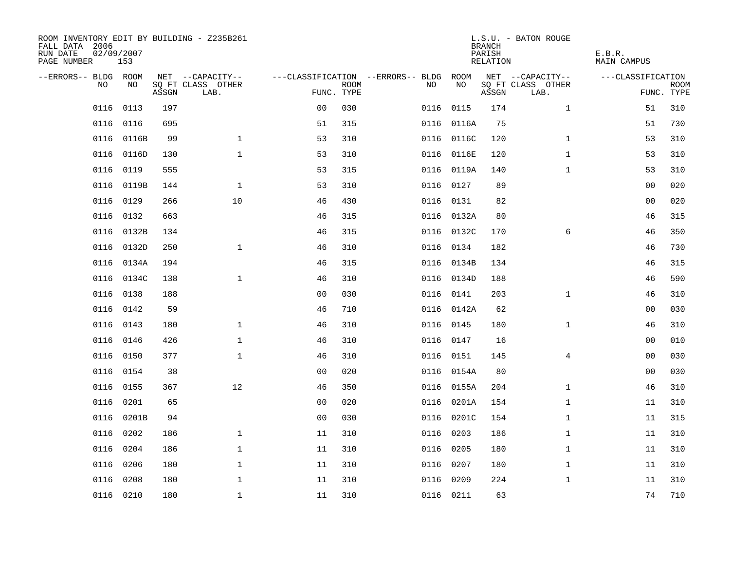| ROOM INVENTORY EDIT BY BUILDING - Z235B261<br>FALL DATA 2006<br>RUN DATE<br>PAGE NUMBER | 02/09/2007<br>153 |       |                           |                |             |                                        |            | <b>BRANCH</b><br>PARISH<br>RELATION | L.S.U. - BATON ROUGE      | E.B.R.<br>MAIN CAMPUS |                           |
|-----------------------------------------------------------------------------------------|-------------------|-------|---------------------------|----------------|-------------|----------------------------------------|------------|-------------------------------------|---------------------------|-----------------------|---------------------------|
| --ERRORS-- BLDG ROOM                                                                    |                   |       | NET --CAPACITY--          |                |             | ---CLASSIFICATION --ERRORS-- BLDG ROOM |            |                                     | NET --CAPACITY--          | ---CLASSIFICATION     |                           |
| NO.                                                                                     | NO.               | ASSGN | SQ FT CLASS OTHER<br>LAB. | FUNC. TYPE     | <b>ROOM</b> | NO.                                    | NO         | ASSGN                               | SQ FT CLASS OTHER<br>LAB. |                       | <b>ROOM</b><br>FUNC. TYPE |
| 0116                                                                                    | 0113              | 197   |                           | 0 <sub>0</sub> | 030         |                                        | 0116 0115  | 174                                 | $\mathbf{1}$              | 51                    | 310                       |
|                                                                                         | 0116 0116         | 695   |                           | 51             | 315         |                                        | 0116 0116A | 75                                  |                           | 51                    | 730                       |
|                                                                                         | 0116 0116B        | 99    | $\mathbf 1$               | 53             | 310         |                                        | 0116 0116C | 120                                 | $\mathbf{1}$              | 53                    | 310                       |
|                                                                                         | 0116 0116D        | 130   | $\mathbf 1$               | 53             | 310         |                                        | 0116 0116E | 120                                 | $\mathbf{1}$              | 53                    | 310                       |
| 0116                                                                                    | 0119              | 555   |                           | 53             | 315         |                                        | 0116 0119A | 140                                 | $\mathbf{1}$              | 53                    | 310                       |
|                                                                                         | 0116 0119B        | 144   | $\mathbf{1}$              | 53             | 310         |                                        | 0116 0127  | 89                                  |                           | 0 <sub>0</sub>        | 020                       |
| 0116                                                                                    | 0129              | 266   | 10                        | 46             | 430         |                                        | 0116 0131  | 82                                  |                           | 00                    | 020                       |
| 0116                                                                                    | 0132              | 663   |                           | 46             | 315         |                                        | 0116 0132A | 80                                  |                           | 46                    | 315                       |
| 0116                                                                                    | 0132B             | 134   |                           | 46             | 315         |                                        | 0116 0132C | 170                                 | 6                         | 46                    | 350                       |
| 0116                                                                                    | 0132D             | 250   | $\mathbf{1}$              | 46             | 310         |                                        | 0116 0134  | 182                                 |                           | 46                    | 730                       |
| 0116                                                                                    | 0134A             | 194   |                           | 46             | 315         |                                        | 0116 0134B | 134                                 |                           | 46                    | 315                       |
|                                                                                         | 0116 0134C        | 138   | $\mathbf{1}$              | 46             | 310         |                                        | 0116 0134D | 188                                 |                           | 46                    | 590                       |
| 0116                                                                                    | 0138              | 188   |                           | 0 <sub>0</sub> | 030         | 0116                                   | 0141       | 203                                 | $\mathbf{1}$              | 46                    | 310                       |
| 0116                                                                                    | 0142              | 59    |                           | 46             | 710         |                                        | 0116 0142A | 62                                  |                           | 00                    | 030                       |
| 0116                                                                                    | 0143              | 180   | $\mathbf 1$               | 46             | 310         |                                        | 0116 0145  | 180                                 | $\mathbf{1}$              | 46                    | 310                       |
| 0116                                                                                    | 0146              | 426   | $\mathbf 1$               | 46             | 310         |                                        | 0116 0147  | 16                                  |                           | 00                    | 010                       |
| 0116                                                                                    | 0150              | 377   | $\mathbf{1}$              | 46             | 310         |                                        | 0116 0151  | 145                                 | $\overline{4}$            | 00                    | 030                       |
| 0116                                                                                    | 0154              | 38    |                           | 0 <sub>0</sub> | 020         |                                        | 0116 0154A | 80                                  |                           | 0 <sub>0</sub>        | 030                       |
|                                                                                         | 0116 0155         | 367   | 12                        | 46             | 350         |                                        | 0116 0155A | 204                                 | $\mathbf{1}$              | 46                    | 310                       |
| 0116                                                                                    | 0201              | 65    |                           | 00             | 020         |                                        | 0116 0201A | 154                                 | $\mathbf{1}$              | 11                    | 310                       |
|                                                                                         | 0116 0201B        | 94    |                           | 0 <sub>0</sub> | 030         |                                        | 0116 0201C | 154                                 | $\mathbf{1}$              | 11                    | 315                       |
| 0116                                                                                    | 0202              | 186   | $\mathbf{1}$              | 11             | 310         |                                        | 0116 0203  | 186                                 | $\mathbf{1}$              | 11                    | 310                       |
| 0116                                                                                    | 0204              | 186   | $\mathbf 1$               | 11             | 310         |                                        | 0116 0205  | 180                                 | $\mathbf{1}$              | 11                    | 310                       |
| 0116                                                                                    | 0206              | 180   | $\mathbf 1$               | 11             | 310         |                                        | 0116 0207  | 180                                 | $\mathbf{1}$              | 11                    | 310                       |
| 0116                                                                                    | 0208              | 180   | $\mathbf 1$               | 11             | 310         |                                        | 0116 0209  | 224                                 | $\mathbf{1}$              | 11                    | 310                       |
|                                                                                         | 0116 0210         | 180   | $\mathbf{1}$              | 11             | 310         |                                        | 0116 0211  | 63                                  |                           | 74                    | 710                       |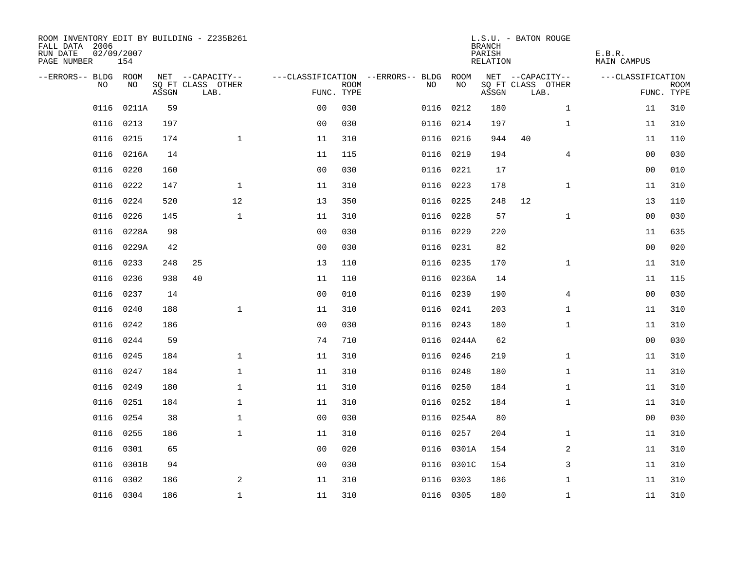| ROOM INVENTORY EDIT BY BUILDING - Z235B261<br>FALL DATA 2006<br>RUN DATE<br>PAGE NUMBER | 02/09/2007<br>154 |       |                           |                |             |                                        |            | <b>BRANCH</b><br>PARISH<br>RELATION | L.S.U. - BATON ROUGE      | E.B.R.<br><b>MAIN CAMPUS</b> |                           |
|-----------------------------------------------------------------------------------------|-------------------|-------|---------------------------|----------------|-------------|----------------------------------------|------------|-------------------------------------|---------------------------|------------------------------|---------------------------|
| --ERRORS-- BLDG ROOM                                                                    |                   |       | NET --CAPACITY--          |                |             | ---CLASSIFICATION --ERRORS-- BLDG ROOM |            |                                     | NET --CAPACITY--          | ---CLASSIFICATION            |                           |
| NO                                                                                      | NO                | ASSGN | SQ FT CLASS OTHER<br>LAB. | FUNC. TYPE     | <b>ROOM</b> | NO.                                    | NO         | ASSGN                               | SQ FT CLASS OTHER<br>LAB. |                              | <b>ROOM</b><br>FUNC. TYPE |
| 0116                                                                                    | 0211A             | 59    |                           | 0 <sub>0</sub> | 030         |                                        | 0116 0212  | 180                                 | $\mathbf{1}$              | 11                           | 310                       |
|                                                                                         | 0116 0213         | 197   |                           | 0 <sub>0</sub> | 030         |                                        | 0116 0214  | 197                                 | $\mathbf{1}$              | 11                           | 310                       |
|                                                                                         | 0116 0215         | 174   | $\mathbf{1}$              | 11             | 310         |                                        | 0116 0216  | 944                                 | 40                        | 11                           | 110                       |
|                                                                                         | 0116 0216A        | 14    |                           | 11             | 115         |                                        | 0116 0219  | 194                                 | 4                         | 00                           | 030                       |
| 0116                                                                                    | 0220              | 160   |                           | 0 <sub>0</sub> | 030         |                                        | 0116 0221  | 17                                  |                           | 00                           | 010                       |
|                                                                                         | 0116 0222         | 147   | $\mathbf 1$               | 11             | 310         |                                        | 0116 0223  | 178                                 | $\mathbf{1}$              | 11                           | 310                       |
| 0116                                                                                    | 0224              | 520   | 12                        | 13             | 350         |                                        | 0116 0225  | 248                                 | 12                        | 13                           | 110                       |
| 0116                                                                                    | 0226              | 145   | $\mathbf{1}$              | 11             | 310         |                                        | 0116 0228  | 57                                  | $\mathbf{1}$              | 00                           | 030                       |
| 0116                                                                                    | 0228A             | 98    |                           | 0 <sub>0</sub> | 030         |                                        | 0116 0229  | 220                                 |                           | 11                           | 635                       |
|                                                                                         | 0116 0229A        | 42    |                           | 0 <sub>0</sub> | 030         |                                        | 0116 0231  | 82                                  |                           | 0 <sub>0</sub>               | 020                       |
| 0116                                                                                    | 0233              | 248   | 25                        | 13             | 110         |                                        | 0116 0235  | 170                                 | $\mathbf{1}$              | 11                           | 310                       |
| 0116                                                                                    | 0236              | 938   | 40                        | 11             | 110         |                                        | 0116 0236A | 14                                  |                           | 11                           | 115                       |
| 0116                                                                                    | 0237              | 14    |                           | 0 <sub>0</sub> | 010         | 0116                                   | 0239       | 190                                 | 4                         | 0 <sub>0</sub>               | 030                       |
| 0116                                                                                    | 0240              | 188   | $\mathbf 1$               | 11             | 310         |                                        | 0116 0241  | 203                                 | $\mathbf{1}$              | 11                           | 310                       |
| 0116                                                                                    | 0242              | 186   |                           | 0 <sup>0</sup> | 030         |                                        | 0116 0243  | 180                                 | $\mathbf{1}$              | 11                           | 310                       |
| 0116                                                                                    | 0244              | 59    |                           | 74             | 710         |                                        | 0116 0244A | 62                                  |                           | 0 <sub>0</sub>               | 030                       |
| 0116                                                                                    | 0245              | 184   | $\mathbf 1$               | 11             | 310         |                                        | 0116 0246  | 219                                 | $\mathbf{1}$              | 11                           | 310                       |
| 0116                                                                                    | 0247              | 184   | $\mathbf{1}$              | 11             | 310         |                                        | 0116 0248  | 180                                 | $\mathbf{1}$              | 11                           | 310                       |
| 0116                                                                                    | 0249              | 180   | $\mathbf 1$               | 11             | 310         |                                        | 0116 0250  | 184                                 | $\mathbf{1}$              | 11                           | 310                       |
| 0116                                                                                    | 0251              | 184   | $\mathbf{1}$              | 11             | 310         |                                        | 0116 0252  | 184                                 | $\mathbf{1}$              | 11                           | 310                       |
|                                                                                         | 0116 0254         | 38    | $\mathbf 1$               | 0 <sub>0</sub> | 030         |                                        | 0116 0254A | 80                                  |                           | 00                           | 030                       |
| 0116                                                                                    | 0255              | 186   | $\mathbf 1$               | 11             | 310         |                                        | 0116 0257  | 204                                 | $\mathbf{1}$              | 11                           | 310                       |
| 0116                                                                                    | 0301              | 65    |                           | 0 <sub>0</sub> | 020         |                                        | 0116 0301A | 154                                 | 2                         | 11                           | 310                       |
| 0116                                                                                    | 0301B             | 94    |                           | 0 <sub>0</sub> | 030         |                                        | 0116 0301C | 154                                 | 3                         | 11                           | 310                       |
| 0116                                                                                    | 0302              | 186   | 2                         | 11             | 310         |                                        | 0116 0303  | 186                                 | $\mathbf{1}$              | 11                           | 310                       |
|                                                                                         | 0116 0304         | 186   | $\mathbf 1$               | 11             | 310         |                                        | 0116 0305  | 180                                 | $\mathbf{1}$              | 11                           | 310                       |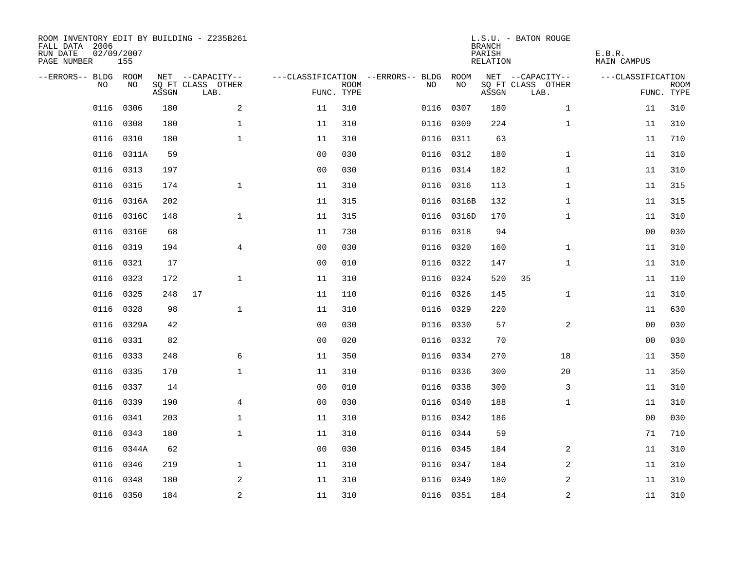| ROOM INVENTORY EDIT BY BUILDING - Z235B261<br>FALL DATA 2006<br>RUN DATE<br>PAGE NUMBER | 02/09/2007<br>155 |       |                           |                |                           |                                   |            | <b>BRANCH</b><br>PARISH<br><b>RELATION</b> | L.S.U. - BATON ROUGE      | E.B.R.<br><b>MAIN CAMPUS</b> |                           |
|-----------------------------------------------------------------------------------------|-------------------|-------|---------------------------|----------------|---------------------------|-----------------------------------|------------|--------------------------------------------|---------------------------|------------------------------|---------------------------|
| --ERRORS-- BLDG ROOM                                                                    |                   |       | NET --CAPACITY--          |                |                           | ---CLASSIFICATION --ERRORS-- BLDG | ROOM       |                                            | NET --CAPACITY--          | ---CLASSIFICATION            |                           |
| NO                                                                                      | NO                | ASSGN | SQ FT CLASS OTHER<br>LAB. |                | <b>ROOM</b><br>FUNC. TYPE | NO                                | NO         | ASSGN                                      | SQ FT CLASS OTHER<br>LAB. |                              | <b>ROOM</b><br>FUNC. TYPE |
| 0116                                                                                    | 0306              | 180   | 2                         | 11             | 310                       | 0116                              | 0307       | 180                                        | $\mathbf{1}$              | 11                           | 310                       |
| 0116                                                                                    | 0308              | 180   | $\mathbf 1$               | 11             | 310                       |                                   | 0116 0309  | 224                                        | $\mathbf{1}$              | 11                           | 310                       |
| 0116                                                                                    | 0310              | 180   | $\mathbf{1}$              | 11             | 310                       | 0116                              | 0311       | 63                                         |                           | 11                           | 710                       |
| 0116                                                                                    | 0311A             | 59    |                           | 0 <sub>0</sub> | 030                       |                                   | 0116 0312  | 180                                        | $\mathbf{1}$              | 11                           | 310                       |
| 0116                                                                                    | 0313              | 197   |                           | 0 <sub>0</sub> | 030                       | 0116                              | 0314       | 182                                        | $\mathbf{1}$              | 11                           | 310                       |
| 0116                                                                                    | 0315              | 174   | $\mathbf 1$               | 11             | 310                       |                                   | 0116 0316  | 113                                        | $\mathbf{1}$              | 11                           | 315                       |
| 0116                                                                                    | 0316A             | 202   |                           | 11             | 315                       | 0116                              | 0316B      | 132                                        | $\mathbf{1}$              | 11                           | 315                       |
| 0116                                                                                    | 0316C             | 148   | $\mathbf{1}$              | 11             | 315                       |                                   | 0116 0316D | 170                                        | $\mathbf{1}$              | 11                           | 310                       |
| 0116                                                                                    | 0316E             | 68    |                           | 11             | 730                       | 0116                              | 0318       | 94                                         |                           | 00                           | 030                       |
| 0116                                                                                    | 0319              | 194   | 4                         | 0 <sub>0</sub> | 030                       |                                   | 0116 0320  | 160                                        | $\mathbf{1}$              | 11                           | 310                       |
| 0116                                                                                    | 0321              | 17    |                           | 0 <sub>0</sub> | 010                       | 0116                              | 0322       | 147                                        | $\mathbf{1}$              | 11                           | 310                       |
| 0116                                                                                    | 0323              | 172   | $\mathbf 1$               | 11             | 310                       |                                   | 0116 0324  | 520                                        | 35                        | 11                           | 110                       |
| 0116                                                                                    | 0325              | 248   | 17                        | 11             | 110                       | 0116                              | 0326       | 145                                        | $\mathbf{1}$              | 11                           | 310                       |
| 0116                                                                                    | 0328              | 98    | $\mathbf{1}$              | 11             | 310                       |                                   | 0116 0329  | 220                                        |                           | 11                           | 630                       |
|                                                                                         | 0116 0329A        | 42    |                           | 0 <sub>0</sub> | 030                       |                                   | 0116 0330  | 57                                         | 2                         | 0 <sub>0</sub>               | 030                       |
| 0116                                                                                    | 0331              | 82    |                           | 0 <sub>0</sub> | 020                       |                                   | 0116 0332  | 70                                         |                           | 0 <sub>0</sub>               | 030                       |
| 0116                                                                                    | 0333              | 248   | 6                         | 11             | 350                       |                                   | 0116 0334  | 270                                        | 18                        | 11                           | 350                       |
| 0116                                                                                    | 0335              | 170   | $\mathbf{1}$              | 11             | 310                       |                                   | 0116 0336  | 300                                        | 20                        | 11                           | 350                       |
| 0116                                                                                    | 0337              | 14    |                           | 0 <sub>0</sub> | 010                       |                                   | 0116 0338  | 300                                        | 3                         | 11                           | 310                       |
| 0116                                                                                    | 0339              | 190   | 4                         | 0 <sub>0</sub> | 030                       |                                   | 0116 0340  | 188                                        | $\mathbf{1}$              | 11                           | 310                       |
| 0116                                                                                    | 0341              | 203   | $\mathbf{1}$              | 11             | 310                       |                                   | 0116 0342  | 186                                        |                           | 0 <sub>0</sub>               | 030                       |
| 0116                                                                                    | 0343              | 180   | $\mathbf{1}$              | 11             | 310                       | 0116                              | 0344       | 59                                         |                           | 71                           | 710                       |
| 0116                                                                                    | 0344A             | 62    |                           | 0 <sub>0</sub> | 030                       |                                   | 0116 0345  | 184                                        | 2                         | 11                           | 310                       |
| 0116                                                                                    | 0346              | 219   | $\mathbf{1}$              | 11             | 310                       |                                   | 0116 0347  | 184                                        | 2                         | 11                           | 310                       |
| 0116                                                                                    | 0348              | 180   | 2                         | 11             | 310                       |                                   | 0116 0349  | 180                                        | 2                         | 11                           | 310                       |
|                                                                                         | 0116 0350         | 184   | $\overline{a}$            | 11             | 310                       |                                   | 0116 0351  | 184                                        | $\overline{a}$            | 11                           | 310                       |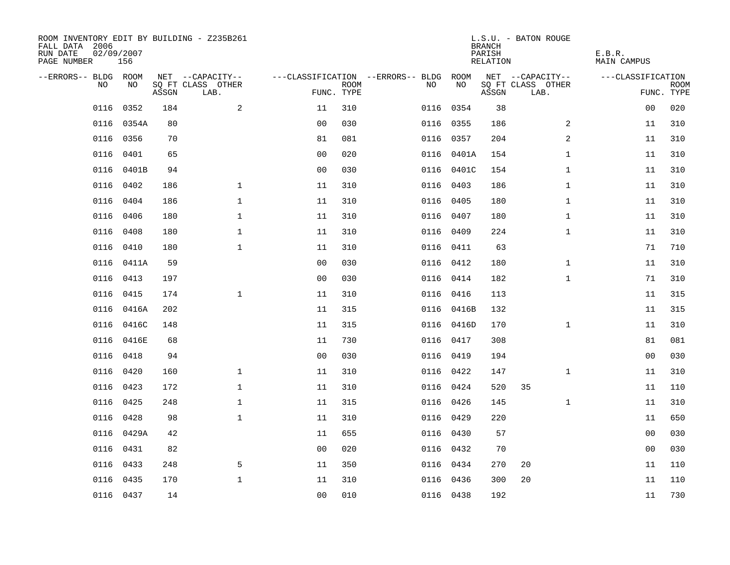| ROOM INVENTORY EDIT BY BUILDING - Z235B261<br>FALL DATA 2006<br>RUN DATE<br>PAGE NUMBER | 02/09/2007<br>156 |       |                           |                |                           |                                   |            | <b>BRANCH</b><br>PARISH<br>RELATION | L.S.U. - BATON ROUGE      | E.B.R.<br><b>MAIN CAMPUS</b> |                           |
|-----------------------------------------------------------------------------------------|-------------------|-------|---------------------------|----------------|---------------------------|-----------------------------------|------------|-------------------------------------|---------------------------|------------------------------|---------------------------|
| --ERRORS-- BLDG ROOM                                                                    |                   |       | NET --CAPACITY--          |                |                           | ---CLASSIFICATION --ERRORS-- BLDG | ROOM       |                                     | NET --CAPACITY--          | ---CLASSIFICATION            |                           |
| NO.                                                                                     | NO.               | ASSGN | SO FT CLASS OTHER<br>LAB. |                | <b>ROOM</b><br>FUNC. TYPE | NO.                               | NO         | ASSGN                               | SQ FT CLASS OTHER<br>LAB. |                              | <b>ROOM</b><br>FUNC. TYPE |
| 0116                                                                                    | 0352              | 184   | $\overline{a}$            | 11             | 310                       |                                   | 0116 0354  | 38                                  |                           | 00                           | 020                       |
|                                                                                         | 0116 0354A        | 80    |                           | 0 <sub>0</sub> | 030                       |                                   | 0116 0355  | 186                                 | 2                         | 11                           | 310                       |
| 0116                                                                                    | 0356              | 70    |                           | 81             | 081                       |                                   | 0116 0357  | 204                                 | 2                         | 11                           | 310                       |
| 0116                                                                                    | 0401              | 65    |                           | 0 <sub>0</sub> | 020                       |                                   | 0116 0401A | 154                                 | $\mathbf{1}$              | 11                           | 310                       |
| 0116                                                                                    | 0401B             | 94    |                           | 00             | 030                       |                                   | 0116 0401C | 154                                 | $\mathbf{1}$              | 11                           | 310                       |
| 0116                                                                                    | 0402              | 186   | $\mathbf 1$               | 11             | 310                       |                                   | 0116 0403  | 186                                 | $\mathbf{1}$              | 11                           | 310                       |
| 0116                                                                                    | 0404              | 186   | $\mathbf{1}$              | 11             | 310                       |                                   | 0116 0405  | 180                                 | $\mathbf{1}$              | 11                           | 310                       |
| 0116                                                                                    | 0406              | 180   | $\mathbf{1}$              | 11             | 310                       |                                   | 0116 0407  | 180                                 | $\mathbf{1}$              | 11                           | 310                       |
| 0116                                                                                    | 0408              | 180   | $\mathbf{1}$              | 11             | 310                       | 0116                              | 0409       | 224                                 | $\mathbf{1}$              | 11                           | 310                       |
| 0116                                                                                    | 0410              | 180   | $\mathbf{1}$              | 11             | 310                       |                                   | 0116 0411  | 63                                  |                           | 71                           | 710                       |
| 0116                                                                                    | 0411A             | 59    |                           | 0 <sub>0</sub> | 030                       |                                   | 0116 0412  | 180                                 | $\mathbf{1}$              | 11                           | 310                       |
|                                                                                         | 0116 0413         | 197   |                           | 0 <sub>0</sub> | 030                       |                                   | 0116 0414  | 182                                 | $\mathbf{1}$              | 71                           | 310                       |
| 0116                                                                                    | 0415              | 174   | $\mathbf{1}$              | 11             | 310                       | 0116                              | 0416       | 113                                 |                           | 11                           | 315                       |
| 0116                                                                                    | 0416A             | 202   |                           | 11             | 315                       |                                   | 0116 0416B | 132                                 |                           | 11                           | 315                       |
| 0116                                                                                    | 0416C             | 148   |                           | 11             | 315                       |                                   | 0116 0416D | 170                                 | $\mathbf{1}$              | 11                           | 310                       |
| 0116                                                                                    | 0416E             | 68    |                           | 11             | 730                       |                                   | 0116 0417  | 308                                 |                           | 81                           | 081                       |
| 0116                                                                                    | 0418              | 94    |                           | 0 <sub>0</sub> | 030                       | 0116                              | 0419       | 194                                 |                           | 00                           | 030                       |
| 0116                                                                                    | 0420              | 160   | $\mathbf 1$               | 11             | 310                       |                                   | 0116 0422  | 147                                 | $\mathbf{1}$              | 11                           | 310                       |
|                                                                                         | 0116 0423         | 172   | $\mathbf{1}$              | 11             | 310                       |                                   | 0116 0424  | 520                                 | 35                        | 11                           | 110                       |
| 0116                                                                                    | 0425              | 248   | $\mathbf{1}$              | 11             | 315                       |                                   | 0116 0426  | 145                                 | $\mathbf{1}$              | 11                           | 310                       |
|                                                                                         | 0116 0428         | 98    | $\mathbf 1$               | 11             | 310                       |                                   | 0116 0429  | 220                                 |                           | 11                           | 650                       |
|                                                                                         | 0116 0429A        | 42    |                           | 11             | 655                       |                                   | 0116 0430  | 57                                  |                           | 00                           | 030                       |
|                                                                                         | 0116 0431         | 82    |                           | 0 <sub>0</sub> | 020                       |                                   | 0116 0432  | 70                                  |                           | 0 <sub>0</sub>               | 030                       |
| 0116                                                                                    | 0433              | 248   | 5                         | 11             | 350                       |                                   | 0116 0434  | 270                                 | 20                        | 11                           | 110                       |
|                                                                                         | 0116 0435         | 170   | $\mathbf{1}$              | 11             | 310                       |                                   | 0116 0436  | 300                                 | 20                        | 11                           | 110                       |
|                                                                                         | 0116 0437         | 14    |                           | 0 <sub>0</sub> | 010                       |                                   | 0116 0438  | 192                                 |                           | 11                           | 730                       |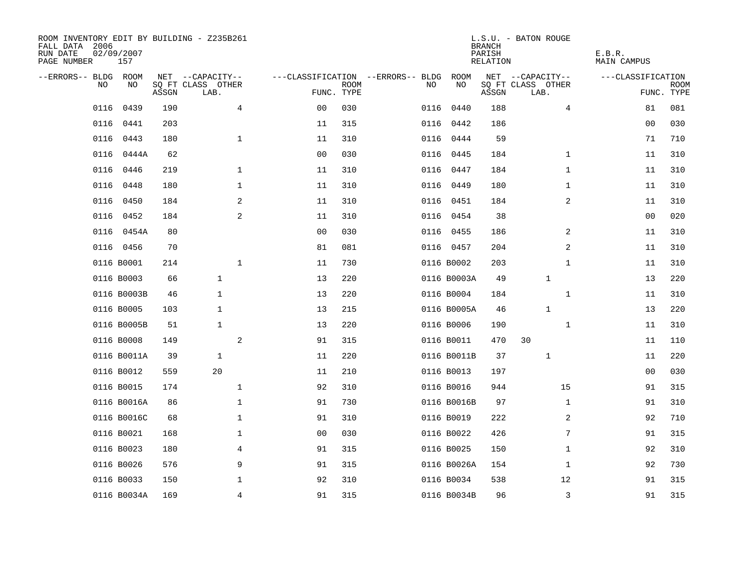| ROOM INVENTORY EDIT BY BUILDING - Z235B261<br>FALL DATA 2006<br>RUN DATE<br>PAGE NUMBER | 02/09/2007<br>157 |       |                           |                |             |                                   |             | <b>BRANCH</b><br>PARISH<br>RELATION | L.S.U. - BATON ROUGE      | E.B.R.<br>MAIN CAMPUS |                    |
|-----------------------------------------------------------------------------------------|-------------------|-------|---------------------------|----------------|-------------|-----------------------------------|-------------|-------------------------------------|---------------------------|-----------------------|--------------------|
| --ERRORS-- BLDG ROOM                                                                    |                   |       | NET --CAPACITY--          |                |             | ---CLASSIFICATION --ERRORS-- BLDG | ROOM        |                                     | NET --CAPACITY--          | ---CLASSIFICATION     |                    |
| NO                                                                                      | NO                | ASSGN | SQ FT CLASS OTHER<br>LAB. | FUNC. TYPE     | <b>ROOM</b> | NO                                | NO          | ASSGN                               | SQ FT CLASS OTHER<br>LAB. |                       | ROOM<br>FUNC. TYPE |
| 0116                                                                                    | 0439              | 190   | $\overline{4}$            | 0 <sub>0</sub> | 030         | 0116                              | 0440        | 188                                 | 4                         | 81                    | 081                |
| 0116                                                                                    | 0441              | 203   |                           | 11             | 315         |                                   | 0116 0442   | 186                                 |                           | 0 <sub>0</sub>        | 030                |
| 0116                                                                                    | 0443              | 180   | $\mathbf 1$               | 11             | 310         | 0116                              | 0444        | 59                                  |                           | 71                    | 710                |
| 0116                                                                                    | 0444A             | 62    |                           | 0 <sub>0</sub> | 030         |                                   | 0116 0445   | 184                                 | $\mathbf{1}$              | 11                    | 310                |
| 0116                                                                                    | 0446              | 219   | $\mathbf{1}$              | 11             | 310         | 0116                              | 0447        | 184                                 | $\mathbf{1}$              | 11                    | 310                |
| 0116                                                                                    | 0448              | 180   | $\mathbf{1}$              | 11             | 310         |                                   | 0116 0449   | 180                                 | $\mathbf{1}$              | 11                    | 310                |
| 0116                                                                                    | 0450              | 184   | 2                         | 11             | 310         | 0116                              | 0451        | 184                                 | 2                         | 11                    | 310                |
| 0116                                                                                    | 0452              | 184   | 2                         | 11             | 310         |                                   | 0116 0454   | 38                                  |                           | 0 <sub>0</sub>        | 020                |
| 0116                                                                                    | 0454A             | 80    |                           | 0 <sub>0</sub> | 030         | 0116                              | 0455        | 186                                 | 2                         | 11                    | 310                |
|                                                                                         | 0116 0456         | 70    |                           | 81             | 081         |                                   | 0116 0457   | 204                                 | 2                         | 11                    | 310                |
|                                                                                         | 0116 B0001        | 214   | $\mathbf 1$               | 11             | 730         |                                   | 0116 B0002  | 203                                 | $\mathbf{1}$              | 11                    | 310                |
|                                                                                         | 0116 B0003        | 66    | $\mathbf{1}$              | 13             | 220         |                                   | 0116 B0003A | 49                                  | 1                         | 13                    | 220                |
|                                                                                         | 0116 B0003B       | 46    | 1                         | 13             | 220         |                                   | 0116 B0004  | 184                                 | $\mathbf{1}$              | 11                    | 310                |
|                                                                                         | 0116 B0005        | 103   | $\mathbf{1}$              | 13             | 215         |                                   | 0116 B0005A | 46                                  | 1                         | 13                    | 220                |
|                                                                                         | 0116 B0005B       | 51    | $\mathbf{1}$              | 13             | 220         |                                   | 0116 B0006  | 190                                 | $\mathbf{1}$              | 11                    | 310                |
|                                                                                         | 0116 B0008        | 149   | 2                         | 91             | 315         |                                   | 0116 B0011  | 470                                 | 30                        | 11                    | 110                |
|                                                                                         | 0116 B0011A       | 39    | $\mathbf{1}$              | 11             | 220         |                                   | 0116 B0011B | 37                                  | 1                         | 11                    | 220                |
|                                                                                         | 0116 B0012        | 559   | 20                        | 11             | 210         |                                   | 0116 B0013  | 197                                 |                           | 00                    | 030                |
|                                                                                         | 0116 B0015        | 174   | $\mathbf 1$               | 92             | 310         |                                   | 0116 B0016  | 944                                 | 15                        | 91                    | 315                |
|                                                                                         | 0116 B0016A       | 86    | $\mathbf 1$               | 91             | 730         |                                   | 0116 B0016B | 97                                  | $\mathbf{1}$              | 91                    | 310                |
|                                                                                         | 0116 B0016C       | 68    | $\mathbf{1}$              | 91             | 310         |                                   | 0116 B0019  | 222                                 | 2                         | 92                    | 710                |
|                                                                                         | 0116 B0021        | 168   | $\mathbf 1$               | 00             | 030         |                                   | 0116 B0022  | 426                                 | 7                         | 91                    | 315                |
|                                                                                         | 0116 B0023        | 180   | 4                         | 91             | 315         |                                   | 0116 B0025  | 150                                 | $\mathbf{1}$              | 92                    | 310                |
|                                                                                         | 0116 B0026        | 576   | 9                         | 91             | 315         |                                   | 0116 B0026A | 154                                 | $\mathbf{1}$              | 92                    | 730                |
|                                                                                         | 0116 B0033        | 150   | 1                         | 92             | 310         |                                   | 0116 B0034  | 538                                 | 12                        | 91                    | 315                |
|                                                                                         | 0116 B0034A       | 169   | 4                         | 91             | 315         |                                   | 0116 B0034B | 96                                  | 3                         | 91                    | 315                |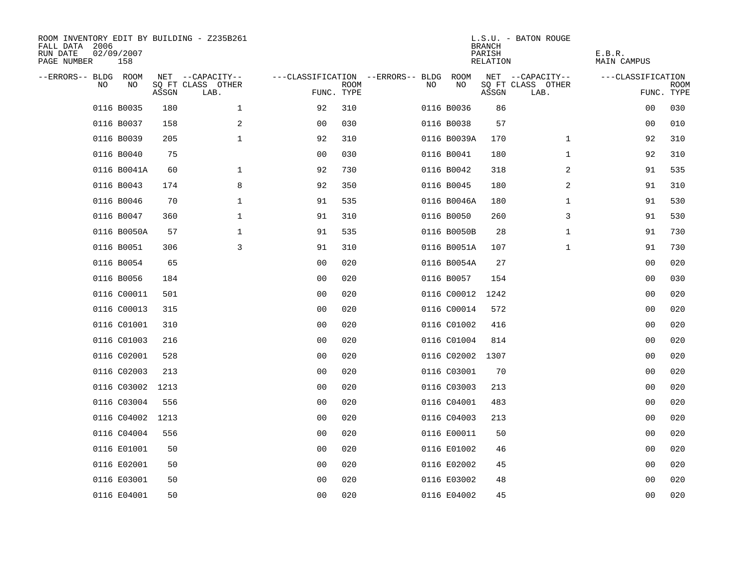| ROOM INVENTORY EDIT BY BUILDING - Z235B261<br>FALL DATA 2006<br>02/09/2007<br>RUN DATE<br>PAGE NUMBER<br>158 |                  |                           |              |                                        |             |    |                  | <b>BRANCH</b><br>PARISH<br><b>RELATION</b> | L.S.U. - BATON ROUGE      | E.B.R.<br><b>MAIN CAMPUS</b> |                           |
|--------------------------------------------------------------------------------------------------------------|------------------|---------------------------|--------------|----------------------------------------|-------------|----|------------------|--------------------------------------------|---------------------------|------------------------------|---------------------------|
| --ERRORS-- BLDG ROOM                                                                                         |                  | NET --CAPACITY--          |              | ---CLASSIFICATION --ERRORS-- BLDG ROOM |             |    |                  |                                            | NET --CAPACITY--          | ---CLASSIFICATION            |                           |
| NO                                                                                                           | NO<br>ASSGN      | SQ FT CLASS OTHER<br>LAB. |              | FUNC. TYPE                             | <b>ROOM</b> | NO | NO               | ASSGN                                      | SQ FT CLASS OTHER<br>LAB. |                              | <b>ROOM</b><br>FUNC. TYPE |
| 0116 B0035                                                                                                   |                  | 180                       | $\mathbf 1$  | 92                                     | 310         |    | 0116 B0036       | 86                                         |                           | 00                           | 030                       |
| 0116 B0037                                                                                                   |                  | 158                       | 2            | 0 <sub>0</sub>                         | 030         |    | 0116 B0038       | 57                                         |                           | 00                           | 010                       |
| 0116 B0039                                                                                                   |                  | 205                       | $\mathbf{1}$ | 92                                     | 310         |    | 0116 B0039A      | 170                                        | $\mathbf{1}$              | 92                           | 310                       |
| 0116 B0040                                                                                                   |                  | 75                        |              | 00                                     | 030         |    | 0116 B0041       | 180                                        | $\mathbf{1}$              | 92                           | 310                       |
| 0116 B0041A                                                                                                  |                  | 60                        | $\mathbf 1$  | 92                                     | 730         |    | 0116 B0042       | 318                                        | 2                         | 91                           | 535                       |
| 0116 B0043                                                                                                   |                  | 174                       | 8            | 92                                     | 350         |    | 0116 B0045       | 180                                        | 2                         | 91                           | 310                       |
| 0116 B0046                                                                                                   |                  | 70                        | $\mathbf{1}$ | 91                                     | 535         |    | 0116 B0046A      | 180                                        | $\mathbf{1}$              | 91                           | 530                       |
| 0116 B0047                                                                                                   |                  | 360                       | $\mathbf{1}$ | 91                                     | 310         |    | 0116 B0050       | 260                                        | 3                         | 91                           | 530                       |
| 0116 B0050A                                                                                                  |                  | 57                        | $\mathbf 1$  | 91                                     | 535         |    | 0116 B0050B      | 28                                         | $\mathbf{1}$              | 91                           | 730                       |
| 0116 B0051                                                                                                   |                  | 306                       | 3            | 91                                     | 310         |    | 0116 B0051A      | 107                                        | $\mathbf{1}$              | 91                           | 730                       |
| 0116 B0054                                                                                                   |                  | 65                        |              | 0 <sub>0</sub>                         | 020         |    | 0116 B0054A      | 27                                         |                           | 0 <sub>0</sub>               | 020                       |
| 0116 B0056                                                                                                   |                  | 184                       |              | 0 <sub>0</sub>                         | 020         |    | 0116 B0057       | 154                                        |                           | 0 <sub>0</sub>               | 030                       |
| 0116 C00011                                                                                                  |                  | 501                       |              | 00                                     | 020         |    | 0116 C00012      | 1242                                       |                           | 00                           | 020                       |
| 0116 C00013                                                                                                  |                  | 315                       |              | 00                                     | 020         |    | 0116 C00014      | 572                                        |                           | 00                           | 020                       |
| 0116 C01001                                                                                                  |                  | 310                       |              | 0 <sub>0</sub>                         | 020         |    | 0116 C01002      | 416                                        |                           | 00                           | 020                       |
| 0116 C01003                                                                                                  |                  | 216                       |              | 0 <sub>0</sub>                         | 020         |    | 0116 C01004      | 814                                        |                           | 00                           | 020                       |
| 0116 C02001                                                                                                  |                  | 528                       |              | 0 <sub>0</sub>                         | 020         |    | 0116 C02002 1307 |                                            |                           | 0 <sub>0</sub>               | 020                       |
| 0116 C02003                                                                                                  |                  | 213                       |              | 0 <sub>0</sub>                         | 020         |    | 0116 C03001      | 70                                         |                           | 00                           | 020                       |
|                                                                                                              | 0116 C03002 1213 |                           |              | 0 <sub>0</sub>                         | 020         |    | 0116 C03003      | 213                                        |                           | 0 <sub>0</sub>               | 020                       |
| 0116 C03004                                                                                                  |                  | 556                       |              | 0 <sub>0</sub>                         | 020         |    | 0116 C04001      | 483                                        |                           | 00                           | 020                       |
|                                                                                                              | 0116 C04002 1213 |                           |              | 0 <sub>0</sub>                         | 020         |    | 0116 C04003      | 213                                        |                           | 00                           | 020                       |
| 0116 C04004                                                                                                  |                  | 556                       |              | 00                                     | 020         |    | 0116 E00011      | 50                                         |                           | 00                           | 020                       |
| 0116 E01001                                                                                                  |                  | 50                        |              | 0 <sub>0</sub>                         | 020         |    | 0116 E01002      | 46                                         |                           | 0 <sub>0</sub>               | 020                       |
| 0116 E02001                                                                                                  |                  | 50                        |              | 0 <sub>0</sub>                         | 020         |    | 0116 E02002      | 45                                         |                           | 00                           | 020                       |
| 0116 E03001                                                                                                  |                  | 50                        |              | 0 <sub>0</sub>                         | 020         |    | 0116 E03002      | 48                                         |                           | 0 <sub>0</sub>               | 020                       |
| 0116 E04001                                                                                                  |                  | 50                        |              | 0 <sub>0</sub>                         | 020         |    | 0116 E04002      | 45                                         |                           | 0 <sub>0</sub>               | 020                       |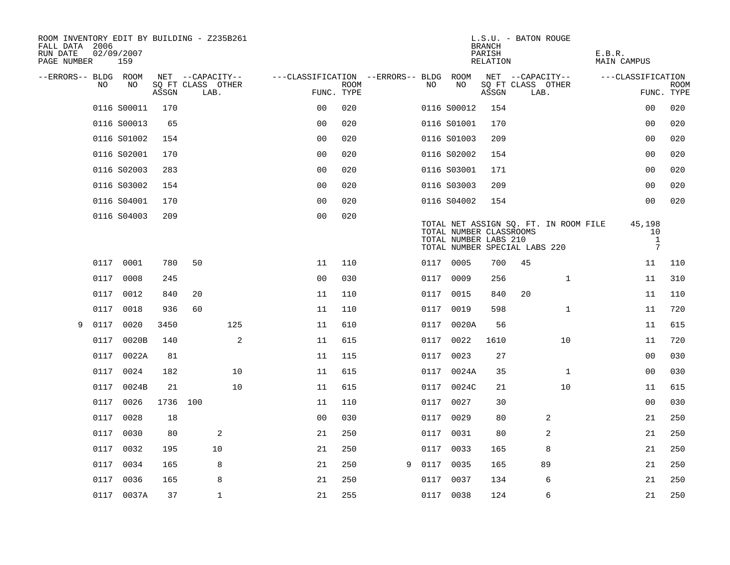| ROOM INVENTORY EDIT BY BUILDING - Z235B261<br>FALL DATA 2006<br>RUN DATE<br>PAGE NUMBER |      | 02/09/2007<br>159 |          |    |                           |                                        |                           |   |      |                                                  | <b>BRANCH</b><br>PARISH<br>RELATION | L.S.U. - BATON ROUGE          |                                       | E.B.R. | <b>MAIN CAMPUS</b>                              |                           |
|-----------------------------------------------------------------------------------------|------|-------------------|----------|----|---------------------------|----------------------------------------|---------------------------|---|------|--------------------------------------------------|-------------------------------------|-------------------------------|---------------------------------------|--------|-------------------------------------------------|---------------------------|
| --ERRORS-- BLDG ROOM                                                                    |      |                   |          |    | NET --CAPACITY--          | ---CLASSIFICATION --ERRORS-- BLDG ROOM |                           |   |      |                                                  |                                     | NET --CAPACITY--              |                                       |        | ---CLASSIFICATION                               |                           |
|                                                                                         | NO   | NO                | ASSGN    |    | SQ FT CLASS OTHER<br>LAB. |                                        | <b>ROOM</b><br>FUNC. TYPE |   | NO.  | NO                                               | ASSGN                               | SQ FT CLASS OTHER<br>LAB.     |                                       |        |                                                 | <b>ROOM</b><br>FUNC. TYPE |
|                                                                                         |      | 0116 S00011       | 170      |    |                           | 00                                     | 020                       |   |      | 0116 S00012                                      | 154                                 |                               |                                       |        | 00                                              | 020                       |
|                                                                                         |      | 0116 S00013       | 65       |    |                           | 0 <sup>0</sup>                         | 020                       |   |      | 0116 S01001                                      | 170                                 |                               |                                       |        | 0 <sub>0</sub>                                  | 020                       |
|                                                                                         |      | 0116 S01002       | 154      |    |                           | 0 <sub>0</sub>                         | 020                       |   |      | 0116 S01003                                      | 209                                 |                               |                                       |        | 0 <sub>0</sub>                                  | 020                       |
|                                                                                         |      | 0116 S02001       | 170      |    |                           | 0 <sub>0</sub>                         | 020                       |   |      | 0116 S02002                                      | 154                                 |                               |                                       |        | 0 <sub>0</sub>                                  | 020                       |
|                                                                                         |      | 0116 S02003       | 283      |    |                           | 00                                     | 020                       |   |      | 0116 S03001                                      | 171                                 |                               |                                       |        | 00                                              | 020                       |
|                                                                                         |      | 0116 S03002       | 154      |    |                           | 0 <sub>0</sub>                         | 020                       |   |      | 0116 S03003                                      | 209                                 |                               |                                       |        | 0 <sub>0</sub>                                  | 020                       |
|                                                                                         |      | 0116 S04001       | 170      |    |                           | 0 <sub>0</sub>                         | 020                       |   |      | 0116 S04002                                      | 154                                 |                               |                                       |        | 0 <sub>0</sub>                                  | 020                       |
|                                                                                         |      | 0116 S04003       | 209      |    |                           | 0 <sub>0</sub>                         | 020                       |   |      | TOTAL NUMBER CLASSROOMS<br>TOTAL NUMBER LABS 210 |                                     | TOTAL NUMBER SPECIAL LABS 220 | TOTAL NET ASSIGN SQ. FT. IN ROOM FILE |        | 45,198<br>10<br>$\mathbf{1}$<br>$7\phantom{.0}$ |                           |
|                                                                                         |      | 0117 0001         | 780      | 50 |                           | 11                                     | 110                       |   |      | 0117 0005                                        | 700                                 | 45                            |                                       |        | 11                                              | 110                       |
|                                                                                         |      | 0117 0008         | 245      |    |                           | 0 <sub>0</sub>                         | 030                       |   |      | 0117 0009                                        | 256                                 |                               | $\mathbf{1}$                          |        | 11                                              | 310                       |
|                                                                                         | 0117 | 0012              | 840      | 20 |                           | 11                                     | 110                       |   | 0117 | 0015                                             | 840                                 | 20                            |                                       |        | 11                                              | 110                       |
|                                                                                         | 0117 | 0018              | 936      | 60 |                           | 11                                     | 110                       |   |      | 0117 0019                                        | 598                                 |                               | $\mathbf{1}$                          |        | 11                                              | 720                       |
| 9                                                                                       | 0117 | 0020              | 3450     |    | 125                       | 11                                     | 610                       |   | 0117 | 0020A                                            | 56                                  |                               |                                       |        | 11                                              | 615                       |
|                                                                                         |      | 0117 0020B        | 140      |    | 2                         | 11                                     | 615                       |   |      | 0117 0022                                        | 1610                                |                               | 10                                    |        | 11                                              | 720                       |
|                                                                                         | 0117 | 0022A             | 81       |    |                           | 11                                     | 115                       |   | 0117 | 0023                                             | 27                                  |                               |                                       |        | 00                                              | 030                       |
|                                                                                         |      | 0117 0024         | 182      |    | 10                        | 11                                     | 615                       |   |      | 0117 0024A                                       | 35                                  |                               | $\mathbf{1}$                          |        | 00                                              | 030                       |
|                                                                                         | 0117 | 0024B             | 21       |    | 10                        | 11                                     | 615                       |   | 0117 | 0024C                                            | 21                                  |                               | 10                                    |        | 11                                              | 615                       |
|                                                                                         | 0117 | 0026              | 1736 100 |    |                           | 11                                     | 110                       |   | 0117 | 0027                                             | 30                                  |                               |                                       |        | 0 <sub>0</sub>                                  | 030                       |
|                                                                                         | 0117 | 0028              | 18       |    |                           | 0 <sub>0</sub>                         | 030                       |   |      | 0117 0029                                        | 80                                  |                               | 2                                     |        | 21                                              | 250                       |
|                                                                                         | 0117 | 0030              | 80       |    | 2                         | 21                                     | 250                       |   | 0117 | 0031                                             | 80                                  |                               | 2                                     |        | 21                                              | 250                       |
|                                                                                         |      | 0117 0032         | 195      |    | 10                        | 21                                     | 250                       |   | 0117 | 0033                                             | 165                                 |                               | 8                                     |        | 21                                              | 250                       |
|                                                                                         | 0117 | 0034              | 165      |    | 8                         | 21                                     | 250                       | 9 |      | 0117 0035                                        | 165                                 |                               | 89                                    |        | 21                                              | 250                       |
|                                                                                         |      | 0117 0036         | 165      |    | 8                         | 21                                     | 250                       |   |      | 0117 0037                                        | 134                                 |                               | 6                                     |        | 21                                              | 250                       |
|                                                                                         |      | 0117 0037A        | 37       |    | $\mathbf{1}$              | 21                                     | 255                       |   |      | 0117 0038                                        | 124                                 |                               | 6                                     |        | 21                                              | 250                       |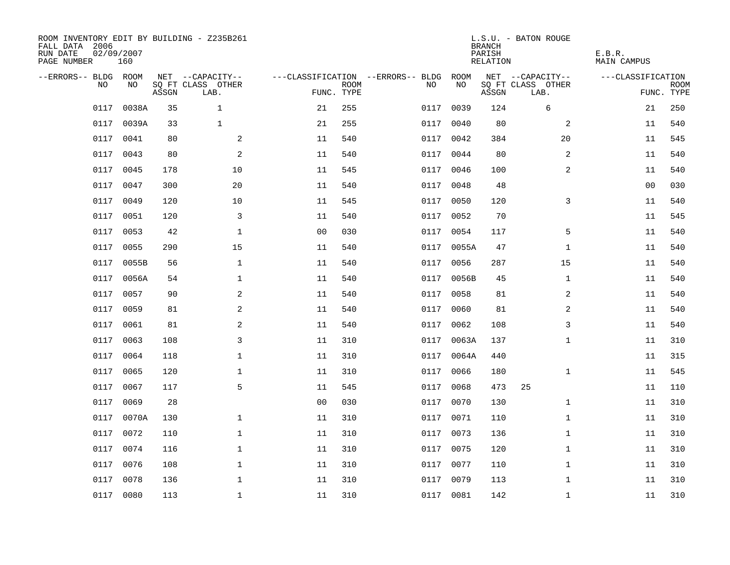| ROOM INVENTORY EDIT BY BUILDING - Z235B261<br>FALL DATA 2006<br>RUN DATE<br>PAGE NUMBER | 02/09/2007<br>160 |       |                           |                |             |                                   |            | <b>BRANCH</b><br>PARISH<br>RELATION | L.S.U. - BATON ROUGE      | E.B.R.<br>MAIN CAMPUS |                           |
|-----------------------------------------------------------------------------------------|-------------------|-------|---------------------------|----------------|-------------|-----------------------------------|------------|-------------------------------------|---------------------------|-----------------------|---------------------------|
| --ERRORS-- BLDG ROOM                                                                    |                   |       | NET --CAPACITY--          |                |             | ---CLASSIFICATION --ERRORS-- BLDG | ROOM       |                                     | NET --CAPACITY--          | ---CLASSIFICATION     |                           |
| NO.                                                                                     | NO.               | ASSGN | SQ FT CLASS OTHER<br>LAB. | FUNC. TYPE     | <b>ROOM</b> | NO.                               | NO         | ASSGN                               | SQ FT CLASS OTHER<br>LAB. |                       | <b>ROOM</b><br>FUNC. TYPE |
| 0117                                                                                    | 0038A             | 35    | $\mathbf{1}$              | 21             | 255         | 0117                              | 0039       | 124                                 | 6                         | 21                    | 250                       |
| 0117                                                                                    | 0039A             | 33    | $\mathbf{1}$              | 21             | 255         | 0117                              | 0040       | 80                                  | 2                         | 11                    | 540                       |
| 0117                                                                                    | 0041              | 80    | 2                         | 11             | 540         | 0117                              | 0042       | 384                                 | 20                        | 11                    | 545                       |
| 0117                                                                                    | 0043              | 80    | 2                         | 11             | 540         |                                   | 0117 0044  | 80                                  | 2                         | 11                    | 540                       |
| 0117                                                                                    | 0045              | 178   | 10                        | 11             | 545         | 0117                              | 0046       | 100                                 | 2                         | 11                    | 540                       |
| 0117                                                                                    | 0047              | 300   | 20                        | 11             | 540         |                                   | 0117 0048  | 48                                  |                           | 0 <sub>0</sub>        | 030                       |
| 0117                                                                                    | 0049              | 120   | 10                        | 11             | 545         | 0117                              | 0050       | 120                                 | 3                         | 11                    | 540                       |
| 0117                                                                                    | 0051              | 120   | 3                         | 11             | 540         |                                   | 0117 0052  | 70                                  |                           | 11                    | 545                       |
| 0117                                                                                    | 0053              | 42    | $\mathbf{1}$              | 0 <sub>0</sub> | 030         | 0117                              | 0054       | 117                                 | 5                         | 11                    | 540                       |
| 0117                                                                                    | 0055              | 290   | 15                        | 11             | 540         |                                   | 0117 0055A | 47                                  | $\mathbf{1}$              | 11                    | 540                       |
| 0117                                                                                    | 0055B             | 56    | $\mathbf{1}$              | 11             | 540         | 0117                              | 0056       | 287                                 | 15                        | 11                    | 540                       |
|                                                                                         | 0117 0056A        | 54    | $\mathbf 1$               | 11             | 540         |                                   | 0117 0056B | 45                                  | $\mathbf{1}$              | 11                    | 540                       |
| 0117                                                                                    | 0057              | 90    | 2                         | 11             | 540         | 0117                              | 0058       | 81                                  | 2                         | 11                    | 540                       |
| 0117                                                                                    | 0059              | 81    | 2                         | 11             | 540         | 0117                              | 0060       | 81                                  | 2                         | 11                    | 540                       |
| 0117                                                                                    | 0061              | 81    | 2                         | 11             | 540         | 0117                              | 0062       | 108                                 | 3                         | 11                    | 540                       |
| 0117                                                                                    | 0063              | 108   | 3                         | 11             | 310         | 0117                              | 0063A      | 137                                 | $\mathbf{1}$              | 11                    | 310                       |
| 0117                                                                                    | 0064              | 118   | $\mathbf 1$               | 11             | 310         | 0117                              | 0064A      | 440                                 |                           | 11                    | 315                       |
| 0117                                                                                    | 0065              | 120   | $\mathbf 1$               | 11             | 310         | 0117                              | 0066       | 180                                 | $\mathbf{1}$              | 11                    | 545                       |
| 0117                                                                                    | 0067              | 117   | 5                         | 11             | 545         | 0117                              | 0068       | 473                                 | 25                        | 11                    | 110                       |
| 0117                                                                                    | 0069              | 28    |                           | 0 <sub>0</sub> | 030         | 0117                              | 0070       | 130                                 | $\mathbf{1}$              | 11                    | 310                       |
| 0117                                                                                    | 0070A             | 130   | $\mathbf{1}$              | 11             | 310         |                                   | 0117 0071  | 110                                 | $\mathbf{1}$              | 11                    | 310                       |
| 0117                                                                                    | 0072              | 110   | $\mathbf 1$               | 11             | 310         | 0117                              | 0073       | 136                                 | $\mathbf{1}$              | 11                    | 310                       |
| 0117                                                                                    | 0074              | 116   | $\mathbf 1$               | 11             | 310         |                                   | 0117 0075  | 120                                 | $\mathbf{1}$              | 11                    | 310                       |
| 0117                                                                                    | 0076              | 108   | $\mathbf 1$               | 11             | 310         | 0117                              | 0077       | 110                                 | $\mathbf{1}$              | 11                    | 310                       |
| 0117                                                                                    | 0078              | 136   | $\mathbf 1$               | 11             | 310         |                                   | 0117 0079  | 113                                 | $\mathbf{1}$              | 11                    | 310                       |
|                                                                                         | 0117 0080         | 113   | $\mathbf{1}$              | 11             | 310         |                                   | 0117 0081  | 142                                 | $\mathbf{1}$              | 11                    | 310                       |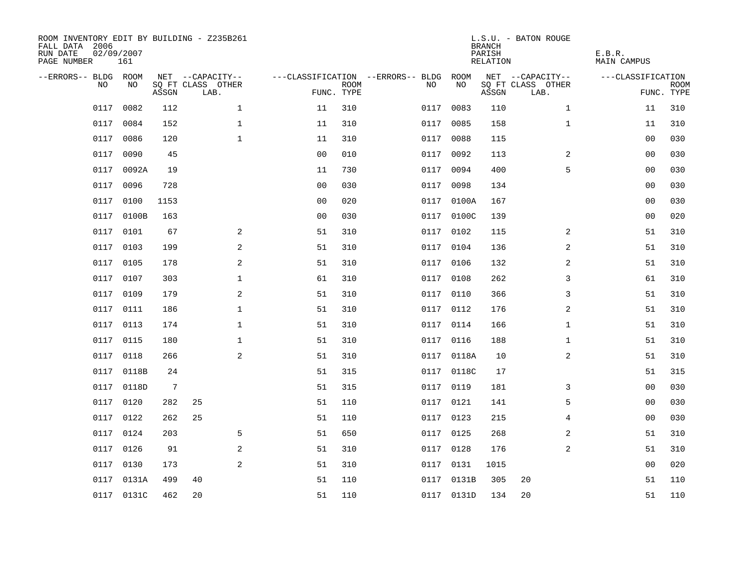| ROOM INVENTORY EDIT BY BUILDING - Z235B261<br>FALL DATA 2006<br>RUN DATE<br>PAGE NUMBER | 02/09/2007<br>161 |       |                           |                |                           |                                        |            | <b>BRANCH</b><br>PARISH<br><b>RELATION</b> | L.S.U. - BATON ROUGE      | E.B.R.<br><b>MAIN CAMPUS</b> |                           |
|-----------------------------------------------------------------------------------------|-------------------|-------|---------------------------|----------------|---------------------------|----------------------------------------|------------|--------------------------------------------|---------------------------|------------------------------|---------------------------|
| --ERRORS-- BLDG ROOM                                                                    |                   |       | NET --CAPACITY--          |                |                           | ---CLASSIFICATION --ERRORS-- BLDG ROOM |            |                                            | NET --CAPACITY--          | ---CLASSIFICATION            |                           |
| NO                                                                                      | NO                | ASSGN | SQ FT CLASS OTHER<br>LAB. |                | <b>ROOM</b><br>FUNC. TYPE | NO                                     | NO         | ASSGN                                      | SQ FT CLASS OTHER<br>LAB. |                              | <b>ROOM</b><br>FUNC. TYPE |
| 0117                                                                                    | 0082              | 112   | $\mathbf 1$               | 11             | 310                       | 0117                                   | 0083       | 110                                        | $\mathbf{1}$              | 11                           | 310                       |
| 0117                                                                                    | 0084              | 152   | $\mathbf 1$               | 11             | 310                       | 0117                                   | 0085       | 158                                        | $\mathbf{1}$              | 11                           | 310                       |
| 0117                                                                                    | 0086              | 120   | $\mathbf{1}$              | 11             | 310                       | 0117                                   | 0088       | 115                                        |                           | 0 <sub>0</sub>               | 030                       |
| 0117                                                                                    | 0090              | 45    |                           | 0 <sub>0</sub> | 010                       |                                        | 0117 0092  | 113                                        | 2                         | 00                           | 030                       |
| 0117                                                                                    | 0092A             | 19    |                           | 11             | 730                       | 0117                                   | 0094       | 400                                        | 5                         | 00                           | 030                       |
|                                                                                         | 0117 0096         | 728   |                           | 0 <sub>0</sub> | 030                       |                                        | 0117 0098  | 134                                        |                           | 0 <sub>0</sub>               | 030                       |
| 0117                                                                                    | 0100              | 1153  |                           | 0 <sub>0</sub> | 020                       | 0117                                   | 0100A      | 167                                        |                           | 0 <sub>0</sub>               | 030                       |
|                                                                                         | 0117 0100B        | 163   |                           | 0 <sub>0</sub> | 030                       |                                        | 0117 0100C | 139                                        |                           | 0 <sub>0</sub>               | 020                       |
| 0117                                                                                    | 0101              | 67    | 2                         | 51             | 310                       | 0117                                   | 0102       | 115                                        | 2                         | 51                           | 310                       |
|                                                                                         | 0117 0103         | 199   | 2                         | 51             | 310                       |                                        | 0117 0104  | 136                                        | 2                         | 51                           | 310                       |
| 0117                                                                                    | 0105              | 178   | 2                         | 51             | 310                       | 0117                                   | 0106       | 132                                        | 2                         | 51                           | 310                       |
|                                                                                         | 0117 0107         | 303   | $\mathbf 1$               | 61             | 310                       |                                        | 0117 0108  | 262                                        | 3                         | 61                           | 310                       |
| 0117                                                                                    | 0109              | 179   | $\mathbf{2}$              | 51             | 310                       | 0117                                   | 0110       | 366                                        | 3                         | 51                           | 310                       |
| 0117                                                                                    | 0111              | 186   | $\mathbf 1$               | 51             | 310                       | 0117                                   | 0112       | 176                                        | 2                         | 51                           | 310                       |
| 0117                                                                                    | 0113              | 174   | $\mathbf 1$               | 51             | 310                       |                                        | 0117 0114  | 166                                        | $\mathbf{1}$              | 51                           | 310                       |
| 0117                                                                                    | 0115              | 180   | $\mathbf 1$               | 51             | 310                       |                                        | 0117 0116  | 188                                        | $\mathbf{1}$              | 51                           | 310                       |
| 0117                                                                                    | 0118              | 266   | 2                         | 51             | 310                       |                                        | 0117 0118A | 10                                         | 2                         | 51                           | 310                       |
| 0117                                                                                    | 0118B             | 24    |                           | 51             | 315                       |                                        | 0117 0118C | 17                                         |                           | 51                           | 315                       |
|                                                                                         | 0117 0118D        | 7     |                           | 51             | 315                       |                                        | 0117 0119  | 181                                        | 3                         | 00                           | 030                       |
| 0117                                                                                    | 0120              | 282   | 25                        | 51             | 110                       |                                        | 0117 0121  | 141                                        | 5                         | 00                           | 030                       |
| 0117                                                                                    | 0122              | 262   | 25                        | 51             | 110                       |                                        | 0117 0123  | 215                                        | 4                         | 00                           | 030                       |
| 0117                                                                                    | 0124              | 203   | 5                         | 51             | 650                       | 0117                                   | 0125       | 268                                        | 2                         | 51                           | 310                       |
| 0117                                                                                    | 0126              | 91    | 2                         | 51             | 310                       |                                        | 0117 0128  | 176                                        | 2                         | 51                           | 310                       |
| 0117                                                                                    | 0130              | 173   | 2                         | 51             | 310                       | 0117                                   | 0131       | 1015                                       |                           | 00                           | 020                       |
| 0117                                                                                    | 0131A             | 499   | 40                        | 51             | 110                       |                                        | 0117 0131B | 305                                        | 20                        | 51                           | 110                       |
|                                                                                         | 0117 0131C        | 462   | 20                        | 51             | 110                       |                                        | 0117 0131D | 134                                        | 20                        | 51                           | 110                       |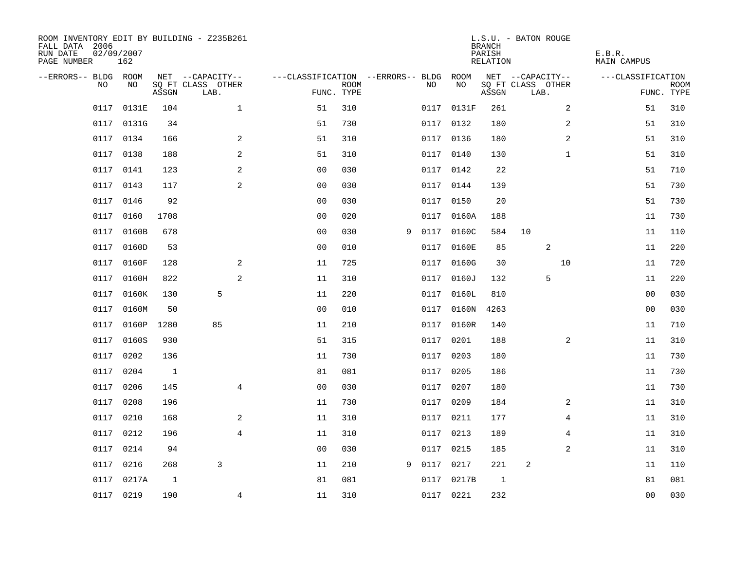| ROOM INVENTORY EDIT BY BUILDING - Z235B261<br>FALL DATA 2006<br>RUN DATE<br>PAGE NUMBER | 02/09/2007<br>162 |                |                           |                                        |             |   |           |            | <b>BRANCH</b><br>PARISH<br>RELATION | L.S.U. - BATON ROUGE      | E.B.R.<br>MAIN CAMPUS |                           |
|-----------------------------------------------------------------------------------------|-------------------|----------------|---------------------------|----------------------------------------|-------------|---|-----------|------------|-------------------------------------|---------------------------|-----------------------|---------------------------|
| --ERRORS-- BLDG ROOM                                                                    |                   |                | NET --CAPACITY--          | ---CLASSIFICATION --ERRORS-- BLDG ROOM |             |   |           |            |                                     | NET --CAPACITY--          | ---CLASSIFICATION     |                           |
| NO                                                                                      | NO                | ASSGN          | SQ FT CLASS OTHER<br>LAB. | FUNC. TYPE                             | <b>ROOM</b> |   | NO        | NO         | ASSGN                               | SQ FT CLASS OTHER<br>LAB. |                       | <b>ROOM</b><br>FUNC. TYPE |
| 0117                                                                                    | 0131E             | 104            | $\mathbf{1}$              | 51                                     | 310         |   |           | 0117 0131F | 261                                 | 2                         | 51                    | 310                       |
| 0117                                                                                    | 0131G             | 34             |                           | 51                                     | 730         |   |           | 0117 0132  | 180                                 | 2                         | 51                    | 310                       |
| 0117                                                                                    | 0134              | 166            | 2                         | 51                                     | 310         |   |           | 0117 0136  | 180                                 | 2                         | 51                    | 310                       |
|                                                                                         | 0117 0138         | 188            | 2                         | 51                                     | 310         |   |           | 0117 0140  | 130                                 | $\mathbf{1}$              | 51                    | 310                       |
| 0117                                                                                    | 0141              | 123            | $\mathbf{2}$              | 00                                     | 030         |   |           | 0117 0142  | 22                                  |                           | 51                    | 710                       |
|                                                                                         | 0117 0143         | 117            | $\mathbf{2}$              | 0 <sub>0</sub>                         | 030         |   | 0117 0144 |            | 139                                 |                           | 51                    | 730                       |
| 0117                                                                                    | 0146              | 92             |                           | 0 <sub>0</sub>                         | 030         |   | 0117      | 0150       | 20                                  |                           | 51                    | 730                       |
| 0117                                                                                    | 0160              | 1708           |                           | 0 <sub>0</sub>                         | 020         |   |           | 0117 0160A | 188                                 |                           | 11                    | 730                       |
| 0117                                                                                    | 0160B             | 678            |                           | 00                                     | 030         | 9 | 0117      | 0160C      | 584                                 | 10                        | 11                    | 110                       |
| 0117                                                                                    | 0160D             | 53             |                           | 0 <sub>0</sub>                         | 010         |   |           | 0117 0160E | 85                                  | 2                         | 11                    | 220                       |
| 0117                                                                                    | 0160F             | 128            | 2                         | 11                                     | 725         |   | 0117      | 0160G      | 30                                  | 10                        | 11                    | 720                       |
|                                                                                         | 0117 0160H        | 822            | 2                         | 11                                     | 310         |   |           | 0117 0160J | 132                                 | 5                         | 11                    | 220                       |
| 0117                                                                                    | 0160K             | 130            | 5                         | 11                                     | 220         |   | 0117      | 0160L      | 810                                 |                           | 00                    | 030                       |
| 0117                                                                                    | 0160M             | 50             |                           | 0 <sub>0</sub>                         | 010         |   |           | 0117 0160N | 4263                                |                           | 00                    | 030                       |
| 0117                                                                                    | 0160P             | 1280           | 85                        | 11                                     | 210         |   |           | 0117 0160R | 140                                 |                           | 11                    | 710                       |
| 0117                                                                                    | 0160S             | 930            |                           | 51                                     | 315         |   |           | 0117 0201  | 188                                 | 2                         | 11                    | 310                       |
| 0117                                                                                    | 0202              | 136            |                           | 11                                     | 730         |   | 0117 0203 |            | 180                                 |                           | 11                    | 730                       |
| 0117                                                                                    | 0204              | $\overline{1}$ |                           | 81                                     | 081         |   | 0117 0205 |            | 186                                 |                           | 11                    | 730                       |
| 0117                                                                                    | 0206              | 145            | $\overline{4}$            | 0 <sub>0</sub>                         | 030         |   | 0117 0207 |            | 180                                 |                           | 11                    | 730                       |
| 0117                                                                                    | 0208              | 196            |                           | 11                                     | 730         |   | 0117 0209 |            | 184                                 | 2                         | 11                    | 310                       |
| 0117                                                                                    | 0210              | 168            | 2                         | 11                                     | 310         |   |           | 0117 0211  | 177                                 | 4                         | 11                    | 310                       |
| 0117                                                                                    | 0212              | 196            | $\overline{4}$            | 11                                     | 310         |   |           | 0117 0213  | 189                                 | 4                         | 11                    | 310                       |
| 0117                                                                                    | 0214              | 94             |                           | 0 <sub>0</sub>                         | 030         |   | 0117 0215 |            | 185                                 | $\overline{a}$            | 11                    | 310                       |
| 0117                                                                                    | 0216              | 268            | 3                         | 11                                     | 210         | 9 | 0117      | 0217       | 221                                 | 2                         | 11                    | 110                       |
| 0117                                                                                    | 0217A             | $\mathbf{1}$   |                           | 81                                     | 081         |   |           | 0117 0217B | 1                                   |                           | 81                    | 081                       |
|                                                                                         | 0117 0219         | 190            | $\overline{4}$            | 11                                     | 310         |   |           | 0117 0221  | 232                                 |                           | 0 <sub>0</sub>        | 030                       |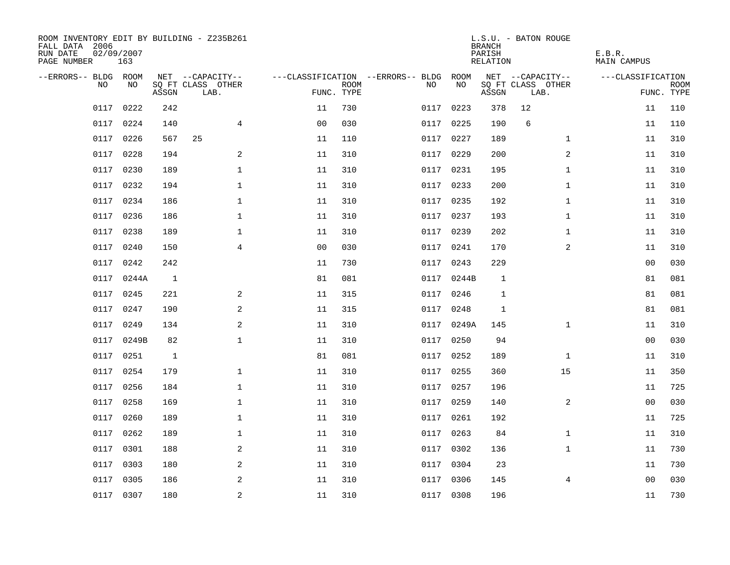| ROOM INVENTORY EDIT BY BUILDING - Z235B261<br>FALL DATA 2006<br>RUN DATE<br>PAGE NUMBER | 02/09/2007<br>163 |       |                           |                |             |                                        |            | <b>BRANCH</b><br>PARISH<br>RELATION | L.S.U. - BATON ROUGE      | E.B.R.<br>MAIN CAMPUS |                           |
|-----------------------------------------------------------------------------------------|-------------------|-------|---------------------------|----------------|-------------|----------------------------------------|------------|-------------------------------------|---------------------------|-----------------------|---------------------------|
| --ERRORS-- BLDG ROOM                                                                    |                   |       | NET --CAPACITY--          |                |             | ---CLASSIFICATION --ERRORS-- BLDG ROOM |            |                                     | NET --CAPACITY--          | ---CLASSIFICATION     |                           |
| NO.                                                                                     | NO.               | ASSGN | SQ FT CLASS OTHER<br>LAB. | FUNC. TYPE     | <b>ROOM</b> | NO.                                    | NO         | ASSGN                               | SQ FT CLASS OTHER<br>LAB. |                       | <b>ROOM</b><br>FUNC. TYPE |
| 0117                                                                                    | 0222              | 242   |                           | 11             | 730         | 0117                                   | 0223       | 378                                 | 12                        | 11                    | 110                       |
| 0117                                                                                    | 0224              | 140   | $\overline{4}$            | 0 <sub>0</sub> | 030         |                                        | 0117 0225  | 190                                 | 6                         | 11                    | 110                       |
| 0117                                                                                    | 0226              | 567   | 25                        | 11             | 110         |                                        | 0117 0227  | 189                                 | $\mathbf{1}$              | 11                    | 310                       |
| 0117                                                                                    | 0228              | 194   | 2                         | 11             | 310         |                                        | 0117 0229  | 200                                 | 2                         | 11                    | 310                       |
| 0117                                                                                    | 0230              | 189   | $\mathbf 1$               | 11             | 310         |                                        | 0117 0231  | 195                                 | $\mathbf{1}$              | 11                    | 310                       |
|                                                                                         | 0117 0232         | 194   | $\mathbf 1$               | 11             | 310         |                                        | 0117 0233  | 200                                 | $\mathbf{1}$              | 11                    | 310                       |
| 0117                                                                                    | 0234              | 186   | $\mathbf{1}$              | 11             | 310         |                                        | 0117 0235  | 192                                 | $\mathbf{1}$              | 11                    | 310                       |
|                                                                                         | 0117 0236         | 186   | $\mathbf 1$               | 11             | 310         |                                        | 0117 0237  | 193                                 | $\mathbf{1}$              | 11                    | 310                       |
| 0117                                                                                    | 0238              | 189   | $\mathbf 1$               | 11             | 310         |                                        | 0117 0239  | 202                                 | $\mathbf{1}$              | 11                    | 310                       |
|                                                                                         | 0117 0240         | 150   | $\overline{4}$            | 0 <sub>0</sub> | 030         |                                        | 0117 0241  | 170                                 | 2                         | 11                    | 310                       |
| 0117                                                                                    | 0242              | 242   |                           | 11             | 730         | 0117                                   | 0243       | 229                                 |                           | 0 <sub>0</sub>        | 030                       |
|                                                                                         | 0117 0244A        | 1     |                           | 81             | 081         |                                        | 0117 0244B | 1                                   |                           | 81                    | 081                       |
| 0117                                                                                    | 0245              | 221   | 2                         | 11             | 315         | 0117                                   | 0246       | 1                                   |                           | 81                    | 081                       |
|                                                                                         | 0117 0247         | 190   | 2                         | 11             | 315         |                                        | 0117 0248  | $\mathbf{1}$                        |                           | 81                    | 081                       |
| 0117                                                                                    | 0249              | 134   | 2                         | 11             | 310         |                                        | 0117 0249A | 145                                 | $\mathbf{1}$              | 11                    | 310                       |
|                                                                                         | 0117 0249B        | 82    | $\mathbf{1}$              | 11             | 310         |                                        | 0117 0250  | 94                                  |                           | 0 <sub>0</sub>        | 030                       |
| 0117                                                                                    | 0251              | 1     |                           | 81             | 081         | 0117                                   | 0252       | 189                                 | 1                         | 11                    | 310                       |
| 0117                                                                                    | 0254              | 179   | $\mathbf 1$               | 11             | 310         |                                        | 0117 0255  | 360                                 | 15                        | 11                    | 350                       |
| 0117                                                                                    | 0256              | 184   | $\mathbf 1$               | 11             | 310         |                                        | 0117 0257  | 196                                 |                           | 11                    | 725                       |
| 0117                                                                                    | 0258              | 169   | $\mathbf{1}$              | 11             | 310         |                                        | 0117 0259  | 140                                 | 2                         | 00                    | 030                       |
| 0117                                                                                    | 0260              | 189   | $\mathbf{1}$              | 11             | 310         |                                        | 0117 0261  | 192                                 |                           | 11                    | 725                       |
| 0117                                                                                    | 0262              | 189   | $\mathbf 1$               | 11             | 310         | 0117                                   | 0263       | 84                                  | $\mathbf{1}$              | 11                    | 310                       |
| 0117                                                                                    | 0301              | 188   | 2                         | 11             | 310         |                                        | 0117 0302  | 136                                 | $\mathbf{1}$              | 11                    | 730                       |
| 0117                                                                                    | 0303              | 180   | 2                         | 11             | 310         | 0117                                   | 0304       | 23                                  |                           | 11                    | 730                       |
| 0117                                                                                    | 0305              | 186   | 2                         | 11             | 310         |                                        | 0117 0306  | 145                                 | 4                         | 00                    | 030                       |
|                                                                                         | 0117 0307         | 180   | $\overline{c}$            | 11             | 310         |                                        | 0117 0308  | 196                                 |                           | 11                    | 730                       |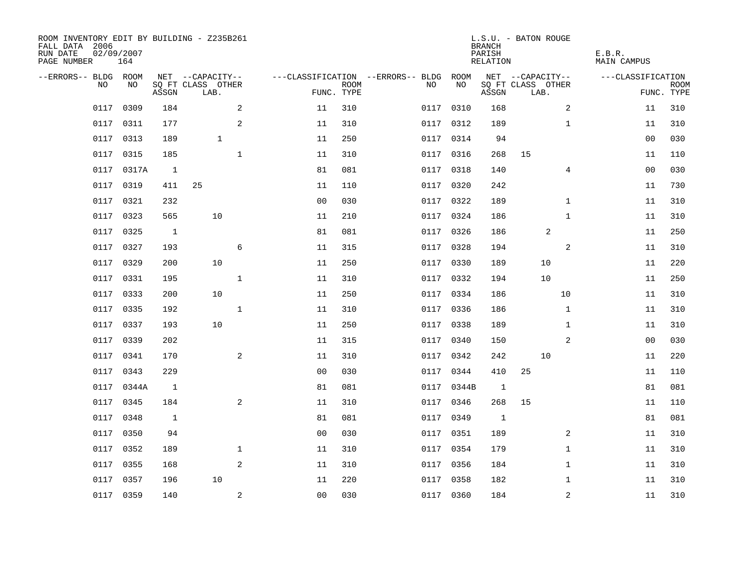| ROOM INVENTORY EDIT BY BUILDING - Z235B261<br>FALL DATA 2006<br>RUN DATE<br>PAGE NUMBER | 02/09/2007<br>164 |                |                           |                |                           |                                        |            | <b>BRANCH</b><br>PARISH<br>RELATION | L.S.U. - BATON ROUGE      | E.B.R.<br>MAIN CAMPUS |                           |
|-----------------------------------------------------------------------------------------|-------------------|----------------|---------------------------|----------------|---------------------------|----------------------------------------|------------|-------------------------------------|---------------------------|-----------------------|---------------------------|
| --ERRORS-- BLDG ROOM                                                                    |                   |                | NET --CAPACITY--          |                |                           | ---CLASSIFICATION --ERRORS-- BLDG ROOM |            |                                     | NET --CAPACITY--          | ---CLASSIFICATION     |                           |
| NO                                                                                      | NO                | ASSGN          | SQ FT CLASS OTHER<br>LAB. |                | <b>ROOM</b><br>FUNC. TYPE | NO                                     | NO         | ASSGN                               | SQ FT CLASS OTHER<br>LAB. |                       | <b>ROOM</b><br>FUNC. TYPE |
| 0117                                                                                    | 0309              | 184            | 2                         | 11             | 310                       | 0117                                   | 0310       | 168                                 | 2                         | 11                    | 310                       |
| 0117                                                                                    | 0311              | 177            | 2                         | 11             | 310                       |                                        | 0117 0312  | 189                                 | $\mathbf{1}$              | 11                    | 310                       |
| 0117                                                                                    | 0313              | 189            | $\mathbf{1}$              | 11             | 250                       |                                        | 0117 0314  | 94                                  |                           | 0 <sub>0</sub>        | 030                       |
| 0117                                                                                    | 0315              | 185            | $\mathbf{1}$              | 11             | 310                       |                                        | 0117 0316  | 268                                 | 15                        | 11                    | 110                       |
| 0117                                                                                    | 0317A             | $\mathbf{1}$   |                           | 81             | 081                       | 0117                                   | 0318       | 140                                 | 4                         | 00                    | 030                       |
|                                                                                         | 0117 0319         | 411            | 25                        | 11             | 110                       |                                        | 0117 0320  | 242                                 |                           | 11                    | 730                       |
| 0117                                                                                    | 0321              | 232            |                           | 0 <sub>0</sub> | 030                       |                                        | 0117 0322  | 189                                 | $\mathbf{1}$              | 11                    | 310                       |
| 0117                                                                                    | 0323              | 565            | 10                        | 11             | 210                       |                                        | 0117 0324  | 186                                 | $\mathbf{1}$              | 11                    | 310                       |
| 0117                                                                                    | 0325              | $\overline{1}$ |                           | 81             | 081                       | 0117                                   | 0326       | 186                                 | 2                         | 11                    | 250                       |
|                                                                                         | 0117 0327         | 193            | 6                         | 11             | 315                       |                                        | 0117 0328  | 194                                 | 2                         | 11                    | 310                       |
| 0117                                                                                    | 0329              | 200            | 10                        | 11             | 250                       | 0117                                   | 0330       | 189                                 | 10                        | 11                    | 220                       |
|                                                                                         | 0117 0331         | 195            | $\mathbf{1}$              | 11             | 310                       |                                        | 0117 0332  | 194                                 | 10                        | 11                    | 250                       |
| 0117                                                                                    | 0333              | 200            | 10                        | 11             | 250                       |                                        | 0117 0334  | 186                                 | 10                        | 11                    | 310                       |
| 0117                                                                                    | 0335              | 192            | $\mathbf 1$               | 11             | 310                       |                                        | 0117 0336  | 186                                 | $\mathbf{1}$              | 11                    | 310                       |
| 0117                                                                                    | 0337              | 193            | 10                        | 11             | 250                       | 0117                                   | 0338       | 189                                 | $\mathbf{1}$              | 11                    | 310                       |
| 0117                                                                                    | 0339              | 202            |                           | 11             | 315                       |                                        | 0117 0340  | 150                                 | 2                         | 00                    | 030                       |
| 0117                                                                                    | 0341              | 170            | 2                         | 11             | 310                       |                                        | 0117 0342  | 242                                 | 10                        | 11                    | 220                       |
| 0117                                                                                    | 0343              | 229            |                           | 0 <sub>0</sub> | 030                       | 0117                                   | 0344       | 410                                 | 25                        | 11                    | 110                       |
| 0117                                                                                    | 0344A             | $\overline{1}$ |                           | 81             | 081                       |                                        | 0117 0344B | $\mathbf{1}$                        |                           | 81                    | 081                       |
| 0117                                                                                    | 0345              | 184            | $\overline{a}$            | 11             | 310                       |                                        | 0117 0346  | 268                                 | 15                        | 11                    | 110                       |
| 0117                                                                                    | 0348              | 1              |                           | 81             | 081                       |                                        | 0117 0349  | 1                                   |                           | 81                    | 081                       |
| 0117                                                                                    | 0350              | 94             |                           | 0 <sub>0</sub> | 030                       | 0117                                   | 0351       | 189                                 | 2                         | 11                    | 310                       |
| 0117                                                                                    | 0352              | 189            | $\mathbf{1}$              | 11             | 310                       |                                        | 0117 0354  | 179                                 | $\mathbf{1}$              | 11                    | 310                       |
| 0117                                                                                    | 0355              | 168            | 2                         | 11             | 310                       |                                        | 0117 0356  | 184                                 | $\mathbf{1}$              | 11                    | 310                       |
|                                                                                         | 0117 0357         | 196            | 10                        | 11             | 220                       |                                        | 0117 0358  | 182                                 | $\mathbf{1}$              | 11                    | 310                       |
|                                                                                         | 0117 0359         | 140            | 2                         | 0 <sub>0</sub> | 030                       |                                        | 0117 0360  | 184                                 | $\overline{a}$            | 11                    | 310                       |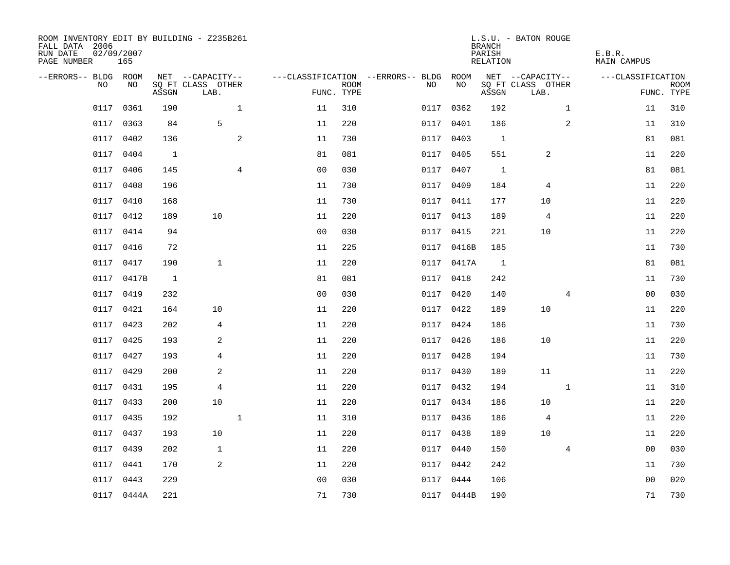| ROOM INVENTORY EDIT BY BUILDING - Z235B261<br>FALL DATA 2006<br>RUN DATE<br>PAGE NUMBER | 02/09/2007<br>165 |       |                           |                |                |                           |                                   |            | <b>BRANCH</b><br>PARISH<br>RELATION | L.S.U. - BATON ROUGE      |              | E.B.R.<br>MAIN CAMPUS |             |
|-----------------------------------------------------------------------------------------|-------------------|-------|---------------------------|----------------|----------------|---------------------------|-----------------------------------|------------|-------------------------------------|---------------------------|--------------|-----------------------|-------------|
| --ERRORS-- BLDG ROOM                                                                    |                   |       | NET --CAPACITY--          |                |                |                           | ---CLASSIFICATION --ERRORS-- BLDG | ROOM       |                                     | NET --CAPACITY--          |              | ---CLASSIFICATION     |             |
| NO.                                                                                     | NO.               | ASSGN | SO FT CLASS OTHER<br>LAB. |                |                | <b>ROOM</b><br>FUNC. TYPE | NO.                               | NO         | ASSGN                               | SQ FT CLASS OTHER<br>LAB. |              | FUNC. TYPE            | <b>ROOM</b> |
| 0117                                                                                    | 0361              | 190   |                           | $\mathbf{1}$   | 11             | 310                       | 0117                              | 0362       | 192                                 |                           | $\mathbf{1}$ | 11                    | 310         |
| 0117                                                                                    | 0363              | 84    | 5                         |                | 11             | 220                       |                                   | 0117 0401  | 186                                 |                           | 2            | 11                    | 310         |
| 0117                                                                                    | 0402              | 136   |                           | 2              | 11             | 730                       |                                   | 0117 0403  | $\overline{1}$                      |                           |              | 81                    | 081         |
| 0117                                                                                    | 0404              | 1     |                           |                | 81             | 081                       |                                   | 0117 0405  | 551                                 | 2                         |              | 11                    | 220         |
| 0117                                                                                    | 0406              | 145   |                           | $\overline{4}$ | 0 <sub>0</sub> | 030                       | 0117                              | 0407       | $\mathbf{1}$                        |                           |              | 81                    | 081         |
| 0117                                                                                    | 0408              | 196   |                           |                | 11             | 730                       |                                   | 0117 0409  | 184                                 | 4                         |              | 11                    | 220         |
| 0117                                                                                    | 0410              | 168   |                           |                | 11             | 730                       |                                   | 0117 0411  | 177                                 | 10                        |              | 11                    | 220         |
|                                                                                         | 0117 0412         | 189   | 10                        |                | 11             | 220                       |                                   | 0117 0413  | 189                                 | $\overline{4}$            |              | 11                    | 220         |
| 0117                                                                                    | 0414              | 94    |                           |                | 0 <sub>0</sub> | 030                       | 0117                              | 0415       | 221                                 | 10                        |              | 11                    | 220         |
|                                                                                         | 0117 0416         | 72    |                           |                | 11             | 225                       |                                   | 0117 0416B | 185                                 |                           |              | 11                    | 730         |
| 0117                                                                                    | 0417              | 190   | $\mathbf{1}$              |                | 11             | 220                       |                                   | 0117 0417A | $\overline{1}$                      |                           |              | 81                    | 081         |
|                                                                                         | 0117 0417B        | 1     |                           |                | 81             | 081                       |                                   | 0117 0418  | 242                                 |                           |              | 11                    | 730         |
| 0117                                                                                    | 0419              | 232   |                           |                | 0 <sub>0</sub> | 030                       | 0117                              | 0420       | 140                                 |                           | 4            | 0 <sub>0</sub>        | 030         |
| 0117                                                                                    | 0421              | 164   | 10                        |                | 11             | 220                       |                                   | 0117 0422  | 189                                 | 10                        |              | 11                    | 220         |
| 0117                                                                                    | 0423              | 202   | 4                         |                | 11             | 220                       | 0117                              | 0424       | 186                                 |                           |              | 11                    | 730         |
| 0117                                                                                    | 0425              | 193   | 2                         |                | 11             | 220                       |                                   | 0117 0426  | 186                                 | 10                        |              | 11                    | 220         |
| 0117                                                                                    | 0427              | 193   | 4                         |                | 11             | 220                       | 0117                              | 0428       | 194                                 |                           |              | 11                    | 730         |
| 0117                                                                                    | 0429              | 200   | 2                         |                | 11             | 220                       |                                   | 0117 0430  | 189                                 | 11                        |              | 11                    | 220         |
| 0117                                                                                    | 0431              | 195   | $\overline{4}$            |                | 11             | 220                       |                                   | 0117 0432  | 194                                 |                           | $\mathbf{1}$ | 11                    | 310         |
| 0117                                                                                    | 0433              | 200   | 10                        |                | 11             | 220                       |                                   | 0117 0434  | 186                                 | 10                        |              | 11                    | 220         |
| 0117                                                                                    | 0435              | 192   |                           | $\mathbf 1$    | 11             | 310                       |                                   | 0117 0436  | 186                                 | 4                         |              | 11                    | 220         |
| 0117                                                                                    | 0437              | 193   | 10                        |                | 11             | 220                       |                                   | 0117 0438  | 189                                 | 10                        |              | 11                    | 220         |
| 0117                                                                                    | 0439              | 202   | $\mathbf{1}$              |                | 11             | 220                       |                                   | 0117 0440  | 150                                 |                           | 4            | 00                    | 030         |
| 0117                                                                                    | 0441              | 170   | 2                         |                | 11             | 220                       |                                   | 0117 0442  | 242                                 |                           |              | 11                    | 730         |
|                                                                                         | 0117 0443         | 229   |                           |                | 0 <sub>0</sub> | 030                       |                                   | 0117 0444  | 106                                 |                           |              | 0 <sub>0</sub>        | 020         |
|                                                                                         | 0117 0444A        | 221   |                           |                | 71             | 730                       |                                   | 0117 0444B | 190                                 |                           |              | 71                    | 730         |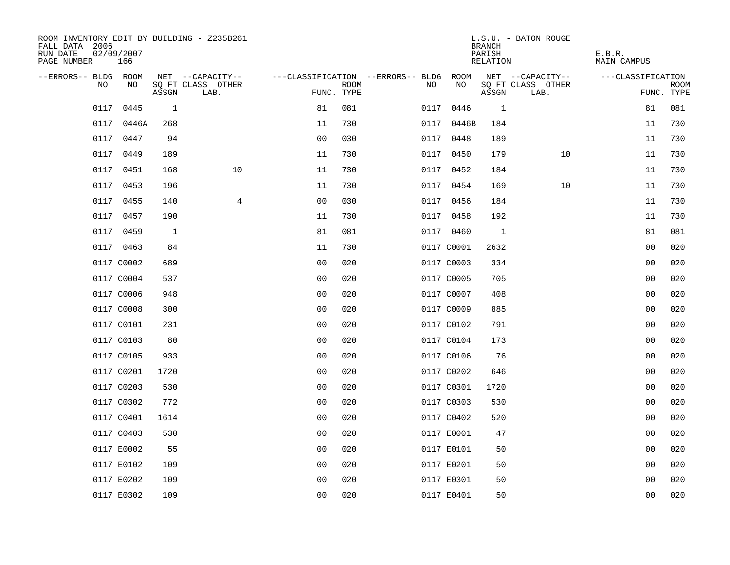| ROOM INVENTORY EDIT BY BUILDING - Z235B261<br>FALL DATA 2006<br>RUN DATE<br>PAGE NUMBER | 02/09/2007<br>166 |       |                           |                |             |                                        |            | <b>BRANCH</b><br>PARISH<br>RELATION | L.S.U. - BATON ROUGE      | E.B.R.<br>MAIN CAMPUS |                           |
|-----------------------------------------------------------------------------------------|-------------------|-------|---------------------------|----------------|-------------|----------------------------------------|------------|-------------------------------------|---------------------------|-----------------------|---------------------------|
| --ERRORS-- BLDG ROOM                                                                    |                   |       | NET --CAPACITY--          |                |             | ---CLASSIFICATION --ERRORS-- BLDG ROOM |            |                                     | NET --CAPACITY--          | ---CLASSIFICATION     |                           |
| NO                                                                                      | NO                | ASSGN | SQ FT CLASS OTHER<br>LAB. | FUNC. TYPE     | <b>ROOM</b> | NO                                     | NO         | ASSGN                               | SQ FT CLASS OTHER<br>LAB. |                       | <b>ROOM</b><br>FUNC. TYPE |
| 0117                                                                                    | 0445              | 1     |                           | 81             | 081         |                                        | 0117 0446  | $\mathbf{1}$                        |                           | 81                    | 081                       |
| 0117                                                                                    | 0446A             | 268   |                           | 11             | 730         |                                        | 0117 0446B | 184                                 |                           | 11                    | 730                       |
| 0117                                                                                    | 0447              | 94    |                           | 0 <sub>0</sub> | 030         |                                        | 0117 0448  | 189                                 |                           | 11                    | 730                       |
|                                                                                         | 0117 0449         | 189   |                           | 11             | 730         |                                        | 0117 0450  | 179                                 | 10                        | 11                    | 730                       |
| 0117                                                                                    | 0451              | 168   | 10                        | 11             | 730         |                                        | 0117 0452  | 184                                 |                           | 11                    | 730                       |
|                                                                                         | 0117 0453         | 196   |                           | 11             | 730         |                                        | 0117 0454  | 169                                 | 10                        | 11                    | 730                       |
| 0117                                                                                    | 0455              | 140   | $\overline{4}$            | 0 <sub>0</sub> | 030         |                                        | 0117 0456  | 184                                 |                           | 11                    | 730                       |
|                                                                                         | 0117 0457         | 190   |                           | 11             | 730         |                                        | 0117 0458  | 192                                 |                           | 11                    | 730                       |
|                                                                                         | 0117 0459         | 1     |                           | 81             | 081         |                                        | 0117 0460  | $\overline{1}$                      |                           | 81                    | 081                       |
|                                                                                         | 0117 0463         | 84    |                           | 11             | 730         |                                        | 0117 C0001 | 2632                                |                           | 00                    | 020                       |
|                                                                                         | 0117 C0002        | 689   |                           | 0 <sub>0</sub> | 020         |                                        | 0117 C0003 | 334                                 |                           | 0 <sub>0</sub>        | 020                       |
|                                                                                         | 0117 C0004        | 537   |                           | 0 <sub>0</sub> | 020         |                                        | 0117 C0005 | 705                                 |                           | 0 <sub>0</sub>        | 020                       |
|                                                                                         | 0117 C0006        | 948   |                           | 0 <sub>0</sub> | 020         |                                        | 0117 C0007 | 408                                 |                           | 0 <sub>0</sub>        | 020                       |
|                                                                                         | 0117 C0008        | 300   |                           | 0 <sub>0</sub> | 020         |                                        | 0117 C0009 | 885                                 |                           | 00                    | 020                       |
|                                                                                         | 0117 C0101        | 231   |                           | 0 <sup>0</sup> | 020         |                                        | 0117 C0102 | 791                                 |                           | 0 <sub>0</sub>        | 020                       |
|                                                                                         | 0117 C0103        | 80    |                           | 0 <sub>0</sub> | 020         |                                        | 0117 C0104 | 173                                 |                           | 0 <sub>0</sub>        | 020                       |
|                                                                                         | 0117 C0105        | 933   |                           | 0 <sub>0</sub> | 020         |                                        | 0117 C0106 | 76                                  |                           | 00                    | 020                       |
|                                                                                         | 0117 C0201        | 1720  |                           | 0 <sub>0</sub> | 020         |                                        | 0117 C0202 | 646                                 |                           | 00                    | 020                       |
|                                                                                         | 0117 C0203        | 530   |                           | 0 <sub>0</sub> | 020         |                                        | 0117 C0301 | 1720                                |                           | 0 <sub>0</sub>        | 020                       |
|                                                                                         | 0117 C0302        | 772   |                           | 0 <sub>0</sub> | 020         |                                        | 0117 C0303 | 530                                 |                           | 00                    | 020                       |
|                                                                                         | 0117 C0401        | 1614  |                           | 0 <sub>0</sub> | 020         |                                        | 0117 C0402 | 520                                 |                           | 00                    | 020                       |
|                                                                                         | 0117 C0403        | 530   |                           | 0 <sub>0</sub> | 020         |                                        | 0117 E0001 | 47                                  |                           | 00                    | 020                       |
|                                                                                         | 0117 E0002        | 55    |                           | 0 <sub>0</sub> | 020         |                                        | 0117 E0101 | 50                                  |                           | 0 <sub>0</sub>        | 020                       |
|                                                                                         | 0117 E0102        | 109   |                           | 0 <sub>0</sub> | 020         |                                        | 0117 E0201 | 50                                  |                           | 00                    | 020                       |
|                                                                                         | 0117 E0202        | 109   |                           | 0 <sub>0</sub> | 020         |                                        | 0117 E0301 | 50                                  |                           | 00                    | 020                       |
|                                                                                         | 0117 E0302        | 109   |                           | 0 <sub>0</sub> | 020         |                                        | 0117 E0401 | 50                                  |                           | 0 <sub>0</sub>        | 020                       |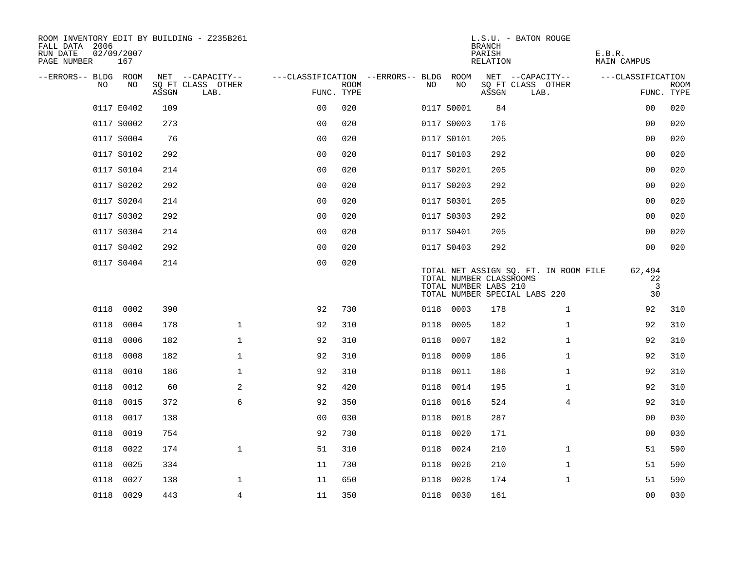| ROOM INVENTORY EDIT BY BUILDING - Z235B261<br>FALL DATA 2006<br>RUN DATE<br>PAGE NUMBER | 02/09/2007<br>167 |       |                           |                                        |             |      |            | <b>BRANCH</b><br>PARISH<br>RELATION              | L.S.U. - BATON ROUGE                                                   | E.B.R.<br>MAIN CAMPUS                |                    |
|-----------------------------------------------------------------------------------------|-------------------|-------|---------------------------|----------------------------------------|-------------|------|------------|--------------------------------------------------|------------------------------------------------------------------------|--------------------------------------|--------------------|
| --ERRORS-- BLDG ROOM                                                                    |                   |       | NET --CAPACITY--          | ---CLASSIFICATION --ERRORS-- BLDG ROOM |             |      |            |                                                  | NET --CAPACITY--                                                       | ---CLASSIFICATION                    |                    |
| NO.                                                                                     | NO.               | ASSGN | SQ FT CLASS OTHER<br>LAB. | FUNC. TYPE                             | <b>ROOM</b> | NO.  | NO         | ASSGN                                            | SQ FT CLASS OTHER<br>LAB.                                              |                                      | ROOM<br>FUNC. TYPE |
|                                                                                         | 0117 E0402        | 109   |                           | 0 <sub>0</sub>                         | 020         |      | 0117 S0001 | 84                                               |                                                                        | 0 <sub>0</sub>                       | 020                |
|                                                                                         | 0117 S0002        | 273   |                           | 0 <sub>0</sub>                         | 020         |      | 0117 S0003 | 176                                              |                                                                        | 00                                   | 020                |
|                                                                                         | 0117 S0004        | 76    |                           | 0 <sub>0</sub>                         | 020         |      | 0117 S0101 | 205                                              |                                                                        | 0 <sub>0</sub>                       | 020                |
|                                                                                         | 0117 S0102        | 292   |                           | 0 <sub>0</sub>                         | 020         |      | 0117 S0103 | 292                                              |                                                                        | 00                                   | 020                |
|                                                                                         | 0117 S0104        | 214   |                           | 0 <sub>0</sub>                         | 020         |      | 0117 S0201 | 205                                              |                                                                        | 0 <sub>0</sub>                       | 020                |
|                                                                                         | 0117 S0202        | 292   |                           | 0 <sub>0</sub>                         | 020         |      | 0117 S0203 | 292                                              |                                                                        | 0 <sub>0</sub>                       | 020                |
|                                                                                         | 0117 S0204        | 214   |                           | 0 <sub>0</sub>                         | 020         |      | 0117 S0301 | 205                                              |                                                                        | 0 <sub>0</sub>                       | 020                |
|                                                                                         | 0117 S0302        | 292   |                           | 0 <sub>0</sub>                         | 020         |      | 0117 S0303 | 292                                              |                                                                        | 0 <sub>0</sub>                       | 020                |
|                                                                                         | 0117 S0304        | 214   |                           | 0 <sub>0</sub>                         | 020         |      | 0117 S0401 | 205                                              |                                                                        | 0 <sub>0</sub>                       | 020                |
|                                                                                         | 0117 S0402        | 292   |                           | 0 <sub>0</sub>                         | 020         |      | 0117 S0403 | 292                                              |                                                                        | 0 <sub>0</sub>                       | 020                |
|                                                                                         | 0117 S0404        | 214   |                           | 0 <sub>0</sub>                         | 020         |      |            | TOTAL NUMBER CLASSROOMS<br>TOTAL NUMBER LABS 210 | TOTAL NET ASSIGN SQ. FT. IN ROOM FILE<br>TOTAL NUMBER SPECIAL LABS 220 | 62,494<br>22<br>$\overline{3}$<br>30 |                    |
| 0118                                                                                    | 0002              | 390   |                           | 92                                     | 730         |      | 0118 0003  | 178                                              | $\mathbf{1}$                                                           | 92                                   | 310                |
| 0118                                                                                    | 0004              | 178   | $\mathbf 1$               | 92                                     | 310         | 0118 | 0005       | 182                                              | $\mathbf{1}$                                                           | 92                                   | 310                |
| 0118                                                                                    | 0006              | 182   | $\mathbf 1$               | 92                                     | 310         | 0118 | 0007       | 182                                              | $\mathbf{1}$                                                           | 92                                   | 310                |
| 0118                                                                                    | 0008              | 182   | $\mathbf 1$               | 92                                     | 310         | 0118 | 0009       | 186                                              | $\mathbf{1}$                                                           | 92                                   | 310                |
| 0118                                                                                    | 0010              | 186   | $\mathbf{1}$              | 92                                     | 310         | 0118 | 0011       | 186                                              | $\mathbf{1}$                                                           | 92                                   | 310                |
|                                                                                         | 0118 0012         | 60    | 2                         | 92                                     | 420         |      | 0118 0014  | 195                                              | $\mathbf{1}$                                                           | 92                                   | 310                |
| 0118                                                                                    | 0015              | 372   | 6                         | 92                                     | 350         | 0118 | 0016       | 524                                              | 4                                                                      | 92                                   | 310                |
| 0118                                                                                    | 0017              | 138   |                           | 0 <sub>0</sub>                         | 030         | 0118 | 0018       | 287                                              |                                                                        | 00                                   | 030                |
| 0118                                                                                    | 0019              | 754   |                           | 92                                     | 730         | 0118 | 0020       | 171                                              |                                                                        | 0 <sub>0</sub>                       | 030                |
| 0118                                                                                    | 0022              | 174   | $\mathbf 1$               | 51                                     | 310         |      | 0118 0024  | 210                                              | $\mathbf{1}$                                                           | 51                                   | 590                |
| 0118                                                                                    | 0025              | 334   |                           | 11                                     | 730         | 0118 | 0026       | 210                                              | $\mathbf{1}$                                                           | 51                                   | 590                |
| 0118                                                                                    | 0027              | 138   | $\mathbf 1$               | 11                                     | 650         | 0118 | 0028       | 174                                              | $\mathbf{1}$                                                           | 51                                   | 590                |
|                                                                                         | 0118 0029         | 443   | $\overline{4}$            | 11                                     | 350         |      | 0118 0030  | 161                                              |                                                                        | 0 <sub>0</sub>                       | 030                |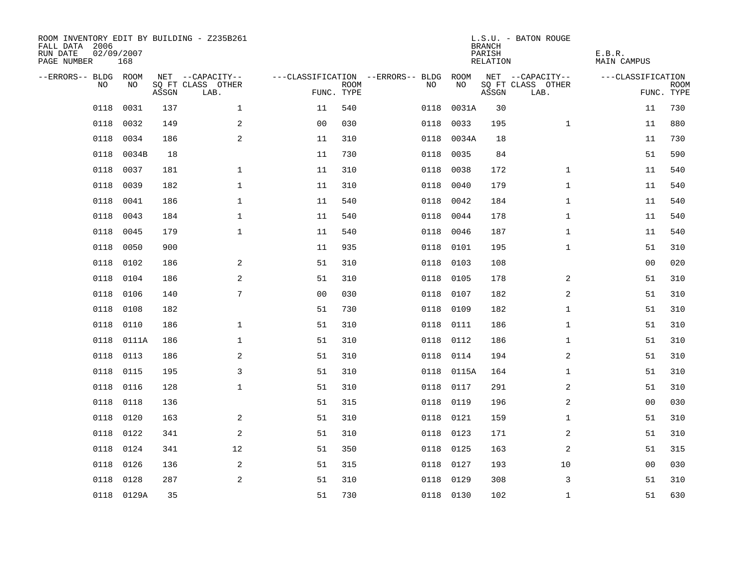| ROOM INVENTORY EDIT BY BUILDING - Z235B261<br>FALL DATA 2006<br>RUN DATE<br>PAGE NUMBER | 02/09/2007<br>168 |       |                           |                |             |                                   |           | <b>BRANCH</b><br>PARISH<br><b>RELATION</b> | L.S.U. - BATON ROUGE      | E.B.R.<br><b>MAIN CAMPUS</b> |             |
|-----------------------------------------------------------------------------------------|-------------------|-------|---------------------------|----------------|-------------|-----------------------------------|-----------|--------------------------------------------|---------------------------|------------------------------|-------------|
| --ERRORS-- BLDG ROOM                                                                    |                   |       | NET --CAPACITY--          |                |             | ---CLASSIFICATION --ERRORS-- BLDG | ROOM      |                                            | NET --CAPACITY--          | ---CLASSIFICATION            |             |
| NO                                                                                      | NO                | ASSGN | SQ FT CLASS OTHER<br>LAB. | FUNC. TYPE     | <b>ROOM</b> | NO                                | NO        | ASSGN                                      | SQ FT CLASS OTHER<br>LAB. | FUNC. TYPE                   | <b>ROOM</b> |
| 0118                                                                                    | 0031              | 137   | $\mathbf 1$               | 11             | 540         | 0118                              | 0031A     | 30                                         |                           | 11                           | 730         |
| 0118                                                                                    | 0032              | 149   | 2                         | 0 <sub>0</sub> | 030         | 0118                              | 0033      | 195                                        | $\mathbf{1}$              | 11                           | 880         |
| 0118                                                                                    | 0034              | 186   | 2                         | 11             | 310         | 0118                              | 0034A     | 18                                         |                           | 11                           | 730         |
| 0118                                                                                    | 0034B             | 18    |                           | 11             | 730         | 0118                              | 0035      | 84                                         |                           | 51                           | 590         |
| 0118                                                                                    | 0037              | 181   | $\mathbf{1}$              | 11             | 310         | 0118                              | 0038      | 172                                        | $\mathbf{1}$              | 11                           | 540         |
| 0118                                                                                    | 0039              | 182   | $\mathbf{1}$              | 11             | 310         | 0118                              | 0040      | 179                                        | $\mathbf{1}$              | 11                           | 540         |
| 0118                                                                                    | 0041              | 186   | $\mathbf{1}$              | 11             | 540         | 0118                              | 0042      | 184                                        | $\mathbf{1}$              | 11                           | 540         |
| 0118                                                                                    | 0043              | 184   | $\mathbf{1}$              | 11             | 540         | 0118                              | 0044      | 178                                        | $\mathbf{1}$              | 11                           | 540         |
| 0118                                                                                    | 0045              | 179   | $\mathbf{1}$              | 11             | 540         | 0118                              | 0046      | 187                                        | $\mathbf{1}$              | 11                           | 540         |
| 0118                                                                                    | 0050              | 900   |                           | 11             | 935         | 0118                              | 0101      | 195                                        | $\mathbf{1}$              | 51                           | 310         |
| 0118                                                                                    | 0102              | 186   | 2                         | 51             | 310         | 0118                              | 0103      | 108                                        |                           | 0 <sub>0</sub>               | 020         |
| 0118                                                                                    | 0104              | 186   | 2                         | 51             | 310         | 0118                              | 0105      | 178                                        | 2                         | 51                           | 310         |
| 0118                                                                                    | 0106              | 140   | 7                         | 0 <sub>0</sub> | 030         | 0118                              | 0107      | 182                                        | 2                         | 51                           | 310         |
| 0118                                                                                    | 0108              | 182   |                           | 51             | 730         | 0118                              | 0109      | 182                                        | $\mathbf{1}$              | 51                           | 310         |
| 0118                                                                                    | 0110              | 186   | $\mathbf{1}$              | 51             | 310         | 0118                              | 0111      | 186                                        | $\mathbf{1}$              | 51                           | 310         |
| 0118                                                                                    | 0111A             | 186   | $\mathbf 1$               | 51             | 310         | 0118                              | 0112      | 186                                        | $\mathbf{1}$              | 51                           | 310         |
| 0118                                                                                    | 0113              | 186   | 2                         | 51             | 310         | 0118                              | 0114      | 194                                        | 2                         | 51                           | 310         |
| 0118                                                                                    | 0115              | 195   | 3                         | 51             | 310         | 0118                              | 0115A     | 164                                        | $\mathbf{1}$              | 51                           | 310         |
| 0118                                                                                    | 0116              | 128   | $\mathbf{1}$              | 51             | 310         |                                   | 0118 0117 | 291                                        | 2                         | 51                           | 310         |
| 0118                                                                                    | 0118              | 136   |                           | 51             | 315         | 0118                              | 0119      | 196                                        | 2                         | 00                           | 030         |
| 0118                                                                                    | 0120              | 163   | 2                         | 51             | 310         | 0118                              | 0121      | 159                                        | $\mathbf{1}$              | 51                           | 310         |
| 0118                                                                                    | 0122              | 341   | 2                         | 51             | 310         | 0118                              | 0123      | 171                                        | 2                         | 51                           | 310         |
| 0118                                                                                    | 0124              | 341   | 12                        | 51             | 350         | 0118                              | 0125      | 163                                        | 2                         | 51                           | 315         |
| 0118                                                                                    | 0126              | 136   | 2                         | 51             | 315         | 0118                              | 0127      | 193                                        | 10                        | 00                           | 030         |
| 0118                                                                                    | 0128              | 287   | 2                         | 51             | 310         | 0118                              | 0129      | 308                                        | 3                         | 51                           | 310         |
|                                                                                         | 0118 0129A        | 35    |                           | 51             | 730         |                                   | 0118 0130 | 102                                        | $\mathbf{1}$              | 51                           | 630         |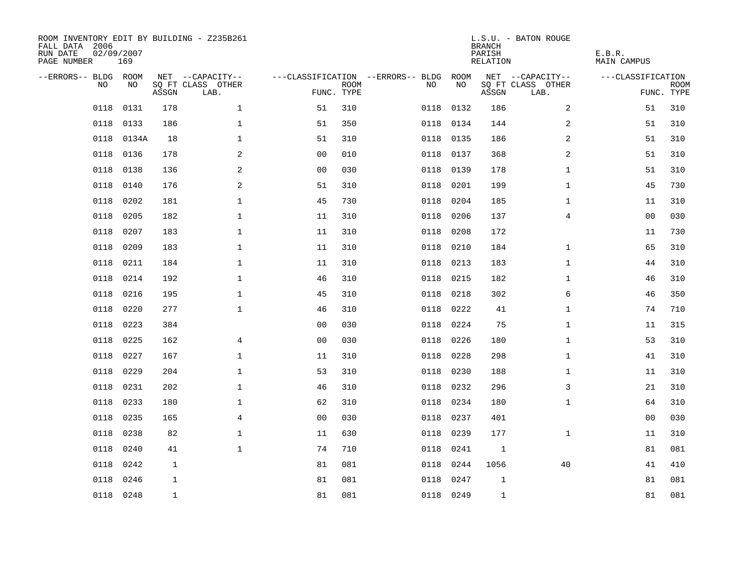| ROOM INVENTORY EDIT BY BUILDING - Z235B261<br>FALL DATA 2006<br>RUN DATE<br>PAGE NUMBER | 02/09/2007<br>169 |              |                           |                |                           |                                        |           | <b>BRANCH</b><br>PARISH<br><b>RELATION</b> | L.S.U. - BATON ROUGE      | E.B.R.<br><b>MAIN CAMPUS</b> |                           |
|-----------------------------------------------------------------------------------------|-------------------|--------------|---------------------------|----------------|---------------------------|----------------------------------------|-----------|--------------------------------------------|---------------------------|------------------------------|---------------------------|
| --ERRORS-- BLDG ROOM                                                                    |                   |              | NET --CAPACITY--          |                |                           | ---CLASSIFICATION --ERRORS-- BLDG ROOM |           |                                            | NET --CAPACITY--          | ---CLASSIFICATION            |                           |
| NO                                                                                      | NO                | ASSGN        | SQ FT CLASS OTHER<br>LAB. |                | <b>ROOM</b><br>FUNC. TYPE | NO                                     | NO        | ASSGN                                      | SQ FT CLASS OTHER<br>LAB. |                              | <b>ROOM</b><br>FUNC. TYPE |
| 0118                                                                                    | 0131              | 178          | $\mathbf 1$               | 51             | 310                       | 0118                                   | 0132      | 186                                        | 2                         | 51                           | 310                       |
| 0118                                                                                    | 0133              | 186          | $\mathbf 1$               | 51             | 350                       |                                        | 0118 0134 | 144                                        | 2                         | 51                           | 310                       |
| 0118                                                                                    | 0134A             | 18           | $\mathbf 1$               | 51             | 310                       | 0118                                   | 0135      | 186                                        | 2                         | 51                           | 310                       |
| 0118                                                                                    | 0136              | 178          | 2                         | 0 <sub>0</sub> | 010                       | 0118                                   | 0137      | 368                                        | 2                         | 51                           | 310                       |
| 0118                                                                                    | 0138              | 136          | 2                         | 0 <sub>0</sub> | 030                       | 0118                                   | 0139      | 178                                        | $\mathbf{1}$              | 51                           | 310                       |
| 0118                                                                                    | 0140              | 176          | 2                         | 51             | 310                       | 0118                                   | 0201      | 199                                        | $\mathbf{1}$              | 45                           | 730                       |
| 0118                                                                                    | 0202              | 181          | $\mathbf{1}$              | 45             | 730                       | 0118                                   | 0204      | 185                                        | $\mathbf{1}$              | 11                           | 310                       |
| 0118                                                                                    | 0205              | 182          | $\mathbf{1}$              | 11             | 310                       | 0118                                   | 0206      | 137                                        | $\overline{4}$            | 0 <sub>0</sub>               | 030                       |
| 0118                                                                                    | 0207              | 183          | $\mathbf{1}$              | 11             | 310                       | 0118                                   | 0208      | 172                                        |                           | 11                           | 730                       |
| 0118                                                                                    | 0209              | 183          | $\mathbf 1$               | 11             | 310                       | 0118                                   | 0210      | 184                                        | $\mathbf{1}$              | 65                           | 310                       |
| 0118                                                                                    | 0211              | 184          | $\mathbf{1}$              | 11             | 310                       | 0118                                   | 0213      | 183                                        | $\mathbf{1}$              | 44                           | 310                       |
| 0118                                                                                    | 0214              | 192          | $\mathbf{1}$              | 46             | 310                       | 0118                                   | 0215      | 182                                        | $\mathbf{1}$              | 46                           | 310                       |
| 0118                                                                                    | 0216              | 195          | $\mathbf 1$               | 45             | 310                       | 0118                                   | 0218      | 302                                        | 6                         | 46                           | 350                       |
| 0118                                                                                    | 0220              | 277          | $\mathbf 1$               | 46             | 310                       | 0118                                   | 0222      | 41                                         | $\mathbf{1}$              | 74                           | 710                       |
| 0118                                                                                    | 0223              | 384          |                           | 0 <sub>0</sub> | 030                       | 0118                                   | 0224      | 75                                         | $\mathbf{1}$              | 11                           | 315                       |
| 0118                                                                                    | 0225              | 162          | 4                         | 0 <sub>0</sub> | 030                       | 0118                                   | 0226      | 180                                        | $\mathbf{1}$              | 53                           | 310                       |
| 0118                                                                                    | 0227              | 167          | $\mathbf 1$               | 11             | 310                       | 0118                                   | 0228      | 298                                        | $\mathbf{1}$              | 41                           | 310                       |
| 0118                                                                                    | 0229              | 204          | $\mathbf{1}$              | 53             | 310                       | 0118                                   | 0230      | 188                                        | $\mathbf{1}$              | 11                           | 310                       |
| 0118                                                                                    | 0231              | 202          | $\mathbf{1}$              | 46             | 310                       |                                        | 0118 0232 | 296                                        | 3                         | 21                           | 310                       |
| 0118                                                                                    | 0233              | 180          | $\mathbf 1$               | 62             | 310                       | 0118                                   | 0234      | 180                                        | $\mathbf{1}$              | 64                           | 310                       |
| 0118                                                                                    | 0235              | 165          | 4                         | 0 <sub>0</sub> | 030                       | 0118                                   | 0237      | 401                                        |                           | 00                           | 030                       |
| 0118                                                                                    | 0238              | 82           | $\mathbf 1$               | 11             | 630                       | 0118                                   | 0239      | 177                                        | $\mathbf{1}$              | 11                           | 310                       |
| 0118                                                                                    | 0240              | 41           | $\mathbf{1}$              | 74             | 710                       | 0118                                   | 0241      | 1                                          |                           | 81                           | 081                       |
| 0118                                                                                    | 0242              | $\mathbf 1$  |                           | 81             | 081                       | 0118                                   | 0244      | 1056                                       | 40                        | 41                           | 410                       |
| 0118                                                                                    | 0246              | $\mathbf 1$  |                           | 81             | 081                       | 0118                                   | 0247      | $\mathbf{1}$                               |                           | 81                           | 081                       |
|                                                                                         | 0118 0248         | $\mathbf{1}$ |                           | 81             | 081                       |                                        | 0118 0249 | $\mathbf{1}$                               |                           | 81                           | 081                       |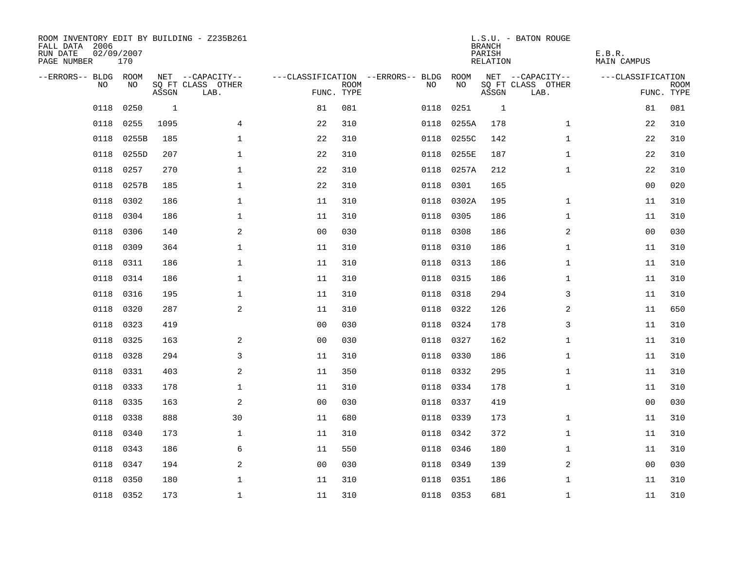| ROOM INVENTORY EDIT BY BUILDING - Z235B261<br>FALL DATA 2006<br>RUN DATE<br>PAGE NUMBER | 02/09/2007<br>170 |       |                           |                |             |                                   |           | <b>BRANCH</b><br>PARISH<br>RELATION | L.S.U. - BATON ROUGE      | E.B.R.<br><b>MAIN CAMPUS</b> |                           |
|-----------------------------------------------------------------------------------------|-------------------|-------|---------------------------|----------------|-------------|-----------------------------------|-----------|-------------------------------------|---------------------------|------------------------------|---------------------------|
| --ERRORS-- BLDG ROOM                                                                    |                   |       | NET --CAPACITY--          |                |             | ---CLASSIFICATION --ERRORS-- BLDG | ROOM      |                                     | NET --CAPACITY--          | ---CLASSIFICATION            |                           |
| N <sub>O</sub>                                                                          | NO.               | ASSGN | SO FT CLASS OTHER<br>LAB. | FUNC. TYPE     | <b>ROOM</b> | NO.                               | NO        | ASSGN                               | SQ FT CLASS OTHER<br>LAB. |                              | <b>ROOM</b><br>FUNC. TYPE |
| 0118                                                                                    | 0250              | 1     |                           | 81             | 081         | 0118                              | 0251      | 1                                   |                           | 81                           | 081                       |
| 0118                                                                                    | 0255              | 1095  | $\overline{4}$            | 22             | 310         | 0118                              | 0255A     | 178                                 | $\mathbf{1}$              | 22                           | 310                       |
| 0118                                                                                    | 0255B             | 185   | $\mathbf{1}$              | 22             | 310         | 0118                              | 0255C     | 142                                 | $\mathbf{1}$              | 22                           | 310                       |
| 0118                                                                                    | 0255D             | 207   | $\mathbf{1}$              | 22             | 310         | 0118                              | 0255E     | 187                                 | $\mathbf{1}$              | 22                           | 310                       |
| 0118                                                                                    | 0257              | 270   | $\mathbf 1$               | 22             | 310         | 0118                              | 0257A     | 212                                 | $\mathbf{1}$              | 22                           | 310                       |
| 0118                                                                                    | 0257B             | 185   | $\mathbf 1$               | 22             | 310         | 0118                              | 0301      | 165                                 |                           | 0 <sub>0</sub>               | 020                       |
| 0118                                                                                    | 0302              | 186   | $\mathbf 1$               | 11             | 310         | 0118                              | 0302A     | 195                                 | $\mathbf{1}$              | 11                           | 310                       |
| 0118                                                                                    | 0304              | 186   | $\mathbf 1$               | 11             | 310         | 0118                              | 0305      | 186                                 | $\mathbf{1}$              | 11                           | 310                       |
| 0118                                                                                    | 0306              | 140   | 2                         | 0 <sub>0</sub> | 030         | 0118                              | 0308      | 186                                 | $\overline{a}$            | 0 <sub>0</sub>               | 030                       |
| 0118                                                                                    | 0309              | 364   | $\mathbf 1$               | 11             | 310         |                                   | 0118 0310 | 186                                 | $\mathbf{1}$              | 11                           | 310                       |
| 0118                                                                                    | 0311              | 186   | $\mathbf 1$               | 11             | 310         | 0118                              | 0313      | 186                                 | $\mathbf{1}$              | 11                           | 310                       |
| 0118                                                                                    | 0314              | 186   | $\mathbf 1$               | 11             | 310         |                                   | 0118 0315 | 186                                 | $\mathbf{1}$              | 11                           | 310                       |
| 0118                                                                                    | 0316              | 195   | $\mathbf{1}$              | 11             | 310         | 0118                              | 0318      | 294                                 | 3                         | 11                           | 310                       |
| 0118                                                                                    | 0320              | 287   | 2                         | 11             | 310         | 0118                              | 0322      | 126                                 | 2                         | 11                           | 650                       |
| 0118                                                                                    | 0323              | 419   |                           | 00             | 030         | 0118                              | 0324      | 178                                 | 3                         | 11                           | 310                       |
| 0118                                                                                    | 0325              | 163   | 2                         | 0 <sub>0</sub> | 030         | 0118                              | 0327      | 162                                 | $\mathbf{1}$              | 11                           | 310                       |
| 0118                                                                                    | 0328              | 294   | 3                         | 11             | 310         | 0118                              | 0330      | 186                                 | $\mathbf{1}$              | 11                           | 310                       |
| 0118                                                                                    | 0331              | 403   | 2                         | 11             | 350         | 0118                              | 0332      | 295                                 | $\mathbf{1}$              | 11                           | 310                       |
| 0118                                                                                    | 0333              | 178   | $\mathbf 1$               | 11             | 310         | 0118                              | 0334      | 178                                 | $\mathbf{1}$              | 11                           | 310                       |
| 0118                                                                                    | 0335              | 163   | 2                         | 0 <sub>0</sub> | 030         | 0118                              | 0337      | 419                                 |                           | 0 <sub>0</sub>               | 030                       |
| 0118                                                                                    | 0338              | 888   | 30                        | 11             | 680         |                                   | 0118 0339 | 173                                 | $\mathbf{1}$              | 11                           | 310                       |
| 0118                                                                                    | 0340              | 173   | $\mathbf 1$               | 11             | 310         | 0118                              | 0342      | 372                                 | $\mathbf{1}$              | 11                           | 310                       |
| 0118                                                                                    | 0343              | 186   | 6                         | 11             | 550         | 0118                              | 0346      | 180                                 | $\mathbf{1}$              | 11                           | 310                       |
| 0118                                                                                    | 0347              | 194   | 2                         | 0 <sub>0</sub> | 030         | 0118                              | 0349      | 139                                 | 2                         | 00                           | 030                       |
| 0118                                                                                    | 0350              | 180   | $\mathbf 1$               | 11             | 310         | 0118                              | 0351      | 186                                 | $\mathbf{1}$              | 11                           | 310                       |
|                                                                                         | 0118 0352         | 173   | $\mathbf{1}$              | 11             | 310         |                                   | 0118 0353 | 681                                 | $\mathbf{1}$              | 11                           | 310                       |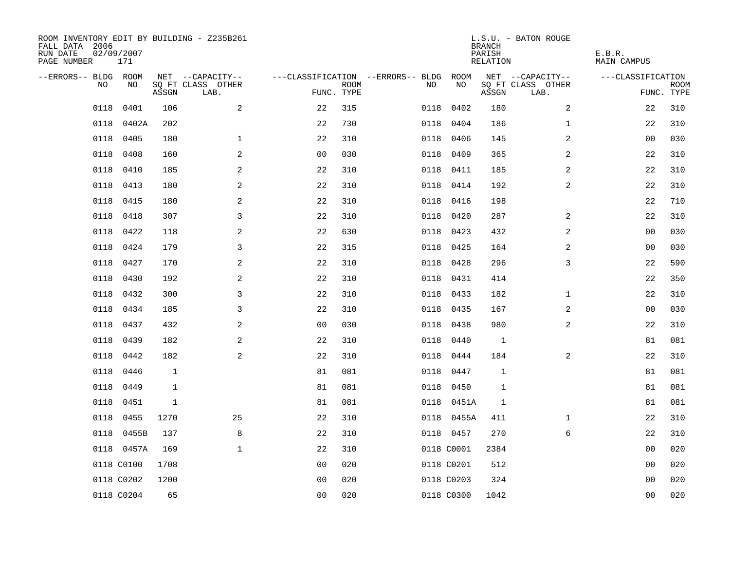| ROOM INVENTORY EDIT BY BUILDING - Z235B261<br>FALL DATA 2006<br>RUN DATE<br>PAGE NUMBER | 02/09/2007<br>171 |              |                           |                |             |                                   |            | <b>BRANCH</b><br>PARISH<br>RELATION | L.S.U. - BATON ROUGE      | E.B.R.<br><b>MAIN CAMPUS</b> |                           |
|-----------------------------------------------------------------------------------------|-------------------|--------------|---------------------------|----------------|-------------|-----------------------------------|------------|-------------------------------------|---------------------------|------------------------------|---------------------------|
| --ERRORS-- BLDG ROOM                                                                    |                   |              | NET --CAPACITY--          |                |             | ---CLASSIFICATION --ERRORS-- BLDG | ROOM       |                                     | NET --CAPACITY--          | ---CLASSIFICATION            |                           |
| NO.                                                                                     | NO.               | ASSGN        | SO FT CLASS OTHER<br>LAB. | FUNC. TYPE     | <b>ROOM</b> | NO.                               | NO         | ASSGN                               | SQ FT CLASS OTHER<br>LAB. |                              | <b>ROOM</b><br>FUNC. TYPE |
| 0118                                                                                    | 0401              | 106          | $\overline{a}$            | 22             | 315         | 0118                              | 0402       | 180                                 | $\overline{a}$            | 22                           | 310                       |
| 0118                                                                                    | 0402A             | 202          |                           | 22             | 730         | 0118                              | 0404       | 186                                 | $\mathbf{1}$              | 22                           | 310                       |
| 0118                                                                                    | 0405              | 180          | $\mathbf{1}$              | 22             | 310         | 0118                              | 0406       | 145                                 | 2                         | 0 <sub>0</sub>               | 030                       |
| 0118                                                                                    | 0408              | 160          | 2                         | 0 <sub>0</sub> | 030         |                                   | 0118 0409  | 365                                 | 2                         | 22                           | 310                       |
| 0118                                                                                    | 0410              | 185          | 2                         | 22             | 310         |                                   | 0118 0411  | 185                                 | 2                         | 22                           | 310                       |
| 0118                                                                                    | 0413              | 180          | 2                         | 22             | 310         |                                   | 0118 0414  | 192                                 | 2                         | 22                           | 310                       |
| 0118                                                                                    | 0415              | 180          | $\overline{a}$            | 22             | 310         |                                   | 0118 0416  | 198                                 |                           | 22                           | 710                       |
| 0118                                                                                    | 0418              | 307          | 3                         | 22             | 310         |                                   | 0118 0420  | 287                                 | 2                         | 22                           | 310                       |
| 0118                                                                                    | 0422              | 118          | 2                         | 22             | 630         | 0118                              | 0423       | 432                                 | 2                         | 0 <sub>0</sub>               | 030                       |
| 0118                                                                                    | 0424              | 179          | $\mathbf{3}$              | 22             | 315         |                                   | 0118 0425  | 164                                 | $\overline{a}$            | 00                           | 030                       |
| 0118                                                                                    | 0427              | 170          | 2                         | 22             | 310         | 0118                              | 0428       | 296                                 | 3                         | 22                           | 590                       |
| 0118                                                                                    | 0430              | 192          | 2                         | 22             | 310         |                                   | 0118 0431  | 414                                 |                           | 22                           | 350                       |
| 0118                                                                                    | 0432              | 300          | 3                         | 22             | 310         | 0118                              | 0433       | 182                                 | $\mathbf{1}$              | 22                           | 310                       |
| 0118                                                                                    | 0434              | 185          | 3                         | 22             | 310         |                                   | 0118 0435  | 167                                 | $\overline{a}$            | 00                           | 030                       |
| 0118                                                                                    | 0437              | 432          | 2                         | 00             | 030         | 0118                              | 0438       | 980                                 | 2                         | 22                           | 310                       |
| 0118                                                                                    | 0439              | 182          | 2                         | 22             | 310         | 0118                              | 0440       | 1                                   |                           | 81                           | 081                       |
| 0118                                                                                    | 0442              | 182          | 2                         | 22             | 310         | 0118                              | 0444       | 184                                 | 2                         | 22                           | 310                       |
| 0118                                                                                    | 0446              | $\mathbf{1}$ |                           | 81             | 081         | 0118                              | 0447       | $\mathbf{1}$                        |                           | 81                           | 081                       |
| 0118                                                                                    | 0449              | $\mathbf{1}$ |                           | 81             | 081         |                                   | 0118 0450  | $\mathbf{1}$                        |                           | 81                           | 081                       |
| 0118                                                                                    | 0451              | $\mathbf{1}$ |                           | 81             | 081         |                                   | 0118 0451A | 1                                   |                           | 81                           | 081                       |
| 0118                                                                                    | 0455              | 1270         | 25                        | 22             | 310         |                                   | 0118 0455A | 411                                 | $\mathbf{1}$              | 22                           | 310                       |
| 0118                                                                                    | 0455B             | 137          | 8                         | 22             | 310         |                                   | 0118 0457  | 270                                 | 6                         | 22                           | 310                       |
|                                                                                         | 0118 0457A        | 169          | $\mathbf{1}$              | 22             | 310         |                                   | 0118 C0001 | 2384                                |                           | 00                           | 020                       |
|                                                                                         | 0118 C0100        | 1708         |                           | 0 <sub>0</sub> | 020         |                                   | 0118 C0201 | 512                                 |                           | 00                           | 020                       |
|                                                                                         | 0118 C0202        | 1200         |                           | 0 <sub>0</sub> | 020         |                                   | 0118 C0203 | 324                                 |                           | 00                           | 020                       |
|                                                                                         | 0118 C0204        | 65           |                           | 0 <sub>0</sub> | 020         |                                   | 0118 C0300 | 1042                                |                           | 0 <sub>0</sub>               | 020                       |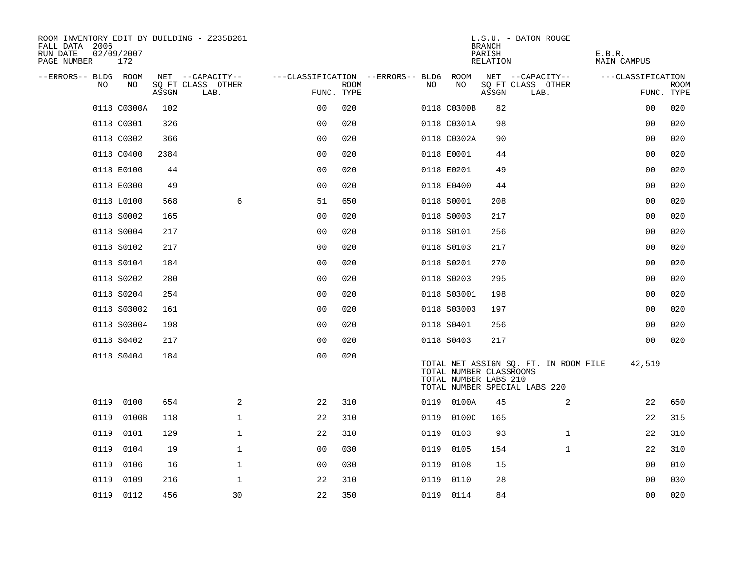| ROOM INVENTORY EDIT BY BUILDING - Z235B261<br>FALL DATA 2006<br>RUN DATE<br>PAGE NUMBER | 02/09/2007<br>172 |       |                           |                                        |             |      |                                                  | <b>BRANCH</b><br>PARISH<br>RELATION | L.S.U. - BATON ROUGE                                                   | E.B.R.<br>MAIN CAMPUS |                           |
|-----------------------------------------------------------------------------------------|-------------------|-------|---------------------------|----------------------------------------|-------------|------|--------------------------------------------------|-------------------------------------|------------------------------------------------------------------------|-----------------------|---------------------------|
| --ERRORS-- BLDG ROOM                                                                    |                   |       | NET --CAPACITY--          | ---CLASSIFICATION --ERRORS-- BLDG ROOM |             |      |                                                  |                                     | NET --CAPACITY--                                                       | ---CLASSIFICATION     |                           |
| NO                                                                                      | NO                | ASSGN | SQ FT CLASS OTHER<br>LAB. | FUNC. TYPE                             | <b>ROOM</b> | NO.  | NO                                               | ASSGN                               | SQ FT CLASS OTHER<br>LAB.                                              |                       | <b>ROOM</b><br>FUNC. TYPE |
|                                                                                         | 0118 C0300A       | 102   |                           | 0 <sub>0</sub>                         | 020         |      | 0118 C0300B                                      | 82                                  |                                                                        | 00                    | 020                       |
|                                                                                         | 0118 C0301        | 326   |                           | 0 <sub>0</sub>                         | 020         |      | 0118 C0301A                                      | 98                                  |                                                                        | 00                    | 020                       |
|                                                                                         | 0118 C0302        | 366   |                           | 0 <sub>0</sub>                         | 020         |      | 0118 C0302A                                      | 90                                  |                                                                        | 0 <sub>0</sub>        | 020                       |
|                                                                                         | 0118 C0400        | 2384  |                           | 0 <sub>0</sub>                         | 020         |      | 0118 E0001                                       | 44                                  |                                                                        | 00                    | 020                       |
|                                                                                         | 0118 E0100        | 44    |                           | 0 <sub>0</sub>                         | 020         |      | 0118 E0201                                       | 49                                  |                                                                        | 0 <sub>0</sub>        | 020                       |
|                                                                                         | 0118 E0300        | 49    |                           | 0 <sub>0</sub>                         | 020         |      | 0118 E0400                                       | 44                                  |                                                                        | 0 <sub>0</sub>        | 020                       |
|                                                                                         | 0118 L0100        | 568   | 6                         | 51                                     | 650         |      | 0118 S0001                                       | 208                                 |                                                                        | 00                    | 020                       |
|                                                                                         | 0118 S0002        | 165   |                           | 0 <sub>0</sub>                         | 020         |      | 0118 S0003                                       | 217                                 |                                                                        | 0 <sub>0</sub>        | 020                       |
|                                                                                         | 0118 S0004        | 217   |                           | 0 <sub>0</sub>                         | 020         |      | 0118 S0101                                       | 256                                 |                                                                        | 0 <sub>0</sub>        | 020                       |
|                                                                                         | 0118 S0102        | 217   |                           | 0 <sub>0</sub>                         | 020         |      | 0118 S0103                                       | 217                                 |                                                                        | 0 <sub>0</sub>        | 020                       |
|                                                                                         | 0118 S0104        | 184   |                           | 0 <sub>0</sub>                         | 020         |      | 0118 S0201                                       | 270                                 |                                                                        | 0 <sub>0</sub>        | 020                       |
|                                                                                         | 0118 S0202        | 280   |                           | 0 <sub>0</sub>                         | 020         |      | 0118 S0203                                       | 295                                 |                                                                        | 0 <sub>0</sub>        | 020                       |
|                                                                                         | 0118 S0204        | 254   |                           | 0 <sub>0</sub>                         | 020         |      | 0118 S03001                                      | 198                                 |                                                                        | 0 <sub>0</sub>        | 020                       |
|                                                                                         | 0118 S03002       | 161   |                           | 0 <sub>0</sub>                         | 020         |      | 0118 S03003                                      | 197                                 |                                                                        | 00                    | 020                       |
|                                                                                         | 0118 S03004       | 198   |                           | 0 <sub>0</sub>                         | 020         |      | 0118 S0401                                       | 256                                 |                                                                        | 0 <sub>0</sub>        | 020                       |
|                                                                                         | 0118 S0402        | 217   |                           | 0 <sub>0</sub>                         | 020         |      | 0118 S0403                                       | 217                                 |                                                                        | 0 <sub>0</sub>        | 020                       |
|                                                                                         | 0118 S0404        | 184   |                           | 0 <sub>0</sub>                         | 020         |      | TOTAL NUMBER CLASSROOMS<br>TOTAL NUMBER LABS 210 |                                     | TOTAL NET ASSIGN SQ. FT. IN ROOM FILE<br>TOTAL NUMBER SPECIAL LABS 220 | 42,519                |                           |
| 0119                                                                                    | 0100              | 654   | $\overline{a}$            | 22                                     | 310         |      | 0119 0100A                                       | 45                                  | 2                                                                      | 22                    | 650                       |
| 0119                                                                                    | 0100B             | 118   | $\mathbf{1}$              | 22                                     | 310         |      | 0119 0100C                                       | 165                                 |                                                                        | 22                    | 315                       |
| 0119                                                                                    | 0101              | 129   | $\mathbf 1$               | 22                                     | 310         | 0119 | 0103                                             | 93                                  | $\mathbf{1}$                                                           | 22                    | 310                       |
| 0119                                                                                    | 0104              | 19    | $\mathbf{1}$              | 0 <sub>0</sub>                         | 030         | 0119 | 0105                                             | 154                                 | $\mathbf{1}$                                                           | 22                    | 310                       |
| 0119                                                                                    | 0106              | 16    | $\mathbf 1$               | 0 <sub>0</sub>                         | 030         | 0119 | 0108                                             | 15                                  |                                                                        | 0 <sub>0</sub>        | 010                       |
| 0119                                                                                    | 0109              | 216   | $\mathbf 1$               | 22                                     | 310         | 0119 | 0110                                             | 28                                  |                                                                        | 00                    | 030                       |
|                                                                                         | 0119 0112         | 456   | 30                        | 22                                     | 350         |      | 0119 0114                                        | 84                                  |                                                                        | 00                    | 020                       |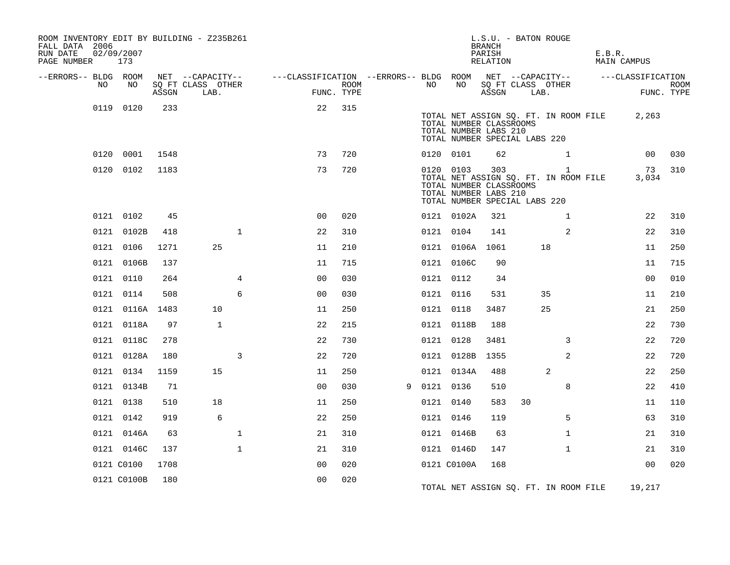| ROOM INVENTORY EDIT BY BUILDING - Z235B261<br>FALL DATA 2006<br>RUN DATE<br>PAGE NUMBER | 02/09/2007<br>173 |       |                                               |                                                         |                           |   |           |                                                                                                | L.S.U. - BATON ROUGE<br><b>BRANCH</b><br>PARISH<br>RELATION |      |                                                       | E.B.R. | <b>MAIN CAMPUS</b> |                           |
|-----------------------------------------------------------------------------------------|-------------------|-------|-----------------------------------------------|---------------------------------------------------------|---------------------------|---|-----------|------------------------------------------------------------------------------------------------|-------------------------------------------------------------|------|-------------------------------------------------------|--------|--------------------|---------------------------|
| --ERRORS-- BLDG ROOM<br>NO                                                              | NO                | ASSGN | NET --CAPACITY--<br>SQ FT CLASS OTHER<br>LAB. | ---CLASSIFICATION --ERRORS-- BLDG ROOM NET --CAPACITY-- | <b>ROOM</b><br>FUNC. TYPE |   | NO        | NO                                                                                             | ASSGN                                                       | LAB. | SQ FT CLASS OTHER                                     |        | ---CLASSIFICATION  | <b>ROOM</b><br>FUNC. TYPE |
|                                                                                         | 0119 0120         | 233   |                                               | 22                                                      | 315                       |   |           | TOTAL NUMBER CLASSROOMS<br>TOTAL NUMBER LABS 210                                               |                                                             |      | TOTAL NET ASSIGN SQ. FT. IN ROOM FILE                 |        | 2,263              |                           |
|                                                                                         |                   |       |                                               |                                                         |                           |   |           | TOTAL NUMBER SPECIAL LABS 220                                                                  |                                                             |      |                                                       |        |                    |                           |
|                                                                                         | 0120 0001         | 1548  |                                               | 73                                                      | 720                       |   |           | 0120 0101                                                                                      | 62                                                          |      | $\mathbf{1}$                                          |        | 00                 | 030                       |
|                                                                                         | 0120 0102         | 1183  |                                               | 73                                                      | 720                       |   |           | 0120 0103<br>TOTAL NUMBER CLASSROOMS<br>TOTAL NUMBER LABS 210<br>TOTAL NUMBER SPECIAL LABS 220 | 303                                                         |      | $\mathbf{1}$<br>TOTAL NET ASSIGN SQ. FT. IN ROOM FILE |        | 73<br>3,034        | 310                       |
|                                                                                         | 0121 0102         | 45    |                                               | 0 <sup>0</sup>                                          | 020                       |   |           | 0121 0102A                                                                                     | 321                                                         |      | $\mathbf{1}$                                          |        | 22                 | 310                       |
|                                                                                         | 0121 0102B        | 418   | $\mathbf{1}$                                  | 22                                                      | 310                       |   | 0121 0104 |                                                                                                | 141                                                         |      | 2                                                     |        | 22                 | 310                       |
|                                                                                         | 0121 0106         | 1271  | 25                                            | 11                                                      | 210                       |   |           | 0121 0106A 1061                                                                                |                                                             |      | 18                                                    |        | 11                 | 250                       |
|                                                                                         | 0121 0106B        | 137   |                                               | 11                                                      | 715                       |   |           | 0121 0106C                                                                                     | 90                                                          |      |                                                       |        | 11                 | 715                       |
|                                                                                         | 0121 0110         | 264   | 4                                             | 0 <sub>0</sub>                                          | 030                       |   |           | 0121 0112                                                                                      | 34                                                          |      |                                                       |        | 0 <sub>0</sub>     | 010                       |
|                                                                                         | 0121 0114         | 508   | 6                                             | 0 <sub>0</sub>                                          | 030                       |   | 0121 0116 |                                                                                                | 531                                                         |      | 35                                                    |        | 11                 | 210                       |
|                                                                                         | 0121 0116A 1483   |       | 10                                            | 11                                                      | 250                       |   |           | 0121 0118                                                                                      | 3487                                                        |      | 25                                                    |        | 21                 | 250                       |
|                                                                                         | 0121 0118A        | 97    | $\mathbf{1}$                                  | 22                                                      | 215                       |   |           | 0121 0118B                                                                                     | 188                                                         |      |                                                       |        | 22                 | 730                       |
|                                                                                         | 0121 0118C        | 278   |                                               | 22                                                      | 730                       |   |           | 0121 0128                                                                                      | 3481                                                        |      | 3                                                     |        | 22                 | 720                       |
|                                                                                         | 0121 0128A        | 180   | 3                                             | 22                                                      | 720                       |   |           | 0121 0128B                                                                                     | 1355                                                        |      | 2                                                     |        | 22                 | 720                       |
|                                                                                         | 0121 0134         | 1159  | 15                                            | 11                                                      | 250                       |   |           | 0121 0134A                                                                                     | 488                                                         |      | 2                                                     |        | 22                 | 250                       |
|                                                                                         | 0121 0134B        | 71    |                                               | 0 <sub>0</sub>                                          | 030                       | 9 | 0121 0136 |                                                                                                | 510                                                         |      | 8                                                     |        | 22                 | 410                       |
|                                                                                         | 0121 0138         | 510   | 18                                            | 11                                                      | 250                       |   | 0121 0140 |                                                                                                | 583                                                         | 30   |                                                       |        | 11                 | 110                       |
|                                                                                         | 0121 0142         | 919   | 6                                             | 22                                                      | 250                       |   | 0121 0146 |                                                                                                | 119                                                         |      | 5                                                     |        | 63                 | 310                       |
|                                                                                         | 0121 0146A        | 63    | $\mathbf 1$                                   | 21                                                      | 310                       |   |           | 0121 0146B                                                                                     | 63                                                          |      | $\mathbf{1}$                                          |        | 21                 | 310                       |
|                                                                                         | 0121 0146C        | 137   | $\mathbf{1}$                                  | 21                                                      | 310                       |   |           | 0121 0146D                                                                                     | 147                                                         |      | $\mathbf{1}$                                          |        | 21                 | 310                       |
|                                                                                         | 0121 C0100        | 1708  |                                               | 00                                                      | 020                       |   |           | 0121 C0100A                                                                                    | 168                                                         |      |                                                       |        | 0 <sub>0</sub>     | 020                       |
|                                                                                         | 0121 C0100B       | 180   |                                               | 00                                                      | 020                       |   |           |                                                                                                |                                                             |      | TOTAL NET ASSIGN SQ. FT. IN ROOM FILE                 |        | 19,217             |                           |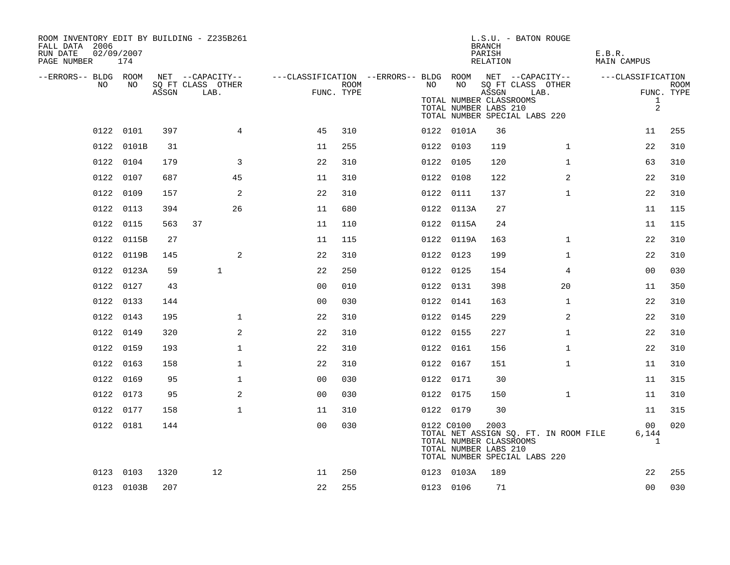| ROOM INVENTORY EDIT BY BUILDING - Z235B261<br>FALL DATA 2006<br>02/09/2007<br>RUN DATE<br>PAGE NUMBER | 174        |       |                           |                                                         |      |    |            | <b>BRANCH</b><br>PARISH<br>RELATION                       | L.S.U. - BATON ROUGE                                                   | E.B.R.<br>MAIN CAMPUS                    |                           |
|-------------------------------------------------------------------------------------------------------|------------|-------|---------------------------|---------------------------------------------------------|------|----|------------|-----------------------------------------------------------|------------------------------------------------------------------------|------------------------------------------|---------------------------|
| --ERRORS-- BLDG ROOM                                                                                  |            |       | NET --CAPACITY--          | ---CLASSIFICATION --ERRORS-- BLDG ROOM NET --CAPACITY-- |      |    |            |                                                           |                                                                        | ---CLASSIFICATION                        |                           |
| NO.                                                                                                   | NO.        | ASSGN | SQ FT CLASS OTHER<br>LAB. | FUNC. TYPE                                              | ROOM | NO | NO         | ASSGN<br>TOTAL NUMBER CLASSROOMS<br>TOTAL NUMBER LABS 210 | SQ FT CLASS OTHER<br>LAB.<br>TOTAL NUMBER SPECIAL LABS 220             | $\mathbf{1}$<br>$\overline{a}$           | <b>ROOM</b><br>FUNC. TYPE |
|                                                                                                       | 0122 0101  | 397   | $\overline{4}$            | 45                                                      | 310  |    | 0122 0101A | 36                                                        |                                                                        | 11                                       | 255                       |
|                                                                                                       | 0122 0101B | 31    |                           | 11                                                      | 255  |    | 0122 0103  | 119                                                       | $\mathbf{1}$                                                           | 22                                       | 310                       |
|                                                                                                       | 0122 0104  | 179   | 3                         | 22                                                      | 310  |    | 0122 0105  | 120                                                       | $\mathbf{1}$                                                           | 63                                       | 310                       |
|                                                                                                       | 0122 0107  | 687   | 45                        | 11                                                      | 310  |    | 0122 0108  | 122                                                       | 2                                                                      | 22                                       | 310                       |
|                                                                                                       | 0122 0109  | 157   | 2                         | 22                                                      | 310  |    | 0122 0111  | 137                                                       | $\mathbf{1}$                                                           | 22                                       | 310                       |
|                                                                                                       | 0122 0113  | 394   | 26                        | 11                                                      | 680  |    | 0122 0113A | 27                                                        |                                                                        | 11                                       | 115                       |
|                                                                                                       | 0122 0115  | 563   | 37                        | 11                                                      | 110  |    | 0122 0115A | 24                                                        |                                                                        | 11                                       | 115                       |
|                                                                                                       | 0122 0115B | 27    |                           | 11                                                      | 115  |    | 0122 0119A | 163                                                       | $\mathbf{1}$                                                           | 22                                       | 310                       |
|                                                                                                       | 0122 0119B | 145   | 2                         | 22                                                      | 310  |    | 0122 0123  | 199                                                       | $\mathbf{1}$                                                           | 22                                       | 310                       |
|                                                                                                       | 0122 0123A | 59    | $\mathbf{1}$              | 22                                                      | 250  |    | 0122 0125  | 154                                                       | 4                                                                      | 0 <sub>0</sub>                           | 030                       |
|                                                                                                       | 0122 0127  | 43    |                           | 0 <sub>0</sub>                                          | 010  |    | 0122 0131  | 398                                                       | 20                                                                     | 11                                       | 350                       |
|                                                                                                       | 0122 0133  | 144   |                           | 0 <sub>0</sub>                                          | 030  |    | 0122 0141  | 163                                                       | $\mathbf{1}$                                                           | 22                                       | 310                       |
|                                                                                                       | 0122 0143  | 195   | $\mathbf{1}$              | 22                                                      | 310  |    | 0122 0145  | 229                                                       | 2                                                                      | 22                                       | 310                       |
|                                                                                                       | 0122 0149  | 320   | 2                         | 22                                                      | 310  |    | 0122 0155  | 227                                                       | $\mathbf{1}$                                                           | 22                                       | 310                       |
|                                                                                                       | 0122 0159  | 193   | $\mathbf{1}$              | 22                                                      | 310  |    | 0122 0161  | 156                                                       | $\mathbf{1}$                                                           | 22                                       | 310                       |
|                                                                                                       | 0122 0163  | 158   | $\mathbf 1$               | 22                                                      | 310  |    | 0122 0167  | 151                                                       | $\mathbf{1}$                                                           | 11                                       | 310                       |
|                                                                                                       | 0122 0169  | 95    | $\mathbf{1}$              | 0 <sub>0</sub>                                          | 030  |    | 0122 0171  | 30                                                        |                                                                        | 11                                       | 315                       |
|                                                                                                       | 0122 0173  | 95    | 2                         | 0 <sub>0</sub>                                          | 030  |    | 0122 0175  | 150                                                       | $\mathbf{1}$                                                           | 11                                       | 310                       |
|                                                                                                       | 0122 0177  | 158   | $\mathbf{1}$              | 11                                                      | 310  |    | 0122 0179  | 30                                                        |                                                                        | 11                                       | 315                       |
|                                                                                                       | 0122 0181  | 144   |                           | 0 <sub>0</sub>                                          | 030  |    | 0122 C0100 | 2003<br>TOTAL NUMBER CLASSROOMS<br>TOTAL NUMBER LABS 210  | TOTAL NET ASSIGN SQ. FT. IN ROOM FILE<br>TOTAL NUMBER SPECIAL LABS 220 | 00 <sup>o</sup><br>6,144<br>$\mathbf{1}$ | 020                       |
|                                                                                                       | 0123 0103  | 1320  | 12                        | 11                                                      | 250  |    | 0123 0103A | 189                                                       |                                                                        | 22                                       | 255                       |
|                                                                                                       | 0123 0103B | 207   |                           | 22                                                      | 255  |    | 0123 0106  | 71                                                        |                                                                        | 00                                       | 030                       |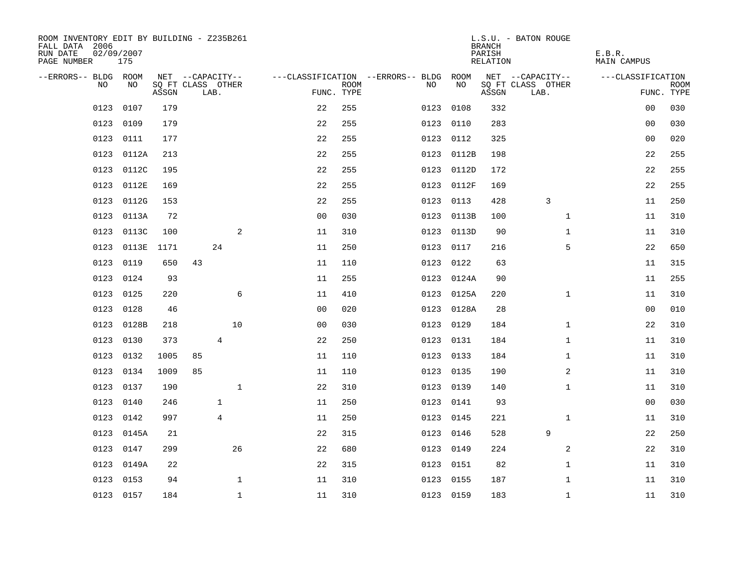| ROOM INVENTORY EDIT BY BUILDING - Z235B261<br>FALL DATA 2006<br>RUN DATE<br>PAGE NUMBER | 02/09/2007<br>175 |       |                           |                |                |             |                                        |            | <b>BRANCH</b><br>PARISH<br>RELATION | L.S.U. - BATON ROUGE      | E.B.R.<br>MAIN CAMPUS |             |
|-----------------------------------------------------------------------------------------|-------------------|-------|---------------------------|----------------|----------------|-------------|----------------------------------------|------------|-------------------------------------|---------------------------|-----------------------|-------------|
| --ERRORS-- BLDG ROOM                                                                    |                   |       | NET --CAPACITY--          |                |                |             | ---CLASSIFICATION --ERRORS-- BLDG ROOM |            |                                     | NET --CAPACITY--          | ---CLASSIFICATION     |             |
| NO.                                                                                     | NO.               | ASSGN | SQ FT CLASS OTHER<br>LAB. |                | FUNC. TYPE     | <b>ROOM</b> | NO.                                    | NO         | ASSGN                               | SQ FT CLASS OTHER<br>LAB. | FUNC. TYPE            | <b>ROOM</b> |
| 0123                                                                                    | 0107              | 179   |                           |                | 22             | 255         | 0123                                   | 0108       | 332                                 |                           | 0 <sub>0</sub>        | 030         |
| 0123                                                                                    | 0109              | 179   |                           |                | 22             | 255         |                                        | 0123 0110  | 283                                 |                           | 00                    | 030         |
| 0123                                                                                    | 0111              | 177   |                           |                | 22             | 255         |                                        | 0123 0112  | 325                                 |                           | 00                    | 020         |
| 0123                                                                                    | 0112A             | 213   |                           |                | 22             | 255         |                                        | 0123 0112B | 198                                 |                           | 22                    | 255         |
| 0123                                                                                    | 0112C             | 195   |                           |                | 22             | 255         |                                        | 0123 0112D | 172                                 |                           | 22                    | 255         |
| 0123                                                                                    | 0112E             | 169   |                           |                | 22             | 255         |                                        | 0123 0112F | 169                                 |                           | 22                    | 255         |
| 0123                                                                                    | 0112G             | 153   |                           |                | 22             | 255         | 0123                                   | 0113       | 428                                 | 3                         | 11                    | 250         |
| 0123                                                                                    | 0113A             | 72    |                           |                | 0 <sub>0</sub> | 030         |                                        | 0123 0113B | 100                                 | $\mathbf{1}$              | 11                    | 310         |
| 0123                                                                                    | 0113C             | 100   |                           | 2              | 11             | 310         |                                        | 0123 0113D | 90                                  | $\mathbf{1}$              | 11                    | 310         |
| 0123                                                                                    | 0113E             | 1171  |                           | 24             | 11             | 250         |                                        | 0123 0117  | 216                                 | 5                         | 22                    | 650         |
| 0123                                                                                    | 0119              | 650   | 43                        |                | 11             | 110         | 0123                                   | 0122       | 63                                  |                           | 11                    | 315         |
| 0123                                                                                    | 0124              | 93    |                           |                | 11             | 255         |                                        | 0123 0124A | 90                                  |                           | 11                    | 255         |
| 0123                                                                                    | 0125              | 220   |                           | 6              | 11             | 410         |                                        | 0123 0125A | 220                                 | $\mathbf{1}$              | 11                    | 310         |
| 0123                                                                                    | 0128              | 46    |                           |                | 00             | 020         |                                        | 0123 0128A | 28                                  |                           | 00                    | 010         |
| 0123                                                                                    | 0128B             | 218   |                           | 10             | 0 <sub>0</sub> | 030         |                                        | 0123 0129  | 184                                 | $\mathbf{1}$              | 22                    | 310         |
| 0123                                                                                    | 0130              | 373   |                           | $\overline{4}$ | 22             | 250         |                                        | 0123 0131  | 184                                 | $\mathbf{1}$              | 11                    | 310         |
| 0123                                                                                    | 0132              | 1005  | 85                        |                | 11             | 110         |                                        | 0123 0133  | 184                                 | $\mathbf{1}$              | 11                    | 310         |
| 0123                                                                                    | 0134              | 1009  | 85                        |                | 11             | 110         |                                        | 0123 0135  | 190                                 | 2                         | 11                    | 310         |
|                                                                                         | 0123 0137         | 190   |                           | $\mathbf 1$    | 22             | 310         |                                        | 0123 0139  | 140                                 | $\mathbf{1}$              | 11                    | 310         |
| 0123                                                                                    | 0140              | 246   |                           | $\mathbf{1}$   | 11             | 250         |                                        | 0123 0141  | 93                                  |                           | 0 <sub>0</sub>        | 030         |
| 0123                                                                                    | 0142              | 997   |                           | $\overline{4}$ | 11             | 250         |                                        | 0123 0145  | 221                                 | $\mathbf{1}$              | 11                    | 310         |
| 0123                                                                                    | 0145A             | 21    |                           |                | 22             | 315         |                                        | 0123 0146  | 528                                 | 9                         | 22                    | 250         |
| 0123                                                                                    | 0147              | 299   |                           | 26             | 22             | 680         |                                        | 0123 0149  | 224                                 | 2                         | 22                    | 310         |
| 0123                                                                                    | 0149A             | 22    |                           |                | 22             | 315         | 0123                                   | 0151       | 82                                  | $\mathbf{1}$              | 11                    | 310         |
| 0123                                                                                    | 0153              | 94    |                           | $\mathbf 1$    | 11             | 310         |                                        | 0123 0155  | 187                                 | $\mathbf{1}$              | 11                    | 310         |
|                                                                                         | 0123 0157         | 184   |                           | $\mathbf{1}$   | 11             | 310         |                                        | 0123 0159  | 183                                 | $\mathbf{1}$              | 11                    | 310         |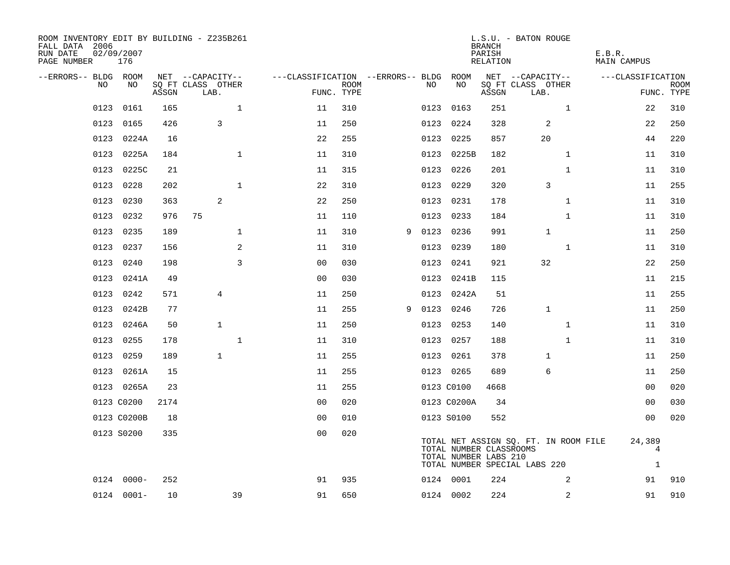| ROOM INVENTORY EDIT BY BUILDING - Z235B261<br>FALL DATA 2006<br>RUN DATE<br>PAGE NUMBER | 02/09/2007<br>176 |       |                           |                                        |                    |   |      |                                                  | <b>BRANCH</b><br>PARISH<br>RELATION | L.S.U. - BATON ROUGE                                                   | E.B.R.<br>MAIN CAMPUS       |                           |
|-----------------------------------------------------------------------------------------|-------------------|-------|---------------------------|----------------------------------------|--------------------|---|------|--------------------------------------------------|-------------------------------------|------------------------------------------------------------------------|-----------------------------|---------------------------|
| --ERRORS-- BLDG ROOM                                                                    |                   |       | NET --CAPACITY--          | ---CLASSIFICATION --ERRORS-- BLDG ROOM |                    |   |      |                                                  |                                     | NET --CAPACITY--                                                       | ---CLASSIFICATION           |                           |
| NO                                                                                      | NO                | ASSGN | SQ FT CLASS OTHER<br>LAB. |                                        | ROOM<br>FUNC. TYPE |   | NO   | NO                                               | ASSGN                               | SQ FT CLASS OTHER<br>LAB.                                              |                             | <b>ROOM</b><br>FUNC. TYPE |
| 0123                                                                                    | 0161              | 165   | $\mathbf{1}$              | 11                                     | 310                |   |      | 0123 0163                                        | 251                                 | $\mathbf{1}$                                                           | 22                          | 310                       |
|                                                                                         | 0123 0165         | 426   | 3                         | 11                                     | 250                |   |      | 0123 0224                                        | 328                                 | 2                                                                      | 22                          | 250                       |
|                                                                                         | 0123 0224A        | 16    |                           | 22                                     | 255                |   |      | 0123 0225                                        | 857                                 | 20                                                                     | 44                          | 220                       |
|                                                                                         | 0123 0225A        | 184   | $\mathbf{1}$              | 11                                     | 310                |   |      | 0123 0225B                                       | 182                                 | $\mathbf{1}$                                                           | 11                          | 310                       |
| 0123                                                                                    | 0225C             | 21    |                           | 11                                     | 315                |   |      | 0123 0226                                        | 201                                 | $\mathbf{1}$                                                           | 11                          | 310                       |
| 0123                                                                                    | 0228              | 202   | $\mathbf 1$               | 22                                     | 310                |   |      | 0123 0229                                        | 320                                 | 3                                                                      | 11                          | 255                       |
| 0123                                                                                    | 0230              | 363   | 2                         | 22                                     | 250                |   |      | 0123 0231                                        | 178                                 | $\mathbf{1}$                                                           | 11                          | 310                       |
| 0123                                                                                    | 0232              | 976   | 75                        | 11                                     | 110                |   |      | 0123 0233                                        | 184                                 | $\mathbf{1}$                                                           | 11                          | 310                       |
| 0123                                                                                    | 0235              | 189   | $\mathbf 1$               | 11                                     | 310                | 9 | 0123 | 0236                                             | 991                                 | $\mathbf 1$                                                            | 11                          | 250                       |
|                                                                                         | 0123 0237         | 156   | 2                         | 11                                     | 310                |   |      | 0123 0239                                        | 180                                 | $\mathbf{1}$                                                           | 11                          | 310                       |
| 0123                                                                                    | 0240              | 198   | 3                         | 0 <sub>0</sub>                         | 030                |   | 0123 | 0241                                             | 921                                 | 32                                                                     | 22                          | 250                       |
| 0123                                                                                    | 0241A             | 49    |                           | 0 <sub>0</sub>                         | 030                |   |      | 0123 0241B                                       | 115                                 |                                                                        | 11                          | 215                       |
| 0123                                                                                    | 0242              | 571   | 4                         | 11                                     | 250                |   |      | 0123 0242A                                       | 51                                  |                                                                        | 11                          | 255                       |
| 0123                                                                                    | 0242B             | 77    |                           | 11                                     | 255                | 9 |      | 0123 0246                                        | 726                                 | $\mathbf 1$                                                            | 11                          | 250                       |
|                                                                                         | 0123 0246A        | 50    | $\mathbf{1}$              | 11                                     | 250                |   |      | 0123 0253                                        | 140                                 | $\mathbf{1}$                                                           | 11                          | 310                       |
|                                                                                         | 0123 0255         | 178   | $\mathbf{1}$              | 11                                     | 310                |   |      | 0123 0257                                        | 188                                 | $\mathbf{1}$                                                           | 11                          | 310                       |
|                                                                                         | 0123 0259         | 189   | $\mathbf{1}$              | 11                                     | 255                |   |      | 0123 0261                                        | 378                                 | $\mathbf 1$                                                            | 11                          | 250                       |
|                                                                                         | 0123 0261A        | 15    |                           | 11                                     | 255                |   |      | 0123 0265                                        | 689                                 | 6                                                                      | 11                          | 250                       |
|                                                                                         | 0123 0265A        | 23    |                           | 11                                     | 255                |   |      | 0123 C0100                                       | 4668                                |                                                                        | 00                          | 020                       |
|                                                                                         | 0123 C0200        | 2174  |                           | 0 <sub>0</sub>                         | 020                |   |      | 0123 C0200A                                      | 34                                  |                                                                        | 00                          | 030                       |
|                                                                                         | 0123 C0200B       | 18    |                           | 0 <sub>0</sub>                         | 010                |   |      | 0123 S0100                                       | 552                                 |                                                                        | 00                          | 020                       |
|                                                                                         | 0123 S0200        | 335   |                           | 0 <sub>0</sub>                         | 020                |   |      | TOTAL NUMBER CLASSROOMS<br>TOTAL NUMBER LABS 210 |                                     | TOTAL NET ASSIGN SQ. FT. IN ROOM FILE<br>TOTAL NUMBER SPECIAL LABS 220 | 24,389<br>4<br>$\mathbf{1}$ |                           |
|                                                                                         | $0124 0000 -$     | 252   |                           | 91                                     | 935                |   |      | 0124 0001                                        | 224                                 | 2                                                                      | 91                          | 910                       |
|                                                                                         | $0124 0001 -$     | 10    | 39                        | 91                                     | 650                |   |      | 0124 0002                                        | 224                                 | 2                                                                      | 91                          | 910                       |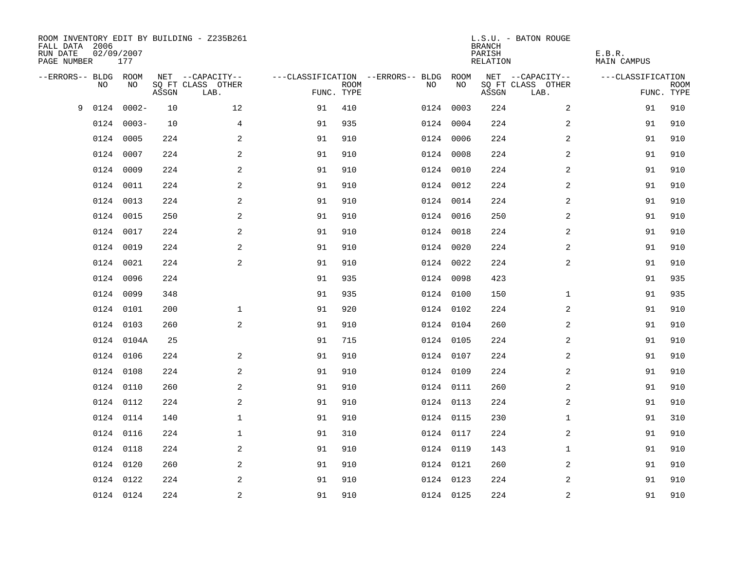| FALL DATA 2006<br>RUN DATE<br>PAGE NUMBER | 02/09/2007 | 177        |       | ROOM INVENTORY EDIT BY BUILDING - Z235B261 |            |             |                                        |           | <b>BRANCH</b><br>PARISH<br><b>RELATION</b> | L.S.U. - BATON ROUGE      | E.B.R.<br><b>MAIN CAMPUS</b> |                           |
|-------------------------------------------|------------|------------|-------|--------------------------------------------|------------|-------------|----------------------------------------|-----------|--------------------------------------------|---------------------------|------------------------------|---------------------------|
| --ERRORS-- BLDG ROOM                      |            |            |       | NET --CAPACITY--                           |            |             | ---CLASSIFICATION --ERRORS-- BLDG ROOM |           |                                            | NET --CAPACITY--          | ---CLASSIFICATION            |                           |
|                                           | NO         | NO         | ASSGN | SQ FT CLASS OTHER<br>LAB.                  | FUNC. TYPE | <b>ROOM</b> | NO                                     | NO        | ASSGN                                      | SQ FT CLASS OTHER<br>LAB. |                              | <b>ROOM</b><br>FUNC. TYPE |
| 9                                         | 0124       | $0002 -$   | 10    | 12                                         | 91         | 410         |                                        | 0124 0003 | 224                                        | $\overline{a}$            | 91                           | 910                       |
|                                           | 0124       | $0003 -$   | 10    | 4                                          | 91         | 935         |                                        | 0124 0004 | 224                                        | 2                         | 91                           | 910                       |
|                                           | 0124       | 0005       | 224   | 2                                          | 91         | 910         |                                        | 0124 0006 | 224                                        | 2                         | 91                           | 910                       |
|                                           | 0124       | 0007       | 224   | $\mathbf{2}$                               | 91         | 910         |                                        | 0124 0008 | 224                                        | 2                         | 91                           | 910                       |
|                                           | 0124       | 0009       | 224   | 2                                          | 91         | 910         |                                        | 0124 0010 | 224                                        | $\overline{a}$            | 91                           | 910                       |
|                                           | 0124 0011  |            | 224   | 2                                          | 91         | 910         |                                        | 0124 0012 | 224                                        | $\overline{a}$            | 91                           | 910                       |
|                                           | 0124 0013  |            | 224   | $\mathbf{2}$                               | 91         | 910         |                                        | 0124 0014 | 224                                        | $\overline{a}$            | 91                           | 910                       |
|                                           | 0124 0015  |            | 250   | 2                                          | 91         | 910         |                                        | 0124 0016 | 250                                        | 2                         | 91                           | 910                       |
|                                           | 0124 0017  |            | 224   | 2                                          | 91         | 910         |                                        | 0124 0018 | 224                                        | 2                         | 91                           | 910                       |
|                                           | 0124 0019  |            | 224   | 2                                          | 91         | 910         |                                        | 0124 0020 | 224                                        | 2                         | 91                           | 910                       |
|                                           | 0124 0021  |            | 224   | 2                                          | 91         | 910         |                                        | 0124 0022 | 224                                        | 2                         | 91                           | 910                       |
|                                           | 0124 0096  |            | 224   |                                            | 91         | 935         |                                        | 0124 0098 | 423                                        |                           | 91                           | 935                       |
|                                           | 0124       | 0099       | 348   |                                            | 91         | 935         |                                        | 0124 0100 | 150                                        | $\mathbf{1}$              | 91                           | 935                       |
|                                           | 0124 0101  |            | 200   | $\mathbf 1$                                | 91         | 920         |                                        | 0124 0102 | 224                                        | 2                         | 91                           | 910                       |
|                                           | 0124       | 0103       | 260   | 2                                          | 91         | 910         |                                        | 0124 0104 | 260                                        | 2                         | 91                           | 910                       |
|                                           |            | 0124 0104A | 25    |                                            | 91         | 715         |                                        | 0124 0105 | 224                                        | 2                         | 91                           | 910                       |
|                                           | 0124 0106  |            | 224   | 2                                          | 91         | 910         |                                        | 0124 0107 | 224                                        | 2                         | 91                           | 910                       |
|                                           | 0124       | 0108       | 224   | 2                                          | 91         | 910         |                                        | 0124 0109 | 224                                        | $\overline{a}$            | 91                           | 910                       |
|                                           | 0124 0110  |            | 260   | 2                                          | 91         | 910         |                                        | 0124 0111 | 260                                        | 2                         | 91                           | 910                       |
|                                           | 0124 0112  |            | 224   | $\overline{a}$                             | 91         | 910         |                                        | 0124 0113 | 224                                        | 2                         | 91                           | 910                       |
|                                           | 0124 0114  |            | 140   | $\mathbf 1$                                | 91         | 910         |                                        | 0124 0115 | 230                                        | $\mathbf{1}$              | 91                           | 310                       |
|                                           | 0124 0116  |            | 224   | $\mathbf 1$                                | 91         | 310         |                                        | 0124 0117 | 224                                        | 2                         | 91                           | 910                       |
|                                           | 0124 0118  |            | 224   | 2                                          | 91         | 910         |                                        | 0124 0119 | 143                                        | $\mathbf{1}$              | 91                           | 910                       |
|                                           | 0124 0120  |            | 260   | 2                                          | 91         | 910         |                                        | 0124 0121 | 260                                        | 2                         | 91                           | 910                       |
|                                           | 0124 0122  |            | 224   | 2                                          | 91         | 910         |                                        | 0124 0123 | 224                                        | 2                         | 91                           | 910                       |
|                                           | 0124 0124  |            | 224   | $\overline{c}$                             | 91         | 910         |                                        | 0124 0125 | 224                                        | $\overline{\mathbf{c}}$   | 91                           | 910                       |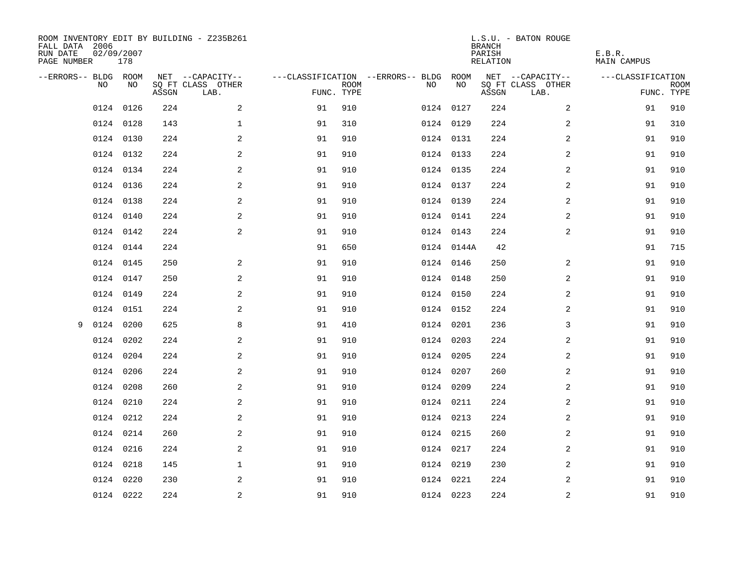| ROOM INVENTORY EDIT BY BUILDING - Z235B261<br>FALL DATA 2006<br>RUN DATE<br>PAGE NUMBER | 02/09/2007<br>178 |       |                           |            |      |                                        |            | <b>BRANCH</b><br>PARISH<br>RELATION | L.S.U. - BATON ROUGE      | E.B.R.<br><b>MAIN CAMPUS</b> |                           |
|-----------------------------------------------------------------------------------------|-------------------|-------|---------------------------|------------|------|----------------------------------------|------------|-------------------------------------|---------------------------|------------------------------|---------------------------|
| --ERRORS-- BLDG ROOM                                                                    |                   |       | NET --CAPACITY--          |            |      | ---CLASSIFICATION --ERRORS-- BLDG ROOM |            |                                     | NET --CAPACITY--          | ---CLASSIFICATION            |                           |
| NO.                                                                                     | NO.               | ASSGN | SO FT CLASS OTHER<br>LAB. | FUNC. TYPE | ROOM | NO.                                    | NO         | ASSGN                               | SQ FT CLASS OTHER<br>LAB. |                              | <b>ROOM</b><br>FUNC. TYPE |
| 0124                                                                                    | 0126              | 224   | 2                         | 91         | 910  |                                        | 0124 0127  | 224                                 | $\overline{a}$            | 91                           | 910                       |
|                                                                                         | 0124 0128         | 143   | $\mathbf 1$               | 91         | 310  |                                        | 0124 0129  | 224                                 | 2                         | 91                           | 310                       |
|                                                                                         | 0124 0130         | 224   | 2                         | 91         | 910  |                                        | 0124 0131  | 224                                 | 2                         | 91                           | 910                       |
|                                                                                         | 0124 0132         | 224   | 2                         | 91         | 910  |                                        | 0124 0133  | 224                                 | 2                         | 91                           | 910                       |
|                                                                                         | 0124 0134         | 224   | 2                         | 91         | 910  |                                        | 0124 0135  | 224                                 | 2                         | 91                           | 910                       |
|                                                                                         | 0124 0136         | 224   | $\mathbf{2}$              | 91         | 910  |                                        | 0124 0137  | 224                                 | 2                         | 91                           | 910                       |
|                                                                                         | 0124 0138         | 224   | $\mathbf{2}$              | 91         | 910  |                                        | 0124 0139  | 224                                 | $\overline{a}$            | 91                           | 910                       |
|                                                                                         | 0124 0140         | 224   | 2                         | 91         | 910  |                                        | 0124 0141  | 224                                 | $\overline{a}$            | 91                           | 910                       |
|                                                                                         | 0124 0142         | 224   | 2                         | 91         | 910  |                                        | 0124 0143  | 224                                 | 2                         | 91                           | 910                       |
|                                                                                         | 0124 0144         | 224   |                           | 91         | 650  |                                        | 0124 0144A | 42                                  |                           | 91                           | 715                       |
|                                                                                         | 0124 0145         | 250   | 2                         | 91         | 910  |                                        | 0124 0146  | 250                                 | 2                         | 91                           | 910                       |
|                                                                                         | 0124 0147         | 250   | 2                         | 91         | 910  |                                        | 0124 0148  | 250                                 | 2                         | 91                           | 910                       |
|                                                                                         | 0124 0149         | 224   | 2                         | 91         | 910  |                                        | 0124 0150  | 224                                 | 2                         | 91                           | 910                       |
|                                                                                         | 0124 0151         | 224   | 2                         | 91         | 910  |                                        | 0124 0152  | 224                                 | $\overline{a}$            | 91                           | 910                       |
| 0124<br>9                                                                               | 0200              | 625   | 8                         | 91         | 410  |                                        | 0124 0201  | 236                                 | 3                         | 91                           | 910                       |
|                                                                                         | 0124 0202         | 224   | 2                         | 91         | 910  |                                        | 0124 0203  | 224                                 | 2                         | 91                           | 910                       |
| 0124                                                                                    | 0204              | 224   | 2                         | 91         | 910  |                                        | 0124 0205  | 224                                 | 2                         | 91                           | 910                       |
| 0124                                                                                    | 0206              | 224   | 2                         | 91         | 910  |                                        | 0124 0207  | 260                                 | 2                         | 91                           | 910                       |
|                                                                                         | 0124 0208         | 260   | 2                         | 91         | 910  |                                        | 0124 0209  | 224                                 | 2                         | 91                           | 910                       |
|                                                                                         | 0124 0210         | 224   | 2                         | 91         | 910  |                                        | 0124 0211  | 224                                 | 2                         | 91                           | 910                       |
|                                                                                         | 0124 0212         | 224   | 2                         | 91         | 910  |                                        | 0124 0213  | 224                                 | 2                         | 91                           | 910                       |
|                                                                                         | 0124 0214         | 260   | 2                         | 91         | 910  |                                        | 0124 0215  | 260                                 | 2                         | 91                           | 910                       |
|                                                                                         | 0124 0216         | 224   | 2                         | 91         | 910  |                                        | 0124 0217  | 224                                 | 2                         | 91                           | 910                       |
|                                                                                         | 0124 0218         | 145   | $\mathbf 1$               | 91         | 910  |                                        | 0124 0219  | 230                                 | 2                         | 91                           | 910                       |
|                                                                                         | 0124 0220         | 230   | 2                         | 91         | 910  |                                        | 0124 0221  | 224                                 | 2                         | 91                           | 910                       |
|                                                                                         | 0124 0222         | 224   | $\overline{c}$            | 91         | 910  |                                        | 0124 0223  | 224                                 | $\overline{c}$            | 91                           | 910                       |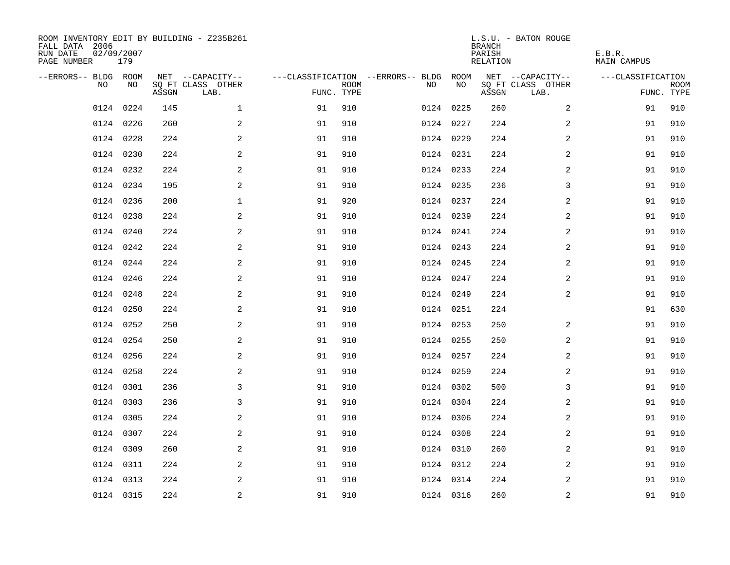| ROOM INVENTORY EDIT BY BUILDING - Z235B261<br>FALL DATA 2006<br>RUN DATE<br>PAGE NUMBER | 02/09/2007<br>179 |       |                           |            |             |                                        |           | <b>BRANCH</b><br>PARISH<br>RELATION | L.S.U. - BATON ROUGE      | E.B.R.<br><b>MAIN CAMPUS</b> |                           |
|-----------------------------------------------------------------------------------------|-------------------|-------|---------------------------|------------|-------------|----------------------------------------|-----------|-------------------------------------|---------------------------|------------------------------|---------------------------|
| --ERRORS-- BLDG ROOM                                                                    |                   |       | NET --CAPACITY--          |            |             | ---CLASSIFICATION --ERRORS-- BLDG ROOM |           |                                     | NET --CAPACITY--          | ---CLASSIFICATION            |                           |
| NO.                                                                                     | NO.               | ASSGN | SO FT CLASS OTHER<br>LAB. | FUNC. TYPE | <b>ROOM</b> | NO.                                    | NO        | ASSGN                               | SQ FT CLASS OTHER<br>LAB. |                              | <b>ROOM</b><br>FUNC. TYPE |
| 0124                                                                                    | 0224              | 145   | $\mathbf 1$               | 91         | 910         |                                        | 0124 0225 | 260                                 | $\overline{a}$            | 91                           | 910                       |
|                                                                                         | 0124 0226         | 260   | 2                         | 91         | 910         |                                        | 0124 0227 | 224                                 | 2                         | 91                           | 910                       |
|                                                                                         | 0124 0228         | 224   | 2                         | 91         | 910         |                                        | 0124 0229 | 224                                 | 2                         | 91                           | 910                       |
|                                                                                         | 0124 0230         | 224   | 2                         | 91         | 910         |                                        | 0124 0231 | 224                                 | 2                         | 91                           | 910                       |
|                                                                                         | 0124 0232         | 224   | 2                         | 91         | 910         |                                        | 0124 0233 | 224                                 | 2                         | 91                           | 910                       |
|                                                                                         | 0124 0234         | 195   | 2                         | 91         | 910         |                                        | 0124 0235 | 236                                 | 3                         | 91                           | 910                       |
|                                                                                         | 0124 0236         | 200   | $\mathbf{1}$              | 91         | 920         |                                        | 0124 0237 | 224                                 | $\overline{a}$            | 91                           | 910                       |
|                                                                                         | 0124 0238         | 224   | $\mathbf{2}$              | 91         | 910         |                                        | 0124 0239 | 224                                 | 2                         | 91                           | 910                       |
|                                                                                         | 0124 0240         | 224   | 2                         | 91         | 910         |                                        | 0124 0241 | 224                                 | 2                         | 91                           | 910                       |
|                                                                                         | 0124 0242         | 224   | 2                         | 91         | 910         |                                        | 0124 0243 | 224                                 | 2                         | 91                           | 910                       |
|                                                                                         | 0124 0244         | 224   | 2                         | 91         | 910         |                                        | 0124 0245 | 224                                 | 2                         | 91                           | 910                       |
|                                                                                         | 0124 0246         | 224   | 2                         | 91         | 910         |                                        | 0124 0247 | 224                                 | 2                         | 91                           | 910                       |
| 0124                                                                                    | 0248              | 224   | 2                         | 91         | 910         |                                        | 0124 0249 | 224                                 | 2                         | 91                           | 910                       |
|                                                                                         | 0124 0250         | 224   | 2                         | 91         | 910         |                                        | 0124 0251 | 224                                 |                           | 91                           | 630                       |
| 0124                                                                                    | 0252              | 250   | 2                         | 91         | 910         |                                        | 0124 0253 | 250                                 | 2                         | 91                           | 910                       |
|                                                                                         | 0124 0254         | 250   | 2                         | 91         | 910         |                                        | 0124 0255 | 250                                 | $\overline{a}$            | 91                           | 910                       |
|                                                                                         | 0124 0256         | 224   | $\mathbf{2}$              | 91         | 910         |                                        | 0124 0257 | 224                                 | 2                         | 91                           | 910                       |
|                                                                                         | 0124 0258         | 224   | 2                         | 91         | 910         |                                        | 0124 0259 | 224                                 | 2                         | 91                           | 910                       |
|                                                                                         | 0124 0301         | 236   | 3                         | 91         | 910         |                                        | 0124 0302 | 500                                 | 3                         | 91                           | 910                       |
|                                                                                         | 0124 0303         | 236   | 3                         | 91         | 910         |                                        | 0124 0304 | 224                                 | 2                         | 91                           | 910                       |
|                                                                                         | 0124 0305         | 224   | 2                         | 91         | 910         |                                        | 0124 0306 | 224                                 | 2                         | 91                           | 910                       |
|                                                                                         | 0124 0307         | 224   | 2                         | 91         | 910         |                                        | 0124 0308 | 224                                 | 2                         | 91                           | 910                       |
|                                                                                         | 0124 0309         | 260   | 2                         | 91         | 910         |                                        | 0124 0310 | 260                                 | 2                         | 91                           | 910                       |
|                                                                                         | 0124 0311         | 224   | 2                         | 91         | 910         |                                        | 0124 0312 | 224                                 | 2                         | 91                           | 910                       |
|                                                                                         | 0124 0313         | 224   | 2                         | 91         | 910         |                                        | 0124 0314 | 224                                 | 2                         | 91                           | 910                       |
|                                                                                         | 0124 0315         | 224   | 2                         | 91         | 910         |                                        | 0124 0316 | 260                                 | 2                         | 91                           | 910                       |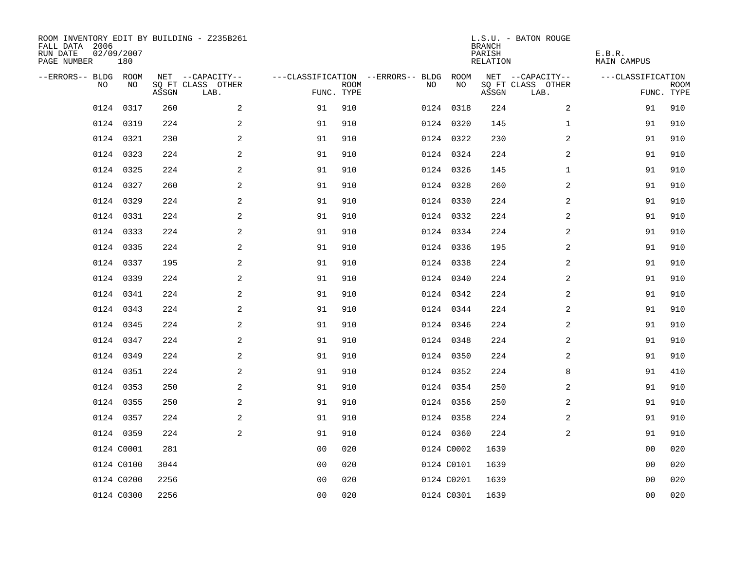| ROOM INVENTORY EDIT BY BUILDING - Z235B261<br>FALL DATA 2006<br>RUN DATE<br>PAGE NUMBER | 02/09/2007<br>180 |       |                           |                |      |                                        |            | <b>BRANCH</b><br>PARISH<br>RELATION | L.S.U. - BATON ROUGE      | E.B.R.<br><b>MAIN CAMPUS</b> |                           |
|-----------------------------------------------------------------------------------------|-------------------|-------|---------------------------|----------------|------|----------------------------------------|------------|-------------------------------------|---------------------------|------------------------------|---------------------------|
| --ERRORS-- BLDG ROOM                                                                    |                   |       | NET --CAPACITY--          |                |      | ---CLASSIFICATION --ERRORS-- BLDG ROOM |            |                                     | NET --CAPACITY--          | ---CLASSIFICATION            |                           |
| NO.                                                                                     | NO.               | ASSGN | SO FT CLASS OTHER<br>LAB. | FUNC. TYPE     | ROOM | NO.                                    | NO         | ASSGN                               | SQ FT CLASS OTHER<br>LAB. |                              | <b>ROOM</b><br>FUNC. TYPE |
| 0124                                                                                    | 0317              | 260   | 2                         | 91             | 910  |                                        | 0124 0318  | 224                                 | $\overline{a}$            | 91                           | 910                       |
|                                                                                         | 0124 0319         | 224   | 2                         | 91             | 910  |                                        | 0124 0320  | 145                                 | $\mathbf{1}$              | 91                           | 910                       |
|                                                                                         | 0124 0321         | 230   | 2                         | 91             | 910  |                                        | 0124 0322  | 230                                 | 2                         | 91                           | 910                       |
|                                                                                         | 0124 0323         | 224   | 2                         | 91             | 910  |                                        | 0124 0324  | 224                                 | $\overline{a}$            | 91                           | 910                       |
|                                                                                         | 0124 0325         | 224   | 2                         | 91             | 910  |                                        | 0124 0326  | 145                                 | $\mathbf{1}$              | 91                           | 910                       |
|                                                                                         | 0124 0327         | 260   | 2                         | 91             | 910  |                                        | 0124 0328  | 260                                 | 2                         | 91                           | 910                       |
|                                                                                         | 0124 0329         | 224   | $\mathbf{2}$              | 91             | 910  |                                        | 0124 0330  | 224                                 | $\overline{a}$            | 91                           | 910                       |
|                                                                                         | 0124 0331         | 224   | 2                         | 91             | 910  |                                        | 0124 0332  | 224                                 | $\overline{a}$            | 91                           | 910                       |
|                                                                                         | 0124 0333         | 224   | 2                         | 91             | 910  |                                        | 0124 0334  | 224                                 | $\overline{a}$            | 91                           | 910                       |
|                                                                                         | 0124 0335         | 224   | 2                         | 91             | 910  |                                        | 0124 0336  | 195                                 | 2                         | 91                           | 910                       |
|                                                                                         | 0124 0337         | 195   | 2                         | 91             | 910  |                                        | 0124 0338  | 224                                 | 2                         | 91                           | 910                       |
|                                                                                         | 0124 0339         | 224   | 2                         | 91             | 910  |                                        | 0124 0340  | 224                                 | 2                         | 91                           | 910                       |
|                                                                                         | 0124 0341         | 224   | 2                         | 91             | 910  |                                        | 0124 0342  | 224                                 | 2                         | 91                           | 910                       |
|                                                                                         | 0124 0343         | 224   | 2                         | 91             | 910  |                                        | 0124 0344  | 224                                 | $\overline{a}$            | 91                           | 910                       |
|                                                                                         | 0124 0345         | 224   | 2                         | 91             | 910  |                                        | 0124 0346  | 224                                 | 2                         | 91                           | 910                       |
|                                                                                         | 0124 0347         | 224   | 2                         | 91             | 910  |                                        | 0124 0348  | 224                                 | 2                         | 91                           | 910                       |
| 0124                                                                                    | 0349              | 224   | 2                         | 91             | 910  |                                        | 0124 0350  | 224                                 | 2                         | 91                           | 910                       |
|                                                                                         | 0124 0351         | 224   | 2                         | 91             | 910  |                                        | 0124 0352  | 224                                 | 8                         | 91                           | 410                       |
|                                                                                         | 0124 0353         | 250   | 2                         | 91             | 910  |                                        | 0124 0354  | 250                                 | 2                         | 91                           | 910                       |
|                                                                                         | 0124 0355         | 250   | 2                         | 91             | 910  |                                        | 0124 0356  | 250                                 | 2                         | 91                           | 910                       |
|                                                                                         | 0124 0357         | 224   | 2                         | 91             | 910  |                                        | 0124 0358  | 224                                 | 2                         | 91                           | 910                       |
|                                                                                         | 0124 0359         | 224   | 2                         | 91             | 910  |                                        | 0124 0360  | 224                                 | 2                         | 91                           | 910                       |
|                                                                                         | 0124 C0001        | 281   |                           | 0 <sub>0</sub> | 020  |                                        | 0124 C0002 | 1639                                |                           | 00                           | 020                       |
|                                                                                         | 0124 C0100        | 3044  |                           | 0 <sub>0</sub> | 020  |                                        | 0124 C0101 | 1639                                |                           | 00                           | 020                       |
|                                                                                         | 0124 C0200        | 2256  |                           | 0 <sub>0</sub> | 020  |                                        | 0124 C0201 | 1639                                |                           | 00                           | 020                       |
|                                                                                         | 0124 C0300        | 2256  |                           | 0 <sub>0</sub> | 020  |                                        | 0124 C0301 | 1639                                |                           | 0 <sub>0</sub>               | 020                       |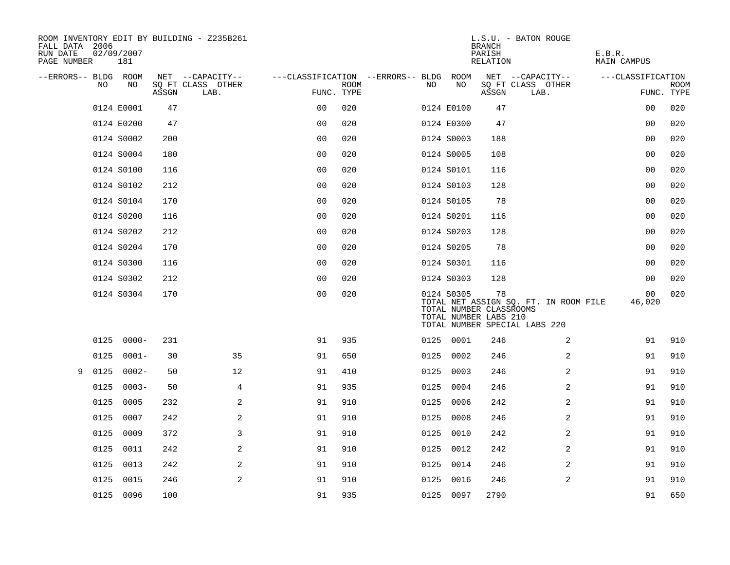| ROOM INVENTORY EDIT BY BUILDING - Z235B261<br>FALL DATA 2006<br>RUN DATE<br>PAGE NUMBER |      | 02/09/2007<br>181 |       |      |                   |                |                    |                                   |    |            | <b>BRANCH</b><br>PARISH<br>RELATION                    | L.S.U. - BATON ROUGE                                                   | E.B.R.<br><b>MAIN CAMPUS</b> |                           |
|-----------------------------------------------------------------------------------------|------|-------------------|-------|------|-------------------|----------------|--------------------|-----------------------------------|----|------------|--------------------------------------------------------|------------------------------------------------------------------------|------------------------------|---------------------------|
| --ERRORS-- BLDG ROOM                                                                    |      |                   |       |      | NET --CAPACITY--  |                |                    | ---CLASSIFICATION --ERRORS-- BLDG |    | ROOM       |                                                        | NET --CAPACITY--                                                       | ---CLASSIFICATION            |                           |
|                                                                                         | NO   | NO                | ASSGN | LAB. | SQ FT CLASS OTHER |                | ROOM<br>FUNC. TYPE |                                   | NO | NO         | ASSGN                                                  | SQ FT CLASS OTHER<br>LAB.                                              |                              | <b>ROOM</b><br>FUNC. TYPE |
|                                                                                         |      | 0124 E0001        | 47    |      |                   | 0 <sub>0</sub> | 020                |                                   |    | 0124 E0100 | 47                                                     |                                                                        | 00                           | 020                       |
|                                                                                         |      | 0124 E0200        | 47    |      |                   | 0 <sup>0</sup> | 020                |                                   |    | 0124 E0300 | 47                                                     |                                                                        | 0 <sub>0</sub>               | 020                       |
|                                                                                         |      | 0124 S0002        | 200   |      |                   | 0 <sub>0</sub> | 020                |                                   |    | 0124 S0003 | 188                                                    |                                                                        | 00                           | 020                       |
|                                                                                         |      | 0124 S0004        | 180   |      |                   | 0 <sub>0</sub> | 020                |                                   |    | 0124 S0005 | 108                                                    |                                                                        | 00                           | 020                       |
|                                                                                         |      | 0124 S0100        | 116   |      |                   | 0 <sub>0</sub> | 020                |                                   |    | 0124 S0101 | 116                                                    |                                                                        | 00                           | 020                       |
|                                                                                         |      | 0124 S0102        | 212   |      |                   | 0 <sub>0</sub> | 020                |                                   |    | 0124 S0103 | 128                                                    |                                                                        | 00                           | 020                       |
|                                                                                         |      | 0124 S0104        | 170   |      |                   | 0 <sub>0</sub> | 020                |                                   |    | 0124 S0105 | 78                                                     |                                                                        | 00                           | 020                       |
|                                                                                         |      | 0124 S0200        | 116   |      |                   | 0 <sub>0</sub> | 020                |                                   |    | 0124 S0201 | 116                                                    |                                                                        | 0 <sub>0</sub>               | 020                       |
|                                                                                         |      | 0124 S0202        | 212   |      |                   | 00             | 020                |                                   |    | 0124 S0203 | 128                                                    |                                                                        | 00                           | 020                       |
|                                                                                         |      | 0124 S0204        | 170   |      |                   | 0 <sub>0</sub> | 020                |                                   |    | 0124 S0205 | 78                                                     |                                                                        | 00                           | 020                       |
|                                                                                         |      | 0124 S0300        | 116   |      |                   | 0 <sub>0</sub> | 020                |                                   |    | 0124 S0301 | 116                                                    |                                                                        | 0 <sub>0</sub>               | 020                       |
|                                                                                         |      | 0124 S0302        | 212   |      |                   | 0 <sub>0</sub> | 020                |                                   |    | 0124 S0303 | 128                                                    |                                                                        | 0 <sub>0</sub>               | 020                       |
|                                                                                         |      | 0124 S0304        | 170   |      |                   | 0 <sub>0</sub> | 020                |                                   |    | 0124 S0305 | 78<br>TOTAL NUMBER CLASSROOMS<br>TOTAL NUMBER LABS 210 | TOTAL NET ASSIGN SQ. FT. IN ROOM FILE<br>TOTAL NUMBER SPECIAL LABS 220 | 00<br>46,020                 | 020                       |
|                                                                                         |      | $0125 0000 -$     | 231   |      |                   | 91             | 935                |                                   |    | 0125 0001  | 246                                                    | 2                                                                      | 91                           | 910                       |
|                                                                                         | 0125 | $0001 -$          | 30    |      | 35                | 91             | 650                |                                   |    | 0125 0002  | 246                                                    | 2                                                                      | 91                           | 910                       |
| 9                                                                                       | 0125 | $0002 -$          | 50    |      | 12                | 91             | 410                |                                   |    | 0125 0003  | 246                                                    | $\overline{a}$                                                         | 91                           | 910                       |
|                                                                                         |      | $0125 0003 -$     | 50    |      | 4                 | 91             | 935                |                                   |    | 0125 0004  | 246                                                    | 2                                                                      | 91                           | 910                       |
|                                                                                         | 0125 | 0005              | 232   |      | 2                 | 91             | 910                |                                   |    | 0125 0006  | 242                                                    | 2                                                                      | 91                           | 910                       |
|                                                                                         |      | 0125 0007         | 242   |      | 2                 | 91             | 910                |                                   |    | 0125 0008  | 246                                                    | 2                                                                      | 91                           | 910                       |
|                                                                                         | 0125 | 0009              | 372   |      | 3                 | 91             | 910                |                                   |    | 0125 0010  | 242                                                    | 2                                                                      | 91                           | 910                       |
|                                                                                         | 0125 | 0011              | 242   |      | 2                 | 91             | 910                |                                   |    | 0125 0012  | 242                                                    | 2                                                                      | 91                           | 910                       |
|                                                                                         | 0125 | 0013              | 242   |      | $\mathbf{2}$      | 91             | 910                |                                   |    | 0125 0014  | 246                                                    | 2                                                                      | 91                           | 910                       |
|                                                                                         | 0125 | 0015              | 246   |      | 2                 | 91             | 910                |                                   |    | 0125 0016  | 246                                                    | 2                                                                      | 91                           | 910                       |
|                                                                                         |      | 0125 0096         | 100   |      |                   | 91             | 935                |                                   |    | 0125 0097  | 2790                                                   |                                                                        | 91                           | 650                       |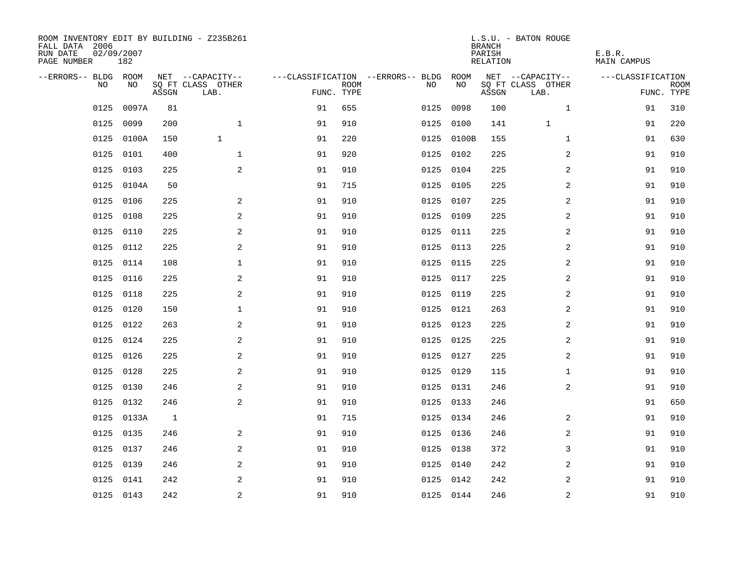| ROOM INVENTORY EDIT BY BUILDING - Z235B261<br>FALL DATA 2006<br>RUN DATE<br>PAGE NUMBER | 02/09/2007<br>182 |       |                           |            |             |                                   |            | <b>BRANCH</b><br>PARISH<br><b>RELATION</b> | L.S.U. - BATON ROUGE      | E.B.R.<br><b>MAIN CAMPUS</b> |                           |
|-----------------------------------------------------------------------------------------|-------------------|-------|---------------------------|------------|-------------|-----------------------------------|------------|--------------------------------------------|---------------------------|------------------------------|---------------------------|
| --ERRORS-- BLDG ROOM                                                                    |                   |       | NET --CAPACITY--          |            |             | ---CLASSIFICATION --ERRORS-- BLDG | ROOM       |                                            | NET --CAPACITY--          | ---CLASSIFICATION            |                           |
| NO                                                                                      | NO                | ASSGN | SQ FT CLASS OTHER<br>LAB. | FUNC. TYPE | <b>ROOM</b> | NO                                | NO         | ASSGN                                      | SQ FT CLASS OTHER<br>LAB. |                              | <b>ROOM</b><br>FUNC. TYPE |
| 0125                                                                                    | 0097A             | 81    |                           | 91         | 655         | 0125                              | 0098       | 100                                        | $\mathbf{1}$              | 91                           | 310                       |
| 0125                                                                                    | 0099              | 200   | $\mathbf{1}$              | 91         | 910         | 0125                              | 0100       | 141                                        | $\mathbf{1}$              | 91                           | 220                       |
| 0125                                                                                    | 0100A             | 150   | $\mathbf{1}$              | 91         | 220         |                                   | 0125 0100B | 155                                        | $\mathbf{1}$              | 91                           | 630                       |
| 0125                                                                                    | 0101              | 400   | $\mathbf{1}$              | 91         | 920         |                                   | 0125 0102  | 225                                        | 2                         | 91                           | 910                       |
| 0125                                                                                    | 0103              | 225   | 2                         | 91         | 910         |                                   | 0125 0104  | 225                                        | $\overline{a}$            | 91                           | 910                       |
| 0125                                                                                    | 0104A             | 50    |                           | 91         | 715         |                                   | 0125 0105  | 225                                        | $\overline{a}$            | 91                           | 910                       |
| 0125                                                                                    | 0106              | 225   | $\mathbf{2}$              | 91         | 910         |                                   | 0125 0107  | 225                                        | $\overline{a}$            | 91                           | 910                       |
| 0125                                                                                    | 0108              | 225   | 2                         | 91         | 910         |                                   | 0125 0109  | 225                                        | 2                         | 91                           | 910                       |
| 0125                                                                                    | 0110              | 225   | 2                         | 91         | 910         | 0125                              | 0111       | 225                                        | 2                         | 91                           | 910                       |
| 0125                                                                                    | 0112              | 225   | 2                         | 91         | 910         |                                   | 0125 0113  | 225                                        | 2                         | 91                           | 910                       |
| 0125                                                                                    | 0114              | 108   | $\mathbf{1}$              | 91         | 910         | 0125                              | 0115       | 225                                        | 2                         | 91                           | 910                       |
| 0125                                                                                    | 0116              | 225   | 2                         | 91         | 910         |                                   | 0125 0117  | 225                                        | 2                         | 91                           | 910                       |
| 0125                                                                                    | 0118              | 225   | 2                         | 91         | 910         | 0125                              | 0119       | 225                                        | 2                         | 91                           | 910                       |
| 0125                                                                                    | 0120              | 150   | $\mathbf 1$               | 91         | 910         |                                   | 0125 0121  | 263                                        | 2                         | 91                           | 910                       |
| 0125                                                                                    | 0122              | 263   | 2                         | 91         | 910         |                                   | 0125 0123  | 225                                        | 2                         | 91                           | 910                       |
| 0125                                                                                    | 0124              | 225   | 2                         | 91         | 910         |                                   | 0125 0125  | 225                                        | 2                         | 91                           | 910                       |
| 0125                                                                                    | 0126              | 225   | 2                         | 91         | 910         |                                   | 0125 0127  | 225                                        | 2                         | 91                           | 910                       |
| 0125                                                                                    | 0128              | 225   | 2                         | 91         | 910         |                                   | 0125 0129  | 115                                        | $\mathbf{1}$              | 91                           | 910                       |
| 0125                                                                                    | 0130              | 246   | 2                         | 91         | 910         |                                   | 0125 0131  | 246                                        | 2                         | 91                           | 910                       |
| 0125                                                                                    | 0132              | 246   | 2                         | 91         | 910         |                                   | 0125 0133  | 246                                        |                           | 91                           | 650                       |
|                                                                                         | 0125 0133A        | 1     |                           | 91         | 715         |                                   | 0125 0134  | 246                                        | 2                         | 91                           | 910                       |
| 0125                                                                                    | 0135              | 246   | 2                         | 91         | 910         |                                   | 0125 0136  | 246                                        | 2                         | 91                           | 910                       |
|                                                                                         | 0125 0137         | 246   | 2                         | 91         | 910         |                                   | 0125 0138  | 372                                        | 3                         | 91                           | 910                       |
| 0125                                                                                    | 0139              | 246   | 2                         | 91         | 910         |                                   | 0125 0140  | 242                                        | 2                         | 91                           | 910                       |
| 0125                                                                                    | 0141              | 242   | 2                         | 91         | 910         |                                   | 0125 0142  | 242                                        | 2                         | 91                           | 910                       |
|                                                                                         | 0125 0143         | 242   | $\overline{c}$            | 91         | 910         |                                   | 0125 0144  | 246                                        | $\overline{\mathbf{c}}$   | 91                           | 910                       |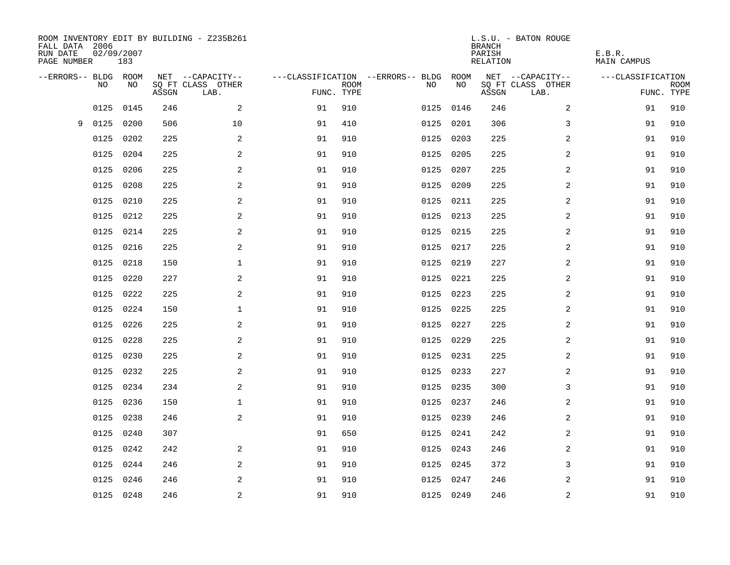| FALL DATA 2006<br>RUN DATE<br>PAGE NUMBER | 02/09/2007 | 183  |       | ROOM INVENTORY EDIT BY BUILDING - Z235B261 |            |             |                                        |           | <b>BRANCH</b><br>PARISH<br><b>RELATION</b> | L.S.U. - BATON ROUGE      | E.B.R.<br><b>MAIN CAMPUS</b> |                           |
|-------------------------------------------|------------|------|-------|--------------------------------------------|------------|-------------|----------------------------------------|-----------|--------------------------------------------|---------------------------|------------------------------|---------------------------|
| --ERRORS-- BLDG ROOM                      |            |      |       | NET --CAPACITY--                           |            |             | ---CLASSIFICATION --ERRORS-- BLDG ROOM |           |                                            | NET --CAPACITY--          | ---CLASSIFICATION            |                           |
|                                           | NO         | NO   | ASSGN | SQ FT CLASS OTHER<br>LAB.                  | FUNC. TYPE | <b>ROOM</b> | NO                                     | NO        | ASSGN                                      | SQ FT CLASS OTHER<br>LAB. |                              | <b>ROOM</b><br>FUNC. TYPE |
|                                           | 0125       | 0145 | 246   | 2                                          | 91         | 910         |                                        | 0125 0146 | 246                                        | $\overline{a}$            | 91                           | 910                       |
| 9                                         | 0125       | 0200 | 506   | 10                                         | 91         | 410         |                                        | 0125 0201 | 306                                        | 3                         | 91                           | 910                       |
|                                           | 0125       | 0202 | 225   | 2                                          | 91         | 910         |                                        | 0125 0203 | 225                                        | 2                         | 91                           | 910                       |
|                                           | 0125       | 0204 | 225   | 2                                          | 91         | 910         |                                        | 0125 0205 | 225                                        | 2                         | 91                           | 910                       |
|                                           | 0125       | 0206 | 225   | 2                                          | 91         | 910         |                                        | 0125 0207 | 225                                        | $\overline{a}$            | 91                           | 910                       |
|                                           | 0125       | 0208 | 225   | 2                                          | 91         | 910         |                                        | 0125 0209 | 225                                        | $\overline{a}$            | 91                           | 910                       |
|                                           | 0125       | 0210 | 225   | $\mathbf{2}$                               | 91         | 910         |                                        | 0125 0211 | 225                                        | $\overline{a}$            | 91                           | 910                       |
|                                           | 0125       | 0212 | 225   | 2                                          | 91         | 910         |                                        | 0125 0213 | 225                                        | 2                         | 91                           | 910                       |
|                                           | 0125       | 0214 | 225   | 2                                          | 91         | 910         | 0125                                   | 0215      | 225                                        | 2                         | 91                           | 910                       |
|                                           | 0125       | 0216 | 225   | 2                                          | 91         | 910         |                                        | 0125 0217 | 225                                        | 2                         | 91                           | 910                       |
|                                           | 0125       | 0218 | 150   | $\mathbf 1$                                | 91         | 910         | 0125                                   | 0219      | 227                                        | 2                         | 91                           | 910                       |
|                                           | 0125       | 0220 | 227   | 2                                          | 91         | 910         |                                        | 0125 0221 | 225                                        | $\overline{2}$            | 91                           | 910                       |
|                                           | 0125       | 0222 | 225   | 2                                          | 91         | 910         | 0125                                   | 0223      | 225                                        | 2                         | 91                           | 910                       |
|                                           | 0125       | 0224 | 150   | $\mathbf 1$                                | 91         | 910         |                                        | 0125 0225 | 225                                        | 2                         | 91                           | 910                       |
|                                           | 0125       | 0226 | 225   | 2                                          | 91         | 910         | 0125                                   | 0227      | 225                                        | 2                         | 91                           | 910                       |
|                                           | 0125       | 0228 | 225   | 2                                          | 91         | 910         |                                        | 0125 0229 | 225                                        | 2                         | 91                           | 910                       |
|                                           | 0125       | 0230 | 225   | 2                                          | 91         | 910         |                                        | 0125 0231 | 225                                        | 2                         | 91                           | 910                       |
|                                           | 0125       | 0232 | 225   | 2                                          | 91         | 910         |                                        | 0125 0233 | 227                                        | $\overline{a}$            | 91                           | 910                       |
|                                           | 0125 0234  |      | 234   | 2                                          | 91         | 910         |                                        | 0125 0235 | 300                                        | 3                         | 91                           | 910                       |
|                                           | 0125       | 0236 | 150   | $\mathbf 1$                                | 91         | 910         |                                        | 0125 0237 | 246                                        | 2                         | 91                           | 910                       |
|                                           | 0125 0238  |      | 246   | 2                                          | 91         | 910         |                                        | 0125 0239 | 246                                        | 2                         | 91                           | 910                       |
|                                           | 0125       | 0240 | 307   |                                            | 91         | 650         |                                        | 0125 0241 | 242                                        | 2                         | 91                           | 910                       |
|                                           | 0125 0242  |      | 242   | 2                                          | 91         | 910         |                                        | 0125 0243 | 246                                        | 2                         | 91                           | 910                       |
|                                           | 0125       | 0244 | 246   | 2                                          | 91         | 910         |                                        | 0125 0245 | 372                                        | 3                         | 91                           | 910                       |
|                                           | 0125       | 0246 | 246   | 2                                          | 91         | 910         |                                        | 0125 0247 | 246                                        | 2                         | 91                           | 910                       |
|                                           | 0125 0248  |      | 246   | $\overline{c}$                             | 91         | 910         |                                        | 0125 0249 | 246                                        | $\overline{\mathbf{c}}$   | 91                           | 910                       |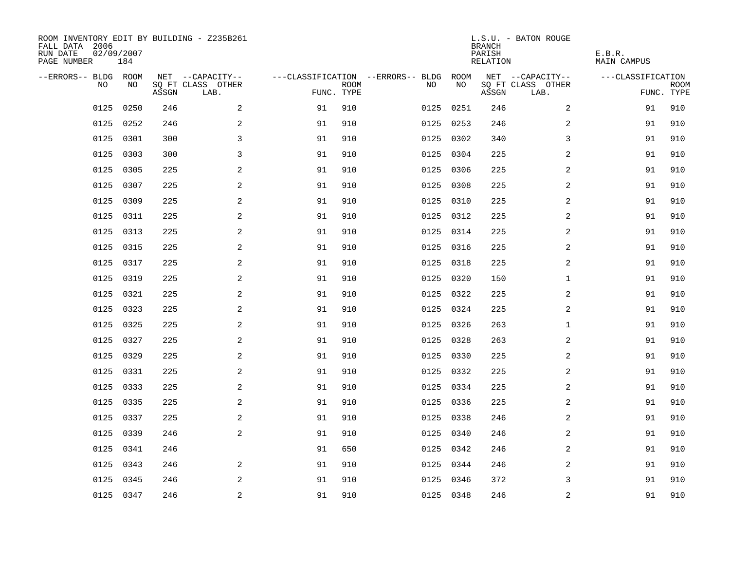| ROOM INVENTORY EDIT BY BUILDING - Z235B261<br>FALL DATA 2006<br>RUN DATE<br>PAGE NUMBER | 02/09/2007<br>184 |       |                           |            |             |                                   |           | <b>BRANCH</b><br>PARISH<br>RELATION | L.S.U. - BATON ROUGE      | E.B.R.<br><b>MAIN CAMPUS</b> |                           |
|-----------------------------------------------------------------------------------------|-------------------|-------|---------------------------|------------|-------------|-----------------------------------|-----------|-------------------------------------|---------------------------|------------------------------|---------------------------|
| --ERRORS-- BLDG ROOM                                                                    |                   |       | NET --CAPACITY--          |            |             | ---CLASSIFICATION --ERRORS-- BLDG | ROOM      |                                     | NET --CAPACITY--          | ---CLASSIFICATION            |                           |
| NO.                                                                                     | NO.               | ASSGN | SO FT CLASS OTHER<br>LAB. | FUNC. TYPE | <b>ROOM</b> | NO.                               | NO        | ASSGN                               | SQ FT CLASS OTHER<br>LAB. |                              | <b>ROOM</b><br>FUNC. TYPE |
| 0125                                                                                    | 0250              | 246   | 2                         | 91         | 910         | 0125                              | 0251      | 246                                 | $\overline{a}$            | 91                           | 910                       |
| 0125                                                                                    | 0252              | 246   | 2                         | 91         | 910         |                                   | 0125 0253 | 246                                 | 2                         | 91                           | 910                       |
| 0125                                                                                    | 0301              | 300   | 3                         | 91         | 910         |                                   | 0125 0302 | 340                                 | 3                         | 91                           | 910                       |
| 0125                                                                                    | 0303              | 300   | 3                         | 91         | 910         |                                   | 0125 0304 | 225                                 | 2                         | 91                           | 910                       |
| 0125                                                                                    | 0305              | 225   | 2                         | 91         | 910         |                                   | 0125 0306 | 225                                 | 2                         | 91                           | 910                       |
| 0125                                                                                    | 0307              | 225   | $\overline{a}$            | 91         | 910         |                                   | 0125 0308 | 225                                 | 2                         | 91                           | 910                       |
| 0125                                                                                    | 0309              | 225   | $\overline{a}$            | 91         | 910         |                                   | 0125 0310 | 225                                 | $\overline{a}$            | 91                           | 910                       |
| 0125                                                                                    | 0311              | 225   | 2                         | 91         | 910         |                                   | 0125 0312 | 225                                 | $\overline{a}$            | 91                           | 910                       |
| 0125                                                                                    | 0313              | 225   | 2                         | 91         | 910         |                                   | 0125 0314 | 225                                 | $\overline{a}$            | 91                           | 910                       |
| 0125                                                                                    | 0315              | 225   | 2                         | 91         | 910         |                                   | 0125 0316 | 225                                 | 2                         | 91                           | 910                       |
| 0125                                                                                    | 0317              | 225   | 2                         | 91         | 910         |                                   | 0125 0318 | 225                                 | 2                         | 91                           | 910                       |
| 0125                                                                                    | 0319              | 225   | 2                         | 91         | 910         |                                   | 0125 0320 | 150                                 | $\mathbf{1}$              | 91                           | 910                       |
| 0125                                                                                    | 0321              | 225   | 2                         | 91         | 910         |                                   | 0125 0322 | 225                                 | 2                         | 91                           | 910                       |
| 0125                                                                                    | 0323              | 225   | 2                         | 91         | 910         |                                   | 0125 0324 | 225                                 | $\overline{a}$            | 91                           | 910                       |
| 0125                                                                                    | 0325              | 225   | 2                         | 91         | 910         |                                   | 0125 0326 | 263                                 | $\mathbf{1}$              | 91                           | 910                       |
| 0125                                                                                    | 0327              | 225   | 2                         | 91         | 910         |                                   | 0125 0328 | 263                                 | 2                         | 91                           | 910                       |
| 0125                                                                                    | 0329              | 225   | 2                         | 91         | 910         |                                   | 0125 0330 | 225                                 | 2                         | 91                           | 910                       |
| 0125                                                                                    | 0331              | 225   | 2                         | 91         | 910         |                                   | 0125 0332 | 225                                 | 2                         | 91                           | 910                       |
| 0125                                                                                    | 0333              | 225   | 2                         | 91         | 910         |                                   | 0125 0334 | 225                                 | 2                         | 91                           | 910                       |
| 0125                                                                                    | 0335              | 225   | 2                         | 91         | 910         |                                   | 0125 0336 | 225                                 | 2                         | 91                           | 910                       |
|                                                                                         | 0125 0337         | 225   | 2                         | 91         | 910         |                                   | 0125 0338 | 246                                 | 2                         | 91                           | 910                       |
| 0125                                                                                    | 0339              | 246   | 2                         | 91         | 910         |                                   | 0125 0340 | 246                                 | 2                         | 91                           | 910                       |
|                                                                                         | 0125 0341         | 246   |                           | 91         | 650         |                                   | 0125 0342 | 246                                 | 2                         | 91                           | 910                       |
| 0125                                                                                    | 0343              | 246   | 2                         | 91         | 910         |                                   | 0125 0344 | 246                                 | 2                         | 91                           | 910                       |
| 0125                                                                                    | 0345              | 246   | 2                         | 91         | 910         |                                   | 0125 0346 | 372                                 | 3                         | 91                           | 910                       |
|                                                                                         | 0125 0347         | 246   | $\overline{c}$            | 91         | 910         |                                   | 0125 0348 | 246                                 | $\mathbf 2$               | 91                           | 910                       |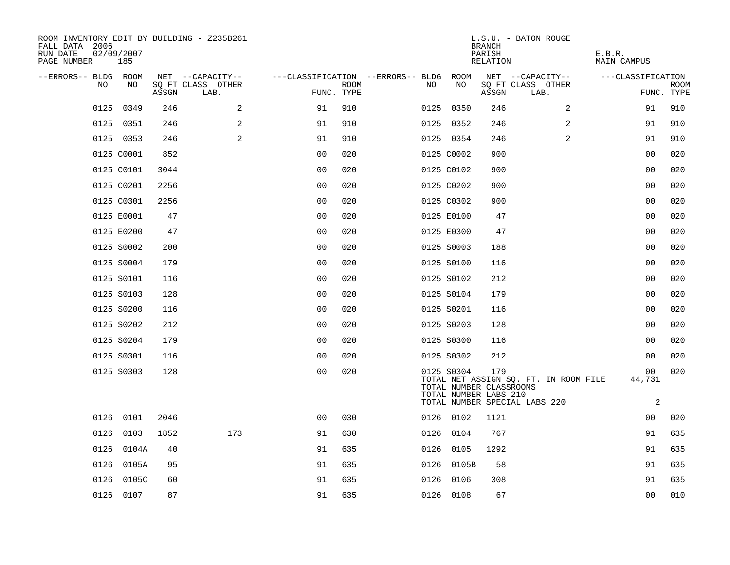| ---CLASSIFICATION         |
|---------------------------|
| <b>ROOM</b><br>FUNC. TYPE |
| 910                       |
| 910                       |
| 910                       |
| 020                       |
| 020                       |
| 020                       |
| 020                       |
| 020                       |
| 020                       |
| 020                       |
| 020                       |
| 020                       |
| 020                       |
| 020                       |
| 020                       |
| 020                       |
| 020                       |
| 020                       |
| 020                       |
| 635                       |
| 635                       |
| 635                       |
| 635                       |
| 010                       |
| 00<br>44,731<br>2<br>00   |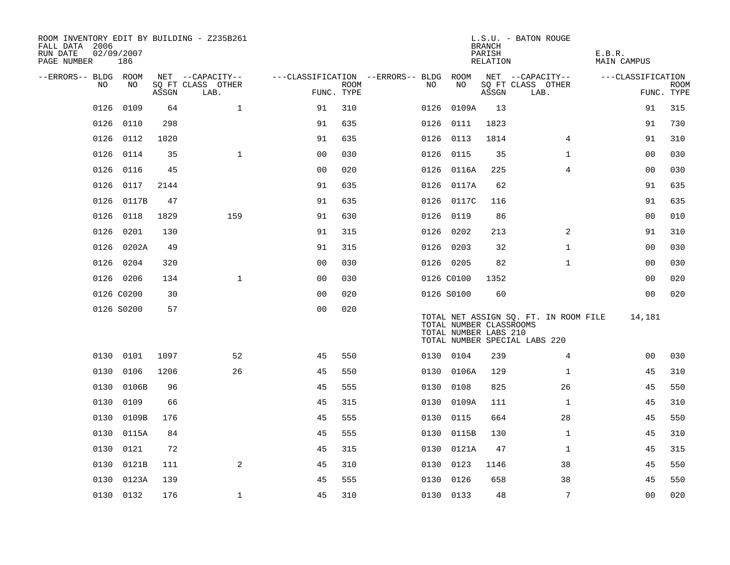| ROOM INVENTORY EDIT BY BUILDING - Z235B261<br>FALL DATA 2006<br>RUN DATE<br>PAGE NUMBER | 02/09/2007<br>186 |       |                                       |                                        |             |      |                                                  | <b>BRANCH</b><br>PARISH<br>RELATION | L.S.U. - BATON ROUGE                                                   | E.B.R.<br><b>MAIN CAMPUS</b> |             |
|-----------------------------------------------------------------------------------------|-------------------|-------|---------------------------------------|----------------------------------------|-------------|------|--------------------------------------------------|-------------------------------------|------------------------------------------------------------------------|------------------------------|-------------|
| --ERRORS-- BLDG ROOM<br>NO.                                                             | NO                |       | NET --CAPACITY--<br>SQ FT CLASS OTHER | ---CLASSIFICATION --ERRORS-- BLDG ROOM | <b>ROOM</b> | NO.  | NO                                               |                                     | NET --CAPACITY--<br>SQ FT CLASS OTHER                                  | ---CLASSIFICATION            | <b>ROOM</b> |
|                                                                                         |                   | ASSGN | LAB.                                  | FUNC. TYPE                             |             |      |                                                  | ASSGN                               | LAB.                                                                   |                              | FUNC. TYPE  |
| 0126                                                                                    | 0109              | 64    | $\mathbf{1}$                          | 91                                     | 310         | 0126 | 0109A                                            | 13                                  |                                                                        | 91                           | 315         |
| 0126                                                                                    | 0110              | 298   |                                       | 91                                     | 635         |      | 0126 0111                                        | 1823                                |                                                                        | 91                           | 730         |
| 0126                                                                                    | 0112              | 1020  |                                       | 91                                     | 635         |      | 0126 0113                                        | 1814                                | $\overline{4}$                                                         | 91                           | 310         |
| 0126                                                                                    | 0114              | 35    | $\mathbf{1}$                          | 0 <sub>0</sub>                         | 030         |      | 0126 0115                                        | 35                                  | $\mathbf{1}$                                                           | 0 <sub>0</sub>               | 030         |
| 0126                                                                                    | 0116              | 45    |                                       | 00                                     | 020         |      | 0126 0116A                                       | 225                                 | $\overline{4}$                                                         | 00                           | 030         |
| 0126                                                                                    | 0117              | 2144  |                                       | 91                                     | 635         |      | 0126 0117A                                       | 62                                  |                                                                        | 91                           | 635         |
| 0126                                                                                    | 0117B             | 47    |                                       | 91                                     | 635         |      | 0126 0117C                                       | 116                                 |                                                                        | 91                           | 635         |
| 0126                                                                                    | 0118              | 1829  | 159                                   | 91                                     | 630         |      | 0126 0119                                        | 86                                  |                                                                        | 0 <sub>0</sub>               | 010         |
| 0126                                                                                    | 0201              | 130   |                                       | 91                                     | 315         | 0126 | 0202                                             | 213                                 | $\overline{2}$                                                         | 91                           | 310         |
|                                                                                         | 0126 0202A        | 49    |                                       | 91                                     | 315         |      | 0126 0203                                        | 32                                  | $\mathbf{1}$                                                           | 00                           | 030         |
|                                                                                         | 0126 0204         | 320   |                                       | 0 <sub>0</sub>                         | 030         |      | 0126 0205                                        | 82                                  | $\mathbf{1}$                                                           | 0 <sub>0</sub>               | 030         |
|                                                                                         | 0126 0206         | 134   | $\mathbf{1}$                          | 00                                     | 030         |      | 0126 C0100                                       | 1352                                |                                                                        | 00                           | 020         |
|                                                                                         | 0126 C0200        | 30    |                                       | 0 <sub>0</sub>                         | 020         |      | 0126 S0100                                       | 60                                  |                                                                        | 0 <sub>0</sub>               | 020         |
|                                                                                         | 0126 S0200        | 57    |                                       | 0 <sub>0</sub>                         | 020         |      | TOTAL NUMBER CLASSROOMS<br>TOTAL NUMBER LABS 210 |                                     | TOTAL NET ASSIGN SQ. FT. IN ROOM FILE<br>TOTAL NUMBER SPECIAL LABS 220 | 14,181                       |             |
|                                                                                         | 0130 0101         | 1097  | 52                                    | 45                                     | 550         |      | 0130 0104                                        | 239                                 | $\overline{4}$                                                         | 0 <sub>0</sub>               | 030         |
| 0130                                                                                    | 0106              | 1206  | 26                                    | 45                                     | 550         |      | 0130 0106A                                       | 129                                 | $\mathbf{1}$                                                           | 45                           | 310         |
| 0130                                                                                    | 0106B             | 96    |                                       | 45                                     | 555         |      | 0130 0108                                        | 825                                 | 26                                                                     | 45                           | 550         |
| 0130                                                                                    | 0109              | 66    |                                       | 45                                     | 315         |      | 0130 0109A                                       | 111                                 | $\mathbf{1}$                                                           | 45                           | 310         |
|                                                                                         | 0130 0109B        | 176   |                                       | 45                                     | 555         |      | 0130 0115                                        | 664                                 | 28                                                                     | 45                           | 550         |
| 0130                                                                                    | 0115A             | 84    |                                       | 45                                     | 555         | 0130 | 0115B                                            | 130                                 | $\mathbf{1}$                                                           | 45                           | 310         |
|                                                                                         | 0130 0121         | 72    |                                       | 45                                     | 315         |      | 0130 0121A                                       | 47                                  | $\mathbf{1}$                                                           | 45                           | 315         |
| 0130                                                                                    | 0121B             | 111   | 2                                     | 45                                     | 310         | 0130 | 0123                                             | 1146                                | 38                                                                     | 45                           | 550         |
| 0130                                                                                    | 0123A             | 139   |                                       | 45                                     | 555         | 0130 | 0126                                             | 658                                 | 38                                                                     | 45                           | 550         |
|                                                                                         | 0130 0132         | 176   | $\mathbf 1$                           | 45                                     | 310         |      | 0130 0133                                        | 48                                  | 7                                                                      | 0 <sub>0</sub>               | 020         |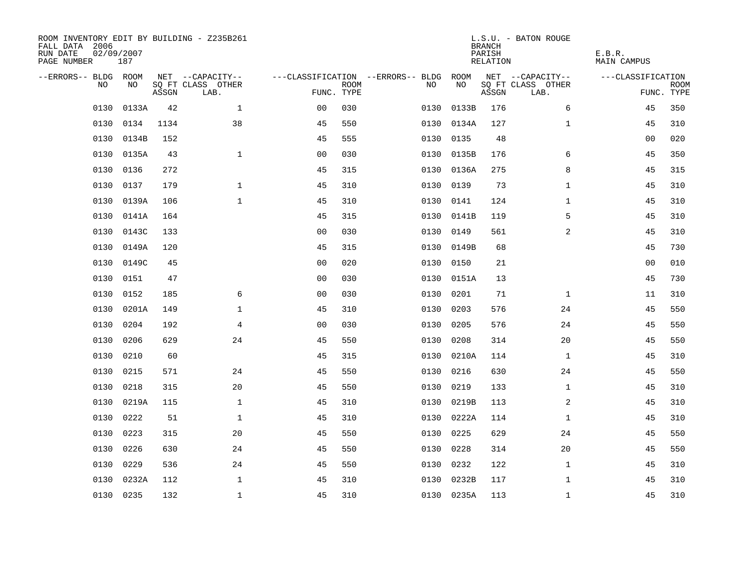| ROOM INVENTORY EDIT BY BUILDING - Z235B261<br>FALL DATA 2006<br>RUN DATE<br>PAGE NUMBER | 02/09/2007<br>187 |       |                           |                |             |                                        |            | <b>BRANCH</b><br>PARISH<br>RELATION | L.S.U. - BATON ROUGE      | E.B.R.<br>MAIN CAMPUS |                           |
|-----------------------------------------------------------------------------------------|-------------------|-------|---------------------------|----------------|-------------|----------------------------------------|------------|-------------------------------------|---------------------------|-----------------------|---------------------------|
| --ERRORS-- BLDG ROOM                                                                    |                   |       | NET --CAPACITY--          |                |             | ---CLASSIFICATION --ERRORS-- BLDG ROOM |            |                                     | NET --CAPACITY--          | ---CLASSIFICATION     |                           |
| NO.                                                                                     | NO.               | ASSGN | SQ FT CLASS OTHER<br>LAB. | FUNC. TYPE     | <b>ROOM</b> | NO.                                    | NO         | ASSGN                               | SQ FT CLASS OTHER<br>LAB. |                       | <b>ROOM</b><br>FUNC. TYPE |
| 0130                                                                                    | 0133A             | 42    | $\mathbf{1}$              | 0 <sup>0</sup> | 030         | 0130                                   | 0133B      | 176                                 | 6                         | 45                    | 350                       |
| 0130                                                                                    | 0134              | 1134  | 38                        | 45             | 550         |                                        | 0130 0134A | 127                                 | $\mathbf{1}$              | 45                    | 310                       |
| 0130                                                                                    | 0134B             | 152   |                           | 45             | 555         | 0130                                   | 0135       | 48                                  |                           | 0 <sub>0</sub>        | 020                       |
|                                                                                         | 0130 0135A        | 43    | $\mathbf{1}$              | 0 <sub>0</sub> | 030         |                                        | 0130 0135B | 176                                 | 6                         | 45                    | 350                       |
| 0130                                                                                    | 0136              | 272   |                           | 45             | 315         |                                        | 0130 0136A | 275                                 | 8                         | 45                    | 315                       |
| 0130                                                                                    | 0137              | 179   | $\mathbf 1$               | 45             | 310         |                                        | 0130 0139  | 73                                  | $\mathbf{1}$              | 45                    | 310                       |
| 0130                                                                                    | 0139A             | 106   | $\mathbf{1}$              | 45             | 310         | 0130                                   | 0141       | 124                                 | $\mathbf{1}$              | 45                    | 310                       |
| 0130                                                                                    | 0141A             | 164   |                           | 45             | 315         |                                        | 0130 0141B | 119                                 | 5                         | 45                    | 310                       |
| 0130                                                                                    | 0143C             | 133   |                           | 0 <sub>0</sub> | 030         | 0130                                   | 0149       | 561                                 | 2                         | 45                    | 310                       |
| 0130                                                                                    | 0149A             | 120   |                           | 45             | 315         |                                        | 0130 0149B | 68                                  |                           | 45                    | 730                       |
| 0130                                                                                    | 0149C             | 45    |                           | 0 <sub>0</sub> | 020         | 0130                                   | 0150       | 21                                  |                           | 0 <sub>0</sub>        | 010                       |
| 0130                                                                                    | 0151              | 47    |                           | 0 <sub>0</sub> | 030         |                                        | 0130 0151A | 13                                  |                           | 45                    | 730                       |
| 0130                                                                                    | 0152              | 185   | 6                         | 0 <sub>0</sub> | 030         | 0130                                   | 0201       | 71                                  | $\mathbf{1}$              | 11                    | 310                       |
| 0130                                                                                    | 0201A             | 149   | $\mathbf 1$               | 45             | 310         |                                        | 0130 0203  | 576                                 | 24                        | 45                    | 550                       |
| 0130                                                                                    | 0204              | 192   | 4                         | 0 <sub>0</sub> | 030         | 0130                                   | 0205       | 576                                 | 24                        | 45                    | 550                       |
| 0130                                                                                    | 0206              | 629   | 24                        | 45             | 550         | 0130                                   | 0208       | 314                                 | 20                        | 45                    | 550                       |
| 0130                                                                                    | 0210              | 60    |                           | 45             | 315         | 0130                                   | 0210A      | 114                                 | $\mathbf{1}$              | 45                    | 310                       |
| 0130                                                                                    | 0215              | 571   | 24                        | 45             | 550         | 0130                                   | 0216       | 630                                 | 24                        | 45                    | 550                       |
| 0130                                                                                    | 0218              | 315   | 20                        | 45             | 550         | 0130                                   | 0219       | 133                                 | $\mathbf{1}$              | 45                    | 310                       |
| 0130                                                                                    | 0219A             | 115   | $\mathbf{1}$              | 45             | 310         | 0130                                   | 0219B      | 113                                 | 2                         | 45                    | 310                       |
| 0130                                                                                    | 0222              | 51    | $\mathbf{1}$              | 45             | 310         |                                        | 0130 0222A | 114                                 | 1                         | 45                    | 310                       |
| 0130                                                                                    | 0223              | 315   | 20                        | 45             | 550         | 0130                                   | 0225       | 629                                 | 24                        | 45                    | 550                       |
| 0130                                                                                    | 0226              | 630   | 24                        | 45             | 550         | 0130                                   | 0228       | 314                                 | 20                        | 45                    | 550                       |
| 0130                                                                                    | 0229              | 536   | 24                        | 45             | 550         | 0130                                   | 0232       | 122                                 | $\mathbf{1}$              | 45                    | 310                       |
| 0130                                                                                    | 0232A             | 112   | $\mathbf 1$               | 45             | 310         |                                        | 0130 0232B | 117                                 | $\mathbf{1}$              | 45                    | 310                       |
|                                                                                         | 0130 0235         | 132   | $\mathbf{1}$              | 45             | 310         |                                        | 0130 0235A | 113                                 | $\mathbf{1}$              | 45                    | 310                       |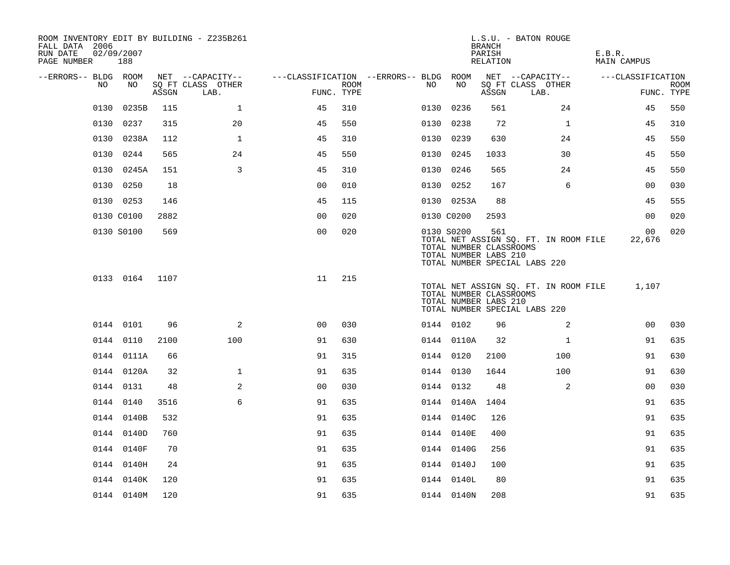| ROOM INVENTORY EDIT BY BUILDING - Z235B261<br>FALL DATA 2006<br>RUN DATE<br>PAGE NUMBER | 02/09/2007<br>188 |       |                           |                                        |      |      |                                                                | <b>BRANCH</b><br>PARISH<br>RELATION | L.S.U. - BATON ROUGE                                                   | E.B.R.<br><b>MAIN CAMPUS</b> |                           |
|-----------------------------------------------------------------------------------------|-------------------|-------|---------------------------|----------------------------------------|------|------|----------------------------------------------------------------|-------------------------------------|------------------------------------------------------------------------|------------------------------|---------------------------|
| --ERRORS-- BLDG ROOM                                                                    |                   |       | NET --CAPACITY--          | ---CLASSIFICATION --ERRORS-- BLDG ROOM |      |      |                                                                |                                     | NET --CAPACITY--                                                       | ---CLASSIFICATION            |                           |
| NO.                                                                                     | NO                | ASSGN | SQ FT CLASS OTHER<br>LAB. | FUNC. TYPE                             | ROOM | NO   | NO                                                             | ASSGN                               | SQ FT CLASS OTHER<br>LAB.                                              |                              | <b>ROOM</b><br>FUNC. TYPE |
| 0130                                                                                    | 0235B             | 115   | $\mathbf{1}$              | 45                                     | 310  | 0130 | 0236                                                           | 561                                 | 24                                                                     | 45                           | 550                       |
|                                                                                         | 0130 0237         | 315   | 20                        | 45                                     | 550  |      | 0130 0238                                                      | 72                                  | $\mathbf{1}$                                                           | 45                           | 310                       |
|                                                                                         | 0130 0238A        | 112   | $\mathbf 1$               | 45                                     | 310  |      | 0130 0239                                                      | 630                                 | 24                                                                     | 45                           | 550                       |
|                                                                                         | 0130 0244         | 565   | 24                        | 45                                     | 550  |      | 0130 0245                                                      | 1033                                | 30                                                                     | 45                           | 550                       |
|                                                                                         | 0130 0245A        | 151   | 3                         | 45                                     | 310  |      | 0130 0246                                                      | 565                                 | 24                                                                     | 45                           | 550                       |
|                                                                                         | 0130 0250         | 18    |                           | 0 <sub>0</sub>                         | 010  |      | 0130 0252                                                      | 167                                 | 6                                                                      | 00                           | 030                       |
|                                                                                         | 0130 0253         | 146   |                           | 45                                     | 115  |      | 0130 0253A                                                     | 88                                  |                                                                        | 45                           | 555                       |
|                                                                                         | 0130 C0100        | 2882  |                           | 0 <sub>0</sub>                         | 020  |      | 0130 C0200                                                     | 2593                                |                                                                        | 0 <sub>0</sub>               | 020                       |
|                                                                                         | 0130 S0100        | 569   |                           | 0 <sub>0</sub>                         | 020  |      | 0130 S0200<br>TOTAL NUMBER CLASSROOMS<br>TOTAL NUMBER LABS 210 | 561                                 | TOTAL NET ASSIGN SQ. FT. IN ROOM FILE<br>TOTAL NUMBER SPECIAL LABS 220 | 00 <sup>o</sup><br>22,676    | 020                       |
|                                                                                         | 0133 0164         | 1107  |                           | 11                                     | 215  |      | TOTAL NUMBER CLASSROOMS<br>TOTAL NUMBER LABS 210               |                                     | TOTAL NET ASSIGN SQ. FT. IN ROOM FILE<br>TOTAL NUMBER SPECIAL LABS 220 | 1,107                        |                           |
|                                                                                         | 0144 0101         | 96    | $\overline{a}$            | 0 <sub>0</sub>                         | 030  |      | 0144 0102                                                      | 96                                  | 2                                                                      | 0 <sub>0</sub>               | 030                       |
|                                                                                         | 0144 0110         | 2100  | 100                       | 91                                     | 630  |      | 0144 0110A                                                     | 32                                  | $\mathbf{1}$                                                           | 91                           | 635                       |
|                                                                                         | 0144 0111A        | 66    |                           | 91                                     | 315  |      | 0144 0120                                                      | 2100                                | 100                                                                    | 91                           | 630                       |
|                                                                                         | 0144 0120A        | 32    | $\mathbf{1}$              | 91                                     | 635  |      | 0144 0130                                                      | 1644                                | 100                                                                    | 91                           | 630                       |
|                                                                                         | 0144 0131         | 48    | 2                         | 0 <sub>0</sub>                         | 030  |      | 0144 0132                                                      | 48                                  | 2                                                                      | 00                           | 030                       |
|                                                                                         | 0144 0140         | 3516  | 6                         | 91                                     | 635  |      | 0144 0140A 1404                                                |                                     |                                                                        | 91                           | 635                       |
|                                                                                         | 0144 0140B        | 532   |                           | 91                                     | 635  |      | 0144 0140C                                                     | 126                                 |                                                                        | 91                           | 635                       |
|                                                                                         | 0144 0140D        | 760   |                           | 91                                     | 635  |      | 0144 0140E                                                     | 400                                 |                                                                        | 91                           | 635                       |
|                                                                                         | 0144 0140F        | 70    |                           | 91                                     | 635  |      | 0144 0140G                                                     | 256                                 |                                                                        | 91                           | 635                       |
|                                                                                         | 0144 0140H        | 24    |                           | 91                                     | 635  |      | 0144 0140J                                                     | 100                                 |                                                                        | 91                           | 635                       |
|                                                                                         | 0144 0140K        | 120   |                           | 91                                     | 635  |      | 0144 0140L                                                     | 80                                  |                                                                        | 91                           | 635                       |
|                                                                                         | 0144 0140M        | 120   |                           | 91                                     | 635  |      | 0144 0140N                                                     | 208                                 |                                                                        | 91                           | 635                       |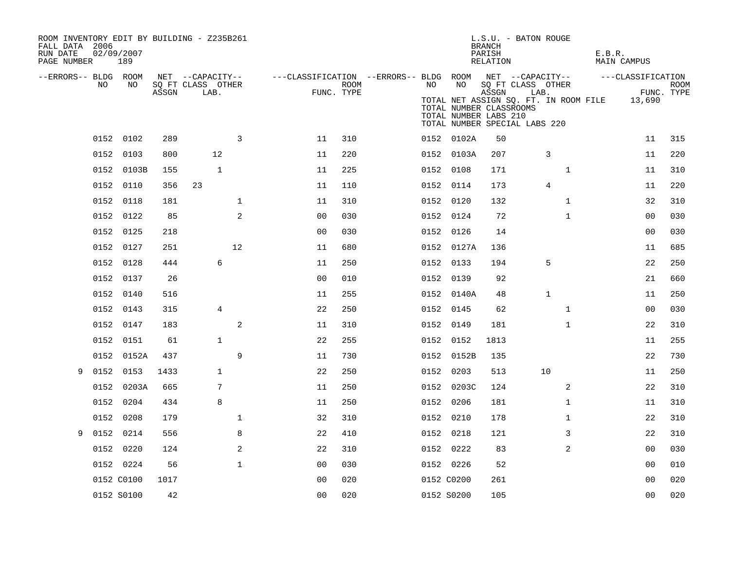| ROOM INVENTORY EDIT BY BUILDING - Z235B261<br>FALL DATA 2006<br>RUN DATE<br>PAGE NUMBER | 02/09/2007<br>189 |    |       |                                       |                |                                                         |            |    |                                                                                   | L.S.U. - BATON ROUGE<br><b>BRANCH</b><br>PARISH<br>RELATION |      |              | E.B.R. | MAIN CAMPUS                                  |            |
|-----------------------------------------------------------------------------------------|-------------------|----|-------|---------------------------------------|----------------|---------------------------------------------------------|------------|----|-----------------------------------------------------------------------------------|-------------------------------------------------------------|------|--------------|--------|----------------------------------------------|------------|
| --ERRORS-- BLDG ROOM<br>NO                                                              |                   | NO |       | NET --CAPACITY--<br>SQ FT CLASS OTHER |                | ---CLASSIFICATION --ERRORS-- BLDG ROOM NET --CAPACITY-- | ROOM       | NO | NO                                                                                | SQ FT CLASS OTHER                                           |      |              |        | ---CLASSIFICATION                            | ROOM       |
|                                                                                         |                   |    | ASSGN | LAB.                                  |                |                                                         | FUNC. TYPE |    | TOTAL NUMBER CLASSROOMS<br>TOTAL NUMBER LABS 210<br>TOTAL NUMBER SPECIAL LABS 220 | ASSGN                                                       | LAB. |              |        | TOTAL NET ASSIGN SQ. FT. IN ROOM FILE 13,690 | FUNC. TYPE |
|                                                                                         | 0152 0102         |    | 289   |                                       | 3              | 11                                                      | 310        |    | 0152 0102A                                                                        | 50                                                          |      |              |        | 11                                           | 315        |
|                                                                                         | 0152 0103         |    | 800   | 12                                    |                | 11                                                      | 220        |    | 0152 0103A                                                                        | 207                                                         |      | 3            |        | 11                                           | 220        |
|                                                                                         | 0152 0103B        |    | 155   | $\mathbf{1}$                          |                | 11                                                      | 225        |    | 0152 0108                                                                         | 171                                                         |      | $\mathbf{1}$ |        | 11                                           | 310        |
|                                                                                         | 0152 0110         |    | 356   | 23                                    |                | 11                                                      | 110        |    | 0152 0114                                                                         | 173                                                         |      | 4            |        | 11                                           | 220        |
|                                                                                         | 0152 0118         |    | 181   |                                       | $\mathbf{1}$   | 11                                                      | 310        |    | 0152 0120                                                                         | 132                                                         |      | $\mathbf{1}$ |        | 32                                           | 310        |
|                                                                                         | 0152 0122         |    | 85    |                                       | 2              | 0 <sub>0</sub>                                          | 030        |    | 0152 0124                                                                         | 72                                                          |      | $\mathbf{1}$ |        | 0 <sub>0</sub>                               | 030        |
|                                                                                         | 0152 0125         |    | 218   |                                       |                | 0 <sub>0</sub>                                          | 030        |    | 0152 0126                                                                         | 14                                                          |      |              |        | 0 <sub>0</sub>                               | 030        |
|                                                                                         | 0152 0127         |    | 251   |                                       | 12             | 11                                                      | 680        |    | 0152 0127A                                                                        | 136                                                         |      |              |        | 11                                           | 685        |
|                                                                                         | 0152 0128         |    | 444   | 6                                     |                | 11                                                      | 250        |    | 0152 0133                                                                         | 194                                                         |      | 5            |        | 22                                           | 250        |
|                                                                                         | 0152 0137         |    | 26    |                                       |                | 0 <sub>0</sub>                                          | 010        |    | 0152 0139                                                                         | 92                                                          |      |              |        | 21                                           | 660        |
|                                                                                         | 0152 0140         |    | 516   |                                       |                | 11                                                      | 255        |    | 0152 0140A                                                                        | 48                                                          |      | $\mathbf 1$  |        | 11                                           | 250        |
|                                                                                         | 0152 0143         |    | 315   | 4                                     |                | 22                                                      | 250        |    | 0152 0145                                                                         | 62                                                          |      | $\mathbf{1}$ |        | 00                                           | 030        |
|                                                                                         | 0152 0147         |    | 183   |                                       | 2              | 11                                                      | 310        |    | 0152 0149                                                                         | 181                                                         |      | $\mathbf{1}$ |        | 22                                           | 310        |
|                                                                                         | 0152 0151         |    | 61    | $\mathbf{1}$                          |                | 22                                                      | 255        |    | 0152 0152                                                                         | 1813                                                        |      |              |        | 11                                           | 255        |
|                                                                                         | 0152 0152A        |    | 437   |                                       | 9              | 11                                                      | 730        |    | 0152 0152B                                                                        | 135                                                         |      |              |        | 22                                           | 730        |
| 9                                                                                       | 0152 0153         |    | 1433  | $\mathbf{1}$                          |                | 22                                                      | 250        |    | 0152 0203                                                                         | 513                                                         | 10   |              |        | 11                                           | 250        |
|                                                                                         | 0152 0203A        |    | 665   | 7                                     |                | 11                                                      | 250        |    | 0152 0203C                                                                        | 124                                                         |      | 2            |        | 22                                           | 310        |
|                                                                                         | 0152 0204         |    | 434   | 8                                     |                | 11                                                      | 250        |    | 0152 0206                                                                         | 181                                                         |      | $\mathbf{1}$ |        | 11                                           | 310        |
|                                                                                         | 0152 0208         |    | 179   |                                       | $\mathbf 1$    | 32                                                      | 310        |    | 0152 0210                                                                         | 178                                                         |      | $\mathbf{1}$ |        | 22                                           | 310        |
| 9                                                                                       | 0152<br>0214      |    | 556   |                                       | 8              | 22                                                      | 410        |    | 0152 0218                                                                         | 121                                                         |      | 3            |        | 22                                           | 310        |
|                                                                                         | 0152 0220         |    | 124   |                                       | $\overline{a}$ | 22                                                      | 310        |    | 0152 0222                                                                         | 83                                                          |      | 2            |        | 0 <sub>0</sub>                               | 030        |
|                                                                                         | 0152 0224         |    | 56    |                                       | $\mathbf 1$    | 0 <sub>0</sub>                                          | 030        |    | 0152 0226                                                                         | 52                                                          |      |              |        | 00                                           | 010        |
|                                                                                         | 0152 C0100        |    | 1017  |                                       |                | 0 <sub>0</sub>                                          | 020        |    | 0152 C0200                                                                        | 261                                                         |      |              |        | 0 <sub>0</sub>                               | 020        |
|                                                                                         | 0152 S0100        |    | 42    |                                       |                | 0 <sub>0</sub>                                          | 020        |    | 0152 S0200                                                                        | 105                                                         |      |              |        | 0 <sub>0</sub>                               | 020        |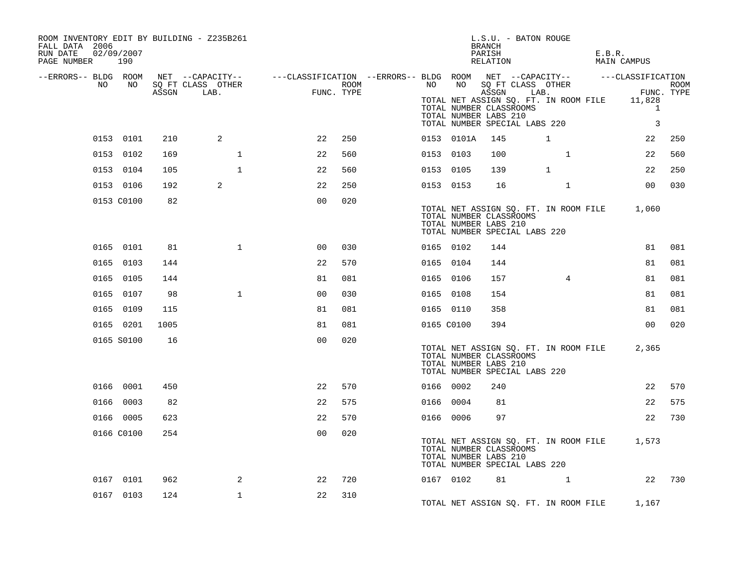| ROOM INVENTORY EDIT BY BUILDING - Z235B261<br>FALL DATA 2006<br>02/09/2007<br>RUN DATE<br>PAGE NUMBER 190 |            |      |                                                                                                |                |      |            |            | L.S.U. - BATON ROUGE<br>BRANCH<br>PARISH<br>RELATION                                                                                                            |                                                                                                                                                                                                                                 |              | E.B.R.                | <b>MAIN CAMPUS</b>                |        |
|-----------------------------------------------------------------------------------------------------------|------------|------|------------------------------------------------------------------------------------------------|----------------|------|------------|------------|-----------------------------------------------------------------------------------------------------------------------------------------------------------------|---------------------------------------------------------------------------------------------------------------------------------------------------------------------------------------------------------------------------------|--------------|-----------------------|-----------------------------------|--------|
| --ERRORS-- BLDG ROOM<br>NO.                                                                               | NO         |      | NET --CAPACITY-- - ---CLASSIFICATION --ERRORS-- BLDG ROOM NET --CAPACITY-- - ---CLASSIFICATION |                |      | NO         | NO         |                                                                                                                                                                 |                                                                                                                                                                                                                                 |              |                       |                                   |        |
|                                                                                                           |            |      | SQ FT CLASS OTHER<br>ASSGN LAB.                                                                | FUNC. TYPE     | ROOM |            |            | SQ FT CLASS OTHER<br>ASSGN<br>TOTAL NET ASSIGN SQ. FT. IN ROOM FILE 11,828<br>TOTAL NUMBER CLASSROOMS<br>TOTAL NUMBER LABS 210<br>TOTAL NUMBER SPECIAL LABS 220 |                                                                                                                                                                                                                                 |              | CLASS OTHER<br>LAB. F | FUNC. TYPE<br>$\overline{1}$<br>3 | ROOM   |
| 0153 0101                                                                                                 |            | 210  | 2                                                                                              | 22             | 250  |            | 0153 0101A | 145                                                                                                                                                             | 1                                                                                                                                                                                                                               |              |                       | 22                                | 250    |
| 0153 0102                                                                                                 |            | 169  | $\mathbf{1}$                                                                                   | 22             | 560  | 0153 0103  |            | 100                                                                                                                                                             |                                                                                                                                                                                                                                 | $\mathbf{1}$ |                       | 22                                | 560    |
| 0153 0104                                                                                                 |            | 105  | $\mathbf{1}$                                                                                   | 22             | 560  | 0153 0105  |            | 139                                                                                                                                                             | $\mathbf 1$                                                                                                                                                                                                                     |              |                       | 22                                | 250    |
| 0153 0106                                                                                                 |            | 192  | 2                                                                                              | 22             | 250  | 0153 0153  |            | 16                                                                                                                                                              |                                                                                                                                                                                                                                 | $\mathbf{1}$ |                       | 00                                | 030    |
|                                                                                                           | 0153 C0100 | 82   |                                                                                                | 0 <sub>0</sub> | 020  |            |            | TOTAL NET ASSIGN SQ. FT. IN ROOM FILE 1,060<br>TOTAL NUMBER CLASSROOMS<br>TOTAL NUMBER LABS 210<br>TOTAL NUMBER SPECIAL LABS 220                                |                                                                                                                                                                                                                                 |              |                       |                                   |        |
|                                                                                                           | 0165 0101  | 81   | $\mathbf{1}$                                                                                   | 00             | 030  | 0165 0102  |            | 144                                                                                                                                                             |                                                                                                                                                                                                                                 |              |                       | 81                                | 081    |
| 0165 0103                                                                                                 |            | 144  |                                                                                                | 22             | 570  | 0165 0104  |            | 144                                                                                                                                                             |                                                                                                                                                                                                                                 |              |                       | 81                                | 081    |
| 0165 0105                                                                                                 |            | 144  |                                                                                                | 81             | 081  | 0165 0106  |            | 157                                                                                                                                                             |                                                                                                                                                                                                                                 | $4^{\circ}$  |                       | 81                                | 081    |
| 0165 0107                                                                                                 |            | 98   | $\mathbf{1}$                                                                                   | 0 <sub>0</sub> | 030  | 0165 0108  |            | 154                                                                                                                                                             |                                                                                                                                                                                                                                 |              |                       | 81                                | 081    |
| 0165 0109                                                                                                 |            | 115  |                                                                                                | 81             | 081  | 0165 0110  |            | 358                                                                                                                                                             |                                                                                                                                                                                                                                 |              |                       | 81                                | 081    |
| 0165 0201                                                                                                 |            | 1005 |                                                                                                | 81             | 081  | 0165 C0100 |            | 394                                                                                                                                                             |                                                                                                                                                                                                                                 |              |                       | 00                                | 020    |
| 0165 S0100                                                                                                |            | 16   |                                                                                                | 0 <sup>0</sup> | 020  |            |            | TOTAL NET ASSIGN SQ. FT. IN ROOM FILE<br>TOTAL NUMBER CLASSROOMS<br>TOTAL NUMBER LABS 210<br>TOTAL NUMBER SPECIAL LABS 220                                      |                                                                                                                                                                                                                                 |              |                       | 2,365                             |        |
| 0166 0001                                                                                                 |            | 450  |                                                                                                | 22             | 570  | 0166 0002  |            | 240                                                                                                                                                             |                                                                                                                                                                                                                                 |              |                       | 22                                | 570    |
| 0166 0003                                                                                                 |            | 82   |                                                                                                | 22             | 575  | 0166 0004  |            | 81                                                                                                                                                              |                                                                                                                                                                                                                                 |              |                       | 22                                | 575    |
| 0166 0005                                                                                                 |            | 623  |                                                                                                | 22             | 570  | 0166 0006  |            | 97                                                                                                                                                              |                                                                                                                                                                                                                                 |              |                       | 22                                | 730    |
| 0166 C0100                                                                                                |            | 254  |                                                                                                | 0 <sub>0</sub> | 020  |            |            | TOTAL NET ASSIGN SQ. FT. IN ROOM FILE 1,573<br>TOTAL NUMBER CLASSROOMS<br>TOTAL NUMBER LABS 210<br>TOTAL NUMBER SPECIAL LABS 220                                |                                                                                                                                                                                                                                 |              |                       |                                   |        |
| 0167 0101                                                                                                 |            | 962  | 2                                                                                              | 22             | 720  |            | 0167 0102  |                                                                                                                                                                 | 81 — 100 — 100 — 100 — 100 — 100 — 100 — 100 — 100 — 100 — 100 — 100 — 100 — 100 — 100 — 100 — 100 — 100 — 100 — 100 — 100 — 100 — 100 — 100 — 100 — 100 — 100 — 100 — 100 — 100 — 100 — 100 — 100 — 100 — 100 — 100 — 100 — 10 | $\mathbf{1}$ |                       |                                   | 22 730 |
| 0167 0103                                                                                                 |            | 124  | $\mathbf{1}$                                                                                   | 22             | 310  |            |            | TOTAL NET ASSIGN SQ. FT. IN ROOM FILE 1,167                                                                                                                     |                                                                                                                                                                                                                                 |              |                       |                                   |        |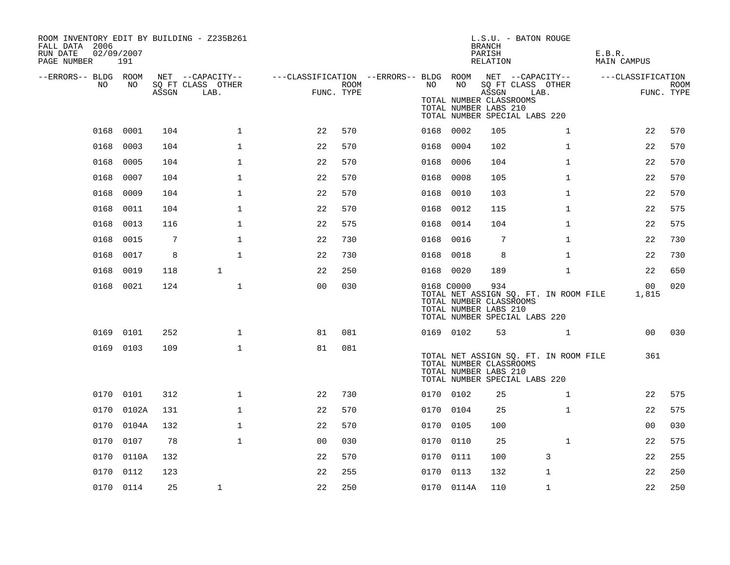| ROOM INVENTORY EDIT BY BUILDING - Z235B261<br>FALL DATA 2006<br>RUN DATE<br>PAGE NUMBER | 02/09/2007<br>191 |       |                           |                                                         |      |      |            | <b>BRANCH</b><br>PARISH<br>RELATION                       | L.S.U. - BATON ROUGE                                                   | E.B.R.<br>MAIN CAMPUS |                           |
|-----------------------------------------------------------------------------------------|-------------------|-------|---------------------------|---------------------------------------------------------|------|------|------------|-----------------------------------------------------------|------------------------------------------------------------------------|-----------------------|---------------------------|
| --ERRORS-- BLDG ROOM                                                                    |                   |       | NET --CAPACITY--          | ---CLASSIFICATION --ERRORS-- BLDG ROOM NET --CAPACITY-- |      |      |            |                                                           |                                                                        | ---CLASSIFICATION     |                           |
| NO                                                                                      | NO                | ASSGN | SQ FT CLASS OTHER<br>LAB. | FUNC. TYPE                                              | ROOM | NO   | NO         | ASSGN<br>TOTAL NUMBER CLASSROOMS<br>TOTAL NUMBER LABS 210 | SQ FT CLASS OTHER<br>LAB.<br>TOTAL NUMBER SPECIAL LABS 220             |                       | <b>ROOM</b><br>FUNC. TYPE |
| 0168                                                                                    | 0001              | 104   | $\mathbf 1$               | 22                                                      | 570  |      | 0168 0002  | 105                                                       | $\mathbf{1}$                                                           | 22                    | 570                       |
| 0168                                                                                    | 0003              | 104   | $\mathbf 1$               | 22                                                      | 570  | 0168 | 0004       | 102                                                       | $\mathbf{1}$                                                           | 22                    | 570                       |
| 0168                                                                                    | 0005              | 104   | $\mathbf 1$               | 22                                                      | 570  | 0168 | 0006       | 104                                                       | $\mathbf{1}$                                                           | 22                    | 570                       |
| 0168                                                                                    | 0007              | 104   | $\mathbf 1$               | 22                                                      | 570  | 0168 | 0008       | 105                                                       | $\mathbf{1}$                                                           | 22                    | 570                       |
| 0168                                                                                    | 0009              | 104   | $\mathbf 1$               | 22                                                      | 570  | 0168 | 0010       | 103                                                       | $\mathbf{1}$                                                           | 22                    | 570                       |
| 0168                                                                                    | 0011              | 104   | $\mathbf{1}$              | 22                                                      | 570  | 0168 | 0012       | 115                                                       | $\mathbf{1}$                                                           | 22                    | 575                       |
| 0168                                                                                    | 0013              | 116   | $\mathbf 1$               | 22                                                      | 575  | 0168 | 0014       | 104                                                       | $\mathbf{1}$                                                           | 22                    | 575                       |
| 0168                                                                                    | 0015              | 7     | $\mathbf 1$               | 22                                                      | 730  | 0168 | 0016       | 7                                                         | $\mathbf{1}$                                                           | 22                    | 730                       |
| 0168                                                                                    | 0017              | 8     | $\mathbf 1$               | 22                                                      | 730  | 0168 | 0018       | 8                                                         | $\mathbf{1}$                                                           | 22                    | 730                       |
| 0168                                                                                    | 0019              | 118   | $\mathbf{1}$              | 22                                                      | 250  |      | 0168 0020  | 189                                                       | $\mathbf{1}$                                                           | 22                    | 650                       |
|                                                                                         | 0168 0021         | 124   | $\mathbf{1}$              | 0 <sub>0</sub>                                          | 030  |      | 0168 C0000 | 934<br>TOTAL NUMBER CLASSROOMS<br>TOTAL NUMBER LABS 210   | TOTAL NET ASSIGN SQ. FT. IN ROOM FILE<br>TOTAL NUMBER SPECIAL LABS 220 | 00<br>1,815           | 020                       |
|                                                                                         | 0169 0101         | 252   | $\mathbf 1$               | 81                                                      | 081  |      | 0169 0102  | 53                                                        | $\mathbf{1}$                                                           | 00 <sup>o</sup>       | 030                       |
|                                                                                         | 0169 0103         | 109   | $\mathbf 1$               | 81                                                      | 081  |      |            | TOTAL NUMBER CLASSROOMS<br>TOTAL NUMBER LABS 210          | TOTAL NET ASSIGN SQ. FT. IN ROOM FILE<br>TOTAL NUMBER SPECIAL LABS 220 | 361                   |                           |
|                                                                                         | 0170 0101         | 312   | $\mathbf 1$               | 22                                                      | 730  |      | 0170 0102  | 25                                                        | $\mathbf{1}$                                                           | 22                    | 575                       |
|                                                                                         | 0170 0102A        | 131   | $\mathbf{1}$              | 22                                                      | 570  |      | 0170 0104  | 25                                                        | $\mathbf{1}$                                                           | 22                    | 575                       |
|                                                                                         | 0170 0104A        | 132   | $\mathbf{1}$              | 22                                                      | 570  |      | 0170 0105  | 100                                                       |                                                                        | 0 <sub>0</sub>        | 030                       |
| 0170                                                                                    | 0107              | 78    | $\mathbf{1}$              | 0 <sub>0</sub>                                          | 030  |      | 0170 0110  | 25                                                        | $\mathbf{1}$                                                           | 22                    | 575                       |
| 0170                                                                                    | 0110A             | 132   |                           | 22                                                      | 570  |      | 0170 0111  | 100                                                       | 3                                                                      | 22                    | 255                       |
| 0170                                                                                    | 0112              | 123   |                           | 22                                                      | 255  | 0170 | 0113       | 132                                                       | 1                                                                      | 22                    | 250                       |
|                                                                                         | 0170 0114         | 25    | 1                         | 22                                                      | 250  |      | 0170 0114A | 110                                                       | $\mathbf 1$                                                            | 22                    | 250                       |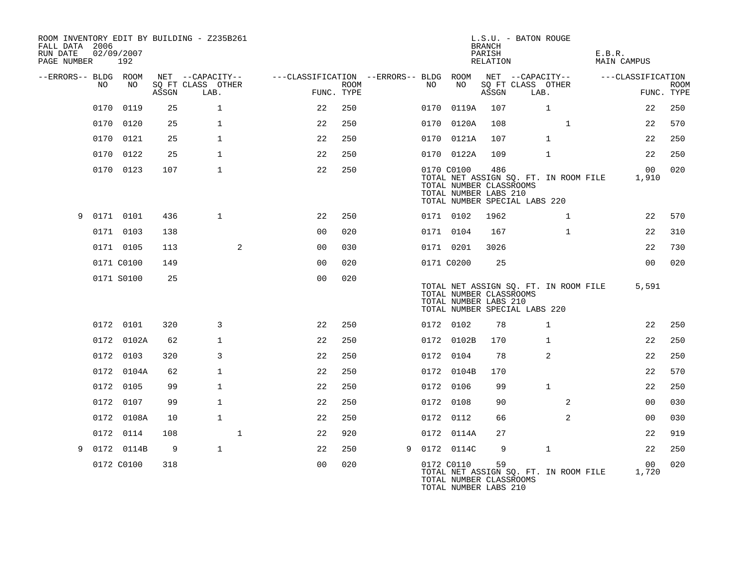| FALL DATA 2006<br>RUN DATE<br>PAGE NUMBER |      | 02/09/2007<br>192 |       | ROOM INVENTORY EDIT BY BUILDING - Z235B261 |                                        |                           |   |      |                                                                                                                                          | <b>BRANCH</b><br>PARISH<br>RELATION | L.S.U. - BATON ROUGE      |              |                | E.B.R. | MAIN CAMPUS              |                           |
|-------------------------------------------|------|-------------------|-------|--------------------------------------------|----------------------------------------|---------------------------|---|------|------------------------------------------------------------------------------------------------------------------------------------------|-------------------------------------|---------------------------|--------------|----------------|--------|--------------------------|---------------------------|
| --ERRORS-- BLDG ROOM                      |      |                   |       | NET --CAPACITY--                           | ---CLASSIFICATION --ERRORS-- BLDG ROOM |                           |   |      |                                                                                                                                          |                                     | NET --CAPACITY--          |              |                |        | ---CLASSIFICATION        |                           |
|                                           | NO.  | NO                | ASSGN | SQ FT CLASS OTHER<br>LAB.                  |                                        | <b>ROOM</b><br>FUNC. TYPE |   | NO   | NO                                                                                                                                       | ASSGN                               | SQ FT CLASS OTHER<br>LAB. |              |                |        |                          | <b>ROOM</b><br>FUNC. TYPE |
|                                           | 0170 | 0119              | 25    | $\mathbf{1}$                               | 22                                     | 250                       |   | 0170 | 0119A                                                                                                                                    | 107                                 |                           | $\mathbf{1}$ |                |        | 22                       | 250                       |
|                                           |      | 0170 0120         | 25    | $\mathbf{1}$                               | 22                                     | 250                       |   |      | 0170 0120A                                                                                                                               | 108                                 |                           |              | $\mathbf{1}$   |        | 22                       | 570                       |
|                                           |      | 0170 0121         | 25    | $\mathbf{1}$                               | 22                                     | 250                       |   |      | 0170 0121A                                                                                                                               | 107                                 |                           | $\mathbf{1}$ |                |        | 22                       | 250                       |
|                                           | 0170 | 0122              | 25    | $\mathbf{1}$                               | 22                                     | 250                       |   |      | 0170 0122A                                                                                                                               | 109                                 |                           | $\mathbf{1}$ |                |        | 22                       | 250                       |
|                                           |      | 0170 0123         | 107   | $\mathbf{1}$                               | 22                                     | 250                       |   |      | 0170 C0100<br>TOTAL NET ASSIGN SQ. FT. IN ROOM FILE<br>TOTAL NUMBER CLASSROOMS<br>TOTAL NUMBER LABS 210<br>TOTAL NUMBER SPECIAL LABS 220 | 486                                 |                           |              |                |        | 00 <sub>o</sub><br>1,910 | 020                       |
| 9                                         |      | 0171 0101         | 436   | $\mathbf{1}$                               | 22                                     | 250                       |   |      | 0171 0102                                                                                                                                | 1962                                |                           |              | $\mathbf{1}$   |        | 22                       | 570                       |
|                                           |      | 0171 0103         | 138   |                                            | 0 <sub>0</sub>                         | 020                       |   |      | 0171 0104                                                                                                                                | 167                                 |                           |              | $\mathbf{1}$   |        | 22                       | 310                       |
|                                           |      | 0171 0105         | 113   | 2                                          | 0 <sub>0</sub>                         | 030                       |   |      | 0171 0201                                                                                                                                | 3026                                |                           |              |                |        | 22                       | 730                       |
|                                           |      | 0171 C0100        | 149   |                                            | 0 <sub>0</sub>                         | 020                       |   |      | 0171 C0200                                                                                                                               | 25                                  |                           |              |                |        | 0 <sub>0</sub>           | 020                       |
|                                           |      | 0171 S0100        | 25    |                                            | 0 <sub>0</sub>                         | 020                       |   |      | TOTAL NET ASSIGN SQ. FT. IN ROOM FILE<br>TOTAL NUMBER CLASSROOMS<br>TOTAL NUMBER LABS 210<br>TOTAL NUMBER SPECIAL LABS 220               |                                     |                           |              |                |        | 5,591                    |                           |
|                                           |      | 0172 0101         | 320   | 3                                          | 22                                     | 250                       |   |      | 0172 0102                                                                                                                                | 78                                  |                           | $\mathbf{1}$ |                |        | 22                       | 250                       |
|                                           |      | 0172 0102A        | 62    | $\mathbf{1}$                               | 22                                     | 250                       |   |      | 0172 0102B                                                                                                                               | 170                                 |                           | $\mathbf{1}$ |                |        | 22                       | 250                       |
|                                           |      | 0172 0103         | 320   | 3                                          | 22                                     | 250                       |   |      | 0172 0104                                                                                                                                | 78                                  |                           | 2            |                |        | 22                       | 250                       |
|                                           |      | 0172 0104A        | 62    | $\mathbf{1}$                               | 22                                     | 250                       |   |      | 0172 0104B                                                                                                                               | 170                                 |                           |              |                |        | 22                       | 570                       |
|                                           |      | 0172 0105         | 99    | $\mathbf{1}$                               | 22                                     | 250                       |   |      | 0172 0106                                                                                                                                | 99                                  |                           | $\mathbf{1}$ |                |        | 22                       | 250                       |
|                                           |      | 0172 0107         | 99    | $\mathbf{1}$                               | 22                                     | 250                       |   |      | 0172 0108                                                                                                                                | 90                                  |                           |              | 2              |        | 0 <sub>0</sub>           | 030                       |
|                                           |      | 0172 0108A        | 10    | $\mathbf{1}$                               | 22                                     | 250                       |   |      | 0172 0112                                                                                                                                | 66                                  |                           |              | $\overline{a}$ |        | 0 <sub>0</sub>           | 030                       |
|                                           |      | 0172 0114         | 108   | $\mathbf{1}$                               | 22                                     | 920                       |   |      | 0172 0114A                                                                                                                               | 27                                  |                           |              |                |        | 22                       | 919                       |
| 9                                         |      | 0172 0114B        | 9     | $\mathbf{1}$                               | 22                                     | 250                       | 9 |      | 0172 0114C                                                                                                                               | 9                                   |                           | $\mathbf{1}$ |                |        | 22                       | 250                       |
|                                           |      | 0172 C0100        | 318   |                                            | 0 <sub>0</sub>                         | 020                       |   |      | 0172 C0110<br>TOTAL NET ASSIGN SQ. FT. IN ROOM FILE<br>TOTAL NUMBER CLASSROOMS<br>TOTAL NUMBER LABS 210                                  | 59                                  |                           |              |                |        | 0 <sub>0</sub><br>1,720  | 020                       |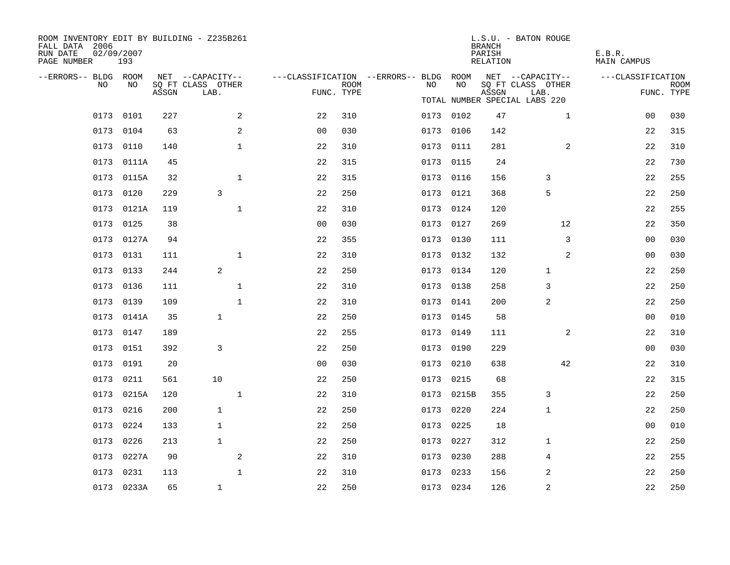| ROOM INVENTORY EDIT BY BUILDING - Z235B261<br>FALL DATA 2006<br>RUN DATE<br>PAGE NUMBER | 02/09/2007<br>193 |       |                           |                |                           |                                        |            | <b>BRANCH</b><br>PARISH<br>RELATION | L.S.U. - BATON ROUGE          | E.B.R.<br><b>MAIN CAMPUS</b> |                           |
|-----------------------------------------------------------------------------------------|-------------------|-------|---------------------------|----------------|---------------------------|----------------------------------------|------------|-------------------------------------|-------------------------------|------------------------------|---------------------------|
| --ERRORS-- BLDG ROOM                                                                    |                   |       | NET --CAPACITY--          |                |                           | ---CLASSIFICATION --ERRORS-- BLDG ROOM |            |                                     | NET --CAPACITY--              | ---CLASSIFICATION            |                           |
| NO                                                                                      | NO                | ASSGN | SQ FT CLASS OTHER<br>LAB. |                | <b>ROOM</b><br>FUNC. TYPE | NO                                     | NO         | ASSGN                               | SQ FT CLASS OTHER<br>LAB.     |                              | <b>ROOM</b><br>FUNC. TYPE |
|                                                                                         |                   |       |                           |                |                           |                                        |            |                                     | TOTAL NUMBER SPECIAL LABS 220 |                              |                           |
|                                                                                         | 0173 0101         | 227   | 2                         | 22             | 310                       |                                        | 0173 0102  | 47                                  | $\mathbf{1}$                  | 0 <sub>0</sub>               | 030                       |
|                                                                                         | 0173 0104         | 63    | 2                         | 0 <sub>0</sub> | 030                       |                                        | 0173 0106  | 142                                 |                               | 22                           | 315                       |
|                                                                                         | 0173 0110         | 140   | $\mathbf{1}$              | 22             | 310                       |                                        | 0173 0111  | 281                                 | 2                             | 22                           | 310                       |
|                                                                                         | 0173 0111A        | 45    |                           | 22             | 315                       |                                        | 0173 0115  | 24                                  |                               | 22                           | 730                       |
|                                                                                         | 0173 0115A        | 32    | $\mathbf{1}$              | 22             | 315                       |                                        | 0173 0116  | 156                                 | 3                             | 22                           | 255                       |
|                                                                                         | 0173 0120         | 229   | 3                         | 22             | 250                       |                                        | 0173 0121  | 368                                 | 5                             | 22                           | 250                       |
|                                                                                         | 0173 0121A        | 119   | $\mathbf{1}$              | 22             | 310                       |                                        | 0173 0124  | 120                                 |                               | 22                           | 255                       |
|                                                                                         | 0173 0125         | 38    |                           | 0 <sub>0</sub> | 030                       |                                        | 0173 0127  | 269                                 | 12                            | 22                           | 350                       |
|                                                                                         | 0173 0127A        | 94    |                           | 22             | 355                       |                                        | 0173 0130  | 111                                 | 3                             | 00                           | 030                       |
|                                                                                         | 0173 0131         | 111   | $\mathbf 1$               | 22             | 310                       |                                        | 0173 0132  | 132                                 | 2                             | 00                           | 030                       |
|                                                                                         | 0173 0133         | 244   | 2                         | 22             | 250                       |                                        | 0173 0134  | 120                                 | $\mathbf{1}$                  | 22                           | 250                       |
|                                                                                         | 0173 0136         | 111   | $\mathbf 1$               | 22             | 310                       |                                        | 0173 0138  | 258                                 | 3                             | 22                           | 250                       |
| 0173                                                                                    | 0139              | 109   | $\mathbf{1}$              | 22             | 310                       |                                        | 0173 0141  | 200                                 | 2                             | 22                           | 250                       |
|                                                                                         | 0173 0141A        | 35    | $\mathbf{1}$              | 22             | 250                       |                                        | 0173 0145  | 58                                  |                               | 0 <sub>0</sub>               | 010                       |
|                                                                                         | 0173 0147         | 189   |                           | 22             | 255                       |                                        | 0173 0149  | 111                                 | 2                             | 22                           | 310                       |
|                                                                                         | 0173 0151         | 392   | 3                         | 22             | 250                       |                                        | 0173 0190  | 229                                 |                               | 0 <sub>0</sub>               | 030                       |
| 0173                                                                                    | 0191              | 20    |                           | 0 <sub>0</sub> | 030                       | 0173                                   | 0210       | 638                                 | 42                            | 22                           | 310                       |
|                                                                                         | 0173 0211         | 561   | 10                        | 22             | 250                       |                                        | 0173 0215  | 68                                  |                               | 22                           | 315                       |
|                                                                                         | 0173 0215A        | 120   | $\mathbf{1}$              | 22             | 310                       |                                        | 0173 0215B | 355                                 | 3                             | 22                           | 250                       |
|                                                                                         | 0173 0216         | 200   | $\mathbf{1}$              | 22             | 250                       |                                        | 0173 0220  | 224                                 | $\mathbf{1}$                  | 22                           | 250                       |
| 0173                                                                                    | 0224              | 133   | $\mathbf{1}$              | 22             | 250                       |                                        | 0173 0225  | 18                                  |                               | 0 <sub>0</sub>               | 010                       |
|                                                                                         | 0173 0226         | 213   | $\mathbf{1}$              | 22             | 250                       |                                        | 0173 0227  | 312                                 | $\mathbf{1}$                  | 22                           | 250                       |
| 0173                                                                                    | 0227A             | 90    | 2                         | 22             | 310                       |                                        | 0173 0230  | 288                                 | 4                             | 22                           | 255                       |
|                                                                                         | 0173 0231         | 113   | $\mathbf{1}$              | 22             | 310                       |                                        | 0173 0233  | 156                                 | 2                             | 22                           | 250                       |
|                                                                                         | 0173 0233A        | 65    | $\mathbf{1}$              | 22             | 250                       |                                        | 0173 0234  | 126                                 | $\overline{2}$                | 22                           | 250                       |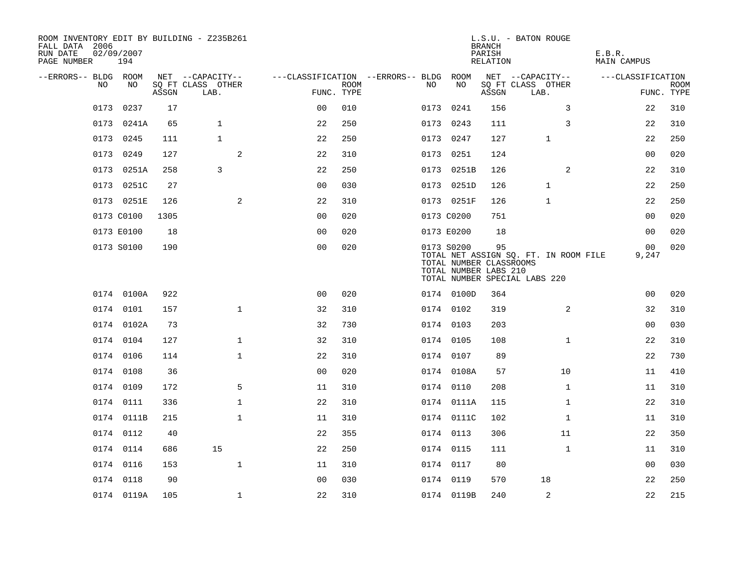| ROOM INVENTORY EDIT BY BUILDING - Z235B261<br>FALL DATA 2006<br>RUN DATE<br>PAGE NUMBER | 02/09/2007<br>194 |       |                           |                                        |             |      |                                                                | <b>BRANCH</b><br>PARISH<br>RELATION | L.S.U. - BATON ROUGE                                                   | E.B.R.<br><b>MAIN CAMPUS</b> |                           |
|-----------------------------------------------------------------------------------------|-------------------|-------|---------------------------|----------------------------------------|-------------|------|----------------------------------------------------------------|-------------------------------------|------------------------------------------------------------------------|------------------------------|---------------------------|
| --ERRORS-- BLDG ROOM                                                                    |                   |       | NET --CAPACITY--          | ---CLASSIFICATION --ERRORS-- BLDG ROOM |             |      |                                                                |                                     | NET --CAPACITY--                                                       | ---CLASSIFICATION            |                           |
| NO                                                                                      | NO                | ASSGN | SQ FT CLASS OTHER<br>LAB. | FUNC. TYPE                             | <b>ROOM</b> | NO.  | NO                                                             | ASSGN                               | SQ FT CLASS OTHER<br>LAB.                                              |                              | <b>ROOM</b><br>FUNC. TYPE |
| 0173                                                                                    | 0237              | 17    |                           | 0 <sub>0</sub>                         | 010         | 0173 | 0241                                                           | 156                                 | 3                                                                      | 22                           | 310                       |
|                                                                                         | 0173 0241A        | 65    | $\mathbf{1}$              | 22                                     | 250         |      | 0173 0243                                                      | 111                                 | 3                                                                      | 22                           | 310                       |
|                                                                                         | 0173 0245         | 111   | $\mathbf{1}$              | 22                                     | 250         |      | 0173 0247                                                      | 127                                 | $\mathbf{1}$                                                           | 22                           | 250                       |
|                                                                                         | 0173 0249         | 127   | 2                         | 22                                     | 310         |      | 0173 0251                                                      | 124                                 |                                                                        | 00                           | 020                       |
| 0173                                                                                    | 0251A             | 258   | 3                         | 22                                     | 250         |      | 0173 0251B                                                     | 126                                 | 2                                                                      | 22                           | 310                       |
|                                                                                         | 0173 0251C        | 27    |                           | 0 <sub>0</sub>                         | 030         |      | 0173 0251D                                                     | 126                                 | $\mathbf 1$                                                            | 22                           | 250                       |
|                                                                                         | 0173 0251E        | 126   | $\mathbf{2}$              | 22                                     | 310         |      | 0173 0251F                                                     | 126                                 | 1                                                                      | 22                           | 250                       |
|                                                                                         | 0173 C0100        | 1305  |                           | 0 <sub>0</sub>                         | 020         |      | 0173 C0200                                                     | 751                                 |                                                                        | 00                           | 020                       |
|                                                                                         | 0173 E0100        | 18    |                           | 0 <sub>0</sub>                         | 020         |      | 0173 E0200                                                     | 18                                  |                                                                        | 0 <sub>0</sub>               | 020                       |
|                                                                                         | 0173 S0100        | 190   |                           | 0 <sub>0</sub>                         | 020         |      | 0173 S0200<br>TOTAL NUMBER CLASSROOMS<br>TOTAL NUMBER LABS 210 | 95                                  | TOTAL NET ASSIGN SQ. FT. IN ROOM FILE<br>TOTAL NUMBER SPECIAL LABS 220 | 00<br>9,247                  | 020                       |
|                                                                                         | 0174 0100A        | 922   |                           | 0 <sub>0</sub>                         | 020         |      | 0174 0100D                                                     | 364                                 |                                                                        | 0 <sub>0</sub>               | 020                       |
|                                                                                         | 0174 0101         | 157   | $\mathbf 1$               | 32                                     | 310         |      | 0174 0102                                                      | 319                                 | 2                                                                      | 32                           | 310                       |
|                                                                                         | 0174 0102A        | 73    |                           | 32                                     | 730         |      | 0174 0103                                                      | 203                                 |                                                                        | 0 <sub>0</sub>               | 030                       |
|                                                                                         | 0174 0104         | 127   | $\mathbf 1$               | 32                                     | 310         |      | 0174 0105                                                      | 108                                 | $\mathbf{1}$                                                           | 22                           | 310                       |
|                                                                                         | 0174 0106         | 114   | $\mathbf 1$               | 22                                     | 310         |      | 0174 0107                                                      | 89                                  |                                                                        | 22                           | 730                       |
|                                                                                         | 0174 0108         | 36    |                           | 0 <sub>0</sub>                         | 020         |      | 0174 0108A                                                     | 57                                  | 10                                                                     | 11                           | 410                       |
|                                                                                         | 0174 0109         | 172   | 5                         | 11                                     | 310         |      | 0174 0110                                                      | 208                                 | $\mathbf{1}$                                                           | 11                           | 310                       |
|                                                                                         | 0174 0111         | 336   | $\mathbf{1}$              | 22                                     | 310         |      | 0174 0111A                                                     | 115                                 | $\mathbf{1}$                                                           | 22                           | 310                       |
|                                                                                         | 0174 0111B        | 215   | $\mathbf 1$               | 11                                     | 310         |      | 0174 0111C                                                     | 102                                 | $\mathbf{1}$                                                           | 11                           | 310                       |
|                                                                                         | 0174 0112         | 40    |                           | 22                                     | 355         |      | 0174 0113                                                      | 306                                 | 11                                                                     | 22                           | 350                       |
|                                                                                         | 0174 0114         | 686   | 15                        | 22                                     | 250         |      | 0174 0115                                                      | 111                                 | $\mathbf{1}$                                                           | 11                           | 310                       |
|                                                                                         | 0174 0116         | 153   | $\mathbf{1}$              | 11                                     | 310         |      | 0174 0117                                                      | 80                                  |                                                                        | 00                           | 030                       |
|                                                                                         | 0174 0118         | 90    |                           | 0 <sub>0</sub>                         | 030         |      | 0174 0119                                                      | 570                                 | 18                                                                     | 22                           | 250                       |
|                                                                                         | 0174 0119A        | 105   | $\mathbf{1}$              | 22                                     | 310         |      | 0174 0119B                                                     | 240                                 | 2                                                                      | 22                           | 215                       |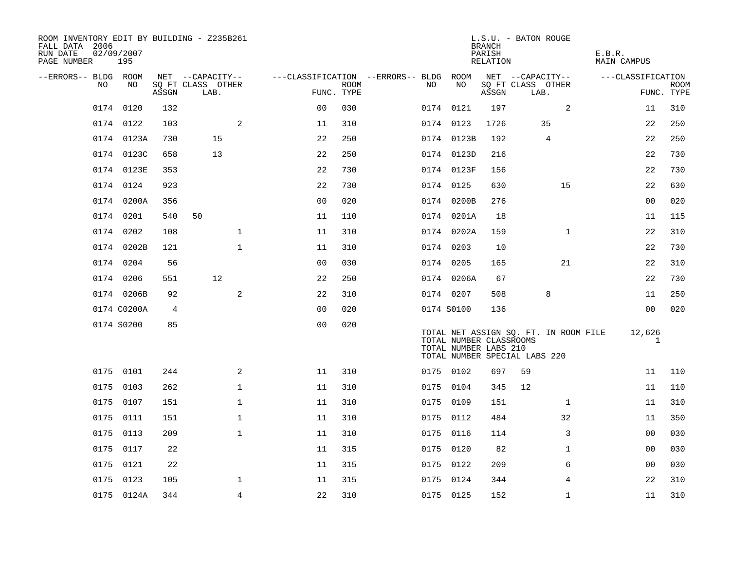| ROOM INVENTORY EDIT BY BUILDING - Z235B261<br>FALL DATA 2006<br>RUN DATE<br>PAGE NUMBER | 02/09/2007<br>195 |       |                                       |              |                                        |             |     |                                                  | <b>BRANCH</b><br>PARISH<br>RELATION | L.S.U. - BATON ROUGE                                                   |              | E.B.R.<br><b>MAIN CAMPUS</b> |                |             |
|-----------------------------------------------------------------------------------------|-------------------|-------|---------------------------------------|--------------|----------------------------------------|-------------|-----|--------------------------------------------------|-------------------------------------|------------------------------------------------------------------------|--------------|------------------------------|----------------|-------------|
| --ERRORS-- BLDG ROOM<br>NO                                                              | NO                |       | NET --CAPACITY--<br>SQ FT CLASS OTHER |              | ---CLASSIFICATION --ERRORS-- BLDG ROOM | <b>ROOM</b> | NO. | NO                                               |                                     | NET --CAPACITY--<br>SQ FT CLASS OTHER                                  |              | ---CLASSIFICATION            |                | <b>ROOM</b> |
|                                                                                         |                   | ASSGN | LAB.                                  |              | FUNC. TYPE                             |             |     |                                                  | ASSGN                               | LAB.                                                                   |              |                              | FUNC. TYPE     |             |
| 0174                                                                                    | 0120              | 132   |                                       |              | 0 <sup>0</sup>                         | 030         |     | 0174 0121                                        | 197                                 |                                                                        | 2            |                              | 11             | 310         |
|                                                                                         | 0174 0122         | 103   |                                       | 2            | 11                                     | 310         |     | 0174 0123                                        | 1726                                |                                                                        | 35           |                              | 22             | 250         |
|                                                                                         | 0174 0123A        | 730   | 15                                    |              | 22                                     | 250         |     | 0174 0123B                                       | 192                                 |                                                                        | 4            |                              | 22             | 250         |
|                                                                                         | 0174 0123C        | 658   | 13                                    |              | 22                                     | 250         |     | 0174 0123D                                       | 216                                 |                                                                        |              |                              | 22             | 730         |
|                                                                                         | 0174 0123E        | 353   |                                       |              | 22                                     | 730         |     | 0174 0123F                                       | 156                                 |                                                                        |              |                              | 22             | 730         |
|                                                                                         | 0174 0124         | 923   |                                       |              | 22                                     | 730         |     | 0174 0125                                        | 630                                 |                                                                        | 15           |                              | 22             | 630         |
|                                                                                         | 0174 0200A        | 356   |                                       |              | 0 <sub>0</sub>                         | 020         |     | 0174 0200B                                       | 276                                 |                                                                        |              |                              | 0 <sub>0</sub> | 020         |
|                                                                                         | 0174 0201         | 540   | 50                                    |              | 11                                     | 110         |     | 0174 0201A                                       | 18                                  |                                                                        |              |                              | 11             | 115         |
|                                                                                         | 0174 0202         | 108   |                                       | $\mathbf 1$  | 11                                     | 310         |     | 0174 0202A                                       | 159                                 |                                                                        | $\mathbf{1}$ |                              | 22             | 310         |
|                                                                                         | 0174 0202B        | 121   |                                       | $\mathbf{1}$ | 11                                     | 310         |     | 0174 0203                                        | 10                                  |                                                                        |              |                              | 22             | 730         |
|                                                                                         | 0174 0204         | 56    |                                       |              | 0 <sub>0</sub>                         | 030         |     | 0174 0205                                        | 165                                 |                                                                        | 21           |                              | 22             | 310         |
|                                                                                         | 0174 0206         | 551   | 12                                    |              | 22                                     | 250         |     | 0174 0206A                                       | 67                                  |                                                                        |              |                              | 22             | 730         |
|                                                                                         | 0174 0206B        | 92    |                                       | 2            | 22                                     | 310         |     | 0174 0207                                        | 508                                 |                                                                        | 8            |                              | 11             | 250         |
|                                                                                         | 0174 C0200A       | 4     |                                       |              | 0 <sub>0</sub>                         | 020         |     | 0174 S0100                                       | 136                                 |                                                                        |              |                              | 0 <sub>0</sub> | 020         |
|                                                                                         | 0174 S0200        | 85    |                                       |              | 0 <sub>0</sub>                         | 020         |     | TOTAL NUMBER CLASSROOMS<br>TOTAL NUMBER LABS 210 |                                     | TOTAL NET ASSIGN SQ. FT. IN ROOM FILE<br>TOTAL NUMBER SPECIAL LABS 220 |              |                              | 12,626<br>1    |             |
|                                                                                         | 0175 0101         | 244   |                                       | 2            | 11                                     | 310         |     | 0175 0102                                        | 697                                 | 59                                                                     |              |                              | 11             | 110         |
|                                                                                         | 0175 0103         | 262   |                                       | $\mathbf{1}$ | 11                                     | 310         |     | 0175 0104                                        | 345                                 | 12                                                                     |              |                              | 11             | 110         |
| 0175                                                                                    | 0107              | 151   |                                       | $\mathbf 1$  | 11                                     | 310         |     | 0175 0109                                        | 151                                 |                                                                        | $\mathbf{1}$ |                              | 11             | 310         |
|                                                                                         | 0175 0111         | 151   |                                       | $\mathbf 1$  | 11                                     | 310         |     | 0175 0112                                        | 484                                 |                                                                        | 32           |                              | 11             | 350         |
| 0175                                                                                    | 0113              | 209   |                                       | $\mathbf{1}$ | 11                                     | 310         |     | 0175 0116                                        | 114                                 |                                                                        | 3            |                              | 0 <sub>0</sub> | 030         |
|                                                                                         | 0175 0117         | 22    |                                       |              | 11                                     | 315         |     | 0175 0120                                        | 82                                  |                                                                        | $\mathbf{1}$ |                              | 00             | 030         |
| 0175                                                                                    | 0121              | 22    |                                       |              | 11                                     | 315         |     | 0175 0122                                        | 209                                 |                                                                        | 6            |                              | 0 <sub>0</sub> | 030         |
|                                                                                         | 0175 0123         | 105   |                                       | $\mathbf 1$  | 11                                     | 315         |     | 0175 0124                                        | 344                                 |                                                                        | 4            |                              | 22             | 310         |
|                                                                                         | 0175 0124A        | 344   |                                       | 4            | 22                                     | 310         |     | 0175 0125                                        | 152                                 |                                                                        | $\mathbf{1}$ |                              | 11             | 310         |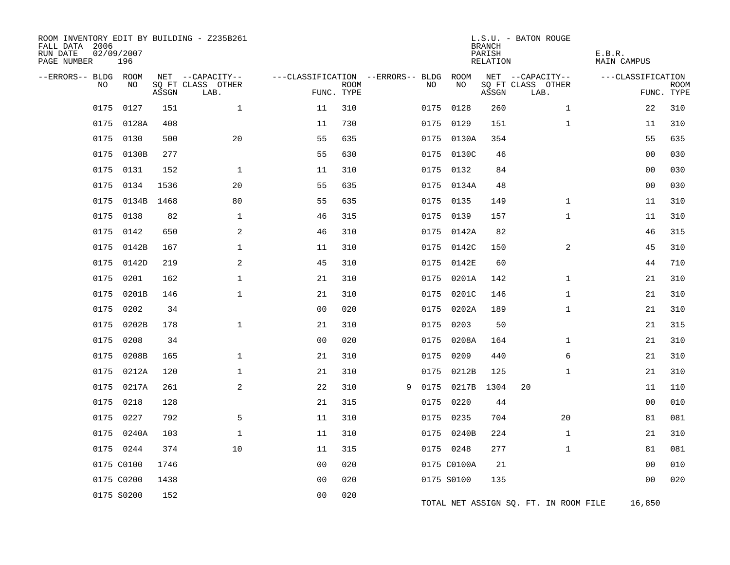| ROOM INVENTORY EDIT BY BUILDING - Z235B261<br>FALL DATA 2006<br>RUN DATE<br>PAGE NUMBER | 02/09/2007<br>196 |       |                                               |                |             |                                          |             | <b>BRANCH</b><br>PARISH<br>RELATION | L.S.U. - BATON ROUGE                          | E.B.R.<br>MAIN CAMPUS |                           |
|-----------------------------------------------------------------------------------------|-------------------|-------|-----------------------------------------------|----------------|-------------|------------------------------------------|-------------|-------------------------------------|-----------------------------------------------|-----------------------|---------------------------|
| --ERRORS-- BLDG ROOM<br><b>NO</b>                                                       | NO                | ASSGN | NET --CAPACITY--<br>SQ FT CLASS OTHER<br>LAB. | FUNC. TYPE     | <b>ROOM</b> | ---CLASSIFICATION --ERRORS-- BLDG<br>NO. | ROOM<br>NO  | ASSGN                               | NET --CAPACITY--<br>SQ FT CLASS OTHER<br>LAB. | ---CLASSIFICATION     | <b>ROOM</b><br>FUNC. TYPE |
| 0175                                                                                    | 0127              | 151   | $\mathbf 1$                                   | 11             | 310         | 0175                                     | 0128        | 260                                 | $\mathbf{1}$                                  | 22                    | 310                       |
| 0175                                                                                    | 0128A             | 408   |                                               | 11             | 730         | 0175                                     | 0129        | 151                                 | $\mathbf{1}$                                  | 11                    | 310                       |
| 0175                                                                                    | 0130              | 500   | 20                                            | 55             | 635         | 0175                                     | 0130A       | 354                                 |                                               | 55                    | 635                       |
| 0175                                                                                    | 0130B             | 277   |                                               | 55             | 630         |                                          | 0175 0130C  | 46                                  |                                               | 0 <sub>0</sub>        | 030                       |
| 0175                                                                                    | 0131              | 152   | $\mathbf 1$                                   | 11             | 310         |                                          | 0175 0132   | 84                                  |                                               | 00                    | 030                       |
| 0175                                                                                    | 0134              | 1536  | 20                                            | 55             | 635         |                                          | 0175 0134A  | 48                                  |                                               | 0 <sub>0</sub>        | 030                       |
| 0175                                                                                    | 0134B             | 1468  | 80                                            | 55             | 635         |                                          | 0175 0135   | 149                                 | $\mathbf{1}$                                  | 11                    | 310                       |
| 0175                                                                                    | 0138              | 82    | $\mathbf{1}$                                  | 46             | 315         | 0175                                     | 0139        | 157                                 | $\mathbf{1}$                                  | 11                    | 310                       |
| 0175                                                                                    | 0142              | 650   | 2                                             | 46             | 310         |                                          | 0175 0142A  | 82                                  |                                               | 46                    | 315                       |
| 0175                                                                                    | 0142B             | 167   | $\mathbf 1$                                   | 11             | 310         | 0175                                     | 0142C       | 150                                 | 2                                             | 45                    | 310                       |
| 0175                                                                                    | 0142D             | 219   | 2                                             | 45             | 310         | 0175                                     | 0142E       | 60                                  |                                               | 44                    | 710                       |
| 0175                                                                                    | 0201              | 162   | $\mathbf 1$                                   | 21             | 310         |                                          | 0175 0201A  | 142                                 | $\mathbf{1}$                                  | 21                    | 310                       |
| 0175                                                                                    | 0201B             | 146   | $\mathbf 1$                                   | 21             | 310         | 0175                                     | 0201C       | 146                                 | $\mathbf{1}$                                  | 21                    | 310                       |
| 0175                                                                                    | 0202              | 34    |                                               | 0 <sub>0</sub> | 020         | 0175                                     | 0202A       | 189                                 | $\mathbf{1}$                                  | 21                    | 310                       |
| 0175                                                                                    | 0202B             | 178   | $\mathbf{1}$                                  | 21             | 310         | 0175                                     | 0203        | 50                                  |                                               | 21                    | 315                       |
| 0175                                                                                    | 0208              | 34    |                                               | 0 <sub>0</sub> | 020         |                                          | 0175 0208A  | 164                                 | $\mathbf{1}$                                  | 21                    | 310                       |
| 0175                                                                                    | 0208B             | 165   | $\mathbf 1$                                   | 21             | 310         | 0175                                     | 0209        | 440                                 | 6                                             | 21                    | 310                       |
| 0175                                                                                    | 0212A             | 120   | $\mathbf 1$                                   | 21             | 310         | 0175                                     | 0212B       | 125                                 | $\mathbf{1}$                                  | 21                    | 310                       |
| 0175                                                                                    | 0217A             | 261   | 2                                             | 22             | 310         | 0175<br>9                                | 0217B       | 1304                                | 20                                            | 11                    | 110                       |
| 0175                                                                                    | 0218              | 128   |                                               | 21             | 315         | 0175                                     | 0220        | 44                                  |                                               | 0 <sub>0</sub>        | 010                       |
| 0175                                                                                    | 0227              | 792   | 5                                             | 11             | 310         |                                          | 0175 0235   | 704                                 | 20                                            | 81                    | 081                       |
| 0175                                                                                    | 0240A             | 103   | $\mathbf 1$                                   | 11             | 310         |                                          | 0175 0240B  | 224                                 | $\mathbf{1}$                                  | 21                    | 310                       |
|                                                                                         | 0175 0244         | 374   | 10                                            | 11             | 315         |                                          | 0175 0248   | 277                                 | $\mathbf{1}$                                  | 81                    | 081                       |
|                                                                                         | 0175 C0100        | 1746  |                                               | 0 <sub>0</sub> | 020         |                                          | 0175 C0100A | 21                                  |                                               | 0 <sub>0</sub>        | 010                       |
|                                                                                         | 0175 C0200        | 1438  |                                               | 0 <sub>0</sub> | 020         |                                          | 0175 S0100  | 135                                 |                                               | 0 <sub>0</sub>        | 020                       |
|                                                                                         | 0175 S0200        | 152   |                                               | 0 <sub>0</sub> | 020         |                                          |             |                                     | TOTAL NET ASSIGN SQ. FT. IN ROOM FILE         | 16,850                |                           |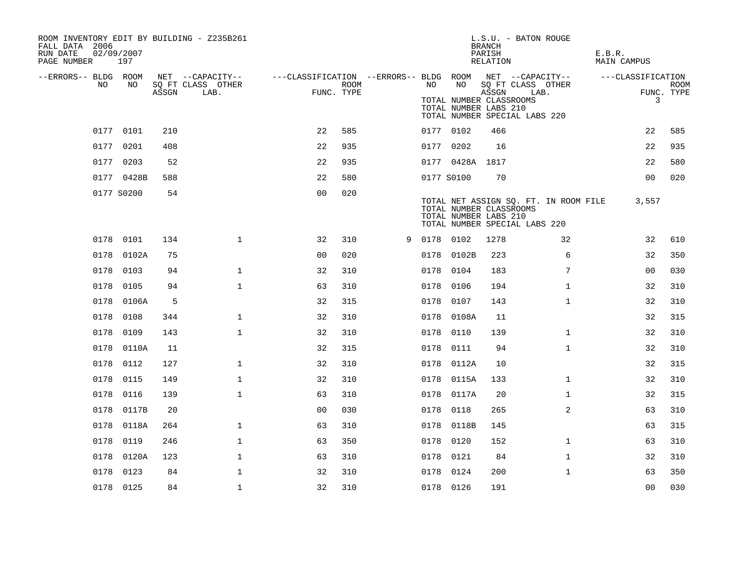| ROOM INVENTORY EDIT BY BUILDING - Z235B261<br>FALL DATA 2006<br>RUN DATE<br>PAGE NUMBER | 02/09/2007<br>197 |       |                                               |                                                                       |             |   |           |                                                  | <b>BRANCH</b><br>PARISH<br>RELATION | L.S.U. - BATON ROUGE                                                   | E.B.R.<br>MAIN CAMPUS |                           |
|-----------------------------------------------------------------------------------------|-------------------|-------|-----------------------------------------------|-----------------------------------------------------------------------|-------------|---|-----------|--------------------------------------------------|-------------------------------------|------------------------------------------------------------------------|-----------------------|---------------------------|
| --ERRORS-- BLDG ROOM<br>NO.                                                             | NO                | ASSGN | NET --CAPACITY--<br>SQ FT CLASS OTHER<br>LAB. | ---CLASSIFICATION --ERRORS-- BLDG ROOM NET --CAPACITY--<br>FUNC. TYPE | <b>ROOM</b> |   | NO .      | NO                                               | ASSGN                               | SQ FT CLASS OTHER<br>LAB.                                              | ---CLASSIFICATION     | <b>ROOM</b><br>FUNC. TYPE |
|                                                                                         |                   |       |                                               |                                                                       |             |   |           | TOTAL NUMBER CLASSROOMS<br>TOTAL NUMBER LABS 210 |                                     | TOTAL NUMBER SPECIAL LABS 220                                          | 3                     |                           |
|                                                                                         | 0177 0101         | 210   |                                               | 22                                                                    | 585         |   | 0177 0102 |                                                  | 466                                 |                                                                        | 22                    | 585                       |
|                                                                                         | 0177 0201         | 408   |                                               | 22                                                                    | 935         |   | 0177 0202 |                                                  | 16                                  |                                                                        | 22                    | 935                       |
|                                                                                         | 0177 0203         | 52    |                                               | 22                                                                    | 935         |   |           | 0177 0428A 1817                                  |                                     |                                                                        | 22                    | 580                       |
|                                                                                         | 0177 0428B        | 588   |                                               | 22                                                                    | 580         |   |           | 0177 S0100                                       | 70                                  |                                                                        | 0 <sub>0</sub>        | 020                       |
|                                                                                         | 0177 S0200        | 54    |                                               | 0 <sub>0</sub>                                                        | 020         |   |           | TOTAL NUMBER CLASSROOMS<br>TOTAL NUMBER LABS 210 |                                     | TOTAL NET ASSIGN SQ. FT. IN ROOM FILE<br>TOTAL NUMBER SPECIAL LABS 220 | 3,557                 |                           |
|                                                                                         | 0178 0101         | 134   | $\mathbf 1$                                   | 32                                                                    | 310         | 9 | 0178 0102 |                                                  | 1278                                | 32                                                                     | 32                    | 610                       |
|                                                                                         | 0178 0102A        | 75    |                                               | 0 <sub>0</sub>                                                        | 020         |   |           | 0178 0102B                                       | 223                                 | 6                                                                      | 32                    | 350                       |
|                                                                                         | 0178 0103         | 94    | $\mathbf{1}$                                  | 32                                                                    | 310         |   | 0178 0104 |                                                  | 183                                 | $7\phantom{.0}$                                                        | 0 <sub>0</sub>        | 030                       |
|                                                                                         | 0178 0105         | 94    | $\mathbf{1}$                                  | 63                                                                    | 310         |   | 0178 0106 |                                                  | 194                                 | $\mathbf{1}$                                                           | 32                    | 310                       |
| 0178                                                                                    | 0106A             | 5     |                                               | 32                                                                    | 315         |   | 0178 0107 |                                                  | 143                                 | $\mathbf{1}$                                                           | 32                    | 310                       |
| 0178                                                                                    | 0108              | 344   | $\mathbf{1}$                                  | 32                                                                    | 310         |   |           | 0178 0108A                                       | 11                                  |                                                                        | 32                    | 315                       |
| 0178                                                                                    | 0109              | 143   | $\mathbf{1}$                                  | 32                                                                    | 310         |   | 0178 0110 |                                                  | 139                                 | $\mathbf{1}$                                                           | 32                    | 310                       |
|                                                                                         | 0178 0110A        | 11    |                                               | 32                                                                    | 315         |   | 0178 0111 |                                                  | 94                                  | $\mathbf{1}$                                                           | 32                    | 310                       |
| 0178                                                                                    | 0112              | 127   | $\mathbf{1}$                                  | 32                                                                    | 310         |   |           | 0178 0112A                                       | 10                                  |                                                                        | 32                    | 315                       |
| 0178                                                                                    | 0115              | 149   | $\mathbf 1$                                   | 32                                                                    | 310         |   |           | 0178 0115A                                       | 133                                 | $\mathbf{1}$                                                           | 32                    | 310                       |
| 0178                                                                                    | 0116              | 139   | $\mathbf{1}$                                  | 63                                                                    | 310         |   |           | 0178 0117A                                       | 20                                  | $\mathbf{1}$                                                           | 32                    | 315                       |
|                                                                                         | 0178 0117B        | 20    |                                               | 0 <sub>0</sub>                                                        | 030         |   | 0178 0118 |                                                  | 265                                 | 2                                                                      | 63                    | 310                       |
| 0178                                                                                    | 0118A             | 264   | $\mathbf 1$                                   | 63                                                                    | 310         |   | 0178      | 0118B                                            | 145                                 |                                                                        | 63                    | 315                       |
| 0178                                                                                    | 0119              | 246   | $\mathbf 1$                                   | 63                                                                    | 350         |   | 0178 0120 |                                                  | 152                                 | $\mathbf{1}$                                                           | 63                    | 310                       |
| 0178                                                                                    | 0120A             | 123   | $\mathbf 1$                                   | 63                                                                    | 310         |   | 0178 0121 |                                                  | 84                                  | $\mathbf{1}$                                                           | 32                    | 310                       |
|                                                                                         | 0178 0123         | 84    | $\mathbf{1}$                                  | 32                                                                    | 310         |   | 0178 0124 |                                                  | 200                                 | $\mathbf{1}$                                                           | 63                    | 350                       |
|                                                                                         | 0178 0125         | 84    | $\mathbf{1}$                                  | 32                                                                    | 310         |   | 0178 0126 |                                                  | 191                                 |                                                                        | 0 <sub>0</sub>        | 030                       |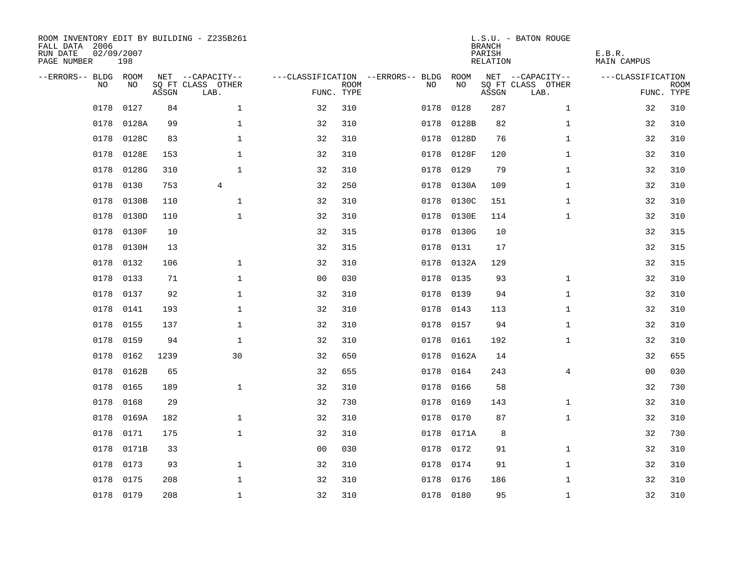| ROOM INVENTORY EDIT BY BUILDING - Z235B261<br>FALL DATA 2006<br>RUN DATE<br>PAGE NUMBER | 02/09/2007<br>198 |       |                           |                |             |                                   |           | <b>BRANCH</b><br>PARISH<br>RELATION | L.S.U. - BATON ROUGE      | E.B.R.<br><b>MAIN CAMPUS</b> |                           |
|-----------------------------------------------------------------------------------------|-------------------|-------|---------------------------|----------------|-------------|-----------------------------------|-----------|-------------------------------------|---------------------------|------------------------------|---------------------------|
| --ERRORS-- BLDG ROOM                                                                    |                   |       | NET --CAPACITY--          |                |             | ---CLASSIFICATION --ERRORS-- BLDG | ROOM      |                                     | NET --CAPACITY--          | ---CLASSIFICATION            |                           |
| N <sub>O</sub>                                                                          | NO.               | ASSGN | SO FT CLASS OTHER<br>LAB. | FUNC. TYPE     | <b>ROOM</b> | NO.                               | NO        | ASSGN                               | SQ FT CLASS OTHER<br>LAB. |                              | <b>ROOM</b><br>FUNC. TYPE |
| 0178                                                                                    | 0127              | 84    | $\mathbf{1}$              | 32             | 310         | 0178                              | 0128      | 287                                 | $\mathbf{1}$              | 32                           | 310                       |
| 0178                                                                                    | 0128A             | 99    | $\mathbf{1}$              | 32             | 310         | 0178                              | 0128B     | 82                                  | $\mathbf{1}$              | 32                           | 310                       |
| 0178                                                                                    | 0128C             | 83    | $\mathbf 1$               | 32             | 310         | 0178                              | 0128D     | 76                                  | $\mathbf{1}$              | 32                           | 310                       |
| 0178                                                                                    | 0128E             | 153   | $\mathbf 1$               | 32             | 310         | 0178                              | 0128F     | 120                                 | $\mathbf{1}$              | 32                           | 310                       |
| 0178                                                                                    | 0128G             | 310   | $\mathbf{1}$              | 32             | 310         | 0178                              | 0129      | 79                                  | $\mathbf{1}$              | 32                           | 310                       |
| 0178                                                                                    | 0130              | 753   | $\overline{4}$            | 32             | 250         | 0178                              | 0130A     | 109                                 | $\mathbf{1}$              | 32                           | 310                       |
| 0178                                                                                    | 0130B             | 110   | $\mathbf{1}$              | 32             | 310         | 0178                              | 0130C     | 151                                 | $\mathbf{1}$              | 32                           | 310                       |
| 0178                                                                                    | 0130D             | 110   | $\mathbf 1$               | 32             | 310         | 0178                              | 0130E     | 114                                 | $\mathbf{1}$              | 32                           | 310                       |
| 0178                                                                                    | 0130F             | 10    |                           | 32             | 315         | 0178                              | 0130G     | 10                                  |                           | 32                           | 315                       |
| 0178                                                                                    | 0130H             | 13    |                           | 32             | 315         | 0178                              | 0131      | 17                                  |                           | 32                           | 315                       |
| 0178                                                                                    | 0132              | 106   | $\mathbf 1$               | 32             | 310         | 0178                              | 0132A     | 129                                 |                           | 32                           | 315                       |
| 0178                                                                                    | 0133              | 71    | $\mathbf 1$               | 0 <sub>0</sub> | 030         | 0178                              | 0135      | 93                                  | $\mathbf{1}$              | 32                           | 310                       |
| 0178                                                                                    | 0137              | 92    | $\mathbf{1}$              | 32             | 310         | 0178                              | 0139      | 94                                  | $\mathbf{1}$              | 32                           | 310                       |
| 0178                                                                                    | 0141              | 193   | $\mathbf{1}$              | 32             | 310         | 0178                              | 0143      | 113                                 | $\mathbf{1}$              | 32                           | 310                       |
| 0178                                                                                    | 0155              | 137   | $\mathbf 1$               | 32             | 310         | 0178                              | 0157      | 94                                  | $\mathbf{1}$              | 32                           | 310                       |
| 0178                                                                                    | 0159              | 94    | $\mathbf 1$               | 32             | 310         | 0178                              | 0161      | 192                                 | $\mathbf{1}$              | 32                           | 310                       |
| 0178                                                                                    | 0162              | 1239  | 30                        | 32             | 650         | 0178                              | 0162A     | 14                                  |                           | 32                           | 655                       |
| 0178                                                                                    | 0162B             | 65    |                           | 32             | 655         | 0178                              | 0164      | 243                                 | $\overline{4}$            | 0 <sub>0</sub>               | 030                       |
| 0178                                                                                    | 0165              | 189   | $\mathbf{1}$              | 32             | 310         | 0178                              | 0166      | 58                                  |                           | 32                           | 730                       |
| 0178                                                                                    | 0168              | 29    |                           | 32             | 730         | 0178                              | 0169      | 143                                 | $\mathbf{1}$              | 32                           | 310                       |
| 0178                                                                                    | 0169A             | 182   | $\mathbf 1$               | 32             | 310         | 0178                              | 0170      | 87                                  | $\mathbf{1}$              | 32                           | 310                       |
| 0178                                                                                    | 0171              | 175   | $\mathbf 1$               | 32             | 310         | 0178                              | 0171A     | 8                                   |                           | 32                           | 730                       |
| 0178                                                                                    | 0171B             | 33    |                           | 0 <sub>0</sub> | 030         | 0178                              | 0172      | 91                                  | $\mathbf{1}$              | 32                           | 310                       |
| 0178                                                                                    | 0173              | 93    | $\mathbf{1}$              | 32             | 310         | 0178                              | 0174      | 91                                  | $\mathbf{1}$              | 32                           | 310                       |
| 0178                                                                                    | 0175              | 208   | $\mathbf{1}$              | 32             | 310         | 0178                              | 0176      | 186                                 | $\mathbf{1}$              | 32                           | 310                       |
|                                                                                         | 0178 0179         | 208   | $\mathbf 1$               | 32             | 310         |                                   | 0178 0180 | 95                                  | $\mathbf{1}$              | 32                           | 310                       |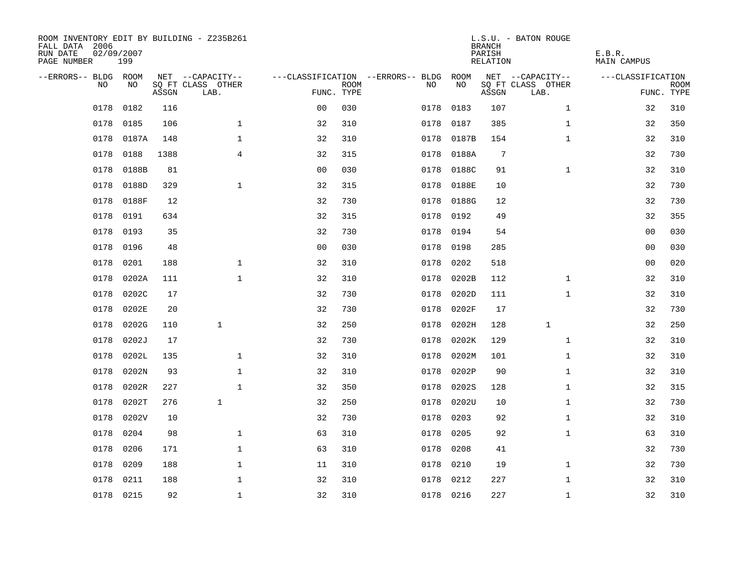| ROOM INVENTORY EDIT BY BUILDING - Z235B261<br>FALL DATA 2006<br>RUN DATE<br>PAGE NUMBER | 02/09/2007<br>199 |       |                           |                |             |                                   |           | <b>BRANCH</b><br>PARISH<br>RELATION | L.S.U. - BATON ROUGE      | E.B.R.<br><b>MAIN CAMPUS</b> |                           |
|-----------------------------------------------------------------------------------------|-------------------|-------|---------------------------|----------------|-------------|-----------------------------------|-----------|-------------------------------------|---------------------------|------------------------------|---------------------------|
| --ERRORS-- BLDG ROOM                                                                    |                   |       | NET --CAPACITY--          |                |             | ---CLASSIFICATION --ERRORS-- BLDG | ROOM      |                                     | NET --CAPACITY--          | ---CLASSIFICATION            |                           |
| N <sub>O</sub>                                                                          | NO.               | ASSGN | SO FT CLASS OTHER<br>LAB. | FUNC. TYPE     | <b>ROOM</b> | NO.                               | NO        | ASSGN                               | SQ FT CLASS OTHER<br>LAB. |                              | <b>ROOM</b><br>FUNC. TYPE |
| 0178                                                                                    | 0182              | 116   |                           | 0 <sub>0</sub> | 030         | 0178                              | 0183      | 107                                 | $\mathbf{1}$              | 32                           | 310                       |
| 0178                                                                                    | 0185              | 106   | $\mathbf{1}$              | 32             | 310         | 0178                              | 0187      | 385                                 | $\mathbf{1}$              | 32                           | 350                       |
| 0178                                                                                    | 0187A             | 148   | $\mathbf 1$               | 32             | 310         | 0178                              | 0187B     | 154                                 | $\mathbf{1}$              | 32                           | 310                       |
| 0178                                                                                    | 0188              | 1388  | $\overline{4}$            | 32             | 315         | 0178                              | 0188A     | 7                                   |                           | 32                           | 730                       |
| 0178                                                                                    | 0188B             | 81    |                           | 0 <sub>0</sub> | 030         | 0178                              | 0188C     | 91                                  | $\mathbf{1}$              | 32                           | 310                       |
| 0178                                                                                    | 0188D             | 329   | $\mathbf{1}$              | 32             | 315         | 0178                              | 0188E     | 10                                  |                           | 32                           | 730                       |
| 0178                                                                                    | 0188F             | 12    |                           | 32             | 730         | 0178                              | 0188G     | 12                                  |                           | 32                           | 730                       |
| 0178                                                                                    | 0191              | 634   |                           | 32             | 315         | 0178                              | 0192      | 49                                  |                           | 32                           | 355                       |
| 0178                                                                                    | 0193              | 35    |                           | 32             | 730         | 0178                              | 0194      | 54                                  |                           | 0 <sub>0</sub>               | 030                       |
| 0178                                                                                    | 0196              | 48    |                           | 0 <sub>0</sub> | 030         | 0178                              | 0198      | 285                                 |                           | 0 <sub>0</sub>               | 030                       |
| 0178                                                                                    | 0201              | 188   | $\mathbf 1$               | 32             | 310         | 0178                              | 0202      | 518                                 |                           | 00                           | 020                       |
| 0178                                                                                    | 0202A             | 111   | $\mathbf 1$               | 32             | 310         | 0178                              | 0202B     | 112                                 | $\mathbf{1}$              | 32                           | 310                       |
| 0178                                                                                    | 0202C             | 17    |                           | 32             | 730         | 0178                              | 0202D     | 111                                 | $\mathbf{1}$              | 32                           | 310                       |
| 0178                                                                                    | 0202E             | 20    |                           | 32             | 730         | 0178                              | 0202F     | 17                                  |                           | 32                           | 730                       |
| 0178                                                                                    | 0202G             | 110   | $\mathbf{1}$              | 32             | 250         | 0178                              | 0202H     | 128                                 | $\mathbf{1}$              | 32                           | 250                       |
| 0178                                                                                    | 0202J             | 17    |                           | 32             | 730         | 0178                              | 0202K     | 129                                 | $\mathbf{1}$              | 32                           | 310                       |
| 0178                                                                                    | 0202L             | 135   | $\mathbf{1}$              | 32             | 310         | 0178                              | 0202M     | 101                                 | $\mathbf{1}$              | 32                           | 310                       |
| 0178                                                                                    | 0202N             | 93    | $\mathbf{1}$              | 32             | 310         | 0178                              | 0202P     | 90                                  | $\mathbf{1}$              | 32                           | 310                       |
| 0178                                                                                    | 0202R             | 227   | $\mathbf{1}$              | 32             | 350         | 0178                              | 0202S     | 128                                 | $\mathbf{1}$              | 32                           | 315                       |
| 0178                                                                                    | 0202T             | 276   | $\mathbf{1}$              | 32             | 250         | 0178                              | 0202U     | 10                                  | $\mathbf{1}$              | 32                           | 730                       |
| 0178                                                                                    | 0202V             | 10    |                           | 32             | 730         | 0178                              | 0203      | 92                                  | $\mathbf{1}$              | 32                           | 310                       |
| 0178                                                                                    | 0204              | 98    | $\mathbf 1$               | 63             | 310         | 0178                              | 0205      | 92                                  | $\mathbf{1}$              | 63                           | 310                       |
| 0178                                                                                    | 0206              | 171   | $\mathbf 1$               | 63             | 310         | 0178                              | 0208      | 41                                  |                           | 32                           | 730                       |
| 0178                                                                                    | 0209              | 188   | $\mathbf 1$               | 11             | 310         | 0178                              | 0210      | 19                                  | $\mathbf{1}$              | 32                           | 730                       |
| 0178                                                                                    | 0211              | 188   | $\mathbf{1}$              | 32             | 310         | 0178                              | 0212      | 227                                 | $\mathbf{1}$              | 32                           | 310                       |
|                                                                                         | 0178 0215         | 92    | $\mathbf 1$               | 32             | 310         |                                   | 0178 0216 | 227                                 | $\mathbf{1}$              | 32                           | 310                       |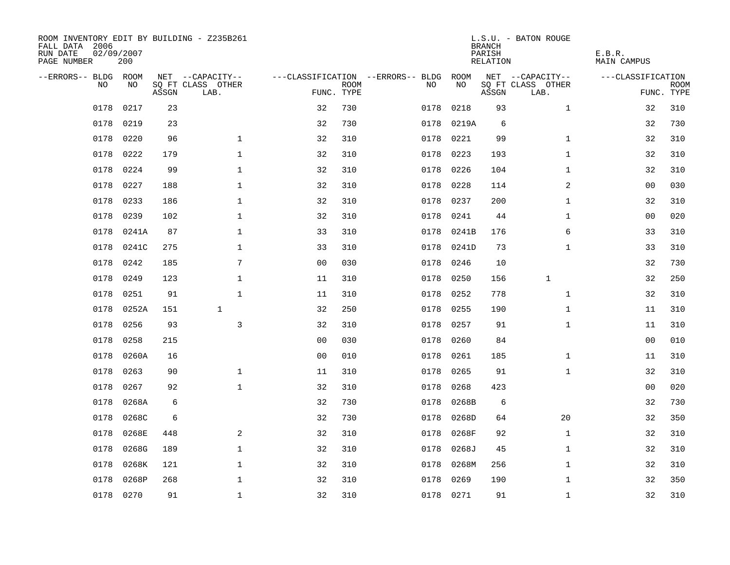| ROOM INVENTORY EDIT BY BUILDING - Z235B261<br>FALL DATA 2006<br>RUN DATE<br>PAGE NUMBER | 02/09/2007<br>200 |       |                           |                |             |                                   |            | <b>BRANCH</b><br>PARISH<br>RELATION | L.S.U. - BATON ROUGE      | E.B.R.<br>MAIN CAMPUS |                           |
|-----------------------------------------------------------------------------------------|-------------------|-------|---------------------------|----------------|-------------|-----------------------------------|------------|-------------------------------------|---------------------------|-----------------------|---------------------------|
| --ERRORS-- BLDG ROOM                                                                    |                   |       | NET --CAPACITY--          |                |             | ---CLASSIFICATION --ERRORS-- BLDG | ROOM       |                                     | NET --CAPACITY--          | ---CLASSIFICATION     |                           |
| NO                                                                                      | NO                | ASSGN | SQ FT CLASS OTHER<br>LAB. | FUNC. TYPE     | <b>ROOM</b> | NO                                | NO         | ASSGN                               | SQ FT CLASS OTHER<br>LAB. |                       | <b>ROOM</b><br>FUNC. TYPE |
| 0178                                                                                    | 0217              | 23    |                           | 32             | 730         | 0178                              | 0218       | 93                                  | $\mathbf{1}$              | 32                    | 310                       |
| 0178                                                                                    | 0219              | 23    |                           | 32             | 730         | 0178                              | 0219A      | 6                                   |                           | 32                    | 730                       |
| 0178                                                                                    | 0220              | 96    | $\mathbf 1$               | 32             | 310         | 0178                              | 0221       | 99                                  | $\mathbf{1}$              | 32                    | 310                       |
| 0178                                                                                    | 0222              | 179   | $\mathbf 1$               | 32             | 310         | 0178                              | 0223       | 193                                 | $\mathbf{1}$              | 32                    | 310                       |
| 0178                                                                                    | 0224              | 99    | $\mathbf 1$               | 32             | 310         | 0178                              | 0226       | 104                                 | $\mathbf{1}$              | 32                    | 310                       |
| 0178                                                                                    | 0227              | 188   | $\mathbf 1$               | 32             | 310         |                                   | 0178 0228  | 114                                 | 2                         | 00                    | 030                       |
| 0178                                                                                    | 0233              | 186   | $\mathbf{1}$              | 32             | 310         | 0178                              | 0237       | 200                                 | $\mathbf{1}$              | 32                    | 310                       |
| 0178                                                                                    | 0239              | 102   | $\mathbf 1$               | 32             | 310         | 0178                              | 0241       | 44                                  | $\mathbf{1}$              | 0 <sub>0</sub>        | 020                       |
| 0178                                                                                    | 0241A             | 87    | $\mathbf 1$               | 33             | 310         | 0178                              | 0241B      | 176                                 | 6                         | 33                    | 310                       |
| 0178                                                                                    | 0241C             | 275   | $\mathbf 1$               | 33             | 310         |                                   | 0178 0241D | 73                                  | $\mathbf{1}$              | 33                    | 310                       |
| 0178                                                                                    | 0242              | 185   | 7                         | 0 <sub>0</sub> | 030         | 0178                              | 0246       | 10                                  |                           | 32                    | 730                       |
| 0178                                                                                    | 0249              | 123   | $\mathbf 1$               | 11             | 310         | 0178                              | 0250       | 156                                 | $\mathbf{1}$              | 32                    | 250                       |
| 0178                                                                                    | 0251              | 91    | $\mathbf{1}$              | 11             | 310         | 0178                              | 0252       | 778                                 | $\mathbf{1}$              | 32                    | 310                       |
| 0178                                                                                    | 0252A             | 151   | $\mathbf{1}$              | 32             | 250         | 0178                              | 0255       | 190                                 | $\mathbf{1}$              | 11                    | 310                       |
| 0178                                                                                    | 0256              | 93    | 3                         | 32             | 310         | 0178                              | 0257       | 91                                  | $\mathbf{1}$              | 11                    | 310                       |
| 0178                                                                                    | 0258              | 215   |                           | 0 <sub>0</sub> | 030         | 0178                              | 0260       | 84                                  |                           | 00                    | 010                       |
| 0178                                                                                    | 0260A             | 16    |                           | 0 <sub>0</sub> | 010         | 0178                              | 0261       | 185                                 | $\mathbf{1}$              | 11                    | 310                       |
| 0178                                                                                    | 0263              | 90    | $\mathbf{1}$              | 11             | 310         | 0178                              | 0265       | 91                                  | $\mathbf{1}$              | 32                    | 310                       |
| 0178                                                                                    | 0267              | 92    | $\mathbf{1}$              | 32             | 310         | 0178                              | 0268       | 423                                 |                           | 0 <sub>0</sub>        | 020                       |
| 0178                                                                                    | 0268A             | 6     |                           | 32             | 730         | 0178                              | 0268B      | 6                                   |                           | 32                    | 730                       |
| 0178                                                                                    | 0268C             | 6     |                           | 32             | 730         | 0178                              | 0268D      | 64                                  | 20                        | 32                    | 350                       |
| 0178                                                                                    | 0268E             | 448   | 2                         | 32             | 310         | 0178                              | 0268F      | 92                                  | $\mathbf{1}$              | 32                    | 310                       |
| 0178                                                                                    | 0268G             | 189   | $\mathbf{1}$              | 32             | 310         | 0178                              | 0268J      | 45                                  | $\mathbf{1}$              | 32                    | 310                       |
| 0178                                                                                    | 0268K             | 121   | $\mathbf 1$               | 32             | 310         | 0178                              | 0268M      | 256                                 | $\mathbf{1}$              | 32                    | 310                       |
| 0178                                                                                    | 0268P             | 268   | $\mathbf{1}$              | 32             | 310         | 0178                              | 0269       | 190                                 | $\mathbf{1}$              | 32                    | 350                       |
|                                                                                         | 0178 0270         | 91    | $\mathbf{1}$              | 32             | 310         |                                   | 0178 0271  | 91                                  | $\mathbf{1}$              | 32                    | 310                       |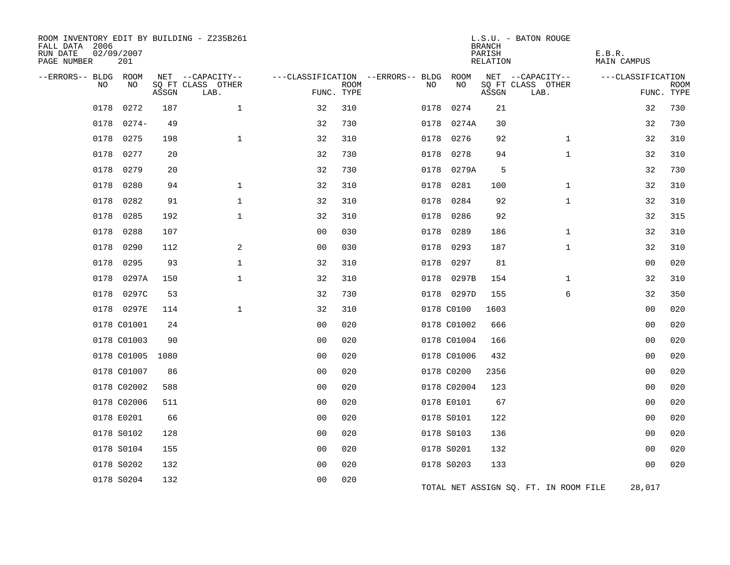| ROOM INVENTORY EDIT BY BUILDING - Z235B261<br>FALL DATA 2006<br>RUN DATE<br>PAGE NUMBER | 02/09/2007<br>201 |       |                           |                |             |                                         |             | <b>BRANCH</b><br>PARISH<br><b>RELATION</b> | L.S.U. - BATON ROUGE                  | E.B.R.<br><b>MAIN CAMPUS</b> |                           |
|-----------------------------------------------------------------------------------------|-------------------|-------|---------------------------|----------------|-------------|-----------------------------------------|-------------|--------------------------------------------|---------------------------------------|------------------------------|---------------------------|
| --ERRORS-- BLDG ROOM<br>NO                                                              | NO                |       | NET --CAPACITY--          |                |             | ---CLASSIFICATION --ERRORS-- BLDG<br>NO | ROOM<br>NO  |                                            | NET --CAPACITY--<br>SQ FT CLASS OTHER | ---CLASSIFICATION            |                           |
|                                                                                         |                   | ASSGN | SQ FT CLASS OTHER<br>LAB. | FUNC. TYPE     | <b>ROOM</b> |                                         |             | ASSGN                                      | LAB.                                  |                              | <b>ROOM</b><br>FUNC. TYPE |
| 0178                                                                                    | 0272              | 187   | $\mathbf{1}$              | 32             | 310         | 0178                                    | 0274        | 21                                         |                                       | 32                           | 730                       |
| 0178                                                                                    | $0274-$           | 49    |                           | 32             | 730         | 0178                                    | 0274A       | 30                                         |                                       | 32                           | 730                       |
| 0178                                                                                    | 0275              | 198   | $\mathbf{1}$              | 32             | 310         | 0178                                    | 0276        | 92                                         | $\mathbf{1}$                          | 32                           | 310                       |
| 0178                                                                                    | 0277              | 20    |                           | 32             | 730         | 0178                                    | 0278        | 94                                         | $\mathbf{1}$                          | 32                           | 310                       |
| 0178                                                                                    | 0279              | 20    |                           | 32             | 730         | 0178                                    | 0279A       | 5                                          |                                       | 32                           | 730                       |
| 0178                                                                                    | 0280              | 94    | $\mathbf 1$               | 32             | 310         | 0178                                    | 0281        | 100                                        | $\mathbf{1}$                          | 32                           | 310                       |
| 0178                                                                                    | 0282              | 91    | $\mathbf 1$               | 32             | 310         | 0178                                    | 0284        | 92                                         | $\mathbf{1}$                          | 32                           | 310                       |
| 0178                                                                                    | 0285              | 192   | $\mathbf{1}$              | 32             | 310         | 0178                                    | 0286        | 92                                         |                                       | 32                           | 315                       |
| 0178                                                                                    | 0288              | 107   |                           | 0 <sub>0</sub> | 030         | 0178                                    | 0289        | 186                                        | $\mathbf{1}$                          | 32                           | 310                       |
| 0178                                                                                    | 0290              | 112   | 2                         | 0 <sub>0</sub> | 030         | 0178                                    | 0293        | 187                                        | $\mathbf{1}$                          | 32                           | 310                       |
| 0178                                                                                    | 0295              | 93    | $\mathbf 1$               | 32             | 310         | 0178                                    | 0297        | 81                                         |                                       | 0 <sub>0</sub>               | 020                       |
| 0178                                                                                    | 0297A             | 150   | $\mathbf{1}$              | 32             | 310         | 0178                                    | 0297B       | 154                                        | $\mathbf{1}$                          | 32                           | 310                       |
| 0178                                                                                    | 0297C             | 53    |                           | 32             | 730         |                                         | 0178 0297D  | 155                                        | 6                                     | 32                           | 350                       |
|                                                                                         | 0178 0297E        | 114   | $\mathbf{1}$              | 32             | 310         |                                         | 0178 C0100  | 1603                                       |                                       | 0 <sub>0</sub>               | 020                       |
|                                                                                         | 0178 C01001       | 24    |                           | 0 <sub>0</sub> | 020         |                                         | 0178 C01002 | 666                                        |                                       | 0 <sub>0</sub>               | 020                       |
|                                                                                         | 0178 C01003       | 90    |                           | 0 <sub>0</sub> | 020         |                                         | 0178 C01004 | 166                                        |                                       | 0 <sub>0</sub>               | 020                       |
|                                                                                         | 0178 C01005       | 1080  |                           | 0 <sub>0</sub> | 020         |                                         | 0178 C01006 | 432                                        |                                       | 0 <sub>0</sub>               | 020                       |
|                                                                                         | 0178 C01007       | 86    |                           | 0 <sub>0</sub> | 020         |                                         | 0178 C0200  | 2356                                       |                                       | 00                           | 020                       |
|                                                                                         | 0178 C02002       | 588   |                           | 0 <sub>0</sub> | 020         |                                         | 0178 C02004 | 123                                        |                                       | 0 <sub>0</sub>               | 020                       |
|                                                                                         | 0178 C02006       | 511   |                           | 0 <sub>0</sub> | 020         |                                         | 0178 E0101  | 67                                         |                                       | 0 <sub>0</sub>               | 020                       |
|                                                                                         | 0178 E0201        | 66    |                           | 0 <sub>0</sub> | 020         |                                         | 0178 S0101  | 122                                        |                                       | 00                           | 020                       |
|                                                                                         | 0178 S0102        | 128   |                           | 0 <sub>0</sub> | 020         |                                         | 0178 S0103  | 136                                        |                                       | 0 <sub>0</sub>               | 020                       |
|                                                                                         | 0178 S0104        | 155   |                           | 0 <sub>0</sub> | 020         |                                         | 0178 S0201  | 132                                        |                                       | 0 <sub>0</sub>               | 020                       |
|                                                                                         | 0178 S0202        | 132   |                           | 00             | 020         |                                         | 0178 S0203  | 133                                        |                                       | 0 <sub>0</sub>               | 020                       |
|                                                                                         | 0178 S0204        | 132   |                           | 0 <sub>0</sub> | 020         |                                         |             |                                            | TOTAL NET ASSIGN SQ. FT. IN ROOM FILE | 28,017                       |                           |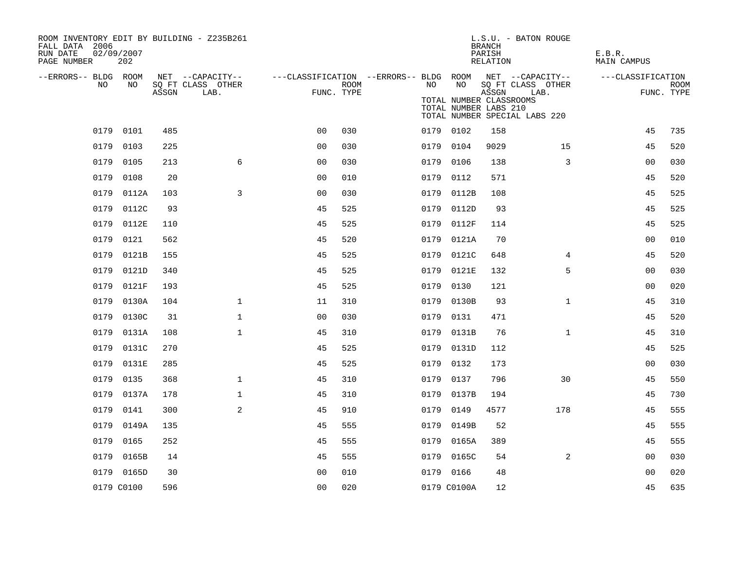| ROOM INVENTORY EDIT BY BUILDING - Z235B261<br>FALL DATA 2006<br>RUN DATE<br>PAGE NUMBER | 02/09/2007<br>202 |       |                                       |                |             |                                                                 |                                                  | <b>BRANCH</b><br>PARISH<br>RELATION | L.S.U. - BATON ROUGE                  | E.B.R.<br><b>MAIN CAMPUS</b> |             |
|-----------------------------------------------------------------------------------------|-------------------|-------|---------------------------------------|----------------|-------------|-----------------------------------------------------------------|--------------------------------------------------|-------------------------------------|---------------------------------------|------------------------------|-------------|
| --ERRORS-- BLDG ROOM<br>NO.                                                             | NO.               |       | NET --CAPACITY--<br>SQ FT CLASS OTHER |                | <b>ROOM</b> | ---CLASSIFICATION --ERRORS-- BLDG ROOM NET --CAPACITY--<br>NO . | NO                                               |                                     | SQ FT CLASS OTHER                     | ---CLASSIFICATION            | <b>ROOM</b> |
|                                                                                         |                   | ASSGN | LAB.                                  | FUNC. TYPE     |             |                                                                 | TOTAL NUMBER CLASSROOMS<br>TOTAL NUMBER LABS 210 | ASSGN                               | LAB.<br>TOTAL NUMBER SPECIAL LABS 220 |                              | FUNC. TYPE  |
|                                                                                         | 0179 0101         | 485   |                                       | 0 <sub>0</sub> | 030         |                                                                 | 0179 0102                                        | 158                                 |                                       | 45                           | 735         |
|                                                                                         | 0179 0103         | 225   |                                       | 0 <sub>0</sub> | 030         |                                                                 | 0179 0104                                        | 9029                                | 15                                    | 45                           | 520         |
| 0179                                                                                    | 0105              | 213   | 6                                     | 0 <sub>0</sub> | 030         |                                                                 | 0179 0106                                        | 138                                 | 3                                     | 0 <sub>0</sub>               | 030         |
| 0179                                                                                    | 0108              | 20    |                                       | 00             | 010         |                                                                 | 0179 0112                                        | 571                                 |                                       | 45                           | 520         |
| 0179                                                                                    | 0112A             | 103   | 3                                     | 0 <sub>0</sub> | 030         | 0179                                                            | 0112B                                            | 108                                 |                                       | 45                           | 525         |
|                                                                                         | 0179 0112C        | 93    |                                       | 45             | 525         |                                                                 | 0179 0112D                                       | 93                                  |                                       | 45                           | 525         |
| 0179                                                                                    | 0112E             | 110   |                                       | 45             | 525         |                                                                 | 0179 0112F                                       | 114                                 |                                       | 45                           | 525         |
| 0179                                                                                    | 0121              | 562   |                                       | 45             | 520         |                                                                 | 0179 0121A                                       | 70                                  |                                       | 00                           | 010         |
| 0179                                                                                    | 0121B             | 155   |                                       | 45             | 525         |                                                                 | 0179 0121C                                       | 648                                 | 4                                     | 45                           | 520         |
| 0179                                                                                    | 0121D             | 340   |                                       | 45             | 525         |                                                                 | 0179 0121E                                       | 132                                 | 5                                     | 00                           | 030         |
| 0179                                                                                    | 0121F             | 193   |                                       | 45             | 525         | 0179                                                            | 0130                                             | 121                                 |                                       | 00                           | 020         |
| 0179                                                                                    | 0130A             | 104   | $\mathbf 1$                           | 11             | 310         | 0179                                                            | 0130B                                            | 93                                  | $\mathbf{1}$                          | 45                           | 310         |
| 0179                                                                                    | 0130C             | 31    | $\mathbf{1}$                          | 00             | 030         | 0179                                                            | 0131                                             | 471                                 |                                       | 45                           | 520         |
| 0179                                                                                    | 0131A             | 108   | $\mathbf 1$                           | 45             | 310         |                                                                 | 0179 0131B                                       | 76                                  | $\mathbf{1}$                          | 45                           | 310         |
| 0179                                                                                    | 0131C             | 270   |                                       | 45             | 525         |                                                                 | 0179 0131D                                       | 112                                 |                                       | 45                           | 525         |
| 0179                                                                                    | 0131E             | 285   |                                       | 45             | 525         | 0179                                                            | 0132                                             | 173                                 |                                       | 0 <sub>0</sub>               | 030         |
| 0179                                                                                    | 0135              | 368   | $\mathbf 1$                           | 45             | 310         |                                                                 | 0179 0137                                        | 796                                 | 30                                    | 45                           | 550         |
| 0179                                                                                    | 0137A             | 178   | $\mathbf{1}$                          | 45             | 310         |                                                                 | 0179 0137B                                       | 194                                 |                                       | 45                           | 730         |
| 0179                                                                                    | 0141              | 300   | 2                                     | 45             | 910         | 0179                                                            | 0149                                             | 4577                                | 178                                   | 45                           | 555         |
| 0179                                                                                    | 0149A             | 135   |                                       | 45             | 555         | 0179                                                            | 0149B                                            | 52                                  |                                       | 45                           | 555         |
| 0179                                                                                    | 0165              | 252   |                                       | 45             | 555         |                                                                 | 0179 0165A                                       | 389                                 |                                       | 45                           | 555         |
|                                                                                         | 0179 0165B        | 14    |                                       | 45             | 555         |                                                                 | 0179 0165C                                       | 54                                  | 2                                     | 0 <sub>0</sub>               | 030         |
|                                                                                         | 0179 0165D        | 30    |                                       | 0 <sub>0</sub> | 010         |                                                                 | 0179 0166                                        | 48                                  |                                       | 00                           | 020         |
|                                                                                         | 0179 C0100        | 596   |                                       | 0 <sub>0</sub> | 020         |                                                                 | 0179 C0100A                                      | 12                                  |                                       | 45                           | 635         |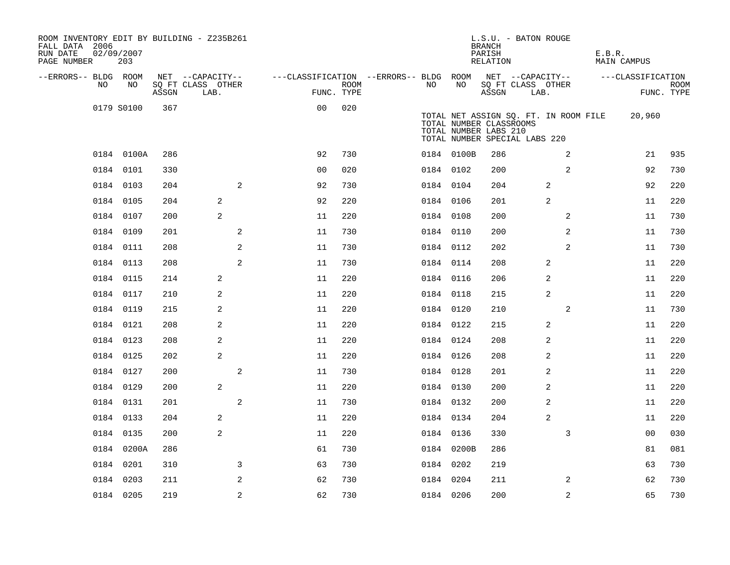| ROOM INVENTORY EDIT BY BUILDING - Z235B261<br>FALL DATA 2006<br>RUN DATE<br>PAGE NUMBER | 02/09/2007<br>203 |       |                           |              |                                        |      |           |            | L.S.U. - BATON ROUGE<br><b>BRANCH</b><br>PARISH<br>RELATION                                                                |      |                | E.B.R. | MAIN CAMPUS       |                    |
|-----------------------------------------------------------------------------------------|-------------------|-------|---------------------------|--------------|----------------------------------------|------|-----------|------------|----------------------------------------------------------------------------------------------------------------------------|------|----------------|--------|-------------------|--------------------|
| --ERRORS-- BLDG ROOM                                                                    |                   |       | NET --CAPACITY--          |              | ---CLASSIFICATION --ERRORS-- BLDG ROOM |      |           |            | NET --CAPACITY--                                                                                                           |      |                |        | ---CLASSIFICATION |                    |
| NO.                                                                                     | NO                | ASSGN | SQ FT CLASS OTHER<br>LAB. |              | FUNC. TYPE                             | ROOM | NO.       | NO         | SQ FT CLASS OTHER<br>ASSGN                                                                                                 | LAB. |                |        |                   | ROOM<br>FUNC. TYPE |
|                                                                                         | 0179 S0100        | 367   |                           |              | 0 <sub>0</sub>                         | 020  |           |            | TOTAL NET ASSIGN SQ. FT. IN ROOM FILE<br>TOTAL NUMBER CLASSROOMS<br>TOTAL NUMBER LABS 210<br>TOTAL NUMBER SPECIAL LABS 220 |      |                |        | 20,960            |                    |
|                                                                                         | 0184 0100A        | 286   |                           |              | 92                                     | 730  |           | 0184 0100B | 286                                                                                                                        |      | 2              |        | 21                | 935                |
|                                                                                         | 0184 0101         | 330   |                           |              | 0 <sub>0</sub>                         | 020  | 0184 0102 |            | 200                                                                                                                        |      | $\overline{a}$ |        | 92                | 730                |
|                                                                                         | 0184 0103         | 204   |                           | $\mathbf{2}$ | 92                                     | 730  | 0184 0104 |            | 204                                                                                                                        |      | 2              |        | 92                | 220                |
|                                                                                         | 0184 0105         | 204   | 2                         |              | 92                                     | 220  | 0184 0106 |            | 201                                                                                                                        |      | 2              |        | 11                | 220                |
|                                                                                         | 0184 0107         | 200   | 2                         |              | 11                                     | 220  | 0184 0108 |            | 200                                                                                                                        |      | 2              |        | 11                | 730                |
|                                                                                         | 0184 0109         | 201   |                           | 2            | 11                                     | 730  | 0184 0110 |            | 200                                                                                                                        |      | 2              |        | 11                | 730                |
|                                                                                         | 0184 0111         | 208   |                           | 2            | 11                                     | 730  | 0184 0112 |            | 202                                                                                                                        |      | 2              |        | 11                | 730                |
|                                                                                         | 0184 0113         | 208   |                           | 2            | 11                                     | 730  | 0184 0114 |            | 208                                                                                                                        |      | 2              |        | 11                | 220                |
|                                                                                         | 0184 0115         | 214   | 2                         |              | 11                                     | 220  | 0184 0116 |            | 206                                                                                                                        |      | 2              |        | 11                | 220                |
|                                                                                         | 0184 0117         | 210   | 2                         |              | 11                                     | 220  | 0184 0118 |            | 215                                                                                                                        |      | 2              |        | 11                | 220                |
|                                                                                         | 0184 0119         | 215   | 2                         |              | 11                                     | 220  | 0184 0120 |            | 210                                                                                                                        |      | 2              |        | 11                | 730                |
|                                                                                         | 0184 0121         | 208   | 2                         |              | 11                                     | 220  | 0184 0122 |            | 215                                                                                                                        |      | 2              |        | 11                | 220                |
|                                                                                         | 0184 0123         | 208   | 2                         |              | 11                                     | 220  | 0184 0124 |            | 208                                                                                                                        |      | 2              |        | 11                | 220                |
|                                                                                         | 0184 0125         | 202   | 2                         |              | 11                                     | 220  | 0184 0126 |            | 208                                                                                                                        |      | 2              |        | 11                | 220                |
|                                                                                         | 0184 0127         | 200   |                           | 2            | 11                                     | 730  | 0184 0128 |            | 201                                                                                                                        |      | $\overline{c}$ |        | 11                | 220                |
|                                                                                         | 0184 0129         | 200   | $\overline{a}$            |              | 11                                     | 220  | 0184 0130 |            | 200                                                                                                                        |      | 2              |        | 11                | 220                |
|                                                                                         | 0184 0131         | 201   |                           | 2            | 11                                     | 730  | 0184 0132 |            | 200                                                                                                                        |      | 2              |        | 11                | 220                |
|                                                                                         | 0184 0133         | 204   | 2                         |              | 11                                     | 220  | 0184 0134 |            | 204                                                                                                                        |      | 2              |        | 11                | 220                |
|                                                                                         | 0184 0135         | 200   | $\overline{a}$            |              | 11                                     | 220  | 0184 0136 |            | 330                                                                                                                        |      | 3              |        | 0 <sub>0</sub>    | 030                |
|                                                                                         | 0184 0200A        | 286   |                           |              | 61                                     | 730  |           | 0184 0200B | 286                                                                                                                        |      |                |        | 81                | 081                |
|                                                                                         | 0184 0201         | 310   |                           | 3            | 63                                     | 730  | 0184 0202 |            | 219                                                                                                                        |      |                |        | 63                | 730                |
|                                                                                         | 0184 0203         | 211   |                           | 2            | 62                                     | 730  | 0184 0204 |            | 211                                                                                                                        |      | 2              |        | 62                | 730                |
|                                                                                         | 0184 0205         | 219   |                           | 2            | 62                                     | 730  | 0184 0206 |            | 200                                                                                                                        |      | $\overline{a}$ |        | 65                | 730                |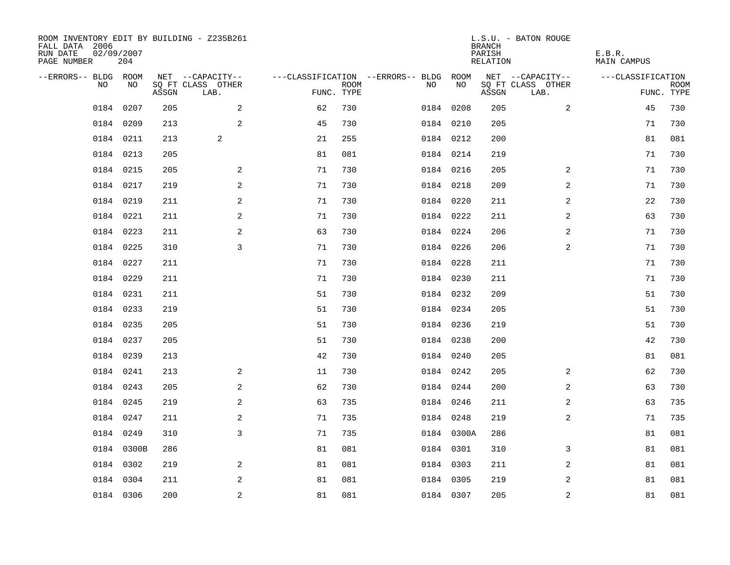| ROOM INVENTORY EDIT BY BUILDING - Z235B261<br>FALL DATA 2006<br>RUN DATE<br>PAGE NUMBER | 02/09/2007<br>204 |       |                           |            |             |                                        |            | <b>BRANCH</b><br>PARISH<br>RELATION | L.S.U. - BATON ROUGE      | E.B.R.<br>MAIN CAMPUS |                           |
|-----------------------------------------------------------------------------------------|-------------------|-------|---------------------------|------------|-------------|----------------------------------------|------------|-------------------------------------|---------------------------|-----------------------|---------------------------|
| --ERRORS-- BLDG ROOM                                                                    |                   |       | NET --CAPACITY--          |            |             | ---CLASSIFICATION --ERRORS-- BLDG ROOM |            |                                     | NET --CAPACITY--          | ---CLASSIFICATION     |                           |
| NO                                                                                      | NO                | ASSGN | SQ FT CLASS OTHER<br>LAB. | FUNC. TYPE | <b>ROOM</b> | NO                                     | NO         | ASSGN                               | SQ FT CLASS OTHER<br>LAB. |                       | <b>ROOM</b><br>FUNC. TYPE |
| 0184                                                                                    | 0207              | 205   | $\overline{a}$            | 62         | 730         |                                        | 0184 0208  | 205                                 | 2                         | 45                    | 730                       |
|                                                                                         | 0184 0209         | 213   | 2                         | 45         | 730         |                                        | 0184 0210  | 205                                 |                           | 71                    | 730                       |
|                                                                                         | 0184 0211         | 213   | 2                         | 21         | 255         |                                        | 0184 0212  | 200                                 |                           | 81                    | 081                       |
|                                                                                         | 0184 0213         | 205   |                           | 81         | 081         |                                        | 0184 0214  | 219                                 |                           | 71                    | 730                       |
|                                                                                         | 0184 0215         | 205   | $\mathbf{2}$              | 71         | 730         |                                        | 0184 0216  | 205                                 | 2                         | 71                    | 730                       |
|                                                                                         | 0184 0217         | 219   | 2                         | 71         | 730         |                                        | 0184 0218  | 209                                 | 2                         | 71                    | 730                       |
|                                                                                         | 0184 0219         | 211   | 2                         | 71         | 730         |                                        | 0184 0220  | 211                                 | $\overline{a}$            | 22                    | 730                       |
|                                                                                         | 0184 0221         | 211   | $\mathbf{2}$              | 71         | 730         |                                        | 0184 0222  | 211                                 | 2                         | 63                    | 730                       |
|                                                                                         | 0184 0223         | 211   | 2                         | 63         | 730         |                                        | 0184 0224  | 206                                 | 2                         | 71                    | 730                       |
|                                                                                         | 0184 0225         | 310   | 3                         | 71         | 730         |                                        | 0184 0226  | 206                                 | 2                         | 71                    | 730                       |
|                                                                                         | 0184 0227         | 211   |                           | 71         | 730         |                                        | 0184 0228  | 211                                 |                           | 71                    | 730                       |
|                                                                                         | 0184 0229         | 211   |                           | 71         | 730         |                                        | 0184 0230  | 211                                 |                           | 71                    | 730                       |
|                                                                                         | 0184 0231         | 211   |                           | 51         | 730         |                                        | 0184 0232  | 209                                 |                           | 51                    | 730                       |
|                                                                                         | 0184 0233         | 219   |                           | 51         | 730         |                                        | 0184 0234  | 205                                 |                           | 51                    | 730                       |
|                                                                                         | 0184 0235         | 205   |                           | 51         | 730         |                                        | 0184 0236  | 219                                 |                           | 51                    | 730                       |
|                                                                                         | 0184 0237         | 205   |                           | 51         | 730         |                                        | 0184 0238  | 200                                 |                           | 42                    | 730                       |
|                                                                                         | 0184 0239         | 213   |                           | 42         | 730         |                                        | 0184 0240  | 205                                 |                           | 81                    | 081                       |
|                                                                                         | 0184 0241         | 213   | 2                         | 11         | 730         |                                        | 0184 0242  | 205                                 | 2                         | 62                    | 730                       |
|                                                                                         | 0184 0243         | 205   | 2                         | 62         | 730         |                                        | 0184 0244  | 200                                 | 2                         | 63                    | 730                       |
|                                                                                         | 0184 0245         | 219   | 2                         | 63         | 735         |                                        | 0184 0246  | 211                                 | 2                         | 63                    | 735                       |
|                                                                                         | 0184 0247         | 211   | 2                         | 71         | 735         |                                        | 0184 0248  | 219                                 | 2                         | 71                    | 735                       |
|                                                                                         | 0184 0249         | 310   | 3                         | 71         | 735         |                                        | 0184 0300A | 286                                 |                           | 81                    | 081                       |
|                                                                                         | 0184 0300B        | 286   |                           | 81         | 081         |                                        | 0184 0301  | 310                                 | 3                         | 81                    | 081                       |
|                                                                                         | 0184 0302         | 219   | 2                         | 81         | 081         |                                        | 0184 0303  | 211                                 | 2                         | 81                    | 081                       |
|                                                                                         | 0184 0304         | 211   | 2                         | 81         | 081         |                                        | 0184 0305  | 219                                 | 2                         | 81                    | 081                       |
|                                                                                         | 0184 0306         | 200   | 2                         | 81         | 081         |                                        | 0184 0307  | 205                                 | $\overline{a}$            | 81                    | 081                       |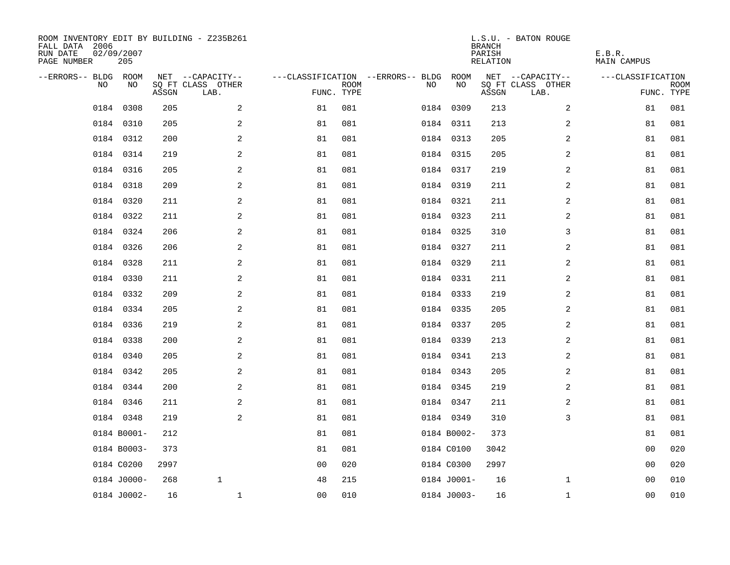| ROOM INVENTORY EDIT BY BUILDING - Z235B261<br>FALL DATA 2006<br>RUN DATE<br>PAGE NUMBER | 02/09/2007<br>205 |       |                           |            |             |                                   |             | <b>BRANCH</b><br>PARISH<br><b>RELATION</b> | L.S.U. - BATON ROUGE      | E.B.R.<br>MAIN CAMPUS |                           |
|-----------------------------------------------------------------------------------------|-------------------|-------|---------------------------|------------|-------------|-----------------------------------|-------------|--------------------------------------------|---------------------------|-----------------------|---------------------------|
| --ERRORS-- BLDG ROOM                                                                    |                   |       | NET --CAPACITY--          |            |             | ---CLASSIFICATION --ERRORS-- BLDG | ROOM        |                                            | NET --CAPACITY--          | ---CLASSIFICATION     |                           |
| NO                                                                                      | NO                | ASSGN | SQ FT CLASS OTHER<br>LAB. | FUNC. TYPE | <b>ROOM</b> | NO                                | NO          | ASSGN                                      | SQ FT CLASS OTHER<br>LAB. |                       | <b>ROOM</b><br>FUNC. TYPE |
| 0184                                                                                    | 0308              | 205   | 2                         | 81         | 081         |                                   | 0184 0309   | 213                                        | 2                         | 81                    | 081                       |
|                                                                                         | 0184 0310         | 205   | 2                         | 81         | 081         |                                   | 0184 0311   | 213                                        | 2                         | 81                    | 081                       |
|                                                                                         | 0184 0312         | 200   | 2                         | 81         | 081         |                                   | 0184 0313   | 205                                        | 2                         | 81                    | 081                       |
|                                                                                         | 0184 0314         | 219   | 2                         | 81         | 081         |                                   | 0184 0315   | 205                                        | 2                         | 81                    | 081                       |
|                                                                                         | 0184 0316         | 205   | 2                         | 81         | 081         |                                   | 0184 0317   | 219                                        | $\overline{a}$            | 81                    | 081                       |
|                                                                                         | 0184 0318         | 209   | 2                         | 81         | 081         |                                   | 0184 0319   | 211                                        | 2                         | 81                    | 081                       |
|                                                                                         | 0184 0320         | 211   | 2                         | 81         | 081         |                                   | 0184 0321   | 211                                        | $\overline{a}$            | 81                    | 081                       |
|                                                                                         | 0184 0322         | 211   | $\mathbf{2}$              | 81         | 081         |                                   | 0184 0323   | 211                                        | 2                         | 81                    | 081                       |
|                                                                                         | 0184 0324         | 206   | $\mathbf{2}$              | 81         | 081         |                                   | 0184 0325   | 310                                        | 3                         | 81                    | 081                       |
|                                                                                         | 0184 0326         | 206   | 2                         | 81         | 081         |                                   | 0184 0327   | 211                                        | 2                         | 81                    | 081                       |
|                                                                                         | 0184 0328         | 211   | 2                         | 81         | 081         |                                   | 0184 0329   | 211                                        | 2                         | 81                    | 081                       |
|                                                                                         | 0184 0330         | 211   | 2                         | 81         | 081         |                                   | 0184 0331   | 211                                        | 2                         | 81                    | 081                       |
|                                                                                         | 0184 0332         | 209   | 2                         | 81         | 081         |                                   | 0184 0333   | 219                                        | 2                         | 81                    | 081                       |
|                                                                                         | 0184 0334         | 205   | 2                         | 81         | 081         |                                   | 0184 0335   | 205                                        | 2                         | 81                    | 081                       |
|                                                                                         | 0184 0336         | 219   | 2                         | 81         | 081         |                                   | 0184 0337   | 205                                        | 2                         | 81                    | 081                       |
|                                                                                         | 0184 0338         | 200   | $\overline{a}$            | 81         | 081         |                                   | 0184 0339   | 213                                        | 2                         | 81                    | 081                       |
| 0184                                                                                    | 0340              | 205   | $\mathbf{2}$              | 81         | 081         |                                   | 0184 0341   | 213                                        | 2                         | 81                    | 081                       |
|                                                                                         | 0184 0342         | 205   | 2                         | 81         | 081         |                                   | 0184 0343   | 205                                        | 2                         | 81                    | 081                       |
|                                                                                         | 0184 0344         | 200   | 2                         | 81         | 081         |                                   | 0184 0345   | 219                                        | 2                         | 81                    | 081                       |
|                                                                                         | 0184 0346         | 211   | 2                         | 81         | 081         |                                   | 0184 0347   | 211                                        | 2                         | 81                    | 081                       |
|                                                                                         | 0184 0348         | 219   | 2                         | 81         | 081         |                                   | 0184 0349   | 310                                        | 3                         | 81                    | 081                       |
|                                                                                         | 0184 B0001-       | 212   |                           | 81         | 081         |                                   | 0184 B0002- | 373                                        |                           | 81                    | 081                       |
|                                                                                         | 0184 B0003-       | 373   |                           | 81         | 081         |                                   | 0184 C0100  | 3042                                       |                           | 0 <sub>0</sub>        | 020                       |
|                                                                                         | 0184 C0200        | 2997  |                           | 00         | 020         |                                   | 0184 C0300  | 2997                                       |                           | 00                    | 020                       |
|                                                                                         | 0184 J0000-       | 268   | $\mathbf{1}$              | 48         | 215         |                                   | 0184 J0001- | 16                                         | $\mathbf{1}$              | 00                    | 010                       |
|                                                                                         | 0184 J0002-       | 16    | $\mathbf 1$               | 00         | 010         |                                   | 0184 J0003- | 16                                         | $\mathbf{1}$              | 00                    | 010                       |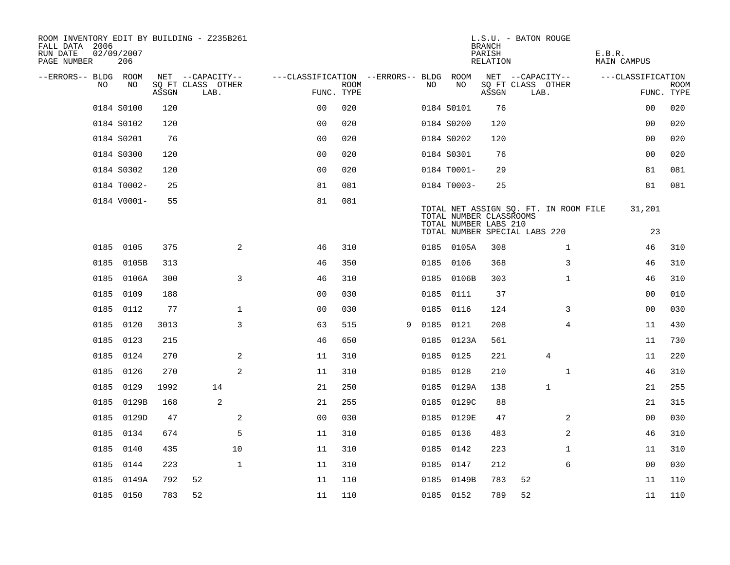| ROOM INVENTORY EDIT BY BUILDING - Z235B261<br>FALL DATA 2006<br>RUN DATE<br>PAGE NUMBER | 02/09/2007<br>206 |       |                           |                                        |             |   |      |                                                  | <b>BRANCH</b><br>PARISH<br><b>RELATION</b> | L.S.U. - BATON ROUGE                                                   | E.B.R.<br><b>MAIN CAMPUS</b> |                           |
|-----------------------------------------------------------------------------------------|-------------------|-------|---------------------------|----------------------------------------|-------------|---|------|--------------------------------------------------|--------------------------------------------|------------------------------------------------------------------------|------------------------------|---------------------------|
| --ERRORS-- BLDG ROOM                                                                    |                   |       | NET --CAPACITY--          | ---CLASSIFICATION --ERRORS-- BLDG ROOM |             |   |      |                                                  |                                            | NET --CAPACITY--                                                       | ---CLASSIFICATION            |                           |
| NO                                                                                      | NO                | ASSGN | SQ FT CLASS OTHER<br>LAB. | FUNC. TYPE                             | <b>ROOM</b> |   | NO   | NO                                               | ASSGN                                      | SQ FT CLASS OTHER<br>LAB.                                              |                              | <b>ROOM</b><br>FUNC. TYPE |
|                                                                                         | 0184 S0100        | 120   |                           | 0 <sub>0</sub>                         | 020         |   |      | 0184 S0101                                       | 76                                         |                                                                        | 00                           | 020                       |
|                                                                                         | 0184 S0102        | 120   |                           | 0 <sub>0</sub>                         | 020         |   |      | 0184 S0200                                       | 120                                        |                                                                        | 00                           | 020                       |
|                                                                                         | 0184 S0201        | 76    |                           | 0 <sub>0</sub>                         | 020         |   |      | 0184 S0202                                       | 120                                        |                                                                        | 00                           | 020                       |
|                                                                                         | 0184 S0300        | 120   |                           | 0 <sub>0</sub>                         | 020         |   |      | 0184 S0301                                       | 76                                         |                                                                        | 00                           | 020                       |
|                                                                                         | 0184 S0302        | 120   |                           | 00                                     | 020         |   |      | 0184 T0001-                                      | 29                                         |                                                                        | 81                           | 081                       |
|                                                                                         | 0184 T0002-       | 25    |                           | 81                                     | 081         |   |      | 0184 T0003-                                      | 25                                         |                                                                        | 81                           | 081                       |
|                                                                                         | 0184 V0001-       | 55    |                           | 81                                     | 081         |   |      | TOTAL NUMBER CLASSROOMS<br>TOTAL NUMBER LABS 210 |                                            | TOTAL NET ASSIGN SQ. FT. IN ROOM FILE<br>TOTAL NUMBER SPECIAL LABS 220 | 31,201<br>23                 |                           |
|                                                                                         | 0185 0105         | 375   | 2                         | 46                                     | 310         |   |      | 0185 0105A                                       | 308                                        | $\mathbf{1}$                                                           | 46                           | 310                       |
|                                                                                         | 0185 0105B        | 313   |                           | 46                                     | 350         |   | 0185 | 0106                                             | 368                                        | 3                                                                      | 46                           | 310                       |
|                                                                                         | 0185 0106A        | 300   | 3                         | 46                                     | 310         |   |      | 0185 0106B                                       | 303                                        | $\mathbf{1}$                                                           | 46                           | 310                       |
| 0185                                                                                    | 0109              | 188   |                           | 0 <sub>0</sub>                         | 030         |   | 0185 | 0111                                             | 37                                         |                                                                        | 00                           | 010                       |
|                                                                                         | 0185 0112         | 77    | $\mathbf 1$               | 00                                     | 030         |   |      | 0185 0116                                        | 124                                        | 3                                                                      | 00                           | 030                       |
| 0185                                                                                    | 0120              | 3013  | 3                         | 63                                     | 515         | 9 |      | 0185 0121                                        | 208                                        | 4                                                                      | 11                           | 430                       |
|                                                                                         | 0185 0123         | 215   |                           | 46                                     | 650         |   |      | 0185 0123A                                       | 561                                        |                                                                        | 11                           | 730                       |
|                                                                                         | 0185 0124         | 270   | 2                         | 11                                     | 310         |   | 0185 | 0125                                             | 221                                        | 4                                                                      | 11                           | 220                       |
| 0185                                                                                    | 0126              | 270   | 2                         | 11                                     | 310         |   |      | 0185 0128                                        | 210                                        | $\mathbf{1}$                                                           | 46                           | 310                       |
|                                                                                         | 0185 0129         | 1992  | 14                        | 21                                     | 250         |   |      | 0185 0129A                                       | 138                                        | $\mathbf{1}$                                                           | 21                           | 255                       |
| 0185                                                                                    | 0129B             | 168   | 2                         | 21                                     | 255         |   |      | 0185 0129C                                       | 88                                         |                                                                        | 21                           | 315                       |
|                                                                                         | 0185 0129D        | 47    | 2                         | 0 <sub>0</sub>                         | 030         |   |      | 0185 0129E                                       | 47                                         | 2                                                                      | 00                           | 030                       |
| 0185                                                                                    | 0134              | 674   | 5                         | 11                                     | 310         |   |      | 0185 0136                                        | 483                                        | 2                                                                      | 46                           | 310                       |
| 0185                                                                                    | 0140              | 435   | 10                        | 11                                     | 310         |   |      | 0185 0142                                        | 223                                        | $\mathbf{1}$                                                           | 11                           | 310                       |
| 0185                                                                                    | 0144              | 223   | $\mathbf{1}$              | 11                                     | 310         |   |      | 0185 0147                                        | 212                                        | 6                                                                      | 0 <sub>0</sub>               | 030                       |
|                                                                                         | 0185 0149A        | 792   | 52                        | 11                                     | 110         |   |      | 0185 0149B                                       | 783                                        | 52                                                                     | 11                           | 110                       |
|                                                                                         | 0185 0150         | 783   | 52                        | 11                                     | 110         |   |      | 0185 0152                                        | 789                                        | 52                                                                     | 11                           | 110                       |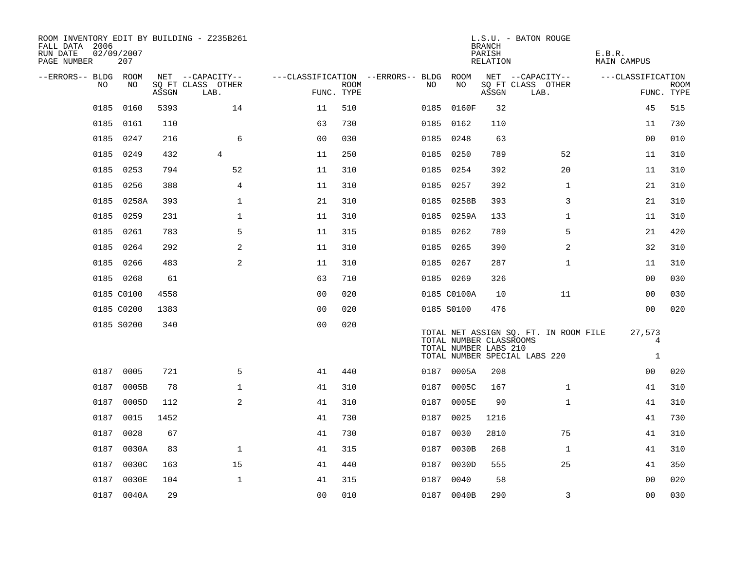| ROOM INVENTORY EDIT BY BUILDING - Z235B261<br>FALL DATA 2006<br>RUN DATE<br>PAGE NUMBER | 02/09/2007<br>207 |       |                           |                                        |             |      |                                                  | <b>BRANCH</b><br>PARISH<br>RELATION | L.S.U. - BATON ROUGE                                                   | E.B.R.<br>MAIN CAMPUS       |             |
|-----------------------------------------------------------------------------------------|-------------------|-------|---------------------------|----------------------------------------|-------------|------|--------------------------------------------------|-------------------------------------|------------------------------------------------------------------------|-----------------------------|-------------|
| --ERRORS-- BLDG ROOM                                                                    |                   |       | NET --CAPACITY--          | ---CLASSIFICATION --ERRORS-- BLDG ROOM |             |      |                                                  |                                     | NET --CAPACITY--                                                       | ---CLASSIFICATION           |             |
| NO                                                                                      | NO                | ASSGN | SQ FT CLASS OTHER<br>LAB. | FUNC. TYPE                             | <b>ROOM</b> | NO   | NO                                               | ASSGN                               | SQ FT CLASS OTHER<br>LAB.                                              | FUNC. TYPE                  | <b>ROOM</b> |
| 0185                                                                                    | 0160              | 5393  | 14                        | 11                                     | 510         | 0185 | 0160F                                            | 32                                  |                                                                        | 45                          | 515         |
| 0185                                                                                    | 0161              | 110   |                           | 63                                     | 730         |      | 0185 0162                                        | 110                                 |                                                                        | 11                          | 730         |
| 0185                                                                                    | 0247              | 216   | 6                         | 0 <sub>0</sub>                         | 030         |      | 0185 0248                                        | 63                                  |                                                                        | 00                          | 010         |
| 0185                                                                                    | 0249              | 432   | $\overline{4}$            | 11                                     | 250         |      | 0185 0250                                        | 789                                 | 52                                                                     | 11                          | 310         |
| 0185                                                                                    | 0253              | 794   | 52                        | 11                                     | 310         |      | 0185 0254                                        | 392                                 | 20                                                                     | 11                          | 310         |
| 0185                                                                                    | 0256              | 388   | 4                         | 11                                     | 310         |      | 0185 0257                                        | 392                                 | $\mathbf{1}$                                                           | 21                          | 310         |
| 0185                                                                                    | 0258A             | 393   | $\mathbf{1}$              | 21                                     | 310         |      | 0185 0258B                                       | 393                                 | 3                                                                      | 21                          | 310         |
|                                                                                         | 0185 0259         | 231   | $\mathbf{1}$              | 11                                     | 310         |      | 0185 0259A                                       | 133                                 | $\mathbf{1}$                                                           | 11                          | 310         |
| 0185                                                                                    | 0261              | 783   | 5                         | 11                                     | 315         |      | 0185 0262                                        | 789                                 | 5                                                                      | 21                          | 420         |
|                                                                                         | 0185 0264         | 292   | 2                         | 11                                     | 310         |      | 0185 0265                                        | 390                                 | 2                                                                      | 32                          | 310         |
|                                                                                         | 0185 0266         | 483   | 2                         | 11                                     | 310         |      | 0185 0267                                        | 287                                 | $\mathbf{1}$                                                           | 11                          | 310         |
|                                                                                         | 0185 0268         | 61    |                           | 63                                     | 710         |      | 0185 0269                                        | 326                                 |                                                                        | 00                          | 030         |
|                                                                                         | 0185 C0100        | 4558  |                           | 0 <sub>0</sub>                         | 020         |      | 0185 C0100A                                      | 10                                  | 11                                                                     | 00                          | 030         |
|                                                                                         | 0185 C0200        | 1383  |                           | 0 <sub>0</sub>                         | 020         |      | 0185 S0100                                       | 476                                 |                                                                        | 0 <sub>0</sub>              | 020         |
|                                                                                         | 0185 S0200        | 340   |                           | 0 <sub>0</sub>                         | 020         |      | TOTAL NUMBER CLASSROOMS<br>TOTAL NUMBER LABS 210 |                                     | TOTAL NET ASSIGN SQ. FT. IN ROOM FILE<br>TOTAL NUMBER SPECIAL LABS 220 | 27,573<br>4<br>$\mathbf{1}$ |             |
|                                                                                         | 0187 0005         | 721   | 5                         | 41                                     | 440         |      | 0187 0005A                                       | 208                                 |                                                                        | 00                          | 020         |
| 0187                                                                                    | 0005B             | 78    | $\mathbf 1$               | 41                                     | 310         |      | 0187 0005C                                       | 167                                 | $\mathbf{1}$                                                           | 41                          | 310         |
| 0187                                                                                    | 0005D             | 112   | 2                         | 41                                     | 310         | 0187 | 0005E                                            | 90                                  | $\mathbf{1}$                                                           | 41                          | 310         |
|                                                                                         | 0187 0015         | 1452  |                           | 41                                     | 730         |      | 0187 0025                                        | 1216                                |                                                                        | 41                          | 730         |
| 0187                                                                                    | 0028              | 67    |                           | 41                                     | 730         | 0187 | 0030                                             | 2810                                | 75                                                                     | 41                          | 310         |
|                                                                                         | 0187 0030A        | 83    | $\mathbf 1$               | 41                                     | 315         |      | 0187 0030B                                       | 268                                 | $\mathbf{1}$                                                           | 41                          | 310         |
|                                                                                         | 0187 0030C        | 163   | 15                        | 41                                     | 440         | 0187 | 0030D                                            | 555                                 | 25                                                                     | 41                          | 350         |
|                                                                                         | 0187 0030E        | 104   | $\mathbf{1}$              | 41                                     | 315         |      | 0187 0040                                        | 58                                  |                                                                        | 00                          | 020         |
|                                                                                         | 0187 0040A        | 29    |                           | 00                                     | 010         |      | 0187 0040B                                       | 290                                 | 3                                                                      | 0 <sub>0</sub>              | 030         |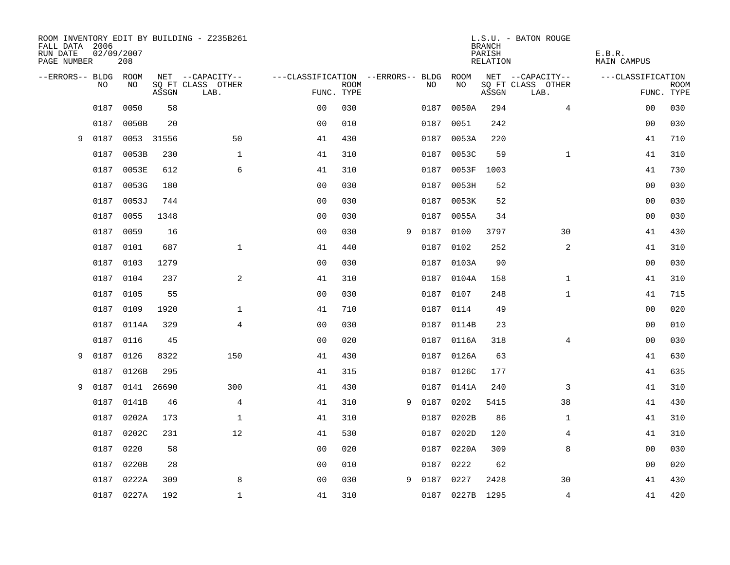| FALL DATA 2006<br>RUN DATE<br>PAGE NUMBER |      | 02/09/2007<br>208 |       | ROOM INVENTORY EDIT BY BUILDING - Z235B261 |                                   |             |   |      |            | <b>BRANCH</b><br>PARISH<br>RELATION | L.S.U. - BATON ROUGE      | E.B.R.<br><b>MAIN CAMPUS</b> |             |
|-------------------------------------------|------|-------------------|-------|--------------------------------------------|-----------------------------------|-------------|---|------|------------|-------------------------------------|---------------------------|------------------------------|-------------|
| --ERRORS-- BLDG ROOM                      |      |                   |       | NET --CAPACITY--                           | ---CLASSIFICATION --ERRORS-- BLDG |             |   |      | ROOM       |                                     | NET --CAPACITY--          | ---CLASSIFICATION            |             |
|                                           | NO   | NO                | ASSGN | SQ FT CLASS OTHER<br>LAB.                  | FUNC. TYPE                        | <b>ROOM</b> |   | NO.  | NO         | ASSGN                               | SQ FT CLASS OTHER<br>LAB. | FUNC. TYPE                   | <b>ROOM</b> |
|                                           | 0187 | 0050              | 58    |                                            | 0 <sub>0</sub>                    | 030         |   | 0187 | 0050A      | 294                                 | $\overline{4}$            | 0 <sub>0</sub>               | 030         |
|                                           | 0187 | 0050B             | 20    |                                            | 0 <sub>0</sub>                    | 010         |   | 0187 | 0051       | 242                                 |                           | 00                           | 030         |
| 9                                         | 0187 | 0053 31556        |       | 50                                         | 41                                | 430         |   | 0187 | 0053A      | 220                                 |                           | 41                           | 710         |
|                                           | 0187 | 0053B             | 230   | $\mathbf 1$                                | 41                                | 310         |   |      | 0187 0053C | 59                                  | $\mathbf{1}$              | 41                           | 310         |
|                                           | 0187 | 0053E             | 612   | 6                                          | 41                                | 310         |   | 0187 | 0053F      | 1003                                |                           | 41                           | 730         |
|                                           | 0187 | 0053G             | 180   |                                            | 0 <sub>0</sub>                    | 030         |   |      | 0187 0053H | 52                                  |                           | 00                           | 030         |
|                                           | 0187 | 0053J             | 744   |                                            | 00                                | 030         |   | 0187 | 0053K      | 52                                  |                           | 00                           | 030         |
|                                           | 0187 | 0055              | 1348  |                                            | 0 <sub>0</sub>                    | 030         |   | 0187 | 0055A      | 34                                  |                           | 0 <sub>0</sub>               | 030         |
|                                           | 0187 | 0059              | 16    |                                            | 0 <sub>0</sub>                    | 030         | 9 | 0187 | 0100       | 3797                                | 30                        | 41                           | 430         |
|                                           | 0187 | 0101              | 687   | $\mathbf{1}$                               | 41                                | 440         |   |      | 0187 0102  | 252                                 | $\overline{a}$            | 41                           | 310         |
|                                           | 0187 | 0103              | 1279  |                                            | 0 <sub>0</sub>                    | 030         |   | 0187 | 0103A      | 90                                  |                           | 0 <sub>0</sub>               | 030         |
|                                           |      | 0187 0104         | 237   | 2                                          | 41                                | 310         |   |      | 0187 0104A | 158                                 | $\mathbf{1}$              | 41                           | 310         |
|                                           | 0187 | 0105              | 55    |                                            | 0 <sub>0</sub>                    | 030         |   | 0187 | 0107       | 248                                 | $\mathbf{1}$              | 41                           | 715         |
|                                           |      | 0187 0109         | 1920  | $\mathbf 1$                                | 41                                | 710         |   |      | 0187 0114  | 49                                  |                           | 00                           | 020         |
|                                           |      | 0187 0114A        | 329   | 4                                          | 0 <sub>0</sub>                    | 030         |   |      | 0187 0114B | 23                                  |                           | 00                           | 010         |
|                                           |      | 0187 0116         | 45    |                                            | 0 <sub>0</sub>                    | 020         |   |      | 0187 0116A | 318                                 | 4                         | 00                           | 030         |
| 9                                         | 0187 | 0126              | 8322  | 150                                        | 41                                | 430         |   | 0187 | 0126A      | 63                                  |                           | 41                           | 630         |
|                                           | 0187 | 0126B             | 295   |                                            | 41                                | 315         |   |      | 0187 0126C | 177                                 |                           | 41                           | 635         |
| 9                                         | 0187 | 0141 26690        |       | 300                                        | 41                                | 430         |   | 0187 | 0141A      | 240                                 | 3                         | 41                           | 310         |
|                                           | 0187 | 0141B             | 46    | $\overline{4}$                             | 41                                | 310         | 9 | 0187 | 0202       | 5415                                | 38                        | 41                           | 430         |
|                                           | 0187 | 0202A             | 173   | $\mathbf 1$                                | 41                                | 310         |   | 0187 | 0202B      | 86                                  | $\mathbf{1}$              | 41                           | 310         |
|                                           | 0187 | 0202C             | 231   | 12                                         | 41                                | 530         |   | 0187 | 0202D      | 120                                 | 4                         | 41                           | 310         |
|                                           | 0187 | 0220              | 58    |                                            | 0 <sub>0</sub>                    | 020         |   | 0187 | 0220A      | 309                                 | 8                         | 00                           | 030         |
|                                           | 0187 | 0220B             | 28    |                                            | 00                                | 010         |   | 0187 | 0222       | 62                                  |                           | 00                           | 020         |
|                                           |      | 0187 0222A        | 309   | 8                                          | 0 <sub>0</sub>                    | 030         | 9 | 0187 | 0227       | 2428                                | 30                        | 41                           | 430         |
|                                           |      | 0187 0227A        | 192   | $\mathbf{1}$                               | 41                                | 310         |   |      | 0187 0227B | 1295                                | $\overline{4}$            | 41                           | 420         |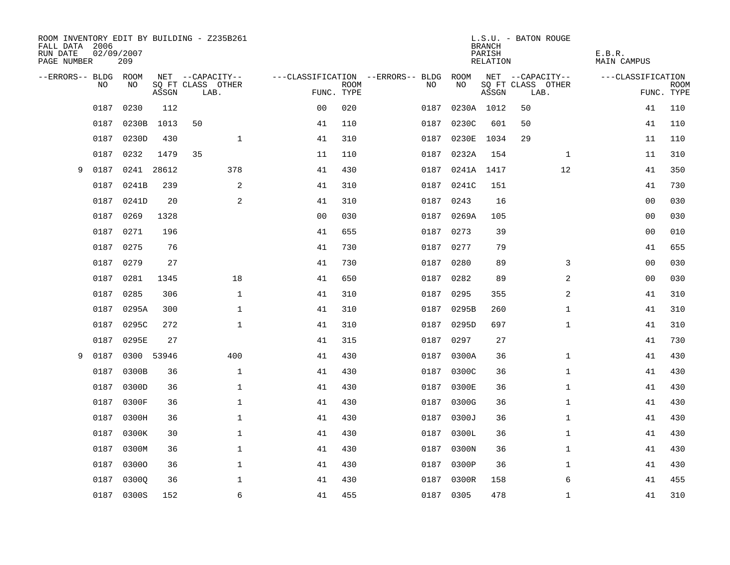| FALL DATA 2006<br>RUN DATE<br>PAGE NUMBER | 02/09/2007 | 209        |       | ROOM INVENTORY EDIT BY BUILDING - Z235B261 |              |                |             |                                   |            | <b>BRANCH</b><br>PARISH | RELATION | L.S.U. - BATON ROUGE      |              | E.B.R.<br><b>MAIN CAMPUS</b> |                |                           |
|-------------------------------------------|------------|------------|-------|--------------------------------------------|--------------|----------------|-------------|-----------------------------------|------------|-------------------------|----------|---------------------------|--------------|------------------------------|----------------|---------------------------|
| --ERRORS-- BLDG                           |            | ROOM       |       | NET --CAPACITY--                           |              |                |             | ---CLASSIFICATION --ERRORS-- BLDG | ROOM       |                         |          | NET --CAPACITY--          |              | ---CLASSIFICATION            |                |                           |
|                                           | NO         | NO         | ASSGN | SQ FT CLASS OTHER<br>LAB.                  |              | FUNC. TYPE     | <b>ROOM</b> | NO.                               | NO         |                         | ASSGN    | SQ FT CLASS OTHER<br>LAB. |              |                              |                | <b>ROOM</b><br>FUNC. TYPE |
|                                           | 0187       | 0230       | 112   |                                            |              | 0 <sub>0</sub> | 020         | 0187                              |            | 0230A 1012              |          | 50                        |              |                              | 41             | 110                       |
|                                           | 0187       | 0230B      | 1013  | 50                                         |              | 41             | 110         | 0187                              | 0230C      |                         | 601      | 50                        |              |                              | 41             | 110                       |
|                                           | 0187       | 0230D      | 430   |                                            | $\mathbf{1}$ | 41             | 310         | 0187                              | 0230E      |                         | 1034     | 29                        |              |                              | 11             | 110                       |
|                                           | 0187       | 0232       | 1479  | 35                                         |              | 11             | 110         | 0187                              | 0232A      |                         | 154      |                           | 1            |                              | 11             | 310                       |
| 9                                         | 0187       | 0241       | 28612 | 378                                        |              | 41             | 430         | 0187                              |            | 0241A 1417              |          |                           | 12           |                              | 41             | 350                       |
|                                           | 0187       | 0241B      | 239   |                                            | 2            | 41             | 310         |                                   | 0187 0241C |                         | 151      |                           |              |                              | 41             | 730                       |
|                                           | 0187       | 0241D      | 20    |                                            | 2            | 41             | 310         | 0187                              | 0243       |                         | 16       |                           |              |                              | 0 <sub>0</sub> | 030                       |
|                                           | 0187       | 0269       | 1328  |                                            |              | 0 <sub>0</sub> | 030         |                                   | 0187 0269A |                         | 105      |                           |              |                              | 00             | 030                       |
|                                           | 0187       | 0271       | 196   |                                            |              | 41             | 655         | 0187                              | 0273       |                         | 39       |                           |              |                              | 0 <sub>0</sub> | 010                       |
|                                           | 0187       | 0275       | 76    |                                            |              | 41             | 730         |                                   | 0187 0277  |                         | 79       |                           |              |                              | 41             | 655                       |
|                                           | 0187       | 0279       | 27    |                                            |              | 41             | 730         | 0187                              | 0280       |                         | 89       |                           | 3            |                              | 0 <sub>0</sub> | 030                       |
|                                           | 0187       | 0281       | 1345  |                                            | 18           | 41             | 650         | 0187                              | 0282       |                         | 89       |                           | 2            |                              | 00             | 030                       |
|                                           | 0187       | 0285       | 306   |                                            | $\mathbf{1}$ | 41             | 310         | 0187                              | 0295       |                         | 355      |                           | 2            |                              | 41             | 310                       |
|                                           | 0187       | 0295A      | 300   |                                            | $\mathbf{1}$ | 41             | 310         |                                   | 0187 0295B |                         | 260      |                           | $\mathbf{1}$ |                              | 41             | 310                       |
|                                           | 0187       | 0295C      | 272   |                                            | $\mathbf{1}$ | 41             | 310         |                                   | 0187 0295D |                         | 697      |                           | $\mathbf{1}$ |                              | 41             | 310                       |
|                                           | 0187       | 0295E      | 27    |                                            |              | 41             | 315         |                                   | 0187 0297  |                         | 27       |                           |              |                              | 41             | 730                       |
| 9                                         | 0187       | 0300       | 53946 | 400                                        |              | 41             | 430         | 0187                              | 0300A      |                         | 36       |                           | $\mathbf{1}$ |                              | 41             | 430                       |
|                                           | 0187       | 0300B      | 36    |                                            | $\mathbf{1}$ | 41             | 430         |                                   | 0187 0300C |                         | 36       |                           | $\mathbf{1}$ |                              | 41             | 430                       |
|                                           | 0187       | 0300D      | 36    |                                            | $\mathbf 1$  | 41             | 430         | 0187                              | 0300E      |                         | 36       |                           | $\mathbf{1}$ |                              | 41             | 430                       |
|                                           | 0187       | 0300F      | 36    |                                            | $\mathbf 1$  | 41             | 430         | 0187                              | 0300G      |                         | 36       |                           | $\mathbf{1}$ |                              | 41             | 430                       |
|                                           | 0187       | 0300H      | 36    |                                            | $\mathbf{1}$ | 41             | 430         | 0187                              | 0300J      |                         | 36       |                           | $\mathbf{1}$ |                              | 41             | 430                       |
|                                           | 0187       | 0300K      | 30    |                                            | $\mathbf{1}$ | 41             | 430         | 0187                              | 0300L      |                         | 36       |                           | $\mathbf{1}$ |                              | 41             | 430                       |
|                                           | 0187       | 0300M      | 36    |                                            | $\mathbf 1$  | 41             | 430         | 0187                              | 0300N      |                         | 36       |                           | $\mathbf{1}$ |                              | 41             | 430                       |
|                                           | 0187       | 03000      | 36    |                                            | $\mathbf 1$  | 41             | 430         | 0187                              | 0300P      |                         | 36       |                           | $\mathbf{1}$ |                              | 41             | 430                       |
|                                           | 0187       | 03000      | 36    |                                            | 1            | 41             | 430         | 0187                              | 0300R      |                         | 158      |                           | 6            |                              | 41             | 455                       |
|                                           |            | 0187 0300S | 152   |                                            | 6            | 41             | 455         |                                   | 0187 0305  |                         | 478      |                           | $\mathbf{1}$ |                              | 41             | 310                       |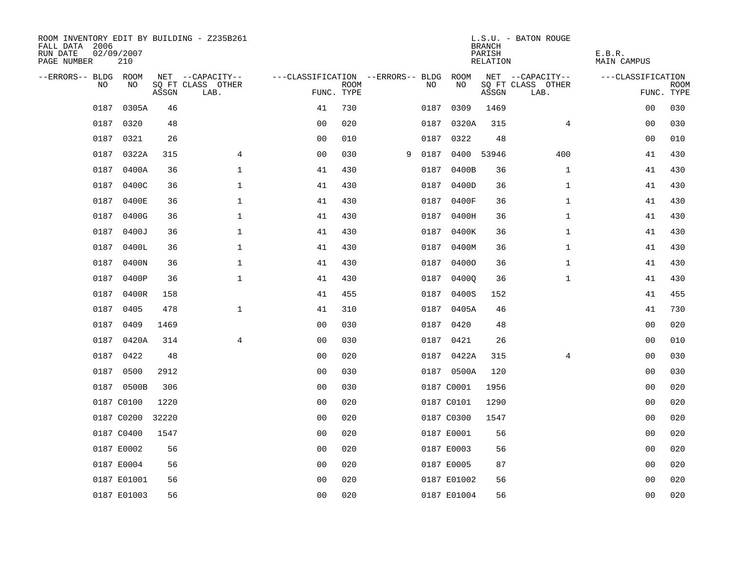| ROOM INVENTORY EDIT BY BUILDING - Z235B261<br>FALL DATA 2006<br>RUN DATE<br>PAGE NUMBER | 02/09/2007<br>210 |       |                           |                                        |             |   |      |                 | <b>BRANCH</b><br>PARISH<br>RELATION | L.S.U. - BATON ROUGE      | E.B.R.<br><b>MAIN CAMPUS</b> |                           |
|-----------------------------------------------------------------------------------------|-------------------|-------|---------------------------|----------------------------------------|-------------|---|------|-----------------|-------------------------------------|---------------------------|------------------------------|---------------------------|
| --ERRORS-- BLDG ROOM                                                                    |                   |       | NET --CAPACITY--          | ---CLASSIFICATION --ERRORS-- BLDG ROOM |             |   |      |                 |                                     | NET --CAPACITY--          | ---CLASSIFICATION            |                           |
| NO                                                                                      | NO                | ASSGN | SQ FT CLASS OTHER<br>LAB. | FUNC. TYPE                             | <b>ROOM</b> |   | NO   | NO              | ASSGN                               | SQ FT CLASS OTHER<br>LAB. |                              | <b>ROOM</b><br>FUNC. TYPE |
| 0187                                                                                    | 0305A             | 46    |                           | 41                                     | 730         |   | 0187 | 0309            | 1469                                |                           | 0 <sub>0</sub>               | 030                       |
| 0187                                                                                    | 0320              | 48    |                           | 0 <sub>0</sub>                         | 020         |   |      | 0187 0320A      | 315                                 | 4                         | 00                           | 030                       |
|                                                                                         | 0187 0321         | 26    |                           | 0 <sub>0</sub>                         | 010         |   | 0187 | 0322            | 48                                  |                           | 0 <sub>0</sub>               | 010                       |
|                                                                                         | 0187 0322A        | 315   | 4                         | 0 <sub>0</sub>                         | 030         | 9 |      | 0187 0400 53946 |                                     | 400                       | 41                           | 430                       |
| 0187                                                                                    | 0400A             | 36    | $\mathbf 1$               | 41                                     | 430         |   | 0187 | 0400B           | 36                                  | $\mathbf{1}$              | 41                           | 430                       |
| 0187                                                                                    | 0400C             | 36    | 1                         | 41                                     | 430         |   |      | 0187 0400D      | 36                                  | $\mathbf{1}$              | 41                           | 430                       |
| 0187                                                                                    | 0400E             | 36    | $\mathbf 1$               | 41                                     | 430         |   | 0187 | 0400F           | 36                                  | $\mathbf{1}$              | 41                           | 430                       |
| 0187                                                                                    | 0400G             | 36    | $\mathbf 1$               | 41                                     | 430         |   |      | 0187 0400H      | 36                                  | $\mathbf{1}$              | 41                           | 430                       |
| 0187                                                                                    | 0400J             | 36    | $\mathbf{1}$              | 41                                     | 430         |   | 0187 | 0400K           | 36                                  | $\mathbf{1}$              | 41                           | 430                       |
|                                                                                         | 0187 0400L        | 36    | $\mathbf 1$               | 41                                     | 430         |   |      | 0187 0400M      | 36                                  | $\mathbf{1}$              | 41                           | 430                       |
| 0187                                                                                    | 0400N             | 36    | $\mathbf 1$               | 41                                     | 430         |   |      | 0187 04000      | 36                                  | $\mathbf{1}$              | 41                           | 430                       |
|                                                                                         | 0187 0400P        | 36    | $\mathbf 1$               | 41                                     | 430         |   |      | 0187 04000      | 36                                  | $\mathbf{1}$              | 41                           | 430                       |
| 0187                                                                                    | 0400R             | 158   |                           | 41                                     | 455         |   | 0187 | 0400S           | 152                                 |                           | 41                           | 455                       |
| 0187                                                                                    | 0405              | 478   | $\mathbf 1$               | 41                                     | 310         |   |      | 0187 0405A      | 46                                  |                           | 41                           | 730                       |
| 0187                                                                                    | 0409              | 1469  |                           | 0 <sub>0</sub>                         | 030         |   |      | 0187 0420       | 48                                  |                           | 0 <sub>0</sub>               | 020                       |
|                                                                                         | 0187 0420A        | 314   | 4                         | 0 <sub>0</sub>                         | 030         |   |      | 0187 0421       | 26                                  |                           | 0 <sub>0</sub>               | 010                       |
|                                                                                         | 0187 0422         | 48    |                           | 0 <sub>0</sub>                         | 020         |   |      | 0187 0422A      | 315                                 | 4                         | 00                           | 030                       |
| 0187                                                                                    | 0500              | 2912  |                           | 0 <sub>0</sub>                         | 030         |   |      | 0187 0500A      | 120                                 |                           | 00                           | 030                       |
|                                                                                         | 0187 0500B        | 306   |                           | 0 <sub>0</sub>                         | 030         |   |      | 0187 C0001      | 1956                                |                           | 00                           | 020                       |
|                                                                                         | 0187 C0100        | 1220  |                           | 0 <sub>0</sub>                         | 020         |   |      | 0187 C0101      | 1290                                |                           | 0 <sub>0</sub>               | 020                       |
|                                                                                         | 0187 C0200        | 32220 |                           | 0 <sub>0</sub>                         | 020         |   |      | 0187 C0300      | 1547                                |                           | 00                           | 020                       |
|                                                                                         | 0187 C0400        | 1547  |                           | 0 <sub>0</sub>                         | 020         |   |      | 0187 E0001      | 56                                  |                           | 00                           | 020                       |
|                                                                                         | 0187 E0002        | 56    |                           | 0 <sub>0</sub>                         | 020         |   |      | 0187 E0003      | 56                                  |                           | 0 <sub>0</sub>               | 020                       |
|                                                                                         | 0187 E0004        | 56    |                           | 0 <sub>0</sub>                         | 020         |   |      | 0187 E0005      | 87                                  |                           | 00                           | 020                       |
|                                                                                         | 0187 E01001       | 56    |                           | 0 <sub>0</sub>                         | 020         |   |      | 0187 E01002     | 56                                  |                           | 0 <sub>0</sub>               | 020                       |
|                                                                                         | 0187 E01003       | 56    |                           | 0 <sub>0</sub>                         | 020         |   |      | 0187 E01004     | 56                                  |                           | 0 <sub>0</sub>               | 020                       |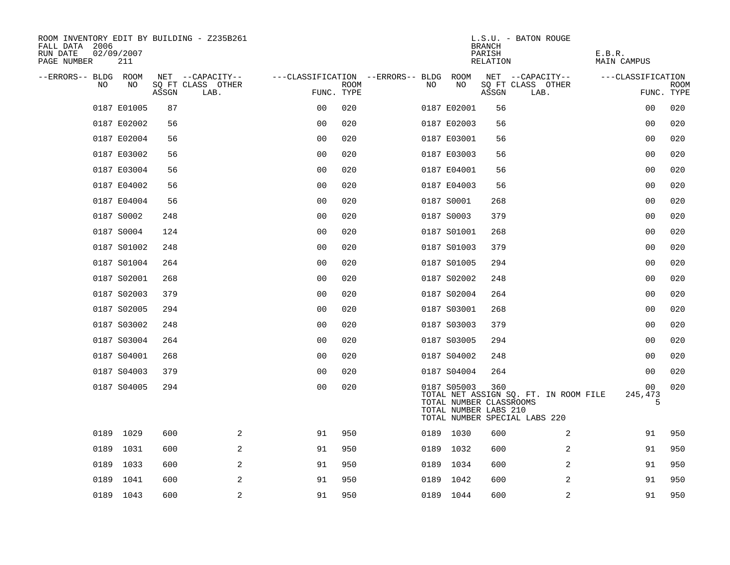| ROOM INVENTORY EDIT BY BUILDING - Z235B261<br>FALL DATA 2006<br>RUN DATE<br>02/09/2007<br>PAGE NUMBER<br>211 |       |                           |                                   |      |      |                                                                 | <b>BRANCH</b><br>PARISH<br>RELATION | L.S.U. - BATON ROUGE                                                   | E.B.R.<br>MAIN CAMPUS |                           |
|--------------------------------------------------------------------------------------------------------------|-------|---------------------------|-----------------------------------|------|------|-----------------------------------------------------------------|-------------------------------------|------------------------------------------------------------------------|-----------------------|---------------------------|
| --ERRORS-- BLDG ROOM                                                                                         |       | NET --CAPACITY--          | ---CLASSIFICATION --ERRORS-- BLDG |      |      | ROOM                                                            |                                     | NET --CAPACITY--                                                       | ---CLASSIFICATION     |                           |
| NO<br>NO                                                                                                     | ASSGN | SQ FT CLASS OTHER<br>LAB. | FUNC. TYPE                        | ROOM | NO   | NO                                                              | ASSGN                               | SQ FT CLASS OTHER<br>LAB.                                              |                       | <b>ROOM</b><br>FUNC. TYPE |
| 0187 E01005                                                                                                  | 87    |                           | 00                                | 020  |      | 0187 E02001                                                     | 56                                  |                                                                        | 0 <sub>0</sub>        | 020                       |
| 0187 E02002                                                                                                  | 56    |                           | 0 <sub>0</sub>                    | 020  |      | 0187 E02003                                                     | 56                                  |                                                                        | 00                    | 020                       |
| 0187 E02004                                                                                                  | 56    |                           | 0 <sub>0</sub>                    | 020  |      | 0187 E03001                                                     | 56                                  |                                                                        | 00                    | 020                       |
| 0187 E03002                                                                                                  | 56    |                           | 0 <sub>0</sub>                    | 020  |      | 0187 E03003                                                     | 56                                  |                                                                        | 0 <sub>0</sub>        | 020                       |
| 0187 E03004                                                                                                  | 56    |                           | 0 <sub>0</sub>                    | 020  |      | 0187 E04001                                                     | 56                                  |                                                                        | 00                    | 020                       |
| 0187 E04002                                                                                                  | 56    |                           | 0 <sub>0</sub>                    | 020  |      | 0187 E04003                                                     | 56                                  |                                                                        | 0 <sub>0</sub>        | 020                       |
| 0187 E04004                                                                                                  | 56    |                           | 0 <sub>0</sub>                    | 020  |      | 0187 S0001                                                      | 268                                 |                                                                        | 0 <sub>0</sub>        | 020                       |
| 0187 S0002                                                                                                   | 248   |                           | 0 <sub>0</sub>                    | 020  |      | 0187 S0003                                                      | 379                                 |                                                                        | 0 <sub>0</sub>        | 020                       |
| 0187 S0004                                                                                                   | 124   |                           | 0 <sub>0</sub>                    | 020  |      | 0187 S01001                                                     | 268                                 |                                                                        | 0 <sub>0</sub>        | 020                       |
| 0187 S01002                                                                                                  | 248   |                           | 0 <sub>0</sub>                    | 020  |      | 0187 S01003                                                     | 379                                 |                                                                        | 00                    | 020                       |
| 0187 S01004                                                                                                  | 264   |                           | 00                                | 020  |      | 0187 S01005                                                     | 294                                 |                                                                        | 00                    | 020                       |
| 0187 S02001                                                                                                  | 268   |                           | 0 <sub>0</sub>                    | 020  |      | 0187 S02002                                                     | 248                                 |                                                                        | 0 <sub>0</sub>        | 020                       |
| 0187 S02003                                                                                                  | 379   |                           | 0 <sub>0</sub>                    | 020  |      | 0187 S02004                                                     | 264                                 |                                                                        | 00                    | 020                       |
| 0187 S02005                                                                                                  | 294   |                           | 0 <sub>0</sub>                    | 020  |      | 0187 S03001                                                     | 268                                 |                                                                        | 00                    | 020                       |
| 0187 S03002                                                                                                  | 248   |                           | 0 <sub>0</sub>                    | 020  |      | 0187 S03003                                                     | 379                                 |                                                                        | 0 <sub>0</sub>        | 020                       |
| 0187 S03004                                                                                                  | 264   |                           | 0 <sub>0</sub>                    | 020  |      | 0187 S03005                                                     | 294                                 |                                                                        | 0 <sub>0</sub>        | 020                       |
| 0187 S04001                                                                                                  | 268   |                           | 0 <sub>0</sub>                    | 020  |      | 0187 S04002                                                     | 248                                 |                                                                        | 00                    | 020                       |
| 0187 S04003                                                                                                  | 379   |                           | 00                                | 020  |      | 0187 S04004                                                     | 264                                 |                                                                        | 00                    | 020                       |
| 0187 S04005                                                                                                  | 294   |                           | 0 <sub>0</sub>                    | 020  |      | 0187 S05003<br>TOTAL NUMBER CLASSROOMS<br>TOTAL NUMBER LABS 210 | 360                                 | TOTAL NET ASSIGN SQ. FT. IN ROOM FILE<br>TOTAL NUMBER SPECIAL LABS 220 | 00<br>245,473<br>5    | 020                       |
| 0189 1029                                                                                                    | 600   | 2                         | 91                                | 950  |      | 0189 1030                                                       | 600                                 | 2                                                                      | 91                    | 950                       |
| 1031<br>0189                                                                                                 | 600   | 2                         | 91                                | 950  |      | 0189 1032                                                       | 600                                 | 2                                                                      | 91                    | 950                       |
| 0189<br>1033                                                                                                 | 600   | 2                         | 91                                | 950  | 0189 | 1034                                                            | 600                                 | 2                                                                      | 91                    | 950                       |
| 0189 1041                                                                                                    | 600   | 2                         | 91                                | 950  |      | 0189 1042                                                       | 600                                 | 2                                                                      | 91                    | 950                       |
| 0189 1043                                                                                                    | 600   | 2                         | 91                                | 950  |      | 0189 1044                                                       | 600                                 | 2                                                                      | 91                    | 950                       |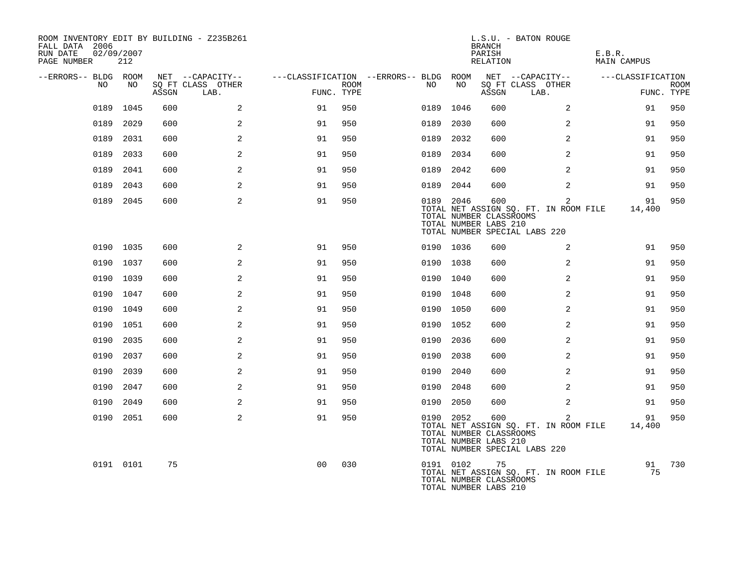| ROOM INVENTORY EDIT BY BUILDING - Z235B261<br>FALL DATA 2006<br>RUN DATE<br>PAGE NUMBER | 02/09/2007<br>212 |       |                           |                                        |             |      |           | BRANCH<br>PARISH<br>RELATION                            | L.S.U. - BATON ROUGE                                                        | E.B.R.<br><b>MAIN CAMPUS</b> |                           |
|-----------------------------------------------------------------------------------------|-------------------|-------|---------------------------|----------------------------------------|-------------|------|-----------|---------------------------------------------------------|-----------------------------------------------------------------------------|------------------------------|---------------------------|
| --ERRORS-- BLDG ROOM                                                                    |                   |       | NET --CAPACITY--          | ---CLASSIFICATION --ERRORS-- BLDG ROOM |             |      |           |                                                         | NET --CAPACITY--                                                            | ---CLASSIFICATION            |                           |
| NO.                                                                                     | NO.               | ASSGN | SQ FT CLASS OTHER<br>LAB. | FUNC. TYPE                             | <b>ROOM</b> | NO   | NO        | ASSGN                                                   | SQ FT CLASS OTHER<br>LAB.                                                   |                              | <b>ROOM</b><br>FUNC. TYPE |
| 0189                                                                                    | 1045              | 600   | 2                         | 91                                     | 950         |      | 0189 1046 | 600                                                     | 2                                                                           | 91                           | 950                       |
|                                                                                         | 0189 2029         | 600   | 2                         | 91                                     | 950         | 0189 | 2030      | 600                                                     | $\overline{2}$                                                              | 91                           | 950                       |
|                                                                                         | 0189 2031         | 600   | 2                         | 91                                     | 950         | 0189 | 2032      | 600                                                     | 2                                                                           | 91                           | 950                       |
| 0189                                                                                    | 2033              | 600   | 2                         | 91                                     | 950         | 0189 | 2034      | 600                                                     | 2                                                                           | 91                           | 950                       |
|                                                                                         | 0189 2041         | 600   | 2                         | 91                                     | 950         | 0189 | 2042      | 600                                                     | 2                                                                           | 91                           | 950                       |
|                                                                                         | 0189 2043         | 600   | 2                         | 91                                     | 950         |      | 0189 2044 | 600                                                     | $\overline{2}$                                                              | 91                           | 950                       |
|                                                                                         | 0189 2045         | 600   | 2                         | 91                                     | 950         |      | 0189 2046 | 600<br>TOTAL NUMBER CLASSROOMS<br>TOTAL NUMBER LABS 210 | 2<br>TOTAL NET ASSIGN SQ. FT. IN ROOM FILE<br>TOTAL NUMBER SPECIAL LABS 220 | 91<br>14,400                 | 950                       |
|                                                                                         | 0190 1035         | 600   | 2                         | 91                                     | 950         |      | 0190 1036 | 600                                                     | $\overline{2}$                                                              | 91                           | 950                       |
|                                                                                         | 0190 1037         | 600   | 2                         | 91                                     | 950         |      | 0190 1038 | 600                                                     | 2                                                                           | 91                           | 950                       |
|                                                                                         | 0190 1039         | 600   | 2                         | 91                                     | 950         |      | 0190 1040 | 600                                                     | 2                                                                           | 91                           | 950                       |
|                                                                                         | 0190 1047         | 600   | 2                         | 91                                     | 950         |      | 0190 1048 | 600                                                     | 2                                                                           | 91                           | 950                       |
|                                                                                         | 0190 1049         | 600   | 2                         | 91                                     | 950         |      | 0190 1050 | 600                                                     | 2                                                                           | 91                           | 950                       |
|                                                                                         | 0190 1051         | 600   | 2                         | 91                                     | 950         |      | 0190 1052 | 600                                                     | 2                                                                           | 91                           | 950                       |
|                                                                                         | 0190 2035         | 600   | 2                         | 91                                     | 950         |      | 0190 2036 | 600                                                     | $\overline{a}$                                                              | 91                           | 950                       |
|                                                                                         | 0190 2037         | 600   | 2                         | 91                                     | 950         | 0190 | 2038      | 600                                                     | $\overline{2}$                                                              | 91                           | 950                       |
|                                                                                         | 0190 2039         | 600   | 2                         | 91                                     | 950         |      | 0190 2040 | 600                                                     | 2                                                                           | 91                           | 950                       |
|                                                                                         | 0190 2047         | 600   | 2                         | 91                                     | 950         | 0190 | 2048      | 600                                                     | 2                                                                           | 91                           | 950                       |
|                                                                                         | 0190 2049         | 600   | 2                         | 91                                     | 950         |      | 0190 2050 | 600                                                     | 2                                                                           | 91                           | 950                       |
|                                                                                         | 0190 2051         | 600   | 2                         | 91                                     | 950         |      | 0190 2052 | 600<br>TOTAL NUMBER CLASSROOMS<br>TOTAL NUMBER LABS 210 | 2<br>TOTAL NET ASSIGN SQ. FT. IN ROOM FILE<br>TOTAL NUMBER SPECIAL LABS 220 | 91<br>14,400                 | 950                       |
|                                                                                         | 0191 0101         | 75    |                           | 0 <sub>0</sub>                         | 030         |      | 0191 0102 | 75<br>TOTAL NUMBER CLASSROOMS<br>TOTAL NUMBER LABS 210  | TOTAL NET ASSIGN SQ. FT. IN ROOM FILE                                       | 91<br>75                     | 730                       |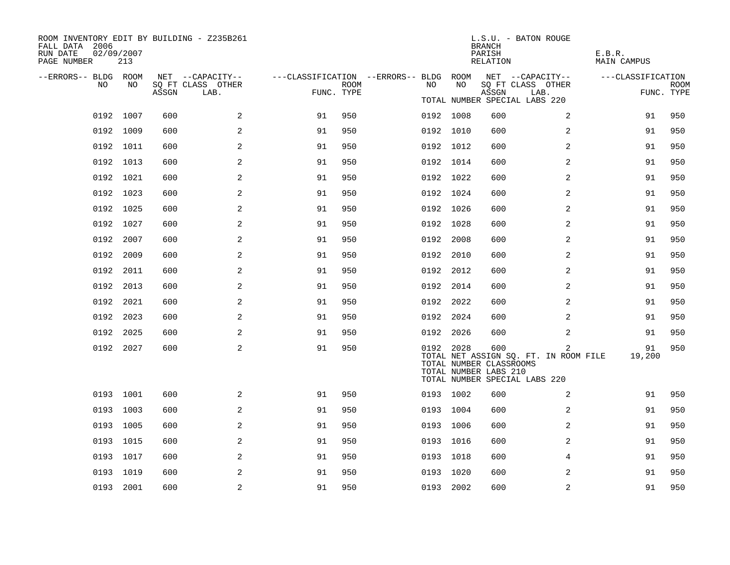| ROOM INVENTORY EDIT BY BUILDING - Z235B261<br>FALL DATA 2006<br>RUN DATE<br>PAGE NUMBER | 02/09/2007<br>213 |       |                           |                                        |      |           |      | <b>BRANCH</b><br>PARISH<br>RELATION                     | L.S.U. - BATON ROUGE                                                        | E.B.R.<br><b>MAIN CAMPUS</b> |                    |
|-----------------------------------------------------------------------------------------|-------------------|-------|---------------------------|----------------------------------------|------|-----------|------|---------------------------------------------------------|-----------------------------------------------------------------------------|------------------------------|--------------------|
| --ERRORS-- BLDG ROOM<br>NO.                                                             | NO                |       | NET --CAPACITY--          | ---CLASSIFICATION --ERRORS-- BLDG ROOM | ROOM | NO        | NO   |                                                         | NET --CAPACITY--                                                            | ---CLASSIFICATION            |                    |
|                                                                                         |                   | ASSGN | SQ FT CLASS OTHER<br>LAB. | FUNC. TYPE                             |      |           |      | ASSGN                                                   | SQ FT CLASS OTHER<br>LAB.                                                   |                              | ROOM<br>FUNC. TYPE |
|                                                                                         |                   |       |                           |                                        |      |           |      |                                                         | TOTAL NUMBER SPECIAL LABS 220                                               |                              |                    |
|                                                                                         | 0192 1007         | 600   | 2                         | 91                                     | 950  | 0192 1008 |      | 600                                                     | 2                                                                           | 91                           | 950                |
|                                                                                         | 0192 1009         | 600   | 2                         | 91                                     | 950  | 0192 1010 |      | 600                                                     | 2                                                                           | 91                           | 950                |
|                                                                                         | 0192 1011         | 600   | 2                         | 91                                     | 950  | 0192 1012 |      | 600                                                     | 2                                                                           | 91                           | 950                |
|                                                                                         | 0192 1013         | 600   | 2                         | 91                                     | 950  | 0192 1014 |      | 600                                                     | 2                                                                           | 91                           | 950                |
|                                                                                         | 0192 1021         | 600   | 2                         | 91                                     | 950  | 0192 1022 |      | 600                                                     | 2                                                                           | 91                           | 950                |
|                                                                                         | 0192 1023         | 600   | 2                         | 91                                     | 950  | 0192 1024 |      | 600                                                     | 2                                                                           | 91                           | 950                |
|                                                                                         | 0192 1025         | 600   | 2                         | 91                                     | 950  | 0192 1026 |      | 600                                                     | 2                                                                           | 91                           | 950                |
|                                                                                         | 0192 1027         | 600   | 2                         | 91                                     | 950  | 0192 1028 |      | 600                                                     | 2                                                                           | 91                           | 950                |
|                                                                                         | 0192 2007         | 600   | 2                         | 91                                     | 950  | 0192 2008 |      | 600                                                     | 2                                                                           | 91                           | 950                |
|                                                                                         | 0192 2009         | 600   | 2                         | 91                                     | 950  | 0192 2010 |      | 600                                                     | 2                                                                           | 91                           | 950                |
|                                                                                         | 0192 2011         | 600   | 2                         | 91                                     | 950  | 0192 2012 |      | 600                                                     | 2                                                                           | 91                           | 950                |
|                                                                                         | 0192 2013         | 600   | 2                         | 91                                     | 950  | 0192 2014 |      | 600                                                     | $\overline{2}$                                                              | 91                           | 950                |
|                                                                                         | 0192 2021         | 600   | 2                         | 91                                     | 950  | 0192 2022 |      | 600                                                     | 2                                                                           | 91                           | 950                |
|                                                                                         | 0192 2023         | 600   | 2                         | 91                                     | 950  | 0192 2024 |      | 600                                                     | 2                                                                           | 91                           | 950                |
|                                                                                         | 0192 2025         | 600   | 2                         | 91                                     | 950  | 0192 2026 |      | 600                                                     | $\overline{a}$                                                              | 91                           | 950                |
|                                                                                         | 0192 2027         | 600   | 2                         | 91                                     | 950  | 0192 2028 |      | 600<br>TOTAL NUMBER CLASSROOMS<br>TOTAL NUMBER LABS 210 | 2<br>TOTAL NET ASSIGN SQ. FT. IN ROOM FILE<br>TOTAL NUMBER SPECIAL LABS 220 | 91<br>19,200                 | 950                |
|                                                                                         | 0193 1001         | 600   | 2                         | 91                                     | 950  | 0193 1002 |      | 600                                                     | 2                                                                           | 91                           | 950                |
|                                                                                         | 0193 1003         | 600   | 2                         | 91                                     | 950  | 0193 1004 |      | 600                                                     | 2                                                                           | 91                           | 950                |
|                                                                                         | 0193 1005         | 600   | 2                         | 91                                     | 950  | 0193      | 1006 | 600                                                     | 2                                                                           | 91                           | 950                |
|                                                                                         | 0193 1015         | 600   | 2                         | 91                                     | 950  | 0193 1016 |      | 600                                                     | $\overline{a}$                                                              | 91                           | 950                |
|                                                                                         | 0193 1017         | 600   | 2                         | 91                                     | 950  | 0193 1018 |      | 600                                                     | 4                                                                           | 91                           | 950                |
|                                                                                         | 0193 1019         | 600   | 2                         | 91                                     | 950  | 0193 1020 |      | 600                                                     | 2                                                                           | 91                           | 950                |
|                                                                                         | 0193 2001         | 600   | $\overline{a}$            | 91                                     | 950  | 0193 2002 |      | 600                                                     | 2                                                                           | 91                           | 950                |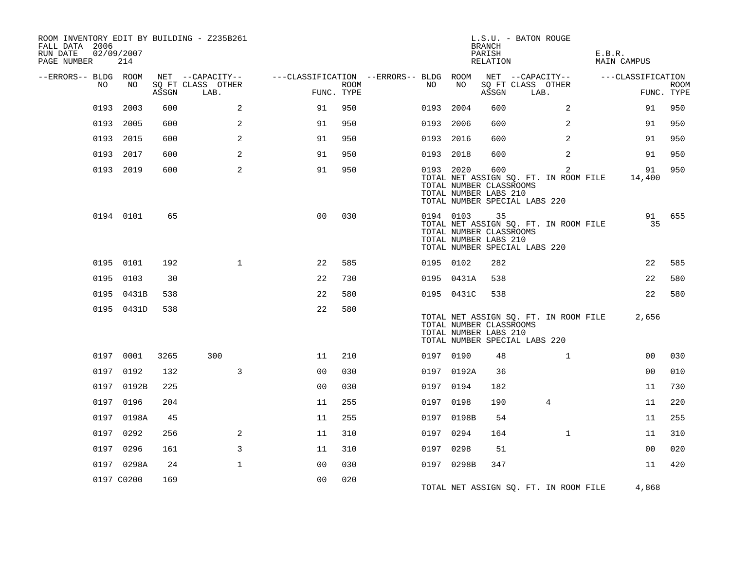| FALL DATA 2006<br>RUN DATE<br>PAGE NUMBER |    | 02/09/2007<br>214 |       | ROOM INVENTORY EDIT BY BUILDING - Z235B261    |                                                      |             |           |            | <b>BRANCH</b><br>PARISH<br>RELATION                     | L.S.U. - BATON ROUGE                                                                     | E.B.R.<br>MAIN CAMPUS |                           |
|-------------------------------------------|----|-------------------|-------|-----------------------------------------------|------------------------------------------------------|-------------|-----------|------------|---------------------------------------------------------|------------------------------------------------------------------------------------------|-----------------------|---------------------------|
| --ERRORS-- BLDG ROOM                      | NO | NO                | ASSGN | NET --CAPACITY--<br>SQ FT CLASS OTHER<br>LAB. | ---CLASSIFICATION --ERRORS-- BLDG ROOM<br>FUNC. TYPE | <b>ROOM</b> | NO        | NO         | ASSGN                                                   | NET --CAPACITY--<br>SQ FT CLASS OTHER<br>LAB.                                            | ---CLASSIFICATION     | <b>ROOM</b><br>FUNC. TYPE |
|                                           |    | 0193 2003         | 600   | 2                                             | 91                                                   | 950         | 0193      | 2004       | 600                                                     | 2                                                                                        | 91                    | 950                       |
|                                           |    | 0193 2005         | 600   | 2                                             | 91                                                   | 950         | 0193 2006 |            | 600                                                     | $\overline{2}$                                                                           | 91                    | 950                       |
|                                           |    | 0193 2015         | 600   | 2                                             | 91                                                   | 950         | 0193 2016 |            | 600                                                     | 2                                                                                        | 91                    | 950                       |
|                                           |    | 0193 2017         | 600   | 2                                             | 91                                                   | 950         | 0193 2018 |            | 600                                                     | 2                                                                                        | 91                    | 950                       |
|                                           |    | 0193 2019         | 600   | 2                                             | 91                                                   | 950         | 0193 2020 |            | 600<br>TOTAL NUMBER CLASSROOMS<br>TOTAL NUMBER LABS 210 | $\overline{2}$<br>TOTAL NET ASSIGN SQ. FT. IN ROOM FILE<br>TOTAL NUMBER SPECIAL LABS 220 | 91<br>14,400          | 950                       |
|                                           |    | 0194 0101         | 65    |                                               | 0 <sub>0</sub>                                       | 030         |           | 0194 0103  | 35<br>TOTAL NUMBER CLASSROOMS<br>TOTAL NUMBER LABS 210  | TOTAL NET ASSIGN SQ. FT. IN ROOM FILE<br>TOTAL NUMBER SPECIAL LABS 220                   | 91<br>35              | 655                       |
|                                           |    | 0195 0101         | 192   | $\mathbf{1}$                                  | 22                                                   | 585         | 0195 0102 |            | 282                                                     |                                                                                          | 22                    | 585                       |
|                                           |    | 0195 0103         | 30    |                                               | 22                                                   | 730         |           | 0195 0431A | 538                                                     |                                                                                          | 22                    | 580                       |
|                                           |    | 0195 0431B        | 538   |                                               | 22                                                   | 580         |           | 0195 0431C | 538                                                     |                                                                                          | 22                    | 580                       |
|                                           |    | 0195 0431D        | 538   |                                               | 22                                                   | 580         |           |            | TOTAL NUMBER CLASSROOMS<br>TOTAL NUMBER LABS 210        | TOTAL NET ASSIGN SQ. FT. IN ROOM FILE<br>TOTAL NUMBER SPECIAL LABS 220                   | 2,656                 |                           |
|                                           |    | 0197 0001         | 3265  | 300                                           | 11                                                   | 210         | 0197 0190 |            | 48                                                      | $\mathbf{1}$                                                                             | 0 <sub>0</sub>        | 030                       |
|                                           |    | 0197 0192         | 132   | $\overline{3}$                                | 0 <sub>0</sub>                                       | 030         |           | 0197 0192A | 36                                                      |                                                                                          | 0 <sub>0</sub>        | 010                       |
|                                           |    | 0197 0192B        | 225   |                                               | 0 <sub>0</sub>                                       | 030         | 0197 0194 |            | 182                                                     |                                                                                          | 11                    | 730                       |
|                                           |    | 0197 0196         | 204   |                                               | 11                                                   | 255         | 0197 0198 |            | 190                                                     | 4                                                                                        | 11                    | 220                       |
|                                           |    | 0197 0198A        | 45    |                                               | 11                                                   | 255         |           | 0197 0198B | 54                                                      |                                                                                          | 11                    | 255                       |
|                                           |    | 0197 0292         | 256   | 2                                             | 11                                                   | 310         | 0197 0294 |            | 164                                                     | $\mathbf{1}$                                                                             | 11                    | 310                       |
|                                           |    | 0197 0296         | 161   | 3                                             | 11                                                   | 310         | 0197      | 0298       | 51                                                      |                                                                                          | 0 <sub>0</sub>        | 020                       |
|                                           |    | 0197 0298A        | 24    | $\mathbf{1}$                                  | 0 <sub>0</sub>                                       | 030         |           | 0197 0298B | 347                                                     |                                                                                          | 11                    | 420                       |
|                                           |    | 0197 C0200        | 169   |                                               | 0 <sub>0</sub>                                       | 020         |           |            |                                                         | TOTAL NET ASSIGN SO. FT. IN ROOM FILE                                                    | 4,868                 |                           |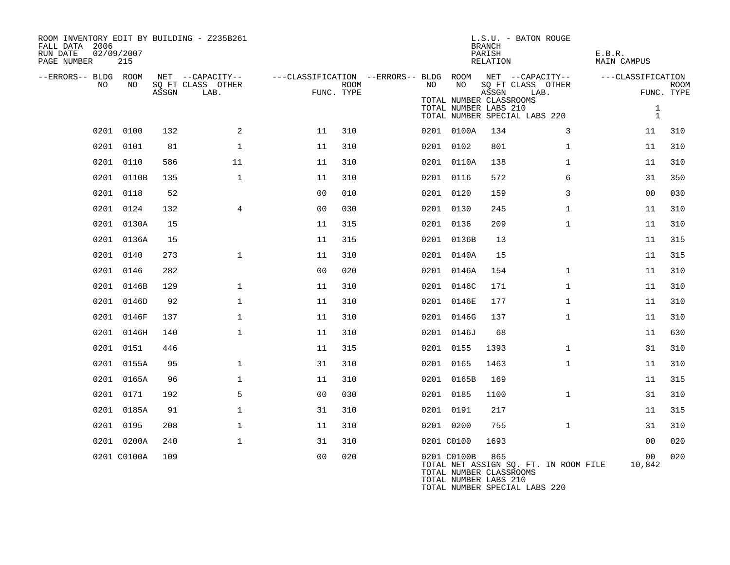| ROOM INVENTORY EDIT BY BUILDING - Z235B261<br>FALL DATA 2006<br>RUN DATE<br>PAGE NUMBER | 02/09/2007<br>215 |       |                                       |                                                         |      |    |             | <b>BRANCH</b><br>PARISH<br>RELATION                                                      | L.S.U. - BATON ROUGE                  | E.B.R.<br>MAIN CAMPUS        |                           |
|-----------------------------------------------------------------------------------------|-------------------|-------|---------------------------------------|---------------------------------------------------------|------|----|-------------|------------------------------------------------------------------------------------------|---------------------------------------|------------------------------|---------------------------|
| --ERRORS-- BLDG ROOM<br>NO                                                              | NO                |       | NET --CAPACITY--<br>SQ FT CLASS OTHER | ---CLASSIFICATION --ERRORS-- BLDG ROOM NET --CAPACITY-- | ROOM | NO | NO          |                                                                                          | SQ FT CLASS OTHER                     | ---CLASSIFICATION            |                           |
|                                                                                         |                   | ASSGN | LAB.                                  | FUNC. TYPE                                              |      |    |             | ASSGN                                                                                    | LAB.                                  |                              | <b>ROOM</b><br>FUNC. TYPE |
|                                                                                         |                   |       |                                       |                                                         |      |    |             | TOTAL NUMBER CLASSROOMS<br>TOTAL NUMBER LABS 210<br>TOTAL NUMBER SPECIAL LABS 220        |                                       | $\mathbf{1}$<br>$\mathbf{1}$ |                           |
|                                                                                         | 0201 0100         | 132   | 2                                     | 11                                                      | 310  |    | 0201 0100A  | 134                                                                                      | 3                                     | 11                           | 310                       |
|                                                                                         | 0201 0101         | 81    | $\mathbf{1}$                          | 11                                                      | 310  |    | 0201 0102   | 801                                                                                      | $\mathbf{1}$                          | 11                           | 310                       |
|                                                                                         | 0201 0110         | 586   | 11                                    | 11                                                      | 310  |    | 0201 0110A  | 138                                                                                      | $\mathbf{1}$                          | 11                           | 310                       |
|                                                                                         | 0201 0110B        | 135   | $\mathbf{1}$                          | 11                                                      | 310  |    | 0201 0116   | 572                                                                                      | 6                                     | 31                           | 350                       |
|                                                                                         | 0201 0118         | 52    |                                       | 0 <sub>0</sub>                                          | 010  |    | 0201 0120   | 159                                                                                      | 3                                     | 00                           | 030                       |
|                                                                                         | 0201 0124         | 132   | $\overline{4}$                        | 0 <sub>0</sub>                                          | 030  |    | 0201 0130   | 245                                                                                      | $\mathbf{1}$                          | 11                           | 310                       |
|                                                                                         | 0201 0130A        | 15    |                                       | 11                                                      | 315  |    | 0201 0136   | 209                                                                                      | $\mathbf{1}$                          | 11                           | 310                       |
|                                                                                         | 0201 0136A        | 15    |                                       | 11                                                      | 315  |    | 0201 0136B  | 13                                                                                       |                                       | 11                           | 315                       |
|                                                                                         | 0201 0140         | 273   | $\mathbf{1}$                          | 11                                                      | 310  |    | 0201 0140A  | 15                                                                                       |                                       | 11                           | 315                       |
|                                                                                         | 0201 0146         | 282   |                                       | 0 <sub>0</sub>                                          | 020  |    | 0201 0146A  | 154                                                                                      | $\mathbf{1}$                          | 11                           | 310                       |
|                                                                                         | 0201 0146B        | 129   | $\mathbf{1}$                          | 11                                                      | 310  |    | 0201 0146C  | 171                                                                                      | $\mathbf{1}$                          | 11                           | 310                       |
|                                                                                         | 0201 0146D        | 92    | $\mathbf{1}$                          | 11                                                      | 310  |    | 0201 0146E  | 177                                                                                      | $\mathbf{1}$                          | 11                           | 310                       |
|                                                                                         | 0201 0146F        | 137   | $\mathbf 1$                           | 11                                                      | 310  |    | 0201 0146G  | 137                                                                                      | $\mathbf{1}$                          | 11                           | 310                       |
|                                                                                         | 0201 0146H        | 140   | $\mathbf{1}$                          | 11                                                      | 310  |    | 0201 0146J  | 68                                                                                       |                                       | 11                           | 630                       |
|                                                                                         | 0201 0151         | 446   |                                       | 11                                                      | 315  |    | 0201 0155   | 1393                                                                                     | $\mathbf{1}$                          | 31                           | 310                       |
|                                                                                         | 0201 0155A        | 95    | $\mathbf 1$                           | 31                                                      | 310  |    | 0201 0165   | 1463                                                                                     | $\mathbf{1}$                          | 11                           | 310                       |
|                                                                                         | 0201 0165A        | 96    | $\mathbf{1}$                          | 11                                                      | 310  |    | 0201 0165B  | 169                                                                                      |                                       | 11                           | 315                       |
|                                                                                         | 0201 0171         | 192   | 5                                     | 0 <sub>0</sub>                                          | 030  |    | 0201 0185   | 1100                                                                                     | $\mathbf{1}$                          | 31                           | 310                       |
|                                                                                         | 0201 0185A        | 91    | $\mathbf 1$                           | 31                                                      | 310  |    | 0201 0191   | 217                                                                                      |                                       | 11                           | 315                       |
|                                                                                         | 0201 0195         | 208   | $\mathbf{1}$                          | 11                                                      | 310  |    | 0201 0200   | 755                                                                                      | $\mathbf{1}$                          | 31                           | 310                       |
|                                                                                         | 0201 0200A        | 240   | $\mathbf{1}$                          | 31                                                      | 310  |    | 0201 C0100  | 1693                                                                                     |                                       | 00                           | 020                       |
|                                                                                         | 0201 C0100A       | 109   |                                       | 0 <sub>0</sub>                                          | 020  |    | 0201 C0100B | 865<br>TOTAL NUMBER CLASSROOMS<br>TOTAL NUMBER LABS 210<br>TOTAL NUMBER SPECIAL LABS 220 | TOTAL NET ASSIGN SQ. FT. IN ROOM FILE | 0 <sub>0</sub><br>10,842     | 020                       |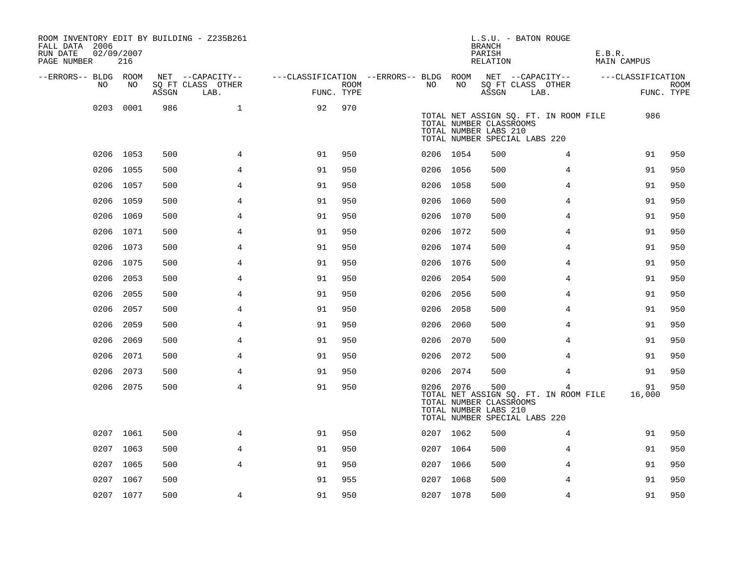| ROOM INVENTORY EDIT BY BUILDING - Z235B261<br>FALL DATA 2006<br>RUN DATE<br>PAGE NUMBER | 02/09/2007<br>216 |       |                           |                                        |      |           |      | <b>BRANCH</b><br>PARISH<br>RELATION                     | L.S.U. - BATON ROUGE                                                        | E.B.R.<br>MAIN CAMPUS |                           |
|-----------------------------------------------------------------------------------------|-------------------|-------|---------------------------|----------------------------------------|------|-----------|------|---------------------------------------------------------|-----------------------------------------------------------------------------|-----------------------|---------------------------|
| --ERRORS-- BLDG ROOM                                                                    |                   |       | NET --CAPACITY--          | ---CLASSIFICATION --ERRORS-- BLDG ROOM |      |           |      |                                                         | NET --CAPACITY--                                                            | ---CLASSIFICATION     |                           |
| NO                                                                                      | NO                | ASSGN | SQ FT CLASS OTHER<br>LAB. | FUNC. TYPE                             | ROOM | NO.       | NO   | ASSGN                                                   | SQ FT CLASS OTHER<br>LAB.                                                   |                       | <b>ROOM</b><br>FUNC. TYPE |
| 0203                                                                                    | 0001              | 986   | $\mathbf{1}$              | 92                                     | 970  |           |      | TOTAL NUMBER CLASSROOMS<br>TOTAL NUMBER LABS 210        | TOTAL NET ASSIGN SO. FT. IN ROOM FILE<br>TOTAL NUMBER SPECIAL LABS 220      | 986                   |                           |
|                                                                                         | 0206 1053         | 500   | 4                         | 91                                     | 950  | 0206 1054 |      | 500                                                     | 4                                                                           | 91                    | 950                       |
|                                                                                         | 0206 1055         | 500   | $\overline{4}$            | 91                                     | 950  | 0206 1056 |      | 500                                                     | 4                                                                           | 91                    | 950                       |
|                                                                                         | 0206 1057         | 500   | $\overline{4}$            | 91                                     | 950  | 0206 1058 |      | 500                                                     | $\overline{4}$                                                              | 91                    | 950                       |
|                                                                                         | 0206 1059         | 500   | 4                         | 91                                     | 950  | 0206 1060 |      | 500                                                     | 4                                                                           | 91                    | 950                       |
|                                                                                         | 0206 1069         | 500   | $\overline{4}$            | 91                                     | 950  | 0206 1070 |      | 500                                                     | 4                                                                           | 91                    | 950                       |
|                                                                                         | 0206 1071         | 500   | $\overline{4}$            | 91                                     | 950  | 0206 1072 |      | 500                                                     | 4                                                                           | 91                    | 950                       |
|                                                                                         | 0206 1073         | 500   | 4                         | 91                                     | 950  | 0206 1074 |      | 500                                                     | 4                                                                           | 91                    | 950                       |
|                                                                                         | 0206 1075         | 500   | 4                         | 91                                     | 950  | 0206 1076 |      | 500                                                     | 4                                                                           | 91                    | 950                       |
|                                                                                         | 0206 2053         | 500   | 4                         | 91                                     | 950  | 0206 2054 |      | 500                                                     | 4                                                                           | 91                    | 950                       |
| 0206                                                                                    | 2055              | 500   | 4                         | 91                                     | 950  | 0206      | 2056 | 500                                                     | 4                                                                           | 91                    | 950                       |
| 0206                                                                                    | 2057              | 500   | $\overline{4}$            | 91                                     | 950  | 0206      | 2058 | 500                                                     | 4                                                                           | 91                    | 950                       |
|                                                                                         | 0206 2059         | 500   | $\overline{4}$            | 91                                     | 950  | 0206      | 2060 | 500                                                     | 4                                                                           | 91                    | 950                       |
|                                                                                         | 0206 2069         | 500   | 4                         | 91                                     | 950  | 0206 2070 |      | 500                                                     | 4                                                                           | 91                    | 950                       |
|                                                                                         | 0206 2071         | 500   | 4                         | 91                                     | 950  | 0206 2072 |      | 500                                                     | 4                                                                           | 91                    | 950                       |
| 0206                                                                                    | 2073              | 500   | $\overline{4}$            | 91                                     | 950  | 0206 2074 |      | 500                                                     | $\overline{4}$                                                              | 91                    | 950                       |
|                                                                                         | 0206 2075         | 500   | 4                         | 91                                     | 950  | 0206 2076 |      | 500<br>TOTAL NUMBER CLASSROOMS<br>TOTAL NUMBER LABS 210 | 4<br>TOTAL NET ASSIGN SQ. FT. IN ROOM FILE<br>TOTAL NUMBER SPECIAL LABS 220 | 91<br>16,000          | 950                       |
|                                                                                         | 0207 1061         | 500   | 4                         | 91                                     | 950  | 0207 1062 |      | 500                                                     | 4                                                                           | 91                    | 950                       |
|                                                                                         | 0207 1063         | 500   | 4                         | 91                                     | 950  | 0207 1064 |      | 500                                                     | 4                                                                           | 91                    | 950                       |
|                                                                                         | 0207 1065         | 500   | $\overline{4}$            | 91                                     | 950  | 0207 1066 |      | 500                                                     | 4                                                                           | 91                    | 950                       |
|                                                                                         | 0207 1067         | 500   |                           | 91                                     | 955  | 0207 1068 |      | 500                                                     | 4                                                                           | 91                    | 950                       |
|                                                                                         | 0207 1077         | 500   | 4                         | 91                                     | 950  | 0207 1078 |      | 500                                                     | 4                                                                           | 91                    | 950                       |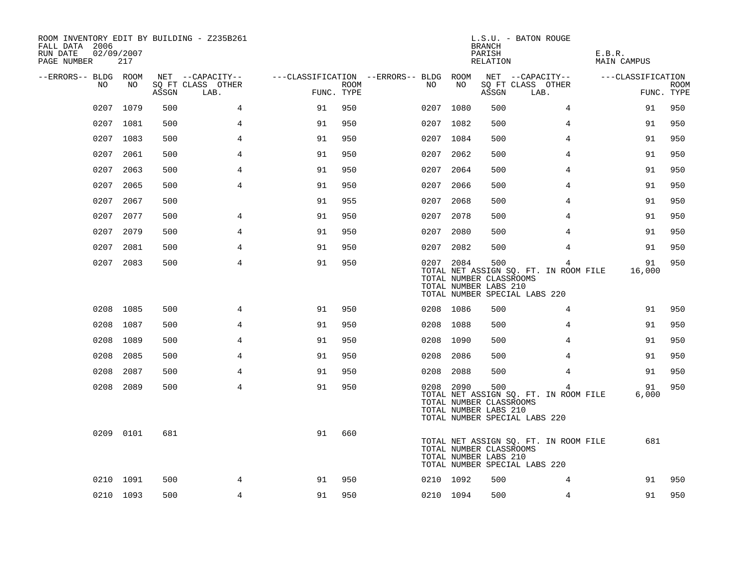| ROOM INVENTORY EDIT BY BUILDING - Z235B261<br>FALL DATA 2006<br>RUN DATE<br>PAGE NUMBER | 02/09/2007<br>217 |       |                           |                                        |      |      |           | <b>BRANCH</b><br>PARISH<br>RELATION                     | L.S.U. - BATON ROUGE                                                        | E.B.R.<br>MAIN CAMPUS |                           |
|-----------------------------------------------------------------------------------------|-------------------|-------|---------------------------|----------------------------------------|------|------|-----------|---------------------------------------------------------|-----------------------------------------------------------------------------|-----------------------|---------------------------|
| --ERRORS-- BLDG ROOM                                                                    |                   |       | NET --CAPACITY--          | ---CLASSIFICATION --ERRORS-- BLDG ROOM |      |      |           |                                                         | NET --CAPACITY--                                                            | ---CLASSIFICATION     |                           |
| NO.                                                                                     | NO                | ASSGN | SQ FT CLASS OTHER<br>LAB. | FUNC. TYPE                             | ROOM | NO   | NO        | ASSGN                                                   | SQ FT CLASS OTHER<br>LAB.                                                   |                       | <b>ROOM</b><br>FUNC. TYPE |
|                                                                                         | 0207 1079         | 500   | 4                         | 91                                     | 950  |      | 0207 1080 | 500                                                     | $\overline{4}$                                                              | 91                    | 950                       |
|                                                                                         | 0207 1081         | 500   | 4                         | 91                                     | 950  |      | 0207 1082 | 500                                                     | 4                                                                           | 91                    | 950                       |
|                                                                                         | 0207 1083         | 500   | 4                         | 91                                     | 950  |      | 0207 1084 | 500                                                     | 4                                                                           | 91                    | 950                       |
|                                                                                         | 0207 2061         | 500   | 4                         | 91                                     | 950  | 0207 | 2062      | 500                                                     | 4                                                                           | 91                    | 950                       |
| 0207                                                                                    | 2063              | 500   | $\overline{4}$            | 91                                     | 950  | 0207 | 2064      | 500                                                     | $\overline{4}$                                                              | 91                    | 950                       |
|                                                                                         | 0207 2065         | 500   | $\overline{4}$            | 91                                     | 950  | 0207 | 2066      | 500                                                     | 4                                                                           | 91                    | 950                       |
|                                                                                         | 0207 2067         | 500   |                           | 91                                     | 955  | 0207 | 2068      | 500                                                     | 4                                                                           | 91                    | 950                       |
|                                                                                         | 0207 2077         | 500   | 4                         | 91                                     | 950  | 0207 | 2078      | 500                                                     | 4                                                                           | 91                    | 950                       |
| 0207                                                                                    | 2079              | 500   | $\overline{4}$            | 91                                     | 950  | 0207 | 2080      | 500                                                     | 4                                                                           | 91                    | 950                       |
|                                                                                         | 0207 2081         | 500   | 4                         | 91                                     | 950  |      | 0207 2082 | 500                                                     | $\overline{4}$                                                              | 91                    | 950                       |
|                                                                                         | 0207 2083         | 500   | $\overline{4}$            | 91                                     | 950  |      | 0207 2084 | 500<br>TOTAL NUMBER CLASSROOMS<br>TOTAL NUMBER LABS 210 | 4<br>TOTAL NET ASSIGN SQ. FT. IN ROOM FILE<br>TOTAL NUMBER SPECIAL LABS 220 | 91<br>16,000          | 950                       |
|                                                                                         | 0208 1085         | 500   | 4                         | 91                                     | 950  |      | 0208 1086 | 500                                                     | 4                                                                           | 91                    | 950                       |
|                                                                                         | 0208 1087         | 500   | 4                         | 91                                     | 950  |      | 0208 1088 | 500                                                     | 4                                                                           | 91                    | 950                       |
|                                                                                         | 0208 1089         | 500   | $\overline{4}$            | 91                                     | 950  |      | 0208 1090 | 500                                                     | 4                                                                           | 91                    | 950                       |
| 0208                                                                                    | 2085              | 500   | 4                         | 91                                     | 950  | 0208 | 2086      | 500                                                     | 4                                                                           | 91                    | 950                       |
| 0208                                                                                    | 2087              | 500   | 4                         | 91                                     | 950  | 0208 | 2088      | 500                                                     | 4                                                                           | 91                    | 950                       |
|                                                                                         | 0208 2089         | 500   | $\overline{4}$            | 91                                     | 950  |      | 0208 2090 | 500<br>TOTAL NUMBER CLASSROOMS<br>TOTAL NUMBER LABS 210 | 4<br>TOTAL NET ASSIGN SQ. FT. IN ROOM FILE<br>TOTAL NUMBER SPECIAL LABS 220 | 91<br>6,000           | 950                       |
|                                                                                         | 0209 0101         | 681   |                           | 91                                     | 660  |      |           | TOTAL NUMBER CLASSROOMS<br>TOTAL NUMBER LABS 210        | TOTAL NET ASSIGN SQ. FT. IN ROOM FILE<br>TOTAL NUMBER SPECIAL LABS 220      | 681                   |                           |
|                                                                                         | 0210 1091         | 500   | 4                         | 91                                     | 950  |      | 0210 1092 | 500                                                     | 4                                                                           | 91                    | 950                       |
|                                                                                         | 0210 1093         | 500   | 4                         | 91                                     | 950  |      | 0210 1094 | 500                                                     | 4                                                                           | 91                    | 950                       |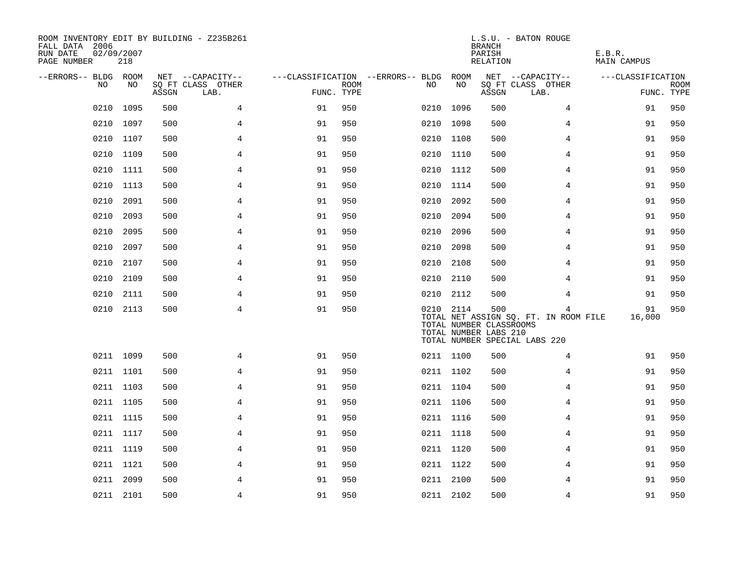| ROOM INVENTORY EDIT BY BUILDING - Z235B261<br>FALL DATA 2006<br>RUN DATE<br>PAGE NUMBER | 02/09/2007<br>218 |       |                           |                                        |             |           |      | <b>BRANCH</b><br>PARISH<br>RELATION                     | L.S.U. - BATON ROUGE                                                        | E.B.R.<br>MAIN CAMPUS |                           |
|-----------------------------------------------------------------------------------------|-------------------|-------|---------------------------|----------------------------------------|-------------|-----------|------|---------------------------------------------------------|-----------------------------------------------------------------------------|-----------------------|---------------------------|
| --ERRORS-- BLDG ROOM                                                                    |                   |       | NET --CAPACITY--          | ---CLASSIFICATION --ERRORS-- BLDG ROOM |             |           |      |                                                         | NET --CAPACITY--                                                            | ---CLASSIFICATION     |                           |
| NO                                                                                      | NO                | ASSGN | SQ FT CLASS OTHER<br>LAB. | FUNC. TYPE                             | <b>ROOM</b> | NO        | NO   | ASSGN                                                   | SQ FT CLASS OTHER<br>LAB.                                                   |                       | <b>ROOM</b><br>FUNC. TYPE |
| 0210                                                                                    | 1095              | 500   | 4                         | 91                                     | 950         | 0210      | 1096 | 500                                                     | 4                                                                           | 91                    | 950                       |
| 0210                                                                                    | 1097              | 500   | 4                         | 91                                     | 950         | 0210 1098 |      | 500                                                     | 4                                                                           | 91                    | 950                       |
| 0210                                                                                    | 1107              | 500   | $\overline{4}$            | 91                                     | 950         | 0210 1108 |      | 500                                                     | $\overline{4}$                                                              | 91                    | 950                       |
|                                                                                         | 0210 1109         | 500   | 4                         | 91                                     | 950         | 0210 1110 |      | 500                                                     | 4                                                                           | 91                    | 950                       |
| 0210                                                                                    | 1111              | 500   | $\overline{4}$            | 91                                     | 950         | 0210 1112 |      | 500                                                     | 4                                                                           | 91                    | 950                       |
| 0210                                                                                    | 1113              | 500   | $\overline{4}$            | 91                                     | 950         | 0210 1114 |      | 500                                                     | 4                                                                           | 91                    | 950                       |
| 0210                                                                                    | 2091              | 500   | 4                         | 91                                     | 950         | 0210      | 2092 | 500                                                     | 4                                                                           | 91                    | 950                       |
| 0210                                                                                    | 2093              | 500   | $\overline{4}$            | 91                                     | 950         | 0210      | 2094 | 500                                                     | 4                                                                           | 91                    | 950                       |
| 0210                                                                                    | 2095              | 500   | $\overline{4}$            | 91                                     | 950         | 0210      | 2096 | 500                                                     | 4                                                                           | 91                    | 950                       |
| 0210                                                                                    | 2097              | 500   | 4                         | 91                                     | 950         | 0210      | 2098 | 500                                                     | 4                                                                           | 91                    | 950                       |
| 0210                                                                                    | 2107              | 500   | 4                         | 91                                     | 950         | 0210      | 2108 | 500                                                     | 4                                                                           | 91                    | 950                       |
| 0210                                                                                    | 2109              | 500   | 4                         | 91                                     | 950         | 0210 2110 |      | 500                                                     | 4                                                                           | 91                    | 950                       |
| 0210                                                                                    | 2111              | 500   | 4                         | 91                                     | 950         | 0210      | 2112 | 500                                                     | 4                                                                           | 91                    | 950                       |
| 0210                                                                                    | 2113              | 500   | $\overline{4}$            | 91                                     | 950         | 0210 2114 |      | 500<br>TOTAL NUMBER CLASSROOMS<br>TOTAL NUMBER LABS 210 | 4<br>TOTAL NET ASSIGN SQ. FT. IN ROOM FILE<br>TOTAL NUMBER SPECIAL LABS 220 | 91<br>16,000          | 950                       |
|                                                                                         | 0211 1099         | 500   | 4                         | 91                                     | 950         | 0211 1100 |      | 500                                                     | 4                                                                           | 91                    | 950                       |
|                                                                                         | 0211 1101         | 500   | $\overline{4}$            | 91                                     | 950         | 0211 1102 |      | 500                                                     | $\overline{4}$                                                              | 91                    | 950                       |
|                                                                                         | 0211 1103         | 500   | 4                         | 91                                     | 950         | 0211 1104 |      | 500                                                     | 4                                                                           | 91                    | 950                       |
|                                                                                         | 0211 1105         | 500   | 4                         | 91                                     | 950         | 0211 1106 |      | 500                                                     | 4                                                                           | 91                    | 950                       |
|                                                                                         | 0211 1115         | 500   | $\overline{4}$            | 91                                     | 950         | 0211 1116 |      | 500                                                     | 4                                                                           | 91                    | 950                       |
|                                                                                         | 0211 1117         | 500   | 4                         | 91                                     | 950         | 0211 1118 |      | 500                                                     | 4                                                                           | 91                    | 950                       |
|                                                                                         | 0211 1119         | 500   | 4                         | 91                                     | 950         | 0211 1120 |      | 500                                                     | 4                                                                           | 91                    | 950                       |
|                                                                                         | 0211 1121         | 500   | 4                         | 91                                     | 950         | 0211 1122 |      | 500                                                     | 4                                                                           | 91                    | 950                       |
|                                                                                         | 0211 2099         | 500   | 4                         | 91                                     | 950         | 0211 2100 |      | 500                                                     | 4                                                                           | 91                    | 950                       |
|                                                                                         | 0211 2101         | 500   | 4                         | 91                                     | 950         | 0211 2102 |      | 500                                                     | 4                                                                           | 91                    | 950                       |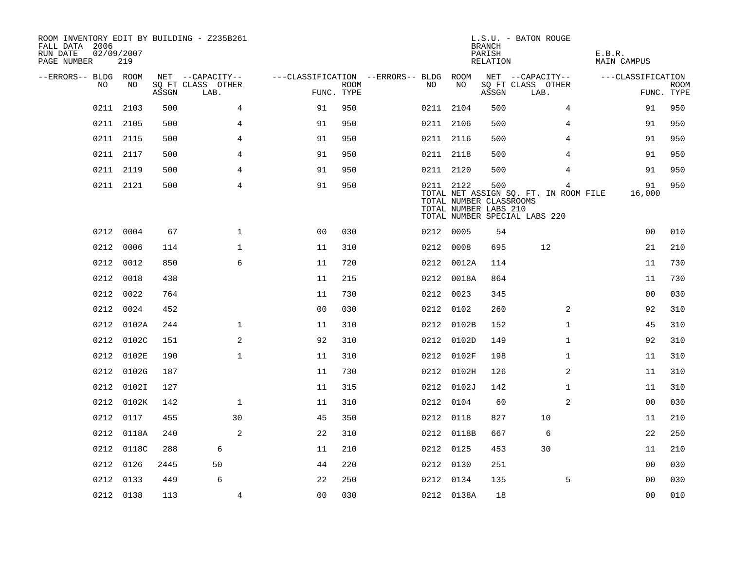| ROOM INVENTORY EDIT BY BUILDING - Z235B261<br>FALL DATA 2006<br>RUN DATE<br>PAGE NUMBER | 02/09/2007<br>219 |       |                           |                                        |      |           |            | <b>BRANCH</b><br>PARISH<br>RELATION                     | L.S.U. - BATON ROUGE                                                        | E.B.R.<br>MAIN CAMPUS |                    |
|-----------------------------------------------------------------------------------------|-------------------|-------|---------------------------|----------------------------------------|------|-----------|------------|---------------------------------------------------------|-----------------------------------------------------------------------------|-----------------------|--------------------|
| --ERRORS-- BLDG ROOM                                                                    |                   |       | NET --CAPACITY--          | ---CLASSIFICATION --ERRORS-- BLDG ROOM |      |           |            |                                                         | NET --CAPACITY--                                                            | ---CLASSIFICATION     |                    |
| NO                                                                                      | NO.               | ASSGN | SQ FT CLASS OTHER<br>LAB. | FUNC. TYPE                             | ROOM | NO.       | NO         | ASSGN                                                   | SQ FT CLASS OTHER<br>LAB.                                                   |                       | ROOM<br>FUNC. TYPE |
|                                                                                         | 0211 2103         | 500   | $\overline{4}$            | 91                                     | 950  | 0211 2104 |            | 500                                                     | 4                                                                           | 91                    | 950                |
|                                                                                         | 0211 2105         | 500   | $\overline{4}$            | 91                                     | 950  | 0211 2106 |            | 500                                                     | 4                                                                           | 91                    | 950                |
|                                                                                         | 0211 2115         | 500   | $\overline{4}$            | 91                                     | 950  | 0211 2116 |            | 500                                                     | $\overline{4}$                                                              | 91                    | 950                |
|                                                                                         | 0211 2117         | 500   | 4                         | 91                                     | 950  | 0211 2118 |            | 500                                                     | 4                                                                           | 91                    | 950                |
|                                                                                         | 0211 2119         | 500   | 4                         | 91                                     | 950  | 0211 2120 |            | 500                                                     | 4                                                                           | 91                    | 950                |
|                                                                                         | 0211 2121         | 500   | 4                         | 91                                     | 950  | 0211 2122 |            | 500<br>TOTAL NUMBER CLASSROOMS<br>TOTAL NUMBER LABS 210 | 4<br>TOTAL NET ASSIGN SQ. FT. IN ROOM FILE<br>TOTAL NUMBER SPECIAL LABS 220 | 91<br>16,000          | 950                |
|                                                                                         | 0212 0004         | 67    | $\mathbf{1}$              | 00                                     | 030  | 0212 0005 |            | 54                                                      |                                                                             | 0 <sub>0</sub>        | 010                |
| 0212                                                                                    | 0006              | 114   | $\mathbf 1$               | 11                                     | 310  | 0212 0008 |            | 695                                                     | 12                                                                          | 21                    | 210                |
|                                                                                         | 0212 0012         | 850   | 6                         | 11                                     | 720  |           | 0212 0012A | 114                                                     |                                                                             | 11                    | 730                |
|                                                                                         | 0212 0018         | 438   |                           | 11                                     | 215  |           | 0212 0018A | 864                                                     |                                                                             | 11                    | 730                |
| 0212                                                                                    | 0022              | 764   |                           | 11                                     | 730  | 0212 0023 |            | 345                                                     |                                                                             | 0 <sub>0</sub>        | 030                |
|                                                                                         | 0212 0024         | 452   |                           | 0 <sub>0</sub>                         | 030  | 0212 0102 |            | 260                                                     | $\overline{2}$                                                              | 92                    | 310                |
|                                                                                         | 0212 0102A        | 244   | $\mathbf 1$               | 11                                     | 310  |           | 0212 0102B | 152                                                     | $\mathbf{1}$                                                                | 45                    | 310                |
|                                                                                         | 0212 0102C        | 151   | 2                         | 92                                     | 310  |           | 0212 0102D | 149                                                     | $\mathbf{1}$                                                                | 92                    | 310                |
|                                                                                         | 0212 0102E        | 190   | $\mathbf{1}$              | 11                                     | 310  |           | 0212 0102F | 198                                                     | $\mathbf{1}$                                                                | 11                    | 310                |
|                                                                                         | 0212 0102G        | 187   |                           | 11                                     | 730  |           | 0212 0102H | 126                                                     | 2                                                                           | 11                    | 310                |
|                                                                                         | 0212 0102I        | 127   |                           | 11                                     | 315  |           | 0212 0102J | 142                                                     | $\mathbf{1}$                                                                | 11                    | 310                |
|                                                                                         | 0212 0102K        | 142   | $\mathbf{1}$              | 11                                     | 310  | 0212 0104 |            | 60                                                      | 2                                                                           | 0 <sub>0</sub>        | 030                |
|                                                                                         | 0212 0117         | 455   | 30                        | 45                                     | 350  | 0212 0118 |            | 827                                                     | 10                                                                          | 11                    | 210                |
|                                                                                         | 0212 0118A        | 240   | 2                         | 22                                     | 310  |           | 0212 0118B | 667                                                     | 6                                                                           | 22                    | 250                |
|                                                                                         | 0212 0118C        | 288   | 6                         | 11                                     | 210  | 0212 0125 |            | 453                                                     | 30                                                                          | 11                    | 210                |
|                                                                                         | 0212 0126         | 2445  | 50                        | 44                                     | 220  | 0212 0130 |            | 251                                                     |                                                                             | 00                    | 030                |
|                                                                                         | 0212 0133         | 449   | 6                         | 22                                     | 250  | 0212 0134 |            | 135                                                     | 5                                                                           | 0 <sub>0</sub>        | 030                |
|                                                                                         | 0212 0138         | 113   | 4                         | 00                                     | 030  |           | 0212 0138A | 18                                                      |                                                                             | 0 <sub>0</sub>        | 010                |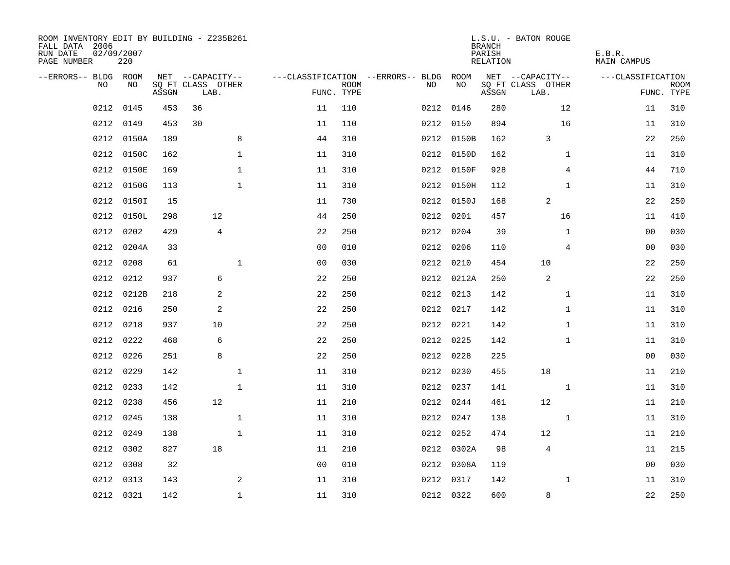| ROOM INVENTORY EDIT BY BUILDING - Z235B261<br>FALL DATA 2006<br>RUN DATE<br>PAGE NUMBER | 02/09/2007<br>220 |       |                           |                |                                        |             |     |            | <b>BRANCH</b><br>PARISH<br>RELATION | L.S.U. - BATON ROUGE      |                | E.B.R.<br>MAIN CAMPUS |                           |
|-----------------------------------------------------------------------------------------|-------------------|-------|---------------------------|----------------|----------------------------------------|-------------|-----|------------|-------------------------------------|---------------------------|----------------|-----------------------|---------------------------|
| --ERRORS-- BLDG ROOM                                                                    |                   |       | NET --CAPACITY--          |                | ---CLASSIFICATION --ERRORS-- BLDG ROOM |             |     |            |                                     | NET --CAPACITY--          |                | ---CLASSIFICATION     |                           |
| NO.                                                                                     | NO.               | ASSGN | SQ FT CLASS OTHER<br>LAB. |                | FUNC. TYPE                             | <b>ROOM</b> | NO. | NO         | ASSGN                               | SQ FT CLASS OTHER<br>LAB. |                |                       | <b>ROOM</b><br>FUNC. TYPE |
| 0212                                                                                    | 0145              | 453   | 36                        |                | 11                                     | 110         |     | 0212 0146  | 280                                 |                           | 12             | 11                    | 310                       |
| 0212                                                                                    | 0149              | 453   | 30                        |                | 11                                     | 110         |     | 0212 0150  | 894                                 |                           | 16             | 11                    | 310                       |
|                                                                                         | 0212 0150A        | 189   |                           | 8              | 44                                     | 310         |     | 0212 0150B | 162                                 | 3                         |                | 22                    | 250                       |
| 0212                                                                                    | 0150C             | 162   |                           | $\mathbf 1$    | 11                                     | 310         |     | 0212 0150D | 162                                 |                           | $\mathbf{1}$   | 11                    | 310                       |
| 0212                                                                                    | 0150E             | 169   |                           | $\mathbf{1}$   | 11                                     | 310         |     | 0212 0150F | 928                                 |                           | $\overline{4}$ | 44                    | 710                       |
| 0212                                                                                    | 0150G             | 113   |                           | $\mathbf{1}$   | 11                                     | 310         |     | 0212 0150H | 112                                 |                           | $\mathbf{1}$   | 11                    | 310                       |
| 0212                                                                                    | 0150I             | 15    |                           |                | 11                                     | 730         |     | 0212 0150J | 168                                 | 2                         |                | 22                    | 250                       |
| 0212                                                                                    | 0150L             | 298   |                           | 12             | 44                                     | 250         |     | 0212 0201  | 457                                 |                           | 16             | 11                    | 410                       |
| 0212                                                                                    | 0202              | 429   |                           | $\overline{4}$ | 22                                     | 250         |     | 0212 0204  | 39                                  |                           | $\mathbf{1}$   | 0 <sub>0</sub>        | 030                       |
| 0212                                                                                    | 0204A             | 33    |                           |                | 0 <sub>0</sub>                         | 010         |     | 0212 0206  | 110                                 |                           | 4              | 00                    | 030                       |
| 0212                                                                                    | 0208              | 61    |                           | $\mathbf{1}$   | 0 <sub>0</sub>                         | 030         |     | 0212 0210  | 454                                 | 10                        |                | 22                    | 250                       |
| 0212                                                                                    | 0212              | 937   |                           | 6              | 22                                     | 250         |     | 0212 0212A | 250                                 | 2                         |                | 22                    | 250                       |
| 0212                                                                                    | 0212B             | 218   |                           | 2              | 22                                     | 250         |     | 0212 0213  | 142                                 |                           | $\mathbf{1}$   | 11                    | 310                       |
| 0212                                                                                    | 0216              | 250   |                           | 2              | 22                                     | 250         |     | 0212 0217  | 142                                 |                           | $\mathbf{1}$   | 11                    | 310                       |
| 0212                                                                                    | 0218              | 937   |                           | 10             | 22                                     | 250         |     | 0212 0221  | 142                                 |                           | $\mathbf{1}$   | 11                    | 310                       |
| 0212                                                                                    | 0222              | 468   |                           | 6              | 22                                     | 250         |     | 0212 0225  | 142                                 |                           | $\mathbf{1}$   | 11                    | 310                       |
| 0212                                                                                    | 0226              | 251   |                           | 8              | 22                                     | 250         |     | 0212 0228  | 225                                 |                           |                | 00                    | 030                       |
| 0212                                                                                    | 0229              | 142   |                           | $\mathbf{1}$   | 11                                     | 310         |     | 0212 0230  | 455                                 | 18                        |                | 11                    | 210                       |
|                                                                                         | 0212 0233         | 142   |                           | $\mathbf{1}$   | 11                                     | 310         |     | 0212 0237  | 141                                 |                           | $\mathbf{1}$   | 11                    | 310                       |
| 0212                                                                                    | 0238              | 456   |                           | 12             | 11                                     | 210         |     | 0212 0244  | 461                                 | 12                        |                | 11                    | 210                       |
| 0212                                                                                    | 0245              | 138   |                           | $\mathbf{1}$   | 11                                     | 310         |     | 0212 0247  | 138                                 |                           | $\mathbf{1}$   | 11                    | 310                       |
| 0212                                                                                    | 0249              | 138   |                           | $\mathbf{1}$   | 11                                     | 310         |     | 0212 0252  | 474                                 | 12                        |                | 11                    | 210                       |
| 0212                                                                                    | 0302              | 827   |                           | 18             | 11                                     | 210         |     | 0212 0302A | 98                                  | $\overline{4}$            |                | 11                    | 215                       |
| 0212                                                                                    | 0308              | 32    |                           |                | 0 <sub>0</sub>                         | 010         |     | 0212 0308A | 119                                 |                           |                | 00                    | 030                       |
| 0212                                                                                    | 0313              | 143   |                           | 2              | 11                                     | 310         |     | 0212 0317  | 142                                 |                           | $\mathbf{1}$   | 11                    | 310                       |
|                                                                                         | 0212 0321         | 142   |                           | $\mathbf{1}$   | 11                                     | 310         |     | 0212 0322  | 600                                 | 8                         |                | 22                    | 250                       |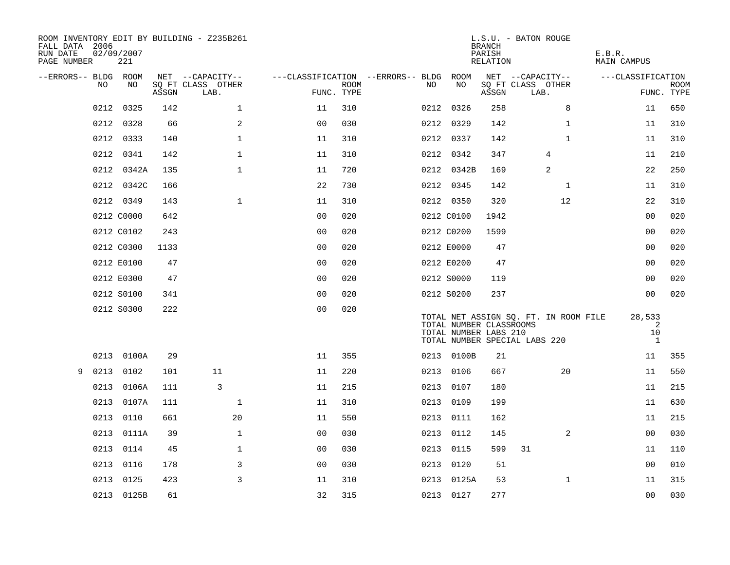| ROOM INVENTORY EDIT BY BUILDING - Z235B261<br>FALL DATA 2006<br>RUN DATE<br>PAGE NUMBER |      | 02/09/2007<br>221 |       |                           |              |                                   |                    |      |                                                  | <b>BRANCH</b><br>PARISH<br>RELATION | L.S.U. - BATON ROUGE                                                   |                | E.B.R.<br><b>MAIN CAMPUS</b> |                                   |             |
|-----------------------------------------------------------------------------------------|------|-------------------|-------|---------------------------|--------------|-----------------------------------|--------------------|------|--------------------------------------------------|-------------------------------------|------------------------------------------------------------------------|----------------|------------------------------|-----------------------------------|-------------|
| --ERRORS-- BLDG ROOM                                                                    |      |                   |       | NET --CAPACITY--          |              | ---CLASSIFICATION --ERRORS-- BLDG |                    |      | ROOM                                             |                                     | NET --CAPACITY--                                                       |                | ---CLASSIFICATION            |                                   |             |
|                                                                                         | NO.  | NO                | ASSGN | SO FT CLASS OTHER<br>LAB. |              |                                   | ROOM<br>FUNC. TYPE | NO   | NO                                               | ASSGN                               | SQ FT CLASS OTHER<br>LAB.                                              |                |                              | FUNC. TYPE                        | <b>ROOM</b> |
|                                                                                         | 0212 | 0325              | 142   |                           | $\mathbf 1$  | 11                                | 310                |      | 0212 0326                                        | 258                                 |                                                                        | 8              |                              | 11                                | 650         |
|                                                                                         | 0212 | 0328              | 66    |                           | 2            | 0 <sub>0</sub>                    | 030                |      | 0212 0329                                        | 142                                 |                                                                        | $\mathbf{1}$   |                              | 11                                | 310         |
|                                                                                         |      | 0212 0333         | 140   |                           | $\mathbf{1}$ | 11                                | 310                |      | 0212 0337                                        | 142                                 |                                                                        | $\mathbf{1}$   |                              | 11                                | 310         |
|                                                                                         |      | 0212 0341         | 142   |                           | $\mathbf{1}$ | 11                                | 310                |      | 0212 0342                                        | 347                                 |                                                                        | $\overline{4}$ |                              | 11                                | 210         |
|                                                                                         | 0212 | 0342A             | 135   |                           | $\mathbf 1$  | 11                                | 720                |      | 0212 0342B                                       | 169                                 |                                                                        | 2              |                              | 22                                | 250         |
|                                                                                         |      | 0212 0342C        | 166   |                           |              | 22                                | 730                |      | 0212 0345                                        | 142                                 |                                                                        | $\mathbf{1}$   |                              | 11                                | 310         |
|                                                                                         |      | 0212 0349         | 143   |                           | $\mathbf 1$  | 11                                | 310                |      | 0212 0350                                        | 320                                 |                                                                        | 12             |                              | 22                                | 310         |
|                                                                                         |      | 0212 C0000        | 642   |                           |              | 0 <sub>0</sub>                    | 020                |      | 0212 C0100                                       | 1942                                |                                                                        |                |                              | 00                                | 020         |
|                                                                                         |      | 0212 C0102        | 243   |                           |              | 0 <sub>0</sub>                    | 020                |      | 0212 C0200                                       | 1599                                |                                                                        |                |                              | 0 <sub>0</sub>                    | 020         |
|                                                                                         |      | 0212 C0300        | 1133  |                           |              | 0 <sub>0</sub>                    | 020                |      | 0212 E0000                                       | 47                                  |                                                                        |                |                              | 00                                | 020         |
|                                                                                         |      | 0212 E0100        | 47    |                           |              | 0 <sub>0</sub>                    | 020                |      | 0212 E0200                                       | 47                                  |                                                                        |                |                              | 0 <sub>0</sub>                    | 020         |
|                                                                                         |      | 0212 E0300        | 47    |                           |              | 0 <sub>0</sub>                    | 020                |      | 0212 S0000                                       | 119                                 |                                                                        |                |                              | 00                                | 020         |
|                                                                                         |      | 0212 S0100        | 341   |                           |              | 0 <sub>0</sub>                    | 020                |      | 0212 S0200                                       | 237                                 |                                                                        |                |                              | 00                                | 020         |
|                                                                                         |      | 0212 S0300        | 222   |                           |              | 0 <sub>0</sub>                    | 020                |      | TOTAL NUMBER CLASSROOMS<br>TOTAL NUMBER LABS 210 |                                     | TOTAL NET ASSIGN SQ. FT. IN ROOM FILE<br>TOTAL NUMBER SPECIAL LABS 220 |                |                              | 28,533<br>2<br>10<br><sup>1</sup> |             |
|                                                                                         |      | 0213 0100A        | 29    |                           |              | 11                                | 355                |      | 0213 0100B                                       | 21                                  |                                                                        |                |                              | 11                                | 355         |
| 9                                                                                       | 0213 | 0102              | 101   | 11                        |              | 11                                | 220                |      | 0213 0106                                        | 667                                 |                                                                        | 20             |                              | 11                                | 550         |
|                                                                                         | 0213 | 0106A             | 111   | 3                         |              | 11                                | 215                |      | 0213 0107                                        | 180                                 |                                                                        |                |                              | 11                                | 215         |
|                                                                                         | 0213 | 0107A             | 111   |                           | $\mathbf 1$  | 11                                | 310                |      | 0213 0109                                        | 199                                 |                                                                        |                |                              | 11                                | 630         |
|                                                                                         | 0213 | 0110              | 661   |                           | 20           | 11                                | 550                |      | 0213 0111                                        | 162                                 |                                                                        |                |                              | 11                                | 215         |
|                                                                                         | 0213 | 0111A             | 39    |                           | $\mathbf{1}$ | 0 <sub>0</sub>                    | 030                |      | 0213 0112                                        | 145                                 |                                                                        | 2              |                              | 0 <sub>0</sub>                    | 030         |
|                                                                                         |      | 0213 0114         | 45    |                           | $\mathbf{1}$ | 0 <sub>0</sub>                    | 030                |      | 0213 0115                                        | 599                                 | 31                                                                     |                |                              | 11                                | 110         |
|                                                                                         | 0213 | 0116              | 178   |                           | 3            | 0 <sub>0</sub>                    | 030                | 0213 | 0120                                             | 51                                  |                                                                        |                |                              | 0 <sub>0</sub>                    | 010         |
|                                                                                         | 0213 | 0125              | 423   |                           | $\mathsf{3}$ | 11                                | 310                |      | 0213 0125A                                       | 53                                  |                                                                        | $\mathbf{1}$   |                              | 11                                | 315         |
|                                                                                         |      | 0213 0125B        | 61    |                           |              | 32                                | 315                |      | 0213 0127                                        | 277                                 |                                                                        |                |                              | 00                                | 030         |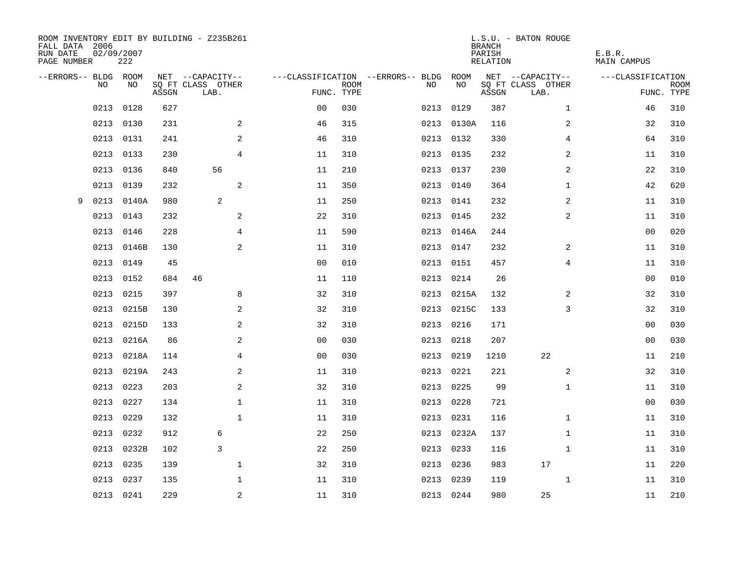| ROOM INVENTORY EDIT BY BUILDING - Z235B261<br>FALL DATA 2006<br>RUN DATE<br>PAGE NUMBER | 02/09/2007<br>222 |       |                           |                |             |                                        |            | <b>BRANCH</b><br>PARISH<br>RELATION | L.S.U. - BATON ROUGE      | E.B.R.<br>MAIN CAMPUS |                           |
|-----------------------------------------------------------------------------------------|-------------------|-------|---------------------------|----------------|-------------|----------------------------------------|------------|-------------------------------------|---------------------------|-----------------------|---------------------------|
| --ERRORS-- BLDG ROOM                                                                    |                   |       | NET --CAPACITY--          |                |             | ---CLASSIFICATION --ERRORS-- BLDG ROOM |            |                                     | NET --CAPACITY--          | ---CLASSIFICATION     |                           |
| NO                                                                                      | NO                | ASSGN | SQ FT CLASS OTHER<br>LAB. | FUNC. TYPE     | <b>ROOM</b> | NO                                     | NO         | ASSGN                               | SQ FT CLASS OTHER<br>LAB. |                       | <b>ROOM</b><br>FUNC. TYPE |
| 0213                                                                                    | 0128              | 627   |                           | 0 <sub>0</sub> | 030         | 0213                                   | 0129       | 387                                 | $\mathbf{1}$              | 46                    | 310                       |
| 0213                                                                                    | 0130              | 231   | 2                         | 46             | 315         |                                        | 0213 0130A | 116                                 | 2                         | 32                    | 310                       |
| 0213                                                                                    | 0131              | 241   | 2                         | 46             | 310         |                                        | 0213 0132  | 330                                 | $\overline{4}$            | 64                    | 310                       |
| 0213                                                                                    | 0133              | 230   | $\overline{4}$            | 11             | 310         |                                        | 0213 0135  | 232                                 | 2                         | 11                    | 310                       |
| 0213                                                                                    | 0136              | 840   | 56                        | 11             | 210         |                                        | 0213 0137  | 230                                 | 2                         | 22                    | 310                       |
| 0213                                                                                    | 0139              | 232   | $\mathbf{2}$              | 11             | 350         |                                        | 0213 0140  | 364                                 | $\mathbf{1}$              | 42                    | 620                       |
| 0213<br>9                                                                               | 0140A             | 980   | 2                         | 11             | 250         |                                        | 0213 0141  | 232                                 | $\overline{a}$            | 11                    | 310                       |
| 0213                                                                                    | 0143              | 232   | $\mathbf{2}$              | 22             | 310         |                                        | 0213 0145  | 232                                 | 2                         | 11                    | 310                       |
| 0213                                                                                    | 0146              | 228   | 4                         | 11             | 590         | 0213                                   | 0146A      | 244                                 |                           | 00                    | 020                       |
| 0213                                                                                    | 0146B             | 130   | 2                         | 11             | 310         |                                        | 0213 0147  | 232                                 | 2                         | 11                    | 310                       |
| 0213                                                                                    | 0149              | 45    |                           | 0 <sub>0</sub> | 010         | 0213                                   | 0151       | 457                                 | $\overline{4}$            | 11                    | 310                       |
| 0213                                                                                    | 0152              | 684   | 46                        | 11             | 110         |                                        | 0213 0214  | 26                                  |                           | 0 <sub>0</sub>        | 010                       |
| 0213                                                                                    | 0215              | 397   | 8                         | 32             | 310         |                                        | 0213 0215A | 132                                 | 2                         | 32                    | 310                       |
| 0213                                                                                    | 0215B             | 130   | 2                         | 32             | 310         |                                        | 0213 0215C | 133                                 | 3                         | 32                    | 310                       |
| 0213                                                                                    | 0215D             | 133   | 2                         | 32             | 310         | 0213                                   | 0216       | 171                                 |                           | 00                    | 030                       |
| 0213                                                                                    | 0216A             | 86    | $\mathbf{2}$              | 0 <sub>0</sub> | 030         | 0213                                   | 0218       | 207                                 |                           | 00                    | 030                       |
| 0213                                                                                    | 0218A             | 114   | $\overline{4}$            | 0 <sub>0</sub> | 030         |                                        | 0213 0219  | 1210                                | 22                        | 11                    | 210                       |
| 0213                                                                                    | 0219A             | 243   | 2                         | 11             | 310         | 0213                                   | 0221       | 221                                 | 2                         | 32                    | 310                       |
| 0213                                                                                    | 0223              | 203   | 2                         | 32             | 310         |                                        | 0213 0225  | 99                                  | $\mathbf{1}$              | 11                    | 310                       |
| 0213                                                                                    | 0227              | 134   | 1                         | 11             | 310         | 0213                                   | 0228       | 721                                 |                           | 00                    | 030                       |
| 0213                                                                                    | 0229              | 132   | $\mathbf{1}$              | 11             | 310         |                                        | 0213 0231  | 116                                 | $\mathbf{1}$              | 11                    | 310                       |
| 0213                                                                                    | 0232              | 912   | 6                         | 22             | 250         | 0213                                   | 0232A      | 137                                 | $\mathbf{1}$              | 11                    | 310                       |
| 0213                                                                                    | 0232B             | 102   | 3                         | 22             | 250         |                                        | 0213 0233  | 116                                 | $\mathbf{1}$              | 11                    | 310                       |
| 0213                                                                                    | 0235              | 139   | $\mathbf{1}$              | 32             | 310         | 0213                                   | 0236       | 983                                 | 17                        | 11                    | 220                       |
| 0213                                                                                    | 0237              | 135   | $\mathbf 1$               | 11             | 310         | 0213                                   | 0239       | 119                                 | $\mathbf{1}$              | 11                    | 310                       |
|                                                                                         | 0213 0241         | 229   | 2                         | 11             | 310         |                                        | 0213 0244  | 980                                 | 25                        | 11                    | 210                       |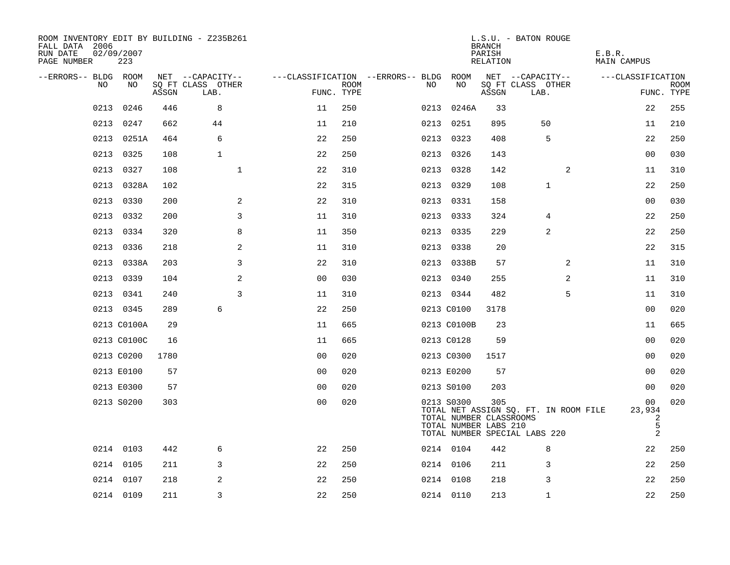| ROOM INVENTORY EDIT BY BUILDING - Z235B261<br>FALL DATA 2006<br>RUN DATE<br>PAGE NUMBER | 02/09/2007<br>223 |       |                           |                |             |                                        |                                                                | <b>BRANCH</b><br>PARISH<br>RELATION | L.S.U. - BATON ROUGE                                                   | E.B.R.<br>MAIN CAMPUS                              |                           |
|-----------------------------------------------------------------------------------------|-------------------|-------|---------------------------|----------------|-------------|----------------------------------------|----------------------------------------------------------------|-------------------------------------|------------------------------------------------------------------------|----------------------------------------------------|---------------------------|
| --ERRORS-- BLDG ROOM                                                                    |                   |       | NET --CAPACITY--          |                |             | ---CLASSIFICATION --ERRORS-- BLDG ROOM |                                                                |                                     | NET --CAPACITY--                                                       | ---CLASSIFICATION                                  |                           |
| NO                                                                                      | NO                | ASSGN | SQ FT CLASS OTHER<br>LAB. | FUNC. TYPE     | <b>ROOM</b> | NO.                                    | NO                                                             | ASSGN                               | SQ FT CLASS OTHER<br>LAB.                                              |                                                    | <b>ROOM</b><br>FUNC. TYPE |
| 0213                                                                                    | 0246              | 446   | 8                         | 11             | 250         | 0213                                   | 0246A                                                          | 33                                  |                                                                        | 22                                                 | 255                       |
| 0213                                                                                    | 0247              | 662   | 44                        | 11             | 210         |                                        | 0213 0251                                                      | 895                                 | 50                                                                     | 11                                                 | 210                       |
|                                                                                         | 0213 0251A        | 464   | 6                         | 22             | 250         |                                        | 0213 0323                                                      | 408                                 | 5                                                                      | 22                                                 | 250                       |
|                                                                                         | 0213 0325         | 108   | $\mathbf{1}$              | 22             | 250         |                                        | 0213 0326                                                      | 143                                 |                                                                        | 00                                                 | 030                       |
| 0213                                                                                    | 0327              | 108   | $\mathbf 1$               | 22             | 310         |                                        | 0213 0328                                                      | 142                                 | 2                                                                      | 11                                                 | 310                       |
| 0213                                                                                    | 0328A             | 102   |                           | 22             | 315         |                                        | 0213 0329                                                      | 108                                 | 1                                                                      | 22                                                 | 250                       |
| 0213                                                                                    | 0330              | 200   | 2                         | 22             | 310         |                                        | 0213 0331                                                      | 158                                 |                                                                        | 0 <sub>0</sub>                                     | 030                       |
|                                                                                         | 0213 0332         | 200   | 3                         | 11             | 310         |                                        | 0213 0333                                                      | 324                                 | 4                                                                      | 22                                                 | 250                       |
| 0213                                                                                    | 0334              | 320   | 8                         | 11             | 350         |                                        | 0213 0335                                                      | 229                                 | 2                                                                      | 22                                                 | 250                       |
| 0213                                                                                    | 0336              | 218   | 2                         | 11             | 310         |                                        | 0213 0338                                                      | 20                                  |                                                                        | 22                                                 | 315                       |
|                                                                                         | 0213 0338A        | 203   | 3                         | 22             | 310         |                                        | 0213 0338B                                                     | 57                                  | $\overline{2}$                                                         | 11                                                 | 310                       |
|                                                                                         | 0213 0339         | 104   | 2                         | 00             | 030         |                                        | 0213 0340                                                      | 255                                 | $\overline{2}$                                                         | 11                                                 | 310                       |
|                                                                                         | 0213 0341         | 240   | 3                         | 11             | 310         |                                        | 0213 0344                                                      | 482                                 | 5                                                                      | 11                                                 | 310                       |
|                                                                                         | 0213 0345         | 289   | 6                         | 22             | 250         |                                        | 0213 C0100                                                     | 3178                                |                                                                        | 00                                                 | 020                       |
|                                                                                         | 0213 C0100A       | 29    |                           | 11             | 665         |                                        | 0213 C0100B                                                    | 23                                  |                                                                        | 11                                                 | 665                       |
|                                                                                         | 0213 C0100C       | 16    |                           | 11             | 665         |                                        | 0213 C0128                                                     | 59                                  |                                                                        | 0 <sub>0</sub>                                     | 020                       |
|                                                                                         | 0213 C0200        | 1780  |                           | 0 <sub>0</sub> | 020         |                                        | 0213 C0300                                                     | 1517                                |                                                                        | 00                                                 | 020                       |
|                                                                                         | 0213 E0100        | 57    |                           | 0 <sub>0</sub> | 020         |                                        | 0213 E0200                                                     | 57                                  |                                                                        | 00                                                 | 020                       |
|                                                                                         | 0213 E0300        | 57    |                           | 0 <sub>0</sub> | 020         |                                        | 0213 S0100                                                     | 203                                 |                                                                        | 00                                                 | 020                       |
|                                                                                         | 0213 S0200        | 303   |                           | 00             | 020         |                                        | 0213 S0300<br>TOTAL NUMBER CLASSROOMS<br>TOTAL NUMBER LABS 210 | 305                                 | TOTAL NET ASSIGN SO. FT. IN ROOM FILE<br>TOTAL NUMBER SPECIAL LABS 220 | 00<br>23,934<br>2<br>$\mathsf S$<br>$\overline{2}$ | 020                       |
|                                                                                         | 0214 0103         | 442   | 6                         | 22             | 250         |                                        | 0214 0104                                                      | 442                                 | 8                                                                      | 22                                                 | 250                       |
|                                                                                         | 0214 0105         | 211   | 3                         | 22             | 250         |                                        | 0214 0106                                                      | 211                                 | 3                                                                      | 22                                                 | 250                       |
|                                                                                         | 0214 0107         | 218   | 2                         | 22             | 250         |                                        | 0214 0108                                                      | 218                                 | 3                                                                      | 22                                                 | 250                       |
|                                                                                         | 0214 0109         | 211   | 3                         | 22             | 250         |                                        | 0214 0110                                                      | 213                                 | $\mathbf{1}$                                                           | 22                                                 | 250                       |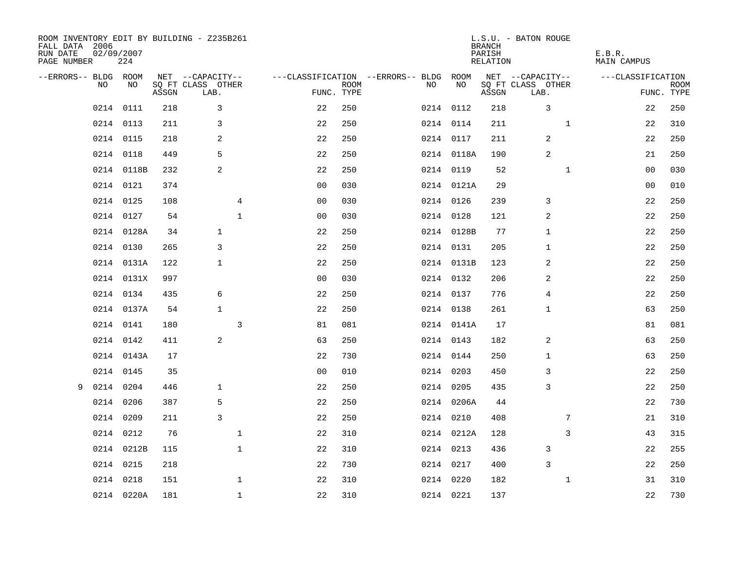| FALL DATA 2006<br>RUN DATE<br>PAGE NUMBER | 02/09/2007 | 224        |       | ROOM INVENTORY EDIT BY BUILDING - Z235B261 |              |                |             |                                               |            | <b>BRANCH</b><br>PARISH<br>RELATION | L.S.U. - BATON ROUGE                  |              | E.B.R.<br><b>MAIN CAMPUS</b> |             |
|-------------------------------------------|------------|------------|-------|--------------------------------------------|--------------|----------------|-------------|-----------------------------------------------|------------|-------------------------------------|---------------------------------------|--------------|------------------------------|-------------|
| --ERRORS-- BLDG ROOM                      | NO         | NO         |       | NET --CAPACITY--<br>SQ FT CLASS OTHER      |              |                | <b>ROOM</b> | ---CLASSIFICATION --ERRORS-- BLDG ROOM<br>NO. | NO         |                                     | NET --CAPACITY--<br>SQ FT CLASS OTHER |              | ---CLASSIFICATION            | <b>ROOM</b> |
|                                           |            |            | ASSGN | LAB.                                       |              | FUNC. TYPE     |             |                                               |            | ASSGN                               | LAB.                                  |              |                              | FUNC. TYPE  |
|                                           | 0214       | 0111       | 218   | 3                                          |              | 22             | 250         |                                               | 0214 0112  | 218                                 | 3                                     |              | 22                           | 250         |
|                                           | 0214 0113  |            | 211   | 3                                          |              | 22             | 250         |                                               | 0214 0114  | 211                                 |                                       | $\mathbf{1}$ | 22                           | 310         |
|                                           | 0214 0115  |            | 218   | 2                                          |              | 22             | 250         |                                               | 0214 0117  | 211                                 | 2                                     |              | 22                           | 250         |
|                                           | 0214 0118  |            | 449   | 5                                          |              | 22             | 250         |                                               | 0214 0118A | 190                                 | 2                                     |              | 21                           | 250         |
|                                           |            | 0214 0118B | 232   | 2                                          |              | 22             | 250         |                                               | 0214 0119  | 52                                  |                                       | $\mathbf{1}$ | 00                           | 030         |
|                                           | 0214 0121  |            | 374   |                                            |              | 0 <sub>0</sub> | 030         |                                               | 0214 0121A | 29                                  |                                       |              | 00                           | 010         |
|                                           | 0214 0125  |            | 108   |                                            | 4            | 0 <sub>0</sub> | 030         |                                               | 0214 0126  | 239                                 | 3                                     |              | 22                           | 250         |
|                                           | 0214 0127  |            | 54    |                                            | $\mathbf{1}$ | 0 <sub>0</sub> | 030         |                                               | 0214 0128  | 121                                 | 2                                     |              | 22                           | 250         |
|                                           |            | 0214 0128A | 34    | $\mathbf{1}$                               |              | 22             | 250         |                                               | 0214 0128B | 77                                  | $\mathbf{1}$                          |              | 22                           | 250         |
|                                           | 0214 0130  |            | 265   | 3                                          |              | 22             | 250         |                                               | 0214 0131  | 205                                 | $\mathbf{1}$                          |              | 22                           | 250         |
|                                           |            | 0214 0131A | 122   | $\mathbf{1}$                               |              | 22             | 250         |                                               | 0214 0131B | 123                                 | 2                                     |              | 22                           | 250         |
|                                           |            | 0214 0131X | 997   |                                            |              | 0 <sub>0</sub> | 030         |                                               | 0214 0132  | 206                                 | 2                                     |              | 22                           | 250         |
|                                           | 0214 0134  |            | 435   | 6                                          |              | 22             | 250         |                                               | 0214 0137  | 776                                 | 4                                     |              | 22                           | 250         |
|                                           |            | 0214 0137A | 54    | $\mathbf{1}$                               |              | 22             | 250         |                                               | 0214 0138  | 261                                 | 1                                     |              | 63                           | 250         |
|                                           | 0214 0141  |            | 180   |                                            | 3            | 81             | 081         |                                               | 0214 0141A | 17                                  |                                       |              | 81                           | 081         |
|                                           | 0214 0142  |            | 411   | 2                                          |              | 63             | 250         |                                               | 0214 0143  | 182                                 | 2                                     |              | 63                           | 250         |
|                                           |            | 0214 0143A | 17    |                                            |              | 22             | 730         |                                               | 0214 0144  | 250                                 | 1                                     |              | 63                           | 250         |
|                                           | 0214 0145  |            | 35    |                                            |              | 0 <sub>0</sub> | 010         |                                               | 0214 0203  | 450                                 | 3                                     |              | 22                           | 250         |
| 9                                         | 0214 0204  |            | 446   | $\mathbf{1}$                               |              | 22             | 250         |                                               | 0214 0205  | 435                                 | 3                                     |              | 22                           | 250         |
|                                           | 0214 0206  |            | 387   | 5                                          |              | 22             | 250         |                                               | 0214 0206A | 44                                  |                                       |              | 22                           | 730         |
|                                           | 0214 0209  |            | 211   | 3                                          |              | 22             | 250         |                                               | 0214 0210  | 408                                 |                                       | 7            | 21                           | 310         |
|                                           | 0214 0212  |            | 76    |                                            | $\mathbf{1}$ | 22             | 310         |                                               | 0214 0212A | 128                                 |                                       | 3            | 43                           | 315         |
|                                           |            | 0214 0212B | 115   |                                            | $\mathbf{1}$ | 22             | 310         |                                               | 0214 0213  | 436                                 | 3                                     |              | 22                           | 255         |
|                                           | 0214 0215  |            | 218   |                                            |              | 22             | 730         |                                               | 0214 0217  | 400                                 | 3                                     |              | 22                           | 250         |
|                                           | 0214 0218  |            | 151   |                                            | $\mathbf{1}$ | 22             | 310         |                                               | 0214 0220  | 182                                 |                                       | $\mathbf{1}$ | 31                           | 310         |
|                                           |            | 0214 0220A | 181   |                                            | $\mathbf{1}$ | 22             | 310         |                                               | 0214 0221  | 137                                 |                                       |              | 22                           | 730         |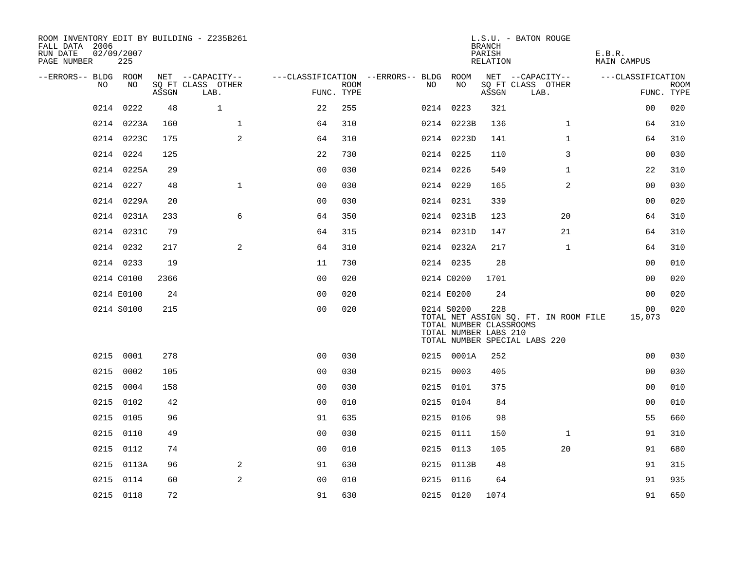| ROOM INVENTORY EDIT BY BUILDING - Z235B261<br>FALL DATA 2006<br>RUN DATE<br>PAGE NUMBER | 02/09/2007<br>225 |       |                           |                |      |                                        |                                                                | <b>BRANCH</b><br>PARISH<br>RELATION | L.S.U. - BATON ROUGE                                                   | E.B.R.<br><b>MAIN CAMPUS</b> |                           |
|-----------------------------------------------------------------------------------------|-------------------|-------|---------------------------|----------------|------|----------------------------------------|----------------------------------------------------------------|-------------------------------------|------------------------------------------------------------------------|------------------------------|---------------------------|
| --ERRORS-- BLDG ROOM<br>NO.                                                             | NO                |       | NET --CAPACITY--          |                |      | ---CLASSIFICATION --ERRORS-- BLDG ROOM | NO                                                             |                                     | NET --CAPACITY--                                                       | ---CLASSIFICATION            |                           |
|                                                                                         |                   | ASSGN | SO FT CLASS OTHER<br>LAB. | FUNC. TYPE     | ROOM | NO                                     |                                                                | ASSGN                               | SQ FT CLASS OTHER<br>LAB.                                              |                              | <b>ROOM</b><br>FUNC. TYPE |
| 0214                                                                                    | 0222              | 48    | $\mathbf{1}$              | 22             | 255  |                                        | 0214 0223                                                      | 321                                 |                                                                        | 0 <sub>0</sub>               | 020                       |
|                                                                                         | 0214 0223A        | 160   | $\mathbf 1$               | 64             | 310  |                                        | 0214 0223B                                                     | 136                                 | $\mathbf{1}$                                                           | 64                           | 310                       |
|                                                                                         | 0214 0223C        | 175   | 2                         | 64             | 310  |                                        | 0214 0223D                                                     | 141                                 | $\mathbf{1}$                                                           | 64                           | 310                       |
|                                                                                         | 0214 0224         | 125   |                           | 22             | 730  |                                        | 0214 0225                                                      | 110                                 | 3                                                                      | 0 <sub>0</sub>               | 030                       |
|                                                                                         | 0214 0225A        | 29    |                           | 00             | 030  |                                        | 0214 0226                                                      | 549                                 | $\mathbf{1}$                                                           | 22                           | 310                       |
|                                                                                         | 0214 0227         | 48    | $\mathbf{1}$              | 0 <sub>0</sub> | 030  |                                        | 0214 0229                                                      | 165                                 | 2                                                                      | 00                           | 030                       |
|                                                                                         | 0214 0229A        | 20    |                           | 0 <sub>0</sub> | 030  |                                        | 0214 0231                                                      | 339                                 |                                                                        | 00                           | 020                       |
|                                                                                         | 0214 0231A        | 233   | 6                         | 64             | 350  |                                        | 0214 0231B                                                     | 123                                 | 20                                                                     | 64                           | 310                       |
|                                                                                         | 0214 0231C        | 79    |                           | 64             | 315  |                                        | 0214 0231D                                                     | 147                                 | 21                                                                     | 64                           | 310                       |
|                                                                                         | 0214 0232         | 217   | 2                         | 64             | 310  |                                        | 0214 0232A                                                     | 217                                 | $\mathbf{1}$                                                           | 64                           | 310                       |
|                                                                                         | 0214 0233         | 19    |                           | 11             | 730  |                                        | 0214 0235                                                      | 28                                  |                                                                        | 0 <sub>0</sub>               | 010                       |
|                                                                                         | 0214 C0100        | 2366  |                           | 0 <sub>0</sub> | 020  |                                        | 0214 C0200                                                     | 1701                                |                                                                        | 00                           | 020                       |
|                                                                                         | 0214 E0100        | 24    |                           | 0 <sub>0</sub> | 020  |                                        | 0214 E0200                                                     | 24                                  |                                                                        | 0 <sub>0</sub>               | 020                       |
|                                                                                         | 0214 S0100        | 215   |                           | 0 <sub>0</sub> | 020  |                                        | 0214 S0200<br>TOTAL NUMBER CLASSROOMS<br>TOTAL NUMBER LABS 210 | 228                                 | TOTAL NET ASSIGN SQ. FT. IN ROOM FILE<br>TOTAL NUMBER SPECIAL LABS 220 | 00<br>15,073                 | 020                       |
|                                                                                         | 0215 0001         | 278   |                           | 0 <sub>0</sub> | 030  |                                        | 0215 0001A                                                     | 252                                 |                                                                        | 0 <sub>0</sub>               | 030                       |
| 0215                                                                                    | 0002              | 105   |                           | 0 <sub>0</sub> | 030  |                                        | 0215 0003                                                      | 405                                 |                                                                        | 00                           | 030                       |
|                                                                                         | 0215 0004         | 158   |                           | 0 <sub>0</sub> | 030  |                                        | 0215 0101                                                      | 375                                 |                                                                        | 0 <sub>0</sub>               | 010                       |
|                                                                                         | 0215 0102         | 42    |                           | 0 <sub>0</sub> | 010  |                                        | 0215 0104                                                      | 84                                  |                                                                        | 00                           | 010                       |
|                                                                                         | 0215 0105         | 96    |                           | 91             | 635  |                                        | 0215 0106                                                      | 98                                  |                                                                        | 55                           | 660                       |
| 0215                                                                                    | 0110              | 49    |                           | 0 <sub>0</sub> | 030  |                                        | 0215 0111                                                      | 150                                 | $\mathbf{1}$                                                           | 91                           | 310                       |
|                                                                                         | 0215 0112         | 74    |                           | 0 <sub>0</sub> | 010  |                                        | 0215 0113                                                      | 105                                 | 20                                                                     | 91                           | 680                       |
|                                                                                         | 0215 0113A        | 96    | 2                         | 91             | 630  |                                        | 0215 0113B                                                     | 48                                  |                                                                        | 91                           | 315                       |
|                                                                                         | 0215 0114         | 60    | 2                         | 0 <sub>0</sub> | 010  |                                        | 0215 0116                                                      | 64                                  |                                                                        | 91                           | 935                       |
|                                                                                         | 0215 0118         | 72    |                           | 91             | 630  |                                        | 0215 0120                                                      | 1074                                |                                                                        | 91                           | 650                       |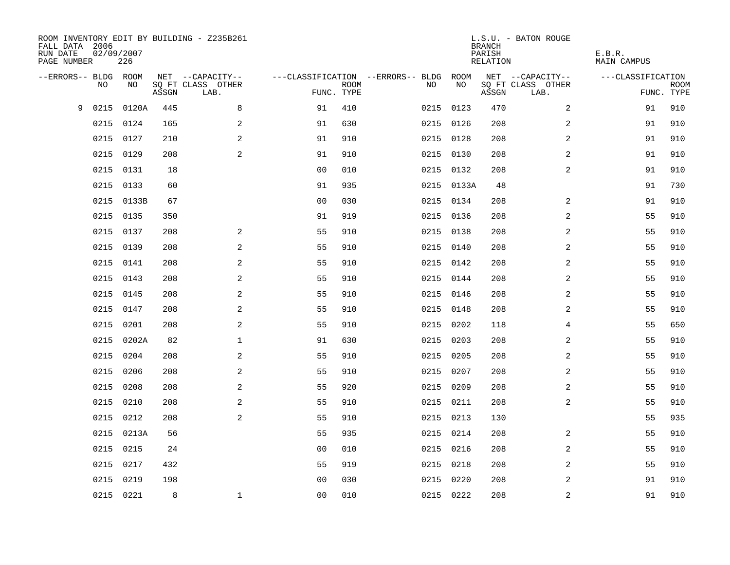| FALL DATA 2006<br>RUN DATE<br>PAGE NUMBER | 02/09/2007 | 226   |       | ROOM INVENTORY EDIT BY BUILDING - Z235B261 |                |                           |                                        |            | <b>BRANCH</b><br>PARISH<br><b>RELATION</b> | L.S.U. - BATON ROUGE      | E.B.R.<br><b>MAIN CAMPUS</b> |                           |
|-------------------------------------------|------------|-------|-------|--------------------------------------------|----------------|---------------------------|----------------------------------------|------------|--------------------------------------------|---------------------------|------------------------------|---------------------------|
| --ERRORS-- BLDG ROOM                      |            |       |       | NET --CAPACITY--                           |                |                           | ---CLASSIFICATION --ERRORS-- BLDG ROOM |            |                                            | NET --CAPACITY--          | ---CLASSIFICATION            |                           |
|                                           | NO         | NO    | ASSGN | SQ FT CLASS OTHER<br>LAB.                  |                | <b>ROOM</b><br>FUNC. TYPE | NO                                     | NO         | ASSGN                                      | SQ FT CLASS OTHER<br>LAB. |                              | <b>ROOM</b><br>FUNC. TYPE |
| 9                                         | 0215       | 0120A | 445   | 8                                          | 91             | 410                       |                                        | 0215 0123  | 470                                        | 2                         | 91                           | 910                       |
|                                           | 0215       | 0124  | 165   | 2                                          | 91             | 630                       |                                        | 0215 0126  | 208                                        | 2                         | 91                           | 910                       |
|                                           | 0215       | 0127  | 210   | 2                                          | 91             | 910                       |                                        | 0215 0128  | 208                                        | 2                         | 91                           | 910                       |
|                                           | 0215       | 0129  | 208   | 2                                          | 91             | 910                       |                                        | 0215 0130  | 208                                        | 2                         | 91                           | 910                       |
|                                           | 0215       | 0131  | 18    |                                            | 0 <sub>0</sub> | 010                       |                                        | 0215 0132  | 208                                        | $\overline{a}$            | 91                           | 910                       |
|                                           | 0215       | 0133  | 60    |                                            | 91             | 935                       |                                        | 0215 0133A | 48                                         |                           | 91                           | 730                       |
|                                           | 0215       | 0133B | 67    |                                            | 0 <sub>0</sub> | 030                       |                                        | 0215 0134  | 208                                        | 2                         | 91                           | 910                       |
|                                           | 0215       | 0135  | 350   |                                            | 91             | 919                       |                                        | 0215 0136  | 208                                        | 2                         | 55                           | 910                       |
|                                           | 0215       | 0137  | 208   | 2                                          | 55             | 910                       |                                        | 0215 0138  | 208                                        | 2                         | 55                           | 910                       |
|                                           | 0215 0139  |       | 208   | 2                                          | 55             | 910                       |                                        | 0215 0140  | 208                                        | 2                         | 55                           | 910                       |
|                                           | 0215       | 0141  | 208   | 2                                          | 55             | 910                       |                                        | 0215 0142  | 208                                        | 2                         | 55                           | 910                       |
|                                           | 0215       | 0143  | 208   | 2                                          | 55             | 910                       |                                        | 0215 0144  | 208                                        | $\overline{2}$            | 55                           | 910                       |
|                                           | 0215       | 0145  | 208   | 2                                          | 55             | 910                       |                                        | 0215 0146  | 208                                        | 2                         | 55                           | 910                       |
|                                           | 0215       | 0147  | 208   | $\overline{a}$                             | 55             | 910                       |                                        | 0215 0148  | 208                                        | 2                         | 55                           | 910                       |
|                                           | 0215       | 0201  | 208   | 2                                          | 55             | 910                       |                                        | 0215 0202  | 118                                        | 4                         | 55                           | 650                       |
|                                           | 0215       | 0202A | 82    | $\mathbf 1$                                | 91             | 630                       |                                        | 0215 0203  | 208                                        | 2                         | 55                           | 910                       |
|                                           | 0215       | 0204  | 208   | 2                                          | 55             | 910                       |                                        | 0215 0205  | 208                                        | 2                         | 55                           | 910                       |
|                                           | 0215       | 0206  | 208   | 2                                          | 55             | 910                       |                                        | 0215 0207  | 208                                        | $\overline{a}$            | 55                           | 910                       |
|                                           | 0215       | 0208  | 208   | 2                                          | 55             | 920                       |                                        | 0215 0209  | 208                                        | 2                         | 55                           | 910                       |
|                                           | 0215       | 0210  | 208   | $\overline{a}$                             | 55             | 910                       |                                        | 0215 0211  | 208                                        | $\overline{a}$            | 55                           | 910                       |
|                                           | 0215       | 0212  | 208   | 2                                          | 55             | 910                       |                                        | 0215 0213  | 130                                        |                           | 55                           | 935                       |
|                                           | 0215       | 0213A | 56    |                                            | 55             | 935                       |                                        | 0215 0214  | 208                                        | 2                         | 55                           | 910                       |
|                                           | 0215       | 0215  | 24    |                                            | 0 <sub>0</sub> | 010                       |                                        | 0215 0216  | 208                                        | 2                         | 55                           | 910                       |
|                                           | 0215       | 0217  | 432   |                                            | 55             | 919                       |                                        | 0215 0218  | 208                                        | 2                         | 55                           | 910                       |
|                                           | 0215       | 0219  | 198   |                                            | 0 <sub>0</sub> | 030                       |                                        | 0215 0220  | 208                                        | 2                         | 91                           | 910                       |
|                                           | 0215 0221  |       | 8     | $\mathbf 1$                                | 0 <sub>0</sub> | 010                       |                                        | 0215 0222  | 208                                        | $\overline{\mathbf{c}}$   | 91                           | 910                       |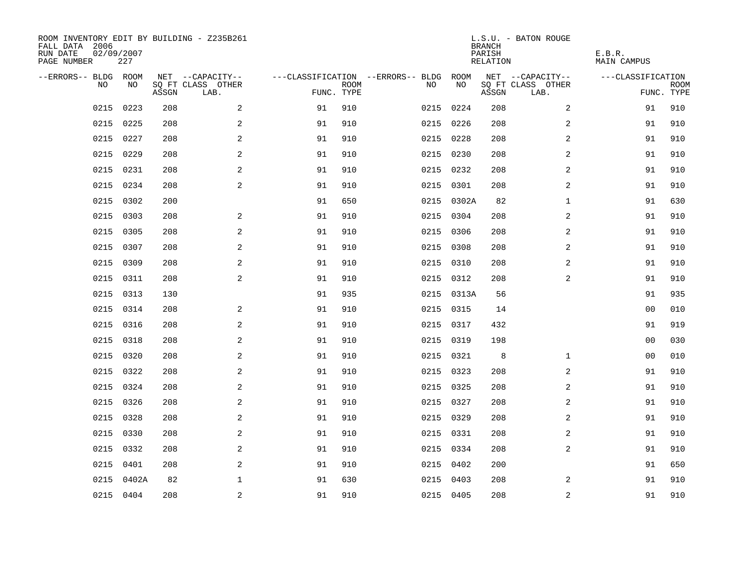| ROOM INVENTORY EDIT BY BUILDING - Z235B261<br>FALL DATA 2006<br>RUN DATE<br>PAGE NUMBER | 02/09/2007<br>227 |       |                           |            |             |                                        |            | <b>BRANCH</b><br>PARISH<br>RELATION | L.S.U. - BATON ROUGE      | E.B.R.<br>MAIN CAMPUS |                           |
|-----------------------------------------------------------------------------------------|-------------------|-------|---------------------------|------------|-------------|----------------------------------------|------------|-------------------------------------|---------------------------|-----------------------|---------------------------|
| --ERRORS-- BLDG ROOM                                                                    |                   |       | NET --CAPACITY--          |            |             | ---CLASSIFICATION --ERRORS-- BLDG ROOM |            |                                     | NET --CAPACITY--          | ---CLASSIFICATION     |                           |
| NO                                                                                      | NO                | ASSGN | SQ FT CLASS OTHER<br>LAB. | FUNC. TYPE | <b>ROOM</b> | NO                                     | NO         | ASSGN                               | SQ FT CLASS OTHER<br>LAB. |                       | <b>ROOM</b><br>FUNC. TYPE |
| 0215                                                                                    | 0223              | 208   | 2                         | 91         | 910         |                                        | 0215 0224  | 208                                 | $\overline{2}$            | 91                    | 910                       |
| 0215                                                                                    | 0225              | 208   | 2                         | 91         | 910         |                                        | 0215 0226  | 208                                 | 2                         | 91                    | 910                       |
| 0215                                                                                    | 0227              | 208   | 2                         | 91         | 910         |                                        | 0215 0228  | 208                                 | 2                         | 91                    | 910                       |
| 0215                                                                                    | 0229              | 208   | 2                         | 91         | 910         |                                        | 0215 0230  | 208                                 | 2                         | 91                    | 910                       |
| 0215                                                                                    | 0231              | 208   | $\overline{a}$            | 91         | 910         |                                        | 0215 0232  | 208                                 | 2                         | 91                    | 910                       |
| 0215                                                                                    | 0234              | 208   | $\overline{a}$            | 91         | 910         |                                        | 0215 0301  | 208                                 | 2                         | 91                    | 910                       |
| 0215                                                                                    | 0302              | 200   |                           | 91         | 650         |                                        | 0215 0302A | 82                                  | $\mathbf{1}$              | 91                    | 630                       |
| 0215                                                                                    | 0303              | 208   | $\sqrt{2}$                | 91         | 910         |                                        | 0215 0304  | 208                                 | 2                         | 91                    | 910                       |
| 0215                                                                                    | 0305              | 208   | 2                         | 91         | 910         |                                        | 0215 0306  | 208                                 | 2                         | 91                    | 910                       |
| 0215                                                                                    | 0307              | 208   | 2                         | 91         | 910         |                                        | 0215 0308  | 208                                 | 2                         | 91                    | 910                       |
| 0215                                                                                    | 0309              | 208   | 2                         | 91         | 910         |                                        | 0215 0310  | 208                                 | 2                         | 91                    | 910                       |
|                                                                                         | 0215 0311         | 208   | $\overline{a}$            | 91         | 910         |                                        | 0215 0312  | 208                                 | 2                         | 91                    | 910                       |
| 0215                                                                                    | 0313              | 130   |                           | 91         | 935         |                                        | 0215 0313A | 56                                  |                           | 91                    | 935                       |
| 0215                                                                                    | 0314              | 208   | 2                         | 91         | 910         |                                        | 0215 0315  | 14                                  |                           | 00                    | 010                       |
| 0215                                                                                    | 0316              | 208   | 2                         | 91         | 910         |                                        | 0215 0317  | 432                                 |                           | 91                    | 919                       |
| 0215                                                                                    | 0318              | 208   | $\mathbf{2}$              | 91         | 910         |                                        | 0215 0319  | 198                                 |                           | 00                    | 030                       |
|                                                                                         | 0215 0320         | 208   | 2                         | 91         | 910         |                                        | 0215 0321  | 8                                   | $\mathbf{1}$              | 00                    | 010                       |
| 0215                                                                                    | 0322              | 208   | 2                         | 91         | 910         |                                        | 0215 0323  | 208                                 | 2                         | 91                    | 910                       |
|                                                                                         | 0215 0324         | 208   | 2                         | 91         | 910         |                                        | 0215 0325  | 208                                 | 2                         | 91                    | 910                       |
| 0215                                                                                    | 0326              | 208   | 2                         | 91         | 910         |                                        | 0215 0327  | 208                                 | 2                         | 91                    | 910                       |
| 0215                                                                                    | 0328              | 208   | 2                         | 91         | 910         |                                        | 0215 0329  | 208                                 | 2                         | 91                    | 910                       |
| 0215                                                                                    | 0330              | 208   | $\mathbf{2}$              | 91         | 910         |                                        | 0215 0331  | 208                                 | 2                         | 91                    | 910                       |
| 0215                                                                                    | 0332              | 208   | $\mathbf{2}$              | 91         | 910         |                                        | 0215 0334  | 208                                 | 2                         | 91                    | 910                       |
| 0215                                                                                    | 0401              | 208   | 2                         | 91         | 910         |                                        | 0215 0402  | 200                                 |                           | 91                    | 650                       |
| 0215                                                                                    | 0402A             | 82    | $\mathbf{1}$              | 91         | 630         |                                        | 0215 0403  | 208                                 | 2                         | 91                    | 910                       |
|                                                                                         | 0215 0404         | 208   | 2                         | 91         | 910         |                                        | 0215 0405  | 208                                 | $\overline{a}$            | 91                    | 910                       |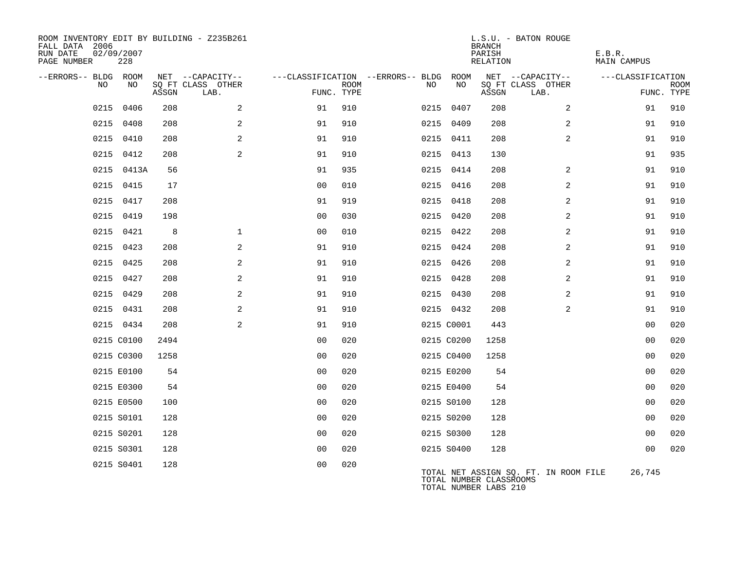| ROOM INVENTORY EDIT BY BUILDING - Z235B261<br>FALL DATA 2006<br>RUN DATE<br>PAGE NUMBER | 02/09/2007<br>228 |       |                                       |                |      |                                               |            | <b>BRANCH</b><br>PARISH<br>RELATION              | L.S.U. - BATON ROUGE                  | E.B.R.<br>MAIN CAMPUS |             |
|-----------------------------------------------------------------------------------------|-------------------|-------|---------------------------------------|----------------|------|-----------------------------------------------|------------|--------------------------------------------------|---------------------------------------|-----------------------|-------------|
| --ERRORS-- BLDG ROOM<br>NO                                                              | NO.               |       | NET --CAPACITY--<br>SO FT CLASS OTHER |                | ROOM | ---CLASSIFICATION --ERRORS-- BLDG ROOM<br>NO. | NO         |                                                  | NET --CAPACITY--<br>SO FT CLASS OTHER | ---CLASSIFICATION     | <b>ROOM</b> |
|                                                                                         |                   | ASSGN | LAB.                                  | FUNC. TYPE     |      |                                               |            | ASSGN                                            | LAB.                                  | FUNC. TYPE            |             |
| 0215                                                                                    | 0406              | 208   | 2                                     | 91             | 910  |                                               | 0215 0407  | 208                                              | 2                                     | 91                    | 910         |
|                                                                                         | 0215 0408         | 208   | 2                                     | 91             | 910  |                                               | 0215 0409  | 208                                              | $\overline{a}$                        | 91                    | 910         |
|                                                                                         | 0215 0410         | 208   | 2                                     | 91             | 910  |                                               | 0215 0411  | 208                                              | 2                                     | 91                    | 910         |
| 0215                                                                                    | 0412              | 208   | 2                                     | 91             | 910  |                                               | 0215 0413  | 130                                              |                                       | 91                    | 935         |
|                                                                                         | 0215 0413A        | 56    |                                       | 91             | 935  |                                               | 0215 0414  | 208                                              | 2                                     | 91                    | 910         |
|                                                                                         | 0215 0415         | 17    |                                       | 0 <sub>0</sub> | 010  |                                               | 0215 0416  | 208                                              | 2                                     | 91                    | 910         |
|                                                                                         | 0215 0417         | 208   |                                       | 91             | 919  |                                               | 0215 0418  | 208                                              | 2                                     | 91                    | 910         |
|                                                                                         | 0215 0419         | 198   |                                       | 0 <sub>0</sub> | 030  |                                               | 0215 0420  | 208                                              | 2                                     | 91                    | 910         |
|                                                                                         | 0215 0421         | 8     | $\mathbf{1}$                          | 0 <sub>0</sub> | 010  |                                               | 0215 0422  | 208                                              | 2                                     | 91                    | 910         |
|                                                                                         | 0215 0423         | 208   | 2                                     | 91             | 910  |                                               | 0215 0424  | 208                                              | 2                                     | 91                    | 910         |
|                                                                                         | 0215 0425         | 208   | 2                                     | 91             | 910  |                                               | 0215 0426  | 208                                              | 2                                     | 91                    | 910         |
|                                                                                         | 0215 0427         | 208   | 2                                     | 91             | 910  |                                               | 0215 0428  | 208                                              | 2                                     | 91                    | 910         |
|                                                                                         | 0215 0429         | 208   | 2                                     | 91             | 910  |                                               | 0215 0430  | 208                                              | 2                                     | 91                    | 910         |
|                                                                                         | 0215 0431         | 208   | 2                                     | 91             | 910  |                                               | 0215 0432  | 208                                              | $\overline{a}$                        | 91                    | 910         |
|                                                                                         | 0215 0434         | 208   | 2                                     | 91             | 910  |                                               | 0215 C0001 | 443                                              |                                       | 0 <sub>0</sub>        | 020         |
|                                                                                         | 0215 C0100        | 2494  |                                       | 0 <sub>0</sub> | 020  |                                               | 0215 C0200 | 1258                                             |                                       | 0 <sub>0</sub>        | 020         |
|                                                                                         | 0215 C0300        | 1258  |                                       | 0 <sub>0</sub> | 020  |                                               | 0215 C0400 | 1258                                             |                                       | 0 <sub>0</sub>        | 020         |
|                                                                                         | 0215 E0100        | 54    |                                       | 0 <sub>0</sub> | 020  |                                               | 0215 E0200 | 54                                               |                                       | 0 <sub>0</sub>        | 020         |
|                                                                                         | 0215 E0300        | 54    |                                       | 0 <sub>0</sub> | 020  |                                               | 0215 E0400 | 54                                               |                                       | 0 <sub>0</sub>        | 020         |
|                                                                                         | 0215 E0500        | 100   |                                       | 0 <sub>0</sub> | 020  |                                               | 0215 S0100 | 128                                              |                                       | 0 <sub>0</sub>        | 020         |
|                                                                                         | 0215 S0101        | 128   |                                       | 0 <sub>0</sub> | 020  |                                               | 0215 S0200 | 128                                              |                                       | 0 <sub>0</sub>        | 020         |
|                                                                                         | 0215 S0201        | 128   |                                       | 0 <sub>0</sub> | 020  |                                               | 0215 S0300 | 128                                              |                                       | 0 <sub>0</sub>        | 020         |
|                                                                                         | 0215 S0301        | 128   |                                       | 0 <sub>0</sub> | 020  |                                               | 0215 S0400 | 128                                              |                                       | 0 <sub>0</sub>        | 020         |
|                                                                                         | 0215 S0401        | 128   |                                       | 0 <sub>0</sub> | 020  |                                               |            | TOTAL NUMBER CLASSROOMS<br>TOTAL NUMBER LABS 210 | TOTAL NET ASSIGN SQ. FT. IN ROOM FILE | 26,745                |             |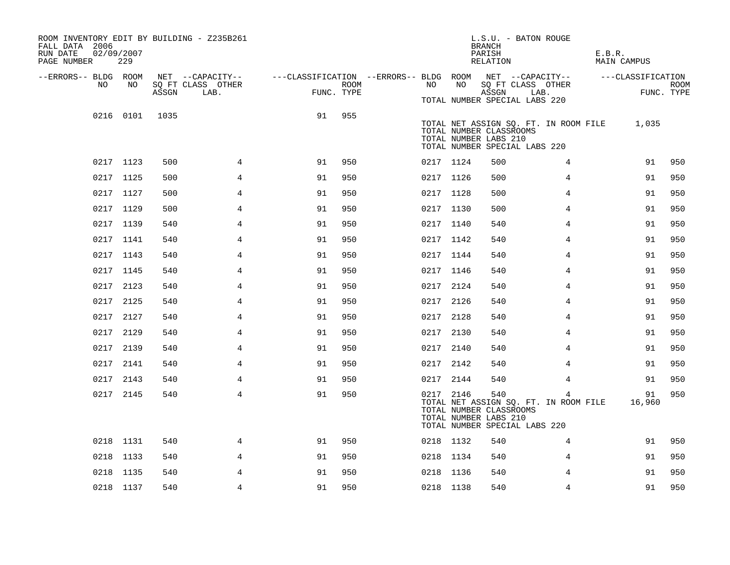| ROOM INVENTORY EDIT BY BUILDING - Z235B261<br>FALL DATA 2006<br>RUN DATE<br>PAGE NUMBER | 02/09/2007<br>229 |       |                                               |                                                                       |      |           |    | <b>BRANCH</b><br>PARISH<br>RELATION                                                                                | L.S.U. - BATON ROUGE                       | E.B.R.<br>MAIN CAMPUS                       |                    |
|-----------------------------------------------------------------------------------------|-------------------|-------|-----------------------------------------------|-----------------------------------------------------------------------|------|-----------|----|--------------------------------------------------------------------------------------------------------------------|--------------------------------------------|---------------------------------------------|--------------------|
| --ERRORS-- BLDG ROOM<br>NO                                                              | NO                | ASSGN | NET --CAPACITY--<br>SQ FT CLASS OTHER<br>LAB. | ---CLASSIFICATION --ERRORS-- BLDG ROOM NET --CAPACITY--<br>FUNC. TYPE | ROOM | NO        | NO | ASSGN                                                                                                              | SQ FT CLASS OTHER<br>LAB.                  | ---CLASSIFICATION                           | ROOM<br>FUNC. TYPE |
|                                                                                         | 0216 0101         | 1035  |                                               | 91                                                                    | 955  |           |    | TOTAL NUMBER SPECIAL LABS 220<br>TOTAL NUMBER CLASSROOMS<br>TOTAL NUMBER LABS 210<br>TOTAL NUMBER SPECIAL LABS 220 |                                            | TOTAL NET ASSIGN SQ. FT. IN ROOM FILE 1,035 |                    |
|                                                                                         | 0217 1123         | 500   | $\overline{4}$                                | 91                                                                    | 950  | 0217 1124 |    | 500                                                                                                                | 4                                          | 91                                          | 950                |
|                                                                                         | 0217 1125         | 500   | 4                                             | 91                                                                    | 950  | 0217 1126 |    | 500                                                                                                                | 4                                          | 91                                          | 950                |
|                                                                                         | 0217 1127         | 500   | 4                                             | 91                                                                    | 950  | 0217 1128 |    | 500                                                                                                                | 4                                          | 91                                          | 950                |
|                                                                                         | 0217 1129         | 500   | 4                                             | 91                                                                    | 950  | 0217 1130 |    | 500                                                                                                                | 4                                          | 91                                          | 950                |
|                                                                                         | 0217 1139         | 540   | $\overline{4}$                                | 91                                                                    | 950  | 0217 1140 |    | 540                                                                                                                | 4                                          | 91                                          | 950                |
|                                                                                         | 0217 1141         | 540   | 4                                             | 91                                                                    | 950  | 0217 1142 |    | 540                                                                                                                | 4                                          | 91                                          | 950                |
|                                                                                         | 0217 1143         | 540   | 4                                             | 91                                                                    | 950  | 0217 1144 |    | 540                                                                                                                | 4                                          | 91                                          | 950                |
|                                                                                         | 0217 1145         | 540   | 4                                             | 91                                                                    | 950  | 0217 1146 |    | 540                                                                                                                | 4                                          | 91                                          | 950                |
|                                                                                         | 0217 2123         | 540   | 4                                             | 91                                                                    | 950  | 0217 2124 |    | 540                                                                                                                | 4                                          | 91                                          | 950                |
|                                                                                         | 0217 2125         | 540   | $\overline{4}$                                | 91                                                                    | 950  | 0217 2126 |    | 540                                                                                                                | 4                                          | 91                                          | 950                |
|                                                                                         | 0217 2127         | 540   | 4                                             | 91                                                                    | 950  | 0217 2128 |    | 540                                                                                                                | 4                                          | 91                                          | 950                |
|                                                                                         | 0217 2129         | 540   | $\overline{4}$                                | 91                                                                    | 950  | 0217 2130 |    | 540                                                                                                                | $\overline{4}$                             | 91                                          | 950                |
|                                                                                         | 0217 2139         | 540   | 4                                             | 91                                                                    | 950  | 0217 2140 |    | 540                                                                                                                | 4                                          | 91                                          | 950                |
|                                                                                         | 0217 2141         | 540   | 4                                             | 91                                                                    | 950  | 0217 2142 |    | 540                                                                                                                | 4                                          | 91                                          | 950                |
|                                                                                         | 0217 2143         | 540   | 4                                             | 91                                                                    | 950  | 0217 2144 |    | 540                                                                                                                | 4                                          | 91                                          | 950                |
|                                                                                         | 0217 2145         | 540   | 4                                             | 91                                                                    | 950  | 0217 2146 |    | 540<br>TOTAL NUMBER CLASSROOMS<br>TOTAL NUMBER LABS 210<br>TOTAL NUMBER SPECIAL LABS 220                           | 4<br>TOTAL NET ASSIGN SQ. FT. IN ROOM FILE | 91<br>16,960                                | 950                |
|                                                                                         | 0218 1131         | 540   | 4                                             | 91                                                                    | 950  | 0218 1132 |    | 540                                                                                                                | 4                                          | 91                                          | 950                |
|                                                                                         | 0218 1133         | 540   | 4                                             | 91                                                                    | 950  | 0218 1134 |    | 540                                                                                                                | 4                                          | 91                                          | 950                |
|                                                                                         | 0218 1135         | 540   | 4                                             | 91                                                                    | 950  | 0218 1136 |    | 540                                                                                                                | 4                                          | 91                                          | 950                |
|                                                                                         | 0218 1137         | 540   | $\overline{4}$                                | 91                                                                    | 950  | 0218 1138 |    | 540                                                                                                                | $\overline{4}$                             | 91                                          | 950                |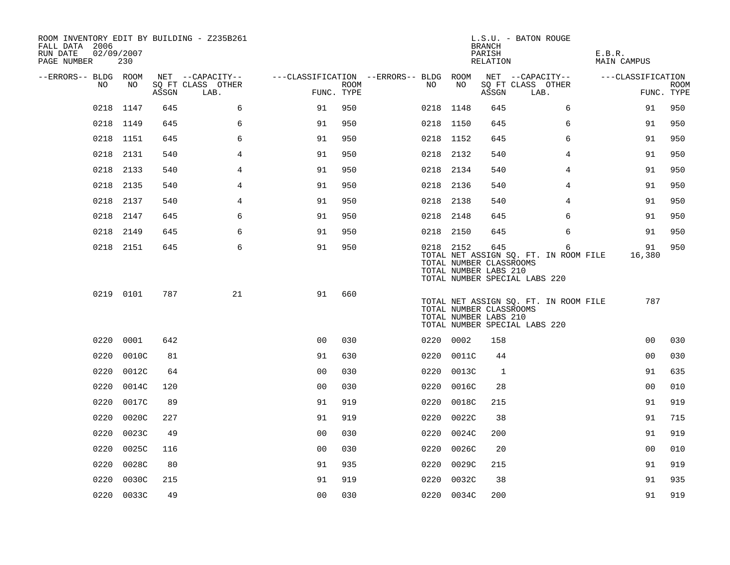| ROOM INVENTORY EDIT BY BUILDING - Z235B261<br>FALL DATA 2006<br>RUN DATE<br>PAGE NUMBER | 02/09/2007<br>230 |       |                           |                                        |             |           |            | <b>BRANCH</b><br>PARISH<br>RELATION                     | L.S.U. - BATON ROUGE                                                        | E.B.R.<br>MAIN CAMPUS |                           |
|-----------------------------------------------------------------------------------------|-------------------|-------|---------------------------|----------------------------------------|-------------|-----------|------------|---------------------------------------------------------|-----------------------------------------------------------------------------|-----------------------|---------------------------|
| --ERRORS-- BLDG ROOM                                                                    |                   |       | NET --CAPACITY--          | ---CLASSIFICATION --ERRORS-- BLDG ROOM |             |           |            |                                                         | NET --CAPACITY--                                                            | ---CLASSIFICATION     |                           |
| NO                                                                                      | NO                | ASSGN | SQ FT CLASS OTHER<br>LAB. | FUNC. TYPE                             | <b>ROOM</b> | NO        | NO         | ASSGN                                                   | SQ FT CLASS OTHER<br>LAB.                                                   |                       | <b>ROOM</b><br>FUNC. TYPE |
| 0218                                                                                    | 1147              | 645   | 6                         | 91                                     | 950         | 0218 1148 |            | 645                                                     | 6                                                                           | 91                    | 950                       |
|                                                                                         | 0218 1149         | 645   | 6                         | 91                                     | 950         | 0218 1150 |            | 645                                                     | 6                                                                           | 91                    | 950                       |
|                                                                                         | 0218 1151         | 645   | 6                         | 91                                     | 950         | 0218 1152 |            | 645                                                     | 6                                                                           | 91                    | 950                       |
| 0218                                                                                    | 2131              | 540   | 4                         | 91                                     | 950         | 0218 2132 |            | 540                                                     | 4                                                                           | 91                    | 950                       |
| 0218                                                                                    | 2133              | 540   | 4                         | 91                                     | 950         | 0218 2134 |            | 540                                                     | 4                                                                           | 91                    | 950                       |
|                                                                                         | 0218 2135         | 540   | $\overline{4}$            | 91                                     | 950         | 0218 2136 |            | 540                                                     | $\overline{4}$                                                              | 91                    | 950                       |
|                                                                                         | 0218 2137         | 540   | 4                         | 91                                     | 950         | 0218 2138 |            | 540                                                     | 4                                                                           | 91                    | 950                       |
|                                                                                         | 0218 2147         | 645   | 6                         | 91                                     | 950         | 0218 2148 |            | 645                                                     | 6                                                                           | 91                    | 950                       |
| 0218                                                                                    | 2149              | 645   | 6                         | 91                                     | 950         | 0218      | 2150       | 645                                                     | 6                                                                           | 91                    | 950                       |
|                                                                                         | 0218 2151         | 645   | 6                         | 91                                     | 950         | 0218 2152 |            | 645<br>TOTAL NUMBER CLASSROOMS<br>TOTAL NUMBER LABS 210 | 6<br>TOTAL NET ASSIGN SQ. FT. IN ROOM FILE<br>TOTAL NUMBER SPECIAL LABS 220 | 91<br>16,380          | 950                       |
|                                                                                         | 0219 0101         | 787   | 21                        | 91                                     | 660         |           |            | TOTAL NUMBER CLASSROOMS<br>TOTAL NUMBER LABS 210        | TOTAL NET ASSIGN SQ. FT. IN ROOM FILE<br>TOTAL NUMBER SPECIAL LABS 220      | 787                   |                           |
| 0220                                                                                    | 0001              | 642   |                           | 0 <sub>0</sub>                         | 030         | 0220 0002 |            | 158                                                     |                                                                             | 00                    | 030                       |
| 0220                                                                                    | 0010C             | 81    |                           | 91                                     | 630         |           | 0220 0011C | 44                                                      |                                                                             | 0 <sub>0</sub>        | 030                       |
| 0220                                                                                    | 0012C             | 64    |                           | 0 <sub>0</sub>                         | 030         | 0220      | 0013C      | 1                                                       |                                                                             | 91                    | 635                       |
| 0220                                                                                    | 0014C             | 120   |                           | 0 <sub>0</sub>                         | 030         | 0220      | 0016C      | 28                                                      |                                                                             | 0 <sub>0</sub>        | 010                       |
| 0220                                                                                    | 0017C             | 89    |                           | 91                                     | 919         | 0220      | 0018C      | 215                                                     |                                                                             | 91                    | 919                       |
| 0220                                                                                    | 0020C             | 227   |                           | 91                                     | 919         | 0220      | 0022C      | 38                                                      |                                                                             | 91                    | 715                       |
| 0220                                                                                    | 0023C             | 49    |                           | 0 <sub>0</sub>                         | 030         | 0220      | 0024C      | 200                                                     |                                                                             | 91                    | 919                       |
| 0220                                                                                    | 0025C             | 116   |                           | 0 <sub>0</sub>                         | 030         | 0220      | 0026C      | 20                                                      |                                                                             | 0 <sub>0</sub>        | 010                       |
| 0220                                                                                    | 0028C             | 80    |                           | 91                                     | 935         | 0220      | 0029C      | 215                                                     |                                                                             | 91                    | 919                       |
| 0220                                                                                    | 0030C             | 215   |                           | 91                                     | 919         | 0220      | 0032C      | 38                                                      |                                                                             | 91                    | 935                       |
|                                                                                         | 0220 0033C        | 49    |                           | 00                                     | 030         |           | 0220 0034C | 200                                                     |                                                                             | 91                    | 919                       |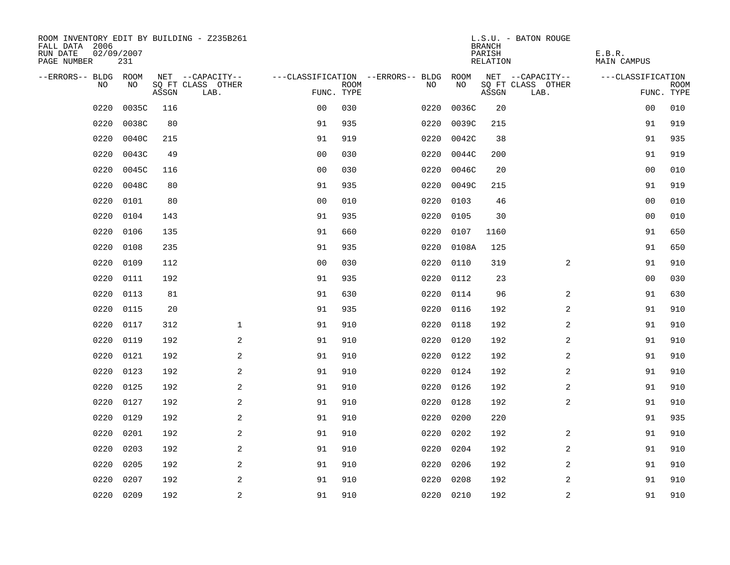| ROOM INVENTORY EDIT BY BUILDING - Z235B261<br>FALL DATA 2006<br>RUN DATE<br>PAGE NUMBER | 02/09/2007<br>231 |       |                           |                |             |                                        |           | <b>BRANCH</b><br>PARISH<br>RELATION | L.S.U. - BATON ROUGE      | E.B.R.<br>MAIN CAMPUS |                           |
|-----------------------------------------------------------------------------------------|-------------------|-------|---------------------------|----------------|-------------|----------------------------------------|-----------|-------------------------------------|---------------------------|-----------------------|---------------------------|
| --ERRORS-- BLDG ROOM                                                                    |                   |       | NET --CAPACITY--          |                |             | ---CLASSIFICATION --ERRORS-- BLDG ROOM |           |                                     | NET --CAPACITY--          | ---CLASSIFICATION     |                           |
| NO                                                                                      | NO                | ASSGN | SQ FT CLASS OTHER<br>LAB. | FUNC. TYPE     | <b>ROOM</b> | NO                                     | NO        | ASSGN                               | SQ FT CLASS OTHER<br>LAB. |                       | <b>ROOM</b><br>FUNC. TYPE |
| 0220                                                                                    | 0035C             | 116   |                           | 0 <sub>0</sub> | 030         | 0220                                   | 0036C     | 20                                  |                           | 0 <sub>0</sub>        | 010                       |
| 0220                                                                                    | 0038C             | 80    |                           | 91             | 935         | 0220                                   | 0039C     | 215                                 |                           | 91                    | 919                       |
| 0220                                                                                    | 0040C             | 215   |                           | 91             | 919         | 0220                                   | 0042C     | 38                                  |                           | 91                    | 935                       |
| 0220                                                                                    | 0043C             | 49    |                           | 0 <sub>0</sub> | 030         | 0220                                   | 0044C     | 200                                 |                           | 91                    | 919                       |
| 0220                                                                                    | 0045C             | 116   |                           | 00             | 030         | 0220                                   | 0046C     | 20                                  |                           | 00                    | 010                       |
| 0220                                                                                    | 0048C             | 80    |                           | 91             | 935         | 0220                                   | 0049C     | 215                                 |                           | 91                    | 919                       |
| 0220                                                                                    | 0101              | 80    |                           | 0 <sub>0</sub> | 010         | 0220                                   | 0103      | 46                                  |                           | 0 <sub>0</sub>        | 010                       |
| 0220                                                                                    | 0104              | 143   |                           | 91             | 935         | 0220                                   | 0105      | 30                                  |                           | 0 <sub>0</sub>        | 010                       |
| 0220                                                                                    | 0106              | 135   |                           | 91             | 660         | 0220                                   | 0107      | 1160                                |                           | 91                    | 650                       |
| 0220                                                                                    | 0108              | 235   |                           | 91             | 935         | 0220                                   | 0108A     | 125                                 |                           | 91                    | 650                       |
| 0220                                                                                    | 0109              | 112   |                           | 0 <sub>0</sub> | 030         | 0220                                   | 0110      | 319                                 | $\overline{2}$            | 91                    | 910                       |
| 0220                                                                                    | 0111              | 192   |                           | 91             | 935         | 0220                                   | 0112      | 23                                  |                           | 0 <sub>0</sub>        | 030                       |
| 0220                                                                                    | 0113              | 81    |                           | 91             | 630         | 0220                                   | 0114      | 96                                  | 2                         | 91                    | 630                       |
| 0220                                                                                    | 0115              | 20    |                           | 91             | 935         | 0220                                   | 0116      | 192                                 | 2                         | 91                    | 910                       |
| 0220                                                                                    | 0117              | 312   | $\mathbf{1}$              | 91             | 910         | 0220                                   | 0118      | 192                                 | 2                         | 91                    | 910                       |
| 0220                                                                                    | 0119              | 192   | $\overline{a}$            | 91             | 910         | 0220                                   | 0120      | 192                                 | 2                         | 91                    | 910                       |
| 0220                                                                                    | 0121              | 192   | 2                         | 91             | 910         | 0220                                   | 0122      | 192                                 | 2                         | 91                    | 910                       |
| 0220                                                                                    | 0123              | 192   | 2                         | 91             | 910         | 0220                                   | 0124      | 192                                 | 2                         | 91                    | 910                       |
| 0220                                                                                    | 0125              | 192   | 2                         | 91             | 910         |                                        | 0220 0126 | 192                                 | 2                         | 91                    | 910                       |
| 0220                                                                                    | 0127              | 192   | 2                         | 91             | 910         | 0220                                   | 0128      | 192                                 | $\overline{a}$            | 91                    | 910                       |
| 0220                                                                                    | 0129              | 192   | 2                         | 91             | 910         | 0220                                   | 0200      | 220                                 |                           | 91                    | 935                       |
| 0220                                                                                    | 0201              | 192   | $\overline{a}$            | 91             | 910         | 0220                                   | 0202      | 192                                 | 2                         | 91                    | 910                       |
| 0220                                                                                    | 0203              | 192   | $\overline{a}$            | 91             | 910         | 0220                                   | 0204      | 192                                 | 2                         | 91                    | 910                       |
| 0220                                                                                    | 0205              | 192   | 2                         | 91             | 910         | 0220                                   | 0206      | 192                                 | 2                         | 91                    | 910                       |
| 0220                                                                                    | 0207              | 192   | 2                         | 91             | 910         | 0220                                   | 0208      | 192                                 | 2                         | 91                    | 910                       |
|                                                                                         | 0220 0209         | 192   | 2                         | 91             | 910         |                                        | 0220 0210 | 192                                 | $\overline{a}$            | 91                    | 910                       |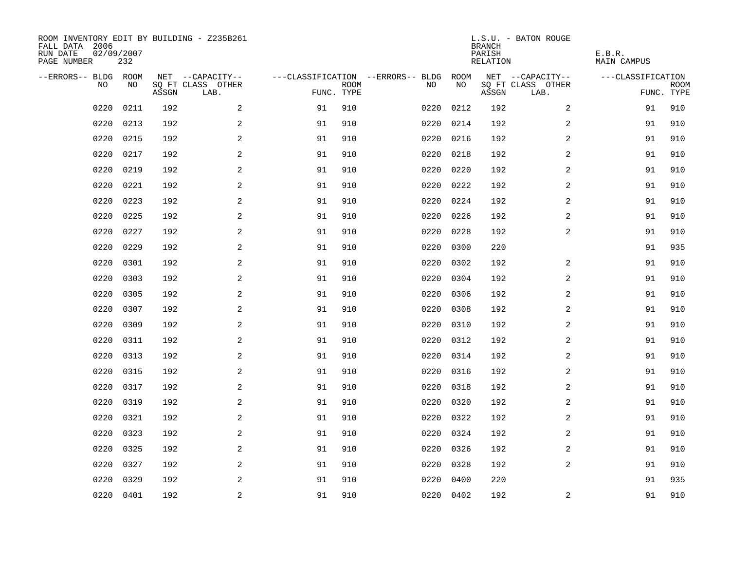| ROOM INVENTORY EDIT BY BUILDING - Z235B261<br>FALL DATA 2006<br>RUN DATE<br>PAGE NUMBER | 02/09/2007<br>232 |       |                           |            |             |                                   |           | <b>BRANCH</b><br>PARISH<br>RELATION | L.S.U. - BATON ROUGE      | E.B.R.<br>MAIN CAMPUS |                           |
|-----------------------------------------------------------------------------------------|-------------------|-------|---------------------------|------------|-------------|-----------------------------------|-----------|-------------------------------------|---------------------------|-----------------------|---------------------------|
| --ERRORS-- BLDG ROOM                                                                    |                   |       | NET --CAPACITY--          |            |             | ---CLASSIFICATION --ERRORS-- BLDG | ROOM      |                                     | NET --CAPACITY--          | ---CLASSIFICATION     |                           |
| NO.                                                                                     | NO.               | ASSGN | SQ FT CLASS OTHER<br>LAB. | FUNC. TYPE | <b>ROOM</b> | NO.                               | NO        | ASSGN                               | SQ FT CLASS OTHER<br>LAB. |                       | <b>ROOM</b><br>FUNC. TYPE |
| 0220                                                                                    | 0211              | 192   | 2                         | 91         | 910         | 0220                              | 0212      | 192                                 | $\overline{2}$            | 91                    | 910                       |
| 0220                                                                                    | 0213              | 192   | 2                         | 91         | 910         | 0220                              | 0214      | 192                                 | 2                         | 91                    | 910                       |
| 0220                                                                                    | 0215              | 192   | 2                         | 91         | 910         | 0220                              | 0216      | 192                                 | 2                         | 91                    | 910                       |
| 0220                                                                                    | 0217              | 192   | 2                         | 91         | 910         | 0220                              | 0218      | 192                                 | 2                         | 91                    | 910                       |
| 0220                                                                                    | 0219              | 192   | 2                         | 91         | 910         | 0220                              | 0220      | 192                                 | $\overline{a}$            | 91                    | 910                       |
| 0220                                                                                    | 0221              | 192   | $\sqrt{2}$                | 91         | 910         | 0220                              | 0222      | 192                                 | $\boldsymbol{2}$          | 91                    | 910                       |
| 0220                                                                                    | 0223              | 192   | $\overline{a}$            | 91         | 910         | 0220                              | 0224      | 192                                 | 2                         | 91                    | 910                       |
| 0220                                                                                    | 0225              | 192   | $\overline{a}$            | 91         | 910         | 0220                              | 0226      | 192                                 | 2                         | 91                    | 910                       |
| 0220                                                                                    | 0227              | 192   | 2                         | 91         | 910         | 0220                              | 0228      | 192                                 | 2                         | 91                    | 910                       |
| 0220                                                                                    | 0229              | 192   | 2                         | 91         | 910         | 0220                              | 0300      | 220                                 |                           | 91                    | 935                       |
| 0220                                                                                    | 0301              | 192   | 2                         | 91         | 910         | 0220                              | 0302      | 192                                 | 2                         | 91                    | 910                       |
| 0220                                                                                    | 0303              | 192   | 2                         | 91         | 910         | 0220                              | 0304      | 192                                 | 2                         | 91                    | 910                       |
| 0220                                                                                    | 0305              | 192   | 2                         | 91         | 910         | 0220                              | 0306      | 192                                 | 2                         | 91                    | 910                       |
| 0220                                                                                    | 0307              | 192   | $\overline{a}$            | 91         | 910         | 0220                              | 0308      | 192                                 | 2                         | 91                    | 910                       |
| 0220                                                                                    | 0309              | 192   | 2                         | 91         | 910         | 0220                              | 0310      | 192                                 | 2                         | 91                    | 910                       |
| 0220                                                                                    | 0311              | 192   | 2                         | 91         | 910         | 0220                              | 0312      | 192                                 | 2                         | 91                    | 910                       |
| 0220                                                                                    | 0313              | 192   | 2                         | 91         | 910         | 0220                              | 0314      | 192                                 | 2                         | 91                    | 910                       |
| 0220                                                                                    | 0315              | 192   | $\overline{a}$            | 91         | 910         | 0220                              | 0316      | 192                                 | 2                         | 91                    | 910                       |
| 0220                                                                                    | 0317              | 192   | $\overline{a}$            | 91         | 910         | 0220                              | 0318      | 192                                 | $\overline{a}$            | 91                    | 910                       |
| 0220                                                                                    | 0319              | 192   | 2                         | 91         | 910         | 0220                              | 0320      | 192                                 | 2                         | 91                    | 910                       |
| 0220                                                                                    | 0321              | 192   | 2                         | 91         | 910         | 0220                              | 0322      | 192                                 | 2                         | 91                    | 910                       |
| 0220                                                                                    | 0323              | 192   | 2                         | 91         | 910         | 0220                              | 0324      | 192                                 | 2                         | 91                    | 910                       |
| 0220                                                                                    | 0325              | 192   | 2                         | 91         | 910         | 0220                              | 0326      | 192                                 | 2                         | 91                    | 910                       |
| 0220                                                                                    | 0327              | 192   | 2                         | 91         | 910         | 0220                              | 0328      | 192                                 | $\overline{a}$            | 91                    | 910                       |
| 0220                                                                                    | 0329              | 192   | 2                         | 91         | 910         | 0220                              | 0400      | 220                                 |                           | 91                    | 935                       |
|                                                                                         | 0220 0401         | 192   | 2                         | 91         | 910         |                                   | 0220 0402 | 192                                 | $\overline{a}$            | 91                    | 910                       |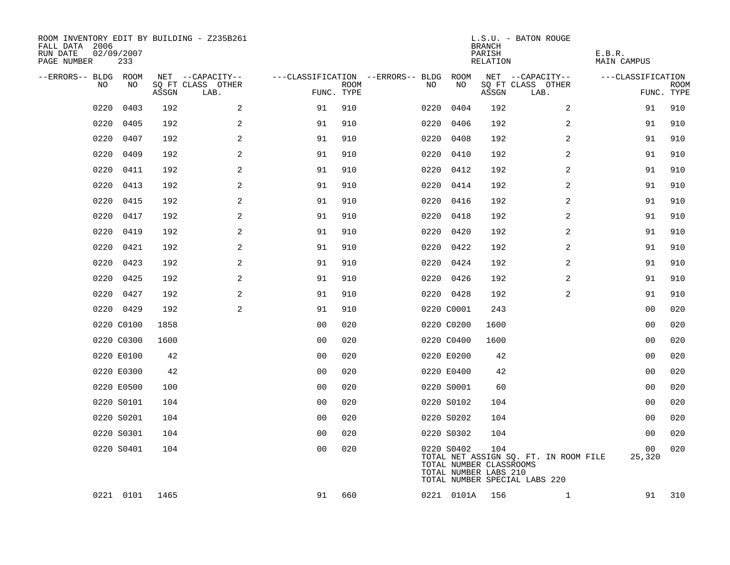| ROOM INVENTORY EDIT BY BUILDING - Z235B261<br>FALL DATA 2006<br>RUN DATE<br>PAGE NUMBER | 02/09/2007<br>233 |       |                           |                |      |                                        |            | L.S.U. - BATON ROUGE<br><b>BRANCH</b><br>PARISH<br>RELATION                              |      |                                       | E.B.R.<br>MAIN CAMPUS |                |      |
|-----------------------------------------------------------------------------------------|-------------------|-------|---------------------------|----------------|------|----------------------------------------|------------|------------------------------------------------------------------------------------------|------|---------------------------------------|-----------------------|----------------|------|
| --ERRORS-- BLDG ROOM                                                                    |                   |       | NET --CAPACITY--          |                |      | ---CLASSIFICATION --ERRORS-- BLDG ROOM |            | NET --CAPACITY--                                                                         |      |                                       | ---CLASSIFICATION     |                |      |
| NO                                                                                      | NO                | ASSGN | SQ FT CLASS OTHER<br>LAB. | FUNC. TYPE     | ROOM | NO                                     | NO         | SQ FT CLASS OTHER<br>ASSGN                                                               | LAB. |                                       |                       | FUNC. TYPE     | ROOM |
| 0220                                                                                    | 0403              | 192   | $\overline{a}$            | 91             | 910  | 0220                                   | 0404       | 192                                                                                      |      | 2                                     |                       | 91             | 910  |
| 0220                                                                                    | 0405              | 192   | 2                         | 91             | 910  | 0220                                   | 0406       | 192                                                                                      |      | 2                                     |                       | 91             | 910  |
| 0220                                                                                    | 0407              | 192   | 2                         | 91             | 910  |                                        | 0220 0408  | 192                                                                                      |      | 2                                     |                       | 91             | 910  |
| 0220                                                                                    | 0409              | 192   | 2                         | 91             | 910  |                                        | 0220 0410  | 192                                                                                      |      | 2                                     |                       | 91             | 910  |
| 0220                                                                                    | 0411              | 192   | $\overline{a}$            | 91             | 910  |                                        | 0220 0412  | 192                                                                                      |      | 2                                     |                       | 91             | 910  |
| 0220                                                                                    | 0413              | 192   | 2                         | 91             | 910  |                                        | 0220 0414  | 192                                                                                      |      | 2                                     |                       | 91             | 910  |
| 0220                                                                                    | 0415              | 192   | 2                         | 91             | 910  |                                        | 0220 0416  | 192                                                                                      |      | $\overline{a}$                        |                       | 91             | 910  |
| 0220                                                                                    | 0417              | 192   | $\sqrt{2}$                | 91             | 910  |                                        | 0220 0418  | 192                                                                                      |      | 2                                     |                       | 91             | 910  |
| 0220                                                                                    | 0419              | 192   | $\overline{a}$            | 91             | 910  |                                        | 0220 0420  | 192                                                                                      |      | $\overline{a}$                        |                       | 91             | 910  |
| 0220                                                                                    | 0421              | 192   | 2                         | 91             | 910  |                                        | 0220 0422  | 192                                                                                      |      | 2                                     |                       | 91             | 910  |
| 0220                                                                                    | 0423              | 192   | 2                         | 91             | 910  |                                        | 0220 0424  | 192                                                                                      |      | 2                                     |                       | 91             | 910  |
|                                                                                         | 0220 0425         | 192   | 2                         | 91             | 910  |                                        | 0220 0426  | 192                                                                                      |      | 2                                     |                       | 91             | 910  |
| 0220                                                                                    | 0427              | 192   | 2                         | 91             | 910  |                                        | 0220 0428  | 192                                                                                      |      | 2                                     |                       | 91             | 910  |
|                                                                                         | 0220 0429         | 192   | 2                         | 91             | 910  |                                        | 0220 C0001 | 243                                                                                      |      |                                       |                       | 00             | 020  |
|                                                                                         | 0220 C0100        | 1858  |                           | 0 <sub>0</sub> | 020  |                                        | 0220 C0200 | 1600                                                                                     |      |                                       |                       | 00             | 020  |
|                                                                                         | 0220 C0300        | 1600  |                           | 0 <sub>0</sub> | 020  |                                        | 0220 C0400 | 1600                                                                                     |      |                                       |                       | 00             | 020  |
|                                                                                         | 0220 E0100        | 42    |                           | 0 <sub>0</sub> | 020  |                                        | 0220 E0200 | 42                                                                                       |      |                                       |                       | 00             | 020  |
|                                                                                         | 0220 E0300        | 42    |                           | 0 <sub>0</sub> | 020  |                                        | 0220 E0400 | 42                                                                                       |      |                                       |                       | 00             | 020  |
|                                                                                         | 0220 E0500        | 100   |                           | 0 <sub>0</sub> | 020  |                                        | 0220 S0001 | 60                                                                                       |      |                                       |                       | 0 <sub>0</sub> | 020  |
|                                                                                         | 0220 S0101        | 104   |                           | 0 <sub>0</sub> | 020  |                                        | 0220 S0102 | 104                                                                                      |      |                                       |                       | 00             | 020  |
|                                                                                         | 0220 S0201        | 104   |                           | 0 <sub>0</sub> | 020  |                                        | 0220 S0202 | 104                                                                                      |      |                                       |                       | 00             | 020  |
|                                                                                         | 0220 S0301        | 104   |                           | 0 <sub>0</sub> | 020  |                                        | 0220 S0302 | 104                                                                                      |      |                                       |                       | 00             | 020  |
|                                                                                         | 0220 S0401        | 104   |                           | 0 <sub>0</sub> | 020  |                                        | 0220 S0402 | 104<br>TOTAL NUMBER CLASSROOMS<br>TOTAL NUMBER LABS 210<br>TOTAL NUMBER SPECIAL LABS 220 |      | TOTAL NET ASSIGN SQ. FT. IN ROOM FILE |                       | 00<br>25,320   | 020  |
|                                                                                         | 0221 0101 1465    |       |                           | 91             | 660  |                                        |            | 0221 0101A 156                                                                           |      | $\mathbf{1}$                          |                       | 91             | 310  |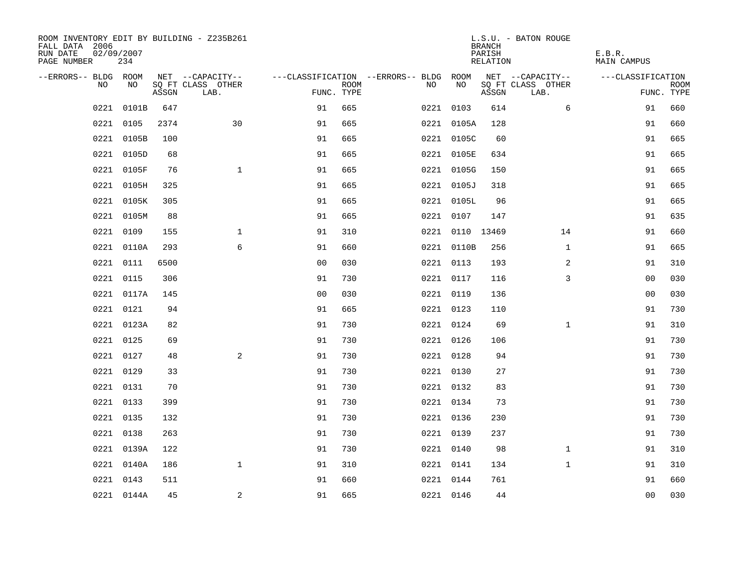| ROOM INVENTORY EDIT BY BUILDING - Z235B261<br>FALL DATA 2006<br>RUN DATE<br>PAGE NUMBER | 02/09/2007<br>234 |       |                           |                |             |                                        |            |           | <b>BRANCH</b><br>PARISH<br>RELATION | L.S.U. - BATON ROUGE      | E.B.R.<br><b>MAIN CAMPUS</b> |                           |
|-----------------------------------------------------------------------------------------|-------------------|-------|---------------------------|----------------|-------------|----------------------------------------|------------|-----------|-------------------------------------|---------------------------|------------------------------|---------------------------|
| --ERRORS-- BLDG ROOM                                                                    |                   |       | NET --CAPACITY--          |                |             | ---CLASSIFICATION --ERRORS-- BLDG ROOM |            |           |                                     | NET --CAPACITY--          | ---CLASSIFICATION            |                           |
| NO.                                                                                     | NO.               | ASSGN | SO FT CLASS OTHER<br>LAB. | FUNC. TYPE     | <b>ROOM</b> | NO.                                    |            | <b>NO</b> | ASSGN                               | SQ FT CLASS OTHER<br>LAB. |                              | <b>ROOM</b><br>FUNC. TYPE |
| 0221                                                                                    | 0101B             | 647   |                           | 91             | 665         |                                        | 0221 0103  |           | 614                                 | 6                         | 91                           | 660                       |
| 0221                                                                                    | 0105              | 2374  | 30                        | 91             | 665         |                                        | 0221 0105A |           | 128                                 |                           | 91                           | 660                       |
|                                                                                         | 0221 0105B        | 100   |                           | 91             | 665         |                                        | 0221 0105C |           | 60                                  |                           | 91                           | 665                       |
| 0221                                                                                    | 0105D             | 68    |                           | 91             | 665         |                                        | 0221 0105E |           | 634                                 |                           | 91                           | 665                       |
| 0221                                                                                    | 0105F             | 76    | $\mathbf{1}$              | 91             | 665         |                                        | 0221 0105G |           | 150                                 |                           | 91                           | 665                       |
| 0221                                                                                    | 0105H             | 325   |                           | 91             | 665         |                                        | 0221 0105J |           | 318                                 |                           | 91                           | 665                       |
| 0221                                                                                    | 0105K             | 305   |                           | 91             | 665         |                                        | 0221 0105L |           | 96                                  |                           | 91                           | 665                       |
|                                                                                         | 0221 0105M        | 88    |                           | 91             | 665         |                                        | 0221 0107  |           | 147                                 |                           | 91                           | 635                       |
| 0221                                                                                    | 0109              | 155   | $\mathbf{1}$              | 91             | 310         |                                        |            |           | 0221 0110 13469                     | 14                        | 91                           | 660                       |
| 0221                                                                                    | 0110A             | 293   | 6                         | 91             | 660         |                                        | 0221 0110B |           | 256                                 | $\mathbf{1}$              | 91                           | 665                       |
| 0221                                                                                    | 0111              | 6500  |                           | 0 <sub>0</sub> | 030         |                                        | 0221 0113  |           | 193                                 | 2                         | 91                           | 310                       |
|                                                                                         | 0221 0115         | 306   |                           | 91             | 730         |                                        | 0221 0117  |           | 116                                 | 3                         | 00                           | 030                       |
| 0221                                                                                    | 0117A             | 145   |                           | 0 <sub>0</sub> | 030         |                                        | 0221 0119  |           | 136                                 |                           | 00                           | 030                       |
| 0221                                                                                    | 0121              | 94    |                           | 91             | 665         |                                        | 0221 0123  |           | 110                                 |                           | 91                           | 730                       |
|                                                                                         | 0221 0123A        | 82    |                           | 91             | 730         |                                        | 0221 0124  |           | 69                                  | $\mathbf{1}$              | 91                           | 310                       |
|                                                                                         | 0221 0125         | 69    |                           | 91             | 730         |                                        | 0221 0126  |           | 106                                 |                           | 91                           | 730                       |
|                                                                                         | 0221 0127         | 48    | 2                         | 91             | 730         |                                        | 0221 0128  |           | 94                                  |                           | 91                           | 730                       |
| 0221                                                                                    | 0129              | 33    |                           | 91             | 730         |                                        | 0221 0130  |           | 27                                  |                           | 91                           | 730                       |
|                                                                                         | 0221 0131         | 70    |                           | 91             | 730         |                                        | 0221 0132  |           | 83                                  |                           | 91                           | 730                       |
|                                                                                         | 0221 0133         | 399   |                           | 91             | 730         |                                        | 0221 0134  |           | 73                                  |                           | 91                           | 730                       |
|                                                                                         | 0221 0135         | 132   |                           | 91             | 730         |                                        | 0221 0136  |           | 230                                 |                           | 91                           | 730                       |
| 0221                                                                                    | 0138              | 263   |                           | 91             | 730         |                                        | 0221 0139  |           | 237                                 |                           | 91                           | 730                       |
|                                                                                         | 0221 0139A        | 122   |                           | 91             | 730         |                                        | 0221 0140  |           | 98                                  | $\mathbf{1}$              | 91                           | 310                       |
| 0221                                                                                    | 0140A             | 186   | $\mathbf{1}$              | 91             | 310         |                                        | 0221 0141  |           | 134                                 | $\mathbf{1}$              | 91                           | 310                       |
|                                                                                         | 0221 0143         | 511   |                           | 91             | 660         |                                        | 0221 0144  |           | 761                                 |                           | 91                           | 660                       |
|                                                                                         | 0221 0144A        | 45    | 2                         | 91             | 665         |                                        | 0221 0146  |           | 44                                  |                           | 0 <sub>0</sub>               | 030                       |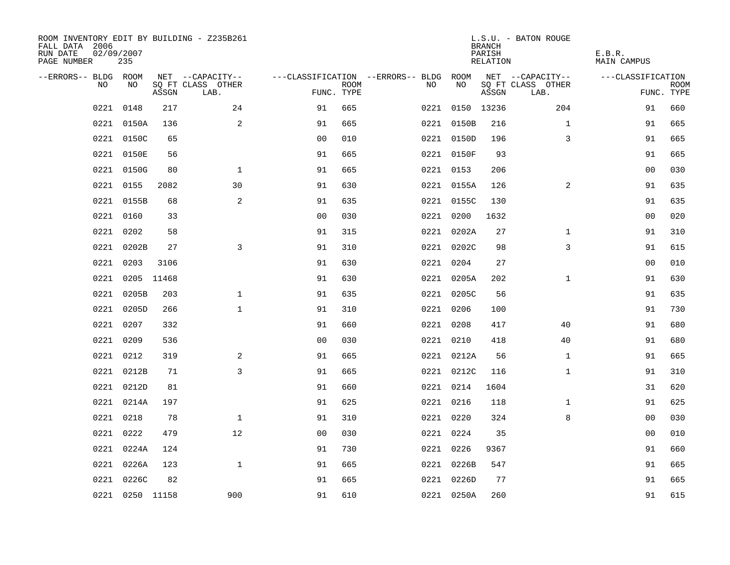| ROOM INVENTORY EDIT BY BUILDING - Z235B261<br>FALL DATA 2006<br>RUN DATE<br>PAGE NUMBER | 02/09/2007<br>235 |       |                           |                |             |                                        |                 | <b>BRANCH</b><br>PARISH<br>RELATION | L.S.U. - BATON ROUGE      | E.B.R.<br><b>MAIN CAMPUS</b> |                           |
|-----------------------------------------------------------------------------------------|-------------------|-------|---------------------------|----------------|-------------|----------------------------------------|-----------------|-------------------------------------|---------------------------|------------------------------|---------------------------|
| --ERRORS-- BLDG ROOM                                                                    |                   |       | NET --CAPACITY--          |                |             | ---CLASSIFICATION --ERRORS-- BLDG ROOM |                 |                                     | NET --CAPACITY--          | ---CLASSIFICATION            |                           |
| NO                                                                                      | NO                | ASSGN | SQ FT CLASS OTHER<br>LAB. | FUNC. TYPE     | <b>ROOM</b> | NO.                                    | NO              | ASSGN                               | SQ FT CLASS OTHER<br>LAB. |                              | <b>ROOM</b><br>FUNC. TYPE |
| 0221                                                                                    | 0148              | 217   | 24                        | 91             | 665         |                                        | 0221 0150 13236 |                                     | 204                       | 91                           | 660                       |
|                                                                                         | 0221 0150A        | 136   | 2                         | 91             | 665         |                                        | 0221 0150B      | 216                                 | $\mathbf{1}$              | 91                           | 665                       |
|                                                                                         | 0221 0150C        | 65    |                           | 0 <sub>0</sub> | 010         |                                        | 0221 0150D      | 196                                 | 3                         | 91                           | 665                       |
|                                                                                         | 0221 0150E        | 56    |                           | 91             | 665         |                                        | 0221 0150F      | 93                                  |                           | 91                           | 665                       |
|                                                                                         | 0221 0150G        | 80    | $\mathbf{1}$              | 91             | 665         |                                        | 0221 0153       | 206                                 |                           | 0 <sub>0</sub>               | 030                       |
|                                                                                         | 0221 0155         | 2082  | 30                        | 91             | 630         |                                        | 0221 0155A      | 126                                 | 2                         | 91                           | 635                       |
|                                                                                         | 0221 0155B        | 68    | 2                         | 91             | 635         |                                        | 0221 0155C      | 130                                 |                           | 91                           | 635                       |
|                                                                                         | 0221 0160         | 33    |                           | 0 <sub>0</sub> | 030         |                                        | 0221 0200       | 1632                                |                           | 0 <sub>0</sub>               | 020                       |
| 0221                                                                                    | 0202              | 58    |                           | 91             | 315         |                                        | 0221 0202A      | 27                                  | $\mathbf{1}$              | 91                           | 310                       |
| 0221                                                                                    | 0202B             | 27    | 3                         | 91             | 310         |                                        | 0221 0202C      | 98                                  | 3                         | 91                           | 615                       |
| 0221                                                                                    | 0203              | 3106  |                           | 91             | 630         |                                        | 0221 0204       | 27                                  |                           | 00                           | 010                       |
|                                                                                         | 0221 0205 11468   |       |                           | 91             | 630         |                                        | 0221 0205A      | 202                                 | $\mathbf{1}$              | 91                           | 630                       |
| 0221                                                                                    | 0205B             | 203   | $\mathbf{1}$              | 91             | 635         |                                        | 0221 0205C      | 56                                  |                           | 91                           | 635                       |
|                                                                                         | 0221 0205D        | 266   | $\mathbf{1}$              | 91             | 310         |                                        | 0221 0206       | 100                                 |                           | 91                           | 730                       |
|                                                                                         | 0221 0207         | 332   |                           | 91             | 660         |                                        | 0221 0208       | 417                                 | 40                        | 91                           | 680                       |
|                                                                                         | 0221 0209         | 536   |                           | 0 <sub>0</sub> | 030         |                                        | 0221 0210       | 418                                 | 40                        | 91                           | 680                       |
| 0221                                                                                    | 0212              | 319   | 2                         | 91             | 665         |                                        | 0221 0212A      | 56                                  | $\mathbf{1}$              | 91                           | 665                       |
| 0221                                                                                    | 0212B             | 71    | 3                         | 91             | 665         |                                        | 0221 0212C      | 116                                 | $\mathbf{1}$              | 91                           | 310                       |
|                                                                                         | 0221 0212D        | 81    |                           | 91             | 660         |                                        | 0221 0214       | 1604                                |                           | 31                           | 620                       |
|                                                                                         | 0221 0214A        | 197   |                           | 91             | 625         |                                        | 0221 0216       | 118                                 | $\mathbf{1}$              | 91                           | 625                       |
|                                                                                         | 0221 0218         | 78    | $\mathbf{1}$              | 91             | 310         |                                        | 0221 0220       | 324                                 | 8                         | 0 <sub>0</sub>               | 030                       |
| 0221                                                                                    | 0222              | 479   | 12                        | 0 <sub>0</sub> | 030         |                                        | 0221 0224       | 35                                  |                           | 00                           | 010                       |
|                                                                                         | 0221 0224A        | 124   |                           | 91             | 730         |                                        | 0221 0226       | 9367                                |                           | 91                           | 660                       |
|                                                                                         | 0221 0226A        | 123   | $\mathbf{1}$              | 91             | 665         |                                        | 0221 0226B      | 547                                 |                           | 91                           | 665                       |
|                                                                                         | 0221 0226C        | 82    |                           | 91             | 665         |                                        | 0221 0226D      | 77                                  |                           | 91                           | 665                       |
|                                                                                         | 0221 0250 11158   |       | 900                       | 91             | 610         |                                        | 0221 0250A      | 260                                 |                           | 91                           | 615                       |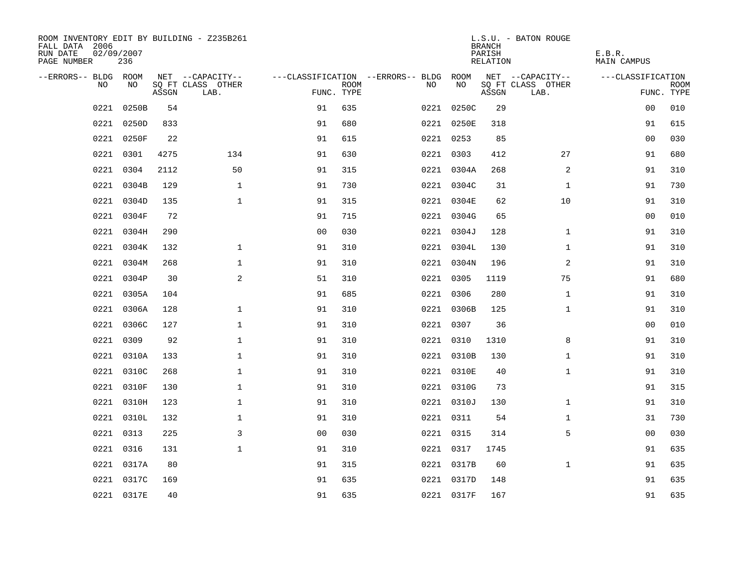| ROOM INVENTORY EDIT BY BUILDING - Z235B261<br>FALL DATA 2006<br>RUN DATE<br>PAGE NUMBER | 02/09/2007<br>236 |       |                           |                |             |                                        |            | <b>BRANCH</b><br>PARISH<br>RELATION | L.S.U. - BATON ROUGE      | E.B.R.<br>MAIN CAMPUS |                           |
|-----------------------------------------------------------------------------------------|-------------------|-------|---------------------------|----------------|-------------|----------------------------------------|------------|-------------------------------------|---------------------------|-----------------------|---------------------------|
| --ERRORS-- BLDG ROOM                                                                    |                   |       | NET --CAPACITY--          |                |             | ---CLASSIFICATION --ERRORS-- BLDG ROOM |            |                                     | NET --CAPACITY--          | ---CLASSIFICATION     |                           |
| NO.                                                                                     | NO.               | ASSGN | SQ FT CLASS OTHER<br>LAB. | FUNC. TYPE     | <b>ROOM</b> | NO.                                    | NO         | ASSGN                               | SQ FT CLASS OTHER<br>LAB. |                       | <b>ROOM</b><br>FUNC. TYPE |
| 0221                                                                                    | 0250B             | 54    |                           | 91             | 635         |                                        | 0221 0250C | 29                                  |                           | 0 <sub>0</sub>        | 010                       |
| 0221                                                                                    | 0250D             | 833   |                           | 91             | 680         |                                        | 0221 0250E | 318                                 |                           | 91                    | 615                       |
|                                                                                         | 0221 0250F        | 22    |                           | 91             | 615         |                                        | 0221 0253  | 85                                  |                           | 0 <sub>0</sub>        | 030                       |
|                                                                                         | 0221 0301         | 4275  | 134                       | 91             | 630         |                                        | 0221 0303  | 412                                 | 27                        | 91                    | 680                       |
| 0221                                                                                    | 0304              | 2112  | 50                        | 91             | 315         |                                        | 0221 0304A | 268                                 | 2                         | 91                    | 310                       |
| 0221                                                                                    | 0304B             | 129   | $\mathbf{1}$              | 91             | 730         |                                        | 0221 0304C | 31                                  | $\mathbf{1}$              | 91                    | 730                       |
|                                                                                         | 0221 0304D        | 135   | $\mathbf{1}$              | 91             | 315         |                                        | 0221 0304E | 62                                  | 10                        | 91                    | 310                       |
| 0221                                                                                    | 0304F             | 72    |                           | 91             | 715         |                                        | 0221 0304G | 65                                  |                           | 00                    | 010                       |
| 0221                                                                                    | 0304H             | 290   |                           | 00             | 030         |                                        | 0221 0304J | 128                                 | $\mathbf{1}$              | 91                    | 310                       |
|                                                                                         | 0221 0304K        | 132   | $\mathbf 1$               | 91             | 310         |                                        | 0221 0304L | 130                                 | $\mathbf{1}$              | 91                    | 310                       |
|                                                                                         | 0221 0304M        | 268   | $\mathbf{1}$              | 91             | 310         |                                        | 0221 0304N | 196                                 | 2                         | 91                    | 310                       |
|                                                                                         | 0221 0304P        | 30    | 2                         | 51             | 310         |                                        | 0221 0305  | 1119                                | 75                        | 91                    | 680                       |
| 0221                                                                                    | 0305A             | 104   |                           | 91             | 685         |                                        | 0221 0306  | 280                                 | $\mathbf{1}$              | 91                    | 310                       |
|                                                                                         | 0221 0306A        | 128   | $\mathbf 1$               | 91             | 310         |                                        | 0221 0306B | 125                                 | $\mathbf{1}$              | 91                    | 310                       |
| 0221                                                                                    | 0306C             | 127   | $\mathbf 1$               | 91             | 310         |                                        | 0221 0307  | 36                                  |                           | 0 <sub>0</sub>        | 010                       |
|                                                                                         | 0221 0309         | 92    | $\mathbf{1}$              | 91             | 310         |                                        | 0221 0310  | 1310                                | 8                         | 91                    | 310                       |
| 0221                                                                                    | 0310A             | 133   | $\mathbf 1$               | 91             | 310         |                                        | 0221 0310B | 130                                 | $\mathbf{1}$              | 91                    | 310                       |
| 0221                                                                                    | 0310C             | 268   | $\mathbf 1$               | 91             | 310         |                                        | 0221 0310E | 40                                  | $\mathbf{1}$              | 91                    | 310                       |
| 0221                                                                                    | 0310F             | 130   | $\mathbf 1$               | 91             | 310         |                                        | 0221 0310G | 73                                  |                           | 91                    | 315                       |
|                                                                                         | 0221 0310H        | 123   | $\mathbf{1}$              | 91             | 310         |                                        | 0221 0310J | 130                                 | $\mathbf{1}$              | 91                    | 310                       |
|                                                                                         | 0221 0310L        | 132   | $\mathbf{1}$              | 91             | 310         |                                        | 0221 0311  | 54                                  | $\mathbf{1}$              | 31                    | 730                       |
| 0221                                                                                    | 0313              | 225   | 3                         | 0 <sub>0</sub> | 030         |                                        | 0221 0315  | 314                                 | 5                         | 00                    | 030                       |
|                                                                                         | 0221 0316         | 131   | $\mathbf{1}$              | 91             | 310         |                                        | 0221 0317  | 1745                                |                           | 91                    | 635                       |
|                                                                                         | 0221 0317A        | 80    |                           | 91             | 315         |                                        | 0221 0317B | 60                                  | $\mathbf{1}$              | 91                    | 635                       |
|                                                                                         | 0221 0317C        | 169   |                           | 91             | 635         |                                        | 0221 0317D | 148                                 |                           | 91                    | 635                       |
|                                                                                         | 0221 0317E        | 40    |                           | 91             | 635         |                                        | 0221 0317F | 167                                 |                           | 91                    | 635                       |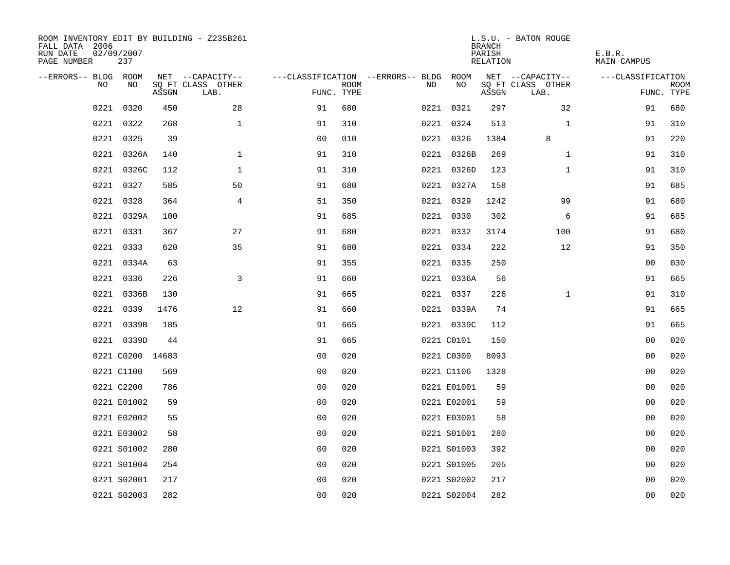| ROOM INVENTORY EDIT BY BUILDING - Z235B261<br>FALL DATA 2006<br>RUN DATE<br>PAGE NUMBER | 02/09/2007<br>237 |       |                           |                |             |                                        |             | <b>BRANCH</b><br>PARISH<br>RELATION | L.S.U. - BATON ROUGE      | E.B.R.<br>MAIN CAMPUS |                           |
|-----------------------------------------------------------------------------------------|-------------------|-------|---------------------------|----------------|-------------|----------------------------------------|-------------|-------------------------------------|---------------------------|-----------------------|---------------------------|
| --ERRORS-- BLDG ROOM                                                                    |                   |       | NET --CAPACITY--          |                |             | ---CLASSIFICATION --ERRORS-- BLDG ROOM |             |                                     | NET --CAPACITY--          | ---CLASSIFICATION     |                           |
| NO                                                                                      | NO                | ASSGN | SQ FT CLASS OTHER<br>LAB. | FUNC. TYPE     | <b>ROOM</b> | NO                                     | NO          | ASSGN                               | SQ FT CLASS OTHER<br>LAB. |                       | <b>ROOM</b><br>FUNC. TYPE |
| 0221                                                                                    | 0320              | 450   | 28                        | 91             | 680         |                                        | 0221 0321   | 297                                 | 32                        | 91                    | 680                       |
| 0221                                                                                    | 0322              | 268   | $\mathbf{1}$              | 91             | 310         |                                        | 0221 0324   | 513                                 | $\mathbf{1}$              | 91                    | 310                       |
|                                                                                         | 0221 0325         | 39    |                           | 0 <sub>0</sub> | 010         |                                        | 0221 0326   | 1384                                | 8                         | 91                    | 220                       |
|                                                                                         | 0221 0326A        | 140   | $\mathbf{1}$              | 91             | 310         |                                        | 0221 0326B  | 269                                 | $\mathbf{1}$              | 91                    | 310                       |
| 0221                                                                                    | 0326C             | 112   | $\mathbf 1$               | 91             | 310         |                                        | 0221 0326D  | 123                                 | $\mathbf{1}$              | 91                    | 310                       |
|                                                                                         | 0221 0327         | 585   | 50                        | 91             | 680         |                                        | 0221 0327A  | 158                                 |                           | 91                    | 685                       |
|                                                                                         | 0221 0328         | 364   | $\overline{4}$            | 51             | 350         |                                        | 0221 0329   | 1242                                | 99                        | 91                    | 680                       |
|                                                                                         | 0221 0329A        | 100   |                           | 91             | 685         |                                        | 0221 0330   | 302                                 | 6                         | 91                    | 685                       |
| 0221                                                                                    | 0331              | 367   | 27                        | 91             | 680         |                                        | 0221 0332   | 3174                                | 100                       | 91                    | 680                       |
|                                                                                         | 0221 0333         | 620   | 35                        | 91             | 680         |                                        | 0221 0334   | 222                                 | 12                        | 91                    | 350                       |
|                                                                                         | 0221 0334A        | 63    |                           | 91             | 355         |                                        | 0221 0335   | 250                                 |                           | 0 <sub>0</sub>        | 030                       |
|                                                                                         | 0221 0336         | 226   | 3                         | 91             | 660         |                                        | 0221 0336A  | 56                                  |                           | 91                    | 665                       |
| 0221                                                                                    | 0336B             | 130   |                           | 91             | 665         |                                        | 0221 0337   | 226                                 | $\mathbf{1}$              | 91                    | 310                       |
|                                                                                         | 0221 0339         | 1476  | 12                        | 91             | 660         |                                        | 0221 0339A  | 74                                  |                           | 91                    | 665                       |
|                                                                                         | 0221 0339B        | 185   |                           | 91             | 665         |                                        | 0221 0339C  | 112                                 |                           | 91                    | 665                       |
|                                                                                         | 0221 0339D        | 44    |                           | 91             | 665         |                                        | 0221 C0101  | 150                                 |                           | 0 <sub>0</sub>        | 020                       |
|                                                                                         | 0221 C0200 14683  |       |                           | 0 <sub>0</sub> | 020         |                                        | 0221 C0300  | 8093                                |                           | 0 <sub>0</sub>        | 020                       |
|                                                                                         | 0221 C1100        | 569   |                           | 0 <sub>0</sub> | 020         |                                        | 0221 C1106  | 1328                                |                           | 00                    | 020                       |
|                                                                                         | 0221 C2200        | 786   |                           | 0 <sub>0</sub> | 020         |                                        | 0221 E01001 | 59                                  |                           | 00                    | 020                       |
|                                                                                         | 0221 E01002       | 59    |                           | 0 <sub>0</sub> | 020         |                                        | 0221 E02001 | 59                                  |                           | 0 <sub>0</sub>        | 020                       |
|                                                                                         | 0221 E02002       | 55    |                           | 0 <sub>0</sub> | 020         |                                        | 0221 E03001 | 58                                  |                           | 00                    | 020                       |
|                                                                                         | 0221 E03002       | 58    |                           | 0 <sub>0</sub> | 020         |                                        | 0221 S01001 | 280                                 |                           | 00                    | 020                       |
|                                                                                         | 0221 S01002       | 280   |                           | 0 <sub>0</sub> | 020         |                                        | 0221 S01003 | 392                                 |                           | 0 <sub>0</sub>        | 020                       |
|                                                                                         | 0221 S01004       | 254   |                           | 0 <sub>0</sub> | 020         |                                        | 0221 S01005 | 205                                 |                           | 0 <sub>0</sub>        | 020                       |
|                                                                                         | 0221 S02001       | 217   |                           | 00             | 020         |                                        | 0221 S02002 | 217                                 |                           | 00                    | 020                       |
|                                                                                         | 0221 S02003       | 282   |                           | 0 <sub>0</sub> | 020         |                                        | 0221 S02004 | 282                                 |                           | 0 <sub>0</sub>        | 020                       |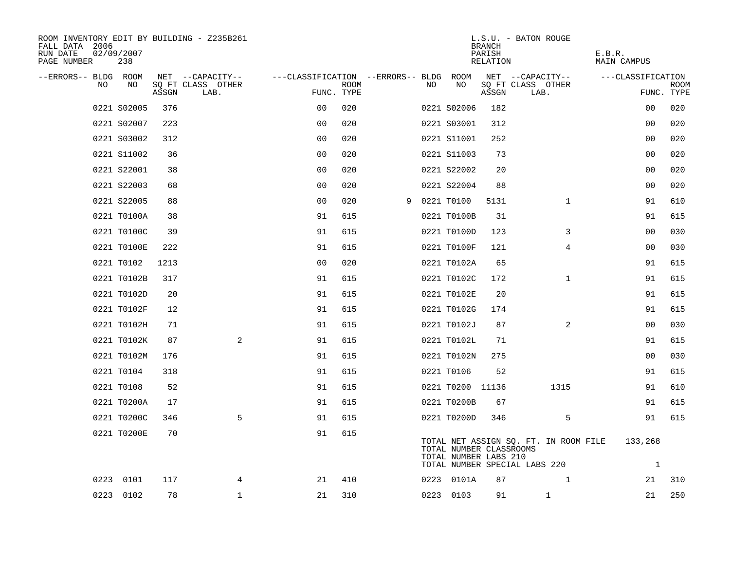| ROOM INVENTORY EDIT BY BUILDING - Z235B261<br>FALL DATA 2006<br>RUN DATE<br>PAGE NUMBER | 02/09/2007<br>238 |       |                           |                                        |             |     |                                                  | <b>BRANCH</b><br>PARISH<br>RELATION | L.S.U. - BATON ROUGE                                                   | E.B.R.<br>MAIN CAMPUS   |      |
|-----------------------------------------------------------------------------------------|-------------------|-------|---------------------------|----------------------------------------|-------------|-----|--------------------------------------------------|-------------------------------------|------------------------------------------------------------------------|-------------------------|------|
| --ERRORS-- BLDG ROOM                                                                    |                   |       | NET --CAPACITY--          | ---CLASSIFICATION --ERRORS-- BLDG ROOM |             |     |                                                  |                                     | NET --CAPACITY--                                                       | ---CLASSIFICATION       |      |
| NO                                                                                      | NO                | ASSGN | SQ FT CLASS OTHER<br>LAB. | FUNC. TYPE                             | <b>ROOM</b> | NO. | NO                                               | ASSGN                               | SQ FT CLASS OTHER<br>LAB.                                              | FUNC. TYPE              | ROOM |
|                                                                                         | 0221 S02005       | 376   |                           | 0 <sub>0</sub>                         | 020         |     | 0221 S02006                                      | 182                                 |                                                                        | 0 <sub>0</sub>          | 020  |
|                                                                                         | 0221 S02007       | 223   |                           | 0 <sub>0</sub>                         | 020         |     | 0221 S03001                                      | 312                                 |                                                                        | 00                      | 020  |
|                                                                                         | 0221 S03002       | 312   |                           | 0 <sub>0</sub>                         | 020         |     | 0221 S11001                                      | 252                                 |                                                                        | 00                      | 020  |
|                                                                                         | 0221 S11002       | 36    |                           | 0 <sub>0</sub>                         | 020         |     | 0221 S11003                                      | 73                                  |                                                                        | 00                      | 020  |
|                                                                                         | 0221 S22001       | 38    |                           | 00                                     | 020         |     | 0221 S22002                                      | 20                                  |                                                                        | 00                      | 020  |
|                                                                                         | 0221 S22003       | 68    |                           | 0 <sub>0</sub>                         | 020         |     | 0221 S22004                                      | 88                                  |                                                                        | 00                      | 020  |
|                                                                                         | 0221 S22005       | 88    |                           | 0 <sub>0</sub>                         | 020         |     | 9 0221 T0100                                     | 5131                                | $\mathbf{1}$                                                           | 91                      | 610  |
|                                                                                         | 0221 T0100A       | 38    |                           | 91                                     | 615         |     | 0221 T0100B                                      | 31                                  |                                                                        | 91                      | 615  |
|                                                                                         | 0221 T0100C       | 39    |                           | 91                                     | 615         |     | 0221 T0100D                                      | 123                                 | 3                                                                      | 00                      | 030  |
|                                                                                         | 0221 T0100E       | 222   |                           | 91                                     | 615         |     | 0221 T0100F                                      | 121                                 | 4                                                                      | 00                      | 030  |
|                                                                                         | 0221 T0102        | 1213  |                           | 0 <sub>0</sub>                         | 020         |     | 0221 T0102A                                      | 65                                  |                                                                        | 91                      | 615  |
|                                                                                         | 0221 T0102B       | 317   |                           | 91                                     | 615         |     | 0221 T0102C                                      | 172                                 | $\mathbf{1}$                                                           | 91                      | 615  |
|                                                                                         | 0221 T0102D       | 20    |                           | 91                                     | 615         |     | 0221 T0102E                                      | 20                                  |                                                                        | 91                      | 615  |
|                                                                                         | 0221 T0102F       | 12    |                           | 91                                     | 615         |     | 0221 T0102G                                      | 174                                 |                                                                        | 91                      | 615  |
|                                                                                         | 0221 T0102H       | 71    |                           | 91                                     | 615         |     | 0221 T0102J                                      | 87                                  | 2                                                                      | 00                      | 030  |
|                                                                                         | 0221 T0102K       | 87    | 2                         | 91                                     | 615         |     | 0221 T0102L                                      | 71                                  |                                                                        | 91                      | 615  |
|                                                                                         | 0221 T0102M       | 176   |                           | 91                                     | 615         |     | 0221 T0102N                                      | 275                                 |                                                                        | 00                      | 030  |
|                                                                                         | 0221 T0104        | 318   |                           | 91                                     | 615         |     | 0221 T0106                                       | 52                                  |                                                                        | 91                      | 615  |
|                                                                                         | 0221 T0108        | 52    |                           | 91                                     | 615         |     | 0221 T0200 11136                                 |                                     | 1315                                                                   | 91                      | 610  |
|                                                                                         | 0221 T0200A       | 17    |                           | 91                                     | 615         |     | 0221 T0200B                                      | 67                                  |                                                                        | 91                      | 615  |
|                                                                                         | 0221 T0200C       | 346   | 5                         | 91                                     | 615         |     | 0221 T0200D                                      | 346                                 | 5                                                                      | 91                      | 615  |
|                                                                                         | 0221 T0200E       | 70    |                           | 91                                     | 615         |     | TOTAL NUMBER CLASSROOMS<br>TOTAL NUMBER LABS 210 |                                     | TOTAL NET ASSIGN SQ. FT. IN ROOM FILE<br>TOTAL NUMBER SPECIAL LABS 220 | 133,268<br>$\mathbf{1}$ |      |
|                                                                                         | 0223 0101         | 117   | 4                         | 21                                     | 410         |     | 0223 0101A                                       | 87                                  | $\mathbf{1}$                                                           | 21                      | 310  |
|                                                                                         | 0223 0102         | 78    | $\mathbf 1$               | 21                                     | 310         |     | 0223 0103                                        | 91                                  | $\mathbf 1$                                                            | 21                      | 250  |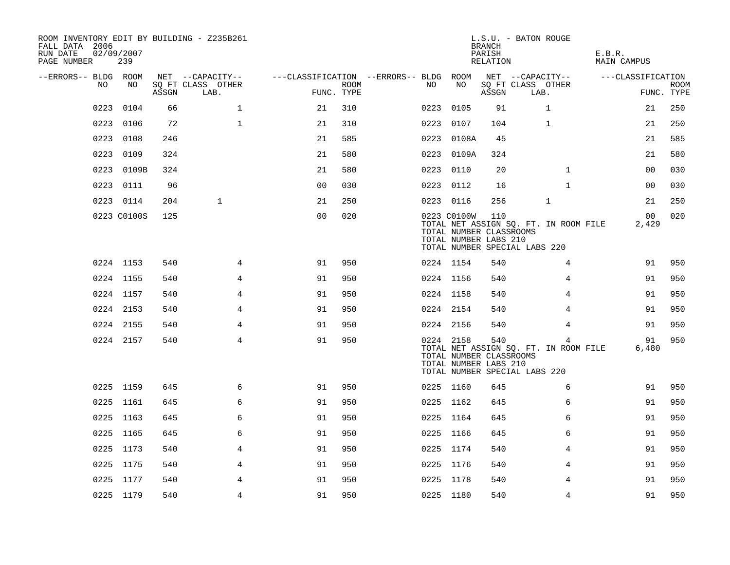| ROOM INVENTORY EDIT BY BUILDING - Z235B261<br>FALL DATA 2006<br>RUN DATE<br>PAGE NUMBER | 02/09/2007<br>239 |       |                           |                                        |             |           |                                                                 | <b>BRANCH</b><br>PARISH<br>RELATION | L.S.U. - BATON ROUGE                                                        | E.B.R.<br><b>MAIN CAMPUS</b> |                           |
|-----------------------------------------------------------------------------------------|-------------------|-------|---------------------------|----------------------------------------|-------------|-----------|-----------------------------------------------------------------|-------------------------------------|-----------------------------------------------------------------------------|------------------------------|---------------------------|
| --ERRORS-- BLDG ROOM<br>NO.                                                             |                   |       | NET --CAPACITY--          | ---CLASSIFICATION --ERRORS-- BLDG ROOM |             |           | NO                                                              |                                     | NET --CAPACITY--                                                            | ---CLASSIFICATION            |                           |
|                                                                                         | NO                | ASSGN | SQ FT CLASS OTHER<br>LAB. | FUNC. TYPE                             | <b>ROOM</b> | NO.       |                                                                 | ASSGN                               | SQ FT CLASS OTHER<br>LAB.                                                   |                              | <b>ROOM</b><br>FUNC. TYPE |
| 0223                                                                                    | 0104              | 66    | $\mathbf{1}$              | 21                                     | 310         | 0223      | 0105                                                            | 91                                  | $\mathbf{1}$                                                                | 21                           | 250                       |
| 0223                                                                                    | 0106              | 72    | $\mathbf 1$               | 21                                     | 310         | 0223      | 0107                                                            | 104                                 | $\mathbf 1$                                                                 | 21                           | 250                       |
| 0223                                                                                    | 0108              | 246   |                           | 21                                     | 585         | 0223      | 0108A                                                           | 45                                  |                                                                             | 21                           | 585                       |
| 0223                                                                                    | 0109              | 324   |                           | 21                                     | 580         |           | 0223 0109A                                                      | 324                                 |                                                                             | 21                           | 580                       |
| 0223                                                                                    | 0109B             | 324   |                           | 21                                     | 580         | 0223 0110 |                                                                 | 20                                  | $\mathbf{1}$                                                                | 00                           | 030                       |
| 0223                                                                                    | 0111              | 96    |                           | 0 <sub>0</sub>                         | 030         | 0223 0112 |                                                                 | 16                                  | $\mathbf{1}$                                                                | 00                           | 030                       |
|                                                                                         | 0223 0114         | 204   | $\mathbf{1}$              | 21                                     | 250         | 0223 0116 |                                                                 | 256                                 | $\mathbf{1}$                                                                | 21                           | 250                       |
|                                                                                         | 0223 C0100S       | 125   |                           | 0 <sub>0</sub>                         | 020         |           | 0223 C0100W<br>TOTAL NUMBER CLASSROOMS<br>TOTAL NUMBER LABS 210 | 110                                 | TOTAL NET ASSIGN SQ. FT. IN ROOM FILE<br>TOTAL NUMBER SPECIAL LABS 220      | 00<br>2,429                  | 020                       |
|                                                                                         | 0224 1153         | 540   | $\overline{4}$            | 91                                     | 950         | 0224 1154 |                                                                 | 540                                 | 4                                                                           | 91                           | 950                       |
|                                                                                         | 0224 1155         | 540   | 4                         | 91                                     | 950         | 0224 1156 |                                                                 | 540                                 | 4                                                                           | 91                           | 950                       |
|                                                                                         | 0224 1157         | 540   | 4                         | 91                                     | 950         | 0224 1158 |                                                                 | 540                                 | 4                                                                           | 91                           | 950                       |
|                                                                                         | 0224 2153         | 540   | $\overline{4}$            | 91                                     | 950         | 0224 2154 |                                                                 | 540                                 | $\overline{4}$                                                              | 91                           | 950                       |
|                                                                                         | 0224 2155         | 540   | 4                         | 91                                     | 950         | 0224 2156 |                                                                 | 540                                 | 4                                                                           | 91                           | 950                       |
|                                                                                         | 0224 2157         | 540   | 4                         | 91                                     | 950         | 0224 2158 | TOTAL NUMBER CLASSROOMS<br>TOTAL NUMBER LABS 210                | 540                                 | 4<br>TOTAL NET ASSIGN SQ. FT. IN ROOM FILE<br>TOTAL NUMBER SPECIAL LABS 220 | 91<br>6,480                  | 950                       |
|                                                                                         | 0225 1159         | 645   | 6                         | 91                                     | 950         | 0225 1160 |                                                                 | 645                                 | 6                                                                           | 91                           | 950                       |
| 0225                                                                                    | 1161              | 645   | 6                         | 91                                     | 950         | 0225 1162 |                                                                 | 645                                 | 6                                                                           | 91                           | 950                       |
|                                                                                         | 0225 1163         | 645   | 6                         | 91                                     | 950         | 0225 1164 |                                                                 | 645                                 | 6                                                                           | 91                           | 950                       |
| 0225                                                                                    | 1165              | 645   | 6                         | 91                                     | 950         | 0225 1166 |                                                                 | 645                                 | 6                                                                           | 91                           | 950                       |
|                                                                                         | 0225 1173         | 540   | 4                         | 91                                     | 950         | 0225 1174 |                                                                 | 540                                 | 4                                                                           | 91                           | 950                       |
|                                                                                         | 0225 1175         | 540   | 4                         | 91                                     | 950         | 0225 1176 |                                                                 | 540                                 | 4                                                                           | 91                           | 950                       |
|                                                                                         | 0225 1177         | 540   | 4                         | 91                                     | 950         | 0225 1178 |                                                                 | 540                                 | 4                                                                           | 91                           | 950                       |
|                                                                                         | 0225 1179         | 540   | 4                         | 91                                     | 950         | 0225 1180 |                                                                 | 540                                 | 4                                                                           | 91                           | 950                       |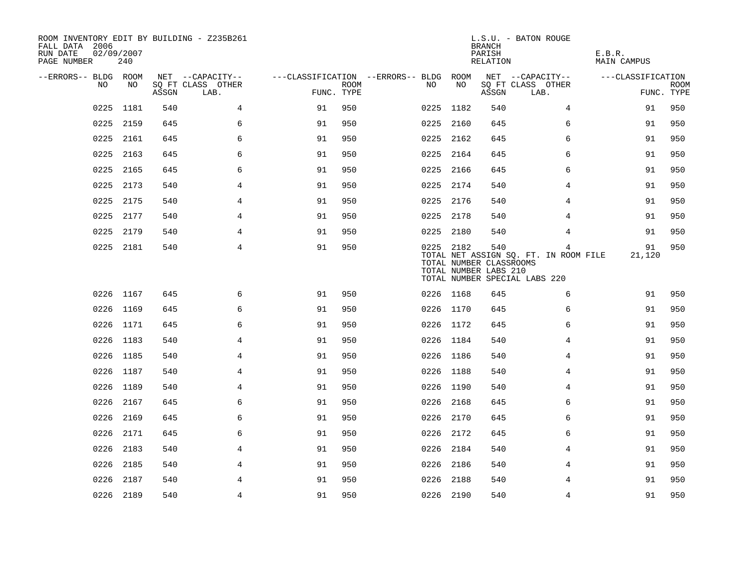| ROOM INVENTORY EDIT BY BUILDING - Z235B261<br>FALL DATA 2006<br>RUN DATE<br>PAGE NUMBER | 02/09/2007<br>240 |       |                           |                                        |             |           |      | <b>BRANCH</b><br>PARISH<br>RELATION                     | L.S.U. - BATON ROUGE                                                        | E.B.R.<br>MAIN CAMPUS |                           |
|-----------------------------------------------------------------------------------------|-------------------|-------|---------------------------|----------------------------------------|-------------|-----------|------|---------------------------------------------------------|-----------------------------------------------------------------------------|-----------------------|---------------------------|
| --ERRORS-- BLDG ROOM                                                                    |                   |       | NET --CAPACITY--          | ---CLASSIFICATION --ERRORS-- BLDG ROOM |             |           |      |                                                         | NET --CAPACITY--                                                            | ---CLASSIFICATION     |                           |
| NO                                                                                      | NO                | ASSGN | SQ FT CLASS OTHER<br>LAB. | FUNC. TYPE                             | <b>ROOM</b> | NO        | NO   | ASSGN                                                   | SQ FT CLASS OTHER<br>LAB.                                                   |                       | <b>ROOM</b><br>FUNC. TYPE |
| 0225                                                                                    | 1181              | 540   | 4                         | 91                                     | 950         | 0225      | 1182 | 540                                                     | 4                                                                           | 91                    | 950                       |
| 0225                                                                                    | 2159              | 645   | 6                         | 91                                     | 950         | 0225      | 2160 | 645                                                     | 6                                                                           | 91                    | 950                       |
| 0225                                                                                    | 2161              | 645   | 6                         | 91                                     | 950         | 0225 2162 |      | 645                                                     | 6                                                                           | 91                    | 950                       |
| 0225                                                                                    | 2163              | 645   | 6                         | 91                                     | 950         | 0225 2164 |      | 645                                                     | 6                                                                           | 91                    | 950                       |
| 0225                                                                                    | 2165              | 645   | 6                         | 91                                     | 950         | 0225 2166 |      | 645                                                     | 6                                                                           | 91                    | 950                       |
| 0225                                                                                    | 2173              | 540   | $\overline{4}$            | 91                                     | 950         | 0225 2174 |      | 540                                                     | 4                                                                           | 91                    | 950                       |
| 0225                                                                                    | 2175              | 540   | 4                         | 91                                     | 950         | 0225 2176 |      | 540                                                     | 4                                                                           | 91                    | 950                       |
| 0225                                                                                    | 2177              | 540   | $\overline{4}$            | 91                                     | 950         | 0225 2178 |      | 540                                                     | 4                                                                           | 91                    | 950                       |
| 0225                                                                                    | 2179              | 540   | $\overline{4}$            | 91                                     | 950         | 0225 2180 |      | 540                                                     | 4                                                                           | 91                    | 950                       |
|                                                                                         | 0225 2181         | 540   | 4                         | 91                                     | 950         | 0225 2182 |      | 540<br>TOTAL NUMBER CLASSROOMS<br>TOTAL NUMBER LABS 210 | 4<br>TOTAL NET ASSIGN SQ. FT. IN ROOM FILE<br>TOTAL NUMBER SPECIAL LABS 220 | 91<br>21,120          | 950                       |
|                                                                                         | 0226 1167         | 645   | 6                         | 91                                     | 950         | 0226 1168 |      | 645                                                     | 6                                                                           | 91                    | 950                       |
|                                                                                         | 0226 1169         | 645   | 6                         | 91                                     | 950         | 0226 1170 |      | 645                                                     | 6                                                                           | 91                    | 950                       |
|                                                                                         | 0226 1171         | 645   | 6                         | 91                                     | 950         | 0226 1172 |      | 645                                                     | 6                                                                           | 91                    | 950                       |
|                                                                                         | 0226 1183         | 540   | 4                         | 91                                     | 950         | 0226 1184 |      | 540                                                     | 4                                                                           | 91                    | 950                       |
|                                                                                         | 0226 1185         | 540   | 4                         | 91                                     | 950         | 0226 1186 |      | 540                                                     | 4                                                                           | 91                    | 950                       |
| 0226                                                                                    | 1187              | 540   | $\overline{4}$            | 91                                     | 950         | 0226 1188 |      | 540                                                     | $\overline{4}$                                                              | 91                    | 950                       |
|                                                                                         | 0226 1189         | 540   | 4                         | 91                                     | 950         | 0226 1190 |      | 540                                                     | 4                                                                           | 91                    | 950                       |
| 0226                                                                                    | 2167              | 645   | 6                         | 91                                     | 950         | 0226 2168 |      | 645                                                     | 6                                                                           | 91                    | 950                       |
| 0226                                                                                    | 2169              | 645   | 6                         | 91                                     | 950         | 0226 2170 |      | 645                                                     | 6                                                                           | 91                    | 950                       |
| 0226                                                                                    | 2171              | 645   | 6                         | 91                                     | 950         | 0226 2172 |      | 645                                                     | 6                                                                           | 91                    | 950                       |
|                                                                                         | 0226 2183         | 540   | 4                         | 91                                     | 950         | 0226 2184 |      | 540                                                     | 4                                                                           | 91                    | 950                       |
| 0226                                                                                    | 2185              | 540   | 4                         | 91                                     | 950         | 0226      | 2186 | 540                                                     | 4                                                                           | 91                    | 950                       |
| 0226                                                                                    | 2187              | 540   | 4                         | 91                                     | 950         | 0226      | 2188 | 540                                                     | 4                                                                           | 91                    | 950                       |
|                                                                                         | 0226 2189         | 540   | 4                         | 91                                     | 950         | 0226 2190 |      | 540                                                     | 4                                                                           | 91                    | 950                       |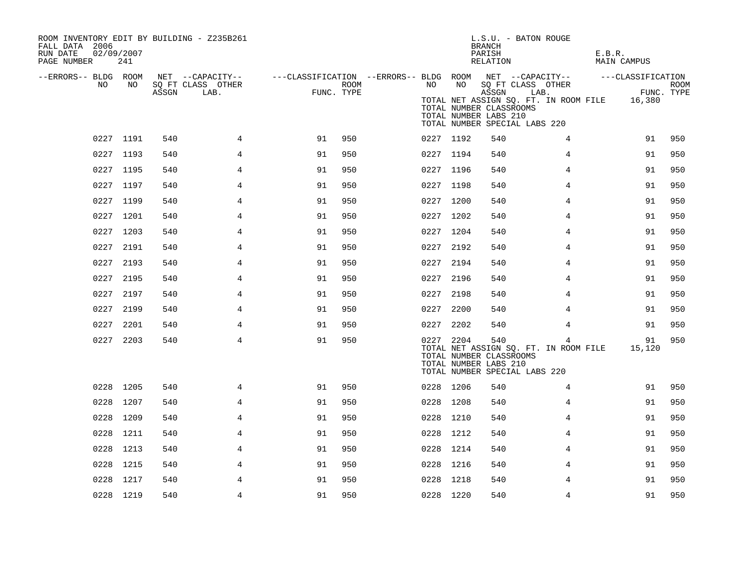| ROOM INVENTORY EDIT BY BUILDING - Z235B261<br>FALL DATA 2006<br>RUN DATE<br>PAGE NUMBER | 02/09/2007<br>241 |       |                                               |                                                                       |      |           |    | <b>BRANCH</b><br>PARISH<br>RELATION                       | L.S.U. - BATON ROUGE                                                                                       | E.B.R.<br>MAIN CAMPUS |                           |
|-----------------------------------------------------------------------------------------|-------------------|-------|-----------------------------------------------|-----------------------------------------------------------------------|------|-----------|----|-----------------------------------------------------------|------------------------------------------------------------------------------------------------------------|-----------------------|---------------------------|
| --ERRORS-- BLDG ROOM<br>NO                                                              | NO                | ASSGN | NET --CAPACITY--<br>SQ FT CLASS OTHER<br>LAB. | ---CLASSIFICATION --ERRORS-- BLDG ROOM NET --CAPACITY--<br>FUNC. TYPE | ROOM | NO        | NO | ASSGN<br>TOTAL NUMBER CLASSROOMS<br>TOTAL NUMBER LABS 210 | SQ FT CLASS OTHER<br>LAB.<br>TOTAL NET ASSIGN SQ. FT. IN ROOM FILE 16,380<br>TOTAL NUMBER SPECIAL LABS 220 | ---CLASSIFICATION     | <b>ROOM</b><br>FUNC. TYPE |
|                                                                                         | 0227 1191         | 540   | $\overline{4}$                                | 91                                                                    | 950  | 0227 1192 |    | 540                                                       | 4                                                                                                          | 91                    | 950                       |
|                                                                                         | 0227 1193         | 540   | 4                                             | 91                                                                    | 950  | 0227 1194 |    | 540                                                       | 4                                                                                                          | 91                    | 950                       |
|                                                                                         | 0227 1195         | 540   | $\overline{4}$                                | 91                                                                    | 950  | 0227 1196 |    | 540                                                       | 4                                                                                                          | 91                    | 950                       |
|                                                                                         | 0227 1197         | 540   | 4                                             | 91                                                                    | 950  | 0227 1198 |    | 540                                                       | 4                                                                                                          | 91                    | 950                       |
|                                                                                         | 0227 1199         | 540   | 4                                             | 91                                                                    | 950  | 0227 1200 |    | 540                                                       | 4                                                                                                          | 91                    | 950                       |
|                                                                                         | 0227 1201         | 540   | 4                                             | 91                                                                    | 950  | 0227 1202 |    | 540                                                       | 4                                                                                                          | 91                    | 950                       |
|                                                                                         | 0227 1203         | 540   | 4                                             | 91                                                                    | 950  | 0227 1204 |    | 540                                                       | 4                                                                                                          | 91                    | 950                       |
|                                                                                         | 0227 2191         | 540   | $\overline{4}$                                | 91                                                                    | 950  | 0227 2192 |    | 540                                                       | 4                                                                                                          | 91                    | 950                       |
|                                                                                         | 0227 2193         | 540   | 4                                             | 91                                                                    | 950  | 0227 2194 |    | 540                                                       | 4                                                                                                          | 91                    | 950                       |
|                                                                                         | 0227 2195         | 540   | 4                                             | 91                                                                    | 950  | 0227 2196 |    | 540                                                       | 4                                                                                                          | 91                    | 950                       |
|                                                                                         | 0227 2197         | 540   | 4                                             | 91                                                                    | 950  | 0227 2198 |    | 540                                                       | 4                                                                                                          | 91                    | 950                       |
|                                                                                         | 0227 2199         | 540   | 4                                             | 91                                                                    | 950  | 0227 2200 |    | 540                                                       | 4                                                                                                          | 91                    | 950                       |
|                                                                                         | 0227 2201         | 540   | 4                                             | 91                                                                    | 950  | 0227 2202 |    | 540                                                       | 4                                                                                                          | 91                    | 950                       |
|                                                                                         | 0227 2203         | 540   | 4                                             | 91                                                                    | 950  | 0227 2204 |    | 540<br>TOTAL NUMBER CLASSROOMS<br>TOTAL NUMBER LABS 210   | 4<br>TOTAL NET ASSIGN SQ. FT. IN ROOM FILE<br>TOTAL NUMBER SPECIAL LABS 220                                | 91<br>15,120          | 950                       |
|                                                                                         | 0228 1205         | 540   | 4                                             | 91                                                                    | 950  | 0228 1206 |    | 540                                                       | 4                                                                                                          | 91                    | 950                       |
|                                                                                         | 0228 1207         | 540   | 4                                             | 91                                                                    | 950  | 0228 1208 |    | 540                                                       | 4                                                                                                          | 91                    | 950                       |
|                                                                                         | 0228 1209         | 540   | 4                                             | 91                                                                    | 950  | 0228 1210 |    | 540                                                       | 4                                                                                                          | 91                    | 950                       |
| 0228                                                                                    | 1211              | 540   | 4                                             | 91                                                                    | 950  | 0228 1212 |    | 540                                                       | 4                                                                                                          | 91                    | 950                       |
| 0228                                                                                    | 1213              | 540   | 4                                             | 91                                                                    | 950  | 0228 1214 |    | 540                                                       | 4                                                                                                          | 91                    | 950                       |
|                                                                                         | 0228 1215         | 540   | 4                                             | 91                                                                    | 950  | 0228 1216 |    | 540                                                       | 4                                                                                                          | 91                    | 950                       |
| 0228                                                                                    | 1217              | 540   | $\overline{4}$                                | 91                                                                    | 950  | 0228 1218 |    | 540                                                       | 4                                                                                                          | 91                    | 950                       |
|                                                                                         | 0228 1219         | 540   | 4                                             | 91                                                                    | 950  | 0228 1220 |    | 540                                                       | 4                                                                                                          | 91                    | 950                       |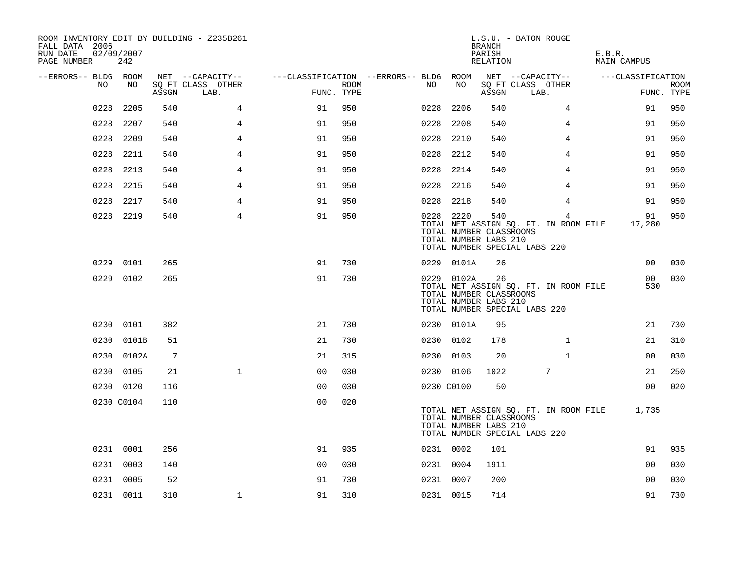| ROOM INVENTORY EDIT BY BUILDING - Z235B261<br>FALL DATA 2006<br>RUN DATE<br>PAGE NUMBER | 02/09/2007<br>242 |       |                           |                |                    |                                        |            | <b>BRANCH</b><br>PARISH<br>RELATION                     | L.S.U. - BATON ROUGE                                                        | E.B.R.<br><b>MAIN CAMPUS</b> |                           |
|-----------------------------------------------------------------------------------------|-------------------|-------|---------------------------|----------------|--------------------|----------------------------------------|------------|---------------------------------------------------------|-----------------------------------------------------------------------------|------------------------------|---------------------------|
| --ERRORS-- BLDG ROOM                                                                    |                   |       | NET --CAPACITY--          |                |                    | ---CLASSIFICATION --ERRORS-- BLDG ROOM |            |                                                         | NET --CAPACITY--                                                            | ---CLASSIFICATION            |                           |
| NO.                                                                                     | NO                | ASSGN | SQ FT CLASS OTHER<br>LAB. |                | ROOM<br>FUNC. TYPE | NO                                     | NO         | ASSGN                                                   | SQ FT CLASS OTHER<br>LAB.                                                   |                              | <b>ROOM</b><br>FUNC. TYPE |
| 0228                                                                                    | 2205              | 540   | 4                         | 91             | 950                | 0228                                   | 2206       | 540                                                     | 4                                                                           | 91                           | 950                       |
| 0228                                                                                    | 2207              | 540   | 4                         | 91             | 950                | 0228                                   | 2208       | 540                                                     | 4                                                                           | 91                           | 950                       |
| 0228                                                                                    | 2209              | 540   | $\overline{4}$            | 91             | 950                | 0228                                   | 2210       | 540                                                     | 4                                                                           | 91                           | 950                       |
| 0228                                                                                    | 2211              | 540   | $\overline{4}$            | 91             | 950                |                                        | 0228 2212  | 540                                                     | 4                                                                           | 91                           | 950                       |
| 0228                                                                                    | 2213              | 540   | 4                         | 91             | 950                |                                        | 0228 2214  | 540                                                     | 4                                                                           | 91                           | 950                       |
| 0228                                                                                    | 2215              | 540   | 4                         | 91             | 950                |                                        | 0228 2216  | 540                                                     | 4                                                                           | 91                           | 950                       |
| 0228                                                                                    | 2217              | 540   | 4                         | 91             | 950                |                                        | 0228 2218  | 540                                                     | 4                                                                           | 91                           | 950                       |
|                                                                                         | 0228 2219         | 540   | 4                         | 91             | 950                |                                        | 0228 2220  | 540<br>TOTAL NUMBER CLASSROOMS<br>TOTAL NUMBER LABS 210 | 4<br>TOTAL NET ASSIGN SQ. FT. IN ROOM FILE<br>TOTAL NUMBER SPECIAL LABS 220 | 91<br>17,280                 | 950                       |
|                                                                                         | 0229 0101         | 265   |                           | 91             | 730                |                                        | 0229 0101A | 26                                                      |                                                                             | 0 <sub>0</sub>               | 030                       |
|                                                                                         | 0229 0102         | 265   |                           | 91             | 730                |                                        | 0229 0102A | 26<br>TOTAL NUMBER CLASSROOMS<br>TOTAL NUMBER LABS 210  | TOTAL NET ASSIGN SQ. FT. IN ROOM FILE<br>TOTAL NUMBER SPECIAL LABS 220      | 00<br>530                    | 030                       |
|                                                                                         | 0230 0101         | 382   |                           | 21             | 730                |                                        | 0230 0101A | 95                                                      |                                                                             | 21                           | 730                       |
|                                                                                         | 0230 0101B        | 51    |                           | 21             | 730                |                                        | 0230 0102  | 178                                                     | $\mathbf{1}$                                                                | 21                           | 310                       |
|                                                                                         | 0230 0102A        | 7     |                           | 21             | 315                |                                        | 0230 0103  | 20                                                      | $\mathbf{1}$                                                                | 00                           | 030                       |
|                                                                                         | 0230 0105         | 21    | $\mathbf{1}$              | 0 <sub>0</sub> | 030                |                                        | 0230 0106  | 1022                                                    | 7                                                                           | 21                           | 250                       |
|                                                                                         | 0230 0120         | 116   |                           | 0 <sub>0</sub> | 030                |                                        | 0230 C0100 | 50                                                      |                                                                             | 0 <sub>0</sub>               | 020                       |
|                                                                                         | 0230 C0104        | 110   |                           | 0 <sub>0</sub> | 020                |                                        |            | TOTAL NUMBER CLASSROOMS<br>TOTAL NUMBER LABS 210        | TOTAL NET ASSIGN SQ. FT. IN ROOM FILE<br>TOTAL NUMBER SPECIAL LABS 220      | 1,735                        |                           |
|                                                                                         | 0231 0001         | 256   |                           | 91             | 935                |                                        | 0231 0002  | 101                                                     |                                                                             | 91                           | 935                       |
|                                                                                         | 0231 0003         | 140   |                           | 0 <sub>0</sub> | 030                |                                        | 0231 0004  | 1911                                                    |                                                                             | 0 <sub>0</sub>               | 030                       |
|                                                                                         | 0231 0005         | 52    |                           | 91             | 730                |                                        | 0231 0007  | 200                                                     |                                                                             | 0 <sub>0</sub>               | 030                       |
|                                                                                         | 0231 0011         | 310   | $\mathbf 1$               | 91             | 310                |                                        | 0231 0015  | 714                                                     |                                                                             | 91                           | 730                       |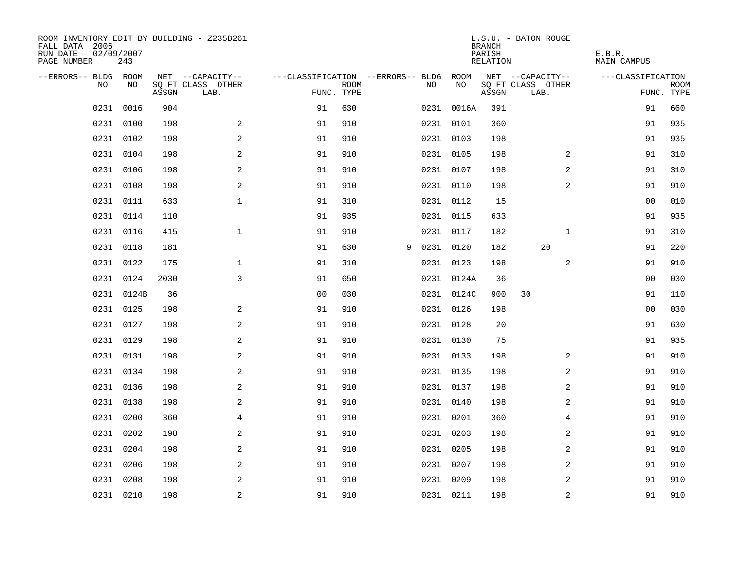| ROOM INVENTORY EDIT BY BUILDING - Z235B261<br>FALL DATA 2006<br>RUN DATE<br>PAGE NUMBER | 02/09/2007<br>243 |       |                           |                                   |             |   |           |            | <b>BRANCH</b><br>PARISH<br>RELATION | L.S.U. - BATON ROUGE      | E.B.R.<br><b>MAIN CAMPUS</b> |                           |
|-----------------------------------------------------------------------------------------|-------------------|-------|---------------------------|-----------------------------------|-------------|---|-----------|------------|-------------------------------------|---------------------------|------------------------------|---------------------------|
| --ERRORS-- BLDG ROOM                                                                    |                   |       | NET --CAPACITY--          | ---CLASSIFICATION --ERRORS-- BLDG |             |   |           | ROOM       |                                     | NET --CAPACITY--          | ---CLASSIFICATION            |                           |
| NO.                                                                                     | NO.               | ASSGN | SO FT CLASS OTHER<br>LAB. | FUNC. TYPE                        | <b>ROOM</b> |   | NO.       | NO         | ASSGN                               | SQ FT CLASS OTHER<br>LAB. |                              | <b>ROOM</b><br>FUNC. TYPE |
| 0231                                                                                    | 0016              | 904   |                           | 91                                | 630         |   |           | 0231 0016A | 391                                 |                           | 91                           | 660                       |
|                                                                                         | 0231 0100         | 198   | 2                         | 91                                | 910         |   |           | 0231 0101  | 360                                 |                           | 91                           | 935                       |
|                                                                                         | 0231 0102         | 198   | 2                         | 91                                | 910         |   |           | 0231 0103  | 198                                 |                           | 91                           | 935                       |
|                                                                                         | 0231 0104         | 198   | $\mathbf{2}$              | 91                                | 910         |   |           | 0231 0105  | 198                                 | 2                         | 91                           | 310                       |
| 0231                                                                                    | 0106              | 198   | $\mathbf{2}$              | 91                                | 910         |   |           | 0231 0107  | 198                                 | 2                         | 91                           | 310                       |
|                                                                                         | 0231 0108         | 198   | $\mathbf{2}$              | 91                                | 910         |   |           | 0231 0110  | 198                                 | 2                         | 91                           | 910                       |
|                                                                                         | 0231 0111         | 633   | $\mathbf{1}$              | 91                                | 310         |   |           | 0231 0112  | 15                                  |                           | 00                           | 010                       |
|                                                                                         | 0231 0114         | 110   |                           | 91                                | 935         |   |           | 0231 0115  | 633                                 |                           | 91                           | 935                       |
| 0231                                                                                    | 0116              | 415   | $\mathbf 1$               | 91                                | 910         |   |           | 0231 0117  | 182                                 | $\mathbf{1}$              | 91                           | 310                       |
|                                                                                         | 0231 0118         | 181   |                           | 91                                | 630         | 9 | 0231 0120 |            | 182                                 | 20                        | 91                           | 220                       |
|                                                                                         | 0231 0122         | 175   | $\mathbf 1$               | 91                                | 310         |   |           | 0231 0123  | 198                                 | 2                         | 91                           | 910                       |
|                                                                                         | 0231 0124         | 2030  | 3                         | 91                                | 650         |   |           | 0231 0124A | 36                                  |                           | 00                           | 030                       |
|                                                                                         | 0231 0124B        | 36    |                           | 0 <sub>0</sub>                    | 030         |   |           | 0231 0124C | 900                                 | 30                        | 91                           | 110                       |
|                                                                                         | 0231 0125         | 198   | 2                         | 91                                | 910         |   |           | 0231 0126  | 198                                 |                           | 0 <sub>0</sub>               | 030                       |
|                                                                                         | 0231 0127         | 198   | 2                         | 91                                | 910         |   |           | 0231 0128  | 20                                  |                           | 91                           | 630                       |
|                                                                                         | 0231 0129         | 198   | 2                         | 91                                | 910         |   |           | 0231 0130  | 75                                  |                           | 91                           | 935                       |
|                                                                                         | 0231 0131         | 198   | 2                         | 91                                | 910         |   |           | 0231 0133  | 198                                 | 2                         | 91                           | 910                       |
|                                                                                         | 0231 0134         | 198   | 2                         | 91                                | 910         |   |           | 0231 0135  | 198                                 | 2                         | 91                           | 910                       |
|                                                                                         | 0231 0136         | 198   | 2                         | 91                                | 910         |   |           | 0231 0137  | 198                                 | $\overline{2}$            | 91                           | 910                       |
|                                                                                         | 0231 0138         | 198   | 2                         | 91                                | 910         |   |           | 0231 0140  | 198                                 | 2                         | 91                           | 910                       |
|                                                                                         | 0231 0200         | 360   | 4                         | 91                                | 910         |   |           | 0231 0201  | 360                                 | 4                         | 91                           | 910                       |
| 0231                                                                                    | 0202              | 198   | $\sqrt{2}$                | 91                                | 910         |   |           | 0231 0203  | 198                                 | 2                         | 91                           | 910                       |
| 0231                                                                                    | 0204              | 198   | $\sqrt{2}$                | 91                                | 910         |   |           | 0231 0205  | 198                                 | 2                         | 91                           | 910                       |
| 0231                                                                                    | 0206              | 198   | 2                         | 91                                | 910         |   |           | 0231 0207  | 198                                 | 2                         | 91                           | 910                       |
|                                                                                         | 0231 0208         | 198   | 2                         | 91                                | 910         |   |           | 0231 0209  | 198                                 | 2                         | 91                           | 910                       |
|                                                                                         | 0231 0210         | 198   | $\overline{a}$            | 91                                | 910         |   |           | 0231 0211  | 198                                 | $\overline{a}$            | 91                           | 910                       |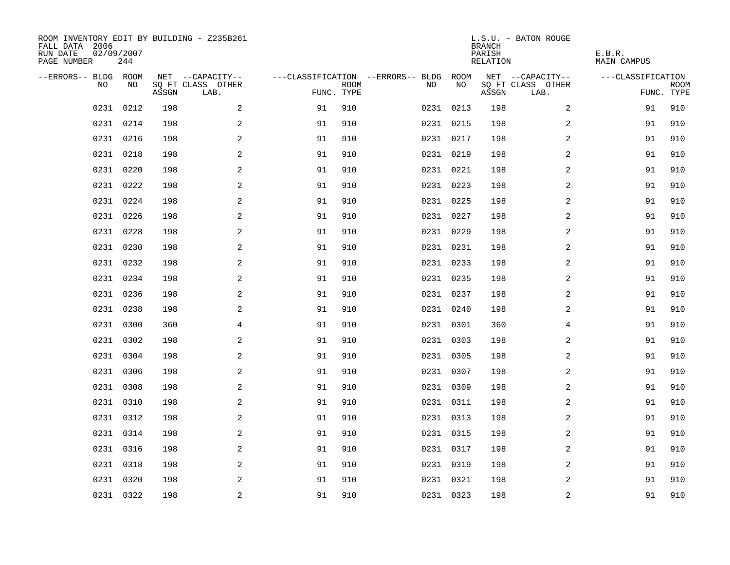| ROOM INVENTORY EDIT BY BUILDING - Z235B261<br>FALL DATA 2006<br>RUN DATE<br>PAGE NUMBER | 02/09/2007<br>244 |       |                           |            |             |                                   |           | <b>BRANCH</b><br>PARISH<br>RELATION | L.S.U. - BATON ROUGE      | E.B.R.<br><b>MAIN CAMPUS</b> |                           |
|-----------------------------------------------------------------------------------------|-------------------|-------|---------------------------|------------|-------------|-----------------------------------|-----------|-------------------------------------|---------------------------|------------------------------|---------------------------|
| --ERRORS-- BLDG ROOM                                                                    |                   |       | NET --CAPACITY--          |            |             | ---CLASSIFICATION --ERRORS-- BLDG | ROOM      |                                     | NET --CAPACITY--          | ---CLASSIFICATION            |                           |
| N <sub>O</sub>                                                                          | NO.               | ASSGN | SO FT CLASS OTHER<br>LAB. | FUNC. TYPE | <b>ROOM</b> | NO.                               | NO        | ASSGN                               | SQ FT CLASS OTHER<br>LAB. |                              | <b>ROOM</b><br>FUNC. TYPE |
| 0231                                                                                    | 0212              | 198   | 2                         | 91         | 910         |                                   | 0231 0213 | 198                                 | $\overline{a}$            | 91                           | 910                       |
|                                                                                         | 0231 0214         | 198   | 2                         | 91         | 910         |                                   | 0231 0215 | 198                                 | 2                         | 91                           | 910                       |
|                                                                                         | 0231 0216         | 198   | 2                         | 91         | 910         |                                   | 0231 0217 | 198                                 | 2                         | 91                           | 910                       |
|                                                                                         | 0231 0218         | 198   | 2                         | 91         | 910         |                                   | 0231 0219 | 198                                 | 2                         | 91                           | 910                       |
| 0231                                                                                    | 0220              | 198   | 2                         | 91         | 910         |                                   | 0231 0221 | 198                                 | 2                         | 91                           | 910                       |
|                                                                                         | 0231 0222         | 198   | 2                         | 91         | 910         |                                   | 0231 0223 | 198                                 | 2                         | 91                           | 910                       |
|                                                                                         | 0231 0224         | 198   | $\mathbf{2}$              | 91         | 910         |                                   | 0231 0225 | 198                                 | $\overline{a}$            | 91                           | 910                       |
|                                                                                         | 0231 0226         | 198   | 2                         | 91         | 910         |                                   | 0231 0227 | 198                                 | $\overline{a}$            | 91                           | 910                       |
|                                                                                         | 0231 0228         | 198   | 2                         | 91         | 910         |                                   | 0231 0229 | 198                                 | 2                         | 91                           | 910                       |
|                                                                                         | 0231 0230         | 198   | 2                         | 91         | 910         |                                   | 0231 0231 | 198                                 | 2                         | 91                           | 910                       |
|                                                                                         | 0231 0232         | 198   | 2                         | 91         | 910         |                                   | 0231 0233 | 198                                 | 2                         | 91                           | 910                       |
|                                                                                         | 0231 0234         | 198   | 2                         | 91         | 910         |                                   | 0231 0235 | 198                                 | 2                         | 91                           | 910                       |
|                                                                                         | 0231 0236         | 198   | 2                         | 91         | 910         |                                   | 0231 0237 | 198                                 | 2                         | 91                           | 910                       |
|                                                                                         | 0231 0238         | 198   | 2                         | 91         | 910         |                                   | 0231 0240 | 198                                 | $\overline{a}$            | 91                           | 910                       |
| 0231                                                                                    | 0300              | 360   | 4                         | 91         | 910         |                                   | 0231 0301 | 360                                 | 4                         | 91                           | 910                       |
|                                                                                         | 0231 0302         | 198   | 2                         | 91         | 910         |                                   | 0231 0303 | 198                                 | 2                         | 91                           | 910                       |
| 0231                                                                                    | 0304              | 198   | 2                         | 91         | 910         |                                   | 0231 0305 | 198                                 | 2                         | 91                           | 910                       |
| 0231                                                                                    | 0306              | 198   | 2                         | 91         | 910         |                                   | 0231 0307 | 198                                 | 2                         | 91                           | 910                       |
| 0231                                                                                    | 0308              | 198   | 2                         | 91         | 910         |                                   | 0231 0309 | 198                                 | 2                         | 91                           | 910                       |
|                                                                                         | 0231 0310         | 198   | 2                         | 91         | 910         |                                   | 0231 0311 | 198                                 | 2                         | 91                           | 910                       |
|                                                                                         | 0231 0312         | 198   | 2                         | 91         | 910         |                                   | 0231 0313 | 198                                 | 2                         | 91                           | 910                       |
| 0231                                                                                    | 0314              | 198   | 2                         | 91         | 910         |                                   | 0231 0315 | 198                                 | 2                         | 91                           | 910                       |
|                                                                                         | 0231 0316         | 198   | 2                         | 91         | 910         |                                   | 0231 0317 | 198                                 | 2                         | 91                           | 910                       |
|                                                                                         | 0231 0318         | 198   | 2                         | 91         | 910         |                                   | 0231 0319 | 198                                 | 2                         | 91                           | 910                       |
|                                                                                         | 0231 0320         | 198   | 2                         | 91         | 910         |                                   | 0231 0321 | 198                                 | 2                         | 91                           | 910                       |
|                                                                                         | 0231 0322         | 198   | $\overline{c}$            | 91         | 910         |                                   | 0231 0323 | 198                                 | $\mathbf 2$               | 91                           | 910                       |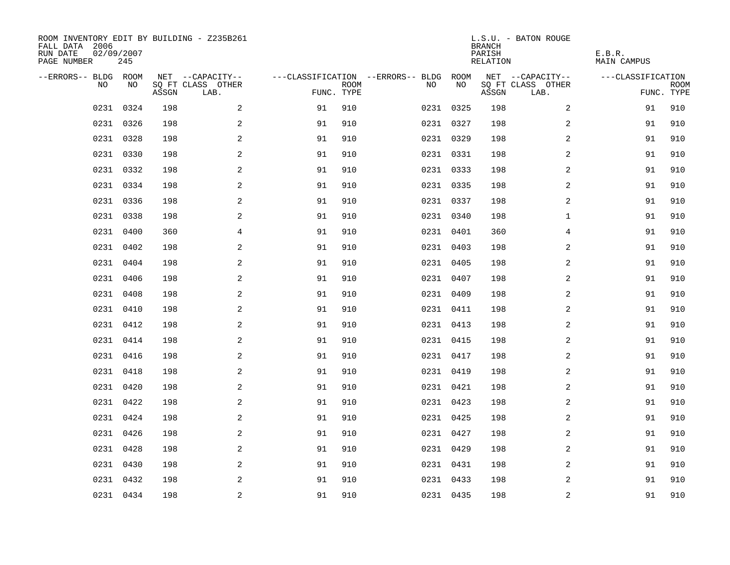| ROOM INVENTORY EDIT BY BUILDING - Z235B261<br>FALL DATA 2006<br>RUN DATE<br>PAGE NUMBER | 02/09/2007<br>245 |       |                           |            |             |                                        |           | <b>BRANCH</b><br>PARISH<br><b>RELATION</b> | L.S.U. - BATON ROUGE      | E.B.R.<br><b>MAIN CAMPUS</b> |                           |
|-----------------------------------------------------------------------------------------|-------------------|-------|---------------------------|------------|-------------|----------------------------------------|-----------|--------------------------------------------|---------------------------|------------------------------|---------------------------|
| --ERRORS-- BLDG ROOM                                                                    |                   |       | NET --CAPACITY--          |            |             | ---CLASSIFICATION --ERRORS-- BLDG ROOM |           |                                            | NET --CAPACITY--          | ---CLASSIFICATION            |                           |
| NO                                                                                      | NO                | ASSGN | SQ FT CLASS OTHER<br>LAB. | FUNC. TYPE | <b>ROOM</b> | NO                                     | NO        | ASSGN                                      | SQ FT CLASS OTHER<br>LAB. |                              | <b>ROOM</b><br>FUNC. TYPE |
| 0231                                                                                    | 0324              | 198   | 2                         | 91         | 910         |                                        | 0231 0325 | 198                                        | 2                         | 91                           | 910                       |
|                                                                                         | 0231 0326         | 198   | 2                         | 91         | 910         |                                        | 0231 0327 | 198                                        | 2                         | 91                           | 910                       |
|                                                                                         | 0231 0328         | 198   | 2                         | 91         | 910         |                                        | 0231 0329 | 198                                        | 2                         | 91                           | 910                       |
|                                                                                         | 0231 0330         | 198   | 2                         | 91         | 910         |                                        | 0231 0331 | 198                                        | 2                         | 91                           | 910                       |
| 0231                                                                                    | 0332              | 198   | 2                         | 91         | 910         |                                        | 0231 0333 | 198                                        | $\overline{a}$            | 91                           | 910                       |
|                                                                                         | 0231 0334         | 198   | 2                         | 91         | 910         |                                        | 0231 0335 | 198                                        | $\overline{a}$            | 91                           | 910                       |
|                                                                                         | 0231 0336         | 198   | $\mathbf{2}$              | 91         | 910         |                                        | 0231 0337 | 198                                        | $\overline{a}$            | 91                           | 910                       |
|                                                                                         | 0231 0338         | 198   | 2                         | 91         | 910         |                                        | 0231 0340 | 198                                        | $\mathbf{1}$              | 91                           | 910                       |
|                                                                                         | 0231 0400         | 360   | 4                         | 91         | 910         |                                        | 0231 0401 | 360                                        | 4                         | 91                           | 910                       |
|                                                                                         | 0231 0402         | 198   | 2                         | 91         | 910         |                                        | 0231 0403 | 198                                        | 2                         | 91                           | 910                       |
|                                                                                         | 0231 0404         | 198   | 2                         | 91         | 910         |                                        | 0231 0405 | 198                                        | 2                         | 91                           | 910                       |
|                                                                                         | 0231 0406         | 198   | 2                         | 91         | 910         |                                        | 0231 0407 | 198                                        | 2                         | 91                           | 910                       |
| 0231                                                                                    | 0408              | 198   | 2                         | 91         | 910         |                                        | 0231 0409 | 198                                        | 2                         | 91                           | 910                       |
|                                                                                         | 0231 0410         | 198   | $\mathbf{2}$              | 91         | 910         |                                        | 0231 0411 | 198                                        | 2                         | 91                           | 910                       |
| 0231                                                                                    | 0412              | 198   | 2                         | 91         | 910         |                                        | 0231 0413 | 198                                        | 2                         | 91                           | 910                       |
|                                                                                         | 0231 0414         | 198   | 2                         | 91         | 910         |                                        | 0231 0415 | 198                                        | 2                         | 91                           | 910                       |
| 0231                                                                                    | 0416              | 198   | 2                         | 91         | 910         |                                        | 0231 0417 | 198                                        | 2                         | 91                           | 910                       |
| 0231                                                                                    | 0418              | 198   | 2                         | 91         | 910         |                                        | 0231 0419 | 198                                        | $\overline{a}$            | 91                           | 910                       |
|                                                                                         | 0231 0420         | 198   | 2                         | 91         | 910         |                                        | 0231 0421 | 198                                        | 2                         | 91                           | 910                       |
|                                                                                         | 0231 0422         | 198   | $\overline{a}$            | 91         | 910         |                                        | 0231 0423 | 198                                        | 2                         | 91                           | 910                       |
|                                                                                         | 0231 0424         | 198   | 2                         | 91         | 910         |                                        | 0231 0425 | 198                                        | 2                         | 91                           | 910                       |
|                                                                                         | 0231 0426         | 198   | 2                         | 91         | 910         |                                        | 0231 0427 | 198                                        | 2                         | 91                           | 910                       |
|                                                                                         | 0231 0428         | 198   | 2                         | 91         | 910         |                                        | 0231 0429 | 198                                        | 2                         | 91                           | 910                       |
|                                                                                         | 0231 0430         | 198   | 2                         | 91         | 910         |                                        | 0231 0431 | 198                                        | 2                         | 91                           | 910                       |
|                                                                                         | 0231 0432         | 198   | 2                         | 91         | 910         |                                        | 0231 0433 | 198                                        | 2                         | 91                           | 910                       |
|                                                                                         | 0231 0434         | 198   | $\overline{c}$            | 91         | 910         |                                        | 0231 0435 | 198                                        | $\overline{\mathbf{c}}$   | 91                           | 910                       |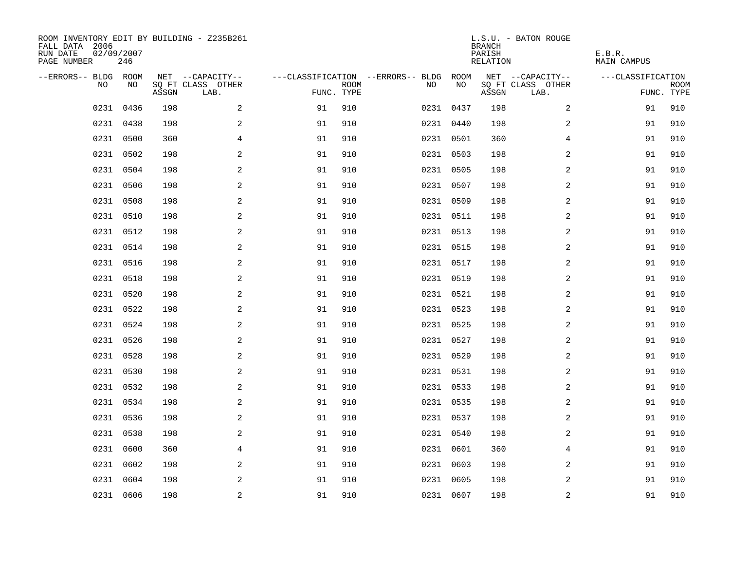| ROOM INVENTORY EDIT BY BUILDING - Z235B261<br>FALL DATA 2006<br>RUN DATE<br>PAGE NUMBER | 02/09/2007<br>246 |       |                           |            |             |                                        |           | <b>BRANCH</b><br>PARISH<br><b>RELATION</b> | L.S.U. - BATON ROUGE      | E.B.R.<br><b>MAIN CAMPUS</b> |                           |
|-----------------------------------------------------------------------------------------|-------------------|-------|---------------------------|------------|-------------|----------------------------------------|-----------|--------------------------------------------|---------------------------|------------------------------|---------------------------|
| --ERRORS-- BLDG ROOM                                                                    |                   |       | NET --CAPACITY--          |            |             | ---CLASSIFICATION --ERRORS-- BLDG ROOM |           |                                            | NET --CAPACITY--          | ---CLASSIFICATION            |                           |
| NO                                                                                      | NO                | ASSGN | SQ FT CLASS OTHER<br>LAB. | FUNC. TYPE | <b>ROOM</b> | NO                                     | NO        | ASSGN                                      | SQ FT CLASS OTHER<br>LAB. |                              | <b>ROOM</b><br>FUNC. TYPE |
| 0231                                                                                    | 0436              | 198   | 2                         | 91         | 910         |                                        | 0231 0437 | 198                                        | 2                         | 91                           | 910                       |
|                                                                                         | 0231 0438         | 198   | 2                         | 91         | 910         |                                        | 0231 0440 | 198                                        | 2                         | 91                           | 910                       |
|                                                                                         | 0231 0500         | 360   | 4                         | 91         | 910         |                                        | 0231 0501 | 360                                        | 4                         | 91                           | 910                       |
|                                                                                         | 0231 0502         | 198   | 2                         | 91         | 910         |                                        | 0231 0503 | 198                                        | 2                         | 91                           | 910                       |
| 0231                                                                                    | 0504              | 198   | 2                         | 91         | 910         |                                        | 0231 0505 | 198                                        | $\overline{a}$            | 91                           | 910                       |
|                                                                                         | 0231 0506         | 198   | 2                         | 91         | 910         |                                        | 0231 0507 | 198                                        | $\overline{a}$            | 91                           | 910                       |
|                                                                                         | 0231 0508         | 198   | $\mathbf{2}$              | 91         | 910         |                                        | 0231 0509 | 198                                        | 2                         | 91                           | 910                       |
|                                                                                         | 0231 0510         | 198   | 2                         | 91         | 910         |                                        | 0231 0511 | 198                                        | 2                         | 91                           | 910                       |
|                                                                                         | 0231 0512         | 198   | 2                         | 91         | 910         |                                        | 0231 0513 | 198                                        | 2                         | 91                           | 910                       |
|                                                                                         | 0231 0514         | 198   | 2                         | 91         | 910         |                                        | 0231 0515 | 198                                        | 2                         | 91                           | 910                       |
|                                                                                         | 0231 0516         | 198   | 2                         | 91         | 910         |                                        | 0231 0517 | 198                                        | 2                         | 91                           | 910                       |
|                                                                                         | 0231 0518         | 198   | 2                         | 91         | 910         |                                        | 0231 0519 | 198                                        | 2                         | 91                           | 910                       |
| 0231                                                                                    | 0520              | 198   | 2                         | 91         | 910         |                                        | 0231 0521 | 198                                        | 2                         | 91                           | 910                       |
|                                                                                         | 0231 0522         | 198   | $\mathbf{2}$              | 91         | 910         |                                        | 0231 0523 | 198                                        | 2                         | 91                           | 910                       |
| 0231                                                                                    | 0524              | 198   | 2                         | 91         | 910         |                                        | 0231 0525 | 198                                        | 2                         | 91                           | 910                       |
|                                                                                         | 0231 0526         | 198   | 2                         | 91         | 910         |                                        | 0231 0527 | 198                                        | 2                         | 91                           | 910                       |
| 0231                                                                                    | 0528              | 198   | 2                         | 91         | 910         |                                        | 0231 0529 | 198                                        | 2                         | 91                           | 910                       |
| 0231                                                                                    | 0530              | 198   | 2                         | 91         | 910         |                                        | 0231 0531 | 198                                        | $\overline{a}$            | 91                           | 910                       |
|                                                                                         | 0231 0532         | 198   | 2                         | 91         | 910         |                                        | 0231 0533 | 198                                        | 2                         | 91                           | 910                       |
|                                                                                         | 0231 0534         | 198   | $\overline{a}$            | 91         | 910         |                                        | 0231 0535 | 198                                        | 2                         | 91                           | 910                       |
|                                                                                         | 0231 0536         | 198   | 2                         | 91         | 910         |                                        | 0231 0537 | 198                                        | 2                         | 91                           | 910                       |
| 0231                                                                                    | 0538              | 198   | 2                         | 91         | 910         |                                        | 0231 0540 | 198                                        | 2                         | 91                           | 910                       |
|                                                                                         | 0231 0600         | 360   | $\overline{4}$            | 91         | 910         |                                        | 0231 0601 | 360                                        | 4                         | 91                           | 910                       |
|                                                                                         | 0231 0602         | 198   | 2                         | 91         | 910         |                                        | 0231 0603 | 198                                        | 2                         | 91                           | 910                       |
| 0231                                                                                    | 0604              | 198   | 2                         | 91         | 910         |                                        | 0231 0605 | 198                                        | 2                         | 91                           | 910                       |
|                                                                                         | 0231 0606         | 198   | $\overline{c}$            | 91         | 910         |                                        | 0231 0607 | 198                                        | $\overline{\mathbf{c}}$   | 91                           | 910                       |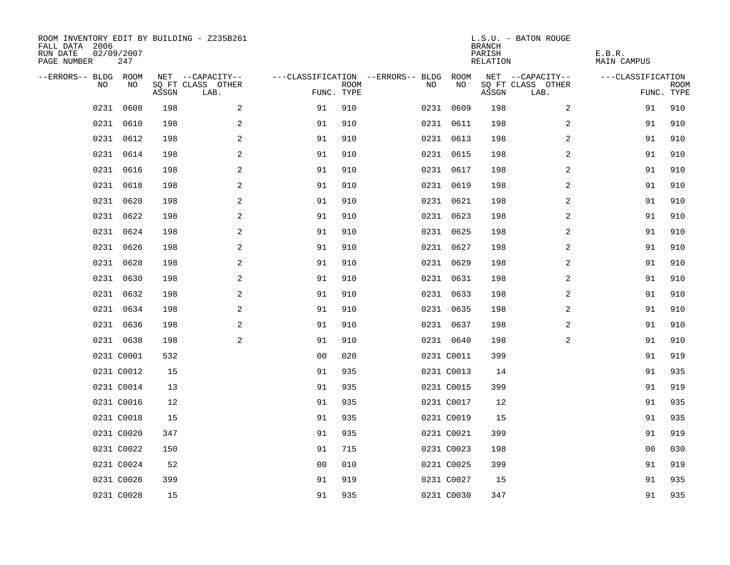| ROOM INVENTORY EDIT BY BUILDING - Z235B261<br>FALL DATA 2006<br>RUN DATE<br>PAGE NUMBER | 02/09/2007<br>247 |       |                           |                |             |                                        |            | <b>BRANCH</b><br>PARISH<br><b>RELATION</b> | L.S.U. - BATON ROUGE      | E.B.R.<br><b>MAIN CAMPUS</b> |                           |
|-----------------------------------------------------------------------------------------|-------------------|-------|---------------------------|----------------|-------------|----------------------------------------|------------|--------------------------------------------|---------------------------|------------------------------|---------------------------|
| --ERRORS-- BLDG ROOM                                                                    |                   |       | NET --CAPACITY--          |                |             | ---CLASSIFICATION --ERRORS-- BLDG ROOM |            |                                            | NET --CAPACITY--          | ---CLASSIFICATION            |                           |
| NO                                                                                      | NO                | ASSGN | SQ FT CLASS OTHER<br>LAB. | FUNC. TYPE     | <b>ROOM</b> | NO                                     | NO         | ASSGN                                      | SQ FT CLASS OTHER<br>LAB. |                              | <b>ROOM</b><br>FUNC. TYPE |
| 0231                                                                                    | 0608              | 198   | 2                         | 91             | 910         |                                        | 0231 0609  | 198                                        | $\overline{2}$            | 91                           | 910                       |
|                                                                                         | 0231 0610         | 198   | 2                         | 91             | 910         |                                        | 0231 0611  | 198                                        | 2                         | 91                           | 910                       |
|                                                                                         | 0231 0612         | 198   | 2                         | 91             | 910         |                                        | 0231 0613  | 198                                        | $\overline{a}$            | 91                           | 910                       |
|                                                                                         | 0231 0614         | 198   | $\mathbf{2}$              | 91             | 910         |                                        | 0231 0615  | 198                                        | 2                         | 91                           | 910                       |
|                                                                                         | 0231 0616         | 198   | 2                         | 91             | 910         |                                        | 0231 0617  | 198                                        | 2                         | 91                           | 910                       |
|                                                                                         | 0231 0618         | 198   | 2                         | 91             | 910         |                                        | 0231 0619  | 198                                        | 2                         | 91                           | 910                       |
|                                                                                         | 0231 0620         | 198   | 2                         | 91             | 910         |                                        | 0231 0621  | 198                                        | 2                         | 91                           | 910                       |
|                                                                                         | 0231 0622         | 198   | 2                         | 91             | 910         |                                        | 0231 0623  | 198                                        | 2                         | 91                           | 910                       |
|                                                                                         | 0231 0624         | 198   | 2                         | 91             | 910         |                                        | 0231 0625  | 198                                        | 2                         | 91                           | 910                       |
|                                                                                         | 0231 0626         | 198   | 2                         | 91             | 910         |                                        | 0231 0627  | 198                                        | 2                         | 91                           | 910                       |
|                                                                                         | 0231 0628         | 198   | 2                         | 91             | 910         |                                        | 0231 0629  | 198                                        | 2                         | 91                           | 910                       |
|                                                                                         | 0231 0630         | 198   | 2                         | 91             | 910         |                                        | 0231 0631  | 198                                        | 2                         | 91                           | 910                       |
| 0231                                                                                    | 0632              | 198   | $\mathbf{2}$              | 91             | 910         |                                        | 0231 0633  | 198                                        | 2                         | 91                           | 910                       |
|                                                                                         | 0231 0634         | 198   | 2                         | 91             | 910         |                                        | 0231 0635  | 198                                        | 2                         | 91                           | 910                       |
|                                                                                         | 0231 0636         | 198   | 2                         | 91             | 910         |                                        | 0231 0637  | 198                                        | 2                         | 91                           | 910                       |
|                                                                                         | 0231 0638         | 198   | 2                         | 91             | 910         |                                        | 0231 0640  | 198                                        | 2                         | 91                           | 910                       |
|                                                                                         | 0231 C0001        | 532   |                           | 0 <sub>0</sub> | 020         |                                        | 0231 C0011 | 399                                        |                           | 91                           | 919                       |
|                                                                                         | 0231 C0012        | 15    |                           | 91             | 935         |                                        | 0231 C0013 | 14                                         |                           | 91                           | 935                       |
|                                                                                         | 0231 C0014        | 13    |                           | 91             | 935         |                                        | 0231 C0015 | 399                                        |                           | 91                           | 919                       |
|                                                                                         | 0231 C0016        | 12    |                           | 91             | 935         |                                        | 0231 C0017 | 12                                         |                           | 91                           | 935                       |
|                                                                                         | 0231 C0018        | 15    |                           | 91             | 935         |                                        | 0231 C0019 | 15                                         |                           | 91                           | 935                       |
|                                                                                         | 0231 C0020        | 347   |                           | 91             | 935         |                                        | 0231 C0021 | 399                                        |                           | 91                           | 919                       |
|                                                                                         | 0231 C0022        | 150   |                           | 91             | 715         |                                        | 0231 C0023 | 198                                        |                           | 0 <sub>0</sub>               | 030                       |
|                                                                                         | 0231 C0024        | 52    |                           | 0 <sub>0</sub> | 010         |                                        | 0231 C0025 | 399                                        |                           | 91                           | 919                       |
|                                                                                         | 0231 C0026        | 399   |                           | 91             | 919         |                                        | 0231 C0027 | 15                                         |                           | 91                           | 935                       |
|                                                                                         | 0231 C0028        | 15    |                           | 91             | 935         |                                        | 0231 C0030 | 347                                        |                           | 91                           | 935                       |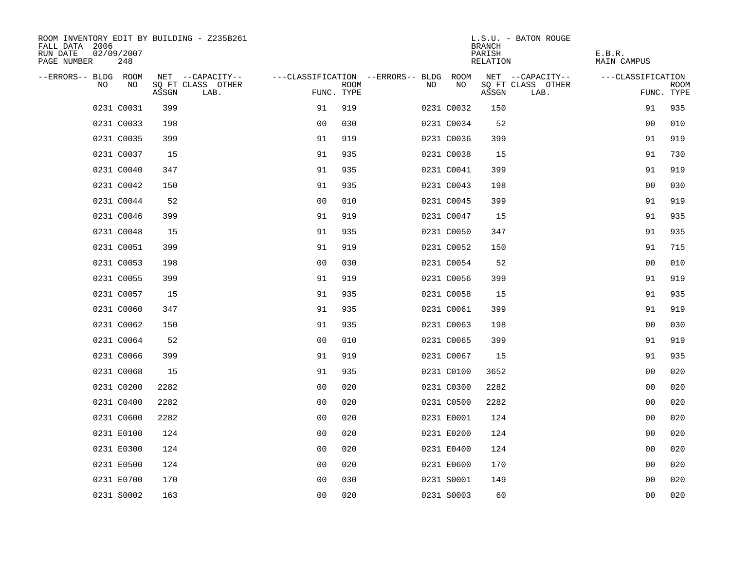| ROOM INVENTORY EDIT BY BUILDING - Z235B261<br>FALL DATA 2006<br>RUN DATE<br>PAGE NUMBER | 02/09/2007<br>248 |       |                           |                                        |             |     |            | <b>BRANCH</b><br>PARISH<br>RELATION | L.S.U. - BATON ROUGE      | E.B.R.<br>MAIN CAMPUS |                           |
|-----------------------------------------------------------------------------------------|-------------------|-------|---------------------------|----------------------------------------|-------------|-----|------------|-------------------------------------|---------------------------|-----------------------|---------------------------|
| --ERRORS-- BLDG ROOM                                                                    |                   |       | NET --CAPACITY--          | ---CLASSIFICATION --ERRORS-- BLDG ROOM |             |     |            |                                     | NET --CAPACITY--          | ---CLASSIFICATION     |                           |
| <b>NO</b>                                                                               | NO.               | ASSGN | SQ FT CLASS OTHER<br>LAB. | FUNC. TYPE                             | <b>ROOM</b> | NO. | NO         | ASSGN                               | SQ FT CLASS OTHER<br>LAB. |                       | <b>ROOM</b><br>FUNC. TYPE |
|                                                                                         | 0231 C0031        | 399   |                           | 91                                     | 919         |     | 0231 C0032 | 150                                 |                           | 91                    | 935                       |
|                                                                                         | 0231 C0033        | 198   |                           | 0 <sub>0</sub>                         | 030         |     | 0231 C0034 | 52                                  |                           | 00                    | 010                       |
|                                                                                         | 0231 C0035        | 399   |                           | 91                                     | 919         |     | 0231 C0036 | 399                                 |                           | 91                    | 919                       |
|                                                                                         | 0231 C0037        | 15    |                           | 91                                     | 935         |     | 0231 C0038 | 15                                  |                           | 91                    | 730                       |
|                                                                                         | 0231 C0040        | 347   |                           | 91                                     | 935         |     | 0231 C0041 | 399                                 |                           | 91                    | 919                       |
|                                                                                         | 0231 C0042        | 150   |                           | 91                                     | 935         |     | 0231 C0043 | 198                                 |                           | 00                    | 030                       |
|                                                                                         | 0231 C0044        | 52    |                           | 0 <sub>0</sub>                         | 010         |     | 0231 C0045 | 399                                 |                           | 91                    | 919                       |
|                                                                                         | 0231 C0046        | 399   |                           | 91                                     | 919         |     | 0231 C0047 | 15                                  |                           | 91                    | 935                       |
|                                                                                         | 0231 C0048        | 15    |                           | 91                                     | 935         |     | 0231 C0050 | 347                                 |                           | 91                    | 935                       |
|                                                                                         | 0231 C0051        | 399   |                           | 91                                     | 919         |     | 0231 C0052 | 150                                 |                           | 91                    | 715                       |
|                                                                                         | 0231 C0053        | 198   |                           | 0 <sub>0</sub>                         | 030         |     | 0231 C0054 | 52                                  |                           | 0 <sub>0</sub>        | 010                       |
|                                                                                         | 0231 C0055        | 399   |                           | 91                                     | 919         |     | 0231 C0056 | 399                                 |                           | 91                    | 919                       |
|                                                                                         | 0231 C0057        | 15    |                           | 91                                     | 935         |     | 0231 C0058 | 15                                  |                           | 91                    | 935                       |
|                                                                                         | 0231 C0060        | 347   |                           | 91                                     | 935         |     | 0231 C0061 | 399                                 |                           | 91                    | 919                       |
|                                                                                         | 0231 C0062        | 150   |                           | 91                                     | 935         |     | 0231 C0063 | 198                                 |                           | 00                    | 030                       |
|                                                                                         | 0231 C0064        | 52    |                           | 0 <sub>0</sub>                         | 010         |     | 0231 C0065 | 399                                 |                           | 91                    | 919                       |
|                                                                                         | 0231 C0066        | 399   |                           | 91                                     | 919         |     | 0231 C0067 | 15                                  |                           | 91                    | 935                       |
|                                                                                         | 0231 C0068        | 15    |                           | 91                                     | 935         |     | 0231 C0100 | 3652                                |                           | 00                    | 020                       |
|                                                                                         | 0231 C0200        | 2282  |                           | 0 <sub>0</sub>                         | 020         |     | 0231 C0300 | 2282                                |                           | 00                    | 020                       |
|                                                                                         | 0231 C0400        | 2282  |                           | 00                                     | 020         |     | 0231 C0500 | 2282                                |                           | 0 <sub>0</sub>        | 020                       |
|                                                                                         | 0231 C0600        | 2282  |                           | 0 <sub>0</sub>                         | 020         |     | 0231 E0001 | 124                                 |                           | 00                    | 020                       |
|                                                                                         | 0231 E0100        | 124   |                           | 0 <sub>0</sub>                         | 020         |     | 0231 E0200 | 124                                 |                           | 0 <sub>0</sub>        | 020                       |
|                                                                                         | 0231 E0300        | 124   |                           | 0 <sub>0</sub>                         | 020         |     | 0231 E0400 | 124                                 |                           | 0 <sub>0</sub>        | 020                       |
|                                                                                         | 0231 E0500        | 124   |                           | 0 <sub>0</sub>                         | 020         |     | 0231 E0600 | 170                                 |                           | 0 <sub>0</sub>        | 020                       |
|                                                                                         | 0231 E0700        | 170   |                           | 0 <sub>0</sub>                         | 030         |     | 0231 S0001 | 149                                 |                           | 00                    | 020                       |
|                                                                                         | 0231 S0002        | 163   |                           | 0 <sub>0</sub>                         | 020         |     | 0231 S0003 | 60                                  |                           | 0 <sub>0</sub>        | 020                       |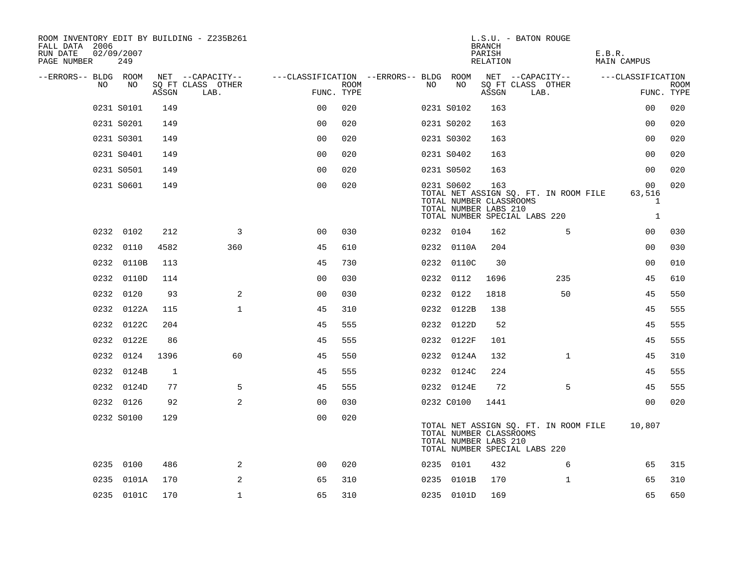| ROOM INVENTORY EDIT BY BUILDING - Z235B261<br>FALL DATA 2006<br>RUN DATE<br>PAGE NUMBER | 02/09/2007<br>249 |       |                           |                                        |      |     |            | <b>BRANCH</b><br>PARISH<br>RELATION                     | L.S.U. - BATON ROUGE                                                   | E.B.R.<br>MAIN CAMPUS                        |                           |
|-----------------------------------------------------------------------------------------|-------------------|-------|---------------------------|----------------------------------------|------|-----|------------|---------------------------------------------------------|------------------------------------------------------------------------|----------------------------------------------|---------------------------|
| --ERRORS-- BLDG ROOM                                                                    |                   |       | NET --CAPACITY--          | ---CLASSIFICATION --ERRORS-- BLDG ROOM |      |     |            |                                                         | NET --CAPACITY--                                                       | ---CLASSIFICATION                            |                           |
| NO.                                                                                     | NO                | ASSGN | SQ FT CLASS OTHER<br>LAB. | FUNC. TYPE                             | ROOM | NO. | NO         | ASSGN                                                   | SQ FT CLASS OTHER<br>LAB.                                              |                                              | <b>ROOM</b><br>FUNC. TYPE |
|                                                                                         | 0231 S0101        | 149   |                           | 0 <sup>0</sup>                         | 020  |     | 0231 S0102 | 163                                                     |                                                                        | 0 <sub>0</sub>                               | 020                       |
|                                                                                         | 0231 S0201        | 149   |                           | 0 <sub>0</sub>                         | 020  |     | 0231 S0202 | 163                                                     |                                                                        | 0 <sub>0</sub>                               | 020                       |
|                                                                                         | 0231 S0301        | 149   |                           | 0 <sub>0</sub>                         | 020  |     | 0231 S0302 | 163                                                     |                                                                        | 0 <sub>0</sub>                               | 020                       |
|                                                                                         | 0231 S0401        | 149   |                           | 0 <sub>0</sub>                         | 020  |     | 0231 S0402 | 163                                                     |                                                                        | 00                                           | 020                       |
|                                                                                         | 0231 S0501        | 149   |                           | 0 <sub>0</sub>                         | 020  |     | 0231 S0502 | 163                                                     |                                                                        | 0 <sub>0</sub>                               | 020                       |
|                                                                                         | 0231 S0601        | 149   |                           | 0 <sub>0</sub>                         | 020  |     | 0231 S0602 | 163<br>TOTAL NUMBER CLASSROOMS<br>TOTAL NUMBER LABS 210 | TOTAL NET ASSIGN SQ. FT. IN ROOM FILE<br>TOTAL NUMBER SPECIAL LABS 220 | 00<br>63,516<br>$\mathbf{1}$<br>$\mathbf{1}$ | 020                       |
|                                                                                         | 0232 0102         | 212   | 3                         | 0 <sub>0</sub>                         | 030  |     | 0232 0104  | 162                                                     | 5                                                                      | 00                                           | 030                       |
|                                                                                         | 0232 0110         | 4582  | 360                       | 45                                     | 610  |     | 0232 0110A | 204                                                     |                                                                        | 0 <sub>0</sub>                               | 030                       |
|                                                                                         | 0232 0110B        | 113   |                           | 45                                     | 730  |     | 0232 0110C | 30                                                      |                                                                        | 0 <sub>0</sub>                               | 010                       |
|                                                                                         | 0232 0110D        | 114   |                           | 0 <sub>0</sub>                         | 030  |     | 0232 0112  | 1696                                                    | 235                                                                    | 45                                           | 610                       |
|                                                                                         | 0232 0120         | 93    | 2                         | 0 <sub>0</sub>                         | 030  |     | 0232 0122  | 1818                                                    | 50                                                                     | 45                                           | 550                       |
|                                                                                         | 0232 0122A        | 115   | $\mathbf 1$               | 45                                     | 310  |     | 0232 0122B | 138                                                     |                                                                        | 45                                           | 555                       |
|                                                                                         | 0232 0122C        | 204   |                           | 45                                     | 555  |     | 0232 0122D | 52                                                      |                                                                        | 45                                           | 555                       |
|                                                                                         | 0232 0122E        | 86    |                           | 45                                     | 555  |     | 0232 0122F | 101                                                     |                                                                        | 45                                           | 555                       |
|                                                                                         | 0232 0124         | 1396  | 60                        | 45                                     | 550  |     | 0232 0124A | 132                                                     | $\mathbf{1}$                                                           | 45                                           | 310                       |
|                                                                                         | 0232 0124B        | 1     |                           | 45                                     | 555  |     | 0232 0124C | 224                                                     |                                                                        | 45                                           | 555                       |
|                                                                                         | 0232 0124D        | 77    | 5                         | 45                                     | 555  |     | 0232 0124E | 72                                                      | 5                                                                      | 45                                           | 555                       |
|                                                                                         | 0232 0126         | 92    | 2                         | 0 <sub>0</sub>                         | 030  |     | 0232 C0100 | 1441                                                    |                                                                        | 0 <sub>0</sub>                               | 020                       |
|                                                                                         | 0232 S0100        | 129   |                           | 0 <sub>0</sub>                         | 020  |     |            | TOTAL NUMBER CLASSROOMS<br>TOTAL NUMBER LABS 210        | TOTAL NET ASSIGN SQ. FT. IN ROOM FILE<br>TOTAL NUMBER SPECIAL LABS 220 | 10,807                                       |                           |
|                                                                                         | 0235 0100         | 486   | 2                         | 0 <sub>0</sub>                         | 020  |     | 0235 0101  | 432                                                     | 6                                                                      | 65                                           | 315                       |
|                                                                                         | 0235 0101A        | 170   | 2                         | 65                                     | 310  |     | 0235 0101B | 170                                                     | $\mathbf{1}$                                                           | 65                                           | 310                       |
|                                                                                         | 0235 0101C        | 170   | $\mathbf{1}$              | 65                                     | 310  |     | 0235 0101D | 169                                                     |                                                                        | 65                                           | 650                       |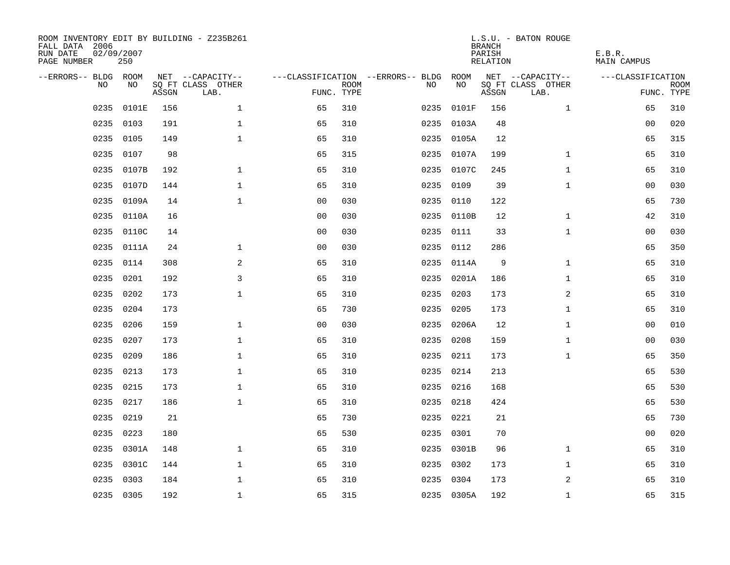| ROOM INVENTORY EDIT BY BUILDING - Z235B261<br>FALL DATA 2006<br>RUN DATE<br>02/09/2007<br>PAGE NUMBER |           |       |                           |                |             |                                        | <b>BRANCH</b><br>PARISH<br><b>RELATION</b> | L.S.U. - BATON ROUGE | E.B.R.<br><b>MAIN CAMPUS</b> |                   |                           |
|-------------------------------------------------------------------------------------------------------|-----------|-------|---------------------------|----------------|-------------|----------------------------------------|--------------------------------------------|----------------------|------------------------------|-------------------|---------------------------|
| --ERRORS-- BLDG ROOM                                                                                  |           |       | NET --CAPACITY--          |                |             | ---CLASSIFICATION --ERRORS-- BLDG ROOM |                                            |                      | NET --CAPACITY--             | ---CLASSIFICATION |                           |
| NO                                                                                                    | NO        | ASSGN | SQ FT CLASS OTHER<br>LAB. | FUNC. TYPE     | <b>ROOM</b> | NO                                     | NO                                         | ASSGN                | SQ FT CLASS OTHER<br>LAB.    |                   | <b>ROOM</b><br>FUNC. TYPE |
| 0235                                                                                                  | 0101E     | 156   | $\mathbf 1$               | 65             | 310         | 0235                                   | 0101F                                      | 156                  | $\mathbf{1}$                 | 65                | 310                       |
| 0235                                                                                                  | 0103      | 191   | $\mathbf 1$               | 65             | 310         |                                        | 0235 0103A                                 | 48                   |                              | 00                | 020                       |
| 0235                                                                                                  | 0105      | 149   | $\mathbf 1$               | 65             | 310         |                                        | 0235 0105A                                 | 12                   |                              | 65                | 315                       |
| 0235                                                                                                  | 0107      | 98    |                           | 65             | 315         |                                        | 0235 0107A                                 | 199                  | $\mathbf{1}$                 | 65                | 310                       |
| 0235                                                                                                  | 0107B     | 192   | $\mathbf{1}$              | 65             | 310         |                                        | 0235 0107C                                 | 245                  | $\mathbf{1}$                 | 65                | 310                       |
| 0235                                                                                                  | 0107D     | 144   | $\mathbf{1}$              | 65             | 310         |                                        | 0235 0109                                  | 39                   | $\mathbf{1}$                 | 0 <sub>0</sub>    | 030                       |
| 0235                                                                                                  | 0109A     | 14    | $\mathbf{1}$              | 0 <sub>0</sub> | 030         |                                        | 0235 0110                                  | 122                  |                              | 65                | 730                       |
| 0235                                                                                                  | 0110A     | 16    |                           | 0 <sub>0</sub> | 030         |                                        | 0235 0110B                                 | 12                   | $\mathbf{1}$                 | 42                | 310                       |
| 0235                                                                                                  | 0110C     | 14    |                           | 0 <sub>0</sub> | 030         | 0235                                   | 0111                                       | 33                   | $\mathbf{1}$                 | 00                | 030                       |
| 0235                                                                                                  | 0111A     | 24    | $\mathbf 1$               | 0 <sub>0</sub> | 030         |                                        | 0235 0112                                  | 286                  |                              | 65                | 350                       |
| 0235                                                                                                  | 0114      | 308   | 2                         | 65             | 310         |                                        | 0235 0114A                                 | 9                    | $\mathbf{1}$                 | 65                | 310                       |
| 0235                                                                                                  | 0201      | 192   | 3                         | 65             | 310         |                                        | 0235 0201A                                 | 186                  | $\mathbf{1}$                 | 65                | 310                       |
| 0235                                                                                                  | 0202      | 173   | $\mathbf 1$               | 65             | 310         | 0235                                   | 0203                                       | 173                  | 2                            | 65                | 310                       |
| 0235                                                                                                  | 0204      | 173   |                           | 65             | 730         | 0235                                   | 0205                                       | 173                  | $\mathbf{1}$                 | 65                | 310                       |
| 0235                                                                                                  | 0206      | 159   | $\mathbf 1$               | 0 <sub>0</sub> | 030         |                                        | 0235 0206A                                 | 12                   | $\mathbf{1}$                 | 00                | 010                       |
| 0235                                                                                                  | 0207      | 173   | $\mathbf{1}$              | 65             | 310         |                                        | 0235 0208                                  | 159                  | $\mathbf{1}$                 | 00                | 030                       |
| 0235                                                                                                  | 0209      | 186   | $\mathbf 1$               | 65             | 310         | 0235                                   | 0211                                       | 173                  | $\mathbf{1}$                 | 65                | 350                       |
| 0235                                                                                                  | 0213      | 173   | $\mathbf{1}$              | 65             | 310         |                                        | 0235 0214                                  | 213                  |                              | 65                | 530                       |
| 0235                                                                                                  | 0215      | 173   | $\mathbf{1}$              | 65             | 310         |                                        | 0235 0216                                  | 168                  |                              | 65                | 530                       |
| 0235                                                                                                  | 0217      | 186   | $\mathbf 1$               | 65             | 310         |                                        | 0235 0218                                  | 424                  |                              | 65                | 530                       |
| 0235                                                                                                  | 0219      | 21    |                           | 65             | 730         |                                        | 0235 0221                                  | 21                   |                              | 65                | 730                       |
| 0235                                                                                                  | 0223      | 180   |                           | 65             | 530         |                                        | 0235 0301                                  | 70                   |                              | 0 <sub>0</sub>    | 020                       |
| 0235                                                                                                  | 0301A     | 148   | $\mathbf 1$               | 65             | 310         |                                        | 0235 0301B                                 | 96                   | $\mathbf{1}$                 | 65                | 310                       |
| 0235                                                                                                  | 0301C     | 144   | $\mathbf 1$               | 65             | 310         |                                        | 0235 0302                                  | 173                  | $\mathbf{1}$                 | 65                | 310                       |
| 0235                                                                                                  | 0303      | 184   | $\mathbf 1$               | 65             | 310         |                                        | 0235 0304                                  | 173                  | 2                            | 65                | 310                       |
|                                                                                                       | 0235 0305 | 192   | $\mathbf{1}$              | 65             | 315         |                                        | 0235 0305A                                 | 192                  | $\mathbf{1}$                 | 65                | 315                       |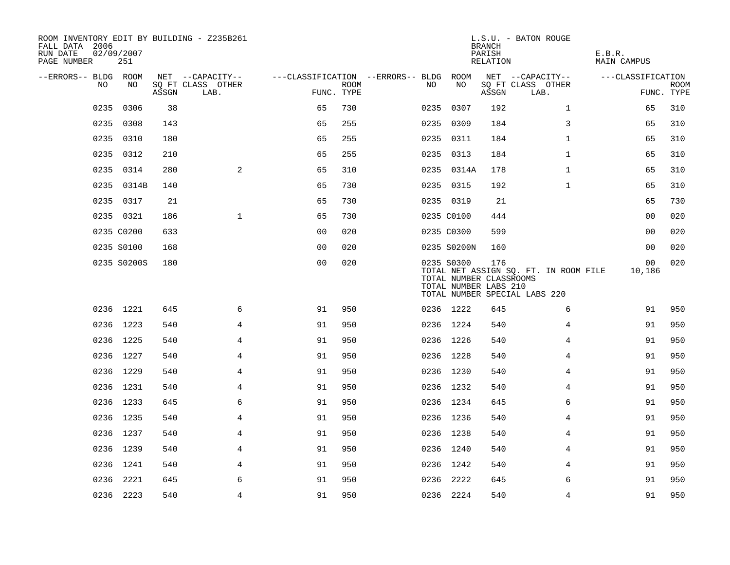| ROOM INVENTORY EDIT BY BUILDING - Z235B261<br>FALL DATA 2006<br>RUN DATE<br>PAGE NUMBER | 02/09/2007<br>251 |       |                           |                                        |             |     |                                                                | <b>BRANCH</b><br>PARISH<br>RELATION | L.S.U. - BATON ROUGE                                                   | E.B.R.<br><b>MAIN CAMPUS</b> |                           |
|-----------------------------------------------------------------------------------------|-------------------|-------|---------------------------|----------------------------------------|-------------|-----|----------------------------------------------------------------|-------------------------------------|------------------------------------------------------------------------|------------------------------|---------------------------|
| --ERRORS-- BLDG ROOM                                                                    |                   |       | NET --CAPACITY--          | ---CLASSIFICATION --ERRORS-- BLDG ROOM |             |     |                                                                |                                     | NET --CAPACITY--                                                       | ---CLASSIFICATION            |                           |
| NO.                                                                                     | NO                | ASSGN | SQ FT CLASS OTHER<br>LAB. | FUNC. TYPE                             | <b>ROOM</b> | NO. | NO                                                             | ASSGN                               | SQ FT CLASS OTHER<br>LAB.                                              |                              | <b>ROOM</b><br>FUNC. TYPE |
| 0235                                                                                    | 0306              | 38    |                           | 65                                     | 730         |     | 0235 0307                                                      | 192                                 | $\mathbf{1}$                                                           | 65                           | 310                       |
|                                                                                         | 0235 0308         | 143   |                           | 65                                     | 255         |     | 0235 0309                                                      | 184                                 | 3                                                                      | 65                           | 310                       |
|                                                                                         | 0235 0310         | 180   |                           | 65                                     | 255         |     | 0235 0311                                                      | 184                                 | $\mathbf{1}$                                                           | 65                           | 310                       |
|                                                                                         | 0235 0312         | 210   |                           | 65                                     | 255         |     | 0235 0313                                                      | 184                                 | $\mathbf{1}$                                                           | 65                           | 310                       |
|                                                                                         | 0235 0314         | 280   | 2                         | 65                                     | 310         |     | 0235 0314A                                                     | 178                                 | $\mathbf{1}$                                                           | 65                           | 310                       |
|                                                                                         | 0235 0314B        | 140   |                           | 65                                     | 730         |     | 0235 0315                                                      | 192                                 | $\mathbf{1}$                                                           | 65                           | 310                       |
|                                                                                         | 0235 0317         | 21    |                           | 65                                     | 730         |     | 0235 0319                                                      | 21                                  |                                                                        | 65                           | 730                       |
|                                                                                         | 0235 0321         | 186   | $\mathbf{1}$              | 65                                     | 730         |     | 0235 C0100                                                     | 444                                 |                                                                        | 0 <sub>0</sub>               | 020                       |
|                                                                                         | 0235 C0200        | 633   |                           | 0 <sub>0</sub>                         | 020         |     | 0235 C0300                                                     | 599                                 |                                                                        | 0 <sub>0</sub>               | 020                       |
|                                                                                         | 0235 S0100        | 168   |                           | 0 <sub>0</sub>                         | 020         |     | 0235 S0200N                                                    | 160                                 |                                                                        | 0 <sub>0</sub>               | 020                       |
|                                                                                         | 0235 S0200S       | 180   |                           | 0 <sub>0</sub>                         | 020         |     | 0235 S0300<br>TOTAL NUMBER CLASSROOMS<br>TOTAL NUMBER LABS 210 | 176                                 | TOTAL NET ASSIGN SQ. FT. IN ROOM FILE<br>TOTAL NUMBER SPECIAL LABS 220 | 00<br>10,186                 | 020                       |
|                                                                                         | 0236 1221         | 645   | 6                         | 91                                     | 950         |     | 0236 1222                                                      | 645                                 | 6                                                                      | 91                           | 950                       |
|                                                                                         | 0236 1223         | 540   | $\overline{4}$            | 91                                     | 950         |     | 0236 1224                                                      | 540                                 | 4                                                                      | 91                           | 950                       |
|                                                                                         | 0236 1225         | 540   | 4                         | 91                                     | 950         |     | 0236 1226                                                      | 540                                 | 4                                                                      | 91                           | 950                       |
|                                                                                         | 0236 1227         | 540   | $\overline{4}$            | 91                                     | 950         |     | 0236 1228                                                      | 540                                 | 4                                                                      | 91                           | 950                       |
|                                                                                         | 0236 1229         | 540   | $\overline{4}$            | 91                                     | 950         |     | 0236 1230                                                      | 540                                 | $\overline{4}$                                                         | 91                           | 950                       |
|                                                                                         | 0236 1231         | 540   | 4                         | 91                                     | 950         |     | 0236 1232                                                      | 540                                 | 4                                                                      | 91                           | 950                       |
|                                                                                         | 0236 1233         | 645   | 6                         | 91                                     | 950         |     | 0236 1234                                                      | 645                                 | 6                                                                      | 91                           | 950                       |
|                                                                                         | 0236 1235         | 540   | 4                         | 91                                     | 950         |     | 0236 1236                                                      | 540                                 | 4                                                                      | 91                           | 950                       |
|                                                                                         | 0236 1237         | 540   | 4                         | 91                                     | 950         |     | 0236 1238                                                      | 540                                 | 4                                                                      | 91                           | 950                       |
|                                                                                         | 0236 1239         | 540   | 4                         | 91                                     | 950         |     | 0236 1240                                                      | 540                                 | 4                                                                      | 91                           | 950                       |
|                                                                                         | 0236 1241         | 540   | $\overline{4}$            | 91                                     | 950         |     | 0236 1242                                                      | 540                                 | 4                                                                      | 91                           | 950                       |
|                                                                                         | 0236 2221         | 645   | 6                         | 91                                     | 950         |     | 0236 2222                                                      | 645                                 | 6                                                                      | 91                           | 950                       |
|                                                                                         | 0236 2223         | 540   | $\overline{4}$            | 91                                     | 950         |     | 0236 2224                                                      | 540                                 | 4                                                                      | 91                           | 950                       |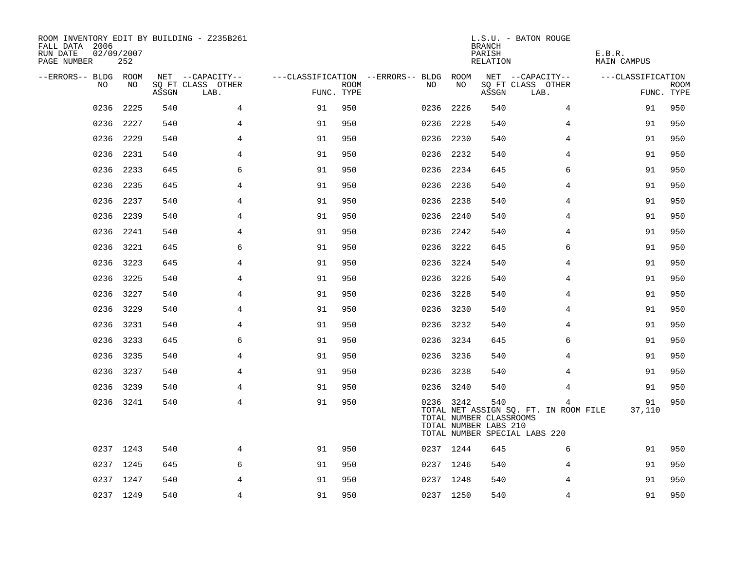| ROOM INVENTORY EDIT BY BUILDING - Z235B261<br>FALL DATA 2006<br>RUN DATE<br>02/09/2007<br>PAGE NUMBER |           |       |                           |            |      |                                        | <b>BRANCH</b><br>PARISH<br>RELATION | L.S.U. - BATON ROUGE                                    | E.B.R.<br>MAIN CAMPUS                                                       |                   |                    |
|-------------------------------------------------------------------------------------------------------|-----------|-------|---------------------------|------------|------|----------------------------------------|-------------------------------------|---------------------------------------------------------|-----------------------------------------------------------------------------|-------------------|--------------------|
| --ERRORS-- BLDG ROOM                                                                                  |           |       | NET --CAPACITY--          |            |      | ---CLASSIFICATION --ERRORS-- BLDG ROOM |                                     |                                                         | NET --CAPACITY--                                                            | ---CLASSIFICATION |                    |
| NO                                                                                                    | NO.       | ASSGN | SQ FT CLASS OTHER<br>LAB. | FUNC. TYPE | ROOM | NO.                                    | NO                                  | ASSGN                                                   | SQ FT CLASS OTHER<br>LAB.                                                   |                   | ROOM<br>FUNC. TYPE |
| 0236                                                                                                  | 2225      | 540   | $\overline{4}$            | 91         | 950  | 0236                                   | 2226                                | 540                                                     | $\overline{4}$                                                              | 91                | 950                |
|                                                                                                       | 0236 2227 | 540   | $\overline{4}$            | 91         | 950  | 0236                                   | 2228                                | 540                                                     | 4                                                                           | 91                | 950                |
|                                                                                                       | 0236 2229 | 540   | 4                         | 91         | 950  |                                        | 0236 2230                           | 540                                                     | 4                                                                           | 91                | 950                |
|                                                                                                       | 0236 2231 | 540   | 4                         | 91         | 950  |                                        | 0236 2232                           | 540                                                     | 4                                                                           | 91                | 950                |
| 0236                                                                                                  | 2233      | 645   | 6                         | 91         | 950  |                                        | 0236 2234                           | 645                                                     | 6                                                                           | 91                | 950                |
|                                                                                                       | 0236 2235 | 645   | 4                         | 91         | 950  |                                        | 0236 2236                           | 540                                                     | 4                                                                           | 91                | 950                |
| 0236                                                                                                  | 2237      | 540   | 4                         | 91         | 950  |                                        | 0236 2238                           | 540                                                     | 4                                                                           | 91                | 950                |
|                                                                                                       | 0236 2239 | 540   | 4                         | 91         | 950  |                                        | 0236 2240                           | 540                                                     | 4                                                                           | 91                | 950                |
| 0236                                                                                                  | 2241      | 540   | 4                         | 91         | 950  |                                        | 0236 2242                           | 540                                                     | 4                                                                           | 91                | 950                |
|                                                                                                       | 0236 3221 | 645   | 6                         | 91         | 950  |                                        | 0236 3222                           | 645                                                     | 6                                                                           | 91                | 950                |
| 0236                                                                                                  | 3223      | 645   | $\overline{4}$            | 91         | 950  |                                        | 0236 3224                           | 540                                                     | $\overline{4}$                                                              | 91                | 950                |
|                                                                                                       | 0236 3225 | 540   | 4                         | 91         | 950  |                                        | 0236 3226                           | 540                                                     | 4                                                                           | 91                | 950                |
| 0236                                                                                                  | 3227      | 540   | 4                         | 91         | 950  |                                        | 0236 3228                           | 540                                                     | 4                                                                           | 91                | 950                |
|                                                                                                       | 0236 3229 | 540   | 4                         | 91         | 950  |                                        | 0236 3230                           | 540                                                     | 4                                                                           | 91                | 950                |
|                                                                                                       | 0236 3231 | 540   | 4                         | 91         | 950  |                                        | 0236 3232                           | 540                                                     | 4                                                                           | 91                | 950                |
|                                                                                                       | 0236 3233 | 645   | 6                         | 91         | 950  |                                        | 0236 3234                           | 645                                                     | 6                                                                           | 91                | 950                |
|                                                                                                       | 0236 3235 | 540   | 4                         | 91         | 950  |                                        | 0236 3236                           | 540                                                     | 4                                                                           | 91                | 950                |
|                                                                                                       | 0236 3237 | 540   | 4                         | 91         | 950  |                                        | 0236 3238                           | 540                                                     | 4                                                                           | 91                | 950                |
|                                                                                                       | 0236 3239 | 540   | 4                         | 91         | 950  |                                        | 0236 3240                           | 540                                                     | 4                                                                           | 91                | 950                |
|                                                                                                       | 0236 3241 | 540   | $\overline{4}$            | 91         | 950  |                                        | 0236 3242                           | 540<br>TOTAL NUMBER CLASSROOMS<br>TOTAL NUMBER LABS 210 | 4<br>TOTAL NET ASSIGN SQ. FT. IN ROOM FILE<br>TOTAL NUMBER SPECIAL LABS 220 | 91<br>37,110      | 950                |
|                                                                                                       | 0237 1243 | 540   | 4                         | 91         | 950  |                                        | 0237 1244                           | 645                                                     | 6                                                                           | 91                | 950                |
|                                                                                                       | 0237 1245 | 645   | 6                         | 91         | 950  |                                        | 0237 1246                           | 540                                                     | 4                                                                           | 91                | 950                |
|                                                                                                       | 0237 1247 | 540   | 4                         | 91         | 950  |                                        | 0237 1248                           | 540                                                     | 4                                                                           | 91                | 950                |
|                                                                                                       | 0237 1249 | 540   | $\overline{4}$            | 91         | 950  |                                        | 0237 1250                           | 540                                                     | $\overline{4}$                                                              | 91                | 950                |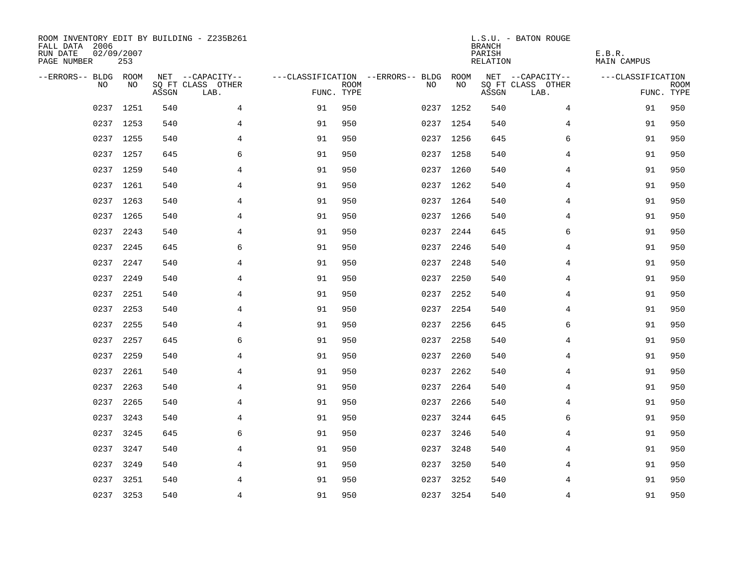| ROOM INVENTORY EDIT BY BUILDING - Z235B261<br>FALL DATA 2006<br>RUN DATE<br>PAGE NUMBER | 02/09/2007<br>253 |       |                           |            |             |                                   |           | <b>BRANCH</b><br>PARISH<br>RELATION | L.S.U. - BATON ROUGE      | E.B.R.<br><b>MAIN CAMPUS</b> |                           |
|-----------------------------------------------------------------------------------------|-------------------|-------|---------------------------|------------|-------------|-----------------------------------|-----------|-------------------------------------|---------------------------|------------------------------|---------------------------|
| --ERRORS-- BLDG ROOM                                                                    |                   |       | NET --CAPACITY--          |            |             | ---CLASSIFICATION --ERRORS-- BLDG | ROOM      |                                     | NET --CAPACITY--          | ---CLASSIFICATION            |                           |
| N <sub>O</sub>                                                                          | NO.               | ASSGN | SO FT CLASS OTHER<br>LAB. | FUNC. TYPE | <b>ROOM</b> | NO.                               | NO        | ASSGN                               | SQ FT CLASS OTHER<br>LAB. |                              | <b>ROOM</b><br>FUNC. TYPE |
|                                                                                         | 0237 1251         | 540   | 4                         | 91         | 950         |                                   | 0237 1252 | 540                                 | 4                         | 91                           | 950                       |
|                                                                                         | 0237 1253         | 540   | $\overline{4}$            | 91         | 950         |                                   | 0237 1254 | 540                                 | 4                         | 91                           | 950                       |
|                                                                                         | 0237 1255         | 540   | $\overline{4}$            | 91         | 950         |                                   | 0237 1256 | 645                                 | 6                         | 91                           | 950                       |
|                                                                                         | 0237 1257         | 645   | 6                         | 91         | 950         |                                   | 0237 1258 | 540                                 | 4                         | 91                           | 950                       |
|                                                                                         | 0237 1259         | 540   | 4                         | 91         | 950         |                                   | 0237 1260 | 540                                 | 4                         | 91                           | 950                       |
|                                                                                         | 0237 1261         | 540   | 4                         | 91         | 950         |                                   | 0237 1262 | 540                                 | 4                         | 91                           | 950                       |
|                                                                                         | 0237 1263         | 540   | 4                         | 91         | 950         |                                   | 0237 1264 | 540                                 | 4                         | 91                           | 950                       |
|                                                                                         | 0237 1265         | 540   | $\overline{4}$            | 91         | 950         |                                   | 0237 1266 | 540                                 | 4                         | 91                           | 950                       |
| 0237                                                                                    | 2243              | 540   | $\overline{4}$            | 91         | 950         | 0237                              | 2244      | 645                                 | 6                         | 91                           | 950                       |
|                                                                                         | 0237 2245         | 645   | 6                         | 91         | 950         | 0237                              | 2246      | 540                                 | 4                         | 91                           | 950                       |
| 0237                                                                                    | 2247              | 540   | 4                         | 91         | 950         | 0237                              | 2248      | 540                                 | 4                         | 91                           | 950                       |
|                                                                                         | 0237 2249         | 540   | 4                         | 91         | 950         | 0237                              | 2250      | 540                                 | 4                         | 91                           | 950                       |
| 0237                                                                                    | 2251              | 540   | $\overline{4}$            | 91         | 950         | 0237                              | 2252      | 540                                 | 4                         | 91                           | 950                       |
| 0237                                                                                    | 2253              | 540   | 4                         | 91         | 950         |                                   | 0237 2254 | 540                                 | 4                         | 91                           | 950                       |
| 0237                                                                                    | 2255              | 540   | 4                         | 91         | 950         | 0237                              | 2256      | 645                                 | 6                         | 91                           | 950                       |
| 0237                                                                                    | 2257              | 645   | 6                         | 91         | 950         | 0237                              | 2258      | 540                                 | 4                         | 91                           | 950                       |
| 0237                                                                                    | 2259              | 540   | 4                         | 91         | 950         | 0237                              | 2260      | 540                                 | 4                         | 91                           | 950                       |
| 0237                                                                                    | 2261              | 540   | 4                         | 91         | 950         | 0237                              | 2262      | 540                                 | 4                         | 91                           | 950                       |
| 0237                                                                                    | 2263              | 540   | $\overline{4}$            | 91         | 950         | 0237                              | 2264      | 540                                 | 4                         | 91                           | 950                       |
| 0237                                                                                    | 2265              | 540   | $\overline{4}$            | 91         | 950         | 0237                              | 2266      | 540                                 | $\overline{4}$            | 91                           | 950                       |
|                                                                                         | 0237 3243         | 540   | 4                         | 91         | 950         |                                   | 0237 3244 | 645                                 | 6                         | 91                           | 950                       |
| 0237                                                                                    | 3245              | 645   | 6                         | 91         | 950         | 0237                              | 3246      | 540                                 | 4                         | 91                           | 950                       |
| 0237                                                                                    | 3247              | 540   | $\overline{4}$            | 91         | 950         | 0237                              | 3248      | 540                                 | 4                         | 91                           | 950                       |
| 0237                                                                                    | 3249              | 540   | 4                         | 91         | 950         |                                   | 0237 3250 | 540                                 | 4                         | 91                           | 950                       |
|                                                                                         | 0237 3251         | 540   | 4                         | 91         | 950         |                                   | 0237 3252 | 540                                 | 4                         | 91                           | 950                       |
|                                                                                         | 0237 3253         | 540   | $\overline{4}$            | 91         | 950         |                                   | 0237 3254 | 540                                 | $\overline{4}$            | 91                           | 950                       |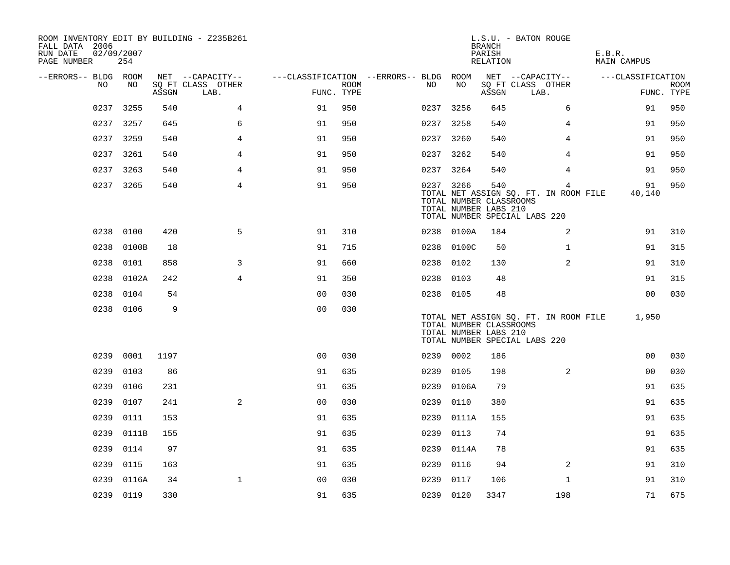| ROOM INVENTORY EDIT BY BUILDING - Z235B261<br>FALL DATA 2006<br>RUN DATE<br>PAGE NUMBER | 02/09/2007<br>254 |       |                           |                                        |                    |           |            | <b>BRANCH</b><br>PARISH<br>RELATION                     | L.S.U. - BATON ROUGE                                                        | E.B.R.<br>MAIN CAMPUS |                           |
|-----------------------------------------------------------------------------------------|-------------------|-------|---------------------------|----------------------------------------|--------------------|-----------|------------|---------------------------------------------------------|-----------------------------------------------------------------------------|-----------------------|---------------------------|
| --ERRORS-- BLDG ROOM                                                                    |                   |       | NET --CAPACITY--          | ---CLASSIFICATION --ERRORS-- BLDG ROOM |                    |           |            |                                                         | NET --CAPACITY--                                                            | ---CLASSIFICATION     |                           |
| NO                                                                                      | NO                | ASSGN | SQ FT CLASS OTHER<br>LAB. |                                        | ROOM<br>FUNC. TYPE | NO.       | NO         | ASSGN                                                   | SQ FT CLASS OTHER<br>LAB.                                                   |                       | <b>ROOM</b><br>FUNC. TYPE |
| 0237                                                                                    | 3255              | 540   | 4                         | 91                                     | 950                | 0237 3256 |            | 645                                                     | 6                                                                           | 91                    | 950                       |
|                                                                                         | 0237 3257         | 645   | 6                         | 91                                     | 950                | 0237 3258 |            | 540                                                     | 4                                                                           | 91                    | 950                       |
|                                                                                         | 0237 3259         | 540   | $\overline{4}$            | 91                                     | 950                | 0237 3260 |            | 540                                                     | $\overline{4}$                                                              | 91                    | 950                       |
|                                                                                         | 0237 3261         | 540   | 4                         | 91                                     | 950                | 0237 3262 |            | 540                                                     | 4                                                                           | 91                    | 950                       |
| 0237                                                                                    | 3263              | 540   | $\overline{4}$            | 91                                     | 950                | 0237 3264 |            | 540                                                     | $\overline{4}$                                                              | 91                    | 950                       |
|                                                                                         | 0237 3265         | 540   | $\overline{4}$            | 91                                     | 950                | 0237 3266 |            | 540<br>TOTAL NUMBER CLASSROOMS<br>TOTAL NUMBER LABS 210 | 4<br>TOTAL NET ASSIGN SQ. FT. IN ROOM FILE<br>TOTAL NUMBER SPECIAL LABS 220 | 91<br>40,140          | 950                       |
|                                                                                         | 0238 0100         | 420   | 5                         | 91                                     | 310                |           | 0238 0100A | 184                                                     | 2                                                                           | 91                    | 310                       |
| 0238                                                                                    | 0100B             | 18    |                           | 91                                     | 715                |           | 0238 0100C | 50                                                      | $\mathbf{1}$                                                                | 91                    | 315                       |
| 0238                                                                                    | 0101              | 858   | 3                         | 91                                     | 660                | 0238 0102 |            | 130                                                     | $\overline{2}$                                                              | 91                    | 310                       |
|                                                                                         | 0238 0102A        | 242   | $\overline{4}$            | 91                                     | 350                | 0238 0103 |            | 48                                                      |                                                                             | 91                    | 315                       |
| 0238                                                                                    | 0104              | 54    |                           | 0 <sub>0</sub>                         | 030                | 0238 0105 |            | 48                                                      |                                                                             | 0 <sub>0</sub>        | 030                       |
|                                                                                         | 0238 0106         | 9     |                           | 0 <sub>0</sub>                         | 030                |           |            | TOTAL NUMBER CLASSROOMS<br>TOTAL NUMBER LABS 210        | TOTAL NET ASSIGN SQ. FT. IN ROOM FILE<br>TOTAL NUMBER SPECIAL LABS 220      | 1,950                 |                           |
| 0239                                                                                    | 0001              | 1197  |                           | 0 <sub>0</sub>                         | 030                | 0239 0002 |            | 186                                                     |                                                                             | 0 <sub>0</sub>        | 030                       |
| 0239                                                                                    | 0103              | 86    |                           | 91                                     | 635                | 0239      | 0105       | 198                                                     | 2                                                                           | 0 <sub>0</sub>        | 030                       |
| 0239                                                                                    | 0106              | 231   |                           | 91                                     | 635                |           | 0239 0106A | 79                                                      |                                                                             | 91                    | 635                       |
| 0239                                                                                    | 0107              | 241   | 2                         | 0 <sub>0</sub>                         | 030                | 0239      | 0110       | 380                                                     |                                                                             | 91                    | 635                       |
| 0239                                                                                    | 0111              | 153   |                           | 91                                     | 635                |           | 0239 0111A | 155                                                     |                                                                             | 91                    | 635                       |
| 0239                                                                                    | 0111B             | 155   |                           | 91                                     | 635                | 0239      | 0113       | 74                                                      |                                                                             | 91                    | 635                       |
| 0239                                                                                    | 0114              | 97    |                           | 91                                     | 635                |           | 0239 0114A | 78                                                      |                                                                             | 91                    | 635                       |
| 0239                                                                                    | 0115              | 163   |                           | 91                                     | 635                | 0239      | 0116       | 94                                                      | 2                                                                           | 91                    | 310                       |
| 0239                                                                                    | 0116A             | 34    | $\mathbf 1$               | 0 <sub>0</sub>                         | 030                | 0239      | 0117       | 106                                                     | $\mathbf{1}$                                                                | 91                    | 310                       |
|                                                                                         | 0239 0119         | 330   |                           | 91                                     | 635                | 0239 0120 |            | 3347                                                    | 198                                                                         | 71                    | 675                       |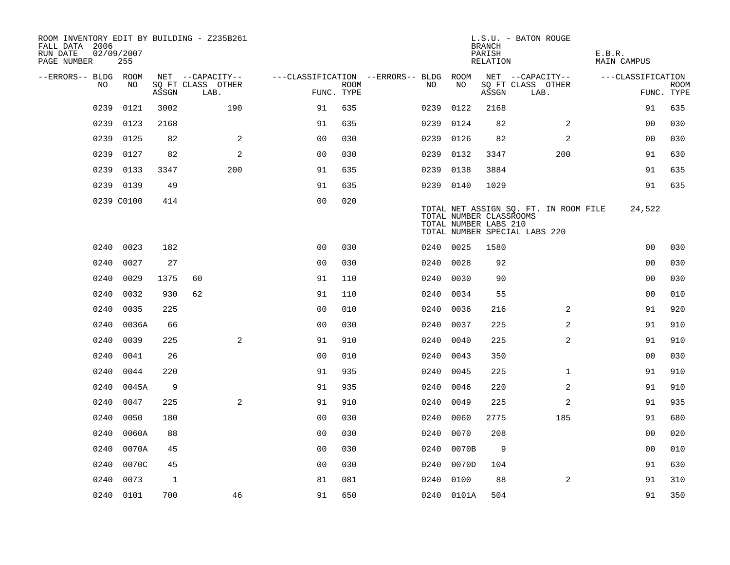| ROOM INVENTORY EDIT BY BUILDING - Z235B261<br>FALL DATA 2006<br>RUN DATE<br>PAGE NUMBER | 02/09/2007<br>255 |              |                           |                                        |      |           |                                                  | <b>BRANCH</b><br>PARISH<br>RELATION | L.S.U. - BATON ROUGE                                                   | E.B.R.<br>MAIN CAMPUS |                           |
|-----------------------------------------------------------------------------------------|-------------------|--------------|---------------------------|----------------------------------------|------|-----------|--------------------------------------------------|-------------------------------------|------------------------------------------------------------------------|-----------------------|---------------------------|
| --ERRORS-- BLDG ROOM                                                                    |                   |              | NET --CAPACITY--          | ---CLASSIFICATION --ERRORS-- BLDG ROOM |      |           |                                                  |                                     | NET --CAPACITY--                                                       | ---CLASSIFICATION     |                           |
| NO.                                                                                     | NO.               | ASSGN        | SQ FT CLASS OTHER<br>LAB. | FUNC. TYPE                             | ROOM | NO.       | NO                                               | ASSGN                               | SQ FT CLASS OTHER<br>LAB.                                              |                       | <b>ROOM</b><br>FUNC. TYPE |
| 0239                                                                                    | 0121              | 3002         | 190                       | 91                                     | 635  | 0239      | 0122                                             | 2168                                |                                                                        | 91                    | 635                       |
| 0239                                                                                    | 0123              | 2168         |                           | 91                                     | 635  | 0239      | 0124                                             | 82                                  | 2                                                                      | 0 <sub>0</sub>        | 030                       |
| 0239                                                                                    | 0125              | 82           | 2                         | 0 <sub>0</sub>                         | 030  | 0239      | 0126                                             | 82                                  | 2                                                                      | 0 <sub>0</sub>        | 030                       |
| 0239                                                                                    | 0127              | 82           | 2                         | 0 <sub>0</sub>                         | 030  | 0239 0132 |                                                  | 3347                                | 200                                                                    | 91                    | 630                       |
| 0239                                                                                    | 0133              | 3347         | 200                       | 91                                     | 635  | 0239      | 0138                                             | 3884                                |                                                                        | 91                    | 635                       |
|                                                                                         | 0239 0139         | 49           |                           | 91                                     | 635  | 0239 0140 |                                                  | 1029                                |                                                                        | 91                    | 635                       |
|                                                                                         | 0239 C0100        | 414          |                           | 0 <sub>0</sub>                         | 020  |           | TOTAL NUMBER CLASSROOMS<br>TOTAL NUMBER LABS 210 |                                     | TOTAL NET ASSIGN SQ. FT. IN ROOM FILE<br>TOTAL NUMBER SPECIAL LABS 220 | 24,522                |                           |
|                                                                                         | 0240 0023         | 182          |                           | 0 <sub>0</sub>                         | 030  | 0240 0025 |                                                  | 1580                                |                                                                        | 0 <sub>0</sub>        | 030                       |
| 0240                                                                                    | 0027              | 27           |                           | 0 <sub>0</sub>                         | 030  | 0240 0028 |                                                  | 92                                  |                                                                        | 0 <sub>0</sub>        | 030                       |
|                                                                                         | 0240 0029         | 1375         | 60                        | 91                                     | 110  |           | 0240 0030                                        | 90                                  |                                                                        | 00                    | 030                       |
| 0240                                                                                    | 0032              | 930          | 62                        | 91                                     | 110  | 0240      | 0034                                             | 55                                  |                                                                        | 0 <sub>0</sub>        | 010                       |
| 0240                                                                                    | 0035              | 225          |                           | 0 <sub>0</sub>                         | 010  |           | 0240 0036                                        | 216                                 | 2                                                                      | 91                    | 920                       |
| 0240                                                                                    | 0036A             | 66           |                           | 0 <sub>0</sub>                         | 030  | 0240      | 0037                                             | 225                                 | $\overline{2}$                                                         | 91                    | 910                       |
| 0240                                                                                    | 0039              | 225          | 2                         | 91                                     | 910  | 0240      | 0040                                             | 225                                 | 2                                                                      | 91                    | 910                       |
| 0240                                                                                    | 0041              | 26           |                           | 0 <sub>0</sub>                         | 010  | 0240      | 0043                                             | 350                                 |                                                                        | 00                    | 030                       |
| 0240                                                                                    | 0044              | 220          |                           | 91                                     | 935  | 0240      | 0045                                             | 225                                 | $\mathbf{1}$                                                           | 91                    | 910                       |
| 0240                                                                                    | 0045A             | 9            |                           | 91                                     | 935  | 0240      | 0046                                             | 220                                 | 2                                                                      | 91                    | 910                       |
| 0240                                                                                    | 0047              | 225          | 2                         | 91                                     | 910  | 0240      | 0049                                             | 225                                 | 2                                                                      | 91                    | 935                       |
| 0240                                                                                    | 0050              | 180          |                           | 0 <sub>0</sub>                         | 030  | 0240      | 0060                                             | 2775                                | 185                                                                    | 91                    | 680                       |
| 0240                                                                                    | 0060A             | 88           |                           | 0 <sub>0</sub>                         | 030  | 0240      | 0070                                             | 208                                 |                                                                        | 00                    | 020                       |
| 0240                                                                                    | 0070A             | 45           |                           | 0 <sub>0</sub>                         | 030  | 0240      | 0070B                                            | 9                                   |                                                                        | 00                    | 010                       |
| 0240                                                                                    | 0070C             | 45           |                           | 0 <sub>0</sub>                         | 030  | 0240      | 0070D                                            | 104                                 |                                                                        | 91                    | 630                       |
| 0240                                                                                    | 0073              | $\mathbf{1}$ |                           | 81                                     | 081  | 0240      | 0100                                             | 88                                  | 2                                                                      | 91                    | 310                       |
|                                                                                         | 0240 0101         | 700          | 46                        | 91                                     | 650  |           | 0240 0101A                                       | 504                                 |                                                                        | 91                    | 350                       |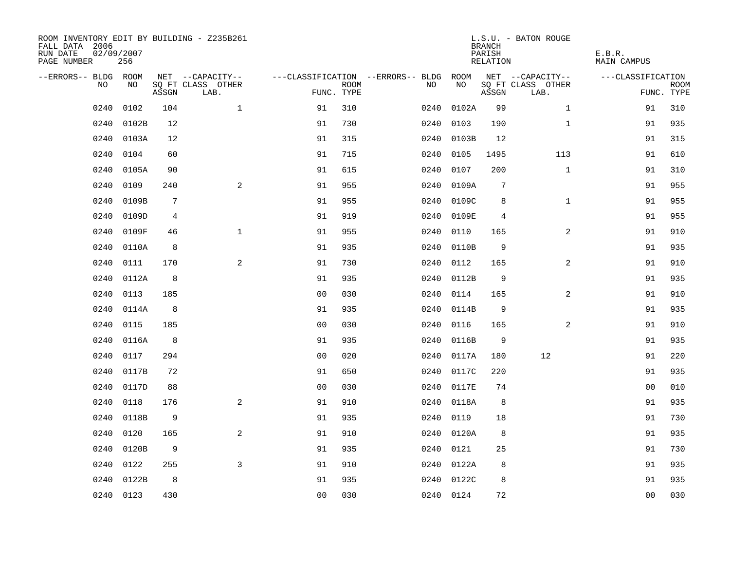| ROOM INVENTORY EDIT BY BUILDING - Z235B261<br>FALL DATA 2006<br>RUN DATE<br>PAGE NUMBER | 02/09/2007<br>256 |       |                           |                |             |                                        |            | <b>BRANCH</b><br>PARISH<br>RELATION | L.S.U. - BATON ROUGE      | E.B.R.<br>MAIN CAMPUS |                           |
|-----------------------------------------------------------------------------------------|-------------------|-------|---------------------------|----------------|-------------|----------------------------------------|------------|-------------------------------------|---------------------------|-----------------------|---------------------------|
| --ERRORS-- BLDG ROOM                                                                    |                   |       | NET --CAPACITY--          |                |             | ---CLASSIFICATION --ERRORS-- BLDG ROOM |            |                                     | NET --CAPACITY--          | ---CLASSIFICATION     |                           |
| NO                                                                                      | NO                | ASSGN | SQ FT CLASS OTHER<br>LAB. | FUNC. TYPE     | <b>ROOM</b> | NO                                     | NO         | ASSGN                               | SQ FT CLASS OTHER<br>LAB. |                       | <b>ROOM</b><br>FUNC. TYPE |
| 0240                                                                                    | 0102              | 104   | $\mathbf{1}$              | 91             | 310         | 0240                                   | 0102A      | 99                                  | $\mathbf{1}$              | 91                    | 310                       |
| 0240                                                                                    | 0102B             | 12    |                           | 91             | 730         | 0240                                   | 0103       | 190                                 | $\mathbf{1}$              | 91                    | 935                       |
| 0240                                                                                    | 0103A             | 12    |                           | 91             | 315         | 0240                                   | 0103B      | 12                                  |                           | 91                    | 315                       |
| 0240                                                                                    | 0104              | 60    |                           | 91             | 715         | 0240                                   | 0105       | 1495                                | 113                       | 91                    | 610                       |
| 0240                                                                                    | 0105A             | 90    |                           | 91             | 615         | 0240                                   | 0107       | 200                                 | $\mathbf{1}$              | 91                    | 310                       |
| 0240                                                                                    | 0109              | 240   | $\overline{a}$            | 91             | 955         | 0240                                   | 0109A      | 7                                   |                           | 91                    | 955                       |
| 0240                                                                                    | 0109B             | 7     |                           | 91             | 955         | 0240                                   | 0109C      | 8                                   | $\mathbf{1}$              | 91                    | 955                       |
| 0240                                                                                    | 0109D             | 4     |                           | 91             | 919         | 0240                                   | 0109E      | $\overline{4}$                      |                           | 91                    | 955                       |
| 0240                                                                                    | 0109F             | 46    | $\mathbf{1}$              | 91             | 955         | 0240                                   | 0110       | 165                                 | $\overline{a}$            | 91                    | 910                       |
| 0240                                                                                    | 0110A             | 8     |                           | 91             | 935         |                                        | 0240 0110B | 9                                   |                           | 91                    | 935                       |
| 0240                                                                                    | 0111              | 170   | 2                         | 91             | 730         | 0240                                   | 0112       | 165                                 | $\overline{2}$            | 91                    | 910                       |
| 0240                                                                                    | 0112A             | 8     |                           | 91             | 935         |                                        | 0240 0112B | 9                                   |                           | 91                    | 935                       |
| 0240                                                                                    | 0113              | 185   |                           | 0 <sub>0</sub> | 030         | 0240                                   | 0114       | 165                                 | $\overline{2}$            | 91                    | 910                       |
| 0240                                                                                    | 0114A             | 8     |                           | 91             | 935         | 0240                                   | 0114B      | 9                                   |                           | 91                    | 935                       |
| 0240                                                                                    | 0115              | 185   |                           | 0 <sub>0</sub> | 030         | 0240                                   | 0116       | 165                                 | 2                         | 91                    | 910                       |
| 0240                                                                                    | 0116A             | 8     |                           | 91             | 935         | 0240                                   | 0116B      | $\mathsf 9$                         |                           | 91                    | 935                       |
| 0240                                                                                    | 0117              | 294   |                           | 0 <sub>0</sub> | 020         | 0240                                   | 0117A      | 180                                 | 12                        | 91                    | 220                       |
| 0240                                                                                    | 0117B             | 72    |                           | 91             | 650         | 0240                                   | 0117C      | 220                                 |                           | 91                    | 935                       |
| 0240                                                                                    | 0117D             | 88    |                           | 0 <sub>0</sub> | 030         |                                        | 0240 0117E | 74                                  |                           | 0 <sub>0</sub>        | 010                       |
| 0240                                                                                    | 0118              | 176   | 2                         | 91             | 910         |                                        | 0240 0118A | 8                                   |                           | 91                    | 935                       |
| 0240                                                                                    | 0118B             | 9     |                           | 91             | 935         |                                        | 0240 0119  | 18                                  |                           | 91                    | 730                       |
| 0240                                                                                    | 0120              | 165   | $\overline{a}$            | 91             | 910         | 0240                                   | 0120A      | 8                                   |                           | 91                    | 935                       |
| 0240                                                                                    | 0120B             | 9     |                           | 91             | 935         | 0240                                   | 0121       | 25                                  |                           | 91                    | 730                       |
| 0240                                                                                    | 0122              | 255   | 3                         | 91             | 910         |                                        | 0240 0122A | 8                                   |                           | 91                    | 935                       |
| 0240                                                                                    | 0122B             | 8     |                           | 91             | 935         |                                        | 0240 0122C | 8                                   |                           | 91                    | 935                       |
|                                                                                         | 0240 0123         | 430   |                           | 0 <sub>0</sub> | 030         |                                        | 0240 0124  | 72                                  |                           | 0 <sub>0</sub>        | 030                       |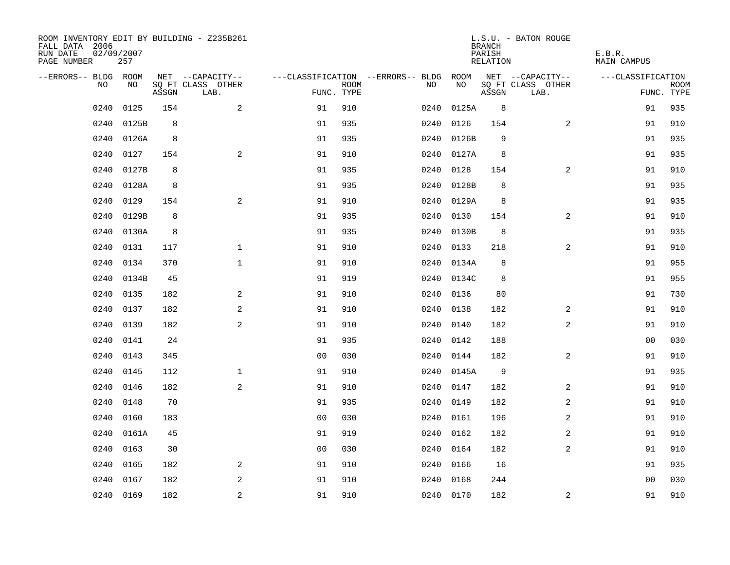| FALL DATA 2006<br>RUN DATE<br>PAGE NUMBER | 02/09/2007 | 257   |       | ROOM INVENTORY EDIT BY BUILDING - Z235B261 |                |             |                                               |            | <b>BRANCH</b><br>PARISH<br>RELATION | L.S.U. - BATON ROUGE                  | E.B.R.<br><b>MAIN CAMPUS</b> |             |
|-------------------------------------------|------------|-------|-------|--------------------------------------------|----------------|-------------|-----------------------------------------------|------------|-------------------------------------|---------------------------------------|------------------------------|-------------|
| --ERRORS-- BLDG ROOM                      | NO         | NO    |       | NET --CAPACITY--<br>SQ FT CLASS OTHER      |                | <b>ROOM</b> | ---CLASSIFICATION --ERRORS-- BLDG ROOM<br>NO. | NO         |                                     | NET --CAPACITY--<br>SQ FT CLASS OTHER | ---CLASSIFICATION            | <b>ROOM</b> |
|                                           |            |       | ASSGN | LAB.                                       | FUNC. TYPE     |             |                                               |            | ASSGN                               | LAB.                                  |                              | FUNC. TYPE  |
|                                           | 0240       | 0125  | 154   | $\overline{a}$                             | 91             | 910         | 0240                                          | 0125A      | 8                                   |                                       | 91                           | 935         |
|                                           | 0240       | 0125B | 8     |                                            | 91             | 935         | 0240                                          | 0126       | 154                                 | 2                                     | 91                           | 910         |
|                                           | 0240       | 0126A | 8     |                                            | 91             | 935         | 0240                                          | 0126B      | 9                                   |                                       | 91                           | 935         |
|                                           | 0240       | 0127  | 154   | $\overline{a}$                             | 91             | 910         |                                               | 0240 0127A | 8                                   |                                       | 91                           | 935         |
|                                           | 0240       | 0127B | 8     |                                            | 91             | 935         | 0240                                          | 0128       | 154                                 | $\overline{2}$                        | 91                           | 910         |
|                                           | 0240       | 0128A | 8     |                                            | 91             | 935         |                                               | 0240 0128B | 8                                   |                                       | 91                           | 935         |
|                                           | 0240       | 0129  | 154   | $\overline{a}$                             | 91             | 910         |                                               | 0240 0129A | 8                                   |                                       | 91                           | 935         |
|                                           | 0240       | 0129B | 8     |                                            | 91             | 935         |                                               | 0240 0130  | 154                                 | 2                                     | 91                           | 910         |
|                                           | 0240       | 0130A | 8     |                                            | 91             | 935         | 0240                                          | 0130B      | 8                                   |                                       | 91                           | 935         |
|                                           | 0240       | 0131  | 117   | $\mathbf{1}$                               | 91             | 910         |                                               | 0240 0133  | 218                                 | 2                                     | 91                           | 910         |
|                                           | 0240       | 0134  | 370   | $\mathbf{1}$                               | 91             | 910         |                                               | 0240 0134A | 8                                   |                                       | 91                           | 955         |
|                                           | 0240       | 0134B | 45    |                                            | 91             | 919         |                                               | 0240 0134C | 8                                   |                                       | 91                           | 955         |
|                                           | 0240       | 0135  | 182   | 2                                          | 91             | 910         | 0240                                          | 0136       | 80                                  |                                       | 91                           | 730         |
|                                           | 0240       | 0137  | 182   | $\overline{a}$                             | 91             | 910         | 0240                                          | 0138       | 182                                 | 2                                     | 91                           | 910         |
|                                           | 0240       | 0139  | 182   | 2                                          | 91             | 910         | 0240                                          | 0140       | 182                                 | $\overline{a}$                        | 91                           | 910         |
|                                           | 0240       | 0141  | 24    |                                            | 91             | 935         | 0240                                          | 0142       | 188                                 |                                       | 0 <sub>0</sub>               | 030         |
|                                           | 0240       | 0143  | 345   |                                            | 0 <sub>0</sub> | 030         | 0240                                          | 0144       | 182                                 | $\overline{a}$                        | 91                           | 910         |
|                                           | 0240       | 0145  | 112   | $\mathbf 1$                                | 91             | 910         |                                               | 0240 0145A | 9                                   |                                       | 91                           | 935         |
|                                           | 0240       | 0146  | 182   | 2                                          | 91             | 910         |                                               | 0240 0147  | 182                                 | 2                                     | 91                           | 910         |
|                                           | 0240       | 0148  | 70    |                                            | 91             | 935         | 0240                                          | 0149       | 182                                 | 2                                     | 91                           | 910         |
|                                           | 0240       | 0160  | 183   |                                            | 0 <sub>0</sub> | 030         |                                               | 0240 0161  | 196                                 | 2                                     | 91                           | 910         |
|                                           | 0240       | 0161A | 45    |                                            | 91             | 919         | 0240                                          | 0162       | 182                                 | 2                                     | 91                           | 910         |
|                                           | 0240       | 0163  | 30    |                                            | 0 <sub>0</sub> | 030         |                                               | 0240 0164  | 182                                 | $\overline{a}$                        | 91                           | 910         |
|                                           | 0240       | 0165  | 182   | $\overline{a}$                             | 91             | 910         | 0240                                          | 0166       | 16                                  |                                       | 91                           | 935         |
|                                           | 0240       | 0167  | 182   | 2                                          | 91             | 910         |                                               | 0240 0168  | 244                                 |                                       | 0 <sub>0</sub>               | 030         |
|                                           | 0240 0169  |       | 182   | 2                                          | 91             | 910         |                                               | 0240 0170  | 182                                 | 2                                     | 91                           | 910         |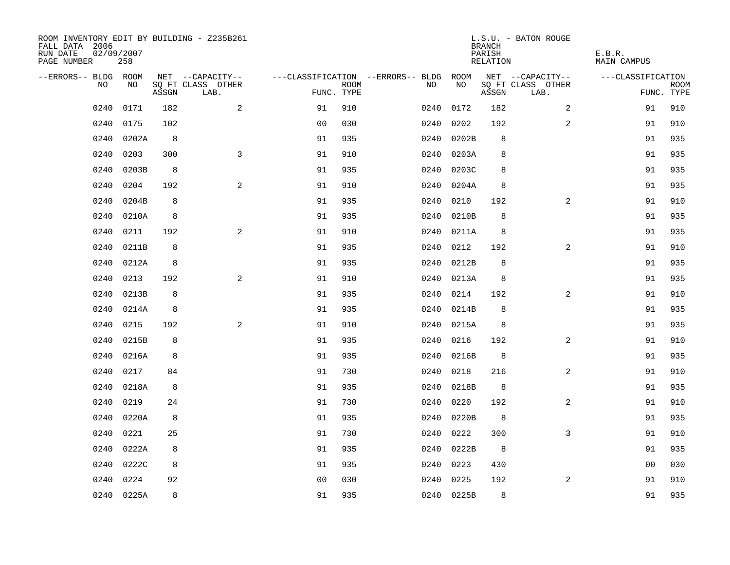| ROOM INVENTORY EDIT BY BUILDING - Z235B261<br>FALL DATA 2006<br>RUN DATE<br>PAGE NUMBER | 02/09/2007<br>258 |       |                                       |                |             |                                              |            | <b>BRANCH</b><br>PARISH<br>RELATION | L.S.U. - BATON ROUGE                  | E.B.R.<br><b>MAIN CAMPUS</b> |             |
|-----------------------------------------------------------------------------------------|-------------------|-------|---------------------------------------|----------------|-------------|----------------------------------------------|------------|-------------------------------------|---------------------------------------|------------------------------|-------------|
| --ERRORS-- BLDG ROOM<br>NO                                                              | NO                |       | NET --CAPACITY--<br>SQ FT CLASS OTHER |                | <b>ROOM</b> | ---CLASSIFICATION --ERRORS-- BLDG ROOM<br>NO | NO         |                                     | NET --CAPACITY--<br>SQ FT CLASS OTHER | ---CLASSIFICATION            | <b>ROOM</b> |
|                                                                                         |                   | ASSGN | LAB.                                  | FUNC. TYPE     |             |                                              |            | ASSGN                               | LAB.                                  |                              | FUNC. TYPE  |
| 0240                                                                                    | 0171              | 182   | $\overline{a}$                        | 91             | 910         | 0240                                         | 0172       | 182                                 | 2                                     | 91                           | 910         |
| 0240                                                                                    | 0175              | 102   |                                       | 0 <sub>0</sub> | 030         | 0240                                         | 0202       | 192                                 | 2                                     | 91                           | 910         |
| 0240                                                                                    | 0202A             | 8     |                                       | 91             | 935         | 0240                                         | 0202B      | 8                                   |                                       | 91                           | 935         |
| 0240                                                                                    | 0203              | 300   | $\mathbf{3}$                          | 91             | 910         | 0240                                         | 0203A      | 8                                   |                                       | 91                           | 935         |
| 0240                                                                                    | 0203B             | 8     |                                       | 91             | 935         | 0240                                         | 0203C      | 8                                   |                                       | 91                           | 935         |
| 0240                                                                                    | 0204              | 192   | 2                                     | 91             | 910         | 0240                                         | 0204A      | 8                                   |                                       | 91                           | 935         |
| 0240                                                                                    | 0204B             | 8     |                                       | 91             | 935         | 0240                                         | 0210       | 192                                 | 2                                     | 91                           | 910         |
| 0240                                                                                    | 0210A             | 8     |                                       | 91             | 935         | 0240                                         | 0210B      | 8                                   |                                       | 91                           | 935         |
| 0240                                                                                    | 0211              | 192   | 2                                     | 91             | 910         | 0240                                         | 0211A      | 8                                   |                                       | 91                           | 935         |
| 0240                                                                                    | 0211B             | 8     |                                       | 91             | 935         |                                              | 0240 0212  | 192                                 | 2                                     | 91                           | 910         |
| 0240                                                                                    | 0212A             | 8     |                                       | 91             | 935         |                                              | 0240 0212B | 8                                   |                                       | 91                           | 935         |
| 0240                                                                                    | 0213              | 192   | 2                                     | 91             | 910         |                                              | 0240 0213A | 8                                   |                                       | 91                           | 935         |
| 0240                                                                                    | 0213B             | 8     |                                       | 91             | 935         | 0240                                         | 0214       | 192                                 | $\overline{a}$                        | 91                           | 910         |
| 0240                                                                                    | 0214A             | 8     |                                       | 91             | 935         | 0240                                         | 0214B      | 8                                   |                                       | 91                           | 935         |
| 0240                                                                                    | 0215              | 192   | 2                                     | 91             | 910         |                                              | 0240 0215A | 8                                   |                                       | 91                           | 935         |
| 0240                                                                                    | 0215B             | 8     |                                       | 91             | 935         | 0240                                         | 0216       | 192                                 | 2                                     | 91                           | 910         |
| 0240                                                                                    | 0216A             | 8     |                                       | 91             | 935         | 0240                                         | 0216B      | 8                                   |                                       | 91                           | 935         |
| 0240                                                                                    | 0217              | 84    |                                       | 91             | 730         | 0240                                         | 0218       | 216                                 | 2                                     | 91                           | 910         |
| 0240                                                                                    | 0218A             | 8     |                                       | 91             | 935         |                                              | 0240 0218B | 8                                   |                                       | 91                           | 935         |
| 0240                                                                                    | 0219              | 24    |                                       | 91             | 730         | 0240                                         | 0220       | 192                                 | $\overline{2}$                        | 91                           | 910         |
| 0240                                                                                    | 0220A             | 8     |                                       | 91             | 935         |                                              | 0240 0220B | 8                                   |                                       | 91                           | 935         |
| 0240                                                                                    | 0221              | 25    |                                       | 91             | 730         | 0240                                         | 0222       | 300                                 | 3                                     | 91                           | 910         |
| 0240                                                                                    | 0222A             | 8     |                                       | 91             | 935         |                                              | 0240 0222B | 8                                   |                                       | 91                           | 935         |
| 0240                                                                                    | 0222C             | 8     |                                       | 91             | 935         | 0240                                         | 0223       | 430                                 |                                       | 00                           | 030         |
| 0240                                                                                    | 0224              | 92    |                                       | 0 <sub>0</sub> | 030         | 0240                                         | 0225       | 192                                 | 2                                     | 91                           | 910         |
|                                                                                         | 0240 0225A        | 8     |                                       | 91             | 935         |                                              | 0240 0225B | 8                                   |                                       | 91                           | 935         |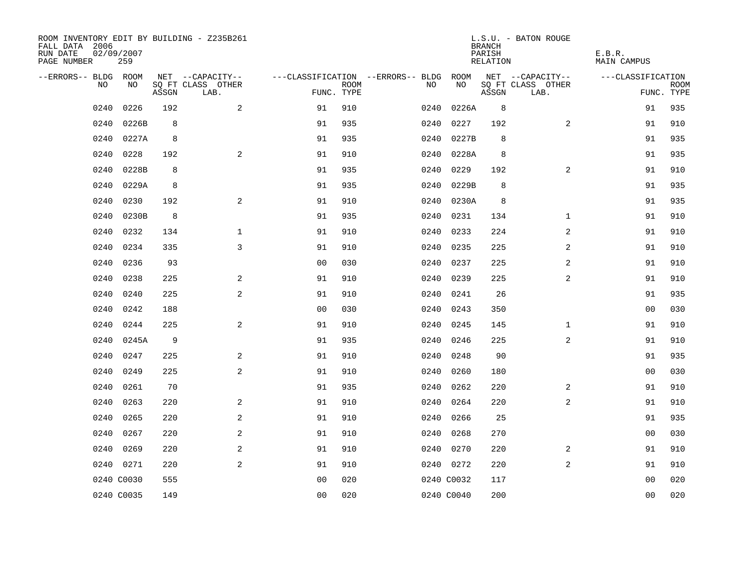| ROOM INVENTORY EDIT BY BUILDING - Z235B261<br>FALL DATA 2006<br>RUN DATE<br>PAGE NUMBER | 02/09/2007<br>259 |       |                           |                |                           |                                        |            | <b>BRANCH</b><br>PARISH<br>RELATION | L.S.U. - BATON ROUGE      | E.B.R.<br><b>MAIN CAMPUS</b> |                           |
|-----------------------------------------------------------------------------------------|-------------------|-------|---------------------------|----------------|---------------------------|----------------------------------------|------------|-------------------------------------|---------------------------|------------------------------|---------------------------|
| --ERRORS-- BLDG ROOM                                                                    |                   |       | NET --CAPACITY--          |                |                           | ---CLASSIFICATION --ERRORS-- BLDG ROOM |            |                                     | NET --CAPACITY--          | ---CLASSIFICATION            |                           |
| NO                                                                                      | NO                | ASSGN | SQ FT CLASS OTHER<br>LAB. |                | <b>ROOM</b><br>FUNC. TYPE | NO.                                    | NO         | ASSGN                               | SQ FT CLASS OTHER<br>LAB. |                              | <b>ROOM</b><br>FUNC. TYPE |
| 0240                                                                                    | 0226              | 192   | 2                         | 91             | 910                       | 0240                                   | 0226A      | 8                                   |                           | 91                           | 935                       |
| 0240                                                                                    | 0226B             | 8     |                           | 91             | 935                       | 0240                                   | 0227       | 192                                 | 2                         | 91                           | 910                       |
| 0240                                                                                    | 0227A             | 8     |                           | 91             | 935                       | 0240                                   | 0227B      | 8                                   |                           | 91                           | 935                       |
| 0240                                                                                    | 0228              | 192   | 2                         | 91             | 910                       | 0240                                   | 0228A      | 8                                   |                           | 91                           | 935                       |
| 0240                                                                                    | 0228B             | 8     |                           | 91             | 935                       | 0240                                   | 0229       | 192                                 | $\overline{a}$            | 91                           | 910                       |
| 0240                                                                                    | 0229A             | 8     |                           | 91             | 935                       | 0240                                   | 0229B      | 8                                   |                           | 91                           | 935                       |
| 0240                                                                                    | 0230              | 192   | 2                         | 91             | 910                       |                                        | 0240 0230A | 8                                   |                           | 91                           | 935                       |
| 0240                                                                                    | 0230B             | 8     |                           | 91             | 935                       | 0240                                   | 0231       | 134                                 | $\mathbf{1}$              | 91                           | 910                       |
| 0240                                                                                    | 0232              | 134   | $\mathbf{1}$              | 91             | 910                       | 0240                                   | 0233       | 224                                 | 2                         | 91                           | 910                       |
| 0240                                                                                    | 0234              | 335   | 3                         | 91             | 910                       |                                        | 0240 0235  | 225                                 | 2                         | 91                           | 910                       |
| 0240                                                                                    | 0236              | 93    |                           | 0 <sub>0</sub> | 030                       | 0240                                   | 0237       | 225                                 | 2                         | 91                           | 910                       |
| 0240                                                                                    | 0238              | 225   | 2                         | 91             | 910                       |                                        | 0240 0239  | 225                                 | $\overline{a}$            | 91                           | 910                       |
| 0240                                                                                    | 0240              | 225   | 2                         | 91             | 910                       | 0240                                   | 0241       | 26                                  |                           | 91                           | 935                       |
| 0240                                                                                    | 0242              | 188   |                           | 0 <sub>0</sub> | 030                       | 0240                                   | 0243       | 350                                 |                           | 00                           | 030                       |
| 0240                                                                                    | 0244              | 225   | 2                         | 91             | 910                       | 0240                                   | 0245       | 145                                 | $\mathbf{1}$              | 91                           | 910                       |
| 0240                                                                                    | 0245A             | 9     |                           | 91             | 935                       | 0240                                   | 0246       | 225                                 | 2                         | 91                           | 910                       |
| 0240                                                                                    | 0247              | 225   | 2                         | 91             | 910                       | 0240                                   | 0248       | 90                                  |                           | 91                           | 935                       |
| 0240                                                                                    | 0249              | 225   | 2                         | 91             | 910                       | 0240                                   | 0260       | 180                                 |                           | 0 <sub>0</sub>               | 030                       |
| 0240                                                                                    | 0261              | 70    |                           | 91             | 935                       | 0240                                   | 0262       | 220                                 | 2                         | 91                           | 910                       |
| 0240                                                                                    | 0263              | 220   | 2                         | 91             | 910                       | 0240                                   | 0264       | 220                                 | $\overline{2}$            | 91                           | 910                       |
| 0240                                                                                    | 0265              | 220   | 2                         | 91             | 910                       | 0240                                   | 0266       | 25                                  |                           | 91                           | 935                       |
| 0240                                                                                    | 0267              | 220   | 2                         | 91             | 910                       | 0240                                   | 0268       | 270                                 |                           | 0 <sub>0</sub>               | 030                       |
| 0240                                                                                    | 0269              | 220   | 2                         | 91             | 910                       |                                        | 0240 0270  | 220                                 | 2                         | 91                           | 910                       |
|                                                                                         | 0240 0271         | 220   | 2                         | 91             | 910                       |                                        | 0240 0272  | 220                                 | $\overline{a}$            | 91                           | 910                       |
|                                                                                         | 0240 C0030        | 555   |                           | 0 <sub>0</sub> | 020                       |                                        | 0240 C0032 | 117                                 |                           | 00                           | 020                       |
|                                                                                         | 0240 C0035        | 149   |                           | 0 <sub>0</sub> | 020                       |                                        | 0240 C0040 | 200                                 |                           | 0 <sub>0</sub>               | 020                       |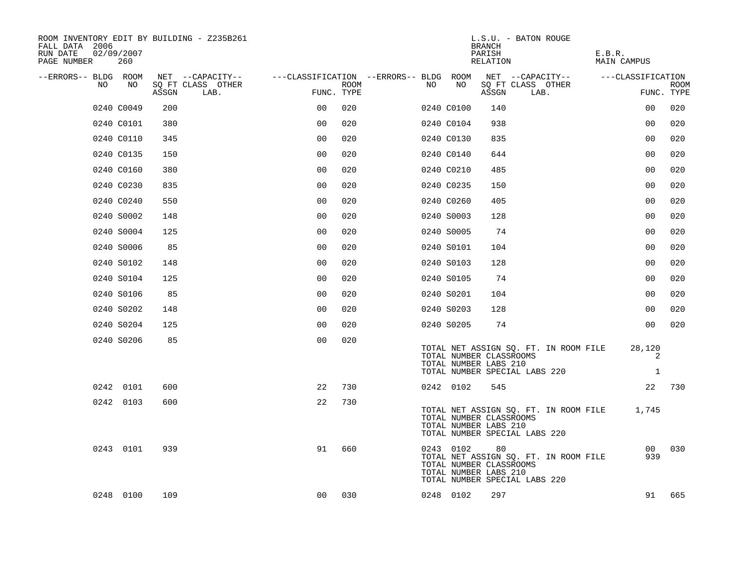| ROOM INVENTORY EDIT BY BUILDING - Z235B261<br>FALL DATA 2006<br>02/09/2007<br>RUN DATE<br>PAGE NUMBER<br>260 |                                    |                                        | L.S.U. - BATON ROUGE<br><b>BRANCH</b><br>PARISH<br>RELATION                                                                                   | E.B.R.<br>MAIN CAMPUS         |
|--------------------------------------------------------------------------------------------------------------|------------------------------------|----------------------------------------|-----------------------------------------------------------------------------------------------------------------------------------------------|-------------------------------|
| --ERRORS-- BLDG ROOM                                                                                         | NET --CAPACITY--                   | ---CLASSIFICATION --ERRORS-- BLDG ROOM | NET --CAPACITY--                                                                                                                              | ---CLASSIFICATION             |
| NO.<br>NO.                                                                                                   | SQ FT CLASS OTHER<br>ASSGN<br>LAB. | ROOM<br>FUNC. TYPE                     | NO<br>SQ FT CLASS OTHER<br>NO.<br>ASSGN<br>LAB.                                                                                               | <b>ROOM</b><br>FUNC. TYPE     |
| 0240 C0049                                                                                                   | 200                                | 0 <sub>0</sub><br>020                  | 0240 C0100<br>140                                                                                                                             | 0 <sub>0</sub><br>020         |
| 0240 C0101                                                                                                   | 380                                | 0 <sub>0</sub><br>020                  | 0240 C0104<br>938                                                                                                                             | 020<br>00                     |
| 0240 C0110                                                                                                   | 345                                | 0 <sub>0</sub><br>020                  | 0240 C0130<br>835                                                                                                                             | 020<br>0 <sub>0</sub>         |
| 0240 C0135                                                                                                   | 150                                | 00<br>020                              | 0240 C0140<br>644                                                                                                                             | 0 <sub>0</sub><br>020         |
| 0240 C0160                                                                                                   | 380                                | 00<br>020                              | 0240 C0210<br>485                                                                                                                             | 00<br>020                     |
| 0240 C0230                                                                                                   | 835                                | 0 <sub>0</sub><br>020                  | 150<br>0240 C0235                                                                                                                             | 00<br>020                     |
| 0240 C0240                                                                                                   | 550                                | 0 <sub>0</sub><br>020                  | 405<br>0240 C0260                                                                                                                             | 020<br>0 <sub>0</sub>         |
| 0240 S0002                                                                                                   | 148                                | 0 <sub>0</sub><br>020                  | 0240 S0003<br>128                                                                                                                             | 0 <sub>0</sub><br>020         |
| 0240 S0004                                                                                                   | 125                                | 0 <sub>0</sub><br>020                  | 74<br>0240 S0005                                                                                                                              | 0 <sub>0</sub><br>020         |
| 0240 S0006                                                                                                   | 85                                 | 0 <sub>0</sub><br>020                  | 0240 S0101<br>104                                                                                                                             | 0 <sub>0</sub><br>020         |
| 0240 S0102                                                                                                   | 148                                | 0 <sub>0</sub><br>020                  | 128<br>0240 S0103                                                                                                                             | 0 <sub>0</sub><br>020         |
| 0240 S0104                                                                                                   | 125                                | 0 <sub>0</sub><br>020                  | 0240 S0105<br>74                                                                                                                              | 020<br>0 <sub>0</sub>         |
| 0240 S0106                                                                                                   | 85                                 | 0 <sub>0</sub><br>020                  | 0240 S0201<br>104                                                                                                                             | 00<br>020                     |
| 0240 S0202                                                                                                   | 148                                | 0 <sub>0</sub><br>020                  | 0240 S0203<br>128                                                                                                                             | 020<br>0 <sub>0</sub>         |
| 0240 S0204                                                                                                   | 125                                | 00<br>020                              | 0240 S0205<br>74                                                                                                                              | 020<br>00                     |
| 0240 S0206                                                                                                   | 85                                 | 0 <sub>0</sub><br>020                  | TOTAL NET ASSIGN SQ. FT. IN ROOM FILE<br>TOTAL NUMBER CLASSROOMS<br>TOTAL NUMBER LABS 210<br>TOTAL NUMBER SPECIAL LABS 220                    | 28,120<br>2<br>1              |
| 0242 0101                                                                                                    | 600                                | 730<br>22                              | 0242 0102<br>545                                                                                                                              | 22<br>730                     |
| 0242 0103                                                                                                    | 600                                | 22<br>730                              | TOTAL NET ASSIGN SQ. FT. IN ROOM FILE<br>TOTAL NUMBER CLASSROOMS<br>TOTAL NUMBER LABS 210<br>TOTAL NUMBER SPECIAL LABS 220                    | 1,745                         |
| 0243 0101                                                                                                    | 939                                | 91<br>660                              | 0243 0102<br>80<br>TOTAL NET ASSIGN SQ. FT. IN ROOM FILE<br>TOTAL NUMBER CLASSROOMS<br>TOTAL NUMBER LABS 210<br>TOTAL NUMBER SPECIAL LABS 220 | 00 <sup>1</sup><br>030<br>939 |
| 0248 0100                                                                                                    | 109                                | 00<br>030                              | 297<br>0248 0102                                                                                                                              | 665<br>91                     |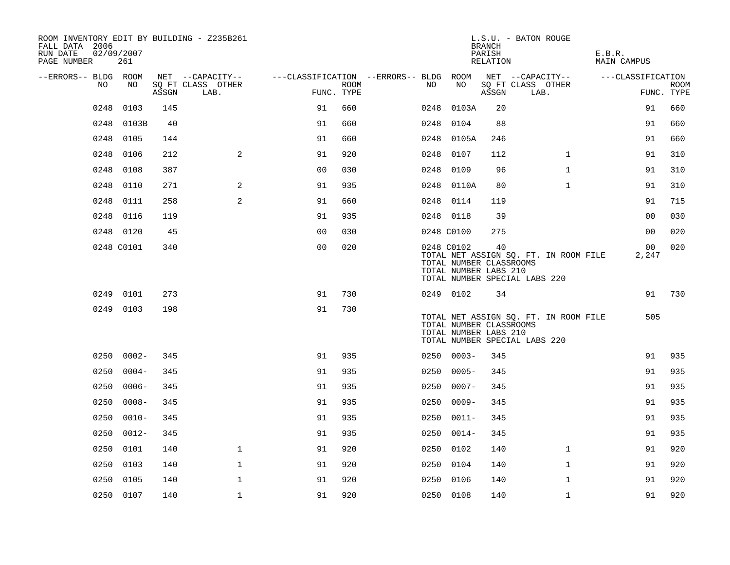| ROOM INVENTORY EDIT BY BUILDING - Z235B261<br>FALL DATA 2006<br>RUN DATE<br>PAGE NUMBER | 02/09/2007<br>261 |       |                           |                                        |      |      |                                                                | <b>BRANCH</b><br>PARISH<br>RELATION | L.S.U. - BATON ROUGE                                                   | E.B.R.<br><b>MAIN CAMPUS</b> |                           |
|-----------------------------------------------------------------------------------------|-------------------|-------|---------------------------|----------------------------------------|------|------|----------------------------------------------------------------|-------------------------------------|------------------------------------------------------------------------|------------------------------|---------------------------|
| --ERRORS-- BLDG ROOM                                                                    |                   |       | NET --CAPACITY--          | ---CLASSIFICATION --ERRORS-- BLDG ROOM |      |      |                                                                |                                     | NET --CAPACITY--                                                       | ---CLASSIFICATION            |                           |
| NO                                                                                      | NO                | ASSGN | SQ FT CLASS OTHER<br>LAB. | FUNC. TYPE                             | ROOM | NO.  | NO                                                             | ASSGN                               | SQ FT CLASS OTHER<br>LAB.                                              |                              | <b>ROOM</b><br>FUNC. TYPE |
| 0248                                                                                    | 0103              | 145   |                           | 91                                     | 660  | 0248 | 0103A                                                          | 20                                  |                                                                        | 91                           | 660                       |
| 0248                                                                                    | 0103B             | 40    |                           | 91                                     | 660  | 0248 | 0104                                                           | 88                                  |                                                                        | 91                           | 660                       |
| 0248                                                                                    | 0105              | 144   |                           | 91                                     | 660  |      | 0248 0105A                                                     | 246                                 |                                                                        | 91                           | 660                       |
| 0248                                                                                    | 0106              | 212   | $\mathbf{2}$              | 91                                     | 920  | 0248 | 0107                                                           | 112                                 | $\mathbf{1}$                                                           | 91                           | 310                       |
| 0248                                                                                    | 0108              | 387   |                           | 00                                     | 030  | 0248 | 0109                                                           | 96                                  | $\mathbf{1}$                                                           | 91                           | 310                       |
| 0248                                                                                    | 0110              | 271   | 2                         | 91                                     | 935  |      | 0248 0110A                                                     | 80                                  | $\mathbf{1}$                                                           | 91                           | 310                       |
| 0248                                                                                    | 0111              | 258   | 2                         | 91                                     | 660  |      | 0248 0114                                                      | 119                                 |                                                                        | 91                           | 715                       |
| 0248                                                                                    | 0116              | 119   |                           | 91                                     | 935  |      | 0248 0118                                                      | 39                                  |                                                                        | 0 <sub>0</sub>               | 030                       |
|                                                                                         | 0248 0120         | 45    |                           | 0 <sub>0</sub>                         | 030  |      | 0248 C0100                                                     | 275                                 |                                                                        | 0 <sub>0</sub>               | 020                       |
|                                                                                         | 0248 C0101        | 340   |                           | 0 <sub>0</sub>                         | 020  |      | 0248 C0102<br>TOTAL NUMBER CLASSROOMS<br>TOTAL NUMBER LABS 210 | 40                                  | TOTAL NET ASSIGN SQ. FT. IN ROOM FILE<br>TOTAL NUMBER SPECIAL LABS 220 | 00<br>2,247                  | 020                       |
|                                                                                         | 0249 0101         | 273   |                           | 91                                     | 730  |      | 0249 0102                                                      | 34                                  |                                                                        | 91                           | 730                       |
|                                                                                         | 0249 0103         | 198   |                           | 91                                     | 730  |      | TOTAL NUMBER CLASSROOMS<br>TOTAL NUMBER LABS 210               |                                     | TOTAL NET ASSIGN SQ. FT. IN ROOM FILE<br>TOTAL NUMBER SPECIAL LABS 220 | 505                          |                           |
|                                                                                         | $02500002 -$      | 345   |                           | 91                                     | 935  |      | $02500003 -$                                                   | 345                                 |                                                                        | 91                           | 935                       |
| 0250                                                                                    | $0004 -$          | 345   |                           | 91                                     | 935  | 0250 | $0005 -$                                                       | 345                                 |                                                                        | 91                           | 935                       |
| 0250                                                                                    | $0006 -$          | 345   |                           | 91                                     | 935  | 0250 | $0007 -$                                                       | 345                                 |                                                                        | 91                           | 935                       |
| 0250                                                                                    | $0008 -$          | 345   |                           | 91                                     | 935  | 0250 | $0009 -$                                                       | 345                                 |                                                                        | 91                           | 935                       |
|                                                                                         | $0250 0010 -$     | 345   |                           | 91                                     | 935  | 0250 | $0011 -$                                                       | 345                                 |                                                                        | 91                           | 935                       |
| 0250                                                                                    | $0012 -$          | 345   |                           | 91                                     | 935  | 0250 | $0014-$                                                        | 345                                 |                                                                        | 91                           | 935                       |
| 0250                                                                                    | 0101              | 140   | $\mathbf 1$               | 91                                     | 920  | 0250 | 0102                                                           | 140                                 | $\mathbf{1}$                                                           | 91                           | 920                       |
| 0250                                                                                    | 0103              | 140   | $\mathbf 1$               | 91                                     | 920  | 0250 | 0104                                                           | 140                                 | $\mathbf{1}$                                                           | 91                           | 920                       |
| 0250                                                                                    | 0105              | 140   | 1                         | 91                                     | 920  | 0250 | 0106                                                           | 140                                 | $\mathbf{1}$                                                           | 91                           | 920                       |
|                                                                                         | 0250 0107         | 140   | $\mathbf 1$               | 91                                     | 920  |      | 0250 0108                                                      | 140                                 | $\mathbf{1}$                                                           | 91                           | 920                       |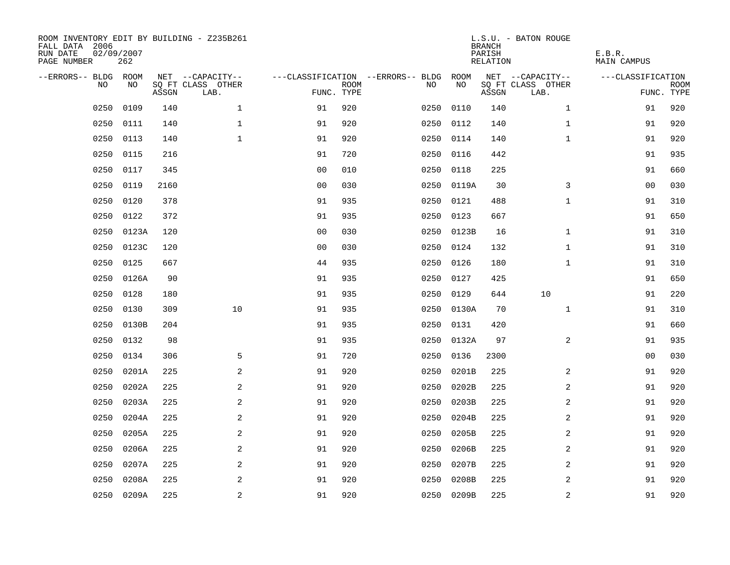| ROOM INVENTORY EDIT BY BUILDING - Z235B261<br>FALL DATA 2006<br>RUN DATE<br>PAGE NUMBER | 02/09/2007<br>262 |       |                           |                |             |                                        |            | <b>BRANCH</b><br>PARISH<br>RELATION | L.S.U. - BATON ROUGE      | E.B.R.<br><b>MAIN CAMPUS</b> |                           |
|-----------------------------------------------------------------------------------------|-------------------|-------|---------------------------|----------------|-------------|----------------------------------------|------------|-------------------------------------|---------------------------|------------------------------|---------------------------|
| --ERRORS-- BLDG ROOM                                                                    |                   |       | NET --CAPACITY--          |                |             | ---CLASSIFICATION --ERRORS-- BLDG ROOM |            |                                     | NET --CAPACITY--          | ---CLASSIFICATION            |                           |
| NO                                                                                      | NO                | ASSGN | SQ FT CLASS OTHER<br>LAB. | FUNC. TYPE     | <b>ROOM</b> | NO                                     | NO         | ASSGN                               | SQ FT CLASS OTHER<br>LAB. |                              | <b>ROOM</b><br>FUNC. TYPE |
| 0250                                                                                    | 0109              | 140   | $\mathbf 1$               | 91             | 920         | 0250                                   | 0110       | 140                                 | $\mathbf{1}$              | 91                           | 920                       |
| 0250                                                                                    | 0111              | 140   | $\mathbf 1$               | 91             | 920         | 0250                                   | 0112       | 140                                 | $\mathbf{1}$              | 91                           | 920                       |
| 0250                                                                                    | 0113              | 140   | $\mathbf{1}$              | 91             | 920         | 0250                                   | 0114       | 140                                 | $\mathbf{1}$              | 91                           | 920                       |
| 0250                                                                                    | 0115              | 216   |                           | 91             | 720         |                                        | 0250 0116  | 442                                 |                           | 91                           | 935                       |
| 0250                                                                                    | 0117              | 345   |                           | 00             | 010         | 0250                                   | 0118       | 225                                 |                           | 91                           | 660                       |
| 0250                                                                                    | 0119              | 2160  |                           | 0 <sub>0</sub> | 030         |                                        | 0250 0119A | 30                                  | 3                         | 00                           | 030                       |
| 0250                                                                                    | 0120              | 378   |                           | 91             | 935         |                                        | 0250 0121  | 488                                 | $\mathbf{1}$              | 91                           | 310                       |
| 0250                                                                                    | 0122              | 372   |                           | 91             | 935         |                                        | 0250 0123  | 667                                 |                           | 91                           | 650                       |
| 0250                                                                                    | 0123A             | 120   |                           | 0 <sub>0</sub> | 030         | 0250                                   | 0123B      | 16                                  | $\mathbf{1}$              | 91                           | 310                       |
| 0250                                                                                    | 0123C             | 120   |                           | 0 <sub>0</sub> | 030         |                                        | 0250 0124  | 132                                 | $\mathbf{1}$              | 91                           | 310                       |
| 0250                                                                                    | 0125              | 667   |                           | 44             | 935         | 0250                                   | 0126       | 180                                 | $\mathbf{1}$              | 91                           | 310                       |
| 0250                                                                                    | 0126A             | 90    |                           | 91             | 935         |                                        | 0250 0127  | 425                                 |                           | 91                           | 650                       |
| 0250                                                                                    | 0128              | 180   |                           | 91             | 935         | 0250                                   | 0129       | 644                                 | 10                        | 91                           | 220                       |
| 0250                                                                                    | 0130              | 309   | 10                        | 91             | 935         | 0250                                   | 0130A      | 70                                  | $\mathbf{1}$              | 91                           | 310                       |
| 0250                                                                                    | 0130B             | 204   |                           | 91             | 935         | 0250                                   | 0131       | 420                                 |                           | 91                           | 660                       |
| 0250                                                                                    | 0132              | 98    |                           | 91             | 935         | 0250                                   | 0132A      | 97                                  | 2                         | 91                           | 935                       |
| 0250                                                                                    | 0134              | 306   | 5                         | 91             | 720         | 0250                                   | 0136       | 2300                                |                           | 0 <sub>0</sub>               | 030                       |
| 0250                                                                                    | 0201A             | 225   | 2                         | 91             | 920         | 0250                                   | 0201B      | 225                                 | 2                         | 91                           | 920                       |
| 0250                                                                                    | 0202A             | 225   | 2                         | 91             | 920         | 0250                                   | 0202B      | 225                                 | 2                         | 91                           | 920                       |
| 0250                                                                                    | 0203A             | 225   | 2                         | 91             | 920         | 0250                                   | 0203B      | 225                                 | 2                         | 91                           | 920                       |
| 0250                                                                                    | 0204A             | 225   | $\mathbf{2}$              | 91             | 920         | 0250                                   | 0204B      | 225                                 | 2                         | 91                           | 920                       |
| 0250                                                                                    | 0205A             | 225   | $\mathbf{2}$              | 91             | 920         | 0250                                   | 0205B      | 225                                 | 2                         | 91                           | 920                       |
| 0250                                                                                    | 0206A             | 225   | 2                         | 91             | 920         | 0250                                   | 0206B      | 225                                 | $\overline{a}$            | 91                           | 920                       |
| 0250                                                                                    | 0207A             | 225   | 2                         | 91             | 920         | 0250                                   | 0207B      | 225                                 | 2                         | 91                           | 920                       |
| 0250                                                                                    | 0208A             | 225   | 2                         | 91             | 920         | 0250                                   | 0208B      | 225                                 | 2                         | 91                           | 920                       |
|                                                                                         | 0250 0209A        | 225   | $\overline{a}$            | 91             | 920         |                                        | 0250 0209B | 225                                 | 2                         | 91                           | 920                       |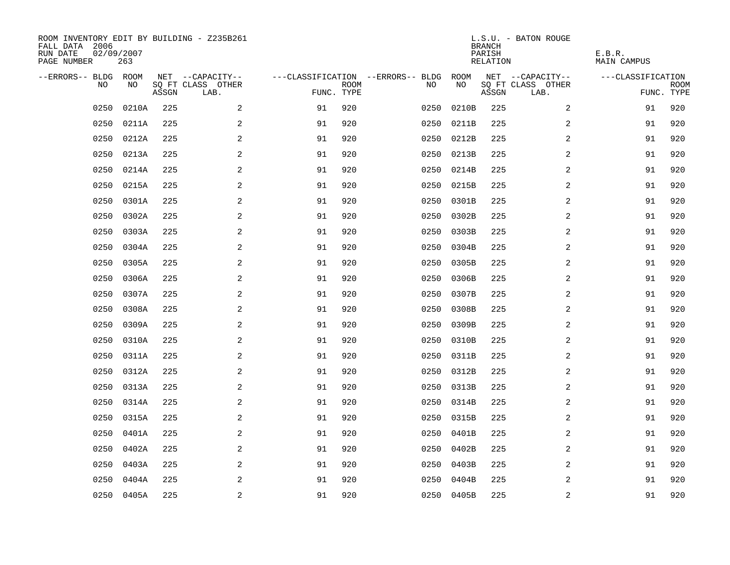| ROOM INVENTORY EDIT BY BUILDING - Z235B261<br>FALL DATA 2006<br>RUN DATE<br>PAGE NUMBER | 02/09/2007<br>263 |       |                           |            |             |                                        |            | <b>BRANCH</b><br>PARISH<br>RELATION | L.S.U. - BATON ROUGE      | E.B.R.<br>MAIN CAMPUS |                           |
|-----------------------------------------------------------------------------------------|-------------------|-------|---------------------------|------------|-------------|----------------------------------------|------------|-------------------------------------|---------------------------|-----------------------|---------------------------|
| --ERRORS-- BLDG ROOM                                                                    |                   |       | NET --CAPACITY--          |            |             | ---CLASSIFICATION --ERRORS-- BLDG ROOM |            |                                     | NET --CAPACITY--          | ---CLASSIFICATION     |                           |
| NO                                                                                      | NO                | ASSGN | SQ FT CLASS OTHER<br>LAB. | FUNC. TYPE | <b>ROOM</b> | NO                                     | NO         | ASSGN                               | SQ FT CLASS OTHER<br>LAB. |                       | <b>ROOM</b><br>FUNC. TYPE |
| 0250                                                                                    | 0210A             | 225   | 2                         | 91         | 920         | 0250                                   | 0210B      | 225                                 | $\overline{2}$            | 91                    | 920                       |
| 0250                                                                                    | 0211A             | 225   | 2                         | 91         | 920         | 0250                                   | 0211B      | 225                                 | 2                         | 91                    | 920                       |
| 0250                                                                                    | 0212A             | 225   | 2                         | 91         | 920         | 0250                                   | 0212B      | 225                                 | 2                         | 91                    | 920                       |
| 0250                                                                                    | 0213A             | 225   | 2                         | 91         | 920         | 0250                                   | 0213B      | 225                                 | 2                         | 91                    | 920                       |
| 0250                                                                                    | 0214A             | 225   | $\mathbf{2}$              | 91         | 920         | 0250                                   | 0214B      | 225                                 | 2                         | 91                    | 920                       |
| 0250                                                                                    | 0215A             | 225   | 2                         | 91         | 920         | 0250                                   | 0215B      | 225                                 | 2                         | 91                    | 920                       |
| 0250                                                                                    | 0301A             | 225   | 2                         | 91         | 920         | 0250                                   | 0301B      | 225                                 | $\overline{a}$            | 91                    | 920                       |
| 0250                                                                                    | 0302A             | 225   | $\mathbf{2}$              | 91         | 920         | 0250                                   | 0302B      | 225                                 | 2                         | 91                    | 920                       |
| 0250                                                                                    | 0303A             | 225   | 2                         | 91         | 920         | 0250                                   | 0303B      | 225                                 | 2                         | 91                    | 920                       |
| 0250                                                                                    | 0304A             | 225   | 2                         | 91         | 920         | 0250                                   | 0304B      | 225                                 | 2                         | 91                    | 920                       |
| 0250                                                                                    | 0305A             | 225   | 2                         | 91         | 920         | 0250                                   | 0305B      | 225                                 | $\overline{2}$            | 91                    | 920                       |
| 0250                                                                                    | 0306A             | 225   | 2                         | 91         | 920         | 0250                                   | 0306B      | 225                                 | 2                         | 91                    | 920                       |
| 0250                                                                                    | 0307A             | 225   | 2                         | 91         | 920         | 0250                                   | 0307B      | 225                                 | 2                         | 91                    | 920                       |
| 0250                                                                                    | 0308A             | 225   | 2                         | 91         | 920         | 0250                                   | 0308B      | 225                                 | 2                         | 91                    | 920                       |
| 0250                                                                                    | 0309A             | 225   | 2                         | 91         | 920         | 0250                                   | 0309B      | 225                                 | 2                         | 91                    | 920                       |
| 0250                                                                                    | 0310A             | 225   | $\mathbf{2}$              | 91         | 920         | 0250                                   | 0310B      | 225                                 | 2                         | 91                    | 920                       |
| 0250                                                                                    | 0311A             | 225   | 2                         | 91         | 920         | 0250                                   | 0311B      | 225                                 | 2                         | 91                    | 920                       |
| 0250                                                                                    | 0312A             | 225   | 2                         | 91         | 920         | 0250                                   | 0312B      | 225                                 | 2                         | 91                    | 920                       |
| 0250                                                                                    | 0313A             | 225   | 2                         | 91         | 920         | 0250                                   | 0313B      | 225                                 | 2                         | 91                    | 920                       |
| 0250                                                                                    | 0314A             | 225   | 2                         | 91         | 920         | 0250                                   | 0314B      | 225                                 | 2                         | 91                    | 920                       |
| 0250                                                                                    | 0315A             | 225   | 2                         | 91         | 920         | 0250                                   | 0315B      | 225                                 | 2                         | 91                    | 920                       |
| 0250                                                                                    | 0401A             | 225   | 2                         | 91         | 920         | 0250                                   | 0401B      | 225                                 | 2                         | 91                    | 920                       |
| 0250                                                                                    | 0402A             | 225   | $\sqrt{2}$                | 91         | 920         | 0250                                   | 0402B      | 225                                 | 2                         | 91                    | 920                       |
| 0250                                                                                    | 0403A             | 225   | 2                         | 91         | 920         | 0250                                   | 0403B      | 225                                 | 2                         | 91                    | 920                       |
| 0250                                                                                    | 0404A             | 225   | 2                         | 91         | 920         | 0250                                   | 0404B      | 225                                 | 2                         | 91                    | 920                       |
|                                                                                         | 0250 0405A        | 225   | $\overline{a}$            | 91         | 920         |                                        | 0250 0405B | 225                                 | 2                         | 91                    | 920                       |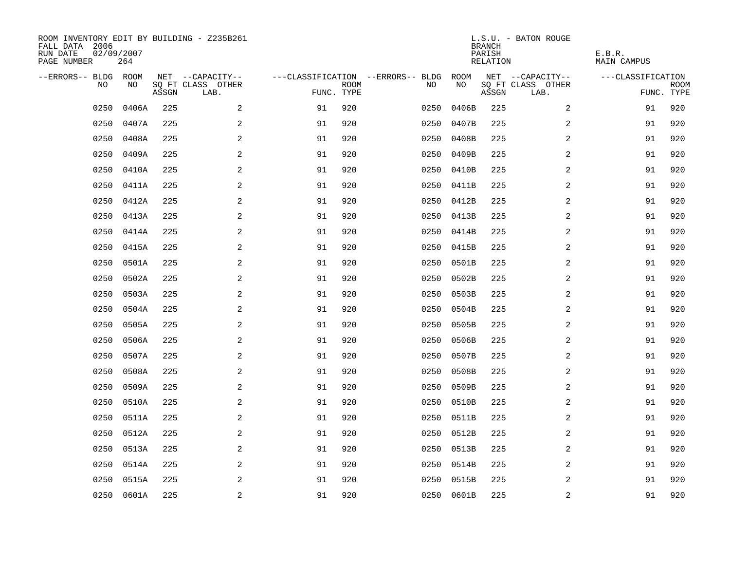| ROOM INVENTORY EDIT BY BUILDING - Z235B261<br>FALL DATA 2006<br>RUN DATE<br>PAGE NUMBER | 02/09/2007<br>264 |       |                           |            |             |                                        |            | <b>BRANCH</b><br>PARISH<br>RELATION | L.S.U. - BATON ROUGE      | E.B.R.<br>MAIN CAMPUS |                           |
|-----------------------------------------------------------------------------------------|-------------------|-------|---------------------------|------------|-------------|----------------------------------------|------------|-------------------------------------|---------------------------|-----------------------|---------------------------|
| --ERRORS-- BLDG ROOM                                                                    |                   |       | NET --CAPACITY--          |            |             | ---CLASSIFICATION --ERRORS-- BLDG ROOM |            |                                     | NET --CAPACITY--          | ---CLASSIFICATION     |                           |
| NO                                                                                      | NO                | ASSGN | SQ FT CLASS OTHER<br>LAB. | FUNC. TYPE | <b>ROOM</b> | NO                                     | NO         | ASSGN                               | SQ FT CLASS OTHER<br>LAB. |                       | <b>ROOM</b><br>FUNC. TYPE |
| 0250                                                                                    | 0406A             | 225   | 2                         | 91         | 920         | 0250                                   | 0406B      | 225                                 | $\overline{2}$            | 91                    | 920                       |
| 0250                                                                                    | 0407A             | 225   | 2                         | 91         | 920         | 0250                                   | 0407B      | 225                                 | 2                         | 91                    | 920                       |
| 0250                                                                                    | 0408A             | 225   | 2                         | 91         | 920         | 0250                                   | 0408B      | 225                                 | 2                         | 91                    | 920                       |
| 0250                                                                                    | 0409A             | 225   | 2                         | 91         | 920         | 0250                                   | 0409B      | 225                                 | 2                         | 91                    | 920                       |
| 0250                                                                                    | 0410A             | 225   | $\mathbf{2}$              | 91         | 920         | 0250                                   | 0410B      | 225                                 | 2                         | 91                    | 920                       |
| 0250                                                                                    | 0411A             | 225   | 2                         | 91         | 920         |                                        | 0250 0411B | 225                                 | 2                         | 91                    | 920                       |
| 0250                                                                                    | 0412A             | 225   | 2                         | 91         | 920         | 0250                                   | 0412B      | 225                                 | $\overline{a}$            | 91                    | 920                       |
| 0250                                                                                    | 0413A             | 225   | $\mathbf{2}$              | 91         | 920         |                                        | 0250 0413B | 225                                 | 2                         | 91                    | 920                       |
| 0250                                                                                    | 0414A             | 225   | 2                         | 91         | 920         | 0250                                   | 0414B      | 225                                 | 2                         | 91                    | 920                       |
| 0250                                                                                    | 0415A             | 225   | 2                         | 91         | 920         |                                        | 0250 0415B | 225                                 | 2                         | 91                    | 920                       |
| 0250                                                                                    | 0501A             | 225   | 2                         | 91         | 920         | 0250                                   | 0501B      | 225                                 | $\overline{2}$            | 91                    | 920                       |
| 0250                                                                                    | 0502A             | 225   | 2                         | 91         | 920         | 0250                                   | 0502B      | 225                                 | 2                         | 91                    | 920                       |
| 0250                                                                                    | 0503A             | 225   | 2                         | 91         | 920         | 0250                                   | 0503B      | 225                                 | 2                         | 91                    | 920                       |
| 0250                                                                                    | 0504A             | 225   | 2                         | 91         | 920         | 0250                                   | 0504B      | 225                                 | 2                         | 91                    | 920                       |
| 0250                                                                                    | 0505A             | 225   | 2                         | 91         | 920         | 0250                                   | 0505B      | 225                                 | 2                         | 91                    | 920                       |
| 0250                                                                                    | 0506A             | 225   | $\mathbf{2}$              | 91         | 920         | 0250                                   | 0506B      | 225                                 | 2                         | 91                    | 920                       |
| 0250                                                                                    | 0507A             | 225   | 2                         | 91         | 920         | 0250                                   | 0507B      | 225                                 | 2                         | 91                    | 920                       |
| 0250                                                                                    | 0508A             | 225   | 2                         | 91         | 920         | 0250                                   | 0508B      | 225                                 | 2                         | 91                    | 920                       |
| 0250                                                                                    | 0509A             | 225   | 2                         | 91         | 920         | 0250                                   | 0509B      | 225                                 | 2                         | 91                    | 920                       |
| 0250                                                                                    | 0510A             | 225   | 2                         | 91         | 920         | 0250                                   | 0510B      | 225                                 | 2                         | 91                    | 920                       |
| 0250                                                                                    | 0511A             | 225   | 2                         | 91         | 920         | 0250                                   | 0511B      | 225                                 | 2                         | 91                    | 920                       |
| 0250                                                                                    | 0512A             | 225   | 2                         | 91         | 920         | 0250                                   | 0512B      | 225                                 | 2                         | 91                    | 920                       |
| 0250                                                                                    | 0513A             | 225   | $\sqrt{2}$                | 91         | 920         | 0250                                   | 0513B      | 225                                 | 2                         | 91                    | 920                       |
| 0250                                                                                    | 0514A             | 225   | 2                         | 91         | 920         | 0250                                   | 0514B      | 225                                 | 2                         | 91                    | 920                       |
| 0250                                                                                    | 0515A             | 225   | 2                         | 91         | 920         | 0250                                   | 0515B      | 225                                 | 2                         | 91                    | 920                       |
|                                                                                         | 0250 0601A        | 225   | $\overline{a}$            | 91         | 920         |                                        | 0250 0601B | 225                                 | 2                         | 91                    | 920                       |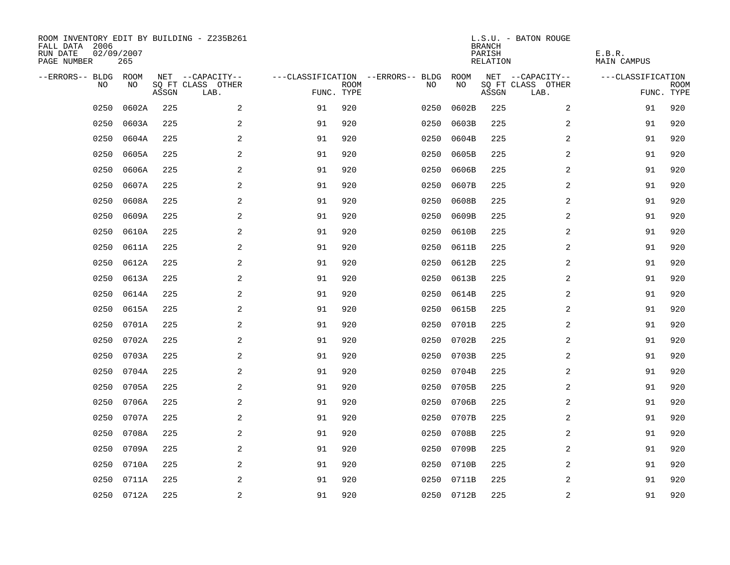| ROOM INVENTORY EDIT BY BUILDING - Z235B261<br>FALL DATA 2006<br>RUN DATE<br>PAGE NUMBER | 02/09/2007<br>265 |       |                           |            |             |                                   |            | <b>BRANCH</b><br>PARISH<br>RELATION | L.S.U. - BATON ROUGE      | E.B.R.<br>MAIN CAMPUS |                           |
|-----------------------------------------------------------------------------------------|-------------------|-------|---------------------------|------------|-------------|-----------------------------------|------------|-------------------------------------|---------------------------|-----------------------|---------------------------|
| --ERRORS-- BLDG ROOM                                                                    |                   |       | NET --CAPACITY--          |            |             | ---CLASSIFICATION --ERRORS-- BLDG | ROOM       |                                     | NET --CAPACITY--          | ---CLASSIFICATION     |                           |
| NO                                                                                      | NO                | ASSGN | SQ FT CLASS OTHER<br>LAB. | FUNC. TYPE | <b>ROOM</b> | NO                                | NO         | ASSGN                               | SQ FT CLASS OTHER<br>LAB. |                       | <b>ROOM</b><br>FUNC. TYPE |
| 0250                                                                                    | 0602A             | 225   | 2                         | 91         | 920         | 0250                              | 0602B      | 225                                 | 2                         | 91                    | 920                       |
| 0250                                                                                    | 0603A             | 225   | 2                         | 91         | 920         | 0250                              | 0603B      | 225                                 | 2                         | 91                    | 920                       |
| 0250                                                                                    | 0604A             | 225   | 2                         | 91         | 920         | 0250                              | 0604B      | 225                                 | 2                         | 91                    | 920                       |
| 0250                                                                                    | 0605A             | 225   | 2                         | 91         | 920         | 0250                              | 0605B      | 225                                 | 2                         | 91                    | 920                       |
| 0250                                                                                    | 0606A             | 225   | $\mathbf{2}$              | 91         | 920         | 0250                              | 0606B      | 225                                 | 2                         | 91                    | 920                       |
| 0250                                                                                    | 0607A             | 225   | 2                         | 91         | 920         | 0250                              | 0607B      | 225                                 | 2                         | 91                    | 920                       |
| 0250                                                                                    | 0608A             | 225   | 2                         | 91         | 920         | 0250                              | 0608B      | 225                                 | $\overline{a}$            | 91                    | 920                       |
| 0250                                                                                    | 0609A             | 225   | $\mathbf{2}$              | 91         | 920         | 0250                              | 0609B      | 225                                 | 2                         | 91                    | 920                       |
| 0250                                                                                    | 0610A             | 225   | $\overline{a}$            | 91         | 920         | 0250                              | 0610B      | 225                                 | 2                         | 91                    | 920                       |
| 0250                                                                                    | 0611A             | 225   | 2                         | 91         | 920         | 0250                              | 0611B      | 225                                 | 2                         | 91                    | 920                       |
| 0250                                                                                    | 0612A             | 225   | 2                         | 91         | 920         | 0250                              | 0612B      | 225                                 | $\overline{2}$            | 91                    | 920                       |
| 0250                                                                                    | 0613A             | 225   | 2                         | 91         | 920         | 0250                              | 0613B      | 225                                 | 2                         | 91                    | 920                       |
| 0250                                                                                    | 0614A             | 225   | 2                         | 91         | 920         | 0250                              | 0614B      | 225                                 | 2                         | 91                    | 920                       |
| 0250                                                                                    | 0615A             | 225   | 2                         | 91         | 920         | 0250                              | 0615B      | 225                                 | 2                         | 91                    | 920                       |
| 0250                                                                                    | 0701A             | 225   | 2                         | 91         | 920         | 0250                              | 0701B      | 225                                 | 2                         | 91                    | 920                       |
| 0250                                                                                    | 0702A             | 225   | $\mathbf{2}$              | 91         | 920         | 0250                              | 0702B      | 225                                 | 2                         | 91                    | 920                       |
| 0250                                                                                    | 0703A             | 225   | 2                         | 91         | 920         | 0250                              | 0703B      | 225                                 | 2                         | 91                    | 920                       |
| 0250                                                                                    | 0704A             | 225   | 2                         | 91         | 920         | 0250                              | 0704B      | 225                                 | 2                         | 91                    | 920                       |
| 0250                                                                                    | 0705A             | 225   | 2                         | 91         | 920         | 0250                              | 0705B      | 225                                 | 2                         | 91                    | 920                       |
| 0250                                                                                    | 0706A             | 225   | 2                         | 91         | 920         | 0250                              | 0706B      | 225                                 | 2                         | 91                    | 920                       |
| 0250                                                                                    | 0707A             | 225   | 2                         | 91         | 920         | 0250                              | 0707B      | 225                                 | 2                         | 91                    | 920                       |
| 0250                                                                                    | 0708A             | 225   | 2                         | 91         | 920         | 0250                              | 0708B      | 225                                 | 2                         | 91                    | 920                       |
| 0250                                                                                    | 0709A             | 225   | $\sqrt{2}$                | 91         | 920         | 0250                              | 0709B      | 225                                 | 2                         | 91                    | 920                       |
| 0250                                                                                    | 0710A             | 225   | 2                         | 91         | 920         | 0250                              | 0710B      | 225                                 | 2                         | 91                    | 920                       |
| 0250                                                                                    | 0711A             | 225   | 2                         | 91         | 920         | 0250                              | 0711B      | 225                                 | 2                         | 91                    | 920                       |
|                                                                                         | 0250 0712A        | 225   | $\overline{a}$            | 91         | 920         |                                   | 0250 0712B | 225                                 | 2                         | 91                    | 920                       |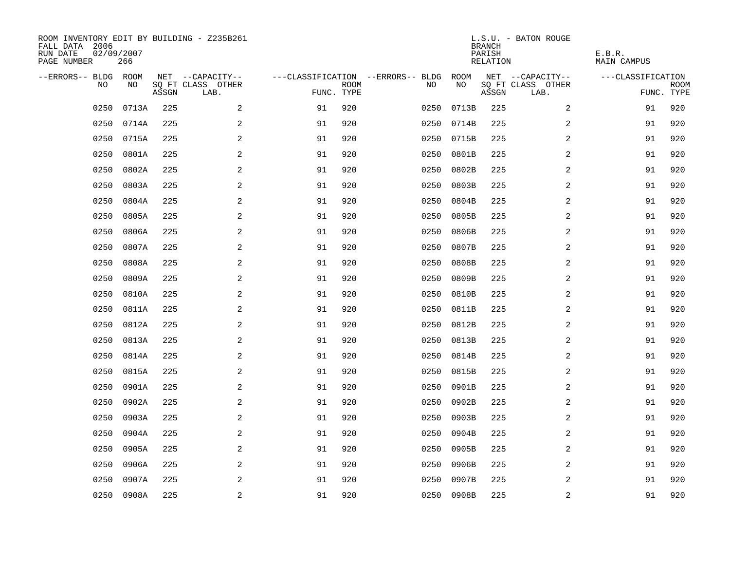| ROOM INVENTORY EDIT BY BUILDING - Z235B261<br>FALL DATA 2006<br>RUN DATE<br>PAGE NUMBER | 02/09/2007<br>266 |       |                           |            |             |                                   |            | <b>BRANCH</b><br>PARISH<br>RELATION | L.S.U. - BATON ROUGE      | E.B.R.<br>MAIN CAMPUS |                           |
|-----------------------------------------------------------------------------------------|-------------------|-------|---------------------------|------------|-------------|-----------------------------------|------------|-------------------------------------|---------------------------|-----------------------|---------------------------|
| --ERRORS-- BLDG ROOM                                                                    |                   |       | NET --CAPACITY--          |            |             | ---CLASSIFICATION --ERRORS-- BLDG | ROOM       |                                     | NET --CAPACITY--          | ---CLASSIFICATION     |                           |
| NO                                                                                      | NO                | ASSGN | SQ FT CLASS OTHER<br>LAB. | FUNC. TYPE | <b>ROOM</b> | NO                                | NO         | ASSGN                               | SQ FT CLASS OTHER<br>LAB. |                       | <b>ROOM</b><br>FUNC. TYPE |
| 0250                                                                                    | 0713A             | 225   | 2                         | 91         | 920         | 0250                              | 0713B      | 225                                 | 2                         | 91                    | 920                       |
| 0250                                                                                    | 0714A             | 225   | 2                         | 91         | 920         | 0250                              | 0714B      | 225                                 | 2                         | 91                    | 920                       |
| 0250                                                                                    | 0715A             | 225   | 2                         | 91         | 920         | 0250                              | 0715B      | 225                                 | 2                         | 91                    | 920                       |
| 0250                                                                                    | 0801A             | 225   | 2                         | 91         | 920         | 0250                              | 0801B      | 225                                 | 2                         | 91                    | 920                       |
| 0250                                                                                    | 0802A             | 225   | $\mathbf{2}$              | 91         | 920         | 0250                              | 0802B      | 225                                 | 2                         | 91                    | 920                       |
| 0250                                                                                    | 0803A             | 225   | 2                         | 91         | 920         | 0250                              | 0803B      | 225                                 | 2                         | 91                    | 920                       |
| 0250                                                                                    | 0804A             | 225   | 2                         | 91         | 920         | 0250                              | 0804B      | 225                                 | $\overline{a}$            | 91                    | 920                       |
| 0250                                                                                    | 0805A             | 225   | $\mathbf{2}$              | 91         | 920         | 0250                              | 0805B      | 225                                 | 2                         | 91                    | 920                       |
| 0250                                                                                    | 0806A             | 225   | 2                         | 91         | 920         | 0250                              | 0806B      | 225                                 | 2                         | 91                    | 920                       |
| 0250                                                                                    | 0807A             | 225   | 2                         | 91         | 920         | 0250                              | 0807B      | 225                                 | 2                         | 91                    | 920                       |
| 0250                                                                                    | 0808A             | 225   | 2                         | 91         | 920         | 0250                              | 0808B      | 225                                 | $\overline{2}$            | 91                    | 920                       |
| 0250                                                                                    | 0809A             | 225   | 2                         | 91         | 920         | 0250                              | 0809B      | 225                                 | 2                         | 91                    | 920                       |
| 0250                                                                                    | 0810A             | 225   | 2                         | 91         | 920         | 0250                              | 0810B      | 225                                 | 2                         | 91                    | 920                       |
| 0250                                                                                    | 0811A             | 225   | 2                         | 91         | 920         | 0250                              | 0811B      | 225                                 | 2                         | 91                    | 920                       |
| 0250                                                                                    | 0812A             | 225   | 2                         | 91         | 920         | 0250                              | 0812B      | 225                                 | 2                         | 91                    | 920                       |
| 0250                                                                                    | 0813A             | 225   | $\overline{a}$            | 91         | 920         | 0250                              | 0813B      | 225                                 | 2                         | 91                    | 920                       |
| 0250                                                                                    | 0814A             | 225   | 2                         | 91         | 920         | 0250                              | 0814B      | 225                                 | 2                         | 91                    | 920                       |
| 0250                                                                                    | 0815A             | 225   | 2                         | 91         | 920         | 0250                              | 0815B      | 225                                 | 2                         | 91                    | 920                       |
| 0250                                                                                    | 0901A             | 225   | 2                         | 91         | 920         | 0250                              | 0901B      | 225                                 | 2                         | 91                    | 920                       |
| 0250                                                                                    | 0902A             | 225   | 2                         | 91         | 920         | 0250                              | 0902B      | 225                                 | 2                         | 91                    | 920                       |
| 0250                                                                                    | 0903A             | 225   | 2                         | 91         | 920         | 0250                              | 0903B      | 225                                 | 2                         | 91                    | 920                       |
| 0250                                                                                    | 0904A             | 225   | 2                         | 91         | 920         | 0250                              | 0904B      | 225                                 | 2                         | 91                    | 920                       |
| 0250                                                                                    | 0905A             | 225   | $\sqrt{2}$                | 91         | 920         | 0250                              | 0905B      | 225                                 | 2                         | 91                    | 920                       |
| 0250                                                                                    | 0906A             | 225   | 2                         | 91         | 920         | 0250                              | 0906B      | 225                                 | 2                         | 91                    | 920                       |
| 0250                                                                                    | 0907A             | 225   | 2                         | 91         | 920         | 0250                              | 0907B      | 225                                 | 2                         | 91                    | 920                       |
|                                                                                         | 0250 0908A        | 225   | $\overline{a}$            | 91         | 920         |                                   | 0250 0908B | 225                                 | 2                         | 91                    | 920                       |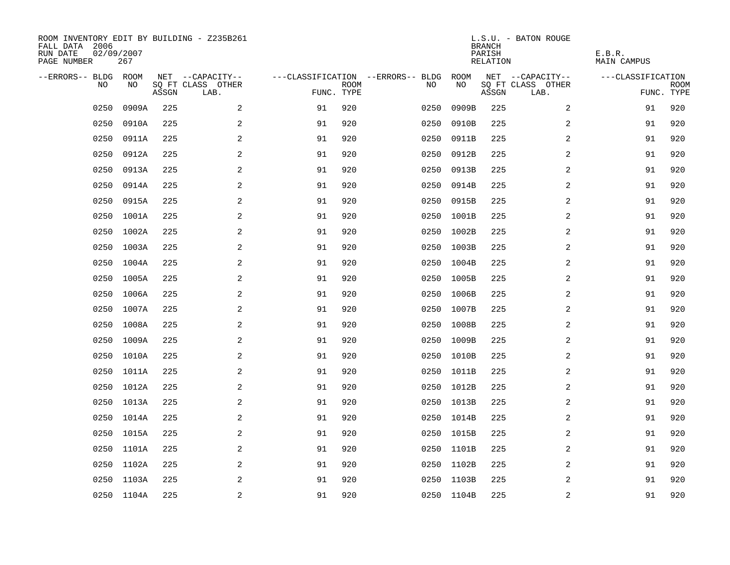| ROOM INVENTORY EDIT BY BUILDING - Z235B261<br>FALL DATA 2006<br>RUN DATE<br>PAGE NUMBER | 02/09/2007<br>267 |       |                           |                                   |             |      |            | <b>BRANCH</b><br>PARISH<br>RELATION | L.S.U. - BATON ROUGE      | E.B.R.<br>MAIN CAMPUS |      |
|-----------------------------------------------------------------------------------------|-------------------|-------|---------------------------|-----------------------------------|-------------|------|------------|-------------------------------------|---------------------------|-----------------------|------|
| --ERRORS-- BLDG ROOM                                                                    |                   |       | NET --CAPACITY--          | ---CLASSIFICATION --ERRORS-- BLDG |             |      | ROOM       |                                     | NET --CAPACITY--          | ---CLASSIFICATION     |      |
| NO.                                                                                     | NO.               | ASSGN | SQ FT CLASS OTHER<br>LAB. | FUNC. TYPE                        | <b>ROOM</b> | NO.  | NO         | ASSGN                               | SQ FT CLASS OTHER<br>LAB. | FUNC. TYPE            | ROOM |
| 0250                                                                                    | 0909A             | 225   | 2                         | 91                                | 920         | 0250 | 0909B      | 225                                 | 2                         | 91                    | 920  |
| 0250                                                                                    | 0910A             | 225   | 2                         | 91                                | 920         | 0250 | 0910B      | 225                                 | 2                         | 91                    | 920  |
| 0250                                                                                    | 0911A             | 225   | 2                         | 91                                | 920         | 0250 | 0911B      | 225                                 | 2                         | 91                    | 920  |
| 0250                                                                                    | 0912A             | 225   | 2                         | 91                                | 920         | 0250 | 0912B      | 225                                 | 2                         | 91                    | 920  |
| 0250                                                                                    | 0913A             | 225   | 2                         | 91                                | 920         | 0250 | 0913B      | 225                                 | 2                         | 91                    | 920  |
| 0250                                                                                    | 0914A             | 225   | $\sqrt{2}$                | 91                                | 920         | 0250 | 0914B      | 225                                 | 2                         | 91                    | 920  |
| 0250                                                                                    | 0915A             | 225   | 2                         | 91                                | 920         | 0250 | 0915B      | 225                                 | 2                         | 91                    | 920  |
| 0250                                                                                    | 1001A             | 225   | 2                         | 91                                | 920         | 0250 | 1001B      | 225                                 | 2                         | 91                    | 920  |
| 0250                                                                                    | 1002A             | 225   | 2                         | 91                                | 920         | 0250 | 1002B      | 225                                 | $\overline{2}$            | 91                    | 920  |
| 0250                                                                                    | 1003A             | 225   | 2                         | 91                                | 920         |      | 0250 1003B | 225                                 | 2                         | 91                    | 920  |
| 0250                                                                                    | 1004A             | 225   | 2                         | 91                                | 920         | 0250 | 1004B      | 225                                 | 2                         | 91                    | 920  |
|                                                                                         | 0250 1005A        | 225   | 2                         | 91                                | 920         |      | 0250 1005B | 225                                 | 2                         | 91                    | 920  |
| 0250                                                                                    | 1006A             | 225   | 2                         | 91                                | 920         |      | 0250 1006B | 225                                 | 2                         | 91                    | 920  |
| 0250                                                                                    | 1007A             | 225   | $\overline{a}$            | 91                                | 920         | 0250 | 1007B      | 225                                 | 2                         | 91                    | 920  |
| 0250                                                                                    | 1008A             | 225   | 2                         | 91                                | 920         | 0250 | 1008B      | 225                                 | 2                         | 91                    | 920  |
|                                                                                         | 0250 1009A        | 225   | 2                         | 91                                | 920         | 0250 | 1009B      | 225                                 | 2                         | 91                    | 920  |
| 0250                                                                                    | 1010A             | 225   | 2                         | 91                                | 920         |      | 0250 1010B | 225                                 | 2                         | 91                    | 920  |
| 0250                                                                                    | 1011A             | 225   | $\overline{a}$            | 91                                | 920         | 0250 | 1011B      | 225                                 | 2                         | 91                    | 920  |
|                                                                                         | 0250 1012A        | 225   | 2                         | 91                                | 920         |      | 0250 1012B | 225                                 | 2                         | 91                    | 920  |
|                                                                                         | 0250 1013A        | 225   | 2                         | 91                                | 920         |      | 0250 1013B | 225                                 | 2                         | 91                    | 920  |
|                                                                                         | 0250 1014A        | 225   | 2                         | 91                                | 920         |      | 0250 1014B | 225                                 | 2                         | 91                    | 920  |
| 0250                                                                                    | 1015A             | 225   | 2                         | 91                                | 920         |      | 0250 1015B | 225                                 | 2                         | 91                    | 920  |
|                                                                                         | 0250 1101A        | 225   | 2                         | 91                                | 920         |      | 0250 1101B | 225                                 | 2                         | 91                    | 920  |
| 0250                                                                                    | 1102A             | 225   | 2                         | 91                                | 920         | 0250 | 1102B      | 225                                 | 2                         | 91                    | 920  |
|                                                                                         | 0250 1103A        | 225   | 2                         | 91                                | 920         |      | 0250 1103B | 225                                 | 2                         | 91                    | 920  |
|                                                                                         | 0250 1104A        | 225   | 2                         | 91                                | 920         |      | 0250 1104B | 225                                 | 2                         | 91                    | 920  |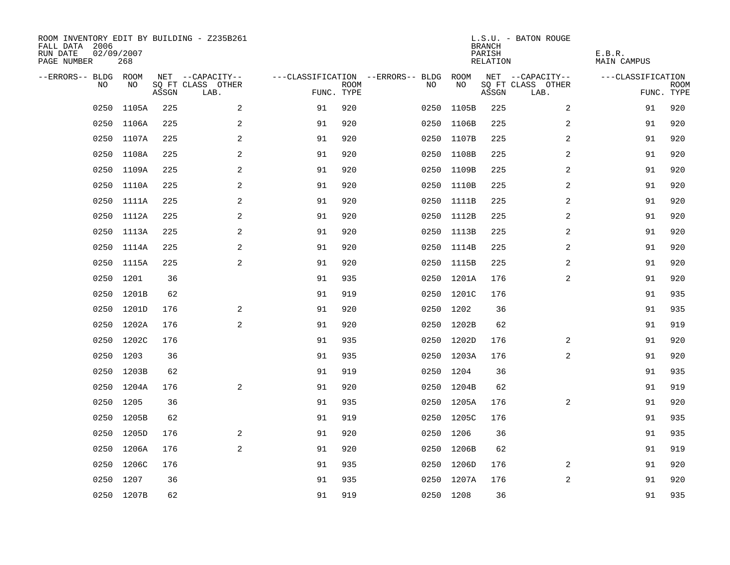| ROOM INVENTORY EDIT BY BUILDING - Z235B261<br>FALL DATA 2006<br>RUN DATE<br>PAGE NUMBER | 02/09/2007<br>268 |       |                           |                                        |             |           |            | <b>BRANCH</b><br>PARISH<br>RELATION | L.S.U. - BATON ROUGE      | E.B.R.<br><b>MAIN CAMPUS</b> |                           |
|-----------------------------------------------------------------------------------------|-------------------|-------|---------------------------|----------------------------------------|-------------|-----------|------------|-------------------------------------|---------------------------|------------------------------|---------------------------|
| --ERRORS-- BLDG ROOM                                                                    |                   |       | NET --CAPACITY--          | ---CLASSIFICATION --ERRORS-- BLDG ROOM |             |           |            |                                     | NET --CAPACITY--          | ---CLASSIFICATION            |                           |
| NO.                                                                                     | NO.               | ASSGN | SQ FT CLASS OTHER<br>LAB. | FUNC. TYPE                             | <b>ROOM</b> | NO.       | NO         | ASSGN                               | SQ FT CLASS OTHER<br>LAB. |                              | <b>ROOM</b><br>FUNC. TYPE |
| 0250                                                                                    | 1105A             | 225   | 2                         | 91                                     | 920         | 0250      | 1105B      | 225                                 | 2                         | 91                           | 920                       |
|                                                                                         | 0250 1106A        | 225   | 2                         | 91                                     | 920         | 0250      | 1106B      | 225                                 | 2                         | 91                           | 920                       |
|                                                                                         | 0250 1107A        | 225   | 2                         | 91                                     | 920         |           | 0250 1107B | 225                                 | 2                         | 91                           | 920                       |
|                                                                                         | 0250 1108A        | 225   | 2                         | 91                                     | 920         |           | 0250 1108B | 225                                 | 2                         | 91                           | 920                       |
| 0250                                                                                    | 1109A             | 225   | 2                         | 91                                     | 920         |           | 0250 1109B | 225                                 | 2                         | 91                           | 920                       |
|                                                                                         | 0250 1110A        | 225   | 2                         | 91                                     | 920         |           | 0250 1110B | 225                                 | 2                         | 91                           | 920                       |
| 0250                                                                                    | 1111A             | 225   | $\mathbf{2}$              | 91                                     | 920         |           | 0250 1111B | 225                                 | 2                         | 91                           | 920                       |
|                                                                                         | 0250 1112A        | 225   | 2                         | 91                                     | 920         |           | 0250 1112B | 225                                 | 2                         | 91                           | 920                       |
| 0250                                                                                    | 1113A             | 225   | 2                         | 91                                     | 920         |           | 0250 1113B | 225                                 | 2                         | 91                           | 920                       |
|                                                                                         | 0250 1114A        | 225   | 2                         | 91                                     | 920         |           | 0250 1114B | 225                                 | 2                         | 91                           | 920                       |
|                                                                                         | 0250 1115A        | 225   | 2                         | 91                                     | 920         |           | 0250 1115B | 225                                 | 2                         | 91                           | 920                       |
|                                                                                         | 0250 1201         | 36    |                           | 91                                     | 935         |           | 0250 1201A | 176                                 | $\overline{a}$            | 91                           | 920                       |
| 0250                                                                                    | 1201B             | 62    |                           | 91                                     | 919         |           | 0250 1201C | 176                                 |                           | 91                           | 935                       |
|                                                                                         | 0250 1201D        | 176   | 2                         | 91                                     | 920         |           | 0250 1202  | 36                                  |                           | 91                           | 935                       |
|                                                                                         | 0250 1202A        | 176   | 2                         | 91                                     | 920         |           | 0250 1202B | 62                                  |                           | 91                           | 919                       |
|                                                                                         | 0250 1202C        | 176   |                           | 91                                     | 935         |           | 0250 1202D | 176                                 | 2                         | 91                           | 920                       |
| 0250                                                                                    | 1203              | 36    |                           | 91                                     | 935         |           | 0250 1203A | 176                                 | $\overline{a}$            | 91                           | 920                       |
|                                                                                         | 0250 1203B        | 62    |                           | 91                                     | 919         |           | 0250 1204  | 36                                  |                           | 91                           | 935                       |
|                                                                                         | 0250 1204A        | 176   | 2                         | 91                                     | 920         |           | 0250 1204B | 62                                  |                           | 91                           | 919                       |
| 0250                                                                                    | 1205              | 36    |                           | 91                                     | 935         |           | 0250 1205A | 176                                 | 2                         | 91                           | 920                       |
|                                                                                         | 0250 1205B        | 62    |                           | 91                                     | 919         |           | 0250 1205C | 176                                 |                           | 91                           | 935                       |
| 0250                                                                                    | 1205D             | 176   | 2                         | 91                                     | 920         | 0250 1206 |            | 36                                  |                           | 91                           | 935                       |
|                                                                                         | 0250 1206A        | 176   | 2                         | 91                                     | 920         |           | 0250 1206B | 62                                  |                           | 91                           | 919                       |
| 0250                                                                                    | 1206C             | 176   |                           | 91                                     | 935         |           | 0250 1206D | 176                                 | $\overline{2}$            | 91                           | 920                       |
|                                                                                         | 0250 1207         | 36    |                           | 91                                     | 935         |           | 0250 1207A | 176                                 | 2                         | 91                           | 920                       |
|                                                                                         | 0250 1207B        | 62    |                           | 91                                     | 919         | 0250 1208 |            | 36                                  |                           | 91                           | 935                       |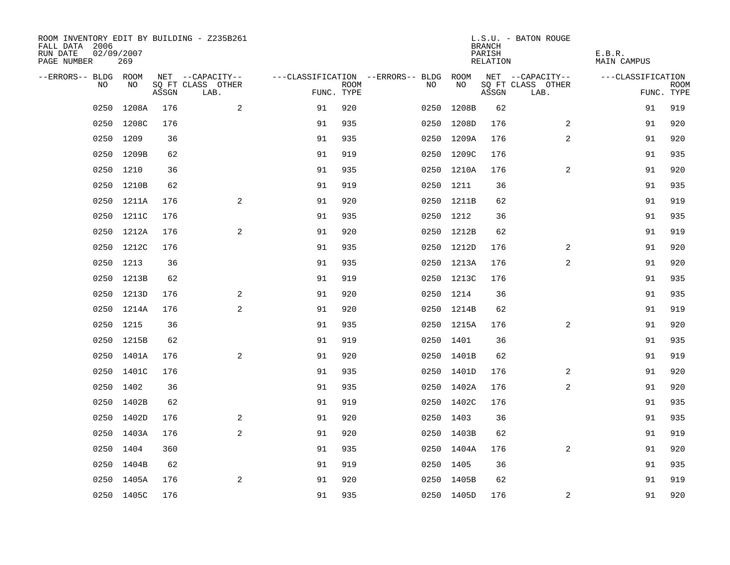| ROOM INVENTORY EDIT BY BUILDING - Z235B261<br>FALL DATA 2006<br>RUN DATE<br>PAGE NUMBER | 02/09/2007<br>269 |       |                           |            |             |                                        |            | <b>BRANCH</b><br>PARISH<br>RELATION | L.S.U. - BATON ROUGE      | E.B.R.<br><b>MAIN CAMPUS</b> |                           |
|-----------------------------------------------------------------------------------------|-------------------|-------|---------------------------|------------|-------------|----------------------------------------|------------|-------------------------------------|---------------------------|------------------------------|---------------------------|
| --ERRORS-- BLDG ROOM                                                                    |                   |       | NET --CAPACITY--          |            |             | ---CLASSIFICATION --ERRORS-- BLDG ROOM |            |                                     | NET --CAPACITY--          | ---CLASSIFICATION            |                           |
| NO                                                                                      | NO                | ASSGN | SQ FT CLASS OTHER<br>LAB. | FUNC. TYPE | <b>ROOM</b> | NO                                     | NO         | ASSGN                               | SQ FT CLASS OTHER<br>LAB. |                              | <b>ROOM</b><br>FUNC. TYPE |
| 0250                                                                                    | 1208A             | 176   | 2                         | 91         | 920         | 0250                                   | 1208B      | 62                                  |                           | 91                           | 919                       |
|                                                                                         | 0250 1208C        | 176   |                           | 91         | 935         | 0250                                   | 1208D      | 176                                 | 2                         | 91                           | 920                       |
|                                                                                         | 0250 1209         | 36    |                           | 91         | 935         |                                        | 0250 1209A | 176                                 | 2                         | 91                           | 920                       |
|                                                                                         | 0250 1209B        | 62    |                           | 91         | 919         |                                        | 0250 1209C | 176                                 |                           | 91                           | 935                       |
| 0250                                                                                    | 1210              | 36    |                           | 91         | 935         |                                        | 0250 1210A | 176                                 | $\overline{2}$            | 91                           | 920                       |
|                                                                                         | 0250 1210B        | 62    |                           | 91         | 919         |                                        | 0250 1211  | 36                                  |                           | 91                           | 935                       |
|                                                                                         | 0250 1211A        | 176   | $\mathbf{2}$              | 91         | 920         |                                        | 0250 1211B | 62                                  |                           | 91                           | 919                       |
|                                                                                         | 0250 1211C        | 176   |                           | 91         | 935         |                                        | 0250 1212  | 36                                  |                           | 91                           | 935                       |
| 0250                                                                                    | 1212A             | 176   | 2                         | 91         | 920         |                                        | 0250 1212B | 62                                  |                           | 91                           | 919                       |
|                                                                                         | 0250 1212C        | 176   |                           | 91         | 935         |                                        | 0250 1212D | 176                                 | 2                         | 91                           | 920                       |
|                                                                                         | 0250 1213         | 36    |                           | 91         | 935         |                                        | 0250 1213A | 176                                 | $\overline{2}$            | 91                           | 920                       |
|                                                                                         | 0250 1213B        | 62    |                           | 91         | 919         |                                        | 0250 1213C | 176                                 |                           | 91                           | 935                       |
|                                                                                         | 0250 1213D        | 176   | 2                         | 91         | 920         |                                        | 0250 1214  | 36                                  |                           | 91                           | 935                       |
|                                                                                         | 0250 1214A        | 176   | $\mathbf{2}$              | 91         | 920         |                                        | 0250 1214B | 62                                  |                           | 91                           | 919                       |
|                                                                                         | 0250 1215         | 36    |                           | 91         | 935         |                                        | 0250 1215A | 176                                 | 2                         | 91                           | 920                       |
|                                                                                         | 0250 1215B        | 62    |                           | 91         | 919         |                                        | 0250 1401  | 36                                  |                           | 91                           | 935                       |
|                                                                                         | 0250 1401A        | 176   | 2                         | 91         | 920         |                                        | 0250 1401B | 62                                  |                           | 91                           | 919                       |
|                                                                                         | 0250 1401C        | 176   |                           | 91         | 935         |                                        | 0250 1401D | 176                                 | 2                         | 91                           | 920                       |
|                                                                                         | 0250 1402         | 36    |                           | 91         | 935         |                                        | 0250 1402A | 176                                 | 2                         | 91                           | 920                       |
|                                                                                         | 0250 1402B        | 62    |                           | 91         | 919         |                                        | 0250 1402C | 176                                 |                           | 91                           | 935                       |
|                                                                                         | 0250 1402D        | 176   | 2                         | 91         | 920         |                                        | 0250 1403  | 36                                  |                           | 91                           | 935                       |
|                                                                                         | 0250 1403A        | 176   | 2                         | 91         | 920         |                                        | 0250 1403B | 62                                  |                           | 91                           | 919                       |
|                                                                                         | 0250 1404         | 360   |                           | 91         | 935         |                                        | 0250 1404A | 176                                 | $\overline{a}$            | 91                           | 920                       |
|                                                                                         | 0250 1404B        | 62    |                           | 91         | 919         |                                        | 0250 1405  | 36                                  |                           | 91                           | 935                       |
|                                                                                         | 0250 1405A        | 176   | 2                         | 91         | 920         |                                        | 0250 1405B | 62                                  |                           | 91                           | 919                       |
|                                                                                         | 0250 1405C        | 176   |                           | 91         | 935         |                                        | 0250 1405D | 176                                 | 2                         | 91                           | 920                       |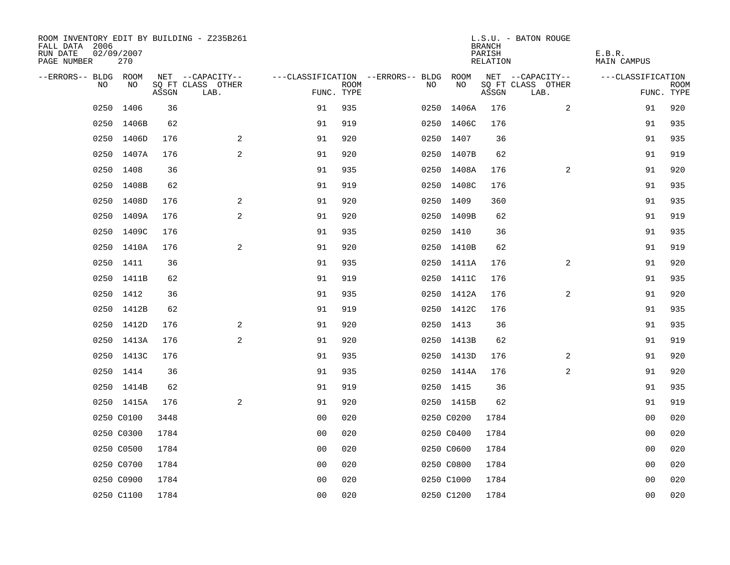| ROOM INVENTORY EDIT BY BUILDING - Z235B261<br>FALL DATA 2006<br>RUN DATE<br>PAGE NUMBER | 02/09/2007<br>270 |       |                           |                |             |                                   |            | <b>BRANCH</b><br>PARISH<br>RELATION | L.S.U. - BATON ROUGE      | E.B.R.<br><b>MAIN CAMPUS</b> |                           |
|-----------------------------------------------------------------------------------------|-------------------|-------|---------------------------|----------------|-------------|-----------------------------------|------------|-------------------------------------|---------------------------|------------------------------|---------------------------|
| --ERRORS-- BLDG ROOM                                                                    |                   |       | NET --CAPACITY--          |                |             | ---CLASSIFICATION --ERRORS-- BLDG | ROOM       |                                     | NET --CAPACITY--          | ---CLASSIFICATION            |                           |
| NO                                                                                      | NO                | ASSGN | SQ FT CLASS OTHER<br>LAB. | FUNC. TYPE     | <b>ROOM</b> | NO                                | NO         | ASSGN                               | SQ FT CLASS OTHER<br>LAB. |                              | <b>ROOM</b><br>FUNC. TYPE |
| 0250                                                                                    | 1406              | 36    |                           | 91             | 935         | 0250                              | 1406A      | 176                                 | 2                         | 91                           | 920                       |
|                                                                                         | 0250 1406B        | 62    |                           | 91             | 919         |                                   | 0250 1406C | 176                                 |                           | 91                           | 935                       |
|                                                                                         | 0250 1406D        | 176   | 2                         | 91             | 920         |                                   | 0250 1407  | 36                                  |                           | 91                           | 935                       |
|                                                                                         | 0250 1407A        | 176   | 2                         | 91             | 920         |                                   | 0250 1407B | 62                                  |                           | 91                           | 919                       |
|                                                                                         | 0250 1408         | 36    |                           | 91             | 935         |                                   | 0250 1408A | 176                                 | $\overline{2}$            | 91                           | 920                       |
|                                                                                         | 0250 1408B        | 62    |                           | 91             | 919         |                                   | 0250 1408C | 176                                 |                           | 91                           | 935                       |
|                                                                                         | 0250 1408D        | 176   | 2                         | 91             | 920         |                                   | 0250 1409  | 360                                 |                           | 91                           | 935                       |
|                                                                                         | 0250 1409A        | 176   | 2                         | 91             | 920         |                                   | 0250 1409B | 62                                  |                           | 91                           | 919                       |
| 0250                                                                                    | 1409C             | 176   |                           | 91             | 935         |                                   | 0250 1410  | 36                                  |                           | 91                           | 935                       |
|                                                                                         | 0250 1410A        | 176   | 2                         | 91             | 920         |                                   | 0250 1410B | 62                                  |                           | 91                           | 919                       |
|                                                                                         | 0250 1411         | 36    |                           | 91             | 935         |                                   | 0250 1411A | 176                                 | 2                         | 91                           | 920                       |
|                                                                                         | 0250 1411B        | 62    |                           | 91             | 919         |                                   | 0250 1411C | 176                                 |                           | 91                           | 935                       |
|                                                                                         | 0250 1412         | 36    |                           | 91             | 935         |                                   | 0250 1412A | 176                                 | $\overline{2}$            | 91                           | 920                       |
|                                                                                         | 0250 1412B        | 62    |                           | 91             | 919         |                                   | 0250 1412C | 176                                 |                           | 91                           | 935                       |
|                                                                                         | 0250 1412D        | 176   | 2                         | 91             | 920         |                                   | 0250 1413  | 36                                  |                           | 91                           | 935                       |
|                                                                                         | 0250 1413A        | 176   | 2                         | 91             | 920         |                                   | 0250 1413B | 62                                  |                           | 91                           | 919                       |
|                                                                                         | 0250 1413C        | 176   |                           | 91             | 935         |                                   | 0250 1413D | 176                                 | 2                         | 91                           | 920                       |
|                                                                                         | 0250 1414         | 36    |                           | 91             | 935         |                                   | 0250 1414A | 176                                 | $\overline{a}$            | 91                           | 920                       |
|                                                                                         | 0250 1414B        | 62    |                           | 91             | 919         |                                   | 0250 1415  | 36                                  |                           | 91                           | 935                       |
|                                                                                         | 0250 1415A        | 176   | 2                         | 91             | 920         |                                   | 0250 1415B | 62                                  |                           | 91                           | 919                       |
|                                                                                         | 0250 C0100        | 3448  |                           | 0 <sub>0</sub> | 020         |                                   | 0250 C0200 | 1784                                |                           | 00                           | 020                       |
|                                                                                         | 0250 C0300        | 1784  |                           | 0 <sub>0</sub> | 020         |                                   | 0250 C0400 | 1784                                |                           | 00                           | 020                       |
|                                                                                         | 0250 C0500        | 1784  |                           | 0 <sub>0</sub> | 020         |                                   | 0250 C0600 | 1784                                |                           | 0 <sub>0</sub>               | 020                       |
|                                                                                         | 0250 C0700        | 1784  |                           | 0 <sub>0</sub> | 020         |                                   | 0250 C0800 | 1784                                |                           | 0 <sub>0</sub>               | 020                       |
|                                                                                         | 0250 C0900        | 1784  |                           | 0 <sub>0</sub> | 020         |                                   | 0250 C1000 | 1784                                |                           | 0 <sub>0</sub>               | 020                       |
|                                                                                         | 0250 C1100        | 1784  |                           | 0 <sub>0</sub> | 020         |                                   | 0250 C1200 | 1784                                |                           | 0 <sub>0</sub>               | 020                       |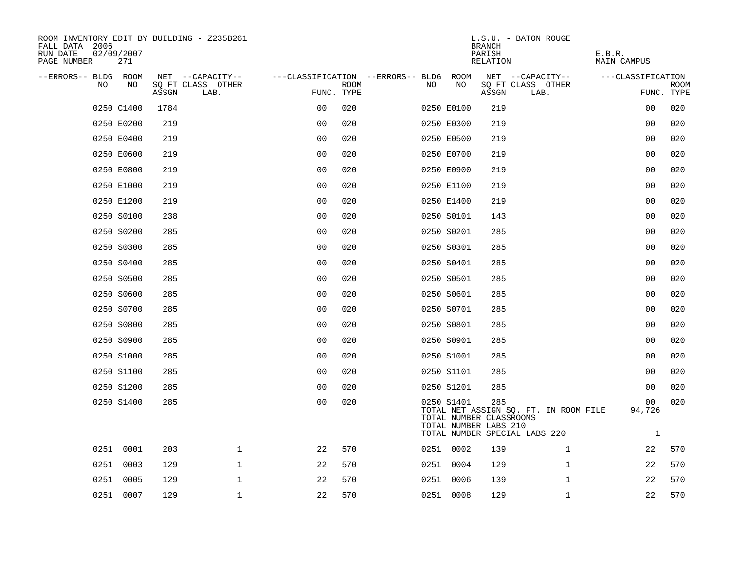| ROOM INVENTORY EDIT BY BUILDING - Z235B261<br>FALL DATA 2006<br>RUN DATE<br>PAGE NUMBER | 02/09/2007<br>271 |       |                           |                                        |             |     |            | <b>BRANCH</b><br>PARISH<br>RELATION                     | L.S.U. - BATON ROUGE                                                   | E.B.R.<br>MAIN CAMPUS        |                           |
|-----------------------------------------------------------------------------------------|-------------------|-------|---------------------------|----------------------------------------|-------------|-----|------------|---------------------------------------------------------|------------------------------------------------------------------------|------------------------------|---------------------------|
| --ERRORS-- BLDG ROOM                                                                    |                   |       | NET --CAPACITY--          | ---CLASSIFICATION --ERRORS-- BLDG ROOM |             |     |            |                                                         | NET --CAPACITY--                                                       | ---CLASSIFICATION            |                           |
| N <sub>O</sub>                                                                          | NO                | ASSGN | SO FT CLASS OTHER<br>LAB. | FUNC. TYPE                             | <b>ROOM</b> | NO. | NO         | ASSGN                                                   | SQ FT CLASS OTHER<br>LAB.                                              |                              | <b>ROOM</b><br>FUNC. TYPE |
|                                                                                         | 0250 C1400        | 1784  |                           | 0 <sub>0</sub>                         | 020         |     | 0250 E0100 | 219                                                     |                                                                        | 00                           | 020                       |
|                                                                                         | 0250 E0200        | 219   |                           | 0 <sub>0</sub>                         | 020         |     | 0250 E0300 | 219                                                     |                                                                        | 0 <sub>0</sub>               | 020                       |
|                                                                                         | 0250 E0400        | 219   |                           | 0 <sub>0</sub>                         | 020         |     | 0250 E0500 | 219                                                     |                                                                        | 00                           | 020                       |
|                                                                                         | 0250 E0600        | 219   |                           | 0 <sub>0</sub>                         | 020         |     | 0250 E0700 | 219                                                     |                                                                        | 00                           | 020                       |
|                                                                                         | 0250 E0800        | 219   |                           | 00                                     | 020         |     | 0250 E0900 | 219                                                     |                                                                        | 00                           | 020                       |
|                                                                                         | 0250 E1000        | 219   |                           | 0 <sub>0</sub>                         | 020         |     | 0250 E1100 | 219                                                     |                                                                        | 0 <sub>0</sub>               | 020                       |
|                                                                                         | 0250 E1200        | 219   |                           | 0 <sub>0</sub>                         | 020         |     | 0250 E1400 | 219                                                     |                                                                        | 00                           | 020                       |
|                                                                                         | 0250 S0100        | 238   |                           | 0 <sub>0</sub>                         | 020         |     | 0250 S0101 | 143                                                     |                                                                        | 0 <sub>0</sub>               | 020                       |
|                                                                                         | 0250 S0200        | 285   |                           | 0 <sub>0</sub>                         | 020         |     | 0250 S0201 | 285                                                     |                                                                        | 00                           | 020                       |
|                                                                                         | 0250 S0300        | 285   |                           | 0 <sub>0</sub>                         | 020         |     | 0250 S0301 | 285                                                     |                                                                        | 0 <sub>0</sub>               | 020                       |
|                                                                                         | 0250 S0400        | 285   |                           | 0 <sub>0</sub>                         | 020         |     | 0250 S0401 | 285                                                     |                                                                        | 0 <sub>0</sub>               | 020                       |
|                                                                                         | 0250 S0500        | 285   |                           | 0 <sub>0</sub>                         | 020         |     | 0250 S0501 | 285                                                     |                                                                        | 00                           | 020                       |
|                                                                                         | 0250 S0600        | 285   |                           | 0 <sub>0</sub>                         | 020         |     | 0250 S0601 | 285                                                     |                                                                        | 0 <sub>0</sub>               | 020                       |
|                                                                                         | 0250 S0700        | 285   |                           | 0 <sub>0</sub>                         | 020         |     | 0250 S0701 | 285                                                     |                                                                        | 0 <sub>0</sub>               | 020                       |
|                                                                                         | 0250 S0800        | 285   |                           | 00                                     | 020         |     | 0250 S0801 | 285                                                     |                                                                        | 00                           | 020                       |
|                                                                                         | 0250 S0900        | 285   |                           | 0 <sub>0</sub>                         | 020         |     | 0250 S0901 | 285                                                     |                                                                        | 00                           | 020                       |
|                                                                                         | 0250 S1000        | 285   |                           | 0 <sub>0</sub>                         | 020         |     | 0250 S1001 | 285                                                     |                                                                        | 0 <sub>0</sub>               | 020                       |
|                                                                                         | 0250 S1100        | 285   |                           | 0 <sub>0</sub>                         | 020         |     | 0250 S1101 | 285                                                     |                                                                        | 0 <sub>0</sub>               | 020                       |
|                                                                                         | 0250 S1200        | 285   |                           | 0 <sub>0</sub>                         | 020         |     | 0250 S1201 | 285                                                     |                                                                        | 00                           | 020                       |
|                                                                                         | 0250 S1400        | 285   |                           | 00                                     | 020         |     | 0250 S1401 | 285<br>TOTAL NUMBER CLASSROOMS<br>TOTAL NUMBER LABS 210 | TOTAL NET ASSIGN SQ. FT. IN ROOM FILE<br>TOTAL NUMBER SPECIAL LABS 220 | 00<br>94,726<br>$\mathbf{1}$ | 020                       |
|                                                                                         | 0251 0001         | 203   | 1                         | 22                                     | 570         |     | 0251 0002  | 139                                                     | $\mathbf{1}$                                                           | 22                           | 570                       |
|                                                                                         | 0251 0003         | 129   | $\mathbf 1$               | 22                                     | 570         |     | 0251 0004  | 129                                                     | $\mathbf{1}$                                                           | 22                           | 570                       |
|                                                                                         | 0251 0005         | 129   | $\mathbf 1$               | 22                                     | 570         |     | 0251 0006  | 139                                                     | $\mathbf{1}$                                                           | 22                           | 570                       |
|                                                                                         | 0251 0007         | 129   | $\mathbf{1}$              | 22                                     | 570         |     | 0251 0008  | 129                                                     | $\mathbf{1}$                                                           | 22                           | 570                       |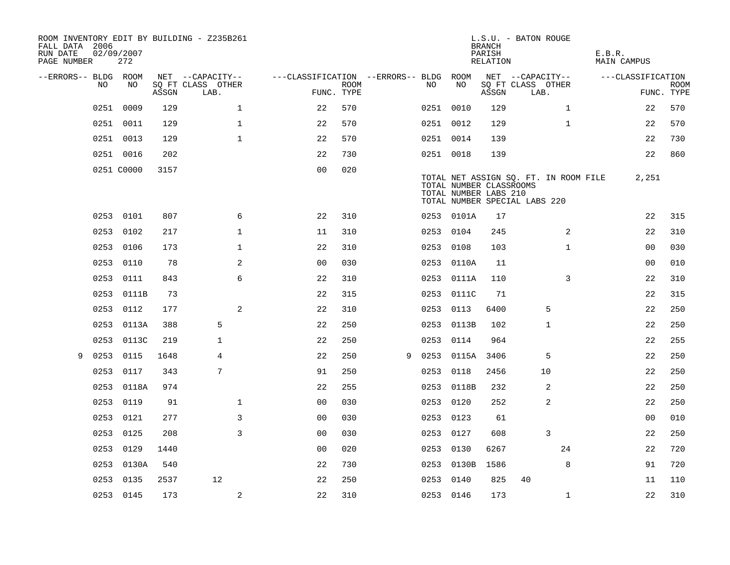| FALL DATA 2006<br>RUN DATE<br>PAGE NUMBER |      | 02/09/2007<br>272 |       | ROOM INVENTORY EDIT BY BUILDING - Z235B261 |                                        |             |   |           |                                                  | <b>BRANCH</b><br>PARISH<br>RELATION | L.S.U. - BATON ROUGE                                                   | E.B.R. | <b>MAIN CAMPUS</b> |                           |
|-------------------------------------------|------|-------------------|-------|--------------------------------------------|----------------------------------------|-------------|---|-----------|--------------------------------------------------|-------------------------------------|------------------------------------------------------------------------|--------|--------------------|---------------------------|
| --ERRORS-- BLDG ROOM                      |      |                   |       | NET --CAPACITY--                           | ---CLASSIFICATION --ERRORS-- BLDG ROOM |             |   |           |                                                  |                                     | NET --CAPACITY--                                                       |        | ---CLASSIFICATION  |                           |
|                                           | NO   | NO.               | ASSGN | SQ FT CLASS OTHER<br>LAB.                  | FUNC. TYPE                             | <b>ROOM</b> |   | NO.       | NO                                               | ASSGN                               | SQ FT CLASS OTHER<br>LAB.                                              |        |                    | <b>ROOM</b><br>FUNC. TYPE |
|                                           | 0251 | 0009              | 129   | $\mathbf{1}$                               | 22                                     | 570         |   | 0251 0010 |                                                  | 129                                 | $\mathbf{1}$                                                           |        | 22                 | 570                       |
|                                           |      | 0251 0011         | 129   | $\mathbf{1}$                               | 22                                     | 570         |   | 0251 0012 |                                                  | 129                                 | $\mathbf{1}$                                                           |        | 22                 | 570                       |
|                                           |      | 0251 0013         | 129   | $\mathbf 1$                                | 22                                     | 570         |   | 0251 0014 |                                                  | 139                                 |                                                                        |        | 22                 | 730                       |
|                                           |      | 0251 0016         | 202   |                                            | 22                                     | 730         |   | 0251 0018 |                                                  | 139                                 |                                                                        |        | 22                 | 860                       |
|                                           |      | 0251 C0000        | 3157  |                                            | 0 <sub>0</sub>                         | 020         |   |           | TOTAL NUMBER CLASSROOMS<br>TOTAL NUMBER LABS 210 |                                     | TOTAL NET ASSIGN SQ. FT. IN ROOM FILE<br>TOTAL NUMBER SPECIAL LABS 220 |        | 2,251              |                           |
|                                           |      | 0253 0101         | 807   | 6                                          | 22                                     | 310         |   |           | 0253 0101A                                       | 17                                  |                                                                        |        | 22                 | 315                       |
|                                           |      | 0253 0102         | 217   | $\mathbf{1}$                               | 11                                     | 310         |   | 0253 0104 |                                                  | 245                                 | 2                                                                      |        | 22                 | 310                       |
|                                           |      | 0253 0106         | 173   | $\mathbf{1}$                               | 22                                     | 310         |   | 0253 0108 |                                                  | 103                                 | $\mathbf{1}$                                                           |        | 00                 | 030                       |
|                                           |      | 0253 0110         | 78    | 2                                          | 0 <sub>0</sub>                         | 030         |   |           | 0253 0110A                                       | 11                                  |                                                                        |        | 0 <sub>0</sub>     | 010                       |
|                                           |      | 0253 0111         | 843   | 6                                          | 22                                     | 310         |   |           | 0253 0111A                                       | 110                                 | 3                                                                      |        | 22                 | 310                       |
|                                           |      | 0253 0111B        | 73    |                                            | 22                                     | 315         |   | 0253      | 0111C                                            | 71                                  |                                                                        |        | 22                 | 315                       |
|                                           |      | 0253 0112         | 177   | 2                                          | 22                                     | 310         |   |           | 0253 0113                                        | 6400                                | 5                                                                      |        | 22                 | 250                       |
|                                           | 0253 | 0113A             | 388   | 5                                          | 22                                     | 250         |   |           | 0253 0113B                                       | 102                                 | 1                                                                      |        | 22                 | 250                       |
|                                           | 0253 | 0113C             | 219   | $\mathbf{1}$                               | 22                                     | 250         |   |           | 0253 0114                                        | 964                                 |                                                                        |        | 22                 | 255                       |
| 9                                         | 0253 | 0115              | 1648  | 4                                          | 22                                     | 250         | 9 | 0253      | 0115A                                            | 3406                                | 5                                                                      |        | 22                 | 250                       |
|                                           | 0253 | 0117              | 343   | 7                                          | 91                                     | 250         |   | 0253 0118 |                                                  | 2456                                | 10                                                                     |        | 22                 | 250                       |
|                                           |      | 0253 0118A        | 974   |                                            | 22                                     | 255         |   |           | 0253 0118B                                       | 232                                 | 2                                                                      |        | 22                 | 250                       |
|                                           |      | 0253 0119         | 91    | $\mathbf{1}$                               | 0 <sub>0</sub>                         | 030         |   | 0253 0120 |                                                  | 252                                 | 2                                                                      |        | 22                 | 250                       |
|                                           |      | 0253 0121         | 277   | 3                                          | 0 <sub>0</sub>                         | 030         |   | 0253 0123 |                                                  | 61                                  |                                                                        |        | 0 <sub>0</sub>     | 010                       |
|                                           | 0253 | 0125              | 208   | 3                                          | 0 <sub>0</sub>                         | 030         |   | 0253 0127 |                                                  | 608                                 | 3                                                                      |        | 22                 | 250                       |
|                                           |      | 0253 0129         | 1440  |                                            | 0 <sub>0</sub>                         | 020         |   | 0253 0130 |                                                  | 6267                                | 24                                                                     |        | 22                 | 720                       |
|                                           |      | 0253 0130A        | 540   |                                            | 22                                     | 730         |   |           | 0253 0130B                                       | 1586                                | 8                                                                      |        | 91                 | 720                       |
|                                           |      | 0253 0135         | 2537  | 12                                         | 22                                     | 250         |   | 0253 0140 |                                                  | 825                                 | 40                                                                     |        | 11                 | 110                       |
|                                           |      | 0253 0145         | 173   | $\mathbf{2}$                               | 22                                     | 310         |   | 0253 0146 |                                                  | 173                                 | $\mathbf{1}$                                                           |        | 22                 | 310                       |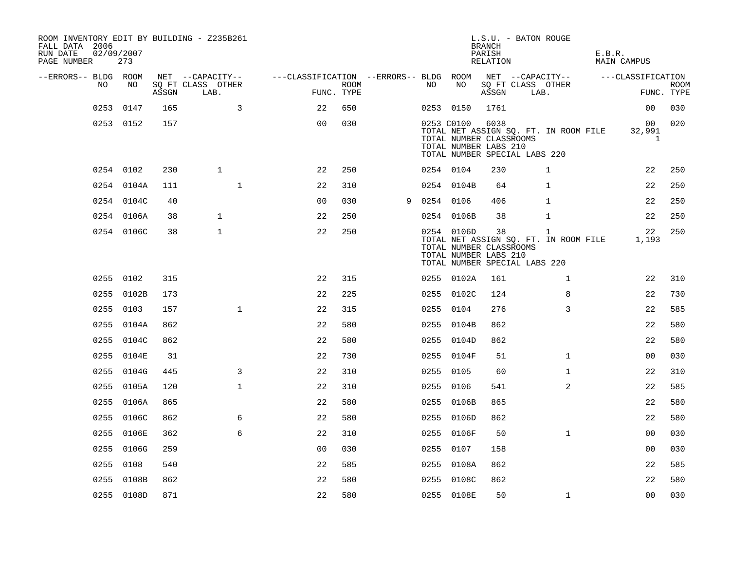| ROOM INVENTORY EDIT BY BUILDING - Z235B261<br>FALL DATA 2006<br>RUN DATE<br>PAGE NUMBER | 02/09/2007<br>273 |       |                           |                |                    |   |           |                                                                | <b>BRANCH</b><br>PARISH<br>RELATION | L.S.U. - BATON ROUGE                                                        | E.B.R.<br>MAIN CAMPUS    |                           |
|-----------------------------------------------------------------------------------------|-------------------|-------|---------------------------|----------------|--------------------|---|-----------|----------------------------------------------------------------|-------------------------------------|-----------------------------------------------------------------------------|--------------------------|---------------------------|
| --ERRORS-- BLDG ROOM                                                                    |                   |       | NET --CAPACITY--          |                |                    |   |           |                                                                |                                     | ---CLASSIFICATION --ERRORS-- BLDG ROOM NET --CAPACITY--                     | ---CLASSIFICATION        |                           |
| NO                                                                                      | NO                | ASSGN | SQ FT CLASS OTHER<br>LAB. |                | ROOM<br>FUNC. TYPE |   | NO        | NO                                                             | ASSGN                               | SQ FT CLASS OTHER<br>LAB.                                                   |                          | <b>ROOM</b><br>FUNC. TYPE |
|                                                                                         | 0253 0147         | 165   | $\overline{3}$            | 22             | 650                |   |           | 0253 0150                                                      | 1761                                |                                                                             | 00                       | 030                       |
|                                                                                         | 0253 0152         | 157   |                           | 0 <sup>0</sup> | 030                |   |           | 0253 C0100<br>TOTAL NUMBER CLASSROOMS<br>TOTAL NUMBER LABS 210 | 6038                                | TOTAL NET ASSIGN SQ. FT. IN ROOM FILE<br>TOTAL NUMBER SPECIAL LABS 220      | 32,991<br>$\overline{1}$ | 00 020                    |
|                                                                                         | 0254 0102         | 230   | $\mathbf{1}$              | 22             | 250                |   | 0254 0104 |                                                                | 230                                 | $\mathbf 1$                                                                 | 22                       | 250                       |
|                                                                                         | 0254 0104A        | 111   | $\mathbf{1}$              | 22             | 310                |   |           | 0254 0104B                                                     | 64                                  | $\mathbf{1}$                                                                | 22                       | 250                       |
|                                                                                         | 0254 0104C        | 40    |                           | 0 <sub>0</sub> | 030                | 9 | 0254 0106 |                                                                | 406                                 | $\mathbf{1}$                                                                | 22                       | 250                       |
|                                                                                         | 0254 0106A        | 38    | $\mathbf{1}$              | 22             | 250                |   |           | 0254 0106B                                                     | 38                                  | 1                                                                           | 22                       | 250                       |
|                                                                                         | 0254 0106C        | 38    | $\mathbf{1}$              | 22             | 250                |   |           | 0254 0106D<br>TOTAL NUMBER CLASSROOMS<br>TOTAL NUMBER LABS 210 | 38                                  | 1<br>TOTAL NET ASSIGN SQ. FT. IN ROOM FILE<br>TOTAL NUMBER SPECIAL LABS 220 | 22<br>1,193              | 250                       |
|                                                                                         | 0255 0102         | 315   |                           | 22             | 315                |   |           | 0255 0102A                                                     | 161                                 | $\mathbf{1}$                                                                | 22                       | 310                       |
|                                                                                         | 0255 0102B        | 173   |                           | 22             | 225                |   |           | 0255 0102C                                                     | 124                                 | 8                                                                           | 22                       | 730                       |
|                                                                                         | 0255 0103         | 157   | $\mathbf{1}$              | 22             | 315                |   |           | 0255 0104                                                      | 276                                 | 3                                                                           | 22                       | 585                       |
|                                                                                         | 0255 0104A        | 862   |                           | 22             | 580                |   |           | 0255 0104B                                                     | 862                                 |                                                                             | 22                       | 580                       |
|                                                                                         | 0255 0104C        | 862   |                           | 22             | 580                |   |           | 0255 0104D                                                     | 862                                 |                                                                             | 22                       | 580                       |
|                                                                                         | 0255 0104E        | 31    |                           | 22             | 730                |   |           | 0255 0104F                                                     | 51                                  | $\mathbf{1}$                                                                | 00                       | 030                       |
|                                                                                         | 0255 0104G        | 445   | 3                         | 22             | 310                |   |           | 0255 0105                                                      | 60                                  | $\mathbf{1}$                                                                | 22                       | 310                       |
|                                                                                         | 0255 0105A        | 120   | $\mathbf 1$               | 22             | 310                |   | 0255 0106 |                                                                | 541                                 | $\overline{a}$                                                              | 22                       | 585                       |
|                                                                                         | 0255 0106A        | 865   |                           | 22             | 580                |   |           | 0255 0106B                                                     | 865                                 |                                                                             | 22                       | 580                       |
|                                                                                         | 0255 0106C        | 862   | 6                         | 22             | 580                |   |           | 0255 0106D                                                     | 862                                 |                                                                             | 22                       | 580                       |
|                                                                                         | 0255 0106E        | 362   | 6                         | 22             | 310                |   |           | 0255 0106F                                                     | 50                                  | $\mathbf{1}$                                                                | 00                       | 030                       |
|                                                                                         | 0255 0106G        | 259   |                           | 0 <sub>0</sub> | 030                |   | 0255 0107 |                                                                | 158                                 |                                                                             | 00                       | 030                       |
|                                                                                         | 0255 0108         | 540   |                           | 22             | 585                |   |           | 0255 0108A                                                     | 862                                 |                                                                             | 22                       | 585                       |
|                                                                                         | 0255 0108B        | 862   |                           | 22             | 580                |   |           | 0255 0108C                                                     | 862                                 |                                                                             | 22                       | 580                       |
|                                                                                         | 0255 0108D        | 871   |                           | 22             | 580                |   |           | 0255 0108E                                                     | 50                                  | $\mathbf{1}$                                                                | 0 <sub>0</sub>           | 030                       |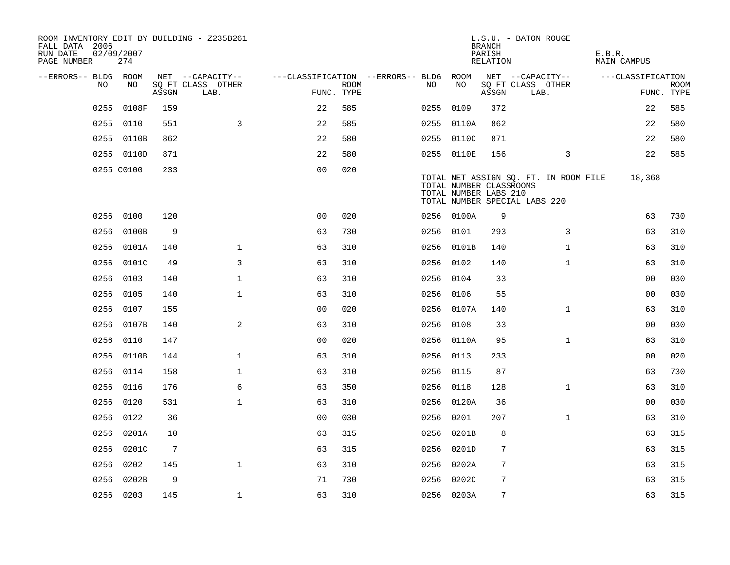| ROOM INVENTORY EDIT BY BUILDING - Z235B261<br>FALL DATA 2006<br>RUN DATE<br>PAGE NUMBER | 02/09/2007<br>274 |       |                           |                                        |      |           |                                                  | <b>BRANCH</b><br>PARISH<br>RELATION | L.S.U. - BATON ROUGE                                                   | E.B.R.<br><b>MAIN CAMPUS</b> |                           |
|-----------------------------------------------------------------------------------------|-------------------|-------|---------------------------|----------------------------------------|------|-----------|--------------------------------------------------|-------------------------------------|------------------------------------------------------------------------|------------------------------|---------------------------|
| --ERRORS-- BLDG ROOM                                                                    |                   |       | NET --CAPACITY--          | ---CLASSIFICATION --ERRORS-- BLDG ROOM |      |           |                                                  |                                     | NET --CAPACITY--                                                       | ---CLASSIFICATION            |                           |
| NO                                                                                      | NO.               | ASSGN | SQ FT CLASS OTHER<br>LAB. | FUNC. TYPE                             | ROOM | NO.       | NO                                               | ASSGN                               | SQ FT CLASS OTHER<br>LAB.                                              |                              | <b>ROOM</b><br>FUNC. TYPE |
| 0255                                                                                    | 0108F             | 159   |                           | 22                                     | 585  | 0255 0109 |                                                  | 372                                 |                                                                        | 22                           | 585                       |
|                                                                                         | 0255 0110         | 551   | 3                         | 22                                     | 585  |           | 0255 0110A                                       | 862                                 |                                                                        | 22                           | 580                       |
|                                                                                         | 0255 0110B        | 862   |                           | 22                                     | 580  |           | 0255 0110C                                       | 871                                 |                                                                        | 22                           | 580                       |
|                                                                                         | 0255 0110D        | 871   |                           | 22                                     | 580  |           | 0255 0110E                                       | 156                                 | 3                                                                      | 22                           | 585                       |
|                                                                                         | 0255 C0100        | 233   |                           | 0 <sub>0</sub>                         | 020  |           | TOTAL NUMBER CLASSROOMS<br>TOTAL NUMBER LABS 210 |                                     | TOTAL NET ASSIGN SQ. FT. IN ROOM FILE<br>TOTAL NUMBER SPECIAL LABS 220 | 18,368                       |                           |
|                                                                                         | 0256 0100         | 120   |                           | 0 <sub>0</sub>                         | 020  |           | 0256 0100A                                       | 9                                   |                                                                        | 63                           | 730                       |
| 0256                                                                                    | 0100B             | 9     |                           | 63                                     | 730  | 0256 0101 |                                                  | 293                                 | 3                                                                      | 63                           | 310                       |
|                                                                                         | 0256 0101A        | 140   | $\mathbf{1}$              | 63                                     | 310  |           | 0256 0101B                                       | 140                                 | $\mathbf{1}$                                                           | 63                           | 310                       |
|                                                                                         | 0256 0101C        | 49    | 3                         | 63                                     | 310  | 0256 0102 |                                                  | 140                                 | $\mathbf{1}$                                                           | 63                           | 310                       |
|                                                                                         | 0256 0103         | 140   | $\mathbf 1$               | 63                                     | 310  | 0256 0104 |                                                  | 33                                  |                                                                        | 00                           | 030                       |
| 0256                                                                                    | 0105              | 140   | $\mathbf{1}$              | 63                                     | 310  | 0256      | 0106                                             | 55                                  |                                                                        | 00                           | 030                       |
|                                                                                         | 0256 0107         | 155   |                           | 0 <sub>0</sub>                         | 020  |           | 0256 0107A                                       | 140                                 | $\mathbf{1}$                                                           | 63                           | 310                       |
|                                                                                         | 0256 0107B        | 140   | 2                         | 63                                     | 310  | 0256 0108 |                                                  | 33                                  |                                                                        | 0 <sub>0</sub>               | 030                       |
|                                                                                         | 0256 0110         | 147   |                           | 0 <sub>0</sub>                         | 020  |           | 0256 0110A                                       | 95                                  | $\mathbf{1}$                                                           | 63                           | 310                       |
|                                                                                         | 0256 0110B        | 144   | $\mathbf 1$               | 63                                     | 310  | 0256 0113 |                                                  | 233                                 |                                                                        | 00                           | 020                       |
|                                                                                         | 0256 0114         | 158   | $\mathbf 1$               | 63                                     | 310  | 0256 0115 |                                                  | 87                                  |                                                                        | 63                           | 730                       |
|                                                                                         | 0256 0116         | 176   | 6                         | 63                                     | 350  | 0256 0118 |                                                  | 128                                 | $\mathbf{1}$                                                           | 63                           | 310                       |
|                                                                                         | 0256 0120         | 531   | $\mathbf{1}$              | 63                                     | 310  |           | 0256 0120A                                       | 36                                  |                                                                        | 0 <sub>0</sub>               | 030                       |
|                                                                                         | 0256 0122         | 36    |                           | 0 <sub>0</sub>                         | 030  | 0256 0201 |                                                  | 207                                 | $\mathbf{1}$                                                           | 63                           | 310                       |
| 0256                                                                                    | 0201A             | 10    |                           | 63                                     | 315  |           | 0256 0201B                                       | 8                                   |                                                                        | 63                           | 315                       |
|                                                                                         | 0256 0201C        | 7     |                           | 63                                     | 315  |           | 0256 0201D                                       | 7                                   |                                                                        | 63                           | 315                       |
|                                                                                         | 0256 0202         | 145   | $\mathbf{1}$              | 63                                     | 310  |           | 0256 0202A                                       | 7                                   |                                                                        | 63                           | 315                       |
|                                                                                         | 0256 0202B        | 9     |                           | 71                                     | 730  |           | 0256 0202C                                       | 7                                   |                                                                        | 63                           | 315                       |
|                                                                                         | 0256 0203         | 145   | $\mathbf{1}$              | 63                                     | 310  |           | 0256 0203A                                       | 7                                   |                                                                        | 63                           | 315                       |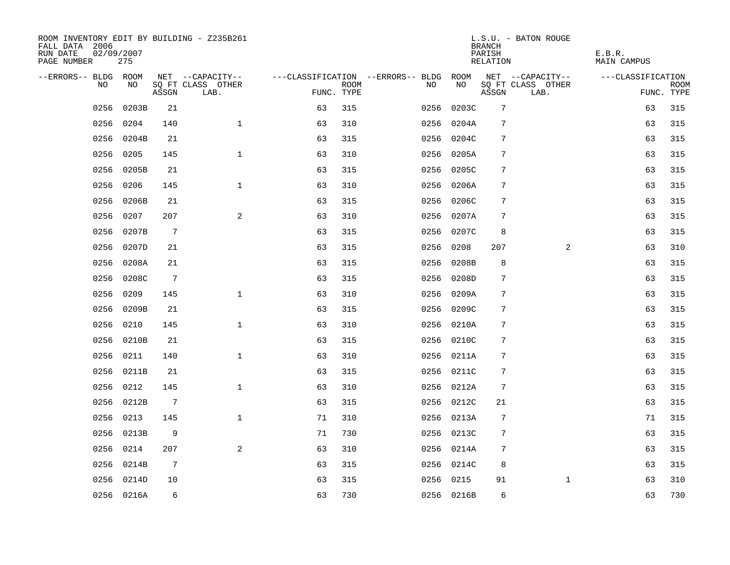| ROOM INVENTORY EDIT BY BUILDING - Z235B261<br>FALL DATA 2006<br>RUN DATE<br>PAGE NUMBER | 02/09/2007<br>275 |                 |                           |            |      |                                   |            | <b>BRANCH</b><br>PARISH<br>RELATION | L.S.U. - BATON ROUGE      | E.B.R.<br><b>MAIN CAMPUS</b> |                           |
|-----------------------------------------------------------------------------------------|-------------------|-----------------|---------------------------|------------|------|-----------------------------------|------------|-------------------------------------|---------------------------|------------------------------|---------------------------|
| --ERRORS-- BLDG ROOM                                                                    |                   |                 | NET --CAPACITY--          |            |      | ---CLASSIFICATION --ERRORS-- BLDG | ROOM       |                                     | NET --CAPACITY--          | ---CLASSIFICATION            |                           |
| NO.                                                                                     | NO.               | ASSGN           | SO FT CLASS OTHER<br>LAB. | FUNC. TYPE | ROOM | NO.                               | NO         | ASSGN                               | SO FT CLASS OTHER<br>LAB. |                              | <b>ROOM</b><br>FUNC. TYPE |
| 0256                                                                                    | 0203B             | 21              |                           | 63         | 315  | 0256                              | 0203C      | 7                                   |                           | 63                           | 315                       |
| 0256                                                                                    | 0204              | 140             | $\mathbf{1}$              | 63         | 310  | 0256                              | 0204A      | 7                                   |                           | 63                           | 315                       |
| 0256                                                                                    | 0204B             | 21              |                           | 63         | 315  |                                   | 0256 0204C | 7                                   |                           | 63                           | 315                       |
| 0256                                                                                    | 0205              | 145             | $\mathbf{1}$              | 63         | 310  | 0256                              | 0205A      | 7                                   |                           | 63                           | 315                       |
| 0256                                                                                    | 0205B             | 21              |                           | 63         | 315  | 0256                              | 0205C      | 7                                   |                           | 63                           | 315                       |
| 0256                                                                                    | 0206              | 145             | $\mathbf{1}$              | 63         | 310  |                                   | 0256 0206A | 7                                   |                           | 63                           | 315                       |
| 0256                                                                                    | 0206B             | 21              |                           | 63         | 315  |                                   | 0256 0206C | 7                                   |                           | 63                           | 315                       |
| 0256                                                                                    | 0207              | 207             | 2                         | 63         | 310  |                                   | 0256 0207A | 7                                   |                           | 63                           | 315                       |
| 0256                                                                                    | 0207B             | $7\phantom{.0}$ |                           | 63         | 315  |                                   | 0256 0207C | 8                                   |                           | 63                           | 315                       |
| 0256                                                                                    | 0207D             | 21              |                           | 63         | 315  |                                   | 0256 0208  | 207                                 | $\overline{a}$            | 63                           | 310                       |
| 0256                                                                                    | 0208A             | 21              |                           | 63         | 315  |                                   | 0256 0208B | 8                                   |                           | 63                           | 315                       |
| 0256                                                                                    | 0208C             | $7\phantom{.0}$ |                           | 63         | 315  |                                   | 0256 0208D | 7                                   |                           | 63                           | 315                       |
| 0256                                                                                    | 0209              | 145             | $\mathbf{1}$              | 63         | 310  | 0256                              | 0209A      | 7                                   |                           | 63                           | 315                       |
| 0256                                                                                    | 0209B             | 21              |                           | 63         | 315  |                                   | 0256 0209C | 7                                   |                           | 63                           | 315                       |
| 0256                                                                                    | 0210              | 145             | $\mathbf{1}$              | 63         | 310  |                                   | 0256 0210A | $\sqrt{ }$                          |                           | 63                           | 315                       |
| 0256                                                                                    | 0210B             | 21              |                           | 63         | 315  |                                   | 0256 0210C | $\sqrt{ }$                          |                           | 63                           | 315                       |
| 0256                                                                                    | 0211              | 140             | $\mathbf{1}$              | 63         | 310  |                                   | 0256 0211A | 7                                   |                           | 63                           | 315                       |
| 0256                                                                                    | 0211B             | 21              |                           | 63         | 315  |                                   | 0256 0211C | 7                                   |                           | 63                           | 315                       |
|                                                                                         | 0256 0212         | 145             | $\mathbf{1}$              | 63         | 310  |                                   | 0256 0212A | 7                                   |                           | 63                           | 315                       |
| 0256                                                                                    | 0212B             | $7\overline{ }$ |                           | 63         | 315  |                                   | 0256 0212C | 21                                  |                           | 63                           | 315                       |
| 0256                                                                                    | 0213              | 145             | $\mathbf 1$               | 71         | 310  |                                   | 0256 0213A | 7                                   |                           | 71                           | 315                       |
| 0256                                                                                    | 0213B             | 9               |                           | 71         | 730  |                                   | 0256 0213C | 7                                   |                           | 63                           | 315                       |
| 0256                                                                                    | 0214              | 207             | 2                         | 63         | 310  |                                   | 0256 0214A | 7                                   |                           | 63                           | 315                       |
| 0256                                                                                    | 0214B             | $\overline{7}$  |                           | 63         | 315  |                                   | 0256 0214C | 8                                   |                           | 63                           | 315                       |
|                                                                                         | 0256 0214D        | 10              |                           | 63         | 315  |                                   | 0256 0215  | 91                                  | $\mathbf{1}$              | 63                           | 310                       |
|                                                                                         | 0256 0216A        | 6               |                           | 63         | 730  |                                   | 0256 0216B | 6                                   |                           | 63                           | 730                       |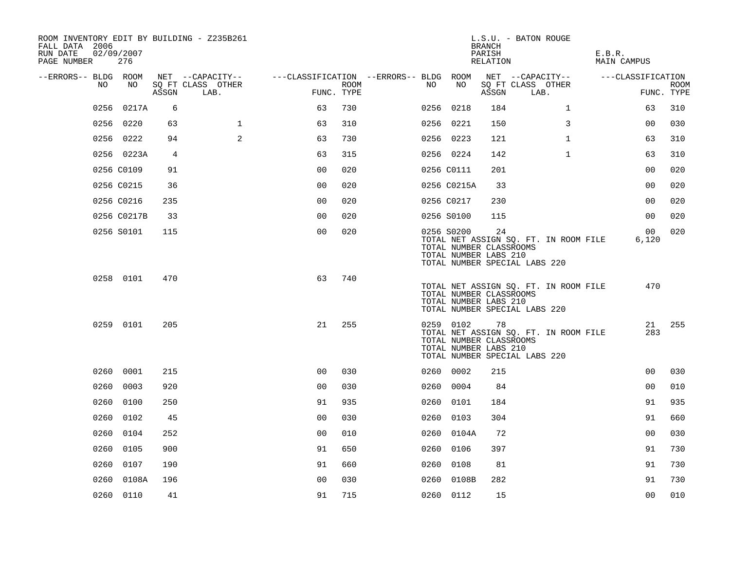| ROOM INVENTORY EDIT BY BUILDING - Z235B261<br>FALL DATA 2006<br>RUN DATE<br>PAGE NUMBER | 02/09/2007<br>276 |       |                           |                                        |                    |      |                                                                | <b>BRANCH</b><br>PARISH<br>RELATION | L.S.U. - BATON ROUGE                                                   | E.B.R.<br>MAIN CAMPUS |                          |             |
|-----------------------------------------------------------------------------------------|-------------------|-------|---------------------------|----------------------------------------|--------------------|------|----------------------------------------------------------------|-------------------------------------|------------------------------------------------------------------------|-----------------------|--------------------------|-------------|
| --ERRORS-- BLDG ROOM                                                                    |                   |       | NET --CAPACITY--          | ---CLASSIFICATION --ERRORS-- BLDG ROOM |                    |      |                                                                |                                     | NET --CAPACITY--                                                       |                       | ---CLASSIFICATION        |             |
| NO.                                                                                     | NO                | ASSGN | SQ FT CLASS OTHER<br>LAB. |                                        | ROOM<br>FUNC. TYPE | NO.  | NO                                                             | ASSGN                               | SQ FT CLASS OTHER<br>LAB.                                              |                       | FUNC. TYPE               | <b>ROOM</b> |
| 0256                                                                                    | 0217A             | 6     |                           | 63                                     | 730                |      | 0256 0218                                                      | 184                                 | $\mathbf{1}$                                                           |                       | 63                       | 310         |
|                                                                                         | 0256 0220         | 63    | $\mathbf{1}$              | 63                                     | 310                |      | 0256 0221                                                      | 150                                 | 3                                                                      |                       | 0 <sub>0</sub>           | 030         |
|                                                                                         | 0256 0222         | 94    | 2                         | 63                                     | 730                |      | 0256 0223                                                      | 121                                 | $\mathbf{1}$                                                           |                       | 63                       | 310         |
|                                                                                         | 0256 0223A        | 4     |                           | 63                                     | 315                |      | 0256 0224                                                      | 142                                 | $\mathbf{1}$                                                           |                       | 63                       | 310         |
|                                                                                         | 0256 C0109        | 91    |                           | 0 <sub>0</sub>                         | 020                |      | 0256 C0111                                                     | 201                                 |                                                                        |                       | 0 <sub>0</sub>           | 020         |
|                                                                                         | 0256 C0215        | 36    |                           | 0 <sub>0</sub>                         | 020                |      | 0256 C0215A                                                    | 33                                  |                                                                        |                       | 00                       | 020         |
|                                                                                         | 0256 C0216        | 235   |                           | 0 <sub>0</sub>                         | 020                |      | 0256 C0217                                                     | 230                                 |                                                                        |                       | 0 <sub>0</sub>           | 020         |
|                                                                                         | 0256 C0217B       | 33    |                           | 0 <sub>0</sub>                         | 020                |      | 0256 S0100                                                     | 115                                 |                                                                        |                       | 0 <sub>0</sub>           | 020         |
|                                                                                         | 0256 S0101        | 115   |                           | 0 <sub>0</sub>                         | 020                |      | 0256 S0200<br>TOTAL NUMBER CLASSROOMS<br>TOTAL NUMBER LABS 210 | 24                                  | TOTAL NET ASSIGN SQ. FT. IN ROOM FILE<br>TOTAL NUMBER SPECIAL LABS 220 |                       | 00 <sub>o</sub><br>6,120 | 020         |
|                                                                                         | 0258 0101         | 470   |                           | 63                                     | 740                |      | TOTAL NUMBER CLASSROOMS<br>TOTAL NUMBER LABS 210               |                                     | TOTAL NET ASSIGN SQ. FT. IN ROOM FILE<br>TOTAL NUMBER SPECIAL LABS 220 |                       | 470                      |             |
|                                                                                         | 0259 0101         | 205   |                           | 21                                     | 255                |      | 0259 0102<br>TOTAL NUMBER CLASSROOMS<br>TOTAL NUMBER LABS 210  | 78                                  | TOTAL NET ASSIGN SQ. FT. IN ROOM FILE<br>TOTAL NUMBER SPECIAL LABS 220 |                       | 21<br>283                | 255         |
|                                                                                         | 0260 0001         | 215   |                           | 0 <sub>0</sub>                         | 030                |      | 0260 0002                                                      | 215                                 |                                                                        |                       | 0 <sub>0</sub>           | 030         |
|                                                                                         | 0260 0003         | 920   |                           | 0 <sub>0</sub>                         | 030                |      | 0260 0004                                                      | 84                                  |                                                                        |                       | 0 <sub>0</sub>           | 010         |
|                                                                                         | 0260 0100         | 250   |                           | 91                                     | 935                |      | 0260 0101                                                      | 184                                 |                                                                        |                       | 91                       | 935         |
|                                                                                         | 0260 0102         | 45    |                           | 0 <sub>0</sub>                         | 030                |      | 0260 0103                                                      | 304                                 |                                                                        |                       | 91                       | 660         |
|                                                                                         | 0260 0104         | 252   |                           | 0 <sub>0</sub>                         | 010                |      | 0260 0104A                                                     | 72                                  |                                                                        |                       | 0 <sub>0</sub>           | 030         |
|                                                                                         | 0260 0105         | 900   |                           | 91                                     | 650                |      | 0260 0106                                                      | 397                                 |                                                                        |                       | 91                       | 730         |
| 0260                                                                                    | 0107              | 190   |                           | 91                                     | 660                | 0260 | 0108                                                           | 81                                  |                                                                        |                       | 91                       | 730         |
| 0260                                                                                    | 0108A             | 196   |                           | 0 <sub>0</sub>                         | 030                |      | 0260 0108B                                                     | 282                                 |                                                                        |                       | 91                       | 730         |
|                                                                                         | 0260 0110         | 41    |                           | 91                                     | 715                |      | 0260 0112                                                      | 15                                  |                                                                        |                       | 0 <sub>0</sub>           | 010         |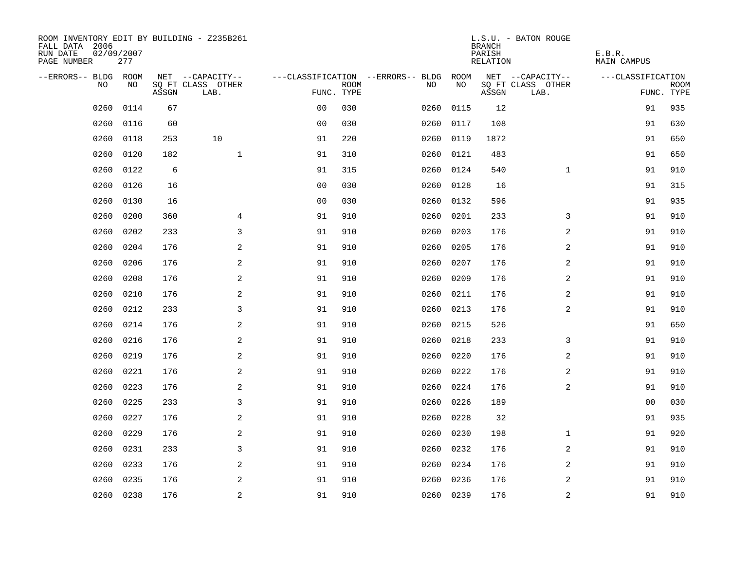| ROOM INVENTORY EDIT BY BUILDING - Z235B261<br>FALL DATA 2006<br>RUN DATE<br>PAGE NUMBER | 02/09/2007<br>277 |       |                           |                |             |                                   |           | <b>BRANCH</b><br>PARISH<br>RELATION | L.S.U. - BATON ROUGE      | E.B.R.<br>MAIN CAMPUS |                           |
|-----------------------------------------------------------------------------------------|-------------------|-------|---------------------------|----------------|-------------|-----------------------------------|-----------|-------------------------------------|---------------------------|-----------------------|---------------------------|
| --ERRORS-- BLDG ROOM                                                                    |                   |       | NET --CAPACITY--          |                |             | ---CLASSIFICATION --ERRORS-- BLDG | ROOM      |                                     | NET --CAPACITY--          | ---CLASSIFICATION     |                           |
| NO.                                                                                     | NO.               | ASSGN | SQ FT CLASS OTHER<br>LAB. | FUNC. TYPE     | <b>ROOM</b> | NO.                               | NO        | ASSGN                               | SQ FT CLASS OTHER<br>LAB. |                       | <b>ROOM</b><br>FUNC. TYPE |
| 0260                                                                                    | 0114              | 67    |                           | 0 <sub>0</sub> | 030         | 0260                              | 0115      | 12                                  |                           | 91                    | 935                       |
| 0260                                                                                    | 0116              | 60    |                           | 0 <sub>0</sub> | 030         | 0260                              | 0117      | 108                                 |                           | 91                    | 630                       |
| 0260                                                                                    | 0118              | 253   | 10                        | 91             | 220         | 0260                              | 0119      | 1872                                |                           | 91                    | 650                       |
| 0260                                                                                    | 0120              | 182   | $\mathbf{1}$              | 91             | 310         | 0260                              | 0121      | 483                                 |                           | 91                    | 650                       |
| 0260                                                                                    | 0122              | 6     |                           | 91             | 315         | 0260                              | 0124      | 540                                 | $\mathbf{1}$              | 91                    | 910                       |
| 0260                                                                                    | 0126              | 16    |                           | 0 <sub>0</sub> | 030         | 0260                              | 0128      | 16                                  |                           | 91                    | 315                       |
| 0260                                                                                    | 0130              | 16    |                           | 0 <sub>0</sub> | 030         | 0260                              | 0132      | 596                                 |                           | 91                    | 935                       |
| 0260                                                                                    | 0200              | 360   | 4                         | 91             | 910         | 0260                              | 0201      | 233                                 | 3                         | 91                    | 910                       |
| 0260                                                                                    | 0202              | 233   | 3                         | 91             | 910         | 0260                              | 0203      | 176                                 | 2                         | 91                    | 910                       |
| 0260                                                                                    | 0204              | 176   | 2                         | 91             | 910         | 0260                              | 0205      | 176                                 | 2                         | 91                    | 910                       |
| 0260                                                                                    | 0206              | 176   | 2                         | 91             | 910         | 0260                              | 0207      | 176                                 | 2                         | 91                    | 910                       |
| 0260                                                                                    | 0208              | 176   | 2                         | 91             | 910         | 0260                              | 0209      | 176                                 | 2                         | 91                    | 910                       |
| 0260                                                                                    | 0210              | 176   | 2                         | 91             | 910         | 0260                              | 0211      | 176                                 | 2                         | 91                    | 910                       |
| 0260                                                                                    | 0212              | 233   | 3                         | 91             | 910         | 0260                              | 0213      | 176                                 | 2                         | 91                    | 910                       |
| 0260                                                                                    | 0214              | 176   | 2                         | 91             | 910         | 0260                              | 0215      | 526                                 |                           | 91                    | 650                       |
| 0260                                                                                    | 0216              | 176   | 2                         | 91             | 910         | 0260                              | 0218      | 233                                 | 3                         | 91                    | 910                       |
| 0260                                                                                    | 0219              | 176   | $\overline{a}$            | 91             | 910         | 0260                              | 0220      | 176                                 | 2                         | 91                    | 910                       |
| 0260                                                                                    | 0221              | 176   | 2                         | 91             | 910         | 0260                              | 0222      | 176                                 | 2                         | 91                    | 910                       |
| 0260                                                                                    | 0223              | 176   | 2                         | 91             | 910         | 0260                              | 0224      | 176                                 | 2                         | 91                    | 910                       |
| 0260                                                                                    | 0225              | 233   | 3                         | 91             | 910         | 0260                              | 0226      | 189                                 |                           | 0 <sub>0</sub>        | 030                       |
| 0260                                                                                    | 0227              | 176   | 2                         | 91             | 910         | 0260                              | 0228      | 32                                  |                           | 91                    | 935                       |
| 0260                                                                                    | 0229              | 176   | 2                         | 91             | 910         | 0260                              | 0230      | 198                                 | $\mathbf{1}$              | 91                    | 920                       |
| 0260                                                                                    | 0231              | 233   | 3                         | 91             | 910         | 0260                              | 0232      | 176                                 | 2                         | 91                    | 910                       |
| 0260                                                                                    | 0233              | 176   | 2                         | 91             | 910         | 0260                              | 0234      | 176                                 | 2                         | 91                    | 910                       |
| 0260                                                                                    | 0235              | 176   | 2                         | 91             | 910         | 0260                              | 0236      | 176                                 | 2                         | 91                    | 910                       |
|                                                                                         | 0260 0238         | 176   | $\overline{c}$            | 91             | 910         |                                   | 0260 0239 | 176                                 | $\mathbf 2$               | 91                    | 910                       |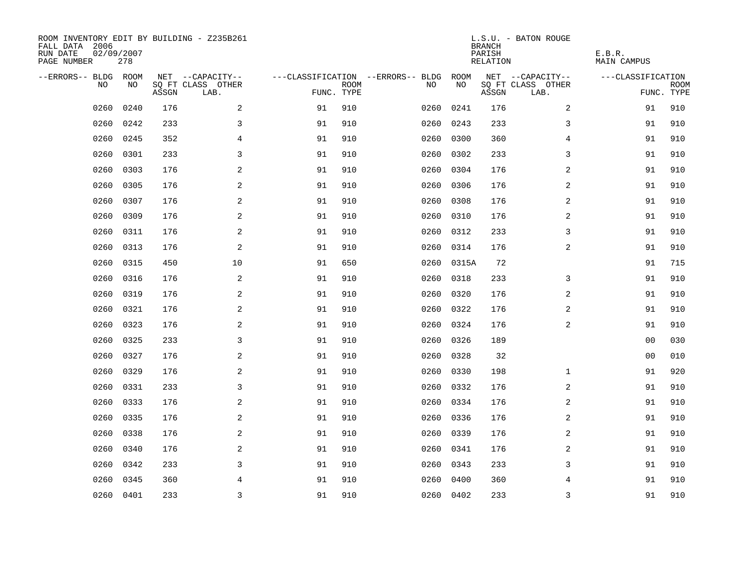| ROOM INVENTORY EDIT BY BUILDING - Z235B261<br>FALL DATA 2006<br>RUN DATE<br>PAGE NUMBER | 02/09/2007<br>278 |       |                           |            |             |                                   |           | <b>BRANCH</b><br>PARISH<br>RELATION | L.S.U. - BATON ROUGE      | E.B.R.<br><b>MAIN CAMPUS</b> |                           |
|-----------------------------------------------------------------------------------------|-------------------|-------|---------------------------|------------|-------------|-----------------------------------|-----------|-------------------------------------|---------------------------|------------------------------|---------------------------|
| --ERRORS-- BLDG ROOM                                                                    |                   |       | NET --CAPACITY--          |            |             | ---CLASSIFICATION --ERRORS-- BLDG | ROOM      |                                     | NET --CAPACITY--          | ---CLASSIFICATION            |                           |
| N <sub>O</sub>                                                                          | NO.               | ASSGN | SO FT CLASS OTHER<br>LAB. | FUNC. TYPE | <b>ROOM</b> | NO.                               | NO        | ASSGN                               | SQ FT CLASS OTHER<br>LAB. |                              | <b>ROOM</b><br>FUNC. TYPE |
| 0260                                                                                    | 0240              | 176   | 2                         | 91         | 910         | 0260                              | 0241      | 176                                 | 2                         | 91                           | 910                       |
| 0260                                                                                    | 0242              | 233   | 3                         | 91         | 910         | 0260                              | 0243      | 233                                 | 3                         | 91                           | 910                       |
| 0260                                                                                    | 0245              | 352   | $\overline{4}$            | 91         | 910         | 0260                              | 0300      | 360                                 | $\overline{4}$            | 91                           | 910                       |
| 0260                                                                                    | 0301              | 233   | 3                         | 91         | 910         | 0260                              | 0302      | 233                                 | 3                         | 91                           | 910                       |
| 0260                                                                                    | 0303              | 176   | 2                         | 91         | 910         | 0260                              | 0304      | 176                                 | 2                         | 91                           | 910                       |
| 0260                                                                                    | 0305              | 176   | 2                         | 91         | 910         | 0260                              | 0306      | 176                                 | 2                         | 91                           | 910                       |
| 0260                                                                                    | 0307              | 176   | $\overline{a}$            | 91         | 910         | 0260                              | 0308      | 176                                 | 2                         | 91                           | 910                       |
| 0260                                                                                    | 0309              | 176   | $\overline{a}$            | 91         | 910         | 0260                              | 0310      | 176                                 | $\overline{a}$            | 91                           | 910                       |
| 0260                                                                                    | 0311              | 176   | 2                         | 91         | 910         | 0260                              | 0312      | 233                                 | 3                         | 91                           | 910                       |
| 0260                                                                                    | 0313              | 176   | $\overline{a}$            | 91         | 910         | 0260                              | 0314      | 176                                 | $\overline{a}$            | 91                           | 910                       |
| 0260                                                                                    | 0315              | 450   | 10                        | 91         | 650         | 0260                              | 0315A     | 72                                  |                           | 91                           | 715                       |
| 0260                                                                                    | 0316              | 176   | 2                         | 91         | 910         | 0260                              | 0318      | 233                                 | 3                         | 91                           | 910                       |
| 0260                                                                                    | 0319              | 176   | 2                         | 91         | 910         | 0260                              | 0320      | 176                                 | 2                         | 91                           | 910                       |
| 0260                                                                                    | 0321              | 176   | 2                         | 91         | 910         | 0260                              | 0322      | 176                                 | $\overline{a}$            | 91                           | 910                       |
| 0260                                                                                    | 0323              | 176   | 2                         | 91         | 910         | 0260                              | 0324      | 176                                 | 2                         | 91                           | 910                       |
| 0260                                                                                    | 0325              | 233   | 3                         | 91         | 910         | 0260                              | 0326      | 189                                 |                           | 00                           | 030                       |
| 0260                                                                                    | 0327              | 176   | 2                         | 91         | 910         | 0260                              | 0328      | 32                                  |                           | 00                           | 010                       |
| 0260                                                                                    | 0329              | 176   | $\overline{a}$            | 91         | 910         | 0260                              | 0330      | 198                                 | $\mathbf{1}$              | 91                           | 920                       |
| 0260                                                                                    | 0331              | 233   | 3                         | 91         | 910         | 0260                              | 0332      | 176                                 | 2                         | 91                           | 910                       |
| 0260                                                                                    | 0333              | 176   | 2                         | 91         | 910         | 0260                              | 0334      | 176                                 | 2                         | 91                           | 910                       |
| 0260                                                                                    | 0335              | 176   | 2                         | 91         | 910         | 0260                              | 0336      | 176                                 | 2                         | 91                           | 910                       |
| 0260                                                                                    | 0338              | 176   | 2                         | 91         | 910         | 0260                              | 0339      | 176                                 | 2                         | 91                           | 910                       |
| 0260                                                                                    | 0340              | 176   | 2                         | 91         | 910         | 0260                              | 0341      | 176                                 | 2                         | 91                           | 910                       |
| 0260                                                                                    | 0342              | 233   | 3                         | 91         | 910         | 0260                              | 0343      | 233                                 | 3                         | 91                           | 910                       |
| 0260                                                                                    | 0345              | 360   | 4                         | 91         | 910         | 0260                              | 0400      | 360                                 | 4                         | 91                           | 910                       |
|                                                                                         | 0260 0401         | 233   | $\overline{3}$            | 91         | 910         |                                   | 0260 0402 | 233                                 | 3                         | 91                           | 910                       |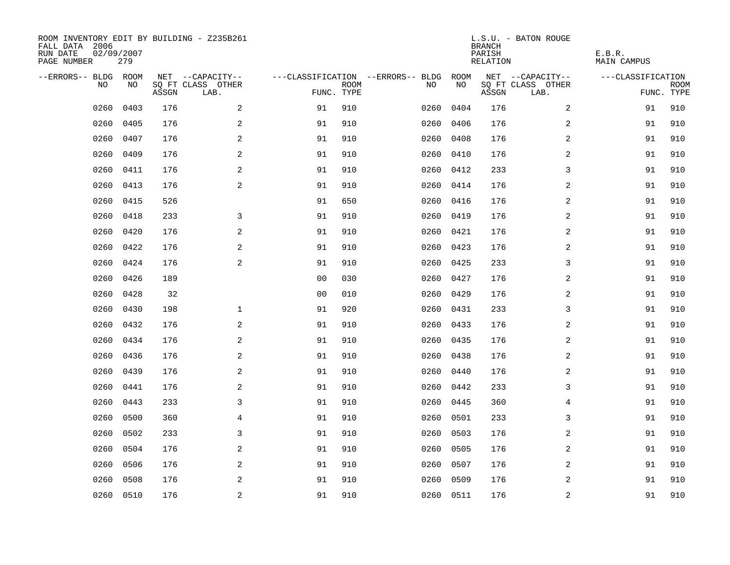| ROOM INVENTORY EDIT BY BUILDING - Z235B261<br>FALL DATA 2006<br>RUN DATE<br>PAGE NUMBER | 02/09/2007<br>279 |       |                           |                |             |                                   |           | <b>BRANCH</b><br>PARISH<br>RELATION | L.S.U. - BATON ROUGE      | E.B.R.<br>MAIN CAMPUS |                           |
|-----------------------------------------------------------------------------------------|-------------------|-------|---------------------------|----------------|-------------|-----------------------------------|-----------|-------------------------------------|---------------------------|-----------------------|---------------------------|
| --ERRORS-- BLDG ROOM                                                                    |                   |       | NET --CAPACITY--          |                |             | ---CLASSIFICATION --ERRORS-- BLDG | ROOM      |                                     | NET --CAPACITY--          | ---CLASSIFICATION     |                           |
| NO.                                                                                     | NO.               | ASSGN | SQ FT CLASS OTHER<br>LAB. | FUNC. TYPE     | <b>ROOM</b> | NO.                               | NO        | ASSGN                               | SQ FT CLASS OTHER<br>LAB. |                       | <b>ROOM</b><br>FUNC. TYPE |
| 0260                                                                                    | 0403              | 176   | 2                         | 91             | 910         | 0260                              | 0404      | 176                                 | 2                         | 91                    | 910                       |
| 0260                                                                                    | 0405              | 176   | 2                         | 91             | 910         | 0260                              | 0406      | 176                                 | 2                         | 91                    | 910                       |
| 0260                                                                                    | 0407              | 176   | 2                         | 91             | 910         | 0260                              | 0408      | 176                                 | 2                         | 91                    | 910                       |
| 0260                                                                                    | 0409              | 176   | 2                         | 91             | 910         |                                   | 0260 0410 | 176                                 | 2                         | 91                    | 910                       |
| 0260                                                                                    | 0411              | 176   | 2                         | 91             | 910         | 0260                              | 0412      | 233                                 | 3                         | 91                    | 910                       |
| 0260                                                                                    | 0413              | 176   | 2                         | 91             | 910         | 0260                              | 0414      | 176                                 | 2                         | 91                    | 910                       |
| 0260                                                                                    | 0415              | 526   |                           | 91             | 650         | 0260                              | 0416      | 176                                 | 2                         | 91                    | 910                       |
| 0260                                                                                    | 0418              | 233   | 3                         | 91             | 910         |                                   | 0260 0419 | 176                                 | 2                         | 91                    | 910                       |
| 0260                                                                                    | 0420              | 176   | 2                         | 91             | 910         | 0260                              | 0421      | 176                                 | 2                         | 91                    | 910                       |
| 0260                                                                                    | 0422              | 176   | 2                         | 91             | 910         |                                   | 0260 0423 | 176                                 | 2                         | 91                    | 910                       |
| 0260                                                                                    | 0424              | 176   | 2                         | 91             | 910         | 0260                              | 0425      | 233                                 | 3                         | 91                    | 910                       |
| 0260                                                                                    | 0426              | 189   |                           | 0 <sub>0</sub> | 030         |                                   | 0260 0427 | 176                                 | 2                         | 91                    | 910                       |
| 0260                                                                                    | 0428              | 32    |                           | 0 <sub>0</sub> | 010         | 0260                              | 0429      | 176                                 | 2                         | 91                    | 910                       |
| 0260                                                                                    | 0430              | 198   | $\mathbf 1$               | 91             | 920         | 0260                              | 0431      | 233                                 | 3                         | 91                    | 910                       |
| 0260                                                                                    | 0432              | 176   | 2                         | 91             | 910         | 0260                              | 0433      | 176                                 | 2                         | 91                    | 910                       |
| 0260                                                                                    | 0434              | 176   | 2                         | 91             | 910         | 0260                              | 0435      | 176                                 | $\overline{a}$            | 91                    | 910                       |
| 0260                                                                                    | 0436              | 176   | $\mathbf{2}$              | 91             | 910         | 0260                              | 0438      | 176                                 | 2                         | 91                    | 910                       |
| 0260                                                                                    | 0439              | 176   | 2                         | 91             | 910         | 0260                              | 0440      | 176                                 | 2                         | 91                    | 910                       |
| 0260                                                                                    | 0441              | 176   | 2                         | 91             | 910         | 0260                              | 0442      | 233                                 | 3                         | 91                    | 910                       |
| 0260                                                                                    | 0443              | 233   | 3                         | 91             | 910         | 0260                              | 0445      | 360                                 | $\overline{4}$            | 91                    | 910                       |
| 0260                                                                                    | 0500              | 360   | $\overline{4}$            | 91             | 910         | 0260                              | 0501      | 233                                 | 3                         | 91                    | 910                       |
| 0260                                                                                    | 0502              | 233   | 3                         | 91             | 910         | 0260                              | 0503      | 176                                 | 2                         | 91                    | 910                       |
| 0260                                                                                    | 0504              | 176   | 2                         | 91             | 910         | 0260                              | 0505      | 176                                 | 2                         | 91                    | 910                       |
| 0260                                                                                    | 0506              | 176   | 2                         | 91             | 910         | 0260                              | 0507      | 176                                 | 2                         | 91                    | 910                       |
| 0260                                                                                    | 0508              | 176   | 2                         | 91             | 910         | 0260                              | 0509      | 176                                 | 2                         | 91                    | 910                       |
|                                                                                         | 0260 0510         | 176   | $\overline{c}$            | 91             | 910         |                                   | 0260 0511 | 176                                 | $\overline{c}$            | 91                    | 910                       |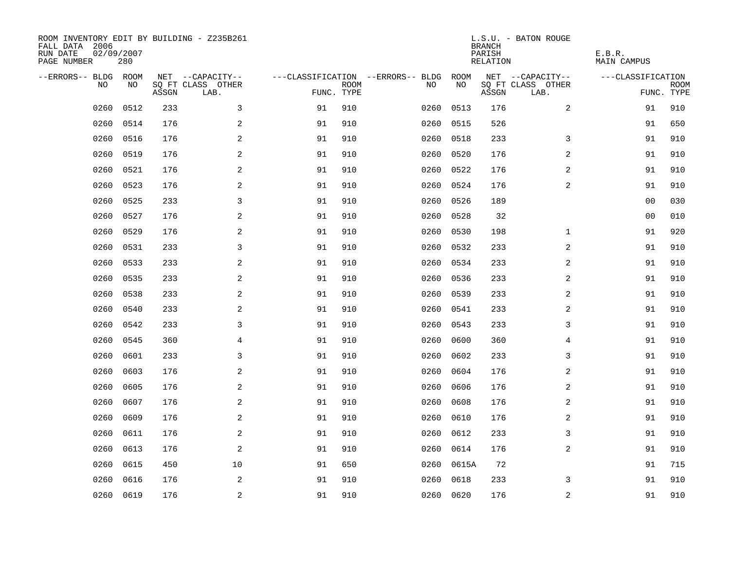| ROOM INVENTORY EDIT BY BUILDING - Z235B261<br>FALL DATA 2006<br>RUN DATE<br>PAGE NUMBER | 02/09/2007<br>280 |       |                           |            |             |                                   |           | <b>BRANCH</b><br>PARISH<br>RELATION | L.S.U. - BATON ROUGE      | E.B.R.<br><b>MAIN CAMPUS</b> |                           |
|-----------------------------------------------------------------------------------------|-------------------|-------|---------------------------|------------|-------------|-----------------------------------|-----------|-------------------------------------|---------------------------|------------------------------|---------------------------|
| --ERRORS-- BLDG ROOM                                                                    |                   |       | NET --CAPACITY--          |            |             | ---CLASSIFICATION --ERRORS-- BLDG | ROOM      |                                     | NET --CAPACITY--          | ---CLASSIFICATION            |                           |
| N <sub>O</sub>                                                                          | NO.               | ASSGN | SO FT CLASS OTHER<br>LAB. | FUNC. TYPE | <b>ROOM</b> | NO.                               | NO        | ASSGN                               | SQ FT CLASS OTHER<br>LAB. |                              | <b>ROOM</b><br>FUNC. TYPE |
| 0260                                                                                    | 0512              | 233   | 3                         | 91         | 910         | 0260                              | 0513      | 176                                 | $\overline{2}$            | 91                           | 910                       |
| 0260                                                                                    | 0514              | 176   | 2                         | 91         | 910         | 0260                              | 0515      | 526                                 |                           | 91                           | 650                       |
| 0260                                                                                    | 0516              | 176   | 2                         | 91         | 910         | 0260                              | 0518      | 233                                 | 3                         | 91                           | 910                       |
| 0260                                                                                    | 0519              | 176   | $\overline{a}$            | 91         | 910         | 0260                              | 0520      | 176                                 | 2                         | 91                           | 910                       |
| 0260                                                                                    | 0521              | 176   | $\overline{a}$            | 91         | 910         | 0260                              | 0522      | 176                                 | 2                         | 91                           | 910                       |
| 0260                                                                                    | 0523              | 176   | $\overline{a}$            | 91         | 910         | 0260                              | 0524      | 176                                 | 2                         | 91                           | 910                       |
| 0260                                                                                    | 0525              | 233   | 3                         | 91         | 910         | 0260                              | 0526      | 189                                 |                           | 00                           | 030                       |
| 0260                                                                                    | 0527              | 176   | 2                         | 91         | 910         | 0260                              | 0528      | 32                                  |                           | 0 <sub>0</sub>               | 010                       |
| 0260                                                                                    | 0529              | 176   | 2                         | 91         | 910         | 0260                              | 0530      | 198                                 | $\mathbf{1}$              | 91                           | 920                       |
| 0260                                                                                    | 0531              | 233   | 3                         | 91         | 910         | 0260                              | 0532      | 233                                 | 2                         | 91                           | 910                       |
| 0260                                                                                    | 0533              | 233   | 2                         | 91         | 910         | 0260                              | 0534      | 233                                 | 2                         | 91                           | 910                       |
| 0260                                                                                    | 0535              | 233   | 2                         | 91         | 910         | 0260                              | 0536      | 233                                 | 2                         | 91                           | 910                       |
| 0260                                                                                    | 0538              | 233   | 2                         | 91         | 910         | 0260                              | 0539      | 233                                 | 2                         | 91                           | 910                       |
| 0260                                                                                    | 0540              | 233   | 2                         | 91         | 910         | 0260                              | 0541      | 233                                 | $\overline{a}$            | 91                           | 910                       |
| 0260                                                                                    | 0542              | 233   | 3                         | 91         | 910         | 0260                              | 0543      | 233                                 | 3                         | 91                           | 910                       |
| 0260                                                                                    | 0545              | 360   | 4                         | 91         | 910         | 0260                              | 0600      | 360                                 | 4                         | 91                           | 910                       |
| 0260                                                                                    | 0601              | 233   | 3                         | 91         | 910         | 0260                              | 0602      | 233                                 | 3                         | 91                           | 910                       |
| 0260                                                                                    | 0603              | 176   | $\overline{a}$            | 91         | 910         | 0260                              | 0604      | 176                                 | 2                         | 91                           | 910                       |
| 0260                                                                                    | 0605              | 176   | 2                         | 91         | 910         | 0260                              | 0606      | 176                                 | 2                         | 91                           | 910                       |
| 0260                                                                                    | 0607              | 176   | 2                         | 91         | 910         | 0260                              | 0608      | 176                                 | 2                         | 91                           | 910                       |
| 0260                                                                                    | 0609              | 176   | 2                         | 91         | 910         | 0260                              | 0610      | 176                                 | 2                         | 91                           | 910                       |
| 0260                                                                                    | 0611              | 176   | $\sqrt{2}$                | 91         | 910         | 0260                              | 0612      | 233                                 | 3                         | 91                           | 910                       |
| 0260                                                                                    | 0613              | 176   | $\sqrt{2}$                | 91         | 910         | 0260                              | 0614      | 176                                 | 2                         | 91                           | 910                       |
| 0260                                                                                    | 0615              | 450   | 10                        | 91         | 650         | 0260                              | 0615A     | 72                                  |                           | 91                           | 715                       |
| 0260                                                                                    | 0616              | 176   | 2                         | 91         | 910         | 0260                              | 0618      | 233                                 | 3                         | 91                           | 910                       |
|                                                                                         | 0260 0619         | 176   | 2                         | 91         | 910         |                                   | 0260 0620 | 176                                 | $\overline{a}$            | 91                           | 910                       |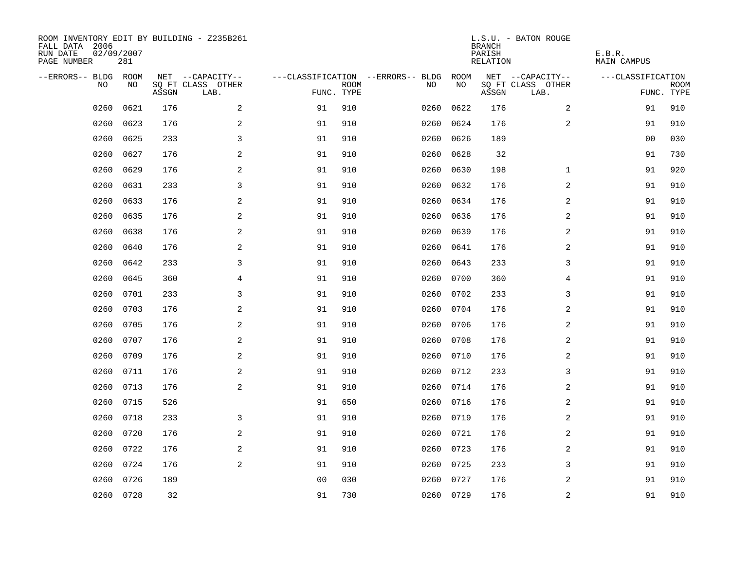| ROOM INVENTORY EDIT BY BUILDING - Z235B261<br>FALL DATA 2006<br>RUN DATE<br>PAGE NUMBER | 02/09/2007<br>281 |       |                           |                |             |                                   |           | <b>BRANCH</b><br>PARISH<br>RELATION | L.S.U. - BATON ROUGE      | E.B.R.<br>MAIN CAMPUS |                           |
|-----------------------------------------------------------------------------------------|-------------------|-------|---------------------------|----------------|-------------|-----------------------------------|-----------|-------------------------------------|---------------------------|-----------------------|---------------------------|
| --ERRORS-- BLDG ROOM                                                                    |                   |       | NET --CAPACITY--          |                |             | ---CLASSIFICATION --ERRORS-- BLDG | ROOM      |                                     | NET --CAPACITY--          | ---CLASSIFICATION     |                           |
| NO.                                                                                     | NO.               | ASSGN | SQ FT CLASS OTHER<br>LAB. | FUNC. TYPE     | <b>ROOM</b> | NO.                               | NO        | ASSGN                               | SQ FT CLASS OTHER<br>LAB. |                       | <b>ROOM</b><br>FUNC. TYPE |
| 0260                                                                                    | 0621              | 176   | 2                         | 91             | 910         | 0260                              | 0622      | 176                                 | 2                         | 91                    | 910                       |
| 0260                                                                                    | 0623              | 176   | 2                         | 91             | 910         | 0260                              | 0624      | 176                                 | 2                         | 91                    | 910                       |
| 0260                                                                                    | 0625              | 233   | 3                         | 91             | 910         | 0260                              | 0626      | 189                                 |                           | 00                    | 030                       |
| 0260                                                                                    | 0627              | 176   | 2                         | 91             | 910         | 0260                              | 0628      | 32                                  |                           | 91                    | 730                       |
| 0260                                                                                    | 0629              | 176   | 2                         | 91             | 910         | 0260                              | 0630      | 198                                 | $\mathbf{1}$              | 91                    | 920                       |
| 0260                                                                                    | 0631              | 233   | 3                         | 91             | 910         | 0260                              | 0632      | 176                                 | 2                         | 91                    | 910                       |
| 0260                                                                                    | 0633              | 176   | $\mathbf{2}$              | 91             | 910         | 0260                              | 0634      | 176                                 | 2                         | 91                    | 910                       |
| 0260                                                                                    | 0635              | 176   | 2                         | 91             | 910         | 0260                              | 0636      | 176                                 | 2                         | 91                    | 910                       |
| 0260                                                                                    | 0638              | 176   | 2                         | 91             | 910         | 0260                              | 0639      | 176                                 | 2                         | 91                    | 910                       |
| 0260                                                                                    | 0640              | 176   | 2                         | 91             | 910         | 0260                              | 0641      | 176                                 | 2                         | 91                    | 910                       |
| 0260                                                                                    | 0642              | 233   | 3                         | 91             | 910         | 0260                              | 0643      | 233                                 | 3                         | 91                    | 910                       |
| 0260                                                                                    | 0645              | 360   | 4                         | 91             | 910         |                                   | 0260 0700 | 360                                 | 4                         | 91                    | 910                       |
| 0260                                                                                    | 0701              | 233   | 3                         | 91             | 910         | 0260                              | 0702      | 233                                 | 3                         | 91                    | 910                       |
| 0260                                                                                    | 0703              | 176   | 2                         | 91             | 910         | 0260                              | 0704      | 176                                 | 2                         | 91                    | 910                       |
| 0260                                                                                    | 0705              | 176   | 2                         | 91             | 910         | 0260                              | 0706      | 176                                 | 2                         | 91                    | 910                       |
| 0260                                                                                    | 0707              | 176   | 2                         | 91             | 910         | 0260                              | 0708      | 176                                 | $\overline{a}$            | 91                    | 910                       |
| 0260                                                                                    | 0709              | 176   | $\mathbf{2}$              | 91             | 910         | 0260                              | 0710      | 176                                 | 2                         | 91                    | 910                       |
| 0260                                                                                    | 0711              | 176   | 2                         | 91             | 910         | 0260                              | 0712      | 233                                 | 3                         | 91                    | 910                       |
| 0260                                                                                    | 0713              | 176   | 2                         | 91             | 910         | 0260                              | 0714      | 176                                 | 2                         | 91                    | 910                       |
| 0260                                                                                    | 0715              | 526   |                           | 91             | 650         | 0260                              | 0716      | 176                                 | 2                         | 91                    | 910                       |
| 0260                                                                                    | 0718              | 233   | 3                         | 91             | 910         | 0260                              | 0719      | 176                                 | 2                         | 91                    | 910                       |
| 0260                                                                                    | 0720              | 176   | 2                         | 91             | 910         | 0260                              | 0721      | 176                                 | 2                         | 91                    | 910                       |
| 0260                                                                                    | 0722              | 176   | 2                         | 91             | 910         | 0260                              | 0723      | 176                                 | 2                         | 91                    | 910                       |
| 0260                                                                                    | 0724              | 176   | 2                         | 91             | 910         | 0260                              | 0725      | 233                                 | 3                         | 91                    | 910                       |
| 0260                                                                                    | 0726              | 189   |                           | 0 <sub>0</sub> | 030         | 0260                              | 0727      | 176                                 | 2                         | 91                    | 910                       |
|                                                                                         | 0260 0728         | 32    |                           | 91             | 730         |                                   | 0260 0729 | 176                                 | $\overline{c}$            | 91                    | 910                       |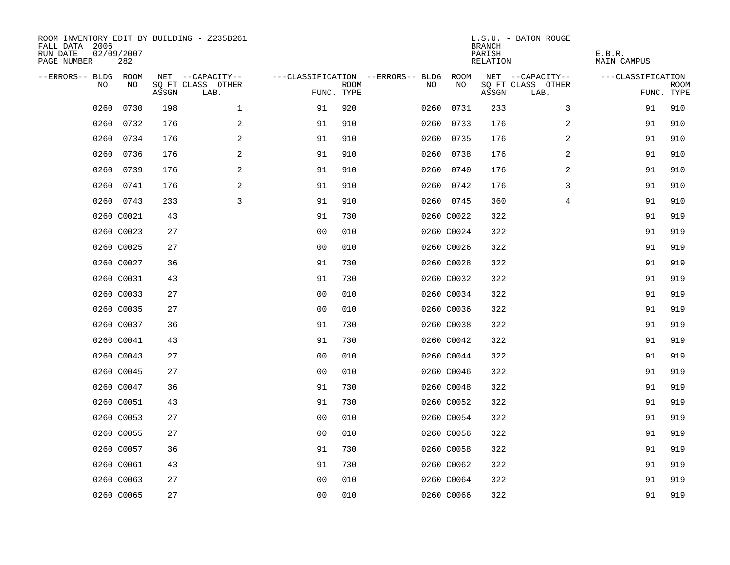| ROOM INVENTORY EDIT BY BUILDING - Z235B261<br>FALL DATA 2006<br>RUN DATE<br>PAGE NUMBER | 02/09/2007<br>282 |       |                           |                                        |             |      |            | <b>BRANCH</b><br>PARISH<br>RELATION | L.S.U. - BATON ROUGE      | E.B.R.<br>MAIN CAMPUS |                           |
|-----------------------------------------------------------------------------------------|-------------------|-------|---------------------------|----------------------------------------|-------------|------|------------|-------------------------------------|---------------------------|-----------------------|---------------------------|
| --ERRORS-- BLDG ROOM                                                                    |                   |       | NET --CAPACITY--          | ---CLASSIFICATION --ERRORS-- BLDG ROOM |             |      |            |                                     | NET --CAPACITY--          | ---CLASSIFICATION     |                           |
| NO                                                                                      | NO                | ASSGN | SQ FT CLASS OTHER<br>LAB. | FUNC. TYPE                             | <b>ROOM</b> | NO.  | NO         | ASSGN                               | SQ FT CLASS OTHER<br>LAB. |                       | <b>ROOM</b><br>FUNC. TYPE |
| 0260                                                                                    | 0730              | 198   | $\mathbf{1}$              | 91                                     | 920         | 0260 | 0731       | 233                                 | 3                         | 91                    | 910                       |
| 0260                                                                                    | 0732              | 176   | 2                         | 91                                     | 910         |      | 0260 0733  | 176                                 | 2                         | 91                    | 910                       |
| 0260                                                                                    | 0734              | 176   | 2                         | 91                                     | 910         |      | 0260 0735  | 176                                 | 2                         | 91                    | 910                       |
|                                                                                         | 0260 0736         | 176   | 2                         | 91                                     | 910         |      | 0260 0738  | 176                                 | 2                         | 91                    | 910                       |
| 0260                                                                                    | 0739              | 176   | $\mathbf{2}$              | 91                                     | 910         |      | 0260 0740  | 176                                 | 2                         | 91                    | 910                       |
|                                                                                         | 0260 0741         | 176   | 2                         | 91                                     | 910         |      | 0260 0742  | 176                                 | 3                         | 91                    | 910                       |
|                                                                                         | 0260 0743         | 233   | 3                         | 91                                     | 910         |      | 0260 0745  | 360                                 | $\overline{4}$            | 91                    | 910                       |
|                                                                                         | 0260 C0021        | 43    |                           | 91                                     | 730         |      | 0260 C0022 | 322                                 |                           | 91                    | 919                       |
|                                                                                         | 0260 C0023        | 27    |                           | 0 <sub>0</sub>                         | 010         |      | 0260 C0024 | 322                                 |                           | 91                    | 919                       |
|                                                                                         | 0260 C0025        | 27    |                           | 0 <sub>0</sub>                         | 010         |      | 0260 C0026 | 322                                 |                           | 91                    | 919                       |
|                                                                                         | 0260 C0027        | 36    |                           | 91                                     | 730         |      | 0260 C0028 | 322                                 |                           | 91                    | 919                       |
|                                                                                         | 0260 C0031        | 43    |                           | 91                                     | 730         |      | 0260 C0032 | 322                                 |                           | 91                    | 919                       |
|                                                                                         | 0260 C0033        | 27    |                           | 0 <sub>0</sub>                         | 010         |      | 0260 C0034 | 322                                 |                           | 91                    | 919                       |
|                                                                                         | 0260 C0035        | 27    |                           | 0 <sub>0</sub>                         | 010         |      | 0260 C0036 | 322                                 |                           | 91                    | 919                       |
|                                                                                         | 0260 C0037        | 36    |                           | 91                                     | 730         |      | 0260 C0038 | 322                                 |                           | 91                    | 919                       |
|                                                                                         | 0260 C0041        | 43    |                           | 91                                     | 730         |      | 0260 C0042 | 322                                 |                           | 91                    | 919                       |
|                                                                                         | 0260 C0043        | 27    |                           | 0 <sub>0</sub>                         | 010         |      | 0260 C0044 | 322                                 |                           | 91                    | 919                       |
|                                                                                         | 0260 C0045        | 27    |                           | 0 <sub>0</sub>                         | 010         |      | 0260 C0046 | 322                                 |                           | 91                    | 919                       |
|                                                                                         | 0260 C0047        | 36    |                           | 91                                     | 730         |      | 0260 C0048 | 322                                 |                           | 91                    | 919                       |
|                                                                                         | 0260 C0051        | 43    |                           | 91                                     | 730         |      | 0260 C0052 | 322                                 |                           | 91                    | 919                       |
|                                                                                         | 0260 C0053        | 27    |                           | 0 <sub>0</sub>                         | 010         |      | 0260 C0054 | 322                                 |                           | 91                    | 919                       |
|                                                                                         | 0260 C0055        | 27    |                           | 0 <sub>0</sub>                         | 010         |      | 0260 C0056 | 322                                 |                           | 91                    | 919                       |
|                                                                                         | 0260 C0057        | 36    |                           | 91                                     | 730         |      | 0260 C0058 | 322                                 |                           | 91                    | 919                       |
|                                                                                         | 0260 C0061        | 43    |                           | 91                                     | 730         |      | 0260 C0062 | 322                                 |                           | 91                    | 919                       |
|                                                                                         | 0260 C0063        | 27    |                           | 0 <sub>0</sub>                         | 010         |      | 0260 C0064 | 322                                 |                           | 91                    | 919                       |
|                                                                                         | 0260 C0065        | 27    |                           | 0 <sub>0</sub>                         | 010         |      | 0260 C0066 | 322                                 |                           | 91                    | 919                       |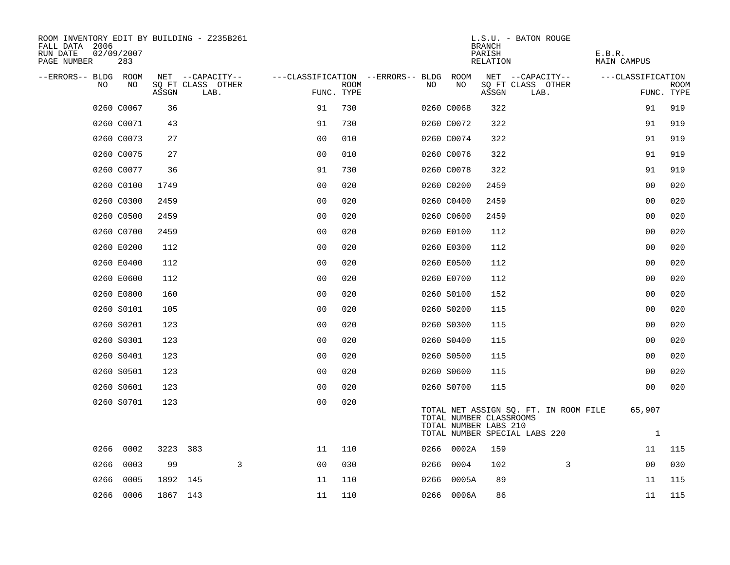| ROOM INVENTORY EDIT BY BUILDING - Z235B261<br>FALL DATA 2006<br>RUN DATE<br>02/09/2007<br>283<br>PAGE NUMBER |          |                           |                                        |             |    |            | <b>BRANCH</b><br>PARISH<br>RELATION              | L.S.U. - BATON ROUGE                                                   | E.B.R.<br>MAIN CAMPUS  |                           |
|--------------------------------------------------------------------------------------------------------------|----------|---------------------------|----------------------------------------|-------------|----|------------|--------------------------------------------------|------------------------------------------------------------------------|------------------------|---------------------------|
| --ERRORS-- BLDG ROOM                                                                                         |          | NET --CAPACITY--          | ---CLASSIFICATION --ERRORS-- BLDG ROOM |             |    |            |                                                  | NET --CAPACITY--                                                       | ---CLASSIFICATION      |                           |
| NO<br>NO                                                                                                     | ASSGN    | SQ FT CLASS OTHER<br>LAB. | FUNC. TYPE                             | <b>ROOM</b> | NO | NO         | ASSGN                                            | SQ FT CLASS OTHER<br>LAB.                                              |                        | <b>ROOM</b><br>FUNC. TYPE |
| 0260 C0067                                                                                                   | 36       |                           | 91                                     | 730         |    | 0260 C0068 | 322                                              |                                                                        | 91                     | 919                       |
| 0260 C0071                                                                                                   | 43       |                           | 91                                     | 730         |    | 0260 C0072 | 322                                              |                                                                        | 91                     | 919                       |
| 0260 C0073                                                                                                   | 27       |                           | 0 <sub>0</sub>                         | 010         |    | 0260 C0074 | 322                                              |                                                                        | 91                     | 919                       |
| 0260 C0075                                                                                                   | 27       |                           | 0 <sub>0</sub>                         | 010         |    | 0260 C0076 | 322                                              |                                                                        | 91                     | 919                       |
| 0260 C0077                                                                                                   | 36       |                           | 91                                     | 730         |    | 0260 C0078 | 322                                              |                                                                        | 91                     | 919                       |
| 0260 C0100                                                                                                   | 1749     |                           | 0 <sub>0</sub>                         | 020         |    | 0260 C0200 | 2459                                             |                                                                        | 00                     | 020                       |
| 0260 C0300                                                                                                   | 2459     |                           | 0 <sub>0</sub>                         | 020         |    | 0260 C0400 | 2459                                             |                                                                        | 0 <sub>0</sub>         | 020                       |
| 0260 C0500                                                                                                   | 2459     |                           | 0 <sub>0</sub>                         | 020         |    | 0260 C0600 | 2459                                             |                                                                        | 00                     | 020                       |
| 0260 C0700                                                                                                   | 2459     |                           | 0 <sub>0</sub>                         | 020         |    | 0260 E0100 | 112                                              |                                                                        | 0 <sub>0</sub>         | 020                       |
| 0260 E0200                                                                                                   | 112      |                           | 0 <sub>0</sub>                         | 020         |    | 0260 E0300 | 112                                              |                                                                        | 0 <sub>0</sub>         | 020                       |
| 0260 E0400                                                                                                   | 112      |                           | 0 <sub>0</sub>                         | 020         |    | 0260 E0500 | 112                                              |                                                                        | 0 <sub>0</sub>         | 020                       |
| 0260 E0600                                                                                                   | 112      |                           | 0 <sub>0</sub>                         | 020         |    | 0260 E0700 | 112                                              |                                                                        | 0 <sub>0</sub>         | 020                       |
| 0260 E0800                                                                                                   | 160      |                           | 0 <sub>0</sub>                         | 020         |    | 0260 S0100 | 152                                              |                                                                        | 0 <sub>0</sub>         | 020                       |
| 0260 S0101                                                                                                   | 105      |                           | 0 <sub>0</sub>                         | 020         |    | 0260 S0200 | 115                                              |                                                                        | 0 <sub>0</sub>         | 020                       |
| 0260 S0201                                                                                                   | 123      |                           | 0 <sub>0</sub>                         | 020         |    | 0260 S0300 | 115                                              |                                                                        | 00                     | 020                       |
| 0260 S0301                                                                                                   | 123      |                           | 0 <sub>0</sub>                         | 020         |    | 0260 S0400 | 115                                              |                                                                        | 0 <sub>0</sub>         | 020                       |
| 0260 S0401                                                                                                   | 123      |                           | 0 <sub>0</sub>                         | 020         |    | 0260 S0500 | 115                                              |                                                                        | 0 <sub>0</sub>         | 020                       |
| 0260 S0501                                                                                                   | 123      |                           | 0 <sub>0</sub>                         | 020         |    | 0260 S0600 | 115                                              |                                                                        | 0 <sub>0</sub>         | 020                       |
| 0260 S0601                                                                                                   | 123      |                           | 0 <sub>0</sub>                         | 020         |    | 0260 S0700 | 115                                              |                                                                        | 00                     | 020                       |
| 0260 S0701                                                                                                   | 123      |                           | 0 <sub>0</sub>                         | 020         |    |            | TOTAL NUMBER CLASSROOMS<br>TOTAL NUMBER LABS 210 | TOTAL NET ASSIGN SQ. FT. IN ROOM FILE<br>TOTAL NUMBER SPECIAL LABS 220 | 65,907<br>$\mathbf{1}$ |                           |
| 0266 0002                                                                                                    |          | 3223 383                  | 11                                     | 110         |    | 0266 0002A | 159                                              |                                                                        | 11                     | 115                       |
| 0266<br>0003                                                                                                 | 99       | $\mathbf{3}$              | 0 <sub>0</sub>                         | 030         |    | 0266 0004  | 102                                              | 3                                                                      | 0 <sub>0</sub>         | 030                       |
| 0266<br>0005                                                                                                 | 1892 145 |                           | 11                                     | 110         |    | 0266 0005A | 89                                               |                                                                        | 11                     | 115                       |
| 0266 0006                                                                                                    | 1867 143 |                           | 11                                     | 110         |    | 0266 0006A | 86                                               |                                                                        | 11                     | 115                       |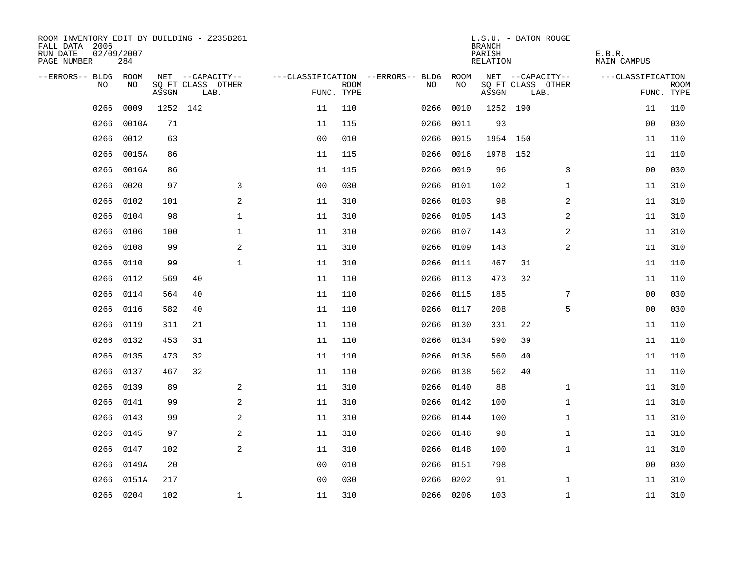| ROOM INVENTORY EDIT BY BUILDING - Z235B261<br>FALL DATA 2006<br>RUN DATE<br>PAGE NUMBER | 02/09/2007<br>284 |       |          |                           |                |                           |                                   |           | <b>BRANCH</b><br>PARISH<br>RELATION | L.S.U. - BATON ROUGE      |              | E.B.R.<br><b>MAIN CAMPUS</b> |                           |
|-----------------------------------------------------------------------------------------|-------------------|-------|----------|---------------------------|----------------|---------------------------|-----------------------------------|-----------|-------------------------------------|---------------------------|--------------|------------------------------|---------------------------|
| --ERRORS-- BLDG                                                                         | ROOM              |       |          | NET --CAPACITY--          |                |                           | ---CLASSIFICATION --ERRORS-- BLDG | ROOM      |                                     | NET --CAPACITY--          |              | ---CLASSIFICATION            |                           |
| NO                                                                                      | NO                | ASSGN |          | SQ FT CLASS OTHER<br>LAB. |                | <b>ROOM</b><br>FUNC. TYPE | NO                                | NO        | ASSGN                               | SQ FT CLASS OTHER<br>LAB. |              |                              | <b>ROOM</b><br>FUNC. TYPE |
| 0266                                                                                    | 0009              |       | 1252 142 |                           | 11             | 110                       | 0266                              | 0010      | 1252 190                            |                           |              | 11                           | 110                       |
| 0266                                                                                    | 0010A             | 71    |          |                           | 11             | 115                       | 0266                              | 0011      | 93                                  |                           |              | 0 <sub>0</sub>               | 030                       |
| 0266                                                                                    | 0012              | 63    |          |                           | 0 <sub>0</sub> | 010                       | 0266                              | 0015      | 1954                                | 150                       |              | 11                           | 110                       |
| 0266                                                                                    | 0015A             | 86    |          |                           | 11             | 115                       | 0266                              | 0016      |                                     | 1978 152                  |              | 11                           | 110                       |
| 0266                                                                                    | 0016A             | 86    |          |                           | 11             | 115                       | 0266                              | 0019      | 96                                  |                           | 3            | 0 <sub>0</sub>               | 030                       |
| 0266                                                                                    | 0020              | 97    |          | 3                         | 0 <sub>0</sub> | 030                       | 0266                              | 0101      | 102                                 |                           | $\mathbf{1}$ | 11                           | 310                       |
| 0266                                                                                    | 0102              | 101   |          | 2                         | 11             | 310                       | 0266                              | 0103      | 98                                  |                           | 2            | 11                           | 310                       |
| 0266                                                                                    | 0104              | 98    |          | $\mathbf 1$               | 11             | 310                       |                                   | 0266 0105 | 143                                 |                           | 2            | 11                           | 310                       |
| 0266                                                                                    | 0106              | 100   |          | 1                         | 11             | 310                       |                                   | 0266 0107 | 143                                 |                           | 2            | 11                           | 310                       |
| 0266                                                                                    | 0108              | 99    |          | 2                         | 11             | 310                       |                                   | 0266 0109 | 143                                 |                           | 2            | 11                           | 310                       |
| 0266                                                                                    | 0110              | 99    |          | $\mathbf{1}$              | 11             | 310                       | 0266                              | 0111      | 467                                 | 31                        |              | 11                           | 110                       |
| 0266                                                                                    | 0112              | 569   | 40       |                           | 11             | 110                       |                                   | 0266 0113 | 473                                 | 32                        |              | 11                           | 110                       |
| 0266                                                                                    | 0114              | 564   | 40       |                           | 11             | 110                       | 0266                              | 0115      | 185                                 |                           | 7            | 0 <sub>0</sub>               | 030                       |
| 0266                                                                                    | 0116              | 582   | 40       |                           | 11             | 110                       |                                   | 0266 0117 | 208                                 |                           | 5            | 00                           | 030                       |
| 0266                                                                                    | 0119              | 311   | 21       |                           | 11             | 110                       | 0266                              | 0130      | 331                                 | 22                        |              | 11                           | 110                       |
| 0266                                                                                    | 0132              | 453   | 31       |                           | 11             | 110                       |                                   | 0266 0134 | 590                                 | 39                        |              | 11                           | 110                       |
| 0266                                                                                    | 0135              | 473   | 32       |                           | 11             | 110                       | 0266                              | 0136      | 560                                 | 40                        |              | 11                           | 110                       |
| 0266                                                                                    | 0137              | 467   | 32       |                           | 11             | 110                       |                                   | 0266 0138 | 562                                 | 40                        |              | 11                           | 110                       |
| 0266                                                                                    | 0139              | 89    |          | 2                         | 11             | 310                       |                                   | 0266 0140 | 88                                  |                           | $\mathbf{1}$ | 11                           | 310                       |
| 0266                                                                                    | 0141              | 99    |          | 2                         | 11             | 310                       |                                   | 0266 0142 | 100                                 |                           | $\mathbf{1}$ | 11                           | 310                       |
| 0266                                                                                    | 0143              | 99    |          | 2                         | $11\,$         | 310                       |                                   | 0266 0144 | 100                                 |                           | $\mathbf{1}$ | 11                           | 310                       |
| 0266                                                                                    | 0145              | 97    |          | 2                         | 11             | 310                       |                                   | 0266 0146 | 98                                  |                           | $\mathbf{1}$ | 11                           | 310                       |
| 0266                                                                                    | 0147              | 102   |          | 2                         | 11             | 310                       |                                   | 0266 0148 | 100                                 |                           | $\mathbf{1}$ | 11                           | 310                       |
| 0266                                                                                    | 0149A             | 20    |          |                           | 0 <sub>0</sub> | 010                       |                                   | 0266 0151 | 798                                 |                           |              | 0 <sub>0</sub>               | 030                       |
| 0266                                                                                    | 0151A             | 217   |          |                           | 0 <sub>0</sub> | 030                       | 0266                              | 0202      | 91                                  |                           | $\mathbf{1}$ | 11                           | 310                       |
|                                                                                         | 0266 0204         | 102   |          | $\mathbf{1}$              | 11             | 310                       |                                   | 0266 0206 | 103                                 |                           | $\mathbf{1}$ | 11                           | 310                       |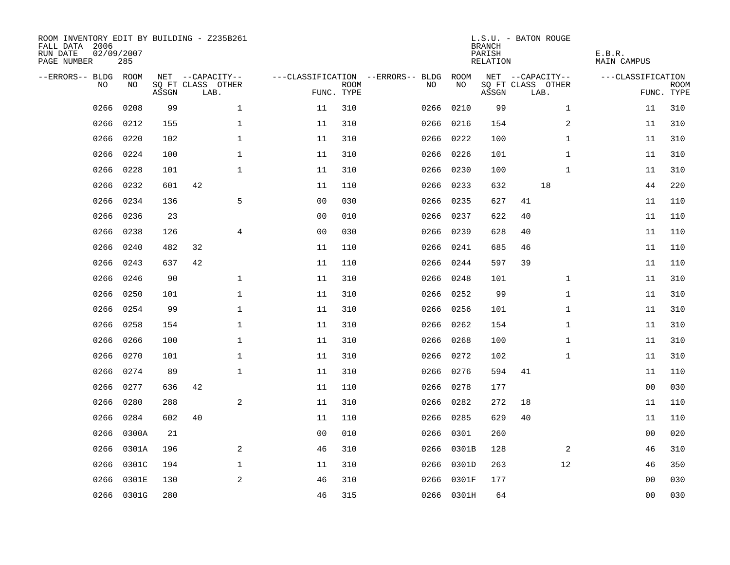| ROOM INVENTORY EDIT BY BUILDING - Z235B261<br>FALL DATA 2006<br>RUN DATE<br>PAGE NUMBER | 02/09/2007<br>285 |       |                           |                |                |                           |                                   |            | <b>BRANCH</b><br>PARISH<br>RELATION | L.S.U. - BATON ROUGE      |              | E.B.R.<br><b>MAIN CAMPUS</b> |                           |
|-----------------------------------------------------------------------------------------|-------------------|-------|---------------------------|----------------|----------------|---------------------------|-----------------------------------|------------|-------------------------------------|---------------------------|--------------|------------------------------|---------------------------|
| --ERRORS-- BLDG ROOM                                                                    |                   |       | NET --CAPACITY--          |                |                |                           | ---CLASSIFICATION --ERRORS-- BLDG | ROOM       |                                     | NET --CAPACITY--          |              | ---CLASSIFICATION            |                           |
| N <sub>O</sub>                                                                          | NO.               | ASSGN | SO FT CLASS OTHER<br>LAB. |                |                | <b>ROOM</b><br>FUNC. TYPE | NO.                               | NO         | ASSGN                               | SQ FT CLASS OTHER<br>LAB. |              |                              | <b>ROOM</b><br>FUNC. TYPE |
| 0266                                                                                    | 0208              | 99    |                           | $\mathbf{1}$   | 11             | 310                       | 0266                              | 0210       | 99                                  |                           | $\mathbf{1}$ | 11                           | 310                       |
| 0266                                                                                    | 0212              | 155   |                           | $\mathbf 1$    | 11             | 310                       | 0266                              | 0216       | 154                                 |                           | 2            | 11                           | 310                       |
| 0266                                                                                    | 0220              | 102   |                           | $\mathbf{1}$   | 11             | 310                       | 0266                              | 0222       | 100                                 |                           | $\mathbf{1}$ | 11                           | 310                       |
| 0266                                                                                    | 0224              | 100   |                           | $\mathbf{1}$   | 11             | 310                       | 0266                              | 0226       | 101                                 |                           | $\mathbf{1}$ | 11                           | 310                       |
| 0266                                                                                    | 0228              | 101   |                           | $\mathbf 1$    | 11             | 310                       | 0266                              | 0230       | 100                                 |                           | $\mathbf{1}$ | 11                           | 310                       |
| 0266                                                                                    | 0232              | 601   | 42                        |                | 11             | 110                       |                                   | 0266 0233  | 632                                 | 18                        |              | 44                           | 220                       |
| 0266                                                                                    | 0234              | 136   |                           | 5              | 0 <sub>0</sub> | 030                       | 0266                              | 0235       | 627                                 | 41                        |              | 11                           | 110                       |
| 0266                                                                                    | 0236              | 23    |                           |                | 0 <sub>0</sub> | 010                       |                                   | 0266 0237  | 622                                 | 40                        |              | 11                           | 110                       |
| 0266                                                                                    | 0238              | 126   |                           | $\overline{4}$ | 0 <sub>0</sub> | 030                       | 0266                              | 0239       | 628                                 | 40                        |              | 11                           | 110                       |
| 0266                                                                                    | 0240              | 482   | 32                        |                | 11             | 110                       | 0266                              | 0241       | 685                                 | 46                        |              | 11                           | 110                       |
| 0266                                                                                    | 0243              | 637   | 42                        |                | 11             | 110                       | 0266                              | 0244       | 597                                 | 39                        |              | 11                           | 110                       |
| 0266                                                                                    | 0246              | 90    |                           | $\mathbf{1}$   | 11             | 310                       | 0266                              | 0248       | 101                                 |                           | $\mathbf{1}$ | 11                           | 310                       |
| 0266                                                                                    | 0250              | 101   |                           | $\mathbf{1}$   | 11             | 310                       | 0266                              | 0252       | 99                                  |                           | $\mathbf{1}$ | 11                           | 310                       |
| 0266                                                                                    | 0254              | 99    |                           | $\mathbf{1}$   | 11             | 310                       | 0266                              | 0256       | 101                                 |                           | $\mathbf{1}$ | 11                           | 310                       |
| 0266                                                                                    | 0258              | 154   |                           | $\mathbf 1$    | 11             | 310                       | 0266                              | 0262       | 154                                 |                           | $\mathbf{1}$ | 11                           | 310                       |
| 0266                                                                                    | 0266              | 100   |                           | $\mathbf 1$    | 11             | 310                       | 0266                              | 0268       | 100                                 |                           | $\mathbf{1}$ | 11                           | 310                       |
| 0266                                                                                    | 0270              | 101   |                           | $\mathbf 1$    | 11             | 310                       | 0266                              | 0272       | 102                                 |                           | $\mathbf{1}$ | 11                           | 310                       |
| 0266                                                                                    | 0274              | 89    |                           | $\mathbf 1$    | 11             | 310                       | 0266                              | 0276       | 594                                 | 41                        |              | 11                           | 110                       |
| 0266                                                                                    | 0277              | 636   | 42                        |                | 11             | 110                       | 0266                              | 0278       | 177                                 |                           |              | 0 <sub>0</sub>               | 030                       |
| 0266                                                                                    | 0280              | 288   |                           | 2              | 11             | 310                       | 0266                              | 0282       | 272                                 | 18                        |              | 11                           | 110                       |
| 0266                                                                                    | 0284              | 602   | 40                        |                | 11             | 110                       | 0266                              | 0285       | 629                                 | 40                        |              | 11                           | 110                       |
| 0266                                                                                    | 0300A             | 21    |                           |                | 00             | 010                       | 0266                              | 0301       | 260                                 |                           |              | 00                           | 020                       |
| 0266                                                                                    | 0301A             | 196   |                           | 2              | 46             | 310                       | 0266                              | 0301B      | 128                                 |                           | 2            | 46                           | 310                       |
| 0266                                                                                    | 0301C             | 194   |                           | $\mathbf 1$    | 11             | 310                       | 0266                              | 0301D      | 263                                 |                           | 12           | 46                           | 350                       |
| 0266                                                                                    | 0301E             | 130   |                           | 2              | 46             | 310                       | 0266                              | 0301F      | 177                                 |                           |              | 00                           | 030                       |
|                                                                                         | 0266 0301G        | 280   |                           |                | 46             | 315                       |                                   | 0266 0301H | 64                                  |                           |              | 0 <sub>0</sub>               | 030                       |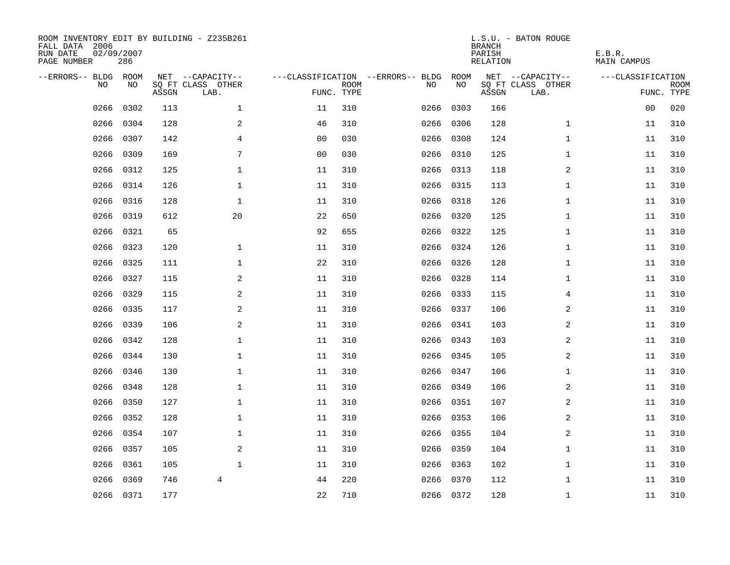| ROOM INVENTORY EDIT BY BUILDING - Z235B261<br>FALL DATA 2006<br>RUN DATE<br>PAGE NUMBER | 02/09/2007<br>286 |       |                           |                |                           |                                   |            | <b>BRANCH</b><br>PARISH<br><b>RELATION</b> | L.S.U. - BATON ROUGE      | E.B.R.<br><b>MAIN CAMPUS</b> |                           |
|-----------------------------------------------------------------------------------------|-------------------|-------|---------------------------|----------------|---------------------------|-----------------------------------|------------|--------------------------------------------|---------------------------|------------------------------|---------------------------|
| --ERRORS-- BLDG ROOM                                                                    | NO                |       | NET --CAPACITY--          |                |                           | ---CLASSIFICATION --ERRORS-- BLDG | ROOM<br>NO |                                            | NET --CAPACITY--          | ---CLASSIFICATION            |                           |
| NO.                                                                                     |                   | ASSGN | SQ FT CLASS OTHER<br>LAB. |                | <b>ROOM</b><br>FUNC. TYPE | NO                                |            | ASSGN                                      | SQ FT CLASS OTHER<br>LAB. |                              | <b>ROOM</b><br>FUNC. TYPE |
| 0266                                                                                    | 0302              | 113   | $\mathbf 1$               | 11             | 310                       | 0266                              | 0303       | 166                                        |                           | 0 <sub>0</sub>               | 020                       |
| 0266                                                                                    | 0304              | 128   | 2                         | 46             | 310                       | 0266                              | 0306       | 128                                        | $\mathbf{1}$              | 11                           | 310                       |
| 0266                                                                                    | 0307              | 142   | 4                         | 00             | 030                       | 0266                              | 0308       | 124                                        | $\mathbf{1}$              | 11                           | 310                       |
| 0266                                                                                    | 0309              | 169   | 7                         | 0 <sub>0</sub> | 030                       |                                   | 0266 0310  | 125                                        | $\mathbf{1}$              | 11                           | 310                       |
| 0266                                                                                    | 0312              | 125   | $\mathbf 1$               | 11             | 310                       |                                   | 0266 0313  | 118                                        | $\overline{a}$            | 11                           | 310                       |
| 0266                                                                                    | 0314              | 126   | $\mathbf 1$               | 11             | 310                       |                                   | 0266 0315  | 113                                        | $\mathbf{1}$              | 11                           | 310                       |
| 0266                                                                                    | 0316              | 128   | $\mathbf{1}$              | 11             | 310                       |                                   | 0266 0318  | 126                                        | $\mathbf{1}$              | 11                           | 310                       |
| 0266                                                                                    | 0319              | 612   | 20                        | 22             | 650                       |                                   | 0266 0320  | 125                                        | $\mathbf{1}$              | 11                           | 310                       |
| 0266                                                                                    | 0321              | 65    |                           | 92             | 655                       | 0266                              | 0322       | 125                                        | $\mathbf{1}$              | 11                           | 310                       |
| 0266                                                                                    | 0323              | 120   | $\mathbf 1$               | 11             | 310                       |                                   | 0266 0324  | 126                                        | $\mathbf{1}$              | 11                           | 310                       |
| 0266                                                                                    | 0325              | 111   | $\mathbf 1$               | 22             | 310                       | 0266                              | 0326       | 128                                        | $\mathbf{1}$              | 11                           | 310                       |
| 0266                                                                                    | 0327              | 115   | 2                         | 11             | 310                       |                                   | 0266 0328  | 114                                        | $\mathbf{1}$              | 11                           | 310                       |
| 0266                                                                                    | 0329              | 115   | 2                         | 11             | 310                       | 0266                              | 0333       | 115                                        | 4                         | 11                           | 310                       |
| 0266                                                                                    | 0335              | 117   | 2                         | 11             | 310                       |                                   | 0266 0337  | 106                                        | 2                         | 11                           | 310                       |
| 0266                                                                                    | 0339              | 106   | 2                         | 11             | 310                       | 0266                              | 0341       | 103                                        | 2                         | 11                           | 310                       |
| 0266                                                                                    | 0342              | 128   | $\mathbf 1$               | 11             | 310                       |                                   | 0266 0343  | 103                                        | 2                         | 11                           | 310                       |
| 0266                                                                                    | 0344              | 130   | $\mathbf 1$               | 11             | 310                       | 0266                              | 0345       | 105                                        | 2                         | 11                           | 310                       |
| 0266                                                                                    | 0346              | 130   | $\mathbf 1$               | 11             | 310                       |                                   | 0266 0347  | 106                                        | $\mathbf{1}$              | 11                           | 310                       |
| 0266                                                                                    | 0348              | 128   | $\mathbf 1$               | 11             | 310                       |                                   | 0266 0349  | 106                                        | 2                         | 11                           | 310                       |
| 0266                                                                                    | 0350              | 127   | $\mathbf 1$               | 11             | 310                       |                                   | 0266 0351  | 107                                        | 2                         | 11                           | 310                       |
| 0266                                                                                    | 0352              | 128   | $\mathbf 1$               | 11             | 310                       |                                   | 0266 0353  | 106                                        | 2                         | 11                           | 310                       |
| 0266                                                                                    | 0354              | 107   | $\mathbf{1}$              | 11             | 310                       |                                   | 0266 0355  | 104                                        | 2                         | 11                           | 310                       |
| 0266                                                                                    | 0357              | 105   | 2                         | 11             | 310                       |                                   | 0266 0359  | 104                                        | $\mathbf{1}$              | 11                           | 310                       |
| 0266                                                                                    | 0361              | 105   | $\mathbf{1}$              | 11             | 310                       |                                   | 0266 0363  | 102                                        | $\mathbf{1}$              | 11                           | 310                       |
| 0266                                                                                    | 0369              | 746   | $\overline{4}$            | 44             | 220                       |                                   | 0266 0370  | 112                                        | $\mathbf{1}$              | 11                           | 310                       |
|                                                                                         | 0266 0371         | 177   |                           | 22             | 710                       |                                   | 0266 0372  | 128                                        | $\mathbf{1}$              | 11                           | 310                       |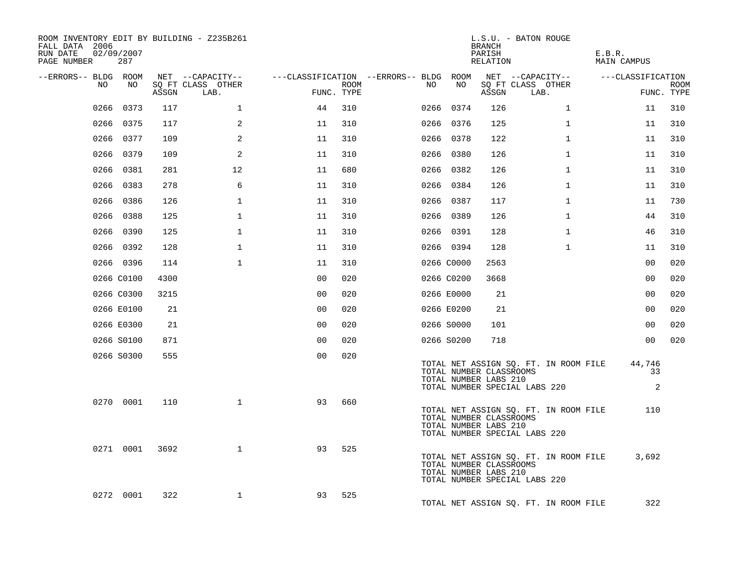| ROOM INVENTORY EDIT BY BUILDING - Z235B261<br>FALL DATA 2006<br>RUN DATE<br>02/09/2007<br>PAGE NUMBER | 287        |       |                           |                |                    |                                        |                                                  | BRANCH<br>PARISH<br>RELATION | L.S.U. - BATON ROUGE                                                   | E.B.R.<br>MAIN CAMPUS |                           |
|-------------------------------------------------------------------------------------------------------|------------|-------|---------------------------|----------------|--------------------|----------------------------------------|--------------------------------------------------|------------------------------|------------------------------------------------------------------------|-----------------------|---------------------------|
| --ERRORS-- BLDG ROOM                                                                                  |            |       | NET --CAPACITY--          |                |                    | ---CLASSIFICATION --ERRORS-- BLDG ROOM |                                                  |                              | NET --CAPACITY--                                                       | ---CLASSIFICATION     |                           |
| NO                                                                                                    | NO         | ASSGN | SQ FT CLASS OTHER<br>LAB. |                | ROOM<br>FUNC. TYPE | NO                                     | NO                                               | ASSGN                        | SQ FT CLASS OTHER<br>LAB.                                              |                       | <b>ROOM</b><br>FUNC. TYPE |
| 0266                                                                                                  | 0373       | 117   | 1                         | 44             | 310                |                                        | 0266 0374                                        | 126                          | $\mathbf{1}$                                                           | 11                    | 310                       |
|                                                                                                       | 0266 0375  | 117   | 2                         | 11             | 310                |                                        | 0266 0376                                        | 125                          | $\mathbf{1}$                                                           | 11                    | 310                       |
|                                                                                                       | 0266 0377  | 109   | 2                         | 11             | 310                |                                        | 0266 0378                                        | 122                          | $\mathbf{1}$                                                           | 11                    | 310                       |
|                                                                                                       | 0266 0379  | 109   | 2                         | 11             | 310                |                                        | 0266 0380                                        | 126                          | $\mathbf{1}$                                                           | 11                    | 310                       |
|                                                                                                       | 0266 0381  | 281   | 12                        | 11             | 680                |                                        | 0266 0382                                        | 126                          | $\mathbf{1}$                                                           | 11                    | 310                       |
|                                                                                                       | 0266 0383  | 278   | 6                         | 11             | 310                |                                        | 0266 0384                                        | 126                          | $\mathbf{1}$                                                           | 11                    | 310                       |
|                                                                                                       | 0266 0386  | 126   | $\mathbf 1$               | 11             | 310                |                                        | 0266 0387                                        | 117                          | $\mathbf{1}$                                                           | 11                    | 730                       |
|                                                                                                       | 0266 0388  | 125   | $\mathbf{1}$              | 11             | 310                |                                        | 0266 0389                                        | 126                          | $\mathbf{1}$                                                           | 44                    | 310                       |
|                                                                                                       | 0266 0390  | 125   | $\mathbf{1}$              | 11             | 310                |                                        | 0266 0391                                        | 128                          | $\mathbf{1}$                                                           | 46                    | 310                       |
|                                                                                                       | 0266 0392  | 128   | $\mathbf 1$               | 11             | 310                |                                        | 0266 0394                                        | 128                          | $\mathbf{1}$                                                           | 11                    | 310                       |
|                                                                                                       | 0266 0396  | 114   | $\mathbf{1}$              | 11             | 310                |                                        | 0266 C0000                                       | 2563                         |                                                                        | 00                    | 020                       |
|                                                                                                       | 0266 C0100 | 4300  |                           | 0 <sub>0</sub> | 020                |                                        | 0266 C0200                                       | 3668                         |                                                                        | 0 <sub>0</sub>        | 020                       |
|                                                                                                       | 0266 C0300 | 3215  |                           | 0 <sub>0</sub> | 020                |                                        | 0266 E0000                                       | 21                           |                                                                        | 0 <sub>0</sub>        | 020                       |
|                                                                                                       | 0266 E0100 | 21    |                           | 00             | 020                |                                        | 0266 E0200                                       | 21                           |                                                                        | 0 <sub>0</sub>        | 020                       |
|                                                                                                       | 0266 E0300 | 21    |                           | 0 <sub>0</sub> | 020                |                                        | 0266 S0000                                       | 101                          |                                                                        | 0 <sub>0</sub>        | 020                       |
|                                                                                                       | 0266 S0100 | 871   |                           | 0 <sup>0</sup> | 020                |                                        | 0266 S0200                                       | 718                          |                                                                        | 0 <sub>0</sub>        | 020                       |
|                                                                                                       | 0266 S0300 | 555   |                           | 0 <sub>0</sub> | 020                |                                        | TOTAL NUMBER CLASSROOMS<br>TOTAL NUMBER LABS 210 |                              | TOTAL NET ASSIGN SQ. FT. IN ROOM FILE<br>TOTAL NUMBER SPECIAL LABS 220 | 44,746<br>33<br>2     |                           |
|                                                                                                       | 0270 0001  | 110   | $\mathbf{1}$              | 93             | 660                |                                        | TOTAL NUMBER CLASSROOMS<br>TOTAL NUMBER LABS 210 |                              | TOTAL NET ASSIGN SQ. FT. IN ROOM FILE<br>TOTAL NUMBER SPECIAL LABS 220 | 110                   |                           |
|                                                                                                       | 0271 0001  | 3692  | $\mathbf{1}$              | 93             | 525                |                                        | TOTAL NUMBER CLASSROOMS<br>TOTAL NUMBER LABS 210 |                              | TOTAL NET ASSIGN SQ. FT. IN ROOM FILE<br>TOTAL NUMBER SPECIAL LABS 220 | 3,692                 |                           |
|                                                                                                       | 0272 0001  | 322   | $\mathbf{1}$              | 93             | 525                |                                        |                                                  |                              | TOTAL NET ASSIGN SQ. FT. IN ROOM FILE                                  | 322                   |                           |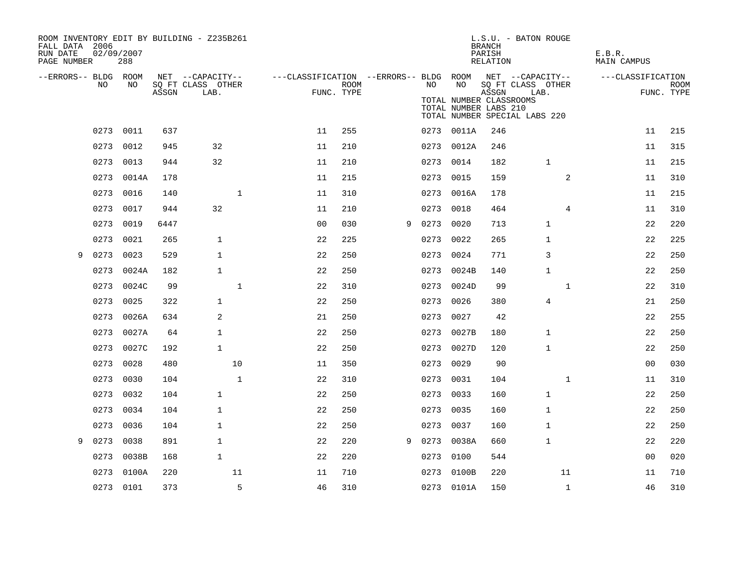| FALL DATA 2006<br>RUN DATE<br>PAGE NUMBER | 02/09/2007 | 288       |       | ROOM INVENTORY EDIT BY BUILDING - Z235B261    |                                                         |                           |   |      |                                                        | <b>BRANCH</b><br>PARISH<br>RELATION | L.S.U. - BATON ROUGE                                       | E.B.R.<br>MAIN CAMPUS |                   |                           |
|-------------------------------------------|------------|-----------|-------|-----------------------------------------------|---------------------------------------------------------|---------------------------|---|------|--------------------------------------------------------|-------------------------------------|------------------------------------------------------------|-----------------------|-------------------|---------------------------|
| --ERRORS-- BLDG ROOM                      | NO.        | NO.       | ASSGN | NET --CAPACITY--<br>SQ FT CLASS OTHER<br>LAB. | ---CLASSIFICATION --ERRORS-- BLDG ROOM NET --CAPACITY-- | <b>ROOM</b><br>FUNC. TYPE |   | NO . | NO<br>TOTAL NUMBER CLASSROOMS<br>TOTAL NUMBER LABS 210 | ASSGN                               | SQ FT CLASS OTHER<br>LAB.<br>TOTAL NUMBER SPECIAL LABS 220 |                       | ---CLASSIFICATION | <b>ROOM</b><br>FUNC. TYPE |
|                                           |            | 0273 0011 | 637   |                                               | 11                                                      | 255                       |   |      | 0273 0011A                                             | 246                                 |                                                            |                       | 11                | 215                       |
|                                           | 0273       | 0012      | 945   | 32                                            | 11                                                      | 210                       |   | 0273 | 0012A                                                  | 246                                 |                                                            |                       | 11                | 315                       |
|                                           | 0273       | 0013      | 944   | 32                                            | 11                                                      | 210                       |   | 0273 | 0014                                                   | 182                                 | $\mathbf{1}$                                               |                       | 11                | 215                       |
|                                           | 0273       | 0014A     | 178   |                                               | 11                                                      | 215                       |   | 0273 | 0015                                                   | 159                                 | 2                                                          |                       | 11                | 310                       |
|                                           | 0273       | 0016      | 140   | $\mathbf 1$                                   | 11                                                      | 310                       |   | 0273 | 0016A                                                  | 178                                 |                                                            |                       | 11                | 215                       |
|                                           | 0273       | 0017      | 944   | 32                                            | 11                                                      | 210                       |   | 0273 | 0018                                                   | 464                                 | 4                                                          |                       | 11                | 310                       |
|                                           | 0273       | 0019      | 6447  |                                               | 0 <sub>0</sub>                                          | 030                       | 9 | 0273 | 0020                                                   | 713                                 | $\mathbf 1$                                                |                       | 22                | 220                       |
|                                           | 0273       | 0021      | 265   | $\mathbf{1}$                                  | 22                                                      | 225                       |   | 0273 | 0022                                                   | 265                                 | $\mathbf{1}$                                               |                       | 22                | 225                       |
| 9                                         | 0273       | 0023      | 529   | $\mathbf{1}$                                  | 22                                                      | 250                       |   | 0273 | 0024                                                   | 771                                 | 3                                                          |                       | 22                | 250                       |
|                                           | 0273       | 0024A     | 182   | $\mathbf{1}$                                  | 22                                                      | 250                       |   | 0273 | 0024B                                                  | 140                                 | 1                                                          |                       | 22                | 250                       |
|                                           | 0273       | 0024C     | 99    | $\mathbf 1$                                   | 22                                                      | 310                       |   |      | 0273 0024D                                             | 99                                  | $\mathbf{1}$                                               |                       | 22                | 310                       |
|                                           | 0273       | 0025      | 322   | $\mathbf{1}$                                  | 22                                                      | 250                       |   | 0273 | 0026                                                   | 380                                 | 4                                                          |                       | 21                | 250                       |
|                                           | 0273       | 0026A     | 634   | 2                                             | 21                                                      | 250                       |   | 0273 | 0027                                                   | 42                                  |                                                            |                       | 22                | 255                       |
|                                           | 0273       | 0027A     | 64    | $\mathbf{1}$                                  | 22                                                      | 250                       |   | 0273 | 0027B                                                  | 180                                 | $\mathbf 1$                                                |                       | 22                | 250                       |
|                                           | 0273       | 0027C     | 192   | $\mathbf{1}$                                  | 22                                                      | 250                       |   | 0273 | 0027D                                                  | 120                                 | 1                                                          |                       | 22                | 250                       |
|                                           | 0273       | 0028      | 480   | 10                                            | 11                                                      | 350                       |   | 0273 | 0029                                                   | 90                                  |                                                            |                       | 0 <sub>0</sub>    | 030                       |
|                                           | 0273       | 0030      | 104   | $\mathbf 1$                                   | 22                                                      | 310                       |   |      | 0273 0031                                              | 104                                 | $\mathbf{1}$                                               |                       | 11                | 310                       |
|                                           | 0273       | 0032      | 104   | $\mathbf{1}$                                  | 22                                                      | 250                       |   | 0273 | 0033                                                   | 160                                 | $\mathbf{1}$                                               |                       | 22                | 250                       |
|                                           | 0273       | 0034      | 104   | $\mathbf{1}$                                  | 22                                                      | 250                       |   | 0273 | 0035                                                   | 160                                 | $\mathbf{1}$                                               |                       | 22                | 250                       |
|                                           | 0273       | 0036      | 104   | $\mathbf{1}$                                  | 22                                                      | 250                       |   |      | 0273 0037                                              | 160                                 | $\mathbf{1}$                                               |                       | 22                | 250                       |
| 9                                         | 0273       | 0038      | 891   | $\mathbf{1}$                                  | 22                                                      | 220                       | 9 |      | 0273 0038A                                             | 660                                 | $\mathbf{1}$                                               |                       | 22                | 220                       |
|                                           | 0273       | 0038B     | 168   | $\mathbf{1}$                                  | 22                                                      | 220                       |   | 0273 | 0100                                                   | 544                                 |                                                            |                       | 0 <sub>0</sub>    | 020                       |
|                                           | 0273       | 0100A     | 220   | 11                                            | 11                                                      | 710                       |   | 0273 | 0100B                                                  | 220                                 | 11                                                         |                       | 11                | 710                       |
|                                           |            | 0273 0101 | 373   | 5                                             | 46                                                      | 310                       |   |      | 0273 0101A                                             | 150                                 | $\mathbf{1}$                                               |                       | 46                | 310                       |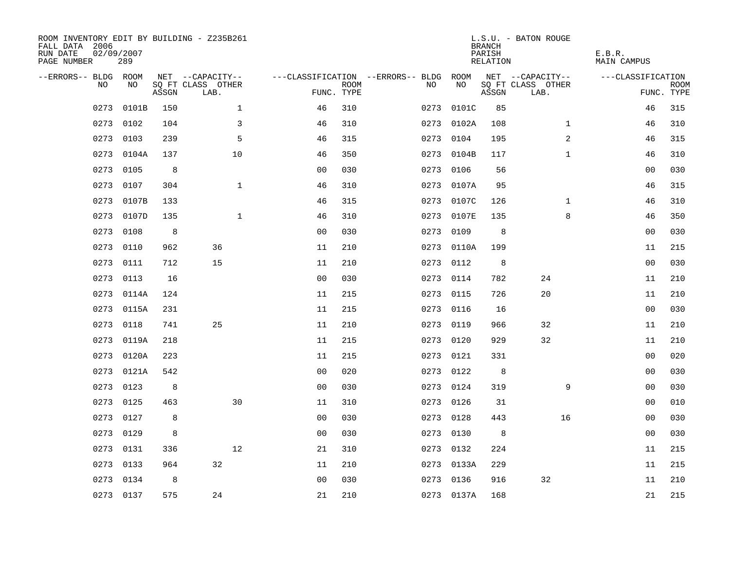| ROOM INVENTORY EDIT BY BUILDING - Z235B261<br>FALL DATA 2006<br>RUN DATE<br>PAGE NUMBER | 02/09/2007<br>289 |       |                           |                |             |                                        |            | <b>BRANCH</b><br>PARISH<br>RELATION | L.S.U. - BATON ROUGE      | E.B.R.<br>MAIN CAMPUS |                           |
|-----------------------------------------------------------------------------------------|-------------------|-------|---------------------------|----------------|-------------|----------------------------------------|------------|-------------------------------------|---------------------------|-----------------------|---------------------------|
| --ERRORS-- BLDG ROOM                                                                    |                   |       | NET --CAPACITY--          |                |             | ---CLASSIFICATION --ERRORS-- BLDG ROOM |            |                                     | NET --CAPACITY--          | ---CLASSIFICATION     |                           |
| NO.                                                                                     | NO.               | ASSGN | SQ FT CLASS OTHER<br>LAB. | FUNC. TYPE     | <b>ROOM</b> | NO.                                    | NO         | ASSGN                               | SQ FT CLASS OTHER<br>LAB. |                       | <b>ROOM</b><br>FUNC. TYPE |
| 0273                                                                                    | 0101B             | 150   | $\mathbf{1}$              | 46             | 310         | 0273                                   | 0101C      | 85                                  |                           | 46                    | 315                       |
|                                                                                         | 0273 0102         | 104   | 3                         | 46             | 310         |                                        | 0273 0102A | 108                                 | $\mathbf{1}$              | 46                    | 310                       |
| 0273                                                                                    | 0103              | 239   | 5                         | 46             | 315         | 0273                                   | 0104       | 195                                 | 2                         | 46                    | 315                       |
|                                                                                         | 0273 0104A        | 137   | 10                        | 46             | 350         |                                        | 0273 0104B | 117                                 | $\mathbf{1}$              | 46                    | 310                       |
| 0273                                                                                    | 0105              | 8     |                           | 00             | 030         | 0273                                   | 0106       | 56                                  |                           | 00                    | 030                       |
| 0273                                                                                    | 0107              | 304   | $\mathbf{1}$              | 46             | 310         |                                        | 0273 0107A | 95                                  |                           | 46                    | 315                       |
| 0273                                                                                    | 0107B             | 133   |                           | 46             | 315         | 0273                                   | 0107C      | 126                                 | $\mathbf{1}$              | 46                    | 310                       |
| 0273                                                                                    | 0107D             | 135   | $\mathbf{1}$              | 46             | 310         |                                        | 0273 0107E | 135                                 | 8                         | 46                    | 350                       |
| 0273                                                                                    | 0108              | 8     |                           | 0 <sub>0</sub> | 030         | 0273                                   | 0109       | 8                                   |                           | 0 <sub>0</sub>        | 030                       |
|                                                                                         | 0273 0110         | 962   | 36                        | 11             | 210         |                                        | 0273 0110A | 199                                 |                           | 11                    | 215                       |
| 0273                                                                                    | 0111              | 712   | 15                        | 11             | 210         | 0273                                   | 0112       | 8                                   |                           | 0 <sub>0</sub>        | 030                       |
| 0273                                                                                    | 0113              | 16    |                           | 0 <sub>0</sub> | 030         |                                        | 0273 0114  | 782                                 | 24                        | 11                    | 210                       |
| 0273                                                                                    | 0114A             | 124   |                           | 11             | 215         | 0273                                   | 0115       | 726                                 | 20                        | 11                    | 210                       |
| 0273                                                                                    | 0115A             | 231   |                           | 11             | 215         |                                        | 0273 0116  | 16                                  |                           | 00                    | 030                       |
| 0273                                                                                    | 0118              | 741   | 25                        | 11             | 210         | 0273                                   | 0119       | 966                                 | 32                        | 11                    | 210                       |
|                                                                                         | 0273 0119A        | 218   |                           | 11             | 215         |                                        | 0273 0120  | 929                                 | 32                        | 11                    | 210                       |
| 0273                                                                                    | 0120A             | 223   |                           | 11             | 215         | 0273                                   | 0121       | 331                                 |                           | 00                    | 020                       |
| 0273                                                                                    | 0121A             | 542   |                           | 0 <sub>0</sub> | 020         |                                        | 0273 0122  | 8                                   |                           | 00                    | 030                       |
|                                                                                         | 0273 0123         | 8     |                           | 00             | 030         |                                        | 0273 0124  | 319                                 | 9                         | 00                    | 030                       |
| 0273                                                                                    | 0125              | 463   | 30                        | 11             | 310         |                                        | 0273 0126  | 31                                  |                           | 0 <sub>0</sub>        | 010                       |
|                                                                                         | 0273 0127         | 8     |                           | 0 <sub>0</sub> | 030         |                                        | 0273 0128  | 443                                 | 16                        | 0 <sub>0</sub>        | 030                       |
| 0273                                                                                    | 0129              | 8     |                           | 0 <sub>0</sub> | 030         |                                        | 0273 0130  | 8                                   |                           | 00                    | 030                       |
|                                                                                         | 0273 0131         | 336   | 12                        | 21             | 310         |                                        | 0273 0132  | 224                                 |                           | 11                    | 215                       |
| 0273                                                                                    | 0133              | 964   | 32                        | 11             | 210         |                                        | 0273 0133A | 229                                 |                           | 11                    | 215                       |
|                                                                                         | 0273 0134         | 8     |                           | 0 <sub>0</sub> | 030         |                                        | 0273 0136  | 916                                 | 32                        | 11                    | 210                       |
|                                                                                         | 0273 0137         | 575   | 24                        | 21             | 210         |                                        | 0273 0137A | 168                                 |                           | 21                    | 215                       |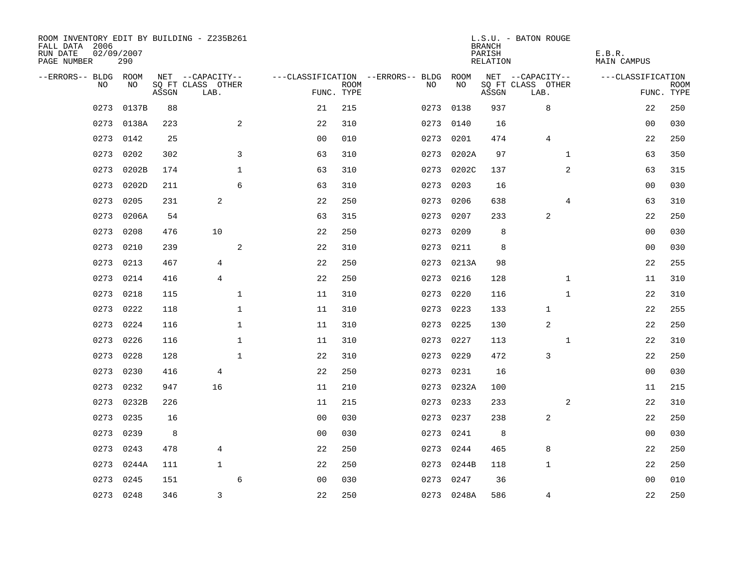| ROOM INVENTORY EDIT BY BUILDING - Z235B261<br>FALL DATA 2006<br>RUN DATE<br>PAGE NUMBER | 02/09/2007<br>290 |       |                           |                |                           |                                        |            | <b>BRANCH</b><br>PARISH<br>RELATION | L.S.U. - BATON ROUGE      | E.B.R.<br>MAIN CAMPUS |                           |
|-----------------------------------------------------------------------------------------|-------------------|-------|---------------------------|----------------|---------------------------|----------------------------------------|------------|-------------------------------------|---------------------------|-----------------------|---------------------------|
| --ERRORS-- BLDG ROOM                                                                    |                   |       | NET --CAPACITY--          |                |                           | ---CLASSIFICATION --ERRORS-- BLDG ROOM |            |                                     | NET --CAPACITY--          | ---CLASSIFICATION     |                           |
| NO.                                                                                     | NO.               | ASSGN | SQ FT CLASS OTHER<br>LAB. |                | <b>ROOM</b><br>FUNC. TYPE | NO.                                    | NO         | ASSGN                               | SQ FT CLASS OTHER<br>LAB. |                       | <b>ROOM</b><br>FUNC. TYPE |
| 0273                                                                                    | 0137B             | 88    |                           | 21             | 215                       | 0273                                   | 0138       | 937                                 | 8                         | 22                    | 250                       |
| 0273                                                                                    | 0138A             | 223   | $\overline{a}$            | 22             | 310                       | 0273                                   | 0140       | 16                                  |                           | 00                    | 030                       |
| 0273                                                                                    | 0142              | 25    |                           | 0 <sub>0</sub> | 010                       | 0273                                   | 0201       | 474                                 | $\overline{4}$            | 22                    | 250                       |
| 0273                                                                                    | 0202              | 302   | 3                         | 63             | 310                       | 0273                                   | 0202A      | 97                                  | $\mathbf{1}$              | 63                    | 350                       |
| 0273                                                                                    | 0202B             | 174   | $\mathbf{1}$              | 63             | 310                       | 0273                                   | 0202C      | 137                                 | $\overline{a}$            | 63                    | 315                       |
| 0273                                                                                    | 0202D             | 211   | 6                         | 63             | 310                       | 0273                                   | 0203       | 16                                  |                           | 0 <sub>0</sub>        | 030                       |
| 0273                                                                                    | 0205              | 231   | 2                         | 22             | 250                       | 0273                                   | 0206       | 638                                 | 4                         | 63                    | 310                       |
| 0273                                                                                    | 0206A             | 54    |                           | 63             | 315                       | 0273                                   | 0207       | 233                                 | 2                         | 22                    | 250                       |
| 0273                                                                                    | 0208              | 476   | 10                        | 22             | 250                       | 0273                                   | 0209       | 8                                   |                           | 0 <sub>0</sub>        | 030                       |
| 0273                                                                                    | 0210              | 239   | $\overline{a}$            | 22             | 310                       |                                        | 0273 0211  | 8                                   |                           | 0 <sub>0</sub>        | 030                       |
| 0273                                                                                    | 0213              | 467   | 4                         | 22             | 250                       |                                        | 0273 0213A | 98                                  |                           | 22                    | 255                       |
| 0273                                                                                    | 0214              | 416   | $\overline{4}$            | 22             | 250                       |                                        | 0273 0216  | 128                                 | $\mathbf{1}$              | 11                    | 310                       |
| 0273                                                                                    | 0218              | 115   | $\mathbf{1}$              | 11             | 310                       | 0273                                   | 0220       | 116                                 | $\mathbf{1}$              | 22                    | 310                       |
| 0273                                                                                    | 0222              | 118   | $\mathbf{1}$              | 11             | 310                       | 0273                                   | 0223       | 133                                 | 1                         | 22                    | 255                       |
| 0273                                                                                    | 0224              | 116   | $\mathbf 1$               | 11             | 310                       | 0273                                   | 0225       | 130                                 | $\overline{a}$            | 22                    | 250                       |
| 0273                                                                                    | 0226              | 116   | $\mathbf 1$               | 11             | 310                       | 0273                                   | 0227       | 113                                 | $\mathbf{1}$              | 22                    | 310                       |
| 0273                                                                                    | 0228              | 128   | $\mathbf{1}$              | 22             | 310                       | 0273                                   | 0229       | 472                                 | 3                         | 22                    | 250                       |
| 0273                                                                                    | 0230              | 416   | 4                         | 22             | 250                       | 0273                                   | 0231       | 16                                  |                           | 0 <sub>0</sub>        | 030                       |
| 0273                                                                                    | 0232              | 947   | 16                        | 11             | 210                       |                                        | 0273 0232A | 100                                 |                           | 11                    | 215                       |
| 0273                                                                                    | 0232B             | 226   |                           | 11             | 215                       | 0273                                   | 0233       | 233                                 | 2                         | 22                    | 310                       |
| 0273                                                                                    | 0235              | 16    |                           | 0 <sub>0</sub> | 030                       |                                        | 0273 0237  | 238                                 | 2                         | 22                    | 250                       |
| 0273                                                                                    | 0239              | 8     |                           | 0 <sub>0</sub> | 030                       | 0273                                   | 0241       | 8                                   |                           | 0 <sub>0</sub>        | 030                       |
| 0273                                                                                    | 0243              | 478   | 4                         | 22             | 250                       |                                        | 0273 0244  | 465                                 | 8                         | 22                    | 250                       |
| 0273                                                                                    | 0244A             | 111   | $\mathbf{1}$              | 22             | 250                       | 0273                                   | 0244B      | 118                                 | $\mathbf 1$               | 22                    | 250                       |
| 0273                                                                                    | 0245              | 151   | 6                         | 0 <sub>0</sub> | 030                       | 0273                                   | 0247       | 36                                  |                           | 00                    | 010                       |
|                                                                                         | 0273 0248         | 346   | 3                         | 22             | 250                       |                                        | 0273 0248A | 586                                 | $\overline{4}$            | 22                    | 250                       |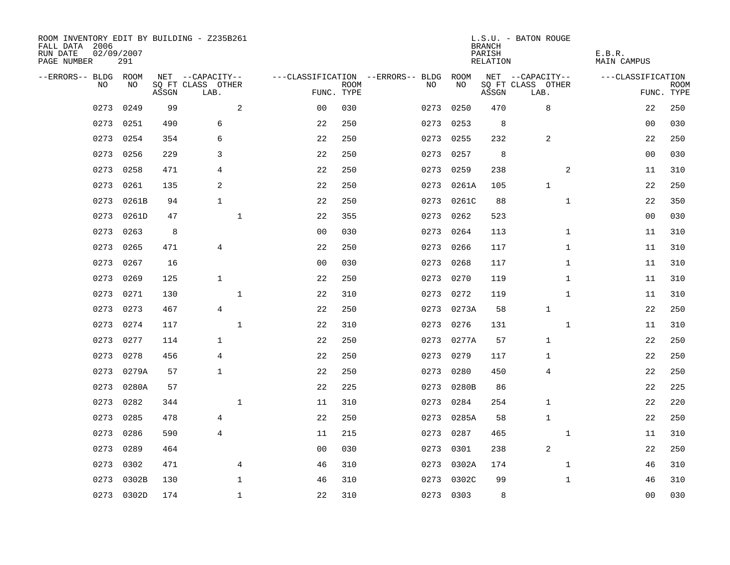| ROOM INVENTORY EDIT BY BUILDING - Z235B261<br>FALL DATA 2006<br>RUN DATE<br>PAGE NUMBER | 02/09/2007<br>291 |       |                           |                           |                                   |            | <b>BRANCH</b><br>PARISH<br>RELATION | L.S.U. - BATON ROUGE      | E.B.R.<br><b>MAIN CAMPUS</b> |                           |
|-----------------------------------------------------------------------------------------|-------------------|-------|---------------------------|---------------------------|-----------------------------------|------------|-------------------------------------|---------------------------|------------------------------|---------------------------|
| --ERRORS-- BLDG ROOM                                                                    |                   |       | NET --CAPACITY--          |                           | ---CLASSIFICATION --ERRORS-- BLDG | ROOM       |                                     | NET --CAPACITY--          | ---CLASSIFICATION            |                           |
| N <sub>O</sub>                                                                          | NO.               | ASSGN | SO FT CLASS OTHER<br>LAB. | <b>ROOM</b><br>FUNC. TYPE | NO.                               | NO         | ASSGN                               | SQ FT CLASS OTHER<br>LAB. |                              | <b>ROOM</b><br>FUNC. TYPE |
| 0273                                                                                    | 0249              | 99    | 2                         | 0 <sub>0</sub><br>030     | 0273                              | 0250       | 470                                 | 8                         | 22                           | 250                       |
| 0273                                                                                    | 0251              | 490   | 6                         | 22<br>250                 | 0273                              | 0253       | 8                                   |                           | 0 <sub>0</sub>               | 030                       |
| 0273                                                                                    | 0254              | 354   | 6                         | 22<br>250                 | 0273                              | 0255       | 232                                 | 2                         | 22                           | 250                       |
| 0273                                                                                    | 0256              | 229   | 3                         | 22<br>250                 | 0273                              | 0257       | 8                                   |                           | 0 <sub>0</sub>               | 030                       |
| 0273                                                                                    | 0258              | 471   | 4                         | 22<br>250                 | 0273                              | 0259       | 238                                 | 2                         | 11                           | 310                       |
| 0273                                                                                    | 0261              | 135   | 2                         | 22<br>250                 | 0273                              | 0261A      | 105                                 | $\mathbf{1}$              | 22                           | 250                       |
| 0273                                                                                    | 0261B             | 94    | $\mathbf{1}$              | 22<br>250                 | 0273                              | 0261C      | 88                                  | $\mathbf{1}$              | 22                           | 350                       |
| 0273                                                                                    | 0261D             | 47    | $\mathbf{1}$              | 22<br>355                 | 0273                              | 0262       | 523                                 |                           | 0 <sub>0</sub>               | 030                       |
| 0273                                                                                    | 0263              | 8     |                           | 0 <sub>0</sub><br>030     | 0273                              | 0264       | 113                                 | $\mathbf{1}$              | 11                           | 310                       |
| 0273                                                                                    | 0265              | 471   | 4                         | 22<br>250                 | 0273                              | 0266       | 117                                 | $\mathbf{1}$              | 11                           | 310                       |
| 0273                                                                                    | 0267              | 16    |                           | 0 <sub>0</sub><br>030     | 0273                              | 0268       | 117                                 | $\mathbf{1}$              | 11                           | 310                       |
| 0273                                                                                    | 0269              | 125   | $\mathbf{1}$              | 22<br>250                 | 0273                              | 0270       | 119                                 | $\mathbf{1}$              | 11                           | 310                       |
| 0273                                                                                    | 0271              | 130   | $\mathbf{1}$              | 22<br>310                 | 0273                              | 0272       | 119                                 | $\mathbf{1}$              | 11                           | 310                       |
| 0273                                                                                    | 0273              | 467   | $\overline{4}$            | 22<br>250                 | 0273                              | 0273A      | 58                                  | $\mathbf{1}$              | 22                           | 250                       |
| 0273                                                                                    | 0274              | 117   | $\mathbf{1}$              | 22<br>310                 | 0273                              | 0276       | 131                                 | $\mathbf{1}$              | 11                           | 310                       |
| 0273                                                                                    | 0277              | 114   | $\mathbf{1}$              | 22<br>250                 | 0273                              | 0277A      | 57                                  | 1                         | 22                           | 250                       |
| 0273                                                                                    | 0278              | 456   | 4                         | 22<br>250                 | 0273                              | 0279       | 117                                 | 1                         | 22                           | 250                       |
| 0273                                                                                    | 0279A             | 57    | $\mathbf{1}$              | 250<br>22                 | 0273                              | 0280       | 450                                 | 4                         | 22                           | 250                       |
| 0273                                                                                    | 0280A             | 57    |                           | 22<br>225                 | 0273                              | 0280B      | 86                                  |                           | 22                           | 225                       |
| 0273                                                                                    | 0282              | 344   | $\mathbf{1}$              | 310<br>11                 | 0273                              | 0284       | 254                                 | $\mathbf{1}$              | 22                           | 220                       |
| 0273                                                                                    | 0285              | 478   | 4                         | 22<br>250                 |                                   | 0273 0285A | 58                                  | 1                         | 22                           | 250                       |
| 0273                                                                                    | 0286              | 590   | $\overline{4}$            | 11<br>215                 | 0273                              | 0287       | 465                                 | $\mathbf{1}$              | 11                           | 310                       |
| 0273                                                                                    | 0289              | 464   |                           | 0 <sub>0</sub><br>030     | 0273                              | 0301       | 238                                 | 2                         | 22                           | 250                       |
| 0273                                                                                    | 0302              | 471   | 4                         | 46<br>310                 | 0273                              | 0302A      | 174                                 | $\mathbf{1}$              | 46                           | 310                       |
| 0273                                                                                    | 0302B             | 130   | $\mathbf 1$               | 46<br>310                 | 0273                              | 0302C      | 99                                  | $\mathbf{1}$              | 46                           | 310                       |
|                                                                                         | 0273 0302D        | 174   | $\mathbf{1}$              | 22<br>310                 |                                   | 0273 0303  | 8                                   |                           | 0 <sub>0</sub>               | 030                       |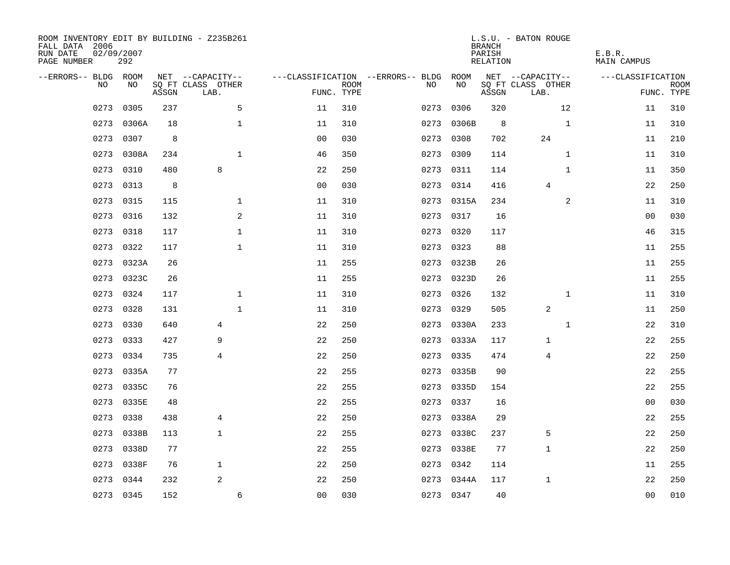| ROOM INVENTORY EDIT BY BUILDING - Z235B261<br>FALL DATA 2006<br>RUN DATE<br>PAGE NUMBER | 02/09/2007<br>292 |       |                           |                |             |                                        |            | <b>BRANCH</b><br>PARISH<br>RELATION | L.S.U. - BATON ROUGE      | E.B.R.<br>MAIN CAMPUS |                           |
|-----------------------------------------------------------------------------------------|-------------------|-------|---------------------------|----------------|-------------|----------------------------------------|------------|-------------------------------------|---------------------------|-----------------------|---------------------------|
| --ERRORS-- BLDG ROOM                                                                    |                   |       | NET --CAPACITY--          |                |             | ---CLASSIFICATION --ERRORS-- BLDG ROOM |            |                                     | NET --CAPACITY--          | ---CLASSIFICATION     |                           |
| NO                                                                                      | NO                | ASSGN | SQ FT CLASS OTHER<br>LAB. | FUNC. TYPE     | <b>ROOM</b> | NO                                     | NO         | ASSGN                               | SQ FT CLASS OTHER<br>LAB. |                       | <b>ROOM</b><br>FUNC. TYPE |
| 0273                                                                                    | 0305              | 237   | 5                         | 11             | 310         | 0273                                   | 0306       | 320                                 | 12                        | 11                    | 310                       |
| 0273                                                                                    | 0306A             | 18    | $\mathbf 1$               | 11             | 310         | 0273                                   | 0306B      | 8                                   | $\mathbf{1}$              | 11                    | 310                       |
| 0273                                                                                    | 0307              | 8     |                           | 0 <sub>0</sub> | 030         | 0273                                   | 0308       | 702                                 | 24                        | 11                    | 210                       |
| 0273                                                                                    | 0308A             | 234   | $\mathbf{1}$              | 46             | 350         |                                        | 0273 0309  | 114                                 | $\mathbf{1}$              | 11                    | 310                       |
| 0273                                                                                    | 0310              | 480   | 8                         | 22             | 250         |                                        | 0273 0311  | 114                                 | $\mathbf{1}$              | 11                    | 350                       |
| 0273                                                                                    | 0313              | 8     |                           | 0 <sub>0</sub> | 030         |                                        | 0273 0314  | 416                                 | 4                         | 22                    | 250                       |
| 0273                                                                                    | 0315              | 115   | $\mathbf{1}$              | 11             | 310         |                                        | 0273 0315A | 234                                 | 2                         | 11                    | 310                       |
| 0273                                                                                    | 0316              | 132   | $\mathbf{2}$              | 11             | 310         |                                        | 0273 0317  | 16                                  |                           | 0 <sub>0</sub>        | 030                       |
| 0273                                                                                    | 0318              | 117   | $\mathbf 1$               | 11             | 310         | 0273                                   | 0320       | 117                                 |                           | 46                    | 315                       |
| 0273                                                                                    | 0322              | 117   | $\mathbf{1}$              | 11             | 310         |                                        | 0273 0323  | 88                                  |                           | 11                    | 255                       |
| 0273                                                                                    | 0323A             | 26    |                           | 11             | 255         |                                        | 0273 0323B | 26                                  |                           | 11                    | 255                       |
| 0273                                                                                    | 0323C             | 26    |                           | 11             | 255         |                                        | 0273 0323D | 26                                  |                           | 11                    | 255                       |
| 0273                                                                                    | 0324              | 117   | $\mathbf 1$               | 11             | 310         | 0273                                   | 0326       | 132                                 | $\mathbf{1}$              | 11                    | 310                       |
| 0273                                                                                    | 0328              | 131   | $\mathbf{1}$              | 11             | 310         | 0273                                   | 0329       | 505                                 | 2                         | 11                    | 250                       |
| 0273                                                                                    | 0330              | 640   | 4                         | 22             | 250         |                                        | 0273 0330A | 233                                 | $\mathbf{1}$              | 22                    | 310                       |
| 0273                                                                                    | 0333              | 427   | 9                         | 22             | 250         |                                        | 0273 0333A | 117                                 | 1                         | 22                    | 255                       |
|                                                                                         | 0273 0334         | 735   | 4                         | 22             | 250         |                                        | 0273 0335  | 474                                 | 4                         | 22                    | 250                       |
| 0273                                                                                    | 0335A             | 77    |                           | 22             | 255         | 0273                                   | 0335B      | 90                                  |                           | 22                    | 255                       |
| 0273                                                                                    | 0335C             | 76    |                           | 22             | 255         |                                        | 0273 0335D | 154                                 |                           | 22                    | 255                       |
| 0273                                                                                    | 0335E             | 48    |                           | 22             | 255         | 0273                                   | 0337       | 16                                  |                           | 00                    | 030                       |
| 0273                                                                                    | 0338              | 438   | 4                         | 22             | 250         |                                        | 0273 0338A | 29                                  |                           | 22                    | 255                       |
| 0273                                                                                    | 0338B             | 113   | $\mathbf{1}$              | 22             | 255         | 0273                                   | 0338C      | 237                                 | 5                         | 22                    | 250                       |
| 0273                                                                                    | 0338D             | 77    |                           | 22             | 255         |                                        | 0273 0338E | 77                                  | $\mathbf{1}$              | 22                    | 250                       |
| 0273                                                                                    | 0338F             | 76    | $\mathbf{1}$              | 22             | 250         | 0273                                   | 0342       | 114                                 |                           | 11                    | 255                       |
| 0273                                                                                    | 0344              | 232   | 2                         | 22             | 250         | 0273                                   | 0344A      | 117                                 | $\mathbf{1}$              | 22                    | 250                       |
|                                                                                         | 0273 0345         | 152   | 6                         | 0 <sub>0</sub> | 030         |                                        | 0273 0347  | 40                                  |                           | 0 <sub>0</sub>        | 010                       |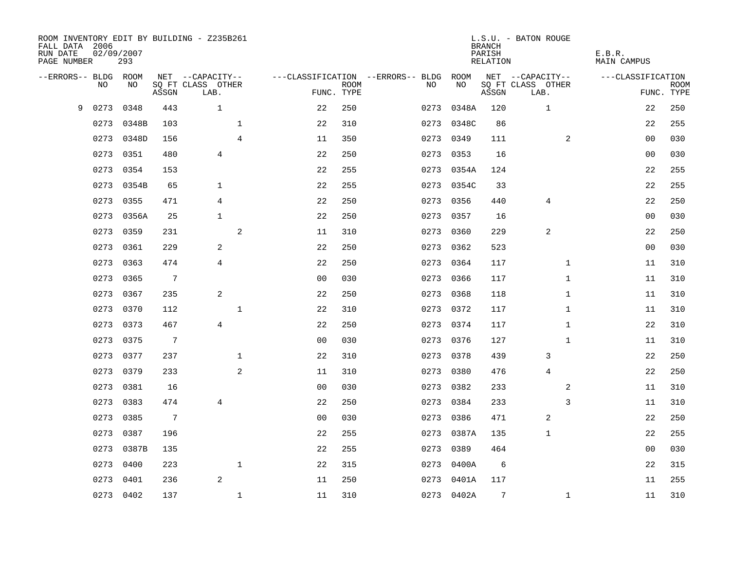| FALL DATA 2006<br>RUN DATE<br>PAGE NUMBER | 02/09/2007 | 293   |                 | ROOM INVENTORY EDIT BY BUILDING - Z235B261 |                |                                        |             |      |            | <b>BRANCH</b><br>PARISH<br>RELATION | L.S.U. - BATON ROUGE      |                | E.B.R.<br>MAIN CAMPUS |                           |
|-------------------------------------------|------------|-------|-----------------|--------------------------------------------|----------------|----------------------------------------|-------------|------|------------|-------------------------------------|---------------------------|----------------|-----------------------|---------------------------|
| --ERRORS-- BLDG ROOM                      |            |       |                 | NET --CAPACITY--                           |                | ---CLASSIFICATION --ERRORS-- BLDG ROOM |             |      |            |                                     | NET --CAPACITY--          |                | ---CLASSIFICATION     |                           |
|                                           | NO.        | NO.   | ASSGN           | SQ FT CLASS OTHER<br>LAB.                  |                | FUNC. TYPE                             | <b>ROOM</b> | NO.  | NO         | ASSGN                               | SQ FT CLASS OTHER<br>LAB. |                |                       | <b>ROOM</b><br>FUNC. TYPE |
| 9                                         | 0273       | 0348  | 443             | $\mathbf{1}$                               |                | 22                                     | 250         | 0273 | 0348A      | 120                                 | $\mathbf 1$               |                | 22                    | 250                       |
|                                           | 0273       | 0348B | 103             |                                            | $\mathbf 1$    | 22                                     | 310         | 0273 | 0348C      | 86                                  |                           |                | 22                    | 255                       |
|                                           | 0273       | 0348D | 156             |                                            | $\overline{4}$ | 11                                     | 350         | 0273 | 0349       | 111                                 |                           | $\overline{2}$ | 00                    | 030                       |
|                                           | 0273       | 0351  | 480             | 4                                          |                | 22                                     | 250         |      | 0273 0353  | 16                                  |                           |                | 00                    | 030                       |
|                                           | 0273       | 0354  | 153             |                                            |                | 22                                     | 255         | 0273 | 0354A      | 124                                 |                           |                | 22                    | 255                       |
|                                           | 0273       | 0354B | 65              | 1                                          |                | 22                                     | 255         |      | 0273 0354C | 33                                  |                           |                | 22                    | 255                       |
|                                           | 0273       | 0355  | 471             | 4                                          |                | 22                                     | 250         | 0273 | 0356       | 440                                 | 4                         |                | 22                    | 250                       |
|                                           | 0273       | 0356A | 25              | $\mathbf{1}$                               |                | 22                                     | 250         |      | 0273 0357  | 16                                  |                           |                | 0 <sub>0</sub>        | 030                       |
|                                           | 0273       | 0359  | 231             |                                            | 2              | 11                                     | 310         | 0273 | 0360       | 229                                 | 2                         |                | 22                    | 250                       |
|                                           | 0273       | 0361  | 229             | 2                                          |                | 22                                     | 250         |      | 0273 0362  | 523                                 |                           |                | 0 <sub>0</sub>        | 030                       |
|                                           | 0273       | 0363  | 474             | 4                                          |                | 22                                     | 250         | 0273 | 0364       | 117                                 |                           | $\mathbf{1}$   | 11                    | 310                       |
|                                           | 0273       | 0365  | $7\phantom{.0}$ |                                            |                | 0 <sub>0</sub>                         | 030         |      | 0273 0366  | 117                                 |                           | $\mathbf{1}$   | 11                    | 310                       |
|                                           | 0273       | 0367  | 235             | 2                                          |                | 22                                     | 250         | 0273 | 0368       | 118                                 |                           | $\mathbf{1}$   | 11                    | 310                       |
|                                           | 0273       | 0370  | 112             |                                            | $\mathbf{1}$   | 22                                     | 310         |      | 0273 0372  | 117                                 |                           | $\mathbf{1}$   | 11                    | 310                       |
|                                           | 0273       | 0373  | 467             | $\overline{4}$                             |                | 22                                     | 250         | 0273 | 0374       | 117                                 |                           | $\mathbf{1}$   | 22                    | 310                       |
|                                           | 0273       | 0375  | $7\phantom{.0}$ |                                            |                | 0 <sub>0</sub>                         | 030         |      | 0273 0376  | 127                                 |                           | $\mathbf{1}$   | 11                    | 310                       |
|                                           | 0273       | 0377  | 237             |                                            | $\mathbf{1}$   | 22                                     | 310         |      | 0273 0378  | 439                                 | 3                         |                | 22                    | 250                       |
|                                           | 0273       | 0379  | 233             |                                            | 2              | 11                                     | 310         | 0273 | 0380       | 476                                 | $\overline{4}$            |                | 22                    | 250                       |
|                                           | 0273       | 0381  | 16              |                                            |                | 0 <sub>0</sub>                         | 030         |      | 0273 0382  | 233                                 |                           | $\overline{a}$ | 11                    | 310                       |
|                                           | 0273       | 0383  | 474             | 4                                          |                | 22                                     | 250         | 0273 | 0384       | 233                                 |                           | 3              | 11                    | 310                       |
|                                           | 0273       | 0385  | $7\phantom{.0}$ |                                            |                | 0 <sub>0</sub>                         | 030         |      | 0273 0386  | 471                                 | 2                         |                | 22                    | 250                       |
|                                           | 0273       | 0387  | 196             |                                            |                | 22                                     | 255         | 0273 | 0387A      | 135                                 | 1                         |                | 22                    | 255                       |
|                                           | 0273       | 0387B | 135             |                                            |                | 22                                     | 255         | 0273 | 0389       | 464                                 |                           |                | 0 <sub>0</sub>        | 030                       |
|                                           | 0273       | 0400  | 223             |                                            | $\mathbf{1}$   | 22                                     | 315         | 0273 | 0400A      | 6                                   |                           |                | 22                    | 315                       |
|                                           | 0273       | 0401  | 236             | 2                                          |                | 11                                     | 250         | 0273 | 0401A      | 117                                 |                           |                | 11                    | 255                       |
|                                           | 0273 0402  |       | 137             |                                            | $\mathbf{1}$   | 11                                     | 310         |      | 0273 0402A | 7                                   |                           | $\mathbf{1}$   | 11                    | 310                       |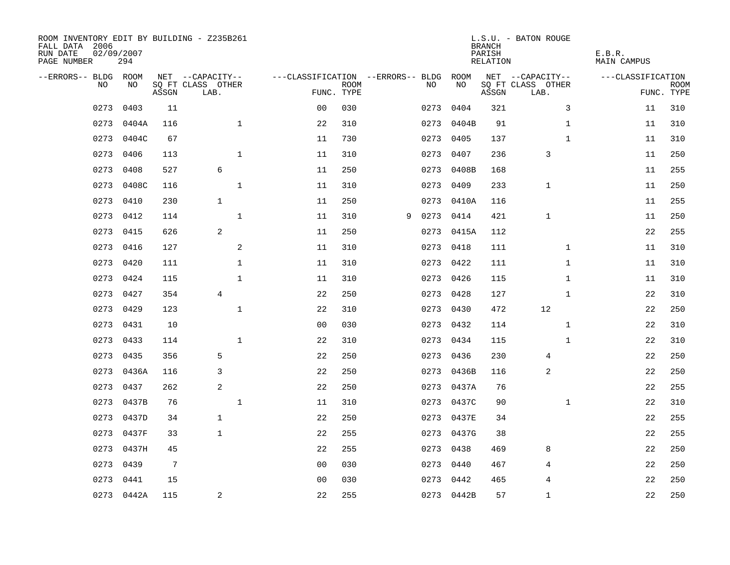| ROOM INVENTORY EDIT BY BUILDING - Z235B261<br>FALL DATA 2006<br>RUN DATE<br>PAGE NUMBER | 02/09/2007<br>294 |       |                           |                                        |             |   |      |            | <b>BRANCH</b><br>PARISH<br>RELATION | L.S.U. - BATON ROUGE      | E.B.R.<br>MAIN CAMPUS |                           |
|-----------------------------------------------------------------------------------------|-------------------|-------|---------------------------|----------------------------------------|-------------|---|------|------------|-------------------------------------|---------------------------|-----------------------|---------------------------|
| --ERRORS-- BLDG ROOM                                                                    |                   |       | NET --CAPACITY--          | ---CLASSIFICATION --ERRORS-- BLDG ROOM |             |   |      |            |                                     | NET --CAPACITY--          | ---CLASSIFICATION     |                           |
| NO.                                                                                     | NO.               | ASSGN | SQ FT CLASS OTHER<br>LAB. | FUNC. TYPE                             | <b>ROOM</b> |   | NO.  | NO         | ASSGN                               | SQ FT CLASS OTHER<br>LAB. |                       | <b>ROOM</b><br>FUNC. TYPE |
| 0273                                                                                    | 0403              | 11    |                           | 0 <sub>0</sub>                         | 030         |   | 0273 | 0404       | 321                                 | 3                         | 11                    | 310                       |
| 0273                                                                                    | 0404A             | 116   | $\mathbf{1}$              | 22                                     | 310         |   |      | 0273 0404B | 91                                  | $\mathbf{1}$              | 11                    | 310                       |
| 0273                                                                                    | 0404C             | 67    |                           | 11                                     | 730         |   | 0273 | 0405       | 137                                 | $\mathbf{1}$              | 11                    | 310                       |
| 0273                                                                                    | 0406              | 113   | $\mathbf{1}$              | 11                                     | 310         |   |      | 0273 0407  | 236                                 | 3                         | 11                    | 250                       |
| 0273                                                                                    | 0408              | 527   | 6                         | 11                                     | 250         |   | 0273 | 0408B      | 168                                 |                           | 11                    | 255                       |
| 0273                                                                                    | 0408C             | 116   | $\mathbf{1}$              | 11                                     | 310         |   |      | 0273 0409  | 233                                 | $\mathbf 1$               | 11                    | 250                       |
| 0273                                                                                    | 0410              | 230   | $\mathbf{1}$              | 11                                     | 250         |   |      | 0273 0410A | 116                                 |                           | 11                    | 255                       |
| 0273                                                                                    | 0412              | 114   | $\mathbf{1}$              | 11                                     | 310         | 9 | 0273 | 0414       | 421                                 | $\mathbf{1}$              | 11                    | 250                       |
| 0273                                                                                    | 0415              | 626   | 2                         | 11                                     | 250         |   |      | 0273 0415A | 112                                 |                           | 22                    | 255                       |
|                                                                                         | 0273 0416         | 127   | 2                         | 11                                     | 310         |   |      | 0273 0418  | 111                                 | $\mathbf{1}$              | 11                    | 310                       |
| 0273                                                                                    | 0420              | 111   | $\mathbf{1}$              | 11                                     | 310         |   |      | 0273 0422  | 111                                 | $\mathbf{1}$              | 11                    | 310                       |
| 0273                                                                                    | 0424              | 115   | $\mathbf{1}$              | 11                                     | 310         |   |      | 0273 0426  | 115                                 | $\mathbf{1}$              | 11                    | 310                       |
| 0273                                                                                    | 0427              | 354   | $\overline{4}$            | 22                                     | 250         |   | 0273 | 0428       | 127                                 | $\mathbf{1}$              | 22                    | 310                       |
| 0273                                                                                    | 0429              | 123   | $\mathbf{1}$              | 22                                     | 310         |   |      | 0273 0430  | 472                                 | 12                        | 22                    | 250                       |
| 0273                                                                                    | 0431              | 10    |                           | 0 <sub>0</sub>                         | 030         |   | 0273 | 0432       | 114                                 | $\mathbf{1}$              | 22                    | 310                       |
| 0273                                                                                    | 0433              | 114   | $\mathbf{1}$              | 22                                     | 310         |   |      | 0273 0434  | 115                                 | $\mathbf{1}$              | 22                    | 310                       |
| 0273                                                                                    | 0435              | 356   | 5                         | 22                                     | 250         |   | 0273 | 0436       | 230                                 | 4                         | 22                    | 250                       |
| 0273                                                                                    | 0436A             | 116   | 3                         | 22                                     | 250         |   | 0273 | 0436B      | 116                                 | 2                         | 22                    | 250                       |
| 0273                                                                                    | 0437              | 262   | 2                         | 22                                     | 250         |   |      | 0273 0437A | 76                                  |                           | 22                    | 255                       |
| 0273                                                                                    | 0437B             | 76    | $\mathbf{1}$              | 11                                     | 310         |   |      | 0273 0437C | 90                                  | $\mathbf{1}$              | 22                    | 310                       |
|                                                                                         | 0273 0437D        | 34    | $\mathbf{1}$              | 22                                     | 250         |   |      | 0273 0437E | 34                                  |                           | 22                    | 255                       |
| 0273                                                                                    | 0437F             | 33    | $\mathbf{1}$              | 22                                     | 255         |   |      | 0273 0437G | 38                                  |                           | 22                    | 255                       |
| 0273                                                                                    | 0437H             | 45    |                           | 22                                     | 255         |   |      | 0273 0438  | 469                                 | 8                         | 22                    | 250                       |
| 0273                                                                                    | 0439              | 7     |                           | 0 <sub>0</sub>                         | 030         |   | 0273 | 0440       | 467                                 | 4                         | 22                    | 250                       |
| 0273                                                                                    | 0441              | 15    |                           | 0 <sub>0</sub>                         | 030         |   |      | 0273 0442  | 465                                 | 4                         | 22                    | 250                       |
|                                                                                         | 0273 0442A        | 115   | $\overline{\mathbf{c}}$   | 22                                     | 255         |   |      | 0273 0442B | 57                                  | $\mathbf{1}$              | 22                    | 250                       |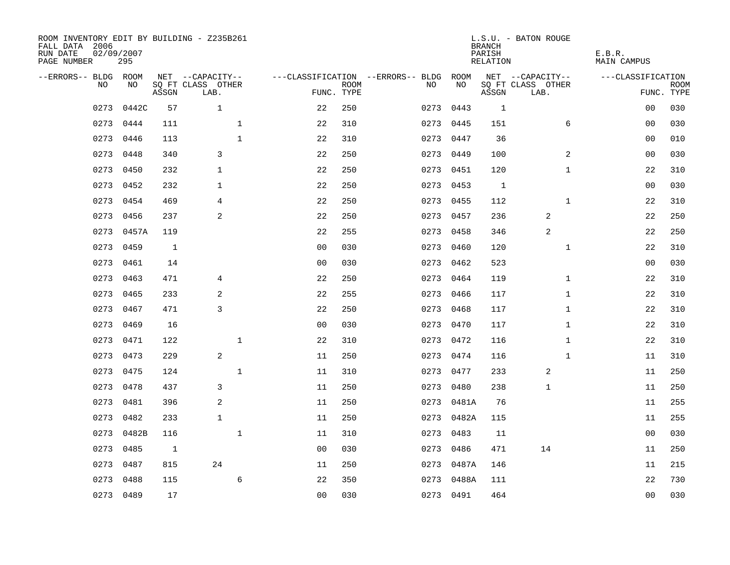| ROOM INVENTORY EDIT BY BUILDING - Z235B261<br>FALL DATA 2006<br>RUN DATE<br>PAGE NUMBER | 02/09/2007<br>295 |       |                           |                |             |                                        |            | <b>BRANCH</b><br>PARISH<br>RELATION | L.S.U. - BATON ROUGE      | E.B.R.<br>MAIN CAMPUS |                           |
|-----------------------------------------------------------------------------------------|-------------------|-------|---------------------------|----------------|-------------|----------------------------------------|------------|-------------------------------------|---------------------------|-----------------------|---------------------------|
| --ERRORS-- BLDG ROOM                                                                    |                   |       | NET --CAPACITY--          |                |             | ---CLASSIFICATION --ERRORS-- BLDG ROOM |            |                                     | NET --CAPACITY--          | ---CLASSIFICATION     |                           |
| NO.                                                                                     | NO.               | ASSGN | SQ FT CLASS OTHER<br>LAB. | FUNC. TYPE     | <b>ROOM</b> | NO.                                    | NO         | ASSGN                               | SQ FT CLASS OTHER<br>LAB. |                       | <b>ROOM</b><br>FUNC. TYPE |
| 0273                                                                                    | 0442C             | 57    | $\mathbf{1}$              | 22             | 250         | 0273                                   | 0443       | <sup>1</sup>                        |                           | 0 <sub>0</sub>        | 030                       |
| 0273                                                                                    | 0444              | 111   | $\mathbf 1$               | 22             | 310         |                                        | 0273 0445  | 151                                 | 6                         | 00                    | 030                       |
|                                                                                         | 0273 0446         | 113   | $\mathbf{1}$              | 22             | 310         |                                        | 0273 0447  | 36                                  |                           | 00                    | 010                       |
|                                                                                         | 0273 0448         | 340   | 3                         | 22             | 250         |                                        | 0273 0449  | 100                                 | 2                         | 00                    | 030                       |
| 0273                                                                                    | 0450              | 232   | $\mathbf{1}$              | 22             | 250         |                                        | 0273 0451  | 120                                 | $\mathbf{1}$              | 22                    | 310                       |
| 0273                                                                                    | 0452              | 232   | 1                         | 22             | 250         |                                        | 0273 0453  | 1                                   |                           | 0 <sub>0</sub>        | 030                       |
| 0273                                                                                    | 0454              | 469   | 4                         | 22             | 250         |                                        | 0273 0455  | 112                                 | $\mathbf{1}$              | 22                    | 310                       |
| 0273                                                                                    | 0456              | 237   | 2                         | 22             | 250         |                                        | 0273 0457  | 236                                 | 2                         | 22                    | 250                       |
| 0273                                                                                    | 0457A             | 119   |                           | 22             | 255         |                                        | 0273 0458  | 346                                 | 2                         | 22                    | 250                       |
| 0273                                                                                    | 0459              | 1     |                           | 0 <sub>0</sub> | 030         |                                        | 0273 0460  | 120                                 | $\mathbf{1}$              | 22                    | 310                       |
| 0273                                                                                    | 0461              | 14    |                           | 0 <sub>0</sub> | 030         |                                        | 0273 0462  | 523                                 |                           | 0 <sub>0</sub>        | 030                       |
| 0273                                                                                    | 0463              | 471   | 4                         | 22             | 250         |                                        | 0273 0464  | 119                                 | $\mathbf{1}$              | 22                    | 310                       |
| 0273                                                                                    | 0465              | 233   | 2                         | 22             | 255         | 0273                                   | 0466       | 117                                 | $\mathbf{1}$              | 22                    | 310                       |
| 0273                                                                                    | 0467              | 471   | 3                         | 22             | 250         |                                        | 0273 0468  | 117                                 | $\mathbf{1}$              | 22                    | 310                       |
| 0273                                                                                    | 0469              | 16    |                           | 0 <sub>0</sub> | 030         |                                        | 0273 0470  | 117                                 | $\mathbf{1}$              | 22                    | 310                       |
|                                                                                         | 0273 0471         | 122   | $\mathbf 1$               | 22             | 310         |                                        | 0273 0472  | 116                                 | $\mathbf{1}$              | 22                    | 310                       |
| 0273                                                                                    | 0473              | 229   | 2                         | 11             | 250         |                                        | 0273 0474  | 116                                 | $\mathbf{1}$              | 11                    | 310                       |
| 0273                                                                                    | 0475              | 124   | $\mathbf{1}$              | 11             | 310         |                                        | 0273 0477  | 233                                 | 2                         | 11                    | 250                       |
|                                                                                         | 0273 0478         | 437   | 3                         | 11             | 250         |                                        | 0273 0480  | 238                                 | $\mathbf 1$               | 11                    | 250                       |
| 0273                                                                                    | 0481              | 396   | 2                         | 11             | 250         |                                        | 0273 0481A | 76                                  |                           | 11                    | 255                       |
| 0273                                                                                    | 0482              | 233   | $\mathbf{1}$              | 11             | 250         |                                        | 0273 0482A | 115                                 |                           | 11                    | 255                       |
| 0273                                                                                    | 0482B             | 116   | $\mathbf{1}$              | 11             | 310         | 0273                                   | 0483       | 11                                  |                           | 0 <sub>0</sub>        | 030                       |
| 0273                                                                                    | 0485              | 1     |                           | 0 <sub>0</sub> | 030         |                                        | 0273 0486  | 471                                 | 14                        | 11                    | 250                       |
| 0273                                                                                    | 0487              | 815   | 24                        | 11             | 250         |                                        | 0273 0487A | 146                                 |                           | 11                    | 215                       |
| 0273                                                                                    | 0488              | 115   | 6                         | 22             | 350         |                                        | 0273 0488A | 111                                 |                           | 22                    | 730                       |
|                                                                                         | 0273 0489         | 17    |                           | 0 <sub>0</sub> | 030         |                                        | 0273 0491  | 464                                 |                           | 0 <sub>0</sub>        | 030                       |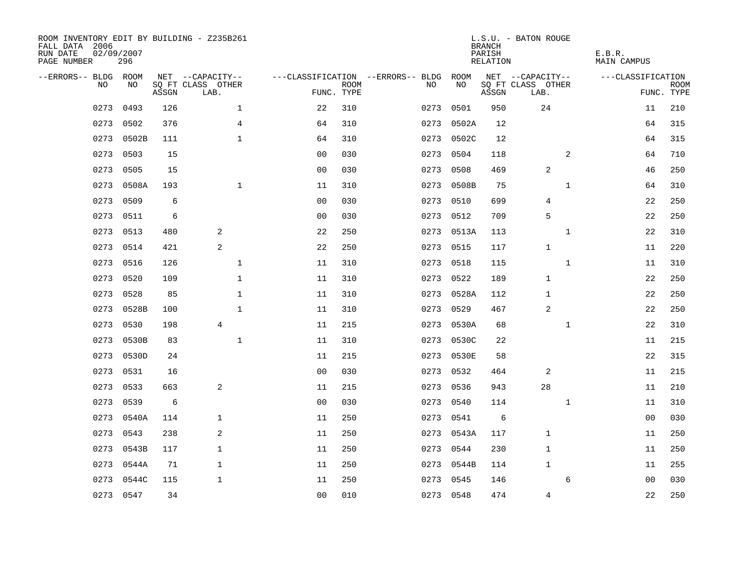| ROOM INVENTORY EDIT BY BUILDING - Z235B261<br>FALL DATA 2006<br>RUN DATE<br>PAGE NUMBER | 02/09/2007<br>296 |       |                           |                |             |                                   |            | <b>BRANCH</b><br>PARISH<br>RELATION | L.S.U. - BATON ROUGE      | E.B.R.<br>MAIN CAMPUS |                           |
|-----------------------------------------------------------------------------------------|-------------------|-------|---------------------------|----------------|-------------|-----------------------------------|------------|-------------------------------------|---------------------------|-----------------------|---------------------------|
| --ERRORS-- BLDG ROOM                                                                    |                   |       | NET --CAPACITY--          |                |             | ---CLASSIFICATION --ERRORS-- BLDG | ROOM       |                                     | NET --CAPACITY--          | ---CLASSIFICATION     |                           |
| NO.                                                                                     | NO.               | ASSGN | SQ FT CLASS OTHER<br>LAB. | FUNC. TYPE     | <b>ROOM</b> | NO.                               | NO         | ASSGN                               | SQ FT CLASS OTHER<br>LAB. |                       | <b>ROOM</b><br>FUNC. TYPE |
| 0273                                                                                    | 0493              | 126   | $\mathbf{1}$              | 22             | 310         | 0273                              | 0501       | 950                                 | 24                        | 11                    | 210                       |
| 0273                                                                                    | 0502              | 376   | 4                         | 64             | 310         | 0273                              | 0502A      | 12                                  |                           | 64                    | 315                       |
| 0273                                                                                    | 0502B             | 111   | $\mathbf 1$               | 64             | 310         | 0273                              | 0502C      | 12                                  |                           | 64                    | 315                       |
| 0273                                                                                    | 0503              | 15    |                           | 0 <sub>0</sub> | 030         | 0273                              | 0504       | 118                                 | 2                         | 64                    | 710                       |
| 0273                                                                                    | 0505              | 15    |                           | 0 <sub>0</sub> | 030         | 0273                              | 0508       | 469                                 | 2                         | 46                    | 250                       |
| 0273                                                                                    | 0508A             | 193   | $\mathbf 1$               | 11             | 310         |                                   | 0273 0508B | 75                                  | $\mathbf{1}$              | 64                    | 310                       |
| 0273                                                                                    | 0509              | 6     |                           | 0 <sub>0</sub> | 030         | 0273                              | 0510       | 699                                 | 4                         | 22                    | 250                       |
| 0273                                                                                    | 0511              | 6     |                           | 0 <sub>0</sub> | 030         |                                   | 0273 0512  | 709                                 | 5                         | 22                    | 250                       |
| 0273                                                                                    | 0513              | 480   | 2                         | 22             | 250         | 0273                              | 0513A      | 113                                 | $\mathbf{1}$              | 22                    | 310                       |
| 0273                                                                                    | 0514              | 421   | $\overline{c}$            | 22             | 250         |                                   | 0273 0515  | 117                                 | $\mathbf{1}$              | 11                    | 220                       |
| 0273                                                                                    | 0516              | 126   | $\mathbf 1$               | 11             | 310         | 0273                              | 0518       | 115                                 | $\mathbf{1}$              | 11                    | 310                       |
| 0273                                                                                    | 0520              | 109   | $\mathbf 1$               | 11             | 310         |                                   | 0273 0522  | 189                                 | $\mathbf{1}$              | 22                    | 250                       |
| 0273                                                                                    | 0528              | 85    | $\mathbf{1}$              | 11             | 310         | 0273                              | 0528A      | 112                                 | $\mathbf{1}$              | 22                    | 250                       |
| 0273                                                                                    | 0528B             | 100   | $\mathbf{1}$              | 11             | 310         | 0273                              | 0529       | 467                                 | $\overline{c}$            | 22                    | 250                       |
| 0273                                                                                    | 0530              | 198   | $\overline{4}$            | 11             | 215         | 0273                              | 0530A      | 68                                  | $\mathbf{1}$              | 22                    | 310                       |
| 0273                                                                                    | 0530B             | 83    | $\mathbf 1$               | 11             | 310         | 0273                              | 0530C      | 22                                  |                           | 11                    | 215                       |
| 0273                                                                                    | 0530D             | 24    |                           | 11             | 215         | 0273                              | 0530E      | 58                                  |                           | 22                    | 315                       |
| 0273                                                                                    | 0531              | 16    |                           | 0 <sub>0</sub> | 030         | 0273                              | 0532       | 464                                 | 2                         | 11                    | 215                       |
| 0273                                                                                    | 0533              | 663   | $\overline{a}$            | 11             | 215         |                                   | 0273 0536  | 943                                 | 28                        | 11                    | 210                       |
| 0273                                                                                    | 0539              | 6     |                           | 0 <sub>0</sub> | 030         | 0273                              | 0540       | 114                                 | $\mathbf{1}$              | 11                    | 310                       |
| 0273                                                                                    | 0540A             | 114   | $\mathbf{1}$              | 11             | 250         |                                   | 0273 0541  | 6                                   |                           | 0 <sub>0</sub>        | 030                       |
| 0273                                                                                    | 0543              | 238   | 2                         | 11             | 250         |                                   | 0273 0543A | 117                                 | $\mathbf{1}$              | 11                    | 250                       |
| 0273                                                                                    | 0543B             | 117   | $\mathbf{1}$              | 11             | 250         |                                   | 0273 0544  | 230                                 | 1                         | 11                    | 250                       |
| 0273                                                                                    | 0544A             | 71    | $\mathbf{1}$              | 11             | 250         |                                   | 0273 0544B | 114                                 | $\mathbf{1}$              | 11                    | 255                       |
| 0273                                                                                    | 0544C             | 115   | $\mathbf 1$               | 11             | 250         | 0273                              | 0545       | 146                                 | 6                         | 00                    | 030                       |
|                                                                                         | 0273 0547         | 34    |                           | 0 <sub>0</sub> | 010         |                                   | 0273 0548  | 474                                 | $\overline{4}$            | 22                    | 250                       |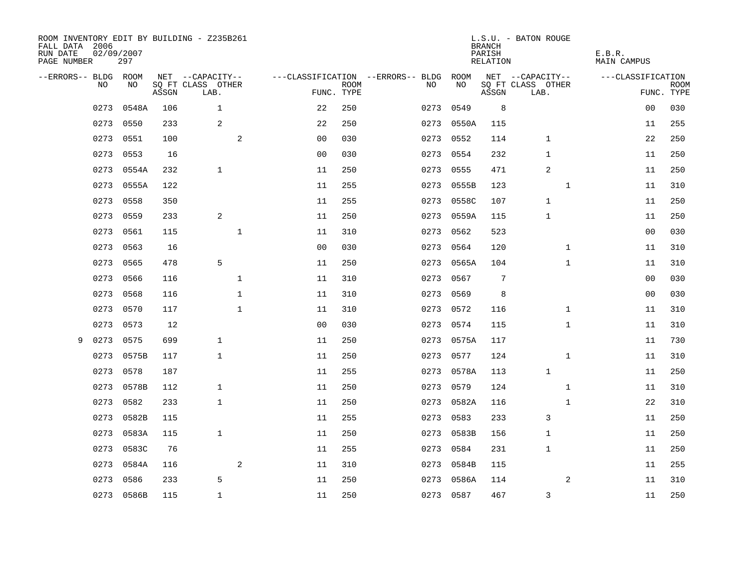| FALL DATA 2006<br>RUN DATE<br>PAGE NUMBER | 02/09/2007<br>297 |       | ROOM INVENTORY EDIT BY BUILDING - Z235B261 |                |                           |                                   |            | <b>BRANCH</b><br>PARISH<br>RELATION | L.S.U. - BATON ROUGE      | E.B.R.<br>MAIN CAMPUS |                           |
|-------------------------------------------|-------------------|-------|--------------------------------------------|----------------|---------------------------|-----------------------------------|------------|-------------------------------------|---------------------------|-----------------------|---------------------------|
| --ERRORS-- BLDG ROOM                      |                   |       | NET --CAPACITY--                           |                |                           | ---CLASSIFICATION --ERRORS-- BLDG | ROOM       |                                     | NET --CAPACITY--          | ---CLASSIFICATION     |                           |
| NO.                                       | NO.               | ASSGN | SQ FT CLASS OTHER<br>LAB.                  |                | <b>ROOM</b><br>FUNC. TYPE | NO.                               | NO         | ASSGN                               | SQ FT CLASS OTHER<br>LAB. |                       | <b>ROOM</b><br>FUNC. TYPE |
| 0273                                      | 0548A             | 106   | $\mathbf{1}$                               | 22             | 250                       | 0273                              | 0549       | 8                                   |                           | 0 <sub>0</sub>        | 030                       |
| 0273                                      | 0550              | 233   | 2                                          | 22             | 250                       | 0273                              | 0550A      | 115                                 |                           | 11                    | 255                       |
| 0273                                      | 0551              | 100   | 2                                          | 0 <sub>0</sub> | 030                       | 0273                              | 0552       | 114                                 | $\mathbf 1$               | 22                    | 250                       |
| 0273                                      | 0553              | 16    |                                            | 0 <sub>0</sub> | 030                       | 0273                              | 0554       | 232                                 | 1                         | 11                    | 250                       |
| 0273                                      | 0554A             | 232   | $\mathbf{1}$                               | 11             | 250                       | 0273                              | 0555       | 471                                 | 2                         | 11                    | 250                       |
| 0273                                      | 0555A             | 122   |                                            | 11             | 255                       |                                   | 0273 0555B | 123                                 | $\mathbf{1}$              | 11                    | 310                       |
| 0273                                      | 0558              | 350   |                                            | 11             | 255                       | 0273                              | 0558C      | 107                                 | $\mathbf 1$               | 11                    | 250                       |
| 0273                                      | 0559              | 233   | 2                                          | 11             | 250                       |                                   | 0273 0559A | 115                                 | $\mathbf 1$               | 11                    | 250                       |
| 0273                                      | 0561              | 115   | $\mathbf 1$                                | 11             | 310                       | 0273                              | 0562       | 523                                 |                           | 0 <sub>0</sub>        | 030                       |
| 0273                                      | 0563              | 16    |                                            | 0 <sub>0</sub> | 030                       |                                   | 0273 0564  | 120                                 | $\mathbf{1}$              | 11                    | 310                       |
| 0273                                      | 0565              | 478   | 5                                          | 11             | 250                       | 0273                              | 0565A      | 104                                 | $\mathbf{1}$              | 11                    | 310                       |
|                                           | 0273 0566         | 116   | $\mathbf 1$                                | 11             | 310                       | 0273                              | 0567       | 7                                   |                           | 00                    | 030                       |
| 0273                                      | 0568              | 116   | $\mathbf{1}$                               | 11             | 310                       | 0273                              | 0569       | 8                                   |                           | 0 <sub>0</sub>        | 030                       |
| 0273                                      | 0570              | 117   | $\mathbf 1$                                | 11             | 310                       |                                   | 0273 0572  | 116                                 | $\mathbf{1}$              | 11                    | 310                       |
| 0273                                      | 0573              | 12    |                                            | 0 <sub>0</sub> | 030                       | 0273                              | 0574       | 115                                 | $\mathbf{1}$              | 11                    | 310                       |
| 0273<br>9                                 | 0575              | 699   | $\mathbf{1}$                               | 11             | 250                       |                                   | 0273 0575A | 117                                 |                           | 11                    | 730                       |
| 0273                                      | 0575B             | 117   | $\mathbf{1}$                               | 11             | 250                       | 0273                              | 0577       | 124                                 | $\mathbf{1}$              | 11                    | 310                       |
| 0273                                      | 0578              | 187   |                                            | 11             | 255                       |                                   | 0273 0578A | 113                                 | $\mathbf 1$               | 11                    | 250                       |
| 0273                                      | 0578B             | 112   | $\mathbf{1}$                               | 11             | 250                       | 0273                              | 0579       | 124                                 | $\mathbf{1}$              | 11                    | 310                       |
| 0273                                      | 0582              | 233   | $\mathbf{1}$                               | 11             | 250                       | 0273                              | 0582A      | 116                                 | $\mathbf{1}$              | 22                    | 310                       |
| 0273                                      | 0582B             | 115   |                                            | 11             | 255                       |                                   | 0273 0583  | 233                                 | 3                         | 11                    | 250                       |
| 0273                                      | 0583A             | 115   | $\mathbf{1}$                               | 11             | 250                       | 0273                              | 0583B      | 156                                 | $\mathbf 1$               | 11                    | 250                       |
|                                           | 0273<br>0583C     | 76    |                                            | 11             | 255                       | 0273                              | 0584       | 231                                 | $\mathbf{1}$              | 11                    | 250                       |
| 0273                                      | 0584A             | 116   | 2                                          | 11             | 310                       | 0273                              | 0584B      | 115                                 |                           | 11                    | 255                       |
| 0273                                      | 0586              | 233   | 5                                          | 11             | 250                       | 0273                              | 0586A      | 114                                 | 2                         | 11                    | 310                       |
|                                           | 0273 0586B        | 115   | $\mathbf{1}$                               | 11             | 250                       |                                   | 0273 0587  | 467                                 | 3                         | 11                    | 250                       |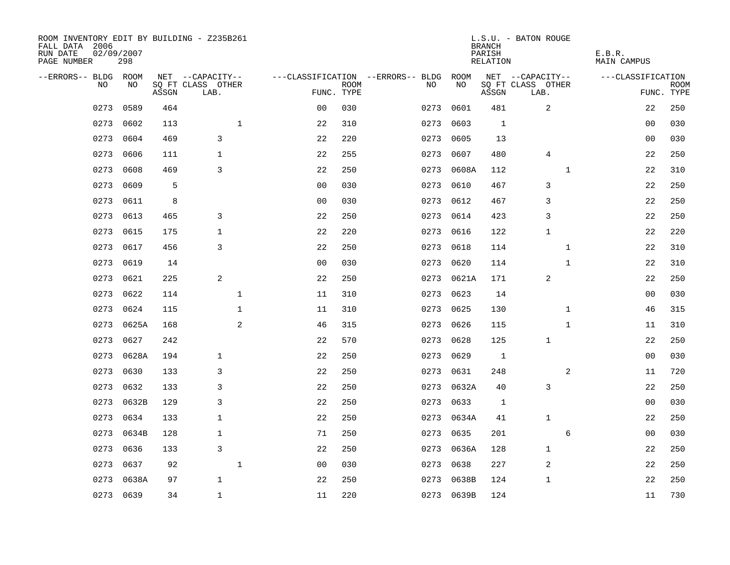| ROOM INVENTORY EDIT BY BUILDING - Z235B261<br>FALL DATA 2006<br>RUN DATE<br>PAGE NUMBER | 02/09/2007<br>298 |       |                           |                |             |                                   |           |            | <b>BRANCH</b><br>PARISH<br><b>RELATION</b> | L.S.U. - BATON ROUGE      |              | E.B.R.<br><b>MAIN CAMPUS</b> |                           |
|-----------------------------------------------------------------------------------------|-------------------|-------|---------------------------|----------------|-------------|-----------------------------------|-----------|------------|--------------------------------------------|---------------------------|--------------|------------------------------|---------------------------|
| --ERRORS-- BLDG ROOM                                                                    |                   |       | NET --CAPACITY--          |                |             | ---CLASSIFICATION --ERRORS-- BLDG |           | ROOM       |                                            | NET --CAPACITY--          |              | ---CLASSIFICATION            |                           |
| NO                                                                                      | NO                | ASSGN | SQ FT CLASS OTHER<br>LAB. | FUNC. TYPE     | <b>ROOM</b> |                                   | NO        | NO         | ASSGN                                      | SQ FT CLASS OTHER<br>LAB. |              |                              | <b>ROOM</b><br>FUNC. TYPE |
| 0273                                                                                    | 0589              | 464   |                           | 0 <sub>0</sub> | 030         |                                   | 0273      | 0601       | 481                                        | 2                         |              | 22                           | 250                       |
| 0273                                                                                    | 0602              | 113   | $\mathbf{1}$              | 22             | 310         |                                   | 0273      | 0603       | 1                                          |                           |              | 00                           | 030                       |
| 0273                                                                                    | 0604              | 469   | 3                         | 22             | 220         |                                   | 0273      | 0605       | 13                                         |                           |              | 00                           | 030                       |
| 0273                                                                                    | 0606              | 111   | $\mathbf{1}$              | 22             | 255         |                                   | 0273      | 0607       | 480                                        | $\overline{4}$            |              | 22                           | 250                       |
| 0273                                                                                    | 0608              | 469   | 3                         | 22             | 250         |                                   | 0273      | 0608A      | 112                                        |                           | $\mathbf{1}$ | 22                           | 310                       |
| 0273                                                                                    | 0609              | 5     |                           | 0 <sub>0</sub> | 030         |                                   | 0273      | 0610       | 467                                        | 3                         |              | 22                           | 250                       |
| 0273                                                                                    | 0611              | 8     |                           | 0 <sub>0</sub> | 030         |                                   | 0273      | 0612       | 467                                        | 3                         |              | 22                           | 250                       |
| 0273                                                                                    | 0613              | 465   | 3                         | 22             | 250         |                                   | 0273 0614 |            | 423                                        | 3                         |              | 22                           | 250                       |
| 0273                                                                                    | 0615              | 175   | $\mathbf{1}$              | 22             | 220         |                                   | 0273      | 0616       | 122                                        | $\mathbf{1}$              |              | 22                           | 220                       |
| 0273                                                                                    | 0617              | 456   | 3                         | 22             | 250         |                                   | 0273      | 0618       | 114                                        |                           | $\mathbf{1}$ | 22                           | 310                       |
| 0273                                                                                    | 0619              | 14    |                           | 0 <sub>0</sub> | 030         |                                   | 0273      | 0620       | 114                                        |                           | $\mathbf{1}$ | 22                           | 310                       |
| 0273                                                                                    | 0621              | 225   | 2                         | 22             | 250         |                                   |           | 0273 0621A | 171                                        | 2                         |              | 22                           | 250                       |
| 0273                                                                                    | 0622              | 114   | $\mathbf 1$               | 11             | 310         |                                   | 0273      | 0623       | 14                                         |                           |              | 00                           | 030                       |
| 0273                                                                                    | 0624              | 115   | $\mathbf 1$               | 11             | 310         |                                   | 0273      | 0625       | 130                                        |                           | $\mathbf{1}$ | 46                           | 315                       |
| 0273                                                                                    | 0625A             | 168   | 2                         | 46             | 315         |                                   | 0273      | 0626       | 115                                        |                           | $\mathbf{1}$ | 11                           | 310                       |
| 0273                                                                                    | 0627              | 242   |                           | 22             | 570         |                                   | 0273      | 0628       | 125                                        | 1                         |              | 22                           | 250                       |
| 0273                                                                                    | 0628A             | 194   | 1                         | 22             | 250         |                                   | 0273      | 0629       | 1                                          |                           |              | 0 <sub>0</sub>               | 030                       |
| 0273                                                                                    | 0630              | 133   | 3                         | 22             | 250         |                                   | 0273      | 0631       | 248                                        |                           | 2            | 11                           | 720                       |
| 0273                                                                                    | 0632              | 133   | 3                         | 22             | 250         |                                   |           | 0273 0632A | 40                                         | 3                         |              | 22                           | 250                       |
| 0273                                                                                    | 0632B             | 129   | 3                         | 22             | 250         |                                   | 0273      | 0633       | 1                                          |                           |              | 00                           | 030                       |
| 0273                                                                                    | 0634              | 133   | $\mathbf 1$               | 22             | 250         |                                   |           | 0273 0634A | 41                                         | $\mathbf{1}$              |              | 22                           | 250                       |
| 0273                                                                                    | 0634B             | 128   | $\mathbf{1}$              | 71             | 250         |                                   | 0273      | 0635       | 201                                        |                           | 6            | 00                           | 030                       |
| 0273                                                                                    | 0636              | 133   | 3                         | 22             | 250         |                                   | 0273      | 0636A      | 128                                        | $\mathbf 1$               |              | 22                           | 250                       |
| 0273                                                                                    | 0637              | 92    | $\mathbf{1}$              | 0 <sub>0</sub> | 030         |                                   | 0273      | 0638       | 227                                        | 2                         |              | 22                           | 250                       |
| 0273                                                                                    | 0638A             | 97    | $\mathbf{1}$              | 22             | 250         |                                   | 0273      | 0638B      | 124                                        | $\mathbf 1$               |              | 22                           | 250                       |
|                                                                                         | 0273 0639         | 34    | $\mathbf{1}$              | 11             | 220         |                                   |           | 0273 0639B | 124                                        |                           |              | 11                           | 730                       |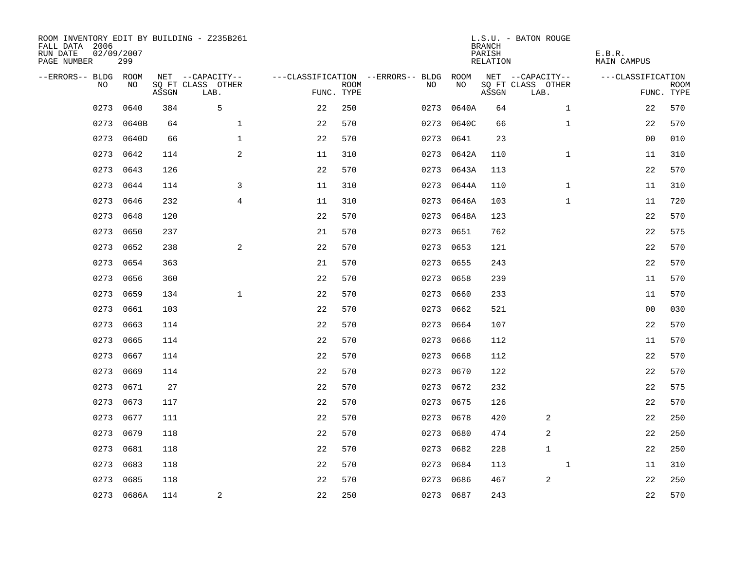| ROOM INVENTORY EDIT BY BUILDING - Z235B261<br>FALL DATA 2006<br>RUN DATE<br>PAGE NUMBER | 02/09/2007<br>299 |       |                           |            |             |                                        |            | <b>BRANCH</b><br>PARISH<br>RELATION | L.S.U. - BATON ROUGE      | E.B.R.<br><b>MAIN CAMPUS</b> |                           |
|-----------------------------------------------------------------------------------------|-------------------|-------|---------------------------|------------|-------------|----------------------------------------|------------|-------------------------------------|---------------------------|------------------------------|---------------------------|
| --ERRORS-- BLDG ROOM                                                                    |                   |       | NET --CAPACITY--          |            |             | ---CLASSIFICATION --ERRORS-- BLDG ROOM |            |                                     | NET --CAPACITY--          | ---CLASSIFICATION            |                           |
| NO.                                                                                     | NO.               | ASSGN | SQ FT CLASS OTHER<br>LAB. | FUNC. TYPE | <b>ROOM</b> | NO.                                    | NO         | ASSGN                               | SQ FT CLASS OTHER<br>LAB. |                              | <b>ROOM</b><br>FUNC. TYPE |
| 0273                                                                                    | 0640              | 384   | 5                         | 22         | 250         | 0273                                   | 0640A      | 64                                  | $\mathbf{1}$              | 22                           | 570                       |
| 0273                                                                                    | 0640B             | 64    | $\mathbf{1}$              | 22         | 570         |                                        | 0273 0640C | 66                                  | $\mathbf{1}$              | 22                           | 570                       |
|                                                                                         | 0273 0640D        | 66    | $\mathbf 1$               | 22         | 570         | 0273                                   | 0641       | 23                                  |                           | 0 <sub>0</sub>               | 010                       |
|                                                                                         | 0273 0642         | 114   | 2                         | 11         | 310         |                                        | 0273 0642A | 110                                 | $\mathbf{1}$              | 11                           | 310                       |
| 0273                                                                                    | 0643              | 126   |                           | 22         | 570         | 0273                                   | 0643A      | 113                                 |                           | 22                           | 570                       |
| 0273                                                                                    | 0644              | 114   | 3                         | 11         | 310         |                                        | 0273 0644A | 110                                 | $\mathbf{1}$              | 11                           | 310                       |
| 0273                                                                                    | 0646              | 232   | $\overline{4}$            | 11         | 310         |                                        | 0273 0646A | 103                                 | $\mathbf{1}$              | 11                           | 720                       |
| 0273                                                                                    | 0648              | 120   |                           | 22         | 570         |                                        | 0273 0648A | 123                                 |                           | 22                           | 570                       |
| 0273                                                                                    | 0650              | 237   |                           | 21         | 570         | 0273                                   | 0651       | 762                                 |                           | 22                           | 575                       |
|                                                                                         | 0273 0652         | 238   | 2                         | 22         | 570         |                                        | 0273 0653  | 121                                 |                           | 22                           | 570                       |
| 0273                                                                                    | 0654              | 363   |                           | 21         | 570         |                                        | 0273 0655  | 243                                 |                           | 22                           | 570                       |
|                                                                                         | 0273 0656         | 360   |                           | 22         | 570         |                                        | 0273 0658  | 239                                 |                           | 11                           | 570                       |
| 0273                                                                                    | 0659              | 134   | $\mathbf{1}$              | 22         | 570         | 0273                                   | 0660       | 233                                 |                           | 11                           | 570                       |
| 0273                                                                                    | 0661              | 103   |                           | 22         | 570         |                                        | 0273 0662  | 521                                 |                           | 00                           | 030                       |
| 0273                                                                                    | 0663              | 114   |                           | 22         | 570         | 0273                                   | 0664       | 107                                 |                           | 22                           | 570                       |
| 0273                                                                                    | 0665              | 114   |                           | 22         | 570         |                                        | 0273 0666  | 112                                 |                           | 11                           | 570                       |
| 0273                                                                                    | 0667              | 114   |                           | 22         | 570         | 0273                                   | 0668       | 112                                 |                           | 22                           | 570                       |
| 0273                                                                                    | 0669              | 114   |                           | 22         | 570         | 0273                                   | 0670       | 122                                 |                           | 22                           | 570                       |
|                                                                                         | 0273 0671         | 27    |                           | 22         | 570         |                                        | 0273 0672  | 232                                 |                           | 22                           | 575                       |
| 0273                                                                                    | 0673              | 117   |                           | 22         | 570         |                                        | 0273 0675  | 126                                 |                           | 22                           | 570                       |
|                                                                                         | 0273 0677         | 111   |                           | 22         | 570         |                                        | 0273 0678  | 420                                 | 2                         | 22                           | 250                       |
| 0273                                                                                    | 0679              | 118   |                           | 22         | 570         | 0273                                   | 0680       | 474                                 | 2                         | 22                           | 250                       |
| 0273                                                                                    | 0681              | 118   |                           | 22         | 570         |                                        | 0273 0682  | 228                                 | $\mathbf{1}$              | 22                           | 250                       |
| 0273                                                                                    | 0683              | 118   |                           | 22         | 570         |                                        | 0273 0684  | 113                                 | $\mathbf{1}$              | 11                           | 310                       |
|                                                                                         | 0273 0685         | 118   |                           | 22         | 570         |                                        | 0273 0686  | 467                                 | 2                         | 22                           | 250                       |
|                                                                                         | 0273 0686A        | 114   | $\overline{a}$            | 22         | 250         |                                        | 0273 0687  | 243                                 |                           | 22                           | 570                       |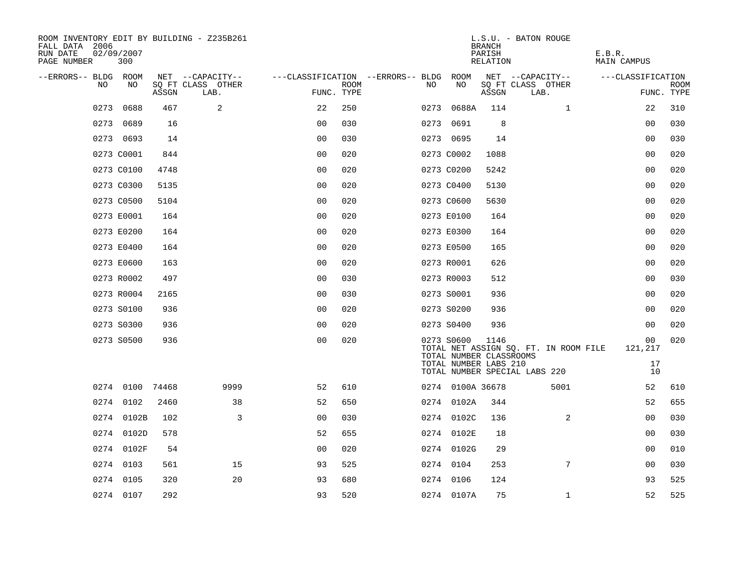| ROOM INVENTORY EDIT BY BUILDING - Z235B261<br>FALL DATA 2006<br>RUN DATE<br>PAGE NUMBER | 02/09/2007<br>300 |       |                           |                                   |             |      |                                                                | <b>BRANCH</b><br>PARISH<br>RELATION | L.S.U. - BATON ROUGE                  | E.B.R.<br><b>MAIN CAMPUS</b> |                           |
|-----------------------------------------------------------------------------------------|-------------------|-------|---------------------------|-----------------------------------|-------------|------|----------------------------------------------------------------|-------------------------------------|---------------------------------------|------------------------------|---------------------------|
| --ERRORS-- BLDG ROOM                                                                    |                   |       | NET --CAPACITY--          | ---CLASSIFICATION --ERRORS-- BLDG |             |      | ROOM<br>NO                                                     |                                     | NET --CAPACITY--                      | ---CLASSIFICATION            |                           |
| NO.                                                                                     | NO                | ASSGN | SQ FT CLASS OTHER<br>LAB. | FUNC. TYPE                        | <b>ROOM</b> | NO.  |                                                                | ASSGN                               | SQ FT CLASS OTHER<br>LAB.             |                              | <b>ROOM</b><br>FUNC. TYPE |
| 0273                                                                                    | 0688              | 467   | 2                         | 22                                | 250         | 0273 | 0688A                                                          | 114                                 | $\mathbf{1}$                          | 22                           | 310                       |
|                                                                                         | 0273 0689         | 16    |                           | 0 <sub>0</sub>                    | 030         |      | 0273 0691                                                      | 8                                   |                                       | 00                           | 030                       |
|                                                                                         | 0273 0693         | 14    |                           | 0 <sub>0</sub>                    | 030         |      | 0273 0695                                                      | 14                                  |                                       | 00                           | 030                       |
|                                                                                         | 0273 C0001        | 844   |                           | 0 <sub>0</sub>                    | 020         |      | 0273 C0002                                                     | 1088                                |                                       | 0 <sub>0</sub>               | 020                       |
|                                                                                         | 0273 C0100        | 4748  |                           | 0 <sub>0</sub>                    | 020         |      | 0273 C0200                                                     | 5242                                |                                       | 0 <sub>0</sub>               | 020                       |
|                                                                                         | 0273 C0300        | 5135  |                           | 0 <sub>0</sub>                    | 020         |      | 0273 C0400                                                     | 5130                                |                                       | 0 <sub>0</sub>               | 020                       |
|                                                                                         | 0273 C0500        | 5104  |                           | 0 <sub>0</sub>                    | 020         |      | 0273 C0600                                                     | 5630                                |                                       | 0 <sub>0</sub>               | 020                       |
|                                                                                         | 0273 E0001        | 164   |                           | 0 <sub>0</sub>                    | 020         |      | 0273 E0100                                                     | 164                                 |                                       | 0 <sub>0</sub>               | 020                       |
|                                                                                         | 0273 E0200        | 164   |                           | 00                                | 020         |      | 0273 E0300                                                     | 164                                 |                                       | 00                           | 020                       |
|                                                                                         | 0273 E0400        | 164   |                           | 0 <sub>0</sub>                    | 020         |      | 0273 E0500                                                     | 165                                 |                                       | 00                           | 020                       |
|                                                                                         | 0273 E0600        | 163   |                           | 0 <sub>0</sub>                    | 020         |      | 0273 R0001                                                     | 626                                 |                                       | 0 <sub>0</sub>               | 020                       |
|                                                                                         | 0273 R0002        | 497   |                           | 0 <sub>0</sub>                    | 030         |      | 0273 R0003                                                     | 512                                 |                                       | 0 <sub>0</sub>               | 030                       |
|                                                                                         | 0273 R0004        | 2165  |                           | 0 <sub>0</sub>                    | 030         |      | 0273 S0001                                                     | 936                                 |                                       | 0 <sub>0</sub>               | 020                       |
|                                                                                         | 0273 S0100        | 936   |                           | 00                                | 020         |      | 0273 S0200                                                     | 936                                 |                                       | 0 <sub>0</sub>               | 020                       |
|                                                                                         | 0273 S0300        | 936   |                           | 0 <sub>0</sub>                    | 020         |      | 0273 S0400                                                     | 936                                 |                                       | 00                           | 020                       |
|                                                                                         | 0273 S0500        | 936   |                           | 0 <sub>0</sub>                    | 020         |      | 0273 S0600<br>TOTAL NUMBER CLASSROOMS<br>TOTAL NUMBER LABS 210 | 1146                                | TOTAL NET ASSIGN SQ. FT. IN ROOM FILE | 00<br>121,217<br>17          | 020                       |
|                                                                                         |                   |       |                           |                                   |             |      |                                                                |                                     | TOTAL NUMBER SPECIAL LABS 220         | 10                           |                           |
|                                                                                         | 0274 0100         | 74468 | 9999                      | 52                                | 610         |      | 0274 0100A 36678                                               |                                     | 5001                                  | 52                           | 610                       |
|                                                                                         | 0274 0102         | 2460  | 38                        | 52                                | 650         |      | 0274 0102A                                                     | 344                                 |                                       | 52                           | 655                       |
|                                                                                         | 0274 0102B        | 102   | 3                         | 0 <sub>0</sub>                    | 030         |      | 0274 0102C                                                     | 136                                 | $\overline{2}$                        | 0 <sub>0</sub>               | 030                       |
|                                                                                         | 0274 0102D        | 578   |                           | 52                                | 655         |      | 0274 0102E                                                     | 18                                  |                                       | 00                           | 030                       |
|                                                                                         | 0274 0102F        | 54    |                           | 0 <sub>0</sub>                    | 020         |      | 0274 0102G                                                     | 29                                  |                                       | 00                           | 010                       |
|                                                                                         | 0274 0103         | 561   | 15                        | 93                                | 525         |      | 0274 0104                                                      | 253                                 | 7                                     | 00                           | 030                       |
|                                                                                         | 0274 0105         | 320   | 20                        | 93                                | 680         |      | 0274 0106                                                      | 124                                 |                                       | 93                           | 525                       |
|                                                                                         | 0274 0107         | 292   |                           | 93                                | 520         |      | 0274 0107A                                                     | 75                                  | $\mathbf{1}$                          | 52                           | 525                       |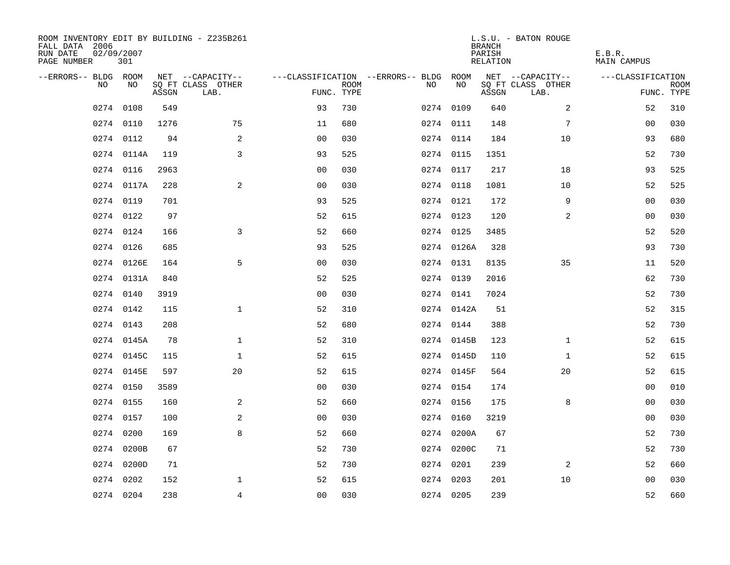| ROOM INVENTORY EDIT BY BUILDING - Z235B261<br>FALL DATA 2006<br>RUN DATE<br>PAGE NUMBER | 02/09/2007<br>301 |       |                           |                |             |                                   |            | <b>BRANCH</b><br>PARISH<br>RELATION | L.S.U. - BATON ROUGE      | E.B.R.<br><b>MAIN CAMPUS</b> |                           |
|-----------------------------------------------------------------------------------------|-------------------|-------|---------------------------|----------------|-------------|-----------------------------------|------------|-------------------------------------|---------------------------|------------------------------|---------------------------|
| --ERRORS-- BLDG ROOM                                                                    |                   |       | NET --CAPACITY--          |                |             | ---CLASSIFICATION --ERRORS-- BLDG | ROOM       |                                     | NET --CAPACITY--          | ---CLASSIFICATION            |                           |
| N <sub>O</sub>                                                                          | NO.               | ASSGN | SO FT CLASS OTHER<br>LAB. | FUNC. TYPE     | <b>ROOM</b> | NO.                               | NO         | ASSGN                               | SQ FT CLASS OTHER<br>LAB. |                              | <b>ROOM</b><br>FUNC. TYPE |
| 0274                                                                                    | 0108              | 549   |                           | 93             | 730         |                                   | 0274 0109  | 640                                 | $\overline{2}$            | 52                           | 310                       |
|                                                                                         | 0274 0110         | 1276  | 75                        | 11             | 680         |                                   | 0274 0111  | 148                                 | 7                         | 00                           | 030                       |
|                                                                                         | 0274 0112         | 94    | 2                         | 0 <sub>0</sub> | 030         |                                   | 0274 0114  | 184                                 | 10                        | 93                           | 680                       |
|                                                                                         | 0274 0114A        | 119   | $\overline{3}$            | 93             | 525         |                                   | 0274 0115  | 1351                                |                           | 52                           | 730                       |
| 0274                                                                                    | 0116              | 2963  |                           | 00             | 030         |                                   | 0274 0117  | 217                                 | 18                        | 93                           | 525                       |
|                                                                                         | 0274 0117A        | 228   | $\mathbf{2}$              | 0 <sub>0</sub> | 030         |                                   | 0274 0118  | 1081                                | 10                        | 52                           | 525                       |
| 0274                                                                                    | 0119              | 701   |                           | 93             | 525         |                                   | 0274 0121  | 172                                 | 9                         | 0 <sub>0</sub>               | 030                       |
|                                                                                         | 0274 0122         | 97    |                           | 52             | 615         |                                   | 0274 0123  | 120                                 | $\overline{a}$            | 0 <sub>0</sub>               | 030                       |
|                                                                                         | 0274 0124         | 166   | $\overline{3}$            | 52             | 660         |                                   | 0274 0125  | 3485                                |                           | 52                           | 520                       |
|                                                                                         | 0274 0126         | 685   |                           | 93             | 525         |                                   | 0274 0126A | 328                                 |                           | 93                           | 730                       |
|                                                                                         | 0274 0126E        | 164   | 5                         | 0 <sub>0</sub> | 030         |                                   | 0274 0131  | 8135                                | 35                        | 11                           | 520                       |
|                                                                                         | 0274 0131A        | 840   |                           | 52             | 525         |                                   | 0274 0139  | 2016                                |                           | 62                           | 730                       |
| 0274                                                                                    | 0140              | 3919  |                           | 0 <sub>0</sub> | 030         |                                   | 0274 0141  | 7024                                |                           | 52                           | 730                       |
|                                                                                         | 0274 0142         | 115   | $\mathbf{1}$              | 52             | 310         |                                   | 0274 0142A | 51                                  |                           | 52                           | 315                       |
| 0274                                                                                    | 0143              | 208   |                           | 52             | 680         |                                   | 0274 0144  | 388                                 |                           | 52                           | 730                       |
|                                                                                         | 0274 0145A        | 78    | $\mathbf 1$               | 52             | 310         |                                   | 0274 0145B | 123                                 | $\mathbf{1}$              | 52                           | 615                       |
| 0274                                                                                    | 0145C             | 115   | $\mathbf 1$               | 52             | 615         |                                   | 0274 0145D | 110                                 | $\mathbf{1}$              | 52                           | 615                       |
| 0274                                                                                    | 0145E             | 597   | 20                        | 52             | 615         |                                   | 0274 0145F | 564                                 | 20                        | 52                           | 615                       |
|                                                                                         | 0274 0150         | 3589  |                           | 0 <sub>0</sub> | 030         |                                   | 0274 0154  | 174                                 |                           | 00                           | 010                       |
|                                                                                         | 0274 0155         | 160   | 2                         | 52             | 660         |                                   | 0274 0156  | 175                                 | 8                         | 0 <sub>0</sub>               | 030                       |
|                                                                                         | 0274 0157         | 100   | 2                         | 0 <sub>0</sub> | 030         |                                   | 0274 0160  | 3219                                |                           | 00                           | 030                       |
| 0274                                                                                    | 0200              | 169   | 8                         | 52             | 660         |                                   | 0274 0200A | 67                                  |                           | 52                           | 730                       |
|                                                                                         | 0274 0200B        | 67    |                           | 52             | 730         |                                   | 0274 0200C | 71                                  |                           | 52                           | 730                       |
|                                                                                         | 0274 0200D        | 71    |                           | 52             | 730         |                                   | 0274 0201  | 239                                 | 2                         | 52                           | 660                       |
| 0274                                                                                    | 0202              | 152   | 1                         | 52             | 615         |                                   | 0274 0203  | 201                                 | 10                        | 00                           | 030                       |
|                                                                                         | 0274 0204         | 238   | $\overline{4}$            | 0 <sub>0</sub> | 030         |                                   | 0274 0205  | 239                                 |                           | 52                           | 660                       |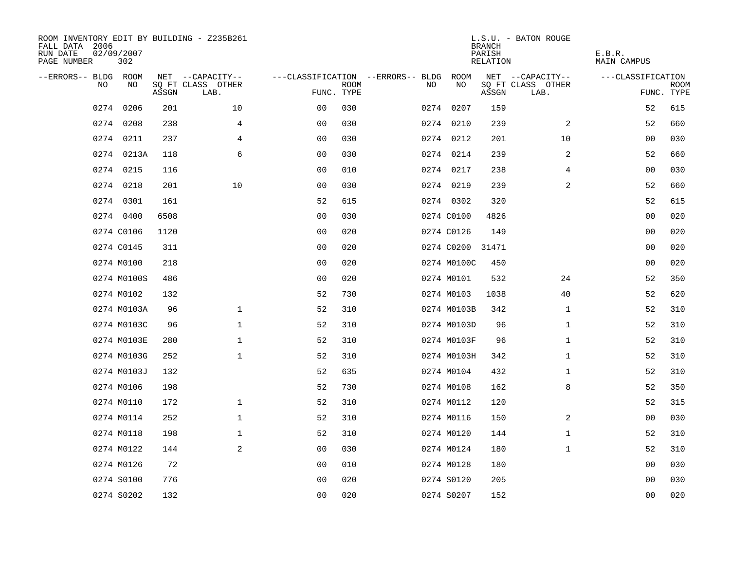| ROOM INVENTORY EDIT BY BUILDING - Z235B261<br>FALL DATA 2006<br>RUN DATE<br>PAGE NUMBER | 02/09/2007<br>302 |       |                           |                |             |                                   |    |             | <b>BRANCH</b><br>PARISH<br><b>RELATION</b> | L.S.U. - BATON ROUGE      | E.B.R.<br><b>MAIN CAMPUS</b> |                           |
|-----------------------------------------------------------------------------------------|-------------------|-------|---------------------------|----------------|-------------|-----------------------------------|----|-------------|--------------------------------------------|---------------------------|------------------------------|---------------------------|
| --ERRORS-- BLDG ROOM                                                                    |                   |       | NET --CAPACITY--          |                |             | ---CLASSIFICATION --ERRORS-- BLDG |    | ROOM        |                                            | NET --CAPACITY--          | ---CLASSIFICATION            |                           |
| NO                                                                                      | NO                | ASSGN | SQ FT CLASS OTHER<br>LAB. | FUNC. TYPE     | <b>ROOM</b> |                                   | NO | NO          | ASSGN                                      | SQ FT CLASS OTHER<br>LAB. |                              | <b>ROOM</b><br>FUNC. TYPE |
| 0274                                                                                    | 0206              | 201   | 10                        | 00             | 030         |                                   |    | 0274 0207   | 159                                        |                           | 52                           | 615                       |
|                                                                                         | 0274 0208         | 238   | 4                         | 0 <sub>0</sub> | 030         |                                   |    | 0274 0210   | 239                                        | 2                         | 52                           | 660                       |
|                                                                                         | 0274 0211         | 237   | 4                         | 0 <sub>0</sub> | 030         |                                   |    | 0274 0212   | 201                                        | 10                        | 00                           | 030                       |
|                                                                                         | 0274 0213A        | 118   | 6                         | 0 <sub>0</sub> | 030         |                                   |    | 0274 0214   | 239                                        | 2                         | 52                           | 660                       |
| 0274                                                                                    | 0215              | 116   |                           | 00             | 010         |                                   |    | 0274 0217   | 238                                        | $\overline{4}$            | 0 <sub>0</sub>               | 030                       |
|                                                                                         | 0274 0218         | 201   | 10                        | 00             | 030         |                                   |    | 0274 0219   | 239                                        | 2                         | 52                           | 660                       |
|                                                                                         | 0274 0301         | 161   |                           | 52             | 615         |                                   |    | 0274 0302   | 320                                        |                           | 52                           | 615                       |
|                                                                                         | 0274 0400         | 6508  |                           | 0 <sub>0</sub> | 030         |                                   |    | 0274 C0100  | 4826                                       |                           | 0 <sub>0</sub>               | 020                       |
|                                                                                         | 0274 C0106        | 1120  |                           | 0 <sub>0</sub> | 020         |                                   |    | 0274 C0126  | 149                                        |                           | 00                           | 020                       |
|                                                                                         | 0274 C0145        | 311   |                           | 0 <sub>0</sub> | 020         |                                   |    | 0274 C0200  | 31471                                      |                           | 00                           | 020                       |
|                                                                                         | 0274 M0100        | 218   |                           | 0 <sub>0</sub> | 020         |                                   |    | 0274 M0100C | 450                                        |                           | 0 <sub>0</sub>               | 020                       |
|                                                                                         | 0274 M0100S       | 486   |                           | 0 <sub>0</sub> | 020         |                                   |    | 0274 M0101  | 532                                        | 24                        | 52                           | 350                       |
|                                                                                         | 0274 M0102        | 132   |                           | 52             | 730         |                                   |    | 0274 M0103  | 1038                                       | 40                        | 52                           | 620                       |
|                                                                                         | 0274 M0103A       | 96    | $\mathbf 1$               | 52             | 310         |                                   |    | 0274 M0103B | 342                                        | $\mathbf{1}$              | 52                           | 310                       |
|                                                                                         | 0274 M0103C       | 96    | $\mathbf 1$               | 52             | 310         |                                   |    | 0274 M0103D | 96                                         | $\mathbf{1}$              | 52                           | 310                       |
|                                                                                         | 0274 M0103E       | 280   | $\mathbf 1$               | 52             | 310         |                                   |    | 0274 M0103F | 96                                         | $\mathbf{1}$              | 52                           | 310                       |
|                                                                                         | 0274 M0103G       | 252   | $\mathbf{1}$              | 52             | 310         |                                   |    | 0274 M0103H | 342                                        | $\mathbf{1}$              | 52                           | 310                       |
|                                                                                         | 0274 M0103J       | 132   |                           | 52             | 635         |                                   |    | 0274 M0104  | 432                                        | $\mathbf{1}$              | 52                           | 310                       |
|                                                                                         | 0274 M0106        | 198   |                           | 52             | 730         |                                   |    | 0274 M0108  | 162                                        | 8                         | 52                           | 350                       |
|                                                                                         | 0274 M0110        | 172   | $\mathbf 1$               | 52             | 310         |                                   |    | 0274 M0112  | 120                                        |                           | 52                           | 315                       |
|                                                                                         | 0274 M0114        | 252   | $\mathbf 1$               | 52             | 310         |                                   |    | 0274 M0116  | 150                                        | 2                         | 00                           | 030                       |
|                                                                                         | 0274 M0118        | 198   | $\mathbf 1$               | 52             | 310         |                                   |    | 0274 M0120  | 144                                        | $\mathbf{1}$              | 52                           | 310                       |
|                                                                                         | 0274 M0122        | 144   | 2                         | 0 <sub>0</sub> | 030         |                                   |    | 0274 M0124  | 180                                        | $\mathbf{1}$              | 52                           | 310                       |
|                                                                                         | 0274 M0126        | 72    |                           | 0 <sub>0</sub> | 010         |                                   |    | 0274 M0128  | 180                                        |                           | 00                           | 030                       |
|                                                                                         | 0274 S0100        | 776   |                           | 0 <sub>0</sub> | 020         |                                   |    | 0274 S0120  | 205                                        |                           | 00                           | 030                       |
|                                                                                         | 0274 S0202        | 132   |                           | 0 <sub>0</sub> | 020         |                                   |    | 0274 S0207  | 152                                        |                           | 0 <sub>0</sub>               | 020                       |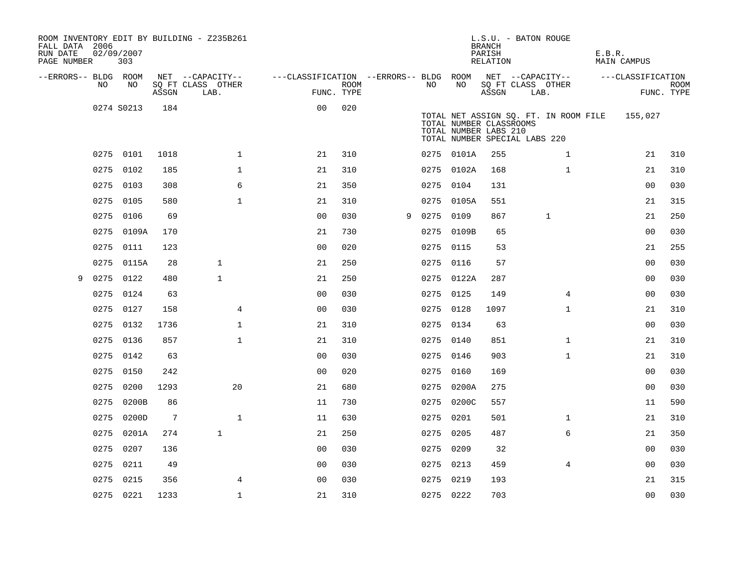| FALL DATA 2006<br>RUN DATE<br>PAGE NUMBER | 02/09/2007 | 303        |       | ROOM INVENTORY EDIT BY BUILDING - Z235B261 |                                        |                    |   |           |            | L.S.U. - BATON ROUGE<br><b>BRANCH</b><br>PARISH<br>RELATION                                                                |                           |              | E.B.R. | <b>MAIN CAMPUS</b> |                           |
|-------------------------------------------|------------|------------|-------|--------------------------------------------|----------------------------------------|--------------------|---|-----------|------------|----------------------------------------------------------------------------------------------------------------------------|---------------------------|--------------|--------|--------------------|---------------------------|
| --ERRORS-- BLDG ROOM                      |            |            |       | NET --CAPACITY--                           | ---CLASSIFICATION --ERRORS-- BLDG ROOM |                    |   |           |            | NET --CAPACITY--                                                                                                           |                           |              |        | ---CLASSIFICATION  |                           |
|                                           | NO.        | NO         | ASSGN | SQ FT CLASS OTHER<br>LAB.                  |                                        | ROOM<br>FUNC. TYPE |   | NO.       | NO         | ASSGN                                                                                                                      | SQ FT CLASS OTHER<br>LAB. |              |        |                    | <b>ROOM</b><br>FUNC. TYPE |
|                                           |            | 0274 S0213 | 184   |                                            | 0 <sub>0</sub>                         | 020                |   |           |            | TOTAL NET ASSIGN SQ. FT. IN ROOM FILE<br>TOTAL NUMBER CLASSROOMS<br>TOTAL NUMBER LABS 210<br>TOTAL NUMBER SPECIAL LABS 220 |                           |              |        | 155,027            |                           |
|                                           |            | 0275 0101  | 1018  | $\mathbf{1}$                               | 21                                     | 310                |   |           | 0275 0101A | 255                                                                                                                        |                           | $\mathbf{1}$ |        | 21                 | 310                       |
|                                           | 0275       | 0102       | 185   | $\mathbf 1$                                | 21                                     | 310                |   |           | 0275 0102A | 168                                                                                                                        |                           | $\mathbf{1}$ |        | 21                 | 310                       |
|                                           |            | 0275 0103  | 308   | 6                                          | 21                                     | 350                |   | 0275 0104 |            | 131                                                                                                                        |                           |              |        | 00                 | 030                       |
|                                           | 0275       | 0105       | 580   | $\mathbf{1}$                               | 21                                     | 310                |   |           | 0275 0105A | 551                                                                                                                        |                           |              |        | 21                 | 315                       |
|                                           | 0275       | 0106       | 69    |                                            | 0 <sub>0</sub>                         | 030                | 9 | 0275      | 0109       | 867                                                                                                                        | $\mathbf 1$               |              |        | 21                 | 250                       |
|                                           | 0275       | 0109A      | 170   |                                            | 21                                     | 730                |   |           | 0275 0109B | 65                                                                                                                         |                           |              |        | 0 <sub>0</sub>     | 030                       |
|                                           |            | 0275 0111  | 123   |                                            | 0 <sub>0</sub>                         | 020                |   | 0275 0115 |            | 53                                                                                                                         |                           |              |        | 21                 | 255                       |
|                                           | 0275       | 0115A      | 28    | $\mathbf{1}$                               | 21                                     | 250                |   | 0275 0116 |            | 57                                                                                                                         |                           |              |        | 0 <sub>0</sub>     | 030                       |
| 9                                         | 0275 0122  |            | 480   | $\mathbf{1}$                               | 21                                     | 250                |   |           | 0275 0122A | 287                                                                                                                        |                           |              |        | 0 <sub>0</sub>     | 030                       |
|                                           | 0275       | 0124       | 63    |                                            | 0 <sub>0</sub>                         | 030                |   | 0275 0125 |            | 149                                                                                                                        |                           | 4            |        | 00                 | 030                       |
|                                           | 0275       | 0127       | 158   | 4                                          | 0 <sub>0</sub>                         | 030                |   | 0275 0128 |            | 1097                                                                                                                       |                           | $\mathbf{1}$ |        | 21                 | 310                       |
|                                           |            | 0275 0132  | 1736  | $\mathbf{1}$                               | 21                                     | 310                |   | 0275 0134 |            | 63                                                                                                                         |                           |              |        | 0 <sub>0</sub>     | 030                       |
|                                           |            | 0275 0136  | 857   | $\mathbf{1}$                               | 21                                     | 310                |   | 0275 0140 |            | 851                                                                                                                        |                           | $\mathbf{1}$ |        | 21                 | 310                       |
|                                           |            | 0275 0142  | 63    |                                            | 0 <sub>0</sub>                         | 030                |   | 0275 0146 |            | 903                                                                                                                        |                           | $\mathbf{1}$ |        | 21                 | 310                       |
|                                           | 0275       | 0150       | 242   |                                            | 0 <sub>0</sub>                         | 020                |   | 0275      | 0160       | 169                                                                                                                        |                           |              |        | 0 <sub>0</sub>     | 030                       |
|                                           |            | 0275 0200  | 1293  | 20                                         | 21                                     | 680                |   |           | 0275 0200A | 275                                                                                                                        |                           |              |        | 0 <sub>0</sub>     | 030                       |
|                                           | 0275       | 0200B      | 86    |                                            | 11                                     | 730                |   |           | 0275 0200C | 557                                                                                                                        |                           |              |        | 11                 | 590                       |
|                                           |            | 0275 0200D | 7     | $\mathbf{1}$                               | 11                                     | 630                |   | 0275 0201 |            | 501                                                                                                                        |                           | $\mathbf{1}$ |        | 21                 | 310                       |
|                                           | 0275       | 0201A      | 274   | $\mathbf{1}$                               | 21                                     | 250                |   | 0275      | 0205       | 487                                                                                                                        |                           | 6            |        | 21                 | 350                       |
|                                           | 0275       | 0207       | 136   |                                            | 0 <sub>0</sub>                         | 030                |   | 0275 0209 |            | 32                                                                                                                         |                           |              |        | 00                 | 030                       |
|                                           | 0275       | 0211       | 49    |                                            | 00                                     | 030                |   | 0275 0213 |            | 459                                                                                                                        |                           | 4            |        | 00                 | 030                       |
|                                           | 0275 0215  |            | 356   | 4                                          | 0 <sub>0</sub>                         | 030                |   | 0275 0219 |            | 193                                                                                                                        |                           |              |        | 21                 | 315                       |
|                                           |            | 0275 0221  | 1233  | $\mathbf{1}$                               | 21                                     | 310                |   | 0275 0222 |            | 703                                                                                                                        |                           |              |        | 0 <sub>0</sub>     | 030                       |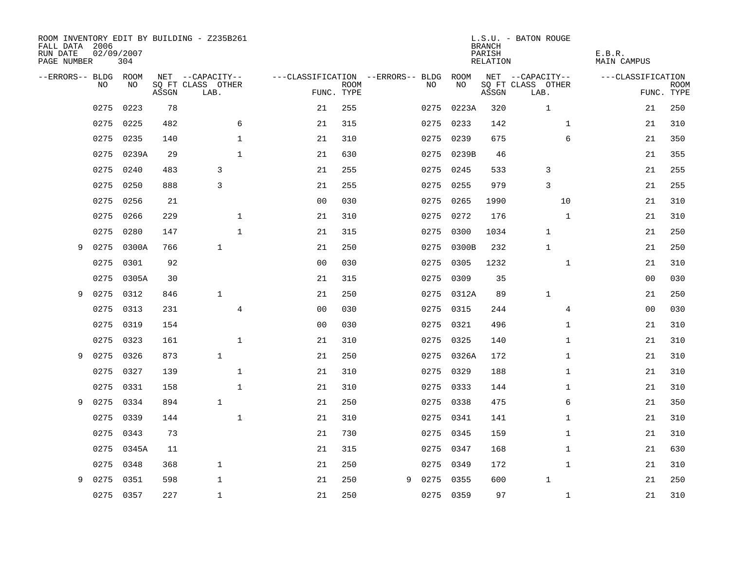| FALL DATA 2006<br>RUN DATE<br>PAGE NUMBER | 02/09/2007 | 304       |       | ROOM INVENTORY EDIT BY BUILDING - Z235B261 |                |             |                                   |           |            | <b>BRANCH</b><br>PARISH<br>RELATION | L.S.U. - BATON ROUGE      | E.B.R.<br>MAIN CAMPUS |                           |
|-------------------------------------------|------------|-----------|-------|--------------------------------------------|----------------|-------------|-----------------------------------|-----------|------------|-------------------------------------|---------------------------|-----------------------|---------------------------|
| --ERRORS-- BLDG ROOM                      |            |           |       | NET --CAPACITY--                           |                |             | ---CLASSIFICATION --ERRORS-- BLDG |           | ROOM       |                                     | NET --CAPACITY--          | ---CLASSIFICATION     |                           |
|                                           | NO.        | NO.       | ASSGN | SQ FT CLASS OTHER<br>LAB.                  | FUNC. TYPE     | <b>ROOM</b> |                                   | NO.       | NO         | ASSGN                               | SQ FT CLASS OTHER<br>LAB. |                       | <b>ROOM</b><br>FUNC. TYPE |
|                                           | 0275       | 0223      | 78    |                                            | 21             | 255         |                                   | 0275      | 0223A      | 320                                 | $\mathbf{1}$              | 21                    | 250                       |
|                                           | 0275       | 0225      | 482   | 6                                          | 21             | 315         |                                   | 0275      | 0233       | 142                                 | $\mathbf{1}$              | 21                    | 310                       |
|                                           | 0275       | 0235      | 140   | $\mathbf 1$                                | 21             | 310         |                                   | 0275      | 0239       | 675                                 | 6                         | 21                    | 350                       |
|                                           | 0275       | 0239A     | 29    | $\mathbf{1}$                               | 21             | 630         |                                   |           | 0275 0239B | 46                                  |                           | 21                    | 355                       |
|                                           | 0275       | 0240      | 483   | 3                                          | 21             | 255         |                                   | 0275      | 0245       | 533                                 | 3                         | 21                    | 255                       |
|                                           | 0275       | 0250      | 888   | 3                                          | 21             | 255         |                                   | 0275      | 0255       | 979                                 | 3                         | 21                    | 255                       |
|                                           | 0275       | 0256      | 21    |                                            | 0 <sub>0</sub> | 030         |                                   | 0275      | 0265       | 1990                                | 10                        | 21                    | 310                       |
|                                           | 0275       | 0266      | 229   | $\mathbf{1}$                               | 21             | 310         |                                   | 0275      | 0272       | 176                                 | $\mathbf{1}$              | 21                    | 310                       |
|                                           | 0275       | 0280      | 147   | $\mathbf{1}$                               | 21             | 315         |                                   | 0275      | 0300       | 1034                                | $\mathbf 1$               | 21                    | 250                       |
| 9                                         | 0275       | 0300A     | 766   | $\mathbf{1}$                               | 21             | 250         |                                   | 0275      | 0300B      | 232                                 | $\mathbf{1}$              | 21                    | 250                       |
|                                           | 0275       | 0301      | 92    |                                            | 0 <sub>0</sub> | 030         |                                   | 0275      | 0305       | 1232                                | $\mathbf{1}$              | 21                    | 310                       |
|                                           | 0275       | 0305A     | 30    |                                            | 21             | 315         |                                   | 0275      | 0309       | 35                                  |                           | 00                    | 030                       |
| 9                                         | 0275       | 0312      | 846   | $\mathbf{1}$                               | 21             | 250         |                                   |           | 0275 0312A | 89                                  | $\mathbf 1$               | 21                    | 250                       |
|                                           | 0275       | 0313      | 231   | $\overline{4}$                             | 0 <sub>0</sub> | 030         |                                   |           | 0275 0315  | 244                                 | 4                         | 00                    | 030                       |
|                                           | 0275       | 0319      | 154   |                                            | 0 <sub>0</sub> | 030         |                                   | 0275      | 0321       | 496                                 | $\mathbf{1}$              | 21                    | 310                       |
|                                           | 0275       | 0323      | 161   | $\mathbf{1}$                               | 21             | 310         |                                   | 0275 0325 |            | 140                                 | $\mathbf{1}$              | 21                    | 310                       |
| 9                                         | 0275       | 0326      | 873   | $\mathbf{1}$                               | 21             | 250         |                                   |           | 0275 0326A | 172                                 | $\mathbf{1}$              | 21                    | 310                       |
|                                           | 0275       | 0327      | 139   | $\mathbf 1$                                | 21             | 310         |                                   | 0275 0329 |            | 188                                 | $\mathbf{1}$              | 21                    | 310                       |
|                                           | 0275       | 0331      | 158   | $\mathbf{1}$                               | 21             | 310         |                                   | 0275 0333 |            | 144                                 | $\mathbf{1}$              | 21                    | 310                       |
| 9                                         | 0275       | 0334      | 894   | $\mathbf{1}$                               | 21             | 250         |                                   | 0275 0338 |            | 475                                 | 6                         | 21                    | 350                       |
|                                           | 0275       | 0339      | 144   | $\mathbf{1}$                               | 21             | 310         |                                   | 0275 0341 |            | 141                                 | $\mathbf{1}$              | 21                    | 310                       |
|                                           | 0275       | 0343      | 73    |                                            | 21             | 730         |                                   | 0275      | 0345       | 159                                 | $\mathbf{1}$              | 21                    | 310                       |
|                                           | 0275       | 0345A     | 11    |                                            | 21             | 315         |                                   | 0275 0347 |            | 168                                 | $\mathbf{1}$              | 21                    | 630                       |
|                                           | 0275       | 0348      | 368   | $\mathbf{1}$                               | 21             | 250         |                                   | 0275      | 0349       | 172                                 | $\mathbf{1}$              | 21                    | 310                       |
| 9                                         | 0275       | 0351      | 598   | $\mathbf 1$                                | 21             | 250         | 9                                 | 0275      | 0355       | 600                                 | $\mathbf{1}$              | 21                    | 250                       |
|                                           |            | 0275 0357 | 227   | $\mathbf{1}$                               | 21             | 250         |                                   | 0275 0359 |            | 97                                  | $\mathbf{1}$              | 21                    | 310                       |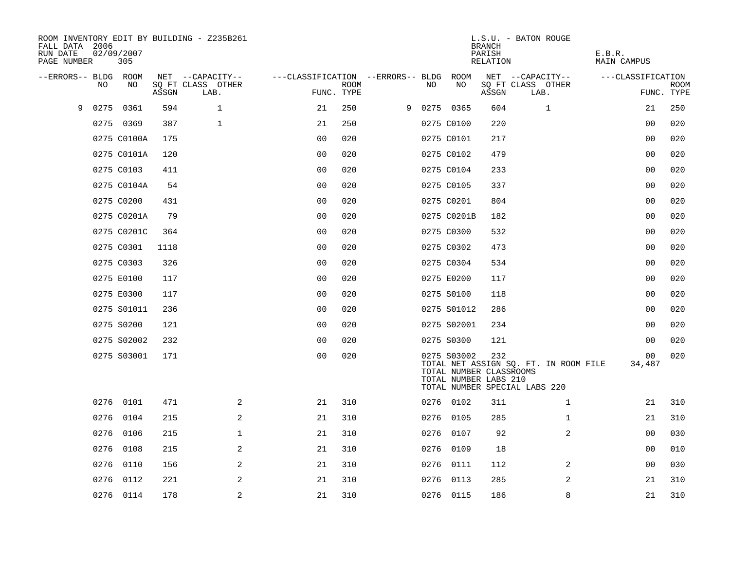| FALL DATA 2006<br>RUN DATE<br>PAGE NUMBER |      | 02/09/2007<br>305          |            | ROOM INVENTORY EDIT BY BUILDING - Z235B261    |                                                 |             |      |                                                                               | <b>BRANCH</b><br>PARISH<br><b>RELATION</b> | L.S.U. - BATON ROUGE                                                   | E.B.R.<br><b>MAIN CAMPUS</b>   |                           |
|-------------------------------------------|------|----------------------------|------------|-----------------------------------------------|-------------------------------------------------|-------------|------|-------------------------------------------------------------------------------|--------------------------------------------|------------------------------------------------------------------------|--------------------------------|---------------------------|
| --ERRORS-- BLDG ROOM                      | NO   | NO                         | ASSGN      | NET --CAPACITY--<br>SQ FT CLASS OTHER<br>LAB. | ---CLASSIFICATION --ERRORS-- BLDG<br>FUNC. TYPE | <b>ROOM</b> | NO   | ROOM<br>NO                                                                    | ASSGN                                      | NET --CAPACITY--<br>SQ FT CLASS OTHER<br>LAB.                          | ---CLASSIFICATION              | <b>ROOM</b><br>FUNC. TYPE |
| 9                                         | 0275 | 0361                       | 594        | $\mathbf{1}$                                  | 21                                              | 250         |      | 9 0275 0365                                                                   | 604                                        | $\mathbf 1$                                                            | 21                             | 250                       |
|                                           |      | 0275 0369                  | 387        | $\mathbf 1$                                   | 21                                              | 250         |      | 0275 C0100                                                                    | 220                                        |                                                                        | 00                             | 020                       |
|                                           |      | 0275 C0100A                | 175        |                                               | 0 <sub>0</sub>                                  | 020         |      | 0275 C0101                                                                    | 217                                        |                                                                        | 0 <sub>0</sub>                 | 020                       |
|                                           |      | 0275 C0101A                | 120        |                                               | 0 <sub>0</sub>                                  | 020         |      | 0275 C0102                                                                    | 479                                        |                                                                        | 0 <sub>0</sub>                 | 020                       |
|                                           |      | 0275 C0103                 | 411        |                                               | 0 <sub>0</sub>                                  | 020         |      | 0275 C0104                                                                    | 233                                        |                                                                        | 00                             | 020                       |
|                                           |      | 0275 C0104A                | 54         |                                               | 0 <sub>0</sub>                                  | 020         |      | 0275 C0105                                                                    | 337                                        |                                                                        | 00                             | 020                       |
|                                           |      | 0275 C0200                 | 431        |                                               | 0 <sub>0</sub>                                  | 020         |      | 0275 C0201                                                                    | 804                                        |                                                                        | 0 <sub>0</sub>                 | 020                       |
|                                           |      | 0275 C0201A                | 79         |                                               | 0 <sub>0</sub>                                  | 020         |      | 0275 C0201B                                                                   | 182                                        |                                                                        | 0 <sub>0</sub>                 | 020                       |
|                                           |      | 0275 C0201C                | 364        |                                               | 00                                              | 020         |      | 0275 C0300                                                                    | 532                                        |                                                                        | 00                             | 020                       |
|                                           |      | 0275 C0301                 | 1118       |                                               | 0 <sub>0</sub>                                  | 020         |      | 0275 C0302                                                                    | 473                                        |                                                                        | 00                             | 020                       |
|                                           |      | 0275 C0303                 | 326        |                                               | 0 <sub>0</sub>                                  | 020         |      | 0275 C0304                                                                    | 534                                        |                                                                        | 0 <sub>0</sub>                 | 020                       |
|                                           |      | 0275 E0100                 | 117        |                                               | 0 <sub>0</sub>                                  | 020         |      | 0275 E0200                                                                    | 117                                        |                                                                        | 0 <sub>0</sub>                 | 020                       |
|                                           |      | 0275 E0300                 | 117        |                                               | 00                                              | 020         |      | 0275 S0100                                                                    | 118                                        |                                                                        | 0 <sub>0</sub>                 | 020                       |
|                                           |      |                            | 236        |                                               | 0 <sub>0</sub>                                  | 020         |      |                                                                               |                                            |                                                                        | 00                             | 020                       |
|                                           |      | 0275 S01011                |            |                                               |                                                 |             |      | 0275 S01012                                                                   | 286                                        |                                                                        |                                |                           |
|                                           |      | 0275 S0200                 | 121        |                                               | 0 <sub>0</sub>                                  | 020         |      | 0275 S02001                                                                   | 234                                        |                                                                        | 00                             | 020<br>020                |
|                                           |      | 0275 S02002<br>0275 S03001 | 232<br>171 |                                               | 0 <sub>0</sub><br>0 <sub>0</sub>                | 020<br>020  |      | 0275 S0300<br>0275 S03002<br>TOTAL NUMBER CLASSROOMS<br>TOTAL NUMBER LABS 210 | 121<br>232                                 | TOTAL NET ASSIGN SQ. FT. IN ROOM FILE<br>TOTAL NUMBER SPECIAL LABS 220 | 0 <sub>0</sub><br>00<br>34,487 | 020                       |
|                                           | 0276 | 0101                       | 471        | 2                                             | 21                                              | 310         |      | 0276 0102                                                                     | 311                                        | $\mathbf{1}$                                                           | 21                             | 310                       |
|                                           | 0276 | 0104                       | 215        | 2                                             | 21                                              | 310         |      | 0276 0105                                                                     | 285                                        | $\mathbf{1}$                                                           | 21                             | 310                       |
|                                           | 0276 | 0106                       | 215        | $\mathbf{1}$                                  | 21                                              | 310         |      | 0276 0107                                                                     | 92                                         | $\overline{a}$                                                         | 0 <sub>0</sub>                 | 030                       |
|                                           | 0276 | 0108                       | 215        | $\overline{a}$                                | 21                                              | 310         |      | 0276 0109                                                                     | 18                                         |                                                                        | 00                             | 010                       |
|                                           | 0276 | 0110                       | 156        | 2                                             | 21                                              | 310         | 0276 | 0111                                                                          | 112                                        | 2                                                                      | 0 <sub>0</sub>                 | 030                       |
|                                           | 0276 | 0112                       | 221        | 2                                             | 21                                              | 310         |      | 0276 0113                                                                     | 285                                        | 2                                                                      | 21                             | 310                       |
|                                           |      | 0276 0114                  | 178        | 2                                             | 21                                              | 310         |      | 0276 0115                                                                     | 186                                        | 8                                                                      | 21                             | 310                       |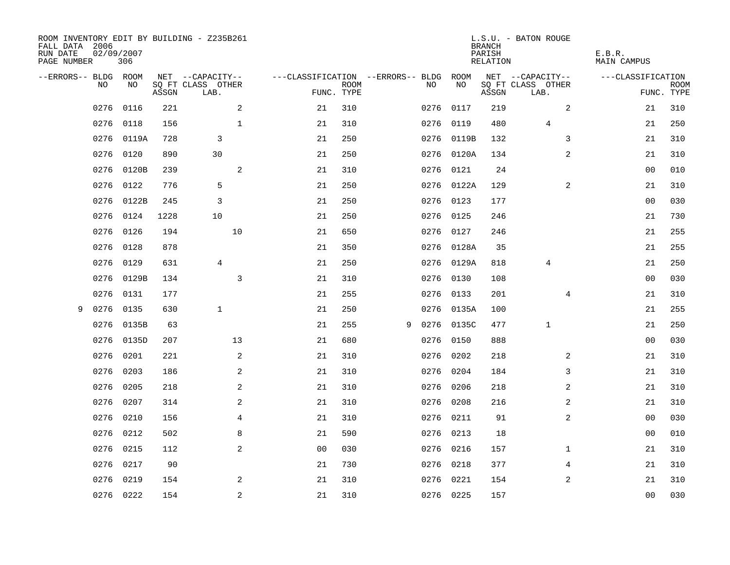| ROOM INVENTORY EDIT BY BUILDING - Z235B261<br>FALL DATA 2006<br>RUN DATE<br>PAGE NUMBER | 02/09/2007 | 306   |       |                           |                |                                        |             |      |            | <b>BRANCH</b><br>PARISH<br>RELATION | L.S.U. - BATON ROUGE      | E.B.R.<br>MAIN CAMPUS |                           |
|-----------------------------------------------------------------------------------------|------------|-------|-------|---------------------------|----------------|----------------------------------------|-------------|------|------------|-------------------------------------|---------------------------|-----------------------|---------------------------|
| --ERRORS-- BLDG ROOM                                                                    |            |       |       | NET --CAPACITY--          |                | ---CLASSIFICATION --ERRORS-- BLDG ROOM |             |      |            |                                     | NET --CAPACITY--          | ---CLASSIFICATION     |                           |
|                                                                                         | NO.        | NO.   | ASSGN | SQ FT CLASS OTHER<br>LAB. |                | FUNC. TYPE                             | <b>ROOM</b> | NO.  | NO         | ASSGN                               | SQ FT CLASS OTHER<br>LAB. |                       | <b>ROOM</b><br>FUNC. TYPE |
|                                                                                         | 0276       | 0116  | 221   |                           | 2              | 21                                     | 310         | 0276 | 0117       | 219                                 | 2                         | 21                    | 310                       |
|                                                                                         | 0276       | 0118  | 156   |                           | $\mathbf{1}$   | 21                                     | 310         |      | 0276 0119  | 480                                 | $\overline{4}$            | 21                    | 250                       |
|                                                                                         | 0276       | 0119A | 728   | 3                         |                | 21                                     | 250         |      | 0276 0119B | 132                                 | 3                         | 21                    | 310                       |
|                                                                                         | 0276       | 0120  | 890   | 30                        |                | 21                                     | 250         |      | 0276 0120A | 134                                 | 2                         | 21                    | 310                       |
|                                                                                         | 0276       | 0120B | 239   |                           | 2              | 21                                     | 310         |      | 0276 0121  | 24                                  |                           | 0 <sub>0</sub>        | 010                       |
|                                                                                         | 0276       | 0122  | 776   | 5                         |                | 21                                     | 250         |      | 0276 0122A | 129                                 | 2                         | 21                    | 310                       |
|                                                                                         | 0276       | 0122B | 245   | 3                         |                | 21                                     | 250         | 0276 | 0123       | 177                                 |                           | 0 <sub>0</sub>        | 030                       |
|                                                                                         | 0276       | 0124  | 1228  | 10                        |                | 21                                     | 250         |      | 0276 0125  | 246                                 |                           | 21                    | 730                       |
|                                                                                         | 0276       | 0126  | 194   |                           | 10             | 21                                     | 650         |      | 0276 0127  | 246                                 |                           | 21                    | 255                       |
|                                                                                         | 0276       | 0128  | 878   |                           |                | 21                                     | 350         |      | 0276 0128A | 35                                  |                           | 21                    | 255                       |
|                                                                                         | 0276       | 0129  | 631   | $\overline{4}$            |                | 21                                     | 250         |      | 0276 0129A | 818                                 | $\overline{4}$            | 21                    | 250                       |
|                                                                                         | 0276       | 0129B | 134   |                           | 3              | 21                                     | 310         |      | 0276 0130  | 108                                 |                           | 00                    | 030                       |
|                                                                                         | 0276       | 0131  | 177   |                           |                | 21                                     | 255         | 0276 | 0133       | 201                                 | 4                         | 21                    | 310                       |
| 9                                                                                       | 0276       | 0135  | 630   | $\mathbf{1}$              |                | 21                                     | 250         |      | 0276 0135A | 100                                 |                           | 21                    | 255                       |
|                                                                                         | 0276       | 0135B | 63    |                           |                | 21                                     | 255         | 9    | 0276 0135C | 477                                 | $\mathbf{1}$              | 21                    | 250                       |
|                                                                                         | 0276       | 0135D | 207   |                           | 13             | 21                                     | 680         |      | 0276 0150  | 888                                 |                           | 0 <sub>0</sub>        | 030                       |
|                                                                                         | 0276       | 0201  | 221   |                           | $\overline{a}$ | 21                                     | 310         | 0276 | 0202       | 218                                 | 2                         | 21                    | 310                       |
|                                                                                         | 0276       | 0203  | 186   |                           | 2              | 21                                     | 310         | 0276 | 0204       | 184                                 | 3                         | 21                    | 310                       |
|                                                                                         | 0276       | 0205  | 218   |                           | 2              | 21                                     | 310         |      | 0276 0206  | 218                                 | 2                         | 21                    | 310                       |
|                                                                                         | 0276       | 0207  | 314   |                           | 2              | 21                                     | 310         |      | 0276 0208  | 216                                 | 2                         | 21                    | 310                       |
|                                                                                         | 0276       | 0210  | 156   |                           | $\overline{4}$ | 21                                     | 310         |      | 0276 0211  | 91                                  | 2                         | 0 <sub>0</sub>        | 030                       |
|                                                                                         | 0276       | 0212  | 502   |                           | 8              | 21                                     | 590         |      | 0276 0213  | 18                                  |                           | 00                    | 010                       |
|                                                                                         | 0276       | 0215  | 112   |                           | 2              | 0 <sub>0</sub>                         | 030         |      | 0276 0216  | 157                                 | $\mathbf{1}$              | 21                    | 310                       |
|                                                                                         | 0276       | 0217  | 90    |                           |                | 21                                     | 730         |      | 0276 0218  | 377                                 | 4                         | 21                    | 310                       |
|                                                                                         | 0276       | 0219  | 154   |                           | 2              | 21                                     | 310         |      | 0276 0221  | 154                                 | 2                         | 21                    | 310                       |
|                                                                                         | 0276 0222  |       | 154   |                           | $\sqrt{2}$     | 21                                     | 310         |      | 0276 0225  | 157                                 |                           | 0 <sub>0</sub>        | 030                       |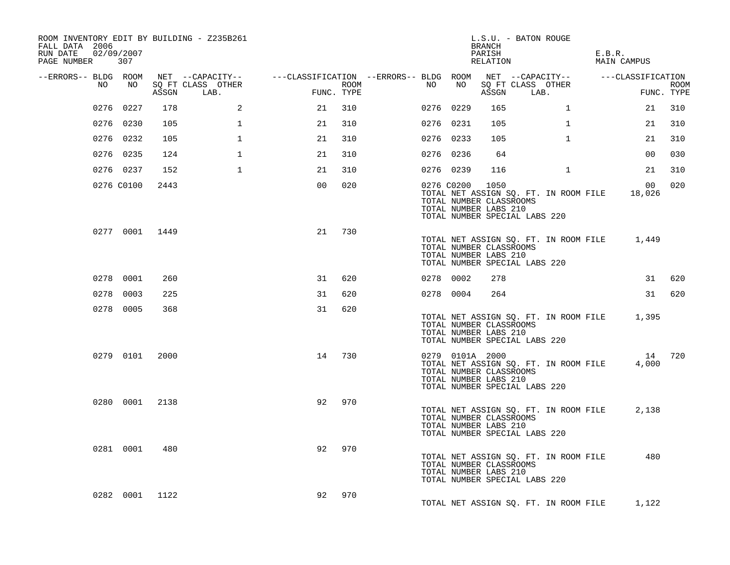| ROOM INVENTORY EDIT BY BUILDING - Z235B261<br>FALL DATA 2006<br>RUN DATE 02/09/2007<br>PAGE NUMBER | 307            |      |                                 |                                                                                                |                    |           |                                                                     | BRANCH<br>PARISH<br>RELATION | L.S.U. - BATON ROUGE                                                         | E.B.R.<br>MAIN CAMPUS |                 |             |
|----------------------------------------------------------------------------------------------------|----------------|------|---------------------------------|------------------------------------------------------------------------------------------------|--------------------|-----------|---------------------------------------------------------------------|------------------------------|------------------------------------------------------------------------------|-----------------------|-----------------|-------------|
| --ERRORS-- BLDG ROOM                                                                               |                |      |                                 | NET --CAPACITY-- - ---CLASSIFICATION --ERRORS-- BLDG ROOM NET --CAPACITY-- - ---CLASSIFICATION |                    |           |                                                                     |                              |                                                                              |                       |                 |             |
| NO                                                                                                 | NO             |      | SQ FT CLASS OTHER<br>ASSGN LAB. |                                                                                                | ROOM<br>FUNC. TYPE | NO        | NO                                                                  |                              | SQ FT CLASS OTHER<br>ASSGN LAB.                                              |                       | FUNC. TYPE      | <b>ROOM</b> |
|                                                                                                    | 0276 0227      | 178  | 2                               | 21                                                                                             | 310                | 0276 0229 |                                                                     | 165                          | $\mathbf{1}$                                                                 |                       | 21              | 310         |
|                                                                                                    | 0276 0230      | 105  | $\mathbf{1}$                    | 21                                                                                             | 310                | 0276 0231 |                                                                     | 105                          | $\mathbf{1}$                                                                 |                       | 21              | 310         |
|                                                                                                    | 0276 0232      | 105  | $\mathbf{1}$                    | 21                                                                                             | 310                | 0276 0233 |                                                                     | 105                          | $\mathbf{1}$                                                                 |                       | 21              | 310         |
|                                                                                                    | 0276 0235      | 124  | $\mathbf{1}$                    | 21                                                                                             | 310                | 0276 0236 |                                                                     | 64                           |                                                                              |                       | 0 <sub>0</sub>  | 030         |
|                                                                                                    | 0276 0237      | 152  | $\mathbf{1}$                    | 21                                                                                             | 310                | 0276 0239 |                                                                     | 116                          | $\mathbf{1}$                                                                 |                       | 21              | 310         |
|                                                                                                    | 0276 C0100     | 2443 |                                 | 0 <sup>0</sup>                                                                                 | 020                |           | 0276 C0200<br>TOTAL NUMBER CLASSROOMS<br>TOTAL NUMBER LABS 210      | 1050                         | TOTAL NET ASSIGN SQ. FT. IN ROOM FILE<br>TOTAL NUMBER SPECIAL LABS 220       |                       | 00<br>18,026    | 020         |
|                                                                                                    | 0277 0001 1449 |      |                                 | 21                                                                                             | 730                |           | TOTAL NUMBER CLASSROOMS<br>TOTAL NUMBER LABS 210                    |                              | TOTAL NET ASSIGN SQ. FT. IN ROOM FILE 1,449<br>TOTAL NUMBER SPECIAL LABS 220 |                       |                 |             |
|                                                                                                    | 0278 0001      | 260  |                                 | 31                                                                                             | 620                | 0278 0002 |                                                                     | 278                          |                                                                              |                       |                 | 31 620      |
|                                                                                                    | 0278 0003      | 225  |                                 | 31                                                                                             | 620                | 0278 0004 |                                                                     | 264                          |                                                                              |                       |                 | 31 620      |
|                                                                                                    | 0278 0005      | 368  |                                 | 31                                                                                             | 620                |           | TOTAL NUMBER CLASSROOMS<br>TOTAL NUMBER LABS 210                    |                              | TOTAL NET ASSIGN SQ. FT. IN ROOM FILE 1,395<br>TOTAL NUMBER SPECIAL LABS 220 |                       |                 |             |
|                                                                                                    | 0279 0101 2000 |      |                                 | 14                                                                                             | 730                |           | 0279 0101A 2000<br>TOTAL NUMBER CLASSROOMS<br>TOTAL NUMBER LABS 210 |                              | TOTAL NET ASSIGN SQ. FT. IN ROOM FILE<br>TOTAL NUMBER SPECIAL LABS 220       |                       | 14 720<br>4,000 |             |
|                                                                                                    | 0280 0001 2138 |      |                                 | 92                                                                                             | 970                |           | TOTAL NUMBER CLASSROOMS<br>TOTAL NUMBER LABS 210                    |                              | TOTAL NET ASSIGN SQ. FT. IN ROOM FILE<br>TOTAL NUMBER SPECIAL LABS 220       |                       | 2,138           |             |
|                                                                                                    | 0281 0001      | 480  |                                 | 92                                                                                             | 970                |           | TOTAL NUMBER CLASSROOMS<br>TOTAL NUMBER LABS 210                    |                              | TOTAL NET ASSIGN SQ. FT. IN ROOM FILE<br>TOTAL NUMBER SPECIAL LABS 220       |                       | 480             |             |
|                                                                                                    | 0282 0001 1122 |      |                                 | 92                                                                                             | 970                |           |                                                                     |                              | TOTAL NET ASSIGN SQ. FT. IN ROOM FILE                                        |                       | 1,122           |             |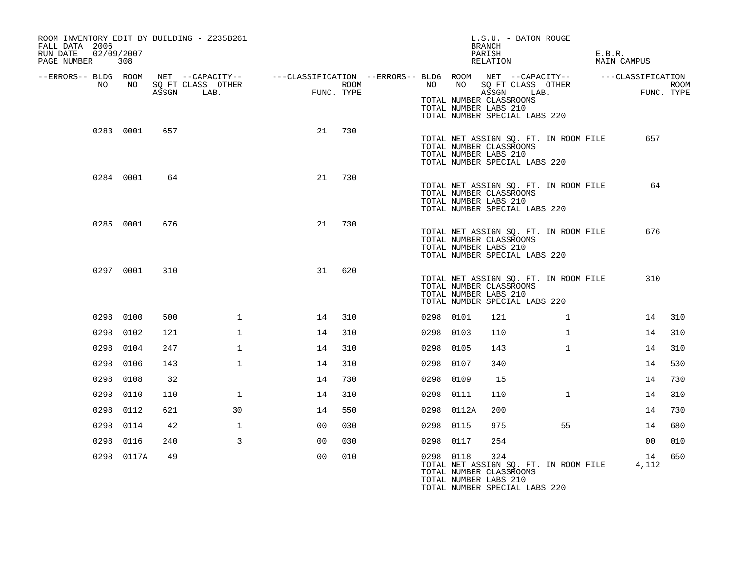| ROOM INVENTORY EDIT BY BUILDING - Z235B261<br>FALL DATA 2006<br>02/09/2007<br>RUN DATE<br>PAGE NUMBER | 308        |       |                                                                                                                              |    |                    |           |       | L.S.U. - BATON ROUGE<br>BRANCH<br>PARISH<br>RELATION                                                                                                        |              | E.B.R.<br>MAIN CAMPUS |             |      |
|-------------------------------------------------------------------------------------------------------|------------|-------|------------------------------------------------------------------------------------------------------------------------------|----|--------------------|-----------|-------|-------------------------------------------------------------------------------------------------------------------------------------------------------------|--------------|-----------------------|-------------|------|
| --ERRORS-- BLDG ROOM<br>NO                                                                            | NO         | ASSGN | NET --CAPACITY-- - ---CLASSIFICATION --ERRORS-- BLDG ROOM NET --CAPACITY-- - ----CLASSIFICATION<br>SQ FT CLASS OTHER<br>LAB. |    | ROOM<br>FUNC. TYPE | NO        |       | NO SQ FT CLASS OTHER<br>ASSGN<br>LAB.<br>TOTAL NUMBER CLASSROOMS<br>TOTAL NUMBER LABS 210                                                                   |              |                       | FUNC. TYPE  | ROOM |
|                                                                                                       | 0283 0001  | 657   |                                                                                                                              | 21 | 730                |           |       | TOTAL NUMBER SPECIAL LABS 220<br>TOTAL NET ASSIGN SQ. FT. IN ROOM FILE<br>TOTAL NUMBER CLASSROOMS<br>TOTAL NUMBER LABS 210<br>TOTAL NUMBER SPECIAL LABS 220 |              |                       | 657         |      |
|                                                                                                       | 0284 0001  | 64    |                                                                                                                              | 21 | 730                |           |       | TOTAL NET ASSIGN SQ. FT. IN ROOM FILE<br>TOTAL NUMBER CLASSROOMS<br>TOTAL NUMBER LABS 210<br>TOTAL NUMBER SPECIAL LABS 220                                  |              |                       | 64          |      |
|                                                                                                       | 0285 0001  | 676   |                                                                                                                              | 21 | 730                |           |       | TOTAL NET ASSIGN SQ. FT. IN ROOM FILE<br>TOTAL NUMBER CLASSROOMS<br>TOTAL NUMBER LABS 210<br>TOTAL NUMBER SPECIAL LABS 220                                  |              |                       | 676         |      |
|                                                                                                       | 0297 0001  | 310   |                                                                                                                              | 31 | 620                |           |       | TOTAL NET ASSIGN SQ. FT. IN ROOM FILE<br>TOTAL NUMBER CLASSROOMS<br>TOTAL NUMBER LABS 210<br>TOTAL NUMBER SPECIAL LABS 220                                  |              |                       | 310         |      |
|                                                                                                       | 0298 0100  | 500   | $\mathbf 1$                                                                                                                  | 14 | 310                | 0298 0101 |       | 121                                                                                                                                                         | $\mathbf{1}$ |                       | 14          | 310  |
|                                                                                                       | 0298 0102  | 121   | $\mathbf{1}$                                                                                                                 | 14 | 310                | 0298 0103 |       | 110                                                                                                                                                         | $\mathbf{1}$ |                       | 14          | 310  |
|                                                                                                       | 0298 0104  | 247   | $\mathbf 1$                                                                                                                  | 14 | 310                | 0298 0105 |       | 143                                                                                                                                                         | $\mathbf{1}$ |                       | 14          | 310  |
|                                                                                                       | 0298 0106  | 143   | $\mathbf{1}$                                                                                                                 | 14 | 310                | 0298      | 0107  | 340                                                                                                                                                         |              |                       | 14          | 530  |
|                                                                                                       | 0298 0108  | 32    |                                                                                                                              | 14 | 730                | 0298 0109 |       | 15                                                                                                                                                          |              |                       | 14          | 730  |
|                                                                                                       | 0298 0110  | 110   | $\mathbf{1}$                                                                                                                 | 14 | 310                | 0298 0111 |       | 110                                                                                                                                                         | $\mathbf{1}$ |                       | 14          | 310  |
|                                                                                                       | 0298 0112  | 621   | 30                                                                                                                           | 14 | 550                | 0298      | 0112A | 200                                                                                                                                                         |              |                       | 14          | 730  |
|                                                                                                       | 0298 0114  | 42    | 1                                                                                                                            | 00 | 030                | 0298 0115 |       | 975                                                                                                                                                         | 55           |                       | 14          | 680  |
|                                                                                                       | 0298 0116  | 240   | $\mathbf{3}$                                                                                                                 | 00 | 030                | 0298 0117 |       | 254                                                                                                                                                         |              |                       | 00          | 010  |
|                                                                                                       | 0298 0117A | 49    |                                                                                                                              | 00 | 010                | 0298 0118 |       | 324<br>TOTAL NET ASSIGN SQ. FT. IN ROOM FILE<br>TOTAL NUMBER CLASSROOMS<br>TOTAL NUMBER LABS 210<br>TOTAL NUMBER SPECIAL LABS 220                           |              |                       | 14<br>4,112 | 650  |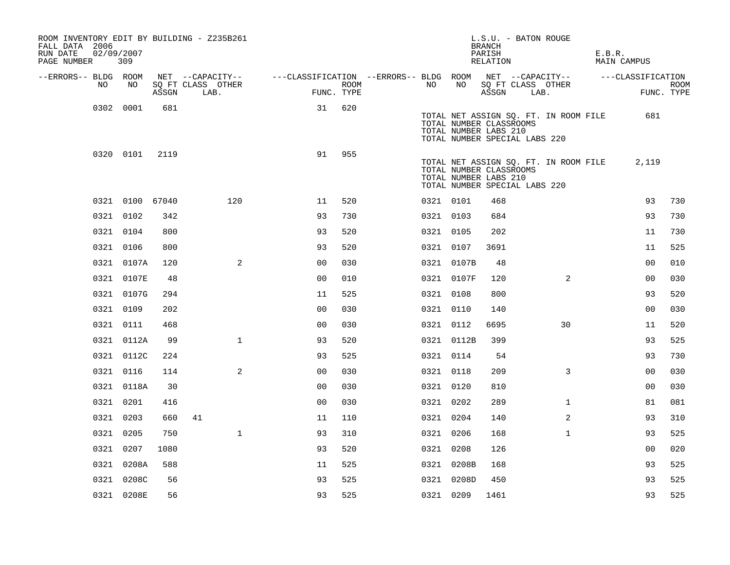| ROOM INVENTORY EDIT BY BUILDING - Z235B261<br>FALL DATA 2006<br>RUN DATE<br>PAGE NUMBER | 02/09/2007<br>309 |       |                           |                                                                             |                    |           |            | L.S.U. - BATON ROUGE<br><b>BRANCH</b><br>PARISH<br>RELATION                       |      |                                       | E.B.R. | MAIN CAMPUS    |                           |
|-----------------------------------------------------------------------------------------|-------------------|-------|---------------------------|-----------------------------------------------------------------------------|--------------------|-----------|------------|-----------------------------------------------------------------------------------|------|---------------------------------------|--------|----------------|---------------------------|
| --ERRORS-- BLDG ROOM                                                                    |                   |       | NET --CAPACITY--          | ---CLASSIFICATION --ERRORS-- BLDG ROOM NET --CAPACITY-- -----CLASSIFICATION |                    |           |            |                                                                                   |      |                                       |        |                |                           |
| NO.                                                                                     | NO                | ASSGN | SO FT CLASS OTHER<br>LAB. |                                                                             | ROOM<br>FUNC. TYPE | NO        | NO         | ASSGN                                                                             | LAB. | SQ FT CLASS OTHER                     |        |                | <b>ROOM</b><br>FUNC. TYPE |
|                                                                                         | 0302 0001         | 681   |                           | 31                                                                          | 620                |           |            |                                                                                   |      | TOTAL NET ASSIGN SQ. FT. IN ROOM FILE |        | 681            |                           |
|                                                                                         |                   |       |                           |                                                                             |                    |           |            | TOTAL NUMBER CLASSROOMS<br>TOTAL NUMBER LABS 210<br>TOTAL NUMBER SPECIAL LABS 220 |      |                                       |        |                |                           |
|                                                                                         | 0320 0101         | 2119  |                           | 91                                                                          | 955                |           |            | TOTAL NUMBER CLASSROOMS<br>TOTAL NUMBER LABS 210<br>TOTAL NUMBER SPECIAL LABS 220 |      | TOTAL NET ASSIGN SQ. FT. IN ROOM FILE |        | 2,119          |                           |
|                                                                                         | 0321 0100 67040   |       | 120                       | 11                                                                          | 520                | 0321 0101 |            | 468                                                                               |      |                                       |        | 93             | 730                       |
|                                                                                         | 0321 0102         | 342   |                           | 93                                                                          | 730                | 0321 0103 |            | 684                                                                               |      |                                       |        | 93             | 730                       |
|                                                                                         | 0321 0104         | 800   |                           | 93                                                                          | 520                | 0321 0105 |            | 202                                                                               |      |                                       |        | 11             | 730                       |
|                                                                                         | 0321 0106         | 800   |                           | 93                                                                          | 520                | 0321 0107 |            | 3691                                                                              |      |                                       |        | 11             | 525                       |
|                                                                                         | 0321 0107A        | 120   | $\overline{a}$            | 0 <sub>0</sub>                                                              | 030                |           | 0321 0107B | 48                                                                                |      |                                       |        | 0 <sub>0</sub> | 010                       |
|                                                                                         | 0321 0107E        | 48    |                           | 0 <sub>0</sub>                                                              | 010                |           | 0321 0107F | 120                                                                               |      | 2                                     |        | 0 <sub>0</sub> | 030                       |
|                                                                                         | 0321 0107G        | 294   |                           | 11                                                                          | 525                | 0321 0108 |            | 800                                                                               |      |                                       |        | 93             | 520                       |
|                                                                                         | 0321 0109         | 202   |                           | 0 <sub>0</sub>                                                              | 030                | 0321 0110 |            | 140                                                                               |      |                                       |        | 0 <sub>0</sub> | 030                       |
|                                                                                         | 0321 0111         | 468   |                           | 0 <sub>0</sub>                                                              | 030                | 0321 0112 |            | 6695                                                                              |      | 30                                    |        | 11             | 520                       |
|                                                                                         | 0321 0112A        | 99    | $\mathbf{1}$              | 93                                                                          | 520                |           | 0321 0112B | 399                                                                               |      |                                       |        | 93             | 525                       |
|                                                                                         | 0321 0112C        | 224   |                           | 93                                                                          | 525                | 0321 0114 |            | 54                                                                                |      |                                       |        | 93             | 730                       |
|                                                                                         | 0321 0116         | 114   | 2                         | 0 <sub>0</sub>                                                              | 030                | 0321 0118 |            | 209                                                                               |      | 3                                     |        | 0 <sub>0</sub> | 030                       |
|                                                                                         | 0321 0118A        | 30    |                           | 0 <sub>0</sub>                                                              | 030                | 0321 0120 |            | 810                                                                               |      |                                       |        | 0 <sub>0</sub> | 030                       |
|                                                                                         | 0321 0201         | 416   |                           | 0 <sub>0</sub>                                                              | 030                | 0321 0202 |            | 289                                                                               |      | $\mathbf{1}$                          |        | 81             | 081                       |
|                                                                                         | 0321 0203         | 660   | 41                        | 11                                                                          | 110                | 0321 0204 |            | 140                                                                               |      | 2                                     |        | 93             | 310                       |
|                                                                                         | 0321 0205         | 750   | $\mathbf{1}$              | 93                                                                          | 310                | 0321 0206 |            | 168                                                                               |      | $\mathbf{1}$                          |        | 93             | 525                       |
|                                                                                         | 0321 0207         | 1080  |                           | 93                                                                          | 520                | 0321 0208 |            | 126                                                                               |      |                                       |        | 0 <sub>0</sub> | 020                       |
|                                                                                         | 0321 0208A        | 588   |                           | 11                                                                          | 525                |           | 0321 0208B | 168                                                                               |      |                                       |        | 93             | 525                       |
|                                                                                         | 0321 0208C        | 56    |                           | 93                                                                          | 525                |           | 0321 0208D | 450                                                                               |      |                                       |        | 93             | 525                       |
|                                                                                         | 0321 0208E        | 56    |                           | 93                                                                          | 525                | 0321 0209 |            | 1461                                                                              |      |                                       |        | 93             | 525                       |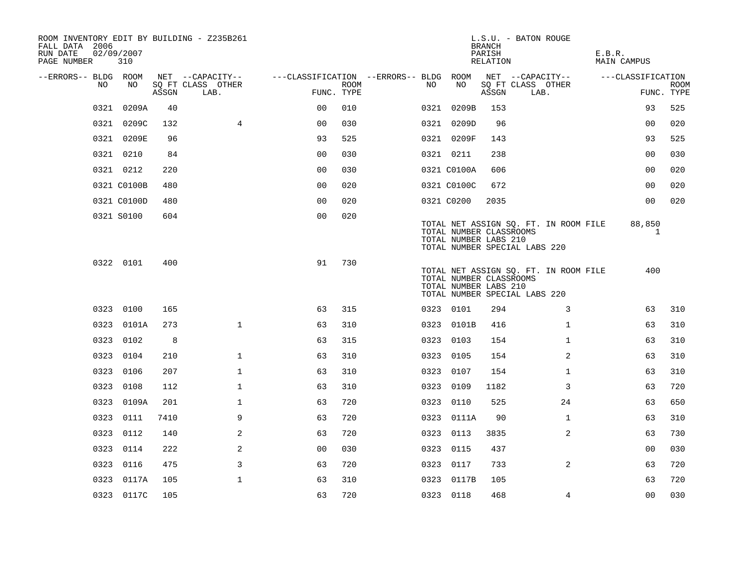| ROOM INVENTORY EDIT BY BUILDING - Z235B261<br>FALL DATA 2006<br>RUN DATE<br>PAGE NUMBER | 02/09/2007<br>310 |       |                           |                                        |             |     |                                                  | <b>BRANCH</b><br>PARISH<br>RELATION | L.S.U. - BATON ROUGE                                                   | E.B.R.<br><b>MAIN CAMPUS</b> |                           |
|-----------------------------------------------------------------------------------------|-------------------|-------|---------------------------|----------------------------------------|-------------|-----|--------------------------------------------------|-------------------------------------|------------------------------------------------------------------------|------------------------------|---------------------------|
| --ERRORS-- BLDG ROOM                                                                    |                   |       | NET --CAPACITY--          | ---CLASSIFICATION --ERRORS-- BLDG ROOM |             |     |                                                  |                                     | NET --CAPACITY--                                                       | ---CLASSIFICATION            |                           |
| NO                                                                                      | NO                | ASSGN | SQ FT CLASS OTHER<br>LAB. | FUNC. TYPE                             | <b>ROOM</b> | NO. | NO                                               | ASSGN                               | SQ FT CLASS OTHER<br>LAB.                                              |                              | <b>ROOM</b><br>FUNC. TYPE |
| 0321                                                                                    | 0209A             | 40    |                           | 0 <sup>0</sup>                         | 010         |     | 0321 0209B                                       | 153                                 |                                                                        | 93                           | 525                       |
|                                                                                         | 0321 0209C        | 132   | $\overline{4}$            | 0 <sub>0</sub>                         | 030         |     | 0321 0209D                                       | 96                                  |                                                                        | 0 <sub>0</sub>               | 020                       |
|                                                                                         | 0321 0209E        | 96    |                           | 93                                     | 525         |     | 0321 0209F                                       | 143                                 |                                                                        | 93                           | 525                       |
|                                                                                         | 0321 0210         | 84    |                           | 0 <sub>0</sub>                         | 030         |     | 0321 0211                                        | 238                                 |                                                                        | 00                           | 030                       |
|                                                                                         | 0321 0212         | 220   |                           | 00                                     | 030         |     | 0321 C0100A                                      | 606                                 |                                                                        | 0 <sub>0</sub>               | 020                       |
|                                                                                         | 0321 C0100B       | 480   |                           | 0 <sub>0</sub>                         | 020         |     | 0321 C0100C                                      | 672                                 |                                                                        | 00                           | 020                       |
|                                                                                         | 0321 C0100D       | 480   |                           | 0 <sub>0</sub>                         | 020         |     | 0321 C0200                                       | 2035                                |                                                                        | 0 <sub>0</sub>               | 020                       |
|                                                                                         | 0321 S0100        | 604   |                           | 0 <sub>0</sub>                         | 020         |     | TOTAL NUMBER CLASSROOMS<br>TOTAL NUMBER LABS 210 |                                     | TOTAL NET ASSIGN SQ. FT. IN ROOM FILE<br>TOTAL NUMBER SPECIAL LABS 220 | 88,850<br>1                  |                           |
|                                                                                         | 0322 0101         | 400   |                           | 91                                     | 730         |     | TOTAL NUMBER CLASSROOMS<br>TOTAL NUMBER LABS 210 |                                     | TOTAL NET ASSIGN SQ. FT. IN ROOM FILE<br>TOTAL NUMBER SPECIAL LABS 220 | 400                          |                           |
|                                                                                         | 0323 0100         | 165   |                           | 63                                     | 315         |     | 0323 0101                                        | 294                                 | 3                                                                      | 63                           | 310                       |
|                                                                                         | 0323 0101A        | 273   | $\mathbf{1}$              | 63                                     | 310         |     | 0323 0101B                                       | 416                                 | $\mathbf{1}$                                                           | 63                           | 310                       |
|                                                                                         | 0323 0102         | 8     |                           | 63                                     | 315         |     | 0323 0103                                        | 154                                 | $\mathbf{1}$                                                           | 63                           | 310                       |
|                                                                                         | 0323 0104         | 210   | $\mathbf 1$               | 63                                     | 310         |     | 0323 0105                                        | 154                                 | $\overline{a}$                                                         | 63                           | 310                       |
|                                                                                         | 0323 0106         | 207   | $\mathbf{1}$              | 63                                     | 310         |     | 0323 0107                                        | 154                                 | $\mathbf{1}$                                                           | 63                           | 310                       |
|                                                                                         | 0323 0108         | 112   | $\mathbf 1$               | 63                                     | 310         |     | 0323 0109                                        | 1182                                | 3                                                                      | 63                           | 720                       |
|                                                                                         | 0323 0109A        | 201   | $\mathbf 1$               | 63                                     | 720         |     | 0323 0110                                        | 525                                 | 24                                                                     | 63                           | 650                       |
|                                                                                         | 0323 0111         | 7410  | 9                         | 63                                     | 720         |     | 0323 0111A                                       | 90                                  | $\mathbf{1}$                                                           | 63                           | 310                       |
| 0323                                                                                    | 0112              | 140   | 2                         | 63                                     | 720         |     | 0323 0113                                        | 3835                                | 2                                                                      | 63                           | 730                       |
|                                                                                         | 0323 0114         | 222   | 2                         | 0 <sub>0</sub>                         | 030         |     | 0323 0115                                        | 437                                 |                                                                        | 0 <sub>0</sub>               | 030                       |
|                                                                                         | 0323 0116         | 475   | 3                         | 63                                     | 720         |     | 0323 0117                                        | 733                                 | $\overline{a}$                                                         | 63                           | 720                       |
|                                                                                         | 0323 0117A        | 105   | $\mathbf{1}$              | 63                                     | 310         |     | 0323 0117B                                       | 105                                 |                                                                        | 63                           | 720                       |
|                                                                                         | 0323 0117C        | 105   |                           | 63                                     | 720         |     | 0323 0118                                        | 468                                 | 4                                                                      | 0 <sub>0</sub>               | 030                       |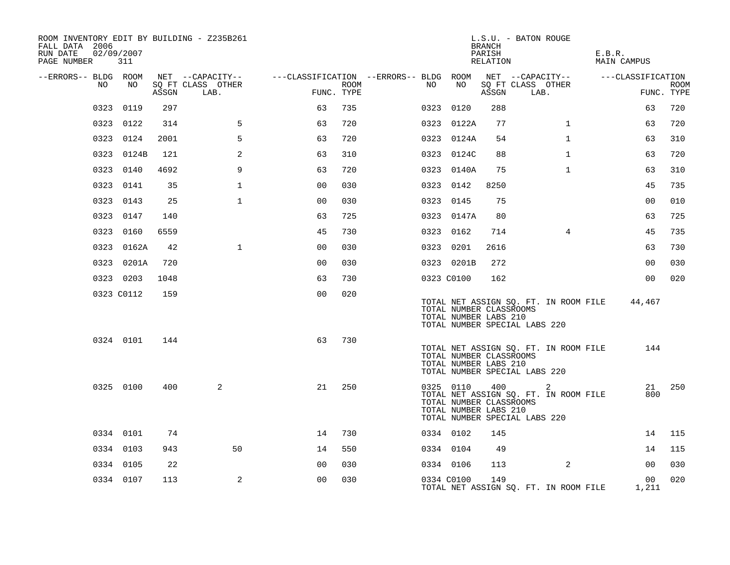| ROOM INVENTORY EDIT BY BUILDING - Z235B261<br>FALL DATA 2006<br>RUN DATE<br>PAGE NUMBER | 02/09/2007<br>311 |       |                                               |                |      | L.S.U. - BATON ROUGE<br><b>BRANCH</b><br>PARISH<br>E.B.R.<br>RELATION<br><b>MAIN CAMPUS</b>                                                                             |
|-----------------------------------------------------------------------------------------|-------------------|-------|-----------------------------------------------|----------------|------|-------------------------------------------------------------------------------------------------------------------------------------------------------------------------|
| --ERRORS-- BLDG ROOM<br>NO.                                                             | NO                | ASSGN | NET --CAPACITY--<br>SQ FT CLASS OTHER<br>LAB. | FUNC. TYPE     | ROOM | ---CLASSIFICATION --ERRORS-- BLDG ROOM NET --CAPACITY--<br>---CLASSIFICATION<br>NO<br>NO<br>SQ FT CLASS OTHER<br><b>ROOM</b><br>FUNC. TYPE<br>ASSGN<br>LAB.             |
|                                                                                         | 0323 0119         | 297   |                                               | 63             | 735  | 288<br>720<br>0323 0120<br>63                                                                                                                                           |
|                                                                                         | 0323 0122         | 314   | 5                                             | 63             | 720  | 720<br>0323 0122A<br>77<br>$\mathbf{1}$<br>63                                                                                                                           |
|                                                                                         | 0323 0124         | 2001  | 5                                             | 63             | 720  | $\mathbf{1}$<br>310<br>0323 0124A<br>54<br>63                                                                                                                           |
|                                                                                         | 0323 0124B        | 121   | 2                                             | 63             | 310  | 720<br>88<br>$\mathbf{1}$<br>63<br>0323 0124C                                                                                                                           |
|                                                                                         | 0323 0140         | 4692  | 9                                             | 63             | 720  | 75<br>$\mathbf{1}$<br>0323 0140A<br>63<br>310                                                                                                                           |
|                                                                                         | 0323 0141         | 35    | $\mathbf 1$                                   | 0 <sub>0</sub> | 030  | 0323 0142<br>8250<br>45<br>735                                                                                                                                          |
|                                                                                         | 0323 0143         | 25    | $\mathbf 1$                                   | 0 <sub>0</sub> | 030  | 0 <sub>0</sub><br>0323 0145<br>75<br>010                                                                                                                                |
| 0323                                                                                    | 0147              | 140   |                                               | 63             | 725  | 725<br>0323 0147A<br>80<br>63                                                                                                                                           |
|                                                                                         | 0323 0160         | 6559  |                                               | 45             | 730  | $\overline{4}$<br>45<br>735<br>0323 0162<br>714                                                                                                                         |
|                                                                                         | 0323 0162A        | 42    | $\mathbf{1}$                                  | 0 <sub>0</sub> | 030  | 0323 0201<br>2616<br>63<br>730                                                                                                                                          |
|                                                                                         | 0323 0201A        | 720   |                                               | 0 <sub>0</sub> | 030  | 0323 0201B<br>0 <sub>0</sub><br>030<br>272                                                                                                                              |
|                                                                                         | 0323 0203         | 1048  |                                               | 63             | 730  | 00<br>020<br>0323 C0100<br>162                                                                                                                                          |
|                                                                                         | 0323 C0112        | 159   |                                               | 0 <sub>0</sub> | 020  | 44,467<br>TOTAL NET ASSIGN SQ. FT. IN ROOM FILE<br>TOTAL NUMBER CLASSROOMS<br>TOTAL NUMBER LABS 210<br>TOTAL NUMBER SPECIAL LABS 220                                    |
|                                                                                         | 0324 0101         | 144   |                                               | 63             | 730  | TOTAL NET ASSIGN SQ. FT. IN ROOM FILE<br>144<br>TOTAL NUMBER CLASSROOMS<br>TOTAL NUMBER LABS 210<br>TOTAL NUMBER SPECIAL LABS 220                                       |
|                                                                                         | 0325 0100         | 400   | 2                                             | 21             | 250  | 250<br>0325 0110<br>400<br>21<br>2<br>TOTAL NET ASSIGN SQ. FT. IN ROOM FILE<br>800<br>TOTAL NUMBER CLASSROOMS<br>TOTAL NUMBER LABS 210<br>TOTAL NUMBER SPECIAL LABS 220 |
|                                                                                         | 0334 0101         | 74    |                                               | 14             | 730  | 0334 0102<br>145<br>14<br>115                                                                                                                                           |
|                                                                                         | 0334 0103         | 943   | 50                                            | 14             | 550  | 49<br>14<br>115<br>0334 0104                                                                                                                                            |
|                                                                                         | 0334 0105         | 22    |                                               | 0 <sub>0</sub> | 030  | 030<br>0334 0106<br>113<br>2<br>0 <sub>0</sub>                                                                                                                          |
|                                                                                         | 0334 0107         | 113   | 2                                             | 0 <sub>0</sub> | 030  | 149<br>020<br>0334 C0100<br>00<br>TOTAL NET ASSIGN SQ. FT. IN ROOM FILE<br>1,211                                                                                        |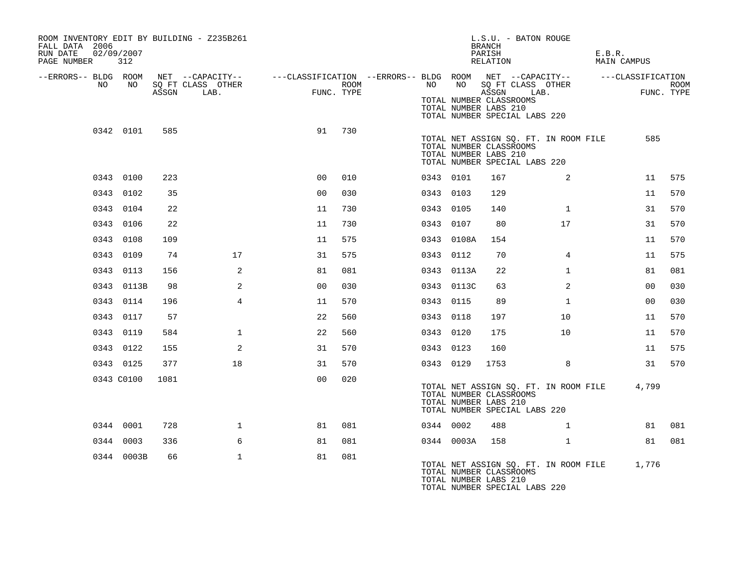| ROOM INVENTORY EDIT BY BUILDING - Z235B261<br>FALL DATA 2006<br>RUN DATE<br>PAGE NUMBER | 02/09/2007<br>312 |       |                           |                                                                                           |      |           |            | L.S.U. - BATON ROUGE<br><b>BRANCH</b><br>PARISH<br>RELATION                                                        |                                             | E.B.R.<br>MAIN CAMPUS |                    |  |
|-----------------------------------------------------------------------------------------|-------------------|-------|---------------------------|-------------------------------------------------------------------------------------------|------|-----------|------------|--------------------------------------------------------------------------------------------------------------------|---------------------------------------------|-----------------------|--------------------|--|
| --ERRORS-- BLDG ROOM<br>NO                                                              | NO                | ASSGN | SQ FT CLASS OTHER<br>LAB. | NET --CAPACITY--    ---CLASSIFICATION --ERRORS-- BLDG ROOM NET --CAPACITY--<br>FUNC. TYPE | ROOM | NO        |            | NO SQ FT CLASS OTHER<br>ASSGN<br>TOTAL NUMBER CLASSROOMS<br>TOTAL NUMBER LABS 210<br>TOTAL NUMBER SPECIAL LABS 220 | LAB.                                        | ---CLASSIFICATION     | ROOM<br>FUNC. TYPE |  |
|                                                                                         | 0342 0101         | 585   |                           | 91                                                                                        | 730  |           |            | TOTAL NUMBER CLASSROOMS<br>TOTAL NUMBER LABS 210<br>TOTAL NUMBER SPECIAL LABS 220                                  | TOTAL NET ASSIGN SQ. FT. IN ROOM FILE       |                       | 585                |  |
|                                                                                         | 0343 0100         | 223   |                           | 0 <sub>0</sub>                                                                            | 010  | 0343 0101 |            | 167                                                                                                                | 2                                           |                       | 11<br>575          |  |
|                                                                                         | 0343 0102         | 35    |                           | 0 <sub>0</sub>                                                                            | 030  | 0343 0103 |            | 129                                                                                                                |                                             |                       | 11<br>570          |  |
|                                                                                         | 0343 0104         | 22    |                           | 11                                                                                        | 730  | 0343 0105 |            | 140                                                                                                                | $\mathbf{1}$                                |                       | 31<br>570          |  |
|                                                                                         | 0343 0106         | 22    |                           | 11                                                                                        | 730  | 0343 0107 |            | 80                                                                                                                 | 17                                          |                       | 570<br>31          |  |
|                                                                                         | 0343 0108         | 109   |                           | 11                                                                                        | 575  |           | 0343 0108A | 154                                                                                                                |                                             |                       | 570<br>11          |  |
|                                                                                         | 0343 0109         | 74    | 17                        | 31                                                                                        | 575  | 0343 0112 |            | 70                                                                                                                 | $\overline{4}$                              |                       | 575<br>11          |  |
|                                                                                         | 0343 0113         | 156   | 2                         | 81                                                                                        | 081  |           | 0343 0113A | 22                                                                                                                 | $\mathbf{1}$                                |                       | 81<br>081          |  |
|                                                                                         | 0343 0113B        | 98    | 2                         | 0 <sub>0</sub>                                                                            | 030  |           | 0343 0113C | 63                                                                                                                 | 2                                           |                       | 00<br>030          |  |
|                                                                                         | 0343 0114         | 196   | $\overline{4}$            | 11                                                                                        | 570  | 0343 0115 |            | 89                                                                                                                 | $\mathbf{1}$                                |                       | 030<br>00          |  |
|                                                                                         | 0343 0117         | 57    |                           | 22                                                                                        | 560  | 0343 0118 |            | 197                                                                                                                | 10                                          |                       | 11<br>570          |  |
|                                                                                         | 0343 0119         | 584   | $\mathbf{1}$              | 22                                                                                        | 560  | 0343 0120 |            | 175                                                                                                                | 10 <sup>°</sup>                             |                       | 570<br>11          |  |
|                                                                                         | 0343 0122         | 155   | 2                         | 31                                                                                        | 570  | 0343 0123 |            | 160                                                                                                                |                                             |                       | 11<br>575          |  |
|                                                                                         | 0343 0125         | 377   | 18                        | 31                                                                                        | 570  | 0343 0129 |            | 1753                                                                                                               | 8                                           |                       | 31<br>570          |  |
|                                                                                         | 0343 C0100        | 1081  |                           | 0 <sub>0</sub>                                                                            | 020  |           |            | TOTAL NUMBER CLASSROOMS<br>TOTAL NUMBER LABS 210<br>TOTAL NUMBER SPECIAL LABS 220                                  | TOTAL NET ASSIGN SQ. FT. IN ROOM FILE       | 4,799                 |                    |  |
|                                                                                         | 0344 0001         | 728   | $\mathbf{1}$              | 81                                                                                        | 081  | 0344 0002 |            | 488                                                                                                                | $\mathbf{1}$                                |                       | 081<br>81          |  |
|                                                                                         | 0344 0003         | 336   | 6                         | 81                                                                                        | 081  |           | 0344 0003A | 158                                                                                                                | $\mathbf{1}$                                |                       | 081<br>81          |  |
|                                                                                         | 0344 0003B        | 66    | $\mathbf{1}$              | 81                                                                                        | 081  |           |            | TOTAL NUMBER CLASSROOMS<br>TOTAL NUMBER LABS 210<br>TOTAL NUMBER SPECIAL LABS 220                                  | TOTAL NET ASSIGN SQ. FT. IN ROOM FILE 1,776 |                       |                    |  |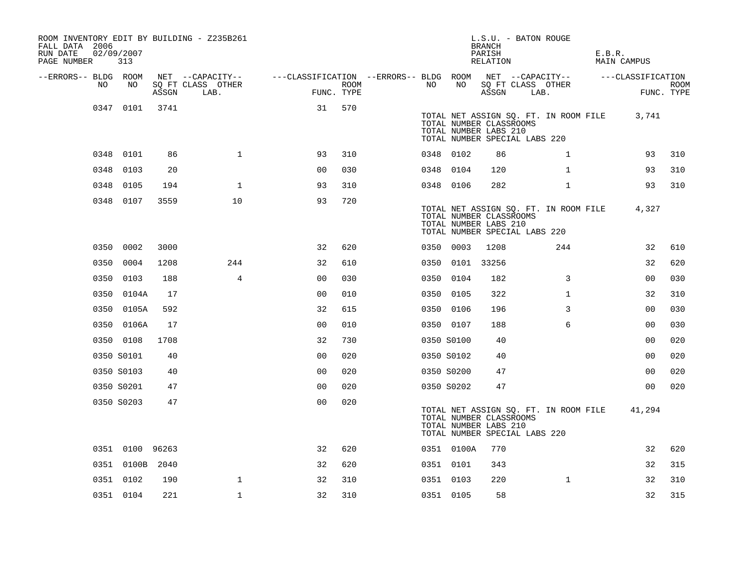| ROOM INVENTORY EDIT BY BUILDING - Z235B261<br>FALL DATA 2006<br>RUN DATE<br>PAGE NUMBER | 02/09/2007<br>313 |       |                           |                                                         |      |    |                 | L.S.U. - BATON ROUGE<br><b>BRANCH</b><br>PARISH<br>RELATION                       |      |                                       | E.B.R. | MAIN CAMPUS       |                           |
|-----------------------------------------------------------------------------------------|-------------------|-------|---------------------------|---------------------------------------------------------|------|----|-----------------|-----------------------------------------------------------------------------------|------|---------------------------------------|--------|-------------------|---------------------------|
| --ERRORS-- BLDG ROOM                                                                    |                   |       | NET --CAPACITY--          | ---CLASSIFICATION --ERRORS-- BLDG ROOM NET --CAPACITY-- |      |    |                 |                                                                                   |      |                                       |        | ---CLASSIFICATION |                           |
| NO                                                                                      | NO                | ASSGN | SQ FT CLASS OTHER<br>LAB. | FUNC. TYPE                                              | ROOM | NO | NO              | SQ FT CLASS OTHER<br>ASSGN                                                        | LAB. |                                       |        |                   | <b>ROOM</b><br>FUNC. TYPE |
|                                                                                         | 0347 0101         | 3741  |                           | 31                                                      | 570  |    |                 | TOTAL NUMBER CLASSROOMS<br>TOTAL NUMBER LABS 210<br>TOTAL NUMBER SPECIAL LABS 220 |      | TOTAL NET ASSIGN SQ. FT. IN ROOM FILE |        | 3,741             |                           |
|                                                                                         | 0348 0101         | 86    | $\mathbf{1}$              | 93                                                      | 310  |    | 0348 0102       | 86                                                                                |      | $\mathbf{1}$                          |        | 93                | 310                       |
| 0348                                                                                    | 0103              | 20    |                           | 0 <sub>0</sub>                                          | 030  |    | 0348 0104       | 120                                                                               |      | $\mathbf{1}$                          |        | 93                | 310                       |
| 0348                                                                                    | 0105              | 194   | $\mathbf 1$               | 93                                                      | 310  |    | 0348 0106       | 282                                                                               |      | $\mathbf{1}$                          |        | 93                | 310                       |
|                                                                                         | 0348 0107         | 3559  | 10                        | 93                                                      | 720  |    |                 | TOTAL NUMBER CLASSROOMS<br>TOTAL NUMBER LABS 210<br>TOTAL NUMBER SPECIAL LABS 220 |      | TOTAL NET ASSIGN SQ. FT. IN ROOM FILE |        | 4,327             |                           |
|                                                                                         | 0350 0002         | 3000  |                           | 32                                                      | 620  |    | 0350 0003       | 1208                                                                              |      | 244                                   |        | 32                | 610                       |
|                                                                                         | 0350 0004         | 1208  | 244                       | 32                                                      | 610  |    | 0350 0101 33256 |                                                                                   |      |                                       |        | 32                | 620                       |
|                                                                                         | 0350 0103         | 188   | 4                         | 0 <sub>0</sub>                                          | 030  |    | 0350 0104       | 182                                                                               |      | 3                                     |        | 0 <sub>0</sub>    | 030                       |
|                                                                                         | 0350 0104A        | 17    |                           | 0 <sub>0</sub>                                          | 010  |    | 0350 0105       | 322                                                                               |      | $\mathbf{1}$                          |        | 32                | 310                       |
|                                                                                         | 0350 0105A        | 592   |                           | 32                                                      | 615  |    | 0350 0106       | 196                                                                               |      | 3                                     |        | 00                | 030                       |
|                                                                                         | 0350 0106A        | 17    |                           | 0 <sub>0</sub>                                          | 010  |    | 0350 0107       | 188                                                                               |      | 6                                     |        | 00                | 030                       |
|                                                                                         | 0350 0108         | 1708  |                           | 32                                                      | 730  |    | 0350 S0100      | 40                                                                                |      |                                       |        | 0 <sub>0</sub>    | 020                       |
|                                                                                         | 0350 S0101        | 40    |                           | 0 <sub>0</sub>                                          | 020  |    | 0350 S0102      | 40                                                                                |      |                                       |        | 0 <sub>0</sub>    | 020                       |
|                                                                                         | 0350 S0103        | 40    |                           | 0 <sub>0</sub>                                          | 020  |    | 0350 S0200      | 47                                                                                |      |                                       |        | 00                | 020                       |
|                                                                                         | 0350 S0201        | 47    |                           | 0 <sub>0</sub>                                          | 020  |    | 0350 S0202      | 47                                                                                |      |                                       |        | 00                | 020                       |
|                                                                                         | 0350 S0203        | 47    |                           | 0 <sub>0</sub>                                          | 020  |    |                 | TOTAL NUMBER CLASSROOMS<br>TOTAL NUMBER LABS 210<br>TOTAL NUMBER SPECIAL LABS 220 |      | TOTAL NET ASSIGN SQ. FT. IN ROOM FILE |        | 41,294            |                           |
|                                                                                         | 0351 0100 96263   |       |                           | 32                                                      | 620  |    | 0351 0100A      | 770                                                                               |      |                                       |        | 32                | 620                       |
|                                                                                         | 0351 0100B 2040   |       |                           | 32                                                      | 620  |    | 0351 0101       | 343                                                                               |      |                                       |        | 32                | 315                       |
|                                                                                         | 0351 0102         | 190   | $\mathbf{1}$              | 32                                                      | 310  |    | 0351 0103       | 220                                                                               |      | $\mathbf{1}$                          |        | 32                | 310                       |
|                                                                                         | 0351 0104         | 221   | $\mathbf{1}$              | 32                                                      | 310  |    | 0351 0105       | 58                                                                                |      |                                       |        | 32                | 315                       |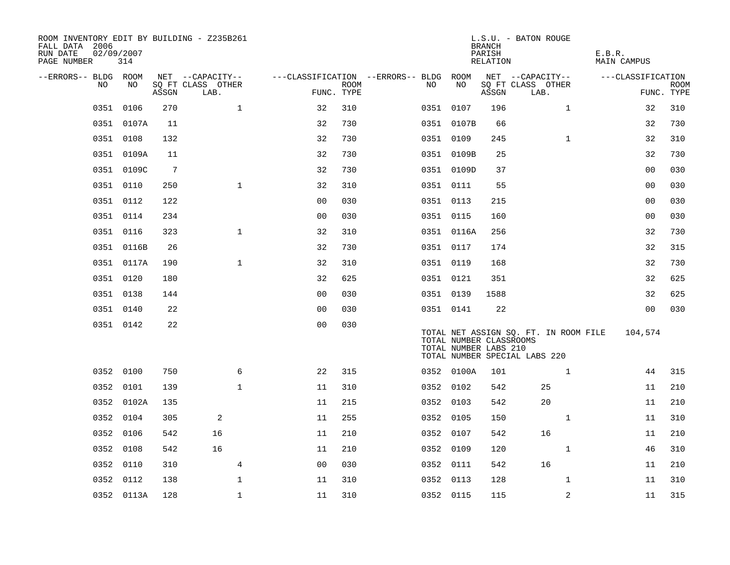| ROOM INVENTORY EDIT BY BUILDING - Z235B261<br>FALL DATA 2006<br>RUN DATE<br>PAGE NUMBER | 02/09/2007 | 314        |                 |                                       |              |                                        |            |           |                                                  | <b>BRANCH</b><br>PARISH<br>RELATION | L.S.U. - BATON ROUGE                                                   |              | E.B.R.<br><b>MAIN CAMPUS</b> |                |             |
|-----------------------------------------------------------------------------------------|------------|------------|-----------------|---------------------------------------|--------------|----------------------------------------|------------|-----------|--------------------------------------------------|-------------------------------------|------------------------------------------------------------------------|--------------|------------------------------|----------------|-------------|
| --ERRORS-- BLDG ROOM                                                                    | NO.        | NO         |                 | NET --CAPACITY--<br>SO FT CLASS OTHER |              | ---CLASSIFICATION --ERRORS-- BLDG ROOM | ROOM       | NO        | NO                                               |                                     | NET --CAPACITY--                                                       |              | ---CLASSIFICATION            |                |             |
|                                                                                         |            |            | ASSGN           | LAB.                                  |              |                                        | FUNC. TYPE |           |                                                  | ASSGN                               | SQ FT CLASS OTHER<br>LAB.                                              |              |                              | FUNC. TYPE     | <b>ROOM</b> |
|                                                                                         | 0351       | 0106       | 270             |                                       | $\mathbf{1}$ | 32                                     | 310        | 0351 0107 |                                                  | 196                                 |                                                                        | $\mathbf{1}$ |                              | 32             | 310         |
|                                                                                         |            | 0351 0107A | 11              |                                       |              | 32                                     | 730        |           | 0351 0107B                                       | 66                                  |                                                                        |              |                              | 32             | 730         |
|                                                                                         | 0351 0108  |            | 132             |                                       |              | 32                                     | 730        | 0351 0109 |                                                  | 245                                 |                                                                        | $\mathbf{1}$ |                              | 32             | 310         |
|                                                                                         |            | 0351 0109A | 11              |                                       |              | 32                                     | 730        |           | 0351 0109B                                       | 25                                  |                                                                        |              |                              | 32             | 730         |
|                                                                                         |            | 0351 0109C | $7\phantom{.0}$ |                                       |              | 32                                     | 730        |           | 0351 0109D                                       | 37                                  |                                                                        |              |                              | 00             | 030         |
|                                                                                         | 0351 0110  |            | 250             |                                       | $\mathbf{1}$ | 32                                     | 310        | 0351 0111 |                                                  | 55                                  |                                                                        |              |                              | 00             | 030         |
|                                                                                         | 0351 0112  |            | 122             |                                       |              | 0 <sub>0</sub>                         | 030        | 0351 0113 |                                                  | 215                                 |                                                                        |              |                              | 00             | 030         |
|                                                                                         | 0351 0114  |            | 234             |                                       |              | 0 <sub>0</sub>                         | 030        | 0351 0115 |                                                  | 160                                 |                                                                        |              |                              | 00             | 030         |
|                                                                                         | 0351 0116  |            | 323             |                                       | $\mathbf{1}$ | 32                                     | 310        |           | 0351 0116A                                       | 256                                 |                                                                        |              |                              | 32             | 730         |
|                                                                                         |            | 0351 0116B | 26              |                                       |              | 32                                     | 730        | 0351 0117 |                                                  | 174                                 |                                                                        |              |                              | 32             | 315         |
|                                                                                         |            | 0351 0117A | 190             |                                       | $\mathbf{1}$ | 32                                     | 310        | 0351 0119 |                                                  | 168                                 |                                                                        |              |                              | 32             | 730         |
|                                                                                         | 0351 0120  |            | 180             |                                       |              | 32                                     | 625        | 0351 0121 |                                                  | 351                                 |                                                                        |              |                              | 32             | 625         |
|                                                                                         | 0351 0138  |            | 144             |                                       |              | 0 <sub>0</sub>                         | 030        | 0351 0139 |                                                  | 1588                                |                                                                        |              |                              | 32             | 625         |
|                                                                                         | 0351 0140  |            | 22              |                                       |              | 0 <sub>0</sub>                         | 030        | 0351 0141 |                                                  | 22                                  |                                                                        |              |                              | 0 <sub>0</sub> | 030         |
|                                                                                         | 0351 0142  |            | 22              |                                       |              | 0 <sub>0</sub>                         | 030        |           | TOTAL NUMBER CLASSROOMS<br>TOTAL NUMBER LABS 210 |                                     | TOTAL NET ASSIGN SQ. FT. IN ROOM FILE<br>TOTAL NUMBER SPECIAL LABS 220 |              |                              | 104,574        |             |
|                                                                                         | 0352 0100  |            | 750             |                                       | 6            | 22                                     | 315        |           | 0352 0100A                                       | 101                                 |                                                                        | $\mathbf{1}$ |                              | 44             | 315         |
|                                                                                         | 0352 0101  |            | 139             |                                       | $\mathbf{1}$ | 11                                     | 310        | 0352 0102 |                                                  | 542                                 |                                                                        | 25           |                              | 11             | 210         |
|                                                                                         |            | 0352 0102A | 135             |                                       |              | 11                                     | 215        | 0352 0103 |                                                  | 542                                 |                                                                        | 20           |                              | 11             | 210         |
|                                                                                         | 0352 0104  |            | 305             | 2                                     |              | 11                                     | 255        | 0352 0105 |                                                  | 150                                 |                                                                        | $\mathbf{1}$ |                              | 11             | 310         |
|                                                                                         | 0352 0106  |            | 542             | 16                                    |              | 11                                     | 210        | 0352 0107 |                                                  | 542                                 |                                                                        | 16           |                              | 11             | 210         |
|                                                                                         | 0352 0108  |            | 542             | 16                                    |              | 11                                     | 210        | 0352 0109 |                                                  | 120                                 |                                                                        | $\mathbf{1}$ |                              | 46             | 310         |
|                                                                                         | 0352 0110  |            | 310             |                                       | 4            | 0 <sub>0</sub>                         | 030        | 0352 0111 |                                                  | 542                                 |                                                                        | 16           |                              | 11             | 210         |
|                                                                                         | 0352 0112  |            | 138             |                                       | $\mathbf 1$  | 11                                     | 310        | 0352 0113 |                                                  | 128                                 |                                                                        | $\mathbf{1}$ |                              | 11             | 310         |
|                                                                                         |            | 0352 0113A | 128             |                                       | $\mathbf 1$  | 11                                     | 310        | 0352 0115 |                                                  | 115                                 |                                                                        | 2            |                              | 11             | 315         |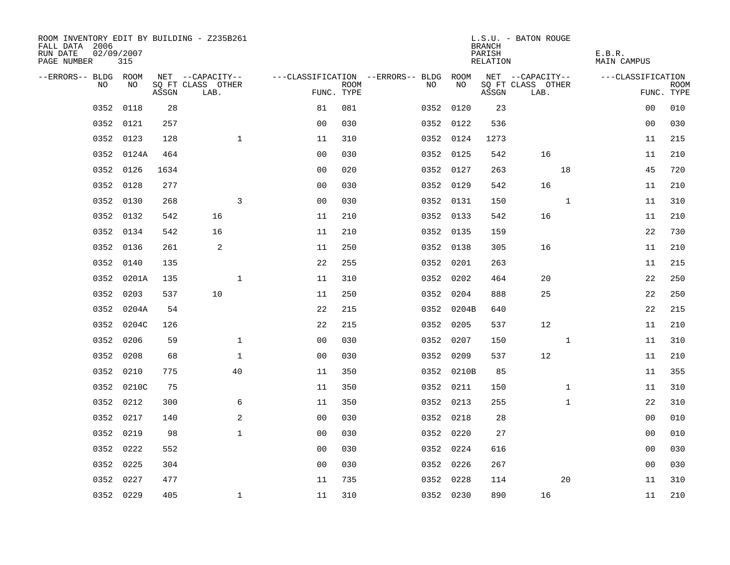| ROOM INVENTORY EDIT BY BUILDING - Z235B261<br>FALL DATA 2006<br>RUN DATE<br>PAGE NUMBER | 02/09/2007<br>315 |       |                           |                |             |                                        |            | <b>BRANCH</b><br>PARISH<br>RELATION | L.S.U. - BATON ROUGE      | E.B.R.<br>MAIN CAMPUS |                           |
|-----------------------------------------------------------------------------------------|-------------------|-------|---------------------------|----------------|-------------|----------------------------------------|------------|-------------------------------------|---------------------------|-----------------------|---------------------------|
| --ERRORS-- BLDG ROOM                                                                    |                   |       | NET --CAPACITY--          |                |             | ---CLASSIFICATION --ERRORS-- BLDG ROOM |            |                                     | NET --CAPACITY--          | ---CLASSIFICATION     |                           |
| NO.                                                                                     | NO.               | ASSGN | SQ FT CLASS OTHER<br>LAB. | FUNC. TYPE     | <b>ROOM</b> | NO.                                    | NO         | ASSGN                               | SQ FT CLASS OTHER<br>LAB. |                       | <b>ROOM</b><br>FUNC. TYPE |
| 0352                                                                                    | 0118              | 28    |                           | 81             | 081         |                                        | 0352 0120  | 23                                  |                           | 0 <sub>0</sub>        | 010                       |
|                                                                                         | 0352 0121         | 257   |                           | 0 <sub>0</sub> | 030         |                                        | 0352 0122  | 536                                 |                           | 00                    | 030                       |
|                                                                                         | 0352 0123         | 128   | $\mathbf 1$               | 11             | 310         |                                        | 0352 0124  | 1273                                |                           | 11                    | 215                       |
|                                                                                         | 0352 0124A        | 464   |                           | 0 <sub>0</sub> | 030         |                                        | 0352 0125  | 542                                 | 16                        | 11                    | 210                       |
| 0352                                                                                    | 0126              | 1634  |                           | 00             | 020         |                                        | 0352 0127  | 263                                 | 18                        | 45                    | 720                       |
| 0352                                                                                    | 0128              | 277   |                           | 0 <sub>0</sub> | 030         |                                        | 0352 0129  | 542                                 | 16                        | 11                    | 210                       |
| 0352                                                                                    | 0130              | 268   | 3                         | 0 <sub>0</sub> | 030         |                                        | 0352 0131  | 150                                 | $\mathbf{1}$              | 11                    | 310                       |
|                                                                                         | 0352 0132         | 542   | 16                        | 11             | 210         |                                        | 0352 0133  | 542                                 | 16                        | 11                    | 210                       |
|                                                                                         | 0352 0134         | 542   | 16                        | 11             | 210         |                                        | 0352 0135  | 159                                 |                           | 22                    | 730                       |
|                                                                                         | 0352 0136         | 261   | $\overline{c}$            | 11             | 250         |                                        | 0352 0138  | 305                                 | 16                        | 11                    | 210                       |
|                                                                                         | 0352 0140         | 135   |                           | 22             | 255         |                                        | 0352 0201  | 263                                 |                           | 11                    | 215                       |
|                                                                                         | 0352 0201A        | 135   | $\mathbf{1}$              | 11             | 310         |                                        | 0352 0202  | 464                                 | 20                        | 22                    | 250                       |
| 0352                                                                                    | 0203              | 537   | 10                        | 11             | 250         |                                        | 0352 0204  | 888                                 | 25                        | 22                    | 250                       |
| 0352                                                                                    | 0204A             | 54    |                           | 22             | 215         |                                        | 0352 0204B | 640                                 |                           | 22                    | 215                       |
| 0352                                                                                    | 0204C             | 126   |                           | 22             | 215         |                                        | 0352 0205  | 537                                 | 12                        | 11                    | 210                       |
|                                                                                         | 0352 0206         | 59    | $\mathbf 1$               | 0 <sub>0</sub> | 030         |                                        | 0352 0207  | 150                                 | $\mathbf{1}$              | 11                    | 310                       |
| 0352                                                                                    | 0208              | 68    | $\mathbf{1}$              | 0 <sub>0</sub> | 030         |                                        | 0352 0209  | 537                                 | 12                        | 11                    | 210                       |
| 0352                                                                                    | 0210              | 775   | 40                        | 11             | 350         |                                        | 0352 0210B | 85                                  |                           | 11                    | 355                       |
|                                                                                         | 0352 0210C        | 75    |                           | 11             | 350         |                                        | 0352 0211  | 150                                 | $\mathbf{1}$              | 11                    | 310                       |
|                                                                                         | 0352 0212         | 300   | 6                         | 11             | 350         |                                        | 0352 0213  | 255                                 | $\mathbf{1}$              | 22                    | 310                       |
|                                                                                         | 0352 0217         | 140   | 2                         | 0 <sub>0</sub> | 030         |                                        | 0352 0218  | 28                                  |                           | 00                    | 010                       |
| 0352                                                                                    | 0219              | 98    | $\mathbf{1}$              | 0 <sub>0</sub> | 030         |                                        | 0352 0220  | 27                                  |                           | 0 <sub>0</sub>        | 010                       |
|                                                                                         | 0352 0222         | 552   |                           | 0 <sub>0</sub> | 030         |                                        | 0352 0224  | 616                                 |                           | 0 <sub>0</sub>        | 030                       |
| 0352                                                                                    | 0225              | 304   |                           | 0 <sub>0</sub> | 030         |                                        | 0352 0226  | 267                                 |                           | 00                    | 030                       |
| 0352                                                                                    | 0227              | 477   |                           | 11             | 735         |                                        | 0352 0228  | 114                                 | 20                        | 11                    | 310                       |
|                                                                                         | 0352 0229         | 405   | $\mathbf{1}$              | 11             | 310         |                                        | 0352 0230  | 890                                 | 16                        | 11                    | 210                       |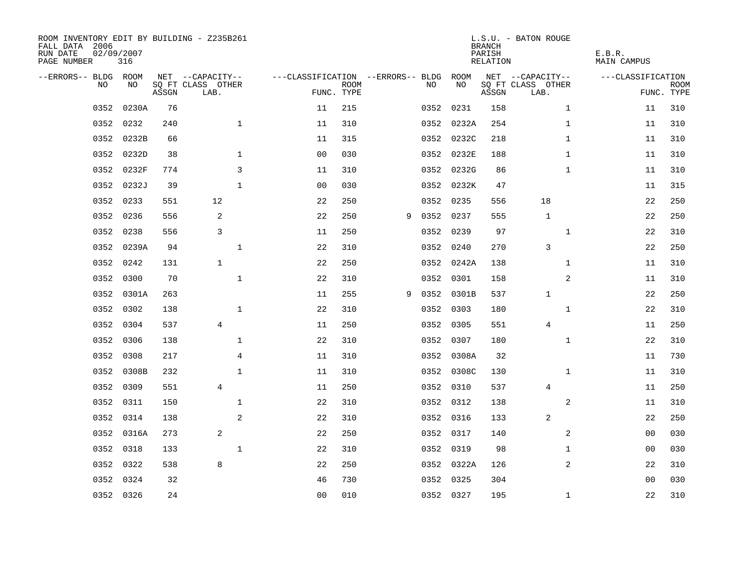| ROOM INVENTORY EDIT BY BUILDING - Z235B261<br>FALL DATA 2006<br>RUN DATE<br>PAGE NUMBER | 02/09/2007<br>316 |       |                           |                                   |                           |   |           |            | <b>BRANCH</b><br>PARISH<br>RELATION | L.S.U. - BATON ROUGE      | E.B.R.<br><b>MAIN CAMPUS</b> |                           |
|-----------------------------------------------------------------------------------------|-------------------|-------|---------------------------|-----------------------------------|---------------------------|---|-----------|------------|-------------------------------------|---------------------------|------------------------------|---------------------------|
| --ERRORS-- BLDG ROOM                                                                    |                   |       | NET --CAPACITY--          | ---CLASSIFICATION --ERRORS-- BLDG |                           |   |           | ROOM       |                                     | NET --CAPACITY--          | ---CLASSIFICATION            |                           |
| <b>NO</b>                                                                               | NO.               | ASSGN | SO FT CLASS OTHER<br>LAB. |                                   | <b>ROOM</b><br>FUNC. TYPE |   | NO.       | NO         | ASSGN                               | SQ FT CLASS OTHER<br>LAB. |                              | <b>ROOM</b><br>FUNC. TYPE |
| 0352                                                                                    | 0230A             | 76    |                           | 11                                | 215                       |   | 0352      | 0231       | 158                                 | $\mathbf{1}$              | 11                           | 310                       |
| 0352                                                                                    | 0232              | 240   | $\mathbf{1}$              | 11                                | 310                       |   |           | 0352 0232A | 254                                 | $\mathbf{1}$              | 11                           | 310                       |
| 0352                                                                                    | 0232B             | 66    |                           | 11                                | 315                       |   |           | 0352 0232C | 218                                 | $\mathbf{1}$              | 11                           | 310                       |
| 0352                                                                                    | 0232D             | 38    | $\mathbf{1}$              | 00                                | 030                       |   |           | 0352 0232E | 188                                 | $\mathbf{1}$              | 11                           | 310                       |
| 0352                                                                                    | 0232F             | 774   | 3                         | 11                                | 310                       |   |           | 0352 0232G | 86                                  | $\mathbf{1}$              | 11                           | 310                       |
| 0352                                                                                    | 0232J             | 39    | $\mathbf{1}$              | 0 <sub>0</sub>                    | 030                       |   |           | 0352 0232K | 47                                  |                           | 11                           | 315                       |
| 0352                                                                                    | 0233              | 551   | 12                        | 22                                | 250                       |   |           | 0352 0235  | 556                                 | 18                        | 22                           | 250                       |
| 0352                                                                                    | 0236              | 556   | 2                         | 22                                | 250                       | 9 | 0352 0237 |            | 555                                 | $\mathbf{1}$              | 22                           | 250                       |
| 0352                                                                                    | 0238              | 556   | 3                         | 11                                | 250                       |   | 0352      | 0239       | 97                                  | $\mathbf{1}$              | 22                           | 310                       |
| 0352                                                                                    | 0239A             | 94    | $\mathbf 1$               | 22                                | 310                       |   |           | 0352 0240  | 270                                 | 3                         | 22                           | 250                       |
| 0352                                                                                    | 0242              | 131   | $\mathbf{1}$              | 22                                | 250                       |   |           | 0352 0242A | 138                                 | $\mathbf{1}$              | 11                           | 310                       |
| 0352                                                                                    | 0300              | 70    | $\mathbf{1}$              | 22                                | 310                       |   |           | 0352 0301  | 158                                 | 2                         | 11                           | 310                       |
| 0352                                                                                    | 0301A             | 263   |                           | 11                                | 255                       | 9 | 0352      | 0301B      | 537                                 | $\mathbf 1$               | 22                           | 250                       |
| 0352                                                                                    | 0302              | 138   | $\mathbf 1$               | 22                                | 310                       |   |           | 0352 0303  | 180                                 | $\mathbf{1}$              | 22                           | 310                       |
| 0352                                                                                    | 0304              | 537   | $\overline{4}$            | 11                                | 250                       |   | 0352      | 0305       | 551                                 | 4                         | 11                           | 250                       |
| 0352                                                                                    | 0306              | 138   | $\mathbf 1$               | 22                                | 310                       |   |           | 0352 0307  | 180                                 | $\mathbf{1}$              | 22                           | 310                       |
| 0352                                                                                    | 0308              | 217   | $\overline{4}$            | 11                                | 310                       |   |           | 0352 0308A | 32                                  |                           | 11                           | 730                       |
| 0352                                                                                    | 0308B             | 232   | $\mathbf{1}$              | 11                                | 310                       |   |           | 0352 0308C | 130                                 | $\mathbf{1}$              | 11                           | 310                       |
| 0352                                                                                    | 0309              | 551   | $\overline{4}$            | 11                                | 250                       |   |           | 0352 0310  | 537                                 | $\overline{4}$            | 11                           | 250                       |
| 0352                                                                                    | 0311              | 150   | 1                         | 22                                | 310                       |   |           | 0352 0312  | 138                                 | 2                         | 11                           | 310                       |
|                                                                                         | 0352 0314         | 138   | 2                         | 22                                | 310                       |   |           | 0352 0316  | 133                                 | 2                         | 22                           | 250                       |
| 0352                                                                                    | 0316A             | 273   | 2                         | 22                                | 250                       |   |           | 0352 0317  | 140                                 | 2                         | 00                           | 030                       |
| 0352                                                                                    | 0318              | 133   | $\mathbf{1}$              | 22                                | 310                       |   |           | 0352 0319  | 98                                  | $\mathbf{1}$              | 0 <sub>0</sub>               | 030                       |
| 0352                                                                                    | 0322              | 538   | 8                         | 22                                | 250                       |   |           | 0352 0322A | 126                                 | 2                         | 22                           | 310                       |
| 0352                                                                                    | 0324              | 32    |                           | 46                                | 730                       |   |           | 0352 0325  | 304                                 |                           | 0 <sub>0</sub>               | 030                       |
|                                                                                         | 0352 0326         | 24    |                           | 00                                | 010                       |   |           | 0352 0327  | 195                                 | $\mathbf{1}$              | 22                           | 310                       |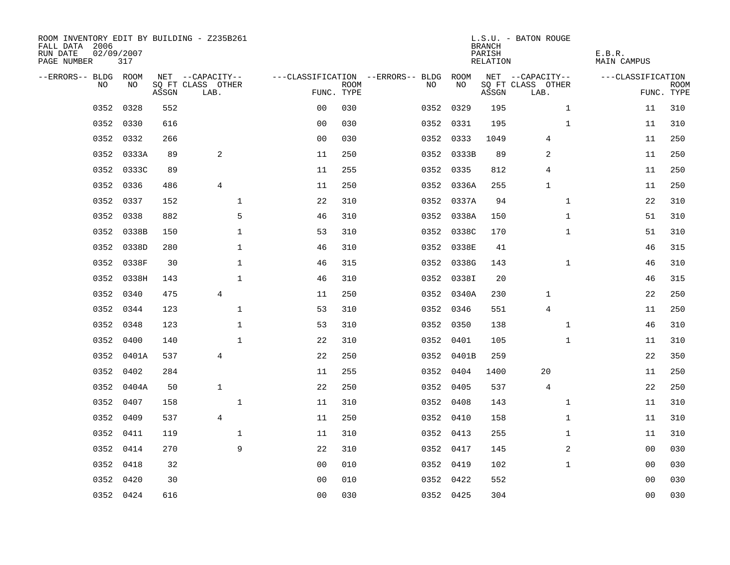| ROOM INVENTORY EDIT BY BUILDING - Z235B261<br>FALL DATA 2006<br>RUN DATE<br>PAGE NUMBER | 02/09/2007<br>317 |       |                           |                |             |                                        |            | <b>BRANCH</b><br>PARISH<br>RELATION | L.S.U. - BATON ROUGE      | E.B.R.<br>MAIN CAMPUS |                           |
|-----------------------------------------------------------------------------------------|-------------------|-------|---------------------------|----------------|-------------|----------------------------------------|------------|-------------------------------------|---------------------------|-----------------------|---------------------------|
| --ERRORS-- BLDG ROOM                                                                    |                   |       | NET --CAPACITY--          |                |             | ---CLASSIFICATION --ERRORS-- BLDG ROOM |            |                                     | NET --CAPACITY--          | ---CLASSIFICATION     |                           |
| NO.                                                                                     | NO.               | ASSGN | SQ FT CLASS OTHER<br>LAB. | FUNC. TYPE     | <b>ROOM</b> | NO.                                    | NO         | ASSGN                               | SQ FT CLASS OTHER<br>LAB. |                       | <b>ROOM</b><br>FUNC. TYPE |
| 0352                                                                                    | 0328              | 552   |                           | 0 <sub>0</sub> | 030         |                                        | 0352 0329  | 195                                 | $\mathbf{1}$              | 11                    | 310                       |
| 0352                                                                                    | 0330              | 616   |                           | 0 <sub>0</sub> | 030         |                                        | 0352 0331  | 195                                 | $\mathbf{1}$              | 11                    | 310                       |
| 0352                                                                                    | 0332              | 266   |                           | 0 <sub>0</sub> | 030         |                                        | 0352 0333  | 1049                                | 4                         | 11                    | 250                       |
| 0352                                                                                    | 0333A             | 89    | 2                         | 11             | 250         |                                        | 0352 0333B | 89                                  | 2                         | 11                    | 250                       |
| 0352                                                                                    | 0333C             | 89    |                           | 11             | 255         |                                        | 0352 0335  | 812                                 | 4                         | 11                    | 250                       |
| 0352                                                                                    | 0336              | 486   | 4                         | 11             | 250         |                                        | 0352 0336A | 255                                 | 1                         | 11                    | 250                       |
| 0352                                                                                    | 0337              | 152   | $\mathbf 1$               | 22             | 310         |                                        | 0352 0337A | 94                                  | $\mathbf{1}$              | 22                    | 310                       |
| 0352                                                                                    | 0338              | 882   | 5                         | 46             | 310         |                                        | 0352 0338A | 150                                 | $\mathbf{1}$              | 51                    | 310                       |
| 0352                                                                                    | 0338B             | 150   | $\mathbf{1}$              | 53             | 310         |                                        | 0352 0338C | 170                                 | $\mathbf{1}$              | 51                    | 310                       |
|                                                                                         | 0352 0338D        | 280   | $\mathbf{1}$              | 46             | 310         |                                        | 0352 0338E | 41                                  |                           | 46                    | 315                       |
| 0352                                                                                    | 0338F             | 30    | $\mathbf 1$               | 46             | 315         |                                        | 0352 0338G | 143                                 | $\mathbf{1}$              | 46                    | 310                       |
|                                                                                         | 0352 0338H        | 143   | $\mathbf{1}$              | 46             | 310         |                                        | 0352 0338I | 20                                  |                           | 46                    | 315                       |
| 0352                                                                                    | 0340              | 475   | $\overline{4}$            | 11             | 250         |                                        | 0352 0340A | 230                                 | 1                         | 22                    | 250                       |
| 0352                                                                                    | 0344              | 123   | $\mathbf{1}$              | 53             | 310         |                                        | 0352 0346  | 551                                 | 4                         | 11                    | 250                       |
| 0352                                                                                    | 0348              | 123   | $\mathbf 1$               | 53             | 310         |                                        | 0352 0350  | 138                                 | $\mathbf{1}$              | 46                    | 310                       |
| 0352                                                                                    | 0400              | 140   | $\mathbf{1}$              | 22             | 310         |                                        | 0352 0401  | 105                                 | $\mathbf{1}$              | 11                    | 310                       |
| 0352                                                                                    | 0401A             | 537   | $\overline{4}$            | 22             | 250         |                                        | 0352 0401B | 259                                 |                           | 22                    | 350                       |
| 0352                                                                                    | 0402              | 284   |                           | 11             | 255         |                                        | 0352 0404  | 1400                                | 20                        | 11                    | 250                       |
|                                                                                         | 0352 0404A        | 50    | $\mathbf{1}$              | 22             | 250         |                                        | 0352 0405  | 537                                 | $\overline{4}$            | 22                    | 250                       |
| 0352                                                                                    | 0407              | 158   | $\mathbf 1$               | 11             | 310         |                                        | 0352 0408  | 143                                 | $\mathbf{1}$              | 11                    | 310                       |
| 0352                                                                                    | 0409              | 537   | $\overline{4}$            | 11             | 250         |                                        | 0352 0410  | 158                                 | $\mathbf{1}$              | 11                    | 310                       |
| 0352                                                                                    | 0411              | 119   | $\mathbf{1}$              | 11             | 310         |                                        | 0352 0413  | 255                                 | $\mathbf{1}$              | 11                    | 310                       |
|                                                                                         | 0352 0414         | 270   | 9                         | 22             | 310         |                                        | 0352 0417  | 145                                 | 2                         | 00                    | 030                       |
| 0352                                                                                    | 0418              | 32    |                           | 00             | 010         |                                        | 0352 0419  | 102                                 | $\mathbf{1}$              | 00                    | 030                       |
| 0352                                                                                    | 0420              | 30    |                           | 0 <sub>0</sub> | 010         |                                        | 0352 0422  | 552                                 |                           | 0 <sub>0</sub>        | 030                       |
|                                                                                         | 0352 0424         | 616   |                           | 00             | 030         |                                        | 0352 0425  | 304                                 |                           | 0 <sub>0</sub>        | 030                       |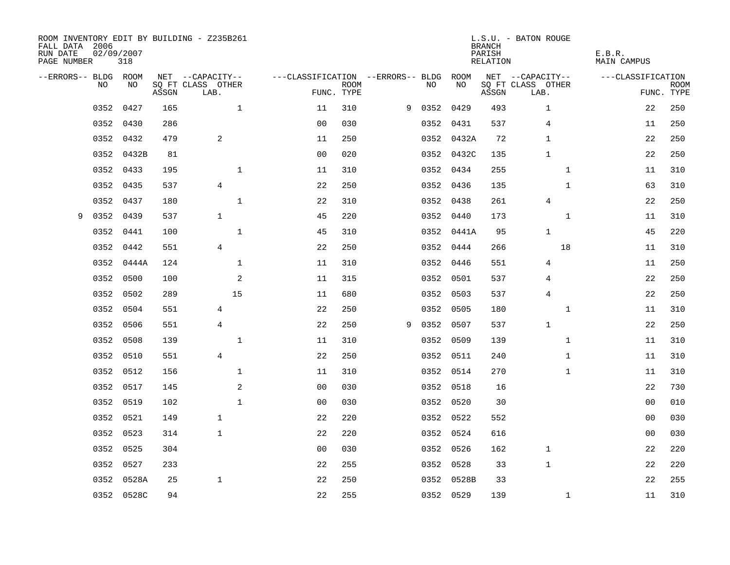| FALL DATA 2006<br>RUN DATE<br>PAGE NUMBER | 02/09/2007 | 318        |       | ROOM INVENTORY EDIT BY BUILDING - Z235B261 |                                   |                           |   |      |            | <b>BRANCH</b><br>PARISH<br>RELATION | L.S.U. - BATON ROUGE      | E.B.R.<br><b>MAIN CAMPUS</b> |                           |
|-------------------------------------------|------------|------------|-------|--------------------------------------------|-----------------------------------|---------------------------|---|------|------------|-------------------------------------|---------------------------|------------------------------|---------------------------|
| --ERRORS-- BLDG ROOM                      |            |            |       | NET --CAPACITY--                           | ---CLASSIFICATION --ERRORS-- BLDG |                           |   |      | ROOM       |                                     | NET --CAPACITY--          | ---CLASSIFICATION            |                           |
|                                           | <b>NO</b>  | NO.        | ASSGN | SO FT CLASS OTHER<br>LAB.                  |                                   | <b>ROOM</b><br>FUNC. TYPE |   | NO.  | NO         | ASSGN                               | SO FT CLASS OTHER<br>LAB. |                              | <b>ROOM</b><br>FUNC. TYPE |
|                                           | 0352       | 0427       | 165   | $\mathbf{1}$                               | 11                                | 310                       | 9 |      | 0352 0429  | 493                                 | $\mathbf 1$               | 22                           | 250                       |
|                                           | 0352       | 0430       | 286   |                                            | 0 <sub>0</sub>                    | 030                       |   |      | 0352 0431  | 537                                 | $\overline{4}$            | 11                           | 250                       |
|                                           | 0352       | 0432       | 479   | 2                                          | 11                                | 250                       |   |      | 0352 0432A | 72                                  | $\mathbf{1}$              | 22                           | 250                       |
|                                           | 0352       | 0432B      | 81    |                                            | 0 <sub>0</sub>                    | 020                       |   |      | 0352 0432C | 135                                 | $\mathbf{1}$              | 22                           | 250                       |
|                                           | 0352       | 0433       | 195   | $\mathbf 1$                                | 11                                | 310                       |   |      | 0352 0434  | 255                                 | $\mathbf{1}$              | 11                           | 310                       |
|                                           | 0352       | 0435       | 537   | $\overline{4}$                             | 22                                | 250                       |   |      | 0352 0436  | 135                                 | $\mathbf{1}$              | 63                           | 310                       |
|                                           | 0352       | 0437       | 180   | $\mathbf 1$                                | 22                                | 310                       |   |      | 0352 0438  | 261                                 | 4                         | 22                           | 250                       |
| 9                                         | 0352       | 0439       | 537   | $\mathbf{1}$                               | 45                                | 220                       |   |      | 0352 0440  | 173                                 | $\mathbf{1}$              | 11                           | 310                       |
|                                           | 0352       | 0441       | 100   | $\mathbf{1}$                               | 45                                | 310                       |   |      | 0352 0441A | 95                                  | $\mathbf{1}$              | 45                           | 220                       |
|                                           | 0352       | 0442       | 551   | 4                                          | 22                                | 250                       |   |      | 0352 0444  | 266                                 | 18                        | 11                           | 310                       |
|                                           | 0352       | 0444A      | 124   | $\mathbf 1$                                | 11                                | 310                       |   |      | 0352 0446  | 551                                 | 4                         | 11                           | 250                       |
|                                           | 0352       | 0500       | 100   | 2                                          | 11                                | 315                       |   |      | 0352 0501  | 537                                 | 4                         | 22                           | 250                       |
|                                           | 0352       | 0502       | 289   | 15                                         | 11                                | 680                       |   | 0352 | 0503       | 537                                 | $\overline{4}$            | 22                           | 250                       |
|                                           | 0352       | 0504       | 551   | 4                                          | 22                                | 250                       |   |      | 0352 0505  | 180                                 | $\mathbf{1}$              | 11                           | 310                       |
|                                           | 0352       | 0506       | 551   | $\overline{4}$                             | 22                                | 250                       | 9 | 0352 | 0507       | 537                                 | $\mathbf{1}$              | 22                           | 250                       |
|                                           | 0352       | 0508       | 139   | $\mathbf 1$                                | 11                                | 310                       |   |      | 0352 0509  | 139                                 | $\mathbf{1}$              | 11                           | 310                       |
|                                           | 0352       | 0510       | 551   | $\overline{4}$                             | 22                                | 250                       |   | 0352 | 0511       | 240                                 | $\mathbf{1}$              | 11                           | 310                       |
|                                           | 0352       | 0512       | 156   | 1                                          | 11                                | 310                       |   |      | 0352 0514  | 270                                 | $\mathbf{1}$              | 11                           | 310                       |
|                                           | 0352       | 0517       | 145   | 2                                          | 0 <sub>0</sub>                    | 030                       |   |      | 0352 0518  | 16                                  |                           | 22                           | 730                       |
|                                           | 0352       | 0519       | 102   | $\mathbf{1}$                               | 0 <sub>0</sub>                    | 030                       |   |      | 0352 0520  | 30                                  |                           | 0 <sub>0</sub>               | 010                       |
|                                           | 0352       | 0521       | 149   | $\mathbf{1}$                               | 22                                | 220                       |   |      | 0352 0522  | 552                                 |                           | 00                           | 030                       |
|                                           | 0352       | 0523       | 314   | $\mathbf{1}$                               | 22                                | 220                       |   |      | 0352 0524  | 616                                 |                           | 00                           | 030                       |
|                                           | 0352       | 0525       | 304   |                                            | 0 <sub>0</sub>                    | 030                       |   |      | 0352 0526  | 162                                 | $\mathbf 1$               | 22                           | 220                       |
|                                           | 0352       | 0527       | 233   |                                            | 22                                | 255                       |   |      | 0352 0528  | 33                                  | $\mathbf{1}$              | 22                           | 220                       |
|                                           | 0352       | 0528A      | 25    | $\mathbf{1}$                               | 22                                | 250                       |   |      | 0352 0528B | 33                                  |                           | 22                           | 255                       |
|                                           |            | 0352 0528C | 94    |                                            | 22                                | 255                       |   |      | 0352 0529  | 139                                 | $\mathbf{1}$              | 11                           | 310                       |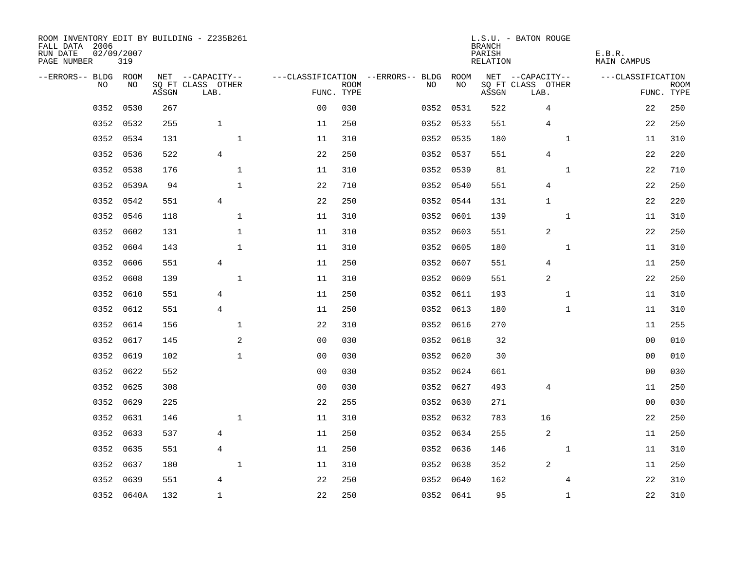| ROOM INVENTORY EDIT BY BUILDING - Z235B261<br>FALL DATA 2006<br>RUN DATE<br>PAGE NUMBER | 02/09/2007<br>319 |       |                           |                |                           |                                   |           | <b>BRANCH</b><br>PARISH<br>RELATION | L.S.U. - BATON ROUGE      | E.B.R.<br><b>MAIN CAMPUS</b> |                           |
|-----------------------------------------------------------------------------------------|-------------------|-------|---------------------------|----------------|---------------------------|-----------------------------------|-----------|-------------------------------------|---------------------------|------------------------------|---------------------------|
| --ERRORS-- BLDG ROOM                                                                    |                   |       | NET --CAPACITY--          |                |                           | ---CLASSIFICATION --ERRORS-- BLDG | ROOM      |                                     | NET --CAPACITY--          | ---CLASSIFICATION            |                           |
| N <sub>O</sub>                                                                          | NO.               | ASSGN | SO FT CLASS OTHER<br>LAB. |                | <b>ROOM</b><br>FUNC. TYPE | NO.                               | NO        | ASSGN                               | SQ FT CLASS OTHER<br>LAB. |                              | <b>ROOM</b><br>FUNC. TYPE |
| 0352                                                                                    | 0530              | 267   |                           | 0 <sub>0</sub> | 030                       |                                   | 0352 0531 | 522                                 | 4                         | 22                           | 250                       |
| 0352                                                                                    | 0532              | 255   | $\mathbf{1}$              | 11             | 250                       |                                   | 0352 0533 | 551                                 | $\overline{4}$            | 22                           | 250                       |
| 0352                                                                                    | 0534              | 131   | $\mathbf{1}$              | 11             | 310                       |                                   | 0352 0535 | 180                                 | $\mathbf{1}$              | 11                           | 310                       |
| 0352                                                                                    | 0536              | 522   | $\overline{4}$            | 22             | 250                       |                                   | 0352 0537 | 551                                 | $\overline{4}$            | 22                           | 220                       |
| 0352                                                                                    | 0538              | 176   | $\mathbf{1}$              | 11             | 310                       |                                   | 0352 0539 | 81                                  | $\mathbf{1}$              | 22                           | 710                       |
| 0352                                                                                    | 0539A             | 94    | $\mathbf 1$               | 22             | 710                       |                                   | 0352 0540 | 551                                 | 4                         | 22                           | 250                       |
| 0352                                                                                    | 0542              | 551   | $\overline{4}$            | 22             | 250                       |                                   | 0352 0544 | 131                                 | $\mathbf{1}$              | 22                           | 220                       |
| 0352                                                                                    | 0546              | 118   | $\mathbf 1$               | 11             | 310                       |                                   | 0352 0601 | 139                                 | $\mathbf{1}$              | 11                           | 310                       |
| 0352                                                                                    | 0602              | 131   | $\mathbf{1}$              | 11             | 310                       | 0352                              | 0603      | 551                                 | 2                         | 22                           | 250                       |
| 0352                                                                                    | 0604              | 143   | $\mathbf{1}$              | 11             | 310                       |                                   | 0352 0605 | 180                                 | $\mathbf{1}$              | 11                           | 310                       |
| 0352                                                                                    | 0606              | 551   | $\overline{4}$            | 11             | 250                       | 0352                              | 0607      | 551                                 | 4                         | 11                           | 250                       |
| 0352                                                                                    | 0608              | 139   | $\mathbf 1$               | 11             | 310                       |                                   | 0352 0609 | 551                                 | 2                         | 22                           | 250                       |
| 0352                                                                                    | 0610              | 551   | 4                         | 11             | 250                       | 0352                              | 0611      | 193                                 | $\mathbf{1}$              | 11                           | 310                       |
| 0352                                                                                    | 0612              | 551   | 4                         | 11             | 250                       |                                   | 0352 0613 | 180                                 | $\mathbf{1}$              | 11                           | 310                       |
| 0352                                                                                    | 0614              | 156   | 1                         | 22             | 310                       | 0352                              | 0616      | 270                                 |                           | 11                           | 255                       |
| 0352                                                                                    | 0617              | 145   | 2                         | 0 <sub>0</sub> | 030                       |                                   | 0352 0618 | 32                                  |                           | 00                           | 010                       |
| 0352                                                                                    | 0619              | 102   | $\mathbf{1}$              | 0 <sub>0</sub> | 030                       | 0352                              | 0620      | 30                                  |                           | 00                           | 010                       |
| 0352                                                                                    | 0622              | 552   |                           | 0 <sub>0</sub> | 030                       |                                   | 0352 0624 | 661                                 |                           | 00                           | 030                       |
| 0352                                                                                    | 0625              | 308   |                           | 0 <sub>0</sub> | 030                       |                                   | 0352 0627 | 493                                 | 4                         | 11                           | 250                       |
| 0352                                                                                    | 0629              | 225   |                           | 22             | 255                       |                                   | 0352 0630 | 271                                 |                           | 0 <sub>0</sub>               | 030                       |
| 0352                                                                                    | 0631              | 146   | $\mathbf 1$               | 11             | 310                       |                                   | 0352 0632 | 783                                 | 16                        | 22                           | 250                       |
| 0352                                                                                    | 0633              | 537   | 4                         | 11             | 250                       |                                   | 0352 0634 | 255                                 | 2                         | 11                           | 250                       |
| 0352                                                                                    | 0635              | 551   | $\overline{4}$            | 11             | 250                       |                                   | 0352 0636 | 146                                 | $\mathbf{1}$              | 11                           | 310                       |
| 0352                                                                                    | 0637              | 180   | $\mathbf{1}$              | 11             | 310                       |                                   | 0352 0638 | 352                                 | 2                         | 11                           | 250                       |
| 0352                                                                                    | 0639              | 551   | 4                         | 22             | 250                       |                                   | 0352 0640 | 162                                 | 4                         | 22                           | 310                       |
|                                                                                         | 0352 0640A        | 132   | $\mathbf{1}$              | 22             | 250                       |                                   | 0352 0641 | 95                                  | $\mathbf{1}$              | 22                           | 310                       |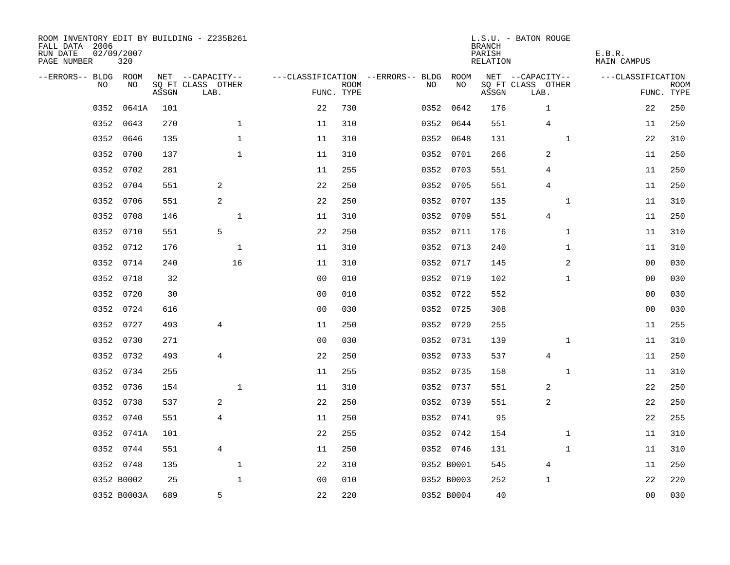| ROOM INVENTORY EDIT BY BUILDING - Z235B261<br>FALL DATA 2006<br>RUN DATE<br>PAGE NUMBER | 02/09/2007<br>320 |       |                           |                |             |                                        |            | <b>BRANCH</b><br>PARISH<br>RELATION | L.S.U. - BATON ROUGE      | E.B.R.<br>MAIN CAMPUS |                           |
|-----------------------------------------------------------------------------------------|-------------------|-------|---------------------------|----------------|-------------|----------------------------------------|------------|-------------------------------------|---------------------------|-----------------------|---------------------------|
| --ERRORS-- BLDG ROOM                                                                    |                   |       | NET --CAPACITY--          |                |             | ---CLASSIFICATION --ERRORS-- BLDG ROOM |            |                                     | NET --CAPACITY--          | ---CLASSIFICATION     |                           |
| NO                                                                                      | NO.               | ASSGN | SQ FT CLASS OTHER<br>LAB. | FUNC. TYPE     | <b>ROOM</b> | NO.                                    | NO         | ASSGN                               | SQ FT CLASS OTHER<br>LAB. |                       | <b>ROOM</b><br>FUNC. TYPE |
| 0352                                                                                    | 0641A             | 101   |                           | 22             | 730         |                                        | 0352 0642  | 176                                 | $\mathbf{1}$              | 22                    | 250                       |
| 0352                                                                                    | 0643              | 270   | $\mathbf{1}$              | 11             | 310         |                                        | 0352 0644  | 551                                 | $\overline{4}$            | 11                    | 250                       |
| 0352                                                                                    | 0646              | 135   | $\mathbf 1$               | 11             | 310         |                                        | 0352 0648  | 131                                 | $\mathbf{1}$              | 22                    | 310                       |
| 0352                                                                                    | 0700              | 137   | $\mathbf 1$               | 11             | 310         |                                        | 0352 0701  | 266                                 | 2                         | 11                    | 250                       |
| 0352                                                                                    | 0702              | 281   |                           | 11             | 255         |                                        | 0352 0703  | 551                                 | 4                         | 11                    | 250                       |
| 0352                                                                                    | 0704              | 551   | 2                         | 22             | 250         |                                        | 0352 0705  | 551                                 | $\overline{4}$            | 11                    | 250                       |
| 0352                                                                                    | 0706              | 551   | $\overline{a}$            | 22             | 250         |                                        | 0352 0707  | 135                                 | $\mathbf{1}$              | 11                    | 310                       |
| 0352                                                                                    | 0708              | 146   | $\mathbf 1$               | 11             | 310         |                                        | 0352 0709  | 551                                 | 4                         | 11                    | 250                       |
| 0352                                                                                    | 0710              | 551   | 5                         | 22             | 250         |                                        | 0352 0711  | 176                                 | $\mathbf{1}$              | 11                    | 310                       |
|                                                                                         | 0352 0712         | 176   | $\mathbf 1$               | 11             | 310         |                                        | 0352 0713  | 240                                 | $\mathbf{1}$              | 11                    | 310                       |
| 0352                                                                                    | 0714              | 240   | 16                        | 11             | 310         |                                        | 0352 0717  | 145                                 | 2                         | 0 <sub>0</sub>        | 030                       |
|                                                                                         | 0352 0718         | 32    |                           | 0 <sub>0</sub> | 010         |                                        | 0352 0719  | 102                                 | $\mathbf{1}$              | 00                    | 030                       |
| 0352                                                                                    | 0720              | 30    |                           | 0 <sub>0</sub> | 010         |                                        | 0352 0722  | 552                                 |                           | 00                    | 030                       |
|                                                                                         | 0352 0724         | 616   |                           | 0 <sub>0</sub> | 030         |                                        | 0352 0725  | 308                                 |                           | 00                    | 030                       |
| 0352                                                                                    | 0727              | 493   | 4                         | 11             | 250         |                                        | 0352 0729  | 255                                 |                           | 11                    | 255                       |
|                                                                                         | 0352 0730         | 271   |                           | 0 <sub>0</sub> | 030         |                                        | 0352 0731  | 139                                 | $\mathbf{1}$              | 11                    | 310                       |
| 0352                                                                                    | 0732              | 493   | 4                         | 22             | 250         |                                        | 0352 0733  | 537                                 | 4                         | 11                    | 250                       |
| 0352                                                                                    | 0734              | 255   |                           | 11             | 255         |                                        | 0352 0735  | 158                                 | $\mathbf{1}$              | 11                    | 310                       |
|                                                                                         | 0352 0736         | 154   | $\mathbf{1}$              | 11             | 310         |                                        | 0352 0737  | 551                                 | 2                         | 22                    | 250                       |
|                                                                                         | 0352 0738         | 537   | 2                         | 22             | 250         |                                        | 0352 0739  | 551                                 | 2                         | 22                    | 250                       |
|                                                                                         | 0352 0740         | 551   | $\overline{4}$            | 11             | 250         |                                        | 0352 0741  | 95                                  |                           | 22                    | 255                       |
| 0352                                                                                    | 0741A             | 101   |                           | 22             | 255         |                                        | 0352 0742  | 154                                 | $\mathbf{1}$              | 11                    | 310                       |
|                                                                                         | 0352 0744         | 551   | $\overline{4}$            | 11             | 250         |                                        | 0352 0746  | 131                                 | $\mathbf{1}$              | 11                    | 310                       |
|                                                                                         | 0352 0748         | 135   | $\mathbf{1}$              | 22             | 310         |                                        | 0352 B0001 | 545                                 | 4                         | 11                    | 250                       |
|                                                                                         | 0352 B0002        | 25    | $\mathbf{1}$              | 0 <sub>0</sub> | 010         |                                        | 0352 B0003 | 252                                 | 1                         | 22                    | 220                       |
|                                                                                         | 0352 B0003A       | 689   | 5                         | 22             | 220         |                                        | 0352 B0004 | 40                                  |                           | 0 <sub>0</sub>        | 030                       |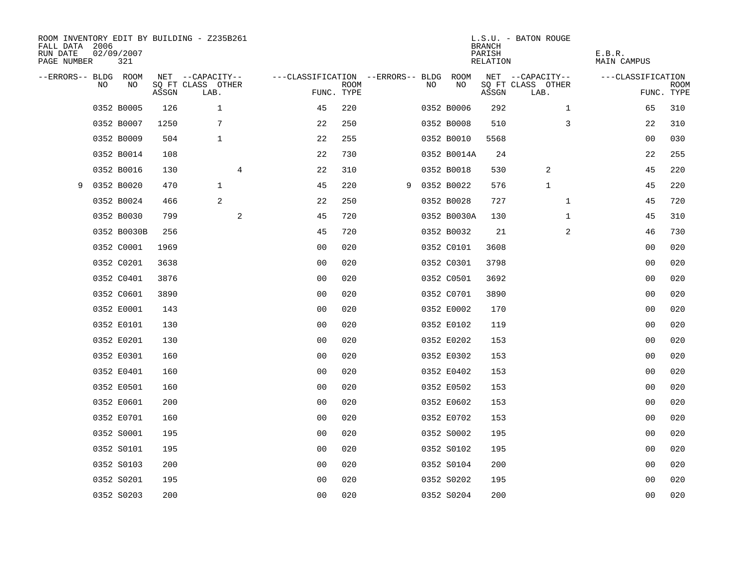| FALL DATA 2006<br>RUN DATE<br>PAGE NUMBER |    | 02/09/2007<br>321 |       | ROOM INVENTORY EDIT BY BUILDING - Z235B261 |                                        |             |    |              | <b>BRANCH</b><br>PARISH<br>RELATION | L.S.U. - BATON ROUGE      | E.B.R.<br>MAIN CAMPUS |                           |
|-------------------------------------------|----|-------------------|-------|--------------------------------------------|----------------------------------------|-------------|----|--------------|-------------------------------------|---------------------------|-----------------------|---------------------------|
| --ERRORS-- BLDG ROOM                      |    |                   |       | NET --CAPACITY--                           | ---CLASSIFICATION --ERRORS-- BLDG ROOM |             |    |              |                                     | NET --CAPACITY--          | ---CLASSIFICATION     |                           |
|                                           | NO | NO                | ASSGN | SQ FT CLASS OTHER<br>LAB.                  | FUNC. TYPE                             | <b>ROOM</b> | NO | NO           | ASSGN                               | SQ FT CLASS OTHER<br>LAB. |                       | <b>ROOM</b><br>FUNC. TYPE |
|                                           |    | 0352 B0005        | 126   | 1                                          | 45                                     | 220         |    | 0352 B0006   | 292                                 | $\mathbf{1}$              | 65                    | 310                       |
|                                           |    | 0352 B0007        | 1250  | 7                                          | 22                                     | 250         |    | 0352 B0008   | 510                                 | 3                         | 22                    | 310                       |
|                                           |    | 0352 B0009        | 504   | $\mathbf{1}$                               | 22                                     | 255         |    | 0352 B0010   | 5568                                |                           | 0 <sub>0</sub>        | 030                       |
|                                           |    | 0352 B0014        | 108   |                                            | 22                                     | 730         |    | 0352 B0014A  | 24                                  |                           | 22                    | 255                       |
|                                           |    | 0352 B0016        | 130   | 4                                          | 22                                     | 310         |    | 0352 B0018   | 530                                 | 2                         | 45                    | 220                       |
| 9                                         |    | 0352 B0020        | 470   | $\mathbf{1}$                               | 45                                     | 220         |    | 9 0352 B0022 | 576                                 | $\mathbf 1$               | 45                    | 220                       |
|                                           |    | 0352 B0024        | 466   | $\overline{c}$                             | 22                                     | 250         |    | 0352 B0028   | 727                                 | $\mathbf{1}$              | 45                    | 720                       |
|                                           |    | 0352 B0030        | 799   | $\mathbf{2}$                               | 45                                     | 720         |    | 0352 B0030A  | 130                                 | $\mathbf{1}$              | 45                    | 310                       |
|                                           |    | 0352 B0030B       | 256   |                                            | 45                                     | 720         |    | 0352 B0032   | 21                                  | 2                         | 46                    | 730                       |
|                                           |    | 0352 C0001        | 1969  |                                            | 0 <sub>0</sub>                         | 020         |    | 0352 C0101   | 3608                                |                           | 00                    | 020                       |
|                                           |    | 0352 C0201        | 3638  |                                            | 0 <sub>0</sub>                         | 020         |    | 0352 C0301   | 3798                                |                           | 0 <sub>0</sub>        | 020                       |
|                                           |    | 0352 C0401        | 3876  |                                            | 0 <sub>0</sub>                         | 020         |    | 0352 C0501   | 3692                                |                           | 0 <sub>0</sub>        | 020                       |
|                                           |    | 0352 C0601        | 3890  |                                            | 0 <sub>0</sub>                         | 020         |    | 0352 C0701   | 3890                                |                           | 0 <sub>0</sub>        | 020                       |
|                                           |    | 0352 E0001        | 143   |                                            | 0 <sub>0</sub>                         | 020         |    | 0352 E0002   | 170                                 |                           | 00                    | 020                       |
|                                           |    | 0352 E0101        | 130   |                                            | 0 <sub>0</sub>                         | 020         |    | 0352 E0102   | 119                                 |                           | 0 <sub>0</sub>        | 020                       |
|                                           |    | 0352 E0201        | 130   |                                            | 00                                     | 020         |    | 0352 E0202   | 153                                 |                           | 00                    | 020                       |
|                                           |    | 0352 E0301        | 160   |                                            | 0 <sub>0</sub>                         | 020         |    | 0352 E0302   | 153                                 |                           | 0 <sub>0</sub>        | 020                       |
|                                           |    | 0352 E0401        | 160   |                                            | 0 <sub>0</sub>                         | 020         |    | 0352 E0402   | 153                                 |                           | 00                    | 020                       |
|                                           |    | 0352 E0501        | 160   |                                            | 0 <sub>0</sub>                         | 020         |    | 0352 E0502   | 153                                 |                           | 0 <sub>0</sub>        | 020                       |
|                                           |    | 0352 E0601        | 200   |                                            | 0 <sub>0</sub>                         | 020         |    | 0352 E0602   | 153                                 |                           | 0 <sub>0</sub>        | 020                       |
|                                           |    | 0352 E0701        | 160   |                                            | 0 <sub>0</sub>                         | 020         |    | 0352 E0702   | 153                                 |                           | 00                    | 020                       |
|                                           |    | 0352 S0001        | 195   |                                            | 0 <sub>0</sub>                         | 020         |    | 0352 S0002   | 195                                 |                           | 0 <sub>0</sub>        | 020                       |
|                                           |    | 0352 S0101        | 195   |                                            | 0 <sub>0</sub>                         | 020         |    | 0352 S0102   | 195                                 |                           | 0 <sub>0</sub>        | 020                       |
|                                           |    | 0352 S0103        | 200   |                                            | 0 <sub>0</sub>                         | 020         |    | 0352 S0104   | 200                                 |                           | 00                    | 020                       |
|                                           |    | 0352 S0201        | 195   |                                            | 0 <sub>0</sub>                         | 020         |    | 0352 S0202   | 195                                 |                           | 00                    | 020                       |
|                                           |    | 0352 S0203        | 200   |                                            | 0 <sub>0</sub>                         | 020         |    | 0352 S0204   | 200                                 |                           | 0 <sub>0</sub>        | 020                       |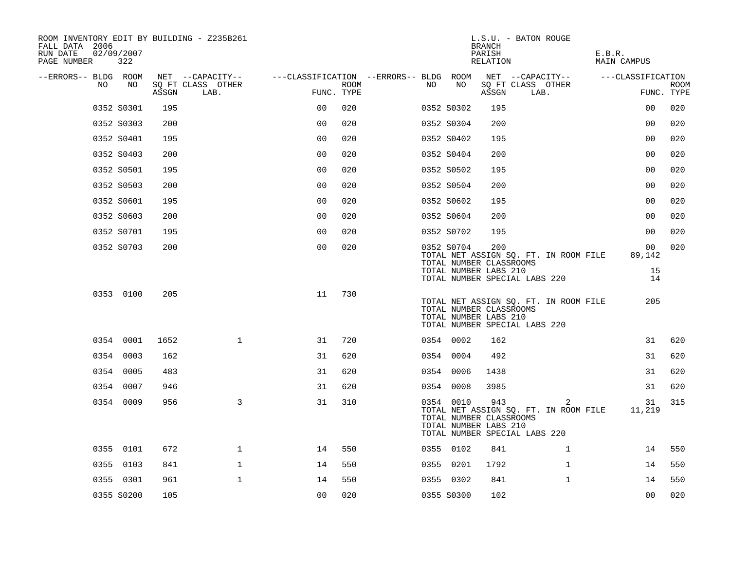| ROOM INVENTORY EDIT BY BUILDING - Z235B261<br>FALL DATA 2006<br>RUN DATE<br>PAGE NUMBER | 02/09/2007<br>322 |       |                           |                                        |      |    |                                                                | <b>BRANCH</b><br>PARISH<br>RELATION | L.S.U. - BATON ROUGE                                                                                    | E.B.R.<br><b>MAIN CAMPUS</b> |                           |
|-----------------------------------------------------------------------------------------|-------------------|-------|---------------------------|----------------------------------------|------|----|----------------------------------------------------------------|-------------------------------------|---------------------------------------------------------------------------------------------------------|------------------------------|---------------------------|
| --ERRORS-- BLDG ROOM                                                                    |                   |       | NET --CAPACITY--          | ---CLASSIFICATION --ERRORS-- BLDG ROOM |      |    |                                                                |                                     | NET --CAPACITY--                                                                                        | ---CLASSIFICATION            |                           |
| NO                                                                                      | NO                | ASSGN | SQ FT CLASS OTHER<br>LAB. | FUNC. TYPE                             | ROOM | NO | NO                                                             | ASSGN                               | SQ FT CLASS OTHER<br>LAB.                                                                               |                              | <b>ROOM</b><br>FUNC. TYPE |
|                                                                                         | 0352 S0301        | 195   |                           | 0 <sub>0</sub>                         | 020  |    | 0352 S0302                                                     | 195                                 |                                                                                                         | 0 <sub>0</sub>               | 020                       |
|                                                                                         | 0352 S0303        | 200   |                           | 0 <sup>0</sup>                         | 020  |    | 0352 S0304                                                     | 200                                 |                                                                                                         | 0 <sub>0</sub>               | 020                       |
|                                                                                         | 0352 S0401        | 195   |                           | 0 <sub>0</sub>                         | 020  |    | 0352 S0402                                                     | 195                                 |                                                                                                         | 0 <sub>0</sub>               | 020                       |
|                                                                                         | 0352 S0403        | 200   |                           | 0 <sub>0</sub>                         | 020  |    | 0352 S0404                                                     | 200                                 |                                                                                                         | 00                           | 020                       |
|                                                                                         | 0352 S0501        | 195   |                           | 0 <sub>0</sub>                         | 020  |    | 0352 S0502                                                     | 195                                 |                                                                                                         | 00                           | 020                       |
|                                                                                         | 0352 S0503        | 200   |                           | 0 <sub>0</sub>                         | 020  |    | 0352 S0504                                                     | 200                                 |                                                                                                         | 00                           | 020                       |
|                                                                                         | 0352 S0601        | 195   |                           | 0 <sub>0</sub>                         | 020  |    | 0352 S0602                                                     | 195                                 |                                                                                                         | 0 <sub>0</sub>               | 020                       |
|                                                                                         | 0352 S0603        | 200   |                           | 0 <sub>0</sub>                         | 020  |    | 0352 S0604                                                     | 200                                 |                                                                                                         | 0 <sub>0</sub>               | 020                       |
|                                                                                         | 0352 S0701        | 195   |                           | 0 <sub>0</sub>                         | 020  |    | 0352 S0702                                                     | 195                                 |                                                                                                         | 0 <sub>0</sub>               | 020                       |
|                                                                                         | 0352 S0703        | 200   |                           | 0 <sub>0</sub>                         | 020  |    | 0352 S0704<br>TOTAL NUMBER CLASSROOMS<br>TOTAL NUMBER LABS 210 | 200                                 | TOTAL NET ASSIGN SQ. FT. IN ROOM FILE                                                                   | 00<br>89,142<br>15           | 020                       |
|                                                                                         | 0353 0100         | 205   |                           | 11                                     | 730  |    | TOTAL NUMBER CLASSROOMS<br>TOTAL NUMBER LABS 210               |                                     | TOTAL NUMBER SPECIAL LABS 220<br>TOTAL NET ASSIGN SQ. FT. IN ROOM FILE<br>TOTAL NUMBER SPECIAL LABS 220 | 14<br>205                    |                           |
|                                                                                         | 0354 0001         | 1652  | $\mathbf{1}$              | 31                                     | 720  |    | 0354 0002                                                      | 162                                 |                                                                                                         | 31                           | 620                       |
|                                                                                         | 0354 0003         | 162   |                           | 31                                     | 620  |    | 0354 0004                                                      | 492                                 |                                                                                                         | 31                           | 620                       |
|                                                                                         | 0354 0005         | 483   |                           | 31                                     | 620  |    | 0354 0006                                                      | 1438                                |                                                                                                         | 31                           | 620                       |
|                                                                                         | 0354 0007         | 946   |                           | 31                                     | 620  |    | 0354 0008                                                      | 3985                                |                                                                                                         | 31                           | 620                       |
|                                                                                         | 0354 0009         | 956   | 3                         | 31                                     | 310  |    | 0354 0010<br>TOTAL NUMBER CLASSROOMS<br>TOTAL NUMBER LABS 210  | 943                                 | 2<br>TOTAL NET ASSIGN SQ. FT. IN ROOM FILE<br>TOTAL NUMBER SPECIAL LABS 220                             | 31<br>11,219                 | 315                       |
|                                                                                         | 0355 0101         | 672   | $\mathbf{1}$              | 14                                     | 550  |    | 0355 0102                                                      | 841                                 | $\mathbf{1}$                                                                                            | 14                           | 550                       |
|                                                                                         | 0355 0103         | 841   | $\mathbf 1$               | 14                                     | 550  |    | 0355 0201                                                      | 1792                                | $\mathbf{1}$                                                                                            | 14                           | 550                       |
|                                                                                         | 0355 0301         | 961   | $\mathbf{1}$              | 14                                     | 550  |    | 0355 0302                                                      | 841                                 | $\mathbf{1}$                                                                                            | 14                           | 550                       |
|                                                                                         | 0355 S0200        | 105   |                           | 0 <sub>0</sub>                         | 020  |    | 0355 S0300                                                     | 102                                 |                                                                                                         | 0 <sub>0</sub>               | 020                       |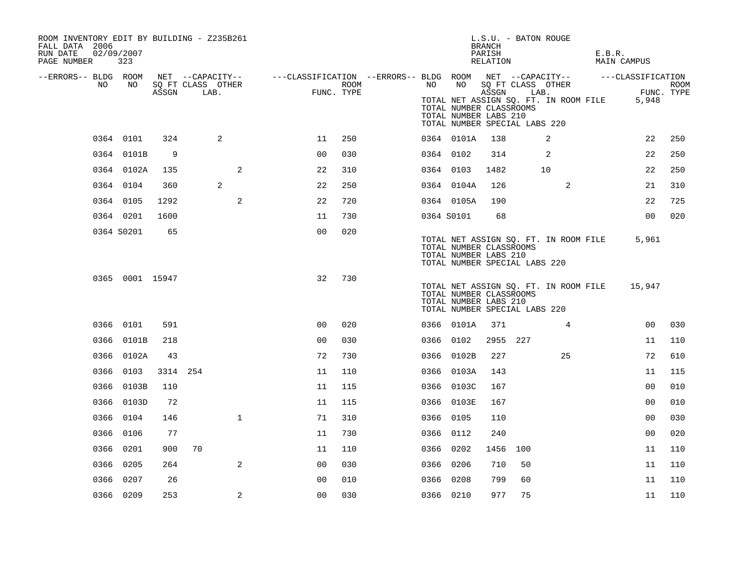| ROOM INVENTORY EDIT BY BUILDING - Z235B261<br>FALL DATA 2006<br>RUN DATE<br>PAGE NUMBER | 02/09/2007<br>323 |          |                                               |                                                                               |                    |           |                                                        | BRANCH<br>PARISH<br>RELATION | L.S.U. - BATON ROUGE                                                                                |    | E.B.R. | MAIN CAMPUS         |             |
|-----------------------------------------------------------------------------------------|-------------------|----------|-----------------------------------------------|-------------------------------------------------------------------------------|--------------------|-----------|--------------------------------------------------------|------------------------------|-----------------------------------------------------------------------------------------------------|----|--------|---------------------|-------------|
| --ERRORS-- BLDG ROOM<br>NO.                                                             | NO                | ASSGN    | NET --CAPACITY--<br>SQ FT CLASS OTHER<br>LAB. | ---CLASSIFICATION --ERRORS-- BLDG ROOM NET --CAPACITY--     ---CLASSIFICATION | ROOM<br>FUNC. TYPE | NO        | NO<br>TOTAL NUMBER CLASSROOMS<br>TOTAL NUMBER LABS 210 | ASSGN                        | SQ FT CLASS OTHER<br>LAB.<br>TOTAL NET ASSIGN SQ. FT. IN ROOM FILE<br>TOTAL NUMBER SPECIAL LABS 220 |    |        | FUNC. TYPE<br>5,948 | <b>ROOM</b> |
|                                                                                         | 0364 0101         | 324      | 2                                             | 11                                                                            | 250                |           | 0364 0101A                                             | 138                          | 2                                                                                                   |    |        | 22                  | 250         |
|                                                                                         | 0364 0101B        | 9        |                                               | 0 <sub>0</sub>                                                                | 030                | 0364 0102 |                                                        | 314                          | 2                                                                                                   |    |        | 22                  | 250         |
|                                                                                         | 0364 0102A        | 135      | 2                                             | 22                                                                            | 310                |           | 0364 0103                                              | 1482                         | 10                                                                                                  |    |        | 22                  | 250         |
|                                                                                         | 0364 0104         | 360      | 2                                             | 22                                                                            | 250                |           | 0364 0104A                                             | 126                          |                                                                                                     | 2  |        | 21                  | 310         |
|                                                                                         | 0364 0105         | 1292     | 2                                             | 22                                                                            | 720                |           | 0364 0105A                                             | 190                          |                                                                                                     |    |        | 22                  | 725         |
|                                                                                         | 0364 0201         | 1600     |                                               | 11                                                                            | 730                |           | 0364 S0101                                             | 68                           |                                                                                                     |    |        | 0 <sub>0</sub>      | 020         |
|                                                                                         | 0364 S0201        | 65       |                                               | 0 <sub>0</sub>                                                                | 020                |           | TOTAL NUMBER CLASSROOMS<br>TOTAL NUMBER LABS 210       |                              | TOTAL NET ASSIGN SQ. FT. IN ROOM FILE<br>TOTAL NUMBER SPECIAL LABS 220                              |    |        | 5,961               |             |
|                                                                                         | 0365 0001 15947   |          |                                               | 32                                                                            | 730                |           | TOTAL NUMBER CLASSROOMS<br>TOTAL NUMBER LABS 210       |                              | TOTAL NET ASSIGN SQ. FT. IN ROOM FILE<br>TOTAL NUMBER SPECIAL LABS 220                              |    |        | 15,947              |             |
|                                                                                         | 0366 0101         | 591      |                                               | 0 <sub>0</sub>                                                                | 020                |           | 0366 0101A                                             | 371                          |                                                                                                     | 4  |        | 0 <sub>0</sub>      | 030         |
|                                                                                         | 0366 0101B        | 218      |                                               | 0 <sub>0</sub>                                                                | 030                |           | 0366 0102                                              | 2955 227                     |                                                                                                     |    |        | 11                  | 110         |
|                                                                                         | 0366 0102A        | 43       |                                               | 72                                                                            | 730                |           | 0366 0102B                                             | 227                          |                                                                                                     | 25 |        | 72                  | 610         |
|                                                                                         | 0366 0103         | 3314 254 |                                               | 11                                                                            | 110                |           | 0366 0103A                                             | 143                          |                                                                                                     |    |        | 11                  | 115         |
|                                                                                         | 0366 0103B        | 110      |                                               | 11                                                                            | 115                |           | 0366 0103C                                             | 167                          |                                                                                                     |    |        | 00                  | 010         |
|                                                                                         | 0366 0103D        | 72       |                                               | 11                                                                            | 115                |           | 0366 0103E                                             | 167                          |                                                                                                     |    |        | 0 <sub>0</sub>      | 010         |
|                                                                                         | 0366 0104         | 146      | $\mathbf{1}$                                  | 71                                                                            | 310                | 0366 0105 |                                                        | 110                          |                                                                                                     |    |        | 0 <sub>0</sub>      | 030         |
|                                                                                         | 0366 0106         | 77       |                                               | 11                                                                            | 730                | 0366 0112 |                                                        | 240                          |                                                                                                     |    |        | 0 <sub>0</sub>      | 020         |
|                                                                                         | 0366 0201         | 900      | 70                                            | 11                                                                            | 110                | 0366 0202 |                                                        | 1456 100                     |                                                                                                     |    |        | 11                  | 110         |
|                                                                                         | 0366 0205         | 264      | 2                                             | 0 <sup>0</sup>                                                                | 030                | 0366 0206 |                                                        | 710                          | 50                                                                                                  |    |        | 11                  | 110         |
|                                                                                         | 0366 0207         | 26       |                                               | 0 <sub>0</sub>                                                                | 010                | 0366 0208 |                                                        | 799                          | 60                                                                                                  |    |        | 11                  | 110         |
|                                                                                         | 0366 0209         | 253      | 2                                             | 0 <sub>0</sub>                                                                | 030                | 0366 0210 |                                                        | 977                          | 75                                                                                                  |    |        | 11                  | 110         |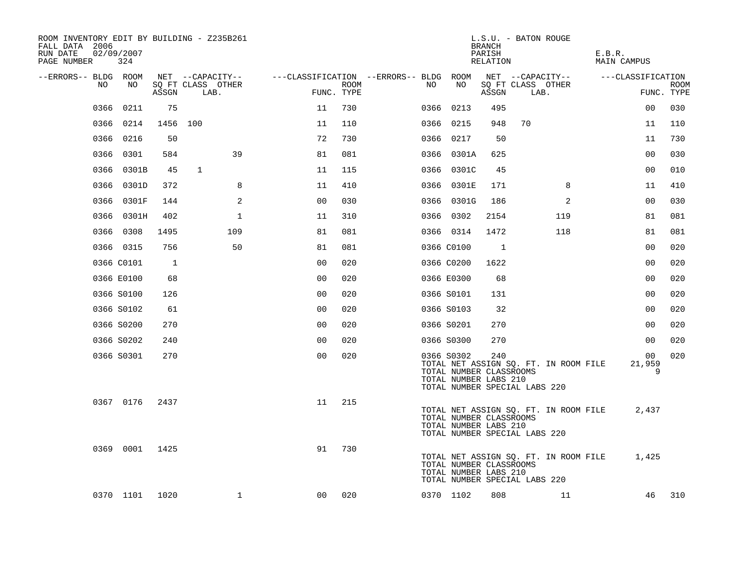| ROOM INVENTORY EDIT BY BUILDING - Z235B261<br>FALL DATA 2006<br>RUN DATE<br>PAGE NUMBER | 02/09/2007<br>324 |                |                           |                |                    |                                        |                                                                | <b>BRANCH</b><br>PARISH<br>RELATION | L.S.U. - BATON ROUGE                                                   | E.B.R.<br>MAIN CAMPUS |                           |
|-----------------------------------------------------------------------------------------|-------------------|----------------|---------------------------|----------------|--------------------|----------------------------------------|----------------------------------------------------------------|-------------------------------------|------------------------------------------------------------------------|-----------------------|---------------------------|
| --ERRORS-- BLDG ROOM                                                                    |                   |                | NET --CAPACITY--          |                |                    | ---CLASSIFICATION --ERRORS-- BLDG ROOM |                                                                |                                     | NET --CAPACITY--                                                       | ---CLASSIFICATION     |                           |
| NO                                                                                      | NO                | ASSGN          | SQ FT CLASS OTHER<br>LAB. |                | ROOM<br>FUNC. TYPE | NO                                     | NO                                                             | ASSGN                               | SQ FT CLASS OTHER<br>LAB.                                              |                       | <b>ROOM</b><br>FUNC. TYPE |
| 0366                                                                                    | 0211              | 75             |                           | 11             | 730                |                                        | 0366 0213                                                      | 495                                 |                                                                        | 0 <sub>0</sub>        | 030                       |
|                                                                                         | 0366 0214         | 1456           | 100                       | 11             | 110                |                                        | 0366 0215                                                      | 948                                 | 70                                                                     | 11                    | 110                       |
|                                                                                         | 0366 0216         | 50             |                           | 72             | 730                |                                        | 0366 0217                                                      | 50                                  |                                                                        | 11                    | 730                       |
|                                                                                         | 0366 0301         | 584            | 39                        | 81             | 081                |                                        | 0366 0301A                                                     | 625                                 |                                                                        | 0 <sub>0</sub>        | 030                       |
|                                                                                         | 0366 0301B        | 45             | 1                         | 11             | 115                |                                        | 0366 0301C                                                     | 45                                  |                                                                        | 00                    | 010                       |
|                                                                                         | 0366 0301D        | 372            | 8                         | 11             | 410                |                                        | 0366 0301E                                                     | 171                                 | 8                                                                      | 11                    | 410                       |
|                                                                                         | 0366 0301F        | 144            | $\mathbf{2}$              | 00             | 030                |                                        | 0366 0301G                                                     | 186                                 | 2                                                                      | 0 <sub>0</sub>        | 030                       |
|                                                                                         | 0366 0301H        | 402            | $\mathbf 1$               | 11             | 310                |                                        | 0366 0302                                                      | 2154                                | 119                                                                    | 81                    | 081                       |
|                                                                                         | 0366 0308         | 1495           | 109                       | 81             | 081                |                                        | 0366 0314                                                      | 1472                                | 118                                                                    | 81                    | 081                       |
|                                                                                         | 0366 0315         | 756            | 50                        | 81             | 081                |                                        | 0366 C0100                                                     | $\overline{1}$                      |                                                                        | 00                    | 020                       |
|                                                                                         | 0366 C0101        | $\overline{1}$ |                           | 0 <sub>0</sub> | 020                |                                        | 0366 C0200                                                     | 1622                                |                                                                        | 0 <sub>0</sub>        | 020                       |
|                                                                                         | 0366 E0100        | 68             |                           | 0 <sub>0</sub> | 020                |                                        | 0366 E0300                                                     | 68                                  |                                                                        | 0 <sub>0</sub>        | 020                       |
|                                                                                         | 0366 S0100        | 126            |                           | 0 <sub>0</sub> | 020                |                                        | 0366 S0101                                                     | 131                                 |                                                                        | 0 <sub>0</sub>        | 020                       |
|                                                                                         | 0366 S0102        | 61             |                           | 0 <sub>0</sub> | 020                |                                        | 0366 S0103                                                     | 32                                  |                                                                        | 00                    | 020                       |
|                                                                                         | 0366 S0200        | 270            |                           | 0 <sub>0</sub> | 020                |                                        | 0366 S0201                                                     | 270                                 |                                                                        | 0 <sub>0</sub>        | 020                       |
|                                                                                         | 0366 S0202        | 240            |                           | 0 <sub>0</sub> | 020                |                                        | 0366 S0300                                                     | 270                                 |                                                                        | 00                    | 020                       |
|                                                                                         | 0366 S0301        | 270            |                           | 0 <sub>0</sub> | 020                |                                        | 0366 S0302<br>TOTAL NUMBER CLASSROOMS<br>TOTAL NUMBER LABS 210 | 240                                 | TOTAL NET ASSIGN SQ. FT. IN ROOM FILE<br>TOTAL NUMBER SPECIAL LABS 220 | 00<br>21,959<br>9     | 020                       |
|                                                                                         | 0367 0176         | 2437           |                           | 11             | 215                |                                        | TOTAL NUMBER CLASSROOMS<br>TOTAL NUMBER LABS 210               |                                     | TOTAL NET ASSIGN SQ. FT. IN ROOM FILE<br>TOTAL NUMBER SPECIAL LABS 220 | 2,437                 |                           |
|                                                                                         | 0369 0001 1425    |                |                           | 91             | 730                |                                        | TOTAL NUMBER CLASSROOMS<br>TOTAL NUMBER LABS 210               |                                     | TOTAL NET ASSIGN SQ. FT. IN ROOM FILE<br>TOTAL NUMBER SPECIAL LABS 220 | 1,425                 |                           |
|                                                                                         | 0370 1101 1020    |                | $\mathbf 1$               | 00             | 020                |                                        | 0370 1102                                                      | 808                                 | 11                                                                     | 46                    | 310                       |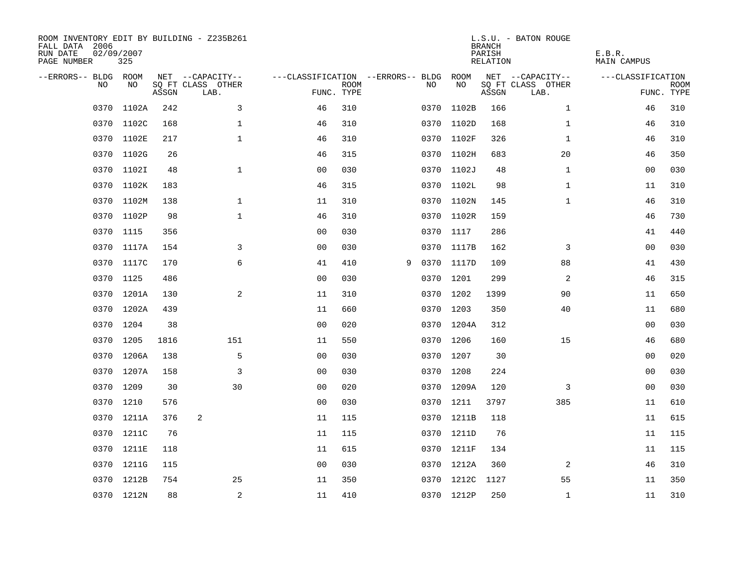| ROOM INVENTORY EDIT BY BUILDING - Z235B261<br>FALL DATA 2006<br>RUN DATE<br>PAGE NUMBER | 02/09/2007<br>325 |       |                           |                                        |             |   |      |            | <b>BRANCH</b><br>PARISH<br>RELATION | L.S.U. - BATON ROUGE      | E.B.R.<br>MAIN CAMPUS |                           |
|-----------------------------------------------------------------------------------------|-------------------|-------|---------------------------|----------------------------------------|-------------|---|------|------------|-------------------------------------|---------------------------|-----------------------|---------------------------|
| --ERRORS-- BLDG ROOM                                                                    |                   |       | NET --CAPACITY--          | ---CLASSIFICATION --ERRORS-- BLDG ROOM |             |   |      |            |                                     | NET --CAPACITY--          | ---CLASSIFICATION     |                           |
| NO.                                                                                     | NO.               | ASSGN | SQ FT CLASS OTHER<br>LAB. | FUNC. TYPE                             | <b>ROOM</b> |   | NO.  | NO         | ASSGN                               | SQ FT CLASS OTHER<br>LAB. |                       | <b>ROOM</b><br>FUNC. TYPE |
| 0370                                                                                    | 1102A             | 242   | 3                         | 46                                     | 310         |   | 0370 | 1102B      | 166                                 | $\mathbf{1}$              | 46                    | 310                       |
|                                                                                         | 0370 1102C        | 168   | $\mathbf{1}$              | 46                                     | 310         |   |      | 0370 1102D | 168                                 | $\mathbf{1}$              | 46                    | 310                       |
|                                                                                         | 0370 1102E        | 217   | $\mathbf 1$               | 46                                     | 310         |   |      | 0370 1102F | 326                                 | $\mathbf{1}$              | 46                    | 310                       |
|                                                                                         | 0370 1102G        | 26    |                           | 46                                     | 315         |   |      | 0370 1102H | 683                                 | 20                        | 46                    | 350                       |
| 0370                                                                                    | 1102I             | 48    | $\mathbf 1$               | 00                                     | 030         |   |      | 0370 1102J | 48                                  | $\mathbf{1}$              | 00                    | 030                       |
|                                                                                         | 0370 1102K        | 183   |                           | 46                                     | 315         |   |      | 0370 1102L | 98                                  | $\mathbf{1}$              | 11                    | 310                       |
| 0370                                                                                    | 1102M             | 138   | $\mathbf{1}$              | 11                                     | 310         |   |      | 0370 1102N | 145                                 | $\mathbf{1}$              | 46                    | 310                       |
| 0370                                                                                    | 1102P             | 98    | $\mathbf 1$               | 46                                     | 310         |   |      | 0370 1102R | 159                                 |                           | 46                    | 730                       |
| 0370                                                                                    | 1115              | 356   |                           | 0 <sub>0</sub>                         | 030         |   | 0370 | 1117       | 286                                 |                           | 41                    | 440                       |
|                                                                                         | 0370 1117A        | 154   | 3                         | 0 <sub>0</sub>                         | 030         |   |      | 0370 1117B | 162                                 | 3                         | 0 <sub>0</sub>        | 030                       |
| 0370                                                                                    | 1117C             | 170   | 6                         | 41                                     | 410         | 9 |      | 0370 1117D | 109                                 | 88                        | 41                    | 430                       |
|                                                                                         | 0370 1125         | 486   |                           | 0 <sub>0</sub>                         | 030         |   |      | 0370 1201  | 299                                 | $\overline{a}$            | 46                    | 315                       |
| 0370                                                                                    | 1201A             | 130   | 2                         | 11                                     | 310         |   |      | 0370 1202  | 1399                                | 90                        | 11                    | 650                       |
|                                                                                         | 0370 1202A        | 439   |                           | 11                                     | 660         |   |      | 0370 1203  | 350                                 | 40                        | 11                    | 680                       |
| 0370                                                                                    | 1204              | 38    |                           | 0 <sub>0</sub>                         | 020         |   |      | 0370 1204A | 312                                 |                           | 00                    | 030                       |
| 0370                                                                                    | 1205              | 1816  | 151                       | 11                                     | 550         |   |      | 0370 1206  | 160                                 | 15                        | 46                    | 680                       |
| 0370                                                                                    | 1206A             | 138   | 5                         | 0 <sub>0</sub>                         | 030         |   | 0370 | 1207       | 30                                  |                           | 00                    | 020                       |
| 0370                                                                                    | 1207A             | 158   | 3                         | 0 <sub>0</sub>                         | 030         |   |      | 0370 1208  | 224                                 |                           | 00                    | 030                       |
|                                                                                         | 0370 1209         | 30    | 30                        | 0 <sub>0</sub>                         | 020         |   |      | 0370 1209A | 120                                 | 3                         | 00                    | 030                       |
| 0370                                                                                    | 1210              | 576   |                           | 0 <sub>0</sub>                         | 030         |   |      | 0370 1211  | 3797                                | 385                       | 11                    | 610                       |
|                                                                                         | 0370 1211A        | 376   | 2                         | 11                                     | 115         |   |      | 0370 1211B | 118                                 |                           | 11                    | 615                       |
|                                                                                         | 0370 1211C        | 76    |                           | 11                                     | 115         |   |      | 0370 1211D | 76                                  |                           | 11                    | 115                       |
|                                                                                         | 0370 1211E        | 118   |                           | 11                                     | 615         |   |      | 0370 1211F | 134                                 |                           | 11                    | 115                       |
| 0370                                                                                    | 1211G             | 115   |                           | 0 <sub>0</sub>                         | 030         |   |      | 0370 1212A | 360                                 | 2                         | 46                    | 310                       |
|                                                                                         | 0370 1212B        | 754   | 25                        | 11                                     | 350         |   |      | 0370 1212C | 1127                                | 55                        | 11                    | 350                       |
|                                                                                         | 0370 1212N        | 88    | $\sqrt{2}$                | 11                                     | 410         |   |      | 0370 1212P | 250                                 | $\mathbf{1}$              | 11                    | 310                       |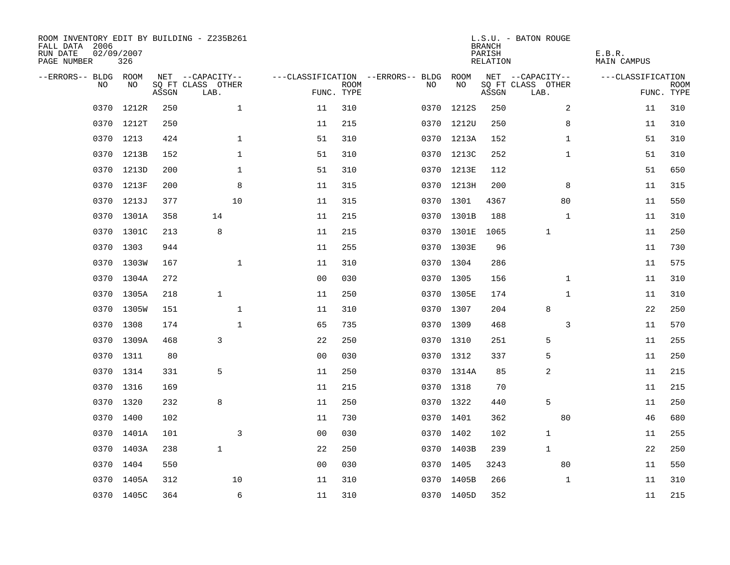| ROOM INVENTORY EDIT BY BUILDING - Z235B261<br>FALL DATA 2006<br>RUN DATE<br>PAGE NUMBER | 02/09/2007<br>326 |       |                           |                |             |                                        |            | <b>BRANCH</b><br>PARISH<br>RELATION | L.S.U. - BATON ROUGE      | E.B.R.<br>MAIN CAMPUS |                           |
|-----------------------------------------------------------------------------------------|-------------------|-------|---------------------------|----------------|-------------|----------------------------------------|------------|-------------------------------------|---------------------------|-----------------------|---------------------------|
| --ERRORS-- BLDG ROOM                                                                    |                   |       | NET --CAPACITY--          |                |             | ---CLASSIFICATION --ERRORS-- BLDG ROOM |            |                                     | NET --CAPACITY--          | ---CLASSIFICATION     |                           |
| NO.                                                                                     | NO.               | ASSGN | SQ FT CLASS OTHER<br>LAB. | FUNC. TYPE     | <b>ROOM</b> | NO.                                    | NO         | ASSGN                               | SQ FT CLASS OTHER<br>LAB. |                       | <b>ROOM</b><br>FUNC. TYPE |
| 0370                                                                                    | 1212R             | 250   | $\mathbf{1}$              | 11             | 310         | 0370                                   | 1212S      | 250                                 | 2                         | 11                    | 310                       |
|                                                                                         | 0370 1212T        | 250   |                           | 11             | 215         |                                        | 0370 1212U | 250                                 | 8                         | 11                    | 310                       |
|                                                                                         | 0370 1213         | 424   | $\mathbf 1$               | 51             | 310         |                                        | 0370 1213A | 152                                 | $\mathbf{1}$              | 51                    | 310                       |
|                                                                                         | 0370 1213B        | 152   | $\mathbf 1$               | 51             | 310         |                                        | 0370 1213C | 252                                 | $\mathbf{1}$              | 51                    | 310                       |
| 0370                                                                                    | 1213D             | 200   | $\mathbf{1}$              | 51             | 310         |                                        | 0370 1213E | 112                                 |                           | 51                    | 650                       |
|                                                                                         | 0370 1213F        | 200   | 8                         | 11             | 315         |                                        | 0370 1213H | 200                                 | 8                         | 11                    | 315                       |
| 0370                                                                                    | 1213J             | 377   | 10                        | 11             | 315         | 0370                                   | 1301       | 4367                                | 80                        | 11                    | 550                       |
|                                                                                         | 0370 1301A        | 358   | 14                        | 11             | 215         |                                        | 0370 1301B | 188                                 | $\mathbf{1}$              | 11                    | 310                       |
| 0370                                                                                    | 1301C             | 213   | 8                         | 11             | 215         |                                        | 0370 1301E | 1065                                | $\mathbf 1$               | 11                    | 250                       |
|                                                                                         | 0370 1303         | 944   |                           | 11             | 255         |                                        | 0370 1303E | 96                                  |                           | 11                    | 730                       |
| 0370                                                                                    | 1303W             | 167   | $\mathbf{1}$              | 11             | 310         |                                        | 0370 1304  | 286                                 |                           | 11                    | 575                       |
|                                                                                         | 0370 1304A        | 272   |                           | 0 <sub>0</sub> | 030         |                                        | 0370 1305  | 156                                 | $\mathbf{1}$              | 11                    | 310                       |
| 0370                                                                                    | 1305A             | 218   | $\mathbf{1}$              | 11             | 250         |                                        | 0370 1305E | 174                                 | $\mathbf{1}$              | 11                    | 310                       |
| 0370                                                                                    | 1305W             | 151   | $\mathbf 1$               | 11             | 310         |                                        | 0370 1307  | 204                                 | 8                         | 22                    | 250                       |
| 0370                                                                                    | 1308              | 174   | $\mathbf{1}$              | 65             | 735         | 0370                                   | 1309       | 468                                 | 3                         | 11                    | 570                       |
| 0370                                                                                    | 1309A             | 468   | 3                         | 22             | 250         |                                        | 0370 1310  | 251                                 | 5                         | 11                    | 255                       |
| 0370                                                                                    | 1311              | 80    |                           | 0 <sub>0</sub> | 030         |                                        | 0370 1312  | 337                                 | 5                         | 11                    | 250                       |
| 0370                                                                                    | 1314              | 331   | 5                         | 11             | 250         |                                        | 0370 1314A | 85                                  | 2                         | 11                    | 215                       |
|                                                                                         | 0370 1316         | 169   |                           | 11             | 215         |                                        | 0370 1318  | 70                                  |                           | 11                    | 215                       |
| 0370                                                                                    | 1320              | 232   | 8                         | 11             | 250         |                                        | 0370 1322  | 440                                 | 5                         | 11                    | 250                       |
|                                                                                         | 0370 1400         | 102   |                           | 11             | 730         |                                        | 0370 1401  | 362                                 | 80                        | 46                    | 680                       |
|                                                                                         | 0370 1401A        | 101   | 3                         | 0 <sub>0</sub> | 030         |                                        | 0370 1402  | 102                                 | $\mathbf 1$               | 11                    | 255                       |
|                                                                                         | 0370 1403A        | 238   | $\mathbf{1}$              | 22             | 250         |                                        | 0370 1403B | 239                                 | $\mathbf{1}$              | 22                    | 250                       |
| 0370                                                                                    | 1404              | 550   |                           | 0 <sub>0</sub> | 030         |                                        | 0370 1405  | 3243                                | 80                        | 11                    | 550                       |
|                                                                                         | 0370 1405A        | 312   | 10                        | 11             | 310         |                                        | 0370 1405B | 266                                 | $\mathbf{1}$              | 11                    | 310                       |
|                                                                                         | 0370 1405C        | 364   | 6                         | 11             | 310         |                                        | 0370 1405D | 352                                 |                           | 11                    | 215                       |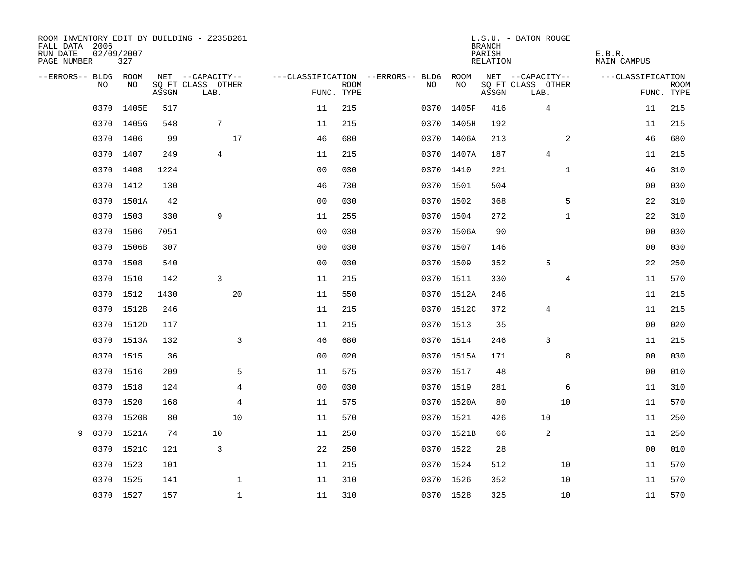| ROOM INVENTORY EDIT BY BUILDING - Z235B261<br>FALL DATA 2006<br>RUN DATE<br>PAGE NUMBER | 02/09/2007<br>327 |       |                           |                |             |                                   |            | <b>BRANCH</b><br>PARISH<br>RELATION | L.S.U. - BATON ROUGE      | E.B.R.<br>MAIN CAMPUS |                           |
|-----------------------------------------------------------------------------------------|-------------------|-------|---------------------------|----------------|-------------|-----------------------------------|------------|-------------------------------------|---------------------------|-----------------------|---------------------------|
| --ERRORS-- BLDG ROOM                                                                    |                   |       | NET --CAPACITY--          |                |             | ---CLASSIFICATION --ERRORS-- BLDG | ROOM       |                                     | NET --CAPACITY--          | ---CLASSIFICATION     |                           |
| NO.                                                                                     | NO.               | ASSGN | SQ FT CLASS OTHER<br>LAB. | FUNC. TYPE     | <b>ROOM</b> | NO.                               | NO         | ASSGN                               | SQ FT CLASS OTHER<br>LAB. |                       | <b>ROOM</b><br>FUNC. TYPE |
| 0370                                                                                    | 1405E             | 517   |                           | 11             | 215         | 0370                              | 1405F      | 416                                 | 4                         | 11                    | 215                       |
|                                                                                         | 0370 1405G        | 548   | 7                         | 11             | 215         | 0370                              | 1405H      | 192                                 |                           | 11                    | 215                       |
| 0370                                                                                    | 1406              | 99    | 17                        | 46             | 680         |                                   | 0370 1406A | 213                                 | 2                         | 46                    | 680                       |
|                                                                                         | 0370 1407         | 249   | $\overline{4}$            | 11             | 215         |                                   | 0370 1407A | 187                                 | $\overline{4}$            | 11                    | 215                       |
|                                                                                         | 0370 1408         | 1224  |                           | 0 <sub>0</sub> | 030         |                                   | 0370 1410  | 221                                 | $\mathbf{1}$              | 46                    | 310                       |
|                                                                                         | 0370 1412         | 130   |                           | 46             | 730         |                                   | 0370 1501  | 504                                 |                           | 00                    | 030                       |
|                                                                                         | 0370 1501A        | 42    |                           | 0 <sub>0</sub> | 030         |                                   | 0370 1502  | 368                                 | 5                         | 22                    | 310                       |
|                                                                                         | 0370 1503         | 330   | 9                         | 11             | 255         |                                   | 0370 1504  | 272                                 | $\mathbf{1}$              | 22                    | 310                       |
| 0370                                                                                    | 1506              | 7051  |                           | 0 <sub>0</sub> | 030         |                                   | 0370 1506A | 90                                  |                           | 0 <sub>0</sub>        | 030                       |
|                                                                                         | 0370 1506B        | 307   |                           | 0 <sub>0</sub> | 030         |                                   | 0370 1507  | 146                                 |                           | 0 <sub>0</sub>        | 030                       |
| 0370                                                                                    | 1508              | 540   |                           | 0 <sub>0</sub> | 030         |                                   | 0370 1509  | 352                                 | 5                         | 22                    | 250                       |
|                                                                                         | 0370 1510         | 142   | 3                         | 11             | 215         |                                   | 0370 1511  | 330                                 | 4                         | 11                    | 570                       |
| 0370                                                                                    | 1512              | 1430  | 20                        | 11             | 550         |                                   | 0370 1512A | 246                                 |                           | 11                    | 215                       |
|                                                                                         | 0370 1512B        | 246   |                           | 11             | 215         |                                   | 0370 1512C | 372                                 | 4                         | 11                    | 215                       |
| 0370                                                                                    | 1512D             | 117   |                           | 11             | 215         |                                   | 0370 1513  | 35                                  |                           | 0 <sub>0</sub>        | 020                       |
|                                                                                         | 0370 1513A        | 132   | 3                         | 46             | 680         |                                   | 0370 1514  | 246                                 | 3                         | 11                    | 215                       |
| 0370                                                                                    | 1515              | 36    |                           | 0 <sub>0</sub> | 020         |                                   | 0370 1515A | 171                                 | 8                         | 0 <sub>0</sub>        | 030                       |
|                                                                                         | 0370 1516         | 209   | 5                         | 11             | 575         |                                   | 0370 1517  | 48                                  |                           | 00                    | 010                       |
| 0370                                                                                    | 1518              | 124   | 4                         | 0 <sub>0</sub> | 030         |                                   | 0370 1519  | 281                                 | 6                         | 11                    | 310                       |
| 0370                                                                                    | 1520              | 168   | 4                         | 11             | 575         |                                   | 0370 1520A | 80                                  | 10                        | 11                    | 570                       |
| 0370                                                                                    | 1520B             | 80    | 10                        | 11             | 570         |                                   | 0370 1521  | 426                                 | 10                        | 11                    | 250                       |
| 0370<br>9                                                                               | 1521A             | 74    | 10                        | 11             | 250         |                                   | 0370 1521B | 66                                  | 2                         | 11                    | 250                       |
| 0370                                                                                    | 1521C             | 121   | 3                         | 22             | 250         |                                   | 0370 1522  | 28                                  |                           | 00                    | 010                       |
| 0370                                                                                    | 1523              | 101   |                           | 11             | 215         |                                   | 0370 1524  | 512                                 | 10                        | 11                    | 570                       |
|                                                                                         | 0370 1525         | 141   | $\mathbf 1$               | 11             | 310         |                                   | 0370 1526  | 352                                 | 10                        | 11                    | 570                       |
|                                                                                         | 0370 1527         | 157   | $\mathbf{1}$              | 11             | 310         |                                   | 0370 1528  | 325                                 | 10                        | 11                    | 570                       |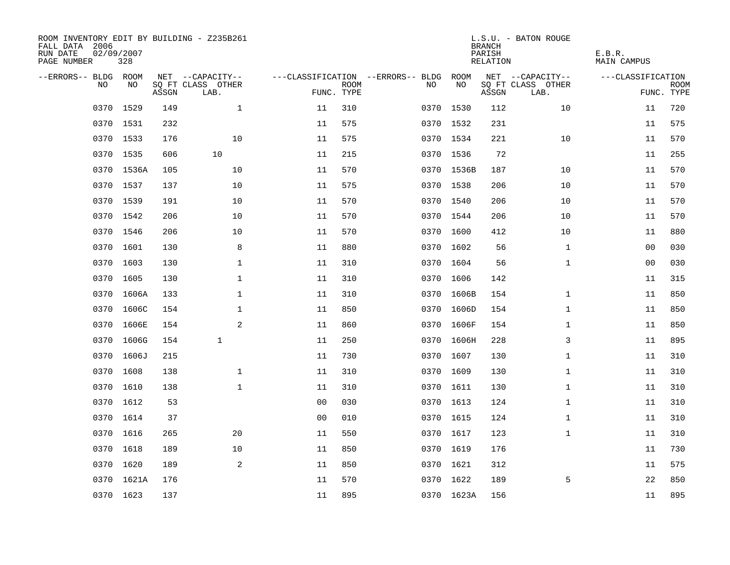| ROOM INVENTORY EDIT BY BUILDING - Z235B261<br>FALL DATA 2006<br>RUN DATE<br>PAGE NUMBER | 02/09/2007<br>328 |       |                           |                |             |                                   |            | <b>BRANCH</b><br>PARISH<br>RELATION | L.S.U. - BATON ROUGE      | E.B.R.<br>MAIN CAMPUS |                           |
|-----------------------------------------------------------------------------------------|-------------------|-------|---------------------------|----------------|-------------|-----------------------------------|------------|-------------------------------------|---------------------------|-----------------------|---------------------------|
| --ERRORS-- BLDG ROOM                                                                    |                   |       | NET --CAPACITY--          |                |             | ---CLASSIFICATION --ERRORS-- BLDG | ROOM       |                                     | NET --CAPACITY--          | ---CLASSIFICATION     |                           |
| N <sub>O</sub>                                                                          | NO.               | ASSGN | SO FT CLASS OTHER<br>LAB. | FUNC. TYPE     | <b>ROOM</b> | NO.                               | NO         | ASSGN                               | SQ FT CLASS OTHER<br>LAB. |                       | <b>ROOM</b><br>FUNC. TYPE |
| 0370                                                                                    | 1529              | 149   | $\mathbf{1}$              | 11             | 310         |                                   | 0370 1530  | 112                                 | 10                        | 11                    | 720                       |
|                                                                                         | 0370 1531         | 232   |                           | 11             | 575         |                                   | 0370 1532  | 231                                 |                           | 11                    | 575                       |
|                                                                                         | 0370 1533         | 176   | 10                        | 11             | 575         |                                   | 0370 1534  | 221                                 | 10                        | 11                    | 570                       |
|                                                                                         | 0370 1535         | 606   | 10                        | 11             | 215         |                                   | 0370 1536  | 72                                  |                           | 11                    | 255                       |
| 0370                                                                                    | 1536A             | 105   | 10                        | 11             | 570         |                                   | 0370 1536B | 187                                 | 10                        | 11                    | 570                       |
|                                                                                         | 0370 1537         | 137   | 10                        | 11             | 575         |                                   | 0370 1538  | 206                                 | 10                        | 11                    | 570                       |
| 0370                                                                                    | 1539              | 191   | 10                        | 11             | 570         |                                   | 0370 1540  | 206                                 | 10                        | 11                    | 570                       |
|                                                                                         | 0370 1542         | 206   | 10                        | 11             | 570         |                                   | 0370 1544  | 206                                 | 10                        | 11                    | 570                       |
| 0370                                                                                    | 1546              | 206   | 10                        | 11             | 570         |                                   | 0370 1600  | 412                                 | 10                        | 11                    | 880                       |
|                                                                                         | 0370 1601         | 130   | 8                         | 11             | 880         |                                   | 0370 1602  | 56                                  | $\mathbf{1}$              | 00                    | 030                       |
| 0370                                                                                    | 1603              | 130   | $\mathbf 1$               | 11             | 310         |                                   | 0370 1604  | 56                                  | $\mathbf{1}$              | 0 <sub>0</sub>        | 030                       |
|                                                                                         | 0370 1605         | 130   | $\mathbf 1$               | 11             | 310         |                                   | 0370 1606  | 142                                 |                           | 11                    | 315                       |
| 0370                                                                                    | 1606A             | 133   | $\mathbf{1}$              | 11             | 310         |                                   | 0370 1606B | 154                                 | $\mathbf{1}$              | 11                    | 850                       |
| 0370                                                                                    | 1606C             | 154   | $\mathbf{1}$              | 11             | 850         | 0370                              | 1606D      | 154                                 | $\mathbf{1}$              | 11                    | 850                       |
| 0370                                                                                    | 1606E             | 154   | $\mathbf{2}$              | 11             | 860         | 0370                              | 1606F      | 154                                 | $\mathbf{1}$              | 11                    | 850                       |
| 0370                                                                                    | 1606G             | 154   | $\mathbf{1}$              | 11             | 250         | 0370                              | 1606H      | 228                                 | 3                         | 11                    | 895                       |
| 0370                                                                                    | 1606J             | 215   |                           | 11             | 730         | 0370                              | 1607       | 130                                 | $\mathbf{1}$              | 11                    | 310                       |
| 0370                                                                                    | 1608              | 138   | $\mathbf 1$               | 11             | 310         |                                   | 0370 1609  | 130                                 | $\mathbf{1}$              | 11                    | 310                       |
|                                                                                         | 0370 1610         | 138   | $\mathbf{1}$              | 11             | 310         |                                   | 0370 1611  | 130                                 | $\mathbf{1}$              | 11                    | 310                       |
| 0370                                                                                    | 1612              | 53    |                           | 0 <sub>0</sub> | 030         |                                   | 0370 1613  | 124                                 | $\mathbf{1}$              | 11                    | 310                       |
|                                                                                         | 0370 1614         | 37    |                           | 0 <sub>0</sub> | 010         |                                   | 0370 1615  | 124                                 | $\mathbf{1}$              | 11                    | 310                       |
|                                                                                         | 0370 1616         | 265   | 20                        | 11             | 550         |                                   | 0370 1617  | 123                                 | $\mathbf{1}$              | 11                    | 310                       |
|                                                                                         | 0370 1618         | 189   | 10                        | 11             | 850         |                                   | 0370 1619  | 176                                 |                           | 11                    | 730                       |
| 0370                                                                                    | 1620              | 189   | 2                         | 11             | 850         |                                   | 0370 1621  | 312                                 |                           | 11                    | 575                       |
|                                                                                         | 0370 1621A        | 176   |                           | 11             | 570         |                                   | 0370 1622  | 189                                 | 5                         | 22                    | 850                       |
|                                                                                         | 0370 1623         | 137   |                           | 11             | 895         |                                   | 0370 1623A | 156                                 |                           | 11                    | 895                       |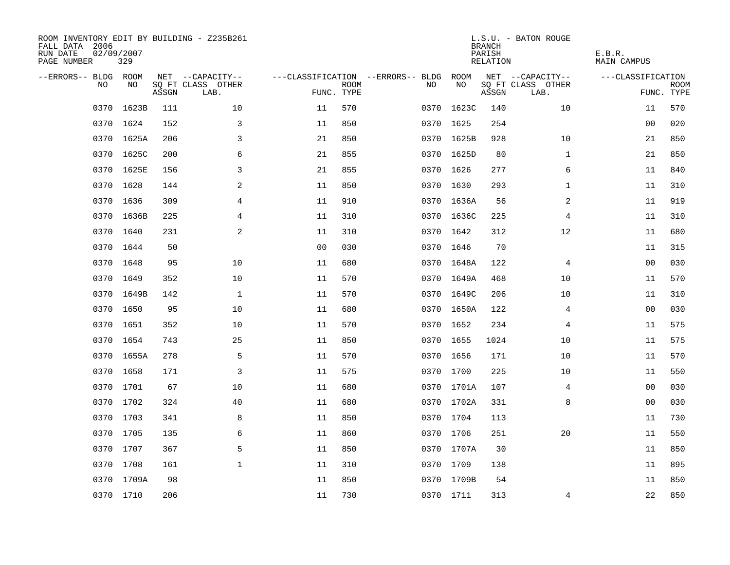| ROOM INVENTORY EDIT BY BUILDING - Z235B261<br>FALL DATA 2006<br>RUN DATE<br>PAGE NUMBER | 02/09/2007<br>329 |       |                           |                |             |                                   |            | <b>BRANCH</b><br>PARISH<br>RELATION | L.S.U. - BATON ROUGE      | E.B.R.<br><b>MAIN CAMPUS</b> |                           |
|-----------------------------------------------------------------------------------------|-------------------|-------|---------------------------|----------------|-------------|-----------------------------------|------------|-------------------------------------|---------------------------|------------------------------|---------------------------|
| --ERRORS-- BLDG ROOM                                                                    |                   |       | NET --CAPACITY--          |                |             | ---CLASSIFICATION --ERRORS-- BLDG | ROOM       |                                     | NET --CAPACITY--          | ---CLASSIFICATION            |                           |
| N <sub>O</sub>                                                                          | NO.               | ASSGN | SO FT CLASS OTHER<br>LAB. | FUNC. TYPE     | <b>ROOM</b> | NO.                               | NO         | ASSGN                               | SQ FT CLASS OTHER<br>LAB. |                              | <b>ROOM</b><br>FUNC. TYPE |
| 0370                                                                                    | 1623B             | 111   | 10                        | 11             | 570         | 0370                              | 1623C      | 140                                 | 10                        | 11                           | 570                       |
|                                                                                         | 0370 1624         | 152   | 3                         | 11             | 850         |                                   | 0370 1625  | 254                                 |                           | 00                           | 020                       |
|                                                                                         | 0370 1625A        | 206   | 3                         | 21             | 850         |                                   | 0370 1625B | 928                                 | 10                        | 21                           | 850                       |
|                                                                                         | 0370 1625C        | 200   | 6                         | 21             | 855         |                                   | 0370 1625D | 80                                  | $\mathbf{1}$              | 21                           | 850                       |
| 0370                                                                                    | 1625E             | 156   | 3                         | 21             | 855         |                                   | 0370 1626  | 277                                 | 6                         | 11                           | 840                       |
|                                                                                         | 0370 1628         | 144   | 2                         | 11             | 850         |                                   | 0370 1630  | 293                                 | $\mathbf{1}$              | 11                           | 310                       |
| 0370                                                                                    | 1636              | 309   | 4                         | 11             | 910         |                                   | 0370 1636A | 56                                  | 2                         | 11                           | 919                       |
|                                                                                         | 0370 1636B        | 225   | $\overline{4}$            | 11             | 310         |                                   | 0370 1636C | 225                                 | 4                         | 11                           | 310                       |
| 0370                                                                                    | 1640              | 231   | 2                         | 11             | 310         |                                   | 0370 1642  | 312                                 | 12                        | 11                           | 680                       |
|                                                                                         | 0370 1644         | 50    |                           | 0 <sub>0</sub> | 030         |                                   | 0370 1646  | 70                                  |                           | 11                           | 315                       |
| 0370                                                                                    | 1648              | 95    | 10                        | 11             | 680         |                                   | 0370 1648A | 122                                 | 4                         | 0 <sub>0</sub>               | 030                       |
|                                                                                         | 0370 1649         | 352   | 10                        | 11             | 570         |                                   | 0370 1649A | 468                                 | 10                        | 11                           | 570                       |
| 0370                                                                                    | 1649B             | 142   | $\mathbf{1}$              | 11             | 570         |                                   | 0370 1649C | 206                                 | 10                        | 11                           | 310                       |
| 0370                                                                                    | 1650              | 95    | 10                        | 11             | 680         |                                   | 0370 1650A | 122                                 | 4                         | 00                           | 030                       |
| 0370                                                                                    | 1651              | 352   | 10                        | 11             | 570         | 0370                              | 1652       | 234                                 | 4                         | 11                           | 575                       |
| 0370                                                                                    | 1654              | 743   | 25                        | 11             | 850         | 0370                              | 1655       | 1024                                | 10                        | 11                           | 575                       |
| 0370                                                                                    | 1655A             | 278   | 5                         | 11             | 570         | 0370                              | 1656       | 171                                 | 10                        | 11                           | 570                       |
| 0370                                                                                    | 1658              | 171   | 3                         | 11             | 575         |                                   | 0370 1700  | 225                                 | 10                        | 11                           | 550                       |
|                                                                                         | 0370 1701         | 67    | 10                        | 11             | 680         |                                   | 0370 1701A | 107                                 | 4                         | 00                           | 030                       |
| 0370                                                                                    | 1702              | 324   | 40                        | 11             | 680         |                                   | 0370 1702A | 331                                 | 8                         | 0 <sub>0</sub>               | 030                       |
|                                                                                         | 0370 1703         | 341   | 8                         | 11             | 850         |                                   | 0370 1704  | 113                                 |                           | 11                           | 730                       |
| 0370                                                                                    | 1705              | 135   | 6                         | 11             | 860         |                                   | 0370 1706  | 251                                 | 20                        | 11                           | 550                       |
|                                                                                         | 0370 1707         | 367   | 5                         | 11             | 850         |                                   | 0370 1707A | 30                                  |                           | 11                           | 850                       |
| 0370                                                                                    | 1708              | 161   | $\mathbf{1}$              | 11             | 310         |                                   | 0370 1709  | 138                                 |                           | 11                           | 895                       |
|                                                                                         | 0370 1709A        | 98    |                           | 11             | 850         |                                   | 0370 1709B | 54                                  |                           | 11                           | 850                       |
|                                                                                         | 0370 1710         | 206   |                           | 11             | 730         |                                   | 0370 1711  | 313                                 | 4                         | 22                           | 850                       |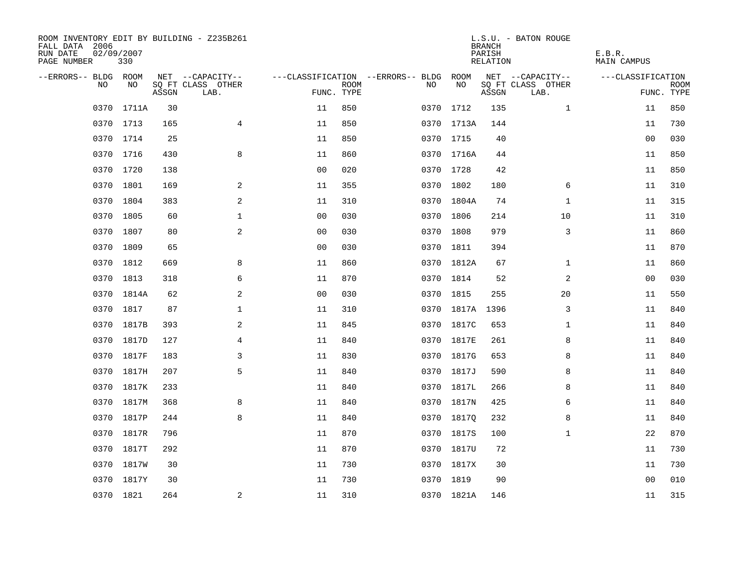| ROOM INVENTORY EDIT BY BUILDING - Z235B261<br>FALL DATA 2006<br>RUN DATE<br>PAGE NUMBER | 02/09/2007<br>330 |       |                           |                |             |                                        |            | <b>BRANCH</b><br>PARISH<br>RELATION | L.S.U. - BATON ROUGE      | E.B.R.<br>MAIN CAMPUS |                    |
|-----------------------------------------------------------------------------------------|-------------------|-------|---------------------------|----------------|-------------|----------------------------------------|------------|-------------------------------------|---------------------------|-----------------------|--------------------|
| --ERRORS-- BLDG ROOM                                                                    |                   |       | NET --CAPACITY--          |                |             | ---CLASSIFICATION --ERRORS-- BLDG ROOM |            |                                     | NET --CAPACITY--          | ---CLASSIFICATION     |                    |
| NO.                                                                                     | NO.               | ASSGN | SQ FT CLASS OTHER<br>LAB. | FUNC. TYPE     | <b>ROOM</b> | NO.                                    | NO         | ASSGN                               | SQ FT CLASS OTHER<br>LAB. |                       | ROOM<br>FUNC. TYPE |
| 0370                                                                                    | 1711A             | 30    |                           | 11             | 850         | 0370                                   | 1712       | 135                                 | $\mathbf{1}$              | 11                    | 850                |
|                                                                                         | 0370 1713         | 165   | $\overline{4}$            | 11             | 850         |                                        | 0370 1713A | 144                                 |                           | 11                    | 730                |
|                                                                                         | 0370 1714         | 25    |                           | 11             | 850         |                                        | 0370 1715  | 40                                  |                           | 0 <sub>0</sub>        | 030                |
|                                                                                         | 0370 1716         | 430   | 8                         | 11             | 860         |                                        | 0370 1716A | 44                                  |                           | 11                    | 850                |
| 0370                                                                                    | 1720              | 138   |                           | 0 <sub>0</sub> | 020         |                                        | 0370 1728  | 42                                  |                           | 11                    | 850                |
|                                                                                         | 0370 1801         | 169   | 2                         | 11             | 355         |                                        | 0370 1802  | 180                                 | 6                         | 11                    | 310                |
| 0370                                                                                    | 1804              | 383   | $\mathbf{2}$              | 11             | 310         |                                        | 0370 1804A | 74                                  | $\mathbf{1}$              | 11                    | 315                |
|                                                                                         | 0370 1805         | 60    | $\mathbf 1$               | 0 <sub>0</sub> | 030         |                                        | 0370 1806  | 214                                 | 10                        | 11                    | 310                |
| 0370                                                                                    | 1807              | 80    | 2                         | 0 <sub>0</sub> | 030         | 0370                                   | 1808       | 979                                 | 3                         | 11                    | 860                |
|                                                                                         | 0370 1809         | 65    |                           | 0 <sub>0</sub> | 030         |                                        | 0370 1811  | 394                                 |                           | 11                    | 870                |
| 0370                                                                                    | 1812              | 669   | 8                         | 11             | 860         |                                        | 0370 1812A | 67                                  | $\mathbf{1}$              | 11                    | 860                |
|                                                                                         | 0370 1813         | 318   | 6                         | 11             | 870         |                                        | 0370 1814  | 52                                  | $\overline{a}$            | 0 <sub>0</sub>        | 030                |
| 0370                                                                                    | 1814A             | 62    | 2                         | 0 <sub>0</sub> | 030         |                                        | 0370 1815  | 255                                 | 20                        | 11                    | 550                |
|                                                                                         | 0370 1817         | 87    | $\mathbf 1$               | 11             | 310         |                                        | 0370 1817A | 1396                                | 3                         | 11                    | 840                |
| 0370                                                                                    | 1817B             | 393   | 2                         | 11             | 845         | 0370                                   | 1817C      | 653                                 | $\mathbf{1}$              | 11                    | 840                |
| 0370                                                                                    | 1817D             | 127   | 4                         | 11             | 840         |                                        | 0370 1817E | 261                                 | 8                         | 11                    | 840                |
| 0370                                                                                    | 1817F             | 183   | 3                         | 11             | 830         | 0370                                   | 1817G      | 653                                 | 8                         | 11                    | 840                |
| 0370                                                                                    | 1817H             | 207   | 5                         | 11             | 840         |                                        | 0370 1817J | 590                                 | 8                         | 11                    | 840                |
|                                                                                         | 0370 1817K        | 233   |                           | 11             | 840         |                                        | 0370 1817L | 266                                 | 8                         | 11                    | 840                |
| 0370                                                                                    | 1817M             | 368   | 8                         | 11             | 840         |                                        | 0370 1817N | 425                                 | 6                         | 11                    | 840                |
|                                                                                         | 0370 1817P        | 244   | 8                         | 11             | 840         |                                        | 0370 18170 | 232                                 | 8                         | 11                    | 840                |
| 0370                                                                                    | 1817R             | 796   |                           | 11             | 870         |                                        | 0370 1817S | 100                                 | $\mathbf{1}$              | 22                    | 870                |
|                                                                                         | 0370 1817T        | 292   |                           | 11             | 870         |                                        | 0370 1817U | 72                                  |                           | 11                    | 730                |
| 0370                                                                                    | 1817W             | 30    |                           | 11             | 730         |                                        | 0370 1817X | 30                                  |                           | 11                    | 730                |
|                                                                                         | 0370 1817Y        | 30    |                           | 11             | 730         |                                        | 0370 1819  | 90                                  |                           | 00                    | 010                |
|                                                                                         | 0370 1821         | 264   | $\mathbf{2}$              | 11             | 310         |                                        | 0370 1821A | 146                                 |                           | 11                    | 315                |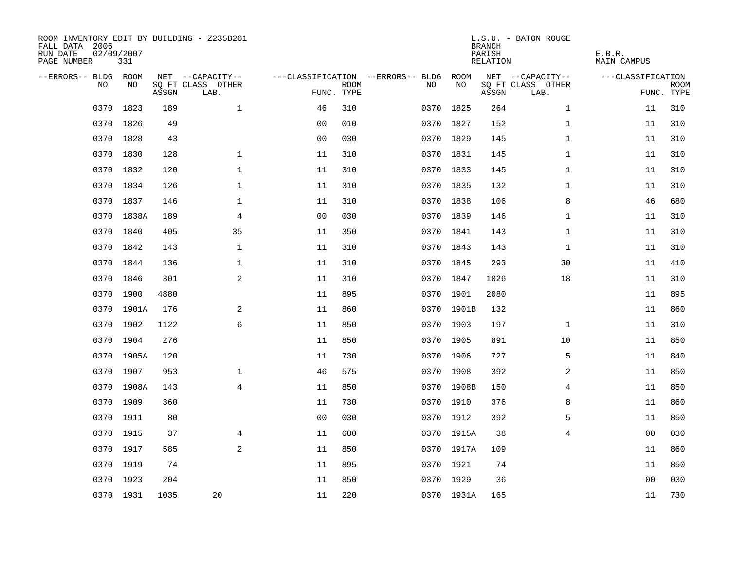| ROOM INVENTORY EDIT BY BUILDING - Z235B261<br>FALL DATA 2006<br>RUN DATE<br>PAGE NUMBER | 02/09/2007<br>331 |       |                           |                |             |                                   |            | <b>BRANCH</b><br>PARISH<br><b>RELATION</b> | L.S.U. - BATON ROUGE      | E.B.R.<br><b>MAIN CAMPUS</b> |                           |
|-----------------------------------------------------------------------------------------|-------------------|-------|---------------------------|----------------|-------------|-----------------------------------|------------|--------------------------------------------|---------------------------|------------------------------|---------------------------|
| --ERRORS-- BLDG ROOM                                                                    |                   |       | NET --CAPACITY--          |                |             | ---CLASSIFICATION --ERRORS-- BLDG | ROOM       |                                            | NET --CAPACITY--          | ---CLASSIFICATION            |                           |
| N <sub>O</sub>                                                                          | NO.               | ASSGN | SO FT CLASS OTHER<br>LAB. | FUNC. TYPE     | <b>ROOM</b> | NO.                               | NO         | ASSGN                                      | SQ FT CLASS OTHER<br>LAB. |                              | <b>ROOM</b><br>FUNC. TYPE |
| 0370                                                                                    | 1823              | 189   | $\mathbf{1}$              | 46             | 310         |                                   | 0370 1825  | 264                                        | $\mathbf{1}$              | 11                           | 310                       |
|                                                                                         | 0370 1826         | 49    |                           | 0 <sub>0</sub> | 010         |                                   | 0370 1827  | 152                                        | $\mathbf{1}$              | 11                           | 310                       |
|                                                                                         | 0370 1828         | 43    |                           | 0 <sub>0</sub> | 030         |                                   | 0370 1829  | 145                                        | $\mathbf{1}$              | 11                           | 310                       |
|                                                                                         | 0370 1830         | 128   | $\mathbf 1$               | 11             | 310         |                                   | 0370 1831  | 145                                        | $\mathbf{1}$              | 11                           | 310                       |
| 0370                                                                                    | 1832              | 120   | $\mathbf 1$               | 11             | 310         |                                   | 0370 1833  | 145                                        | $\mathbf{1}$              | 11                           | 310                       |
|                                                                                         | 0370 1834         | 126   | $\mathbf 1$               | 11             | 310         |                                   | 0370 1835  | 132                                        | $\mathbf{1}$              | 11                           | 310                       |
| 0370                                                                                    | 1837              | 146   | $\mathbf 1$               | 11             | 310         |                                   | 0370 1838  | 106                                        | 8                         | 46                           | 680                       |
|                                                                                         | 0370 1838A        | 189   | 4                         | 0 <sub>0</sub> | 030         |                                   | 0370 1839  | 146                                        | $\mathbf{1}$              | 11                           | 310                       |
| 0370                                                                                    | 1840              | 405   | 35                        | 11             | 350         |                                   | 0370 1841  | 143                                        | $\mathbf{1}$              | 11                           | 310                       |
|                                                                                         | 0370 1842         | 143   | $\mathbf{1}$              | 11             | 310         |                                   | 0370 1843  | 143                                        | $\mathbf{1}$              | 11                           | 310                       |
| 0370                                                                                    | 1844              | 136   | $\mathbf{1}$              | 11             | 310         |                                   | 0370 1845  | 293                                        | 30                        | 11                           | 410                       |
|                                                                                         | 0370 1846         | 301   | 2                         | 11             | 310         |                                   | 0370 1847  | 1026                                       | 18                        | 11                           | 310                       |
| 0370                                                                                    | 1900              | 4880  |                           | 11             | 895         |                                   | 0370 1901  | 2080                                       |                           | 11                           | 895                       |
| 0370                                                                                    | 1901A             | 176   | 2                         | 11             | 860         |                                   | 0370 1901B | 132                                        |                           | 11                           | 860                       |
| 0370                                                                                    | 1902              | 1122  | 6                         | 11             | 850         |                                   | 0370 1903  | 197                                        | $\mathbf{1}$              | 11                           | 310                       |
| 0370                                                                                    | 1904              | 276   |                           | 11             | 850         |                                   | 0370 1905  | 891                                        | 10                        | 11                           | 850                       |
| 0370                                                                                    | 1905A             | 120   |                           | 11             | 730         | 0370                              | 1906       | 727                                        | 5                         | 11                           | 840                       |
| 0370                                                                                    | 1907              | 953   | $\mathbf 1$               | 46             | 575         |                                   | 0370 1908  | 392                                        | 2                         | 11                           | 850                       |
|                                                                                         | 0370 1908A        | 143   | $\overline{4}$            | 11             | 850         |                                   | 0370 1908B | 150                                        | 4                         | 11                           | 850                       |
| 0370                                                                                    | 1909              | 360   |                           | 11             | 730         |                                   | 0370 1910  | 376                                        | 8                         | 11                           | 860                       |
|                                                                                         | 0370 1911         | 80    |                           | 0 <sub>0</sub> | 030         |                                   | 0370 1912  | 392                                        | 5                         | 11                           | 850                       |
| 0370                                                                                    | 1915              | 37    | 4                         | 11             | 680         |                                   | 0370 1915A | 38                                         | $\overline{4}$            | 00                           | 030                       |
|                                                                                         | 0370 1917         | 585   | 2                         | 11             | 850         |                                   | 0370 1917A | 109                                        |                           | 11                           | 860                       |
|                                                                                         | 0370 1919         | 74    |                           | 11             | 895         |                                   | 0370 1921  | 74                                         |                           | 11                           | 850                       |
|                                                                                         | 0370 1923         | 204   |                           | 11             | 850         |                                   | 0370 1929  | 36                                         |                           | 0 <sub>0</sub>               | 030                       |
|                                                                                         | 0370 1931         | 1035  | 20                        | 11             | 220         |                                   | 0370 1931A | 165                                        |                           | 11                           | 730                       |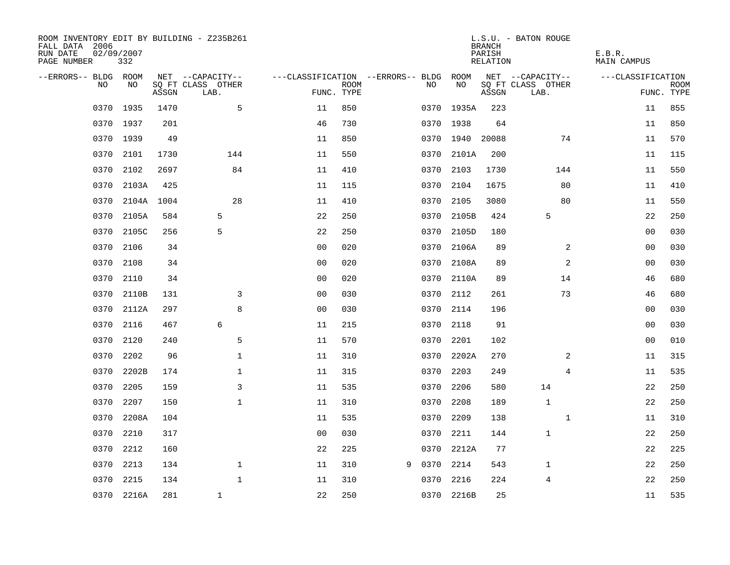| ROOM INVENTORY EDIT BY BUILDING - Z235B261<br>FALL DATA 2006<br>RUN DATE<br>PAGE NUMBER | 02/09/2007<br>332 |       |                           |                                        |             |   |      |            | <b>BRANCH</b><br>PARISH<br>RELATION | L.S.U. - BATON ROUGE      | E.B.R.<br><b>MAIN CAMPUS</b> |                           |
|-----------------------------------------------------------------------------------------|-------------------|-------|---------------------------|----------------------------------------|-------------|---|------|------------|-------------------------------------|---------------------------|------------------------------|---------------------------|
| --ERRORS-- BLDG ROOM                                                                    |                   |       | NET --CAPACITY--          | ---CLASSIFICATION --ERRORS-- BLDG ROOM |             |   |      |            |                                     | NET --CAPACITY--          | ---CLASSIFICATION            |                           |
| NO                                                                                      | NO                | ASSGN | SQ FT CLASS OTHER<br>LAB. | FUNC. TYPE                             | <b>ROOM</b> |   | NO.  | NO         | ASSGN                               | SQ FT CLASS OTHER<br>LAB. |                              | <b>ROOM</b><br>FUNC. TYPE |
| 0370                                                                                    | 1935              | 1470  | 5                         | 11                                     | 850         |   | 0370 | 1935A      | 223                                 |                           | 11                           | 855                       |
|                                                                                         | 0370 1937         | 201   |                           | 46                                     | 730         |   |      | 0370 1938  | 64                                  |                           | 11                           | 850                       |
|                                                                                         | 0370 1939         | 49    |                           | 11                                     | 850         |   |      | 0370 1940  | 20088                               | 74                        | 11                           | 570                       |
| 0370                                                                                    | 2101              | 1730  | 144                       | 11                                     | 550         |   | 0370 | 2101A      | 200                                 |                           | 11                           | 115                       |
| 0370                                                                                    | 2102              | 2697  | 84                        | 11                                     | 410         |   | 0370 | 2103       | 1730                                | 144                       | 11                           | 550                       |
| 0370                                                                                    | 2103A             | 425   |                           | 11                                     | 115         |   | 0370 | 2104       | 1675                                | 80                        | 11                           | 410                       |
| 0370                                                                                    | 2104A 1004        |       | 28                        | 11                                     | 410         |   | 0370 | 2105       | 3080                                | 80                        | 11                           | 550                       |
| 0370                                                                                    | 2105A             | 584   | 5                         | 22                                     | 250         |   | 0370 | 2105B      | 424                                 | 5                         | 22                           | 250                       |
| 0370                                                                                    | 2105C             | 256   | 5                         | 22                                     | 250         |   | 0370 | 2105D      | 180                                 |                           | 0 <sub>0</sub>               | 030                       |
| 0370                                                                                    | 2106              | 34    |                           | 0 <sub>0</sub>                         | 020         |   |      | 0370 2106A | 89                                  | 2                         | 0 <sub>0</sub>               | 030                       |
| 0370                                                                                    | 2108              | 34    |                           | 0 <sub>0</sub>                         | 020         |   | 0370 | 2108A      | 89                                  | 2                         | 0 <sub>0</sub>               | 030                       |
| 0370                                                                                    | 2110              | 34    |                           | 0 <sub>0</sub>                         | 020         |   |      | 0370 2110A | 89                                  | 14                        | 46                           | 680                       |
| 0370                                                                                    | 2110B             | 131   | 3                         | 0 <sub>0</sub>                         | 030         |   | 0370 | 2112       | 261                                 | 73                        | 46                           | 680                       |
| 0370                                                                                    | 2112A             | 297   | 8                         | 0 <sub>0</sub>                         | 030         |   | 0370 | 2114       | 196                                 |                           | 00                           | 030                       |
| 0370                                                                                    | 2116              | 467   | 6                         | 11                                     | 215         |   | 0370 | 2118       | 91                                  |                           | 0 <sub>0</sub>               | 030                       |
| 0370                                                                                    | 2120              | 240   | 5                         | 11                                     | 570         |   | 0370 | 2201       | 102                                 |                           | 0 <sub>0</sub>               | 010                       |
| 0370                                                                                    | 2202              | 96    | $\mathbf 1$               | 11                                     | 310         |   | 0370 | 2202A      | 270                                 | 2                         | 11                           | 315                       |
| 0370                                                                                    | 2202B             | 174   | $\mathbf 1$               | 11                                     | 315         |   | 0370 | 2203       | 249                                 | 4                         | 11                           | 535                       |
| 0370                                                                                    | 2205              | 159   | 3                         | 11                                     | 535         |   | 0370 | 2206       | 580                                 | 14                        | 22                           | 250                       |
| 0370                                                                                    | 2207              | 150   | $\mathbf{1}$              | 11                                     | 310         |   | 0370 | 2208       | 189                                 | $\mathbf{1}$              | 22                           | 250                       |
| 0370                                                                                    | 2208A             | 104   |                           | 11                                     | 535         |   | 0370 | 2209       | 138                                 | $\mathbf{1}$              | 11                           | 310                       |
| 0370                                                                                    | 2210              | 317   |                           | 0 <sub>0</sub>                         | 030         |   | 0370 | 2211       | 144                                 | $\mathbf 1$               | 22                           | 250                       |
| 0370                                                                                    | 2212              | 160   |                           | 22                                     | 225         |   |      | 0370 2212A | 77                                  |                           | 22                           | 225                       |
| 0370                                                                                    | 2213              | 134   | $\mathbf 1$               | 11                                     | 310         | 9 | 0370 | 2214       | 543                                 | $\mathbf 1$               | 22                           | 250                       |
| 0370                                                                                    | 2215              | 134   | $\mathbf{1}$              | 11                                     | 310         |   | 0370 | 2216       | 224                                 | 4                         | 22                           | 250                       |
|                                                                                         | 0370 2216A        | 281   | $\mathbf{1}$              | 22                                     | 250         |   |      | 0370 2216B | 25                                  |                           | 11                           | 535                       |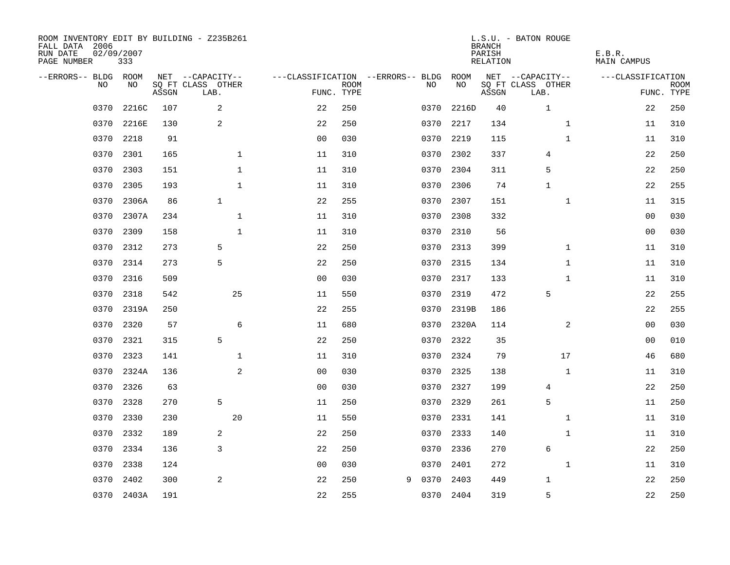| ROOM INVENTORY EDIT BY BUILDING - Z235B261<br>FALL DATA 2006<br>RUN DATE<br>PAGE NUMBER | 02/09/2007<br>333 |       |                           |                |             |                                   |      |           | <b>BRANCH</b><br>PARISH<br>RELATION | L.S.U. - BATON ROUGE      | E.B.R.<br><b>MAIN CAMPUS</b> |                           |
|-----------------------------------------------------------------------------------------|-------------------|-------|---------------------------|----------------|-------------|-----------------------------------|------|-----------|-------------------------------------|---------------------------|------------------------------|---------------------------|
| --ERRORS-- BLDG                                                                         | ROOM              |       | NET --CAPACITY--          |                |             | ---CLASSIFICATION --ERRORS-- BLDG |      | ROOM      |                                     | NET --CAPACITY--          | ---CLASSIFICATION            |                           |
| N <sub>O</sub>                                                                          | NO.               | ASSGN | SO FT CLASS OTHER<br>LAB. | FUNC. TYPE     | <b>ROOM</b> |                                   | NO.  | NO        | ASSGN                               | SQ FT CLASS OTHER<br>LAB. |                              | <b>ROOM</b><br>FUNC. TYPE |
| 0370                                                                                    | 2216C             | 107   | 2                         | 22             | 250         |                                   | 0370 | 2216D     | 40                                  | $\mathbf{1}$              | 22                           | 250                       |
| 0370                                                                                    | 2216E             | 130   | $\overline{c}$            | 22             | 250         |                                   | 0370 | 2217      | 134                                 | $\mathbf{1}$              | 11                           | 310                       |
| 0370                                                                                    | 2218              | 91    |                           | 0 <sub>0</sub> | 030         |                                   | 0370 | 2219      | 115                                 | $\mathbf{1}$              | 11                           | 310                       |
| 0370                                                                                    | 2301              | 165   | 1                         | 11             | 310         |                                   | 0370 | 2302      | 337                                 | 4                         | 22                           | 250                       |
| 0370                                                                                    | 2303              | 151   | $\mathbf{1}$              | 11             | 310         |                                   | 0370 | 2304      | 311                                 | 5                         | 22                           | 250                       |
| 0370                                                                                    | 2305              | 193   | $\mathbf{1}$              | 11             | 310         |                                   | 0370 | 2306      | 74                                  | $\mathbf{1}$              | 22                           | 255                       |
| 0370                                                                                    | 2306A             | 86    | $\mathbf{1}$              | 22             | 255         |                                   | 0370 | 2307      | 151                                 | $\mathbf{1}$              | 11                           | 315                       |
| 0370                                                                                    | 2307A             | 234   | $\mathbf 1$               | 11             | 310         |                                   | 0370 | 2308      | 332                                 |                           | 0 <sub>0</sub>               | 030                       |
| 0370                                                                                    | 2309              | 158   | $\mathbf{1}$              | 11             | 310         |                                   | 0370 | 2310      | 56                                  |                           | 0 <sub>0</sub>               | 030                       |
| 0370                                                                                    | 2312              | 273   | 5                         | 22             | 250         |                                   | 0370 | 2313      | 399                                 | $\mathbf{1}$              | 11                           | 310                       |
| 0370                                                                                    | 2314              | 273   | 5                         | 22             | 250         |                                   | 0370 | 2315      | 134                                 | $\mathbf{1}$              | 11                           | 310                       |
| 0370                                                                                    | 2316              | 509   |                           | 0 <sub>0</sub> | 030         |                                   | 0370 | 2317      | 133                                 | $\mathbf{1}$              | 11                           | 310                       |
| 0370                                                                                    | 2318              | 542   | 25                        | 11             | 550         |                                   | 0370 | 2319      | 472                                 | 5                         | 22                           | 255                       |
| 0370                                                                                    | 2319A             | 250   |                           | 22             | 255         |                                   | 0370 | 2319B     | 186                                 |                           | 22                           | 255                       |
| 0370                                                                                    | 2320              | 57    | 6                         | 11             | 680         |                                   | 0370 | 2320A     | 114                                 | 2                         | 0 <sub>0</sub>               | 030                       |
| 0370                                                                                    | 2321              | 315   | 5                         | 22             | 250         |                                   | 0370 | 2322      | 35                                  |                           | 00                           | 010                       |
| 0370                                                                                    | 2323              | 141   | $\mathbf{1}$              | 11             | 310         |                                   | 0370 | 2324      | 79                                  | 17                        | 46                           | 680                       |
| 0370                                                                                    | 2324A             | 136   | 2                         | 0 <sub>0</sub> | 030         |                                   | 0370 | 2325      | 138                                 | $\mathbf{1}$              | 11                           | 310                       |
| 0370                                                                                    | 2326              | 63    |                           | 0 <sub>0</sub> | 030         |                                   | 0370 | 2327      | 199                                 | $\overline{4}$            | 22                           | 250                       |
| 0370                                                                                    | 2328              | 270   | 5                         | 11             | 250         |                                   | 0370 | 2329      | 261                                 | 5                         | 11                           | 250                       |
| 0370                                                                                    | 2330              | 230   | 20                        | 11             | 550         |                                   | 0370 | 2331      | 141                                 | $\mathbf{1}$              | 11                           | 310                       |
| 0370                                                                                    | 2332              | 189   | 2                         | 22             | 250         |                                   | 0370 | 2333      | 140                                 | $\mathbf{1}$              | 11                           | 310                       |
| 0370                                                                                    | 2334              | 136   | 3                         | 22             | 250         |                                   | 0370 | 2336      | 270                                 | 6                         | 22                           | 250                       |
| 0370                                                                                    | 2338              | 124   |                           | 0 <sub>0</sub> | 030         |                                   | 0370 | 2401      | 272                                 | $\mathbf{1}$              | 11                           | 310                       |
| 0370                                                                                    | 2402              | 300   | 2                         | 22             | 250         | 9                                 | 0370 | 2403      | 449                                 | $\mathbf{1}$              | 22                           | 250                       |
|                                                                                         | 0370 2403A        | 191   |                           | 22             | 255         |                                   |      | 0370 2404 | 319                                 | 5                         | 22                           | 250                       |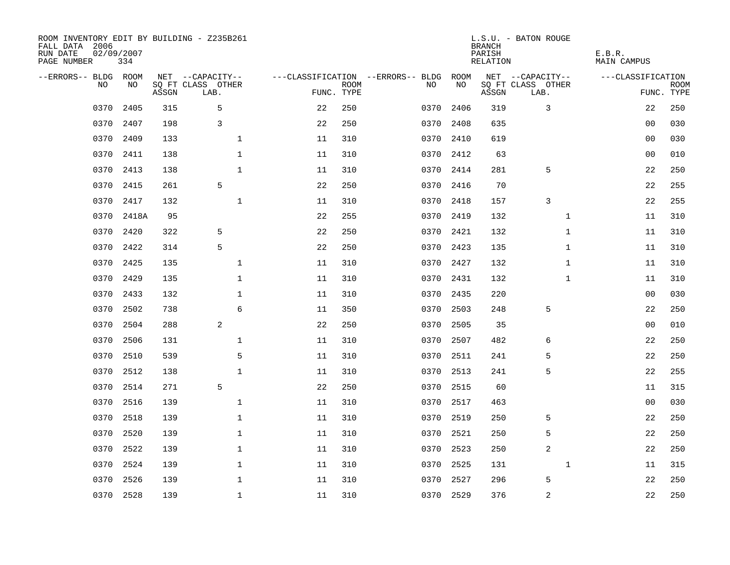| ROOM INVENTORY EDIT BY BUILDING - Z235B261<br>FALL DATA 2006<br>RUN DATE<br>PAGE NUMBER | 02/09/2007<br>334 |       |                           |    |                           |                                   |           | <b>BRANCH</b><br>PARISH<br><b>RELATION</b> | L.S.U. - BATON ROUGE      | E.B.R.<br><b>MAIN CAMPUS</b> |                           |
|-----------------------------------------------------------------------------------------|-------------------|-------|---------------------------|----|---------------------------|-----------------------------------|-----------|--------------------------------------------|---------------------------|------------------------------|---------------------------|
| --ERRORS-- BLDG ROOM                                                                    |                   |       | NET --CAPACITY--          |    |                           | ---CLASSIFICATION --ERRORS-- BLDG | ROOM      |                                            | NET --CAPACITY--          | ---CLASSIFICATION            |                           |
| NO                                                                                      | NO                | ASSGN | SQ FT CLASS OTHER<br>LAB. |    | <b>ROOM</b><br>FUNC. TYPE | NO                                | NO        | ASSGN                                      | SQ FT CLASS OTHER<br>LAB. |                              | <b>ROOM</b><br>FUNC. TYPE |
| 0370                                                                                    | 2405              | 315   | 5                         | 22 | 250                       | 0370                              | 2406      | 319                                        | 3                         | 22                           | 250                       |
| 0370                                                                                    | 2407              | 198   | 3                         | 22 | 250                       | 0370                              | 2408      | 635                                        |                           | 00                           | 030                       |
| 0370                                                                                    | 2409              | 133   | $\mathbf 1$               | 11 | 310                       | 0370                              | 2410      | 619                                        |                           | 00                           | 030                       |
| 0370                                                                                    | 2411              | 138   | $\mathbf 1$               | 11 | 310                       | 0370                              | 2412      | 63                                         |                           | 0 <sub>0</sub>               | 010                       |
| 0370                                                                                    | 2413              | 138   | $\mathbf{1}$              | 11 | 310                       | 0370                              | 2414      | 281                                        | 5                         | 22                           | 250                       |
| 0370                                                                                    | 2415              | 261   | 5                         | 22 | 250                       |                                   | 0370 2416 | 70                                         |                           | 22                           | 255                       |
| 0370                                                                                    | 2417              | 132   | $\mathbf{1}$              | 11 | 310                       | 0370                              | 2418      | 157                                        | 3                         | 22                           | 255                       |
| 0370                                                                                    | 2418A             | 95    |                           | 22 | 255                       |                                   | 0370 2419 | 132                                        | $\mathbf{1}$              | 11                           | 310                       |
| 0370                                                                                    | 2420              | 322   | 5                         | 22 | 250                       | 0370                              | 2421      | 132                                        | $\mathbf{1}$              | 11                           | 310                       |
| 0370                                                                                    | 2422              | 314   | 5                         | 22 | 250                       |                                   | 0370 2423 | 135                                        | $\mathbf{1}$              | 11                           | 310                       |
| 0370                                                                                    | 2425              | 135   | $\mathbf{1}$              | 11 | 310                       | 0370                              | 2427      | 132                                        | $\mathbf{1}$              | 11                           | 310                       |
| 0370                                                                                    | 2429              | 135   | $\mathbf{1}$              | 11 | 310                       |                                   | 0370 2431 | 132                                        | $\mathbf{1}$              | 11                           | 310                       |
| 0370                                                                                    | 2433              | 132   | $\mathbf 1$               | 11 | 310                       | 0370                              | 2435      | 220                                        |                           | 0 <sub>0</sub>               | 030                       |
| 0370                                                                                    | 2502              | 738   | $\epsilon$                | 11 | 350                       | 0370                              | 2503      | 248                                        | 5                         | 22                           | 250                       |
| 0370                                                                                    | 2504              | 288   | 2                         | 22 | 250                       | 0370                              | 2505      | 35                                         |                           | 00                           | 010                       |
| 0370                                                                                    | 2506              | 131   | $\mathbf 1$               | 11 | 310                       | 0370                              | 2507      | 482                                        | 6                         | 22                           | 250                       |
| 0370                                                                                    | 2510              | 539   | 5                         | 11 | 310                       | 0370                              | 2511      | 241                                        | 5                         | 22                           | 250                       |
| 0370                                                                                    | 2512              | 138   | $\mathbf{1}$              | 11 | 310                       | 0370                              | 2513      | 241                                        | 5                         | 22                           | 255                       |
| 0370                                                                                    | 2514              | 271   | 5                         | 22 | 250                       | 0370                              | 2515      | 60                                         |                           | 11                           | 315                       |
| 0370                                                                                    | 2516              | 139   | $\mathbf 1$               | 11 | 310                       | 0370                              | 2517      | 463                                        |                           | 0 <sub>0</sub>               | 030                       |
| 0370                                                                                    | 2518              | 139   | $\mathbf 1$               | 11 | 310                       | 0370                              | 2519      | 250                                        | 5                         | 22                           | 250                       |
| 0370                                                                                    | 2520              | 139   | $\mathbf 1$               | 11 | 310                       | 0370                              | 2521      | 250                                        | 5                         | 22                           | 250                       |
| 0370                                                                                    | 2522              | 139   | $\mathbf 1$               | 11 | 310                       | 0370                              | 2523      | 250                                        | 2                         | 22                           | 250                       |
| 0370                                                                                    | 2524              | 139   | $\mathbf 1$               | 11 | 310                       | 0370                              | 2525      | 131                                        | $\mathbf{1}$              | 11                           | 315                       |
| 0370                                                                                    | 2526              | 139   | $\mathbf 1$               | 11 | 310                       | 0370                              | 2527      | 296                                        | 5                         | 22                           | 250                       |
|                                                                                         | 0370 2528         | 139   | $\mathbf{1}$              | 11 | 310                       |                                   | 0370 2529 | 376                                        | $\sqrt{2}$                | 22                           | 250                       |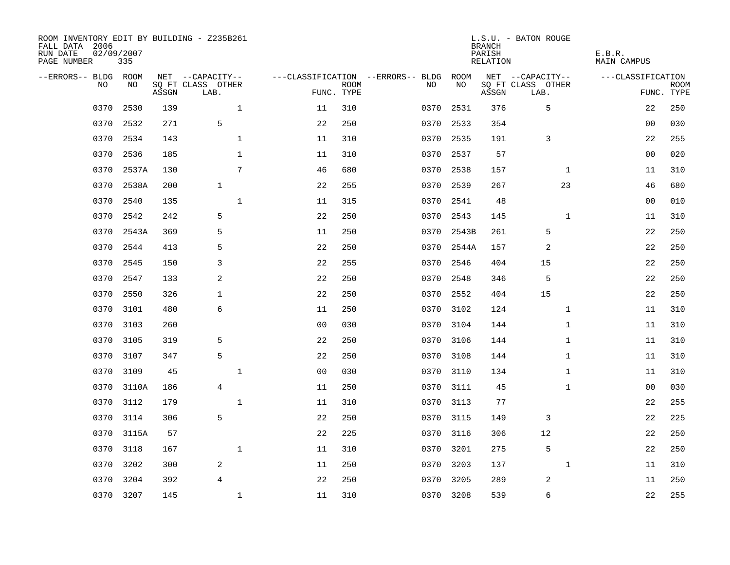| ROOM INVENTORY EDIT BY BUILDING - Z235B261<br>FALL DATA 2006<br>RUN DATE<br>PAGE NUMBER | 02/09/2007<br>335 |       |                           |                |                           |                                   |            | <b>BRANCH</b><br>PARISH<br><b>RELATION</b> | L.S.U. - BATON ROUGE      | E.B.R.<br><b>MAIN CAMPUS</b> |                           |
|-----------------------------------------------------------------------------------------|-------------------|-------|---------------------------|----------------|---------------------------|-----------------------------------|------------|--------------------------------------------|---------------------------|------------------------------|---------------------------|
| --ERRORS-- BLDG ROOM                                                                    |                   |       | NET --CAPACITY--          |                |                           | ---CLASSIFICATION --ERRORS-- BLDG | ROOM       |                                            | NET --CAPACITY--          | ---CLASSIFICATION            |                           |
| NO                                                                                      | NO                | ASSGN | SQ FT CLASS OTHER<br>LAB. |                | <b>ROOM</b><br>FUNC. TYPE | NO                                | NO         | ASSGN                                      | SQ FT CLASS OTHER<br>LAB. |                              | <b>ROOM</b><br>FUNC. TYPE |
| 0370                                                                                    | 2530              | 139   | $\mathbf{1}$              | 11             | 310                       | 0370                              | 2531       | 376                                        | 5                         | 22                           | 250                       |
| 0370                                                                                    | 2532              | 271   | 5                         | 22             | 250                       | 0370                              | 2533       | 354                                        |                           | 00                           | 030                       |
| 0370                                                                                    | 2534              | 143   | $\mathbf 1$               | 11             | 310                       | 0370                              | 2535       | 191                                        | 3                         | 22                           | 255                       |
| 0370                                                                                    | 2536              | 185   | $\mathbf 1$               | 11             | 310                       | 0370                              | 2537       | 57                                         |                           | 0 <sub>0</sub>               | 020                       |
| 0370                                                                                    | 2537A             | 130   | 7                         | 46             | 680                       | 0370                              | 2538       | 157                                        | $\mathbf{1}$              | 11                           | 310                       |
| 0370                                                                                    | 2538A             | 200   | $\mathbf{1}$              | 22             | 255                       | 0370                              | 2539       | 267                                        | 23                        | 46                           | 680                       |
| 0370                                                                                    | 2540              | 135   | $\mathbf{1}$              | 11             | 315                       | 0370                              | 2541       | 48                                         |                           | 00                           | 010                       |
| 0370                                                                                    | 2542              | 242   | 5                         | 22             | 250                       |                                   | 0370 2543  | 145                                        | $\mathbf{1}$              | 11                           | 310                       |
| 0370                                                                                    | 2543A             | 369   | 5                         | 11             | 250                       | 0370                              | 2543B      | 261                                        | 5                         | 22                           | 250                       |
| 0370                                                                                    | 2544              | 413   | 5                         | 22             | 250                       |                                   | 0370 2544A | 157                                        | 2                         | 22                           | 250                       |
| 0370                                                                                    | 2545              | 150   | 3                         | 22             | 255                       | 0370                              | 2546       | 404                                        | 15                        | 22                           | 250                       |
| 0370                                                                                    | 2547              | 133   | 2                         | 22             | 250                       | 0370                              | 2548       | 346                                        | 5                         | 22                           | 250                       |
| 0370                                                                                    | 2550              | 326   | $\mathbf{1}$              | 22             | 250                       | 0370                              | 2552       | 404                                        | 15                        | 22                           | 250                       |
| 0370                                                                                    | 3101              | 480   | $\epsilon$                | 11             | 250                       | 0370                              | 3102       | 124                                        | $\mathbf{1}$              | 11                           | 310                       |
| 0370                                                                                    | 3103              | 260   |                           | 0 <sub>0</sub> | 030                       | 0370                              | 3104       | 144                                        | $\mathbf{1}$              | 11                           | 310                       |
| 0370                                                                                    | 3105              | 319   | 5                         | 22             | 250                       | 0370                              | 3106       | 144                                        | $\mathbf{1}$              | 11                           | 310                       |
| 0370                                                                                    | 3107              | 347   | 5                         | 22             | 250                       | 0370                              | 3108       | 144                                        | $\mathbf{1}$              | 11                           | 310                       |
| 0370                                                                                    | 3109              | 45    | $\mathbf{1}$              | 0 <sub>0</sub> | 030                       | 0370                              | 3110       | 134                                        | $\mathbf{1}$              | 11                           | 310                       |
| 0370                                                                                    | 3110A             | 186   | $\overline{4}$            | 11             | 250                       |                                   | 0370 3111  | 45                                         | $\mathbf{1}$              | 0 <sub>0</sub>               | 030                       |
| 0370                                                                                    | 3112              | 179   | $\mathbf 1$               | 11             | 310                       | 0370                              | 3113       | 77                                         |                           | 22                           | 255                       |
| 0370                                                                                    | 3114              | 306   | 5                         | 22             | 250                       |                                   | 0370 3115  | 149                                        | 3                         | 22                           | 225                       |
| 0370                                                                                    | 3115A             | 57    |                           | 22             | 225                       | 0370                              | 3116       | 306                                        | 12                        | 22                           | 250                       |
| 0370                                                                                    | 3118              | 167   | $\mathbf{1}$              | 11             | 310                       | 0370                              | 3201       | 275                                        | 5                         | 22                           | 250                       |
| 0370                                                                                    | 3202              | 300   | 2                         | 11             | 250                       | 0370                              | 3203       | 137                                        | $\mathbf{1}$              | 11                           | 310                       |
| 0370                                                                                    | 3204              | 392   | 4                         | 22             | 250                       | 0370                              | 3205       | 289                                        | 2                         | 11                           | 250                       |
|                                                                                         | 0370 3207         | 145   | $\mathbf{1}$              | 11             | 310                       |                                   | 0370 3208  | 539                                        | 6                         | 22                           | 255                       |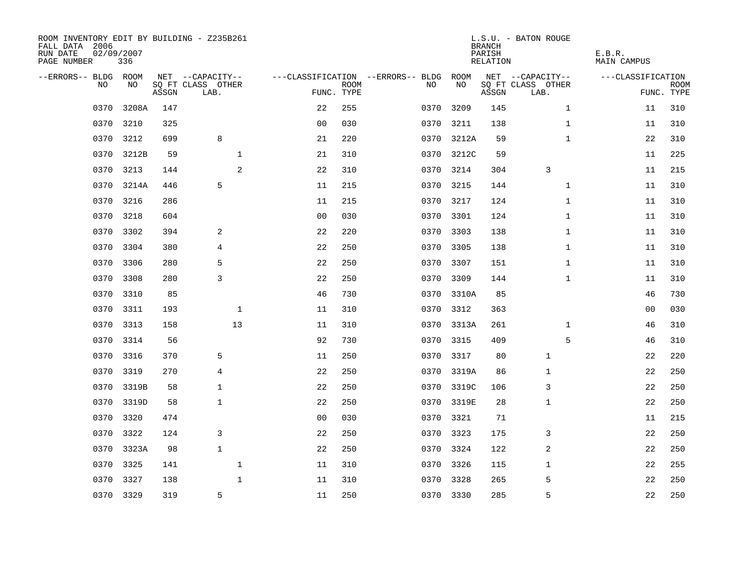| ROOM INVENTORY EDIT BY BUILDING - Z235B261<br>FALL DATA 2006<br>RUN DATE<br>PAGE NUMBER | 02/09/2007<br>336 |       |                           |              |                |             |                                        |      |            | <b>BRANCH</b><br>PARISH<br>RELATION | L.S.U. - BATON ROUGE      | E.B.R.<br>MAIN CAMPUS |                           |
|-----------------------------------------------------------------------------------------|-------------------|-------|---------------------------|--------------|----------------|-------------|----------------------------------------|------|------------|-------------------------------------|---------------------------|-----------------------|---------------------------|
| --ERRORS-- BLDG ROOM                                                                    |                   |       | NET --CAPACITY--          |              |                |             | ---CLASSIFICATION --ERRORS-- BLDG ROOM |      |            |                                     | NET --CAPACITY--          | ---CLASSIFICATION     |                           |
| NO.                                                                                     | NO.               | ASSGN | SQ FT CLASS OTHER<br>LAB. |              | FUNC. TYPE     | <b>ROOM</b> |                                        | NO.  | NO         | ASSGN                               | SQ FT CLASS OTHER<br>LAB. |                       | <b>ROOM</b><br>FUNC. TYPE |
| 0370                                                                                    | 3208A             | 147   |                           |              | 22             | 255         |                                        | 0370 | 3209       | 145                                 | $\mathbf{1}$              | 11                    | 310                       |
| 0370                                                                                    | 3210              | 325   |                           |              | 0 <sub>0</sub> | 030         |                                        | 0370 | 3211       | 138                                 | $\mathbf{1}$              | 11                    | 310                       |
| 0370                                                                                    | 3212              | 699   | 8                         |              | 21             | 220         |                                        | 0370 | 3212A      | 59                                  | $\mathbf{1}$              | 22                    | 310                       |
| 0370                                                                                    | 3212B             | 59    |                           | 1            | 21             | 310         |                                        |      | 0370 3212C | 59                                  |                           | 11                    | 225                       |
| 0370                                                                                    | 3213              | 144   |                           | 2            | 22             | 310         |                                        | 0370 | 3214       | 304                                 | 3                         | 11                    | 215                       |
| 0370                                                                                    | 3214A             | 446   | 5                         |              | 11             | 215         |                                        |      | 0370 3215  | 144                                 | $\mathbf{1}$              | 11                    | 310                       |
| 0370                                                                                    | 3216              | 286   |                           |              | 11             | 215         |                                        |      | 0370 3217  | 124                                 | $\mathbf{1}$              | 11                    | 310                       |
| 0370                                                                                    | 3218              | 604   |                           |              | 0 <sub>0</sub> | 030         |                                        |      | 0370 3301  | 124                                 | $\mathbf{1}$              | 11                    | 310                       |
| 0370                                                                                    | 3302              | 394   | 2                         |              | 22             | 220         |                                        | 0370 | 3303       | 138                                 | $\mathbf{1}$              | 11                    | 310                       |
| 0370                                                                                    | 3304              | 380   | $\overline{4}$            |              | 22             | 250         |                                        |      | 0370 3305  | 138                                 | $\mathbf{1}$              | 11                    | 310                       |
| 0370                                                                                    | 3306              | 280   | 5                         |              | 22             | 250         |                                        | 0370 | 3307       | 151                                 | $\mathbf{1}$              | 11                    | 310                       |
| 0370                                                                                    | 3308              | 280   | 3                         |              | 22             | 250         |                                        |      | 0370 3309  | 144                                 | $\mathbf{1}$              | 11                    | 310                       |
| 0370                                                                                    | 3310              | 85    |                           |              | 46             | 730         |                                        |      | 0370 3310A | 85                                  |                           | 46                    | 730                       |
| 0370                                                                                    | 3311              | 193   |                           | 1            | 11             | 310         |                                        | 0370 | 3312       | 363                                 |                           | 00                    | 030                       |
| 0370                                                                                    | 3313              | 158   |                           | 13           | 11             | 310         |                                        | 0370 | 3313A      | 261                                 | $\mathbf{1}$              | 46                    | 310                       |
| 0370                                                                                    | 3314              | 56    |                           |              | 92             | 730         |                                        | 0370 | 3315       | 409                                 | 5                         | 46                    | 310                       |
| 0370                                                                                    | 3316              | 370   | 5                         |              | 11             | 250         |                                        | 0370 | 3317       | 80                                  | 1                         | 22                    | 220                       |
| 0370                                                                                    | 3319              | 270   | $\overline{4}$            |              | 22             | 250         |                                        | 0370 | 3319A      | 86                                  | 1                         | 22                    | 250                       |
| 0370                                                                                    | 3319B             | 58    | $\mathbf{1}$              |              | 22             | 250         |                                        |      | 0370 3319C | 106                                 | 3                         | 22                    | 250                       |
| 0370                                                                                    | 3319D             | 58    | $\mathbf{1}$              |              | 22             | 250         |                                        |      | 0370 3319E | 28                                  | 1                         | 22                    | 250                       |
| 0370                                                                                    | 3320              | 474   |                           |              | 0 <sub>0</sub> | 030         |                                        |      | 0370 3321  | 71                                  |                           | 11                    | 215                       |
| 0370                                                                                    | 3322              | 124   | 3                         |              | 22             | 250         |                                        | 0370 | 3323       | 175                                 | 3                         | 22                    | 250                       |
|                                                                                         | 0370 3323A        | 98    | $\mathbf{1}$              |              | 22             | 250         |                                        |      | 0370 3324  | 122                                 | 2                         | 22                    | 250                       |
| 0370                                                                                    | 3325              | 141   |                           | $\mathbf{1}$ | 11             | 310         |                                        |      | 0370 3326  | 115                                 | 1                         | 22                    | 255                       |
| 0370                                                                                    | 3327              | 138   |                           | $\mathbf{1}$ | 11             | 310         |                                        |      | 0370 3328  | 265                                 | 5                         | 22                    | 250                       |
|                                                                                         | 0370 3329         | 319   | 5                         |              | 11             | 250         |                                        |      | 0370 3330  | 285                                 | 5                         | 22                    | 250                       |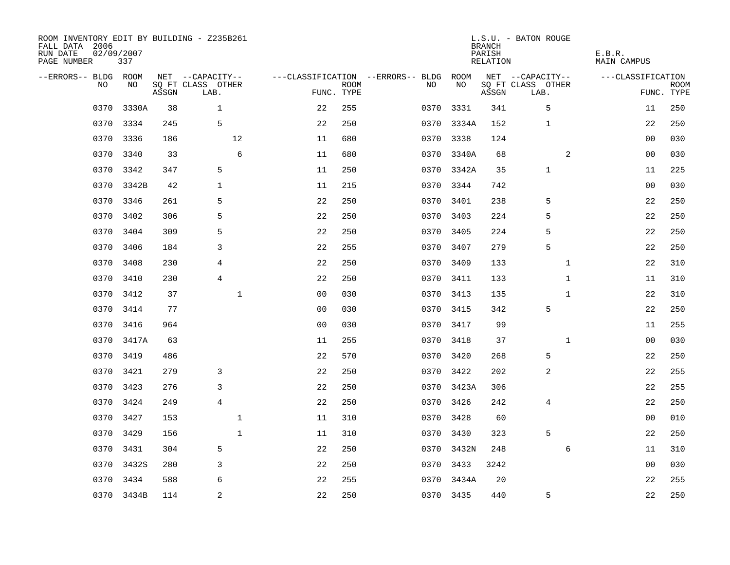| ROOM INVENTORY EDIT BY BUILDING - Z235B261<br>FALL DATA 2006<br>RUN DATE<br>PAGE NUMBER | 02/09/2007<br>337 |       |                           |                |             |                                        |            | <b>BRANCH</b><br>PARISH<br>RELATION | L.S.U. - BATON ROUGE      | E.B.R.<br>MAIN CAMPUS |                           |
|-----------------------------------------------------------------------------------------|-------------------|-------|---------------------------|----------------|-------------|----------------------------------------|------------|-------------------------------------|---------------------------|-----------------------|---------------------------|
| --ERRORS-- BLDG ROOM                                                                    |                   |       | NET --CAPACITY--          |                |             | ---CLASSIFICATION --ERRORS-- BLDG ROOM |            |                                     | NET --CAPACITY--          | ---CLASSIFICATION     |                           |
| NO.                                                                                     | NO.               | ASSGN | SQ FT CLASS OTHER<br>LAB. | FUNC. TYPE     | <b>ROOM</b> | NO.                                    | NO         | ASSGN                               | SQ FT CLASS OTHER<br>LAB. |                       | <b>ROOM</b><br>FUNC. TYPE |
| 0370                                                                                    | 3330A             | 38    | $\mathbf{1}$              | 22             | 255         | 0370                                   | 3331       | 341                                 | 5                         | 11                    | 250                       |
| 0370                                                                                    | 3334              | 245   | 5                         | 22             | 250         |                                        | 0370 3334A | 152                                 | 1                         | 22                    | 250                       |
| 0370                                                                                    | 3336              | 186   | 12                        | 11             | 680         |                                        | 0370 3338  | 124                                 |                           | 00                    | 030                       |
| 0370                                                                                    | 3340              | 33    | 6                         | 11             | 680         |                                        | 0370 3340A | 68                                  | 2                         | 00                    | 030                       |
| 0370                                                                                    | 3342              | 347   | 5                         | 11             | 250         |                                        | 0370 3342A | 35                                  | $\mathbf 1$               | 11                    | 225                       |
| 0370                                                                                    | 3342B             | 42    | 1                         | 11             | 215         |                                        | 0370 3344  | 742                                 |                           | 00                    | 030                       |
| 0370                                                                                    | 3346              | 261   | 5                         | 22             | 250         |                                        | 0370 3401  | 238                                 | 5                         | 22                    | 250                       |
| 0370                                                                                    | 3402              | 306   | 5                         | 22             | 250         |                                        | 0370 3403  | 224                                 | 5                         | 22                    | 250                       |
| 0370                                                                                    | 3404              | 309   | 5                         | 22             | 250         | 0370                                   | 3405       | 224                                 | 5                         | 22                    | 250                       |
| 0370                                                                                    | 3406              | 184   | 3                         | 22             | 255         |                                        | 0370 3407  | 279                                 | 5                         | 22                    | 250                       |
| 0370                                                                                    | 3408              | 230   | 4                         | 22             | 250         | 0370                                   | 3409       | 133                                 | $\mathbf{1}$              | 22                    | 310                       |
| 0370                                                                                    | 3410              | 230   | 4                         | 22             | 250         |                                        | 0370 3411  | 133                                 | $\mathbf{1}$              | 11                    | 310                       |
| 0370                                                                                    | 3412              | 37    | $\mathbf 1$               | 0 <sub>0</sub> | 030         |                                        | 0370 3413  | 135                                 | $\mathbf{1}$              | 22                    | 310                       |
| 0370                                                                                    | 3414              | 77    |                           | 00             | 030         | 0370                                   | 3415       | 342                                 | 5                         | 22                    | 250                       |
| 0370                                                                                    | 3416              | 964   |                           | 0 <sub>0</sub> | 030         | 0370                                   | 3417       | 99                                  |                           | 11                    | 255                       |
| 0370                                                                                    | 3417A             | 63    |                           | 11             | 255         | 0370                                   | 3418       | 37                                  | $\mathbf{1}$              | 00                    | 030                       |
| 0370                                                                                    | 3419              | 486   |                           | 22             | 570         |                                        | 0370 3420  | 268                                 | 5                         | 22                    | 250                       |
| 0370                                                                                    | 3421              | 279   | 3                         | 22             | 250         | 0370                                   | 3422       | 202                                 | 2                         | 22                    | 255                       |
| 0370                                                                                    | 3423              | 276   | 3                         | 22             | 250         |                                        | 0370 3423A | 306                                 |                           | 22                    | 255                       |
| 0370                                                                                    | 3424              | 249   | $\overline{4}$            | 22             | 250         |                                        | 0370 3426  | 242                                 | 4                         | 22                    | 250                       |
| 0370                                                                                    | 3427              | 153   | $\mathbf 1$               | 11             | 310         |                                        | 0370 3428  | 60                                  |                           | 00                    | 010                       |
| 0370                                                                                    | 3429              | 156   | $\mathbf{1}$              | 11             | 310         |                                        | 0370 3430  | 323                                 | 5                         | 22                    | 250                       |
|                                                                                         | 0370 3431         | 304   | 5                         | 22             | 250         |                                        | 0370 3432N | 248                                 | 6                         | 11                    | 310                       |
| 0370                                                                                    | 3432S             | 280   | 3                         | 22             | 250         |                                        | 0370 3433  | 3242                                |                           | 00                    | 030                       |
| 0370                                                                                    | 3434              | 588   | 6                         | 22             | 255         |                                        | 0370 3434A | 20                                  |                           | 22                    | 255                       |
|                                                                                         | 0370 3434B        | 114   | 2                         | 22             | 250         |                                        | 0370 3435  | 440                                 | 5                         | 22                    | 250                       |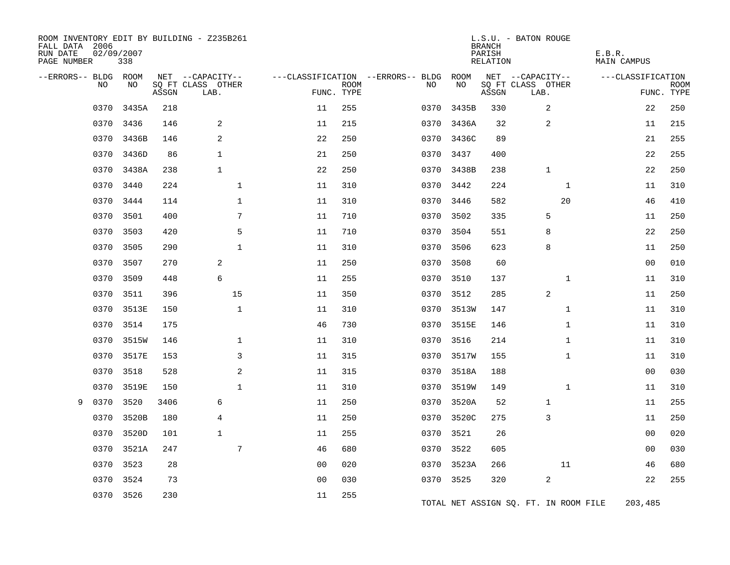| FALL DATA 2006<br>RUN DATE<br>PAGE NUMBER |      | 02/09/2007<br>338 |       | ROOM INVENTORY EDIT BY BUILDING - Z235B261 |                |                           |                                   |            | <b>BRANCH</b><br>PARISH<br>RELATION | L.S.U. - BATON ROUGE                  | E.B.R.<br><b>MAIN CAMPUS</b> |                           |
|-------------------------------------------|------|-------------------|-------|--------------------------------------------|----------------|---------------------------|-----------------------------------|------------|-------------------------------------|---------------------------------------|------------------------------|---------------------------|
| --ERRORS-- BLDG ROOM                      |      |                   |       | NET --CAPACITY--                           |                |                           | ---CLASSIFICATION --ERRORS-- BLDG | ROOM       |                                     | NET --CAPACITY--                      | ---CLASSIFICATION            |                           |
|                                           | NO   | NO                | ASSGN | SQ FT CLASS OTHER<br>LAB.                  |                | <b>ROOM</b><br>FUNC. TYPE | NO                                | NO         | ASSGN                               | SQ FT CLASS OTHER<br>LAB.             |                              | <b>ROOM</b><br>FUNC. TYPE |
|                                           | 0370 | 3435A             | 218   |                                            | 11             | 255                       | 0370                              | 3435B      | 330                                 | 2                                     | 22                           | 250                       |
|                                           | 0370 | 3436              | 146   | $\overline{2}$                             | 11             | 215                       | 0370                              | 3436A      | 32                                  | 2                                     | 11                           | 215                       |
|                                           | 0370 | 3436B             | 146   | 2                                          | 22             | 250                       | 0370                              | 3436C      | 89                                  |                                       | 21                           | 255                       |
|                                           | 0370 | 3436D             | 86    | $\mathbf{1}$                               | 21             | 250                       | 0370                              | 3437       | 400                                 |                                       | 22                           | 255                       |
|                                           | 0370 | 3438A             | 238   | $\mathbf{1}$                               | 22             | 250                       | 0370                              | 3438B      | 238                                 | $\mathbf{1}$                          | 22                           | 250                       |
|                                           | 0370 | 3440              | 224   | $\mathbf{1}$                               | 11             | 310                       | 0370                              | 3442       | 224                                 | $\mathbf{1}$                          | 11                           | 310                       |
|                                           | 0370 | 3444              | 114   | $\mathbf{1}$                               | 11             | 310                       |                                   | 0370 3446  | 582                                 | 20                                    | 46                           | 410                       |
|                                           | 0370 | 3501              | 400   | 7                                          | 11             | 710                       | 0370                              | 3502       | 335                                 | 5                                     | 11                           | 250                       |
|                                           | 0370 | 3503              | 420   | 5                                          | 11             | 710                       |                                   | 0370 3504  | 551                                 | 8                                     | 22                           | 250                       |
|                                           | 0370 | 3505              | 290   | $\mathbf{1}$                               | 11             | 310                       | 0370                              | 3506       | 623                                 | 8                                     | 11                           | 250                       |
|                                           | 0370 | 3507              | 270   | 2                                          | 11             | 250                       |                                   | 0370 3508  | 60                                  |                                       | 0 <sub>0</sub>               | 010                       |
|                                           | 0370 | 3509              | 448   | 6                                          | 11             | 255                       | 0370                              | 3510       | 137                                 | $\mathbf{1}$                          | 11                           | 310                       |
|                                           | 0370 | 3511              | 396   | 15                                         | 11             | 350                       | 0370                              | 3512       | 285                                 | 2                                     | 11                           | 250                       |
|                                           | 0370 | 3513E             | 150   | $\mathbf{1}$                               | 11             | 310                       |                                   | 0370 3513W | 147                                 | $\mathbf{1}$                          | 11                           | 310                       |
|                                           | 0370 | 3514              | 175   |                                            | 46             | 730                       |                                   | 0370 3515E | 146                                 | $\mathbf{1}$                          | 11                           | 310                       |
|                                           | 0370 | 3515W             | 146   | $\mathbf 1$                                | 11             | 310                       |                                   | 0370 3516  | 214                                 | $\mathbf{1}$                          | 11                           | 310                       |
|                                           | 0370 | 3517E             | 153   | 3                                          | 11             | 315                       | 0370                              | 3517W      | 155                                 | $\mathbf{1}$                          | 11                           | 310                       |
|                                           | 0370 | 3518              | 528   | 2                                          | 11             | 315                       | 0370                              | 3518A      | 188                                 |                                       | 00                           | 030                       |
|                                           | 0370 | 3519E             | 150   | $\mathbf{1}$                               | 11             | 310                       | 0370                              | 3519W      | 149                                 | $\mathbf{1}$                          | 11                           | 310                       |
| 9                                         | 0370 | 3520              | 3406  | 6                                          | 11             | 250                       | 0370                              | 3520A      | 52                                  | 1                                     | 11                           | 255                       |
|                                           | 0370 | 3520B             | 180   | 4                                          | 11             | 250                       | 0370                              | 3520C      | 275                                 | 3                                     | 11                           | 250                       |
|                                           | 0370 | 3520D             | 101   | $\mathbf{1}$                               | 11             | 255                       | 0370                              | 3521       | 26                                  |                                       | 00                           | 020                       |
|                                           | 0370 | 3521A             | 247   | 7                                          | 46             | 680                       | 0370                              | 3522       | 605                                 |                                       | 0 <sub>0</sub>               | 030                       |
|                                           | 0370 | 3523              | 28    |                                            | 00             | 020                       | 0370                              | 3523A      | 266                                 | 11                                    | 46                           | 680                       |
|                                           | 0370 | 3524              | 73    |                                            | 0 <sub>0</sub> | 030                       |                                   | 0370 3525  | 320                                 | 2                                     | 22                           | 255                       |
|                                           | 0370 | 3526              | 230   |                                            | 11             | 255                       |                                   |            |                                     | TOTAL NET ASSIGN SQ. FT. IN ROOM FILE | 203,485                      |                           |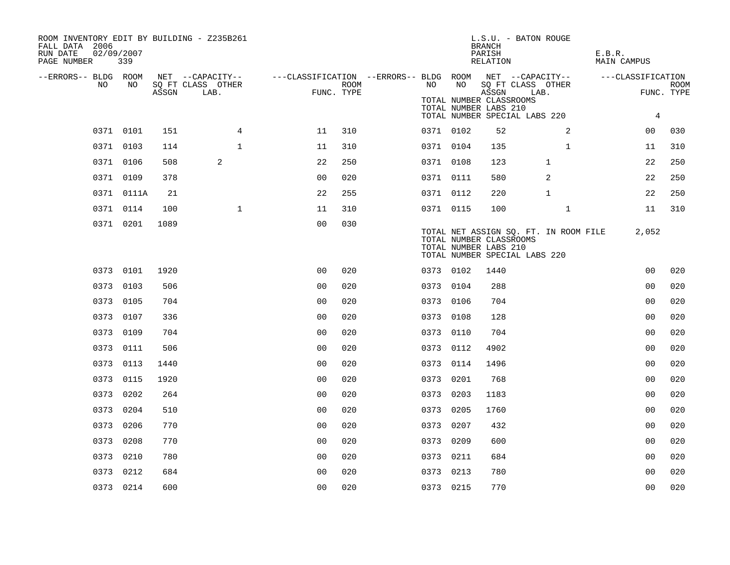| ROOM INVENTORY EDIT BY BUILDING - Z235B261<br>FALL DATA 2006<br>RUN DATE<br>PAGE NUMBER | 02/09/2007<br>339 |       |                           |                                                                           |                    |           |    | <b>BRANCH</b><br>PARISH<br>RELATION              | L.S.U. - BATON ROUGE                                                   | E.B.R.<br><b>MAIN CAMPUS</b> |                           |
|-----------------------------------------------------------------------------------------|-------------------|-------|---------------------------|---------------------------------------------------------------------------|--------------------|-----------|----|--------------------------------------------------|------------------------------------------------------------------------|------------------------------|---------------------------|
| --ERRORS-- BLDG ROOM                                                                    |                   |       |                           | NET --CAPACITY-- ----CLASSIFICATION --ERRORS-- BLDG ROOM NET --CAPACITY-- |                    |           |    |                                                  |                                                                        | ---CLASSIFICATION            |                           |
| NO.                                                                                     | NO.               | ASSGN | SQ FT CLASS OTHER<br>LAB. |                                                                           | ROOM<br>FUNC. TYPE | NO        | NO | ASSGN<br>TOTAL NUMBER CLASSROOMS                 | SQ FT CLASS OTHER<br>LAB.                                              |                              | <b>ROOM</b><br>FUNC. TYPE |
|                                                                                         |                   |       |                           |                                                                           |                    |           |    | TOTAL NUMBER LABS 210                            | TOTAL NUMBER SPECIAL LABS 220                                          | $\overline{4}$               |                           |
|                                                                                         | 0371 0101         | 151   | 4                         | 11                                                                        | 310                | 0371 0102 |    | 52                                               | 2                                                                      | 00                           | 030                       |
|                                                                                         | 0371 0103         | 114   | $\mathbf{1}$              | 11                                                                        | 310                | 0371 0104 |    | 135                                              | $\mathbf{1}$                                                           | 11                           | 310                       |
|                                                                                         | 0371 0106         | 508   | 2                         | 22                                                                        | 250                | 0371 0108 |    | 123                                              | 1                                                                      | 22                           | 250                       |
|                                                                                         | 0371 0109         | 378   |                           | 0 <sub>0</sub>                                                            | 020                | 0371 0111 |    | 580                                              | 2                                                                      | 22                           | 250                       |
|                                                                                         | 0371 0111A        | 21    |                           | 22                                                                        | 255                | 0371 0112 |    | 220                                              | $\mathbf{1}$                                                           | 22                           | 250                       |
|                                                                                         | 0371 0114         | 100   | $\mathbf{1}$              | 11                                                                        | 310                | 0371 0115 |    | 100                                              | $\mathbf{1}$                                                           | 11                           | 310                       |
|                                                                                         | 0371 0201         | 1089  |                           | 0 <sub>0</sub>                                                            | 030                |           |    | TOTAL NUMBER CLASSROOMS<br>TOTAL NUMBER LABS 210 | TOTAL NET ASSIGN SQ. FT. IN ROOM FILE<br>TOTAL NUMBER SPECIAL LABS 220 | 2,052                        |                           |
|                                                                                         | 0373 0101         | 1920  |                           | 0 <sub>0</sub>                                                            | 020                | 0373 0102 |    | 1440                                             |                                                                        | 00                           | 020                       |
|                                                                                         | 0373 0103         | 506   |                           | 0 <sub>0</sub>                                                            | 020                | 0373 0104 |    | 288                                              |                                                                        | 0 <sub>0</sub>               | 020                       |
|                                                                                         | 0373 0105         | 704   |                           | 0 <sub>0</sub>                                                            | 020                | 0373 0106 |    | 704                                              |                                                                        | 0 <sub>0</sub>               | 020                       |
|                                                                                         | 0373 0107         | 336   |                           | 0 <sub>0</sub>                                                            | 020                | 0373 0108 |    | 128                                              |                                                                        | 00                           | 020                       |
|                                                                                         | 0373 0109         | 704   |                           | 0 <sub>0</sub>                                                            | 020                | 0373 0110 |    | 704                                              |                                                                        | 0 <sub>0</sub>               | 020                       |
|                                                                                         | 0373 0111         | 506   |                           | 0 <sub>0</sub>                                                            | 020                | 0373 0112 |    | 4902                                             |                                                                        | 0 <sub>0</sub>               | 020                       |
|                                                                                         | 0373 0113         | 1440  |                           | 0 <sub>0</sub>                                                            | 020                | 0373 0114 |    | 1496                                             |                                                                        | 0 <sub>0</sub>               | 020                       |
|                                                                                         | 0373 0115         | 1920  |                           | 0 <sub>0</sub>                                                            | 020                | 0373 0201 |    | 768                                              |                                                                        | 0 <sub>0</sub>               | 020                       |
|                                                                                         | 0373 0202         | 264   |                           | 0 <sub>0</sub>                                                            | 020                | 0373 0203 |    | 1183                                             |                                                                        | 0 <sub>0</sub>               | 020                       |
|                                                                                         | 0373 0204         | 510   |                           | 0 <sub>0</sub>                                                            | 020                | 0373 0205 |    | 1760                                             |                                                                        | 0 <sub>0</sub>               | 020                       |
|                                                                                         | 0373 0206         | 770   |                           | 0 <sub>0</sub>                                                            | 020                | 0373 0207 |    | 432                                              |                                                                        | 0 <sub>0</sub>               | 020                       |
|                                                                                         | 0373 0208         | 770   |                           | 0 <sub>0</sub>                                                            | 020                | 0373 0209 |    | 600                                              |                                                                        | 00                           | 020                       |
|                                                                                         | 0373 0210         | 780   |                           | 0 <sub>0</sub>                                                            | 020                | 0373 0211 |    | 684                                              |                                                                        | 0 <sub>0</sub>               | 020                       |
|                                                                                         | 0373 0212         | 684   |                           | 0 <sub>0</sub>                                                            | 020                | 0373 0213 |    | 780                                              |                                                                        | 00                           | 020                       |
|                                                                                         | 0373 0214         | 600   |                           | 0 <sub>0</sub>                                                            | 020                | 0373 0215 |    | 770                                              |                                                                        | 0 <sub>0</sub>               | 020                       |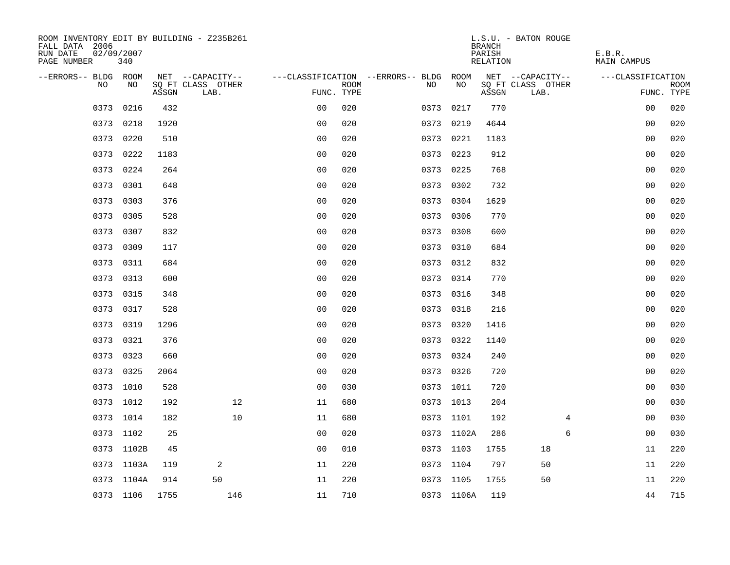| ROOM INVENTORY EDIT BY BUILDING - Z235B261<br>FALL DATA 2006<br>RUN DATE<br>PAGE NUMBER | 02/09/2007<br>340 |       |                           |                |             |                                   |            | <b>BRANCH</b><br>PARISH<br>RELATION | L.S.U. - BATON ROUGE      | E.B.R.<br><b>MAIN CAMPUS</b> |                           |
|-----------------------------------------------------------------------------------------|-------------------|-------|---------------------------|----------------|-------------|-----------------------------------|------------|-------------------------------------|---------------------------|------------------------------|---------------------------|
| --ERRORS-- BLDG ROOM                                                                    |                   |       | NET --CAPACITY--          |                |             | ---CLASSIFICATION --ERRORS-- BLDG | ROOM       |                                     | NET --CAPACITY--          | ---CLASSIFICATION            |                           |
| <b>NO</b>                                                                               | NO.               | ASSGN | SO FT CLASS OTHER<br>LAB. | FUNC. TYPE     | <b>ROOM</b> | NO.                               | NO         | ASSGN                               | SQ FT CLASS OTHER<br>LAB. |                              | <b>ROOM</b><br>FUNC. TYPE |
| 0373                                                                                    | 0216              | 432   |                           | 0 <sub>0</sub> | 020         | 0373                              | 0217       | 770                                 |                           | 0 <sub>0</sub>               | 020                       |
| 0373                                                                                    | 0218              | 1920  |                           | 0 <sub>0</sub> | 020         |                                   | 0373 0219  | 4644                                |                           | 0 <sub>0</sub>               | 020                       |
| 0373                                                                                    | 0220              | 510   |                           | 0 <sub>0</sub> | 020         | 0373                              | 0221       | 1183                                |                           | 00                           | 020                       |
| 0373                                                                                    | 0222              | 1183  |                           | 0 <sub>0</sub> | 020         |                                   | 0373 0223  | 912                                 |                           | 0 <sub>0</sub>               | 020                       |
| 0373                                                                                    | 0224              | 264   |                           | 00             | 020         | 0373                              | 0225       | 768                                 |                           | 0 <sub>0</sub>               | 020                       |
|                                                                                         | 0373 0301         | 648   |                           | 0 <sub>0</sub> | 020         |                                   | 0373 0302  | 732                                 |                           | 0 <sub>0</sub>               | 020                       |
| 0373                                                                                    | 0303              | 376   |                           | 0 <sub>0</sub> | 020         | 0373                              | 0304       | 1629                                |                           | 00                           | 020                       |
|                                                                                         | 0373 0305         | 528   |                           | 0 <sub>0</sub> | 020         |                                   | 0373 0306  | 770                                 |                           | 0 <sub>0</sub>               | 020                       |
| 0373                                                                                    | 0307              | 832   |                           | 0 <sub>0</sub> | 020         | 0373                              | 0308       | 600                                 |                           | 0 <sub>0</sub>               | 020                       |
| 0373                                                                                    | 0309              | 117   |                           | 0 <sub>0</sub> | 020         |                                   | 0373 0310  | 684                                 |                           | 0 <sub>0</sub>               | 020                       |
| 0373                                                                                    | 0311              | 684   |                           | 0 <sub>0</sub> | 020         |                                   | 0373 0312  | 832                                 |                           | 00                           | 020                       |
|                                                                                         | 0373 0313         | 600   |                           | 0 <sub>0</sub> | 020         |                                   | 0373 0314  | 770                                 |                           | 00                           | 020                       |
| 0373                                                                                    | 0315              | 348   |                           | 0 <sub>0</sub> | 020         | 0373                              | 0316       | 348                                 |                           | 0 <sub>0</sub>               | 020                       |
| 0373                                                                                    | 0317              | 528   |                           | 0 <sub>0</sub> | 020         |                                   | 0373 0318  | 216                                 |                           | 0 <sub>0</sub>               | 020                       |
|                                                                                         | 0373 0319         | 1296  |                           | 0 <sub>0</sub> | 020         |                                   | 0373 0320  | 1416                                |                           | 00                           | 020                       |
|                                                                                         | 0373 0321         | 376   |                           | 0 <sub>0</sub> | 020         |                                   | 0373 0322  | 1140                                |                           | 00                           | 020                       |
|                                                                                         | 0373 0323         | 660   |                           | 0 <sub>0</sub> | 020         |                                   | 0373 0324  | 240                                 |                           | 0 <sub>0</sub>               | 020                       |
|                                                                                         | 0373 0325         | 2064  |                           | 0 <sub>0</sub> | 020         |                                   | 0373 0326  | 720                                 |                           | 0 <sub>0</sub>               | 020                       |
|                                                                                         | 0373 1010         | 528   |                           | 0 <sub>0</sub> | 030         |                                   | 0373 1011  | 720                                 |                           | 0 <sub>0</sub>               | 030                       |
|                                                                                         | 0373 1012         | 192   | 12                        | 11             | 680         |                                   | 0373 1013  | 204                                 |                           | 00                           | 030                       |
|                                                                                         | 0373 1014         | 182   | 10                        | 11             | 680         |                                   | 0373 1101  | 192                                 | 4                         | 00                           | 030                       |
|                                                                                         | 0373 1102         | 25    |                           | 0 <sub>0</sub> | 020         |                                   | 0373 1102A | 286                                 | 6                         | 0 <sub>0</sub>               | 030                       |
|                                                                                         | 0373 1102B        | 45    |                           | 0 <sub>0</sub> | 010         |                                   | 0373 1103  | 1755                                | 18                        | 11                           | 220                       |
|                                                                                         | 0373 1103A        | 119   | 2                         | 11             | 220         |                                   | 0373 1104  | 797                                 | 50                        | 11                           | 220                       |
|                                                                                         | 0373 1104A        | 914   | 50                        | 11             | 220         |                                   | 0373 1105  | 1755                                | 50                        | 11                           | 220                       |
|                                                                                         | 0373 1106         | 1755  | 146                       | 11             | 710         |                                   | 0373 1106A | 119                                 |                           | 44                           | 715                       |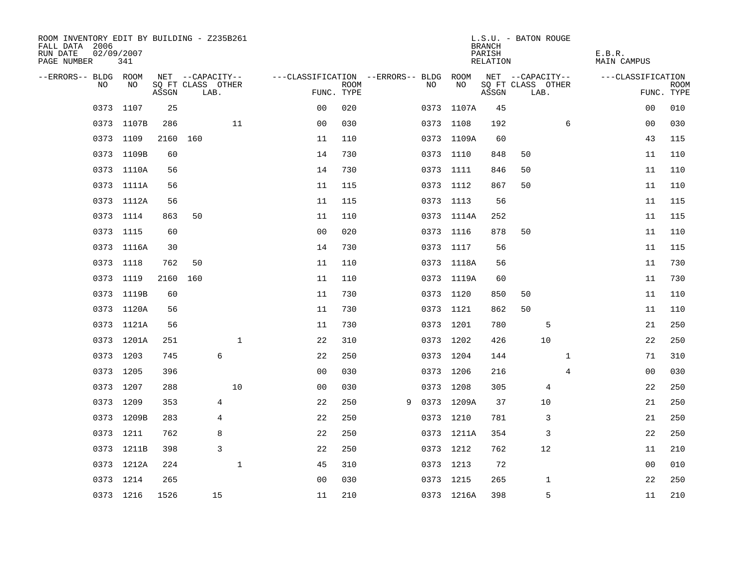| ROOM INVENTORY EDIT BY BUILDING - Z235B261<br>FALL DATA 2006<br>RUN DATE<br>PAGE NUMBER | 02/09/2007<br>341 |          |                           |              |                                        |             |   |           |            | <b>BRANCH</b><br>PARISH<br>RELATION | L.S.U. - BATON ROUGE      |              | E.B.R.<br>MAIN CAMPUS |                |      |
|-----------------------------------------------------------------------------------------|-------------------|----------|---------------------------|--------------|----------------------------------------|-------------|---|-----------|------------|-------------------------------------|---------------------------|--------------|-----------------------|----------------|------|
| --ERRORS-- BLDG ROOM                                                                    |                   |          | NET --CAPACITY--          |              | ---CLASSIFICATION --ERRORS-- BLDG ROOM |             |   |           |            |                                     | NET --CAPACITY--          |              | ---CLASSIFICATION     |                |      |
| NO.                                                                                     | NO.               | ASSGN    | SQ FT CLASS OTHER<br>LAB. |              | FUNC. TYPE                             | <b>ROOM</b> |   | NO.       | NO         | ASSGN                               | SQ FT CLASS OTHER<br>LAB. |              |                       | FUNC. TYPE     | ROOM |
|                                                                                         | 0373 1107         | 25       |                           |              | 0 <sub>0</sub>                         | 020         |   |           | 0373 1107A | 45                                  |                           |              |                       | 0 <sub>0</sub> | 010  |
|                                                                                         | 0373 1107B        | 286      |                           | 11           | 0 <sub>0</sub>                         | 030         |   | 0373 1108 |            | 192                                 |                           | 6            |                       | 0 <sub>0</sub> | 030  |
|                                                                                         | 0373 1109         | 2160 160 |                           |              | 11                                     | 110         |   |           | 0373 1109A | 60                                  |                           |              |                       | 43             | 115  |
|                                                                                         | 0373 1109B        | 60       |                           |              | 14                                     | 730         |   | 0373 1110 |            | 848                                 | 50                        |              |                       | 11             | 110  |
|                                                                                         | 0373 1110A        | 56       |                           |              | 14                                     | 730         |   | 0373 1111 |            | 846                                 | 50                        |              |                       | 11             | 110  |
|                                                                                         | 0373 1111A        | 56       |                           |              | 11                                     | 115         |   | 0373 1112 |            | 867                                 | 50                        |              |                       | 11             | 110  |
|                                                                                         | 0373 1112A        | 56       |                           |              | 11                                     | 115         |   | 0373 1113 |            | 56                                  |                           |              |                       | 11             | 115  |
|                                                                                         | 0373 1114         | 863      | 50                        |              | 11                                     | 110         |   |           | 0373 1114A | 252                                 |                           |              |                       | 11             | 115  |
|                                                                                         | 0373 1115         | 60       |                           |              | 0 <sub>0</sub>                         | 020         |   | 0373 1116 |            | 878                                 | 50                        |              |                       | 11             | 110  |
|                                                                                         | 0373 1116A        | 30       |                           |              | 14                                     | 730         |   | 0373 1117 |            | 56                                  |                           |              |                       | 11             | 115  |
|                                                                                         | 0373 1118         | 762      | 50                        |              | 11                                     | 110         |   |           | 0373 1118A | 56                                  |                           |              |                       | 11             | 730  |
|                                                                                         | 0373 1119         | 2160     | 160                       |              | 11                                     | 110         |   |           | 0373 1119A | 60                                  |                           |              |                       | 11             | 730  |
|                                                                                         | 0373 1119B        | 60       |                           |              | 11                                     | 730         |   | 0373 1120 |            | 850                                 | 50                        |              |                       | 11             | 110  |
|                                                                                         | 0373 1120A        | 56       |                           |              | 11                                     | 730         |   |           | 0373 1121  | 862                                 | 50                        |              |                       | 11             | 110  |
|                                                                                         | 0373 1121A        | 56       |                           |              | 11                                     | 730         |   | 0373 1201 |            | 780                                 | 5                         |              |                       | 21             | 250  |
|                                                                                         | 0373 1201A        | 251      |                           | $\mathbf{1}$ | 22                                     | 310         |   | 0373 1202 |            | 426                                 | 10                        |              |                       | 22             | 250  |
|                                                                                         | 0373 1203         | 745      |                           | 6            | 22                                     | 250         |   | 0373 1204 |            | 144                                 |                           | $\mathbf{1}$ |                       | 71             | 310  |
|                                                                                         | 0373 1205         | 396      |                           |              | 0 <sub>0</sub>                         | 030         |   | 0373 1206 |            | 216                                 |                           | 4            |                       | 00             | 030  |
|                                                                                         | 0373 1207         | 288      |                           | 10           | 0 <sub>0</sub>                         | 030         |   | 0373 1208 |            | 305                                 | 4                         |              |                       | 22             | 250  |
|                                                                                         | 0373 1209         | 353      |                           | 4            | 22                                     | 250         | 9 |           | 0373 1209A | 37                                  | 10                        |              |                       | 21             | 250  |
|                                                                                         | 0373 1209B        | 283      |                           | 4            | 22                                     | 250         |   | 0373 1210 |            | 781                                 | 3                         |              |                       | 21             | 250  |
|                                                                                         | 0373 1211         | 762      |                           | 8            | 22                                     | 250         |   |           | 0373 1211A | 354                                 | 3                         |              |                       | 22             | 250  |
|                                                                                         | 0373 1211B        | 398      |                           | 3            | 22                                     | 250         |   | 0373 1212 |            | 762                                 | 12                        |              |                       | 11             | 210  |
|                                                                                         | 0373 1212A        | 224      |                           | $\mathbf{1}$ | 45                                     | 310         |   | 0373 1213 |            | 72                                  |                           |              |                       | 0 <sub>0</sub> | 010  |
|                                                                                         | 0373 1214         | 265      |                           |              | 0 <sub>0</sub>                         | 030         |   | 0373 1215 |            | 265                                 | 1                         |              |                       | 22             | 250  |
|                                                                                         | 0373 1216         | 1526     |                           | 15           | 11                                     | 210         |   |           | 0373 1216A | 398                                 | 5                         |              |                       | 11             | 210  |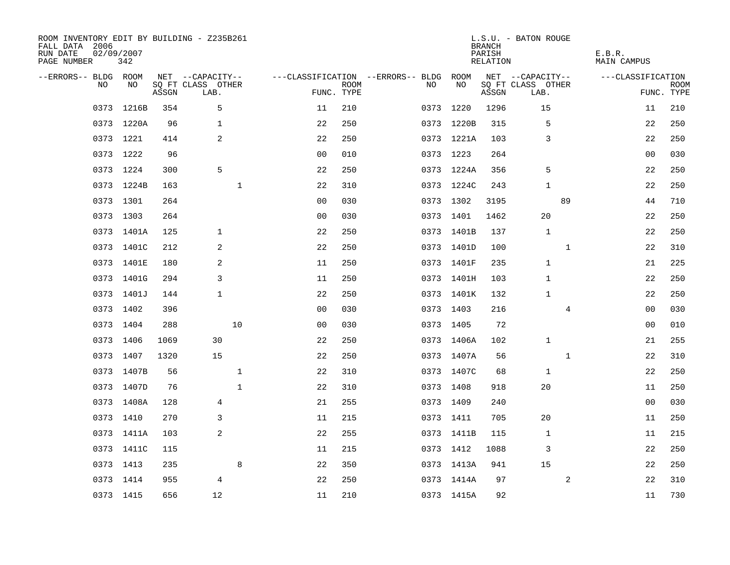| ROOM INVENTORY EDIT BY BUILDING - Z235B261<br>FALL DATA 2006<br>RUN DATE<br>PAGE NUMBER | 02/09/2007<br>342 |       |                           |                |                           |                                        |            | <b>BRANCH</b><br>PARISH<br>RELATION | L.S.U. - BATON ROUGE      | E.B.R.<br><b>MAIN CAMPUS</b> |                           |
|-----------------------------------------------------------------------------------------|-------------------|-------|---------------------------|----------------|---------------------------|----------------------------------------|------------|-------------------------------------|---------------------------|------------------------------|---------------------------|
| --ERRORS-- BLDG ROOM                                                                    |                   |       | NET --CAPACITY--          |                |                           | ---CLASSIFICATION --ERRORS-- BLDG ROOM |            |                                     | NET --CAPACITY--          | ---CLASSIFICATION            |                           |
| NO                                                                                      | NO                | ASSGN | SQ FT CLASS OTHER<br>LAB. |                | <b>ROOM</b><br>FUNC. TYPE | NO.                                    | NO         | ASSGN                               | SQ FT CLASS OTHER<br>LAB. |                              | <b>ROOM</b><br>FUNC. TYPE |
| 0373                                                                                    | 1216B             | 354   | 5                         | 11             | 210                       | 0373                                   | 1220       | 1296                                | 15                        | 11                           | 210                       |
|                                                                                         | 0373 1220A        | 96    | $\mathbf{1}$              | 22             | 250                       |                                        | 0373 1220B | 315                                 | 5                         | 22                           | 250                       |
|                                                                                         | 0373 1221         | 414   | 2                         | 22             | 250                       |                                        | 0373 1221A | 103                                 | 3                         | 22                           | 250                       |
|                                                                                         | 0373 1222         | 96    |                           | 00             | 010                       |                                        | 0373 1223  | 264                                 |                           | 0 <sub>0</sub>               | 030                       |
|                                                                                         | 0373 1224         | 300   | 5                         | 22             | 250                       |                                        | 0373 1224A | 356                                 | 5                         | 22                           | 250                       |
|                                                                                         | 0373 1224B        | 163   | $\mathbf 1$               | 22             | 310                       |                                        | 0373 1224C | 243                                 | 1                         | 22                           | 250                       |
|                                                                                         | 0373 1301         | 264   |                           | 0 <sub>0</sub> | 030                       |                                        | 0373 1302  | 3195                                | 89                        | 44                           | 710                       |
|                                                                                         | 0373 1303         | 264   |                           | 0 <sub>0</sub> | 030                       |                                        | 0373 1401  | 1462                                | 20                        | 22                           | 250                       |
|                                                                                         | 0373 1401A        | 125   | $\mathbf{1}$              | 22             | 250                       |                                        | 0373 1401B | 137                                 | $\mathbf{1}$              | 22                           | 250                       |
|                                                                                         | 0373 1401C        | 212   | $\overline{2}$            | 22             | 250                       |                                        | 0373 1401D | 100                                 | $\mathbf{1}$              | 22                           | 310                       |
|                                                                                         | 0373 1401E        | 180   | 2                         | 11             | 250                       |                                        | 0373 1401F | 235                                 | $\mathbf{1}$              | 21                           | 225                       |
|                                                                                         | 0373 1401G        | 294   | 3                         | 11             | 250                       |                                        | 0373 1401H | 103                                 | $\mathbf{1}$              | 22                           | 250                       |
|                                                                                         | 0373 1401J        | 144   | $\mathbf{1}$              | 22             | 250                       |                                        | 0373 1401K | 132                                 | $\mathbf{1}$              | 22                           | 250                       |
|                                                                                         | 0373 1402         | 396   |                           | 0 <sub>0</sub> | 030                       |                                        | 0373 1403  | 216                                 | 4                         | 00                           | 030                       |
|                                                                                         | 0373 1404         | 288   | 10                        | 0 <sub>0</sub> | 030                       |                                        | 0373 1405  | 72                                  |                           | 0 <sub>0</sub>               | 010                       |
|                                                                                         | 0373 1406         | 1069  | 30                        | 22             | 250                       |                                        | 0373 1406A | 102                                 | $\mathbf{1}$              | 21                           | 255                       |
|                                                                                         | 0373 1407         | 1320  | 15                        | 22             | 250                       |                                        | 0373 1407A | 56                                  | $\mathbf{1}$              | 22                           | 310                       |
|                                                                                         | 0373 1407B        | 56    | $\mathbf 1$               | 22             | 310                       |                                        | 0373 1407C | 68                                  | 1                         | 22                           | 250                       |
|                                                                                         | 0373 1407D        | 76    | $\mathbf{1}$              | 22             | 310                       |                                        | 0373 1408  | 918                                 | 20                        | 11                           | 250                       |
|                                                                                         | 0373 1408A        | 128   | 4                         | 21             | 255                       |                                        | 0373 1409  | 240                                 |                           | 0 <sub>0</sub>               | 030                       |
|                                                                                         | 0373 1410         | 270   | 3                         | 11             | 215                       |                                        | 0373 1411  | 705                                 | 20                        | 11                           | 250                       |
|                                                                                         | 0373 1411A        | 103   | 2                         | 22             | 255                       |                                        | 0373 1411B | 115                                 | 1                         | 11                           | 215                       |
|                                                                                         | 0373 1411C        | 115   |                           | 11             | 215                       |                                        | 0373 1412  | 1088                                | 3                         | 22                           | 250                       |
|                                                                                         | 0373 1413         | 235   | 8                         | 22             | 350                       |                                        | 0373 1413A | 941                                 | 15                        | 22                           | 250                       |
|                                                                                         | 0373 1414         | 955   | 4                         | 22             | 250                       |                                        | 0373 1414A | 97                                  | 2                         | 22                           | 310                       |
|                                                                                         | 0373 1415         | 656   | 12                        | 11             | 210                       |                                        | 0373 1415A | 92                                  |                           | 11                           | 730                       |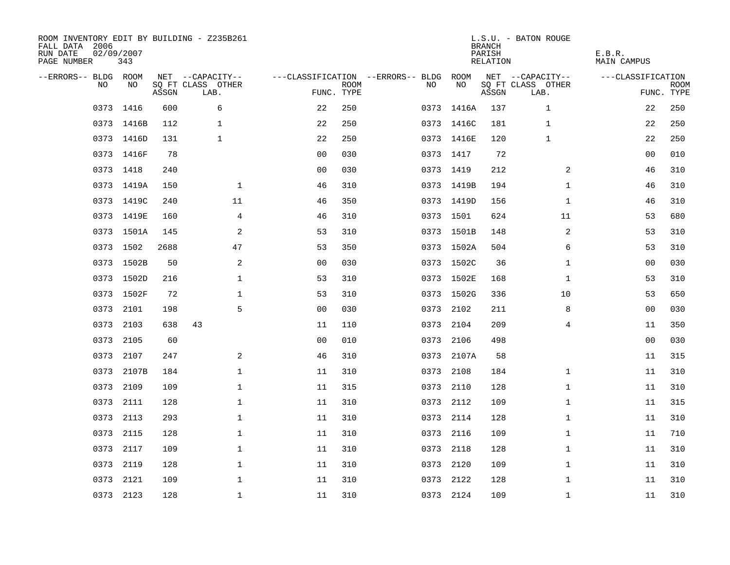| ROOM INVENTORY EDIT BY BUILDING - Z235B261<br>FALL DATA 2006<br>RUN DATE<br>PAGE NUMBER | 02/09/2007<br>343 |       |                           |                |             |                                        |            | <b>BRANCH</b><br>PARISH<br>RELATION | L.S.U. - BATON ROUGE      | E.B.R.<br>MAIN CAMPUS |                           |
|-----------------------------------------------------------------------------------------|-------------------|-------|---------------------------|----------------|-------------|----------------------------------------|------------|-------------------------------------|---------------------------|-----------------------|---------------------------|
| --ERRORS-- BLDG ROOM                                                                    |                   |       | NET --CAPACITY--          |                |             | ---CLASSIFICATION --ERRORS-- BLDG ROOM |            |                                     | NET --CAPACITY--          | ---CLASSIFICATION     |                           |
| NO.                                                                                     | NO.               | ASSGN | SQ FT CLASS OTHER<br>LAB. | FUNC. TYPE     | <b>ROOM</b> | NO.                                    | NO         | ASSGN                               | SQ FT CLASS OTHER<br>LAB. |                       | <b>ROOM</b><br>FUNC. TYPE |
|                                                                                         | 0373 1416         | 600   | 6                         | 22             | 250         |                                        | 0373 1416A | 137                                 | $\mathbf{1}$              | 22                    | 250                       |
|                                                                                         | 0373 1416B        | 112   | $\mathbf{1}$              | 22             | 250         |                                        | 0373 1416C | 181                                 | 1                         | 22                    | 250                       |
|                                                                                         | 0373 1416D        | 131   | $\mathbf{1}$              | 22             | 250         |                                        | 0373 1416E | 120                                 | $\mathbf 1$               | 22                    | 250                       |
|                                                                                         | 0373 1416F        | 78    |                           | 00             | 030         |                                        | 0373 1417  | 72                                  |                           | 00                    | 010                       |
|                                                                                         | 0373 1418         | 240   |                           | 0 <sub>0</sub> | 030         |                                        | 0373 1419  | 212                                 | 2                         | 46                    | 310                       |
|                                                                                         | 0373 1419A        | 150   | $\mathbf{1}$              | 46             | 310         |                                        | 0373 1419B | 194                                 | $\mathbf{1}$              | 46                    | 310                       |
|                                                                                         | 0373 1419C        | 240   | 11                        | 46             | 350         |                                        | 0373 1419D | 156                                 | $\mathbf{1}$              | 46                    | 310                       |
|                                                                                         | 0373 1419E        | 160   | 4                         | 46             | 310         |                                        | 0373 1501  | 624                                 | 11                        | 53                    | 680                       |
|                                                                                         | 0373 1501A        | 145   | 2                         | 53             | 310         |                                        | 0373 1501B | 148                                 | 2                         | 53                    | 310                       |
|                                                                                         | 0373 1502         | 2688  | 47                        | 53             | 350         |                                        | 0373 1502A | 504                                 | 6                         | 53                    | 310                       |
|                                                                                         | 0373 1502B        | 50    | 2                         | 0 <sub>0</sub> | 030         |                                        | 0373 1502C | 36                                  | $\mathbf{1}$              | 0 <sub>0</sub>        | 030                       |
|                                                                                         | 0373 1502D        | 216   | $\mathbf 1$               | 53             | 310         |                                        | 0373 1502E | 168                                 | $\mathbf{1}$              | 53                    | 310                       |
| 0373                                                                                    | 1502F             | 72    | $\mathbf 1$               | 53             | 310         |                                        | 0373 1502G | 336                                 | 10                        | 53                    | 650                       |
| 0373                                                                                    | 2101              | 198   | 5                         | 00             | 030         |                                        | 0373 2102  | 211                                 | 8                         | 00                    | 030                       |
| 0373                                                                                    | 2103              | 638   | 43                        | 11             | 110         | 0373                                   | 2104       | 209                                 | 4                         | 11                    | 350                       |
| 0373                                                                                    | 2105              | 60    |                           | 0 <sub>0</sub> | 010         |                                        | 0373 2106  | 498                                 |                           | 0 <sub>0</sub>        | 030                       |
| 0373                                                                                    | 2107              | 247   | 2                         | 46             | 310         |                                        | 0373 2107A | 58                                  |                           | 11                    | 315                       |
| 0373                                                                                    | 2107B             | 184   | $\mathbf{1}$              | 11             | 310         | 0373                                   | 2108       | 184                                 | $\mathbf{1}$              | 11                    | 310                       |
|                                                                                         | 0373 2109         | 109   | $\mathbf 1$               | 11             | 315         |                                        | 0373 2110  | 128                                 | $\mathbf{1}$              | 11                    | 310                       |
| 0373                                                                                    | 2111              | 128   | $\mathbf 1$               | 11             | 310         |                                        | 0373 2112  | 109                                 | $\mathbf{1}$              | 11                    | 315                       |
|                                                                                         | 0373 2113         | 293   | $\mathbf 1$               | 11             | 310         |                                        | 0373 2114  | 128                                 | $\mathbf{1}$              | 11                    | 310                       |
| 0373                                                                                    | 2115              | 128   | $\mathbf{1}$              | 11             | 310         |                                        | 0373 2116  | 109                                 | $\mathbf{1}$              | 11                    | 710                       |
|                                                                                         | 0373 2117         | 109   | $\mathbf 1$               | 11             | 310         |                                        | 0373 2118  | 128                                 | $\mathbf{1}$              | 11                    | 310                       |
| 0373                                                                                    | 2119              | 128   | $\mathbf 1$               | 11             | 310         |                                        | 0373 2120  | 109                                 | $\mathbf{1}$              | 11                    | 310                       |
|                                                                                         | 0373 2121         | 109   | $\mathbf 1$               | 11             | 310         |                                        | 0373 2122  | 128                                 | $\mathbf{1}$              | 11                    | 310                       |
|                                                                                         | 0373 2123         | 128   | $\mathbf{1}$              | 11             | 310         |                                        | 0373 2124  | 109                                 | $\mathbf{1}$              | 11                    | 310                       |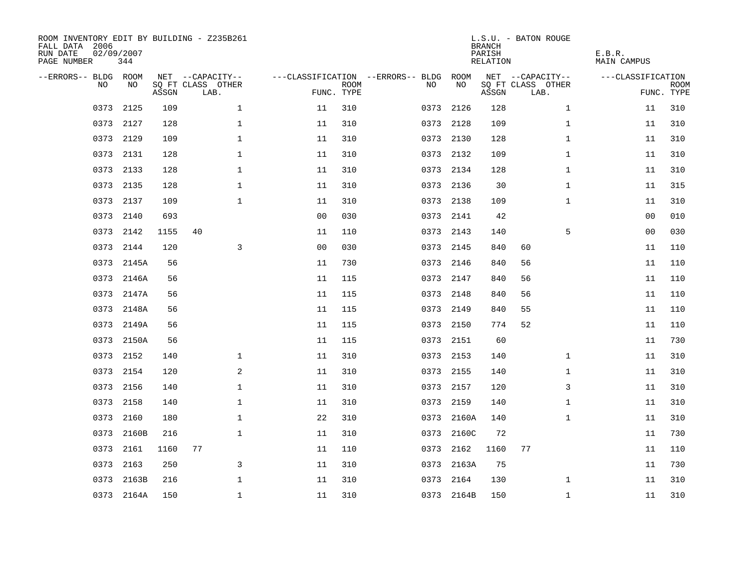| ROOM INVENTORY EDIT BY BUILDING - Z235B261<br>FALL DATA 2006<br>RUN DATE<br>PAGE NUMBER | 02/09/2007<br>344 |       |                           |                |             |                                   |            | <b>BRANCH</b><br>PARISH<br><b>RELATION</b> | L.S.U. - BATON ROUGE      | E.B.R.<br><b>MAIN CAMPUS</b> |                           |
|-----------------------------------------------------------------------------------------|-------------------|-------|---------------------------|----------------|-------------|-----------------------------------|------------|--------------------------------------------|---------------------------|------------------------------|---------------------------|
| --ERRORS-- BLDG ROOM                                                                    |                   |       | NET --CAPACITY--          |                |             | ---CLASSIFICATION --ERRORS-- BLDG | ROOM       |                                            | NET --CAPACITY--          | ---CLASSIFICATION            |                           |
| NO                                                                                      | NO                | ASSGN | SQ FT CLASS OTHER<br>LAB. | FUNC. TYPE     | <b>ROOM</b> | NO                                | NO         | ASSGN                                      | SQ FT CLASS OTHER<br>LAB. |                              | <b>ROOM</b><br>FUNC. TYPE |
| 0373                                                                                    | 2125              | 109   | $\mathbf 1$               | 11             | 310         | 0373                              | 2126       | 128                                        | $\mathbf{1}$              | 11                           | 310                       |
| 0373                                                                                    | 2127              | 128   | $\mathbf 1$               | 11             | 310         | 0373                              | 2128       | 109                                        | $\mathbf{1}$              | 11                           | 310                       |
| 0373                                                                                    | 2129              | 109   | $\mathbf 1$               | 11             | 310         | 0373                              | 2130       | 128                                        | $\mathbf{1}$              | 11                           | 310                       |
|                                                                                         | 0373 2131         | 128   | $\mathbf 1$               | 11             | 310         |                                   | 0373 2132  | 109                                        | $\mathbf{1}$              | 11                           | 310                       |
| 0373                                                                                    | 2133              | 128   | $\mathbf{1}$              | 11             | 310         |                                   | 0373 2134  | 128                                        | $\mathbf{1}$              | 11                           | 310                       |
|                                                                                         | 0373 2135         | 128   | $\mathbf{1}$              | 11             | 310         |                                   | 0373 2136  | 30                                         | $\mathbf{1}$              | 11                           | 315                       |
| 0373                                                                                    | 2137              | 109   | $\mathbf{1}$              | 11             | 310         |                                   | 0373 2138  | 109                                        | $\mathbf{1}$              | 11                           | 310                       |
|                                                                                         | 0373 2140         | 693   |                           | 0 <sub>0</sub> | 030         |                                   | 0373 2141  | 42                                         |                           | 0 <sub>0</sub>               | 010                       |
| 0373                                                                                    | 2142              | 1155  | 40                        | 11             | 110         | 0373                              | 2143       | 140                                        | 5                         | 00                           | 030                       |
| 0373                                                                                    | 2144              | 120   | 3                         | 0 <sub>0</sub> | 030         |                                   | 0373 2145  | 840                                        | 60                        | 11                           | 110                       |
| 0373                                                                                    | 2145A             | 56    |                           | 11             | 730         | 0373                              | 2146       | 840                                        | 56                        | 11                           | 110                       |
| 0373                                                                                    | 2146A             | 56    |                           | 11             | 115         |                                   | 0373 2147  | 840                                        | 56                        | 11                           | 110                       |
| 0373                                                                                    | 2147A             | 56    |                           | 11             | 115         | 0373                              | 2148       | 840                                        | 56                        | 11                           | 110                       |
| 0373                                                                                    | 2148A             | 56    |                           | 11             | 115         |                                   | 0373 2149  | 840                                        | 55                        | 11                           | 110                       |
| 0373                                                                                    | 2149A             | 56    |                           | 11             | 115         | 0373                              | 2150       | 774                                        | 52                        | 11                           | 110                       |
| 0373                                                                                    | 2150A             | 56    |                           | 11             | 115         | 0373                              | 2151       | 60                                         |                           | 11                           | 730                       |
| 0373                                                                                    | 2152              | 140   | $\mathbf 1$               | 11             | 310         | 0373                              | 2153       | 140                                        | $\mathbf{1}$              | 11                           | 310                       |
| 0373                                                                                    | 2154              | 120   | 2                         | 11             | 310         |                                   | 0373 2155  | 140                                        | $\mathbf{1}$              | 11                           | 310                       |
| 0373                                                                                    | 2156              | 140   | $\mathbf{1}$              | 11             | 310         |                                   | 0373 2157  | 120                                        | 3                         | 11                           | 310                       |
| 0373                                                                                    | 2158              | 140   | $\mathbf 1$               | 11             | 310         | 0373                              | 2159       | 140                                        | $\mathbf{1}$              | 11                           | 310                       |
| 0373                                                                                    | 2160              | 180   | $\mathbf 1$               | 22             | 310         |                                   | 0373 2160A | 140                                        | $\mathbf{1}$              | 11                           | 310                       |
| 0373                                                                                    | 2160B             | 216   | $\mathbf{1}$              | 11             | 310         | 0373                              | 2160C      | 72                                         |                           | 11                           | 730                       |
| 0373                                                                                    | 2161              | 1160  | 77                        | 11             | 110         | 0373                              | 2162       | 1160                                       | 77                        | 11                           | 110                       |
| 0373                                                                                    | 2163              | 250   | 3                         | 11             | 310         | 0373                              | 2163A      | 75                                         |                           | 11                           | 730                       |
| 0373                                                                                    | 2163B             | 216   | $\mathbf 1$               | 11             | 310         | 0373                              | 2164       | 130                                        | $\mathbf{1}$              | 11                           | 310                       |
|                                                                                         | 0373 2164A        | 150   | $\mathbf{1}$              | 11             | 310         |                                   | 0373 2164B | 150                                        | $\mathbf{1}$              | 11                           | 310                       |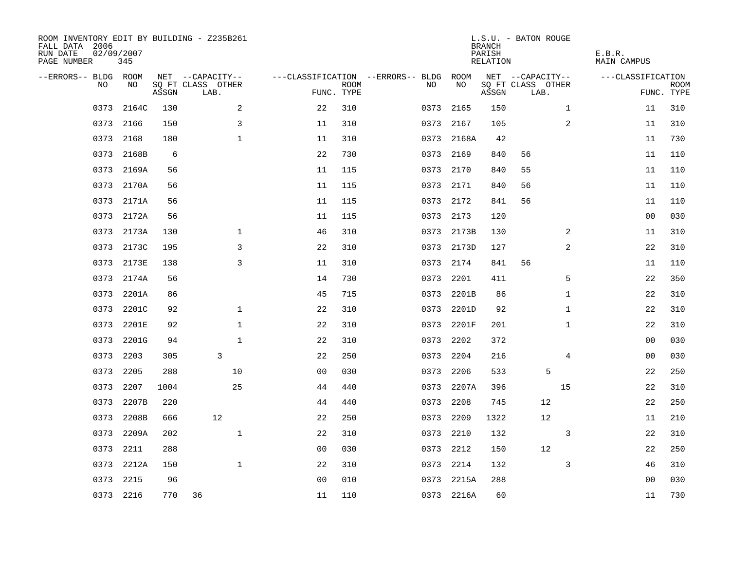| ROOM INVENTORY EDIT BY BUILDING - Z235B261<br>FALL DATA 2006<br>RUN DATE<br>PAGE NUMBER | 02/09/2007<br>345 |       |                           |                |                           |                                   |            | <b>BRANCH</b><br>PARISH<br>RELATION | L.S.U. - BATON ROUGE      |              | E.B.R.<br><b>MAIN CAMPUS</b> |                           |
|-----------------------------------------------------------------------------------------|-------------------|-------|---------------------------|----------------|---------------------------|-----------------------------------|------------|-------------------------------------|---------------------------|--------------|------------------------------|---------------------------|
| --ERRORS-- BLDG ROOM                                                                    |                   |       | NET --CAPACITY--          |                |                           | ---CLASSIFICATION --ERRORS-- BLDG | ROOM       |                                     | NET --CAPACITY--          |              | ---CLASSIFICATION            |                           |
| N <sub>O</sub>                                                                          | NO.               | ASSGN | SO FT CLASS OTHER<br>LAB. |                | <b>ROOM</b><br>FUNC. TYPE | NO.                               | NO         | ASSGN                               | SQ FT CLASS OTHER<br>LAB. |              |                              | <b>ROOM</b><br>FUNC. TYPE |
| 0373                                                                                    | 2164C             | 130   | 2                         | 22             | 310                       | 0373                              | 2165       | 150                                 |                           | $\mathbf{1}$ | 11                           | 310                       |
|                                                                                         | 0373 2166         | 150   | 3                         | 11             | 310                       | 0373                              | 2167       | 105                                 |                           | 2            | 11                           | 310                       |
| 0373                                                                                    | 2168              | 180   | $\mathbf{1}$              | 11             | 310                       |                                   | 0373 2168A | 42                                  |                           |              | 11                           | 730                       |
| 0373                                                                                    | 2168B             | 6     |                           | 22             | 730                       | 0373                              | 2169       | 840                                 | 56                        |              | 11                           | 110                       |
| 0373                                                                                    | 2169A             | 56    |                           | 11             | 115                       | 0373                              | 2170       | 840                                 | 55                        |              | 11                           | 110                       |
|                                                                                         | 0373 2170A        | 56    |                           | 11             | 115                       |                                   | 0373 2171  | 840                                 | 56                        |              | 11                           | 110                       |
| 0373                                                                                    | 2171A             | 56    |                           | 11             | 115                       | 0373                              | 2172       | 841                                 | 56                        |              | 11                           | 110                       |
|                                                                                         | 0373 2172A        | 56    |                           | 11             | 115                       |                                   | 0373 2173  | 120                                 |                           |              | 0 <sub>0</sub>               | 030                       |
| 0373                                                                                    | 2173A             | 130   | $\mathbf{1}$              | 46             | 310                       | 0373                              | 2173B      | 130                                 |                           | 2            | 11                           | 310                       |
| 0373                                                                                    | 2173C             | 195   | 3                         | 22             | 310                       |                                   | 0373 2173D | 127                                 |                           | 2            | 22                           | 310                       |
| 0373                                                                                    | 2173E             | 138   | 3                         | 11             | 310                       | 0373                              | 2174       | 841                                 | 56                        |              | 11                           | 110                       |
| 0373                                                                                    | 2174A             | 56    |                           | 14             | 730                       | 0373                              | 2201       | 411                                 |                           | 5            | 22                           | 350                       |
| 0373                                                                                    | 2201A             | 86    |                           | 45             | 715                       | 0373                              | 2201B      | 86                                  |                           | $\mathbf{1}$ | 22                           | 310                       |
| 0373                                                                                    | 2201C             | 92    | $\mathbf{1}$              | 22             | 310                       | 0373                              | 2201D      | 92                                  |                           | $\mathbf{1}$ | 22                           | 310                       |
| 0373                                                                                    | 2201E             | 92    | $\mathbf{1}$              | 22             | 310                       | 0373                              | 2201F      | 201                                 |                           | $\mathbf{1}$ | 22                           | 310                       |
| 0373                                                                                    | 2201G             | 94    | $\mathbf{1}$              | 22             | 310                       | 0373                              | 2202       | 372                                 |                           |              | 00                           | 030                       |
| 0373                                                                                    | 2203              | 305   | 3                         | 22             | 250                       | 0373                              | 2204       | 216                                 |                           | 4            | 00                           | 030                       |
| 0373                                                                                    | 2205              | 288   | 10                        | 0 <sub>0</sub> | 030                       | 0373                              | 2206       | 533                                 | 5                         |              | 22                           | 250                       |
| 0373                                                                                    | 2207              | 1004  | 25                        | 44             | 440                       | 0373                              | 2207A      | 396                                 |                           | 15           | 22                           | 310                       |
| 0373                                                                                    | 2207B             | 220   |                           | 44             | 440                       | 0373                              | 2208       | 745                                 | 12                        |              | 22                           | 250                       |
| 0373                                                                                    | 2208B             | 666   | 12                        | 22             | 250                       | 0373                              | 2209       | 1322                                | 12                        |              | 11                           | 210                       |
| 0373                                                                                    | 2209A             | 202   | $\mathbf{1}$              | 22             | 310                       | 0373                              | 2210       | 132                                 |                           | 3            | 22                           | 310                       |
| 0373                                                                                    | 2211              | 288   |                           | 0 <sub>0</sub> | 030                       | 0373                              | 2212       | 150                                 | 12                        |              | 22                           | 250                       |
| 0373                                                                                    | 2212A             | 150   | $\mathbf{1}$              | 22             | 310                       | 0373                              | 2214       | 132                                 |                           | 3            | 46                           | 310                       |
| 0373                                                                                    | 2215              | 96    |                           | 0 <sub>0</sub> | 010                       | 0373                              | 2215A      | 288                                 |                           |              | 00                           | 030                       |
|                                                                                         | 0373 2216         | 770   | 36                        | 11             | 110                       |                                   | 0373 2216A | 60                                  |                           |              | 11                           | 730                       |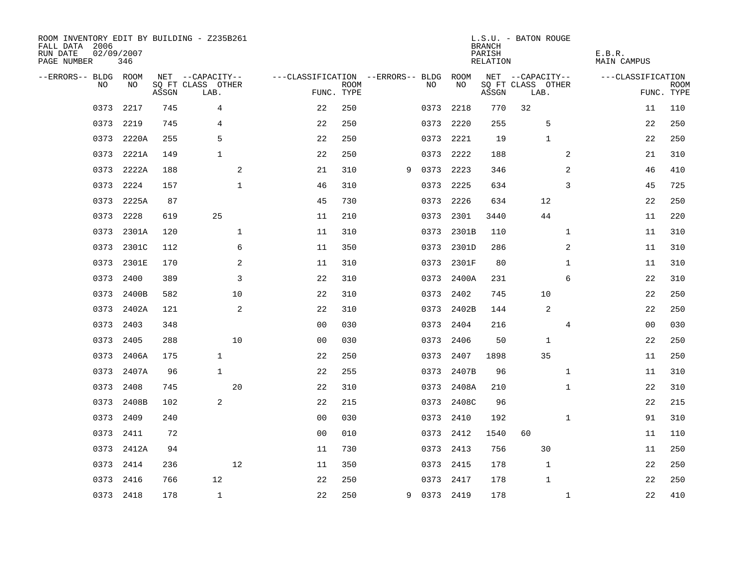| ROOM INVENTORY EDIT BY BUILDING - Z235B261<br>FALL DATA 2006<br>RUN DATE<br>PAGE NUMBER | 02/09/2007 | 346        |       |                           |              |                                   |             |   |             |            | <b>BRANCH</b><br>PARISH<br>RELATION | L.S.U. - BATON ROUGE      |              | E.B.R.<br><b>MAIN CAMPUS</b> |                |             |
|-----------------------------------------------------------------------------------------|------------|------------|-------|---------------------------|--------------|-----------------------------------|-------------|---|-------------|------------|-------------------------------------|---------------------------|--------------|------------------------------|----------------|-------------|
| --ERRORS-- BLDG ROOM                                                                    |            |            |       | NET --CAPACITY--          |              | ---CLASSIFICATION --ERRORS-- BLDG |             |   |             | ROOM       |                                     | NET --CAPACITY--          |              | ---CLASSIFICATION            |                |             |
|                                                                                         | NO         | NO         | ASSGN | SQ FT CLASS OTHER<br>LAB. |              | FUNC. TYPE                        | <b>ROOM</b> |   | NO.         | NO         | ASSGN                               | SQ FT CLASS OTHER<br>LAB. |              |                              | FUNC. TYPE     | <b>ROOM</b> |
|                                                                                         | 0373       | 2217       | 745   | 4                         |              | 22                                | 250         |   | 0373        | 2218       | 770                                 | 32                        |              |                              | 11             | 110         |
|                                                                                         | 0373 2219  |            | 745   | 4                         |              | 22                                | 250         |   | 0373        | 2220       | 255                                 |                           | 5            |                              | 22             | 250         |
|                                                                                         | 0373       | 2220A      | 255   | 5                         |              | 22                                | 250         |   | 0373        | 2221       | 19                                  |                           | $\mathbf{1}$ |                              | 22             | 250         |
|                                                                                         |            | 0373 2221A | 149   | $\mathbf{1}$              |              | 22                                | 250         |   | 0373        | 2222       | 188                                 |                           | 2            |                              | 21             | 310         |
|                                                                                         | 0373       | 2222A      | 188   |                           | 2            | 21                                | 310         | 9 | 0373        | 2223       | 346                                 |                           | 2            |                              | 46             | 410         |
|                                                                                         | 0373 2224  |            | 157   |                           | $\mathbf 1$  | 46                                | 310         |   | 0373        | 2225       | 634                                 |                           | 3            |                              | 45             | 725         |
|                                                                                         | 0373       | 2225A      | 87    |                           |              | 45                                | 730         |   | 0373        | 2226       | 634                                 | 12                        |              |                              | 22             | 250         |
|                                                                                         | 0373       | 2228       | 619   | 25                        |              | 11                                | 210         |   | 0373        | 2301       | 3440                                | 44                        |              |                              | 11             | 220         |
|                                                                                         | 0373       | 2301A      | 120   |                           | $\mathbf{1}$ | 11                                | 310         |   | 0373        | 2301B      | 110                                 |                           | $\mathbf{1}$ |                              | 11             | 310         |
|                                                                                         |            | 0373 2301C | 112   |                           | 6            | 11                                | 350         |   |             | 0373 2301D | 286                                 |                           | 2            |                              | 11             | 310         |
|                                                                                         | 0373       | 2301E      | 170   |                           | 2            | 11                                | 310         |   | 0373        | 2301F      | 80                                  |                           | $\mathbf{1}$ |                              | 11             | 310         |
|                                                                                         | 0373       | 2400       | 389   |                           | 3            | 22                                | 310         |   | 0373        | 2400A      | 231                                 |                           | 6            |                              | 22             | 310         |
|                                                                                         | 0373       | 2400B      | 582   |                           | 10           | 22                                | 310         |   | 0373        | 2402       | 745                                 | 10                        |              |                              | 22             | 250         |
|                                                                                         | 0373       | 2402A      | 121   |                           | 2            | 22                                | 310         |   | 0373        | 2402B      | 144                                 |                           | 2            |                              | 22             | 250         |
|                                                                                         | 0373       | 2403       | 348   |                           |              | 0 <sub>0</sub>                    | 030         |   | 0373        | 2404       | 216                                 |                           | 4            |                              | 0 <sub>0</sub> | 030         |
|                                                                                         | 0373       | 2405       | 288   |                           | 10           | 0 <sub>0</sub>                    | 030         |   | 0373        | 2406       | 50                                  |                           | 1            |                              | 22             | 250         |
|                                                                                         | 0373       | 2406A      | 175   | $\mathbf{1}$              |              | 22                                | 250         |   | 0373        | 2407       | 1898                                | 35                        |              |                              | 11             | 250         |
|                                                                                         | 0373       | 2407A      | 96    | $\mathbf{1}$              |              | 22                                | 255         |   | 0373        | 2407B      | 96                                  |                           | $\mathbf{1}$ |                              | 11             | 310         |
|                                                                                         | 0373 2408  |            | 745   |                           | 20           | 22                                | 310         |   |             | 0373 2408A | 210                                 |                           | $\mathbf{1}$ |                              | 22             | 310         |
|                                                                                         | 0373       | 2408B      | 102   | 2                         |              | 22                                | 215         |   | 0373        | 2408C      | 96                                  |                           |              |                              | 22             | 215         |
|                                                                                         | 0373 2409  |            | 240   |                           |              | 0 <sub>0</sub>                    | 030         |   | 0373        | 2410       | 192                                 |                           | $\mathbf{1}$ |                              | 91             | 310         |
|                                                                                         | 0373       | 2411       | 72    |                           |              | 0 <sub>0</sub>                    | 010         |   | 0373        | 2412       | 1540                                | 60                        |              |                              | 11             | 110         |
|                                                                                         |            | 0373 2412A | 94    |                           |              | 11                                | 730         |   | 0373 2413   |            | 756                                 | 30                        |              |                              | 11             | 250         |
|                                                                                         | 0373       | 2414       | 236   |                           | 12           | 11                                | 350         |   | 0373        | 2415       | 178                                 |                           | $\mathbf 1$  |                              | 22             | 250         |
|                                                                                         | 0373 2416  |            | 766   | 12                        |              | 22                                | 250         |   | 0373        | 2417       | 178                                 |                           | $\mathbf{1}$ |                              | 22             | 250         |
|                                                                                         | 0373 2418  |            | 178   | $\mathbf{1}$              |              | 22                                | 250         |   | 9 0373 2419 |            | 178                                 |                           | $\mathbf{1}$ |                              | 22             | 410         |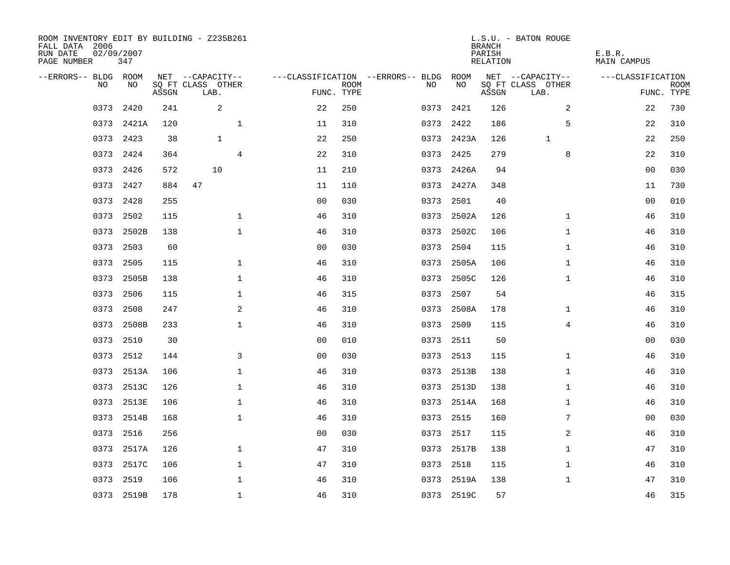| ROOM INVENTORY EDIT BY BUILDING - Z235B261<br>FALL DATA 2006<br>RUN DATE<br>PAGE NUMBER | 02/09/2007<br>347 |       |                                       |              |                |             |                                               |            | <b>BRANCH</b><br>PARISH<br>RELATION | L.S.U. - BATON ROUGE                  | E.B.R.<br><b>MAIN CAMPUS</b> |             |
|-----------------------------------------------------------------------------------------|-------------------|-------|---------------------------------------|--------------|----------------|-------------|-----------------------------------------------|------------|-------------------------------------|---------------------------------------|------------------------------|-------------|
| --ERRORS-- BLDG ROOM<br>NO                                                              | NO                |       | NET --CAPACITY--<br>SQ FT CLASS OTHER |              |                | <b>ROOM</b> | ---CLASSIFICATION --ERRORS-- BLDG ROOM<br>NO. | NO         |                                     | NET --CAPACITY--<br>SQ FT CLASS OTHER | ---CLASSIFICATION            | <b>ROOM</b> |
|                                                                                         |                   | ASSGN | LAB.                                  |              | FUNC. TYPE     |             |                                               |            | ASSGN                               | LAB.                                  |                              | FUNC. TYPE  |
| 0373                                                                                    | 2420              | 241   | 2                                     |              | 22             | 250         | 0373                                          | 2421       | 126                                 | 2                                     | 22                           | 730         |
|                                                                                         | 0373 2421A        | 120   |                                       | $\mathbf{1}$ | 11             | 310         | 0373                                          | 2422       | 186                                 | 5                                     | 22                           | 310         |
|                                                                                         | 0373 2423         | 38    | $\mathbf{1}$                          |              | 22             | 250         |                                               | 0373 2423A | 126                                 | $\mathbf{1}$                          | 22                           | 250         |
|                                                                                         | 0373 2424         | 364   |                                       | 4            | 22             | 310         |                                               | 0373 2425  | 279                                 | 8                                     | 22                           | 310         |
| 0373                                                                                    | 2426              | 572   | 10                                    |              | 11             | 210         |                                               | 0373 2426A | 94                                  |                                       | 00                           | 030         |
|                                                                                         | 0373 2427         | 884   | 47                                    |              | 11             | 110         |                                               | 0373 2427A | 348                                 |                                       | 11                           | 730         |
| 0373                                                                                    | 2428              | 255   |                                       |              | 0 <sub>0</sub> | 030         | 0373                                          | 2501       | 40                                  |                                       | 00                           | 010         |
|                                                                                         | 0373 2502         | 115   |                                       | $\mathbf 1$  | 46             | 310         | 0373                                          | 2502A      | 126                                 | $\mathbf{1}$                          | 46                           | 310         |
| 0373                                                                                    | 2502B             | 138   |                                       | $\mathbf{1}$ | 46             | 310         | 0373                                          | 2502C      | 106                                 | $\mathbf{1}$                          | 46                           | 310         |
| 0373                                                                                    | 2503              | 60    |                                       |              | 0 <sub>0</sub> | 030         | 0373                                          | 2504       | 115                                 | $\mathbf{1}$                          | 46                           | 310         |
| 0373                                                                                    | 2505              | 115   |                                       | $\mathbf 1$  | 46             | 310         | 0373                                          | 2505A      | 106                                 | $\mathbf{1}$                          | 46                           | 310         |
|                                                                                         | 0373 2505B        | 138   |                                       | $\mathbf 1$  | 46             | 310         | 0373                                          | 2505C      | 126                                 | $\mathbf{1}$                          | 46                           | 310         |
| 0373                                                                                    | 2506              | 115   |                                       | $\mathbf{1}$ | 46             | 315         | 0373                                          | 2507       | 54                                  |                                       | 46                           | 315         |
| 0373                                                                                    | 2508              | 247   |                                       | $\mathbf{2}$ | 46             | 310         | 0373                                          | 2508A      | 178                                 | $\mathbf{1}$                          | 46                           | 310         |
| 0373                                                                                    | 2508B             | 233   |                                       | $\mathbf{1}$ | 46             | 310         | 0373                                          | 2509       | 115                                 | 4                                     | 46                           | 310         |
| 0373                                                                                    | 2510              | 30    |                                       |              | 0 <sub>0</sub> | 010         | 0373                                          | 2511       | 50                                  |                                       | 0 <sub>0</sub>               | 030         |
|                                                                                         | 0373 2512         | 144   |                                       | 3            | 0 <sub>0</sub> | 030         | 0373                                          | 2513       | 115                                 | $\mathbf{1}$                          | 46                           | 310         |
| 0373                                                                                    | 2513A             | 106   |                                       | $\mathbf{1}$ | 46             | 310         | 0373                                          | 2513B      | 138                                 | $\mathbf{1}$                          | 46                           | 310         |
|                                                                                         | 0373 2513C        | 126   |                                       | $\mathbf 1$  | 46             | 310         |                                               | 0373 2513D | 138                                 | $\mathbf{1}$                          | 46                           | 310         |
| 0373                                                                                    | 2513E             | 106   |                                       | $\mathbf{1}$ | 46             | 310         |                                               | 0373 2514A | 168                                 | $\mathbf{1}$                          | 46                           | 310         |
|                                                                                         | 0373 2514B        | 168   |                                       | $\mathbf 1$  | 46             | 310         |                                               | 0373 2515  | 160                                 | 7                                     | 00                           | 030         |
| 0373                                                                                    | 2516              | 256   |                                       |              | 0 <sub>0</sub> | 030         | 0373                                          | 2517       | 115                                 | 2                                     | 46                           | 310         |
|                                                                                         | 0373 2517A        | 126   |                                       | $\mathbf 1$  | 47             | 310         |                                               | 0373 2517B | 138                                 | $\mathbf{1}$                          | 47                           | 310         |
| 0373                                                                                    | 2517C             | 106   |                                       | $\mathbf{1}$ | 47             | 310         | 0373                                          | 2518       | 115                                 | $\mathbf{1}$                          | 46                           | 310         |
|                                                                                         | 0373 2519         | 106   |                                       | $\mathbf{1}$ | 46             | 310         | 0373                                          | 2519A      | 138                                 | $\mathbf{1}$                          | 47                           | 310         |
|                                                                                         | 0373 2519B        | 178   |                                       | $\mathbf{1}$ | 46             | 310         |                                               | 0373 2519C | 57                                  |                                       | 46                           | 315         |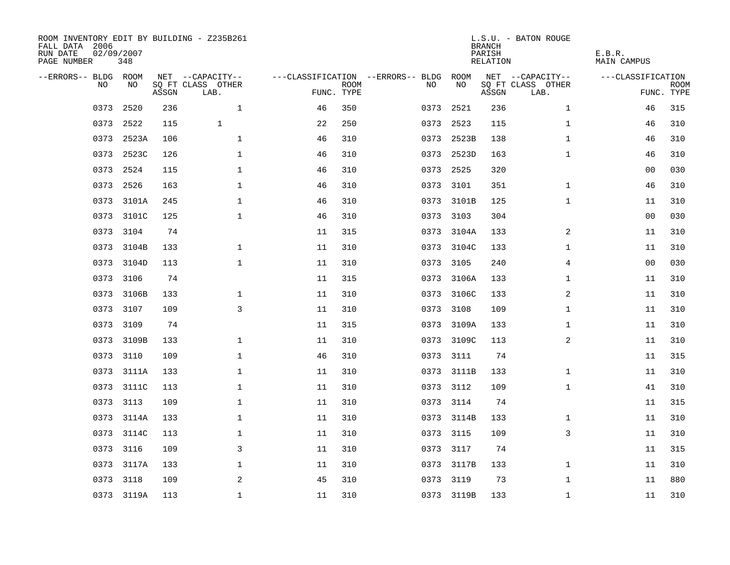| ROOM INVENTORY EDIT BY BUILDING - Z235B261<br>FALL DATA 2006<br>RUN DATE<br>PAGE NUMBER | 02/09/2007<br>348 |       |                           |            |             |                                   |            | <b>BRANCH</b><br>PARISH<br>RELATION | L.S.U. - BATON ROUGE      | E.B.R.<br><b>MAIN CAMPUS</b> |                           |
|-----------------------------------------------------------------------------------------|-------------------|-------|---------------------------|------------|-------------|-----------------------------------|------------|-------------------------------------|---------------------------|------------------------------|---------------------------|
| --ERRORS-- BLDG ROOM                                                                    |                   |       | NET --CAPACITY--          |            |             | ---CLASSIFICATION --ERRORS-- BLDG | ROOM       |                                     | NET --CAPACITY--          | ---CLASSIFICATION            |                           |
| N <sub>O</sub>                                                                          | NO.               | ASSGN | SO FT CLASS OTHER<br>LAB. | FUNC. TYPE | <b>ROOM</b> | NO.                               | NO         | $\operatorname{\mathsf{ASSGN}}$     | SQ FT CLASS OTHER<br>LAB. |                              | <b>ROOM</b><br>FUNC. TYPE |
| 0373                                                                                    | 2520              | 236   | $\mathbf{1}$              | 46         | 350         | 0373                              | 2521       | 236                                 | $\mathbf{1}$              | 46                           | 315                       |
| 0373                                                                                    | 2522              | 115   | $\mathbf{1}$              | 22         | 250         | 0373                              | 2523       | 115                                 | $\mathbf{1}$              | 46                           | 310                       |
| 0373                                                                                    | 2523A             | 106   | $\mathbf 1$               | 46         | 310         | 0373                              | 2523B      | 138                                 | $\mathbf{1}$              | 46                           | 310                       |
|                                                                                         | 0373 2523C        | 126   | $\mathbf{1}$              | 46         | 310         | 0373                              | 2523D      | 163                                 | $\mathbf{1}$              | 46                           | 310                       |
| 0373                                                                                    | 2524              | 115   | $\mathbf 1$               | 46         | 310         | 0373                              | 2525       | 320                                 |                           | 0 <sub>0</sub>               | 030                       |
| 0373                                                                                    | 2526              | 163   | $\mathbf 1$               | 46         | 310         | 0373                              | 3101       | 351                                 | $\mathbf{1}$              | 46                           | 310                       |
| 0373                                                                                    | 3101A             | 245   | $\mathbf 1$               | 46         | 310         | 0373                              | 3101B      | 125                                 | $\mathbf{1}$              | 11                           | 310                       |
| 0373                                                                                    | 3101C             | 125   | $\mathbf 1$               | 46         | 310         |                                   | 0373 3103  | 304                                 |                           | 00                           | 030                       |
| 0373                                                                                    | 3104              | 74    |                           | 11         | 315         | 0373                              | 3104A      | 133                                 | 2                         | 11                           | 310                       |
| 0373                                                                                    | 3104B             | 133   | $\mathbf 1$               | 11         | 310         |                                   | 0373 3104C | 133                                 | $\mathbf{1}$              | 11                           | 310                       |
| 0373                                                                                    | 3104D             | 113   | $\mathbf{1}$              | 11         | 310         | 0373                              | 3105       | 240                                 | $\overline{4}$            | 0 <sub>0</sub>               | 030                       |
| 0373                                                                                    | 3106              | 74    |                           | 11         | 315         |                                   | 0373 3106A | 133                                 | $\mathbf{1}$              | 11                           | 310                       |
| 0373                                                                                    | 3106B             | 133   | $\mathbf 1$               | 11         | 310         | 0373                              | 3106C      | 133                                 | 2                         | 11                           | 310                       |
| 0373                                                                                    | 3107              | 109   | 3                         | 11         | 310         | 0373                              | 3108       | 109                                 | $\mathbf{1}$              | 11                           | 310                       |
| 0373                                                                                    | 3109              | 74    |                           | 11         | 315         | 0373                              | 3109A      | 133                                 | $\mathbf{1}$              | 11                           | 310                       |
| 0373                                                                                    | 3109B             | 133   | $\mathbf 1$               | 11         | 310         | 0373                              | 3109C      | 113                                 | 2                         | 11                           | 310                       |
| 0373                                                                                    | 3110              | 109   | $\mathbf{1}$              | 46         | 310         | 0373                              | 3111       | 74                                  |                           | 11                           | 315                       |
| 0373                                                                                    | 3111A             | 133   | $\mathbf 1$               | 11         | 310         | 0373                              | 3111B      | 133                                 | $\mathbf{1}$              | 11                           | 310                       |
|                                                                                         | 0373 3111C        | 113   | 1                         | 11         | 310         |                                   | 0373 3112  | 109                                 | $\mathbf{1}$              | 41                           | 310                       |
| 0373                                                                                    | 3113              | 109   | $\mathbf 1$               | 11         | 310         | 0373                              | 3114       | 74                                  |                           | 11                           | 315                       |
|                                                                                         | 0373 3114A        | 133   | $\mathbf 1$               | 11         | 310         |                                   | 0373 3114B | 133                                 | $\mathbf{1}$              | 11                           | 310                       |
|                                                                                         | 0373 3114C        | 113   | $\mathbf 1$               | 11         | 310         |                                   | 0373 3115  | 109                                 | 3                         | 11                           | 310                       |
|                                                                                         | 0373 3116         | 109   | 3                         | 11         | 310         |                                   | 0373 3117  | 74                                  |                           | 11                           | 315                       |
| 0373                                                                                    | 3117A             | 133   | 1                         | 11         | 310         |                                   | 0373 3117B | 133                                 | $\mathbf{1}$              | 11                           | 310                       |
|                                                                                         | 0373 3118         | 109   | 2                         | 45         | 310         |                                   | 0373 3119  | 73                                  | $\mathbf{1}$              | 11                           | 880                       |
|                                                                                         | 0373 3119A        | 113   | $\mathbf 1$               | 11         | 310         |                                   | 0373 3119B | 133                                 | $\mathbf{1}$              | 11                           | 310                       |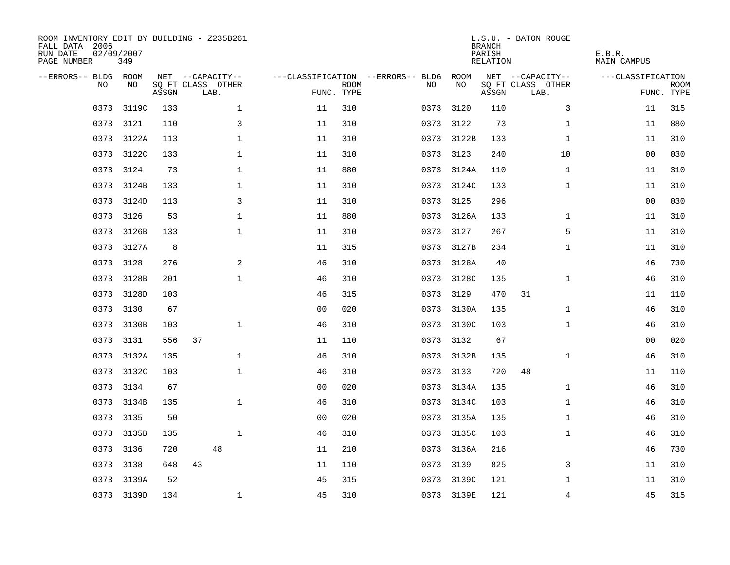| ROOM INVENTORY EDIT BY BUILDING - Z235B261<br>FALL DATA 2006<br>RUN DATE<br>PAGE NUMBER | 02/09/2007<br>349 |       |                           |                |                           |                                   |            | <b>BRANCH</b><br>PARISH<br>RELATION | L.S.U. - BATON ROUGE      | E.B.R.<br><b>MAIN CAMPUS</b> |                           |
|-----------------------------------------------------------------------------------------|-------------------|-------|---------------------------|----------------|---------------------------|-----------------------------------|------------|-------------------------------------|---------------------------|------------------------------|---------------------------|
| --ERRORS-- BLDG ROOM                                                                    |                   |       | NET --CAPACITY--          |                |                           | ---CLASSIFICATION --ERRORS-- BLDG | ROOM       |                                     | NET --CAPACITY--          | ---CLASSIFICATION            |                           |
| N <sub>O</sub>                                                                          | NO.               | ASSGN | SO FT CLASS OTHER<br>LAB. |                | <b>ROOM</b><br>FUNC. TYPE | NO.                               | NO         | ASSGN                               | SQ FT CLASS OTHER<br>LAB. |                              | <b>ROOM</b><br>FUNC. TYPE |
| 0373                                                                                    | 3119C             | 133   | $\mathbf 1$               | 11             | 310                       | 0373                              | 3120       | 110                                 | 3                         | 11                           | 315                       |
|                                                                                         | 0373 3121         | 110   | 3                         | 11             | 310                       | 0373                              | 3122       | 73                                  | $\mathbf{1}$              | 11                           | 880                       |
| 0373                                                                                    | 3122A             | 113   | $\mathbf{1}$              | 11             | 310                       |                                   | 0373 3122B | 133                                 | $\mathbf{1}$              | 11                           | 310                       |
|                                                                                         | 0373 3122C        | 133   | $\mathbf{1}$              | 11             | 310                       |                                   | 0373 3123  | 240                                 | 10                        | 0 <sub>0</sub>               | 030                       |
| 0373                                                                                    | 3124              | 73    | 1                         | 11             | 880                       | 0373                              | 3124A      | 110                                 | $\mathbf{1}$              | 11                           | 310                       |
|                                                                                         | 0373 3124B        | 133   | 1                         | 11             | 310                       |                                   | 0373 3124C | 133                                 | $\mathbf{1}$              | 11                           | 310                       |
| 0373                                                                                    | 3124D             | 113   | 3                         | 11             | 310                       | 0373                              | 3125       | 296                                 |                           | 0 <sub>0</sub>               | 030                       |
| 0373                                                                                    | 3126              | 53    | $\mathbf 1$               | 11             | 880                       |                                   | 0373 3126A | 133                                 | $\mathbf{1}$              | 11                           | 310                       |
| 0373                                                                                    | 3126B             | 133   | $\mathbf 1$               | 11             | 310                       | 0373                              | 3127       | 267                                 | 5                         | 11                           | 310                       |
| 0373                                                                                    | 3127A             | 8     |                           | 11             | 315                       |                                   | 0373 3127B | 234                                 | $\mathbf{1}$              | 11                           | 310                       |
| 0373                                                                                    | 3128              | 276   | 2                         | 46             | 310                       |                                   | 0373 3128A | 40                                  |                           | 46                           | 730                       |
| 0373                                                                                    | 3128B             | 201   | $\mathbf 1$               | 46             | 310                       |                                   | 0373 3128C | 135                                 | $\mathbf{1}$              | 46                           | 310                       |
| 0373                                                                                    | 3128D             | 103   |                           | 46             | 315                       | 0373                              | 3129       | 470                                 | 31                        | 11                           | 110                       |
| 0373                                                                                    | 3130              | 67    |                           | 0 <sub>0</sub> | 020                       | 0373                              | 3130A      | 135                                 | $\mathbf{1}$              | 46                           | 310                       |
| 0373                                                                                    | 3130B             | 103   | $\mathbf{1}$              | 46             | 310                       | 0373                              | 3130C      | 103                                 | $\mathbf{1}$              | 46                           | 310                       |
| 0373                                                                                    | 3131              | 556   | 37                        | 11             | 110                       | 0373                              | 3132       | 67                                  |                           | 00                           | 020                       |
| 0373                                                                                    | 3132A             | 135   | $\mathbf 1$               | 46             | 310                       | 0373                              | 3132B      | 135                                 | $\mathbf{1}$              | 46                           | 310                       |
| 0373                                                                                    | 3132C             | 103   | $\mathbf 1$               | 46             | 310                       |                                   | 0373 3133  | 720                                 | 48                        | 11                           | 110                       |
|                                                                                         | 0373 3134         | 67    |                           | 0 <sub>0</sub> | 020                       |                                   | 0373 3134A | 135                                 | $\mathbf{1}$              | 46                           | 310                       |
| 0373                                                                                    | 3134B             | 135   | $\mathbf{1}$              | 46             | 310                       |                                   | 0373 3134C | 103                                 | $\mathbf{1}$              | 46                           | 310                       |
|                                                                                         | 0373 3135         | 50    |                           | 0 <sub>0</sub> | 020                       |                                   | 0373 3135A | 135                                 | $\mathbf{1}$              | 46                           | 310                       |
| 0373                                                                                    | 3135B             | 135   | $\mathbf 1$               | 46             | 310                       |                                   | 0373 3135C | 103                                 | $\mathbf{1}$              | 46                           | 310                       |
|                                                                                         | 0373 3136         | 720   | 48                        | 11             | 210                       |                                   | 0373 3136A | 216                                 |                           | 46                           | 730                       |
| 0373                                                                                    | 3138              | 648   | 43                        | 11             | 110                       | 0373                              | 3139       | 825                                 | 3                         | 11                           | 310                       |
|                                                                                         | 0373 3139A        | 52    |                           | 45             | 315                       | 0373                              | 3139C      | 121                                 | $\mathbf{1}$              | 11                           | 310                       |
|                                                                                         | 0373 3139D        | 134   | $\mathbf{1}$              | 45             | 310                       |                                   | 0373 3139E | 121                                 | $\overline{4}$            | 45                           | 315                       |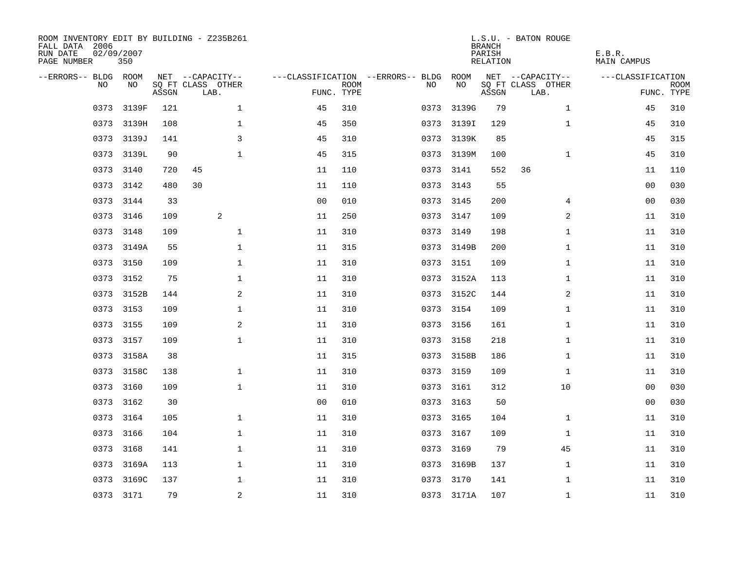| ROOM INVENTORY EDIT BY BUILDING - Z235B261<br>FALL DATA 2006<br>RUN DATE<br>PAGE NUMBER | 02/09/2007<br>350 |       |                           |                |             |                                   |            | <b>BRANCH</b><br>PARISH<br>RELATION | L.S.U. - BATON ROUGE      | E.B.R.<br>MAIN CAMPUS |                           |
|-----------------------------------------------------------------------------------------|-------------------|-------|---------------------------|----------------|-------------|-----------------------------------|------------|-------------------------------------|---------------------------|-----------------------|---------------------------|
| --ERRORS-- BLDG ROOM                                                                    |                   |       | NET --CAPACITY--          |                |             | ---CLASSIFICATION --ERRORS-- BLDG | ROOM       |                                     | NET --CAPACITY--          | ---CLASSIFICATION     |                           |
| NO.                                                                                     | NO.               | ASSGN | SQ FT CLASS OTHER<br>LAB. | FUNC. TYPE     | <b>ROOM</b> | NO.                               | NO         | ASSGN                               | SQ FT CLASS OTHER<br>LAB. |                       | <b>ROOM</b><br>FUNC. TYPE |
| 0373                                                                                    | 3139F             | 121   | $\mathbf{1}$              | 45             | 310         | 0373                              | 3139G      | 79                                  | $\mathbf{1}$              | 45                    | 310                       |
|                                                                                         | 0373 3139H        | 108   | $\mathbf{1}$              | 45             | 350         |                                   | 0373 3139I | 129                                 | $\mathbf{1}$              | 45                    | 310                       |
|                                                                                         | 0373 3139J        | 141   | 3                         | 45             | 310         |                                   | 0373 3139K | 85                                  |                           | 45                    | 315                       |
|                                                                                         | 0373 3139L        | 90    | $\mathbf 1$               | 45             | 315         |                                   | 0373 3139M | 100                                 | $\mathbf{1}$              | 45                    | 310                       |
| 0373                                                                                    | 3140              | 720   | 45                        | 11             | 110         | 0373                              | 3141       | 552                                 | 36                        | 11                    | 110                       |
|                                                                                         | 0373 3142         | 480   | 30                        | 11             | 110         |                                   | 0373 3143  | 55                                  |                           | 00                    | 030                       |
| 0373                                                                                    | 3144              | 33    |                           | 0 <sub>0</sub> | 010         |                                   | 0373 3145  | 200                                 | 4                         | 0 <sub>0</sub>        | 030                       |
|                                                                                         | 0373 3146         | 109   | 2                         | 11             | 250         |                                   | 0373 3147  | 109                                 | 2                         | 11                    | 310                       |
| 0373                                                                                    | 3148              | 109   | $\mathbf{1}$              | 11             | 310         |                                   | 0373 3149  | 198                                 | $\mathbf{1}$              | 11                    | 310                       |
|                                                                                         | 0373 3149A        | 55    | $\mathbf 1$               | 11             | 315         |                                   | 0373 3149B | 200                                 | $\mathbf{1}$              | 11                    | 310                       |
| 0373                                                                                    | 3150              | 109   | $\mathbf{1}$              | 11             | 310         |                                   | 0373 3151  | 109                                 | $\mathbf{1}$              | 11                    | 310                       |
|                                                                                         | 0373 3152         | 75    | $\mathbf 1$               | 11             | 310         |                                   | 0373 3152A | 113                                 | $\mathbf{1}$              | 11                    | 310                       |
| 0373                                                                                    | 3152B             | 144   | 2                         | 11             | 310         |                                   | 0373 3152C | 144                                 | 2                         | 11                    | 310                       |
|                                                                                         | 0373 3153         | 109   | $\mathbf 1$               | 11             | 310         |                                   | 0373 3154  | 109                                 | $\mathbf{1}$              | 11                    | 310                       |
| 0373                                                                                    | 3155              | 109   | 2                         | 11             | 310         |                                   | 0373 3156  | 161                                 | $\mathbf{1}$              | 11                    | 310                       |
| 0373                                                                                    | 3157              | 109   | $\mathbf{1}$              | 11             | 310         |                                   | 0373 3158  | 218                                 | $\mathbf{1}$              | 11                    | 310                       |
| 0373                                                                                    | 3158A             | 38    |                           | 11             | 315         |                                   | 0373 3158B | 186                                 | $\mathbf{1}$              | 11                    | 310                       |
| 0373                                                                                    | 3158C             | 138   | $\mathbf{1}$              | 11             | 310         |                                   | 0373 3159  | 109                                 | $\mathbf{1}$              | 11                    | 310                       |
|                                                                                         | 0373 3160         | 109   | $\mathbf{1}$              | 11             | 310         |                                   | 0373 3161  | 312                                 | 10                        | 00                    | 030                       |
|                                                                                         | 0373 3162         | 30    |                           | 0 <sub>0</sub> | 010         |                                   | 0373 3163  | 50                                  |                           | 0 <sub>0</sub>        | 030                       |
|                                                                                         | 0373 3164         | 105   | $\mathbf{1}$              | 11             | 310         |                                   | 0373 3165  | 104                                 | $\mathbf{1}$              | 11                    | 310                       |
| 0373                                                                                    | 3166              | 104   | $\mathbf 1$               | 11             | 310         |                                   | 0373 3167  | 109                                 | $\mathbf{1}$              | 11                    | 310                       |
|                                                                                         | 0373 3168         | 141   | $\mathbf 1$               | 11             | 310         |                                   | 0373 3169  | 79                                  | 45                        | 11                    | 310                       |
| 0373                                                                                    | 3169A             | 113   | $\mathbf 1$               | 11             | 310         |                                   | 0373 3169B | 137                                 | $\mathbf{1}$              | 11                    | 310                       |
|                                                                                         | 0373 3169C        | 137   | 1                         | 11             | 310         | 0373                              | 3170       | 141                                 | $\mathbf{1}$              | 11                    | 310                       |
|                                                                                         | 0373 3171         | 79    | $\sqrt{2}$                | 11             | 310         |                                   | 0373 3171A | 107                                 | $\mathbf{1}$              | 11                    | 310                       |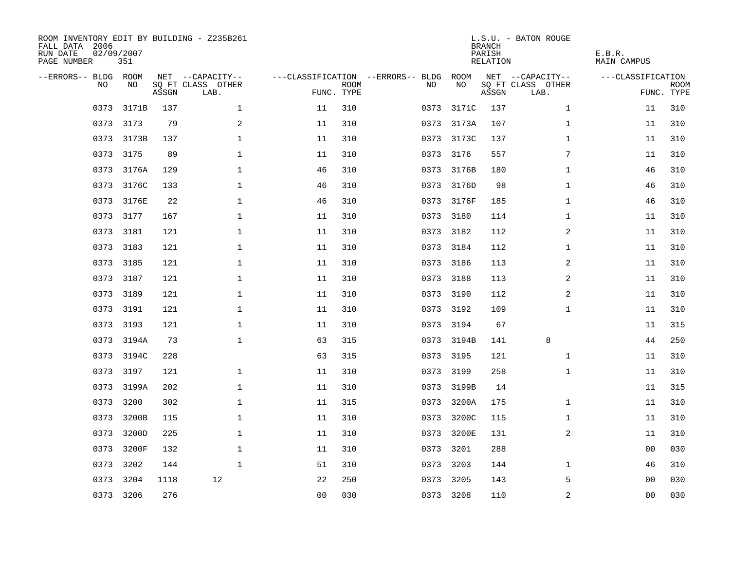| ROOM INVENTORY EDIT BY BUILDING - Z235B261<br>FALL DATA 2006<br>RUN DATE<br>PAGE NUMBER | 02/09/2007<br>351 |       |                           |                |                           |                                   |            | <b>BRANCH</b><br>PARISH<br><b>RELATION</b> | L.S.U. - BATON ROUGE      | E.B.R.<br><b>MAIN CAMPUS</b> |                           |
|-----------------------------------------------------------------------------------------|-------------------|-------|---------------------------|----------------|---------------------------|-----------------------------------|------------|--------------------------------------------|---------------------------|------------------------------|---------------------------|
| --ERRORS-- BLDG ROOM                                                                    |                   |       | NET --CAPACITY--          |                |                           | ---CLASSIFICATION --ERRORS-- BLDG | ROOM       |                                            | NET --CAPACITY--          | ---CLASSIFICATION            |                           |
| NO                                                                                      | NO                | ASSGN | SQ FT CLASS OTHER<br>LAB. |                | <b>ROOM</b><br>FUNC. TYPE | NO                                | NO         | ASSGN                                      | SQ FT CLASS OTHER<br>LAB. |                              | <b>ROOM</b><br>FUNC. TYPE |
| 0373                                                                                    | 3171B             | 137   | $\mathbf{1}$              | 11             | 310                       | 0373                              | 3171C      | 137                                        | $\mathbf{1}$              | 11                           | 310                       |
|                                                                                         | 0373 3173         | 79    | 2                         | 11             | 310                       | 0373                              | 3173A      | 107                                        | $\mathbf{1}$              | 11                           | 310                       |
|                                                                                         | 0373 3173B        | 137   | 1                         | 11             | 310                       |                                   | 0373 3173C | 137                                        | $\mathbf{1}$              | 11                           | 310                       |
|                                                                                         | 0373 3175         | 89    | 1                         | 11             | 310                       |                                   | 0373 3176  | 557                                        | 7                         | 11                           | 310                       |
| 0373                                                                                    | 3176A             | 129   | $\mathbf 1$               | 46             | 310                       |                                   | 0373 3176B | 180                                        | $\mathbf{1}$              | 46                           | 310                       |
|                                                                                         | 0373 3176C        | 133   | 1                         | 46             | 310                       |                                   | 0373 3176D | 98                                         | $\mathbf{1}$              | 46                           | 310                       |
| 0373                                                                                    | 3176E             | 22    | $\mathbf 1$               | 46             | 310                       |                                   | 0373 3176F | 185                                        | $\mathbf{1}$              | 46                           | 310                       |
|                                                                                         | 0373 3177         | 167   | $\mathbf 1$               | 11             | 310                       |                                   | 0373 3180  | 114                                        | $\mathbf{1}$              | 11                           | 310                       |
| 0373                                                                                    | 3181              | 121   | $\mathbf{1}$              | 11             | 310                       |                                   | 0373 3182  | 112                                        | 2                         | 11                           | 310                       |
|                                                                                         | 0373 3183         | 121   | $\mathbf 1$               | 11             | 310                       |                                   | 0373 3184  | 112                                        | $\mathbf{1}$              | 11                           | 310                       |
| 0373                                                                                    | 3185              | 121   | $\mathbf{1}$              | 11             | 310                       |                                   | 0373 3186  | 113                                        | 2                         | 11                           | 310                       |
|                                                                                         | 0373 3187         | 121   | $\mathbf{1}$              | 11             | 310                       |                                   | 0373 3188  | 113                                        | $\overline{2}$            | 11                           | 310                       |
| 0373                                                                                    | 3189              | 121   | $\mathbf 1$               | 11             | 310                       | 0373                              | 3190       | 112                                        | 2                         | 11                           | 310                       |
| 0373                                                                                    | 3191              | 121   | $\mathbf 1$               | 11             | 310                       |                                   | 0373 3192  | 109                                        | $\mathbf{1}$              | 11                           | 310                       |
| 0373                                                                                    | 3193              | 121   | $\mathbf 1$               | 11             | 310                       | 0373                              | 3194       | 67                                         |                           | 11                           | 315                       |
|                                                                                         | 0373 3194A        | 73    | $\mathbf{1}$              | 63             | 315                       |                                   | 0373 3194B | 141                                        | 8                         | 44                           | 250                       |
| 0373                                                                                    | 3194C             | 228   |                           | 63             | 315                       | 0373                              | 3195       | 121                                        | $\mathbf{1}$              | 11                           | 310                       |
| 0373                                                                                    | 3197              | 121   | $\mathbf 1$               | 11             | 310                       |                                   | 0373 3199  | 258                                        | $\mathbf{1}$              | 11                           | 310                       |
| 0373                                                                                    | 3199A             | 202   | $\mathbf 1$               | 11             | 310                       | 0373                              | 3199B      | 14                                         |                           | 11                           | 315                       |
| 0373                                                                                    | 3200              | 302   | $\mathbf{1}$              | 11             | 315                       | 0373                              | 3200A      | 175                                        | $\mathbf{1}$              | 11                           | 310                       |
| 0373                                                                                    | 3200B             | 115   | $\mathbf 1$               | 11             | 310                       | 0373                              | 3200C      | 115                                        | $\mathbf{1}$              | 11                           | 310                       |
| 0373                                                                                    | 3200D             | 225   | $\mathbf{1}$              | 11             | 310                       | 0373                              | 3200E      | 131                                        | 2                         | 11                           | 310                       |
| 0373                                                                                    | 3200F             | 132   | $\mathbf{1}$              | 11             | 310                       | 0373                              | 3201       | 288                                        |                           | 0 <sub>0</sub>               | 030                       |
| 0373                                                                                    | 3202              | 144   | $\mathbf{1}$              | 51             | 310                       | 0373                              | 3203       | 144                                        | $\mathbf{1}$              | 46                           | 310                       |
| 0373                                                                                    | 3204              | 1118  | 12                        | 22             | 250                       | 0373                              | 3205       | 143                                        | 5                         | 00                           | 030                       |
|                                                                                         | 0373 3206         | 276   |                           | 0 <sub>0</sub> | 030                       |                                   | 0373 3208  | 110                                        | $\overline{2}$            | 0 <sub>0</sub>               | 030                       |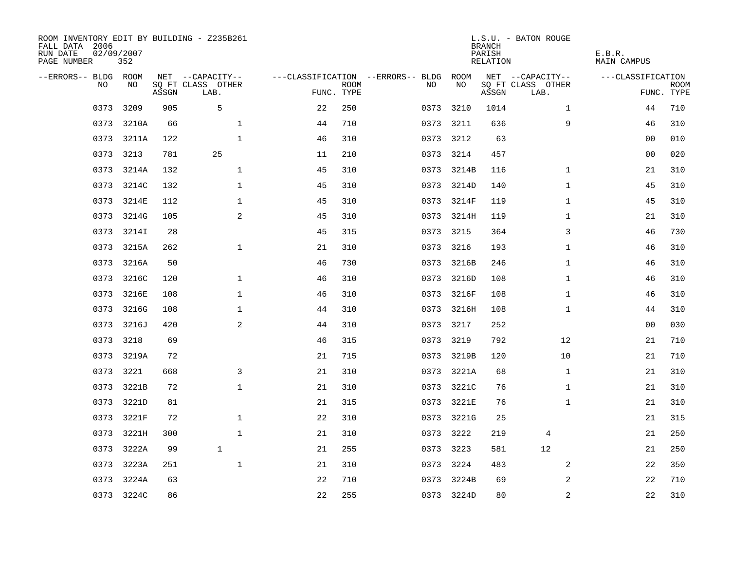| ROOM INVENTORY EDIT BY BUILDING - Z235B261<br>FALL DATA 2006<br>RUN DATE<br>PAGE NUMBER | 02/09/2007<br>352 |       |                           |            |             |                                   |            | <b>BRANCH</b><br>PARISH<br><b>RELATION</b> | L.S.U. - BATON ROUGE      | E.B.R.<br><b>MAIN CAMPUS</b> |                           |
|-----------------------------------------------------------------------------------------|-------------------|-------|---------------------------|------------|-------------|-----------------------------------|------------|--------------------------------------------|---------------------------|------------------------------|---------------------------|
| --ERRORS-- BLDG ROOM                                                                    |                   |       | NET --CAPACITY--          |            |             | ---CLASSIFICATION --ERRORS-- BLDG | ROOM       |                                            | NET --CAPACITY--          | ---CLASSIFICATION            |                           |
| <b>NO</b>                                                                               | NO.               | ASSGN | SO FT CLASS OTHER<br>LAB. | FUNC. TYPE | <b>ROOM</b> | NO.                               | NO         | ASSGN                                      | SQ FT CLASS OTHER<br>LAB. |                              | <b>ROOM</b><br>FUNC. TYPE |
| 0373                                                                                    | 3209              | 905   | 5                         | 22         | 250         | 0373                              | 3210       | 1014                                       | $\mathbf{1}$              | 44                           | 710                       |
|                                                                                         | 0373 3210A        | 66    | $\mathbf 1$               | 44         | 710         |                                   | 0373 3211  | 636                                        | 9                         | 46                           | 310                       |
| 0373                                                                                    | 3211A             | 122   | $\mathbf{1}$              | 46         | 310         | 0373                              | 3212       | 63                                         |                           | 00                           | 010                       |
|                                                                                         | 0373 3213         | 781   | 25                        | 11         | 210         |                                   | 0373 3214  | 457                                        |                           | 0 <sub>0</sub>               | 020                       |
| 0373                                                                                    | 3214A             | 132   | $\mathbf{1}$              | 45         | 310         | 0373                              | 3214B      | 116                                        | $\mathbf{1}$              | 21                           | 310                       |
|                                                                                         | 0373 3214C        | 132   | $\mathbf 1$               | 45         | 310         |                                   | 0373 3214D | 140                                        | $\mathbf{1}$              | 45                           | 310                       |
| 0373                                                                                    | 3214E             | 112   | $\mathbf 1$               | 45         | 310         |                                   | 0373 3214F | 119                                        | $\mathbf{1}$              | 45                           | 310                       |
|                                                                                         | 0373 3214G        | 105   | $\overline{a}$            | 45         | 310         |                                   | 0373 3214H | 119                                        | $\mathbf{1}$              | 21                           | 310                       |
| 0373                                                                                    | 3214I             | 28    |                           | 45         | 315         | 0373                              | 3215       | 364                                        | 3                         | 46                           | 730                       |
| 0373                                                                                    | 3215A             | 262   | $\mathbf{1}$              | 21         | 310         |                                   | 0373 3216  | 193                                        | $\mathbf{1}$              | 46                           | 310                       |
| 0373                                                                                    | 3216A             | 50    |                           | 46         | 730         | 0373                              | 3216B      | 246                                        | $\mathbf{1}$              | 46                           | 310                       |
| 0373                                                                                    | 3216C             | 120   | $\mathbf{1}$              | 46         | 310         |                                   | 0373 3216D | 108                                        | $\mathbf{1}$              | 46                           | 310                       |
| 0373                                                                                    | 3216E             | 108   | $\mathbf 1$               | 46         | 310         | 0373                              | 3216F      | 108                                        | $\mathbf{1}$              | 46                           | 310                       |
| 0373                                                                                    | 3216G             | 108   | $\mathbf 1$               | 44         | 310         |                                   | 0373 3216H | 108                                        | $\mathbf{1}$              | 44                           | 310                       |
| 0373                                                                                    | 3216J             | 420   | 2                         | 44         | 310         | 0373                              | 3217       | 252                                        |                           | 00                           | 030                       |
| 0373                                                                                    | 3218              | 69    |                           | 46         | 315         | 0373                              | 3219       | 792                                        | 12                        | 21                           | 710                       |
| 0373                                                                                    | 3219A             | 72    |                           | 21         | 715         | 0373                              | 3219B      | 120                                        | 10                        | 21                           | 710                       |
| 0373                                                                                    | 3221              | 668   | 3                         | 21         | 310         | 0373                              | 3221A      | 68                                         | $\mathbf{1}$              | 21                           | 310                       |
|                                                                                         | 0373 3221B        | 72    | $\mathbf{1}$              | 21         | 310         |                                   | 0373 3221C | 76                                         | $\mathbf{1}$              | 21                           | 310                       |
|                                                                                         | 0373 3221D        | 81    |                           | 21         | 315         |                                   | 0373 3221E | 76                                         | $\mathbf{1}$              | 21                           | 310                       |
|                                                                                         | 0373 3221F        | 72    | $\mathbf{1}$              | 22         | 310         |                                   | 0373 3221G | 25                                         |                           | 21                           | 315                       |
| 0373                                                                                    | 3221H             | 300   | $\mathbf{1}$              | 21         | 310         |                                   | 0373 3222  | 219                                        | 4                         | 21                           | 250                       |
|                                                                                         | 0373 3222A        | 99    | $\mathbf{1}$              | 21         | 255         |                                   | 0373 3223  | 581                                        | 12                        | 21                           | 250                       |
| 0373                                                                                    | 3223A             | 251   | $\mathbf 1$               | 21         | 310         |                                   | 0373 3224  | 483                                        | 2                         | 22                           | 350                       |
|                                                                                         | 0373 3224A        | 63    |                           | 22         | 710         |                                   | 0373 3224B | 69                                         | 2                         | 22                           | 710                       |
|                                                                                         | 0373 3224C        | 86    |                           | 22         | 255         |                                   | 0373 3224D | 80                                         | 2                         | 22                           | 310                       |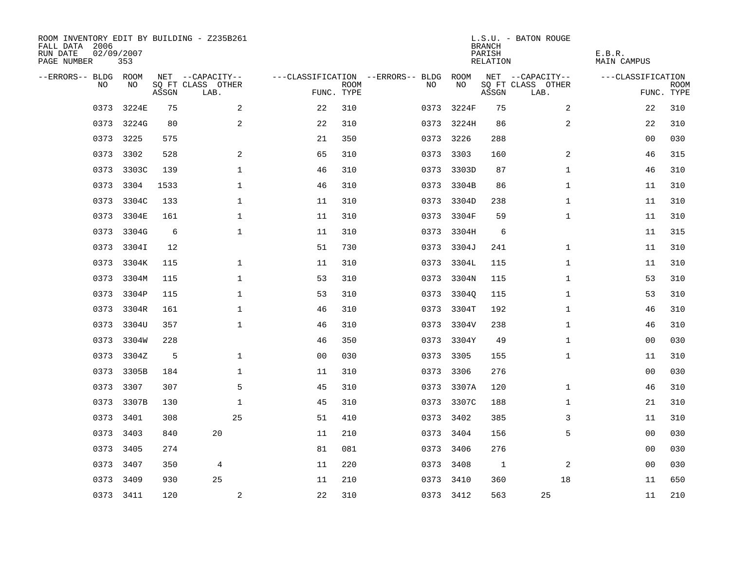| ROOM INVENTORY EDIT BY BUILDING - Z235B261<br>FALL DATA 2006<br>RUN DATE<br>PAGE NUMBER | 02/09/2007<br>353 |       |                           |                |             |                                        |            | <b>BRANCH</b><br>PARISH<br>RELATION | L.S.U. - BATON ROUGE      | E.B.R.<br>MAIN CAMPUS |                           |
|-----------------------------------------------------------------------------------------|-------------------|-------|---------------------------|----------------|-------------|----------------------------------------|------------|-------------------------------------|---------------------------|-----------------------|---------------------------|
| --ERRORS-- BLDG ROOM                                                                    |                   |       | NET --CAPACITY--          |                |             | ---CLASSIFICATION --ERRORS-- BLDG ROOM |            |                                     | NET --CAPACITY--          | ---CLASSIFICATION     |                           |
| NO.                                                                                     | NO.               | ASSGN | SQ FT CLASS OTHER<br>LAB. | FUNC. TYPE     | <b>ROOM</b> | NO.                                    | NO         | ASSGN                               | SQ FT CLASS OTHER<br>LAB. |                       | <b>ROOM</b><br>FUNC. TYPE |
| 0373                                                                                    | 3224E             | 75    | 2                         | 22             | 310         | 0373                                   | 3224F      | 75                                  | 2                         | 22                    | 310                       |
|                                                                                         | 0373 3224G        | 80    | 2                         | 22             | 310         |                                        | 0373 3224H | 86                                  | 2                         | 22                    | 310                       |
|                                                                                         | 0373 3225         | 575   |                           | 21             | 350         |                                        | 0373 3226  | 288                                 |                           | 00                    | 030                       |
|                                                                                         | 0373 3302         | 528   | 2                         | 65             | 310         |                                        | 0373 3303  | 160                                 | 2                         | 46                    | 315                       |
| 0373                                                                                    | 3303C             | 139   | $\mathbf 1$               | 46             | 310         | 0373                                   | 3303D      | 87                                  | $\mathbf{1}$              | 46                    | 310                       |
|                                                                                         | 0373 3304         | 1533  | $\mathbf 1$               | 46             | 310         |                                        | 0373 3304B | 86                                  | $\mathbf{1}$              | 11                    | 310                       |
| 0373                                                                                    | 3304C             | 133   | $\mathbf{1}$              | 11             | 310         | 0373                                   | 3304D      | 238                                 | $\mathbf{1}$              | 11                    | 310                       |
|                                                                                         | 0373 3304E        | 161   | 1                         | 11             | 310         | 0373                                   | 3304F      | 59                                  | $\mathbf{1}$              | 11                    | 310                       |
| 0373                                                                                    | 3304G             | 6     | $\mathbf 1$               | 11             | 310         | 0373                                   | 3304H      | 6                                   |                           | 11                    | 315                       |
|                                                                                         | 0373 3304I        | 12    |                           | 51             | 730         |                                        | 0373 3304J | 241                                 | $\mathbf{1}$              | 11                    | 310                       |
| 0373                                                                                    | 3304K             | 115   | $\mathbf{1}$              | 11             | 310         | 0373                                   | 3304L      | 115                                 | $\mathbf{1}$              | 11                    | 310                       |
| 0373                                                                                    | 3304M             | 115   | $\mathbf 1$               | 53             | 310         |                                        | 0373 3304N | 115                                 | $\mathbf{1}$              | 53                    | 310                       |
| 0373                                                                                    | 3304P             | 115   | $\mathbf 1$               | 53             | 310         | 0373                                   | 3304Q      | 115                                 | $\mathbf{1}$              | 53                    | 310                       |
| 0373                                                                                    | 3304R             | 161   | $\mathbf 1$               | 46             | 310         | 0373                                   | 3304T      | 192                                 | $\mathbf{1}$              | 46                    | 310                       |
| 0373                                                                                    | 3304U             | 357   | $\mathbf 1$               | 46             | 310         | 0373                                   | 3304V      | 238                                 | $\mathbf{1}$              | 46                    | 310                       |
| 0373                                                                                    | 3304W             | 228   |                           | 46             | 350         | 0373                                   | 3304Y      | 49                                  | $\mathbf{1}$              | 00                    | 030                       |
| 0373                                                                                    | 3304Z             | 5     | $\mathbf 1$               | 0 <sub>0</sub> | 030         | 0373                                   | 3305       | 155                                 | $\mathbf{1}$              | 11                    | 310                       |
| 0373                                                                                    | 3305B             | 184   | $\mathbf 1$               | 11             | 310         |                                        | 0373 3306  | 276                                 |                           | 00                    | 030                       |
|                                                                                         | 0373 3307         | 307   | 5                         | 45             | 310         |                                        | 0373 3307A | 120                                 | $\mathbf{1}$              | 46                    | 310                       |
|                                                                                         | 0373 3307B        | 130   | $\mathbf{1}$              | 45             | 310         |                                        | 0373 3307C | 188                                 | $\mathbf{1}$              | 21                    | 310                       |
|                                                                                         | 0373 3401         | 308   | 25                        | 51             | 410         |                                        | 0373 3402  | 385                                 | 3                         | 11                    | 310                       |
| 0373                                                                                    | 3403              | 840   | 20                        | 11             | 210         |                                        | 0373 3404  | 156                                 | 5                         | 00                    | 030                       |
|                                                                                         | 0373 3405         | 274   |                           | 81             | 081         |                                        | 0373 3406  | 276                                 |                           | 00                    | 030                       |
| 0373                                                                                    | 3407              | 350   | $\overline{4}$            | 11             | 220         |                                        | 0373 3408  | 1                                   | 2                         | 00                    | 030                       |
|                                                                                         | 0373 3409         | 930   | 25                        | 11             | 210         |                                        | 0373 3410  | 360                                 | 18                        | 11                    | 650                       |
|                                                                                         | 0373 3411         | 120   | $\overline{a}$            | 22             | 310         |                                        | 0373 3412  | 563                                 | 25                        | 11                    | 210                       |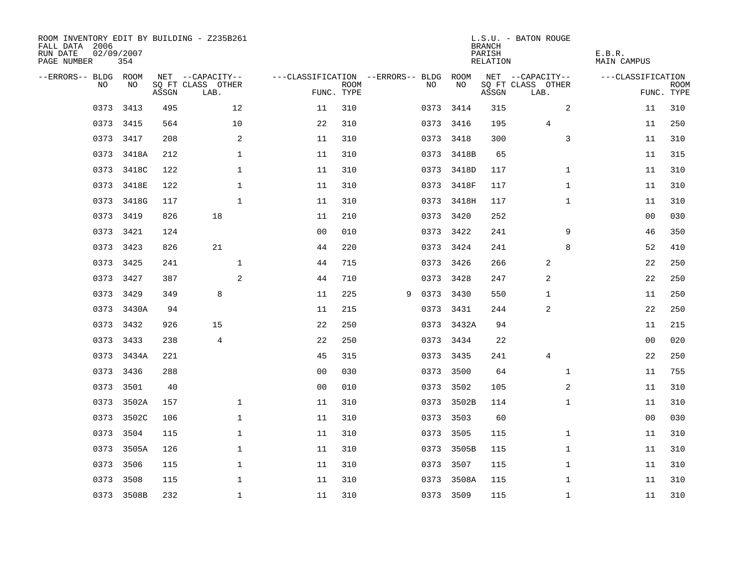| ROOM INVENTORY EDIT BY BUILDING - Z235B261<br>FALL DATA 2006<br>RUN DATE<br>PAGE NUMBER | 02/09/2007<br>354 |       |                           |                                   |                           |   |      |            | <b>BRANCH</b><br>PARISH<br>RELATION | L.S.U. - BATON ROUGE      | E.B.R.<br><b>MAIN CAMPUS</b> |                           |
|-----------------------------------------------------------------------------------------|-------------------|-------|---------------------------|-----------------------------------|---------------------------|---|------|------------|-------------------------------------|---------------------------|------------------------------|---------------------------|
| --ERRORS-- BLDG ROOM                                                                    |                   |       | NET --CAPACITY--          | ---CLASSIFICATION --ERRORS-- BLDG |                           |   |      | ROOM       |                                     | NET --CAPACITY--          | ---CLASSIFICATION            |                           |
| N <sub>O</sub>                                                                          | NO.               | ASSGN | SO FT CLASS OTHER<br>LAB. |                                   | <b>ROOM</b><br>FUNC. TYPE |   | NO.  | NO         | ASSGN                               | SQ FT CLASS OTHER<br>LAB. |                              | <b>ROOM</b><br>FUNC. TYPE |
| 0373                                                                                    | 3413              | 495   | 12                        | 11                                | 310                       |   | 0373 | 3414       | 315                                 | 2                         | 11                           | 310                       |
|                                                                                         | 0373 3415         | 564   | 10                        | 22                                | 310                       |   |      | 0373 3416  | 195                                 | 4                         | 11                           | 250                       |
| 0373                                                                                    | 3417              | 208   | 2                         | 11                                | 310                       |   | 0373 | 3418       | 300                                 | 3                         | 11                           | 310                       |
|                                                                                         | 0373 3418A        | 212   | 1                         | 11                                | 310                       |   |      | 0373 3418B | 65                                  |                           | 11                           | 315                       |
| 0373                                                                                    | 3418C             | 122   | $\mathbf 1$               | 11                                | 310                       |   |      | 0373 3418D | 117                                 | $\mathbf{1}$              | 11                           | 310                       |
|                                                                                         | 0373 3418E        | 122   | $\mathbf 1$               | 11                                | 310                       |   |      | 0373 3418F | 117                                 | $\mathbf{1}$              | 11                           | 310                       |
| 0373                                                                                    | 3418G             | 117   | $\mathbf{1}$              | 11                                | 310                       |   |      | 0373 3418H | 117                                 | $\mathbf{1}$              | 11                           | 310                       |
|                                                                                         | 0373 3419         | 826   | 18                        | 11                                | 210                       |   |      | 0373 3420  | 252                                 |                           | 00                           | 030                       |
| 0373                                                                                    | 3421              | 124   |                           | 0 <sub>0</sub>                    | 010                       |   |      | 0373 3422  | 241                                 | 9                         | 46                           | 350                       |
| 0373                                                                                    | 3423              | 826   | 21                        | 44                                | 220                       |   |      | 0373 3424  | 241                                 | 8                         | 52                           | 410                       |
| 0373                                                                                    | 3425              | 241   | $\mathbf{1}$              | 44                                | 715                       |   |      | 0373 3426  | 266                                 | 2                         | 22                           | 250                       |
| 0373                                                                                    | 3427              | 387   | 2                         | 44                                | 710                       |   |      | 0373 3428  | 247                                 | 2                         | 22                           | 250                       |
| 0373                                                                                    | 3429              | 349   | 8                         | 11                                | 225                       | 9 | 0373 | 3430       | 550                                 | 1                         | 11                           | 250                       |
| 0373                                                                                    | 3430A             | 94    |                           | 11                                | 215                       |   | 0373 | 3431       | 244                                 | 2                         | 22                           | 250                       |
| 0373                                                                                    | 3432              | 926   | 15                        | 22                                | 250                       |   |      | 0373 3432A | 94                                  |                           | 11                           | 215                       |
| 0373                                                                                    | 3433              | 238   | $\overline{4}$            | 22                                | 250                       |   |      | 0373 3434  | 22                                  |                           | 0 <sub>0</sub>               | 020                       |
|                                                                                         | 0373 3434A        | 221   |                           | 45                                | 315                       |   |      | 0373 3435  | 241                                 | $\overline{4}$            | 22                           | 250                       |
| 0373                                                                                    | 3436              | 288   |                           | 0 <sub>0</sub>                    | 030                       |   | 0373 | 3500       | 64                                  | $\mathbf{1}$              | 11                           | 755                       |
|                                                                                         | 0373 3501         | 40    |                           | 0 <sub>0</sub>                    | 010                       |   |      | 0373 3502  | 105                                 | 2                         | 11                           | 310                       |
| 0373                                                                                    | 3502A             | 157   | $\mathbf 1$               | 11                                | 310                       |   |      | 0373 3502B | 114                                 | $\mathbf{1}$              | 11                           | 310                       |
|                                                                                         | 0373 3502C        | 106   | $\mathbf 1$               | 11                                | 310                       |   |      | 0373 3503  | 60                                  |                           | 0 <sub>0</sub>               | 030                       |
| 0373                                                                                    | 3504              | 115   | $\mathbf 1$               | 11                                | 310                       |   | 0373 | 3505       | 115                                 | $\mathbf{1}$              | 11                           | 310                       |
|                                                                                         | 0373 3505A        | 126   | 1                         | 11                                | 310                       |   |      | 0373 3505B | 115                                 | $\mathbf{1}$              | 11                           | 310                       |
| 0373                                                                                    | 3506              | 115   | 1                         | 11                                | 310                       |   |      | 0373 3507  | 115                                 | $\mathbf{1}$              | 11                           | 310                       |
|                                                                                         | 0373 3508         | 115   | $\mathbf 1$               | 11                                | 310                       |   |      | 0373 3508A | 115                                 | $\mathbf{1}$              | 11                           | 310                       |
|                                                                                         | 0373 3508B        | 232   | $\mathbf{1}$              | 11                                | 310                       |   |      | 0373 3509  | 115                                 | $\mathbf{1}$              | 11                           | 310                       |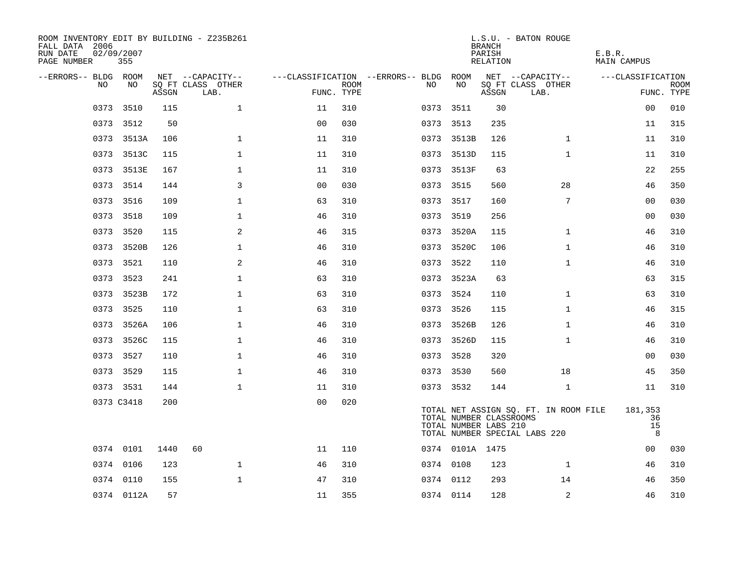| ROOM INVENTORY EDIT BY BUILDING - Z235B261<br>FALL DATA 2006<br>RUN DATE<br>PAGE NUMBER | 02/09/2007<br>355 |       |                           |                |                    |                                   |                                                  | <b>BRANCH</b><br>PARISH<br>RELATION | L.S.U. - BATON ROUGE                                                   | E.B.R.<br><b>MAIN CAMPUS</b> |                           |
|-----------------------------------------------------------------------------------------|-------------------|-------|---------------------------|----------------|--------------------|-----------------------------------|--------------------------------------------------|-------------------------------------|------------------------------------------------------------------------|------------------------------|---------------------------|
| --ERRORS-- BLDG ROOM                                                                    |                   |       | NET --CAPACITY--          |                |                    | ---CLASSIFICATION --ERRORS-- BLDG | ROOM                                             |                                     | NET --CAPACITY--                                                       | ---CLASSIFICATION            |                           |
| NO.                                                                                     | NO.               | ASSGN | SO FT CLASS OTHER<br>LAB. |                | ROOM<br>FUNC. TYPE | NO.                               | NO                                               | ASSGN                               | SQ FT CLASS OTHER<br>LAB.                                              |                              | <b>ROOM</b><br>FUNC. TYPE |
| 0373                                                                                    | 3510              | 115   | $\mathbf 1$               | 11             | 310                | 0373                              | 3511                                             | 30                                  |                                                                        | 00                           | 010                       |
|                                                                                         | 0373 3512         | 50    |                           | 0 <sub>0</sub> | 030                |                                   | 0373 3513                                        | 235                                 |                                                                        | 11                           | 315                       |
|                                                                                         | 0373 3513A        | 106   | $\mathbf 1$               | 11             | 310                |                                   | 0373 3513B                                       | 126                                 | $\mathbf{1}$                                                           | 11                           | 310                       |
|                                                                                         | 0373 3513C        | 115   | $\mathbf{1}$              | 11             | 310                |                                   | 0373 3513D                                       | 115                                 | $\mathbf{1}$                                                           | 11                           | 310                       |
| 0373                                                                                    | 3513E             | 167   | $\mathbf{1}$              | 11             | 310                |                                   | 0373 3513F                                       | 63                                  |                                                                        | 22                           | 255                       |
|                                                                                         | 0373 3514         | 144   | $\overline{3}$            | 0 <sub>0</sub> | 030                |                                   | 0373 3515                                        | 560                                 | 28                                                                     | 46                           | 350                       |
| 0373                                                                                    | 3516              | 109   | $\mathbf 1$               | 63             | 310                |                                   | 0373 3517                                        | 160                                 | 7                                                                      | 00                           | 030                       |
|                                                                                         | 0373 3518         | 109   | $\mathbf{1}$              | 46             | 310                |                                   | 0373 3519                                        | 256                                 |                                                                        | 00                           | 030                       |
| 0373                                                                                    | 3520              | 115   | 2                         | 46             | 315                |                                   | 0373 3520A                                       | 115                                 | $\mathbf{1}$                                                           | 46                           | 310                       |
|                                                                                         | 0373 3520B        | 126   | $\mathbf{1}$              | 46             | 310                |                                   | 0373 3520C                                       | 106                                 | $\mathbf{1}$                                                           | 46                           | 310                       |
|                                                                                         | 0373 3521         | 110   | 2                         | 46             | 310                |                                   | 0373 3522                                        | 110                                 | $\mathbf{1}$                                                           | 46                           | 310                       |
|                                                                                         | 0373 3523         | 241   | $\mathbf{1}$              | 63             | 310                |                                   | 0373 3523A                                       | 63                                  |                                                                        | 63                           | 315                       |
| 0373                                                                                    | 3523B             | 172   | $\mathbf 1$               | 63             | 310                |                                   | 0373 3524                                        | 110                                 | $\mathbf{1}$                                                           | 63                           | 310                       |
| 0373                                                                                    | 3525              | 110   | $\mathbf 1$               | 63             | 310                |                                   | 0373 3526                                        | 115                                 | $\mathbf{1}$                                                           | 46                           | 315                       |
| 0373                                                                                    | 3526A             | 106   | $\mathbf 1$               | 46             | 310                |                                   | 0373 3526B                                       | 126                                 | $\mathbf{1}$                                                           | 46                           | 310                       |
|                                                                                         | 0373 3526C        | 115   | $\mathbf 1$               | 46             | 310                |                                   | 0373 3526D                                       | 115                                 | $\mathbf{1}$                                                           | 46                           | 310                       |
| 0373                                                                                    | 3527              | 110   | $\mathbf{1}$              | 46             | 310                |                                   | 0373 3528                                        | 320                                 |                                                                        | 0 <sub>0</sub>               | 030                       |
|                                                                                         | 0373 3529         | 115   | $\mathbf{1}$              | 46             | 310                |                                   | 0373 3530                                        | 560                                 | 18                                                                     | 45                           | 350                       |
|                                                                                         | 0373 3531         | 144   | $\mathbf{1}$              | 11             | 310                |                                   | 0373 3532                                        | 144                                 | $\mathbf{1}$                                                           | 11                           | 310                       |
|                                                                                         | 0373 C3418        | 200   |                           | 0 <sub>0</sub> | 020                |                                   | TOTAL NUMBER CLASSROOMS<br>TOTAL NUMBER LABS 210 |                                     | TOTAL NET ASSIGN SQ. FT. IN ROOM FILE<br>TOTAL NUMBER SPECIAL LABS 220 | 181,353<br>36<br>15<br>8     |                           |
|                                                                                         | 0374 0101         | 1440  | 60                        | 11             | 110                |                                   | 0374 0101A 1475                                  |                                     |                                                                        | 00                           | 030                       |
|                                                                                         | 0374 0106         | 123   | $\mathbf 1$               | 46             | 310                |                                   | 0374 0108                                        | 123                                 | $\mathbf{1}$                                                           | 46                           | 310                       |
|                                                                                         | 0374 0110         | 155   | $\mathbf{1}$              | 47             | 310                |                                   | 0374 0112                                        | 293                                 | 14                                                                     | 46                           | 350                       |
|                                                                                         | 0374 0112A        | 57    |                           | 11             | 355                |                                   | 0374 0114                                        | 128                                 | 2                                                                      | 46                           | 310                       |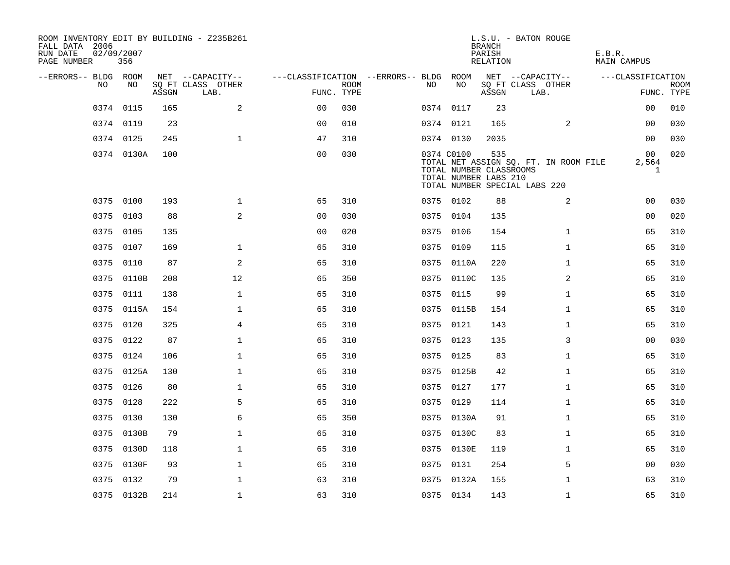| FALL DATA 2006<br>RUN DATE<br>PAGE NUMBER | 02/09/2007<br>356 |       |       | ROOM INVENTORY EDIT BY BUILDING - Z235B261 |                                        |             |      |            | <b>BRANCH</b><br>PARISH<br>RELATION                     | L.S.U. - BATON ROUGE                                                   | E.B.R.<br>MAIN CAMPUS       |                           |
|-------------------------------------------|-------------------|-------|-------|--------------------------------------------|----------------------------------------|-------------|------|------------|---------------------------------------------------------|------------------------------------------------------------------------|-----------------------------|---------------------------|
| --ERRORS-- BLDG ROOM                      |                   |       |       | NET --CAPACITY--                           | ---CLASSIFICATION --ERRORS-- BLDG ROOM |             |      |            |                                                         | NET --CAPACITY--                                                       | ---CLASSIFICATION           |                           |
|                                           | NO                | NO    | ASSGN | SQ FT CLASS OTHER<br>LAB.                  | FUNC. TYPE                             | <b>ROOM</b> | NO.  | NO         | ASSGN                                                   | SQ FT CLASS OTHER<br>LAB.                                              |                             | <b>ROOM</b><br>FUNC. TYPE |
|                                           | 0374<br>0115      |       | 165   | $\mathbf{2}$                               | 0 <sub>0</sub>                         | 030         |      | 0374 0117  | 23                                                      |                                                                        | 0 <sub>0</sub>              | 010                       |
|                                           | 0374 0119         |       | 23    |                                            | 0 <sub>0</sub>                         | 010         |      | 0374 0121  | 165                                                     | 2                                                                      | 00                          | 030                       |
|                                           | 0374 0125         |       | 245   | $\mathbf 1$                                | 47                                     | 310         |      | 0374 0130  | 2035                                                    |                                                                        | 0 <sub>0</sub>              | 030                       |
|                                           | 0374 0130A        |       | 100   |                                            | 0 <sub>0</sub>                         | 030         |      | 0374 C0100 | 535<br>TOTAL NUMBER CLASSROOMS<br>TOTAL NUMBER LABS 210 | TOTAL NET ASSIGN SQ. FT. IN ROOM FILE<br>TOTAL NUMBER SPECIAL LABS 220 | 00<br>2,564<br>$\mathbf{1}$ | 020                       |
|                                           | 0375 0100         |       | 193   | $\mathbf 1$                                | 65                                     | 310         |      | 0375 0102  | 88                                                      | 2                                                                      | 00                          | 030                       |
|                                           | 0103<br>0375      |       | 88    | 2                                          | 0 <sub>0</sub>                         | 030         |      | 0375 0104  | 135                                                     |                                                                        | 0 <sub>0</sub>              | 020                       |
|                                           | 0375<br>0105      |       | 135   |                                            | 0 <sub>0</sub>                         | 020         |      | 0375 0106  | 154                                                     | $\mathbf{1}$                                                           | 65                          | 310                       |
|                                           | 0375<br>0107      |       | 169   | $\mathbf 1$                                | 65                                     | 310         |      | 0375 0109  | 115                                                     | $\mathbf{1}$                                                           | 65                          | 310                       |
|                                           | 0375<br>0110      |       | 87    | 2                                          | 65                                     | 310         |      | 0375 0110A | 220                                                     | $\mathbf{1}$                                                           | 65                          | 310                       |
|                                           | 0375<br>0110B     |       | 208   | 12                                         | 65                                     | 350         |      | 0375 0110C | 135                                                     | 2                                                                      | 65                          | 310                       |
|                                           | 0375<br>0111      |       | 138   | $\mathbf{1}$                               | 65                                     | 310         | 0375 | 0115       | 99                                                      | $\mathbf{1}$                                                           | 65                          | 310                       |
|                                           | 0375 0115A        |       | 154   | $\mathbf 1$                                | 65                                     | 310         |      | 0375 0115B | 154                                                     | $\mathbf{1}$                                                           | 65                          | 310                       |
|                                           | 0375<br>0120      |       | 325   | 4                                          | 65                                     | 310         |      | 0375 0121  | 143                                                     | $\mathbf{1}$                                                           | 65                          | 310                       |
|                                           | 0375 0122         |       | 87    | $\mathbf 1$                                | 65                                     | 310         |      | 0375 0123  | 135                                                     | 3                                                                      | 00                          | 030                       |
|                                           | 0124<br>0375      |       | 106   | $\mathbf 1$                                | 65                                     | 310         |      | 0375 0125  | 83                                                      | $\mathbf{1}$                                                           | 65                          | 310                       |
|                                           | 0375<br>0125A     |       | 130   | $\mathbf 1$                                | 65                                     | 310         |      | 0375 0125B | 42                                                      | $\mathbf{1}$                                                           | 65                          | 310                       |
|                                           | 0375 0126         |       | 80    | 1                                          | 65                                     | 310         |      | 0375 0127  | 177                                                     | $\mathbf{1}$                                                           | 65                          | 310                       |
|                                           | 0128<br>0375      |       | 222   | 5                                          | 65                                     | 310         |      | 0375 0129  | 114                                                     | $\mathbf{1}$                                                           | 65                          | 310                       |
|                                           | 0375 0130         |       | 130   | 6                                          | 65                                     | 350         |      | 0375 0130A | 91                                                      | $\mathbf{1}$                                                           | 65                          | 310                       |
|                                           | 0375              | 0130B | 79    | $\mathbf 1$                                | 65                                     | 310         |      | 0375 0130C | 83                                                      | $\mathbf{1}$                                                           | 65                          | 310                       |
|                                           | 0375 0130D        |       | 118   | $\mathbf 1$                                | 65                                     | 310         |      | 0375 0130E | 119                                                     | $\mathbf{1}$                                                           | 65                          | 310                       |
|                                           | 0375              | 0130F | 93    | $\mathbf 1$                                | 65                                     | 310         |      | 0375 0131  | 254                                                     | 5                                                                      | 00                          | 030                       |
|                                           | 0375 0132         |       | 79    | $\mathbf 1$                                | 63                                     | 310         |      | 0375 0132A | 155                                                     | $\mathbf{1}$                                                           | 63                          | 310                       |
|                                           | 0375 0132B        |       | 214   | $\mathbf{1}$                               | 63                                     | 310         |      | 0375 0134  | 143                                                     | $\mathbf{1}$                                                           | 65                          | 310                       |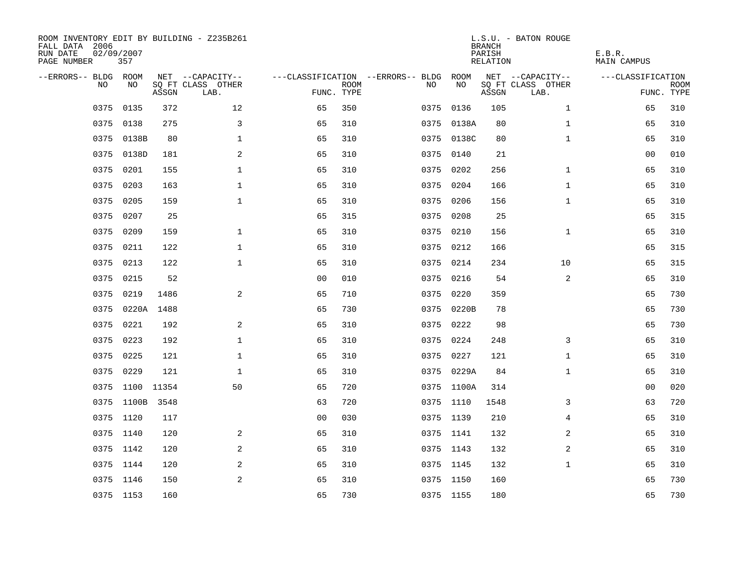| ROOM INVENTORY EDIT BY BUILDING - Z235B261<br>FALL DATA 2006<br>RUN DATE<br>PAGE NUMBER | 02/09/2007<br>357 |       |                           |                |             |                                   |            |      | <b>BRANCH</b><br>PARISH<br>RELATION | L.S.U. - BATON ROUGE      | E.B.R.<br><b>MAIN CAMPUS</b> |                           |
|-----------------------------------------------------------------------------------------|-------------------|-------|---------------------------|----------------|-------------|-----------------------------------|------------|------|-------------------------------------|---------------------------|------------------------------|---------------------------|
| --ERRORS-- BLDG ROOM                                                                    |                   |       | NET --CAPACITY--          |                |             | ---CLASSIFICATION --ERRORS-- BLDG |            | ROOM |                                     | NET --CAPACITY--          | ---CLASSIFICATION            |                           |
| N <sub>O</sub>                                                                          | NO.               | ASSGN | SO FT CLASS OTHER<br>LAB. | FUNC. TYPE     | <b>ROOM</b> | NO.                               |            | NO   | ASSGN                               | SQ FT CLASS OTHER<br>LAB. |                              | <b>ROOM</b><br>FUNC. TYPE |
| 0375                                                                                    | 0135              | 372   | 12                        | 65             | 350         | 0375                              |            | 0136 | 105                                 | $\mathbf{1}$              | 65                           | 310                       |
| 0375                                                                                    | 0138              | 275   | 3                         | 65             | 310         |                                   | 0375 0138A |      | 80                                  | $\mathbf{1}$              | 65                           | 310                       |
| 0375                                                                                    | 0138B             | 80    | $\mathbf{1}$              | 65             | 310         |                                   | 0375 0138C |      | 80                                  | $\mathbf{1}$              | 65                           | 310                       |
| 0375                                                                                    | 0138D             | 181   | 2                         | 65             | 310         |                                   | 0375 0140  |      | 21                                  |                           | 0 <sub>0</sub>               | 010                       |
| 0375                                                                                    | 0201              | 155   | $\mathbf 1$               | 65             | 310         | 0375                              |            | 0202 | 256                                 | $\mathbf{1}$              | 65                           | 310                       |
| 0375                                                                                    | 0203              | 163   | $\mathbf 1$               | 65             | 310         |                                   | 0375 0204  |      | 166                                 | $\mathbf{1}$              | 65                           | 310                       |
| 0375                                                                                    | 0205              | 159   | $\mathbf{1}$              | 65             | 310         |                                   | 0375 0206  |      | 156                                 | $\mathbf{1}$              | 65                           | 310                       |
| 0375                                                                                    | 0207              | 25    |                           | 65             | 315         |                                   | 0375 0208  |      | 25                                  |                           | 65                           | 315                       |
| 0375                                                                                    | 0209              | 159   | $\mathbf{1}$              | 65             | 310         | 0375                              |            | 0210 | 156                                 | $\mathbf{1}$              | 65                           | 310                       |
| 0375                                                                                    | 0211              | 122   | $\mathbf 1$               | 65             | 310         |                                   | 0375 0212  |      | 166                                 |                           | 65                           | 315                       |
| 0375                                                                                    | 0213              | 122   | $\mathbf 1$               | 65             | 310         |                                   | 0375 0214  |      | 234                                 | 10                        | 65                           | 315                       |
| 0375                                                                                    | 0215              | 52    |                           | 0 <sub>0</sub> | 010         |                                   | 0375 0216  |      | 54                                  | 2                         | 65                           | 310                       |
| 0375                                                                                    | 0219              | 1486  | 2                         | 65             | 710         | 0375                              |            | 0220 | 359                                 |                           | 65                           | 730                       |
| 0375                                                                                    | 0220A             | 1488  |                           | 65             | 730         |                                   | 0375 0220B |      | 78                                  |                           | 65                           | 730                       |
| 0375                                                                                    | 0221              | 192   | 2                         | 65             | 310         | 0375                              |            | 0222 | 98                                  |                           | 65                           | 730                       |
| 0375                                                                                    | 0223              | 192   | $\mathbf 1$               | 65             | 310         | 0375                              |            | 0224 | 248                                 | 3                         | 65                           | 310                       |
| 0375                                                                                    | 0225              | 121   | $\mathbf 1$               | 65             | 310         | 0375                              |            | 0227 | 121                                 | $\mathbf{1}$              | 65                           | 310                       |
| 0375                                                                                    | 0229              | 121   | $\mathbf{1}$              | 65             | 310         |                                   | 0375 0229A |      | 84                                  | $\mathbf{1}$              | 65                           | 310                       |
|                                                                                         | 0375 1100 11354   |       | 50                        | 65             | 720         |                                   | 0375 1100A |      | 314                                 |                           | 0 <sub>0</sub>               | 020                       |
|                                                                                         | 0375 1100B        | 3548  |                           | 63             | 720         |                                   | 0375 1110  |      | 1548                                | 3                         | 63                           | 720                       |
|                                                                                         | 0375 1120         | 117   |                           | 0 <sub>0</sub> | 030         |                                   | 0375 1139  |      | 210                                 | 4                         | 65                           | 310                       |
|                                                                                         | 0375 1140         | 120   | 2                         | 65             | 310         |                                   | 0375 1141  |      | 132                                 | 2                         | 65                           | 310                       |
|                                                                                         | 0375 1142         | 120   | 2                         | 65             | 310         |                                   | 0375 1143  |      | 132                                 | 2                         | 65                           | 310                       |
|                                                                                         | 0375 1144         | 120   | 2                         | 65             | 310         |                                   | 0375 1145  |      | 132                                 | $\mathbf{1}$              | 65                           | 310                       |
|                                                                                         | 0375 1146         | 150   | 2                         | 65             | 310         |                                   | 0375 1150  |      | 160                                 |                           | 65                           | 730                       |
|                                                                                         | 0375 1153         | 160   |                           | 65             | 730         |                                   | 0375 1155  |      | 180                                 |                           | 65                           | 730                       |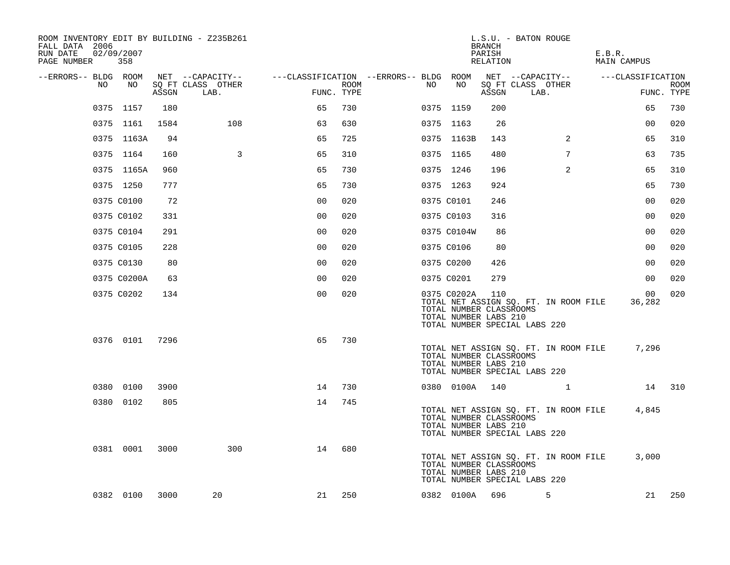| ROOM INVENTORY EDIT BY BUILDING - Z235B261<br>FALL DATA 2006<br>RUN DATE<br>PAGE NUMBER | 02/09/2007<br>358 |       |                           |                                        |      |    |                                                                 | <b>BRANCH</b><br>PARISH<br>RELATION | L.S.U. - BATON ROUGE                                                   | E.B.R.<br>MAIN CAMPUS |                           |
|-----------------------------------------------------------------------------------------|-------------------|-------|---------------------------|----------------------------------------|------|----|-----------------------------------------------------------------|-------------------------------------|------------------------------------------------------------------------|-----------------------|---------------------------|
| --ERRORS-- BLDG ROOM                                                                    |                   |       | NET --CAPACITY--          | ---CLASSIFICATION --ERRORS-- BLDG ROOM |      |    |                                                                 |                                     | NET --CAPACITY--                                                       | ---CLASSIFICATION     |                           |
| NO.                                                                                     | NO                | ASSGN | SQ FT CLASS OTHER<br>LAB. | FUNC. TYPE                             | ROOM | NO | NO                                                              | ASSGN                               | SQ FT CLASS OTHER<br>LAB.                                              |                       | <b>ROOM</b><br>FUNC. TYPE |
|                                                                                         | 0375 1157         | 180   |                           | 65                                     | 730  |    | 0375 1159                                                       | 200                                 |                                                                        | 65                    | 730                       |
|                                                                                         | 0375 1161         | 1584  | 108                       | 63                                     | 630  |    | 0375 1163                                                       | 26                                  |                                                                        | 00                    | 020                       |
|                                                                                         | 0375 1163A        | 94    |                           | 65                                     | 725  |    | 0375 1163B                                                      | 143                                 | 2                                                                      | 65                    | 310                       |
|                                                                                         | 0375 1164         | 160   | 3                         | 65                                     | 310  |    | 0375 1165                                                       | 480                                 | $7\phantom{.0}$                                                        | 63                    | 735                       |
|                                                                                         | 0375 1165A        | 960   |                           | 65                                     | 730  |    | 0375 1246                                                       | 196                                 | 2                                                                      | 65                    | 310                       |
|                                                                                         | 0375 1250         | 777   |                           | 65                                     | 730  |    | 0375 1263                                                       | 924                                 |                                                                        | 65                    | 730                       |
|                                                                                         | 0375 C0100        | 72    |                           | 0 <sub>0</sub>                         | 020  |    | 0375 C0101                                                      | 246                                 |                                                                        | 0 <sub>0</sub>        | 020                       |
|                                                                                         | 0375 C0102        | 331   |                           | 0 <sub>0</sub>                         | 020  |    | 0375 C0103                                                      | 316                                 |                                                                        | 0 <sub>0</sub>        | 020                       |
|                                                                                         | 0375 C0104        | 291   |                           | 0 <sub>0</sub>                         | 020  |    | 0375 C0104W                                                     | 86                                  |                                                                        | 0 <sub>0</sub>        | 020                       |
|                                                                                         | 0375 C0105        | 228   |                           | 0 <sub>0</sub>                         | 020  |    | 0375 C0106                                                      | 80                                  |                                                                        | 0 <sub>0</sub>        | 020                       |
|                                                                                         | 0375 C0130        | 80    |                           | 0 <sub>0</sub>                         | 020  |    | 0375 C0200                                                      | 426                                 |                                                                        | 00                    | 020                       |
|                                                                                         | 0375 C0200A       | 63    |                           | 00                                     | 020  |    | 0375 C0201                                                      | 279                                 |                                                                        | 00                    | 020                       |
|                                                                                         | 0375 C0202        | 134   |                           | 0 <sub>0</sub>                         | 020  |    | 0375 C0202A<br>TOTAL NUMBER CLASSROOMS<br>TOTAL NUMBER LABS 210 | 110                                 | TOTAL NET ASSIGN SQ. FT. IN ROOM FILE<br>TOTAL NUMBER SPECIAL LABS 220 | 00<br>36,282          | 020                       |
|                                                                                         | 0376 0101 7296    |       |                           | 65                                     | 730  |    | TOTAL NUMBER CLASSROOMS<br>TOTAL NUMBER LABS 210                |                                     | TOTAL NET ASSIGN SQ. FT. IN ROOM FILE<br>TOTAL NUMBER SPECIAL LABS 220 | 7,296                 |                           |
|                                                                                         | 0380 0100         | 3900  |                           | 14                                     | 730  |    | 0380 0100A 140                                                  |                                     |                                                                        |                       | 14 310                    |
|                                                                                         | 0380 0102         | 805   |                           | 14                                     | 745  |    | TOTAL NUMBER CLASSROOMS<br>TOTAL NUMBER LABS 210                |                                     | TOTAL NET ASSIGN SQ. FT. IN ROOM FILE<br>TOTAL NUMBER SPECIAL LABS 220 | 4,845                 |                           |
|                                                                                         | 0381 0001         | 3000  | 300                       | 14                                     | 680  |    | TOTAL NUMBER CLASSROOMS<br>TOTAL NUMBER LABS 210                |                                     | TOTAL NET ASSIGN SQ. FT. IN ROOM FILE<br>TOTAL NUMBER SPECIAL LABS 220 | 3,000                 |                           |
|                                                                                         | 0382 0100         | 3000  | 20                        | 21                                     | 250  |    | 0382 0100A                                                      | 696                                 | 5                                                                      | 21                    | 250                       |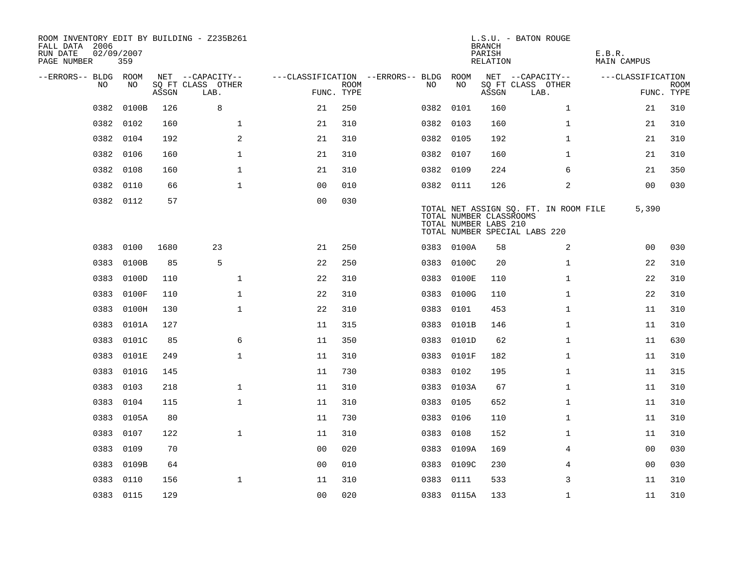| ROOM INVENTORY EDIT BY BUILDING - Z235B261<br>FALL DATA 2006<br>RUN DATE<br>PAGE NUMBER | 02/09/2007<br>359 |       |                           |                                   |             |           |            | <b>BRANCH</b><br>PARISH<br>RELATION              | L.S.U. - BATON ROUGE                                                   | E.B.R.<br>MAIN CAMPUS |                           |
|-----------------------------------------------------------------------------------------|-------------------|-------|---------------------------|-----------------------------------|-------------|-----------|------------|--------------------------------------------------|------------------------------------------------------------------------|-----------------------|---------------------------|
| --ERRORS-- BLDG ROOM                                                                    |                   |       | NET --CAPACITY--          | ---CLASSIFICATION --ERRORS-- BLDG |             |           | ROOM       |                                                  | NET --CAPACITY--                                                       | ---CLASSIFICATION     |                           |
| NO.                                                                                     | NO.               | ASSGN | SQ FT CLASS OTHER<br>LAB. | FUNC. TYPE                        | <b>ROOM</b> | NO.       | NO         | ASSGN                                            | SQ FT CLASS OTHER<br>LAB.                                              |                       | <b>ROOM</b><br>FUNC. TYPE |
| 0382                                                                                    | 0100B             | 126   | 8                         | 21                                | 250         | 0382 0101 |            | 160                                              | $\mathbf{1}$                                                           | 21                    | 310                       |
| 0382                                                                                    | 0102              | 160   | $\mathbf{1}$              | 21                                | 310         | 0382 0103 |            | 160                                              | $\mathbf{1}$                                                           | 21                    | 310                       |
| 0382                                                                                    | 0104              | 192   | 2                         | 21                                | 310         | 0382 0105 |            | 192                                              | $\mathbf{1}$                                                           | 21                    | 310                       |
| 0382                                                                                    | 0106              | 160   | 1                         | 21                                | 310         | 0382 0107 |            | 160                                              | $\mathbf{1}$                                                           | 21                    | 310                       |
| 0382                                                                                    | 0108              | 160   | $\mathbf{1}$              | 21                                | 310         | 0382 0109 |            | 224                                              | 6                                                                      | 21                    | 350                       |
| 0382                                                                                    | 0110              | 66    | $\mathbf{1}$              | 0 <sub>0</sub>                    | 010         | 0382 0111 |            | 126                                              | 2                                                                      | 0 <sub>0</sub>        | 030                       |
|                                                                                         | 0382 0112         | 57    |                           | 00                                | 030         |           |            | TOTAL NUMBER CLASSROOMS<br>TOTAL NUMBER LABS 210 | TOTAL NET ASSIGN SQ. FT. IN ROOM FILE<br>TOTAL NUMBER SPECIAL LABS 220 | 5,390                 |                           |
| 0383                                                                                    | 0100              | 1680  | 23                        | 21                                | 250         |           | 0383 0100A | 58                                               | 2                                                                      | 0 <sub>0</sub>        | 030                       |
| 0383                                                                                    | 0100B             | 85    | 5                         | 22                                | 250         |           | 0383 0100C | 20                                               | $\mathbf{1}$                                                           | 22                    | 310                       |
| 0383                                                                                    | 0100D             | 110   | $\mathbf 1$               | 22                                | 310         |           | 0383 0100E | 110                                              | $\mathbf{1}$                                                           | 22                    | 310                       |
| 0383                                                                                    | 0100F             | 110   | $\mathbf{1}$              | 22                                | 310         | 0383      | 0100G      | 110                                              | $\mathbf{1}$                                                           | 22                    | 310                       |
| 0383                                                                                    | 0100H             | 130   | $\mathbf 1$               | 22                                | 310         | 0383      | 0101       | 453                                              | $\mathbf{1}$                                                           | 11                    | 310                       |
| 0383                                                                                    | 0101A             | 127   |                           | 11                                | 315         | 0383      | 0101B      | 146                                              | $\mathbf{1}$                                                           | 11                    | 310                       |
| 0383                                                                                    | 0101C             | 85    | 6                         | 11                                | 350         |           | 0383 0101D | 62                                               | $\mathbf{1}$                                                           | 11                    | 630                       |
| 0383                                                                                    | 0101E             | 249   | $\mathbf 1$               | 11                                | 310         | 0383      | 0101F      | 182                                              | $\mathbf{1}$                                                           | 11                    | 310                       |
| 0383                                                                                    | 0101G             | 145   |                           | 11                                | 730         | 0383 0102 |            | 195                                              | $\mathbf{1}$                                                           | 11                    | 315                       |
| 0383                                                                                    | 0103              | 218   | $\mathbf{1}$              | 11                                | 310         | 0383      | 0103A      | 67                                               | $\mathbf{1}$                                                           | 11                    | 310                       |
| 0383                                                                                    | 0104              | 115   | $\mathbf{1}$              | 11                                | 310         | 0383      | 0105       | 652                                              | $\mathbf{1}$                                                           | 11                    | 310                       |
|                                                                                         | 0383 0105A        | 80    |                           | 11                                | 730         | 0383      | 0106       | 110                                              | $\mathbf{1}$                                                           | 11                    | 310                       |
| 0383                                                                                    | 0107              | 122   | $\mathbf{1}$              | 11                                | 310         | 0383      | 0108       | 152                                              | $\mathbf{1}$                                                           | 11                    | 310                       |
|                                                                                         | 0383 0109         | 70    |                           | 0 <sup>0</sup>                    | 020         |           | 0383 0109A | 169                                              | 4                                                                      | 00                    | 030                       |
| 0383                                                                                    | 0109B             | 64    |                           | 0 <sub>0</sub>                    | 010         |           | 0383 0109C | 230                                              | 4                                                                      | 0 <sub>0</sub>        | 030                       |
| 0383                                                                                    | 0110              | 156   | $\mathbf 1$               | 11                                | 310         | 0383      | 0111       | 533                                              | 3                                                                      | 11                    | 310                       |
|                                                                                         | 0383 0115         | 129   |                           | 00                                | 020         |           | 0383 0115A | 133                                              | $\mathbf{1}$                                                           | 11                    | 310                       |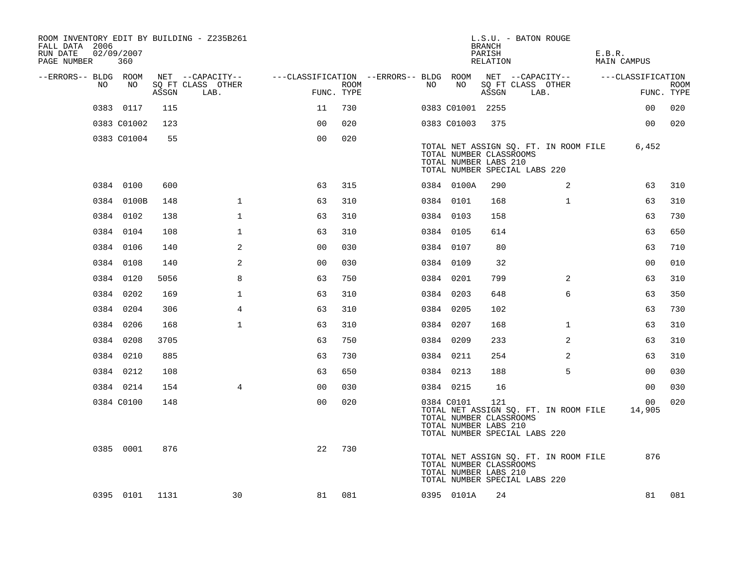| ROOM INVENTORY EDIT BY BUILDING - Z235B261<br>FALL DATA 2006<br>RUN DATE<br>PAGE NUMBER | 02/09/2007<br>360 |       |                           |                                        |      |    |                  | <b>BRANCH</b><br>PARISH<br>RELATION                     | L.S.U. - BATON ROUGE                                                   |              | E.B.R.<br>MAIN CAMPUS |                   |                           |
|-----------------------------------------------------------------------------------------|-------------------|-------|---------------------------|----------------------------------------|------|----|------------------|---------------------------------------------------------|------------------------------------------------------------------------|--------------|-----------------------|-------------------|---------------------------|
| --ERRORS-- BLDG ROOM                                                                    |                   |       | NET --CAPACITY--          | ---CLASSIFICATION --ERRORS-- BLDG ROOM |      |    |                  |                                                         | NET --CAPACITY--                                                       |              |                       | ---CLASSIFICATION |                           |
| NO                                                                                      | NO                | ASSGN | SQ FT CLASS OTHER<br>LAB. | FUNC. TYPE                             | ROOM | NO | NO               | ASSGN                                                   | SQ FT CLASS OTHER<br>LAB.                                              |              |                       |                   | <b>ROOM</b><br>FUNC. TYPE |
|                                                                                         | 0383 0117         | 115   |                           | 11                                     | 730  |    | 0383 C01001 2255 |                                                         |                                                                        |              |                       | 00                | 020                       |
|                                                                                         | 0383 C01002       | 123   |                           | 0 <sup>0</sup>                         | 020  |    | 0383 C01003      | 375                                                     |                                                                        |              |                       | 00                | 020                       |
|                                                                                         | 0383 C01004       | 55    |                           | 0 <sub>0</sub>                         | 020  |    |                  | TOTAL NUMBER CLASSROOMS<br>TOTAL NUMBER LABS 210        | TOTAL NET ASSIGN SQ. FT. IN ROOM FILE<br>TOTAL NUMBER SPECIAL LABS 220 |              |                       | 6,452             |                           |
|                                                                                         | 0384 0100         | 600   |                           | 63                                     | 315  |    | 0384 0100A       | 290                                                     |                                                                        | 2            |                       | 63                | 310                       |
|                                                                                         | 0384 0100B        | 148   | $\mathbf 1$               | 63                                     | 310  |    | 0384 0101        | 168                                                     |                                                                        | $\mathbf{1}$ |                       | 63                | 310                       |
|                                                                                         | 0384 0102         | 138   | $\mathbf 1$               | 63                                     | 310  |    | 0384 0103        | 158                                                     |                                                                        |              |                       | 63                | 730                       |
|                                                                                         | 0384 0104         | 108   | $\mathbf{1}$              | 63                                     | 310  |    | 0384 0105        | 614                                                     |                                                                        |              |                       | 63                | 650                       |
|                                                                                         | 0384 0106         | 140   | 2                         | 0 <sub>0</sub>                         | 030  |    | 0384 0107        | 80                                                      |                                                                        |              |                       | 63                | 710                       |
|                                                                                         | 0384 0108         | 140   | 2                         | 0 <sub>0</sub>                         | 030  |    | 0384 0109        | 32                                                      |                                                                        |              |                       | 0 <sub>0</sub>    | 010                       |
|                                                                                         | 0384 0120         | 5056  | 8                         | 63                                     | 750  |    | 0384 0201        | 799                                                     |                                                                        | 2            |                       | 63                | 310                       |
|                                                                                         | 0384 0202         | 169   | $\mathbf{1}$              | 63                                     | 310  |    | 0384 0203        | 648                                                     |                                                                        | 6            |                       | 63                | 350                       |
|                                                                                         | 0384 0204         | 306   | 4                         | 63                                     | 310  |    | 0384 0205        | 102                                                     |                                                                        |              |                       | 63                | 730                       |
|                                                                                         | 0384 0206         | 168   | $\mathbf{1}$              | 63                                     | 310  |    | 0384 0207        | 168                                                     |                                                                        | $\mathbf{1}$ |                       | 63                | 310                       |
|                                                                                         | 0384 0208         | 3705  |                           | 63                                     | 750  |    | 0384 0209        | 233                                                     |                                                                        | 2            |                       | 63                | 310                       |
|                                                                                         | 0384 0210         | 885   |                           | 63                                     | 730  |    | 0384 0211        | 254                                                     |                                                                        | 2            |                       | 63                | 310                       |
|                                                                                         | 0384 0212         | 108   |                           | 63                                     | 650  |    | 0384 0213        | 188                                                     |                                                                        | 5            |                       | 00                | 030                       |
|                                                                                         | 0384 0214         | 154   | $\overline{4}$            | 0 <sub>0</sub>                         | 030  |    | 0384 0215        | 16                                                      |                                                                        |              |                       | 0 <sub>0</sub>    | 030                       |
|                                                                                         | 0384 C0100        | 148   |                           | 0 <sub>0</sub>                         | 020  |    | 0384 C0101       | 121<br>TOTAL NUMBER CLASSROOMS<br>TOTAL NUMBER LABS 210 | TOTAL NET ASSIGN SQ. FT. IN ROOM FILE<br>TOTAL NUMBER SPECIAL LABS 220 |              |                       | 00<br>14,905      | 020                       |
|                                                                                         | 0385 0001         | 876   |                           | 22                                     | 730  |    |                  | TOTAL NUMBER CLASSROOMS<br>TOTAL NUMBER LABS 210        | TOTAL NET ASSIGN SQ. FT. IN ROOM FILE<br>TOTAL NUMBER SPECIAL LABS 220 |              |                       | 876               |                           |
|                                                                                         | 0395 0101 1131    |       | 30                        | 81                                     | 081  |    | 0395 0101A       | 24                                                      |                                                                        |              |                       | 81                | 081                       |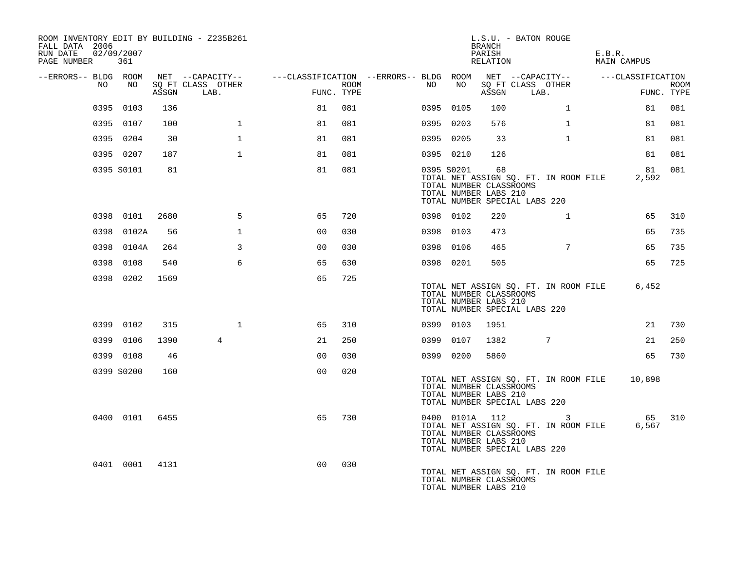| ROOM INVENTORY EDIT BY BUILDING - Z235B261<br>FALL DATA 2006<br>RUN DATE<br>PAGE NUMBER 361 | 02/09/2007 |       |                           |                                                         |      |      |            | BRANCH<br>PARISH<br>RELATION                           | L.S.U. - BATON ROUGE                                                                                     | E.B.R.<br>MAIN CAMPUS |                           |
|---------------------------------------------------------------------------------------------|------------|-------|---------------------------|---------------------------------------------------------|------|------|------------|--------------------------------------------------------|----------------------------------------------------------------------------------------------------------|-----------------------|---------------------------|
| --ERRORS-- BLDG ROOM                                                                        |            |       | NET --CAPACITY--          | ---CLASSIFICATION --ERRORS-- BLDG ROOM NET --CAPACITY-- |      |      |            |                                                        |                                                                                                          | ---CLASSIFICATION     |                           |
| NO                                                                                          | NO         | ASSGN | SO FT CLASS OTHER<br>LAB. | FUNC. TYPE                                              | ROOM | NO . | NO         | ASSGN                                                  | SQ FT CLASS OTHER<br>LAB.                                                                                |                       | <b>ROOM</b><br>FUNC. TYPE |
|                                                                                             | 0395 0103  | 136   |                           | 81                                                      | 081  |      | 0395 0105  | 100                                                    | $\mathbf{1}$                                                                                             | 81                    | 081                       |
|                                                                                             | 0395 0107  | 100   | $\mathbf{1}$              | 81                                                      | 081  |      | 0395 0203  | 576                                                    | $\mathbf{1}$                                                                                             | 81                    | 081                       |
|                                                                                             | 0395 0204  | 30    | $\mathbf{1}$              | 81                                                      | 081  |      | 0395 0205  | 33                                                     | $\mathbf{1}$                                                                                             | 81                    | 081                       |
|                                                                                             | 0395 0207  | 187   | $\mathbf{1}$              | 81                                                      | 081  |      | 0395 0210  | 126                                                    |                                                                                                          | 81                    | 081                       |
|                                                                                             | 0395 S0101 | 81    |                           | 81                                                      | 081  |      | 0395 S0201 | 68<br>TOTAL NUMBER CLASSROOMS<br>TOTAL NUMBER LABS 210 | TOTAL NET ASSIGN SQ. FT. IN ROOM FILE<br>TOTAL NUMBER SPECIAL LABS 220                                   | 81<br>2,592           | 081                       |
|                                                                                             | 0398 0101  | 2680  | 5                         | 65                                                      | 720  |      | 0398 0102  | 220                                                    | $\mathbf{1}$                                                                                             | 65                    | 310                       |
|                                                                                             | 0398 0102A | 56    | $\mathbf{1}$              | 0 <sub>0</sub>                                          | 030  |      | 0398 0103  | 473                                                    |                                                                                                          | 65                    | 735                       |
|                                                                                             | 0398 0104A | 264   | $\mathbf{3}$              | 0 <sub>0</sub>                                          | 030  |      | 0398 0106  | 465                                                    | $7\phantom{.0}$                                                                                          | 65                    | 735                       |
|                                                                                             | 0398 0108  | 540   | 6                         | 65                                                      | 630  |      | 0398 0201  | 505                                                    |                                                                                                          | 65                    | 725                       |
|                                                                                             | 0398 0202  | 1569  |                           | 65                                                      | 725  |      |            | TOTAL NUMBER CLASSROOMS<br>TOTAL NUMBER LABS 210       | TOTAL NET ASSIGN SQ. FT. IN ROOM FILE<br>TOTAL NUMBER SPECIAL LABS 220                                   | 6,452                 |                           |
|                                                                                             | 0399 0102  | 315   | $\mathbf{1}$              | 65                                                      | 310  |      | 0399 0103  | 1951                                                   |                                                                                                          | 21                    | 730                       |
|                                                                                             | 0399 0106  | 1390  | $\overline{4}$            | 21                                                      | 250  |      | 0399 0107  | 1382                                                   | 7                                                                                                        | 21                    | 250                       |
|                                                                                             | 0399 0108  | 46    |                           | 0 <sub>0</sub>                                          | 030  |      | 0399 0200  | 5860                                                   |                                                                                                          | 65                    | 730                       |
|                                                                                             | 0399 S0200 | 160   |                           | 0 <sub>0</sub>                                          | 020  |      |            | TOTAL NUMBER CLASSROOMS<br>TOTAL NUMBER LABS 210       | TOTAL NET ASSIGN SQ. FT. IN ROOM FILE 10,898<br>TOTAL NUMBER SPECIAL LABS 220                            |                       |                           |
|                                                                                             | 0400 0101  | 6455  |                           | 65                                                      | 730  |      |            | TOTAL NUMBER CLASSROOMS<br>TOTAL NUMBER LABS 210       | 0400 0101A 112<br>$\mathbf{3}$<br>TOTAL NET ASSIGN SQ. FT. IN ROOM FILE<br>TOTAL NUMBER SPECIAL LABS 220 | 65<br>6,567           | 310                       |
|                                                                                             | 0401 0001  | 4131  |                           | 0 <sub>0</sub>                                          | 030  |      |            | TOTAL NUMBER CLASSROOMS<br>TOTAL NUMBER LABS 210       | TOTAL NET ASSIGN SQ. FT. IN ROOM FILE                                                                    |                       |                           |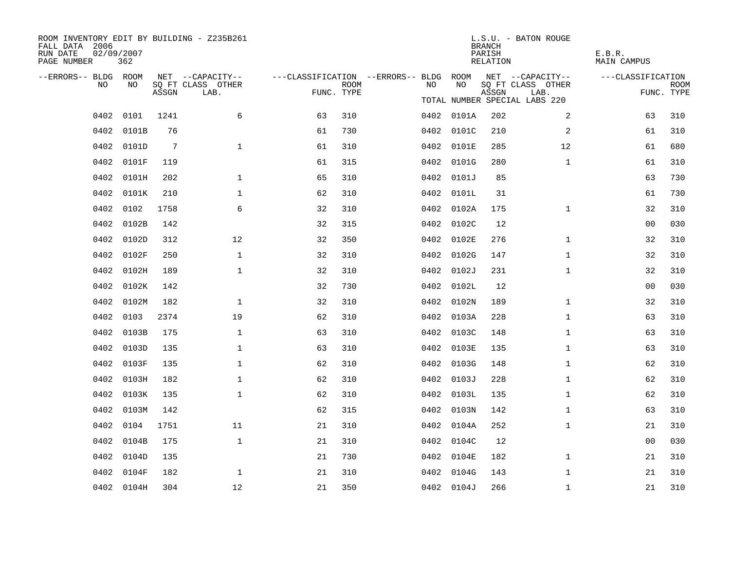| ROOM INVENTORY EDIT BY BUILDING - Z235B261<br>FALL DATA 2006<br>RUN DATE<br>PAGE NUMBER | 02/09/2007<br>362 |                 |                           |            |             |                                                         |            | <b>BRANCH</b><br>PARISH<br>RELATION | L.S.U. - BATON ROUGE          | E.B.R.<br><b>MAIN CAMPUS</b> |                    |
|-----------------------------------------------------------------------------------------|-------------------|-----------------|---------------------------|------------|-------------|---------------------------------------------------------|------------|-------------------------------------|-------------------------------|------------------------------|--------------------|
| --ERRORS-- BLDG ROOM                                                                    |                   |                 | NET --CAPACITY--          |            |             | ---CLASSIFICATION --ERRORS-- BLDG ROOM NET --CAPACITY-- |            |                                     |                               | ---CLASSIFICATION            |                    |
| NO.                                                                                     | NO.               | ASSGN           | SQ FT CLASS OTHER<br>LAB. | FUNC. TYPE | <b>ROOM</b> | NO                                                      | NO         | ASSGN                               | SQ FT CLASS OTHER<br>LAB.     |                              | ROOM<br>FUNC. TYPE |
|                                                                                         |                   |                 |                           |            |             |                                                         |            |                                     | TOTAL NUMBER SPECIAL LABS 220 |                              |                    |
|                                                                                         | 0402 0101         | 1241            | 6                         | 63         | 310         |                                                         | 0402 0101A | 202                                 | 2                             | 63                           | 310                |
|                                                                                         | 0402 0101B        | 76              |                           | 61         | 730         |                                                         | 0402 0101C | 210                                 | 2                             | 61                           | 310                |
|                                                                                         | 0402 0101D        | $7\phantom{.0}$ | $\mathbf{1}$              | 61         | 310         |                                                         | 0402 0101E | 285                                 | 12                            | 61                           | 680                |
|                                                                                         | 0402 0101F        | 119             |                           | 61         | 315         |                                                         | 0402 0101G | 280                                 | $\mathbf{1}$                  | 61                           | 310                |
| 0402                                                                                    | 0101H             | 202             | $\mathbf{1}$              | 65         | 310         |                                                         | 0402 0101J | 85                                  |                               | 63                           | 730                |
| 0402                                                                                    | 0101K             | 210             | $\mathbf{1}$              | 62         | 310         |                                                         | 0402 0101L | 31                                  |                               | 61                           | 730                |
| 0402                                                                                    | 0102              | 1758            | 6                         | 32         | 310         |                                                         | 0402 0102A | 175                                 | $\mathbf{1}$                  | 32                           | 310                |
| 0402                                                                                    | 0102B             | 142             |                           | 32         | 315         |                                                         | 0402 0102C | 12                                  |                               | 0 <sub>0</sub>               | 030                |
| 0402                                                                                    | 0102D             | 312             | 12                        | 32         | 350         |                                                         | 0402 0102E | 276                                 | $\mathbf{1}$                  | 32                           | 310                |
| 0402                                                                                    | 0102F             | 250             | $\mathbf 1$               | 32         | 310         |                                                         | 0402 0102G | 147                                 | $\mathbf{1}$                  | 32                           | 310                |
| 0402                                                                                    | 0102H             | 189             | $\mathbf 1$               | 32         | 310         |                                                         | 0402 0102J | 231                                 | $\mathbf{1}$                  | 32                           | 310                |
| 0402                                                                                    | 0102K             | 142             |                           | 32         | 730         |                                                         | 0402 0102L | 12                                  |                               | 00                           | 030                |
| 0402                                                                                    | 0102M             | 182             | $\mathbf{1}$              | 32         | 310         |                                                         | 0402 0102N | 189                                 | $\mathbf{1}$                  | 32                           | 310                |
| 0402                                                                                    | 0103              | 2374            | 19                        | 62         | 310         |                                                         | 0402 0103A | 228                                 | $\mathbf{1}$                  | 63                           | 310                |
| 0402                                                                                    | 0103B             | 175             | $\mathbf{1}$              | 63         | 310         | 0402                                                    | 0103C      | 148                                 | $\mathbf{1}$                  | 63                           | 310                |
| 0402                                                                                    | 0103D             | 135             | $\mathbf 1$               | 63         | 310         |                                                         | 0402 0103E | 135                                 | $\mathbf{1}$                  | 63                           | 310                |
| 0402                                                                                    | 0103F             | 135             | $\mathbf{1}$              | 62         | 310         |                                                         | 0402 0103G | 148                                 | $\mathbf{1}$                  | 62                           | 310                |
| 0402                                                                                    | 0103H             | 182             | $\mathbf 1$               | 62         | 310         |                                                         | 0402 0103J | 228                                 | $\mathbf{1}$                  | 62                           | 310                |
| 0402                                                                                    | 0103K             | 135             | $\mathbf{1}$              | 62         | 310         |                                                         | 0402 0103L | 135                                 | $\mathbf{1}$                  | 62                           | 310                |
| 0402                                                                                    | 0103M             | 142             |                           | 62         | 315         |                                                         | 0402 0103N | 142                                 | $\mathbf{1}$                  | 63                           | 310                |
| 0402                                                                                    | 0104              | 1751            | 11                        | 21         | 310         |                                                         | 0402 0104A | 252                                 | $\mathbf{1}$                  | 21                           | 310                |
| 0402                                                                                    | 0104B             | 175             | $\mathbf{1}$              | 21         | 310         |                                                         | 0402 0104C | 12                                  |                               | 0 <sub>0</sub>               | 030                |
| 0402                                                                                    | 0104D             | 135             |                           | 21         | 730         | 0402                                                    | 0104E      | 182                                 | $\mathbf{1}$                  | 21                           | 310                |
| 0402                                                                                    | 0104F             | 182             | $\mathbf{1}$              | 21         | 310         |                                                         | 0402 0104G | 143                                 | $\mathbf{1}$                  | 21                           | 310                |
|                                                                                         | 0402 0104H        | 304             | 12                        | 21         | 350         |                                                         | 0402 0104J | 266                                 | $\mathbf{1}$                  | 21                           | 310                |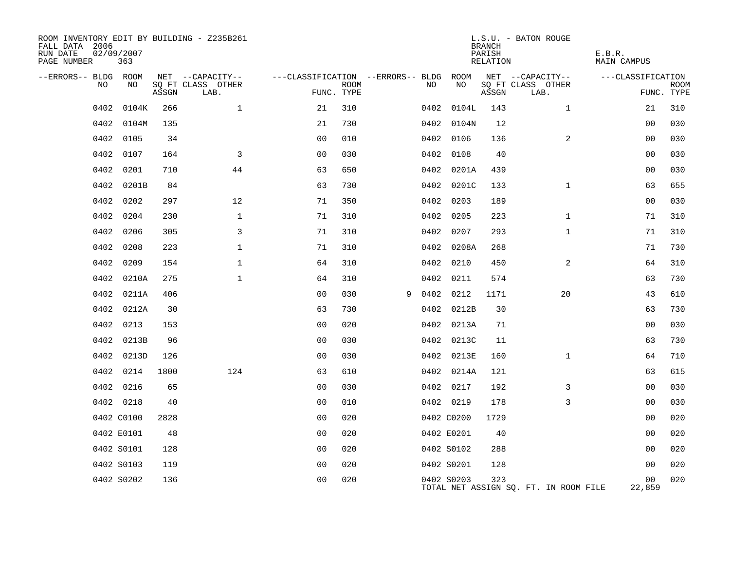| ROOM INVENTORY EDIT BY BUILDING - Z235B261<br>FALL DATA 2006<br>RUN DATE<br>PAGE NUMBER | 02/09/2007<br>363 |       |                           |                |             |                                        |            | <b>BRANCH</b><br>PARISH<br>RELATION | L.S.U. - BATON ROUGE                  | E.B.R.<br><b>MAIN CAMPUS</b> |                           |
|-----------------------------------------------------------------------------------------|-------------------|-------|---------------------------|----------------|-------------|----------------------------------------|------------|-------------------------------------|---------------------------------------|------------------------------|---------------------------|
| --ERRORS-- BLDG ROOM                                                                    |                   |       | NET --CAPACITY--          |                |             | ---CLASSIFICATION --ERRORS-- BLDG ROOM |            |                                     | NET --CAPACITY--                      | ---CLASSIFICATION            |                           |
| NO                                                                                      | NO                | ASSGN | SQ FT CLASS OTHER<br>LAB. | FUNC. TYPE     | <b>ROOM</b> | NO                                     | NO         | ASSGN                               | SQ FT CLASS OTHER<br>LAB.             |                              | <b>ROOM</b><br>FUNC. TYPE |
| 0402                                                                                    | 0104K             | 266   | $\mathbf{1}$              | 21             | 310         |                                        | 0402 0104L | 143                                 | $\mathbf{1}$                          | 21                           | 310                       |
| 0402                                                                                    | 0104M             | 135   |                           | 21             | 730         |                                        | 0402 0104N | 12                                  |                                       | 00                           | 030                       |
| 0402                                                                                    | 0105              | 34    |                           | 0 <sub>0</sub> | 010         |                                        | 0402 0106  | 136                                 | 2                                     | 0 <sub>0</sub>               | 030                       |
| 0402                                                                                    | 0107              | 164   | 3                         | 00             | 030         |                                        | 0402 0108  | 40                                  |                                       | 0 <sub>0</sub>               | 030                       |
| 0402                                                                                    | 0201              | 710   | 44                        | 63             | 650         |                                        | 0402 0201A | 439                                 |                                       | 0 <sub>0</sub>               | 030                       |
| 0402                                                                                    | 0201B             | 84    |                           | 63             | 730         |                                        | 0402 0201C | 133                                 | $\mathbf{1}$                          | 63                           | 655                       |
| 0402                                                                                    | 0202              | 297   | 12                        | 71             | 350         |                                        | 0402 0203  | 189                                 |                                       | 00                           | 030                       |
| 0402                                                                                    | 0204              | 230   | $\mathbf 1$               | 71             | 310         |                                        | 0402 0205  | 223                                 | $\mathbf{1}$                          | 71                           | 310                       |
| 0402                                                                                    | 0206              | 305   | 3                         | 71             | 310         |                                        | 0402 0207  | 293                                 | $\mathbf{1}$                          | 71                           | 310                       |
| 0402                                                                                    | 0208              | 223   | $\mathbf 1$               | 71             | 310         |                                        | 0402 0208A | 268                                 |                                       | 71                           | 730                       |
| 0402                                                                                    | 0209              | 154   | $\mathbf 1$               | 64             | 310         |                                        | 0402 0210  | 450                                 | 2                                     | 64                           | 310                       |
| 0402                                                                                    | 0210A             | 275   | $\mathbf{1}$              | 64             | 310         |                                        | 0402 0211  | 574                                 |                                       | 63                           | 730                       |
| 0402                                                                                    | 0211A             | 406   |                           | 0 <sub>0</sub> | 030         | 9                                      | 0402 0212  | 1171                                | 20                                    | 43                           | 610                       |
| 0402                                                                                    | 0212A             | 30    |                           | 63             | 730         |                                        | 0402 0212B | 30                                  |                                       | 63                           | 730                       |
| 0402                                                                                    | 0213              | 153   |                           | 0 <sub>0</sub> | 020         |                                        | 0402 0213A | 71                                  |                                       | 0 <sub>0</sub>               | 030                       |
| 0402                                                                                    | 0213B             | 96    |                           | 0 <sub>0</sub> | 030         |                                        | 0402 0213C | 11                                  |                                       | 63                           | 730                       |
| 0402                                                                                    | 0213D             | 126   |                           | 0 <sub>0</sub> | 030         |                                        | 0402 0213E | 160                                 | $\mathbf{1}$                          | 64                           | 710                       |
|                                                                                         | 0402 0214         | 1800  | 124                       | 63             | 610         |                                        | 0402 0214A | 121                                 |                                       | 63                           | 615                       |
|                                                                                         | 0402 0216         | 65    |                           | 0 <sub>0</sub> | 030         |                                        | 0402 0217  | 192                                 | 3                                     | 0 <sub>0</sub>               | 030                       |
|                                                                                         | 0402 0218         | 40    |                           | 0 <sub>0</sub> | 010         |                                        | 0402 0219  | 178                                 | 3                                     | 00                           | 030                       |
|                                                                                         | 0402 C0100        | 2828  |                           | 0 <sub>0</sub> | 020         |                                        | 0402 C0200 | 1729                                |                                       | 0 <sub>0</sub>               | 020                       |
|                                                                                         | 0402 E0101        | 48    |                           | 0 <sub>0</sub> | 020         |                                        | 0402 E0201 | 40                                  |                                       | 0 <sub>0</sub>               | 020                       |
|                                                                                         | 0402 S0101        | 128   |                           | 0 <sub>0</sub> | 020         |                                        | 0402 S0102 | 288                                 |                                       | 0 <sub>0</sub>               | 020                       |
|                                                                                         | 0402 S0103        | 119   |                           | 0 <sub>0</sub> | 020         |                                        | 0402 S0201 | 128                                 |                                       | 00                           | 020                       |
|                                                                                         | 0402 S0202        | 136   |                           | 0 <sub>0</sub> | 020         |                                        | 0402 S0203 | 323                                 | TOTAL NET ASSIGN SQ. FT. IN ROOM FILE | 00<br>22,859                 | 020                       |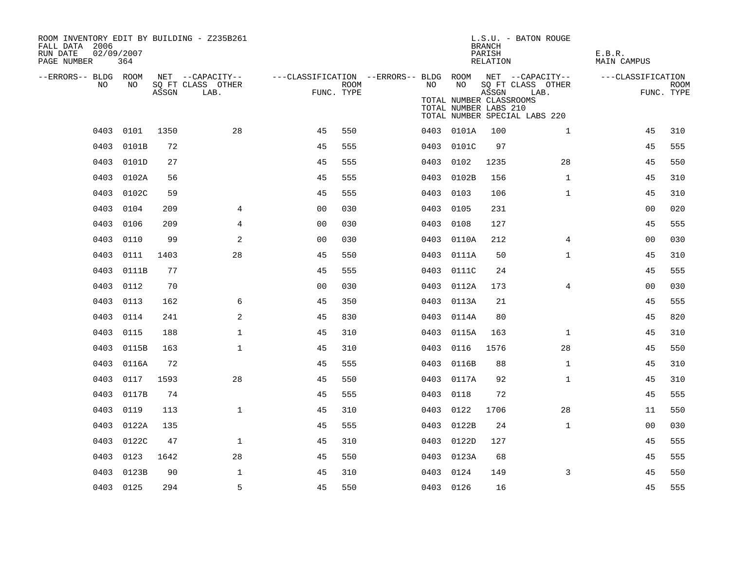| ROOM INVENTORY EDIT BY BUILDING - Z235B261<br>FALL DATA 2006<br>RUN DATE<br>PAGE NUMBER | 02/09/2007<br>364 |       |                                               |                                                                       |      |      |                                                        | <b>BRANCH</b><br>PARISH<br>RELATION | L.S.U. - BATON ROUGE                                       | E.B.R.<br>MAIN CAMPUS |                           |
|-----------------------------------------------------------------------------------------|-------------------|-------|-----------------------------------------------|-----------------------------------------------------------------------|------|------|--------------------------------------------------------|-------------------------------------|------------------------------------------------------------|-----------------------|---------------------------|
| --ERRORS-- BLDG ROOM<br>NO.                                                             | NO.               | ASSGN | NET --CAPACITY--<br>SQ FT CLASS OTHER<br>LAB. | ---CLASSIFICATION --ERRORS-- BLDG ROOM NET --CAPACITY--<br>FUNC. TYPE | ROOM | NO   | NO<br>TOTAL NUMBER CLASSROOMS<br>TOTAL NUMBER LABS 210 | ASSGN                               | SQ FT CLASS OTHER<br>LAB.<br>TOTAL NUMBER SPECIAL LABS 220 | ---CLASSIFICATION     | <b>ROOM</b><br>FUNC. TYPE |
|                                                                                         | 0403 0101         | 1350  | 28                                            | 45                                                                    | 550  |      | 0403 0101A                                             | 100                                 | $\mathbf{1}$                                               | 45                    | 310                       |
| 0403                                                                                    | 0101B             | 72    |                                               | 45                                                                    | 555  |      | 0403 0101C                                             | 97                                  |                                                            | 45                    | 555                       |
|                                                                                         | 0403 0101D        | 27    |                                               | 45                                                                    | 555  |      | 0403 0102                                              | 1235                                | 28                                                         | 45                    | 550                       |
| 0403                                                                                    | 0102A             | 56    |                                               | 45                                                                    | 555  | 0403 | 0102B                                                  | 156                                 | $\mathbf{1}$                                               | 45                    | 310                       |
|                                                                                         | 0403 0102C        | 59    |                                               | 45                                                                    | 555  |      | 0403 0103                                              | 106                                 | $\mathbf{1}$                                               | 45                    | 310                       |
| 0403                                                                                    | 0104              | 209   | 4                                             | 0 <sub>0</sub>                                                        | 030  | 0403 | 0105                                                   | 231                                 |                                                            | 00                    | 020                       |
| 0403                                                                                    | 0106              | 209   | 4                                             | 0 <sub>0</sub>                                                        | 030  |      | 0403 0108                                              | 127                                 |                                                            | 45                    | 555                       |
| 0403                                                                                    | 0110              | 99    | 2                                             | 0 <sub>0</sub>                                                        | 030  |      | 0403 0110A                                             | 212                                 | 4                                                          | 00                    | 030                       |
| 0403                                                                                    | 0111              | 1403  | 28                                            | 45                                                                    | 550  |      | 0403 0111A                                             | 50                                  | $\mathbf{1}$                                               | 45                    | 310                       |
| 0403                                                                                    | 0111B             | 77    |                                               | 45                                                                    | 555  |      | 0403 0111C                                             | 24                                  |                                                            | 45                    | 555                       |
|                                                                                         | 0403 0112         | 70    |                                               | 0 <sub>0</sub>                                                        | 030  |      | 0403 0112A                                             | 173                                 | 4                                                          | 0 <sub>0</sub>        | 030                       |
| 0403                                                                                    | 0113              | 162   | 6                                             | 45                                                                    | 350  |      | 0403 0113A                                             | 21                                  |                                                            | 45                    | 555                       |
|                                                                                         | 0403 0114         | 241   | 2                                             | 45                                                                    | 830  |      | 0403 0114A                                             | 80                                  |                                                            | 45                    | 820                       |
| 0403                                                                                    | 0115              | 188   | $\mathbf{1}$                                  | 45                                                                    | 310  |      | 0403 0115A                                             | 163                                 | $\mathbf{1}$                                               | 45                    | 310                       |
| 0403                                                                                    | 0115B             | 163   | $\mathbf{1}$                                  | 45                                                                    | 310  |      | 0403 0116                                              | 1576                                | 28                                                         | 45                    | 550                       |
| 0403                                                                                    | 0116A             | 72    |                                               | 45                                                                    | 555  | 0403 | 0116B                                                  | 88                                  | $\mathbf{1}$                                               | 45                    | 310                       |
| 0403                                                                                    | 0117              | 1593  | 28                                            | 45                                                                    | 550  |      | 0403 0117A                                             | 92                                  | $\mathbf{1}$                                               | 45                    | 310                       |
| 0403                                                                                    | 0117B             | 74    |                                               | 45                                                                    | 555  | 0403 | 0118                                                   | 72                                  |                                                            | 45                    | 555                       |
| 0403                                                                                    | 0119              | 113   | $\mathbf{1}$                                  | 45                                                                    | 310  |      | 0403 0122                                              | 1706                                | 28                                                         | 11                    | 550                       |
| 0403                                                                                    | 0122A             | 135   |                                               | 45                                                                    | 555  | 0403 | 0122B                                                  | 24                                  | $\mathbf{1}$                                               | 0 <sub>0</sub>        | 030                       |
| 0403                                                                                    | 0122C             | 47    | $\mathbf{1}$                                  | 45                                                                    | 310  |      | 0403 0122D                                             | 127                                 |                                                            | 45                    | 555                       |
| 0403                                                                                    | 0123              | 1642  | 28                                            | 45                                                                    | 550  |      | 0403 0123A                                             | 68                                  |                                                            | 45                    | 555                       |
| 0403                                                                                    | 0123B             | 90    | $\mathbf 1$                                   | 45                                                                    | 310  |      | 0403 0124                                              | 149                                 | 3                                                          | 45                    | 550                       |
|                                                                                         | 0403 0125         | 294   | 5                                             | 45                                                                    | 550  |      | 0403 0126                                              | 16                                  |                                                            | 45                    | 555                       |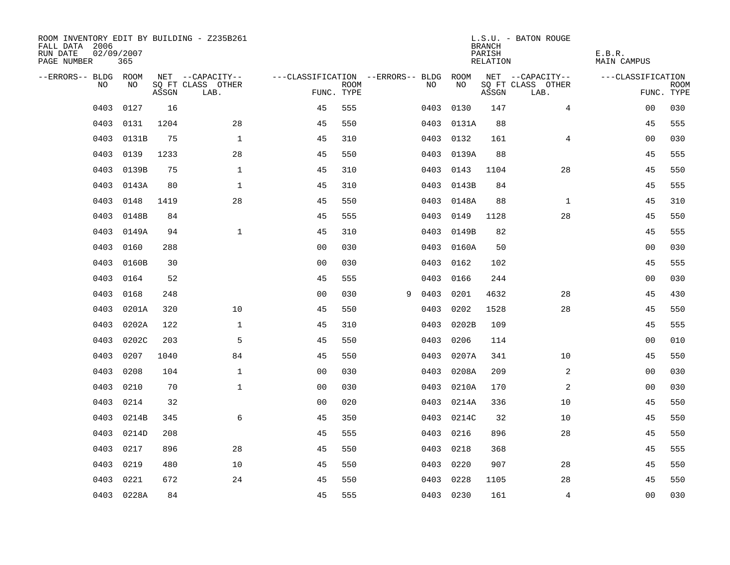| ROOM INVENTORY EDIT BY BUILDING - Z235B261<br>FALL DATA 2006<br>RUN DATE<br>PAGE NUMBER | 02/09/2007<br>365 |       |                           |                                        |             |   |      |            | <b>BRANCH</b><br>PARISH<br>RELATION | L.S.U. - BATON ROUGE      | E.B.R.<br>MAIN CAMPUS |                           |
|-----------------------------------------------------------------------------------------|-------------------|-------|---------------------------|----------------------------------------|-------------|---|------|------------|-------------------------------------|---------------------------|-----------------------|---------------------------|
| --ERRORS-- BLDG ROOM                                                                    |                   |       | NET --CAPACITY--          | ---CLASSIFICATION --ERRORS-- BLDG ROOM |             |   |      |            |                                     | NET --CAPACITY--          | ---CLASSIFICATION     |                           |
| NO.                                                                                     | NO.               | ASSGN | SO FT CLASS OTHER<br>LAB. | FUNC. TYPE                             | <b>ROOM</b> |   | NO.  | NO         | ASSGN                               | SQ FT CLASS OTHER<br>LAB. |                       | <b>ROOM</b><br>FUNC. TYPE |
| 0403                                                                                    | 0127              | 16    |                           | 45                                     | 555         |   | 0403 | 0130       | 147                                 | $\overline{4}$            | 0 <sub>0</sub>        | 030                       |
| 0403                                                                                    | 0131              | 1204  | 28                        | 45                                     | 550         |   |      | 0403 0131A | 88                                  |                           | 45                    | 555                       |
| 0403                                                                                    | 0131B             | 75    | $\mathbf 1$               | 45                                     | 310         |   | 0403 | 0132       | 161                                 | 4                         | 0 <sub>0</sub>        | 030                       |
| 0403                                                                                    | 0139              | 1233  | 28                        | 45                                     | 550         |   |      | 0403 0139A | 88                                  |                           | 45                    | 555                       |
| 0403                                                                                    | 0139B             | 75    | $\mathbf{1}$              | 45                                     | 310         |   | 0403 | 0143       | 1104                                | 28                        | 45                    | 550                       |
| 0403                                                                                    | 0143A             | 80    | $\mathbf{1}$              | 45                                     | 310         |   |      | 0403 0143B | 84                                  |                           | 45                    | 555                       |
| 0403                                                                                    | 0148              | 1419  | 28                        | 45                                     | 550         |   | 0403 | 0148A      | 88                                  | $\mathbf{1}$              | 45                    | 310                       |
| 0403                                                                                    | 0148B             | 84    |                           | 45                                     | 555         |   | 0403 | 0149       | 1128                                | 28                        | 45                    | 550                       |
| 0403                                                                                    | 0149A             | 94    | $\mathbf{1}$              | 45                                     | 310         |   | 0403 | 0149B      | 82                                  |                           | 45                    | 555                       |
| 0403                                                                                    | 0160              | 288   |                           | 0 <sub>0</sub>                         | 030         |   |      | 0403 0160A | 50                                  |                           | 0 <sub>0</sub>        | 030                       |
| 0403                                                                                    | 0160B             | 30    |                           | 0 <sub>0</sub>                         | 030         |   | 0403 | 0162       | 102                                 |                           | 45                    | 555                       |
| 0403                                                                                    | 0164              | 52    |                           | 45                                     | 555         |   | 0403 | 0166       | 244                                 |                           | 00                    | 030                       |
| 0403                                                                                    | 0168              | 248   |                           | 0 <sub>0</sub>                         | 030         | 9 | 0403 | 0201       | 4632                                | 28                        | 45                    | 430                       |
| 0403                                                                                    | 0201A             | 320   | 10                        | 45                                     | 550         |   | 0403 | 0202       | 1528                                | 28                        | 45                    | 550                       |
| 0403                                                                                    | 0202A             | 122   | $\mathbf 1$               | 45                                     | 310         |   | 0403 | 0202B      | 109                                 |                           | 45                    | 555                       |
| 0403                                                                                    | 0202C             | 203   | 5                         | 45                                     | 550         |   | 0403 | 0206       | 114                                 |                           | 0 <sub>0</sub>        | 010                       |
| 0403                                                                                    | 0207              | 1040  | 84                        | 45                                     | 550         |   | 0403 | 0207A      | 341                                 | 10                        | 45                    | 550                       |
| 0403                                                                                    | 0208              | 104   | $\mathbf 1$               | 0 <sub>0</sub>                         | 030         |   | 0403 | 0208A      | 209                                 | 2                         | 00                    | 030                       |
| 0403                                                                                    | 0210              | 70    | $\mathbf{1}$              | 0 <sub>0</sub>                         | 030         |   | 0403 | 0210A      | 170                                 | 2                         | 00                    | 030                       |
| 0403                                                                                    | 0214              | 32    |                           | 0 <sub>0</sub>                         | 020         |   |      | 0403 0214A | 336                                 | 10                        | 45                    | 550                       |
| 0403                                                                                    | 0214B             | 345   | 6                         | 45                                     | 350         |   |      | 0403 0214C | 32                                  | 10                        | 45                    | 550                       |
| 0403                                                                                    | 0214D             | 208   |                           | 45                                     | 555         |   | 0403 | 0216       | 896                                 | 28                        | 45                    | 550                       |
| 0403                                                                                    | 0217              | 896   | 28                        | 45                                     | 550         |   | 0403 | 0218       | 368                                 |                           | 45                    | 555                       |
| 0403                                                                                    | 0219              | 480   | 10                        | 45                                     | 550         |   | 0403 | 0220       | 907                                 | 28                        | 45                    | 550                       |
| 0403                                                                                    | 0221              | 672   | 24                        | 45                                     | 550         |   | 0403 | 0228       | 1105                                | 28                        | 45                    | 550                       |
|                                                                                         | 0403 0228A        | 84    |                           | 45                                     | 555         |   |      | 0403 0230  | 161                                 | $\overline{4}$            | 0 <sub>0</sub>        | 030                       |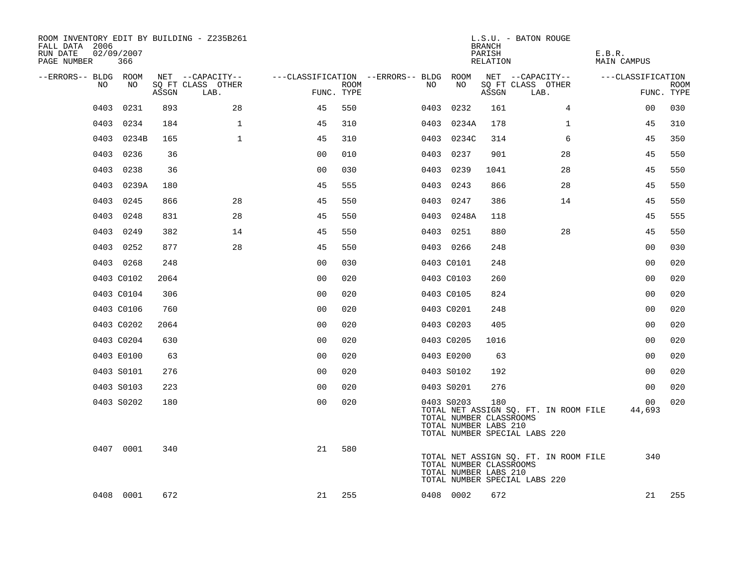| ROOM INVENTORY EDIT BY BUILDING - Z235B261<br>FALL DATA 2006<br>RUN DATE<br>PAGE NUMBER | 02/09/2007<br>366 |       |                           |                                        |      |    |      |                                                                | <b>BRANCH</b><br>PARISH<br>RELATION | L.S.U. - BATON ROUGE                                                   | E.B.R.<br>MAIN CAMPUS     |                           |
|-----------------------------------------------------------------------------------------|-------------------|-------|---------------------------|----------------------------------------|------|----|------|----------------------------------------------------------------|-------------------------------------|------------------------------------------------------------------------|---------------------------|---------------------------|
| --ERRORS-- BLDG ROOM                                                                    |                   |       | NET --CAPACITY--          | ---CLASSIFICATION --ERRORS-- BLDG ROOM |      |    |      |                                                                |                                     | NET --CAPACITY--                                                       | ---CLASSIFICATION         |                           |
| NO                                                                                      | NO                | ASSGN | SQ FT CLASS OTHER<br>LAB. | FUNC. TYPE                             | ROOM | NO |      | NO                                                             | ASSGN                               | SQ FT CLASS OTHER<br>LAB.                                              |                           | <b>ROOM</b><br>FUNC. TYPE |
| 0403                                                                                    | 0231              | 893   | 28                        | 45                                     | 550  |    | 0403 | 0232                                                           | 161                                 | $\overline{4}$                                                         | 00                        | 030                       |
|                                                                                         | 0403 0234         | 184   | $\mathbf{1}$              | 45                                     | 310  |    |      | 0403 0234A                                                     | 178                                 | $\mathbf{1}$                                                           | 45                        | 310                       |
|                                                                                         | 0403 0234B        | 165   | $\mathbf 1$               | 45                                     | 310  |    |      | 0403 0234C                                                     | 314                                 | 6                                                                      | 45                        | 350                       |
|                                                                                         | 0403 0236         | 36    |                           | 0 <sub>0</sub>                         | 010  |    | 0403 | 0237                                                           | 901                                 | 28                                                                     | 45                        | 550                       |
| 0403                                                                                    | 0238              | 36    |                           | 0 <sub>0</sub>                         | 030  |    | 0403 | 0239                                                           | 1041                                | 28                                                                     | 45                        | 550                       |
|                                                                                         | 0403 0239A        | 180   |                           | 45                                     | 555  |    |      | 0403 0243                                                      | 866                                 | 28                                                                     | 45                        | 550                       |
|                                                                                         | 0403 0245         | 866   | 28                        | 45                                     | 550  |    |      | 0403 0247                                                      | 386                                 | 14                                                                     | 45                        | 550                       |
|                                                                                         | 0403 0248         | 831   | 28                        | 45                                     | 550  |    |      | 0403 0248A                                                     | 118                                 |                                                                        | 45                        | 555                       |
|                                                                                         | 0403 0249         | 382   | 14                        | 45                                     | 550  |    |      | 0403 0251                                                      | 880                                 | 28                                                                     | 45                        | 550                       |
|                                                                                         | 0403 0252         | 877   | 28                        | 45                                     | 550  |    |      | 0403 0266                                                      | 248                                 |                                                                        | 00                        | 030                       |
|                                                                                         | 0403 0268         | 248   |                           | 0 <sub>0</sub>                         | 030  |    |      | 0403 C0101                                                     | 248                                 |                                                                        | 0 <sub>0</sub>            | 020                       |
|                                                                                         | 0403 C0102        | 2064  |                           | 0 <sub>0</sub>                         | 020  |    |      | 0403 C0103                                                     | 260                                 |                                                                        | 0 <sub>0</sub>            | 020                       |
|                                                                                         | 0403 C0104        | 306   |                           | 0 <sub>0</sub>                         | 020  |    |      | 0403 C0105                                                     | 824                                 |                                                                        | 0 <sub>0</sub>            | 020                       |
|                                                                                         | 0403 C0106        | 760   |                           | 0 <sub>0</sub>                         | 020  |    |      | 0403 C0201                                                     | 248                                 |                                                                        | 00                        | 020                       |
|                                                                                         | 0403 C0202        | 2064  |                           | 0 <sup>0</sup>                         | 020  |    |      | 0403 C0203                                                     | 405                                 |                                                                        | 0 <sub>0</sub>            | 020                       |
|                                                                                         | 0403 C0204        | 630   |                           | 0 <sub>0</sub>                         | 020  |    |      | 0403 C0205                                                     | 1016                                |                                                                        | 0 <sub>0</sub>            | 020                       |
|                                                                                         | 0403 E0100        | 63    |                           | 0 <sub>0</sub>                         | 020  |    |      | 0403 E0200                                                     | 63                                  |                                                                        | 0 <sub>0</sub>            | 020                       |
|                                                                                         | 0403 S0101        | 276   |                           | 0 <sub>0</sub>                         | 020  |    |      | 0403 S0102                                                     | 192                                 |                                                                        | 0 <sub>0</sub>            | 020                       |
|                                                                                         | 0403 S0103        | 223   |                           | 0 <sub>0</sub>                         | 020  |    |      | 0403 S0201                                                     | 276                                 |                                                                        | 0 <sub>0</sub>            | 020                       |
|                                                                                         | 0403 S0202        | 180   |                           | 0 <sub>0</sub>                         | 020  |    |      | 0403 S0203<br>TOTAL NUMBER CLASSROOMS<br>TOTAL NUMBER LABS 210 | 180                                 | TOTAL NET ASSIGN SQ. FT. IN ROOM FILE<br>TOTAL NUMBER SPECIAL LABS 220 | 00 <sub>o</sub><br>44,693 | 020                       |
|                                                                                         | 0407 0001         | 340   |                           | 21                                     | 580  |    |      | TOTAL NUMBER CLASSROOMS<br>TOTAL NUMBER LABS 210               |                                     | TOTAL NET ASSIGN SQ. FT. IN ROOM FILE<br>TOTAL NUMBER SPECIAL LABS 220 | 340                       |                           |
|                                                                                         | 0408 0001         | 672   |                           | 21                                     | 255  |    |      | 0408 0002                                                      | 672                                 |                                                                        | 21                        | 255                       |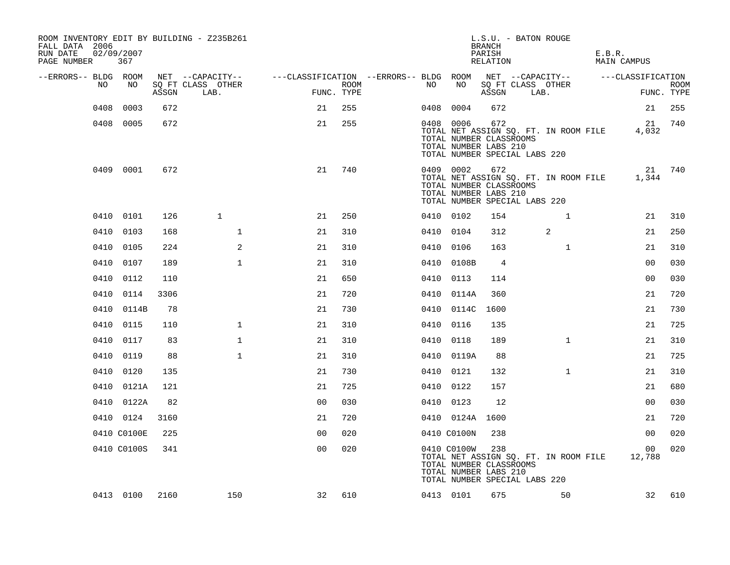| ROOM INVENTORY EDIT BY BUILDING - Z235B261<br>FALL DATA 2006<br>RUN DATE<br>PAGE NUMBER | 02/09/2007<br>367 |       |                           |                                                         |      |           |                                                                 | <b>BRANCH</b><br>PARISH<br>RELATION | L.S.U. - BATON ROUGE          |                                       | E.B.R. | MAIN CAMPUS       |             |
|-----------------------------------------------------------------------------------------|-------------------|-------|---------------------------|---------------------------------------------------------|------|-----------|-----------------------------------------------------------------|-------------------------------------|-------------------------------|---------------------------------------|--------|-------------------|-------------|
| --ERRORS-- BLDG ROOM                                                                    |                   |       | NET --CAPACITY--          | ---CLASSIFICATION --ERRORS-- BLDG ROOM NET --CAPACITY-- |      |           |                                                                 |                                     |                               |                                       |        | ---CLASSIFICATION |             |
| NO                                                                                      | NO                | ASSGN | SQ FT CLASS OTHER<br>LAB. | FUNC. TYPE                                              | ROOM | NO        | NO                                                              | ASSGN                               | SQ FT CLASS OTHER<br>LAB.     |                                       |        | FUNC. TYPE        | <b>ROOM</b> |
| 0408                                                                                    | 0003              | 672   |                           | 21                                                      | 255  | 0408      | 0004                                                            | 672                                 |                               |                                       |        | 21                | 255         |
|                                                                                         | 0408 0005         | 672   |                           | 21                                                      | 255  |           | 0408 0006<br>TOTAL NUMBER CLASSROOMS<br>TOTAL NUMBER LABS 210   | 672                                 | TOTAL NUMBER SPECIAL LABS 220 | TOTAL NET ASSIGN SQ. FT. IN ROOM FILE |        | 21<br>4,032       | 740         |
|                                                                                         | 0409 0001         | 672   |                           | 21                                                      | 740  |           | 0409 0002<br>TOTAL NUMBER CLASSROOMS<br>TOTAL NUMBER LABS 210   | 672                                 | TOTAL NUMBER SPECIAL LABS 220 | TOTAL NET ASSIGN SQ. FT. IN ROOM FILE |        | 21<br>1,344       | 740         |
|                                                                                         | 0410 0101         | 126   | $\mathbf{1}$              | 21                                                      | 250  | 0410 0102 |                                                                 | 154                                 |                               | $\mathbf{1}$                          |        | 21                | 310         |
| 0410                                                                                    | 0103              | 168   | $\mathbf{1}$              | 21                                                      | 310  | 0410 0104 |                                                                 | 312                                 |                               | 2                                     |        | 21                | 250         |
|                                                                                         | 0410 0105         | 224   | 2                         | 21                                                      | 310  | 0410 0106 |                                                                 | 163                                 |                               | $\mathbf{1}$                          |        | 21                | 310         |
| 0410                                                                                    | 0107              | 189   | $\mathbf{1}$              | 21                                                      | 310  |           | 0410 0108B                                                      | $\overline{4}$                      |                               |                                       |        | 0 <sub>0</sub>    | 030         |
|                                                                                         | 0410 0112         | 110   |                           | 21                                                      | 650  | 0410 0113 |                                                                 | 114                                 |                               |                                       |        | 0 <sub>0</sub>    | 030         |
| 0410                                                                                    | 0114              | 3306  |                           | 21                                                      | 720  |           | 0410 0114A                                                      | 360                                 |                               |                                       |        | 21                | 720         |
|                                                                                         | 0410 0114B        | 78    |                           | 21                                                      | 730  |           | 0410 0114C                                                      | 1600                                |                               |                                       |        | 21                | 730         |
|                                                                                         | 0410 0115         | 110   | $\mathbf 1$               | 21                                                      | 310  | 0410 0116 |                                                                 | 135                                 |                               |                                       |        | 21                | 725         |
|                                                                                         | 0410 0117         | 83    | $\mathbf{1}$              | 21                                                      | 310  | 0410 0118 |                                                                 | 189                                 |                               | $\mathbf{1}$                          |        | 21                | 310         |
| 0410                                                                                    | 0119              | 88    | $\mathbf{1}$              | 21                                                      | 310  |           | 0410 0119A                                                      | 88                                  |                               |                                       |        | 21                | 725         |
|                                                                                         | 0410 0120         | 135   |                           | 21                                                      | 730  | 0410 0121 |                                                                 | 132                                 |                               | $\mathbf{1}$                          |        | 21                | 310         |
|                                                                                         | 0410 0121A        | 121   |                           | 21                                                      | 725  | 0410 0122 |                                                                 | 157                                 |                               |                                       |        | 21                | 680         |
|                                                                                         | 0410 0122A        | 82    |                           | 0 <sub>0</sub>                                          | 030  | 0410 0123 |                                                                 | 12                                  |                               |                                       |        | 0 <sub>0</sub>    | 030         |
|                                                                                         | 0410 0124         | 3160  |                           | 21                                                      | 720  |           | 0410 0124A                                                      | 1600                                |                               |                                       |        | 21                | 720         |
|                                                                                         | 0410 C0100E       | 225   |                           | 0 <sub>0</sub>                                          | 020  |           | 0410 C0100N                                                     | 238                                 |                               |                                       |        | 0 <sub>0</sub>    | 020         |
|                                                                                         | 0410 C0100S       | 341   |                           | 0 <sub>0</sub>                                          | 020  |           | 0410 C0100W<br>TOTAL NUMBER CLASSROOMS<br>TOTAL NUMBER LABS 210 | 238                                 | TOTAL NUMBER SPECIAL LABS 220 | TOTAL NET ASSIGN SQ. FT. IN ROOM FILE |        | 00<br>12,788      | 020         |
|                                                                                         | 0413 0100         | 2160  | 150                       | 32                                                      | 610  |           | 0413 0101                                                       | 675                                 |                               | 50                                    |        | 32                | 610         |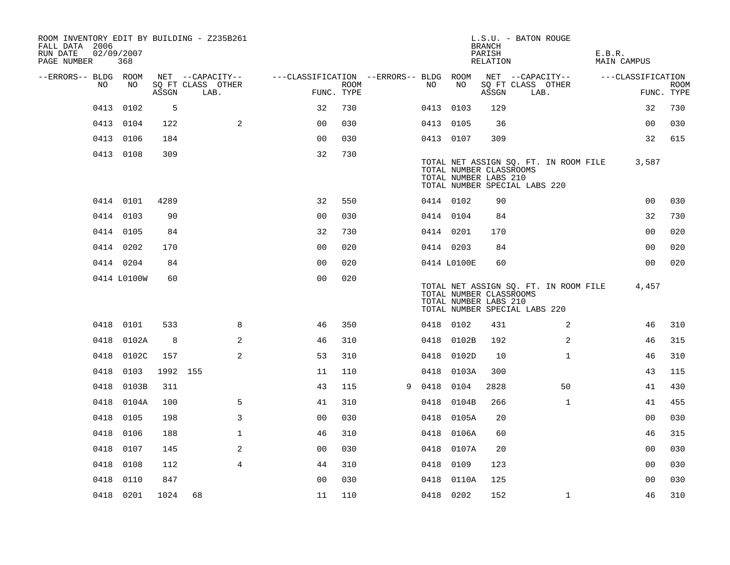| ROOM INVENTORY EDIT BY BUILDING - Z235B261<br>FALL DATA 2006<br>RUN DATE<br>PAGE NUMBER | 02/09/2007<br>368 |          |                           |                                        |                    |   |           |                                                  | <b>BRANCH</b><br>PARISH<br>RELATION | L.S.U. - BATON ROUGE                                                   | E.B.R.<br>MAIN CAMPUS |                           |
|-----------------------------------------------------------------------------------------|-------------------|----------|---------------------------|----------------------------------------|--------------------|---|-----------|--------------------------------------------------|-------------------------------------|------------------------------------------------------------------------|-----------------------|---------------------------|
| --ERRORS-- BLDG ROOM                                                                    |                   |          | NET --CAPACITY--          | ---CLASSIFICATION --ERRORS-- BLDG ROOM |                    |   |           |                                                  |                                     | NET --CAPACITY--                                                       | ---CLASSIFICATION     |                           |
| NO.                                                                                     | NO                | ASSGN    | SO FT CLASS OTHER<br>LAB. |                                        | ROOM<br>FUNC. TYPE |   | NO.       | NO                                               | ASSGN                               | SQ FT CLASS OTHER<br>LAB.                                              |                       | <b>ROOM</b><br>FUNC. TYPE |
| 0413                                                                                    | 0102              | 5        |                           | 32                                     | 730                |   | 0413 0103 |                                                  | 129                                 |                                                                        | 32                    | 730                       |
|                                                                                         | 0413 0104         | 122      | 2                         | 0 <sub>0</sub>                         | 030                |   | 0413 0105 |                                                  | 36                                  |                                                                        | 00                    | 030                       |
|                                                                                         | 0413 0106         | 184      |                           | 0 <sub>0</sub>                         | 030                |   | 0413 0107 |                                                  | 309                                 |                                                                        | 32                    | 615                       |
|                                                                                         | 0413 0108         | 309      |                           | 32                                     | 730                |   |           | TOTAL NUMBER CLASSROOMS<br>TOTAL NUMBER LABS 210 |                                     | TOTAL NET ASSIGN SQ. FT. IN ROOM FILE<br>TOTAL NUMBER SPECIAL LABS 220 | 3,587                 |                           |
|                                                                                         | 0414 0101         | 4289     |                           | 32                                     | 550                |   | 0414 0102 |                                                  | 90                                  |                                                                        | 0 <sub>0</sub>        | 030                       |
|                                                                                         | 0414 0103         | 90       |                           | 0 <sub>0</sub>                         | 030                |   | 0414 0104 |                                                  | 84                                  |                                                                        | 32                    | 730                       |
|                                                                                         | 0414 0105         | 84       |                           | 32                                     | 730                |   | 0414 0201 |                                                  | 170                                 |                                                                        | 0 <sub>0</sub>        | 020                       |
|                                                                                         | 0414 0202         | 170      |                           | 0 <sub>0</sub>                         | 020                |   | 0414 0203 |                                                  | 84                                  |                                                                        | 0 <sub>0</sub>        | 020                       |
|                                                                                         | 0414 0204         | 84       |                           | 0 <sub>0</sub>                         | 020                |   |           | 0414 L0100E                                      | 60                                  |                                                                        | 0 <sub>0</sub>        | 020                       |
|                                                                                         | 0414 L0100W       | 60       |                           | 0 <sub>0</sub>                         | 020                |   |           | TOTAL NUMBER CLASSROOMS<br>TOTAL NUMBER LABS 210 |                                     | TOTAL NET ASSIGN SQ. FT. IN ROOM FILE<br>TOTAL NUMBER SPECIAL LABS 220 | 4,457                 |                           |
|                                                                                         | 0418 0101         | 533      | 8                         | 46                                     | 350                |   | 0418 0102 |                                                  | 431                                 | 2                                                                      | 46                    | 310                       |
|                                                                                         | 0418 0102A        | 8        | 2                         | 46                                     | 310                |   |           | 0418 0102B                                       | 192                                 | $\overline{2}$                                                         | 46                    | 315                       |
|                                                                                         | 0418 0102C        | 157      | $\overline{2}$            | 53                                     | 310                |   |           | 0418 0102D                                       | 10                                  | $\mathbf{1}$                                                           | 46                    | 310                       |
| 0418                                                                                    | 0103              | 1992 155 |                           | 11                                     | 110                |   | 0418      | 0103A                                            | 300                                 |                                                                        | 43                    | 115                       |
| 0418                                                                                    | 0103B             | 311      |                           | 43                                     | 115                | 9 | 0418 0104 |                                                  | 2828                                | 50                                                                     | 41                    | 430                       |
| 0418                                                                                    | 0104A             | 100      | 5                         | 41                                     | 310                |   | 0418      | 0104B                                            | 266                                 | $\mathbf{1}$                                                           | 41                    | 455                       |
| 0418                                                                                    | 0105              | 198      | 3                         | 0 <sub>0</sub>                         | 030                |   |           | 0418 0105A                                       | 20                                  |                                                                        | 0 <sub>0</sub>        | 030                       |
| 0418                                                                                    | 0106              | 188      | $\mathbf{1}$              | 46                                     | 310                |   |           | 0418 0106A                                       | 60                                  |                                                                        | 46                    | 315                       |
| 0418                                                                                    | 0107              | 145      | 2                         | 0 <sub>0</sub>                         | 030                |   |           | 0418 0107A                                       | 20                                  |                                                                        | 0 <sub>0</sub>        | 030                       |
| 0418                                                                                    | 0108              | 112      | $\overline{4}$            | 44                                     | 310                |   | 0418      | 0109                                             | 123                                 |                                                                        | 0 <sub>0</sub>        | 030                       |
| 0418                                                                                    | 0110              | 847      |                           | 0 <sub>0</sub>                         | 030                |   |           | 0418 0110A                                       | 125                                 |                                                                        | 0 <sub>0</sub>        | 030                       |
|                                                                                         | 0418 0201         | 1024     | 68                        | 11                                     | 110                |   | 0418 0202 |                                                  | 152                                 | $\mathbf{1}$                                                           | 46                    | 310                       |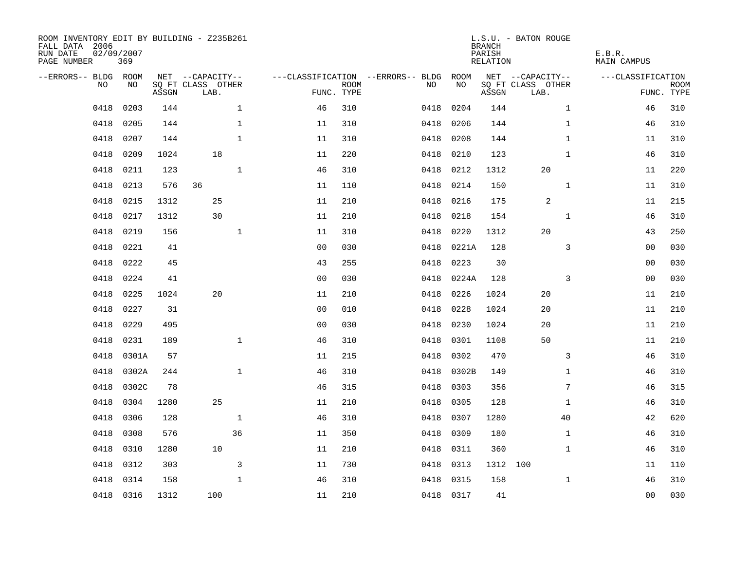| ROOM INVENTORY EDIT BY BUILDING - Z235B261<br>FALL DATA 2006<br>RUN DATE<br>PAGE NUMBER | 02/09/2007<br>369 |       |                           |              |                |             |                                        |           | <b>BRANCH</b><br>PARISH<br>RELATION | L.S.U. - BATON ROUGE      | E.B.R.<br>MAIN CAMPUS |                           |
|-----------------------------------------------------------------------------------------|-------------------|-------|---------------------------|--------------|----------------|-------------|----------------------------------------|-----------|-------------------------------------|---------------------------|-----------------------|---------------------------|
| --ERRORS-- BLDG ROOM                                                                    |                   |       | NET --CAPACITY--          |              |                |             | ---CLASSIFICATION --ERRORS-- BLDG ROOM |           |                                     | NET --CAPACITY--          | ---CLASSIFICATION     |                           |
| NO.                                                                                     | NO.               | ASSGN | SQ FT CLASS OTHER<br>LAB. |              | FUNC. TYPE     | <b>ROOM</b> | NO.                                    | NO        | ASSGN                               | SQ FT CLASS OTHER<br>LAB. |                       | <b>ROOM</b><br>FUNC. TYPE |
| 0418                                                                                    | 0203              | 144   |                           | $\mathbf{1}$ | 46             | 310         | 0418                                   | 0204      | 144                                 | $\mathbf{1}$              | 46                    | 310                       |
| 0418                                                                                    | 0205              | 144   |                           | $\mathbf{1}$ | 11             | 310         | 0418                                   | 0206      | 144                                 | $\mathbf{1}$              | 46                    | 310                       |
| 0418                                                                                    | 0207              | 144   |                           | 1            | 11             | 310         | 0418                                   | 0208      | 144                                 | $\mathbf{1}$              | 11                    | 310                       |
| 0418                                                                                    | 0209              | 1024  | 18                        |              | 11             | 220         | 0418                                   | 0210      | 123                                 | $\mathbf{1}$              | 46                    | 310                       |
| 0418                                                                                    | 0211              | 123   |                           | $\mathbf{1}$ | 46             | 310         | 0418                                   | 0212      | 1312                                | 20                        | 11                    | 220                       |
| 0418                                                                                    | 0213              | 576   | 36                        |              | 11             | 110         | 0418                                   | 0214      | 150                                 | $\mathbf{1}$              | 11                    | 310                       |
| 0418                                                                                    | 0215              | 1312  | 25                        |              | 11             | 210         | 0418                                   | 0216      | 175                                 | 2                         | 11                    | 215                       |
| 0418                                                                                    | 0217              | 1312  | 30                        |              | 11             | 210         | 0418                                   | 0218      | 154                                 | $\mathbf{1}$              | 46                    | 310                       |
| 0418                                                                                    | 0219              | 156   |                           | $\mathbf{1}$ | 11             | 310         | 0418                                   | 0220      | 1312                                | 20                        | 43                    | 250                       |
| 0418                                                                                    | 0221              | 41    |                           |              | 0 <sub>0</sub> | 030         | 0418                                   | 0221A     | 128                                 | 3                         | 0 <sub>0</sub>        | 030                       |
| 0418                                                                                    | 0222              | 45    |                           |              | 43             | 255         | 0418                                   | 0223      | 30                                  |                           | 0 <sub>0</sub>        | 030                       |
| 0418                                                                                    | 0224              | 41    |                           |              | 0 <sub>0</sub> | 030         | 0418                                   | 0224A     | 128                                 | $\overline{3}$            | 00                    | 030                       |
| 0418                                                                                    | 0225              | 1024  | 20                        |              | 11             | 210         | 0418                                   | 0226      | 1024                                | 20                        | 11                    | 210                       |
| 0418                                                                                    | 0227              | 31    |                           |              | 0 <sub>0</sub> | 010         | 0418                                   | 0228      | 1024                                | 20                        | 11                    | 210                       |
| 0418                                                                                    | 0229              | 495   |                           |              | 0 <sub>0</sub> | 030         | 0418                                   | 0230      | 1024                                | 20                        | 11                    | 210                       |
| 0418                                                                                    | 0231              | 189   |                           | $\mathbf{1}$ | 46             | 310         | 0418                                   | 0301      | 1108                                | 50                        | 11                    | 210                       |
| 0418                                                                                    | 0301A             | 57    |                           |              | 11             | 215         | 0418                                   | 0302      | 470                                 | 3                         | 46                    | 310                       |
| 0418                                                                                    | 0302A             | 244   |                           | $\mathbf{1}$ | 46             | 310         | 0418                                   | 0302B     | 149                                 | $\mathbf{1}$              | 46                    | 310                       |
| 0418                                                                                    | 0302C             | 78    |                           |              | 46             | 315         | 0418                                   | 0303      | 356                                 | 7                         | 46                    | 315                       |
| 0418                                                                                    | 0304              | 1280  | 25                        |              | 11             | 210         | 0418                                   | 0305      | 128                                 | $\mathbf{1}$              | 46                    | 310                       |
| 0418                                                                                    | 0306              | 128   |                           | $\mathbf{1}$ | 46             | 310         | 0418                                   | 0307      | 1280                                | 40                        | 42                    | 620                       |
| 0418                                                                                    | 0308              | 576   |                           | 36           | 11             | 350         | 0418                                   | 0309      | 180                                 | $\mathbf{1}$              | 46                    | 310                       |
| 0418                                                                                    | 0310              | 1280  | 10                        |              | 11             | 210         | 0418                                   | 0311      | 360                                 | $\mathbf{1}$              | 46                    | 310                       |
| 0418                                                                                    | 0312              | 303   |                           | 3            | 11             | 730         | 0418                                   | 0313      | 1312 100                            |                           | 11                    | 110                       |
| 0418                                                                                    | 0314              | 158   |                           | $\mathbf{1}$ | 46             | 310         | 0418                                   | 0315      | 158                                 | $\mathbf{1}$              | 46                    | 310                       |
|                                                                                         | 0418 0316         | 1312  | 100                       |              | 11             | 210         |                                        | 0418 0317 | 41                                  |                           | 0 <sub>0</sub>        | 030                       |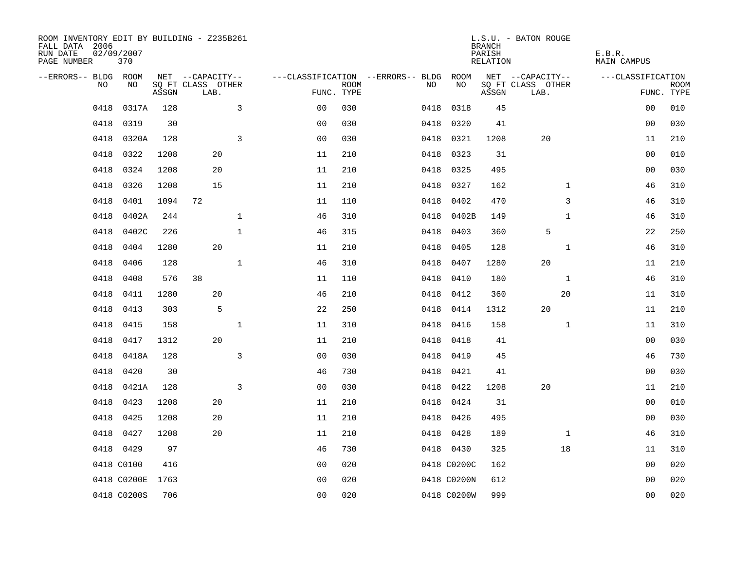| ROOM INVENTORY EDIT BY BUILDING - Z235B261<br>FALL DATA 2006<br>RUN DATE<br>PAGE NUMBER | 02/09/2007<br>370 |       |                           |              |                |             |                                        |             | <b>BRANCH</b><br>PARISH<br>RELATION | L.S.U. - BATON ROUGE      | E.B.R.<br>MAIN CAMPUS |                           |
|-----------------------------------------------------------------------------------------|-------------------|-------|---------------------------|--------------|----------------|-------------|----------------------------------------|-------------|-------------------------------------|---------------------------|-----------------------|---------------------------|
| --ERRORS-- BLDG ROOM                                                                    |                   |       | NET --CAPACITY--          |              |                |             | ---CLASSIFICATION --ERRORS-- BLDG ROOM |             |                                     | NET --CAPACITY--          | ---CLASSIFICATION     |                           |
| NO                                                                                      | NO                | ASSGN | SQ FT CLASS OTHER<br>LAB. |              | FUNC. TYPE     | <b>ROOM</b> | NO                                     | NO          | ASSGN                               | SQ FT CLASS OTHER<br>LAB. |                       | <b>ROOM</b><br>FUNC. TYPE |
| 0418                                                                                    | 0317A             | 128   |                           | 3            | 0 <sub>0</sub> | 030         | 0418                                   | 0318        | 45                                  |                           | 0 <sub>0</sub>        | 010                       |
| 0418                                                                                    | 0319              | 30    |                           |              | 0 <sub>0</sub> | 030         | 0418                                   | 0320        | 41                                  |                           | 00                    | 030                       |
| 0418                                                                                    | 0320A             | 128   |                           | 3            | 0 <sub>0</sub> | 030         | 0418                                   | 0321        | 1208                                | 20                        | 11                    | 210                       |
| 0418                                                                                    | 0322              | 1208  | 20                        |              | 11             | 210         | 0418                                   | 0323        | 31                                  |                           | 0 <sub>0</sub>        | 010                       |
| 0418                                                                                    | 0324              | 1208  | 20                        |              | 11             | 210         | 0418                                   | 0325        | 495                                 |                           | 00                    | 030                       |
| 0418                                                                                    | 0326              | 1208  | 15                        |              | 11             | 210         |                                        | 0418 0327   | 162                                 | $\mathbf{1}$              | 46                    | 310                       |
| 0418                                                                                    | 0401              | 1094  | 72                        |              | 11             | 110         | 0418                                   | 0402        | 470                                 | 3                         | 46                    | 310                       |
| 0418                                                                                    | 0402A             | 244   |                           | $\mathbf{1}$ | 46             | 310         | 0418                                   | 0402B       | 149                                 | $\mathbf{1}$              | 46                    | 310                       |
| 0418                                                                                    | 0402C             | 226   |                           | $\mathbf{1}$ | 46             | 315         | 0418                                   | 0403        | 360                                 | 5                         | 22                    | 250                       |
| 0418                                                                                    | 0404              | 1280  | 20                        |              | 11             | 210         | 0418                                   | 0405        | 128                                 | $\mathbf{1}$              | 46                    | 310                       |
| 0418                                                                                    | 0406              | 128   |                           | $\mathbf{1}$ | 46             | 310         | 0418                                   | 0407        | 1280                                | 20                        | 11                    | 210                       |
| 0418                                                                                    | 0408              | 576   | 38                        |              | 11             | 110         | 0418                                   | 0410        | 180                                 | $\mathbf{1}$              | 46                    | 310                       |
| 0418                                                                                    | 0411              | 1280  | 20                        |              | 46             | 210         | 0418                                   | 0412        | 360                                 | 20                        | 11                    | 310                       |
| 0418                                                                                    | 0413              | 303   | 5                         |              | 22             | 250         | 0418                                   | 0414        | 1312                                | 20                        | 11                    | 210                       |
| 0418                                                                                    | 0415              | 158   |                           | $\mathbf{1}$ | 11             | 310         | 0418                                   | 0416        | 158                                 | $\mathbf{1}$              | 11                    | 310                       |
| 0418                                                                                    | 0417              | 1312  | 20                        |              | 11             | 210         | 0418                                   | 0418        | 41                                  |                           | 0 <sub>0</sub>        | 030                       |
| 0418                                                                                    | 0418A             | 128   |                           | 3            | 0 <sub>0</sub> | 030         | 0418                                   | 0419        | 45                                  |                           | 46                    | 730                       |
| 0418                                                                                    | 0420              | 30    |                           |              | 46             | 730         | 0418                                   | 0421        | 41                                  |                           | 0 <sub>0</sub>        | 030                       |
| 0418                                                                                    | 0421A             | 128   |                           | 3            | 0 <sub>0</sub> | 030         |                                        | 0418 0422   | 1208                                | 20                        | 11                    | 210                       |
| 0418                                                                                    | 0423              | 1208  | 20                        |              | 11             | 210         |                                        | 0418 0424   | 31                                  |                           | 00                    | 010                       |
| 0418                                                                                    | 0425              | 1208  | 20                        |              | 11             | 210         |                                        | 0418 0426   | 495                                 |                           | 00                    | 030                       |
| 0418                                                                                    | 0427              | 1208  | 20                        |              | 11             | 210         |                                        | 0418 0428   | 189                                 | $\mathbf{1}$              | 46                    | 310                       |
|                                                                                         | 0418 0429         | 97    |                           |              | 46             | 730         |                                        | 0418 0430   | 325                                 | 18                        | 11                    | 310                       |
|                                                                                         | 0418 C0100        | 416   |                           |              | 0 <sub>0</sub> | 020         |                                        | 0418 C0200C | 162                                 |                           | 00                    | 020                       |
|                                                                                         | 0418 C0200E       | 1763  |                           |              | 0 <sub>0</sub> | 020         |                                        | 0418 C0200N | 612                                 |                           | 0 <sub>0</sub>        | 020                       |
|                                                                                         | 0418 C0200S       | 706   |                           |              | 0 <sub>0</sub> | 020         |                                        | 0418 C0200W | 999                                 |                           | 0 <sub>0</sub>        | 020                       |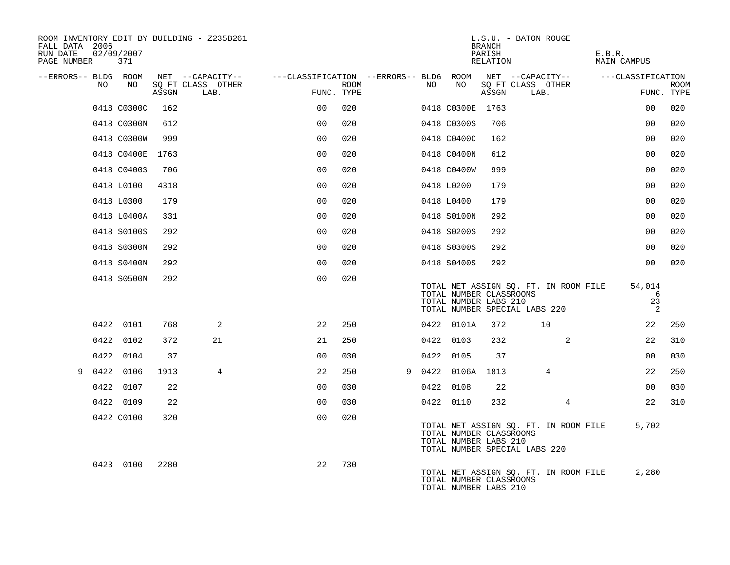| FALL DATA 2006<br>RUN DATE<br>PAGE NUMBER 371 |    | 02/09/2007  |       | ROOM INVENTORY EDIT BY BUILDING - Z235B261    |                                                      |             |    |                                                  | <b>BRANCH</b><br>PARISH<br>RELATION | L.S.U. - BATON ROUGE                                                   | E.B.R.<br>MAIN CAMPUS  |                           |
|-----------------------------------------------|----|-------------|-------|-----------------------------------------------|------------------------------------------------------|-------------|----|--------------------------------------------------|-------------------------------------|------------------------------------------------------------------------|------------------------|---------------------------|
| --ERRORS-- BLDG ROOM                          | NO | NO          | ASSGN | NET --CAPACITY--<br>SQ FT CLASS OTHER<br>LAB. | ---CLASSIFICATION --ERRORS-- BLDG ROOM<br>FUNC. TYPE | <b>ROOM</b> | NO | NO                                               | ASSGN                               | NET --CAPACITY--<br>SQ FT CLASS OTHER<br>LAB.                          | ---CLASSIFICATION      | <b>ROOM</b><br>FUNC. TYPE |
|                                               |    | 0418 C0300C | 162   |                                               | 0 <sub>0</sub>                                       | 020         |    | 0418 C0300E 1763                                 |                                     |                                                                        | 0 <sub>0</sub>         | 020                       |
|                                               |    | 0418 C0300N | 612   |                                               | 0 <sub>0</sub>                                       | 020         |    | 0418 C0300S                                      | 706                                 |                                                                        | 0 <sub>0</sub>         | 020                       |
|                                               |    | 0418 C0300W | 999   |                                               | 0 <sub>0</sub>                                       | 020         |    | 0418 C0400C                                      | 162                                 |                                                                        | 0 <sub>0</sub>         | 020                       |
|                                               |    | 0418 C0400E | 1763  |                                               | 0 <sub>0</sub>                                       | 020         |    | 0418 C0400N                                      | 612                                 |                                                                        | 0 <sub>0</sub>         | 020                       |
|                                               |    | 0418 C0400S | 706   |                                               | 0 <sub>0</sub>                                       | 020         |    | 0418 C0400W                                      | 999                                 |                                                                        | 0 <sub>0</sub>         | 020                       |
|                                               |    | 0418 L0100  | 4318  |                                               | 0 <sub>0</sub>                                       | 020         |    | 0418 L0200                                       | 179                                 |                                                                        | 0 <sub>0</sub>         | 020                       |
|                                               |    | 0418 L0300  | 179   |                                               | 0 <sub>0</sub>                                       | 020         |    | 0418 L0400                                       | 179                                 |                                                                        | 0 <sub>0</sub>         | 020                       |
|                                               |    | 0418 L0400A | 331   |                                               | 0 <sub>0</sub>                                       | 020         |    | 0418 S0100N                                      | 292                                 |                                                                        | 00                     | 020                       |
|                                               |    | 0418 S0100S | 292   |                                               | 00                                                   | 020         |    | 0418 S0200S                                      | 292                                 |                                                                        | 0 <sub>0</sub>         | 020                       |
|                                               |    | 0418 S0300N | 292   |                                               | 0 <sub>0</sub>                                       | 020         |    | 0418 S0300S                                      | 292                                 |                                                                        | 0 <sub>0</sub>         | 020                       |
|                                               |    | 0418 S0400N | 292   |                                               | 0 <sub>0</sub>                                       | 020         |    | 0418 S0400S                                      | 292                                 |                                                                        | 0 <sub>0</sub>         | 020                       |
|                                               |    | 0418 S0500N | 292   |                                               | 0 <sub>0</sub>                                       | 020         |    | TOTAL NUMBER CLASSROOMS<br>TOTAL NUMBER LABS 210 |                                     | TOTAL NET ASSIGN SQ. FT. IN ROOM FILE<br>TOTAL NUMBER SPECIAL LABS 220 | 54,014<br>6<br>23<br>2 |                           |
|                                               |    | 0422 0101   | 768   | 2                                             | 22                                                   | 250         |    | 0422 0101A                                       | 372                                 | 10                                                                     | 22                     | 250                       |
|                                               |    | 0422 0102   | 372   | 21                                            | 21                                                   | 250         |    | 0422 0103                                        | 232                                 | 2                                                                      | 22                     | 310                       |
|                                               |    | 0422 0104   | 37    |                                               | 0 <sub>0</sub>                                       | 030         |    | 0422 0105                                        | 37                                  |                                                                        | 00                     | 030                       |
| 9                                             |    | 0422 0106   | 1913  | $\overline{4}$                                | 22                                                   | 250         |    | 9 0422 0106A 1813                                |                                     | 4                                                                      | 22                     | 250                       |
|                                               |    | 0422 0107   | 22    |                                               | 0 <sub>0</sub>                                       | 030         |    | 0422 0108                                        | 22                                  |                                                                        | 00                     | 030                       |
|                                               |    | 0422 0109   | 22    |                                               | 0 <sub>0</sub>                                       | 030         |    | 0422 0110                                        | 232                                 | $\overline{4}$                                                         | 22                     | 310                       |
|                                               |    | 0422 C0100  | 320   |                                               | 0 <sub>0</sub>                                       | 020         |    | TOTAL NUMBER CLASSROOMS<br>TOTAL NUMBER LABS 210 |                                     | TOTAL NET ASSIGN SQ. FT. IN ROOM FILE<br>TOTAL NUMBER SPECIAL LABS 220 | 5,702                  |                           |
|                                               |    | 0423 0100   | 2280  |                                               | 22                                                   | 730         |    | TOTAL NUMBER CLASSROOMS<br>TOTAL NUMBER LABS 210 |                                     | TOTAL NET ASSIGN SQ. FT. IN ROOM FILE                                  | 2,280                  |                           |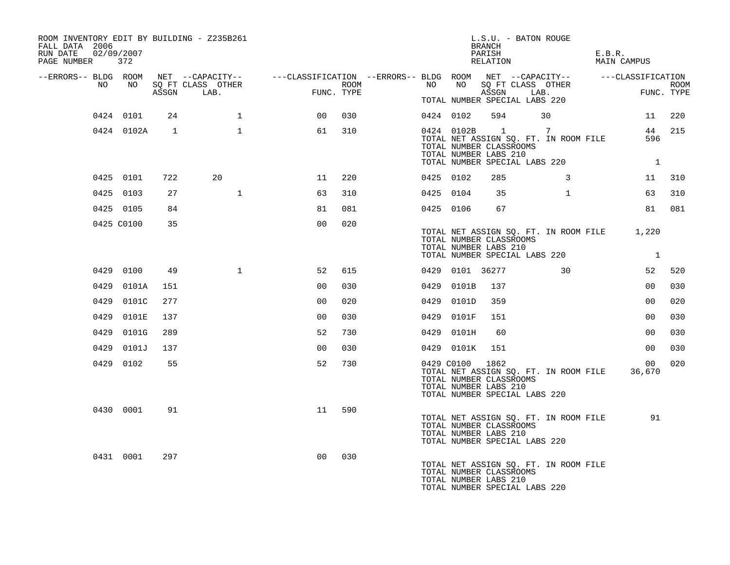| ROOM INVENTORY EDIT BY BUILDING - Z235B261<br>FALL DATA 2006<br>02/09/2007<br>RUN DATE<br>PAGE NUMBER 372 |                 |                |                           |                                                                                                                    |                    |           |                 | BRANCH<br>PARISH<br>RELATION                             | L.S.U. - BATON ROUGE                                                         | E.B.R. | MAIN CAMPUS               |                    |
|-----------------------------------------------------------------------------------------------------------|-----------------|----------------|---------------------------|--------------------------------------------------------------------------------------------------------------------|--------------------|-----------|-----------------|----------------------------------------------------------|------------------------------------------------------------------------------|--------|---------------------------|--------------------|
| NO                                                                                                        | NO <sub>N</sub> |                |                           | --ERRORS-- BLDG ROOM NET --CAPACITY-- ----CLASSIFICATION --ERRORS-- BLDG ROOM NET --CAPACITY-- -----CLASSIFICATION |                    | NO        | NO <sub>N</sub> |                                                          |                                                                              |        |                           |                    |
|                                                                                                           |                 | ASSGN          | SQ FT CLASS OTHER<br>LAB. |                                                                                                                    | ROOM<br>FUNC. TYPE |           |                 | ASSGN                                                    | SQ FT CLASS OTHER<br>LAB.                                                    |        | <b>FUN</b>                | ROOM<br>FUNC. TYPE |
|                                                                                                           |                 |                |                           |                                                                                                                    |                    |           |                 |                                                          | TOTAL NUMBER SPECIAL LABS 220                                                |        |                           |                    |
|                                                                                                           | 0424 0101       | 24             | $\mathbf{1}$              | 00                                                                                                                 | 030                |           | 0424 0102       | 594                                                      | 30                                                                           |        |                           | 11 220             |
|                                                                                                           | 0424 0102A      | $\overline{1}$ | $\mathbf{1}$              | 61                                                                                                                 | 310                |           |                 | TOTAL NUMBER CLASSROOMS<br>TOTAL NUMBER LABS 210         | 0424 0102B 1 7<br>TOTAL NET ASSIGN SQ. FT. IN ROOM FILE                      |        | 596                       | 44 215             |
|                                                                                                           |                 |                |                           |                                                                                                                    |                    |           |                 |                                                          | TOTAL NUMBER SPECIAL LABS 220                                                |        | $\overline{1}$            |                    |
|                                                                                                           | 0425 0101       | 722            | 20                        | 11                                                                                                                 | 220                | 0425 0102 |                 | 285                                                      | 3                                                                            |        | 11                        | 310                |
|                                                                                                           | 0425 0103       | 27             | $\mathbf{1}$              | 63                                                                                                                 | 310                |           | 0425 0104       | 35                                                       | $\mathbf{1}$                                                                 |        | 63                        | 310                |
|                                                                                                           | 0425 0105       | 84             |                           | 81                                                                                                                 | 081                |           | 0425 0106       | 67                                                       |                                                                              |        | 81                        | 081                |
|                                                                                                           | 0425 C0100      | 35             |                           | 0 <sub>0</sub>                                                                                                     | 020                |           |                 | TOTAL NUMBER CLASSROOMS<br>TOTAL NUMBER LABS 210         | TOTAL NET ASSIGN SQ. FT. IN ROOM FILE 1,220<br>TOTAL NUMBER SPECIAL LABS 220 |        | $\overline{1}$            |                    |
|                                                                                                           | 0429 0100       | 49             | $\mathbf{1}$              | 52                                                                                                                 | 615                |           | 0429 0101 36277 |                                                          | $\sim$ 30                                                                    |        | 52                        | 520                |
|                                                                                                           | 0429 0101A      | 151            |                           | 0 <sub>0</sub>                                                                                                     | 030                |           | 0429 0101B      | 137                                                      |                                                                              |        | 00                        | 030                |
|                                                                                                           | 0429 0101C      | 277            |                           | 0 <sub>0</sub>                                                                                                     | 020                |           | 0429 0101D      | 359                                                      |                                                                              |        | 0 <sub>0</sub>            | 020                |
|                                                                                                           | 0429 0101E      | 137            |                           | 0 <sub>0</sub>                                                                                                     | 030                |           | 0429 0101F      | 151                                                      |                                                                              |        | 0 <sub>0</sub>            | 030                |
|                                                                                                           | 0429 0101G      | 289            |                           | 52                                                                                                                 | 730                |           | 0429 0101H      | 60                                                       |                                                                              |        | 00                        | 030                |
|                                                                                                           | 0429 0101J      | 137            |                           | 0 <sub>0</sub>                                                                                                     | 030                |           | 0429 0101K      | 151                                                      |                                                                              |        | 0 <sub>0</sub>            | 030                |
|                                                                                                           | 0429 0102       | 55             |                           | 52                                                                                                                 | 730                |           | 0429 C0100      | 1862<br>TOTAL NUMBER CLASSROOMS<br>TOTAL NUMBER LABS 210 | TOTAL NET ASSIGN SQ. FT. IN ROOM FILE<br>TOTAL NUMBER SPECIAL LABS 220       |        | 00 <sup>o</sup><br>36,670 | 020                |
|                                                                                                           | 0430 0001       | 91             |                           | 11                                                                                                                 | 590                |           |                 | TOTAL NUMBER CLASSROOMS<br>TOTAL NUMBER LABS 210         | TOTAL NET ASSIGN SQ. FT. IN ROOM FILE<br>TOTAL NUMBER SPECIAL LABS 220       |        | 91                        |                    |
|                                                                                                           | 0431 0001       | 297            |                           | 0 <sub>0</sub>                                                                                                     | 030                |           |                 | TOTAL NUMBER CLASSROOMS<br>TOTAL NUMBER LABS 210         | TOTAL NET ASSIGN SQ. FT. IN ROOM FILE<br>TOTAL NUMBER SPECIAL LABS 220       |        |                           |                    |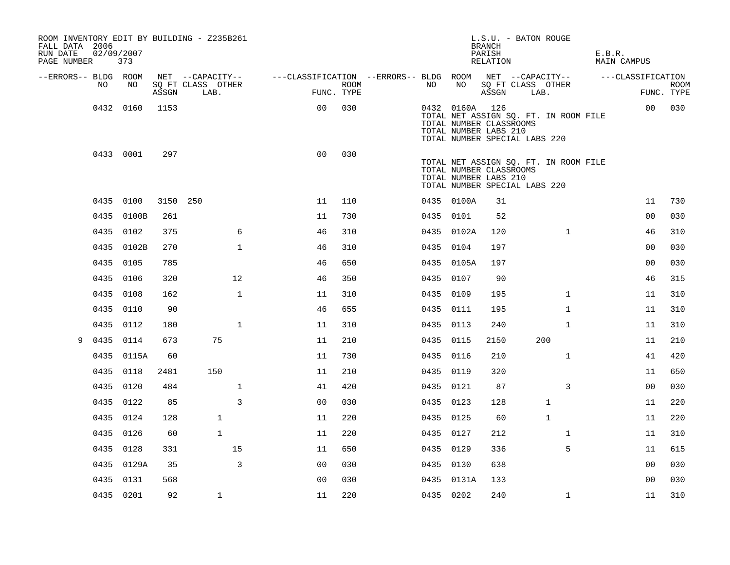| ROOM INVENTORY EDIT BY BUILDING - Z235B261<br>FALL DATA 2006<br>RUN DATE<br>PAGE NUMBER | 02/09/2007 | 373        |          |                           |              |                                                         |                    |    |                | L.S.U. - BATON ROUGE<br><b>BRANCH</b><br>PARISH<br>RELATION                       |      |                                       | E.B.R. | MAIN CAMPUS       |                           |
|-----------------------------------------------------------------------------------------|------------|------------|----------|---------------------------|--------------|---------------------------------------------------------|--------------------|----|----------------|-----------------------------------------------------------------------------------|------|---------------------------------------|--------|-------------------|---------------------------|
| --ERRORS-- BLDG ROOM                                                                    |            |            |          | NET --CAPACITY--          |              | ---CLASSIFICATION --ERRORS-- BLDG ROOM NET --CAPACITY-- |                    |    |                |                                                                                   |      |                                       |        | ---CLASSIFICATION |                           |
|                                                                                         | NO         | NO         | ASSGN    | SO FT CLASS OTHER<br>LAB. |              |                                                         | ROOM<br>FUNC. TYPE | NO | NO             | SQ FT CLASS OTHER<br>ASSGN                                                        | LAB. |                                       |        |                   | <b>ROOM</b><br>FUNC. TYPE |
|                                                                                         | 0432 0160  |            | 1153     |                           |              | 0 <sub>0</sub>                                          | 030                |    | 0432 0160A 126 | TOTAL NUMBER CLASSROOMS<br>TOTAL NUMBER LABS 210<br>TOTAL NUMBER SPECIAL LABS 220 |      | TOTAL NET ASSIGN SQ. FT. IN ROOM FILE |        | 00                | 030                       |
|                                                                                         |            | 0433 0001  | 297      |                           |              | 0 <sub>0</sub>                                          | 030                |    |                | TOTAL NUMBER CLASSROOMS<br>TOTAL NUMBER LABS 210<br>TOTAL NUMBER SPECIAL LABS 220 |      | TOTAL NET ASSIGN SQ. FT. IN ROOM FILE |        |                   |                           |
|                                                                                         | 0435 0100  |            | 3150 250 |                           |              | 11                                                      | 110                |    | 0435 0100A     | 31                                                                                |      |                                       |        | 11                | 730                       |
|                                                                                         |            | 0435 0100B | 261      |                           |              | 11                                                      | 730                |    | 0435 0101      | 52                                                                                |      |                                       |        | 0 <sub>0</sub>    | 030                       |
|                                                                                         | 0435 0102  |            | 375      |                           | 6            | 46                                                      | 310                |    | 0435 0102A     | 120                                                                               |      | $\mathbf{1}$                          |        | 46                | 310                       |
|                                                                                         |            | 0435 0102B | 270      |                           | $\mathbf{1}$ | 46                                                      | 310                |    | 0435 0104      | 197                                                                               |      |                                       |        | 00                | 030                       |
|                                                                                         | 0435 0105  |            | 785      |                           |              | 46                                                      | 650                |    | 0435 0105A     | 197                                                                               |      |                                       |        | 0 <sub>0</sub>    | 030                       |
|                                                                                         | 0435 0106  |            | 320      |                           | 12           | 46                                                      | 350                |    | 0435 0107      | 90                                                                                |      |                                       |        | 46                | 315                       |
|                                                                                         | 0435       | 0108       | 162      |                           | $\mathbf{1}$ | 11                                                      | 310                |    | 0435 0109      | 195                                                                               |      | $\mathbf{1}$                          |        | 11                | 310                       |
|                                                                                         | 0435 0110  |            | 90       |                           |              | 46                                                      | 655                |    | 0435 0111      | 195                                                                               |      | $\mathbf{1}$                          |        | 11                | 310                       |
|                                                                                         | 0435 0112  |            | 180      |                           | $\mathbf{1}$ | 11                                                      | 310                |    | 0435 0113      | 240                                                                               |      | $\mathbf{1}$                          |        | 11                | 310                       |
| 9                                                                                       | 0435 0114  |            | 673      |                           | 75           | 11                                                      | 210                |    | 0435 0115      | 2150                                                                              |      | 200                                   |        | 11                | 210                       |
|                                                                                         |            | 0435 0115A | 60       |                           |              | 11                                                      | 730                |    | 0435 0116      | 210                                                                               |      | $\mathbf{1}$                          |        | 41                | 420                       |
|                                                                                         | 0435 0118  |            | 2481     |                           | 150          | 11                                                      | 210                |    | 0435 0119      | 320                                                                               |      |                                       |        | 11                | 650                       |
|                                                                                         | 0435 0120  |            | 484      |                           | $\mathbf{1}$ | 41                                                      | 420                |    | 0435 0121      | 87                                                                                |      | 3                                     |        | 0 <sub>0</sub>    | 030                       |
|                                                                                         | 0435 0122  |            | 85       |                           | 3            | 0 <sub>0</sub>                                          | 030                |    | 0435 0123      | 128                                                                               |      | 1                                     |        | 11                | 220                       |
|                                                                                         | 0435 0124  |            | 128      |                           | $\mathbf{1}$ | 11                                                      | 220                |    | 0435 0125      | 60                                                                                |      | $\mathbf{1}$                          |        | 11                | 220                       |
|                                                                                         | 0435 0126  |            | 60       |                           | $\mathbf{1}$ | 11                                                      | 220                |    | 0435 0127      | 212                                                                               |      | $\mathbf{1}$                          |        | 11                | 310                       |
|                                                                                         | 0435 0128  |            | 331      |                           | 15           | 11                                                      | 650                |    | 0435 0129      | 336                                                                               |      | 5                                     |        | 11                | 615                       |
|                                                                                         |            | 0435 0129A | 35       |                           | 3            | 0 <sub>0</sub>                                          | 030                |    | 0435 0130      | 638                                                                               |      |                                       |        | 00                | 030                       |
|                                                                                         | 0435 0131  |            | 568      |                           |              | 0 <sub>0</sub>                                          | 030                |    | 0435 0131A     | 133                                                                               |      |                                       |        | 00                | 030                       |
|                                                                                         | 0435 0201  |            | 92       |                           | $\mathbf{1}$ | 11                                                      | 220                |    | 0435 0202      | 240                                                                               |      | $\mathbf{1}$                          |        | 11                | 310                       |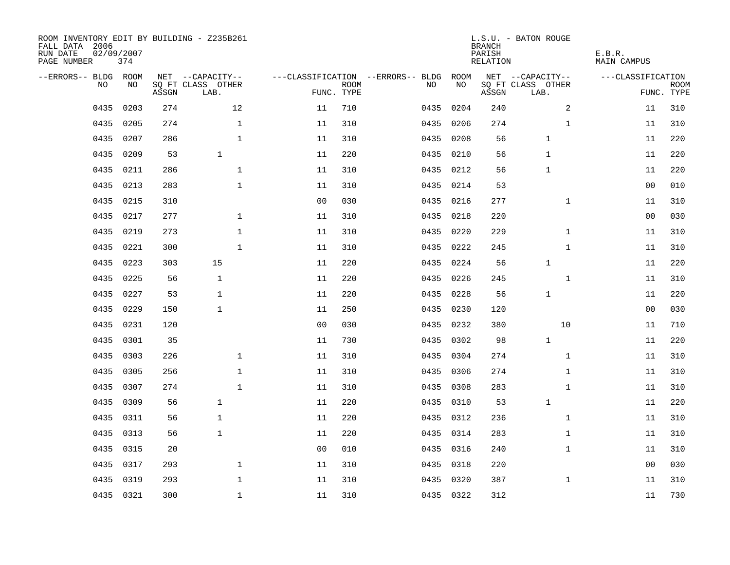| ROOM INVENTORY EDIT BY BUILDING - Z235B261<br>FALL DATA 2006<br>RUN DATE<br>PAGE NUMBER | 02/09/2007<br>374 |       |                           |                |                           |                                   |           | <b>BRANCH</b><br>PARISH<br>RELATION | L.S.U. - BATON ROUGE      | E.B.R.<br><b>MAIN CAMPUS</b> |                           |
|-----------------------------------------------------------------------------------------|-------------------|-------|---------------------------|----------------|---------------------------|-----------------------------------|-----------|-------------------------------------|---------------------------|------------------------------|---------------------------|
| --ERRORS-- BLDG ROOM                                                                    |                   |       | NET --CAPACITY--          |                |                           | ---CLASSIFICATION --ERRORS-- BLDG | ROOM      |                                     | NET --CAPACITY--          | ---CLASSIFICATION            |                           |
| N <sub>O</sub>                                                                          | NO.               | ASSGN | SO FT CLASS OTHER<br>LAB. |                | <b>ROOM</b><br>FUNC. TYPE | NO.                               | NO        | ASSGN                               | SQ FT CLASS OTHER<br>LAB. |                              | <b>ROOM</b><br>FUNC. TYPE |
| 0435                                                                                    | 0203              | 274   | 12                        | 11             | 710                       | 0435                              | 0204      | 240                                 | $\overline{a}$            | 11                           | 310                       |
| 0435                                                                                    | 0205              | 274   | $\mathbf{1}$              | 11             | 310                       | 0435                              | 0206      | 274                                 | $\mathbf{1}$              | 11                           | 310                       |
| 0435                                                                                    | 0207              | 286   | $\mathbf 1$               | 11             | 310                       | 0435                              | 0208      | 56                                  | 1                         | 11                           | 220                       |
| 0435                                                                                    | 0209              | 53    | $\mathbf{1}$              | 11             | 220                       |                                   | 0435 0210 | 56                                  | $\mathbf 1$               | 11                           | 220                       |
| 0435                                                                                    | 0211              | 286   | $\mathbf 1$               | 11             | 310                       | 0435                              | 0212      | 56                                  | 1                         | 11                           | 220                       |
| 0435                                                                                    | 0213              | 283   | $\mathbf 1$               | 11             | 310                       |                                   | 0435 0214 | 53                                  |                           | 0 <sub>0</sub>               | 010                       |
| 0435                                                                                    | 0215              | 310   |                           | 0 <sub>0</sub> | 030                       | 0435                              | 0216      | 277                                 | $\mathbf{1}$              | 11                           | 310                       |
| 0435                                                                                    | 0217              | 277   | $\mathbf{1}$              | 11             | 310                       |                                   | 0435 0218 | 220                                 |                           | 00                           | 030                       |
| 0435                                                                                    | 0219              | 273   | $\mathbf{1}$              | 11             | 310                       | 0435                              | 0220      | 229                                 | $\mathbf{1}$              | 11                           | 310                       |
| 0435                                                                                    | 0221              | 300   | $\mathbf{1}$              | 11             | 310                       |                                   | 0435 0222 | 245                                 | $\mathbf{1}$              | 11                           | 310                       |
| 0435                                                                                    | 0223              | 303   | 15                        | 11             | 220                       | 0435                              | 0224      | 56                                  | $\mathbf{1}$              | 11                           | 220                       |
| 0435                                                                                    | 0225              | 56    | $\mathbf{1}$              | 11             | 220                       |                                   | 0435 0226 | 245                                 | $\mathbf{1}$              | 11                           | 310                       |
| 0435                                                                                    | 0227              | 53    | $\mathbf{1}$              | 11             | 220                       | 0435                              | 0228      | 56                                  | 1                         | 11                           | 220                       |
| 0435                                                                                    | 0229              | 150   | $\mathbf{1}$              | 11             | 250                       | 0435                              | 0230      | 120                                 |                           | 00                           | 030                       |
| 0435                                                                                    | 0231              | 120   |                           | 0 <sub>0</sub> | 030                       | 0435                              | 0232      | 380                                 | 10                        | 11                           | 710                       |
| 0435                                                                                    | 0301              | 35    |                           | 11             | 730                       | 0435                              | 0302      | 98                                  | $\mathbf{1}$              | 11                           | 220                       |
| 0435                                                                                    | 0303              | 226   | $\mathbf{1}$              | 11             | 310                       | 0435                              | 0304      | 274                                 | $\mathbf{1}$              | 11                           | 310                       |
| 0435                                                                                    | 0305              | 256   | $\mathbf 1$               | 11             | 310                       | 0435                              | 0306      | 274                                 | $\mathbf{1}$              | 11                           | 310                       |
| 0435                                                                                    | 0307              | 274   | $\mathbf 1$               | 11             | 310                       |                                   | 0435 0308 | 283                                 | $\mathbf{1}$              | 11                           | 310                       |
| 0435                                                                                    | 0309              | 56    | $\mathbf{1}$              | 11             | 220                       |                                   | 0435 0310 | 53                                  | $\mathbf 1$               | 11                           | 220                       |
| 0435                                                                                    | 0311              | 56    | $\mathbf{1}$              | 11             | 220                       |                                   | 0435 0312 | 236                                 | $\mathbf{1}$              | 11                           | 310                       |
| 0435                                                                                    | 0313              | 56    | $\mathbf{1}$              | 11             | 220                       |                                   | 0435 0314 | 283                                 | $\mathbf{1}$              | 11                           | 310                       |
| 0435                                                                                    | 0315              | 20    |                           | 0 <sub>0</sub> | 010                       |                                   | 0435 0316 | 240                                 | $\mathbf{1}$              | 11                           | 310                       |
| 0435                                                                                    | 0317              | 293   | $\mathbf 1$               | 11             | 310                       | 0435                              | 0318      | 220                                 |                           | 00                           | 030                       |
| 0435                                                                                    | 0319              | 293   | $\mathbf 1$               | 11             | 310                       |                                   | 0435 0320 | 387                                 | $\mathbf{1}$              | 11                           | 310                       |
|                                                                                         | 0435 0321         | 300   | $\mathbf{1}$              | 11             | 310                       |                                   | 0435 0322 | 312                                 |                           | 11                           | 730                       |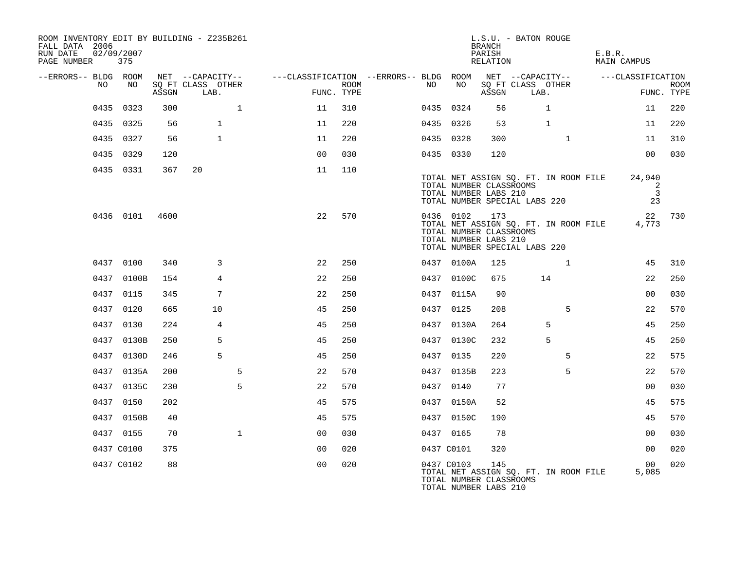| ROOM INVENTORY EDIT BY BUILDING - Z235B261<br>FALL DATA 2006<br>RUN DATE<br>PAGE NUMBER 375 | 02/09/2007 |       |                                               |                                                                                           |      |            |                                                                                   | <b>BRANCH</b><br>PARISH<br>RELATION | L.S.U. - BATON ROUGE |                                       | E.B.R. | MAIN CAMPUS                         |                           |
|---------------------------------------------------------------------------------------------|------------|-------|-----------------------------------------------|-------------------------------------------------------------------------------------------|------|------------|-----------------------------------------------------------------------------------|-------------------------------------|----------------------|---------------------------------------|--------|-------------------------------------|---------------------------|
| --ERRORS-- BLDG ROOM<br>NO                                                                  | NO         | ASSGN | NET --CAPACITY--<br>SQ FT CLASS OTHER<br>LAB. | ---CLASSIFICATION --ERRORS-- BLDG ROOM NET --CAPACITY-- -----CLASSIFICATION<br>FUNC. TYPE | ROOM | NO .       | NO                                                                                | ASSGN                               | LAB.                 | SQ FT CLASS OTHER                     |        |                                     | <b>ROOM</b><br>FUNC. TYPE |
|                                                                                             | 0435 0323  | 300   | $\mathbf{1}$                                  | 11                                                                                        | 310  | 0435 0324  |                                                                                   | 56                                  |                      | $\mathbf{1}$                          |        | 11                                  | 220                       |
|                                                                                             | 0435 0325  | 56    | $\mathbf{1}$                                  | 11                                                                                        | 220  | 0435 0326  |                                                                                   | 53                                  |                      | $\mathbf{1}$                          |        | 11                                  | 220                       |
|                                                                                             | 0435 0327  | 56    | $\mathbf{1}$                                  | 11                                                                                        | 220  | 0435 0328  |                                                                                   | 300                                 |                      | $\mathbf{1}$                          |        | 11                                  | 310                       |
|                                                                                             | 0435 0329  | 120   |                                               | 0 <sub>0</sub>                                                                            | 030  | 0435 0330  |                                                                                   | 120                                 |                      |                                       |        | 0 <sub>0</sub>                      | 030                       |
|                                                                                             | 0435 0331  | 367   | 20                                            | 11                                                                                        | 110  |            | TOTAL NUMBER CLASSROOMS<br>TOTAL NUMBER LABS 210<br>TOTAL NUMBER SPECIAL LABS 220 |                                     |                      | TOTAL NET ASSIGN SQ. FT. IN ROOM FILE |        | 24,940<br>2<br>$\overline{3}$<br>23 |                           |
|                                                                                             | 0436 0101  | 4600  |                                               | 22                                                                                        | 570  | 0436 0102  | TOTAL NUMBER CLASSROOMS<br>TOTAL NUMBER LABS 210<br>TOTAL NUMBER SPECIAL LABS 220 | 173                                 |                      | TOTAL NET ASSIGN SQ. FT. IN ROOM FILE |        | 4,773                               | 22 730                    |
|                                                                                             | 0437 0100  | 340   | 3                                             | 22                                                                                        | 250  |            | 0437 0100A                                                                        | 125                                 |                      | 1                                     |        | 45                                  | 310                       |
|                                                                                             | 0437 0100B | 154   | $\overline{4}$                                | 22                                                                                        | 250  |            | 0437 0100C                                                                        | 675                                 |                      | 14                                    |        | 22                                  | 250                       |
|                                                                                             | 0437 0115  | 345   | 7                                             | 22                                                                                        | 250  |            | 0437 0115A                                                                        | 90                                  |                      |                                       |        | 0 <sub>0</sub>                      | 030                       |
|                                                                                             | 0437 0120  | 665   | 10                                            | 45                                                                                        | 250  | 0437 0125  |                                                                                   | 208                                 |                      | 5                                     |        | 22                                  | 570                       |
|                                                                                             | 0437 0130  | 224   | 4                                             | 45                                                                                        | 250  |            | 0437 0130A                                                                        | 264                                 |                      | 5                                     |        | 45                                  | 250                       |
|                                                                                             | 0437 0130B | 250   | 5                                             | 45                                                                                        | 250  |            | 0437 0130C                                                                        | 232                                 |                      | 5                                     |        | 45                                  | 250                       |
|                                                                                             | 0437 0130D | 246   | 5                                             | 45                                                                                        | 250  | 0437 0135  |                                                                                   | 220                                 |                      | 5                                     |        | 22                                  | 575                       |
|                                                                                             | 0437 0135A | 200   | 5                                             | 22                                                                                        | 570  |            | 0437 0135B                                                                        | 223                                 |                      | 5                                     |        | 22                                  | 570                       |
|                                                                                             | 0437 0135C | 230   | 5                                             | 22                                                                                        | 570  | 0437 0140  |                                                                                   | 77                                  |                      |                                       |        | 0 <sub>0</sub>                      | 030                       |
|                                                                                             | 0437 0150  | 202   |                                               | 45                                                                                        | 575  |            | 0437 0150A                                                                        | 52                                  |                      |                                       |        | 45                                  | 575                       |
|                                                                                             | 0437 0150B | 40    |                                               | 45                                                                                        | 575  |            | 0437 0150C                                                                        | 190                                 |                      |                                       |        | 45                                  | 570                       |
|                                                                                             | 0437 0155  | 70    | $\mathbf{1}$                                  | 0 <sub>0</sub>                                                                            | 030  | 0437 0165  |                                                                                   | 78                                  |                      |                                       |        | 0 <sub>0</sub>                      | 030                       |
|                                                                                             | 0437 C0100 | 375   |                                               | 00                                                                                        | 020  | 0437 C0101 |                                                                                   | 320                                 |                      |                                       |        | 0 <sub>0</sub>                      | 020                       |
|                                                                                             | 0437 C0102 | 88    |                                               | 0 <sub>0</sub>                                                                            | 020  | 0437 C0103 | TOTAL NUMBER CLASSROOMS<br>TOTAL NUMBER LABS 210                                  | 145                                 |                      | TOTAL NET ASSIGN SO. FT. IN ROOM FILE |        | 0 <sub>0</sub><br>5,085             | 020                       |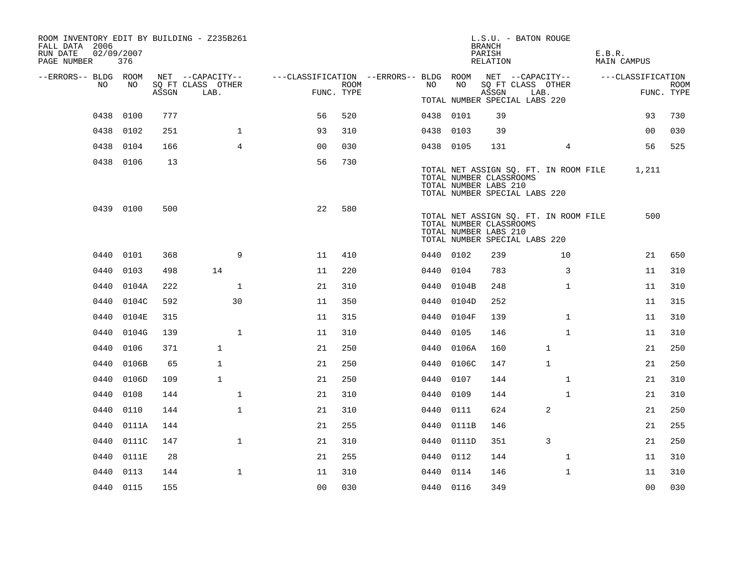| ROOM INVENTORY EDIT BY BUILDING - Z235B261<br>FALL DATA 2006<br>RUN DATE<br>PAGE NUMBER | 02/09/2007<br>376 |       |                           |                                                         |             |           |            | L.S.U. - BATON ROUGE<br><b>BRANCH</b><br>PARISH<br>RELATION                                                                |              |                | E.B.R.<br>MAIN CAMPUS |                           |
|-----------------------------------------------------------------------------------------|-------------------|-------|---------------------------|---------------------------------------------------------|-------------|-----------|------------|----------------------------------------------------------------------------------------------------------------------------|--------------|----------------|-----------------------|---------------------------|
| --ERRORS-- BLDG ROOM                                                                    |                   |       | NET --CAPACITY--          | ---CLASSIFICATION --ERRORS-- BLDG ROOM NET --CAPACITY-- |             |           |            |                                                                                                                            |              |                | ---CLASSIFICATION     |                           |
| NO.                                                                                     | NO                | ASSGN | SQ FT CLASS OTHER<br>LAB. | FUNC. TYPE                                              | <b>ROOM</b> | NO .      | NO         | SQ FT CLASS OTHER<br>ASSGN                                                                                                 | LAB.         |                |                       | <b>ROOM</b><br>FUNC. TYPE |
|                                                                                         |                   |       |                           |                                                         |             |           |            | TOTAL NUMBER SPECIAL LABS 220                                                                                              |              |                |                       |                           |
|                                                                                         | 0438 0100         | 777   |                           | 56                                                      | 520         | 0438 0101 |            | 39                                                                                                                         |              |                | 93                    | 730                       |
| 0438                                                                                    | 0102              | 251   | $\mathbf{1}$              | 93                                                      | 310         | 0438 0103 |            | 39                                                                                                                         |              |                | 00                    | 030                       |
|                                                                                         | 0438 0104         | 166   | $\overline{4}$            | 0 <sub>0</sub>                                          | 030         | 0438 0105 |            | 131                                                                                                                        |              | $\overline{4}$ | 56                    | 525                       |
|                                                                                         | 0438 0106         | 13    |                           | 56                                                      | 730         |           |            | TOTAL NET ASSIGN SQ. FT. IN ROOM FILE<br>TOTAL NUMBER CLASSROOMS<br>TOTAL NUMBER LABS 210<br>TOTAL NUMBER SPECIAL LABS 220 |              |                | 1,211                 |                           |
|                                                                                         | 0439 0100         | 500   |                           | 22                                                      | 580         |           |            | TOTAL NET ASSIGN SQ. FT. IN ROOM FILE<br>TOTAL NUMBER CLASSROOMS<br>TOTAL NUMBER LABS 210<br>TOTAL NUMBER SPECIAL LABS 220 |              |                | 500                   |                           |
| 0440                                                                                    | 0101              | 368   | 9                         | 11                                                      | 410         | 0440 0102 |            | 239                                                                                                                        |              | 10             | 21                    | 650                       |
| 0440                                                                                    | 0103              | 498   | 14                        | 11                                                      | 220         | 0440 0104 |            | 783                                                                                                                        |              | 3              | 11                    | 310                       |
| 0440                                                                                    | 0104A             | 222   | $\mathbf 1$               | 21                                                      | 310         |           | 0440 0104B | 248                                                                                                                        |              | $\mathbf{1}$   | 11                    | 310                       |
| 0440                                                                                    | 0104C             | 592   | 30                        | 11                                                      | 350         | 0440      | 0104D      | 252                                                                                                                        |              |                | 11                    | 315                       |
| 0440                                                                                    | 0104E             | 315   |                           | 11                                                      | 315         |           | 0440 0104F | 139                                                                                                                        |              | $\mathbf{1}$   | 11                    | 310                       |
| 0440                                                                                    | 0104G             | 139   | $\mathbf{1}$              | 11                                                      | 310         | 0440      | 0105       | 146                                                                                                                        |              | $\mathbf{1}$   | 11                    | 310                       |
| 0440                                                                                    | 0106              | 371   | $\mathbf{1}$              | 21                                                      | 250         |           | 0440 0106A | 160                                                                                                                        | $\mathbf 1$  |                | 21                    | 250                       |
| 0440                                                                                    | 0106B             | 65    | $\mathbf{1}$              | 21                                                      | 250         | 0440      | 0106C      | 147                                                                                                                        | $\mathbf{1}$ |                | 21                    | 250                       |
|                                                                                         | 0440 0106D        | 109   | $\mathbf{1}$              | 21                                                      | 250         | 0440 0107 |            | 144                                                                                                                        |              | $\mathbf{1}$   | 21                    | 310                       |
| 0440                                                                                    | 0108              | 144   | $\mathbf{1}$              | 21                                                      | 310         | 0440      | 0109       | 144                                                                                                                        |              | $\mathbf{1}$   | 21                    | 310                       |
| 0440                                                                                    | 0110              | 144   | $\mathbf{1}$              | 21                                                      | 310         | 0440      | 0111       | 624                                                                                                                        | 2            |                | 21                    | 250                       |
| 0440                                                                                    | 0111A             | 144   |                           | 21                                                      | 255         | 0440      | 0111B      | 146                                                                                                                        |              |                | 21                    | 255                       |
| 0440                                                                                    | 0111C             | 147   | $\mathbf{1}$              | 21                                                      | 310         |           | 0440 0111D | 351                                                                                                                        | 3            |                | 21                    | 250                       |
| 0440                                                                                    | 0111E             | 28    |                           | 21                                                      | 255         | 0440      | 0112       | 144                                                                                                                        |              | 1              | 11                    | 310                       |
| 0440                                                                                    | 0113              | 144   | $\mathbf 1$               | 11                                                      | 310         | 0440      | 0114       | 146                                                                                                                        |              | $\mathbf{1}$   | 11                    | 310                       |
|                                                                                         | 0440 0115         | 155   |                           | 0 <sub>0</sub>                                          | 030         | 0440 0116 |            | 349                                                                                                                        |              |                | 0 <sub>0</sub>        | 030                       |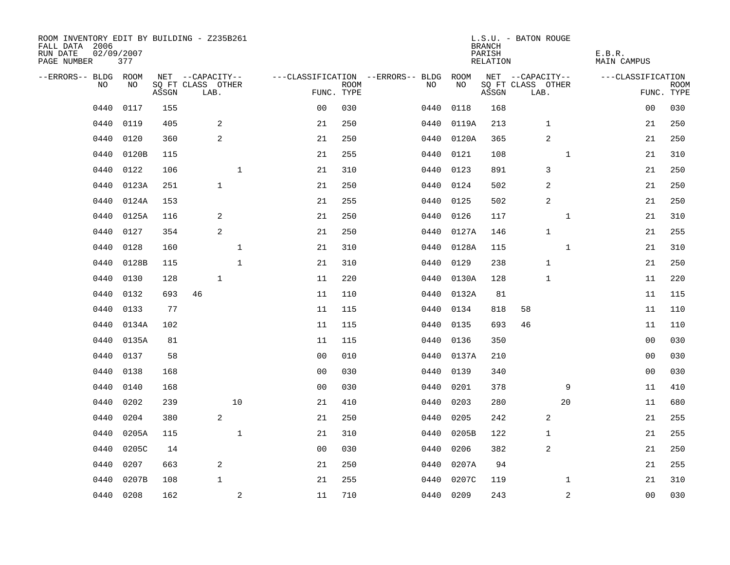| ROOM INVENTORY EDIT BY BUILDING - Z235B261<br>FALL DATA 2006<br>RUN DATE<br>PAGE NUMBER | 02/09/2007<br>377 |       |                           |                |             |                                        |            | <b>BRANCH</b><br>PARISH<br>RELATION | L.S.U. - BATON ROUGE      | E.B.R.<br><b>MAIN CAMPUS</b> |                           |
|-----------------------------------------------------------------------------------------|-------------------|-------|---------------------------|----------------|-------------|----------------------------------------|------------|-------------------------------------|---------------------------|------------------------------|---------------------------|
| --ERRORS-- BLDG ROOM                                                                    |                   |       | NET --CAPACITY--          |                |             | ---CLASSIFICATION --ERRORS-- BLDG ROOM |            |                                     | NET --CAPACITY--          | ---CLASSIFICATION            |                           |
| NO                                                                                      | NO                | ASSGN | SQ FT CLASS OTHER<br>LAB. | FUNC. TYPE     | <b>ROOM</b> | NO                                     | NO         | ASSGN                               | SQ FT CLASS OTHER<br>LAB. |                              | <b>ROOM</b><br>FUNC. TYPE |
| 0440                                                                                    | 0117              | 155   |                           | 0 <sub>0</sub> | 030         | 0440                                   | 0118       | 168                                 |                           | 0 <sub>0</sub>               | 030                       |
| 0440                                                                                    | 0119              | 405   | 2                         | 21             | 250         | 0440                                   | 0119A      | 213                                 | $\mathbf 1$               | 21                           | 250                       |
| 0440                                                                                    | 0120              | 360   | 2                         | 21             | 250         | 0440                                   | 0120A      | 365                                 | 2                         | 21                           | 250                       |
| 0440                                                                                    | 0120B             | 115   |                           | 21             | 255         | 0440                                   | 0121       | 108                                 | $\mathbf{1}$              | 21                           | 310                       |
| 0440                                                                                    | 0122              | 106   | $\mathbf{1}$              | 21             | 310         | 0440                                   | 0123       | 891                                 | 3                         | 21                           | 250                       |
| 0440                                                                                    | 0123A             | 251   | $\mathbf{1}$              | 21             | 250         | 0440                                   | 0124       | 502                                 | 2                         | 21                           | 250                       |
| 0440                                                                                    | 0124A             | 153   |                           | 21             | 255         | 0440                                   | 0125       | 502                                 | 2                         | 21                           | 250                       |
| 0440                                                                                    | 0125A             | 116   | 2                         | 21             | 250         | 0440                                   | 0126       | 117                                 | $\mathbf 1$               | 21                           | 310                       |
| 0440                                                                                    | 0127              | 354   | 2                         | 21             | 250         | 0440                                   | 0127A      | 146                                 | $\mathbf 1$               | 21                           | 255                       |
| 0440                                                                                    | 0128              | 160   | $\mathbf{1}$              | 21             | 310         |                                        | 0440 0128A | 115                                 | $\mathbf{1}$              | 21                           | 310                       |
| 0440                                                                                    | 0128B             | 115   | $\mathbf{1}$              | 21             | 310         | 0440                                   | 0129       | 238                                 | $\mathbf{1}$              | 21                           | 250                       |
| 0440                                                                                    | 0130              | 128   | $\mathbf{1}$              | 11             | 220         | 0440                                   | 0130A      | 128                                 | $\mathbf{1}$              | 11                           | 220                       |
| 0440                                                                                    | 0132              | 693   | 46                        | 11             | 110         | 0440                                   | 0132A      | 81                                  |                           | 11                           | 115                       |
| 0440                                                                                    | 0133              | 77    |                           | 11             | 115         | 0440                                   | 0134       | 818                                 | 58                        | 11                           | 110                       |
| 0440                                                                                    | 0134A             | 102   |                           | 11             | 115         | 0440                                   | 0135       | 693                                 | 46                        | 11                           | 110                       |
| 0440                                                                                    | 0135A             | 81    |                           | 11             | 115         | 0440                                   | 0136       | 350                                 |                           | 00                           | 030                       |
| 0440                                                                                    | 0137              | 58    |                           | 0 <sub>0</sub> | 010         | 0440                                   | 0137A      | 210                                 |                           | 00                           | 030                       |
| 0440                                                                                    | 0138              | 168   |                           | 0 <sub>0</sub> | 030         | 0440                                   | 0139       | 340                                 |                           | 0 <sub>0</sub>               | 030                       |
| 0440                                                                                    | 0140              | 168   |                           | 0 <sub>0</sub> | 030         | 0440                                   | 0201       | 378                                 | 9                         | 11                           | 410                       |
| 0440                                                                                    | 0202              | 239   | 10                        | 21             | 410         | 0440                                   | 0203       | 280                                 | 20                        | 11                           | 680                       |
| 0440                                                                                    | 0204              | 380   | 2                         | 21             | 250         | 0440                                   | 0205       | 242                                 | 2                         | 21                           | 255                       |
| 0440                                                                                    | 0205A             | 115   | $\mathbf{1}$              | 21             | 310         | 0440                                   | 0205B      | 122                                 | $\mathbf 1$               | 21                           | 255                       |
| 0440                                                                                    | 0205C             | 14    |                           | 0 <sub>0</sub> | 030         | 0440                                   | 0206       | 382                                 | 2                         | 21                           | 250                       |
| 0440                                                                                    | 0207              | 663   | 2                         | 21             | 250         | 0440                                   | 0207A      | 94                                  |                           | 21                           | 255                       |
| 0440                                                                                    | 0207B             | 108   | $\mathbf{1}$              | 21             | 255         | 0440                                   | 0207C      | 119                                 | $\mathbf{1}$              | 21                           | 310                       |
|                                                                                         | 0440 0208         | 162   | 2                         | 11             | 710         |                                        | 0440 0209  | 243                                 | $\overline{a}$            | 0 <sub>0</sub>               | 030                       |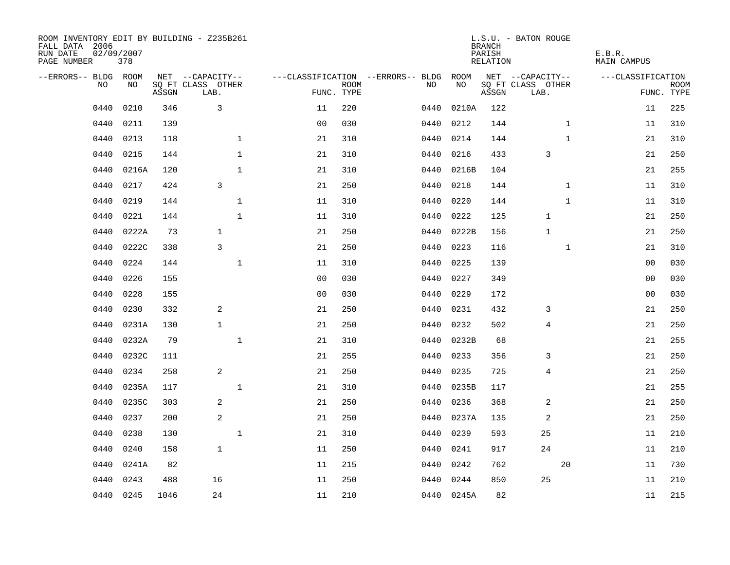| ROOM INVENTORY EDIT BY BUILDING - Z235B261<br>FALL DATA 2006<br>RUN DATE<br>PAGE NUMBER | 02/09/2007<br>378 |       |                           |                |                           |                                        |            | <b>BRANCH</b><br>PARISH<br>RELATION | L.S.U. - BATON ROUGE      | E.B.R.<br><b>MAIN CAMPUS</b> |                |                           |
|-----------------------------------------------------------------------------------------|-------------------|-------|---------------------------|----------------|---------------------------|----------------------------------------|------------|-------------------------------------|---------------------------|------------------------------|----------------|---------------------------|
| --ERRORS-- BLDG ROOM                                                                    |                   |       | NET --CAPACITY--          |                |                           | ---CLASSIFICATION --ERRORS-- BLDG ROOM |            |                                     | NET --CAPACITY--          | ---CLASSIFICATION            |                |                           |
| NO.                                                                                     | NO.               | ASSGN | SQ FT CLASS OTHER<br>LAB. |                | <b>ROOM</b><br>FUNC. TYPE | NO.                                    | NO         | ASSGN                               | SQ FT CLASS OTHER<br>LAB. |                              |                | <b>ROOM</b><br>FUNC. TYPE |
| 0440                                                                                    | 0210              | 346   | 3                         | 11             | 220                       | 0440                                   | 0210A      | 122                                 |                           |                              | 11             | 225                       |
| 0440                                                                                    | 0211              | 139   |                           | 0 <sub>0</sub> | 030                       | 0440                                   | 0212       | 144                                 |                           | $\mathbf{1}$                 | 11             | 310                       |
| 0440                                                                                    | 0213              | 118   | $\mathbf 1$               | 21             | 310                       | 0440                                   | 0214       | 144                                 |                           | $\mathbf{1}$                 | 21             | 310                       |
| 0440                                                                                    | 0215              | 144   | $\mathbf{1}$              | 21             | 310                       | 0440                                   | 0216       | 433                                 | 3                         |                              | 21             | 250                       |
| 0440                                                                                    | 0216A             | 120   | $\mathbf{1}$              | 21             | 310                       | 0440                                   | 0216B      | 104                                 |                           |                              | 21             | 255                       |
| 0440                                                                                    | 0217              | 424   | 3                         | 21             | 250                       | 0440                                   | 0218       | 144                                 |                           | $\mathbf{1}$                 | 11             | 310                       |
| 0440                                                                                    | 0219              | 144   | $\mathbf{1}$              | 11             | 310                       | 0440                                   | 0220       | 144                                 |                           | $\mathbf{1}$                 | 11             | 310                       |
| 0440                                                                                    | 0221              | 144   | $\mathbf 1$               | 11             | 310                       | 0440                                   | 0222       | 125                                 | $\mathbf 1$               |                              | 21             | 250                       |
| 0440                                                                                    | 0222A             | 73    | $\mathbf{1}$              | 21             | 250                       | 0440                                   | 0222B      | 156                                 | $\mathbf 1$               |                              | 21             | 250                       |
| 0440                                                                                    | 0222C             | 338   | 3                         | 21             | 250                       |                                        | 0440 0223  | 116                                 |                           | $\mathbf{1}$                 | 21             | 310                       |
| 0440                                                                                    | 0224              | 144   | $\mathbf{1}$              | 11             | 310                       | 0440                                   | 0225       | 139                                 |                           |                              | 0 <sub>0</sub> | 030                       |
| 0440                                                                                    | 0226              | 155   |                           | 0 <sub>0</sub> | 030                       | 0440                                   | 0227       | 349                                 |                           |                              | 00             | 030                       |
| 0440                                                                                    | 0228              | 155   |                           | 0 <sub>0</sub> | 030                       | 0440                                   | 0229       | 172                                 |                           |                              | 0 <sub>0</sub> | 030                       |
| 0440                                                                                    | 0230              | 332   | 2                         | 21             | 250                       | 0440                                   | 0231       | 432                                 | 3                         |                              | 21             | 250                       |
| 0440                                                                                    | 0231A             | 130   | $\mathbf{1}$              | 21             | 250                       | 0440                                   | 0232       | 502                                 | 4                         |                              | 21             | 250                       |
| 0440                                                                                    | 0232A             | 79    | $\mathbf{1}$              | 21             | 310                       | 0440                                   | 0232B      | 68                                  |                           |                              | 21             | 255                       |
| 0440                                                                                    | 0232C             | 111   |                           | 21             | 255                       | 0440                                   | 0233       | 356                                 | 3                         |                              | 21             | 250                       |
| 0440                                                                                    | 0234              | 258   | 2                         | 21             | 250                       | 0440                                   | 0235       | 725                                 | 4                         |                              | 21             | 250                       |
| 0440                                                                                    | 0235A             | 117   | $\mathbf 1$               | 21             | 310                       | 0440                                   | 0235B      | 117                                 |                           |                              | 21             | 255                       |
| 0440                                                                                    | 0235C             | 303   | 2                         | 21             | 250                       | 0440                                   | 0236       | 368                                 | 2                         |                              | 21             | 250                       |
| 0440                                                                                    | 0237              | 200   | $\overline{a}$            | 21             | 250                       | 0440                                   | 0237A      | 135                                 | $\overline{c}$            |                              | 21             | 250                       |
| 0440                                                                                    | 0238              | 130   | $\mathbf 1$               | 21             | 310                       | 0440                                   | 0239       | 593                                 | 25                        |                              | 11             | 210                       |
| 0440                                                                                    | 0240              | 158   | $\mathbf{1}$              | 11             | 250                       | 0440                                   | 0241       | 917                                 | 24                        |                              | 11             | 210                       |
| 0440                                                                                    | 0241A             | 82    |                           | 11             | 215                       | 0440                                   | 0242       | 762                                 |                           | 20                           | 11             | 730                       |
| 0440                                                                                    | 0243              | 488   | 16                        | 11             | 250                       | 0440                                   | 0244       | 850                                 | 25                        |                              | 11             | 210                       |
|                                                                                         | 0440 0245         | 1046  | 24                        | 11             | 210                       |                                        | 0440 0245A | 82                                  |                           |                              | 11             | 215                       |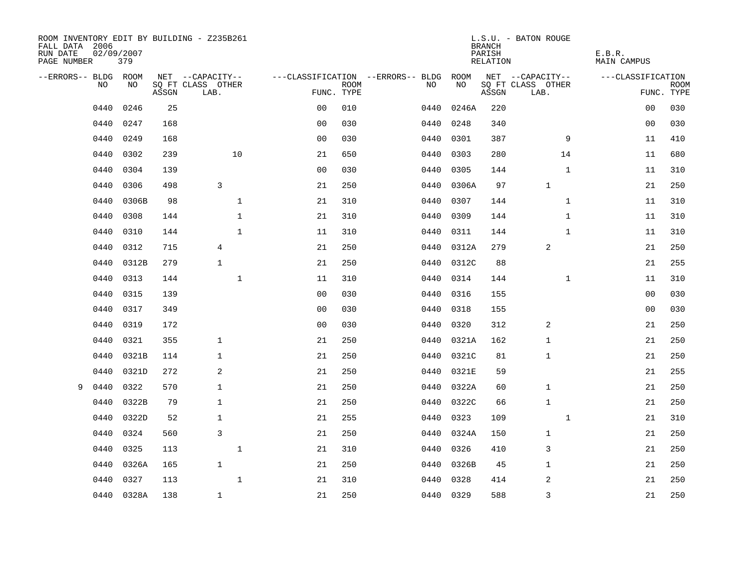| ROOM INVENTORY EDIT BY BUILDING - Z235B261<br>FALL DATA 2006<br>RUN DATE<br>PAGE NUMBER | 02/09/2007 | 379        |       |                           |              |                |             |                                   |           | <b>BRANCH</b><br>PARISH<br>RELATION | L.S.U. - BATON ROUGE      | E.B.R.<br><b>MAIN CAMPUS</b> |                           |
|-----------------------------------------------------------------------------------------|------------|------------|-------|---------------------------|--------------|----------------|-------------|-----------------------------------|-----------|-------------------------------------|---------------------------|------------------------------|---------------------------|
| --ERRORS-- BLDG ROOM                                                                    |            |            |       | NET --CAPACITY--          |              |                |             | ---CLASSIFICATION --ERRORS-- BLDG | ROOM      |                                     | NET --CAPACITY--          | ---CLASSIFICATION            |                           |
|                                                                                         | NO         | NO         | ASSGN | SQ FT CLASS OTHER<br>LAB. |              | FUNC. TYPE     | <b>ROOM</b> | NO.                               | NO        | ASSGN                               | SQ FT CLASS OTHER<br>LAB. |                              | <b>ROOM</b><br>FUNC. TYPE |
|                                                                                         | 0440       | 0246       | 25    |                           |              | 0 <sub>0</sub> | 010         | 0440                              | 0246A     | 220                                 |                           | 00                           | 030                       |
|                                                                                         | 0440       | 0247       | 168   |                           |              | 0 <sub>0</sub> | 030         | 0440                              | 0248      | 340                                 |                           | 0 <sub>0</sub>               | 030                       |
|                                                                                         | 0440       | 0249       | 168   |                           |              | 0 <sub>0</sub> | 030         | 0440                              | 0301      | 387                                 | 9                         | 11                           | 410                       |
|                                                                                         | 0440       | 0302       | 239   |                           | 10           | 21             | 650         | 0440                              | 0303      | 280                                 | 14                        | 11                           | 680                       |
|                                                                                         | 0440       | 0304       | 139   |                           |              | 0 <sub>0</sub> | 030         | 0440                              | 0305      | 144                                 | $\mathbf{1}$              | 11                           | 310                       |
|                                                                                         | 0440       | 0306       | 498   | 3                         |              | 21             | 250         | 0440                              | 0306A     | 97                                  | $\mathbf 1$               | 21                           | 250                       |
|                                                                                         | 0440       | 0306B      | 98    |                           | $\mathbf{1}$ | 21             | 310         | 0440                              | 0307      | 144                                 | $\mathbf{1}$              | 11                           | 310                       |
|                                                                                         | 0440       | 0308       | 144   |                           | 1            | 21             | 310         | 0440                              | 0309      | 144                                 | $\mathbf{1}$              | 11                           | 310                       |
|                                                                                         | 0440       | 0310       | 144   |                           | $\mathbf{1}$ | 11             | 310         | 0440                              | 0311      | 144                                 | $\mathbf{1}$              | 11                           | 310                       |
|                                                                                         | 0440       | 0312       | 715   | 4                         |              | 21             | 250         | 0440                              | 0312A     | 279                                 | 2                         | 21                           | 250                       |
|                                                                                         | 0440       | 0312B      | 279   | $\mathbf{1}$              |              | 21             | 250         | 0440                              | 0312C     | 88                                  |                           | 21                           | 255                       |
|                                                                                         | 0440       | 0313       | 144   |                           | $\mathbf{1}$ | 11             | 310         | 0440                              | 0314      | 144                                 | $\mathbf{1}$              | 11                           | 310                       |
|                                                                                         | 0440       | 0315       | 139   |                           |              | 0 <sub>0</sub> | 030         | 0440                              | 0316      | 155                                 |                           | 00                           | 030                       |
|                                                                                         | 0440       | 0317       | 349   |                           |              | 0 <sub>0</sub> | 030         | 0440                              | 0318      | 155                                 |                           | 00                           | 030                       |
|                                                                                         | 0440       | 0319       | 172   |                           |              | 0 <sub>0</sub> | 030         | 0440                              | 0320      | 312                                 | 2                         | 21                           | 250                       |
|                                                                                         | 0440       | 0321       | 355   | $\mathbf{1}$              |              | 21             | 250         | 0440                              | 0321A     | 162                                 | 1                         | 21                           | 250                       |
|                                                                                         | 0440       | 0321B      | 114   | $\mathbf 1$               |              | 21             | 250         | 0440                              | 0321C     | 81                                  | $\mathbf{1}$              | 21                           | 250                       |
|                                                                                         | 0440       | 0321D      | 272   | 2                         |              | 21             | 250         | 0440                              | 0321E     | 59                                  |                           | 21                           | 255                       |
| 9                                                                                       | 0440       | 0322       | 570   | $\mathbf{1}$              |              | 21             | 250         | 0440                              | 0322A     | 60                                  | $\mathbf{1}$              | 21                           | 250                       |
|                                                                                         | 0440       | 0322B      | 79    | $\mathbf{1}$              |              | 21             | 250         | 0440                              | 0322C     | 66                                  | $\mathbf 1$               | 21                           | 250                       |
|                                                                                         | 0440       | 0322D      | 52    | $\mathbf{1}$              |              | 21             | 255         | 0440                              | 0323      | 109                                 | $\mathbf{1}$              | 21                           | 310                       |
|                                                                                         | 0440       | 0324       | 560   | 3                         |              | 21             | 250         | 0440                              | 0324A     | 150                                 | $\mathbf 1$               | 21                           | 250                       |
|                                                                                         | 0440       | 0325       | 113   |                           | 1            | 21             | 310         | 0440                              | 0326      | 410                                 | 3                         | 21                           | 250                       |
|                                                                                         | 0440       | 0326A      | 165   | $\mathbf{1}$              |              | 21             | 250         | 0440                              | 0326B     | 45                                  | 1                         | 21                           | 250                       |
|                                                                                         | 0440       | 0327       | 113   |                           | $\mathbf{1}$ | 21             | 310         | 0440                              | 0328      | 414                                 | 2                         | 21                           | 250                       |
|                                                                                         |            | 0440 0328A | 138   | $\mathbf{1}$              |              | 21             | 250         |                                   | 0440 0329 | 588                                 | $\overline{3}$            | 21                           | 250                       |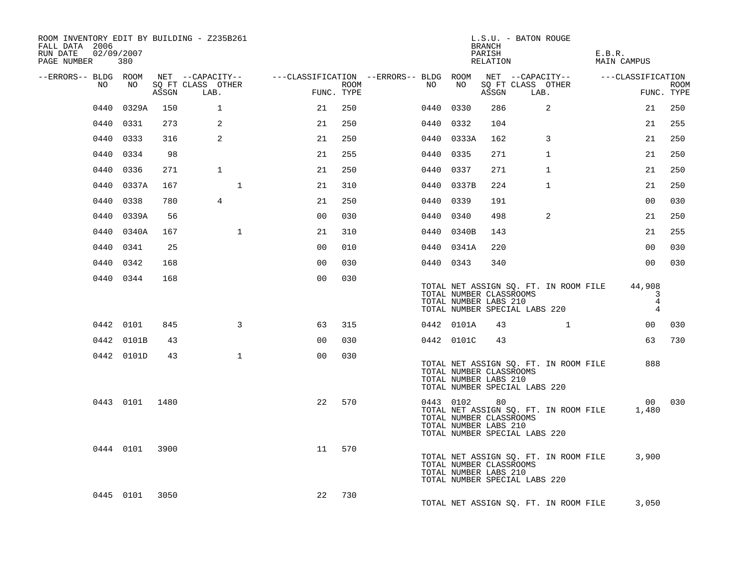| ROOM INVENTORY EDIT BY BUILDING - Z235B261<br>FALL DATA 2006<br>02/09/2007<br>RUN DATE<br>PAGE NUMBER 380 |                |     |                                                                                                |                |      |    |              | BRANCH<br>PARISH<br>RELATION                     | L.S.U. - BATON ROUGE                                                          |              | E.B.R.<br>MAIN CAMPUS |                                       |             |
|-----------------------------------------------------------------------------------------------------------|----------------|-----|------------------------------------------------------------------------------------------------|----------------|------|----|--------------|--------------------------------------------------|-------------------------------------------------------------------------------|--------------|-----------------------|---------------------------------------|-------------|
| --ERRORS-- BLDG ROOM                                                                                      |                |     | NET --CAPACITY--   ---CLASSIFICATION --ERRORS-- BLDG ROOM NET --CAPACITY--   ---CLASSIFICATION |                |      |    |              |                                                  |                                                                               |              |                       |                                       |             |
| NO                                                                                                        | NO             |     | SQ FT CLASS OTHER<br>ASSGN LAB.                                                                | FUNC. TYPE     | ROOM | NO | NO           | ASSGN                                            | SQ FT CLASS OTHER<br>LAB.                                                     |              |                       | FUNC. TYPE                            | <b>ROOM</b> |
| 0440                                                                                                      | 0329A          | 150 | $\mathbf{1}$                                                                                   | 21             | 250  |    | 0440 0330    | 286                                              | 2                                                                             |              |                       | 21                                    | 250         |
|                                                                                                           | 0440 0331      | 273 | 2                                                                                              | 21             | 250  |    | 0440 0332    | 104                                              |                                                                               |              |                       | 21                                    | 255         |
|                                                                                                           | 0440 0333      | 316 | 2                                                                                              | 21             | 250  |    | 0440 0333A   | 162                                              | 3                                                                             |              |                       | 21                                    | 250         |
|                                                                                                           | 0440 0334      | 98  |                                                                                                | 21             | 255  |    | 0440 0335    | 271                                              | $\mathbf{1}$                                                                  |              |                       | 21                                    | 250         |
|                                                                                                           | 0440 0336      | 271 | $\mathbf{1}$                                                                                   | 21             | 250  |    | 0440 0337    | 271                                              | $\mathbf{1}$                                                                  |              |                       | 21                                    | 250         |
|                                                                                                           | 0440 0337A     | 167 | $\mathbf 1$                                                                                    | 21             | 310  |    | 0440 0337B   | 224                                              | $\mathbf{1}$                                                                  |              |                       | 21                                    | 250         |
|                                                                                                           | 0440 0338      | 780 | $\overline{4}$                                                                                 | 21             | 250  |    | 0440 0339    | 191                                              |                                                                               |              |                       | 00                                    | 030         |
|                                                                                                           | 0440 0339A     | 56  |                                                                                                | 0 <sub>0</sub> | 030  |    | 0440 0340    | 498                                              | $\overline{2}$                                                                |              |                       | 21                                    | 250         |
|                                                                                                           | 0440 0340A     | 167 | $\mathbf{1}$                                                                                   | 21             | 310  |    | 0440 0340B   | 143                                              |                                                                               |              |                       | 21                                    | 255         |
|                                                                                                           | 0440 0341      | 25  |                                                                                                | 0 <sub>0</sub> | 010  |    | 0440 0341A   | 220                                              |                                                                               |              |                       | 0 <sub>0</sub>                        | 030         |
|                                                                                                           | 0440 0342      | 168 |                                                                                                | 0 <sub>0</sub> | 030  |    | 0440 0343    | 340                                              |                                                                               |              |                       | 0 <sub>0</sub>                        | 030         |
|                                                                                                           | 0440 0344      | 168 |                                                                                                | 0 <sub>0</sub> | 030  |    |              | TOTAL NUMBER CLASSROOMS<br>TOTAL NUMBER LABS 210 | TOTAL NET ASSIGN SQ. FT. IN ROOM FILE 44,908<br>TOTAL NUMBER SPECIAL LABS 220 |              |                       | 3<br>$\overline{4}$<br>$\overline{4}$ |             |
|                                                                                                           | 0442 0101      | 845 | 3                                                                                              | 63             | 315  |    | 0442 0101A   | 43                                               |                                                                               | $\mathbf{1}$ |                       | 00 030                                |             |
|                                                                                                           | 0442 0101B     | 43  |                                                                                                | 0 <sup>0</sup> | 030  |    | 0442 0101C   | 43                                               |                                                                               |              |                       |                                       | 63 730      |
|                                                                                                           | 0442 0101D     | 43  | $\mathbf{1}$                                                                                   | 0 <sub>0</sub> | 030  |    |              | TOTAL NUMBER CLASSROOMS<br>TOTAL NUMBER LABS 210 | TOTAL NET ASSIGN SQ. FT. IN ROOM FILE<br>TOTAL NUMBER SPECIAL LABS 220        |              |                       | 888                                   |             |
|                                                                                                           | 0443 0101 1480 |     |                                                                                                | 22             | 570  |    | 0443 0102 80 | TOTAL NUMBER CLASSROOMS<br>TOTAL NUMBER LABS 210 | TOTAL NET ASSIGN SQ. FT. IN ROOM FILE<br>TOTAL NUMBER SPECIAL LABS 220        |              |                       | 00 030<br>1,480                       |             |
|                                                                                                           | 0444 0101 3900 |     |                                                                                                | 11             | 570  |    |              | TOTAL NUMBER CLASSROOMS<br>TOTAL NUMBER LABS 210 | TOTAL NET ASSIGN SQ. FT. IN ROOM FILE<br>TOTAL NUMBER SPECIAL LABS 220        |              |                       | 3,900                                 |             |
|                                                                                                           | 0445 0101 3050 |     |                                                                                                | 22             | 730  |    |              |                                                  | TOTAL NET ASSIGN SQ. FT. IN ROOM FILE                                         |              |                       | 3,050                                 |             |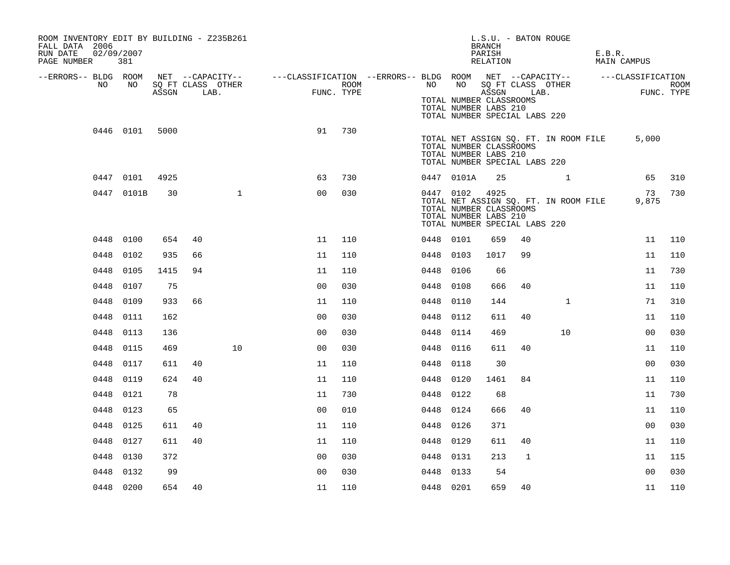| ROOM INVENTORY EDIT BY BUILDING - Z235B261<br>FALL DATA 2006<br>RUN DATE<br>PAGE NUMBER | 02/09/2007<br>381 |       |                           |              |                                                                                                                            |                    |           |                                                                                                | L.S.U. - BATON ROUGE<br><b>BRANCH</b><br>PARISH<br>RELATION |              |                                       | E.B.R.<br><b>MAIN CAMPUS</b> |                    |
|-----------------------------------------------------------------------------------------|-------------------|-------|---------------------------|--------------|----------------------------------------------------------------------------------------------------------------------------|--------------------|-----------|------------------------------------------------------------------------------------------------|-------------------------------------------------------------|--------------|---------------------------------------|------------------------------|--------------------|
| --ERRORS-- BLDG ROOM<br>NO                                                              | NO                | ASSGN | SQ FT CLASS OTHER<br>LAB. |              | NET --CAPACITY-- - ---CLASSIFICATION --ERRORS-- BLDG ROOM NET --CAPACITY-- - ---CLASSIFICATION<br>$\overline{\phantom{a}}$ | ROOM<br>FUNC. TYPE | NO        | TOTAL NUMBER CLASSROOMS<br>TOTAL NUMBER LABS 210<br>TOTAL NUMBER SPECIAL LABS 220              | ASSGN LAB.                                                  |              | NO SQ FT CLASS OTHER                  |                              | ROOM<br>FUNC. TYPE |
|                                                                                         | 0446 0101         | 5000  |                           |              | 91                                                                                                                         | 730                |           | TOTAL NUMBER CLASSROOMS<br>TOTAL NUMBER LABS 210<br>TOTAL NUMBER SPECIAL LABS 220              |                                                             |              | TOTAL NET ASSIGN SQ. FT. IN ROOM FILE | 5,000                        |                    |
|                                                                                         | 0447 0101         | 4925  |                           |              | 63                                                                                                                         | 730                |           | 0447 0101A                                                                                     | 25                                                          |              | $\mathbf{1}$                          | 65                           | 310                |
|                                                                                         | 0447 0101B        | 30    |                           | $\mathbf{1}$ | 0 <sup>0</sup>                                                                                                             | 030                |           | 0447 0102<br>TOTAL NUMBER CLASSROOMS<br>TOTAL NUMBER LABS 210<br>TOTAL NUMBER SPECIAL LABS 220 | 4925                                                        |              | TOTAL NET ASSIGN SQ. FT. IN ROOM FILE | 73<br>9,875                  | 730                |
|                                                                                         | 0448 0100         | 654   | 40                        |              | 11                                                                                                                         | 110                | 0448 0101 |                                                                                                | 659                                                         | 40           |                                       | 11                           | 110                |
| 0448                                                                                    | 0102              | 935   | 66                        |              | 11                                                                                                                         | 110                | 0448 0103 |                                                                                                | 1017                                                        | 99           |                                       | 11                           | 110                |
|                                                                                         | 0448 0105         | 1415  | 94                        |              | 11                                                                                                                         | 110                | 0448 0106 |                                                                                                | 66                                                          |              |                                       | 11                           | 730                |
| 0448                                                                                    | 0107              | 75    |                           |              | 0 <sub>0</sub>                                                                                                             | 030                | 0448 0108 |                                                                                                | 666                                                         | 40           |                                       | 11                           | 110                |
| 0448                                                                                    | 0109              | 933   | 66                        |              | 11                                                                                                                         | 110                | 0448      | 0110                                                                                           | 144                                                         |              | $\mathbf{1}$                          | 71                           | 310                |
| 0448                                                                                    | 0111              | 162   |                           |              | 0 <sub>0</sub>                                                                                                             | 030                | 0448 0112 |                                                                                                | 611                                                         | 40           |                                       | 11                           | 110                |
|                                                                                         | 0448 0113         | 136   |                           |              | 0 <sub>0</sub>                                                                                                             | 030                | 0448      | 0114                                                                                           | 469                                                         |              | 10                                    | 0 <sub>0</sub>               | 030                |
|                                                                                         | 0448 0115         | 469   |                           | 10           | 0 <sub>0</sub>                                                                                                             | 030                | 0448 0116 |                                                                                                | 611                                                         | 40           |                                       | 11                           | 110                |
|                                                                                         | 0448 0117         | 611   | 40                        |              | 11                                                                                                                         | 110                | 0448      | 0118                                                                                           | 30                                                          |              |                                       | 0 <sub>0</sub>               | 030                |
|                                                                                         | 0448 0119         | 624   | 40                        |              | 11                                                                                                                         | 110                | 0448 0120 |                                                                                                | 1461                                                        | 84           |                                       | 11                           | 110                |
|                                                                                         | 0448 0121         | 78    |                           |              | 11                                                                                                                         | 730                | 0448      | 0122                                                                                           | 68                                                          |              |                                       | 11                           | 730                |
| 0448                                                                                    | 0123              | 65    |                           |              | 0 <sub>0</sub>                                                                                                             | 010                | 0448 0124 |                                                                                                | 666                                                         | 40           |                                       | 11                           | 110                |
| 0448                                                                                    | 0125              | 611   | 40                        |              | 11                                                                                                                         | 110                | 0448      | 0126                                                                                           | 371                                                         |              |                                       | 0 <sub>0</sub>               | 030                |
|                                                                                         | 0448 0127         | 611   | 40                        |              | 11                                                                                                                         | 110                | 0448 0129 |                                                                                                | 611                                                         | 40           |                                       | 11                           | 110                |
| 0448                                                                                    | 0130              | 372   |                           |              | 0 <sub>0</sub>                                                                                                             | 030                | 0448 0131 |                                                                                                | 213                                                         | $\mathbf{1}$ |                                       | 11                           | 115                |
| 0448                                                                                    | 0132              | 99    |                           |              | 0 <sub>0</sub>                                                                                                             | 030                | 0448 0133 |                                                                                                | 54                                                          |              |                                       | 0 <sub>0</sub>               | 030                |
|                                                                                         | 0448 0200         | 654   | 40                        |              | 11                                                                                                                         | 110                | 0448 0201 |                                                                                                | 659                                                         | 40           |                                       | 11                           | 110                |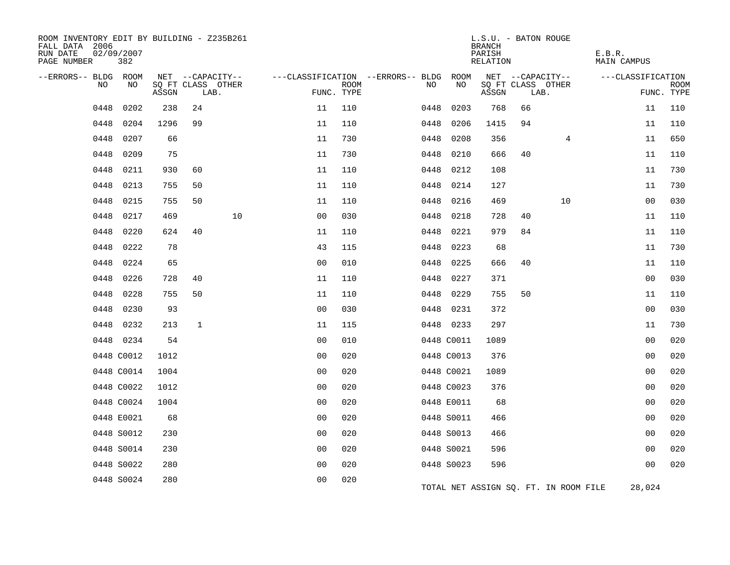| ROOM INVENTORY EDIT BY BUILDING - Z235B261<br>FALL DATA 2006<br>RUN DATE<br>PAGE NUMBER | 02/09/2007<br>382 |                                 |              |                                       |                |             |                                         |            | L.S.U. - BATON ROUGE<br><b>BRANCH</b><br>PARISH<br>RELATION |      |                                       | E.B.R.<br><b>MAIN CAMPUS</b> |                |             |
|-----------------------------------------------------------------------------------------|-------------------|---------------------------------|--------------|---------------------------------------|----------------|-------------|-----------------------------------------|------------|-------------------------------------------------------------|------|---------------------------------------|------------------------------|----------------|-------------|
| --ERRORS-- BLDG ROOM<br>NO                                                              | NO                |                                 |              | NET --CAPACITY--<br>SQ FT CLASS OTHER |                | <b>ROOM</b> | ---CLASSIFICATION --ERRORS-- BLDG<br>NO | ROOM<br>NO |                                                             |      | NET --CAPACITY--<br>SQ FT CLASS OTHER | ---CLASSIFICATION            |                | <b>ROOM</b> |
|                                                                                         |                   | $\operatorname{\mathsf{ASSGN}}$ |              | LAB.                                  | FUNC. TYPE     |             |                                         |            | ASSGN                                                       | LAB. |                                       |                              |                | FUNC. TYPE  |
| 0448                                                                                    | 0202              | 238                             | 24           |                                       | 11             | 110         | 0448                                    | 0203       | 768                                                         | 66   |                                       |                              | 11             | 110         |
| 0448                                                                                    | 0204              | 1296                            | 99           |                                       | 11             | 110         | 0448                                    | 0206       | 1415                                                        | 94   |                                       |                              | 11             | 110         |
| 0448                                                                                    | 0207              | 66                              |              |                                       | 11             | 730         | 0448                                    | 0208       | 356                                                         |      | $\overline{4}$                        |                              | 11             | 650         |
| 0448                                                                                    | 0209              | 75                              |              |                                       | 11             | 730         | 0448                                    | 0210       | 666                                                         | 40   |                                       |                              | 11             | 110         |
| 0448                                                                                    | 0211              | 930                             | 60           |                                       | 11             | 110         | 0448                                    | 0212       | 108                                                         |      |                                       |                              | 11             | 730         |
| 0448                                                                                    | 0213              | 755                             | 50           |                                       | 11             | 110         | 0448                                    | 0214       | 127                                                         |      |                                       |                              | 11             | 730         |
| 0448                                                                                    | 0215              | 755                             | 50           |                                       | 11             | 110         | 0448                                    | 0216       | 469                                                         |      | 10                                    |                              | 00             | 030         |
| 0448                                                                                    | 0217              | 469                             |              | 10                                    | 0 <sub>0</sub> | 030         | 0448                                    | 0218       | 728                                                         | 40   |                                       |                              | 11             | 110         |
| 0448                                                                                    | 0220              | 624                             | 40           |                                       | 11             | 110         | 0448                                    | 0221       | 979                                                         | 84   |                                       |                              | 11             | 110         |
| 0448                                                                                    | 0222              | 78                              |              |                                       | 43             | 115         |                                         | 0448 0223  | 68                                                          |      |                                       |                              | 11             | 730         |
| 0448                                                                                    | 0224              | 65                              |              |                                       | 0 <sub>0</sub> | 010         | 0448                                    | 0225       | 666                                                         | 40   |                                       |                              | 11             | 110         |
| 0448                                                                                    | 0226              | 728                             | 40           |                                       | 11             | 110         | 0448                                    | 0227       | 371                                                         |      |                                       |                              | 0 <sub>0</sub> | 030         |
| 0448                                                                                    | 0228              | 755                             | 50           |                                       | 11             | 110         | 0448                                    | 0229       | 755                                                         | 50   |                                       |                              | 11             | 110         |
| 0448                                                                                    | 0230              | 93                              |              |                                       | 0 <sub>0</sub> | 030         |                                         | 0448 0231  | 372                                                         |      |                                       |                              | 0 <sub>0</sub> | 030         |
| 0448                                                                                    | 0232              | 213                             | $\mathbf{1}$ |                                       | 11             | 115         |                                         | 0448 0233  | 297                                                         |      |                                       |                              | 11             | 730         |
|                                                                                         | 0448 0234         | 54                              |              |                                       | 0 <sub>0</sub> | 010         |                                         | 0448 C0011 | 1089                                                        |      |                                       |                              | 0 <sub>0</sub> | 020         |
|                                                                                         | 0448 C0012        | 1012                            |              |                                       | 0 <sub>0</sub> | 020         |                                         | 0448 C0013 | 376                                                         |      |                                       |                              | 0 <sub>0</sub> | 020         |
|                                                                                         | 0448 C0014        | 1004                            |              |                                       | 0 <sub>0</sub> | 020         |                                         | 0448 C0021 | 1089                                                        |      |                                       |                              | 0 <sub>0</sub> | 020         |
|                                                                                         | 0448 C0022        | 1012                            |              |                                       | 0 <sub>0</sub> | 020         |                                         | 0448 C0023 | 376                                                         |      |                                       |                              | 0 <sub>0</sub> | 020         |
|                                                                                         | 0448 C0024        | 1004                            |              |                                       | 00             | 020         |                                         | 0448 E0011 | 68                                                          |      |                                       |                              | 0 <sub>0</sub> | 020         |
|                                                                                         | 0448 E0021        | 68                              |              |                                       | 0 <sub>0</sub> | 020         |                                         | 0448 S0011 | 466                                                         |      |                                       |                              | 0 <sub>0</sub> | 020         |
|                                                                                         | 0448 S0012        | 230                             |              |                                       | 0 <sub>0</sub> | 020         |                                         | 0448 S0013 | 466                                                         |      |                                       |                              | 00             | 020         |
|                                                                                         | 0448 S0014        | 230                             |              |                                       | 0 <sub>0</sub> | 020         |                                         | 0448 S0021 | 596                                                         |      |                                       |                              | 0 <sub>0</sub> | 020         |
|                                                                                         | 0448 S0022        | 280                             |              |                                       | 0 <sub>0</sub> | 020         |                                         | 0448 S0023 | 596                                                         |      |                                       |                              | 0 <sub>0</sub> | 020         |
|                                                                                         | 0448 S0024        | 280                             |              |                                       | 0 <sub>0</sub> | 020         |                                         |            |                                                             |      | TOTAL NET ASSIGN SO. FT. IN ROOM FILE |                              | 28,024         |             |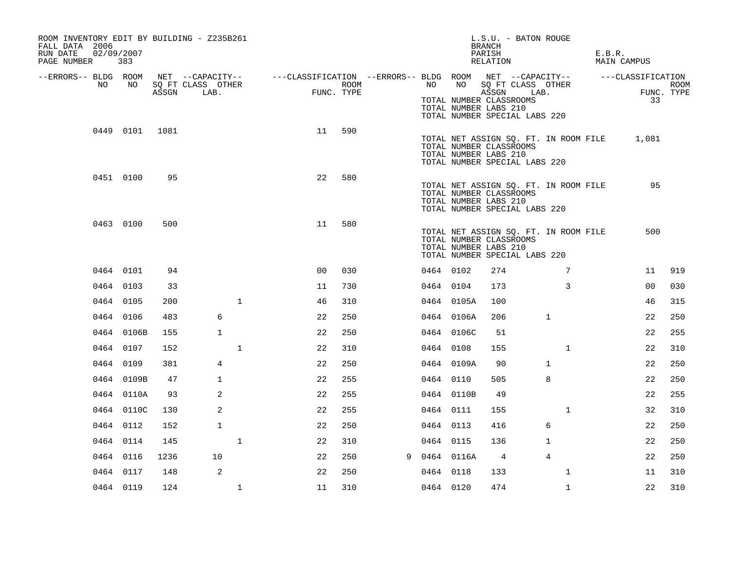| ROOM INVENTORY EDIT BY BUILDING - Z235B261<br>FALL DATA 2006<br>RUN DATE<br>PAGE NUMBER | 02/09/2007<br>383 |       |                                               |                                                         |                    |   |           |            | L.S.U. - BATON ROUGE<br>BRANCH<br>PARISH<br>RELATION                                                                       |                 | E.B.R. | MAIN CAMPUS             |                    |
|-----------------------------------------------------------------------------------------|-------------------|-------|-----------------------------------------------|---------------------------------------------------------|--------------------|---|-----------|------------|----------------------------------------------------------------------------------------------------------------------------|-----------------|--------|-------------------------|--------------------|
| --ERRORS-- BLDG ROOM<br>NO                                                              | NO                | ASSGN | NET --CAPACITY--<br>SQ FT CLASS OTHER<br>LAB. | ---CLASSIFICATION --ERRORS-- BLDG ROOM NET --CAPACITY-- | ROOM<br>FUNC. TYPE |   | NO        |            | NO SQ FT CLASS OTHER<br>ASSGN<br>TOTAL NUMBER CLASSROOMS<br>TOTAL NUMBER LABS 210<br>TOTAL NUMBER SPECIAL LABS 220         | LAB.            |        | ---CLASSIFICATION<br>33 | ROOM<br>FUNC. TYPE |
|                                                                                         | 0449 0101 1081    |       |                                               | 11                                                      | 590                |   |           |            | TOTAL NET ASSIGN SQ. FT. IN ROOM FILE<br>TOTAL NUMBER CLASSROOMS<br>TOTAL NUMBER LABS 210<br>TOTAL NUMBER SPECIAL LABS 220 |                 |        | 1,081                   |                    |
|                                                                                         | 0451 0100         | 95    |                                               | 22                                                      | 580                |   |           |            | TOTAL NET ASSIGN SQ. FT. IN ROOM FILE<br>TOTAL NUMBER CLASSROOMS<br>TOTAL NUMBER LABS 210<br>TOTAL NUMBER SPECIAL LABS 220 |                 |        | 95                      |                    |
|                                                                                         | 0463 0100         | 500   |                                               | 11                                                      | 580                |   |           |            | TOTAL NET ASSIGN SQ. FT. IN ROOM FILE<br>TOTAL NUMBER CLASSROOMS<br>TOTAL NUMBER LABS 210<br>TOTAL NUMBER SPECIAL LABS 220 |                 |        | 500                     |                    |
|                                                                                         | 0464 0101         | 94    |                                               | 0 <sub>0</sub>                                          | 030                |   | 0464 0102 |            | 274                                                                                                                        | $7\phantom{.0}$ |        | 11                      | 919                |
|                                                                                         | 0464 0103         | 33    |                                               | 11                                                      | 730                |   | 0464 0104 |            | 173                                                                                                                        | 3               |        | 0 <sub>0</sub>          | 030                |
|                                                                                         | 0464 0105         | 200   | $\mathbf{1}$                                  | 46                                                      | 310                |   |           | 0464 0105A | 100                                                                                                                        |                 |        | 46                      | 315                |
|                                                                                         | 0464 0106         | 483   | 6                                             | 22                                                      | 250                |   |           | 0464 0106A | 206                                                                                                                        | $\mathbf{1}$    |        | 22                      | 250                |
|                                                                                         | 0464 0106B        | 155   | $\mathbf{1}$                                  | 22                                                      | 250                |   |           | 0464 0106C | 51                                                                                                                         |                 |        | 22                      | 255                |
|                                                                                         | 0464 0107         | 152   | $\mathbf{1}$                                  | 22                                                      | 310                |   | 0464 0108 |            | 155                                                                                                                        | $\mathbf{1}$    |        | 22                      | 310                |
|                                                                                         | 0464 0109         | 381   | 4                                             | 22                                                      | 250                |   |           | 0464 0109A | 90                                                                                                                         | $\mathbf 1$     |        | 22                      | 250                |
|                                                                                         | 0464 0109B        | 47    | $\mathbf{1}$                                  | 22                                                      | 255                |   | 0464 0110 |            | 505                                                                                                                        | 8               |        | 22                      | 250                |
|                                                                                         | 0464 0110A        | 93    | 2                                             | 22                                                      | 255                |   |           | 0464 0110B | 49                                                                                                                         |                 |        | 22                      | 255                |
|                                                                                         | 0464 0110C        | 130   | 2                                             | 22                                                      | 255                |   | 0464 0111 |            | 155                                                                                                                        | $\mathbf{1}$    |        | 32                      | 310                |
|                                                                                         | 0464 0112         | 152   | $\mathbf{1}$                                  | 22                                                      | 250                |   | 0464 0113 |            | 416                                                                                                                        | 6               |        | 22                      | 250                |
|                                                                                         | 0464 0114         | 145   | $\mathbf 1$                                   | 22                                                      | 310                |   | 0464 0115 |            | 136                                                                                                                        | $\mathbf{1}$    |        | 22                      | 250                |
|                                                                                         | 0464 0116         | 1236  | 10                                            | 22                                                      | 250                | 9 |           | 0464 0116A | 4                                                                                                                          | 4               |        | 22                      | 250                |
|                                                                                         | 0464 0117         | 148   | 2                                             | 22                                                      | 250                |   | 0464 0118 |            | 133                                                                                                                        | $\mathbf{1}$    |        | 11                      | 310                |
|                                                                                         | 0464 0119         | 124   | $\mathbf 1$                                   | 11                                                      | 310                |   | 0464 0120 |            | 474                                                                                                                        | $\mathbf{1}$    |        | 22                      | 310                |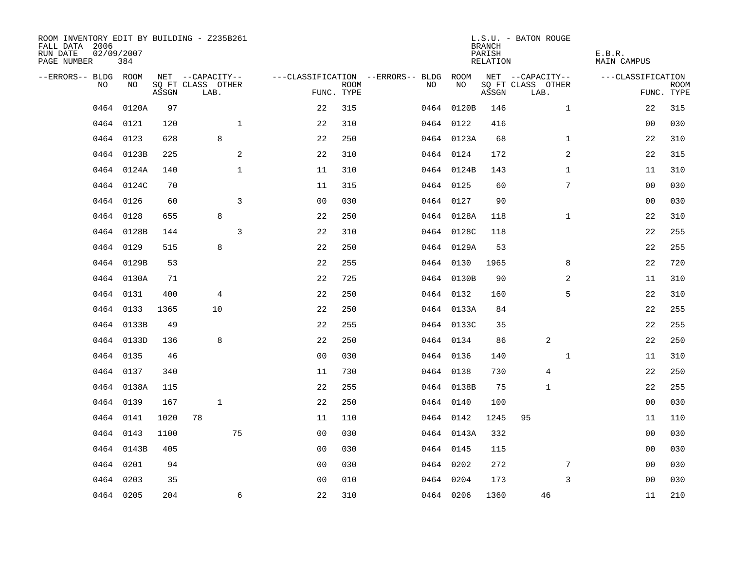| ROOM INVENTORY EDIT BY BUILDING - Z235B261<br>FALL DATA 2006<br>RUN DATE<br>PAGE NUMBER | 02/09/2007<br>384 |       |                           |                |                                        |             |    |            | <b>BRANCH</b><br>PARISH<br>RELATION | L.S.U. - BATON ROUGE      |              | E.B.R.<br>MAIN CAMPUS |                           |
|-----------------------------------------------------------------------------------------|-------------------|-------|---------------------------|----------------|----------------------------------------|-------------|----|------------|-------------------------------------|---------------------------|--------------|-----------------------|---------------------------|
| --ERRORS-- BLDG ROOM                                                                    |                   |       | NET --CAPACITY--          |                | ---CLASSIFICATION --ERRORS-- BLDG ROOM |             |    |            |                                     | NET --CAPACITY--          |              | ---CLASSIFICATION     |                           |
| NO                                                                                      | NO                | ASSGN | SQ FT CLASS OTHER<br>LAB. |                | FUNC. TYPE                             | <b>ROOM</b> | NO | NO         | ASSGN                               | SQ FT CLASS OTHER<br>LAB. |              |                       | <b>ROOM</b><br>FUNC. TYPE |
| 0464                                                                                    | 0120A             | 97    |                           |                | 22                                     | 315         |    | 0464 0120B | 146                                 |                           | $\mathbf{1}$ | 22                    | 315                       |
|                                                                                         | 0464 0121         | 120   |                           | $\mathbf{1}$   | 22                                     | 310         |    | 0464 0122  | 416                                 |                           |              | 00                    | 030                       |
|                                                                                         | 0464 0123         | 628   | 8                         |                | 22                                     | 250         |    | 0464 0123A | 68                                  |                           | $\mathbf{1}$ | 22                    | 310                       |
|                                                                                         | 0464 0123B        | 225   |                           | 2              | 22                                     | 310         |    | 0464 0124  | 172                                 |                           | 2            | 22                    | 315                       |
|                                                                                         | 0464 0124A        | 140   |                           | $\mathbf{1}$   | 11                                     | 310         |    | 0464 0124B | 143                                 |                           | $\mathbf{1}$ | 11                    | 310                       |
|                                                                                         | 0464 0124C        | 70    |                           |                | 11                                     | 315         |    | 0464 0125  | 60                                  |                           | 7            | 00                    | 030                       |
|                                                                                         | 0464 0126         | 60    |                           | $\overline{3}$ | 0 <sub>0</sub>                         | 030         |    | 0464 0127  | 90                                  |                           |              | 0 <sub>0</sub>        | 030                       |
|                                                                                         | 0464 0128         | 655   | 8                         |                | 22                                     | 250         |    | 0464 0128A | 118                                 |                           | $\mathbf{1}$ | 22                    | 310                       |
|                                                                                         | 0464 0128B        | 144   |                           | 3              | 22                                     | 310         |    | 0464 0128C | 118                                 |                           |              | 22                    | 255                       |
|                                                                                         | 0464 0129         | 515   | 8                         |                | 22                                     | 250         |    | 0464 0129A | 53                                  |                           |              | 22                    | 255                       |
|                                                                                         | 0464 0129B        | 53    |                           |                | 22                                     | 255         |    | 0464 0130  | 1965                                |                           | 8            | 22                    | 720                       |
|                                                                                         | 0464 0130A        | 71    |                           |                | 22                                     | 725         |    | 0464 0130B | 90                                  |                           | 2            | 11                    | 310                       |
|                                                                                         | 0464 0131         | 400   | 4                         |                | 22                                     | 250         |    | 0464 0132  | 160                                 |                           | 5            | 22                    | 310                       |
|                                                                                         | 0464 0133         | 1365  | 10                        |                | 22                                     | 250         |    | 0464 0133A | 84                                  |                           |              | 22                    | 255                       |
|                                                                                         | 0464 0133B        | 49    |                           |                | 22                                     | 255         |    | 0464 0133C | 35                                  |                           |              | 22                    | 255                       |
|                                                                                         | 0464 0133D        | 136   | 8                         |                | 22                                     | 250         |    | 0464 0134  | 86                                  | 2                         |              | 22                    | 250                       |
|                                                                                         | 0464 0135         | 46    |                           |                | 0 <sub>0</sub>                         | 030         |    | 0464 0136  | 140                                 |                           | $\mathbf{1}$ | 11                    | 310                       |
| 0464                                                                                    | 0137              | 340   |                           |                | 11                                     | 730         |    | 0464 0138  | 730                                 | $\overline{4}$            |              | 22                    | 250                       |
|                                                                                         | 0464 0138A        | 115   |                           |                | 22                                     | 255         |    | 0464 0138B | 75                                  | 1                         |              | 22                    | 255                       |
|                                                                                         | 0464 0139         | 167   | $\mathbf{1}$              |                | 22                                     | 250         |    | 0464 0140  | 100                                 |                           |              | 00                    | 030                       |
|                                                                                         | 0464 0141         | 1020  | 78                        |                | 11                                     | 110         |    | 0464 0142  | 1245                                | 95                        |              | 11                    | 110                       |
|                                                                                         | 0464 0143         | 1100  |                           | 75             | 0 <sub>0</sub>                         | 030         |    | 0464 0143A | 332                                 |                           |              | 00                    | 030                       |
|                                                                                         | 0464 0143B        | 405   |                           |                | 0 <sub>0</sub>                         | 030         |    | 0464 0145  | 115                                 |                           |              | 0 <sub>0</sub>        | 030                       |
| 0464                                                                                    | 0201              | 94    |                           |                | 0 <sub>0</sub>                         | 030         |    | 0464 0202  | 272                                 |                           | 7            | 00                    | 030                       |
|                                                                                         | 0464 0203         | 35    |                           |                | 0 <sub>0</sub>                         | 010         |    | 0464 0204  | 173                                 |                           | 3            | 00                    | 030                       |
|                                                                                         | 0464 0205         | 204   |                           | 6              | 22                                     | 310         |    | 0464 0206  | 1360                                | 46                        |              | 11                    | 210                       |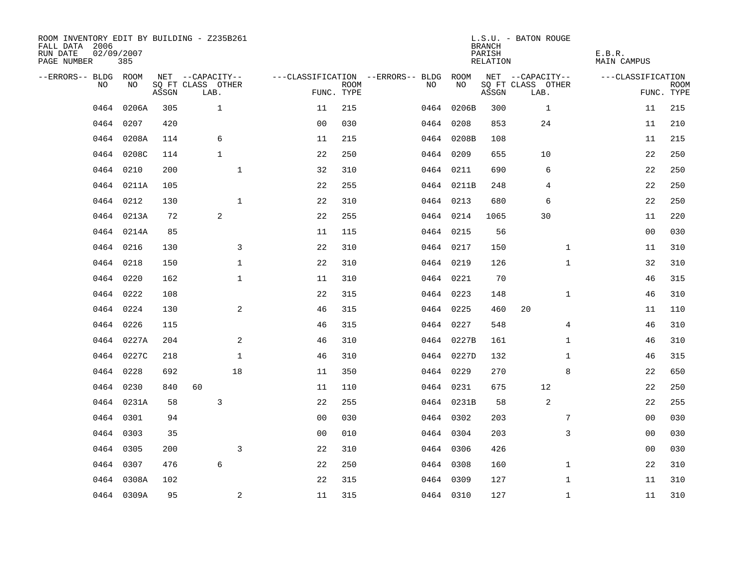| ROOM INVENTORY EDIT BY BUILDING - Z235B261<br>FALL DATA 2006<br>RUN DATE<br>PAGE NUMBER | 02/09/2007<br>385 |       |                           |                |             |                                        |            | <b>BRANCH</b><br>PARISH<br>RELATION | L.S.U. - BATON ROUGE      | E.B.R.<br>MAIN CAMPUS |                           |
|-----------------------------------------------------------------------------------------|-------------------|-------|---------------------------|----------------|-------------|----------------------------------------|------------|-------------------------------------|---------------------------|-----------------------|---------------------------|
| --ERRORS-- BLDG ROOM                                                                    |                   |       | NET --CAPACITY--          |                |             | ---CLASSIFICATION --ERRORS-- BLDG ROOM |            |                                     | NET --CAPACITY--          | ---CLASSIFICATION     |                           |
| NO                                                                                      | NO.               | ASSGN | SQ FT CLASS OTHER<br>LAB. | FUNC. TYPE     | <b>ROOM</b> | NO.                                    | NO         | ASSGN                               | SQ FT CLASS OTHER<br>LAB. |                       | <b>ROOM</b><br>FUNC. TYPE |
| 0464                                                                                    | 0206A             | 305   | $\mathbf{1}$              | 11             | 215         |                                        | 0464 0206B | 300                                 | $\mathbf{1}$              | 11                    | 215                       |
| 0464                                                                                    | 0207              | 420   |                           | 0 <sub>0</sub> | 030         |                                        | 0464 0208  | 853                                 | 24                        | 11                    | 210                       |
|                                                                                         | 0464 0208A        | 114   | 6                         | 11             | 215         |                                        | 0464 0208B | 108                                 |                           | 11                    | 215                       |
| 0464                                                                                    | 0208C             | 114   | $\mathbf{1}$              | 22             | 250         |                                        | 0464 0209  | 655                                 | 10                        | 22                    | 250                       |
| 0464                                                                                    | 0210              | 200   | $\mathbf{1}$              | 32             | 310         |                                        | 0464 0211  | 690                                 | 6                         | 22                    | 250                       |
| 0464                                                                                    | 0211A             | 105   |                           | 22             | 255         |                                        | 0464 0211B | 248                                 | 4                         | 22                    | 250                       |
| 0464                                                                                    | 0212              | 130   | $\mathbf{1}$              | 22             | 310         |                                        | 0464 0213  | 680                                 | 6                         | 22                    | 250                       |
|                                                                                         | 0464 0213A        | 72    | 2                         | 22             | 255         |                                        | 0464 0214  | 1065                                | 30                        | 11                    | 220                       |
|                                                                                         | 0464 0214A        | 85    |                           | 11             | 115         |                                        | 0464 0215  | 56                                  |                           | 0 <sub>0</sub>        | 030                       |
|                                                                                         | 0464 0216         | 130   | 3                         | 22             | 310         |                                        | 0464 0217  | 150                                 | $\mathbf{1}$              | 11                    | 310                       |
|                                                                                         | 0464 0218         | 150   | $\mathbf{1}$              | 22             | 310         |                                        | 0464 0219  | 126                                 | $\mathbf{1}$              | 32                    | 310                       |
|                                                                                         | 0464 0220         | 162   | $\mathbf 1$               | 11             | 310         |                                        | 0464 0221  | 70                                  |                           | 46                    | 315                       |
| 0464                                                                                    | 0222              | 108   |                           | 22             | 315         |                                        | 0464 0223  | 148                                 | $\mathbf{1}$              | 46                    | 310                       |
|                                                                                         | 0464 0224         | 130   | $\overline{a}$            | 46             | 315         |                                        | 0464 0225  | 460                                 | 20                        | 11                    | 110                       |
| 0464                                                                                    | 0226              | 115   |                           | 46             | 315         |                                        | 0464 0227  | 548                                 | 4                         | 46                    | 310                       |
| 0464                                                                                    | 0227A             | 204   | 2                         | 46             | 310         |                                        | 0464 0227B | 161                                 | $\mathbf{1}$              | 46                    | 310                       |
| 0464                                                                                    | 0227C             | 218   | $\mathbf 1$               | 46             | 310         |                                        | 0464 0227D | 132                                 | $\mathbf{1}$              | 46                    | 315                       |
| 0464                                                                                    | 0228              | 692   | 18                        | 11             | 350         |                                        | 0464 0229  | 270                                 | 8                         | 22                    | 650                       |
|                                                                                         | 0464 0230         | 840   | 60                        | 11             | 110         |                                        | 0464 0231  | 675                                 | 12                        | 22                    | 250                       |
|                                                                                         | 0464 0231A        | 58    | 3                         | 22             | 255         |                                        | 0464 0231B | 58                                  | 2                         | 22                    | 255                       |
|                                                                                         | 0464 0301         | 94    |                           | 0 <sub>0</sub> | 030         |                                        | 0464 0302  | 203                                 | 7                         | 00                    | 030                       |
|                                                                                         | 0464 0303         | 35    |                           | 0 <sub>0</sub> | 010         |                                        | 0464 0304  | 203                                 | 3                         | 0 <sub>0</sub>        | 030                       |
|                                                                                         | 0464 0305         | 200   | 3                         | 22             | 310         |                                        | 0464 0306  | 426                                 |                           | 00                    | 030                       |
| 0464                                                                                    | 0307              | 476   | 6                         | 22             | 250         |                                        | 0464 0308  | 160                                 | $\mathbf{1}$              | 22                    | 310                       |
|                                                                                         | 0464 0308A        | 102   |                           | 22             | 315         |                                        | 0464 0309  | 127                                 | $\mathbf{1}$              | 11                    | 310                       |
|                                                                                         | 0464 0309A        | 95    | 2                         | 11             | 315         |                                        | 0464 0310  | 127                                 | $\mathbf{1}$              | 11                    | 310                       |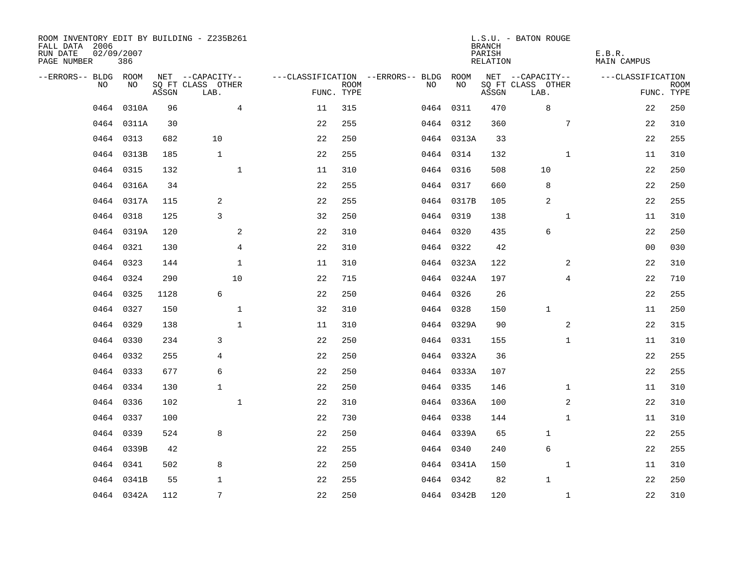| ROOM INVENTORY EDIT BY BUILDING - Z235B261<br>FALL DATA 2006<br>RUN DATE<br>PAGE NUMBER | 02/09/2007<br>386 |       |                           |    |                           |                                        |            | <b>BRANCH</b><br>PARISH<br>RELATION | L.S.U. - BATON ROUGE      | E.B.R.<br><b>MAIN CAMPUS</b> |                           |
|-----------------------------------------------------------------------------------------|-------------------|-------|---------------------------|----|---------------------------|----------------------------------------|------------|-------------------------------------|---------------------------|------------------------------|---------------------------|
| --ERRORS-- BLDG ROOM                                                                    |                   |       | NET --CAPACITY--          |    |                           | ---CLASSIFICATION --ERRORS-- BLDG ROOM |            |                                     | NET --CAPACITY--          | ---CLASSIFICATION            |                           |
| NO                                                                                      | NO                | ASSGN | SQ FT CLASS OTHER<br>LAB. |    | <b>ROOM</b><br>FUNC. TYPE | NO.                                    | NO         | ASSGN                               | SQ FT CLASS OTHER<br>LAB. |                              | <b>ROOM</b><br>FUNC. TYPE |
| 0464                                                                                    | 0310A             | 96    | $\overline{4}$            | 11 | 315                       |                                        | 0464 0311  | 470                                 | 8                         | 22                           | 250                       |
|                                                                                         | 0464 0311A        | 30    |                           | 22 | 255                       |                                        | 0464 0312  | 360                                 | 7                         | 22                           | 310                       |
|                                                                                         | 0464 0313         | 682   | 10                        | 22 | 250                       |                                        | 0464 0313A | 33                                  |                           | 22                           | 255                       |
|                                                                                         | 0464 0313B        | 185   | $\mathbf{1}$              | 22 | 255                       |                                        | 0464 0314  | 132                                 | $\mathbf{1}$              | 11                           | 310                       |
| 0464                                                                                    | 0315              | 132   | $\mathbf{1}$              | 11 | 310                       |                                        | 0464 0316  | 508                                 | 10                        | 22                           | 250                       |
|                                                                                         | 0464 0316A        | 34    |                           | 22 | 255                       |                                        | 0464 0317  | 660                                 | 8                         | 22                           | 250                       |
|                                                                                         | 0464 0317A        | 115   | 2                         | 22 | 255                       |                                        | 0464 0317B | 105                                 | 2                         | 22                           | 255                       |
|                                                                                         | 0464 0318         | 125   | 3                         | 32 | 250                       |                                        | 0464 0319  | 138                                 | $\mathbf{1}$              | 11                           | 310                       |
| 0464                                                                                    | 0319A             | 120   | 2                         | 22 | 310                       |                                        | 0464 0320  | 435                                 | 6                         | 22                           | 250                       |
|                                                                                         | 0464 0321         | 130   | $\overline{4}$            | 22 | 310                       |                                        | 0464 0322  | 42                                  |                           | 00                           | 030                       |
|                                                                                         | 0464 0323         | 144   | $\mathbf{1}$              | 11 | 310                       |                                        | 0464 0323A | 122                                 | 2                         | 22                           | 310                       |
|                                                                                         | 0464 0324         | 290   | 10                        | 22 | 715                       |                                        | 0464 0324A | 197                                 | $\overline{4}$            | 22                           | 710                       |
| 0464                                                                                    | 0325              | 1128  | 6                         | 22 | 250                       |                                        | 0464 0326  | 26                                  |                           | 22                           | 255                       |
|                                                                                         | 0464 0327         | 150   | $\mathbf 1$               | 32 | 310                       |                                        | 0464 0328  | 150                                 | $\mathbf 1$               | 11                           | 250                       |
| 0464                                                                                    | 0329              | 138   | $\mathbf 1$               | 11 | 310                       |                                        | 0464 0329A | 90                                  | 2                         | 22                           | 315                       |
|                                                                                         | 0464 0330         | 234   | 3                         | 22 | 250                       |                                        | 0464 0331  | 155                                 | $\mathbf{1}$              | 11                           | 310                       |
| 0464                                                                                    | 0332              | 255   | 4                         | 22 | 250                       |                                        | 0464 0332A | 36                                  |                           | 22                           | 255                       |
| 0464                                                                                    | 0333              | 677   | $\epsilon$                | 22 | 250                       |                                        | 0464 0333A | 107                                 |                           | 22                           | 255                       |
| 0464                                                                                    | 0334              | 130   | $\mathbf{1}$              | 22 | 250                       |                                        | 0464 0335  | 146                                 | $\mathbf{1}$              | 11                           | 310                       |
| 0464                                                                                    | 0336              | 102   | $\mathbf{1}$              | 22 | 310                       |                                        | 0464 0336A | 100                                 | 2                         | 22                           | 310                       |
| 0464                                                                                    | 0337              | 100   |                           | 22 | 730                       |                                        | 0464 0338  | 144                                 | $\mathbf{1}$              | 11                           | 310                       |
| 0464                                                                                    | 0339              | 524   | 8                         | 22 | 250                       |                                        | 0464 0339A | 65                                  | 1                         | 22                           | 255                       |
|                                                                                         | 0464 0339B        | 42    |                           | 22 | 255                       |                                        | 0464 0340  | 240                                 | 6                         | 22                           | 255                       |
|                                                                                         | 0464 0341         | 502   | 8                         | 22 | 250                       |                                        | 0464 0341A | 150                                 | $\mathbf{1}$              | 11                           | 310                       |
| 0464                                                                                    | 0341B             | 55    | $\mathbf 1$               | 22 | 255                       |                                        | 0464 0342  | 82                                  | $\mathbf{1}$              | 22                           | 250                       |
|                                                                                         | 0464 0342A        | 112   | 7                         | 22 | 250                       |                                        | 0464 0342B | 120                                 | $\mathbf{1}$              | 22                           | 310                       |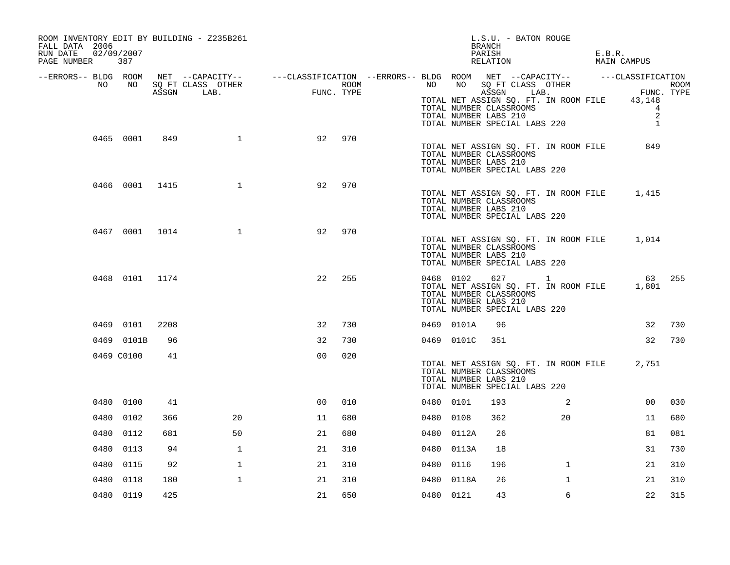| ROOM INVENTORY EDIT BY BUILDING - Z235B261<br>FALL DATA 2006<br>RUN DATE 02/09/2007<br>PAGE NUMBER 387 |      |              |                |     | L.S.U. - BATON ROUGE<br>BRANCH<br>PARISH<br>RELATION                                                                                                                                                                                                                                                                                                        | E.B.R.<br>MAIN CAMPUS                 |
|--------------------------------------------------------------------------------------------------------|------|--------------|----------------|-----|-------------------------------------------------------------------------------------------------------------------------------------------------------------------------------------------------------------------------------------------------------------------------------------------------------------------------------------------------------------|---------------------------------------|
|                                                                                                        |      |              |                |     | ERRORS-- BLDG ROOM NET --CAPACITY--- --CLASSIFICATION--ERRORS-- BLDG ROOM NET --CAPACITY---------------------<br>NO NO SQ FT CLASS OTHER ROOM ROOM NO SQ FT CLASS OTHER ROOM ROOM NO SQ FT CLASS OTHER ROOM ASSGN LAB.<br>TOTAL NET ASSIGN SQ. FT. IN ROOM FILE 43,148<br>TOTAL NUMBER CLASSROOMS<br>TOTAL NUMBER LABS 210<br>TOTAL NUMBER SPECIAL LABS 220 | $\overline{4}$<br>2<br>$\overline{1}$ |
| 0465 0001                                                                                              | 849  | 1            | 92             | 970 | TOTAL NET ASSIGN SQ. FT. IN ROOM FILE<br>TOTAL NUMBER CLASSROOMS<br>TOTAL NUMBER LABS 210<br>TOTAL NUMBER SPECIAL LABS 220                                                                                                                                                                                                                                  | 849                                   |
| 0466 0001 1415                                                                                         |      | $\mathbf{1}$ | 92             | 970 | TOTAL NET ASSIGN SQ. FT. IN ROOM FILE<br>TOTAL NUMBER CLASSROOMS<br>TOTAL NUMBER LABS 210<br>TOTAL NUMBER SPECIAL LABS 220                                                                                                                                                                                                                                  | 1,415                                 |
| 0467 0001 1014                                                                                         |      | $\mathbf{1}$ | 92             | 970 | TOTAL NET ASSIGN SQ. FT. IN ROOM FILE 1,014<br>TOTAL NUMBER CLASSROOMS<br>TOTAL NUMBER LABS 210<br>TOTAL NUMBER SPECIAL LABS 220                                                                                                                                                                                                                            |                                       |
| 0468 0101 1174                                                                                         |      |              | 22             | 255 | 0468 0102 627 1<br>TOTAL NET ASSIGN SQ. FT. IN ROOM FILE 1,801<br>TOTAL NUMBER CLASSROOMS<br>TOTAL NUMBER LABS 210<br>TOTAL NUMBER SPECIAL LABS 220                                                                                                                                                                                                         | 63 255                                |
| 0469 0101                                                                                              | 2208 |              | 32             | 730 | 0469 0101A<br>96                                                                                                                                                                                                                                                                                                                                            | 32<br>730                             |
| 0469 0101B                                                                                             | 96   |              | 32             | 730 | 0469 0101C<br>351                                                                                                                                                                                                                                                                                                                                           | 32<br>730                             |
| 0469 C0100                                                                                             | 41   |              | 0 <sub>0</sub> | 020 | TOTAL NET ASSIGN SQ. FT. IN ROOM FILE<br>TOTAL NUMBER CLASSROOMS<br>TOTAL NUMBER LABS 210<br>TOTAL NUMBER SPECIAL LABS 220                                                                                                                                                                                                                                  | 2,751                                 |
| 0480 0100                                                                                              | 41   |              | 0 <sup>0</sup> | 010 | 0480 0101<br>193<br>$\overline{\phantom{a}}^2$                                                                                                                                                                                                                                                                                                              | 00 <sup>o</sup><br>030                |
| 0480 0102                                                                                              | 366  | 20           | 11             | 680 | 362<br>20<br>0480 0108                                                                                                                                                                                                                                                                                                                                      | 680<br>11                             |
| 0480 0112                                                                                              | 681  | 50           | 21             | 680 | 0480 0112A<br>26                                                                                                                                                                                                                                                                                                                                            | 81<br>081                             |
| 0480 0113                                                                                              | 94   | 1            | 21             | 310 | 0480 0113A<br>18                                                                                                                                                                                                                                                                                                                                            | 730<br>31                             |
| 0480 0115                                                                                              | 92   | $\mathbf 1$  | 21             | 310 | $\mathbf{1}$<br>0480 0116<br>196                                                                                                                                                                                                                                                                                                                            | 21<br>310                             |
| 0480<br>0118                                                                                           | 180  | $\mathbf{1}$ | 21             | 310 | 0480 0118A<br>26<br>$\mathbf{1}$                                                                                                                                                                                                                                                                                                                            | 310<br>21                             |
| 0480 0119                                                                                              | 425  |              | 21             | 650 | 0480 0121<br>43<br>6                                                                                                                                                                                                                                                                                                                                        | 22<br>315                             |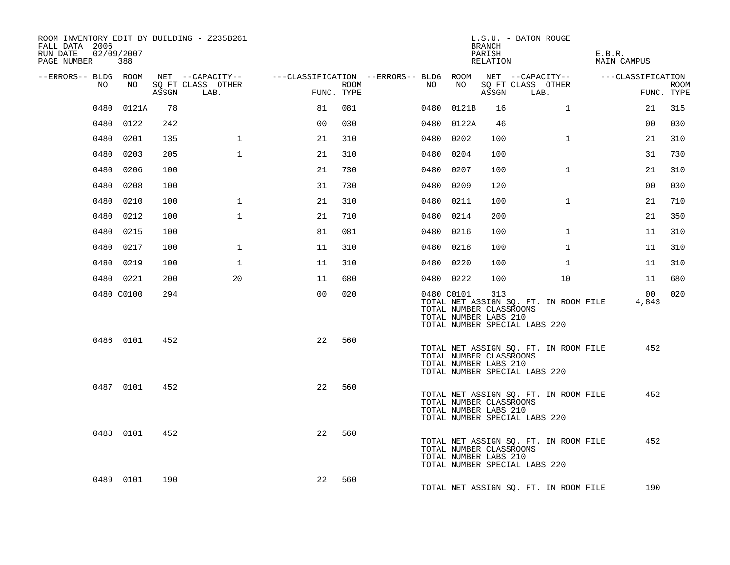| ROOM INVENTORY EDIT BY BUILDING - Z235B261<br>FALL DATA 2006<br>RUN DATE<br>02/09/2007<br>PAGE NUMBER 388 |            |       |                           |                                                                                                                    |      |    |            | BRANCH<br>PARISH<br>RELATION                            | L.S.U. - BATON ROUGE                                                   | E.B.R.<br>MAIN CAMPUS |                           |
|-----------------------------------------------------------------------------------------------------------|------------|-------|---------------------------|--------------------------------------------------------------------------------------------------------------------|------|----|------------|---------------------------------------------------------|------------------------------------------------------------------------|-----------------------|---------------------------|
|                                                                                                           |            |       |                           | --ERRORS-- BLDG ROOM NET --CAPACITY-- ----CLASSIFICATION --ERRORS-- BLDG ROOM NET --CAPACITY-- -----CLASSIFICATION |      |    |            |                                                         |                                                                        |                       |                           |
| NO .                                                                                                      | NO 11      | ASSGN | SO FT CLASS OTHER<br>LAB. | FUNC. TYPE                                                                                                         | ROOM | NO | NO         |                                                         | SQ FT CLASS OTHER<br>ASSGN LAB.                                        |                       | <b>ROOM</b><br>FUNC. TYPE |
|                                                                                                           | 0480 0121A | 78    |                           | 81                                                                                                                 | 081  |    | 0480 0121B | 16                                                      | $\mathbf{1}$                                                           | 21                    | 315                       |
|                                                                                                           | 0480 0122  | 242   |                           | 0 <sub>0</sub>                                                                                                     | 030  |    | 0480 0122A | 46                                                      |                                                                        | 00                    | 030                       |
|                                                                                                           | 0480 0201  | 135   | $\mathbf 1$               | 21                                                                                                                 | 310  |    | 0480 0202  | 100                                                     | $\mathbf{1}$                                                           | 21                    | 310                       |
|                                                                                                           | 0480 0203  | 205   | $\mathbf{1}$              | 21                                                                                                                 | 310  |    | 0480 0204  | 100                                                     |                                                                        | 31                    | 730                       |
|                                                                                                           | 0480 0206  | 100   |                           | 21                                                                                                                 | 730  |    | 0480 0207  | 100                                                     | $\mathbf{1}$                                                           | 21                    | 310                       |
|                                                                                                           | 0480 0208  | 100   |                           | 31                                                                                                                 | 730  |    | 0480 0209  | 120                                                     |                                                                        | 0 <sub>0</sub>        | 030                       |
|                                                                                                           | 0480 0210  | 100   | $\mathbf{1}$              | 21                                                                                                                 | 310  |    | 0480 0211  | 100                                                     | $\mathbf{1}$                                                           | 21                    | 710                       |
|                                                                                                           | 0480 0212  | 100   | $\mathbf{1}$              | 21                                                                                                                 | 710  |    | 0480 0214  | 200                                                     |                                                                        | 21                    | 350                       |
|                                                                                                           | 0480 0215  | 100   |                           | 81                                                                                                                 | 081  |    | 0480 0216  | 100                                                     | $\mathbf{1}$                                                           | 11                    | 310                       |
|                                                                                                           | 0480 0217  | 100   | $\mathbf{1}$              | 11                                                                                                                 | 310  |    | 0480 0218  | 100                                                     | $\mathbf{1}$                                                           | 11                    | 310                       |
|                                                                                                           | 0480 0219  | 100   | $\mathbf 1$               | 11                                                                                                                 | 310  |    | 0480 0220  | 100                                                     | $\mathbf{1}$                                                           | 11                    | 310                       |
|                                                                                                           | 0480 0221  | 200   | 20                        | 11                                                                                                                 | 680  |    | 0480 0222  | 100                                                     | 10                                                                     | 11                    | 680                       |
|                                                                                                           | 0480 C0100 | 294   |                           | 0 <sup>0</sup>                                                                                                     | 020  |    | 0480 C0101 | 313<br>TOTAL NUMBER CLASSROOMS<br>TOTAL NUMBER LABS 210 | TOTAL NET ASSIGN SQ. FT. IN ROOM FILE<br>TOTAL NUMBER SPECIAL LABS 220 | 00<br>4,843           | 020                       |
|                                                                                                           | 0486 0101  | 452   |                           | 22                                                                                                                 | 560  |    |            | TOTAL NUMBER CLASSROOMS<br>TOTAL NUMBER LABS 210        | TOTAL NET ASSIGN SQ. FT. IN ROOM FILE<br>TOTAL NUMBER SPECIAL LABS 220 | 452                   |                           |
|                                                                                                           | 0487 0101  | 452   |                           | 22                                                                                                                 | 560  |    |            | TOTAL NUMBER CLASSROOMS<br>TOTAL NUMBER LABS 210        | TOTAL NET ASSIGN SQ. FT. IN ROOM FILE<br>TOTAL NUMBER SPECIAL LABS 220 | 452                   |                           |
|                                                                                                           | 0488 0101  | 452   |                           | 22                                                                                                                 | 560  |    |            | TOTAL NUMBER CLASSROOMS<br>TOTAL NUMBER LABS 210        | TOTAL NET ASSIGN SQ. FT. IN ROOM FILE<br>TOTAL NUMBER SPECIAL LABS 220 | 452                   |                           |
|                                                                                                           | 0489 0101  | 190   |                           | 22                                                                                                                 | 560  |    |            |                                                         | TOTAL NET ASSIGN SO. FT. IN ROOM FILE                                  | 190                   |                           |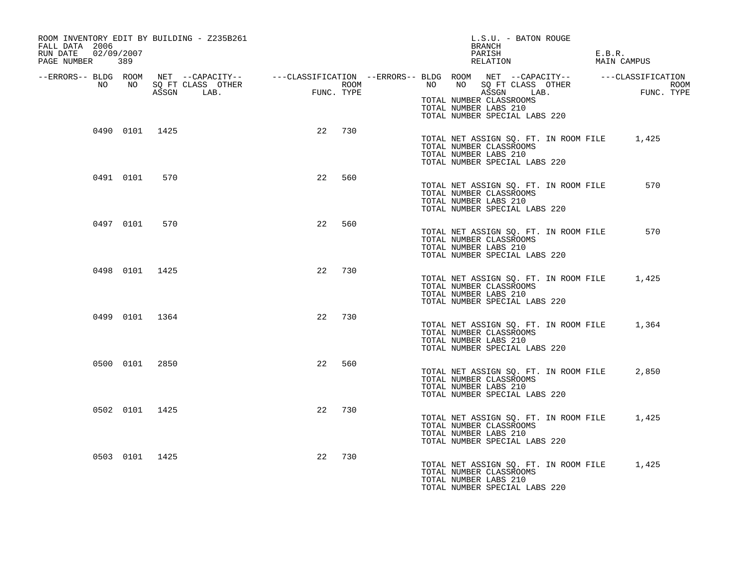| ROOM INVENTORY EDIT BY BUILDING - Z235B261<br>FALL DATA 2006<br>RUN DATE 02/09/2007<br>PAGE NUMBER 389 |           |                |                                                                                                                   |                                             |            |                  |                       | L.S.U. - BATON ROUGE<br>BRANCH<br>PARISH<br>RELATION                                                    | E.B.R.<br>MAIN CAMPUS |                    |
|--------------------------------------------------------------------------------------------------------|-----------|----------------|-------------------------------------------------------------------------------------------------------------------|---------------------------------------------|------------|------------------|-----------------------|---------------------------------------------------------------------------------------------------------|-----------------------|--------------------|
|                                                                                                        |           |                | --ERRORS-- BLDG ROOM NET --CAPACITY-- ----CLASSIFICATION --ERRORS-- BLDG ROOM NET --CAPACITY-- ----CLASSIFICATION |                                             |            |                  |                       |                                                                                                         |                       |                    |
| NO                                                                                                     |           |                | NO SQ FT CLASS OTHER<br>ASSGN LAB.                                                                                | $\begin{aligned} \text{FUNC} \end{aligned}$ | FUNC. TYPE | ROOM <b>ROOM</b> | TOTAL NUMBER LABS 210 | NO NO SQ FT CLASS OTHER<br>ASSGN LAB.<br>TOTAL NUMBER CLASSROOMS<br>TOTAL NUMBER SPECIAL LABS 220       |                       | ROOM<br>FUNC. TYPE |
|                                                                                                        |           | 0490 0101 1425 |                                                                                                                   | 22                                          | 730        |                  | TOTAL NUMBER LABS 210 | TOTAL NET ASSIGN SQ. FT. IN ROOM FILE 1,425<br>TOTAL NUMBER CLASSROOMS<br>TOTAL NUMBER SPECIAL LABS 220 |                       |                    |
|                                                                                                        | 0491 0101 | 570            |                                                                                                                   | 22                                          | 560        |                  | TOTAL NUMBER LABS 210 | TOTAL NET ASSIGN SQ. FT. IN ROOM FILE<br>TOTAL NUMBER CLASSROOMS<br>TOTAL NUMBER SPECIAL LABS 220       |                       | 570                |
|                                                                                                        | 0497 0101 | 570            |                                                                                                                   | 22                                          | 560        |                  | TOTAL NUMBER LABS 210 | TOTAL NET ASSIGN SQ. FT. IN ROOM FILE<br>TOTAL NUMBER CLASSROOMS<br>TOTAL NUMBER SPECIAL LABS 220       |                       | 570                |
|                                                                                                        |           | 0498 0101 1425 |                                                                                                                   | 22                                          | 730        |                  | TOTAL NUMBER LABS 210 | TOTAL NET ASSIGN SQ. FT. IN ROOM FILE 1,425<br>TOTAL NUMBER CLASSROOMS<br>TOTAL NUMBER SPECIAL LABS 220 |                       |                    |
|                                                                                                        |           | 0499 0101 1364 |                                                                                                                   | 22                                          | 730        |                  | TOTAL NUMBER LABS 210 | TOTAL NET ASSIGN SQ. FT. IN ROOM FILE 1,364<br>TOTAL NUMBER CLASSROOMS<br>TOTAL NUMBER SPECIAL LABS 220 |                       |                    |
|                                                                                                        |           | 0500 0101 2850 |                                                                                                                   | 22                                          | 560        |                  | TOTAL NUMBER LABS 210 | TOTAL NET ASSIGN SQ. FT. IN ROOM FILE<br>TOTAL NUMBER CLASSROOMS<br>TOTAL NUMBER SPECIAL LABS 220       |                       | 2,850              |
|                                                                                                        |           | 0502 0101 1425 |                                                                                                                   | 22                                          | 730        |                  | TOTAL NUMBER LABS 210 | TOTAL NET ASSIGN SQ. FT. IN ROOM FILE<br>TOTAL NUMBER CLASSROOMS<br>TOTAL NUMBER SPECIAL LABS 220       |                       | 1,425              |
|                                                                                                        |           | 0503 0101 1425 |                                                                                                                   | 22                                          | 730        |                  | TOTAL NUMBER LABS 210 | TOTAL NET ASSIGN SQ. FT. IN ROOM FILE 1,425<br>TOTAL NUMBER CLASSROOMS<br>TOTAL NUMBER SPECIAL LABS 220 |                       |                    |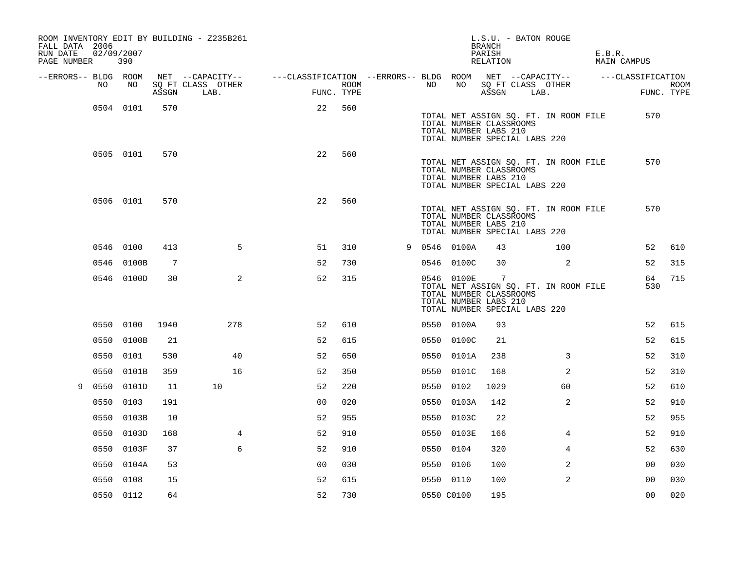| FALL DATA 2006<br>RUN DATE<br>PAGE NUMBER 390 | 02/09/2007 |            |                 | ROOM INVENTORY EDIT BY BUILDING - Z235B261 |                |                                                                               |                |                    |    |              | L.S.U. - BATON ROUGE<br>BRANCH<br>PARISH<br>RELATION                                                |      |                                       | E.B.R. | MAIN CAMPUS    |                           |
|-----------------------------------------------|------------|------------|-----------------|--------------------------------------------|----------------|-------------------------------------------------------------------------------|----------------|--------------------|----|--------------|-----------------------------------------------------------------------------------------------------|------|---------------------------------------|--------|----------------|---------------------------|
| --ERRORS-- BLDG ROOM                          |            |            |                 | NET --CAPACITY--                           |                | ---CLASSIFICATION --ERRORS-- BLDG ROOM NET --CAPACITY--     ---CLASSIFICATION |                |                    |    |              |                                                                                                     |      |                                       |        |                |                           |
|                                               | NO .       | NO         |                 | SO FT CLASS OTHER<br>ASSGN LAB.            |                |                                                                               |                | ROOM<br>FUNC. TYPE | NO | NO           | SQ FT CLASS OTHER<br>ASSGN                                                                          | LAB. |                                       |        |                | <b>ROOM</b><br>FUNC. TYPE |
|                                               |            | 0504 0101  | 570             |                                            |                |                                                                               | 22             | 560                |    |              | TOTAL NUMBER CLASSROOMS<br>TOTAL NUMBER LABS 210<br>TOTAL NUMBER SPECIAL LABS 220                   |      | TOTAL NET ASSIGN SQ. FT. IN ROOM FILE |        | 570            |                           |
|                                               |            | 0505 0101  | 570             |                                            |                |                                                                               | 22             | 560                |    |              | TOTAL NUMBER CLASSROOMS<br>TOTAL NUMBER LABS 210<br>TOTAL NUMBER SPECIAL LABS 220                   |      | TOTAL NET ASSIGN SQ. FT. IN ROOM FILE |        | 570            |                           |
|                                               |            | 0506 0101  | 570             |                                            |                |                                                                               | 22             | 560                |    |              | TOTAL NUMBER CLASSROOMS<br>TOTAL NUMBER LABS 210<br>TOTAL NUMBER SPECIAL LABS 220                   |      | TOTAL NET ASSIGN SQ. FT. IN ROOM FILE |        | 570            |                           |
|                                               | 0546 0100  |            | 413             |                                            | 5              |                                                                               | 51             | 310                |    | 9 0546 0100A | 43                                                                                                  |      | 100                                   |        | 52             | 610                       |
|                                               |            | 0546 0100B | $7\phantom{.0}$ |                                            |                |                                                                               | 52             | 730                |    | 0546 0100C   | 30                                                                                                  |      | 2                                     |        | 52             | 315                       |
|                                               |            | 0546 0100D | 30              |                                            | 2              |                                                                               | 52             | 315                |    | 0546 0100E   | $\overline{7}$<br>TOTAL NUMBER CLASSROOMS<br>TOTAL NUMBER LABS 210<br>TOTAL NUMBER SPECIAL LABS 220 |      | TOTAL NET ASSIGN SQ. FT. IN ROOM FILE |        | 64<br>530      | 715                       |
|                                               |            | 0550 0100  | 1940            |                                            | 278            |                                                                               | 52             | 610                |    | 0550 0100A   | 93                                                                                                  |      |                                       |        | 52             | 615                       |
|                                               |            | 0550 0100B | 21              |                                            |                |                                                                               | 52             | 615                |    | 0550 0100C   | 21                                                                                                  |      |                                       |        | 52             | 615                       |
|                                               | 0550 0101  |            | 530             |                                            | 40             |                                                                               | 52             | 650                |    | 0550 0101A   | 238                                                                                                 |      | 3                                     |        | 52             | 310                       |
|                                               | 0550       | 0101B      | 359             |                                            | 16             |                                                                               | 52             | 350                |    | 0550 0101C   | 168                                                                                                 |      | 2                                     |        | 52             | 310                       |
| 9                                             |            | 0550 0101D | 11              | 10                                         |                |                                                                               | 52             | 220                |    | 0550 0102    | 1029                                                                                                |      | 60                                    |        | 52             | 610                       |
|                                               | 0550 0103  |            | 191             |                                            |                |                                                                               | 0 <sub>0</sub> | 020                |    | 0550 0103A   | 142                                                                                                 |      | $\overline{2}$                        |        | 52             | 910                       |
|                                               |            | 0550 0103B | 10              |                                            |                |                                                                               | 52             | 955                |    | 0550 0103C   | 22                                                                                                  |      |                                       |        | 52             | 955                       |
|                                               |            | 0550 0103D | 168             |                                            | $\overline{4}$ |                                                                               | 52             | 910                |    | 0550 0103E   | 166                                                                                                 |      | $\overline{4}$                        |        | 52             | 910                       |
|                                               |            | 0550 0103F | 37              |                                            | 6              |                                                                               | 52             | 910                |    | 0550 0104    | 320                                                                                                 |      | 4                                     |        | 52             | 630                       |
|                                               |            | 0550 0104A | 53              |                                            |                |                                                                               | 0 <sub>0</sub> | 030                |    | 0550 0106    | 100                                                                                                 |      | 2                                     |        | 0 <sub>0</sub> | 030                       |
|                                               | 0550 0108  |            | 15              |                                            |                |                                                                               | 52             | 615                |    | 0550 0110    | 100                                                                                                 |      | 2                                     |        | 0 <sub>0</sub> | 030                       |
|                                               | 0550 0112  |            | 64              |                                            |                |                                                                               | 52             | 730                |    | 0550 C0100   | 195                                                                                                 |      |                                       |        | 0 <sub>0</sub> | 020                       |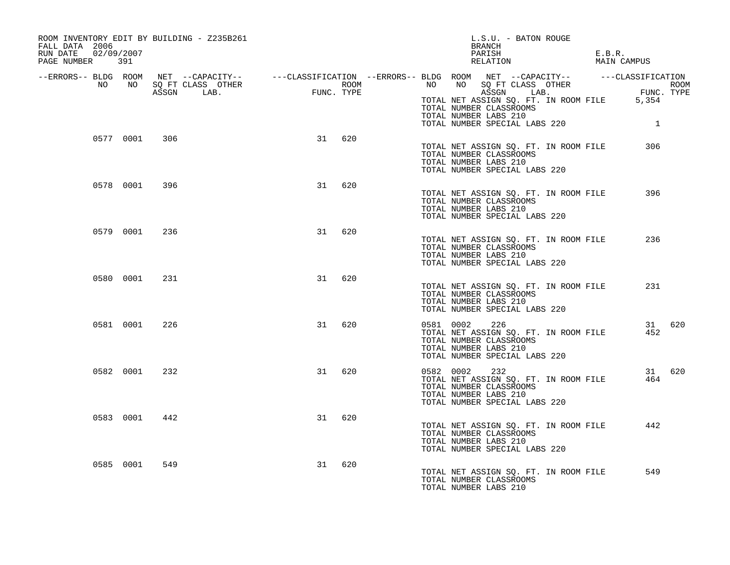| ROOM INVENTORY EDIT BY BUILDING - Z235B261<br>FALL DATA 2006<br>RUN DATE 02/09/2007<br>PAGE NUMBER 391 |               |     |    |        |                       | L.S.U. - BATON ROUGE<br>BRANCH<br>PARISH<br>RELATION                                                                                                                                                                                                                                                                                    | E.B.R.<br>MAIN CAMPUS |  |
|--------------------------------------------------------------------------------------------------------|---------------|-----|----|--------|-----------------------|-----------------------------------------------------------------------------------------------------------------------------------------------------------------------------------------------------------------------------------------------------------------------------------------------------------------------------------------|-----------------------|--|
|                                                                                                        |               |     |    |        |                       | ERRORS-- BLDG ROOM NET --CAPACITY--- --CLASSIFICATION --ERRORS-- BLDG ROOM NET --CAPACITY--------------------<br>NO NO SQ FT CLASS OTHER ROOM ROOM NO SQ FT CLASS OTHER ROOM ROOM NO SQ FT CLASS OTHER ROOM ROOM ROOM ROOM ROOM<br>A<br>TOTAL NET ASSIGN SQ. FT. IN ROOM FILE 5,354<br>TOTAL NUMBER CLASSROOMS<br>TOTAL NUMBER LABS 210 |                       |  |
|                                                                                                        | 0577 0001     | 306 |    | 31 620 |                       | TOTAL NUMBER SPECIAL LABS 220<br>TOTAL NET ASSIGN SO. FT. IN ROOM FILE<br>TOTAL NUMBER CLASSROOMS                                                                                                                                                                                                                                       | $\overline{1}$<br>306 |  |
|                                                                                                        | 0578 0001 396 |     |    | 31 620 |                       | TOTAL NUMBER LABS 210<br>TOTAL NUMBER SPECIAL LABS 220<br>TOTAL NET ASSIGN SQ. FT. IN ROOM FILE                                                                                                                                                                                                                                         | 396                   |  |
|                                                                                                        | 0579 0001     | 236 |    | 31 620 |                       | TOTAL NUMBER CLASSROOMS<br>TOTAL NUMBER LABS 210<br>TOTAL NUMBER SPECIAL LABS 220                                                                                                                                                                                                                                                       |                       |  |
|                                                                                                        |               |     |    |        |                       | TOTAL NET ASSIGN SQ. FT. IN ROOM FILE<br>TOTAL NUMBER CLASSROOMS<br>TOTAL NUMBER LABS 210<br>TOTAL NUMBER SPECIAL LABS 220                                                                                                                                                                                                              | 236                   |  |
|                                                                                                        | 0580 0001     | 231 | 31 | 620    |                       | TOTAL NET ASSIGN SQ. FT. IN ROOM FILE<br>TOTAL NUMBER CLASSROOMS<br>TOTAL NUMBER LABS 210<br>TOTAL NUMBER SPECIAL LABS 220                                                                                                                                                                                                              | 231                   |  |
|                                                                                                        | 0581 0001     | 226 | 31 | 620    | 0581 0002             | 226<br>TOTAL NET ASSIGN SQ. FT. IN ROOM FILE<br>TOTAL NUMBER CLASSROOMS<br>TOTAL NUMBER LABS 210<br>TOTAL NUMBER SPECIAL LABS 220                                                                                                                                                                                                       | 31 620<br>452         |  |
|                                                                                                        | 0582 0001     | 232 | 31 | 620    | 0582 0002 232         | TOTAL NET ASSIGN SO. FT. IN ROOM FILE<br>TOTAL NUMBER CLASSROOMS<br>TOTAL NUMBER LABS 210<br>TOTAL NUMBER SPECIAL LABS 220                                                                                                                                                                                                              | 31 620<br>464         |  |
|                                                                                                        | 0583 0001     | 442 | 31 | 620    |                       | TOTAL NET ASSIGN SQ. FT. IN ROOM FILE<br>TOTAL NUMBER CLASSROOMS<br>TOTAL NUMBER LABS 210<br>TOTAL NUMBER SPECIAL LABS 220                                                                                                                                                                                                              | 442                   |  |
|                                                                                                        | 0585 0001     | 549 | 31 | 620    | TOTAL NUMBER LABS 210 | TOTAL NET ASSIGN SO. FT. IN ROOM FILE<br>TOTAL NUMBER CLASSROOMS                                                                                                                                                                                                                                                                        | 549                   |  |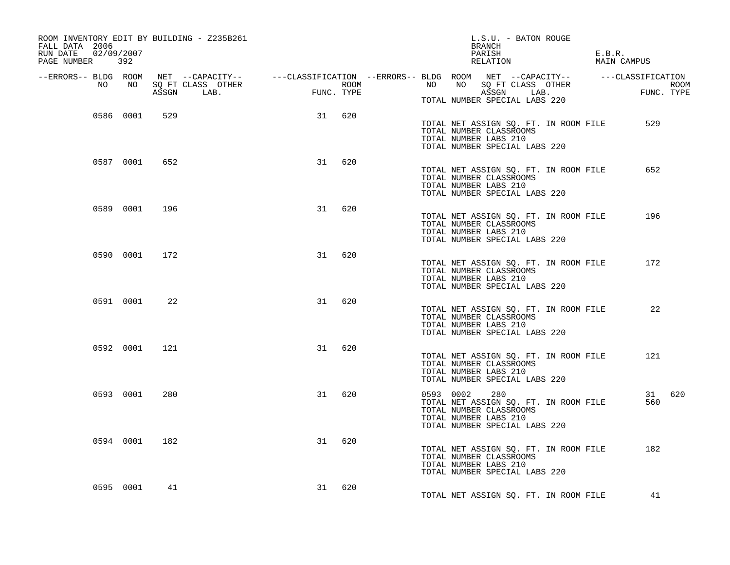| ROOM INVENTORY EDIT BY BUILDING - Z235B261<br>FALL DATA 2006<br>RUN DATE 02/09/2007<br>PAGE NUMBER 392 |           |     |    |        | L.S.U. - BATON ROUGE<br>BRANCH<br>PARISH<br>RELATION                                                                                                                                                                                                         | E.B.R.<br>MAIN CAMPUS |
|--------------------------------------------------------------------------------------------------------|-----------|-----|----|--------|--------------------------------------------------------------------------------------------------------------------------------------------------------------------------------------------------------------------------------------------------------------|-----------------------|
|                                                                                                        |           |     |    |        |                                                                                                                                                                                                                                                              |                       |
|                                                                                                        |           |     |    |        | ERRORS-- BLDG ROOM NET --CAPACITY--- --CLASSIFICATION --ERRORS-- BLDG ROOM NET --CAPACITY--------------------<br>NO NO SQ FT CLASS OTHER ROOM ROOM NO SQ FT CLASS OTHER ROOM ROOM ROOM NO SQ FT CLASS OTHER ROOM ASSGN LAB.<br>TOTAL NUMBER SPECIAL LABS 220 |                       |
|                                                                                                        | 0586 0001 | 529 | 31 | 620    | TOTAL NET ASSIGN SQ. FT. IN ROOM FILE<br>TOTAL NUMBER CLASSROOMS<br>TOTAL NUMBER LABS 210<br>TOTAL NUMBER SPECIAL LABS 220                                                                                                                                   | 529                   |
|                                                                                                        | 0587 0001 | 652 | 31 | 620    | TOTAL NET ASSIGN SQ. FT. IN ROOM FILE<br>TOTAL NUMBER CLASSROOMS<br>TOTAL NUMBER LABS 210<br>TOTAL NUMBER SPECIAL LABS 220                                                                                                                                   | 652                   |
|                                                                                                        | 0589 0001 | 196 | 31 | 620    | TOTAL NET ASSIGN SQ. FT. IN ROOM FILE<br>TOTAL NUMBER CLASSROOMS<br>TOTAL NUMBER LABS 210<br>TOTAL NUMBER SPECIAL LABS 220                                                                                                                                   | 196                   |
|                                                                                                        | 0590 0001 | 172 | 31 | 620    | TOTAL NET ASSIGN SQ. FT. IN ROOM FILE<br>TOTAL NUMBER CLASSROOMS<br>TOTAL NUMBER LABS 210<br>TOTAL NUMBER SPECIAL LABS 220                                                                                                                                   | 172                   |
|                                                                                                        | 0591 0001 | 22  | 31 | 620    | TOTAL NET ASSIGN SQ. FT. IN ROOM FILE<br>TOTAL NUMBER CLASSROOMS<br>TOTAL NUMBER LABS 210<br>TOTAL NUMBER SPECIAL LABS 220                                                                                                                                   | 22                    |
|                                                                                                        | 0592 0001 | 121 | 31 | 620    | TOTAL NET ASSIGN SQ. FT. IN ROOM FILE<br>TOTAL NUMBER CLASSROOMS<br>TOTAL NUMBER LABS 210<br>TOTAL NUMBER SPECIAL LABS 220                                                                                                                                   | 121                   |
|                                                                                                        | 0593 0001 | 280 | 31 | 620    | 0593 0002<br>280<br>TOTAL NET ASSIGN SQ. FT. IN ROOM FILE<br>TOTAL NUMBER CLASSROOMS<br>TOTAL NUMBER LABS 210<br>TOTAL NUMBER SPECIAL LABS 220                                                                                                               | 31 620<br>560         |
|                                                                                                        | 0594 0001 | 182 | 31 | 620    | TOTAL NET ASSIGN SQ. FT. IN ROOM FILE<br>TOTAL NUMBER CLASSROOMS<br>TOTAL NUMBER LABS 210<br>TOTAL NUMBER SPECIAL LABS 220                                                                                                                                   | 182                   |
|                                                                                                        | 0595 0001 | 41  |    | 31 620 | TOTAL NET ASSIGN SO. FT. IN ROOM FILE                                                                                                                                                                                                                        | 41                    |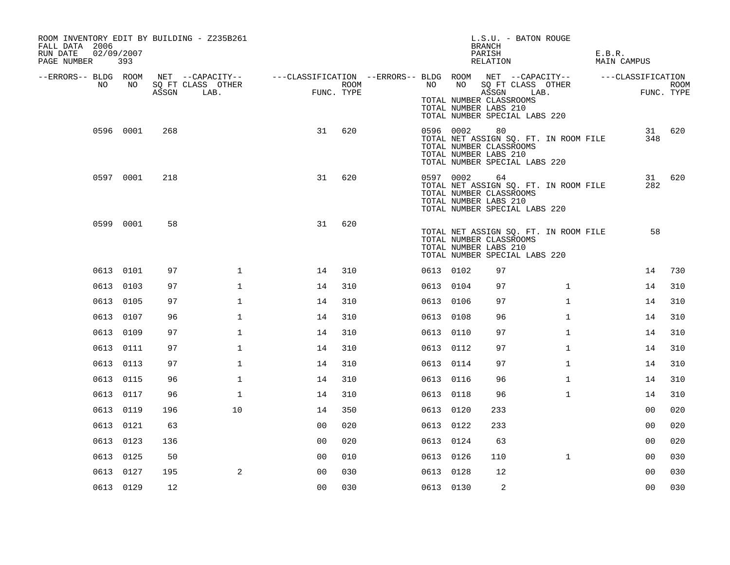| ROOM INVENTORY EDIT BY BUILDING - Z235B261<br>FALL DATA 2006<br>RUN DATE<br>PAGE NUMBER |           | 02/09/2007<br>393 |       |                           |                                                                             |                    |           |           | L.S.U. - BATON ROUGE<br><b>BRANCH</b><br>PARISH<br>RELATION                                                                                                       |              | E.B.R. | MAIN CAMPUS       |                           |
|-----------------------------------------------------------------------------------------|-----------|-------------------|-------|---------------------------|-----------------------------------------------------------------------------|--------------------|-----------|-----------|-------------------------------------------------------------------------------------------------------------------------------------------------------------------|--------------|--------|-------------------|---------------------------|
| --ERRORS-- BLDG ROOM                                                                    | NO        | NO                | ASSGN | SQ FT CLASS OTHER<br>LAB. | NET --CAPACITY--    ---CLASSIFICATION --ERRORS-- BLDG ROOM NET --CAPACITY-- | ROOM<br>FUNC. TYPE | NO        |           | NO SQ FT CLASS OTHER<br>ASSGN<br>LAB.<br>TOTAL NUMBER CLASSROOMS                                                                                                  |              |        | ---CLASSIFICATION | <b>ROOM</b><br>FUNC. TYPE |
|                                                                                         |           | 0596 0001         | 268   |                           | 31                                                                          | 620                |           | 0596 0002 | TOTAL NUMBER LABS 210<br>TOTAL NUMBER SPECIAL LABS 220<br>80<br>TOTAL NET ASSIGN SQ. FT. IN ROOM FILE<br>TOTAL NUMBER CLASSROOMS<br>TOTAL NUMBER LABS 210         |              |        | 348               | 31 620                    |
|                                                                                         |           | 0597 0001         | 218   |                           | 31                                                                          | 620                |           | 0597 0002 | TOTAL NUMBER SPECIAL LABS 220<br>64<br>TOTAL NET ASSIGN SQ. FT. IN ROOM FILE<br>TOTAL NUMBER CLASSROOMS<br>TOTAL NUMBER LABS 210<br>TOTAL NUMBER SPECIAL LABS 220 |              |        | 31<br>282         | 620                       |
|                                                                                         |           | 0599 0001         | 58    |                           | 31                                                                          | 620                |           |           | TOTAL NET ASSIGN SQ. FT. IN ROOM FILE<br>TOTAL NUMBER CLASSROOMS<br>TOTAL NUMBER LABS 210<br>TOTAL NUMBER SPECIAL LABS 220                                        |              |        | 58                |                           |
|                                                                                         |           | 0613 0101         | 97    | $\mathbf{1}$              | 14                                                                          | 310                | 0613 0102 |           | 97                                                                                                                                                                |              |        | 14                | 730                       |
|                                                                                         |           | 0613 0103         | 97    | $\mathbf{1}$              | 14                                                                          | 310                | 0613 0104 |           | 97                                                                                                                                                                | $\mathbf{1}$ |        | 14                | 310                       |
|                                                                                         |           | 0613 0105         | 97    | $\mathbf{1}$              | 14                                                                          | 310                | 0613 0106 |           | 97                                                                                                                                                                | $\mathbf{1}$ |        | 14                | 310                       |
|                                                                                         |           | 0613 0107         | 96    | $\mathbf{1}$              | 14                                                                          | 310                | 0613 0108 |           | 96                                                                                                                                                                | $\mathbf{1}$ |        | 14                | 310                       |
|                                                                                         | 0613 0109 |                   | 97    | $\mathbf{1}$              | 14                                                                          | 310                | 0613 0110 |           | 97                                                                                                                                                                | $\mathbf{1}$ |        | 14                | 310                       |
|                                                                                         |           | 0613 0111         | 97    | $\mathbf 1$               | 14                                                                          | 310                | 0613 0112 |           | 97                                                                                                                                                                | $\mathbf{1}$ |        | 14                | 310                       |
|                                                                                         |           | 0613 0113         | 97    | $\mathbf{1}$              | 14                                                                          | 310                | 0613 0114 |           | 97                                                                                                                                                                | $\mathbf{1}$ |        | 14                | 310                       |
|                                                                                         |           | 0613 0115         | 96    | $\mathbf{1}$              | 14                                                                          | 310                | 0613 0116 |           | 96                                                                                                                                                                | $\mathbf{1}$ |        | 14                | 310                       |
|                                                                                         |           | 0613 0117         | 96    | $\mathbf 1$               | 14                                                                          | 310                | 0613 0118 |           | 96                                                                                                                                                                | $\mathbf{1}$ |        | 14                | 310                       |
|                                                                                         |           | 0613 0119         | 196   | 10                        | 14                                                                          | 350                | 0613 0120 |           | 233                                                                                                                                                               |              |        | 0 <sub>0</sub>    | 020                       |
|                                                                                         |           | 0613 0121         | 63    |                           | 00                                                                          | 020                | 0613 0122 |           | 233                                                                                                                                                               |              |        | 0 <sub>0</sub>    | 020                       |
|                                                                                         |           | 0613 0123         | 136   |                           | 0 <sub>0</sub>                                                              | 020                | 0613 0124 |           | 63                                                                                                                                                                |              |        | 00                | 020                       |
|                                                                                         |           | 0613 0125         | 50    |                           | 00                                                                          | 010                | 0613 0126 |           | 110                                                                                                                                                               | $\mathbf{1}$ |        | 00                | 030                       |
|                                                                                         |           | 0613 0127         | 195   | 2                         | 0 <sub>0</sub>                                                              | 030                | 0613 0128 |           | 12                                                                                                                                                                |              |        | 00                | 030                       |
|                                                                                         |           | 0613 0129         | 12    |                           | 00                                                                          | 030                | 0613 0130 |           | 2                                                                                                                                                                 |              |        | 0 <sub>0</sub>    | 030                       |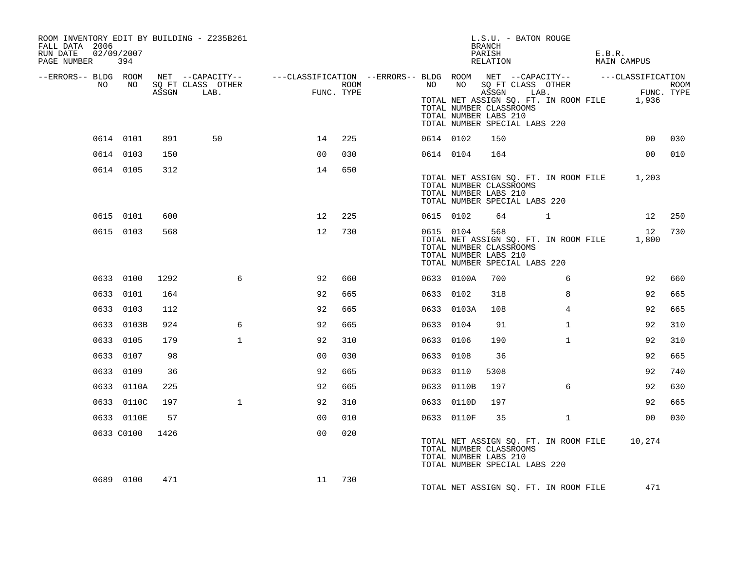| ROOM INVENTORY EDIT BY BUILDING - Z235B261<br>FALL DATA 2006<br>RUN DATE<br>PAGE NUMBER | 02/09/2007<br>394 |       |                                                                                                                     |                |      |           |            | L.S.U. - BATON ROUGE<br><b>BRANCH</b><br>PARISH<br>RELATION                                                                       |              | E.B.R. | MAIN CAMPUS     |      |
|-----------------------------------------------------------------------------------------|-------------------|-------|---------------------------------------------------------------------------------------------------------------------|----------------|------|-----------|------------|-----------------------------------------------------------------------------------------------------------------------------------|--------------|--------|-----------------|------|
| --ERRORS-- BLDG ROOM<br>NO .                                                            | NO                |       | NET --CAPACITY-- - ---CLASSIFICATION --ERRORS-- BLDG ROOM NET --CAPACITY-- - ---CLASSIFICATION<br>SO FT CLASS OTHER |                | ROOM | NO        |            |                                                                                                                                   |              |        |                 | ROOM |
|                                                                                         |                   | ASSGN | LAB.                                                                                                                | FUNC. TYPE     |      |           |            | TOTAL NET ASSIGN SQ. FT. IN ROOM FILE 1,936<br>TOTAL NUMBER CLASSROOMS<br>TOTAL NUMBER LABS 210<br>TOTAL NUMBER SPECIAL LABS 220  |              |        | FUNC. TYPE      |      |
|                                                                                         | 0614 0101         | 891   | 50                                                                                                                  | 14             | 225  | 0614 0102 |            | 150                                                                                                                               |              |        | 00              | 030  |
|                                                                                         | 0614 0103         | 150   |                                                                                                                     | 0 <sup>0</sup> | 030  | 0614 0104 |            | 164                                                                                                                               |              |        | 00 <sub>o</sub> | 010  |
|                                                                                         | 0614 0105         | 312   |                                                                                                                     | 14             | 650  |           |            | TOTAL NET ASSIGN SQ. FT. IN ROOM FILE 1,203<br>TOTAL NUMBER CLASSROOMS<br>TOTAL NUMBER LABS 210<br>TOTAL NUMBER SPECIAL LABS 220  |              |        |                 |      |
|                                                                                         | 0615 0101         | 600   |                                                                                                                     | 12             | 225  | 0615 0102 |            | 64                                                                                                                                | $\mathbf{1}$ |        | 12              | 250  |
|                                                                                         | 0615 0103         | 568   |                                                                                                                     | 12             | 730  |           | 0615 0104  | 568<br>TOTAL NET ASSIGN SQ. FT. IN ROOM FILE<br>TOTAL NUMBER CLASSROOMS<br>TOTAL NUMBER LABS 210<br>TOTAL NUMBER SPECIAL LABS 220 |              |        | 12<br>1,800     | 730  |
|                                                                                         | 0633 0100         | 1292  | 6                                                                                                                   | 92             | 660  |           | 0633 0100A | 700                                                                                                                               | 6            |        | 92              | 660  |
|                                                                                         | 0633 0101         | 164   |                                                                                                                     | 92             | 665  | 0633 0102 |            | 318                                                                                                                               | 8            |        | 92              | 665  |
|                                                                                         | 0633 0103         | 112   |                                                                                                                     | 92             | 665  |           | 0633 0103A | 108                                                                                                                               | 4            |        | 92              | 665  |
|                                                                                         | 0633 0103B        | 924   | 6                                                                                                                   | 92             | 665  | 0633 0104 |            | 91                                                                                                                                | $\mathbf{1}$ |        | 92              | 310  |
|                                                                                         | 0633 0105         | 179   | $\mathbf{1}$                                                                                                        | 92             | 310  | 0633 0106 |            | 190                                                                                                                               | $\mathbf{1}$ |        | 92              | 310  |
|                                                                                         | 0633 0107         | 98    |                                                                                                                     | 0 <sub>0</sub> | 030  | 0633 0108 |            | 36                                                                                                                                |              |        | 92              | 665  |
|                                                                                         | 0633 0109         | 36    |                                                                                                                     | 92             | 665  | 0633 0110 |            | 5308                                                                                                                              |              |        | 92              | 740  |
|                                                                                         | 0633 0110A        | 225   |                                                                                                                     | 92             | 665  |           | 0633 0110B | 197                                                                                                                               | 6            |        | 92              | 630  |
|                                                                                         | 0633 0110C        | 197   | $\mathbf{1}$                                                                                                        | 92             | 310  |           | 0633 0110D | 197                                                                                                                               |              |        | 92              | 665  |
|                                                                                         | 0633 0110E        | 57    |                                                                                                                     | 0 <sub>0</sub> | 010  |           | 0633 0110F | 35                                                                                                                                | $\mathbf{1}$ |        | 00              | 030  |
|                                                                                         | 0633 C0100        | 1426  |                                                                                                                     | 0 <sub>0</sub> | 020  |           |            | TOTAL NET ASSIGN SQ. FT. IN ROOM FILE<br>TOTAL NUMBER CLASSROOMS<br>TOTAL NUMBER LABS 210<br>TOTAL NUMBER SPECIAL LABS 220        |              |        | 10,274          |      |
|                                                                                         | 0689 0100         | 471   |                                                                                                                     | 11             | 730  |           |            | TOTAL NET ASSIGN SO. FT. IN ROOM FILE                                                                                             |              |        | 471             |      |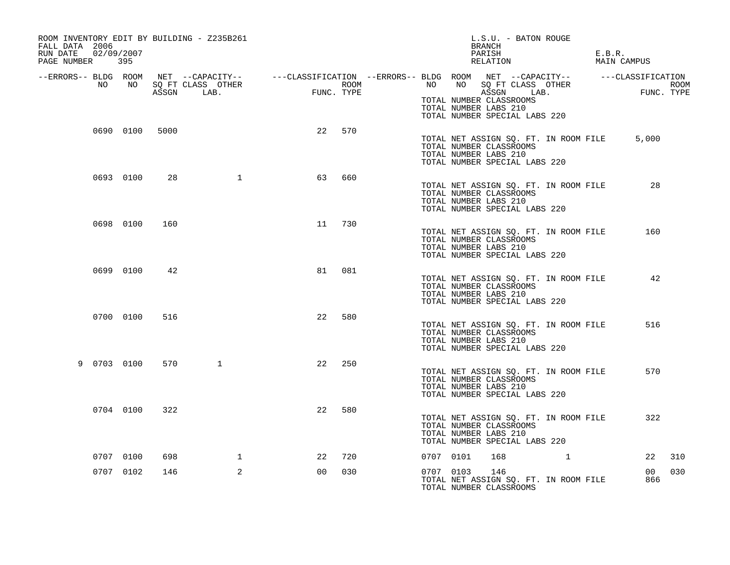| ROOM INVENTORY EDIT BY BUILDING - Z235B261<br>FALL DATA 2006<br>RUN DATE<br>PAGE NUMBER 395 | 02/09/2007 |      |                                 |                            |      | L.S.U. - BATON ROUGE<br>BRANCH<br>PARISH<br>RELATION                                                                       | E.B.R.<br>MAIN CAMPUS |
|---------------------------------------------------------------------------------------------|------------|------|---------------------------------|----------------------------|------|----------------------------------------------------------------------------------------------------------------------------|-----------------------|
| --ERRORS-- BLDG ROOM                                                                        |            |      |                                 |                            |      | NET --CAPACITY-- - ---CLASSIFICATION --ERRORS-- BLDG ROOM NET --CAPACITY-- - ---CLASSIFICATION<br>NO                       |                       |
| NO                                                                                          | NO         |      | SQ FT CLASS OTHER<br>ASSGN LAB. | $\mathbf{r}$<br>FUNC. TYPE | ROOM | SQ FT CLASS OTHER<br>NO<br>ASSGN LAB.<br>TOTAL NUMBER CLASSROOMS<br>TOTAL NUMBER LABS 210<br>TOTAL NUMBER SPECIAL LABS 220 | ROOM<br>FUNC. TYPE    |
|                                                                                             | 0690 0100  | 5000 |                                 | 22<br>570                  |      | TOTAL NET ASSIGN SQ. FT. IN ROOM FILE<br>TOTAL NUMBER CLASSROOMS<br>TOTAL NUMBER LABS 210<br>TOTAL NUMBER SPECIAL LABS 220 | 5,000                 |
|                                                                                             | 0693 0100  | 28   | $\mathbf{1}$                    | 63<br>660                  |      | TOTAL NET ASSIGN SQ. FT. IN ROOM FILE<br>TOTAL NUMBER CLASSROOMS<br>TOTAL NUMBER LABS 210<br>TOTAL NUMBER SPECIAL LABS 220 | 28                    |
|                                                                                             | 0698 0100  | 160  |                                 | 11<br>730                  |      | TOTAL NET ASSIGN SQ. FT. IN ROOM FILE<br>TOTAL NUMBER CLASSROOMS<br>TOTAL NUMBER LABS 210<br>TOTAL NUMBER SPECIAL LABS 220 | 160                   |
|                                                                                             | 0699 0100  | 42   |                                 | 081<br>81                  |      | TOTAL NET ASSIGN SQ. FT. IN ROOM FILE<br>TOTAL NUMBER CLASSROOMS<br>TOTAL NUMBER LABS 210<br>TOTAL NUMBER SPECIAL LABS 220 | 42                    |
|                                                                                             | 0700 0100  | 516  |                                 | 580<br>22                  |      | TOTAL NET ASSIGN SQ. FT. IN ROOM FILE<br>TOTAL NUMBER CLASSROOMS<br>TOTAL NUMBER LABS 210<br>TOTAL NUMBER SPECIAL LABS 220 | 516                   |
| 9 0703 0100                                                                                 |            | 570  | $\mathbf{1}$                    | 22<br>250                  |      | TOTAL NET ASSIGN SQ. FT. IN ROOM FILE<br>TOTAL NUMBER CLASSROOMS<br>TOTAL NUMBER LABS 210<br>TOTAL NUMBER SPECIAL LABS 220 | 570                   |
|                                                                                             | 0704 0100  | 322  |                                 | 22<br>580                  |      | TOTAL NET ASSIGN SQ. FT. IN ROOM FILE<br>TOTAL NUMBER CLASSROOMS<br>TOTAL NUMBER LABS 210<br>TOTAL NUMBER SPECIAL LABS 220 | 322                   |
|                                                                                             | 0707 0100  | 698  | $\mathbf{1}$                    | 720<br>22                  |      | 0707 0101<br>168<br>$\mathbf{1}$                                                                                           | 22<br>310             |
|                                                                                             | 0707 0102  | 146  | 2                               | 0 <sub>0</sub><br>030      |      | 0707 0103<br>146<br>TOTAL NET ASSIGN SQ. FT. IN ROOM FILE<br>TOTAL NUMBER CLASSROOMS                                       | 030<br>00<br>866      |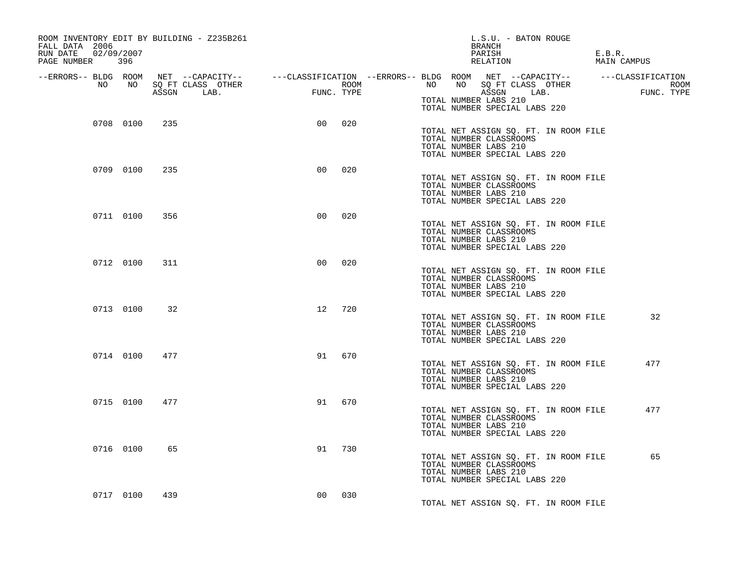| ROOM INVENTORY EDIT BY BUILDING - Z235B261<br>FALL DATA 2006<br>02/09/2007<br>RUN DATE<br>PAGE NUMBER 396 |                                               |      | L.S.U. - BATON ROUGE<br>BRANCH<br>PARISH<br>RELATION                                                                                                          | E.B.R.<br>MAIN CAMPUS |
|-----------------------------------------------------------------------------------------------------------|-----------------------------------------------|------|---------------------------------------------------------------------------------------------------------------------------------------------------------------|-----------------------|
| NO<br>NO NO                                                                                               | SQ FT CLASS OTHER<br>FUNC. TYPE<br>ASSGN LAB. | ROOM | --ERRORS-- BLDG ROOM NET --CAPACITY-- ----CLASSIFICATION --ERRORS-- BLDG ROOM NET --CAPACITY-- ----CLASSIFICATION<br>NO SQ FT CLASS OTHER<br>NO<br>ASSGN LAB. | KUUPI<br>FUNC .TYPE   |
|                                                                                                           |                                               |      | TOTAL NUMBER LABS 210<br>TOTAL NUMBER SPECIAL LABS 220                                                                                                        |                       |
| 0708 0100<br>235                                                                                          | 0 <sup>0</sup>                                | 020  | TOTAL NET ASSIGN SQ. FT. IN ROOM FILE<br>TOTAL NUMBER CLASSROOMS<br>TOTAL NUMBER LABS 210<br>TOTAL NUMBER SPECIAL LABS 220                                    |                       |
| 0709 0100<br>235                                                                                          | 00                                            | 020  | TOTAL NET ASSIGN SQ. FT. IN ROOM FILE<br>TOTAL NUMBER CLASSROOMS<br>TOTAL NUMBER LABS 210<br>TOTAL NUMBER SPECIAL LABS 220                                    |                       |
| 0711 0100<br>356                                                                                          | 0 <sup>0</sup>                                | 020  | TOTAL NET ASSIGN SQ. FT. IN ROOM FILE<br>TOTAL NUMBER CLASSROOMS<br>TOTAL NUMBER LABS 210<br>TOTAL NUMBER SPECIAL LABS 220                                    |                       |
| 0712 0100<br>311                                                                                          | 0 <sub>0</sub>                                | 020  | TOTAL NET ASSIGN SQ. FT. IN ROOM FILE<br>TOTAL NUMBER CLASSROOMS<br>TOTAL NUMBER LABS 210<br>TOTAL NUMBER SPECIAL LABS 220                                    |                       |
| 0713 0100<br>32                                                                                           | 12                                            | 720  | TOTAL NET ASSIGN SQ. FT. IN ROOM FILE<br>TOTAL NUMBER CLASSROOMS<br>TOTAL NUMBER LABS 210<br>TOTAL NUMBER SPECIAL LABS 220                                    | 32                    |
| 0714 0100<br>477                                                                                          | 91                                            | 670  | TOTAL NET ASSIGN SQ. FT. IN ROOM FILE<br>TOTAL NUMBER CLASSROOMS<br>TOTAL NUMBER LABS 210<br>TOTAL NUMBER SPECIAL LABS 220                                    | 477                   |
| 0715 0100<br>477                                                                                          | 91                                            | 670  | TOTAL NET ASSIGN SQ. FT. IN ROOM FILE<br>TOTAL NUMBER CLASSROOMS<br>TOTAL NUMBER LABS 210<br>TOTAL NUMBER SPECIAL LABS 220                                    | 477                   |
| 0716 0100<br>65                                                                                           | 91                                            | 730  | TOTAL NET ASSIGN SQ. FT. IN ROOM FILE<br>TOTAL NUMBER CLASSROOMS<br>TOTAL NUMBER LABS 210<br>TOTAL NUMBER SPECIAL LABS 220                                    | 65                    |
| 0717 0100<br>439                                                                                          | 00                                            | 030  | TOTAL NET ASSIGN SQ. FT. IN ROOM FILE                                                                                                                         |                       |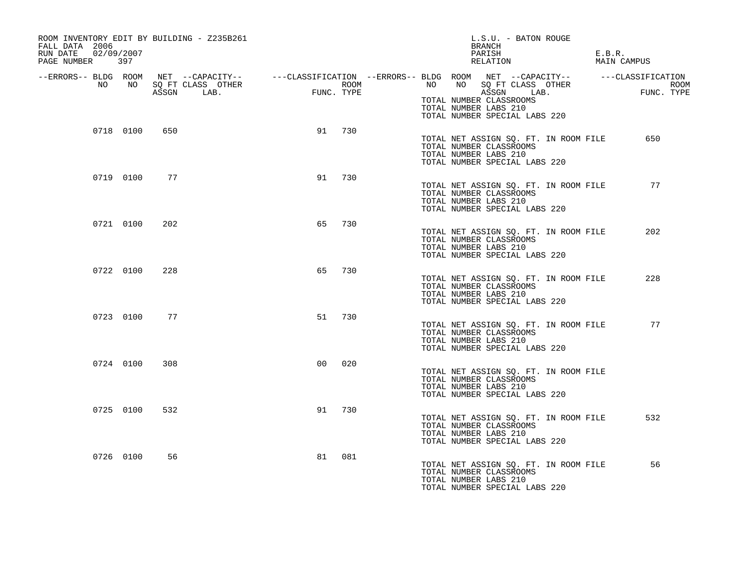| ROOM INVENTORY EDIT BY BUILDING - Z235B261<br>FALL DATA 2006<br>RUN DATE<br>02/09/2007<br>PAGE NUMBER 397 |           |     |                                                                                                                      |    |                    |    |    | BRANCH<br>PARISH<br>RELATION                                                                    | L.S.U. - BATON ROUGE                  | E.B.R.<br>MAIN CAMPUS |  |
|-----------------------------------------------------------------------------------------------------------|-----------|-----|----------------------------------------------------------------------------------------------------------------------|----|--------------------|----|----|-------------------------------------------------------------------------------------------------|---------------------------------------|-----------------------|--|
|                                                                                                           |           |     | --ERRORS-- BLDG ROOM NET --CAPACITY-- -----CLASSIFICATION --ERRORS-- BLDG ROOM NET --CAPACITY-- ------CLASSIFICATION |    |                    |    |    |                                                                                                 |                                       |                       |  |
| NO                                                                                                        | NO        |     | SQ FT CLASS OTHER<br>ASSGN LAB.                                                                                      |    | ROOM<br>FUNC. TYPE | NO | NO | ASSGN LAB.<br>TOTAL NUMBER CLASSROOMS<br>TOTAL NUMBER LABS 210<br>TOTAL NUMBER SPECIAL LABS 220 | SQ FT CLASS OTHER                     | ROOM<br>FUNC. TYPE    |  |
|                                                                                                           | 0718 0100 | 650 |                                                                                                                      | 91 | 730                |    |    | TOTAL NUMBER CLASSROOMS<br>TOTAL NUMBER LABS 210<br>TOTAL NUMBER SPECIAL LABS 220               | TOTAL NET ASSIGN SO. FT. IN ROOM FILE | 650                   |  |
|                                                                                                           | 0719 0100 | 77  |                                                                                                                      | 91 | 730                |    |    | TOTAL NUMBER CLASSROOMS<br>TOTAL NUMBER LABS 210<br>TOTAL NUMBER SPECIAL LABS 220               | TOTAL NET ASSIGN SQ. FT. IN ROOM FILE | 77                    |  |
|                                                                                                           | 0721 0100 | 202 |                                                                                                                      | 65 | 730                |    |    | TOTAL NUMBER CLASSROOMS<br>TOTAL NUMBER LABS 210<br>TOTAL NUMBER SPECIAL LABS 220               | TOTAL NET ASSIGN SQ. FT. IN ROOM FILE | 202                   |  |
|                                                                                                           | 0722 0100 | 228 |                                                                                                                      | 65 | 730                |    |    | TOTAL NUMBER CLASSROOMS<br>TOTAL NUMBER LABS 210<br>TOTAL NUMBER SPECIAL LABS 220               | TOTAL NET ASSIGN SQ. FT. IN ROOM FILE | 228                   |  |
|                                                                                                           | 0723 0100 | 77  |                                                                                                                      | 51 | 730                |    |    | TOTAL NUMBER CLASSROOMS<br>TOTAL NUMBER LABS 210<br>TOTAL NUMBER SPECIAL LABS 220               | TOTAL NET ASSIGN SQ. FT. IN ROOM FILE | 77                    |  |
|                                                                                                           | 0724 0100 | 308 |                                                                                                                      | 00 | 020                |    |    | TOTAL NUMBER CLASSROOMS<br>TOTAL NUMBER LABS 210<br>TOTAL NUMBER SPECIAL LABS 220               | TOTAL NET ASSIGN SQ. FT. IN ROOM FILE |                       |  |
|                                                                                                           | 0725 0100 | 532 |                                                                                                                      | 91 | 730                |    |    | TOTAL NUMBER CLASSROOMS<br>TOTAL NUMBER LABS 210<br>TOTAL NUMBER SPECIAL LABS 220               | TOTAL NET ASSIGN SQ. FT. IN ROOM FILE | 532                   |  |
|                                                                                                           | 0726 0100 | 56  |                                                                                                                      | 81 | 081                |    |    | TOTAL NUMBER CLASSROOMS<br>TOTAL NUMBER LABS 210<br>TOTAL NUMBER SPECIAL LABS 220               | TOTAL NET ASSIGN SQ. FT. IN ROOM FILE | 56                    |  |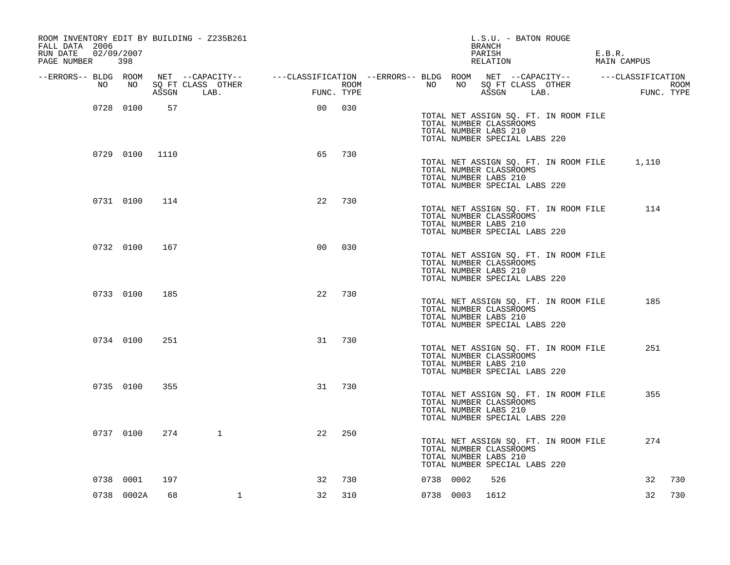| ROOM INVENTORY EDIT BY BUILDING - Z235B261<br>FALL DATA 2006<br>02/09/2007<br>RUN DATE<br>PAGE NUMBER | 398            |     |                                                                                                                                           |                |     |             |           |                                                                                   | BRANCH<br>PARISH<br>RELATION |            | L.S.U. - BATON ROUGE                  | E.B.R. | MAIN CAMPUS                                 |             |
|-------------------------------------------------------------------------------------------------------|----------------|-----|-------------------------------------------------------------------------------------------------------------------------------------------|----------------|-----|-------------|-----------|-----------------------------------------------------------------------------------|------------------------------|------------|---------------------------------------|--------|---------------------------------------------|-------------|
| NO                                                                                                    | NO             |     | --ERRORS-- BLDG ROOM NET --CAPACITY-- -----CLASSIFICATION --ERRORS-- BLDG ROOM NET --CAPACITY-- ------CLASSIFICATION<br>SQ FT CLASS OTHER |                |     | <b>ROOM</b> | NO        | NO                                                                                |                              |            | SQ FT CLASS OTHER                     |        |                                             | <b>ROOM</b> |
|                                                                                                       |                |     | ASSGN LAB.                                                                                                                                | FUNC. TYPE     |     |             |           |                                                                                   |                              | ASSGN LAB. |                                       |        | FUNC. TYPE                                  |             |
|                                                                                                       | 0728 0100      | 57  |                                                                                                                                           | 0 <sub>0</sub> | 030 |             |           | TOTAL NUMBER CLASSROOMS<br>TOTAL NUMBER LABS 210<br>TOTAL NUMBER SPECIAL LABS 220 |                              |            | TOTAL NET ASSIGN SQ. FT. IN ROOM FILE |        |                                             |             |
|                                                                                                       | 0729 0100 1110 |     |                                                                                                                                           | 65             | 730 |             |           | TOTAL NUMBER CLASSROOMS<br>TOTAL NUMBER LABS 210<br>TOTAL NUMBER SPECIAL LABS 220 |                              |            |                                       |        | TOTAL NET ASSIGN SQ. FT. IN ROOM FILE 1,110 |             |
|                                                                                                       | 0731 0100 114  |     |                                                                                                                                           | 22             | 730 |             |           | TOTAL NUMBER CLASSROOMS<br>TOTAL NUMBER LABS 210<br>TOTAL NUMBER SPECIAL LABS 220 |                              |            | TOTAL NET ASSIGN SQ. FT. IN ROOM FILE |        | 114                                         |             |
|                                                                                                       | 0732 0100      | 167 |                                                                                                                                           | 0 <sub>0</sub> | 030 |             |           | TOTAL NUMBER CLASSROOMS<br>TOTAL NUMBER LABS 210<br>TOTAL NUMBER SPECIAL LABS 220 |                              |            | TOTAL NET ASSIGN SQ. FT. IN ROOM FILE |        |                                             |             |
|                                                                                                       | 0733 0100      | 185 |                                                                                                                                           | 22             | 730 |             |           | TOTAL NUMBER CLASSROOMS<br>TOTAL NUMBER LABS 210<br>TOTAL NUMBER SPECIAL LABS 220 |                              |            | TOTAL NET ASSIGN SQ. FT. IN ROOM FILE |        | 185                                         |             |
|                                                                                                       | 0734 0100      | 251 |                                                                                                                                           | 31             | 730 |             |           | TOTAL NUMBER CLASSROOMS<br>TOTAL NUMBER LABS 210<br>TOTAL NUMBER SPECIAL LABS 220 |                              |            | TOTAL NET ASSIGN SQ. FT. IN ROOM FILE |        | 251                                         |             |
|                                                                                                       | 0735 0100      | 355 |                                                                                                                                           | 31             | 730 |             |           | TOTAL NUMBER CLASSROOMS<br>TOTAL NUMBER LABS 210<br>TOTAL NUMBER SPECIAL LABS 220 |                              |            | TOTAL NET ASSIGN SQ. FT. IN ROOM FILE |        | 355                                         |             |
|                                                                                                       | 0737 0100      | 274 | $\mathbf{1}$                                                                                                                              | 22             | 250 |             |           | TOTAL NUMBER CLASSROOMS<br>TOTAL NUMBER LABS 210<br>TOTAL NUMBER SPECIAL LABS 220 |                              |            | TOTAL NET ASSIGN SQ. FT. IN ROOM FILE |        | 274                                         |             |
|                                                                                                       | 0738 0001      | 197 |                                                                                                                                           | 32             | 730 |             | 0738 0002 |                                                                                   | 526                          |            |                                       |        | 32                                          | 730         |
|                                                                                                       | 0738 0002A     | 68  | $\mathbf{1}$                                                                                                                              | 32             | 310 |             |           | 0738 0003 1612                                                                    |                              |            |                                       |        | 32                                          | 730         |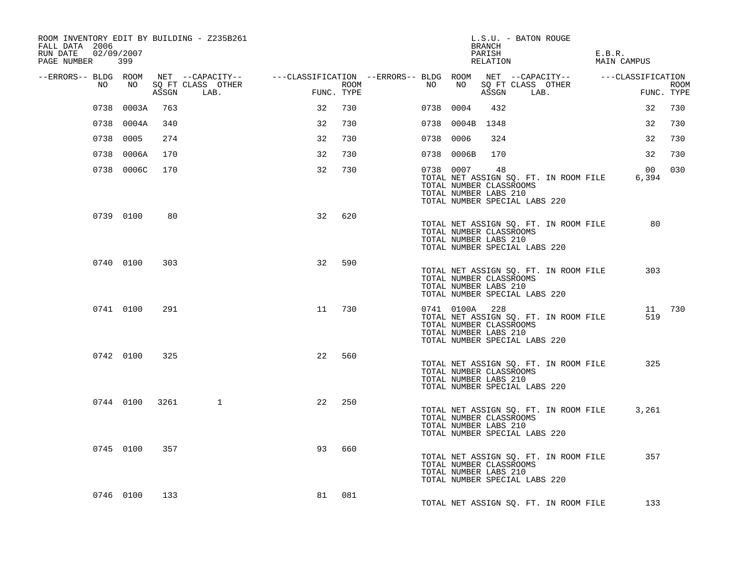| ROOM INVENTORY EDIT BY BUILDING - Z235B261<br>FALL DATA 2006<br>RUN DATE 02/09/2007<br>PAGE NUMBER 399 |            |      |                                                                                                                      |            |     |             |           |                 | BRANCH<br>PARISH<br>RELATION                           | L.S.U. - BATON ROUGE          |                                       | E.B.R.<br>MAIN CAMPUS    |                    |
|--------------------------------------------------------------------------------------------------------|------------|------|----------------------------------------------------------------------------------------------------------------------|------------|-----|-------------|-----------|-----------------|--------------------------------------------------------|-------------------------------|---------------------------------------|--------------------------|--------------------|
|                                                                                                        |            |      | --ERRORS-- BLDG ROOM NET --CAPACITY-- -----CLASSIFICATION --ERRORS-- BLDG ROOM NET --CAPACITY-- ------CLASSIFICATION |            |     |             |           |                 |                                                        |                               |                                       |                          |                    |
| NO                                                                                                     | NO         |      | SQ FT CLASS OTHER<br>ASSGN LAB.                                                                                      | FUNC. TYPE |     | <b>ROOM</b> | NO        | NO              |                                                        | ASSGN LAB.                    | SQ FT CLASS OTHER                     |                          | ROOM<br>FUNC. TYPE |
|                                                                                                        | 0738 0003A | 763  |                                                                                                                      | 32         | 730 |             | 0738 0004 |                 | 432                                                    |                               |                                       | 32                       | 730                |
|                                                                                                        | 0738 0004A | 340  |                                                                                                                      | 32         | 730 |             |           | 0738 0004B 1348 |                                                        |                               |                                       | 32                       | 730                |
|                                                                                                        | 0738 0005  | 274  |                                                                                                                      | 32         | 730 |             | 0738 0006 |                 | 324                                                    |                               |                                       | 32                       | 730                |
|                                                                                                        | 0738 0006A | 170  |                                                                                                                      | 32         | 730 |             |           | 0738 0006B      | 170                                                    |                               |                                       | 32                       | 730                |
|                                                                                                        | 0738 0006C | 170  |                                                                                                                      | 32         | 730 |             | 0738 0007 |                 | 48<br>TOTAL NUMBER CLASSROOMS<br>TOTAL NUMBER LABS 210 | TOTAL NUMBER SPECIAL LABS 220 | TOTAL NET ASSIGN SQ. FT. IN ROOM FILE | 00 <sup>o</sup><br>6,394 | 030                |
|                                                                                                        | 0739 0100  | 80   |                                                                                                                      | 32         | 620 |             |           |                 | TOTAL NUMBER CLASSROOMS<br>TOTAL NUMBER LABS 210       | TOTAL NUMBER SPECIAL LABS 220 | TOTAL NET ASSIGN SQ. FT. IN ROOM FILE | 80                       |                    |
|                                                                                                        | 0740 0100  | 303  |                                                                                                                      | 32         | 590 |             |           |                 | TOTAL NUMBER CLASSROOMS<br>TOTAL NUMBER LABS 210       | TOTAL NUMBER SPECIAL LABS 220 | TOTAL NET ASSIGN SQ. FT. IN ROOM FILE | 303                      |                    |
|                                                                                                        | 0741 0100  | 291  |                                                                                                                      | 11         | 730 |             |           | 0741 0100A 228  | TOTAL NUMBER CLASSROOMS<br>TOTAL NUMBER LABS 210       | TOTAL NUMBER SPECIAL LABS 220 | TOTAL NET ASSIGN SQ. FT. IN ROOM FILE | 519                      | 11 730             |
|                                                                                                        | 0742 0100  | 325  |                                                                                                                      | 22         | 560 |             |           |                 | TOTAL NUMBER CLASSROOMS<br>TOTAL NUMBER LABS 210       | TOTAL NUMBER SPECIAL LABS 220 | TOTAL NET ASSIGN SQ. FT. IN ROOM FILE | 325                      |                    |
|                                                                                                        | 0744 0100  | 3261 | $\mathbf{1}$                                                                                                         | 22         | 250 |             |           |                 | TOTAL NUMBER CLASSROOMS<br>TOTAL NUMBER LABS 210       | TOTAL NUMBER SPECIAL LABS 220 | TOTAL NET ASSIGN SQ. FT. IN ROOM FILE | 3,261                    |                    |
|                                                                                                        | 0745 0100  | 357  |                                                                                                                      | 93         | 660 |             |           |                 | TOTAL NUMBER CLASSROOMS<br>TOTAL NUMBER LABS 210       | TOTAL NUMBER SPECIAL LABS 220 | TOTAL NET ASSIGN SQ. FT. IN ROOM FILE | 357                      |                    |
|                                                                                                        | 0746 0100  | 133  |                                                                                                                      | 81         | 081 |             |           |                 |                                                        |                               | TOTAL NET ASSIGN SQ. FT. IN ROOM FILE | 133                      |                    |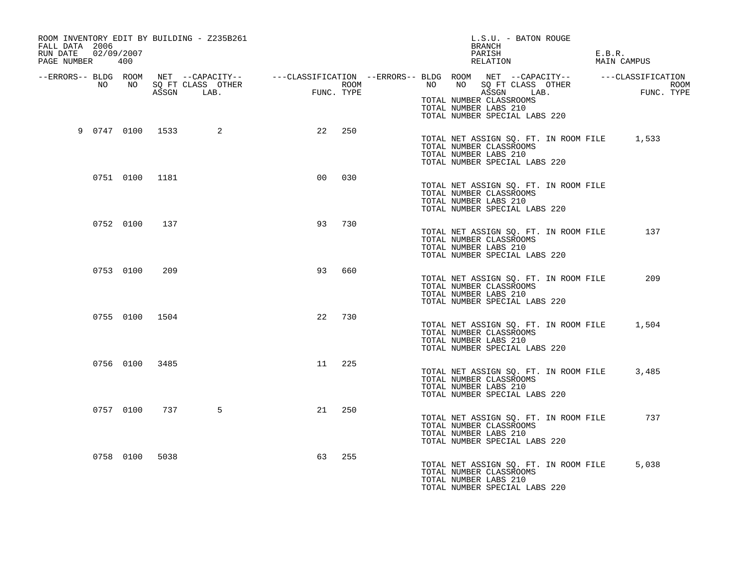| ROOM INVENTORY EDIT BY BUILDING - Z235B261<br>FALL DATA 2006<br>RUN DATE<br>PAGE NUMBER | 02/09/2007<br>400 |      |   |                |     | L.S.U. - BATON ROUGE<br>BRANCH<br>PARISH<br>E.B.R.<br>RELATION<br>MAIN CAMPUS                                                                                                                                                                                                                                             |
|-----------------------------------------------------------------------------------------|-------------------|------|---|----------------|-----|---------------------------------------------------------------------------------------------------------------------------------------------------------------------------------------------------------------------------------------------------------------------------------------------------------------------------|
|                                                                                         |                   |      |   |                |     | ERRORS-- BLDG ROOM NET --CAPACITY--- --CLASSIFICATION --ERRORS-- BLDG ROOM NET --CAPACITY---------CLASSIFICATION--<br>NO NO SQ FT CLASS OTHER ROOM NO ROOM NO SQ FT CLASS OTHER ROOM NO ASSGN LAB.<br>ASSGN LAB. FUNC. TYPE ASSGN AS<br>TOTAL NUMBER CLASSROOMS<br>TOTAL NUMBER LABS 210<br>TOTAL NUMBER SPECIAL LABS 220 |
| 9  0747  0100  1533                                                                     |                   |      | 2 | 22             | 250 | TOTAL NET ASSIGN SQ. FT. IN ROOM FILE 1,533<br>TOTAL NUMBER CLASSROOMS<br>TOTAL NUMBER LABS 210<br>TOTAL NUMBER SPECIAL LABS 220                                                                                                                                                                                          |
|                                                                                         | 0751 0100 1181    |      |   | 0 <sub>0</sub> | 030 | TOTAL NET ASSIGN SQ. FT. IN ROOM FILE<br>TOTAL NUMBER CLASSROOMS<br>TOTAL NUMBER LABS 210<br>TOTAL NUMBER SPECIAL LABS 220                                                                                                                                                                                                |
|                                                                                         | 0752 0100         | 137  |   | 93             | 730 | TOTAL NET ASSIGN SQ. FT. IN ROOM FILE<br>137<br>TOTAL NUMBER CLASSROOMS<br>TOTAL NUMBER LABS 210<br>TOTAL NUMBER SPECIAL LABS 220                                                                                                                                                                                         |
|                                                                                         | 0753 0100         | 209  |   | 93             | 660 | TOTAL NET ASSIGN SQ. FT. IN ROOM FILE<br>209<br>TOTAL NUMBER CLASSROOMS<br>TOTAL NUMBER LABS 210<br>TOTAL NUMBER SPECIAL LABS 220                                                                                                                                                                                         |
|                                                                                         | 0755 0100 1504    |      |   | 22             | 730 | TOTAL NET ASSIGN SQ. FT. IN ROOM FILE<br>1,504<br>TOTAL NUMBER CLASSROOMS<br>TOTAL NUMBER LABS 210<br>TOTAL NUMBER SPECIAL LABS 220                                                                                                                                                                                       |
|                                                                                         | 0756 0100 3485    |      |   | 11             | 225 | TOTAL NET ASSIGN SQ. FT. IN ROOM FILE<br>3,485<br>TOTAL NUMBER CLASSROOMS<br>TOTAL NUMBER LABS 210<br>TOTAL NUMBER SPECIAL LABS 220                                                                                                                                                                                       |
|                                                                                         | 0757 0100         | 737  | 5 | 21             | 250 | 737<br>TOTAL NET ASSIGN SQ. FT. IN ROOM FILE<br>TOTAL NUMBER CLASSROOMS<br>TOTAL NUMBER LABS 210<br>TOTAL NUMBER SPECIAL LABS 220                                                                                                                                                                                         |
|                                                                                         | 0758 0100         | 5038 |   | 63             | 255 | 5,038<br>TOTAL NET ASSIGN SQ. FT. IN ROOM FILE<br>TOTAL NUMBER CLASSROOMS<br>TOTAL NUMBER LABS 210<br>TOTAL NUMBER SPECIAL LABS 220                                                                                                                                                                                       |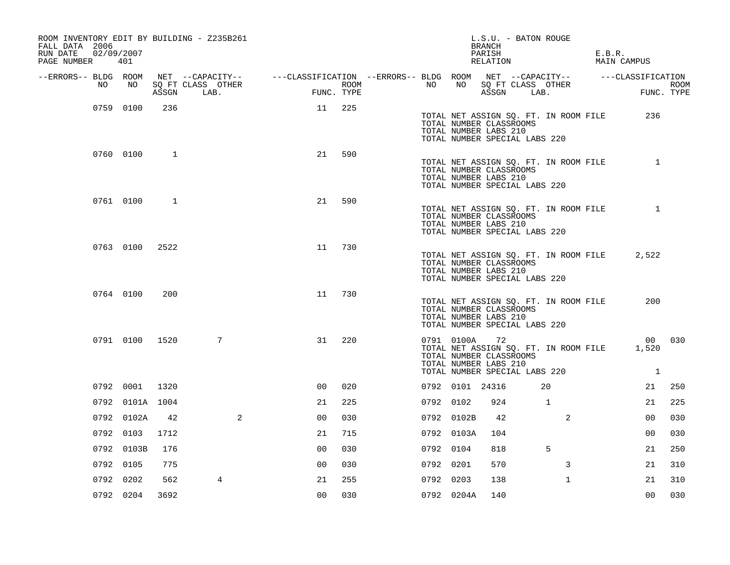| ROOM INVENTORY EDIT BY BUILDING - Z235B261<br>FALL DATA 2006<br>02/09/2007<br>RUN DATE<br>PAGE NUMBER 401 |                 |      |                                 |                                                                                                |            |                  |           |                 | L.S.U. - BATON ROUGE<br>BRANCH<br>PARISH<br>RELATION                                    |                                       | E.B.R.<br>MAIN CAMPUS |                    |
|-----------------------------------------------------------------------------------------------------------|-----------------|------|---------------------------------|------------------------------------------------------------------------------------------------|------------|------------------|-----------|-----------------|-----------------------------------------------------------------------------------------|---------------------------------------|-----------------------|--------------------|
| --ERRORS-- BLDG ROOM                                                                                      |                 |      |                                 | NET --CAPACITY-- - ---CLASSIFICATION --ERRORS-- BLDG ROOM NET --CAPACITY-- - ---CLASSIFICATION |            |                  |           |                 |                                                                                         |                                       |                       |                    |
| NO                                                                                                        | NO              |      | SQ FT CLASS OTHER<br>ASSGN LAB. |                                                                                                | FUNC. TYPE | ROOM <b>ROOM</b> | NO        | NO              | ASSGN LAB.                                                                              | SQ FT CLASS OTHER                     |                       | ROOM<br>FUNC. TYPE |
|                                                                                                           | 0759 0100       | 236  |                                 | 11                                                                                             | 225        |                  |           |                 | TOTAL NUMBER CLASSROOMS<br>TOTAL NUMBER LABS 210<br>TOTAL NUMBER SPECIAL LABS 220       | TOTAL NET ASSIGN SQ. FT. IN ROOM FILE | 236                   |                    |
|                                                                                                           | 0760 0100       | 1    |                                 | 21                                                                                             | 590        |                  |           |                 | TOTAL NUMBER CLASSROOMS<br>TOTAL NUMBER LABS 210<br>TOTAL NUMBER SPECIAL LABS 220       | TOTAL NET ASSIGN SQ. FT. IN ROOM FILE | $\mathbf{1}$          |                    |
|                                                                                                           | 0761 0100       | 1    |                                 | 21                                                                                             | 590        |                  |           |                 | TOTAL NUMBER CLASSROOMS<br>TOTAL NUMBER LABS 210<br>TOTAL NUMBER SPECIAL LABS 220       | TOTAL NET ASSIGN SQ. FT. IN ROOM FILE |                       |                    |
|                                                                                                           | 0763 0100       | 2522 |                                 | 11                                                                                             | 730        |                  |           |                 | TOTAL NUMBER CLASSROOMS<br>TOTAL NUMBER LABS 210<br>TOTAL NUMBER SPECIAL LABS 220       | TOTAL NET ASSIGN SQ. FT. IN ROOM FILE | 2,522                 |                    |
|                                                                                                           | 0764 0100       | 200  |                                 | 11                                                                                             | 730        |                  |           |                 | TOTAL NUMBER CLASSROOMS<br>TOTAL NUMBER LABS 210<br>TOTAL NUMBER SPECIAL LABS 220       | TOTAL NET ASSIGN SQ. FT. IN ROOM FILE | 200                   |                    |
|                                                                                                           | 0791 0100 1520  |      | 7                               | 31                                                                                             | 220        |                  |           | 0791 0100A      | 72<br>TOTAL NUMBER CLASSROOMS<br>TOTAL NUMBER LABS 210<br>TOTAL NUMBER SPECIAL LABS 220 | TOTAL NET ASSIGN SQ. FT. IN ROOM FILE | 1,520<br><sup>1</sup> | 00 030             |
|                                                                                                           | 0792 0001       | 1320 |                                 | 0 <sup>0</sup>                                                                                 | 020        |                  |           | 0792 0101 24316 |                                                                                         | 20                                    | 21                    | 250                |
|                                                                                                           | 0792 0101A 1004 |      |                                 | 21                                                                                             | 225        |                  | 0792 0102 |                 | 924                                                                                     | 1                                     | 21                    | 225                |
|                                                                                                           | 0792 0102A      | 42   | 2                               | 0 <sub>0</sub>                                                                                 | 030        |                  |           | 0792 0102B      | 42                                                                                      | 2                                     | 0 <sub>0</sub>        | 030                |
|                                                                                                           | 0792 0103       | 1712 |                                 | 21                                                                                             | 715        |                  |           | 0792 0103A      | 104                                                                                     |                                       | 0 <sub>0</sub>        | 030                |
|                                                                                                           | 0792 0103B      | 176  |                                 | 0 <sup>0</sup>                                                                                 | 030        |                  | 0792 0104 |                 | 818                                                                                     | 5                                     | 21                    | 250                |
|                                                                                                           | 0792 0105       | 775  |                                 | 0 <sub>0</sub>                                                                                 | 030        |                  | 0792 0201 |                 | 570                                                                                     | 3                                     | 21                    | 310                |
|                                                                                                           | 0792 0202       | 562  | 4                               | 21                                                                                             | 255        |                  | 0792 0203 |                 | 138                                                                                     | $\mathbf{1}$                          | 21                    | 310                |
|                                                                                                           | 0792 0204       | 3692 |                                 | 0 <sub>0</sub>                                                                                 | 030        |                  |           | 0792 0204A      | 140                                                                                     |                                       | 0 <sub>0</sub>        | 030                |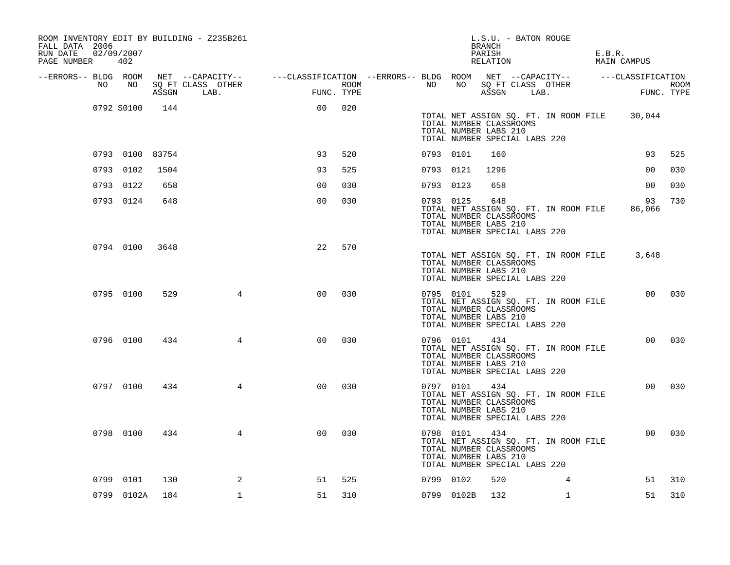| ROOM INVENTORY EDIT BY BUILDING - Z235B261<br>FALL DATA 2006<br>RUN DATE<br>PAGE NUMBER 402 | 02/09/2007      |      |                                                                                                                    |                           |     |             |           |            | L.S.U. - BATON ROUGE<br>BRANCH<br>PARISH<br>RELATION                                               |                                       | E.B.R. | MAIN CAMPUS                                  |        |
|---------------------------------------------------------------------------------------------|-----------------|------|--------------------------------------------------------------------------------------------------------------------|---------------------------|-----|-------------|-----------|------------|----------------------------------------------------------------------------------------------------|---------------------------------------|--------|----------------------------------------------|--------|
|                                                                                             |                 |      | --ERRORS-- BLDG ROOM NET --CAPACITY-- ----CLASSIFICATION --ERRORS-- BLDG ROOM NET --CAPACITY-- -----CLASSIFICATION |                           |     |             |           |            |                                                                                                    |                                       |        |                                              |        |
| NO                                                                                          |                 |      | NO SQ FT CLASS OTHER<br>ASSGN LAB.                                                                                 | <b>FUNC</b><br>FUNC. TYPE |     | <b>ROOM</b> |           |            | ASSGN LAB.                                                                                         | NO NO SQ FT CLASS OTHER               |        | <b>FUN</b><br>FUNC. TYPE                     | ROOM   |
|                                                                                             | 0792 S0100 144  |      |                                                                                                                    | 00                        | 020 |             |           |            | TOTAL NUMBER CLASSROOMS<br>TOTAL NUMBER LABS 210<br>TOTAL NUMBER SPECIAL LABS 220                  |                                       |        | TOTAL NET ASSIGN SQ. FT. IN ROOM FILE 30,044 |        |
|                                                                                             | 0793 0100 83754 |      |                                                                                                                    | 93                        | 520 |             | 0793 0101 |            | 160                                                                                                |                                       |        | 93                                           | 525    |
|                                                                                             | 0793 0102       | 1504 |                                                                                                                    | 93                        | 525 |             | 0793 0121 |            | 1296                                                                                               |                                       |        | 0 <sub>0</sub>                               | 030    |
|                                                                                             | 0793 0122       | 658  |                                                                                                                    | 0 <sup>0</sup>            | 030 |             | 0793 0123 |            | 658                                                                                                |                                       |        | 00                                           | 030    |
|                                                                                             | 0793 0124       | 648  |                                                                                                                    | 0 <sub>0</sub>            | 030 |             |           | 0793 0125  | 648<br>TOTAL NUMBER CLASSROOMS<br>TOTAL NUMBER LABS 210<br>TOTAL NUMBER SPECIAL LABS 220           | TOTAL NET ASSIGN SQ. FT. IN ROOM FILE |        | 93<br>86,066                                 | 730    |
|                                                                                             | 0794 0100 3648  |      |                                                                                                                    | 22                        | 570 |             |           |            | TOTAL NUMBER CLASSROOMS<br>TOTAL NUMBER LABS 210<br>TOTAL NUMBER SPECIAL LABS 220                  |                                       |        | TOTAL NET ASSIGN SQ. FT. IN ROOM FILE 3,648  |        |
|                                                                                             | 0795 0100       | 529  | $\overline{4}$                                                                                                     | 0 <sub>0</sub>            | 030 |             |           | 0795 0101  | 529<br>TOTAL NUMBER CLASSROOMS<br>TOTAL NUMBER LABS 210<br>TOTAL NUMBER SPECIAL LABS 220           | TOTAL NET ASSIGN SQ. FT. IN ROOM FILE |        |                                              | 00 030 |
|                                                                                             | 0796 0100       | 434  | $\overline{4}$                                                                                                     | 0 <sup>0</sup>            | 030 |             |           | 0796 0101  | 434<br>TOTAL NUMBER CLASSROOMS<br>TOTAL NUMBER LABS 210<br>TOTAL NUMBER SPECIAL LABS 220           | TOTAL NET ASSIGN SQ. FT. IN ROOM FILE |        | 00 <sub>o</sub>                              | 030    |
|                                                                                             | 0797 0100       | 434  | $\overline{4}$                                                                                                     | 0 <sup>0</sup>            | 030 |             |           |            | 0797 0101 434<br>TOTAL NUMBER CLASSROOMS<br>TOTAL NUMBER LABS 210<br>TOTAL NUMBER SPECIAL LABS 220 | TOTAL NET ASSIGN SQ. FT. IN ROOM FILE |        | 0 <sub>0</sub>                               | 030    |
|                                                                                             | 0798 0100       | 434  | $\overline{4}$                                                                                                     | 0 <sub>0</sub>            | 030 |             |           |            | 0798 0101 434<br>TOTAL NUMBER CLASSROOMS<br>TOTAL NUMBER LABS 210<br>TOTAL NUMBER SPECIAL LABS 220 | TOTAL NET ASSIGN SQ. FT. IN ROOM FILE |        | 0 <sub>0</sub>                               | 030    |
|                                                                                             | 0799 0101       | 130  | 2                                                                                                                  | 51                        | 525 |             | 0799 0102 |            | 520                                                                                                | 4                                     |        | 51                                           | 310    |
|                                                                                             | 0799 0102A      | 184  | $\mathbf 1$                                                                                                        | 51                        | 310 |             |           | 0799 0102B | 132                                                                                                | $\mathbf{1}$                          |        | 51                                           | 310    |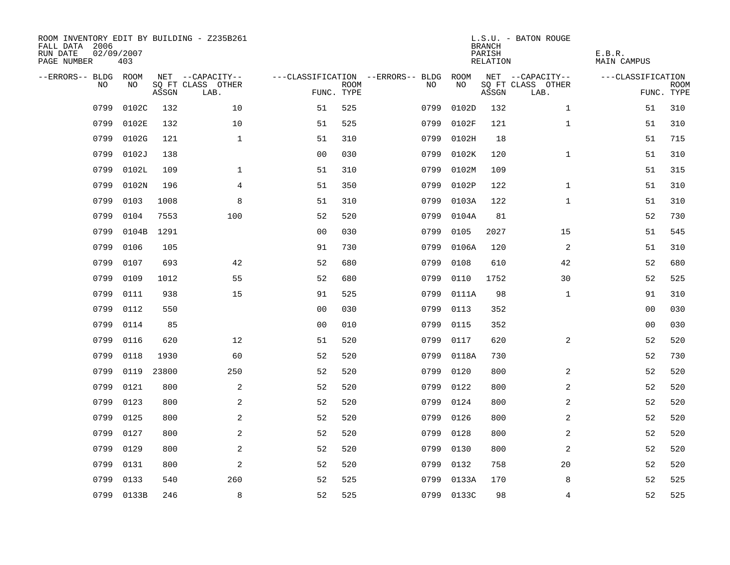| ROOM INVENTORY EDIT BY BUILDING - Z235B261<br>FALL DATA 2006<br>RUN DATE<br>PAGE NUMBER | 02/09/2007<br>403 |       |                           |                |             |                                   |            | <b>BRANCH</b><br>PARISH<br>RELATION | L.S.U. - BATON ROUGE      | E.B.R.<br><b>MAIN CAMPUS</b> |                           |
|-----------------------------------------------------------------------------------------|-------------------|-------|---------------------------|----------------|-------------|-----------------------------------|------------|-------------------------------------|---------------------------|------------------------------|---------------------------|
| --ERRORS-- BLDG ROOM                                                                    |                   |       | NET --CAPACITY--          |                |             | ---CLASSIFICATION --ERRORS-- BLDG | ROOM       |                                     | NET --CAPACITY--          | ---CLASSIFICATION            |                           |
| NO.                                                                                     | NO.               | ASSGN | SQ FT CLASS OTHER<br>LAB. | FUNC. TYPE     | <b>ROOM</b> | NO.                               | NO         | ASSGN                               | SQ FT CLASS OTHER<br>LAB. |                              | <b>ROOM</b><br>FUNC. TYPE |
| 0799                                                                                    | 0102C             | 132   | 10                        | 51             | 525         | 0799                              | 0102D      | 132                                 | $\mathbf{1}$              | 51                           | 310                       |
| 0799                                                                                    | 0102E             | 132   | 10                        | 51             | 525         | 0799                              | 0102F      | 121                                 | $\mathbf{1}$              | 51                           | 310                       |
| 0799                                                                                    | 0102G             | 121   | $\mathbf 1$               | 51             | 310         | 0799                              | 0102H      | 18                                  |                           | 51                           | 715                       |
| 0799                                                                                    | 0102J             | 138   |                           | 0 <sub>0</sub> | 030         | 0799                              | 0102K      | 120                                 | $\mathbf{1}$              | 51                           | 310                       |
| 0799                                                                                    | 0102L             | 109   | $\mathbf{1}$              | 51             | 310         | 0799                              | 0102M      | 109                                 |                           | 51                           | 315                       |
| 0799                                                                                    | 0102N             | 196   | 4                         | 51             | 350         | 0799                              | 0102P      | 122                                 | $\mathbf{1}$              | 51                           | 310                       |
| 0799                                                                                    | 0103              | 1008  | 8                         | 51             | 310         | 0799                              | 0103A      | 122                                 | $\mathbf{1}$              | 51                           | 310                       |
| 0799                                                                                    | 0104              | 7553  | 100                       | 52             | 520         | 0799                              | 0104A      | 81                                  |                           | 52                           | 730                       |
| 0799                                                                                    | 0104B             | 1291  |                           | 0 <sub>0</sub> | 030         | 0799                              | 0105       | 2027                                | 15                        | 51                           | 545                       |
| 0799                                                                                    | 0106              | 105   |                           | 91             | 730         | 0799                              | 0106A      | 120                                 | 2                         | 51                           | 310                       |
| 0799                                                                                    | 0107              | 693   | 42                        | 52             | 680         | 0799                              | 0108       | 610                                 | 42                        | 52                           | 680                       |
| 0799                                                                                    | 0109              | 1012  | 55                        | 52             | 680         | 0799                              | 0110       | 1752                                | 30                        | 52                           | 525                       |
| 0799                                                                                    | 0111              | 938   | 15                        | 91             | 525         | 0799                              | 0111A      | 98                                  | $\mathbf{1}$              | 91                           | 310                       |
| 0799                                                                                    | 0112              | 550   |                           | 00             | 030         | 0799                              | 0113       | 352                                 |                           | 00                           | 030                       |
| 0799                                                                                    | 0114              | 85    |                           | 0 <sub>0</sub> | 010         | 0799                              | 0115       | 352                                 |                           | 00                           | 030                       |
| 0799                                                                                    | 0116              | 620   | 12                        | 51             | 520         | 0799                              | 0117       | 620                                 | 2                         | 52                           | 520                       |
| 0799                                                                                    | 0118              | 1930  | 60                        | 52             | 520         | 0799                              | 0118A      | 730                                 |                           | 52                           | 730                       |
| 0799                                                                                    | 0119              | 23800 | 250                       | 52             | 520         | 0799                              | 0120       | 800                                 | 2                         | 52                           | 520                       |
| 0799                                                                                    | 0121              | 800   | 2                         | 52             | 520         | 0799                              | 0122       | 800                                 | 2                         | 52                           | 520                       |
| 0799                                                                                    | 0123              | 800   | 2                         | 52             | 520         | 0799                              | 0124       | 800                                 | 2                         | 52                           | 520                       |
| 0799                                                                                    | 0125              | 800   | 2                         | 52             | 520         | 0799                              | 0126       | 800                                 | 2                         | 52                           | 520                       |
| 0799                                                                                    | 0127              | 800   | 2                         | 52             | 520         | 0799                              | 0128       | 800                                 | 2                         | 52                           | 520                       |
| 0799                                                                                    | 0129              | 800   | 2                         | 52             | 520         | 0799                              | 0130       | 800                                 | 2                         | 52                           | 520                       |
| 0799                                                                                    | 0131              | 800   | $\overline{a}$            | 52             | 520         | 0799                              | 0132       | 758                                 | 20                        | 52                           | 520                       |
| 0799                                                                                    | 0133              | 540   | 260                       | 52             | 525         | 0799                              | 0133A      | 170                                 | 8                         | 52                           | 525                       |
|                                                                                         | 0799 0133B        | 246   | 8                         | 52             | 525         |                                   | 0799 0133C | 98                                  | $\overline{4}$            | 52                           | 525                       |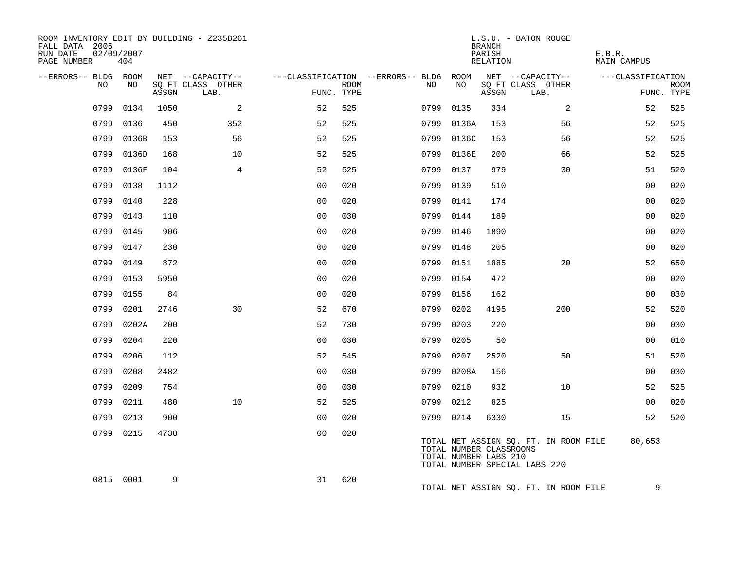| ROOM INVENTORY EDIT BY BUILDING - Z235B261<br>FALL DATA 2006<br>RUN DATE<br>PAGE NUMBER | 02/09/2007<br>404 |       |                           |                |             |                                        |            | <b>BRANCH</b><br>PARISH<br>RELATION              | L.S.U. - BATON ROUGE                                                   | E.B.R.<br><b>MAIN CAMPUS</b> |                           |
|-----------------------------------------------------------------------------------------|-------------------|-------|---------------------------|----------------|-------------|----------------------------------------|------------|--------------------------------------------------|------------------------------------------------------------------------|------------------------------|---------------------------|
| --ERRORS-- BLDG ROOM                                                                    |                   |       | NET --CAPACITY--          |                |             | ---CLASSIFICATION --ERRORS-- BLDG ROOM |            |                                                  | NET --CAPACITY--                                                       | ---CLASSIFICATION            |                           |
| NO.                                                                                     | NO.               | ASSGN | SO FT CLASS OTHER<br>LAB. | FUNC. TYPE     | <b>ROOM</b> | NO                                     | NO         | ASSGN                                            | SQ FT CLASS OTHER<br>LAB.                                              |                              | <b>ROOM</b><br>FUNC. TYPE |
| 0799                                                                                    | 0134              | 1050  | 2                         | 52             | 525         | 0799                                   | 0135       | 334                                              | 2                                                                      | 52                           | 525                       |
|                                                                                         | 0799 0136         | 450   | 352                       | 52             | 525         |                                        | 0799 0136A | 153                                              | 56                                                                     | 52                           | 525                       |
| 0799                                                                                    | 0136B             | 153   | 56                        | 52             | 525         |                                        | 0799 0136C | 153                                              | 56                                                                     | 52                           | 525                       |
| 0799                                                                                    | 0136D             | 168   | 10                        | 52             | 525         | 0799                                   | 0136E      | 200                                              | 66                                                                     | 52                           | 525                       |
| 0799                                                                                    | 0136F             | 104   | 4                         | 52             | 525         | 0799 0137                              |            | 979                                              | 30                                                                     | 51                           | 520                       |
|                                                                                         | 0799 0138         | 1112  |                           | 0 <sub>0</sub> | 020         | 0799 0139                              |            | 510                                              |                                                                        | 00                           | 020                       |
|                                                                                         | 0799 0140         | 228   |                           | 0 <sub>0</sub> | 020         | 0799 0141                              |            | 174                                              |                                                                        | 00                           | 020                       |
| 0799                                                                                    | 0143              | 110   |                           | 0 <sub>0</sub> | 030         | 0799                                   | 0144       | 189                                              |                                                                        | 00                           | 020                       |
| 0799                                                                                    | 0145              | 906   |                           | 0 <sub>0</sub> | 020         | 0799 0146                              |            | 1890                                             |                                                                        | 0 <sub>0</sub>               | 020                       |
|                                                                                         | 0799 0147         | 230   |                           | 0 <sub>0</sub> | 020         | 0799 0148                              |            | 205                                              |                                                                        | 00                           | 020                       |
| 0799                                                                                    | 0149              | 872   |                           | 0 <sub>0</sub> | 020         | 0799 0151                              |            | 1885                                             | 20                                                                     | 52                           | 650                       |
| 0799                                                                                    | 0153              | 5950  |                           | 0 <sub>0</sub> | 020         | 0799                                   | 0154       | 472                                              |                                                                        | 0 <sub>0</sub>               | 020                       |
| 0799                                                                                    | 0155              | 84    |                           | 0 <sup>0</sup> | 020         | 0799 0156                              |            | 162                                              |                                                                        | 0 <sub>0</sub>               | 030                       |
| 0799                                                                                    | 0201              | 2746  | 30                        | 52             | 670         | 0799                                   | 0202       | 4195                                             | 200                                                                    | 52                           | 520                       |
|                                                                                         | 0799 0202A        | 200   |                           | 52             | 730         | 0799                                   | 0203       | 220                                              |                                                                        | 0 <sub>0</sub>               | 030                       |
|                                                                                         | 0799 0204         | 220   |                           | 0 <sub>0</sub> | 030         | 0799                                   | 0205       | 50                                               |                                                                        | 00                           | 010                       |
|                                                                                         | 0799 0206         | 112   |                           | 52             | 545         | 0799                                   | 0207       | 2520                                             | 50                                                                     | 51                           | 520                       |
| 0799                                                                                    | 0208              | 2482  |                           | 0 <sub>0</sub> | 030         |                                        | 0799 0208A | 156                                              |                                                                        | 0 <sub>0</sub>               | 030                       |
| 0799                                                                                    | 0209              | 754   |                           | 0 <sub>0</sub> | 030         | 0799                                   | 0210       | 932                                              | 10                                                                     | 52                           | 525                       |
| 0799                                                                                    | 0211              | 480   | 10 <sup>°</sup>           | 52             | 525         | 0799 0212                              |            | 825                                              |                                                                        | 0 <sub>0</sub>               | 020                       |
|                                                                                         | 0799 0213         | 900   |                           | 0 <sub>0</sub> | 020         | 0799 0214                              |            | 6330                                             | 15                                                                     | 52                           | 520                       |
|                                                                                         | 0799 0215         | 4738  |                           | 0 <sub>0</sub> | 020         |                                        |            | TOTAL NUMBER CLASSROOMS<br>TOTAL NUMBER LABS 210 | TOTAL NET ASSIGN SQ. FT. IN ROOM FILE<br>TOTAL NUMBER SPECIAL LABS 220 | 80,653                       |                           |
|                                                                                         | 0815 0001         | 9     |                           | 31             | 620         |                                        |            |                                                  | TOTAL NET ASSIGN SQ. FT. IN ROOM FILE                                  | 9                            |                           |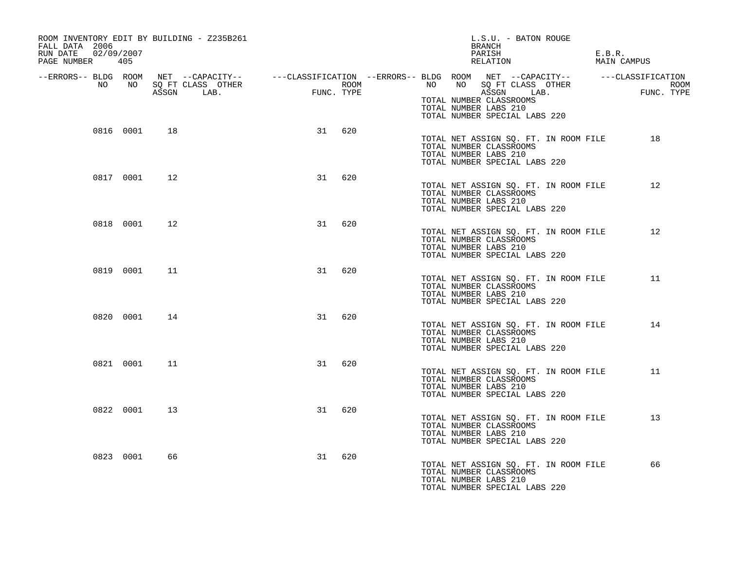| ROOM INVENTORY EDIT BY BUILDING - Z235B261<br>FALL DATA 2006<br>02/09/2007<br>RUN DATE<br>PAGE NUMBER 405 |           |    |                                                                                                                                                                                                |                                             |            |                       | L.S.U. - BATON ROUGE<br>BRANCH<br>PARISH<br>RELATION                                              | E.B.R.<br>MAIN CAMPUS |                    |
|-----------------------------------------------------------------------------------------------------------|-----------|----|------------------------------------------------------------------------------------------------------------------------------------------------------------------------------------------------|---------------------------------------------|------------|-----------------------|---------------------------------------------------------------------------------------------------|-----------------------|--------------------|
|                                                                                                           |           |    | -ERRORS-- BLDG ROOM NET --CAPACITY-- ----CLASSIFICATION --ERRORS-- BLDG ROOM NET --CAPACITY-- -----CLASSIFICATION-<br>NO NO SQ FT CLASS OTHER ---CLASSIFICATION ROOM NO SQ FT CLASS OTHER ROOM |                                             |            |                       |                                                                                                   |                       |                    |
|                                                                                                           |           |    | ASSGN LAB.                                                                                                                                                                                     | $\begin{aligned} \text{FUNC} \end{aligned}$ | FUNC. TYPE |                       | ASSGN LAB.<br>TOTAL NUMBER CLASSROOMS<br>TOTAL NUMBER LABS 210<br>TOTAL NUMBER SPECIAL LABS 220   | <b>FUN</b>            | ROOM<br>FUNC. TYPE |
|                                                                                                           | 0816 0001 | 18 |                                                                                                                                                                                                |                                             | 31 620     | TOTAL NUMBER LABS 210 | TOTAL NET ASSIGN SQ. FT. IN ROOM FILE<br>TOTAL NUMBER CLASSROOMS<br>TOTAL NUMBER SPECIAL LABS 220 |                       | 18                 |
|                                                                                                           | 0817 0001 | 12 |                                                                                                                                                                                                | 31                                          | 620        | TOTAL NUMBER LABS 210 | TOTAL NET ASSIGN SQ. FT. IN ROOM FILE<br>TOTAL NUMBER CLASSROOMS<br>TOTAL NUMBER SPECIAL LABS 220 |                       | 12                 |
|                                                                                                           | 0818 0001 | 12 |                                                                                                                                                                                                |                                             | 31 620     | TOTAL NUMBER LABS 210 | TOTAL NET ASSIGN SQ. FT. IN ROOM FILE<br>TOTAL NUMBER CLASSROOMS<br>TOTAL NUMBER SPECIAL LABS 220 |                       | 12                 |
|                                                                                                           | 0819 0001 | 11 |                                                                                                                                                                                                | 31                                          | 620        | TOTAL NUMBER LABS 210 | TOTAL NET ASSIGN SQ. FT. IN ROOM FILE<br>TOTAL NUMBER CLASSROOMS<br>TOTAL NUMBER SPECIAL LABS 220 |                       | 11                 |
|                                                                                                           | 0820 0001 | 14 |                                                                                                                                                                                                | 31                                          | 620        | TOTAL NUMBER LABS 210 | TOTAL NET ASSIGN SQ. FT. IN ROOM FILE<br>TOTAL NUMBER CLASSROOMS<br>TOTAL NUMBER SPECIAL LABS 220 |                       | 14                 |
|                                                                                                           | 0821 0001 | 11 |                                                                                                                                                                                                | 31                                          | 620        | TOTAL NUMBER LABS 210 | TOTAL NET ASSIGN SQ. FT. IN ROOM FILE<br>TOTAL NUMBER CLASSROOMS<br>TOTAL NUMBER SPECIAL LABS 220 |                       | 11                 |
|                                                                                                           | 0822 0001 | 13 |                                                                                                                                                                                                | 31                                          | 620        | TOTAL NUMBER LABS 210 | TOTAL NET ASSIGN SQ. FT. IN ROOM FILE<br>TOTAL NUMBER CLASSROOMS<br>TOTAL NUMBER SPECIAL LABS 220 |                       | 13                 |
|                                                                                                           | 0823 0001 | 66 |                                                                                                                                                                                                | 31                                          | 620        | TOTAL NUMBER LABS 210 | TOTAL NET ASSIGN SQ. FT. IN ROOM FILE<br>TOTAL NUMBER CLASSROOMS<br>TOTAL NUMBER SPECIAL LABS 220 |                       | 66                 |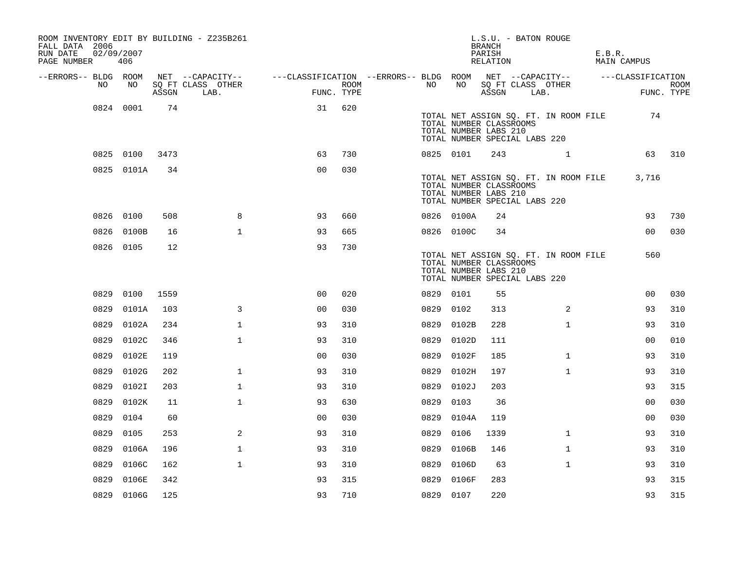| FALL DATA 2006<br>RUN DATE<br>PAGE NUMBER | 02/09/2007 | 406        |       | ROOM INVENTORY EDIT BY BUILDING - Z235B261 |                                                                             |      |           |            | L.S.U. - BATON ROUGE<br><b>BRANCH</b><br>PARISH<br>RELATION                                                                |      |              | E.B.R. | MAIN CAMPUS    |                    |
|-------------------------------------------|------------|------------|-------|--------------------------------------------|-----------------------------------------------------------------------------|------|-----------|------------|----------------------------------------------------------------------------------------------------------------------------|------|--------------|--------|----------------|--------------------|
| --ERRORS-- BLDG ROOM                      |            |            |       | NET --CAPACITY--                           | ---CLASSIFICATION --ERRORS-- BLDG ROOM NET --CAPACITY-- -----CLASSIFICATION |      |           |            |                                                                                                                            |      |              |        |                |                    |
|                                           | NO         | NO         | ASSGN | SQ FT CLASS OTHER<br>LAB.                  | FUNC. TYPE                                                                  | ROOM | NO        | NO         | SQ FT CLASS OTHER<br>ASSGN                                                                                                 | LAB. |              |        |                | ROOM<br>FUNC. TYPE |
|                                           |            | 0824 0001  | 74    |                                            | 31                                                                          | 620  |           |            | TOTAL NET ASSIGN SQ. FT. IN ROOM FILE<br>TOTAL NUMBER CLASSROOMS<br>TOTAL NUMBER LABS 210<br>TOTAL NUMBER SPECIAL LABS 220 |      |              |        | 74             |                    |
|                                           |            | 0825 0100  | 3473  |                                            | 63                                                                          | 730  | 0825 0101 |            | 243                                                                                                                        |      | 1            |        | 63             | 310                |
|                                           |            | 0825 0101A | 34    |                                            | 0 <sub>0</sub>                                                              | 030  |           |            | TOTAL NET ASSIGN SQ. FT. IN ROOM FILE<br>TOTAL NUMBER CLASSROOMS<br>TOTAL NUMBER LABS 210<br>TOTAL NUMBER SPECIAL LABS 220 |      |              |        | 3,716          |                    |
|                                           | 0826 0100  |            | 508   | 8                                          | 93                                                                          | 660  |           | 0826 0100A | 24                                                                                                                         |      |              |        | 93             | 730                |
|                                           |            | 0826 0100B | 16    | $\mathbf{1}$                               | 93                                                                          | 665  |           | 0826 0100C | 34                                                                                                                         |      |              |        | 00             | 030                |
|                                           | 0826 0105  |            | 12    |                                            | 93                                                                          | 730  |           |            | TOTAL NET ASSIGN SQ. FT. IN ROOM FILE<br>TOTAL NUMBER CLASSROOMS<br>TOTAL NUMBER LABS 210<br>TOTAL NUMBER SPECIAL LABS 220 |      |              |        | 560            |                    |
|                                           | 0829       | 0100       | 1559  |                                            | 0 <sub>0</sub>                                                              | 020  | 0829 0101 |            | 55                                                                                                                         |      |              |        | 00             | 030                |
|                                           | 0829       | 0101A      | 103   | 3                                          | 0 <sub>0</sub>                                                              | 030  | 0829 0102 |            | 313                                                                                                                        |      | 2            |        | 93             | 310                |
|                                           |            | 0829 0102A | 234   | $\mathbf 1$                                | 93                                                                          | 310  |           | 0829 0102B | 228                                                                                                                        |      | $\mathbf{1}$ |        | 93             | 310                |
|                                           | 0829       | 0102C      | 346   | $\mathbf{1}$                               | 93                                                                          | 310  |           | 0829 0102D | 111                                                                                                                        |      |              |        | 0 <sub>0</sub> | 010                |
|                                           | 0829       | 0102E      | 119   |                                            | 00                                                                          | 030  | 0829      | 0102F      | 185                                                                                                                        |      | $\mathbf{1}$ |        | 93             | 310                |
|                                           | 0829       | 0102G      | 202   | $\mathbf{1}$                               | 93                                                                          | 310  | 0829      | 0102H      | 197                                                                                                                        |      | $\mathbf{1}$ |        | 93             | 310                |
|                                           | 0829       | 0102I      | 203   | $\mathbf{1}$                               | 93                                                                          | 310  | 0829      | 0102J      | 203                                                                                                                        |      |              |        | 93             | 315                |
|                                           | 0829       | 0102K      | 11    | $\mathbf 1$                                | 93                                                                          | 630  | 0829      | 0103       | 36                                                                                                                         |      |              |        | 0 <sub>0</sub> | 030                |
|                                           | 0829       | 0104       | 60    |                                            | 0 <sub>0</sub>                                                              | 030  | 0829      | 0104A      | 119                                                                                                                        |      |              |        | 0 <sub>0</sub> | 030                |
|                                           | 0829       | 0105       | 253   | 2                                          | 93                                                                          | 310  | 0829      | 0106       | 1339                                                                                                                       |      | $\mathbf{1}$ |        | 93             | 310                |
|                                           | 0829       | 0106A      | 196   | $\mathbf{1}$                               | 93                                                                          | 310  |           | 0829 0106B | 146                                                                                                                        |      | $\mathbf{1}$ |        | 93             | 310                |
|                                           | 0829       | 0106C      | 162   | $\mathbf{1}$                               | 93                                                                          | 310  |           | 0829 0106D | 63                                                                                                                         |      | $\mathbf{1}$ |        | 93             | 310                |
|                                           | 0829       | 0106E      | 342   |                                            | 93                                                                          | 315  | 0829      | 0106F      | 283                                                                                                                        |      |              |        | 93             | 315                |
|                                           |            | 0829 0106G | 125   |                                            | 93                                                                          | 710  | 0829 0107 |            | 220                                                                                                                        |      |              |        | 93             | 315                |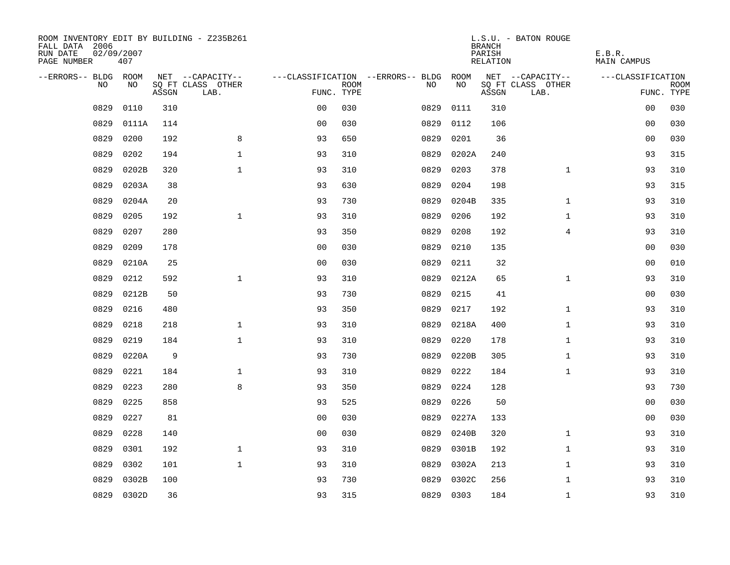| ROOM INVENTORY EDIT BY BUILDING - Z235B261<br>FALL DATA 2006<br>RUN DATE<br>PAGE NUMBER | 02/09/2007<br>407 |             |                           |                |             |                                        |           | <b>BRANCH</b><br>PARISH<br>RELATION | L.S.U. - BATON ROUGE      | E.B.R.<br>MAIN CAMPUS |                           |
|-----------------------------------------------------------------------------------------|-------------------|-------------|---------------------------|----------------|-------------|----------------------------------------|-----------|-------------------------------------|---------------------------|-----------------------|---------------------------|
| --ERRORS-- BLDG ROOM                                                                    |                   |             | NET --CAPACITY--          |                |             | ---CLASSIFICATION --ERRORS-- BLDG ROOM |           |                                     | NET --CAPACITY--          | ---CLASSIFICATION     |                           |
| NO.                                                                                     | NO.               | ASSGN       | SQ FT CLASS OTHER<br>LAB. | FUNC. TYPE     | <b>ROOM</b> | NO.                                    | NO        | ASSGN                               | SQ FT CLASS OTHER<br>LAB. |                       | <b>ROOM</b><br>FUNC. TYPE |
| 0829                                                                                    | 0110              | 310         |                           | 0 <sub>0</sub> | 030         | 0829                                   | 0111      | 310                                 |                           | 0 <sub>0</sub>        | 030                       |
| 0829                                                                                    | 0111A             | 114         |                           | 0 <sub>0</sub> | 030         | 0829                                   | 0112      | 106                                 |                           | 0 <sub>0</sub>        | 030                       |
| 0829                                                                                    | 0200              | 192         | 8                         | 93             | 650         | 0829                                   | 0201      | 36                                  |                           | 00                    | 030                       |
| 0829                                                                                    | 0202              | 194         | $\mathbf 1$               | 93             | 310         | 0829                                   | 0202A     | 240                                 |                           | 93                    | 315                       |
| 0829                                                                                    | 0202B             | 320         | $\mathbf{1}$              | 93             | 310         | 0829                                   | 0203      | 378                                 | $\mathbf{1}$              | 93                    | 310                       |
| 0829                                                                                    | 0203A             | 38          |                           | 93             | 630         | 0829                                   | 0204      | 198                                 |                           | 93                    | 315                       |
| 0829                                                                                    | 0204A             | 20          |                           | 93             | 730         | 0829                                   | 0204B     | 335                                 | $\mathbf{1}$              | 93                    | 310                       |
| 0829                                                                                    | 0205              | 192         | $\mathbf 1$               | 93             | 310         | 0829                                   | 0206      | 192                                 | $\mathbf{1}$              | 93                    | 310                       |
| 0829                                                                                    | 0207              | 280         |                           | 93             | 350         | 0829                                   | 0208      | 192                                 | $\overline{4}$            | 93                    | 310                       |
| 0829                                                                                    | 0209              | 178         |                           | 0 <sub>0</sub> | 030         | 0829                                   | 0210      | 135                                 |                           | 0 <sub>0</sub>        | 030                       |
| 0829                                                                                    | 0210A             | 25          |                           | 0 <sub>0</sub> | 030         | 0829                                   | 0211      | 32                                  |                           | 0 <sub>0</sub>        | 010                       |
| 0829                                                                                    | 0212              | 592         | $\mathbf{1}$              | 93             | 310         | 0829                                   | 0212A     | 65                                  | $\mathbf{1}$              | 93                    | 310                       |
| 0829                                                                                    | 0212B             | 50          |                           | 93             | 730         | 0829                                   | 0215      | 41                                  |                           | 00                    | 030                       |
| 0829                                                                                    | 0216              | 480         |                           | 93             | 350         | 0829                                   | 0217      | 192                                 | $\mathbf{1}$              | 93                    | 310                       |
| 0829                                                                                    | 0218              | 218         | $\mathbf{1}$              | 93             | 310         | 0829                                   | 0218A     | 400                                 | $\mathbf{1}$              | 93                    | 310                       |
| 0829                                                                                    | 0219              | 184         | $\mathbf{1}$              | 93             | 310         | 0829                                   | 0220      | 178                                 | $\mathbf{1}$              | 93                    | 310                       |
| 0829                                                                                    | 0220A             | $\mathsf 9$ |                           | 93             | 730         | 0829                                   | 0220B     | 305                                 | $\mathbf{1}$              | 93                    | 310                       |
| 0829                                                                                    | 0221              | 184         | $\mathbf 1$               | 93             | 310         | 0829                                   | 0222      | 184                                 | $\mathbf{1}$              | 93                    | 310                       |
| 0829                                                                                    | 0223              | 280         | 8                         | 93             | 350         | 0829                                   | 0224      | 128                                 |                           | 93                    | 730                       |
| 0829                                                                                    | 0225              | 858         |                           | 93             | 525         | 0829                                   | 0226      | 50                                  |                           | 0 <sub>0</sub>        | 030                       |
| 0829                                                                                    | 0227              | 81          |                           | 0 <sub>0</sub> | 030         | 0829                                   | 0227A     | 133                                 |                           | 0 <sub>0</sub>        | 030                       |
| 0829                                                                                    | 0228              | 140         |                           | 0 <sub>0</sub> | 030         | 0829                                   | 0240B     | 320                                 | $\mathbf{1}$              | 93                    | 310                       |
| 0829                                                                                    | 0301              | 192         | $\mathbf{1}$              | 93             | 310         | 0829                                   | 0301B     | 192                                 | $\mathbf{1}$              | 93                    | 310                       |
| 0829                                                                                    | 0302              | 101         | $\mathbf{1}$              | 93             | 310         | 0829                                   | 0302A     | 213                                 | $\mathbf{1}$              | 93                    | 310                       |
| 0829                                                                                    | 0302B             | 100         |                           | 93             | 730         | 0829                                   | 0302C     | 256                                 | $\mathbf{1}$              | 93                    | 310                       |
|                                                                                         | 0829 0302D        | 36          |                           | 93             | 315         |                                        | 0829 0303 | 184                                 | $\mathbf{1}$              | 93                    | 310                       |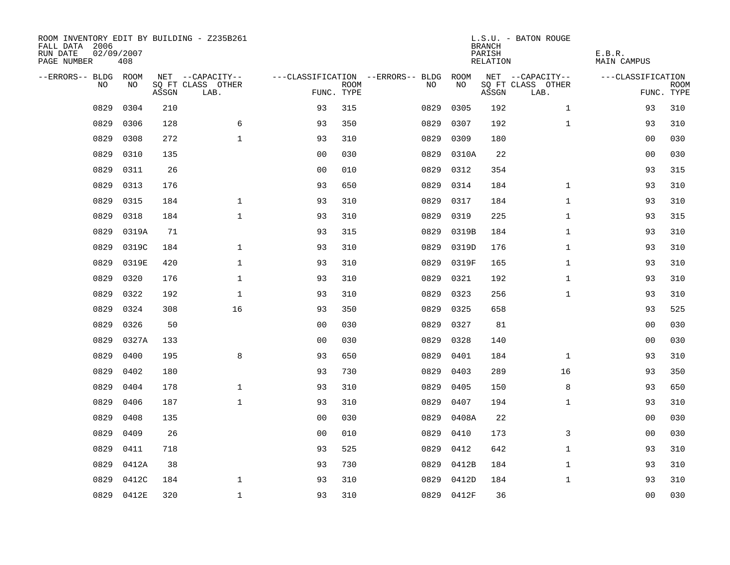| ROOM INVENTORY EDIT BY BUILDING - Z235B261<br>FALL DATA 2006<br>RUN DATE<br>PAGE NUMBER | 02/09/2007<br>408 |       |                           |                |             |                                   |            | <b>BRANCH</b><br>PARISH<br>RELATION | L.S.U. - BATON ROUGE      | E.B.R.<br>MAIN CAMPUS |                           |
|-----------------------------------------------------------------------------------------|-------------------|-------|---------------------------|----------------|-------------|-----------------------------------|------------|-------------------------------------|---------------------------|-----------------------|---------------------------|
| --ERRORS-- BLDG ROOM                                                                    |                   |       | NET --CAPACITY--          |                |             | ---CLASSIFICATION --ERRORS-- BLDG | ROOM       |                                     | NET --CAPACITY--          | ---CLASSIFICATION     |                           |
| NO.                                                                                     | NO.               | ASSGN | SQ FT CLASS OTHER<br>LAB. | FUNC. TYPE     | <b>ROOM</b> | NO.                               | <b>NO</b>  | ASSGN                               | SQ FT CLASS OTHER<br>LAB. |                       | <b>ROOM</b><br>FUNC. TYPE |
| 0829                                                                                    | 0304              | 210   |                           | 93             | 315         | 0829                              | 0305       | 192                                 | $\mathbf{1}$              | 93                    | 310                       |
| 0829                                                                                    | 0306              | 128   | 6                         | 93             | 350         | 0829                              | 0307       | 192                                 | $\mathbf{1}$              | 93                    | 310                       |
| 0829                                                                                    | 0308              | 272   | $\mathbf{1}$              | 93             | 310         | 0829                              | 0309       | 180                                 |                           | 00                    | 030                       |
| 0829                                                                                    | 0310              | 135   |                           | 0 <sub>0</sub> | 030         | 0829                              | 0310A      | 22                                  |                           | 0 <sub>0</sub>        | 030                       |
| 0829                                                                                    | 0311              | 26    |                           | 0 <sub>0</sub> | 010         | 0829                              | 0312       | 354                                 |                           | 93                    | 315                       |
| 0829                                                                                    | 0313              | 176   |                           | 93             | 650         | 0829                              | 0314       | 184                                 | $\mathbf{1}$              | 93                    | 310                       |
| 0829                                                                                    | 0315              | 184   | $\mathbf{1}$              | 93             | 310         | 0829                              | 0317       | 184                                 | $\mathbf{1}$              | 93                    | 310                       |
| 0829                                                                                    | 0318              | 184   | $\mathbf{1}$              | 93             | 310         | 0829                              | 0319       | 225                                 | $\mathbf{1}$              | 93                    | 315                       |
| 0829                                                                                    | 0319A             | 71    |                           | 93             | 315         | 0829                              | 0319B      | 184                                 | $\mathbf{1}$              | 93                    | 310                       |
| 0829                                                                                    | 0319C             | 184   | $\mathbf 1$               | 93             | 310         | 0829                              | 0319D      | 176                                 | $\mathbf{1}$              | 93                    | 310                       |
| 0829                                                                                    | 0319E             | 420   | $\mathbf{1}$              | 93             | 310         | 0829                              | 0319F      | 165                                 | $\mathbf{1}$              | 93                    | 310                       |
| 0829                                                                                    | 0320              | 176   | $\mathbf{1}$              | 93             | 310         | 0829                              | 0321       | 192                                 | $\mathbf{1}$              | 93                    | 310                       |
| 0829                                                                                    | 0322              | 192   | $\mathbf{1}$              | 93             | 310         | 0829                              | 0323       | 256                                 | $\mathbf{1}$              | 93                    | 310                       |
| 0829                                                                                    | 0324              | 308   | 16                        | 93             | 350         | 0829                              | 0325       | 658                                 |                           | 93                    | 525                       |
| 0829                                                                                    | 0326              | 50    |                           | 0 <sub>0</sub> | 030         | 0829                              | 0327       | 81                                  |                           | 0 <sub>0</sub>        | 030                       |
| 0829                                                                                    | 0327A             | 133   |                           | 0 <sub>0</sub> | 030         | 0829                              | 0328       | 140                                 |                           | 00                    | 030                       |
| 0829                                                                                    | 0400              | 195   | 8                         | 93             | 650         | 0829                              | 0401       | 184                                 | $\mathbf{1}$              | 93                    | 310                       |
| 0829                                                                                    | 0402              | 180   |                           | 93             | 730         | 0829                              | 0403       | 289                                 | 16                        | 93                    | 350                       |
| 0829                                                                                    | 0404              | 178   | $\mathbf 1$               | 93             | 310         | 0829                              | 0405       | 150                                 | 8                         | 93                    | 650                       |
| 0829                                                                                    | 0406              | 187   | $\mathbf{1}$              | 93             | 310         | 0829                              | 0407       | 194                                 | $\mathbf{1}$              | 93                    | 310                       |
| 0829                                                                                    | 0408              | 135   |                           | 0 <sub>0</sub> | 030         | 0829                              | 0408A      | 22                                  |                           | 0 <sub>0</sub>        | 030                       |
| 0829                                                                                    | 0409              | 26    |                           | 00             | 010         | 0829                              | 0410       | 173                                 | 3                         | 0 <sub>0</sub>        | 030                       |
| 0829                                                                                    | 0411              | 718   |                           | 93             | 525         | 0829                              | 0412       | 642                                 | $\mathbf{1}$              | 93                    | 310                       |
| 0829                                                                                    | 0412A             | 38    |                           | 93             | 730         | 0829                              | 0412B      | 184                                 | $\mathbf{1}$              | 93                    | 310                       |
| 0829                                                                                    | 0412C             | 184   | $\mathbf{1}$              | 93             | 310         | 0829                              | 0412D      | 184                                 | $\mathbf{1}$              | 93                    | 310                       |
|                                                                                         | 0829 0412E        | 320   | $\mathbf{1}$              | 93             | 310         |                                   | 0829 0412F | 36                                  |                           | 0 <sub>0</sub>        | 030                       |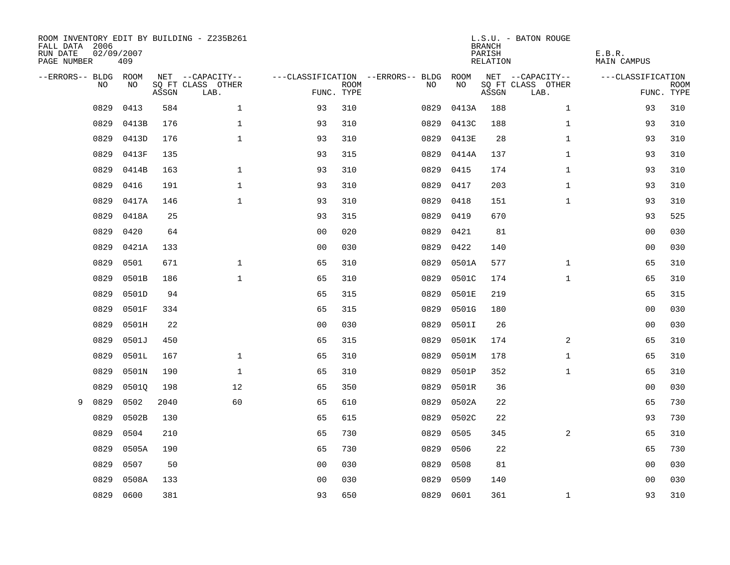| FALL DATA 2006<br>RUN DATE<br>PAGE NUMBER | 02/09/2007 | 409   |       | ROOM INVENTORY EDIT BY BUILDING - Z235B261 |                |             |                                               |            | <b>BRANCH</b><br>PARISH<br>RELATION | L.S.U. - BATON ROUGE                  | E.B.R.<br><b>MAIN CAMPUS</b> |             |
|-------------------------------------------|------------|-------|-------|--------------------------------------------|----------------|-------------|-----------------------------------------------|------------|-------------------------------------|---------------------------------------|------------------------------|-------------|
| --ERRORS-- BLDG ROOM                      | NO         | NO    |       | NET --CAPACITY--<br>SQ FT CLASS OTHER      |                | <b>ROOM</b> | ---CLASSIFICATION --ERRORS-- BLDG ROOM<br>NO. | NO         |                                     | NET --CAPACITY--<br>SQ FT CLASS OTHER | ---CLASSIFICATION            | <b>ROOM</b> |
|                                           |            |       | ASSGN | LAB.                                       | FUNC. TYPE     |             |                                               |            | ASSGN                               | LAB.                                  |                              | FUNC. TYPE  |
|                                           | 0829       | 0413  | 584   | $\mathbf 1$                                | 93             | 310         | 0829                                          | 0413A      | 188                                 | $\mathbf{1}$                          | 93                           | 310         |
|                                           | 0829       | 0413B | 176   | $\mathbf{1}$                               | 93             | 310         | 0829                                          | 0413C      | 188                                 | $\mathbf{1}$                          | 93                           | 310         |
|                                           | 0829       | 0413D | 176   | $\mathbf{1}$                               | 93             | 310         | 0829                                          | 0413E      | 28                                  | $\mathbf{1}$                          | 93                           | 310         |
|                                           | 0829       | 0413F | 135   |                                            | 93             | 315         |                                               | 0829 0414A | 137                                 | $\mathbf{1}$                          | 93                           | 310         |
|                                           | 0829       | 0414B | 163   | $\mathbf 1$                                | 93             | 310         | 0829                                          | 0415       | 174                                 | $\mathbf{1}$                          | 93                           | 310         |
|                                           | 0829       | 0416  | 191   | $\mathbf 1$                                | 93             | 310         | 0829                                          | 0417       | 203                                 | $\mathbf{1}$                          | 93                           | 310         |
|                                           | 0829       | 0417A | 146   | $\mathbf{1}$                               | 93             | 310         | 0829                                          | 0418       | 151                                 | $\mathbf{1}$                          | 93                           | 310         |
|                                           | 0829       | 0418A | 25    |                                            | 93             | 315         | 0829                                          | 0419       | 670                                 |                                       | 93                           | 525         |
|                                           | 0829       | 0420  | 64    |                                            | 0 <sub>0</sub> | 020         | 0829                                          | 0421       | 81                                  |                                       | 0 <sub>0</sub>               | 030         |
|                                           | 0829       | 0421A | 133   |                                            | 0 <sub>0</sub> | 030         | 0829                                          | 0422       | 140                                 |                                       | 0 <sub>0</sub>               | 030         |
|                                           | 0829       | 0501  | 671   | $\mathbf{1}$                               | 65             | 310         | 0829                                          | 0501A      | 577                                 | $\mathbf{1}$                          | 65                           | 310         |
|                                           | 0829       | 0501B | 186   | $\mathbf{1}$                               | 65             | 310         | 0829                                          | 0501C      | 174                                 | $\mathbf{1}$                          | 65                           | 310         |
|                                           | 0829       | 0501D | 94    |                                            | 65             | 315         | 0829                                          | 0501E      | 219                                 |                                       | 65                           | 315         |
|                                           | 0829       | 0501F | 334   |                                            | 65             | 315         | 0829                                          | 0501G      | 180                                 |                                       | 00                           | 030         |
|                                           | 0829       | 0501H | 22    |                                            | 0 <sub>0</sub> | 030         | 0829                                          | 0501I      | 26                                  |                                       | 0 <sub>0</sub>               | 030         |
|                                           | 0829       | 0501J | 450   |                                            | 65             | 315         | 0829                                          | 0501K      | 174                                 | 2                                     | 65                           | 310         |
|                                           | 0829       | 0501L | 167   | $\mathbf{1}$                               | 65             | 310         | 0829                                          | 0501M      | 178                                 | $\mathbf{1}$                          | 65                           | 310         |
|                                           | 0829       | 0501N | 190   | $\mathbf{1}$                               | 65             | 310         | 0829                                          | 0501P      | 352                                 | $\mathbf{1}$                          | 65                           | 310         |
|                                           | 0829       | 05010 | 198   | 12                                         | 65             | 350         | 0829                                          | 0501R      | 36                                  |                                       | 0 <sub>0</sub>               | 030         |
| 9                                         | 0829       | 0502  | 2040  | 60                                         | 65             | 610         | 0829                                          | 0502A      | 22                                  |                                       | 65                           | 730         |
|                                           | 0829       | 0502B | 130   |                                            | 65             | 615         | 0829                                          | 0502C      | 22                                  |                                       | 93                           | 730         |
|                                           | 0829       | 0504  | 210   |                                            | 65             | 730         | 0829                                          | 0505       | 345                                 | 2                                     | 65                           | 310         |
|                                           | 0829       | 0505A | 190   |                                            | 65             | 730         | 0829                                          | 0506       | 22                                  |                                       | 65                           | 730         |
|                                           | 0829       | 0507  | 50    |                                            | 0 <sub>0</sub> | 030         | 0829                                          | 0508       | 81                                  |                                       | 00                           | 030         |
|                                           | 0829       | 0508A | 133   |                                            | 0 <sub>0</sub> | 030         | 0829                                          | 0509       | 140                                 |                                       | 0 <sub>0</sub>               | 030         |
|                                           | 0829       | 0600  | 381   |                                            | 93             | 650         |                                               | 0829 0601  | 361                                 | $\mathbf{1}$                          | 93                           | 310         |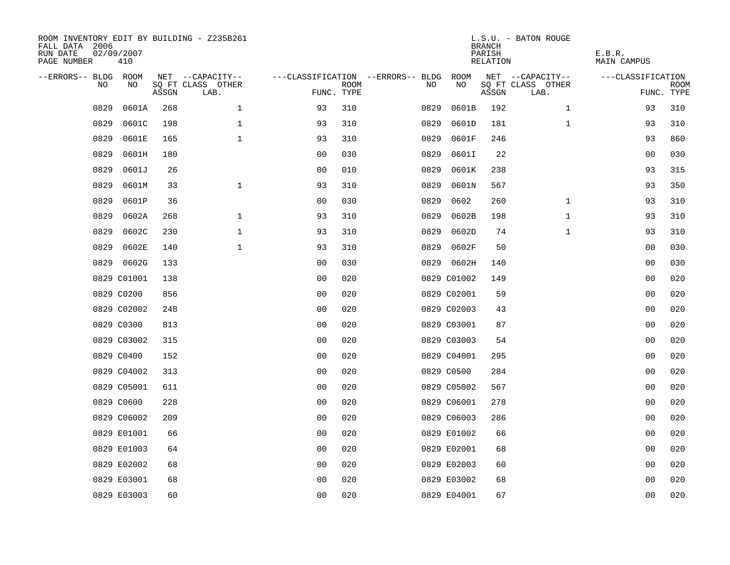| ROOM INVENTORY EDIT BY BUILDING - Z235B261<br>FALL DATA 2006<br>RUN DATE<br>PAGE NUMBER | 02/09/2007<br>410 |       |                           |                |             |                                        |             | <b>BRANCH</b><br>PARISH<br>RELATION | L.S.U. - BATON ROUGE      | E.B.R.<br>MAIN CAMPUS |                    |
|-----------------------------------------------------------------------------------------|-------------------|-------|---------------------------|----------------|-------------|----------------------------------------|-------------|-------------------------------------|---------------------------|-----------------------|--------------------|
| --ERRORS-- BLDG ROOM                                                                    |                   |       | NET --CAPACITY--          |                |             | ---CLASSIFICATION --ERRORS-- BLDG ROOM |             |                                     | NET --CAPACITY--          | ---CLASSIFICATION     |                    |
| NO                                                                                      | NO                | ASSGN | SQ FT CLASS OTHER<br>LAB. | FUNC. TYPE     | <b>ROOM</b> | NO                                     | NO          | ASSGN                               | SQ FT CLASS OTHER<br>LAB. |                       | ROOM<br>FUNC. TYPE |
| 0829                                                                                    | 0601A             | 268   | $\mathbf{1}$              | 93             | 310         | 0829                                   | 0601B       | 192                                 | $\mathbf{1}$              | 93                    | 310                |
| 0829                                                                                    | 0601C             | 198   | $\mathbf 1$               | 93             | 310         | 0829                                   | 0601D       | 181                                 | $\mathbf{1}$              | 93                    | 310                |
| 0829                                                                                    | 0601E             | 165   | $\mathbf{1}$              | 93             | 310         | 0829                                   | 0601F       | 246                                 |                           | 93                    | 860                |
| 0829                                                                                    | 0601H             | 180   |                           | 0 <sub>0</sub> | 030         | 0829                                   | 0601I       | 22                                  |                           | 0 <sub>0</sub>        | 030                |
| 0829                                                                                    | 0601J             | 26    |                           | 00             | 010         | 0829                                   | 0601K       | 238                                 |                           | 93                    | 315                |
| 0829                                                                                    | 0601M             | 33    | $\mathbf 1$               | 93             | 310         | 0829                                   | 0601N       | 567                                 |                           | 93                    | 350                |
| 0829                                                                                    | 0601P             | 36    |                           | 0 <sub>0</sub> | 030         | 0829                                   | 0602        | 260                                 | $\mathbf{1}$              | 93                    | 310                |
| 0829                                                                                    | 0602A             | 268   | $\mathbf{1}$              | 93             | 310         | 0829                                   | 0602B       | 198                                 | $\mathbf{1}$              | 93                    | 310                |
| 0829                                                                                    | 0602C             | 230   | $\mathbf 1$               | 93             | 310         | 0829                                   | 0602D       | 74                                  | $\mathbf{1}$              | 93                    | 310                |
| 0829                                                                                    | 0602E             | 140   | $\mathbf{1}$              | 93             | 310         | 0829                                   | 0602F       | 50                                  |                           | 00                    | 030                |
|                                                                                         | 0829 0602G        | 133   |                           | 0 <sub>0</sub> | 030         |                                        | 0829 0602H  | 140                                 |                           | 0 <sub>0</sub>        | 030                |
|                                                                                         | 0829 C01001       | 138   |                           | 0 <sub>0</sub> | 020         |                                        | 0829 C01002 | 149                                 |                           | 0 <sub>0</sub>        | 020                |
|                                                                                         | 0829 C0200        | 856   |                           | 0 <sub>0</sub> | 020         |                                        | 0829 C02001 | 59                                  |                           | 00                    | 020                |
|                                                                                         | 0829 C02002       | 248   |                           | 0 <sub>0</sub> | 020         |                                        | 0829 C02003 | 43                                  |                           | 00                    | 020                |
|                                                                                         | 0829 C0300        | 813   |                           | 0 <sub>0</sub> | 020         |                                        | 0829 C03001 | 87                                  |                           | 00                    | 020                |
|                                                                                         | 0829 C03002       | 315   |                           | 0 <sub>0</sub> | 020         |                                        | 0829 C03003 | 54                                  |                           | 00                    | 020                |
|                                                                                         | 0829 C0400        | 152   |                           | 0 <sub>0</sub> | 020         |                                        | 0829 C04001 | 295                                 |                           | 00                    | 020                |
|                                                                                         | 0829 C04002       | 313   |                           | 0 <sub>0</sub> | 020         |                                        | 0829 C0500  | 284                                 |                           | 00                    | 020                |
|                                                                                         | 0829 C05001       | 611   |                           | 0 <sub>0</sub> | 020         |                                        | 0829 C05002 | 567                                 |                           | 0 <sub>0</sub>        | 020                |
|                                                                                         | 0829 C0600        | 228   |                           | 0 <sub>0</sub> | 020         |                                        | 0829 C06001 | 278                                 |                           | 00                    | 020                |
|                                                                                         | 0829 C06002       | 209   |                           | 0 <sub>0</sub> | 020         |                                        | 0829 C06003 | 286                                 |                           | 00                    | 020                |
|                                                                                         | 0829 E01001       | 66    |                           | 0 <sub>0</sub> | 020         |                                        | 0829 E01002 | 66                                  |                           | 00                    | 020                |
|                                                                                         | 0829 E01003       | 64    |                           | 0 <sub>0</sub> | 020         |                                        | 0829 E02001 | 68                                  |                           | 0 <sub>0</sub>        | 020                |
|                                                                                         | 0829 E02002       | 68    |                           | 0 <sub>0</sub> | 020         |                                        | 0829 E02003 | 60                                  |                           | 00                    | 020                |
|                                                                                         | 0829 E03001       | 68    |                           | 0 <sub>0</sub> | 020         |                                        | 0829 E03002 | 68                                  |                           | 0 <sub>0</sub>        | 020                |
|                                                                                         | 0829 E03003       | 60    |                           | 0 <sub>0</sub> | 020         |                                        | 0829 E04001 | 67                                  |                           | 0 <sub>0</sub>        | 020                |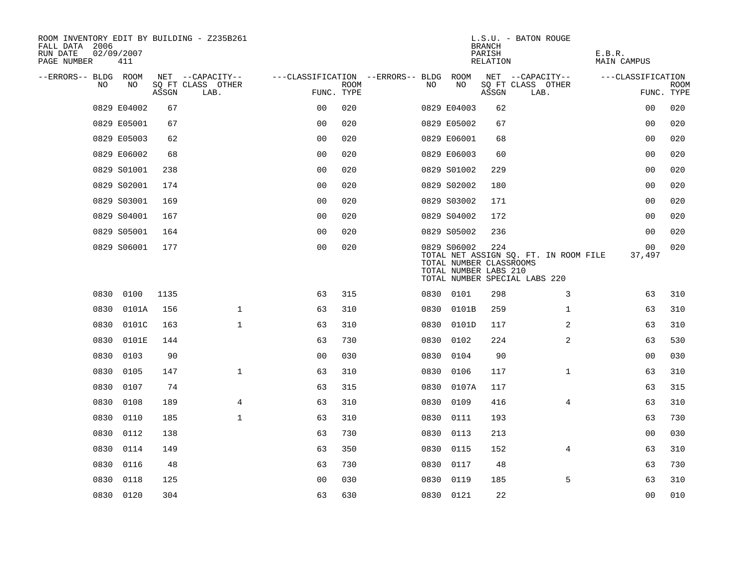| ROOM INVENTORY EDIT BY BUILDING - Z235B261<br>FALL DATA 2006<br>RUN DATE<br>PAGE NUMBER | 02/09/2007<br>411 |       |                           |                                        |             |      |                                                                 | <b>BRANCH</b><br>PARISH<br>RELATION | L.S.U. - BATON ROUGE                                                   | E.B.R.<br>MAIN CAMPUS |                           |
|-----------------------------------------------------------------------------------------|-------------------|-------|---------------------------|----------------------------------------|-------------|------|-----------------------------------------------------------------|-------------------------------------|------------------------------------------------------------------------|-----------------------|---------------------------|
| --ERRORS-- BLDG ROOM                                                                    |                   |       | NET --CAPACITY--          | ---CLASSIFICATION --ERRORS-- BLDG ROOM |             |      |                                                                 |                                     | NET --CAPACITY--                                                       | ---CLASSIFICATION     |                           |
| NO                                                                                      | NO                | ASSGN | SQ FT CLASS OTHER<br>LAB. | FUNC. TYPE                             | <b>ROOM</b> | NO   | NO                                                              | ASSGN                               | SQ FT CLASS OTHER<br>LAB.                                              |                       | <b>ROOM</b><br>FUNC. TYPE |
|                                                                                         | 0829 E04002       | 67    |                           | 0 <sub>0</sub>                         | 020         |      | 0829 E04003                                                     | 62                                  |                                                                        | 0 <sub>0</sub>        | 020                       |
|                                                                                         | 0829 E05001       | 67    |                           | 0 <sub>0</sub>                         | 020         |      | 0829 E05002                                                     | 67                                  |                                                                        | 00                    | 020                       |
|                                                                                         | 0829 E05003       | 62    |                           | 0 <sub>0</sub>                         | 020         |      | 0829 E06001                                                     | 68                                  |                                                                        | 00                    | 020                       |
|                                                                                         | 0829 E06002       | 68    |                           | 0 <sub>0</sub>                         | 020         |      | 0829 E06003                                                     | 60                                  |                                                                        | 0 <sub>0</sub>        | 020                       |
|                                                                                         | 0829 S01001       | 238   |                           | 00                                     | 020         |      | 0829 S01002                                                     | 229                                 |                                                                        | 00                    | 020                       |
|                                                                                         | 0829 S02001       | 174   |                           | 0 <sub>0</sub>                         | 020         |      | 0829 S02002                                                     | 180                                 |                                                                        | 00                    | 020                       |
|                                                                                         | 0829 S03001       | 169   |                           | 0 <sub>0</sub>                         | 020         |      | 0829 S03002                                                     | 171                                 |                                                                        | 0 <sub>0</sub>        | 020                       |
|                                                                                         | 0829 S04001       | 167   |                           | 0 <sub>0</sub>                         | 020         |      | 0829 S04002                                                     | 172                                 |                                                                        | 0 <sub>0</sub>        | 020                       |
|                                                                                         | 0829 S05001       | 164   |                           | 0 <sub>0</sub>                         | 020         |      | 0829 S05002                                                     | 236                                 |                                                                        | 0 <sub>0</sub>        | 020                       |
|                                                                                         | 0829 S06001       | 177   |                           | 0 <sub>0</sub>                         | 020         |      | 0829 S06002<br>TOTAL NUMBER CLASSROOMS<br>TOTAL NUMBER LABS 210 | 224                                 | TOTAL NET ASSIGN SQ. FT. IN ROOM FILE<br>TOTAL NUMBER SPECIAL LABS 220 | 00<br>37,497          | 020                       |
|                                                                                         | 0830 0100         | 1135  |                           | 63                                     | 315         |      | 0830 0101                                                       | 298                                 | 3                                                                      | 63                    | 310                       |
| 0830                                                                                    | 0101A             | 156   | $\mathbf 1$               | 63                                     | 310         | 0830 | 0101B                                                           | 259                                 | $\mathbf{1}$                                                           | 63                    | 310                       |
| 0830                                                                                    | 0101C             | 163   | $\mathbf{1}$              | 63                                     | 310         | 0830 | 0101D                                                           | 117                                 | 2                                                                      | 63                    | 310                       |
| 0830                                                                                    | 0101E             | 144   |                           | 63                                     | 730         | 0830 | 0102                                                            | 224                                 | $\overline{a}$                                                         | 63                    | 530                       |
| 0830                                                                                    | 0103              | 90    |                           | 0 <sub>0</sub>                         | 030         | 0830 | 0104                                                            | 90                                  |                                                                        | 00                    | 030                       |
| 0830                                                                                    | 0105              | 147   | $\mathbf{1}$              | 63                                     | 310         | 0830 | 0106                                                            | 117                                 | $\mathbf{1}$                                                           | 63                    | 310                       |
| 0830                                                                                    | 0107              | 74    |                           | 63                                     | 315         |      | 0830 0107A                                                      | 117                                 |                                                                        | 63                    | 315                       |
| 0830                                                                                    | 0108              | 189   | 4                         | 63                                     | 310         | 0830 | 0109                                                            | 416                                 | 4                                                                      | 63                    | 310                       |
| 0830                                                                                    | 0110              | 185   | $\mathbf 1$               | 63                                     | 310         |      | 0830 0111                                                       | 193                                 |                                                                        | 63                    | 730                       |
| 0830                                                                                    | 0112              | 138   |                           | 63                                     | 730         | 0830 | 0113                                                            | 213                                 |                                                                        | 0 <sub>0</sub>        | 030                       |
| 0830                                                                                    | 0114              | 149   |                           | 63                                     | 350         |      | 0830 0115                                                       | 152                                 | $\overline{4}$                                                         | 63                    | 310                       |
| 0830                                                                                    | 0116              | 48    |                           | 63                                     | 730         | 0830 | 0117                                                            | 48                                  |                                                                        | 63                    | 730                       |
| 0830                                                                                    | 0118              | 125   |                           | 0 <sub>0</sub>                         | 030         |      | 0830 0119                                                       | 185                                 | 5                                                                      | 63                    | 310                       |
|                                                                                         | 0830 0120         | 304   |                           | 63                                     | 630         |      | 0830 0121                                                       | 22                                  |                                                                        | 0 <sub>0</sub>        | 010                       |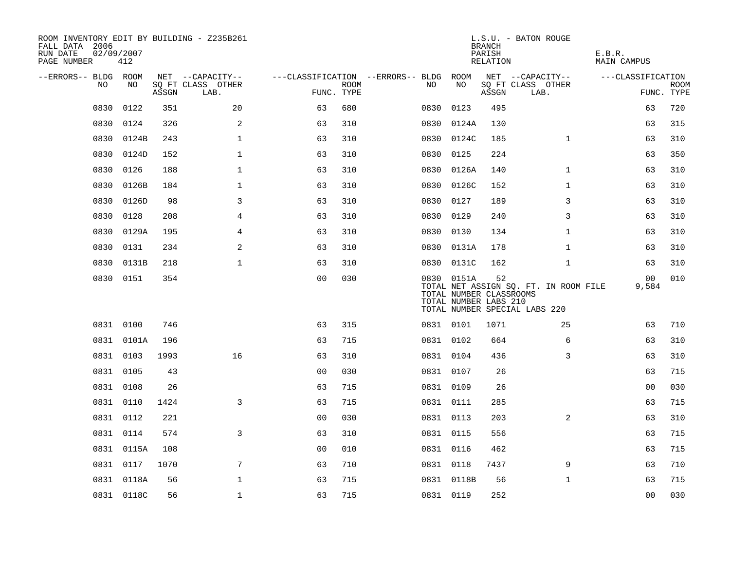| ROOM INVENTORY EDIT BY BUILDING - Z235B261<br>FALL DATA 2006<br>RUN DATE<br>PAGE NUMBER | 02/09/2007<br>412 |       |                           |                |      |                                   |                                                                | <b>BRANCH</b><br>PARISH<br>RELATION | L.S.U. - BATON ROUGE                                                   | E.B.R.<br><b>MAIN CAMPUS</b> |                           |
|-----------------------------------------------------------------------------------------|-------------------|-------|---------------------------|----------------|------|-----------------------------------|----------------------------------------------------------------|-------------------------------------|------------------------------------------------------------------------|------------------------------|---------------------------|
| --ERRORS-- BLDG ROOM                                                                    |                   |       | NET --CAPACITY--          |                |      | ---CLASSIFICATION --ERRORS-- BLDG | ROOM                                                           |                                     | NET --CAPACITY--                                                       | ---CLASSIFICATION            |                           |
| NO                                                                                      | NO                | ASSGN | SQ FT CLASS OTHER<br>LAB. | FUNC. TYPE     | ROOM | NO                                | NO                                                             | ASSGN                               | SQ FT CLASS OTHER<br>LAB.                                              |                              | <b>ROOM</b><br>FUNC. TYPE |
| 0830                                                                                    | 0122              | 351   | 20                        | 63             | 680  | 0830                              | 0123                                                           | 495                                 |                                                                        | 63                           | 720                       |
| 0830                                                                                    | 0124              | 326   | 2                         | 63             | 310  | 0830                              | 0124A                                                          | 130                                 |                                                                        | 63                           | 315                       |
| 0830                                                                                    | 0124B             | 243   | $\mathbf{1}$              | 63             | 310  |                                   | 0830 0124C                                                     | 185                                 | $\mathbf{1}$                                                           | 63                           | 310                       |
| 0830                                                                                    | 0124D             | 152   | $\mathbf 1$               | 63             | 310  | 0830                              | 0125                                                           | 224                                 |                                                                        | 63                           | 350                       |
| 0830                                                                                    | 0126              | 188   | $\mathbf{1}$              | 63             | 310  | 0830                              | 0126A                                                          | 140                                 | $\mathbf{1}$                                                           | 63                           | 310                       |
| 0830                                                                                    | 0126B             | 184   | 1                         | 63             | 310  |                                   | 0830 0126C                                                     | 152                                 | $\mathbf{1}$                                                           | 63                           | 310                       |
| 0830                                                                                    | 0126D             | 98    | 3                         | 63             | 310  | 0830                              | 0127                                                           | 189                                 | 3                                                                      | 63                           | 310                       |
| 0830                                                                                    | 0128              | 208   | 4                         | 63             | 310  |                                   | 0830 0129                                                      | 240                                 | 3                                                                      | 63                           | 310                       |
| 0830                                                                                    | 0129A             | 195   | 4                         | 63             | 310  | 0830                              | 0130                                                           | 134                                 | $\mathbf{1}$                                                           | 63                           | 310                       |
| 0830                                                                                    | 0131              | 234   | 2                         | 63             | 310  |                                   | 0830 0131A                                                     | 178                                 | $\mathbf{1}$                                                           | 63                           | 310                       |
| 0830                                                                                    | 0131B             | 218   | $\mathbf{1}$              | 63             | 310  |                                   | 0830 0131C                                                     | 162                                 | $\mathbf{1}$                                                           | 63                           | 310                       |
|                                                                                         | 0830 0151         | 354   |                           | 0 <sub>0</sub> | 030  |                                   | 0830 0151A<br>TOTAL NUMBER CLASSROOMS<br>TOTAL NUMBER LABS 210 | 52                                  | TOTAL NET ASSIGN SQ. FT. IN ROOM FILE<br>TOTAL NUMBER SPECIAL LABS 220 | 00<br>9,584                  | 010                       |
|                                                                                         | 0831 0100         | 746   |                           | 63             | 315  |                                   | 0831 0101                                                      | 1071                                | 25                                                                     | 63                           | 710                       |
|                                                                                         | 0831 0101A        | 196   |                           | 63             | 715  |                                   | 0831 0102                                                      | 664                                 | 6                                                                      | 63                           | 310                       |
|                                                                                         | 0831 0103         | 1993  | 16                        | 63             | 310  |                                   | 0831 0104                                                      | 436                                 | 3                                                                      | 63                           | 310                       |
|                                                                                         | 0831 0105         | 43    |                           | 0 <sub>0</sub> | 030  |                                   | 0831 0107                                                      | 26                                  |                                                                        | 63                           | 715                       |
|                                                                                         | 0831 0108         | 26    |                           | 63             | 715  |                                   | 0831 0109                                                      | 26                                  |                                                                        | 00                           | 030                       |
|                                                                                         | 0831 0110         | 1424  | 3                         | 63             | 715  |                                   | 0831 0111                                                      | 285                                 |                                                                        | 63                           | 715                       |
|                                                                                         | 0831 0112         | 221   |                           | 00             | 030  |                                   | 0831 0113                                                      | 203                                 | $\overline{a}$                                                         | 63                           | 310                       |
|                                                                                         | 0831 0114         | 574   | 3                         | 63             | 310  |                                   | 0831 0115                                                      | 556                                 |                                                                        | 63                           | 715                       |
|                                                                                         | 0831 0115A        | 108   |                           | 0 <sub>0</sub> | 010  |                                   | 0831 0116                                                      | 462                                 |                                                                        | 63                           | 715                       |
|                                                                                         | 0831 0117         | 1070  | $\overline{7}$            | 63             | 710  |                                   | 0831 0118                                                      | 7437                                | 9                                                                      | 63                           | 710                       |
|                                                                                         | 0831 0118A        | 56    | $\mathbf 1$               | 63             | 715  |                                   | 0831 0118B                                                     | 56                                  | $\mathbf{1}$                                                           | 63                           | 715                       |
|                                                                                         | 0831 0118C        | 56    | $\mathbf 1$               | 63             | 715  |                                   | 0831 0119                                                      | 252                                 |                                                                        | 0 <sub>0</sub>               | 030                       |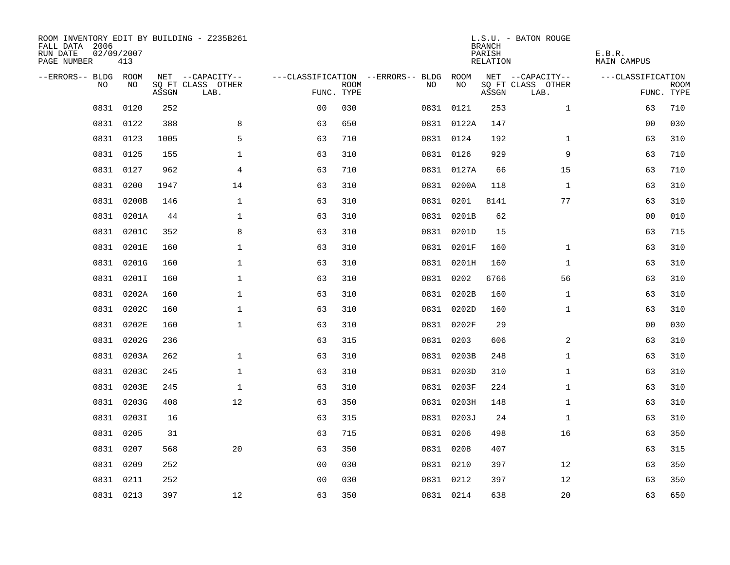| ROOM INVENTORY EDIT BY BUILDING - Z235B261<br>FALL DATA 2006<br>RUN DATE<br>PAGE NUMBER | 02/09/2007<br>413 |       |                           |                |             |                                        |            | <b>BRANCH</b><br>PARISH<br><b>RELATION</b> | L.S.U. - BATON ROUGE      | E.B.R.<br><b>MAIN CAMPUS</b> |                           |
|-----------------------------------------------------------------------------------------|-------------------|-------|---------------------------|----------------|-------------|----------------------------------------|------------|--------------------------------------------|---------------------------|------------------------------|---------------------------|
| --ERRORS-- BLDG ROOM                                                                    |                   |       | NET --CAPACITY--          |                |             | ---CLASSIFICATION --ERRORS-- BLDG ROOM |            |                                            | NET --CAPACITY--          | ---CLASSIFICATION            |                           |
| NO                                                                                      | NO                | ASSGN | SQ FT CLASS OTHER<br>LAB. | FUNC. TYPE     | <b>ROOM</b> | NO                                     | NO         | ASSGN                                      | SQ FT CLASS OTHER<br>LAB. |                              | <b>ROOM</b><br>FUNC. TYPE |
| 0831                                                                                    | 0120              | 252   |                           | 0 <sub>0</sub> | 030         |                                        | 0831 0121  | 253                                        | $\mathbf{1}$              | 63                           | 710                       |
|                                                                                         | 0831 0122         | 388   | 8                         | 63             | 650         |                                        | 0831 0122A | 147                                        |                           | 00                           | 030                       |
|                                                                                         | 0831 0123         | 1005  | 5                         | 63             | 710         |                                        | 0831 0124  | 192                                        | $\mathbf{1}$              | 63                           | 310                       |
| 0831                                                                                    | 0125              | 155   | $\mathbf 1$               | 63             | 310         |                                        | 0831 0126  | 929                                        | 9                         | 63                           | 710                       |
| 0831                                                                                    | 0127              | 962   | 4                         | 63             | 710         |                                        | 0831 0127A | 66                                         | 15                        | 63                           | 710                       |
| 0831                                                                                    | 0200              | 1947  | 14                        | 63             | 310         |                                        | 0831 0200A | 118                                        | $\mathbf{1}$              | 63                           | 310                       |
| 0831                                                                                    | 0200B             | 146   | $\mathbf{1}$              | 63             | 310         |                                        | 0831 0201  | 8141                                       | 77                        | 63                           | 310                       |
|                                                                                         | 0831 0201A        | 44    | $\mathbf 1$               | 63             | 310         |                                        | 0831 0201B | 62                                         |                           | 0 <sub>0</sub>               | 010                       |
| 0831                                                                                    | 0201C             | 352   | 8                         | 63             | 310         |                                        | 0831 0201D | 15                                         |                           | 63                           | 715                       |
|                                                                                         | 0831 0201E        | 160   | $\mathbf 1$               | 63             | 310         |                                        | 0831 0201F | 160                                        | $\mathbf{1}$              | 63                           | 310                       |
| 0831                                                                                    | 0201G             | 160   | $\mathbf 1$               | 63             | 310         |                                        | 0831 0201H | 160                                        | $\mathbf{1}$              | 63                           | 310                       |
|                                                                                         | 0831 0201I        | 160   | $\mathbf{1}$              | 63             | 310         |                                        | 0831 0202  | 6766                                       | 56                        | 63                           | 310                       |
| 0831                                                                                    | 0202A             | 160   | $\mathbf 1$               | 63             | 310         |                                        | 0831 0202B | 160                                        | $\mathbf{1}$              | 63                           | 310                       |
| 0831                                                                                    | 0202C             | 160   | $\mathbf 1$               | 63             | 310         |                                        | 0831 0202D | 160                                        | $\mathbf{1}$              | 63                           | 310                       |
| 0831                                                                                    | 0202E             | 160   | $\mathbf 1$               | 63             | 310         |                                        | 0831 0202F | 29                                         |                           | 00                           | 030                       |
| 0831                                                                                    | 0202G             | 236   |                           | 63             | 315         |                                        | 0831 0203  | 606                                        | 2                         | 63                           | 310                       |
| 0831                                                                                    | 0203A             | 262   | $\mathbf{1}$              | 63             | 310         |                                        | 0831 0203B | 248                                        | $\mathbf{1}$              | 63                           | 310                       |
| 0831                                                                                    | 0203C             | 245   | $\mathbf{1}$              | 63             | 310         |                                        | 0831 0203D | 310                                        | $\mathbf{1}$              | 63                           | 310                       |
| 0831                                                                                    | 0203E             | 245   | $\mathbf{1}$              | 63             | 310         |                                        | 0831 0203F | 224                                        | $\mathbf{1}$              | 63                           | 310                       |
|                                                                                         | 0831 0203G        | 408   | 12                        | 63             | 350         |                                        | 0831 0203H | 148                                        | $\mathbf{1}$              | 63                           | 310                       |
| 0831                                                                                    | 0203I             | 16    |                           | 63             | 315         |                                        | 0831 0203J | 24                                         | $\mathbf{1}$              | 63                           | 310                       |
| 0831                                                                                    | 0205              | 31    |                           | 63             | 715         |                                        | 0831 0206  | 498                                        | 16                        | 63                           | 350                       |
| 0831                                                                                    | 0207              | 568   | 20                        | 63             | 350         |                                        | 0831 0208  | 407                                        |                           | 63                           | 315                       |
|                                                                                         | 0831 0209         | 252   |                           | 00             | 030         |                                        | 0831 0210  | 397                                        | 12                        | 63                           | 350                       |
| 0831                                                                                    | 0211              | 252   |                           | 0 <sub>0</sub> | 030         |                                        | 0831 0212  | 397                                        | 12                        | 63                           | 350                       |
|                                                                                         | 0831 0213         | 397   | 12                        | 63             | 350         |                                        | 0831 0214  | 638                                        | 20                        | 63                           | 650                       |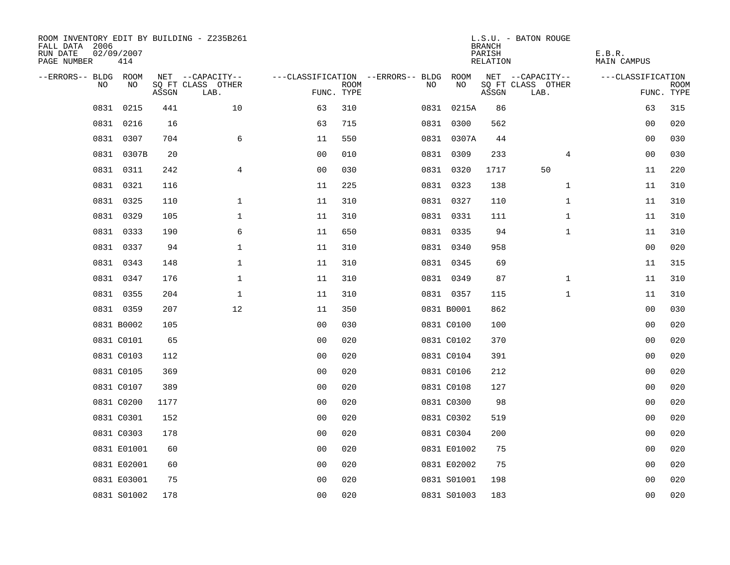| ROOM INVENTORY EDIT BY BUILDING - Z235B261<br>FALL DATA 2006<br>RUN DATE<br>PAGE NUMBER | 02/09/2007<br>414 |       |                           |                |             |                                   |             | <b>BRANCH</b><br>PARISH<br><b>RELATION</b> | L.S.U. - BATON ROUGE      | E.B.R.<br><b>MAIN CAMPUS</b> |                           |
|-----------------------------------------------------------------------------------------|-------------------|-------|---------------------------|----------------|-------------|-----------------------------------|-------------|--------------------------------------------|---------------------------|------------------------------|---------------------------|
| --ERRORS-- BLDG ROOM                                                                    |                   |       | NET --CAPACITY--          |                |             | ---CLASSIFICATION --ERRORS-- BLDG | ROOM        |                                            | NET --CAPACITY--          | ---CLASSIFICATION            |                           |
| NO.                                                                                     | NO                | ASSGN | SQ FT CLASS OTHER<br>LAB. | FUNC. TYPE     | <b>ROOM</b> | NO                                | NO          | ASSGN                                      | SQ FT CLASS OTHER<br>LAB. |                              | <b>ROOM</b><br>FUNC. TYPE |
| 0831                                                                                    | 0215              | 441   | 10                        | 63             | 310         |                                   | 0831 0215A  | 86                                         |                           | 63                           | 315                       |
| 0831                                                                                    | 0216              | 16    |                           | 63             | 715         |                                   | 0831 0300   | 562                                        |                           | 00                           | 020                       |
| 0831                                                                                    | 0307              | 704   | 6                         | 11             | 550         |                                   | 0831 0307A  | 44                                         |                           | 0 <sub>0</sub>               | 030                       |
|                                                                                         | 0831 0307B        | 20    |                           | 0 <sub>0</sub> | 010         |                                   | 0831 0309   | 233                                        | 4                         | 0 <sub>0</sub>               | 030                       |
|                                                                                         | 0831 0311         | 242   | $\overline{4}$            | 0 <sub>0</sub> | 030         |                                   | 0831 0320   | 1717                                       | 50                        | 11                           | 220                       |
|                                                                                         | 0831 0321         | 116   |                           | 11             | 225         |                                   | 0831 0323   | 138                                        | $\mathbf{1}$              | 11                           | 310                       |
|                                                                                         | 0831 0325         | 110   | $\mathbf{1}$              | 11             | 310         |                                   | 0831 0327   | 110                                        | $\mathbf{1}$              | 11                           | 310                       |
|                                                                                         | 0831 0329         | 105   | $\mathbf{1}$              | 11             | 310         |                                   | 0831 0331   | 111                                        | $\mathbf{1}$              | 11                           | 310                       |
|                                                                                         | 0831 0333         | 190   | 6                         | 11             | 650         |                                   | 0831 0335   | 94                                         | $\mathbf{1}$              | 11                           | 310                       |
|                                                                                         | 0831 0337         | 94    | $\mathbf 1$               | 11             | 310         |                                   | 0831 0340   | 958                                        |                           | 00                           | 020                       |
|                                                                                         | 0831 0343         | 148   | $\mathbf 1$               | 11             | 310         |                                   | 0831 0345   | 69                                         |                           | 11                           | 315                       |
|                                                                                         | 0831 0347         | 176   | $\mathbf 1$               | 11             | 310         |                                   | 0831 0349   | 87                                         | $\mathbf{1}$              | 11                           | 310                       |
| 0831                                                                                    | 0355              | 204   | $\mathbf 1$               | 11             | 310         |                                   | 0831 0357   | 115                                        | $\mathbf{1}$              | 11                           | 310                       |
|                                                                                         | 0831 0359         | 207   | 12                        | 11             | 350         |                                   | 0831 B0001  | 862                                        |                           | 00                           | 030                       |
|                                                                                         | 0831 B0002        | 105   |                           | 0 <sub>0</sub> | 030         |                                   | 0831 C0100  | 100                                        |                           | 00                           | 020                       |
|                                                                                         | 0831 C0101        | 65    |                           | 0 <sub>0</sub> | 020         |                                   | 0831 C0102  | 370                                        |                           | 00                           | 020                       |
|                                                                                         | 0831 C0103        | 112   |                           | 0 <sub>0</sub> | 020         |                                   | 0831 C0104  | 391                                        |                           | 0 <sub>0</sub>               | 020                       |
|                                                                                         | 0831 C0105        | 369   |                           | 0 <sub>0</sub> | 020         |                                   | 0831 C0106  | 212                                        |                           | 00                           | 020                       |
|                                                                                         | 0831 C0107        | 389   |                           | 0 <sub>0</sub> | 020         |                                   | 0831 C0108  | 127                                        |                           | 0 <sub>0</sub>               | 020                       |
|                                                                                         | 0831 C0200        | 1177  |                           | 0 <sub>0</sub> | 020         |                                   | 0831 C0300  | 98                                         |                           | 00                           | 020                       |
|                                                                                         | 0831 C0301        | 152   |                           | 0 <sub>0</sub> | 020         |                                   | 0831 C0302  | 519                                        |                           | 00                           | 020                       |
|                                                                                         | 0831 C0303        | 178   |                           | 00             | 020         |                                   | 0831 C0304  | 200                                        |                           | 0 <sub>0</sub>               | 020                       |
|                                                                                         | 0831 E01001       | 60    |                           | 0 <sub>0</sub> | 020         |                                   | 0831 E01002 | 75                                         |                           | 0 <sub>0</sub>               | 020                       |
|                                                                                         | 0831 E02001       | 60    |                           | 0 <sub>0</sub> | 020         |                                   | 0831 E02002 | 75                                         |                           | 00                           | 020                       |
|                                                                                         | 0831 E03001       | 75    |                           | 0 <sub>0</sub> | 020         |                                   | 0831 S01001 | 198                                        |                           | 0 <sub>0</sub>               | 020                       |
|                                                                                         | 0831 S01002       | 178   |                           | 0 <sub>0</sub> | 020         |                                   | 0831 S01003 | 183                                        |                           | 0 <sub>0</sub>               | 020                       |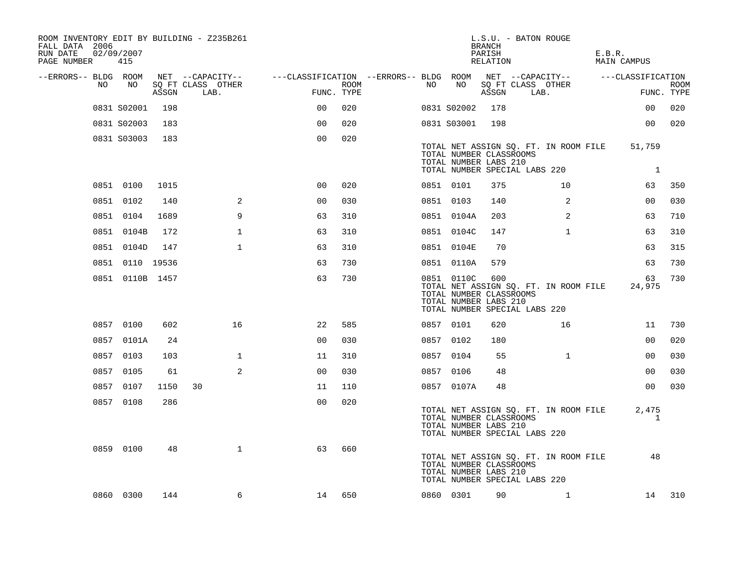| ROOM INVENTORY EDIT BY BUILDING - Z235B261<br>FALL DATA 2006<br>RUN DATE<br>PAGE NUMBER | 02/09/2007<br>415 |       |                           |                                                         |      |    |             | <b>BRANCH</b><br>PARISH<br>RELATION                     | L.S.U. - BATON ROUGE                                                   | E.B.R.<br>MAIN CAMPUS |                        |                           |
|-----------------------------------------------------------------------------------------|-------------------|-------|---------------------------|---------------------------------------------------------|------|----|-------------|---------------------------------------------------------|------------------------------------------------------------------------|-----------------------|------------------------|---------------------------|
| --ERRORS-- BLDG ROOM                                                                    |                   |       | NET --CAPACITY--          | ---CLASSIFICATION --ERRORS-- BLDG ROOM NET --CAPACITY-- |      |    |             |                                                         |                                                                        | ---CLASSIFICATION     |                        |                           |
| NO                                                                                      | NO                | ASSGN | SQ FT CLASS OTHER<br>LAB. | FUNC. TYPE                                              | ROOM | NO | NO          | ASSGN                                                   | SQ FT CLASS OTHER<br>LAB.                                              |                       |                        | <b>ROOM</b><br>FUNC. TYPE |
|                                                                                         | 0831 S02001       | 198   |                           | 00                                                      | 020  |    | 0831 S02002 | 178                                                     |                                                                        |                       | 00                     | 020                       |
|                                                                                         | 0831 S02003       | 183   |                           | 0 <sup>0</sup>                                          | 020  |    | 0831 S03001 | 198                                                     |                                                                        |                       | 00                     | 020                       |
|                                                                                         | 0831 S03003       | 183   |                           | 0 <sub>0</sub>                                          | 020  |    |             | TOTAL NUMBER CLASSROOMS<br>TOTAL NUMBER LABS 210        | TOTAL NET ASSIGN SQ. FT. IN ROOM FILE<br>TOTAL NUMBER SPECIAL LABS 220 |                       | 51,759<br><sup>1</sup> |                           |
|                                                                                         | 0851 0100         | 1015  |                           | 0 <sub>0</sub>                                          | 020  |    | 0851 0101   | 375                                                     | 10                                                                     |                       | 63                     | 350                       |
|                                                                                         | 0851 0102         | 140   | 2                         | 0 <sub>0</sub>                                          | 030  |    | 0851 0103   | 140                                                     | $\overline{2}$                                                         |                       | 00                     | 030                       |
|                                                                                         | 0851 0104         | 1689  | 9                         | 63                                                      | 310  |    | 0851 0104A  | 203                                                     | 2                                                                      |                       | 63                     | 710                       |
|                                                                                         | 0851 0104B        | 172   | $\mathbf 1$               | 63                                                      | 310  |    | 0851 0104C  | 147                                                     | $\mathbf{1}$                                                           |                       | 63                     | 310                       |
|                                                                                         | 0851 0104D        | 147   | $\mathbf{1}$              | 63                                                      | 310  |    | 0851 0104E  | 70                                                      |                                                                        |                       | 63                     | 315                       |
|                                                                                         | 0851 0110 19536   |       |                           | 63                                                      | 730  |    | 0851 0110A  | 579                                                     |                                                                        |                       | 63                     | 730                       |
|                                                                                         | 0851 0110B 1457   |       |                           | 63                                                      | 730  |    | 0851 0110C  | 600<br>TOTAL NUMBER CLASSROOMS<br>TOTAL NUMBER LABS 210 | TOTAL NET ASSIGN SQ. FT. IN ROOM FILE<br>TOTAL NUMBER SPECIAL LABS 220 |                       | 63<br>24,975           | 730                       |
|                                                                                         | 0857 0100         | 602   | 16                        | 22                                                      | 585  |    | 0857 0101   | 620                                                     | 16                                                                     |                       | 11                     | 730                       |
|                                                                                         | 0857 0101A        | 24    |                           | 0 <sub>0</sub>                                          | 030  |    | 0857 0102   | 180                                                     |                                                                        |                       | 0 <sub>0</sub>         | 020                       |
|                                                                                         | 0857 0103         | 103   | $\mathbf{1}$              | 11                                                      | 310  |    | 0857 0104   | 55                                                      | $\mathbf{1}$                                                           |                       | 0 <sub>0</sub>         | 030                       |
|                                                                                         | 0857 0105         | 61    | 2                         | 0 <sup>0</sup>                                          | 030  |    | 0857 0106   | 48                                                      |                                                                        |                       | 0 <sub>0</sub>         | 030                       |
|                                                                                         | 0857 0107         | 1150  | 30                        | 11                                                      | 110  |    | 0857 0107A  | 48                                                      |                                                                        |                       | 00                     | 030                       |
|                                                                                         | 0857 0108         | 286   |                           | 0 <sub>0</sub>                                          | 020  |    |             | TOTAL NUMBER CLASSROOMS<br>TOTAL NUMBER LABS 210        | TOTAL NET ASSIGN SQ. FT. IN ROOM FILE<br>TOTAL NUMBER SPECIAL LABS 220 |                       | 2,475<br>1             |                           |
|                                                                                         | 0859 0100         | 48    | $\mathbf{1}$              | 63                                                      | 660  |    |             | TOTAL NUMBER CLASSROOMS<br>TOTAL NUMBER LABS 210        | TOTAL NET ASSIGN SQ. FT. IN ROOM FILE<br>TOTAL NUMBER SPECIAL LABS 220 |                       | 48                     |                           |
|                                                                                         | 0860 0300         | 144   | 6                         | 14                                                      | 650  |    | 0860 0301   | 90                                                      | $\mathbf{1}$                                                           |                       | 14                     | 310                       |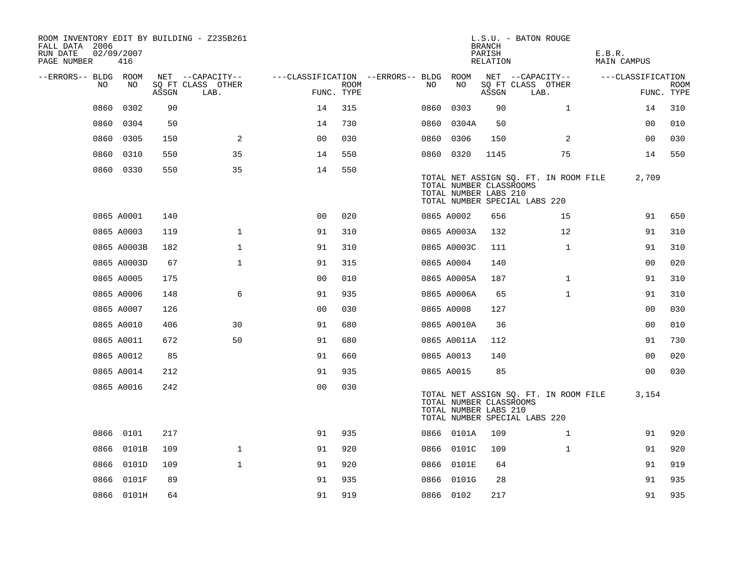| ROOM INVENTORY EDIT BY BUILDING - Z235B261<br>FALL DATA 2006<br>RUN DATE<br>PAGE NUMBER | 02/09/2007<br>416 |       |                           |                                   |             |      |             | <b>BRANCH</b><br>PARISH<br>RELATION              | L.S.U. - BATON ROUGE                                                   | E.B.R.<br>MAIN CAMPUS |                           |
|-----------------------------------------------------------------------------------------|-------------------|-------|---------------------------|-----------------------------------|-------------|------|-------------|--------------------------------------------------|------------------------------------------------------------------------|-----------------------|---------------------------|
| --ERRORS-- BLDG ROOM                                                                    |                   |       | NET --CAPACITY--          | ---CLASSIFICATION --ERRORS-- BLDG |             |      | ROOM        |                                                  | NET --CAPACITY--                                                       | ---CLASSIFICATION     |                           |
| NO                                                                                      | NO                | ASSGN | SQ FT CLASS OTHER<br>LAB. | FUNC. TYPE                        | <b>ROOM</b> | NO   | NO          | ASSGN                                            | SQ FT CLASS OTHER<br>LAB.                                              |                       | <b>ROOM</b><br>FUNC. TYPE |
| 0860                                                                                    | 0302              | 90    |                           | 14                                | 315         | 0860 | 0303        | 90                                               | $\mathbf{1}$                                                           | 14                    | 310                       |
| 0860                                                                                    | 0304              | 50    |                           | 14                                | 730         | 0860 | 0304A       | 50                                               |                                                                        | 00                    | 010                       |
| 0860                                                                                    | 0305              | 150   | $\overline{2}$            | 00                                | 030         | 0860 | 0306        | 150                                              | 2                                                                      | 00                    | 030                       |
| 0860                                                                                    | 0310              | 550   | 35                        | 14                                | 550         |      | 0860 0320   | 1145                                             | 75                                                                     | 14                    | 550                       |
|                                                                                         | 0860 0330         | 550   | 35                        | 14                                | 550         |      |             | TOTAL NUMBER CLASSROOMS<br>TOTAL NUMBER LABS 210 | TOTAL NET ASSIGN SQ. FT. IN ROOM FILE<br>TOTAL NUMBER SPECIAL LABS 220 | 2,709                 |                           |
|                                                                                         | 0865 A0001        | 140   |                           | 0 <sub>0</sub>                    | 020         |      | 0865 A0002  | 656                                              | 15                                                                     | 91                    | 650                       |
|                                                                                         | 0865 A0003        | 119   | $\mathbf{1}$              | 91                                | 310         |      | 0865 A0003A | 132                                              | 12                                                                     | 91                    | 310                       |
|                                                                                         | 0865 A0003B       | 182   | $\mathbf 1$               | 91                                | 310         |      | 0865 A0003C | 111                                              | $\mathbf{1}$                                                           | 91                    | 310                       |
|                                                                                         | 0865 A0003D       | 67    | $\mathbf{1}$              | 91                                | 315         |      | 0865 A0004  | 140                                              |                                                                        | 0 <sub>0</sub>        | 020                       |
|                                                                                         | 0865 A0005        | 175   |                           | 0 <sub>0</sub>                    | 010         |      | 0865 A0005A | 187                                              | $\mathbf{1}$                                                           | 91                    | 310                       |
|                                                                                         | 0865 A0006        | 148   | 6                         | 91                                | 935         |      | 0865 A0006A | 65                                               | $\mathbf{1}$                                                           | 91                    | 310                       |
|                                                                                         | 0865 A0007        | 126   |                           | 0 <sub>0</sub>                    | 030         |      | 0865 A0008  | 127                                              |                                                                        | 00                    | 030                       |
|                                                                                         | 0865 A0010        | 406   | 30                        | 91                                | 680         |      | 0865 A0010A | 36                                               |                                                                        | 0 <sub>0</sub>        | 010                       |
|                                                                                         | 0865 A0011        | 672   | 50                        | 91                                | 680         |      | 0865 A0011A | 112                                              |                                                                        | 91                    | 730                       |
|                                                                                         | 0865 A0012        | 85    |                           | 91                                | 660         |      | 0865 A0013  | 140                                              |                                                                        | 0 <sub>0</sub>        | 020                       |
|                                                                                         | 0865 A0014        | 212   |                           | 91                                | 935         |      | 0865 A0015  | 85                                               |                                                                        | 0 <sub>0</sub>        | 030                       |
|                                                                                         | 0865 A0016        | 242   |                           | 0 <sub>0</sub>                    | 030         |      |             | TOTAL NUMBER CLASSROOMS<br>TOTAL NUMBER LABS 210 | TOTAL NET ASSIGN SQ. FT. IN ROOM FILE<br>TOTAL NUMBER SPECIAL LABS 220 | 3,154                 |                           |
|                                                                                         | 0866 0101         | 217   |                           | 91                                | 935         |      | 0866 0101A  | 109                                              | $\mathbf{1}$                                                           | 91                    | 920                       |
|                                                                                         | 0866 0101B        | 109   | $\mathbf{1}$              | 91                                | 920         |      | 0866 0101C  | 109                                              | $\mathbf{1}$                                                           | 91                    | 920                       |
|                                                                                         | 0866 0101D        | 109   | $\mathbf{1}$              | 91                                | 920         |      | 0866 0101E  | 64                                               |                                                                        | 91                    | 919                       |
| 0866                                                                                    | 0101F             | 89    |                           | 91                                | 935         |      | 0866 0101G  | 28                                               |                                                                        | 91                    | 935                       |
|                                                                                         | 0866 0101H        | 64    |                           | 91                                | 919         |      | 0866 0102   | 217                                              |                                                                        | 91                    | 935                       |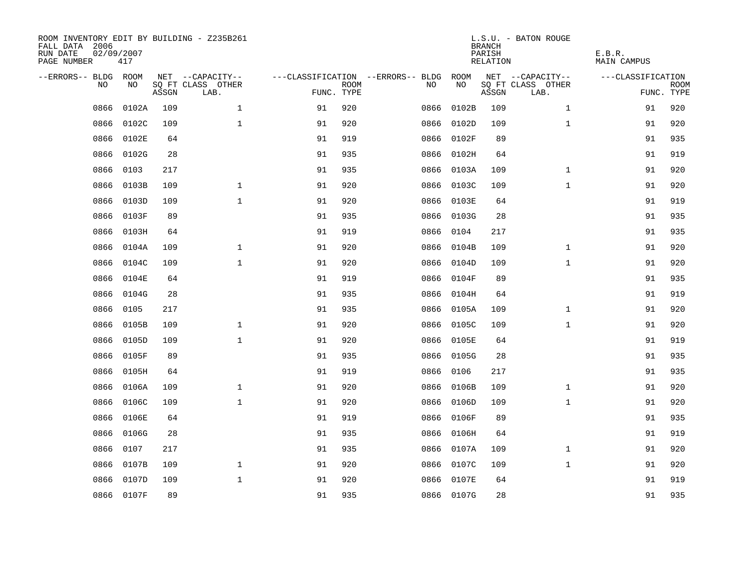| ROOM INVENTORY EDIT BY BUILDING - Z235B261<br>FALL DATA 2006<br>RUN DATE<br>PAGE NUMBER | 02/09/2007<br>417 |       |                           |            |             |                                   |            | <b>BRANCH</b><br>PARISH<br>RELATION | L.S.U. - BATON ROUGE      | E.B.R.<br><b>MAIN CAMPUS</b> |                           |
|-----------------------------------------------------------------------------------------|-------------------|-------|---------------------------|------------|-------------|-----------------------------------|------------|-------------------------------------|---------------------------|------------------------------|---------------------------|
| --ERRORS-- BLDG ROOM                                                                    |                   |       | NET --CAPACITY--          |            |             | ---CLASSIFICATION --ERRORS-- BLDG | ROOM       |                                     | NET --CAPACITY--          | ---CLASSIFICATION            |                           |
| N <sub>O</sub>                                                                          | NO.               | ASSGN | SO FT CLASS OTHER<br>LAB. | FUNC. TYPE | <b>ROOM</b> | NO.                               | NO         | ASSGN                               | SQ FT CLASS OTHER<br>LAB. |                              | <b>ROOM</b><br>FUNC. TYPE |
| 0866                                                                                    | 0102A             | 109   | $\mathbf{1}$              | 91         | 920         | 0866                              | 0102B      | 109                                 | $\mathbf{1}$              | 91                           | 920                       |
| 0866                                                                                    | 0102C             | 109   | $\mathbf{1}$              | 91         | 920         | 0866                              | 0102D      | 109                                 | $\mathbf{1}$              | 91                           | 920                       |
| 0866                                                                                    | 0102E             | 64    |                           | 91         | 919         | 0866                              | 0102F      | 89                                  |                           | 91                           | 935                       |
| 0866                                                                                    | 0102G             | 28    |                           | 91         | 935         | 0866                              | 0102H      | 64                                  |                           | 91                           | 919                       |
| 0866                                                                                    | 0103              | 217   |                           | 91         | 935         | 0866                              | 0103A      | 109                                 | $\mathbf{1}$              | 91                           | 920                       |
| 0866                                                                                    | 0103B             | 109   | $\mathbf 1$               | 91         | 920         |                                   | 0866 0103C | 109                                 | $\mathbf{1}$              | 91                           | 920                       |
| 0866                                                                                    | 0103D             | 109   | $\mathbf{1}$              | 91         | 920         | 0866                              | 0103E      | 64                                  |                           | 91                           | 919                       |
| 0866                                                                                    | 0103F             | 89    |                           | 91         | 935         |                                   | 0866 0103G | 28                                  |                           | 91                           | 935                       |
| 0866                                                                                    | 0103H             | 64    |                           | 91         | 919         | 0866                              | 0104       | 217                                 |                           | 91                           | 935                       |
| 0866                                                                                    | 0104A             | 109   | $\mathbf 1$               | 91         | 920         |                                   | 0866 0104B | 109                                 | $\mathbf{1}$              | 91                           | 920                       |
| 0866                                                                                    | 0104C             | 109   | $\mathbf{1}$              | 91         | 920         | 0866                              | 0104D      | 109                                 | $\mathbf{1}$              | 91                           | 920                       |
| 0866                                                                                    | 0104E             | 64    |                           | 91         | 919         |                                   | 0866 0104F | 89                                  |                           | 91                           | 935                       |
| 0866                                                                                    | 0104G             | 28    |                           | 91         | 935         | 0866                              | 0104H      | 64                                  |                           | 91                           | 919                       |
| 0866                                                                                    | 0105              | 217   |                           | 91         | 935         | 0866                              | 0105A      | 109                                 | $\mathbf{1}$              | 91                           | 920                       |
| 0866                                                                                    | 0105B             | 109   | $\mathbf{1}$              | 91         | 920         | 0866                              | 0105C      | 109                                 | $\mathbf{1}$              | 91                           | 920                       |
| 0866                                                                                    | 0105D             | 109   | $\mathbf{1}$              | 91         | 920         | 0866                              | 0105E      | 64                                  |                           | 91                           | 919                       |
| 0866                                                                                    | 0105F             | 89    |                           | 91         | 935         | 0866                              | 0105G      | 28                                  |                           | 91                           | 935                       |
| 0866                                                                                    | 0105H             | 64    |                           | 91         | 919         | 0866                              | 0106       | 217                                 |                           | 91                           | 935                       |
| 0866                                                                                    | 0106A             | 109   | $\mathbf{1}$              | 91         | 920         | 0866                              | 0106B      | 109                                 | $\mathbf{1}$              | 91                           | 920                       |
| 0866                                                                                    | 0106C             | 109   | $\mathbf{1}$              | 91         | 920         | 0866                              | 0106D      | 109                                 | $\mathbf{1}$              | 91                           | 920                       |
| 0866                                                                                    | 0106E             | 64    |                           | 91         | 919         | 0866                              | 0106F      | 89                                  |                           | 91                           | 935                       |
| 0866                                                                                    | 0106G             | 28    |                           | 91         | 935         | 0866                              | 0106H      | 64                                  |                           | 91                           | 919                       |
| 0866                                                                                    | 0107              | 217   |                           | 91         | 935         | 0866                              | 0107A      | 109                                 | $\mathbf{1}$              | 91                           | 920                       |
| 0866                                                                                    | 0107B             | 109   | $\mathbf{1}$              | 91         | 920         | 0866                              | 0107C      | 109                                 | $\mathbf{1}$              | 91                           | 920                       |
| 0866                                                                                    | 0107D             | 109   | $\mathbf{1}$              | 91         | 920         | 0866                              | 0107E      | 64                                  |                           | 91                           | 919                       |
|                                                                                         | 0866 0107F        | 89    |                           | 91         | 935         |                                   | 0866 0107G | 28                                  |                           | 91                           | 935                       |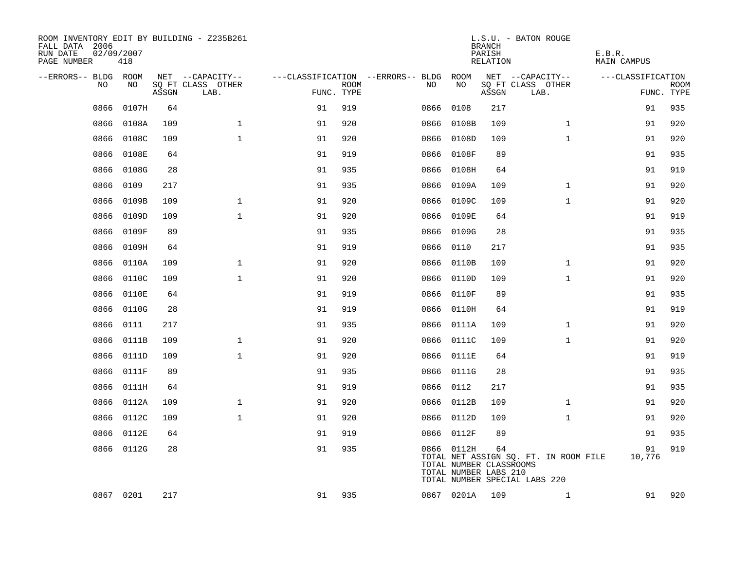| ROOM INVENTORY EDIT BY BUILDING - Z235B261<br>FALL DATA 2006<br>RUN DATE<br>PAGE NUMBER | 02/09/2007<br>418 |       |                           |                                        |             |      |            | <b>BRANCH</b><br>PARISH<br>RELATION                    | L.S.U. - BATON ROUGE                                                   | E.B.R.<br>MAIN CAMPUS |                           |
|-----------------------------------------------------------------------------------------|-------------------|-------|---------------------------|----------------------------------------|-------------|------|------------|--------------------------------------------------------|------------------------------------------------------------------------|-----------------------|---------------------------|
| --ERRORS-- BLDG ROOM                                                                    |                   |       | NET --CAPACITY--          | ---CLASSIFICATION --ERRORS-- BLDG ROOM |             |      |            |                                                        | NET --CAPACITY--                                                       | ---CLASSIFICATION     |                           |
| NO                                                                                      | NO                | ASSGN | SQ FT CLASS OTHER<br>LAB. | FUNC. TYPE                             | <b>ROOM</b> | NO.  | NO         | ASSGN                                                  | SQ FT CLASS OTHER<br>LAB.                                              |                       | <b>ROOM</b><br>FUNC. TYPE |
| 0866                                                                                    | 0107H             | 64    |                           | 91                                     | 919         | 0866 | 0108       | 217                                                    |                                                                        | 91                    | 935                       |
| 0866                                                                                    | 0108A             | 109   | $\mathbf 1$               | 91                                     | 920         |      | 0866 0108B | 109                                                    | $\mathbf{1}$                                                           | 91                    | 920                       |
| 0866                                                                                    | 0108C             | 109   | $\mathbf{1}$              | 91                                     | 920         |      | 0866 0108D | 109                                                    | $\mathbf{1}$                                                           | 91                    | 920                       |
| 0866                                                                                    | 0108E             | 64    |                           | 91                                     | 919         |      | 0866 0108F | 89                                                     |                                                                        | 91                    | 935                       |
| 0866                                                                                    | 0108G             | 28    |                           | 91                                     | 935         |      | 0866 0108H | 64                                                     |                                                                        | 91                    | 919                       |
| 0866                                                                                    | 0109              | 217   |                           | 91                                     | 935         |      | 0866 0109A | 109                                                    | $\mathbf{1}$                                                           | 91                    | 920                       |
| 0866                                                                                    | 0109B             | 109   | $\mathbf{1}$              | 91                                     | 920         |      | 0866 0109C | 109                                                    | $\mathbf{1}$                                                           | 91                    | 920                       |
| 0866                                                                                    | 0109D             | 109   | $\mathbf{1}$              | 91                                     | 920         |      | 0866 0109E | 64                                                     |                                                                        | 91                    | 919                       |
| 0866                                                                                    | 0109F             | 89    |                           | 91                                     | 935         |      | 0866 0109G | 28                                                     |                                                                        | 91                    | 935                       |
| 0866                                                                                    | 0109H             | 64    |                           | 91                                     | 919         |      | 0866 0110  | 217                                                    |                                                                        | 91                    | 935                       |
| 0866                                                                                    | 0110A             | 109   | $\mathbf{1}$              | 91                                     | 920         |      | 0866 0110B | 109                                                    | $\mathbf{1}$                                                           | 91                    | 920                       |
| 0866                                                                                    | 0110C             | 109   | $\mathbf{1}$              | 91                                     | 920         |      | 0866 0110D | 109                                                    | $\mathbf{1}$                                                           | 91                    | 920                       |
| 0866                                                                                    | 0110E             | 64    |                           | 91                                     | 919         |      | 0866 0110F | 89                                                     |                                                                        | 91                    | 935                       |
| 0866                                                                                    | 0110G             | 28    |                           | 91                                     | 919         |      | 0866 0110H | 64                                                     |                                                                        | 91                    | 919                       |
| 0866                                                                                    | 0111              | 217   |                           | 91                                     | 935         |      | 0866 0111A | 109                                                    | $\mathbf{1}$                                                           | 91                    | 920                       |
| 0866                                                                                    | 0111B             | 109   | $\mathbf 1$               | 91                                     | 920         |      | 0866 0111C | 109                                                    | $\mathbf{1}$                                                           | 91                    | 920                       |
| 0866                                                                                    | 0111D             | 109   | $\mathbf{1}$              | 91                                     | 920         |      | 0866 0111E | 64                                                     |                                                                        | 91                    | 919                       |
| 0866                                                                                    | 0111F             | 89    |                           | 91                                     | 935         |      | 0866 0111G | 28                                                     |                                                                        | 91                    | 935                       |
| 0866                                                                                    | 0111H             | 64    |                           | 91                                     | 919         |      | 0866 0112  | 217                                                    |                                                                        | 91                    | 935                       |
| 0866                                                                                    | 0112A             | 109   | $\mathbf 1$               | 91                                     | 920         |      | 0866 0112B | 109                                                    | $\mathbf{1}$                                                           | 91                    | 920                       |
| 0866                                                                                    | 0112C             | 109   | $\mathbf{1}$              | 91                                     | 920         |      | 0866 0112D | 109                                                    | $\mathbf{1}$                                                           | 91                    | 920                       |
| 0866                                                                                    | 0112E             | 64    |                           | 91                                     | 919         |      | 0866 0112F | 89                                                     |                                                                        | 91                    | 935                       |
|                                                                                         | 0866 0112G        | 28    |                           | 91                                     | 935         |      | 0866 0112H | 64<br>TOTAL NUMBER CLASSROOMS<br>TOTAL NUMBER LABS 210 | TOTAL NET ASSIGN SQ. FT. IN ROOM FILE<br>TOTAL NUMBER SPECIAL LABS 220 | 91<br>10,776          | 919                       |
|                                                                                         | 0867 0201         | 217   |                           | 91                                     | 935         |      | 0867 0201A | 109                                                    | $\mathbf{1}$                                                           | 91                    | 920                       |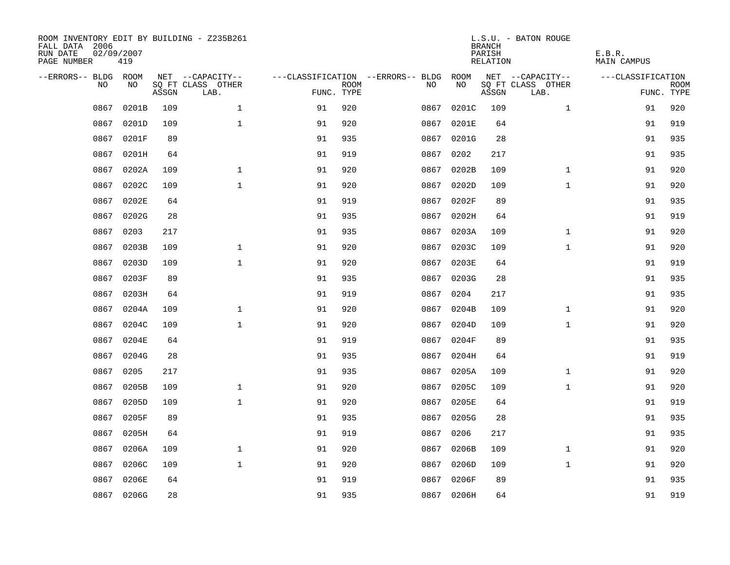| ROOM INVENTORY EDIT BY BUILDING - Z235B261<br>FALL DATA 2006<br>RUN DATE<br>PAGE NUMBER | 02/09/2007<br>419 |       |                           |            |             |                                   |            | <b>BRANCH</b><br>PARISH<br>RELATION | L.S.U. - BATON ROUGE      | E.B.R.<br><b>MAIN CAMPUS</b> |                           |
|-----------------------------------------------------------------------------------------|-------------------|-------|---------------------------|------------|-------------|-----------------------------------|------------|-------------------------------------|---------------------------|------------------------------|---------------------------|
| --ERRORS-- BLDG ROOM                                                                    |                   |       | NET --CAPACITY--          |            |             | ---CLASSIFICATION --ERRORS-- BLDG | ROOM       |                                     | NET --CAPACITY--          | ---CLASSIFICATION            |                           |
| N <sub>O</sub>                                                                          | NO.               | ASSGN | SO FT CLASS OTHER<br>LAB. | FUNC. TYPE | <b>ROOM</b> | NO.                               | NO         | ASSGN                               | SQ FT CLASS OTHER<br>LAB. |                              | <b>ROOM</b><br>FUNC. TYPE |
| 0867                                                                                    | 0201B             | 109   | $\mathbf{1}$              | 91         | 920         | 0867                              | 0201C      | 109                                 | $\mathbf{1}$              | 91                           | 920                       |
| 0867                                                                                    | 0201D             | 109   | $\mathbf{1}$              | 91         | 920         | 0867                              | 0201E      | 64                                  |                           | 91                           | 919                       |
| 0867                                                                                    | 0201F             | 89    |                           | 91         | 935         | 0867                              | 0201G      | 28                                  |                           | 91                           | 935                       |
| 0867                                                                                    | 0201H             | 64    |                           | 91         | 919         | 0867                              | 0202       | 217                                 |                           | 91                           | 935                       |
| 0867                                                                                    | 0202A             | 109   | $\mathbf{1}$              | 91         | 920         | 0867                              | 0202B      | 109                                 | $\mathbf{1}$              | 91                           | 920                       |
| 0867                                                                                    | 0202C             | 109   | $\mathbf{1}$              | 91         | 920         | 0867                              | 0202D      | 109                                 | $\mathbf{1}$              | 91                           | 920                       |
| 0867                                                                                    | 0202E             | 64    |                           | 91         | 919         | 0867                              | 0202F      | 89                                  |                           | 91                           | 935                       |
| 0867                                                                                    | 0202G             | 28    |                           | 91         | 935         | 0867                              | 0202H      | 64                                  |                           | 91                           | 919                       |
| 0867                                                                                    | 0203              | 217   |                           | 91         | 935         | 0867                              | 0203A      | 109                                 | $\mathbf{1}$              | 91                           | 920                       |
| 0867                                                                                    | 0203B             | 109   | $\mathbf{1}$              | 91         | 920         |                                   | 0867 0203C | 109                                 | $\mathbf{1}$              | 91                           | 920                       |
| 0867                                                                                    | 0203D             | 109   | $\mathbf{1}$              | 91         | 920         |                                   | 0867 0203E | 64                                  |                           | 91                           | 919                       |
| 0867                                                                                    | 0203F             | 89    |                           | 91         | 935         |                                   | 0867 0203G | 28                                  |                           | 91                           | 935                       |
| 0867                                                                                    | 0203H             | 64    |                           | 91         | 919         | 0867                              | 0204       | 217                                 |                           | 91                           | 935                       |
| 0867                                                                                    | 0204A             | 109   | $\mathbf 1$               | 91         | 920         | 0867                              | 0204B      | 109                                 | $\mathbf{1}$              | 91                           | 920                       |
| 0867                                                                                    | 0204C             | 109   | $\mathbf{1}$              | 91         | 920         | 0867                              | 0204D      | 109                                 | $\mathbf{1}$              | 91                           | 920                       |
| 0867                                                                                    | 0204E             | 64    |                           | 91         | 919         | 0867                              | 0204F      | 89                                  |                           | 91                           | 935                       |
| 0867                                                                                    | 0204G             | 28    |                           | 91         | 935         | 0867                              | 0204H      | 64                                  |                           | 91                           | 919                       |
| 0867                                                                                    | 0205              | 217   |                           | 91         | 935         | 0867                              | 0205A      | 109                                 | $\mathbf{1}$              | 91                           | 920                       |
| 0867                                                                                    | 0205B             | 109   | $\mathbf 1$               | 91         | 920         | 0867                              | 0205C      | 109                                 | $\mathbf{1}$              | 91                           | 920                       |
| 0867                                                                                    | 0205D             | 109   | $\mathbf{1}$              | 91         | 920         |                                   | 0867 0205E | 64                                  |                           | 91                           | 919                       |
| 0867                                                                                    | 0205F             | 89    |                           | 91         | 935         |                                   | 0867 0205G | 28                                  |                           | 91                           | 935                       |
| 0867                                                                                    | 0205H             | 64    |                           | 91         | 919         | 0867                              | 0206       | 217                                 |                           | 91                           | 935                       |
| 0867                                                                                    | 0206A             | 109   | 1                         | 91         | 920         | 0867                              | 0206B      | 109                                 | $\mathbf{1}$              | 91                           | 920                       |
| 0867                                                                                    | 0206C             | 109   | $\mathbf{1}$              | 91         | 920         | 0867                              | 0206D      | 109                                 | $\mathbf{1}$              | 91                           | 920                       |
| 0867                                                                                    | 0206E             | 64    |                           | 91         | 919         | 0867                              | 0206F      | 89                                  |                           | 91                           | 935                       |
|                                                                                         | 0867 0206G        | 28    |                           | 91         | 935         |                                   | 0867 0206H | 64                                  |                           | 91                           | 919                       |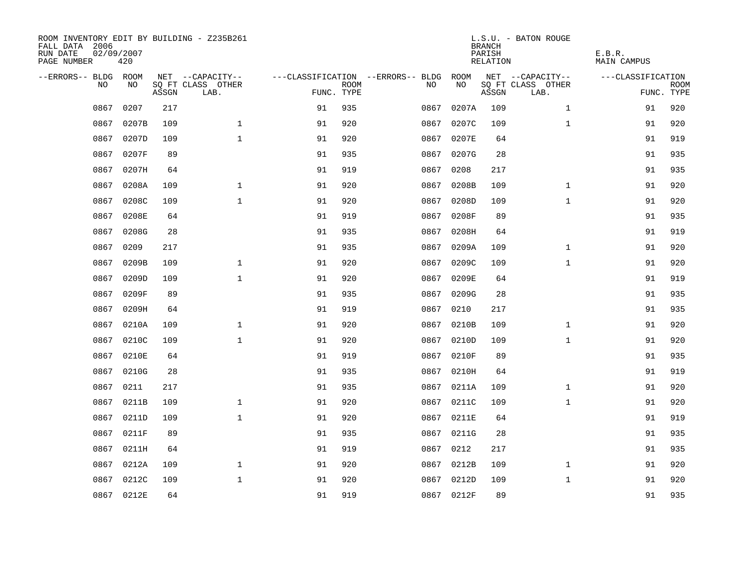| ROOM INVENTORY EDIT BY BUILDING - Z235B261<br>FALL DATA 2006<br>RUN DATE<br>PAGE NUMBER | 02/09/2007<br>420 |       |                           |            |             |                                        |            | <b>BRANCH</b><br>PARISH<br>RELATION | L.S.U. - BATON ROUGE      | E.B.R.<br>MAIN CAMPUS |                           |
|-----------------------------------------------------------------------------------------|-------------------|-------|---------------------------|------------|-------------|----------------------------------------|------------|-------------------------------------|---------------------------|-----------------------|---------------------------|
| --ERRORS-- BLDG ROOM                                                                    |                   |       | NET --CAPACITY--          |            |             | ---CLASSIFICATION --ERRORS-- BLDG ROOM |            |                                     | NET --CAPACITY--          | ---CLASSIFICATION     |                           |
| NO.                                                                                     | NO.               | ASSGN | SQ FT CLASS OTHER<br>LAB. | FUNC. TYPE | <b>ROOM</b> | NO.                                    | NO         | ASSGN                               | SQ FT CLASS OTHER<br>LAB. |                       | <b>ROOM</b><br>FUNC. TYPE |
| 0867                                                                                    | 0207              | 217   |                           | 91         | 935         | 0867                                   | 0207A      | 109                                 | $\mathbf{1}$              | 91                    | 920                       |
| 0867                                                                                    | 0207B             | 109   | $\mathbf 1$               | 91         | 920         | 0867                                   | 0207C      | 109                                 | $\mathbf{1}$              | 91                    | 920                       |
| 0867                                                                                    | 0207D             | 109   | $\mathbf{1}$              | 91         | 920         | 0867                                   | 0207E      | 64                                  |                           | 91                    | 919                       |
| 0867                                                                                    | 0207F             | 89    |                           | 91         | 935         | 0867                                   | 0207G      | 28                                  |                           | 91                    | 935                       |
| 0867                                                                                    | 0207H             | 64    |                           | 91         | 919         | 0867                                   | 0208       | 217                                 |                           | 91                    | 935                       |
| 0867                                                                                    | 0208A             | 109   | $\mathbf{1}$              | 91         | 920         | 0867                                   | 0208B      | 109                                 | $\mathbf{1}$              | 91                    | 920                       |
| 0867                                                                                    | 0208C             | 109   | $\mathbf{1}$              | 91         | 920         | 0867                                   | 0208D      | 109                                 | $\mathbf{1}$              | 91                    | 920                       |
| 0867                                                                                    | 0208E             | 64    |                           | 91         | 919         | 0867                                   | 0208F      | 89                                  |                           | 91                    | 935                       |
| 0867                                                                                    | 0208G             | 28    |                           | 91         | 935         | 0867                                   | 0208H      | 64                                  |                           | 91                    | 919                       |
| 0867                                                                                    | 0209              | 217   |                           | 91         | 935         |                                        | 0867 0209A | 109                                 | $\mathbf{1}$              | 91                    | 920                       |
| 0867                                                                                    | 0209B             | 109   | $\mathbf{1}$              | 91         | 920         | 0867                                   | 0209C      | 109                                 | $\mathbf{1}$              | 91                    | 920                       |
|                                                                                         | 0867 0209D        | 109   | $\mathbf{1}$              | 91         | 920         |                                        | 0867 0209E | 64                                  |                           | 91                    | 919                       |
| 0867                                                                                    | 0209F             | 89    |                           | 91         | 935         | 0867                                   | 0209G      | 28                                  |                           | 91                    | 935                       |
| 0867                                                                                    | 0209H             | 64    |                           | 91         | 919         | 0867                                   | 0210       | 217                                 |                           | 91                    | 935                       |
| 0867                                                                                    | 0210A             | 109   | $\mathbf 1$               | 91         | 920         | 0867                                   | 0210B      | 109                                 | $\mathbf{1}$              | 91                    | 920                       |
| 0867                                                                                    | 0210C             | 109   | $\mathbf{1}$              | 91         | 920         |                                        | 0867 0210D | 109                                 | $\mathbf{1}$              | 91                    | 920                       |
| 0867                                                                                    | 0210E             | 64    |                           | 91         | 919         | 0867                                   | 0210F      | 89                                  |                           | 91                    | 935                       |
| 0867                                                                                    | 0210G             | 28    |                           | 91         | 935         | 0867                                   | 0210H      | 64                                  |                           | 91                    | 919                       |
| 0867                                                                                    | 0211              | 217   |                           | 91         | 935         |                                        | 0867 0211A | 109                                 | $\mathbf{1}$              | 91                    | 920                       |
| 0867                                                                                    | 0211B             | 109   | $\mathbf 1$               | 91         | 920         |                                        | 0867 0211C | 109                                 | $\mathbf{1}$              | 91                    | 920                       |
| 0867                                                                                    | 0211D             | 109   | $\mathbf 1$               | 91         | 920         |                                        | 0867 0211E | 64                                  |                           | 91                    | 919                       |
| 0867                                                                                    | 0211F             | 89    |                           | 91         | 935         |                                        | 0867 0211G | 28                                  |                           | 91                    | 935                       |
| 0867                                                                                    | 0211H             | 64    |                           | 91         | 919         |                                        | 0867 0212  | 217                                 |                           | 91                    | 935                       |
| 0867                                                                                    | 0212A             | 109   | $\mathbf 1$               | 91         | 920         | 0867                                   | 0212B      | 109                                 | $\mathbf{1}$              | 91                    | 920                       |
| 0867                                                                                    | 0212C             | 109   | $\mathbf{1}$              | 91         | 920         |                                        | 0867 0212D | 109                                 | $\mathbf{1}$              | 91                    | 920                       |
|                                                                                         | 0867 0212E        | 64    |                           | 91         | 919         |                                        | 0867 0212F | 89                                  |                           | 91                    | 935                       |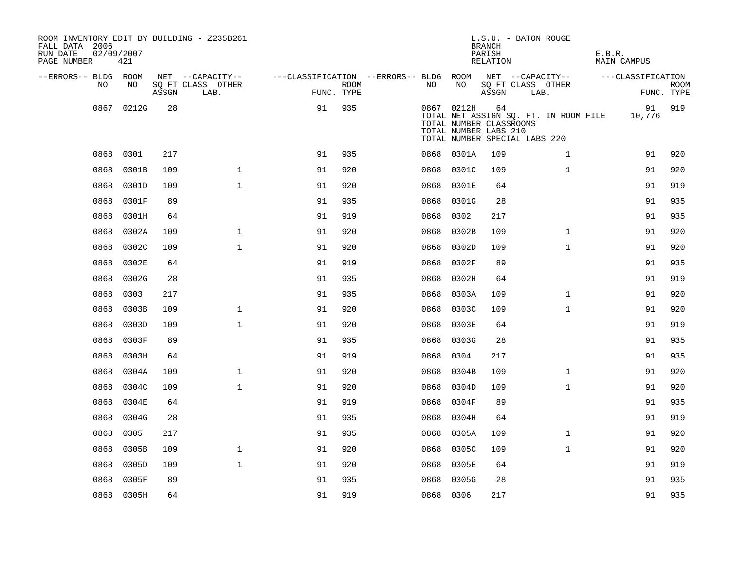| ROOM INVENTORY EDIT BY BUILDING - Z235B261<br>FALL DATA 2006<br>RUN DATE<br>PAGE NUMBER | 02/09/2007<br>421 |       |                           |                                        |      |           |            | <b>BRANCH</b><br>PARISH<br>RELATION                    | L.S.U. - BATON ROUGE                                                   | E.B.R.<br>MAIN CAMPUS |                           |
|-----------------------------------------------------------------------------------------|-------------------|-------|---------------------------|----------------------------------------|------|-----------|------------|--------------------------------------------------------|------------------------------------------------------------------------|-----------------------|---------------------------|
| --ERRORS-- BLDG ROOM                                                                    |                   |       | NET --CAPACITY--          | ---CLASSIFICATION --ERRORS-- BLDG ROOM |      |           |            |                                                        | NET --CAPACITY--                                                       | ---CLASSIFICATION     |                           |
| NO.                                                                                     | NO.               | ASSGN | SQ FT CLASS OTHER<br>LAB. | FUNC. TYPE                             | ROOM | NO.       | NO         | ASSGN                                                  | SQ FT CLASS OTHER<br>LAB.                                              |                       | <b>ROOM</b><br>FUNC. TYPE |
|                                                                                         | 0867 0212G        | 28    |                           | 91                                     | 935  |           | 0867 0212H | 64<br>TOTAL NUMBER CLASSROOMS<br>TOTAL NUMBER LABS 210 | TOTAL NET ASSIGN SQ. FT. IN ROOM FILE<br>TOTAL NUMBER SPECIAL LABS 220 | 91<br>10,776          | 919                       |
| 0868                                                                                    | 0301              | 217   |                           | 91                                     | 935  |           | 0868 0301A | 109                                                    | $\mathbf{1}$                                                           | 91                    | 920                       |
| 0868                                                                                    | 0301B             | 109   | $\mathbf{1}$              | 91                                     | 920  | 0868      | 0301C      | 109                                                    | $\mathbf{1}$                                                           | 91                    | 920                       |
| 0868                                                                                    | 0301D             | 109   | $\mathbf{1}$              | 91                                     | 920  | 0868      | 0301E      | 64                                                     |                                                                        | 91                    | 919                       |
| 0868                                                                                    | 0301F             | 89    |                           | 91                                     | 935  | 0868      | 0301G      | 28                                                     |                                                                        | 91                    | 935                       |
| 0868                                                                                    | 0301H             | 64    |                           | 91                                     | 919  | 0868      | 0302       | 217                                                    |                                                                        | 91                    | 935                       |
| 0868                                                                                    | 0302A             | 109   | $\mathbf{1}$              | 91                                     | 920  | 0868      | 0302B      | 109                                                    | $\mathbf{1}$                                                           | 91                    | 920                       |
| 0868                                                                                    | 0302C             | 109   | $\mathbf{1}$              | 91                                     | 920  | 0868      | 0302D      | 109                                                    | $\mathbf{1}$                                                           | 91                    | 920                       |
| 0868                                                                                    | 0302E             | 64    |                           | 91                                     | 919  | 0868      | 0302F      | 89                                                     |                                                                        | 91                    | 935                       |
|                                                                                         | 0868 0302G        | 28    |                           | 91                                     | 935  |           | 0868 0302H | 64                                                     |                                                                        | 91                    | 919                       |
| 0868                                                                                    | 0303              | 217   |                           | 91                                     | 935  | 0868      | 0303A      | 109                                                    | $\mathbf{1}$                                                           | 91                    | 920                       |
| 0868                                                                                    | 0303B             | 109   | $\mathbf{1}$              | 91                                     | 920  | 0868      | 0303C      | 109                                                    | $\mathbf{1}$                                                           | 91                    | 920                       |
| 0868                                                                                    | 0303D             | 109   | 1                         | 91                                     | 920  | 0868      | 0303E      | 64                                                     |                                                                        | 91                    | 919                       |
| 0868                                                                                    | 0303F             | 89    |                           | 91                                     | 935  | 0868      | 0303G      | 28                                                     |                                                                        | 91                    | 935                       |
| 0868                                                                                    | 0303H             | 64    |                           | 91                                     | 919  | 0868      | 0304       | 217                                                    |                                                                        | 91                    | 935                       |
| 0868                                                                                    | 0304A             | 109   | $\mathbf{1}$              | 91                                     | 920  | 0868      | 0304B      | 109                                                    | $\mathbf{1}$                                                           | 91                    | 920                       |
| 0868                                                                                    | 0304C             | 109   | $\mathbf 1$               | 91                                     | 920  | 0868      | 0304D      | 109                                                    | $\mathbf{1}$                                                           | 91                    | 920                       |
| 0868                                                                                    | 0304E             | 64    |                           | 91                                     | 919  | 0868      | 0304F      | 89                                                     |                                                                        | 91                    | 935                       |
| 0868                                                                                    | 0304G             | 28    |                           | 91                                     | 935  | 0868      | 0304H      | 64                                                     |                                                                        | 91                    | 919                       |
| 0868                                                                                    | 0305              | 217   |                           | 91                                     | 935  | 0868      | 0305A      | 109                                                    | $\mathbf{1}$                                                           | 91                    | 920                       |
| 0868                                                                                    | 0305B             | 109   | $\mathbf 1$               | 91                                     | 920  | 0868      | 0305C      | 109                                                    | $\mathbf{1}$                                                           | 91                    | 920                       |
| 0868                                                                                    | 0305D             | 109   | $\mathbf{1}$              | 91                                     | 920  | 0868      | 0305E      | 64                                                     |                                                                        | 91                    | 919                       |
| 0868                                                                                    | 0305F             | 89    |                           | 91                                     | 935  | 0868      | 0305G      | 28                                                     |                                                                        | 91                    | 935                       |
|                                                                                         | 0868 0305H        | 64    |                           | 91                                     | 919  | 0868 0306 |            | 217                                                    |                                                                        | 91                    | 935                       |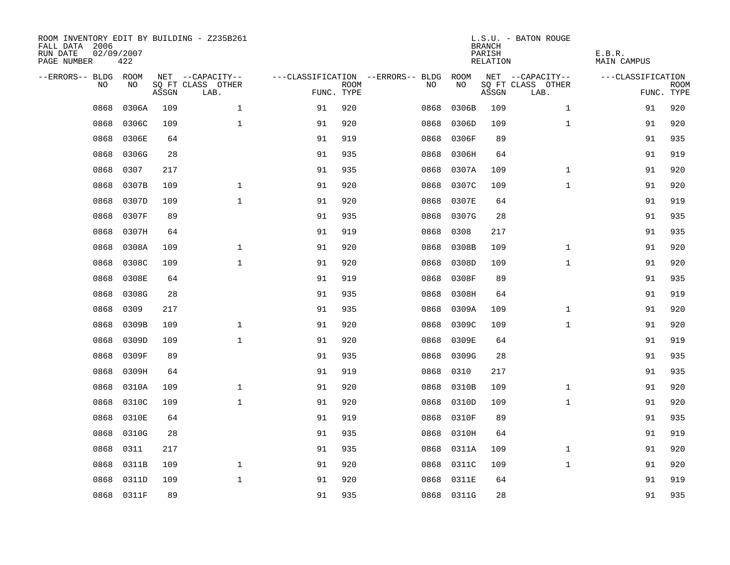| ROOM INVENTORY EDIT BY BUILDING - Z235B261<br>FALL DATA 2006<br>RUN DATE<br>02/09/2007<br>PAGE NUMBER | 422        |       |                           |            |             |                                   |            | <b>BRANCH</b><br>PARISH<br>RELATION | L.S.U. - BATON ROUGE      | E.B.R.<br>MAIN CAMPUS |                           |
|-------------------------------------------------------------------------------------------------------|------------|-------|---------------------------|------------|-------------|-----------------------------------|------------|-------------------------------------|---------------------------|-----------------------|---------------------------|
| --ERRORS-- BLDG ROOM                                                                                  |            |       | NET --CAPACITY--          |            |             | ---CLASSIFICATION --ERRORS-- BLDG | ROOM       |                                     | NET --CAPACITY--          | ---CLASSIFICATION     |                           |
| NO.                                                                                                   | NO.        | ASSGN | SQ FT CLASS OTHER<br>LAB. | FUNC. TYPE | <b>ROOM</b> | NO.                               | NO         | ASSGN                               | SQ FT CLASS OTHER<br>LAB. |                       | <b>ROOM</b><br>FUNC. TYPE |
| 0868                                                                                                  | 0306A      | 109   | $\mathbf{1}$              | 91         | 920         | 0868                              | 0306B      | 109                                 | $\mathbf{1}$              | 91                    | 920                       |
| 0868                                                                                                  | 0306C      | 109   | $\mathbf{1}$              | 91         | 920         | 0868                              | 0306D      | 109                                 | $\mathbf{1}$              | 91                    | 920                       |
| 0868                                                                                                  | 0306E      | 64    |                           | 91         | 919         | 0868                              | 0306F      | 89                                  |                           | 91                    | 935                       |
| 0868                                                                                                  | 0306G      | 28    |                           | 91         | 935         | 0868                              | 0306H      | 64                                  |                           | 91                    | 919                       |
| 0868                                                                                                  | 0307       | 217   |                           | 91         | 935         | 0868                              | 0307A      | 109                                 | $\mathbf{1}$              | 91                    | 920                       |
| 0868                                                                                                  | 0307B      | 109   | $\mathbf{1}$              | 91         | 920         | 0868                              | 0307C      | 109                                 | $\mathbf{1}$              | 91                    | 920                       |
| 0868                                                                                                  | 0307D      | 109   | $\mathbf{1}$              | 91         | 920         | 0868                              | 0307E      | 64                                  |                           | 91                    | 919                       |
| 0868                                                                                                  | 0307F      | 89    |                           | 91         | 935         | 0868                              | 0307G      | 28                                  |                           | 91                    | 935                       |
| 0868                                                                                                  | 0307H      | 64    |                           | 91         | 919         | 0868                              | 0308       | 217                                 |                           | 91                    | 935                       |
| 0868                                                                                                  | 0308A      | 109   | $\mathbf{1}$              | 91         | 920         | 0868                              | 0308B      | 109                                 | $\mathbf{1}$              | 91                    | 920                       |
| 0868                                                                                                  | 0308C      | 109   | $\mathbf{1}$              | 91         | 920         | 0868                              | 0308D      | 109                                 | $\mathbf{1}$              | 91                    | 920                       |
| 0868                                                                                                  | 0308E      | 64    |                           | 91         | 919         | 0868                              | 0308F      | 89                                  |                           | 91                    | 935                       |
| 0868                                                                                                  | 0308G      | 28    |                           | 91         | 935         | 0868                              | 0308H      | 64                                  |                           | 91                    | 919                       |
| 0868                                                                                                  | 0309       | 217   |                           | 91         | 935         | 0868                              | 0309A      | 109                                 | $\mathbf{1}$              | 91                    | 920                       |
| 0868                                                                                                  | 0309B      | 109   | $\mathbf{1}$              | 91         | 920         | 0868                              | 0309C      | 109                                 | $\mathbf{1}$              | 91                    | 920                       |
| 0868                                                                                                  | 0309D      | 109   | $\mathbf{1}$              | 91         | 920         | 0868                              | 0309E      | 64                                  |                           | 91                    | 919                       |
| 0868                                                                                                  | 0309F      | 89    |                           | 91         | 935         | 0868                              | 0309G      | 28                                  |                           | 91                    | 935                       |
| 0868                                                                                                  | 0309H      | 64    |                           | 91         | 919         | 0868                              | 0310       | 217                                 |                           | 91                    | 935                       |
| 0868                                                                                                  | 0310A      | 109   | $\mathbf{1}$              | 91         | 920         | 0868                              | 0310B      | 109                                 | $\mathbf{1}$              | 91                    | 920                       |
| 0868                                                                                                  | 0310C      | 109   | $\mathbf{1}$              | 91         | 920         | 0868                              | 0310D      | 109                                 | $\mathbf{1}$              | 91                    | 920                       |
| 0868                                                                                                  | 0310E      | 64    |                           | 91         | 919         | 0868                              | 0310F      | 89                                  |                           | 91                    | 935                       |
| 0868                                                                                                  | 0310G      | 28    |                           | 91         | 935         | 0868                              | 0310H      | 64                                  |                           | 91                    | 919                       |
| 0868                                                                                                  | 0311       | 217   |                           | 91         | 935         | 0868                              | 0311A      | 109                                 | $\mathbf{1}$              | 91                    | 920                       |
| 0868                                                                                                  | 0311B      | 109   | $\mathbf 1$               | 91         | 920         | 0868                              | 0311C      | 109                                 | $\mathbf{1}$              | 91                    | 920                       |
| 0868                                                                                                  | 0311D      | 109   | $\mathbf{1}$              | 91         | 920         | 0868                              | 0311E      | 64                                  |                           | 91                    | 919                       |
|                                                                                                       | 0868 0311F | 89    |                           | 91         | 935         |                                   | 0868 0311G | 28                                  |                           | 91                    | 935                       |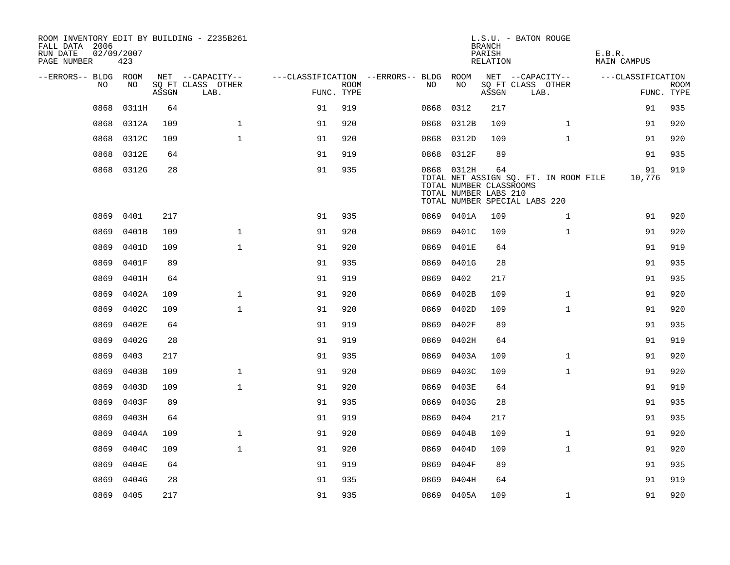| ROOM INVENTORY EDIT BY BUILDING - Z235B261<br>FALL DATA 2006<br>RUN DATE<br>PAGE NUMBER | 02/09/2007<br>423 |       |                           |                                        |             |      |                                                                | <b>BRANCH</b><br>PARISH<br>RELATION | L.S.U. - BATON ROUGE                                                   | E.B.R.<br>MAIN CAMPUS |                           |
|-----------------------------------------------------------------------------------------|-------------------|-------|---------------------------|----------------------------------------|-------------|------|----------------------------------------------------------------|-------------------------------------|------------------------------------------------------------------------|-----------------------|---------------------------|
| --ERRORS-- BLDG ROOM                                                                    |                   |       | NET --CAPACITY--          | ---CLASSIFICATION --ERRORS-- BLDG ROOM |             |      |                                                                |                                     | NET --CAPACITY--                                                       | ---CLASSIFICATION     |                           |
| NO                                                                                      | NO.               | ASSGN | SQ FT CLASS OTHER<br>LAB. | FUNC. TYPE                             | <b>ROOM</b> | NO.  | NO                                                             | ASSGN                               | SQ FT CLASS OTHER<br>LAB.                                              |                       | <b>ROOM</b><br>FUNC. TYPE |
| 0868                                                                                    | 0311H             | 64    |                           | 91                                     | 919         | 0868 | 0312                                                           | 217                                 |                                                                        | 91                    | 935                       |
| 0868                                                                                    | 0312A             | 109   | $\mathbf{1}$              | 91                                     | 920         | 0868 | 0312B                                                          | 109                                 | $\mathbf{1}$                                                           | 91                    | 920                       |
| 0868                                                                                    | 0312C             | 109   | 1                         | 91                                     | 920         | 0868 | 0312D                                                          | 109                                 | $\mathbf{1}$                                                           | 91                    | 920                       |
| 0868                                                                                    | 0312E             | 64    |                           | 91                                     | 919         |      | 0868 0312F                                                     | 89                                  |                                                                        | 91                    | 935                       |
| 0868                                                                                    | 0312G             | 28    |                           | 91                                     | 935         |      | 0868 0312H<br>TOTAL NUMBER CLASSROOMS<br>TOTAL NUMBER LABS 210 | 64                                  | TOTAL NET ASSIGN SQ. FT. IN ROOM FILE<br>TOTAL NUMBER SPECIAL LABS 220 | 91<br>10,776          | 919                       |
| 0869                                                                                    | 0401              | 217   |                           | 91                                     | 935         |      | 0869 0401A                                                     | 109                                 | $\mathbf{1}$                                                           | 91                    | 920                       |
| 0869                                                                                    | 0401B             | 109   | $\mathbf{1}$              | 91                                     | 920         | 0869 | 0401C                                                          | 109                                 | $\mathbf{1}$                                                           | 91                    | 920                       |
| 0869                                                                                    | 0401D             | 109   | $\mathbf{1}$              | 91                                     | 920         | 0869 | 0401E                                                          | 64                                  |                                                                        | 91                    | 919                       |
| 0869                                                                                    | 0401F             | 89    |                           | 91                                     | 935         | 0869 | 0401G                                                          | 28                                  |                                                                        | 91                    | 935                       |
| 0869                                                                                    | 0401H             | 64    |                           | 91                                     | 919         | 0869 | 0402                                                           | 217                                 |                                                                        | 91                    | 935                       |
| 0869                                                                                    | 0402A             | 109   | $\mathbf{1}$              | 91                                     | 920         | 0869 | 0402B                                                          | 109                                 | $\mathbf{1}$                                                           | 91                    | 920                       |
| 0869                                                                                    | 0402C             | 109   | $\mathbf{1}$              | 91                                     | 920         | 0869 | 0402D                                                          | 109                                 | $\mathbf{1}$                                                           | 91                    | 920                       |
| 0869                                                                                    | 0402E             | 64    |                           | 91                                     | 919         | 0869 | 0402F                                                          | 89                                  |                                                                        | 91                    | 935                       |
| 0869                                                                                    | 0402G             | 28    |                           | 91                                     | 919         | 0869 | 0402H                                                          | 64                                  |                                                                        | 91                    | 919                       |
| 0869                                                                                    | 0403              | 217   |                           | 91                                     | 935         | 0869 | 0403A                                                          | 109                                 | $\mathbf{1}$                                                           | 91                    | 920                       |
| 0869                                                                                    | 0403B             | 109   | $\mathbf 1$               | 91                                     | 920         | 0869 | 0403C                                                          | 109                                 | $\mathbf{1}$                                                           | 91                    | 920                       |
| 0869                                                                                    | 0403D             | 109   | $\mathbf{1}$              | 91                                     | 920         | 0869 | 0403E                                                          | 64                                  |                                                                        | 91                    | 919                       |
| 0869                                                                                    | 0403F             | 89    |                           | 91                                     | 935         | 0869 | 0403G                                                          | 28                                  |                                                                        | 91                    | 935                       |
| 0869                                                                                    | 0403H             | 64    |                           | 91                                     | 919         | 0869 | 0404                                                           | 217                                 |                                                                        | 91                    | 935                       |
| 0869                                                                                    | 0404A             | 109   | $\mathbf{1}$              | 91                                     | 920         | 0869 | 0404B                                                          | 109                                 | $\mathbf{1}$                                                           | 91                    | 920                       |
| 0869                                                                                    | 0404C             | 109   | $\mathbf{1}$              | 91                                     | 920         | 0869 | 0404D                                                          | 109                                 | $\mathbf{1}$                                                           | 91                    | 920                       |
| 0869                                                                                    | 0404E             | 64    |                           | 91                                     | 919         | 0869 | 0404F                                                          | 89                                  |                                                                        | 91                    | 935                       |
| 0869                                                                                    | 0404G             | 28    |                           | 91                                     | 935         | 0869 | 0404H                                                          | 64                                  |                                                                        | 91                    | 919                       |
|                                                                                         | 0869 0405         | 217   |                           | 91                                     | 935         |      | 0869 0405A                                                     | 109                                 | $\mathbf{1}$                                                           | 91                    | 920                       |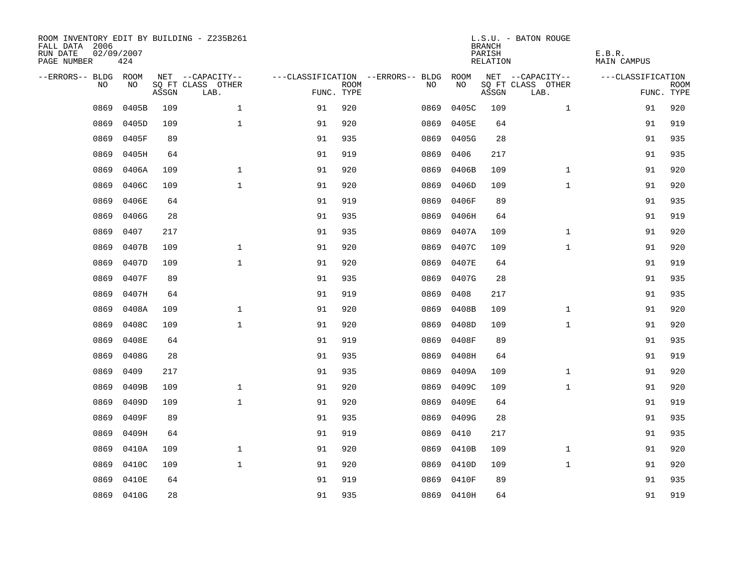| ROOM INVENTORY EDIT BY BUILDING - Z235B261<br>FALL DATA 2006<br>RUN DATE<br>PAGE NUMBER | 02/09/2007<br>424 |       |                           |            |             |                                   |            | <b>BRANCH</b><br>PARISH<br>RELATION | L.S.U. - BATON ROUGE      | E.B.R.<br>MAIN CAMPUS |                           |
|-----------------------------------------------------------------------------------------|-------------------|-------|---------------------------|------------|-------------|-----------------------------------|------------|-------------------------------------|---------------------------|-----------------------|---------------------------|
| --ERRORS-- BLDG ROOM                                                                    |                   |       | NET --CAPACITY--          |            |             | ---CLASSIFICATION --ERRORS-- BLDG | ROOM       |                                     | NET --CAPACITY--          | ---CLASSIFICATION     |                           |
| NO                                                                                      | NO                | ASSGN | SQ FT CLASS OTHER<br>LAB. | FUNC. TYPE | <b>ROOM</b> | NO                                | NO         | ASSGN                               | SQ FT CLASS OTHER<br>LAB. |                       | <b>ROOM</b><br>FUNC. TYPE |
| 0869                                                                                    | 0405B             | 109   | $\mathbf{1}$              | 91         | 920         | 0869                              | 0405C      | 109                                 | $\mathbf{1}$              | 91                    | 920                       |
| 0869                                                                                    | 0405D             | 109   | $\mathbf{1}$              | 91         | 920         | 0869                              | 0405E      | 64                                  |                           | 91                    | 919                       |
| 0869                                                                                    | 0405F             | 89    |                           | 91         | 935         | 0869                              | 0405G      | 28                                  |                           | 91                    | 935                       |
| 0869                                                                                    | 0405H             | 64    |                           | 91         | 919         | 0869                              | 0406       | 217                                 |                           | 91                    | 935                       |
| 0869                                                                                    | 0406A             | 109   | $\mathbf 1$               | 91         | 920         | 0869                              | 0406B      | 109                                 | $\mathbf{1}$              | 91                    | 920                       |
| 0869                                                                                    | 0406C             | 109   | $\mathbf{1}$              | 91         | 920         | 0869                              | 0406D      | 109                                 | $\mathbf{1}$              | 91                    | 920                       |
| 0869                                                                                    | 0406E             | 64    |                           | 91         | 919         | 0869                              | 0406F      | 89                                  |                           | 91                    | 935                       |
| 0869                                                                                    | 0406G             | 28    |                           | 91         | 935         | 0869                              | 0406H      | 64                                  |                           | 91                    | 919                       |
| 0869                                                                                    | 0407              | 217   |                           | 91         | 935         | 0869                              | 0407A      | 109                                 | $\mathbf{1}$              | 91                    | 920                       |
| 0869                                                                                    | 0407B             | 109   | $\mathbf{1}$              | 91         | 920         | 0869                              | 0407C      | 109                                 | $\mathbf{1}$              | 91                    | 920                       |
| 0869                                                                                    | 0407D             | 109   | $\mathbf{1}$              | 91         | 920         | 0869                              | 0407E      | 64                                  |                           | 91                    | 919                       |
| 0869                                                                                    | 0407F             | 89    |                           | 91         | 935         | 0869                              | 0407G      | 28                                  |                           | 91                    | 935                       |
| 0869                                                                                    | 0407H             | 64    |                           | 91         | 919         | 0869                              | 0408       | 217                                 |                           | 91                    | 935                       |
| 0869                                                                                    | 0408A             | 109   | $\mathbf 1$               | 91         | 920         | 0869                              | 0408B      | 109                                 | $\mathbf{1}$              | 91                    | 920                       |
| 0869                                                                                    | 0408C             | 109   | $\mathbf{1}$              | 91         | 920         | 0869                              | 0408D      | 109                                 | $\mathbf{1}$              | 91                    | 920                       |
| 0869                                                                                    | 0408E             | 64    |                           | 91         | 919         | 0869                              | 0408F      | 89                                  |                           | 91                    | 935                       |
| 0869                                                                                    | 0408G             | 28    |                           | 91         | 935         | 0869                              | 0408H      | 64                                  |                           | 91                    | 919                       |
| 0869                                                                                    | 0409              | 217   |                           | 91         | 935         | 0869                              | 0409A      | 109                                 | $\mathbf{1}$              | 91                    | 920                       |
| 0869                                                                                    | 0409B             | 109   | $\mathbf{1}$              | 91         | 920         | 0869                              | 0409C      | 109                                 | $\mathbf{1}$              | 91                    | 920                       |
| 0869                                                                                    | 0409D             | 109   | $\mathbf{1}$              | 91         | 920         | 0869                              | 0409E      | 64                                  |                           | 91                    | 919                       |
| 0869                                                                                    | 0409F             | 89    |                           | 91         | 935         | 0869                              | 0409G      | 28                                  |                           | 91                    | 935                       |
| 0869                                                                                    | 0409H             | 64    |                           | 91         | 919         | 0869                              | 0410       | 217                                 |                           | 91                    | 935                       |
| 0869                                                                                    | 0410A             | 109   | $\mathbf{1}$              | 91         | 920         | 0869                              | 0410B      | 109                                 | $\mathbf{1}$              | 91                    | 920                       |
| 0869                                                                                    | 0410C             | 109   | $\mathbf{1}$              | 91         | 920         | 0869                              | 0410D      | 109                                 | $\mathbf{1}$              | 91                    | 920                       |
| 0869                                                                                    | 0410E             | 64    |                           | 91         | 919         | 0869                              | 0410F      | 89                                  |                           | 91                    | 935                       |
|                                                                                         | 0869 0410G        | 28    |                           | 91         | 935         |                                   | 0869 0410H | 64                                  |                           | 91                    | 919                       |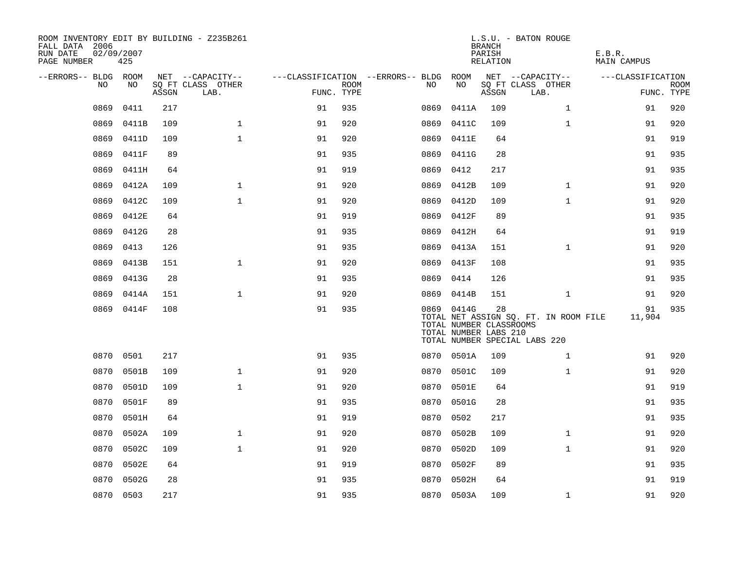| FALL DATA 2006<br>RUN DATE<br>PAGE NUMBER | 02/09/2007 | 425        |       | ROOM INVENTORY EDIT BY BUILDING - Z235B261 |            |             |                                               |            | <b>BRANCH</b><br>PARISH<br>RELATION                    | L.S.U. - BATON ROUGE                                                   | E.B.R.<br><b>MAIN CAMPUS</b> |             |
|-------------------------------------------|------------|------------|-------|--------------------------------------------|------------|-------------|-----------------------------------------------|------------|--------------------------------------------------------|------------------------------------------------------------------------|------------------------------|-------------|
| --ERRORS-- BLDG ROOM                      | NO.        | NO         |       | NET --CAPACITY--<br>SQ FT CLASS OTHER      |            | <b>ROOM</b> | ---CLASSIFICATION --ERRORS-- BLDG ROOM<br>NO. | NO         |                                                        | NET --CAPACITY--<br>SQ FT CLASS OTHER                                  | ---CLASSIFICATION            | <b>ROOM</b> |
|                                           |            |            | ASSGN | LAB.                                       | FUNC. TYPE |             |                                               |            | ASSGN                                                  | LAB.                                                                   |                              | FUNC. TYPE  |
|                                           | 0869       | 0411       | 217   |                                            | 91         | 935         | 0869                                          | 0411A      | 109                                                    | $\mathbf{1}$                                                           | 91                           | 920         |
|                                           | 0869       | 0411B      | 109   | $\mathbf{1}$                               | 91         | 920         | 0869                                          | 0411C      | 109                                                    | $\mathbf{1}$                                                           | 91                           | 920         |
|                                           | 0869       | 0411D      | 109   | $\mathbf 1$                                | 91         | 920         | 0869                                          | 0411E      | 64                                                     |                                                                        | 91                           | 919         |
|                                           | 0869       | 0411F      | 89    |                                            | 91         | 935         | 0869                                          | 0411G      | 28                                                     |                                                                        | 91                           | 935         |
|                                           | 0869       | 0411H      | 64    |                                            | 91         | 919         | 0869                                          | 0412       | 217                                                    |                                                                        | 91                           | 935         |
|                                           | 0869       | 0412A      | 109   | $\mathbf 1$                                | 91         | 920         | 0869                                          | 0412B      | 109                                                    | $\mathbf{1}$                                                           | 91                           | 920         |
|                                           | 0869       | 0412C      | 109   | $\mathbf{1}$                               | 91         | 920         | 0869                                          | 0412D      | 109                                                    | $\mathbf{1}$                                                           | 91                           | 920         |
|                                           | 0869       | 0412E      | 64    |                                            | 91         | 919         | 0869                                          | 0412F      | 89                                                     |                                                                        | 91                           | 935         |
|                                           | 0869       | 0412G      | 28    |                                            | 91         | 935         | 0869                                          | 0412H      | 64                                                     |                                                                        | 91                           | 919         |
|                                           | 0869       | 0413       | 126   |                                            | 91         | 935         | 0869                                          | 0413A      | 151                                                    | $\mathbf{1}$                                                           | 91                           | 920         |
|                                           | 0869       | 0413B      | 151   | $\mathbf 1$                                | 91         | 920         | 0869                                          | 0413F      | 108                                                    |                                                                        | 91                           | 935         |
|                                           | 0869       | 0413G      | 28    |                                            | 91         | 935         | 0869                                          | 0414       | 126                                                    |                                                                        | 91                           | 935         |
|                                           | 0869       | 0414A      | 151   | $\mathbf{1}$                               | 91         | 920         | 0869                                          | 0414B      | 151                                                    | $\mathbf{1}$                                                           | 91                           | 920         |
|                                           |            | 0869 0414F | 108   |                                            | 91         | 935         |                                               | 0869 0414G | 28<br>TOTAL NUMBER CLASSROOMS<br>TOTAL NUMBER LABS 210 | TOTAL NET ASSIGN SQ. FT. IN ROOM FILE<br>TOTAL NUMBER SPECIAL LABS 220 | 91<br>11,904                 | 935         |
|                                           | 0870 0501  |            | 217   |                                            | 91         | 935         |                                               | 0870 0501A | 109                                                    | $\mathbf{1}$                                                           | 91                           | 920         |
|                                           | 0870       | 0501B      | 109   | $\mathbf{1}$                               | 91         | 920         | 0870                                          | 0501C      | 109                                                    | $\mathbf{1}$                                                           | 91                           | 920         |
|                                           | 0870       | 0501D      | 109   | $\mathbf{1}$                               | 91         | 920         |                                               | 0870 0501E | 64                                                     |                                                                        | 91                           | 919         |
|                                           | 0870       | 0501F      | 89    |                                            | 91         | 935         | 0870                                          | 0501G      | 28                                                     |                                                                        | 91                           | 935         |
|                                           | 0870       | 0501H      | 64    |                                            | 91         | 919         | 0870                                          | 0502       | 217                                                    |                                                                        | 91                           | 935         |
|                                           | 0870       | 0502A      | 109   | $\mathbf{1}$                               | 91         | 920         | 0870                                          | 0502B      | 109                                                    | $\mathbf{1}$                                                           | 91                           | 920         |
|                                           | 0870       | 0502C      | 109   | $\mathbf{1}$                               | 91         | 920         |                                               | 0870 0502D | 109                                                    | $\mathbf{1}$                                                           | 91                           | 920         |
|                                           | 0870       | 0502E      | 64    |                                            | 91         | 919         | 0870                                          | 0502F      | 89                                                     |                                                                        | 91                           | 935         |
|                                           | 0870       | 0502G      | 28    |                                            | 91         | 935         | 0870                                          | 0502H      | 64                                                     |                                                                        | 91                           | 919         |
|                                           | 0870 0503  |            | 217   |                                            | 91         | 935         |                                               | 0870 0503A | 109                                                    | $\mathbf{1}$                                                           | 91                           | 920         |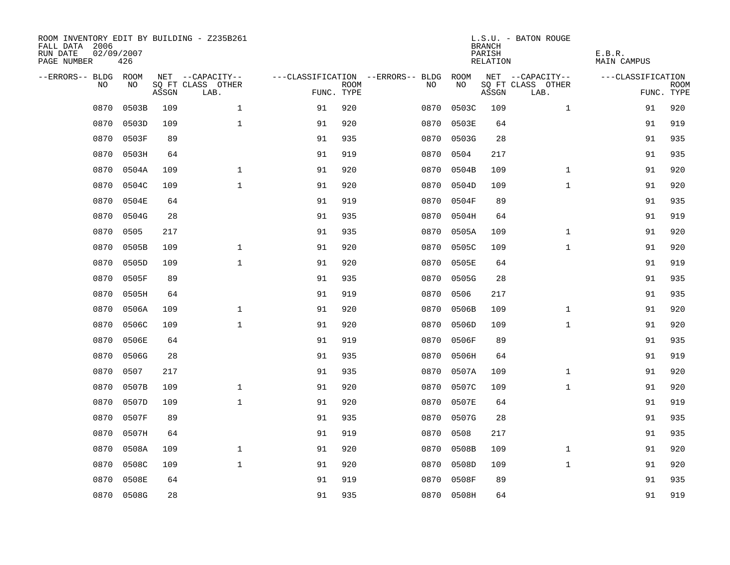| ROOM INVENTORY EDIT BY BUILDING - Z235B261<br>FALL DATA 2006<br>RUN DATE<br>PAGE NUMBER | 02/09/2007<br>426 |       |                           |            |             |                                   |            | <b>BRANCH</b><br>PARISH<br>RELATION | L.S.U. - BATON ROUGE      | E.B.R.<br><b>MAIN CAMPUS</b> |                           |
|-----------------------------------------------------------------------------------------|-------------------|-------|---------------------------|------------|-------------|-----------------------------------|------------|-------------------------------------|---------------------------|------------------------------|---------------------------|
| --ERRORS-- BLDG ROOM                                                                    |                   |       | NET --CAPACITY--          |            |             | ---CLASSIFICATION --ERRORS-- BLDG | ROOM       |                                     | NET --CAPACITY--          | ---CLASSIFICATION            |                           |
| N <sub>O</sub>                                                                          | NO.               | ASSGN | SO FT CLASS OTHER<br>LAB. | FUNC. TYPE | <b>ROOM</b> | NO.                               | NO         | ASSGN                               | SQ FT CLASS OTHER<br>LAB. |                              | <b>ROOM</b><br>FUNC. TYPE |
| 0870                                                                                    | 0503B             | 109   | $\mathbf{1}$              | 91         | 920         | 0870                              | 0503C      | 109                                 | $\mathbf{1}$              | 91                           | 920                       |
| 0870                                                                                    | 0503D             | 109   | $\mathbf{1}$              | 91         | 920         | 0870                              | 0503E      | 64                                  |                           | 91                           | 919                       |
| 0870                                                                                    | 0503F             | 89    |                           | 91         | 935         | 0870                              | 0503G      | 28                                  |                           | 91                           | 935                       |
| 0870                                                                                    | 0503H             | 64    |                           | 91         | 919         | 0870                              | 0504       | 217                                 |                           | 91                           | 935                       |
| 0870                                                                                    | 0504A             | 109   | $\mathbf{1}$              | 91         | 920         | 0870                              | 0504B      | 109                                 | $\mathbf{1}$              | 91                           | 920                       |
| 0870                                                                                    | 0504C             | 109   | $\mathbf{1}$              | 91         | 920         | 0870                              | 0504D      | 109                                 | $\mathbf{1}$              | 91                           | 920                       |
| 0870                                                                                    | 0504E             | 64    |                           | 91         | 919         | 0870                              | 0504F      | 89                                  |                           | 91                           | 935                       |
| 0870                                                                                    | 0504G             | 28    |                           | 91         | 935         | 0870                              | 0504H      | 64                                  |                           | 91                           | 919                       |
| 0870                                                                                    | 0505              | 217   |                           | 91         | 935         | 0870                              | 0505A      | 109                                 | $\mathbf{1}$              | 91                           | 920                       |
| 0870                                                                                    | 0505B             | 109   | $\mathbf{1}$              | 91         | 920         | 0870                              | 0505C      | 109                                 | $\mathbf{1}$              | 91                           | 920                       |
| 0870                                                                                    | 0505D             | 109   | $\mathbf{1}$              | 91         | 920         | 0870                              | 0505E      | 64                                  |                           | 91                           | 919                       |
| 0870                                                                                    | 0505F             | 89    |                           | 91         | 935         | 0870                              | 0505G      | 28                                  |                           | 91                           | 935                       |
| 0870                                                                                    | 0505H             | 64    |                           | 91         | 919         | 0870                              | 0506       | 217                                 |                           | 91                           | 935                       |
| 0870                                                                                    | 0506A             | 109   | $\mathbf 1$               | 91         | 920         | 0870                              | 0506B      | 109                                 | $\mathbf{1}$              | 91                           | 920                       |
| 0870                                                                                    | 0506C             | 109   | $\mathbf{1}$              | 91         | 920         | 0870                              | 0506D      | 109                                 | $\mathbf{1}$              | 91                           | 920                       |
| 0870                                                                                    | 0506E             | 64    |                           | 91         | 919         | 0870                              | 0506F      | 89                                  |                           | 91                           | 935                       |
| 0870                                                                                    | 0506G             | 28    |                           | 91         | 935         | 0870                              | 0506H      | 64                                  |                           | 91                           | 919                       |
| 0870                                                                                    | 0507              | 217   |                           | 91         | 935         | 0870                              | 0507A      | 109                                 | $\mathbf{1}$              | 91                           | 920                       |
| 0870                                                                                    | 0507B             | 109   | $\mathbf 1$               | 91         | 920         | 0870                              | 0507C      | 109                                 | $\mathbf{1}$              | 91                           | 920                       |
| 0870                                                                                    | 0507D             | 109   | $\mathbf{1}$              | 91         | 920         | 0870                              | 0507E      | 64                                  |                           | 91                           | 919                       |
| 0870                                                                                    | 0507F             | 89    |                           | 91         | 935         | 0870                              | 0507G      | 28                                  |                           | 91                           | 935                       |
| 0870                                                                                    | 0507H             | 64    |                           | 91         | 919         | 0870                              | 0508       | 217                                 |                           | 91                           | 935                       |
| 0870                                                                                    | 0508A             | 109   | 1                         | 91         | 920         | 0870                              | 0508B      | 109                                 | $\mathbf{1}$              | 91                           | 920                       |
| 0870                                                                                    | 0508C             | 109   | $\mathbf{1}$              | 91         | 920         | 0870                              | 0508D      | 109                                 | $\mathbf{1}$              | 91                           | 920                       |
| 0870                                                                                    | 0508E             | 64    |                           | 91         | 919         | 0870                              | 0508F      | 89                                  |                           | 91                           | 935                       |
|                                                                                         | 0870 0508G        | 28    |                           | 91         | 935         |                                   | 0870 0508H | 64                                  |                           | 91                           | 919                       |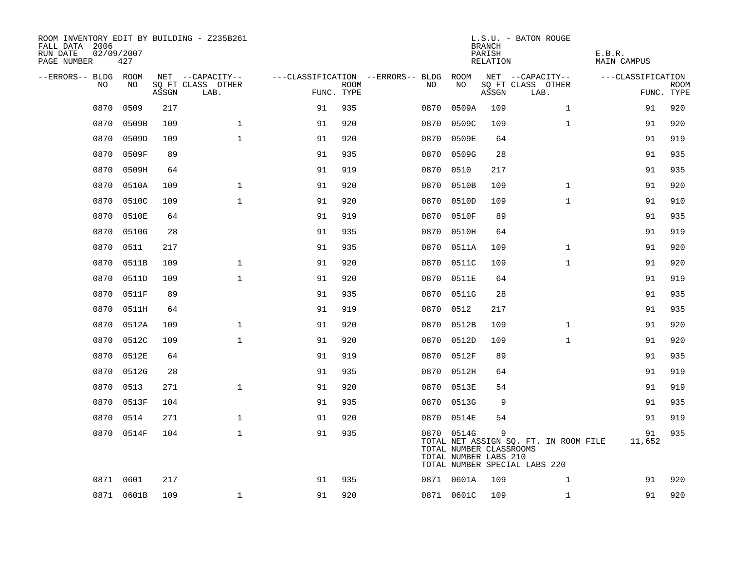| ROOM INVENTORY EDIT BY BUILDING - Z235B261<br>FALL DATA 2006<br>RUN DATE<br>PAGE NUMBER | 02/09/2007<br>427 |       |                           |            |             |                                        |            | <b>BRANCH</b><br>PARISH<br>RELATION                   | L.S.U. - BATON ROUGE                                                   | E.B.R.<br>MAIN CAMPUS |             |
|-----------------------------------------------------------------------------------------|-------------------|-------|---------------------------|------------|-------------|----------------------------------------|------------|-------------------------------------------------------|------------------------------------------------------------------------|-----------------------|-------------|
| --ERRORS-- BLDG ROOM                                                                    |                   |       | NET --CAPACITY--          |            |             | ---CLASSIFICATION --ERRORS-- BLDG ROOM |            |                                                       | NET --CAPACITY--                                                       | ---CLASSIFICATION     |             |
| NO.                                                                                     | NO.               | ASSGN | SQ FT CLASS OTHER<br>LAB. | FUNC. TYPE | <b>ROOM</b> | NO.                                    | NO         | ASSGN                                                 | SQ FT CLASS OTHER<br>LAB.                                              | FUNC. TYPE            | <b>ROOM</b> |
| 0870                                                                                    | 0509              | 217   |                           | 91         | 935         | 0870                                   | 0509A      | 109                                                   | $\mathbf{1}$                                                           | 91                    | 920         |
| 0870                                                                                    | 0509B             | 109   | $\mathbf{1}$              | 91         | 920         | 0870                                   | 0509C      | 109                                                   | $\mathbf{1}$                                                           | 91                    | 920         |
| 0870                                                                                    | 0509D             | 109   | $\mathbf{1}$              | 91         | 920         | 0870                                   | 0509E      | 64                                                    |                                                                        | 91                    | 919         |
| 0870                                                                                    | 0509F             | 89    |                           | 91         | 935         |                                        | 0870 0509G | 28                                                    |                                                                        | 91                    | 935         |
| 0870                                                                                    | 0509H             | 64    |                           | 91         | 919         | 0870                                   | 0510       | 217                                                   |                                                                        | 91                    | 935         |
| 0870                                                                                    | 0510A             | 109   | $\mathbf 1$               | 91         | 920         |                                        | 0870 0510B | 109                                                   | $\mathbf{1}$                                                           | 91                    | 920         |
| 0870                                                                                    | 0510C             | 109   | $\mathbf 1$               | 91         | 920         | 0870                                   | 0510D      | 109                                                   | $\mathbf{1}$                                                           | 91                    | 910         |
| 0870                                                                                    | 0510E             | 64    |                           | 91         | 919         |                                        | 0870 0510F | 89                                                    |                                                                        | 91                    | 935         |
| 0870                                                                                    | 0510G             | 28    |                           | 91         | 935         | 0870                                   | 0510H      | 64                                                    |                                                                        | 91                    | 919         |
| 0870                                                                                    | 0511              | 217   |                           | 91         | 935         |                                        | 0870 0511A | 109                                                   | $\mathbf{1}$                                                           | 91                    | 920         |
| 0870                                                                                    | 0511B             | 109   | $\mathbf{1}$              | 91         | 920         | 0870                                   | 0511C      | 109                                                   | $\mathbf{1}$                                                           | 91                    | 920         |
| 0870                                                                                    | 0511D             | 109   | $\mathbf{1}$              | 91         | 920         |                                        | 0870 0511E | 64                                                    |                                                                        | 91                    | 919         |
| 0870                                                                                    | 0511F             | 89    |                           | 91         | 935         | 0870                                   | 0511G      | 28                                                    |                                                                        | 91                    | 935         |
| 0870                                                                                    | 0511H             | 64    |                           | 91         | 919         |                                        | 0870 0512  | 217                                                   |                                                                        | 91                    | 935         |
| 0870                                                                                    | 0512A             | 109   | $\mathbf{1}$              | 91         | 920         | 0870                                   | 0512B      | 109                                                   | $\mathbf{1}$                                                           | 91                    | 920         |
| 0870                                                                                    | 0512C             | 109   | $\mathbf{1}$              | 91         | 920         |                                        | 0870 0512D | 109                                                   | $\mathbf{1}$                                                           | 91                    | 920         |
| 0870                                                                                    | 0512E             | 64    |                           | 91         | 919         | 0870                                   | 0512F      | 89                                                    |                                                                        | 91                    | 935         |
| 0870                                                                                    | 0512G             | 28    |                           | 91         | 935         |                                        | 0870 0512H | 64                                                    |                                                                        | 91                    | 919         |
| 0870                                                                                    | 0513              | 271   | $\mathbf{1}$              | 91         | 920         | 0870                                   | 0513E      | 54                                                    |                                                                        | 91                    | 919         |
| 0870                                                                                    | 0513F             | 104   |                           | 91         | 935         | 0870                                   | 0513G      | 9                                                     |                                                                        | 91                    | 935         |
| 0870                                                                                    | 0514              | 271   | $\mathbf 1$               | 91         | 920         | 0870                                   | 0514E      | 54                                                    |                                                                        | 91                    | 919         |
|                                                                                         | 0870 0514F        | 104   | $\mathbf{1}$              | 91         | 935         |                                        | 0870 0514G | 9<br>TOTAL NUMBER CLASSROOMS<br>TOTAL NUMBER LABS 210 | TOTAL NET ASSIGN SQ. FT. IN ROOM FILE<br>TOTAL NUMBER SPECIAL LABS 220 | 91<br>11,652          | 935         |
|                                                                                         | 0871 0601         | 217   |                           | 91         | 935         |                                        | 0871 0601A | 109                                                   | $\mathbf{1}$                                                           | 91                    | 920         |
|                                                                                         | 0871 0601B        | 109   | $\mathbf 1$               | 91         | 920         |                                        | 0871 0601C | 109                                                   | $\mathbf{1}$                                                           | 91                    | 920         |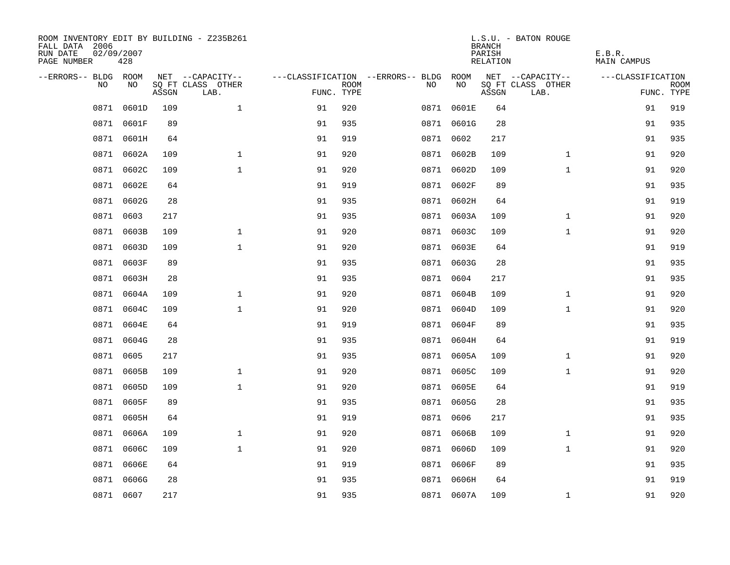| ROOM INVENTORY EDIT BY BUILDING - Z235B261<br>FALL DATA 2006<br>RUN DATE<br>PAGE NUMBER | 02/09/2007<br>428 |       |                           |    |                           |                                   |            | <b>BRANCH</b><br>PARISH<br>RELATION | L.S.U. - BATON ROUGE      | E.B.R.<br><b>MAIN CAMPUS</b> |                           |
|-----------------------------------------------------------------------------------------|-------------------|-------|---------------------------|----|---------------------------|-----------------------------------|------------|-------------------------------------|---------------------------|------------------------------|---------------------------|
| --ERRORS-- BLDG ROOM                                                                    |                   |       | NET --CAPACITY--          |    |                           | ---CLASSIFICATION --ERRORS-- BLDG | ROOM       |                                     | NET --CAPACITY--          | ---CLASSIFICATION            |                           |
| N <sub>O</sub>                                                                          | NO.               | ASSGN | SO FT CLASS OTHER<br>LAB. |    | <b>ROOM</b><br>FUNC. TYPE | NO.                               | NO         | ASSGN                               | SQ FT CLASS OTHER<br>LAB. |                              | <b>ROOM</b><br>FUNC. TYPE |
| 0871                                                                                    | 0601D             | 109   | $\mathbf{1}$              | 91 | 920                       |                                   | 0871 0601E | 64                                  |                           | 91                           | 919                       |
|                                                                                         | 0871 0601F        | 89    |                           | 91 | 935                       |                                   | 0871 0601G | 28                                  |                           | 91                           | 935                       |
|                                                                                         | 0871 0601H        | 64    |                           | 91 | 919                       |                                   | 0871 0602  | 217                                 |                           | 91                           | 935                       |
| 0871                                                                                    | 0602A             | 109   | $\mathbf 1$               | 91 | 920                       |                                   | 0871 0602B | 109                                 | $\mathbf{1}$              | 91                           | 920                       |
| 0871                                                                                    | 0602C             | 109   | $\mathbf{1}$              | 91 | 920                       |                                   | 0871 0602D | 109                                 | $\mathbf{1}$              | 91                           | 920                       |
| 0871                                                                                    | 0602E             | 64    |                           | 91 | 919                       |                                   | 0871 0602F | 89                                  |                           | 91                           | 935                       |
| 0871                                                                                    | 0602G             | 28    |                           | 91 | 935                       |                                   | 0871 0602H | 64                                  |                           | 91                           | 919                       |
|                                                                                         | 0871 0603         | 217   |                           | 91 | 935                       |                                   | 0871 0603A | 109                                 | $\mathbf{1}$              | 91                           | 920                       |
| 0871                                                                                    | 0603B             | 109   | $\mathbf{1}$              | 91 | 920                       |                                   | 0871 0603C | 109                                 | $\mathbf{1}$              | 91                           | 920                       |
|                                                                                         | 0871 0603D        | 109   | $\mathbf{1}$              | 91 | 920                       |                                   | 0871 0603E | 64                                  |                           | 91                           | 919                       |
| 0871                                                                                    | 0603F             | 89    |                           | 91 | 935                       |                                   | 0871 0603G | 28                                  |                           | 91                           | 935                       |
|                                                                                         | 0871 0603H        | 28    |                           | 91 | 935                       |                                   | 0871 0604  | 217                                 |                           | 91                           | 935                       |
| 0871                                                                                    | 0604A             | 109   | $\mathbf 1$               | 91 | 920                       | 0871                              | 0604B      | 109                                 | $\mathbf{1}$              | 91                           | 920                       |
| 0871                                                                                    | 0604C             | 109   | $\mathbf{1}$              | 91 | 920                       |                                   | 0871 0604D | 109                                 | $\mathbf{1}$              | 91                           | 920                       |
| 0871                                                                                    | 0604E             | 64    |                           | 91 | 919                       |                                   | 0871 0604F | 89                                  |                           | 91                           | 935                       |
|                                                                                         | 0871 0604G        | 28    |                           | 91 | 935                       |                                   | 0871 0604H | 64                                  |                           | 91                           | 919                       |
| 0871                                                                                    | 0605              | 217   |                           | 91 | 935                       |                                   | 0871 0605A | 109                                 | $\mathbf{1}$              | 91                           | 920                       |
| 0871                                                                                    | 0605B             | 109   | $\mathbf 1$               | 91 | 920                       |                                   | 0871 0605C | 109                                 | $\mathbf{1}$              | 91                           | 920                       |
|                                                                                         | 0871 0605D        | 109   | $\mathbf{1}$              | 91 | 920                       |                                   | 0871 0605E | 64                                  |                           | 91                           | 919                       |
|                                                                                         | 0871 0605F        | 89    |                           | 91 | 935                       |                                   | 0871 0605G | 28                                  |                           | 91                           | 935                       |
|                                                                                         | 0871 0605H        | 64    |                           | 91 | 919                       |                                   | 0871 0606  | 217                                 |                           | 91                           | 935                       |
| 0871                                                                                    | 0606A             | 109   | $\mathbf 1$               | 91 | 920                       |                                   | 0871 0606B | 109                                 | $\mathbf{1}$              | 91                           | 920                       |
| 0871                                                                                    | 0606C             | 109   | $\mathbf 1$               | 91 | 920                       |                                   | 0871 0606D | 109                                 | $\mathbf{1}$              | 91                           | 920                       |
| 0871                                                                                    | 0606E             | 64    |                           | 91 | 919                       |                                   | 0871 0606F | 89                                  |                           | 91                           | 935                       |
| 0871                                                                                    | 0606G             | 28    |                           | 91 | 935                       |                                   | 0871 0606H | 64                                  |                           | 91                           | 919                       |
|                                                                                         | 0871 0607         | 217   |                           | 91 | 935                       |                                   | 0871 0607A | 109                                 | $\mathbf{1}$              | 91                           | 920                       |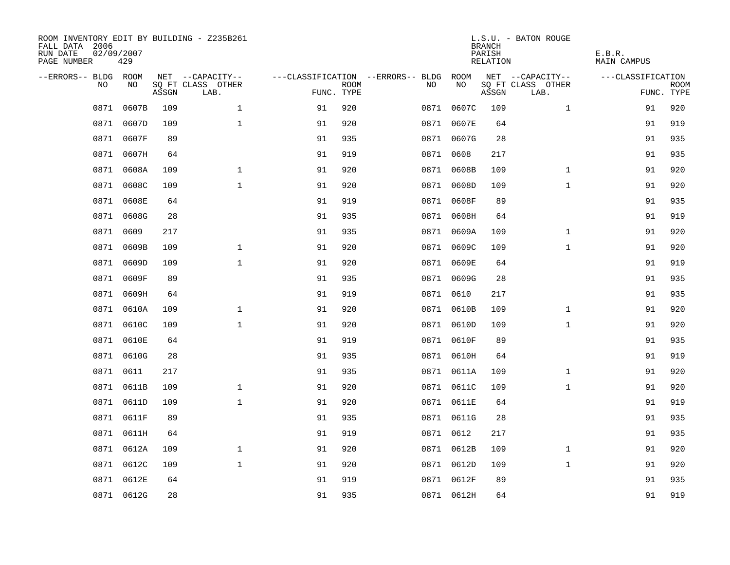| ROOM INVENTORY EDIT BY BUILDING - Z235B261<br>FALL DATA 2006<br>RUN DATE<br>PAGE NUMBER | 02/09/2007<br>429 |       |                           |            |             |                                   |            | <b>BRANCH</b><br>PARISH<br>RELATION | L.S.U. - BATON ROUGE      | E.B.R.<br><b>MAIN CAMPUS</b> |                           |
|-----------------------------------------------------------------------------------------|-------------------|-------|---------------------------|------------|-------------|-----------------------------------|------------|-------------------------------------|---------------------------|------------------------------|---------------------------|
| --ERRORS-- BLDG ROOM                                                                    |                   |       | NET --CAPACITY--          |            |             | ---CLASSIFICATION --ERRORS-- BLDG | ROOM       |                                     | NET --CAPACITY--          | ---CLASSIFICATION            |                           |
| N <sub>O</sub>                                                                          | NO.               | ASSGN | SO FT CLASS OTHER<br>LAB. | FUNC. TYPE | <b>ROOM</b> | NO.                               | NO         | ASSGN                               | SQ FT CLASS OTHER<br>LAB. |                              | <b>ROOM</b><br>FUNC. TYPE |
| 0871                                                                                    | 0607B             | 109   | $\mathbf{1}$              | 91         | 920         |                                   | 0871 0607C | 109                                 | $\mathbf{1}$              | 91                           | 920                       |
| 0871                                                                                    | 0607D             | 109   | $\mathbf{1}$              | 91         | 920         |                                   | 0871 0607E | 64                                  |                           | 91                           | 919                       |
|                                                                                         | 0871 0607F        | 89    |                           | 91         | 935         |                                   | 0871 0607G | 28                                  |                           | 91                           | 935                       |
| 0871                                                                                    | 0607H             | 64    |                           | 91         | 919         |                                   | 0871 0608  | 217                                 |                           | 91                           | 935                       |
| 0871                                                                                    | 0608A             | 109   | $\mathbf{1}$              | 91         | 920         |                                   | 0871 0608B | 109                                 | $\mathbf{1}$              | 91                           | 920                       |
| 0871                                                                                    | 0608C             | 109   | $\mathbf{1}$              | 91         | 920         |                                   | 0871 0608D | 109                                 | $\mathbf{1}$              | 91                           | 920                       |
| 0871                                                                                    | 0608E             | 64    |                           | 91         | 919         |                                   | 0871 0608F | 89                                  |                           | 91                           | 935                       |
|                                                                                         | 0871 0608G        | 28    |                           | 91         | 935         |                                   | 0871 0608H | 64                                  |                           | 91                           | 919                       |
| 0871                                                                                    | 0609              | 217   |                           | 91         | 935         |                                   | 0871 0609A | 109                                 | $\mathbf{1}$              | 91                           | 920                       |
| 0871                                                                                    | 0609B             | 109   | $\mathbf{1}$              | 91         | 920         |                                   | 0871 0609C | 109                                 | $\mathbf{1}$              | 91                           | 920                       |
| 0871                                                                                    | 0609D             | 109   | $\mathbf{1}$              | 91         | 920         |                                   | 0871 0609E | 64                                  |                           | 91                           | 919                       |
|                                                                                         | 0871 0609F        | 89    |                           | 91         | 935         |                                   | 0871 0609G | 28                                  |                           | 91                           | 935                       |
| 0871                                                                                    | 0609H             | 64    |                           | 91         | 919         |                                   | 0871 0610  | 217                                 |                           | 91                           | 935                       |
| 0871                                                                                    | 0610A             | 109   | $\mathbf 1$               | 91         | 920         |                                   | 0871 0610B | 109                                 | $\mathbf{1}$              | 91                           | 920                       |
| 0871                                                                                    | 0610C             | 109   | $\mathbf{1}$              | 91         | 920         |                                   | 0871 0610D | 109                                 | $\mathbf{1}$              | 91                           | 920                       |
|                                                                                         | 0871 0610E        | 64    |                           | 91         | 919         |                                   | 0871 0610F | 89                                  |                           | 91                           | 935                       |
| 0871                                                                                    | 0610G             | 28    |                           | 91         | 935         |                                   | 0871 0610H | 64                                  |                           | 91                           | 919                       |
| 0871                                                                                    | 0611              | 217   |                           | 91         | 935         |                                   | 0871 0611A | 109                                 | $\mathbf{1}$              | 91                           | 920                       |
|                                                                                         | 0871 0611B        | 109   | $\mathbf 1$               | 91         | 920         |                                   | 0871 0611C | 109                                 | $\mathbf{1}$              | 91                           | 920                       |
|                                                                                         | 0871 0611D        | 109   | $\mathbf{1}$              | 91         | 920         |                                   | 0871 0611E | 64                                  |                           | 91                           | 919                       |
|                                                                                         | 0871 0611F        | 89    |                           | 91         | 935         |                                   | 0871 0611G | 28                                  |                           | 91                           | 935                       |
|                                                                                         | 0871 0611H        | 64    |                           | 91         | 919         |                                   | 0871 0612  | 217                                 |                           | 91                           | 935                       |
|                                                                                         | 0871 0612A        | 109   | $\mathbf 1$               | 91         | 920         |                                   | 0871 0612B | 109                                 | $\mathbf{1}$              | 91                           | 920                       |
| 0871                                                                                    | 0612C             | 109   | $\mathbf{1}$              | 91         | 920         |                                   | 0871 0612D | 109                                 | $\mathbf{1}$              | 91                           | 920                       |
|                                                                                         | 0871 0612E        | 64    |                           | 91         | 919         |                                   | 0871 0612F | 89                                  |                           | 91                           | 935                       |
|                                                                                         | 0871 0612G        | 28    |                           | 91         | 935         |                                   | 0871 0612H | 64                                  |                           | 91                           | 919                       |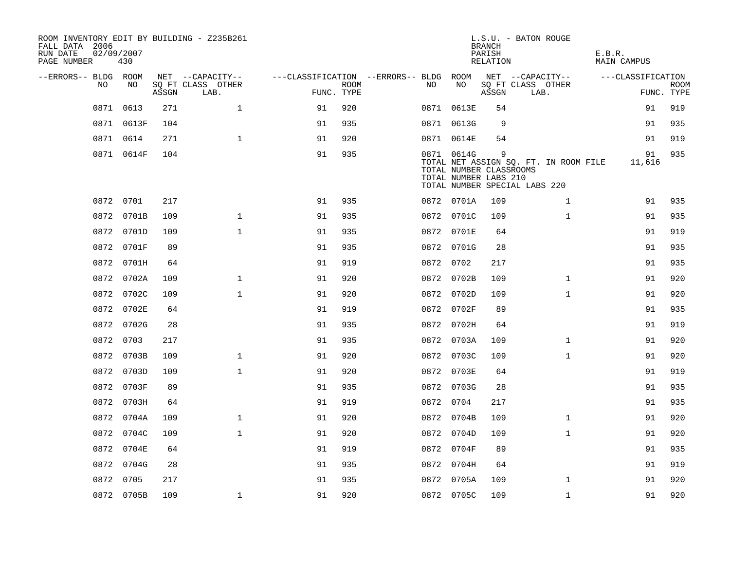| FALL DATA 2006<br>RUN DATE<br>PAGE NUMBER | 02/09/2007 | 430        |       | ROOM INVENTORY EDIT BY BUILDING - Z235B261 |                                        |             |           |                                                                | <b>BRANCH</b><br>PARISH<br>RELATION | L.S.U. - BATON ROUGE                                                   | E.B.R.<br><b>MAIN CAMPUS</b> |                           |
|-------------------------------------------|------------|------------|-------|--------------------------------------------|----------------------------------------|-------------|-----------|----------------------------------------------------------------|-------------------------------------|------------------------------------------------------------------------|------------------------------|---------------------------|
| --ERRORS-- BLDG ROOM                      |            |            |       | NET --CAPACITY--                           | ---CLASSIFICATION --ERRORS-- BLDG ROOM |             |           |                                                                |                                     | NET --CAPACITY--                                                       | ---CLASSIFICATION            |                           |
|                                           | NO         | NO         | ASSGN | SQ FT CLASS OTHER<br>LAB.                  | FUNC. TYPE                             | <b>ROOM</b> | NO.       | NO                                                             | ASSGN                               | SQ FT CLASS OTHER<br>LAB.                                              |                              | <b>ROOM</b><br>FUNC. TYPE |
|                                           | 0871       | 0613       | 271   | $\mathbf 1$                                | 91                                     | 920         |           | 0871 0613E                                                     | 54                                  |                                                                        | 91                           | 919                       |
|                                           |            | 0871 0613F | 104   |                                            | 91                                     | 935         |           | 0871 0613G                                                     | 9                                   |                                                                        | 91                           | 935                       |
|                                           | 0871 0614  |            | 271   | $\mathbf{1}$                               | 91                                     | 920         |           | 0871 0614E                                                     | 54                                  |                                                                        | 91                           | 919                       |
|                                           |            | 0871 0614F | 104   |                                            | 91                                     | 935         |           | 0871 0614G<br>TOTAL NUMBER CLASSROOMS<br>TOTAL NUMBER LABS 210 | 9                                   | TOTAL NET ASSIGN SQ. FT. IN ROOM FILE<br>TOTAL NUMBER SPECIAL LABS 220 | 91<br>11,616                 | 935                       |
|                                           | 0872 0701  |            | 217   |                                            | 91                                     | 935         |           | 0872 0701A                                                     | 109                                 | $\mathbf{1}$                                                           | 91                           | 935                       |
|                                           |            | 0872 0701B | 109   | $\mathbf 1$                                | 91                                     | 935         |           | 0872 0701C                                                     | 109                                 | $\mathbf{1}$                                                           | 91                           | 935                       |
|                                           |            | 0872 0701D | 109   | $\mathbf{1}$                               | 91                                     | 935         |           | 0872 0701E                                                     | 64                                  |                                                                        | 91                           | 919                       |
|                                           |            | 0872 0701F | 89    |                                            | 91                                     | 935         |           | 0872 0701G                                                     | 28                                  |                                                                        | 91                           | 935                       |
|                                           |            | 0872 0701H | 64    |                                            | 91                                     | 919         | 0872 0702 |                                                                | 217                                 |                                                                        | 91                           | 935                       |
|                                           |            | 0872 0702A | 109   | $\mathbf 1$                                | 91                                     | 920         |           | 0872 0702B                                                     | 109                                 | $\mathbf{1}$                                                           | 91                           | 920                       |
|                                           |            | 0872 0702C | 109   | $\mathbf{1}$                               | 91                                     | 920         |           | 0872 0702D                                                     | 109                                 | $\mathbf{1}$                                                           | 91                           | 920                       |
|                                           |            | 0872 0702E | 64    |                                            | 91                                     | 919         |           | 0872 0702F                                                     | 89                                  |                                                                        | 91                           | 935                       |
|                                           |            | 0872 0702G | 28    |                                            | 91                                     | 935         |           | 0872 0702H                                                     | 64                                  |                                                                        | 91                           | 919                       |
|                                           | 0872 0703  |            | 217   |                                            | 91                                     | 935         |           | 0872 0703A                                                     | 109                                 | $\mathbf{1}$                                                           | 91                           | 920                       |
|                                           |            | 0872 0703B | 109   | $\mathbf 1$                                | 91                                     | 920         |           | 0872 0703C                                                     | 109                                 | $\mathbf{1}$                                                           | 91                           | 920                       |
|                                           |            | 0872 0703D | 109   | $\mathbf{1}$                               | 91                                     | 920         |           | 0872 0703E                                                     | 64                                  |                                                                        | 91                           | 919                       |
|                                           |            | 0872 0703F | 89    |                                            | 91                                     | 935         |           | 0872 0703G                                                     | 28                                  |                                                                        | 91                           | 935                       |
|                                           |            | 0872 0703H | 64    |                                            | 91                                     | 919         | 0872 0704 |                                                                | 217                                 |                                                                        | 91                           | 935                       |
|                                           |            | 0872 0704A | 109   | $\mathbf 1$                                | 91                                     | 920         |           | 0872 0704B                                                     | 109                                 | $\mathbf{1}$                                                           | 91                           | 920                       |
|                                           |            | 0872 0704C | 109   | $\mathbf{1}$                               | 91                                     | 920         |           | 0872 0704D                                                     | 109                                 | $\mathbf{1}$                                                           | 91                           | 920                       |
|                                           |            | 0872 0704E | 64    |                                            | 91                                     | 919         |           | 0872 0704F                                                     | 89                                  |                                                                        | 91                           | 935                       |
|                                           |            | 0872 0704G | 28    |                                            | 91                                     | 935         |           | 0872 0704H                                                     | 64                                  |                                                                        | 91                           | 919                       |
|                                           | 0872 0705  |            | 217   |                                            | 91                                     | 935         |           | 0872 0705A                                                     | 109                                 | $\mathbf{1}$                                                           | 91                           | 920                       |
|                                           |            | 0872 0705B | 109   | $\mathbf{1}$                               | 91                                     | 920         |           | 0872 0705C                                                     | 109                                 | $\mathbf{1}$                                                           | 91                           | 920                       |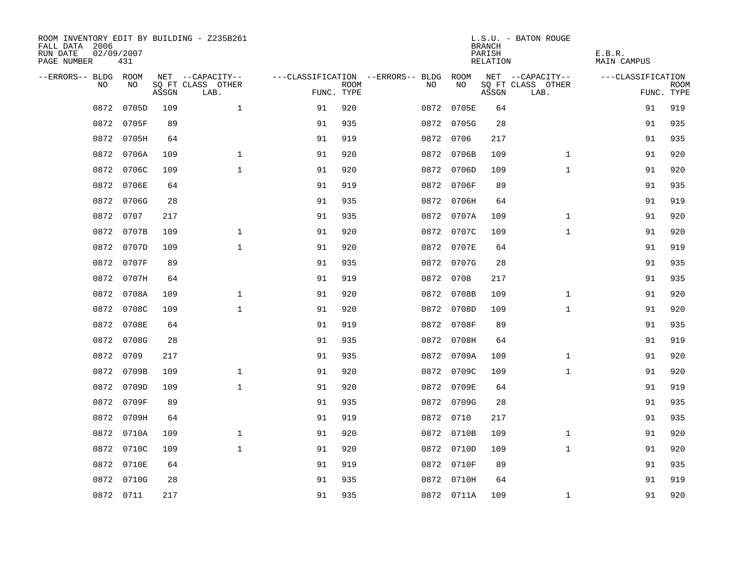| ROOM INVENTORY EDIT BY BUILDING - Z235B261<br>FALL DATA 2006<br>RUN DATE<br>PAGE NUMBER | 02/09/2007<br>431 |       |                           |            |             |                                        |            | <b>BRANCH</b><br>PARISH<br>RELATION | L.S.U. - BATON ROUGE      | E.B.R.<br>MAIN CAMPUS |                           |
|-----------------------------------------------------------------------------------------|-------------------|-------|---------------------------|------------|-------------|----------------------------------------|------------|-------------------------------------|---------------------------|-----------------------|---------------------------|
| --ERRORS-- BLDG ROOM                                                                    |                   |       | NET --CAPACITY--          |            |             | ---CLASSIFICATION --ERRORS-- BLDG ROOM |            |                                     | NET --CAPACITY--          | ---CLASSIFICATION     |                           |
| NO                                                                                      | NO                | ASSGN | SQ FT CLASS OTHER<br>LAB. | FUNC. TYPE | <b>ROOM</b> | NO                                     | NO         | ASSGN                               | SQ FT CLASS OTHER<br>LAB. |                       | <b>ROOM</b><br>FUNC. TYPE |
| 0872                                                                                    | 0705D             | 109   | $\mathbf{1}$              | 91         | 920         |                                        | 0872 0705E | 64                                  |                           | 91                    | 919                       |
| 0872                                                                                    | 0705F             | 89    |                           | 91         | 935         |                                        | 0872 0705G | 28                                  |                           | 91                    | 935                       |
|                                                                                         | 0872 0705H        | 64    |                           | 91         | 919         |                                        | 0872 0706  | 217                                 |                           | 91                    | 935                       |
| 0872                                                                                    | 0706A             | 109   | $\mathbf{1}$              | 91         | 920         |                                        | 0872 0706B | 109                                 | $\mathbf{1}$              | 91                    | 920                       |
| 0872                                                                                    | 0706C             | 109   | $\mathbf{1}$              | 91         | 920         |                                        | 0872 0706D | 109                                 | $\mathbf{1}$              | 91                    | 920                       |
| 0872                                                                                    | 0706E             | 64    |                           | 91         | 919         |                                        | 0872 0706F | 89                                  |                           | 91                    | 935                       |
| 0872                                                                                    | 0706G             | 28    |                           | 91         | 935         |                                        | 0872 0706H | 64                                  |                           | 91                    | 919                       |
| 0872                                                                                    | 0707              | 217   |                           | 91         | 935         |                                        | 0872 0707A | 109                                 | $\mathbf{1}$              | 91                    | 920                       |
| 0872                                                                                    | 0707B             | 109   | $\mathbf 1$               | 91         | 920         |                                        | 0872 0707C | 109                                 | $\mathbf{1}$              | 91                    | 920                       |
| 0872                                                                                    | 0707D             | 109   | $\mathbf{1}$              | 91         | 920         |                                        | 0872 0707E | 64                                  |                           | 91                    | 919                       |
| 0872                                                                                    | 0707F             | 89    |                           | 91         | 935         |                                        | 0872 0707G | 28                                  |                           | 91                    | 935                       |
|                                                                                         | 0872 0707H        | 64    |                           | 91         | 919         |                                        | 0872 0708  | 217                                 |                           | 91                    | 935                       |
| 0872                                                                                    | 0708A             | 109   | $\mathbf 1$               | 91         | 920         |                                        | 0872 0708B | 109                                 | $\mathbf{1}$              | 91                    | 920                       |
| 0872                                                                                    | 0708C             | 109   | $\mathbf{1}$              | 91         | 920         |                                        | 0872 0708D | 109                                 | $\mathbf{1}$              | 91                    | 920                       |
|                                                                                         | 0872 0708E        | 64    |                           | 91         | 919         |                                        | 0872 0708F | 89                                  |                           | 91                    | 935                       |
|                                                                                         | 0872 0708G        | 28    |                           | 91         | 935         |                                        | 0872 0708H | 64                                  |                           | 91                    | 919                       |
|                                                                                         | 0872 0709         | 217   |                           | 91         | 935         |                                        | 0872 0709A | 109                                 | $\mathbf{1}$              | 91                    | 920                       |
| 0872                                                                                    | 0709B             | 109   | $\mathbf{1}$              | 91         | 920         |                                        | 0872 0709C | 109                                 | $\mathbf{1}$              | 91                    | 920                       |
|                                                                                         | 0872 0709D        | 109   | $\mathbf{1}$              | 91         | 920         |                                        | 0872 0709E | 64                                  |                           | 91                    | 919                       |
| 0872                                                                                    | 0709F             | 89    |                           | 91         | 935         |                                        | 0872 0709G | 28                                  |                           | 91                    | 935                       |
|                                                                                         | 0872 0709H        | 64    |                           | 91         | 919         |                                        | 0872 0710  | 217                                 |                           | 91                    | 935                       |
| 0872                                                                                    | 0710A             | 109   | $\mathbf{1}$              | 91         | 920         |                                        | 0872 0710B | 109                                 | $\mathbf{1}$              | 91                    | 920                       |
| 0872                                                                                    | 0710C             | 109   | $\mathbf{1}$              | 91         | 920         |                                        | 0872 0710D | 109                                 | $\mathbf{1}$              | 91                    | 920                       |
| 0872                                                                                    | 0710E             | 64    |                           | 91         | 919         |                                        | 0872 0710F | 89                                  |                           | 91                    | 935                       |
|                                                                                         | 0872 0710G        | 28    |                           | 91         | 935         |                                        | 0872 0710H | 64                                  |                           | 91                    | 919                       |
|                                                                                         | 0872 0711         | 217   |                           | 91         | 935         |                                        | 0872 0711A | 109                                 | $\mathbf{1}$              | 91                    | 920                       |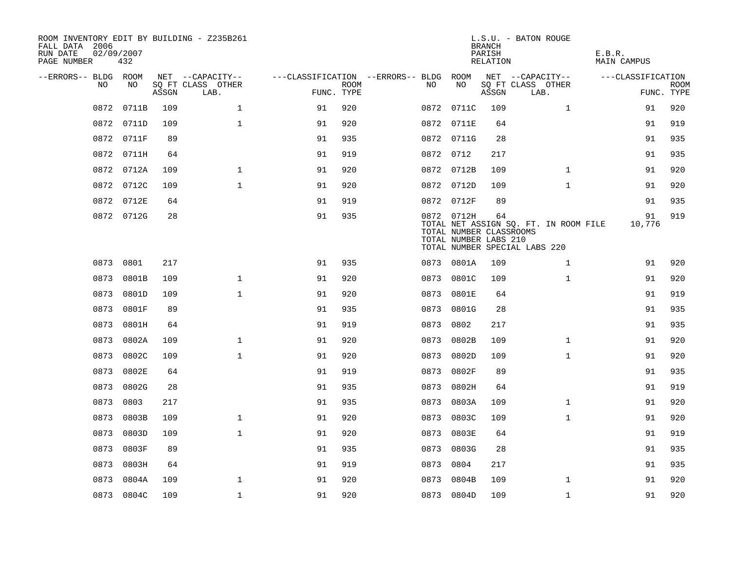| FALL DATA 2006<br>RUN DATE<br>PAGE NUMBER | 02/09/2007<br>432 |       | ROOM INVENTORY EDIT BY BUILDING - Z235B261 |                                        |                           |           |                                                                | <b>BRANCH</b><br>PARISH<br>RELATION | L.S.U. - BATON ROUGE                                                   | E.B.R.<br><b>MAIN CAMPUS</b> |                           |
|-------------------------------------------|-------------------|-------|--------------------------------------------|----------------------------------------|---------------------------|-----------|----------------------------------------------------------------|-------------------------------------|------------------------------------------------------------------------|------------------------------|---------------------------|
| --ERRORS-- BLDG ROOM<br>NO                | NO                |       | NET --CAPACITY--                           | ---CLASSIFICATION --ERRORS-- BLDG ROOM |                           | NO.       | NO                                                             |                                     | NET --CAPACITY--<br>SQ FT CLASS OTHER                                  | ---CLASSIFICATION            |                           |
|                                           |                   | ASSGN | SQ FT CLASS OTHER<br>LAB.                  |                                        | <b>ROOM</b><br>FUNC. TYPE |           |                                                                | ASSGN                               | LAB.                                                                   |                              | <b>ROOM</b><br>FUNC. TYPE |
| 0872                                      | 0711B             | 109   | $\mathbf 1$                                | 91                                     | 920                       |           | 0872 0711C                                                     | 109                                 | $\mathbf{1}$                                                           | 91                           | 920                       |
|                                           | 0872 0711D        | 109   | $\mathbf{1}$                               | 91                                     | 920                       |           | 0872 0711E                                                     | 64                                  |                                                                        | 91                           | 919                       |
|                                           | 0872 0711F        | 89    |                                            | 91                                     | 935                       |           | 0872 0711G                                                     | 28                                  |                                                                        | 91                           | 935                       |
|                                           | 0872 0711H        | 64    |                                            | 91                                     | 919                       | 0872 0712 |                                                                | 217                                 |                                                                        | 91                           | 935                       |
|                                           | 0872<br>0712A     | 109   | $\mathbf 1$                                | 91                                     | 920                       |           | 0872 0712B                                                     | 109                                 | $\mathbf{1}$                                                           | 91                           | 920                       |
|                                           | 0872<br>0712C     | 109   | $\mathbf{1}$                               | 91                                     | 920                       |           | 0872 0712D                                                     | 109                                 | $\mathbf{1}$                                                           | 91                           | 920                       |
|                                           | 0872 0712E        | 64    |                                            | 91                                     | 919                       |           | 0872 0712F                                                     | 89                                  |                                                                        | 91                           | 935                       |
|                                           | 0872 0712G        | 28    |                                            | 91                                     | 935                       |           | 0872 0712H<br>TOTAL NUMBER CLASSROOMS<br>TOTAL NUMBER LABS 210 | 64                                  | TOTAL NET ASSIGN SQ. FT. IN ROOM FILE<br>TOTAL NUMBER SPECIAL LABS 220 | 91<br>10,776                 | 919                       |
|                                           | 0873 0801         | 217   |                                            | 91                                     | 935                       |           | 0873 0801A                                                     | 109                                 | $\mathbf{1}$                                                           | 91                           | 920                       |
|                                           | 0873<br>0801B     | 109   | $\mathbf{1}$                               | 91                                     | 920                       | 0873      | 0801C                                                          | 109                                 | $\mathbf{1}$                                                           | 91                           | 920                       |
|                                           | 0873<br>0801D     | 109   | $\mathbf{1}$                               | 91                                     | 920                       | 0873      | 0801E                                                          | 64                                  |                                                                        | 91                           | 919                       |
|                                           | 0873<br>0801F     | 89    |                                            | 91                                     | 935                       | 0873      | 0801G                                                          | 28                                  |                                                                        | 91                           | 935                       |
|                                           | 0873<br>0801H     | 64    |                                            | 91                                     | 919                       | 0873      | 0802                                                           | 217                                 |                                                                        | 91                           | 935                       |
|                                           | 0873<br>0802A     | 109   | $\mathbf{1}$                               | 91                                     | 920                       | 0873      | 0802B                                                          | 109                                 | $\mathbf{1}$                                                           | 91                           | 920                       |
|                                           | 0802C<br>0873     | 109   | $\mathbf{1}$                               | 91                                     | 920                       | 0873      | 0802D                                                          | 109                                 | $\mathbf{1}$                                                           | 91                           | 920                       |
|                                           | 0802E<br>0873     | 64    |                                            | 91                                     | 919                       | 0873      | 0802F                                                          | 89                                  |                                                                        | 91                           | 935                       |
|                                           | 0873<br>0802G     | 28    |                                            | 91                                     | 935                       | 0873      | 0802H                                                          | 64                                  |                                                                        | 91                           | 919                       |
|                                           | 0873<br>0803      | 217   |                                            | 91                                     | 935                       | 0873      | 0803A                                                          | 109                                 | $\mathbf{1}$                                                           | 91                           | 920                       |
|                                           | 0873<br>0803B     | 109   | $\mathbf 1$                                | 91                                     | 920                       | 0873      | 0803C                                                          | 109                                 | $\mathbf{1}$                                                           | 91                           | 920                       |
| 0873                                      | 0803D             | 109   | $\mathbf 1$                                | 91                                     | 920                       | 0873      | 0803E                                                          | 64                                  |                                                                        | 91                           | 919                       |
|                                           | 0873<br>0803F     | 89    |                                            | 91                                     | 935                       | 0873      | 0803G                                                          | 28                                  |                                                                        | 91                           | 935                       |
|                                           | 0873<br>0803H     | 64    |                                            | 91                                     | 919                       | 0873      | 0804                                                           | 217                                 |                                                                        | 91                           | 935                       |
|                                           | 0873<br>0804A     | 109   | $\mathbf{1}$                               | 91                                     | 920                       | 0873      | 0804B                                                          | 109                                 | $\mathbf{1}$                                                           | 91                           | 920                       |
|                                           | 0873 0804C        | 109   | $\mathbf 1$                                | 91                                     | 920                       |           | 0873 0804D                                                     | 109                                 | $\mathbf{1}$                                                           | 91                           | 920                       |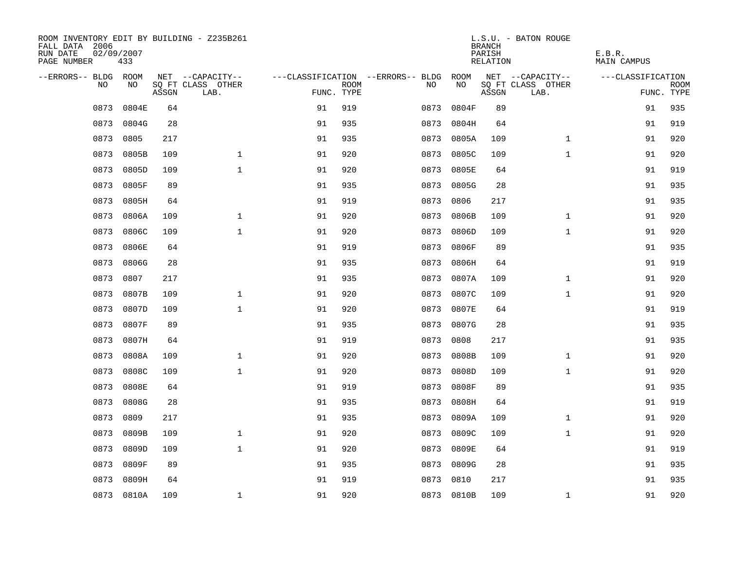| ROOM INVENTORY EDIT BY BUILDING - Z235B261<br>FALL DATA 2006<br>RUN DATE<br>PAGE NUMBER | 02/09/2007<br>433 |       |                           |            |             |                                        |            | <b>BRANCH</b><br>PARISH<br>RELATION | L.S.U. - BATON ROUGE      | E.B.R.<br>MAIN CAMPUS |             |
|-----------------------------------------------------------------------------------------|-------------------|-------|---------------------------|------------|-------------|----------------------------------------|------------|-------------------------------------|---------------------------|-----------------------|-------------|
| --ERRORS-- BLDG ROOM                                                                    |                   |       | NET --CAPACITY--          |            |             | ---CLASSIFICATION --ERRORS-- BLDG ROOM |            |                                     | NET --CAPACITY--          | ---CLASSIFICATION     |             |
| NO.                                                                                     | NO.               | ASSGN | SQ FT CLASS OTHER<br>LAB. | FUNC. TYPE | <b>ROOM</b> | NO.                                    | NO         | ASSGN                               | SQ FT CLASS OTHER<br>LAB. | FUNC. TYPE            | <b>ROOM</b> |
| 0873                                                                                    | 0804E             | 64    |                           | 91         | 919         | 0873                                   | 0804F      | 89                                  |                           | 91                    | 935         |
| 0873                                                                                    | 0804G             | 28    |                           | 91         | 935         | 0873                                   | 0804H      | 64                                  |                           | 91                    | 919         |
| 0873                                                                                    | 0805              | 217   |                           | 91         | 935         | 0873                                   | 0805A      | 109                                 | $\mathbf{1}$              | 91                    | 920         |
| 0873                                                                                    | 0805B             | 109   | $\mathbf 1$               | 91         | 920         | 0873                                   | 0805C      | 109                                 | $\mathbf{1}$              | 91                    | 920         |
| 0873                                                                                    | 0805D             | 109   | $\mathbf{1}$              | 91         | 920         | 0873                                   | 0805E      | 64                                  |                           | 91                    | 919         |
| 0873                                                                                    | 0805F             | 89    |                           | 91         | 935         | 0873                                   | 0805G      | 28                                  |                           | 91                    | 935         |
| 0873                                                                                    | 0805H             | 64    |                           | 91         | 919         | 0873                                   | 0806       | 217                                 |                           | 91                    | 935         |
| 0873                                                                                    | 0806A             | 109   | $\mathbf{1}$              | 91         | 920         | 0873                                   | 0806B      | 109                                 | $\mathbf{1}$              | 91                    | 920         |
| 0873                                                                                    | 0806C             | 109   | $\mathbf{1}$              | 91         | 920         | 0873                                   | 0806D      | 109                                 | $\mathbf{1}$              | 91                    | 920         |
| 0873                                                                                    | 0806E             | 64    |                           | 91         | 919         | 0873                                   | 0806F      | 89                                  |                           | 91                    | 935         |
| 0873                                                                                    | 0806G             | 28    |                           | 91         | 935         | 0873                                   | 0806H      | 64                                  |                           | 91                    | 919         |
| 0873                                                                                    | 0807              | 217   |                           | 91         | 935         | 0873                                   | 0807A      | 109                                 | $\mathbf{1}$              | 91                    | 920         |
| 0873                                                                                    | 0807B             | 109   | $\mathbf{1}$              | 91         | 920         | 0873                                   | 0807C      | 109                                 | $\mathbf{1}$              | 91                    | 920         |
| 0873                                                                                    | 0807D             | 109   | $\mathbf{1}$              | 91         | 920         | 0873                                   | 0807E      | 64                                  |                           | 91                    | 919         |
| 0873                                                                                    | 0807F             | 89    |                           | 91         | 935         | 0873                                   | 0807G      | 28                                  |                           | 91                    | 935         |
| 0873                                                                                    | 0807H             | 64    |                           | 91         | 919         | 0873                                   | 0808       | 217                                 |                           | 91                    | 935         |
| 0873                                                                                    | 0808A             | 109   | $\mathbf{1}$              | 91         | 920         | 0873                                   | 0808B      | 109                                 | $\mathbf{1}$              | 91                    | 920         |
| 0873                                                                                    | 0808C             | 109   | $\mathbf{1}$              | 91         | 920         | 0873                                   | 0808D      | 109                                 | $\mathbf{1}$              | 91                    | 920         |
| 0873                                                                                    | 0808E             | 64    |                           | 91         | 919         | 0873                                   | 0808F      | 89                                  |                           | 91                    | 935         |
| 0873                                                                                    | 0808G             | 28    |                           | 91         | 935         | 0873                                   | 0808H      | 64                                  |                           | 91                    | 919         |
| 0873                                                                                    | 0809              | 217   |                           | 91         | 935         | 0873                                   | 0809A      | 109                                 | $\mathbf{1}$              | 91                    | 920         |
| 0873                                                                                    | 0809B             | 109   | $\mathbf{1}$              | 91         | 920         | 0873                                   | 0809C      | 109                                 | $\mathbf{1}$              | 91                    | 920         |
| 0873                                                                                    | 0809D             | 109   | $\mathbf 1$               | 91         | 920         | 0873                                   | 0809E      | 64                                  |                           | 91                    | 919         |
| 0873                                                                                    | 0809F             | 89    |                           | 91         | 935         | 0873                                   | 0809G      | 28                                  |                           | 91                    | 935         |
| 0873                                                                                    | 0809H             | 64    |                           | 91         | 919         | 0873                                   | 0810       | 217                                 |                           | 91                    | 935         |
|                                                                                         | 0873 0810A        | 109   | $\mathbf{1}$              | 91         | 920         |                                        | 0873 0810B | 109                                 | $\mathbf{1}$              | 91                    | 920         |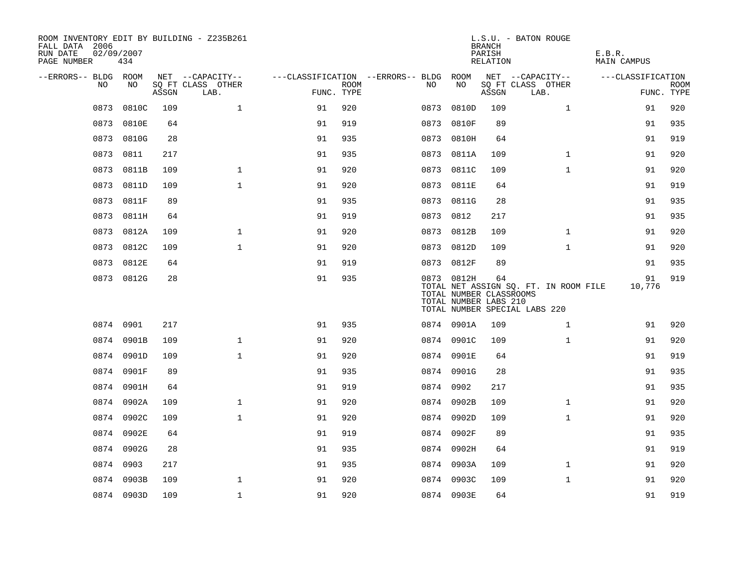| ROOM INVENTORY EDIT BY BUILDING - Z235B261<br>FALL DATA 2006<br>RUN DATE<br>PAGE NUMBER | 02/09/2007<br>434 |       |                           |            |             |                                   |                                                                | <b>BRANCH</b><br>PARISH<br>RELATION | L.S.U. - BATON ROUGE                                                   | E.B.R.<br><b>MAIN CAMPUS</b> |             |
|-----------------------------------------------------------------------------------------|-------------------|-------|---------------------------|------------|-------------|-----------------------------------|----------------------------------------------------------------|-------------------------------------|------------------------------------------------------------------------|------------------------------|-------------|
| --ERRORS-- BLDG ROOM                                                                    |                   |       | NET --CAPACITY--          |            |             | ---CLASSIFICATION --ERRORS-- BLDG | ROOM                                                           |                                     | NET --CAPACITY--                                                       | ---CLASSIFICATION            |             |
| NO.                                                                                     | NO.               | ASSGN | SO FT CLASS OTHER<br>LAB. | FUNC. TYPE | <b>ROOM</b> | NO.                               | NO                                                             | ASSGN                               | SQ FT CLASS OTHER<br>LAB.                                              | FUNC. TYPE                   | <b>ROOM</b> |
| 0873                                                                                    | 0810C             | 109   | $\mathbf{1}$              | 91         | 920         | 0873                              | 0810D                                                          | 109                                 | $\mathbf{1}$                                                           | 91                           | 920         |
|                                                                                         | 0873 0810E        | 64    |                           | 91         | 919         | 0873                              | 0810F                                                          | 89                                  |                                                                        | 91                           | 935         |
|                                                                                         | 0873 0810G        | 28    |                           | 91         | 935         |                                   | 0873 0810H                                                     | 64                                  |                                                                        | 91                           | 919         |
| 0873                                                                                    | 0811              | 217   |                           | 91         | 935         |                                   | 0873 0811A                                                     | 109                                 | $\mathbf{1}$                                                           | 91                           | 920         |
| 0873                                                                                    | 0811B             | 109   | $\mathbf 1$               | 91         | 920         | 0873                              | 0811C                                                          | 109                                 | $\mathbf{1}$                                                           | 91                           | 920         |
| 0873                                                                                    | 0811D             | 109   | $\mathbf{1}$              | 91         | 920         |                                   | 0873 0811E                                                     | 64                                  |                                                                        | 91                           | 919         |
| 0873                                                                                    | 0811F             | 89    |                           | 91         | 935         |                                   | 0873 0811G                                                     | 28                                  |                                                                        | 91                           | 935         |
| 0873                                                                                    | 0811H             | 64    |                           | 91         | 919         |                                   | 0873 0812                                                      | 217                                 |                                                                        | 91                           | 935         |
| 0873                                                                                    | 0812A             | 109   | $\mathbf{1}$              | 91         | 920         | 0873                              | 0812B                                                          | 109                                 | $\mathbf{1}$                                                           | 91                           | 920         |
| 0873                                                                                    | 0812C             | 109   | $\mathbf{1}$              | 91         | 920         |                                   | 0873 0812D                                                     | 109                                 | $\mathbf{1}$                                                           | 91                           | 920         |
| 0873                                                                                    | 0812E             | 64    |                           | 91         | 919         |                                   | 0873 0812F                                                     | 89                                  |                                                                        | 91                           | 935         |
|                                                                                         | 0873 0812G        | 28    |                           | 91         | 935         |                                   | 0873 0812H<br>TOTAL NUMBER CLASSROOMS<br>TOTAL NUMBER LABS 210 | 64                                  | TOTAL NET ASSIGN SQ. FT. IN ROOM FILE<br>TOTAL NUMBER SPECIAL LABS 220 | 91<br>10,776                 | 919         |
|                                                                                         | 0874 0901         | 217   |                           | 91         | 935         |                                   | 0874 0901A                                                     | 109                                 | $\mathbf{1}$                                                           | 91                           | 920         |
|                                                                                         | 0874 0901B        | 109   | $\mathbf{1}$              | 91         | 920         |                                   | 0874 0901C                                                     | 109                                 | $\mathbf{1}$                                                           | 91                           | 920         |
|                                                                                         | 0874 0901D        | 109   | $\mathbf{1}$              | 91         | 920         |                                   | 0874 0901E                                                     | 64                                  |                                                                        | 91                           | 919         |
|                                                                                         | 0874 0901F        | 89    |                           | 91         | 935         |                                   | 0874 0901G                                                     | 28                                  |                                                                        | 91                           | 935         |
| 0874                                                                                    | 0901H             | 64    |                           | 91         | 919         |                                   | 0874 0902                                                      | 217                                 |                                                                        | 91                           | 935         |
| 0874                                                                                    | 0902A             | 109   | $\mathbf 1$               | 91         | 920         |                                   | 0874 0902B                                                     | 109                                 | $\mathbf{1}$                                                           | 91                           | 920         |
| 0874                                                                                    | 0902C             | 109   | $\mathbf{1}$              | 91         | 920         |                                   | 0874 0902D                                                     | 109                                 | $\mathbf{1}$                                                           | 91                           | 920         |
| 0874                                                                                    | 0902E             | 64    |                           | 91         | 919         |                                   | 0874 0902F                                                     | 89                                  |                                                                        | 91                           | 935         |
|                                                                                         | 0874 0902G        | 28    |                           | 91         | 935         |                                   | 0874 0902H                                                     | 64                                  |                                                                        | 91                           | 919         |
| 0874                                                                                    | 0903              | 217   |                           | 91         | 935         |                                   | 0874 0903A                                                     | 109                                 | $\mathbf{1}$                                                           | 91                           | 920         |
|                                                                                         | 0874 0903B        | 109   | $\mathbf{1}$              | 91         | 920         |                                   | 0874 0903C                                                     | 109                                 | $\mathbf{1}$                                                           | 91                           | 920         |
|                                                                                         | 0874 0903D        | 109   | $\mathbf 1$               | 91         | 920         |                                   | 0874 0903E                                                     | 64                                  |                                                                        | 91                           | 919         |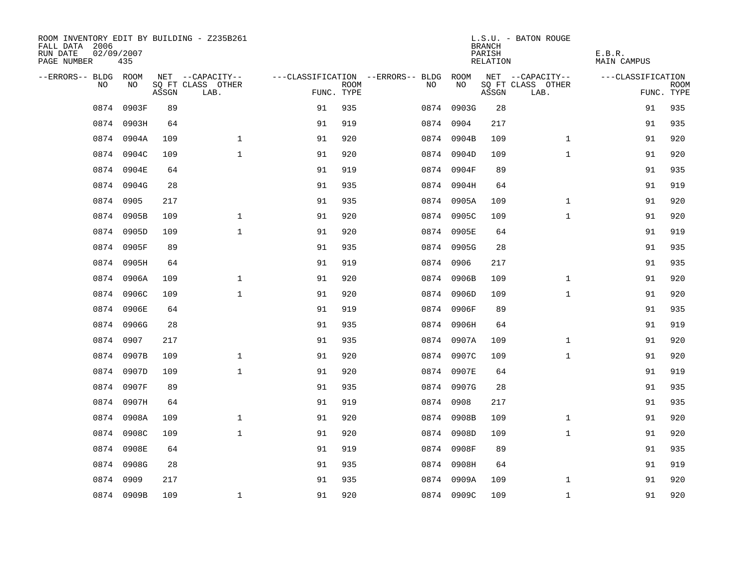| ROOM INVENTORY EDIT BY BUILDING - Z235B261<br>FALL DATA 2006<br>RUN DATE<br>PAGE NUMBER | 02/09/2007<br>435 |       |                           |            |             |                                        |            | <b>BRANCH</b><br>PARISH<br>RELATION | L.S.U. - BATON ROUGE      | E.B.R.<br>MAIN CAMPUS |             |
|-----------------------------------------------------------------------------------------|-------------------|-------|---------------------------|------------|-------------|----------------------------------------|------------|-------------------------------------|---------------------------|-----------------------|-------------|
| --ERRORS-- BLDG ROOM                                                                    |                   |       | NET --CAPACITY--          |            |             | ---CLASSIFICATION --ERRORS-- BLDG ROOM |            |                                     | NET --CAPACITY--          | ---CLASSIFICATION     |             |
| NO.                                                                                     | NO.               | ASSGN | SQ FT CLASS OTHER<br>LAB. | FUNC. TYPE | <b>ROOM</b> | NO.                                    | NO         | ASSGN                               | SQ FT CLASS OTHER<br>LAB. | FUNC. TYPE            | <b>ROOM</b> |
| 0874                                                                                    | 0903F             | 89    |                           | 91         | 935         |                                        | 0874 0903G | 28                                  |                           | 91                    | 935         |
| 0874                                                                                    | 0903H             | 64    |                           | 91         | 919         |                                        | 0874 0904  | 217                                 |                           | 91                    | 935         |
|                                                                                         | 0874 0904A        | 109   | $\mathbf 1$               | 91         | 920         |                                        | 0874 0904B | 109                                 | $\mathbf{1}$              | 91                    | 920         |
| 0874                                                                                    | 0904C             | 109   | $\mathbf 1$               | 91         | 920         |                                        | 0874 0904D | 109                                 | $\mathbf{1}$              | 91                    | 920         |
| 0874                                                                                    | 0904E             | 64    |                           | 91         | 919         |                                        | 0874 0904F | 89                                  |                           | 91                    | 935         |
| 0874                                                                                    | 0904G             | 28    |                           | 91         | 935         |                                        | 0874 0904H | 64                                  |                           | 91                    | 919         |
| 0874                                                                                    | 0905              | 217   |                           | 91         | 935         |                                        | 0874 0905A | 109                                 | $\mathbf{1}$              | 91                    | 920         |
| 0874                                                                                    | 0905B             | 109   | $\mathbf{1}$              | 91         | 920         |                                        | 0874 0905C | 109                                 | $\mathbf{1}$              | 91                    | 920         |
| 0874                                                                                    | 0905D             | 109   | $\mathbf{1}$              | 91         | 920         |                                        | 0874 0905E | 64                                  |                           | 91                    | 919         |
| 0874                                                                                    | 0905F             | 89    |                           | 91         | 935         |                                        | 0874 0905G | 28                                  |                           | 91                    | 935         |
|                                                                                         | 0874 0905H        | 64    |                           | 91         | 919         |                                        | 0874 0906  | 217                                 |                           | 91                    | 935         |
|                                                                                         | 0874 0906A        | 109   | $\mathbf 1$               | 91         | 920         |                                        | 0874 0906B | 109                                 | $\mathbf{1}$              | 91                    | 920         |
| 0874                                                                                    | 0906C             | 109   | $\mathbf{1}$              | 91         | 920         |                                        | 0874 0906D | 109                                 | $\mathbf{1}$              | 91                    | 920         |
| 0874                                                                                    | 0906E             | 64    |                           | 91         | 919         |                                        | 0874 0906F | 89                                  |                           | 91                    | 935         |
| 0874                                                                                    | 0906G             | 28    |                           | 91         | 935         |                                        | 0874 0906H | 64                                  |                           | 91                    | 919         |
| 0874                                                                                    | 0907              | 217   |                           | 91         | 935         |                                        | 0874 0907A | 109                                 | $\mathbf{1}$              | 91                    | 920         |
| 0874                                                                                    | 0907B             | 109   | $\mathbf{1}$              | 91         | 920         |                                        | 0874 0907C | 109                                 | $\mathbf{1}$              | 91                    | 920         |
| 0874                                                                                    | 0907D             | 109   | $\mathbf{1}$              | 91         | 920         |                                        | 0874 0907E | 64                                  |                           | 91                    | 919         |
|                                                                                         | 0874 0907F        | 89    |                           | 91         | 935         |                                        | 0874 0907G | 28                                  |                           | 91                    | 935         |
|                                                                                         | 0874 0907H        | 64    |                           | 91         | 919         |                                        | 0874 0908  | 217                                 |                           | 91                    | 935         |
|                                                                                         | 0874 0908A        | 109   | $\mathbf{1}$              | 91         | 920         |                                        | 0874 0908B | 109                                 | $\mathbf{1}$              | 91                    | 920         |
| 0874                                                                                    | 0908C             | 109   | $\mathbf{1}$              | 91         | 920         |                                        | 0874 0908D | 109                                 | $\mathbf{1}$              | 91                    | 920         |
| 0874                                                                                    | 0908E             | 64    |                           | 91         | 919         |                                        | 0874 0908F | 89                                  |                           | 91                    | 935         |
| 0874                                                                                    | 0908G             | 28    |                           | 91         | 935         |                                        | 0874 0908H | 64                                  |                           | 91                    | 919         |
| 0874                                                                                    | 0909              | 217   |                           | 91         | 935         |                                        | 0874 0909A | 109                                 | $\mathbf{1}$              | 91                    | 920         |
|                                                                                         | 0874 0909B        | 109   | $\mathbf{1}$              | 91         | 920         |                                        | 0874 0909C | 109                                 | $\mathbf{1}$              | 91                    | 920         |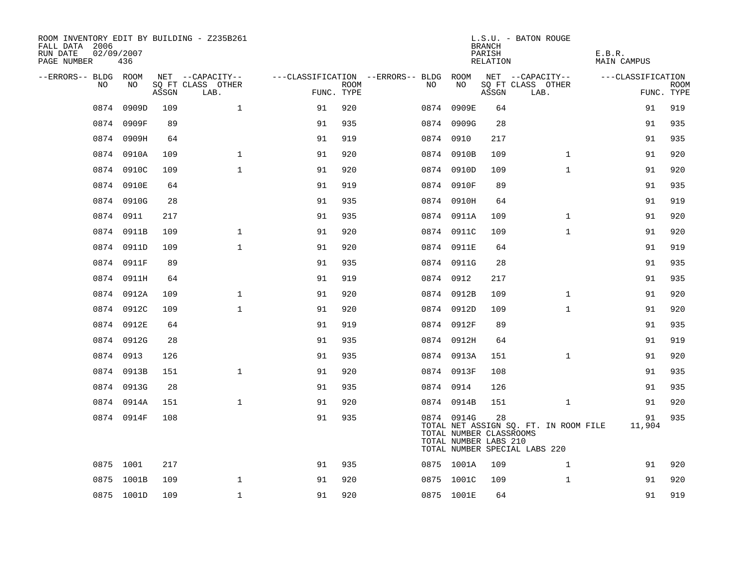| ROOM INVENTORY EDIT BY BUILDING - Z235B261<br>FALL DATA 2006<br>RUN DATE<br>PAGE NUMBER | 02/09/2007<br>436 |       |                           |            |             |                                        |                                                                | <b>BRANCH</b><br>PARISH<br>RELATION | L.S.U. - BATON ROUGE                                                   | E.B.R.<br>MAIN CAMPUS |                           |
|-----------------------------------------------------------------------------------------|-------------------|-------|---------------------------|------------|-------------|----------------------------------------|----------------------------------------------------------------|-------------------------------------|------------------------------------------------------------------------|-----------------------|---------------------------|
| --ERRORS-- BLDG ROOM                                                                    |                   |       | NET --CAPACITY--          |            |             | ---CLASSIFICATION --ERRORS-- BLDG ROOM |                                                                |                                     | NET --CAPACITY--                                                       | ---CLASSIFICATION     |                           |
| NO.                                                                                     | NO.               | ASSGN | SQ FT CLASS OTHER<br>LAB. | FUNC. TYPE | <b>ROOM</b> | NO                                     | NO                                                             | ASSGN                               | SQ FT CLASS OTHER<br>LAB.                                              |                       | <b>ROOM</b><br>FUNC. TYPE |
| 0874                                                                                    | 0909D             | 109   | $\mathbf{1}$              | 91         | 920         |                                        | 0874 0909E                                                     | 64                                  |                                                                        | 91                    | 919                       |
|                                                                                         | 0874 0909F        | 89    |                           | 91         | 935         |                                        | 0874 0909G                                                     | 28                                  |                                                                        | 91                    | 935                       |
|                                                                                         | 0874 0909H        | 64    |                           | 91         | 919         |                                        | 0874 0910                                                      | 217                                 |                                                                        | 91                    | 935                       |
|                                                                                         | 0874 0910A        | 109   | $\mathbf{1}$              | 91         | 920         |                                        | 0874 0910B                                                     | 109                                 | $\mathbf{1}$                                                           | 91                    | 920                       |
|                                                                                         | 0874 0910C        | 109   | $\mathbf{1}$              | 91         | 920         |                                        | 0874 0910D                                                     | 109                                 | $\mathbf{1}$                                                           | 91                    | 920                       |
|                                                                                         | 0874 0910E        | 64    |                           | 91         | 919         |                                        | 0874 0910F                                                     | 89                                  |                                                                        | 91                    | 935                       |
|                                                                                         | 0874 0910G        | 28    |                           | 91         | 935         |                                        | 0874 0910H                                                     | 64                                  |                                                                        | 91                    | 919                       |
|                                                                                         | 0874 0911         | 217   |                           | 91         | 935         |                                        | 0874 0911A                                                     | 109                                 | $\mathbf{1}$                                                           | 91                    | 920                       |
| 0874                                                                                    | 0911B             | 109   | $\mathbf{1}$              | 91         | 920         |                                        | 0874 0911C                                                     | 109                                 | $\mathbf{1}$                                                           | 91                    | 920                       |
| 0874                                                                                    | 0911D             | 109   | $\mathbf{1}$              | 91         | 920         |                                        | 0874 0911E                                                     | 64                                  |                                                                        | 91                    | 919                       |
|                                                                                         | 0874 0911F        | 89    |                           | 91         | 935         |                                        | 0874 0911G                                                     | 28                                  |                                                                        | 91                    | 935                       |
|                                                                                         | 0874 0911H        | 64    |                           | 91         | 919         |                                        | 0874 0912                                                      | 217                                 |                                                                        | 91                    | 935                       |
| 0874                                                                                    | 0912A             | 109   | $\mathbf{1}$              | 91         | 920         |                                        | 0874 0912B                                                     | 109                                 | $\mathbf{1}$                                                           | 91                    | 920                       |
|                                                                                         | 0874 0912C        | 109   | $\mathbf{1}$              | 91         | 920         |                                        | 0874 0912D                                                     | 109                                 | $\mathbf{1}$                                                           | 91                    | 920                       |
|                                                                                         | 0874 0912E        | 64    |                           | 91         | 919         |                                        | 0874 0912F                                                     | 89                                  |                                                                        | 91                    | 935                       |
|                                                                                         | 0874 0912G        | 28    |                           | 91         | 935         |                                        | 0874 0912H                                                     | 64                                  |                                                                        | 91                    | 919                       |
|                                                                                         | 0874 0913         | 126   |                           | 91         | 935         |                                        | 0874 0913A                                                     | 151                                 | $\mathbf{1}$                                                           | 91                    | 920                       |
|                                                                                         | 0874 0913B        | 151   | $\mathbf{1}$              | 91         | 920         |                                        | 0874 0913F                                                     | 108                                 |                                                                        | 91                    | 935                       |
|                                                                                         | 0874 0913G        | 28    |                           | 91         | 935         |                                        | 0874 0914                                                      | 126                                 |                                                                        | 91                    | 935                       |
|                                                                                         | 0874 0914A        | 151   | $\mathbf{1}$              | 91         | 920         |                                        | 0874 0914B                                                     | 151                                 | $\mathbf{1}$                                                           | 91                    | 920                       |
|                                                                                         | 0874 0914F        | 108   |                           | 91         | 935         |                                        | 0874 0914G<br>TOTAL NUMBER CLASSROOMS<br>TOTAL NUMBER LABS 210 | 28                                  | TOTAL NET ASSIGN SQ. FT. IN ROOM FILE<br>TOTAL NUMBER SPECIAL LABS 220 | 91<br>11,904          | 935                       |
|                                                                                         | 0875 1001         | 217   |                           | 91         | 935         |                                        | 0875 1001A                                                     | 109                                 | $\mathbf{1}$                                                           | 91                    | 920                       |
|                                                                                         | 0875 1001B        | 109   | $\mathbf{1}$              | 91         | 920         |                                        | 0875 1001C                                                     | 109                                 | $\mathbf{1}$                                                           | 91                    | 920                       |
|                                                                                         | 0875 1001D        | 109   | $\mathbf{1}$              | 91         | 920         |                                        | 0875 1001E                                                     | 64                                  |                                                                        | 91                    | 919                       |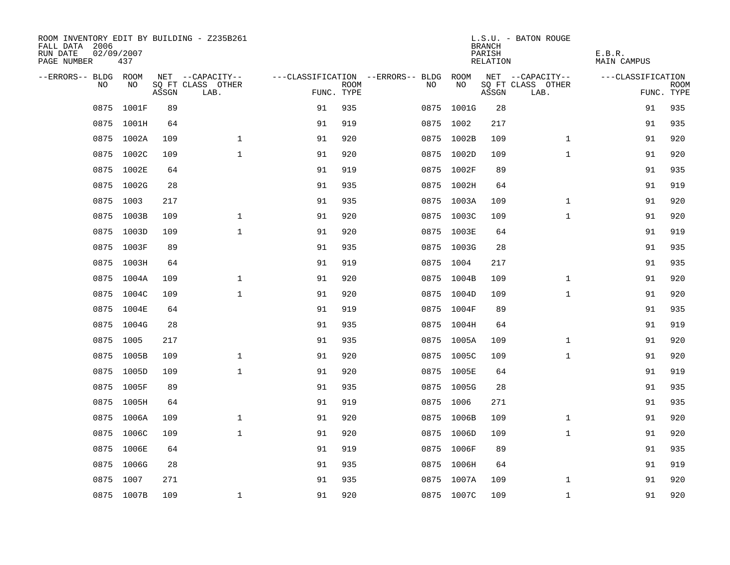| FALL DATA 2006<br>RUN DATE<br>PAGE NUMBER | 02/09/2007<br>437 |       | ROOM INVENTORY EDIT BY BUILDING - Z235B261 |            |             |                                        |            | <b>BRANCH</b><br>PARISH<br>RELATION | L.S.U. - BATON ROUGE      | E.B.R.<br><b>MAIN CAMPUS</b> |                           |
|-------------------------------------------|-------------------|-------|--------------------------------------------|------------|-------------|----------------------------------------|------------|-------------------------------------|---------------------------|------------------------------|---------------------------|
| --ERRORS-- BLDG ROOM                      |                   |       | NET --CAPACITY--                           |            |             | ---CLASSIFICATION --ERRORS-- BLDG ROOM |            |                                     | NET --CAPACITY--          | ---CLASSIFICATION            |                           |
| NO                                        | NO                | ASSGN | SQ FT CLASS OTHER<br>LAB.                  | FUNC. TYPE | <b>ROOM</b> | NO.                                    | NO         | ASSGN                               | SQ FT CLASS OTHER<br>LAB. |                              | <b>ROOM</b><br>FUNC. TYPE |
| 0875                                      | 1001F             | 89    |                                            | 91         | 935         |                                        | 0875 1001G | 28                                  |                           | 91                           | 935                       |
|                                           | 0875 1001H        | 64    |                                            | 91         | 919         |                                        | 0875 1002  | 217                                 |                           | 91                           | 935                       |
|                                           | 0875 1002A        | 109   | $\mathbf{1}$                               | 91         | 920         |                                        | 0875 1002B | 109                                 | $\mathbf{1}$              | 91                           | 920                       |
|                                           | 0875 1002C        | 109   | $\mathbf{1}$                               | 91         | 920         |                                        | 0875 1002D | 109                                 | $\mathbf{1}$              | 91                           | 920                       |
|                                           | 0875 1002E        | 64    |                                            | 91         | 919         |                                        | 0875 1002F | 89                                  |                           | 91                           | 935                       |
|                                           | 0875 1002G        | 28    |                                            | 91         | 935         |                                        | 0875 1002H | 64                                  |                           | 91                           | 919                       |
| 0875                                      | 1003              | 217   |                                            | 91         | 935         |                                        | 0875 1003A | 109                                 | $\mathbf{1}$              | 91                           | 920                       |
|                                           | 0875 1003B        | 109   | $\mathbf 1$                                | 91         | 920         |                                        | 0875 1003C | 109                                 | $\mathbf{1}$              | 91                           | 920                       |
| 0875                                      | 1003D             | 109   | $\mathbf{1}$                               | 91         | 920         |                                        | 0875 1003E | 64                                  |                           | 91                           | 919                       |
|                                           | 0875 1003F        | 89    |                                            | 91         | 935         |                                        | 0875 1003G | 28                                  |                           | 91                           | 935                       |
| 0875                                      | 1003H             | 64    |                                            | 91         | 919         |                                        | 0875 1004  | 217                                 |                           | 91                           | 935                       |
|                                           | 0875 1004A        | 109   | $\mathbf 1$                                | 91         | 920         |                                        | 0875 1004B | 109                                 | $\mathbf{1}$              | 91                           | 920                       |
| 0875                                      | 1004C             | 109   | $\mathbf{1}$                               | 91         | 920         |                                        | 0875 1004D | 109                                 | $\mathbf{1}$              | 91                           | 920                       |
|                                           | 0875 1004E        | 64    |                                            | 91         | 919         |                                        | 0875 1004F | 89                                  |                           | 91                           | 935                       |
|                                           | 0875 1004G        | 28    |                                            | 91         | 935         |                                        | 0875 1004H | 64                                  |                           | 91                           | 919                       |
|                                           | 0875 1005         | 217   |                                            | 91         | 935         |                                        | 0875 1005A | 109                                 | $\mathbf{1}$              | 91                           | 920                       |
|                                           | 0875 1005B        | 109   | $\mathbf 1$                                | 91         | 920         |                                        | 0875 1005C | 109                                 | $\mathbf{1}$              | 91                           | 920                       |
|                                           | 0875 1005D        | 109   | $\mathbf{1}$                               | 91         | 920         |                                        | 0875 1005E | 64                                  |                           | 91                           | 919                       |
|                                           | 0875 1005F        | 89    |                                            | 91         | 935         |                                        | 0875 1005G | 28                                  |                           | 91                           | 935                       |
|                                           | 0875 1005H        | 64    |                                            | 91         | 919         |                                        | 0875 1006  | 271                                 |                           | 91                           | 935                       |
|                                           | 0875 1006A        | 109   | $\mathbf 1$                                | 91         | 920         |                                        | 0875 1006B | 109                                 | $\mathbf{1}$              | 91                           | 920                       |
| 0875                                      | 1006C             | 109   | $\mathbf 1$                                | 91         | 920         |                                        | 0875 1006D | 109                                 | $\mathbf{1}$              | 91                           | 920                       |
|                                           | 0875 1006E        | 64    |                                            | 91         | 919         |                                        | 0875 1006F | 89                                  |                           | 91                           | 935                       |
| 0875                                      | 1006G             | 28    |                                            | 91         | 935         |                                        | 0875 1006H | 64                                  |                           | 91                           | 919                       |
|                                           | 0875 1007         | 271   |                                            | 91         | 935         |                                        | 0875 1007A | 109                                 | $\mathbf{1}$              | 91                           | 920                       |
|                                           | 0875 1007B        | 109   | $\mathbf{1}$                               | 91         | 920         |                                        | 0875 1007C | 109                                 | $\mathbf{1}$              | 91                           | 920                       |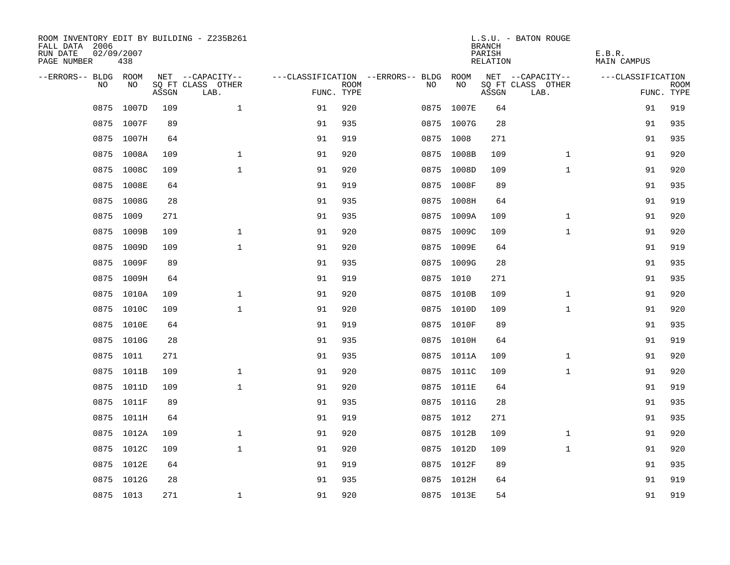| ROOM INVENTORY EDIT BY BUILDING - Z235B261<br>FALL DATA 2006<br>RUN DATE<br>PAGE NUMBER | 02/09/2007<br>438 |       |                           |            |             |                                        |            | <b>BRANCH</b><br>PARISH<br>RELATION | L.S.U. - BATON ROUGE      | E.B.R.<br>MAIN CAMPUS |                           |
|-----------------------------------------------------------------------------------------|-------------------|-------|---------------------------|------------|-------------|----------------------------------------|------------|-------------------------------------|---------------------------|-----------------------|---------------------------|
| --ERRORS-- BLDG ROOM                                                                    |                   |       | NET --CAPACITY--          |            |             | ---CLASSIFICATION --ERRORS-- BLDG ROOM |            |                                     | NET --CAPACITY--          | ---CLASSIFICATION     |                           |
| NO                                                                                      | NO                | ASSGN | SQ FT CLASS OTHER<br>LAB. | FUNC. TYPE | <b>ROOM</b> | NO                                     | NO         | ASSGN                               | SQ FT CLASS OTHER<br>LAB. |                       | <b>ROOM</b><br>FUNC. TYPE |
| 0875                                                                                    | 1007D             | 109   | $\mathbf{1}$              | 91         | 920         | 0875                                   | 1007E      | 64                                  |                           | 91                    | 919                       |
|                                                                                         | 0875 1007F        | 89    |                           | 91         | 935         |                                        | 0875 1007G | 28                                  |                           | 91                    | 935                       |
|                                                                                         | 0875 1007H        | 64    |                           | 91         | 919         |                                        | 0875 1008  | 271                                 |                           | 91                    | 935                       |
|                                                                                         | 0875 1008A        | 109   | $\mathbf{1}$              | 91         | 920         |                                        | 0875 1008B | 109                                 | $\mathbf{1}$              | 91                    | 920                       |
| 0875                                                                                    | 1008C             | 109   | $\mathbf{1}$              | 91         | 920         |                                        | 0875 1008D | 109                                 | $\mathbf{1}$              | 91                    | 920                       |
|                                                                                         | 0875 1008E        | 64    |                           | 91         | 919         |                                        | 0875 1008F | 89                                  |                           | 91                    | 935                       |
| 0875                                                                                    | 1008G             | 28    |                           | 91         | 935         |                                        | 0875 1008H | 64                                  |                           | 91                    | 919                       |
|                                                                                         | 0875 1009         | 271   |                           | 91         | 935         |                                        | 0875 1009A | 109                                 | $\mathbf{1}$              | 91                    | 920                       |
| 0875                                                                                    | 1009B             | 109   | $\mathbf 1$               | 91         | 920         |                                        | 0875 1009C | 109                                 | $\mathbf{1}$              | 91                    | 920                       |
|                                                                                         | 0875 1009D        | 109   | $\mathbf{1}$              | 91         | 920         |                                        | 0875 1009E | 64                                  |                           | 91                    | 919                       |
| 0875                                                                                    | 1009F             | 89    |                           | 91         | 935         |                                        | 0875 1009G | 28                                  |                           | 91                    | 935                       |
|                                                                                         | 0875 1009H        | 64    |                           | 91         | 919         |                                        | 0875 1010  | 271                                 |                           | 91                    | 935                       |
| 0875                                                                                    | 1010A             | 109   | $\mathbf 1$               | 91         | 920         |                                        | 0875 1010B | 109                                 | $\mathbf{1}$              | 91                    | 920                       |
|                                                                                         | 0875 1010C        | 109   | $\mathbf{1}$              | 91         | 920         |                                        | 0875 1010D | 109                                 | $\mathbf{1}$              | 91                    | 920                       |
|                                                                                         | 0875 1010E        | 64    |                           | 91         | 919         |                                        | 0875 1010F | 89                                  |                           | 91                    | 935                       |
|                                                                                         | 0875 1010G        | 28    |                           | 91         | 935         |                                        | 0875 1010H | 64                                  |                           | 91                    | 919                       |
|                                                                                         | 0875 1011         | 271   |                           | 91         | 935         |                                        | 0875 1011A | 109                                 | $\mathbf{1}$              | 91                    | 920                       |
|                                                                                         | 0875 1011B        | 109   | $\mathbf{1}$              | 91         | 920         |                                        | 0875 1011C | 109                                 | $\mathbf{1}$              | 91                    | 920                       |
|                                                                                         | 0875 1011D        | 109   | $\mathbf{1}$              | 91         | 920         |                                        | 0875 1011E | 64                                  |                           | 91                    | 919                       |
|                                                                                         | 0875 1011F        | 89    |                           | 91         | 935         |                                        | 0875 1011G | 28                                  |                           | 91                    | 935                       |
|                                                                                         | 0875 1011H        | 64    |                           | 91         | 919         |                                        | 0875 1012  | 271                                 |                           | 91                    | 935                       |
|                                                                                         | 0875 1012A        | 109   | $\mathbf{1}$              | 91         | 920         |                                        | 0875 1012B | 109                                 | $\mathbf{1}$              | 91                    | 920                       |
|                                                                                         | 0875 1012C        | 109   | $\mathbf{1}$              | 91         | 920         |                                        | 0875 1012D | 109                                 | $\mathbf{1}$              | 91                    | 920                       |
| 0875                                                                                    | 1012E             | 64    |                           | 91         | 919         |                                        | 0875 1012F | 89                                  |                           | 91                    | 935                       |
|                                                                                         | 0875 1012G        | 28    |                           | 91         | 935         |                                        | 0875 1012H | 64                                  |                           | 91                    | 919                       |
|                                                                                         | 0875 1013         | 271   | $\mathbf{1}$              | 91         | 920         |                                        | 0875 1013E | 54                                  |                           | 91                    | 919                       |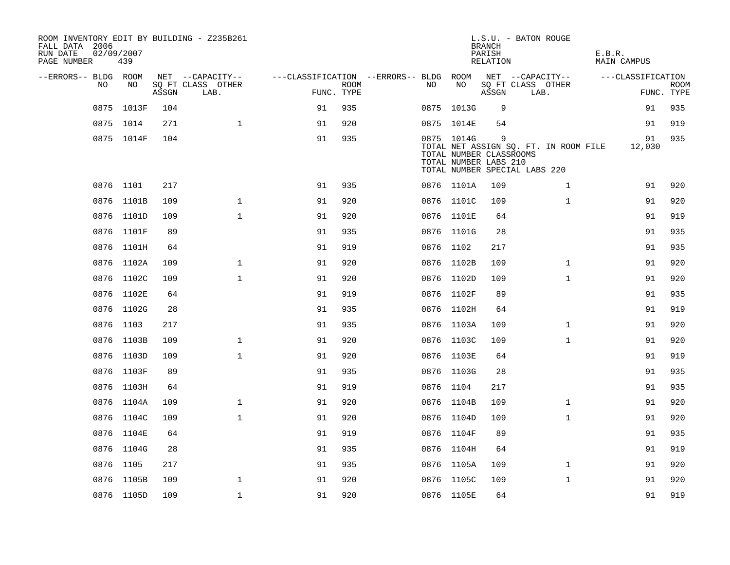| FALL DATA 2006<br>RUN DATE<br>PAGE NUMBER | 02/09/2007 | 439        |       | ROOM INVENTORY EDIT BY BUILDING - Z235B261 |                                        |             |           |            | L.S.U. - BATON ROUGE<br><b>BRANCH</b><br>PARISH<br>RELATION                            |      |                                       | E.B.R. | MAIN CAMPUS       |                           |
|-------------------------------------------|------------|------------|-------|--------------------------------------------|----------------------------------------|-------------|-----------|------------|----------------------------------------------------------------------------------------|------|---------------------------------------|--------|-------------------|---------------------------|
| --ERRORS-- BLDG ROOM                      |            |            |       | NET --CAPACITY--                           | ---CLASSIFICATION --ERRORS-- BLDG ROOM |             |           |            |                                                                                        |      | NET --CAPACITY--                      |        | ---CLASSIFICATION |                           |
|                                           | NO         | NO         | ASSGN | SQ FT CLASS OTHER<br>LAB.                  | FUNC. TYPE                             | <b>ROOM</b> | NO        | NO         | ASSGN                                                                                  | LAB. | SQ FT CLASS OTHER                     |        |                   | <b>ROOM</b><br>FUNC. TYPE |
|                                           |            | 0875 1013F | 104   |                                            | 91                                     | 935         |           | 0875 1013G | 9                                                                                      |      |                                       |        | 91                | 935                       |
|                                           | 0875 1014  |            | 271   | $\mathbf{1}$                               | 91                                     | 920         |           | 0875 1014E | 54                                                                                     |      |                                       |        | 91                | 919                       |
|                                           |            | 0875 1014F | 104   |                                            | 91                                     | 935         |           | 0875 1014G | 9<br>TOTAL NUMBER CLASSROOMS<br>TOTAL NUMBER LABS 210<br>TOTAL NUMBER SPECIAL LABS 220 |      | TOTAL NET ASSIGN SQ. FT. IN ROOM FILE |        | 91<br>12,030      | 935                       |
|                                           | 0876 1101  |            | 217   |                                            | 91                                     | 935         |           | 0876 1101A | 109                                                                                    |      | $\mathbf{1}$                          |        | 91                | 920                       |
|                                           |            | 0876 1101B | 109   | $\mathbf 1$                                | 91                                     | 920         |           | 0876 1101C | 109                                                                                    |      | $\mathbf{1}$                          |        | 91                | 920                       |
|                                           |            | 0876 1101D | 109   | $\mathbf{1}$                               | 91                                     | 920         |           | 0876 1101E | 64                                                                                     |      |                                       |        | 91                | 919                       |
|                                           |            | 0876 1101F | 89    |                                            | 91                                     | 935         |           | 0876 1101G | 28                                                                                     |      |                                       |        | 91                | 935                       |
|                                           |            | 0876 1101H | 64    |                                            | 91                                     | 919         | 0876 1102 |            | 217                                                                                    |      |                                       |        | 91                | 935                       |
|                                           |            | 0876 1102A | 109   | $\mathbf{1}$                               | 91                                     | 920         |           | 0876 1102B | 109                                                                                    |      | $\mathbf{1}$                          |        | 91                | 920                       |
|                                           |            | 0876 1102C | 109   | $\mathbf{1}$                               | 91                                     | 920         |           | 0876 1102D | 109                                                                                    |      | $\mathbf{1}$                          |        | 91                | 920                       |
|                                           |            | 0876 1102E | 64    |                                            | 91                                     | 919         |           | 0876 1102F | 89                                                                                     |      |                                       |        | 91                | 935                       |
|                                           |            | 0876 1102G | 28    |                                            | 91                                     | 935         |           | 0876 1102H | 64                                                                                     |      |                                       |        | 91                | 919                       |
|                                           | 0876 1103  |            | 217   |                                            | 91                                     | 935         |           | 0876 1103A | 109                                                                                    |      | $\mathbf{1}$                          |        | 91                | 920                       |
|                                           |            | 0876 1103B | 109   | $\mathbf{1}$                               | 91                                     | 920         |           | 0876 1103C | 109                                                                                    |      | $\mathbf{1}$                          |        | 91                | 920                       |
|                                           |            | 0876 1103D | 109   | $\mathbf{1}$                               | 91                                     | 920         |           | 0876 1103E | 64                                                                                     |      |                                       |        | 91                | 919                       |
|                                           |            | 0876 1103F | 89    |                                            | 91                                     | 935         |           | 0876 1103G | 28                                                                                     |      |                                       |        | 91                | 935                       |
|                                           |            | 0876 1103H | 64    |                                            | 91                                     | 919         | 0876 1104 |            | 217                                                                                    |      |                                       |        | 91                | 935                       |
|                                           |            | 0876 1104A | 109   | $\mathbf{1}$                               | 91                                     | 920         |           | 0876 1104B | 109                                                                                    |      | $\mathbf{1}$                          |        | 91                | 920                       |
|                                           |            | 0876 1104C | 109   | $\mathbf{1}$                               | 91                                     | 920         |           | 0876 1104D | 109                                                                                    |      | $\mathbf{1}$                          |        | 91                | 920                       |
|                                           |            | 0876 1104E | 64    |                                            | 91                                     | 919         |           | 0876 1104F | 89                                                                                     |      |                                       |        | 91                | 935                       |
|                                           |            | 0876 1104G | 28    |                                            | 91                                     | 935         |           | 0876 1104H | 64                                                                                     |      |                                       |        | 91                | 919                       |
|                                           | 0876 1105  |            | 217   |                                            | 91                                     | 935         |           | 0876 1105A | 109                                                                                    |      | $\mathbf{1}$                          |        | 91                | 920                       |
|                                           |            | 0876 1105B | 109   | 1                                          | 91                                     | 920         |           | 0876 1105C | 109                                                                                    |      | $\mathbf{1}$                          |        | 91                | 920                       |
|                                           |            | 0876 1105D | 109   | $\mathbf{1}$                               | 91                                     | 920         |           | 0876 1105E | 64                                                                                     |      |                                       |        | 91                | 919                       |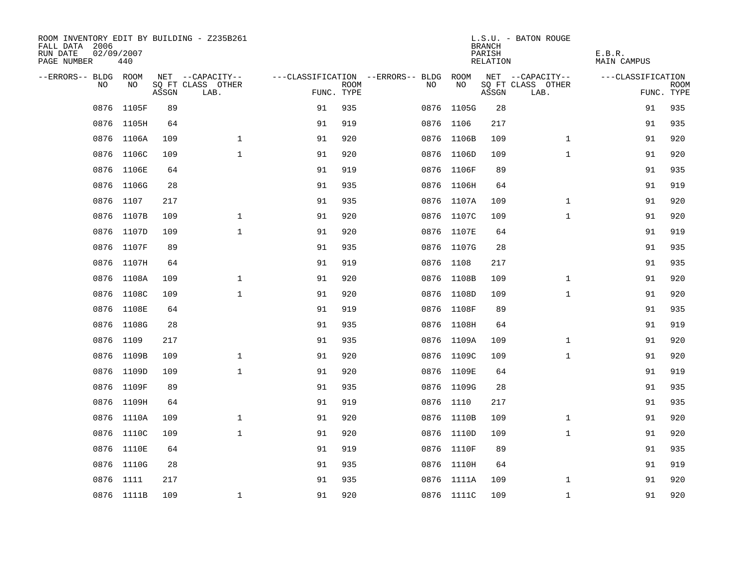| ROOM INVENTORY EDIT BY BUILDING - Z235B261<br>FALL DATA 2006<br>RUN DATE<br>PAGE NUMBER | 02/09/2007<br>440 |       |                           |            |             |                                        |            | <b>BRANCH</b><br>PARISH<br>RELATION | L.S.U. - BATON ROUGE      | E.B.R.<br>MAIN CAMPUS |                           |
|-----------------------------------------------------------------------------------------|-------------------|-------|---------------------------|------------|-------------|----------------------------------------|------------|-------------------------------------|---------------------------|-----------------------|---------------------------|
| --ERRORS-- BLDG ROOM                                                                    |                   |       | NET --CAPACITY--          |            |             | ---CLASSIFICATION --ERRORS-- BLDG ROOM |            |                                     | NET --CAPACITY--          | ---CLASSIFICATION     |                           |
| NO.                                                                                     | NO.               | ASSGN | SQ FT CLASS OTHER<br>LAB. | FUNC. TYPE | <b>ROOM</b> | NO.                                    | NO         | ASSGN                               | SQ FT CLASS OTHER<br>LAB. |                       | <b>ROOM</b><br>FUNC. TYPE |
| 0876                                                                                    | 1105F             | 89    |                           | 91         | 935         |                                        | 0876 1105G | 28                                  |                           | 91                    | 935                       |
|                                                                                         | 0876 1105H        | 64    |                           | 91         | 919         |                                        | 0876 1106  | 217                                 |                           | 91                    | 935                       |
|                                                                                         | 0876 1106A        | 109   | $\mathbf 1$               | 91         | 920         |                                        | 0876 1106B | 109                                 | $\mathbf{1}$              | 91                    | 920                       |
|                                                                                         | 0876 1106C        | 109   | $\mathbf 1$               | 91         | 920         |                                        | 0876 1106D | 109                                 | $\mathbf{1}$              | 91                    | 920                       |
| 0876                                                                                    | 1106E             | 64    |                           | 91         | 919         |                                        | 0876 1106F | 89                                  |                           | 91                    | 935                       |
|                                                                                         | 0876 1106G        | 28    |                           | 91         | 935         |                                        | 0876 1106H | 64                                  |                           | 91                    | 919                       |
| 0876                                                                                    | 1107              | 217   |                           | 91         | 935         |                                        | 0876 1107A | 109                                 | $\mathbf{1}$              | 91                    | 920                       |
|                                                                                         | 0876 1107B        | 109   | $\mathbf{1}$              | 91         | 920         |                                        | 0876 1107C | 109                                 | $\mathbf{1}$              | 91                    | 920                       |
| 0876                                                                                    | 1107D             | 109   | $\mathbf{1}$              | 91         | 920         |                                        | 0876 1107E | 64                                  |                           | 91                    | 919                       |
|                                                                                         | 0876 1107F        | 89    |                           | 91         | 935         |                                        | 0876 1107G | 28                                  |                           | 91                    | 935                       |
| 0876                                                                                    | 1107H             | 64    |                           | 91         | 919         |                                        | 0876 1108  | 217                                 |                           | 91                    | 935                       |
|                                                                                         | 0876 1108A        | 109   | $\mathbf 1$               | 91         | 920         |                                        | 0876 1108B | 109                                 | $\mathbf{1}$              | 91                    | 920                       |
| 0876                                                                                    | 1108C             | 109   | $\mathbf{1}$              | 91         | 920         |                                        | 0876 1108D | 109                                 | $\mathbf{1}$              | 91                    | 920                       |
|                                                                                         | 0876 1108E        | 64    |                           | 91         | 919         |                                        | 0876 1108F | 89                                  |                           | 91                    | 935                       |
|                                                                                         | 0876 1108G        | 28    |                           | 91         | 935         |                                        | 0876 1108H | 64                                  |                           | 91                    | 919                       |
|                                                                                         | 0876 1109         | 217   |                           | 91         | 935         |                                        | 0876 1109A | 109                                 | $\mathbf{1}$              | 91                    | 920                       |
|                                                                                         | 0876 1109B        | 109   | $\mathbf{1}$              | 91         | 920         |                                        | 0876 1109C | 109                                 | $\mathbf{1}$              | 91                    | 920                       |
|                                                                                         | 0876 1109D        | 109   | $\mathbf{1}$              | 91         | 920         |                                        | 0876 1109E | 64                                  |                           | 91                    | 919                       |
|                                                                                         | 0876 1109F        | 89    |                           | 91         | 935         |                                        | 0876 1109G | 28                                  |                           | 91                    | 935                       |
|                                                                                         | 0876 1109H        | 64    |                           | 91         | 919         |                                        | 0876 1110  | 217                                 |                           | 91                    | 935                       |
|                                                                                         | 0876 1110A        | 109   | $\mathbf{1}$              | 91         | 920         |                                        | 0876 1110B | 109                                 | $\mathbf{1}$              | 91                    | 920                       |
|                                                                                         | 0876 1110C        | 109   | $\mathbf{1}$              | 91         | 920         |                                        | 0876 1110D | 109                                 | $\mathbf{1}$              | 91                    | 920                       |
|                                                                                         | 0876 1110E        | 64    |                           | 91         | 919         |                                        | 0876 1110F | 89                                  |                           | 91                    | 935                       |
| 0876                                                                                    | 1110G             | 28    |                           | 91         | 935         |                                        | 0876 1110H | 64                                  |                           | 91                    | 919                       |
|                                                                                         | 0876 1111         | 217   |                           | 91         | 935         |                                        | 0876 1111A | 109                                 | $\mathbf{1}$              | 91                    | 920                       |
|                                                                                         | 0876 1111B        | 109   | $\mathbf{1}$              | 91         | 920         |                                        | 0876 1111C | 109                                 | $\mathbf{1}$              | 91                    | 920                       |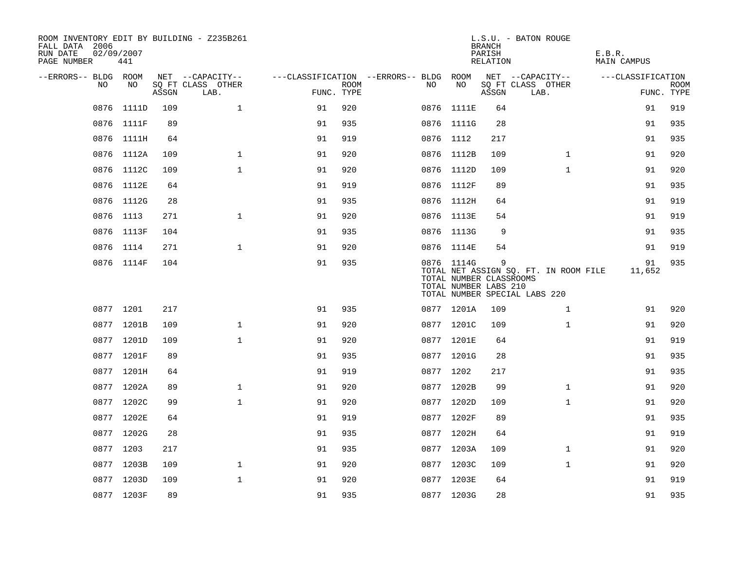| ROOM INVENTORY EDIT BY BUILDING - Z235B261<br>FALL DATA 2006<br>RUN DATE<br>PAGE NUMBER | 02/09/2007<br>441 |       |                           |    |                           |                                        |                                                                | <b>BRANCH</b><br>PARISH<br>RELATION | L.S.U. - BATON ROUGE                                                   | E.B.R.<br><b>MAIN CAMPUS</b> |                           |
|-----------------------------------------------------------------------------------------|-------------------|-------|---------------------------|----|---------------------------|----------------------------------------|----------------------------------------------------------------|-------------------------------------|------------------------------------------------------------------------|------------------------------|---------------------------|
| --ERRORS-- BLDG ROOM                                                                    |                   |       | NET --CAPACITY--          |    |                           | ---CLASSIFICATION --ERRORS-- BLDG ROOM |                                                                |                                     | NET --CAPACITY--                                                       | ---CLASSIFICATION            |                           |
| NO                                                                                      | NO                | ASSGN | SQ FT CLASS OTHER<br>LAB. |    | <b>ROOM</b><br>FUNC. TYPE | NO                                     | NO                                                             | ASSGN                               | SQ FT CLASS OTHER<br>LAB.                                              |                              | <b>ROOM</b><br>FUNC. TYPE |
| 0876                                                                                    | 1111D             | 109   | $\mathbf 1$               | 91 | 920                       |                                        | 0876 1111E                                                     | 64                                  |                                                                        | 91                           | 919                       |
|                                                                                         | 0876 1111F        | 89    |                           | 91 | 935                       |                                        | 0876 1111G                                                     | 28                                  |                                                                        | 91                           | 935                       |
|                                                                                         | 0876 1111H        | 64    |                           | 91 | 919                       |                                        | 0876 1112                                                      | 217                                 |                                                                        | 91                           | 935                       |
|                                                                                         | 0876 1112A        | 109   | $\mathbf 1$               | 91 | 920                       |                                        | 0876 1112B                                                     | 109                                 | $\mathbf{1}$                                                           | 91                           | 920                       |
|                                                                                         | 0876 1112C        | 109   | $\mathbf{1}$              | 91 | 920                       |                                        | 0876 1112D                                                     | 109                                 | $\mathbf{1}$                                                           | 91                           | 920                       |
|                                                                                         | 0876 1112E        | 64    |                           | 91 | 919                       |                                        | 0876 1112F                                                     | 89                                  |                                                                        | 91                           | 935                       |
|                                                                                         | 0876 1112G        | 28    |                           | 91 | 935                       |                                        | 0876 1112H                                                     | 64                                  |                                                                        | 91                           | 919                       |
|                                                                                         | 0876 1113         | 271   | $\mathbf{1}$              | 91 | 920                       |                                        | 0876 1113E                                                     | 54                                  |                                                                        | 91                           | 919                       |
|                                                                                         | 0876 1113F        | 104   |                           | 91 | 935                       |                                        | 0876 1113G                                                     | 9                                   |                                                                        | 91                           | 935                       |
|                                                                                         | 0876 1114         | 271   | $\mathbf{1}$              | 91 | 920                       |                                        | 0876 1114E                                                     | 54                                  |                                                                        | 91                           | 919                       |
|                                                                                         | 0876 1114F        | 104   |                           | 91 | 935                       |                                        | 0876 1114G<br>TOTAL NUMBER CLASSROOMS<br>TOTAL NUMBER LABS 210 | 9                                   | TOTAL NET ASSIGN SQ. FT. IN ROOM FILE<br>TOTAL NUMBER SPECIAL LABS 220 | 91<br>11,652                 | 935                       |
|                                                                                         | 0877 1201         | 217   |                           | 91 | 935                       |                                        | 0877 1201A                                                     | 109                                 | $\mathbf{1}$                                                           | 91                           | 920                       |
|                                                                                         | 0877 1201B        | 109   | $\mathbf 1$               | 91 | 920                       |                                        | 0877 1201C                                                     | 109                                 | $\mathbf{1}$                                                           | 91                           | 920                       |
|                                                                                         | 0877 1201D        | 109   | $\mathbf{1}$              | 91 | 920                       |                                        | 0877 1201E                                                     | 64                                  |                                                                        | 91                           | 919                       |
|                                                                                         | 0877 1201F        | 89    |                           | 91 | 935                       |                                        | 0877 1201G                                                     | 28                                  |                                                                        | 91                           | 935                       |
|                                                                                         | 0877 1201H        | 64    |                           | 91 | 919                       |                                        | 0877 1202                                                      | 217                                 |                                                                        | 91                           | 935                       |
|                                                                                         | 0877 1202A        | 89    | $\mathbf 1$               | 91 | 920                       |                                        | 0877 1202B                                                     | 99                                  | $\mathbf{1}$                                                           | 91                           | 920                       |
|                                                                                         | 0877 1202C        | 99    | $\mathbf{1}$              | 91 | 920                       |                                        | 0877 1202D                                                     | 109                                 | $\mathbf{1}$                                                           | 91                           | 920                       |
|                                                                                         | 0877 1202E        | 64    |                           | 91 | 919                       |                                        | 0877 1202F                                                     | 89                                  |                                                                        | 91                           | 935                       |
|                                                                                         | 0877 1202G        | 28    |                           | 91 | 935                       |                                        | 0877 1202H                                                     | 64                                  |                                                                        | 91                           | 919                       |
|                                                                                         | 0877 1203         | 217   |                           | 91 | 935                       |                                        | 0877 1203A                                                     | 109                                 | $\mathbf{1}$                                                           | 91                           | 920                       |
|                                                                                         | 0877 1203B        | 109   | $\mathbf{1}$              | 91 | 920                       |                                        | 0877 1203C                                                     | 109                                 | $\mathbf{1}$                                                           | 91                           | 920                       |
|                                                                                         | 0877 1203D        | 109   | $\mathbf{1}$              | 91 | 920                       |                                        | 0877 1203E                                                     | 64                                  |                                                                        | 91                           | 919                       |
|                                                                                         | 0877 1203F        | 89    |                           | 91 | 935                       |                                        | 0877 1203G                                                     | 28                                  |                                                                        | 91                           | 935                       |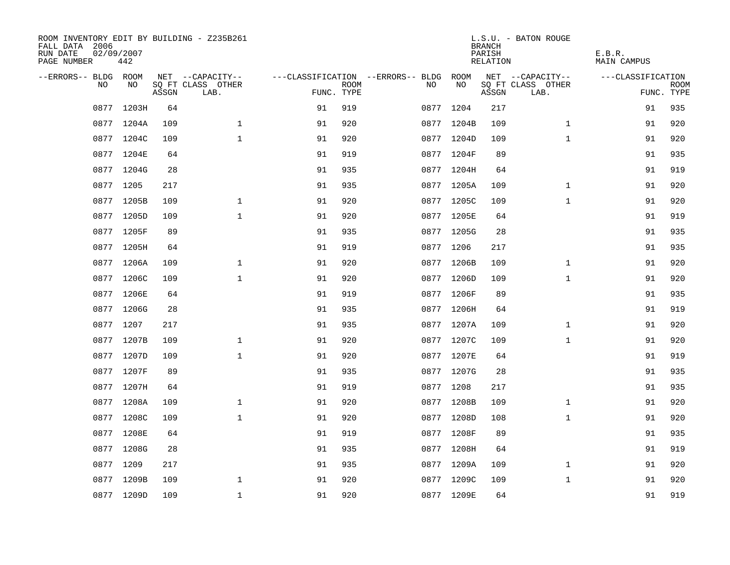| FALL DATA 2006<br>RUN DATE<br>PAGE NUMBER | 02/09/2007<br>442 |       | ROOM INVENTORY EDIT BY BUILDING - Z235B261 |            |             |                                               |            | <b>BRANCH</b><br>PARISH<br>RELATION | L.S.U. - BATON ROUGE                  | E.B.R.<br><b>MAIN CAMPUS</b> |             |
|-------------------------------------------|-------------------|-------|--------------------------------------------|------------|-------------|-----------------------------------------------|------------|-------------------------------------|---------------------------------------|------------------------------|-------------|
| --ERRORS-- BLDG ROOM<br>NO                | NO                |       | NET --CAPACITY--<br>SQ FT CLASS OTHER      |            | <b>ROOM</b> | ---CLASSIFICATION --ERRORS-- BLDG ROOM<br>NO. | NO         |                                     | NET --CAPACITY--<br>SQ FT CLASS OTHER | ---CLASSIFICATION            | <b>ROOM</b> |
|                                           |                   | ASSGN | LAB.                                       | FUNC. TYPE |             |                                               |            | ASSGN                               | LAB.                                  |                              | FUNC. TYPE  |
| 0877                                      | 1203H             | 64    |                                            | 91         | 919         | 0877                                          | 1204       | 217                                 |                                       | 91                           | 935         |
|                                           | 0877 1204A        | 109   | $\mathbf{1}$                               | 91         | 920         |                                               | 0877 1204B | 109                                 | $\mathbf{1}$                          | 91                           | 920         |
|                                           | 0877 1204C        | 109   | $\mathbf{1}$                               | 91         | 920         |                                               | 0877 1204D | 109                                 | $\mathbf{1}$                          | 91                           | 920         |
|                                           | 0877 1204E        | 64    |                                            | 91         | 919         |                                               | 0877 1204F | 89                                  |                                       | 91                           | 935         |
|                                           | 0877 1204G        | 28    |                                            | 91         | 935         |                                               | 0877 1204H | 64                                  |                                       | 91                           | 919         |
|                                           | 0877 1205         | 217   |                                            | 91         | 935         |                                               | 0877 1205A | 109                                 | $\mathbf{1}$                          | 91                           | 920         |
|                                           | 0877 1205B        | 109   | $\mathbf 1$                                | 91         | 920         |                                               | 0877 1205C | 109                                 | $\mathbf{1}$                          | 91                           | 920         |
|                                           | 0877 1205D        | 109   | $\mathbf{1}$                               | 91         | 920         |                                               | 0877 1205E | 64                                  |                                       | 91                           | 919         |
|                                           | 0877 1205F        | 89    |                                            | 91         | 935         |                                               | 0877 1205G | 28                                  |                                       | 91                           | 935         |
|                                           | 0877 1205H        | 64    |                                            | 91         | 919         |                                               | 0877 1206  | 217                                 |                                       | 91                           | 935         |
|                                           | 0877 1206A        | 109   | $\mathbf 1$                                | 91         | 920         |                                               | 0877 1206B | 109                                 | $\mathbf{1}$                          | 91                           | 920         |
|                                           | 0877 1206C        | 109   | $\mathbf{1}$                               | 91         | 920         |                                               | 0877 1206D | 109                                 | $\mathbf{1}$                          | 91                           | 920         |
|                                           | 0877 1206E        | 64    |                                            | 91         | 919         |                                               | 0877 1206F | 89                                  |                                       | 91                           | 935         |
|                                           | 0877 1206G        | 28    |                                            | 91         | 935         |                                               | 0877 1206H | 64                                  |                                       | 91                           | 919         |
|                                           | 0877 1207         | 217   |                                            | 91         | 935         |                                               | 0877 1207A | 109                                 | $\mathbf{1}$                          | 91                           | 920         |
|                                           | 0877 1207B        | 109   | $\mathbf 1$                                | 91         | 920         |                                               | 0877 1207C | 109                                 | $\mathbf{1}$                          | 91                           | 920         |
|                                           | 0877 1207D        | 109   | $\mathbf{1}$                               | 91         | 920         |                                               | 0877 1207E | 64                                  |                                       | 91                           | 919         |
|                                           | 0877 1207F        | 89    |                                            | 91         | 935         |                                               | 0877 1207G | 28                                  |                                       | 91                           | 935         |
|                                           | 0877 1207H        | 64    |                                            | 91         | 919         |                                               | 0877 1208  | 217                                 |                                       | 91                           | 935         |
|                                           | 0877 1208A        | 109   | $\mathbf{1}$                               | 91         | 920         |                                               | 0877 1208B | 109                                 | $\mathbf{1}$                          | 91                           | 920         |
|                                           | 0877 1208C        | 109   | $\mathbf{1}$                               | 91         | 920         |                                               | 0877 1208D | 108                                 | $\mathbf{1}$                          | 91                           | 920         |
|                                           | 0877 1208E        | 64    |                                            | 91         | 919         |                                               | 0877 1208F | 89                                  |                                       | 91                           | 935         |
|                                           | 0877 1208G        | 28    |                                            | 91         | 935         |                                               | 0877 1208H | 64                                  |                                       | 91                           | 919         |
|                                           | 0877 1209         | 217   |                                            | 91         | 935         |                                               | 0877 1209A | 109                                 | $\mathbf{1}$                          | 91                           | 920         |
|                                           | 0877 1209B        | 109   | $\mathbf{1}$                               | 91         | 920         |                                               | 0877 1209C | 109                                 | $\mathbf{1}$                          | 91                           | 920         |
|                                           | 0877 1209D        | 109   | $\mathbf{1}$                               | 91         | 920         |                                               | 0877 1209E | 64                                  |                                       | 91                           | 919         |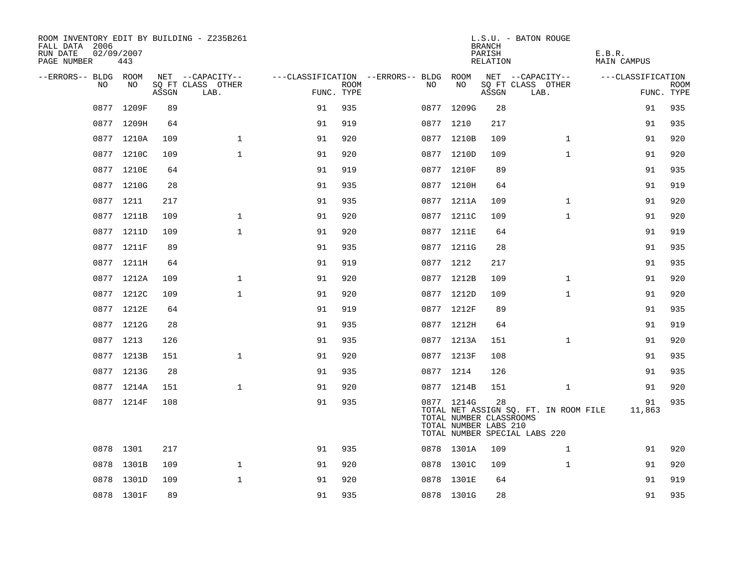| ROOM INVENTORY EDIT BY BUILDING - Z235B261<br>FALL DATA 2006<br>RUN DATE<br>PAGE NUMBER | 02/09/2007<br>443 |       |                           |            |             |                                        |                                                                | <b>BRANCH</b><br>PARISH<br>RELATION | L.S.U. - BATON ROUGE                                                   | E.B.R.<br><b>MAIN CAMPUS</b> |                           |
|-----------------------------------------------------------------------------------------|-------------------|-------|---------------------------|------------|-------------|----------------------------------------|----------------------------------------------------------------|-------------------------------------|------------------------------------------------------------------------|------------------------------|---------------------------|
| --ERRORS-- BLDG ROOM                                                                    |                   |       | NET --CAPACITY--          |            |             | ---CLASSIFICATION --ERRORS-- BLDG ROOM |                                                                |                                     | NET --CAPACITY--                                                       | ---CLASSIFICATION            |                           |
| NO.                                                                                     | NO.               | ASSGN | SQ FT CLASS OTHER<br>LAB. | FUNC. TYPE | <b>ROOM</b> | NO.                                    | NO                                                             | ASSGN                               | SQ FT CLASS OTHER<br>LAB.                                              |                              | <b>ROOM</b><br>FUNC. TYPE |
|                                                                                         | 0877 1209F        | 89    |                           | 91         | 935         | 0877                                   | 1209G                                                          | 28                                  |                                                                        | 91                           | 935                       |
|                                                                                         | 0877 1209H        | 64    |                           | 91         | 919         |                                        | 0877 1210                                                      | 217                                 |                                                                        | 91                           | 935                       |
|                                                                                         | 0877 1210A        | 109   | $\mathbf 1$               | 91         | 920         |                                        | 0877 1210B                                                     | 109                                 | $\mathbf{1}$                                                           | 91                           | 920                       |
|                                                                                         | 0877 1210C        | 109   | $\mathbf{1}$              | 91         | 920         |                                        | 0877 1210D                                                     | 109                                 | $\mathbf{1}$                                                           | 91                           | 920                       |
|                                                                                         | 0877 1210E        | 64    |                           | 91         | 919         |                                        | 0877 1210F                                                     | 89                                  |                                                                        | 91                           | 935                       |
|                                                                                         | 0877 1210G        | 28    |                           | 91         | 935         |                                        | 0877 1210H                                                     | 64                                  |                                                                        | 91                           | 919                       |
|                                                                                         | 0877 1211         | 217   |                           | 91         | 935         |                                        | 0877 1211A                                                     | 109                                 | $\mathbf{1}$                                                           | 91                           | 920                       |
|                                                                                         | 0877 1211B        | 109   | $\mathbf{1}$              | 91         | 920         |                                        | 0877 1211C                                                     | 109                                 | $\mathbf{1}$                                                           | 91                           | 920                       |
|                                                                                         | 0877 1211D        | 109   | $\mathbf{1}$              | 91         | 920         |                                        | 0877 1211E                                                     | 64                                  |                                                                        | 91                           | 919                       |
|                                                                                         | 0877 1211F        | 89    |                           | 91         | 935         |                                        | 0877 1211G                                                     | 28                                  |                                                                        | 91                           | 935                       |
|                                                                                         | 0877 1211H        | 64    |                           | 91         | 919         |                                        | 0877 1212                                                      | 217                                 |                                                                        | 91                           | 935                       |
|                                                                                         | 0877 1212A        | 109   | $\mathbf{1}$              | 91         | 920         |                                        | 0877 1212B                                                     | 109                                 | $\mathbf{1}$                                                           | 91                           | 920                       |
|                                                                                         | 0877 1212C        | 109   | $\mathbf{1}$              | 91         | 920         |                                        | 0877 1212D                                                     | 109                                 | $\mathbf{1}$                                                           | 91                           | 920                       |
|                                                                                         | 0877 1212E        | 64    |                           | 91         | 919         |                                        | 0877 1212F                                                     | 89                                  |                                                                        | 91                           | 935                       |
|                                                                                         | 0877 1212G        | 28    |                           | 91         | 935         |                                        | 0877 1212H                                                     | 64                                  |                                                                        | 91                           | 919                       |
|                                                                                         | 0877 1213         | 126   |                           | 91         | 935         |                                        | 0877 1213A                                                     | 151                                 | $\mathbf{1}$                                                           | 91                           | 920                       |
|                                                                                         | 0877 1213B        | 151   | $\mathbf{1}$              | 91         | 920         |                                        | 0877 1213F                                                     | 108                                 |                                                                        | 91                           | 935                       |
|                                                                                         | 0877 1213G        | 28    |                           | 91         | 935         |                                        | 0877 1214                                                      | 126                                 |                                                                        | 91                           | 935                       |
|                                                                                         | 0877 1214A        | 151   | $\mathbf 1$               | 91         | 920         |                                        | 0877 1214B                                                     | 151                                 | $\mathbf{1}$                                                           | 91                           | 920                       |
|                                                                                         | 0877 1214F        | 108   |                           | 91         | 935         |                                        | 0877 1214G<br>TOTAL NUMBER CLASSROOMS<br>TOTAL NUMBER LABS 210 | 28                                  | TOTAL NET ASSIGN SQ. FT. IN ROOM FILE<br>TOTAL NUMBER SPECIAL LABS 220 | 91<br>11,863                 | 935                       |
|                                                                                         | 0878 1301         | 217   |                           | 91         | 935         |                                        | 0878 1301A                                                     | 109                                 | $\mathbf{1}$                                                           | 91                           | 920                       |
|                                                                                         | 0878 1301B        | 109   | $\mathbf{1}$              | 91         | 920         |                                        | 0878 1301C                                                     | 109                                 | $\mathbf{1}$                                                           | 91                           | 920                       |
|                                                                                         | 0878 1301D        | 109   | $\mathbf{1}$              | 91         | 920         |                                        | 0878 1301E                                                     | 64                                  |                                                                        | 91                           | 919                       |
|                                                                                         | 0878 1301F        | 89    |                           | 91         | 935         |                                        | 0878 1301G                                                     | 28                                  |                                                                        | 91                           | 935                       |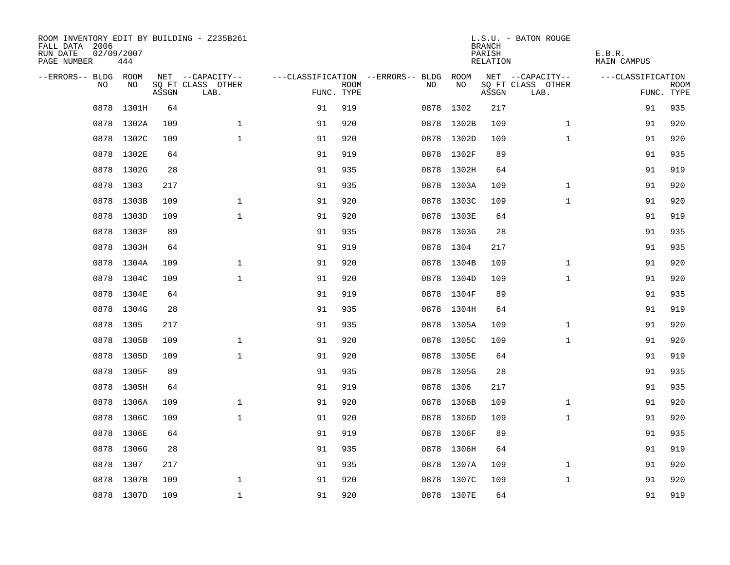| ROOM INVENTORY EDIT BY BUILDING - Z235B261<br>FALL DATA 2006<br>RUN DATE<br>PAGE NUMBER | 02/09/2007<br>444 |       |                           |            |             |                                        |            | <b>BRANCH</b><br>PARISH<br>RELATION | L.S.U. - BATON ROUGE      | E.B.R.<br>MAIN CAMPUS |                           |
|-----------------------------------------------------------------------------------------|-------------------|-------|---------------------------|------------|-------------|----------------------------------------|------------|-------------------------------------|---------------------------|-----------------------|---------------------------|
| --ERRORS-- BLDG ROOM                                                                    |                   |       | NET --CAPACITY--          |            |             | ---CLASSIFICATION --ERRORS-- BLDG ROOM |            |                                     | NET --CAPACITY--          | ---CLASSIFICATION     |                           |
| NO                                                                                      | NO                | ASSGN | SQ FT CLASS OTHER<br>LAB. | FUNC. TYPE | <b>ROOM</b> | NO                                     | NO         | ASSGN                               | SQ FT CLASS OTHER<br>LAB. |                       | <b>ROOM</b><br>FUNC. TYPE |
| 0878                                                                                    | 1301H             | 64    |                           | 91         | 919         |                                        | 0878 1302  | 217                                 |                           | 91                    | 935                       |
|                                                                                         | 0878 1302A        | 109   | $\mathbf 1$               | 91         | 920         |                                        | 0878 1302B | 109                                 | $\mathbf{1}$              | 91                    | 920                       |
|                                                                                         | 0878 1302C        | 109   | $\mathbf{1}$              | 91         | 920         |                                        | 0878 1302D | 109                                 | $\mathbf{1}$              | 91                    | 920                       |
|                                                                                         | 0878 1302E        | 64    |                           | 91         | 919         |                                        | 0878 1302F | 89                                  |                           | 91                    | 935                       |
| 0878                                                                                    | 1302G             | 28    |                           | 91         | 935         |                                        | 0878 1302H | 64                                  |                           | 91                    | 919                       |
|                                                                                         | 0878 1303         | 217   |                           | 91         | 935         |                                        | 0878 1303A | 109                                 | $\mathbf{1}$              | 91                    | 920                       |
| 0878                                                                                    | 1303B             | 109   | $\mathbf{1}$              | 91         | 920         |                                        | 0878 1303C | 109                                 | $\mathbf{1}$              | 91                    | 920                       |
|                                                                                         | 0878 1303D        | 109   | $\mathbf{1}$              | 91         | 920         |                                        | 0878 1303E | 64                                  |                           | 91                    | 919                       |
| 0878                                                                                    | 1303F             | 89    |                           | 91         | 935         |                                        | 0878 1303G | 28                                  |                           | 91                    | 935                       |
|                                                                                         | 0878 1303H        | 64    |                           | 91         | 919         |                                        | 0878 1304  | 217                                 |                           | 91                    | 935                       |
| 0878                                                                                    | 1304A             | 109   | $\mathbf{1}$              | 91         | 920         |                                        | 0878 1304B | 109                                 | $\mathbf{1}$              | 91                    | 920                       |
|                                                                                         | 0878 1304C        | 109   | $\mathbf{1}$              | 91         | 920         |                                        | 0878 1304D | 109                                 | $\mathbf{1}$              | 91                    | 920                       |
| 0878                                                                                    | 1304E             | 64    |                           | 91         | 919         |                                        | 0878 1304F | 89                                  |                           | 91                    | 935                       |
|                                                                                         | 0878 1304G        | 28    |                           | 91         | 935         |                                        | 0878 1304H | 64                                  |                           | 91                    | 919                       |
|                                                                                         | 0878 1305         | 217   |                           | 91         | 935         |                                        | 0878 1305A | 109                                 | $\mathbf{1}$              | 91                    | 920                       |
|                                                                                         | 0878 1305B        | 109   | $\mathbf 1$               | 91         | 920         |                                        | 0878 1305C | 109                                 | $\mathbf{1}$              | 91                    | 920                       |
|                                                                                         | 0878 1305D        | 109   | $\mathbf{1}$              | 91         | 920         |                                        | 0878 1305E | 64                                  |                           | 91                    | 919                       |
|                                                                                         | 0878 1305F        | 89    |                           | 91         | 935         |                                        | 0878 1305G | 28                                  |                           | 91                    | 935                       |
|                                                                                         | 0878 1305H        | 64    |                           | 91         | 919         |                                        | 0878 1306  | 217                                 |                           | 91                    | 935                       |
| 0878                                                                                    | 1306A             | 109   | $\mathbf 1$               | 91         | 920         |                                        | 0878 1306B | 109                                 | $\mathbf{1}$              | 91                    | 920                       |
|                                                                                         | 0878 1306C        | 109   | $\mathbf 1$               | 91         | 920         |                                        | 0878 1306D | 109                                 | $\mathbf{1}$              | 91                    | 920                       |
| 0878                                                                                    | 1306E             | 64    |                           | 91         | 919         |                                        | 0878 1306F | 89                                  |                           | 91                    | 935                       |
|                                                                                         | 0878 1306G        | 28    |                           | 91         | 935         |                                        | 0878 1306H | 64                                  |                           | 91                    | 919                       |
| 0878                                                                                    | 1307              | 217   |                           | 91         | 935         |                                        | 0878 1307A | 109                                 | $\mathbf{1}$              | 91                    | 920                       |
|                                                                                         | 0878 1307B        | 109   | $\mathbf{1}$              | 91         | 920         | 0878                                   | 1307C      | 109                                 | $\mathbf{1}$              | 91                    | 920                       |
|                                                                                         | 0878 1307D        | 109   | $\mathbf{1}$              | 91         | 920         |                                        | 0878 1307E | 64                                  |                           | 91                    | 919                       |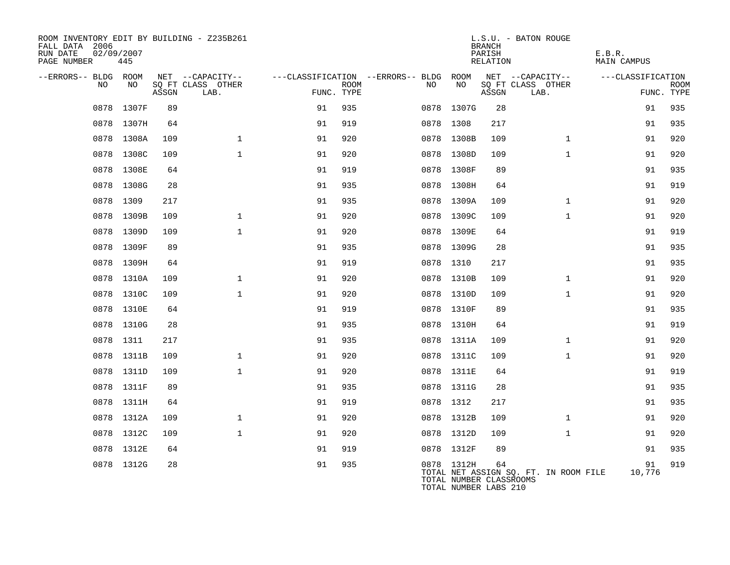| ROOM INVENTORY EDIT BY BUILDING - Z235B261<br>FALL DATA 2006<br>RUN DATE<br>PAGE NUMBER | 02/09/2007<br>445 |       |                                               |            |             |                                              |                                                                | <b>BRANCH</b><br>PARISH<br>RELATION | L.S.U. - BATON ROUGE                          | E.B.R.<br><b>MAIN CAMPUS</b> |                           |
|-----------------------------------------------------------------------------------------|-------------------|-------|-----------------------------------------------|------------|-------------|----------------------------------------------|----------------------------------------------------------------|-------------------------------------|-----------------------------------------------|------------------------------|---------------------------|
| --ERRORS-- BLDG ROOM<br>NO                                                              | NO                | ASSGN | NET --CAPACITY--<br>SQ FT CLASS OTHER<br>LAB. | FUNC. TYPE | <b>ROOM</b> | ---CLASSIFICATION --ERRORS-- BLDG ROOM<br>NO | NO                                                             | ASSGN                               | NET --CAPACITY--<br>SQ FT CLASS OTHER<br>LAB. | ---CLASSIFICATION            | <b>ROOM</b><br>FUNC. TYPE |
|                                                                                         | 0878 1307F        | 89    |                                               | 91         | 935         |                                              | 0878 1307G                                                     | 28                                  |                                               | 91                           | 935                       |
|                                                                                         | 0878 1307H        | 64    |                                               | 91         | 919         |                                              | 0878 1308                                                      | 217                                 |                                               | 91                           | 935                       |
|                                                                                         | 0878 1308A        | 109   | $\mathbf{1}$                                  | 91         | 920         |                                              | 0878 1308B                                                     | 109                                 | $\mathbf{1}$                                  | 91                           | 920                       |
|                                                                                         | 0878 1308C        | 109   | $\mathbf{1}$                                  | 91         | 920         |                                              | 0878 1308D                                                     | 109                                 | $\mathbf{1}$                                  | 91                           | 920                       |
|                                                                                         | 0878 1308E        | 64    |                                               | 91         | 919         |                                              | 0878 1308F                                                     | 89                                  |                                               | 91                           | 935                       |
|                                                                                         | 0878 1308G        | 28    |                                               | 91         | 935         |                                              | 0878 1308H                                                     | 64                                  |                                               | 91                           | 919                       |
|                                                                                         | 0878 1309         | 217   |                                               | 91         | 935         |                                              | 0878 1309A                                                     | 109                                 | $\mathbf{1}$                                  | 91                           | 920                       |
|                                                                                         | 0878 1309B        | 109   | $\mathbf 1$                                   | 91         | 920         |                                              | 0878 1309C                                                     | 109                                 | $\mathbf{1}$                                  | 91                           | 920                       |
|                                                                                         | 0878 1309D        | 109   | $\mathbf{1}$                                  | 91         | 920         |                                              | 0878 1309E                                                     | 64                                  |                                               | 91                           | 919                       |
|                                                                                         | 0878 1309F        | 89    |                                               | 91         | 935         |                                              | 0878 1309G                                                     | 28                                  |                                               | 91                           | 935                       |
|                                                                                         | 0878 1309H        | 64    |                                               | 91         | 919         |                                              | 0878 1310                                                      | 217                                 |                                               | 91                           | 935                       |
|                                                                                         | 0878 1310A        | 109   | $\mathbf{1}$                                  | 91         | 920         |                                              | 0878 1310B                                                     | 109                                 | $\mathbf{1}$                                  | 91                           | 920                       |
|                                                                                         | 0878 1310C        | 109   | $\mathbf{1}$                                  | 91         | 920         |                                              | 0878 1310D                                                     | 109                                 | $\mathbf{1}$                                  | 91                           | 920                       |
|                                                                                         | 0878 1310E        | 64    |                                               | 91         | 919         |                                              | 0878 1310F                                                     | 89                                  |                                               | 91                           | 935                       |
|                                                                                         | 0878 1310G        | 28    |                                               | 91         | 935         |                                              | 0878 1310H                                                     | 64                                  |                                               | 91                           | 919                       |
|                                                                                         | 0878 1311         | 217   |                                               | 91         | 935         |                                              | 0878 1311A                                                     | 109                                 | $\mathbf{1}$                                  | 91                           | 920                       |
| 0878                                                                                    | 1311B             | 109   | $\mathbf{1}$                                  | 91         | 920         |                                              | 0878 1311C                                                     | 109                                 | $\mathbf{1}$                                  | 91                           | 920                       |
|                                                                                         | 0878 1311D        | 109   | $\mathbf{1}$                                  | 91         | 920         |                                              | 0878 1311E                                                     | 64                                  |                                               | 91                           | 919                       |
| 0878                                                                                    | 1311F             | 89    |                                               | 91         | 935         |                                              | 0878 1311G                                                     | 28                                  |                                               | 91                           | 935                       |
|                                                                                         | 0878 1311H        | 64    |                                               | 91         | 919         |                                              | 0878 1312                                                      | 217                                 |                                               | 91                           | 935                       |
| 0878                                                                                    | 1312A             | 109   | $\mathbf 1$                                   | 91         | 920         |                                              | 0878 1312B                                                     | 109                                 | $\mathbf{1}$                                  | 91                           | 920                       |
|                                                                                         | 0878 1312C        | 109   | $\mathbf{1}$                                  | 91         | 920         |                                              | 0878 1312D                                                     | 109                                 | $\mathbf{1}$                                  | 91                           | 920                       |
|                                                                                         | 0878 1312E        | 64    |                                               | 91         | 919         |                                              | 0878 1312F                                                     | 89                                  |                                               | 91                           | 935                       |
|                                                                                         | 0878 1312G        | 28    |                                               | 91         | 935         |                                              | 0878 1312H<br>TOTAL NUMBER CLASSROOMS<br>TOTAL NUMBER LABS 210 | 64                                  | TOTAL NET ASSIGN SQ. FT. IN ROOM FILE         | 91<br>10,776                 | 919                       |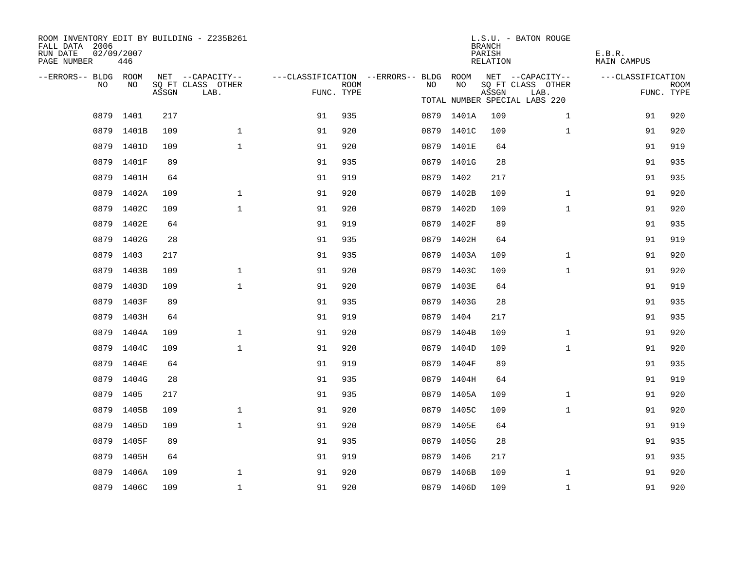| ROOM INVENTORY EDIT BY BUILDING - Z235B261<br>FALL DATA 2006<br>RUN DATE<br>PAGE NUMBER | 02/09/2007<br>446 |       |                                       |            |             |                                                               |            | <b>BRANCH</b><br>PARISH<br>RELATION | L.S.U. - BATON ROUGE                  | E.B.R.<br><b>MAIN CAMPUS</b> |             |
|-----------------------------------------------------------------------------------------|-------------------|-------|---------------------------------------|------------|-------------|---------------------------------------------------------------|------------|-------------------------------------|---------------------------------------|------------------------------|-------------|
| --ERRORS-- BLDG ROOM<br>NO.                                                             | NO.               |       | NET --CAPACITY--<br>SQ FT CLASS OTHER |            | <b>ROOM</b> | ---CLASSIFICATION --ERRORS-- BLDG ROOM NET --CAPACITY--<br>NO | NO         |                                     | SQ FT CLASS OTHER                     | ---CLASSIFICATION            | <b>ROOM</b> |
|                                                                                         |                   | ASSGN | LAB.                                  | FUNC. TYPE |             |                                                               |            | ASSGN                               | LAB.<br>TOTAL NUMBER SPECIAL LABS 220 |                              | FUNC. TYPE  |
|                                                                                         | 0879 1401         | 217   |                                       | 91         | 935         |                                                               | 0879 1401A | 109                                 | $\mathbf{1}$                          | 91                           | 920         |
| 0879                                                                                    | 1401B             | 109   | $\mathbf{1}$                          | 91         | 920         |                                                               | 0879 1401C | 109                                 | $\mathbf{1}$                          | 91                           | 920         |
|                                                                                         | 0879 1401D        | 109   | $\mathbf{1}$                          | 91         | 920         |                                                               | 0879 1401E | 64                                  |                                       | 91                           | 919         |
|                                                                                         | 0879 1401F        | 89    |                                       | 91         | 935         |                                                               | 0879 1401G | 28                                  |                                       | 91                           | 935         |
|                                                                                         | 0879 1401H        | 64    |                                       | 91         | 919         |                                                               | 0879 1402  | 217                                 |                                       | 91                           | 935         |
|                                                                                         | 0879 1402A        | 109   | $\mathbf{1}$                          | 91         | 920         | 0879                                                          | 1402B      | 109                                 | $\mathbf{1}$                          | 91                           | 920         |
|                                                                                         | 0879 1402C        | 109   | $\mathbf{1}$                          | 91         | 920         |                                                               | 0879 1402D | 109                                 | $\mathbf{1}$                          | 91                           | 920         |
|                                                                                         | 0879 1402E        | 64    |                                       | 91         | 919         |                                                               | 0879 1402F | 89                                  |                                       | 91                           | 935         |
|                                                                                         | 0879 1402G        | 28    |                                       | 91         | 935         |                                                               | 0879 1402H | 64                                  |                                       | 91                           | 919         |
|                                                                                         | 0879 1403         | 217   |                                       | 91         | 935         |                                                               | 0879 1403A | 109                                 | $\mathbf{1}$                          | 91                           | 920         |
| 0879                                                                                    | 1403B             | 109   | $\mathbf{1}$                          | 91         | 920         |                                                               | 0879 1403C | 109                                 | $\mathbf{1}$                          | 91                           | 920         |
|                                                                                         | 0879 1403D        | 109   | $\mathbf 1$                           | 91         | 920         |                                                               | 0879 1403E | 64                                  |                                       | 91                           | 919         |
|                                                                                         | 0879 1403F        | 89    |                                       | 91         | 935         |                                                               | 0879 1403G | 28                                  |                                       | 91                           | 935         |
|                                                                                         | 0879 1403H        | 64    |                                       | 91         | 919         |                                                               | 0879 1404  | 217                                 |                                       | 91                           | 935         |
|                                                                                         | 0879 1404A        | 109   | $\mathbf{1}$                          | 91         | 920         |                                                               | 0879 1404B | 109                                 | $\mathbf{1}$                          | 91                           | 920         |
|                                                                                         | 0879 1404C        | 109   | $\mathbf{1}$                          | 91         | 920         |                                                               | 0879 1404D | 109                                 | $\mathbf{1}$                          | 91                           | 920         |
|                                                                                         | 0879 1404E        | 64    |                                       | 91         | 919         |                                                               | 0879 1404F | 89                                  |                                       | 91                           | 935         |
|                                                                                         | 0879 1404G        | 28    |                                       | 91         | 935         |                                                               | 0879 1404H | 64                                  |                                       | 91                           | 919         |
| 0879                                                                                    | 1405              | 217   |                                       | 91         | 935         |                                                               | 0879 1405A | 109                                 | $\mathbf{1}$                          | 91                           | 920         |
|                                                                                         | 0879 1405B        | 109   | $\mathbf{1}$                          | 91         | 920         |                                                               | 0879 1405C | 109                                 | $\mathbf{1}$                          | 91                           | 920         |
| 0879                                                                                    | 1405D             | 109   | $\mathbf{1}$                          | 91         | 920         |                                                               | 0879 1405E | 64                                  |                                       | 91                           | 919         |
|                                                                                         | 0879 1405F        | 89    |                                       | 91         | 935         |                                                               | 0879 1405G | 28                                  |                                       | 91                           | 935         |
| 0879                                                                                    | 1405H             | 64    |                                       | 91         | 919         |                                                               | 0879 1406  | 217                                 |                                       | 91                           | 935         |
|                                                                                         | 0879 1406A        | 109   | $\mathbf 1$                           | 91         | 920         |                                                               | 0879 1406B | 109                                 | $\mathbf{1}$                          | 91                           | 920         |
|                                                                                         | 0879 1406C        | 109   | $\mathbf 1$                           | 91         | 920         |                                                               | 0879 1406D | 109                                 | $\mathbf{1}$                          | 91                           | 920         |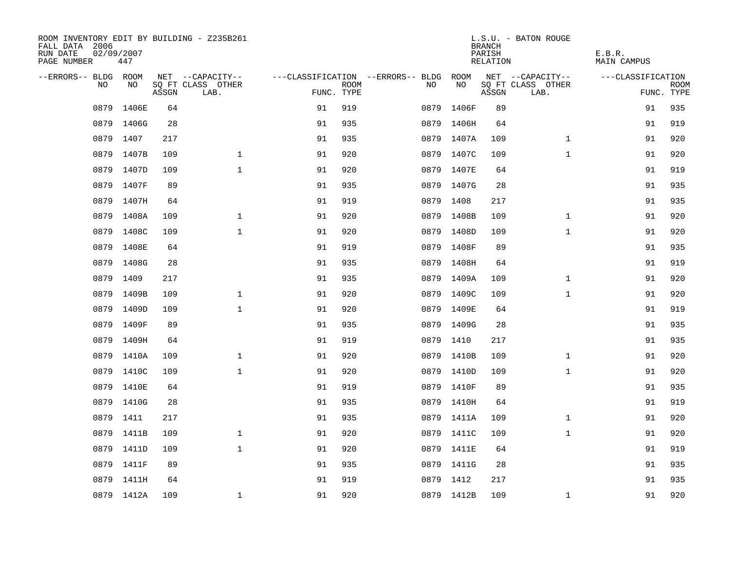| ROOM INVENTORY EDIT BY BUILDING - Z235B261<br>FALL DATA 2006<br>RUN DATE<br>PAGE NUMBER | 02/09/2007<br>447 |       |                           |            |             |                                        |            | <b>BRANCH</b><br>PARISH<br>RELATION | L.S.U. - BATON ROUGE      | E.B.R.<br>MAIN CAMPUS |                           |
|-----------------------------------------------------------------------------------------|-------------------|-------|---------------------------|------------|-------------|----------------------------------------|------------|-------------------------------------|---------------------------|-----------------------|---------------------------|
| --ERRORS-- BLDG ROOM                                                                    |                   |       | NET --CAPACITY--          |            |             | ---CLASSIFICATION --ERRORS-- BLDG ROOM |            |                                     | NET --CAPACITY--          | ---CLASSIFICATION     |                           |
| NO                                                                                      | NO                | ASSGN | SQ FT CLASS OTHER<br>LAB. | FUNC. TYPE | <b>ROOM</b> | NO                                     | NO         | ASSGN                               | SQ FT CLASS OTHER<br>LAB. |                       | <b>ROOM</b><br>FUNC. TYPE |
| 0879                                                                                    | 1406E             | 64    |                           | 91         | 919         | 0879                                   | 1406F      | 89                                  |                           | 91                    | 935                       |
|                                                                                         | 0879 1406G        | 28    |                           | 91         | 935         |                                        | 0879 1406H | 64                                  |                           | 91                    | 919                       |
|                                                                                         | 0879 1407         | 217   |                           | 91         | 935         |                                        | 0879 1407A | 109                                 | $\mathbf{1}$              | 91                    | 920                       |
| 0879                                                                                    | 1407B             | 109   | $\mathbf{1}$              | 91         | 920         |                                        | 0879 1407C | 109                                 | $\mathbf{1}$              | 91                    | 920                       |
| 0879                                                                                    | 1407D             | 109   | $\mathbf{1}$              | 91         | 920         |                                        | 0879 1407E | 64                                  |                           | 91                    | 919                       |
| 0879                                                                                    | 1407F             | 89    |                           | 91         | 935         |                                        | 0879 1407G | 28                                  |                           | 91                    | 935                       |
| 0879                                                                                    | 1407H             | 64    |                           | 91         | 919         |                                        | 0879 1408  | 217                                 |                           | 91                    | 935                       |
| 0879                                                                                    | 1408A             | 109   | $\mathbf{1}$              | 91         | 920         |                                        | 0879 1408B | 109                                 | $\mathbf{1}$              | 91                    | 920                       |
| 0879                                                                                    | 1408C             | 109   | $\mathbf{1}$              | 91         | 920         | 0879                                   | 1408D      | 109                                 | $\mathbf{1}$              | 91                    | 920                       |
| 0879                                                                                    | 1408E             | 64    |                           | 91         | 919         |                                        | 0879 1408F | 89                                  |                           | 91                    | 935                       |
| 0879                                                                                    | 1408G             | 28    |                           | 91         | 935         |                                        | 0879 1408H | 64                                  |                           | 91                    | 919                       |
|                                                                                         | 0879 1409         | 217   |                           | 91         | 935         |                                        | 0879 1409A | 109                                 | $\mathbf{1}$              | 91                    | 920                       |
| 0879                                                                                    | 1409B             | 109   | $\mathbf 1$               | 91         | 920         |                                        | 0879 1409C | 109                                 | $\mathbf{1}$              | 91                    | 920                       |
| 0879                                                                                    | 1409D             | 109   | $\mathbf{1}$              | 91         | 920         |                                        | 0879 1409E | 64                                  |                           | 91                    | 919                       |
| 0879                                                                                    | 1409F             | 89    |                           | 91         | 935         |                                        | 0879 1409G | 28                                  |                           | 91                    | 935                       |
| 0879                                                                                    | 1409H             | 64    |                           | 91         | 919         |                                        | 0879 1410  | 217                                 |                           | 91                    | 935                       |
|                                                                                         | 0879 1410A        | 109   | $\mathbf{1}$              | 91         | 920         |                                        | 0879 1410B | 109                                 | $\mathbf{1}$              | 91                    | 920                       |
| 0879                                                                                    | 1410C             | 109   | $\mathbf{1}$              | 91         | 920         |                                        | 0879 1410D | 109                                 | $\mathbf{1}$              | 91                    | 920                       |
|                                                                                         | 0879 1410E        | 64    |                           | 91         | 919         |                                        | 0879 1410F | 89                                  |                           | 91                    | 935                       |
|                                                                                         | 0879 1410G        | 28    |                           | 91         | 935         |                                        | 0879 1410H | 64                                  |                           | 91                    | 919                       |
|                                                                                         | 0879 1411         | 217   |                           | 91         | 935         |                                        | 0879 1411A | 109                                 | $\mathbf{1}$              | 91                    | 920                       |
| 0879                                                                                    | 1411B             | 109   | $\mathbf{1}$              | 91         | 920         |                                        | 0879 1411C | 109                                 | $\mathbf{1}$              | 91                    | 920                       |
|                                                                                         | 0879 1411D        | 109   | $\mathbf{1}$              | 91         | 920         |                                        | 0879 1411E | 64                                  |                           | 91                    | 919                       |
| 0879                                                                                    | 1411F             | 89    |                           | 91         | 935         |                                        | 0879 1411G | 28                                  |                           | 91                    | 935                       |
| 0879                                                                                    | 1411H             | 64    |                           | 91         | 919         | 0879                                   | 1412       | 217                                 |                           | 91                    | 935                       |
|                                                                                         | 0879 1412A        | 109   | $\mathbf{1}$              | 91         | 920         |                                        | 0879 1412B | 109                                 | $\mathbf{1}$              | 91                    | 920                       |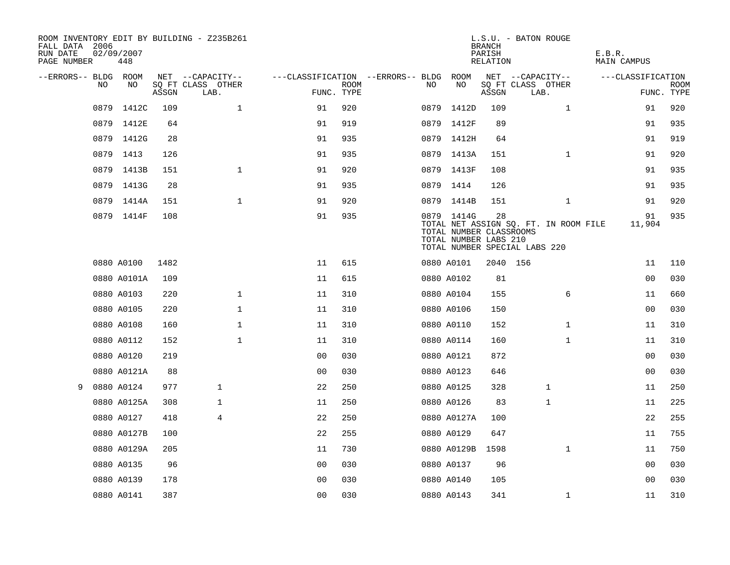| ROOM INVENTORY EDIT BY BUILDING - Z235B261<br>FALL DATA 2006<br>RUN DATE<br>PAGE NUMBER |      | 02/09/2007<br>448 |       |                           |              |                                   |                           |      |                                                                | <b>BRANCH</b><br>PARISH<br>RELATION | L.S.U. - BATON ROUGE                                                   | E.B.R.<br><b>MAIN CAMPUS</b> |                           |
|-----------------------------------------------------------------------------------------|------|-------------------|-------|---------------------------|--------------|-----------------------------------|---------------------------|------|----------------------------------------------------------------|-------------------------------------|------------------------------------------------------------------------|------------------------------|---------------------------|
| --ERRORS-- BLDG                                                                         |      | ROOM              |       | NET --CAPACITY--          |              | ---CLASSIFICATION --ERRORS-- BLDG |                           |      | ROOM                                                           |                                     | NET --CAPACITY--                                                       | ---CLASSIFICATION            |                           |
|                                                                                         | NO   | NO                | ASSGN | SQ FT CLASS OTHER<br>LAB. |              |                                   | <b>ROOM</b><br>FUNC. TYPE | NO.  | NO                                                             | ASSGN                               | SQ FT CLASS OTHER<br>LAB.                                              |                              | <b>ROOM</b><br>FUNC. TYPE |
|                                                                                         | 0879 | 1412C             | 109   |                           | $\mathbf 1$  | 91                                | 920                       | 0879 | 1412D                                                          | 109                                 | $\mathbf{1}$                                                           | 91                           | 920                       |
|                                                                                         | 0879 | 1412E             | 64    |                           |              | 91                                | 919                       | 0879 | 1412F                                                          | 89                                  |                                                                        | 91                           | 935                       |
|                                                                                         | 0879 | 1412G             | 28    |                           |              | 91                                | 935                       |      | 0879 1412H                                                     | 64                                  |                                                                        | 91                           | 919                       |
|                                                                                         |      | 0879 1413         | 126   |                           |              | 91                                | 935                       |      | 0879 1413A                                                     | 151                                 | $\mathbf{1}$                                                           | 91                           | 920                       |
|                                                                                         |      | 0879 1413B        | 151   |                           | $\mathbf 1$  | 91                                | 920                       |      | 0879 1413F                                                     | 108                                 |                                                                        | 91                           | 935                       |
|                                                                                         |      | 0879 1413G        | 28    |                           |              | 91                                | 935                       |      | 0879 1414                                                      | 126                                 |                                                                        | 91                           | 935                       |
|                                                                                         |      | 0879 1414A        | 151   |                           | $\mathbf 1$  | 91                                | 920                       |      | 0879 1414B                                                     | 151                                 | $\mathbf{1}$                                                           | 91                           | 920                       |
|                                                                                         |      | 0879 1414F        | 108   |                           |              | 91                                | 935                       |      | 0879 1414G<br>TOTAL NUMBER CLASSROOMS<br>TOTAL NUMBER LABS 210 | 28                                  | TOTAL NET ASSIGN SQ. FT. IN ROOM FILE<br>TOTAL NUMBER SPECIAL LABS 220 | 91<br>11,904                 | 935                       |
|                                                                                         |      | 0880 A0100        | 1482  |                           |              | 11                                | 615                       |      | 0880 A0101                                                     | 2040 156                            |                                                                        | 11                           | 110                       |
|                                                                                         |      | 0880 A0101A       | 109   |                           |              | 11                                | 615                       |      | 0880 A0102                                                     | 81                                  |                                                                        | 0 <sub>0</sub>               | 030                       |
|                                                                                         |      | 0880 A0103        | 220   |                           | $\mathbf{1}$ | 11                                | 310                       |      | 0880 A0104                                                     | 155                                 | 6                                                                      | 11                           | 660                       |
|                                                                                         |      | 0880 A0105        | 220   |                           | $\mathbf{1}$ | 11                                | 310                       |      | 0880 A0106                                                     | 150                                 |                                                                        | 00                           | 030                       |
|                                                                                         |      | 0880 A0108        | 160   |                           | 1            | 11                                | 310                       |      | 0880 A0110                                                     | 152                                 | $\mathbf{1}$                                                           | 11                           | 310                       |
|                                                                                         |      | 0880 A0112        | 152   |                           | $\mathbf 1$  | 11                                | 310                       |      | 0880 A0114                                                     | 160                                 | $\mathbf{1}$                                                           | 11                           | 310                       |
|                                                                                         |      | 0880 A0120        | 219   |                           |              | 0 <sub>0</sub>                    | 030                       |      | 0880 A0121                                                     | 872                                 |                                                                        | 0 <sub>0</sub>               | 030                       |
|                                                                                         |      | 0880 A0121A       | 88    |                           |              | 0 <sub>0</sub>                    | 030                       |      | 0880 A0123                                                     | 646                                 |                                                                        | 00                           | 030                       |
| 9                                                                                       |      | 0880 A0124        | 977   | $\mathbf{1}$              |              | 22                                | 250                       |      | 0880 A0125                                                     | 328                                 | $\mathbf 1$                                                            | 11                           | 250                       |
|                                                                                         |      | 0880 A0125A       | 308   | $\mathbf{1}$              |              | 11                                | 250                       |      | 0880 A0126                                                     | 83                                  | $\mathbf 1$                                                            | 11                           | 225                       |
|                                                                                         |      | 0880 A0127        | 418   | 4                         |              | 22                                | 250                       |      | 0880 A0127A                                                    | 100                                 |                                                                        | 22                           | 255                       |
|                                                                                         |      | 0880 A0127B       | 100   |                           |              | 22                                | 255                       |      | 0880 A0129                                                     | 647                                 |                                                                        | 11                           | 755                       |
|                                                                                         |      | 0880 A0129A       | 205   |                           |              | 11                                | 730                       |      | 0880 A0129B                                                    | 1598                                | $\mathbf{1}$                                                           | 11                           | 750                       |
|                                                                                         |      | 0880 A0135        | 96    |                           |              | 0 <sub>0</sub>                    | 030                       |      | 0880 A0137                                                     | 96                                  |                                                                        | 00                           | 030                       |
|                                                                                         |      | 0880 A0139        | 178   |                           |              | 0 <sub>0</sub>                    | 030                       |      | 0880 A0140                                                     | 105                                 |                                                                        | 00                           | 030                       |
|                                                                                         |      | 0880 A0141        | 387   |                           |              | 0 <sub>0</sub>                    | 030                       |      | 0880 A0143                                                     | 341                                 | $\mathbf{1}$                                                           | 11                           | 310                       |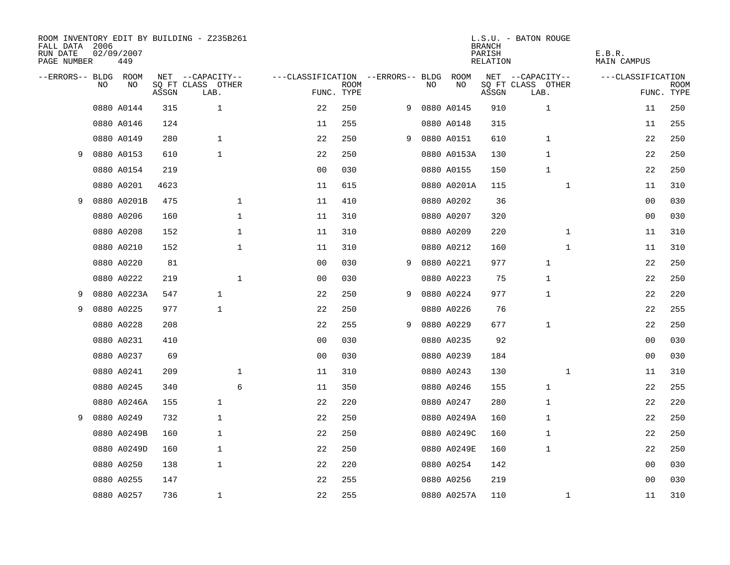| FALL DATA 2006<br>RUN DATE<br>PAGE NUMBER |    | 02/09/2007<br>449 |       | ROOM INVENTORY EDIT BY BUILDING - Z235B261 |              |                                   |             |   |    |             | <b>BRANCH</b><br>PARISH<br>RELATION | L.S.U. - BATON ROUGE      | E.B.R.<br>MAIN CAMPUS |                    |
|-------------------------------------------|----|-------------------|-------|--------------------------------------------|--------------|-----------------------------------|-------------|---|----|-------------|-------------------------------------|---------------------------|-----------------------|--------------------|
| --ERRORS-- BLDG ROOM                      |    |                   |       | NET --CAPACITY--                           |              | ---CLASSIFICATION --ERRORS-- BLDG |             |   |    | ROOM        |                                     | NET --CAPACITY--          | ---CLASSIFICATION     |                    |
|                                           | NO | NO                | ASSGN | SQ FT CLASS OTHER<br>LAB.                  |              | FUNC. TYPE                        | <b>ROOM</b> |   | NO | NO          | ASSGN                               | SQ FT CLASS OTHER<br>LAB. |                       | ROOM<br>FUNC. TYPE |
|                                           |    | 0880 A0144        | 315   | $\mathbf{1}$                               |              | 22                                | 250         | 9 |    | 0880 A0145  | 910                                 | $\mathbf{1}$              | 11                    | 250                |
|                                           |    | 0880 A0146        | 124   |                                            |              | 11                                | 255         |   |    | 0880 A0148  | 315                                 |                           | 11                    | 255                |
|                                           |    | 0880 A0149        | 280   | $\mathbf{1}$                               |              | 22                                | 250         | 9 |    | 0880 A0151  | 610                                 | $\mathbf 1$               | 22                    | 250                |
| 9                                         |    | 0880 A0153        | 610   | $\mathbf{1}$                               |              | 22                                | 250         |   |    | 0880 A0153A | 130                                 | $\mathbf 1$               | 22                    | 250                |
|                                           |    | 0880 A0154        | 219   |                                            |              | 00                                | 030         |   |    | 0880 A0155  | 150                                 | $\mathbf 1$               | 22                    | 250                |
|                                           |    | 0880 A0201        | 4623  |                                            |              | 11                                | 615         |   |    | 0880 A0201A | 115                                 | $\mathbf{1}$              | 11                    | 310                |
| 9                                         |    | 0880 A0201B       | 475   |                                            | $\mathbf{1}$ | 11                                | 410         |   |    | 0880 A0202  | 36                                  |                           | 00                    | 030                |
|                                           |    | 0880 A0206        | 160   |                                            | $\mathbf 1$  | 11                                | 310         |   |    | 0880 A0207  | 320                                 |                           | 0 <sub>0</sub>        | 030                |
|                                           |    | 0880 A0208        | 152   |                                            | $\mathbf 1$  | 11                                | 310         |   |    | 0880 A0209  | 220                                 | $\mathbf{1}$              | 11                    | 310                |
|                                           |    | 0880 A0210        | 152   |                                            | $\mathbf 1$  | 11                                | 310         |   |    | 0880 A0212  | 160                                 | $\mathbf{1}$              | 11                    | 310                |
|                                           |    | 0880 A0220        | 81    |                                            |              | 0 <sub>0</sub>                    | 030         | 9 |    | 0880 A0221  | 977                                 | 1                         | 22                    | 250                |
|                                           |    | 0880 A0222        | 219   |                                            | $\mathbf{1}$ | 00                                | 030         |   |    | 0880 A0223  | 75                                  | 1                         | 22                    | 250                |
| 9                                         |    | 0880 A0223A       | 547   | $\mathbf{1}$                               |              | 22                                | 250         | 9 |    | 0880 A0224  | 977                                 | 1                         | 22                    | 220                |
| 9                                         |    | 0880 A0225        | 977   | 1                                          |              | 22                                | 250         |   |    | 0880 A0226  | 76                                  |                           | 22                    | 255                |
|                                           |    | 0880 A0228        | 208   |                                            |              | 22                                | 255         | 9 |    | 0880 A0229  | 677                                 | 1                         | 22                    | 250                |
|                                           |    | 0880 A0231        | 410   |                                            |              | 0 <sub>0</sub>                    | 030         |   |    | 0880 A0235  | 92                                  |                           | 00                    | 030                |
|                                           |    | 0880 A0237        | 69    |                                            |              | 0 <sub>0</sub>                    | 030         |   |    | 0880 A0239  | 184                                 |                           | 00                    | 030                |
|                                           |    | 0880 A0241        | 209   |                                            | $\mathbf 1$  | 11                                | 310         |   |    | 0880 A0243  | 130                                 | $\mathbf{1}$              | 11                    | 310                |
|                                           |    | 0880 A0245        | 340   |                                            | 6            | 11                                | 350         |   |    | 0880 A0246  | 155                                 | $\mathbf 1$               | 22                    | 255                |
|                                           |    | 0880 A0246A       | 155   | $\mathbf{1}$                               |              | 22                                | 220         |   |    | 0880 A0247  | 280                                 | 1                         | 22                    | 220                |
| 9                                         |    | 0880 A0249        | 732   | $\mathbf{1}$                               |              | 22                                | 250         |   |    | 0880 A0249A | 160                                 | $\mathbf 1$               | 22                    | 250                |
|                                           |    | 0880 A0249B       | 160   | $\mathbf{1}$                               |              | 22                                | 250         |   |    | 0880 A0249C | 160                                 | 1                         | 22                    | 250                |
|                                           |    | 0880 A0249D       | 160   | 1                                          |              | 22                                | 250         |   |    | 0880 A0249E | 160                                 | 1                         | 22                    | 250                |
|                                           |    | 0880 A0250        | 138   | $\mathbf{1}$                               |              | 22                                | 220         |   |    | 0880 A0254  | 142                                 |                           | 00                    | 030                |
|                                           |    | 0880 A0255        | 147   |                                            |              | 22                                | 255         |   |    | 0880 A0256  | 219                                 |                           | 0 <sub>0</sub>        | 030                |
|                                           |    | 0880 A0257        | 736   | $\mathbf{1}$                               |              | 22                                | 255         |   |    | 0880 A0257A | 110                                 | $\mathbf{1}$              | 11                    | 310                |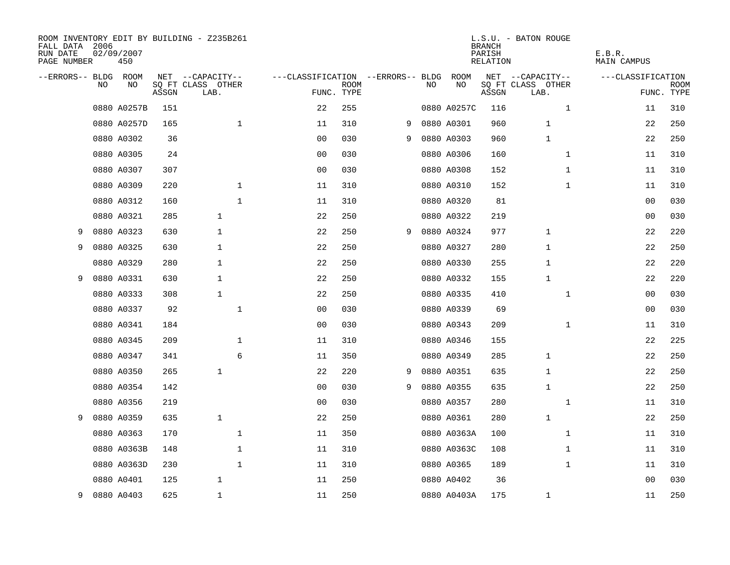| FALL DATA 2006<br>RUN DATE<br>PAGE NUMBER |     | 02/09/2007<br>450 |       | ROOM INVENTORY EDIT BY BUILDING - Z235B261 |                                   |             |   |    |             | <b>BRANCH</b><br>PARISH<br>RELATION | L.S.U. - BATON ROUGE      | E.B.R.<br>MAIN CAMPUS |                    |
|-------------------------------------------|-----|-------------------|-------|--------------------------------------------|-----------------------------------|-------------|---|----|-------------|-------------------------------------|---------------------------|-----------------------|--------------------|
| --ERRORS-- BLDG ROOM                      |     |                   |       | NET --CAPACITY--                           | ---CLASSIFICATION --ERRORS-- BLDG |             |   |    | ROOM        |                                     | NET --CAPACITY--          | ---CLASSIFICATION     |                    |
|                                           | NO. | NO                | ASSGN | SQ FT CLASS OTHER<br>LAB.                  | FUNC. TYPE                        | <b>ROOM</b> |   | NO | NO          | ASSGN                               | SQ FT CLASS OTHER<br>LAB. |                       | ROOM<br>FUNC. TYPE |
|                                           |     | 0880 A0257B       | 151   |                                            | 22                                | 255         |   |    | 0880 A0257C | 116                                 | $\mathbf{1}$              | 11                    | 310                |
|                                           |     | 0880 A0257D       | 165   | $\mathbf 1$                                | 11                                | 310         | 9 |    | 0880 A0301  | 960                                 | 1                         | 22                    | 250                |
|                                           |     | 0880 A0302        | 36    |                                            | 0 <sub>0</sub>                    | 030         | 9 |    | 0880 A0303  | 960                                 | $\mathbf 1$               | 22                    | 250                |
|                                           |     | 0880 A0305        | 24    |                                            | 0 <sub>0</sub>                    | 030         |   |    | 0880 A0306  | 160                                 | $\mathbf{1}$              | 11                    | 310                |
|                                           |     | 0880 A0307        | 307   |                                            | 0 <sub>0</sub>                    | 030         |   |    | 0880 A0308  | 152                                 | $\mathbf{1}$              | 11                    | 310                |
|                                           |     | 0880 A0309        | 220   | 1                                          | 11                                | 310         |   |    | 0880 A0310  | 152                                 | $\mathbf{1}$              | 11                    | 310                |
|                                           |     | 0880 A0312        | 160   | $\mathbf 1$                                | 11                                | 310         |   |    | 0880 A0320  | 81                                  |                           | 00                    | 030                |
|                                           |     | 0880 A0321        | 285   | $\mathbf{1}$                               | 22                                | 250         |   |    | 0880 A0322  | 219                                 |                           | 00                    | 030                |
| 9                                         |     | 0880 A0323        | 630   | $\mathbf{1}$                               | 22                                | 250         | 9 |    | 0880 A0324  | 977                                 | $\mathbf{1}$              | 22                    | 220                |
| 9                                         |     | 0880 A0325        | 630   | 1                                          | 22                                | 250         |   |    | 0880 A0327  | 280                                 | 1                         | 22                    | 250                |
|                                           |     | 0880 A0329        | 280   | $\mathbf{1}$                               | 22                                | 250         |   |    | 0880 A0330  | 255                                 | 1                         | 22                    | 220                |
| 9                                         |     | 0880 A0331        | 630   | $\mathbf{1}$                               | 22                                | 250         |   |    | 0880 A0332  | 155                                 | 1                         | 22                    | 220                |
|                                           |     | 0880 A0333        | 308   | $\mathbf{1}$                               | 22                                | 250         |   |    | 0880 A0335  | 410                                 | $\mathbf{1}$              | 00                    | 030                |
|                                           |     | 0880 A0337        | 92    | $\mathbf{1}$                               | 00                                | 030         |   |    | 0880 A0339  | 69                                  |                           | 00                    | 030                |
|                                           |     | 0880 A0341        | 184   |                                            | 0 <sub>0</sub>                    | 030         |   |    | 0880 A0343  | 209                                 | $\mathbf{1}$              | 11                    | 310                |
|                                           |     | 0880 A0345        | 209   | 1                                          | 11                                | 310         |   |    | 0880 A0346  | 155                                 |                           | 22                    | 225                |
|                                           |     | 0880 A0347        | 341   | 6                                          | 11                                | 350         |   |    | 0880 A0349  | 285                                 | 1                         | 22                    | 250                |
|                                           |     | 0880 A0350        | 265   | $\mathbf{1}$                               | 22                                | 220         | 9 |    | 0880 A0351  | 635                                 | 1                         | 22                    | 250                |
|                                           |     | 0880 A0354        | 142   |                                            | 0 <sub>0</sub>                    | 030         | 9 |    | 0880 A0355  | 635                                 | 1                         | 22                    | 250                |
|                                           |     | 0880 A0356        | 219   |                                            | 0 <sub>0</sub>                    | 030         |   |    | 0880 A0357  | 280                                 | $\mathbf{1}$              | 11                    | 310                |
| 9                                         |     | 0880 A0359        | 635   | $\mathbf{1}$                               | 22                                | 250         |   |    | 0880 A0361  | 280                                 | $\mathbf{1}$              | 22                    | 250                |
|                                           |     | 0880 A0363        | 170   | $\mathbf 1$                                | 11                                | 350         |   |    | 0880 A0363A | 100                                 | $\mathbf{1}$              | 11                    | 310                |
|                                           |     | 0880 A0363B       | 148   | 1                                          | 11                                | 310         |   |    | 0880 A0363C | 108                                 | $\mathbf{1}$              | 11                    | 310                |
|                                           |     | 0880 A0363D       | 230   | 1                                          | 11                                | 310         |   |    | 0880 A0365  | 189                                 | $\mathbf{1}$              | 11                    | 310                |
|                                           |     | 0880 A0401        | 125   | $\mathbf{1}$                               | 11                                | 250         |   |    | 0880 A0402  | 36                                  |                           | 00                    | 030                |
| 9                                         |     | 0880 A0403        | 625   | $\mathbf{1}$                               | 11                                | 250         |   |    | 0880 A0403A | 175                                 | $\mathbf{1}$              | 11                    | 250                |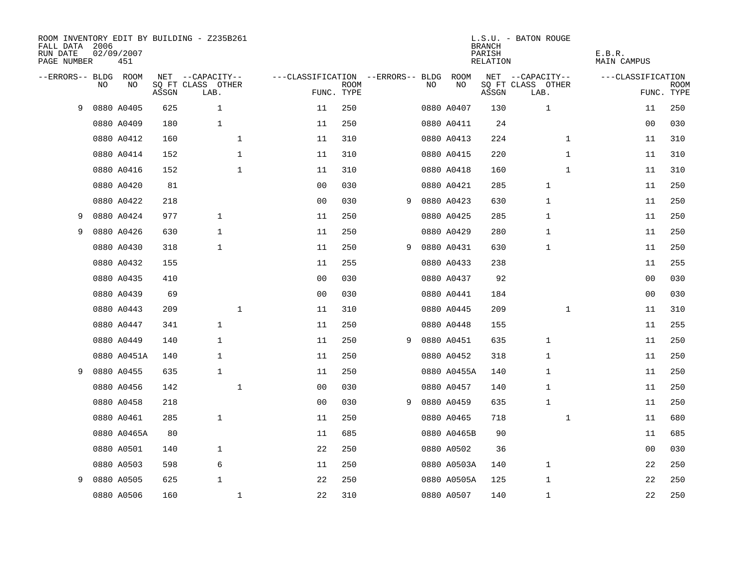| FALL DATA 2006<br>RUN DATE<br>PAGE NUMBER |     | 02/09/2007<br>451 |       | ROOM INVENTORY EDIT BY BUILDING - Z235B261 |             |                                   |                           |   |    |             | <b>BRANCH</b><br>PARISH<br><b>RELATION</b> | L.S.U. - BATON ROUGE      | E.B.R.<br><b>MAIN CAMPUS</b> |                           |
|-------------------------------------------|-----|-------------------|-------|--------------------------------------------|-------------|-----------------------------------|---------------------------|---|----|-------------|--------------------------------------------|---------------------------|------------------------------|---------------------------|
| --ERRORS-- BLDG ROOM                      |     |                   |       | NET --CAPACITY--                           |             | ---CLASSIFICATION --ERRORS-- BLDG |                           |   |    | <b>ROOM</b> |                                            | NET --CAPACITY--          | ---CLASSIFICATION            |                           |
|                                           | NO. | NO                | ASSGN | SQ FT CLASS OTHER<br>LAB.                  |             |                                   | <b>ROOM</b><br>FUNC. TYPE |   | NO | NO          | ASSGN                                      | SQ FT CLASS OTHER<br>LAB. |                              | <b>ROOM</b><br>FUNC. TYPE |
| 9                                         |     | 0880 A0405        | 625   | $\mathbf{1}$                               |             | 11                                | 250                       |   |    | 0880 A0407  | 130                                        | 1                         | 11                           | 250                       |
|                                           |     | 0880 A0409        | 180   | $\mathbf{1}$                               |             | 11                                | 250                       |   |    | 0880 A0411  | 24                                         |                           | 00                           | 030                       |
|                                           |     | 0880 A0412        | 160   |                                            | $\mathbf 1$ | 11                                | 310                       |   |    | 0880 A0413  | 224                                        | $\mathbf{1}$              | 11                           | 310                       |
|                                           |     | 0880 A0414        | 152   | 1                                          |             | 11                                | 310                       |   |    | 0880 A0415  | 220                                        | $\mathbf{1}$              | 11                           | 310                       |
|                                           |     | 0880 A0416        | 152   |                                            | $\mathbf 1$ | 11                                | 310                       |   |    | 0880 A0418  | 160                                        | $\mathbf{1}$              | 11                           | 310                       |
|                                           |     | 0880 A0420        | 81    |                                            |             | 00                                | 030                       |   |    | 0880 A0421  | 285                                        | 1                         | 11                           | 250                       |
|                                           |     | 0880 A0422        | 218   |                                            |             | 0 <sub>0</sub>                    | 030                       | 9 |    | 0880 A0423  | 630                                        | $\mathbf 1$               | 11                           | 250                       |
| 9                                         |     | 0880 A0424        | 977   | $\mathbf{1}$                               |             | 11                                | 250                       |   |    | 0880 A0425  | 285                                        | 1                         | 11                           | 250                       |
| 9                                         |     | 0880 A0426        | 630   | $\mathbf{1}$                               |             | 11                                | 250                       |   |    | 0880 A0429  | 280                                        | 1                         | 11                           | 250                       |
|                                           |     | 0880 A0430        | 318   | $\mathbf{1}$                               |             | 11                                | 250                       | 9 |    | 0880 A0431  | 630                                        | 1                         | 11                           | 250                       |
|                                           |     | 0880 A0432        | 155   |                                            |             | 11                                | 255                       |   |    | 0880 A0433  | 238                                        |                           | 11                           | 255                       |
|                                           |     | 0880 A0435        | 410   |                                            |             | 0 <sub>0</sub>                    | 030                       |   |    | 0880 A0437  | 92                                         |                           | 0 <sub>0</sub>               | 030                       |
|                                           |     | 0880 A0439        | 69    |                                            |             | 0 <sub>0</sub>                    | 030                       |   |    | 0880 A0441  | 184                                        |                           | 0 <sub>0</sub>               | 030                       |
|                                           |     | 0880 A0443        | 209   | $\mathbf 1$                                |             | 11                                | 310                       |   |    | 0880 A0445  | 209                                        | $\mathbf{1}$              | 11                           | 310                       |
|                                           |     | 0880 A0447        | 341   | $\mathbf{1}$                               |             | 11                                | 250                       |   |    | 0880 A0448  | 155                                        |                           | 11                           | 255                       |
|                                           |     | 0880 A0449        | 140   | $\mathbf{1}$                               |             | 11                                | 250                       | 9 |    | 0880 A0451  | 635                                        | 1                         | 11                           | 250                       |
|                                           |     | 0880 A0451A       | 140   | 1                                          |             | 11                                | 250                       |   |    | 0880 A0452  | 318                                        | 1                         | 11                           | 250                       |
| 9                                         |     | 0880 A0455        | 635   | $\mathbf{1}$                               |             | 11                                | 250                       |   |    | 0880 A0455A | 140                                        | 1                         | 11                           | 250                       |
|                                           |     | 0880 A0456        | 142   | $\mathbf 1$                                |             | 0 <sub>0</sub>                    | 030                       |   |    | 0880 A0457  | 140                                        | 1                         | 11                           | 250                       |
|                                           |     | 0880 A0458        | 218   |                                            |             | 0 <sub>0</sub>                    | 030                       | 9 |    | 0880 A0459  | 635                                        | $\mathbf 1$               | 11                           | 250                       |
|                                           |     | 0880 A0461        | 285   | 1                                          |             | 11                                | 250                       |   |    | 0880 A0465  | 718                                        | $\mathbf{1}$              | 11                           | 680                       |
|                                           |     | 0880 A0465A       | 80    |                                            |             | 11                                | 685                       |   |    | 0880 A0465B | 90                                         |                           | 11                           | 685                       |
|                                           |     | 0880 A0501        | 140   | $\mathbf{1}$                               |             | 22                                | 250                       |   |    | 0880 A0502  | 36                                         |                           | 00                           | 030                       |
|                                           |     | 0880 A0503        | 598   | 6                                          |             | 11                                | 250                       |   |    | 0880 A0503A | 140                                        | $\mathbf 1$               | 22                           | 250                       |
| 9                                         |     | 0880 A0505        | 625   | $\mathbf 1$                                |             | 22                                | 250                       |   |    | 0880 A0505A | 125                                        | 1                         | 22                           | 250                       |
|                                           |     | 0880 A0506        | 160   | $\mathbf{1}$                               |             | 22                                | 310                       |   |    | 0880 A0507  | 140                                        | 1                         | 22                           | 250                       |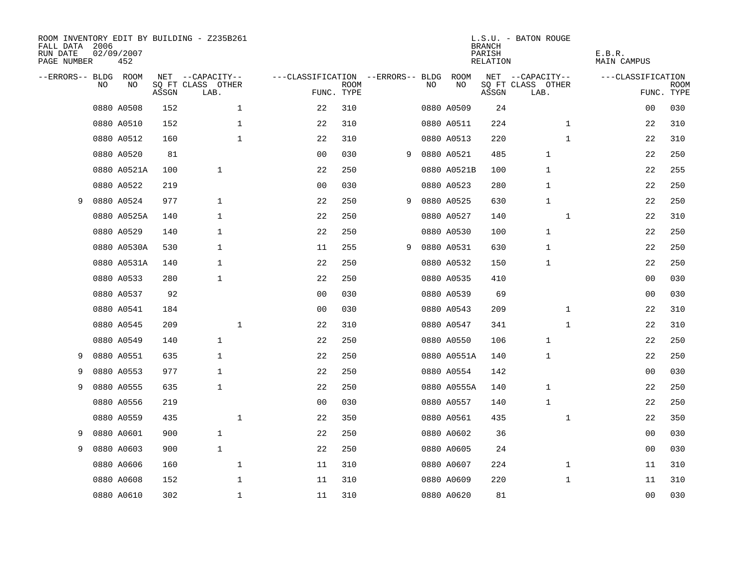| ROOM INVENTORY EDIT BY BUILDING - Z235B261<br>FALL DATA 2006<br>RUN DATE<br>PAGE NUMBER |    | 02/09/2007<br>452 |       |                           |              |                                   |             |   |    |             | <b>BRANCH</b><br>PARISH<br>RELATION | L.S.U. - BATON ROUGE      |              | E.B.R.<br>MAIN CAMPUS |                           |
|-----------------------------------------------------------------------------------------|----|-------------------|-------|---------------------------|--------------|-----------------------------------|-------------|---|----|-------------|-------------------------------------|---------------------------|--------------|-----------------------|---------------------------|
| --ERRORS-- BLDG ROOM                                                                    |    |                   |       | NET --CAPACITY--          |              | ---CLASSIFICATION --ERRORS-- BLDG |             |   |    | ROOM        |                                     | NET --CAPACITY--          |              | ---CLASSIFICATION     |                           |
|                                                                                         | NO | NO                | ASSGN | SQ FT CLASS OTHER<br>LAB. |              | FUNC. TYPE                        | <b>ROOM</b> |   | NO | NO          | ASSGN                               | SQ FT CLASS OTHER<br>LAB. |              |                       | <b>ROOM</b><br>FUNC. TYPE |
|                                                                                         |    | 0880 A0508        | 152   |                           | $\mathbf 1$  | 22                                | 310         |   |    | 0880 A0509  | 24                                  |                           |              | 00                    | 030                       |
|                                                                                         |    | 0880 A0510        | 152   |                           | $\mathbf 1$  | 22                                | 310         |   |    | 0880 A0511  | 224                                 |                           | $\mathbf{1}$ | 22                    | 310                       |
|                                                                                         |    | 0880 A0512        | 160   |                           | $\mathbf{1}$ | 22                                | 310         |   |    | 0880 A0513  | 220                                 |                           | $\mathbf{1}$ | 22                    | 310                       |
|                                                                                         |    | 0880 A0520        | 81    |                           |              | 0 <sub>0</sub>                    | 030         | 9 |    | 0880 A0521  | 485                                 | $\mathbf 1$               |              | 22                    | 250                       |
|                                                                                         |    | 0880 A0521A       | 100   | $\mathbf{1}$              |              | 22                                | 250         |   |    | 0880 A0521B | 100                                 | 1                         |              | 22                    | 255                       |
|                                                                                         |    | 0880 A0522        | 219   |                           |              | 0 <sub>0</sub>                    | 030         |   |    | 0880 A0523  | 280                                 | 1                         |              | 22                    | 250                       |
| 9                                                                                       |    | 0880 A0524        | 977   | $\mathbf{1}$              |              | 22                                | 250         | 9 |    | 0880 A0525  | 630                                 | 1                         |              | 22                    | 250                       |
|                                                                                         |    | 0880 A0525A       | 140   | 1                         |              | 22                                | 250         |   |    | 0880 A0527  | 140                                 |                           | $\mathbf{1}$ | 22                    | 310                       |
|                                                                                         |    | 0880 A0529        | 140   | $\mathbf{1}$              |              | 22                                | 250         |   |    | 0880 A0530  | 100                                 | 1                         |              | 22                    | 250                       |
|                                                                                         |    | 0880 A0530A       | 530   | $\mathbf{1}$              |              | 11                                | 255         | 9 |    | 0880 A0531  | 630                                 | $\mathbf{1}$              |              | 22                    | 250                       |
|                                                                                         |    | 0880 A0531A       | 140   | $\mathbf{1}$              |              | 22                                | 250         |   |    | 0880 A0532  | 150                                 | $\mathbf{1}$              |              | 22                    | 250                       |
|                                                                                         |    | 0880 A0533        | 280   | 1                         |              | 22                                | 250         |   |    | 0880 A0535  | 410                                 |                           |              | 00                    | 030                       |
|                                                                                         |    | 0880 A0537        | 92    |                           |              | 0 <sub>0</sub>                    | 030         |   |    | 0880 A0539  | 69                                  |                           |              | 00                    | 030                       |
|                                                                                         |    | 0880 A0541        | 184   |                           |              | 0 <sub>0</sub>                    | 030         |   |    | 0880 A0543  | 209                                 |                           | $\mathbf{1}$ | 22                    | 310                       |
|                                                                                         |    | 0880 A0545        | 209   |                           | $\mathbf{1}$ | 22                                | 310         |   |    | 0880 A0547  | 341                                 |                           | $\mathbf{1}$ | 22                    | 310                       |
|                                                                                         |    | 0880 A0549        | 140   | $\mathbf{1}$              |              | 22                                | 250         |   |    | 0880 A0550  | 106                                 | 1                         |              | 22                    | 250                       |
| 9                                                                                       |    | 0880 A0551        | 635   | 1                         |              | 22                                | 250         |   |    | 0880 A0551A | 140                                 | 1                         |              | 22                    | 250                       |
| 9                                                                                       |    | 0880 A0553        | 977   | $\mathbf{1}$              |              | 22                                | 250         |   |    | 0880 A0554  | 142                                 |                           |              | 00                    | 030                       |
| 9                                                                                       |    | 0880 A0555        | 635   | 1                         |              | 22                                | 250         |   |    | 0880 A0555A | 140                                 | 1                         |              | 22                    | 250                       |
|                                                                                         |    | 0880 A0556        | 219   |                           |              | 0 <sub>0</sub>                    | 030         |   |    | 0880 A0557  | 140                                 | $\mathbf 1$               |              | 22                    | 250                       |
|                                                                                         |    | 0880 A0559        | 435   |                           | $\mathbf 1$  | 22                                | 350         |   |    | 0880 A0561  | 435                                 |                           | $\mathbf{1}$ | 22                    | 350                       |
| 9                                                                                       |    | 0880 A0601        | 900   | $\mathbf{1}$              |              | 22                                | 250         |   |    | 0880 A0602  | 36                                  |                           |              | 00                    | 030                       |
| 9                                                                                       |    | 0880 A0603        | 900   | $\mathbf{1}$              |              | 22                                | 250         |   |    | 0880 A0605  | 24                                  |                           |              | 0 <sub>0</sub>        | 030                       |
|                                                                                         |    | 0880 A0606        | 160   |                           | $\mathbf{1}$ | 11                                | 310         |   |    | 0880 A0607  | 224                                 |                           | $\mathbf{1}$ | 11                    | 310                       |
|                                                                                         |    | 0880 A0608        | 152   |                           | 1            | 11                                | 310         |   |    | 0880 A0609  | 220                                 |                           | $\mathbf{1}$ | 11                    | 310                       |
|                                                                                         |    | 0880 A0610        | 302   |                           | $\mathbf{1}$ | 11                                | 310         |   |    | 0880 A0620  | 81                                  |                           |              | 0 <sub>0</sub>        | 030                       |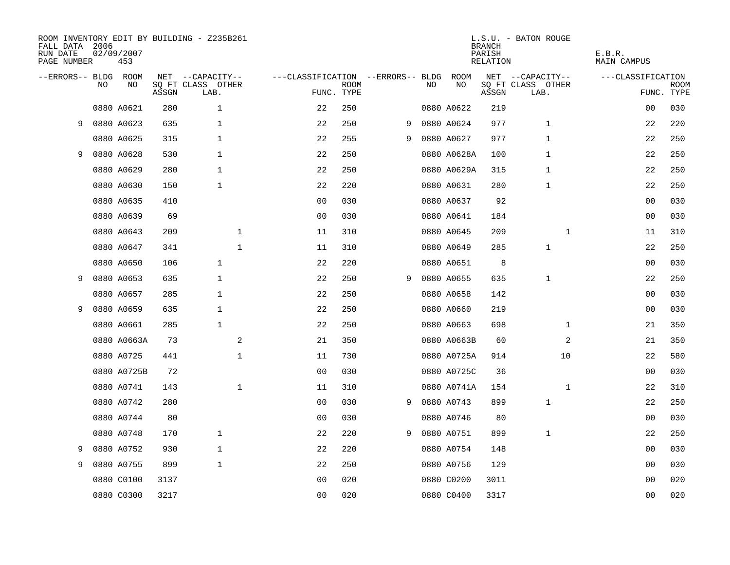| FALL DATA 2006<br>RUN DATE<br>PAGE NUMBER |     | 02/09/2007<br>453 |       | ROOM INVENTORY EDIT BY BUILDING - Z235B261 |                                   |             |   |     |             | <b>BRANCH</b><br>PARISH<br>RELATION | L.S.U. - BATON ROUGE      | E.B.R.<br>MAIN CAMPUS |             |
|-------------------------------------------|-----|-------------------|-------|--------------------------------------------|-----------------------------------|-------------|---|-----|-------------|-------------------------------------|---------------------------|-----------------------|-------------|
| --ERRORS-- BLDG ROOM                      |     |                   |       | NET --CAPACITY--                           | ---CLASSIFICATION --ERRORS-- BLDG |             |   |     | ROOM        |                                     | NET --CAPACITY--          | ---CLASSIFICATION     |             |
|                                           | NO. | NO                | ASSGN | SQ FT CLASS OTHER<br>LAB.                  | FUNC. TYPE                        | <b>ROOM</b> |   | NO. | NO          | ASSGN                               | SQ FT CLASS OTHER<br>LAB. | FUNC. TYPE            | <b>ROOM</b> |
|                                           |     | 0880 A0621        | 280   | $\mathbf{1}$                               | 22                                | 250         |   |     | 0880 A0622  | 219                                 |                           | 0 <sub>0</sub>        | 030         |
| 9                                         |     | 0880 A0623        | 635   | $\mathbf{1}$                               | 22                                | 250         | 9 |     | 0880 A0624  | 977                                 | $\mathbf{1}$              | 22                    | 220         |
|                                           |     | 0880 A0625        | 315   | $\mathbf{1}$                               | 22                                | 255         | 9 |     | 0880 A0627  | 977                                 | $\mathbf 1$               | 22                    | 250         |
| 9                                         |     | 0880 A0628        | 530   | 1                                          | 22                                | 250         |   |     | 0880 A0628A | 100                                 | 1                         | 22                    | 250         |
|                                           |     | 0880 A0629        | 280   | $\mathbf{1}$                               | 22                                | 250         |   |     | 0880 A0629A | 315                                 | 1                         | 22                    | 250         |
|                                           |     | 0880 A0630        | 150   | $\mathbf 1$                                | 22                                | 220         |   |     | 0880 A0631  | 280                                 | 1                         | 22                    | 250         |
|                                           |     | 0880 A0635        | 410   |                                            | 00                                | 030         |   |     | 0880 A0637  | 92                                  |                           | 0 <sub>0</sub>        | 030         |
|                                           |     | 0880 A0639        | 69    |                                            | 0 <sub>0</sub>                    | 030         |   |     | 0880 A0641  | 184                                 |                           | 0 <sub>0</sub>        | 030         |
|                                           |     | 0880 A0643        | 209   | $\mathbf{1}$                               | 11                                | 310         |   |     | 0880 A0645  | 209                                 | $\mathbf{1}$              | 11                    | 310         |
|                                           |     | 0880 A0647        | 341   | $\mathbf 1$                                | 11                                | 310         |   |     | 0880 A0649  | 285                                 | $\mathbf{1}$              | 22                    | 250         |
|                                           |     | 0880 A0650        | 106   | $\mathbf{1}$                               | 22                                | 220         |   |     | 0880 A0651  | 8                                   |                           | 0 <sub>0</sub>        | 030         |
| 9                                         |     | 0880 A0653        | 635   | 1                                          | 22                                | 250         | 9 |     | 0880 A0655  | 635                                 | 1                         | 22                    | 250         |
|                                           |     | 0880 A0657        | 285   | $\mathbf{1}$                               | 22                                | 250         |   |     | 0880 A0658  | 142                                 |                           | 00                    | 030         |
| 9                                         |     | 0880 A0659        | 635   | $\mathbf{1}$                               | 22                                | 250         |   |     | 0880 A0660  | 219                                 |                           | 0 <sub>0</sub>        | 030         |
|                                           |     | 0880 A0661        | 285   | $\mathbf{1}$                               | 22                                | 250         |   |     | 0880 A0663  | 698                                 | $\mathbf{1}$              | 21                    | 350         |
|                                           |     | 0880 A0663A       | 73    | 2                                          | 21                                | 350         |   |     | 0880 A0663B | 60                                  | 2                         | 21                    | 350         |
|                                           |     | 0880 A0725        | 441   | $\mathbf 1$                                | 11                                | 730         |   |     | 0880 A0725A | 914                                 | 10                        | 22                    | 580         |
|                                           |     | 0880 A0725B       | 72    |                                            | 0 <sub>0</sub>                    | 030         |   |     | 0880 A0725C | 36                                  |                           | 00                    | 030         |
|                                           |     | 0880 A0741        | 143   | $\mathbf{1}$                               | 11                                | 310         |   |     | 0880 A0741A | 154                                 | $\mathbf{1}$              | 22                    | 310         |
|                                           |     | 0880 A0742        | 280   |                                            | 0 <sub>0</sub>                    | 030         | 9 |     | 0880 A0743  | 899                                 | $\mathbf 1$               | 22                    | 250         |
|                                           |     | 0880 A0744        | 80    |                                            | 0 <sub>0</sub>                    | 030         |   |     | 0880 A0746  | 80                                  |                           | 0 <sub>0</sub>        | 030         |
|                                           |     | 0880 A0748        | 170   | 1                                          | 22                                | 220         | 9 |     | 0880 A0751  | 899                                 | 1                         | 22                    | 250         |
| 9                                         |     | 0880 A0752        | 930   | $\mathbf{1}$                               | 22                                | 220         |   |     | 0880 A0754  | 148                                 |                           | 00                    | 030         |
| 9                                         |     | 0880 A0755        | 899   | $\mathbf{1}$                               | 22                                | 250         |   |     | 0880 A0756  | 129                                 |                           | 00                    | 030         |
|                                           |     | 0880 C0100        | 3137  |                                            | 0 <sub>0</sub>                    | 020         |   |     | 0880 C0200  | 3011                                |                           | 00                    | 020         |
|                                           |     | 0880 C0300        | 3217  |                                            | 0 <sub>0</sub>                    | 020         |   |     | 0880 C0400  | 3317                                |                           | 0 <sub>0</sub>        | 020         |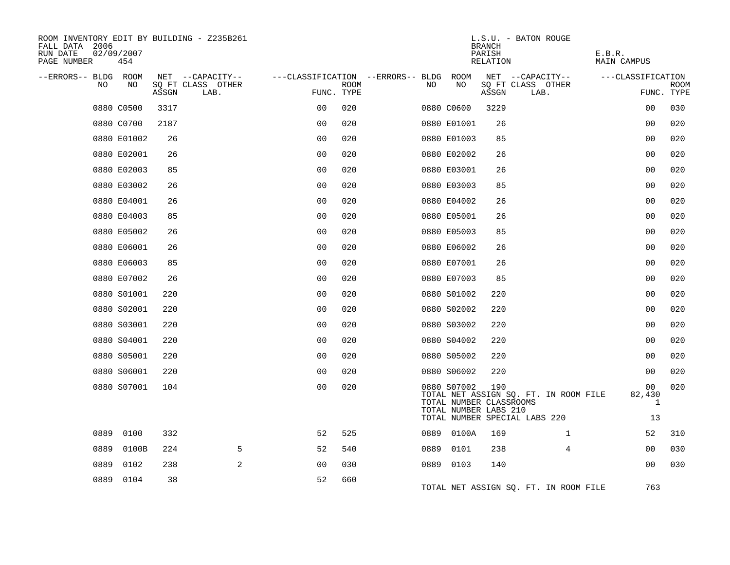| ROOM INVENTORY EDIT BY BUILDING - Z235B261<br>FALL DATA 2006<br>RUN DATE<br>02/09/2007<br>PAGE NUMBER<br>454 |                                    |                           | L.S.U. - BATON ROUGE<br><b>BRANCH</b><br>PARISH<br>RELATION                                                                                      | E.B.R.<br>MAIN CAMPUS          |
|--------------------------------------------------------------------------------------------------------------|------------------------------------|---------------------------|--------------------------------------------------------------------------------------------------------------------------------------------------|--------------------------------|
| --ERRORS-- BLDG ROOM                                                                                         | NET --CAPACITY--                   |                           | NET --CAPACITY--<br>---CLASSIFICATION --ERRORS-- BLDG ROOM                                                                                       | ---CLASSIFICATION              |
| NO<br>NO.                                                                                                    | SQ FT CLASS OTHER<br>ASSGN<br>LAB. | <b>ROOM</b><br>FUNC. TYPE | NO<br>SQ FT CLASS OTHER<br>NO.<br>ASSGN<br>LAB.                                                                                                  | <b>ROOM</b><br>FUNC. TYPE      |
| 0880 C0500                                                                                                   | 3317                               | 020<br>0 <sup>0</sup>     | 0880 C0600<br>3229                                                                                                                               | 030<br>0 <sub>0</sub>          |
| 0880 C0700                                                                                                   | 2187                               | 0 <sub>0</sub><br>020     | 0880 E01001<br>26                                                                                                                                | 0 <sub>0</sub><br>020          |
| 0880 E01002                                                                                                  | 26                                 | 0 <sub>0</sub><br>020     | 0880 E01003<br>85                                                                                                                                | 0 <sub>0</sub><br>020          |
| 0880 E02001                                                                                                  | 26                                 | 0 <sub>0</sub><br>020     | 0880 E02002<br>26                                                                                                                                | 00<br>020                      |
| 0880 E02003                                                                                                  | 85                                 | 0 <sub>0</sub><br>020     | 0880 E03001<br>26                                                                                                                                | 020<br>00                      |
| 0880 E03002                                                                                                  | 26                                 | 0 <sub>0</sub><br>020     | 0880 E03003<br>85                                                                                                                                | 00<br>020                      |
| 0880 E04001                                                                                                  | 26                                 | 0 <sub>0</sub><br>020     | 0880 E04002<br>26                                                                                                                                | 0 <sub>0</sub><br>020          |
| 0880 E04003                                                                                                  | 85                                 | 0 <sub>0</sub><br>020     | 0880 E05001<br>26                                                                                                                                | 00<br>020                      |
| 0880 E05002                                                                                                  | 26                                 | 0 <sub>0</sub><br>020     | 0880 E05003<br>85                                                                                                                                | 0 <sub>0</sub><br>020          |
| 0880 E06001                                                                                                  | 26                                 | 020<br>0 <sub>0</sub>     | 0880 E06002<br>26                                                                                                                                | 0 <sub>0</sub><br>020          |
| 0880 E06003                                                                                                  | 85                                 | 0 <sub>0</sub><br>020     | 0880 E07001<br>26                                                                                                                                | 0 <sub>0</sub><br>020          |
| 0880 E07002                                                                                                  | 26                                 | 0 <sub>0</sub><br>020     | 0880 E07003<br>85                                                                                                                                | 0 <sub>0</sub><br>020          |
| 0880 S01001                                                                                                  | 220                                | 0 <sub>0</sub><br>020     | 0880 S01002<br>220                                                                                                                               | 020<br>0 <sub>0</sub>          |
| 0880 S02001                                                                                                  | 220                                | 0 <sub>0</sub><br>020     | 0880 S02002<br>220                                                                                                                               | 0 <sub>0</sub><br>020          |
| 0880 S03001                                                                                                  | 220                                | 0 <sub>0</sub><br>020     | 0880 S03002<br>220                                                                                                                               | 0 <sub>0</sub><br>020          |
| 0880 S04001                                                                                                  | 220                                | 0 <sub>0</sub><br>020     | 0880 S04002<br>220                                                                                                                               | 020<br>0 <sub>0</sub>          |
| 0880 S05001                                                                                                  | 220                                | 00<br>020                 | 0880 S05002<br>220                                                                                                                               | 020<br>00                      |
| 0880 S06001                                                                                                  | 220                                | 0 <sub>0</sub><br>020     | 0880 S06002<br>220                                                                                                                               | 020<br>00                      |
| 0880 S07001                                                                                                  | 104                                | 0 <sub>0</sub><br>020     | 0880 S07002<br>190<br>TOTAL NET ASSIGN SQ. FT. IN ROOM FILE<br>TOTAL NUMBER CLASSROOMS<br>TOTAL NUMBER LABS 210<br>TOTAL NUMBER SPECIAL LABS 220 | 020<br>00<br>82,430<br>1<br>13 |
| 0889<br>0100                                                                                                 | 332                                | 52<br>525                 | 0889 0100A<br>169<br>$\mathbf{1}$                                                                                                                | 52<br>310                      |
| 0889<br>0100B                                                                                                | 224<br>5                           | 52<br>540                 | 0889<br>0101<br>238<br>4                                                                                                                         | 0 <sub>0</sub><br>030          |
| 0889<br>0102                                                                                                 | 2<br>238                           | 0 <sub>0</sub><br>030     | 0889 0103<br>140                                                                                                                                 | 00<br>030                      |
| 0889 0104                                                                                                    | 38                                 | 52<br>660                 | TOTAL NET ASSIGN SQ. FT. IN ROOM FILE                                                                                                            | 763                            |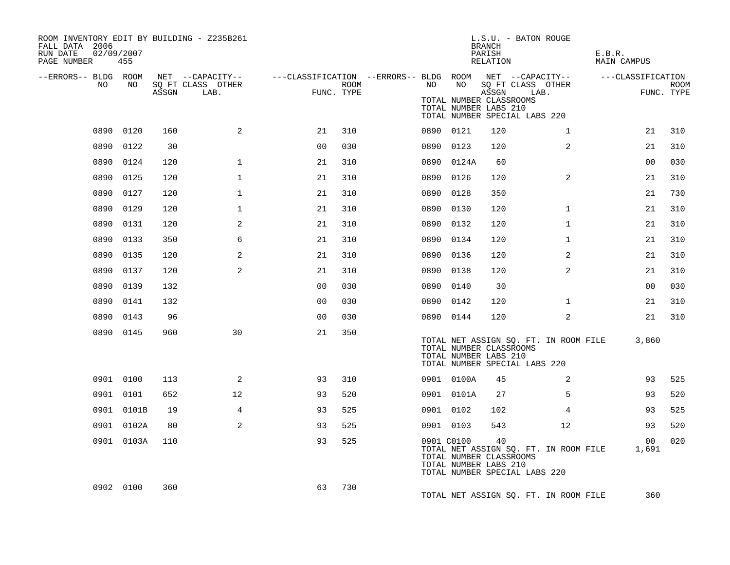| ROOM INVENTORY EDIT BY BUILDING - Z235B261<br>FALL DATA 2006<br>RUN DATE<br>02/09/2007<br>PAGE NUMBER | 455        |     |                                 |                |      |                                                         |            | L.S.U. - BATON ROUGE<br>BRANCH<br>PARISH<br>RELATION                                                            |                                       | E.B.R.<br><b>MAIN CAMPUS</b> |                           |
|-------------------------------------------------------------------------------------------------------|------------|-----|---------------------------------|----------------|------|---------------------------------------------------------|------------|-----------------------------------------------------------------------------------------------------------------|---------------------------------------|------------------------------|---------------------------|
| --ERRORS-- BLDG ROOM                                                                                  |            |     | NET --CAPACITY--                |                |      | ---CLASSIFICATION --ERRORS-- BLDG ROOM NET --CAPACITY-- | NO         |                                                                                                                 |                                       | ---CLASSIFICATION            |                           |
| NO                                                                                                    | NO         |     | SQ FT CLASS OTHER<br>ASSGN LAB. | FUNC. TYPE     | ROOM | NO                                                      |            | SQ FT CLASS OTHER<br>ASSGN<br>TOTAL NUMBER CLASSROOMS<br>TOTAL NUMBER LABS 210<br>TOTAL NUMBER SPECIAL LABS 220 | LAB.                                  |                              | <b>ROOM</b><br>FUNC. TYPE |
|                                                                                                       | 0890 0120  | 160 | 2                               | 21             | 310  |                                                         | 0890 0121  | 120                                                                                                             | $\mathbf{1}$                          | 21                           | 310                       |
|                                                                                                       | 0890 0122  | 30  |                                 | 0 <sub>0</sub> | 030  |                                                         | 0890 0123  | 120                                                                                                             | 2                                     | 21                           | 310                       |
|                                                                                                       | 0890 0124  | 120 | $\mathbf{1}$                    | 21             | 310  |                                                         | 0890 0124A | 60                                                                                                              |                                       | 0 <sub>0</sub>               | 030                       |
|                                                                                                       | 0890 0125  | 120 | $\mathbf 1$                     | 21             | 310  |                                                         | 0890 0126  | 120                                                                                                             | 2                                     | 21                           | 310                       |
|                                                                                                       | 0890 0127  | 120 | $\mathbf 1$                     | 21             | 310  | 0890                                                    | 0128       | 350                                                                                                             |                                       | 21                           | 730                       |
|                                                                                                       | 0890 0129  | 120 | $\mathbf 1$                     | 21             | 310  |                                                         | 0890 0130  | 120                                                                                                             | $\mathbf{1}$                          | 21                           | 310                       |
|                                                                                                       | 0890 0131  | 120 | 2                               | 21             | 310  |                                                         | 0890 0132  | 120                                                                                                             | $\mathbf{1}$                          | 21                           | 310                       |
|                                                                                                       | 0890 0133  | 350 | 6                               | 21             | 310  |                                                         | 0890 0134  | 120                                                                                                             | $\mathbf{1}$                          | 21                           | 310                       |
|                                                                                                       | 0890 0135  | 120 | 2                               | 21             | 310  |                                                         | 0890 0136  | 120                                                                                                             | 2                                     | 21                           | 310                       |
| 0890                                                                                                  | 0137       | 120 | 2                               | 21             | 310  |                                                         | 0890 0138  | 120                                                                                                             | $\overline{2}$                        | 21                           | 310                       |
|                                                                                                       | 0890 0139  | 132 |                                 | 0 <sub>0</sub> | 030  |                                                         | 0890 0140  | 30                                                                                                              |                                       | 0 <sub>0</sub>               | 030                       |
|                                                                                                       | 0890 0141  | 132 |                                 | 0 <sub>0</sub> | 030  |                                                         | 0890 0142  | 120                                                                                                             | $\mathbf{1}$                          | 21                           | 310                       |
|                                                                                                       | 0890 0143  | 96  |                                 | 0 <sub>0</sub> | 030  |                                                         | 0890 0144  | 120                                                                                                             | 2                                     | 21                           | 310                       |
|                                                                                                       | 0890 0145  | 960 | 30                              | 21             | 350  |                                                         |            | TOTAL NUMBER CLASSROOMS<br>TOTAL NUMBER LABS 210<br>TOTAL NUMBER SPECIAL LABS 220                               | TOTAL NET ASSIGN SQ. FT. IN ROOM FILE | 3,860                        |                           |
|                                                                                                       | 0901 0100  | 113 | 2                               | 93             | 310  |                                                         | 0901 0100A | 45                                                                                                              | 2                                     | 93                           | 525                       |
|                                                                                                       | 0901 0101  | 652 | 12                              | 93             | 520  |                                                         | 0901 0101A | 27                                                                                                              | 5                                     | 93                           | 520                       |
|                                                                                                       | 0901 0101B | 19  | $\overline{4}$                  | 93             | 525  |                                                         | 0901 0102  | 102                                                                                                             | $\overline{4}$                        | 93                           | 525                       |
|                                                                                                       | 0901 0102A | 80  | 2                               | 93             | 525  |                                                         | 0901 0103  | 543                                                                                                             | 12                                    | 93                           | 520                       |
|                                                                                                       | 0901 0103A | 110 |                                 | 93             | 525  |                                                         | 0901 C0100 | 40<br>TOTAL NUMBER CLASSROOMS<br>TOTAL NUMBER LABS 210<br>TOTAL NUMBER SPECIAL LABS 220                         | TOTAL NET ASSIGN SQ. FT. IN ROOM FILE | 00 <sub>o</sub><br>1,691     | 020                       |
|                                                                                                       | 0902 0100  | 360 |                                 | 63             | 730  |                                                         |            |                                                                                                                 | TOTAL NET ASSIGN SQ. FT. IN ROOM FILE | 360                          |                           |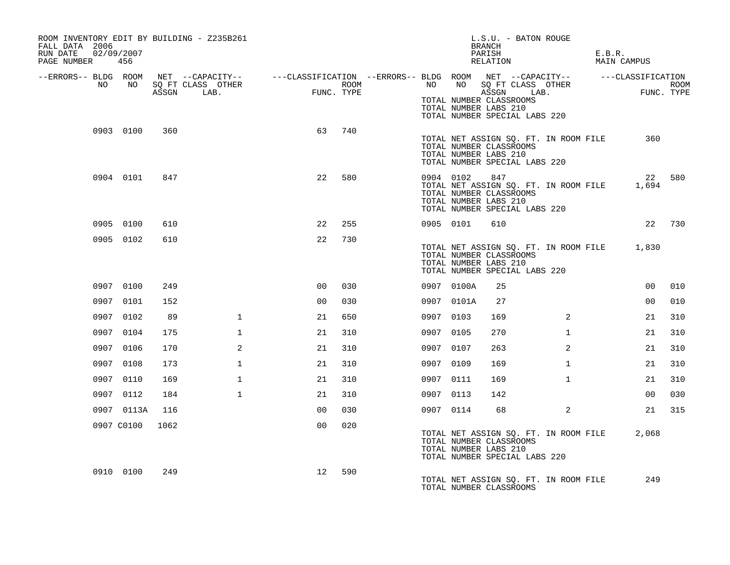| ROOM INVENTORY EDIT BY BUILDING - Z235B261<br>FALL DATA 2006<br>RUN DATE<br>02/09/2007<br>PAGE NUMBER | 456             |       |                                                                                                                    |                    |      |           |            | L.S.U. - BATON ROUGE<br>BRANCH<br>PARISH<br>RELATION                                                                              |              | E.B.R. | MAIN CAMPUS |        |
|-------------------------------------------------------------------------------------------------------|-----------------|-------|--------------------------------------------------------------------------------------------------------------------|--------------------|------|-----------|------------|-----------------------------------------------------------------------------------------------------------------------------------|--------------|--------|-------------|--------|
|                                                                                                       |                 |       | --ERRORS-- BLDG ROOM NET --CAPACITY-- ----CLASSIFICATION --ERRORS-- BLDG ROOM NET --CAPACITY-- -----CLASSIFICATION |                    |      |           |            |                                                                                                                                   |              |        |             |        |
| NO                                                                                                    | NO <sub>1</sub> | ASSGN | SQ FT CLASS OTHER<br>LAB.                                                                                          | FUNC<br>FUNC. TYPE | ROOM | NO        |            | NO SQ FT CLASS OTHER<br>ASSGN<br>TOTAL NUMBER CLASSROOMS<br>TOTAL NUMBER LABS 210<br>TOTAL NUMBER SPECIAL LABS 220                | LAB.         |        | FUNC. TYPE  | ROOM   |
|                                                                                                       | 0903 0100       | 360   |                                                                                                                    | 63                 | 740  |           |            | TOTAL NET ASSIGN SQ. FT. IN ROOM FILE<br>TOTAL NUMBER CLASSROOMS<br>TOTAL NUMBER LABS 210<br>TOTAL NUMBER SPECIAL LABS 220        |              |        | 360         |        |
|                                                                                                       | 0904 0101       | 847   |                                                                                                                    | 22                 | 580  | 0904 0102 |            | 847<br>TOTAL NET ASSIGN SQ. FT. IN ROOM FILE<br>TOTAL NUMBER CLASSROOMS<br>TOTAL NUMBER LABS 210<br>TOTAL NUMBER SPECIAL LABS 220 |              |        | 22<br>1,694 | 580    |
|                                                                                                       | 0905 0100       | 610   |                                                                                                                    | 22                 | 255  | 0905 0101 |            | 610                                                                                                                               |              |        |             | 22 730 |
|                                                                                                       | 0905 0102       | 610   |                                                                                                                    | 22                 | 730  |           |            | TOTAL NET ASSIGN SQ. FT. IN ROOM FILE 1,830<br>TOTAL NUMBER CLASSROOMS<br>TOTAL NUMBER LABS 210<br>TOTAL NUMBER SPECIAL LABS 220  |              |        |             |        |
|                                                                                                       | 0907 0100       | 249   |                                                                                                                    | 0 <sub>0</sub>     | 030  |           | 0907 0100A | 25                                                                                                                                |              |        | 00          | 010    |
|                                                                                                       | 0907 0101       | 152   |                                                                                                                    | 0 <sub>0</sub>     | 030  |           | 0907 0101A | 27                                                                                                                                |              |        | 00          | 010    |
|                                                                                                       | 0907 0102       | 89    | $\mathbf{1}$                                                                                                       | 21                 | 650  | 0907 0103 |            | 169                                                                                                                               | 2            |        | 21          | 310    |
|                                                                                                       | 0907 0104       | 175   | $\mathbf{1}$                                                                                                       | 21                 | 310  | 0907 0105 |            | 270                                                                                                                               | $\mathbf{1}$ |        | 21          | 310    |
|                                                                                                       | 0907 0106       | 170   | 2                                                                                                                  | 21                 | 310  | 0907 0107 |            | 263                                                                                                                               | 2            |        | 21          | 310    |
|                                                                                                       | 0907 0108       | 173   | $\mathbf{1}$                                                                                                       | 21                 | 310  | 0907 0109 |            | 169                                                                                                                               | $\mathbf{1}$ |        | 21          | 310    |
|                                                                                                       | 0907 0110       | 169   | $\mathbf{1}$                                                                                                       | 21                 | 310  | 0907 0111 |            | 169                                                                                                                               | $\mathbf{1}$ |        | 21          | 310    |
|                                                                                                       | 0907 0112       | 184   | $\mathbf{1}$                                                                                                       | 21                 | 310  | 0907 0113 |            | 142                                                                                                                               |              |        | 00          | 030    |
|                                                                                                       | 0907 0113A      | 116   |                                                                                                                    | 0 <sub>0</sub>     | 030  | 0907 0114 |            | 68                                                                                                                                | 2            |        | 21          | 315    |
|                                                                                                       | 0907 C0100      | 1062  |                                                                                                                    | 0 <sub>0</sub>     | 020  |           |            | TOTAL NET ASSIGN SQ. FT. IN ROOM FILE<br>TOTAL NUMBER CLASSROOMS<br>TOTAL NUMBER LABS 210<br>TOTAL NUMBER SPECIAL LABS 220        |              |        | 2,068       |        |
|                                                                                                       | 0910 0100       | 249   |                                                                                                                    | 12                 | 590  |           |            | TOTAL NET ASSIGN SQ. FT. IN ROOM FILE<br>TOTAL NUMBER CLASSROOMS                                                                  |              |        | 249         |        |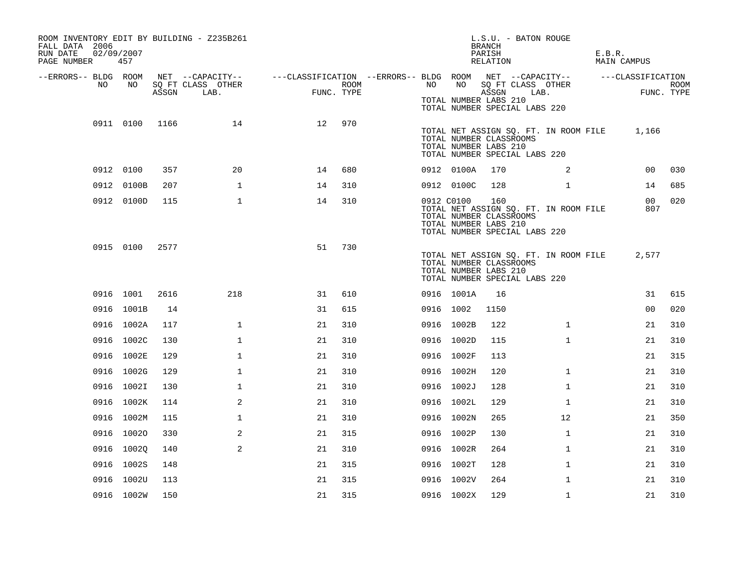| ROOM INVENTORY EDIT BY BUILDING - Z235B261<br>FALL DATA 2006<br>RUN DATE<br>02/09/2007<br>PAGE NUMBER | 457            |       |                                                                                                  |    |            |            |            | <b>BRANCH</b><br>PARISH<br>RELATION                     | L.S.U. - BATON ROUGE                                                         | E.B.R.<br>MAIN CAMPUS  |                    |
|-------------------------------------------------------------------------------------------------------|----------------|-------|--------------------------------------------------------------------------------------------------|----|------------|------------|------------|---------------------------------------------------------|------------------------------------------------------------------------------|------------------------|--------------------|
| --ERRORS-- BLDG ROOM<br>NO                                                                            | NO             |       | NET --CAPACITY--    ---CLASSIFICATION --ERRORS-- BLDG ROOM NET --CAPACITY--<br>SQ FT CLASS OTHER |    | ROOM       | NO         | NO         |                                                         | SQ FT CLASS OTHER                                                            | ---CLASSIFICATION      |                    |
|                                                                                                       |                | ASSGN | LAB.                                                                                             |    | FUNC. TYPE |            |            | ASSGN<br>TOTAL NUMBER LABS 210                          | LAB.<br>TOTAL NUMBER SPECIAL LABS 220                                        |                        | ROOM<br>FUNC. TYPE |
|                                                                                                       | 0911 0100 1166 |       | 14                                                                                               | 12 | 970        |            |            | TOTAL NUMBER CLASSROOMS<br>TOTAL NUMBER LABS 210        | TOTAL NET ASSIGN SQ. FT. IN ROOM FILE 1,166<br>TOTAL NUMBER SPECIAL LABS 220 |                        |                    |
|                                                                                                       | 0912 0100      | 357   | 20                                                                                               | 14 | 680        |            | 0912 0100A | 170                                                     | 2                                                                            | 00                     | 030                |
|                                                                                                       | 0912 0100B     | 207   | $\mathbf 1$                                                                                      | 14 | 310        |            | 0912 0100C | 128                                                     | $\mathbf{1}$                                                                 | 14                     | 685                |
|                                                                                                       | 0912 0100D     | 115   | $\mathbf{1}$                                                                                     | 14 | 310        | 0912 C0100 |            | 160<br>TOTAL NUMBER CLASSROOMS<br>TOTAL NUMBER LABS 210 | TOTAL NET ASSIGN SQ. FT. IN ROOM FILE<br>TOTAL NUMBER SPECIAL LABS 220       | 00 <sup>1</sup><br>807 | 020                |
|                                                                                                       | 0915 0100      | 2577  |                                                                                                  | 51 | 730        |            |            | TOTAL NUMBER CLASSROOMS<br>TOTAL NUMBER LABS 210        | TOTAL NET ASSIGN SQ. FT. IN ROOM FILE<br>TOTAL NUMBER SPECIAL LABS 220       | 2,577                  |                    |
|                                                                                                       | 0916 1001      | 2616  | 218                                                                                              | 31 | 610        |            | 0916 1001A | 16                                                      |                                                                              | 31                     | 615                |
|                                                                                                       | 0916 1001B     | 14    |                                                                                                  | 31 | 615        | 0916 1002  |            | 1150                                                    |                                                                              | 00                     | 020                |
|                                                                                                       | 0916 1002A     | 117   | $\mathbf{1}$                                                                                     | 21 | 310        |            | 0916 1002B | 122                                                     | $\mathbf{1}$                                                                 | 21                     | 310                |
|                                                                                                       | 0916 1002C     | 130   | $\mathbf 1$                                                                                      | 21 | 310        |            | 0916 1002D | 115                                                     | $\mathbf{1}$                                                                 | 21                     | 310                |
|                                                                                                       | 0916 1002E     | 129   | $\mathbf{1}$                                                                                     | 21 | 310        |            | 0916 1002F | 113                                                     |                                                                              | 21                     | 315                |
|                                                                                                       | 0916 1002G     | 129   | 1                                                                                                | 21 | 310        |            | 0916 1002H | 120                                                     | $\mathbf{1}$                                                                 | 21                     | 310                |
|                                                                                                       | 0916 1002I     | 130   | $\mathbf 1$                                                                                      | 21 | 310        |            | 0916 1002J | 128                                                     | $\mathbf{1}$                                                                 | 21                     | 310                |
|                                                                                                       | 0916 1002K     | 114   | 2                                                                                                | 21 | 310        |            | 0916 1002L | 129                                                     | $\mathbf{1}$                                                                 | 21                     | 310                |
|                                                                                                       | 0916 1002M     | 115   | $\mathbf 1$                                                                                      | 21 | 310        |            | 0916 1002N | 265                                                     | 12                                                                           | 21                     | 350                |
|                                                                                                       | 0916 10020     | 330   | 2                                                                                                | 21 | 315        |            | 0916 1002P | 130                                                     | $\mathbf{1}$                                                                 | 21                     | 310                |
|                                                                                                       | 0916 10020     | 140   | 2                                                                                                | 21 | 310        |            | 0916 1002R | 264                                                     | $\mathbf{1}$                                                                 | 21                     | 310                |
|                                                                                                       | 0916 1002S     | 148   |                                                                                                  | 21 | 315        |            | 0916 1002T | 128                                                     | $\mathbf{1}$                                                                 | 21                     | 310                |
|                                                                                                       | 0916 1002U     | 113   |                                                                                                  | 21 | 315        |            | 0916 1002V | 264                                                     | $\mathbf{1}$                                                                 | 21                     | 310                |
|                                                                                                       | 0916 1002W     | 150   |                                                                                                  | 21 | 315        |            | 0916 1002X | 129                                                     | $\mathbf{1}$                                                                 | 21                     | 310                |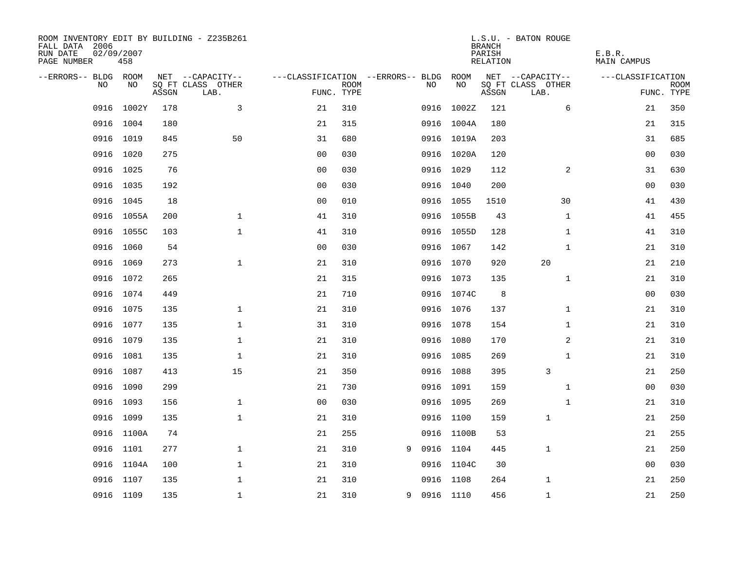| ROOM INVENTORY EDIT BY BUILDING - Z235B261<br>FALL DATA 2006<br>RUN DATE<br>PAGE NUMBER | 02/09/2007<br>458 |       |                           |                                   |             |   |             |            | <b>BRANCH</b><br>PARISH<br>RELATION | L.S.U. - BATON ROUGE      | E.B.R.<br>MAIN CAMPUS |                           |
|-----------------------------------------------------------------------------------------|-------------------|-------|---------------------------|-----------------------------------|-------------|---|-------------|------------|-------------------------------------|---------------------------|-----------------------|---------------------------|
| --ERRORS-- BLDG ROOM                                                                    |                   |       | NET --CAPACITY--          | ---CLASSIFICATION --ERRORS-- BLDG |             |   |             | ROOM       |                                     | NET --CAPACITY--          | ---CLASSIFICATION     |                           |
| NO                                                                                      | NO                | ASSGN | SQ FT CLASS OTHER<br>LAB. | FUNC. TYPE                        | <b>ROOM</b> |   | NO          | NO         | ASSGN                               | SQ FT CLASS OTHER<br>LAB. |                       | <b>ROOM</b><br>FUNC. TYPE |
| 0916                                                                                    | 1002Y             | 178   | 3                         | 21                                | 310         |   | 0916        | 1002Z      | 121                                 | 6                         | 21                    | 350                       |
|                                                                                         | 0916 1004         | 180   |                           | 21                                | 315         |   |             | 0916 1004A | 180                                 |                           | 21                    | 315                       |
|                                                                                         | 0916 1019         | 845   | 50                        | 31                                | 680         |   |             | 0916 1019A | 203                                 |                           | 31                    | 685                       |
|                                                                                         | 0916 1020         | 275   |                           | 0 <sub>0</sub>                    | 030         |   |             | 0916 1020A | 120                                 |                           | 0 <sub>0</sub>        | 030                       |
| 0916                                                                                    | 1025              | 76    |                           | 00                                | 030         |   | 0916 1029   |            | 112                                 | 2                         | 31                    | 630                       |
|                                                                                         | 0916 1035         | 192   |                           | 0 <sub>0</sub>                    | 030         |   | 0916 1040   |            | 200                                 |                           | 00                    | 030                       |
| 0916                                                                                    | 1045              | 18    |                           | 0 <sub>0</sub>                    | 010         |   | 0916 1055   |            | 1510                                | 30                        | 41                    | 430                       |
|                                                                                         | 0916 1055A        | 200   | $\mathbf{1}$              | 41                                | 310         |   |             | 0916 1055B | 43                                  | $\mathbf{1}$              | 41                    | 455                       |
| 0916                                                                                    | 1055C             | 103   | $\mathbf{1}$              | 41                                | 310         |   |             | 0916 1055D | 128                                 | $\mathbf{1}$              | 41                    | 310                       |
|                                                                                         | 0916 1060         | 54    |                           | 0 <sub>0</sub>                    | 030         |   |             | 0916 1067  | 142                                 | $\mathbf{1}$              | 21                    | 310                       |
| 0916                                                                                    | 1069              | 273   | $\mathbf{1}$              | 21                                | 310         |   | 0916 1070   |            | 920                                 | 20                        | 21                    | 210                       |
|                                                                                         | 0916 1072         | 265   |                           | 21                                | 315         |   |             | 0916 1073  | 135                                 | $\mathbf{1}$              | 21                    | 310                       |
| 0916                                                                                    | 1074              | 449   |                           | 21                                | 710         |   |             | 0916 1074C | 8                                   |                           | 00                    | 030                       |
|                                                                                         | 0916 1075         | 135   | $\mathbf 1$               | 21                                | 310         |   |             | 0916 1076  | 137                                 | $\mathbf{1}$              | 21                    | 310                       |
|                                                                                         | 0916 1077         | 135   | $\mathbf{1}$              | 31                                | 310         |   | 0916 1078   |            | 154                                 | $\mathbf{1}$              | 21                    | 310                       |
|                                                                                         | 0916 1079         | 135   | $\mathbf 1$               | 21                                | 310         |   | 0916 1080   |            | 170                                 | $\overline{a}$            | 21                    | 310                       |
|                                                                                         | 0916 1081         | 135   | $\mathbf 1$               | 21                                | 310         |   | 0916 1085   |            | 269                                 | $\mathbf{1}$              | 21                    | 310                       |
|                                                                                         | 0916 1087         | 413   | 15                        | 21                                | 350         |   |             | 0916 1088  | 395                                 | 3                         | 21                    | 250                       |
|                                                                                         | 0916 1090         | 299   |                           | 21                                | 730         |   | 0916 1091   |            | 159                                 | $\mathbf{1}$              | 00                    | 030                       |
|                                                                                         | 0916 1093         | 156   | $\mathbf 1$               | 0 <sub>0</sub>                    | 030         |   | 0916 1095   |            | 269                                 | $\mathbf{1}$              | 21                    | 310                       |
|                                                                                         | 0916 1099         | 135   | $\mathbf 1$               | 21                                | 310         |   | 0916 1100   |            | 159                                 | $\mathbf 1$               | 21                    | 250                       |
|                                                                                         | 0916 1100A        | 74    |                           | 21                                | 255         |   |             | 0916 1100B | 53                                  |                           | 21                    | 255                       |
|                                                                                         | 0916 1101         | 277   | $\mathbf 1$               | 21                                | 310         | 9 | 0916 1104   |            | 445                                 | $\mathbf{1}$              | 21                    | 250                       |
| 0916                                                                                    | 1104A             | 100   | $\mathbf{1}$              | 21                                | 310         |   |             | 0916 1104C | 30                                  |                           | 00                    | 030                       |
|                                                                                         | 0916 1107         | 135   | $\mathbf{1}$              | 21                                | 310         |   | 0916        | 1108       | 264                                 | 1                         | 21                    | 250                       |
|                                                                                         | 0916 1109         | 135   | $\mathbf{1}$              | 21                                | 310         |   | 9 0916 1110 |            | 456                                 | $\mathbf{1}$              | 21                    | 250                       |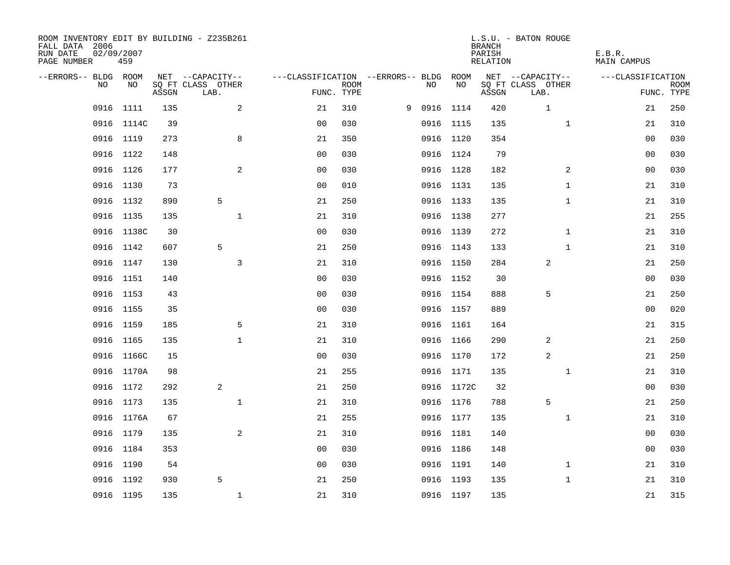| ROOM INVENTORY EDIT BY BUILDING - Z235B261<br>FALL DATA 2006<br>RUN DATE<br>PAGE NUMBER | 02/09/2007<br>459 |       |                           |                                        |             |   |           |            | <b>BRANCH</b><br>PARISH<br>RELATION | L.S.U. - BATON ROUGE      | E.B.R.<br>MAIN CAMPUS |                    |
|-----------------------------------------------------------------------------------------|-------------------|-------|---------------------------|----------------------------------------|-------------|---|-----------|------------|-------------------------------------|---------------------------|-----------------------|--------------------|
| --ERRORS-- BLDG ROOM                                                                    |                   |       | NET --CAPACITY--          | ---CLASSIFICATION --ERRORS-- BLDG ROOM |             |   |           |            |                                     | NET --CAPACITY--          | ---CLASSIFICATION     |                    |
| NO.                                                                                     | NO.               | ASSGN | SQ FT CLASS OTHER<br>LAB. | FUNC. TYPE                             | <b>ROOM</b> |   | NO.       | NO         | ASSGN                               | SQ FT CLASS OTHER<br>LAB. |                       | ROOM<br>FUNC. TYPE |
| 0916                                                                                    | 1111              | 135   | 2                         | 21                                     | 310         | 9 | 0916 1114 |            | 420                                 | $\mathbf 1$               | 21                    | 250                |
|                                                                                         | 0916 1114C        | 39    |                           | 0 <sub>0</sub>                         | 030         |   |           | 0916 1115  | 135                                 | $\mathbf{1}$              | 21                    | 310                |
|                                                                                         | 0916 1119         | 273   | 8                         | 21                                     | 350         |   |           | 0916 1120  | 354                                 |                           | 0 <sub>0</sub>        | 030                |
|                                                                                         | 0916 1122         | 148   |                           | 0 <sub>0</sub>                         | 030         |   |           | 0916 1124  | 79                                  |                           | 0 <sub>0</sub>        | 030                |
| 0916                                                                                    | 1126              | 177   | 2                         | 00                                     | 030         |   |           | 0916 1128  | 182                                 | 2                         | 00                    | 030                |
|                                                                                         | 0916 1130         | 73    |                           | 0 <sub>0</sub>                         | 010         |   |           | 0916 1131  | 135                                 | $\mathbf{1}$              | 21                    | 310                |
|                                                                                         | 0916 1132         | 890   | 5                         | 21                                     | 250         |   |           | 0916 1133  | 135                                 | $\mathbf{1}$              | 21                    | 310                |
|                                                                                         | 0916 1135         | 135   | $\mathbf{1}$              | 21                                     | 310         |   |           | 0916 1138  | 277                                 |                           | 21                    | 255                |
| 0916                                                                                    | 1138C             | 30    |                           | 0 <sub>0</sub>                         | 030         |   |           | 0916 1139  | 272                                 | $\mathbf{1}$              | 21                    | 310                |
|                                                                                         | 0916 1142         | 607   | 5                         | 21                                     | 250         |   |           | 0916 1143  | 133                                 | $\mathbf{1}$              | 21                    | 310                |
| 0916                                                                                    | 1147              | 130   | 3                         | 21                                     | 310         |   |           | 0916 1150  | 284                                 | 2                         | 21                    | 250                |
|                                                                                         | 0916 1151         | 140   |                           | 0 <sub>0</sub>                         | 030         |   |           | 0916 1152  | 30                                  |                           | 0 <sub>0</sub>        | 030                |
| 0916                                                                                    | 1153              | 43    |                           | 0 <sub>0</sub>                         | 030         |   |           | 0916 1154  | 888                                 | 5                         | 21                    | 250                |
|                                                                                         | 0916 1155         | 35    |                           | 0 <sub>0</sub>                         | 030         |   |           | 0916 1157  | 889                                 |                           | 0 <sub>0</sub>        | 020                |
|                                                                                         | 0916 1159         | 185   | 5                         | 21                                     | 310         |   |           | 0916 1161  | 164                                 |                           | 21                    | 315                |
|                                                                                         | 0916 1165         | 135   | $\mathbf 1$               | 21                                     | 310         |   |           | 0916 1166  | 290                                 | 2                         | 21                    | 250                |
|                                                                                         | 0916 1166C        | 15    |                           | 0 <sub>0</sub>                         | 030         |   |           | 0916 1170  | 172                                 | 2                         | 21                    | 250                |
|                                                                                         | 0916 1170A        | 98    |                           | 21                                     | 255         |   |           | 0916 1171  | 135                                 | $\mathbf{1}$              | 21                    | 310                |
|                                                                                         | 0916 1172         | 292   | 2                         | 21                                     | 250         |   |           | 0916 1172C | 32                                  |                           | 0 <sub>0</sub>        | 030                |
|                                                                                         | 0916 1173         | 135   | $\mathbf{1}$              | 21                                     | 310         |   |           | 0916 1176  | 788                                 | 5                         | 21                    | 250                |
|                                                                                         | 0916 1176A        | 67    |                           | 21                                     | 255         |   |           | 0916 1177  | 135                                 | $\mathbf{1}$              | 21                    | 310                |
|                                                                                         | 0916 1179         | 135   | 2                         | 21                                     | 310         |   |           | 0916 1181  | 140                                 |                           | 00                    | 030                |
|                                                                                         | 0916 1184         | 353   |                           | 0 <sub>0</sub>                         | 030         |   |           | 0916 1186  | 148                                 |                           | 0 <sub>0</sub>        | 030                |
|                                                                                         | 0916 1190         | 54    |                           | 00                                     | 030         |   |           | 0916 1191  | 140                                 | $\mathbf{1}$              | 21                    | 310                |
|                                                                                         | 0916 1192         | 930   | 5                         | 21                                     | 250         |   |           | 0916 1193  | 135                                 | $\mathbf{1}$              | 21                    | 310                |
|                                                                                         | 0916 1195         | 135   | 1                         | 21                                     | 310         |   |           | 0916 1197  | 135                                 |                           | 21                    | 315                |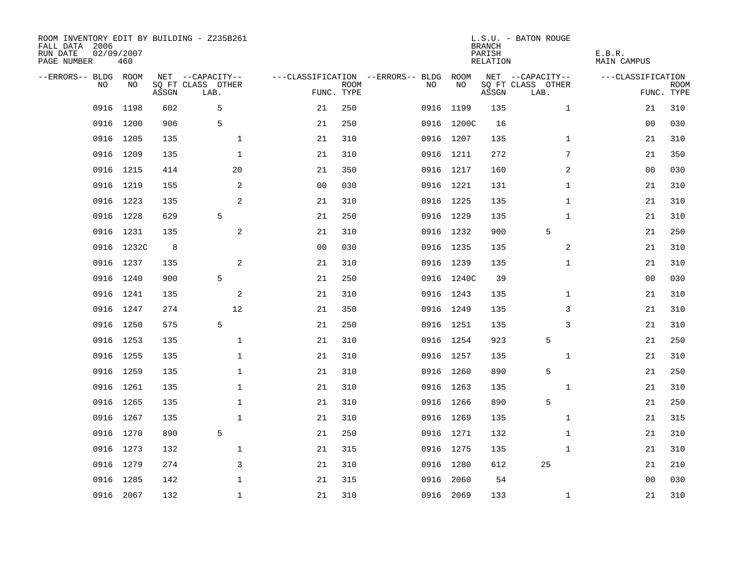| ROOM INVENTORY EDIT BY BUILDING - Z235B261<br>FALL DATA 2006<br>RUN DATE<br>PAGE NUMBER | 02/09/2007<br>460 |       |                           |                |                           |                                   |            | <b>BRANCH</b><br>PARISH<br><b>RELATION</b> | L.S.U. - BATON ROUGE      | E.B.R.<br><b>MAIN CAMPUS</b> |                           |
|-----------------------------------------------------------------------------------------|-------------------|-------|---------------------------|----------------|---------------------------|-----------------------------------|------------|--------------------------------------------|---------------------------|------------------------------|---------------------------|
| --ERRORS-- BLDG ROOM                                                                    |                   |       | NET --CAPACITY--          |                |                           | ---CLASSIFICATION --ERRORS-- BLDG | ROOM       |                                            | NET --CAPACITY--          | ---CLASSIFICATION            |                           |
| NO                                                                                      | NO                | ASSGN | SQ FT CLASS OTHER<br>LAB. |                | <b>ROOM</b><br>FUNC. TYPE | NO                                | NO         | ASSGN                                      | SQ FT CLASS OTHER<br>LAB. |                              | <b>ROOM</b><br>FUNC. TYPE |
| 0916                                                                                    | 1198              | 602   | 5                         | 21             | 250                       | 0916                              | 1199       | 135                                        | $\mathbf{1}$              | 21                           | 310                       |
| 0916                                                                                    | 1200              | 906   | 5                         | 21             | 250                       |                                   | 0916 1200C | 16                                         |                           | 00                           | 030                       |
| 0916                                                                                    | 1205              | 135   | $\mathbf{1}$              | 21             | 310                       |                                   | 0916 1207  | 135                                        | $\mathbf{1}$              | 21                           | 310                       |
|                                                                                         | 0916 1209         | 135   | $\mathbf 1$               | 21             | 310                       |                                   | 0916 1211  | 272                                        | 7                         | 21                           | 350                       |
| 0916                                                                                    | 1215              | 414   | 20                        | 21             | 350                       |                                   | 0916 1217  | 160                                        | 2                         | 0 <sub>0</sub>               | 030                       |
|                                                                                         | 0916 1219         | 155   | 2                         | 0 <sub>0</sub> | 030                       |                                   | 0916 1221  | 131                                        | $\mathbf{1}$              | 21                           | 310                       |
| 0916                                                                                    | 1223              | 135   | 2                         | 21             | 310                       |                                   | 0916 1225  | 135                                        | $\mathbf{1}$              | 21                           | 310                       |
|                                                                                         | 0916 1228         | 629   | 5                         | 21             | 250                       |                                   | 0916 1229  | 135                                        | $\mathbf{1}$              | 21                           | 310                       |
| 0916                                                                                    | 1231              | 135   | $\mathbf{2}$              | 21             | 310                       |                                   | 0916 1232  | 900                                        | 5                         | 21                           | 250                       |
|                                                                                         | 0916 1232C        | 8     |                           | 0 <sub>0</sub> | 030                       |                                   | 0916 1235  | 135                                        | 2                         | 21                           | 310                       |
|                                                                                         | 0916 1237         | 135   | 2                         | 21             | 310                       |                                   | 0916 1239  | 135                                        | $\mathbf{1}$              | 21                           | 310                       |
|                                                                                         | 0916 1240         | 900   | 5                         | 21             | 250                       |                                   | 0916 1240C | 39                                         |                           | 0 <sub>0</sub>               | 030                       |
| 0916                                                                                    | 1241              | 135   | $\mathbf{2}$              | 21             | 310                       |                                   | 0916 1243  | 135                                        | $\mathbf{1}$              | 21                           | 310                       |
|                                                                                         | 0916 1247         | 274   | 12                        | 21             | 350                       |                                   | 0916 1249  | 135                                        | 3                         | 21                           | 310                       |
|                                                                                         | 0916 1250         | 575   | 5                         | 21             | 250                       |                                   | 0916 1251  | 135                                        | 3                         | 21                           | 310                       |
|                                                                                         | 0916 1253         | 135   | $\mathbf{1}$              | 21             | 310                       |                                   | 0916 1254  | 923                                        | 5                         | 21                           | 250                       |
|                                                                                         | 0916 1255         | 135   | $\mathbf{1}$              | 21             | 310                       |                                   | 0916 1257  | 135                                        | $\mathbf{1}$              | 21                           | 310                       |
|                                                                                         | 0916 1259         | 135   | $\mathbf 1$               | 21             | 310                       |                                   | 0916 1260  | 890                                        | 5                         | 21                           | 250                       |
|                                                                                         | 0916 1261         | 135   | $\mathbf 1$               | 21             | 310                       |                                   | 0916 1263  | 135                                        | $\mathbf{1}$              | 21                           | 310                       |
| 0916                                                                                    | 1265              | 135   | 1                         | 21             | 310                       |                                   | 0916 1266  | 890                                        | 5                         | 21                           | 250                       |
|                                                                                         | 0916 1267         | 135   | $\mathbf{1}$              | 21             | 310                       |                                   | 0916 1269  | 135                                        | $\mathbf{1}$              | 21                           | 315                       |
| 0916                                                                                    | 1270              | 890   | 5                         | 21             | 250                       |                                   | 0916 1271  | 132                                        | $\mathbf{1}$              | 21                           | 310                       |
|                                                                                         | 0916 1273         | 132   | $\mathbf{1}$              | 21             | 315                       |                                   | 0916 1275  | 135                                        | $\mathbf{1}$              | 21                           | 310                       |
| 0916                                                                                    | 1279              | 274   | 3                         | 21             | 310                       |                                   | 0916 1280  | 612                                        | 25                        | 21                           | 210                       |
| 0916                                                                                    | 1285              | 142   | $\mathbf{1}$              | 21             | 315                       | 0916                              | 2060       | 54                                         |                           | 0 <sub>0</sub>               | 030                       |
|                                                                                         | 0916 2067         | 132   | $\mathbf 1$               | 21             | 310                       |                                   | 0916 2069  | 133                                        | $\mathbf{1}$              | 21                           | 310                       |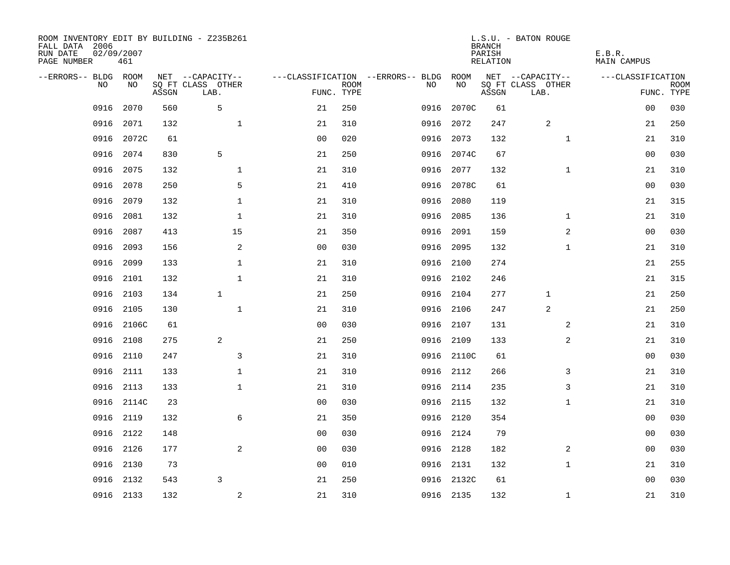| ROOM INVENTORY EDIT BY BUILDING - Z235B261<br>FALL DATA 2006<br>RUN DATE<br>PAGE NUMBER | 02/09/2007<br>461 |       |                           |                |             |                                   |            | <b>BRANCH</b><br>PARISH<br>RELATION | L.S.U. - BATON ROUGE      | E.B.R.<br>MAIN CAMPUS |                           |
|-----------------------------------------------------------------------------------------|-------------------|-------|---------------------------|----------------|-------------|-----------------------------------|------------|-------------------------------------|---------------------------|-----------------------|---------------------------|
| --ERRORS-- BLDG ROOM                                                                    |                   |       | NET --CAPACITY--          |                |             | ---CLASSIFICATION --ERRORS-- BLDG | ROOM       |                                     | NET --CAPACITY--          | ---CLASSIFICATION     |                           |
| NO                                                                                      | NO                | ASSGN | SQ FT CLASS OTHER<br>LAB. | FUNC. TYPE     | <b>ROOM</b> | NO                                | NO         | ASSGN                               | SQ FT CLASS OTHER<br>LAB. |                       | <b>ROOM</b><br>FUNC. TYPE |
| 0916                                                                                    | 2070              | 560   | 5                         | 21             | 250         | 0916                              | 2070C      | 61                                  |                           | 0 <sub>0</sub>        | 030                       |
| 0916                                                                                    | 2071              | 132   | $\mathbf 1$               | 21             | 310         | 0916                              | 2072       | 247                                 | 2                         | 21                    | 250                       |
| 0916                                                                                    | 2072C             | 61    |                           | 0 <sub>0</sub> | 020         | 0916                              | 2073       | 132                                 | $\mathbf{1}$              | 21                    | 310                       |
| 0916                                                                                    | 2074              | 830   | 5                         | 21             | 250         | 0916                              | 2074C      | 67                                  |                           | 0 <sub>0</sub>        | 030                       |
| 0916                                                                                    | 2075              | 132   | $\mathbf 1$               | 21             | 310         | 0916                              | 2077       | 132                                 | $\mathbf{1}$              | 21                    | 310                       |
| 0916                                                                                    | 2078              | 250   | 5                         | 21             | 410         |                                   | 0916 2078C | 61                                  |                           | 00                    | 030                       |
| 0916                                                                                    | 2079              | 132   | $\mathbf{1}$              | 21             | 310         | 0916                              | 2080       | 119                                 |                           | 21                    | 315                       |
| 0916                                                                                    | 2081              | 132   | $\mathbf{1}$              | 21             | 310         | 0916                              | 2085       | 136                                 | $\mathbf{1}$              | 21                    | 310                       |
| 0916                                                                                    | 2087              | 413   | 15                        | 21             | 350         | 0916                              | 2091       | 159                                 | $\overline{a}$            | 00                    | 030                       |
| 0916                                                                                    | 2093              | 156   | 2                         | 0 <sub>0</sub> | 030         |                                   | 0916 2095  | 132                                 | $\mathbf{1}$              | 21                    | 310                       |
| 0916                                                                                    | 2099              | 133   | $\mathbf{1}$              | 21             | 310         | 0916                              | 2100       | 274                                 |                           | 21                    | 255                       |
| 0916                                                                                    | 2101              | 132   | $\mathbf{1}$              | 21             | 310         |                                   | 0916 2102  | 246                                 |                           | 21                    | 315                       |
| 0916                                                                                    | 2103              | 134   | $\mathbf{1}$              | 21             | 250         | 0916                              | 2104       | 277                                 | $\mathbf 1$               | 21                    | 250                       |
| 0916                                                                                    | 2105              | 130   | $\mathbf{1}$              | 21             | 310         |                                   | 0916 2106  | 247                                 | 2                         | 21                    | 250                       |
| 0916                                                                                    | 2106C             | 61    |                           | 0 <sub>0</sub> | 030         |                                   | 0916 2107  | 131                                 | 2                         | 21                    | 310                       |
| 0916                                                                                    | 2108              | 275   | 2                         | 21             | 250         |                                   | 0916 2109  | 133                                 | $\overline{a}$            | 21                    | 310                       |
| 0916                                                                                    | 2110              | 247   | 3                         | 21             | 310         |                                   | 0916 2110C | 61                                  |                           | 0 <sub>0</sub>        | 030                       |
| 0916                                                                                    | 2111              | 133   | $\mathbf 1$               | 21             | 310         |                                   | 0916 2112  | 266                                 | 3                         | 21                    | 310                       |
| 0916                                                                                    | 2113              | 133   | $\mathbf{1}$              | 21             | 310         |                                   | 0916 2114  | 235                                 | 3                         | 21                    | 310                       |
| 0916                                                                                    | 2114C             | 23    |                           | 0 <sub>0</sub> | 030         |                                   | 0916 2115  | 132                                 | $\mathbf{1}$              | 21                    | 310                       |
|                                                                                         | 0916 2119         | 132   | 6                         | 21             | 350         |                                   | 0916 2120  | 354                                 |                           | 00                    | 030                       |
| 0916                                                                                    | 2122              | 148   |                           | 0 <sub>0</sub> | 030         |                                   | 0916 2124  | 79                                  |                           | 00                    | 030                       |
| 0916                                                                                    | 2126              | 177   | $\overline{a}$            | 0 <sub>0</sub> | 030         |                                   | 0916 2128  | 182                                 | 2                         | 0 <sub>0</sub>        | 030                       |
| 0916                                                                                    | 2130              | 73    |                           | 0 <sub>0</sub> | 010         |                                   | 0916 2131  | 132                                 | $\mathbf{1}$              | 21                    | 310                       |
| 0916                                                                                    | 2132              | 543   | 3                         | 21             | 250         |                                   | 0916 2132C | 61                                  |                           | 00                    | 030                       |
|                                                                                         | 0916 2133         | 132   | 2                         | 21             | 310         |                                   | 0916 2135  | 132                                 | $\mathbf{1}$              | 21                    | 310                       |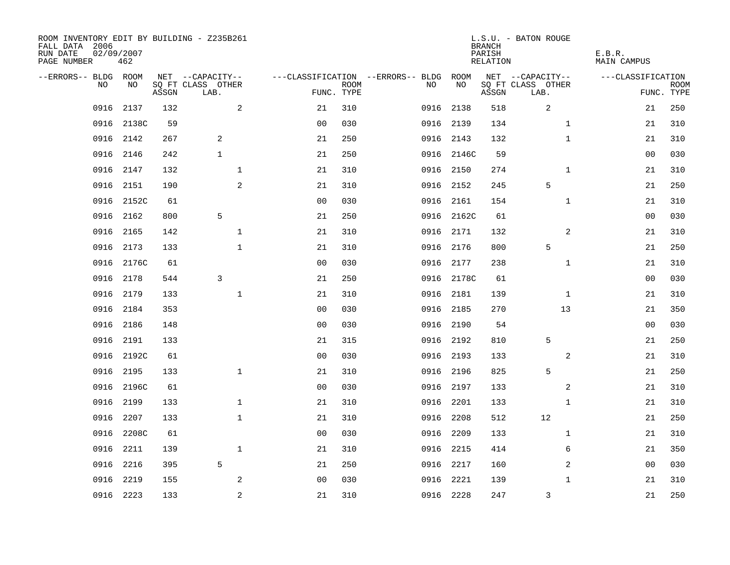| ROOM INVENTORY EDIT BY BUILDING - Z235B261<br>FALL DATA 2006<br>RUN DATE<br>PAGE NUMBER | 02/09/2007<br>462 |       |                                       |                |             |                                         |            | <b>BRANCH</b><br>PARISH<br>RELATION | L.S.U. - BATON ROUGE                  | E.B.R.<br><b>MAIN CAMPUS</b> |             |
|-----------------------------------------------------------------------------------------|-------------------|-------|---------------------------------------|----------------|-------------|-----------------------------------------|------------|-------------------------------------|---------------------------------------|------------------------------|-------------|
| --ERRORS-- BLDG ROOM<br>NO                                                              | NO                |       | NET --CAPACITY--<br>SQ FT CLASS OTHER |                | <b>ROOM</b> | ---CLASSIFICATION --ERRORS-- BLDG<br>NO | ROOM<br>NO |                                     | NET --CAPACITY--<br>SQ FT CLASS OTHER | ---CLASSIFICATION            | <b>ROOM</b> |
|                                                                                         |                   | ASSGN | LAB.                                  | FUNC. TYPE     |             |                                         |            | ASSGN                               | LAB.                                  |                              | FUNC. TYPE  |
| 0916                                                                                    | 2137              | 132   | 2                                     | 21             | 310         | 0916                                    | 2138       | 518                                 | 2                                     | 21                           | 250         |
| 0916                                                                                    | 2138C             | 59    |                                       | 0 <sub>0</sub> | 030         |                                         | 0916 2139  | 134                                 | $\mathbf{1}$                          | 21                           | 310         |
| 0916                                                                                    | 2142              | 267   | 2                                     | 21             | 250         |                                         | 0916 2143  | 132                                 | $\mathbf{1}$                          | 21                           | 310         |
| 0916                                                                                    | 2146              | 242   | $\mathbf{1}$                          | 21             | 250         |                                         | 0916 2146C | 59                                  |                                       | 00                           | 030         |
| 0916                                                                                    | 2147              | 132   | $\mathbf 1$                           | 21             | 310         |                                         | 0916 2150  | 274                                 | $\mathbf{1}$                          | 21                           | 310         |
| 0916                                                                                    | 2151              | 190   | 2                                     | 21             | 310         |                                         | 0916 2152  | 245                                 | 5                                     | 21                           | 250         |
| 0916                                                                                    | 2152C             | 61    |                                       | 0 <sub>0</sub> | 030         |                                         | 0916 2161  | 154                                 | $\mathbf{1}$                          | 21                           | 310         |
| 0916                                                                                    | 2162              | 800   | 5                                     | 21             | 250         |                                         | 0916 2162C | 61                                  |                                       | 0 <sub>0</sub>               | 030         |
| 0916                                                                                    | 2165              | 142   | $\mathbf{1}$                          | 21             | 310         |                                         | 0916 2171  | 132                                 | 2                                     | 21                           | 310         |
| 0916                                                                                    | 2173              | 133   | $\mathbf{1}$                          | 21             | 310         |                                         | 0916 2176  | 800                                 | 5                                     | 21                           | 250         |
| 0916                                                                                    | 2176C             | 61    |                                       | 0 <sub>0</sub> | 030         | 0916                                    | 2177       | 238                                 | $\mathbf{1}$                          | 21                           | 310         |
| 0916                                                                                    | 2178              | 544   | 3                                     | 21             | 250         |                                         | 0916 2178C | 61                                  |                                       | 00                           | 030         |
| 0916                                                                                    | 2179              | 133   | $\mathbf{1}$                          | 21             | 310         | 0916                                    | 2181       | 139                                 | $\mathbf{1}$                          | 21                           | 310         |
| 0916                                                                                    | 2184              | 353   |                                       | 0 <sub>0</sub> | 030         |                                         | 0916 2185  | 270                                 | 13                                    | 21                           | 350         |
| 0916                                                                                    | 2186              | 148   |                                       | 0 <sub>0</sub> | 030         |                                         | 0916 2190  | 54                                  |                                       | 0 <sub>0</sub>               | 030         |
| 0916                                                                                    | 2191              | 133   |                                       | 21             | 315         |                                         | 0916 2192  | 810                                 | 5                                     | 21                           | 250         |
| 0916                                                                                    | 2192C             | 61    |                                       | 0 <sub>0</sub> | 030         |                                         | 0916 2193  | 133                                 | 2                                     | 21                           | 310         |
| 0916                                                                                    | 2195              | 133   | $\mathbf{1}$                          | 21             | 310         |                                         | 0916 2196  | 825                                 | 5                                     | 21                           | 250         |
| 0916                                                                                    | 2196C             | 61    |                                       | 0 <sub>0</sub> | 030         |                                         | 0916 2197  | 133                                 | 2                                     | 21                           | 310         |
| 0916                                                                                    | 2199              | 133   | $\mathbf 1$                           | 21             | 310         |                                         | 0916 2201  | 133                                 | $\mathbf{1}$                          | 21                           | 310         |
| 0916                                                                                    | 2207              | 133   | $\mathbf 1$                           | 21             | 310         |                                         | 0916 2208  | 512                                 | 12                                    | 21                           | 250         |
| 0916                                                                                    | 2208C             | 61    |                                       | 00             | 030         |                                         | 0916 2209  | 133                                 | $\mathbf{1}$                          | 21                           | 310         |
| 0916                                                                                    | 2211              | 139   | $\mathbf 1$                           | 21             | 310         |                                         | 0916 2215  | 414                                 | 6                                     | 21                           | 350         |
| 0916                                                                                    | 2216              | 395   | 5                                     | 21             | 250         |                                         | 0916 2217  | 160                                 | 2                                     | 00                           | 030         |
| 0916                                                                                    | 2219              | 155   | 2                                     | 0 <sub>0</sub> | 030         | 0916                                    | 2221       | 139                                 | $\mathbf{1}$                          | 21                           | 310         |
|                                                                                         | 0916 2223         | 133   | $\overline{a}$                        | 21             | 310         |                                         | 0916 2228  | 247                                 | 3                                     | 21                           | 250         |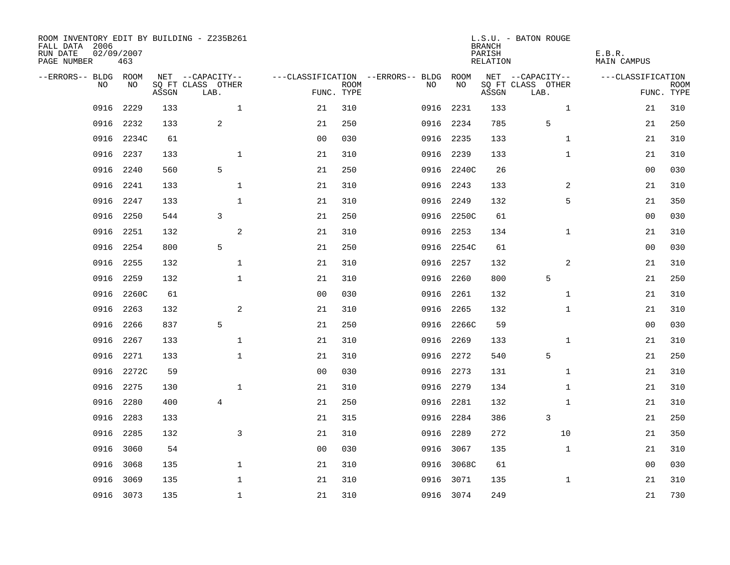| ROOM INVENTORY EDIT BY BUILDING - Z235B261<br>FALL DATA 2006<br>RUN DATE<br>PAGE NUMBER | 02/09/2007<br>463 |       |                           |                |             |                                   |            | <b>BRANCH</b><br>PARISH<br>RELATION | L.S.U. - BATON ROUGE      | E.B.R.<br>MAIN CAMPUS |                           |
|-----------------------------------------------------------------------------------------|-------------------|-------|---------------------------|----------------|-------------|-----------------------------------|------------|-------------------------------------|---------------------------|-----------------------|---------------------------|
| --ERRORS-- BLDG ROOM                                                                    |                   |       | NET --CAPACITY--          |                |             | ---CLASSIFICATION --ERRORS-- BLDG | ROOM       |                                     | NET --CAPACITY--          | ---CLASSIFICATION     |                           |
| NO                                                                                      | NO                | ASSGN | SQ FT CLASS OTHER<br>LAB. | FUNC. TYPE     | <b>ROOM</b> | NO                                | NO         | ASSGN                               | SQ FT CLASS OTHER<br>LAB. |                       | <b>ROOM</b><br>FUNC. TYPE |
| 0916                                                                                    | 2229              | 133   | $\mathbf{1}$              | 21             | 310         | 0916                              | 2231       | 133                                 | $\mathbf{1}$              | 21                    | 310                       |
| 0916                                                                                    | 2232              | 133   | 2                         | 21             | 250         |                                   | 0916 2234  | 785                                 | 5                         | 21                    | 250                       |
| 0916                                                                                    | 2234C             | 61    |                           | 0 <sub>0</sub> | 030         |                                   | 0916 2235  | 133                                 | $\mathbf{1}$              | 21                    | 310                       |
| 0916                                                                                    | 2237              | 133   | $\mathbf 1$               | 21             | 310         |                                   | 0916 2239  | 133                                 | $\mathbf{1}$              | 21                    | 310                       |
| 0916                                                                                    | 2240              | 560   | 5                         | 21             | 250         |                                   | 0916 2240C | 26                                  |                           | 00                    | 030                       |
| 0916                                                                                    | 2241              | 133   | $\mathbf{1}$              | 21             | 310         |                                   | 0916 2243  | 133                                 | 2                         | 21                    | 310                       |
| 0916                                                                                    | 2247              | 133   | $\mathbf{1}$              | 21             | 310         | 0916                              | 2249       | 132                                 | 5                         | 21                    | 350                       |
| 0916                                                                                    | 2250              | 544   | 3                         | 21             | 250         |                                   | 0916 2250C | 61                                  |                           | 0 <sub>0</sub>        | 030                       |
| 0916                                                                                    | 2251              | 132   | 2                         | 21             | 310         | 0916                              | 2253       | 134                                 | $\mathbf{1}$              | 21                    | 310                       |
| 0916                                                                                    | 2254              | 800   | 5                         | 21             | 250         |                                   | 0916 2254C | 61                                  |                           | 00                    | 030                       |
| 0916                                                                                    | 2255              | 132   | $\mathbf{1}$              | 21             | 310         | 0916                              | 2257       | 132                                 | $\overline{2}$            | 21                    | 310                       |
| 0916                                                                                    | 2259              | 132   | $\mathbf{1}$              | 21             | 310         | 0916                              | 2260       | 800                                 | 5                         | 21                    | 250                       |
| 0916                                                                                    | 2260C             | 61    |                           | 0 <sub>0</sub> | 030         | 0916                              | 2261       | 132                                 | $\mathbf{1}$              | 21                    | 310                       |
| 0916                                                                                    | 2263              | 132   | 2                         | 21             | 310         |                                   | 0916 2265  | 132                                 | $\mathbf{1}$              | 21                    | 310                       |
| 0916                                                                                    | 2266              | 837   | 5                         | 21             | 250         |                                   | 0916 2266C | 59                                  |                           | 00                    | 030                       |
| 0916                                                                                    | 2267              | 133   | $\mathbf 1$               | 21             | 310         |                                   | 0916 2269  | 133                                 | $\mathbf{1}$              | 21                    | 310                       |
| 0916                                                                                    | 2271              | 133   | $\mathbf{1}$              | 21             | 310         |                                   | 0916 2272  | 540                                 | 5                         | 21                    | 250                       |
| 0916                                                                                    | 2272C             | 59    |                           | 0 <sub>0</sub> | 030         |                                   | 0916 2273  | 131                                 | $\mathbf{1}$              | 21                    | 310                       |
|                                                                                         | 0916 2275         | 130   | $\mathbf{1}$              | 21             | 310         |                                   | 0916 2279  | 134                                 | $\mathbf{1}$              | 21                    | 310                       |
| 0916                                                                                    | 2280              | 400   | 4                         | 21             | 250         |                                   | 0916 2281  | 132                                 | $\mathbf{1}$              | 21                    | 310                       |
| 0916                                                                                    | 2283              | 133   |                           | 21             | 315         |                                   | 0916 2284  | 386                                 | 3                         | 21                    | 250                       |
| 0916                                                                                    | 2285              | 132   | 3                         | 21             | 310         | 0916                              | 2289       | 272                                 | 10                        | 21                    | 350                       |
| 0916                                                                                    | 3060              | 54    |                           | 0 <sub>0</sub> | 030         | 0916                              | 3067       | 135                                 | $\mathbf{1}$              | 21                    | 310                       |
| 0916                                                                                    | 3068              | 135   | $\mathbf{1}$              | 21             | 310         |                                   | 0916 3068C | 61                                  |                           | 00                    | 030                       |
| 0916                                                                                    | 3069              | 135   | $\mathbf{1}$              | 21             | 310         | 0916                              | 3071       | 135                                 | $\mathbf{1}$              | 21                    | 310                       |
|                                                                                         | 0916 3073         | 135   | $\mathbf{1}$              | 21             | 310         |                                   | 0916 3074  | 249                                 |                           | 21                    | 730                       |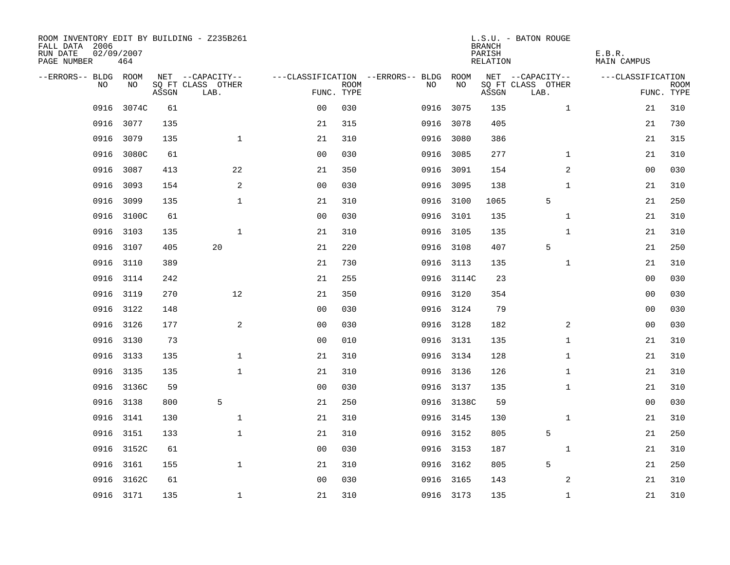| ROOM INVENTORY EDIT BY BUILDING - Z235B261<br>FALL DATA 2006<br>RUN DATE<br>PAGE NUMBER | 02/09/2007<br>464 |       |                           |                |             |                                   |            | <b>BRANCH</b><br>PARISH<br>RELATION | L.S.U. - BATON ROUGE      | E.B.R.<br><b>MAIN CAMPUS</b> |                           |
|-----------------------------------------------------------------------------------------|-------------------|-------|---------------------------|----------------|-------------|-----------------------------------|------------|-------------------------------------|---------------------------|------------------------------|---------------------------|
| --ERRORS-- BLDG ROOM                                                                    |                   |       | NET --CAPACITY--          |                |             | ---CLASSIFICATION --ERRORS-- BLDG | ROOM       |                                     | NET --CAPACITY--          | ---CLASSIFICATION            |                           |
| NO                                                                                      | NO                | ASSGN | SQ FT CLASS OTHER<br>LAB. | FUNC. TYPE     | <b>ROOM</b> | NO                                | NO         | ASSGN                               | SQ FT CLASS OTHER<br>LAB. |                              | <b>ROOM</b><br>FUNC. TYPE |
| 0916                                                                                    | 3074C             | 61    |                           | 0 <sub>0</sub> | 030         | 0916                              | 3075       | 135                                 | $\mathbf{1}$              | 21                           | 310                       |
| 0916                                                                                    | 3077              | 135   |                           | 21             | 315         |                                   | 0916 3078  | 405                                 |                           | 21                           | 730                       |
| 0916                                                                                    | 3079              | 135   | $\mathbf 1$               | 21             | 310         |                                   | 0916 3080  | 386                                 |                           | 21                           | 315                       |
| 0916                                                                                    | 3080C             | 61    |                           | 0 <sub>0</sub> | 030         |                                   | 0916 3085  | 277                                 | $\mathbf{1}$              | 21                           | 310                       |
| 0916                                                                                    | 3087              | 413   | 22                        | 21             | 350         |                                   | 0916 3091  | 154                                 | 2                         | 00                           | 030                       |
| 0916                                                                                    | 3093              | 154   | 2                         | 0 <sub>0</sub> | 030         |                                   | 0916 3095  | 138                                 | $\mathbf{1}$              | 21                           | 310                       |
| 0916                                                                                    | 3099              | 135   | $\mathbf 1$               | 21             | 310         |                                   | 0916 3100  | 1065                                | 5                         | 21                           | 250                       |
| 0916                                                                                    | 3100C             | 61    |                           | 0 <sub>0</sub> | 030         |                                   | 0916 3101  | 135                                 | $\mathbf{1}$              | 21                           | 310                       |
| 0916                                                                                    | 3103              | 135   | $\mathbf{1}$              | 21             | 310         |                                   | 0916 3105  | 135                                 | $\mathbf{1}$              | 21                           | 310                       |
| 0916                                                                                    | 3107              | 405   | 20                        | 21             | 220         |                                   | 0916 3108  | 407                                 | 5                         | 21                           | 250                       |
| 0916                                                                                    | 3110              | 389   |                           | 21             | 730         |                                   | 0916 3113  | 135                                 | $\mathbf{1}$              | 21                           | 310                       |
| 0916                                                                                    | 3114              | 242   |                           | 21             | 255         |                                   | 0916 3114C | 23                                  |                           | 00                           | 030                       |
| 0916                                                                                    | 3119              | 270   | 12                        | 21             | 350         |                                   | 0916 3120  | 354                                 |                           | 00                           | 030                       |
| 0916                                                                                    | 3122              | 148   |                           | 0 <sub>0</sub> | 030         |                                   | 0916 3124  | 79                                  |                           | 00                           | 030                       |
| 0916                                                                                    | 3126              | 177   | 2                         | 0 <sub>0</sub> | 030         |                                   | 0916 3128  | 182                                 | $\overline{2}$            | 0 <sub>0</sub>               | 030                       |
| 0916                                                                                    | 3130              | 73    |                           | 0 <sub>0</sub> | 010         |                                   | 0916 3131  | 135                                 | $\mathbf{1}$              | 21                           | 310                       |
| 0916                                                                                    | 3133              | 135   | $\mathbf 1$               | 21             | 310         |                                   | 0916 3134  | 128                                 | $\mathbf{1}$              | 21                           | 310                       |
| 0916                                                                                    | 3135              | 135   | $\mathbf{1}$              | 21             | 310         |                                   | 0916 3136  | 126                                 | $\mathbf{1}$              | 21                           | 310                       |
|                                                                                         | 0916 3136C        | 59    |                           | 0 <sub>0</sub> | 030         |                                   | 0916 3137  | 135                                 | $\mathbf{1}$              | 21                           | 310                       |
| 0916                                                                                    | 3138              | 800   | 5                         | 21             | 250         |                                   | 0916 3138C | 59                                  |                           | 00                           | 030                       |
| 0916                                                                                    | 3141              | 130   | $\mathbf 1$               | 21             | 310         |                                   | 0916 3145  | 130                                 | $\mathbf{1}$              | 21                           | 310                       |
| 0916                                                                                    | 3151              | 133   | $\mathbf{1}$              | 21             | 310         |                                   | 0916 3152  | 805                                 | 5                         | 21                           | 250                       |
|                                                                                         | 0916 3152C        | 61    |                           | 0 <sub>0</sub> | 030         |                                   | 0916 3153  | 187                                 | $\mathbf{1}$              | 21                           | 310                       |
| 0916                                                                                    | 3161              | 155   | $\mathbf 1$               | 21             | 310         |                                   | 0916 3162  | 805                                 | 5                         | 21                           | 250                       |
| 0916                                                                                    | 3162C             | 61    |                           | 0 <sub>0</sub> | 030         |                                   | 0916 3165  | 143                                 | 2                         | 21                           | 310                       |
|                                                                                         | 0916 3171         | 135   | $\mathbf{1}$              | 21             | 310         |                                   | 0916 3173  | 135                                 | $\mathbf{1}$              | 21                           | 310                       |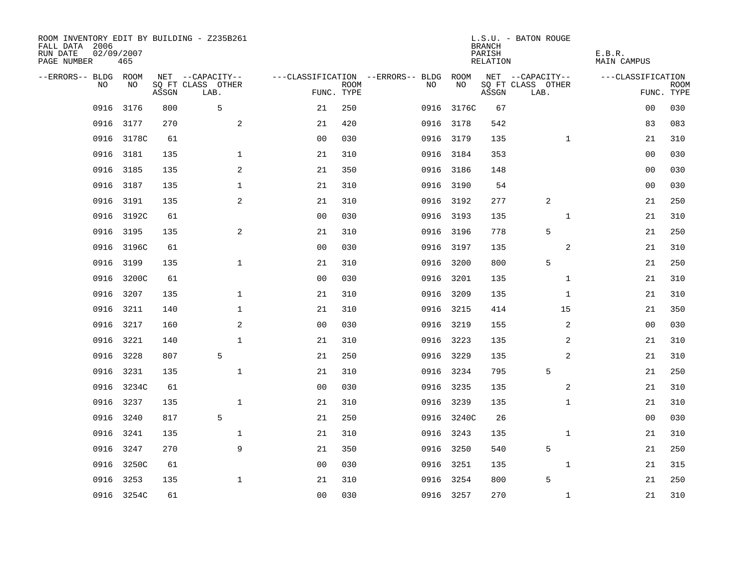| ROOM INVENTORY EDIT BY BUILDING - Z235B261<br>FALL DATA 2006<br>RUN DATE<br>PAGE NUMBER | 02/09/2007<br>465 |       |                           |                |             |                                   |            | <b>BRANCH</b><br>PARISH<br><b>RELATION</b> | L.S.U. - BATON ROUGE      | E.B.R.<br><b>MAIN CAMPUS</b> |                           |
|-----------------------------------------------------------------------------------------|-------------------|-------|---------------------------|----------------|-------------|-----------------------------------|------------|--------------------------------------------|---------------------------|------------------------------|---------------------------|
| --ERRORS-- BLDG ROOM                                                                    |                   |       | NET --CAPACITY--          |                |             | ---CLASSIFICATION --ERRORS-- BLDG | ROOM       |                                            | NET --CAPACITY--          | ---CLASSIFICATION            |                           |
| NO                                                                                      | NO                | ASSGN | SQ FT CLASS OTHER<br>LAB. | FUNC. TYPE     | <b>ROOM</b> | NO                                | NO         | ASSGN                                      | SQ FT CLASS OTHER<br>LAB. |                              | <b>ROOM</b><br>FUNC. TYPE |
| 0916                                                                                    | 3176              | 800   | 5                         | 21             | 250         | 0916                              | 3176C      | 67                                         |                           | 00                           | 030                       |
| 0916                                                                                    | 3177              | 270   | 2                         | 21             | 420         |                                   | 0916 3178  | 542                                        |                           | 83                           | 083                       |
| 0916                                                                                    | 3178C             | 61    |                           | 0 <sub>0</sub> | 030         |                                   | 0916 3179  | 135                                        | $\mathbf{1}$              | 21                           | 310                       |
| 0916                                                                                    | 3181              | 135   | $\mathbf 1$               | 21             | 310         |                                   | 0916 3184  | 353                                        |                           | 0 <sub>0</sub>               | 030                       |
| 0916                                                                                    | 3185              | 135   | 2                         | 21             | 350         |                                   | 0916 3186  | 148                                        |                           | 0 <sub>0</sub>               | 030                       |
| 0916                                                                                    | 3187              | 135   | $\mathbf{1}$              | 21             | 310         |                                   | 0916 3190  | 54                                         |                           | 0 <sub>0</sub>               | 030                       |
| 0916                                                                                    | 3191              | 135   | 2                         | 21             | 310         |                                   | 0916 3192  | 277                                        | 2                         | 21                           | 250                       |
| 0916                                                                                    | 3192C             | 61    |                           | 0 <sub>0</sub> | 030         |                                   | 0916 3193  | 135                                        | $\mathbf{1}$              | 21                           | 310                       |
| 0916                                                                                    | 3195              | 135   | 2                         | 21             | 310         |                                   | 0916 3196  | 778                                        | 5                         | 21                           | 250                       |
| 0916                                                                                    | 3196C             | 61    |                           | 0 <sub>0</sub> | 030         |                                   | 0916 3197  | 135                                        | 2                         | 21                           | 310                       |
| 0916                                                                                    | 3199              | 135   | $\mathbf{1}$              | 21             | 310         | 0916                              | 3200       | 800                                        | 5                         | 21                           | 250                       |
| 0916                                                                                    | 3200C             | 61    |                           | 0 <sub>0</sub> | 030         |                                   | 0916 3201  | 135                                        | $\mathbf{1}$              | 21                           | 310                       |
| 0916                                                                                    | 3207              | 135   | $\mathbf 1$               | 21             | 310         | 0916                              | 3209       | 135                                        | $\mathbf{1}$              | 21                           | 310                       |
| 0916                                                                                    | 3211              | 140   | $\mathbf 1$               | 21             | 310         |                                   | 0916 3215  | 414                                        | 15                        | 21                           | 350                       |
| 0916                                                                                    | 3217              | 160   | 2                         | 0 <sub>0</sub> | 030         |                                   | 0916 3219  | 155                                        | 2                         | 00                           | 030                       |
| 0916                                                                                    | 3221              | 140   | $\mathbf{1}$              | 21             | 310         |                                   | 0916 3223  | 135                                        | 2                         | 21                           | 310                       |
| 0916                                                                                    | 3228              | 807   | 5                         | 21             | 250         |                                   | 0916 3229  | 135                                        | 2                         | 21                           | 310                       |
| 0916                                                                                    | 3231              | 135   | $\mathbf 1$               | 21             | 310         |                                   | 0916 3234  | 795                                        | 5                         | 21                           | 250                       |
|                                                                                         | 0916 3234C        | 61    |                           | 0 <sub>0</sub> | 030         |                                   | 0916 3235  | 135                                        | 2                         | 21                           | 310                       |
| 0916                                                                                    | 3237              | 135   | $\mathbf 1$               | 21             | 310         |                                   | 0916 3239  | 135                                        | $\mathbf{1}$              | 21                           | 310                       |
| 0916                                                                                    | 3240              | 817   | 5                         | 21             | 250         |                                   | 0916 3240C | 26                                         |                           | 00                           | 030                       |
| 0916                                                                                    | 3241              | 135   | $\mathbf 1$               | 21             | 310         | 0916                              | 3243       | 135                                        | $\mathbf{1}$              | 21                           | 310                       |
| 0916                                                                                    | 3247              | 270   | 9                         | 21             | 350         |                                   | 0916 3250  | 540                                        | 5                         | 21                           | 250                       |
| 0916                                                                                    | 3250C             | 61    |                           | 0 <sub>0</sub> | 030         | 0916                              | 3251       | 135                                        | $\mathbf{1}$              | 21                           | 315                       |
| 0916                                                                                    | 3253              | 135   | $\mathbf 1$               | 21             | 310         | 0916                              | 3254       | 800                                        | 5                         | 21                           | 250                       |
|                                                                                         | 0916 3254C        | 61    |                           | 0 <sub>0</sub> | 030         |                                   | 0916 3257  | 270                                        | $\mathbf{1}$              | 21                           | 310                       |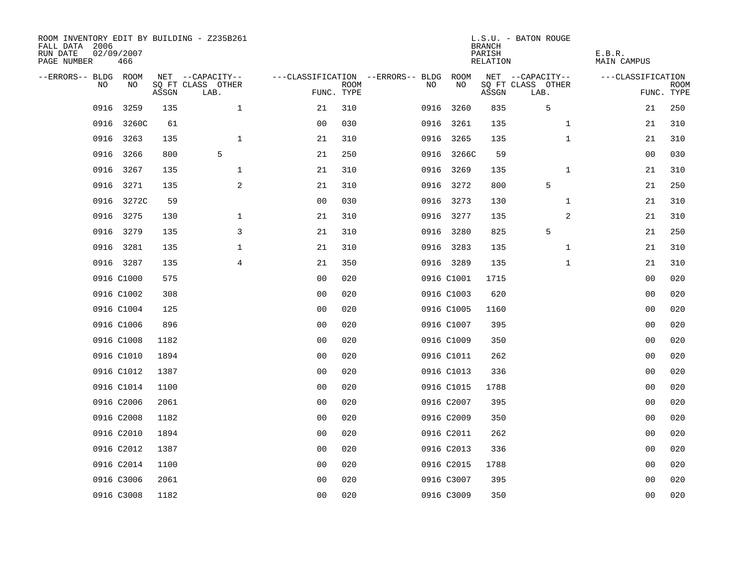| ROOM INVENTORY EDIT BY BUILDING - Z235B261<br>FALL DATA 2006<br>RUN DATE<br>PAGE NUMBER | 02/09/2007<br>466 |       |                           |                |             |                                        |            | <b>BRANCH</b><br>PARISH<br>RELATION | L.S.U. - BATON ROUGE      | E.B.R.<br><b>MAIN CAMPUS</b> |                           |
|-----------------------------------------------------------------------------------------|-------------------|-------|---------------------------|----------------|-------------|----------------------------------------|------------|-------------------------------------|---------------------------|------------------------------|---------------------------|
| --ERRORS-- BLDG ROOM                                                                    |                   |       | NET --CAPACITY--          |                |             | ---CLASSIFICATION --ERRORS-- BLDG ROOM |            |                                     | NET --CAPACITY--          | ---CLASSIFICATION            |                           |
| NO                                                                                      | NO                | ASSGN | SQ FT CLASS OTHER<br>LAB. | FUNC. TYPE     | <b>ROOM</b> | NO                                     | NO         | ASSGN                               | SQ FT CLASS OTHER<br>LAB. |                              | <b>ROOM</b><br>FUNC. TYPE |
| 0916                                                                                    | 3259              | 135   | $\mathbf 1$               | 21             | 310         |                                        | 0916 3260  | 835                                 | 5                         | 21                           | 250                       |
|                                                                                         | 0916 3260C        | 61    |                           | 0 <sub>0</sub> | 030         |                                        | 0916 3261  | 135                                 | $\mathbf{1}$              | 21                           | 310                       |
| 0916                                                                                    | 3263              | 135   | $\mathbf{1}$              | 21             | 310         |                                        | 0916 3265  | 135                                 | $\mathbf{1}$              | 21                           | 310                       |
|                                                                                         | 0916 3266         | 800   | 5                         | 21             | 250         |                                        | 0916 3266C | 59                                  |                           | 00                           | 030                       |
| 0916                                                                                    | 3267              | 135   | $\mathbf 1$               | 21             | 310         |                                        | 0916 3269  | 135                                 | $\mathbf{1}$              | 21                           | 310                       |
| 0916                                                                                    | 3271              | 135   | 2                         | 21             | 310         |                                        | 0916 3272  | 800                                 | 5                         | 21                           | 250                       |
| 0916                                                                                    | 3272C             | 59    |                           | 0 <sub>0</sub> | 030         |                                        | 0916 3273  | 130                                 | $\mathbf{1}$              | 21                           | 310                       |
|                                                                                         | 0916 3275         | 130   | $\mathbf 1$               | 21             | 310         |                                        | 0916 3277  | 135                                 | 2                         | 21                           | 310                       |
| 0916                                                                                    | 3279              | 135   | 3                         | 21             | 310         |                                        | 0916 3280  | 825                                 | 5                         | 21                           | 250                       |
|                                                                                         | 0916 3281         | 135   | $\mathbf 1$               | 21             | 310         |                                        | 0916 3283  | 135                                 | $\mathbf{1}$              | 21                           | 310                       |
|                                                                                         | 0916 3287         | 135   | 4                         | 21             | 350         |                                        | 0916 3289  | 135                                 | $\mathbf{1}$              | 21                           | 310                       |
|                                                                                         | 0916 C1000        | 575   |                           | 0 <sub>0</sub> | 020         |                                        | 0916 C1001 | 1715                                |                           | 0 <sub>0</sub>               | 020                       |
|                                                                                         | 0916 C1002        | 308   |                           | 0 <sub>0</sub> | 020         |                                        | 0916 C1003 | 620                                 |                           | 0 <sub>0</sub>               | 020                       |
|                                                                                         | 0916 C1004        | 125   |                           | 00             | 020         |                                        | 0916 C1005 | 1160                                |                           | 0 <sub>0</sub>               | 020                       |
|                                                                                         | 0916 C1006        | 896   |                           | 0 <sub>0</sub> | 020         |                                        | 0916 C1007 | 395                                 |                           | 0 <sub>0</sub>               | 020                       |
|                                                                                         | 0916 C1008        | 1182  |                           | 0 <sub>0</sub> | 020         |                                        | 0916 C1009 | 350                                 |                           | 0 <sub>0</sub>               | 020                       |
|                                                                                         | 0916 C1010        | 1894  |                           | 0 <sub>0</sub> | 020         |                                        | 0916 C1011 | 262                                 |                           | 00                           | 020                       |
|                                                                                         | 0916 C1012        | 1387  |                           | 0 <sub>0</sub> | 020         |                                        | 0916 C1013 | 336                                 |                           | 00                           | 020                       |
|                                                                                         | 0916 C1014        | 1100  |                           | 0 <sub>0</sub> | 020         |                                        | 0916 C1015 | 1788                                |                           | 0 <sub>0</sub>               | 020                       |
|                                                                                         | 0916 C2006        | 2061  |                           | 0 <sub>0</sub> | 020         |                                        | 0916 C2007 | 395                                 |                           | 0 <sub>0</sub>               | 020                       |
|                                                                                         | 0916 C2008        | 1182  |                           | 0 <sub>0</sub> | 020         |                                        | 0916 C2009 | 350                                 |                           | 00                           | 020                       |
|                                                                                         | 0916 C2010        | 1894  |                           | 0 <sub>0</sub> | 020         |                                        | 0916 C2011 | 262                                 |                           | 00                           | 020                       |
|                                                                                         | 0916 C2012        | 1387  |                           | 0 <sup>0</sup> | 020         |                                        | 0916 C2013 | 336                                 |                           | 0 <sub>0</sub>               | 020                       |
|                                                                                         | 0916 C2014        | 1100  |                           | 0 <sub>0</sub> | 020         |                                        | 0916 C2015 | 1788                                |                           | 00                           | 020                       |
|                                                                                         | 0916 C3006        | 2061  |                           | 0 <sub>0</sub> | 020         |                                        | 0916 C3007 | 395                                 |                           | 0 <sub>0</sub>               | 020                       |
|                                                                                         | 0916 C3008        | 1182  |                           | 0 <sub>0</sub> | 020         |                                        | 0916 C3009 | 350                                 |                           | 0 <sub>0</sub>               | 020                       |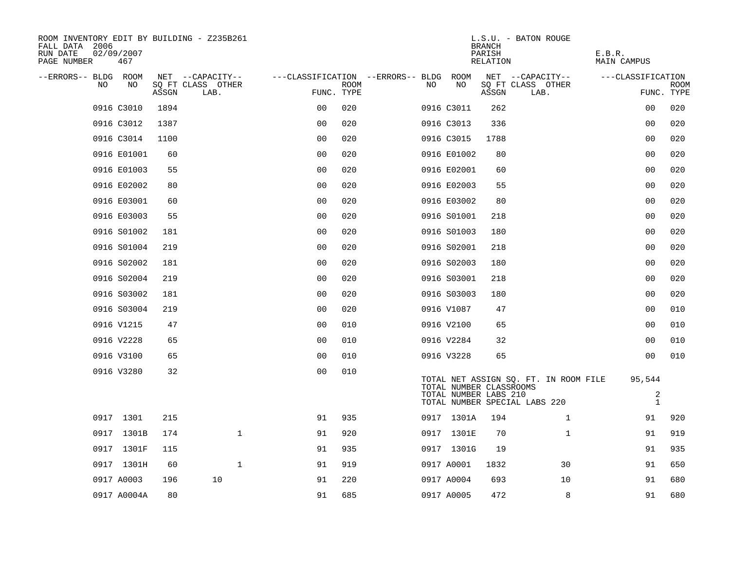| ROOM INVENTORY EDIT BY BUILDING - Z235B261<br>FALL DATA 2006<br>RUN DATE<br>02/09/2007<br>PAGE NUMBER<br>467 |       |                           |                                        |             |     |                                                  | <b>BRANCH</b><br>PARISH<br>RELATION | L.S.U. - BATON ROUGE                                                   | E.B.R.<br><b>MAIN CAMPUS</b>             |                           |
|--------------------------------------------------------------------------------------------------------------|-------|---------------------------|----------------------------------------|-------------|-----|--------------------------------------------------|-------------------------------------|------------------------------------------------------------------------|------------------------------------------|---------------------------|
| --ERRORS-- BLDG ROOM                                                                                         |       | NET --CAPACITY--          | ---CLASSIFICATION --ERRORS-- BLDG ROOM |             |     |                                                  |                                     | NET --CAPACITY--                                                       | ---CLASSIFICATION                        |                           |
| NO<br>NO                                                                                                     | ASSGN | SQ FT CLASS OTHER<br>LAB. | FUNC. TYPE                             | <b>ROOM</b> | NO. | NO                                               | ASSGN                               | SQ FT CLASS OTHER<br>LAB.                                              |                                          | <b>ROOM</b><br>FUNC. TYPE |
| 0916 C3010                                                                                                   | 1894  |                           | 0 <sub>0</sub>                         | 020         |     | 0916 C3011                                       | 262                                 |                                                                        | 00                                       | 020                       |
| 0916 C3012                                                                                                   | 1387  |                           | 0 <sup>0</sup>                         | 020         |     | 0916 C3013                                       | 336                                 |                                                                        | 0 <sub>0</sub>                           | 020                       |
| 0916 C3014                                                                                                   | 1100  |                           | 0 <sub>0</sub>                         | 020         |     | 0916 C3015                                       | 1788                                |                                                                        | 0 <sub>0</sub>                           | 020                       |
| 0916 E01001                                                                                                  | 60    |                           | 0 <sub>0</sub>                         | 020         |     | 0916 E01002                                      | 80                                  |                                                                        | 00                                       | 020                       |
| 0916 E01003                                                                                                  | 55    |                           | 0 <sub>0</sub>                         | 020         |     | 0916 E02001                                      | 60                                  |                                                                        | 00                                       | 020                       |
| 0916 E02002                                                                                                  | 80    |                           | 0 <sub>0</sub>                         | 020         |     | 0916 E02003                                      | 55                                  |                                                                        | 00                                       | 020                       |
| 0916 E03001                                                                                                  | 60    |                           | 0 <sub>0</sub>                         | 020         |     | 0916 E03002                                      | 80                                  |                                                                        | 0 <sub>0</sub>                           | 020                       |
| 0916 E03003                                                                                                  | 55    |                           | 0 <sub>0</sub>                         | 020         |     | 0916 S01001                                      | 218                                 |                                                                        | 0 <sub>0</sub>                           | 020                       |
| 0916 S01002                                                                                                  | 181   |                           | 0 <sub>0</sub>                         | 020         |     | 0916 S01003                                      | 180                                 |                                                                        | 0 <sub>0</sub>                           | 020                       |
| 0916 S01004                                                                                                  | 219   |                           | 0 <sub>0</sub>                         | 020         |     | 0916 S02001                                      | 218                                 |                                                                        | 0 <sub>0</sub>                           | 020                       |
| 0916 S02002                                                                                                  | 181   |                           | 0 <sub>0</sub>                         | 020         |     | 0916 S02003                                      | 180                                 |                                                                        | 0 <sub>0</sub>                           | 020                       |
| 0916 S02004                                                                                                  | 219   |                           | 0 <sub>0</sub>                         | 020         |     | 0916 S03001                                      | 218                                 |                                                                        | 0 <sub>0</sub>                           | 020                       |
| 0916 S03002                                                                                                  | 181   |                           | 0 <sub>0</sub>                         | 020         |     | 0916 S03003                                      | 180                                 |                                                                        | 0 <sub>0</sub>                           | 020                       |
| 0916 S03004                                                                                                  | 219   |                           | 00                                     | 020         |     | 0916 V1087                                       | 47                                  |                                                                        | 00                                       | 010                       |
| 0916 V1215                                                                                                   | 47    |                           | 0 <sup>0</sup>                         | 010         |     | 0916 V2100                                       | 65                                  |                                                                        | 0 <sub>0</sub>                           | 010                       |
| 0916 V2228                                                                                                   | 65    |                           | 0 <sub>0</sub>                         | 010         |     | 0916 V2284                                       | 32                                  |                                                                        | 0 <sub>0</sub>                           | 010                       |
| 0916 V3100                                                                                                   | 65    |                           | 00                                     | 010         |     | 0916 V3228                                       | 65                                  |                                                                        | 00                                       | 010                       |
| 0916 V3280                                                                                                   | 32    |                           | 0 <sub>0</sub>                         | 010         |     | TOTAL NUMBER CLASSROOMS<br>TOTAL NUMBER LABS 210 |                                     | TOTAL NET ASSIGN SQ. FT. IN ROOM FILE<br>TOTAL NUMBER SPECIAL LABS 220 | 95,544<br>$\overline{a}$<br>$\mathbf{1}$ |                           |
| 0917 1301                                                                                                    | 215   |                           | 91                                     | 935         |     | 0917 1301A                                       | 194                                 | $\mathbf{1}$                                                           | 91                                       | 920                       |
| 0917 1301B                                                                                                   | 174   | $\mathbf{1}$              | 91                                     | 920         |     | 0917 1301E                                       | 70                                  | $\mathbf{1}$                                                           | 91                                       | 919                       |
| 0917 1301F                                                                                                   | 115   |                           | 91                                     | 935         |     | 0917 1301G                                       | 19                                  |                                                                        | 91                                       | 935                       |
| 0917 1301H                                                                                                   | 60    | $\mathbf{1}$              | 91                                     | 919         |     | 0917 A0001                                       | 1832                                | 30                                                                     | 91                                       | 650                       |
| 0917 A0003                                                                                                   | 196   | 10                        | 91                                     | 220         |     | 0917 A0004                                       | 693                                 | 10                                                                     | 91                                       | 680                       |
| 0917 A0004A                                                                                                  | 80    |                           | 91                                     | 685         |     | 0917 A0005                                       | 472                                 | 8                                                                      | 91                                       | 680                       |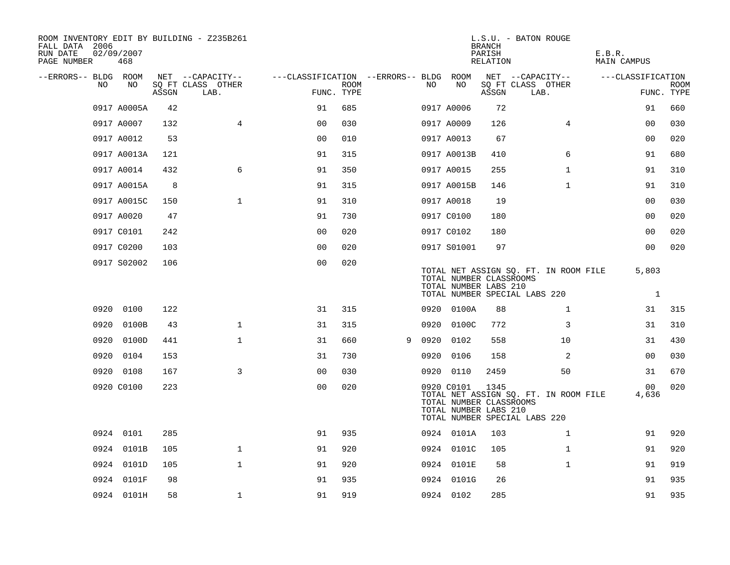| ROOM INVENTORY EDIT BY BUILDING - Z235B261<br>FALL DATA 2006<br>RUN DATE<br>PAGE NUMBER | 02/09/2007<br>468 |       |                           |                                   |             |   |      |                                                                | <b>BRANCH</b><br>PARISH<br>RELATION | L.S.U. - BATON ROUGE                                                   | E.B.R.<br><b>MAIN CAMPUS</b> |                           |
|-----------------------------------------------------------------------------------------|-------------------|-------|---------------------------|-----------------------------------|-------------|---|------|----------------------------------------------------------------|-------------------------------------|------------------------------------------------------------------------|------------------------------|---------------------------|
| --ERRORS-- BLDG ROOM                                                                    |                   |       | NET --CAPACITY--          | ---CLASSIFICATION --ERRORS-- BLDG |             |   |      | ROOM                                                           |                                     | NET --CAPACITY--                                                       | ---CLASSIFICATION            |                           |
| NO.                                                                                     | NO                | ASSGN | SQ FT CLASS OTHER<br>LAB. | FUNC. TYPE                        | <b>ROOM</b> |   | NO.  | NO                                                             | ASSGN                               | SQ FT CLASS OTHER<br>LAB.                                              |                              | <b>ROOM</b><br>FUNC. TYPE |
|                                                                                         | 0917 A0005A       | 42    |                           | 91                                | 685         |   |      | 0917 A0006                                                     | 72                                  |                                                                        | 91                           | 660                       |
|                                                                                         | 0917 A0007        | 132   | $\overline{4}$            | 0 <sub>0</sub>                    | 030         |   |      | 0917 A0009                                                     | 126                                 | 4                                                                      | 00                           | 030                       |
|                                                                                         | 0917 A0012        | 53    |                           | 0 <sub>0</sub>                    | 010         |   |      | 0917 A0013                                                     | 67                                  |                                                                        | 0 <sub>0</sub>               | 020                       |
|                                                                                         | 0917 A0013A       | 121   |                           | 91                                | 315         |   |      | 0917 A0013B                                                    | 410                                 | 6                                                                      | 91                           | 680                       |
|                                                                                         | 0917 A0014        | 432   | 6                         | 91                                | 350         |   |      | 0917 A0015                                                     | 255                                 | $\mathbf{1}$                                                           | 91                           | 310                       |
|                                                                                         | 0917 A0015A       | 8     |                           | 91                                | 315         |   |      | 0917 A0015B                                                    | 146                                 | $\mathbf{1}$                                                           | 91                           | 310                       |
|                                                                                         | 0917 A0015C       | 150   | $\mathbf{1}$              | 91                                | 310         |   |      | 0917 A0018                                                     | 19                                  |                                                                        | 00                           | 030                       |
|                                                                                         | 0917 A0020        | 47    |                           | 91                                | 730         |   |      | 0917 C0100                                                     | 180                                 |                                                                        | 00                           | 020                       |
|                                                                                         | 0917 C0101        | 242   |                           | 0 <sub>0</sub>                    | 020         |   |      | 0917 C0102                                                     | 180                                 |                                                                        | 0 <sub>0</sub>               | 020                       |
|                                                                                         | 0917 C0200        | 103   |                           | 0 <sub>0</sub>                    | 020         |   |      | 0917 S01001                                                    | 97                                  |                                                                        | 00                           | 020                       |
|                                                                                         | 0917 S02002       | 106   |                           | 0 <sub>0</sub>                    | 020         |   |      | TOTAL NUMBER CLASSROOMS<br>TOTAL NUMBER LABS 210               |                                     | TOTAL NET ASSIGN SQ. FT. IN ROOM FILE<br>TOTAL NUMBER SPECIAL LABS 220 | 5,803<br>$\mathbf{1}$        |                           |
| 0920                                                                                    | 0100              | 122   |                           | 31                                | 315         |   |      | 0920 0100A                                                     | 88                                  | $\mathbf{1}$                                                           | 31                           | 315                       |
| 0920                                                                                    | 0100B             | 43    | $\mathbf 1$               | 31                                | 315         |   |      | 0920 0100C                                                     | 772                                 | 3                                                                      | 31                           | 310                       |
| 0920                                                                                    | 0100D             | 441   | $\mathbf 1$               | 31                                | 660         | 9 | 0920 | 0102                                                           | 558                                 | 10                                                                     | 31                           | 430                       |
| 0920                                                                                    | 0104              | 153   |                           | 31                                | 730         |   | 0920 | 0106                                                           | 158                                 | 2                                                                      | 0 <sub>0</sub>               | 030                       |
|                                                                                         | 0920 0108         | 167   | 3                         | 0 <sub>0</sub>                    | 030         |   |      | 0920 0110                                                      | 2459                                | 50                                                                     | 31                           | 670                       |
|                                                                                         | 0920 C0100        | 223   |                           | 0 <sub>0</sub>                    | 020         |   |      | 0920 C0101<br>TOTAL NUMBER CLASSROOMS<br>TOTAL NUMBER LABS 210 | 1345                                | TOTAL NET ASSIGN SQ. FT. IN ROOM FILE<br>TOTAL NUMBER SPECIAL LABS 220 | 00<br>4,636                  | 020                       |
|                                                                                         | 0924 0101         | 285   |                           | 91                                | 935         |   |      | 0924 0101A                                                     | 103                                 | $\mathbf{1}$                                                           | 91                           | 920                       |
|                                                                                         | 0924 0101B        | 105   | $\mathbf{1}$              | 91                                | 920         |   |      | 0924 0101C                                                     | 105                                 | $\mathbf{1}$                                                           | 91                           | 920                       |
|                                                                                         | 0924 0101D        | 105   | $\mathbf 1$               | 91                                | 920         |   |      | 0924 0101E                                                     | 58                                  | $\mathbf{1}$                                                           | 91                           | 919                       |
|                                                                                         | 0924 0101F        | 98    |                           | 91                                | 935         |   |      | 0924 0101G                                                     | 26                                  |                                                                        | 91                           | 935                       |
|                                                                                         | 0924 0101H        | 58    | $\mathbf 1$               | 91                                | 919         |   |      | 0924 0102                                                      | 285                                 |                                                                        | 91                           | 935                       |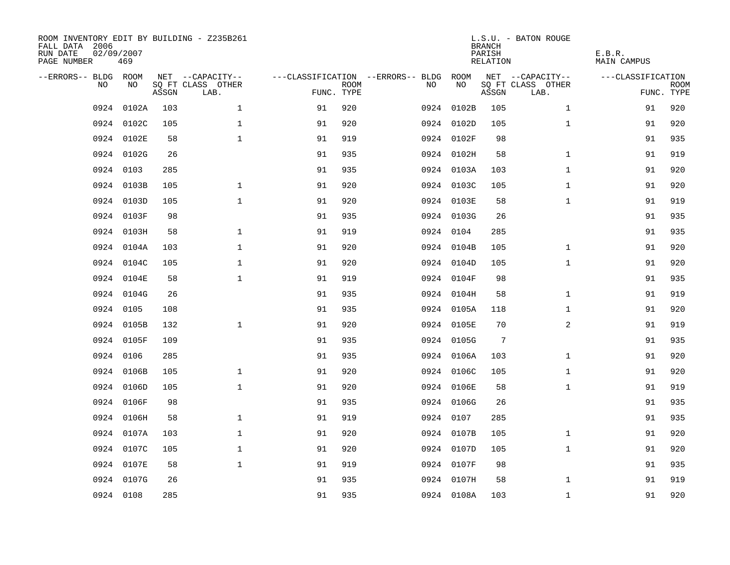| ROOM INVENTORY EDIT BY BUILDING - Z235B261<br>FALL DATA 2006<br>RUN DATE<br>PAGE NUMBER | 02/09/2007<br>469 |       |                           |            |             |                                   |            | <b>BRANCH</b><br>PARISH<br>RELATION | L.S.U. - BATON ROUGE      | E.B.R.<br><b>MAIN CAMPUS</b> |                           |
|-----------------------------------------------------------------------------------------|-------------------|-------|---------------------------|------------|-------------|-----------------------------------|------------|-------------------------------------|---------------------------|------------------------------|---------------------------|
| --ERRORS-- BLDG ROOM                                                                    |                   |       | NET --CAPACITY--          |            |             | ---CLASSIFICATION --ERRORS-- BLDG | ROOM       |                                     | NET --CAPACITY--          | ---CLASSIFICATION            |                           |
| N <sub>O</sub>                                                                          | NO.               | ASSGN | SO FT CLASS OTHER<br>LAB. | FUNC. TYPE | <b>ROOM</b> | NO.                               | NO         | ASSGN                               | SO FT CLASS OTHER<br>LAB. |                              | <b>ROOM</b><br>FUNC. TYPE |
| 0924                                                                                    | 0102A             | 103   | $\mathbf{1}$              | 91         | 920         |                                   | 0924 0102B | 105                                 | $\mathbf{1}$              | 91                           | 920                       |
| 0924                                                                                    | 0102C             | 105   | $\mathbf{1}$              | 91         | 920         |                                   | 0924 0102D | 105                                 | $\mathbf{1}$              | 91                           | 920                       |
|                                                                                         | 0924 0102E        | 58    | $\mathbf{1}$              | 91         | 919         |                                   | 0924 0102F | 98                                  |                           | 91                           | 935                       |
| 0924                                                                                    | 0102G             | 26    |                           | 91         | 935         |                                   | 0924 0102H | 58                                  | $\mathbf{1}$              | 91                           | 919                       |
| 0924                                                                                    | 0103              | 285   |                           | 91         | 935         |                                   | 0924 0103A | 103                                 | $\mathbf{1}$              | 91                           | 920                       |
| 0924                                                                                    | 0103B             | 105   | $\mathbf 1$               | 91         | 920         |                                   | 0924 0103C | 105                                 | $\mathbf{1}$              | 91                           | 920                       |
| 0924                                                                                    | 0103D             | 105   | $\mathbf{1}$              | 91         | 920         |                                   | 0924 0103E | 58                                  | $\mathbf{1}$              | 91                           | 919                       |
| 0924                                                                                    | 0103F             | 98    |                           | 91         | 935         |                                   | 0924 0103G | 26                                  |                           | 91                           | 935                       |
| 0924                                                                                    | 0103H             | 58    | $\mathbf{1}$              | 91         | 919         |                                   | 0924 0104  | 285                                 |                           | 91                           | 935                       |
| 0924                                                                                    | 0104A             | 103   | $\mathbf 1$               | 91         | 920         |                                   | 0924 0104B | 105                                 | $\mathbf{1}$              | 91                           | 920                       |
| 0924                                                                                    | 0104C             | 105   | $\mathbf 1$               | 91         | 920         |                                   | 0924 0104D | 105                                 | $\mathbf{1}$              | 91                           | 920                       |
|                                                                                         | 0924 0104E        | 58    | $\mathbf{1}$              | 91         | 919         |                                   | 0924 0104F | 98                                  |                           | 91                           | 935                       |
| 0924                                                                                    | 0104G             | 26    |                           | 91         | 935         |                                   | 0924 0104H | 58                                  | $\mathbf{1}$              | 91                           | 919                       |
| 0924                                                                                    | 0105              | 108   |                           | 91         | 935         |                                   | 0924 0105A | 118                                 | $\mathbf{1}$              | 91                           | 920                       |
| 0924                                                                                    | 0105B             | 132   | $\mathbf{1}$              | 91         | 920         |                                   | 0924 0105E | 70                                  | 2                         | 91                           | 919                       |
| 0924                                                                                    | 0105F             | 109   |                           | 91         | 935         |                                   | 0924 0105G | $7\phantom{.0}$                     |                           | 91                           | 935                       |
| 0924                                                                                    | 0106              | 285   |                           | 91         | 935         |                                   | 0924 0106A | 103                                 | $\mathbf{1}$              | 91                           | 920                       |
| 0924                                                                                    | 0106B             | 105   | $\mathbf 1$               | 91         | 920         |                                   | 0924 0106C | 105                                 | $\mathbf{1}$              | 91                           | 920                       |
| 0924                                                                                    | 0106D             | 105   | $\mathbf{1}$              | 91         | 920         |                                   | 0924 0106E | 58                                  | $\mathbf{1}$              | 91                           | 919                       |
| 0924                                                                                    | 0106F             | 98    |                           | 91         | 935         |                                   | 0924 0106G | 26                                  |                           | 91                           | 935                       |
| 0924                                                                                    | 0106H             | 58    | $\mathbf 1$               | 91         | 919         |                                   | 0924 0107  | 285                                 |                           | 91                           | 935                       |
| 0924                                                                                    | 0107A             | 103   | $\mathbf 1$               | 91         | 920         |                                   | 0924 0107B | 105                                 | $\mathbf{1}$              | 91                           | 920                       |
| 0924                                                                                    | 0107C             | 105   | $\mathbf 1$               | 91         | 920         |                                   | 0924 0107D | 105                                 | $\mathbf{1}$              | 91                           | 920                       |
| 0924                                                                                    | 0107E             | 58    | $\mathbf{1}$              | 91         | 919         |                                   | 0924 0107F | 98                                  |                           | 91                           | 935                       |
| 0924                                                                                    | 0107G             | 26    |                           | 91         | 935         |                                   | 0924 0107H | 58                                  | $\mathbf{1}$              | 91                           | 919                       |
|                                                                                         | 0924 0108         | 285   |                           | 91         | 935         |                                   | 0924 0108A | 103                                 | $\mathbf{1}$              | 91                           | 920                       |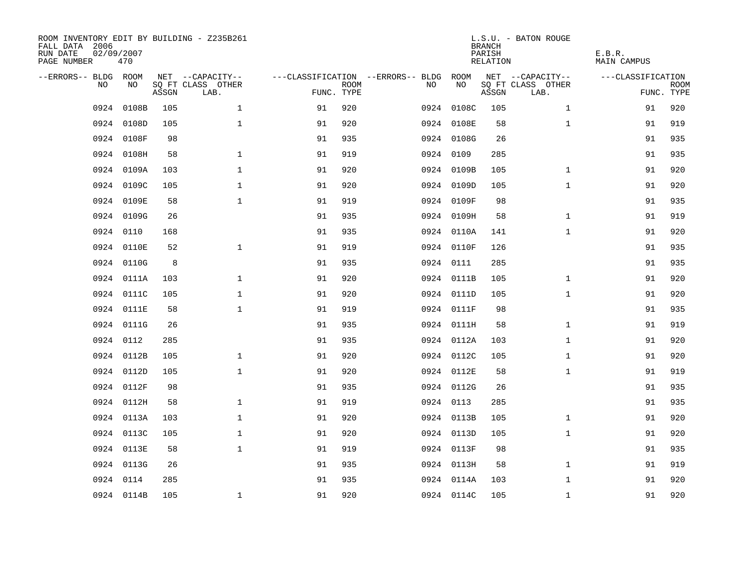| ROOM INVENTORY EDIT BY BUILDING - Z235B261<br>FALL DATA 2006<br>RUN DATE<br>PAGE NUMBER | 02/09/2007<br>470 |       |                           |            |             |                                   |            | <b>BRANCH</b><br>PARISH<br>RELATION | L.S.U. - BATON ROUGE      | E.B.R.<br><b>MAIN CAMPUS</b> |                           |
|-----------------------------------------------------------------------------------------|-------------------|-------|---------------------------|------------|-------------|-----------------------------------|------------|-------------------------------------|---------------------------|------------------------------|---------------------------|
| --ERRORS-- BLDG ROOM                                                                    |                   |       | NET --CAPACITY--          |            |             | ---CLASSIFICATION --ERRORS-- BLDG | ROOM       |                                     | NET --CAPACITY--          | ---CLASSIFICATION            |                           |
| N <sub>O</sub>                                                                          | NO.               | ASSGN | SO FT CLASS OTHER<br>LAB. | FUNC. TYPE | <b>ROOM</b> | NO.                               | NO         | ASSGN                               | SQ FT CLASS OTHER<br>LAB. |                              | <b>ROOM</b><br>FUNC. TYPE |
| 0924                                                                                    | 0108B             | 105   | $\mathbf{1}$              | 91         | 920         |                                   | 0924 0108C | 105                                 | $\mathbf{1}$              | 91                           | 920                       |
| 0924                                                                                    | 0108D             | 105   | $\mathbf{1}$              | 91         | 920         |                                   | 0924 0108E | 58                                  | $\mathbf{1}$              | 91                           | 919                       |
|                                                                                         | 0924 0108F        | 98    |                           | 91         | 935         |                                   | 0924 0108G | 26                                  |                           | 91                           | 935                       |
| 0924                                                                                    | 0108H             | 58    | $\mathbf{1}$              | 91         | 919         |                                   | 0924 0109  | 285                                 |                           | 91                           | 935                       |
| 0924                                                                                    | 0109A             | 103   | $\mathbf 1$               | 91         | 920         |                                   | 0924 0109B | 105                                 | $\mathbf{1}$              | 91                           | 920                       |
| 0924                                                                                    | 0109C             | 105   | $\mathbf 1$               | 91         | 920         |                                   | 0924 0109D | 105                                 | $\mathbf{1}$              | 91                           | 920                       |
| 0924                                                                                    | 0109E             | 58    | $\mathbf{1}$              | 91         | 919         |                                   | 0924 0109F | 98                                  |                           | 91                           | 935                       |
| 0924                                                                                    | 0109G             | 26    |                           | 91         | 935         |                                   | 0924 0109H | 58                                  | $\mathbf{1}$              | 91                           | 919                       |
| 0924                                                                                    | 0110              | 168   |                           | 91         | 935         |                                   | 0924 0110A | 141                                 | $\mathbf{1}$              | 91                           | 920                       |
| 0924                                                                                    | 0110E             | 52    | $\mathbf 1$               | 91         | 919         |                                   | 0924 0110F | 126                                 |                           | 91                           | 935                       |
| 0924                                                                                    | 0110G             | 8     |                           | 91         | 935         |                                   | 0924 0111  | 285                                 |                           | 91                           | 935                       |
| 0924                                                                                    | 0111A             | 103   | $\mathbf{1}$              | 91         | 920         |                                   | 0924 0111B | 105                                 | $\mathbf{1}$              | 91                           | 920                       |
| 0924                                                                                    | 0111C             | 105   | $\mathbf{1}$              | 91         | 920         |                                   | 0924 0111D | 105                                 | $\mathbf{1}$              | 91                           | 920                       |
| 0924                                                                                    | 0111E             | 58    | $\mathbf{1}$              | 91         | 919         |                                   | 0924 0111F | 98                                  |                           | 91                           | 935                       |
| 0924                                                                                    | 0111G             | 26    |                           | 91         | 935         |                                   | 0924 0111H | 58                                  | $\mathbf{1}$              | 91                           | 919                       |
| 0924                                                                                    | 0112              | 285   |                           | 91         | 935         |                                   | 0924 0112A | 103                                 | $\mathbf{1}$              | 91                           | 920                       |
| 0924                                                                                    | 0112B             | 105   | $\mathbf 1$               | 91         | 920         |                                   | 0924 0112C | 105                                 | $\mathbf{1}$              | 91                           | 920                       |
| 0924                                                                                    | 0112D             | 105   | $\mathbf{1}$              | 91         | 920         |                                   | 0924 0112E | 58                                  | $\mathbf{1}$              | 91                           | 919                       |
| 0924                                                                                    | 0112F             | 98    |                           | 91         | 935         |                                   | 0924 0112G | 26                                  |                           | 91                           | 935                       |
| 0924                                                                                    | 0112H             | 58    | $\mathbf{1}$              | 91         | 919         |                                   | 0924 0113  | 285                                 |                           | 91                           | 935                       |
| 0924                                                                                    | 0113A             | 103   | $\mathbf 1$               | 91         | 920         |                                   | 0924 0113B | 105                                 | $\mathbf{1}$              | 91                           | 920                       |
| 0924                                                                                    | 0113C             | 105   | $\mathbf{1}$              | 91         | 920         |                                   | 0924 0113D | 105                                 | $\mathbf{1}$              | 91                           | 920                       |
|                                                                                         | 0924 0113E        | 58    | $\mathbf{1}$              | 91         | 919         |                                   | 0924 0113F | 98                                  |                           | 91                           | 935                       |
|                                                                                         | 0924 0113G        | 26    |                           | 91         | 935         |                                   | 0924 0113H | 58                                  | $\mathbf{1}$              | 91                           | 919                       |
| 0924                                                                                    | 0114              | 285   |                           | 91         | 935         |                                   | 0924 0114A | 103                                 | $\mathbf{1}$              | 91                           | 920                       |
|                                                                                         | 0924 0114B        | 105   | $\mathbf{1}$              | 91         | 920         |                                   | 0924 0114C | 105                                 | $\mathbf{1}$              | 91                           | 920                       |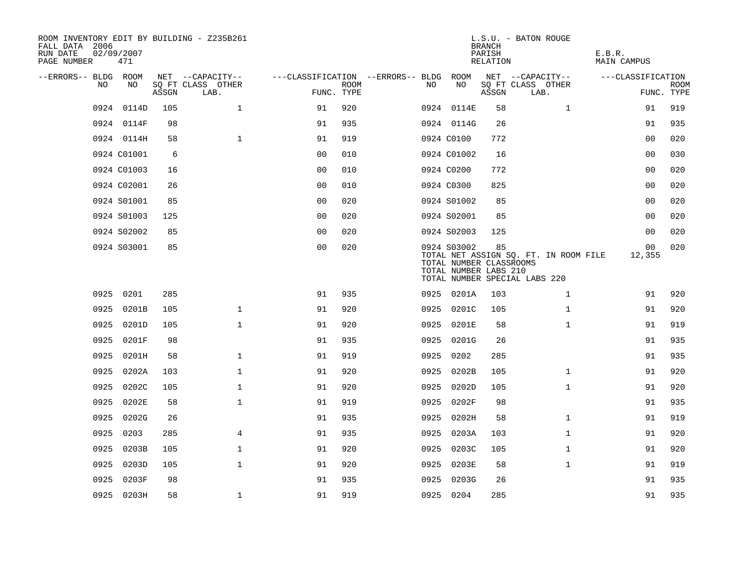| ROOM INVENTORY EDIT BY BUILDING - Z235B261<br>FALL DATA 2006<br>RUN DATE<br>PAGE NUMBER | 02/09/2007<br>471 |       |                           |                |                           |                                   |                                                                 | <b>BRANCH</b><br>PARISH<br>RELATION | L.S.U. - BATON ROUGE                                                   | E.B.R.<br><b>MAIN CAMPUS</b> |                           |
|-----------------------------------------------------------------------------------------|-------------------|-------|---------------------------|----------------|---------------------------|-----------------------------------|-----------------------------------------------------------------|-------------------------------------|------------------------------------------------------------------------|------------------------------|---------------------------|
| --ERRORS-- BLDG ROOM                                                                    |                   |       | NET --CAPACITY--          |                |                           | ---CLASSIFICATION --ERRORS-- BLDG | ROOM                                                            |                                     | NET --CAPACITY--                                                       | ---CLASSIFICATION            |                           |
| NO.                                                                                     | NO                | ASSGN | SO FT CLASS OTHER<br>LAB. |                | <b>ROOM</b><br>FUNC. TYPE | NO                                | NO                                                              | ASSGN                               | SQ FT CLASS OTHER<br>LAB.                                              |                              | <b>ROOM</b><br>FUNC. TYPE |
| 0924                                                                                    | 0114D             | 105   | $\mathbf 1$               | 91             | 920                       |                                   | 0924 0114E                                                      | 58                                  | $\mathbf{1}$                                                           | 91                           | 919                       |
|                                                                                         | 0924 0114F        | 98    |                           | 91             | 935                       |                                   | 0924 0114G                                                      | 26                                  |                                                                        | 91                           | 935                       |
|                                                                                         | 0924 0114H        | 58    | $\mathbf{1}$              | 91             | 919                       |                                   | 0924 C0100                                                      | 772                                 |                                                                        | 0 <sub>0</sub>               | 020                       |
|                                                                                         | 0924 C01001       | 6     |                           | 0 <sub>0</sub> | 010                       |                                   | 0924 C01002                                                     | 16                                  |                                                                        | 0 <sub>0</sub>               | 030                       |
|                                                                                         | 0924 C01003       | 16    |                           | 00             | 010                       |                                   | 0924 C0200                                                      | 772                                 |                                                                        | 00                           | 020                       |
|                                                                                         | 0924 C02001       | 26    |                           | 0 <sub>0</sub> | 010                       |                                   | 0924 C0300                                                      | 825                                 |                                                                        | 00                           | 020                       |
|                                                                                         | 0924 S01001       | 85    |                           | 0 <sub>0</sub> | 020                       |                                   | 0924 S01002                                                     | 85                                  |                                                                        | 00                           | 020                       |
|                                                                                         | 0924 S01003       | 125   |                           | 0 <sub>0</sub> | 020                       |                                   | 0924 S02001                                                     | 85                                  |                                                                        | 00                           | 020                       |
|                                                                                         | 0924 S02002       | 85    |                           | 0 <sub>0</sub> | 020                       |                                   | 0924 S02003                                                     | 125                                 |                                                                        | 0 <sub>0</sub>               | 020                       |
|                                                                                         | 0924 S03001       | 85    |                           | 0 <sub>0</sub> | 020                       |                                   | 0924 S03002<br>TOTAL NUMBER CLASSROOMS<br>TOTAL NUMBER LABS 210 | 85                                  | TOTAL NET ASSIGN SQ. FT. IN ROOM FILE<br>TOTAL NUMBER SPECIAL LABS 220 | 00<br>12,355                 | 020                       |
| 0925                                                                                    | 0201              | 285   |                           | 91             | 935                       |                                   | 0925 0201A                                                      | 103                                 | $\mathbf{1}$                                                           | 91                           | 920                       |
| 0925                                                                                    | 0201B             | 105   | $\mathbf{1}$              | 91             | 920                       | 0925                              | 0201C                                                           | 105                                 | $\mathbf{1}$                                                           | 91                           | 920                       |
|                                                                                         | 0925 0201D        | 105   | $\mathbf 1$               | 91             | 920                       |                                   | 0925 0201E                                                      | 58                                  | $\mathbf{1}$                                                           | 91                           | 919                       |
| 0925                                                                                    | 0201F             | 98    |                           | 91             | 935                       |                                   | 0925 0201G                                                      | 26                                  |                                                                        | 91                           | 935                       |
| 0925                                                                                    | 0201H             | 58    | $\mathbf{1}$              | 91             | 919                       | 0925                              | 0202                                                            | 285                                 |                                                                        | 91                           | 935                       |
| 0925                                                                                    | 0202A             | 103   | $\mathbf 1$               | 91             | 920                       | 0925                              | 0202B                                                           | 105                                 | $\mathbf{1}$                                                           | 91                           | 920                       |
| 0925                                                                                    | 0202C             | 105   | $\mathbf 1$               | 91             | 920                       | 0925                              | 0202D                                                           | 105                                 | $\mathbf{1}$                                                           | 91                           | 920                       |
| 0925                                                                                    | 0202E             | 58    | $\mathbf 1$               | 91             | 919                       | 0925                              | 0202F                                                           | 98                                  |                                                                        | 91                           | 935                       |
| 0925                                                                                    | 0202G             | 26    |                           | 91             | 935                       | 0925                              | 0202H                                                           | 58                                  | $\mathbf{1}$                                                           | 91                           | 919                       |
| 0925                                                                                    | 0203              | 285   | $\overline{4}$            | 91             | 935                       | 0925                              | 0203A                                                           | 103                                 | $\mathbf{1}$                                                           | 91                           | 920                       |
| 0925                                                                                    | 0203B             | 105   | $\mathbf 1$               | 91             | 920                       | 0925                              | 0203C                                                           | 105                                 | $\mathbf{1}$                                                           | 91                           | 920                       |
| 0925                                                                                    | 0203D             | 105   | $\mathbf{1}$              | 91             | 920                       | 0925                              | 0203E                                                           | 58                                  | $\mathbf{1}$                                                           | 91                           | 919                       |
| 0925                                                                                    | 0203F             | 98    |                           | 91             | 935                       | 0925                              | 0203G                                                           | 26                                  |                                                                        | 91                           | 935                       |
|                                                                                         | 0925 0203H        | 58    | $\mathbf 1$               | 91             | 919                       |                                   | 0925 0204                                                       | 285                                 |                                                                        | 91                           | 935                       |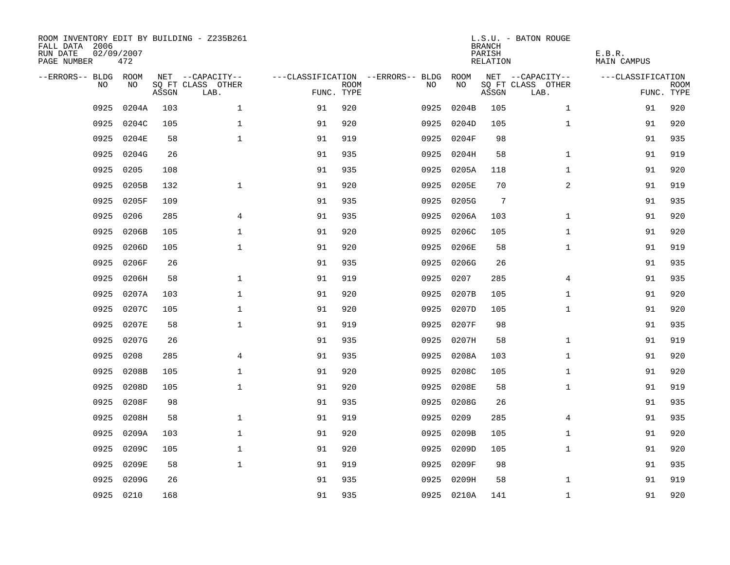| ROOM INVENTORY EDIT BY BUILDING - Z235B261<br>FALL DATA 2006<br>RUN DATE<br>PAGE NUMBER | 02/09/2007<br>472 |       |                           |            |             |                                        |            | <b>BRANCH</b><br>PARISH<br>RELATION | L.S.U. - BATON ROUGE      | E.B.R.<br><b>MAIN CAMPUS</b> |                           |
|-----------------------------------------------------------------------------------------|-------------------|-------|---------------------------|------------|-------------|----------------------------------------|------------|-------------------------------------|---------------------------|------------------------------|---------------------------|
| --ERRORS-- BLDG ROOM                                                                    |                   |       | NET --CAPACITY--          |            |             | ---CLASSIFICATION --ERRORS-- BLDG ROOM |            |                                     | NET --CAPACITY--          | ---CLASSIFICATION            |                           |
| NO.                                                                                     | NO.               | ASSGN | SQ FT CLASS OTHER<br>LAB. | FUNC. TYPE | <b>ROOM</b> | NO.                                    | NO         | ASSGN                               | SQ FT CLASS OTHER<br>LAB. |                              | <b>ROOM</b><br>FUNC. TYPE |
| 0925                                                                                    | 0204A             | 103   | $\mathbf{1}$              | 91         | 920         | 0925                                   | 0204B      | 105                                 | $\mathbf{1}$              | 91                           | 920                       |
| 0925                                                                                    | 0204C             | 105   | $\mathbf{1}$              | 91         | 920         | 0925                                   | 0204D      | 105                                 | $\mathbf{1}$              | 91                           | 920                       |
| 0925                                                                                    | 0204E             | 58    | $\mathbf 1$               | 91         | 919         | 0925                                   | 0204F      | 98                                  |                           | 91                           | 935                       |
| 0925                                                                                    | 0204G             | 26    |                           | 91         | 935         | 0925                                   | 0204H      | 58                                  | $\mathbf{1}$              | 91                           | 919                       |
| 0925                                                                                    | 0205              | 108   |                           | 91         | 935         | 0925                                   | 0205A      | 118                                 | $\mathbf{1}$              | 91                           | 920                       |
| 0925                                                                                    | 0205B             | 132   | $\mathbf{1}$              | 91         | 920         | 0925                                   | 0205E      | 70                                  | $\overline{a}$            | 91                           | 919                       |
| 0925                                                                                    | 0205F             | 109   |                           | 91         | 935         | 0925                                   | 0205G      | $7\phantom{.0}$                     |                           | 91                           | 935                       |
| 0925                                                                                    | 0206              | 285   | 4                         | 91         | 935         | 0925                                   | 0206A      | 103                                 | $\mathbf{1}$              | 91                           | 920                       |
| 0925                                                                                    | 0206B             | 105   | $\mathbf 1$               | 91         | 920         | 0925                                   | 0206C      | 105                                 | $\mathbf{1}$              | 91                           | 920                       |
| 0925                                                                                    | 0206D             | 105   | $\mathbf{1}$              | 91         | 920         | 0925                                   | 0206E      | 58                                  | $\mathbf{1}$              | 91                           | 919                       |
| 0925                                                                                    | 0206F             | 26    |                           | 91         | 935         | 0925                                   | 0206G      | 26                                  |                           | 91                           | 935                       |
| 0925                                                                                    | 0206H             | 58    | $\mathbf 1$               | 91         | 919         | 0925                                   | 0207       | 285                                 | 4                         | 91                           | 935                       |
| 0925                                                                                    | 0207A             | 103   | $\mathbf{1}$              | 91         | 920         | 0925                                   | 0207B      | 105                                 | $\mathbf{1}$              | 91                           | 920                       |
| 0925                                                                                    | 0207C             | 105   | $\mathbf 1$               | 91         | 920         | 0925                                   | 0207D      | 105                                 | $\mathbf{1}$              | 91                           | 920                       |
| 0925                                                                                    | 0207E             | 58    | $\mathbf 1$               | 91         | 919         | 0925                                   | 0207F      | 98                                  |                           | 91                           | 935                       |
| 0925                                                                                    | 0207G             | 26    |                           | 91         | 935         | 0925                                   | 0207H      | 58                                  | $\mathbf{1}$              | 91                           | 919                       |
| 0925                                                                                    | 0208              | 285   | 4                         | 91         | 935         | 0925                                   | 0208A      | 103                                 | $\mathbf{1}$              | 91                           | 920                       |
| 0925                                                                                    | 0208B             | 105   | $\mathbf{1}$              | 91         | 920         | 0925                                   | 0208C      | 105                                 | $\mathbf{1}$              | 91                           | 920                       |
| 0925                                                                                    | 0208D             | 105   | $\mathbf{1}$              | 91         | 920         | 0925                                   | 0208E      | 58                                  | $\mathbf{1}$              | 91                           | 919                       |
| 0925                                                                                    | 0208F             | 98    |                           | 91         | 935         | 0925                                   | 0208G      | 26                                  |                           | 91                           | 935                       |
| 0925                                                                                    | 0208H             | 58    | $\mathbf{1}$              | 91         | 919         | 0925                                   | 0209       | 285                                 | $\overline{4}$            | 91                           | 935                       |
| 0925                                                                                    | 0209A             | 103   | $\mathbf 1$               | 91         | 920         | 0925                                   | 0209B      | 105                                 | $\mathbf{1}$              | 91                           | 920                       |
| 0925                                                                                    | 0209C             | 105   | $\mathbf 1$               | 91         | 920         | 0925                                   | 0209D      | 105                                 | $\mathbf{1}$              | 91                           | 920                       |
| 0925                                                                                    | 0209E             | 58    | $\mathbf{1}$              | 91         | 919         | 0925                                   | 0209F      | 98                                  |                           | 91                           | 935                       |
| 0925                                                                                    | 0209G             | 26    |                           | 91         | 935         | 0925                                   | 0209H      | 58                                  | $\mathbf{1}$              | 91                           | 919                       |
|                                                                                         | 0925 0210         | 168   |                           | 91         | 935         |                                        | 0925 0210A | 141                                 | $\mathbf{1}$              | 91                           | 920                       |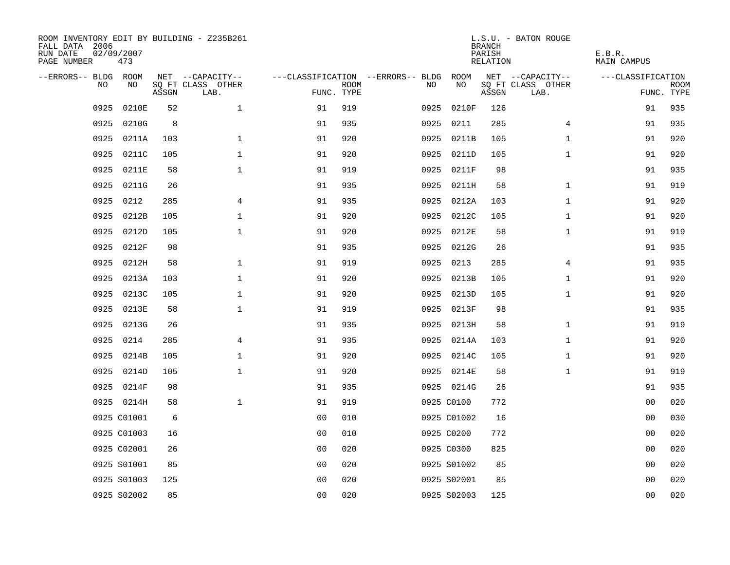| ROOM INVENTORY EDIT BY BUILDING - Z235B261<br>FALL DATA 2006<br>RUN DATE<br>PAGE NUMBER | 02/09/2007<br>473 |       |                           |                |             |                                        |             | <b>BRANCH</b><br>PARISH<br>RELATION | L.S.U. - BATON ROUGE      | E.B.R.<br><b>MAIN CAMPUS</b> |                           |
|-----------------------------------------------------------------------------------------|-------------------|-------|---------------------------|----------------|-------------|----------------------------------------|-------------|-------------------------------------|---------------------------|------------------------------|---------------------------|
| --ERRORS-- BLDG ROOM                                                                    |                   |       | NET --CAPACITY--          |                |             | ---CLASSIFICATION --ERRORS-- BLDG ROOM |             |                                     | NET --CAPACITY--          | ---CLASSIFICATION            |                           |
| NO                                                                                      | NO                | ASSGN | SQ FT CLASS OTHER<br>LAB. | FUNC. TYPE     | <b>ROOM</b> | NO                                     | NO          | ASSGN                               | SQ FT CLASS OTHER<br>LAB. |                              | <b>ROOM</b><br>FUNC. TYPE |
| 0925                                                                                    | 0210E             | 52    | $\mathbf 1$               | 91             | 919         | 0925                                   | 0210F       | 126                                 |                           | 91                           | 935                       |
| 0925                                                                                    | 0210G             | 8     |                           | 91             | 935         |                                        | 0925 0211   | 285                                 | 4                         | 91                           | 935                       |
| 0925                                                                                    | 0211A             | 103   | $\mathbf{1}$              | 91             | 920         |                                        | 0925 0211B  | 105                                 | $\mathbf{1}$              | 91                           | 920                       |
| 0925                                                                                    | 0211C             | 105   | $\mathbf 1$               | 91             | 920         |                                        | 0925 0211D  | 105                                 | $\mathbf{1}$              | 91                           | 920                       |
| 0925                                                                                    | 0211E             | 58    | $\mathbf 1$               | 91             | 919         |                                        | 0925 0211F  | 98                                  |                           | 91                           | 935                       |
| 0925                                                                                    | 0211G             | 26    |                           | 91             | 935         |                                        | 0925 0211H  | 58                                  | $\mathbf{1}$              | 91                           | 919                       |
| 0925                                                                                    | 0212              | 285   | 4                         | 91             | 935         |                                        | 0925 0212A  | 103                                 | $\mathbf{1}$              | 91                           | 920                       |
| 0925                                                                                    | 0212B             | 105   | $\mathbf 1$               | 91             | 920         |                                        | 0925 0212C  | 105                                 | $\mathbf{1}$              | 91                           | 920                       |
| 0925                                                                                    | 0212D             | 105   | $\mathbf{1}$              | 91             | 920         | 0925                                   | 0212E       | 58                                  | $\mathbf{1}$              | 91                           | 919                       |
| 0925                                                                                    | 0212F             | 98    |                           | 91             | 935         |                                        | 0925 0212G  | 26                                  |                           | 91                           | 935                       |
| 0925                                                                                    | 0212H             | 58    | $\mathbf 1$               | 91             | 919         | 0925                                   | 0213        | 285                                 | 4                         | 91                           | 935                       |
| 0925                                                                                    | 0213A             | 103   | $\mathbf{1}$              | 91             | 920         |                                        | 0925 0213B  | 105                                 | $\mathbf{1}$              | 91                           | 920                       |
| 0925                                                                                    | 0213C             | 105   | $\mathbf{1}$              | 91             | 920         | 0925                                   | 0213D       | 105                                 | $\mathbf{1}$              | 91                           | 920                       |
| 0925                                                                                    | 0213E             | 58    | $\mathbf 1$               | 91             | 919         | 0925                                   | 0213F       | 98                                  |                           | 91                           | 935                       |
| 0925                                                                                    | 0213G             | 26    |                           | 91             | 935         |                                        | 0925 0213H  | 58                                  | $\mathbf{1}$              | 91                           | 919                       |
| 0925                                                                                    | 0214              | 285   | 4                         | 91             | 935         |                                        | 0925 0214A  | 103                                 | $\mathbf{1}$              | 91                           | 920                       |
| 0925                                                                                    | 0214B             | 105   | $\mathbf 1$               | 91             | 920         |                                        | 0925 0214C  | 105                                 | $\mathbf{1}$              | 91                           | 920                       |
| 0925                                                                                    | 0214D             | 105   | $\mathbf{1}$              | 91             | 920         |                                        | 0925 0214E  | 58                                  | $\mathbf{1}$              | 91                           | 919                       |
|                                                                                         | 0925 0214F        | 98    |                           | 91             | 935         |                                        | 0925 0214G  | 26                                  |                           | 91                           | 935                       |
|                                                                                         | 0925 0214H        | 58    | $\mathbf{1}$              | 91             | 919         |                                        | 0925 C0100  | 772                                 |                           | 0 <sub>0</sub>               | 020                       |
|                                                                                         | 0925 C01001       | 6     |                           | 0 <sub>0</sub> | 010         |                                        | 0925 C01002 | 16                                  |                           | 00                           | 030                       |
|                                                                                         | 0925 C01003       | 16    |                           | 0 <sub>0</sub> | 010         |                                        | 0925 C0200  | 772                                 |                           | 00                           | 020                       |
|                                                                                         | 0925 C02001       | 26    |                           | 0 <sub>0</sub> | 020         |                                        | 0925 C0300  | 825                                 |                           | 0 <sub>0</sub>               | 020                       |
|                                                                                         | 0925 S01001       | 85    |                           | 0 <sub>0</sub> | 020         |                                        | 0925 S01002 | 85                                  |                           | 00                           | 020                       |
|                                                                                         | 0925 S01003       | 125   |                           | 0 <sub>0</sub> | 020         |                                        | 0925 S02001 | 85                                  |                           | 0 <sub>0</sub>               | 020                       |
|                                                                                         | 0925 S02002       | 85    |                           | 0 <sub>0</sub> | 020         |                                        | 0925 S02003 | 125                                 |                           | 0 <sub>0</sub>               | 020                       |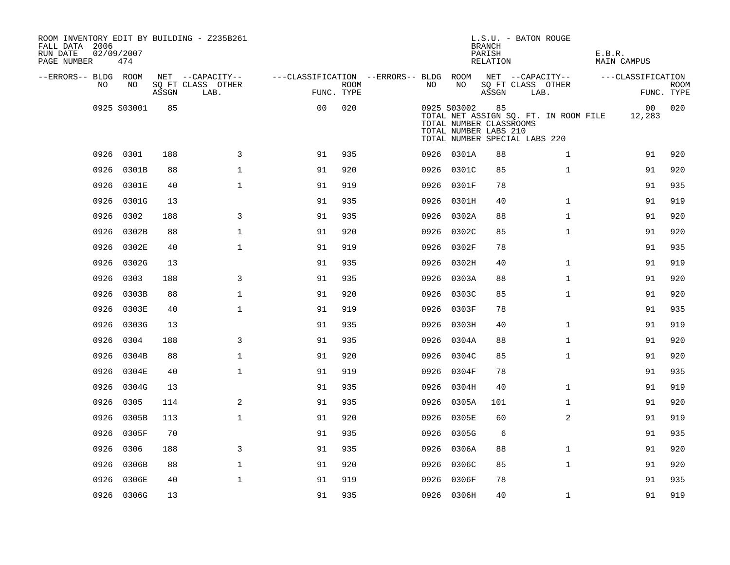| ROOM INVENTORY EDIT BY BUILDING - Z235B261<br>FALL DATA 2006<br>RUN DATE<br>PAGE NUMBER | 02/09/2007<br>474 |       |                           |                                        |             |      |             | <b>BRANCH</b><br>PARISH<br><b>RELATION</b>             | L.S.U. - BATON ROUGE                                                   | E.B.R.<br><b>MAIN CAMPUS</b> |                           |
|-----------------------------------------------------------------------------------------|-------------------|-------|---------------------------|----------------------------------------|-------------|------|-------------|--------------------------------------------------------|------------------------------------------------------------------------|------------------------------|---------------------------|
| --ERRORS-- BLDG ROOM                                                                    |                   |       | NET --CAPACITY--          | ---CLASSIFICATION --ERRORS-- BLDG ROOM |             |      |             |                                                        | NET --CAPACITY--                                                       | ---CLASSIFICATION            |                           |
| NO                                                                                      | NO                | ASSGN | SQ FT CLASS OTHER<br>LAB. | FUNC. TYPE                             | <b>ROOM</b> | NO.  | NO          | ASSGN                                                  | SQ FT CLASS OTHER<br>LAB.                                              |                              | <b>ROOM</b><br>FUNC. TYPE |
|                                                                                         | 0925 S03001       | 85    |                           | 0 <sub>0</sub>                         | 020         |      | 0925 S03002 | 85<br>TOTAL NUMBER CLASSROOMS<br>TOTAL NUMBER LABS 210 | TOTAL NET ASSIGN SQ. FT. IN ROOM FILE<br>TOTAL NUMBER SPECIAL LABS 220 | 00 <sub>o</sub><br>12,283    | 020                       |
|                                                                                         | 0926 0301         | 188   | 3                         | 91                                     | 935         |      | 0926 0301A  | 88                                                     | $\mathbf{1}$                                                           | 91                           | 920                       |
| 0926                                                                                    | 0301B             | 88    | $\mathbf{1}$              | 91                                     | 920         |      | 0926 0301C  | 85                                                     | $\mathbf{1}$                                                           | 91                           | 920                       |
|                                                                                         | 0926 0301E        | 40    | $\mathbf{1}$              | 91                                     | 919         |      | 0926 0301F  | 78                                                     |                                                                        | 91                           | 935                       |
| 0926                                                                                    | 0301G             | 13    |                           | 91                                     | 935         |      | 0926 0301H  | 40                                                     | $\mathbf{1}$                                                           | 91                           | 919                       |
| 0926                                                                                    | 0302              | 188   | 3                         | 91                                     | 935         |      | 0926 0302A  | 88                                                     | $\mathbf{1}$                                                           | 91                           | 920                       |
| 0926                                                                                    | 0302B             | 88    | $\mathbf 1$               | 91                                     | 920         | 0926 | 0302C       | 85                                                     | $\mathbf{1}$                                                           | 91                           | 920                       |
| 0926                                                                                    | 0302E             | 40    | $\mathbf{1}$              | 91                                     | 919         |      | 0926 0302F  | 78                                                     |                                                                        | 91                           | 935                       |
| 0926                                                                                    | 0302G             | 13    |                           | 91                                     | 935         | 0926 | 0302H       | 40                                                     | $\mathbf{1}$                                                           | 91                           | 919                       |
| 0926                                                                                    | 0303              | 188   | 3                         | 91                                     | 935         |      | 0926 0303A  | 88                                                     | $\mathbf{1}$                                                           | 91                           | 920                       |
| 0926                                                                                    | 0303B             | 88    | $\mathbf 1$               | 91                                     | 920         | 0926 | 0303C       | 85                                                     | $\mathbf{1}$                                                           | 91                           | 920                       |
| 0926                                                                                    | 0303E             | 40    | $\mathbf{1}$              | 91                                     | 919         | 0926 | 0303F       | 78                                                     |                                                                        | 91                           | 935                       |
|                                                                                         | 0926 0303G        | 13    |                           | 91                                     | 935         |      | 0926 0303H  | 40                                                     | $\mathbf{1}$                                                           | 91                           | 919                       |
| 0926                                                                                    | 0304              | 188   | 3                         | 91                                     | 935         |      | 0926 0304A  | 88                                                     | $\mathbf{1}$                                                           | 91                           | 920                       |
|                                                                                         | 0926 0304B        | 88    | $\mathbf{1}$              | 91                                     | 920         |      | 0926 0304C  | 85                                                     | $\mathbf{1}$                                                           | 91                           | 920                       |
| 0926                                                                                    | 0304E             | 40    | $\mathbf 1$               | 91                                     | 919         | 0926 | 0304F       | 78                                                     |                                                                        | 91                           | 935                       |
| 0926                                                                                    | 0304G             | 13    |                           | 91                                     | 935         |      | 0926 0304H  | 40                                                     | $\mathbf{1}$                                                           | 91                           | 919                       |
| 0926                                                                                    | 0305              | 114   | 2                         | 91                                     | 935         |      | 0926 0305A  | 101                                                    | $\mathbf{1}$                                                           | 91                           | 920                       |
| 0926                                                                                    | 0305B             | 113   | $\mathbf{1}$              | 91                                     | 920         | 0926 | 0305E       | 60                                                     | $\overline{a}$                                                         | 91                           | 919                       |
| 0926                                                                                    | 0305F             | 70    |                           | 91                                     | 935         | 0926 | 0305G       | 6                                                      |                                                                        | 91                           | 935                       |
| 0926                                                                                    | 0306              | 188   | 3                         | 91                                     | 935         | 0926 | 0306A       | 88                                                     | $\mathbf{1}$                                                           | 91                           | 920                       |
| 0926                                                                                    | 0306B             | 88    | $\mathbf 1$               | 91                                     | 920         |      | 0926 0306C  | 85                                                     | $\mathbf{1}$                                                           | 91                           | 920                       |
| 0926                                                                                    | 0306E             | 40    | $\mathbf{1}$              | 91                                     | 919         |      | 0926 0306F  | 78                                                     |                                                                        | 91                           | 935                       |
|                                                                                         | 0926 0306G        | 13    |                           | 91                                     | 935         |      | 0926 0306H  | 40                                                     | $\mathbf{1}$                                                           | 91                           | 919                       |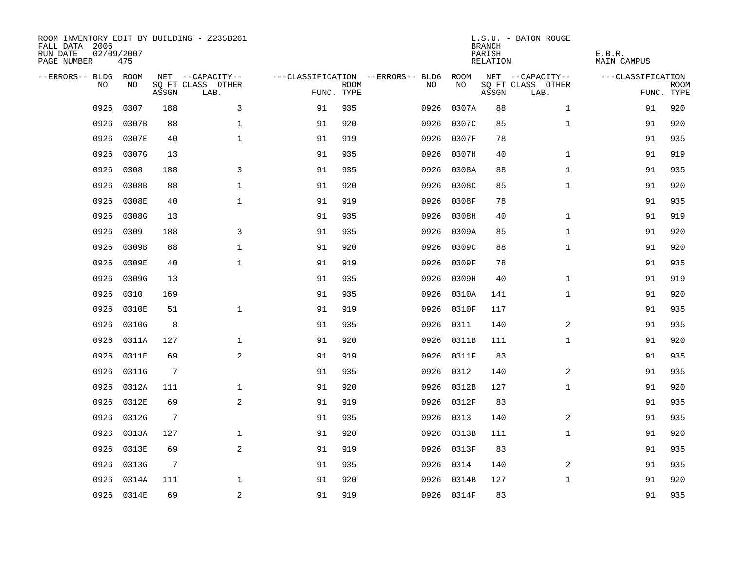| ROOM INVENTORY EDIT BY BUILDING - Z235B261<br>FALL DATA 2006<br>RUN DATE<br>PAGE NUMBER | 02/09/2007<br>475 |                 |                           |            |             |                                   |            | <b>BRANCH</b><br>PARISH<br>RELATION | L.S.U. - BATON ROUGE      | E.B.R.<br><b>MAIN CAMPUS</b> |                           |
|-----------------------------------------------------------------------------------------|-------------------|-----------------|---------------------------|------------|-------------|-----------------------------------|------------|-------------------------------------|---------------------------|------------------------------|---------------------------|
| --ERRORS-- BLDG ROOM                                                                    |                   |                 | NET --CAPACITY--          |            |             | ---CLASSIFICATION --ERRORS-- BLDG | ROOM       |                                     | NET --CAPACITY--          | ---CLASSIFICATION            |                           |
| N <sub>O</sub>                                                                          | NO.               | ASSGN           | SO FT CLASS OTHER<br>LAB. | FUNC. TYPE | <b>ROOM</b> | NO.                               | NO         | ASSGN                               | SQ FT CLASS OTHER<br>LAB. |                              | <b>ROOM</b><br>FUNC. TYPE |
| 0926                                                                                    | 0307              | 188             | 3                         | 91         | 935         | 0926                              | 0307A      | 88                                  | $\mathbf{1}$              | 91                           | 920                       |
| 0926                                                                                    | 0307B             | 88              | $\mathbf 1$               | 91         | 920         | 0926                              | 0307C      | 85                                  | $\mathbf{1}$              | 91                           | 920                       |
| 0926                                                                                    | 0307E             | 40              | $\mathbf{1}$              | 91         | 919         | 0926                              | 0307F      | 78                                  |                           | 91                           | 935                       |
| 0926                                                                                    | 0307G             | 13              |                           | 91         | 935         | 0926                              | 0307H      | 40                                  | $\mathbf{1}$              | 91                           | 919                       |
| 0926                                                                                    | 0308              | 188             | 3                         | 91         | 935         | 0926                              | 0308A      | 88                                  | $\mathbf{1}$              | 91                           | 935                       |
| 0926                                                                                    | 0308B             | 88              | $\mathbf 1$               | 91         | 920         | 0926                              | 0308C      | 85                                  | $\mathbf{1}$              | 91                           | 920                       |
| 0926                                                                                    | 0308E             | 40              | $\mathbf{1}$              | 91         | 919         | 0926                              | 0308F      | 78                                  |                           | 91                           | 935                       |
| 0926                                                                                    | 0308G             | 13              |                           | 91         | 935         | 0926                              | 0308H      | 40                                  | $\mathbf{1}$              | 91                           | 919                       |
| 0926                                                                                    | 0309              | 188             | 3                         | 91         | 935         | 0926                              | 0309A      | 85                                  | $\mathbf{1}$              | 91                           | 920                       |
| 0926                                                                                    | 0309B             | 88              | $\mathbf{1}$              | 91         | 920         | 0926                              | 0309C      | 88                                  | $\mathbf{1}$              | 91                           | 920                       |
| 0926                                                                                    | 0309E             | 40              | $\mathbf{1}$              | 91         | 919         | 0926                              | 0309F      | 78                                  |                           | 91                           | 935                       |
| 0926                                                                                    | 0309G             | 13              |                           | 91         | 935         | 0926                              | 0309H      | 40                                  | $\mathbf{1}$              | 91                           | 919                       |
| 0926                                                                                    | 0310              | 169             |                           | 91         | 935         | 0926                              | 0310A      | 141                                 | $\mathbf{1}$              | 91                           | 920                       |
| 0926                                                                                    | 0310E             | 51              | $\mathbf{1}$              | 91         | 919         | 0926                              | 0310F      | 117                                 |                           | 91                           | 935                       |
| 0926                                                                                    | 0310G             | 8               |                           | 91         | 935         | 0926                              | 0311       | 140                                 | 2                         | 91                           | 935                       |
| 0926                                                                                    | 0311A             | 127             | $\mathbf 1$               | 91         | 920         | 0926                              | 0311B      | 111                                 | $\mathbf{1}$              | 91                           | 920                       |
| 0926                                                                                    | 0311E             | 69              | 2                         | 91         | 919         | 0926                              | 0311F      | 83                                  |                           | 91                           | 935                       |
| 0926                                                                                    | 0311G             | 7               |                           | 91         | 935         | 0926                              | 0312       | 140                                 | 2                         | 91                           | 935                       |
| 0926                                                                                    | 0312A             | 111             | $\mathbf{1}$              | 91         | 920         |                                   | 0926 0312B | 127                                 | $\mathbf{1}$              | 91                           | 920                       |
| 0926                                                                                    | 0312E             | 69              | 2                         | 91         | 919         |                                   | 0926 0312F | 83                                  |                           | 91                           | 935                       |
| 0926                                                                                    | 0312G             | $7\phantom{.0}$ |                           | 91         | 935         |                                   | 0926 0313  | 140                                 | 2                         | 91                           | 935                       |
| 0926                                                                                    | 0313A             | 127             | $\mathbf 1$               | 91         | 920         | 0926                              | 0313B      | 111                                 | $\mathbf{1}$              | 91                           | 920                       |
| 0926                                                                                    | 0313E             | 69              | 2                         | 91         | 919         |                                   | 0926 0313F | 83                                  |                           | 91                           | 935                       |
| 0926                                                                                    | 0313G             | $\overline{7}$  |                           | 91         | 935         | 0926                              | 0314       | 140                                 | 2                         | 91                           | 935                       |
| 0926                                                                                    | 0314A             | 111             | 1                         | 91         | 920         | 0926                              | 0314B      | 127                                 | $\mathbf{1}$              | 91                           | 920                       |
|                                                                                         | 0926 0314E        | 69              | $\sqrt{2}$                | 91         | 919         |                                   | 0926 0314F | 83                                  |                           | 91                           | 935                       |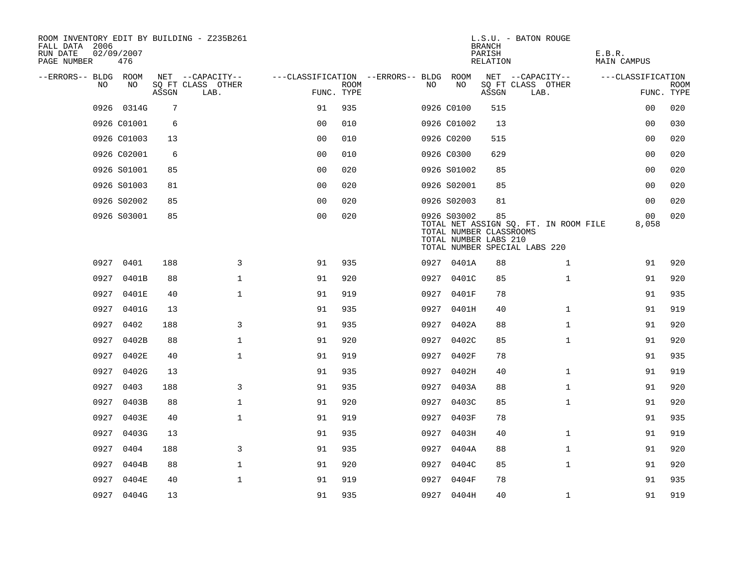| ROOM INVENTORY EDIT BY BUILDING - Z235B261<br>FALL DATA 2006<br>RUN DATE<br>PAGE NUMBER | 02/09/2007<br>476 |       |                           |                                        |             |      |                                                                 | <b>BRANCH</b><br>PARISH<br>RELATION | L.S.U. - BATON ROUGE                                                   | E.B.R.<br>MAIN CAMPUS |                           |
|-----------------------------------------------------------------------------------------|-------------------|-------|---------------------------|----------------------------------------|-------------|------|-----------------------------------------------------------------|-------------------------------------|------------------------------------------------------------------------|-----------------------|---------------------------|
| --ERRORS-- BLDG ROOM                                                                    |                   |       | NET --CAPACITY--          | ---CLASSIFICATION --ERRORS-- BLDG ROOM |             |      |                                                                 |                                     | NET --CAPACITY--                                                       | ---CLASSIFICATION     |                           |
| NO                                                                                      | NO                | ASSGN | SQ FT CLASS OTHER<br>LAB. | FUNC. TYPE                             | <b>ROOM</b> | NO.  | NO                                                              | ASSGN                               | SQ FT CLASS OTHER<br>LAB.                                              |                       | <b>ROOM</b><br>FUNC. TYPE |
|                                                                                         | 0926 0314G        | 7     |                           | 91                                     | 935         |      | 0926 C0100                                                      | 515                                 |                                                                        | 0 <sub>0</sub>        | 020                       |
|                                                                                         | 0926 C01001       | 6     |                           | 0 <sub>0</sub>                         | 010         |      | 0926 C01002                                                     | 13                                  |                                                                        | 00                    | 030                       |
|                                                                                         | 0926 C01003       | 13    |                           | 0 <sub>0</sub>                         | 010         |      | 0926 C0200                                                      | 515                                 |                                                                        | 00                    | 020                       |
|                                                                                         | 0926 C02001       | 6     |                           | 0 <sub>0</sub>                         | 010         |      | 0926 C0300                                                      | 629                                 |                                                                        | 0 <sub>0</sub>        | 020                       |
|                                                                                         | 0926 S01001       | 85    |                           | 00                                     | 020         |      | 0926 S01002                                                     | 85                                  |                                                                        | 00                    | 020                       |
|                                                                                         | 0926 S01003       | 81    |                           | 0 <sub>0</sub>                         | 020         |      | 0926 S02001                                                     | 85                                  |                                                                        | 00                    | 020                       |
|                                                                                         | 0926 S02002       | 85    |                           | 0 <sub>0</sub>                         | 020         |      | 0926 S02003                                                     | 81                                  |                                                                        | 0 <sub>0</sub>        | 020                       |
|                                                                                         | 0926 S03001       | 85    |                           | 0 <sub>0</sub>                         | 020         |      | 0926 S03002<br>TOTAL NUMBER CLASSROOMS<br>TOTAL NUMBER LABS 210 | 85                                  | TOTAL NET ASSIGN SQ. FT. IN ROOM FILE<br>TOTAL NUMBER SPECIAL LABS 220 | 00<br>8,058           | 020                       |
|                                                                                         | 0927 0401         | 188   | 3                         | 91                                     | 935         |      | 0927 0401A                                                      | 88                                  | $\mathbf{1}$                                                           | 91                    | 920                       |
|                                                                                         | 0927 0401B        | 88    | $\mathbf{1}$              | 91                                     | 920         |      | 0927 0401C                                                      | 85                                  | $\mathbf{1}$                                                           | 91                    | 920                       |
| 0927                                                                                    | 0401E             | 40    | $\mathbf 1$               | 91                                     | 919         |      | 0927 0401F                                                      | 78                                  |                                                                        | 91                    | 935                       |
| 0927                                                                                    | 0401G             | 13    |                           | 91                                     | 935         |      | 0927 0401H                                                      | 40                                  | $\mathbf{1}$                                                           | 91                    | 919                       |
| 0927                                                                                    | 0402              | 188   | 3                         | 91                                     | 935         |      | 0927 0402A                                                      | 88                                  | $\mathbf{1}$                                                           | 91                    | 920                       |
| 0927                                                                                    | 0402B             | 88    | $\mathbf 1$               | 91                                     | 920         |      | 0927 0402C                                                      | 85                                  | $\mathbf{1}$                                                           | 91                    | 920                       |
|                                                                                         | 0927 0402E        | 40    | $\mathbf{1}$              | 91                                     | 919         |      | 0927 0402F                                                      | 78                                  |                                                                        | 91                    | 935                       |
| 0927                                                                                    | 0402G             | 13    |                           | 91                                     | 935         | 0927 | 0402H                                                           | 40                                  | $\mathbf{1}$                                                           | 91                    | 919                       |
| 0927                                                                                    | 0403              | 188   | 3                         | 91                                     | 935         |      | 0927 0403A                                                      | 88                                  | $\mathbf{1}$                                                           | 91                    | 920                       |
| 0927                                                                                    | 0403B             | 88    | $\mathbf 1$               | 91                                     | 920         |      | 0927 0403C                                                      | 85                                  | $\mathbf{1}$                                                           | 91                    | 920                       |
|                                                                                         | 0927 0403E        | 40    | $\mathbf 1$               | 91                                     | 919         |      | 0927 0403F                                                      | 78                                  |                                                                        | 91                    | 935                       |
| 0927                                                                                    | 0403G             | 13    |                           | 91                                     | 935         | 0927 | 0403H                                                           | 40                                  | $\mathbf{1}$                                                           | 91                    | 919                       |
| 0927                                                                                    | 0404              | 188   | 3                         | 91                                     | 935         |      | 0927 0404A                                                      | 88                                  | $\mathbf{1}$                                                           | 91                    | 920                       |
| 0927                                                                                    | 0404B             | 88    | $\mathbf 1$               | 91                                     | 920         |      | 0927 0404C                                                      | 85                                  | $\mathbf{1}$                                                           | 91                    | 920                       |
| 0927                                                                                    | 0404E             | 40    | $\mathbf{1}$              | 91                                     | 919         |      | 0927 0404F                                                      | 78                                  |                                                                        | 91                    | 935                       |
|                                                                                         | 0927 0404G        | 13    |                           | 91                                     | 935         |      | 0927 0404H                                                      | 40                                  | $\mathbf{1}$                                                           | 91                    | 919                       |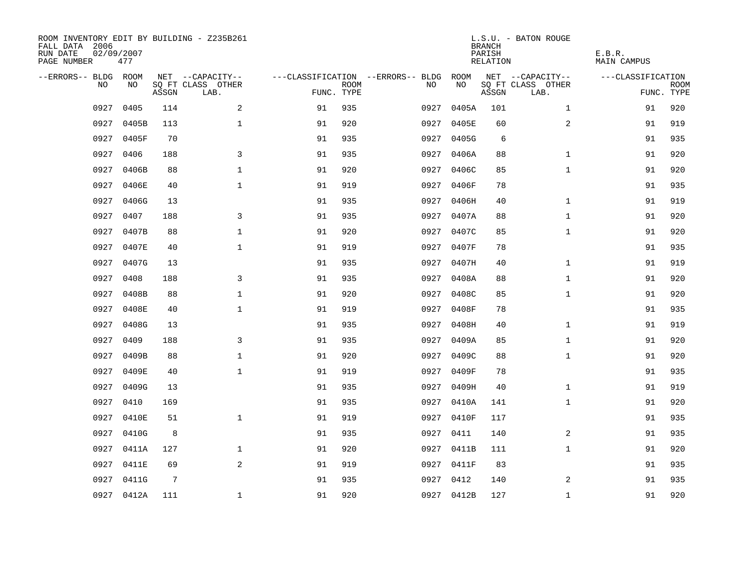| ROOM INVENTORY EDIT BY BUILDING - Z235B261<br>FALL DATA 2006<br>RUN DATE<br>PAGE NUMBER | 02/09/2007<br>477 |       |                           |            |             |                                        |            | <b>BRANCH</b><br>PARISH<br>RELATION | L.S.U. - BATON ROUGE      | E.B.R.<br><b>MAIN CAMPUS</b> |                           |
|-----------------------------------------------------------------------------------------|-------------------|-------|---------------------------|------------|-------------|----------------------------------------|------------|-------------------------------------|---------------------------|------------------------------|---------------------------|
| --ERRORS-- BLDG ROOM                                                                    |                   |       | NET --CAPACITY--          |            |             | ---CLASSIFICATION --ERRORS-- BLDG ROOM |            |                                     | NET --CAPACITY--          | ---CLASSIFICATION            |                           |
| NO.                                                                                     | NO.               | ASSGN | SQ FT CLASS OTHER<br>LAB. | FUNC. TYPE | <b>ROOM</b> | NO.                                    | NO         | ASSGN                               | SQ FT CLASS OTHER<br>LAB. |                              | <b>ROOM</b><br>FUNC. TYPE |
| 0927                                                                                    | 0405              | 114   | 2                         | 91         | 935         | 0927                                   | 0405A      | 101                                 | $\mathbf{1}$              | 91                           | 920                       |
| 0927                                                                                    | 0405B             | 113   | $\mathbf 1$               | 91         | 920         | 0927                                   | 0405E      | 60                                  | $\overline{a}$            | 91                           | 919                       |
| 0927                                                                                    | 0405F             | 70    |                           | 91         | 935         |                                        | 0927 0405G | 6                                   |                           | 91                           | 935                       |
| 0927                                                                                    | 0406              | 188   | 3                         | 91         | 935         |                                        | 0927 0406A | 88                                  | $\mathbf{1}$              | 91                           | 920                       |
| 0927                                                                                    | 0406B             | 88    | $\mathbf{1}$              | 91         | 920         | 0927                                   | 0406C      | 85                                  | $\mathbf{1}$              | 91                           | 920                       |
| 0927                                                                                    | 0406E             | 40    | $\mathbf 1$               | 91         | 919         | 0927                                   | 0406F      | 78                                  |                           | 91                           | 935                       |
| 0927                                                                                    | 0406G             | 13    |                           | 91         | 935         | 0927                                   | 0406H      | 40                                  | $\mathbf{1}$              | 91                           | 919                       |
| 0927                                                                                    | 0407              | 188   | 3                         | 91         | 935         |                                        | 0927 0407A | 88                                  | $\mathbf{1}$              | 91                           | 920                       |
| 0927                                                                                    | 0407B             | 88    | $\mathbf{1}$              | 91         | 920         | 0927                                   | 0407C      | 85                                  | $\mathbf{1}$              | 91                           | 920                       |
| 0927                                                                                    | 0407E             | 40    | $\mathbf{1}$              | 91         | 919         |                                        | 0927 0407F | 78                                  |                           | 91                           | 935                       |
| 0927                                                                                    | 0407G             | 13    |                           | 91         | 935         | 0927                                   | 0407H      | 40                                  | $\mathbf{1}$              | 91                           | 919                       |
| 0927                                                                                    | 0408              | 188   | 3                         | 91         | 935         |                                        | 0927 0408A | 88                                  | $\mathbf{1}$              | 91                           | 920                       |
| 0927                                                                                    | 0408B             | 88    | $\mathbf{1}$              | 91         | 920         | 0927                                   | 0408C      | 85                                  | $\mathbf{1}$              | 91                           | 920                       |
| 0927                                                                                    | 0408E             | 40    | $\mathbf{1}$              | 91         | 919         | 0927                                   | 0408F      | 78                                  |                           | 91                           | 935                       |
| 0927                                                                                    | 0408G             | 13    |                           | 91         | 935         | 0927                                   | 0408H      | 40                                  | $\mathbf{1}$              | 91                           | 919                       |
| 0927                                                                                    | 0409              | 188   | 3                         | 91         | 935         |                                        | 0927 0409A | 85                                  | $\mathbf{1}$              | 91                           | 920                       |
| 0927                                                                                    | 0409B             | 88    | $\mathbf{1}$              | 91         | 920         | 0927                                   | 0409C      | 88                                  | $\mathbf{1}$              | 91                           | 920                       |
| 0927                                                                                    | 0409E             | 40    | $\mathbf{1}$              | 91         | 919         | 0927                                   | 0409F      | 78                                  |                           | 91                           | 935                       |
| 0927                                                                                    | 0409G             | 13    |                           | 91         | 935         |                                        | 0927 0409H | 40                                  | $\mathbf{1}$              | 91                           | 919                       |
| 0927                                                                                    | 0410              | 169   |                           | 91         | 935         |                                        | 0927 0410A | 141                                 | $\mathbf{1}$              | 91                           | 920                       |
| 0927                                                                                    | 0410E             | 51    | $\mathbf 1$               | 91         | 919         |                                        | 0927 0410F | 117                                 |                           | 91                           | 935                       |
| 0927                                                                                    | 0410G             | 8     |                           | 91         | 935         | 0927                                   | 0411       | 140                                 | $\overline{2}$            | 91                           | 935                       |
| 0927                                                                                    | 0411A             | 127   | $\mathbf 1$               | 91         | 920         |                                        | 0927 0411B | 111                                 | $\mathbf{1}$              | 91                           | 920                       |
| 0927                                                                                    | 0411E             | 69    | 2                         | 91         | 919         |                                        | 0927 0411F | 83                                  |                           | 91                           | 935                       |
| 0927                                                                                    | 0411G             | 7     |                           | 91         | 935         |                                        | 0927 0412  | 140                                 | 2                         | 91                           | 935                       |
|                                                                                         | 0927 0412A        | 111   | $\mathbf{1}$              | 91         | 920         |                                        | 0927 0412B | 127                                 | $\mathbf{1}$              | 91                           | 920                       |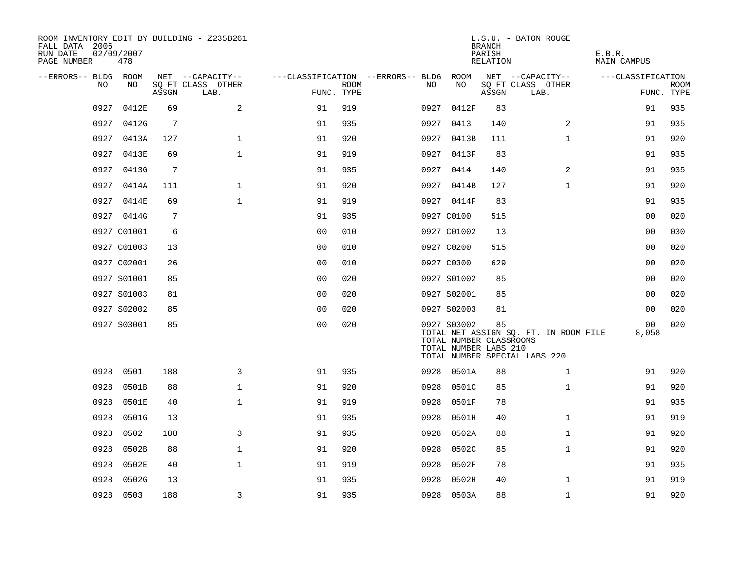| ROOM INVENTORY EDIT BY BUILDING - Z235B261<br>FALL DATA 2006<br>RUN DATE<br>PAGE NUMBER | 02/09/2007<br>478 |       |                           |                |             |                                   |                                                                 | <b>BRANCH</b><br>PARISH<br>RELATION | L.S.U. - BATON ROUGE                                                   | E.B.R.<br><b>MAIN CAMPUS</b> |                           |
|-----------------------------------------------------------------------------------------|-------------------|-------|---------------------------|----------------|-------------|-----------------------------------|-----------------------------------------------------------------|-------------------------------------|------------------------------------------------------------------------|------------------------------|---------------------------|
| --ERRORS-- BLDG                                                                         | ROOM              |       | NET --CAPACITY--          |                |             | ---CLASSIFICATION --ERRORS-- BLDG | ROOM                                                            |                                     | NET --CAPACITY--                                                       | ---CLASSIFICATION            |                           |
| NO.                                                                                     | NO.               | ASSGN | SO FT CLASS OTHER<br>LAB. | FUNC. TYPE     | <b>ROOM</b> | NO                                | NO                                                              | ASSGN                               | SQ FT CLASS OTHER<br>LAB.                                              |                              | <b>ROOM</b><br>FUNC. TYPE |
| 0927                                                                                    | 0412E             | 69    | 2                         | 91             | 919         | 0927                              | 0412F                                                           | 83                                  |                                                                        | 91                           | 935                       |
| 0927                                                                                    | 0412G             | 7     |                           | 91             | 935         | 0927                              | 0413                                                            | 140                                 | 2                                                                      | 91                           | 935                       |
| 0927                                                                                    | 0413A             | 127   | $\mathbf{1}$              | 91             | 920         |                                   | 0927 0413B                                                      | 111                                 | $\mathbf{1}$                                                           | 91                           | 920                       |
| 0927                                                                                    | 0413E             | 69    | $\mathbf{1}$              | 91             | 919         |                                   | 0927 0413F                                                      | 83                                  |                                                                        | 91                           | 935                       |
| 0927                                                                                    | 0413G             | 7     |                           | 91             | 935         |                                   | 0927 0414                                                       | 140                                 | $\overline{2}$                                                         | 91                           | 935                       |
|                                                                                         | 0927 0414A        | 111   | $\mathbf 1$               | 91             | 920         |                                   | 0927 0414B                                                      | 127                                 | $\mathbf{1}$                                                           | 91                           | 920                       |
|                                                                                         | 0927 0414E        | 69    | 1                         | 91             | 919         |                                   | 0927 0414F                                                      | 83                                  |                                                                        | 91                           | 935                       |
|                                                                                         | 0927 0414G        | 7     |                           | 91             | 935         |                                   | 0927 C0100                                                      | 515                                 |                                                                        | 0 <sub>0</sub>               | 020                       |
|                                                                                         | 0927 C01001       | 6     |                           | 0 <sub>0</sub> | 010         |                                   | 0927 C01002                                                     | 13                                  |                                                                        | 0 <sub>0</sub>               | 030                       |
|                                                                                         | 0927 C01003       | 13    |                           | 0 <sub>0</sub> | 010         |                                   | 0927 C0200                                                      | 515                                 |                                                                        | 00                           | 020                       |
|                                                                                         | 0927 C02001       | 26    |                           | 0 <sub>0</sub> | 010         |                                   | 0927 C0300                                                      | 629                                 |                                                                        | 0 <sub>0</sub>               | 020                       |
|                                                                                         | 0927 S01001       | 85    |                           | 0 <sub>0</sub> | 020         |                                   | 0927 S01002                                                     | 85                                  |                                                                        | 0 <sub>0</sub>               | 020                       |
|                                                                                         | 0927 S01003       | 81    |                           | 0 <sub>0</sub> | 020         |                                   | 0927 S02001                                                     | 85                                  |                                                                        | 0 <sub>0</sub>               | 020                       |
|                                                                                         | 0927 S02002       | 85    |                           | 0 <sub>0</sub> | 020         |                                   | 0927 S02003                                                     | 81                                  |                                                                        | 0 <sub>0</sub>               | 020                       |
|                                                                                         | 0927 S03001       | 85    |                           | 0 <sub>0</sub> | 020         |                                   | 0927 S03002<br>TOTAL NUMBER CLASSROOMS<br>TOTAL NUMBER LABS 210 | 85                                  | TOTAL NET ASSIGN SQ. FT. IN ROOM FILE<br>TOTAL NUMBER SPECIAL LABS 220 | 00<br>8,058                  | 020                       |
| 0928                                                                                    | 0501              | 188   | 3                         | 91             | 935         | 0928                              | 0501A                                                           | 88                                  | $\mathbf{1}$                                                           | 91                           | 920                       |
| 0928                                                                                    | 0501B             | 88    | $\mathbf{1}$              | 91             | 920         | 0928                              | 0501C                                                           | 85                                  | $\mathbf{1}$                                                           | 91                           | 920                       |
| 0928                                                                                    | 0501E             | 40    | $\mathbf 1$               | 91             | 919         | 0928                              | 0501F                                                           | 78                                  |                                                                        | 91                           | 935                       |
| 0928                                                                                    | 0501G             | 13    |                           | 91             | 935         | 0928                              | 0501H                                                           | 40                                  | $\mathbf{1}$                                                           | 91                           | 919                       |
| 0928                                                                                    | 0502              | 188   | $\mathbf{3}$              | 91             | 935         | 0928                              | 0502A                                                           | 88                                  | $\mathbf{1}$                                                           | 91                           | 920                       |
| 0928                                                                                    | 0502B             | 88    | $\mathbf 1$               | 91             | 920         | 0928                              | 0502C                                                           | 85                                  | $\mathbf{1}$                                                           | 91                           | 920                       |
| 0928                                                                                    | 0502E             | 40    | $\mathbf 1$               | 91             | 919         | 0928                              | 0502F                                                           | 78                                  |                                                                        | 91                           | 935                       |
| 0928                                                                                    | 0502G             | 13    |                           | 91             | 935         | 0928                              | 0502H                                                           | 40                                  | $\mathbf{1}$                                                           | 91                           | 919                       |
|                                                                                         | 0928 0503         | 188   | 3                         | 91             | 935         |                                   | 0928 0503A                                                      | 88                                  | $\mathbf{1}$                                                           | 91                           | 920                       |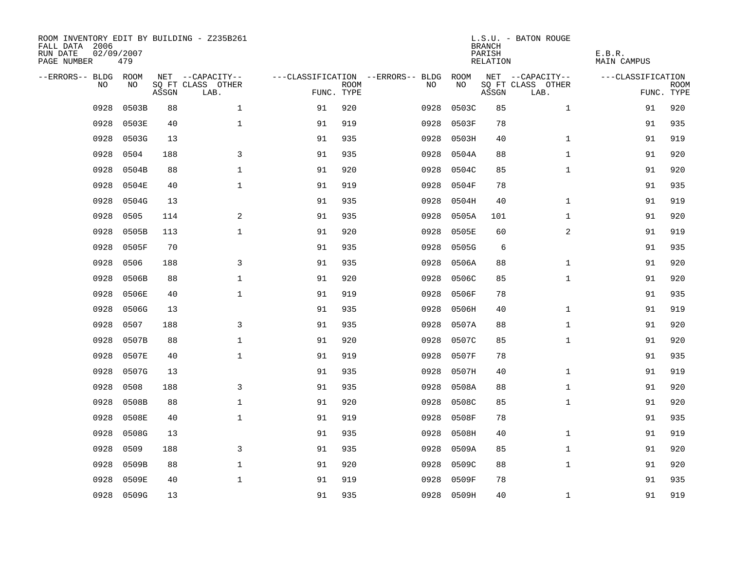| ROOM INVENTORY EDIT BY BUILDING - Z235B261<br>FALL DATA 2006<br>RUN DATE<br>PAGE NUMBER | 02/09/2007<br>479 |       |                           |            |             |                                   |            | <b>BRANCH</b><br>PARISH<br>RELATION | L.S.U. - BATON ROUGE      | E.B.R.<br>MAIN CAMPUS |                           |
|-----------------------------------------------------------------------------------------|-------------------|-------|---------------------------|------------|-------------|-----------------------------------|------------|-------------------------------------|---------------------------|-----------------------|---------------------------|
| --ERRORS-- BLDG ROOM                                                                    |                   |       | NET --CAPACITY--          |            |             | ---CLASSIFICATION --ERRORS-- BLDG | ROOM       |                                     | NET --CAPACITY--          | ---CLASSIFICATION     |                           |
| NO.                                                                                     | NO.               | ASSGN | SQ FT CLASS OTHER<br>LAB. | FUNC. TYPE | <b>ROOM</b> | NO.                               | NO         | ASSGN                               | SQ FT CLASS OTHER<br>LAB. |                       | <b>ROOM</b><br>FUNC. TYPE |
| 0928                                                                                    | 0503B             | 88    | $\mathbf{1}$              | 91         | 920         | 0928                              | 0503C      | 85                                  | $\mathbf{1}$              | 91                    | 920                       |
| 0928                                                                                    | 0503E             | 40    | $\mathbf{1}$              | 91         | 919         | 0928                              | 0503F      | 78                                  |                           | 91                    | 935                       |
| 0928                                                                                    | 0503G             | 13    |                           | 91         | 935         | 0928                              | 0503H      | 40                                  | $\mathbf{1}$              | 91                    | 919                       |
| 0928                                                                                    | 0504              | 188   | 3                         | 91         | 935         | 0928                              | 0504A      | 88                                  | $\mathbf{1}$              | 91                    | 920                       |
| 0928                                                                                    | 0504B             | 88    | $\mathbf 1$               | 91         | 920         | 0928                              | 0504C      | 85                                  | $\mathbf{1}$              | 91                    | 920                       |
| 0928                                                                                    | 0504E             | 40    | $\mathbf{1}$              | 91         | 919         | 0928                              | 0504F      | 78                                  |                           | 91                    | 935                       |
| 0928                                                                                    | 0504G             | 13    |                           | 91         | 935         | 0928                              | 0504H      | 40                                  | $\mathbf{1}$              | 91                    | 919                       |
| 0928                                                                                    | 0505              | 114   | 2                         | 91         | 935         | 0928                              | 0505A      | 101                                 | $\mathbf{1}$              | 91                    | 920                       |
| 0928                                                                                    | 0505B             | 113   | $\mathbf 1$               | 91         | 920         | 0928                              | 0505E      | 60                                  | $\overline{a}$            | 91                    | 919                       |
| 0928                                                                                    | 0505F             | 70    |                           | 91         | 935         | 0928                              | 0505G      | 6                                   |                           | 91                    | 935                       |
| 0928                                                                                    | 0506              | 188   | 3                         | 91         | 935         | 0928                              | 0506A      | 88                                  | $\mathbf{1}$              | 91                    | 920                       |
| 0928                                                                                    | 0506B             | 88    | $\mathbf{1}$              | 91         | 920         | 0928                              | 0506C      | 85                                  | $\mathbf{1}$              | 91                    | 920                       |
| 0928                                                                                    | 0506E             | 40    | $\mathbf{1}$              | 91         | 919         | 0928                              | 0506F      | 78                                  |                           | 91                    | 935                       |
| 0928                                                                                    | 0506G             | 13    |                           | 91         | 935         | 0928                              | 0506H      | 40                                  | $\mathbf{1}$              | 91                    | 919                       |
| 0928                                                                                    | 0507              | 188   | 3                         | 91         | 935         | 0928                              | 0507A      | 88                                  | $\mathbf{1}$              | 91                    | 920                       |
| 0928                                                                                    | 0507B             | 88    | $\mathbf{1}$              | 91         | 920         | 0928                              | 0507C      | 85                                  | $\mathbf{1}$              | 91                    | 920                       |
| 0928                                                                                    | 0507E             | 40    | $\mathbf 1$               | 91         | 919         | 0928                              | 0507F      | 78                                  |                           | 91                    | 935                       |
| 0928                                                                                    | 0507G             | 13    |                           | 91         | 935         | 0928                              | 0507H      | 40                                  | $\mathbf{1}$              | 91                    | 919                       |
| 0928                                                                                    | 0508              | 188   | 3                         | 91         | 935         | 0928                              | 0508A      | 88                                  | $\mathbf{1}$              | 91                    | 920                       |
| 0928                                                                                    | 0508B             | 88    | $\mathbf{1}$              | 91         | 920         | 0928                              | 0508C      | 85                                  | $\mathbf{1}$              | 91                    | 920                       |
| 0928                                                                                    | 0508E             | 40    | $\mathbf{1}$              | 91         | 919         | 0928                              | 0508F      | 78                                  |                           | 91                    | 935                       |
| 0928                                                                                    | 0508G             | 13    |                           | 91         | 935         | 0928                              | 0508H      | 40                                  | $\mathbf{1}$              | 91                    | 919                       |
| 0928                                                                                    | 0509              | 188   | 3                         | 91         | 935         | 0928                              | 0509A      | 85                                  | $\mathbf{1}$              | 91                    | 920                       |
| 0928                                                                                    | 0509B             | 88    | $\mathbf 1$               | 91         | 920         | 0928                              | 0509C      | 88                                  | $\mathbf{1}$              | 91                    | 920                       |
| 0928                                                                                    | 0509E             | 40    | $\mathbf{1}$              | 91         | 919         | 0928                              | 0509F      | 78                                  |                           | 91                    | 935                       |
| 0928                                                                                    | 0509G             | 13    |                           | 91         | 935         |                                   | 0928 0509H | 40                                  | $\mathbf{1}$              | 91                    | 919                       |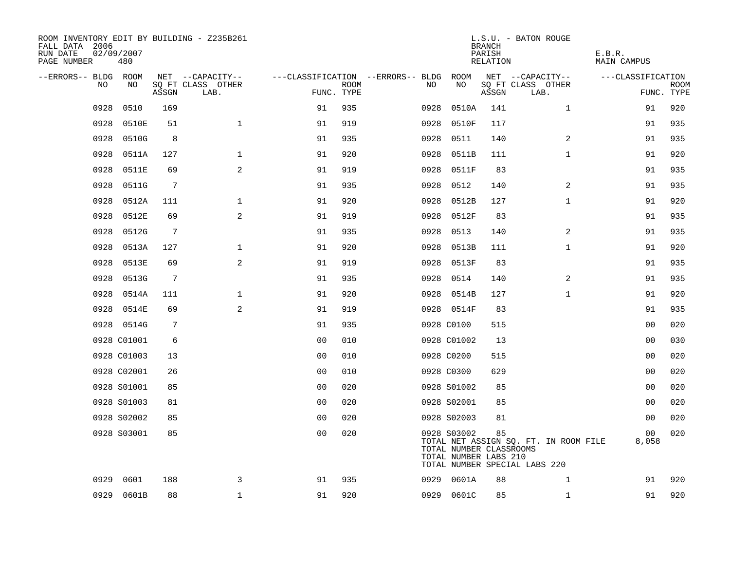| ROOM INVENTORY EDIT BY BUILDING - Z235B261<br>FALL DATA 2006<br>RUN DATE<br>PAGE NUMBER | 02/09/2007<br>480 |       |                           |                |             |                                   |                                                                 | <b>BRANCH</b><br>PARISH<br>RELATION | L.S.U. - BATON ROUGE                                                   | E.B.R.<br>MAIN CAMPUS |                           |
|-----------------------------------------------------------------------------------------|-------------------|-------|---------------------------|----------------|-------------|-----------------------------------|-----------------------------------------------------------------|-------------------------------------|------------------------------------------------------------------------|-----------------------|---------------------------|
| --ERRORS-- BLDG ROOM                                                                    |                   |       | NET --CAPACITY--          |                |             | ---CLASSIFICATION --ERRORS-- BLDG | ROOM                                                            |                                     | NET --CAPACITY--                                                       | ---CLASSIFICATION     |                           |
| NO.                                                                                     | NO.               | ASSGN | SQ FT CLASS OTHER<br>LAB. | FUNC. TYPE     | <b>ROOM</b> | NO                                | NO                                                              | ASSGN                               | SQ FT CLASS OTHER<br>LAB.                                              |                       | <b>ROOM</b><br>FUNC. TYPE |
| 0928                                                                                    | 0510              | 169   |                           | 91             | 935         | 0928                              | 0510A                                                           | 141                                 | $\mathbf{1}$                                                           | 91                    | 920                       |
| 0928                                                                                    | 0510E             | 51    | $\mathbf{1}$              | 91             | 919         | 0928                              | 0510F                                                           | 117                                 |                                                                        | 91                    | 935                       |
| 0928                                                                                    | 0510G             | 8     |                           | 91             | 935         | 0928                              | 0511                                                            | 140                                 | $\overline{2}$                                                         | 91                    | 935                       |
| 0928                                                                                    | 0511A             | 127   | $\mathbf 1$               | 91             | 920         | 0928                              | 0511B                                                           | 111                                 | $\mathbf{1}$                                                           | 91                    | 920                       |
| 0928                                                                                    | 0511E             | 69    | 2                         | 91             | 919         | 0928                              | 0511F                                                           | 83                                  |                                                                        | 91                    | 935                       |
| 0928                                                                                    | 0511G             | 7     |                           | 91             | 935         | 0928                              | 0512                                                            | 140                                 | 2                                                                      | 91                    | 935                       |
| 0928                                                                                    | 0512A             | 111   | $\mathbf 1$               | 91             | 920         | 0928                              | 0512B                                                           | 127                                 | $\mathbf{1}$                                                           | 91                    | 920                       |
| 0928                                                                                    | 0512E             | 69    | 2                         | 91             | 919         | 0928                              | 0512F                                                           | 83                                  |                                                                        | 91                    | 935                       |
| 0928                                                                                    | 0512G             | 7     |                           | 91             | 935         | 0928                              | 0513                                                            | 140                                 | 2                                                                      | 91                    | 935                       |
| 0928                                                                                    | 0513A             | 127   | $\mathbf 1$               | 91             | 920         | 0928                              | 0513B                                                           | 111                                 | $\mathbf{1}$                                                           | 91                    | 920                       |
| 0928                                                                                    | 0513E             | 69    | 2                         | 91             | 919         |                                   | 0928 0513F                                                      | 83                                  |                                                                        | 91                    | 935                       |
| 0928                                                                                    | 0513G             | 7     |                           | 91             | 935         |                                   | 0928 0514                                                       | 140                                 | 2                                                                      | 91                    | 935                       |
| 0928                                                                                    | 0514A             | 111   | $\mathbf 1$               | 91             | 920         |                                   | 0928 0514B                                                      | 127                                 | $\mathbf{1}$                                                           | 91                    | 920                       |
| 0928                                                                                    | 0514E             | 69    | 2                         | 91             | 919         |                                   | 0928 0514F                                                      | 83                                  |                                                                        | 91                    | 935                       |
|                                                                                         | 0928 0514G        | 7     |                           | 91             | 935         |                                   | 0928 C0100                                                      | 515                                 |                                                                        | 0 <sub>0</sub>        | 020                       |
|                                                                                         | 0928 C01001       | б     |                           | 0 <sub>0</sub> | 010         |                                   | 0928 C01002                                                     | 13                                  |                                                                        | 0 <sub>0</sub>        | 030                       |
|                                                                                         | 0928 C01003       | 13    |                           | 0 <sub>0</sub> | 010         |                                   | 0928 C0200                                                      | 515                                 |                                                                        | 00                    | 020                       |
|                                                                                         | 0928 C02001       | 26    |                           | 0 <sub>0</sub> | 010         |                                   | 0928 C0300                                                      | 629                                 |                                                                        | 00                    | 020                       |
|                                                                                         | 0928 S01001       | 85    |                           | 0 <sub>0</sub> | 020         |                                   | 0928 S01002                                                     | 85                                  |                                                                        | 0 <sub>0</sub>        | 020                       |
|                                                                                         | 0928 S01003       | 81    |                           | 0 <sub>0</sub> | 020         |                                   | 0928 S02001                                                     | 85                                  |                                                                        | 0 <sub>0</sub>        | 020                       |
|                                                                                         | 0928 S02002       | 85    |                           | 0 <sub>0</sub> | 020         |                                   | 0928 S02003                                                     | 81                                  |                                                                        | 0 <sub>0</sub>        | 020                       |
|                                                                                         | 0928 S03001       | 85    |                           | 0 <sub>0</sub> | 020         |                                   | 0928 S03002<br>TOTAL NUMBER CLASSROOMS<br>TOTAL NUMBER LABS 210 | 85                                  | TOTAL NET ASSIGN SQ. FT. IN ROOM FILE<br>TOTAL NUMBER SPECIAL LABS 220 | 00<br>8,058           | 020                       |
| 0929                                                                                    | 0601              | 188   | 3                         | 91             | 935         |                                   | 0929 0601A                                                      | 88                                  | $\mathbf{1}$                                                           | 91                    | 920                       |
|                                                                                         | 0929 0601B        | 88    | 1                         | 91             | 920         |                                   | 0929 0601C                                                      | 85                                  | $\mathbf{1}$                                                           | 91                    | 920                       |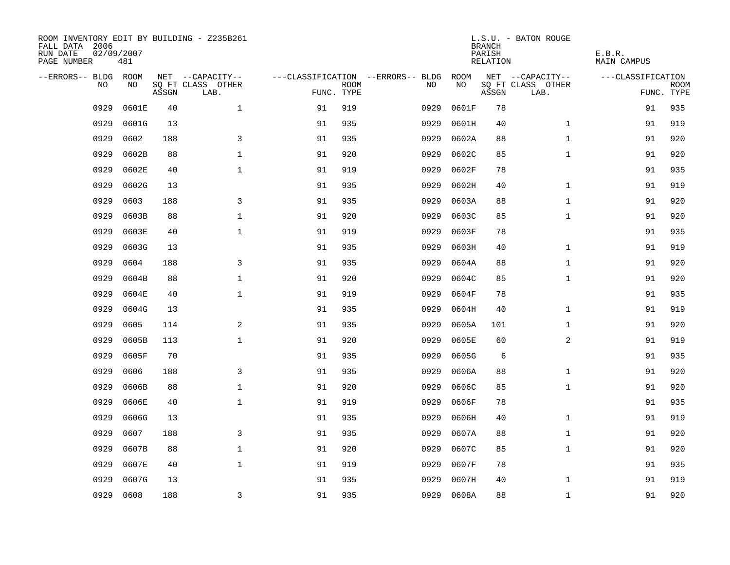| ROOM INVENTORY EDIT BY BUILDING - Z235B261<br>FALL DATA 2006<br>RUN DATE<br>PAGE NUMBER | 02/09/2007<br>481 |       |                           |            |             |                                   |            | <b>BRANCH</b><br>PARISH<br>RELATION | L.S.U. - BATON ROUGE      | E.B.R.<br>MAIN CAMPUS |                           |
|-----------------------------------------------------------------------------------------|-------------------|-------|---------------------------|------------|-------------|-----------------------------------|------------|-------------------------------------|---------------------------|-----------------------|---------------------------|
| --ERRORS-- BLDG ROOM                                                                    |                   |       | NET --CAPACITY--          |            |             | ---CLASSIFICATION --ERRORS-- BLDG | ROOM       |                                     | NET --CAPACITY--          | ---CLASSIFICATION     |                           |
| NO.                                                                                     | NO.               | ASSGN | SQ FT CLASS OTHER<br>LAB. | FUNC. TYPE | <b>ROOM</b> | NO.                               | <b>NO</b>  | ASSGN                               | SQ FT CLASS OTHER<br>LAB. |                       | <b>ROOM</b><br>FUNC. TYPE |
| 0929                                                                                    | 0601E             | 40    | $\mathbf{1}$              | 91         | 919         | 0929                              | 0601F      | 78                                  |                           | 91                    | 935                       |
| 0929                                                                                    | 0601G             | 13    |                           | 91         | 935         | 0929                              | 0601H      | 40                                  | $\mathbf{1}$              | 91                    | 919                       |
| 0929                                                                                    | 0602              | 188   | 3                         | 91         | 935         | 0929                              | 0602A      | 88                                  | $\mathbf{1}$              | 91                    | 920                       |
| 0929                                                                                    | 0602B             | 88    | $\mathbf 1$               | 91         | 920         | 0929                              | 0602C      | 85                                  | $\mathbf{1}$              | 91                    | 920                       |
| 0929                                                                                    | 0602E             | 40    | $\mathbf{1}$              | 91         | 919         | 0929                              | 0602F      | 78                                  |                           | 91                    | 935                       |
| 0929                                                                                    | 0602G             | 13    |                           | 91         | 935         | 0929                              | 0602H      | 40                                  | $\mathbf{1}$              | 91                    | 919                       |
| 0929                                                                                    | 0603              | 188   | 3                         | 91         | 935         | 0929                              | 0603A      | 88                                  | $\mathbf{1}$              | 91                    | 920                       |
| 0929                                                                                    | 0603B             | 88    | $\mathbf 1$               | 91         | 920         | 0929                              | 0603C      | 85                                  | $\mathbf{1}$              | 91                    | 920                       |
| 0929                                                                                    | 0603E             | 40    | $\mathbf{1}$              | 91         | 919         | 0929                              | 0603F      | 78                                  |                           | 91                    | 935                       |
| 0929                                                                                    | 0603G             | 13    |                           | 91         | 935         | 0929                              | 0603H      | 40                                  | $\mathbf{1}$              | 91                    | 919                       |
| 0929                                                                                    | 0604              | 188   | 3                         | 91         | 935         | 0929                              | 0604A      | 88                                  | $\mathbf{1}$              | 91                    | 920                       |
| 0929                                                                                    | 0604B             | 88    | $\mathbf 1$               | 91         | 920         | 0929                              | 0604C      | 85                                  | $\mathbf{1}$              | 91                    | 920                       |
| 0929                                                                                    | 0604E             | 40    | $\mathbf{1}$              | 91         | 919         | 0929                              | 0604F      | 78                                  |                           | 91                    | 935                       |
| 0929                                                                                    | 0604G             | 13    |                           | 91         | 935         | 0929                              | 0604H      | 40                                  | $\mathbf{1}$              | 91                    | 919                       |
| 0929                                                                                    | 0605              | 114   | 2                         | 91         | 935         | 0929                              | 0605A      | 101                                 | $\mathbf{1}$              | 91                    | 920                       |
| 0929                                                                                    | 0605B             | 113   | $\mathbf 1$               | 91         | 920         | 0929                              | 0605E      | 60                                  | $\overline{a}$            | 91                    | 919                       |
| 0929                                                                                    | 0605F             | 70    |                           | 91         | 935         | 0929                              | 0605G      | 6                                   |                           | 91                    | 935                       |
| 0929                                                                                    | 0606              | 188   | 3                         | 91         | 935         | 0929                              | 0606A      | 88                                  | $\mathbf{1}$              | 91                    | 920                       |
| 0929                                                                                    | 0606B             | 88    | $\mathbf 1$               | 91         | 920         | 0929                              | 0606C      | 85                                  | $\mathbf{1}$              | 91                    | 920                       |
| 0929                                                                                    | 0606E             | 40    | $\mathbf 1$               | 91         | 919         | 0929                              | 0606F      | 78                                  |                           | 91                    | 935                       |
| 0929                                                                                    | 0606G             | 13    |                           | 91         | 935         | 0929                              | 0606H      | 40                                  | $\mathbf{1}$              | 91                    | 919                       |
| 0929                                                                                    | 0607              | 188   | 3                         | 91         | 935         | 0929                              | 0607A      | 88                                  | $\mathbf{1}$              | 91                    | 920                       |
| 0929                                                                                    | 0607B             | 88    | $\mathbf 1$               | 91         | 920         | 0929                              | 0607C      | 85                                  | $\mathbf{1}$              | 91                    | 920                       |
| 0929                                                                                    | 0607E             | 40    | $\mathbf 1$               | 91         | 919         | 0929                              | 0607F      | 78                                  |                           | 91                    | 935                       |
| 0929                                                                                    | 0607G             | 13    |                           | 91         | 935         | 0929                              | 0607H      | 40                                  | $\mathbf{1}$              | 91                    | 919                       |
| 0929                                                                                    | 0608              | 188   | 3                         | 91         | 935         |                                   | 0929 0608A | 88                                  | $\mathbf{1}$              | 91                    | 920                       |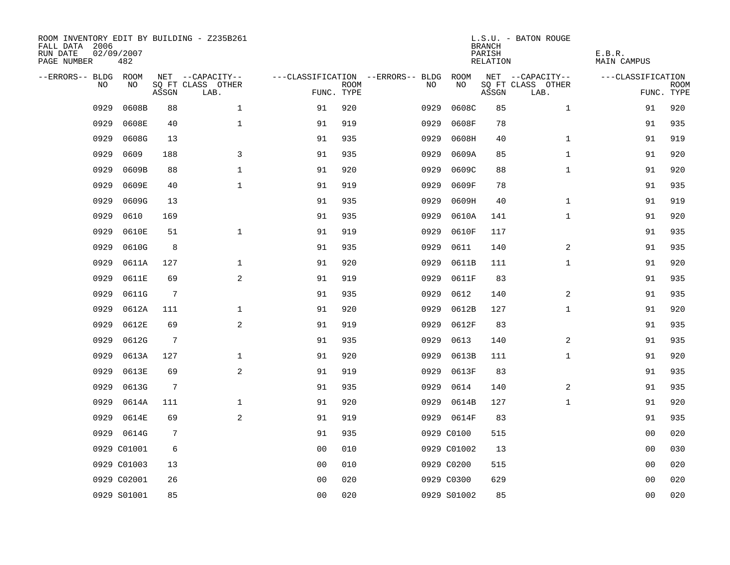| ROOM INVENTORY EDIT BY BUILDING - Z235B261<br>FALL DATA 2006<br>RUN DATE<br>PAGE NUMBER | 02/09/2007<br>482 |                 |                           |                |             |                                   |             | <b>BRANCH</b><br>PARISH<br>RELATION | L.S.U. - BATON ROUGE      | E.B.R.<br>MAIN CAMPUS |                           |
|-----------------------------------------------------------------------------------------|-------------------|-----------------|---------------------------|----------------|-------------|-----------------------------------|-------------|-------------------------------------|---------------------------|-----------------------|---------------------------|
| --ERRORS-- BLDG ROOM                                                                    |                   |                 | NET --CAPACITY--          |                |             | ---CLASSIFICATION --ERRORS-- BLDG | ROOM        |                                     | NET --CAPACITY--          | ---CLASSIFICATION     |                           |
| NO.                                                                                     | NO.               | ASSGN           | SQ FT CLASS OTHER<br>LAB. | FUNC. TYPE     | <b>ROOM</b> | NO.                               | NO          | ASSGN                               | SQ FT CLASS OTHER<br>LAB. |                       | <b>ROOM</b><br>FUNC. TYPE |
| 0929                                                                                    | 0608B             | 88              | $\mathbf{1}$              | 91             | 920         | 0929                              | 0608C       | 85                                  | $\mathbf{1}$              | 91                    | 920                       |
| 0929                                                                                    | 0608E             | 40              | $\mathbf{1}$              | 91             | 919         | 0929                              | 0608F       | 78                                  |                           | 91                    | 935                       |
| 0929                                                                                    | 0608G             | 13              |                           | 91             | 935         | 0929                              | 0608H       | 40                                  | $\mathbf{1}$              | 91                    | 919                       |
| 0929                                                                                    | 0609              | 188             | 3                         | 91             | 935         | 0929                              | 0609A       | 85                                  | $\mathbf{1}$              | 91                    | 920                       |
| 0929                                                                                    | 0609B             | 88              | $\mathbf 1$               | 91             | 920         | 0929                              | 0609C       | 88                                  | $\mathbf{1}$              | 91                    | 920                       |
| 0929                                                                                    | 0609E             | 40              | $\mathbf{1}$              | 91             | 919         | 0929                              | 0609F       | 78                                  |                           | 91                    | 935                       |
| 0929                                                                                    | 0609G             | 13              |                           | 91             | 935         | 0929                              | 0609H       | 40                                  | $\mathbf{1}$              | 91                    | 919                       |
| 0929                                                                                    | 0610              | 169             |                           | 91             | 935         | 0929                              | 0610A       | 141                                 | $\mathbf{1}$              | 91                    | 920                       |
| 0929                                                                                    | 0610E             | 51              | $\mathbf{1}$              | 91             | 919         | 0929                              | 0610F       | 117                                 |                           | 91                    | 935                       |
| 0929                                                                                    | 0610G             | 8               |                           | 91             | 935         | 0929                              | 0611        | 140                                 | 2                         | 91                    | 935                       |
| 0929                                                                                    | 0611A             | 127             | $\mathbf{1}$              | 91             | 920         | 0929                              | 0611B       | 111                                 | $\mathbf{1}$              | 91                    | 920                       |
| 0929                                                                                    | 0611E             | 69              | 2                         | 91             | 919         | 0929                              | 0611F       | 83                                  |                           | 91                    | 935                       |
| 0929                                                                                    | 0611G             | $7\phantom{.0}$ |                           | 91             | 935         | 0929                              | 0612        | 140                                 | 2                         | 91                    | 935                       |
| 0929                                                                                    | 0612A             | 111             | $\mathbf 1$               | 91             | 920         | 0929                              | 0612B       | 127                                 | $\mathbf{1}$              | 91                    | 920                       |
| 0929                                                                                    | 0612E             | 69              | 2                         | 91             | 919         | 0929                              | 0612F       | 83                                  |                           | 91                    | 935                       |
| 0929                                                                                    | 0612G             | $7\phantom{.0}$ |                           | 91             | 935         | 0929                              | 0613        | 140                                 | 2                         | 91                    | 935                       |
| 0929                                                                                    | 0613A             | 127             | $\mathbf 1$               | 91             | 920         | 0929                              | 0613B       | 111                                 | $\mathbf{1}$              | 91                    | 920                       |
| 0929                                                                                    | 0613E             | 69              | 2                         | 91             | 919         | 0929                              | 0613F       | 83                                  |                           | 91                    | 935                       |
| 0929                                                                                    | 0613G             | 7               |                           | 91             | 935         | 0929                              | 0614        | 140                                 | 2                         | 91                    | 935                       |
| 0929                                                                                    | 0614A             | 111             | $\mathbf{1}$              | 91             | 920         | 0929                              | 0614B       | 127                                 | $\mathbf{1}$              | 91                    | 920                       |
| 0929                                                                                    | 0614E             | 69              | 2                         | 91             | 919         |                                   | 0929 0614F  | 83                                  |                           | 91                    | 935                       |
| 0929                                                                                    | 0614G             | 7               |                           | 91             | 935         |                                   | 0929 C0100  | 515                                 |                           | 00                    | 020                       |
|                                                                                         | 0929 C01001       | 6               |                           | 0 <sub>0</sub> | 010         |                                   | 0929 C01002 | 13                                  |                           | 00                    | 030                       |
|                                                                                         | 0929 C01003       | 13              |                           | 0 <sub>0</sub> | 010         |                                   | 0929 C0200  | 515                                 |                           | 00                    | 020                       |
|                                                                                         | 0929 C02001       | 26              |                           | 0 <sub>0</sub> | 020         |                                   | 0929 C0300  | 629                                 |                           | 00                    | 020                       |
|                                                                                         | 0929 S01001       | 85              |                           | 0 <sub>0</sub> | 020         |                                   | 0929 S01002 | 85                                  |                           | 0 <sub>0</sub>        | 020                       |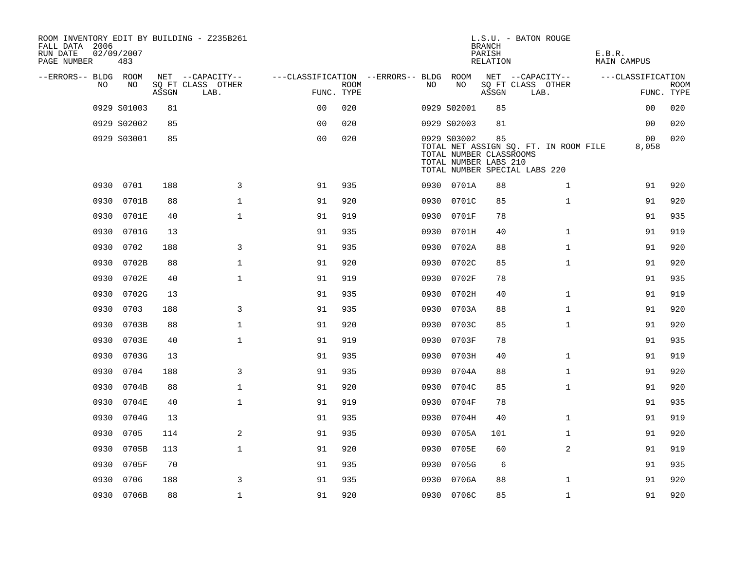| ROOM INVENTORY EDIT BY BUILDING - Z235B261<br>FALL DATA 2006<br>RUN DATE<br>PAGE NUMBER | 02/09/2007<br>483 |       |                           |                                        |             |      |                                                                 | <b>BRANCH</b><br>PARISH<br>RELATION | L.S.U. - BATON ROUGE                                                   | E.B.R.<br>MAIN CAMPUS |                |             |
|-----------------------------------------------------------------------------------------|-------------------|-------|---------------------------|----------------------------------------|-------------|------|-----------------------------------------------------------------|-------------------------------------|------------------------------------------------------------------------|-----------------------|----------------|-------------|
| --ERRORS-- BLDG ROOM                                                                    |                   |       | NET --CAPACITY--          | ---CLASSIFICATION --ERRORS-- BLDG ROOM |             |      |                                                                 |                                     | NET --CAPACITY--                                                       | ---CLASSIFICATION     |                |             |
| NO.                                                                                     | NO.               | ASSGN | SQ FT CLASS OTHER<br>LAB. | FUNC. TYPE                             | <b>ROOM</b> | NO.  | NO                                                              | ASSGN                               | SQ FT CLASS OTHER<br>LAB.                                              |                       | FUNC. TYPE     | <b>ROOM</b> |
|                                                                                         | 0929 S01003       | 81    |                           | 0 <sub>0</sub>                         | 020         |      | 0929 S02001                                                     | 85                                  |                                                                        |                       | 0 <sub>0</sub> | 020         |
|                                                                                         | 0929 S02002       | 85    |                           | 0 <sub>0</sub>                         | 020         |      | 0929 S02003                                                     | 81                                  |                                                                        |                       | 0 <sub>0</sub> | 020         |
|                                                                                         | 0929 S03001       | 85    |                           | 0 <sub>0</sub>                         | 020         |      | 0929 S03002<br>TOTAL NUMBER CLASSROOMS<br>TOTAL NUMBER LABS 210 | 85                                  | TOTAL NET ASSIGN SO. FT. IN ROOM FILE<br>TOTAL NUMBER SPECIAL LABS 220 |                       | 00<br>8,058    | 020         |
| 0930                                                                                    | 0701              | 188   | 3                         | 91                                     | 935         |      | 0930 0701A                                                      | 88                                  | $\mathbf{1}$                                                           |                       | 91             | 920         |
| 0930                                                                                    | 0701B             | 88    | $\mathbf{1}$              | 91                                     | 920         | 0930 | 0701C                                                           | 85                                  | $\mathbf{1}$                                                           |                       | 91             | 920         |
| 0930                                                                                    | 0701E             | 40    | $\mathbf 1$               | 91                                     | 919         |      | 0930 0701F                                                      | 78                                  |                                                                        |                       | 91             | 935         |
| 0930                                                                                    | 0701G             | 13    |                           | 91                                     | 935         |      | 0930 0701H                                                      | 40                                  | $\mathbf{1}$                                                           |                       | 91             | 919         |
| 0930                                                                                    | 0702              | 188   | 3                         | 91                                     | 935         |      | 0930 0702A                                                      | 88                                  | $\mathbf{1}$                                                           |                       | 91             | 920         |
| 0930                                                                                    | 0702B             | 88    | $\mathbf{1}$              | 91                                     | 920         |      | 0930 0702C                                                      | 85                                  | $\mathbf{1}$                                                           |                       | 91             | 920         |
|                                                                                         | 0930 0702E        | 40    | $\mathbf{1}$              | 91                                     | 919         |      | 0930 0702F                                                      | 78                                  |                                                                        |                       | 91             | 935         |
| 0930                                                                                    | 0702G             | 13    |                           | 91                                     | 935         | 0930 | 0702H                                                           | 40                                  | $\mathbf{1}$                                                           |                       | 91             | 919         |
| 0930                                                                                    | 0703              | 188   | 3                         | 91                                     | 935         | 0930 | 0703A                                                           | 88                                  | $\mathbf{1}$                                                           |                       | 91             | 920         |
| 0930                                                                                    | 0703B             | 88    | $\mathbf 1$               | 91                                     | 920         | 0930 | 0703C                                                           | 85                                  | $\mathbf{1}$                                                           |                       | 91             | 920         |
| 0930                                                                                    | 0703E             | 40    | $\mathbf{1}$              | 91                                     | 919         | 0930 | 0703F                                                           | 78                                  |                                                                        |                       | 91             | 935         |
| 0930                                                                                    | 0703G             | 13    |                           | 91                                     | 935         | 0930 | 0703H                                                           | 40                                  | $\mathbf{1}$                                                           |                       | 91             | 919         |
| 0930                                                                                    | 0704              | 188   | 3                         | 91                                     | 935         | 0930 | 0704A                                                           | 88                                  | $\mathbf{1}$                                                           |                       | 91             | 920         |
| 0930                                                                                    | 0704B             | 88    | $\mathbf{1}$              | 91                                     | 920         | 0930 | 0704C                                                           | 85                                  | $\mathbf{1}$                                                           |                       | 91             | 920         |
| 0930                                                                                    | 0704E             | 40    | $\mathbf{1}$              | 91                                     | 919         | 0930 | 0704F                                                           | 78                                  |                                                                        |                       | 91             | 935         |
| 0930                                                                                    | 0704G             | 13    |                           | 91                                     | 935         | 0930 | 0704H                                                           | 40                                  | $\mathbf{1}$                                                           |                       | 91             | 919         |
| 0930                                                                                    | 0705              | 114   | 2                         | 91                                     | 935         | 0930 | 0705A                                                           | 101                                 | $\mathbf{1}$                                                           |                       | 91             | 920         |
| 0930                                                                                    | 0705B             | 113   | $\mathbf{1}$              | 91                                     | 920         | 0930 | 0705E                                                           | 60                                  | 2                                                                      |                       | 91             | 919         |
| 0930                                                                                    | 0705F             | 70    |                           | 91                                     | 935         | 0930 | 0705G                                                           | 6                                   |                                                                        |                       | 91             | 935         |
| 0930                                                                                    | 0706              | 188   | 3                         | 91                                     | 935         | 0930 | 0706A                                                           | 88                                  | $\mathbf{1}$                                                           |                       | 91             | 920         |
|                                                                                         | 0930 0706B        | 88    | $\mathbf{1}$              | 91                                     | 920         |      | 0930 0706C                                                      | 85                                  | $\mathbf{1}$                                                           |                       | 91             | 920         |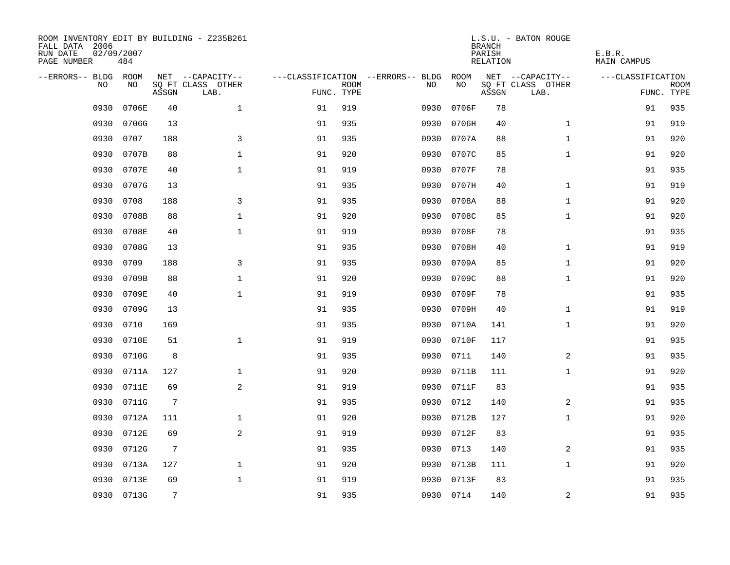| ROOM INVENTORY EDIT BY BUILDING - Z235B261<br>FALL DATA 2006<br>RUN DATE<br>PAGE NUMBER | 02/09/2007<br>484 |       |                           |            |             |                                   |            | <b>BRANCH</b><br>PARISH<br>RELATION | L.S.U. - BATON ROUGE      | E.B.R.<br>MAIN CAMPUS |                           |
|-----------------------------------------------------------------------------------------|-------------------|-------|---------------------------|------------|-------------|-----------------------------------|------------|-------------------------------------|---------------------------|-----------------------|---------------------------|
| --ERRORS-- BLDG ROOM                                                                    |                   |       | NET --CAPACITY--          |            |             | ---CLASSIFICATION --ERRORS-- BLDG | ROOM       |                                     | NET --CAPACITY--          | ---CLASSIFICATION     |                           |
| NO.                                                                                     | NO.               | ASSGN | SQ FT CLASS OTHER<br>LAB. | FUNC. TYPE | <b>ROOM</b> | NO.                               | NO         | ASSGN                               | SQ FT CLASS OTHER<br>LAB. |                       | <b>ROOM</b><br>FUNC. TYPE |
| 0930                                                                                    | 0706E             | 40    | $\mathbf{1}$              | 91         | 919         | 0930                              | 0706F      | 78                                  |                           | 91                    | 935                       |
| 0930                                                                                    | 0706G             | 13    |                           | 91         | 935         | 0930                              | 0706H      | 40                                  | $\mathbf{1}$              | 91                    | 919                       |
| 0930                                                                                    | 0707              | 188   | 3                         | 91         | 935         | 0930                              | 0707A      | 88                                  | $\mathbf{1}$              | 91                    | 920                       |
| 0930                                                                                    | 0707B             | 88    | $\mathbf 1$               | 91         | 920         | 0930                              | 0707C      | 85                                  | $\mathbf{1}$              | 91                    | 920                       |
| 0930                                                                                    | 0707E             | 40    | $\mathbf{1}$              | 91         | 919         | 0930                              | 0707F      | 78                                  |                           | 91                    | 935                       |
| 0930                                                                                    | 0707G             | 13    |                           | 91         | 935         | 0930                              | 0707H      | 40                                  | $\mathbf{1}$              | 91                    | 919                       |
| 0930                                                                                    | 0708              | 188   | 3                         | 91         | 935         | 0930                              | 0708A      | 88                                  | $\mathbf{1}$              | 91                    | 920                       |
| 0930                                                                                    | 0708B             | 88    | $\mathbf 1$               | 91         | 920         | 0930                              | 0708C      | 85                                  | $\mathbf{1}$              | 91                    | 920                       |
| 0930                                                                                    | 0708E             | 40    | $\mathbf{1}$              | 91         | 919         | 0930                              | 0708F      | 78                                  |                           | 91                    | 935                       |
| 0930                                                                                    | 0708G             | 13    |                           | 91         | 935         |                                   | 0930 0708H | 40                                  | $\mathbf{1}$              | 91                    | 919                       |
| 0930                                                                                    | 0709              | 188   | 3                         | 91         | 935         | 0930                              | 0709A      | 85                                  | $\mathbf{1}$              | 91                    | 920                       |
| 0930                                                                                    | 0709B             | 88    | $\mathbf 1$               | 91         | 920         |                                   | 0930 0709C | 88                                  | $\mathbf{1}$              | 91                    | 920                       |
| 0930                                                                                    | 0709E             | 40    | $\mathbf{1}$              | 91         | 919         | 0930                              | 0709F      | 78                                  |                           | 91                    | 935                       |
| 0930                                                                                    | 0709G             | 13    |                           | 91         | 935         | 0930                              | 0709H      | 40                                  | $\mathbf{1}$              | 91                    | 919                       |
| 0930                                                                                    | 0710              | 169   |                           | 91         | 935         | 0930                              | 0710A      | 141                                 | $\mathbf{1}$              | 91                    | 920                       |
| 0930                                                                                    | 0710E             | 51    | $\mathbf 1$               | 91         | 919         | 0930                              | 0710F      | 117                                 |                           | 91                    | 935                       |
| 0930                                                                                    | 0710G             | 8     |                           | 91         | 935         | 0930                              | 0711       | 140                                 | 2                         | 91                    | 935                       |
| 0930                                                                                    | 0711A             | 127   | $\mathbf{1}$              | 91         | 920         | 0930                              | 0711B      | 111                                 | $\mathbf{1}$              | 91                    | 920                       |
| 0930                                                                                    | 0711E             | 69    | 2                         | 91         | 919         |                                   | 0930 0711F | 83                                  |                           | 91                    | 935                       |
| 0930                                                                                    | 0711G             | 7     |                           | 91         | 935         | 0930                              | 0712       | 140                                 | 2                         | 91                    | 935                       |
| 0930                                                                                    | 0712A             | 111   | $\mathbf 1$               | 91         | 920         |                                   | 0930 0712B | 127                                 | $\mathbf{1}$              | 91                    | 920                       |
| 0930                                                                                    | 0712E             | 69    | $\overline{a}$            | 91         | 919         | 0930                              | 0712F      | 83                                  |                           | 91                    | 935                       |
| 0930                                                                                    | 0712G             | 7     |                           | 91         | 935         | 0930                              | 0713       | 140                                 | 2                         | 91                    | 935                       |
| 0930                                                                                    | 0713A             | 127   | $\mathbf 1$               | 91         | 920         | 0930                              | 0713B      | 111                                 | $\mathbf{1}$              | 91                    | 920                       |
| 0930                                                                                    | 0713E             | 69    | $\mathbf 1$               | 91         | 919         |                                   | 0930 0713F | 83                                  |                           | 91                    | 935                       |
|                                                                                         | 0930 0713G        | 7     |                           | 91         | 935         |                                   | 0930 0714  | 140                                 | $\overline{a}$            | 91                    | 935                       |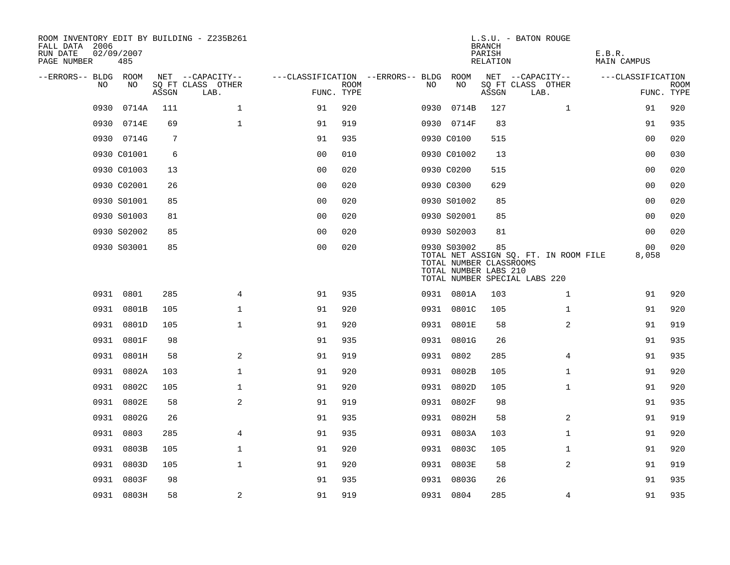| ROOM INVENTORY EDIT BY BUILDING - Z235B261<br>FALL DATA 2006<br>RUN DATE<br>PAGE NUMBER | 02/09/2007<br>485 |       |                           |                                        |             |      |                                                                 | <b>BRANCH</b><br>PARISH<br>RELATION | L.S.U. - BATON ROUGE                                                   | E.B.R.<br><b>MAIN CAMPUS</b> |                           |
|-----------------------------------------------------------------------------------------|-------------------|-------|---------------------------|----------------------------------------|-------------|------|-----------------------------------------------------------------|-------------------------------------|------------------------------------------------------------------------|------------------------------|---------------------------|
| --ERRORS-- BLDG ROOM                                                                    |                   |       | NET --CAPACITY--          | ---CLASSIFICATION --ERRORS-- BLDG ROOM |             |      |                                                                 |                                     | NET --CAPACITY--                                                       | ---CLASSIFICATION            |                           |
| NO                                                                                      | NO                | ASSGN | SQ FT CLASS OTHER<br>LAB. | FUNC. TYPE                             | <b>ROOM</b> | NO.  | NO                                                              | ASSGN                               | SQ FT CLASS OTHER<br>LAB.                                              |                              | <b>ROOM</b><br>FUNC. TYPE |
| 0930                                                                                    | 0714A             | 111   | $\mathbf 1$               | 91                                     | 920         | 0930 | 0714B                                                           | 127                                 | $\mathbf{1}$                                                           | 91                           | 920                       |
| 0930                                                                                    | 0714E             | 69    | $\mathbf{1}$              | 91                                     | 919         |      | 0930 0714F                                                      | 83                                  |                                                                        | 91                           | 935                       |
|                                                                                         | 0930 0714G        | 7     |                           | 91                                     | 935         |      | 0930 C0100                                                      | 515                                 |                                                                        | 00                           | 020                       |
|                                                                                         | 0930 C01001       | 6     |                           | 0 <sub>0</sub>                         | 010         |      | 0930 C01002                                                     | 13                                  |                                                                        | 00                           | 030                       |
|                                                                                         | 0930 C01003       | 13    |                           | 0 <sub>0</sub>                         | 020         |      | 0930 C0200                                                      | 515                                 |                                                                        | 0 <sub>0</sub>               | 020                       |
|                                                                                         | 0930 C02001       | 26    |                           | 0 <sub>0</sub>                         | 020         |      | 0930 C0300                                                      | 629                                 |                                                                        | 00                           | 020                       |
|                                                                                         | 0930 S01001       | 85    |                           | 0 <sub>0</sub>                         | 020         |      | 0930 S01002                                                     | 85                                  |                                                                        | 0 <sub>0</sub>               | 020                       |
|                                                                                         | 0930 S01003       | 81    |                           | 0 <sub>0</sub>                         | 020         |      | 0930 S02001                                                     | 85                                  |                                                                        | 00                           | 020                       |
|                                                                                         | 0930 S02002       | 85    |                           | 0 <sub>0</sub>                         | 020         |      | 0930 S02003                                                     | 81                                  |                                                                        | 0 <sub>0</sub>               | 020                       |
|                                                                                         | 0930 S03001       | 85    |                           | 0 <sub>0</sub>                         | 020         |      | 0930 S03002<br>TOTAL NUMBER CLASSROOMS<br>TOTAL NUMBER LABS 210 | 85                                  | TOTAL NET ASSIGN SQ. FT. IN ROOM FILE<br>TOTAL NUMBER SPECIAL LABS 220 | 00<br>8,058                  | 020                       |
|                                                                                         | 0931 0801         | 285   | 4                         | 91                                     | 935         |      | 0931 0801A                                                      | 103                                 | $\mathbf{1}$                                                           | 91                           | 920                       |
|                                                                                         | 0931 0801B        | 105   | $\mathbf 1$               | 91                                     | 920         |      | 0931 0801C                                                      | 105                                 | $\mathbf{1}$                                                           | 91                           | 920                       |
|                                                                                         | 0931 0801D        | 105   | $\mathbf{1}$              | 91                                     | 920         |      | 0931 0801E                                                      | 58                                  | 2                                                                      | 91                           | 919                       |
|                                                                                         | 0931 0801F        | 98    |                           | 91                                     | 935         |      | 0931 0801G                                                      | 26                                  |                                                                        | 91                           | 935                       |
|                                                                                         | 0931 0801H        | 58    | 2                         | 91                                     | 919         |      | 0931 0802                                                       | 285                                 | 4                                                                      | 91                           | 935                       |
| 0931                                                                                    | 0802A             | 103   | $\mathbf{1}$              | 91                                     | 920         |      | 0931 0802B                                                      | 105                                 | $\mathbf{1}$                                                           | 91                           | 920                       |
|                                                                                         | 0931 0802C        | 105   | $\mathbf{1}$              | 91                                     | 920         |      | 0931 0802D                                                      | 105                                 | $\mathbf{1}$                                                           | 91                           | 920                       |
|                                                                                         | 0931 0802E        | 58    | 2                         | 91                                     | 919         |      | 0931 0802F                                                      | 98                                  |                                                                        | 91                           | 935                       |
|                                                                                         | 0931 0802G        | 26    |                           | 91                                     | 935         |      | 0931 0802H                                                      | 58                                  | 2                                                                      | 91                           | 919                       |
|                                                                                         | 0931 0803         | 285   | 4                         | 91                                     | 935         |      | 0931 0803A                                                      | 103                                 | $\mathbf{1}$                                                           | 91                           | 920                       |
|                                                                                         | 0931 0803B        | 105   | $\mathbf{1}$              | 91                                     | 920         |      | 0931 0803C                                                      | 105                                 | $\mathbf{1}$                                                           | 91                           | 920                       |
|                                                                                         | 0931 0803D        | 105   | $\mathbf{1}$              | 91                                     | 920         |      | 0931 0803E                                                      | 58                                  | 2                                                                      | 91                           | 919                       |
|                                                                                         | 0931 0803F        | 98    |                           | 91                                     | 935         |      | 0931 0803G                                                      | 26                                  |                                                                        | 91                           | 935                       |
|                                                                                         | 0931 0803H        | 58    | 2                         | 91                                     | 919         |      | 0931 0804                                                       | 285                                 | 4                                                                      | 91                           | 935                       |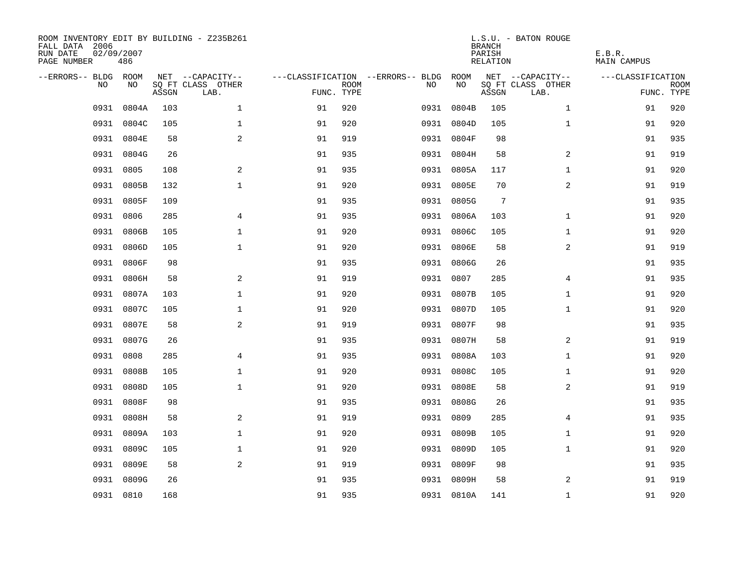| ROOM INVENTORY EDIT BY BUILDING - Z235B261<br>FALL DATA 2006<br>RUN DATE<br>PAGE NUMBER | 02/09/2007<br>486 |       |                           |            |             |                                        |            | <b>BRANCH</b><br>PARISH<br>RELATION | L.S.U. - BATON ROUGE      | E.B.R.<br><b>MAIN CAMPUS</b> |                           |
|-----------------------------------------------------------------------------------------|-------------------|-------|---------------------------|------------|-------------|----------------------------------------|------------|-------------------------------------|---------------------------|------------------------------|---------------------------|
| --ERRORS-- BLDG ROOM                                                                    |                   |       | NET --CAPACITY--          |            |             | ---CLASSIFICATION --ERRORS-- BLDG ROOM |            |                                     | NET --CAPACITY--          | ---CLASSIFICATION            |                           |
| NO.                                                                                     | NO.               | ASSGN | SQ FT CLASS OTHER<br>LAB. | FUNC. TYPE | <b>ROOM</b> | NO.                                    | NO         | ASSGN                               | SQ FT CLASS OTHER<br>LAB. |                              | <b>ROOM</b><br>FUNC. TYPE |
| 0931                                                                                    | 0804A             | 103   | $\mathbf{1}$              | 91         | 920         |                                        | 0931 0804B | 105                                 | $\mathbf{1}$              | 91                           | 920                       |
| 0931                                                                                    | 0804C             | 105   | $\mathbf{1}$              | 91         | 920         |                                        | 0931 0804D | 105                                 | $\mathbf{1}$              | 91                           | 920                       |
|                                                                                         | 0931 0804E        | 58    | 2                         | 91         | 919         |                                        | 0931 0804F | 98                                  |                           | 91                           | 935                       |
|                                                                                         | 0931 0804G        | 26    |                           | 91         | 935         |                                        | 0931 0804H | 58                                  | 2                         | 91                           | 919                       |
| 0931                                                                                    | 0805              | 108   | 2                         | 91         | 935         |                                        | 0931 0805A | 117                                 | $\mathbf{1}$              | 91                           | 920                       |
| 0931                                                                                    | 0805B             | 132   | $\mathbf{1}$              | 91         | 920         |                                        | 0931 0805E | 70                                  | $\overline{a}$            | 91                           | 919                       |
| 0931                                                                                    | 0805F             | 109   |                           | 91         | 935         |                                        | 0931 0805G | $7\phantom{.0}$                     |                           | 91                           | 935                       |
| 0931                                                                                    | 0806              | 285   | 4                         | 91         | 935         |                                        | 0931 0806A | 103                                 | $\mathbf{1}$              | 91                           | 920                       |
| 0931                                                                                    | 0806B             | 105   | $\mathbf{1}$              | 91         | 920         |                                        | 0931 0806C | 105                                 | $\mathbf{1}$              | 91                           | 920                       |
|                                                                                         | 0931 0806D        | 105   | $\mathbf{1}$              | 91         | 920         |                                        | 0931 0806E | 58                                  | 2                         | 91                           | 919                       |
|                                                                                         | 0931 0806F        | 98    |                           | 91         | 935         |                                        | 0931 0806G | 26                                  |                           | 91                           | 935                       |
|                                                                                         | 0931 0806H        | 58    | 2                         | 91         | 919         |                                        | 0931 0807  | 285                                 | 4                         | 91                           | 935                       |
| 0931                                                                                    | 0807A             | 103   | $\mathbf{1}$              | 91         | 920         |                                        | 0931 0807B | 105                                 | $\mathbf{1}$              | 91                           | 920                       |
| 0931                                                                                    | 0807C             | 105   | $\mathbf 1$               | 91         | 920         |                                        | 0931 0807D | 105                                 | $\mathbf{1}$              | 91                           | 920                       |
| 0931                                                                                    | 0807E             | 58    | 2                         | 91         | 919         |                                        | 0931 0807F | 98                                  |                           | 91                           | 935                       |
|                                                                                         | 0931 0807G        | 26    |                           | 91         | 935         |                                        | 0931 0807H | 58                                  | 2                         | 91                           | 919                       |
| 0931                                                                                    | 0808              | 285   | 4                         | 91         | 935         | 0931                                   | 0808A      | 103                                 | $\mathbf{1}$              | 91                           | 920                       |
| 0931                                                                                    | 0808B             | 105   | $\mathbf{1}$              | 91         | 920         | 0931                                   | 0808C      | 105                                 | $\mathbf{1}$              | 91                           | 920                       |
| 0931                                                                                    | 0808D             | 105   | $\mathbf{1}$              | 91         | 920         |                                        | 0931 0808E | 58                                  | 2                         | 91                           | 919                       |
|                                                                                         | 0931 0808F        | 98    |                           | 91         | 935         |                                        | 0931 0808G | 26                                  |                           | 91                           | 935                       |
| 0931                                                                                    | 0808H             | 58    | 2                         | 91         | 919         |                                        | 0931 0809  | 285                                 | $\overline{4}$            | 91                           | 935                       |
| 0931                                                                                    | 0809A             | 103   | $\mathbf 1$               | 91         | 920         |                                        | 0931 0809B | 105                                 | $\mathbf{1}$              | 91                           | 920                       |
| 0931                                                                                    | 0809C             | 105   | $\mathbf 1$               | 91         | 920         |                                        | 0931 0809D | 105                                 | $\mathbf{1}$              | 91                           | 920                       |
|                                                                                         | 0931 0809E        | 58    | 2                         | 91         | 919         |                                        | 0931 0809F | 98                                  |                           | 91                           | 935                       |
| 0931                                                                                    | 0809G             | 26    |                           | 91         | 935         |                                        | 0931 0809H | 58                                  | 2                         | 91                           | 919                       |
|                                                                                         | 0931 0810         | 168   |                           | 91         | 935         |                                        | 0931 0810A | 141                                 | $\mathbf{1}$              | 91                           | 920                       |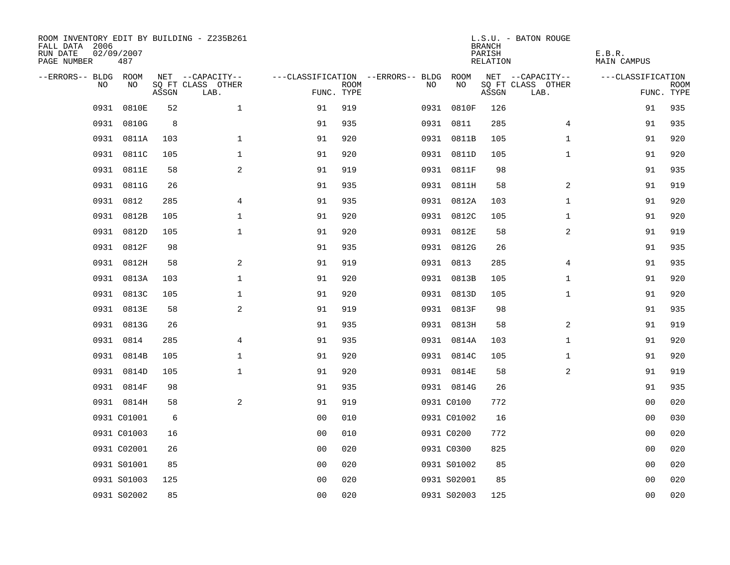| ROOM INVENTORY EDIT BY BUILDING - Z235B261<br>FALL DATA 2006<br>RUN DATE<br>PAGE NUMBER | 02/09/2007<br>487 |       |                           |                |             |                                        |             | <b>BRANCH</b><br>PARISH<br>RELATION | L.S.U. - BATON ROUGE      | E.B.R.<br>MAIN CAMPUS |                           |
|-----------------------------------------------------------------------------------------|-------------------|-------|---------------------------|----------------|-------------|----------------------------------------|-------------|-------------------------------------|---------------------------|-----------------------|---------------------------|
| --ERRORS-- BLDG ROOM                                                                    |                   |       | NET --CAPACITY--          |                |             | ---CLASSIFICATION --ERRORS-- BLDG ROOM |             |                                     | NET --CAPACITY--          | ---CLASSIFICATION     |                           |
| NO                                                                                      | NO                | ASSGN | SQ FT CLASS OTHER<br>LAB. | FUNC. TYPE     | <b>ROOM</b> | NO                                     | NO          | ASSGN                               | SQ FT CLASS OTHER<br>LAB. |                       | <b>ROOM</b><br>FUNC. TYPE |
| 0931                                                                                    | 0810E             | 52    | $\mathbf{1}$              | 91             | 919         |                                        | 0931 0810F  | 126                                 |                           | 91                    | 935                       |
| 0931                                                                                    | 0810G             | 8     |                           | 91             | 935         |                                        | 0931 0811   | 285                                 | 4                         | 91                    | 935                       |
|                                                                                         | 0931 0811A        | 103   | $\mathbf 1$               | 91             | 920         |                                        | 0931 0811B  | 105                                 | $\mathbf{1}$              | 91                    | 920                       |
|                                                                                         | 0931 0811C        | 105   | $\mathbf 1$               | 91             | 920         |                                        | 0931 0811D  | 105                                 | $\mathbf{1}$              | 91                    | 920                       |
| 0931                                                                                    | 0811E             | 58    | $\mathbf{2}$              | 91             | 919         |                                        | 0931 0811F  | 98                                  |                           | 91                    | 935                       |
| 0931                                                                                    | 0811G             | 26    |                           | 91             | 935         |                                        | 0931 0811H  | 58                                  | 2                         | 91                    | 919                       |
| 0931                                                                                    | 0812              | 285   | $\overline{4}$            | 91             | 935         |                                        | 0931 0812A  | 103                                 | $\mathbf{1}$              | 91                    | 920                       |
|                                                                                         | 0931 0812B        | 105   | $\mathbf 1$               | 91             | 920         |                                        | 0931 0812C  | 105                                 | $\mathbf{1}$              | 91                    | 920                       |
| 0931                                                                                    | 0812D             | 105   | $\mathbf 1$               | 91             | 920         |                                        | 0931 0812E  | 58                                  | $\overline{a}$            | 91                    | 919                       |
|                                                                                         | 0931 0812F        | 98    |                           | 91             | 935         |                                        | 0931 0812G  | 26                                  |                           | 91                    | 935                       |
|                                                                                         | 0931 0812H        | 58    | 2                         | 91             | 919         |                                        | 0931 0813   | 285                                 | 4                         | 91                    | 935                       |
|                                                                                         | 0931 0813A        | 103   | $\mathbf{1}$              | 91             | 920         |                                        | 0931 0813B  | 105                                 | $\mathbf{1}$              | 91                    | 920                       |
| 0931                                                                                    | 0813C             | 105   | $\mathbf 1$               | 91             | 920         |                                        | 0931 0813D  | 105                                 | $\mathbf{1}$              | 91                    | 920                       |
| 0931                                                                                    | 0813E             | 58    | 2                         | 91             | 919         |                                        | 0931 0813F  | 98                                  |                           | 91                    | 935                       |
| 0931                                                                                    | 0813G             | 26    |                           | 91             | 935         |                                        | 0931 0813H  | 58                                  | 2                         | 91                    | 919                       |
|                                                                                         | 0931 0814         | 285   | 4                         | 91             | 935         |                                        | 0931 0814A  | 103                                 | $\mathbf{1}$              | 91                    | 920                       |
|                                                                                         | 0931 0814B        | 105   | $\mathbf 1$               | 91             | 920         |                                        | 0931 0814C  | 105                                 | $\mathbf{1}$              | 91                    | 920                       |
|                                                                                         | 0931 0814D        | 105   | $\mathbf{1}$              | 91             | 920         |                                        | 0931 0814E  | 58                                  | 2                         | 91                    | 919                       |
|                                                                                         | 0931 0814F        | 98    |                           | 91             | 935         |                                        | 0931 0814G  | 26                                  |                           | 91                    | 935                       |
|                                                                                         | 0931 0814H        | 58    | 2                         | 91             | 919         |                                        | 0931 C0100  | 772                                 |                           | 00                    | 020                       |
|                                                                                         | 0931 C01001       | 6     |                           | 0 <sub>0</sub> | 010         |                                        | 0931 C01002 | 16                                  |                           | 00                    | 030                       |
|                                                                                         | 0931 C01003       | 16    |                           | 0 <sub>0</sub> | 010         |                                        | 0931 C0200  | 772                                 |                           | 00                    | 020                       |
|                                                                                         | 0931 C02001       | 26    |                           | 0 <sub>0</sub> | 020         |                                        | 0931 C0300  | 825                                 |                           | 0 <sub>0</sub>        | 020                       |
|                                                                                         | 0931 S01001       | 85    |                           | 0 <sub>0</sub> | 020         |                                        | 0931 S01002 | 85                                  |                           | 00                    | 020                       |
|                                                                                         | 0931 S01003       | 125   |                           | 0 <sub>0</sub> | 020         |                                        | 0931 S02001 | 85                                  |                           | 0 <sub>0</sub>        | 020                       |
|                                                                                         | 0931 S02002       | 85    |                           | 0 <sub>0</sub> | 020         |                                        | 0931 S02003 | 125                                 |                           | 0 <sub>0</sub>        | 020                       |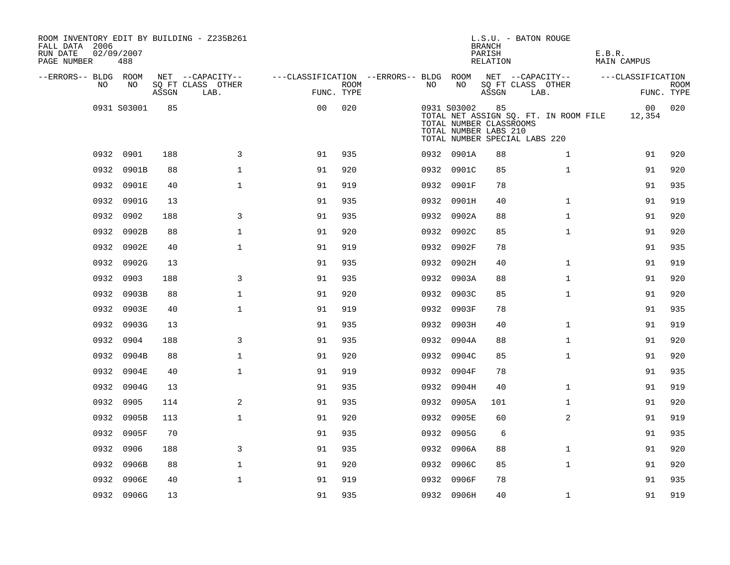| ROOM INVENTORY EDIT BY BUILDING - Z235B261<br>FALL DATA 2006<br>RUN DATE<br>PAGE NUMBER | 02/09/2007<br>488 |       |                           |                                        |             |      |             | <b>BRANCH</b><br>PARISH<br>RELATION                    | L.S.U. - BATON ROUGE                                                   | E.B.R.<br><b>MAIN CAMPUS</b> |                           |
|-----------------------------------------------------------------------------------------|-------------------|-------|---------------------------|----------------------------------------|-------------|------|-------------|--------------------------------------------------------|------------------------------------------------------------------------|------------------------------|---------------------------|
| --ERRORS-- BLDG ROOM                                                                    |                   |       | NET --CAPACITY--          | ---CLASSIFICATION --ERRORS-- BLDG ROOM |             |      |             |                                                        | NET --CAPACITY--                                                       | ---CLASSIFICATION            |                           |
| NO                                                                                      | NO                | ASSGN | SQ FT CLASS OTHER<br>LAB. | FUNC. TYPE                             | <b>ROOM</b> | NO.  | NO          | ASSGN                                                  | SQ FT CLASS OTHER<br>LAB.                                              |                              | <b>ROOM</b><br>FUNC. TYPE |
|                                                                                         | 0931 S03001       | 85    |                           | 00                                     | 020         |      | 0931 S03002 | 85<br>TOTAL NUMBER CLASSROOMS<br>TOTAL NUMBER LABS 210 | TOTAL NET ASSIGN SQ. FT. IN ROOM FILE<br>TOTAL NUMBER SPECIAL LABS 220 | 00 <sub>o</sub><br>12,354    | 020                       |
|                                                                                         | 0932 0901         | 188   | 3                         | 91                                     | 935         |      | 0932 0901A  | 88                                                     | $\mathbf{1}$                                                           | 91                           | 920                       |
| 0932                                                                                    | 0901B             | 88    | $\mathbf{1}$              | 91                                     | 920         |      | 0932 0901C  | 85                                                     | $\mathbf{1}$                                                           | 91                           | 920                       |
|                                                                                         | 0932 0901E        | 40    | $\mathbf{1}$              | 91                                     | 919         |      | 0932 0901F  | 78                                                     |                                                                        | 91                           | 935                       |
|                                                                                         | 0932 0901G        | 13    |                           | 91                                     | 935         |      | 0932 0901H  | 40                                                     | $\mathbf{1}$                                                           | 91                           | 919                       |
|                                                                                         | 0932 0902         | 188   | 3                         | 91                                     | 935         |      | 0932 0902A  | 88                                                     | $\mathbf{1}$                                                           | 91                           | 920                       |
|                                                                                         | 0932 0902B        | 88    | $\mathbf{1}$              | 91                                     | 920         |      | 0932 0902C  | 85                                                     | $\mathbf{1}$                                                           | 91                           | 920                       |
|                                                                                         | 0932 0902E        | 40    | $\mathbf{1}$              | 91                                     | 919         |      | 0932 0902F  | 78                                                     |                                                                        | 91                           | 935                       |
|                                                                                         | 0932 0902G        | 13    |                           | 91                                     | 935         |      | 0932 0902H  | 40                                                     | $\mathbf{1}$                                                           | 91                           | 919                       |
|                                                                                         | 0932 0903         | 188   | 3                         | 91                                     | 935         |      | 0932 0903A  | 88                                                     | $\mathbf{1}$                                                           | 91                           | 920                       |
| 0932                                                                                    | 0903B             | 88    | $\mathbf 1$               | 91                                     | 920         | 0932 | 0903C       | 85                                                     | $\mathbf{1}$                                                           | 91                           | 920                       |
|                                                                                         | 0932 0903E        | 40    | $\mathbf{1}$              | 91                                     | 919         |      | 0932 0903F  | 78                                                     |                                                                        | 91                           | 935                       |
|                                                                                         | 0932 0903G        | 13    |                           | 91                                     | 935         |      | 0932 0903H  | 40                                                     | $\mathbf{1}$                                                           | 91                           | 919                       |
|                                                                                         | 0932 0904         | 188   | 3                         | 91                                     | 935         |      | 0932 0904A  | 88                                                     | $\mathbf{1}$                                                           | 91                           | 920                       |
|                                                                                         | 0932 0904B        | 88    | $\mathbf 1$               | 91                                     | 920         |      | 0932 0904C  | 85                                                     | $\mathbf{1}$                                                           | 91                           | 920                       |
|                                                                                         | 0932 0904E        | 40    | $\mathbf{1}$              | 91                                     | 919         |      | 0932 0904F  | 78                                                     |                                                                        | 91                           | 935                       |
|                                                                                         | 0932 0904G        | 13    |                           | 91                                     | 935         |      | 0932 0904H  | 40                                                     | $\mathbf{1}$                                                           | 91                           | 919                       |
|                                                                                         | 0932 0905         | 114   | 2                         | 91                                     | 935         |      | 0932 0905A  | 101                                                    | $\mathbf{1}$                                                           | 91                           | 920                       |
|                                                                                         | 0932 0905B        | 113   | $\mathbf{1}$              | 91                                     | 920         |      | 0932 0905E  | 60                                                     | 2                                                                      | 91                           | 919                       |
|                                                                                         | 0932 0905F        | 70    |                           | 91                                     | 935         |      | 0932 0905G  | 6                                                      |                                                                        | 91                           | 935                       |
| 0932                                                                                    | 0906              | 188   | 3                         | 91                                     | 935         |      | 0932 0906A  | 88                                                     | $\mathbf{1}$                                                           | 91                           | 920                       |
| 0932                                                                                    | 0906B             | 88    | $\mathbf 1$               | 91                                     | 920         |      | 0932 0906C  | 85                                                     | $\mathbf{1}$                                                           | 91                           | 920                       |
| 0932                                                                                    | 0906E             | 40    | $\mathbf{1}$              | 91                                     | 919         |      | 0932 0906F  | 78                                                     |                                                                        | 91                           | 935                       |
|                                                                                         | 0932 0906G        | 13    |                           | 91                                     | 935         |      | 0932 0906H  | 40                                                     | $\mathbf{1}$                                                           | 91                           | 919                       |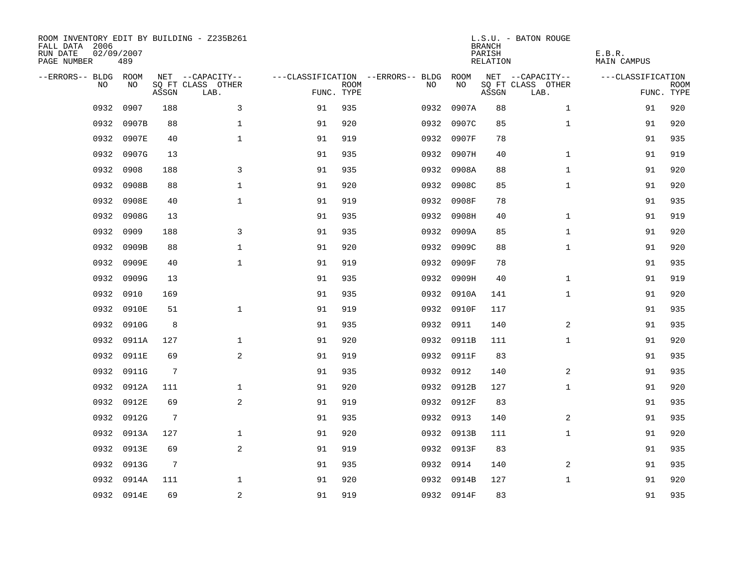| ROOM INVENTORY EDIT BY BUILDING - Z235B261<br>FALL DATA 2006<br>RUN DATE<br>PAGE NUMBER | 02/09/2007<br>489 |                 |                           |            |             |                                        |            | <b>BRANCH</b><br>PARISH<br>RELATION | L.S.U. - BATON ROUGE      | E.B.R.<br>MAIN CAMPUS |                           |
|-----------------------------------------------------------------------------------------|-------------------|-----------------|---------------------------|------------|-------------|----------------------------------------|------------|-------------------------------------|---------------------------|-----------------------|---------------------------|
| --ERRORS-- BLDG ROOM                                                                    |                   |                 | NET --CAPACITY--          |            |             | ---CLASSIFICATION --ERRORS-- BLDG ROOM |            |                                     | NET --CAPACITY--          | ---CLASSIFICATION     |                           |
| NO.                                                                                     | NO.               | ASSGN           | SQ FT CLASS OTHER<br>LAB. | FUNC. TYPE | <b>ROOM</b> | NO.                                    | NO         | ASSGN                               | SQ FT CLASS OTHER<br>LAB. |                       | <b>ROOM</b><br>FUNC. TYPE |
| 0932                                                                                    | 0907              | 188             | 3                         | 91         | 935         | 0932                                   | 0907A      | 88                                  | $\mathbf{1}$              | 91                    | 920                       |
| 0932                                                                                    | 0907B             | 88              | 1                         | 91         | 920         | 0932                                   | 0907C      | 85                                  | $\mathbf{1}$              | 91                    | 920                       |
| 0932                                                                                    | 0907E             | 40              | $\mathbf{1}$              | 91         | 919         |                                        | 0932 0907F | 78                                  |                           | 91                    | 935                       |
| 0932                                                                                    | 0907G             | 13              |                           | 91         | 935         |                                        | 0932 0907H | 40                                  | $\mathbf{1}$              | 91                    | 919                       |
| 0932                                                                                    | 0908              | 188             | 3                         | 91         | 935         | 0932                                   | 0908A      | 88                                  | $\mathbf{1}$              | 91                    | 920                       |
| 0932                                                                                    | 0908B             | 88              | $\mathbf{1}$              | 91         | 920         | 0932                                   | 0908C      | 85                                  | $\mathbf{1}$              | 91                    | 920                       |
| 0932                                                                                    | 0908E             | 40              | $\mathbf{1}$              | 91         | 919         | 0932                                   | 0908F      | 78                                  |                           | 91                    | 935                       |
| 0932                                                                                    | 0908G             | 13              |                           | 91         | 935         |                                        | 0932 0908H | 40                                  | $\mathbf{1}$              | 91                    | 919                       |
| 0932                                                                                    | 0909              | 188             | 3                         | 91         | 935         | 0932                                   | 0909A      | 85                                  | $\mathbf{1}$              | 91                    | 920                       |
| 0932                                                                                    | 0909B             | 88              | $\mathbf{1}$              | 91         | 920         | 0932                                   | 0909C      | 88                                  | $\mathbf{1}$              | 91                    | 920                       |
| 0932                                                                                    | 0909E             | 40              | $\mathbf{1}$              | 91         | 919         | 0932                                   | 0909F      | 78                                  |                           | 91                    | 935                       |
| 0932                                                                                    | 0909G             | 13              |                           | 91         | 935         |                                        | 0932 0909H | 40                                  | $\mathbf{1}$              | 91                    | 919                       |
| 0932                                                                                    | 0910              | 169             |                           | 91         | 935         | 0932                                   | 0910A      | 141                                 | $\mathbf{1}$              | 91                    | 920                       |
| 0932                                                                                    | 0910E             | 51              | $\mathbf{1}$              | 91         | 919         | 0932                                   | 0910F      | 117                                 |                           | 91                    | 935                       |
| 0932                                                                                    | 0910G             | 8               |                           | 91         | 935         | 0932                                   | 0911       | 140                                 | 2                         | 91                    | 935                       |
| 0932                                                                                    | 0911A             | 127             | $\mathbf 1$               | 91         | 920         |                                        | 0932 0911B | 111                                 | $\mathbf{1}$              | 91                    | 920                       |
| 0932                                                                                    | 0911E             | 69              | 2                         | 91         | 919         |                                        | 0932 0911F | 83                                  |                           | 91                    | 935                       |
| 0932                                                                                    | 0911G             | $7\phantom{.0}$ |                           | 91         | 935         |                                        | 0932 0912  | 140                                 | 2                         | 91                    | 935                       |
| 0932                                                                                    | 0912A             | 111             | $\mathbf 1$               | 91         | 920         |                                        | 0932 0912B | 127                                 | $\mathbf{1}$              | 91                    | 920                       |
| 0932                                                                                    | 0912E             | 69              | 2                         | 91         | 919         |                                        | 0932 0912F | 83                                  |                           | 91                    | 935                       |
| 0932                                                                                    | 0912G             | 7               |                           | 91         | 935         |                                        | 0932 0913  | 140                                 | 2                         | 91                    | 935                       |
| 0932                                                                                    | 0913A             | 127             | $\mathbf{1}$              | 91         | 920         |                                        | 0932 0913B | 111                                 | $\mathbf{1}$              | 91                    | 920                       |
| 0932                                                                                    | 0913E             | 69              | 2                         | 91         | 919         |                                        | 0932 0913F | 83                                  |                           | 91                    | 935                       |
| 0932                                                                                    | 0913G             | 7               |                           | 91         | 935         |                                        | 0932 0914  | 140                                 | 2                         | 91                    | 935                       |
| 0932                                                                                    | 0914A             | 111             | $\mathbf 1$               | 91         | 920         |                                        | 0932 0914B | 127                                 | $\mathbf{1}$              | 91                    | 920                       |
|                                                                                         | 0932 0914E        | 69              | 2                         | 91         | 919         |                                        | 0932 0914F | 83                                  |                           | 91                    | 935                       |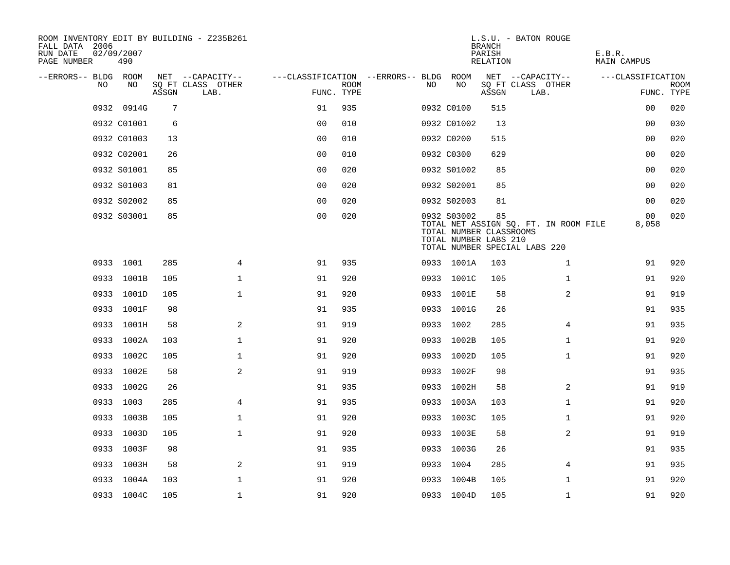| ROOM INVENTORY EDIT BY BUILDING - Z235B261<br>FALL DATA 2006<br>RUN DATE<br>PAGE NUMBER | 02/09/2007<br>490 |       |                           |                                        |             |     |                                                                 | <b>BRANCH</b><br>PARISH<br>RELATION | L.S.U. - BATON ROUGE                                                   | E.B.R.<br><b>MAIN CAMPUS</b> |                           |
|-----------------------------------------------------------------------------------------|-------------------|-------|---------------------------|----------------------------------------|-------------|-----|-----------------------------------------------------------------|-------------------------------------|------------------------------------------------------------------------|------------------------------|---------------------------|
| --ERRORS-- BLDG ROOM                                                                    |                   |       | NET --CAPACITY--          | ---CLASSIFICATION --ERRORS-- BLDG ROOM |             |     |                                                                 |                                     | NET --CAPACITY--                                                       | ---CLASSIFICATION            |                           |
| NO                                                                                      | NO                | ASSGN | SQ FT CLASS OTHER<br>LAB. | FUNC. TYPE                             | <b>ROOM</b> | NO. | NO                                                              | ASSGN                               | SQ FT CLASS OTHER<br>LAB.                                              |                              | <b>ROOM</b><br>FUNC. TYPE |
|                                                                                         | 0932 0914G        | 7     |                           | 91                                     | 935         |     | 0932 C0100                                                      | 515                                 |                                                                        | 00                           | 020                       |
|                                                                                         | 0932 C01001       | 6     |                           | 0 <sub>0</sub>                         | 010         |     | 0932 C01002                                                     | 13                                  |                                                                        | 0 <sub>0</sub>               | 030                       |
|                                                                                         | 0932 C01003       | 13    |                           | 0 <sub>0</sub>                         | 010         |     | 0932 C0200                                                      | 515                                 |                                                                        | 0 <sub>0</sub>               | 020                       |
|                                                                                         | 0932 C02001       | 26    |                           | 0 <sub>0</sub>                         | 010         |     | 0932 C0300                                                      | 629                                 |                                                                        | 00                           | 020                       |
|                                                                                         | 0932 S01001       | 85    |                           | 00                                     | 020         |     | 0932 S01002                                                     | 85                                  |                                                                        | 00                           | 020                       |
|                                                                                         | 0932 S01003       | 81    |                           | 0 <sub>0</sub>                         | 020         |     | 0932 S02001                                                     | 85                                  |                                                                        | 00                           | 020                       |
|                                                                                         | 0932 S02002       | 85    |                           | 0 <sub>0</sub>                         | 020         |     | 0932 S02003                                                     | 81                                  |                                                                        | 00                           | 020                       |
|                                                                                         | 0932 S03001       | 85    |                           | 0 <sub>0</sub>                         | 020         |     | 0932 S03002<br>TOTAL NUMBER CLASSROOMS<br>TOTAL NUMBER LABS 210 | 85                                  | TOTAL NET ASSIGN SQ. FT. IN ROOM FILE<br>TOTAL NUMBER SPECIAL LABS 220 | 00<br>8,058                  | 020                       |
|                                                                                         | 0933 1001         | 285   | 4                         | 91                                     | 935         |     | 0933 1001A                                                      | 103                                 | $\mathbf{1}$                                                           | 91                           | 920                       |
|                                                                                         | 0933 1001B        | 105   | $\mathbf 1$               | 91                                     | 920         |     | 0933 1001C                                                      | 105                                 | $\mathbf{1}$                                                           | 91                           | 920                       |
|                                                                                         | 0933 1001D        | 105   | $\mathbf{1}$              | 91                                     | 920         |     | 0933 1001E                                                      | 58                                  | 2                                                                      | 91                           | 919                       |
|                                                                                         | 0933 1001F        | 98    |                           | 91                                     | 935         |     | 0933 1001G                                                      | 26                                  |                                                                        | 91                           | 935                       |
|                                                                                         | 0933 1001H        | 58    | 2                         | 91                                     | 919         |     | 0933 1002                                                       | 285                                 | 4                                                                      | 91                           | 935                       |
|                                                                                         | 0933 1002A        | 103   | $\mathbf 1$               | 91                                     | 920         |     | 0933 1002B                                                      | 105                                 | $\mathbf{1}$                                                           | 91                           | 920                       |
|                                                                                         | 0933 1002C        | 105   | 1                         | 91                                     | 920         |     | 0933 1002D                                                      | 105                                 | $\mathbf{1}$                                                           | 91                           | 920                       |
|                                                                                         | 0933 1002E        | 58    | 2                         | 91                                     | 919         |     | 0933 1002F                                                      | 98                                  |                                                                        | 91                           | 935                       |
|                                                                                         | 0933 1002G        | 26    |                           | 91                                     | 935         |     | 0933 1002H                                                      | 58                                  | 2                                                                      | 91                           | 919                       |
|                                                                                         | 0933 1003         | 285   | $\overline{4}$            | 91                                     | 935         |     | 0933 1003A                                                      | 103                                 | $\mathbf{1}$                                                           | 91                           | 920                       |
|                                                                                         | 0933 1003B        | 105   | $\mathbf 1$               | 91                                     | 920         |     | 0933 1003C                                                      | 105                                 | $\mathbf{1}$                                                           | 91                           | 920                       |
|                                                                                         | 0933 1003D        | 105   | $\mathbf 1$               | 91                                     | 920         |     | 0933 1003E                                                      | 58                                  | 2                                                                      | 91                           | 919                       |
|                                                                                         | 0933 1003F        | 98    |                           | 91                                     | 935         |     | 0933 1003G                                                      | 26                                  |                                                                        | 91                           | 935                       |
|                                                                                         | 0933 1003H        | 58    | $\mathbf{2}$              | 91                                     | 919         |     | 0933 1004                                                       | 285                                 | 4                                                                      | 91                           | 935                       |
|                                                                                         | 0933 1004A        | 103   | $\mathbf{1}$              | 91                                     | 920         |     | 0933 1004B                                                      | 105                                 | $\mathbf{1}$                                                           | 91                           | 920                       |
|                                                                                         | 0933 1004C        | 105   | $\mathbf{1}$              | 91                                     | 920         |     | 0933 1004D                                                      | 105                                 | $\mathbf{1}$                                                           | 91                           | 920                       |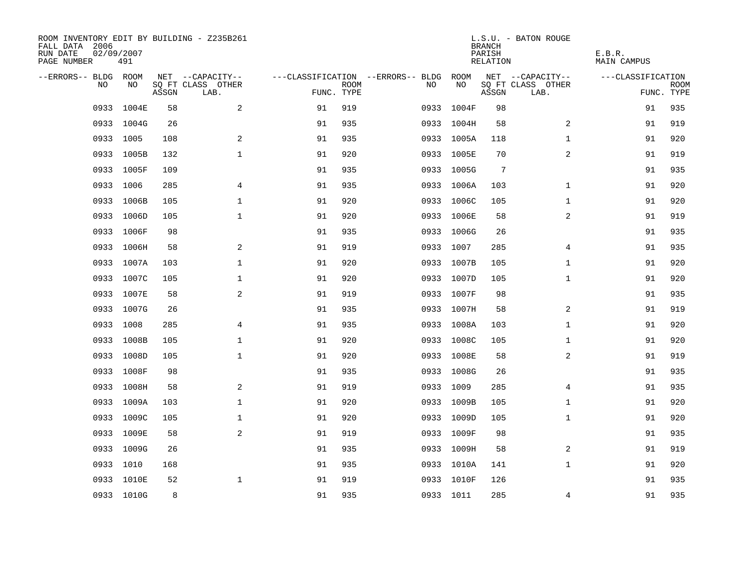| ROOM INVENTORY EDIT BY BUILDING - Z235B261<br>FALL DATA 2006<br>RUN DATE<br>PAGE NUMBER | 02/09/2007<br>491 |       |                           |            |             |                                   |            | <b>BRANCH</b><br>PARISH<br>RELATION | L.S.U. - BATON ROUGE      | E.B.R.<br><b>MAIN CAMPUS</b> |                           |
|-----------------------------------------------------------------------------------------|-------------------|-------|---------------------------|------------|-------------|-----------------------------------|------------|-------------------------------------|---------------------------|------------------------------|---------------------------|
| --ERRORS-- BLDG ROOM                                                                    |                   |       | NET --CAPACITY--          |            |             | ---CLASSIFICATION --ERRORS-- BLDG | ROOM       |                                     | NET --CAPACITY--          | ---CLASSIFICATION            |                           |
| NO                                                                                      | NO                | ASSGN | SQ FT CLASS OTHER<br>LAB. | FUNC. TYPE | <b>ROOM</b> | NO                                | NO         | ASSGN                               | SQ FT CLASS OTHER<br>LAB. |                              | <b>ROOM</b><br>FUNC. TYPE |
| 0933                                                                                    | 1004E             | 58    | $\mathbf{2}$              | 91         | 919         | 0933                              | 1004F      | 98                                  |                           | 91                           | 935                       |
|                                                                                         | 0933 1004G        | 26    |                           | 91         | 935         |                                   | 0933 1004H | 58                                  | 2                         | 91                           | 919                       |
|                                                                                         | 0933 1005         | 108   | 2                         | 91         | 935         |                                   | 0933 1005A | 118                                 | $\mathbf{1}$              | 91                           | 920                       |
|                                                                                         | 0933 1005B        | 132   | $\mathbf{1}$              | 91         | 920         |                                   | 0933 1005E | 70                                  | $\overline{2}$            | 91                           | 919                       |
|                                                                                         | 0933 1005F        | 109   |                           | 91         | 935         |                                   | 0933 1005G | 7                                   |                           | 91                           | 935                       |
|                                                                                         | 0933 1006         | 285   | 4                         | 91         | 935         |                                   | 0933 1006A | 103                                 | $\mathbf{1}$              | 91                           | 920                       |
|                                                                                         | 0933 1006B        | 105   | $\mathbf 1$               | 91         | 920         |                                   | 0933 1006C | 105                                 | $\mathbf{1}$              | 91                           | 920                       |
|                                                                                         | 0933 1006D        | 105   | $\mathbf 1$               | 91         | 920         |                                   | 0933 1006E | 58                                  | 2                         | 91                           | 919                       |
|                                                                                         | 0933 1006F        | 98    |                           | 91         | 935         |                                   | 0933 1006G | 26                                  |                           | 91                           | 935                       |
|                                                                                         | 0933 1006H        | 58    | 2                         | 91         | 919         |                                   | 0933 1007  | 285                                 | 4                         | 91                           | 935                       |
|                                                                                         | 0933 1007A        | 103   | $\mathbf{1}$              | 91         | 920         |                                   | 0933 1007B | 105                                 | $\mathbf{1}$              | 91                           | 920                       |
|                                                                                         | 0933 1007C        | 105   | $\mathbf 1$               | 91         | 920         |                                   | 0933 1007D | 105                                 | $\mathbf{1}$              | 91                           | 920                       |
| 0933                                                                                    | 1007E             | 58    | 2                         | 91         | 919         |                                   | 0933 1007F | 98                                  |                           | 91                           | 935                       |
|                                                                                         | 0933 1007G        | 26    |                           | 91         | 935         |                                   | 0933 1007H | 58                                  | 2                         | 91                           | 919                       |
| 0933                                                                                    | 1008              | 285   | 4                         | 91         | 935         |                                   | 0933 1008A | 103                                 | $\mathbf{1}$              | 91                           | 920                       |
|                                                                                         | 0933 1008B        | 105   | $\mathbf 1$               | 91         | 920         |                                   | 0933 1008C | 105                                 | $\mathbf{1}$              | 91                           | 920                       |
| 0933                                                                                    | 1008D             | 105   | $\mathbf 1$               | 91         | 920         |                                   | 0933 1008E | 58                                  | 2                         | 91                           | 919                       |
|                                                                                         | 0933 1008F        | 98    |                           | 91         | 935         |                                   | 0933 1008G | 26                                  |                           | 91                           | 935                       |
|                                                                                         | 0933 1008H        | 58    | 2                         | 91         | 919         |                                   | 0933 1009  | 285                                 | $\overline{4}$            | 91                           | 935                       |
|                                                                                         | 0933 1009A        | 103   | $\mathbf 1$               | 91         | 920         |                                   | 0933 1009B | 105                                 | $\mathbf{1}$              | 91                           | 920                       |
|                                                                                         | 0933 1009C        | 105   | $\mathbf 1$               | 91         | 920         |                                   | 0933 1009D | 105                                 | $\mathbf{1}$              | 91                           | 920                       |
|                                                                                         | 0933 1009E        | 58    | 2                         | 91         | 919         |                                   | 0933 1009F | 98                                  |                           | 91                           | 935                       |
|                                                                                         | 0933 1009G        | 26    |                           | 91         | 935         |                                   | 0933 1009H | 58                                  | 2                         | 91                           | 919                       |
|                                                                                         | 0933 1010         | 168   |                           | 91         | 935         |                                   | 0933 1010A | 141                                 | $\mathbf{1}$              | 91                           | 920                       |
|                                                                                         | 0933 1010E        | 52    | $\mathbf 1$               | 91         | 919         |                                   | 0933 1010F | 126                                 |                           | 91                           | 935                       |
|                                                                                         | 0933 1010G        | 8     |                           | 91         | 935         |                                   | 0933 1011  | 285                                 | 4                         | 91                           | 935                       |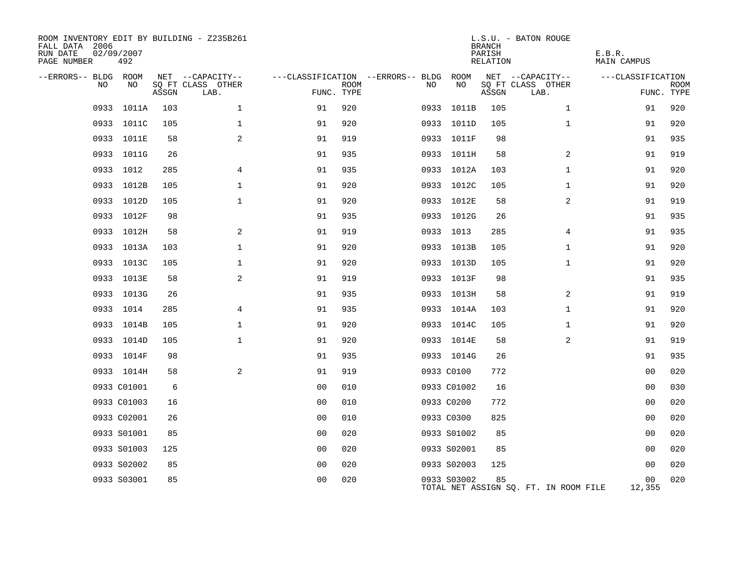| ROOM INVENTORY EDIT BY BUILDING - Z235B261<br>FALL DATA 2006<br>RUN DATE<br>PAGE NUMBER | 02/09/2007<br>492 |       |                           |                |             |                                   |             | <b>BRANCH</b><br>PARISH<br>RELATION | L.S.U. - BATON ROUGE                  | E.B.R.<br>MAIN CAMPUS |                           |
|-----------------------------------------------------------------------------------------|-------------------|-------|---------------------------|----------------|-------------|-----------------------------------|-------------|-------------------------------------|---------------------------------------|-----------------------|---------------------------|
| --ERRORS-- BLDG ROOM                                                                    |                   |       | NET --CAPACITY--          |                |             | ---CLASSIFICATION --ERRORS-- BLDG | ROOM        |                                     | NET --CAPACITY--                      | ---CLASSIFICATION     |                           |
| NO                                                                                      | NO.               | ASSGN | SO FT CLASS OTHER<br>LAB. | FUNC. TYPE     | <b>ROOM</b> | NO                                | NO          | ASSGN                               | SQ FT CLASS OTHER<br>LAB.             |                       | <b>ROOM</b><br>FUNC. TYPE |
| 0933                                                                                    | 1011A             | 103   | $\mathbf 1$               | 91             | 920         | 0933                              | 1011B       | 105                                 | $\mathbf{1}$                          | 91                    | 920                       |
|                                                                                         | 0933 1011C        | 105   | $\mathbf{1}$              | 91             | 920         |                                   | 0933 1011D  | 105                                 | $\mathbf{1}$                          | 91                    | 920                       |
|                                                                                         | 0933 1011E        | 58    | 2                         | 91             | 919         |                                   | 0933 1011F  | 98                                  |                                       | 91                    | 935                       |
|                                                                                         | 0933 1011G        | 26    |                           | 91             | 935         |                                   | 0933 1011H  | 58                                  | 2                                     | 91                    | 919                       |
|                                                                                         | 0933 1012         | 285   | 4                         | 91             | 935         |                                   | 0933 1012A  | 103                                 | $\mathbf{1}$                          | 91                    | 920                       |
|                                                                                         | 0933 1012B        | 105   | $\mathbf 1$               | 91             | 920         |                                   | 0933 1012C  | 105                                 | $\mathbf{1}$                          | 91                    | 920                       |
|                                                                                         | 0933 1012D        | 105   | $\mathbf 1$               | 91             | 920         |                                   | 0933 1012E  | 58                                  | $\overline{a}$                        | 91                    | 919                       |
|                                                                                         | 0933 1012F        | 98    |                           | 91             | 935         |                                   | 0933 1012G  | 26                                  |                                       | 91                    | 935                       |
|                                                                                         | 0933 1012H        | 58    | 2                         | 91             | 919         |                                   | 0933 1013   | 285                                 | 4                                     | 91                    | 935                       |
|                                                                                         | 0933 1013A        | 103   | $\mathbf 1$               | 91             | 920         |                                   | 0933 1013B  | 105                                 | $\mathbf{1}$                          | 91                    | 920                       |
|                                                                                         | 0933 1013C        | 105   | $\mathbf 1$               | 91             | 920         |                                   | 0933 1013D  | 105                                 | $\mathbf{1}$                          | 91                    | 920                       |
|                                                                                         | 0933 1013E        | 58    | 2                         | 91             | 919         |                                   | 0933 1013F  | 98                                  |                                       | 91                    | 935                       |
|                                                                                         | 0933 1013G        | 26    |                           | 91             | 935         |                                   | 0933 1013H  | 58                                  | 2                                     | 91                    | 919                       |
|                                                                                         | 0933 1014         | 285   | 4                         | 91             | 935         |                                   | 0933 1014A  | 103                                 | $\mathbf{1}$                          | 91                    | 920                       |
|                                                                                         | 0933 1014B        | 105   | 1                         | 91             | 920         |                                   | 0933 1014C  | 105                                 | $\mathbf{1}$                          | 91                    | 920                       |
|                                                                                         | 0933 1014D        | 105   | $\mathbf{1}$              | 91             | 920         |                                   | 0933 1014E  | 58                                  | 2                                     | 91                    | 919                       |
|                                                                                         | 0933 1014F        | 98    |                           | 91             | 935         |                                   | 0933 1014G  | 26                                  |                                       | 91                    | 935                       |
|                                                                                         | 0933 1014H        | 58    | 2                         | 91             | 919         |                                   | 0933 C0100  | 772                                 |                                       | 00                    | 020                       |
|                                                                                         | 0933 C01001       | 6     |                           | 0 <sub>0</sub> | 010         |                                   | 0933 C01002 | 16                                  |                                       | 00                    | 030                       |
|                                                                                         | 0933 C01003       | 16    |                           | 0 <sub>0</sub> | 010         |                                   | 0933 C0200  | 772                                 |                                       | 0 <sub>0</sub>        | 020                       |
|                                                                                         | 0933 C02001       | 26    |                           | 0 <sub>0</sub> | 010         |                                   | 0933 C0300  | 825                                 |                                       | 0 <sub>0</sub>        | 020                       |
|                                                                                         | 0933 S01001       | 85    |                           | 0 <sub>0</sub> | 020         |                                   | 0933 S01002 | 85                                  |                                       | 0 <sub>0</sub>        | 020                       |
|                                                                                         | 0933 S01003       | 125   |                           | 00             | 020         |                                   | 0933 S02001 | 85                                  |                                       | 0 <sub>0</sub>        | 020                       |
|                                                                                         | 0933 S02002       | 85    |                           | 0 <sub>0</sub> | 020         |                                   | 0933 S02003 | 125                                 |                                       | 0 <sub>0</sub>        | 020                       |
|                                                                                         | 0933 S03001       | 85    |                           | 0 <sub>0</sub> | 020         |                                   | 0933 S03002 | 85                                  | TOTAL NET ASSIGN SQ. FT. IN ROOM FILE | 00<br>12,355          | 020                       |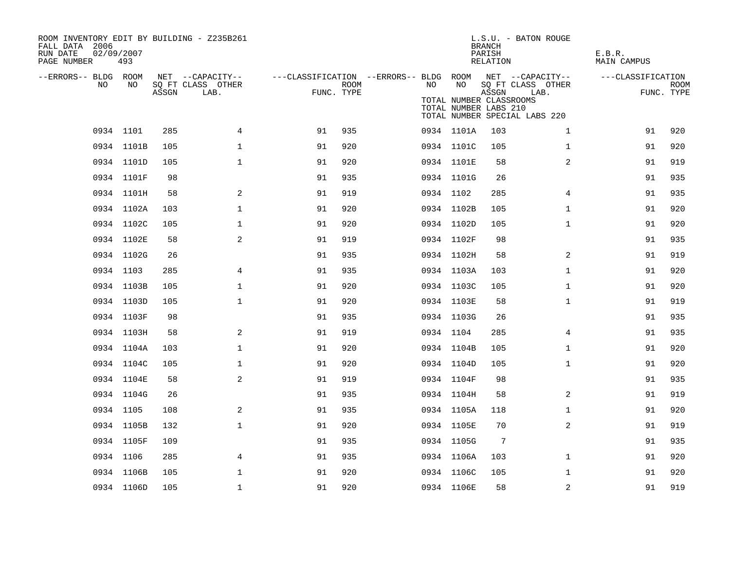| ROOM INVENTORY EDIT BY BUILDING - Z235B261<br>FALL DATA 2006<br>RUN DATE<br>PAGE NUMBER | 02/09/2007<br>493 |       |                                               |            |             |                                                               |                                                        | <b>BRANCH</b><br>PARISH<br>RELATION | L.S.U. - BATON ROUGE                                       | E.B.R.<br><b>MAIN CAMPUS</b> |                    |
|-----------------------------------------------------------------------------------------|-------------------|-------|-----------------------------------------------|------------|-------------|---------------------------------------------------------------|--------------------------------------------------------|-------------------------------------|------------------------------------------------------------|------------------------------|--------------------|
| --ERRORS-- BLDG ROOM<br>NO.                                                             | NO.               | ASSGN | NET --CAPACITY--<br>SQ FT CLASS OTHER<br>LAB. | FUNC. TYPE | <b>ROOM</b> | ---CLASSIFICATION --ERRORS-- BLDG ROOM NET --CAPACITY--<br>NO | NO<br>TOTAL NUMBER CLASSROOMS<br>TOTAL NUMBER LABS 210 | ASSGN                               | SQ FT CLASS OTHER<br>LAB.<br>TOTAL NUMBER SPECIAL LABS 220 | ---CLASSIFICATION            | ROOM<br>FUNC. TYPE |
|                                                                                         | 0934 1101         | 285   | $\overline{4}$                                | 91         | 935         |                                                               | 0934 1101A                                             | 103                                 | $\mathbf{1}$                                               | 91                           | 920                |
|                                                                                         | 0934 1101B        | 105   | $\mathbf 1$                                   | 91         | 920         |                                                               | 0934 1101C                                             | 105                                 | $\mathbf{1}$                                               | 91                           | 920                |
|                                                                                         | 0934 1101D        | 105   | $\mathbf{1}$                                  | 91         | 920         |                                                               | 0934 1101E                                             | 58                                  | 2                                                          | 91                           | 919                |
|                                                                                         | 0934 1101F        | 98    |                                               | 91         | 935         |                                                               | 0934 1101G                                             | 26                                  |                                                            | 91                           | 935                |
|                                                                                         | 0934 1101H        | 58    | 2                                             | 91         | 919         |                                                               | 0934 1102                                              | 285                                 | 4                                                          | 91                           | 935                |
|                                                                                         | 0934 1102A        | 103   | $\mathbf 1$                                   | 91         | 920         |                                                               | 0934 1102B                                             | 105                                 | $\mathbf{1}$                                               | 91                           | 920                |
|                                                                                         | 0934 1102C        | 105   | 1                                             | 91         | 920         |                                                               | 0934 1102D                                             | 105                                 | $\mathbf{1}$                                               | 91                           | 920                |
|                                                                                         | 0934 1102E        | 58    | 2                                             | 91         | 919         |                                                               | 0934 1102F                                             | 98                                  |                                                            | 91                           | 935                |
|                                                                                         | 0934 1102G        | 26    |                                               | 91         | 935         |                                                               | 0934 1102H                                             | 58                                  | 2                                                          | 91                           | 919                |
|                                                                                         | 0934 1103         | 285   | 4                                             | 91         | 935         |                                                               | 0934 1103A                                             | 103                                 | $\mathbf{1}$                                               | 91                           | 920                |
|                                                                                         | 0934 1103B        | 105   | $\mathbf 1$                                   | 91         | 920         |                                                               | 0934 1103C                                             | 105                                 | $\mathbf{1}$                                               | 91                           | 920                |
|                                                                                         | 0934 1103D        | 105   | $\mathbf 1$                                   | 91         | 920         |                                                               | 0934 1103E                                             | 58                                  | $\mathbf{1}$                                               | 91                           | 919                |
|                                                                                         | 0934 1103F        | 98    |                                               | 91         | 935         |                                                               | 0934 1103G                                             | 26                                  |                                                            | 91                           | 935                |
|                                                                                         | 0934 1103H        | 58    | 2                                             | 91         | 919         |                                                               | 0934 1104                                              | 285                                 | 4                                                          | 91                           | 935                |
|                                                                                         | 0934 1104A        | 103   | $\mathbf{1}$                                  | 91         | 920         |                                                               | 0934 1104B                                             | 105                                 | $\mathbf{1}$                                               | 91                           | 920                |
|                                                                                         | 0934 1104C        | 105   | $\mathbf 1$                                   | 91         | 920         |                                                               | 0934 1104D                                             | 105                                 | $\mathbf{1}$                                               | 91                           | 920                |
|                                                                                         | 0934 1104E        | 58    | 2                                             | 91         | 919         |                                                               | 0934 1104F                                             | 98                                  |                                                            | 91                           | 935                |
|                                                                                         | 0934 1104G        | 26    |                                               | 91         | 935         |                                                               | 0934 1104H                                             | 58                                  | 2                                                          | 91                           | 919                |
|                                                                                         | 0934 1105         | 108   | 2                                             | 91         | 935         |                                                               | 0934 1105A                                             | 118                                 | $\mathbf{1}$                                               | 91                           | 920                |
|                                                                                         | 0934 1105B        | 132   | $\mathbf{1}$                                  | 91         | 920         |                                                               | 0934 1105E                                             | 70                                  | 2                                                          | 91                           | 919                |
|                                                                                         | 0934 1105F        | 109   |                                               | 91         | 935         |                                                               | 0934 1105G                                             | $7\phantom{.0}$                     |                                                            | 91                           | 935                |
|                                                                                         | 0934 1106         | 285   | 4                                             | 91         | 935         |                                                               | 0934 1106A                                             | 103                                 | $\mathbf{1}$                                               | 91                           | 920                |
|                                                                                         | 0934 1106B        | 105   | $\mathbf 1$                                   | 91         | 920         |                                                               | 0934 1106C                                             | 105                                 | $\mathbf{1}$                                               | 91                           | 920                |
|                                                                                         | 0934 1106D        | 105   | $\mathbf 1$                                   | 91         | 920         |                                                               | 0934 1106E                                             | 58                                  | $\overline{a}$                                             | 91                           | 919                |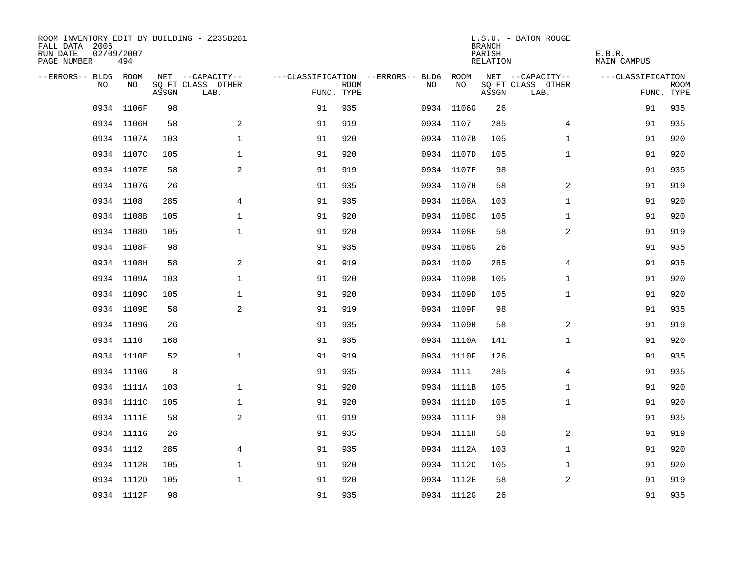| ROOM INVENTORY EDIT BY BUILDING - Z235B261<br>FALL DATA 2006<br>RUN DATE<br>PAGE NUMBER | 02/09/2007<br>494 |       |                           |            |             |                                        |            | <b>BRANCH</b><br>PARISH<br>RELATION | L.S.U. - BATON ROUGE      | E.B.R.<br>MAIN CAMPUS |                           |
|-----------------------------------------------------------------------------------------|-------------------|-------|---------------------------|------------|-------------|----------------------------------------|------------|-------------------------------------|---------------------------|-----------------------|---------------------------|
| --ERRORS-- BLDG ROOM                                                                    |                   |       | NET --CAPACITY--          |            |             | ---CLASSIFICATION --ERRORS-- BLDG ROOM |            |                                     | NET --CAPACITY--          | ---CLASSIFICATION     |                           |
| NO.                                                                                     | NO.               | ASSGN | SQ FT CLASS OTHER<br>LAB. | FUNC. TYPE | <b>ROOM</b> | NO.                                    | NO         | ASSGN                               | SQ FT CLASS OTHER<br>LAB. |                       | <b>ROOM</b><br>FUNC. TYPE |
|                                                                                         | 0934 1106F        | 98    |                           | 91         | 935         |                                        | 0934 1106G |                                     | 26                        | 91                    | 935                       |
|                                                                                         | 0934 1106H        | 58    | 2                         | 91         | 919         |                                        | 0934 1107  | 285                                 | $\overline{4}$            | 91                    | 935                       |
|                                                                                         | 0934 1107A        | 103   | $\mathbf 1$               | 91         | 920         |                                        | 0934 1107B | 105                                 | $\mathbf{1}$              | 91                    | 920                       |
|                                                                                         | 0934 1107C        | 105   | $\mathbf 1$               | 91         | 920         |                                        | 0934 1107D |                                     | 105<br>$\mathbf{1}$       | 91                    | 920                       |
|                                                                                         | 0934 1107E        | 58    | 2                         | 91         | 919         |                                        | 0934 1107F |                                     | 98                        | 91                    | 935                       |
|                                                                                         | 0934 1107G        | 26    |                           | 91         | 935         |                                        | 0934 1107H |                                     | 2<br>58                   | 91                    | 919                       |
|                                                                                         | 0934 1108         | 285   | $\overline{4}$            | 91         | 935         |                                        | 0934 1108A | 103                                 | $\mathbf{1}$              | 91                    | 920                       |
|                                                                                         | 0934 1108B        | 105   | 1                         | 91         | 920         |                                        | 0934 1108C | 105                                 | $\mathbf{1}$              | 91                    | 920                       |
|                                                                                         | 0934 1108D        | 105   | $\mathbf 1$               | 91         | 920         |                                        | 0934 1108E |                                     | 2<br>58                   | 91                    | 919                       |
|                                                                                         | 0934 1108F        | 98    |                           | 91         | 935         |                                        | 0934 1108G |                                     | 26                        | 91                    | 935                       |
|                                                                                         | 0934 1108H        | 58    | 2                         | 91         | 919         |                                        | 0934 1109  |                                     | 285<br>$\overline{4}$     | 91                    | 935                       |
|                                                                                         | 0934 1109A        | 103   | $\mathbf 1$               | 91         | 920         |                                        | 0934 1109B | 105                                 | $\mathbf{1}$              | 91                    | 920                       |
|                                                                                         | 0934 1109C        | 105   | $\mathbf 1$               | 91         | 920         |                                        | 0934 1109D | 105                                 | $\mathbf{1}$              | 91                    | 920                       |
|                                                                                         | 0934 1109E        | 58    | 2                         | 91         | 919         |                                        | 0934 1109F |                                     | 98                        | 91                    | 935                       |
|                                                                                         | 0934 1109G        | 26    |                           | 91         | 935         |                                        | 0934 1109H |                                     | 58<br>2                   | 91                    | 919                       |
|                                                                                         | 0934 1110         | 168   |                           | 91         | 935         |                                        | 0934 1110A | 141                                 | $\mathbf{1}$              | 91                    | 920                       |
|                                                                                         | 0934 1110E        | 52    | $\mathbf 1$               | 91         | 919         |                                        | 0934 1110F | 126                                 |                           | 91                    | 935                       |
|                                                                                         | 0934 1110G        | 8     |                           | 91         | 935         |                                        | 0934 1111  | 285                                 | 4                         | 91                    | 935                       |
|                                                                                         | 0934 1111A        | 103   | $\mathbf 1$               | 91         | 920         |                                        | 0934 1111B | 105                                 | $\mathbf{1}$              | 91                    | 920                       |
|                                                                                         | 0934 1111C        | 105   | $\mathbf{1}$              | 91         | 920         |                                        | 0934 1111D | 105                                 | $\mathbf{1}$              | 91                    | 920                       |
|                                                                                         | 0934 1111E        | 58    | 2                         | 91         | 919         |                                        | 0934 1111F |                                     | 98                        | 91                    | 935                       |
|                                                                                         | 0934 1111G        | 26    |                           | 91         | 935         |                                        | 0934 1111H |                                     | 58<br>2                   | 91                    | 919                       |
|                                                                                         | 0934 1112         | 285   | 4                         | 91         | 935         |                                        | 0934 1112A | 103                                 | $\mathbf{1}$              | 91                    | 920                       |
|                                                                                         | 0934 1112B        | 105   | $\mathbf 1$               | 91         | 920         |                                        | 0934 1112C | 105                                 | $\mathbf{1}$              | 91                    | 920                       |
|                                                                                         | 0934 1112D        | 105   | $\mathbf{1}$              | 91         | 920         |                                        | 0934 1112E |                                     | 2<br>58                   | 91                    | 919                       |
|                                                                                         | 0934 1112F        | 98    |                           | 91         | 935         |                                        | 0934 1112G |                                     | 26                        | 91                    | 935                       |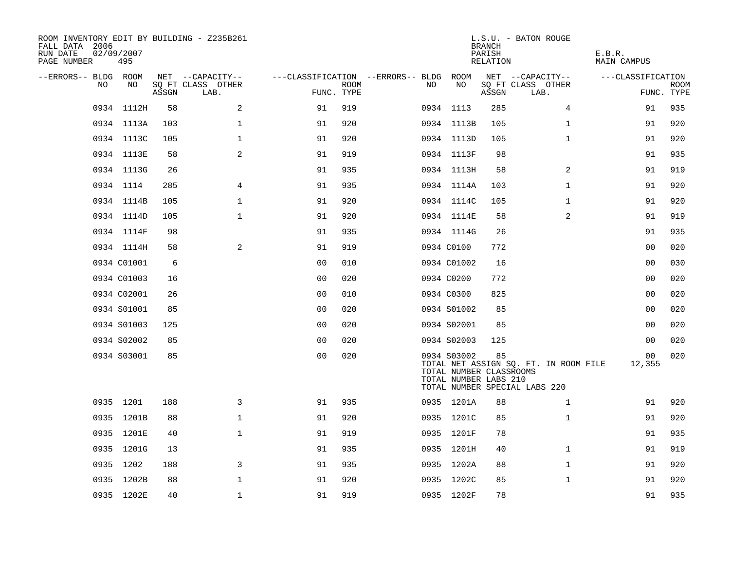| ROOM INVENTORY EDIT BY BUILDING - Z235B261<br>FALL DATA 2006<br>RUN DATE<br>PAGE NUMBER | 02/09/2007<br>495 |       |                           |                |             |                                        |                                                                 | <b>BRANCH</b><br>PARISH<br>RELATION | L.S.U. - BATON ROUGE                                                   | E.B.R.<br>MAIN CAMPUS |                           |
|-----------------------------------------------------------------------------------------|-------------------|-------|---------------------------|----------------|-------------|----------------------------------------|-----------------------------------------------------------------|-------------------------------------|------------------------------------------------------------------------|-----------------------|---------------------------|
| --ERRORS-- BLDG ROOM                                                                    |                   |       | NET --CAPACITY--          |                |             | ---CLASSIFICATION --ERRORS-- BLDG ROOM |                                                                 |                                     | NET --CAPACITY--                                                       | ---CLASSIFICATION     |                           |
| NO                                                                                      | NO                | ASSGN | SQ FT CLASS OTHER<br>LAB. | FUNC. TYPE     | <b>ROOM</b> | NO                                     | NO                                                              | ASSGN                               | SQ FT CLASS OTHER<br>LAB.                                              |                       | <b>ROOM</b><br>FUNC. TYPE |
|                                                                                         | 0934 1112H        | 58    | 2                         | 91             | 919         |                                        | 0934 1113                                                       | 285                                 | 4                                                                      | 91                    | 935                       |
|                                                                                         | 0934 1113A        | 103   | $\mathbf 1$               | 91             | 920         |                                        | 0934 1113B                                                      | 105                                 | $\mathbf{1}$                                                           | 91                    | 920                       |
|                                                                                         | 0934 1113C        | 105   | $\mathbf{1}$              | 91             | 920         |                                        | 0934 1113D                                                      | 105                                 | $\mathbf{1}$                                                           | 91                    | 920                       |
|                                                                                         | 0934 1113E        | 58    | 2                         | 91             | 919         |                                        | 0934 1113F                                                      | 98                                  |                                                                        | 91                    | 935                       |
|                                                                                         | 0934 1113G        | 26    |                           | 91             | 935         |                                        | 0934 1113H                                                      | 58                                  | 2                                                                      | 91                    | 919                       |
|                                                                                         | 0934 1114         | 285   | 4                         | 91             | 935         |                                        | 0934 1114A                                                      | 103                                 | $\mathbf{1}$                                                           | 91                    | 920                       |
|                                                                                         | 0934 1114B        | 105   | $\mathbf 1$               | 91             | 920         |                                        | 0934 1114C                                                      | 105                                 | $\mathbf{1}$                                                           | 91                    | 920                       |
|                                                                                         | 0934 1114D        | 105   | $\mathbf{1}$              | 91             | 920         |                                        | 0934 1114E                                                      | 58                                  | 2                                                                      | 91                    | 919                       |
|                                                                                         | 0934 1114F        | 98    |                           | 91             | 935         |                                        | 0934 1114G                                                      | 26                                  |                                                                        | 91                    | 935                       |
|                                                                                         | 0934 1114H        | 58    | 2                         | 91             | 919         |                                        | 0934 C0100                                                      | 772                                 |                                                                        | 00                    | 020                       |
|                                                                                         | 0934 C01001       | 6     |                           | 0 <sub>0</sub> | 010         |                                        | 0934 C01002                                                     | 16                                  |                                                                        | 0 <sub>0</sub>        | 030                       |
|                                                                                         | 0934 C01003       | 16    |                           | 0 <sub>0</sub> | 020         |                                        | 0934 C0200                                                      | 772                                 |                                                                        | 0 <sub>0</sub>        | 020                       |
|                                                                                         | 0934 C02001       | 26    |                           | 0 <sub>0</sub> | 010         |                                        | 0934 C0300                                                      | 825                                 |                                                                        | 0 <sub>0</sub>        | 020                       |
|                                                                                         | 0934 S01001       | 85    |                           | 0 <sub>0</sub> | 020         |                                        | 0934 S01002                                                     | 85                                  |                                                                        | 00                    | 020                       |
|                                                                                         | 0934 S01003       | 125   |                           | 0 <sub>0</sub> | 020         |                                        | 0934 S02001                                                     | 85                                  |                                                                        | 0 <sub>0</sub>        | 020                       |
|                                                                                         | 0934 S02002       | 85    |                           | 0 <sub>0</sub> | 020         |                                        | 0934 S02003                                                     | 125                                 |                                                                        | 0 <sub>0</sub>        | 020                       |
|                                                                                         | 0934 S03001       | 85    |                           | 0 <sub>0</sub> | 020         |                                        | 0934 S03002<br>TOTAL NUMBER CLASSROOMS<br>TOTAL NUMBER LABS 210 | 85                                  | TOTAL NET ASSIGN SQ. FT. IN ROOM FILE<br>TOTAL NUMBER SPECIAL LABS 220 | 00<br>12,355          | 020                       |
|                                                                                         | 0935 1201         | 188   | 3                         | 91             | 935         |                                        | 0935 1201A                                                      | 88                                  | $\mathbf{1}$                                                           | 91                    | 920                       |
|                                                                                         | 0935 1201B        | 88    | $\mathbf{1}$              | 91             | 920         |                                        | 0935 1201C                                                      | 85                                  | $\mathbf{1}$                                                           | 91                    | 920                       |
|                                                                                         | 0935 1201E        | 40    | $\mathbf{1}$              | 91             | 919         |                                        | 0935 1201F                                                      | 78                                  |                                                                        | 91                    | 935                       |
|                                                                                         | 0935 1201G        | 13    |                           | 91             | 935         |                                        | 0935 1201H                                                      | 40                                  | $\mathbf{1}$                                                           | 91                    | 919                       |
|                                                                                         | 0935 1202         | 188   | 3                         | 91             | 935         |                                        | 0935 1202A                                                      | 88                                  | $\mathbf{1}$                                                           | 91                    | 920                       |
|                                                                                         | 0935 1202B        | 88    | $\mathbf 1$               | 91             | 920         |                                        | 0935 1202C                                                      | 85                                  | $\mathbf{1}$                                                           | 91                    | 920                       |
|                                                                                         | 0935 1202E        | 40    | $\mathbf 1$               | 91             | 919         |                                        | 0935 1202F                                                      | 78                                  |                                                                        | 91                    | 935                       |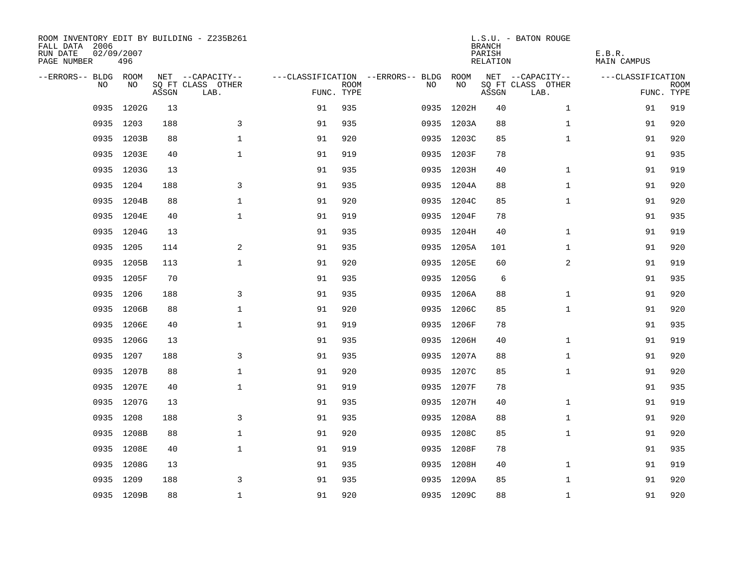| ROOM INVENTORY EDIT BY BUILDING - Z235B261<br>FALL DATA 2006<br>RUN DATE<br>PAGE NUMBER | 02/09/2007<br>496 |       |                           |            |             |                                   |            | <b>BRANCH</b><br>PARISH<br>RELATION | L.S.U. - BATON ROUGE      | E.B.R.<br><b>MAIN CAMPUS</b> |                           |
|-----------------------------------------------------------------------------------------|-------------------|-------|---------------------------|------------|-------------|-----------------------------------|------------|-------------------------------------|---------------------------|------------------------------|---------------------------|
| --ERRORS-- BLDG ROOM                                                                    |                   |       | NET --CAPACITY--          |            |             | ---CLASSIFICATION --ERRORS-- BLDG | ROOM       |                                     | NET --CAPACITY--          | ---CLASSIFICATION            |                           |
| N <sub>O</sub>                                                                          | NO.               | ASSGN | SO FT CLASS OTHER<br>LAB. | FUNC. TYPE | <b>ROOM</b> | NO.                               | NO         | ASSGN                               | SQ FT CLASS OTHER<br>LAB. |                              | <b>ROOM</b><br>FUNC. TYPE |
| 0935                                                                                    | 1202G             | 13    |                           | 91         | 935         | 0935                              | 1202H      | 40                                  | $\mathbf{1}$              | 91                           | 919                       |
|                                                                                         | 0935 1203         | 188   | 3                         | 91         | 935         |                                   | 0935 1203A | 88                                  | $\mathbf{1}$              | 91                           | 920                       |
|                                                                                         | 0935 1203B        | 88    | $\mathbf 1$               | 91         | 920         |                                   | 0935 1203C | 85                                  | $\mathbf{1}$              | 91                           | 920                       |
|                                                                                         | 0935 1203E        | 40    | $\mathbf 1$               | 91         | 919         |                                   | 0935 1203F | 78                                  |                           | 91                           | 935                       |
| 0935                                                                                    | 1203G             | 13    |                           | 91         | 935         |                                   | 0935 1203H | 40                                  | $\mathbf{1}$              | 91                           | 919                       |
|                                                                                         | 0935 1204         | 188   | 3                         | 91         | 935         |                                   | 0935 1204A | 88                                  | $\mathbf{1}$              | 91                           | 920                       |
| 0935                                                                                    | 1204B             | 88    | $\mathbf{1}$              | 91         | 920         |                                   | 0935 1204C | 85                                  | $\mathbf{1}$              | 91                           | 920                       |
|                                                                                         | 0935 1204E        | 40    | $\mathbf{1}$              | 91         | 919         |                                   | 0935 1204F | 78                                  |                           | 91                           | 935                       |
|                                                                                         | 0935 1204G        | 13    |                           | 91         | 935         |                                   | 0935 1204H | 40                                  | $\mathbf{1}$              | 91                           | 919                       |
|                                                                                         | 0935 1205         | 114   | 2                         | 91         | 935         |                                   | 0935 1205A | 101                                 | $\mathbf{1}$              | 91                           | 920                       |
|                                                                                         | 0935 1205B        | 113   | $\mathbf 1$               | 91         | 920         |                                   | 0935 1205E | 60                                  | 2                         | 91                           | 919                       |
|                                                                                         | 0935 1205F        | 70    |                           | 91         | 935         |                                   | 0935 1205G | 6                                   |                           | 91                           | 935                       |
| 0935                                                                                    | 1206              | 188   | 3                         | 91         | 935         |                                   | 0935 1206A | 88                                  | $\mathbf{1}$              | 91                           | 920                       |
|                                                                                         | 0935 1206B        | 88    | $\mathbf 1$               | 91         | 920         |                                   | 0935 1206C | 85                                  | $\mathbf{1}$              | 91                           | 920                       |
|                                                                                         | 0935 1206E        | 40    | $\mathbf 1$               | 91         | 919         |                                   | 0935 1206F | 78                                  |                           | 91                           | 935                       |
|                                                                                         | 0935 1206G        | 13    |                           | 91         | 935         |                                   | 0935 1206H | 40                                  | $\mathbf{1}$              | 91                           | 919                       |
|                                                                                         | 0935 1207         | 188   | $\mathbf{3}$              | 91         | 935         |                                   | 0935 1207A | 88                                  | $\mathbf{1}$              | 91                           | 920                       |
|                                                                                         | 0935 1207B        | 88    | $\mathbf{1}$              | 91         | 920         |                                   | 0935 1207C | 85                                  | $\mathbf{1}$              | 91                           | 920                       |
|                                                                                         | 0935 1207E        | 40    | $\mathbf 1$               | 91         | 919         |                                   | 0935 1207F | 78                                  |                           | 91                           | 935                       |
|                                                                                         | 0935 1207G        | 13    |                           | 91         | 935         |                                   | 0935 1207H | 40                                  | $\mathbf{1}$              | 91                           | 919                       |
|                                                                                         | 0935 1208         | 188   | 3                         | 91         | 935         |                                   | 0935 1208A | 88                                  | $\mathbf{1}$              | 91                           | 920                       |
| 0935                                                                                    | 1208B             | 88    | $\mathbf 1$               | 91         | 920         |                                   | 0935 1208C | 85                                  | $\mathbf{1}$              | 91                           | 920                       |
|                                                                                         | 0935 1208E        | 40    | $\mathbf 1$               | 91         | 919         |                                   | 0935 1208F | 78                                  |                           | 91                           | 935                       |
| 0935                                                                                    | 1208G             | 13    |                           | 91         | 935         |                                   | 0935 1208H | 40                                  | $\mathbf{1}$              | 91                           | 919                       |
|                                                                                         | 0935 1209         | 188   | 3                         | 91         | 935         |                                   | 0935 1209A | 85                                  | $\mathbf{1}$              | 91                           | 920                       |
|                                                                                         | 0935 1209B        | 88    | $\mathbf{1}$              | 91         | 920         |                                   | 0935 1209C | 88                                  | $\mathbf{1}$              | 91                           | 920                       |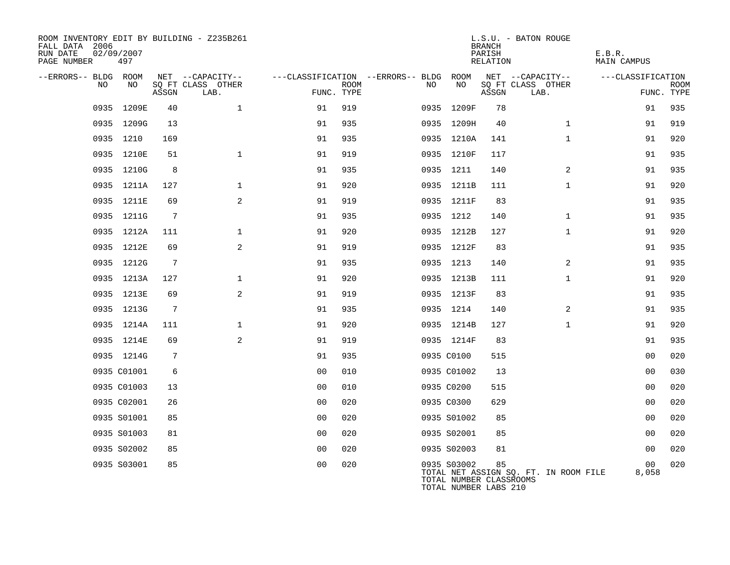| ROOM INVENTORY EDIT BY BUILDING - Z235B261<br>FALL DATA 2006<br>02/09/2007<br>RUN DATE<br>PAGE NUMBER | 497         |       |                                               |                |             |                                               |             | <b>BRANCH</b><br>PARISH<br><b>RELATION</b>             | L.S.U. - BATON ROUGE                          | E.B.R.<br><b>MAIN CAMPUS</b> |                           |
|-------------------------------------------------------------------------------------------------------|-------------|-------|-----------------------------------------------|----------------|-------------|-----------------------------------------------|-------------|--------------------------------------------------------|-----------------------------------------------|------------------------------|---------------------------|
| --ERRORS-- BLDG ROOM<br>NO                                                                            | NO          | ASSGN | NET --CAPACITY--<br>SQ FT CLASS OTHER<br>LAB. | FUNC. TYPE     | <b>ROOM</b> | ---CLASSIFICATION --ERRORS-- BLDG ROOM<br>NO. | NO          | ASSGN                                                  | NET --CAPACITY--<br>SQ FT CLASS OTHER<br>LAB. | ---CLASSIFICATION            | <b>ROOM</b><br>FUNC. TYPE |
|                                                                                                       | 0935 1209E  | 40    | $\mathbf{1}$                                  | 91             | 919         |                                               | 0935 1209F  | 78                                                     |                                               | 91                           | 935                       |
|                                                                                                       | 0935 1209G  | 13    |                                               | 91             | 935         |                                               | 0935 1209H  | 40                                                     | $\mathbf{1}$                                  | 91                           | 919                       |
|                                                                                                       | 0935 1210   | 169   |                                               | 91             | 935         |                                               | 0935 1210A  | 141                                                    | $\mathbf{1}$                                  | 91                           | 920                       |
|                                                                                                       | 0935 1210E  | 51    | $\mathbf{1}$                                  | 91             | 919         |                                               | 0935 1210F  | 117                                                    |                                               | 91                           | 935                       |
|                                                                                                       | 0935 1210G  | 8     |                                               | 91             | 935         |                                               | 0935 1211   | 140                                                    | 2                                             | 91                           | 935                       |
|                                                                                                       | 0935 1211A  | 127   | $\mathbf{1}$                                  | 91             | 920         |                                               | 0935 1211B  | 111                                                    | $\mathbf{1}$                                  | 91                           | 920                       |
|                                                                                                       | 0935 1211E  | 69    | 2                                             | 91             | 919         |                                               | 0935 1211F  | 83                                                     |                                               | 91                           | 935                       |
|                                                                                                       | 0935 1211G  | 7     |                                               | 91             | 935         |                                               | 0935 1212   | 140                                                    | $\mathbf{1}$                                  | 91                           | 935                       |
|                                                                                                       | 0935 1212A  | 111   | $\mathbf 1$                                   | 91             | 920         |                                               | 0935 1212B  | 127                                                    | $\mathbf{1}$                                  | 91                           | 920                       |
|                                                                                                       | 0935 1212E  | 69    | 2                                             | 91             | 919         |                                               | 0935 1212F  | 83                                                     |                                               | 91                           | 935                       |
|                                                                                                       | 0935 1212G  | 7     |                                               | 91             | 935         |                                               | 0935 1213   | 140                                                    | 2                                             | 91                           | 935                       |
|                                                                                                       | 0935 1213A  | 127   | $\mathbf{1}$                                  | 91             | 920         |                                               | 0935 1213B  | 111                                                    | $\mathbf{1}$                                  | 91                           | 920                       |
|                                                                                                       | 0935 1213E  | 69    | 2                                             | 91             | 919         |                                               | 0935 1213F  | 83                                                     |                                               | 91                           | 935                       |
|                                                                                                       | 0935 1213G  | 7     |                                               | 91             | 935         |                                               | 0935 1214   | 140                                                    | 2                                             | 91                           | 935                       |
|                                                                                                       | 0935 1214A  | 111   | $\mathbf 1$                                   | 91             | 920         |                                               | 0935 1214B  | 127                                                    | $\mathbf{1}$                                  | 91                           | 920                       |
|                                                                                                       | 0935 1214E  | 69    | 2                                             | 91             | 919         |                                               | 0935 1214F  | 83                                                     |                                               | 91                           | 935                       |
|                                                                                                       | 0935 1214G  | 7     |                                               | 91             | 935         |                                               | 0935 C0100  | 515                                                    |                                               | 0 <sub>0</sub>               | 020                       |
|                                                                                                       | 0935 C01001 | 6     |                                               | 0 <sub>0</sub> | 010         |                                               | 0935 C01002 | 13                                                     |                                               | 0 <sub>0</sub>               | 030                       |
|                                                                                                       | 0935 C01003 | 13    |                                               | 0 <sub>0</sub> | 010         |                                               | 0935 C0200  | 515                                                    |                                               | 0 <sub>0</sub>               | 020                       |
|                                                                                                       | 0935 C02001 | 26    |                                               | 0 <sub>0</sub> | 020         |                                               | 0935 C0300  | 629                                                    |                                               | 0 <sub>0</sub>               | 020                       |
|                                                                                                       | 0935 S01001 | 85    |                                               | 0 <sub>0</sub> | 020         |                                               | 0935 S01002 | 85                                                     |                                               | 0 <sub>0</sub>               | 020                       |
|                                                                                                       | 0935 S01003 | 81    |                                               | 0 <sub>0</sub> | 020         |                                               | 0935 S02001 | 85                                                     |                                               | 00                           | 020                       |
|                                                                                                       | 0935 S02002 | 85    |                                               | 0 <sub>0</sub> | 020         |                                               | 0935 S02003 | 81                                                     |                                               | 0 <sub>0</sub>               | 020                       |
|                                                                                                       | 0935 S03001 | 85    |                                               | 0 <sub>0</sub> | 020         |                                               | 0935 S03002 | 85<br>TOTAL NUMBER CLASSROOMS<br>TOTAL NUMBER LABS 210 | TOTAL NET ASSIGN SQ. FT. IN ROOM FILE         | 00<br>8,058                  | 020                       |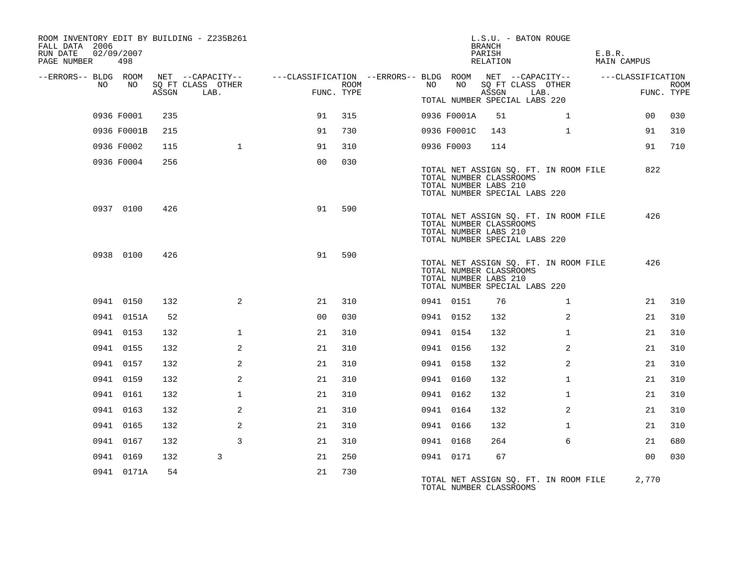| ROOM INVENTORY EDIT BY BUILDING - Z235B261<br>FALL DATA 2006<br>RUN DATE<br>PAGE NUMBER | 02/09/2007<br>498 |       |                                       |                                                         |      |           |             | <b>BRANCH</b><br>PARISH<br>RELATION              | L.S.U. - BATON ROUGE                                                   | E.B.R. | MAIN CAMPUS       |             |
|-----------------------------------------------------------------------------------------|-------------------|-------|---------------------------------------|---------------------------------------------------------|------|-----------|-------------|--------------------------------------------------|------------------------------------------------------------------------|--------|-------------------|-------------|
| --ERRORS-- BLDG ROOM<br>NO                                                              | NO                |       | NET --CAPACITY--<br>SO FT CLASS OTHER | ---CLASSIFICATION --ERRORS-- BLDG ROOM NET --CAPACITY-- | ROOM | NO .      | NO          |                                                  | SO FT CLASS OTHER                                                      |        | ---CLASSIFICATION | <b>ROOM</b> |
|                                                                                         |                   | ASSGN | LAB.                                  | FUNC. TYPE                                              |      |           |             | ASSGN                                            | LAB.<br>TOTAL NUMBER SPECIAL LABS 220                                  |        |                   | FUNC. TYPE  |
|                                                                                         | 0936 F0001        | 235   |                                       | 91                                                      | 315  |           | 0936 F0001A | 51                                               | $\mathbf{1}$                                                           |        | 00                | 030         |
|                                                                                         | 0936 F0001B       | 215   |                                       | 91                                                      | 730  |           | 0936 F0001C | 143                                              | $\mathbf{1}$                                                           |        | 91                | 310         |
|                                                                                         | 0936 F0002        | 115   | $\mathbf{1}$                          | 91                                                      | 310  |           | 0936 F0003  | 114                                              |                                                                        |        | 91                | 710         |
|                                                                                         | 0936 F0004        | 256   |                                       | 0 <sub>0</sub>                                          | 030  |           |             | TOTAL NUMBER CLASSROOMS<br>TOTAL NUMBER LABS 210 | TOTAL NET ASSIGN SQ. FT. IN ROOM FILE<br>TOTAL NUMBER SPECIAL LABS 220 |        | 822               |             |
|                                                                                         | 0937 0100         | 426   |                                       | 91                                                      | 590  |           |             | TOTAL NUMBER CLASSROOMS<br>TOTAL NUMBER LABS 210 | TOTAL NET ASSIGN SQ. FT. IN ROOM FILE<br>TOTAL NUMBER SPECIAL LABS 220 |        | 426               |             |
|                                                                                         | 0938 0100         | 426   |                                       | 91                                                      | 590  |           |             | TOTAL NUMBER CLASSROOMS<br>TOTAL NUMBER LABS 210 | TOTAL NET ASSIGN SQ. FT. IN ROOM FILE<br>TOTAL NUMBER SPECIAL LABS 220 |        | 426               |             |
|                                                                                         | 0941 0150         | 132   | 2                                     | 21                                                      | 310  |           | 0941 0151   | 76                                               | $\mathbf{1}$                                                           |        | 21                | 310         |
|                                                                                         | 0941 0151A        | 52    |                                       | 0 <sub>0</sub>                                          | 030  | 0941 0152 |             | 132                                              | 2                                                                      |        | 21                | 310         |
|                                                                                         | 0941 0153         | 132   | $\mathbf{1}$                          | 21                                                      | 310  | 0941 0154 |             | 132                                              | $\mathbf{1}$                                                           |        | 21                | 310         |
|                                                                                         | 0941 0155         | 132   | 2                                     | 21                                                      | 310  | 0941 0156 |             | 132                                              | 2                                                                      |        | 21                | 310         |
|                                                                                         | 0941 0157         | 132   | 2                                     | 21                                                      | 310  | 0941 0158 |             | 132                                              | $\overline{2}$                                                         |        | 21                | 310         |
|                                                                                         | 0941 0159         | 132   | 2                                     | 21                                                      | 310  | 0941 0160 |             | 132                                              | $\mathbf{1}$                                                           |        | 21                | 310         |
|                                                                                         | 0941 0161         | 132   | $\mathbf{1}$                          | 21                                                      | 310  | 0941 0162 |             | 132                                              | $\mathbf{1}$                                                           |        | 21                | 310         |
|                                                                                         | 0941 0163         | 132   | 2                                     | 21                                                      | 310  | 0941 0164 |             | 132                                              | $\overline{2}$                                                         |        | 21                | 310         |
|                                                                                         | 0941 0165         | 132   | 2                                     | 21                                                      | 310  | 0941 0166 |             | 132                                              | $\mathbf{1}$                                                           |        | 21                | 310         |
|                                                                                         | 0941 0167         | 132   | 3                                     | 21                                                      | 310  | 0941 0168 |             | 264                                              | 6                                                                      |        | 21                | 680         |
|                                                                                         | 0941 0169         | 132   | 3                                     | 21                                                      | 250  | 0941 0171 |             | 67                                               |                                                                        |        | 0 <sub>0</sub>    | 030         |
|                                                                                         | 0941 0171A        | 54    |                                       | 21                                                      | 730  |           |             | TOTAL NUMBER CLASSROOMS                          | TOTAL NET ASSIGN SQ. FT. IN ROOM FILE                                  |        | 2,770             |             |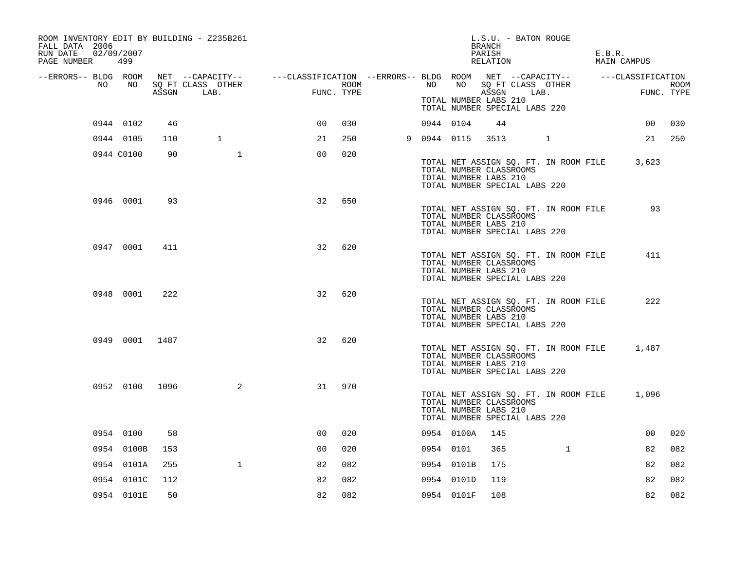| ROOM INVENTORY EDIT BY BUILDING - Z235B261<br>FALL DATA 2006<br>02/09/2007<br>RUN DATE<br>PAGE NUMBER | 499            |     |                                                                                                                                           |                 |      |             |            | L.S.U. - BATON ROUGE<br>BRANCH<br>PARISH<br>RELATION                                                                       |              | E.B.R. | MAIN CAMPUS |      |
|-------------------------------------------------------------------------------------------------------|----------------|-----|-------------------------------------------------------------------------------------------------------------------------------------------|-----------------|------|-------------|------------|----------------------------------------------------------------------------------------------------------------------------|--------------|--------|-------------|------|
| NO                                                                                                    | NO             |     | --ERRORS-- BLDG ROOM NET --CAPACITY-- -----CLASSIFICATION --ERRORS-- BLDG ROOM NET --CAPACITY-- ------CLASSIFICATION<br>SQ FT CLASS OTHER |                 | ROOM | NO          | NO         | SQ FT CLASS OTHER                                                                                                          |              |        |             | ROOM |
|                                                                                                       |                |     | ASSGN LAB.                                                                                                                                | FUNC. TYPE      |      |             |            | ASSGN<br>TOTAL NUMBER LABS 210<br>TOTAL NUMBER SPECIAL LABS 220                                                            | LAB.         |        | FUNC. TYPE  |      |
|                                                                                                       | 0944 0102      | 46  |                                                                                                                                           | 00 <sub>o</sub> | 030  | 0944 0104   |            | 44                                                                                                                         |              |        | 00          | 030  |
|                                                                                                       | 0944 0105      | 110 | $\mathbf{1}$                                                                                                                              | 21              | 250  | 9 0944 0115 |            | 3513 1                                                                                                                     |              |        | 21          | 250  |
|                                                                                                       | 0944 C0100     | 90  | $\mathbf{1}$                                                                                                                              | 0 <sub>0</sub>  | 020  |             |            | TOTAL NET ASSIGN SQ. FT. IN ROOM FILE<br>TOTAL NUMBER CLASSROOMS<br>TOTAL NUMBER LABS 210<br>TOTAL NUMBER SPECIAL LABS 220 |              |        | 3,623       |      |
|                                                                                                       | 0946 0001      | 93  |                                                                                                                                           | 32              | 650  |             |            | TOTAL NET ASSIGN SQ. FT. IN ROOM FILE<br>TOTAL NUMBER CLASSROOMS<br>TOTAL NUMBER LABS 210<br>TOTAL NUMBER SPECIAL LABS 220 |              |        | 93          |      |
|                                                                                                       | 0947 0001      | 411 |                                                                                                                                           | 32              | 620  |             |            | TOTAL NET ASSIGN SQ. FT. IN ROOM FILE<br>TOTAL NUMBER CLASSROOMS<br>TOTAL NUMBER LABS 210<br>TOTAL NUMBER SPECIAL LABS 220 |              |        | 411         |      |
|                                                                                                       | 0948 0001      | 222 |                                                                                                                                           | 32              | 620  |             |            | TOTAL NET ASSIGN SQ. FT. IN ROOM FILE<br>TOTAL NUMBER CLASSROOMS<br>TOTAL NUMBER LABS 210<br>TOTAL NUMBER SPECIAL LABS 220 |              |        | 222         |      |
|                                                                                                       | 0949 0001 1487 |     |                                                                                                                                           | 32              | 620  |             |            | TOTAL NET ASSIGN SQ. FT. IN ROOM FILE<br>TOTAL NUMBER CLASSROOMS<br>TOTAL NUMBER LABS 210<br>TOTAL NUMBER SPECIAL LABS 220 |              |        | 1,487       |      |
|                                                                                                       | 0952 0100 1096 |     | 2                                                                                                                                         | 31              | 970  |             |            | TOTAL NET ASSIGN SQ. FT. IN ROOM FILE<br>TOTAL NUMBER CLASSROOMS<br>TOTAL NUMBER LABS 210<br>TOTAL NUMBER SPECIAL LABS 220 |              |        | 1,096       |      |
|                                                                                                       | 0954 0100      | 58  |                                                                                                                                           | 0 <sup>0</sup>  | 020  |             | 0954 0100A | 145                                                                                                                        |              |        | 00          | 020  |
|                                                                                                       | 0954 0100B     | 153 |                                                                                                                                           | 0 <sub>0</sub>  | 020  | 0954 0101   |            | 365                                                                                                                        | $\mathbf{1}$ |        | 82          | 082  |
|                                                                                                       | 0954 0101A     | 255 | $\mathbf{1}$                                                                                                                              | 82              | 082  |             | 0954 0101B | 175                                                                                                                        |              |        | 82          | 082  |
|                                                                                                       | 0954 0101C     | 112 |                                                                                                                                           | 82              | 082  |             | 0954 0101D | 119                                                                                                                        |              |        | 82          | 082  |
|                                                                                                       | 0954 0101E     | 50  |                                                                                                                                           | 82              | 082  |             | 0954 0101F | 108                                                                                                                        |              |        | 82          | 082  |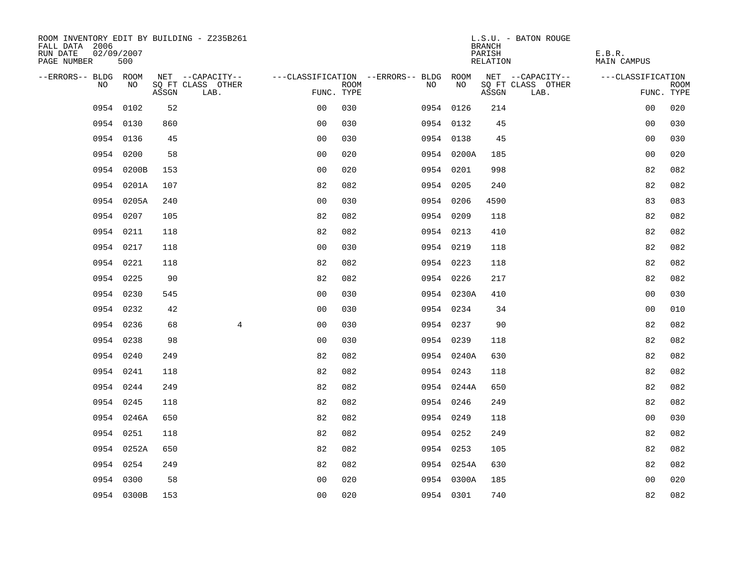| ROOM INVENTORY EDIT BY BUILDING - Z235B261<br>FALL DATA 2006<br>RUN DATE<br>02/09/2007<br>PAGE NUMBER | 500        |       |                           |                                        |      |    |            |    | <b>BRANCH</b><br>PARISH<br>RELATION | L.S.U. - BATON ROUGE      | E.B.R.<br>MAIN CAMPUS |                           |
|-------------------------------------------------------------------------------------------------------|------------|-------|---------------------------|----------------------------------------|------|----|------------|----|-------------------------------------|---------------------------|-----------------------|---------------------------|
| --ERRORS-- BLDG ROOM                                                                                  |            |       | NET --CAPACITY--          | ---CLASSIFICATION --ERRORS-- BLDG ROOM |      |    |            |    |                                     | NET --CAPACITY--          | ---CLASSIFICATION     |                           |
| NO.                                                                                                   | NO.        | ASSGN | SQ FT CLASS OTHER<br>LAB. | FUNC. TYPE                             | ROOM | NO |            | NO | ASSGN                               | SQ FT CLASS OTHER<br>LAB. |                       | <b>ROOM</b><br>FUNC. TYPE |
| 0954                                                                                                  | 0102       | 52    |                           | 0 <sub>0</sub>                         | 030  |    | 0954 0126  |    | 214                                 |                           | 0 <sub>0</sub>        | 020                       |
|                                                                                                       | 0954 0130  | 860   |                           | 0 <sub>0</sub>                         | 030  |    | 0954 0132  |    | 45                                  |                           | 00                    | 030                       |
|                                                                                                       | 0954 0136  | 45    |                           | 0 <sub>0</sub>                         | 030  |    | 0954 0138  |    | 45                                  |                           | 0 <sub>0</sub>        | 030                       |
|                                                                                                       | 0954 0200  | 58    |                           | 0 <sub>0</sub>                         | 020  |    | 0954 0200A |    | 185                                 |                           | 00                    | 020                       |
|                                                                                                       | 0954 0200B | 153   |                           | 0 <sub>0</sub>                         | 020  |    | 0954 0201  |    | 998                                 |                           | 82                    | 082                       |
|                                                                                                       | 0954 0201A | 107   |                           | 82                                     | 082  |    | 0954 0205  |    | 240                                 |                           | 82                    | 082                       |
|                                                                                                       | 0954 0205A | 240   |                           | 0 <sub>0</sub>                         | 030  |    | 0954 0206  |    | 4590                                |                           | 83                    | 083                       |
|                                                                                                       | 0954 0207  | 105   |                           | 82                                     | 082  |    | 0954 0209  |    | 118                                 |                           | 82                    | 082                       |
|                                                                                                       | 0954 0211  | 118   |                           | 82                                     | 082  |    | 0954 0213  |    | 410                                 |                           | 82                    | 082                       |
|                                                                                                       | 0954 0217  | 118   |                           | 0 <sub>0</sub>                         | 030  |    | 0954 0219  |    | 118                                 |                           | 82                    | 082                       |
|                                                                                                       | 0954 0221  | 118   |                           | 82                                     | 082  |    | 0954 0223  |    | 118                                 |                           | 82                    | 082                       |
|                                                                                                       | 0954 0225  | 90    |                           | 82                                     | 082  |    | 0954 0226  |    | 217                                 |                           | 82                    | 082                       |
|                                                                                                       | 0954 0230  | 545   |                           | 0 <sub>0</sub>                         | 030  |    | 0954 0230A |    | 410                                 |                           | 0 <sub>0</sub>        | 030                       |
|                                                                                                       | 0954 0232  | 42    |                           | 00                                     | 030  |    | 0954 0234  |    | 34                                  |                           | 00                    | 010                       |
|                                                                                                       | 0954 0236  | 68    | $\overline{4}$            | 0 <sub>0</sub>                         | 030  |    | 0954 0237  |    | 90                                  |                           | 82                    | 082                       |
|                                                                                                       | 0954 0238  | 98    |                           | 0 <sub>0</sub>                         | 030  |    | 0954 0239  |    | 118                                 |                           | 82                    | 082                       |
|                                                                                                       | 0954 0240  | 249   |                           | 82                                     | 082  |    | 0954 0240A |    | 630                                 |                           | 82                    | 082                       |
|                                                                                                       | 0954 0241  | 118   |                           | 82                                     | 082  |    | 0954 0243  |    | 118                                 |                           | 82                    | 082                       |
|                                                                                                       | 0954 0244  | 249   |                           | 82                                     | 082  |    | 0954 0244A |    | 650                                 |                           | 82                    | 082                       |
|                                                                                                       | 0954 0245  | 118   |                           | 82                                     | 082  |    | 0954 0246  |    | 249                                 |                           | 82                    | 082                       |
|                                                                                                       | 0954 0246A | 650   |                           | 82                                     | 082  |    | 0954 0249  |    | 118                                 |                           | 0 <sub>0</sub>        | 030                       |
|                                                                                                       | 0954 0251  | 118   |                           | 82                                     | 082  |    | 0954 0252  |    | 249                                 |                           | 82                    | 082                       |
|                                                                                                       | 0954 0252A | 650   |                           | 82                                     | 082  |    | 0954 0253  |    | 105                                 |                           | 82                    | 082                       |
|                                                                                                       | 0954 0254  | 249   |                           | 82                                     | 082  |    | 0954 0254A |    | 630                                 |                           | 82                    | 082                       |
|                                                                                                       | 0954 0300  | 58    |                           | 0 <sub>0</sub>                         | 020  |    | 0954 0300A |    | 185                                 |                           | 0 <sub>0</sub>        | 020                       |
|                                                                                                       | 0954 0300B | 153   |                           | 0 <sub>0</sub>                         | 020  |    | 0954 0301  |    | 740                                 |                           | 82                    | 082                       |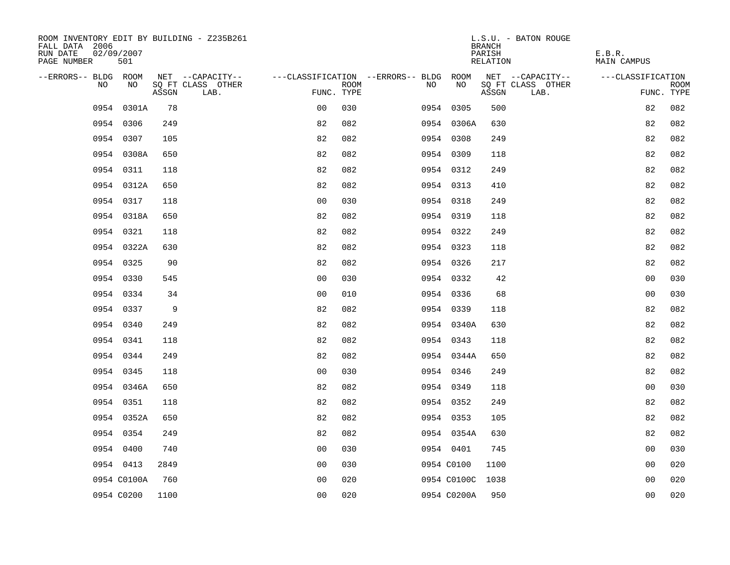| ROOM INVENTORY EDIT BY BUILDING - Z235B261<br>FALL DATA 2006<br>RUN DATE<br>02/09/2007<br>PAGE NUMBER | 501         |       |                           |                |      |                                        |             | <b>BRANCH</b><br>PARISH<br>RELATION | L.S.U. - BATON ROUGE      | E.B.R.<br>MAIN CAMPUS |                           |
|-------------------------------------------------------------------------------------------------------|-------------|-------|---------------------------|----------------|------|----------------------------------------|-------------|-------------------------------------|---------------------------|-----------------------|---------------------------|
| --ERRORS-- BLDG ROOM                                                                                  |             |       | NET --CAPACITY--          |                |      | ---CLASSIFICATION --ERRORS-- BLDG ROOM |             |                                     | NET --CAPACITY--          | ---CLASSIFICATION     |                           |
| NO                                                                                                    | NO          | ASSGN | SQ FT CLASS OTHER<br>LAB. | FUNC. TYPE     | ROOM | NO                                     | NO          | ASSGN                               | SQ FT CLASS OTHER<br>LAB. |                       | <b>ROOM</b><br>FUNC. TYPE |
| 0954                                                                                                  | 0301A       | 78    |                           | 0 <sub>0</sub> | 030  |                                        | 0954 0305   | 500                                 |                           | 82                    | 082                       |
|                                                                                                       | 0954 0306   | 249   |                           | 82             | 082  |                                        | 0954 0306A  | 630                                 |                           | 82                    | 082                       |
|                                                                                                       | 0954 0307   | 105   |                           | 82             | 082  |                                        | 0954 0308   | 249                                 |                           | 82                    | 082                       |
|                                                                                                       | 0954 0308A  | 650   |                           | 82             | 082  |                                        | 0954 0309   | 118                                 |                           | 82                    | 082                       |
|                                                                                                       | 0954 0311   | 118   |                           | 82             | 082  |                                        | 0954 0312   | 249                                 |                           | 82                    | 082                       |
|                                                                                                       | 0954 0312A  | 650   |                           | 82             | 082  |                                        | 0954 0313   | 410                                 |                           | 82                    | 082                       |
|                                                                                                       | 0954 0317   | 118   |                           | 0 <sub>0</sub> | 030  |                                        | 0954 0318   | 249                                 |                           | 82                    | 082                       |
|                                                                                                       | 0954 0318A  | 650   |                           | 82             | 082  |                                        | 0954 0319   | 118                                 |                           | 82                    | 082                       |
|                                                                                                       | 0954 0321   | 118   |                           | 82             | 082  |                                        | 0954 0322   | 249                                 |                           | 82                    | 082                       |
|                                                                                                       | 0954 0322A  | 630   |                           | 82             | 082  |                                        | 0954 0323   | 118                                 |                           | 82                    | 082                       |
|                                                                                                       | 0954 0325   | 90    |                           | 82             | 082  |                                        | 0954 0326   | 217                                 |                           | 82                    | 082                       |
|                                                                                                       | 0954 0330   | 545   |                           | 0 <sub>0</sub> | 030  |                                        | 0954 0332   | 42                                  |                           | 0 <sub>0</sub>        | 030                       |
|                                                                                                       | 0954 0334   | 34    |                           | 0 <sub>0</sub> | 010  |                                        | 0954 0336   | 68                                  |                           | 0 <sub>0</sub>        | 030                       |
|                                                                                                       | 0954 0337   | 9     |                           | 82             | 082  |                                        | 0954 0339   | 118                                 |                           | 82                    | 082                       |
|                                                                                                       | 0954 0340   | 249   |                           | 82             | 082  |                                        | 0954 0340A  | 630                                 |                           | 82                    | 082                       |
|                                                                                                       | 0954 0341   | 118   |                           | 82             | 082  |                                        | 0954 0343   | 118                                 |                           | 82                    | 082                       |
|                                                                                                       | 0954 0344   | 249   |                           | 82             | 082  |                                        | 0954 0344A  | 650                                 |                           | 82                    | 082                       |
|                                                                                                       | 0954 0345   | 118   |                           | 0 <sub>0</sub> | 030  |                                        | 0954 0346   | 249                                 |                           | 82                    | 082                       |
|                                                                                                       | 0954 0346A  | 650   |                           | 82             | 082  |                                        | 0954 0349   | 118                                 |                           | 0 <sub>0</sub>        | 030                       |
|                                                                                                       | 0954 0351   | 118   |                           | 82             | 082  |                                        | 0954 0352   | 249                                 |                           | 82                    | 082                       |
|                                                                                                       | 0954 0352A  | 650   |                           | 82             | 082  |                                        | 0954 0353   | 105                                 |                           | 82                    | 082                       |
|                                                                                                       | 0954 0354   | 249   |                           | 82             | 082  |                                        | 0954 0354A  | 630                                 |                           | 82                    | 082                       |
|                                                                                                       | 0954 0400   | 740   |                           | 0 <sub>0</sub> | 030  |                                        | 0954 0401   | 745                                 |                           | 0 <sub>0</sub>        | 030                       |
|                                                                                                       | 0954 0413   | 2849  |                           | 0 <sub>0</sub> | 030  |                                        | 0954 C0100  | 1100                                |                           | 00                    | 020                       |
|                                                                                                       | 0954 C0100A | 760   |                           | 0 <sub>0</sub> | 020  |                                        | 0954 C0100C | 1038                                |                           | 0 <sub>0</sub>        | 020                       |
|                                                                                                       | 0954 C0200  | 1100  |                           | 0 <sub>0</sub> | 020  |                                        | 0954 C0200A | 950                                 |                           | 0 <sub>0</sub>        | 020                       |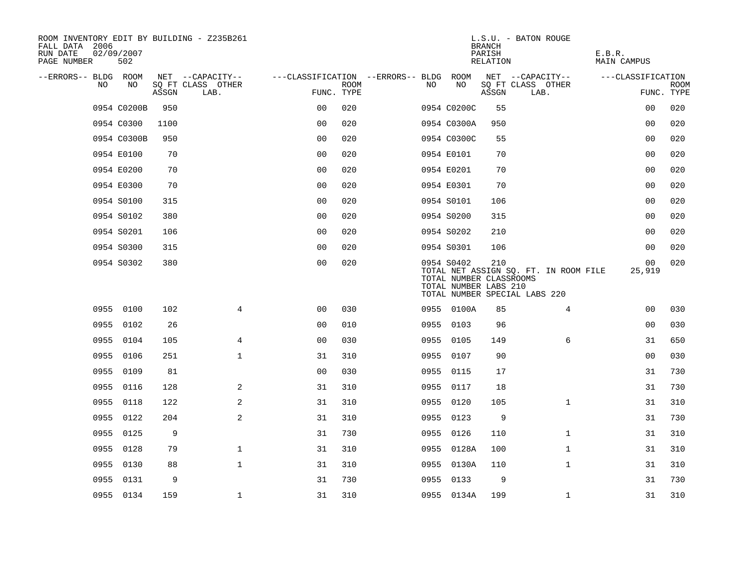| ROOM INVENTORY EDIT BY BUILDING - Z235B261<br>FALL DATA 2006<br>RUN DATE<br>PAGE NUMBER | 02/09/2007<br>502 |       |                           |                                        |             |     |                                                                | <b>BRANCH</b><br>PARISH<br>RELATION | L.S.U. - BATON ROUGE                                                   | E.B.R.<br>MAIN CAMPUS |                           |
|-----------------------------------------------------------------------------------------|-------------------|-------|---------------------------|----------------------------------------|-------------|-----|----------------------------------------------------------------|-------------------------------------|------------------------------------------------------------------------|-----------------------|---------------------------|
| --ERRORS-- BLDG ROOM                                                                    |                   |       | NET --CAPACITY--          | ---CLASSIFICATION --ERRORS-- BLDG ROOM |             |     |                                                                |                                     | NET --CAPACITY--                                                       | ---CLASSIFICATION     |                           |
| NO                                                                                      | NO                | ASSGN | SQ FT CLASS OTHER<br>LAB. | FUNC. TYPE                             | <b>ROOM</b> | NO. | NO                                                             | ASSGN                               | SQ FT CLASS OTHER<br>LAB.                                              |                       | <b>ROOM</b><br>FUNC. TYPE |
|                                                                                         | 0954 C0200B       | 950   |                           | 0 <sub>0</sub>                         | 020         |     | 0954 C0200C                                                    | 55                                  |                                                                        | 0 <sub>0</sub>        | 020                       |
|                                                                                         | 0954 C0300        | 1100  |                           | 0 <sub>0</sub>                         | 020         |     | 0954 C0300A                                                    | 950                                 |                                                                        | 00                    | 020                       |
|                                                                                         | 0954 C0300B       | 950   |                           | 0 <sub>0</sub>                         | 020         |     | 0954 C0300C                                                    | 55                                  |                                                                        | 00                    | 020                       |
|                                                                                         | 0954 E0100        | 70    |                           | 0 <sub>0</sub>                         | 020         |     | 0954 E0101                                                     | 70                                  |                                                                        | 0 <sub>0</sub>        | 020                       |
|                                                                                         | 0954 E0200        | 70    |                           | 0 <sub>0</sub>                         | 020         |     | 0954 E0201                                                     | 70                                  |                                                                        | 00                    | 020                       |
|                                                                                         | 0954 E0300        | 70    |                           | 0 <sub>0</sub>                         | 020         |     | 0954 E0301                                                     | 70                                  |                                                                        | 00                    | 020                       |
|                                                                                         | 0954 S0100        | 315   |                           | 0 <sub>0</sub>                         | 020         |     | 0954 S0101                                                     | 106                                 |                                                                        | 0 <sub>0</sub>        | 020                       |
|                                                                                         | 0954 S0102        | 380   |                           | 0 <sub>0</sub>                         | 020         |     | 0954 S0200                                                     | 315                                 |                                                                        | 0 <sub>0</sub>        | 020                       |
|                                                                                         | 0954 S0201        | 106   |                           | 0 <sub>0</sub>                         | 020         |     | 0954 S0202                                                     | 210                                 |                                                                        | 00                    | 020                       |
|                                                                                         | 0954 S0300        | 315   |                           | 0 <sub>0</sub>                         | 020         |     | 0954 S0301                                                     | 106                                 |                                                                        | 0 <sub>0</sub>        | 020                       |
|                                                                                         | 0954 S0302        | 380   |                           | 0 <sub>0</sub>                         | 020         |     | 0954 S0402<br>TOTAL NUMBER CLASSROOMS<br>TOTAL NUMBER LABS 210 | 210                                 | TOTAL NET ASSIGN SQ. FT. IN ROOM FILE<br>TOTAL NUMBER SPECIAL LABS 220 | 00<br>25,919          | 020                       |
|                                                                                         | 0955 0100         | 102   | 4                         | 00                                     | 030         |     | 0955 0100A                                                     | 85                                  | $\overline{4}$                                                         | 00                    | 030                       |
|                                                                                         | 0955 0102         | 26    |                           | 0 <sub>0</sub>                         | 010         |     | 0955 0103                                                      | 96                                  |                                                                        | 0 <sub>0</sub>        | 030                       |
|                                                                                         | 0955 0104         | 105   | 4                         | 00                                     | 030         |     | 0955 0105                                                      | 149                                 | 6                                                                      | 31                    | 650                       |
|                                                                                         | 0955 0106         | 251   | $\mathbf{1}$              | 31                                     | 310         |     | 0955 0107                                                      | 90                                  |                                                                        | 00                    | 030                       |
| 0955                                                                                    | 0109              | 81    |                           | 0 <sub>0</sub>                         | 030         |     | 0955 0115                                                      | 17                                  |                                                                        | 31                    | 730                       |
|                                                                                         | 0955 0116         | 128   | 2                         | 31                                     | 310         |     | 0955 0117                                                      | 18                                  |                                                                        | 31                    | 730                       |
| 0955                                                                                    | 0118              | 122   | 2                         | 31                                     | 310         |     | 0955 0120                                                      | 105                                 | $\mathbf{1}$                                                           | 31                    | 310                       |
|                                                                                         | 0955 0122         | 204   | 2                         | 31                                     | 310         |     | 0955 0123                                                      | 9                                   |                                                                        | 31                    | 730                       |
| 0955                                                                                    | 0125              | 9     |                           | 31                                     | 730         |     | 0955 0126                                                      | 110                                 | $\mathbf{1}$                                                           | 31                    | 310                       |
| 0955                                                                                    | 0128              | 79    | $\mathbf 1$               | 31                                     | 310         |     | 0955 0128A                                                     | 100                                 | $\mathbf{1}$                                                           | 31                    | 310                       |
| 0955                                                                                    | 0130              | 88    | $\mathbf{1}$              | 31                                     | 310         |     | 0955 0130A                                                     | 110                                 | $\mathbf{1}$                                                           | 31                    | 310                       |
|                                                                                         | 0955 0131         | 9     |                           | 31                                     | 730         |     | 0955 0133                                                      | 9                                   |                                                                        | 31                    | 730                       |
|                                                                                         | 0955 0134         | 159   | $\mathbf 1$               | 31                                     | 310         |     | 0955 0134A                                                     | 199                                 | $\mathbf{1}$                                                           | 31                    | 310                       |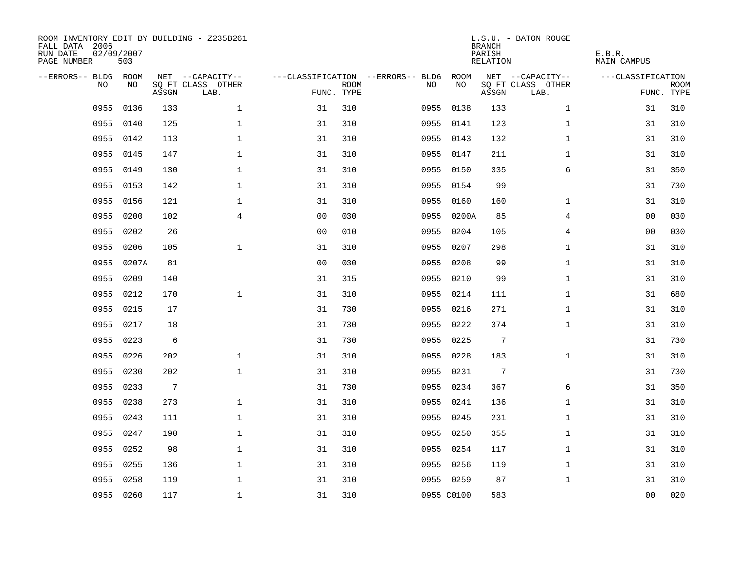| ROOM INVENTORY EDIT BY BUILDING - Z235B261<br>FALL DATA 2006<br>RUN DATE<br>PAGE NUMBER | 02/09/2007<br>503 |                 |                           |                |             |                                        |            | <b>BRANCH</b><br>PARISH<br>RELATION | L.S.U. - BATON ROUGE      | E.B.R.<br>MAIN CAMPUS |                           |
|-----------------------------------------------------------------------------------------|-------------------|-----------------|---------------------------|----------------|-------------|----------------------------------------|------------|-------------------------------------|---------------------------|-----------------------|---------------------------|
| --ERRORS-- BLDG ROOM                                                                    |                   |                 | NET --CAPACITY--          |                |             | ---CLASSIFICATION --ERRORS-- BLDG ROOM |            |                                     | NET --CAPACITY--          | ---CLASSIFICATION     |                           |
| NO.                                                                                     | NO.               | ASSGN           | SQ FT CLASS OTHER<br>LAB. | FUNC. TYPE     | <b>ROOM</b> | NO.                                    | NO         | ASSGN                               | SQ FT CLASS OTHER<br>LAB. |                       | <b>ROOM</b><br>FUNC. TYPE |
| 0955                                                                                    | 0136              | 133             | $\mathbf{1}$              | 31             | 310         |                                        | 0955 0138  | 133                                 | $\mathbf{1}$              | 31                    | 310                       |
| 0955                                                                                    | 0140              | 125             | $\mathbf{1}$              | 31             | 310         |                                        | 0955 0141  | 123                                 | $\mathbf{1}$              | 31                    | 310                       |
| 0955                                                                                    | 0142              | 113             | $\mathbf 1$               | 31             | 310         |                                        | 0955 0143  | 132                                 | $\mathbf{1}$              | 31                    | 310                       |
| 0955                                                                                    | 0145              | 147             | $\mathbf 1$               | 31             | 310         |                                        | 0955 0147  | 211                                 | $\mathbf{1}$              | 31                    | 310                       |
| 0955                                                                                    | 0149              | 130             | $\mathbf 1$               | 31             | 310         |                                        | 0955 0150  | 335                                 | 6                         | 31                    | 350                       |
| 0955                                                                                    | 0153              | 142             | $\mathbf 1$               | 31             | 310         |                                        | 0955 0154  | 99                                  |                           | 31                    | 730                       |
| 0955                                                                                    | 0156              | 121             | $\mathbf{1}$              | 31             | 310         | 0955                                   | 0160       | 160                                 | $\mathbf{1}$              | 31                    | 310                       |
| 0955                                                                                    | 0200              | 102             | $\overline{4}$            | 0 <sub>0</sub> | 030         |                                        | 0955 0200A | 85                                  | 4                         | 00                    | 030                       |
| 0955                                                                                    | 0202              | 26              |                           | 00             | 010         | 0955                                   | 0204       | 105                                 | 4                         | 0 <sub>0</sub>        | 030                       |
| 0955                                                                                    | 0206              | 105             | $\mathbf{1}$              | 31             | 310         |                                        | 0955 0207  | 298                                 | $\mathbf{1}$              | 31                    | 310                       |
| 0955                                                                                    | 0207A             | 81              |                           | 0 <sub>0</sub> | 030         | 0955                                   | 0208       | 99                                  | $\mathbf{1}$              | 31                    | 310                       |
| 0955                                                                                    | 0209              | 140             |                           | 31             | 315         |                                        | 0955 0210  | 99                                  | $\mathbf{1}$              | 31                    | 310                       |
| 0955                                                                                    | 0212              | 170             | $\mathbf{1}$              | 31             | 310         | 0955                                   | 0214       | 111                                 | $\mathbf{1}$              | 31                    | 680                       |
| 0955                                                                                    | 0215              | 17              |                           | 31             | 730         |                                        | 0955 0216  | 271                                 | $\mathbf{1}$              | 31                    | 310                       |
| 0955                                                                                    | 0217              | 18              |                           | 31             | 730         | 0955                                   | 0222       | 374                                 | $\mathbf{1}$              | 31                    | 310                       |
| 0955                                                                                    | 0223              | 6               |                           | 31             | 730         |                                        | 0955 0225  | $7\phantom{.0}$                     |                           | 31                    | 730                       |
| 0955                                                                                    | 0226              | 202             | $\mathbf 1$               | 31             | 310         | 0955                                   | 0228       | 183                                 | $\mathbf{1}$              | 31                    | 310                       |
| 0955                                                                                    | 0230              | 202             | $\mathbf{1}$              | 31             | 310         |                                        | 0955 0231  | $7\phantom{.0}$                     |                           | 31                    | 730                       |
| 0955                                                                                    | 0233              | $7\overline{ }$ |                           | 31             | 730         |                                        | 0955 0234  | 367                                 | 6                         | 31                    | 350                       |
| 0955                                                                                    | 0238              | 273             | $\mathbf{1}$              | 31             | 310         |                                        | 0955 0241  | 136                                 | $\mathbf{1}$              | 31                    | 310                       |
| 0955                                                                                    | 0243              | 111             | $\mathbf{1}$              | 31             | 310         |                                        | 0955 0245  | 231                                 | $\mathbf{1}$              | 31                    | 310                       |
| 0955                                                                                    | 0247              | 190             | $\mathbf 1$               | 31             | 310         |                                        | 0955 0250  | 355                                 | $\mathbf{1}$              | 31                    | 310                       |
| 0955                                                                                    | 0252              | 98              | $\mathbf 1$               | 31             | 310         |                                        | 0955 0254  | 117                                 | $\mathbf{1}$              | 31                    | 310                       |
| 0955                                                                                    | 0255              | 136             | $\mathbf 1$               | 31             | 310         |                                        | 0955 0256  | 119                                 | $\mathbf{1}$              | 31                    | 310                       |
| 0955                                                                                    | 0258              | 119             | $\mathbf 1$               | 31             | 310         |                                        | 0955 0259  | 87                                  | $\mathbf{1}$              | 31                    | 310                       |
|                                                                                         | 0955 0260         | 117             | $\mathbf{1}$              | 31             | 310         |                                        | 0955 C0100 | 583                                 |                           | 0 <sub>0</sub>        | 020                       |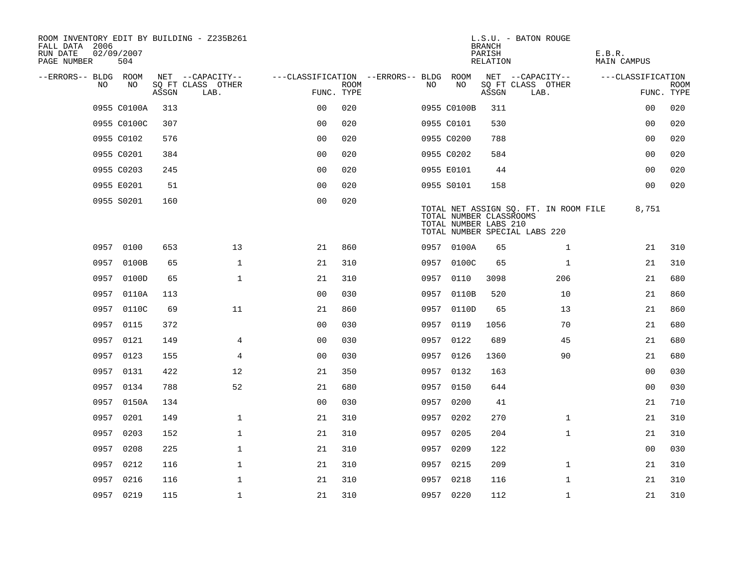| ROOM INVENTORY EDIT BY BUILDING - Z235B261<br>FALL DATA 2006<br>RUN DATE<br>PAGE NUMBER | 02/09/2007<br>504 |       |                           |                                        |             |      |                                                  | <b>BRANCH</b><br>PARISH<br>RELATION | L.S.U. - BATON ROUGE                                                   | E.B.R.<br><b>MAIN CAMPUS</b> |                           |
|-----------------------------------------------------------------------------------------|-------------------|-------|---------------------------|----------------------------------------|-------------|------|--------------------------------------------------|-------------------------------------|------------------------------------------------------------------------|------------------------------|---------------------------|
| --ERRORS-- BLDG ROOM                                                                    |                   |       | NET --CAPACITY--          | ---CLASSIFICATION --ERRORS-- BLDG ROOM |             |      |                                                  |                                     | NET --CAPACITY--                                                       | ---CLASSIFICATION            |                           |
| N <sub>O</sub>                                                                          | NO.               | ASSGN | SO FT CLASS OTHER<br>LAB. | FUNC. TYPE                             | <b>ROOM</b> | NO.  | NO                                               | ASSGN                               | SQ FT CLASS OTHER<br>LAB.                                              |                              | <b>ROOM</b><br>FUNC. TYPE |
|                                                                                         | 0955 C0100A       | 313   |                           | 0 <sub>0</sub>                         | 020         |      | 0955 C0100B                                      | 311                                 |                                                                        | 00                           | 020                       |
|                                                                                         | 0955 C0100C       | 307   |                           | 0 <sub>0</sub>                         | 020         |      | 0955 C0101                                       | 530                                 |                                                                        | 0 <sub>0</sub>               | 020                       |
|                                                                                         | 0955 C0102        | 576   |                           | 0 <sub>0</sub>                         | 020         |      | 0955 C0200                                       | 788                                 |                                                                        | 0 <sub>0</sub>               | 020                       |
|                                                                                         | 0955 C0201        | 384   |                           | 0 <sub>0</sub>                         | 020         |      | 0955 C0202                                       | 584                                 |                                                                        | 0 <sub>0</sub>               | 020                       |
|                                                                                         | 0955 C0203        | 245   |                           | 00                                     | 020         |      | 0955 E0101                                       | 44                                  |                                                                        | 00                           | 020                       |
|                                                                                         | 0955 E0201        | 51    |                           | 0 <sub>0</sub>                         | 020         |      | 0955 S0101                                       | 158                                 |                                                                        | 00                           | 020                       |
|                                                                                         | 0955 S0201        | 160   |                           | 0 <sub>0</sub>                         | 020         |      | TOTAL NUMBER CLASSROOMS<br>TOTAL NUMBER LABS 210 |                                     | TOTAL NET ASSIGN SQ. FT. IN ROOM FILE<br>TOTAL NUMBER SPECIAL LABS 220 | 8,751                        |                           |
|                                                                                         | 0957 0100         | 653   | 13                        | 21                                     | 860         |      | 0957 0100A                                       | 65                                  | $\mathbf{1}$                                                           | 21                           | 310                       |
|                                                                                         | 0957 0100B        | 65    | $\mathbf{1}$              | 21                                     | 310         | 0957 | 0100C                                            | 65                                  | $\mathbf{1}$                                                           | 21                           | 310                       |
|                                                                                         | 0957 0100D        | 65    | $\mathbf{1}$              | 21                                     | 310         |      | 0957 0110                                        | 3098                                | 206                                                                    | 21                           | 680                       |
|                                                                                         | 0957 0110A        | 113   |                           | 0 <sub>0</sub>                         | 030         | 0957 | 0110B                                            | 520                                 | 10                                                                     | 21                           | 860                       |
|                                                                                         | 0957 0110C        | 69    | 11                        | 21                                     | 860         |      | 0957 0110D                                       | 65                                  | 13                                                                     | 21                           | 860                       |
|                                                                                         | 0957 0115         | 372   |                           | 00                                     | 030         | 0957 | 0119                                             | 1056                                | 70                                                                     | 21                           | 680                       |
|                                                                                         | 0957 0121         | 149   | 4                         | 0 <sub>0</sub>                         | 030         |      | 0957 0122                                        | 689                                 | 45                                                                     | 21                           | 680                       |
|                                                                                         | 0957 0123         | 155   | 4                         | 0 <sub>0</sub>                         | 030         | 0957 | 0126                                             | 1360                                | 90                                                                     | 21                           | 680                       |
|                                                                                         | 0957 0131         | 422   | 12                        | 21                                     | 350         |      | 0957 0132                                        | 163                                 |                                                                        | 0 <sub>0</sub>               | 030                       |
|                                                                                         | 0957 0134         | 788   | 52                        | 21                                     | 680         |      | 0957 0150                                        | 644                                 |                                                                        | 00                           | 030                       |
|                                                                                         | 0957 0150A        | 134   |                           | 0 <sub>0</sub>                         | 030         |      | 0957 0200                                        | 41                                  |                                                                        | 21                           | 710                       |
|                                                                                         | 0957 0201         | 149   | $\mathbf 1$               | 21                                     | 310         |      | 0957 0202                                        | 270                                 | $\mathbf{1}$                                                           | 21                           | 310                       |
| 0957                                                                                    | 0203              | 152   | $\mathbf 1$               | 21                                     | 310         | 0957 | 0205                                             | 204                                 | $\mathbf{1}$                                                           | 21                           | 310                       |
| 0957                                                                                    | 0208              | 225   | $\mathbf 1$               | 21                                     | 310         |      | 0957 0209                                        | 122                                 |                                                                        | 00                           | 030                       |
| 0957                                                                                    | 0212              | 116   | $\mathbf 1$               | 21                                     | 310         | 0957 | 0215                                             | 209                                 | $\mathbf{1}$                                                           | 21                           | 310                       |
|                                                                                         | 0957 0216         | 116   | $\mathbf{1}$              | 21                                     | 310         |      | 0957 0218                                        | 116                                 | $\mathbf{1}$                                                           | 21                           | 310                       |
|                                                                                         | 0957 0219         | 115   | $\mathbf{1}$              | 21                                     | 310         |      | 0957 0220                                        | 112                                 | $\mathbf{1}$                                                           | 21                           | 310                       |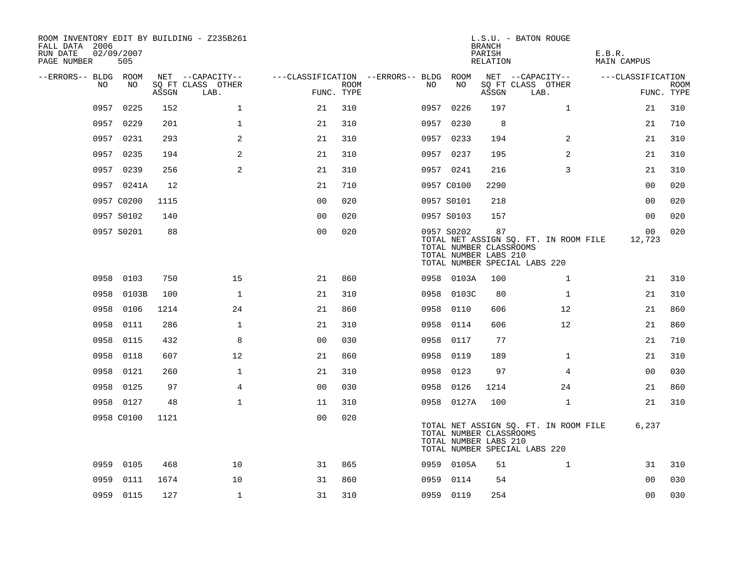| ROOM INVENTORY EDIT BY BUILDING - Z235B261<br>FALL DATA 2006<br>RUN DATE<br>PAGE NUMBER | 02/09/2007<br>505 |       |                           |                                        |      |      |                                                                | <b>BRANCH</b><br>PARISH<br>RELATION | L.S.U. - BATON ROUGE                                                   | E.B.R.<br><b>MAIN CAMPUS</b> |                           |
|-----------------------------------------------------------------------------------------|-------------------|-------|---------------------------|----------------------------------------|------|------|----------------------------------------------------------------|-------------------------------------|------------------------------------------------------------------------|------------------------------|---------------------------|
| --ERRORS-- BLDG ROOM                                                                    |                   |       | NET --CAPACITY--          | ---CLASSIFICATION --ERRORS-- BLDG ROOM |      |      |                                                                |                                     | NET --CAPACITY--                                                       | ---CLASSIFICATION            |                           |
| NO                                                                                      | NO                | ASSGN | SQ FT CLASS OTHER<br>LAB. | FUNC. TYPE                             | ROOM | NO   | NO                                                             | ASSGN                               | SQ FT CLASS OTHER<br>LAB.                                              |                              | <b>ROOM</b><br>FUNC. TYPE |
| 0957                                                                                    | 0225              | 152   | $\mathbf 1$               | 21                                     | 310  |      | 0957 0226                                                      | 197                                 | $\mathbf{1}$                                                           | 21                           | 310                       |
| 0957                                                                                    | 0229              | 201   | $\mathbf{1}$              | 21                                     | 310  |      | 0957 0230                                                      | 8                                   |                                                                        | 21                           | 710                       |
|                                                                                         | 0957 0231         | 293   | 2                         | 21                                     | 310  |      | 0957 0233                                                      | 194                                 | 2                                                                      | 21                           | 310                       |
|                                                                                         | 0957 0235         | 194   | 2                         | 21                                     | 310  |      | 0957 0237                                                      | 195                                 | 2                                                                      | 21                           | 310                       |
|                                                                                         | 0957 0239         | 256   | 2                         | 21                                     | 310  |      | 0957 0241                                                      | 216                                 | 3                                                                      | 21                           | 310                       |
|                                                                                         | 0957 0241A        | 12    |                           | 21                                     | 710  |      | 0957 C0100                                                     | 2290                                |                                                                        | 00                           | 020                       |
|                                                                                         | 0957 C0200        | 1115  |                           | 0 <sub>0</sub>                         | 020  |      | 0957 S0101                                                     | 218                                 |                                                                        | 00                           | 020                       |
|                                                                                         | 0957 S0102        | 140   |                           | 0 <sub>0</sub>                         | 020  |      | 0957 S0103                                                     | 157                                 |                                                                        | 0 <sub>0</sub>               | 020                       |
|                                                                                         | 0957 S0201        | 88    |                           | 00                                     | 020  |      | 0957 S0202<br>TOTAL NUMBER CLASSROOMS<br>TOTAL NUMBER LABS 210 | 87                                  | TOTAL NET ASSIGN SQ. FT. IN ROOM FILE<br>TOTAL NUMBER SPECIAL LABS 220 | 0 <sub>0</sub><br>12,723     | 020                       |
|                                                                                         | 0958 0103         | 750   | 15                        | 21                                     | 860  |      | 0958 0103A                                                     | 100                                 | $\mathbf{1}$                                                           | 21                           | 310                       |
| 0958                                                                                    | 0103B             | 100   | $\mathbf{1}$              | 21                                     | 310  | 0958 | 0103C                                                          | 80                                  | $\mathbf{1}$                                                           | 21                           | 310                       |
| 0958                                                                                    | 0106              | 1214  | 24                        | 21                                     | 860  | 0958 | 0110                                                           | 606                                 | 12                                                                     | 21                           | 860                       |
| 0958                                                                                    | 0111              | 286   | 1                         | 21                                     | 310  | 0958 | 0114                                                           | 606                                 | 12                                                                     | 21                           | 860                       |
| 0958                                                                                    | 0115              | 432   | 8                         | 0 <sub>0</sub>                         | 030  | 0958 | 0117                                                           | 77                                  |                                                                        | 21                           | 710                       |
| 0958                                                                                    | 0118              | 607   | 12                        | 21                                     | 860  | 0958 | 0119                                                           | 189                                 | $\mathbf{1}$                                                           | 21                           | 310                       |
| 0958                                                                                    | 0121              | 260   | $\mathbf 1$               | 21                                     | 310  | 0958 | 0123                                                           | 97                                  | 4                                                                      | 00                           | 030                       |
| 0958                                                                                    | 0125              | 97    | 4                         | 0 <sub>0</sub>                         | 030  | 0958 | 0126                                                           | 1214                                | 24                                                                     | 21                           | 860                       |
|                                                                                         | 0958 0127         | 48    | $\mathbf{1}$              | 11                                     | 310  |      | 0958 0127A                                                     | 100                                 | $\mathbf{1}$                                                           | 21                           | 310                       |
|                                                                                         | 0958 C0100        | 1121  |                           | 0 <sub>0</sub>                         | 020  |      | TOTAL NUMBER CLASSROOMS<br>TOTAL NUMBER LABS 210               |                                     | TOTAL NET ASSIGN SQ. FT. IN ROOM FILE<br>TOTAL NUMBER SPECIAL LABS 220 | 6,237                        |                           |
| 0959                                                                                    | 0105              | 468   | 10                        | 31                                     | 865  |      | 0959 0105A                                                     | 51                                  | $\mathbf{1}$                                                           | 31                           | 310                       |
| 0959                                                                                    | 0111              | 1674  | 10                        | 31                                     | 860  |      | 0959 0114                                                      | 54                                  |                                                                        | 0 <sub>0</sub>               | 030                       |
|                                                                                         | 0959 0115         | 127   | $\mathbf{1}$              | 31                                     | 310  |      | 0959 0119                                                      | 254                                 |                                                                        | 0 <sub>0</sub>               | 030                       |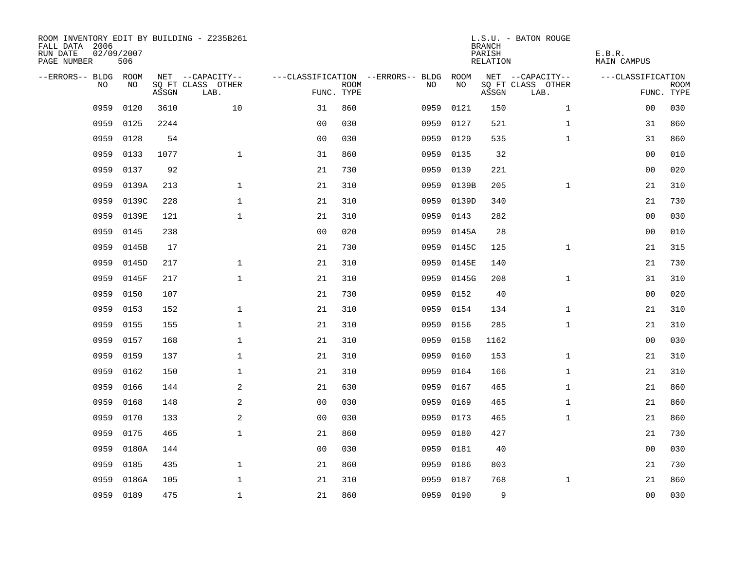| ROOM INVENTORY EDIT BY BUILDING - Z235B261<br>FALL DATA 2006<br>RUN DATE<br>PAGE NUMBER | 02/09/2007<br>506 |       |                           |                |             |                                   |           | <b>BRANCH</b><br>PARISH<br>RELATION | L.S.U. - BATON ROUGE      | E.B.R.<br><b>MAIN CAMPUS</b> |                           |
|-----------------------------------------------------------------------------------------|-------------------|-------|---------------------------|----------------|-------------|-----------------------------------|-----------|-------------------------------------|---------------------------|------------------------------|---------------------------|
| --ERRORS-- BLDG ROOM                                                                    |                   |       | NET --CAPACITY--          |                |             | ---CLASSIFICATION --ERRORS-- BLDG | ROOM      |                                     | NET --CAPACITY--          | ---CLASSIFICATION            |                           |
| N <sub>O</sub>                                                                          | NO.               | ASSGN | SO FT CLASS OTHER<br>LAB. | FUNC. TYPE     | <b>ROOM</b> | NO.                               | NO        | ASSGN                               | SQ FT CLASS OTHER<br>LAB. |                              | <b>ROOM</b><br>FUNC. TYPE |
| 0959                                                                                    | 0120              | 3610  | 10                        | 31             | 860         | 0959                              | 0121      | 150                                 | $\mathbf{1}$              | 00                           | 030                       |
| 0959                                                                                    | 0125              | 2244  |                           | 0 <sub>0</sub> | 030         | 0959                              | 0127      | 521                                 | $\mathbf{1}$              | 31                           | 860                       |
| 0959                                                                                    | 0128              | 54    |                           | 0 <sub>0</sub> | 030         | 0959                              | 0129      | 535                                 | $\mathbf{1}$              | 31                           | 860                       |
| 0959                                                                                    | 0133              | 1077  | $\mathbf{1}$              | 31             | 860         | 0959                              | 0135      | 32                                  |                           | 0 <sub>0</sub>               | 010                       |
| 0959                                                                                    | 0137              | 92    |                           | 21             | 730         | 0959                              | 0139      | 221                                 |                           | 0 <sub>0</sub>               | 020                       |
| 0959                                                                                    | 0139A             | 213   | $\mathbf{1}$              | 21             | 310         | 0959                              | 0139B     | 205                                 | $\mathbf{1}$              | 21                           | 310                       |
| 0959                                                                                    | 0139C             | 228   | $\mathbf{1}$              | 21             | 310         | 0959                              | 0139D     | 340                                 |                           | 21                           | 730                       |
| 0959                                                                                    | 0139E             | 121   | $\mathbf{1}$              | 21             | 310         | 0959                              | 0143      | 282                                 |                           | 0 <sub>0</sub>               | 030                       |
| 0959                                                                                    | 0145              | 238   |                           | 0 <sub>0</sub> | 020         | 0959                              | 0145A     | 28                                  |                           | 0 <sub>0</sub>               | 010                       |
| 0959                                                                                    | 0145B             | 17    |                           | 21             | 730         | 0959                              | 0145C     | 125                                 | $\mathbf{1}$              | 21                           | 315                       |
| 0959                                                                                    | 0145D             | 217   | $\mathbf 1$               | 21             | 310         | 0959                              | 0145E     | 140                                 |                           | 21                           | 730                       |
| 0959                                                                                    | 0145F             | 217   | $\mathbf{1}$              | 21             | 310         | 0959                              | 0145G     | 208                                 | $\mathbf{1}$              | 31                           | 310                       |
| 0959                                                                                    | 0150              | 107   |                           | 21             | 730         | 0959                              | 0152      | 40                                  |                           | 00                           | 020                       |
| 0959                                                                                    | 0153              | 152   | $\mathbf{1}$              | 21             | 310         | 0959                              | 0154      | 134                                 | $\mathbf{1}$              | 21                           | 310                       |
| 0959                                                                                    | 0155              | 155   | $\mathbf 1$               | 21             | 310         | 0959                              | 0156      | 285                                 | $\mathbf{1}$              | 21                           | 310                       |
| 0959                                                                                    | 0157              | 168   | $\mathbf{1}$              | 21             | 310         | 0959                              | 0158      | 1162                                |                           | 00                           | 030                       |
| 0959                                                                                    | 0159              | 137   | $\mathbf{1}$              | 21             | 310         | 0959                              | 0160      | 153                                 | $\mathbf{1}$              | 21                           | 310                       |
| 0959                                                                                    | 0162              | 150   | $\mathbf{1}$              | 21             | 310         | 0959                              | 0164      | 166                                 | $\mathbf{1}$              | 21                           | 310                       |
| 0959                                                                                    | 0166              | 144   | 2                         | 21             | 630         | 0959                              | 0167      | 465                                 | $\mathbf{1}$              | 21                           | 860                       |
| 0959                                                                                    | 0168              | 148   | 2                         | 00             | 030         | 0959                              | 0169      | 465                                 | $\mathbf{1}$              | 21                           | 860                       |
| 0959                                                                                    | 0170              | 133   | 2                         | 0 <sub>0</sub> | 030         | 0959                              | 0173      | 465                                 | $\mathbf{1}$              | 21                           | 860                       |
| 0959                                                                                    | 0175              | 465   | $\mathbf{1}$              | 21             | 860         | 0959                              | 0180      | 427                                 |                           | 21                           | 730                       |
| 0959                                                                                    | 0180A             | 144   |                           | 0 <sub>0</sub> | 030         | 0959                              | 0181      | 40                                  |                           | 0 <sub>0</sub>               | 030                       |
| 0959                                                                                    | 0185              | 435   | $\mathbf{1}$              | 21             | 860         | 0959                              | 0186      | 803                                 |                           | 21                           | 730                       |
| 0959                                                                                    | 0186A             | 105   | $\mathbf{1}$              | 21             | 310         | 0959                              | 0187      | 768                                 | $\mathbf{1}$              | 21                           | 860                       |
|                                                                                         | 0959 0189         | 475   | $\mathbf{1}$              | 21             | 860         |                                   | 0959 0190 | 9                                   |                           | 0 <sub>0</sub>               | 030                       |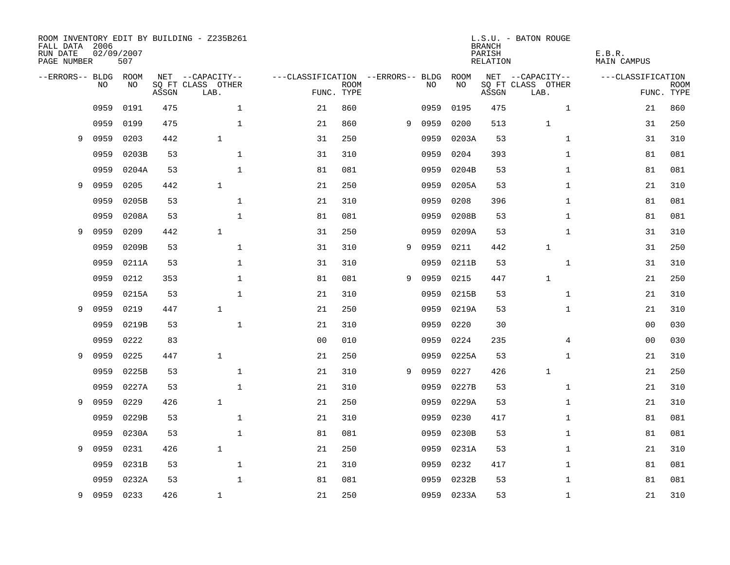| FALL DATA 2006<br>RUN DATE<br>PAGE NUMBER |                | 02/09/2007<br>507 |       | ROOM INVENTORY EDIT BY BUILDING - Z235B261 |                                   |             |   |      |       | <b>BRANCH</b><br>PARISH<br>RELATION | L.S.U. - BATON ROUGE      | E.B.R.<br><b>MAIN CAMPUS</b> |             |
|-------------------------------------------|----------------|-------------------|-------|--------------------------------------------|-----------------------------------|-------------|---|------|-------|-------------------------------------|---------------------------|------------------------------|-------------|
| --ERRORS-- BLDG ROOM                      |                |                   |       | NET --CAPACITY--                           | ---CLASSIFICATION --ERRORS-- BLDG |             |   |      | ROOM  |                                     | NET --CAPACITY--          | ---CLASSIFICATION            |             |
|                                           | N <sub>O</sub> | NO.               | ASSGN | SQ FT CLASS OTHER<br>LAB.                  | FUNC. TYPE                        | <b>ROOM</b> |   | NO.  | NO    | ASSGN                               | SQ FT CLASS OTHER<br>LAB. | FUNC. TYPE                   | <b>ROOM</b> |
|                                           | 0959           | 0191              | 475   | $\mathbf{1}$                               | 21                                | 860         |   | 0959 | 0195  | 475                                 | $\mathbf{1}$              | 21                           | 860         |
|                                           | 0959           | 0199              | 475   | $\mathbf{1}$                               | 21                                | 860         | 9 | 0959 | 0200  | 513                                 | $\mathbf{1}$              | 31                           | 250         |
| 9                                         | 0959           | 0203              | 442   | $\mathbf{1}$                               | 31                                | 250         |   | 0959 | 0203A | 53                                  | $\mathbf{1}$              | 31                           | 310         |
|                                           | 0959           | 0203B             | 53    | $\mathbf 1$                                | 31                                | 310         |   | 0959 | 0204  | 393                                 | $\mathbf{1}$              | 81                           | 081         |
|                                           | 0959           | 0204A             | 53    | $\mathbf{1}$                               | 81                                | 081         |   | 0959 | 0204B | 53                                  | $\mathbf{1}$              | 81                           | 081         |
| 9                                         | 0959           | 0205              | 442   | $\mathbf{1}$                               | 21                                | 250         |   | 0959 | 0205A | 53                                  | $\mathbf{1}$              | 21                           | 310         |
|                                           | 0959           | 0205B             | 53    | $\mathbf{1}$                               | 21                                | 310         |   | 0959 | 0208  | 396                                 | $\mathbf{1}$              | 81                           | 081         |
|                                           | 0959           | 0208A             | 53    | $\mathbf 1$                                | 81                                | 081         |   | 0959 | 0208B | 53                                  | $\mathbf{1}$              | 81                           | 081         |
| 9                                         | 0959           | 0209              | 442   | $\mathbf{1}$                               | 31                                | 250         |   | 0959 | 0209A | 53                                  | $\mathbf{1}$              | 31                           | 310         |
|                                           | 0959           | 0209B             | 53    | $\mathbf 1$                                | 31                                | 310         | 9 | 0959 | 0211  | 442                                 | $\mathbf{1}$              | 31                           | 250         |
|                                           | 0959           | 0211A             | 53    | $\mathbf{1}$                               | 31                                | 310         |   | 0959 | 0211B | 53                                  | $\mathbf{1}$              | 31                           | 310         |
|                                           | 0959           | 0212              | 353   | $\mathbf 1$                                | 81                                | 081         | 9 | 0959 | 0215  | 447                                 | $\mathbf{1}$              | 21                           | 250         |
|                                           | 0959           | 0215A             | 53    | $\mathbf{1}$                               | 21                                | 310         |   | 0959 | 0215B | 53                                  | $\mathbf{1}$              | 21                           | 310         |
| 9                                         | 0959           | 0219              | 447   | $\mathbf{1}$                               | 21                                | 250         |   | 0959 | 0219A | 53                                  | $\mathbf{1}$              | 21                           | 310         |
|                                           | 0959           | 0219B             | 53    | $\mathbf{1}$                               | 21                                | 310         |   | 0959 | 0220  | 30                                  |                           | 00                           | 030         |
|                                           | 0959           | 0222              | 83    |                                            | 0 <sub>0</sub>                    | 010         |   | 0959 | 0224  | 235                                 | 4                         | 00                           | 030         |
| 9                                         | 0959           | 0225              | 447   | $\mathbf{1}$                               | 21                                | 250         |   | 0959 | 0225A | 53                                  | $\mathbf{1}$              | 21                           | 310         |
|                                           | 0959           | 0225B             | 53    | $\mathbf{1}$                               | 21                                | 310         | 9 | 0959 | 0227  | 426                                 | 1                         | 21                           | 250         |
|                                           | 0959           | 0227A             | 53    | $\mathbf{1}$                               | 21                                | 310         |   | 0959 | 0227B | 53                                  | $\mathbf{1}$              | 21                           | 310         |
| 9                                         | 0959           | 0229              | 426   | $\mathbf{1}$                               | 21                                | 250         |   | 0959 | 0229A | 53                                  | $\mathbf{1}$              | 21                           | 310         |
|                                           | 0959           | 0229B             | 53    | $\mathbf{1}$                               | 21                                | 310         |   | 0959 | 0230  | 417                                 | $\mathbf{1}$              | 81                           | 081         |
|                                           | 0959           | 0230A             | 53    | $\mathbf 1$                                | 81                                | 081         |   | 0959 | 0230B | 53                                  | $\mathbf{1}$              | 81                           | 081         |
| 9                                         | 0959           | 0231              | 426   | $\mathbf{1}$                               | 21                                | 250         |   | 0959 | 0231A | 53                                  | $\mathbf{1}$              | 21                           | 310         |
|                                           | 0959           | 0231B             | 53    | $\mathbf{1}$                               | 21                                | 310         |   | 0959 | 0232  | 417                                 | $\mathbf{1}$              | 81                           | 081         |
|                                           | 0959           | 0232A             | 53    | $\mathbf{1}$                               | 81                                | 081         |   | 0959 | 0232B | 53                                  | $\mathbf{1}$              | 81                           | 081         |
| 9                                         | 0959           | 0233              | 426   | $\mathbf{1}$                               | 21                                | 250         |   | 0959 | 0233A | 53                                  | $\mathbf{1}$              | 21                           | 310         |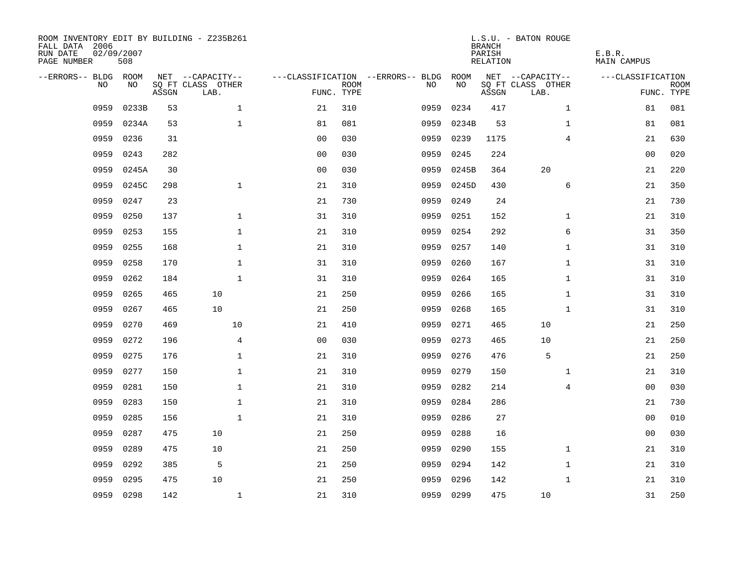| ROOM INVENTORY EDIT BY BUILDING - Z235B261<br>FALL DATA 2006<br>RUN DATE<br>PAGE NUMBER | 02/09/2007<br>508 |       |                           |                |             |                                   |           | <b>BRANCH</b><br>PARISH<br>RELATION | L.S.U. - BATON ROUGE      | E.B.R.<br>MAIN CAMPUS |                           |
|-----------------------------------------------------------------------------------------|-------------------|-------|---------------------------|----------------|-------------|-----------------------------------|-----------|-------------------------------------|---------------------------|-----------------------|---------------------------|
| --ERRORS-- BLDG ROOM                                                                    |                   |       | NET --CAPACITY--          |                |             | ---CLASSIFICATION --ERRORS-- BLDG | ROOM      |                                     | NET --CAPACITY--          | ---CLASSIFICATION     |                           |
| NO.                                                                                     | NO.               | ASSGN | SQ FT CLASS OTHER<br>LAB. | FUNC. TYPE     | <b>ROOM</b> | NO.                               | NO        | ASSGN                               | SQ FT CLASS OTHER<br>LAB. |                       | <b>ROOM</b><br>FUNC. TYPE |
| 0959                                                                                    | 0233B             | 53    | $\mathbf{1}$              | 21             | 310         | 0959                              | 0234      | 417                                 | $\mathbf{1}$              | 81                    | 081                       |
| 0959                                                                                    | 0234A             | 53    | $\mathbf{1}$              | 81             | 081         | 0959                              | 0234B     | 53                                  | $\mathbf{1}$              | 81                    | 081                       |
| 0959                                                                                    | 0236              | 31    |                           | 0 <sub>0</sub> | 030         | 0959                              | 0239      | 1175                                | $\overline{4}$            | 21                    | 630                       |
| 0959                                                                                    | 0243              | 282   |                           | 0 <sub>0</sub> | 030         | 0959                              | 0245      | 224                                 |                           | 0 <sub>0</sub>        | 020                       |
| 0959                                                                                    | 0245A             | 30    |                           | 0 <sub>0</sub> | 030         | 0959                              | 0245B     | 364                                 | 20                        | 21                    | 220                       |
| 0959                                                                                    | 0245C             | 298   | $\mathbf 1$               | 21             | 310         | 0959                              | 0245D     | 430                                 | 6                         | 21                    | 350                       |
| 0959                                                                                    | 0247              | 23    |                           | 21             | 730         | 0959                              | 0249      | 24                                  |                           | 21                    | 730                       |
| 0959                                                                                    | 0250              | 137   | $\mathbf{1}$              | 31             | 310         | 0959                              | 0251      | 152                                 | $\mathbf{1}$              | 21                    | 310                       |
| 0959                                                                                    | 0253              | 155   | $\mathbf{1}$              | 21             | 310         | 0959                              | 0254      | 292                                 | 6                         | 31                    | 350                       |
| 0959                                                                                    | 0255              | 168   | $\mathbf 1$               | 21             | 310         | 0959                              | 0257      | 140                                 | $\mathbf{1}$              | 31                    | 310                       |
| 0959                                                                                    | 0258              | 170   | $\mathbf{1}$              | 31             | 310         | 0959                              | 0260      | 167                                 | $\mathbf{1}$              | 31                    | 310                       |
| 0959                                                                                    | 0262              | 184   | $\mathbf{1}$              | 31             | 310         | 0959                              | 0264      | 165                                 | $\mathbf{1}$              | 31                    | 310                       |
| 0959                                                                                    | 0265              | 465   | 10                        | 21             | 250         | 0959                              | 0266      | 165                                 | $\mathbf{1}$              | 31                    | 310                       |
| 0959                                                                                    | 0267              | 465   | 10                        | 21             | 250         | 0959                              | 0268      | 165                                 | $\mathbf{1}$              | 31                    | 310                       |
| 0959                                                                                    | 0270              | 469   | 10                        | 21             | 410         | 0959                              | 0271      | 465                                 | 10                        | 21                    | 250                       |
| 0959                                                                                    | 0272              | 196   | $\overline{4}$            | 0 <sub>0</sub> | 030         | 0959                              | 0273      | 465                                 | 10                        | 21                    | 250                       |
| 0959                                                                                    | 0275              | 176   | $\mathbf{1}$              | 21             | 310         | 0959                              | 0276      | 476                                 | 5                         | 21                    | 250                       |
| 0959                                                                                    | 0277              | 150   | $\mathbf{1}$              | 21             | 310         | 0959                              | 0279      | 150                                 | $\mathbf{1}$              | 21                    | 310                       |
| 0959                                                                                    | 0281              | 150   | $\mathbf 1$               | 21             | 310         | 0959                              | 0282      | 214                                 | 4                         | 00                    | 030                       |
| 0959                                                                                    | 0283              | 150   | $\mathbf 1$               | 21             | 310         | 0959                              | 0284      | 286                                 |                           | 21                    | 730                       |
| 0959                                                                                    | 0285              | 156   | $\mathbf{1}$              | 21             | 310         | 0959                              | 0286      | 27                                  |                           | 0 <sub>0</sub>        | 010                       |
| 0959                                                                                    | 0287              | 475   | 10                        | 21             | 250         | 0959                              | 0288      | 16                                  |                           | 0 <sub>0</sub>        | 030                       |
| 0959                                                                                    | 0289              | 475   | 10                        | 21             | 250         | 0959                              | 0290      | 155                                 | $\mathbf{1}$              | 21                    | 310                       |
| 0959                                                                                    | 0292              | 385   | 5                         | 21             | 250         | 0959                              | 0294      | 142                                 | $\mathbf{1}$              | 21                    | 310                       |
| 0959                                                                                    | 0295              | 475   | 10                        | 21             | 250         | 0959                              | 0296      | 142                                 | $\mathbf{1}$              | 21                    | 310                       |
| 0959                                                                                    | 0298              | 142   | $\mathbf{1}$              | 21             | 310         |                                   | 0959 0299 | 475                                 | 10                        | 31                    | 250                       |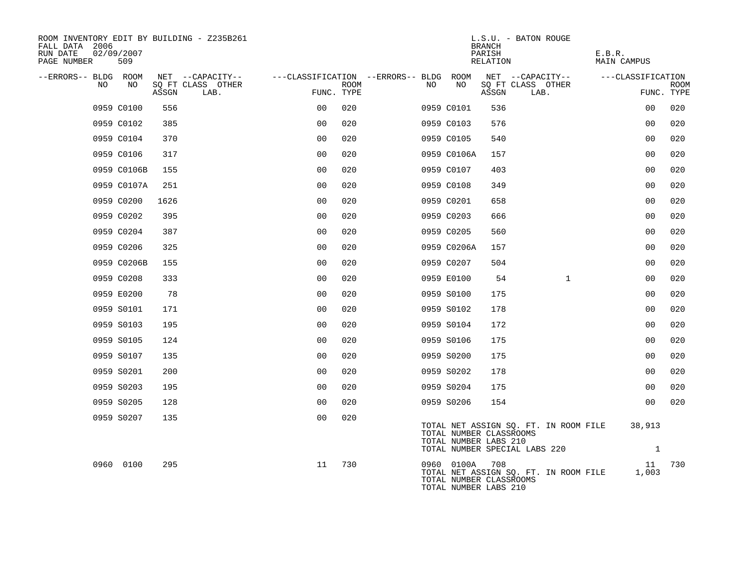| ROOM INVENTORY EDIT BY BUILDING - Z235B261<br>FALL DATA 2006<br>RUN DATE<br>PAGE NUMBER | 02/09/2007<br>509 |       |                           |                                        |      |    |                                                                | <b>BRANCH</b><br>PARISH<br>RELATION | L.S.U. - BATON ROUGE                                                   | E.B.R.<br><b>MAIN CAMPUS</b> |                        |             |
|-----------------------------------------------------------------------------------------|-------------------|-------|---------------------------|----------------------------------------|------|----|----------------------------------------------------------------|-------------------------------------|------------------------------------------------------------------------|------------------------------|------------------------|-------------|
| --ERRORS-- BLDG ROOM                                                                    |                   |       | NET --CAPACITY--          | ---CLASSIFICATION --ERRORS-- BLDG ROOM |      |    |                                                                |                                     | NET --CAPACITY--                                                       | ---CLASSIFICATION            |                        |             |
| NO.                                                                                     | NO                | ASSGN | SO FT CLASS OTHER<br>LAB. | FUNC. TYPE                             | ROOM | NO | NO                                                             | ASSGN                               | SO FT CLASS OTHER<br>LAB.                                              |                              | FUNC. TYPE             | <b>ROOM</b> |
|                                                                                         | 0959 C0100        | 556   |                           | 0 <sub>0</sub>                         | 020  |    | 0959 C0101                                                     | 536                                 |                                                                        |                              | 0 <sub>0</sub>         | 020         |
|                                                                                         | 0959 C0102        | 385   |                           | 0 <sub>0</sub>                         | 020  |    | 0959 C0103                                                     | 576                                 |                                                                        |                              | 0 <sub>0</sub>         | 020         |
|                                                                                         | 0959 C0104        | 370   |                           | 0 <sub>0</sub>                         | 020  |    | 0959 C0105                                                     | 540                                 |                                                                        |                              | 0 <sub>0</sub>         | 020         |
|                                                                                         | 0959 C0106        | 317   |                           | 0 <sub>0</sub>                         | 020  |    | 0959 C0106A                                                    | 157                                 |                                                                        |                              | 0 <sub>0</sub>         | 020         |
|                                                                                         | 0959 C0106B       | 155   |                           | 0 <sub>0</sub>                         | 020  |    | 0959 C0107                                                     | 403                                 |                                                                        |                              | 0 <sub>0</sub>         | 020         |
|                                                                                         | 0959 C0107A       | 251   |                           | 0 <sub>0</sub>                         | 020  |    | 0959 C0108                                                     | 349                                 |                                                                        |                              | 0 <sub>0</sub>         | 020         |
|                                                                                         | 0959 C0200        | 1626  |                           | 0 <sub>0</sub>                         | 020  |    | 0959 C0201                                                     | 658                                 |                                                                        |                              | 0 <sub>0</sub>         | 020         |
|                                                                                         | 0959 C0202        | 395   |                           | 0 <sub>0</sub>                         | 020  |    | 0959 C0203                                                     | 666                                 |                                                                        |                              | 00                     | 020         |
|                                                                                         | 0959 C0204        | 387   |                           | 0 <sub>0</sub>                         | 020  |    | 0959 C0205                                                     | 560                                 |                                                                        |                              | 0 <sub>0</sub>         | 020         |
|                                                                                         | 0959 C0206        | 325   |                           | 0 <sub>0</sub>                         | 020  |    | 0959 C0206A                                                    | 157                                 |                                                                        |                              | 0 <sub>0</sub>         | 020         |
|                                                                                         | 0959 C0206B       | 155   |                           | 0 <sub>0</sub>                         | 020  |    | 0959 C0207                                                     | 504                                 |                                                                        |                              | 0 <sub>0</sub>         | 020         |
|                                                                                         | 0959 C0208        | 333   |                           | 0 <sub>0</sub>                         | 020  |    | 0959 E0100                                                     | 54                                  | $\mathbf{1}$                                                           |                              | 0 <sub>0</sub>         | 020         |
|                                                                                         | 0959 E0200        | 78    |                           | 0 <sub>0</sub>                         | 020  |    | 0959 S0100                                                     | 175                                 |                                                                        |                              | 00                     | 020         |
|                                                                                         | 0959 S0101        | 171   |                           | 0 <sub>0</sub>                         | 020  |    | 0959 S0102                                                     | 178                                 |                                                                        |                              | 0 <sub>0</sub>         | 020         |
|                                                                                         | 0959 S0103        | 195   |                           | 0 <sub>0</sub>                         | 020  |    | 0959 S0104                                                     | 172                                 |                                                                        |                              | 0 <sub>0</sub>         | 020         |
|                                                                                         | 0959 S0105        | 124   |                           | 0 <sub>0</sub>                         | 020  |    | 0959 S0106                                                     | 175                                 |                                                                        |                              | 0 <sub>0</sub>         | 020         |
|                                                                                         | 0959 S0107        | 135   |                           | 0 <sub>0</sub>                         | 020  |    | 0959 S0200                                                     | 175                                 |                                                                        |                              | 0 <sub>0</sub>         | 020         |
|                                                                                         | 0959 S0201        | 200   |                           | 0 <sub>0</sub>                         | 020  |    | 0959 S0202                                                     | 178                                 |                                                                        |                              | 00                     | 020         |
|                                                                                         | 0959 S0203        | 195   |                           | 0 <sub>0</sub>                         | 020  |    | 0959 S0204                                                     | 175                                 |                                                                        |                              | 0 <sub>0</sub>         | 020         |
|                                                                                         | 0959 S0205        | 128   |                           | 0 <sub>0</sub>                         | 020  |    | 0959 S0206                                                     | 154                                 |                                                                        |                              | 0 <sub>0</sub>         | 020         |
|                                                                                         | 0959 S0207        | 135   |                           | 0 <sub>0</sub>                         | 020  |    | TOTAL NUMBER CLASSROOMS<br>TOTAL NUMBER LABS 210               |                                     | TOTAL NET ASSIGN SQ. FT. IN ROOM FILE<br>TOTAL NUMBER SPECIAL LABS 220 |                              | 38,913<br>$\mathbf{1}$ |             |
|                                                                                         | 0960 0100         | 295   |                           | 11                                     | 730  |    | 0960 0100A<br>TOTAL NUMBER CLASSROOMS<br>TOTAL NUMBER LABS 210 | 708                                 | TOTAL NET ASSIGN SQ. FT. IN ROOM FILE                                  |                              | 11<br>1,003            | 730         |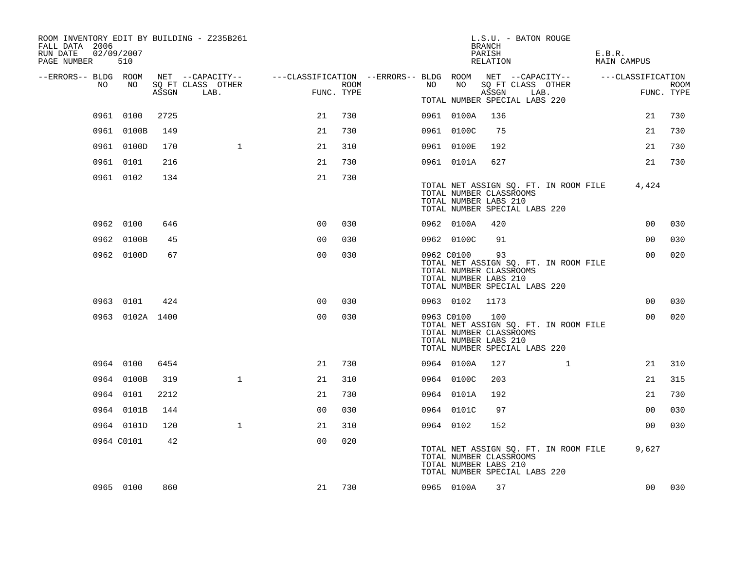| ROOM INVENTORY EDIT BY BUILDING - Z235B261<br>FALL DATA 2006<br>RUN DATE<br>PAGE NUMBER | 02/09/2007<br>510 |       |                                                                                                 |                |      |            |            | L.S.U. - BATON ROUGE<br><b>BRANCH</b><br>PARISH<br>RELATION                                                                       |      | E.B.R.<br>MAIN CAMPUS |                |             |
|-----------------------------------------------------------------------------------------|-------------------|-------|-------------------------------------------------------------------------------------------------|----------------|------|------------|------------|-----------------------------------------------------------------------------------------------------------------------------------|------|-----------------------|----------------|-------------|
| --ERRORS-- BLDG ROOM                                                                    |                   |       | NET --CAPACITY-- - ---CLASSIFICATION --ERRORS-- BLDG ROOM NET --CAPACITY-- - ----CLASSIFICATION |                |      |            |            |                                                                                                                                   |      |                       |                |             |
| NO                                                                                      | NO                | ASSGN | SQ FT CLASS OTHER<br>LAB.                                                                       | FUNC. TYPE     | ROOM | NO         | NO         | SQ FT CLASS OTHER<br>ASSGN                                                                                                        | LAB. |                       | FUNC. TYPE     | <b>ROOM</b> |
|                                                                                         |                   |       |                                                                                                 |                |      |            |            | TOTAL NUMBER SPECIAL LABS 220                                                                                                     |      |                       |                |             |
|                                                                                         | 0961 0100         | 2725  |                                                                                                 | 21             | 730  |            | 0961 0100A | 136                                                                                                                               |      |                       | 21             | 730         |
|                                                                                         | 0961 0100B        | 149   |                                                                                                 | 21             | 730  |            | 0961 0100C | 75                                                                                                                                |      |                       | 21             | 730         |
|                                                                                         | 0961 0100D        | 170   | $\mathbf{1}$                                                                                    | 21             | 310  |            | 0961 0100E | 192                                                                                                                               |      |                       | 21             | 730         |
|                                                                                         | 0961 0101         | 216   |                                                                                                 | 21             | 730  |            | 0961 0101A | 627                                                                                                                               |      |                       | 21             | 730         |
|                                                                                         | 0961 0102         | 134   |                                                                                                 | 21             | 730  |            |            | TOTAL NET ASSIGN SQ. FT. IN ROOM FILE<br>TOTAL NUMBER CLASSROOMS<br>TOTAL NUMBER LABS 210<br>TOTAL NUMBER SPECIAL LABS 220        |      |                       | 4,424          |             |
|                                                                                         | 0962 0100         | 646   |                                                                                                 | 0 <sup>0</sup> | 030  |            | 0962 0100A | 420                                                                                                                               |      |                       | 00             | 030         |
|                                                                                         | 0962 0100B        | 45    |                                                                                                 | 0 <sub>0</sub> | 030  |            | 0962 0100C | 91                                                                                                                                |      |                       | 0 <sub>0</sub> | 030         |
|                                                                                         | 0962 0100D        | 67    |                                                                                                 | 0 <sub>0</sub> | 030  | 0962 C0100 |            | 93<br>TOTAL NET ASSIGN SQ. FT. IN ROOM FILE<br>TOTAL NUMBER CLASSROOMS<br>TOTAL NUMBER LABS 210<br>TOTAL NUMBER SPECIAL LABS 220  |      |                       | 0 <sub>0</sub> | 020         |
|                                                                                         | 0963 0101         | 424   |                                                                                                 | 0 <sub>0</sub> | 030  | 0963 0102  |            | 1173                                                                                                                              |      |                       | 00             | 030         |
|                                                                                         | 0963 0102A 1400   |       |                                                                                                 | 0 <sup>0</sup> | 030  |            | 0963 C0100 | 100<br>TOTAL NET ASSIGN SQ. FT. IN ROOM FILE<br>TOTAL NUMBER CLASSROOMS<br>TOTAL NUMBER LABS 210<br>TOTAL NUMBER SPECIAL LABS 220 |      |                       | 00             | 020         |
|                                                                                         | 0964 0100         | 6454  |                                                                                                 | 21             | 730  |            | 0964 0100A | 127                                                                                                                               | 1    |                       | 21             | 310         |
|                                                                                         | 0964 0100B        | 319   | $\mathbf{1}$                                                                                    | 21             | 310  |            | 0964 0100C | 203                                                                                                                               |      |                       | 21             | 315         |
|                                                                                         | 0964 0101         | 2212  |                                                                                                 | 21             | 730  |            | 0964 0101A | 192                                                                                                                               |      |                       | 21             | 730         |
|                                                                                         | 0964 0101B        | 144   |                                                                                                 | 0 <sub>0</sub> | 030  |            | 0964 0101C | 97                                                                                                                                |      |                       | 0 <sub>0</sub> | 030         |
|                                                                                         | 0964 0101D        | 120   | $\mathbf{1}$                                                                                    | 21             | 310  | 0964 0102  |            | 152                                                                                                                               |      |                       | 0 <sub>0</sub> | 030         |
|                                                                                         | 0964 C0101        | 42    |                                                                                                 | 0 <sub>0</sub> | 020  |            |            | TOTAL NET ASSIGN SQ. FT. IN ROOM FILE<br>TOTAL NUMBER CLASSROOMS<br>TOTAL NUMBER LABS 210<br>TOTAL NUMBER SPECIAL LABS 220        |      |                       | 9,627          |             |
|                                                                                         | 0965 0100         | 860   |                                                                                                 | 21             | 730  |            | 0965 0100A | 37                                                                                                                                |      |                       | 0 <sub>0</sub> | 030         |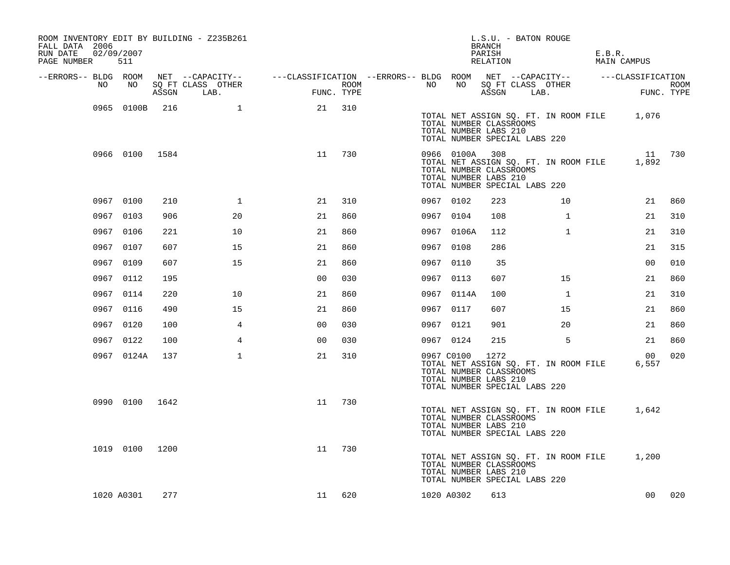| ROOM INVENTORY EDIT BY BUILDING - Z235B261<br>FALL DATA 2006<br>RUN DATE<br>PAGE NUMBER 511 | 02/09/2007     |      |                                 |                                                                                                |      |           |            | BRANCH<br>PARISH<br>RELATION                             | L.S.U. - BATON ROUGE                                                         | E.B.R. | MAIN CAMPUS              |      |
|---------------------------------------------------------------------------------------------|----------------|------|---------------------------------|------------------------------------------------------------------------------------------------|------|-----------|------------|----------------------------------------------------------|------------------------------------------------------------------------------|--------|--------------------------|------|
| --ERRORS-- BLDG ROOM                                                                        |                |      |                                 | NET --CAPACITY-- - ---CLASSIFICATION --ERRORS-- BLDG ROOM NET --CAPACITY-- - ---CLASSIFICATION |      |           |            |                                                          |                                                                              |        |                          |      |
| NO                                                                                          | NO             |      | SQ FT CLASS OTHER<br>ASSGN LAB. | FUNC. TYPE                                                                                     | ROOM | NO        | NO         | ASSGN                                                    | SQ FT CLASS OTHER<br>LAB.                                                    |        | FUNC. TYPE               | ROOM |
|                                                                                             | 0965 0100B     | 216  | $\mathbf{1}$                    | 21                                                                                             | 310  |           |            | TOTAL NUMBER CLASSROOMS<br>TOTAL NUMBER LABS 210         | TOTAL NET ASSIGN SQ. FT. IN ROOM FILE 1,076<br>TOTAL NUMBER SPECIAL LABS 220 |        |                          |      |
|                                                                                             | 0966 0100 1584 |      |                                 | 11                                                                                             | 730  |           | 0966 0100A | 308<br>TOTAL NUMBER CLASSROOMS<br>TOTAL NUMBER LABS 210  | TOTAL NET ASSIGN SQ. FT. IN ROOM FILE<br>TOTAL NUMBER SPECIAL LABS 220       |        | 11 730<br>1,892          |      |
|                                                                                             | 0967 0100      | 210  | 1                               | 21                                                                                             | 310  |           | 0967 0102  | 223                                                      | 10                                                                           |        | 21                       | 860  |
|                                                                                             | 0967 0103      | 906  | 20                              | 21                                                                                             | 860  | 0967 0104 |            | 108                                                      | $\mathbf{1}$                                                                 |        | 21                       | 310  |
|                                                                                             | 0967 0106      | 221  | 10                              | 21                                                                                             | 860  |           | 0967 0106A | 112                                                      | $\mathbf{1}$                                                                 |        | 21                       | 310  |
|                                                                                             | 0967 0107      | 607  | 15                              | 21                                                                                             | 860  | 0967 0108 |            | 286                                                      |                                                                              |        | 21                       | 315  |
|                                                                                             | 0967 0109      | 607  | 15                              | 21                                                                                             | 860  | 0967 0110 |            | 35                                                       |                                                                              |        | 0 <sub>0</sub>           | 010  |
|                                                                                             | 0967 0112      | 195  |                                 | 0 <sub>0</sub>                                                                                 | 030  | 0967 0113 |            | 607                                                      | 15                                                                           |        | 21                       | 860  |
|                                                                                             | 0967 0114      | 220  | 10                              | 21                                                                                             | 860  |           | 0967 0114A | 100                                                      | $\mathbf{1}$                                                                 |        | 21                       | 310  |
|                                                                                             | 0967 0116      | 490  | 15                              | 21                                                                                             | 860  | 0967 0117 |            | 607                                                      | 15                                                                           |        | 21                       | 860  |
|                                                                                             | 0967 0120      | 100  | 4                               | 00                                                                                             | 030  | 0967 0121 |            | 901                                                      | 20                                                                           |        | 21                       | 860  |
|                                                                                             | 0967 0122      | 100  | $\overline{4}$                  | 00                                                                                             | 030  | 0967 0124 |            | 215                                                      | 5                                                                            |        | 21                       | 860  |
|                                                                                             | 0967 0124A     | 137  | $\mathbf{1}$                    | 21                                                                                             | 310  |           | 0967 C0100 | 1272<br>TOTAL NUMBER CLASSROOMS<br>TOTAL NUMBER LABS 210 | TOTAL NET ASSIGN SQ. FT. IN ROOM FILE<br>TOTAL NUMBER SPECIAL LABS 220       |        | 00 <sup>o</sup><br>6,557 | 020  |
|                                                                                             | 0990 0100 1642 |      |                                 | 11                                                                                             | 730  |           |            | TOTAL NUMBER CLASSROOMS<br>TOTAL NUMBER LABS 210         | TOTAL NET ASSIGN SQ. FT. IN ROOM FILE<br>TOTAL NUMBER SPECIAL LABS 220       |        | 1,642                    |      |
|                                                                                             | 1019 0100      | 1200 |                                 | 11                                                                                             | 730  |           |            | TOTAL NUMBER CLASSROOMS<br>TOTAL NUMBER LABS 210         | TOTAL NET ASSIGN SQ. FT. IN ROOM FILE 1,200<br>TOTAL NUMBER SPECIAL LABS 220 |        |                          |      |
|                                                                                             | 1020 A0301     | 277  |                                 | 11                                                                                             | 620  |           | 1020 A0302 | 613                                                      |                                                                              |        | 00                       | 020  |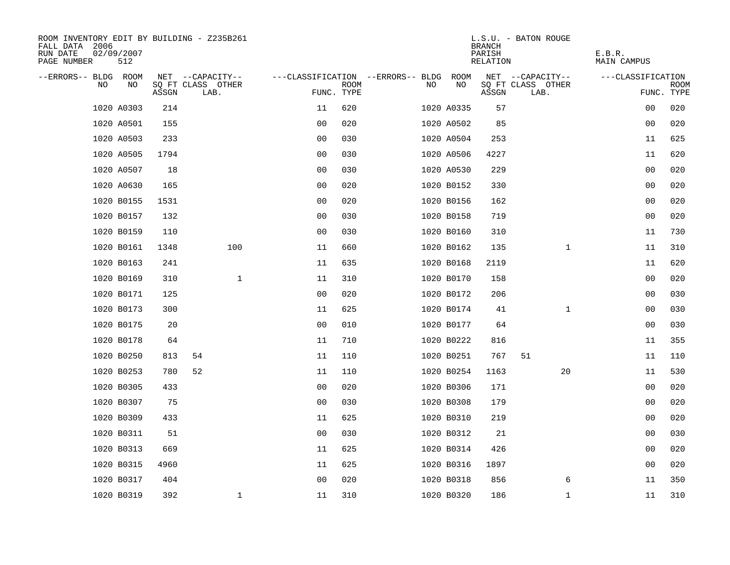| ROOM INVENTORY EDIT BY BUILDING - Z235B261<br>FALL DATA 2006<br>RUN DATE<br>PAGE NUMBER | 02/09/2007<br>512 |       |                           |                |             |                                   |            | <b>BRANCH</b><br>PARISH<br>RELATION | L.S.U. - BATON ROUGE      | E.B.R.<br>MAIN CAMPUS |                           |
|-----------------------------------------------------------------------------------------|-------------------|-------|---------------------------|----------------|-------------|-----------------------------------|------------|-------------------------------------|---------------------------|-----------------------|---------------------------|
| --ERRORS-- BLDG ROOM                                                                    |                   |       | NET --CAPACITY--          |                |             | ---CLASSIFICATION --ERRORS-- BLDG | ROOM       |                                     | NET --CAPACITY--          | ---CLASSIFICATION     |                           |
| N <sub>O</sub>                                                                          | NO.               | ASSGN | SQ FT CLASS OTHER<br>LAB. | FUNC. TYPE     | <b>ROOM</b> | NO.                               | NO         | ASSGN                               | SQ FT CLASS OTHER<br>LAB. |                       | <b>ROOM</b><br>FUNC. TYPE |
|                                                                                         | 1020 A0303        | 214   |                           | 11             | 620         |                                   | 1020 A0335 | 57                                  |                           | 00                    | 020                       |
|                                                                                         | 1020 A0501        | 155   |                           | 00             | 020         |                                   | 1020 A0502 | 85                                  |                           | 0 <sub>0</sub>        | 020                       |
|                                                                                         | 1020 A0503        | 233   |                           | 0 <sub>0</sub> | 030         |                                   | 1020 A0504 | 253                                 |                           | 11                    | 625                       |
|                                                                                         | 1020 A0505        | 1794  |                           | 0 <sub>0</sub> | 030         |                                   | 1020 A0506 | 4227                                |                           | 11                    | 620                       |
|                                                                                         | 1020 A0507        | 18    |                           | 00             | 030         |                                   | 1020 A0530 | 229                                 |                           | 0 <sub>0</sub>        | 020                       |
|                                                                                         | 1020 A0630        | 165   |                           | 0 <sub>0</sub> | 020         |                                   | 1020 B0152 | 330                                 |                           | 0 <sub>0</sub>        | 020                       |
|                                                                                         | 1020 B0155        | 1531  |                           | 0 <sub>0</sub> | 020         |                                   | 1020 B0156 | 162                                 |                           | 00                    | 020                       |
|                                                                                         | 1020 B0157        | 132   |                           | 0 <sub>0</sub> | 030         |                                   | 1020 B0158 | 719                                 |                           | 0 <sub>0</sub>        | 020                       |
|                                                                                         | 1020 B0159        | 110   |                           | 0 <sub>0</sub> | 030         |                                   | 1020 B0160 | 310                                 |                           | 11                    | 730                       |
|                                                                                         | 1020 B0161        | 1348  | 100                       | 11             | 660         |                                   | 1020 B0162 | 135                                 | $\mathbf{1}$              | 11                    | 310                       |
|                                                                                         | 1020 B0163        | 241   |                           | 11             | 635         |                                   | 1020 B0168 | 2119                                |                           | 11                    | 620                       |
|                                                                                         | 1020 B0169        | 310   | $\mathbf 1$               | 11             | 310         |                                   | 1020 B0170 | 158                                 |                           | 0 <sub>0</sub>        | 020                       |
|                                                                                         | 1020 B0171        | 125   |                           | 0 <sub>0</sub> | 020         |                                   | 1020 B0172 | 206                                 |                           | 00                    | 030                       |
|                                                                                         | 1020 B0173        | 300   |                           | 11             | 625         |                                   | 1020 B0174 | 41                                  | $\mathbf{1}$              | 00                    | 030                       |
|                                                                                         | 1020 B0175        | 20    |                           | 0 <sub>0</sub> | 010         |                                   | 1020 B0177 | 64                                  |                           | 0 <sub>0</sub>        | 030                       |
|                                                                                         | 1020 B0178        | 64    |                           | 11             | 710         |                                   | 1020 B0222 | 816                                 |                           | 11                    | 355                       |
|                                                                                         | 1020 B0250        | 813   | 54                        | 11             | 110         |                                   | 1020 B0251 | 767                                 | 51                        | 11                    | 110                       |
|                                                                                         | 1020 B0253        | 780   | 52                        | 11             | 110         |                                   | 1020 B0254 | 1163                                | 20                        | 11                    | 530                       |
|                                                                                         | 1020 B0305        | 433   |                           | 00             | 020         |                                   | 1020 B0306 | 171                                 |                           | 0 <sub>0</sub>        | 020                       |
|                                                                                         | 1020 B0307        | 75    |                           | 0 <sub>0</sub> | 030         |                                   | 1020 B0308 | 179                                 |                           | 0 <sub>0</sub>        | 020                       |
|                                                                                         | 1020 B0309        | 433   |                           | 11             | 625         |                                   | 1020 B0310 | 219                                 |                           | 00                    | 020                       |
|                                                                                         | 1020 B0311        | 51    |                           | 0 <sub>0</sub> | 030         |                                   | 1020 B0312 | 21                                  |                           | 00                    | 030                       |
|                                                                                         | 1020 B0313        | 669   |                           | 11             | 625         |                                   | 1020 B0314 | 426                                 |                           | 0 <sub>0</sub>        | 020                       |
|                                                                                         | 1020 B0315        | 4960  |                           | 11             | 625         |                                   | 1020 B0316 | 1897                                |                           | 00                    | 020                       |
|                                                                                         | 1020 B0317        | 404   |                           | 0 <sub>0</sub> | 020         |                                   | 1020 B0318 | 856                                 | 6                         | 11                    | 350                       |
|                                                                                         | 1020 B0319        | 392   | $\mathbf{1}$              | 11             | 310         |                                   | 1020 B0320 | 186                                 | $\mathbf{1}$              | 11                    | 310                       |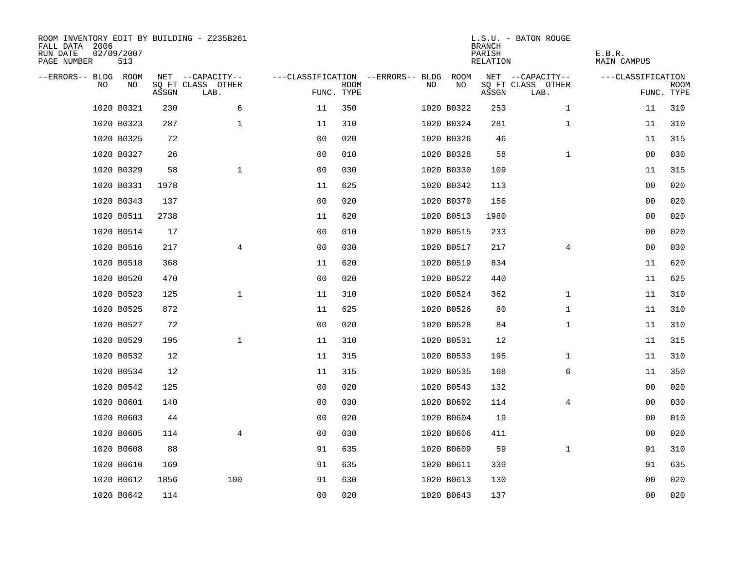| ROOM INVENTORY EDIT BY BUILDING - Z235B261<br>FALL DATA 2006<br>RUN DATE<br>PAGE NUMBER | 02/09/2007<br>513 |       |                           |                |             |                                   |            | <b>BRANCH</b><br>PARISH<br><b>RELATION</b> | L.S.U. - BATON ROUGE      | E.B.R.<br><b>MAIN CAMPUS</b> |                           |
|-----------------------------------------------------------------------------------------|-------------------|-------|---------------------------|----------------|-------------|-----------------------------------|------------|--------------------------------------------|---------------------------|------------------------------|---------------------------|
| --ERRORS-- BLDG ROOM                                                                    |                   |       | NET --CAPACITY--          |                |             | ---CLASSIFICATION --ERRORS-- BLDG | ROOM       |                                            | NET --CAPACITY--          | ---CLASSIFICATION            |                           |
| NO                                                                                      | NO                | ASSGN | SQ FT CLASS OTHER<br>LAB. | FUNC. TYPE     | <b>ROOM</b> | NO                                | NO         | ASSGN                                      | SQ FT CLASS OTHER<br>LAB. |                              | <b>ROOM</b><br>FUNC. TYPE |
|                                                                                         | 1020 B0321        | 230   | 6                         | 11             | 350         |                                   | 1020 B0322 | 253                                        | $\mathbf{1}$              | 11                           | 310                       |
|                                                                                         | 1020 B0323        | 287   | $\mathbf 1$               | 11             | 310         |                                   | 1020 B0324 | 281                                        | $\mathbf{1}$              | 11                           | 310                       |
|                                                                                         | 1020 B0325        | 72    |                           | 0 <sub>0</sub> | 020         |                                   | 1020 B0326 | 46                                         |                           | 11                           | 315                       |
|                                                                                         | 1020 B0327        | 26    |                           | 0 <sub>0</sub> | 010         |                                   | 1020 B0328 | 58                                         | $\mathbf{1}$              | 00                           | 030                       |
|                                                                                         | 1020 B0329        | 58    | $\mathbf{1}$              | 0 <sub>0</sub> | 030         |                                   | 1020 B0330 | 109                                        |                           | 11                           | 315                       |
|                                                                                         | 1020 B0331        | 1978  |                           | 11             | 625         |                                   | 1020 B0342 | 113                                        |                           | 0 <sub>0</sub>               | 020                       |
|                                                                                         | 1020 B0343        | 137   |                           | 0 <sub>0</sub> | 020         |                                   | 1020 B0370 | 156                                        |                           | 00                           | 020                       |
|                                                                                         | 1020 B0511        | 2738  |                           | 11             | 620         |                                   | 1020 B0513 | 1980                                       |                           | 0 <sub>0</sub>               | 020                       |
|                                                                                         | 1020 B0514        | 17    |                           | 0 <sub>0</sub> | 010         |                                   | 1020 B0515 | 233                                        |                           | 00                           | 020                       |
|                                                                                         | 1020 B0516        | 217   | $\overline{4}$            | 0 <sub>0</sub> | 030         |                                   | 1020 B0517 | 217                                        | $\overline{4}$            | 00                           | 030                       |
|                                                                                         | 1020 B0518        | 368   |                           | 11             | 620         |                                   | 1020 B0519 | 834                                        |                           | 11                           | 620                       |
|                                                                                         | 1020 B0520        | 470   |                           | 0 <sub>0</sub> | 020         |                                   | 1020 B0522 | 440                                        |                           | 11                           | 625                       |
|                                                                                         | 1020 B0523        | 125   | $\mathbf{1}$              | 11             | 310         |                                   | 1020 B0524 | 362                                        | $\mathbf{1}$              | 11                           | 310                       |
|                                                                                         | 1020 B0525        | 872   |                           | 11             | 625         |                                   | 1020 B0526 | 80                                         | $\mathbf{1}$              | 11                           | 310                       |
|                                                                                         | 1020 B0527        | 72    |                           | 0 <sub>0</sub> | 020         |                                   | 1020 B0528 | 84                                         | $\mathbf{1}$              | 11                           | 310                       |
|                                                                                         | 1020 B0529        | 195   | $\mathbf 1$               | 11             | 310         |                                   | 1020 B0531 | 12                                         |                           | 11                           | 315                       |
|                                                                                         | 1020 B0532        | 12    |                           | 11             | 315         |                                   | 1020 B0533 | 195                                        | $\mathbf{1}$              | 11                           | 310                       |
|                                                                                         | 1020 B0534        | 12    |                           | 11             | 315         |                                   | 1020 B0535 | 168                                        | 6                         | 11                           | 350                       |
|                                                                                         | 1020 B0542        | 125   |                           | 0 <sub>0</sub> | 020         |                                   | 1020 B0543 | 132                                        |                           | 0 <sub>0</sub>               | 020                       |
|                                                                                         | 1020 B0601        | 140   |                           | 0 <sub>0</sub> | 030         |                                   | 1020 B0602 | 114                                        | 4                         | 00                           | 030                       |
|                                                                                         | 1020 B0603        | 44    |                           | 0 <sub>0</sub> | 020         |                                   | 1020 B0604 | 19                                         |                           | 00                           | 010                       |
|                                                                                         | 1020 B0605        | 114   | $\overline{4}$            | 0 <sub>0</sub> | 030         |                                   | 1020 B0606 | 411                                        |                           | 00                           | 020                       |
|                                                                                         | 1020 B0608        | 88    |                           | 91             | 635         |                                   | 1020 B0609 | 59                                         | $\mathbf{1}$              | 91                           | 310                       |
|                                                                                         | 1020 B0610        | 169   |                           | 91             | 635         |                                   | 1020 B0611 | 339                                        |                           | 91                           | 635                       |
|                                                                                         | 1020 B0612        | 1856  | 100                       | 91             | 630         |                                   | 1020 B0613 | 130                                        |                           | 00                           | 020                       |
|                                                                                         | 1020 B0642        | 114   |                           | 00             | 020         |                                   | 1020 B0643 | 137                                        |                           | 0 <sub>0</sub>               | 020                       |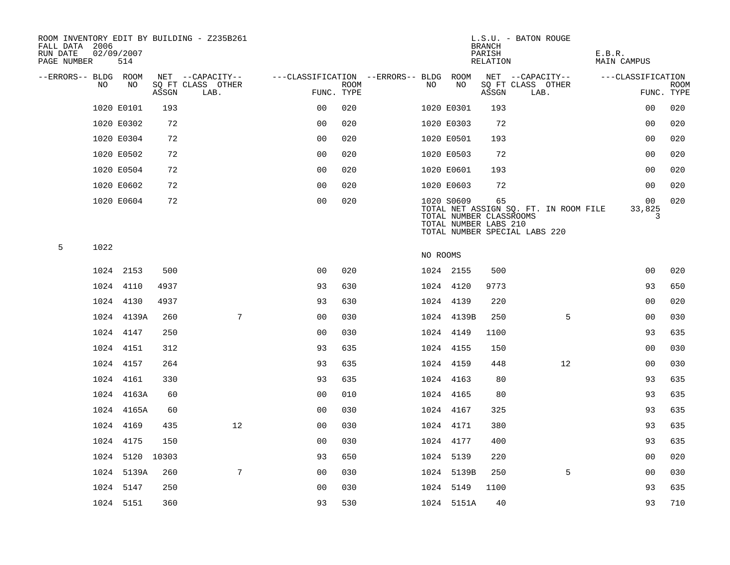| FALL DATA 2006<br>RUN DATE<br>PAGE NUMBER |      | 02/09/2007<br>514 |       | ROOM INVENTORY EDIT BY BUILDING - Z235B261 |                                        |      |          |                                                                | <b>BRANCH</b><br>PARISH<br>RELATION | L.S.U. - BATON ROUGE                                                   | E.B.R.<br>MAIN CAMPUS |                           |
|-------------------------------------------|------|-------------------|-------|--------------------------------------------|----------------------------------------|------|----------|----------------------------------------------------------------|-------------------------------------|------------------------------------------------------------------------|-----------------------|---------------------------|
| --ERRORS-- BLDG ROOM                      |      |                   |       | NET --CAPACITY--                           | ---CLASSIFICATION --ERRORS-- BLDG ROOM |      |          |                                                                |                                     | NET --CAPACITY--                                                       | ---CLASSIFICATION     |                           |
|                                           | NO.  | NO.               | ASSGN | SQ FT CLASS OTHER<br>LAB.                  | FUNC. TYPE                             | ROOM | NO.      | NO                                                             | ASSGN                               | SQ FT CLASS OTHER<br>LAB.                                              |                       | <b>ROOM</b><br>FUNC. TYPE |
|                                           |      | 1020 E0101        | 193   |                                            | 0 <sub>0</sub>                         | 020  |          | 1020 E0301                                                     | 193                                 |                                                                        | 0 <sub>0</sub>        | 020                       |
|                                           |      | 1020 E0302        | 72    |                                            | 0 <sub>0</sub>                         | 020  |          | 1020 E0303                                                     | 72                                  |                                                                        | 0 <sub>0</sub>        | 020                       |
|                                           |      | 1020 E0304        | 72    |                                            | 0 <sub>0</sub>                         | 020  |          | 1020 E0501                                                     | 193                                 |                                                                        | 0 <sub>0</sub>        | 020                       |
|                                           |      | 1020 E0502        | 72    |                                            | 0 <sub>0</sub>                         | 020  |          | 1020 E0503                                                     | 72                                  |                                                                        | 0 <sub>0</sub>        | 020                       |
|                                           |      | 1020 E0504        | 72    |                                            | 0 <sub>0</sub>                         | 020  |          | 1020 E0601                                                     | 193                                 |                                                                        | 0 <sub>0</sub>        | 020                       |
|                                           |      | 1020 E0602        | 72    |                                            | 0 <sub>0</sub>                         | 020  |          | 1020 E0603                                                     | 72                                  |                                                                        | 00                    | 020                       |
|                                           |      | 1020 E0604        | 72    |                                            | 0 <sub>0</sub>                         | 020  |          | 1020 S0609<br>TOTAL NUMBER CLASSROOMS<br>TOTAL NUMBER LABS 210 | 65                                  | TOTAL NET ASSIGN SQ. FT. IN ROOM FILE<br>TOTAL NUMBER SPECIAL LABS 220 | 00<br>33,825<br>3     | 020                       |
| 5                                         | 1022 |                   |       |                                            |                                        |      | NO ROOMS |                                                                |                                     |                                                                        |                       |                           |
|                                           |      | 1024 2153         | 500   |                                            | 0 <sub>0</sub>                         | 020  |          | 1024 2155                                                      | 500                                 |                                                                        | 0 <sub>0</sub>        | 020                       |
|                                           |      | 1024 4110         | 4937  |                                            | 93                                     | 630  |          | 1024 4120                                                      | 9773                                |                                                                        | 93                    | 650                       |
|                                           |      | 1024 4130         | 4937  |                                            | 93                                     | 630  |          | 1024 4139                                                      | 220                                 |                                                                        | 00                    | 020                       |
|                                           |      | 1024 4139A        | 260   | $7\overline{ }$                            | 0 <sub>0</sub>                         | 030  |          | 1024 4139B                                                     | 250                                 | 5                                                                      | 0 <sub>0</sub>        | 030                       |
|                                           |      | 1024 4147         | 250   |                                            | 0 <sub>0</sub>                         | 030  |          | 1024 4149                                                      | 1100                                |                                                                        | 93                    | 635                       |
|                                           |      | 1024 4151         | 312   |                                            | 93                                     | 635  |          | 1024 4155                                                      | 150                                 |                                                                        | 0 <sub>0</sub>        | 030                       |
|                                           |      | 1024 4157         | 264   |                                            | 93                                     | 635  |          | 1024 4159                                                      | 448                                 | 12                                                                     | 00                    | 030                       |
|                                           |      | 1024 4161         | 330   |                                            | 93                                     | 635  |          | 1024 4163                                                      | 80                                  |                                                                        | 93                    | 635                       |
|                                           |      | 1024 4163A        | 60    |                                            | 0 <sub>0</sub>                         | 010  |          | 1024 4165                                                      | 80                                  |                                                                        | 93                    | 635                       |
|                                           |      | 1024 4165A        | 60    |                                            | 0 <sub>0</sub>                         | 030  |          | 1024 4167                                                      | 325                                 |                                                                        | 93                    | 635                       |
|                                           |      | 1024 4169         | 435   | 12                                         | 0 <sub>0</sub>                         | 030  |          | 1024 4171                                                      | 380                                 |                                                                        | 93                    | 635                       |
|                                           |      | 1024 4175         | 150   |                                            | 0 <sub>0</sub>                         | 030  |          | 1024 4177                                                      | 400                                 |                                                                        | 93                    | 635                       |
|                                           |      | 1024 5120 10303   |       |                                            | 93                                     | 650  |          | 1024 5139                                                      | 220                                 |                                                                        | 0 <sub>0</sub>        | 020                       |
|                                           |      | 1024 5139A        | 260   | $7\overline{ }$                            | 0 <sub>0</sub>                         | 030  |          | 1024 5139B                                                     | 250                                 | 5                                                                      | 0 <sub>0</sub>        | 030                       |
|                                           |      | 1024 5147         | 250   |                                            | 0 <sub>0</sub>                         | 030  |          | 1024 5149                                                      | 1100                                |                                                                        | 93                    | 635                       |
|                                           |      | 1024 5151         | 360   |                                            | 93                                     | 530  |          | 1024 5151A                                                     | 40                                  |                                                                        | 93                    | 710                       |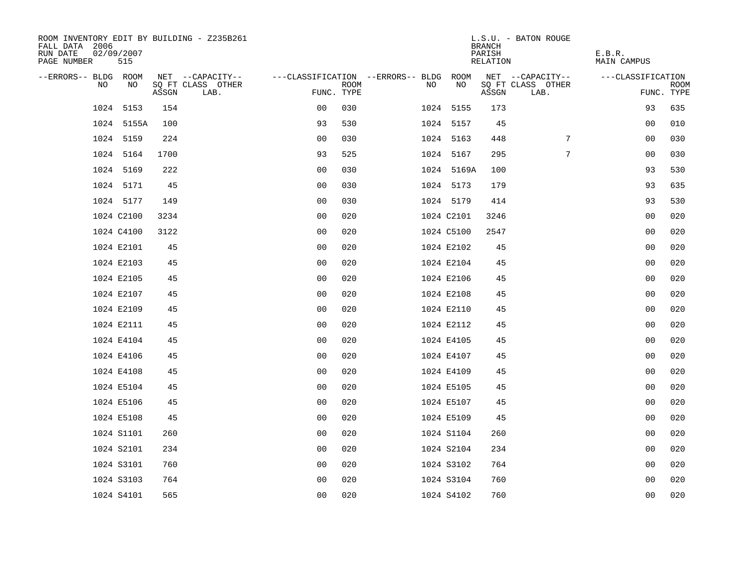| ROOM INVENTORY EDIT BY BUILDING - Z235B261<br>FALL DATA 2006<br>RUN DATE<br>02/09/2007<br>PAGE NUMBER | 515        |       |                           |                                   |             |    |            | <b>BRANCH</b><br>PARISH<br>RELATION | L.S.U. - BATON ROUGE      | E.B.R.<br>MAIN CAMPUS |                           |
|-------------------------------------------------------------------------------------------------------|------------|-------|---------------------------|-----------------------------------|-------------|----|------------|-------------------------------------|---------------------------|-----------------------|---------------------------|
| --ERRORS-- BLDG ROOM                                                                                  |            |       | NET --CAPACITY--          | ---CLASSIFICATION --ERRORS-- BLDG |             |    | ROOM       |                                     | NET --CAPACITY--          | ---CLASSIFICATION     |                           |
| N <sub>O</sub>                                                                                        | NO         | ASSGN | SQ FT CLASS OTHER<br>LAB. | FUNC. TYPE                        | <b>ROOM</b> | NO | NO         | ASSGN                               | SQ FT CLASS OTHER<br>LAB. |                       | <b>ROOM</b><br>FUNC. TYPE |
| 1024                                                                                                  | 5153       | 154   |                           | 0 <sub>0</sub>                    | 030         |    | 1024 5155  | 173                                 |                           | 93                    | 635                       |
|                                                                                                       | 1024 5155A | 100   |                           | 93                                | 530         |    | 1024 5157  | 45                                  |                           | 0 <sub>0</sub>        | 010                       |
| 1024 5159                                                                                             |            | 224   |                           | 0 <sub>0</sub>                    | 030         |    | 1024 5163  | 448                                 | 7                         | 0 <sub>0</sub>        | 030                       |
| 1024 5164                                                                                             |            | 1700  |                           | 93                                | 525         |    | 1024 5167  | 295                                 | 7                         | 00                    | 030                       |
| 1024 5169                                                                                             |            | 222   |                           | 00                                | 030         |    | 1024 5169A | 100                                 |                           | 93                    | 530                       |
|                                                                                                       | 1024 5171  | 45    |                           | 0 <sub>0</sub>                    | 030         |    | 1024 5173  | 179                                 |                           | 93                    | 635                       |
|                                                                                                       | 1024 5177  | 149   |                           | 0 <sub>0</sub>                    | 030         |    | 1024 5179  | 414                                 |                           | 93                    | 530                       |
| 1024 C2100                                                                                            |            | 3234  |                           | 0 <sub>0</sub>                    | 020         |    | 1024 C2101 | 3246                                |                           | 00                    | 020                       |
| 1024 C4100                                                                                            |            | 3122  |                           | 0 <sub>0</sub>                    | 020         |    | 1024 C5100 | 2547                                |                           | 00                    | 020                       |
| 1024 E2101                                                                                            |            | 45    |                           | 0 <sub>0</sub>                    | 020         |    | 1024 E2102 | 45                                  |                           | 00                    | 020                       |
| 1024 E2103                                                                                            |            | 45    |                           | 0 <sub>0</sub>                    | 020         |    | 1024 E2104 | 45                                  |                           | 0 <sub>0</sub>        | 020                       |
| 1024 E2105                                                                                            |            | 45    |                           | 0 <sub>0</sub>                    | 020         |    | 1024 E2106 | 45                                  |                           | 0 <sub>0</sub>        | 020                       |
| 1024 E2107                                                                                            |            | 45    |                           | 0 <sub>0</sub>                    | 020         |    | 1024 E2108 | 45                                  |                           | 00                    | 020                       |
| 1024 E2109                                                                                            |            | 45    |                           | 0 <sub>0</sub>                    | 020         |    | 1024 E2110 | 45                                  |                           | 00                    | 020                       |
| 1024 E2111                                                                                            |            | 45    |                           | 0 <sub>0</sub>                    | 020         |    | 1024 E2112 | 45                                  |                           | 0 <sub>0</sub>        | 020                       |
| 1024 E4104                                                                                            |            | 45    |                           | 0 <sub>0</sub>                    | 020         |    | 1024 E4105 | 45                                  |                           | 00                    | 020                       |
| 1024 E4106                                                                                            |            | 45    |                           | 00                                | 020         |    | 1024 E4107 | 45                                  |                           | 0 <sub>0</sub>        | 020                       |
| 1024 E4108                                                                                            |            | 45    |                           | 0 <sub>0</sub>                    | 020         |    | 1024 E4109 | 45                                  |                           | 00                    | 020                       |
| 1024 E5104                                                                                            |            | 45    |                           | 0 <sub>0</sub>                    | 020         |    | 1024 E5105 | 45                                  |                           | 00                    | 020                       |
| 1024 E5106                                                                                            |            | 45    |                           | 0 <sub>0</sub>                    | 020         |    | 1024 E5107 | 45                                  |                           | 00                    | 020                       |
| 1024 E5108                                                                                            |            | 45    |                           | 0 <sub>0</sub>                    | 020         |    | 1024 E5109 | 45                                  |                           | 0 <sub>0</sub>        | 020                       |
| 1024 S1101                                                                                            |            | 260   |                           | 00                                | 020         |    | 1024 S1104 | 260                                 |                           | 00                    | 020                       |
| 1024 S2101                                                                                            |            | 234   |                           | 0 <sub>0</sub>                    | 020         |    | 1024 S2104 | 234                                 |                           | 0 <sub>0</sub>        | 020                       |
| 1024 S3101                                                                                            |            | 760   |                           | 0 <sub>0</sub>                    | 020         |    | 1024 S3102 | 764                                 |                           | 00                    | 020                       |
| 1024 S3103                                                                                            |            | 764   |                           | 0 <sub>0</sub>                    | 020         |    | 1024 S3104 | 760                                 |                           | 00                    | 020                       |
| 1024 S4101                                                                                            |            | 565   |                           | 0 <sub>0</sub>                    | 020         |    | 1024 S4102 | 760                                 |                           | 0 <sub>0</sub>        | 020                       |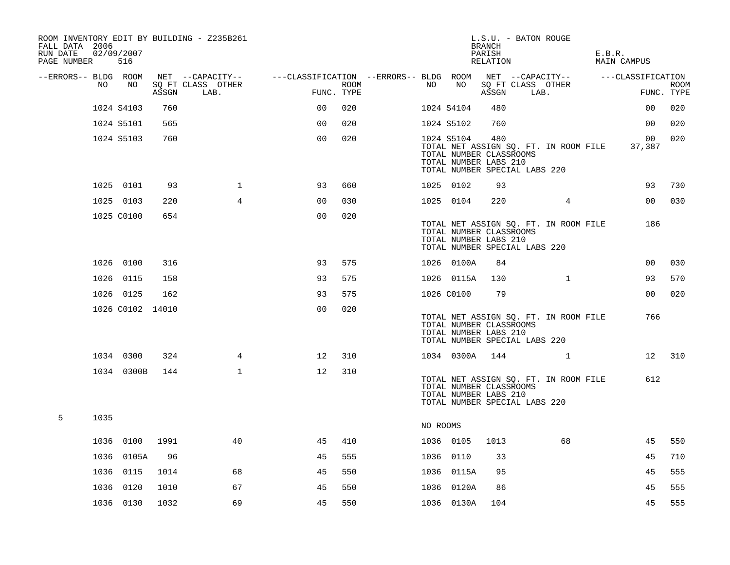| ROOM INVENTORY EDIT BY BUILDING - Z235B261<br>FALL DATA 2006<br>RUN DATE<br>PAGE NUMBER | 02/09/2007<br>516 |            |                  |                           |                                        |             |          |            | L.S.U. - BATON ROUGE<br><b>BRANCH</b><br>PARISH<br>RELATION                              |      |                                       | E.B.R. | MAIN CAMPUS       |                           |
|-----------------------------------------------------------------------------------------|-------------------|------------|------------------|---------------------------|----------------------------------------|-------------|----------|------------|------------------------------------------------------------------------------------------|------|---------------------------------------|--------|-------------------|---------------------------|
| --ERRORS-- BLDG ROOM                                                                    |                   |            |                  | NET --CAPACITY--          | ---CLASSIFICATION --ERRORS-- BLDG ROOM |             |          |            |                                                                                          |      | NET --CAPACITY--                      |        | ---CLASSIFICATION |                           |
| NO.                                                                                     |                   | NO         | ASSGN            | SO FT CLASS OTHER<br>LAB. | FUNC. TYPE                             | <b>ROOM</b> | NO       | NO         | SQ FT CLASS OTHER<br>ASSGN                                                               | LAB. |                                       |        |                   | <b>ROOM</b><br>FUNC. TYPE |
|                                                                                         | 1024 S4103        |            | 760              |                           | 0 <sub>0</sub>                         | 020         |          | 1024 S4104 | 480                                                                                      |      |                                       |        | 0 <sub>0</sub>    | 020                       |
|                                                                                         | 1024 S5101        |            | 565              |                           | 0 <sub>0</sub>                         | 020         |          | 1024 S5102 | 760                                                                                      |      |                                       |        | 0 <sub>0</sub>    | 020                       |
|                                                                                         | 1024 S5103        |            | 760              |                           | 0 <sub>0</sub>                         | 020         |          | 1024 S5104 | 480<br>TOTAL NUMBER CLASSROOMS<br>TOTAL NUMBER LABS 210<br>TOTAL NUMBER SPECIAL LABS 220 |      | TOTAL NET ASSIGN SQ. FT. IN ROOM FILE |        | 00<br>37,387      | 020                       |
|                                                                                         | 1025 0101         |            | 93               | $\mathbf{1}$              | 93                                     | 660         |          | 1025 0102  | 93                                                                                       |      |                                       |        | 93                | 730                       |
|                                                                                         | 1025 0103         |            | 220              | $\overline{4}$            | 00                                     | 030         |          | 1025 0104  | 220                                                                                      |      | 4                                     |        | 0 <sub>0</sub>    | 030                       |
|                                                                                         | 1025 C0100        |            | 654              |                           | 0 <sub>0</sub>                         | 020         |          |            | TOTAL NUMBER CLASSROOMS<br>TOTAL NUMBER LABS 210<br>TOTAL NUMBER SPECIAL LABS 220        |      | TOTAL NET ASSIGN SQ. FT. IN ROOM FILE |        | 186               |                           |
|                                                                                         | 1026 0100         |            | 316              |                           | 93                                     | 575         |          | 1026 0100A | 84                                                                                       |      |                                       |        | 00                | 030                       |
|                                                                                         | 1026 0115         |            | 158              |                           | 93                                     | 575         |          | 1026 0115A | 130                                                                                      |      | $\mathbf{1}$                          |        | 93                | 570                       |
|                                                                                         | 1026 0125         |            | 162              |                           | 93                                     | 575         |          | 1026 C0100 | 79                                                                                       |      |                                       |        | 00                | 020                       |
|                                                                                         |                   |            | 1026 C0102 14010 |                           | 0 <sub>0</sub>                         | 020         |          |            | TOTAL NUMBER CLASSROOMS<br>TOTAL NUMBER LABS 210<br>TOTAL NUMBER SPECIAL LABS 220        |      | TOTAL NET ASSIGN SQ. FT. IN ROOM FILE |        | 766               |                           |
|                                                                                         | 1034 0300         |            | 324              | 4                         | 12                                     | 310         |          | 1034 0300A | 144                                                                                      |      | $\mathbf{1}$                          |        | 12                | 310                       |
|                                                                                         |                   | 1034 0300B | 144              | $\mathbf{1}$              | 12                                     | 310         |          |            | TOTAL NUMBER CLASSROOMS<br>TOTAL NUMBER LABS 210<br>TOTAL NUMBER SPECIAL LABS 220        |      | TOTAL NET ASSIGN SQ. FT. IN ROOM FILE |        | 612               |                           |
| 5<br>1035                                                                               |                   |            |                  |                           |                                        |             | NO ROOMS |            |                                                                                          |      |                                       |        |                   |                           |
|                                                                                         | 1036 0100         |            | 1991             | 40                        | 45                                     | 410         |          | 1036 0105  | 1013                                                                                     |      | 68                                    |        | 45                | 550                       |
| 1036                                                                                    |                   | 0105A      | 96               |                           | 45                                     | 555         |          | 1036 0110  | 33                                                                                       |      |                                       |        | 45                | 710                       |
|                                                                                         | 1036 0115         |            | 1014             | 68                        | 45                                     | 550         |          | 1036 0115A | 95                                                                                       |      |                                       |        | 45                | 555                       |
| 1036                                                                                    |                   | 0120       | 1010             | 67                        | 45                                     | 550         |          | 1036 0120A | 86                                                                                       |      |                                       |        | 45                | 555                       |
|                                                                                         | 1036 0130         |            | 1032             | 69                        | 45                                     | 550         |          | 1036 0130A | 104                                                                                      |      |                                       |        | 45                | 555                       |
|                                                                                         |                   |            |                  |                           |                                        |             |          |            |                                                                                          |      |                                       |        |                   |                           |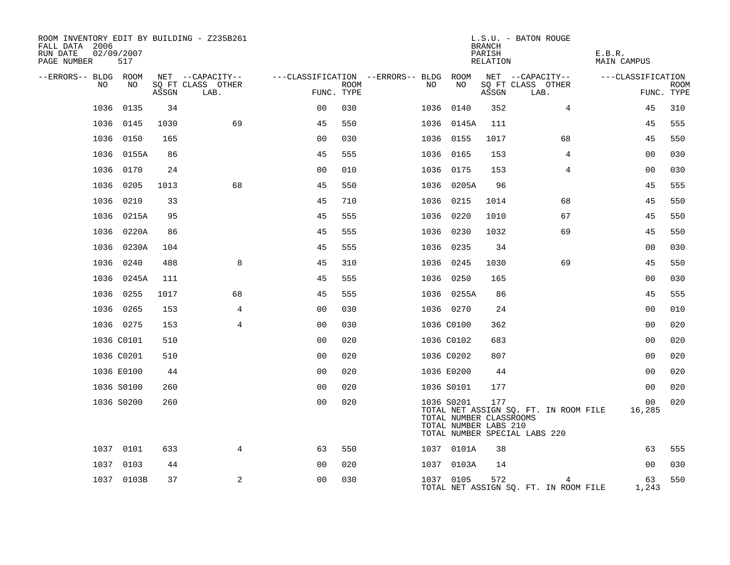| ROOM INVENTORY EDIT BY BUILDING - Z235B261<br>FALL DATA 2006<br>RUN DATE<br>PAGE NUMBER | 02/09/2007<br>517 |       |                           |                |             |                                   |            | <b>BRANCH</b><br>PARISH<br>RELATION                     | L.S.U. - BATON ROUGE                                                   | E.B.R.<br><b>MAIN CAMPUS</b> |             |
|-----------------------------------------------------------------------------------------|-------------------|-------|---------------------------|----------------|-------------|-----------------------------------|------------|---------------------------------------------------------|------------------------------------------------------------------------|------------------------------|-------------|
| --ERRORS-- BLDG ROOM                                                                    |                   |       | NET --CAPACITY--          |                |             | ---CLASSIFICATION --ERRORS-- BLDG | ROOM       |                                                         | NET --CAPACITY--                                                       | ---CLASSIFICATION            |             |
| NO                                                                                      | NO                | ASSGN | SO FT CLASS OTHER<br>LAB. | FUNC. TYPE     | <b>ROOM</b> | NO.                               | NO         | ASSGN                                                   | SQ FT CLASS OTHER<br>LAB.                                              | FUNC. TYPE                   | <b>ROOM</b> |
| 1036                                                                                    | 0135              | 34    |                           | 0 <sub>0</sub> | 030         |                                   | 1036 0140  | 352                                                     | 4                                                                      | 45                           | 310         |
| 1036                                                                                    | 0145              | 1030  | 69                        | 45             | 550         |                                   | 1036 0145A | 111                                                     |                                                                        | 45                           | 555         |
| 1036                                                                                    | 0150              | 165   |                           | 0 <sub>0</sub> | 030         |                                   | 1036 0155  | 1017                                                    | 68                                                                     | 45                           | 550         |
| 1036                                                                                    | 0155A             | 86    |                           | 45             | 555         |                                   | 1036 0165  | 153                                                     | 4                                                                      | 0 <sub>0</sub>               | 030         |
| 1036                                                                                    | 0170              | 24    |                           | 0 <sub>0</sub> | 010         |                                   | 1036 0175  | 153                                                     | 4                                                                      | 00                           | 030         |
| 1036                                                                                    | 0205              | 1013  | 68                        | 45             | 550         |                                   | 1036 0205A | 96                                                      |                                                                        | 45                           | 555         |
| 1036                                                                                    | 0210              | 33    |                           | 45             | 710         |                                   | 1036 0215  | 1014                                                    | 68                                                                     | 45                           | 550         |
| 1036                                                                                    | 0215A             | 95    |                           | 45             | 555         | 1036                              | 0220       | 1010                                                    | 67                                                                     | 45                           | 550         |
|                                                                                         | 1036 0220A        | 86    |                           | 45             | 555         |                                   | 1036 0230  | 1032                                                    | 69                                                                     | 45                           | 550         |
| 1036                                                                                    | 0230A             | 104   |                           | 45             | 555         |                                   | 1036 0235  | 34                                                      |                                                                        | 0 <sub>0</sub>               | 030         |
| 1036                                                                                    | 0240              | 488   | 8                         | 45             | 310         |                                   | 1036 0245  | 1030                                                    | 69                                                                     | 45                           | 550         |
| 1036                                                                                    | 0245A             | 111   |                           | 45             | 555         |                                   | 1036 0250  | 165                                                     |                                                                        | 0 <sub>0</sub>               | 030         |
| 1036                                                                                    | 0255              | 1017  | 68                        | 45             | 555         |                                   | 1036 0255A | 86                                                      |                                                                        | 45                           | 555         |
| 1036                                                                                    | 0265              | 153   | 4                         | 0 <sub>0</sub> | 030         |                                   | 1036 0270  | 24                                                      |                                                                        | 00                           | 010         |
|                                                                                         | 1036 0275         | 153   | $\overline{4}$            | 00             | 030         |                                   | 1036 C0100 | 362                                                     |                                                                        | 0 <sub>0</sub>               | 020         |
|                                                                                         | 1036 C0101        | 510   |                           | 0 <sub>0</sub> | 020         |                                   | 1036 C0102 | 683                                                     |                                                                        | 0 <sub>0</sub>               | 020         |
|                                                                                         | 1036 C0201        | 510   |                           | 0 <sub>0</sub> | 020         |                                   | 1036 C0202 | 807                                                     |                                                                        | 0 <sub>0</sub>               | 020         |
|                                                                                         | 1036 E0100        | 44    |                           | 0 <sub>0</sub> | 020         |                                   | 1036 E0200 | 44                                                      |                                                                        | 00                           | 020         |
|                                                                                         | 1036 S0100        | 260   |                           | 0 <sub>0</sub> | 020         |                                   | 1036 S0101 | 177                                                     |                                                                        | 0 <sub>0</sub>               | 020         |
|                                                                                         | 1036 S0200        | 260   |                           | 0 <sub>0</sub> | 020         |                                   | 1036 S0201 | 177<br>TOTAL NUMBER CLASSROOMS<br>TOTAL NUMBER LABS 210 | TOTAL NET ASSIGN SQ. FT. IN ROOM FILE<br>TOTAL NUMBER SPECIAL LABS 220 | 00<br>16,285                 | 020         |
|                                                                                         | 1037 0101         | 633   | 4                         | 63             | 550         |                                   | 1037 0101A | 38                                                      |                                                                        | 63                           | 555         |
|                                                                                         | 1037 0103         | 44    |                           | 0 <sub>0</sub> | 020         |                                   | 1037 0103A | 14                                                      |                                                                        | 0 <sub>0</sub>               | 030         |
|                                                                                         | 1037 0103B        | 37    | 2                         | 0 <sub>0</sub> | 030         |                                   | 1037 0105  | 572                                                     | 4<br>TOTAL NET ASSIGN SQ. FT. IN ROOM FILE                             | 63<br>1,243                  | 550         |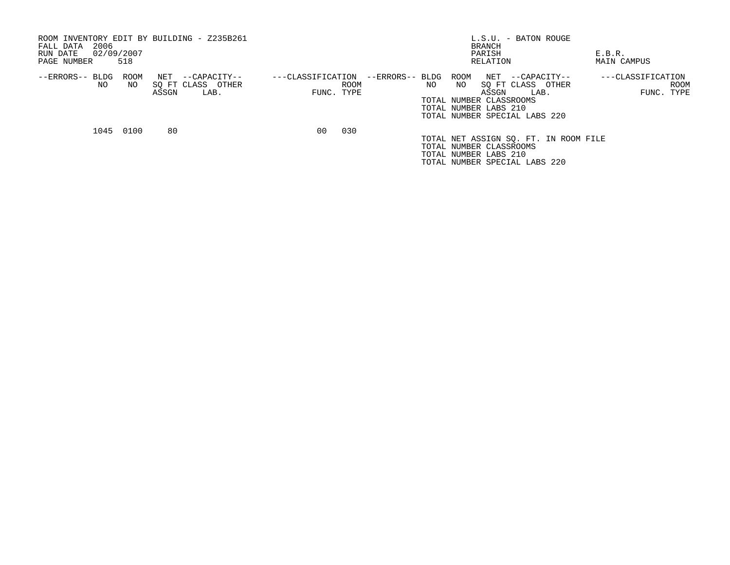| ROOM INVENTORY EDIT BY BUILDING - Z235B261<br>2006<br>FALL DATA<br>02/09/2007<br>RUN DATE<br>518<br>PAGE NUMBER |            |              |                                           |                   |                           | L.S.U. - BATON ROUGE<br>BRANCH<br>PARISH<br>RELATION |     |            |                                                           | E.B.R.<br>MAIN CAMPUS                                                          |  |                                         |
|-----------------------------------------------------------------------------------------------------------------|------------|--------------|-------------------------------------------|-------------------|---------------------------|------------------------------------------------------|-----|------------|-----------------------------------------------------------|--------------------------------------------------------------------------------|--|-----------------------------------------|
| --ERRORS-- BLDG<br>NO.                                                                                          | ROOM<br>NO | NET<br>ASSGN | --CAPACITY--<br>SO FT CLASS OTHER<br>LAB. | ---CLASSIFICATION | <b>ROOM</b><br>FUNC. TYPE | --ERRORS-- BLDG                                      | NO. | ROOM<br>NO | ASSGN<br>TOTAL NUMBER CLASSROOMS<br>TOTAL NUMBER LABS 210 | NET --CAPACITY--<br>SO FT CLASS OTHER<br>LAB.<br>TOTAL NUMBER SPECIAL LABS 220 |  | ---CLASSIFICATION<br>ROOM<br>FUNC. TYPE |
| 1045                                                                                                            | 0100       | 80           |                                           | 00                | 030                       |                                                      |     |            | TOTAL NUMBER CLASSROOMS<br>TOTAL NUMBER LABS 210          | TOTAL NET ASSIGN SO. FT. IN ROOM FILE<br>TOTAL NUMBER SPECIAL LABS 220         |  |                                         |